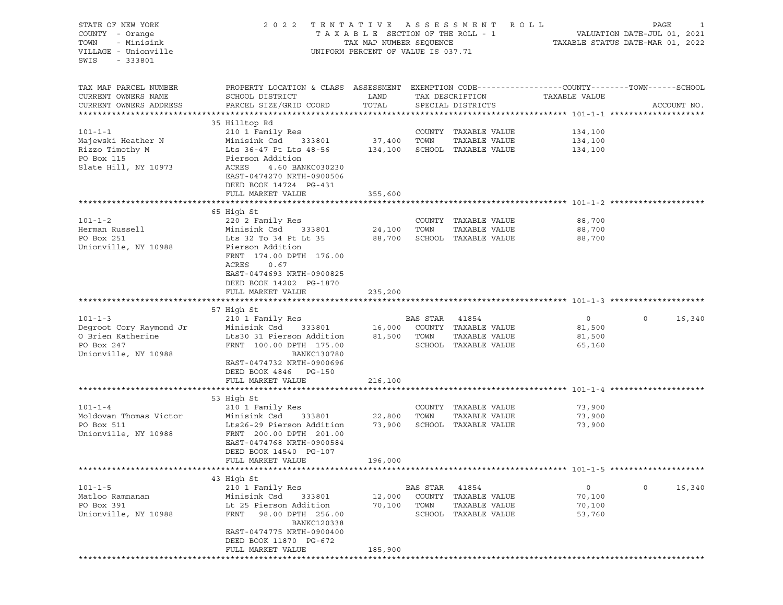| STATE OF NEW YORK<br>COUNTY - Orange<br>- Minisink<br>TOWN<br>VILLAGE - Unionville<br>SWIS<br>- 333801 | TENTATIVE ASSESSMENT ROLL<br>2 0 2 2<br>TAXABLE SECTION OF THE ROLL - 1<br>TAX MAP NUMBER SEQUENCE<br>UNIFORM PERCENT OF VALUE IS 037.71      | PAGE<br>1<br>VALUATION DATE-JUL 01, 2021<br>TAXABLE STATUS DATE-MAR 01, 2022 |          |                                      |               |                        |
|--------------------------------------------------------------------------------------------------------|-----------------------------------------------------------------------------------------------------------------------------------------------|------------------------------------------------------------------------------|----------|--------------------------------------|---------------|------------------------|
| TAX MAP PARCEL NUMBER<br>CURRENT OWNERS NAME<br>CURRENT OWNERS ADDRESS                                 | PROPERTY LOCATION & CLASS ASSESSMENT EXEMPTION CODE----------------COUNTY-------TOWN------SCHOOL<br>SCHOOL DISTRICT<br>PARCEL SIZE/GRID COORD | LAND<br>TOTAL                                                                |          | TAX DESCRIPTION<br>SPECIAL DISTRICTS | TAXABLE VALUE | ACCOUNT NO.            |
|                                                                                                        |                                                                                                                                               |                                                                              |          |                                      |               |                        |
|                                                                                                        | 35 Hilltop Rd                                                                                                                                 |                                                                              |          |                                      |               |                        |
| $101 - 1 - 1$                                                                                          | 210 1 Family Res                                                                                                                              |                                                                              |          | COUNTY TAXABLE VALUE                 | 134,100       |                        |
| Majewski Heather N                                                                                     | Minisink Csd<br>333801                                                                                                                        | 37,400                                                                       | TOWN     | TAXABLE VALUE                        | 134,100       |                        |
| Rizzo Timothy M                                                                                        | Lts 36-47 Pt Lts 48-56                                                                                                                        | 134,100                                                                      |          | SCHOOL TAXABLE VALUE                 | 134,100       |                        |
| PO Box 115<br>Slate Hill, NY 10973                                                                     | Pierson Addition<br>ACRES<br>4.60 BANKC030230<br>EAST-0474270 NRTH-0900506<br>DEED BOOK 14724 PG-431                                          |                                                                              |          |                                      |               |                        |
|                                                                                                        | FULL MARKET VALUE                                                                                                                             | 355,600                                                                      |          |                                      |               |                        |
|                                                                                                        |                                                                                                                                               |                                                                              |          |                                      |               |                        |
|                                                                                                        | 65 High St                                                                                                                                    |                                                                              |          |                                      |               |                        |
| $101 - 1 - 2$                                                                                          | 220 2 Family Res                                                                                                                              |                                                                              |          | COUNTY TAXABLE VALUE                 | 88,700        |                        |
| Herman Russell                                                                                         | Minisink Csd<br>333801                                                                                                                        | 24,100                                                                       | TOWN     | TAXABLE VALUE                        | 88,700        |                        |
| PO Box 251                                                                                             | Lts 32 To 34 Pt Lt 35                                                                                                                         | 88,700                                                                       |          | SCHOOL TAXABLE VALUE                 | 88,700        |                        |
| Unionville, NY 10988                                                                                   | Pierson Addition<br>FRNT 174.00 DPTH 176.00<br>ACRES<br>0.67<br>EAST-0474693 NRTH-0900825<br>DEED BOOK 14202 PG-1870<br>FULL MARKET VALUE     | 235,200                                                                      |          |                                      |               |                        |
|                                                                                                        |                                                                                                                                               |                                                                              |          |                                      |               |                        |
|                                                                                                        | 57 High St                                                                                                                                    |                                                                              |          |                                      |               |                        |
| $101 - 1 - 3$                                                                                          | 210 1 Family Res                                                                                                                              |                                                                              | BAS STAR | 41854                                | $\circ$       | $\circ$<br>16,340      |
| Degroot Cory Raymond Jr                                                                                | Minisink Csd<br>333801                                                                                                                        | 16,000                                                                       |          | COUNTY TAXABLE VALUE                 | 81,500        |                        |
| O Brien Katherine                                                                                      | Lts30 31 Pierson Addition                                                                                                                     | 81,500                                                                       | TOWN     | TAXABLE VALUE                        | 81,500        |                        |
| PO Box 247                                                                                             | FRNT 100.00 DPTH 175.00                                                                                                                       |                                                                              |          | SCHOOL TAXABLE VALUE                 | 65,160        |                        |
| Unionville, NY 10988                                                                                   | BANKC130780<br>EAST-0474732 NRTH-0900696<br>DEED BOOK 4846 PG-150<br>FULL MARKET VALUE                                                        | 216,100                                                                      |          |                                      |               |                        |
|                                                                                                        |                                                                                                                                               |                                                                              |          |                                      |               |                        |
|                                                                                                        | 53 High St                                                                                                                                    |                                                                              |          |                                      |               |                        |
| $101 - 1 - 4$                                                                                          | 210 1 Family Res                                                                                                                              |                                                                              |          | COUNTY TAXABLE VALUE                 | 73,900        |                        |
| Moldovan Thomas Victor                                                                                 | Minisink Csd<br>333801                                                                                                                        | 22,800                                                                       | TOWN     | TAXABLE VALUE                        | 73,900        |                        |
| PO Box 511<br>Unionville, NY 10988                                                                     | Lts26-29 Pierson Addition<br>FRNT 200.00 DPTH 201.00<br>EAST-0474768 NRTH-0900584                                                             | 73,900                                                                       |          | SCHOOL TAXABLE VALUE                 | 73,900        |                        |
|                                                                                                        | DEED BOOK 14540 PG-107                                                                                                                        |                                                                              |          |                                      |               |                        |
|                                                                                                        | FULL MARKET VALUE                                                                                                                             | 196,000                                                                      |          |                                      |               |                        |
|                                                                                                        |                                                                                                                                               |                                                                              |          |                                      |               |                        |
|                                                                                                        | 43 High St                                                                                                                                    |                                                                              |          |                                      |               |                        |
| $101 - 1 - 5$                                                                                          | 210 1 Family Res                                                                                                                              |                                                                              | BAS STAR | 41854                                | 0             | $\mathsf{O}$<br>16,340 |
| Matloo Ramnanan                                                                                        | Minisink Csd<br>333801                                                                                                                        | 12,000                                                                       | COUNTY   | TAXABLE VALUE                        | 70,100        |                        |
| PO Box 391                                                                                             | Lt 25 Pierson Addition                                                                                                                        | 70,100                                                                       | TOWN     | TAXABLE VALUE                        | 70,100        |                        |
| Unionville, NY 10988                                                                                   | 98.00 DPTH 256.00<br>FRNT<br><b>BANKC120338</b><br>EAST-0474775 NRTH-0900400                                                                  |                                                                              |          | SCHOOL TAXABLE VALUE                 | 53,760        |                        |
|                                                                                                        | DEED BOOK 11870 PG-672                                                                                                                        |                                                                              |          |                                      |               |                        |
|                                                                                                        | FULL MARKET VALUE                                                                                                                             | 185,900                                                                      |          |                                      |               |                        |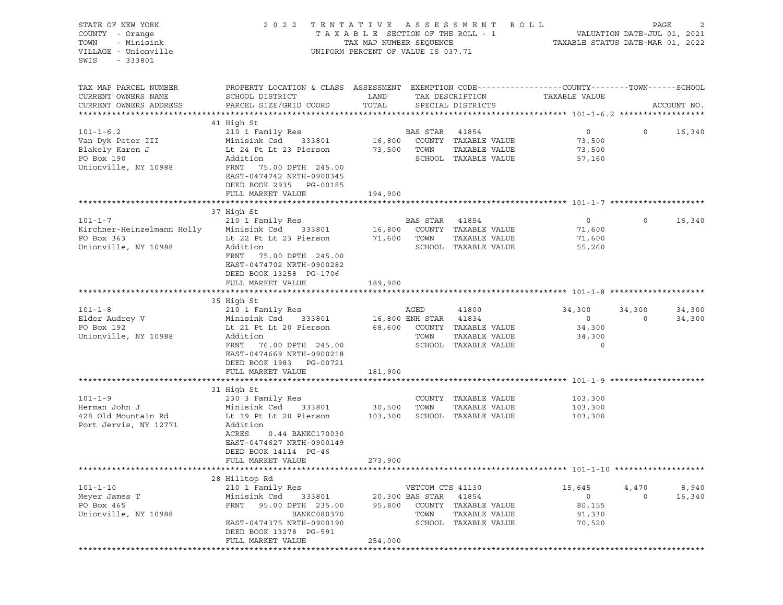| STATE OF NEW YORK<br>COUNTY - Orange<br>TOWN<br>- Minisink<br>VILLAGE - Unionville<br>SWIS<br>- 333801 | 2022 TENTATIVE ASSESSMENT ROLL                                                                                                                                                    | TAX MAP NUMBER SEQUENCE<br>UNIFORM PERCENT OF VALUE IS 037.71 |                                                       | TAXABLE SECTION OF THE ROLL - 1                                               | TAXABLE STATUS DATE-MAR 01, 2022                 | PAGE<br>VALUATION DATE-JUL 01, 2021 | 2                |
|--------------------------------------------------------------------------------------------------------|-----------------------------------------------------------------------------------------------------------------------------------------------------------------------------------|---------------------------------------------------------------|-------------------------------------------------------|-------------------------------------------------------------------------------|--------------------------------------------------|-------------------------------------|------------------|
| TAX MAP PARCEL NUMBER<br>CURRENT OWNERS NAME<br>CURRENT OWNERS ADDRESS                                 | PROPERTY LOCATION & CLASS ASSESSMENT EXEMPTION CODE----------------COUNTY-------TOWN------SCHOOL<br>SCHOOL DISTRICT<br>PARCEL SIZE/GRID COORD                                     | LAND<br>TOTAL                                                 |                                                       | TAX DESCRIPTION<br>SPECIAL DISTRICTS                                          | TAXABLE VALUE                                    |                                     | ACCOUNT NO.      |
|                                                                                                        |                                                                                                                                                                                   |                                                               |                                                       |                                                                               |                                                  |                                     |                  |
| $101 - 1 - 6.2$<br>Van Dyk Peter III<br>Blakely Karen J<br>PO Box 190<br>Unionville, NY 10988          | 41 High St<br>210 1 Family Res<br>Minisink Csd<br>333801<br>Lt 24 Pt Lt 23 Pierson<br>Addition<br>FRNT 75.00 DPTH 245.00<br>EAST-0474742 NRTH-0900345<br>DEED BOOK 2935 PG-00185  | 16,800<br>73,500 TOWN                                         | BAS STAR                                              | 41854<br>COUNTY TAXABLE VALUE<br>TAXABLE VALUE<br>SCHOOL TAXABLE VALUE        | $\circ$<br>73,500<br>73,500<br>57,160            | $\circ$                             | 16,340           |
|                                                                                                        | FULL MARKET VALUE                                                                                                                                                                 | 194,900                                                       |                                                       |                                                                               |                                                  |                                     |                  |
| $101 - 1 - 7$<br>Kirchner-Heinzelmann Holly Minisink Csd 333801<br>PO Box 363<br>Unionville, NY 10988  | 37 High St<br>210 1 Family Res<br>Lt 22 Pt Lt 23 Pierson<br>Addition<br>FRNT<br>75.00 DPTH 245.00<br>EAST-0474702 NRTH-0900282<br>DEED BOOK 13258 PG-1706                         | 16,800<br>71,600                                              | BAS STAR<br>TOWN                                      | 41854<br>COUNTY TAXABLE VALUE<br>TAXABLE VALUE<br>SCHOOL TAXABLE VALUE        | $\circ$<br>71,600<br>71,600<br>55,260            | $\circ$                             | 16,340           |
|                                                                                                        | FULL MARKET VALUE                                                                                                                                                                 | 189,900                                                       |                                                       |                                                                               |                                                  |                                     |                  |
| $101 - 1 - 8$<br>Elder Audrey V<br>PO Box 192<br>Unionville, NY 10988                                  | 35 High St<br>210 1 Family Res<br>Minisink Csd<br>333801<br>Lt 21 Pt Lt 20 Pierson<br>Addition<br>FRNT 76.00 DPTH 245.00<br>EAST-0474669 NRTH-0900218<br>DEED BOOK 1983 PG-00721  |                                                               | AGED<br>16,800 ENH STAR 41834<br>TOWN                 | 41800<br>68,600 COUNTY TAXABLE VALUE<br>TAXABLE VALUE<br>SCHOOL TAXABLE VALUE | 34,300<br>$\circ$<br>34,300<br>34,300<br>$\circ$ | 34,300<br>$\circ$                   | 34,300<br>34,300 |
|                                                                                                        | FULL MARKET VALUE                                                                                                                                                                 | 181,900                                                       |                                                       |                                                                               |                                                  |                                     |                  |
| $101 - 1 - 9$<br>Herman John J<br>428 Old Mountain Rd<br>Port Jervis, NY 12771                         | 31 High St<br>230 3 Family Res<br>Minisink Csd<br>333801<br>Lt 19 Pt Lt 20 Pierson<br>Addition<br>ACRES<br>0.44 BANKC170030<br>EAST-0474627 NRTH-0900149<br>DEED BOOK 14114 PG-46 | 30,500<br>103,300                                             | TOWN                                                  | COUNTY TAXABLE VALUE<br>TAXABLE VALUE<br>SCHOOL TAXABLE VALUE                 | 103,300<br>103,300<br>103,300                    |                                     |                  |
|                                                                                                        | FULL MARKET VALUE                                                                                                                                                                 | 273,900                                                       |                                                       |                                                                               |                                                  |                                     |                  |
| $101 - 1 - 10$<br>Meyer James T<br>PO Box 465<br>Unionville, NY 10988                                  | 28 Hilltop Rd<br>210 1 Family Res<br>Minisink Csd<br>333801<br>FRNT<br>95.00 DPTH 235.00<br><b>BANKC080370</b><br>EAST-0474375 NRTH-0900190                                       | 95,800                                                        | VETCOM CTS 41130<br>20,300 BAS STAR<br>COUNTY<br>TOWN | 41854<br>TAXABLE VALUE<br>TAXABLE VALUE<br>SCHOOL TAXABLE VALUE               | 15,645<br>$\circ$<br>80,155<br>91,330<br>70,520  | 4,470<br>0                          | 8,940<br>16,340  |
|                                                                                                        | DEED BOOK 13278 PG-591<br>FULL MARKET VALUE                                                                                                                                       | 254,000                                                       |                                                       |                                                                               |                                                  |                                     |                  |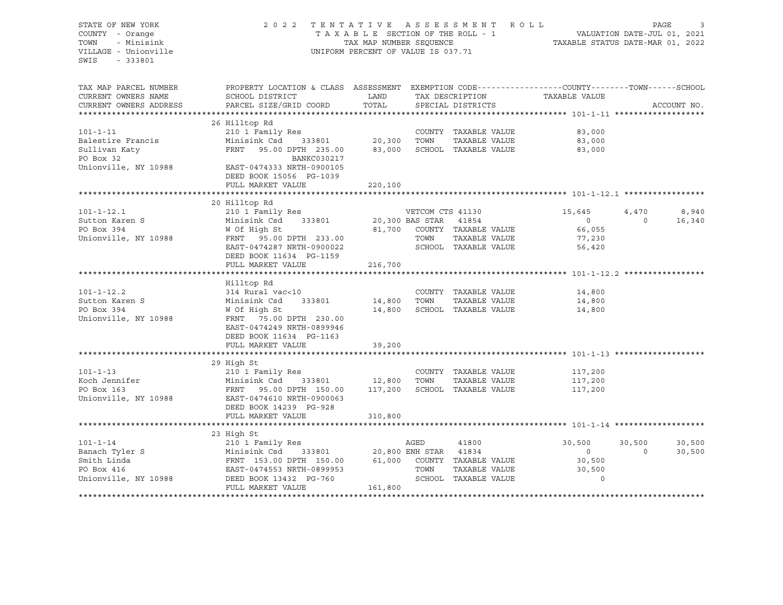STATE OF NEW YORK 2 0 2 2 T E N T A T I V E A S S E S S M E N T R O L L PAGE 3 COUNTY - Orange T A X A B L E SECTION OF THE ROLL - 1 TOWN - Minisink TAX MAP NUMBER SEQUENCE TAXABLE STATUS DATE-MAR 01, 2022<br>TILLAGE - Unionville Taxable Taxable Taxable Status UNIFORM PERCENT OF VALUE IS 037.71 UNIFORM PERCENT OF VALUE IS 037.71 SWIS - 333801 TAX MAP PARCEL NUMBER PROPERTY LOCATION & CLASS ASSESSMENT EXEMPTION CODE------------------COUNTY--------TOWN------SCHOOL CURRENT OWNERS NAME SCHOOL DISTRICT LAND TAX DESCRIPTION TAXABLE VALUE CURRENT OWNERS ADDRESS PARCEL SIZE/GRID COORD TOTAL SPECIAL DISTRICTS ACCOUNT NO. \*\*\*\*\*\*\*\*\*\*\*\*\*\*\*\*\*\*\*\*\*\*\*\*\*\*\*\*\*\*\*\*\*\*\*\*\*\*\*\*\*\*\*\*\*\*\*\*\*\*\*\*\*\*\*\*\*\*\*\*\*\*\*\*\*\*\*\*\*\*\*\*\*\*\*\*\*\*\*\*\*\*\*\*\*\*\*\*\*\*\*\*\*\*\*\*\*\*\*\*\*\*\* 101-1-11 \*\*\*\*\*\*\*\*\*\*\*\*\*\*\*\*\*\*\* 26 Hilltop Rd 101-1-11 210 1 Family Res COUNTY TAXABLE VALUE 83,000 Balestire Francis Minisink Csd 333801 20,300 TOWN TAXABLE VALUE 83,000 Sullivan Katy FRNT 95.00 DPTH 235.00 83,000 SCHOOL TAXABLE VALUE 83,000 PO Box 32 BANKC030217 Unionville, NY 10988 EAST-0474333 NRTH-0900105 DEED BOOK 15056 PG-1039 FULL MARKET VALUE 220,100 \*\*\*\*\*\*\*\*\*\*\*\*\*\*\*\*\*\*\*\*\*\*\*\*\*\*\*\*\*\*\*\*\*\*\*\*\*\*\*\*\*\*\*\*\*\*\*\*\*\*\*\*\*\*\*\*\*\*\*\*\*\*\*\*\*\*\*\*\*\*\*\*\*\*\*\*\*\*\*\*\*\*\*\*\*\*\*\*\*\*\*\*\*\*\*\*\*\*\*\*\*\*\* 101-1-12.1 \*\*\*\*\*\*\*\*\*\*\*\*\*\*\*\*\* 20 Hilltop Rd 101-1-12.1 210 1 Family Res VETCOM CTS 41130 15,645 4,470 8,940 Sutton Karen S Minisink Csd 333801 20,300 BAS STAR 41854 0 0 16,340 PO Box 394 W Of High St 81,700 COUNTY TAXABLE VALUE 66,055 Unionville, NY 10988 FRNT 95.00 DPTH 233.00 TOWN TAXABLE VALUE 77,230 EAST-0474287 NRTH-0900022 SCHOOL TAXABLE VALUE 56,420 DEED BOOK 11634 PG-1159 FULL MARKET VALUE 216,700 \*\*\*\*\*\*\*\*\*\*\*\*\*\*\*\*\*\*\*\*\*\*\*\*\*\*\*\*\*\*\*\*\*\*\*\*\*\*\*\*\*\*\*\*\*\*\*\*\*\*\*\*\*\*\*\*\*\*\*\*\*\*\*\*\*\*\*\*\*\*\*\*\*\*\*\*\*\*\*\*\*\*\*\*\*\*\*\*\*\*\*\*\*\*\*\*\*\*\*\*\*\*\* 101-1-12.2 \*\*\*\*\*\*\*\*\*\*\*\*\*\*\*\*\* Hilltop Rd 101-1-12.2 314 Rural vac<10 COUNTY TAXABLE VALUE 14,800 Sutton Karen S Minisink Csd 333801 14,800 TOWN TAXABLE VALUE 14,800 PO Box 394 W Of High St 14,800 SCHOOL TAXABLE VALUE 14,800 Unionville, NY 10988 FRNT 75.00 DPTH 230.00 EAST-0474249 NRTH-0899946 DEED BOOK 11634 PG-1163 FULL MARKET VALUE 39,200 \*\*\*\*\*\*\*\*\*\*\*\*\*\*\*\*\*\*\*\*\*\*\*\*\*\*\*\*\*\*\*\*\*\*\*\*\*\*\*\*\*\*\*\*\*\*\*\*\*\*\*\*\*\*\*\*\*\*\*\*\*\*\*\*\*\*\*\*\*\*\*\*\*\*\*\*\*\*\*\*\*\*\*\*\*\*\*\*\*\*\*\*\*\*\*\*\*\*\*\*\*\*\* 101-1-13 \*\*\*\*\*\*\*\*\*\*\*\*\*\*\*\*\*\*\* 29 High St 101-1-13 210 1 Family Res COUNTY TAXABLE VALUE 117,200 Koch Jennifer Minisink Csd 333801 12,800 TOWN TAXABLE VALUE 117,200 FRNT 95.00 DPTH 150.00 117,200 SCHOOL TAXABLE VALUE 117,200 Unionville, NY 10988 EAST-0474610 NRTH-0900063 DEED BOOK 14239 PG-928 FULL MARKET VALUE 310,800 \*\*\*\*\*\*\*\*\*\*\*\*\*\*\*\*\*\*\*\*\*\*\*\*\*\*\*\*\*\*\*\*\*\*\*\*\*\*\*\*\*\*\*\*\*\*\*\*\*\*\*\*\*\*\*\*\*\*\*\*\*\*\*\*\*\*\*\*\*\*\*\*\*\*\*\*\*\*\*\*\*\*\*\*\*\*\*\*\*\*\*\*\*\*\*\*\*\*\*\*\*\*\* 101-1-14 \*\*\*\*\*\*\*\*\*\*\*\*\*\*\*\*\*\*\* 23 High St 101-1-14 210 1 Family Res AGED 41800 30,500 30,500 30,500 30,500 Banach Tyler S Minisink Csd 333801 20,800 ENH STAR 41834 0 0 30,500 Smith Linda FRNT 153.00 DPTH 150.00 61,000 COUNTY TAXABLE VALUE 30,500 PO Box 416 EAST-0474553 NRTH-0899953 TOWN TAXABLE VALUE 30,500 Unionville, NY 10988 DEED BOOK 13432 PG-760 SCHOOL TAXABLE VALUE 0 FULL MARKET VALUE 161,800 \*\*\*\*\*\*\*\*\*\*\*\*\*\*\*\*\*\*\*\*\*\*\*\*\*\*\*\*\*\*\*\*\*\*\*\*\*\*\*\*\*\*\*\*\*\*\*\*\*\*\*\*\*\*\*\*\*\*\*\*\*\*\*\*\*\*\*\*\*\*\*\*\*\*\*\*\*\*\*\*\*\*\*\*\*\*\*\*\*\*\*\*\*\*\*\*\*\*\*\*\*\*\*\*\*\*\*\*\*\*\*\*\*\*\*\*\*\*\*\*\*\*\*\*\*\*\*\*\*\*\*\*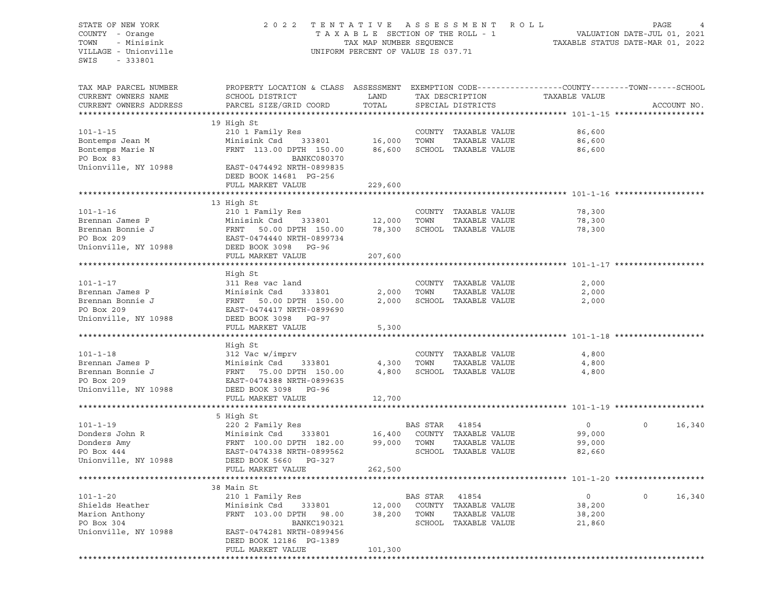# STATE OF NEW YORK 2 0 2 2 T E N T A T I V E A S S E S S M E N T R O L L PAGE 4 COUNTY - Orange T A X A B L E SECTION OF THE ROLL - 1 VALUATION DATE-JUL 01, 2021 TOWN - Minisink TAX MAP NUMBER SEQUENCE TAXABLE STATUS DATE-MAR 01, 2022 VILLAGE - Unionville **United Accord Control** UNIFORM PERCENT OF VALUE IS 037.71

| TAX MAP PARCEL NUMBER<br>CURRENT OWNERS NAME | PROPERTY LOCATION & CLASS ASSESSMENT EXEMPTION CODE----------------COUNTY-------TOWN------SCHOOL<br>SCHOOL DISTRICT | LAND          |                | TAX DESCRIPTION             | TAXABLE VALUE  |                    |
|----------------------------------------------|---------------------------------------------------------------------------------------------------------------------|---------------|----------------|-----------------------------|----------------|--------------------|
| CURRENT OWNERS ADDRESS                       | PARCEL SIZE/GRID COORD                                                                                              | TOTAL         |                | SPECIAL DISTRICTS           |                | ACCOUNT NO.        |
|                                              | 19 High St                                                                                                          |               |                |                             |                |                    |
| $101 - 1 - 15$                               | 210 1 Family Res                                                                                                    |               |                | COUNTY TAXABLE VALUE        | 86,600         |                    |
|                                              | Minisink $Csd$ 333801                                                                                               | 16,000        | TOWN           | TAXABLE VALUE               | 86,600         |                    |
| Bontemps Jean M                              | FRNT 113.00 DPTH 150.00                                                                                             | 86,600        |                | SCHOOL TAXABLE VALUE        | 86,600         |                    |
| Bontemps Marie N<br>PO Box 83<br>PO Box 83   | BANKC080370                                                                                                         |               |                |                             |                |                    |
| Unionville, NY 10988                         | EAST-0474492 NRTH-0899835                                                                                           |               |                |                             |                |                    |
|                                              |                                                                                                                     |               |                |                             |                |                    |
|                                              | DEED BOOK 14681 PG-256<br>FULL MARKET VALUE                                                                         | 229,600       |                |                             |                |                    |
|                                              |                                                                                                                     |               |                |                             |                |                    |
|                                              | 13 High St                                                                                                          |               |                |                             |                |                    |
| $101 - 1 - 16$                               | 210 1 Family Res                                                                                                    |               |                | COUNTY TAXABLE VALUE        | 78,300         |                    |
| Brennan James P                              |                                                                                                                     | 333801 12,000 | TOWN           | TAXABLE VALUE               | 78,300         |                    |
| Brennan Bonnie J                             | Minisink Csd      333801<br>FRNT    50.00 DPTH   150.00                                                             |               |                | 78,300 SCHOOL TAXABLE VALUE | 78,300         |                    |
| PO Box 209                                   | EAST-0474440 NRTH-0899734                                                                                           |               |                |                             |                |                    |
| Unionville, NY 10988                         | DEED BOOK 3098 PG-96                                                                                                |               |                |                             |                |                    |
|                                              | FULL MARKET VALUE                                                                                                   | 207,600       |                |                             |                |                    |
|                                              |                                                                                                                     |               |                |                             |                |                    |
|                                              | High St                                                                                                             |               |                |                             |                |                    |
| $101 - 1 - 17$                               | 311 Res vac land                                                                                                    |               |                | COUNTY TAXABLE VALUE        | 2,000          |                    |
| Brennan James P                              |                                                                                                                     | 2,000         | TOWN           | TAXABLE VALUE               | 2,000          |                    |
| Brennan Bonnie J                             | Minisink Csd 333801<br>FRNT 50.00 DPTH 150.00<br>FRNT 50.00 DPTH 150.00                                             | 2,000         |                | SCHOOL TAXABLE VALUE        | 2,000          |                    |
| PO Box 209                                   | EAST-0474417 NRTH-0899690                                                                                           |               |                |                             |                |                    |
| Unionville, NY 10988                         | DEED BOOK 3098 PG-97                                                                                                |               |                |                             |                |                    |
|                                              | FULL MARKET VALUE                                                                                                   | 5,300         |                |                             |                |                    |
|                                              |                                                                                                                     |               |                |                             |                |                    |
|                                              | High St                                                                                                             |               |                |                             |                |                    |
| $101 - 1 - 18$                               | 312 Vac w/imprv                                                                                                     |               |                | COUNTY TAXABLE VALUE        | 4,800          |                    |
| Brennan James P                              | Minisink Csd 333801                                                                                                 | 4,300         | TOWN           | TAXABLE VALUE               | 4,800          |                    |
| Brennan Bonnie J                             | Minisink Csd 333801<br>FRNT 75.00 DPTH 150.00                                                                       |               |                | 4,800 SCHOOL TAXABLE VALUE  | 4,800          |                    |
| PO Box 209                                   | EAST-0474388 NRTH-0899635                                                                                           |               |                |                             |                |                    |
| Unionville, NY 10988                         | DEED BOOK 3098 PG-96                                                                                                |               |                |                             |                |                    |
|                                              | FULL MARKET VALUE                                                                                                   | 12,700        |                |                             |                |                    |
|                                              |                                                                                                                     |               |                |                             |                |                    |
|                                              | 5 High St                                                                                                           |               |                |                             |                |                    |
| $101 - 1 - 19$                               | 220 2 Family Res                                                                                                    |               | BAS STAR 41854 |                             | $\overline{0}$ | 16,340<br>$\Omega$ |
|                                              |                                                                                                                     |               |                |                             | 99,000         |                    |
|                                              |                                                                                                                     |               |                |                             | 99,000         |                    |
|                                              |                                                                                                                     |               |                |                             | 82,660         |                    |
| Unionville, NY 10988                         | DEED BOOK 5660 PG-327                                                                                               |               |                |                             |                |                    |
|                                              | FULL MARKET VALUE                                                                                                   | 262,500       |                |                             |                |                    |
|                                              |                                                                                                                     |               |                |                             |                |                    |
|                                              | 38 Main St                                                                                                          |               |                |                             |                |                    |
| $101 - 1 - 20$                               | 210 1 Family Res                                                                                                    |               | BAS STAR 41854 |                             | $\overline{0}$ | 16,340<br>$\Omega$ |
| Shields Heather                              | Minisink Csd 333801                                                                                                 |               |                | 12,000 COUNTY TAXABLE VALUE | 38,200         |                    |
| Marion Anthony                               | FRNT 103.00 DPTH 98.00                                                                                              | 38,200 TOWN   |                | TAXABLE VALUE               | 38,200         |                    |
| PO Box 304                                   | <b>BANKC190321</b>                                                                                                  |               |                | SCHOOL TAXABLE VALUE        | 21,860         |                    |
| Unionville, NY 10988                         | EAST-0474281 NRTH-0899456                                                                                           |               |                |                             |                |                    |
|                                              | DEED BOOK 12186 PG-1389                                                                                             |               |                |                             |                |                    |
|                                              | FULL MARKET VALUE                                                                                                   | 101,300       |                |                             |                |                    |
|                                              |                                                                                                                     |               |                |                             |                |                    |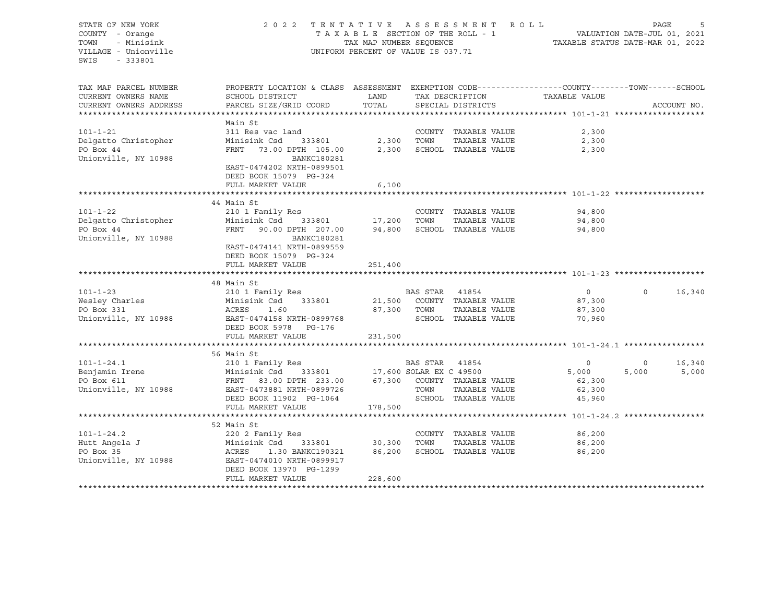STATE OF NEW YORK 2 0 2 2 T E N T A T I V E A S S E S S M E N T R O L L PAGE 5 COUNTY - Orange T A X A B L E SECTION OF THE ROLL - 1 TOWN - Minisink TAX MAP NUMBER SEQUENCE TAXABLE STATUS DATE-MAR 01, 2022<br>TILLAGE - Unionville Taxable Taxable Taxable Status UNIFORM PERCENT OF VALUE IS 037.71 UNIFORM PERCENT OF VALUE IS 037.71 SWIS - 333801 TAX MAP PARCEL NUMBER PROPERTY LOCATION & CLASS ASSESSMENT EXEMPTION CODE----------------COUNTY-------TOWN-----SCHOOL CURRENT OWNERS NAME SCHOOL DISTRICT LAND TAX DESCRIPTION TAXABLE VALUE CURRENT OWNERS ADDRESS PARCEL SIZE/GRID COORD TOTAL SPECIAL DISTRICTS ACCOUNT NO. \*\*\*\*\*\*\*\*\*\*\*\*\*\*\*\*\*\*\*\*\*\*\*\*\*\*\*\*\*\*\*\*\*\*\*\*\*\*\*\*\*\*\*\*\*\*\*\*\*\*\*\*\*\*\*\*\*\*\*\*\*\*\*\*\*\*\*\*\*\*\*\*\*\*\*\*\*\*\*\*\*\*\*\*\*\*\*\*\*\*\*\*\*\*\*\*\*\*\*\*\*\*\* 101-1-21 \*\*\*\*\*\*\*\*\*\*\*\*\*\*\*\*\*\*\* Main St<br>311 Res vac land 101-1-21 311 Res vac land COUNTY TAXABLE VALUE 2,300 Delgatto Christopher Minisink Csd 333801 2,300 TOWN TAXABLE VALUE 2,300 PO Box 44 FRNT 73.00 DPTH 105.00 2,300 SCHOOL TAXABLE VALUE 2,300 Unionville, NY 10988 BANKC180281 EAST-0474202 NRTH-0899501 DEED BOOK 15079 PG-324 FULL MARKET VALUE 6,100 \*\*\*\*\*\*\*\*\*\*\*\*\*\*\*\*\*\*\*\*\*\*\*\*\*\*\*\*\*\*\*\*\*\*\*\*\*\*\*\*\*\*\*\*\*\*\*\*\*\*\*\*\*\*\*\*\*\*\*\*\*\*\*\*\*\*\*\*\*\*\*\*\*\*\*\*\*\*\*\*\*\*\*\*\*\*\*\*\*\*\*\*\*\*\*\*\*\*\*\*\*\*\* 101-1-22 \*\*\*\*\*\*\*\*\*\*\*\*\*\*\*\*\*\*\* 44 Main St 101-1-22 210 1 Family Res COUNTY TAXABLE VALUE 94,800 Delgatto Christopher Minisink Csd 333801 17,200 TOWN TAXABLE VALUE 94,800 PO Box 44 FRNT 90.00 DPTH 207.00 94,800 SCHOOL TAXABLE VALUE 94,800 Unionville, NY 10988 BANKC180281 EAST-0474141 NRTH-0899559 DEED BOOK 15079 PG-324 FULL MARKET VALUE 251,400 \*\*\*\*\*\*\*\*\*\*\*\*\*\*\*\*\*\*\*\*\*\*\*\*\*\*\*\*\*\*\*\*\*\*\*\*\*\*\*\*\*\*\*\*\*\*\*\*\*\*\*\*\*\*\*\*\*\*\*\*\*\*\*\*\*\*\*\*\*\*\*\*\*\*\*\*\*\*\*\*\*\*\*\*\*\*\*\*\*\*\*\*\*\*\*\*\*\*\*\*\*\*\* 101-1-23 \*\*\*\*\*\*\*\*\*\*\*\*\*\*\*\*\*\*\* 48 Main St 101-1-23 210 1 Family Res BAS STAR 41854 0 0 16,340 Wesley Charles Minisink Csd 333801 21,500 COUNTY TAXABLE VALUE 87,300 PO Box 331 ACRES 1.60 87,300 TOWN TAXABLE VALUE 87,300 Unionville, NY 10988 EAST-0474158 NRTH-0899768 SCHOOL TAXABLE VALUE 70,960 DEED BOOK 5978 PG-176 FULL MARKET VALUE 231,500 \*\*\*\*\*\*\*\*\*\*\*\*\*\*\*\*\*\*\*\*\*\*\*\*\*\*\*\*\*\*\*\*\*\*\*\*\*\*\*\*\*\*\*\*\*\*\*\*\*\*\*\*\*\*\*\*\*\*\*\*\*\*\*\*\*\*\*\*\*\*\*\*\*\*\*\*\*\*\*\*\*\*\*\*\*\*\*\*\*\*\*\*\*\*\*\*\*\*\*\*\*\*\* 101-1-24.1 \*\*\*\*\*\*\*\*\*\*\*\*\*\*\*\*\* 56 Main St 101-1-24.1 210 1 Family Res BAS STAR 41854 0 0 16,340 Benjamin Irene Minisink Csd 333801 17,600 SOLAR EX C 49500 5,000 5,000 5,000 PO Box 611 62,300 FRNT 63.00 DPTH 233.00 67,300 COUNTY TAXABLE VALUE 62,300 Unionville, NY 10988 EAST-0473881 NRTH-0899726 TOWN TAXABLE VALUE 62,300 DEED BOOK 11902 PG-1064 SCHOOL TAXABLE VALUE 45,960 FULL MARKET VALUE \*\*\*\*\*\*\*\*\*\*\*\*\*\*\*\*\*\*\*\*\*\*\*\*\*\*\*\*\*\*\*\*\*\*\*\*\*\*\*\*\*\*\*\*\*\*\*\*\*\*\*\*\*\*\*\*\*\*\*\*\*\*\*\*\*\*\*\*\*\*\*\*\*\*\*\*\*\*\*\*\*\*\*\*\*\*\*\*\*\*\*\*\*\*\*\*\*\*\*\*\*\*\* 101-1-24.2 \*\*\*\*\*\*\*\*\*\*\*\*\*\*\*\*\* 52 Main St 101-1-24.2 220 2 Family Res COUNTY TAXABLE VALUE 86,200 Hutt Angela J Minisink Csd 333801 30,300 TOWN TAXABLE VALUE 86,200 PO Box 35 ACRES 1.30 BANKC190321 86,200 SCHOOL TAXABLE VALUE 86,200 Unionville, NY 10988 EAST-0474010 NRTH-0899917 DEED BOOK 13970 PG-1299 FULL MARKET VALUE 228,600 \*\*\*\*\*\*\*\*\*\*\*\*\*\*\*\*\*\*\*\*\*\*\*\*\*\*\*\*\*\*\*\*\*\*\*\*\*\*\*\*\*\*\*\*\*\*\*\*\*\*\*\*\*\*\*\*\*\*\*\*\*\*\*\*\*\*\*\*\*\*\*\*\*\*\*\*\*\*\*\*\*\*\*\*\*\*\*\*\*\*\*\*\*\*\*\*\*\*\*\*\*\*\*\*\*\*\*\*\*\*\*\*\*\*\*\*\*\*\*\*\*\*\*\*\*\*\*\*\*\*\*\*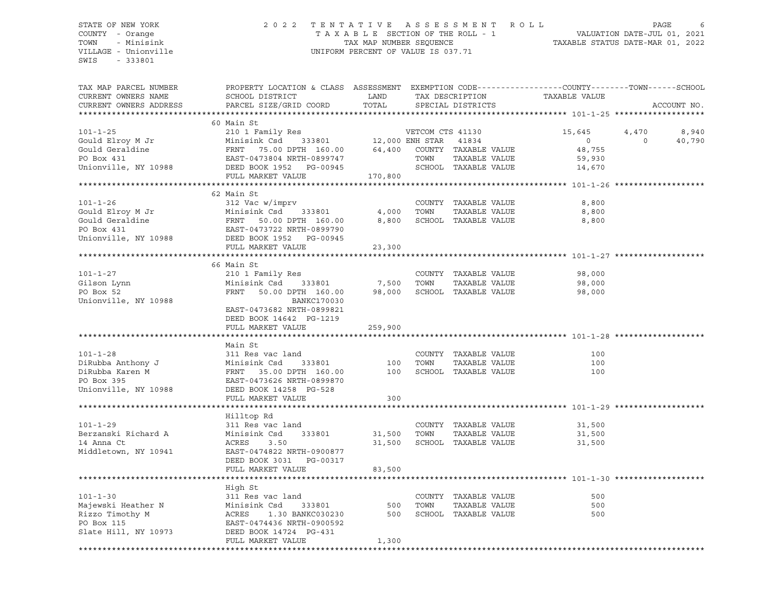# STATE OF NEW YORK 2 0 2 2 T E N T A T I V E A S S E S S M E N T R O L L PAGE 6 COUNTY - Orange T A X A B L E SECTION OF THE ROLL - 1 VALUATION DATE-JUL 01, 2021 TOWN - Minisink TAX MAP NUMBER SEQUENCE TAXABLE STATUS DATE-MAR 01, 2022 VILLAGE - Unionville **United Accord Control** UNIFORM PERCENT OF VALUE IS 037.71

| 4,470<br>8,940<br>40,790<br>$\overline{0}$ |
|--------------------------------------------|
|                                            |
|                                            |
|                                            |
|                                            |
|                                            |
|                                            |
|                                            |
|                                            |
|                                            |
|                                            |
|                                            |
|                                            |
|                                            |
|                                            |
|                                            |
|                                            |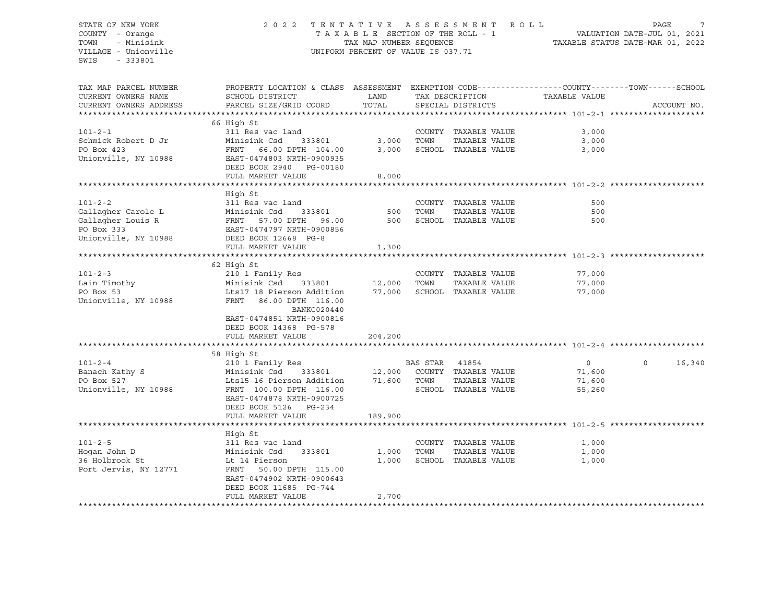# STATE OF NEW YORK 2 0 2 2 T E N T A T I V E A S S E S S M E N T R O L L PAGE 7 COUNTY - Orange T A X A B L E SECTION OF THE ROLL - 1 VALUATION DATE-JUL 01, 2021 TOWN - Minisink TAX MAP NUMBER SEQUENCE TAXABLE STATUS DATE-MAR 01, 2022 VILLAGE - Unionville **United Accord Control** UNIFORM PERCENT OF VALUE IS 037.71

| 66 High St<br>$101 - 2 - 1$<br>COUNTY TAXABLE VALUE<br>311 Res vac land<br>3,000<br>Schmick Robert D Jr<br>Minisink Csd<br>333801<br>3,000<br>TOWN<br>TAXABLE VALUE<br>3,000<br>PO Box 423<br>3,000<br>SCHOOL TAXABLE VALUE<br>FRNT 66.00 DPTH 104.00<br>3,000<br>Unionville, NY 10988<br>EAST-0474803 NRTH-0900935<br>DEED BOOK 2940 PG-00180<br>FULL MARKET VALUE<br>8,000<br>High St<br>$101 - 2 - 2$<br>311 Res vac land<br>COUNTY TAXABLE VALUE<br>500<br>Gallagher Carole L<br>Minisink Csd<br>TAXABLE VALUE<br>333801<br>500<br>TOWN<br>500<br>Gallagher Louis R<br>500<br>SCHOOL TAXABLE VALUE<br>FRNT 57.00 DPTH<br>96.00<br>500<br>PO Box 333<br>EAST-0474797 NRTH-0900856<br>Unionville, NY 10988<br>DEED BOOK 12668 PG-8<br>FULL MARKET VALUE<br>1,300<br>62 High St<br>$101 - 2 - 3$<br>210 1 Family Res<br>COUNTY TAXABLE VALUE<br>77,000<br>TOWN<br>TAXABLE VALUE<br>77,000<br>Lain Timothy<br>Minisink Csd<br>333801<br>12,000<br>PO Box 53<br>Lts17 18 Pierson Addition<br>77,000<br>SCHOOL TAXABLE VALUE<br>77,000<br>Unionville, NY 10988<br>FRNT 86.00 DPTH 116.00<br>BANKC020440<br>EAST-0474851 NRTH-0900816<br>DEED BOOK 14368 PG-578<br>FULL MARKET VALUE<br>204,200<br>58 High St<br>$\circ$<br>16,340<br>$101 - 2 - 4$<br>210 1 Family Res<br>BAS STAR<br>41854<br>$\Omega$<br>Minisink Csd 333801 12,000<br>COUNTY TAXABLE VALUE<br>Banach Kathy S<br>71,600<br>71,600<br>PO Box 527<br>Lts15 16 Pierson Addition<br>TOWN<br>TAXABLE VALUE<br>71,600<br>Unionville, NY 10988<br>SCHOOL TAXABLE VALUE<br>FRNT 100.00 DPTH 116.00<br>55,260<br>EAST-0474878 NRTH-0900725<br>DEED BOOK 5126 PG-234<br>FULL MARKET VALUE<br>189,900<br>High St<br>$101 - 2 - 5$<br>COUNTY TAXABLE VALUE<br>311 Res vac land<br>1,000<br>Hoqan John D<br>Minisink Csd<br>TOWN<br>TAXABLE VALUE<br>1,000<br>333801<br>1,000<br>36 Holbrook St<br>Lt 14 Pierson<br>1,000<br>SCHOOL TAXABLE VALUE<br>1,000<br>Port Jervis, NY 12771<br>FRNT 50.00 DPTH 115.00<br>EAST-0474902 NRTH-0900643<br>DEED BOOK 11685 PG-744<br>2,700<br>FULL MARKET VALUE | TAX MAP PARCEL NUMBER<br>CURRENT OWNERS NAME<br>CURRENT OWNERS ADDRESS | PROPERTY LOCATION & CLASS ASSESSMENT<br>SCHOOL DISTRICT<br>PARCEL SIZE/GRID COORD | LAND<br>TOTAL | TAX DESCRIPTION<br>SPECIAL DISTRICTS | TAXABLE VALUE | EXEMPTION CODE-----------------COUNTY-------TOWN------SCHOOL<br>ACCOUNT NO. |
|-------------------------------------------------------------------------------------------------------------------------------------------------------------------------------------------------------------------------------------------------------------------------------------------------------------------------------------------------------------------------------------------------------------------------------------------------------------------------------------------------------------------------------------------------------------------------------------------------------------------------------------------------------------------------------------------------------------------------------------------------------------------------------------------------------------------------------------------------------------------------------------------------------------------------------------------------------------------------------------------------------------------------------------------------------------------------------------------------------------------------------------------------------------------------------------------------------------------------------------------------------------------------------------------------------------------------------------------------------------------------------------------------------------------------------------------------------------------------------------------------------------------------------------------------------------------------------------------------------------------------------------------------------------------------------------------------------------------------------------------------------------------------------------------------------------------------------------------------------------------------------------------------------------------------------------------------------------------------------------------------------------------------------------------------------|------------------------------------------------------------------------|-----------------------------------------------------------------------------------|---------------|--------------------------------------|---------------|-----------------------------------------------------------------------------|
|                                                                                                                                                                                                                                                                                                                                                                                                                                                                                                                                                                                                                                                                                                                                                                                                                                                                                                                                                                                                                                                                                                                                                                                                                                                                                                                                                                                                                                                                                                                                                                                                                                                                                                                                                                                                                                                                                                                                                                                                                                                       |                                                                        |                                                                                   |               |                                      |               |                                                                             |
|                                                                                                                                                                                                                                                                                                                                                                                                                                                                                                                                                                                                                                                                                                                                                                                                                                                                                                                                                                                                                                                                                                                                                                                                                                                                                                                                                                                                                                                                                                                                                                                                                                                                                                                                                                                                                                                                                                                                                                                                                                                       |                                                                        |                                                                                   |               |                                      |               |                                                                             |
|                                                                                                                                                                                                                                                                                                                                                                                                                                                                                                                                                                                                                                                                                                                                                                                                                                                                                                                                                                                                                                                                                                                                                                                                                                                                                                                                                                                                                                                                                                                                                                                                                                                                                                                                                                                                                                                                                                                                                                                                                                                       |                                                                        |                                                                                   |               |                                      |               |                                                                             |
|                                                                                                                                                                                                                                                                                                                                                                                                                                                                                                                                                                                                                                                                                                                                                                                                                                                                                                                                                                                                                                                                                                                                                                                                                                                                                                                                                                                                                                                                                                                                                                                                                                                                                                                                                                                                                                                                                                                                                                                                                                                       |                                                                        |                                                                                   |               |                                      |               |                                                                             |
|                                                                                                                                                                                                                                                                                                                                                                                                                                                                                                                                                                                                                                                                                                                                                                                                                                                                                                                                                                                                                                                                                                                                                                                                                                                                                                                                                                                                                                                                                                                                                                                                                                                                                                                                                                                                                                                                                                                                                                                                                                                       |                                                                        |                                                                                   |               |                                      |               |                                                                             |
|                                                                                                                                                                                                                                                                                                                                                                                                                                                                                                                                                                                                                                                                                                                                                                                                                                                                                                                                                                                                                                                                                                                                                                                                                                                                                                                                                                                                                                                                                                                                                                                                                                                                                                                                                                                                                                                                                                                                                                                                                                                       |                                                                        |                                                                                   |               |                                      |               |                                                                             |
|                                                                                                                                                                                                                                                                                                                                                                                                                                                                                                                                                                                                                                                                                                                                                                                                                                                                                                                                                                                                                                                                                                                                                                                                                                                                                                                                                                                                                                                                                                                                                                                                                                                                                                                                                                                                                                                                                                                                                                                                                                                       |                                                                        |                                                                                   |               |                                      |               |                                                                             |
|                                                                                                                                                                                                                                                                                                                                                                                                                                                                                                                                                                                                                                                                                                                                                                                                                                                                                                                                                                                                                                                                                                                                                                                                                                                                                                                                                                                                                                                                                                                                                                                                                                                                                                                                                                                                                                                                                                                                                                                                                                                       |                                                                        |                                                                                   |               |                                      |               |                                                                             |
|                                                                                                                                                                                                                                                                                                                                                                                                                                                                                                                                                                                                                                                                                                                                                                                                                                                                                                                                                                                                                                                                                                                                                                                                                                                                                                                                                                                                                                                                                                                                                                                                                                                                                                                                                                                                                                                                                                                                                                                                                                                       |                                                                        |                                                                                   |               |                                      |               |                                                                             |
|                                                                                                                                                                                                                                                                                                                                                                                                                                                                                                                                                                                                                                                                                                                                                                                                                                                                                                                                                                                                                                                                                                                                                                                                                                                                                                                                                                                                                                                                                                                                                                                                                                                                                                                                                                                                                                                                                                                                                                                                                                                       |                                                                        |                                                                                   |               |                                      |               |                                                                             |
|                                                                                                                                                                                                                                                                                                                                                                                                                                                                                                                                                                                                                                                                                                                                                                                                                                                                                                                                                                                                                                                                                                                                                                                                                                                                                                                                                                                                                                                                                                                                                                                                                                                                                                                                                                                                                                                                                                                                                                                                                                                       |                                                                        |                                                                                   |               |                                      |               |                                                                             |
|                                                                                                                                                                                                                                                                                                                                                                                                                                                                                                                                                                                                                                                                                                                                                                                                                                                                                                                                                                                                                                                                                                                                                                                                                                                                                                                                                                                                                                                                                                                                                                                                                                                                                                                                                                                                                                                                                                                                                                                                                                                       |                                                                        |                                                                                   |               |                                      |               |                                                                             |
|                                                                                                                                                                                                                                                                                                                                                                                                                                                                                                                                                                                                                                                                                                                                                                                                                                                                                                                                                                                                                                                                                                                                                                                                                                                                                                                                                                                                                                                                                                                                                                                                                                                                                                                                                                                                                                                                                                                                                                                                                                                       |                                                                        |                                                                                   |               |                                      |               |                                                                             |
|                                                                                                                                                                                                                                                                                                                                                                                                                                                                                                                                                                                                                                                                                                                                                                                                                                                                                                                                                                                                                                                                                                                                                                                                                                                                                                                                                                                                                                                                                                                                                                                                                                                                                                                                                                                                                                                                                                                                                                                                                                                       |                                                                        |                                                                                   |               |                                      |               |                                                                             |
|                                                                                                                                                                                                                                                                                                                                                                                                                                                                                                                                                                                                                                                                                                                                                                                                                                                                                                                                                                                                                                                                                                                                                                                                                                                                                                                                                                                                                                                                                                                                                                                                                                                                                                                                                                                                                                                                                                                                                                                                                                                       |                                                                        |                                                                                   |               |                                      |               |                                                                             |
|                                                                                                                                                                                                                                                                                                                                                                                                                                                                                                                                                                                                                                                                                                                                                                                                                                                                                                                                                                                                                                                                                                                                                                                                                                                                                                                                                                                                                                                                                                                                                                                                                                                                                                                                                                                                                                                                                                                                                                                                                                                       |                                                                        |                                                                                   |               |                                      |               |                                                                             |
|                                                                                                                                                                                                                                                                                                                                                                                                                                                                                                                                                                                                                                                                                                                                                                                                                                                                                                                                                                                                                                                                                                                                                                                                                                                                                                                                                                                                                                                                                                                                                                                                                                                                                                                                                                                                                                                                                                                                                                                                                                                       |                                                                        |                                                                                   |               |                                      |               |                                                                             |
|                                                                                                                                                                                                                                                                                                                                                                                                                                                                                                                                                                                                                                                                                                                                                                                                                                                                                                                                                                                                                                                                                                                                                                                                                                                                                                                                                                                                                                                                                                                                                                                                                                                                                                                                                                                                                                                                                                                                                                                                                                                       |                                                                        |                                                                                   |               |                                      |               |                                                                             |
|                                                                                                                                                                                                                                                                                                                                                                                                                                                                                                                                                                                                                                                                                                                                                                                                                                                                                                                                                                                                                                                                                                                                                                                                                                                                                                                                                                                                                                                                                                                                                                                                                                                                                                                                                                                                                                                                                                                                                                                                                                                       |                                                                        |                                                                                   |               |                                      |               |                                                                             |
|                                                                                                                                                                                                                                                                                                                                                                                                                                                                                                                                                                                                                                                                                                                                                                                                                                                                                                                                                                                                                                                                                                                                                                                                                                                                                                                                                                                                                                                                                                                                                                                                                                                                                                                                                                                                                                                                                                                                                                                                                                                       |                                                                        |                                                                                   |               |                                      |               |                                                                             |
|                                                                                                                                                                                                                                                                                                                                                                                                                                                                                                                                                                                                                                                                                                                                                                                                                                                                                                                                                                                                                                                                                                                                                                                                                                                                                                                                                                                                                                                                                                                                                                                                                                                                                                                                                                                                                                                                                                                                                                                                                                                       |                                                                        |                                                                                   |               |                                      |               |                                                                             |
|                                                                                                                                                                                                                                                                                                                                                                                                                                                                                                                                                                                                                                                                                                                                                                                                                                                                                                                                                                                                                                                                                                                                                                                                                                                                                                                                                                                                                                                                                                                                                                                                                                                                                                                                                                                                                                                                                                                                                                                                                                                       |                                                                        |                                                                                   |               |                                      |               |                                                                             |
|                                                                                                                                                                                                                                                                                                                                                                                                                                                                                                                                                                                                                                                                                                                                                                                                                                                                                                                                                                                                                                                                                                                                                                                                                                                                                                                                                                                                                                                                                                                                                                                                                                                                                                                                                                                                                                                                                                                                                                                                                                                       |                                                                        |                                                                                   |               |                                      |               |                                                                             |
|                                                                                                                                                                                                                                                                                                                                                                                                                                                                                                                                                                                                                                                                                                                                                                                                                                                                                                                                                                                                                                                                                                                                                                                                                                                                                                                                                                                                                                                                                                                                                                                                                                                                                                                                                                                                                                                                                                                                                                                                                                                       |                                                                        |                                                                                   |               |                                      |               |                                                                             |
|                                                                                                                                                                                                                                                                                                                                                                                                                                                                                                                                                                                                                                                                                                                                                                                                                                                                                                                                                                                                                                                                                                                                                                                                                                                                                                                                                                                                                                                                                                                                                                                                                                                                                                                                                                                                                                                                                                                                                                                                                                                       |                                                                        |                                                                                   |               |                                      |               |                                                                             |
|                                                                                                                                                                                                                                                                                                                                                                                                                                                                                                                                                                                                                                                                                                                                                                                                                                                                                                                                                                                                                                                                                                                                                                                                                                                                                                                                                                                                                                                                                                                                                                                                                                                                                                                                                                                                                                                                                                                                                                                                                                                       |                                                                        |                                                                                   |               |                                      |               |                                                                             |
|                                                                                                                                                                                                                                                                                                                                                                                                                                                                                                                                                                                                                                                                                                                                                                                                                                                                                                                                                                                                                                                                                                                                                                                                                                                                                                                                                                                                                                                                                                                                                                                                                                                                                                                                                                                                                                                                                                                                                                                                                                                       |                                                                        |                                                                                   |               |                                      |               |                                                                             |
|                                                                                                                                                                                                                                                                                                                                                                                                                                                                                                                                                                                                                                                                                                                                                                                                                                                                                                                                                                                                                                                                                                                                                                                                                                                                                                                                                                                                                                                                                                                                                                                                                                                                                                                                                                                                                                                                                                                                                                                                                                                       |                                                                        |                                                                                   |               |                                      |               |                                                                             |
|                                                                                                                                                                                                                                                                                                                                                                                                                                                                                                                                                                                                                                                                                                                                                                                                                                                                                                                                                                                                                                                                                                                                                                                                                                                                                                                                                                                                                                                                                                                                                                                                                                                                                                                                                                                                                                                                                                                                                                                                                                                       |                                                                        |                                                                                   |               |                                      |               |                                                                             |
|                                                                                                                                                                                                                                                                                                                                                                                                                                                                                                                                                                                                                                                                                                                                                                                                                                                                                                                                                                                                                                                                                                                                                                                                                                                                                                                                                                                                                                                                                                                                                                                                                                                                                                                                                                                                                                                                                                                                                                                                                                                       |                                                                        |                                                                                   |               |                                      |               |                                                                             |
|                                                                                                                                                                                                                                                                                                                                                                                                                                                                                                                                                                                                                                                                                                                                                                                                                                                                                                                                                                                                                                                                                                                                                                                                                                                                                                                                                                                                                                                                                                                                                                                                                                                                                                                                                                                                                                                                                                                                                                                                                                                       |                                                                        |                                                                                   |               |                                      |               |                                                                             |
|                                                                                                                                                                                                                                                                                                                                                                                                                                                                                                                                                                                                                                                                                                                                                                                                                                                                                                                                                                                                                                                                                                                                                                                                                                                                                                                                                                                                                                                                                                                                                                                                                                                                                                                                                                                                                                                                                                                                                                                                                                                       |                                                                        |                                                                                   |               |                                      |               |                                                                             |
|                                                                                                                                                                                                                                                                                                                                                                                                                                                                                                                                                                                                                                                                                                                                                                                                                                                                                                                                                                                                                                                                                                                                                                                                                                                                                                                                                                                                                                                                                                                                                                                                                                                                                                                                                                                                                                                                                                                                                                                                                                                       |                                                                        |                                                                                   |               |                                      |               |                                                                             |
|                                                                                                                                                                                                                                                                                                                                                                                                                                                                                                                                                                                                                                                                                                                                                                                                                                                                                                                                                                                                                                                                                                                                                                                                                                                                                                                                                                                                                                                                                                                                                                                                                                                                                                                                                                                                                                                                                                                                                                                                                                                       |                                                                        |                                                                                   |               |                                      |               |                                                                             |
|                                                                                                                                                                                                                                                                                                                                                                                                                                                                                                                                                                                                                                                                                                                                                                                                                                                                                                                                                                                                                                                                                                                                                                                                                                                                                                                                                                                                                                                                                                                                                                                                                                                                                                                                                                                                                                                                                                                                                                                                                                                       |                                                                        |                                                                                   |               |                                      |               |                                                                             |
|                                                                                                                                                                                                                                                                                                                                                                                                                                                                                                                                                                                                                                                                                                                                                                                                                                                                                                                                                                                                                                                                                                                                                                                                                                                                                                                                                                                                                                                                                                                                                                                                                                                                                                                                                                                                                                                                                                                                                                                                                                                       |                                                                        |                                                                                   |               |                                      |               |                                                                             |
|                                                                                                                                                                                                                                                                                                                                                                                                                                                                                                                                                                                                                                                                                                                                                                                                                                                                                                                                                                                                                                                                                                                                                                                                                                                                                                                                                                                                                                                                                                                                                                                                                                                                                                                                                                                                                                                                                                                                                                                                                                                       |                                                                        |                                                                                   |               |                                      |               |                                                                             |
|                                                                                                                                                                                                                                                                                                                                                                                                                                                                                                                                                                                                                                                                                                                                                                                                                                                                                                                                                                                                                                                                                                                                                                                                                                                                                                                                                                                                                                                                                                                                                                                                                                                                                                                                                                                                                                                                                                                                                                                                                                                       |                                                                        |                                                                                   |               |                                      |               |                                                                             |
|                                                                                                                                                                                                                                                                                                                                                                                                                                                                                                                                                                                                                                                                                                                                                                                                                                                                                                                                                                                                                                                                                                                                                                                                                                                                                                                                                                                                                                                                                                                                                                                                                                                                                                                                                                                                                                                                                                                                                                                                                                                       |                                                                        |                                                                                   |               |                                      |               |                                                                             |
|                                                                                                                                                                                                                                                                                                                                                                                                                                                                                                                                                                                                                                                                                                                                                                                                                                                                                                                                                                                                                                                                                                                                                                                                                                                                                                                                                                                                                                                                                                                                                                                                                                                                                                                                                                                                                                                                                                                                                                                                                                                       |                                                                        |                                                                                   |               |                                      |               |                                                                             |
|                                                                                                                                                                                                                                                                                                                                                                                                                                                                                                                                                                                                                                                                                                                                                                                                                                                                                                                                                                                                                                                                                                                                                                                                                                                                                                                                                                                                                                                                                                                                                                                                                                                                                                                                                                                                                                                                                                                                                                                                                                                       |                                                                        |                                                                                   |               |                                      |               |                                                                             |
|                                                                                                                                                                                                                                                                                                                                                                                                                                                                                                                                                                                                                                                                                                                                                                                                                                                                                                                                                                                                                                                                                                                                                                                                                                                                                                                                                                                                                                                                                                                                                                                                                                                                                                                                                                                                                                                                                                                                                                                                                                                       |                                                                        |                                                                                   |               |                                      |               |                                                                             |
|                                                                                                                                                                                                                                                                                                                                                                                                                                                                                                                                                                                                                                                                                                                                                                                                                                                                                                                                                                                                                                                                                                                                                                                                                                                                                                                                                                                                                                                                                                                                                                                                                                                                                                                                                                                                                                                                                                                                                                                                                                                       |                                                                        |                                                                                   |               |                                      |               |                                                                             |
|                                                                                                                                                                                                                                                                                                                                                                                                                                                                                                                                                                                                                                                                                                                                                                                                                                                                                                                                                                                                                                                                                                                                                                                                                                                                                                                                                                                                                                                                                                                                                                                                                                                                                                                                                                                                                                                                                                                                                                                                                                                       |                                                                        |                                                                                   |               |                                      |               |                                                                             |
|                                                                                                                                                                                                                                                                                                                                                                                                                                                                                                                                                                                                                                                                                                                                                                                                                                                                                                                                                                                                                                                                                                                                                                                                                                                                                                                                                                                                                                                                                                                                                                                                                                                                                                                                                                                                                                                                                                                                                                                                                                                       |                                                                        |                                                                                   |               |                                      |               |                                                                             |
|                                                                                                                                                                                                                                                                                                                                                                                                                                                                                                                                                                                                                                                                                                                                                                                                                                                                                                                                                                                                                                                                                                                                                                                                                                                                                                                                                                                                                                                                                                                                                                                                                                                                                                                                                                                                                                                                                                                                                                                                                                                       |                                                                        |                                                                                   |               |                                      |               |                                                                             |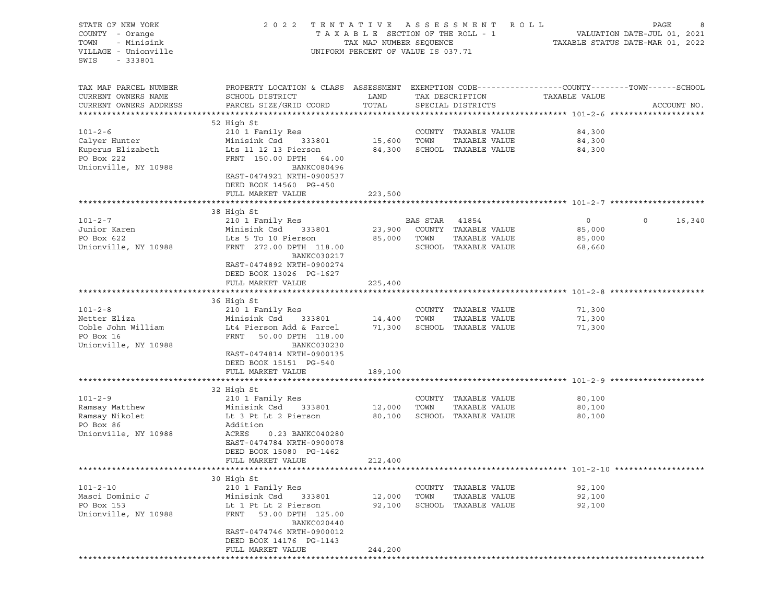| TAXABLE SECTION OF THE ROLL - 1<br>8<br>VALUATION DATE-JUL 01, 2021<br>TAXABLE STATILE DATE VIEW 1<br>- Minisink<br>TOWN<br>TAX MAP NUMBER SEQUENCE<br>TAXABLE STATUS DATE-MAR 01, 2022<br>VILLAGE - Unionville<br>UNIFORM PERCENT OF VALUE IS 037.71<br>$-333801$<br>SWIS<br>PROPERTY LOCATION & CLASS ASSESSMENT EXEMPTION CODE----------------COUNTY-------TOWN-----SCHOOL<br>TAX MAP PARCEL NUMBER<br>LAND<br>CURRENT OWNERS NAME<br>SCHOOL DISTRICT<br>TAX DESCRIPTION<br>TAXABLE VALUE<br>PARCEL SIZE/GRID COORD<br>TOTAL<br>CURRENT OWNERS ADDRESS<br>SPECIAL DISTRICTS<br>ACCOUNT NO.<br>52 High St<br>$101 - 2 - 6$<br>210 1 Family Res<br>COUNTY TAXABLE VALUE<br>84,300<br>15,600<br>TOWN<br>TAXABLE VALUE<br>84,300<br>Calyer Hunter<br>Minisink Csd 333801<br>Kuperus Elizabeth<br>84,300 SCHOOL TAXABLE VALUE<br>Lts 11 12 13 Pierson<br>84,300<br>PO Box 222<br>FRNT 150.00 DPTH 64.00<br>Unionville, NY 10988<br>BANKC080496<br>EAST-0474921 NRTH-0900537<br>DEED BOOK 14560 PG-450<br>FULL MARKET VALUE<br>223,500<br>38 High St<br>$101 - 2 - 7$<br>BAS STAR 41854<br>$\mathbf 0$<br>210 1 Family Res<br>$\circ$<br>16,340<br>Junior Karen<br>COUNTY TAXABLE VALUE<br>Minisink Csd<br>333801<br>23,900<br>85,000<br>PO Box 622<br>Lts 5 To 10 Pierson<br>TAXABLE VALUE<br>85,000<br>TOWN<br>85,000<br>Unionville, NY 10988<br>FRNT 272.00 DPTH 118.00<br>SCHOOL TAXABLE VALUE<br>68,660<br>BANKC030217<br>EAST-0474892 NRTH-0900274<br>DEED BOOK 13026 PG-1627<br>FULL MARKET VALUE<br>225,400<br>36 High St<br>$101 - 2 - 8$<br>210 1 Family Res<br>COUNTY TAXABLE VALUE<br>71,300<br>Netter Eliza<br>TOWN<br>TAXABLE VALUE<br>Minisink Csd<br>333801<br>14,400<br>71,300<br>Coble John William<br>71,300<br>SCHOOL TAXABLE VALUE<br>Lt4 Pierson Add & Parcel<br>71,300<br>PO Box 16<br>FRNT<br>50.00 DPTH 118.00<br>Unionville, NY 10988<br>BANKC030230<br>EAST-0474814 NRTH-0900135<br>DEED BOOK 15151 PG-540<br>FULL MARKET VALUE<br>189,100<br>32 High St<br>$101 - 2 - 9$<br>210 1 Family Res<br>COUNTY TAXABLE VALUE<br>80,100<br>TOWN<br>TAXABLE VALUE<br>80,100<br>Ramsay Matthew<br>Minisink Csd<br>333801<br>12,000<br>Ramsay Nikolet<br>Lt 3 Pt Lt 2 Pierson<br>80,100<br>SCHOOL TAXABLE VALUE<br>80,100<br>PO Box 86<br>Addition<br>Unionville, NY 10988<br>ACRES<br>0.23 BANKC040280<br>EAST-0474784 NRTH-0900078<br>DEED BOOK 15080 PG-1462<br>FULL MARKET VALUE<br>212,400<br>30 High St<br>$101 - 2 - 10$<br>210 1 Family Res<br>COUNTY TAXABLE VALUE<br>92,100<br>Masci Dominic J<br>Minisink Csd<br>TOWN<br>TAXABLE VALUE<br>92,100<br>333801<br>12,000<br>PO Box 153<br>Lt 1 Pt Lt 2 Pierson<br>92,100<br>SCHOOL TAXABLE VALUE<br>92,100<br>Unionville, NY 10988<br>FRNT<br>53.00 DPTH 125.00<br>BANKC020440<br>EAST-0474746 NRTH-0900012<br>DEED BOOK 14176 PG-1143<br>FULL MARKET VALUE<br>244,200 | STATE OF NEW YORK<br>COUNTY - Orange | TENTATIVE ASSESSMENT ROLL<br>2 0 2 2 | PAGE<br>8 |  |  |
|--------------------------------------------------------------------------------------------------------------------------------------------------------------------------------------------------------------------------------------------------------------------------------------------------------------------------------------------------------------------------------------------------------------------------------------------------------------------------------------------------------------------------------------------------------------------------------------------------------------------------------------------------------------------------------------------------------------------------------------------------------------------------------------------------------------------------------------------------------------------------------------------------------------------------------------------------------------------------------------------------------------------------------------------------------------------------------------------------------------------------------------------------------------------------------------------------------------------------------------------------------------------------------------------------------------------------------------------------------------------------------------------------------------------------------------------------------------------------------------------------------------------------------------------------------------------------------------------------------------------------------------------------------------------------------------------------------------------------------------------------------------------------------------------------------------------------------------------------------------------------------------------------------------------------------------------------------------------------------------------------------------------------------------------------------------------------------------------------------------------------------------------------------------------------------------------------------------------------------------------------------------------------------------------------------------------------------------------------------------------------------------------------------------------------------------------------------------------------------------------------------------------------------------------------------------------------------------------------------------------------------------------------------------------------------------------------------------------------------------------------------------------------------------------------------------------------------------------|--------------------------------------|--------------------------------------|-----------|--|--|
|                                                                                                                                                                                                                                                                                                                                                                                                                                                                                                                                                                                                                                                                                                                                                                                                                                                                                                                                                                                                                                                                                                                                                                                                                                                                                                                                                                                                                                                                                                                                                                                                                                                                                                                                                                                                                                                                                                                                                                                                                                                                                                                                                                                                                                                                                                                                                                                                                                                                                                                                                                                                                                                                                                                                                                                                                                            |                                      |                                      |           |  |  |
|                                                                                                                                                                                                                                                                                                                                                                                                                                                                                                                                                                                                                                                                                                                                                                                                                                                                                                                                                                                                                                                                                                                                                                                                                                                                                                                                                                                                                                                                                                                                                                                                                                                                                                                                                                                                                                                                                                                                                                                                                                                                                                                                                                                                                                                                                                                                                                                                                                                                                                                                                                                                                                                                                                                                                                                                                                            |                                      |                                      |           |  |  |
|                                                                                                                                                                                                                                                                                                                                                                                                                                                                                                                                                                                                                                                                                                                                                                                                                                                                                                                                                                                                                                                                                                                                                                                                                                                                                                                                                                                                                                                                                                                                                                                                                                                                                                                                                                                                                                                                                                                                                                                                                                                                                                                                                                                                                                                                                                                                                                                                                                                                                                                                                                                                                                                                                                                                                                                                                                            |                                      |                                      |           |  |  |
|                                                                                                                                                                                                                                                                                                                                                                                                                                                                                                                                                                                                                                                                                                                                                                                                                                                                                                                                                                                                                                                                                                                                                                                                                                                                                                                                                                                                                                                                                                                                                                                                                                                                                                                                                                                                                                                                                                                                                                                                                                                                                                                                                                                                                                                                                                                                                                                                                                                                                                                                                                                                                                                                                                                                                                                                                                            |                                      |                                      |           |  |  |
|                                                                                                                                                                                                                                                                                                                                                                                                                                                                                                                                                                                                                                                                                                                                                                                                                                                                                                                                                                                                                                                                                                                                                                                                                                                                                                                                                                                                                                                                                                                                                                                                                                                                                                                                                                                                                                                                                                                                                                                                                                                                                                                                                                                                                                                                                                                                                                                                                                                                                                                                                                                                                                                                                                                                                                                                                                            |                                      |                                      |           |  |  |
|                                                                                                                                                                                                                                                                                                                                                                                                                                                                                                                                                                                                                                                                                                                                                                                                                                                                                                                                                                                                                                                                                                                                                                                                                                                                                                                                                                                                                                                                                                                                                                                                                                                                                                                                                                                                                                                                                                                                                                                                                                                                                                                                                                                                                                                                                                                                                                                                                                                                                                                                                                                                                                                                                                                                                                                                                                            |                                      |                                      |           |  |  |
|                                                                                                                                                                                                                                                                                                                                                                                                                                                                                                                                                                                                                                                                                                                                                                                                                                                                                                                                                                                                                                                                                                                                                                                                                                                                                                                                                                                                                                                                                                                                                                                                                                                                                                                                                                                                                                                                                                                                                                                                                                                                                                                                                                                                                                                                                                                                                                                                                                                                                                                                                                                                                                                                                                                                                                                                                                            |                                      |                                      |           |  |  |
|                                                                                                                                                                                                                                                                                                                                                                                                                                                                                                                                                                                                                                                                                                                                                                                                                                                                                                                                                                                                                                                                                                                                                                                                                                                                                                                                                                                                                                                                                                                                                                                                                                                                                                                                                                                                                                                                                                                                                                                                                                                                                                                                                                                                                                                                                                                                                                                                                                                                                                                                                                                                                                                                                                                                                                                                                                            |                                      |                                      |           |  |  |
|                                                                                                                                                                                                                                                                                                                                                                                                                                                                                                                                                                                                                                                                                                                                                                                                                                                                                                                                                                                                                                                                                                                                                                                                                                                                                                                                                                                                                                                                                                                                                                                                                                                                                                                                                                                                                                                                                                                                                                                                                                                                                                                                                                                                                                                                                                                                                                                                                                                                                                                                                                                                                                                                                                                                                                                                                                            |                                      |                                      |           |  |  |
|                                                                                                                                                                                                                                                                                                                                                                                                                                                                                                                                                                                                                                                                                                                                                                                                                                                                                                                                                                                                                                                                                                                                                                                                                                                                                                                                                                                                                                                                                                                                                                                                                                                                                                                                                                                                                                                                                                                                                                                                                                                                                                                                                                                                                                                                                                                                                                                                                                                                                                                                                                                                                                                                                                                                                                                                                                            |                                      |                                      |           |  |  |
|                                                                                                                                                                                                                                                                                                                                                                                                                                                                                                                                                                                                                                                                                                                                                                                                                                                                                                                                                                                                                                                                                                                                                                                                                                                                                                                                                                                                                                                                                                                                                                                                                                                                                                                                                                                                                                                                                                                                                                                                                                                                                                                                                                                                                                                                                                                                                                                                                                                                                                                                                                                                                                                                                                                                                                                                                                            |                                      |                                      |           |  |  |
|                                                                                                                                                                                                                                                                                                                                                                                                                                                                                                                                                                                                                                                                                                                                                                                                                                                                                                                                                                                                                                                                                                                                                                                                                                                                                                                                                                                                                                                                                                                                                                                                                                                                                                                                                                                                                                                                                                                                                                                                                                                                                                                                                                                                                                                                                                                                                                                                                                                                                                                                                                                                                                                                                                                                                                                                                                            |                                      |                                      |           |  |  |
|                                                                                                                                                                                                                                                                                                                                                                                                                                                                                                                                                                                                                                                                                                                                                                                                                                                                                                                                                                                                                                                                                                                                                                                                                                                                                                                                                                                                                                                                                                                                                                                                                                                                                                                                                                                                                                                                                                                                                                                                                                                                                                                                                                                                                                                                                                                                                                                                                                                                                                                                                                                                                                                                                                                                                                                                                                            |                                      |                                      |           |  |  |
|                                                                                                                                                                                                                                                                                                                                                                                                                                                                                                                                                                                                                                                                                                                                                                                                                                                                                                                                                                                                                                                                                                                                                                                                                                                                                                                                                                                                                                                                                                                                                                                                                                                                                                                                                                                                                                                                                                                                                                                                                                                                                                                                                                                                                                                                                                                                                                                                                                                                                                                                                                                                                                                                                                                                                                                                                                            |                                      |                                      |           |  |  |
|                                                                                                                                                                                                                                                                                                                                                                                                                                                                                                                                                                                                                                                                                                                                                                                                                                                                                                                                                                                                                                                                                                                                                                                                                                                                                                                                                                                                                                                                                                                                                                                                                                                                                                                                                                                                                                                                                                                                                                                                                                                                                                                                                                                                                                                                                                                                                                                                                                                                                                                                                                                                                                                                                                                                                                                                                                            |                                      |                                      |           |  |  |
|                                                                                                                                                                                                                                                                                                                                                                                                                                                                                                                                                                                                                                                                                                                                                                                                                                                                                                                                                                                                                                                                                                                                                                                                                                                                                                                                                                                                                                                                                                                                                                                                                                                                                                                                                                                                                                                                                                                                                                                                                                                                                                                                                                                                                                                                                                                                                                                                                                                                                                                                                                                                                                                                                                                                                                                                                                            |                                      |                                      |           |  |  |
|                                                                                                                                                                                                                                                                                                                                                                                                                                                                                                                                                                                                                                                                                                                                                                                                                                                                                                                                                                                                                                                                                                                                                                                                                                                                                                                                                                                                                                                                                                                                                                                                                                                                                                                                                                                                                                                                                                                                                                                                                                                                                                                                                                                                                                                                                                                                                                                                                                                                                                                                                                                                                                                                                                                                                                                                                                            |                                      |                                      |           |  |  |
|                                                                                                                                                                                                                                                                                                                                                                                                                                                                                                                                                                                                                                                                                                                                                                                                                                                                                                                                                                                                                                                                                                                                                                                                                                                                                                                                                                                                                                                                                                                                                                                                                                                                                                                                                                                                                                                                                                                                                                                                                                                                                                                                                                                                                                                                                                                                                                                                                                                                                                                                                                                                                                                                                                                                                                                                                                            |                                      |                                      |           |  |  |
|                                                                                                                                                                                                                                                                                                                                                                                                                                                                                                                                                                                                                                                                                                                                                                                                                                                                                                                                                                                                                                                                                                                                                                                                                                                                                                                                                                                                                                                                                                                                                                                                                                                                                                                                                                                                                                                                                                                                                                                                                                                                                                                                                                                                                                                                                                                                                                                                                                                                                                                                                                                                                                                                                                                                                                                                                                            |                                      |                                      |           |  |  |
|                                                                                                                                                                                                                                                                                                                                                                                                                                                                                                                                                                                                                                                                                                                                                                                                                                                                                                                                                                                                                                                                                                                                                                                                                                                                                                                                                                                                                                                                                                                                                                                                                                                                                                                                                                                                                                                                                                                                                                                                                                                                                                                                                                                                                                                                                                                                                                                                                                                                                                                                                                                                                                                                                                                                                                                                                                            |                                      |                                      |           |  |  |
|                                                                                                                                                                                                                                                                                                                                                                                                                                                                                                                                                                                                                                                                                                                                                                                                                                                                                                                                                                                                                                                                                                                                                                                                                                                                                                                                                                                                                                                                                                                                                                                                                                                                                                                                                                                                                                                                                                                                                                                                                                                                                                                                                                                                                                                                                                                                                                                                                                                                                                                                                                                                                                                                                                                                                                                                                                            |                                      |                                      |           |  |  |
|                                                                                                                                                                                                                                                                                                                                                                                                                                                                                                                                                                                                                                                                                                                                                                                                                                                                                                                                                                                                                                                                                                                                                                                                                                                                                                                                                                                                                                                                                                                                                                                                                                                                                                                                                                                                                                                                                                                                                                                                                                                                                                                                                                                                                                                                                                                                                                                                                                                                                                                                                                                                                                                                                                                                                                                                                                            |                                      |                                      |           |  |  |
|                                                                                                                                                                                                                                                                                                                                                                                                                                                                                                                                                                                                                                                                                                                                                                                                                                                                                                                                                                                                                                                                                                                                                                                                                                                                                                                                                                                                                                                                                                                                                                                                                                                                                                                                                                                                                                                                                                                                                                                                                                                                                                                                                                                                                                                                                                                                                                                                                                                                                                                                                                                                                                                                                                                                                                                                                                            |                                      |                                      |           |  |  |
|                                                                                                                                                                                                                                                                                                                                                                                                                                                                                                                                                                                                                                                                                                                                                                                                                                                                                                                                                                                                                                                                                                                                                                                                                                                                                                                                                                                                                                                                                                                                                                                                                                                                                                                                                                                                                                                                                                                                                                                                                                                                                                                                                                                                                                                                                                                                                                                                                                                                                                                                                                                                                                                                                                                                                                                                                                            |                                      |                                      |           |  |  |
|                                                                                                                                                                                                                                                                                                                                                                                                                                                                                                                                                                                                                                                                                                                                                                                                                                                                                                                                                                                                                                                                                                                                                                                                                                                                                                                                                                                                                                                                                                                                                                                                                                                                                                                                                                                                                                                                                                                                                                                                                                                                                                                                                                                                                                                                                                                                                                                                                                                                                                                                                                                                                                                                                                                                                                                                                                            |                                      |                                      |           |  |  |
|                                                                                                                                                                                                                                                                                                                                                                                                                                                                                                                                                                                                                                                                                                                                                                                                                                                                                                                                                                                                                                                                                                                                                                                                                                                                                                                                                                                                                                                                                                                                                                                                                                                                                                                                                                                                                                                                                                                                                                                                                                                                                                                                                                                                                                                                                                                                                                                                                                                                                                                                                                                                                                                                                                                                                                                                                                            |                                      |                                      |           |  |  |
|                                                                                                                                                                                                                                                                                                                                                                                                                                                                                                                                                                                                                                                                                                                                                                                                                                                                                                                                                                                                                                                                                                                                                                                                                                                                                                                                                                                                                                                                                                                                                                                                                                                                                                                                                                                                                                                                                                                                                                                                                                                                                                                                                                                                                                                                                                                                                                                                                                                                                                                                                                                                                                                                                                                                                                                                                                            |                                      |                                      |           |  |  |
|                                                                                                                                                                                                                                                                                                                                                                                                                                                                                                                                                                                                                                                                                                                                                                                                                                                                                                                                                                                                                                                                                                                                                                                                                                                                                                                                                                                                                                                                                                                                                                                                                                                                                                                                                                                                                                                                                                                                                                                                                                                                                                                                                                                                                                                                                                                                                                                                                                                                                                                                                                                                                                                                                                                                                                                                                                            |                                      |                                      |           |  |  |
|                                                                                                                                                                                                                                                                                                                                                                                                                                                                                                                                                                                                                                                                                                                                                                                                                                                                                                                                                                                                                                                                                                                                                                                                                                                                                                                                                                                                                                                                                                                                                                                                                                                                                                                                                                                                                                                                                                                                                                                                                                                                                                                                                                                                                                                                                                                                                                                                                                                                                                                                                                                                                                                                                                                                                                                                                                            |                                      |                                      |           |  |  |
|                                                                                                                                                                                                                                                                                                                                                                                                                                                                                                                                                                                                                                                                                                                                                                                                                                                                                                                                                                                                                                                                                                                                                                                                                                                                                                                                                                                                                                                                                                                                                                                                                                                                                                                                                                                                                                                                                                                                                                                                                                                                                                                                                                                                                                                                                                                                                                                                                                                                                                                                                                                                                                                                                                                                                                                                                                            |                                      |                                      |           |  |  |
|                                                                                                                                                                                                                                                                                                                                                                                                                                                                                                                                                                                                                                                                                                                                                                                                                                                                                                                                                                                                                                                                                                                                                                                                                                                                                                                                                                                                                                                                                                                                                                                                                                                                                                                                                                                                                                                                                                                                                                                                                                                                                                                                                                                                                                                                                                                                                                                                                                                                                                                                                                                                                                                                                                                                                                                                                                            |                                      |                                      |           |  |  |
|                                                                                                                                                                                                                                                                                                                                                                                                                                                                                                                                                                                                                                                                                                                                                                                                                                                                                                                                                                                                                                                                                                                                                                                                                                                                                                                                                                                                                                                                                                                                                                                                                                                                                                                                                                                                                                                                                                                                                                                                                                                                                                                                                                                                                                                                                                                                                                                                                                                                                                                                                                                                                                                                                                                                                                                                                                            |                                      |                                      |           |  |  |
|                                                                                                                                                                                                                                                                                                                                                                                                                                                                                                                                                                                                                                                                                                                                                                                                                                                                                                                                                                                                                                                                                                                                                                                                                                                                                                                                                                                                                                                                                                                                                                                                                                                                                                                                                                                                                                                                                                                                                                                                                                                                                                                                                                                                                                                                                                                                                                                                                                                                                                                                                                                                                                                                                                                                                                                                                                            |                                      |                                      |           |  |  |
|                                                                                                                                                                                                                                                                                                                                                                                                                                                                                                                                                                                                                                                                                                                                                                                                                                                                                                                                                                                                                                                                                                                                                                                                                                                                                                                                                                                                                                                                                                                                                                                                                                                                                                                                                                                                                                                                                                                                                                                                                                                                                                                                                                                                                                                                                                                                                                                                                                                                                                                                                                                                                                                                                                                                                                                                                                            |                                      |                                      |           |  |  |
|                                                                                                                                                                                                                                                                                                                                                                                                                                                                                                                                                                                                                                                                                                                                                                                                                                                                                                                                                                                                                                                                                                                                                                                                                                                                                                                                                                                                                                                                                                                                                                                                                                                                                                                                                                                                                                                                                                                                                                                                                                                                                                                                                                                                                                                                                                                                                                                                                                                                                                                                                                                                                                                                                                                                                                                                                                            |                                      |                                      |           |  |  |
|                                                                                                                                                                                                                                                                                                                                                                                                                                                                                                                                                                                                                                                                                                                                                                                                                                                                                                                                                                                                                                                                                                                                                                                                                                                                                                                                                                                                                                                                                                                                                                                                                                                                                                                                                                                                                                                                                                                                                                                                                                                                                                                                                                                                                                                                                                                                                                                                                                                                                                                                                                                                                                                                                                                                                                                                                                            |                                      |                                      |           |  |  |
|                                                                                                                                                                                                                                                                                                                                                                                                                                                                                                                                                                                                                                                                                                                                                                                                                                                                                                                                                                                                                                                                                                                                                                                                                                                                                                                                                                                                                                                                                                                                                                                                                                                                                                                                                                                                                                                                                                                                                                                                                                                                                                                                                                                                                                                                                                                                                                                                                                                                                                                                                                                                                                                                                                                                                                                                                                            |                                      |                                      |           |  |  |
|                                                                                                                                                                                                                                                                                                                                                                                                                                                                                                                                                                                                                                                                                                                                                                                                                                                                                                                                                                                                                                                                                                                                                                                                                                                                                                                                                                                                                                                                                                                                                                                                                                                                                                                                                                                                                                                                                                                                                                                                                                                                                                                                                                                                                                                                                                                                                                                                                                                                                                                                                                                                                                                                                                                                                                                                                                            |                                      |                                      |           |  |  |
|                                                                                                                                                                                                                                                                                                                                                                                                                                                                                                                                                                                                                                                                                                                                                                                                                                                                                                                                                                                                                                                                                                                                                                                                                                                                                                                                                                                                                                                                                                                                                                                                                                                                                                                                                                                                                                                                                                                                                                                                                                                                                                                                                                                                                                                                                                                                                                                                                                                                                                                                                                                                                                                                                                                                                                                                                                            |                                      |                                      |           |  |  |
|                                                                                                                                                                                                                                                                                                                                                                                                                                                                                                                                                                                                                                                                                                                                                                                                                                                                                                                                                                                                                                                                                                                                                                                                                                                                                                                                                                                                                                                                                                                                                                                                                                                                                                                                                                                                                                                                                                                                                                                                                                                                                                                                                                                                                                                                                                                                                                                                                                                                                                                                                                                                                                                                                                                                                                                                                                            |                                      |                                      |           |  |  |
|                                                                                                                                                                                                                                                                                                                                                                                                                                                                                                                                                                                                                                                                                                                                                                                                                                                                                                                                                                                                                                                                                                                                                                                                                                                                                                                                                                                                                                                                                                                                                                                                                                                                                                                                                                                                                                                                                                                                                                                                                                                                                                                                                                                                                                                                                                                                                                                                                                                                                                                                                                                                                                                                                                                                                                                                                                            |                                      |                                      |           |  |  |
|                                                                                                                                                                                                                                                                                                                                                                                                                                                                                                                                                                                                                                                                                                                                                                                                                                                                                                                                                                                                                                                                                                                                                                                                                                                                                                                                                                                                                                                                                                                                                                                                                                                                                                                                                                                                                                                                                                                                                                                                                                                                                                                                                                                                                                                                                                                                                                                                                                                                                                                                                                                                                                                                                                                                                                                                                                            |                                      |                                      |           |  |  |
|                                                                                                                                                                                                                                                                                                                                                                                                                                                                                                                                                                                                                                                                                                                                                                                                                                                                                                                                                                                                                                                                                                                                                                                                                                                                                                                                                                                                                                                                                                                                                                                                                                                                                                                                                                                                                                                                                                                                                                                                                                                                                                                                                                                                                                                                                                                                                                                                                                                                                                                                                                                                                                                                                                                                                                                                                                            |                                      |                                      |           |  |  |
|                                                                                                                                                                                                                                                                                                                                                                                                                                                                                                                                                                                                                                                                                                                                                                                                                                                                                                                                                                                                                                                                                                                                                                                                                                                                                                                                                                                                                                                                                                                                                                                                                                                                                                                                                                                                                                                                                                                                                                                                                                                                                                                                                                                                                                                                                                                                                                                                                                                                                                                                                                                                                                                                                                                                                                                                                                            |                                      |                                      |           |  |  |
|                                                                                                                                                                                                                                                                                                                                                                                                                                                                                                                                                                                                                                                                                                                                                                                                                                                                                                                                                                                                                                                                                                                                                                                                                                                                                                                                                                                                                                                                                                                                                                                                                                                                                                                                                                                                                                                                                                                                                                                                                                                                                                                                                                                                                                                                                                                                                                                                                                                                                                                                                                                                                                                                                                                                                                                                                                            |                                      |                                      |           |  |  |
|                                                                                                                                                                                                                                                                                                                                                                                                                                                                                                                                                                                                                                                                                                                                                                                                                                                                                                                                                                                                                                                                                                                                                                                                                                                                                                                                                                                                                                                                                                                                                                                                                                                                                                                                                                                                                                                                                                                                                                                                                                                                                                                                                                                                                                                                                                                                                                                                                                                                                                                                                                                                                                                                                                                                                                                                                                            |                                      |                                      |           |  |  |
|                                                                                                                                                                                                                                                                                                                                                                                                                                                                                                                                                                                                                                                                                                                                                                                                                                                                                                                                                                                                                                                                                                                                                                                                                                                                                                                                                                                                                                                                                                                                                                                                                                                                                                                                                                                                                                                                                                                                                                                                                                                                                                                                                                                                                                                                                                                                                                                                                                                                                                                                                                                                                                                                                                                                                                                                                                            |                                      |                                      |           |  |  |
|                                                                                                                                                                                                                                                                                                                                                                                                                                                                                                                                                                                                                                                                                                                                                                                                                                                                                                                                                                                                                                                                                                                                                                                                                                                                                                                                                                                                                                                                                                                                                                                                                                                                                                                                                                                                                                                                                                                                                                                                                                                                                                                                                                                                                                                                                                                                                                                                                                                                                                                                                                                                                                                                                                                                                                                                                                            |                                      |                                      |           |  |  |
|                                                                                                                                                                                                                                                                                                                                                                                                                                                                                                                                                                                                                                                                                                                                                                                                                                                                                                                                                                                                                                                                                                                                                                                                                                                                                                                                                                                                                                                                                                                                                                                                                                                                                                                                                                                                                                                                                                                                                                                                                                                                                                                                                                                                                                                                                                                                                                                                                                                                                                                                                                                                                                                                                                                                                                                                                                            |                                      |                                      |           |  |  |
|                                                                                                                                                                                                                                                                                                                                                                                                                                                                                                                                                                                                                                                                                                                                                                                                                                                                                                                                                                                                                                                                                                                                                                                                                                                                                                                                                                                                                                                                                                                                                                                                                                                                                                                                                                                                                                                                                                                                                                                                                                                                                                                                                                                                                                                                                                                                                                                                                                                                                                                                                                                                                                                                                                                                                                                                                                            |                                      |                                      |           |  |  |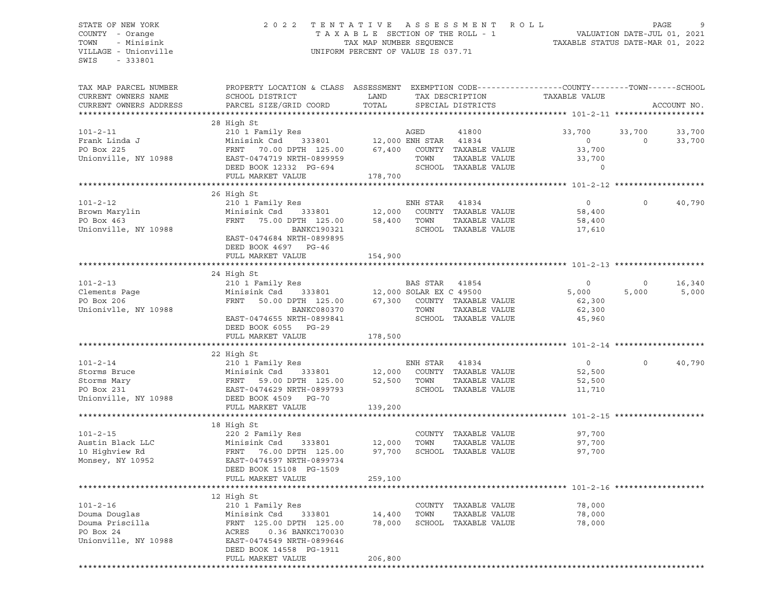# STATE OF NEW YORK 2 0 2 2 T E N T A T I V E A S S E S S M E N T R O L L PAGE 9 COUNTY - Orange T A X A B L E SECTION OF THE ROLL - 1 VALUATION DATE-JUL 01, 2021 TOWN - Minisink TAX MAP NUMBER SEQUENCE TAXABLE STATUS DATE-MAR 01, 2022 VILLAGE - Unionville **United Accord Control** UNIFORM PERCENT OF VALUE IS 037.71

| TAX MAP PARCEL NUMBER<br>CURRENT OWNERS NAME<br>CURRENT OWNERS ADDRESS                  | PROPERTY LOCATION & CLASS ASSESSMENT<br>SCHOOL DISTRICT<br>PARCEL SIZE/GRID COORD                                                                                                          | LAND<br>TOTAL                              |                  | TAX DESCRIPTION<br>SPECIAL DISTRICTS                                          | EXEMPTION CODE-----------------COUNTY-------TOWN------SCHOOL<br>TAXABLE VALUE |                    | ACCOUNT NO.      |
|-----------------------------------------------------------------------------------------|--------------------------------------------------------------------------------------------------------------------------------------------------------------------------------------------|--------------------------------------------|------------------|-------------------------------------------------------------------------------|-------------------------------------------------------------------------------|--------------------|------------------|
| ***********************                                                                 |                                                                                                                                                                                            |                                            |                  |                                                                               |                                                                               |                    |                  |
| $101 - 2 - 11$<br>Frank Linda J<br>PO Box 225<br>Unionville, NY 10988                   | 28 High St<br>210 1 Family Res<br>Minisink Csd 333801<br>FRNT<br>70.00 DPTH 125.00<br>EAST-0474719 NRTH-0899959<br>DEED BOOK 12332 PG-694<br>FULL MARKET VALUE                             | 12,000 ENH STAR 41834<br>67,400<br>178,700 | AGED<br>TOWN     | 41800<br>COUNTY TAXABLE VALUE<br>TAXABLE VALUE<br>SCHOOL TAXABLE VALUE        | 33,700<br>$\overline{0}$<br>33,700<br>33,700<br>$\Omega$                      | 33,700<br>$\Omega$ | 33,700<br>33,700 |
|                                                                                         |                                                                                                                                                                                            |                                            |                  |                                                                               |                                                                               |                    |                  |
| $101 - 2 - 12$<br>Brown Marylin<br>PO Box 463<br>Unionville, NY 10988                   | 26 High St<br>210 1 Family Res<br>Minisink Csd<br>333801<br>FRNT<br>75.00 DPTH 125.00<br>BANKC190321<br>EAST-0474684 NRTH-0899895<br>DEED BOOK 4697 PG-46                                  | 12,000<br>58,400                           | ENH STAR<br>TOWN | 41834<br>COUNTY TAXABLE VALUE<br>TAXABLE VALUE<br>SCHOOL TAXABLE VALUE        | $\circ$<br>58,400<br>58,400<br>17,610                                         | $\Omega$           | 40,790           |
|                                                                                         | FULL MARKET VALUE                                                                                                                                                                          | 154,900                                    |                  |                                                                               |                                                                               |                    |                  |
|                                                                                         |                                                                                                                                                                                            |                                            |                  |                                                                               |                                                                               |                    |                  |
| $101 - 2 - 13$<br>Clements Page<br>PO Box 206<br>Unionivlle, NY 10988                   | 24 High St<br>210 1 Family Res<br>Minisink Csd<br>333801<br>FRNT 50.00 DPTH 125.00<br>BANKC080370<br>EAST-0474655 NRTH-0899841                                                             | 12,000 SOLAR EX C 49500                    | BAS STAR<br>TOWN | 41854<br>67,300 COUNTY TAXABLE VALUE<br>TAXABLE VALUE<br>SCHOOL TAXABLE VALUE | $\circ$<br>5,000<br>62,300<br>62,300<br>45,960                                | $\circ$<br>5,000   | 16,340<br>5,000  |
|                                                                                         | DEED BOOK 6055 PG-29                                                                                                                                                                       |                                            |                  |                                                                               |                                                                               |                    |                  |
|                                                                                         | FULL MARKET VALUE                                                                                                                                                                          | 178,500                                    |                  |                                                                               |                                                                               |                    |                  |
|                                                                                         |                                                                                                                                                                                            |                                            |                  |                                                                               |                                                                               |                    |                  |
|                                                                                         | 22 High St                                                                                                                                                                                 |                                            |                  |                                                                               |                                                                               |                    |                  |
| $101 - 2 - 14$<br>Storms Bruce<br>Storms Mary<br>PO Box 231<br>Unionville, NY 10988     | 210 1 Family Res<br>Minisink Csd 333801 12,000 COUNTY<br>FRNT 59.00 DPTH 125.00 52,500 TOWN<br>EAST-0474629 NRTH-0899793<br>DEED BOOK 4509 PG-70<br>FULL MARKET VALUE                      | 12,000<br>139,200                          | ENH STAR         | 41834<br>COUNTY TAXABLE VALUE<br>TAXABLE VALUE<br>SCHOOL TAXABLE VALUE        | $\circ$<br>52,500<br>52,500<br>11,710                                         | $\Omega$           | 40,790           |
|                                                                                         |                                                                                                                                                                                            |                                            |                  |                                                                               |                                                                               |                    |                  |
| $101 - 2 - 15$<br>Austin Black LLC<br>10 Highview Rd<br>Monsey, NY 10952                | 18 High St<br>220 2 Family Res<br>Minisink Csd 333801<br>FRNT 76.00 DPTH 125.00<br>EAST-0474597 NRTH-0899734<br>DEED BOOK 15108 PG-1509<br>FULL MARKET VALUE                               | 12,000<br>97,700<br>259,100                | TOWN             | COUNTY TAXABLE VALUE<br>TAXABLE VALUE<br>SCHOOL TAXABLE VALUE                 | 97,700<br>97,700<br>97,700                                                    |                    |                  |
|                                                                                         |                                                                                                                                                                                            |                                            |                  |                                                                               |                                                                               |                    |                  |
| $101 - 2 - 16$<br>Douma Douglas<br>Douma Priscilla<br>PO Box 24<br>Unionville, NY 10988 | 12 High St<br>210 1 Family Res<br>Minisink Csd 333801<br>FRNT 125.00 DPTH 125.00<br>ACRES<br>0.36 BANKC170030<br>EAST-0474549 NRTH-0899646<br>DEED BOOK 14558 PG-1911<br>FULL MARKET VALUE | 14,400<br>78,000<br>206,800                | TOWN             | COUNTY TAXABLE VALUE<br>TAXABLE VALUE<br>SCHOOL TAXABLE VALUE                 | 78,000<br>78,000<br>78,000                                                    |                    |                  |
|                                                                                         |                                                                                                                                                                                            |                                            |                  |                                                                               |                                                                               |                    |                  |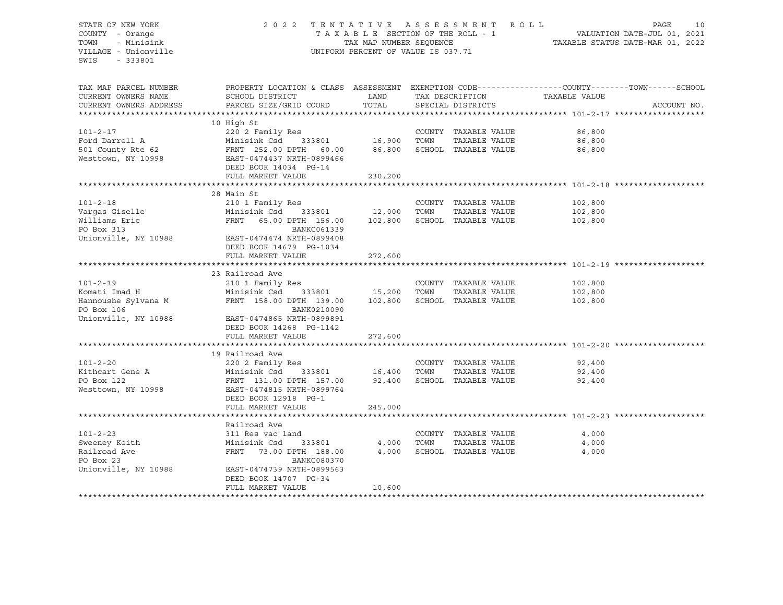# STATE OF NEW YORK 2 0 2 2 T E N T A T I V E A S S E S S M E N T R O L L PAGE 10 COUNTY - Orange T A X A B L E SECTION OF THE ROLL - 1 VALUATION DATE-JUL 01, 2021 TOWN - Minisink TAX MAP NUMBER SEQUENCE TAXABLE STATUS DATE-MAR 01, 2022 VILLAGE - Unionville **United Accord Control** UNIFORM PERCENT OF VALUE IS 037.71

| TAX MAP PARCEL NUMBER<br>CURRENT OWNERS NAME | PROPERTY LOCATION & CLASS ASSESSMENT EXEMPTION CODE----------------COUNTY-------TOWN------SCHOOL<br>SCHOOL DISTRICT | LAND    |      | TAX DESCRIPTION      | TAXABLE VALUE |             |
|----------------------------------------------|---------------------------------------------------------------------------------------------------------------------|---------|------|----------------------|---------------|-------------|
| CURRENT OWNERS ADDRESS                       | PARCEL SIZE/GRID COORD                                                                                              | TOTAL   |      | SPECIAL DISTRICTS    |               | ACCOUNT NO. |
|                                              |                                                                                                                     |         |      |                      |               |             |
|                                              | 10 High St                                                                                                          |         |      |                      |               |             |
| $101 - 2 - 17$                               | 220 2 Family Res                                                                                                    |         |      | COUNTY TAXABLE VALUE | 86,800        |             |
| Ford Darrell A                               | Minisink Csd 333801                                                                                                 | 16,900  | TOWN | TAXABLE VALUE        | 86,800        |             |
| 501 County Rte 62                            | FRNT 252.00 DPTH 60.00                                                                                              | 86,800  |      | SCHOOL TAXABLE VALUE | 86,800        |             |
| Westtown, NY 10998                           | EAST-0474437 NRTH-0899466                                                                                           |         |      |                      |               |             |
|                                              | DEED BOOK 14034 PG-14                                                                                               |         |      |                      |               |             |
|                                              | FULL MARKET VALUE                                                                                                   | 230,200 |      |                      |               |             |
|                                              |                                                                                                                     |         |      |                      |               |             |
|                                              | 28 Main St                                                                                                          |         |      |                      |               |             |
| $101 - 2 - 18$                               | 210 1 Family Res                                                                                                    |         |      | COUNTY TAXABLE VALUE | 102,800       |             |
| Vargas Giselle                               | Minisink Csd<br>333801                                                                                              | 12,000  | TOWN | TAXABLE VALUE        | 102,800       |             |
| Williams Eric                                | FRNT<br>65.00 DPTH 156.00                                                                                           | 102,800 |      | SCHOOL TAXABLE VALUE | 102,800       |             |
| PO Box 313                                   | BANKC061339                                                                                                         |         |      |                      |               |             |
| Unionville, NY 10988                         | EAST-0474474 NRTH-0899408                                                                                           |         |      |                      |               |             |
|                                              | DEED BOOK 14679 PG-1034                                                                                             |         |      |                      |               |             |
|                                              | FULL MARKET VALUE                                                                                                   | 272,600 |      |                      |               |             |
|                                              |                                                                                                                     |         |      |                      |               |             |
|                                              | 23 Railroad Ave                                                                                                     |         |      |                      |               |             |
| $101 - 2 - 19$                               | 210 1 Family Res                                                                                                    |         |      | COUNTY TAXABLE VALUE | 102,800       |             |
| Komati Imad H                                | Minisink Csd<br>333801                                                                                              | 15,200  | TOWN | TAXABLE VALUE        | 102,800       |             |
| Hannoushe Sylvana M                          | FRNT 158.00 DPTH 139.00                                                                                             | 102,800 |      | SCHOOL TAXABLE VALUE | 102,800       |             |
| PO Box 106                                   | BANK0210090                                                                                                         |         |      |                      |               |             |
| Unionville, NY 10988                         | EAST-0474865 NRTH-0899891                                                                                           |         |      |                      |               |             |
|                                              | DEED BOOK 14268 PG-1142                                                                                             |         |      |                      |               |             |
|                                              | FULL MARKET VALUE                                                                                                   | 272,600 |      |                      |               |             |
|                                              |                                                                                                                     |         |      |                      |               |             |
|                                              | 19 Railroad Ave                                                                                                     |         |      |                      |               |             |
| $101 - 2 - 20$                               | 220 2 Family Res                                                                                                    |         |      | COUNTY TAXABLE VALUE | 92,400        |             |
| Kithcart Gene A                              | Minisink Csd<br>333801                                                                                              | 16,400  | TOWN | TAXABLE VALUE        | 92,400        |             |
| PO Box 122                                   | FRNT 131.00 DPTH 157.00                                                                                             | 92,400  |      | SCHOOL TAXABLE VALUE | 92,400        |             |
| Westtown, NY 10998                           | EAST-0474815 NRTH-0899764                                                                                           |         |      |                      |               |             |
|                                              | DEED BOOK 12918 PG-1                                                                                                |         |      |                      |               |             |
|                                              | FULL MARKET VALUE                                                                                                   | 245,000 |      |                      |               |             |
|                                              | Railroad Ave                                                                                                        |         |      |                      |               |             |
| $101 - 2 - 23$                               | 311 Res vac land                                                                                                    |         |      | COUNTY TAXABLE VALUE | 4,000         |             |
| Sweeney Keith                                | Minisink Csd<br>333801                                                                                              | 4,000   | TOWN | TAXABLE VALUE        | 4,000         |             |
| Railroad Ave                                 | FRNT<br>73.00 DPTH 188.00                                                                                           | 4,000   |      | SCHOOL TAXABLE VALUE | 4,000         |             |
| PO Box 23                                    | BANKC080370                                                                                                         |         |      |                      |               |             |
| Unionville, NY 10988                         | EAST-0474739 NRTH-0899563                                                                                           |         |      |                      |               |             |
|                                              | DEED BOOK 14707 PG-34                                                                                               |         |      |                      |               |             |
|                                              | FULL MARKET VALUE                                                                                                   | 10,600  |      |                      |               |             |
|                                              |                                                                                                                     |         |      |                      |               |             |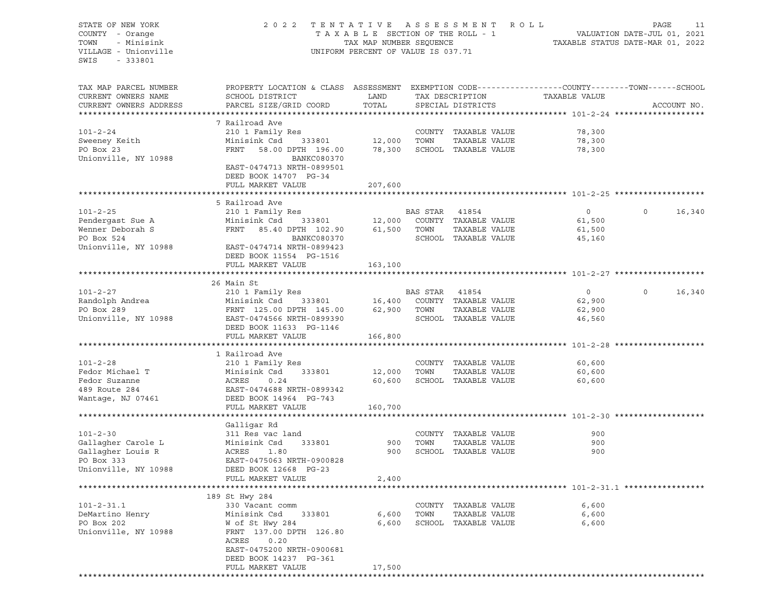STATE OF NEW YORK 2 0 2 2 T E N T A T I V E A S S E S S M E N T R O L L PAGE 11 COUNTY - Orange T A X A B L E SECTION OF THE ROLL - 1 TOWN - Minisink TAX MAP NUMBER SEQUENCE TAXABLE STATUS DATE-MAR 01, 2022<br>TILLAGE - Unionville Taxable Taxable Taxable Status Uniform Percent of Value IS 037.71 UNIFORM PERCENT OF VALUE IS 037.71 SWIS - 333801 TAX MAP PARCEL NUMBER PROPERTY LOCATION & CLASS ASSESSMENT EXEMPTION CODE------------------COUNTY--------TOWN------SCHOOL CURRENT OWNERS NAME SCHOOL DISTRICT LAND TAX DESCRIPTION TAXABLE VALUE CURRENT OWNERS ADDRESS PARCEL SIZE/GRID COORD TOTAL SPECIAL DISTRICTS ACCOUNT NO. \*\*\*\*\*\*\*\*\*\*\*\*\*\*\*\*\*\*\*\*\*\*\*\*\*\*\*\*\*\*\*\*\*\*\*\*\*\*\*\*\*\*\*\*\*\*\*\*\*\*\*\*\*\*\*\*\*\*\*\*\*\*\*\*\*\*\*\*\*\*\*\*\*\*\*\*\*\*\*\*\*\*\*\*\*\*\*\*\*\*\*\*\*\*\*\*\*\*\*\*\*\*\* 101-2-24 \*\*\*\*\*\*\*\*\*\*\*\*\*\*\*\*\*\*\* 7 Railroad Ave 101-2-24 210 1 Family Res COUNTY TAXABLE VALUE 78,300 Sweeney Keith Minisink Csd 333801 12,000 TOWN TAXABLE VALUE 78,300 PO Box 23 FRNT 58.00 DPTH 196.00 78,300 SCHOOL TAXABLE VALUE 78,300 Unionville, NY 10988 BANKC080370 EAST-0474713 NRTH-0899501 DEED BOOK 14707 PG-34 FULL MARKET VALUE 207,600 \*\*\*\*\*\*\*\*\*\*\*\*\*\*\*\*\*\*\*\*\*\*\*\*\*\*\*\*\*\*\*\*\*\*\*\*\*\*\*\*\*\*\*\*\*\*\*\*\*\*\*\*\*\*\*\*\*\*\*\*\*\*\*\*\*\*\*\*\*\*\*\*\*\*\*\*\*\*\*\*\*\*\*\*\*\*\*\*\*\*\*\*\*\*\*\*\*\*\*\*\*\*\* 101-2-25 \*\*\*\*\*\*\*\*\*\*\*\*\*\*\*\*\*\*\* 5 Railroad Ave 101-2-25 210 1 Family Res BAS STAR 41854 0 0 16,340 Pendergast Sue A Minisink Csd 333801 12,000 COUNTY TAXABLE VALUE 61,500 Wenner Deborah S 61,500 FRNT 85.40 DPTH 102.90 61,500 TOWN TAXABLE VALUE 61,500 PO Box 524 BANKC080370 SCHOOL TAXABLE VALUE 45,160 Unionville, NY 10988 EAST-0474714 NRTH-0899423 DEED BOOK 11554 PG-1516 FULL MARKET VALUE 163,100 \*\*\*\*\*\*\*\*\*\*\*\*\*\*\*\*\*\*\*\*\*\*\*\*\*\*\*\*\*\*\*\*\*\*\*\*\*\*\*\*\*\*\*\*\*\*\*\*\*\*\*\*\*\*\*\*\*\*\*\*\*\*\*\*\*\*\*\*\*\*\*\*\*\*\*\*\*\*\*\*\*\*\*\*\*\*\*\*\*\*\*\*\*\*\*\*\*\*\*\*\*\*\* 101-2-27 \*\*\*\*\*\*\*\*\*\*\*\*\*\*\*\*\*\*\* 26 Main St 101-2-27 210 1 Family Res BAS STAR 41854 0 0 16,340 Randolph Andrea Minisink Csd 333801 16,400 COUNTY TAXABLE VALUE 62,900 PO Box 289 FRNT 125.00 DPTH 145.00 62,900 TOWN TAXABLE VALUE 62,900 Unionville, NY 10988 EAST-0474566 NRTH-0899390 SCHOOL TAXABLE VALUE 46,560 DEED BOOK 11633 PG-1146 FULL MARKET VALUE 166,800 \*\*\*\*\*\*\*\*\*\*\*\*\*\*\*\*\*\*\*\*\*\*\*\*\*\*\*\*\*\*\*\*\*\*\*\*\*\*\*\*\*\*\*\*\*\*\*\*\*\*\*\*\*\*\*\*\*\*\*\*\*\*\*\*\*\*\*\*\*\*\*\*\*\*\*\*\*\*\*\*\*\*\*\*\*\*\*\*\*\*\*\*\*\*\*\*\*\*\*\*\*\*\* 101-2-28 \*\*\*\*\*\*\*\*\*\*\*\*\*\*\*\*\*\*\* 1 Railroad Ave 101-2-28 210 1 Family Res COUNTY TAXABLE VALUE 60,600 Fedor Michael T Minisink Csd 333801 12,000 TOWN TAXABLE VALUE 60,600 Fedor Suzanne ACRES 0.24 60,600 SCHOOL TAXABLE VALUE 60,600 489 Route 284 EAST-0474688 NRTH-0899342 Wantage, NJ 07461 DEED BOOK 14964 PG-743 FULL MARKET VALUE 160,700 \*\*\*\*\*\*\*\*\*\*\*\*\*\*\*\*\*\*\*\*\*\*\*\*\*\*\*\*\*\*\*\*\*\*\*\*\*\*\*\*\*\*\*\*\*\*\*\*\*\*\*\*\*\*\*\*\*\*\*\*\*\*\*\*\*\*\*\*\*\*\*\*\*\*\*\*\*\*\*\*\*\*\*\*\*\*\*\*\*\*\*\*\*\*\*\*\*\*\*\*\*\*\* 101-2-30 \*\*\*\*\*\*\*\*\*\*\*\*\*\*\*\*\*\*\* Galligar Rd 101-2-30 311 Res vac land COUNTY TAXABLE VALUE 900 Gallagher Carole L Minisink Csd 333801 900 TOWN TAXABLE VALUE 900<br>Gallagher Louis R ACRES 1.80 900 SCHOOL TAXABLE VALUE 900 ACRES 1.80 900 SCHOOL TAXABLE VALUE 900 900 PO Box 333 EAST-0475063 NRTH-0900828 Unionville, NY 10988 DEED BOOK 12668 PG-23 FULL MARKET VALUE 2,400 \*\*\*\*\*\*\*\*\*\*\*\*\*\*\*\*\*\*\*\*\*\*\*\*\*\*\*\*\*\*\*\*\*\*\*\*\*\*\*\*\*\*\*\*\*\*\*\*\*\*\*\*\*\*\*\*\*\*\*\*\*\*\*\*\*\*\*\*\*\*\*\*\*\*\*\*\*\*\*\*\*\*\*\*\*\*\*\*\*\*\*\*\*\*\*\*\*\*\*\*\*\*\* 101-2-31.1 \*\*\*\*\*\*\*\*\*\*\*\*\*\*\*\*\* 189 St Hwy 284 101-2-31.1 330 Vacant comm COUNTY TAXABLE VALUE 6,600 DeMartino Henry **Minisink Csd** 333801 6,600 TOWN TAXABLE VALUE 6,600<br>PO Box 202 6,600 W of St Hwy 284 6,600 6CHOOL TAXABLE VALUE 6,600 PO Box 202 W of St Hwy 284 6,600 SCHOOL TAXABLE VALUE 6,600 Unionville, NY 10988 FRNT 137.00 DPTH 126.80 ACRES 0.20 EAST-0475200 NRTH-0900681 DEED BOOK 14237 PG-361 FULL MARKET VALUE 17,500 \*\*\*\*\*\*\*\*\*\*\*\*\*\*\*\*\*\*\*\*\*\*\*\*\*\*\*\*\*\*\*\*\*\*\*\*\*\*\*\*\*\*\*\*\*\*\*\*\*\*\*\*\*\*\*\*\*\*\*\*\*\*\*\*\*\*\*\*\*\*\*\*\*\*\*\*\*\*\*\*\*\*\*\*\*\*\*\*\*\*\*\*\*\*\*\*\*\*\*\*\*\*\*\*\*\*\*\*\*\*\*\*\*\*\*\*\*\*\*\*\*\*\*\*\*\*\*\*\*\*\*\*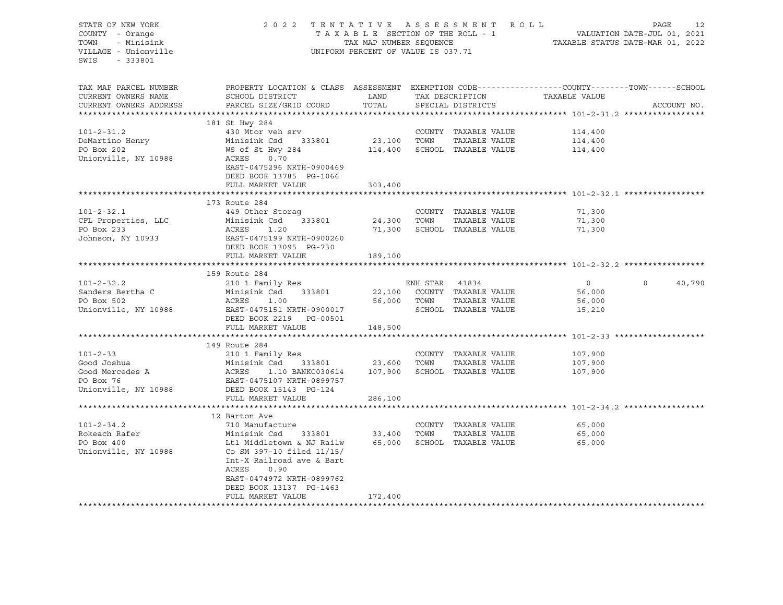| STATE OF NEW YORK<br>COUNTY - Orange<br>- Minisink<br>TOWN<br>VILLAGE - Unionville<br>SWIS<br>- 333801 | 2022 TENTATIVE ASSESSMENT ROLL<br>TAXABLE SECTION OF THE ROLL - 1<br>TAX MAP NUMBER SEQUENCE<br>UNIFORM PERCENT OF VALUE IS 037.71                           | PAGE<br>12<br>$\begin{tabular}{ccccc} 1 & - & - & - & \multicolumn{2}{c }{\text{VALUATION DATE-JUL 01, 2021}} \\ & & \multicolumn{2}{c }{\text{YALUATION DATE-JUL 01, 2022}} \end{tabular}$ |                |                              |                               |             |        |
|--------------------------------------------------------------------------------------------------------|--------------------------------------------------------------------------------------------------------------------------------------------------------------|---------------------------------------------------------------------------------------------------------------------------------------------------------------------------------------------|----------------|------------------------------|-------------------------------|-------------|--------|
| TAX MAP PARCEL NUMBER<br>CURRENT OWNERS NAME                                                           | PROPERTY LOCATION & CLASS ASSESSMENT EXEMPTION CODE----------------COUNTY-------TOWN-----SCHOOL<br>SCHOOL DISTRICT                                           | LAND                                                                                                                                                                                        |                |                              | TAX DESCRIPTION TAXABLE VALUE |             |        |
| CURRENT OWNERS ADDRESS                                                                                 | PARCEL SIZE/GRID COORD                                                                                                                                       | TOTAL                                                                                                                                                                                       |                | SPECIAL DISTRICTS            |                               | ACCOUNT NO. |        |
|                                                                                                        |                                                                                                                                                              |                                                                                                                                                                                             |                |                              |                               |             |        |
|                                                                                                        | 181 St Hwy 284                                                                                                                                               |                                                                                                                                                                                             |                |                              |                               |             |        |
| $101 - 2 - 31.2$                                                                                       | 430 Mtor veh srv                                                                                                                                             |                                                                                                                                                                                             |                | COUNTY TAXABLE VALUE         | 114,400                       |             |        |
| DeMartino Henry                                                                                        | Minisink Csd 333801 23,100 TOWN                                                                                                                              |                                                                                                                                                                                             |                | TAXABLE VALUE                | 114,400                       |             |        |
| PO Box 202<br>Unionville, NY 10988                                                                     | WS of St Hwy 284<br>ACRES 0.70<br>EAST-0475296 NRTH-0900469<br>DEED BOOK 13785 PG-1066                                                                       |                                                                                                                                                                                             |                | 114,400 SCHOOL TAXABLE VALUE | 114,400                       |             |        |
|                                                                                                        | FULL MARKET VALUE                                                                                                                                            | 303,400                                                                                                                                                                                     |                |                              |                               |             |        |
|                                                                                                        |                                                                                                                                                              |                                                                                                                                                                                             |                |                              |                               |             |        |
| $101 - 2 - 32.1$                                                                                       | 173 Route 284<br>449 Other Storag                                                                                                                            |                                                                                                                                                                                             |                | COUNTY TAXABLE VALUE         | 71,300                        |             |        |
| CFL Properties, LLC                                                                                    |                                                                                                                                                              | 24,300 TOWN                                                                                                                                                                                 |                | TAXABLE VALUE                | 71,300                        |             |        |
| PO Box 233                                                                                             |                                                                                                                                                              |                                                                                                                                                                                             |                | 71,300 SCHOOL TAXABLE VALUE  | 71,300                        |             |        |
| Johnson, NY 10933                                                                                      | Minisink Csd 333801<br>ACRES 1.20<br>EAST-0475199 NRTH-0900260<br>DEED BOOK 13095 PG-730                                                                     |                                                                                                                                                                                             |                |                              |                               |             |        |
|                                                                                                        | FULL MARKET VALUE                                                                                                                                            | 189,100                                                                                                                                                                                     |                |                              |                               |             |        |
|                                                                                                        | 159 Route 284                                                                                                                                                |                                                                                                                                                                                             |                |                              |                               |             |        |
| $101 - 2 - 32.2$                                                                                       | 210 1 Family Res                                                                                                                                             |                                                                                                                                                                                             | ENH STAR 41834 |                              | $\overline{0}$                | $\circ$     | 40,790 |
| Sanders Bertha C                                                                                       | Minisink Csd 333801                                                                                                                                          |                                                                                                                                                                                             |                | 22,100 COUNTY TAXABLE VALUE  | 56,000                        |             |        |
| PO Box 502                                                                                             | ACRES<br>1.00                                                                                                                                                |                                                                                                                                                                                             | 56,000 TOWN    | TAXABLE VALUE                | 56,000                        |             |        |
| Unionville, NY 10988 EAST-0475151 NRTH-0900017                                                         | DEED BOOK 2219 PG-00501                                                                                                                                      |                                                                                                                                                                                             |                | SCHOOL TAXABLE VALUE         | 15,210                        |             |        |
|                                                                                                        | FULL MARKET VALUE                                                                                                                                            | 148,500                                                                                                                                                                                     |                |                              |                               |             |        |
|                                                                                                        |                                                                                                                                                              |                                                                                                                                                                                             |                |                              |                               |             |        |
|                                                                                                        | 149 Route 284                                                                                                                                                |                                                                                                                                                                                             |                |                              |                               |             |        |
| $101 - 2 - 33$                                                                                         | 210 1 Family Res                                                                                                                                             |                                                                                                                                                                                             |                | COUNTY TAXABLE VALUE         | 107,900                       |             |        |
| Good Joshua                                                                                            | Minisink Csd 333801 23,600 TOWN<br>ACRES 1.10 BANKC030614 107,900 SCHOC                                                                                      |                                                                                                                                                                                             |                | TAXABLE VALUE                | 107,900                       |             |        |
| Good Mercedes A<br>PO Box 76                                                                           |                                                                                                                                                              |                                                                                                                                                                                             |                | 107,900 SCHOOL TAXABLE VALUE | 107,900                       |             |        |
| PO Box 76<br>Unionville, NY 10988                                                                      | EAST-0475107 NRTH-0899757<br>DEED BOOK 15143 PG-124                                                                                                          |                                                                                                                                                                                             |                |                              |                               |             |        |
|                                                                                                        | FULL MARKET VALUE                                                                                                                                            | 286,100                                                                                                                                                                                     |                |                              |                               |             |        |
|                                                                                                        |                                                                                                                                                              |                                                                                                                                                                                             |                |                              |                               |             |        |
|                                                                                                        | 12 Barton Ave                                                                                                                                                |                                                                                                                                                                                             |                |                              |                               |             |        |
| $101 - 2 - 34.2$                                                                                       | 710 Manufacture                                                                                                                                              |                                                                                                                                                                                             |                | COUNTY TAXABLE VALUE         | 65,000                        |             |        |
| Rokeach Rafer                                                                                          | Minisink Csd 333801 33,400 TOWN                                                                                                                              |                                                                                                                                                                                             |                | TAXABLE VALUE                | 65,000                        |             |        |
| PO Box 400<br>Unionville, NY 10988                                                                     | Lt1 Middletown & NJ Railw<br>Co SM 397-10 filed 11/15/<br>Int-X Railroad ave & Bart<br>ACRES<br>0.90<br>EAST-0474972 NRTH-0899762<br>DEED BOOK 13137 PG-1463 |                                                                                                                                                                                             |                | 65,000 SCHOOL TAXABLE VALUE  | 65,000                        |             |        |
|                                                                                                        | FULL MARKET VALUE                                                                                                                                            | 172,400                                                                                                                                                                                     |                |                              |                               |             |        |
| **********************                                                                                 |                                                                                                                                                              |                                                                                                                                                                                             |                |                              |                               |             |        |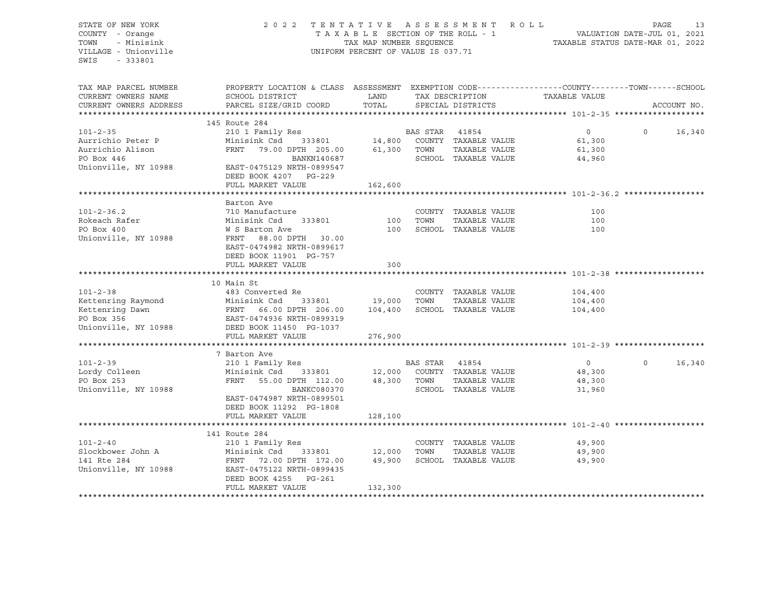STATE OF NEW YORK 2 0 2 2 T E N T A T I V E A S S E S S M E N T R O L L PAGE 13 COUNTY - Orange T A X A B L E SECTION OF THE ROLL - 1 TOWN - Minisink TAX MAP NUMBER SEQUENCE TAXABLE STATUS DATE-MAR 01, 2022<br>TILLAGE - Unionville Taxable Taxable Status UNIFORM PERCENT OF VALUE IS 037.71 UNIFORM PERCENT OF VALUE IS 037.71 SWIS - 333801 TAX MAP PARCEL NUMBER PROPERTY LOCATION & CLASS ASSESSMENT EXEMPTION CODE----------------COUNTY-------TOWN-----SCHOOL CURRENT OWNERS NAME SCHOOL DISTRICT TAX DAND TAX DESCRIPTION TAXABLE VALUE CURRENT OWNERS ADDRESS PARCEL SIZE/GRID COORD TOTAL SPECIAL DISTRICTS ACCOUNT NO. \*\*\*\*\*\*\*\*\*\*\*\*\*\*\*\*\*\*\*\*\*\*\*\*\*\*\*\*\*\*\*\*\*\*\*\*\*\*\*\*\*\*\*\*\*\*\*\*\*\*\*\*\*\*\*\*\*\*\*\*\*\*\*\*\*\*\*\*\*\*\*\*\*\*\*\*\*\*\*\*\*\*\*\*\*\*\*\*\*\*\*\*\*\*\*\*\*\*\*\*\*\*\* 101-2-35 \*\*\*\*\*\*\*\*\*\*\*\*\*\*\*\*\*\*\* 145 Route 284 101-2-35 210 1 Family Res BAS STAR 41854 0 0 16,340 Aurrichio Peter P Minisink Csd 333801 14,800 COUNTY TAXABLE VALUE 61,300 Aurrichio Alison FRNT 79.00 DPTH 205.00 61,300 TOWN TAXABLE VALUE 61,300 PO Box 446 BANKN140687 SCHOOL TAXABLE VALUE 44,960 Unionville, NY 10988 EAST-0475129 NRTH-0899547 DEED BOOK 4207 PG-229 FULL MARKET VALUE 162,600 \*\*\*\*\*\*\*\*\*\*\*\*\*\*\*\*\*\*\*\*\*\*\*\*\*\*\*\*\*\*\*\*\*\*\*\*\*\*\*\*\*\*\*\*\*\*\*\*\*\*\*\*\*\*\*\*\*\*\*\*\*\*\*\*\*\*\*\*\*\*\*\*\*\*\*\*\*\*\*\*\*\*\*\*\*\*\*\*\*\*\*\*\*\*\*\*\*\*\*\*\*\*\* 101-2-36.2 \*\*\*\*\*\*\*\*\*\*\*\*\*\*\*\*\* Barton Ave 101-2-36.2 710 Manufacture COUNTY TAXABLE VALUE 100 Rokeach Rafer Minisink Csd 333801 100 TOWN TAXABLE VALUE 100 PO Box 400 **W** S Barton Ave 100 SCHOOL TAXABLE VALUE 100 Unionville, NY 10988 FRNT 88.00 DPTH 30.00 EAST-0474982 NRTH-0899617 DEED BOOK 11901 PG-757 FULL MARKET VALUE 300 \*\*\*\*\*\*\*\*\*\*\*\*\*\*\*\*\*\*\*\*\*\*\*\*\*\*\*\*\*\*\*\*\*\*\*\*\*\*\*\*\*\*\*\*\*\*\*\*\*\*\*\*\*\*\*\*\*\*\*\*\*\*\*\*\*\*\*\*\*\*\*\*\*\*\*\*\*\*\*\*\*\*\*\*\*\*\*\*\*\*\*\*\*\*\*\*\*\*\*\*\*\*\* 101-2-38 \*\*\*\*\*\*\*\*\*\*\*\*\*\*\*\*\*\*\* 10 Main St 101-2-38 483 Converted Re COUNTY TAXABLE VALUE 104,400 Kettenring Raymond Minisink Csd 333801 19,000 TOWN TAXABLE VALUE 104,400 Kettenring Dawn FRNT 66.00 DPTH 206.00 104,400 SCHOOL TAXABLE VALUE 104,400 PO Box 356 EAST-0474936 NRTH-0899319 Unionville, NY 10988 DEED BOOK 11450 PG-1037 FULL MARKET VALUE 276,900 \*\*\*\*\*\*\*\*\*\*\*\*\*\*\*\*\*\*\*\*\*\*\*\*\*\*\*\*\*\*\*\*\*\*\*\*\*\*\*\*\*\*\*\*\*\*\*\*\*\*\*\*\*\*\*\*\*\*\*\*\*\*\*\*\*\*\*\*\*\*\*\*\*\*\*\*\*\*\*\*\*\*\*\*\*\*\*\*\*\*\*\*\*\*\*\*\*\*\*\*\*\*\* 101-2-39 \*\*\*\*\*\*\*\*\*\*\*\*\*\*\*\*\*\*\* 7 Barton Ave 101-2-39 210 1 Family Res BAS STAR 41854 0 0 16,340 Lordy Colleen Minisink Csd 333801 12,000 COUNTY TAXABLE VALUE 48,300 PO Box 253 FRNT 55.00 DPTH 112.00 48,300 TOWN TAXABLE VALUE 48,300 Unionville, NY 10988 BANKC080370 SCHOOL TAXABLE VALUE 31,960 EAST-0474987 NRTH-0899501 DEED BOOK 11292 PG-1808 FULL MARKET VALUE 128,100 \*\*\*\*\*\*\*\*\*\*\*\*\*\*\*\*\*\*\*\*\*\*\*\*\*\*\*\*\*\*\*\*\*\*\*\*\*\*\*\*\*\*\*\*\*\*\*\*\*\*\*\*\*\*\*\*\*\*\*\*\*\*\*\*\*\*\*\*\*\*\*\*\*\*\*\*\*\*\*\*\*\*\*\*\*\*\*\*\*\*\*\*\*\*\*\*\*\*\*\*\*\*\* 101-2-40 \*\*\*\*\*\*\*\*\*\*\*\*\*\*\*\*\*\*\* 141 Route 284 101-2-40 210 1 Family Res COUNTY TAXABLE VALUE 49,900 Slockbower John A Minisink Csd 333801 12,000 TOWN TAXABLE VALUE 49,900 141 Rte 284 FRNT 72.00 DPTH 172.00 49,900 SCHOOL TAXABLE VALUE 49,900 Unionville, NY 10988 EAST-0475122 NRTH-0899435 DEED BOOK 4255 PG-261 FULL MARKET VALUE 132,300 \*\*\*\*\*\*\*\*\*\*\*\*\*\*\*\*\*\*\*\*\*\*\*\*\*\*\*\*\*\*\*\*\*\*\*\*\*\*\*\*\*\*\*\*\*\*\*\*\*\*\*\*\*\*\*\*\*\*\*\*\*\*\*\*\*\*\*\*\*\*\*\*\*\*\*\*\*\*\*\*\*\*\*\*\*\*\*\*\*\*\*\*\*\*\*\*\*\*\*\*\*\*\*\*\*\*\*\*\*\*\*\*\*\*\*\*\*\*\*\*\*\*\*\*\*\*\*\*\*\*\*\*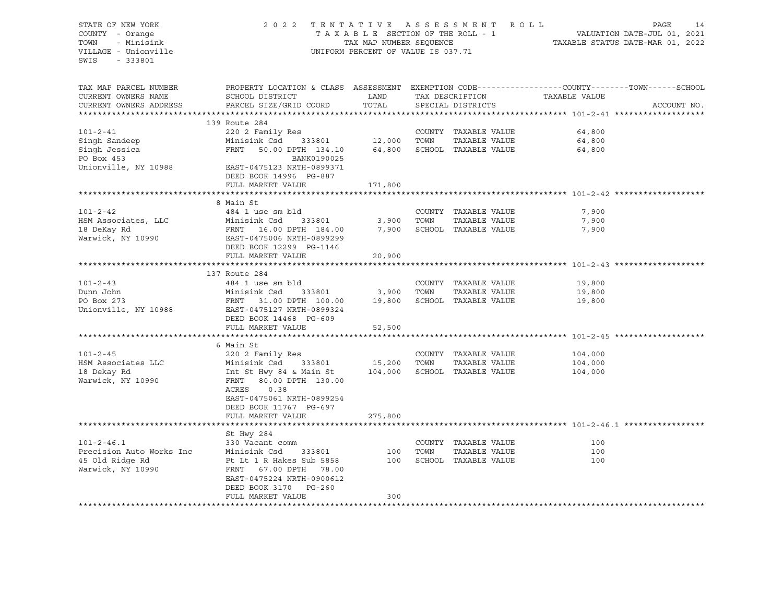STATE OF NEW YORK 2 0 2 2 T E N T A T I V E A S S E S S M E N T R O L L PAGE 14 COUNTY - Orange T A X A B L E SECTION OF THE ROLL - 1 TOWN - Minisink TAX MAP NUMBER SEQUENCE TAXABLE STATUS DATE-MAR 01, 2022<br>TILLAGE - Unionville Taxable Taxable Status UNIFORM PERCENT OF VALUE IS 037.71 UNIFORM PERCENT OF VALUE IS 037.71 SWIS - 333801 TAX MAP PARCEL NUMBER PROPERTY LOCATION & CLASS ASSESSMENT EXEMPTION CODE------------------COUNTY--------TOWN------SCHOOL CURRENT OWNERS NAME SCHOOL DISTRICT LAND TAX DESCRIPTION TAXABLE VALUE CURRENT OWNERS ADDRESS PARCEL SIZE/GRID COORD TOTAL SPECIAL DISTRICTS ACCOUNT NO. \*\*\*\*\*\*\*\*\*\*\*\*\*\*\*\*\*\*\*\*\*\*\*\*\*\*\*\*\*\*\*\*\*\*\*\*\*\*\*\*\*\*\*\*\*\*\*\*\*\*\*\*\*\*\*\*\*\*\*\*\*\*\*\*\*\*\*\*\*\*\*\*\*\*\*\*\*\*\*\*\*\*\*\*\*\*\*\*\*\*\*\*\*\*\*\*\*\*\*\*\*\*\* 101-2-41 \*\*\*\*\*\*\*\*\*\*\*\*\*\*\*\*\*\*\* 139 Route 284 101-2-41 220 2 Family Res COUNTY TAXABLE VALUE 64,800 Singh Sandeep Minisink Csd 333801 12,000 TOWN TAXABLE VALUE 64,800 Singh Jessica FRNT 50.00 DPTH 134.10 64,800 SCHOOL TAXABLE VALUE 64,800 SCHOOL TAXABLE VALUE 64,800 PO Box 453 BANK0190025 Unionville, NY 10988 EAST-0475123 NRTH-0899371 DEED BOOK 14996 PG-887 FULL MARKET VALUE 171,800 \*\*\*\*\*\*\*\*\*\*\*\*\*\*\*\*\*\*\*\*\*\*\*\*\*\*\*\*\*\*\*\*\*\*\*\*\*\*\*\*\*\*\*\*\*\*\*\*\*\*\*\*\*\*\*\*\*\*\*\*\*\*\*\*\*\*\*\*\*\*\*\*\*\*\*\*\*\*\*\*\*\*\*\*\*\*\*\*\*\*\*\*\*\*\*\*\*\*\*\*\*\*\* 101-2-42 \*\*\*\*\*\*\*\*\*\*\*\*\*\*\*\*\*\*\* 8 Main St 101-2-42 484 1 use sm bld COUNTY TAXABLE VALUE 7,900 HSM Associates, LLC Minisink Csd 333801 3,900 TOWN TAXABLE VALUE 7,900 18 DeKay Rd FRNT 16.00 DPTH 184.00 7,900 SCHOOL TAXABLE VALUE 7,900 Warwick, NY 10990 EAST-0475006 NRTH-0899299 DEED BOOK 12299 PG-1146 FULL MARKET VALUE 20,900 \*\*\*\*\*\*\*\*\*\*\*\*\*\*\*\*\*\*\*\*\*\*\*\*\*\*\*\*\*\*\*\*\*\*\*\*\*\*\*\*\*\*\*\*\*\*\*\*\*\*\*\*\*\*\*\*\*\*\*\*\*\*\*\*\*\*\*\*\*\*\*\*\*\*\*\*\*\*\*\*\*\*\*\*\*\*\*\*\*\*\*\*\*\*\*\*\*\*\*\*\*\*\* 101-2-43 \*\*\*\*\*\*\*\*\*\*\*\*\*\*\*\*\*\*\* 137 Route 284 101-2-43 484 1 use sm bld COUNTY TAXABLE VALUE 19,800 Dunn John Minisink Csd 333801 3,900 TOWN TAXABLE VALUE 19,800 PO Box 273 FRNT 31.00 DPTH 100.00 19,800 SCHOOL TAXABLE VALUE 19,800 Unionville, NY 10988 EAST-0475127 NRTH-0899324 DEED BOOK 14468 PG-609 FULL MARKET VALUE 52,500 \*\*\*\*\*\*\*\*\*\*\*\*\*\*\*\*\*\*\*\*\*\*\*\*\*\*\*\*\*\*\*\*\*\*\*\*\*\*\*\*\*\*\*\*\*\*\*\*\*\*\*\*\*\*\*\*\*\*\*\*\*\*\*\*\*\*\*\*\*\*\*\*\*\*\*\*\*\*\*\*\*\*\*\*\*\*\*\*\*\*\*\*\*\*\*\*\*\*\*\*\*\*\* 101-2-45 \*\*\*\*\*\*\*\*\*\*\*\*\*\*\*\*\*\*\* 6 Main St 101-2-45 220 2 Family Res COUNTY TAXABLE VALUE 104,000 HSM Associates LLC Minisink Csd 333801 15,200 TOWN TAXABLE VALUE 104,000 18 Dekay Rd Int St Hwy 84 & Main St 104,000 SCHOOL TAXABLE VALUE 104,000 Warwick, NY 10990 FRNT 80.00 DPTH 130.00 ACRES 0.38 EAST-0475061 NRTH-0899254 DEED BOOK 11767 PG-697 FULL MARKET VALUE 275,800 \*\*\*\*\*\*\*\*\*\*\*\*\*\*\*\*\*\*\*\*\*\*\*\*\*\*\*\*\*\*\*\*\*\*\*\*\*\*\*\*\*\*\*\*\*\*\*\*\*\*\*\*\*\*\*\*\*\*\*\*\*\*\*\*\*\*\*\*\*\*\*\*\*\*\*\*\*\*\*\*\*\*\*\*\*\*\*\*\*\*\*\*\*\*\*\*\*\*\*\*\*\*\* 101-2-46.1 \*\*\*\*\*\*\*\*\*\*\*\*\*\*\*\*\* St Hwy 284 101-2-46.1 330 Vacant comm COUNTY TAXABLE VALUE 100 Minisink Csd 333801 100 TOWN TAXABLE VALUE 100 45 Old Ridge Rd Pt Lt 1 R Hakes Sub 5858 100 SCHOOL TAXABLE VALUE 100 Warwick, NY 10990 FRNT 67.00 DPTH 78.00 EAST-0475224 NRTH-0900612 DEED BOOK 3170 PG-260 FULL MARKET VALUE 300 \*\*\*\*\*\*\*\*\*\*\*\*\*\*\*\*\*\*\*\*\*\*\*\*\*\*\*\*\*\*\*\*\*\*\*\*\*\*\*\*\*\*\*\*\*\*\*\*\*\*\*\*\*\*\*\*\*\*\*\*\*\*\*\*\*\*\*\*\*\*\*\*\*\*\*\*\*\*\*\*\*\*\*\*\*\*\*\*\*\*\*\*\*\*\*\*\*\*\*\*\*\*\*\*\*\*\*\*\*\*\*\*\*\*\*\*\*\*\*\*\*\*\*\*\*\*\*\*\*\*\*\*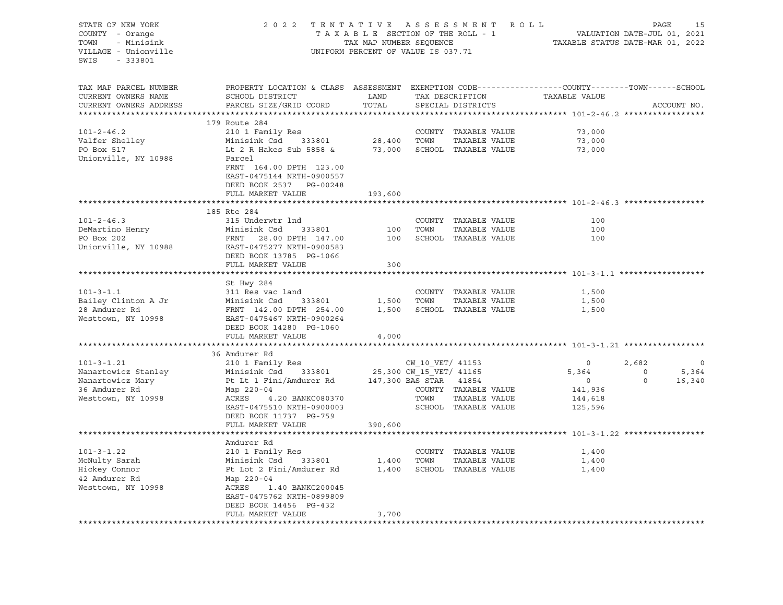| STATE OF NEW YORK<br>COUNTY - Orange<br>TOWN<br>- Minisink<br>VILLAGE - Unionville<br>SWIS - 333801 | 2022 TENTATIVE ASSESSMENT ROLL<br>TAXABLE SECTION OF THE ROLL - 1<br>TAX MAP NUMBER SEQUENCE<br>UNIFORM PERCENT OF VALUE IS 037.71           | PAGE<br>15<br>VALUATION DATE-JUL 01, 2021<br>TAXABLE STATUS DATE-MAR 01, 2022 |                  |                                       |                         |                         |             |                         |
|-----------------------------------------------------------------------------------------------------|----------------------------------------------------------------------------------------------------------------------------------------------|-------------------------------------------------------------------------------|------------------|---------------------------------------|-------------------------|-------------------------|-------------|-------------------------|
| TAX MAP PARCEL NUMBER<br>CURRENT OWNERS NAME<br>CURRENT OWNERS ADDRESS                              | PROPERTY LOCATION & CLASS ASSESSMENT EXEMPTION CODE---------------COUNTY-------TOWN------SCHOOL<br>SCHOOL DISTRICT<br>PARCEL SIZE/GRID COORD | LAND<br>TOTAL                                                                 |                  | TAX DESCRIPTION<br>SPECIAL DISTRICTS  | TAXABLE VALUE           |                         | ACCOUNT NO. |                         |
|                                                                                                     | 179 Route 284                                                                                                                                |                                                                               |                  |                                       |                         |                         |             |                         |
| $101 - 2 - 46.2$                                                                                    | 210 1 Family Res                                                                                                                             |                                                                               |                  | COUNTY TAXABLE VALUE                  | 73,000                  |                         |             |                         |
| Valfer Shelley                                                                                      | Minisink Csd 333801                                                                                                                          | $\begin{array}{cc} \text{COUNTY} \\ \text{28,400} \end{array}$                |                  | TAXABLE VALUE                         | 73,000                  |                         |             |                         |
| PO Box 517                                                                                          | Lt 2 R Hakes Sub 5858 & 73,000 SCHOOL TAXABLE VALUE                                                                                          |                                                                               |                  |                                       | 73,000                  |                         |             |                         |
| Unionville, NY 10988                                                                                | Parcel<br>FRNT 164.00 DPTH 123.00<br>EAST-0475144 NRTH-0900557<br>DEED BOOK 2537 PG-00248                                                    |                                                                               |                  |                                       |                         |                         |             |                         |
|                                                                                                     | FULL MARKET VALUE                                                                                                                            | 193,600                                                                       |                  |                                       |                         |                         |             |                         |
|                                                                                                     | 185 Rte 284                                                                                                                                  |                                                                               |                  |                                       |                         |                         |             |                         |
| $101 - 2 - 46.3$                                                                                    | 315 Underwtr lnd                                                                                                                             |                                                                               |                  | COUNTY TAXABLE VALUE                  | 100                     |                         |             |                         |
| DeMartino Henry<br>PO Box 202                                                                       | Minisink Csd 333801<br>FRNT 28.00 DPTH 147.00                                                                                                |                                                                               | 100 TOWN         | TAXABLE VALUE                         | 100                     |                         |             |                         |
|                                                                                                     | FRNT 28.00 DPTH 147.00                                                                                                                       |                                                                               |                  | 100 SCHOOL TAXABLE VALUE              | 100                     |                         |             |                         |
| Unionville, NY 10988                                                                                | EAST-0475277 NRTH-0900583<br>DEED BOOK 13785 PG-1066                                                                                         |                                                                               |                  |                                       |                         |                         |             |                         |
|                                                                                                     | FULL MARKET VALUE                                                                                                                            | 300                                                                           |                  |                                       |                         |                         |             |                         |
|                                                                                                     |                                                                                                                                              |                                                                               |                  |                                       |                         |                         |             |                         |
| $101 - 3 - 1.1$                                                                                     | St Hwy 284                                                                                                                                   |                                                                               |                  |                                       | 1,500                   |                         |             |                         |
| Bailey Clinton A Jr                                                                                 | 311 Res vac land<br>Minisink Csd<br>333801                                                                                                   |                                                                               | 1,500 TOWN       | COUNTY TAXABLE VALUE<br>TAXABLE VALUE | 1,500                   |                         |             |                         |
| 28 Amdurer Rd                                                                                       | FRNT 142.00 DPTH 254.00                                                                                                                      |                                                                               |                  | 1,500 SCHOOL TAXABLE VALUE            | 1,500                   |                         |             |                         |
| Westtown, NY 10998                                                                                  | EAST-0475467 NRTH-0900264                                                                                                                    |                                                                               |                  |                                       |                         |                         |             |                         |
|                                                                                                     | DEED BOOK 14280 PG-1060                                                                                                                      |                                                                               |                  |                                       |                         |                         |             |                         |
|                                                                                                     | FULL MARKET VALUE                                                                                                                            | 4,000                                                                         |                  |                                       |                         |                         |             |                         |
|                                                                                                     |                                                                                                                                              |                                                                               |                  |                                       |                         |                         |             |                         |
|                                                                                                     | 36 Amdurer Rd                                                                                                                                |                                                                               |                  |                                       |                         |                         |             |                         |
| $101 - 3 - 1.21$<br>Nanartowicz Stanley                                                             | 210 1 Family Res<br>Minisink Csd 333801                                                                                                      | 25,300 CW_15_VET/ 41165                                                       | CW 10 VET/ 41153 |                                       | $\overline{0}$<br>5,364 | 2,682<br>$\overline{0}$ |             | $\overline{0}$<br>5,364 |
| Nanartowicz Mary                                                                                    | Pt Lt 1 Fini/Amdurer Rd $147,300$ BAS STAR $41854$                                                                                           |                                                                               |                  |                                       | $\overline{0}$          | $\Omega$                |             | 16,340                  |
| 36 Amdurer Rd                                                                                       | Map 220-04                                                                                                                                   |                                                                               |                  | COUNTY TAXABLE VALUE                  | 141,936                 |                         |             |                         |
| Westtown, NY 10998                                                                                  | ACRES 4.20 BANKC080370                                                                                                                       |                                                                               | TOWN             | TAXABLE VALUE                         | 144,618                 |                         |             |                         |
|                                                                                                     | EAST-0475510 NRTH-0900003                                                                                                                    |                                                                               |                  | SCHOOL TAXABLE VALUE                  | 125,596                 |                         |             |                         |
|                                                                                                     | DEED BOOK 11737 PG-759                                                                                                                       |                                                                               |                  |                                       |                         |                         |             |                         |
|                                                                                                     | FULL MARKET VALUE                                                                                                                            | 390,600                                                                       |                  |                                       |                         |                         |             |                         |
|                                                                                                     |                                                                                                                                              |                                                                               |                  |                                       |                         |                         |             |                         |
|                                                                                                     | Amdurer Rd                                                                                                                                   |                                                                               |                  |                                       |                         |                         |             |                         |
| $101 - 3 - 1.22$<br>McNulty Sarah                                                                   | 210 1 Family Res<br>Minisink Csd 333801                                                                                                      | 1,400                                                                         | TOWN             | COUNTY TAXABLE VALUE<br>TAXABLE VALUE | 1,400<br>1,400          |                         |             |                         |
| Hickey Connor                                                                                       | Pt Lot 2 Fini/Amdurer Rd                                                                                                                     |                                                                               |                  | 1,400 SCHOOL TAXABLE VALUE            | 1,400                   |                         |             |                         |
| 42 Amdurer Rd                                                                                       | Map 220-04                                                                                                                                   |                                                                               |                  |                                       |                         |                         |             |                         |
| Westtown, NY 10998                                                                                  | ACRES<br>1.40 BANKC200045                                                                                                                    |                                                                               |                  |                                       |                         |                         |             |                         |
|                                                                                                     | EAST-0475762 NRTH-0899809                                                                                                                    |                                                                               |                  |                                       |                         |                         |             |                         |
|                                                                                                     | DEED BOOK 14456 PG-432                                                                                                                       |                                                                               |                  |                                       |                         |                         |             |                         |
|                                                                                                     | FULL MARKET VALUE                                                                                                                            | 3,700                                                                         |                  |                                       |                         |                         |             |                         |
|                                                                                                     |                                                                                                                                              |                                                                               |                  |                                       |                         |                         |             |                         |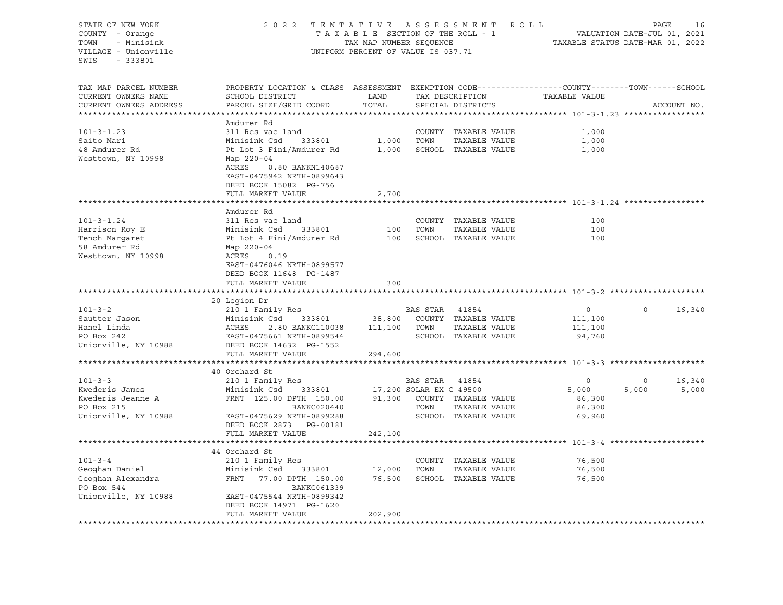STATE OF NEW YORK 2022 TENTATIVE ASSESSMENT ROLL PAGE 16 COUNTY - Orange T A X A B L E SECTION OF THE ROLL - 1 VALUATION DATE-JUL 01, 2021 TOWN - Minisink 1000 STAT MARRING TAX MAP NUMBER SEQUENCE TAXABLE STATUS DATE-MAR 01, 2022<br>TILLAGE - Unionville UNIFORM PERCENT OF VALUE IS 037.71 SWIS - 333801 TAX MAP PARCEL NUMBER PROPERTY LOCATION & CLASS ASSESSMENT EXEMPTION CODE------------------COUNTY--------TOWN------SCHOOL CURRENT OWNERS NAME SCHOOL DISTRICT TAND TAX DESCRIPTION CURRENT OWNERS ADDRESS PARCEL SIZE/GRID COORD TOTAL SPECIAL DISTRICTS ACCOUNT NO. \*\*\*\*\*\*\*\*\*\*\*\*\*\*\*\*\*\*\*\*\*\*\*\*\*\*\*\*\*\*\*\*\*\*\*\*\*\*\*\*\*\*\*\*\*\*\*\*\*\*\*\*\*\*\*\*\*\*\*\*\*\*\*\*\*\*\*\*\*\*\*\*\*\*\*\*\*\*\*\*\*\*\*\*\*\*\*\*\*\*\*\*\*\*\*\*\*\*\*\*\*\*\* 101-3-1.23 \*\*\*\*\*\*\*\*\*\*\*\*\*\*\*\*\* Amdurer Rd 101-3-1.23 311 Res vac land COUNTY TAXABLE VALUE 1,000 Saito Mari Minisink Csd 333801 1,000 TOWN TAXABLE VALUE 1,000 48 Amdurer Rd Pt Lot 3 Fini/Amdurer Rd 1,000 SCHOOL TAXABLE VALUE 1,000 Westtown, NY 10998 Map 220-04 ACRES 0.80 BANKN140687 EAST-0475942 NRTH-0899643 DEED BOOK 15082 PG-756 FULL MARKET VALUE 2,700 \*\*\*\*\*\*\*\*\*\*\*\*\*\*\*\*\*\*\*\*\*\*\*\*\*\*\*\*\*\*\*\*\*\*\*\*\*\*\*\*\*\*\*\*\*\*\*\*\*\*\*\*\*\*\*\*\*\*\*\*\*\*\*\*\*\*\*\*\*\*\*\*\*\*\*\*\*\*\*\*\*\*\*\*\*\*\*\*\*\*\*\*\*\*\*\*\*\*\*\*\*\*\* 101-3-1.24 \*\*\*\*\*\*\*\*\*\*\*\*\*\*\*\*\* Amdurer Rd 101-3-1.24 311 Res vac land COUNTY TAXABLE VALUE 100 Harrison Roy E Minisink Csd 333801 100 TOWN TAXABLE VALUE 100 Tench Margaret 100 Pt Lot 4 Fini/Amdurer Rd 100 SCHOOL TAXABLE VALUE 100 58 Amdurer Rd Map 220-04 Westtown, NY 10998 ACRES 0.19 EAST-0476046 NRTH-0899577 DEED BOOK 11648 PG-1487 FULL MARKET VALUE 300 \*\*\*\*\*\*\*\*\*\*\*\*\*\*\*\*\*\*\*\*\*\*\*\*\*\*\*\*\*\*\*\*\*\*\*\*\*\*\*\*\*\*\*\*\*\*\*\*\*\*\*\*\*\*\*\*\*\*\*\*\*\*\*\*\*\*\*\*\*\*\*\*\*\*\*\*\*\*\*\*\*\*\*\*\*\*\*\*\*\*\*\*\*\*\*\*\*\*\*\*\*\*\* 101-3-2 \*\*\*\*\*\*\*\*\*\*\*\*\*\*\*\*\*\*\*\* 20 Legion Dr 101-3-2 210 1 Family Res BAS STAR 41854 0 0 16,340 Sautter Jason Minisink Csd 333801 38,800 COUNTY TAXABLE VALUE 111,100 Hanel Linda ACRES 2.80 BANKC110038 111,100 TOWN TAXABLE VALUE 111,100 PO Box 242 EAST-0475661 NRTH-0899544 SCHOOL TAXABLE VALUE 94,760 Unionville, NY 10988 DEED BOOK 14632 PG-1552 FULL MARKET VALUE 294,600 \*\*\*\*\*\*\*\*\*\*\*\*\*\*\*\*\*\*\*\*\*\*\*\*\*\*\*\*\*\*\*\*\*\*\*\*\*\*\*\*\*\*\*\*\*\*\*\*\*\*\*\*\*\*\*\*\*\*\*\*\*\*\*\*\*\*\*\*\*\*\*\*\*\*\*\*\*\*\*\*\*\*\*\*\*\*\*\*\*\*\*\*\*\*\*\*\*\*\*\*\*\*\* 101-3-3 \*\*\*\*\*\*\*\*\*\*\*\*\*\*\*\*\*\*\*\* 40 Orchard St 101-3-3 210 1 Family Res BAS STAR 41854 0 0 16,340 Kwederis James Minisink Csd 333801 17,200 SOLAR EX C 49500 5,000 5,000 5,000 Kwederis Jeanne A FRNT 125.00 DPTH 150.00 91,300 COUNTY TAXABLE VALUE 86,300 PO Box 215 BANKC020440 TOWN TAXABLE VALUE 86,300 Unionville, NY 10988 EAST-0475629 NRTH-0899288 SCHOOL TAXABLE VALUE 69,960 DEED BOOK 2873 PG-00181 FULL MARKET VALUE 242,100 \*\*\*\*\*\*\*\*\*\*\*\*\*\*\*\*\*\*\*\*\*\*\*\*\*\*\*\*\*\*\*\*\*\*\*\*\*\*\*\*\*\*\*\*\*\*\*\*\*\*\*\*\*\*\*\*\*\*\*\*\*\*\*\*\*\*\*\*\*\*\*\*\*\*\*\*\*\*\*\*\*\*\*\*\*\*\*\*\*\*\*\*\*\*\*\*\*\*\*\*\*\*\* 101-3-4 \*\*\*\*\*\*\*\*\*\*\*\*\*\*\*\*\*\*\*\* 44 Orchard St 101-3-4 210 1 Family Res COUNTY TAXABLE VALUE 76,500 Geoghan Daniel Minisink Csd 333801 12,000 TOWN TAXABLE VALUE 76,500 Geoghan Alexandra FRNT 77.00 DPTH 150.00 76,500 SCHOOL TAXABLE VALUE 76,500 PO Box 544 BANKC061339 Unionville, NY 10988 EAST-0475544 NRTH-0899342 DEED BOOK 14971 PG-1620 FULL MARKET VALUE 202,900 \*\*\*\*\*\*\*\*\*\*\*\*\*\*\*\*\*\*\*\*\*\*\*\*\*\*\*\*\*\*\*\*\*\*\*\*\*\*\*\*\*\*\*\*\*\*\*\*\*\*\*\*\*\*\*\*\*\*\*\*\*\*\*\*\*\*\*\*\*\*\*\*\*\*\*\*\*\*\*\*\*\*\*\*\*\*\*\*\*\*\*\*\*\*\*\*\*\*\*\*\*\*\*\*\*\*\*\*\*\*\*\*\*\*\*\*\*\*\*\*\*\*\*\*\*\*\*\*\*\*\*\*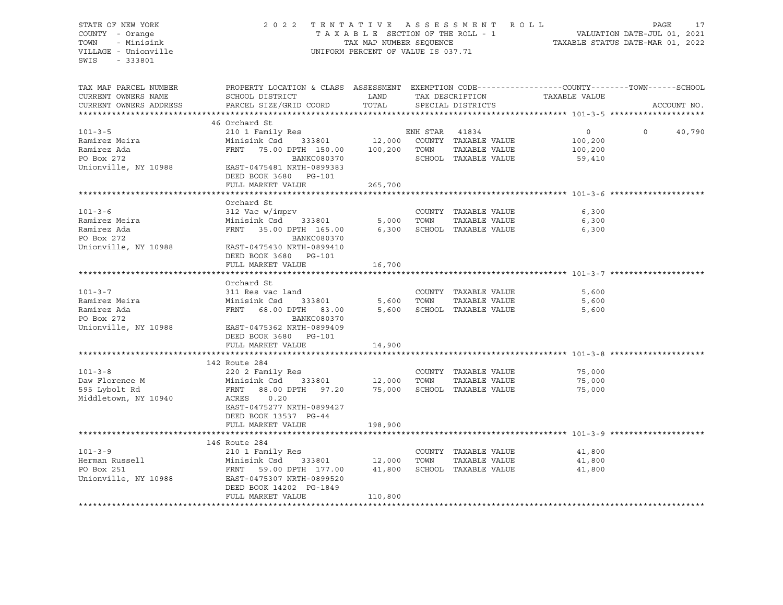STATE OF NEW YORK 2 0 2 2 T E N T A T I V E A S S E S S M E N T R O L L PAGE 17 COUNTY - Orange T A X A B L E SECTION OF THE ROLL - 1 TOWN - Minisink 1000 STAT MARRING TAX MAP NUMBER SEQUENCE TAXABLE STATUS DATE-MAR 01, 2022<br>TILLAGE - Unionville UNIFORM PERCENT OF VALUE IS 037.71 SWIS - 333801 TAX MAP PARCEL NUMBER PROPERTY LOCATION & CLASS ASSESSMENT EXEMPTION CODE------------------COUNTY--------TOWN------SCHOOL CURRENT OWNERS NAME SCHOOL DISTRICT LAND TAX DESCRIPTION TAXABLE VALUE CURRENT OWNERS ADDRESS PARCEL SIZE/GRID COORD TOTAL SPECIAL DISTRICTS ACCOUNT NO. \*\*\*\*\*\*\*\*\*\*\*\*\*\*\*\*\*\*\*\*\*\*\*\*\*\*\*\*\*\*\*\*\*\*\*\*\*\*\*\*\*\*\*\*\*\*\*\*\*\*\*\*\*\*\*\*\*\*\*\*\*\*\*\*\*\*\*\*\*\*\*\*\*\*\*\*\*\*\*\*\*\*\*\*\*\*\*\*\*\*\*\*\*\*\*\*\*\*\*\*\*\*\* 101-3-5 \*\*\*\*\*\*\*\*\*\*\*\*\*\*\*\*\*\*\*\* 46 Orchard St 101-3-5 210 1 Family Res ENH STAR 41834 0 0 40,790 Ramirez Meira Minisink Csd 333801 12,000 COUNTY TAXABLE VALUE 100,200 Ramirez Ada FRNT 75.00 DPTH 150.00 100,200 TOWN TAXABLE VALUE 100,200 PO Box 272 BANKC080370 SCHOOL TAXABLE VALUE 59,410 Unionville, NY 10988 EAST-0475481 NRTH-0899383 DEED BOOK 3680 PG-101 FULL MARKET VALUE 265,700 \*\*\*\*\*\*\*\*\*\*\*\*\*\*\*\*\*\*\*\*\*\*\*\*\*\*\*\*\*\*\*\*\*\*\*\*\*\*\*\*\*\*\*\*\*\*\*\*\*\*\*\*\*\*\*\*\*\*\*\*\*\*\*\*\*\*\*\*\*\*\*\*\*\*\*\*\*\*\*\*\*\*\*\*\*\*\*\*\*\*\*\*\*\*\*\*\*\*\*\*\*\*\* 101-3-6 \*\*\*\*\*\*\*\*\*\*\*\*\*\*\*\*\*\*\*\* Orchard St 101-3-6 312 Vac w/imprv COUNTY TAXABLE VALUE 6,300 Ramirez Meira Minisink Csd 333801 5,000 TOWN TAXABLE VALUE 6,300 Ramirez Ada FRNT 35.00 DPTH 165.00 6,300 SCHOOL TAXABLE VALUE 6,300 PO Box 272 BANKC080370 Unionville, NY 10988 EAST-0475430 NRTH-0899410 DEED BOOK 3680 PG-101 FULL MARKET VALUE 16,700 \*\*\*\*\*\*\*\*\*\*\*\*\*\*\*\*\*\*\*\*\*\*\*\*\*\*\*\*\*\*\*\*\*\*\*\*\*\*\*\*\*\*\*\*\*\*\*\*\*\*\*\*\*\*\*\*\*\*\*\*\*\*\*\*\*\*\*\*\*\*\*\*\*\*\*\*\*\*\*\*\*\*\*\*\*\*\*\*\*\*\*\*\*\*\*\*\*\*\*\*\*\*\* 101-3-7 \*\*\*\*\*\*\*\*\*\*\*\*\*\*\*\*\*\*\*\* Orchard St 101-3-7 311 Res vac land COUNTY TAXABLE VALUE 5,600 Ramirez Meira Minisink Csd 333801 5,600 TOWN TAXABLE VALUE 5,600 Ramirez Ada FRNT 68.00 DPTH 83.00 5,600 SCHOOL TAXABLE VALUE 5,600 PO Box 272 BANKC080370 Unionville, NY 10988 EAST-0475362 NRTH-0899409 DEED BOOK 3680 PG-101 FULL MARKET VALUE 14,900 \*\*\*\*\*\*\*\*\*\*\*\*\*\*\*\*\*\*\*\*\*\*\*\*\*\*\*\*\*\*\*\*\*\*\*\*\*\*\*\*\*\*\*\*\*\*\*\*\*\*\*\*\*\*\*\*\*\*\*\*\*\*\*\*\*\*\*\*\*\*\*\*\*\*\*\*\*\*\*\*\*\*\*\*\*\*\*\*\*\*\*\*\*\*\*\*\*\*\*\*\*\*\* 101-3-8 \*\*\*\*\*\*\*\*\*\*\*\*\*\*\*\*\*\*\*\* 142 Route 284 101-3-8 220 2 Family Res COUNTY TAXABLE VALUE 75,000 Daw Florence M Minisink Csd 333801 12,000 TOWN TAXABLE VALUE 75,000 595 Lybolt Rd FRNT 88.00 DPTH 97.20 75,000 SCHOOL TAXABLE VALUE 75,000 Middletown, NY 10940 ACRES 0.20 EAST-0475277 NRTH-0899427 DEED BOOK 13537 PG-44 FULL MARKET VALUE 198,900 \*\*\*\*\*\*\*\*\*\*\*\*\*\*\*\*\*\*\*\*\*\*\*\*\*\*\*\*\*\*\*\*\*\*\*\*\*\*\*\*\*\*\*\*\*\*\*\*\*\*\*\*\*\*\*\*\*\*\*\*\*\*\*\*\*\*\*\*\*\*\*\*\*\*\*\*\*\*\*\*\*\*\*\*\*\*\*\*\*\*\*\*\*\*\*\*\*\*\*\*\*\*\* 101-3-9 \*\*\*\*\*\*\*\*\*\*\*\*\*\*\*\*\*\*\*\* 146 Route 284 101-3-9 210 1 Family Res COUNTY TAXABLE VALUE 41,800 Herman Russell Minisink Csd 333801 12,000 TOWN TAXABLE VALUE 41,800 PO Box 251 FRNT 59.00 DPTH 177.00 41,800 SCHOOL TAXABLE VALUE 41,800 Unionville, NY 10988 EAST-0475307 NRTH-0899520 DEED BOOK 14202 PG-1849 FULL MARKET VALUE 110,800 \*\*\*\*\*\*\*\*\*\*\*\*\*\*\*\*\*\*\*\*\*\*\*\*\*\*\*\*\*\*\*\*\*\*\*\*\*\*\*\*\*\*\*\*\*\*\*\*\*\*\*\*\*\*\*\*\*\*\*\*\*\*\*\*\*\*\*\*\*\*\*\*\*\*\*\*\*\*\*\*\*\*\*\*\*\*\*\*\*\*\*\*\*\*\*\*\*\*\*\*\*\*\*\*\*\*\*\*\*\*\*\*\*\*\*\*\*\*\*\*\*\*\*\*\*\*\*\*\*\*\*\*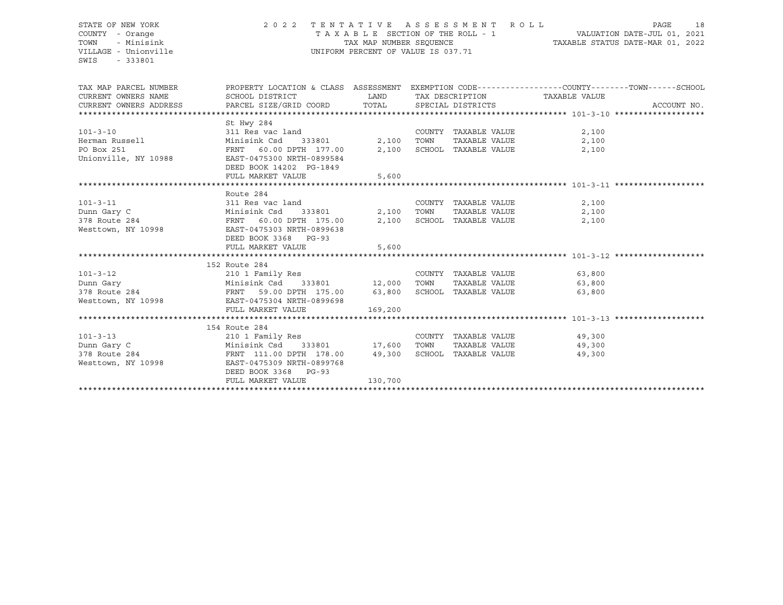# STATE OF NEW YORK 2 0 2 2 T E N T A T I V E A S S E S S M E N T R O L L PAGE 18 COUNTY - Orange T A X A B L E SECTION OF THE ROLL - 1 VALUATION DATE-JUL 01, 2021 TOWN - Minisink TAX MAP NUMBER SEQUENCE TAXABLE STATUS DATE-MAR 01, 2022 VILLAGE - Unionville **United Accord Control** UNIFORM PERCENT OF VALUE IS 037.71

| TAX MAP PARCEL NUMBER                                                                                                                                                       | PROPERTY LOCATION & CLASS ASSESSMENT EXEMPTION CODE----------------COUNTY-------TOWN------SCHOOL |         |                      |                            |                             |             |
|-----------------------------------------------------------------------------------------------------------------------------------------------------------------------------|--------------------------------------------------------------------------------------------------|---------|----------------------|----------------------------|-----------------------------|-------------|
| CURRENT OWNERS NAME                                                                                                                                                         | SCHOOL DISTRICT                                                                                  |         | LAND TAX DESCRIPTION |                            | TAXABLE VALUE               |             |
| CURRENT OWNERS ADDRESS PARCEL SIZE/GRID COORD TOTAL SPECIAL DISTRICTS                                                                                                       |                                                                                                  |         |                      |                            |                             | ACCOUNT NO. |
|                                                                                                                                                                             |                                                                                                  |         |                      |                            |                             |             |
|                                                                                                                                                                             | St Hwy 284                                                                                       |         |                      |                            |                             |             |
| $101 - 3 - 10$                                                                                                                                                              | 311 Res vac land<br>311 Res vac land<br>311 Res vac land<br>333801<br>FRNT 60.00 DPTH 177.00     |         |                      | COUNTY TAXABLE VALUE       | 2,100                       |             |
| Herman Russell                                                                                                                                                              | $311 \text{ N} = 312 \text{ N}$<br>Minisink Csd 333801 2,100                                     |         | TOWN                 | TAXABLE VALUE              | 2,100                       |             |
| PO Box 251                                                                                                                                                                  |                                                                                                  |         |                      | 2,100 SCHOOL TAXABLE VALUE | 2,100                       |             |
| Unionville, NY 10988                                                                                                                                                        | EAST-0475300 NRTH-0899584                                                                        |         |                      |                            |                             |             |
|                                                                                                                                                                             | DEED BOOK 14202 PG-1849                                                                          |         |                      |                            |                             |             |
|                                                                                                                                                                             | FULL MARKET VALUE                                                                                | 5,600   |                      |                            |                             |             |
|                                                                                                                                                                             |                                                                                                  |         |                      |                            |                             |             |
|                                                                                                                                                                             | Route 284                                                                                        |         |                      |                            |                             |             |
| 311 Res vac land<br>$101 - 3 - 11$                                                                                                                                          |                                                                                                  |         |                      | COUNTY TAXABLE VALUE       | 2,100                       |             |
|                                                                                                                                                                             |                                                                                                  |         |                      | TAXABLE VALUE              | 2,100                       |             |
|                                                                                                                                                                             |                                                                                                  |         |                      | SCHOOL TAXABLE VALUE       | 2,100                       |             |
|                                                                                                                                                                             |                                                                                                  |         |                      |                            |                             |             |
|                                                                                                                                                                             | DEED BOOK 3368 PG-93                                                                             |         |                      |                            |                             |             |
|                                                                                                                                                                             | FULL MARKET VALUE                                                                                | 5,600   |                      |                            |                             |             |
|                                                                                                                                                                             |                                                                                                  |         |                      |                            |                             |             |
|                                                                                                                                                                             | 152 Route 284                                                                                    |         |                      |                            |                             |             |
| $101 - 3 - 12$                                                                                                                                                              | 210 1 Family Res                                                                                 |         |                      |                            | COUNTY TAXABLE VALUE 63,800 |             |
|                                                                                                                                                                             |                                                                                                  |         |                      |                            | TAXABLE VALUE 63,800        |             |
|                                                                                                                                                                             |                                                                                                  |         |                      |                            | 63,800                      |             |
|                                                                                                                                                                             |                                                                                                  |         |                      |                            |                             |             |
| Punn Gary<br>TAXABLE VALUE<br>378 Route 284 FRNT 59.00 DPTH 175.00 63,800 SCHOOL TAXABLE VALUE<br>Westtown, NY 10998 EAST-0475304 NRTH-0899698<br>FULL MARKET VALUE 169,200 |                                                                                                  |         |                      |                            |                             |             |
|                                                                                                                                                                             |                                                                                                  |         |                      |                            |                             |             |
|                                                                                                                                                                             | 154 Route 284                                                                                    |         |                      |                            |                             |             |
| $101 - 3 - 13$                                                                                                                                                              | 210 1 Family Res                                                                                 |         |                      |                            | COUNTY TAXABLE VALUE 49,300 |             |
|                                                                                                                                                                             |                                                                                                  |         |                      |                            | TAXABLE VALUE 49,300        |             |
| Dunn Gary C<br>378 Route 284 <b>17,600</b> FRNT 111.00 DPTH 178.00 49,300 SCHOO                                                                                             |                                                                                                  |         |                      | SCHOOL TAXABLE VALUE       | 49,300                      |             |
| Westtown, NY 10998                                                                                                                                                          | EAST-0475309 NRTH-0899768                                                                        |         |                      |                            |                             |             |
|                                                                                                                                                                             | DEED BOOK 3368 PG-93                                                                             |         |                      |                            |                             |             |
|                                                                                                                                                                             | FULL MARKET VALUE                                                                                | 130,700 |                      |                            |                             |             |
|                                                                                                                                                                             |                                                                                                  |         |                      |                            |                             |             |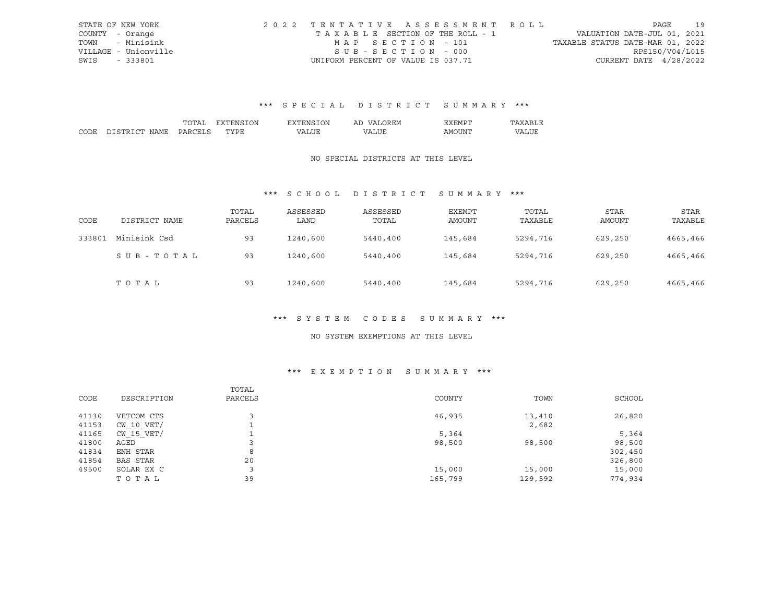|      | STATE OF NEW YORK    | 2022 TENTATIVE ASSESSMENT ROLL     |                                  | PAGE            | 19 |
|------|----------------------|------------------------------------|----------------------------------|-----------------|----|
|      | COUNTY - Orange      | TAXABLE SECTION OF THE ROLL - 1    | VALUATION DATE-JUL 01, 2021      |                 |    |
|      | TOWN - Minisink      | MAP SECTION - 101                  | TAXABLE STATUS DATE-MAR 01, 2022 |                 |    |
|      | VILLAGE - Unionville | $SUB - SECTION - 000$              |                                  | RPS150/V04/L015 |    |
| SWIS | - 333801             | UNIFORM PERCENT OF VALUE IS 037.71 | CURRENT DATE 4/28/2022           |                 |    |

# \*\*\* S P E C I A L D I S T R I C T S U M M A R Y \*\*\*

|      |             |    | DИ | ΙN<br>'NH | AL | $\mathbf{v}$ |   |
|------|-------------|----|----|-----------|----|--------------|---|
| CODE | יחי<br>™∆MT | ιn |    | $\Lambda$ |    | ΔM<br>.      | T |

### NO SPECIAL DISTRICTS AT THIS LEVEL

# \*\*\* S C H O O L D I S T R I C T S U M M A R Y \*\*\*

| CODE   | DISTRICT NAME | TOTAL<br>PARCELS | ASSESSED<br>LAND | ASSESSED<br>TOTAL | <b>EXEMPT</b><br>AMOUNT | TOTAL<br>TAXABLE | <b>STAR</b><br>AMOUNT | <b>STAR</b><br>TAXABLE |
|--------|---------------|------------------|------------------|-------------------|-------------------------|------------------|-----------------------|------------------------|
| 333801 | Minisink Csd  | 93               | 1240,600         | 5440,400          | 145,684                 | 5294,716         | 629,250               | 4665,466               |
|        | SUB-TOTAL     | 93               | 1240,600         | 5440,400          | 145,684                 | 5294,716         | 629,250               | 4665,466               |
|        | TOTAL         | 93               | 1240,600         | 5440,400          | 145,684                 | 5294,716         | 629,250               | 4665,466               |

# \*\*\* S Y S T E M C O D E S S U M M A R Y \*\*\*

#### NO SYSTEM EXEMPTIONS AT THIS LEVEL

# \*\*\* E X E M P T I O N S U M M A R Y \*\*\*

| CODE  | DESCRIPTION    | TOTAL<br>PARCELS | COUNTY  | TOWN    | SCHOOL  |
|-------|----------------|------------------|---------|---------|---------|
|       |                |                  |         |         |         |
| 41130 | VETCOM CTS     |                  | 46,935  | 13,410  | 26,820  |
| 41153 | CW 10 VET/     |                  |         | 2,682   |         |
| 41165 | $CW$ 15 $VET/$ |                  | 5,364   |         | 5,364   |
| 41800 | AGED           |                  | 98,500  | 98,500  | 98,500  |
| 41834 | ENH STAR       | 8                |         |         | 302,450 |
| 41854 | BAS STAR       | 20               |         |         | 326,800 |
| 49500 | SOLAR EX C     |                  | 15,000  | 15,000  | 15,000  |
|       | TOTAL          | 39               | 165,799 | 129,592 | 774,934 |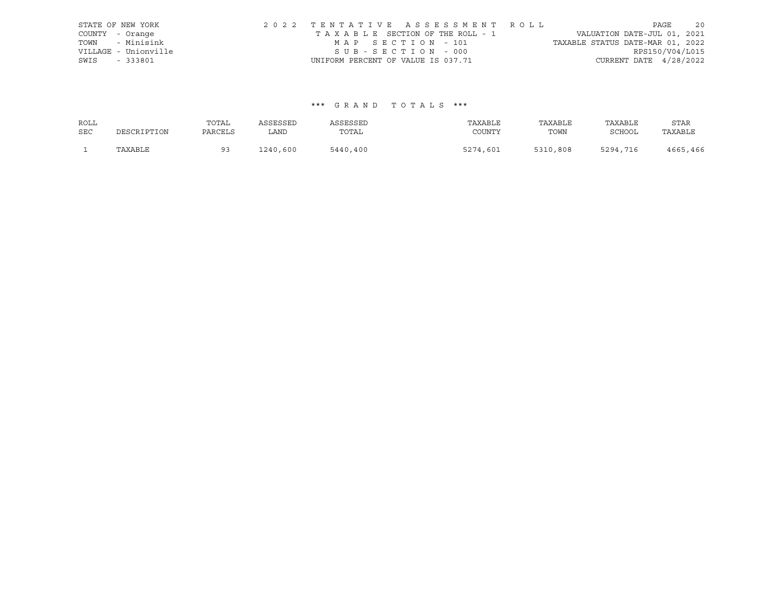| STATE OF NEW YORK    |                                    |  |  | 2022 TENTATIVE ASSESSMENT ROLL  |                                  |                          | PAGE | 20 |
|----------------------|------------------------------------|--|--|---------------------------------|----------------------------------|--------------------------|------|----|
| COUNTY - Orange      |                                    |  |  | TAXABLE SECTION OF THE ROLL - 1 | VALUATION DATE-JUL 01, 2021      |                          |      |    |
| TOWN - Minisink      |                                    |  |  | MAP SECTION - 101               | TAXABLE STATUS DATE-MAR 01, 2022 |                          |      |    |
| VILLAGE - Unionville |                                    |  |  | SUB-SECTION - 000               |                                  | RPS150/V04/L015          |      |    |
| SWIS - 333801        | UNIFORM PERCENT OF VALUE IS 037.71 |  |  |                                 |                                  | CURRENT DATE $4/28/2022$ |      |    |

# \*\*\* G R A N D T O T A L S \*\*\*

| ROLL       |             | TOTAL   | ASSESSED | ASSESSED | TAXABLE  | TAXABLE  | TAXABLE  | STAR     |
|------------|-------------|---------|----------|----------|----------|----------|----------|----------|
| <b>SEC</b> | DESCRIPTION | PARCELS | LAND     | TOTAL    | COUNTY   | TOWN     | SCHOOL   | TAXABLE  |
|            | TAXABLE     |         | 1240,600 | 5440,400 | 5274,601 | 5310,808 | 5294,716 | 4665,466 |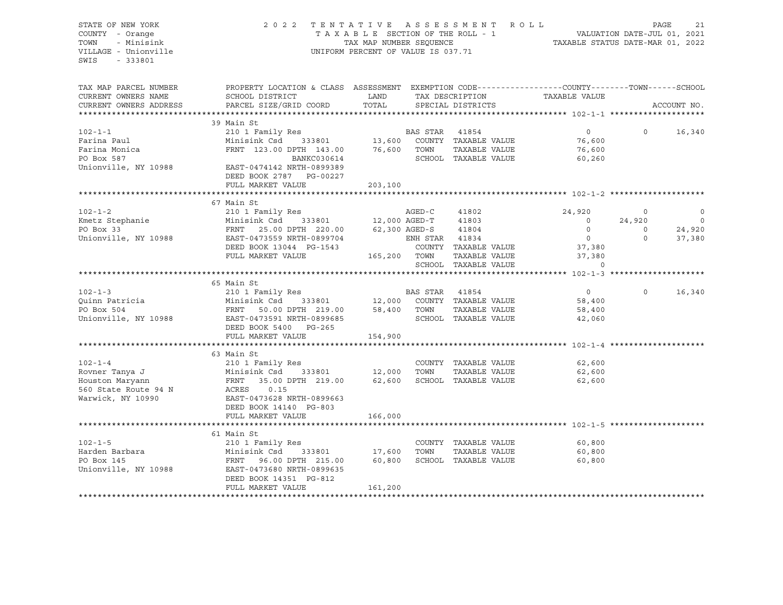STATE OF NEW YORK 20 20 22 TENTATIVE ASSESSMENT ROLL PAGE 21 COUNTY - Orange T A X A B L E SECTION OF THE ROLL - 1 VALUATION DATE-JUL 01, 2021 TOWN - Minisink TAX MAP NUMBER SEQUENCE TAXABLE STATUS DATE-MAR 01, 2022<br>TILLAGE - Unionville Taxable Taxable Status UNIFORM PERCENT OF VALUE IS 037.71 UNIFORM PERCENT OF VALUE IS 037.71 SWIS - 333801 TAX MAP PARCEL NUMBER PROPERTY LOCATION & CLASS ASSESSMENT EXEMPTION CODE------------------COUNTY--------TOWN------SCHOOL CURRENT OWNERS NAME SCHOOL DISTRICT LAND TAX DESCRIPTION TAXABLE VALUE CURRENT OWNERS ADDRESS PARCEL SIZE/GRID COORD TOTAL SPECIAL DISTRICTS ACCOUNT NO. \*\*\*\*\*\*\*\*\*\*\*\*\*\*\*\*\*\*\*\*\*\*\*\*\*\*\*\*\*\*\*\*\*\*\*\*\*\*\*\*\*\*\*\*\*\*\*\*\*\*\*\*\*\*\*\*\*\*\*\*\*\*\*\*\*\*\*\*\*\*\*\*\*\*\*\*\*\*\*\*\*\*\*\*\*\*\*\*\*\*\*\*\*\*\*\*\*\*\*\*\*\*\* 102-1-1 \*\*\*\*\*\*\*\*\*\*\*\*\*\*\*\*\*\*\*\* 39 Main St 102-1-1 210 1 Family Res BAS STAR 41854 0 0 16,340 Farina Paul Minisink Csd 333801 13,600 COUNTY TAXABLE VALUE 76,600 Farina Monica FRNT 123.00 DPTH 143.00 76,600 TOWN TAXABLE VALUE 76,600 rarina u.a.<br>1991 - FRNT 123.00 DPTH 143.00 76,600 TOWN TAXABLE VALUE 76,600<br>260,260 BOX 587 - BANKC030614 SCHOOL TAXABLE VALUE 60,260 Unionville, NY 10988 EAST-0474142 NRTH-0899389 DEED BOOK 2787 PG-00227 FULL MARKET VALUE 203,100 \*\*\*\*\*\*\*\*\*\*\*\*\*\*\*\*\*\*\*\*\*\*\*\*\*\*\*\*\*\*\*\*\*\*\*\*\*\*\*\*\*\*\*\*\*\*\*\*\*\*\*\*\*\*\*\*\*\*\*\*\*\*\*\*\*\*\*\*\*\*\*\*\*\*\*\*\*\*\*\*\*\*\*\*\*\*\*\*\*\*\*\*\*\*\*\*\*\*\*\*\*\*\* 102-1-2 \*\*\*\*\*\*\*\*\*\*\*\*\*\*\*\*\*\*\*\* 67 Main St 102-1-2 210 1 Family Res AGED-C 41802 24,920 0 0 Kmetz Stephanie Minisink Csd 333801 12,000 AGED-T 41803 0 24,920 0 12,000 AGED-T 41803 0 24,920 0<br>PO Box 33 FRNT 25.00 DPTH 220.00 62,300 AGED-S 41804 0 0 24,920<br>Unionville, NY 10988 EAST-0473559 NRTH-0899704 ENEL CENTER CHARA 2000 Unionville, NY 10988 EAST-0473559 NRTH-0899704 ENH STAR 41834 0 0 37,380 DEED BOOK 13044 PG-1543 COUNTY TAXABLE VALUE 37,380 FULL MARKET VALUE 165,200 TOWN TAXABLE VALUE 37,380 SCHOOL TAXABLE VALUE 0 \*\*\*\*\*\*\*\*\*\*\*\*\*\*\*\*\*\*\*\*\*\*\*\*\*\*\*\*\*\*\*\*\*\*\*\*\*\*\*\*\*\*\*\*\*\*\*\*\*\*\*\*\*\*\*\*\*\*\*\*\*\*\*\*\*\*\*\*\*\*\*\*\*\*\*\*\*\*\*\*\*\*\*\*\*\*\*\*\*\*\*\*\*\*\*\*\*\*\*\*\*\*\* 102-1-3 \*\*\*\*\*\*\*\*\*\*\*\*\*\*\*\*\*\*\*\* 65 Main St 102-1-3 210 1 Family Res BAS STAR 41854 0 0 16,340 Quinn Patricia Minisink Csd 333801 12,000 COUNTY TAXABLE VALUE 58,400 PO Box 504 FRNT 50.00 DPTH 219.00 58,400 TOWN TAXABLE VALUE 58,400 Unionville, NY 10988 EAST-0473591 NRTH-0899685 SCHOOL TAXABLE VALUE 42,060 DEED BOOK 5400 PG-265 FULL MARKET VALUE 154,900 \*\*\*\*\*\*\*\*\*\*\*\*\*\*\*\*\*\*\*\*\*\*\*\*\*\*\*\*\*\*\*\*\*\*\*\*\*\*\*\*\*\*\*\*\*\*\*\*\*\*\*\*\*\*\*\*\*\*\*\*\*\*\*\*\*\*\*\*\*\*\*\*\*\*\*\*\*\*\*\*\*\*\*\*\*\*\*\*\*\*\*\*\*\*\*\*\*\*\*\*\*\*\* 102-1-4 \*\*\*\*\*\*\*\*\*\*\*\*\*\*\*\*\*\*\*\* 63 Main St 102-1-4 210 1 Family Res COUNTY TAXABLE VALUE 62,600 Rovner Tanya J Minisink Csd 333801 12,000 TOWN TAXABLE VALUE 62,600 Houston Maryann FRNT 35.00 DPTH 219.00 62,600 SCHOOL TAXABLE VALUE 62,600 560 State Route 94 N ACRES 0.15 Warwick, NY 10990 EAST-0473628 NRTH-0899663 DEED BOOK 14140 PG-803 FULL MARKET VALUE 166,000 \*\*\*\*\*\*\*\*\*\*\*\*\*\*\*\*\*\*\*\*\*\*\*\*\*\*\*\*\*\*\*\*\*\*\*\*\*\*\*\*\*\*\*\*\*\*\*\*\*\*\*\*\*\*\*\*\*\*\*\*\*\*\*\*\*\*\*\*\*\*\*\*\*\*\*\*\*\*\*\*\*\*\*\*\*\*\*\*\*\*\*\*\*\*\*\*\*\*\*\*\*\*\* 102-1-5 \*\*\*\*\*\*\*\*\*\*\*\*\*\*\*\*\*\*\*\* 61 Main St 102-1-5 210 1 Family Res COUNTY TAXABLE VALUE 60,800 Harden Barbara Minisink Csd 333801 17,600 TOWN TAXABLE VALUE 60,800 PO Box 145 FRNT 96.00 DPTH 215.00 60,800 SCHOOL TAXABLE VALUE 60,800 Unionville, NY 10988 EAST-0473680 NRTH-0899635 DEED BOOK 14351 PG-812 FULL MARKET VALUE 161,200 \*\*\*\*\*\*\*\*\*\*\*\*\*\*\*\*\*\*\*\*\*\*\*\*\*\*\*\*\*\*\*\*\*\*\*\*\*\*\*\*\*\*\*\*\*\*\*\*\*\*\*\*\*\*\*\*\*\*\*\*\*\*\*\*\*\*\*\*\*\*\*\*\*\*\*\*\*\*\*\*\*\*\*\*\*\*\*\*\*\*\*\*\*\*\*\*\*\*\*\*\*\*\*\*\*\*\*\*\*\*\*\*\*\*\*\*\*\*\*\*\*\*\*\*\*\*\*\*\*\*\*\*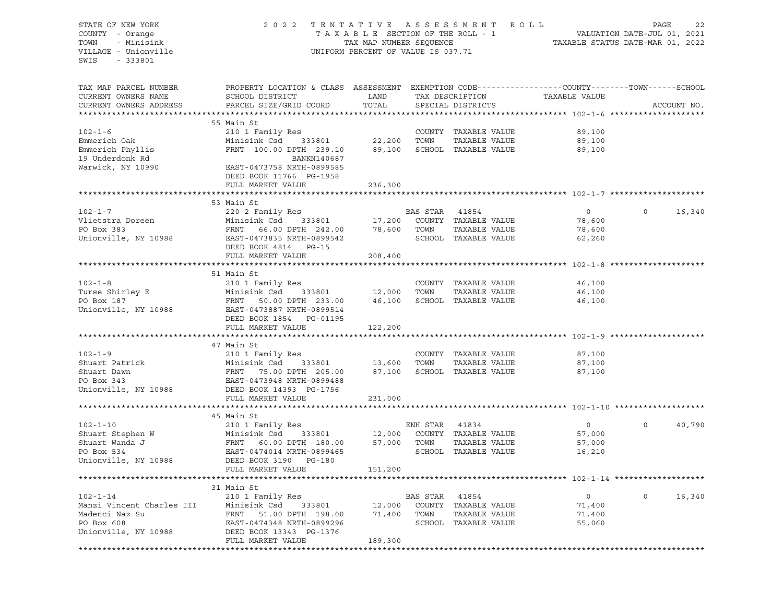# STATE OF NEW YORK 2 0 2 2 T E N T A T I V E A S S E S S M E N T R O L L PAGE 22 COUNTY - Orange T A X A B L E SECTION OF THE ROLL - 1 VALUATION DATE-JUL 01, 2021 TOWN - Minisink TAX MAP NUMBER SEQUENCE TAXABLE STATUS DATE-MAR 01, 2022 VILLAGE - Unionville **United Accord Control** UNIFORM PERCENT OF VALUE IS 037.71

| TAX MAP PARCEL NUMBER<br>CURRENT OWNERS NAME<br>CURRENT OWNERS ADDRESS | PROPERTY LOCATION & CLASS ASSESSMENT EXEMPTION CODE-----------------COUNTY-------TOWN------SCHOOL<br>SCHOOL DISTRICT<br>PARCEL SIZE/GRID COORD | LAND<br>TOTAL |                | TAX DESCRIPTION<br>SPECIAL DISTRICTS | TAXABLE VALUE |              | ACCOUNT NO. |
|------------------------------------------------------------------------|------------------------------------------------------------------------------------------------------------------------------------------------|---------------|----------------|--------------------------------------|---------------|--------------|-------------|
|                                                                        |                                                                                                                                                |               |                |                                      |               |              |             |
|                                                                        | 55 Main St                                                                                                                                     |               |                |                                      |               |              |             |
| $102 - 1 - 6$                                                          | 210 1 Family Res                                                                                                                               |               |                | COUNTY TAXABLE VALUE                 | 89,100        |              |             |
| Emmerich Oak                                                           | Minisink Csd<br>333801                                                                                                                         | 22,200        | TOWN           | TAXABLE VALUE                        | 89,100        |              |             |
| Emmerich Phyllis                                                       | FRNT 100.00 DPTH 239.10                                                                                                                        | 89,100        |                | SCHOOL TAXABLE VALUE                 | 89,100        |              |             |
| 19 Underdonk Rd                                                        | BANKN140687                                                                                                                                    |               |                |                                      |               |              |             |
| Warwick, NY 10990                                                      | EAST-0473758 NRTH-0899585                                                                                                                      |               |                |                                      |               |              |             |
|                                                                        | DEED BOOK 11766 PG-1958                                                                                                                        |               |                |                                      |               |              |             |
|                                                                        | FULL MARKET VALUE                                                                                                                              | 236,300       |                |                                      |               |              |             |
|                                                                        |                                                                                                                                                |               |                |                                      |               |              |             |
|                                                                        | 53 Main St                                                                                                                                     |               |                |                                      |               |              |             |
| $102 - 1 - 7$                                                          | 220 2 Family Res                                                                                                                               |               | BAS STAR       | 41854                                | $\circ$       | $\Omega$     | 16,340      |
| Vlietstra Doreen                                                       | Minisink Csd<br>333801                                                                                                                         | 17,200        |                | COUNTY TAXABLE VALUE                 | 78,600        |              |             |
| PO Box 383                                                             | FRNT 66.00 DPTH 242.00                                                                                                                         | 78,600        | TOWN           | TAXABLE VALUE                        | 78,600        |              |             |
| Unionville, NY 10988                                                   | EAST-0473835 NRTH-0899542<br>DEED BOOK 4814 PG-15                                                                                              |               |                | SCHOOL TAXABLE VALUE                 | 62,260        |              |             |
|                                                                        | FULL MARKET VALUE                                                                                                                              | 208,400       |                |                                      |               |              |             |
|                                                                        |                                                                                                                                                |               |                |                                      |               |              |             |
|                                                                        | 51 Main St                                                                                                                                     |               |                |                                      |               |              |             |
| $102 - 1 - 8$                                                          | 210 1 Family Res                                                                                                                               |               |                | COUNTY TAXABLE VALUE                 | 46,100        |              |             |
| Turse Shirley E                                                        | Minisink Csd 333801                                                                                                                            | 12,000        | TOWN           | TAXABLE VALUE                        | 46,100        |              |             |
| PO Box 187                                                             | FRNT<br>50.00 DPTH 233.00                                                                                                                      | 46,100        |                | SCHOOL TAXABLE VALUE                 | 46,100        |              |             |
| Unionville, NY 10988                                                   | EAST-0473887 NRTH-0899514                                                                                                                      |               |                |                                      |               |              |             |
|                                                                        | DEED BOOK 1854<br>PG-01195                                                                                                                     |               |                |                                      |               |              |             |
|                                                                        | FULL MARKET VALUE                                                                                                                              | 122,200       |                |                                      |               |              |             |
|                                                                        |                                                                                                                                                |               |                |                                      |               |              |             |
|                                                                        | 47 Main St                                                                                                                                     |               |                |                                      |               |              |             |
| $102 - 1 - 9$                                                          | 210 1 Family Res                                                                                                                               |               |                | COUNTY TAXABLE VALUE                 | 87,100        |              |             |
| Shuart Patrick                                                         | Minisink Csd<br>333801                                                                                                                         | 13,600        | TOWN           | TAXABLE VALUE                        | 87,100        |              |             |
| Shuart Dawn                                                            | Minis<br>FRNT<br>EAST-<br>75.00 DPTH 205.00                                                                                                    | 87,100        |                | SCHOOL TAXABLE VALUE                 | 87,100        |              |             |
| PO Box 343                                                             | EAST-0473948 NRTH-0899488                                                                                                                      |               |                |                                      |               |              |             |
| Unionville, NY 10988                                                   | DEED BOOK 14393 PG-1756                                                                                                                        |               |                |                                      |               |              |             |
|                                                                        | FULL MARKET VALUE                                                                                                                              | 231,000       |                |                                      |               |              |             |
|                                                                        |                                                                                                                                                |               |                |                                      |               |              |             |
|                                                                        | 45 Main St                                                                                                                                     |               |                |                                      | $\circ$       | $\Omega$     | 40,790      |
| $102 - 1 - 10$<br>Shuart Stephen W                                     | 210 1 Family Res                                                                                                                               | 12,000        | ENH STAR 41834 | COUNTY TAXABLE VALUE                 | 57,000        |              |             |
| Shuart Wanda J                                                         | Minisink Csd<br>333801<br>FRNT 60.00 DPTH 180.00                                                                                               | 57,000        | TOWN           | TAXABLE VALUE                        | 57,000        |              |             |
| PO Box 534                                                             | EAST-0474014 NRTH-0899465                                                                                                                      |               |                | SCHOOL TAXABLE VALUE                 | 16,210        |              |             |
| Unionville, NY 10988                                                   | DEED BOOK 3190 PG-180                                                                                                                          |               |                |                                      |               |              |             |
|                                                                        | FULL MARKET VALUE                                                                                                                              | 151,200       |                |                                      |               |              |             |
|                                                                        |                                                                                                                                                |               |                |                                      |               |              |             |
|                                                                        | 31 Main St                                                                                                                                     |               |                |                                      |               |              |             |
| $102 - 1 - 14$                                                         | 210 1 Family Res                                                                                                                               |               | BAS STAR       | 41854                                | 0             | $\mathsf{O}$ | 16,340      |
|                                                                        | Minisink Csd<br>333801                                                                                                                         | 12,000        |                | COUNTY TAXABLE VALUE                 | 71,400        |              |             |
| Manzi Vincent Charles III<br>Madenci Naz Su                            | FRNT 51.00 DPTH 198.00                                                                                                                         | 71,400        | TOWN           | TAXABLE VALUE                        | 71,400        |              |             |
| PO Box 608                                                             | EAST-0474348 NRTH-0899296                                                                                                                      |               |                | SCHOOL TAXABLE VALUE                 | 55,060        |              |             |
| Unionville, NY 10988                                                   | DEED BOOK 13343 PG-1376                                                                                                                        |               |                |                                      |               |              |             |
|                                                                        | FULL MARKET VALUE                                                                                                                              | 189,300       |                |                                      |               |              |             |
|                                                                        |                                                                                                                                                |               |                |                                      |               |              |             |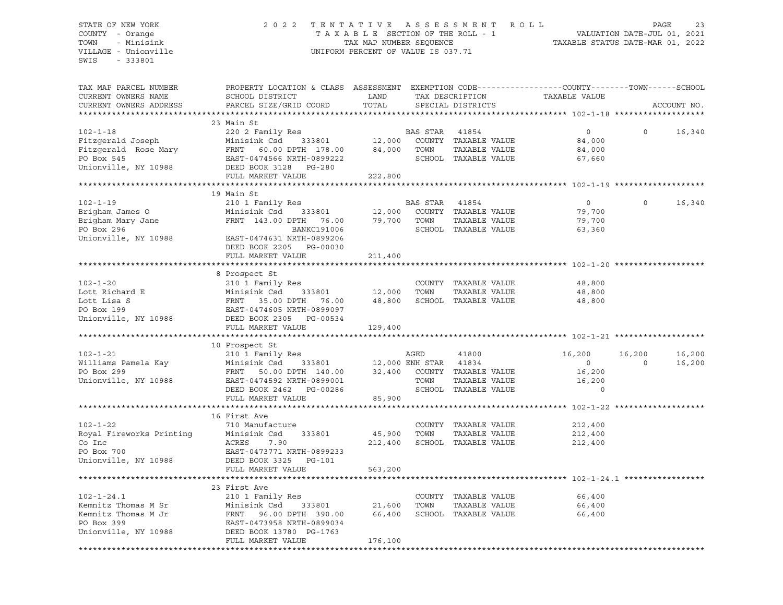# STATE OF NEW YORK 2 0 2 2 T E N T A T I V E A S S E S S M E N T R O L L PAGE 23 COUNTY - Orange T A X A B L E SECTION OF THE ROLL - 1 VALUATION DATE-JUL 01, 2021 TOWN - Minisink TAX MAP NUMBER SEQUENCE TAXABLE STATUS DATE-MAR 01, 2022 VILLAGE - Unionville **United Accord Control** UNIFORM PERCENT OF VALUE IS 037.71

| TAX MAP PARCEL NUMBER<br>CURRENT OWNERS NAME<br>CURRENT OWNERS ADDRESS                               | PROPERTY LOCATION & CLASS ASSESSMENT EXEMPTION CODE----------------COUNTY-------TOWN------SCHOOL<br>SCHOOL DISTRICT<br>PARCEL SIZE/GRID COORD                                                                                          | LAND<br>TOTAL                    |                  | TAX DESCRIPTION<br>SPECIAL DISTRICTS                                  | TAXABLE VALUE                                            |                    | ACCOUNT NO.      |
|------------------------------------------------------------------------------------------------------|----------------------------------------------------------------------------------------------------------------------------------------------------------------------------------------------------------------------------------------|----------------------------------|------------------|-----------------------------------------------------------------------|----------------------------------------------------------|--------------------|------------------|
| $102 - 1 - 18$<br>Fitzgerald Joseph<br>Fitzgerald Rose Mary<br>PO Box 545<br>Unionville, NY 10988    | 23 Main St<br>220 2 Family Res<br>Minisink Csd 333801 12,000 COUNTY TAXABLE VALUE<br>FRNT 60.00 DPTH 178.00<br>EAST-0474566 NRTH-0899222<br>DEED BOOK 3128 PG-280<br>FULL MARKET VALUE                                                 | 84,000<br>222,800                | BAS STAR<br>TOWN | 41854<br>TAXABLE VALUE<br>SCHOOL TAXABLE VALUE                        | $\circ$<br>84,000<br>84,000<br>67,660                    | $\circ$            | 16,340           |
| $102 - 1 - 19$<br>Brigham James O<br>Brigham Mary Jane<br>PO Box 296<br>Unionville, NY 10988         | 19 Main St<br>210 1 Family Res<br>Minisink Csd 333801<br>FRNT 143.00 DPTH 76.00<br>BANKC191006<br>EAST-0474631 NRTH-0899206<br>DEED BOOK 2205 PG-00030<br>FULL MARKET VALUE                                                            | 12,000<br>79,700 TOWN<br>211,400 | BAS STAR 41854   | COUNTY TAXABLE VALUE<br>TAXABLE VALUE<br>SCHOOL TAXABLE VALUE         | $\circ$<br>79,700<br>79,700<br>63,360                    | $\Omega$           | 16,340           |
| $102 - 1 - 20$<br>Lott Richard E<br>Lott Lisa S<br>PO Box 199<br>Unionville, NY 10988                | 8 Prospect St<br>210 1 Family Res<br>Minisink Csd 333801 12,000 TOWN<br>Minisink Csd<br>FRNT 35.00 DPTH 76.00<br>EAST-0474605 NRTH-0899097<br>DEED BOOK 2305 PG-00534<br>NEED BOOK 2305 PG-00534                                       | 48,800<br>129,400                |                  | COUNTY TAXABLE VALUE<br>TAXABLE VALUE<br>SCHOOL TAXABLE VALUE         | 48,800<br>48,800<br>48,800                               |                    |                  |
| $102 - 1 - 21$<br>Williams Pamela Kay<br>PO Box 299<br>Unionville, NY 10988                          | 10 Prospect St<br>210 1 Family Res<br>Minisink Csd 333801 12,000 ENH STAR 41834<br>FRNT 50.00 DPTH 140.00 32,400 COUNTY TAXABLE VALUE<br>EAST-0474592 NRTH-0899001 TOWN TAXARI.E VALUE<br>DEED BOOK 2462 PG-00286<br>FULL MARKET VALUE | 85,900                           |                  | SCHOOL TAXABLE VALUE                                                  | 16,200<br>$\overline{0}$<br>16,200<br>16,200<br>$\Omega$ | 16,200<br>$\sim$ 0 | 16,200<br>16,200 |
| $102 - 1 - 22$<br>Royal Fireworks Printing<br>Co Inc<br>PO Box 700<br>Unionville, NY 10988           | 16 First Ave<br>710 Manufacture<br>Minisink Csd<br>333801<br>ACRES<br>7.90<br>EAST-0473771 NRTH-0899233<br>DEED BOOK 3325 PG-101<br>FULL MARKET VALUE                                                                                  | 45,900 TOWN<br>563,200           |                  | COUNTY TAXABLE VALUE<br>TAXABLE VALUE<br>212,400 SCHOOL TAXABLE VALUE | 212,400<br>212,400<br>212,400                            |                    |                  |
| $102 - 1 - 24.1$<br>Kemnitz Thomas M Sr<br>Kemnitz Thomas M Jr<br>PO Box 399<br>Unionville, NY 10988 | 23 First Ave<br>210 1 Family Res<br>333801<br>Minisink Csd 333801<br>FRNT 96.00 DPTH 390.00<br>EAST-0473958 NRTH-0899034<br>DEED BOOK 13780 PG-1763<br>FULL MARKET VALUE                                                               | 21,600<br>66,400<br>176,100      | TOWN             | COUNTY TAXABLE VALUE<br>TAXABLE VALUE<br>SCHOOL TAXABLE VALUE         | 66,400<br>66,400<br>66,400                               |                    |                  |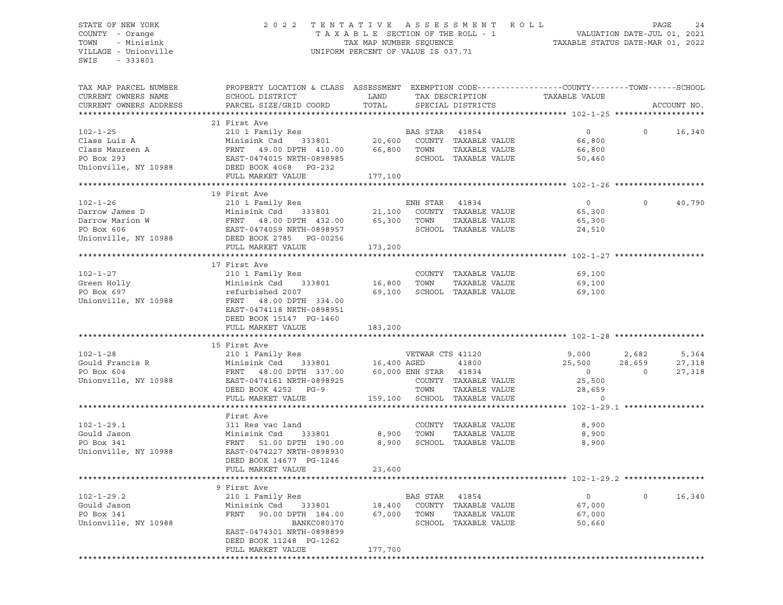# STATE OF NEW YORK 2 0 2 2 T E N T A T I V E A S S E S S M E N T R O L L PAGE 24 COUNTY - Orange T A X A B L E SECTION OF THE ROLL - 1 VALUATION DATE-JUL 01, 2021 TOWN - Minisink TAX MAP NUMBER SEQUENCE TAXABLE STATUS DATE-MAR 01, 2022 VILLAGE - Unionville **United Accord Control** UNIFORM PERCENT OF VALUE IS 037.71

| TAX MAP PARCEL NUMBER<br>CURRENT OWNERS NAME<br>CURRENT OWNERS ADDRESS                     | PROPERTY LOCATION & CLASS ASSESSMENT EXEMPTION CODE----------------COUNTY-------TOWN------SCHOOL<br>SCHOOL DISTRICT<br>PARCEL SIZE/GRID COORD                                                                             | LAND<br>TOTAL         |                               | TAX DESCRIPTION<br>SPECIAL DISTRICTS                                          | TAXABLE VALUE                                                     |                                   | ACCOUNT NO.               |
|--------------------------------------------------------------------------------------------|---------------------------------------------------------------------------------------------------------------------------------------------------------------------------------------------------------------------------|-----------------------|-------------------------------|-------------------------------------------------------------------------------|-------------------------------------------------------------------|-----------------------------------|---------------------------|
| **********************                                                                     |                                                                                                                                                                                                                           |                       |                               |                                                                               |                                                                   |                                   |                           |
| $102 - 1 - 25$<br>Class Luis A<br>Class Lemberg<br>Class Maureen A<br>Unionville, NY 10988 | 21 First Ave<br>210 1 Family Res<br>210 I Family Res<br>Minisink Csd 333801<br>Minisink Csd 333801<br>FRNT 49.00 DPTH 410.00<br>EAST-0474015 NRTH-0898985<br>DEED BOOK 4068 PG-232                                        | 66,800                | BAS STAR<br>TOWN              | 41854<br>20,600 COUNTY TAXABLE VALUE<br>TAXABLE VALUE<br>SCHOOL TAXABLE VALUE | $\circ$<br>66,800<br>66,800<br>50,460                             | $\Omega$                          | 16,340                    |
|                                                                                            | FULL MARKET VALUE                                                                                                                                                                                                         | 177,100               |                               |                                                                               |                                                                   |                                   |                           |
|                                                                                            |                                                                                                                                                                                                                           |                       |                               |                                                                               |                                                                   |                                   |                           |
|                                                                                            | 19 First Ave                                                                                                                                                                                                              |                       |                               |                                                                               |                                                                   |                                   |                           |
| $102 - 1 - 26$                                                                             | 210 1 Family Res<br>Darrow James D Minisink Csd 333801 21,100 COUNTY<br>Darrow Marion W FRNT 48.00 DPTH 432.00 65,300 TOWN<br>PO Box 606 EAST-0474059 NRTH-0898957 SCHOOL<br>Unionville, NY 10988 DEED BOOK 2785 PG-00256 | 333801 21,100         | ENH STAR                      | 41834<br>COUNTY TAXABLE VALUE<br>TAXABLE VALUE<br>SCHOOL TAXABLE VALUE        | $\overline{0}$<br>65,300<br>65,300<br>24,510                      | $\circ$                           | 40,790                    |
|                                                                                            | FULL MARKET VALUE                                                                                                                                                                                                         | 173,200               |                               |                                                                               |                                                                   |                                   |                           |
|                                                                                            |                                                                                                                                                                                                                           |                       |                               |                                                                               |                                                                   |                                   |                           |
| $102 - 1 - 27$<br>Green Holly<br>PO Box 697<br>Unionville, NY 10988                        | 17 First Ave<br>210 1 Family Res<br>Minisink Csd 333801<br>refurbished 2007<br>FRNT 48.00 DPTH 334.00<br>EAST-0474118 NRTH-0898951<br>DEED BOOK 15147 PG-1460                                                             | 16,800 TOWN<br>69,100 |                               | COUNTY TAXABLE VALUE<br>TAXABLE VALUE<br>SCHOOL TAXABLE VALUE                 | 69,100<br>69,100<br>69,100                                        |                                   |                           |
|                                                                                            | FULL MARKET VALUE                                                                                                                                                                                                         | 183,200               |                               |                                                                               |                                                                   |                                   |                           |
|                                                                                            | 15 First Ave                                                                                                                                                                                                              |                       |                               |                                                                               |                                                                   |                                   |                           |
| $102 - 1 - 28$<br>Gould Francis R<br>De Persent<br>PO Box 604<br>Unionville, NY 10988      | 210 1 Family Res<br>Minisink Csd 333801 16,400 AGED<br>FRNT 48.00 DPTH 337.00 60,000 ENH STAR 41834<br>EAST-0474161 NRTH-0898925<br>DEED BOOK 4252 PG-9                                                                   |                       | VETWAR CTS 41120<br>TOWN      | 41800<br>COUNTY TAXABLE VALUE<br>TAXABLE VALUE                                | 9,000<br>25,500<br>$\overline{0}$<br>25,500<br>28,659<br>$\Omega$ | 2,682<br>28,659<br>$\overline{0}$ | 5,364<br>27,318<br>27,318 |
|                                                                                            | FULL MARKET VALUE                                                                                                                                                                                                         |                       |                               | 159,100 SCHOOL TAXABLE VALUE                                                  |                                                                   |                                   |                           |
| $102 - 1 - 29.1$<br>Gould Jason<br>PO Box 341<br>Unionville, NY 10988                      | First Ave<br>311 Res vac land<br>Minisink Csd<br>333801<br>FRNT 51.00 DPTH 190.00<br>EAST-0474227 NRTH-0898930<br>DEED BOOK 14677 PG-1246                                                                                 | 8,900                 | 8,900 TOWN                    | COUNTY TAXABLE VALUE<br>TAXABLE VALUE<br>SCHOOL TAXABLE VALUE                 | 8,900<br>8,900<br>8,900                                           |                                   |                           |
|                                                                                            | FULL MARKET VALUE                                                                                                                                                                                                         | 23,600                |                               |                                                                               |                                                                   |                                   |                           |
|                                                                                            | 9 First Ave                                                                                                                                                                                                               |                       |                               |                                                                               |                                                                   |                                   |                           |
| $102 - 1 - 29.2$<br>Gould Jason<br>PO Box 341<br>Unionville, NY 10988                      | 210 1 Family Res<br>Minisink Csd 333801<br>FRNT<br>90.00 DPTH 184.00<br>BANKC080370<br>EAST-0474301 NRTH-0898899<br>DEED BOOK 11248 PG-1262<br>FULL MARKET VALUE                                                          |                       | BAS STAR 41854<br>67,000 TOWN | 18,400 COUNTY TAXABLE VALUE<br>TAXABLE VALUE<br>SCHOOL TAXABLE VALUE          | $\overline{0}$<br>67,000<br>67,000<br>50,660                      | $\circ$                           | 16,340                    |
|                                                                                            |                                                                                                                                                                                                                           | 177,700               |                               |                                                                               |                                                                   |                                   |                           |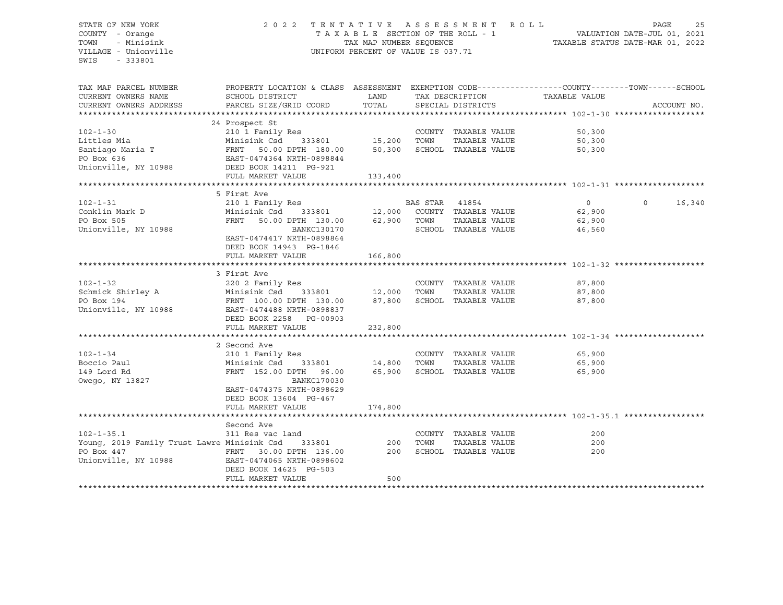# STATE OF NEW YORK 2 0 2 2 T E N T A T I V E A S S E S S M E N T R O L L PAGE 25 COUNTY - Orange T A X A B L E SECTION OF THE ROLL - 1 VALUATION DATE-JUL 01, 2021 TOWN - Minisink TAX MAP NUMBER SEQUENCE TAXABLE STATUS DATE-MAR 01, 2022 VILLAGE - Unionville **United Accord Control** UNIFORM PERCENT OF VALUE IS 037.71

| TAX MAP PARCEL NUMBER<br>CURRENT OWNERS NAME<br>CURRENT OWNERS ADDRESS | PROPERTY LOCATION & CLASS ASSESSMENT<br>SCHOOL DISTRICT<br>PARCEL SIZE/GRID COORD | LAND<br>TOTAL |          | TAX DESCRIPTION<br>SPECIAL DISTRICTS | TAXABLE VALUE  | EXEMPTION CODE-----------------COUNTY-------TOWN------SCHOOL<br>ACCOUNT NO. |
|------------------------------------------------------------------------|-----------------------------------------------------------------------------------|---------------|----------|--------------------------------------|----------------|-----------------------------------------------------------------------------|
|                                                                        |                                                                                   |               |          |                                      |                |                                                                             |
|                                                                        | 24 Prospect St                                                                    |               |          |                                      |                |                                                                             |
| $102 - 1 - 30$                                                         | 210 1 Family Res                                                                  |               |          | COUNTY TAXABLE VALUE                 | 50,300         |                                                                             |
| Littles Mia                                                            | Minisink Csd<br>333801                                                            | 15,200        | TOWN     | TAXABLE VALUE                        | 50,300         |                                                                             |
| Santiago Maria T                                                       | FRNT 50.00 DPTH 180.00                                                            | 50,300        |          | SCHOOL TAXABLE VALUE                 | 50,300         |                                                                             |
| PO Box 636                                                             | EAST-0474364 NRTH-0898844                                                         |               |          |                                      |                |                                                                             |
| Unionville, NY 10988                                                   | DEED BOOK 14211 PG-921                                                            |               |          |                                      |                |                                                                             |
|                                                                        | FULL MARKET VALUE                                                                 | 133,400       |          |                                      |                |                                                                             |
|                                                                        |                                                                                   |               |          |                                      |                |                                                                             |
|                                                                        | 5 First Ave                                                                       |               |          |                                      |                |                                                                             |
| $102 - 1 - 31$                                                         | 210 1 Family Res                                                                  |               | BAS STAR | 41854                                | $\overline{0}$ | $\Omega$<br>16,340                                                          |
| Conklin Mark D                                                         | Minisink Csd 333801                                                               |               |          | 12,000 COUNTY TAXABLE VALUE          | 62,900         |                                                                             |
| PO Box 505                                                             | FRNT<br>50.00 DPTH 130.00                                                         | 62,900        | TOWN     | TAXABLE VALUE                        | 62,900         |                                                                             |
| Unionville, NY 10988                                                   | <b>BANKC130170</b>                                                                |               |          | SCHOOL TAXABLE VALUE                 | 46,560         |                                                                             |
|                                                                        | EAST-0474417 NRTH-0898864                                                         |               |          |                                      |                |                                                                             |
|                                                                        | DEED BOOK 14943 PG-1846                                                           |               |          |                                      |                |                                                                             |
|                                                                        | FULL MARKET VALUE                                                                 | 166,800       |          |                                      |                |                                                                             |
|                                                                        |                                                                                   |               |          |                                      |                |                                                                             |
|                                                                        | 3 First Ave                                                                       |               |          |                                      |                |                                                                             |
| $102 - 1 - 32$                                                         | 220 2 Family Res                                                                  |               |          | COUNTY TAXABLE VALUE                 | 87,800         |                                                                             |
| Schmick Shirley A                                                      | Minisink Csd<br>333801                                                            | 12,000        | TOWN     | TAXABLE VALUE                        | 87,800         |                                                                             |
| PO Box 194                                                             | FRNT 100.00 DPTH 130.00                                                           | 87,800        |          | SCHOOL TAXABLE VALUE                 | 87,800         |                                                                             |
| Unionville, NY 10988                                                   | EAST-0474488 NRTH-0898837                                                         |               |          |                                      |                |                                                                             |
|                                                                        | DEED BOOK 2258 PG-00903                                                           |               |          |                                      |                |                                                                             |
|                                                                        | FULL MARKET VALUE                                                                 | 232,800       |          |                                      |                |                                                                             |
|                                                                        |                                                                                   |               |          |                                      |                |                                                                             |
|                                                                        | 2 Second Ave                                                                      |               |          |                                      |                |                                                                             |
| $102 - 1 - 34$                                                         | 210 1 Family Res                                                                  |               |          | COUNTY TAXABLE VALUE                 | 65,900         |                                                                             |
| Boccio Paul                                                            | Minisink Csd<br>333801                                                            | 14,800        | TOWN     | TAXABLE VALUE                        | 65,900         |                                                                             |
| 149 Lord Rd                                                            | FRNT 152.00 DPTH 96.00                                                            | 65,900        |          | SCHOOL TAXABLE VALUE                 | 65,900         |                                                                             |
| Owego, NY 13827                                                        | <b>BANKC170030</b>                                                                |               |          |                                      |                |                                                                             |
|                                                                        | EAST-0474375 NRTH-0898629                                                         |               |          |                                      |                |                                                                             |
|                                                                        | DEED BOOK 13604 PG-467                                                            |               |          |                                      |                |                                                                             |
|                                                                        | FULL MARKET VALUE                                                                 | 174,800       |          |                                      |                |                                                                             |
|                                                                        |                                                                                   |               |          |                                      |                |                                                                             |
|                                                                        | Second Ave                                                                        |               |          |                                      |                |                                                                             |
| $102 - 1 - 35.1$                                                       | 311 Res vac land                                                                  |               |          | COUNTY TAXABLE VALUE                 | 200            |                                                                             |
| Young, 2019 Family Trust Lawre Minisink Csd                            | 333801                                                                            | 200           | TOWN     | TAXABLE VALUE                        | 200            |                                                                             |
| PO Box 447                                                             | FRNT 30.00 DPTH 136.00                                                            | 200           |          | SCHOOL TAXABLE VALUE                 | 200            |                                                                             |
| Unionville, NY 10988                                                   | EAST-0474065 NRTH-0898602                                                         |               |          |                                      |                |                                                                             |
|                                                                        | DEED BOOK 14625 PG-503                                                            |               |          |                                      |                |                                                                             |
|                                                                        | FULL MARKET VALUE                                                                 | 500           |          |                                      |                |                                                                             |
|                                                                        |                                                                                   |               |          |                                      |                |                                                                             |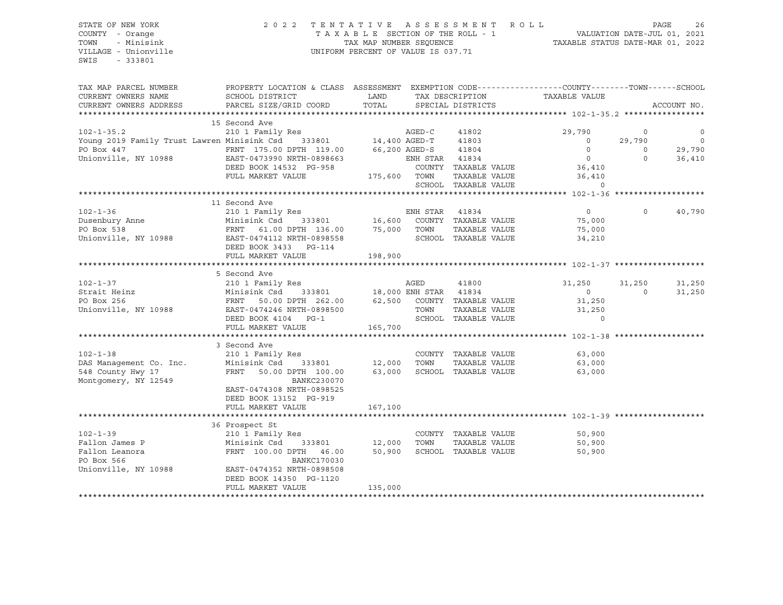# STATE OF NEW YORK 2 0 2 2 T E N T A T I V E A S S E S S M E N T R O L L PAGE 26 COUNTY - Orange T A X A B L E SECTION OF THE ROLL - 1 VALUATION DATE-JUL 01, 2021 TOWN - Minisink TAX MAP NUMBER SEQUENCE TAXABLE STATUS DATE-MAR 01, 2022 VILLAGE - Unionville **United Accord Control** UNIFORM PERCENT OF VALUE IS 037.71

| TAX MAP PARCEL NUMBER<br>CURRENT OWNERS NAME                                                                                                                                                                                                                 | PROPERTY LOCATION & CLASS ASSESSMENT EXEMPTION CODE---------------COUNTY-------TOWN-----SCHOOL<br>SCHOOL DISTRICT                   | LAND         |                | TAX DESCRIPTION      | TAXABLE VALUE                           |          |             |
|--------------------------------------------------------------------------------------------------------------------------------------------------------------------------------------------------------------------------------------------------------------|-------------------------------------------------------------------------------------------------------------------------------------|--------------|----------------|----------------------|-----------------------------------------|----------|-------------|
| CURRENT OWNERS ADDRESS                                                                                                                                                                                                                                       | PARCEL SIZE/GRID COORD                                                                                                              | TOTAL        |                | SPECIAL DISTRICTS    |                                         |          | ACCOUNT NO. |
|                                                                                                                                                                                                                                                              |                                                                                                                                     |              |                |                      |                                         |          |             |
|                                                                                                                                                                                                                                                              | 15 Second Ave                                                                                                                       |              |                |                      |                                         |          |             |
| 102-1-35.2 210 2 Family Res AGED-C<br>Young 2019 Family Trust Lawren Minisink Csd 333801 14,400 AGED-T                                                                                                                                                       |                                                                                                                                     |              |                | 41802                | 29,790                                  | $\circ$  | $\mathbf 0$ |
|                                                                                                                                                                                                                                                              |                                                                                                                                     |              |                | 41803                | $\circ$                                 | 29,790   | $\circ$     |
| PO Box 447<br>TRNT 175.00 DPTH 119.00 66,200 AGED-S<br>Unionville, NY 10988 EAST-0473990 NRTH-0898663 ENH STAR                                                                                                                                               |                                                                                                                                     |              |                | 41804                | $\Omega$                                | $\Omega$ | 29,790      |
|                                                                                                                                                                                                                                                              |                                                                                                                                     |              | ENH STAR 41834 |                      | $\overline{0}$                          | $\Omega$ | 36,410      |
|                                                                                                                                                                                                                                                              |                                                                                                                                     |              |                |                      | COUNTY TAXABLE VALUE 36,410             |          |             |
|                                                                                                                                                                                                                                                              | FULL MARKET VALUE                                                                                                                   | 175,600 TOWN |                |                      | TAXABLE VALUE 36,410<br>TAXABLE VALUE 0 |          |             |
|                                                                                                                                                                                                                                                              |                                                                                                                                     |              |                | SCHOOL TAXABLE VALUE |                                         |          |             |
|                                                                                                                                                                                                                                                              |                                                                                                                                     |              |                |                      |                                         |          |             |
|                                                                                                                                                                                                                                                              | 11 Second Ave                                                                                                                       |              |                |                      |                                         |          |             |
| $102 - 1 - 36$                                                                                                                                                                                                                                               | 210 1 Family Res                                                                                                                    |              |                |                      | $\overline{0}$                          | $\Omega$ | 40,790      |
| Dusenbury Anne<br>no Dow 538                                                                                                                                                                                                                                 |                                                                                                                                     |              |                |                      | 75,000<br>75,000                        |          |             |
|                                                                                                                                                                                                                                                              | Res<br>333801 16,600 COUNTY TAXABLE VALUE<br>DPTH 136.00 75,000 TOWN TAXABLE VALUE<br>Minisink Csd 333801<br>FRNT 61.00 DPTH 136.00 |              |                |                      |                                         |          |             |
| Unionville, NY 10988 EAST-0474112 NRTH-0898558                                                                                                                                                                                                               |                                                                                                                                     |              |                |                      | SCHOOL TAXABLE VALUE<br>34,210          |          |             |
|                                                                                                                                                                                                                                                              | DEED BOOK 3433 PG-114                                                                                                               |              |                |                      |                                         |          |             |
|                                                                                                                                                                                                                                                              | FULL MARKET VALUE                                                                                                                   | 198,900      |                |                      |                                         |          |             |
|                                                                                                                                                                                                                                                              |                                                                                                                                     |              |                |                      |                                         |          |             |
|                                                                                                                                                                                                                                                              |                                                                                                                                     |              |                |                      |                                         |          |             |
|                                                                                                                                                                                                                                                              |                                                                                                                                     |              |                |                      |                                         | 31,250   | 31,250      |
| 102-1-37<br>210 1 Family Res<br>210 1 Family Res<br>210 1 Family Res<br>210 1 Family Res<br>210 1 Family Res<br>210 1 Family Res<br>210 1 Family Res<br>210 1 202-1-3<br>21,250<br>21,250<br>26 2,500 COUNTY TAXABLE VALUE<br>21,250<br>21,250<br>21,250<br> |                                                                                                                                     |              |                |                      |                                         | $\Omega$ | 31,250      |
|                                                                                                                                                                                                                                                              |                                                                                                                                     |              |                |                      |                                         |          |             |
|                                                                                                                                                                                                                                                              |                                                                                                                                     |              |                |                      |                                         |          |             |
|                                                                                                                                                                                                                                                              | DEED BOOK 4104 PG-1                                                                                                                 |              |                | SCHOOL TAXABLE VALUE |                                         |          |             |
|                                                                                                                                                                                                                                                              | FULL MARKET VALUE                                                                                                                   | 165,700      |                |                      |                                         |          |             |
|                                                                                                                                                                                                                                                              |                                                                                                                                     |              |                |                      |                                         |          |             |
|                                                                                                                                                                                                                                                              | 3 Second Ave                                                                                                                        |              |                |                      |                                         |          |             |
| $102 - 1 - 38$                                                                                                                                                                                                                                               | 210 1 Family Res                                                                                                                    |              |                | COUNTY TAXABLE VALUE | 63,000                                  |          |             |
| DAS Management Co. Inc.                                                                                                                                                                                                                                      | 333801 12,000<br>Minisink Csd                                                                                                       |              | TOWN           |                      | TAXABLE VALUE 63,000                    |          |             |
| 548 County Hwy 17                                                                                                                                                                                                                                            | FRNT 50.00 DPTH 100.00                                                                                                              | 63,000       |                | SCHOOL TAXABLE VALUE | 63,000                                  |          |             |
| Montgomery, NY 12549                                                                                                                                                                                                                                         | BANKC230070                                                                                                                         |              |                |                      |                                         |          |             |
|                                                                                                                                                                                                                                                              | EAST-0474308 NRTH-0898525                                                                                                           |              |                |                      |                                         |          |             |
|                                                                                                                                                                                                                                                              | DEED BOOK 13152 PG-919                                                                                                              |              |                |                      |                                         |          |             |
|                                                                                                                                                                                                                                                              | FULL MARKET VALUE                                                                                                                   | 167,100      |                |                      |                                         |          |             |
|                                                                                                                                                                                                                                                              |                                                                                                                                     |              |                |                      |                                         |          |             |
|                                                                                                                                                                                                                                                              | 36 Prospect St                                                                                                                      |              |                |                      |                                         |          |             |
| $102 - 1 - 39$                                                                                                                                                                                                                                               | 210 1 Family Res                                                                                                                    |              |                | COUNTY TAXABLE VALUE | 50,900                                  |          |             |
| Fallon James P                                                                                                                                                                                                                                               | Minisink Csd 333801 12,000                                                                                                          |              | TOWN           | TAXABLE VALUE        | 50,900                                  |          |             |
| Fallon Leanora                                                                                                                                                                                                                                               | FRNT 100.00 DPTH 46.00                                                                                                              | 50,900       |                |                      | SCHOOL TAXABLE VALUE<br>50,900          |          |             |
| PO Box 566                                                                                                                                                                                                                                                   | <b>BANKC170030</b>                                                                                                                  |              |                |                      |                                         |          |             |
| Unionville, NY 10988                                                                                                                                                                                                                                         | EAST-0474352 NRTH-0898508                                                                                                           |              |                |                      |                                         |          |             |
|                                                                                                                                                                                                                                                              | DEED BOOK 14350 PG-1120                                                                                                             |              |                |                      |                                         |          |             |
|                                                                                                                                                                                                                                                              | FULL MARKET VALUE                                                                                                                   | 135,000      |                |                      |                                         |          |             |
|                                                                                                                                                                                                                                                              |                                                                                                                                     |              |                |                      |                                         |          |             |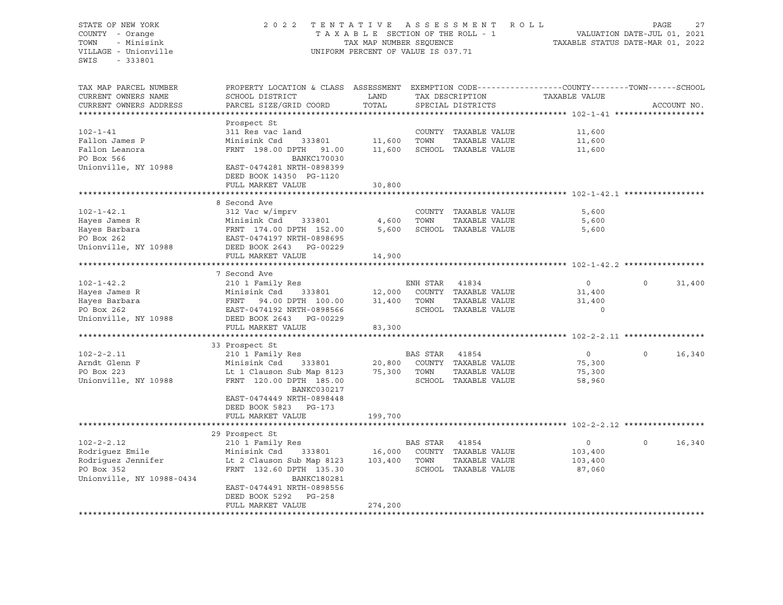STATE OF NEW YORK 2 0 2 2 T E N T A T I V E A S S E S S M E N T R O L L PAGE 27 COUNTY - Orange T A X A B L E SECTION OF THE ROLL - 1 TOWN - Minisink TAX MAP NUMBER SEQUENCE TAXABLE STATUS DATE-MAR 01, 2022<br>TILLAGE - Unionville Taxable Taxable Status UNIFORM PERCENT OF VALUE IS 037.71 UNIFORM PERCENT OF VALUE IS 037.71 SWIS - 333801 TAX MAP PARCEL NUMBER PROPERTY LOCATION & CLASS ASSESSMENT EXEMPTION CODE----------------COUNTY-------TOWN-----SCHOOL CURRENT OWNERS NAME SCHOOL DISTRICT LAND TAX DESCRIPTION TAXABLE VALUE CURRENT OWNERS ADDRESS PARCEL SIZE/GRID COORD TOTAL SPECIAL DISTRICTS ACCOUNT NO. \*\*\*\*\*\*\*\*\*\*\*\*\*\*\*\*\*\*\*\*\*\*\*\*\*\*\*\*\*\*\*\*\*\*\*\*\*\*\*\*\*\*\*\*\*\*\*\*\*\*\*\*\*\*\*\*\*\*\*\*\*\*\*\*\*\*\*\*\*\*\*\*\*\*\*\*\*\*\*\*\*\*\*\*\*\*\*\*\*\*\*\*\*\*\*\*\*\*\*\*\*\*\* 102-1-41 \*\*\*\*\*\*\*\*\*\*\*\*\*\*\*\*\*\*\* Prospect St 102-1-41 311 Res vac land COUNTY TAXABLE VALUE 11,600 Fallon James P Minisink Csd 333801 11,600 TOWN TAXABLE VALUE 11,600 Fallon Leanora FRNT 198.00 DPTH 91.00 11,600 SCHOOL TAXABLE VALUE 11,600 PO Box 566 BANKC170030 Unionville, NY 10988 EAST-0474281 NRTH-0898399 DEED BOOK 14350 PG-1120 FULL MARKET VALUE 30,800 \*\*\*\*\*\*\*\*\*\*\*\*\*\*\*\*\*\*\*\*\*\*\*\*\*\*\*\*\*\*\*\*\*\*\*\*\*\*\*\*\*\*\*\*\*\*\*\*\*\*\*\*\*\*\*\*\*\*\*\*\*\*\*\*\*\*\*\*\*\*\*\*\*\*\*\*\*\*\*\*\*\*\*\*\*\*\*\*\*\*\*\*\*\*\*\*\*\*\*\*\*\*\* 102-1-42.1 \*\*\*\*\*\*\*\*\*\*\*\*\*\*\*\*\* 8 Second Ave 102-1-42.1 312 Vac w/imprv COUNTY TAXABLE VALUE 5,600 Hayes James R Minisink Csd 333801 4,600 TOWN TAXABLE VALUE 5,600 Hayes Barbara FRNT 174.00 DPTH 152.00 5,600 SCHOOL TAXABLE VALUE 5,600 PO Box 262 EAST-0474197 NRTH-0898695 Unionville, NY 10988 DEED BOOK 2643 PG-00229 FULL MARKET VALUE 14,900 \*\*\*\*\*\*\*\*\*\*\*\*\*\*\*\*\*\*\*\*\*\*\*\*\*\*\*\*\*\*\*\*\*\*\*\*\*\*\*\*\*\*\*\*\*\*\*\*\*\*\*\*\*\*\*\*\*\*\*\*\*\*\*\*\*\*\*\*\*\*\*\*\*\*\*\*\*\*\*\*\*\*\*\*\*\*\*\*\*\*\*\*\*\*\*\*\*\*\*\*\*\*\* 102-1-42.2 \*\*\*\*\*\*\*\*\*\*\*\*\*\*\*\*\* 7 Second Ave 102-1-42.2 210 1 Family Res ENH STAR 41834 0 0 31,400 Hayes James R Minisink Csd 333801 12,000 COUNTY TAXABLE VALUE 31,400 Hayes Barbara (1999) 1999 - 1999 - 1999 - 1999 - 1999 - 1999 - 1999 - 1999 - 1999 - 1999 - 1999 - 1999 - 1999 -<br>
FRNT 94.00 DPTH 100.00 31,400 TOWN TAXABLE VALUE 31,400 - 1998 - 1999 - 1999 - 1999 - 1999 - 1999 - 1999 - 1<br> EAST-0474192 NRTH-0898566 SCHOOL TAXABLE VALUE 0 Unionville, NY 10988 DEED BOOK 2643 PG-00229 FULL MARKET VALUE 83,300 \*\*\*\*\*\*\*\*\*\*\*\*\*\*\*\*\*\*\*\*\*\*\*\*\*\*\*\*\*\*\*\*\*\*\*\*\*\*\*\*\*\*\*\*\*\*\*\*\*\*\*\*\*\*\*\*\*\*\*\*\*\*\*\*\*\*\*\*\*\*\*\*\*\*\*\*\*\*\*\*\*\*\*\*\*\*\*\*\*\*\*\*\*\*\*\*\*\*\*\*\*\*\* 102-2-2.11 \*\*\*\*\*\*\*\*\*\*\*\*\*\*\*\*\* 33 Prospect St 102-2-2.11 210 1 Family Res BAS STAR 41854 0 0 16,340 Arndt Glenn F Minisink Csd 333801 20,800 COUNTY TAXABLE VALUE 75,300 PO Box 223 Lt 1 Clauson Sub Map 8123 75,300 TOWN TAXABLE VALUE 75,300 Unionville, NY 10988 FRNT 120.00 DPTH 185.00 SCHOOL TAXABLE VALUE 58,960 BANKC030217 EAST-0474449 NRTH-0898448 DEED BOOK 5823 PG-173 FULL MARKET VALUE 199,700 \*\*\*\*\*\*\*\*\*\*\*\*\*\*\*\*\*\*\*\*\*\*\*\*\*\*\*\*\*\*\*\*\*\*\*\*\*\*\*\*\*\*\*\*\*\*\*\*\*\*\*\*\*\*\*\*\*\*\*\*\*\*\*\*\*\*\*\*\*\*\*\*\*\*\*\*\*\*\*\*\*\*\*\*\*\*\*\*\*\*\*\*\*\*\*\*\*\*\*\*\*\*\* 102-2-2.12 \*\*\*\*\*\*\*\*\*\*\*\*\*\*\*\*\* 29 Prospect St 102-2-2.12 210 1 Family Res BAS STAR 41854 0 0 16,340 Rodriguez Emile Minisink Csd 333801 16,000 COUNTY TAXABLE VALUE 103,400 Rodriguez Jennifer Lt 2 Clauson Sub Map 8123 103,400 TOWN TAXABLE VALUE 103,400<br>PO Box 352 FRNT 132.60 DPTH 135.30 SCHOOL TAXABLE VALUE 87,060 PRNT 132.60 DPTH 135.30 SCHOOL TAXABLE VALUE 87,060 Unionville, NY 10988-0434 BANKC180281 EAST-0474491 NRTH-0898556 DEED BOOK 5292 PG-258 FULL MARKET VALUE 274,200 \*\*\*\*\*\*\*\*\*\*\*\*\*\*\*\*\*\*\*\*\*\*\*\*\*\*\*\*\*\*\*\*\*\*\*\*\*\*\*\*\*\*\*\*\*\*\*\*\*\*\*\*\*\*\*\*\*\*\*\*\*\*\*\*\*\*\*\*\*\*\*\*\*\*\*\*\*\*\*\*\*\*\*\*\*\*\*\*\*\*\*\*\*\*\*\*\*\*\*\*\*\*\*\*\*\*\*\*\*\*\*\*\*\*\*\*\*\*\*\*\*\*\*\*\*\*\*\*\*\*\*\*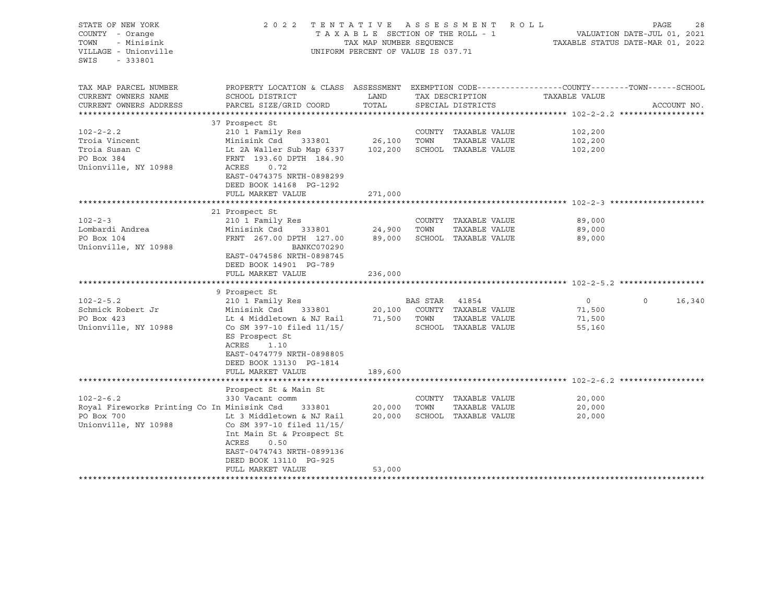| STATE OF NEW YORK<br>COUNTY - Orange<br>TOWN<br>- Minisink<br>VILLAGE - Unionville<br>SWIS<br>$-333801$ | 2022 TENTATIVE ASSESSMENT ROLL                                                                  | TAX MAP NUMBER SEQUENCE<br>UNIFORM PERCENT OF VALUE IS 037.71 |                | TAXABLE SECTION OF THE ROLL - 1 | VALUATION DATE-JUL 01, 2021 | PAGE<br>TAXABLE STATUS DATE-MAR 01, 2022 | 28     |
|---------------------------------------------------------------------------------------------------------|-------------------------------------------------------------------------------------------------|---------------------------------------------------------------|----------------|---------------------------------|-----------------------------|------------------------------------------|--------|
| TAX MAP PARCEL NUMBER                                                                                   | PROPERTY LOCATION & CLASS ASSESSMENT EXEMPTION CODE---------------COUNTY-------TOWN------SCHOOL |                                                               |                |                                 |                             |                                          |        |
| CURRENT OWNERS NAME                                                                                     | SCHOOL DISTRICT                                                                                 | LAND                                                          |                | TAX DESCRIPTION                 | TAXABLE VALUE               | ACCOUNT NO.                              |        |
| CURRENT OWNERS ADDRESS                                                                                  | PARCEL SIZE/GRID COORD                                                                          | TOTAL                                                         |                | SPECIAL DISTRICTS               |                             |                                          |        |
|                                                                                                         | 37 Prospect St                                                                                  |                                                               |                |                                 |                             |                                          |        |
| $102 - 2 - 2.2$                                                                                         | 210 1 Family Res                                                                                |                                                               |                | COUNTY TAXABLE VALUE            | 102,200                     |                                          |        |
| Troia Vincent                                                                                           | Minisink Csd 333801                                                                             | 26,100                                                        | TOWN           | TAXABLE VALUE                   | 102,200                     |                                          |        |
| Troia Susan C                                                                                           | Lt 2A Waller Sub Map 6337                                                                       | 102,200                                                       |                | SCHOOL TAXABLE VALUE            | 102,200                     |                                          |        |
| PO Box 384                                                                                              | FRNT 193.60 DPTH 184.90                                                                         |                                                               |                |                                 |                             |                                          |        |
| Unionville, NY 10988                                                                                    | ACRES<br>0.72<br>EAST-0474375 NRTH-0898299                                                      |                                                               |                |                                 |                             |                                          |        |
|                                                                                                         | DEED BOOK 14168 PG-1292                                                                         |                                                               |                |                                 |                             |                                          |        |
|                                                                                                         | FULL MARKET VALUE                                                                               | 271,000                                                       |                |                                 |                             |                                          |        |
|                                                                                                         |                                                                                                 |                                                               |                |                                 |                             |                                          |        |
|                                                                                                         | 21 Prospect St                                                                                  |                                                               |                |                                 |                             |                                          |        |
| $102 - 2 - 3$                                                                                           | 210 1 Family Res                                                                                |                                                               |                | COUNTY TAXABLE VALUE            | 89,000                      |                                          |        |
| Lombardi Andrea                                                                                         | Minisink Csd<br>333801                                                                          | 24,900                                                        | TOWN           | TAXABLE VALUE                   | 89,000                      |                                          |        |
| PO Box 104                                                                                              | FRNT 267.00 DPTH 127.00                                                                         |                                                               |                | 89,000 SCHOOL TAXABLE VALUE     | 89,000                      |                                          |        |
| Unionville, NY 10988                                                                                    | <b>BANKC070290</b>                                                                              |                                                               |                |                                 |                             |                                          |        |
|                                                                                                         | EAST-0474586 NRTH-0898745                                                                       |                                                               |                |                                 |                             |                                          |        |
|                                                                                                         | DEED BOOK 14901 PG-789<br>FULL MARKET VALUE                                                     | 236,000                                                       |                |                                 |                             |                                          |        |
|                                                                                                         |                                                                                                 |                                                               |                |                                 |                             |                                          |        |
|                                                                                                         | 9 Prospect St                                                                                   |                                                               |                |                                 |                             |                                          |        |
| $102 - 2 - 5.2$                                                                                         | 210 1 Family Res                                                                                |                                                               | BAS STAR 41854 |                                 | $\circ$                     | $\Omega$                                 | 16,340 |
| Schmick Robert Jr                                                                                       | Minisink Csd<br>333801                                                                          |                                                               |                | 20,100 COUNTY TAXABLE VALUE     | 71,500                      |                                          |        |
| PO Box 423                                                                                              | Lt 4 Middletown & NJ Rail                                                                       |                                                               | 71,500 TOWN    | TAXABLE VALUE                   | 71,500                      |                                          |        |
| Unionville, NY 10988                                                                                    | Co SM 397-10 filed 11/15/                                                                       |                                                               |                | SCHOOL TAXABLE VALUE            | 55,160                      |                                          |        |
|                                                                                                         | ES Prospect St                                                                                  |                                                               |                |                                 |                             |                                          |        |
|                                                                                                         | ACRES<br>1.10                                                                                   |                                                               |                |                                 |                             |                                          |        |
|                                                                                                         | EAST-0474779 NRTH-0898805                                                                       |                                                               |                |                                 |                             |                                          |        |
|                                                                                                         | DEED BOOK 13130 PG-1814                                                                         |                                                               |                |                                 |                             |                                          |        |
|                                                                                                         | FULL MARKET VALUE                                                                               | 189,600                                                       |                |                                 |                             |                                          |        |
|                                                                                                         | Prospect St & Main St                                                                           |                                                               |                |                                 |                             |                                          |        |
| $102 - 2 - 6.2$                                                                                         | 330 Vacant comm                                                                                 |                                                               |                | COUNTY TAXABLE VALUE            | 20,000                      |                                          |        |
| Royal Fireworks Printing Co In Minisink Csd                                                             | 333801                                                                                          | 20,000                                                        | TOWN           | TAXABLE VALUE                   | 20,000                      |                                          |        |
| PO Box 700                                                                                              | Lt 3 Middletown & NJ Rail                                                                       | 20,000                                                        |                | SCHOOL TAXABLE VALUE            | 20,000                      |                                          |        |
| Unionville, NY 10988                                                                                    | Co SM 397-10 filed 11/15/                                                                       |                                                               |                |                                 |                             |                                          |        |
|                                                                                                         | Int Main St & Prospect St                                                                       |                                                               |                |                                 |                             |                                          |        |
|                                                                                                         | 0.50<br>ACRES                                                                                   |                                                               |                |                                 |                             |                                          |        |
|                                                                                                         | EAST-0474743 NRTH-0899136                                                                       |                                                               |                |                                 |                             |                                          |        |
|                                                                                                         | DEED BOOK 13110 PG-925                                                                          |                                                               |                |                                 |                             |                                          |        |
|                                                                                                         | FULL MARKET VALUE                                                                               | 53,000                                                        |                |                                 |                             |                                          |        |
|                                                                                                         |                                                                                                 |                                                               |                |                                 |                             |                                          |        |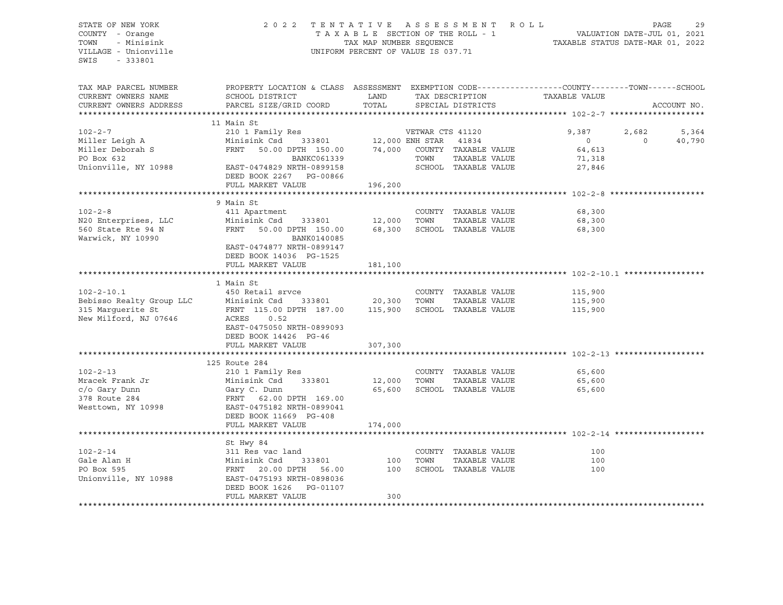STATE OF NEW YORK 2 0 2 2 T E N T A T I V E A S S E S S M E N T R O L L PAGE 29 COUNTY - Orange T A X A B L E SECTION OF THE ROLL - 1 TOWN - Minisink TAX MAP NUMBER SEQUENCE TAXABLE STATUS DATE-MAR 01, 2022<br>TILLAGE - Unionville Taxable Taxable Taxable Status UNIFORM PERCENT OF VALUE IS 037.71 UNIFORM PERCENT OF VALUE IS 037.71 SWIS - 333801 TAX MAP PARCEL NUMBER PROPERTY LOCATION & CLASS ASSESSMENT EXEMPTION CODE------------------COUNTY--------TOWN------SCHOOL CURRENT OWNERS NAME SCHOOL DISTRICT LAND TAX DESCRIPTION TAXABLE VALUE CURRENT OWNERS ADDRESS PARCEL SIZE/GRID COORD TOTAL SPECIAL DISTRICTS ACCOUNT NO. \*\*\*\*\*\*\*\*\*\*\*\*\*\*\*\*\*\*\*\*\*\*\*\*\*\*\*\*\*\*\*\*\*\*\*\*\*\*\*\*\*\*\*\*\*\*\*\*\*\*\*\*\*\*\*\*\*\*\*\*\*\*\*\*\*\*\*\*\*\*\*\*\*\*\*\*\*\*\*\*\*\*\*\*\*\*\*\*\*\*\*\*\*\*\*\*\*\*\*\*\*\*\* 102-2-7 \*\*\*\*\*\*\*\*\*\*\*\*\*\*\*\*\*\*\*\* 11 Main St 102-2-7 210 1 Family Res VETWAR CTS 41120 9,387 2,682 5,364 Miller Leigh A Minisink Csd 333801 12,000 ENH STAR 41834 0 0 40,790 Miller Deborah S FRNT 50.00 DPTH 150.00 74,000 COUNTY TAXABLE VALUE 64,613 PO Box 632 BANKC061339 TOWN TAXABLE VALUE 71,318 Unionville, NY 10988 EAST-0474829 NRTH-0899158 SCHOOL TAXABLE VALUE 27,846 DEED BOOK 2267 PG-00866 FULL MARKET VALUE 196,200 \*\*\*\*\*\*\*\*\*\*\*\*\*\*\*\*\*\*\*\*\*\*\*\*\*\*\*\*\*\*\*\*\*\*\*\*\*\*\*\*\*\*\*\*\*\*\*\*\*\*\*\*\*\*\*\*\*\*\*\*\*\*\*\*\*\*\*\*\*\*\*\*\*\*\*\*\*\*\*\*\*\*\*\*\*\*\*\*\*\*\*\*\*\*\*\*\*\*\*\*\*\*\* 102-2-8 \*\*\*\*\*\*\*\*\*\*\*\*\*\*\*\*\*\*\*\* 9 Main St 102-2-8 411 Apartment COUNTY TAXABLE VALUE 68,300 N20 Enterprises, LLC Minisink Csd 333801 12,000 TOWN TAXABLE VALUE 68,300 560 State Rte 94 N FRNT 50.00 DPTH 150.00 68,300 SCHOOL TAXABLE VALUE 68,300 Warwick, NY 10990 BANK0140085 EAST-0474877 NRTH-0899147 DEED BOOK 14036 PG-1525 FULL MARKET VALUE 181,100 \*\*\*\*\*\*\*\*\*\*\*\*\*\*\*\*\*\*\*\*\*\*\*\*\*\*\*\*\*\*\*\*\*\*\*\*\*\*\*\*\*\*\*\*\*\*\*\*\*\*\*\*\*\*\*\*\*\*\*\*\*\*\*\*\*\*\*\*\*\*\*\*\*\*\*\*\*\*\*\*\*\*\*\*\*\*\*\*\*\*\*\*\*\*\*\*\*\*\*\*\*\*\* 102-2-10.1 \*\*\*\*\*\*\*\*\*\*\*\*\*\*\*\*\* 1 Main St 102-2-10.1 450 Retail srvce COUNTY TAXABLE VALUE 115,900 Bebisso Realty Group LLC Minisink Csd 333801 20,300 TOWN TAXABLE VALUE 115,900 315 Marguerite St FRNT 115.00 DPTH 187.00 115,900 SCHOOL TAXABLE VALUE 115,900 New Milford, NJ 07646 ACRES 0.52 EAST-0475050 NRTH-0899093 DEED BOOK 14426 PG-46 FULL MARKET VALUE 307,300 \*\*\*\*\*\*\*\*\*\*\*\*\*\*\*\*\*\*\*\*\*\*\*\*\*\*\*\*\*\*\*\*\*\*\*\*\*\*\*\*\*\*\*\*\*\*\*\*\*\*\*\*\*\*\*\*\*\*\*\*\*\*\*\*\*\*\*\*\*\*\*\*\*\*\*\*\*\*\*\*\*\*\*\*\*\*\*\*\*\*\*\*\*\*\*\*\*\*\*\*\*\*\* 102-2-13 \*\*\*\*\*\*\*\*\*\*\*\*\*\*\*\*\*\*\* 125 Route 284 102-2-13 210 1 Family Res COUNTY TAXABLE VALUE 65,600 Mracek Frank Jr Minisink Csd 333801 12,000 TOWN TAXABLE VALUE 65,600 c/o Gary Dunn Gary C. Dunn 65,600 SCHOOL TAXABLE VALUE 65,600 378 Route 284 FRNT 62.00 DPTH 169.00 Westtown, NY 10998 EAST-0475182 NRTH-0899041 DEED BOOK 11669 PG-408 FULL MARKET VALUE 174,000 \*\*\*\*\*\*\*\*\*\*\*\*\*\*\*\*\*\*\*\*\*\*\*\*\*\*\*\*\*\*\*\*\*\*\*\*\*\*\*\*\*\*\*\*\*\*\*\*\*\*\*\*\*\*\*\*\*\*\*\*\*\*\*\*\*\*\*\*\*\*\*\*\*\*\*\*\*\*\*\*\*\*\*\*\*\*\*\*\*\*\*\*\*\*\*\*\*\*\*\*\*\*\* 102-2-14 \*\*\*\*\*\*\*\*\*\*\*\*\*\*\*\*\*\*\* St Hwy 84 102-2-14 311 Res vac land COUNTY TAXABLE VALUE 100 Gale Alan H Minisink Csd 333801 100 TOWN TAXABLE VALUE 100 PO Box 595 FRNT 20.00 DPTH 56.00 100 SCHOOL TAXABLE VALUE 100 Unionville, NY 10988 EAST-0475193 NRTH-0898036 DEED BOOK 1626 PG-01107 FULL MARKET VALUE 300 \*\*\*\*\*\*\*\*\*\*\*\*\*\*\*\*\*\*\*\*\*\*\*\*\*\*\*\*\*\*\*\*\*\*\*\*\*\*\*\*\*\*\*\*\*\*\*\*\*\*\*\*\*\*\*\*\*\*\*\*\*\*\*\*\*\*\*\*\*\*\*\*\*\*\*\*\*\*\*\*\*\*\*\*\*\*\*\*\*\*\*\*\*\*\*\*\*\*\*\*\*\*\*\*\*\*\*\*\*\*\*\*\*\*\*\*\*\*\*\*\*\*\*\*\*\*\*\*\*\*\*\*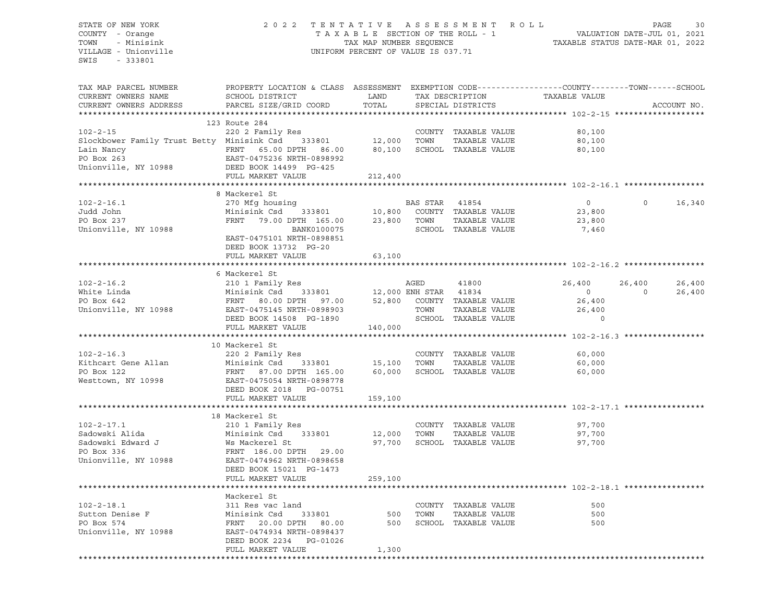# STATE OF NEW YORK 2 0 2 2 T E N T A T I V E A S S E S S M E N T R O L L PAGE 30 COUNTY - Orange T A X A B L E SECTION OF THE ROLL - 1 VALUATION DATE-JUL 01, 2021 TOWN - Minisink TAX MAP NUMBER SEQUENCE TAXABLE STATUS DATE-MAR 01, 2022 VILLAGE - Unionville **United Accord Control** UNIFORM PERCENT OF VALUE IS 037.71

| TAX MAP PARCEL NUMBER<br>CURRENT OWNERS NAME<br>CURRENT OWNERS ADDRESS                                                                | PROPERTY LOCATION & CLASS ASSESSMENT EXEMPTION CODE----------------COUNTY-------TOWN-----SCHOOL<br>SCHOOL DISTRICT<br>PARCEL SIZE/GRID COORD                                                                                                                                                                                                                                                                                                                                                                                                                      | LAND<br>TOTAL       |                        | TAX DESCRIPTION<br>SPECIAL DISTRICTS                                 | TAXABLE VALUE                                                  |                          | ACCOUNT NO.      |
|---------------------------------------------------------------------------------------------------------------------------------------|-------------------------------------------------------------------------------------------------------------------------------------------------------------------------------------------------------------------------------------------------------------------------------------------------------------------------------------------------------------------------------------------------------------------------------------------------------------------------------------------------------------------------------------------------------------------|---------------------|------------------------|----------------------------------------------------------------------|----------------------------------------------------------------|--------------------------|------------------|
| **********************<br>$102 - 2 - 15$<br>Slockbower Family Trust Betty Minisink Csd 333801 12,000 TOWN<br>Lain Nancy<br>PO Box 263 | 123 Route 284<br>220 2 Family Res<br>FRNT 65.00 DPTH 86.00<br>EAST-0475236 NRTH-0898992<br>NY 10988 DEED BOOK 14499 PG-425                                                                                                                                                                                                                                                                                                                                                                                                                                        | 80,100              |                        | COUNTY TAXABLE VALUE<br>TAXABLE VALUE<br>SCHOOL TAXABLE VALUE        | 80,100<br>80,100<br>80,100                                     |                          |                  |
| Unionville, NY 10988                                                                                                                  | FULL MARKET VALUE                                                                                                                                                                                                                                                                                                                                                                                                                                                                                                                                                 | 212,400             |                        |                                                                      |                                                                |                          |                  |
| $102 - 2 - 16.1$<br>Judd John<br>PO Box 237<br>Unionville, NY 10988                                                                   | 8 Mackerel St<br>270 Mfg housing<br>Minisink Csd 333801 10,800 COUNTY TAXABLE VALUE<br>FRNT 79.00 DPTH 165.00 23,800 TOWN<br>BANK0100075 SCHOOL<br>EAST-0475101 NRTH-0898851                                                                                                                                                                                                                                                                                                                                                                                      |                     | BAS STAR 41854         | TAXABLE VALUE<br>SCHOOL TAXABLE VALUE                                | $\overline{0}$<br>23,800<br>23,800<br>7,460                    | $\circ$                  | 16,340           |
|                                                                                                                                       | DEED BOOK 13732 PG-20<br>FULL MARKET VALUE                                                                                                                                                                                                                                                                                                                                                                                                                                                                                                                        | 63,100              |                        |                                                                      |                                                                |                          |                  |
|                                                                                                                                       | 6 Mackerel St                                                                                                                                                                                                                                                                                                                                                                                                                                                                                                                                                     |                     |                        |                                                                      |                                                                |                          |                  |
| $102 - 2 - 16.2$<br>White Linda<br>PO Box 642<br>Unionville, NY 10988                                                                 | 210 1 Family Res<br>DEED BOOK 14508 PG-1890                                                                                                                                                                                                                                                                                                                                                                                                                                                                                                                       |                     | AGED<br>TOWN<br>SCHOOL | 41800<br>SCHOOL TAXABLE VALUE                                        | 26,400<br>$\overline{0}$<br>26,400<br>26,400<br>$\overline{0}$ | 26,400<br>$\overline{0}$ | 26,400<br>26,400 |
|                                                                                                                                       | FULL MARKET VALUE                                                                                                                                                                                                                                                                                                                                                                                                                                                                                                                                                 | 140,000             |                        |                                                                      |                                                                |                          |                  |
| $102 - 2 - 16.3$<br>Kithcart Gene Allan<br>PO Box 122<br>Westtown, NY 10998                                                           | 10 Mackerel St<br>220 2 Family Res<br>Minisink Csd 333801 15,100 TOWN<br>$\begin{tabular}{lllllll} \multicolumn{2}{c c } \multicolumn{2}{c }{\multicolumn{2}{c }{\multicolumn{2}{c }{\multicolumn{2}{c }{\multicolumn{2}{c }{\multicolumn{2}{c }{\multicolumn{2}{c }{\multicolumn{2}{c }{\multicolumn{2}{c }{\multicolumn{2}{c }{\multicolumn{2}{c }{\multicolumn{2}{c }{\multicolumn{2}{c }{\multicolumn{2}{c }{\multicolumn{2}{c }{\multicolumn{2}{c }{\multicolumn{2}{c }{\multicolumn{2}{c }{\multicolumn{2}{c }{\multicolumn{2}{$<br>DEED BOOK 2018 PG-00751 |                     |                        | COUNTY TAXABLE VALUE<br>TAXABLE VALUE                                | 60,000<br>60,000<br>60,000                                     |                          |                  |
|                                                                                                                                       | FULL MARKET VALUE                                                                                                                                                                                                                                                                                                                                                                                                                                                                                                                                                 | 159,100             |                        |                                                                      |                                                                |                          |                  |
| Unionville, NY 10988                                                                                                                  | 18 Mackerel St<br>EAST-0474962 NRTH-0898658<br>DEED BOOK 15021 PG-1473                                                                                                                                                                                                                                                                                                                                                                                                                                                                                            | 12,000 TOWN         |                        | COUNTY TAXABLE VALUE<br>TAXABLE VALUE<br>97,700 SCHOOL TAXABLE VALUE | 97,700<br>97,700<br>97,700                                     |                          |                  |
|                                                                                                                                       | FULL MARKET VALUE                                                                                                                                                                                                                                                                                                                                                                                                                                                                                                                                                 | 259,100             |                        |                                                                      | ****************************** 102-2-18.1 ******               |                          |                  |
| $102 - 2 - 18.1$<br>Sutton Denise F<br>PO Box 574<br>Unionville, NY 10988                                                             | Mackerel St<br>311 Res vac land<br>Minisink Csd<br>333801<br>FRNT 20.00 DPTH 80.00<br>EAST-0474934 NRTH-0898437<br>DEED BOOK 2234 PG-01026<br>FULL MARKET VALUE                                                                                                                                                                                                                                                                                                                                                                                                   | 500<br>500<br>1,300 | TOWN                   | COUNTY TAXABLE VALUE<br>TAXABLE VALUE<br>SCHOOL TAXABLE VALUE        | 500<br>500<br>500                                              |                          |                  |
|                                                                                                                                       |                                                                                                                                                                                                                                                                                                                                                                                                                                                                                                                                                                   |                     |                        |                                                                      |                                                                |                          |                  |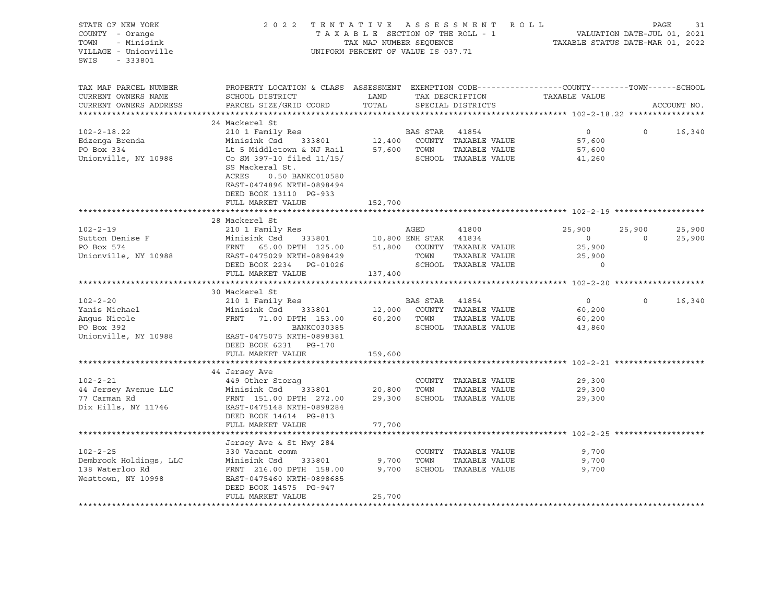| STATE OF NEW YORK                                         | 2022 TENTATIVE ASSESSMENT ROLL                                                                                                                                                                                                                     | PAGE<br>31     |                |                                    |                |                   |             |        |
|-----------------------------------------------------------|----------------------------------------------------------------------------------------------------------------------------------------------------------------------------------------------------------------------------------------------------|----------------|----------------|------------------------------------|----------------|-------------------|-------------|--------|
| COUNTY - Orange                                           |                                                                                                                                                                                                                                                    |                |                | TAXABLE SECTION OF THE ROLL - 1    |                |                   |             |        |
| - Minisink<br>TOWN                                        |                                                                                                                                                                                                                                                    |                |                |                                    |                |                   |             |        |
|                                                           | ROLL - 1<br>VALUATION DATE-JUL 01, 2021<br>TAXABLE STATUS DATE-MAR 01, 2022<br>TAX MAP NUMBER SEQUENCE<br>UNIFORM PERCENT OF VALUE IS 037.71                                                                                                       |                |                |                                    |                |                   |             |        |
| VILLAGE - Unionville                                      |                                                                                                                                                                                                                                                    |                |                |                                    |                |                   |             |        |
| SWIS - 333801                                             |                                                                                                                                                                                                                                                    |                |                |                                    |                |                   |             |        |
|                                                           |                                                                                                                                                                                                                                                    |                |                |                                    |                |                   |             |        |
|                                                           |                                                                                                                                                                                                                                                    |                |                |                                    |                |                   |             |        |
| TAX MAP PARCEL NUMBER                                     | PROPERTY LOCATION & CLASS ASSESSMENT EXEMPTION CODE----------------COUNTY-------TOWN-----SCHOOL                                                                                                                                                    |                |                |                                    |                |                   |             |        |
| CURRENT OWNERS NAME                                       | SCHOOL DISTRICT                                                                                                                                                                                                                                    |                |                | LAND TAX DESCRIPTION TAXABLE VALUE |                |                   |             |        |
| CURRENT OWNERS ADDRESS                                    | PARCEL SIZE/GRID COORD                                                                                                                                                                                                                             | TOTAL          |                | SPECIAL DISTRICTS                  |                |                   | ACCOUNT NO. |        |
|                                                           |                                                                                                                                                                                                                                                    |                |                |                                    |                |                   |             |        |
|                                                           | 24 Mackerel St                                                                                                                                                                                                                                     |                |                |                                    |                |                   |             |        |
| $102 - 2 - 18.22$                                         |                                                                                                                                                                                                                                                    |                |                |                                    | $\overline{0}$ | $\Omega$          | 16,340      |        |
|                                                           | Minisink Csd                                                                                                                                                                                                                                       |                |                |                                    | 57,600         |                   |             |        |
| Edzenga Brenda<br>PO Box 334<br>PO Box 334                |                                                                                                                                                                                                                                                    |                |                |                                    | 57,600         |                   |             |        |
| Unionville, NY 10988                                      | 210 1 Family Res<br>210 1 Family Res<br>Minisink Csd 333801<br>27,400 COUNTY TAXABLE VALUE<br>210 1 Family Res<br>212,400 COUNTY TAXABLE VALUE<br>27,600 TOWN TAXABLE VALUE<br>26 SCHOOL TAXABLE VALUE<br>26 SCHOOL TAXABLE VALUE                  |                |                |                                    |                |                   |             |        |
|                                                           |                                                                                                                                                                                                                                                    |                |                |                                    | 41,260         |                   |             |        |
|                                                           | SS Mackeral St.                                                                                                                                                                                                                                    |                |                |                                    |                |                   |             |        |
|                                                           | ACRES<br>0.50 BANKC010580                                                                                                                                                                                                                          |                |                |                                    |                |                   |             |        |
|                                                           | EAST-0474896 NRTH-0898494                                                                                                                                                                                                                          |                |                |                                    |                |                   |             |        |
|                                                           | DEED BOOK 13110 PG-933                                                                                                                                                                                                                             |                |                |                                    |                |                   |             |        |
|                                                           | FULL MARKET VALUE                                                                                                                                                                                                                                  | 152,700        |                |                                    |                |                   |             |        |
|                                                           |                                                                                                                                                                                                                                                    | ************** |                |                                    |                |                   |             |        |
|                                                           | 28 Mackerel St                                                                                                                                                                                                                                     |                |                |                                    |                |                   |             |        |
|                                                           |                                                                                                                                                                                                                                                    |                |                | 41800                              | 25,900         | 25,900            |             | 25,900 |
|                                                           | Sutton Denise F<br>PO Box 574<br>Unionville, NY 10988<br>Unionville, NY 10988<br>PO Box 574<br>EAST-0475029 NRTH-0898429<br>PO BOX 51,800 COUNTY TAXABLE<br>Unionville, NY 10988<br>PO BOX 574<br>FRNT 65.00 DPTH 125.00<br>EAST-0475029 NRTH-0898 |                |                |                                    | $\overline{0}$ | $\overline{0}$    |             | 25,900 |
|                                                           |                                                                                                                                                                                                                                                    |                |                |                                    |                |                   |             |        |
|                                                           |                                                                                                                                                                                                                                                    |                |                |                                    | 25,900         |                   |             |        |
|                                                           |                                                                                                                                                                                                                                                    |                |                |                                    |                |                   |             |        |
|                                                           |                                                                                                                                                                                                                                                    |                |                |                                    |                |                   |             |        |
|                                                           | FULL MARKET VALUE 137,400                                                                                                                                                                                                                          |                |                |                                    |                |                   |             |        |
|                                                           |                                                                                                                                                                                                                                                    |                |                |                                    |                |                   |             |        |
|                                                           | 30 Mackerel St                                                                                                                                                                                                                                     |                |                |                                    |                |                   |             |        |
| $102 - 2 - 20$                                            | 210 1 Family Res                                                                                                                                                                                                                                   |                | BAS STAR 41854 |                                    | $\overline{0}$ | $0 \qquad \qquad$ |             | 16,340 |
|                                                           |                                                                                                                                                                                                                                                    |                |                |                                    | 60,200         |                   |             |        |
| 102-2-20<br>Yanis Michael<br>Angus Nicole<br>Angus Nicole | Minisink Csd 333801 12,000 COUNTY TAXABLE VALUE<br>FRNT 71.00 DPTH 153.00 60,200 TOWN TAXABLE VALUE                                                                                                                                                |                |                |                                    | 60,200         |                   |             |        |
|                                                           | BANKC030385                                                                                                                                                                                                                                        |                |                | SCHOOL TAXABLE VALUE               | 43,860         |                   |             |        |
|                                                           |                                                                                                                                                                                                                                                    |                |                |                                    |                |                   |             |        |
|                                                           | Unionville, NY 10988 EAST-0475075 NRTH-0898381                                                                                                                                                                                                     |                |                |                                    |                |                   |             |        |
|                                                           | DEED BOOK 6231 PG-170                                                                                                                                                                                                                              |                |                |                                    |                |                   |             |        |
|                                                           | FULL MARKET VALUE                                                                                                                                                                                                                                  | 159,600        |                |                                    |                |                   |             |        |
|                                                           |                                                                                                                                                                                                                                                    |                |                |                                    |                |                   |             |        |
|                                                           | 44 Jersey Ave                                                                                                                                                                                                                                      |                |                |                                    |                |                   |             |        |
| $102 - 2 - 21$                                            | 449 Other Storag                                                                                                                                                                                                                                   |                |                | COUNTY TAXABLE VALUE               | 29,300         |                   |             |        |
| 44 Jersey Avenue LLC                                      | 449 Ocher Scorag<br>Minisink Csd 333801 20,800 TOWN                                                                                                                                                                                                |                |                | TAXABLE VALUE                      | 29,300         |                   |             |        |
| 77 Carman Rd                                              | FRNT 151.00 DPTH 272.00 29,300 SCHOOL TAXABLE VALUE                                                                                                                                                                                                |                |                |                                    | 29,300         |                   |             |        |
| Dix Hills, NY 11746                                       | EAST-0475148 NRTH-0898284                                                                                                                                                                                                                          |                |                |                                    |                |                   |             |        |
|                                                           |                                                                                                                                                                                                                                                    |                |                |                                    |                |                   |             |        |
|                                                           | DEED BOOK 14614 PG-813                                                                                                                                                                                                                             |                |                |                                    |                |                   |             |        |
|                                                           | FULL MARKET VALUE                                                                                                                                                                                                                                  | 77,700         |                |                                    |                |                   |             |        |
|                                                           |                                                                                                                                                                                                                                                    |                |                |                                    |                |                   |             |        |
|                                                           | Jersey Ave & St Hwy 284                                                                                                                                                                                                                            |                |                |                                    |                |                   |             |        |
| $102 - 2 - 25$                                            | 330 Vacant comm                                                                                                                                                                                                                                    |                |                | COUNTY TAXABLE VALUE               | 9,700          |                   |             |        |
| Dembrook Holdings, LLC                                    | Minisink Csd 333801 9,700 TOWN                                                                                                                                                                                                                     |                |                | TAXABLE VALUE                      | 9,700          |                   |             |        |
| 138 Waterloo Rd                                           | FRNT 216.00 DPTH 158.00                                                                                                                                                                                                                            | 9,700          |                | SCHOOL TAXABLE VALUE               | 9,700          |                   |             |        |
| Westtown, NY 10998                                        | EAST-0475460 NRTH-0898685                                                                                                                                                                                                                          |                |                |                                    |                |                   |             |        |
|                                                           | DEED BOOK 14575 PG-947                                                                                                                                                                                                                             |                |                |                                    |                |                   |             |        |
|                                                           | FULL MARKET VALUE                                                                                                                                                                                                                                  | 25,700         |                |                                    |                |                   |             |        |
|                                                           |                                                                                                                                                                                                                                                    |                |                |                                    |                |                   |             |        |
|                                                           |                                                                                                                                                                                                                                                    |                |                |                                    |                |                   |             |        |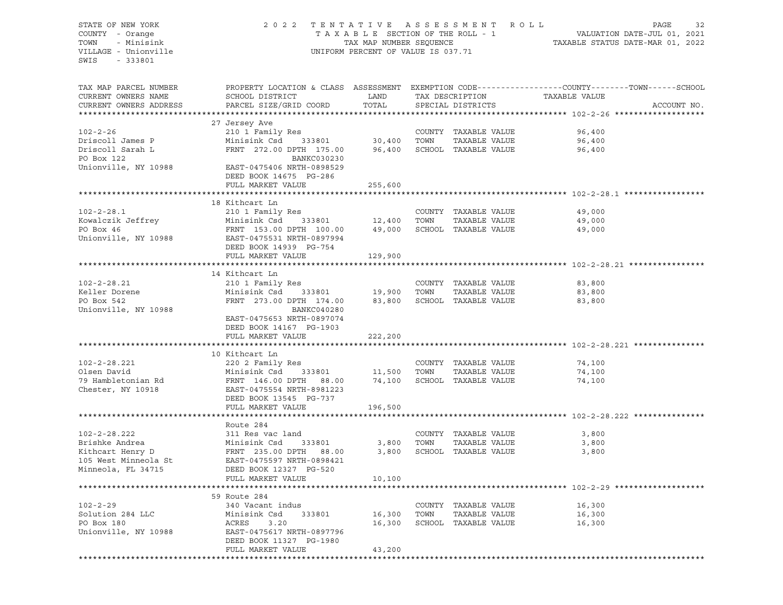STATE OF NEW YORK 2022 TENTATIVE ASSESSMENT ROLL PAGE 32 COUNTY - Orange T A X A B L E SECTION OF THE ROLL - 1 VALUATION DATE-JUL 01, 2021 TOWN - Minisink TAX MAP NUMBER SEQUENCE TAXABLE STATUS DATE-MAR 01, 2022 VILLAGE - Unionville **UNIFORM PERCENT OF VALUE IS 037.71** SWIS - 333801 TAX MAP PARCEL NUMBER PROPERTY LOCATION & CLASS ASSESSMENT EXEMPTION CODE------------------COUNTY--------TOWN------SCHOOL CURRENT OWNERS NAME SCHOOL DISTRICT LAND TAX DESCRIPTION TAXABLE VALUE PARCEL SIZE/GRID COORD TOTAL SPECIAL DISTRICTS TO ACCOUNT NO. \*\*\*\*\*\*\*\*\*\*\*\*\*\*\*\*\*\*\*\*\*\*\*\*\*\*\*\*\*\*\*\*\*\*\*\*\*\*\*\*\*\*\*\*\*\*\*\*\*\*\*\*\*\*\*\*\*\*\*\*\*\*\*\*\*\*\*\*\*\*\*\*\*\*\*\*\*\*\*\*\*\*\*\*\*\*\*\*\*\*\*\*\*\*\*\*\*\*\*\*\*\*\* 102-2-26 \*\*\*\*\*\*\*\*\*\*\*\*\*\*\*\*\*\*\* 27 Jersey Ave 102-2-26 210 1 Family Res COUNTY TAXABLE VALUE 96,400 Driscoll James P Minisink Csd 333801 30,400 TOWN TAXABLE VALUE 96,400 Driscoll Sarah L FRNT 272.00 DPTH 175.00 96,400 SCHOOL TAXABLE VALUE 96,400 PO Box 122 BANKC030230 Unionville, NY 10988 EAST-0475406 NRTH-0898529 DEED BOOK 14675 PG-286 FULL MARKET VALUE 255,600 \*\*\*\*\*\*\*\*\*\*\*\*\*\*\*\*\*\*\*\*\*\*\*\*\*\*\*\*\*\*\*\*\*\*\*\*\*\*\*\*\*\*\*\*\*\*\*\*\*\*\*\*\*\*\*\*\*\*\*\*\*\*\*\*\*\*\*\*\*\*\*\*\*\*\*\*\*\*\*\*\*\*\*\*\*\*\*\*\*\*\*\*\*\*\*\*\*\*\*\*\*\*\* 102-2-28.1 \*\*\*\*\*\*\*\*\*\*\*\*\*\*\*\*\* 18 Kithcart Ln 102-2-28.1 210 1 Family Res COUNTY TAXABLE VALUE 49,000 Kowalczik Jeffrey Minisink Csd 333801 12,400 TOWN TAXABLE VALUE 49,000 PO Box 46 FRNT 153.00 DPTH 100.00 49,000 SCHOOL TAXABLE VALUE 49,000 Unionville, NY 10988 EAST-0475531 NRTH-0897994 DEED BOOK 14939 PG-754 FULL MARKET VALUE 129,900 \*\*\*\*\*\*\*\*\*\*\*\*\*\*\*\*\*\*\*\*\*\*\*\*\*\*\*\*\*\*\*\*\*\*\*\*\*\*\*\*\*\*\*\*\*\*\*\*\*\*\*\*\*\*\*\*\*\*\*\*\*\*\*\*\*\*\*\*\*\*\*\*\*\*\*\*\*\*\*\*\*\*\*\*\*\*\*\*\*\*\*\*\*\*\*\*\*\*\*\*\*\*\* 102-2-28.21 \*\*\*\*\*\*\*\*\*\*\*\*\*\*\*\* 14 Kithcart Ln 102-2-28.21 210 1 Family Res COUNTY TAXABLE VALUE 83,800 Keller Dorene Minisink Csd 333801 19,900 TOWN TAXABLE VALUE 83,800 PO Box 542 FRNT 273.00 DPTH 174.00 83,800 SCHOOL TAXABLE VALUE 83,800 Unionville, NY 10988 BANKC040280 EAST-0475653 NRTH-0897074 DEED BOOK 14167 PG-1903 FULL MARKET VALUE 222,200 \*\*\*\*\*\*\*\*\*\*\*\*\*\*\*\*\*\*\*\*\*\*\*\*\*\*\*\*\*\*\*\*\*\*\*\*\*\*\*\*\*\*\*\*\*\*\*\*\*\*\*\*\*\*\*\*\*\*\*\*\*\*\*\*\*\*\*\*\*\*\*\*\*\*\*\*\*\*\*\*\*\*\*\*\*\*\*\*\*\*\*\*\*\*\*\*\*\*\*\*\*\*\* 102-2-28.221 \*\*\*\*\*\*\*\*\*\*\*\*\*\*\* 10 Kithcart Ln 102-2-28.221 220 2 Family Res COUNTY TAXABLE VALUE 74,100 Olsen David Minisink Csd 333801 11,500 TOWN TAXABLE VALUE 74,100 79 Hambletonian Rd FRNT 146.00 DPTH 88.00 74,100 SCHOOL TAXABLE VALUE 74,100 Chester, NY 10918 EAST-0475554 NRTH-8981223 DEED BOOK 13545 PG-737 FULL MARKET VALUE 196,500 \*\*\*\*\*\*\*\*\*\*\*\*\*\*\*\*\*\*\*\*\*\*\*\*\*\*\*\*\*\*\*\*\*\*\*\*\*\*\*\*\*\*\*\*\*\*\*\*\*\*\*\*\*\*\*\*\*\*\*\*\*\*\*\*\*\*\*\*\*\*\*\*\*\*\*\*\*\*\*\*\*\*\*\*\*\*\*\*\*\*\*\*\*\*\*\*\*\*\*\*\*\*\* 102-2-28.222 \*\*\*\*\*\*\*\*\*\*\*\*\*\*\* Route 284 102-2-28.222 311 Res vac land COUNTY TAXABLE VALUE 3,800 Brishke Andrea Minisink Csd 333801 3,800 TOWN TAXABLE VALUE 3,800 FRNT 235.00 DPTH 88.00 3,800 SCHOOL TAXABLE VALUE 3,800 105 West Minneola St EAST-0475597 NRTH-0898421 Minneola, FL 34715 DEED BOOK 12327 PG-520 FULL MARKET VALUE 10,100 \*\*\*\*\*\*\*\*\*\*\*\*\*\*\*\*\*\*\*\*\*\*\*\*\*\*\*\*\*\*\*\*\*\*\*\*\*\*\*\*\*\*\*\*\*\*\*\*\*\*\*\*\*\*\*\*\*\*\*\*\*\*\*\*\*\*\*\*\*\*\*\*\*\*\*\*\*\*\*\*\*\*\*\*\*\*\*\*\*\*\*\*\*\*\*\*\*\*\*\*\*\*\* 102-2-29 \*\*\*\*\*\*\*\*\*\*\*\*\*\*\*\*\*\*\* 59 Route 284 102-2-29 340 Vacant indus COUNTY TAXABLE VALUE 16,300 Solution 284 LLC **Minisink Csd** 333801 16,300 TOWN TAXABLE VALUE 16,300 PO Box 180 ACRES 3.20 16,300 SCHOOL TAXABLE VALUE 16,300 Unionville, NY 10988 EAST-0475617 NRTH-0897796 DEED BOOK 11327 PG-1980 FULL MARKET VALUE 43,200 \*\*\*\*\*\*\*\*\*\*\*\*\*\*\*\*\*\*\*\*\*\*\*\*\*\*\*\*\*\*\*\*\*\*\*\*\*\*\*\*\*\*\*\*\*\*\*\*\*\*\*\*\*\*\*\*\*\*\*\*\*\*\*\*\*\*\*\*\*\*\*\*\*\*\*\*\*\*\*\*\*\*\*\*\*\*\*\*\*\*\*\*\*\*\*\*\*\*\*\*\*\*\*\*\*\*\*\*\*\*\*\*\*\*\*\*\*\*\*\*\*\*\*\*\*\*\*\*\*\*\*\*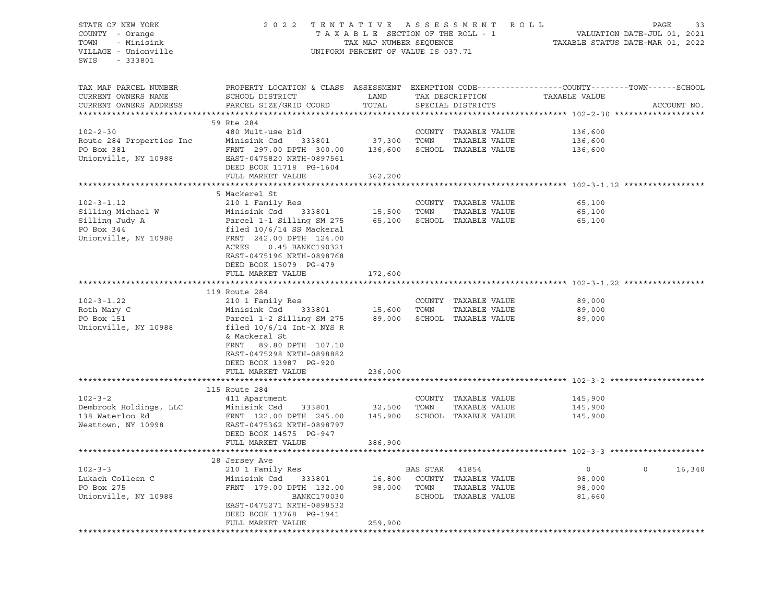# STATE OF NEW YORK 2 0 2 2 T E N T A T I V E A S S E S S M E N T R O L L PAGE 33 COUNTY - Orange T A X A B L E SECTION OF THE ROLL - 1 VALUATION DATE-JUL 01, 2021 TOWN - Minisink TAX MAP NUMBER SEQUENCE TAXABLE STATUS DATE-MAR 01, 2022 VILLAGE - Unionville **United Accord CONT** UNIFORM PERCENT OF VALUE IS 037.71

| TAX MAP PARCEL NUMBER    | PROPERTY LOCATION & CLASS ASSESSMENT EXEMPTION CODE---------------COUNTY-------TOWN------SCHOOL |                     |                |                                |                                                                |                    |
|--------------------------|-------------------------------------------------------------------------------------------------|---------------------|----------------|--------------------------------|----------------------------------------------------------------|--------------------|
| CURRENT OWNERS NAME      | SCHOOL DISTRICT                                                                                 | LAND                |                |                                | TAX DESCRIPTION TAXABLE VALUE                                  |                    |
| CURRENT OWNERS ADDRESS   | PARCEL SIZE/GRID COORD                                                                          | TOTAL               |                | SPECIAL DISTRICTS              |                                                                | ACCOUNT NO.        |
|                          |                                                                                                 |                     |                |                                |                                                                |                    |
|                          | 59 Rte 284                                                                                      |                     |                |                                |                                                                |                    |
| $102 - 2 - 30$           | 480 Mult-use bld                                                                                |                     |                | COUNTY TAXABLE VALUE           | 136,600                                                        |                    |
| Route 284 Properties Inc | Minisink Csd<br>333801                                                                          | 37,300              | TOWN           | TAXABLE VALUE                  | 136,600                                                        |                    |
| PO Box 381               | FRNT 297.00 DPTH 300.00                                                                         | 136,600             |                | SCHOOL TAXABLE VALUE           | 136,600                                                        |                    |
| Unionville, NY 10988     | EAST-0475820 NRTH-0897561                                                                       |                     |                |                                |                                                                |                    |
|                          | DEED BOOK 11718 PG-1604                                                                         |                     |                |                                |                                                                |                    |
|                          | FULL MARKET VALUE                                                                               | 362,200             |                |                                |                                                                |                    |
|                          | 5 Mackerel St                                                                                   |                     |                |                                |                                                                |                    |
| $102 - 3 - 1.12$         | 210 1 Family Res                                                                                |                     |                | COUNTY TAXABLE VALUE           | 65,100                                                         |                    |
| Silling Michael W        | 333801 15,500<br>Minisink Csd                                                                   |                     | TOWN           | TAXABLE VALUE                  | 65,100                                                         |                    |
| Silling Judy A           | Parcel 1-1 Silling SM 275                                                                       | 65,100              |                | SCHOOL TAXABLE VALUE           | 65,100                                                         |                    |
| PO Box 344               | filed 10/6/14 SS Mackeral                                                                       |                     |                |                                |                                                                |                    |
| Unionville, NY 10988     | FRNT 242.00 DPTH 124.00                                                                         |                     |                |                                |                                                                |                    |
|                          | ACRES<br>0.45 BANKC190321                                                                       |                     |                |                                |                                                                |                    |
|                          | EAST-0475196 NRTH-0898768                                                                       |                     |                |                                |                                                                |                    |
|                          | DEED BOOK 15079 PG-479                                                                          |                     |                |                                |                                                                |                    |
|                          | FULL MARKET VALUE                                                                               | 172,600             |                |                                |                                                                |                    |
|                          |                                                                                                 |                     |                |                                |                                                                |                    |
|                          | 119 Route 284                                                                                   |                     |                |                                |                                                                |                    |
| $102 - 3 - 1.22$         | 210 1 Family Res                                                                                |                     |                | COUNTY TAXABLE VALUE           | 89,000                                                         |                    |
| Roth Mary C              | Minisink Csd                                                                                    | 333801 15,600       | TOWN           | TAXABLE VALUE                  | 89,000                                                         |                    |
| PO Box 151               | Parcel 1-2 Silling SM 275                                                                       | 89,000              |                | SCHOOL TAXABLE VALUE           | 89,000                                                         |                    |
| Unionville, NY 10988     | filed $10/6/14$ Int-X NYS R                                                                     |                     |                |                                |                                                                |                    |
|                          | & Mackeral St                                                                                   |                     |                |                                |                                                                |                    |
|                          | FRNT 89.80 DPTH 107.10                                                                          |                     |                |                                |                                                                |                    |
|                          | EAST-0475298 NRTH-0898882                                                                       |                     |                |                                |                                                                |                    |
|                          | DEED BOOK 13987 PG-920                                                                          |                     |                |                                |                                                                |                    |
|                          | FULL MARKET VALUE                                                                               | 236,000             |                |                                |                                                                |                    |
|                          |                                                                                                 |                     |                |                                |                                                                |                    |
|                          | 115 Route 284                                                                                   |                     |                |                                |                                                                |                    |
| $102 - 3 - 2$            | 411 Apartment                                                                                   |                     |                | COUNTY TAXABLE VALUE           | 145,900                                                        |                    |
| Dembrook Holdings, LLC   | Minisink Csd<br>333801                                                                          | 32,500              | TOWN           | TAXABLE VALUE                  | 145,900                                                        |                    |
| 138 Waterloo Rd          | FRNT 122.00 DPTH 245.00                                                                         | 145,900             |                | SCHOOL TAXABLE VALUE           | 145,900                                                        |                    |
| Westtown, NY 10998       | EAST-0475362 NRTH-0898797                                                                       |                     |                |                                |                                                                |                    |
|                          | DEED BOOK 14575 PG-947                                                                          |                     |                |                                |                                                                |                    |
|                          | FULL MARKET VALUE                                                                               | 386,900             |                |                                |                                                                |                    |
|                          | *****************************                                                                   | ******************* |                |                                | ******************************** 102-3-3 ********************* |                    |
|                          | 28 Jersey Ave                                                                                   |                     |                |                                |                                                                |                    |
| $102 - 3 - 3$            | 210 1 Family Res                                                                                |                     | BAS STAR 41854 |                                | $\overline{0}$                                                 | 16,340<br>$\Omega$ |
| Lukach Colleen C         | Minisink Csd<br>333801                                                                          | 16,800              |                | COUNTY TAXABLE VALUE           | 98,000                                                         |                    |
| PO Box 275               | FRNT 179.00 DPTH 132.00                                                                         | 98,000              | TOWN           | TAXABLE VALUE                  | 98,000                                                         |                    |
| Unionville, NY 10988     | <b>BANKC170030</b>                                                                              |                     |                | SCHOOL TAXABLE VALUE           | 81,660                                                         |                    |
|                          | EAST-0475271 NRTH-0898532                                                                       |                     |                |                                |                                                                |                    |
|                          | DEED BOOK 13768 PG-1941                                                                         |                     |                |                                |                                                                |                    |
|                          | FULL MARKET VALUE                                                                               | 259,900             |                |                                |                                                                |                    |
|                          |                                                                                                 |                     |                | ****************************** |                                                                |                    |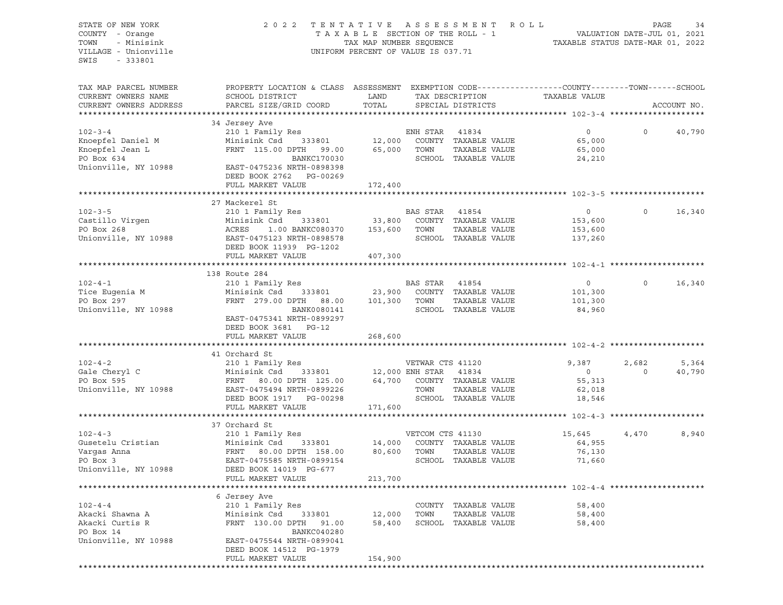STATE OF NEW YORK 20 2 2 TENTATIVE ASSESSMENT ROLL PAGE 34 COUNTY - Orange T A X A B L E SECTION OF THE ROLL - 1 VALUATION DATE-JUL 01, 2021 TOWN - Minisink TAX MAP NUMBER SEQUENCE TAXABLE STATUS DATE-MAR 01, 2022<br>TILLAGE - Unionville Taxable Taxable Status UNIFORM PERCENT OF VALUE IS 037.71 UNIFORM PERCENT OF VALUE IS 037.71 SWIS - 333801 TAX MAP PARCEL NUMBER PROPERTY LOCATION & CLASS ASSESSMENT EXEMPTION CODE----------------COUNTY-------TOWN-----SCHOOL CURRENT OWNERS NAME SCHOOL DISTRICT TAX DAND TAX DESCRIPTION TAXABLE VALUE CURRENT OWNERS ADDRESS PARCEL SIZE/GRID COORD TOTAL SPECIAL DISTRICTS ACCOUNT NO. \*\*\*\*\*\*\*\*\*\*\*\*\*\*\*\*\*\*\*\*\*\*\*\*\*\*\*\*\*\*\*\*\*\*\*\*\*\*\*\*\*\*\*\*\*\*\*\*\*\*\*\*\*\*\*\*\*\*\*\*\*\*\*\*\*\*\*\*\*\*\*\*\*\*\*\*\*\*\*\*\*\*\*\*\*\*\*\*\*\*\*\*\*\*\*\*\*\*\*\*\*\*\* 102-3-4 \*\*\*\*\*\*\*\*\*\*\*\*\*\*\*\*\*\*\*\* 34 Jersey Ave 102-3-4 210 1 Family Res ENH STAR 41834 0 0 40,790 Knoepfel Daniel M Minisink Csd 333801 12,000 COUNTY TAXABLE VALUE 65,000 Knoepfel Jean L ${\rm FNNT}$  115.00 DPTH 99.00  $65,000$  TOWN TAXABLE VALUE 65,000 COUNTY TAXABLE VALUE 65,000 و 12,000 COUNTY TAXABLE VALUE 65,000 ENCREDISE 115.00 DPTH 99.00<br>FRNT 115.00 DPTH 99.00 65,000 TOWN TAXABLE VALUE 65,000 65,000 ENCREDISE 24,210 Unionville, NY 10988 EAST-0475236 NRTH-0898398 DEED BOOK 2762 PG-00269 FULL MARKET VALUE 172,400 \*\*\*\*\*\*\*\*\*\*\*\*\*\*\*\*\*\*\*\*\*\*\*\*\*\*\*\*\*\*\*\*\*\*\*\*\*\*\*\*\*\*\*\*\*\*\*\*\*\*\*\*\*\*\*\*\*\*\*\*\*\*\*\*\*\*\*\*\*\*\*\*\*\*\*\*\*\*\*\*\*\*\*\*\*\*\*\*\*\*\*\*\*\*\*\*\*\*\*\*\*\*\* 102-3-5 \*\*\*\*\*\*\*\*\*\*\*\*\*\*\*\*\*\*\*\* 27 Mackerel St 102-3-5 210 1 Family Res BAS STAR 41854 0 0 16,340 Castillo Virgen Minisink Csd 333801 33,800 COUNTY TAXABLE VALUE 153,600 PO Box 268 ACRES 1.00 BANKC080370 153,600 TOWN TAXABLE VALUE 153,600 Unionville, NY 10988 EAST-0475123 NRTH-0898578 SCHOOL TAXABLE VALUE 137,260 DEED BOOK 11939 PG-1202 FULL MARKET VALUE 407,300 \*\*\*\*\*\*\*\*\*\*\*\*\*\*\*\*\*\*\*\*\*\*\*\*\*\*\*\*\*\*\*\*\*\*\*\*\*\*\*\*\*\*\*\*\*\*\*\*\*\*\*\*\*\*\*\*\*\*\*\*\*\*\*\*\*\*\*\*\*\*\*\*\*\*\*\*\*\*\*\*\*\*\*\*\*\*\*\*\*\*\*\*\*\*\*\*\*\*\*\*\*\*\* 102-4-1 \*\*\*\*\*\*\*\*\*\*\*\*\*\*\*\*\*\*\*\* 138 Route 284 102-4-1 210 1 Family Res BAS STAR 41854 0 0 16,340 Tice Eugenia M Minisink Csd 333801 23,900 COUNTY TAXABLE VALUE 101,300 PO Box 297 FRNT 279.00 DPTH 88.00 101,300 TOWN TAXABLE VALUE 101,300 Unionville, NY 10988 684,960 BANK0080141 SCHOOL TAXABLE VALUE 84,960 EAST-0475341 NRTH-0899297 DEED BOOK 3681 PG-12 FULL MARKET VALUE 268,600 \*\*\*\*\*\*\*\*\*\*\*\*\*\*\*\*\*\*\*\*\*\*\*\*\*\*\*\*\*\*\*\*\*\*\*\*\*\*\*\*\*\*\*\*\*\*\*\*\*\*\*\*\*\*\*\*\*\*\*\*\*\*\*\*\*\*\*\*\*\*\*\*\*\*\*\*\*\*\*\*\*\*\*\*\*\*\*\*\*\*\*\*\*\*\*\*\*\*\*\*\*\*\* 102-4-2 \*\*\*\*\*\*\*\*\*\*\*\*\*\*\*\*\*\*\*\* 41 Orchard St 102-4-2 210 1 Family Res VETWAR CTS 41120 9,387 2,682 5,364 Gale Cheryl C Minisink Csd 333801 12,000 ENH STAR 41834 0 0 40,790 PO Box 595 **FRNT 80.00 DPTH 125.00** 64,700 COUNTY TAXABLE VALUE 55,313 Unionville, NY 10988 EAST-0475494 NRTH-0899226 TOWN TAXABLE VALUE 62,018<br>DEED BOOK 1917 PG-00298 SCHOOL TAXABLE VALUE 18,546 DEED BOOK 1917 PG-00298 SCHOOL TAXABLE VALUE FULL MARKET VALUE 171,600 \*\*\*\*\*\*\*\*\*\*\*\*\*\*\*\*\*\*\*\*\*\*\*\*\*\*\*\*\*\*\*\*\*\*\*\*\*\*\*\*\*\*\*\*\*\*\*\*\*\*\*\*\*\*\*\*\*\*\*\*\*\*\*\*\*\*\*\*\*\*\*\*\*\*\*\*\*\*\*\*\*\*\*\*\*\*\*\*\*\*\*\*\*\*\*\*\*\*\*\*\*\*\* 102-4-3 \*\*\*\*\*\*\*\*\*\*\*\*\*\*\*\*\*\*\*\* 37 Orchard St 102-4-3 210 1 Family Res VETCOM CTS 41130 15,645 4,470 8,940 Gusetelu Cristian Minisink Csd 333801 14,000 COUNTY TAXABLE VALUE 64,955 Vargas Anna FRNT 80.00 DPTH 158.00 80,600 TOWN TAXABLE VALUE 76,130 PO Box 3 EAST-0475585 NRTH-0899154 SCHOOL TAXABLE VALUE 71,660 Unionville, NY 10988 DEED BOOK 14019 PG-677 FULL MARKET VALUE 213,700 \*\*\*\*\*\*\*\*\*\*\*\*\*\*\*\*\*\*\*\*\*\*\*\*\*\*\*\*\*\*\*\*\*\*\*\*\*\*\*\*\*\*\*\*\*\*\*\*\*\*\*\*\*\*\*\*\*\*\*\*\*\*\*\*\*\*\*\*\*\*\*\*\*\*\*\*\*\*\*\*\*\*\*\*\*\*\*\*\*\*\*\*\*\*\*\*\*\*\*\*\*\*\* 102-4-4 \*\*\*\*\*\*\*\*\*\*\*\*\*\*\*\*\*\*\*\* 6 Jersey Ave 102-4-4 210 1 Family Res COUNTY TAXABLE VALUE 58,400 Akacki Shawna A Minisink Csd 333801 12,000 TOWN TAXABLE VALUE 58,400 FRNT 130.00 DPTH 91.00 58,400 SCHOOL TAXABLE VALUE 58,400 PO Box 14 BANKC040280 Unionville, NY 10988 EAST-0475544 NRTH-0899041 DEED BOOK 14512 PG-1979 FULL MARKET VALUE 154,900 \*\*\*\*\*\*\*\*\*\*\*\*\*\*\*\*\*\*\*\*\*\*\*\*\*\*\*\*\*\*\*\*\*\*\*\*\*\*\*\*\*\*\*\*\*\*\*\*\*\*\*\*\*\*\*\*\*\*\*\*\*\*\*\*\*\*\*\*\*\*\*\*\*\*\*\*\*\*\*\*\*\*\*\*\*\*\*\*\*\*\*\*\*\*\*\*\*\*\*\*\*\*\*\*\*\*\*\*\*\*\*\*\*\*\*\*\*\*\*\*\*\*\*\*\*\*\*\*\*\*\*\*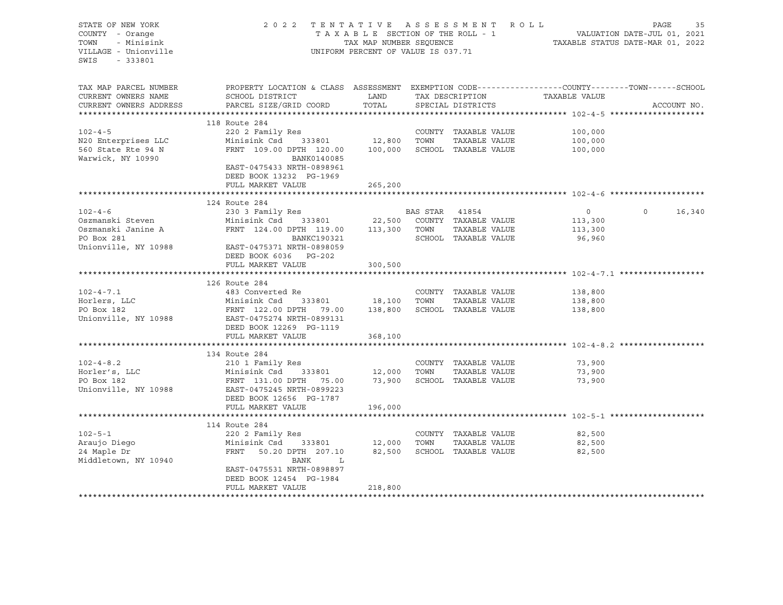STATE OF NEW YORK 2 0 2 2 T E N T A T I V E A S S E S S M E N T R O L L PAGE 35 COUNTY - Orange T A X A B L E SECTION OF THE ROLL - 1 TOWN - Minisink TAX MAP NUMBER SEQUENCE TAXABLE STATUS DATE-MAR 01, 2022<br>TILLAGE - Unionville Taxable Taxable Status UNIFORM PERCENT OF VALUE IS 037.71 UNIFORM PERCENT OF VALUE IS 037.71 SWIS - 333801 TAX MAP PARCEL NUMBER PROPERTY LOCATION & CLASS ASSESSMENT EXEMPTION CODE------------------COUNTY--------TOWN------SCHOOL CURRENT OWNERS NAME SCHOOL DISTRICT LAND TAX DESCRIPTION TAXABLE VALUE CURRENT OWNERS ADDRESS PARCEL SIZE/GRID COORD TOTAL SPECIAL DISTRICTS ACCOUNT NO. \*\*\*\*\*\*\*\*\*\*\*\*\*\*\*\*\*\*\*\*\*\*\*\*\*\*\*\*\*\*\*\*\*\*\*\*\*\*\*\*\*\*\*\*\*\*\*\*\*\*\*\*\*\*\*\*\*\*\*\*\*\*\*\*\*\*\*\*\*\*\*\*\*\*\*\*\*\*\*\*\*\*\*\*\*\*\*\*\*\*\*\*\*\*\*\*\*\*\*\*\*\*\* 102-4-5 \*\*\*\*\*\*\*\*\*\*\*\*\*\*\*\*\*\*\*\* 118 Route 284 102-4-5 220 2 Family Res COUNTY TAXABLE VALUE 100,000 N20 Enterprises LLC Minisink Csd 333801 12,800 TOWN TAXABLE VALUE 100,000 560 State Rte 94 N FRNT 109.00 DPTH 120.00 100,000 SCHOOL TAXABLE VALUE 100,000 MANINE CSO 333801<br>
S60 State Rte 94 N FRNT 109.00 DPTH 120.00<br>
Warwick, NY 10990 BANK0140085 EAST-0475433 NRTH-0898961 DEED BOOK 13232 PG-1969 FULL MARKET VALUE 265,200 \*\*\*\*\*\*\*\*\*\*\*\*\*\*\*\*\*\*\*\*\*\*\*\*\*\*\*\*\*\*\*\*\*\*\*\*\*\*\*\*\*\*\*\*\*\*\*\*\*\*\*\*\*\*\*\*\*\*\*\*\*\*\*\*\*\*\*\*\*\*\*\*\*\*\*\*\*\*\*\*\*\*\*\*\*\*\*\*\*\*\*\*\*\*\*\*\*\*\*\*\*\*\* 102-4-6 \*\*\*\*\*\*\*\*\*\*\*\*\*\*\*\*\*\*\*\* 124 Route 284 102-4-6 230 3 Family Res BAS STAR 41854 0 0 16,340 Oszmanski Steven Minisink Csd 333801 22,500 COUNTY TAXABLE VALUE 113,300 Oszmanski Janine A FRNT 124.00 DPTH 119.00 113,300 TOWN TAXABLE VALUE 113,300 PO Box 281 BANKC190321 SCHOOL TAXABLE VALUE 96,960 Unionville, NY 10988 EAST-0475371 NRTH-0898059 DEED BOOK 6036 PG-202 FULL MARKET VALUE 300,500 \*\*\*\*\*\*\*\*\*\*\*\*\*\*\*\*\*\*\*\*\*\*\*\*\*\*\*\*\*\*\*\*\*\*\*\*\*\*\*\*\*\*\*\*\*\*\*\*\*\*\*\*\*\*\*\*\*\*\*\*\*\*\*\*\*\*\*\*\*\*\*\*\*\*\*\*\*\*\*\*\*\*\*\*\*\*\*\*\*\*\*\*\*\*\*\*\*\*\*\*\*\*\* 102-4-7.1 \*\*\*\*\*\*\*\*\*\*\*\*\*\*\*\*\*\* 126 Route 284 102-4-7.1 483 Converted Re COUNTY TAXABLE VALUE 138,800 Horlers, LLC Minisink Csd 333801 18,100 TOWN TAXABLE VALUE 138,800 PO Box 182 FRNT 122.00 DPTH 79.00 138,800 SCHOOL TAXABLE VALUE 138,800 ISBN 138,800<br>Unionville. NY 10988 EAST-0475274 NRTH-0899131 Unionville, NY 10988 EAST-0475274 NRTH-0899131 DEED BOOK 12269 PG-1119 FULL MARKET VALUE 368,100 \*\*\*\*\*\*\*\*\*\*\*\*\*\*\*\*\*\*\*\*\*\*\*\*\*\*\*\*\*\*\*\*\*\*\*\*\*\*\*\*\*\*\*\*\*\*\*\*\*\*\*\*\*\*\*\*\*\*\*\*\*\*\*\*\*\*\*\*\*\*\*\*\*\*\*\*\*\*\*\*\*\*\*\*\*\*\*\*\*\*\*\*\*\*\*\*\*\*\*\*\*\*\* 102-4-8.2 \*\*\*\*\*\*\*\*\*\*\*\*\*\*\*\*\*\* 134 Route 284 102-4-8.2 210 1 Family Res COUNTY TAXABLE VALUE 73,900 Horler's, LLC Minisink Csd 333801 12,000 TOWN TAXABLE VALUE 73,900 PO Box 182 FRNT 131.00 DPTH 75.00 73,900 SCHOOL TAXABLE VALUE 73,900 Unionville, NY 10988 EAST-0475245 NRTH-0899223 DEED BOOK 12656 PG-1787 FULL MARKET VALUE 196,000 \*\*\*\*\*\*\*\*\*\*\*\*\*\*\*\*\*\*\*\*\*\*\*\*\*\*\*\*\*\*\*\*\*\*\*\*\*\*\*\*\*\*\*\*\*\*\*\*\*\*\*\*\*\*\*\*\*\*\*\*\*\*\*\*\*\*\*\*\*\*\*\*\*\*\*\*\*\*\*\*\*\*\*\*\*\*\*\*\*\*\*\*\*\*\*\*\*\*\*\*\*\*\* 102-5-1 \*\*\*\*\*\*\*\*\*\*\*\*\*\*\*\*\*\*\*\* 114 Route 284 102-5-1 220 2 Family Res COUNTY TAXABLE VALUE 82,500 Araujo Diego Minisink Csd 333801 12,000 TOWN TAXABLE VALUE 82,500 24 Maple Dr FRNT 50.20 DPTH 207.10 82,500 SCHOOL TAXABLE VALUE 82,500 Middletown, NY 10940 BANK L EAST-0475531 NRTH-0898897 DEED BOOK 12454 PG-1984 FULL MARKET VALUE 218,800 \*\*\*\*\*\*\*\*\*\*\*\*\*\*\*\*\*\*\*\*\*\*\*\*\*\*\*\*\*\*\*\*\*\*\*\*\*\*\*\*\*\*\*\*\*\*\*\*\*\*\*\*\*\*\*\*\*\*\*\*\*\*\*\*\*\*\*\*\*\*\*\*\*\*\*\*\*\*\*\*\*\*\*\*\*\*\*\*\*\*\*\*\*\*\*\*\*\*\*\*\*\*\*\*\*\*\*\*\*\*\*\*\*\*\*\*\*\*\*\*\*\*\*\*\*\*\*\*\*\*\*\*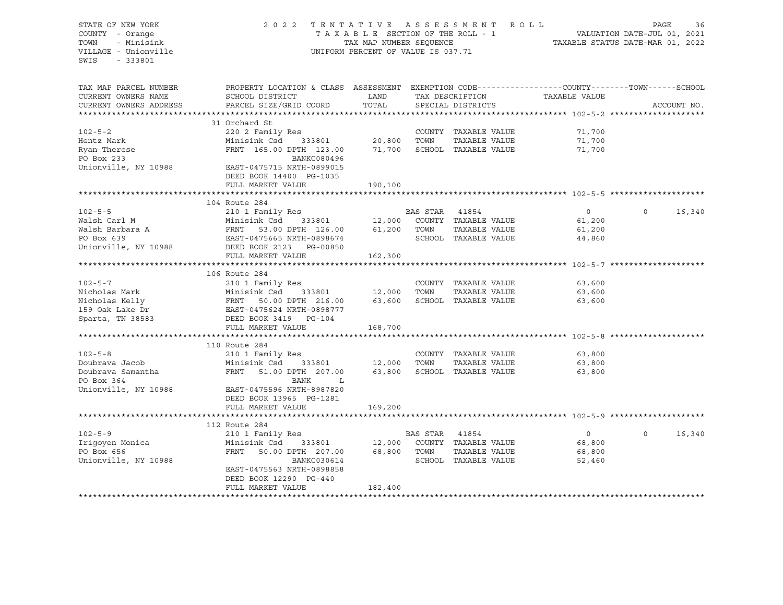STATE OF NEW YORK 2 0 2 2 T E N T A T I V E A S S E S S M E N T R O L L PAGE 36 COUNTY - Orange T A X A B L E SECTION OF THE ROLL - 1 TOWN - Minisink TAX MAP NUMBER SEQUENCE TAXABLE STATUS DATE-MAR 01, 2022<br>TILLAGE - Unionville Taxable Taxable Status UNIFORM PERCENT OF VALUE IS 037.71 UNIFORM PERCENT OF VALUE IS 037.71 SWIS - 333801 TAX MAP PARCEL NUMBER PROPERTY LOCATION & CLASS ASSESSMENT EXEMPTION CODE----------------COUNTY-------TOWN-----SCHOOL CURRENT OWNERS NAME SCHOOL DISTRICT LAND TAX DESCRIPTION TAXABLE VALUE CURRENT OWNERS ADDRESS PARCEL SIZE/GRID COORD TOTAL SPECIAL DISTRICTS ACCOUNT NO. \*\*\*\*\*\*\*\*\*\*\*\*\*\*\*\*\*\*\*\*\*\*\*\*\*\*\*\*\*\*\*\*\*\*\*\*\*\*\*\*\*\*\*\*\*\*\*\*\*\*\*\*\*\*\*\*\*\*\*\*\*\*\*\*\*\*\*\*\*\*\*\*\*\*\*\*\*\*\*\*\*\*\*\*\*\*\*\*\*\*\*\*\*\*\*\*\*\*\*\*\*\*\* 102-5-2 \*\*\*\*\*\*\*\*\*\*\*\*\*\*\*\*\*\*\*\* 31 Orchard St 102-5-2 220 2 Family Res COUNTY TAXABLE VALUE 71,700 Hentz Mark Minisink Csd 333801 20,800 TOWN TAXABLE VALUE 71,700 Ryan Therese FRNT 165.00 DPTH 123.00 71,700 SCHOOL TAXABLE VALUE 71,700 Ryan Therese <br>
PO Box 233 BANKC080496<br>
Unionville, NY 10988 <br>
EAST-0475715 NRTH-0899015 EAST-0475715 NRTH-0899015 DEED BOOK 14400 PG-1035 FULL MARKET VALUE 190,100 \*\*\*\*\*\*\*\*\*\*\*\*\*\*\*\*\*\*\*\*\*\*\*\*\*\*\*\*\*\*\*\*\*\*\*\*\*\*\*\*\*\*\*\*\*\*\*\*\*\*\*\*\*\*\*\*\*\*\*\*\*\*\*\*\*\*\*\*\*\*\*\*\*\*\*\*\*\*\*\*\*\*\*\*\*\*\*\*\*\*\*\*\*\*\*\*\*\*\*\*\*\*\* 102-5-5 \*\*\*\*\*\*\*\*\*\*\*\*\*\*\*\*\*\*\*\* 104 Route 284 102-5-5 210 1 Family Res BAS STAR 41854 0 0 16,340 Walsh Carl M Minisink Csd 333801 12,000 COUNTY TAXABLE VALUE 61,200 Walsh Barbara A FRNT 53.00 DPTH 126.00 61,200 TOWN TAXABLE VALUE 61,200 EAST-0475665 NRTH-0898674 SCHOOL TAXABLE VALUE 44,860 Unionville, NY 10988 DEED BOOK 2123 PG-00850 FULL MARKET VALUE 162,300 \*\*\*\*\*\*\*\*\*\*\*\*\*\*\*\*\*\*\*\*\*\*\*\*\*\*\*\*\*\*\*\*\*\*\*\*\*\*\*\*\*\*\*\*\*\*\*\*\*\*\*\*\*\*\*\*\*\*\*\*\*\*\*\*\*\*\*\*\*\*\*\*\*\*\*\*\*\*\*\*\*\*\*\*\*\*\*\*\*\*\*\*\*\*\*\*\*\*\*\*\*\*\* 102-5-7 \*\*\*\*\*\*\*\*\*\*\*\*\*\*\*\*\*\*\*\* 106 Route 284 102-5-7 210 1 Family Res COUNTY TAXABLE VALUE 63,600 Nicholas Mark Minisink Csd 333801 12,000 TOWN TAXABLE VALUE 63,600 Nicholas Kelly FRNT 50.00 DPTH 216.00 63,600 SCHOOL TAXABLE VALUE 63,600 EAST-0475624 NRTH-0898777 Sparta, TN 38583 DEED BOOK 3419 PG-104 FULL MARKET VALUE 168,700 \*\*\*\*\*\*\*\*\*\*\*\*\*\*\*\*\*\*\*\*\*\*\*\*\*\*\*\*\*\*\*\*\*\*\*\*\*\*\*\*\*\*\*\*\*\*\*\*\*\*\*\*\*\*\*\*\*\*\*\*\*\*\*\*\*\*\*\*\*\*\*\*\*\*\*\*\*\*\*\*\*\*\*\*\*\*\*\*\*\*\*\*\*\*\*\*\*\*\*\*\*\*\* 102-5-8 \*\*\*\*\*\*\*\*\*\*\*\*\*\*\*\*\*\*\*\* 110 Route 284 102-5-8 210 1 Family Res COUNTY TAXABLE VALUE 63,800 Doubrava Jacob Minisink Csd 333801 12,000 TOWN TAXABLE VALUE 63,800 Doubrava Samantha FRNT 51.00 DPTH 207.00 63,800 SCHOOL TAXABLE VALUE 63,800 PO Box 364 BANK L<br>
Unionville, NY 10988 BAST-0475596 NRTH-8987820 Unionville, NY 10988 EAST-0475596 NRTH-8987820 DEED BOOK 13965 PG-1281 FULL MARKET VALUE 169,200 \*\*\*\*\*\*\*\*\*\*\*\*\*\*\*\*\*\*\*\*\*\*\*\*\*\*\*\*\*\*\*\*\*\*\*\*\*\*\*\*\*\*\*\*\*\*\*\*\*\*\*\*\*\*\*\*\*\*\*\*\*\*\*\*\*\*\*\*\*\*\*\*\*\*\*\*\*\*\*\*\*\*\*\*\*\*\*\*\*\*\*\*\*\*\*\*\*\*\*\*\*\*\* 102-5-9 \*\*\*\*\*\*\*\*\*\*\*\*\*\*\*\*\*\*\*\* 112 Route 284 102-5-9 210 1 Family Res BAS STAR 41854 0 0 16,340 Irigoyen Monica Minisink Csd 333801 12,000 COUNTY TAXABLE VALUE 68,800 PO Box 656 FRNT 50.00 DPTH 207.00 68,800 TOWN TAXABLE VALUE Unionville, NY 10988 68 BANKC030614 SCHOOL TAXABLE VALUE 52,460 EAST-0475563 NRTH-0898858 DEED BOOK 12290 PG-440 FULL MARKET VALUE 182,400 \*\*\*\*\*\*\*\*\*\*\*\*\*\*\*\*\*\*\*\*\*\*\*\*\*\*\*\*\*\*\*\*\*\*\*\*\*\*\*\*\*\*\*\*\*\*\*\*\*\*\*\*\*\*\*\*\*\*\*\*\*\*\*\*\*\*\*\*\*\*\*\*\*\*\*\*\*\*\*\*\*\*\*\*\*\*\*\*\*\*\*\*\*\*\*\*\*\*\*\*\*\*\*\*\*\*\*\*\*\*\*\*\*\*\*\*\*\*\*\*\*\*\*\*\*\*\*\*\*\*\*\*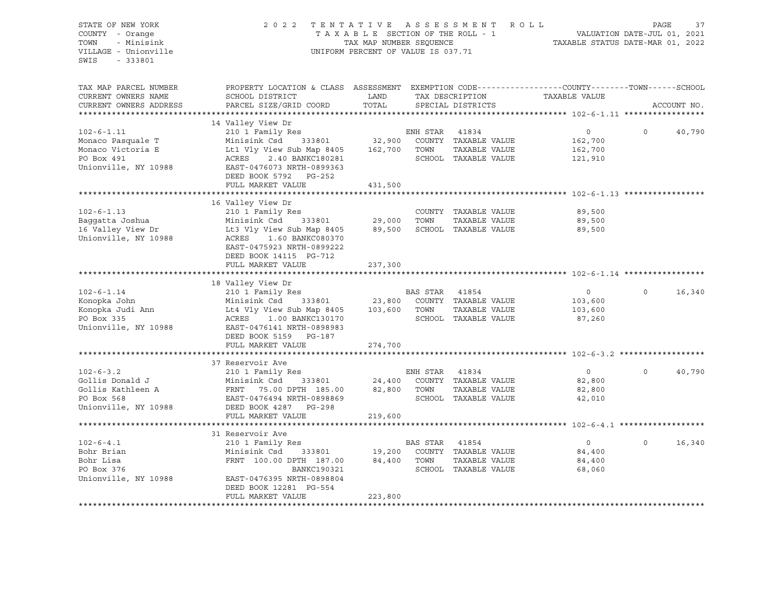| STATE OF NEW YORK      | 2 0 2 2                                                                                        |                                    |                | TENTATIVE ASSESSMENT ROLL                                |                                  | PAGE     | 37          |
|------------------------|------------------------------------------------------------------------------------------------|------------------------------------|----------------|----------------------------------------------------------|----------------------------------|----------|-------------|
| COUNTY - Orange        |                                                                                                | TAXABLE SECTION OF THE ROLL - 1    |                |                                                          | VALUATION DATE-JUL 01, 2021      |          |             |
| TOWN<br>- Minisink     |                                                                                                | TAX MAP NUMBER SEQUENCE            |                |                                                          | TAXABLE STATUS DATE-MAR 01, 2022 |          |             |
|                        |                                                                                                |                                    |                |                                                          |                                  |          |             |
| VILLAGE - Unionville   |                                                                                                | UNIFORM PERCENT OF VALUE IS 037.71 |                |                                                          |                                  |          |             |
| SWIS<br>- 333801       |                                                                                                |                                    |                |                                                          |                                  |          |             |
|                        |                                                                                                |                                    |                |                                                          |                                  |          |             |
|                        |                                                                                                |                                    |                |                                                          |                                  |          |             |
| TAX MAP PARCEL NUMBER  | PROPERTY LOCATION & CLASS ASSESSMENT EXEMPTION CODE---------------COUNTY-------TOWN-----SCHOOL |                                    |                |                                                          |                                  |          |             |
| CURRENT OWNERS NAME    | SCHOOL DISTRICT                                                                                | LAND                               |                | TAX DESCRIPTION                                          | TAXABLE VALUE                    |          |             |
| CURRENT OWNERS ADDRESS | PARCEL SIZE/GRID COORD                                                                         | TOTAL                              |                | SPECIAL DISTRICTS                                        |                                  |          | ACCOUNT NO. |
| ********************** |                                                                                                |                                    |                |                                                          |                                  |          |             |
|                        |                                                                                                |                                    |                |                                                          |                                  |          |             |
|                        | 14 Valley View Dr                                                                              |                                    |                |                                                          |                                  |          |             |
| $102 - 6 - 1.11$       | 210 1 Family Res                                                                               |                                    | ENH STAR 41834 |                                                          | $\overline{0}$                   | $\Omega$ | 40,790      |
| Monaco Pasquale T      | Minisink Csd                                                                                   |                                    |                | 333801 32,900 COUNTY TAXABLE VALUE                       | 162,700                          |          |             |
| Monaco Victoria E      | Lt1 Vly View Sub Map 8405 162,700 TOWN                                                         |                                    |                | TAXABLE VALUE                                            | 162,700                          |          |             |
| PO Box 491             | ACRES 2.40 BANKC180281                                                                         |                                    |                | SCHOOL TAXABLE VALUE                                     | 121,910                          |          |             |
|                        |                                                                                                |                                    |                |                                                          |                                  |          |             |
| Unionville, NY 10988   | EAST-0476073 NRTH-0899363                                                                      |                                    |                |                                                          |                                  |          |             |
|                        | DEED BOOK 5792 PG-252                                                                          |                                    |                |                                                          |                                  |          |             |
|                        | FULL MARKET VALUE                                                                              | 431,500                            |                |                                                          |                                  |          |             |
|                        |                                                                                                |                                    |                |                                                          |                                  |          |             |
|                        | 16 Valley View Dr                                                                              |                                    |                |                                                          |                                  |          |             |
| $102 - 6 - 1.13$       | 210 1 Family Res                                                                               |                                    |                | COUNTY TAXABLE VALUE                                     | 89,500                           |          |             |
|                        |                                                                                                | 29,000                             |                |                                                          |                                  |          |             |
| Baggatta Joshua        | 333801<br>Minisink Csd                                                                         |                                    | TOWN           | TAXABLE VALUE                                            | 89,500                           |          |             |
| 16 Valley View Dr      | Lt3 Vly View Sub Map 8405                                                                      |                                    |                | 89,500 SCHOOL TAXABLE VALUE                              | 89,500                           |          |             |
| Unionville, NY 10988   | ACRES 1.60 BANKC080370                                                                         |                                    |                |                                                          |                                  |          |             |
|                        | EAST-0475923 NRTH-0899222                                                                      |                                    |                |                                                          |                                  |          |             |
|                        | DEED BOOK 14115 PG-712                                                                         |                                    |                |                                                          |                                  |          |             |
|                        | FULL MARKET VALUE                                                                              | 237,300                            |                |                                                          |                                  |          |             |
|                        |                                                                                                |                                    |                |                                                          |                                  |          |             |
|                        |                                                                                                |                                    |                |                                                          |                                  |          |             |
|                        | 18 Valley View Dr                                                                              |                                    |                |                                                          |                                  |          |             |
| $102 - 6 - 1.14$       | 210 1 Family Res                                                                               |                                    | BAS STAR 41854 |                                                          | $\circ$                          | $\Omega$ | 16,340      |
| Konopka John           | Minisink Csd 333801                                                                            |                                    |                | 23,800 COUNTY TAXABLE VALUE                              | 103,600                          |          |             |
| Konopka Judi Ann       | Lt4 Vly View Sub Map 8405 103,600 TOWN                                                         |                                    |                | TAXABLE VALUE                                            | 103,600                          |          |             |
| PO Box 335             | ACRES 1.00 BANKC130170                                                                         |                                    |                | SCHOOL TAXABLE VALUE                                     | 87,260                           |          |             |
| Unionville, NY 10988   | EAST-0476141 NRTH-0898983                                                                      |                                    |                |                                                          |                                  |          |             |
|                        |                                                                                                |                                    |                |                                                          |                                  |          |             |
|                        | DEED BOOK 5159 PG-187                                                                          |                                    |                |                                                          |                                  |          |             |
|                        | FULL MARKET VALUE                                                                              | 274,700                            |                |                                                          |                                  |          |             |
|                        |                                                                                                |                                    |                |                                                          |                                  |          |             |
|                        | 37 Reservoir Ave                                                                               |                                    |                |                                                          |                                  |          |             |
| $102 - 6 - 3.2$        | 210 1 Family Res                                                                               |                                    | ENH STAR 41834 |                                                          | $\overline{0}$                   | $\circ$  | 40,790      |
| Gollis Donald J        | Minisink Csd<br>333801                                                                         | 24,400                             |                | COUNTY TAXABLE VALUE                                     | 82,800                           |          |             |
|                        |                                                                                                |                                    |                |                                                          |                                  |          |             |
| Gollis Kathleen A      | FRNT 75.00 DPTH 185.00                                                                         | 82,800 TOWN                        |                | TAXABLE VALUE                                            | 82,800                           |          |             |
| PO Box 568             | EAST-0476494 NRTH-0898869                                                                      |                                    |                | SCHOOL TAXABLE VALUE                                     | 42,010                           |          |             |
| Unionville, NY 10988   | DEED BOOK 4287 PG-298                                                                          |                                    |                |                                                          |                                  |          |             |
|                        | FULL MARKET VALUE                                                                              | 219,600                            |                |                                                          |                                  |          |             |
|                        |                                                                                                |                                    |                |                                                          |                                  |          |             |
|                        | 31 Reservoir Ave                                                                               |                                    |                |                                                          |                                  |          |             |
|                        |                                                                                                |                                    |                |                                                          |                                  | $\Omega$ |             |
| $102 - 6 - 4.1$        | 210 1 Family Res                                                                               |                                    |                |                                                          | $\overline{0}$                   |          | 16,340      |
| Bohr Brian             | Minisink Csd<br>333801                                                                         |                                    |                | 19,200 COUNTY TAXABLE VALUE<br>84,400 TOWN marrier VALUE | 84,400                           |          |             |
| Bohr Lisa              | FRNT 100.00 DPTH 187.00                                                                        |                                    |                |                                                          | 84,400                           |          |             |
| PO Box 376             | BANKC190321                                                                                    |                                    |                | SCHOOL TAXABLE VALUE                                     | 68,060                           |          |             |
| Unionville, NY 10988   | EAST-0476395 NRTH-0898804                                                                      |                                    |                |                                                          |                                  |          |             |
|                        | DEED BOOK 12281 PG-554                                                                         |                                    |                |                                                          |                                  |          |             |
|                        | FULL MARKET VALUE                                                                              | 223,800                            |                |                                                          |                                  |          |             |
|                        |                                                                                                |                                    |                |                                                          |                                  |          |             |
|                        |                                                                                                |                                    |                |                                                          |                                  |          |             |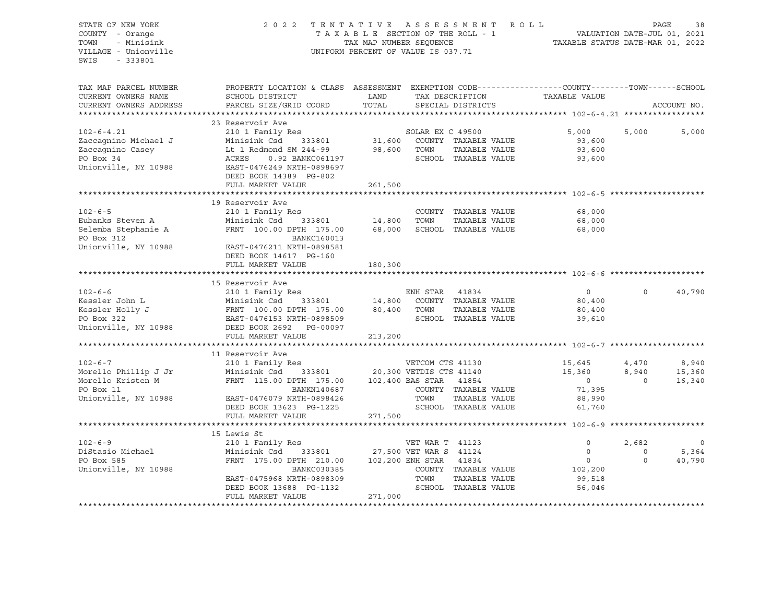STATE OF NEW YORK 2 0 2 2 T E N T A T I V E A S S E S S M E N T R O L L PAGE 38 COUNTY - Orange T A X A B L E SECTION OF THE ROLL - 1 TOWN - Minisink TAX MAP NUMBER SEQUENCE TAXABLE STATUS DATE-MAR 01, 2022<br>TILLAGE - Unionville Taxable Taxable Status UNIFORM PERCENT OF VALUE IS 037.71 UNIFORM PERCENT OF VALUE IS 037.71 SWIS - 333801 TAX MAP PARCEL NUMBER PROPERTY LOCATION & CLASS ASSESSMENT EXEMPTION CODE------------------COUNTY--------TOWN------SCHOOL CURRENT OWNERS NAME SCHOOL DISTRICT LAND TAX DESCRIPTION TAXABLE VALUE CURRENT OWNERS ADDRESS PARCEL SIZE/GRID COORD TOTAL SPECIAL DISTRICTS ACCOUNT NO. \*\*\*\*\*\*\*\*\*\*\*\*\*\*\*\*\*\*\*\*\*\*\*\*\*\*\*\*\*\*\*\*\*\*\*\*\*\*\*\*\*\*\*\*\*\*\*\*\*\*\*\*\*\*\*\*\*\*\*\*\*\*\*\*\*\*\*\*\*\*\*\*\*\*\*\*\*\*\*\*\*\*\*\*\*\*\*\*\*\*\*\*\*\*\*\*\*\*\*\*\*\*\* 102-6-4.21 \*\*\*\*\*\*\*\*\*\*\*\*\*\*\*\*\* 23 Reservoir Ave 102-6-4.21 210 1 Family Res SOLAR EX C 49500 5,000 5,000 5,000 Zaccagnino Michael J Minisink Csd 333801 31,600 COUNTY TAXABLE VALUE 93,600 Zaccagnino Casey Lt 1 Redmond SM 244-99 98,600 TOWN TAXABLE VALUE 93,600 PO Box 34 ACRES 0.92 BANKC061197 SCHOOL TAXABLE VALUE 93,600 Unionville, NY 10988 EAST-0476249 NRTH-0898697 DEED BOOK 14389 PG-802 FULL MARKET VALUE 261,500 \*\*\*\*\*\*\*\*\*\*\*\*\*\*\*\*\*\*\*\*\*\*\*\*\*\*\*\*\*\*\*\*\*\*\*\*\*\*\*\*\*\*\*\*\*\*\*\*\*\*\*\*\*\*\*\*\*\*\*\*\*\*\*\*\*\*\*\*\*\*\*\*\*\*\*\*\*\*\*\*\*\*\*\*\*\*\*\*\*\*\*\*\*\*\*\*\*\*\*\*\*\*\* 102-6-5 \*\*\*\*\*\*\*\*\*\*\*\*\*\*\*\*\*\*\*\* 19 Reservoir Ave 102-6-5 210 1 Family Res COUNTY TAXABLE VALUE 68,000 Eubanks Steven A Minisink Csd 333801 14,800 TOWN TAXABLE VALUE 68,000 Selemba Stephanie A FRNT 100.00 DPTH 175.00 68,000 SCHOOL TAXABLE VALUE 68,000 PO Box 312 BANKC160013 Unionville, NY 10988 EAST-0476211 NRTH-0898581 DEED BOOK 14617 PG-160 FULL MARKET VALUE 180,300 \*\*\*\*\*\*\*\*\*\*\*\*\*\*\*\*\*\*\*\*\*\*\*\*\*\*\*\*\*\*\*\*\*\*\*\*\*\*\*\*\*\*\*\*\*\*\*\*\*\*\*\*\*\*\*\*\*\*\*\*\*\*\*\*\*\*\*\*\*\*\*\*\*\*\*\*\*\*\*\*\*\*\*\*\*\*\*\*\*\*\*\*\*\*\*\*\*\*\*\*\*\*\* 102-6-6 \*\*\*\*\*\*\*\*\*\*\*\*\*\*\*\*\*\*\*\* 15 Reservoir Ave 102-6-6 210 1 Family Res ENH STAR 41834 0 0 40,790 Kessler John L Minisink Csd 333801 14,800 COUNTY TAXABLE VALUE 80,400 Kessler Holly J FRNT 100.00 DPTH 175.00 80,400 TOWN TAXABLE VALUE 80,400 PO Box 322 EAST-0476153 NRTH-0898509 SCHOOL TAXABLE VALUE 39,610 Unionville, NY 10988 DEED BOOK 2692 PG-00097 FULL MARKET VALUE 213,200 \*\*\*\*\*\*\*\*\*\*\*\*\*\*\*\*\*\*\*\*\*\*\*\*\*\*\*\*\*\*\*\*\*\*\*\*\*\*\*\*\*\*\*\*\*\*\*\*\*\*\*\*\*\*\*\*\*\*\*\*\*\*\*\*\*\*\*\*\*\*\*\*\*\*\*\*\*\*\*\*\*\*\*\*\*\*\*\*\*\*\*\*\*\*\*\*\*\*\*\*\*\*\* 102-6-7 \*\*\*\*\*\*\*\*\*\*\*\*\*\*\*\*\*\*\*\* 11 Reservoir Ave 102-6-7 102-6-7 210 1 Family Res 2001 Family Res 20,300 VETCOM CTS 41130 15,645 4,470 8,940<br>15,360 8,940 15,360 15,360 16,340 15,360 167H 175.00 102,400 BAS STAR 41854 15,360 15,360 16,340 Minisink Csd 333801 20,300 VETDIS CTS 41140 FRNT 115.00 DPTH 175.00 102,400 BAS STAR 41854 0 0 0 16,340 PO Box 11 BANKN140687 COUNTY TAXABLE VALUE 71,395 Unionville, NY 10988 EAST-0476079 NRTH-0898426 TOWN TAXABLE VALUE 88,990 DEED BOOK 13623 PG-1225 SCHOOL TAXABLE VALUE 61,760 FULL MARKET VALUE FULL MARKET VALUE \*\*\*\*\*\*\*\*\*\*\*\*\*\*\*\*\*\*\*\*\*\*\*\*\*\*\*\*\*\*\*\*\*\*\*\*\*\*\*\*\*\*\*\*\*\*\*\*\*\*\*\*\*\*\*\*\*\*\*\*\*\*\*\*\*\*\*\*\*\*\*\*\*\*\*\*\*\*\*\*\*\*\*\*\*\*\*\*\*\*\*\*\*\*\*\*\*\*\*\*\*\*\* 102-6-9 \*\*\*\*\*\*\*\*\*\*\*\*\*\*\*\*\*\*\*\* 15 Lewis St 102-6-9 210 1 Family Res VET WAR T 41123 0 2,682 0 DiStasio Michael Minisink Csd 333801 27,500 VET WAR S 41124 0 0 5,364 PO Box 585 FRNT 175.00 DPTH 210.00 102,200 ENH STAR 41834 0 0 40,790 Unionville, NY 10988 BANKC030385 COUNTY TAXABLE VALUE 102,200 EAST-0475968 NRTH-0898309 TOWN TAXABLE VALUE 99,518 DEED BOOK 13688 PG-1132 SCHOOL TAXABLE VALUE 56,046 FULL MARKET VALUE \*\*\*\*\*\*\*\*\*\*\*\*\*\*\*\*\*\*\*\*\*\*\*\*\*\*\*\*\*\*\*\*\*\*\*\*\*\*\*\*\*\*\*\*\*\*\*\*\*\*\*\*\*\*\*\*\*\*\*\*\*\*\*\*\*\*\*\*\*\*\*\*\*\*\*\*\*\*\*\*\*\*\*\*\*\*\*\*\*\*\*\*\*\*\*\*\*\*\*\*\*\*\*\*\*\*\*\*\*\*\*\*\*\*\*\*\*\*\*\*\*\*\*\*\*\*\*\*\*\*\*\*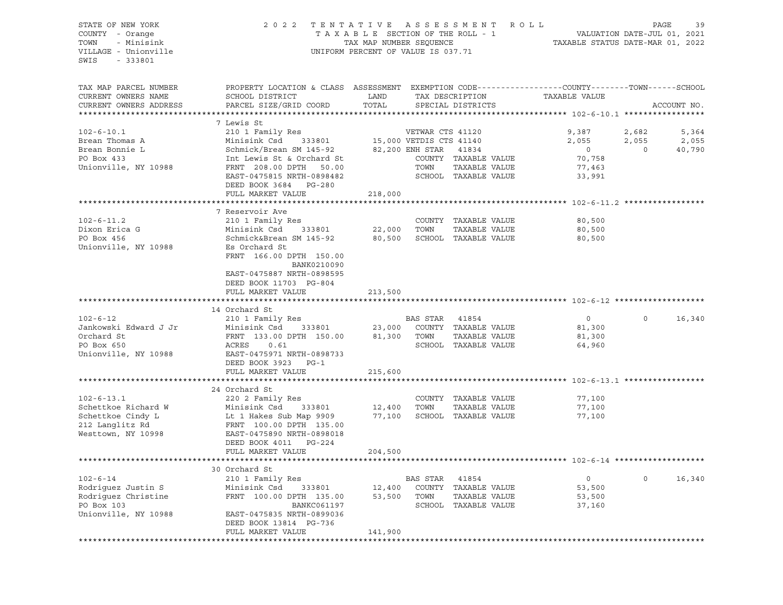STATE OF NEW YORK 2 0 2 2 T E N T A T I V E A S S E S S M E N T R O L L PAGE 39 COUNTY - Orange T A X A B L E SECTION OF THE ROLL - 1 TOWN - Minisink TAX MAP NUMBER SEQUENCE TAXABLE STATUS DATE-MAR 01, 2022 UNIFORM PERCENT OF VALUE IS 037.71 SWIS - 333801 TAX MAP PARCEL NUMBER PROPERTY LOCATION & CLASS ASSESSMENT EXEMPTION CODE------------------COUNTY--------TOWN------SCHOOL CURRENT OWNERS NAME SCHOOL DISTRICT TAND TAX DESCRIPTION CURRENT OWNERS ADDRESS PARCEL SIZE/GRID COORD TOTAL SPECIAL DISTRICTS ACCOUNT NO. \*\*\*\*\*\*\*\*\*\*\*\*\*\*\*\*\*\*\*\*\*\*\*\*\*\*\*\*\*\*\*\*\*\*\*\*\*\*\*\*\*\*\*\*\*\*\*\*\*\*\*\*\*\*\*\*\*\*\*\*\*\*\*\*\*\*\*\*\*\*\*\*\*\*\*\*\*\*\*\*\*\*\*\*\*\*\*\*\*\*\*\*\*\*\*\*\*\*\*\*\*\*\* 102-6-10.1 \*\*\*\*\*\*\*\*\*\*\*\*\*\*\*\*\* 7 Lewis St 102-6-10.1 210 1 Family Res VETWAR CTS 41120 9,387 2,682 5,364 Brean Thomas A Minisink Csd 333801 15,000 VETDIS CTS 41140 2,055 2,055 2,055 Brean Bonnie Land Schmick/Brean SM 145-92 82,200 ENH STAR 41834 0 0 0 40,790 PO Box 433 Int Lewis St & Orchard St COUNTY TAXABLE VALUE 70,758 Unionville, NY 10988 FRNT 208.00 DPTH 50.00 TOWN TAXABLE VALUE 77.463 EAST-0475815 NRTH-0898482 SCHOOL TAXABLE VALUE 33,991 DEED BOOK 3684 PG-280 FULL MARKET VALUE 218,000 \*\*\*\*\*\*\*\*\*\*\*\*\*\*\*\*\*\*\*\*\*\*\*\*\*\*\*\*\*\*\*\*\*\*\*\*\*\*\*\*\*\*\*\*\*\*\*\*\*\*\*\*\*\*\*\*\*\*\*\*\*\*\*\*\*\*\*\*\*\*\*\*\*\*\*\*\*\*\*\*\*\*\*\*\*\*\*\*\*\*\*\*\*\*\*\*\*\*\*\*\*\*\* 102-6-11.2 \*\*\*\*\*\*\*\*\*\*\*\*\*\*\*\*\* 7 Reservoir Ave 102-6-11.2 210 1 Family Res COUNTY TAXABLE VALUE 80,500 Dixon Erica G Minisink Csd 333801 22,000 TOWN TAXABLE VALUE 80,500 PO Box 456 Schmick&Brean SM 145-92 80,500 SCHOOL TAXABLE VALUE 80,500 Unionville, NY 10988 Es Orchard St FRNT 166.00 DPTH 150.00 BANK0210090 EAST-0475887 NRTH-0898595 DEED BOOK 11703 PG-804 FULL MARKET VALUE 213,500 \*\*\*\*\*\*\*\*\*\*\*\*\*\*\*\*\*\*\*\*\*\*\*\*\*\*\*\*\*\*\*\*\*\*\*\*\*\*\*\*\*\*\*\*\*\*\*\*\*\*\*\*\*\*\*\*\*\*\*\*\*\*\*\*\*\*\*\*\*\*\*\*\*\*\*\*\*\*\*\*\*\*\*\*\*\*\*\*\*\*\*\*\*\*\*\*\*\*\*\*\*\*\* 102-6-12 \*\*\*\*\*\*\*\*\*\*\*\*\*\*\*\*\*\*\* 14 Orchard St 102-6-12 210 1 Family Res BAS STAR 41854 0 0 16,340 Jankowski Edward J Jr Minisink Csd 333801 23,000 COUNTY TAXABLE VALUE 81,300 Orchard St FRNT 133.00 DPTH 150.00 81,300 TOWN TAXABLE VALUE 81,300 PO Box 650 ACRES 0.61 SCHOOL TAXABLE VALUE 64,960 Unionville, NY 10988 EAST-0475971 NRTH-0898733 DEED BOOK 3923 PG-1 FULL MARKET VALUE 215,600 \*\*\*\*\*\*\*\*\*\*\*\*\*\*\*\*\*\*\*\*\*\*\*\*\*\*\*\*\*\*\*\*\*\*\*\*\*\*\*\*\*\*\*\*\*\*\*\*\*\*\*\*\*\*\*\*\*\*\*\*\*\*\*\*\*\*\*\*\*\*\*\*\*\*\*\*\*\*\*\*\*\*\*\*\*\*\*\*\*\*\*\*\*\*\*\*\*\*\*\*\*\*\* 102-6-13.1 \*\*\*\*\*\*\*\*\*\*\*\*\*\*\*\*\* 24 Orchard St 102-6-13.1 220 2 Family Res COUNTY TAXABLE VALUE 77,100 Schettkoe Richard W Minisink Csd 333801 12,400 TOWN TAXABLE VALUE 77,100 Schettkoe Cindy L**indy Li**t 1 Hakes Sub Map 9909 77,100 SCHOOL TAXABLE VALUE 77,100 212 Langlitz Rd FRNT 100.00 DPTH 135.00 Westtown, NY 10998 EAST-0475890 NRTH-0898018 DEED BOOK 4011 PG-224 FULL MARKET VALUE 204,500 \*\*\*\*\*\*\*\*\*\*\*\*\*\*\*\*\*\*\*\*\*\*\*\*\*\*\*\*\*\*\*\*\*\*\*\*\*\*\*\*\*\*\*\*\*\*\*\*\*\*\*\*\*\*\*\*\*\*\*\*\*\*\*\*\*\*\*\*\*\*\*\*\*\*\*\*\*\*\*\*\*\*\*\*\*\*\*\*\*\*\*\*\*\*\*\*\*\*\*\*\*\*\* 102-6-14 \*\*\*\*\*\*\*\*\*\*\*\*\*\*\*\*\*\*\* 30 Orchard St 102-6-14 210 1 Family Res BAS STAR 41854 0 0 16,340 Rodriguez Justin S Minisink Csd 333801 12,400 COUNTY TAXABLE VALUE 53,500 Rodriguez Christine 63,500 FRNT 100.00 DPTH 135.00 53,500 TOWN TAXABLE VALUE 53,500 PO Box 103 BANKC061197 SCHOOL TAXABLE VALUE 37,160 Unionville, NY 10988 EAST-0475835 NRTH-0899036 DEED BOOK 13814 PG-736 FULL MARKET VALUE 141,900 \*\*\*\*\*\*\*\*\*\*\*\*\*\*\*\*\*\*\*\*\*\*\*\*\*\*\*\*\*\*\*\*\*\*\*\*\*\*\*\*\*\*\*\*\*\*\*\*\*\*\*\*\*\*\*\*\*\*\*\*\*\*\*\*\*\*\*\*\*\*\*\*\*\*\*\*\*\*\*\*\*\*\*\*\*\*\*\*\*\*\*\*\*\*\*\*\*\*\*\*\*\*\*\*\*\*\*\*\*\*\*\*\*\*\*\*\*\*\*\*\*\*\*\*\*\*\*\*\*\*\*\*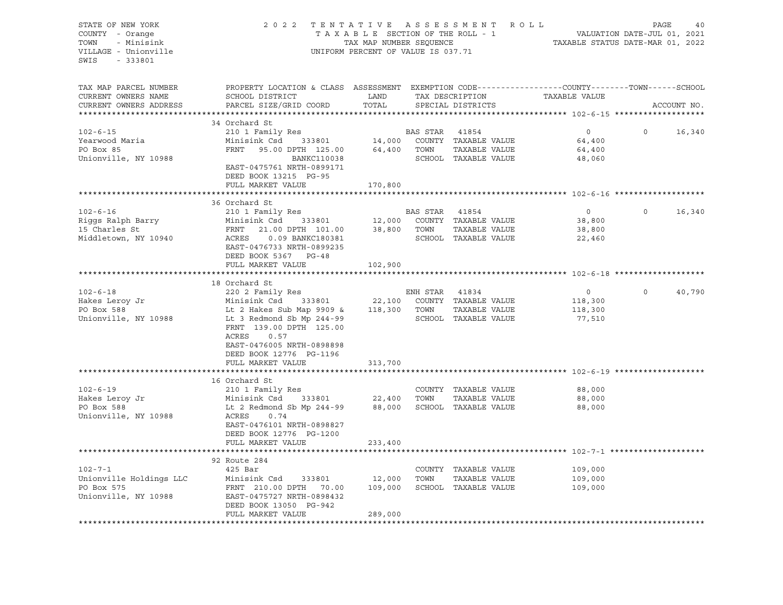| STATE OF NEW YORK<br>COUNTY - Orange<br>- Minisink<br>TOWN<br>VILLAGE - Unionville   | 2022 TENTATIVE ASSESSMENT ROLL<br>TAXABLE SECTION OF THE ROLL - 1<br>TAX MAP NUMBER SEQUENCE<br>UNIFORM PERCENT OF VALUE IS 037.71                                                                                    | VALUATION DATE-JUL 01, 2021<br>TAXABLE STATUS DATE-MAR 01, 2022 | PAGE                          | 40                                                                                     |                                                |          |             |
|--------------------------------------------------------------------------------------|-----------------------------------------------------------------------------------------------------------------------------------------------------------------------------------------------------------------------|-----------------------------------------------------------------|-------------------------------|----------------------------------------------------------------------------------------|------------------------------------------------|----------|-------------|
| SWIS<br>$-333801$                                                                    |                                                                                                                                                                                                                       |                                                                 |                               |                                                                                        |                                                |          |             |
| TAX MAP PARCEL NUMBER<br>CURRENT OWNERS NAME<br>CURRENT OWNERS ADDRESS               | PROPERTY LOCATION & CLASS ASSESSMENT EXEMPTION CODE----------------COUNTY-------TOWN------SCHOOL<br>SCHOOL DISTRICT<br>PARCEL SIZE/GRID COORD                                                                         | LAND<br>TOTAL                                                   |                               | TAX DESCRIPTION<br>SPECIAL DISTRICTS                                                   | TAXABLE VALUE                                  |          | ACCOUNT NO. |
|                                                                                      | 34 Orchard St                                                                                                                                                                                                         |                                                                 |                               |                                                                                        |                                                |          |             |
| $102 - 6 - 15$<br>Yearwood Maria<br>PO Box 85<br>Unionville, NY 10988                | 210 1 Family Res<br>Minisink Csd 333801<br>FRNT<br>95.00 DPTH 125.00<br>BANKC110038<br>EAST-0475761 NRTH-0899171<br>DEED BOOK 13215 PG-95                                                                             |                                                                 | 64,400 TOWN                   | BAS STAR 41854<br>14,000 COUNTY TAXABLE VALUE<br>TAXABLE VALUE<br>SCHOOL TAXABLE VALUE | $\overline{0}$<br>64,400<br>64,400<br>48,060   | $\Omega$ | 16,340      |
|                                                                                      | FULL MARKET VALUE                                                                                                                                                                                                     | 170,800                                                         |                               |                                                                                        |                                                |          |             |
|                                                                                      | 36 Orchard St                                                                                                                                                                                                         |                                                                 |                               |                                                                                        |                                                |          |             |
| $102 - 6 - 16$<br>Riggs Ralph Barry<br>15 Charles St<br>Middletown, NY 10940         | 210 1 Family Res<br>Minisink Csd 333801<br>FRNT<br>21.00 DPTH 101.00<br>EAST-0476733 NRTH-0899235<br>DEED BOOK 5367 PG-48                                                                                             |                                                                 | BAS STAR 41854<br>38,800 TOWN | 12,000 COUNTY TAXABLE VALUE<br>TAXABLE VALUE<br>SCHOOL TAXABLE VALUE                   | $\overline{0}$<br>38,800<br>38,800<br>22,460   | $\circ$  | 16,340      |
|                                                                                      | FULL MARKET VALUE                                                                                                                                                                                                     | 102,900                                                         |                               |                                                                                        |                                                |          |             |
|                                                                                      |                                                                                                                                                                                                                       |                                                                 |                               |                                                                                        |                                                |          |             |
| $102 - 6 - 18$<br>Hakes Leroy Jr<br>PO Box 588<br>PO Box 588<br>Unionville, NY 10988 | 18 Orchard St<br>220 2 Family Res<br>Minisink Csd 333801 22,100 COUNTY TAXABLE VALUE<br>Lt 2 Hakes Sub Map 9909 & 118,300 TOWN TAXABLE VALUE<br>Lt 3 Redmond Sb Mp 244-99<br>FRNT 139.00 DPTH 125.00<br>ACRES<br>0.57 |                                                                 | ENH STAR                      | 41834<br>SCHOOL TAXABLE VALUE                                                          | $\overline{0}$<br>118,300<br>118,300<br>77,510 | $\Omega$ | 40,790      |
|                                                                                      | EAST-0476005 NRTH-0898898<br>DEED BOOK 12776 PG-1196<br>FULL MARKET VALUE                                                                                                                                             | 313,700                                                         |                               |                                                                                        |                                                |          |             |
|                                                                                      | 16 Orchard St                                                                                                                                                                                                         |                                                                 |                               |                                                                                        |                                                |          |             |
| $102 - 6 - 19$<br>Hakes Leroy Jr<br>PO Box 588<br>Unionville, NY 10988               | 210 1 Family Res<br>Minisink Csd 333801 22,400<br>Lt 2 Redmond Sb Mp 244-99 88,000 SCHOOL TAXABLE VALUE<br>ACRES<br>0.74<br>EAST-0476101 NRTH-0898827                                                                 |                                                                 | TOWN                          | COUNTY TAXABLE VALUE<br>TAXABLE VALUE                                                  | 88,000<br>88,000<br>88,000                     |          |             |
|                                                                                      | DEED BOOK 12776 PG-1200<br>FULL MARKET VALUE                                                                                                                                                                          | 233,400                                                         |                               |                                                                                        |                                                |          |             |
|                                                                                      |                                                                                                                                                                                                                       |                                                                 |                               |                                                                                        |                                                |          |             |
| $102 - 7 - 1$<br>Unionville Holdings LLC<br>PO Box 575<br>Unionville, NY 10988       | 92 Route 284<br>425 Bar<br>Minisink Csd 333801<br>FRNT 210.00 DPTH 70.00<br>EAST-0475727 NRTH-0898432<br>DEED BOOK 13050 PG-942                                                                                       | 12,000<br>109,000                                               | TOWN                          | COUNTY TAXABLE VALUE<br>TAXABLE VALUE<br>SCHOOL TAXABLE VALUE                          | 109,000<br>109,000<br>109,000                  |          |             |
|                                                                                      | FULL MARKET VALUE                                                                                                                                                                                                     | 289,000                                                         |                               |                                                                                        |                                                |          |             |
|                                                                                      |                                                                                                                                                                                                                       |                                                                 |                               |                                                                                        |                                                |          |             |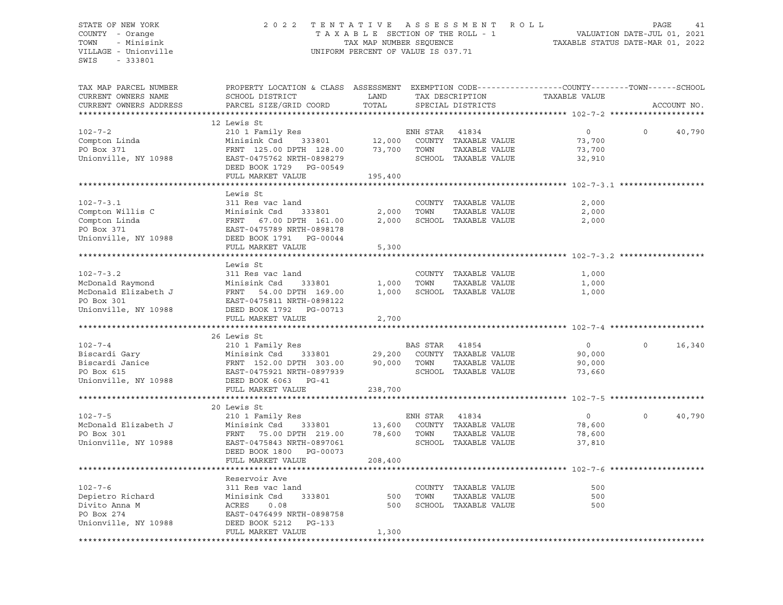## STATE OF NEW YORK 2 0 2 2 T E N T A T I V E A S S E S S M E N T R O L L PAGE 41 COUNTY - Orange T A X A B L E SECTION OF THE ROLL - 1 VALUATION DATE-JUL 01, 2021 TOWN - Minisink TAX MAP NUMBER SEQUENCE TAXABLE STATUS DATE-MAR 01, 2022 VILLAGE - Unionville **United Accord CONT** UNIFORM PERCENT OF VALUE IS 037.71

| TAX MAP PARCEL NUMBER<br>CURRENT OWNERS NAME                                | PROPERTY LOCATION & CLASS ASSESSMENT EXEMPTION CODE----------------COUNTY-------TOWN------SCHOOL<br>SCHOOL DISTRICT          | LAND             |                  | TAX DESCRIPTION                                                        | TAXABLE VALUE                         |          |             |
|-----------------------------------------------------------------------------|------------------------------------------------------------------------------------------------------------------------------|------------------|------------------|------------------------------------------------------------------------|---------------------------------------|----------|-------------|
| CURRENT OWNERS ADDRESS                                                      | PARCEL SIZE/GRID COORD                                                                                                       | TOTAL            |                  | SPECIAL DISTRICTS                                                      |                                       |          | ACCOUNT NO. |
|                                                                             |                                                                                                                              |                  |                  |                                                                        |                                       |          |             |
| $102 - 7 - 2$<br>Compton Linda<br>PO Box 371<br>Unionville, NY 10988        | 12 Lewis St<br>210 1 Family Res<br>Minisink Csd<br>333801<br>FRNT 125.00 DPTH 128.00<br>EAST-0475762 NRTH-0898279            | 12,000<br>73,700 | ENH STAR<br>TOWN | 41834<br>COUNTY TAXABLE VALUE<br>TAXABLE VALUE<br>SCHOOL TAXABLE VALUE | $\circ$<br>73,700<br>73,700<br>32,910 | $\Omega$ | 40,790      |
|                                                                             | DEED BOOK 1729 PG-00549                                                                                                      |                  |                  |                                                                        |                                       |          |             |
|                                                                             | FULL MARKET VALUE                                                                                                            | 195,400          |                  |                                                                        |                                       |          |             |
|                                                                             |                                                                                                                              |                  |                  |                                                                        |                                       |          |             |
| $102 - 7 - 3.1$<br>Compton Willis C<br>Compton Linda                        | Lewis St<br>311 Res vac land<br>Minisink Csd<br>333801<br>FRNT 67.00 DPTH 161.00                                             | 2,000<br>2,000   | TOWN             | COUNTY TAXABLE VALUE<br>TAXABLE VALUE<br>SCHOOL TAXABLE VALUE          | 2,000<br>2,000<br>2,000               |          |             |
| PO Box 371<br>Unionville, NY 10988                                          | EAST-0475789 NRTH-0898178<br>DEED BOOK 1791 PG-00044<br>FULL MARKET VALUE                                                    | 5,300            |                  |                                                                        |                                       |          |             |
|                                                                             |                                                                                                                              |                  |                  |                                                                        |                                       |          |             |
| $102 - 7 - 3.2$<br>McDonald Raymond                                         | Lewis St<br>311 Res vac land<br>Minisink Csd<br>333801                                                                       | 1,000            | TOWN             | COUNTY TAXABLE VALUE<br>TAXABLE VALUE                                  | 1,000<br>1,000                        |          |             |
| McDonald Elizabeth J<br>PO Box 301<br>Unionville, NY 10988                  | FRNT 54.00 DPTH 169.00<br>EAST-0475811 NRTH-0898122<br>DEED BOOK 1792 PG-00713<br>FULL MARKET VALUE                          | 1,000<br>2,700   |                  | SCHOOL TAXABLE VALUE                                                   | 1,000                                 |          |             |
|                                                                             |                                                                                                                              |                  |                  |                                                                        |                                       |          |             |
|                                                                             | 26 Lewis St                                                                                                                  |                  |                  |                                                                        |                                       |          |             |
| $102 - 7 - 4$                                                               | 210 1 Family Res                                                                                                             |                  | BAS STAR 41854   |                                                                        | $\circ$                               | $\circ$  | 16,340      |
| Biscardi Gary                                                               | Minisink Csd<br>333801                                                                                                       | 29,200           |                  | COUNTY TAXABLE VALUE                                                   | 90,000                                |          |             |
| Biscardi Janice<br>PO Box 615<br>Unionville, NY 10988                       | FRNT 152.00 DPTH 303.00<br>EAST-0475921 NRTH-0897939<br>DEED BOOK 6063<br>$PG-41$                                            | 90,000           | TOWN             | TAXABLE VALUE<br>SCHOOL TAXABLE VALUE                                  | 90,000<br>73,660                      |          |             |
|                                                                             | FULL MARKET VALUE                                                                                                            | 238,700          |                  |                                                                        |                                       |          |             |
|                                                                             |                                                                                                                              |                  |                  |                                                                        |                                       |          |             |
|                                                                             | 20 Lewis St                                                                                                                  |                  |                  |                                                                        |                                       |          |             |
| $102 - 7 - 5$<br>McDonald Elizabeth J<br>PO Box 301<br>Unionville, NY 10988 | 210 1 Family Res<br>Minisink Csd<br>333801<br>FRNT 75.00 DPTH 219.00<br>EAST-0475843 NRTH-0897061<br>DEED BOOK 1800 PG-00073 | 13,600<br>78,600 | ENH STAR<br>TOWN | 41834<br>COUNTY TAXABLE VALUE<br>TAXABLE VALUE<br>SCHOOL TAXABLE VALUE | $\circ$<br>78,600<br>78,600<br>37,810 | $\circ$  | 40,790      |
|                                                                             | FULL MARKET VALUE                                                                                                            | 208,400          |                  |                                                                        |                                       |          |             |
|                                                                             | Reservoir Ave                                                                                                                |                  |                  |                                                                        |                                       |          |             |
| $102 - 7 - 6$<br>Depietro Richard<br>Divito Anna M<br>PO Box 274            | 311 Res vac land<br>333801<br>Minisink Csd<br>ACRES<br>0.08<br>EAST-0476499 NRTH-0898758                                     | 500<br>500       | TOWN             | COUNTY TAXABLE VALUE<br>TAXABLE VALUE<br>SCHOOL TAXABLE VALUE          | 500<br>500<br>500                     |          |             |
| Unionville, NY 10988                                                        | DEED BOOK 5212<br>PG-133<br>FULL MARKET VALUE                                                                                | 1,300            |                  |                                                                        |                                       |          |             |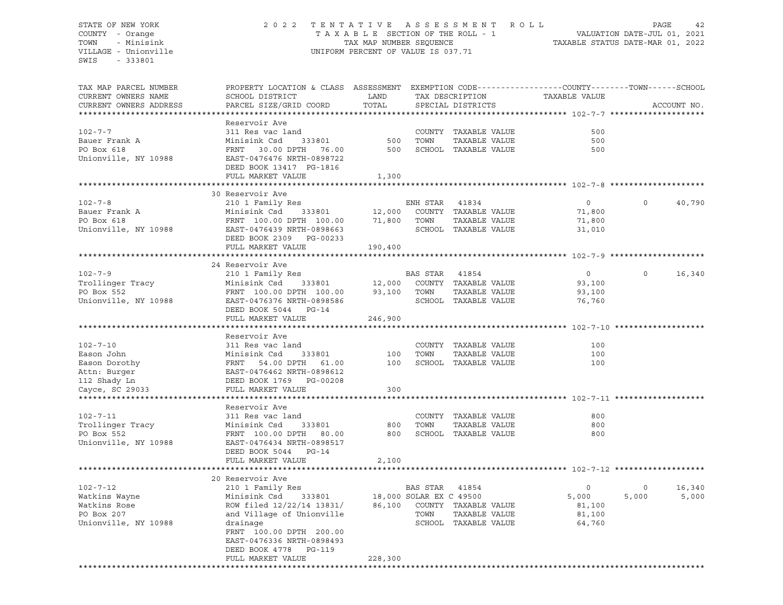## STATE OF NEW YORK 2 0 2 2 T E N T A T I V E A S S E S S M E N T R O L L PAGE 42 COUNTY - Orange T A X A B L E SECTION OF THE ROLL - 1 VALUATION DATE-JUL 01, 2021 TOWN - Minisink TAX MAP NUMBER SEQUENCE TAXABLE STATUS DATE-MAR 01, 2022 VILLAGE - Unionville **United Accord CONT** UNIFORM PERCENT OF VALUE IS 037.71

| TAX MAP PARCEL NUMBER<br>CURRENT OWNERS NAME | PROPERTY LOCATION & CLASS ASSESSMENT EXEMPTION CODE----------------COUNTY-------TOWN------SCHOOL<br>SCHOOL DISTRICT | LAND    |                         | TAX DESCRIPTION             | TAXABLE VALUE  |          |             |
|----------------------------------------------|---------------------------------------------------------------------------------------------------------------------|---------|-------------------------|-----------------------------|----------------|----------|-------------|
| CURRENT OWNERS ADDRESS                       | PARCEL SIZE/GRID COORD                                                                                              | TOTAL   |                         | SPECIAL DISTRICTS           |                |          | ACCOUNT NO. |
| **********************                       | ************************                                                                                            |         |                         |                             |                |          |             |
|                                              | Reservoir Ave                                                                                                       |         |                         |                             |                |          |             |
| $102 - 7 - 7$                                | 311 Res vac land                                                                                                    |         |                         | COUNTY TAXABLE VALUE        | 500            |          |             |
| Bauer Frank A                                | Minisink Csd<br>333801                                                                                              | 500     | TOWN                    | TAXABLE VALUE               | 500            |          |             |
| PO Box 618                                   | FRNT 30.00 DPTH 76.00                                                                                               | 500     |                         | SCHOOL TAXABLE VALUE        | 500            |          |             |
|                                              |                                                                                                                     |         |                         |                             |                |          |             |
| Unionville, NY 10988                         | EAST-0476476 NRTH-0898722                                                                                           |         |                         |                             |                |          |             |
|                                              | DEED BOOK 13417 PG-1816                                                                                             |         |                         |                             |                |          |             |
|                                              | FULL MARKET VALUE                                                                                                   | 1,300   |                         |                             |                |          |             |
|                                              |                                                                                                                     |         |                         |                             |                |          |             |
|                                              | 30 Reservoir Ave                                                                                                    |         |                         |                             |                |          |             |
| $102 - 7 - 8$                                | 210 1 Family Res                                                                                                    |         | ENH STAR 41834          |                             | $\overline{0}$ | $\Omega$ | 40,790      |
| Bauer Frank A                                | Minisink Csd<br>333801                                                                                              |         |                         | 12,000 COUNTY TAXABLE VALUE | 71,800         |          |             |
| PO Box 618                                   | FRNT 100.00 DPTH 100.00                                                                                             |         | 71,800 TOWN             | TAXABLE VALUE               | 71,800         |          |             |
| Unionville, NY 10988                         | EAST-0476439 NRTH-0898663                                                                                           |         |                         | SCHOOL TAXABLE VALUE        | 31,010         |          |             |
|                                              | DEED BOOK 2309 PG-00233                                                                                             |         |                         |                             |                |          |             |
|                                              | FULL MARKET VALUE                                                                                                   | 190,400 |                         |                             |                |          |             |
|                                              |                                                                                                                     |         |                         |                             |                |          |             |
|                                              |                                                                                                                     |         |                         |                             |                |          |             |
|                                              | 24 Reservoir Ave                                                                                                    |         |                         |                             |                |          |             |
| $102 - 7 - 9$                                | 210 1 Family Res                                                                                                    |         | BAS STAR 41854          |                             | $\overline{0}$ | $\circ$  | 16,340      |
| Trollinger Tracy                             | Minisink Csd<br>333801                                                                                              | 12,000  |                         | COUNTY TAXABLE VALUE        | 93,100         |          |             |
| PO Box 552                                   | FRNT 100.00 DPTH 100.00                                                                                             | 93,100  | TOWN                    | TAXABLE VALUE               | 93,100         |          |             |
| Unionville, NY 10988                         | EAST-0476376 NRTH-0898586                                                                                           |         |                         | SCHOOL TAXABLE VALUE        | 76,760         |          |             |
|                                              | DEED BOOK 5044 PG-14                                                                                                |         |                         |                             |                |          |             |
|                                              | FULL MARKET VALUE                                                                                                   | 246,900 |                         |                             |                |          |             |
|                                              |                                                                                                                     |         |                         |                             |                |          |             |
|                                              | Reservoir Ave                                                                                                       |         |                         |                             |                |          |             |
| $102 - 7 - 10$                               | 311 Res vac land                                                                                                    |         |                         | COUNTY TAXABLE VALUE        | 100            |          |             |
| Eason John                                   |                                                                                                                     | 100     | TOWN                    | TAXABLE VALUE               | 100            |          |             |
|                                              |                                                                                                                     | 100     |                         | SCHOOL TAXABLE VALUE        | 100            |          |             |
| Eason Dorothy<br>Attn: Burger                |                                                                                                                     |         |                         |                             |                |          |             |
|                                              |                                                                                                                     |         |                         |                             |                |          |             |
| 112 Shady Ln                                 | DEED BOOK 1769 PG-00208                                                                                             |         |                         |                             |                |          |             |
| Cayce, SC 29033                              | FULL MARKET VALUE                                                                                                   | 300     |                         |                             |                |          |             |
|                                              |                                                                                                                     |         |                         |                             |                |          |             |
|                                              | Reservoir Ave                                                                                                       |         |                         |                             |                |          |             |
| $102 - 7 - 11$                               | 311 Res vac land                                                                                                    |         |                         | COUNTY TAXABLE VALUE        | 800            |          |             |
| Trollinger Tracy                             | Minisink Csd<br>333801                                                                                              | 800     | TOWN                    | TAXABLE VALUE               | 800            |          |             |
| PO Box 552                                   | FRNT 100.00 DPTH 80.00                                                                                              |         |                         | 800 SCHOOL TAXABLE VALUE    | 800            |          |             |
| Unionville, NY 10988                         | EAST-0476434 NRTH-0898517                                                                                           |         |                         |                             |                |          |             |
|                                              | DEED BOOK 5044 PG-14                                                                                                |         |                         |                             |                |          |             |
|                                              | FULL MARKET VALUE                                                                                                   | 2,100   |                         |                             |                |          |             |
|                                              |                                                                                                                     |         |                         |                             |                |          |             |
|                                              | 20 Reservoir Ave                                                                                                    |         |                         |                             |                |          |             |
|                                              |                                                                                                                     |         |                         |                             |                |          |             |
| $102 - 7 - 12$                               | 210 1 Family Res                                                                                                    |         | BAS STAR                | 41854                       | $\circ$        | $\circ$  | 16,340      |
| Watkins Wayne                                | Minisink Csd<br>333801                                                                                              |         | 18,000 SOLAR EX C 49500 |                             | 5,000          | 5,000    | 5,000       |
| Watkins Rose                                 | ROW filed 12/22/14 13831/                                                                                           | 86,100  |                         | COUNTY TAXABLE VALUE        | 81,100         |          |             |
| PO Box 207                                   | and Village of Unionville                                                                                           |         | TOWN                    | TAXABLE VALUE               | 81,100         |          |             |
| Unionville, NY 10988                         | drainage                                                                                                            |         |                         | SCHOOL TAXABLE VALUE        | 64,760         |          |             |
|                                              | FRNT 100.00 DPTH 200.00                                                                                             |         |                         |                             |                |          |             |
|                                              | EAST-0476336 NRTH-0898493                                                                                           |         |                         |                             |                |          |             |
|                                              | PG-119<br>DEED BOOK 4778                                                                                            |         |                         |                             |                |          |             |
|                                              | FULL MARKET VALUE                                                                                                   | 228,300 |                         |                             |                |          |             |
|                                              |                                                                                                                     |         |                         |                             |                |          |             |
|                                              |                                                                                                                     |         |                         |                             |                |          |             |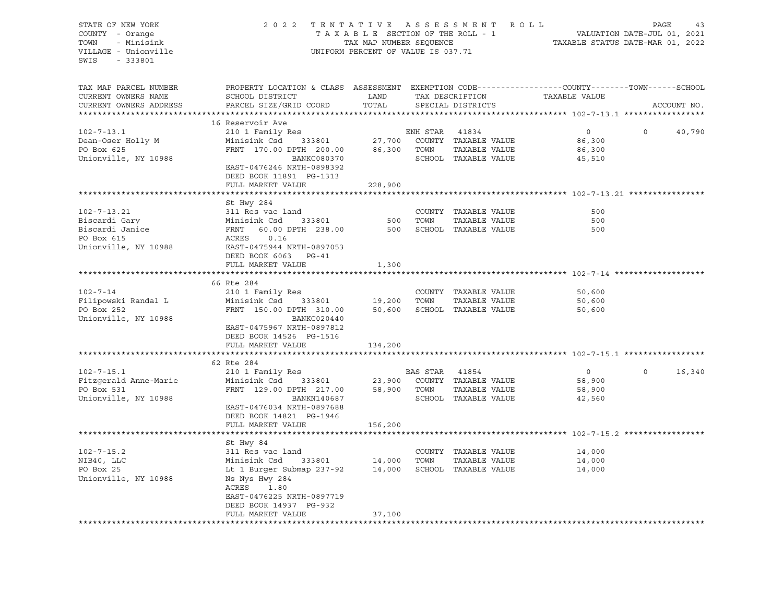| STATE OF NEW YORK<br>COUNTY - Orange<br>- Minisink<br>TOWN<br>VILLAGE - Unionville<br>SWIS<br>- 333801 | 2022 TENTATIVE ASSESSMENT ROLL                                                                                                                                                      | TAXABLE SECTION OF THE ROLL - 1<br>TAX MAP NUMBER SEQUENCE<br>UNIFORM PERCENT OF VALUE IS 037.71 |                               |                                                                      | VALUATION DATE-JUL 01, 2021<br>TAXABLE STATUS DATE-MAR 01, 2022                | PAGE     | 43          |
|--------------------------------------------------------------------------------------------------------|-------------------------------------------------------------------------------------------------------------------------------------------------------------------------------------|--------------------------------------------------------------------------------------------------|-------------------------------|----------------------------------------------------------------------|--------------------------------------------------------------------------------|----------|-------------|
| TAX MAP PARCEL NUMBER<br>CURRENT OWNERS NAME<br>CURRENT OWNERS ADDRESS                                 | PROPERTY LOCATION & CLASS ASSESSMENT EXEMPTION CODE----------------COUNTY-------TOWN-----SCHOOL<br>SCHOOL DISTRICT<br>PARCEL SIZE/GRID COORD                                        | LAND<br>TOTAL                                                                                    |                               | TAX DESCRIPTION<br>SPECIAL DISTRICTS                                 | TAXABLE VALUE                                                                  |          | ACCOUNT NO. |
|                                                                                                        |                                                                                                                                                                                     |                                                                                                  |                               |                                                                      |                                                                                |          |             |
| $102 - 7 - 13.1$<br>Dean-Oser Holly M<br>PO Box 625<br>Unionville, NY 10988                            | 16 Reservoir Ave<br>210 1 Family Res<br>Minisink Csd 333801<br>FRNT 170.00 DPTH 200.00<br>BANKC080370<br>EAST-0476246 NRTH-0898392<br>DEED BOOK 11891 PG-1313                       |                                                                                                  | ENH STAR 41834<br>86,300 TOWN | 27,700 COUNTY TAXABLE VALUE<br>TAXABLE VALUE<br>SCHOOL TAXABLE VALUE | $\overline{0}$<br>86,300<br>86,300<br>45,510                                   | $\circ$  | 40,790      |
|                                                                                                        | FULL MARKET VALUE                                                                                                                                                                   | 228,900                                                                                          |                               |                                                                      |                                                                                |          |             |
| $102 - 7 - 13.21$<br>Biscardi Gary<br>Biscardi Janice<br>PO Box 615<br>Unionville, NY 10988            | **************************<br>St Hwy 284<br>311 Res vac land<br>Minisink Csd 333801<br>FRNT 60.00 DPTH 238.00<br>ACRES<br>0.16<br>EAST-0475944 NRTH-0897053<br>DEED BOOK 6063 PG-41 | 500<br>500                                                                                       | TOWN                          | COUNTY TAXABLE VALUE<br>TAXABLE VALUE<br>SCHOOL TAXABLE VALUE        | ******************************** 102-7-13.21 ************<br>500<br>500<br>500 |          |             |
|                                                                                                        | FULL MARKET VALUE                                                                                                                                                                   | 1,300                                                                                            |                               |                                                                      |                                                                                |          |             |
|                                                                                                        |                                                                                                                                                                                     |                                                                                                  |                               |                                                                      |                                                                                |          |             |
|                                                                                                        | 66 Rte 284                                                                                                                                                                          |                                                                                                  |                               |                                                                      |                                                                                |          |             |
| $102 - 7 - 14$                                                                                         | 210 1 Family Res                                                                                                                                                                    |                                                                                                  |                               | COUNTY TAXABLE VALUE                                                 | 50,600                                                                         |          |             |
| Filipowski Randal L<br>PO Box 252<br>Unionville, NY 10988                                              | Minisink Csd 333801<br>FRNT 150.00 DPTH 310.00<br>BANKC020440<br>EAST-0475967 NRTH-0897812<br>DEED BOOK 14526 PG-1516<br>FULL MARKET VALUE                                          | 19,200 TOWN<br>50,600<br>134,200                                                                 |                               | TAXABLE VALUE<br>SCHOOL TAXABLE VALUE                                | 50,600<br>50,600                                                               |          |             |
|                                                                                                        |                                                                                                                                                                                     |                                                                                                  |                               |                                                                      |                                                                                |          |             |
|                                                                                                        | 62 Rte 284                                                                                                                                                                          |                                                                                                  |                               |                                                                      |                                                                                |          |             |
| $102 - 7 - 15.1$<br>Fitzgerald Anne-Marie<br>PO Box 531<br>Unionville, NY 10988                        | 210 1 Family Res<br>Minisink Csd 333801<br>FRNT 129.00 DPTH 217.00<br>BANKN140687<br>EAST-0476034 NRTH-0897688<br>DEED BOOK 14821 PG-1946<br>FULL MARKET VALUE                      | 23,900<br>58,900 TOWN<br>156,200                                                                 | BAS STAR 41854                | COUNTY TAXABLE VALUE<br>TAXABLE VALUE<br>SCHOOL TAXABLE VALUE        | $\overline{0}$<br>58,900<br>58,900<br>42,560                                   | $\Omega$ | 16,340      |
|                                                                                                        |                                                                                                                                                                                     |                                                                                                  |                               |                                                                      | ********************** 102-7-15.2 *************                                |          |             |
|                                                                                                        | St Hwy 84                                                                                                                                                                           |                                                                                                  |                               |                                                                      |                                                                                |          |             |
| $102 - 7 - 15.2$                                                                                       | 311 Res vac land                                                                                                                                                                    |                                                                                                  |                               | COUNTY TAXABLE VALUE                                                 | 14,000                                                                         |          |             |
| NIB40, LLC<br>PO Box 25<br>Unionville, NY 10988                                                        | Minisink Csd<br>333801<br>Lt 1 Burger Submap 237-92<br>Ns Nys Hwy 284<br>ACRES<br>1.80                                                                                              | 14,000<br>14,000                                                                                 | TOWN                          | TAXABLE VALUE<br>SCHOOL TAXABLE VALUE                                | 14,000<br>14,000                                                               |          |             |
|                                                                                                        | EAST-0476225 NRTH-0897719<br>DEED BOOK 14937 PG-932<br>FULL MARKET VALUE                                                                                                            | 37,100                                                                                           |                               |                                                                      |                                                                                |          |             |
|                                                                                                        |                                                                                                                                                                                     |                                                                                                  |                               |                                                                      |                                                                                |          |             |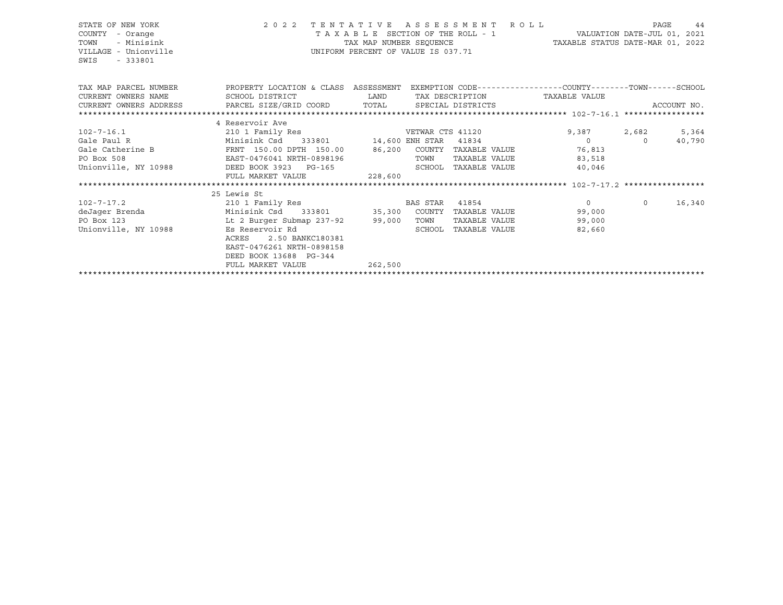## STATE OF NEW YORK 2 0 2 2 T E N T A T I V E A S S E S S M E N T R O L L PAGE 44 COUNTY - Orange T A X A B L E SECTION OF THE ROLL - 1 VALUATION DATE-JUL 01, 2021 TOWN - Minisink TAX MAP NUMBER SEQUENCE TAXABLE STATUS DATE-MAR 01, 2022 VILLAGE - Unionville **United Accord CONT** UNIFORM PERCENT OF VALUE IS 037.71

| TAX MAP PARCEL NUMBER<br>CURRENT OWNERS NAME                                      | PROPERTY LOCATION & CLASS ASSESSMENT<br>SCHOOL DISTRICT | LAND    | EXEMPTION CODE-----------------COUNTY-------TOWN------SCHOOL<br>TAX DESCRIPTION |                  | TAXABLE VALUE  |             |        |
|-----------------------------------------------------------------------------------|---------------------------------------------------------|---------|---------------------------------------------------------------------------------|------------------|----------------|-------------|--------|
| CURRENT OWNERS ADDRESS     PARCEL SIZE/GRID COORD     TOTAL     SPECIAL DISTRICTS |                                                         |         |                                                                                 |                  |                | ACCOUNT NO. |        |
|                                                                                   |                                                         |         |                                                                                 |                  |                |             |        |
|                                                                                   | 4 Reservoir Ave                                         |         |                                                                                 |                  |                |             |        |
| $102 - 7 - 16.1$                                                                  | 210 1 Family Res                                        |         |                                                                                 | VETWAR CTS 41120 | 9,387 2,682    |             | 5,364  |
| Gale Paul R                                                                       | Minisink Csd 333801 14,600 ENH STAR 41834               |         |                                                                                 |                  | $\overline{0}$ | $\circ$     | 40,790 |
| Gale Catherine B                                                                  | FRNT 150.00 DPTH 150.00                                 | 86,200  | COUNTY                                                                          | TAXABLE VALUE    | 76,813         |             |        |
| PO Box 508                                                                        | EAST-0476041 NRTH-0898196                               |         | TOWN                                                                            | TAXABLE VALUE    | 83,518         |             |        |
| Unionville, NY 10988 DEED BOOK 3923 PG-165                                        |                                                         |         | SCHOOL                                                                          | TAXABLE VALUE    | 40,046         |             |        |
|                                                                                   | FULL MARKET VALUE                                       | 228,600 |                                                                                 |                  |                |             |        |
|                                                                                   |                                                         |         |                                                                                 |                  |                |             |        |
|                                                                                   | 25 Lewis St                                             |         |                                                                                 |                  |                |             |        |
| $102 - 7 - 17.2$                                                                  | 210 1 Family Res                                        |         | BAS STAR 41854                                                                  |                  | $\Omega$       | $\mathbf 0$ | 16,340 |
| deJaqer Brenda <b>Manufata Shekara</b>                                            | Minisink Csd 333801 35,300 COUNTY                       |         |                                                                                 | TAXABLE VALUE    | 99,000         |             |        |
| PO Box 123                                                                        | Lt 2 Burger Submap 237-92 99,000                        |         | TOWN                                                                            | TAXABLE VALUE    | 99,000         |             |        |
| Unionville, NY 10988                                                              | Es Reservoir Rd                                         |         | SCHOOL                                                                          | TAXABLE VALUE    | 82,660         |             |        |
|                                                                                   | 2.50 BANKC180381<br>ACRES                               |         |                                                                                 |                  |                |             |        |
|                                                                                   | EAST-0476261 NRTH-0898158                               |         |                                                                                 |                  |                |             |        |
|                                                                                   | DEED BOOK 13688 PG-344                                  |         |                                                                                 |                  |                |             |        |
|                                                                                   | FULL MARKET VALUE                                       | 262,500 |                                                                                 |                  |                |             |        |
|                                                                                   |                                                         |         |                                                                                 |                  |                |             |        |
|                                                                                   |                                                         |         |                                                                                 |                  |                |             |        |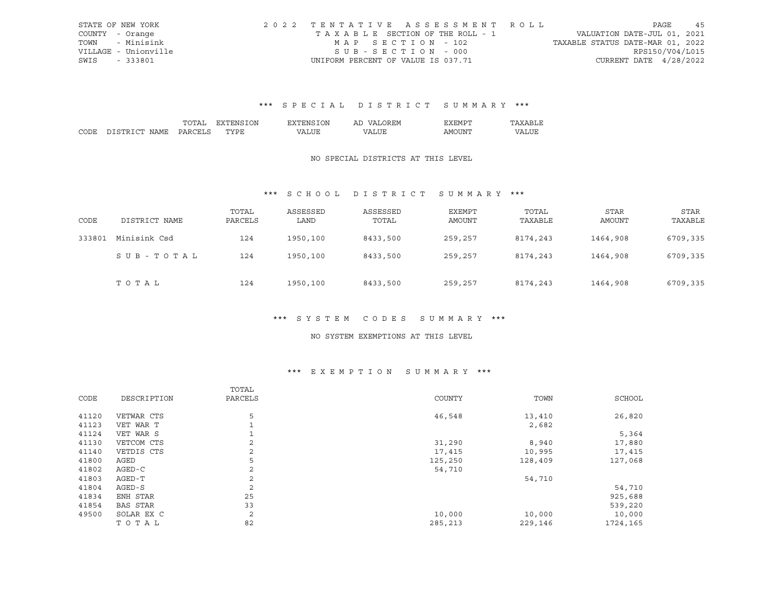|      | STATE OF NEW YORK    | 2022 TENTATIVE ASSESSMENT ROLL     |                                  | PAGE                        | 45 |
|------|----------------------|------------------------------------|----------------------------------|-----------------------------|----|
|      | COUNTY - Orange      | TAXABLE SECTION OF THE ROLL - 1    |                                  | VALUATION DATE-JUL 01, 2021 |    |
|      | TOWN - Minisink      | MAP SECTION - 102                  | TAXABLE STATUS DATE-MAR 01, 2022 |                             |    |
|      | VILLAGE - Unionville | $SUB - SECTION - 000$              |                                  | RPS150/V04/L015             |    |
| SWIS | - 333801             | UNIFORM PERCENT OF VALUE IS 037.71 |                                  | CURRENT DATE 4/28/2022      |    |

|      |             |    | DИ | ΙN<br>'NH | AL | $\mathbf{v}$ |   |
|------|-------------|----|----|-----------|----|--------------|---|
| CODE | יחי<br>™∆MT | ιn |    | $\Lambda$ |    | ΔM<br>.      | T |

### NO SPECIAL DISTRICTS AT THIS LEVEL

## \*\*\* S C H O O L D I S T R I C T S U M M A R Y \*\*\*

| CODE   | DISTRICT NAME | TOTAL<br>PARCELS | ASSESSED<br>LAND | ASSESSED<br>TOTAL | <b>EXEMPT</b><br>AMOUNT | TOTAL<br>TAXABLE | <b>STAR</b><br>AMOUNT | <b>STAR</b><br>TAXABLE |
|--------|---------------|------------------|------------------|-------------------|-------------------------|------------------|-----------------------|------------------------|
| 333801 | Minisink Csd  | 124              | 1950,100         | 8433,500          | 259,257                 | 8174,243         | 1464,908              | 6709,335               |
|        | SUB-TOTAL     | 124              | 1950,100         | 8433,500          | 259,257                 | 8174,243         | 1464,908              | 6709,335               |
|        | TOTAL         | 124              | 1950,100         | 8433,500          | 259,257                 | 8174,243         | 1464,908              | 6709,335               |

## \*\*\* S Y S T E M C O D E S S U M M A R Y \*\*\*

#### NO SYSTEM EXEMPTIONS AT THIS LEVEL

## \*\*\* E X E M P T I O N S U M M A R Y \*\*\*

| COUNTY<br>TOWN<br>CODE<br>DESCRIPTION<br>PARCELS | SCHOOL   |
|--------------------------------------------------|----------|
|                                                  |          |
| 5<br>46,548<br>41120<br>VETWAR CTS<br>13,410     | 26,820   |
| 41123<br>VET WAR T<br>2,682                      |          |
| VET WAR S<br>41124                               | 5,364    |
| 2<br>41130<br>31,290<br>VETCOM CTS<br>8,940      | 17,880   |
| 41140<br>VETDIS CTS<br>2<br>17,415<br>10,995     | 17,415   |
| 5<br>41800<br>AGED<br>125,250<br>128,409         | 127,068  |
| 41802<br>2<br>$AGED-C$<br>54,710                 |          |
| 2<br>41803<br>AGED-T<br>54,710                   |          |
| 2<br>41804<br>AGED-S                             | 54,710   |
| 25<br>41834<br>ENH STAR                          | 925,688  |
| 33<br>41854<br>BAS STAR                          | 539,220  |
| 2<br>49500<br>SOLAR EX C<br>10,000<br>10,000     | 10,000   |
| 82<br>TOTAL<br>285,213<br>229,146                | 1724,165 |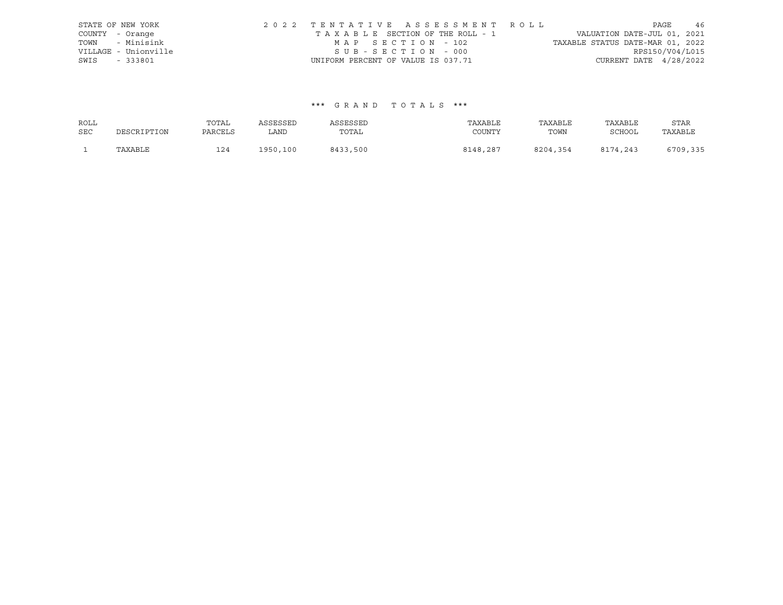| STATE OF NEW YORK    |                                    |  | 2022 TENTATIVE ASSESSMENT ROLL  |                                  |                          | PAGE | 46 |
|----------------------|------------------------------------|--|---------------------------------|----------------------------------|--------------------------|------|----|
| COUNTY - Orange      |                                    |  | TAXABLE SECTION OF THE ROLL - 1 | VALUATION DATE-JUL 01, 2021      |                          |      |    |
| TOWN - Minisink      | MAP SECTION - 102                  |  |                                 | TAXABLE STATUS DATE-MAR 01, 2022 |                          |      |    |
| VILLAGE - Unionville | SUB-SECTION - 000                  |  |                                 |                                  | RPS150/V04/L015          |      |    |
| SWIS - 333801        | UNIFORM PERCENT OF VALUE IS 037.71 |  |                                 |                                  | CURRENT DATE $4/28/2022$ |      |    |

| ROLL       |             | TOTAL   | ASSESSED | ASSESSED | TAXABLE  | TAXABLE  | TAXABLE       | STAR     |
|------------|-------------|---------|----------|----------|----------|----------|---------------|----------|
| <b>SEC</b> | DESCRIPTION | PARCELS | LAND     | TOTAL    | COUNTY   | TOWN     | <b>SCHOOL</b> | TAXABLE  |
|            | TAXABLE     | 124     | 1950,100 | 8433,500 | 8148,287 | 8204,354 | 8174,243      | 6709,335 |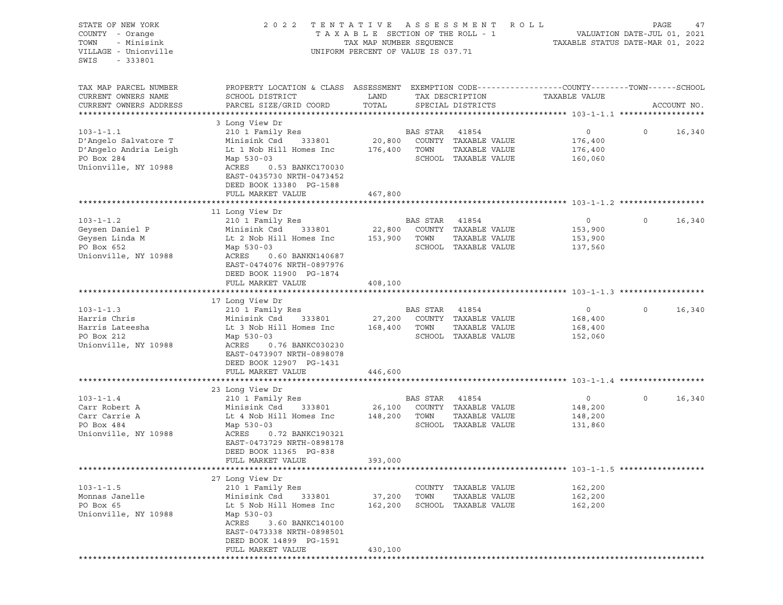| STATE OF NEW YORK<br>COUNTY - Orange<br>- Minisink<br>TOWN<br>VILLAGE - Unionville<br>SWIS<br>$-333801$ | 2 0 2 2                                                                                                             | TENTATIVE<br>TAXABLE SECTION OF THE ROLL - 1<br>TAX MAP NUMBER SEQUENCE<br>UNIFORM PERCENT OF VALUE IS 037.71 |                | A S S E S S M E N T  | ROLL<br>TAXABLE STATUS DATE-MAR 01, 2022 | PAGE<br>VALUATION DATE-JUL 01, 2021 | 47          |
|---------------------------------------------------------------------------------------------------------|---------------------------------------------------------------------------------------------------------------------|---------------------------------------------------------------------------------------------------------------|----------------|----------------------|------------------------------------------|-------------------------------------|-------------|
| TAX MAP PARCEL NUMBER<br>CURRENT OWNERS NAME                                                            | PROPERTY LOCATION & CLASS ASSESSMENT EXEMPTION CODE----------------COUNTY-------TOWN------SCHOOL<br>SCHOOL DISTRICT | LAND                                                                                                          |                | TAX DESCRIPTION      | TAXABLE VALUE                            |                                     |             |
| CURRENT OWNERS ADDRESS                                                                                  | PARCEL SIZE/GRID COORD                                                                                              | TOTAL                                                                                                         |                | SPECIAL DISTRICTS    |                                          |                                     | ACCOUNT NO. |
|                                                                                                         | 3 Long View Dr                                                                                                      |                                                                                                               |                |                      |                                          |                                     |             |
| $103 - 1 - 1.1$                                                                                         | 210 1 Family Res                                                                                                    |                                                                                                               | BAS STAR       | 41854                | $\circ$                                  | $\circ$                             | 16,340      |
| D'Angelo Salvatore T                                                                                    | Minisink Csd<br>333801                                                                                              | 20,800                                                                                                        |                | COUNTY TAXABLE VALUE | 176,400                                  |                                     |             |
| D'Angelo Andria Leigh                                                                                   | Lt 1 Nob Hill Homes Inc                                                                                             | 176,400                                                                                                       | TOWN           | TAXABLE VALUE        | 176,400                                  |                                     |             |
| PO Box 284                                                                                              | Map 530-03                                                                                                          |                                                                                                               |                | SCHOOL TAXABLE VALUE | 160,060                                  |                                     |             |
| Unionville, NY 10988                                                                                    | ACRES<br>0.53 BANKC170030<br>EAST-0435730 NRTH-0473452<br>DEED BOOK 13380 PG-1588                                   |                                                                                                               |                |                      |                                          |                                     |             |
|                                                                                                         | FULL MARKET VALUE                                                                                                   | 467,800                                                                                                       |                |                      |                                          |                                     |             |
|                                                                                                         |                                                                                                                     |                                                                                                               |                |                      |                                          |                                     |             |
| $103 - 1 - 1.2$                                                                                         | 11 Long View Dr<br>210 1 Family Res                                                                                 |                                                                                                               | BAS STAR 41854 |                      | $\circ$                                  | $\circ$                             | 16,340      |
| Geysen Daniel P                                                                                         | Minisink Csd<br>333801                                                                                              | 22,800                                                                                                        |                | COUNTY TAXABLE VALUE | 153,900                                  |                                     |             |
| Geysen Linda M                                                                                          | Lt 2 Nob Hill Homes Inc                                                                                             | 153,900                                                                                                       | TOWN           | TAXABLE VALUE        | 153,900                                  |                                     |             |
| PO Box 652                                                                                              | Map 530-03                                                                                                          |                                                                                                               |                | SCHOOL TAXABLE VALUE | 137,560                                  |                                     |             |
| Unionville, NY 10988                                                                                    | ACRES<br>0.60 BANKN140687<br>EAST-0474076 NRTH-0897976<br>DEED BOOK 11900 PG-1874                                   |                                                                                                               |                |                      |                                          |                                     |             |
|                                                                                                         | FULL MARKET VALUE                                                                                                   | 408,100                                                                                                       |                |                      |                                          |                                     |             |
|                                                                                                         |                                                                                                                     |                                                                                                               |                |                      |                                          |                                     |             |
| $103 - 1 - 1.3$                                                                                         | 17 Long View Dr<br>210 1 Family Res                                                                                 |                                                                                                               | BAS STAR 41854 |                      | $\circ$                                  | $\Omega$                            | 16,340      |
| Harris Chris                                                                                            | Minisink Csd<br>333801                                                                                              | 27,200                                                                                                        |                | COUNTY TAXABLE VALUE | 168,400                                  |                                     |             |
| Harris Lateesha                                                                                         | Lt 3 Nob Hill Homes Inc                                                                                             | 168,400                                                                                                       | TOWN           | TAXABLE VALUE        | 168,400                                  |                                     |             |
| PO Box 212                                                                                              | Map 530-03                                                                                                          |                                                                                                               |                | SCHOOL TAXABLE VALUE | 152,060                                  |                                     |             |
| Unionville, NY 10988                                                                                    | ACRES<br>0.76 BANKC030230<br>EAST-0473907 NRTH-0898078<br>DEED BOOK 12907 PG-1431                                   |                                                                                                               |                |                      |                                          |                                     |             |
|                                                                                                         | FULL MARKET VALUE                                                                                                   | 446,600                                                                                                       |                |                      |                                          |                                     |             |
|                                                                                                         |                                                                                                                     |                                                                                                               |                |                      |                                          |                                     |             |
| $103 - 1 - 1.4$                                                                                         | 23 Long View Dr<br>210 1 Family Res                                                                                 |                                                                                                               | BAS STAR 41854 |                      | $\circ$                                  | $\circ$                             | 16,340      |
| Carr Robert A                                                                                           | Minisink Csd<br>333801                                                                                              | 26,100                                                                                                        |                | COUNTY TAXABLE VALUE | 148,200                                  |                                     |             |
| Carr Carrie A                                                                                           | Lt 4 Nob Hill Homes Inc                                                                                             | 148,200                                                                                                       | TOWN           | TAXABLE VALUE        | 148,200                                  |                                     |             |
| PO Box 484                                                                                              | Map 530-03                                                                                                          |                                                                                                               |                | SCHOOL TAXABLE VALUE | 131,860                                  |                                     |             |
| Unionville, NY 10988                                                                                    | ACRES<br>0.72 BANKC190321<br>EAST-0473729 NRTH-0898178<br>DEED BOOK 11365 PG-838                                    |                                                                                                               |                |                      |                                          |                                     |             |
|                                                                                                         | FULL MARKET VALUE                                                                                                   | 393,000                                                                                                       |                |                      |                                          |                                     |             |
|                                                                                                         | 27 Long View Dr                                                                                                     |                                                                                                               |                |                      |                                          |                                     |             |
| $103 - 1 - 1.5$                                                                                         | 210 1 Family Res                                                                                                    |                                                                                                               |                | COUNTY TAXABLE VALUE | 162,200                                  |                                     |             |
| Monnas Janelle                                                                                          | Minisink Csd<br>333801                                                                                              | 37,200                                                                                                        | TOWN           | TAXABLE VALUE        | 162,200                                  |                                     |             |
| PO Box 65                                                                                               | Lt 5 Nob Hill Homes Inc                                                                                             | 162,200                                                                                                       |                | SCHOOL TAXABLE VALUE | 162,200                                  |                                     |             |
| Unionville, NY 10988                                                                                    | Map 530-03<br>ACRES<br>3.60 BANKC140100                                                                             |                                                                                                               |                |                      |                                          |                                     |             |
|                                                                                                         | EAST-0473338 NRTH-0898501<br>DEED BOOK 14899 PG-1591<br>FULL MARKET VALUE                                           | 430,100                                                                                                       |                |                      |                                          |                                     |             |
|                                                                                                         |                                                                                                                     |                                                                                                               |                |                      |                                          |                                     |             |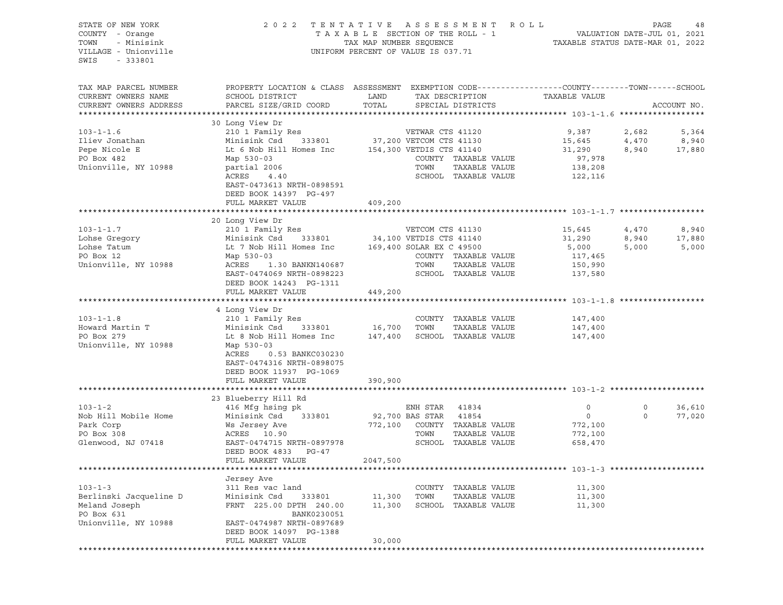## STATE OF NEW YORK 2 0 2 2 T E N T A T I V E A S S E S S M E N T R O L L PAGE 48 COUNTY - Orange T A X A B L E SECTION OF THE ROLL - 1 VALUATION DATE-JUL 01, 2021 TOWN - Minisink TAX MAP NUMBER SEQUENCE TAXABLE STATUS DATE-MAR 01, 2022 VILLAGE - Unionville **United Accord CONT** UNIFORM PERCENT OF VALUE IS 037.71

| TAX MAP PARCEL NUMBER<br>CURRENT OWNERS NAME                                           | PROPERTY LOCATION & CLASS ASSESSMENT EXEMPTION CODE----------------COUNTY-------TOWN------SCHOOL<br>SCHOOL DISTRICT                                  | LAND               |                                                             | TAX DESCRIPTION                                                                 | TAXABLE VALUE                                    |                     |                  |
|----------------------------------------------------------------------------------------|------------------------------------------------------------------------------------------------------------------------------------------------------|--------------------|-------------------------------------------------------------|---------------------------------------------------------------------------------|--------------------------------------------------|---------------------|------------------|
| CURRENT OWNERS ADDRESS<br>**********************                                       | PARCEL SIZE/GRID COORD                                                                                                                               | TOTAL              |                                                             | SPECIAL DISTRICTS                                                               |                                                  |                     | ACCOUNT NO.      |
|                                                                                        |                                                                                                                                                      |                    |                                                             |                                                                                 |                                                  |                     |                  |
| $103 - 1 - 1.6$<br>Iliev Jonathan                                                      | 30 Long View Dr<br>210 1 Family Res<br>Minisink Csd<br>333801                                                                                        |                    | VETWAR CTS 41120<br>37,200 VETCOM CTS 41130                 |                                                                                 | 9,387<br>15,645                                  | 2,682<br>4,470      | 5,364<br>8,940   |
| Pepe Nicole E<br>PO Box 482<br>Unionville, NY 10988                                    | Lt 6 Nob Hill Homes Inc<br>Map 530-03<br>partial 2006<br>ACRES<br>4.40<br>EAST-0473613 NRTH-0898591<br>DEED BOOK 14397 PG-497                        |                    | 154,300 VETDIS CTS 41140<br>TOWN                            | COUNTY TAXABLE VALUE<br>TAXABLE VALUE<br>SCHOOL TAXABLE VALUE                   | 31,290<br>97,978<br>138,208<br>122,116           | 8,940               | 17,880           |
|                                                                                        | FULL MARKET VALUE                                                                                                                                    | 409,200            |                                                             |                                                                                 |                                                  |                     |                  |
|                                                                                        |                                                                                                                                                      |                    |                                                             |                                                                                 |                                                  |                     |                  |
| $103 - 1 - 1.7$                                                                        | 20 Long View Dr<br>210 1 Family Res                                                                                                                  |                    | VETCOM CTS 41130                                            |                                                                                 | 15,645                                           | 4,470               | 8,940            |
| Lohse Gregory<br>Lohse Tatum<br>PO Box 12<br>Unionville, NY 10988                      | Minisink Csd<br>333801<br>Lt 7 Nob Hill Homes Inc<br>Map 530-03<br>ACRES<br>1.30 BANKN140687<br>EAST-0474069 NRTH-0898223<br>DEED BOOK 14243 PG-1311 |                    | 34,100 VETDIS CTS 41140<br>169,400 SOLAR EX C 49500<br>TOWN | COUNTY TAXABLE VALUE<br>TAXABLE VALUE<br>SCHOOL TAXABLE VALUE                   | 31,290<br>5,000<br>117,465<br>150,990<br>137,580 | 8,940<br>5,000      | 17,880<br>5,000  |
|                                                                                        | FULL MARKET VALUE                                                                                                                                    | 449,200            |                                                             |                                                                                 |                                                  |                     |                  |
|                                                                                        |                                                                                                                                                      |                    |                                                             |                                                                                 |                                                  |                     |                  |
|                                                                                        | 4 Long View Dr                                                                                                                                       |                    |                                                             |                                                                                 |                                                  |                     |                  |
| $103 - 1 - 1.8$<br>Howard Martin T                                                     | 210 1 Family Res<br>Minisink Csd<br>333801                                                                                                           | 16,700             | TOWN                                                        | COUNTY TAXABLE VALUE<br>TAXABLE VALUE                                           | 147,400<br>147,400                               |                     |                  |
| PO Box 279<br>Unionville, NY 10988                                                     | Lt 8 Nob Hill Homes Inc<br>Map 530-03<br>ACRES<br>0.53 BANKC030230<br>EAST-0474316 NRTH-0898075<br>DEED BOOK 11937 PG-1069<br>FULL MARKET VALUE      | 147,400<br>390,900 |                                                             | SCHOOL TAXABLE VALUE                                                            | 147,400                                          |                     |                  |
|                                                                                        |                                                                                                                                                      |                    |                                                             |                                                                                 |                                                  |                     |                  |
|                                                                                        | 23 Blueberry Hill Rd                                                                                                                                 |                    |                                                             |                                                                                 |                                                  |                     |                  |
| $103 - 1 - 2$<br>Nob Hill Mobile Home<br>Park Corp<br>PO Box 308<br>Glenwood, NJ 07418 | 416 Mfg hsing pk<br>Minisink Csd<br>333801<br>Ws Jersey Ave<br>ACRES 10.90<br>EAST-0474715 NRTH-0897978<br>DEED BOOK 4833 PG-47                      | 772,100            | ENH STAR<br>92,700 BAS STAR<br>TOWN                         | 41834<br>41854<br>COUNTY TAXABLE VALUE<br>TAXABLE VALUE<br>SCHOOL TAXABLE VALUE | 0<br>$\circ$<br>772,100<br>772,100<br>658,470    | $\circ$<br>$\Omega$ | 36,610<br>77,020 |
|                                                                                        | FULL MARKET VALUE                                                                                                                                    | 2047,500           |                                                             |                                                                                 |                                                  |                     |                  |
|                                                                                        |                                                                                                                                                      |                    |                                                             |                                                                                 |                                                  |                     |                  |
| $103 - 1 - 3$                                                                          | Jersey Ave<br>311 Res vac land                                                                                                                       |                    |                                                             | COUNTY TAXABLE VALUE                                                            | 11,300                                           |                     |                  |
| Berlinski Jacqueline D                                                                 | Minisink Csd<br>333801                                                                                                                               | 11,300             | TOWN                                                        | TAXABLE VALUE                                                                   | 11,300                                           |                     |                  |
| Meland Joseph<br>PO Box 631                                                            | FRNT 225.00 DPTH 240.00<br>BANK0230051                                                                                                               | 11,300             |                                                             | SCHOOL TAXABLE VALUE                                                            | 11,300                                           |                     |                  |
| Unionville, NY 10988                                                                   | EAST-0474987 NRTH-0897689<br>DEED BOOK 14097 PG-1388<br>FULL MARKET VALUE                                                                            | 30,000             |                                                             |                                                                                 |                                                  |                     |                  |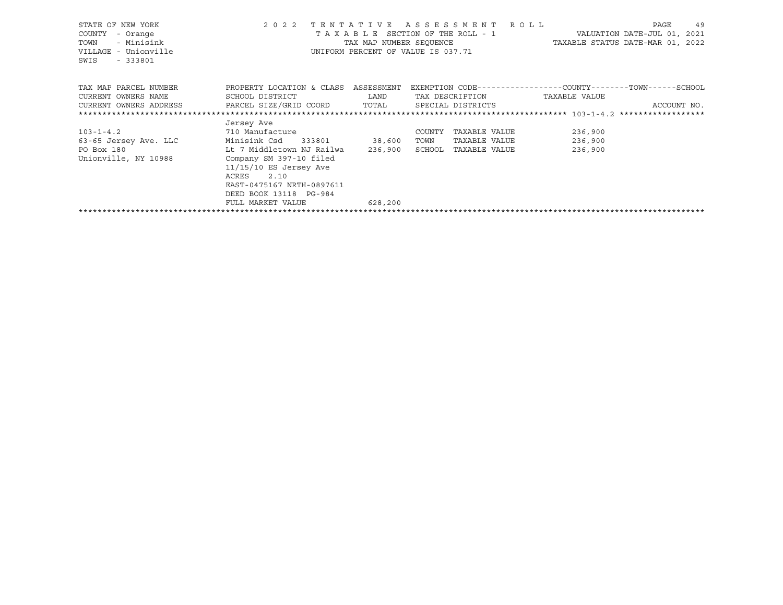| STATE OF NEW YORK<br>COUNTY<br>- Orange<br>- Minisink<br>TOWN<br>VILLAGE - Unionville<br>$-333801$<br>SWIS |                                         |             | 2022 TENTATIVE ASSESSMENT ROLL<br>T A X A B L E SECTION OF THE ROLL - 1 VALUATION DATE-JUL 01, 2021<br>TAX MAP NUMBER SEQUENCE TAXABLE STATUS DATE-MAR 01, 2022<br>UNIFORM PERCENT OF VALUE IS 037.71 |               |               | 49<br>PAGE  |
|------------------------------------------------------------------------------------------------------------|-----------------------------------------|-------------|-------------------------------------------------------------------------------------------------------------------------------------------------------------------------------------------------------|---------------|---------------|-------------|
| TAX MAP PARCEL NUMBER                                                                                      | PROPERTY LOCATION & CLASS ASSESSMENT    |             | EXEMPTION CODE-----------------COUNTY-------TOWN------SCHOOL                                                                                                                                          |               |               |             |
| CURRENT OWNERS NAME                                                                                        | SCHOOL DISTRICT                         | <b>LAND</b> | TAX DESCRIPTION                                                                                                                                                                                       |               | TAXABLE VALUE |             |
| CURRENT OWNERS ADDRESS     PARCEL SIZE/GRID COORD     TOTAL     SPECIAL DISTRICTS                          |                                         |             |                                                                                                                                                                                                       |               |               | ACCOUNT NO. |
|                                                                                                            |                                         |             |                                                                                                                                                                                                       |               |               |             |
|                                                                                                            | Jersey Ave                              |             |                                                                                                                                                                                                       |               |               |             |
| 710 Manufacture<br>$103 - 1 - 4.2$                                                                         |                                         |             | TAXABLE VALUE<br>COUNTY                                                                                                                                                                               |               | 236,900       |             |
| 63-65 Jersey Ave. LLC Minisink Csd 333801 38,600                                                           |                                         |             | TOWN<br>TAXABLE VALUE                                                                                                                                                                                 |               | 236,900       |             |
| PO Box 180                                                                                                 | Lt 7 Middletown NJ Railwa       236,900 |             | SCHOOL                                                                                                                                                                                                | TAXABLE VALUE | 236,900       |             |
| Unionville, NY 10988                                                                                       | Company SM 397-10 filed                 |             |                                                                                                                                                                                                       |               |               |             |
|                                                                                                            | $11/15/10$ ES Jersey Ave                |             |                                                                                                                                                                                                       |               |               |             |
|                                                                                                            | ACRES 2.10                              |             |                                                                                                                                                                                                       |               |               |             |
|                                                                                                            | EAST-0475167 NRTH-0897611               |             |                                                                                                                                                                                                       |               |               |             |
|                                                                                                            | DEED BOOK 13118 PG-984                  |             |                                                                                                                                                                                                       |               |               |             |
|                                                                                                            | FULL MARKET VALUE                       | 628,200     |                                                                                                                                                                                                       |               |               |             |
|                                                                                                            |                                         |             |                                                                                                                                                                                                       |               |               |             |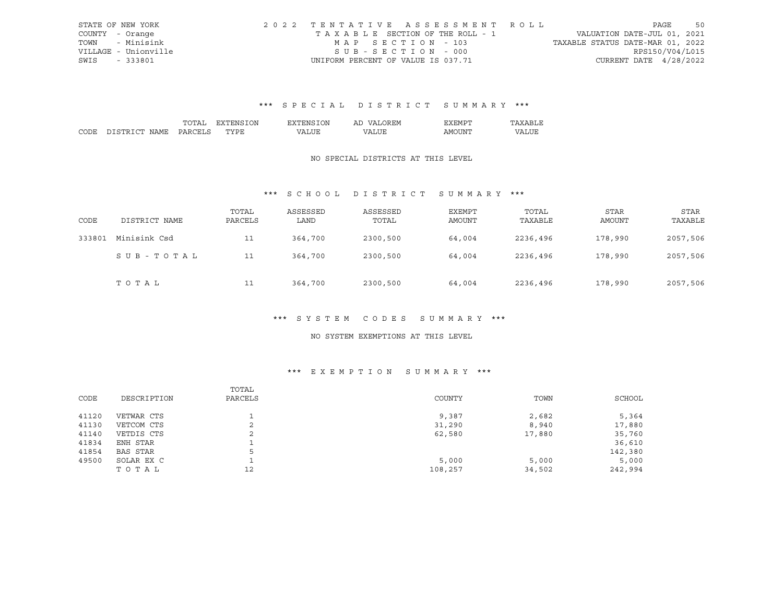|      | STATE OF NEW YORK    | 2022 TENTATIVE ASSESSMENT ROLL     |                                  | PAGE            | 50 |
|------|----------------------|------------------------------------|----------------------------------|-----------------|----|
|      | COUNTY - Orange      | TAXABLE SECTION OF THE ROLL - 1    | VALUATION DATE-JUL 01, 2021      |                 |    |
|      | TOWN - Minisink      | MAP SECTION - 103                  | TAXABLE STATUS DATE-MAR 01, 2022 |                 |    |
|      | VILLAGE - Unionville | $SUB - SECTION - 000$              |                                  | RPS150/V04/L015 |    |
| SWIS | $-333801$            | UNIFORM PERCENT OF VALUE IS 037.71 | CURRENT DATE 4/28/2022           |                 |    |

|      |             |    | DИ | ΙN<br>'NH | AL | $\mathbf{v}$ |   |
|------|-------------|----|----|-----------|----|--------------|---|
| CODE | יחי<br>™∆MT | ιn |    | $\Lambda$ |    | ΔM<br>.      | T |

### NO SPECIAL DISTRICTS AT THIS LEVEL

## \*\*\* S C H O O L D I S T R I C T S U M M A R Y \*\*\*

| CODE   | DISTRICT NAME | TOTAL<br>PARCELS | ASSESSED<br>LAND | ASSESSED<br>TOTAL | EXEMPT<br>AMOUNT | TOTAL<br>TAXABLE | <b>STAR</b><br>AMOUNT | <b>STAR</b><br>TAXABLE |
|--------|---------------|------------------|------------------|-------------------|------------------|------------------|-----------------------|------------------------|
| 333801 | Minisink Csd  | 11               | 364,700          | 2300,500          | 64,004           | 2236,496         | 178,990               | 2057,506               |
|        | SUB-TOTAL     | 11               | 364,700          | 2300,500          | 64,004           | 2236,496         | 178,990               | 2057,506               |
|        | TOTAL         | 11               | 364,700          | 2300,500          | 64,004           | 2236,496         | 178,990               | 2057,506               |

## \*\*\* S Y S T E M C O D E S S U M M A R Y \*\*\*

#### NO SYSTEM EXEMPTIONS AT THIS LEVEL

## \*\*\* E X E M P T I O N S U M M A R Y \*\*\*

|       |                 | TOTAL   |         |        |         |
|-------|-----------------|---------|---------|--------|---------|
| CODE  | DESCRIPTION     | PARCELS | COUNTY  | TOWN   | SCHOOL  |
| 41120 | VETWAR CTS      |         | 9,387   | 2,682  | 5,364   |
| 41130 | VETCOM CTS      | 2       | 31,290  | 8,940  | 17,880  |
| 41140 | VETDIS CTS      | 2       | 62,580  | 17,880 | 35,760  |
| 41834 | ENH STAR        |         |         |        | 36,610  |
| 41854 | <b>BAS STAR</b> | 5       |         |        | 142,380 |
| 49500 | SOLAR EX C      |         | 5,000   | 5,000  | 5,000   |
|       | TOTAL           | 12      | 108,257 | 34,502 | 242,994 |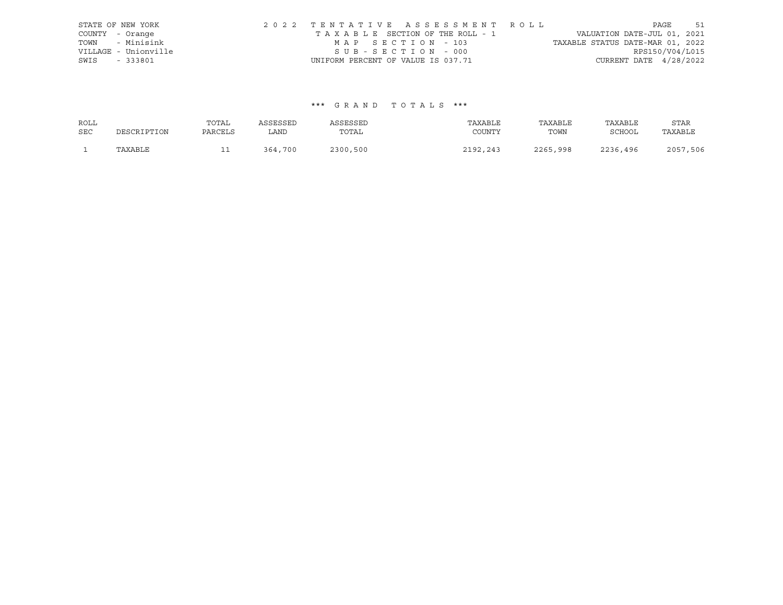| STATE OF NEW YORK    |                                    |                   | 2022 TENTATIVE ASSESSMENT ROLL  |                                  |                          | PAGE | 51 |
|----------------------|------------------------------------|-------------------|---------------------------------|----------------------------------|--------------------------|------|----|
| COUNTY - Orange      |                                    |                   | TAXABLE SECTION OF THE ROLL - 1 | VALUATION DATE-JUL 01, 2021      |                          |      |    |
| TOWN - Minisink      |                                    | MAP SECTION - 103 |                                 | TAXABLE STATUS DATE-MAR 01, 2022 |                          |      |    |
| VILLAGE - Unionville |                                    | SUB-SECTION - 000 |                                 |                                  | RPS150/V04/L015          |      |    |
| SWIS - 333801        | UNIFORM PERCENT OF VALUE IS 037.71 |                   |                                 |                                  | CURRENT DATE $4/28/2022$ |      |    |

| ROLL       |             | TOTAL   | ASSESSED | ASSESSED | TAXABLE  | TAXABLE  | TAXABLE       | STAR     |
|------------|-------------|---------|----------|----------|----------|----------|---------------|----------|
| <b>SEC</b> | DESCRIPTION | PARCELS | LAND     | TOTAL    | COUNTY   | TOWN     | <b>SCHOOL</b> | TAXABLE  |
|            | TAXABLE     | --      | 364,700  | 2300,500 | 2192,243 | 2265,998 | 2236,496      | 2057,506 |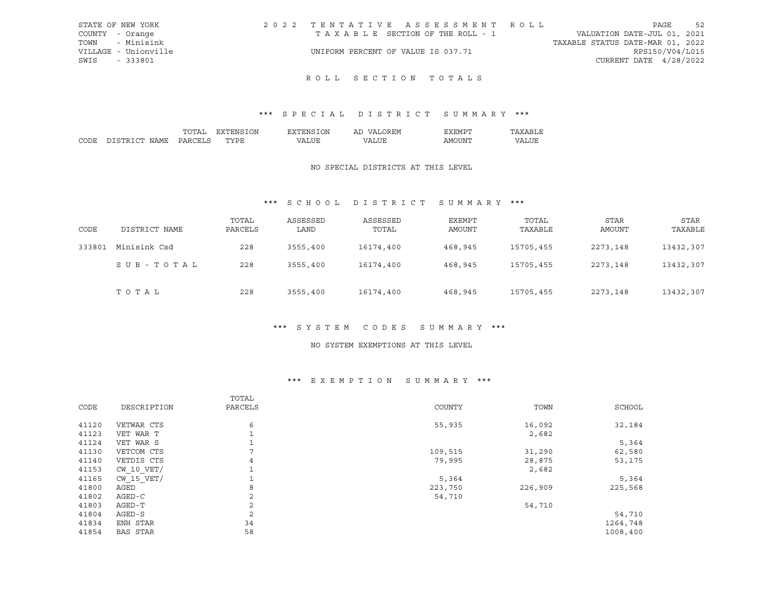| STATE OF NEW YORK    | 2022 TENTATIVE ASSESSMENT ROLL     |  |  |                                  |                        | PAGE            | 52 |
|----------------------|------------------------------------|--|--|----------------------------------|------------------------|-----------------|----|
| COUNTY - Orange      | TAXABLE SECTION OF THE ROLL - 1    |  |  | VALUATION DATE-JUL 01, 2021      |                        |                 |    |
| TOWN - Minisink      |                                    |  |  | TAXABLE STATUS DATE-MAR 01, 2022 |                        |                 |    |
| VILLAGE - Unionville | UNIFORM PERCENT OF VALUE IS 037.71 |  |  |                                  |                        | RPS150/V04/L015 |    |
| SWIS - 333801        |                                    |  |  |                                  | CURRENT DATE 4/28/2022 |                 |    |
|                      |                                    |  |  |                                  |                        |                 |    |

## ROLL SECTION TOTALS

## \*\*\* S P E C I A L D I S T R I C T S U M M A R Y \*\*\*

|               | DΝ        | эN<br>'NL                | Αl | <b>HIML</b>    |  |
|---------------|-----------|--------------------------|----|----------------|--|
| י החי<br>∣∆ M | <br>$-11$ | $\overline{\phantom{a}}$ |    | ו∨ו ∆<br>- I N |  |

### NO SPECIAL DISTRICTS AT THIS LEVEL

## \*\*\* S C H O O L D I S T R I C T S U M M A R Y \*\*\*

| CODE   | DISTRICT NAME | TOTAL<br>PARCELS | ASSESSED<br>LAND | ASSESSED<br>TOTAL | EXEMPT<br><b>AMOUNT</b> | TOTAL<br>TAXABLE | STAR<br><b>AMOUNT</b> | <b>STAR</b><br>TAXABLE |
|--------|---------------|------------------|------------------|-------------------|-------------------------|------------------|-----------------------|------------------------|
| 333801 | Minisink Csd  | 228              | 3555,400         | 16174,400         | 468,945                 | 15705,455        | 2273,148              | 13432,307              |
|        | SUB-TOTAL     | 228              | 3555,400         | 16174,400         | 468,945                 | 15705,455        | 2273,148              | 13432,307              |
|        | TOTAL         | 228              | 3555,400         | 16174,400         | 468,945                 | 15705,455        | 2273,148              | 13432,307              |

## \*\*\* S Y S T E M C O D E S S U M M A R Y \*\*\*

#### NO SYSTEM EXEMPTIONS AT THIS LEVEL

#### \*\*\* E X E M P T I O N S U M M A R Y \*\*\*

|       |                 | TOTAL          |         |         |          |
|-------|-----------------|----------------|---------|---------|----------|
| CODE  | DESCRIPTION     | PARCELS        | COUNTY  | TOWN    | SCHOOL   |
| 41120 | VETWAR CTS      | 6              | 55,935  | 16,092  | 32,184   |
| 41123 | VET WAR T       |                |         | 2,682   |          |
| 41124 | VET WAR S       |                |         |         | 5,364    |
| 41130 | VETCOM CTS      |                | 109,515 | 31,290  | 62,580   |
| 41140 | VETDIS CTS      | 4              | 79,995  | 28,875  | 53,175   |
| 41153 | $CW$ 10 $VET/$  |                |         | 2,682   |          |
| 41165 | $CW$ 15 $VET/$  |                | 5,364   |         | 5,364    |
| 41800 | AGED            | 8              | 223,750 | 226,909 | 225,568  |
| 41802 | AGED-C          | 2              | 54,710  |         |          |
| 41803 | AGED-T          | $\overline{a}$ |         | 54,710  |          |
| 41804 | $AGED-S$        | 2              |         |         | 54,710   |
| 41834 | ENH STAR        | 34             |         |         | 1264,748 |
| 41854 | <b>BAS STAR</b> | 58             |         |         | 1008,400 |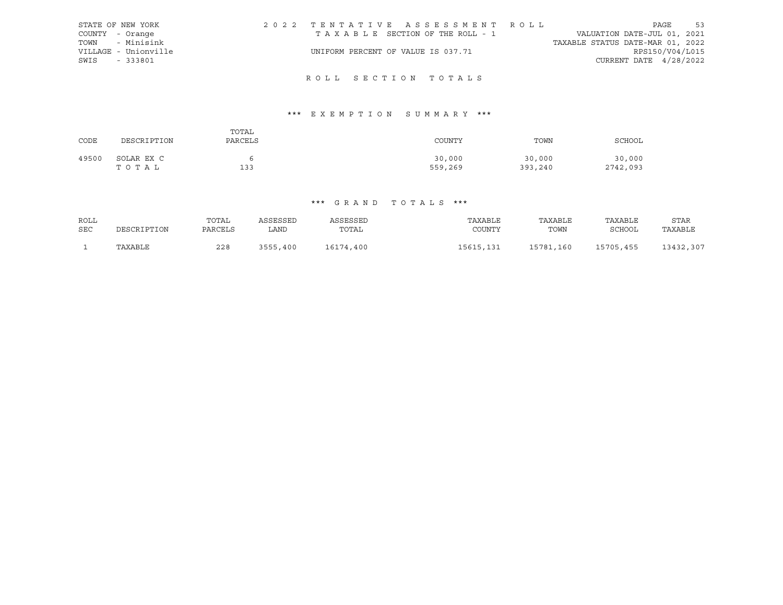|      | STATE OF NEW YORK    | 2022 TENTATIVE ASSESSMENT ROLL        |  |                                  |                        | PAGE | 53 |
|------|----------------------|---------------------------------------|--|----------------------------------|------------------------|------|----|
|      | COUNTY - Orange      | T A X A B L E SECTION OF THE ROLL - 1 |  | VALUATION DATE-JUL 01, 2021      |                        |      |    |
|      | TOWN - Minisink      |                                       |  | TAXABLE STATUS DATE-MAR 01, 2022 |                        |      |    |
|      | VILLAGE - Unionville | UNIFORM PERCENT OF VALUE IS 037.71    |  |                                  | RPS150/V04/L015        |      |    |
| SWIS | $-333801$            |                                       |  |                                  | CURRENT DATE 4/28/2022 |      |    |
|      |                      |                                       |  |                                  |                        |      |    |

## R O L L S E C T I O N T O T A L S

## \*\*\* E X E M P T I O N S U M M A R Y \*\*\*

| CODE  | DESCRIPTION         | TOTAL<br>PARCELS | COUNTY            | TOWN              | SCHOOL             |
|-------|---------------------|------------------|-------------------|-------------------|--------------------|
| 49500 | SOLAR EX C<br>TOTAL | 133              | 30,000<br>559,269 | 30,000<br>393,240 | 30,000<br>2742,093 |

| ROLL |             | TOTAL   | ASSESSED | ASSESSED  | TAXABLE   | TAXABLE   | TAXABLE   | STAR      |
|------|-------------|---------|----------|-----------|-----------|-----------|-----------|-----------|
| SEC  | DESCRIPTION | PARCELS | LAND     | TOTAL     | COUNTY    | TOWN      | SCHOOL    | TAXABLE   |
|      | TAXABLE     | 228     | 3555,400 | 16174,400 | 15615,131 | 15781,160 | 15705,455 | 13432,307 |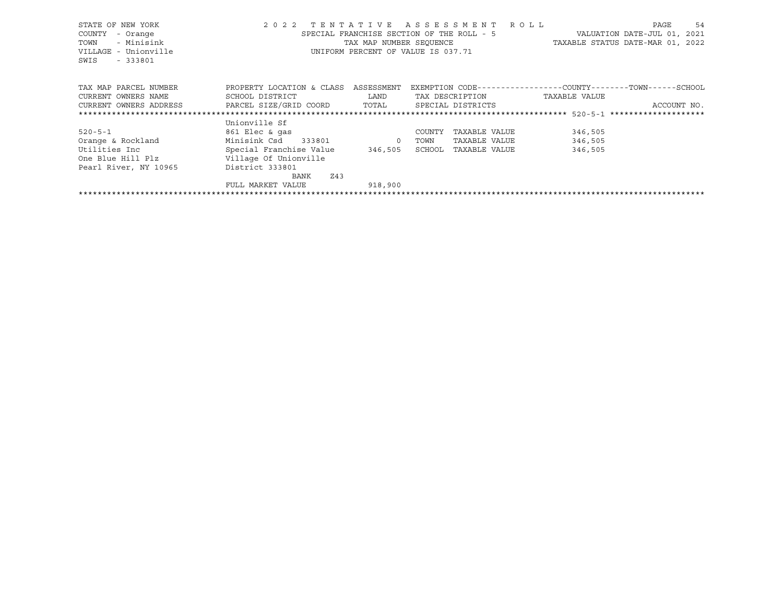| STATE OF NEW YORK<br>COUNTY<br>- Orange<br>- Minisink<br>TOWN<br>VILLAGE - Unionville<br>SWIS<br>$-333801$ | 2 0 2 2                   | TENTATIVE ASSESSMENT ROLL<br>SPECIAL FRANCHISE SECTION OF THE ROLL - 5<br>TAX MAP NUMBER SEQUENCE<br>UNIFORM PERCENT OF VALUE IS 037.71 |        |                   | TAXABLE STATUS DATE-MAR 01, 2022                            | PAGE<br>VALUATION DATE-JUL 01, 2021 | 54 |
|------------------------------------------------------------------------------------------------------------|---------------------------|-----------------------------------------------------------------------------------------------------------------------------------------|--------|-------------------|-------------------------------------------------------------|-------------------------------------|----|
| TAX MAP PARCEL NUMBER                                                                                      | PROPERTY LOCATION & CLASS | ASSESSMENT                                                                                                                              |        |                   | EXEMPTION CODE-----------------COUNTY-------TOWN-----SCHOOL |                                     |    |
| CURRENT OWNERS NAME                                                                                        | SCHOOL DISTRICT           | LAND                                                                                                                                    |        | TAX DESCRIPTION   | TAXABLE VALUE                                               |                                     |    |
| CURRENT OWNERS ADDRESS                                                                                     | PARCEL SIZE/GRID COORD    | TOTAL                                                                                                                                   |        | SPECIAL DISTRICTS |                                                             | ACCOUNT NO.                         |    |
|                                                                                                            |                           |                                                                                                                                         |        |                   |                                                             |                                     |    |
|                                                                                                            | Unionville Sf             |                                                                                                                                         |        |                   |                                                             |                                     |    |
| $520 - 5 - 1$                                                                                              | 861 Elec & gas            |                                                                                                                                         | COUNTY | TAXABLE VALUE     | 346,505                                                     |                                     |    |
| Orange & Rockland                                                                                          | Minisink Csd 333801       | $\overline{0}$                                                                                                                          | TOWN   | TAXABLE VALUE     | 346,505                                                     |                                     |    |
| Utilities Inc                                                                                              | Special Franchise Value   | 346,505                                                                                                                                 | SCHOOL | TAXABLE VALUE     | 346,505                                                     |                                     |    |
| One Blue Hill Plz                                                                                          | Village Of Unionville     |                                                                                                                                         |        |                   |                                                             |                                     |    |
| Pearl River, NY 10965                                                                                      | District 333801           |                                                                                                                                         |        |                   |                                                             |                                     |    |
|                                                                                                            | Z43<br>BANK               |                                                                                                                                         |        |                   |                                                             |                                     |    |
|                                                                                                            | FULL MARKET VALUE         | 918,900                                                                                                                                 |        |                   |                                                             |                                     |    |
|                                                                                                            |                           |                                                                                                                                         |        |                   |                                                             |                                     |    |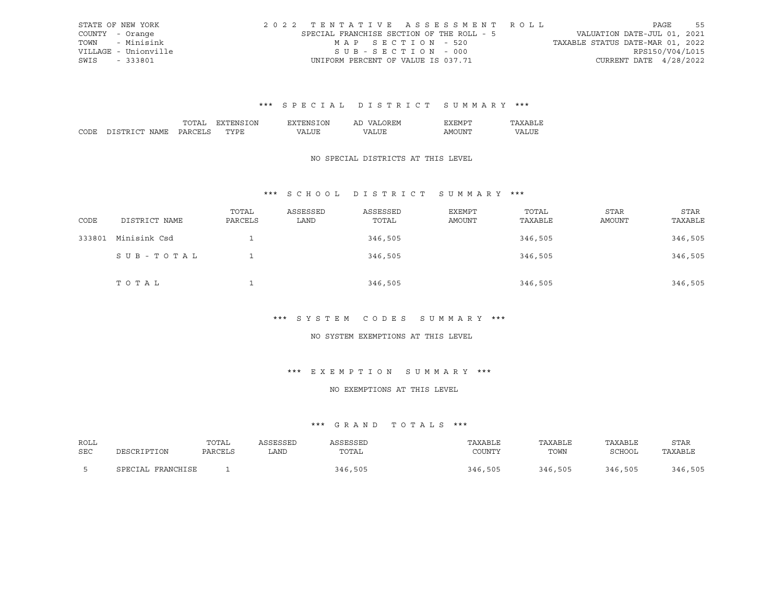|      | STATE OF NEW YORK    |                                           |                                    |  |  |  | 2022 TENTATIVE ASSESSMENT ROLL |                                  |                        | PAGE | 55 |
|------|----------------------|-------------------------------------------|------------------------------------|--|--|--|--------------------------------|----------------------------------|------------------------|------|----|
|      | COUNTY - Orange      | SPECIAL FRANCHISE SECTION OF THE ROLL - 5 |                                    |  |  |  |                                | VALUATION DATE-JUL 01, 2021      |                        |      |    |
| TOWN | - Minisink           |                                           | MAP SECTION - 520                  |  |  |  |                                | TAXABLE STATUS DATE-MAR 01, 2022 |                        |      |    |
|      | VILLAGE - Unionville |                                           | SUB-SECTION - 000                  |  |  |  |                                |                                  | RPS150/V04/L015        |      |    |
| SWIS | - 333801             |                                           | UNIFORM PERCENT OF VALUE IS 037.71 |  |  |  |                                |                                  | CURRENT DATE 4/28/2022 |      |    |

|                 | $\overline{\mathbf{v}}$<br>. л | ЛU | ' ∺:M<br>Al |      |  |
|-----------------|--------------------------------|----|-------------|------|--|
| י החי<br>⊶ ΩM ⊾ | $m \times m$<br>٠.             |    |             | -iN' |  |

### NO SPECIAL DISTRICTS AT THIS LEVEL

## \*\*\* S C H O O L D I S T R I C T S U M M A R Y \*\*\*

| CODE   | DISTRICT NAME | TOTAL<br>PARCELS | ASSESSED<br>LAND | ASSESSED<br>TOTAL | EXEMPT<br>AMOUNT | TOTAL<br>TAXABLE | STAR<br>AMOUNT | <b>STAR</b><br>TAXABLE |
|--------|---------------|------------------|------------------|-------------------|------------------|------------------|----------------|------------------------|
| 333801 | Minisink Csd  |                  |                  | 346,505           |                  | 346,505          |                | 346,505                |
|        | SUB-TOTAL     |                  |                  | 346,505           |                  | 346,505          |                | 346,505                |
|        | TOTAL         |                  |                  | 346,505           |                  | 346,505          |                | 346,505                |

#### \*\*\* S Y S T E M C O D E S S U M M A R Y \*\*\*

#### NO SYSTEM EXEMPTIONS AT THIS LEVEL

## \*\*\* E X E M P T I O N S U M M A R Y \*\*\*

#### NO EXEMPTIONS AT THIS LEVEL

| ROLL |                      | TOTAL   | ASSESSED | \SSESSED | TAXABLE | TAXABLE | TAXABLE | STAR    |
|------|----------------------|---------|----------|----------|---------|---------|---------|---------|
| SEC  | DESCRIPTION          | PARCELS | LAND     | TOTAL    | COUNTY  | TOWN    | SCHOOL  | TAXABLE |
|      | FRANCHISE<br>SPECIAL |         |          | 346,505  | 346,505 | 346,505 | 346,505 | 346,505 |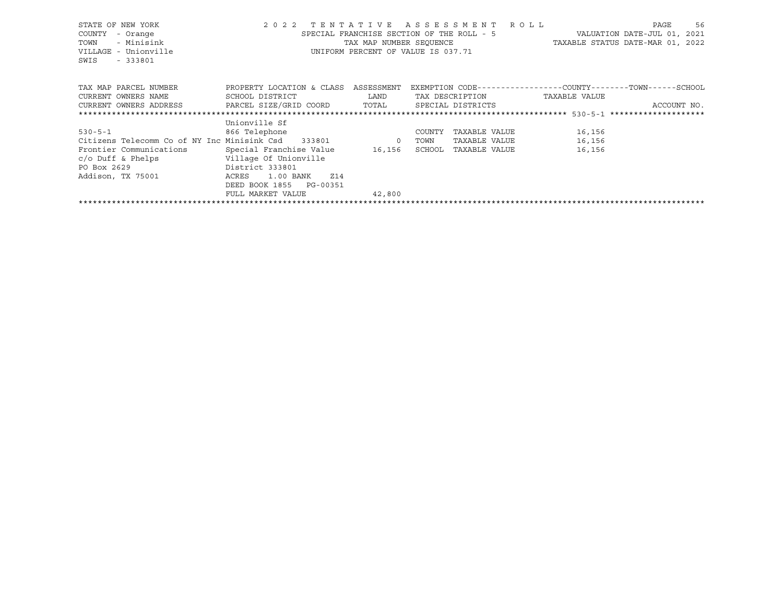| STATE OF NEW YORK<br>COUNTY<br>- Orange<br>- Minisink<br>TOWN<br>VILLAGE - Unionville<br>$-333801$<br>SWIS | 2022 TENTATIVE ASSESSMENT ROLL<br>$\mathbf{S}$                                                                                            | SPECIAL FRANCHISE SECTION OF THE ROLL - 5<br>UNIFORM PERCENT OF VALUE IS 037.71 |        |                 | VALUATION DATE-JUL 01, 2021<br>TAX MAP NUMBER SEQUENCE TAXABLE STATUS DATE-MAR 01, 2022 | PAGE | 56          |
|------------------------------------------------------------------------------------------------------------|-------------------------------------------------------------------------------------------------------------------------------------------|---------------------------------------------------------------------------------|--------|-----------------|-----------------------------------------------------------------------------------------|------|-------------|
| TAX MAP PARCEL NUMBER                                                                                      | PROPERTY LOCATION & CLASS ASSESSMENT                                                                                                      |                                                                                 |        |                 | EXEMPTION CODE-----------------COUNTY-------TOWN------SCHOOL                            |      |             |
| CURRENT OWNERS NAME                                                                                        | SCHOOL DISTRICT<br><b>EXAMPLE SERVICE SERVICE SERVICE SERVICE SERVICE SERVICE SERVICE SERVICE SERVICE SERVICE SERVICE SERVICE SERVICE</b> |                                                                                 |        | TAX DESCRIPTION | TAXABLE VALUE                                                                           |      |             |
| CURRENT OWNERS ADDRESS     PARCEL SIZE/GRID COORD   TOTAL     SPECIAL DISTRICTS                            |                                                                                                                                           |                                                                                 |        |                 |                                                                                         |      | ACCOUNT NO. |
|                                                                                                            |                                                                                                                                           |                                                                                 |        |                 |                                                                                         |      |             |
|                                                                                                            | Unionville Sf                                                                                                                             |                                                                                 |        |                 |                                                                                         |      |             |
| $530 - 5 - 1$                                                                                              | 866 Telephone                                                                                                                             |                                                                                 | COUNTY | TAXABLE VALUE   | 16,156                                                                                  |      |             |
| Citizens Telecomm Co of NY Inc Minisink Csd 333801 0                                                       |                                                                                                                                           |                                                                                 | TOWN   | TAXABLE VALUE   | 16,156                                                                                  |      |             |
| Frontier Communications                                                                                    | Special Franchise Value 16,156                                                                                                            |                                                                                 | SCHOOL | TAXABLE VALUE   | 16,156                                                                                  |      |             |
| c/o Duff & Phelps [11] Village Of Unionville                                                               |                                                                                                                                           |                                                                                 |        |                 |                                                                                         |      |             |
| District 333801<br>PO Box 2629                                                                             |                                                                                                                                           |                                                                                 |        |                 |                                                                                         |      |             |
| Addison, TX 75001                                                                                          | ACRES<br>1.00 BANK<br>Z14                                                                                                                 |                                                                                 |        |                 |                                                                                         |      |             |
|                                                                                                            | DEED BOOK 1855 PG-00351                                                                                                                   |                                                                                 |        |                 |                                                                                         |      |             |
|                                                                                                            | FULL MARKET VALUE                                                                                                                         | 42,800                                                                          |        |                 |                                                                                         |      |             |
|                                                                                                            |                                                                                                                                           |                                                                                 |        |                 |                                                                                         |      |             |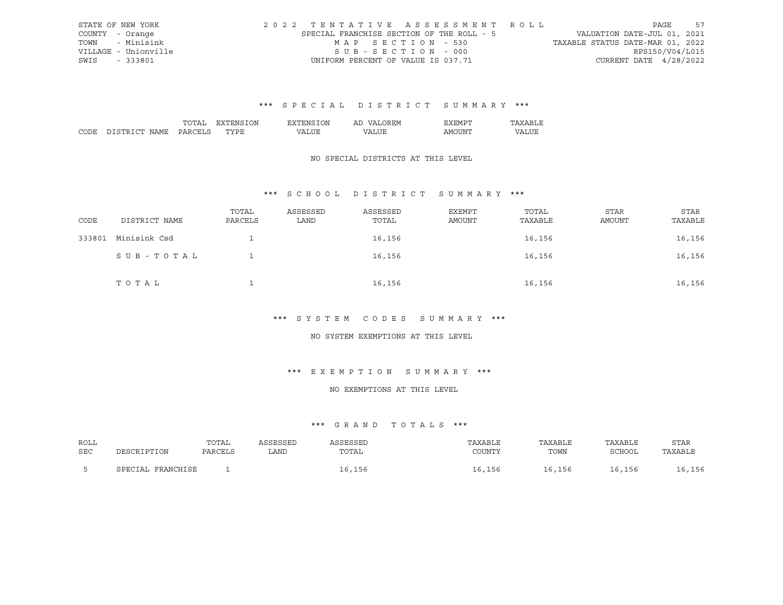|      | STATE OF NEW YORK    | 2022 TENTATIVE ASSESSMENT ROLL            |                                    |  |  |  |                                  |                        | PAGE | - 57 |
|------|----------------------|-------------------------------------------|------------------------------------|--|--|--|----------------------------------|------------------------|------|------|
|      | COUNTY - Orange      | SPECIAL FRANCHISE SECTION OF THE ROLL - 5 |                                    |  |  |  | VALUATION DATE-JUL 01, 2021      |                        |      |      |
| TOWN | - Minisink           |                                           | MAP SECTION - 530                  |  |  |  | TAXABLE STATUS DATE-MAR 01, 2022 |                        |      |      |
|      | VILLAGE - Unionville |                                           | SUB-SECTION - 000                  |  |  |  |                                  | RPS150/V04/L015        |      |      |
| SWIS | - 333801             |                                           | UNIFORM PERCENT OF VALUE IS 037.71 |  |  |  |                                  | CURRENT DATE 4/28/2022 |      |      |

|      |                     |     | <b>JN</b><br>^ ^  | .) N | ' FIM<br>Аг |        |  |
|------|---------------------|-----|-------------------|------|-------------|--------|--|
| CODE | . בח<br>חר<br>√IAMF | ۸ ت | $m \times m$<br>◡ |      | 77\         | . IN!' |  |

### NO SPECIAL DISTRICTS AT THIS LEVEL

## \*\*\* S C H O O L D I S T R I C T S U M M A R Y \*\*\*

| CODE   | DISTRICT NAME | TOTAL<br>PARCELS | ASSESSED<br>LAND | ASSESSED<br>TOTAL | EXEMPT<br>AMOUNT | TOTAL<br>TAXABLE | <b>STAR</b><br>AMOUNT | STAR<br>TAXABLE |
|--------|---------------|------------------|------------------|-------------------|------------------|------------------|-----------------------|-----------------|
| 333801 | Minisink Csd  |                  |                  | 16,156            |                  | 16,156           |                       | 16,156          |
|        | SUB-TOTAL     |                  |                  | 16,156            |                  | 16,156           |                       | 16,156          |
|        | TOTAL         |                  |                  | 16,156            |                  | 16,156           |                       | 16,156          |

#### \*\*\* S Y S T E M C O D E S S U M M A R Y \*\*\*

#### NO SYSTEM EXEMPTIONS AT THIS LEVEL

## \*\*\* E X E M P T I O N S U M M A R Y \*\*\*

#### NO EXEMPTIONS AT THIS LEVEL

| ROLL |                   | TOTAL   | ASSESSED | SSESSED | TAXABLE | TAXABLE | TAXABLE | <b>STAR</b> |
|------|-------------------|---------|----------|---------|---------|---------|---------|-------------|
| SEC  | DESCRIPTION       | PARCELS | LAND     | TOTAL   | COUNTY  | TOWN    | SCHOOL  | TAXABLE     |
|      | SPECIAL FRANCHISE |         |          | 16,156  | 16,156  | 16,156  | 16,156  | 16,156      |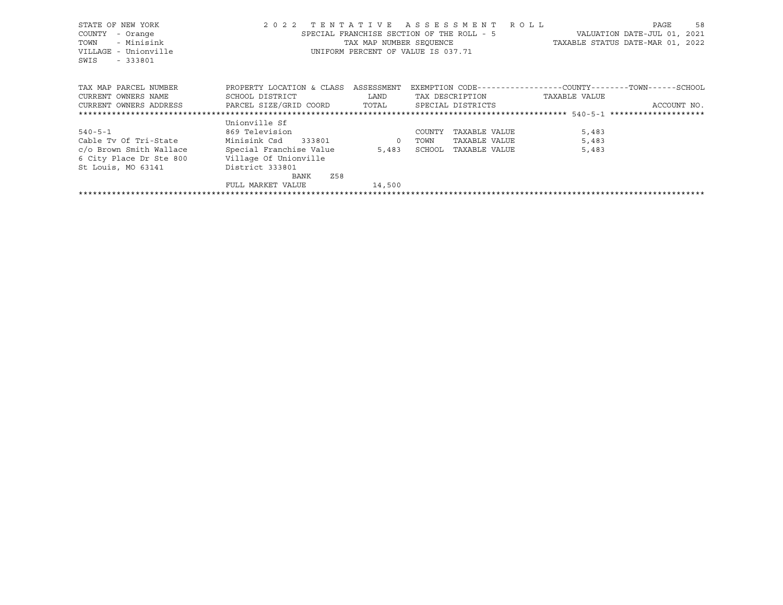| STATE OF NEW YORK<br>COUNTY<br>- Orange<br>- Minisink<br>TOWN<br>VILLAGE - Unionville<br>SWIS<br>$-333801$ | 2 0 2 2                              | TENTATIVE ASSESSMENT ROLL<br>SPECIAL FRANCHISE SECTION OF THE ROLL - 5<br>TAX MAP NUMBER SEQUENCE<br>UNIFORM PERCENT OF VALUE IS 037.71 |                   |                 | TAXABLE STATUS DATE-MAR 01, 2022                            | PAGE<br>VALUATION DATE-JUL 01, 2021 | 58          |
|------------------------------------------------------------------------------------------------------------|--------------------------------------|-----------------------------------------------------------------------------------------------------------------------------------------|-------------------|-----------------|-------------------------------------------------------------|-------------------------------------|-------------|
| TAX MAP PARCEL NUMBER                                                                                      | PROPERTY LOCATION & CLASS ASSESSMENT |                                                                                                                                         |                   |                 | EXEMPTION CODE-----------------COUNTY-------TOWN-----SCHOOL |                                     |             |
| CURRENT OWNERS NAME                                                                                        | SCHOOL DISTRICT                      | LAND                                                                                                                                    |                   | TAX DESCRIPTION | TAXABLE VALUE                                               |                                     |             |
| CURRENT OWNERS ADDRESS FARCEL SIZE/GRID COORD TOTAL                                                        |                                      |                                                                                                                                         | SPECIAL DISTRICTS |                 |                                                             |                                     | ACCOUNT NO. |
|                                                                                                            |                                      |                                                                                                                                         |                   |                 |                                                             |                                     |             |
|                                                                                                            | Unionville Sf                        |                                                                                                                                         |                   |                 |                                                             |                                     |             |
| $540 - 5 - 1$                                                                                              | 869 Television                       |                                                                                                                                         | COUNTY            | TAXABLE VALUE   | 5,483                                                       |                                     |             |
| Cable Tv Of Tri-State                                                                                      | Minisink Csd 333801                  | $\overline{0}$                                                                                                                          | TOWN              | TAXABLE VALUE   | 5,483                                                       |                                     |             |
| c/o Brown Smith Wallace                                                                                    | Special Franchise Value              |                                                                                                                                         | 5,483 SCHOOL      | TAXABLE VALUE   | 5,483                                                       |                                     |             |
| 6 City Place Dr Ste 800                                                                                    | Village Of Unionville                |                                                                                                                                         |                   |                 |                                                             |                                     |             |
| St Louis, MO 63141                                                                                         | District 333801                      |                                                                                                                                         |                   |                 |                                                             |                                     |             |
|                                                                                                            | Z58<br>BANK                          |                                                                                                                                         |                   |                 |                                                             |                                     |             |
|                                                                                                            | FULL MARKET VALUE                    | 14,500                                                                                                                                  |                   |                 |                                                             |                                     |             |
|                                                                                                            |                                      |                                                                                                                                         |                   |                 |                                                             |                                     |             |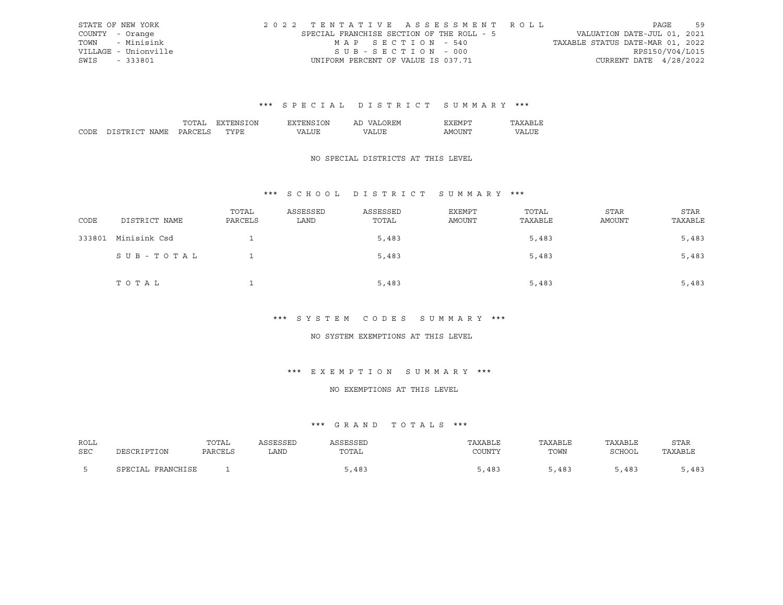|      | STATE OF NEW YORK    |                                           |                                    |  |  |  | 2022 TENTATIVE ASSESSMENT ROLL |                                  |                        | PAGE | 59 |
|------|----------------------|-------------------------------------------|------------------------------------|--|--|--|--------------------------------|----------------------------------|------------------------|------|----|
|      | COUNTY - Orange      | SPECIAL FRANCHISE SECTION OF THE ROLL - 5 |                                    |  |  |  |                                | VALUATION DATE-JUL 01, 2021      |                        |      |    |
| TOWN | - Minisink           |                                           | MAP SECTION - 540                  |  |  |  |                                | TAXABLE STATUS DATE-MAR 01, 2022 |                        |      |    |
|      | VILLAGE - Unionville |                                           | SUB-SECTION - 000                  |  |  |  |                                |                                  | RPS150/V04/L015        |      |    |
| SWIS | - 333801             |                                           | UNIFORM PERCENT OF VALUE IS 037.71 |  |  |  |                                |                                  | CURRENT DATE 4/28/2022 |      |    |

|      |                      |     | ON | )N.<br>'NH       | `'∽<br>AL  | `H'M.<br>. .  |          |
|------|----------------------|-----|----|------------------|------------|---------------|----------|
| CODE | יחי<br>חר<br>N A M F | эn. | .  | $\cdot$ $\wedge$ | $\sqrt{2}$ | ΔM<br>11 I IV | דדי<br>. |

## NO SPECIAL DISTRICTS AT THIS LEVEL

## \*\*\* S C H O O L D I S T R I C T S U M M A R Y \*\*\*

| CODE   | DISTRICT NAME | TOTAL<br>PARCELS | ASSESSED<br>LAND | ASSESSED<br>TOTAL | EXEMPT<br>AMOUNT | TOTAL<br>TAXABLE | <b>STAR</b><br>AMOUNT | <b>STAR</b><br>TAXABLE |
|--------|---------------|------------------|------------------|-------------------|------------------|------------------|-----------------------|------------------------|
| 333801 | Minisink Csd  |                  |                  | 5,483             |                  | 5,483            |                       | 5,483                  |
|        | SUB-TOTAL     |                  |                  | 5,483             |                  | 5,483            |                       | 5,483                  |
|        | T O T A L     |                  |                  | 5,483             |                  | 5,483            |                       | 5,483                  |

#### \*\*\* S Y S T E M C O D E S S U M M A R Y \*\*\*

#### NO SYSTEM EXEMPTIONS AT THIS LEVEL

## \*\*\* E X E M P T I O N S U M M A R Y \*\*\*

## NO EXEMPTIONS AT THIS LEVEL

| ROLL |                       | TOTAL   | <i><b>SSESSEL</b></i> | SSESSED | TAXABLE | TAXABLE | TAXABLE | <b>STAR</b> |
|------|-----------------------|---------|-----------------------|---------|---------|---------|---------|-------------|
| SEC  | DESCRIPTION           | PARCELS | LAND                  | TOTAL   | COUNTY  | TOWN    | SCHOOL  | TAXABLE     |
|      | FRANCHISE<br>SPECTAL. |         |                       | 5,483   | 5,483   | ,483    | 5,483   | ,483        |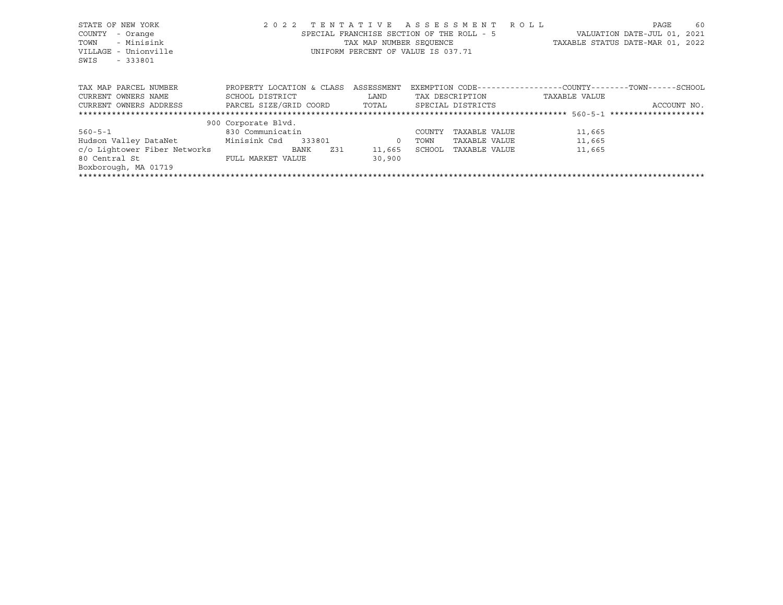| STATE OF NEW YORK                  | 2022 TENTATIVE ASSESSMENT ROLL       |                         |                                                             |                                  | PAGE | 60          |
|------------------------------------|--------------------------------------|-------------------------|-------------------------------------------------------------|----------------------------------|------|-------------|
| COUNTY<br>- Orange                 |                                      |                         | SPECIAL FRANCHISE SECTION OF THE ROLL - 5                   | VALUATION DATE-JUL 01, 2021      |      |             |
| - Minisink<br>TOWN                 |                                      | TAX MAP NUMBER SEOUENCE |                                                             | TAXABLE STATUS DATE-MAR 01, 2022 |      |             |
| VILLAGE - Unionville               |                                      |                         | UNIFORM PERCENT OF VALUE IS 037.71                          |                                  |      |             |
| SWIS<br>$-333801$                  |                                      |                         |                                                             |                                  |      |             |
|                                    |                                      |                         |                                                             |                                  |      |             |
|                                    |                                      |                         |                                                             |                                  |      |             |
| TAX MAP PARCEL NUMBER              | PROPERTY LOCATION & CLASS ASSESSMENT |                         | EXEMPTION CODE-----------------COUNTY-------TOWN-----SCHOOL |                                  |      |             |
| CURRENT OWNERS NAME                | SCHOOL DISTRICT                      | LAND                    | TAX DESCRIPTION                                             | TAXABLE VALUE                    |      |             |
| CURRENT OWNERS ADDRESS             | PARCEL SIZE/GRID COORD               |                         | TOTAL SPECIAL DISTRICTS                                     |                                  |      | ACCOUNT NO. |
|                                    |                                      |                         |                                                             |                                  |      |             |
|                                    | 900 Corporate Blvd.                  |                         |                                                             |                                  |      |             |
| $560 - 5 - 1$                      | 830 Communicatin                     |                         | COUNTY<br>TAXABLE VALUE                                     | 11,665                           |      |             |
| Hudson Valley DataNet Minisink Csd | 333801                               | $\circ$                 | TOWN<br>TAXABLE VALUE                                       | 11,665                           |      |             |
| c/o Lightower Fiber Networks       | Z31<br>BANK                          | 11,665                  | SCHOOL<br>TAXABLE VALUE                                     | 11,665                           |      |             |
| 80 Central St                      | FULL MARKET VALUE                    | 30,900                  |                                                             |                                  |      |             |
| Boxborough, MA 01719               |                                      |                         |                                                             |                                  |      |             |
|                                    |                                      |                         |                                                             |                                  |      |             |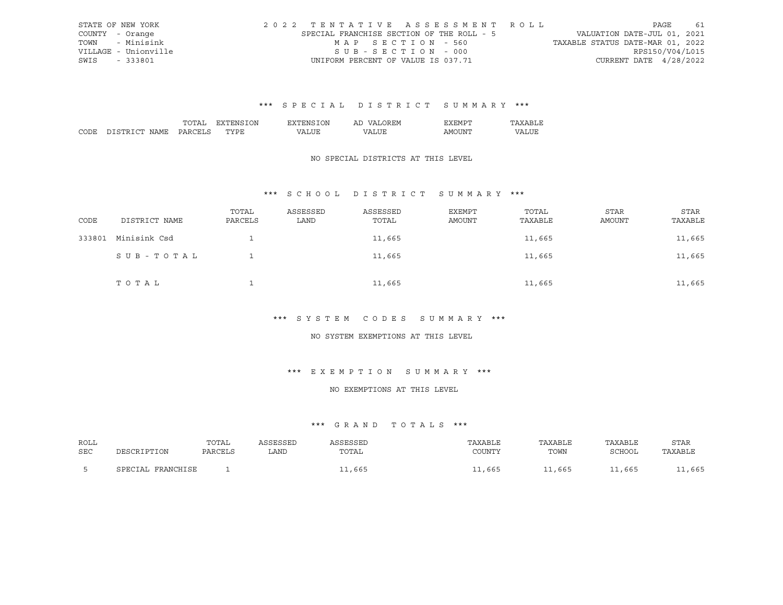|      | STATE OF NEW YORK    |                                           |  |                                    |  |  | 2022 TENTATIVE ASSESSMENT ROLL |                                  |                        | PAGE | 61 |
|------|----------------------|-------------------------------------------|--|------------------------------------|--|--|--------------------------------|----------------------------------|------------------------|------|----|
|      | COUNTY - Orange      | SPECIAL FRANCHISE SECTION OF THE ROLL - 5 |  |                                    |  |  |                                | VALUATION DATE-JUL 01, 2021      |                        |      |    |
| TOWN | - Minisink           |                                           |  | MAP SECTION - 560                  |  |  |                                | TAXABLE STATUS DATE-MAR 01, 2022 |                        |      |    |
|      | VILLAGE - Unionville |                                           |  | SUB-SECTION - 000                  |  |  |                                |                                  | RPS150/V04/L015        |      |    |
| SWIS | - 333801             |                                           |  | UNIFORM PERCENT OF VALUE IS 037.71 |  |  |                                |                                  | CURRENT DATE 4/28/2022 |      |    |

|                  | $\overline{\mathbf{v}}$<br>. л | ЛU | ' ∺:M<br>Al |      |  |
|------------------|--------------------------------|----|-------------|------|--|
| י החי<br>⊶ Ω M ⊵ | $m \times m$<br>٠.             |    |             | -iN' |  |

### NO SPECIAL DISTRICTS AT THIS LEVEL

## \*\*\* S C H O O L D I S T R I C T S U M M A R Y \*\*\*

| CODE   | DISTRICT NAME | TOTAL<br>PARCELS | ASSESSED<br>LAND | ASSESSED<br>TOTAL | EXEMPT<br>AMOUNT | TOTAL<br>TAXABLE | <b>STAR</b><br>AMOUNT | <b>STAR</b><br>TAXABLE |
|--------|---------------|------------------|------------------|-------------------|------------------|------------------|-----------------------|------------------------|
| 333801 | Minisink Csd  |                  |                  | 11,665            |                  | 11,665           |                       | 11,665                 |
|        | SUB-TOTAL     |                  |                  | 11,665            |                  | 11,665           |                       | 11,665                 |
|        | TOTAL         |                  |                  | 11,665            |                  | 11,665           |                       | 11,665                 |

#### \*\*\* S Y S T E M C O D E S S U M M A R Y \*\*\*

#### NO SYSTEM EXEMPTIONS AT THIS LEVEL

## \*\*\* E X E M P T I O N S U M M A R Y \*\*\*

## NO EXEMPTIONS AT THIS LEVEL

| ROLL |                      | TOTAL   | SSESSEL | SSESSED | TAXABLE | TAXABLE | TAXABLE | STAR    |
|------|----------------------|---------|---------|---------|---------|---------|---------|---------|
| SEC  | DESCRIPTION          | PARCELS | LAND    | TOTAL   | COUNT)  | TOWN    | SCHOOI  | TAXABLE |
|      | FRANCHISE<br>SPECTAL |         |         | , 665   | 11,665  | 11,665  | 11,665  | ,665    |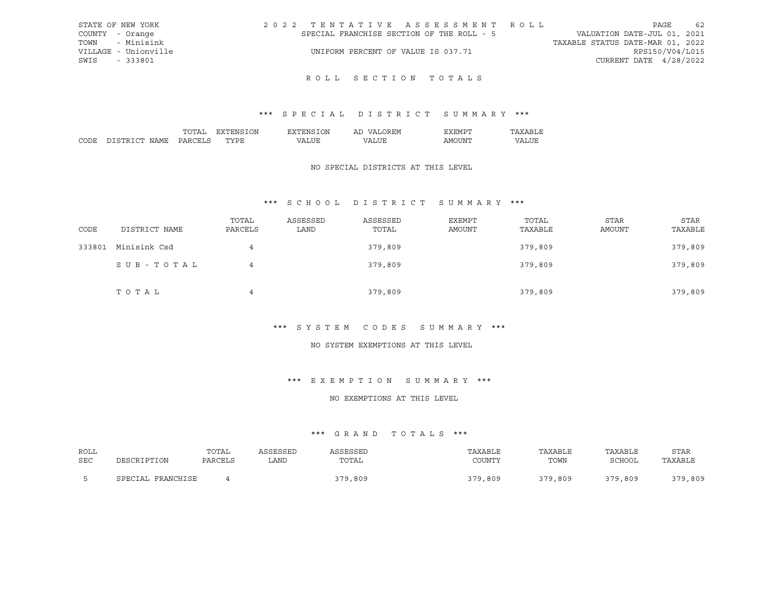| STATE OF NEW YORK    | 2022 TENTATIVE ASSESSMENT ROLL            | 62<br>PAGE                       |
|----------------------|-------------------------------------------|----------------------------------|
| COUNTY - Orange      | SPECIAL FRANCHISE SECTION OF THE ROLL - 5 | VALUATION DATE-JUL 01, 2021      |
| TOWN - Minisink      |                                           | TAXABLE STATUS DATE-MAR 01, 2022 |
| VILLAGE - Unionville | UNIFORM PERCENT OF VALUE IS 037.71        | RPS150/V04/L015                  |
| SWIS - 333801        |                                           | CURRENT DATE 4/28/2022           |
|                      |                                           |                                  |

## ROLL SECTION TOTALS

## \*\*\* S P E C I A L D I S T R I C T S U M M A R Y \*\*\*

|        |                  | ``     | ЭN | ')N | <b>HIV</b><br>$\sqrt{ }$<br>ΑL |     |    |
|--------|------------------|--------|----|-----|--------------------------------|-----|----|
| $\sim$ | י החי<br>∖IA M i | $\cup$ |    |     | , n                            | -IN | תי |

## NO SPECIAL DISTRICTS AT THIS LEVEL

## \*\*\* S C H O O L D I S T R I C T S U M M A R Y \*\*\*

| CODE   | DISTRICT NAME | TOTAL<br>PARCELS | ASSESSED<br>LAND | ASSESSED<br>TOTAL | EXEMPT<br>AMOUNT | TOTAL<br>TAXABLE | <b>STAR</b><br>AMOUNT | STAR<br>TAXABLE |
|--------|---------------|------------------|------------------|-------------------|------------------|------------------|-----------------------|-----------------|
| 333801 | Minisink Csd  | 4                |                  | 379,809           |                  | 379,809          |                       | 379,809         |
|        | SUB-TOTAL     | 4                |                  | 379,809           |                  | 379,809          |                       | 379,809         |
|        | TOTAL         | 4                |                  | 379,809           |                  | 379,809          |                       | 379,809         |

#### \*\*\* S Y S T E M C O D E S S U M M A R Y \*\*\*

#### NO SYSTEM EXEMPTIONS AT THIS LEVEL

#### \*\*\* E X E M P T I O N S U M M A R Y \*\*\*

#### NO EXEMPTIONS AT THIS LEVEL

| ROLL | DESCRIPTION       | TOTAL   | ASSESSED | ASSESSED | TAXABLE | TAXABLE | TAXABLE | <b>STAR</b> |
|------|-------------------|---------|----------|----------|---------|---------|---------|-------------|
| SEC  |                   | PARCELS | ∟AND     | TOTAL    | COUNTY  | TOWN    | SCHOOL  | TAXABLE     |
|      | SPECIAL FRANCHISE |         |          | 379,809  | 379,809 | 379,809 | 379,809 | 379,809     |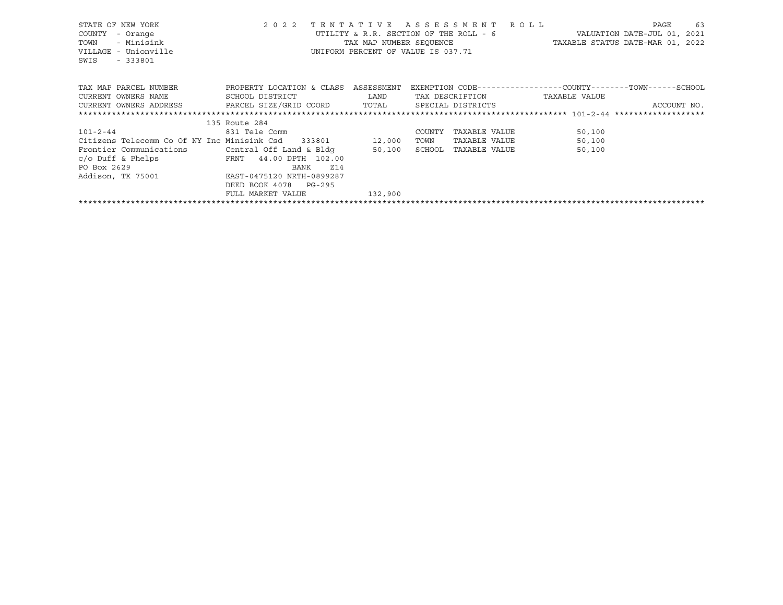| STATE OF NEW YORK<br>COUNTY<br>- Orange<br>- Minisink<br>TOWN<br>VILLAGE - Unionville<br>SWIS<br>$-333801$ | 2 0 2 2               | TENTATIVE ASSESSMENT ROLL<br>UTILITY & R.R. SECTION OF THE ROLL - 6<br>UNIFORM PERCENT OF VALUE IS 037.71 |        |               | VALUATION DATE-JUL 01, 2021<br>TAX MAP NUMBER SEQUENCE TAXABLE STATUS DATE-MAR 01, 2022 | PAGE | 63          |
|------------------------------------------------------------------------------------------------------------|-----------------------|-----------------------------------------------------------------------------------------------------------|--------|---------------|-----------------------------------------------------------------------------------------|------|-------------|
| TAX MAP PARCEL NUMBER TROPERTY LOCATION & CLASS ASSESSMENT                                                 |                       |                                                                                                           |        |               | EXEMPTION CODE-----------------COUNTY-------TOWN------SCHOOL                            |      |             |
|                                                                                                            |                       |                                                                                                           |        |               |                                                                                         |      |             |
| CURRENT OWNERS ADDRESS     PARCEL SIZE/GRID COORD     TOTAL     SPECIAL DISTRICTS                          |                       |                                                                                                           |        |               |                                                                                         |      | ACCOUNT NO. |
|                                                                                                            |                       |                                                                                                           |        |               |                                                                                         |      |             |
|                                                                                                            | 135 Route 284         |                                                                                                           |        |               |                                                                                         |      |             |
| $101 - 2 - 44$                                                                                             | 831 Tele Comm         |                                                                                                           | COUNTY | TAXABLE VALUE | 50,100                                                                                  |      |             |
| Citizens Telecomm Co Of NY Inc Minisink Csd 333801 12,000                                                  |                       |                                                                                                           | TOWN   | TAXABLE VALUE | 50,100                                                                                  |      |             |
| Frontier Communications                                                                                    |                       |                                                                                                           |        | TAXABLE VALUE | 50,100                                                                                  |      |             |
| $c$ /o Duff & Phelps $FRT$ 44.00 DPTH 102.00                                                               |                       |                                                                                                           |        |               |                                                                                         |      |             |
| PO Box 2629 BANK 214<br>Addison, TX 75001 BAST-0475120 NRTH-0899287                                        |                       |                                                                                                           |        |               |                                                                                         |      |             |
|                                                                                                            |                       |                                                                                                           |        |               |                                                                                         |      |             |
|                                                                                                            | DEED BOOK 4078 PG-295 |                                                                                                           |        |               |                                                                                         |      |             |
|                                                                                                            | FULL MARKET VALUE     | 132,900                                                                                                   |        |               |                                                                                         |      |             |
|                                                                                                            |                       |                                                                                                           |        |               |                                                                                         |      |             |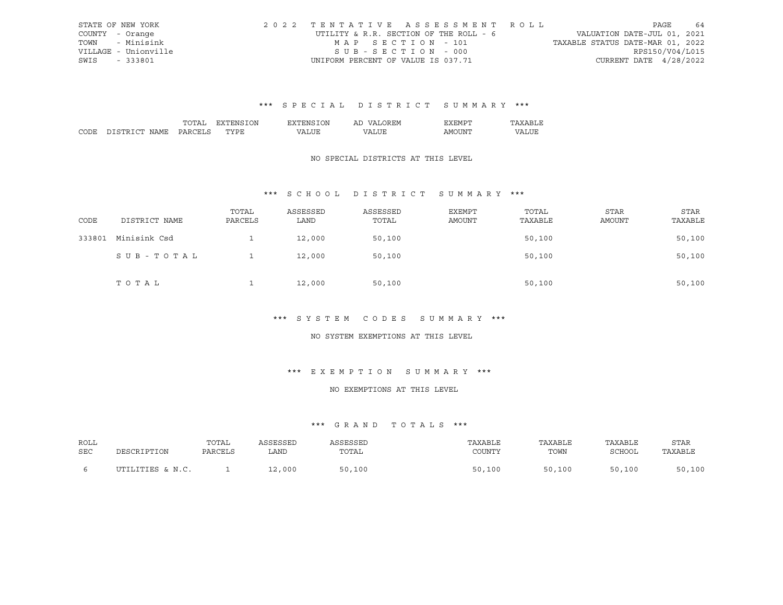|      | STATE OF NEW YORK    | 2022 TENTATIVE ASSESSMENT ROLL         |                                  | PAGE                   | 64 |
|------|----------------------|----------------------------------------|----------------------------------|------------------------|----|
|      | COUNTY - Orange      | UTILITY & R.R. SECTION OF THE ROLL - 6 | VALUATION DATE-JUL 01, 2021      |                        |    |
| TOWN | - Minisink           | MAP SECTION - 101                      | TAXABLE STATUS DATE-MAR 01, 2022 |                        |    |
|      | VILLAGE - Unionville | SUB-SECTION - 000                      |                                  | RPS150/V04/L015        |    |
| SWIS | - 333801             | UNIFORM PERCENT OF VALUE IS 037.71     |                                  | CURRENT DATE 4/28/2022 |    |

|                  | $\overline{\mathbf{v}}$<br>. л | ЛU | ' ∺:M<br>Al |      |  |
|------------------|--------------------------------|----|-------------|------|--|
| י החי<br>⊶ Ω M ⊵ | $m \times m$<br>٠.             |    |             | -iN' |  |

### NO SPECIAL DISTRICTS AT THIS LEVEL

## \*\*\* S C H O O L D I S T R I C T S U M M A R Y \*\*\*

| CODE   | DISTRICT NAME | TOTAL<br>PARCELS | ASSESSED<br>LAND | ASSESSED<br>TOTAL | <b>EXEMPT</b><br>AMOUNT | TOTAL<br>TAXABLE | STAR<br><b>AMOUNT</b> | <b>STAR</b><br>TAXABLE |
|--------|---------------|------------------|------------------|-------------------|-------------------------|------------------|-----------------------|------------------------|
| 333801 | Minisink Csd  |                  | 12,000           | 50,100            |                         | 50,100           |                       | 50,100                 |
|        | SUB-TOTAL     |                  | 12,000           | 50,100            |                         | 50,100           |                       | 50,100                 |
|        | TOTAL         |                  | 12,000           | 50,100            |                         | 50,100           |                       | 50,100                 |

#### \*\*\* S Y S T E M C O D E S S U M M A R Y \*\*\*

#### NO SYSTEM EXEMPTIONS AT THIS LEVEL

## \*\*\* E X E M P T I O N S U M M A R Y \*\*\*

## NO EXEMPTIONS AT THIS LEVEL

| ROLL<br>SEC |                  | TOTAL<br>PARCELS | SSESSED<br>LAND | SSESSED<br>TOTAL  | TAXABLE<br>COUNTY | TAXABLE<br>TOWN | TAXABLE<br>SCHOOL | <b>STAR</b><br>TAXABLE |
|-------------|------------------|------------------|-----------------|-------------------|-------------------|-----------------|-------------------|------------------------|
|             | UTILITIES & N.C. |                  | 12,000          | ,100<br><b>SO</b> | 50,100            | 50,100          | 50,100            | 50,100                 |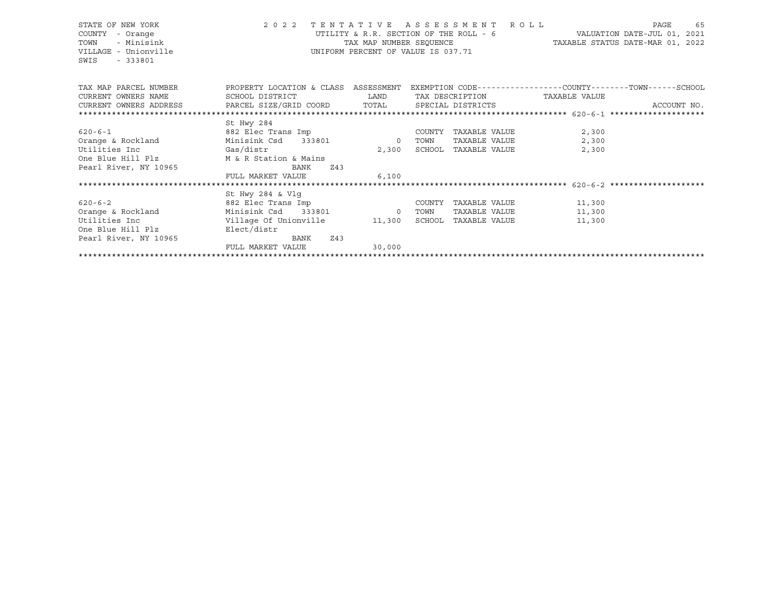## STATE OF NEW YORK 2 0 2 2 T E N T A T I V E A S S E S S M E N T R O L L PAGE 65 COUNTY - Orange UTILITY & R.R. SECTION OF THE ROLL - 6 VALUATION DATE-JUL 01, 2021 TOWN - Minisink TAX MAP NUMBER SEQUENCE TAXABLE STATUS DATE-MAR 01, 2022 VILLAGE - Unionville **United Accord CONT** UNIFORM PERCENT OF VALUE IS 037.71

| TAX MAP PARCEL NUMBER<br>CURRENT OWNERS NAME | PROPERTY LOCATION & CLASS<br>ASSESSMENT<br>SCHOOL DISTRICT<br>CURRENT OWNERS ADDRESS PARCEL SIZE/GRID COORD |                | EXEMPTION CODE-----------------COUNTY-------TOWN------SCHOOL<br>TAX DESCRIPTION<br>SPECIAL DISTRICTS |               | TAXABLE VALUE | ACCOUNT NO. |
|----------------------------------------------|-------------------------------------------------------------------------------------------------------------|----------------|------------------------------------------------------------------------------------------------------|---------------|---------------|-------------|
|                                              |                                                                                                             | TOTAL          |                                                                                                      |               |               |             |
|                                              | St Hwy 284                                                                                                  |                |                                                                                                      |               |               |             |
| $620 - 6 - 1$                                | 882 Elec Trans Imp                                                                                          |                | COUNTY                                                                                               | TAXABLE VALUE | 2,300         |             |
| Orange & Rockland                            | Minisink Csd 333801                                                                                         | $\overline{0}$ | TOWN                                                                                                 | TAXABLE VALUE | 2,300         |             |
| Utilities Inc<br>Gas/distr                   |                                                                                                             | 2,300          | SCHOOL                                                                                               | TAXABLE VALUE | 2,300         |             |
| One Blue Hill Plz                            | M & R Station & Mains                                                                                       |                |                                                                                                      |               |               |             |
| Pearl River, NY 10965                        | BANK<br>Z43                                                                                                 |                |                                                                                                      |               |               |             |
|                                              | FULL MARKET VALUE                                                                                           | 6.100          |                                                                                                      |               |               |             |
|                                              |                                                                                                             |                |                                                                                                      |               |               |             |
|                                              | St Hwy 284 & Vlq                                                                                            |                |                                                                                                      |               |               |             |
| $620 - 6 - 2$                                | 882 Elec Trans Imp                                                                                          |                | COUNTY                                                                                               | TAXABLE VALUE | 11,300        |             |
| Orange & Rockland                            | Minisink Csd<br>333801                                                                                      | $\sim$ 0       | TOWN                                                                                                 | TAXABLE VALUE | 11,300        |             |
| Utilities Inc                                | Village Of Unionville 11,300                                                                                |                | SCHOOL                                                                                               | TAXABLE VALUE | 11,300        |             |
| One Blue Hill Plz                            | Elect/distr                                                                                                 |                |                                                                                                      |               |               |             |
| Pearl River, NY 10965                        | Z43<br>BANK                                                                                                 |                |                                                                                                      |               |               |             |
|                                              | FULL MARKET VALUE                                                                                           | 30,000         |                                                                                                      |               |               |             |
|                                              |                                                                                                             |                |                                                                                                      |               |               |             |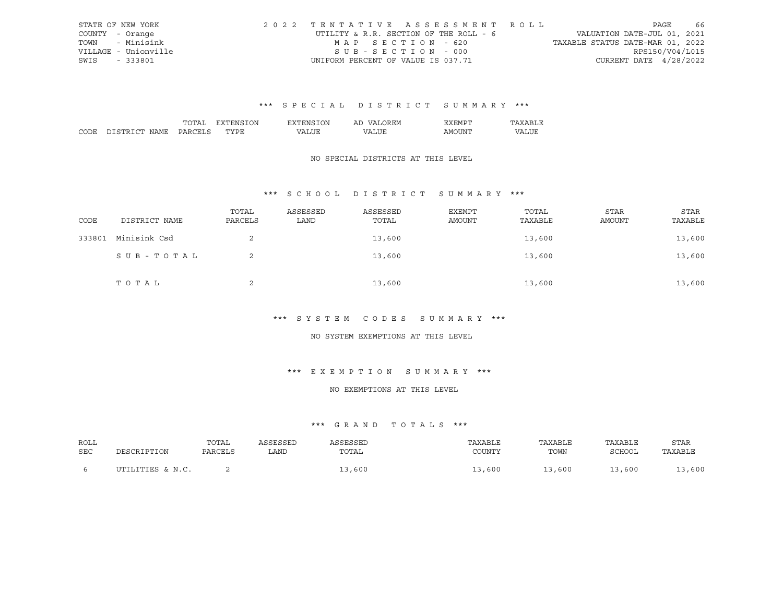|      | STATE OF NEW YORK    | 2022 TENTATIVE ASSESSMENT ROLL         |                                  | PAGE            | - 66 |
|------|----------------------|----------------------------------------|----------------------------------|-----------------|------|
|      | COUNTY - Orange      | UTILITY & R.R. SECTION OF THE ROLL - 6 | VALUATION DATE-JUL 01, 2021      |                 |      |
| TOWN | - Minisink           | MAP SECTION - 620                      | TAXABLE STATUS DATE-MAR 01, 2022 |                 |      |
|      | VILLAGE - Unionville | SUB-SECTION - 000                      |                                  | RPS150/V04/L015 |      |
| SWIS | - 333801             | UNIFORM PERCENT OF VALUE IS 037.71     | CURRENT DATE 4/28/2022           |                 |      |

|                  | $\overline{\mathbf{v}}$<br>. л | эN | ' ∺:M<br>Al |      |  |
|------------------|--------------------------------|----|-------------|------|--|
| י החי<br>⊶ Ω M ⊵ | $m \times m$<br>٠.             |    |             | -iN' |  |

### NO SPECIAL DISTRICTS AT THIS LEVEL

## \*\*\* S C H O O L D I S T R I C T S U M M A R Y \*\*\*

| CODE   | DISTRICT NAME | TOTAL<br>PARCELS | ASSESSED<br>LAND | ASSESSED<br>TOTAL | EXEMPT<br>AMOUNT | TOTAL<br>TAXABLE | <b>STAR</b><br>AMOUNT | <b>STAR</b><br>TAXABLE |
|--------|---------------|------------------|------------------|-------------------|------------------|------------------|-----------------------|------------------------|
| 333801 | Minisink Csd  |                  |                  | 13,600            |                  | 13,600           |                       | 13,600                 |
|        | SUB-TOTAL     |                  |                  | 13,600            |                  | 13,600           |                       | 13,600                 |
|        | TOTAL         |                  |                  | 13,600            |                  | 13,600           |                       | 13,600                 |

#### \*\*\* S Y S T E M C O D E S S U M M A R Y \*\*\*

#### NO SYSTEM EXEMPTIONS AT THIS LEVEL

## \*\*\* E X E M P T I O N S U M M A R Y \*\*\*

#### NO EXEMPTIONS AT THIS LEVEL

| ROLL | DESCRIPTION      | TOTAL   | ASSESSED | ASSESSED | TAXABLE | TAXABLE | TAXABLE | <b>STAR</b> |
|------|------------------|---------|----------|----------|---------|---------|---------|-------------|
| SEC  |                  | PARCELS | LAND     | TOTAL    | COUNTY  | TOWN    | SCHOOL  | TAXABLE     |
|      | UTILITIES & N.C. |         |          | .3,600   | 13,600  | 13,600  | 13,600  | 3,600       |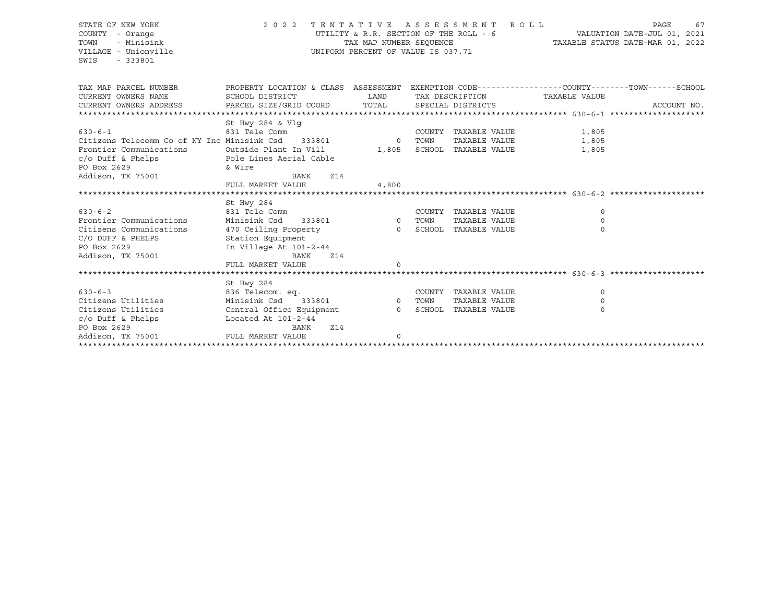| STATE OF NEW YORK<br>COUNTY - Orange<br>- Minisink<br>TOWN<br>VILLAGE - Unionville<br>SWIS<br>$-333801$ | 2 0 2 2                                                                                          | TENTATIVE ASSESSMENT<br>TAX MAP NUMBER SEOUENCE<br>UNIFORM PERCENT OF VALUE IS 037.71 |      |                                                    | R O L L |          | PAGE<br>UTILITY & R.R. SECTION OF THE ROLL - 6 WALUATION DATE-JUL 01, 2021<br>TAXABLE STATUS DATE-MAR 01, 2022 | 67 |
|---------------------------------------------------------------------------------------------------------|--------------------------------------------------------------------------------------------------|---------------------------------------------------------------------------------------|------|----------------------------------------------------|---------|----------|----------------------------------------------------------------------------------------------------------------|----|
| TAX MAP PARCEL NUMBER                                                                                   | PROPERTY LOCATION & CLASS ASSESSMENT EXEMPTION CODE----------------COUNTY-------TOWN------SCHOOL | LAND                                                                                  |      |                                                    |         |          |                                                                                                                |    |
| CURRENT OWNERS NAME<br>CURRENT OWNERS ADDRESS                                                           | SCHOOL DISTRICT<br>PARCEL SIZE/GRID COORD                                                        | TOTAL                                                                                 |      | TAX DESCRIPTION TAXABLE VALUE<br>SPECIAL DISTRICTS |         |          | ACCOUNT NO.                                                                                                    |    |
|                                                                                                         |                                                                                                  |                                                                                       |      |                                                    |         |          |                                                                                                                |    |
|                                                                                                         | St Hwy 284 & Vlg                                                                                 |                                                                                       |      |                                                    |         |          |                                                                                                                |    |
| $630 - 6 - 1$                                                                                           | 831 Tele Comm                                                                                    |                                                                                       |      | COUNTY TAXABLE VALUE                               |         | 1,805    |                                                                                                                |    |
| Citizens Telecomm Co of NY Inc Minisink Csd 333801 0                                                    |                                                                                                  |                                                                                       | TOWN | TAXABLE VALUE                                      |         | 1,805    |                                                                                                                |    |
| Frontier Communications                                                                                 | Outside Plant In Vill                                                                            | 1,805                                                                                 |      | SCHOOL TAXABLE VALUE                               |         | 1,805    |                                                                                                                |    |
| $c/o$ Duff & Phelps<br>PO Box 2629                                                                      | Pole Lines Aerial Cable                                                                          |                                                                                       |      |                                                    |         |          |                                                                                                                |    |
| Addison, TX 75001                                                                                       | & Wire<br>BANK<br>Z14                                                                            |                                                                                       |      |                                                    |         |          |                                                                                                                |    |
|                                                                                                         | FULL MARKET VALUE                                                                                | 4,800                                                                                 |      |                                                    |         |          |                                                                                                                |    |
|                                                                                                         |                                                                                                  |                                                                                       |      |                                                    |         |          |                                                                                                                |    |
|                                                                                                         | St Hwy 284                                                                                       |                                                                                       |      |                                                    |         |          |                                                                                                                |    |
| $630 - 6 - 2$                                                                                           | 831 Tele Comm                                                                                    |                                                                                       |      | COUNTY TAXABLE VALUE                               |         | 0        |                                                                                                                |    |
| Frontier Communications                                                                                 | Minisink Csd<br>333801                                                                           | 0 TOWN                                                                                |      | TAXABLE VALUE                                      |         | 0        |                                                                                                                |    |
| Citizens Communications                                                                                 | 470 Ceiling Property 6 6 8 SCHOOL TAXABLE VALUE                                                  |                                                                                       |      |                                                    |         | $\Omega$ |                                                                                                                |    |
| C/O DUFF & PHELPS                                                                                       | Station Equipment                                                                                |                                                                                       |      |                                                    |         |          |                                                                                                                |    |
| PO Box 2629                                                                                             | In Village At 101-2-44                                                                           |                                                                                       |      |                                                    |         |          |                                                                                                                |    |
| Addison, TX 75001                                                                                       | <b>BANK</b><br><b>Z14</b><br>FULL MARKET VALUE                                                   | $\Omega$                                                                              |      |                                                    |         |          |                                                                                                                |    |
|                                                                                                         |                                                                                                  |                                                                                       |      |                                                    |         |          |                                                                                                                |    |
|                                                                                                         | St Hwy 284                                                                                       |                                                                                       |      |                                                    |         |          |                                                                                                                |    |
| $630 - 6 - 3$                                                                                           | 836 Telecom. eq.                                                                                 |                                                                                       |      | COUNTY TAXABLE VALUE                               |         | $\Omega$ |                                                                                                                |    |
| Citizens Utilities                                                                                      | Minisink Csd                                                                                     | 333801 0 TOWN                                                                         |      | TAXABLE VALUE                                      |         | $\Omega$ |                                                                                                                |    |
| Citizens Utilities                                                                                      | Central Office Equipment                                                                         |                                                                                       |      | 0 SCHOOL TAXABLE VALUE                             |         | $\Omega$ |                                                                                                                |    |
| $c/o$ Duff & Phelps                                                                                     | Located At $101-2-44$                                                                            |                                                                                       |      |                                                    |         |          |                                                                                                                |    |
| PO Box 2629                                                                                             | <b>Z14</b><br>BANK                                                                               |                                                                                       |      |                                                    |         |          |                                                                                                                |    |
| Addison, TX 75001                                                                                       | FULL MARKET VALUE                                                                                | 0                                                                                     |      |                                                    |         |          |                                                                                                                |    |
|                                                                                                         |                                                                                                  |                                                                                       |      |                                                    |         |          |                                                                                                                |    |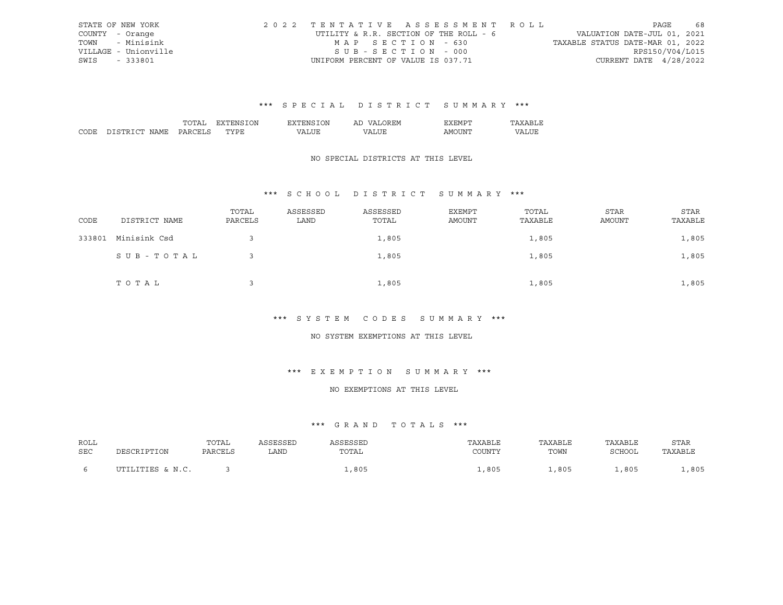|      | STATE OF NEW YORK    | 2022 TENTATIVE ASSESSMENT ROLL         |                                  | PAGE            | 68 |
|------|----------------------|----------------------------------------|----------------------------------|-----------------|----|
|      | COUNTY - Orange      | UTILITY & R.R. SECTION OF THE ROLL - 6 | VALUATION DATE-JUL 01, 2021      |                 |    |
| TOWN | - Minisink           | MAP SECTION - 630                      | TAXABLE STATUS DATE-MAR 01, 2022 |                 |    |
|      | VILLAGE - Unionville | SUB-SECTION - 000                      |                                  | RPS150/V04/L015 |    |
| SWIS | - 333801             | UNIFORM PERCENT OF VALUE IS 037.71     | CURRENT DATE 4/28/2022           |                 |    |

|                | DΝ    | $\overline{\mathcal{M}}$<br>'NL | AL | H:M ⊢                                                                                                                                                                                                                                                                                                                                                                                                                                                                                      |  |
|----------------|-------|---------------------------------|----|--------------------------------------------------------------------------------------------------------------------------------------------------------------------------------------------------------------------------------------------------------------------------------------------------------------------------------------------------------------------------------------------------------------------------------------------------------------------------------------------|--|
| ,,,,<br>IA M I | $-11$ | $\overline{\phantom{a}}$        |    | ∆M≀<br>- I N<br>$\frac{1}{2} \left( \frac{1}{2} \right) \left( \frac{1}{2} \right) \left( \frac{1}{2} \right) \left( \frac{1}{2} \right) \left( \frac{1}{2} \right) \left( \frac{1}{2} \right) \left( \frac{1}{2} \right) \left( \frac{1}{2} \right) \left( \frac{1}{2} \right) \left( \frac{1}{2} \right) \left( \frac{1}{2} \right) \left( \frac{1}{2} \right) \left( \frac{1}{2} \right) \left( \frac{1}{2} \right) \left( \frac{1}{2} \right) \left( \frac{1}{2} \right) \left( \frac$ |  |

## NO SPECIAL DISTRICTS AT THIS LEVEL

## \*\*\* S C H O O L D I S T R I C T S U M M A R Y \*\*\*

| CODE   | DISTRICT NAME | TOTAL<br>PARCELS | ASSESSED<br>LAND | ASSESSED<br>TOTAL | EXEMPT<br>AMOUNT | TOTAL<br>TAXABLE | <b>STAR</b><br>AMOUNT | <b>STAR</b><br>TAXABLE |
|--------|---------------|------------------|------------------|-------------------|------------------|------------------|-----------------------|------------------------|
| 333801 | Minisink Csd  |                  |                  | 1,805             |                  | 1,805            |                       | 1,805                  |
|        | SUB-TOTAL     |                  |                  | 1,805             |                  | 1,805            |                       | 1,805                  |
|        | TOTAL         |                  |                  | 1,805             |                  | 1,805            |                       | 1,805                  |

#### \*\*\* S Y S T E M C O D E S S U M M A R Y \*\*\*

#### NO SYSTEM EXEMPTIONS AT THIS LEVEL

## \*\*\* E X E M P T I O N S U M M A R Y \*\*\*

## NO EXEMPTIONS AT THIS LEVEL

| ROLL | DESCRIPTION      | TOTAL   | ASSESSED | ASSESSED | TAXABLE | TAXABLE | TAXABLE | <b>STAR</b> |
|------|------------------|---------|----------|----------|---------|---------|---------|-------------|
| SEC  |                  | PARCELS | LAND     | TOTAL    | COUNTY  | TOWN    | SCHOOL  | TAXABLE     |
|      | UTILITIES & N.C. |         |          | ,805     | ,805    | ,805    | ,805    | ,805        |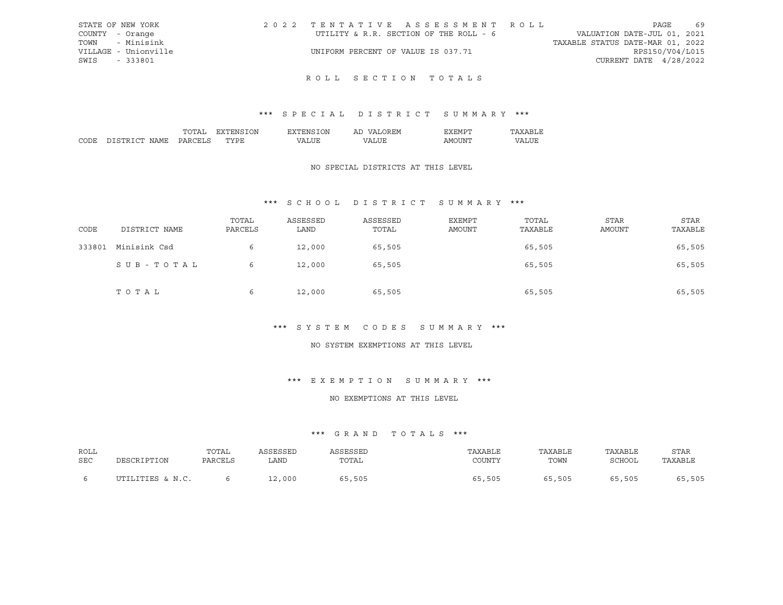| STATE OF NEW YORK    | 2022 TENTATIVE ASSESSMENT ROLL         |                                  | PAGE                     | 69 |
|----------------------|----------------------------------------|----------------------------------|--------------------------|----|
| COUNTY - Orange      | UTILITY & R.R. SECTION OF THE ROLL - 6 | VALUATION DATE-JUL 01, 2021      |                          |    |
| TOWN - Minisink      |                                        | TAXABLE STATUS DATE-MAR 01, 2022 |                          |    |
| VILLAGE - Unionville | UNIFORM PERCENT OF VALUE IS 037.71     |                                  | RPS150/V04/L015          |    |
| SWIS - 333801        |                                        |                                  | CURRENT DATE $4/28/2022$ |    |
|                      |                                        |                                  |                          |    |

## ROLL SECTION TOTALS

## \*\*\* S P E C I A L D I S T R I C T S U M M A R Y \*\*\*

|        |                  | ``     | ЭN | ')N | <b>HIV</b><br>$\sqrt{ }$<br>ΑL |     |    |
|--------|------------------|--------|----|-----|--------------------------------|-----|----|
| $\sim$ | י החי<br>∖IA M i | $\cup$ |    |     | , n                            | -IN | תי |

#### NO SPECIAL DISTRICTS AT THIS LEVEL

## \*\*\* S C H O O L D I S T R I C T S U M M A R Y \*\*\*

| CODE   | DISTRICT NAME | TOTAL<br>PARCELS | ASSESSED<br>LAND | ASSESSED<br>TOTAL | <b>EXEMPT</b><br>AMOUNT | TOTAL<br>TAXABLE | <b>STAR</b><br>AMOUNT | <b>STAR</b><br>TAXABLE |
|--------|---------------|------------------|------------------|-------------------|-------------------------|------------------|-----------------------|------------------------|
| 333801 | Minisink Csd  | 6                | 12,000           | 65,505            |                         | 65,505           |                       | 65,505                 |
|        | SUB-TOTAL     | 6                | 12,000           | 65,505            |                         | 65,505           |                       | 65,505                 |
|        | TOTAL         | 6                | 12,000           | 65,505            |                         | 65,505           |                       | 65,505                 |

#### \*\*\* S Y S T E M C O D E S S U M M A R Y \*\*\*

#### NO SYSTEM EXEMPTIONS AT THIS LEVEL

#### \*\*\* E X E M P T I O N S U M M A R Y \*\*\*

#### NO EXEMPTIONS AT THIS LEVEL

| ROLL | DESCRIPTION      | TOTAL   | ASSESSED | ASSESSED | TAXABLE | TAXABLE | TAXABLE | <b>STAR</b> |
|------|------------------|---------|----------|----------|---------|---------|---------|-------------|
| SEC  |                  | PARCELS | LAND.    | TOTAL    | COUNTY  | TOWN    | SCHOOL  | TAXABLE     |
|      | UTILITIES & N.C. |         | 12,000   | 65,505   | 65,505  | 65,505  | 65,505  | 65,505      |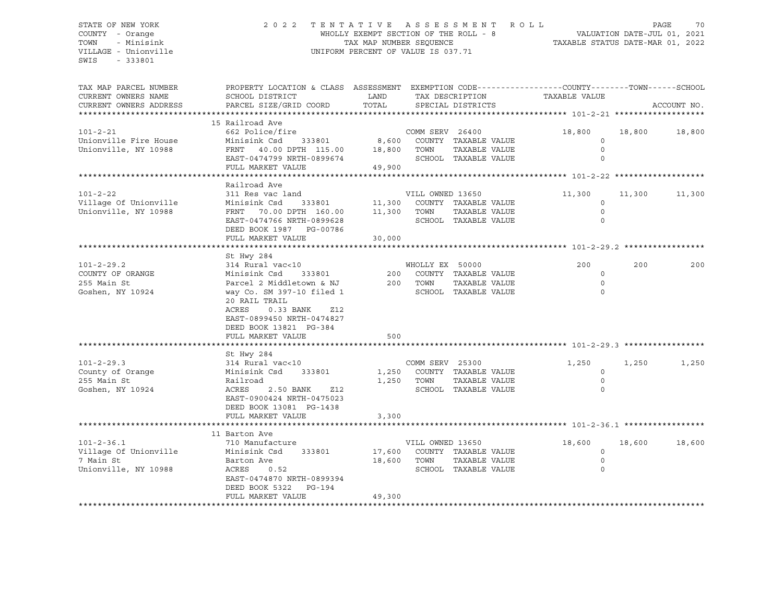STATE OF NEW YORK 2 0 2 2 T E N T A T I V E A S S E S S M E N T R O L L PAGE 70 COUNTY - Orange The MHOLLY EXEMPT SECTION OF THE ROLL - 8 TOWN - Minisink TAX MAP NUMBER SEQUENCE TAXABLE STATUS DATE-MAR 01, 2022 VILLAGE - Unionville **UNIFORM PERCENT OF VALUE IS 037.71** SWIS - 333801 TAX MAP PARCEL NUMBER PROPERTY LOCATION & CLASS ASSESSMENT EXEMPTION CODE----------------COUNTY-------TOWN-----SCHOOL CURRENT OWNERS NAME SCHOOL DISTRICT LAND TAX DESCRIPTION TAXABLE VALUE CURRENT OWNERS ADDRESS PARCEL SIZE/GRID COORD TOTAL SPECIAL DISTRICTS ACCOUNT NO. \*\*\*\*\*\*\*\*\*\*\*\*\*\*\*\*\*\*\*\*\*\*\*\*\*\*\*\*\*\*\*\*\*\*\*\*\*\*\*\*\*\*\*\*\*\*\*\*\*\*\*\*\*\*\*\*\*\*\*\*\*\*\*\*\*\*\*\*\*\*\*\*\*\*\*\*\*\*\*\*\*\*\*\*\*\*\*\*\*\*\*\*\*\*\*\*\*\*\*\*\*\*\* 101-2-21 \*\*\*\*\*\*\*\*\*\*\*\*\*\*\*\*\*\*\* 15 Railroad Ave 101-2-21 662 Police/fire COMM SERV 26400 18,800 18,800 18,800 Unionville Fire House Minisink Csd 333801 8,600 COUNTY TAXABLE VALUE 0 Unionville, NY 10988 FRNT 40.00 DPTH 115.00 18,800 TOWN TAXABLE VALUE 0 EAST-0474799 NRTH-0899674 SCHOOL TAXABLE VALUE 0 FULL MARKET VALUE 49,900 \*\*\*\*\*\*\*\*\*\*\*\*\*\*\*\*\*\*\*\*\*\*\*\*\*\*\*\*\*\*\*\*\*\*\*\*\*\*\*\*\*\*\*\*\*\*\*\*\*\*\*\*\*\*\*\*\*\*\*\*\*\*\*\*\*\*\*\*\*\*\*\*\*\*\*\*\*\*\*\*\*\*\*\*\*\*\*\*\*\*\*\*\*\*\*\*\*\*\*\*\*\*\* 101-2-22 \*\*\*\*\*\*\*\*\*\*\*\*\*\*\*\*\*\*\* Railroad Ave 101-2-22 311 Res vac land VILL OWNED 13650 11,300 11,300 11,300 Village Of Unionville 2001 Minisink Csd 333801 11,300 COUNTY TAXABLE VALUE 2009 11,300 COUNTY O Unionville, NY 10988 FRNT 70.00 DPTH 160.00 11,300 TOWN TAXABLE VALUE 0 EAST-0474766 NRTH-0899628 SCHOOL TAXABLE VALUE 0 DEED BOOK 1987 PG-00786 FULL MARKET VALUE 30,000 \*\*\*\*\*\*\*\*\*\*\*\*\*\*\*\*\*\*\*\*\*\*\*\*\*\*\*\*\*\*\*\*\*\*\*\*\*\*\*\*\*\*\*\*\*\*\*\*\*\*\*\*\*\*\*\*\*\*\*\*\*\*\*\*\*\*\*\*\*\*\*\*\*\*\*\*\*\*\*\*\*\*\*\*\*\*\*\*\*\*\*\*\*\*\*\*\*\*\*\*\*\*\* 101-2-29.2 \*\*\*\*\*\*\*\*\*\*\*\*\*\*\*\*\* St Hwy 284 101-2-29.2 314 Rural vac<10 WHOLLY EX 50000 200 200 200 COUNTY OF ORANGE Minisink Csd 333801 200 COUNTY TAXABLE VALUE 0 255 Main St Parcel 2 Middletown & NJ 200 TOWN TAXABLE VALUE 0 Goshen, NY 10924 way Co. SM 397-10 filed 1 SCHOOL TAXABLE VALUE 0 20 RAIL TRAIL ACRES 0.33 BANK Z12 EAST-0899450 NRTH-0474827 DEED BOOK 13821 PG-384 FULL MARKET VALUE 500 \*\*\*\*\*\*\*\*\*\*\*\*\*\*\*\*\*\*\*\*\*\*\*\*\*\*\*\*\*\*\*\*\*\*\*\*\*\*\*\*\*\*\*\*\*\*\*\*\*\*\*\*\*\*\*\*\*\*\*\*\*\*\*\*\*\*\*\*\*\*\*\*\*\*\*\*\*\*\*\*\*\*\*\*\*\*\*\*\*\*\*\*\*\*\*\*\*\*\*\*\*\*\* 101-2-29.3 \*\*\*\*\*\*\*\*\*\*\*\*\*\*\*\*\* St Hwy 284 101-2-29.3 314 Rural vac<10 COMM SERV 25300 1,250 1,250 1,250 County of Orange Minisink Csd 333801 1,250 COUNTY TAXABLE VALUE 0 255 Main St Railroad 1,250 TOWN TAXABLE VALUE 0 Goshen, NY 10924 ACRES 2.50 BANK 212 SCHOOL TAXABLE VALUE 0 EAST-0900424 NRTH-0475023 DEED BOOK 13081 PG-1438 FULL MARKET VALUE 3,300 \*\*\*\*\*\*\*\*\*\*\*\*\*\*\*\*\*\*\*\*\*\*\*\*\*\*\*\*\*\*\*\*\*\*\*\*\*\*\*\*\*\*\*\*\*\*\*\*\*\*\*\*\*\*\*\*\*\*\*\*\*\*\*\*\*\*\*\*\*\*\*\*\*\*\*\*\*\*\*\*\*\*\*\*\*\*\*\*\*\*\*\*\*\*\*\*\*\*\*\*\*\*\* 101-2-36.1 \*\*\*\*\*\*\*\*\*\*\*\*\*\*\*\*\* 11 Barton Ave 101-2-36.1 710 Manufacture VILL OWNED 13650 18,600 18,600 18,600 Village Of Unionville Minisink Csd 333801 17,600 COUNTY TAXABLE VALUE 0 7 Main St Barton Ave 18,600 TOWN TAXABLE VALUE 0 Unionville, NY 10988 ACRES 0.52 SCHOOL TAXABLE VALUE 0 EAST-0474870 NRTH-0899394 DEED BOOK 5322 PG-194 FULL MARKET VALUE 49,300 \*\*\*\*\*\*\*\*\*\*\*\*\*\*\*\*\*\*\*\*\*\*\*\*\*\*\*\*\*\*\*\*\*\*\*\*\*\*\*\*\*\*\*\*\*\*\*\*\*\*\*\*\*\*\*\*\*\*\*\*\*\*\*\*\*\*\*\*\*\*\*\*\*\*\*\*\*\*\*\*\*\*\*\*\*\*\*\*\*\*\*\*\*\*\*\*\*\*\*\*\*\*\*\*\*\*\*\*\*\*\*\*\*\*\*\*\*\*\*\*\*\*\*\*\*\*\*\*\*\*\*\*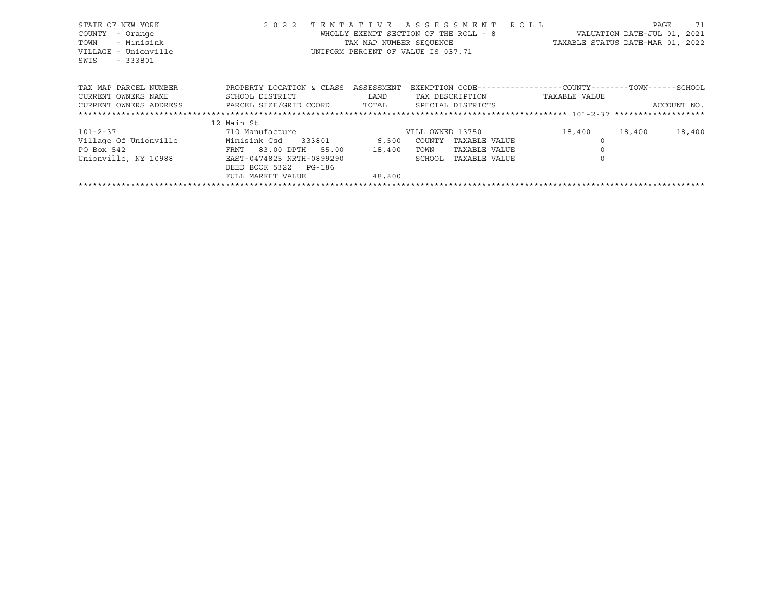| STATE OF NEW YORK<br>COUNTY<br>- Orange<br>- Minisink<br>TOWN<br>VILLAGE - Unionville<br>$-333801$<br>SWIS | 2 0 2 2                                        | TAX MAP NUMBER SEOUENCE | TENTATIVE ASSESSMENT ROLL<br>WHOLLY EXEMPT SECTION OF THE ROLL - 8<br>UNIFORM PERCENT OF VALUE IS 037.71 | TAXABLE STATUS DATE-MAR 01, 2022                             | PAGE<br>71<br>VALUATION DATE-JUL 01, 2021 |
|------------------------------------------------------------------------------------------------------------|------------------------------------------------|-------------------------|----------------------------------------------------------------------------------------------------------|--------------------------------------------------------------|-------------------------------------------|
| TAX MAP PARCEL NUMBER                                                                                      | PROPERTY LOCATION & CLASS                      | ASSESSMENT              |                                                                                                          | EXEMPTION CODE-----------------COUNTY-------TOWN------SCHOOL |                                           |
| CURRENT OWNERS NAME                                                                                        | SCHOOL DISTRICT                                | LAND                    | TAX DESCRIPTION                                                                                          | TAXABLE VALUE                                                |                                           |
| CURRENT OWNERS ADDRESS                                                                                     | PARCEL SIZE/GRID COORD TOTAL SPECIAL DISTRICTS |                         |                                                                                                          |                                                              | ACCOUNT NO.                               |
|                                                                                                            |                                                |                         |                                                                                                          |                                                              |                                           |
|                                                                                                            | 12 Main St                                     |                         |                                                                                                          |                                                              |                                           |
| $101 - 2 - 37$                                                                                             | 710 Manufacture                                |                         | VILL OWNED 13750                                                                                         | 18,400                                                       | 18,400<br>18,400                          |
| Village Of Unionville                                                                                      | Minisink Csd 333801 6,500                      |                         | COUNTY<br>TAXABLE VALUE                                                                                  |                                                              |                                           |
| PO Box 542                                                                                                 | FRNT 83.00 DPTH 55.00                          | 18,400                  | TAXABLE VALUE<br>TOWN                                                                                    |                                                              |                                           |
| Unionville, NY 10988                                                                                       | EAST-0474825 NRTH-0899290                      |                         | SCHOOL<br>TAXABLE VALUE                                                                                  |                                                              |                                           |
|                                                                                                            | DEED BOOK 5322 PG-186                          |                         |                                                                                                          |                                                              |                                           |
|                                                                                                            | FULL MARKET VALUE                              | 48,800                  |                                                                                                          |                                                              |                                           |
|                                                                                                            |                                                |                         |                                                                                                          |                                                              |                                           |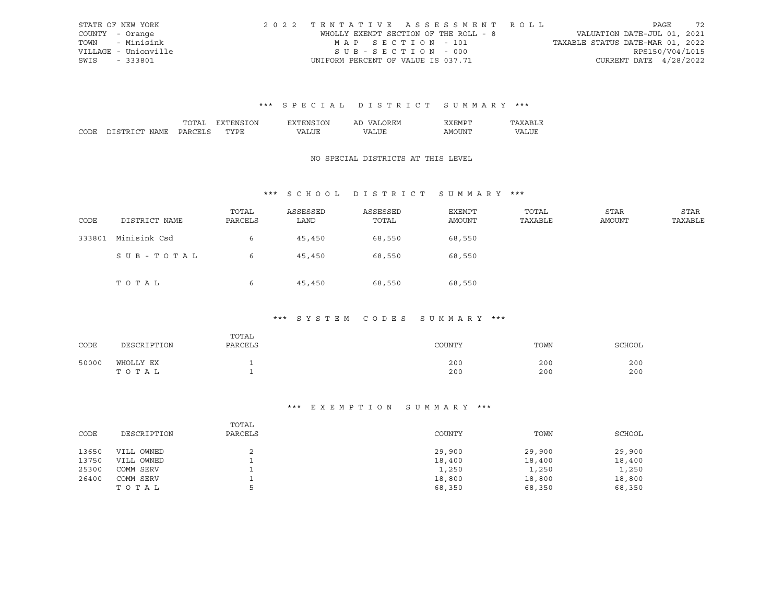|      | STATE OF NEW YORK    | 2022 TENTATIVE ASSESSMENT ROLL        |  |  |                                  |                        | PAGE | 72 |
|------|----------------------|---------------------------------------|--|--|----------------------------------|------------------------|------|----|
|      | COUNTY - Orange      | WHOLLY EXEMPT SECTION OF THE ROLL - 8 |  |  | VALUATION DATE-JUL 01, 2021      |                        |      |    |
|      | TOWN - Minisink      | MAP SECTION - 101                     |  |  | TAXABLE STATUS DATE-MAR 01, 2022 |                        |      |    |
|      | VILLAGE - Unionville | $SUB - SECTION - 000$                 |  |  |                                  | RPS150/V04/L015        |      |    |
| SWIS | - 333801             | UNIFORM PERCENT OF VALUE IS 037.71    |  |  |                                  | CURRENT DATE 4/28/2022 |      |    |

|  | λN<br>'NI           | אר | .          | <b>HIVI</b> |  |
|--|---------------------|----|------------|-------------|--|
|  | $m \times m$<br>. . |    | $\sqrt{ }$ | INT.<br>ιWΙ |  |

## NO SPECIAL DISTRICTS AT THIS LEVEL

## \*\*\* S C H O O L D I S T R I C T S U M M A R Y \*\*\*

| CODE   | DISTRICT NAME | TOTAL<br>PARCELS | ASSESSED<br>LAND | ASSESSED<br>TOTAL | EXEMPT<br>AMOUNT | TOTAL<br>TAXABLE | STAR<br>AMOUNT | STAR<br>TAXABLE |
|--------|---------------|------------------|------------------|-------------------|------------------|------------------|----------------|-----------------|
| 333801 | Minisink Csd  | 6                | 45,450           | 68,550            | 68,550           |                  |                |                 |
|        | SUB-TOTAL     | 6                | 45,450           | 68,550            | 68,550           |                  |                |                 |
|        | TOTAL         | 6                | 45,450           | 68,550            | 68,550           |                  |                |                 |

## \*\*\* S Y S T E M C O D E S S U M M A R Y \*\*\*

| CODE  | DESCRIPTION        | TOTAL<br>PARCELS | COUNTY     | TOWN       | SCHOOL     |
|-------|--------------------|------------------|------------|------------|------------|
| 50000 | WHOLLY EX<br>TOTAL |                  | 200<br>200 | 200<br>200 | 200<br>200 |

#### \*\*\* E X E M P T I O N S U M M A R Y \*\*\*

| CODE  | DESCRIPTION | TOTAL<br>PARCELS | COUNTY | TOWN   | SCHOOL |
|-------|-------------|------------------|--------|--------|--------|
| 13650 | VILL OWNED  |                  | 29,900 | 29,900 | 29,900 |
| 13750 | VILL OWNED  |                  | 18,400 | 18,400 | 18,400 |
| 25300 | COMM SERV   |                  | 1,250  | 1,250  | 1,250  |
| 26400 | COMM SERV   |                  | 18,800 | 18,800 | 18,800 |
|       | TOTAL       |                  | 68,350 | 68,350 | 68,350 |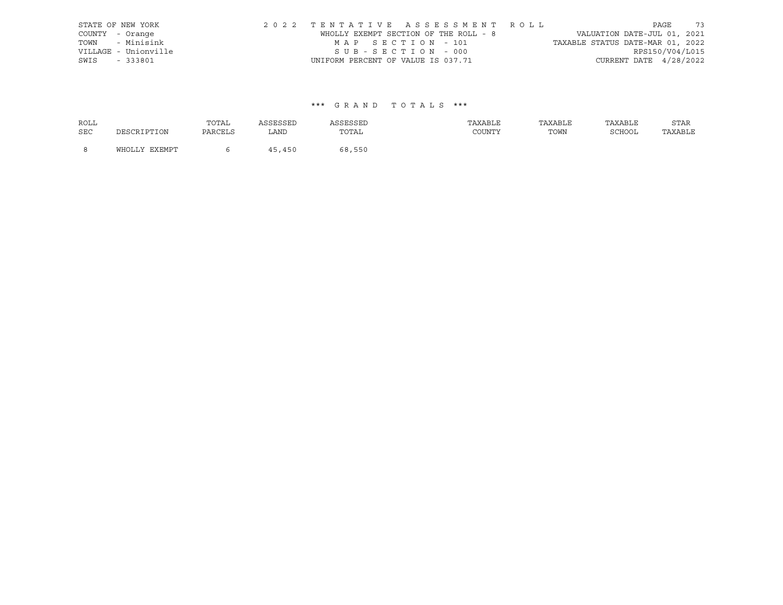| STATE OF NEW YORK    | 2022 TENTATIVE ASSESSMENT ROLL        |  |                                  |                        | PAGE | 73 |
|----------------------|---------------------------------------|--|----------------------------------|------------------------|------|----|
| COUNTY - Orange      | WHOLLY EXEMPT SECTION OF THE ROLL - 8 |  | VALUATION DATE-JUL 01, 2021      |                        |      |    |
| TOWN - Minisink      | MAP SECTION - 101                     |  | TAXABLE STATUS DATE-MAR 01, 2022 |                        |      |    |
| VILLAGE - Unionville | SUB-SECTION - 000                     |  |                                  | RPS150/V04/L015        |      |    |
| SWIS - 333801        | UNIFORM PERCENT OF VALUE IS 037.71    |  |                                  | CURRENT DATE 4/28/2022 |      |    |

| <b>ROLL</b> |               | TOTAL   | ASSESSED | ASSESSED | TAXABLE | TAXABLE | TAXABLE | STAR    |
|-------------|---------------|---------|----------|----------|---------|---------|---------|---------|
| <b>SEC</b>  | DESCRIPTION   | PARCELS | LAND     | TOTAL    | COUNTY  | TOWN    | SCHOOL  | TAXABLE |
| - 8         | WHOLLY EXEMPT |         | 45,450   | 68,550   |         |         |         |         |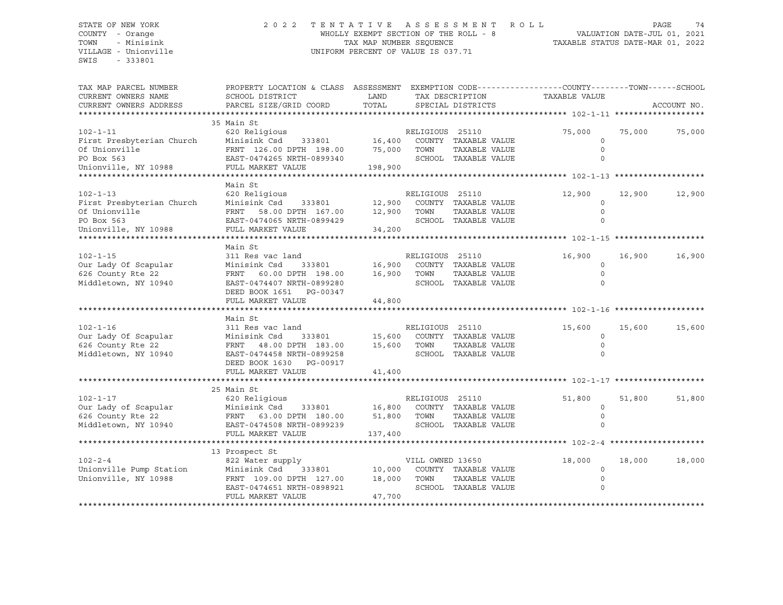SWIS - 333801

### STATE OF NEW YORK 2 0 2 2 T E N T A T I V E A S S E S S M E N T R O L L PAGE 74 COUNTY - Orange WHOLLY EXEMPT SECTION OF THE ROLL - 8 VALUATION DATE-JUL 01, 2021 TOWN - Minisink TAX MAP NUMBER SEQUENCE TAXABLE STATUS DATE-MAR 01, 2022 VILLAGE - Unionville **United Accord CONT** UNIFORM PERCENT OF VALUE IS 037.71

| TAX MAP PARCEL NUMBER<br>CURRENT OWNERS NAME<br>CURRENT OWNERS ADDRESS                             | PROPERTY LOCATION & CLASS ASSESSMENT<br>SCHOOL DISTRICT<br>PARCEL SIZE/GRID COORD                                                                            | LAND<br>TOTAL               |                          | TAX DESCRIPTION<br>SPECIAL DISTRICTS                          | EXEMPTION CODE-----------------COUNTY-------TOWN------SCHOOL<br>TAXABLE VALUE |        | ACCOUNT NO. |
|----------------------------------------------------------------------------------------------------|--------------------------------------------------------------------------------------------------------------------------------------------------------------|-----------------------------|--------------------------|---------------------------------------------------------------|-------------------------------------------------------------------------------|--------|-------------|
| $102 - 1 - 11$<br>First Presbyterian Church<br>Of Unionville<br>PO Box 563<br>Unionville, NY 10988 | 35 Main St<br>620 Religious<br>Minisink Csd<br>333801<br>FRNT 126.00 DPTH 198.00<br>EAST-0474265 NRTH-0899340<br>FULL MARKET VALUE                           | 16,400<br>75,000<br>198,900 | RELIGIOUS 25110<br>TOWN  | COUNTY TAXABLE VALUE<br>TAXABLE VALUE<br>SCHOOL TAXABLE VALUE | 75,000<br>$\mathbf 0$<br>$\circ$                                              | 75,000 | 75,000      |
| $102 - 1 - 13$<br>First Presbyterian Church<br>Of Unionville<br>PO Box 563<br>Unionville, NY 10988 | Main St<br>620 Religious<br>Minisink Csd<br>333801<br>FRNT<br>58.00 DPTH 167.00<br>EAST-0474065 NRTH-0899429<br>FULL MARKET VALUE                            | 12,900<br>12,900<br>34,200  | RELIGIOUS 25110<br>TOWN  | COUNTY TAXABLE VALUE<br>TAXABLE VALUE<br>SCHOOL TAXABLE VALUE | 12,900<br>$\Omega$<br>$\circ$<br>$\Omega$                                     | 12,900 | 12,900      |
| $102 - 1 - 15$<br>Our Lady Of Scapular<br>626 County Rte 22<br>Middletown, NY 10940                | Main St<br>311 Res vac land<br>Minisink Csd<br>333801<br>FRNT 60.00 DPTH 198.00<br>EAST-0474407 NRTH-0899280<br>DEED BOOK 1651 PG-00347<br>FULL MARKET VALUE | 16,900<br>16,900<br>44,800  | RELIGIOUS 25110<br>TOWN  | COUNTY TAXABLE VALUE<br>TAXABLE VALUE<br>SCHOOL TAXABLE VALUE | 16,900<br>$\mathbf 0$<br>$\Omega$                                             | 16,900 | 16,900      |
| $102 - 1 - 16$<br>Our Lady Of Scapular<br>626 County Rte 22<br>Middletown, NY 10940                | Main St<br>311 Res vac land<br>Minisink Csd<br>333801<br>FRNT 48.00 DPTH 183.00<br>EAST-0474458 NRTH-0899258<br>DEED BOOK 1630 PG-00917<br>FULL MARKET VALUE | 15,600<br>15,600<br>41,400  | RELIGIOUS 25110<br>TOWN  | COUNTY TAXABLE VALUE<br>TAXABLE VALUE<br>SCHOOL TAXABLE VALUE | 15,600<br>$\Omega$<br>$\circ$                                                 | 15,600 | 15,600      |
| $102 - 1 - 17$<br>Our Lady of Scapular<br>626 County Rte 22<br>Middletown, NY 10940                | 25 Main St<br>620 Religious<br>Minisink Csd<br>333801<br>FRNT 63.00 DPTH 180.00<br>EAST-0474508 NRTH-0899239<br>FULL MARKET VALUE                            | 16,800<br>51,800<br>137,400 | RELIGIOUS 25110<br>TOWN  | COUNTY TAXABLE VALUE<br>TAXABLE VALUE<br>SCHOOL TAXABLE VALUE | 51,800<br>$\mathbf 0$<br>$\circ$<br>$\cap$                                    | 51,800 | 51,800      |
| $102 - 2 - 4$<br>Unionville Pump Station<br>Unionville, NY 10988                                   | 13 Prospect St<br>822 Water supply<br>Minisink Csd<br>333801<br>FRNT 109.00 DPTH 127.00<br>EAST-0474651 NRTH-0898921<br>FULL MARKET VALUE                    | 10,000<br>18,000<br>47,700  | VILL OWNED 13650<br>TOWN | COUNTY TAXABLE VALUE<br>TAXABLE VALUE<br>SCHOOL TAXABLE VALUE | 18,000<br>$\mathbf 0$<br>$\circ$                                              | 18,000 | 18,000      |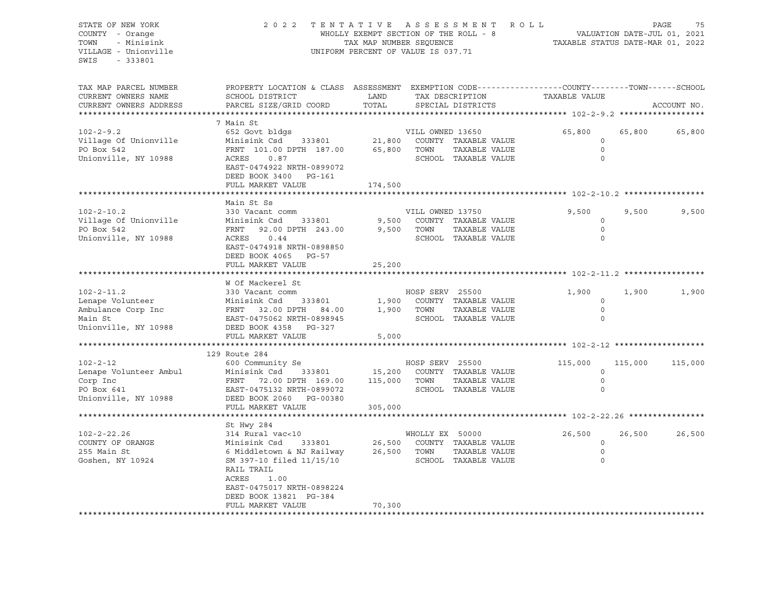STATE OF NEW YORK 2 0 2 2 T E N T A T I V E A S S E S S M E N T R O L L PAGE 75 COUNTY - Orange The MECHANIC COUNTY - Orange WHOLLY EXEMPT SECTION OF THE ROLL - 8 TOWN - Minisink TAX MAP NUMBER SEQUENCE TAXABLE STATUS DATE-MAR 01, 2022 VILLAGE - Unionville **UNIFORM PERCENT OF VALUE IS 037.71** SWIS - 333801 TAX MAP PARCEL NUMBER PROPERTY LOCATION & CLASS ASSESSMENT EXEMPTION CODE------------------COUNTY--------TOWN------SCHOOL CURRENT OWNERS NAME SCHOOL DISTRICT TAX DAND TAX DESCRIPTION TAXABLE VALUE CURRENT OWNERS ADDRESS PARCEL SIZE/GRID COORD TOTAL SPECIAL DISTRICTS ACCOUNT NO. \*\*\*\*\*\*\*\*\*\*\*\*\*\*\*\*\*\*\*\*\*\*\*\*\*\*\*\*\*\*\*\*\*\*\*\*\*\*\*\*\*\*\*\*\*\*\*\*\*\*\*\*\*\*\*\*\*\*\*\*\*\*\*\*\*\*\*\*\*\*\*\*\*\*\*\*\*\*\*\*\*\*\*\*\*\*\*\*\*\*\*\*\*\*\*\*\*\*\*\*\*\*\* 102-2-9.2 \*\*\*\*\*\*\*\*\*\*\*\*\*\*\*\*\*\* 7 Main St 102-2-9.2 652 Govt bldgs VILL OWNED 13650 65,800 65,800 65,800 Village Of Unionville Minisink Csd 333801 21,800 COUNTY TAXABLE VALUE 0 PO Box 542 **FRNT 101.00 DPTH 187.00** 65,800 TOWN TAXABLE VALUE 0 Unionville, NY 10988 ACRES 0.87 SCHOOL TAXABLE VALUE 0 EAST-0474922 NRTH-0899072 DEED BOOK 3400 PG-161 FULL MARKET VALUE 174,500 \*\*\*\*\*\*\*\*\*\*\*\*\*\*\*\*\*\*\*\*\*\*\*\*\*\*\*\*\*\*\*\*\*\*\*\*\*\*\*\*\*\*\*\*\*\*\*\*\*\*\*\*\*\*\*\*\*\*\*\*\*\*\*\*\*\*\*\*\*\*\*\*\*\*\*\*\*\*\*\*\*\*\*\*\*\*\*\*\*\*\*\*\*\*\*\*\*\*\*\*\*\*\* 102-2-10.2 \*\*\*\*\*\*\*\*\*\*\*\*\*\*\*\*\* Main St Ss 102-2-10.2 330 Vacant comm VILL OWNED 13750 9,500 9,500 9,500 Village Of Unionville Minisink Csd 333801 9,500 COUNTY TAXABLE VALUE 0 PO Box 542 FRNT 92.00 DPTH 243.00 9,500 TOWN TAXABLE VALUE 0 Unionville, NY 10988 ACRES 0.44 SCHOOL TAXABLE VALUE 0 EAST-0474918 NRTH-0898850 DEED BOOK 4065 PG-57 FULL MARKET VALUE 25,200 \*\*\*\*\*\*\*\*\*\*\*\*\*\*\*\*\*\*\*\*\*\*\*\*\*\*\*\*\*\*\*\*\*\*\*\*\*\*\*\*\*\*\*\*\*\*\*\*\*\*\*\*\*\*\*\*\*\*\*\*\*\*\*\*\*\*\*\*\*\*\*\*\*\*\*\*\*\*\*\*\*\*\*\*\*\*\*\*\*\*\*\*\*\*\*\*\*\*\*\*\*\*\* 102-2-11.2 \*\*\*\*\*\*\*\*\*\*\*\*\*\*\*\*\* W Of Mackerel St 102-2-11.2 330 Vacant comm HOSP SERV 25500 1,900 1,900 1,900 Lenape Volunteer Minisink Csd 333801 1,900 COUNTY TAXABLE VALUE 0 Ambulance Corp Inc FRNT 32.00 DPTH 84.00 1,900 TOWN TAXABLE VALUE 0 Main St EAST-0475062 NRTH-0898945 SCHOOL TAXABLE VALUE 0 DEED BOOK 4358 PG-327 FULL MARKET VALUE 5,000 \*\*\*\*\*\*\*\*\*\*\*\*\*\*\*\*\*\*\*\*\*\*\*\*\*\*\*\*\*\*\*\*\*\*\*\*\*\*\*\*\*\*\*\*\*\*\*\*\*\*\*\*\*\*\*\*\*\*\*\*\*\*\*\*\*\*\*\*\*\*\*\*\*\*\*\*\*\*\*\*\*\*\*\*\*\*\*\*\*\*\*\*\*\*\*\*\*\*\*\*\*\*\* 102-2-12 \*\*\*\*\*\*\*\*\*\*\*\*\*\*\*\*\*\*\* 129 Route 284 102-2-12 600 Community Se HOSP SERV 25500 115,000 115,000 115,000 Lenape Volunteer Ambul Minisink Csd 333801 15,200 COUNTY TAXABLE VALUE 0 Corp Inc FRNT 72.00 DPTH 169.00 115,000 TOWN TAXABLE VALUE 0 EAST-0475132 NRTH-0899072 SCHOOL TAXABLE VALUE 0 Unionville, NY 10988 DEED BOOK 2060 PG-00380 FULL MARKET VALUE 305,000 \*\*\*\*\*\*\*\*\*\*\*\*\*\*\*\*\*\*\*\*\*\*\*\*\*\*\*\*\*\*\*\*\*\*\*\*\*\*\*\*\*\*\*\*\*\*\*\*\*\*\*\*\*\*\*\*\*\*\*\*\*\*\*\*\*\*\*\*\*\*\*\*\*\*\*\*\*\*\*\*\*\*\*\*\*\*\*\*\*\*\*\*\*\*\*\*\*\*\*\*\*\*\* 102-2-22.26 \*\*\*\*\*\*\*\*\*\*\*\*\*\*\*\* St Hwy 284 102-2-22.26 314 Rural vac<10 WHOLLY EX 50000 26,500 26,500 26,500 COUNTY OF ORANGE Minisink Csd 333801 26,500 COUNTY TAXABLE VALUE 0 255 Main St 6 Middletown & NJ Railway 26,500 TOWN TAXABLE VALUE 0 Goshen, NY 10924 SM 397-10 filed 11/15/10 SCHOOL TAXABLE VALUE 0 RAIL TRAIL ACRES 1.00 EAST-0475017 NRTH-0898224 DEED BOOK 13821 PG-384 FULL MARKET VALUE 70,300 \*\*\*\*\*\*\*\*\*\*\*\*\*\*\*\*\*\*\*\*\*\*\*\*\*\*\*\*\*\*\*\*\*\*\*\*\*\*\*\*\*\*\*\*\*\*\*\*\*\*\*\*\*\*\*\*\*\*\*\*\*\*\*\*\*\*\*\*\*\*\*\*\*\*\*\*\*\*\*\*\*\*\*\*\*\*\*\*\*\*\*\*\*\*\*\*\*\*\*\*\*\*\*\*\*\*\*\*\*\*\*\*\*\*\*\*\*\*\*\*\*\*\*\*\*\*\*\*\*\*\*\*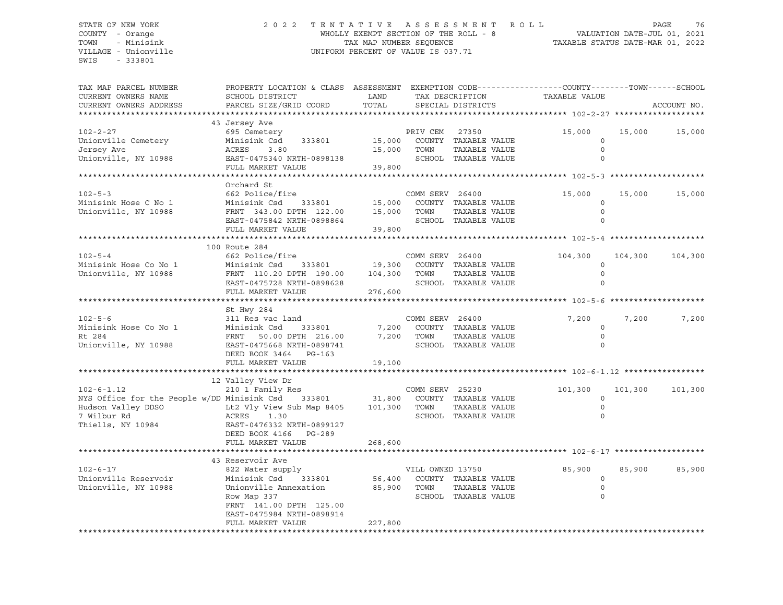SWIS - 333801

### STATE OF NEW YORK 2 0 2 2 T E N T A T I V E A S S E S S M E N T R O L L PAGE 76 COUNTY - Orange WHOLLY EXEMPT SECTION OF THE ROLL - 8 VALUATION DATE-JUL 01, 2021 TOWN - Minisink TAX MAP NUMBER SEQUENCE TAXABLE STATUS DATE-MAR 01, 2022 VILLAGE - Unionville **United Accord CONT** UNIFORM PERCENT OF VALUE IS 037.71

| TAX MAP PARCEL NUMBER<br>CURRENT OWNERS NAME<br>CURRENT OWNERS ADDRESS                                                    | PROPERTY LOCATION & CLASS ASSESSMENT EXEMPTION CODE----------------COUNTY-------TOWN------SCHOOL<br>SCHOOL DISTRICT<br>PARCEL SIZE/GRID COORD                   | LAND<br>TOTAL                |                          | TAX DESCRIPTION<br>SPECIAL DISTRICTS                                   | TAXABLE VALUE                                 |         | ACCOUNT NO. |
|---------------------------------------------------------------------------------------------------------------------------|-----------------------------------------------------------------------------------------------------------------------------------------------------------------|------------------------------|--------------------------|------------------------------------------------------------------------|-----------------------------------------------|---------|-------------|
|                                                                                                                           |                                                                                                                                                                 |                              |                          |                                                                        |                                               |         |             |
| $102 - 2 - 27$<br>Unionville Cemetery<br>Jersey Ave<br>Unionville, NY 10988                                               | 43 Jersey Ave<br>695 Cemetery<br>Minisink Csd<br>333801<br>ACRES<br>3.80<br>EAST-0475340 NRTH-0898138<br>FULL MARKET VALUE                                      | 15,000<br>15,000<br>39,800   | PRIV CEM<br>TOWN         | 27350<br>COUNTY TAXABLE VALUE<br>TAXABLE VALUE<br>SCHOOL TAXABLE VALUE | 15,000<br>$\Omega$<br>$\mathbf 0$<br>$\Omega$ | 15,000  | 15,000      |
|                                                                                                                           |                                                                                                                                                                 |                              |                          |                                                                        |                                               |         |             |
| $102 - 5 - 3$<br>Minisink Hose C No 1<br>Unionville, NY 10988                                                             | Orchard St<br>662 Police/fire<br>Minisink Csd<br>333801<br>FRNT 343.00 DPTH 122.00<br>EAST-0475842 NRTH-0898864<br>FULL MARKET VALUE                            | 15,000<br>15,000<br>39,800   | COMM SERV 26400<br>TOWN  | COUNTY TAXABLE VALUE<br>TAXABLE VALUE<br>SCHOOL TAXABLE VALUE          | 15,000<br>$\circ$<br>$\circ$                  | 15,000  | 15,000      |
|                                                                                                                           |                                                                                                                                                                 |                              |                          |                                                                        |                                               |         |             |
| $102 - 5 - 4$<br>Minisink Hose Co No 1<br>Unionville, NY 10988                                                            | 100 Route 284<br>662 Police/fire<br>Minisink Csd<br>333801<br>FRNT 110.20 DPTH 190.00<br>EAST-0475728 NRTH-0898628<br>FULL MARKET VALUE                         | 19,300<br>104,300<br>276,600 | COMM SERV 26400<br>TOWN  | COUNTY TAXABLE VALUE<br>TAXABLE VALUE<br>SCHOOL TAXABLE VALUE          | 104,300<br>$\mathbf 0$<br>$\Omega$            | 104,300 | 104,300     |
|                                                                                                                           |                                                                                                                                                                 |                              |                          |                                                                        |                                               |         |             |
| $102 - 5 - 6$<br>Minisink Hose Co No 1<br>Rt 284<br>Unionville, NY 10988                                                  | St Hwy 284<br>311 Res vac land<br>Minisink Csd<br>333801<br>FRNT 50.00 DPTH 216.00<br>EAST-0475668 NRTH-0898741<br>DEED BOOK 3464 PG-163<br>FULL MARKET VALUE   | 7,200<br>7,200<br>19,100     | COMM SERV 26400<br>TOWN  | COUNTY TAXABLE VALUE<br>TAXABLE VALUE<br>SCHOOL TAXABLE VALUE          | 7,200<br>$\Omega$<br>$\circ$<br>$\Omega$      | 7,200   | 7,200       |
|                                                                                                                           |                                                                                                                                                                 |                              |                          |                                                                        |                                               |         |             |
| $102 - 6 - 1.12$<br>NYS Office for the People w/DD Minisink Csd<br>Hudson Valley DDSO<br>7 Wilbur Rd<br>Thiells, NY 10984 | 12 Valley View Dr<br>210 1 Family Res<br>333801<br>Lt2 Vly View Sub Map 8405<br>ACRES<br>1.30<br>EAST-0476332 NRTH-0899127<br>DEED BOOK 4166 PG-289             | 31,800<br>101,300            | COMM SERV 25230<br>TOWN  | COUNTY TAXABLE VALUE<br>TAXABLE VALUE<br>SCHOOL TAXABLE VALUE          | 101,300<br>$\circ$<br>$\circ$<br>$\Omega$     | 101,300 | 101,300     |
|                                                                                                                           | FULL MARKET VALUE                                                                                                                                               | 268,600                      |                          |                                                                        |                                               |         |             |
|                                                                                                                           | 43 Reservoir Ave                                                                                                                                                |                              |                          |                                                                        |                                               |         |             |
| $102 - 6 - 17$<br>Unionville Reservoir<br>Unionville, NY 10988                                                            | 822 Water supply<br>Minisink Csd<br>333801<br>Unionville Annexation<br>Row Map 337<br>FRNT 141.00 DPTH 125.00<br>EAST-0475984 NRTH-0898914<br>FULL MARKET VALUE | 56,400<br>85,900<br>227,800  | VILL OWNED 13750<br>TOWN | COUNTY TAXABLE VALUE<br>TAXABLE VALUE<br>SCHOOL TAXABLE VALUE          | 85,900<br>$\mathbf 0$<br>0                    | 85,900  | 85,900      |
|                                                                                                                           |                                                                                                                                                                 |                              |                          |                                                                        |                                               |         |             |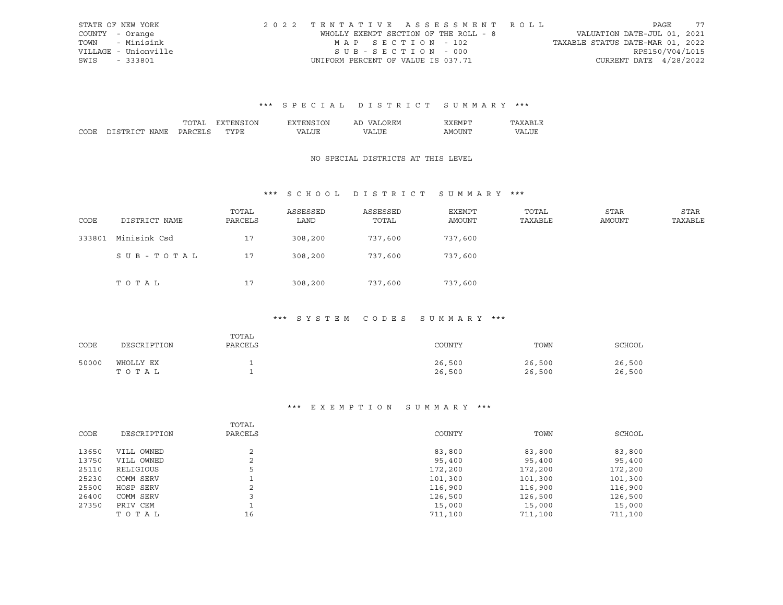|      | STATE OF NEW YORK    | 2022 TENTATIVE ASSESSMENT ROLL        |  |  |                                  |                        | PAGE | - 77 |
|------|----------------------|---------------------------------------|--|--|----------------------------------|------------------------|------|------|
|      | COUNTY - Orange      | WHOLLY EXEMPT SECTION OF THE ROLL - 8 |  |  | VALUATION DATE-JUL 01, 2021      |                        |      |      |
|      | TOWN - Minisink      | MAP SECTION - 102                     |  |  | TAXABLE STATUS DATE-MAR 01, 2022 |                        |      |      |
|      | VILLAGE - Unionville | $SUB - SECTION - 000$                 |  |  |                                  | RPS150/V04/L015        |      |      |
| SWIS | - 333801             | UNIFORM PERCENT OF VALUE IS 037.71    |  |  |                                  | CURRENT DATE 4/28/2022 |      |      |

# \*\*\* S P E C I A L D I S T R I C T S U M M A R Y \*\*\*

|  | λN<br>'NI           | אר | .          | <b>HIVI</b> |  |
|--|---------------------|----|------------|-------------|--|
|  | $m \times m$<br>. . |    | $\sqrt{ }$ | INT.<br>ιWΙ |  |

## NO SPECIAL DISTRICTS AT THIS LEVEL

# \*\*\* S C H O O L D I S T R I C T S U M M A R Y \*\*\*

| CODE   | DISTRICT NAME | TOTAL<br>PARCELS | ASSESSED<br>LAND | ASSESSED<br>TOTAL | EXEMPT<br>AMOUNT | TOTAL<br>TAXABLE | STAR<br>AMOUNT | STAR<br>TAXABLE |
|--------|---------------|------------------|------------------|-------------------|------------------|------------------|----------------|-----------------|
| 333801 | Minisink Csd  | 17               | 308,200          | 737,600           | 737,600          |                  |                |                 |
|        | SUB-TOTAL     | 17               | 308,200          | 737,600           | 737,600          |                  |                |                 |
|        | тотаь         | 17               | 308,200          | 737,600           | 737,600          |                  |                |                 |

# \*\*\* S Y S T E M C O D E S S U M M A R Y \*\*\*

| CODE  | DESCRIPTION        | TOTAL<br>PARCELS | COUNTY           | TOWN             | SCHOOL           |
|-------|--------------------|------------------|------------------|------------------|------------------|
| 50000 | WHOLLY EX<br>TOTAL |                  | 26,500<br>26,500 | 26,500<br>26,500 | 26,500<br>26,500 |

#### \*\*\* E X E M P T I O N S U M M A R Y \*\*\*

|       |             | TOTAL   |         |         |         |
|-------|-------------|---------|---------|---------|---------|
| CODE  | DESCRIPTION | PARCELS | COUNTY  | TOWN    | SCHOOL  |
|       |             | C.      |         |         |         |
| 13650 | VILL OWNED  |         | 83,800  | 83,800  | 83,800  |
| 13750 | VILL OWNED  | $\sim$  | 95,400  | 95,400  | 95,400  |
| 25110 | RELIGIOUS   |         | 172,200 | 172,200 | 172,200 |
| 25230 | COMM SERV   |         | 101,300 | 101,300 | 101,300 |
| 25500 | HOSP SERV   | C.<br>∠ | 116,900 | 116,900 | 116,900 |
| 26400 | COMM SERV   |         | 126,500 | 126,500 | 126,500 |
| 27350 | PRIV CEM    |         | 15,000  | 15,000  | 15,000  |
|       | TOTAL       | 16      | 711,100 | 711,100 | 711,100 |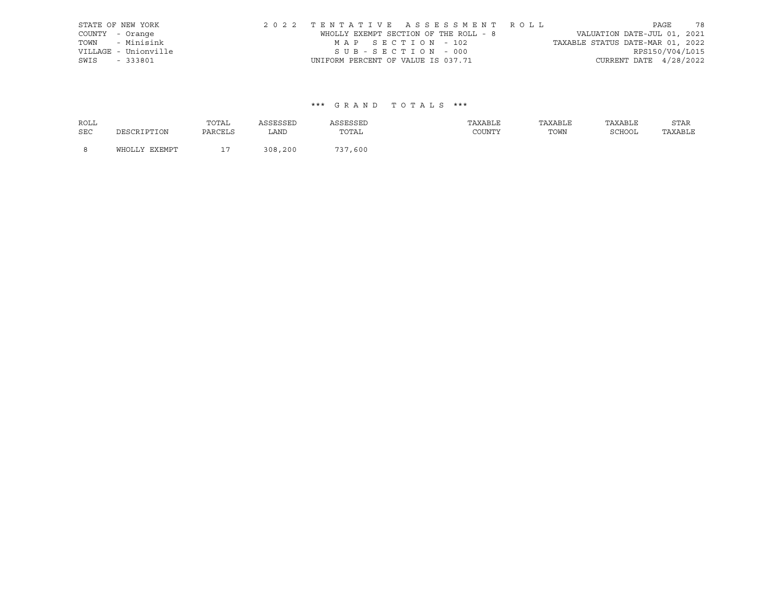| STATE OF NEW YORK    | 2022 TENTATIVE ASSESSMENT ROLL        |  |  |                                  |                        | PAGE | 78 |
|----------------------|---------------------------------------|--|--|----------------------------------|------------------------|------|----|
| COUNTY - Orange      | WHOLLY EXEMPT SECTION OF THE ROLL - 8 |  |  | VALUATION DATE-JUL 01, 2021      |                        |      |    |
| TOWN - Minisink      | MAP SECTION - 102                     |  |  | TAXABLE STATUS DATE-MAR 01, 2022 |                        |      |    |
| VILLAGE - Unionville | SUB-SECTION - 000                     |  |  |                                  | RPS150/V04/L015        |      |    |
| SWIS - 333801        | UNIFORM PERCENT OF VALUE IS 037.71    |  |  |                                  | CURRENT DATE 4/28/2022 |      |    |

| <b>ROLL</b> |               | TOTAL   | ASSESSED | ASSESSED | TAXABLE | TAXABLE | TAXABLE | <b>STAR</b> |
|-------------|---------------|---------|----------|----------|---------|---------|---------|-------------|
| <b>SEC</b>  | DESCRIPTION   | PARCELS | LAND     | TOTAL    | COUNTY  | TOWN    | SCHOOL  | TAXABLE     |
| - 8         | WHOLLY EXEMPT |         | 308,200  | 737,600  |         |         |         |             |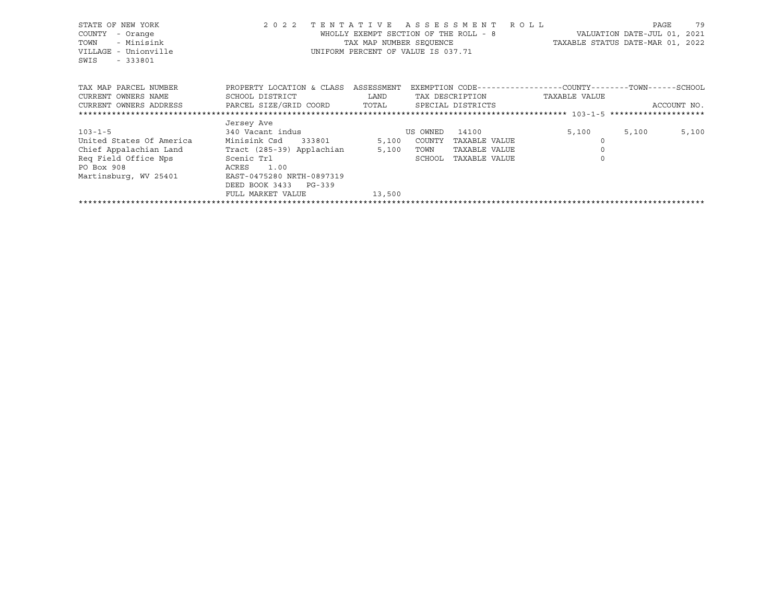| STATE OF NEW YORK                                                     | 2 0 2 2                              | TENTATIVE ASSESSMENT ROLL             |          |                 |                                                              |       | PAGE        | 79    |
|-----------------------------------------------------------------------|--------------------------------------|---------------------------------------|----------|-----------------|--------------------------------------------------------------|-------|-------------|-------|
| COUNTY<br>- Orange                                                    |                                      | WHOLLY EXEMPT SECTION OF THE ROLL - 8 |          |                 | VALUATION DATE-JUL 01, 2021                                  |       |             |       |
| - Minisink<br>TOWN                                                    |                                      |                                       |          |                 | TAX MAP NUMBER SEQUENCE TAXABLE STATUS DATE-MAR 01, 2022     |       |             |       |
| VILLAGE - Unionville                                                  |                                      | UNIFORM PERCENT OF VALUE IS 037.71    |          |                 |                                                              |       |             |       |
| SWIS<br>$-333801$                                                     |                                      |                                       |          |                 |                                                              |       |             |       |
|                                                                       |                                      |                                       |          |                 |                                                              |       |             |       |
| TAX MAP PARCEL NUMBER                                                 | PROPERTY LOCATION & CLASS ASSESSMENT |                                       |          |                 | EXEMPTION CODE-----------------COUNTY-------TOWN------SCHOOL |       |             |       |
| CURRENT OWNERS NAME                                                   | SCHOOL DISTRICT                      | LAND                                  |          | TAX DESCRIPTION | TAXABLE VALUE                                                |       |             |       |
| CURRENT OWNERS ADDRESS PARCEL SIZE/GRID COORD TOTAL SPECIAL DISTRICTS |                                      |                                       |          |                 |                                                              |       | ACCOUNT NO. |       |
|                                                                       |                                      |                                       |          |                 |                                                              |       |             |       |
|                                                                       | Jersey Ave                           |                                       |          |                 |                                                              |       |             |       |
| $103 - 1 - 5$                                                         | 340 Vacant indus                     |                                       | US OWNED | 14100           | 5,100                                                        | 5,100 |             | 5,100 |
| United States Of America                                              | Minisink Csd 333801                  | 5,100                                 | COUNTY   | TAXABLE VALUE   |                                                              |       |             |       |
| Chief Appalachian Land Tract (285-39) Applachian                      |                                      | 5,100                                 | TOWN     | TAXABLE VALUE   |                                                              |       |             |       |
| Reg Field Office Nps                                                  | Scenic Trl                           |                                       | SCHOOL   | TAXABLE VALUE   | $\Omega$                                                     |       |             |       |
| PO Box 908                                                            | ACRES<br>1.00                        |                                       |          |                 |                                                              |       |             |       |
| Martinsburg, WV 25401                                                 | EAST-0475280 NRTH-0897319            |                                       |          |                 |                                                              |       |             |       |
|                                                                       | DEED BOOK 3433 PG-339                |                                       |          |                 |                                                              |       |             |       |
|                                                                       | FULL MARKET VALUE                    | 13,500                                |          |                 |                                                              |       |             |       |

\*\*\*\*\*\*\*\*\*\*\*\*\*\*\*\*\*\*\*\*\*\*\*\*\*\*\*\*\*\*\*\*\*\*\*\*\*\*\*\*\*\*\*\*\*\*\*\*\*\*\*\*\*\*\*\*\*\*\*\*\*\*\*\*\*\*\*\*\*\*\*\*\*\*\*\*\*\*\*\*\*\*\*\*\*\*\*\*\*\*\*\*\*\*\*\*\*\*\*\*\*\*\*\*\*\*\*\*\*\*\*\*\*\*\*\*\*\*\*\*\*\*\*\*\*\*\*\*\*\*\*\*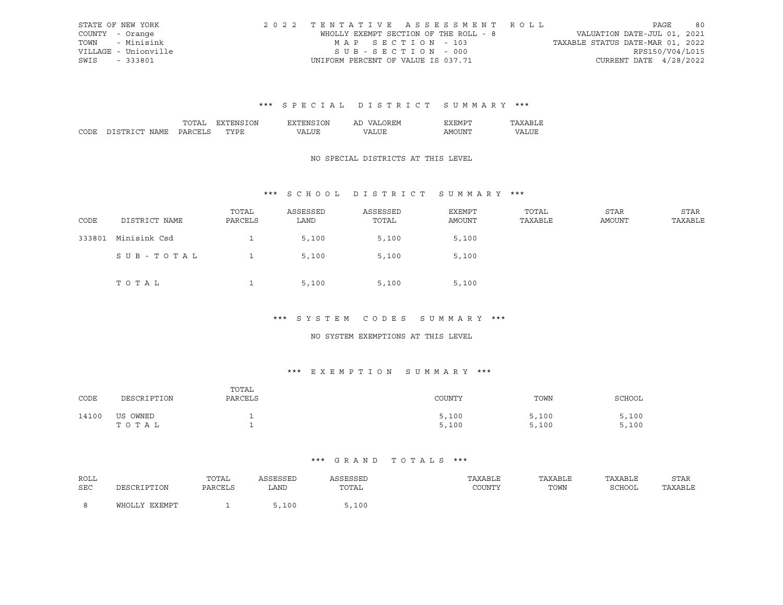|      | STATE OF NEW YORK    | 2022 TENTATIVE ASSESSMENT ROLL        |  |  |                                  |                        | PAGE | 80 |
|------|----------------------|---------------------------------------|--|--|----------------------------------|------------------------|------|----|
|      | COUNTY - Orange      | WHOLLY EXEMPT SECTION OF THE ROLL - 8 |  |  | VALUATION DATE-JUL 01, 2021      |                        |      |    |
|      | TOWN - Minisink      | MAP SECTION - 103                     |  |  | TAXABLE STATUS DATE-MAR 01, 2022 |                        |      |    |
|      | VILLAGE - Unionville | $SUB - SECTION - 000$                 |  |  |                                  | RPS150/V04/L015        |      |    |
| SWIS | - 333801             | UNIFORM PERCENT OF VALUE IS 037.71    |  |  |                                  | CURRENT DATE 4/28/2022 |      |    |

#### \*\*\* S P E C I A L D I S T R I C T S U M M A R Y \*\*\*

|  | λN<br>'NI           | אר | .          | <b>HIVI</b> |  |
|--|---------------------|----|------------|-------------|--|
|  | $m \times m$<br>. . |    | $\sqrt{ }$ | INT.<br>ιWΙ |  |

## NO SPECIAL DISTRICTS AT THIS LEVEL

# \*\*\* S C H O O L D I S T R I C T S U M M A R Y \*\*\*

| CODE   | DISTRICT NAME | TOTAL<br>PARCELS | ASSESSED<br>LAND | ASSESSED<br>TOTAL | EXEMPT<br>AMOUNT | TOTAL<br>TAXABLE | STAR<br><b>AMOUNT</b> | STAR<br>TAXABLE |
|--------|---------------|------------------|------------------|-------------------|------------------|------------------|-----------------------|-----------------|
| 333801 | Minisink Csd  |                  | 5,100            | 5,100             | 5,100            |                  |                       |                 |
|        | SUB-TOTAL     |                  | 5,100            | 5,100             | 5,100            |                  |                       |                 |
|        | TOTAL         | ᅩ                | 5,100            | 5,100             | 5,100            |                  |                       |                 |

#### \*\*\* S Y S T E M C O D E S S U M M A R Y \*\*\*

#### NO SYSTEM EXEMPTIONS AT THIS LEVEL

# \*\*\* E X E M P T I O N S U M M A R Y \*\*\*

| CODE  | DESCRIPTION       | TOTAL<br>PARCELS | COUNTY         | TOWN           | SCHOOL         |
|-------|-------------------|------------------|----------------|----------------|----------------|
| 14100 | US OWNED<br>TOTAL |                  | 5,100<br>5,100 | 5,100<br>5,100 | 5,100<br>5,100 |

| ROLL |               | TOTAL   | ASSESSED | ASSESSED | TAXABLE | TAXABLE | TAXABLE | STAR    |
|------|---------------|---------|----------|----------|---------|---------|---------|---------|
| SEC  | DESCRIPTION   | PARCELS | LAND     | TOTAL    | COUNTY  | TOWN    | SCHOOL  | TAXABLE |
|      | WHOLLY EXEMPT |         | 5,100    | 5,100    |         |         |         |         |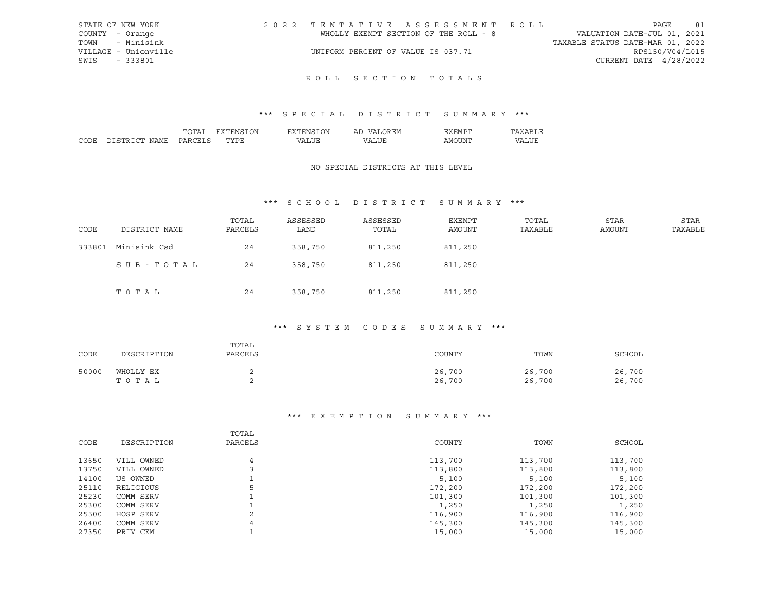| STATE OF NEW YORK    | 2022 TENTATIVE ASSESSMENT ROLL        | 81<br>PAGE                       |
|----------------------|---------------------------------------|----------------------------------|
| COUNTY - Orange      | WHOLLY EXEMPT SECTION OF THE ROLL - 8 | VALUATION DATE-JUL 01, 2021      |
| TOWN - Minisink      |                                       | TAXABLE STATUS DATE-MAR 01, 2022 |
| VILLAGE - Unionville | UNIFORM PERCENT OF VALUE IS 037.71    | RPS150/V04/L015                  |
| SWIS - 333801        |                                       | CURRENT DATE $4/28/2022$         |
|                      |                                       |                                  |

# ROLL SECTION TOTALS

# \*\*\* S P E C I A L D I S T R I C T S U M M A R Y \*\*\*

|                  | $\mathbf{r}$ | λN<br>∴NF         | ٦N | $\epsilon$<br>. .<br>-11 | . H.M H     |   |
|------------------|--------------|-------------------|----|--------------------------|-------------|---|
| $\sim$<br>. וניי |              | $m \times m$<br>◡ |    | $^{\prime}$ $\wedge$     | - INI<br>ΔM | . |

### NO SPECIAL DISTRICTS AT THIS LEVEL

# \*\*\* S C H O O L D I S T R I C T S U M M A R Y \*\*\*

| CODE   | DISTRICT NAME | TOTAL<br>PARCELS | ASSESSED<br>LAND | ASSESSED<br>TOTAL | EXEMPT<br>AMOUNT | TOTAL<br>TAXABLE | STAR<br><b>AMOUNT</b> | STAR<br>TAXABLE |
|--------|---------------|------------------|------------------|-------------------|------------------|------------------|-----------------------|-----------------|
| 333801 | Minisink Csd  | 24               | 358,750          | 811,250           | 811,250          |                  |                       |                 |
|        | SUB-TOTAL     | 24               | 358,750          | 811,250           | 811,250          |                  |                       |                 |
|        | TOTAL         | 24               | 358,750          | 811,250           | 811,250          |                  |                       |                 |

#### \*\*\* S Y S T E M C O D E S S U M M A R Y \*\*\*

| CODE  | DESCRIPTION        | TOTAL<br>PARCELS | COUNTY           | TOWN             | SCHOOL           |
|-------|--------------------|------------------|------------------|------------------|------------------|
| 50000 | WHOLLY EX<br>тотаь |                  | 26,700<br>26,700 | 26,700<br>26,700 | 26,700<br>26,700 |

# \*\*\* E X E M P T I O N S U M M A R Y \*\*\*

|             | TOTAL           |         |         |         |
|-------------|-----------------|---------|---------|---------|
| DESCRIPTION | PARCELS         | COUNTY  | TOWN    | SCHOOL  |
|             |                 |         |         |         |
|             | 4               |         | 113,700 | 113,700 |
| VILL OWNED  |                 | 113,800 | 113,800 | 113,800 |
| US OWNED    |                 | 5,100   | 5,100   | 5,100   |
| RELIGIOUS   | 5               | 172,200 | 172,200 | 172,200 |
| COMM SERV   |                 | 101,300 | 101,300 | 101,300 |
| COMM SERV   |                 | 1,250   | 1,250   | 1,250   |
| HOSP SERV   | $\bigcirc$<br>∠ | 116,900 | 116,900 | 116,900 |
| COMM SERV   | 4               | 145,300 | 145,300 | 145,300 |
| PRIV CEM    |                 | 15,000  | 15,000  | 15,000  |
|             | VILL OWNED      |         | 113,700 |         |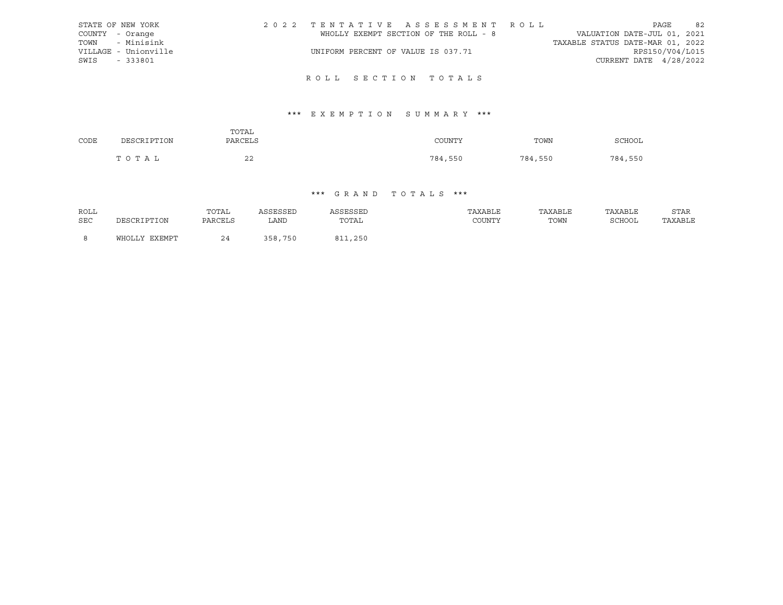|      | STATE OF NEW YORK    | 2022 TENTATIVE ASSESSMENT ROLL        |  |  |                                  |                        | PAGE | 82 |
|------|----------------------|---------------------------------------|--|--|----------------------------------|------------------------|------|----|
|      | COUNTY - Orange      | WHOLLY EXEMPT SECTION OF THE ROLL - 8 |  |  | VALUATION DATE-JUL 01, 2021      |                        |      |    |
|      | TOWN - Minisink      |                                       |  |  | TAXABLE STATUS DATE-MAR 01, 2022 |                        |      |    |
|      | VILLAGE - Unionville | UNIFORM PERCENT OF VALUE IS 037.71    |  |  |                                  | RPS150/V04/L015        |      |    |
| SWIS | - 333801             |                                       |  |  |                                  | CURRENT DATE 4/28/2022 |      |    |
|      |                      |                                       |  |  |                                  |                        |      |    |

# R O L L S E C T I O N T O T A L S

# \*\*\* E X E M P T I O N S U M M A R Y \*\*\*

|      |             | TOTAL    |         |         |         |
|------|-------------|----------|---------|---------|---------|
| CODE | DESCRIPTION | PARCELS  | COUNTY  | TOWN    | SCHOOL  |
|      | TOTAL       | າາ<br>∠∠ | 784,550 | 784,550 | 784,550 |

| ROLL |               | TOTAL   | ASSESSED | ASSESSED | TAXABLE | TAXABLE | TAXABLE | STAR    |
|------|---------------|---------|----------|----------|---------|---------|---------|---------|
| SEC  | DESCRIPTION   | PARCELS | LAND     | TOTAL    | COUNTY  | TOWN    | SCHOOL  | TAXABLE |
|      |               |         |          |          |         |         |         |         |
| - 8  | WHOLLY EXEMPT | 24      | 358,750  | 811,250  |         |         |         |         |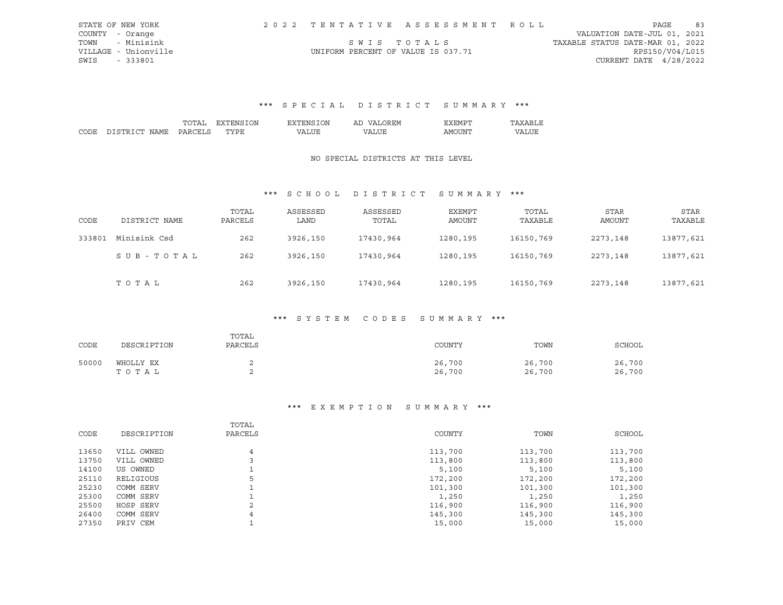|      | STATE OF NEW YORK    |                                    | 2022 TENTATIVE ASSESSMENT ROLL |                                  |                          | PAGE | 83 |
|------|----------------------|------------------------------------|--------------------------------|----------------------------------|--------------------------|------|----|
|      | COUNTY - Orange      |                                    |                                | VALUATION DATE-JUL 01, 2021      |                          |      |    |
| TOWN | - Minisink           | SWIS TOTALS                        |                                | TAXABLE STATUS DATE-MAR 01, 2022 |                          |      |    |
|      | VILLAGE - Unionville | UNIFORM PERCENT OF VALUE IS 037.71 |                                |                                  | RPS150/V04/L015          |      |    |
| SWIS | $-333801$            |                                    |                                |                                  | CURRENT DATE $4/28/2022$ |      |    |

# \*\*\* S P E C I A L D I S T R I C T S U M M A R Y \*\*\*

|      |                      |          | ON<br>.<br>┄              | λN<br>'NM  | Al<br>⊶ ⊶ | ∵ H'M   |     |
|------|----------------------|----------|---------------------------|------------|-----------|---------|-----|
| CODE | . uw<br>יחר<br>NIAMF | эn.<br>. | $m \tau \tau n \tau$<br>◡ | $\sqrt{ }$ | 77\       | ΔM<br>. | LUI |

### NO SPECIAL DISTRICTS AT THIS LEVEL

# \*\*\* S C H O O L D I S T R I C T S U M M A R Y \*\*\*

| CODE   | DISTRICT NAME | TOTAL<br>PARCELS | ASSESSED<br>LAND | ASSESSED<br>TOTAL | EXEMPT<br>AMOUNT | TOTAL<br>TAXABLE | <b>STAR</b><br>AMOUNT | STAR<br>TAXABLE |
|--------|---------------|------------------|------------------|-------------------|------------------|------------------|-----------------------|-----------------|
| 333801 | Minisink Csd  | 262              | 3926,150         | 17430,964         | 1280,195         | 16150,769        | 2273,148              | 13877,621       |
|        | SUB-TOTAL     | 262              | 3926,150         | 17430,964         | 1280,195         | 16150,769        | 2273,148              | 13877,621       |
|        | TOTAL         | 262              | 3926,150         | 17430,964         | 1280,195         | 16150,769        | 2273,148              | 13877,621       |

# \*\*\* S Y S T E M C O D E S S U M M A R Y \*\*\*

| CODE  | DESCRIPTION | TOTAL<br>PARCELS | COUNTY | TOWN   | <b>SCHOOL</b> |
|-------|-------------|------------------|--------|--------|---------------|
| 50000 | WHOLLY EX   | ▵                | 26,700 | 26,700 | 26,700        |
|       | TOTAL       | z.               | 26,700 | 26,700 | 26,700        |

#### \*\*\* E X E M P T I O N S U M M A R Y \*\*\*

|       |             | TOTAL          |         |         |         |
|-------|-------------|----------------|---------|---------|---------|
| CODE  | DESCRIPTION | PARCELS        | COUNTY  | TOWN    | SCHOOL  |
| 13650 | VILL OWNED  | $\overline{4}$ | 113,700 | 113,700 | 113,700 |
| 13750 | VILL OWNED  |                | 113,800 | 113,800 | 113,800 |
| 14100 | US OWNED    |                | 5,100   | 5,100   | 5,100   |
| 25110 | RELIGIOUS   | 5              | 172,200 | 172,200 | 172,200 |
| 25230 | COMM SERV   |                | 101,300 | 101,300 | 101,300 |
| 25300 | COMM SERV   |                | 1,250   | 1,250   | 1,250   |
| 25500 | HOSP SERV   | $\bigcirc$     | 116,900 | 116,900 | 116,900 |
| 26400 | COMM SERV   | 4              | 145,300 | 145,300 | 145,300 |
| 27350 | PRIV CEM    |                | 15,000  | 15,000  | 15,000  |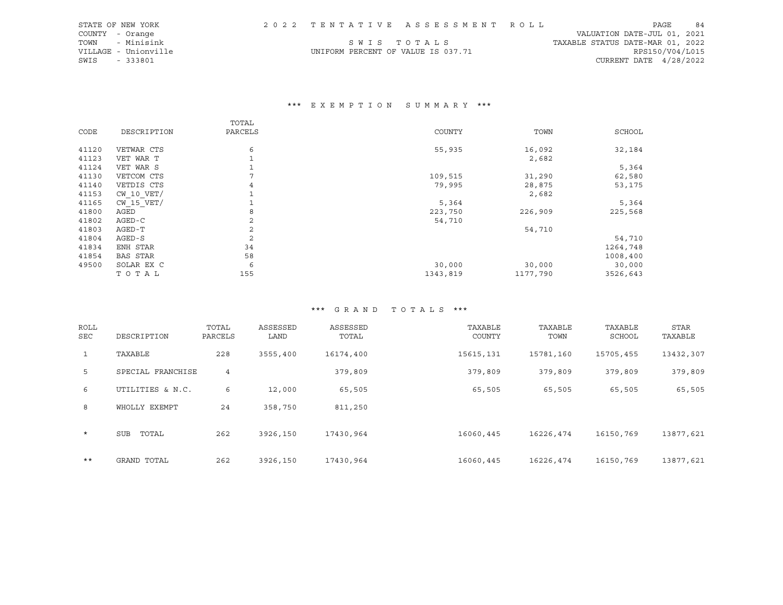|               | STATE OF NEW YORK    |                                    | 2022 TENTATIVE ASSESSMENT ROLL |                                  | PAGE                   | 84 |
|---------------|----------------------|------------------------------------|--------------------------------|----------------------------------|------------------------|----|
|               | COUNTY - Orange      |                                    |                                | VALUATION DATE-JUL 01, 2021      |                        |    |
|               | TOWN - Minisink      |                                    | SWIS TOTALS                    | TAXABLE STATUS DATE-MAR 01, 2022 |                        |    |
|               | VILLAGE - Unionville | UNIFORM PERCENT OF VALUE IS 037.71 |                                |                                  | RPS150/V04/L015        |    |
| SWIS - 333801 |                      |                                    |                                |                                  | CURRENT DATE 4/28/2022 |    |

# \*\*\* E X E M P T I O N S U M M A R Y \*\*\*

|       |                 | TOTAL          |          |          |          |
|-------|-----------------|----------------|----------|----------|----------|
| CODE  | DESCRIPTION     | PARCELS        | COUNTY   | TOWN     | SCHOOL   |
|       |                 |                |          |          |          |
| 41120 | VETWAR CTS      | 6              | 55,935   | 16,092   | 32,184   |
| 41123 | VET WAR T       |                |          | 2,682    |          |
| 41124 | VET WAR S       |                |          |          | 5,364    |
| 41130 | VETCOM CTS      | $\mathbf{r}$   | 109,515  | 31,290   | 62,580   |
| 41140 | VETDIS CTS      | 4              | 79,995   | 28,875   | 53,175   |
| 41153 | $CW$ 10 $VET/$  |                |          | 2,682    |          |
| 41165 | $CW$ 15 $VET/$  |                | 5,364    |          | 5,364    |
| 41800 | AGED            | 8              | 223,750  | 226,909  | 225,568  |
| 41802 | AGED-C          | 2              | 54,710   |          |          |
| 41803 | AGED-T          | 2              |          | 54,710   |          |
| 41804 | AGED-S          | $\overline{c}$ |          |          | 54,710   |
| 41834 | ENH STAR        | 34             |          |          | 1264,748 |
| 41854 | <b>BAS STAR</b> | 58             |          |          | 1008,400 |
| 49500 | SOLAR EX C      | 6              | 30,000   | 30,000   | 30,000   |
|       | TOTAL           | 155            | 1343,819 | 1177,790 | 3526,643 |

| ROLL<br>SEC | DESCRIPTION         | TOTAL<br>PARCELS | ASSESSED<br>LAND | ASSESSED<br>TOTAL | TAXABLE<br>COUNTY | TAXABLE<br>TOWN | TAXABLE<br>SCHOOL | <b>STAR</b><br>TAXABLE |
|-------------|---------------------|------------------|------------------|-------------------|-------------------|-----------------|-------------------|------------------------|
| $\mathbf 1$ | TAXABLE             | 228              | 3555,400         | 16174,400         | 15615, 131        | 15781,160       | 15705,455         | 13432,307              |
| 5           | SPECIAL FRANCHISE   | 4                |                  | 379,809           | 379,809           | 379,809         | 379,809           | 379,809                |
| 6           | UTILITIES & N.C.    | 6                | 12,000           | 65,505            | 65,505            | 65,505          | 65,505            | 65,505                 |
| 8           | WHOLLY EXEMPT       | 24               | 358,750          | 811,250           |                   |                 |                   |                        |
| $\star$     | <b>SUB</b><br>TOTAL | 262              | 3926,150         | 17430,964         | 16060,445         | 16226,474       | 16150,769         | 13877,621              |
| $***$       | GRAND TOTAL         | 262              | 3926,150         | 17430,964         | 16060,445         | 16226,474       | 16150,769         | 13877,621              |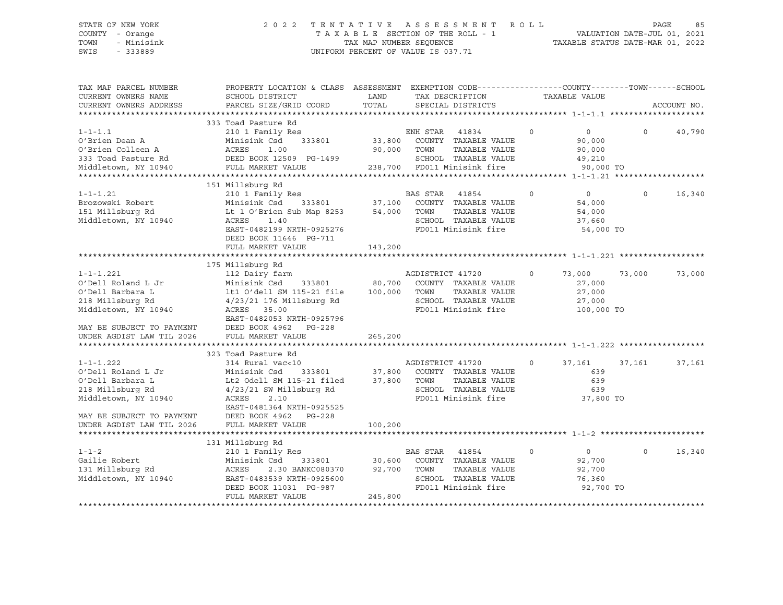### STATE OF NEW YORK 2 0 2 2 T E N T A T I V E A S S E S S M E N T R O L L PAGE 85 COUNTY - Orange T A X A B L E SECTION OF THE ROLL - 1 VALUATION DATE-JUL 01, 2021 TOWN - Minisink TAX MAP NUMBER SEQUENCE TAXABLE STATUS DATE-MAR 01, 2022 SWIS - 333889 CONSERVATION CONTROL OF VALUE IS 037.71

| TAX MAP PARCEL NUMBER<br>CURRENT OWNERS NAME<br>CURRENT OWNERS ADDRESS                                                                                          | PROPERTY LOCATION & CLASS ASSESSMENT EXEMPTION CODE----------------COUNTY-------TOWN------SCHOOL<br>SCHOOL DISTRICT<br>PARCEL SIZE/GRID COORD                                                                                                                            | LAND<br>TOTAL | TAX DESCRIPTION<br>SPECIAL DISTRICTS                                                                                                                        | TAXABLE VALUE                                                        | ACCOUNT NO.        |
|-----------------------------------------------------------------------------------------------------------------------------------------------------------------|--------------------------------------------------------------------------------------------------------------------------------------------------------------------------------------------------------------------------------------------------------------------------|---------------|-------------------------------------------------------------------------------------------------------------------------------------------------------------|----------------------------------------------------------------------|--------------------|
| $1 - 1 - 1.1$<br>O'Brien Dean A                                                                                                                                 | 333 Toad Pasture Rd<br>210 1 Family Res<br>Minisink Csd<br>O'Brien Colleen A (ACRES 1.00<br>333 Toad Pasture Rd (DEED BOOK 12509 PG-1499<br>Middletown, NY 10940 (PULL MARKET VALUE                                                                                      |               | s<br>333801 33,800 COUNTY TAXABLE VALUE<br>90,000 TOWN<br>TAXABLE VALUE<br>SCHOOL TAXABLE VALUE<br>238,700 FD011 Minisink fire 90,000 TO                    | $\circ$<br>$\overline{0}$<br>90,000<br>90,000<br>49,210              | $\Omega$<br>40,790 |
| $1 - 1 - 1.21$<br>Brozowski Robert<br>151 Millsburg Rd<br>Middletown, NY 10940                                                                                  | 151 Millsburg Rd<br>210 1 Family Res<br>Minisink Csd<br>Lt 1 O'Brien Sub Map 8253 54,000 TOWN<br>ACRES<br>1.40<br>EAST-0482199 NRTH-0925276<br>DEED BOOK 11646 PG-711<br>FULL MARKET VALUE                                                                               | 143,200       | TAXABLE VALUE<br>SCHOOL TAXABLE VALUE<br>FD011 Minisink fire                                                                                                | $\circ$<br>$\overline{0}$<br>54,000<br>54,000<br>37,660<br>54,000 TO | $\Omega$<br>16,340 |
| $1 - 1 - 1.221$<br>O'Dell Roland L Jr<br>O'Dell Barbara L<br>218 Millsburg Rd<br>Middletown, NY 10940<br>MAY BE SUBJECT TO PAYMENT<br>UNDER AGDIST LAW TIL 2026 | 175 Millsburg Rd<br>112 Dairy farm<br>Minisink Csd 333801 80,700 COUNTY TAXABLE VALUE<br>lt1 O'dell SM 115-21 file 100,000 TOWN<br>$4/23/21$ 176 Millsburg Rd<br>ACRES 35.00<br>EAST-0482053 NRTH-0925796<br>DEED BOOK 4962 PG-228<br>FULL MARKET VALUE                  | 265,200       | AGDISTRICT 41720<br>TAXABLE VALUE<br>SCHOOL TAXABLE VALUE<br>FD011 Minisink fire                                                                            | 73,000<br>$\circ$<br>27,000<br>27,000<br>27,000<br>100,000 TO        | 73,000<br>73,000   |
| $1 - 1 - 1.222$<br>O'Dell Roland L Jr<br>O'Dell Barbara L<br>218 Millsburg Rd<br>Middletown, NY 10940<br>MAY BE SUBJECT TO PAYMENT<br>UNDER AGDIST LAW TIL 2026 | 323 Toad Pasture Rd<br>314 Rural vac<10<br>Minisink Csd 333801 37,800 COUNTY TAXABLE VALUE<br>Lt2 Odell SM 115-21 filed 37,800 TOWN TAXABLE VALUE<br>4/23/21 SW Millsburg Rd<br>ACRES<br>2.10<br>EAST-0481364 NRTH-0925525<br>DEED BOOK 4962 PG-228<br>FULL MARKET VALUE | 100,200       | TAXABLE VALUE<br>SCHOOL TAXABLE VALUE 639<br>FD011 Minisink fire 37,800 TO                                                                                  | $\circ$<br>37,161<br>639<br>639                                      | 37,161<br>37,161   |
| $1 - 1 - 2$<br>Gailie Robert<br>131 Millsburg Rd<br>Middletown, NY 10940                                                                                        | 131 Millsburg Rd<br>210 1 Family Res<br>Minisink Csd<br>2.30 BANKC080370 92,700 TOWN<br>ACRES<br>EAST-0483539 NRTH-0925600<br>DEED BOOK 11031 PG-987<br>FULL MARKET VALUE                                                                                                | 245,800       | BAS STAR 41854<br>333801 30,600 COUNTY TAXABLE VALUE<br>TAXABLE VALUE<br>TOWN      TAXABLE VALUE<br>SCHOOL   TAXABLE VALUE<br>FD011 Minisink fire 92,700 TO | $\overline{0}$<br>$\circ$<br>92,700<br>92,700<br>76,360              | $\Omega$<br>16,340 |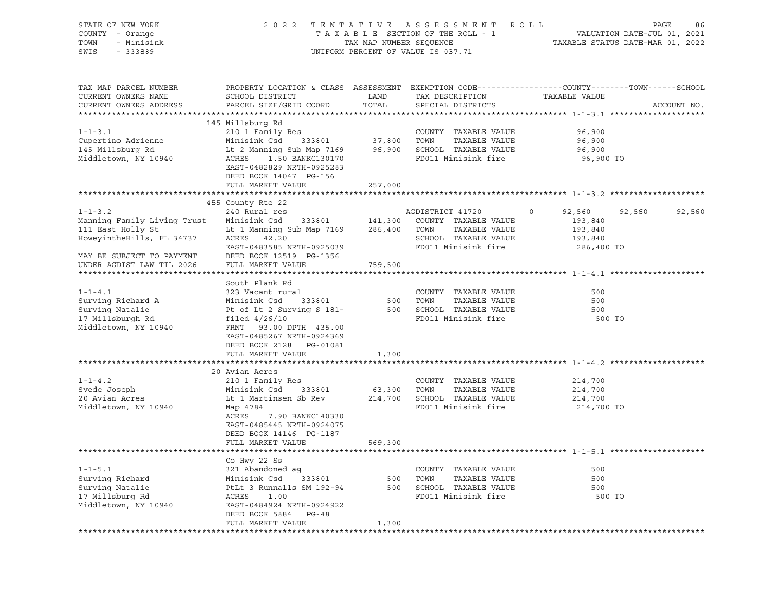| STATE OF NEW YORK<br>COUNTY - Orange<br>TOWN<br>- Minisink<br>SWIS<br>$-333889$ |                                                                                                          |               | 2022 TENTATIVE ASSESSMENT ROLL<br>UNIFORM PERCENT OF VALUE IS 037.71 | PAGE<br>86<br>TAXABLE SECTION OF THE ROLL - 1<br>TAXABLE STATUS DATE-JUL 01, 2021<br>TAX MAP NUMBER SEQUENCE TAXABLE STATUS DATE-MAR 01, 2022 |
|---------------------------------------------------------------------------------|----------------------------------------------------------------------------------------------------------|---------------|----------------------------------------------------------------------|-----------------------------------------------------------------------------------------------------------------------------------------------|
| TAX MAP PARCEL NUMBER<br>CURRENT OWNERS NAME<br>CURRENT OWNERS ADDRESS          | SCHOOL DISTRICT<br>PARCEL SIZE/GRID COORD                                                                | LAND<br>TOTAL | TAX DESCRIPTION<br>SPECIAL DISTRICTS                                 | PROPERTY LOCATION & CLASS ASSESSMENT EXEMPTION CODE----------------COUNTY-------TOWN-----SCHOOL<br>TAXABLE VALUE<br>ACCOUNT NO.               |
|                                                                                 | 145 Millsburg Rd                                                                                         |               |                                                                      |                                                                                                                                               |
| $1 - 1 - 3.1$                                                                   | 210 1 Family Res                                                                                         |               | COUNTY TAXABLE VALUE                                                 | 96,900                                                                                                                                        |
| Cupertino Adrienne                                                              |                                                                                                          |               | TAXABLE VALUE                                                        | 96,900                                                                                                                                        |
| 145 Millsburg Rd                                                                | Lt 2 Manning Sub Map 7169 96,900 SCHOOL TAXABLE VALUE<br>ACRES 1.50 BANKC130170 FD011 Minisink fire      |               |                                                                      | 96,900                                                                                                                                        |
| Middletown, NY 10940                                                            | ACRES 1.50 BANKC130170<br>EAST-0482829 NRTH-0925283<br>DEED BOOK 14047 PG-156                            |               | FD011 Minisink fire                                                  | 96,900 TO                                                                                                                                     |
|                                                                                 | FULL MARKET VALUE                                                                                        | 257,000       |                                                                      |                                                                                                                                               |
|                                                                                 |                                                                                                          |               |                                                                      |                                                                                                                                               |
|                                                                                 | 455 County Rte 22                                                                                        |               |                                                                      |                                                                                                                                               |
| $1 - 1 - 3.2$                                                                   | 240 Rural res                                                                                            |               | AGDISTRICT 41720                                                     | $\circ$<br>92,560<br>92,560<br>92,560<br>193,840                                                                                              |
| Manning Family Living Trust<br>111 East Holly St                                | Minisink Csd 333801 141,300 COUNTY TAXABLE VALUE<br>Lt 1 Manning Sub Map 7169 286,400 TOWN TAXABLE VALUE |               |                                                                      | 193,840                                                                                                                                       |
| HoweyintheHills, FL 34737                                                       | ACRES 42.20                                                                                              |               | SCHOOL TAXABLE VALUE                                                 | 193,840                                                                                                                                       |
|                                                                                 | EAST-0483585 NRTH-0925039                                                                                |               | FD011 Minisink fire                                                  | 286,400 TO                                                                                                                                    |
| MAY BE SUBJECT TO PAYMENT                                                       | DEED BOOK 12519 PG-1356                                                                                  |               |                                                                      |                                                                                                                                               |
| UNDER AGDIST LAW TIL 2026                                                       | FULL MARKET VALUE                                                                                        | 759,500       |                                                                      |                                                                                                                                               |
|                                                                                 |                                                                                                          |               |                                                                      |                                                                                                                                               |
|                                                                                 | South Plank Rd                                                                                           |               |                                                                      |                                                                                                                                               |
| $1 - 1 - 4.1$                                                                   | 323 Vacant rural                                                                                         |               | COUNTY TAXABLE VALUE                                                 | 500                                                                                                                                           |
| Surving Richard A                                                               | Minisink Csd 333801                                                                                      |               | 500 TOWN<br>TAXABLE VALUE                                            | 500                                                                                                                                           |
| Surving Natalie<br>17 Millsburgh Rd                                             | Pt of Lt 2 Surving S 181-<br>filed $4/26/10$                                                             |               | 500 SCHOOL TAXABLE VALUE<br>FD011 Minisink fire                      | 500<br>500 TO                                                                                                                                 |
| Middletown, NY 10940                                                            | FRNT 93.00 DPTH 435.00                                                                                   |               |                                                                      |                                                                                                                                               |
|                                                                                 | EAST-0485267 NRTH-0924369                                                                                |               |                                                                      |                                                                                                                                               |
|                                                                                 | DEED BOOK 2128 PG-01081                                                                                  |               |                                                                      |                                                                                                                                               |
|                                                                                 | FULL MARKET VALUE                                                                                        | 1,300         |                                                                      |                                                                                                                                               |
|                                                                                 |                                                                                                          |               |                                                                      |                                                                                                                                               |
|                                                                                 | 20 Avian Acres                                                                                           |               |                                                                      |                                                                                                                                               |
| $1 - 1 - 4.2$                                                                   | 210 1 Family Res                                                                                         |               | COUNTY TAXABLE VALUE                                                 | 214,700                                                                                                                                       |
| Svede Joseph                                                                    | Minisink Csd 333801                                                                                      |               | 63,300 TOWN<br>TAXABLE VALUE                                         | 214,700                                                                                                                                       |
| 20 Avian Acres<br>Middletown, NY 10940                                          | Lt 1 Martinsen Sb Rev<br>Map 4784                                                                        |               | 214,700 SCHOOL TAXABLE VALUE<br>FD011 Minisink fire                  | 214,700<br>214,700 TO                                                                                                                         |
|                                                                                 | ACRES<br>7.90 BANKC140330                                                                                |               |                                                                      |                                                                                                                                               |
|                                                                                 | EAST-0485445 NRTH-0924075                                                                                |               |                                                                      |                                                                                                                                               |
|                                                                                 | DEED BOOK 14146 PG-1187                                                                                  |               |                                                                      |                                                                                                                                               |
|                                                                                 | FULL MARKET VALUE                                                                                        | 569,300       |                                                                      |                                                                                                                                               |
|                                                                                 |                                                                                                          |               |                                                                      |                                                                                                                                               |
|                                                                                 | Co Hwy 22 Ss                                                                                             |               |                                                                      |                                                                                                                                               |
| $1 - 1 - 5.1$                                                                   | 321 Abandoned ag                                                                                         |               | COUNTY TAXABLE VALUE                                                 | 500                                                                                                                                           |
| Surving Richard<br>Surving Natalie                                              | 321 Abandoned ay<br>Minisink Csd 333801<br>PtLt 3 Runnalls SM 192-94                                     |               | 500 TOWN<br>TAXABLE VALUE<br>500 SCHOOL TAXABLE VALUE                | 500<br>500                                                                                                                                    |
| 17 Millsburg Rd                                                                 | ACRES<br>1.00                                                                                            |               | FD011 Minisink fire                                                  | 500 TO                                                                                                                                        |
| Middletown, NY 10940                                                            | EAST-0484924 NRTH-0924922                                                                                |               |                                                                      |                                                                                                                                               |
|                                                                                 | DEED BOOK 5884 PG-48                                                                                     |               |                                                                      |                                                                                                                                               |
|                                                                                 | FULL MARKET VALUE                                                                                        | 1,300         |                                                                      |                                                                                                                                               |
|                                                                                 |                                                                                                          |               |                                                                      |                                                                                                                                               |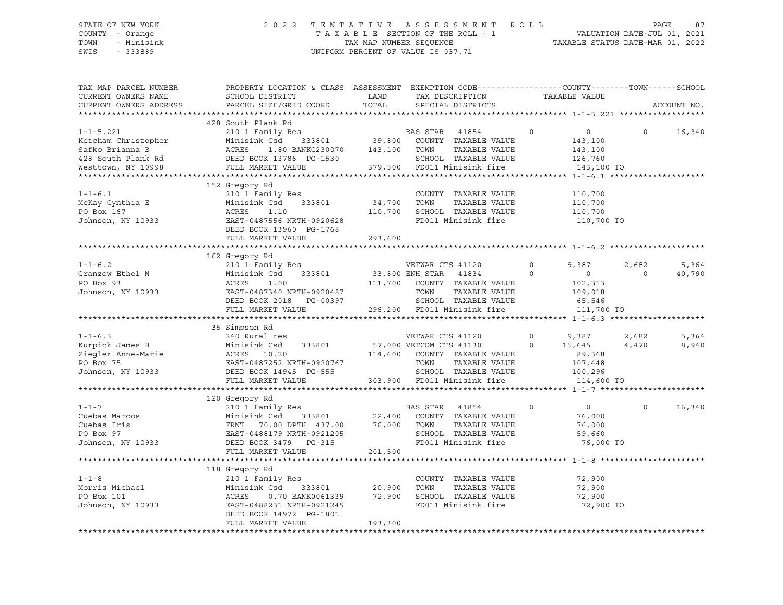### STATE OF NEW YORK 2 0 2 2 T E N T A T I V E A S S E S S M E N T R O L L PAGE 87 COUNTY - Orange T A X A B L E SECTION OF THE ROLL - 1 VALUATION DATE-JUL 01, 2021 TOWN - Minisink TAX MAP NUMBER SEQUENCE TAXABLE STATUS DATE-MAR 01, 2022 SWIS - 333889 CONSERVATION CONTROL OF VALUE IS 037.71

| TAX MAP PARCEL NUMBER<br>CURRENT OWNERS NAME<br>CURRENT OWNERS ADDRESS | PROPERTY LOCATION & CLASS ASSESSMENT EXEMPTION CODE----------------COUNTY-------TOWN------SCHOOL<br>SCHOOL DISTRICT<br>PARCEL SIZE/GRID COORD | LAND<br>TOTAL | TAX DESCRIPTION<br>SPECIAL DISTRICTS          |          | TAXABLE VALUE  |         | ACCOUNT NO. |
|------------------------------------------------------------------------|-----------------------------------------------------------------------------------------------------------------------------------------------|---------------|-----------------------------------------------|----------|----------------|---------|-------------|
|                                                                        |                                                                                                                                               |               |                                               |          |                |         |             |
|                                                                        | 428 South Plank Rd                                                                                                                            |               |                                               |          |                |         |             |
| $1 - 1 - 5.221$                                                        | 210 1 Family Res                                                                                                                              |               |                                               | $\circ$  | $\overline{0}$ | $\circ$ | 16,340      |
| Ketcham Christopher                                                    | Minisink Csd<br>333801                                                                                                                        |               | BAS STAR 41854<br>39,800 COUNTY TAXABLE VALUE |          | 143,100        |         |             |
| Safko Brianna B                                                        | ACRES<br>1.80 BANKC230070                                                                                                                     | 143,100 TOWN  | TAXABLE VALUE                                 |          | 143,100        |         |             |
| 428 South Plank Rd                                                     | DEED BOOK 13786 PG-1530                                                                                                                       |               | SCHOOL TAXABLE VALUE                          |          | 126,760        |         |             |
| Westtown, NY 10998                                                     | FULL MARKET VALUE                                                                                                                             |               | 379,500 FD011 Minisink fire                   |          | 143,100 TO     |         |             |
|                                                                        |                                                                                                                                               |               |                                               |          |                |         |             |
|                                                                        | 152 Gregory Rd                                                                                                                                |               |                                               |          |                |         |             |
| $1 - 1 - 6.1$                                                          | 210 1 Family Res                                                                                                                              |               | COUNTY TAXABLE VALUE                          |          | 110,700        |         |             |
| McKay Cynthia E                                                        | Minisink Csd<br>333801                                                                                                                        | 34,700        | TAXABLE VALUE<br>TOWN                         |          | 110,700        |         |             |
| PO Box 167                                                             | ACRES<br>1.10                                                                                                                                 | 110,700       | SCHOOL TAXABLE VALUE                          |          | 110,700        |         |             |
| Johnson, NY 10933                                                      | EAST-0487556 NRTH-0920628                                                                                                                     |               | FD011 Minisink fire                           |          | 110,700 TO     |         |             |
|                                                                        | DEED BOOK 13960 PG-1768                                                                                                                       |               |                                               |          |                |         |             |
|                                                                        | FULL MARKET VALUE                                                                                                                             | 293,600       |                                               |          |                |         |             |
|                                                                        |                                                                                                                                               |               |                                               |          |                |         |             |
|                                                                        | 162 Gregory Rd                                                                                                                                |               |                                               |          |                |         |             |
| $1 - 1 - 6.2$                                                          | 210 1 Family Res                                                                                                                              |               |                                               | $\circ$  | 9,387          | 2,682   | 5,364       |
| Granzow Ethel M                                                        | Minisink Csd 333801                                                                                                                           |               | VETWAR CTS 41120<br>33,800 ENH STAR 41834     | $\circ$  | $\circ$        | $\circ$ | 40,790      |
| PO Box 93                                                              | ACRES<br>1.00                                                                                                                                 |               | 111,700 COUNTY TAXABLE VALUE                  |          | 102,313        |         |             |
| Johnson, NY 10933                                                      | EAST-0487340 NRTH-0920487                                                                                                                     |               | TOWN<br>TAXABLE VALUE                         |          | 109,018        |         |             |
|                                                                        | DEED BOOK 2018 PG-00397                                                                                                                       |               | SCHOOL TAXABLE VALUE                          |          | 65,546         |         |             |
|                                                                        | FULL MARKET VALUE                                                                                                                             |               | 296,200 FD011 Minisink fire                   |          | 111,700 TO     |         |             |
|                                                                        |                                                                                                                                               |               |                                               |          |                |         |             |
|                                                                        | 35 Simpson Rd                                                                                                                                 |               |                                               |          |                |         |             |
| $1 - 1 - 6.3$                                                          | 240 Rural res                                                                                                                                 |               | VETWAR CTS 41120                              | $\circ$  | 9,387          | 2,682   | 5,364       |
| Kurpick James H                                                        | Minisink Csd<br>333801                                                                                                                        |               | 57,000 VETCOM CTS 41130                       | $\Omega$ | 15,645         | 4,470   | 8,940       |
|                                                                        |                                                                                                                                               |               | 114,600 COUNTY TAXABLE VALUE                  |          | 89,568         |         |             |
| Ziegler Anne-Marie<br>PO Box 75                                        | ACRES 10.20<br>EAST-0487252 NRTH-0920767<br>DEED BOOK 14945 PG-555                                                                            |               | TOWN<br>TAXABLE VALUE                         |          | 107,448        |         |             |
| Johnson, NY 10933                                                      | DEED BOOK 14945 PG-555                                                                                                                        |               | SCHOOL TAXABLE VALUE                          |          | 100,296        |         |             |
|                                                                        | FULL MARKET VALUE                                                                                                                             |               | 303,900 FD011 Minisink fire                   |          | 114,600 TO     |         |             |
|                                                                        |                                                                                                                                               |               |                                               |          |                |         |             |
|                                                                        | 120 Gregory Rd                                                                                                                                |               |                                               |          |                |         |             |
| $1 - 1 - 7$                                                            | 210 1 Family Res                                                                                                                              |               | BAS STAR 41854                                | $\circ$  | $\circ$        | $\circ$ | 16,340      |
| Cuebas Marcos                                                          |                                                                                                                                               | 333801 22,400 | COUNTY TAXABLE VALUE                          |          | 76,000         |         |             |
| Cuebas Iris                                                            |                                                                                                                                               | 76,000        | TOWN<br>TAXABLE VALUE                         |          | 76,000         |         |             |
| PO Box 97<br>Johnson, NY 10933                                         | Minisink Csd 333801<br>FRNT 70.00 DPTH 437.00<br>EAST-0488179 NRTH-0921205<br>EAST-0488179 NRTH-0921205                                       |               | SCHOOL TAXABLE VALUE                          |          | 59,660         |         |             |
|                                                                        | DEED BOOK 3479 PG-315                                                                                                                         |               | FD011 Minisink fire                           |          | 76,000 TO      |         |             |
|                                                                        | FULL MARKET VALUE                                                                                                                             | 201,500       |                                               |          |                |         |             |
|                                                                        |                                                                                                                                               |               |                                               |          |                |         |             |
|                                                                        | 118 Gregory Rd                                                                                                                                |               |                                               |          |                |         |             |
| $1 - 1 - 8$                                                            | 210 1 Family Res                                                                                                                              |               | COUNTY TAXABLE VALUE                          |          | 72,900         |         |             |
| Morris Michael                                                         | Minisink Csd<br>333801                                                                                                                        | 20,900        | TOWN<br>TAXABLE VALUE                         |          | 72,900         |         |             |
| PO Box 101                                                             | 0.70 BANK0061339 72,900<br>ACRES                                                                                                              |               | SCHOOL TAXABLE VALUE                          |          | 72,900         |         |             |
| Johnson, NY 10933                                                      | EAST-0488231 NRTH-0921245                                                                                                                     |               | FD011 Minisink fire                           |          | 72,900 TO      |         |             |
|                                                                        | DEED BOOK 14972 PG-1801                                                                                                                       |               |                                               |          |                |         |             |
|                                                                        | FULL MARKET VALUE                                                                                                                             | 193,300       |                                               |          |                |         |             |
|                                                                        |                                                                                                                                               |               |                                               |          |                |         |             |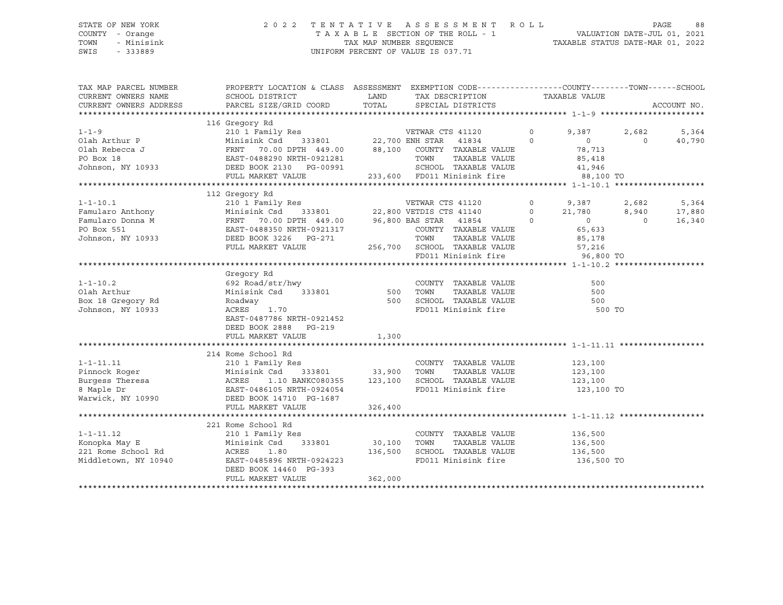### STATE OF NEW YORK 2 0 2 2 T E N T A T I V E A S S E S S M E N T R O L L PAGE 88 COUNTY - Orange T A X A B L E SECTION OF THE ROLL - 1 VALUATION DATE-JUL 01, 2021 TOWN - Minisink TAX MAP NUMBER SEQUENCE TAXABLE STATUS DATE-MAR 01, 2022 SWIS - 333889 CONSERVATION CONTROL OF VALUE IS 037.71

| TAX MAP PARCEL NUMBER<br>CURRENT OWNERS NAME<br>CURRENT OWNERS ADDRESS                                                                                                                                                                             | PROPERTY LOCATION & CLASS ASSESSMENT EXEMPTION CODE---------------COUNTY-------TOWN------SCHOOL<br>SCHOOL DISTRICT<br>PARCEL SIZE/GRID COORD                                                                          | <b>LAND</b><br>TOTAL |                  | TAX DESCRIPTION TAXABLE VALUE<br>SPECIAL DISTRICTS<br>SPECIAL DISTRICTS |          |                                            |                | ACCOUNT NO. |
|----------------------------------------------------------------------------------------------------------------------------------------------------------------------------------------------------------------------------------------------------|-----------------------------------------------------------------------------------------------------------------------------------------------------------------------------------------------------------------------|----------------------|------------------|-------------------------------------------------------------------------|----------|--------------------------------------------|----------------|-------------|
|                                                                                                                                                                                                                                                    |                                                                                                                                                                                                                       |                      |                  |                                                                         |          |                                            |                |             |
| $1 - 1 - 9$                                                                                                                                                                                                                                        | 116 Gregory Rd<br>210 1 Family Res                                                                                                                                                                                    |                      | VETWAR CTS 41120 |                                                                         | $\circ$  | 9,387                                      | 2,682          | 5,364       |
| Olah Arthur P                                                                                                                                                                                                                                      |                                                                                                                                                                                                                       |                      |                  |                                                                         | $\Omega$ |                                            | $\Omega$       | 40,790      |
|                                                                                                                                                                                                                                                    | $\begin{array}{lllllllll} \text{Minisink } \text{Cs} & 333801 & 22,700 \text{ ENH } \text{ STAR } & 41834 \\ \text{FRNT } & 70.00 \text{ DPTH } & 449.00 & 88,100 & \text{COUNTY } \text{ TAXABLE VALUE} \end{array}$ |                      |                  |                                                                         |          | $\begin{array}{c} 0 \\ 78,713 \end{array}$ |                |             |
|                                                                                                                                                                                                                                                    |                                                                                                                                                                                                                       |                      | TOWN             | TAXABLE VALUE                                                           |          | 85,418                                     |                |             |
|                                                                                                                                                                                                                                                    | EAS1-0488290 NRTH-0921281<br>DEED BOOK 2130 PG-00991                                                                                                                                                                  |                      |                  | SCHOOL TAXABLE VALUE                                                    |          | 41,946                                     |                |             |
|                                                                                                                                                                                                                                                    | FULL MARKET VALUE                                                                                                                                                                                                     |                      |                  | 233,600 FD011 Minisink fire                                             |          | 88,100 TO                                  |                |             |
|                                                                                                                                                                                                                                                    |                                                                                                                                                                                                                       |                      |                  |                                                                         |          |                                            |                |             |
|                                                                                                                                                                                                                                                    |                                                                                                                                                                                                                       |                      |                  |                                                                         |          |                                            |                |             |
| 1-1-10.1<br>Famularo Anthony<br>Famularo Donna M<br>Famularo Donna M<br>Famularo Donna M<br>Famularo Donna M<br>Famularo Donna M<br>FANT 70.00 DPTH 449.00<br>FANT 70.00 DPTH 449.00<br>96,800 BAS STAR 41854<br>COUNTY TAXARLE VALUE ON TAXARLE V |                                                                                                                                                                                                                       |                      |                  |                                                                         |          | 9,387                                      | 2,682          | 5,364       |
|                                                                                                                                                                                                                                                    |                                                                                                                                                                                                                       |                      |                  |                                                                         |          |                                            | 8,940          | 17,880      |
|                                                                                                                                                                                                                                                    |                                                                                                                                                                                                                       |                      |                  |                                                                         |          | $0$ 21,780<br>0 0<br>21,780                | $\overline{0}$ | 16,340      |
|                                                                                                                                                                                                                                                    |                                                                                                                                                                                                                       |                      |                  |                                                                         |          |                                            |                |             |
|                                                                                                                                                                                                                                                    |                                                                                                                                                                                                                       |                      |                  | COUNTY TAXABLE VALUE                                                    |          | 65,633                                     |                |             |
|                                                                                                                                                                                                                                                    |                                                                                                                                                                                                                       |                      |                  |                                                                         |          | 85,178                                     |                |             |
|                                                                                                                                                                                                                                                    | FULL MARKET VALUE                                                                                                                                                                                                     |                      |                  | 256,700 SCHOOL TAXABLE VALUE 57,216                                     |          |                                            |                |             |
|                                                                                                                                                                                                                                                    |                                                                                                                                                                                                                       |                      |                  | FD011 Minisink fire                                                     |          | 96,800 TO                                  |                |             |
|                                                                                                                                                                                                                                                    |                                                                                                                                                                                                                       |                      |                  |                                                                         |          |                                            |                |             |
|                                                                                                                                                                                                                                                    | Gregory Rd                                                                                                                                                                                                            |                      |                  |                                                                         |          |                                            |                |             |
| $1 - 1 - 10.2$                                                                                                                                                                                                                                     | hwy<br>333801 500 TOWN<br>692 Road/str/hwy                                                                                                                                                                            |                      |                  | COUNTY TAXABLE VALUE                                                    |          | 500                                        |                |             |
| Olah Arthur                                                                                                                                                                                                                                        | Minisink Csd                                                                                                                                                                                                          |                      |                  | TAXABLE VALUE                                                           |          | 500                                        |                |             |
| Box 18 Gregory Rd                                                                                                                                                                                                                                  | 500<br>Roadway                                                                                                                                                                                                        |                      |                  | SCHOOL TAXABLE VALUE<br>FD011 Minisink fire                             |          | 500                                        |                |             |
| Johnson, NY 10933                                                                                                                                                                                                                                  | ACRES<br>1.70                                                                                                                                                                                                         |                      |                  |                                                                         |          | 500 TO                                     |                |             |
|                                                                                                                                                                                                                                                    | EAST-0487786 NRTH-0921452                                                                                                                                                                                             |                      |                  |                                                                         |          |                                            |                |             |
|                                                                                                                                                                                                                                                    | DEED BOOK 2888 PG-219                                                                                                                                                                                                 |                      |                  |                                                                         |          |                                            |                |             |
|                                                                                                                                                                                                                                                    | FULL MARKET VALUE                                                                                                                                                                                                     | 1,300                |                  |                                                                         |          |                                            |                |             |
|                                                                                                                                                                                                                                                    |                                                                                                                                                                                                                       |                      |                  |                                                                         |          |                                            |                |             |
|                                                                                                                                                                                                                                                    | 214 Rome School Rd                                                                                                                                                                                                    |                      |                  |                                                                         |          |                                            |                |             |
| $1 - 1 - 11.11$                                                                                                                                                                                                                                    | 210 1 Family Res                                                                                                                                                                                                      |                      |                  | COUNTY TAXABLE VALUE                                                    |          | 123,100                                    |                |             |
|                                                                                                                                                                                                                                                    | Csd 333801 33,900<br>1.10 BANKC080355 123,100                                                                                                                                                                         |                      | TOWN             | TAXABLE VALUE                                                           |          | 123,100                                    |                |             |
| Pinnock Roger<br>Burgess Theresa<br>8 Maple Dr<br>8 Maple Dr<br>EAST-0486105 NRTH-0924054<br>Warwick, NY 10990<br>EAST-0486105 NRTH-0924054<br>DEED BOOK 14710 PG-1687<br>Warwick, NY 10990<br>THE NOOK 14710 PG-1687                              |                                                                                                                                                                                                                       |                      |                  | SCHOOL TAXABLE VALUE                                                    |          | 123,100                                    |                |             |
|                                                                                                                                                                                                                                                    |                                                                                                                                                                                                                       |                      |                  | FD011 Minisink fire 123,100 TO                                          |          |                                            |                |             |
|                                                                                                                                                                                                                                                    |                                                                                                                                                                                                                       |                      |                  |                                                                         |          |                                            |                |             |
|                                                                                                                                                                                                                                                    | FULL MARKET VALUE                                                                                                                                                                                                     | 326,400              |                  |                                                                         |          |                                            |                |             |
|                                                                                                                                                                                                                                                    |                                                                                                                                                                                                                       |                      |                  |                                                                         |          |                                            |                |             |
|                                                                                                                                                                                                                                                    | 221 Rome School Rd                                                                                                                                                                                                    |                      |                  |                                                                         |          |                                            |                |             |
| $1 - 1 - 11.12$                                                                                                                                                                                                                                    | 210 1 Family Res                                                                                                                                                                                                      |                      |                  | COUNTY TAXABLE VALUE 136,500                                            |          |                                            |                |             |
| Konopka May E<br>Konopka May E<br>221 Rome School Rd                                                                                                                                                                                               | 333801<br>Minisink Csd                                                                                                                                                                                                | 30,100               | TOWN             | TAXABLE VALUE                                                           |          | 136,500<br>136,500                         |                |             |
|                                                                                                                                                                                                                                                    | ACRES<br>1.80                                                                                                                                                                                                         | 136,500              |                  | SCHOOL TAXABLE VALUE                                                    |          |                                            |                |             |
| Middletown, NY 10940                                                                                                                                                                                                                               | EAST-0485896 NRTH-0924223                                                                                                                                                                                             |                      |                  | FD011 Minisink fire 136,500 TO                                          |          |                                            |                |             |
|                                                                                                                                                                                                                                                    | DEED BOOK 14460 PG-393                                                                                                                                                                                                |                      |                  |                                                                         |          |                                            |                |             |
|                                                                                                                                                                                                                                                    | FULL MARKET VALUE                                                                                                                                                                                                     | 362,000              |                  |                                                                         |          |                                            |                |             |
|                                                                                                                                                                                                                                                    |                                                                                                                                                                                                                       |                      |                  |                                                                         |          |                                            |                |             |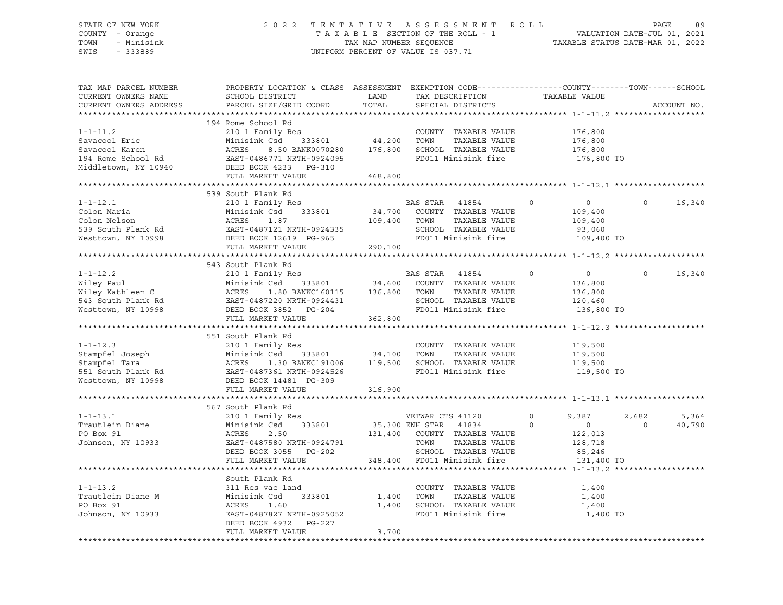### STATE OF NEW YORK 2 0 2 2 T E N T A T I V E A S S E S S M E N T R O L L PAGE 89 COUNTY - Orange T A X A B L E SECTION OF THE ROLL - 1 VALUATION DATE-JUL 01, 2021 TOWN - Minisink TAX MAP NUMBER SEQUENCE TAXABLE STATUS DATE-MAR 01, 2022 SWIS - 333889 CONSERVATION CONTROL OF VALUE IS 037.71

| TAX MAP PARCEL NUMBER<br>CURRENT OWNERS NAME                                                                                                                                                                                                                                     | PROPERTY LOCATION & CLASS ASSESSMENT EXEMPTION CODE---------------COUNTY-------TOWN------SCHOOL<br>SCHOOL DISTRICT          | LAND                  |                   | TAX DESCRIPTION                | TAXABLE VALUE |                |          |             |
|----------------------------------------------------------------------------------------------------------------------------------------------------------------------------------------------------------------------------------------------------------------------------------|-----------------------------------------------------------------------------------------------------------------------------|-----------------------|-------------------|--------------------------------|---------------|----------------|----------|-------------|
| CURRENT OWNERS ADDRESS                                                                                                                                                                                                                                                           | PARCEL SIZE/GRID COORD                                                                                                      | TOTAL                 | SPECIAL DISTRICTS |                                |               |                |          | ACCOUNT NO. |
|                                                                                                                                                                                                                                                                                  |                                                                                                                             |                       |                   |                                |               |                |          |             |
|                                                                                                                                                                                                                                                                                  | 194 Rome School Rd                                                                                                          |                       |                   |                                |               |                |          |             |
| $1 - 1 - 11.2$                                                                                                                                                                                                                                                                   | 210 1 Family Res                                                                                                            |                       |                   | COUNTY TAXABLE VALUE           | 176,800       |                |          |             |
| Savacool Eric                                                                                                                                                                                                                                                                    | Minisink Csd 333801                                                                                                         | 44,200 TOWN           |                   | TAXABLE VALUE                  |               | 176,800        |          |             |
| Savacool Karen                                                                                                                                                                                                                                                                   | Minisink Csd 333801<br>ACRES 8.50 BANK0070280<br>EAST-0486771 NRTH-0924095<br>8.50 BANK0070280 176,800 SCHOOL TAXABLE VALUE |                       |                   |                                |               | 176,800        |          |             |
| 194 Rome School Rd                                                                                                                                                                                                                                                               |                                                                                                                             |                       |                   | FD011 Minisink fire            |               | 176,800 TO     |          |             |
| Middletown, NY 10940 DEED BOOK 4233 PG-310                                                                                                                                                                                                                                       |                                                                                                                             |                       |                   |                                |               |                |          |             |
|                                                                                                                                                                                                                                                                                  | FULL MARKET VALUE                                                                                                           | 468,800               |                   |                                |               |                |          |             |
|                                                                                                                                                                                                                                                                                  |                                                                                                                             |                       |                   |                                |               |                |          |             |
|                                                                                                                                                                                                                                                                                  | 539 South Plank Rd                                                                                                          |                       |                   |                                |               |                |          |             |
| $1 - 1 - 12.1$                                                                                                                                                                                                                                                                   | 210 1 Family Res                                                                                                            |                       | BAS STAR 41854    |                                | $\circ$       | $\overline{0}$ | $\Omega$ | 16,340      |
| Colon Maria                                                                                                                                                                                                                                                                      | Minisink Csd 333801 34,700 COUNTY TAXABLE VALUE                                                                             |                       |                   |                                |               | 109,400        |          |             |
| Colon Nelson                                                                                                                                                                                                                                                                     | ACRES<br>1.87                                                                                                               | 109,400 TOWN          |                   | TAXABLE VALUE                  |               | 109,400        |          |             |
|                                                                                                                                                                                                                                                                                  |                                                                                                                             |                       |                   | SCHOOL TAXABLE VALUE           |               | 93,060         |          |             |
| 10100 Nelson<br>539 South Plank Rd<br>539 South Plank Rd<br>5000 Donn DON'12619 DG-965<br>Westtown, NY 10998                                                                                                                                                                     | DEED BOOK 12619 PG-965                                                                                                      |                       |                   | FD011 Minisink fire            |               | 109,400 TO     |          |             |
|                                                                                                                                                                                                                                                                                  | FULL MARKET VALUE 290,100                                                                                                   |                       |                   |                                |               |                |          |             |
|                                                                                                                                                                                                                                                                                  |                                                                                                                             |                       |                   |                                |               |                |          |             |
|                                                                                                                                                                                                                                                                                  | 543 South Plank Rd                                                                                                          |                       |                   |                                |               |                |          |             |
| $1 - 1 - 12.2$                                                                                                                                                                                                                                                                   |                                                                                                                             |                       |                   |                                | $\Omega$      | $\circ$        | $\Omega$ | 16,340      |
|                                                                                                                                                                                                                                                                                  | 210 1 Family Res<br>Minisink Csd 333801 34,600 COUNTY TAXABLE VALUE<br>ACRES 1.80 BANKC160115 136,800 TOWN TAXABLE VALUE    |                       |                   |                                |               | 136,800        |          |             |
|                                                                                                                                                                                                                                                                                  |                                                                                                                             |                       |                   | TAXABLE VALUE                  |               | 136,800        |          |             |
|                                                                                                                                                                                                                                                                                  |                                                                                                                             |                       |                   | SCHOOL TAXABLE VALUE           |               | 120,460        |          |             |
| Wiley Paul<br>Wiley Rathleen C Minisink Csd 333801 34,600<br>Wiley Kathleen C ACRES 1.80 BANKC160115 136,800<br>543 South Plank Rd EAST-0487220 NRTH-0924431<br>Westtown, NY 10998 DEED BOOK 3852 PG-204<br>THE MINITER MINITE MATTER 26                                         |                                                                                                                             |                       |                   | FD011 Minisink fire 136,800 TO |               |                |          |             |
|                                                                                                                                                                                                                                                                                  | FULL MARKET VALUE                                                                                                           | 362,800               |                   |                                |               |                |          |             |
|                                                                                                                                                                                                                                                                                  |                                                                                                                             |                       |                   |                                |               |                |          |             |
|                                                                                                                                                                                                                                                                                  | 551 South Plank Rd                                                                                                          |                       |                   |                                |               |                |          |             |
|                                                                                                                                                                                                                                                                                  | 210 1 Family Res                                                                                                            |                       |                   | COUNTY TAXABLE VALUE           |               | 119,500        |          |             |
|                                                                                                                                                                                                                                                                                  |                                                                                                                             |                       |                   |                                |               |                |          |             |
| 1-1-12.3<br>Stampfel Joseph<br>Enlinea<br>Stampfel Joseph Minisink Csd 333801 34,100 TOWN TAXABLE VALUE<br>Stampfel Tara acres 1.30 BANKC191006 119,500 SCHOOL TAXABLE VALUE<br>551 South Plank Rd EAST-0487361 NRTH-0924526 FD011 Minisink fire<br>Westtown, NY 10998 DEED BOOK |                                                                                                                             |                       |                   |                                |               | 119,500        |          |             |
|                                                                                                                                                                                                                                                                                  |                                                                                                                             |                       |                   |                                |               | 119,500        |          |             |
|                                                                                                                                                                                                                                                                                  |                                                                                                                             |                       |                   | FD011 Minisink fire            |               | 119,500 TO     |          |             |
|                                                                                                                                                                                                                                                                                  |                                                                                                                             |                       |                   |                                |               |                |          |             |
|                                                                                                                                                                                                                                                                                  | FULL MARKET VALUE                                                                                                           | 316,900               |                   |                                |               |                |          |             |
|                                                                                                                                                                                                                                                                                  |                                                                                                                             |                       |                   |                                |               |                |          |             |
|                                                                                                                                                                                                                                                                                  | 567 South Plank Rd                                                                                                          |                       |                   |                                |               |                |          |             |
| $1 - 1 - 13.1$                                                                                                                                                                                                                                                                   | 210 1 Family Res                                                                                                            |                       | VETWAR CTS 41120  |                                | $\circ$       | 9,387          | 2,682    | 5,364       |
| Trautlein Diane                                                                                                                                                                                                                                                                  | Minisink Csd<br>333801                                                                                                      | 35,300 ENH STAR 41834 |                   |                                | $\Omega$      | $\overline{0}$ | $\Omega$ | 40,790      |
| PO Box 91                                                                                                                                                                                                                                                                        | ACRES<br>2.50                                                                                                               |                       |                   | 131,400 COUNTY TAXABLE VALUE   |               | 122,013        |          |             |
| Johnson, NY 10933                                                                                                                                                                                                                                                                | EAST-0487580 NRTH-0924791                                                                                                   |                       | TOWN              | TAXABLE VALUE                  |               | 128,718        |          |             |
|                                                                                                                                                                                                                                                                                  | DEED BOOK 3055 PG-202                                                                                                       |                       |                   | SCHOOL TAXABLE VALUE           |               | 85,246         |          |             |
|                                                                                                                                                                                                                                                                                  | FULL MARKET VALUE                                                                                                           |                       |                   | 348,400 FD011 Minisink fire    |               | 131,400 TO     |          |             |
|                                                                                                                                                                                                                                                                                  |                                                                                                                             |                       |                   |                                |               |                |          |             |
|                                                                                                                                                                                                                                                                                  | South Plank Rd                                                                                                              |                       |                   |                                |               |                |          |             |
| $1 - 1 - 13.2$                                                                                                                                                                                                                                                                   | 311 Res vac land                                                                                                            |                       |                   | COUNTY TAXABLE VALUE           |               | 1,400          |          |             |
| Trautlein Diane M                                                                                                                                                                                                                                                                | Minisink Csd<br>333801                                                                                                      | 1,400                 | TOWN              | TAXABLE VALUE                  |               | 1,400          |          |             |
| PO Box 91                                                                                                                                                                                                                                                                        | ACRES<br>1.60                                                                                                               | 1,400                 |                   | SCHOOL TAXABLE VALUE           |               | 1,400          |          |             |
| Johnson, NY 10933                                                                                                                                                                                                                                                                | EAST-0487827 NRTH-0925052                                                                                                   |                       |                   | FD011 Minisink fire            |               | 1,400 TO       |          |             |
|                                                                                                                                                                                                                                                                                  | DEED BOOK 4932 PG-227                                                                                                       |                       |                   |                                |               |                |          |             |
|                                                                                                                                                                                                                                                                                  | FULL MARKET VALUE                                                                                                           | 3,700                 |                   |                                |               |                |          |             |
|                                                                                                                                                                                                                                                                                  |                                                                                                                             |                       |                   |                                |               |                |          |             |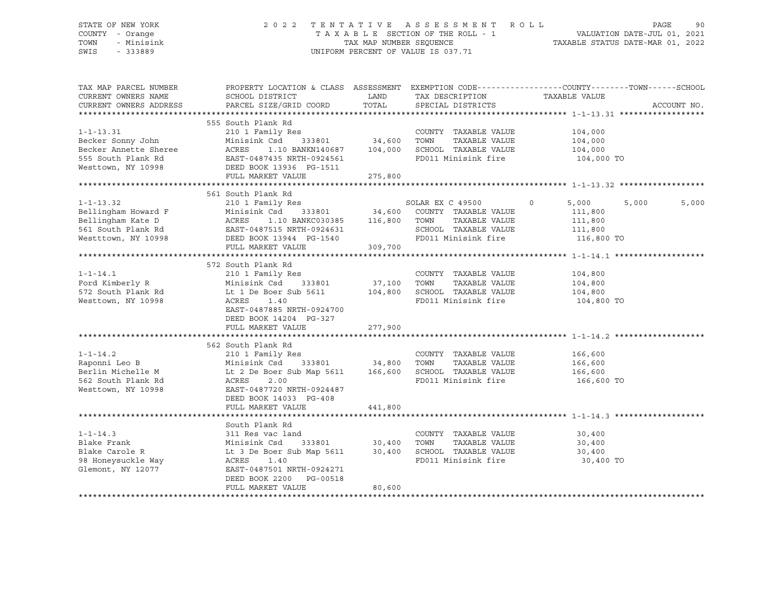### STATE OF NEW YORK 2 0 2 2 T E N T A T I V E A S S E S S M E N T R O L L PAGE 90 COUNTY - Orange T A X A B L E SECTION OF THE ROLL - 1 VALUATION DATE-JUL 01, 2021 TOWN - Minisink TAX MAP NUMBER SEQUENCE TAXABLE STATUS DATE-MAR 01, 2022 SWIS - 333889 CONSERVATION CONTROL OF VALUE IS 037.71

| TAX MAP PARCEL NUMBER                                                                                                                                                                                                                           |                                                     |                    |                                | PROPERTY LOCATION & CLASS ASSESSMENT EXEMPTION CODE---------------COUNTY-------TOWN-----SCHOOL |             |
|-------------------------------------------------------------------------------------------------------------------------------------------------------------------------------------------------------------------------------------------------|-----------------------------------------------------|--------------------|--------------------------------|------------------------------------------------------------------------------------------------|-------------|
| CURRENT OWNERS NAME                                                                                                                                                                                                                             | SCHOOL DISTRICT                                     | <b>LAND</b>        | TAX DESCRIPTION                | TAXABLE VALUE                                                                                  |             |
| CURRENT OWNERS ADDRESS                                                                                                                                                                                                                          | PARCEL SIZE/GRID COORD                              | TOTAL              | SPECIAL DISTRICTS              |                                                                                                | ACCOUNT NO. |
|                                                                                                                                                                                                                                                 |                                                     |                    |                                |                                                                                                |             |
|                                                                                                                                                                                                                                                 | 555 South Plank Rd                                  |                    |                                |                                                                                                |             |
| $1 - 1 - 13.31$                                                                                                                                                                                                                                 | 210 1 Family Res                                    |                    | COUNTY TAXABLE VALUE 104,000   |                                                                                                |             |
| Becker Sonny John                                                                                                                                                                                                                               | Minisink Csd                                        | 333801 34,600 TOWN |                                | TAXABLE VALUE 104,000                                                                          |             |
|                                                                                                                                                                                                                                                 | ACRES 1.10 BANKN140687 104,000                      |                    | SCHOOL TAXABLE VALUE 104,000   |                                                                                                |             |
|                                                                                                                                                                                                                                                 |                                                     |                    | FD011 Minisink fire            | 104,000 TO                                                                                     |             |
| Becker Annette Sheree ACRES 1.10 BANKN140687 104,000<br>555 South Plank Rd EAST-0487435 NRTH-0924561<br>Westtown, NY 10998 DEED BOOK 13936 PG-1511                                                                                              |                                                     |                    |                                |                                                                                                |             |
|                                                                                                                                                                                                                                                 | FULL MARKET VALUE 275,800                           |                    |                                |                                                                                                |             |
|                                                                                                                                                                                                                                                 |                                                     |                    |                                |                                                                                                |             |
|                                                                                                                                                                                                                                                 | 561 South Plank Rd                                  |                    |                                |                                                                                                |             |
| $1 - 1 - 13.32$                                                                                                                                                                                                                                 | 210 1 Family Res                                    |                    | SOLAR EX C 49500               | $\circ$<br>5,000<br>5,000                                                                      | 5,000       |
|                                                                                                                                                                                                                                                 |                                                     |                    |                                | 111,800                                                                                        |             |
|                                                                                                                                                                                                                                                 |                                                     |                    | TAXABLE VALUE                  | 111,800                                                                                        |             |
|                                                                                                                                                                                                                                                 |                                                     |                    | SCHOOL TAXABLE VALUE 111,800   |                                                                                                |             |
| Bellingham Howard F<br>Bellingham Kate D<br>Bellingham Kate D<br>SCHOOL TAXABLE VALUE<br>SCHOOL TAXABLE VALUE<br>SCHOOL TAXABLE VALUE<br>MISSING SCHOOL TAXABLE VALUE<br>SCHOOL TAXABLE VALUE<br>MISSING SCHOOL TAXABLE VALUE<br>MISSING SCHOOL |                                                     |                    | FD011 Minisink fire 116,800 TO |                                                                                                |             |
|                                                                                                                                                                                                                                                 | FULL MARKET VALUE                                   | 309,700            |                                |                                                                                                |             |
|                                                                                                                                                                                                                                                 |                                                     |                    |                                |                                                                                                |             |
|                                                                                                                                                                                                                                                 | 572 South Plank Rd                                  |                    |                                |                                                                                                |             |
| $1 - 1 - 14.1$                                                                                                                                                                                                                                  | 210 1 Family Res                                    |                    | COUNTY TAXABLE VALUE           | 104,800                                                                                        |             |
|                                                                                                                                                                                                                                                 |                                                     | 37,100 TOWN        |                                | 104,800                                                                                        |             |
|                                                                                                                                                                                                                                                 |                                                     |                    |                                | 104,800                                                                                        |             |
| Westtown, NY 10998                                                                                                                                                                                                                              | ACRES<br>1.40                                       |                    | FD011 Minisink fire 104,800 TO |                                                                                                |             |
|                                                                                                                                                                                                                                                 | EAST-0487885 NRTH-0924700                           |                    |                                |                                                                                                |             |
|                                                                                                                                                                                                                                                 | DEED BOOK 14204 PG-327                              |                    |                                |                                                                                                |             |
|                                                                                                                                                                                                                                                 | FULL MARKET VALUE                                   | 277,900            |                                |                                                                                                |             |
|                                                                                                                                                                                                                                                 |                                                     |                    |                                |                                                                                                |             |
|                                                                                                                                                                                                                                                 | 562 South Plank Rd                                  |                    |                                |                                                                                                |             |
| $1 - 1 - 14.2$                                                                                                                                                                                                                                  | Dodon Frain Ru<br>210 1 Family Res                  |                    | COUNTY TAXABLE VALUE           | 166,600                                                                                        |             |
|                                                                                                                                                                                                                                                 |                                                     |                    |                                | 166,600                                                                                        |             |
|                                                                                                                                                                                                                                                 |                                                     |                    |                                | $166,600$<br>$166,600$                                                                         |             |
|                                                                                                                                                                                                                                                 |                                                     |                    | FD011 Minisink fire            | 166,600 TO                                                                                     |             |
| Westtown, NY 10998                                                                                                                                                                                                                              | EAST-0487720 NRTH-0924487                           |                    |                                |                                                                                                |             |
|                                                                                                                                                                                                                                                 | DEED BOOK 14033 PG-408                              |                    |                                |                                                                                                |             |
|                                                                                                                                                                                                                                                 | FULL MARKET VALUE                                   | 441,800            |                                |                                                                                                |             |
|                                                                                                                                                                                                                                                 |                                                     |                    |                                |                                                                                                |             |
|                                                                                                                                                                                                                                                 | South Plank Rd                                      |                    |                                |                                                                                                |             |
| $1 - 1 - 14.3$                                                                                                                                                                                                                                  | 311 Res vac land                                    |                    | COUNTY TAXABLE VALUE           | 30,400                                                                                         |             |
| Blake Frank                                                                                                                                                                                                                                     | 311 Res vac ı<br>Minisink Csd<br>333801 30,400 TOWN |                    | TAXABLE VALUE                  | 30,400                                                                                         |             |
| Blake Carole R                                                                                                                                                                                                                                  |                                                     |                    |                                |                                                                                                |             |
| 98 Honeysuckle Way                                                                                                                                                                                                                              |                                                     |                    | FD011 Minisink fire            | 30,400 TO                                                                                      |             |
| Glemont, NY 12077                                                                                                                                                                                                                               | EAST-0487501 NRTH-0924271                           |                    |                                |                                                                                                |             |
|                                                                                                                                                                                                                                                 | DEED BOOK 2200 PG-00518                             |                    |                                |                                                                                                |             |
|                                                                                                                                                                                                                                                 | FULL MARKET VALUE                                   | 80,600             |                                |                                                                                                |             |
|                                                                                                                                                                                                                                                 |                                                     |                    |                                |                                                                                                |             |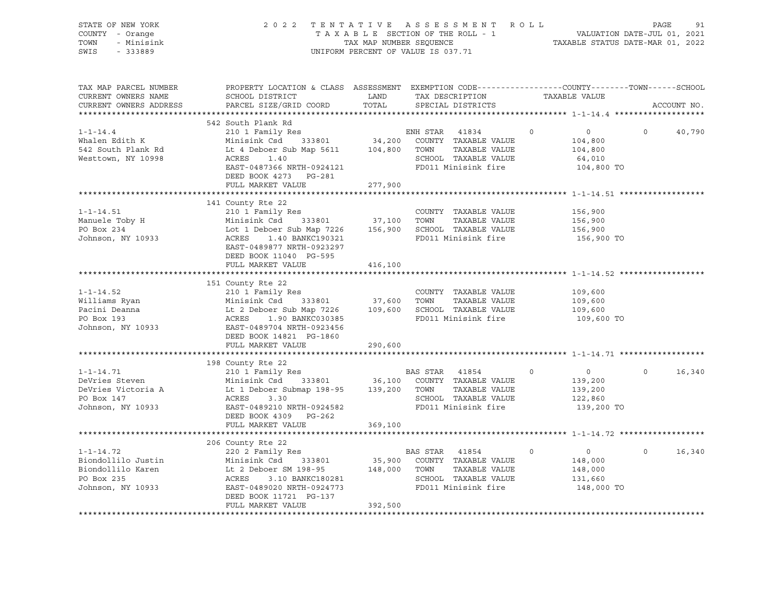| STATE OF NEW YORK<br>COUNTY - Orange<br>TOWN<br>- Minisink<br>SWIS<br>$-333889$                                                                                                                                                                                                     |                                                                                                                                                                                                                                                       | TAX MAP NUMBER SEQUENCE | 2022 TENTATIVE ASSESSMENT ROLL<br>TAXABLE SECTION OF THE ROLL - 1<br>UNIFORM PERCENT OF VALUE IS 037.71 |                   | VALUATION DATE-JUL 01, 2021<br>TAXABLE STATUS DATE-MAR 01, 2022           | PAGE<br>91         |
|-------------------------------------------------------------------------------------------------------------------------------------------------------------------------------------------------------------------------------------------------------------------------------------|-------------------------------------------------------------------------------------------------------------------------------------------------------------------------------------------------------------------------------------------------------|-------------------------|---------------------------------------------------------------------------------------------------------|-------------------|---------------------------------------------------------------------------|--------------------|
| TAX MAP PARCEL NUMBER<br>CURRENT OWNERS NAME<br>CURRENT OWNERS ADDRESS                                                                                                                                                                                                              | PROPERTY LOCATION & CLASS ASSESSMENT EXEMPTION CODE----------------COUNTY-------TOWN------SCHOOL<br>SCHOOL DISTRICT<br>PARCEL SIZE/GRID COORD                                                                                                         | LAND<br>TOTAL           | TAX DESCRIPTION TAXABLE VALUE<br>SPECIAL DISTRICTS                                                      |                   |                                                                           | ACCOUNT NO.        |
|                                                                                                                                                                                                                                                                                     |                                                                                                                                                                                                                                                       |                         |                                                                                                         |                   |                                                                           |                    |
| $1 - 1 - 14.4$<br>Whalen Edith K<br>542 South Plank Rd<br>Westtown, NY 10998                                                                                                                                                                                                        | 542 South Plank Rd<br>210 1 Family Res<br>Minisink Csd 333801 34,200 COUNTY TAXABLE VALUE<br>Lt 4 Deboer Sub Map 5611 104,800 TOWN<br>ACRES<br>1.40<br>EAST-0487366 NRTH-0924121<br>DEED BOOK 4273 PG-281<br>FULL MARKET VALUE                        | 277,900                 | ENH STAR 41834<br>TAXABLE VALUE<br>SCHOOL TAXABLE VALUE<br>FD011 Minisink fire                          | $0 \qquad \qquad$ | $\overline{0}$<br>$\Omega$<br>104,800<br>104,800<br>64,010<br>104,800 TO  | 40,790             |
|                                                                                                                                                                                                                                                                                     |                                                                                                                                                                                                                                                       |                         |                                                                                                         |                   |                                                                           |                    |
| $1 - 1 - 14.51$<br>Manuele Toby H<br>PO Box 234<br>Johnson, NY 10933                                                                                                                                                                                                                | 141 County Rte 22<br>210 1 Family Res<br>Minisink Csd 333801 37,100 TOWN TAXABLE VALUE<br>Lot 1 Deboer Sub Map 7226 156,900 SCHOOL TAXABLE VALUE<br>ACRES 1.40 BANKC190321 FD011 Minisink fire<br>EAST-0489877 NRTH-0923297<br>DEED BOOK 11040 PG-595 |                         | COUNTY TAXABLE VALUE                                                                                    |                   | 156,900<br>156,900<br>156,900<br>156,900 TO                               |                    |
|                                                                                                                                                                                                                                                                                     | FULL MARKET VALUE                                                                                                                                                                                                                                     | 416,100                 |                                                                                                         |                   |                                                                           |                    |
| $1 - 1 - 14.52$<br>Williams Ryan<br>Pacini Deanna<br>Pacini Deanna<br>Pacini Deanna<br>Pacini Deanna<br>20 Minisink Csd<br>20 Minisink Csd<br>20 Minisink Csd<br>20 Minisink 20 Map 7226<br>20 37,600<br>27,600<br>27,600<br>27,600<br>27,600<br>27,600<br>27,600<br>27,600<br>27,6 | 151 County Rte 22<br>210 1 Family Res<br>DEED BOOK 14821 PG-1860                                                                                                                                                                                      |                         | COUNTY TAXABLE VALUE                                                                                    |                   | 109,600<br>109,600<br>109,600<br>109,600 TO                               |                    |
|                                                                                                                                                                                                                                                                                     | FULL MARKET VALUE                                                                                                                                                                                                                                     | 290,600                 |                                                                                                         |                   |                                                                           |                    |
| $1 - 1 - 14.71$<br>DeVries Steven<br>DeVries Victoria A<br>PO Box 147<br>Johnson, NY 10933                                                                                                                                                                                          | 198 County Rte 22<br>210 1 Family Res<br>14534 Minisink Csd 333801 36,100 COUNTY TAXABLE VALUE<br>Lt 1 Deboer Submap 198-95 139,200 TOWN TAXABLE VALUE<br>ACRES<br>3.30<br>EAST-0489210 NRTH-0924582<br>DEED BOOK 4309 PG-262<br>FULL MARKET VALUE    | 369,100                 | BAS STAR 41854<br>TAXABLE VALUE<br>SCHOOL TAXABLE VALUE<br>FD011 Minisink fire                          | $\circ$           | $\Omega$<br>$\overline{0}$<br>139,200<br>139,200<br>122,860<br>139,200 TO | 16,340             |
|                                                                                                                                                                                                                                                                                     |                                                                                                                                                                                                                                                       |                         |                                                                                                         |                   |                                                                           |                    |
| $1 - 1 - 14.72$<br>Biondollilo Justin<br>Biondollilo Karen<br>PO Box 235<br>Johnson, NY 10933                                                                                                                                                                                       | 206 County Rte 22<br>220 2 Family Res<br>ACRES<br>3.10 BANKC180281<br>EAST-0489020 NRTH-0924773<br>DEED BOOK 11721 PG-137<br>FULL MARKET VALUE                                                                                                        | 392,500                 | BAS STAR 41854<br>TAXABLE VALUE<br>SCHOOL TAXABLE VALUE<br>FD011 Minisink fire                          | $\Omega$          | $\overline{0}$<br>148,000<br>148,000<br>131,660<br>148,000 TO             | $\Omega$<br>16,340 |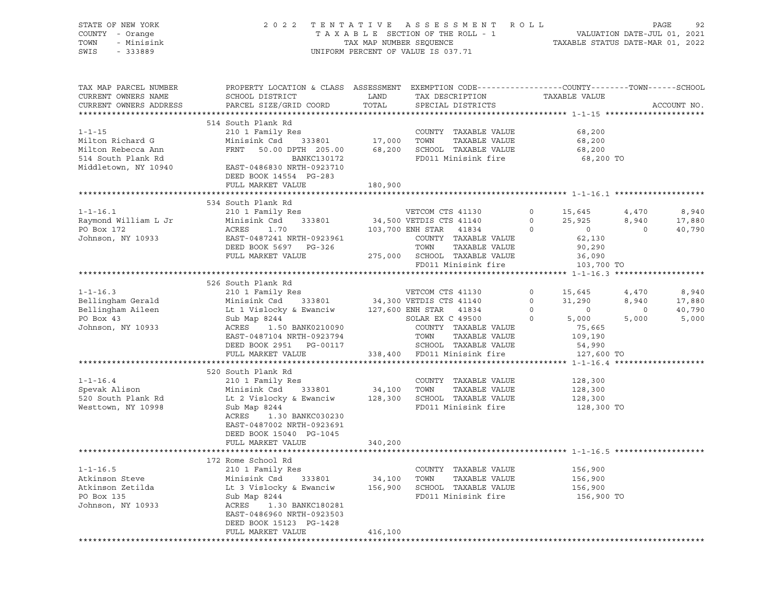| STATE OF NEW YORK      | 2 0 2 2                                                                                         | TENTATIVE               | A S S E S S M E N T                | ROLL     |                                  |                             | PAGE<br>92  |
|------------------------|-------------------------------------------------------------------------------------------------|-------------------------|------------------------------------|----------|----------------------------------|-----------------------------|-------------|
| COUNTY - Orange        |                                                                                                 |                         | TAXABLE SECTION OF THE ROLL - 1    |          |                                  | VALUATION DATE-JUL 01, 2021 |             |
| TOWN<br>- Minisink     |                                                                                                 | TAX MAP NUMBER SEQUENCE |                                    |          | TAXABLE STATUS DATE-MAR 01, 2022 |                             |             |
| SWIS<br>$-333889$      |                                                                                                 |                         | UNIFORM PERCENT OF VALUE IS 037.71 |          |                                  |                             |             |
|                        |                                                                                                 |                         |                                    |          |                                  |                             |             |
|                        |                                                                                                 |                         |                                    |          |                                  |                             |             |
|                        |                                                                                                 |                         |                                    |          |                                  |                             |             |
| TAX MAP PARCEL NUMBER  | PROPERTY LOCATION & CLASS ASSESSMENT EXEMPTION CODE---------------COUNTY-------TOWN------SCHOOL |                         |                                    |          |                                  |                             |             |
| CURRENT OWNERS NAME    | SCHOOL DISTRICT                                                                                 | LAND                    | TAX DESCRIPTION                    |          | TAXABLE VALUE                    |                             |             |
| CURRENT OWNERS ADDRESS | PARCEL SIZE/GRID COORD                                                                          | TOTAL                   | SPECIAL DISTRICTS                  |          |                                  |                             | ACCOUNT NO. |
|                        |                                                                                                 |                         |                                    |          |                                  |                             |             |
|                        | 514 South Plank Rd                                                                              |                         |                                    |          |                                  |                             |             |
|                        |                                                                                                 |                         |                                    |          |                                  |                             |             |
| $1 - 1 - 15$           | 210 1 Family Res                                                                                |                         | COUNTY TAXABLE VALUE               |          | 68,200                           |                             |             |
| Milton Richard G       | Minisink Csd<br>333801                                                                          | 17,000                  | TOWN<br>TAXABLE VALUE              |          | 68,200                           |                             |             |
| Milton Rebecca Ann     | FRNT<br>50.00 DPTH 205.00                                                                       | 68,200                  | SCHOOL TAXABLE VALUE               |          | 68,200                           |                             |             |
| 514 South Plank Rd     | BANKC130172                                                                                     |                         | FD011 Minisink fire                |          | 68,200 TO                        |                             |             |
| Middletown, NY 10940   | EAST-0486830 NRTH-0923710                                                                       |                         |                                    |          |                                  |                             |             |
|                        | DEED BOOK 14554 PG-283                                                                          |                         |                                    |          |                                  |                             |             |
|                        | FULL MARKET VALUE                                                                               | 180,900                 |                                    |          |                                  |                             |             |
|                        |                                                                                                 |                         |                                    |          |                                  |                             |             |
|                        | 534 South Plank Rd                                                                              |                         |                                    |          |                                  |                             |             |
|                        |                                                                                                 |                         |                                    |          |                                  |                             |             |
| $1 - 1 - 16.1$         | 210 1 Family Res                                                                                |                         | VETCOM CTS 41130                   | 0        | 15,645                           | 4,470                       | 8,940       |
| Raymond William L Jr   | Minisink Csd<br>333801                                                                          |                         | 34,500 VETDIS CTS 41140            | $\circ$  | 25,925                           | 8,940                       | 17,880      |
| PO Box 172             | ACRES<br>1.70                                                                                   |                         | 103,700 ENH STAR 41834             | $\Omega$ | $\overline{0}$                   | $\Omega$                    | 40,790      |
| Johnson, NY 10933      | EAST-0487241 NRTH-0923961                                                                       |                         | COUNTY TAXABLE VALUE               |          | 62,130                           |                             |             |
|                        | DEED BOOK 5697 PG-326                                                                           |                         | TOWN<br>TAXABLE VALUE              |          | 90,290                           |                             |             |
|                        | FULL MARKET VALUE                                                                               |                         | 275,000 SCHOOL TAXABLE VALUE       |          | 36,090                           |                             |             |
|                        |                                                                                                 |                         | FD011 Minisink fire                |          | 103,700 TO                       |                             |             |
|                        |                                                                                                 |                         |                                    |          |                                  |                             |             |
|                        | 526 South Plank Rd                                                                              |                         |                                    |          |                                  |                             |             |
| $1 - 1 - 16.3$         |                                                                                                 |                         | VETCOM CTS 41130                   |          |                                  |                             |             |
|                        | 210 1 Family Res                                                                                |                         |                                    | 0        | 15,645                           | 4,470                       | 8,940       |
| Bellingham Gerald      | Minisink Csd<br>333801                                                                          |                         | 34,300 VETDIS CTS 41140            | $\circ$  | 31,290                           | 8,940                       | 17,880      |
| Bellingham Aileen      | Lt 1 Vislocky & Ewanciw                                                                         |                         | 127,600 ENH STAR<br>41834          | $\circ$  | $\circ$                          | $\circ$                     | 40,790      |
| PO Box 43              | Sub Map 8244                                                                                    |                         | SOLAR EX C 49500                   | 0        | 5,000                            | 5,000                       | 5,000       |
| Johnson, NY 10933      | ACRES<br>1.50 BANK0210090                                                                       |                         | COUNTY TAXABLE VALUE               |          | 75,665                           |                             |             |
|                        | EAST-0487104 NRTH-0923794                                                                       |                         | TAXABLE VALUE<br>TOWN              |          | 109,190                          |                             |             |
|                        | DEED BOOK 2951 PG-00117                                                                         |                         | SCHOOL TAXABLE VALUE               |          | 54,990                           |                             |             |
|                        | FULL MARKET VALUE                                                                               | 338,400                 | FD011 Minisink fire                |          | 127,600 TO                       |                             |             |
|                        |                                                                                                 |                         |                                    |          |                                  |                             |             |
|                        | 520 South Plank Rd                                                                              |                         |                                    |          |                                  |                             |             |
| $1 - 1 - 16.4$         | 210 1 Family Res                                                                                |                         | COUNTY TAXABLE VALUE               |          | 128,300                          |                             |             |
| Spevak Alison          | 333801<br>Minisink Csd                                                                          | 34,100                  | TOWN<br>TAXABLE VALUE              |          |                                  |                             |             |
|                        |                                                                                                 |                         |                                    |          | 128,300                          |                             |             |
| 520 South Plank Rd     | Lt 2 Vislocky & Ewanciw                                                                         | 128,300                 | SCHOOL TAXABLE VALUE               |          | 128,300                          |                             |             |
| Westtown, NY 10998     | Sub Map 8244                                                                                    |                         | FD011 Minisink fire                |          | 128,300 TO                       |                             |             |
|                        | ACRES<br>1.30 BANKC030230                                                                       |                         |                                    |          |                                  |                             |             |
|                        | EAST-0487002 NRTH-0923691                                                                       |                         |                                    |          |                                  |                             |             |
|                        | DEED BOOK 15040 PG-1045                                                                         |                         |                                    |          |                                  |                             |             |
|                        | FULL MARKET VALUE                                                                               | 340,200                 |                                    |          |                                  |                             |             |
|                        |                                                                                                 |                         |                                    |          |                                  |                             |             |
|                        | 172 Rome School Rd                                                                              |                         |                                    |          |                                  |                             |             |
| $1 - 1 - 16.5$         | 210 1 Family Res                                                                                |                         | COUNTY TAXABLE VALUE               |          | 156,900                          |                             |             |
| Atkinson Steve         | Minisink Csd<br>333801                                                                          | 34,100                  | TOWN<br>TAXABLE VALUE              |          | 156,900                          |                             |             |
|                        |                                                                                                 |                         |                                    |          |                                  |                             |             |
| Atkinson Zetilda       | Lt 3 Vislocky & Ewanciw                                                                         | 156,900                 | SCHOOL TAXABLE VALUE               |          | 156,900                          |                             |             |
| PO Box 135             | Sub Map 8244                                                                                    |                         | FD011 Minisink fire                |          | 156,900 TO                       |                             |             |
| Johnson, NY 10933      | ACRES<br>1.30 BANKC180281                                                                       |                         |                                    |          |                                  |                             |             |
|                        | EAST-0486960 NRTH-0923503                                                                       |                         |                                    |          |                                  |                             |             |
|                        | DEED BOOK 15123 PG-1428                                                                         |                         |                                    |          |                                  |                             |             |
|                        | FULL MARKET VALUE                                                                               | 416,100                 |                                    |          |                                  |                             |             |
|                        |                                                                                                 |                         |                                    |          |                                  |                             |             |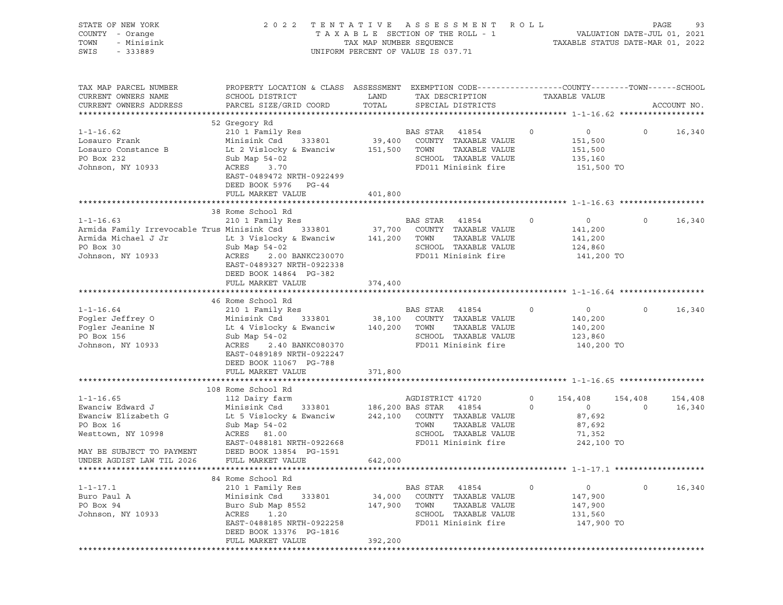| STATE OF NEW YORK<br>COUNTY - Orange<br>- Minisink<br>TOWN<br>SWIS<br>$-333889$                                         | 2 0 2 2                                                                                                                                                                                           | TAX MAP NUMBER SEQUENCE      | TENTATIVE ASSESSMENT ROLL<br>TAXABLE SECTION OF THE ROLL - 1<br>UNIFORM PERCENT OF VALUE IS 037.71                                         |                    | VALUATION DATE-JUL 01, 2021<br>TAXABLE STATUS DATE-MAR 01, 2022       | PAGE               | 93                |
|-------------------------------------------------------------------------------------------------------------------------|---------------------------------------------------------------------------------------------------------------------------------------------------------------------------------------------------|------------------------------|--------------------------------------------------------------------------------------------------------------------------------------------|--------------------|-----------------------------------------------------------------------|--------------------|-------------------|
| TAX MAP PARCEL NUMBER<br>CURRENT OWNERS NAME<br>CURRENT OWNERS ADDRESS                                                  | PROPERTY LOCATION & CLASS ASSESSMENT EXEMPTION CODE---------------COUNTY-------TOWN------SCHOOL<br>SCHOOL DISTRICT<br>PARCEL SIZE/GRID COORD                                                      | LAND<br>TOTAL                | TAX DESCRIPTION<br>SPECIAL DISTRICTS                                                                                                       |                    | TAXABLE VALUE                                                         |                    | ACCOUNT NO.       |
| $1 - 1 - 16.62$<br>Losauro Frank<br>Losauro Constance B<br>PO Box 232<br>Johnson, NY 10933                              | 52 Gregory Rd<br>210 1 Family Res<br>Minisink Csd<br>333801<br>Lt 2 Vislocky & Ewanciw<br>Sub Map $54-02$<br>ACRES 3.70<br>EAST-0489472 NRTH-0922499<br>DEED BOOK 5976 PG-44<br>FULL MARKET VALUE | 39,400<br>151,500<br>401,800 | BAS STAR<br>41854<br>COUNTY TAXABLE VALUE<br>TAXABLE VALUE<br>TOWN<br>SCHOOL TAXABLE VALUE<br>FD011 Minisink fire                          | $\circ$            | $\circ$<br>151,500<br>151,500<br>135,160<br>151,500 TO                | $\circ$            | 16,340            |
|                                                                                                                         |                                                                                                                                                                                                   |                              |                                                                                                                                            |                    |                                                                       |                    |                   |
| $1 - 1 - 16.63$<br>Armida Family Irrevocable Trus Minisink Csd<br>Armida Michael J Jr<br>PO Box 30<br>Johnson, NY 10933 | 38 Rome School Rd<br>210 1 Family Res<br>333801<br>Lt 3 Vislocky & Ewanciw<br>Sub Map 54-02<br>2.00 BANKC230070<br>ACRES<br>EAST-0489327 NRTH-0922338<br>DEED BOOK 14864 PG-382                   | 37,700<br>141,200            | BAS STAR<br>41854<br>COUNTY TAXABLE VALUE<br>TAXABLE VALUE<br>TOWN<br>SCHOOL TAXABLE VALUE<br>FD011 Minisink fire                          | 0                  | $\circ$<br>141,200<br>141,200<br>124,860<br>141,200 TO                | $\circ$            | 16,340            |
|                                                                                                                         | FULL MARKET VALUE                                                                                                                                                                                 | 374,400                      |                                                                                                                                            |                    |                                                                       |                    |                   |
|                                                                                                                         |                                                                                                                                                                                                   |                              |                                                                                                                                            |                    |                                                                       |                    |                   |
| $1 - 1 - 16.64$<br>Fogler Jeffrey O<br>Fogler Jeanine N<br>PO Box 156<br>Johnson, NY 10933                              | 46 Rome School Rd<br>210 1 Family Res<br>333801<br>Minisink Csd<br>Lt 4 Vislocky & Ewanciw<br>Sub Map $54-02$<br>ACRES<br>2.40 BANKC080370<br>EAST-0489189 NRTH-0922247<br>DEED BOOK 11067 PG-788 | 38,100<br>140,200            | BAS STAR 41854<br>COUNTY TAXABLE VALUE<br>TAXABLE VALUE<br>TOWN<br>SCHOOL TAXABLE VALUE<br>FD011 Minisink fire                             | 0                  | $\overline{0}$<br>140,200<br>140,200<br>123,860<br>140,200 TO         | $\circ$            | 16,340            |
|                                                                                                                         | FULL MARKET VALUE                                                                                                                                                                                 | 371,800                      |                                                                                                                                            |                    |                                                                       |                    |                   |
| $1 - 1 - 16.65$<br>Ewanciw Edward J<br>Ewanciw Elizabeth G<br>PO Box 16<br>Westtown, NY 10998                           | 108 Rome School Rd<br>112 Dairy farm<br>Minisink Csd<br>333801<br>Lt 5 Vislocky & Ewanciw<br>Sub Map 54-02<br>ACRES 81.00<br>EAST-0488181 NRTH-0922668                                            | 242,100                      | AGDISTRICT 41720<br>186,200 BAS STAR 41854<br>COUNTY TAXABLE VALUE<br>TAXABLE VALUE<br>TOWN<br>SCHOOL TAXABLE VALUE<br>FD011 Minisink fire | $\circ$<br>$\circ$ | 154,408<br>$\overline{0}$<br>87,692<br>87,692<br>71,352<br>242,100 TO | 154,408<br>$\circ$ | 154,408<br>16,340 |
| MAY BE SUBJECT TO PAYMENT                                                                                               | DEED BOOK 13854 PG-1591                                                                                                                                                                           |                              |                                                                                                                                            |                    |                                                                       |                    |                   |
| UNDER AGDIST LAW TIL 2026                                                                                               | FULL MARKET VALUE                                                                                                                                                                                 | 642,000                      |                                                                                                                                            |                    |                                                                       |                    |                   |
| $1 - 1 - 17.1$<br>Buro Paul A<br>PO Box 94<br>Johnson, NY 10933                                                         | 84 Rome School Rd<br>210 1 Family Res<br>Minisink Csd<br>333801<br>Buro Sub Map 8552<br>ACRES<br>1.20<br>EAST-0488185 NRTH-0922258<br>DEED BOOK 13376 PG-1816<br>FULL MARKET VALUE                | 34,000<br>147,900<br>392,200 | BAS STAR 41854<br>COUNTY TAXABLE VALUE<br>TOWN<br>TAXABLE VALUE<br>SCHOOL TAXABLE VALUE<br>FD011 Minisink fire                             | $\circ$            | $\circ$<br>147,900<br>147,900<br>131,560<br>147,900 TO                | $\circ$            | 16,340            |
|                                                                                                                         |                                                                                                                                                                                                   |                              |                                                                                                                                            |                    |                                                                       |                    |                   |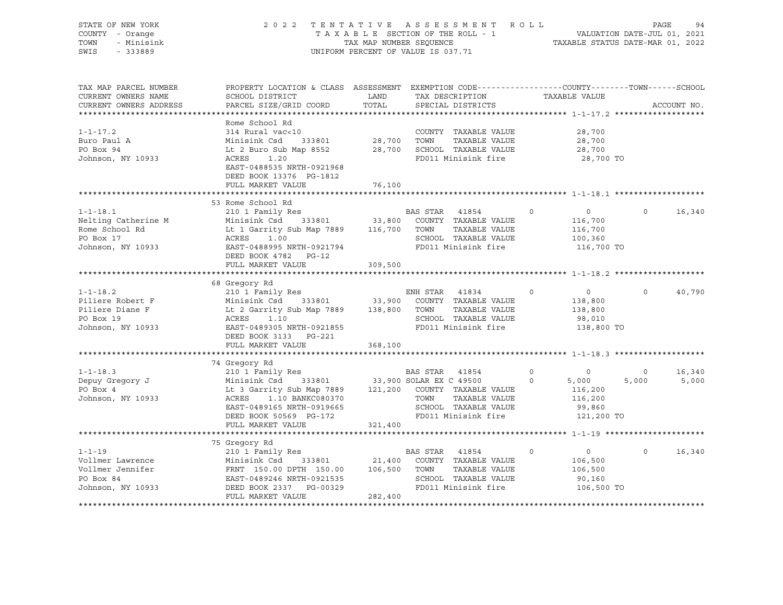| STATE OF NEW YORK                                                                                                                                                                                                                                   | PAGE 94 TENTATIVE ASSESSMENT ROLL PALUATION DATE-JUL 01, 2021<br>TAXABLE SECTION OF THE ROLL - 1 TAXABLE STATUS DATE-MAR 01, 2022                                                                                                   |                                    |                                                                   |                |                          |          |             |
|-----------------------------------------------------------------------------------------------------------------------------------------------------------------------------------------------------------------------------------------------------|-------------------------------------------------------------------------------------------------------------------------------------------------------------------------------------------------------------------------------------|------------------------------------|-------------------------------------------------------------------|----------------|--------------------------|----------|-------------|
| COUNTY - Orange                                                                                                                                                                                                                                     |                                                                                                                                                                                                                                     |                                    |                                                                   |                |                          |          |             |
| TOWN<br>- Minisink                                                                                                                                                                                                                                  |                                                                                                                                                                                                                                     |                                    |                                                                   |                |                          |          |             |
| $-333889$<br>SWIS                                                                                                                                                                                                                                   |                                                                                                                                                                                                                                     | UNIFORM PERCENT OF VALUE IS 037.71 |                                                                   |                |                          |          |             |
|                                                                                                                                                                                                                                                     |                                                                                                                                                                                                                                     |                                    |                                                                   |                |                          |          |             |
|                                                                                                                                                                                                                                                     |                                                                                                                                                                                                                                     |                                    |                                                                   |                |                          |          |             |
| TAX MAP PARCEL NUMBER                                                                                                                                                                                                                               | PROPERTY LOCATION & CLASS ASSESSMENT EXEMPTION CODE---------------COUNTY-------TOWN-----SCHOOL                                                                                                                                      |                                    |                                                                   |                |                          |          |             |
| CURRENT OWNERS NAME                                                                                                                                                                                                                                 | SCHOOL DISTRICT                                                                                                                                                                                                                     | LAND                               | TAX DESCRIPTION                                                   |                | TAXABLE VALUE            |          |             |
| CURRENT OWNERS ADDRESS                                                                                                                                                                                                                              | PARCEL SIZE/GRID COORD                                                                                                                                                                                                              | TOTAL                              | SPECIAL DISTRICTS                                                 |                |                          |          | ACCOUNT NO. |
|                                                                                                                                                                                                                                                     |                                                                                                                                                                                                                                     |                                    |                                                                   |                |                          |          |             |
|                                                                                                                                                                                                                                                     | Rome School Rd                                                                                                                                                                                                                      |                                    |                                                                   |                |                          |          |             |
| $1 - 1 - 17.2$                                                                                                                                                                                                                                      | 314 Rural vac<10                                                                                                                                                                                                                    |                                    | COUNTY TAXABLE VALUE                                              |                | 28,700                   |          |             |
| Buro Paul A                                                                                                                                                                                                                                         |                                                                                                                                                                                                                                     |                                    |                                                                   |                | 28,700                   |          |             |
| PO Box 94                                                                                                                                                                                                                                           | Minisink Csd 333801 28,700 TOWN TAXABLE VALUE<br>Lt 2 Buro Sub Map 8552 28,700 SCHOOL TAXABLE VALUE<br>Minisink Csd     333801<br>Lt 2 Buro Sub Map 8552<br>ACRES    1.20                                                           |                                    |                                                                   |                | 28,700                   |          |             |
| Johnson, NY 10933                                                                                                                                                                                                                                   | ACRES 1.20                                                                                                                                                                                                                          |                                    | FD011 Minisink fire                                               |                | 28,700 TO                |          |             |
|                                                                                                                                                                                                                                                     | EAST-0488535 NRTH-0921968                                                                                                                                                                                                           |                                    |                                                                   |                |                          |          |             |
|                                                                                                                                                                                                                                                     |                                                                                                                                                                                                                                     |                                    |                                                                   |                |                          |          |             |
|                                                                                                                                                                                                                                                     | DEED BOOK 13376 PG-1812                                                                                                                                                                                                             |                                    |                                                                   |                |                          |          |             |
|                                                                                                                                                                                                                                                     | FULL MARKET VALUE                                                                                                                                                                                                                   | 76,100                             |                                                                   |                |                          |          |             |
|                                                                                                                                                                                                                                                     |                                                                                                                                                                                                                                     |                                    |                                                                   |                |                          |          |             |
|                                                                                                                                                                                                                                                     | 53 Rome School Rd                                                                                                                                                                                                                   |                                    |                                                                   | $\circ$        |                          | $\circ$  |             |
| $1 - 1 - 18.1$                                                                                                                                                                                                                                      | 210 1 Family Res                                                                                                                                                                                                                    |                                    | BAS STAR 41854                                                    |                | $\overline{0}$           |          | 16,340      |
| Nelting Catherine M                                                                                                                                                                                                                                 |                                                                                                                                                                                                                                     |                                    |                                                                   |                | 116,700                  |          |             |
| Rome School Rd                                                                                                                                                                                                                                      |                                                                                                                                                                                                                                     |                                    |                                                                   |                | 116,700                  |          |             |
| ROME DOMOT ME<br>PO Box 17<br>Johnson, NY 10933                                                                                                                                                                                                     | EXECUTE 1 CONTROLL 1 CONTROLL 1 CONTROLL 1 GATTITY SUD MAP 1989 116,700 COUNTY TAXABLE VALUE<br>Lt 1 Garrity Sub Map 7889 116,700 TOWN TAXABLE VALUE<br>ACRES 1.00 SCHOOL TAXABLE VALUE<br>EAST-0488995 NRTH-0921794 FD011 Minisink |                                    |                                                                   |                | 100,360                  |          |             |
|                                                                                                                                                                                                                                                     |                                                                                                                                                                                                                                     |                                    | FD011 Minisink fire                                               |                | 116,700 TO               |          |             |
|                                                                                                                                                                                                                                                     | DEED BOOK 4782 PG-12                                                                                                                                                                                                                |                                    |                                                                   |                |                          |          |             |
|                                                                                                                                                                                                                                                     | FULL MARKET VALUE                                                                                                                                                                                                                   | 309,500                            |                                                                   |                |                          |          |             |
|                                                                                                                                                                                                                                                     |                                                                                                                                                                                                                                     |                                    |                                                                   |                |                          |          |             |
|                                                                                                                                                                                                                                                     | 68 Gregory Rd                                                                                                                                                                                                                       |                                    |                                                                   |                |                          |          |             |
|                                                                                                                                                                                                                                                     |                                                                                                                                                                                                                                     |                                    | ENH STAR 41834 0                                                  |                | $\overline{0}$           | $\Omega$ | 40,790      |
|                                                                                                                                                                                                                                                     |                                                                                                                                                                                                                                     |                                    |                                                                   |                | 138,800                  |          |             |
| 1-1-18.2<br>Piliere Robert F<br>Piliere Robert F<br>Piliere Diane F<br>210 1 Family Res<br>Minisink Csd<br>333801<br>210 1 Family Res<br>33,900 COUNTY TAXABLE VALUE<br>210 1 Family Res<br>33,900 COUNTY TAXABLE VALUE<br>20 33,900 COUNTY TAXABLE |                                                                                                                                                                                                                                     |                                    |                                                                   |                | 138,800                  |          |             |
|                                                                                                                                                                                                                                                     |                                                                                                                                                                                                                                     |                                    |                                                                   |                | 98,010                   |          |             |
|                                                                                                                                                                                                                                                     |                                                                                                                                                                                                                                     |                                    | FD011 Minisink fire                                               |                | 138,800 TO               |          |             |
|                                                                                                                                                                                                                                                     | DEED BOOK 3133 PG-221                                                                                                                                                                                                               |                                    |                                                                   |                |                          |          |             |
|                                                                                                                                                                                                                                                     | FULL MARKET VALUE                                                                                                                                                                                                                   | 368,100                            |                                                                   |                |                          |          |             |
|                                                                                                                                                                                                                                                     |                                                                                                                                                                                                                                     |                                    |                                                                   |                |                          |          |             |
|                                                                                                                                                                                                                                                     | 74 Gregory Rd                                                                                                                                                                                                                       |                                    |                                                                   |                |                          |          |             |
| $1 - 1 - 18.3$                                                                                                                                                                                                                                      |                                                                                                                                                                                                                                     |                                    |                                                                   | $\overline{0}$ | $\overline{\phantom{0}}$ | $\circ$  | 16,340      |
| Depuy Gregory J                                                                                                                                                                                                                                     |                                                                                                                                                                                                                                     |                                    |                                                                   |                | 5,000                    | 5,000    | 5,000       |
| PO Box 4                                                                                                                                                                                                                                            | 210 1 Family Res BAS STAR 41854 0<br>Minisink Csd 333801 33,900 SOLAR EX C 49500 0<br>Lt 3 Garrity Sub Map 7889 121,200 COUNTY TAXABLE VALUE<br>ACRES 1.10 BANKC080370 TOWN TAXABLE VALUE                                           |                                    |                                                                   |                | 116,200                  |          |             |
| Johnson, NY 10933                                                                                                                                                                                                                                   | ACRES 1.10 BANKC080370                                                                                                                                                                                                              |                                    | TOWN TAXABLE VALUE<br>SCHOOL TAXABLE VALUE<br>FD011 Minisink fire |                | 116,200                  |          |             |
|                                                                                                                                                                                                                                                     | EAST-0489165 NRTH-0919665                                                                                                                                                                                                           |                                    |                                                                   |                | 99,860                   |          |             |
|                                                                                                                                                                                                                                                     | DEED BOOK 50569 PG-172                                                                                                                                                                                                              |                                    |                                                                   |                | 121,200 TO               |          |             |
|                                                                                                                                                                                                                                                     | FULL MARKET VALUE                                                                                                                                                                                                                   | 321,400                            |                                                                   |                |                          |          |             |
|                                                                                                                                                                                                                                                     |                                                                                                                                                                                                                                     |                                    |                                                                   |                |                          |          |             |
|                                                                                                                                                                                                                                                     | 75 Gregory Rd                                                                                                                                                                                                                       |                                    |                                                                   |                |                          |          |             |
| $1 - 1 - 19$                                                                                                                                                                                                                                        | 210 1 Family Res<br>Minisink Csd 333801 21,400 COUNTY TAXABLE VALUE<br>FRNT 150.00 DPTH 150.00 106,500 TOWN TAXABLE VALUE<br>EAST-0489246 NRTH-0921535 SCHOOL TAXABLE VALUE<br>DEED BOOK 2337 PG-00329 FD011 Minisink fire          |                                    |                                                                   | $\circ$        | $\overline{0}$           | $\Omega$ | 16,340      |
| Vollmer Lawrence                                                                                                                                                                                                                                    |                                                                                                                                                                                                                                     |                                    |                                                                   |                | 106,500                  |          |             |
|                                                                                                                                                                                                                                                     |                                                                                                                                                                                                                                     |                                    | TAXABLE VALUE                                                     |                | 106,500                  |          |             |
| Vollmer Jennifer<br>PO Box 84<br>Johnson, NY 10933                                                                                                                                                                                                  |                                                                                                                                                                                                                                     |                                    | SCHOOL TAXABLE VALUE                                              |                | 90,160                   |          |             |
|                                                                                                                                                                                                                                                     |                                                                                                                                                                                                                                     |                                    | FD011 Minisink fire                                               |                | 106,500 TO               |          |             |
|                                                                                                                                                                                                                                                     | FULL MARKET VALUE                                                                                                                                                                                                                   | 282,400                            |                                                                   |                |                          |          |             |
|                                                                                                                                                                                                                                                     |                                                                                                                                                                                                                                     |                                    |                                                                   |                |                          |          |             |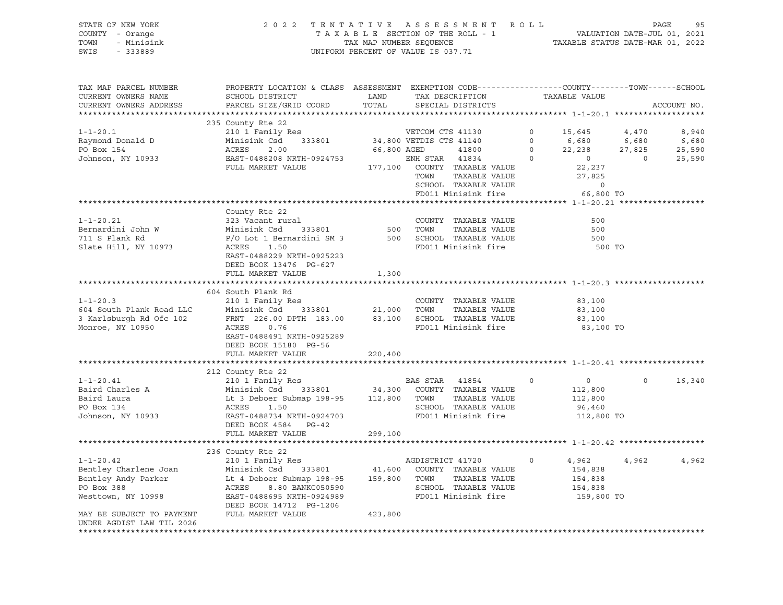### STATE OF NEW YORK 2 0 2 2 T E N T A T I V E A S S E S S M E N T R O L L PAGE 95 COUNTY - Orange T A X A B L E SECTION OF THE ROLL - 1 VALUATION DATE-JUL 01, 2021 TOWN - Minisink TAX MAP NUMBER SEQUENCE TAXABLE STATUS DATE-MAR 01, 2022 SWIS - 333889 CONSERVATION CONTROL OF VALUE IS 037.71

| TAX MAP PARCEL NUMBER<br>CURRENT OWNERS NAME<br>CURRENT OWNERS ADDRESS                              | PROPERTY LOCATION & CLASS ASSESSMENT EXEMPTION CODE----------------COUNTY-------TOWN------SCHOOL<br>SCHOOL DISTRICT<br>PARCEL SIZE/GRID COORD                                           | LAND<br>TOTAL               |                                                         | TAX DESCRIPTION<br>SPECIAL DISTRICTS                                                          |                                         | TAXABLE VALUE                                         |                                     | ACCOUNT NO.                        |
|-----------------------------------------------------------------------------------------------------|-----------------------------------------------------------------------------------------------------------------------------------------------------------------------------------------|-----------------------------|---------------------------------------------------------|-----------------------------------------------------------------------------------------------|-----------------------------------------|-------------------------------------------------------|-------------------------------------|------------------------------------|
|                                                                                                     |                                                                                                                                                                                         |                             |                                                         |                                                                                               |                                         |                                                       |                                     |                                    |
| $1 - 1 - 20.1$<br>Raymond Donald D<br>PO Box 154<br>Johnson, NY 10933                               | 235 County Rte 22<br>210 1 Family Res<br>Minisink Csd<br>333801<br>ACRES<br>2.00<br>EAST-0488208 NRTH-0924753<br>FULL MARKET VALUE                                                      | 66,800 AGED                 | VETCOM CTS 41130<br>34,800 VETDIS CTS 41140<br>ENH STAR | 41800<br>41834<br>177,100 COUNTY TAXABLE VALUE                                                | 0<br>$\mathbf 0$<br>$\circ$<br>$\Omega$ | 15,645<br>6,680<br>22,238<br>$\overline{0}$<br>22,237 | 4,470<br>6,680<br>27,825<br>$\circ$ | 8,940<br>6,680<br>25,590<br>25,590 |
|                                                                                                     |                                                                                                                                                                                         |                             | TOWN                                                    | TAXABLE VALUE<br>SCHOOL TAXABLE VALUE<br>FD011 Minisink fire                                  |                                         | 27,825<br>$\circ$<br>66,800 TO                        |                                     |                                    |
|                                                                                                     |                                                                                                                                                                                         |                             |                                                         |                                                                                               |                                         |                                                       |                                     |                                    |
| $1 - 1 - 20.21$<br>Bernardini John W<br>711 S Plank Rd<br>Slate Hill, NY 10973                      | County Rte 22<br>323 Vacant rural<br>Minisink Csd<br>333801<br>P/O Lot 1 Bernardini SM 3<br>ACRES<br>1.50<br>EAST-0488229 NRTH-0925223<br>DEED BOOK 13476 PG-627<br>FULL MARKET VALUE   | 500<br>1,300                | TOWN                                                    | COUNTY TAXABLE VALUE<br>TAXABLE VALUE<br>500 SCHOOL TAXABLE VALUE<br>FD011 Minisink fire      |                                         | 500<br>500<br>500<br>500 TO                           |                                     |                                    |
|                                                                                                     |                                                                                                                                                                                         |                             |                                                         |                                                                                               |                                         |                                                       |                                     |                                    |
| $1 - 1 - 20.3$<br>604 South Plank Road LLC<br>3 Karlsburgh Rd Ofc 102<br>Monroe, NY 10950           | 604 South Plank Rd<br>210 1 Family Res<br>Minisink Csd<br>333801<br>FRNT 226.00 DPTH 183.00<br>0.76<br>ACRES<br>EAST-0488491 NRTH-0925289<br>DEED BOOK 15180 PG-56<br>FULL MARKET VALUE | 21,000<br>83,100<br>220,400 | TOWN                                                    | COUNTY TAXABLE VALUE<br>TAXABLE VALUE<br>SCHOOL TAXABLE VALUE<br>FD011 Minisink fire          |                                         | 83,100<br>83,100<br>83,100<br>83,100 TO               |                                     |                                    |
|                                                                                                     |                                                                                                                                                                                         |                             |                                                         |                                                                                               |                                         |                                                       |                                     |                                    |
| $1 - 1 - 20.41$<br>Baird Charles A<br>Baird Laura<br>PO Box 134<br>Johnson, NY 10933                | 212 County Rte 22<br>210 1 Family Res<br>Minisink Csd<br>333801<br>Lt 3 Deboer Submap 198-95<br>1.50<br>ACRES<br>EAST-0488734 NRTH-0924703<br>DEED BOOK 4584 PG-42                      | 34,300<br>112,800           | BAS STAR<br>TOWN                                        | 41854<br>COUNTY TAXABLE VALUE<br>TAXABLE VALUE<br>SCHOOL TAXABLE VALUE<br>FD011 Minisink fire | $\mathbf 0$                             | $\circ$<br>112,800<br>112,800<br>96,460<br>112,800 TO | $\mathsf{O}$                        | 16,340                             |
|                                                                                                     | FULL MARKET VALUE                                                                                                                                                                       | 299,100                     |                                                         |                                                                                               |                                         |                                                       |                                     |                                    |
|                                                                                                     |                                                                                                                                                                                         |                             |                                                         |                                                                                               |                                         |                                                       |                                     |                                    |
| $1 - 1 - 20.42$<br>Bentley Charlene Joan<br>Bentley Andy Parker<br>PO Box 388<br>Westtown, NY 10998 | 236 County Rte 22<br>210 1 Family Res<br>Minisink Csd<br>333801<br>Lt 4 Deboer Submap 198-95<br>ACRES<br>8.80 BANKC050590<br>EAST-0488695 NRTH-0924989<br>DEED BOOK 14712 PG-1206       | 41,600<br>159,800           | AGDISTRICT 41720<br>TOWN                                | COUNTY TAXABLE VALUE<br>TAXABLE VALUE<br>SCHOOL TAXABLE VALUE<br>FD011 Minisink fire          | 0                                       | 4,962<br>154,838<br>154,838<br>154,838<br>159,800 TO  | 4,962                               | 4,962                              |
| MAY BE SUBJECT TO PAYMENT<br>UNDER AGDIST LAW TIL 2026                                              | FULL MARKET VALUE                                                                                                                                                                       | 423,800                     |                                                         |                                                                                               |                                         |                                                       |                                     |                                    |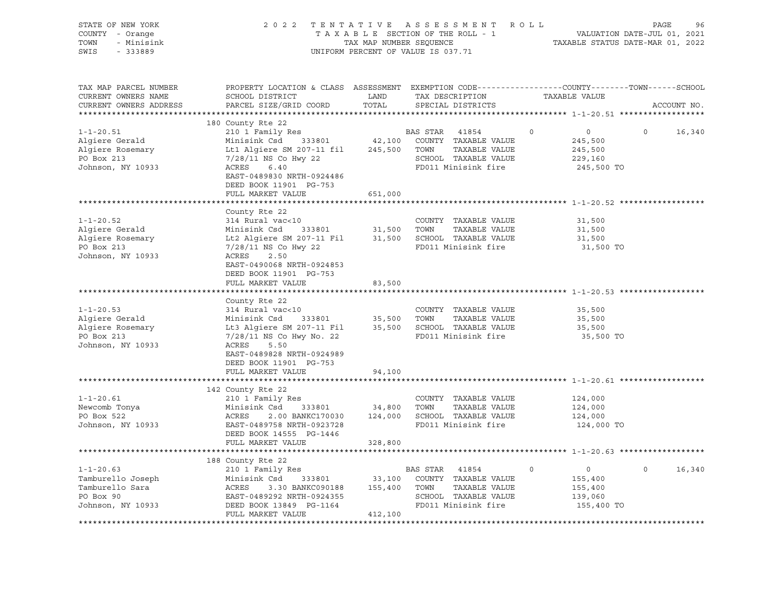| STATE OF NEW YORK<br>COUNTY - Orange<br>TOWN<br>- Minisink<br>SWIS<br>$-333889$                  | 2 0 2 2<br>TENTATIVE ASSESSMENT<br>TAXABLE SECTION OF THE ROLL - 1<br>TAX MAP NUMBER SEQUENCE<br>UNIFORM PERCENT OF VALUE IS 037.71          | R O L L       | PAGE<br>96<br>VALUATION DATE-JUL 01, 2021<br>TAXABLE STATUS DATE-MAR 01, 2022 |         |                       |          |             |
|--------------------------------------------------------------------------------------------------|----------------------------------------------------------------------------------------------------------------------------------------------|---------------|-------------------------------------------------------------------------------|---------|-----------------------|----------|-------------|
| TAX MAP PARCEL NUMBER<br>CURRENT OWNERS NAME<br>CURRENT OWNERS ADDRESS<br>********************** | PROPERTY LOCATION & CLASS ASSESSMENT EXEMPTION CODE----------------COUNTY-------TOWN-----SCHOOL<br>SCHOOL DISTRICT<br>PARCEL SIZE/GRID COORD | LAND<br>TOTAL | TAX DESCRIPTION<br>SPECIAL DISTRICTS                                          |         | TAXABLE VALUE         |          | ACCOUNT NO. |
|                                                                                                  | 180 County Rte 22                                                                                                                            |               |                                                                               |         |                       |          |             |
| $1 - 1 - 20.51$                                                                                  | 210 1 Family Res                                                                                                                             |               | BAS STAR<br>41854                                                             | $\circ$ | $\overline{0}$        | $\circ$  | 16,340      |
| Algiere Gerald                                                                                   | Minisink Csd<br>333801                                                                                                                       |               | 42,100 COUNTY TAXABLE VALUE                                                   |         | 245,500               |          |             |
| Algiere Rosemary                                                                                 | Lt1 Algiere SM 207-11 fil                                                                                                                    |               | 245,500 TOWN<br>TAXABLE VALUE                                                 |         | 245,500               |          |             |
| PO Box 213                                                                                       | 7/28/11 NS Co Hwy 22                                                                                                                         |               | SCHOOL TAXABLE VALUE                                                          |         | 229,160               |          |             |
| Johnson, NY 10933                                                                                | ACRES<br>6.40<br>EAST-0489830 NRTH-0924486                                                                                                   |               | FD011 Minisink fire                                                           |         | 245,500 TO            |          |             |
|                                                                                                  | DEED BOOK 11901 PG-753                                                                                                                       |               |                                                                               |         |                       |          |             |
|                                                                                                  | FULL MARKET VALUE                                                                                                                            | 651,000       |                                                                               |         |                       |          |             |
|                                                                                                  |                                                                                                                                              |               |                                                                               |         |                       |          |             |
|                                                                                                  | County Rte 22                                                                                                                                |               |                                                                               |         |                       |          |             |
| $1 - 1 - 20.52$                                                                                  | 314 Rural vac<10                                                                                                                             |               | COUNTY TAXABLE VALUE                                                          |         | 31,500                |          |             |
| Alqiere Gerald                                                                                   | Minisink Csd<br>333801                                                                                                                       | 31,500 TOWN   | TAXABLE VALUE                                                                 |         | 31,500                |          |             |
| Algiere Rosemary                                                                                 | Lt2 Algiere SM 207-11 Fil 31,500 SCHOOL TAXABLE VALUE                                                                                        |               |                                                                               |         | 31,500                |          |             |
| PO Box 213                                                                                       | $7/28/11$ NS Co Hwy 22                                                                                                                       |               | FD011 Minisink fire                                                           |         | 31,500 TO             |          |             |
| Johnson, NY 10933                                                                                | ACRES<br>2.50                                                                                                                                |               |                                                                               |         |                       |          |             |
|                                                                                                  | EAST-0490068 NRTH-0924853                                                                                                                    |               |                                                                               |         |                       |          |             |
|                                                                                                  | DEED BOOK 11901 PG-753                                                                                                                       |               |                                                                               |         |                       |          |             |
|                                                                                                  | FULL MARKET VALUE                                                                                                                            | 83,500        |                                                                               |         |                       |          |             |
|                                                                                                  |                                                                                                                                              |               |                                                                               |         |                       |          |             |
| $1 - 1 - 20.53$                                                                                  | County Rte 22<br>314 Rural vac<10                                                                                                            |               | COUNTY TAXABLE VALUE                                                          |         | 35,500                |          |             |
| Algiere Gerald                                                                                   | Minisink Csd<br>333801                                                                                                                       | 35,500 TOWN   | TAXABLE VALUE                                                                 |         | 35,500                |          |             |
| Algiere Rosemary                                                                                 | Lt3 Algiere SM 207-11 Fil 35,500 SCHOOL TAXABLE VALUE                                                                                        |               |                                                                               |         | 35,500                |          |             |
| PO Box 213                                                                                       | 7/28/11 NS Co Hwy No. 22                                                                                                                     |               | FD011 Minisink fire                                                           |         | 35,500 TO             |          |             |
| Johnson, NY 10933                                                                                | ACRES<br>5.50                                                                                                                                |               |                                                                               |         |                       |          |             |
|                                                                                                  | EAST-0489828 NRTH-0924989                                                                                                                    |               |                                                                               |         |                       |          |             |
|                                                                                                  | DEED BOOK 11901 PG-753                                                                                                                       |               |                                                                               |         |                       |          |             |
|                                                                                                  | FULL MARKET VALUE                                                                                                                            | 94,100        |                                                                               |         |                       |          |             |
|                                                                                                  |                                                                                                                                              |               |                                                                               |         |                       |          |             |
|                                                                                                  | 142 County Rte 22                                                                                                                            |               |                                                                               |         |                       |          |             |
| $1 - 1 - 20.61$                                                                                  | 210 1 Family Res                                                                                                                             |               | COUNTY TAXABLE VALUE                                                          |         | 124,000               |          |             |
| Newcomb Tonya                                                                                    | Minisink Csd<br>333801                                                                                                                       | 34,800 TOWN   | TAXABLE VALUE                                                                 |         | 124,000               |          |             |
| PO Box 522<br>Johnson, NY 10933                                                                  | 2.00 BANKC170030<br>ACRES<br>EAST-0489758 NRTH-0923728                                                                                       |               | 124,000 SCHOOL TAXABLE VALUE<br>FD011 Minisink fire                           |         | 124,000<br>124,000 TO |          |             |
|                                                                                                  | DEED BOOK 14555 PG-1446                                                                                                                      |               |                                                                               |         |                       |          |             |
|                                                                                                  | FULL MARKET VALUE                                                                                                                            | 328,800       |                                                                               |         |                       |          |             |
|                                                                                                  |                                                                                                                                              |               |                                                                               |         |                       |          |             |
|                                                                                                  | 188 County Rte 22                                                                                                                            |               |                                                                               |         |                       |          |             |
| $1 - 1 - 20.63$                                                                                  | 210 1 Family Res                                                                                                                             |               | BAS STAR<br>41854                                                             | $\circ$ | $\circ$               | $\Omega$ | 16,340      |
| Tamburello Joseph                                                                                | 333801<br>Minisink Csd                                                                                                                       | 33,100        | COUNTY TAXABLE VALUE                                                          |         | 155,400               |          |             |
| Tamburello Sara                                                                                  | ACRES<br>3.30 BANKC090188                                                                                                                    | 155,400 TOWN  | TAXABLE VALUE                                                                 |         | 155,400               |          |             |
| PO Box 90                                                                                        | EAST-0489292 NRTH-0924355                                                                                                                    |               | SCHOOL TAXABLE VALUE                                                          |         | 139,060               |          |             |
| Johnson, NY 10933                                                                                | DEED BOOK 13849 PG-1164                                                                                                                      |               | FD011 Minisink fire                                                           |         | 155,400 TO            |          |             |
|                                                                                                  | FULL MARKET VALUE                                                                                                                            | 412,100       |                                                                               |         |                       |          |             |
|                                                                                                  |                                                                                                                                              |               |                                                                               |         |                       |          |             |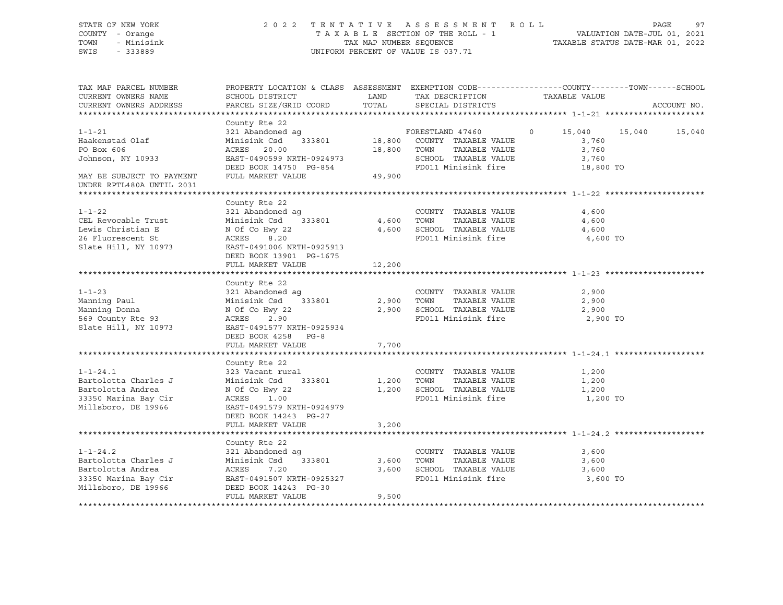### STATE OF NEW YORK 2 0 2 2 T E N T A T I V E A S S E S S M E N T R O L L PAGE 97 COUNTY - Orange T A X A B L E SECTION OF THE ROLL - 1 VALUATION DATE-JUL 01, 2021 TOWN - Minisink TAX MAP NUMBER SEQUENCE TAXABLE STATUS DATE-MAR 01, 2022 SWIS - 333889 CONSERVATION CONTROL OF VALUE IS 037.71

| TAX MAP PARCEL NUMBER<br>CURRENT OWNERS NAME<br>CURRENT OWNERS ADDRESS                                                       | PROPERTY LOCATION & CLASS ASSESSMENT EXEMPTION CODE----------------COUNTY-------TOWN------SCHOOL<br>SCHOOL DISTRICT<br>PARCEL SIZE/GRID COORD                                        | LAND<br>TOTAL | TAX DESCRIPTION<br>SPECIAL DISTRICTS                                                                      | TAXABLE VALUE                       | ACCOUNT NO. |
|------------------------------------------------------------------------------------------------------------------------------|--------------------------------------------------------------------------------------------------------------------------------------------------------------------------------------|---------------|-----------------------------------------------------------------------------------------------------------|-------------------------------------|-------------|
| $1 - 1 - 21$<br>Haakenstad Olaf<br>PO Box 606<br>Johnson, NY 10933<br>MAY BE SUBJECT TO PAYMENT<br>UNDER RPTL480A UNTIL 2031 | County Rte 22<br>ACRES 20.00<br>EAST-0490599 NRTH-0924973<br>DEED BOOK 14750 PG-854<br>FULL MARKET VALUE                                                                             | 49,900        | 18,800 TOWN TAXABLE VALUE<br>SCHOOL TAXABLE VALUE<br>FD011 Minisink fire 18,800 TO                        | 3,760<br>3,760                      |             |
| $1 - 1 - 22$<br>CEL Revocable Trust<br>Lewis Christian E<br>26 Fluorescent St<br>Slate Hill, NY 10973                        | County Rte 22<br>321 Abandoned ag<br>Minisink Csd $333801$ 4,600 TOWN<br>N Of Co Hwy 22<br>ACRES 8.20<br>EAST-0491006 NRTH-0925913<br>DEED BOOK 13901 PG-1675<br>FULL MARKET VALUE   | 12,200        | COUNTY TAXABLE VALUE<br>TAXABLE VALUE<br>4,600 SCHOOL TAXABLE VALUE 4,600<br>FD011 Minisink fire 4,600 TO | 4,600<br>4,600                      |             |
| $1 - 1 - 23$<br>Manning Paul<br>Manning Donna<br>So The Donna<br>569 County Rte 93<br>Slate Hill<br>Slate Hill, NY 10973     | County Rte 22<br>$321$ Abandoned ag<br>Minisink Csd 333801 2,900 TOWN<br>N Of Co Hwy 22<br>ACRES 2.90<br>EAST-0491577 NRTH-0925934<br>DEED BOOK 4258 PG-8<br>FULL MARKET VALUE       | 7,700         | COUNTY TAXABLE VALUE<br>TAXABLE VALUE<br>2,900 SCHOOL TAXABLE VALUE<br>FD011 Minisink fire                | 2,900<br>2,900<br>2,900<br>2,900 TO |             |
| $1 - 1 - 24.1$<br>Bartolotta Charles J<br>Bartolotta Andrea<br>33350 Marina Bay Cir<br>Millsboro, DE 19966                   | County Rte 22<br>323 Vacant rural<br>333801 1,200 TOWN<br>Minisink Csd<br>N Of Co Hwy 22<br>ACRES<br>1.00<br>EAST-0491579 NRTH-0924979<br>DEED BOOK 14243 PG-27<br>FULL MARKET VALUE | 3,200         | COUNTY TAXABLE VALUE<br>TAXABLE VALUE<br>1,200 SCHOOL TAXABLE VALUE<br>FD011 Minisink fire                | 1,200<br>1,200<br>1,200<br>1,200 TO |             |
| $1 - 1 - 24.2$<br>Bartolotta Charles J<br>Bartolotta Andrea<br>33350 Marina Bay Cir<br>Millsboro, DE 19966                   | County Rte 22<br>321 Abandoned ag<br>333801<br>Minisink Csd<br>ACRES 7.20<br>EAST-0491507 NRTH-0925327<br>DEED BOOK 14243 PG-30<br>FULL MARKET VALUE                                 | 9,500         | COUNTY TAXABLE VALUE<br>3,600 TOWN<br>TAXABLE VALUE<br>3,600 SCHOOL TAXABLE VALUE<br>FD011 Minisink fire  | 3,600<br>3,600<br>3,600<br>3,600 TO |             |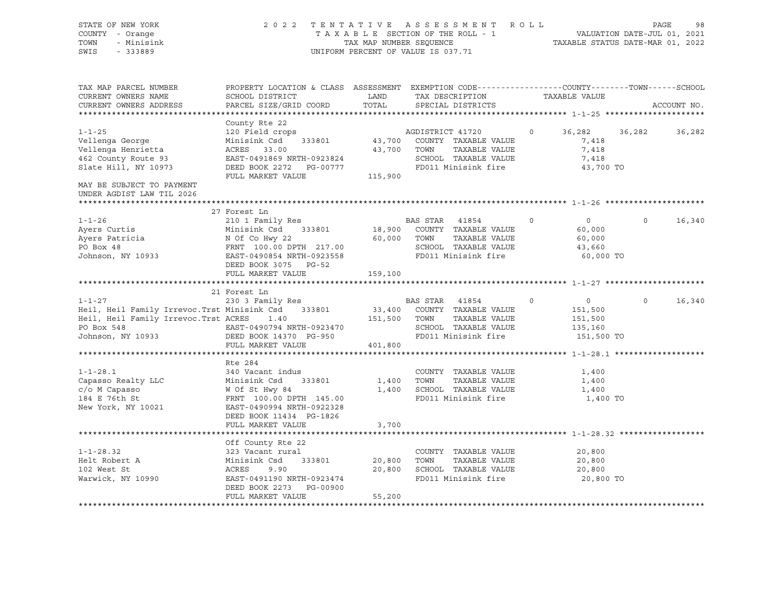| STATE OF NEW YORK                                                                                                                                                                                                                      | 2022 TENTATIVE ASSESSMENT ROLL                                                                 |                                    |             |                                    |         |                                                                             | PAGE              | 98          |
|----------------------------------------------------------------------------------------------------------------------------------------------------------------------------------------------------------------------------------------|------------------------------------------------------------------------------------------------|------------------------------------|-------------|------------------------------------|---------|-----------------------------------------------------------------------------|-------------------|-------------|
| COUNTY - Orange                                                                                                                                                                                                                        |                                                                                                |                                    |             | TAXABLE SECTION OF THE ROLL - 1    |         | ROLL - 1<br>VALUATION DATE-JUL 01, 2021<br>TAXABLE STATUS DATE-MAR 01, 2022 |                   |             |
| - Minisink<br>TOWN                                                                                                                                                                                                                     |                                                                                                | TAX MAP NUMBER SEQUENCE            |             |                                    |         |                                                                             |                   |             |
| SWIS<br>$-333889$                                                                                                                                                                                                                      |                                                                                                | UNIFORM PERCENT OF VALUE IS 037.71 |             |                                    |         |                                                                             |                   |             |
|                                                                                                                                                                                                                                        |                                                                                                |                                    |             |                                    |         |                                                                             |                   |             |
| TAX MAP PARCEL NUMBER                                                                                                                                                                                                                  | PROPERTY LOCATION & CLASS ASSESSMENT EXEMPTION CODE---------------COUNTY-------TOWN-----SCHOOL |                                    |             |                                    |         |                                                                             |                   |             |
| CURRENT OWNERS NAME                                                                                                                                                                                                                    | SCHOOL DISTRICT                                                                                | LAND                               |             | TAX DESCRIPTION                    |         | TAXABLE VALUE                                                               |                   |             |
| CURRENT OWNERS ADDRESS                                                                                                                                                                                                                 | PARCEL SIZE/GRID COORD                                                                         | TOTAL                              |             | SPECIAL DISTRICTS                  |         |                                                                             |                   | ACCOUNT NO. |
|                                                                                                                                                                                                                                        |                                                                                                |                                    |             |                                    |         |                                                                             |                   |             |
|                                                                                                                                                                                                                                        | County Rte 22                                                                                  |                                    |             |                                    |         |                                                                             |                   |             |
| $1 - 1 - 25$                                                                                                                                                                                                                           | 120 Field crops                                                                                |                                    |             | AGDISTRICT 41720                   | $\circ$ | 36,282 36,282                                                               |                   | 36,282      |
| Vellenga George                                                                                                                                                                                                                        | Minisink Csd                                                                                   |                                    |             | 333801 43,700 COUNTY TAXABLE VALUE |         | 7,418                                                                       |                   |             |
| Vellenga Henrietta                                                                                                                                                                                                                     | ACRES 33.00                                                                                    |                                    | 43,700 TOWN | TAXABLE VALUE                      |         | 7,418                                                                       |                   |             |
| 462 County Route 93                                                                                                                                                                                                                    | EAST-0491869 NRTH-0923824                                                                      |                                    |             | SCHOOL TAXABLE VALUE               |         | 7,418                                                                       |                   |             |
| Slate Hill, NY 10973                                                                                                                                                                                                                   |                                                                                                |                                    |             |                                    |         | 43,700 TO                                                                   |                   |             |
|                                                                                                                                                                                                                                        | FULL MARKET VALUE                                                                              | 115,900                            |             |                                    |         |                                                                             |                   |             |
| MAY BE SUBJECT TO PAYMENT<br>UNDER AGDIST LAW TIL 2026                                                                                                                                                                                 |                                                                                                |                                    |             |                                    |         |                                                                             |                   |             |
|                                                                                                                                                                                                                                        |                                                                                                |                                    |             |                                    |         |                                                                             |                   |             |
|                                                                                                                                                                                                                                        | 27 Forest Ln                                                                                   |                                    |             |                                    |         |                                                                             |                   |             |
|                                                                                                                                                                                                                                        |                                                                                                |                                    |             |                                    | $\circ$ | $\overline{0}$                                                              | $0 \qquad \qquad$ | 16,340      |
|                                                                                                                                                                                                                                        |                                                                                                |                                    |             | 18,900 COUNTY TAXABLE VALUE        |         | 60,000                                                                      |                   |             |
|                                                                                                                                                                                                                                        |                                                                                                |                                    |             | TAXABLE VALUE                      |         | 60,000                                                                      |                   |             |
|                                                                                                                                                                                                                                        |                                                                                                |                                    |             | SCHOOL TAXABLE VALUE               |         | 43,660                                                                      |                   |             |
|                                                                                                                                                                                                                                        |                                                                                                |                                    |             |                                    |         | 60,000 TO                                                                   |                   |             |
| 1-1-26 210 1 Family kes<br>Ayers Curtis Minisink Csd 333801 18,900 COUNII AMABLE VALUE<br>Ayers Patricia N Of Co Hwy 22 60,000 TOWN TAXABLE VALUE<br>PO Box 48 FRNT 100.00 DPTH 217.00 SCHOOL TAXABLE VALUE<br>Tohnson. NY 10933 EAST- |                                                                                                |                                    |             |                                    |         |                                                                             |                   |             |
|                                                                                                                                                                                                                                        |                                                                                                |                                    |             |                                    |         |                                                                             |                   |             |
|                                                                                                                                                                                                                                        |                                                                                                |                                    |             |                                    |         |                                                                             |                   |             |
|                                                                                                                                                                                                                                        | 21 Forest Ln                                                                                   |                                    |             |                                    |         |                                                                             |                   |             |
| $1 - 1 - 27$                                                                                                                                                                                                                           | 230 3 Family Res BAS STAR 41854                                                                |                                    |             | $\overline{0}$                     |         | $\overline{0}$                                                              | $\Omega$          | 16,340      |
|                                                                                                                                                                                                                                        |                                                                                                |                                    |             |                                    |         | 151,500                                                                     |                   |             |
| 1-1-27<br>Heil, Heil Family Irrevoc.Trst Minisink Csd 333801 33,400 COUNTY TAXABLE VALUE<br>Heil Heil Family Irrevoc.Trst ACRES 1.40 151,500 TOWN TAXABLE VALUE                                                                        |                                                                                                |                                    |             |                                    |         | 151,500                                                                     |                   |             |
| PO Box 548                                                                                                                                                                                                                             |                                                                                                |                                    |             | SCHOOL TAXABLE VALUE               |         | 135,160                                                                     |                   |             |
| Johnson, NY 10933                                                                                                                                                                                                                      | EAST-0490794 NRTH-0923470<br>DEED BOOK 14370 PG-950                                            |                                    |             | FD011 Minisink fire                |         | 151,500 TO                                                                  |                   |             |
|                                                                                                                                                                                                                                        | FULL MARKET VALUE                                                                              | 401,800                            |             |                                    |         |                                                                             |                   |             |
|                                                                                                                                                                                                                                        |                                                                                                |                                    |             |                                    |         |                                                                             |                   |             |
|                                                                                                                                                                                                                                        | Rte 284                                                                                        |                                    |             |                                    |         |                                                                             |                   |             |
| $1 - 1 - 28.1$                                                                                                                                                                                                                         | 340 Vacant indus                                                                               |                                    |             | COUNTY TAXABLE VALUE               |         | 1,400                                                                       |                   |             |
| Capasso Realty LLC                                                                                                                                                                                                                     |                                                                                                | 1,400                              | TOWN        | TAXABLE VALUE                      |         | 1,400                                                                       |                   |             |
| c/o M Capasso                                                                                                                                                                                                                          |                                                                                                |                                    |             | 1,400 SCHOOL TAXABLE VALUE         |         | 1,400                                                                       |                   |             |
| 184 E 76th St                                                                                                                                                                                                                          | Minisink Csd 333801<br>W Of St Hwy 84<br>FRNT 100.00 DPTH 145.00                               |                                    |             | FD011 Minisink fire                |         | 1,400 TO                                                                    |                   |             |
| New York, NY 10021                                                                                                                                                                                                                     | EAST-0490994 NRTH-0922328                                                                      |                                    |             |                                    |         |                                                                             |                   |             |
|                                                                                                                                                                                                                                        | DEED BOOK 11434 PG-1826                                                                        |                                    |             |                                    |         |                                                                             |                   |             |
|                                                                                                                                                                                                                                        | FULL MARKET VALUE                                                                              | 3,700                              |             |                                    |         |                                                                             |                   |             |
|                                                                                                                                                                                                                                        |                                                                                                |                                    |             |                                    |         |                                                                             |                   |             |
|                                                                                                                                                                                                                                        | Off County Rte 22                                                                              |                                    |             |                                    |         |                                                                             |                   |             |
| $1 - 1 - 28.32$                                                                                                                                                                                                                        | 323 Vacant rural                                                                               |                                    |             | COUNTY TAXABLE VALUE               |         | 20,800                                                                      |                   |             |
| Helt Robert A                                                                                                                                                                                                                          | 323 vacant furar<br>Minisink Csd 333801 20,800 TOWN<br>ACRES 9.90 20,800 SCHOO                 |                                    |             | TAXABLE VALUE                      |         | 20,800                                                                      |                   |             |
| 102 West St                                                                                                                                                                                                                            | ACRES                                                                                          |                                    |             | 20,800 SCHOOL TAXABLE VALUE        |         | 20,800                                                                      |                   |             |
| Warwick, NY 10990                                                                                                                                                                                                                      | EAST-0491190 NRTH-0923474                                                                      |                                    |             | FD011 Minisink fire                |         | 20,800 TO                                                                   |                   |             |
|                                                                                                                                                                                                                                        | DEED BOOK 2273 PG-00900                                                                        |                                    |             |                                    |         |                                                                             |                   |             |
|                                                                                                                                                                                                                                        | FULL MARKET VALUE                                                                              | 55,200                             |             |                                    |         |                                                                             |                   |             |
|                                                                                                                                                                                                                                        |                                                                                                |                                    |             |                                    |         |                                                                             |                   |             |
|                                                                                                                                                                                                                                        |                                                                                                |                                    |             |                                    |         |                                                                             |                   |             |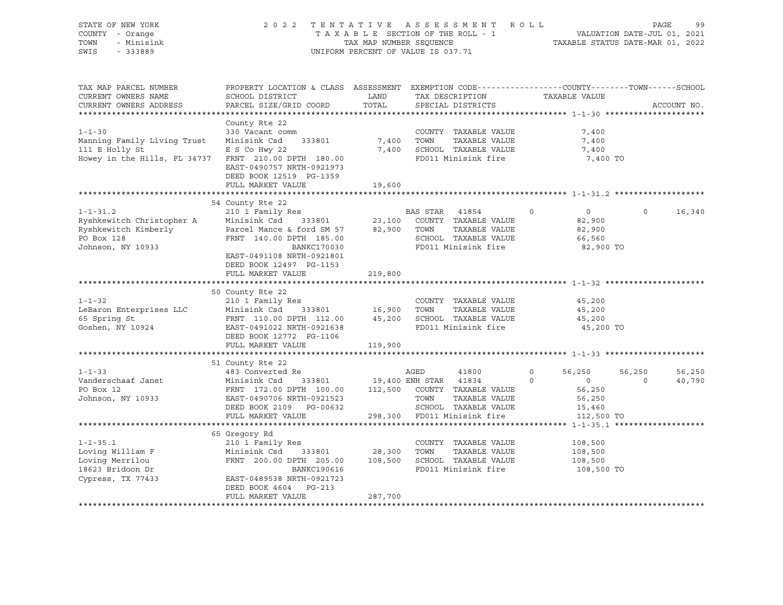| STATE OF NEW YORK<br>COUNTY - Orange<br>- Minisink<br>TOWN<br>SWIS<br>$-333889$                                   | 2 0 2 2                                                                                                                                                                                                                                | TAX MAP NUMBER SEQUENCE<br>UNIFORM PERCENT OF VALUE IS 037.71 |                | TENTATIVE ASSESSMENT ROLL<br>TAXABLE SECTION OF THE ROLL - 1                               |                     | VALUATION DATE-JUL 01, 2021<br>TAXABLE STATUS DATE-MAR 01, 2022      | PAGE               | 99               |
|-------------------------------------------------------------------------------------------------------------------|----------------------------------------------------------------------------------------------------------------------------------------------------------------------------------------------------------------------------------------|---------------------------------------------------------------|----------------|--------------------------------------------------------------------------------------------|---------------------|----------------------------------------------------------------------|--------------------|------------------|
| TAX MAP PARCEL NUMBER<br>CURRENT OWNERS NAME<br>CURRENT OWNERS ADDRESS                                            | PROPERTY LOCATION & CLASS ASSESSMENT EXEMPTION CODE----------------COUNTY-------TOWN-----SCHOOL<br>SCHOOL DISTRICT<br>PARCEL SIZE/GRID COORD                                                                                           | LAND<br>TOTAL                                                 |                | TAX DESCRIPTION TAXABLE VALUE<br>SPECIAL DISTRICTS                                         |                     |                                                                      |                    | ACCOUNT NO.      |
| $1 - 1 - 30$<br>Manning Family Living Trust<br>111 E Holly St<br>Howey in the Hills, FL 34737                     | County Rte 22<br>330 Vacant comm<br>Minisink Csd<br>333801<br>E S Co Hwy 22<br>FRNT 210.00 DPTH 180.00<br>EAST-0490757 NRTH-0921973<br>DEED BOOK 12519 PG-1359                                                                         | 7,400                                                         | TOWN           | COUNTY TAXABLE VALUE<br>TAXABLE VALUE<br>7,400 SCHOOL TAXABLE VALUE<br>FD011 Minisink fire |                     | 7,400<br>7,400<br>7,400<br>7,400 TO                                  |                    |                  |
|                                                                                                                   | FULL MARKET VALUE                                                                                                                                                                                                                      | 19,600                                                        |                |                                                                                            |                     |                                                                      |                    |                  |
| $1 - 1 - 31.2$<br>Ryshkewitch Christopher A                                                                       | 54 County Rte 22<br>210 1 Family Res<br>333801<br>Minisink Csd                                                                                                                                                                         | 23,100                                                        | BAS STAR 41854 | COUNTY TAXABLE VALUE                                                                       | $\circ$             | $\overline{0}$<br>82,900                                             | $\Omega$           | 16,340           |
| Ryshkewitch Kimberly<br>PO Box 128<br>Johnson, NY 10933                                                           | Parcel Mance & ford SM 57<br>FRNT 140.00 DPTH 185.00<br>BANKC170030<br>EAST-0491108 NRTH-0921801<br>DEED BOOK 12497 PG-1153                                                                                                            |                                                               | 82,900 TOWN    | TAXABLE VALUE<br>SCHOOL TAXABLE VALUE<br>FD011 Minisink fire                               |                     | 82,900<br>66,560<br>82,900 TO                                        |                    |                  |
|                                                                                                                   | FULL MARKET VALUE                                                                                                                                                                                                                      | 219,800                                                       |                |                                                                                            |                     |                                                                      |                    |                  |
|                                                                                                                   |                                                                                                                                                                                                                                        |                                                               |                |                                                                                            |                     |                                                                      |                    |                  |
| $1 - 1 - 32$<br>LeBaron Enterprises LLC<br>65 Spring St<br>Goshen, NY 10924                                       | 50 County Rte 22<br>210 1 Family Res<br>Minisink Csd<br>FRNT 110.00 DPTH 112.00 45,200<br>EAST-0491022 NRTH-0921638<br>DEED BOOK 12772 PG-1106                                                                                         | 333801 16,900                                                 | TOWN           | COUNTY TAXABLE VALUE<br>TAXABLE VALUE<br>SCHOOL TAXABLE VALUE<br>FD011 Minisink fire       |                     | 45,200<br>45,200<br>45,200<br>45,200 TO                              |                    |                  |
|                                                                                                                   | FULL MARKET VALUE                                                                                                                                                                                                                      | 119,900                                                       |                |                                                                                            |                     |                                                                      |                    |                  |
|                                                                                                                   |                                                                                                                                                                                                                                        |                                                               |                |                                                                                            |                     |                                                                      |                    |                  |
| $1 - 1 - 33$<br>Vanderschaaf Janet<br>PO Box 12<br>Johnson, NY 10933                                              | 51 County Rte 22<br>483 Converted Re<br>Minisink Csd 333801 19,400 ENH STAR 41834<br>FRNT 172.00 DPTH 100.00 112,500 COUNTY TAXABLE VALUE<br>Minisink Csd<br>EAST-0490706 NRTH-0921523<br>DEED BOOK 2109 PG-00632<br>FULL MARKET VALUE |                                                               | AGED<br>TOWN   | 41800<br>TAXABLE VALUE<br>SCHOOL TAXABLE VALUE<br>298,300 FD011 Minisink fire              | $\circ$<br>$\Omega$ | 56,250<br>$\overline{0}$<br>56,250<br>56,250<br>15,460<br>112,500 TO | 56,250<br>$\Omega$ | 56,250<br>40,790 |
|                                                                                                                   |                                                                                                                                                                                                                                        |                                                               |                |                                                                                            |                     |                                                                      |                    |                  |
| $1 - 1 - 35.1$<br>Loving William F<br>Loving Merrilou<br>Loving Merrilou<br>18623 Bridoon Dr<br>Cypress, TX 77433 | 65 Gregory Rd<br>210 1 Family Res<br>Minisink Csd<br>333801<br>FRNT 200.00 DPTH 205.00<br>BANKC190616<br>EAST-0489538 NRTH-0921723<br>DEED BOOK 4604 PG-213<br>FULL MARKET VALUE                                                       | 28,300<br>108,500<br>287,700                                  | TOWN           | COUNTY TAXABLE VALUE<br>TAXABLE VALUE<br>SCHOOL TAXABLE VALUE<br>FD011 Minisink fire       |                     | 108,500<br>108,500<br>108,500<br>108,500 TO                          |                    |                  |
|                                                                                                                   |                                                                                                                                                                                                                                        |                                                               |                |                                                                                            |                     |                                                                      |                    |                  |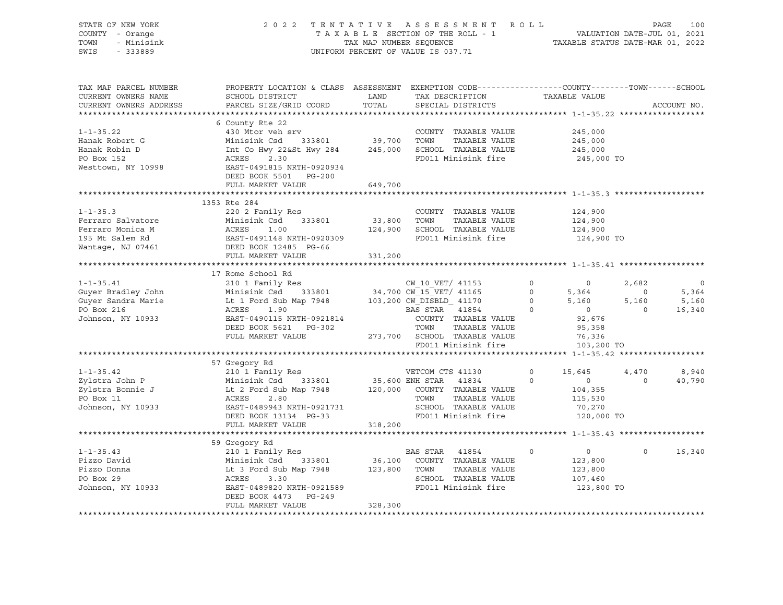| STATE OF NEW YORK<br>COUNTY - Orange<br>TOWN<br>- Minisink<br>SWIS - 333889                                                                                                                                                                                | 2022 TENTATIVE ASSESSMENT ROLL PAGE 100<br>TAXABLE SECTION OF THE ROLL - 1 VALUATION DATE-JUL 01, 2021<br>TAX MAP NUMBER SEQUENCE TAXABLE STATUS DATE-MAR 01, 2022 | UNIFORM PERCENT OF VALUE IS 037.71 |  |                                             |                       |
|------------------------------------------------------------------------------------------------------------------------------------------------------------------------------------------------------------------------------------------------------------|--------------------------------------------------------------------------------------------------------------------------------------------------------------------|------------------------------------|--|---------------------------------------------|-----------------------|
| TAX MAP PARCEL NUMBER<br>CURRENT OWNERS NAME<br>CURRENT OWNERS ADDRESS                                                                                                                                                                                     | PROPERTY LOCATION & CLASS ASSESSMENT EXEMPTION CODE----------------COUNTY-------TOWN------SCHOOL                                                                   |                                    |  |                                             | ACCOUNT NO.           |
|                                                                                                                                                                                                                                                            |                                                                                                                                                                    |                                    |  |                                             |                       |
|                                                                                                                                                                                                                                                            | DEED BOOK 5501 PG-200                                                                                                                                              |                                    |  | 245,000<br>245,000<br>245,000<br>245,000 TO |                       |
|                                                                                                                                                                                                                                                            | FULL MARKET VALUE                                                                                                                                                  | 649,700                            |  |                                             |                       |
|                                                                                                                                                                                                                                                            |                                                                                                                                                                    |                                    |  |                                             |                       |
| Example 220 2 Family Res<br>Ferraro Salvatore Minisink Csd 333801 33,800 TOWN TAXABLE VALUE<br>Ferraro Monica M (ACRES 1.00 124,900 SCHOOL TAXABLE VALUE<br>195 Mt Salem Rd (EAST-0491148 NRTH-0920309 FD011 Minisink fire<br>Wantage,                     | 1353 Rte 284                                                                                                                                                       |                                    |  | 124,900<br>124,900<br>124,900<br>124,900 TO |                       |
|                                                                                                                                                                                                                                                            | FULL MARKET VALUE                                                                                                                                                  | 331,200                            |  |                                             |                       |
|                                                                                                                                                                                                                                                            |                                                                                                                                                                    |                                    |  |                                             |                       |
| 17 Rome School Rd<br>17 Rome School Rd<br>210 18 Rmily Res<br>34,700 CW_10_VET/ 41153 0<br>34,700 CW_15_VET/ 41153 0<br>34,700 CW_15_VET/ 41155 0<br>34,700 CW_15_VET/ 41165 0<br>5,364 0<br>5,364 0<br>5,160<br>5,160<br>5,160<br>5,160<br>5,160<br>5,160 |                                                                                                                                                                    |                                    |  |                                             |                       |
|                                                                                                                                                                                                                                                            |                                                                                                                                                                    |                                    |  |                                             |                       |
| 1-1-35.42<br>57 Gregory Rd (1978)<br>210 1 Family Res<br>2ylstra John P Minisink Csd 333801<br>2ylstra Bonnie J Lt 2 Ford Sub Map 7948<br>2ylstra Bonnie J Lt 2 Ford Sub Map 7948<br>2ylstra Bonnie J Lt 2 Ford Sub Map 7948<br>2.80 TOWN TA               |                                                                                                                                                                    |                                    |  |                                             | 4,470 8,940<br>40,790 |
|                                                                                                                                                                                                                                                            | FULL MARKET VALUE 318,200                                                                                                                                          |                                    |  |                                             |                       |
| 39 Gregory Kd 210 1 Family Res 210 1 Family Res 210 1 Family Res 210 1 Family Res 210 1 Family Res 210 1 Family Res 210 1 Family Res 2120 Donna<br>210 1 Family Res 210 333801 23,800 COUNTY TAXABLE VALUE 23,800<br>23,800<br>23,80                       | 59 Gregory Rd<br>DEED BOOK 4473 PG-249<br>FULL MARKET VALUE                                                                                                        | 328,300                            |  |                                             | $0 \t16,340$          |
|                                                                                                                                                                                                                                                            |                                                                                                                                                                    |                                    |  |                                             |                       |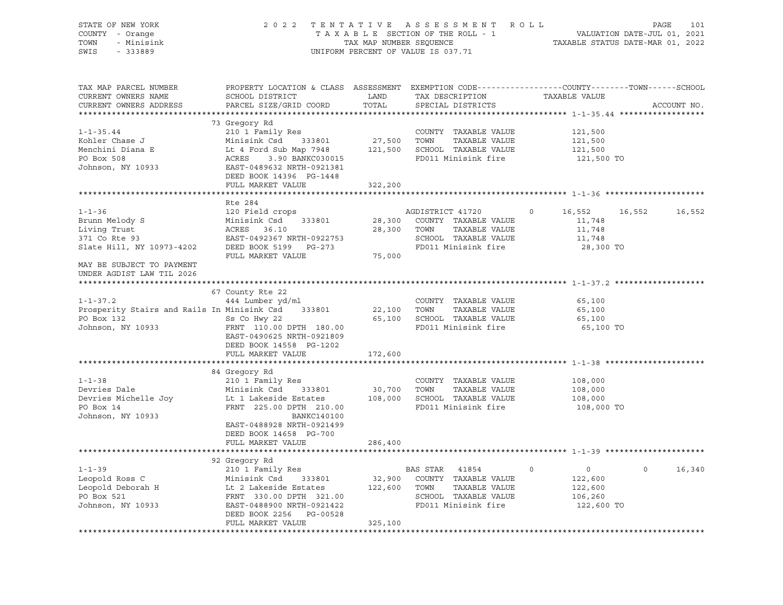| STATE OF NEW YORK<br>COUNTY - Orange<br>- Minisink<br>TOWN<br>SWIS<br>$-333889$                                                                                                                                                                    |                                                                                                                                                                                                                                                    |                       | 2022 TENTATIVE ASSESSMENT ROLL<br>UNIFORM PERCENT OF VALUE IS 037.71 | TAXABLE SECTION OF THE ROLL - 1<br>TAXABLE SECTION OF THE ROLL - 1<br>TAXABLE STATUS DATE-MAR 01, 2022 | PAGE<br>101       |
|----------------------------------------------------------------------------------------------------------------------------------------------------------------------------------------------------------------------------------------------------|----------------------------------------------------------------------------------------------------------------------------------------------------------------------------------------------------------------------------------------------------|-----------------------|----------------------------------------------------------------------|--------------------------------------------------------------------------------------------------------|-------------------|
| TAX MAP PARCEL NUMBER<br>CURRENT OWNERS NAME<br>CURRENT OWNERS ADDRESS                                                                                                                                                                             | PROPERTY LOCATION & CLASS ASSESSMENT EXEMPTION CODE---------------COUNTY-------TOWN-----SCHOOL<br>SCHOOL DISTRICT<br>PARCEL SIZE/GRID COORD                                                                                                        | LAND<br>TOTAL         | TAX DESCRIPTION<br>SPECIAL DISTRICTS                                 | TAXABLE VALUE                                                                                          | ACCOUNT NO.       |
|                                                                                                                                                                                                                                                    |                                                                                                                                                                                                                                                    |                       |                                                                      |                                                                                                        |                   |
|                                                                                                                                                                                                                                                    | 73 Gregory Rd                                                                                                                                                                                                                                      |                       |                                                                      |                                                                                                        |                   |
| $1 - 1 - 35.44$                                                                                                                                                                                                                                    | 210 1 Family Res                                                                                                                                                                                                                                   | COUNTY<br>27,500 TOWN | COUNTY TAXABLE VALUE                                                 | 121,500                                                                                                |                   |
| Kohler Chase J                                                                                                                                                                                                                                     | Minisink Csd 333801<br>Lt 4 Ford Sub Map 7948<br>ACRES 3.90 BANKC030015<br>EAST-0489632 NRTH-0921381                                                                                                                                               |                       | TAXABLE VALUE                                                        | 121,500                                                                                                |                   |
|                                                                                                                                                                                                                                                    |                                                                                                                                                                                                                                                    |                       | 121,500 SCHOOL TAXABLE VALUE                                         | 121,500                                                                                                |                   |
| Menchini Diana E<br>PO Box 508<br>PO Box 508                                                                                                                                                                                                       |                                                                                                                                                                                                                                                    |                       | FD011 Minisink fire                                                  | 121,500 TO                                                                                             |                   |
| Johnson, NY 10933                                                                                                                                                                                                                                  |                                                                                                                                                                                                                                                    |                       |                                                                      |                                                                                                        |                   |
|                                                                                                                                                                                                                                                    | DEED BOOK 14396 PG-1448                                                                                                                                                                                                                            |                       |                                                                      |                                                                                                        |                   |
|                                                                                                                                                                                                                                                    | FULL MARKET VALUE                                                                                                                                                                                                                                  | 322,200               |                                                                      |                                                                                                        |                   |
|                                                                                                                                                                                                                                                    |                                                                                                                                                                                                                                                    |                       |                                                                      |                                                                                                        |                   |
|                                                                                                                                                                                                                                                    | Rte 284                                                                                                                                                                                                                                            |                       |                                                                      |                                                                                                        |                   |
| $1 - 1 - 36$                                                                                                                                                                                                                                       | 120 Field crops                                                                                                                                                                                                                                    |                       | AGDISTRICT 41720                                                     | $\circ$<br>16,552                                                                                      | 16,552 16,552     |
|                                                                                                                                                                                                                                                    |                                                                                                                                                                                                                                                    |                       |                                                                      | 11,748                                                                                                 |                   |
|                                                                                                                                                                                                                                                    |                                                                                                                                                                                                                                                    |                       | TAXABLE VALUE                                                        | 11,748                                                                                                 |                   |
|                                                                                                                                                                                                                                                    |                                                                                                                                                                                                                                                    |                       | SCHOOL TAXABLE VALUE                                                 | 11,748                                                                                                 |                   |
| From Melody S<br>Brunn Melody S<br>Living Trust<br>371 Co Rte 93<br>SCHOOL TAXABLE VALUE<br>371 Co Rte 93<br>EAST-0492367 NRTH-0922753<br>EAST-0492367 NRTH-0922753<br>EAST-0492367 NRTH-0922753<br>EAST-0492367 NRTH-0922753<br>FOOL TAXABLE VALU |                                                                                                                                                                                                                                                    |                       | FD011 Minisink fire                                                  | 28,300 TO                                                                                              |                   |
|                                                                                                                                                                                                                                                    | FULL MARKET VALUE                                                                                                                                                                                                                                  | 75,000                |                                                                      |                                                                                                        |                   |
| MAY BE SUBJECT TO PAYMENT                                                                                                                                                                                                                          |                                                                                                                                                                                                                                                    |                       |                                                                      |                                                                                                        |                   |
| UNDER AGDIST LAW TIL 2026                                                                                                                                                                                                                          |                                                                                                                                                                                                                                                    |                       |                                                                      |                                                                                                        |                   |
| *****************************                                                                                                                                                                                                                      |                                                                                                                                                                                                                                                    |                       |                                                                      |                                                                                                        |                   |
|                                                                                                                                                                                                                                                    | 67 County Rte 22                                                                                                                                                                                                                                   |                       |                                                                      |                                                                                                        |                   |
| $1 - 1 - 37.2$                                                                                                                                                                                                                                     | 444 Lumber yd/ml                                                                                                                                                                                                                                   |                       | COUNTY TAXABLE VALUE                                                 | 65,100                                                                                                 |                   |
| $1-1-37.2$<br>Prosperity Stairs and Rails In Minisink Csd 333801                                                                                                                                                                                   |                                                                                                                                                                                                                                                    | 22,100 TOWN           | TAXABLE VALUE                                                        | 65,100                                                                                                 |                   |
| PO Box 132                                                                                                                                                                                                                                         |                                                                                                                                                                                                                                                    |                       | 65,100 SCHOOL TAXABLE VALUE                                          | 65,100                                                                                                 |                   |
| Johnson, NY 10933                                                                                                                                                                                                                                  | Ss Co Hwy 22<br>FRNT 110.00 DPTH 180.00                                                                                                                                                                                                            |                       | FD011 Minisink fire                                                  | 65,100 TO                                                                                              |                   |
|                                                                                                                                                                                                                                                    | EAST-0490625 NRTH-0921809                                                                                                                                                                                                                          |                       |                                                                      |                                                                                                        |                   |
|                                                                                                                                                                                                                                                    | DEED BOOK 14558 PG-1202                                                                                                                                                                                                                            |                       |                                                                      |                                                                                                        |                   |
|                                                                                                                                                                                                                                                    | FULL MARKET VALUE                                                                                                                                                                                                                                  | 172,600               |                                                                      |                                                                                                        |                   |
|                                                                                                                                                                                                                                                    |                                                                                                                                                                                                                                                    |                       |                                                                      |                                                                                                        |                   |
|                                                                                                                                                                                                                                                    | 84 Gregory Rd                                                                                                                                                                                                                                      |                       |                                                                      |                                                                                                        |                   |
| $1 - 1 - 38$                                                                                                                                                                                                                                       | 210 1 Family Res                                                                                                                                                                                                                                   |                       | COUNTY TAXABLE VALUE                                                 | 108,000                                                                                                |                   |
| Devries Dale                                                                                                                                                                                                                                       | Minisink Csd 333801                                                                                                                                                                                                                                | 30,700 TOWN           | TAXABLE VALUE                                                        | 108,000                                                                                                |                   |
| Devries Michelle Joy                                                                                                                                                                                                                               | Lt 1 Lakeside Estates                                                                                                                                                                                                                              |                       | 108,000 SCHOOL TAXABLE VALUE                                         | 108,000                                                                                                |                   |
| PO Box 14                                                                                                                                                                                                                                          | FRNT 225.00 DPTH 210.00                                                                                                                                                                                                                            |                       | FD011 Minisink fire                                                  | 108,000 TO                                                                                             |                   |
| Johnson, NY 10933                                                                                                                                                                                                                                  | BANKC140100                                                                                                                                                                                                                                        |                       |                                                                      |                                                                                                        |                   |
|                                                                                                                                                                                                                                                    | EAST-0488928 NRTH-0921499                                                                                                                                                                                                                          |                       |                                                                      |                                                                                                        |                   |
|                                                                                                                                                                                                                                                    | DEED BOOK 14658 PG-700                                                                                                                                                                                                                             |                       |                                                                      |                                                                                                        |                   |
|                                                                                                                                                                                                                                                    | FULL MARKET VALUE                                                                                                                                                                                                                                  | 286,400               |                                                                      |                                                                                                        |                   |
|                                                                                                                                                                                                                                                    |                                                                                                                                                                                                                                                    |                       |                                                                      |                                                                                                        |                   |
|                                                                                                                                                                                                                                                    |                                                                                                                                                                                                                                                    |                       |                                                                      |                                                                                                        |                   |
| $1 - 1 - 39$                                                                                                                                                                                                                                       | 92 Gregory Rd<br>210 1 Family Res<br>Minisink Csd<br>133801 32,900 COUNTY TAXABLE VALUE<br>122,600 TOWN TAXABLE VALUE<br>FRNT 330.00 DPTH 321.00<br>TAXABLE VALUE<br>TRNT 330.00 DPTH 321.00<br>TAXABLE VALUE<br>TRNT 0921422<br>FD011 Minisink fi |                       |                                                                      | $\overline{0}$<br>$\circ$                                                                              | $\circ$<br>16,340 |
| Leopold Ross C                                                                                                                                                                                                                                     |                                                                                                                                                                                                                                                    |                       |                                                                      |                                                                                                        |                   |
|                                                                                                                                                                                                                                                    |                                                                                                                                                                                                                                                    |                       |                                                                      | 122,600                                                                                                |                   |
|                                                                                                                                                                                                                                                    |                                                                                                                                                                                                                                                    |                       |                                                                      | 122,600                                                                                                |                   |
| Leopold Deborah H Lt 2 Lakeside Estates<br>PO Box 521 FRNT 330.00 DPTH 321.00<br>Johnson, NY 10933 EAST-0488900 NRTH-0921422                                                                                                                       |                                                                                                                                                                                                                                                    |                       |                                                                      | 106,260                                                                                                |                   |
|                                                                                                                                                                                                                                                    |                                                                                                                                                                                                                                                    |                       |                                                                      | 122,600 TO                                                                                             |                   |
|                                                                                                                                                                                                                                                    |                                                                                                                                                                                                                                                    |                       |                                                                      |                                                                                                        |                   |
|                                                                                                                                                                                                                                                    | FULL MARKET VALUE                                                                                                                                                                                                                                  | 325,100               |                                                                      |                                                                                                        |                   |
|                                                                                                                                                                                                                                                    |                                                                                                                                                                                                                                                    |                       |                                                                      |                                                                                                        |                   |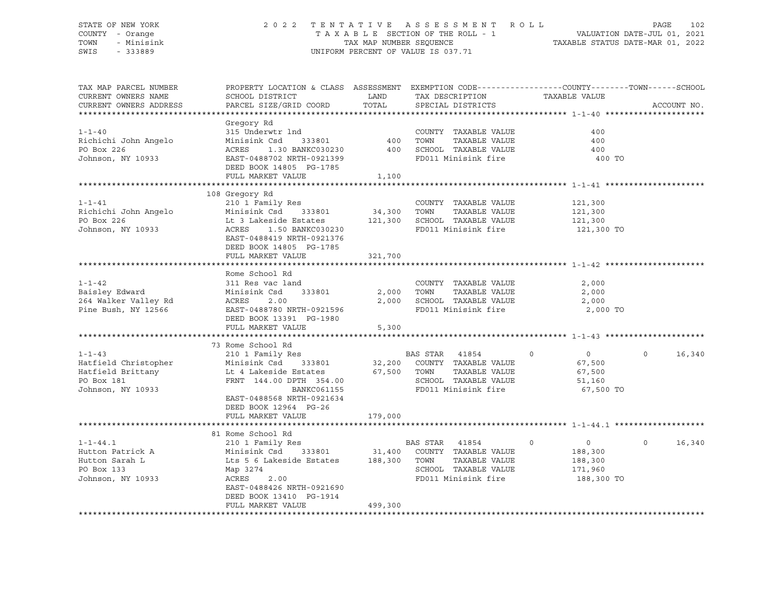### STATE OF NEW YORK 2 0 2 2 T E N T A T I V E A S S E S S M E N T R O L L PAGE 102 COUNTY - Orange T A X A B L E SECTION OF THE ROLL - 1 VALUATION DATE-JUL 01, 2021 TOWN - Minisink TAX MAP NUMBER SEQUENCE TAXABLE STATUS DATE-MAR 01, 2022<br>TAXABLE STATUS DATE-MAR 01, 2022 UNIFORM PERCENT OF VALUE IS 037.71

TAX MAP PARCEL NUMBER PROPERTY LOCATION & CLASS ASSESSMENT EXEMPTION CODE------------------COUNTY--------TOWN------SCHOOL CURRENT OWNERS NAME SCHOOL DISTRICT LAND TAX DESCRIPTION TAXABLE VALUE CURRENT OWNERS ADDRESS THREE SIZE/GRID COORD TOTAL SPECIAL DISTRICTS THREE ACCOUNT NO. \*\*\*\*\*\*\*\*\*\*\*\*\*\*\*\*\*\*\*\*\*\*\*\*\*\*\*\*\*\*\*\*\*\*\*\*\*\*\*\*\*\*\*\*\*\*\*\*\*\*\*\*\*\*\*\*\*\*\*\*\*\*\*\*\*\*\*\*\*\*\*\*\*\*\*\*\*\*\*\*\*\*\*\*\*\*\*\*\*\*\*\*\*\*\*\*\*\*\*\*\*\*\* 1-1-40 \*\*\*\*\*\*\*\*\*\*\*\*\*\*\*\*\*\*\*\*\* Gregory Rd 1-1-40 315 Underwtr lnd COUNTY TAXABLE VALUE 400 Richichi John Angelo Minisink Csd 333801 400 TOWN TAXABLE VALUE 400 PO Box 226 ACRES 1.30 BANKC030230 400 SCHOOL TAXABLE VALUE 400 Johnson, NY 10933 EAST-0488702 NRTH-0921399 FD011 Minisink fire 400 TO DEED BOOK 14805 PG-1785 FULL MARKET VALUE 1,100 \*\*\*\*\*\*\*\*\*\*\*\*\*\*\*\*\*\*\*\*\*\*\*\*\*\*\*\*\*\*\*\*\*\*\*\*\*\*\*\*\*\*\*\*\*\*\*\*\*\*\*\*\*\*\*\*\*\*\*\*\*\*\*\*\*\*\*\*\*\*\*\*\*\*\*\*\*\*\*\*\*\*\*\*\*\*\*\*\*\*\*\*\*\*\*\*\*\*\*\*\*\*\* 1-1-41 \*\*\*\*\*\*\*\*\*\*\*\*\*\*\*\*\*\*\*\*\* 108 Gregory Rd 1-1-41 210 1 Family Res COUNTY TAXABLE VALUE 121,300 Richichi John Angelo Minisink Csd 333801 34,300 TOWN TAXABLE VALUE 121,300 PO Box 226 Lt 3 Lakeside Estates 121,300 SCHOOL TAXABLE VALUE 121,300 Johnson, NY 10933 6000 ACRES 1.50 BANKC030230 6000 FD011 Minisink fire 121,300 TO EAST-0488419 NRTH-0921376 DEED BOOK 14805 PG-1785 FULL MARKET VALUE 321,700 \*\*\*\*\*\*\*\*\*\*\*\*\*\*\*\*\*\*\*\*\*\*\*\*\*\*\*\*\*\*\*\*\*\*\*\*\*\*\*\*\*\*\*\*\*\*\*\*\*\*\*\*\*\*\*\*\*\*\*\*\*\*\*\*\*\*\*\*\*\*\*\*\*\*\*\*\*\*\*\*\*\*\*\*\*\*\*\*\*\*\*\*\*\*\*\*\*\*\*\*\*\*\* 1-1-42 \*\*\*\*\*\*\*\*\*\*\*\*\*\*\*\*\*\*\*\*\* Rome School Rd 1-1-42 311 Res vac land COUNTY TAXABLE VALUE 2,000 Baisley Edward Minisink Csd 333801 2,000 TOWN TAXABLE VALUE 2,000 2,000 SCHOOL TAXABLE VALUE 2,000 Pine Bush, NY 12566 EAST-0488780 NRTH-0921596 FD011 Minisink fire 2,000 TO DEED BOOK 13391 PG-1980 DEED BOOK נוספת ביכב ב-FULL MARKET VALUE 5,300 \*\*\*\*\*\*\*\*\*\*\*\*\*\*\*\*\*\*\*\*\*\*\*\*\*\*\*\*\*\*\*\*\*\*\*\*\*\*\*\*\*\*\*\*\*\*\*\*\*\*\*\*\*\*\*\*\*\*\*\*\*\*\*\*\*\*\*\*\*\*\*\*\*\*\*\*\*\*\*\*\*\*\*\*\*\*\*\*\*\*\*\*\*\*\*\*\*\*\*\*\*\*\* 1-1-43 \*\*\*\*\*\*\*\*\*\*\*\*\*\*\*\*\*\*\*\*\* 73 Rome School Rd 1-1-43 210 1 Family Res BAS STAR 41854 0 0 0 16,340 Hatfield Christopher Minisink Csd 333801 32,200 COUNTY TAXABLE VALUE 67,500 Hatfield Brittany Lt 4 Lakeside Estates 67,500 TOWN TAXABLE VALUE 67,500 PO Box 181 **FRNT 144.00 DPTH 354.00** SCHOOL TAXABLE VALUE 51,160 Johnson, NY 10933 BANKC061155 FD011 Minisink fire 67,500 TO EAST-0488568 NRTH-0921634 DEED BOOK 12964 PG-26 FULL MARKET VALUE 179,000 \*\*\*\*\*\*\*\*\*\*\*\*\*\*\*\*\*\*\*\*\*\*\*\*\*\*\*\*\*\*\*\*\*\*\*\*\*\*\*\*\*\*\*\*\*\*\*\*\*\*\*\*\*\*\*\*\*\*\*\*\*\*\*\*\*\*\*\*\*\*\*\*\*\*\*\*\*\*\*\*\*\*\*\*\*\*\*\*\*\*\*\*\*\*\*\*\*\*\*\*\*\*\* 1-1-44.1 \*\*\*\*\*\*\*\*\*\*\*\*\*\*\*\*\*\*\* 81 Rome School Rd 1-1-44.1 210 1 Family Res BAS STAR 41854 0 0 0 16,340<br>Hutton Patrick A Minisink Csd 333801 31,400 COUNTY TAXABLE VALUE 188,300 Hutton Patrick A Minisink Csd 333801 31,400 COUNTY TAXABLE VALUE 188,300 Lts 5 6 Lakeside Estates 188,300 TOWN TAXABLE VALUE 188,300 PO Box 133 Map 3274 SCHOOL TAXABLE VALUE 171,960 Johnson, NY 10933 ACRES 2.00 FD011 Minisink fire 188,300 TO EAST-0488426 NRTH-0921690 DEED BOOK 13410 PG-1914 FULL MARKET VALUE 499,300 \*\*\*\*\*\*\*\*\*\*\*\*\*\*\*\*\*\*\*\*\*\*\*\*\*\*\*\*\*\*\*\*\*\*\*\*\*\*\*\*\*\*\*\*\*\*\*\*\*\*\*\*\*\*\*\*\*\*\*\*\*\*\*\*\*\*\*\*\*\*\*\*\*\*\*\*\*\*\*\*\*\*\*\*\*\*\*\*\*\*\*\*\*\*\*\*\*\*\*\*\*\*\*\*\*\*\*\*\*\*\*\*\*\*\*\*\*\*\*\*\*\*\*\*\*\*\*\*\*\*\*\*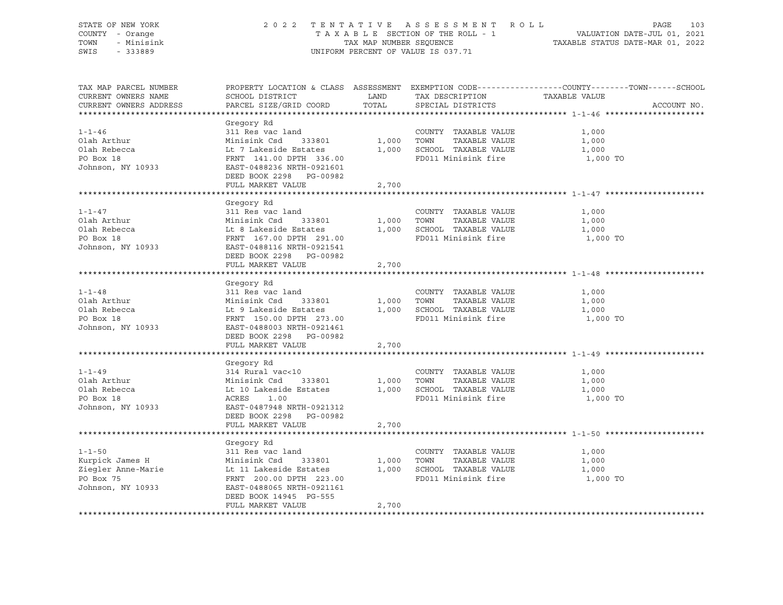| STATE OF NEW YORK<br>COUNTY - Orange<br>- Minisink<br>TOWN<br>$-333889$<br>SWIS         |                                                                                                                                                                                                         |                | 2022 TENTATIVE ASSESSMENT ROLL<br>UNIFORM PERCENT OF VALUE IS 037.71                               | PAGE<br>103<br>TENTATIVE ASSESSMENT ROLL ROLL WALUATION DATE-JUL 01, 2021<br>TAXABLE SECTION OF THE ROLL - 1 VALUATION DATE-JUL 01, 2021<br>TAXABLE STATUS DATE-MAR 01, 2022 |
|-----------------------------------------------------------------------------------------|---------------------------------------------------------------------------------------------------------------------------------------------------------------------------------------------------------|----------------|----------------------------------------------------------------------------------------------------|------------------------------------------------------------------------------------------------------------------------------------------------------------------------------|
| TAX MAP PARCEL NUMBER<br>CURRENT OWNERS NAME<br>CURRENT OWNERS ADDRESS                  | SCHOOL DISTRICT<br>PARCEL SIZE/GRID COORD                                                                                                                                                               | LAND<br>TOTAL  | TAX DESCRIPTION TAXABLE VALUE<br>SPECIAL DISTRICTS                                                 | PROPERTY LOCATION & CLASS ASSESSMENT EXEMPTION CODE----------------COUNTY-------TOWN-----SCHOOL<br>ACCOUNT NO.                                                               |
| $1 - 1 - 46$<br>Olah Arthur<br>Olah Rebecca<br>PO Box 18<br>Johnson, NY 10933           | Gregory Rd<br>311 Res vac land<br>Minisink Csd<br>333801<br>Lt 7 Lakeside Estates<br>FRNT 141.00 DPTH 336.00<br>EAST-0488236 NRTH-0921601<br>DEED BOOK 2298 PG-00982<br>FULL MARKET VALUE               | 1,000<br>2,700 | COUNTY TAXABLE VALUE<br>TAXABLE VALUE<br>TOWN<br>1,000 SCHOOL TAXABLE VALUE<br>FD011 Minisink fire | 1,000<br>1,000<br>1,000<br>1,000 TO                                                                                                                                          |
|                                                                                         |                                                                                                                                                                                                         |                |                                                                                                    |                                                                                                                                                                              |
| $1 - 1 - 47$<br>Olah Arthur<br>Olah Rebecca<br>PO Box 18<br>Johnson, NY 10933           | Gregory Rd<br>311 Res vac land<br>Minisink Csa<br>Lt 8 Lakeside Estates<br>FRNT 167.00 DPTH 291.00<br>-- 2109116 NRTH-0921541<br>DEED BOOK 2298 PG-00982                                                | 1,000          | COUNTY TAXABLE VALUE<br>TAXABLE VALUE<br>TOWN<br>1,000 SCHOOL TAXABLE VALUE<br>FD011 Minisink fire | 1,000<br>1,000<br>1,000<br>1,000 TO                                                                                                                                          |
|                                                                                         | FULL MARKET VALUE                                                                                                                                                                                       | 2,700          |                                                                                                    |                                                                                                                                                                              |
|                                                                                         |                                                                                                                                                                                                         |                |                                                                                                    |                                                                                                                                                                              |
| $1 - 1 - 48$<br>Olah Arthur<br>Olah Rebecca<br>PO Box 18<br>Johnson, NY 10933           | Gregory Rd<br>311 Res vac land<br>Minisink Csa<br>Lt 9 Lakeside Estates<br>FRNT 150.00 DPTH 273.00<br>-- 2499003 NRTH-0921461<br>DEED BOOK 2298 PG-00982                                                | 1,000          | COUNTY TAXABLE VALUE<br>TOWN<br>TAXABLE VALUE<br>1,000 SCHOOL TAXABLE VALUE<br>FD011 Minisink fire | 1,000<br>1,000<br>1,000<br>1,000 TO                                                                                                                                          |
|                                                                                         | FULL MARKET VALUE                                                                                                                                                                                       | 2,700          |                                                                                                    |                                                                                                                                                                              |
| $1 - 1 - 49$<br>Olah Arthur<br>Olah Rebecca<br>PO Box 18<br>Johnson, NY 10933           | Gregory Rd<br>314 Rural vac<10<br>Minisink Csd<br>Minisink Csd 333801<br>Lt 10 Lakeside Estates<br>ACRES 100<br>ACRES 1.00<br>EAST-0487948 NRTH-0921312<br>DEED BOOK 2298 PG-00982<br>FULL MARKET VALUE | 1,000<br>2,700 | COUNTY TAXABLE VALUE<br>TOWN<br>TAXABLE VALUE<br>1,000 SCHOOL TAXABLE VALUE<br>FD011 Minisink fire | 1,000<br>1,000<br>1,000<br>1,000 TO                                                                                                                                          |
|                                                                                         |                                                                                                                                                                                                         |                |                                                                                                    |                                                                                                                                                                              |
| $1 - 1 - 50$<br>Kurpick James H<br>Ziegler Anne-Marie<br>PO Box 75<br>Johnson, NY 10933 | Gregory Rd<br>311 Res vac land<br>Minisink Csd 333801<br>Lt 11 Lakeside Estates<br>333801<br>FRNT 200.00 DPTH 223.00<br>EAST-0488065 NRTH-0921161<br>DEED BOOK 14945 PG-555<br>FULL MARKET VALUE        | 1,000<br>2,700 | COUNTY TAXABLE VALUE<br>TAXABLE VALUE<br>TOWN<br>1,000 SCHOOL TAXABLE VALUE<br>FD011 Minisink fire | 1,000<br>1,000<br>1,000<br>1,000 TO                                                                                                                                          |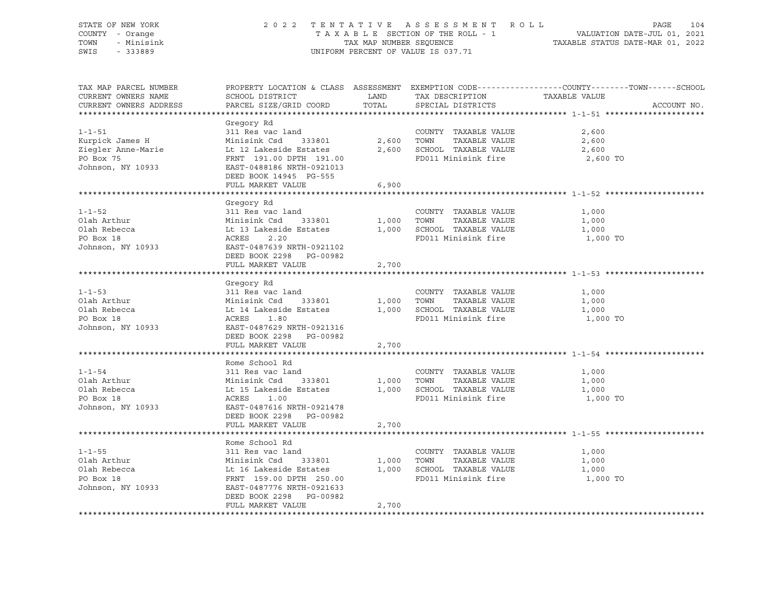| STATE OF NEW YORK<br>COUNTY - Orange<br>TOWN<br>- Minisink<br>SWIS<br>$-333889$         | 2 0 2 2                                                                                                                                                                                           | TAX MAP NUMBER SEQUENCE | TENTATIVE ASSESSMENT ROLL<br>TAXABLE SECTION OF THE ROLL - 1<br>UNIFORM PERCENT OF VALUE IS 037.71 | PAGE<br>104<br>VALUATION DATE-JUL 01, 2021<br>TAXABLE STATUS DATE-MAR 01, 2022                                 |
|-----------------------------------------------------------------------------------------|---------------------------------------------------------------------------------------------------------------------------------------------------------------------------------------------------|-------------------------|----------------------------------------------------------------------------------------------------|----------------------------------------------------------------------------------------------------------------|
| TAX MAP PARCEL NUMBER<br>CURRENT OWNERS NAME<br>CURRENT OWNERS ADDRESS                  | SCHOOL DISTRICT<br>PARCEL SIZE/GRID COORD                                                                                                                                                         | LAND<br>TOTAL           | TAX DESCRIPTION TAXABLE VALUE<br>SPECIAL DISTRICTS                                                 | PROPERTY LOCATION & CLASS ASSESSMENT EXEMPTION CODE----------------COUNTY-------TOWN-----SCHOOL<br>ACCOUNT NO. |
| $1 - 1 - 51$<br>Kurpick James H<br>Ziegler Anne-Marie<br>PO Box 75<br>Johnson, NY 10933 | Gregory Rd<br>311 Res vac land<br>Minisink Csd<br>333801<br>Lt 12 Lakeside Estates<br>FRNT 191.00 DPTH 191.00<br>EAST-0488186 NRTH-0921013<br>DEED BOOK 14945 PG-555<br>FULL MARKET VALUE         | 2,600<br>2,600<br>6,900 | COUNTY TAXABLE VALUE<br>TOWN<br>TAXABLE VALUE<br>SCHOOL TAXABLE VALUE<br>FD011 Minisink fire       | 2,600<br>2,600<br>2,600<br>2,600 TO                                                                            |
|                                                                                         |                                                                                                                                                                                                   |                         |                                                                                                    |                                                                                                                |
| $1 - 1 - 52$<br>Olah Arthur<br>Olah Rebecca<br>PO Box 18<br>Johnson, NY 10933           | Gregory Rd<br>311 Res vac land<br>Minisink Csd<br>333801<br>Lt 13 Lakeside Estates<br>ACRES<br>2.20<br>EAST-0487639 NRTH-0921102<br>DEED BOOK 2298 PG-00982                                       | 1,000<br>1,000          | COUNTY TAXABLE VALUE<br>TOWN<br>TAXABLE VALUE<br>SCHOOL TAXABLE VALUE<br>FD011 Minisink fire       | 1,000<br>1,000<br>1,000<br>1,000 TO                                                                            |
|                                                                                         | FULL MARKET VALUE                                                                                                                                                                                 | 2,700                   |                                                                                                    |                                                                                                                |
|                                                                                         |                                                                                                                                                                                                   |                         |                                                                                                    |                                                                                                                |
| $1 - 1 - 53$<br>Olah Arthur<br>Olah Rebecca<br>PO Box 18<br>Johnson, NY 10933           | Gregory Rd<br>311 Res vac land<br>Minisink Csd<br>333801<br>Lt 14 Lakeside Estates<br>ACRES<br>1.80<br>EAST-0487629 NRTH-0921316                                                                  | 1,000<br>1,000          | COUNTY TAXABLE VALUE<br>TOWN<br>TAXABLE VALUE<br>SCHOOL TAXABLE VALUE<br>FD011 Minisink fire       | 1,000<br>1,000<br>1,000<br>1,000 TO                                                                            |
|                                                                                         | DEED BOOK 2298 PG-00982<br>FULL MARKET VALUE                                                                                                                                                      | 2,700                   |                                                                                                    |                                                                                                                |
|                                                                                         |                                                                                                                                                                                                   |                         |                                                                                                    |                                                                                                                |
| $1 - 1 - 54$<br>Olah Arthur<br>Olah Rebecca<br>PO Box 18<br>Johnson, NY 10933           | Rome School Rd<br>311 Res vac land<br>Minisink Csd<br>333801<br>Lt 15 Lakeside Estates<br>ACRES<br>1.00<br>EAST-0487616 NRTH-0921478<br>DEED BOOK 2298 PG-00982                                   | 1,000<br>1,000          | COUNTY TAXABLE VALUE<br>TOWN<br>TAXABLE VALUE<br>SCHOOL TAXABLE VALUE<br>FD011 Minisink fire       | 1,000<br>1,000<br>1,000<br>1,000 TO                                                                            |
|                                                                                         | FULL MARKET VALUE                                                                                                                                                                                 | 2,700                   |                                                                                                    |                                                                                                                |
|                                                                                         |                                                                                                                                                                                                   |                         |                                                                                                    |                                                                                                                |
| $1 - 1 - 55$<br>Olah Arthur<br>Olah Rebecca<br>PO Box 18<br>Johnson, NY 10933           | Rome School Rd<br>311 Res vac land<br>Minisink Csd<br>333801<br>Lt 16 Lakeside Estates<br>FRNT 159.00 DPTH 250.00<br>EAST-0487776 NRTH-0921633<br>DEED BOOK 2298<br>PG-00982<br>FULL MARKET VALUE | 1,000<br>1,000<br>2,700 | COUNTY TAXABLE VALUE<br>TOWN<br>TAXABLE VALUE<br>SCHOOL TAXABLE VALUE<br>FD011 Minisink fire       | 1,000<br>1,000<br>1,000<br>1,000 TO                                                                            |
|                                                                                         |                                                                                                                                                                                                   |                         |                                                                                                    |                                                                                                                |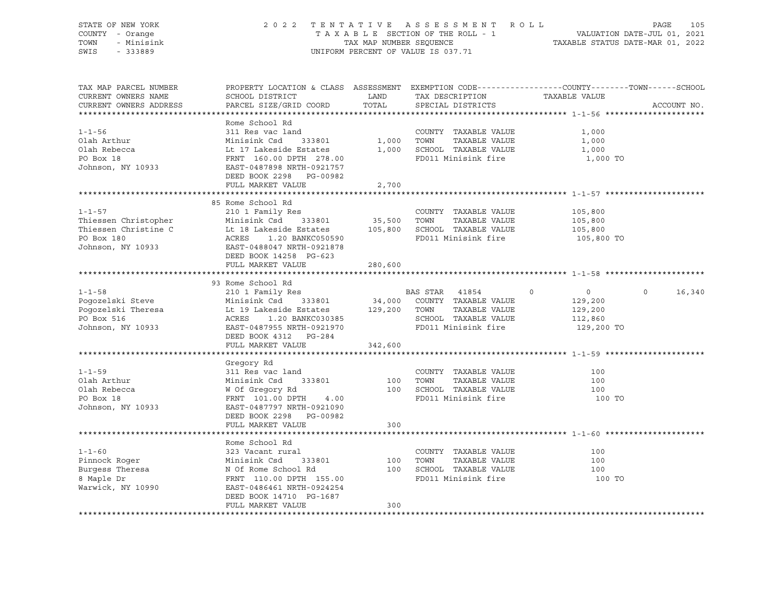| STATE OF NEW YORK<br>COUNTY - Orange<br>- Minisink<br>TOWN<br>SWIS<br>$-333889$           |                                                                                                                                                                                                                                                                                             |                      | 2022 TENTATIVE ASSESSMENT ROLL<br>UNIFORM PERCENT OF VALUE IS 037.71                               |                                                                           | PAGE<br>105        |
|-------------------------------------------------------------------------------------------|---------------------------------------------------------------------------------------------------------------------------------------------------------------------------------------------------------------------------------------------------------------------------------------------|----------------------|----------------------------------------------------------------------------------------------------|---------------------------------------------------------------------------|--------------------|
| TAX MAP PARCEL NUMBER<br>CURRENT OWNERS NAME<br>CURRENT OWNERS ADDRESS                    | PROPERTY LOCATION & CLASS ASSESSMENT EXEMPTION CODE----------------COUNTY-------TOWN------SCHOOL<br>SCHOOL DISTRICT<br>PARCEL SIZE/GRID COORD                                                                                                                                               | <b>LAND</b><br>TOTAL | TAX DESCRIPTION TAXABLE VALUE<br>SPECIAL DISTRICTS                                                 |                                                                           | ACCOUNT NO.        |
| $1 - 1 - 56$<br>Olah Arthur<br>Olah Rebecca<br>PO Box 18<br>Johnson, NY 10933             | Rome School Rd<br>311 Res vac land<br>Minisink Csd<br>333801<br>Lt 17 Lakeside Estates<br>FRNT 160.00 DPTH 278.00<br>EAST-0487898 NRTH-0921757<br>DEED BOOK 2298 PG-00982<br>FULL MARKET VALUE                                                                                              | 1,000<br>2,700       | COUNTY TAXABLE VALUE<br>TAXABLE VALUE<br>TOWN<br>1,000 SCHOOL TAXABLE VALUE<br>FD011 Minisink fire | 1,000<br>1,000<br>1,000<br>1,000 TO                                       |                    |
|                                                                                           |                                                                                                                                                                                                                                                                                             |                      |                                                                                                    |                                                                           |                    |
| $1 - 1 - 57$<br>Johnson, NY 10933                                                         | 85 Rome School Rd<br>210 1 Family Res<br>EAST-0488047 NRTH-0921878<br>DEED BOOK 14258 PG-623                                                                                                                                                                                                |                      | COUNTY TAXABLE VALUE                                                                               | 105,800<br>105,800<br>105,800<br>105,800 TO                               |                    |
|                                                                                           | FULL MARKET VALUE                                                                                                                                                                                                                                                                           | 280,600              |                                                                                                    |                                                                           |                    |
|                                                                                           |                                                                                                                                                                                                                                                                                             |                      |                                                                                                    |                                                                           |                    |
| $1 - 1 - 58$<br>Pogozelski Steve<br>Poqozelski Theresa<br>PO Box 516<br>Johnson, NY 10933 | 93 Rome School Rd<br>210 1 Family Res<br>Minisink Csd 333801 34,000 COUNTY TAXABLE VALUE<br>Lt 19 Lakeside Estates 129,200 TOWN TAXABLE VALUE<br>ACRES 1.20 BANKC030385 SCHOOL TAXABLE VALUE<br>EAST-0487955 NRTH-0921970 FD011 Minisink fire<br>DEED BOOK 4312 PG-284<br>FULL MARKET VALUE | 342,600              | BAS STAR 41854                                                                                     | $\Omega$<br>$\overline{0}$<br>129,200<br>129,200<br>112,860<br>129,200 TO | $\Omega$<br>16,340 |
|                                                                                           |                                                                                                                                                                                                                                                                                             |                      |                                                                                                    |                                                                           |                    |
| $1 - 1 - 59$<br>Olah Arthur<br>Olah Rebecca<br>PO Box 18<br>Johnson, NY 10933             | Gregory Rd<br>311 Res vac land<br>Minisink Csd<br>W Of Gregory Rd<br>EDNW 101.00 DDW<br>333801<br>FRNT 101.00 DPTH<br>4.00<br>EAST-0487797 NRTH-0921090<br>DEED BOOK 2298 PG-00982                                                                                                          | 100<br>300           | COUNTY TAXABLE VALUE<br>TAXABLE VALUE<br>TOWN<br>100 SCHOOL TAXABLE VALUE<br>FD011 Minisink fire   | 100<br>100<br>100<br>100 TO                                               |                    |
|                                                                                           | FULL MARKET VALUE                                                                                                                                                                                                                                                                           |                      |                                                                                                    |                                                                           |                    |
| $1 - 1 - 60$<br>Pinnock Roger<br>Burgess Theresa<br>8 Maple Dr<br>Warwick, NY 10990       | Rome School Rd<br>323 Vacant rural<br>333801 100<br>Minisink Csd 333801<br>N Of Rome School Rd<br>FRNT 110.00 DPTH 155.00<br>EAST-0486461 NRTH-0924254<br>DEED BOOK 14710 PG-1687<br>FULL MARKET VALUE                                                                                      | 300                  | COUNTY TAXABLE VALUE<br>TAXABLE VALUE<br>TOWN<br>100 SCHOOL TAXABLE VALUE<br>FD011 Minisink fire   | 100<br>100<br>100<br>100 TO                                               |                    |
|                                                                                           |                                                                                                                                                                                                                                                                                             |                      |                                                                                                    |                                                                           |                    |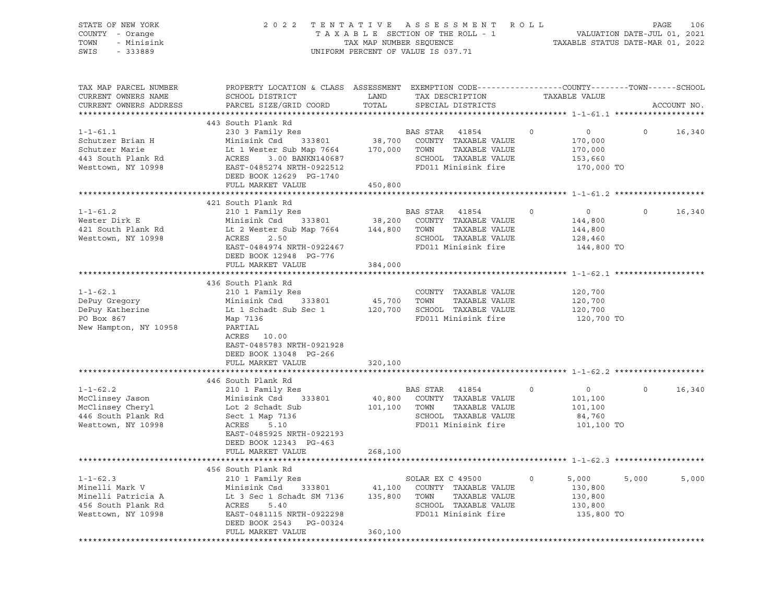| TENTATIVE ASSESSMENT<br>STATE OF NEW YORK<br>2 0 2 2<br>COUNTY - Orange<br>TAXABLE SECTION OF THE ROLL - 1<br>TAX MAP NUMBER SEQUENCE<br>TOWN<br>- Minisink<br>UNIFORM PERCENT OF VALUE IS 037.71<br>SWIS<br>$-333889$ |                                                                                                                     |              |                                              | R O L L<br>PAGE<br>VALUATION DATE-JUL 01, 2021<br>TAXABLE STATUS DATE-MAR 01, 2022 |         |             |  |
|------------------------------------------------------------------------------------------------------------------------------------------------------------------------------------------------------------------------|---------------------------------------------------------------------------------------------------------------------|--------------|----------------------------------------------|------------------------------------------------------------------------------------|---------|-------------|--|
| TAX MAP PARCEL NUMBER<br>CURRENT OWNERS NAME                                                                                                                                                                           | PROPERTY LOCATION & CLASS ASSESSMENT EXEMPTION CODE----------------COUNTY-------TOWN------SCHOOL<br>SCHOOL DISTRICT | LAND         | TAX DESCRIPTION                              | TAXABLE VALUE                                                                      |         |             |  |
| CURRENT OWNERS ADDRESS                                                                                                                                                                                                 | PARCEL SIZE/GRID COORD                                                                                              | TOTAL        | SPECIAL DISTRICTS                            |                                                                                    |         | ACCOUNT NO. |  |
|                                                                                                                                                                                                                        |                                                                                                                     |              |                                              |                                                                                    |         |             |  |
|                                                                                                                                                                                                                        | 443 South Plank Rd                                                                                                  |              |                                              |                                                                                    |         |             |  |
| $1 - 1 - 61.1$<br>Schutzer Brian H                                                                                                                                                                                     | 230 3 Family Res<br>333801<br>Minisink Csd                                                                          |              | BAS STAR<br>41854                            | $\circ$<br>$\circ$                                                                 | $\circ$ | 16,340      |  |
| Schutzer Marie                                                                                                                                                                                                         | Lt 1 Wester Sub Map 7664                                                                                            | 170,000 TOWN | 38,700 COUNTY TAXABLE VALUE<br>TAXABLE VALUE | 170,000<br>170,000                                                                 |         |             |  |
| 443 South Plank Rd                                                                                                                                                                                                     | ACRES<br>3.00 BANKN140687                                                                                           |              | SCHOOL TAXABLE VALUE                         | 153,660                                                                            |         |             |  |
| Westtown, NY 10998                                                                                                                                                                                                     | EAST-0485274 NRTH-0922512                                                                                           |              | FD011 Minisink fire                          | 170,000 TO                                                                         |         |             |  |
|                                                                                                                                                                                                                        | DEED BOOK 12629 PG-1740                                                                                             |              |                                              |                                                                                    |         |             |  |
|                                                                                                                                                                                                                        | FULL MARKET VALUE                                                                                                   | 450,800      |                                              |                                                                                    |         |             |  |
|                                                                                                                                                                                                                        |                                                                                                                     |              |                                              |                                                                                    |         |             |  |
|                                                                                                                                                                                                                        | 421 South Plank Rd                                                                                                  |              |                                              |                                                                                    |         |             |  |
| $1 - 1 - 61.2$                                                                                                                                                                                                         | 210 1 Family Res                                                                                                    |              | BAS STAR<br>41854                            | 0<br>$\circ$                                                                       | $\circ$ | 16,340      |  |
| Wester Dirk E                                                                                                                                                                                                          | Minisink Csd<br>333801                                                                                              | 38,200       | COUNTY TAXABLE VALUE                         | 144,800                                                                            |         |             |  |
| 421 South Plank Rd                                                                                                                                                                                                     | Lt 2 Wester Sub Map 7664                                                                                            | 144,800      | TOWN<br>TAXABLE VALUE                        | 144,800                                                                            |         |             |  |
| Westtown, NY 10998                                                                                                                                                                                                     | ACRES<br>2.50                                                                                                       |              | SCHOOL TAXABLE VALUE                         | 128,460                                                                            |         |             |  |
|                                                                                                                                                                                                                        | EAST-0484974 NRTH-0922467                                                                                           |              | FD011 Minisink fire                          | 144,800 TO                                                                         |         |             |  |
|                                                                                                                                                                                                                        | DEED BOOK 12948 PG-776                                                                                              |              |                                              |                                                                                    |         |             |  |
|                                                                                                                                                                                                                        | FULL MARKET VALUE                                                                                                   | 384,000      |                                              |                                                                                    |         |             |  |
|                                                                                                                                                                                                                        | 436 South Plank Rd                                                                                                  |              |                                              |                                                                                    |         |             |  |
| $1 - 1 - 62.1$                                                                                                                                                                                                         | 210 1 Family Res                                                                                                    |              | COUNTY TAXABLE VALUE                         | 120,700                                                                            |         |             |  |
| DePuy Gregory                                                                                                                                                                                                          | Minisink Csd<br>333801                                                                                              | 45,700       | TAXABLE VALUE<br>TOWN                        | 120,700                                                                            |         |             |  |
| DePuy Katherine                                                                                                                                                                                                        | Lt 1 Schadt Sub Sec 1                                                                                               |              | 120,700 SCHOOL TAXABLE VALUE                 | 120,700                                                                            |         |             |  |
| PO Box 867                                                                                                                                                                                                             | Map 7136                                                                                                            |              | FD011 Minisink fire                          | 120,700 TO                                                                         |         |             |  |
| New Hampton, NY 10958                                                                                                                                                                                                  | PARTIAL                                                                                                             |              |                                              |                                                                                    |         |             |  |
|                                                                                                                                                                                                                        | ACRES 10.00                                                                                                         |              |                                              |                                                                                    |         |             |  |
|                                                                                                                                                                                                                        | EAST-0485783 NRTH-0921928                                                                                           |              |                                              |                                                                                    |         |             |  |
|                                                                                                                                                                                                                        | DEED BOOK 13048 PG-266                                                                                              |              |                                              |                                                                                    |         |             |  |
|                                                                                                                                                                                                                        | FULL MARKET VALUE                                                                                                   | 320,100      |                                              |                                                                                    |         |             |  |
|                                                                                                                                                                                                                        |                                                                                                                     |              |                                              |                                                                                    |         |             |  |
| $1 - 1 - 62.2$                                                                                                                                                                                                         | 446 South Plank Rd                                                                                                  |              | BAS STAR                                     | 0<br>0                                                                             | $\circ$ | 16,340      |  |
| McClinsey Jason                                                                                                                                                                                                        | 210 1 Family Res<br>Minisink Csd<br>333801                                                                          | 40,800       | 41854<br>COUNTY TAXABLE VALUE                | 101,100                                                                            |         |             |  |
| McClinsey Cheryl                                                                                                                                                                                                       | Lot 2 Schadt Sub                                                                                                    | 101,100      | TOWN<br>TAXABLE VALUE                        | 101,100                                                                            |         |             |  |
| 446 South Plank Rd                                                                                                                                                                                                     | Sect 1 Map 7136                                                                                                     |              | SCHOOL TAXABLE VALUE                         | 84,760                                                                             |         |             |  |
| Westtown, NY 10998                                                                                                                                                                                                     | ACRES<br>5.10                                                                                                       |              | FD011 Minisink fire                          | 101,100 TO                                                                         |         |             |  |
|                                                                                                                                                                                                                        | EAST-0485925 NRTH-0922193                                                                                           |              |                                              |                                                                                    |         |             |  |
|                                                                                                                                                                                                                        | DEED BOOK 12343 PG-463                                                                                              |              |                                              |                                                                                    |         |             |  |
|                                                                                                                                                                                                                        | FULL MARKET VALUE                                                                                                   | 268,100      |                                              |                                                                                    |         |             |  |
|                                                                                                                                                                                                                        |                                                                                                                     |              |                                              |                                                                                    |         |             |  |
|                                                                                                                                                                                                                        | 456 South Plank Rd                                                                                                  |              |                                              |                                                                                    |         |             |  |
| $1 - 1 - 62.3$                                                                                                                                                                                                         | 210 1 Family Res                                                                                                    |              | SOLAR EX C 49500                             | 0<br>5,000                                                                         | 5,000   | 5,000       |  |
| Minelli Mark V                                                                                                                                                                                                         | Minisink Csd<br>333801                                                                                              | 41,100       | COUNTY TAXABLE VALUE                         | 130,800                                                                            |         |             |  |
| Minelli Patricia A                                                                                                                                                                                                     | Lt 3 Sec 1 Schadt SM 7136                                                                                           | 135,800      | TOWN<br>TAXABLE VALUE                        | 130,800                                                                            |         |             |  |
| 456 South Plank Rd                                                                                                                                                                                                     | 5.40<br>ACRES                                                                                                       |              | SCHOOL TAXABLE VALUE                         | 130,800                                                                            |         |             |  |
| Westtown, NY 10998                                                                                                                                                                                                     | EAST-0481115 NRTH-0922298                                                                                           |              | FD011 Minisink fire                          | 135,800 TO                                                                         |         |             |  |
|                                                                                                                                                                                                                        | DEED BOOK 2543<br>PG-00324<br>FULL MARKET VALUE                                                                     | 360,100      |                                              |                                                                                    |         |             |  |
|                                                                                                                                                                                                                        |                                                                                                                     |              |                                              |                                                                                    |         |             |  |
|                                                                                                                                                                                                                        |                                                                                                                     |              |                                              |                                                                                    |         |             |  |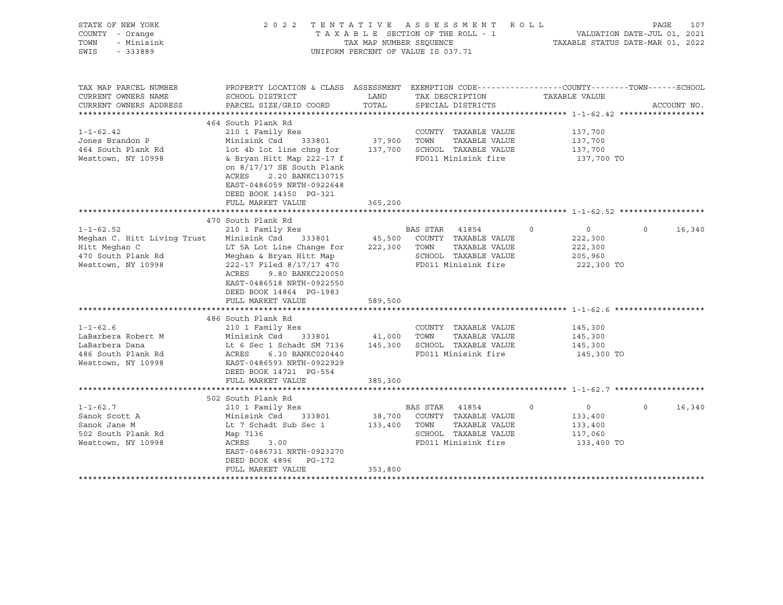| STATE OF NEW YORK<br>COUNTY - Orange<br>- Minisink<br>TOWN<br>SWIS<br>$-333889$                    |                                                                                                                                                                                                                                           | TAX MAP NUMBER SEQUENCE | 2022 TENTATIVE ASSESSMENT ROLL<br>TAXABLE SECTION OF THE ROLL - 1<br>UNIFORM PERCENT OF VALUE IS 037.71       |          | VALUATION DATE-JUL 01, 2021<br>TAXABLE STATUS DATE-MAR 01, 2022 | PAGE     | 107         |
|----------------------------------------------------------------------------------------------------|-------------------------------------------------------------------------------------------------------------------------------------------------------------------------------------------------------------------------------------------|-------------------------|---------------------------------------------------------------------------------------------------------------|----------|-----------------------------------------------------------------|----------|-------------|
| TAX MAP PARCEL NUMBER<br>CURRENT OWNERS NAME<br>CURRENT OWNERS ADDRESS                             | PROPERTY LOCATION & CLASS ASSESSMENT EXEMPTION CODE---------------COUNTY-------TOWN------SCHOOL<br>SCHOOL DISTRICT<br>PARCEL SIZE/GRID COORD                                                                                              | LAND<br>TOTAL           | TAX DESCRIPTION<br>SPECIAL DISTRICTS                                                                          |          | TAXABLE VALUE                                                   |          | ACCOUNT NO. |
| $1 - 1 - 62.42$<br>Jones Brandon P<br>464 South Plank Rd<br>Westtown, NY 10998                     | 464 South Plank Rd<br>210 1 Family Res<br>Minisink Csd 333801<br>lot 4b lot line chng for<br>& Bryan Hitt Map 222-17 f<br>on $8/17/17$ SE South Plank<br>ACRES<br>2.20 BANKC130715<br>EAST-0486059 NRTH-0922648<br>DEED BOOK 14350 PG-321 | 37,900 TOWN             | COUNTY TAXABLE VALUE<br>TAXABLE VALUE<br>137,700 SCHOOL TAXABLE VALUE<br>FD011 Minisink fire                  |          | 137,700<br>137,700<br>137,700<br>137,700 TO                     |          |             |
|                                                                                                    | FULL MARKET VALUE                                                                                                                                                                                                                         | 365,200                 |                                                                                                               |          |                                                                 |          |             |
| $1 - 1 - 62.52$                                                                                    | 470 South Plank Rd<br>210 1 Family Res                                                                                                                                                                                                    |                         | BAS STAR 41854                                                                                                | $\Omega$ | $\overline{0}$                                                  | $\Omega$ | 16,340      |
| Meghan C. Hitt Living Trust<br>Hitt Meghan C<br>470 South Plank Rd<br>Westtown, NY 10998           | Minisink Csd 333801<br>LT 5A Lot Line Change for<br>Meghan & Bryan Hitt Map<br>222-17 Filed 8/17/17 470<br>ACRES<br>9.80 BANKC220050<br>EAST-0486518 NRTH-0922550<br>DEED BOOK 14864 PG-1983                                              |                         | 45,500 COUNTY TAXABLE VALUE<br>TAXABLE VALUE<br>222,300 TOWN<br>SCHOOL TAXABLE VALUE<br>FD011 Minisink fire   |          | 222,300<br>222,300<br>205,960<br>222,300 TO                     |          |             |
|                                                                                                    | FULL MARKET VALUE                                                                                                                                                                                                                         | 589,500                 |                                                                                                               |          |                                                                 |          |             |
| $1 - 1 - 62.6$<br>LaBarbera Robert M<br>LaBarbera Dana<br>486 South Plank Rd<br>Westtown, NY 10998 | 486 South Plank Rd<br>210 1 Family Res<br>Minisink Csd<br>333801 41,000<br>Lt 6 Sec 1 Schadt SM 7136<br>ACRES<br>6.30 BANKC020440<br>EAST-0486593 NRTH-0922929                                                                            |                         | COUNTY TAXABLE VALUE<br>TOWN<br>TAXABLE VALUE<br>145,300 SCHOOL TAXABLE VALUE<br>FD011 Minisink fire          |          | 145,300<br>145,300<br>145,300<br>145,300 TO                     |          |             |
|                                                                                                    | DEED BOOK 14721 PG-554<br>FULL MARKET VALUE                                                                                                                                                                                               | 385,300                 |                                                                                                               |          |                                                                 |          |             |
| $1 - 1 - 62.7$<br>Sanok Scott A<br>Sanok Jane M<br>502 South Plank Rd<br>Westtown, NY 10998        | 502 South Plank Rd<br>210 1 Family Res<br>Minisink Csd<br>333801<br>Lt 7 Schadt Sub Sec 1<br>Map 7136<br>ACRES<br>3.00<br>EAST-0486731 NRTH-0923270<br>DEED BOOK 4896 PG-172<br>FULL MARKET VALUE                                         | 133,400 TOWN<br>353,800 | BAS STAR 41854<br>38,700 COUNTY TAXABLE VALUE<br>TAXABLE VALUE<br>SCHOOL TAXABLE VALUE<br>FD011 Minisink fire | $\circ$  | $\overline{0}$<br>133,400<br>133,400<br>117,060<br>133,400 TO   | $\Omega$ | 16,340      |
|                                                                                                    |                                                                                                                                                                                                                                           |                         |                                                                                                               |          |                                                                 |          |             |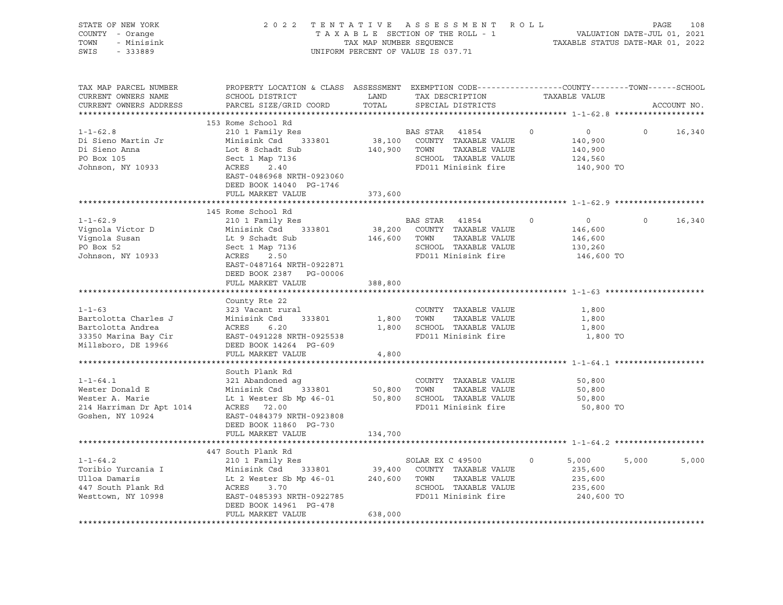| STATE OF NEW YORK<br>COUNTY - Orange<br>- Minisink<br>TOWN<br>SWIS<br>$-333889$ |                                                                                                                                             | TAX MAP NUMBER SEQUENCE | 2022 TENTATIVE ASSESSMENT ROLL<br>TAXABLE SECTION OF THE ROLL - 1<br>UNIFORM PERCENT OF VALUE IS 037.71 |         |                           | 108<br>PAGE<br>VALUATION DATE-JUL 01, 2021<br>TAXABLE STATUS DATE-MAR 01, 2022 |
|---------------------------------------------------------------------------------|---------------------------------------------------------------------------------------------------------------------------------------------|-------------------------|---------------------------------------------------------------------------------------------------------|---------|---------------------------|--------------------------------------------------------------------------------|
| TAX MAP PARCEL NUMBER<br>CURRENT OWNERS NAME<br>CURRENT OWNERS ADDRESS          | PROPERTY LOCATION & CLASS ASSESSMENT EXEMPTION CODE---------------COUNTY-------TOWN-----SCHOOL<br>SCHOOL DISTRICT<br>PARCEL SIZE/GRID COORD | LAND<br>TOTAL           | TAX DESCRIPTION<br>SPECIAL DISTRICTS                                                                    |         | TAXABLE VALUE             | ACCOUNT NO.                                                                    |
|                                                                                 | 153 Rome School Rd                                                                                                                          |                         |                                                                                                         |         |                           |                                                                                |
| $1 - 1 - 62.8$                                                                  | 210 1 Family Res                                                                                                                            |                         | BAS STAR 41854                                                                                          | $\circ$ | 0                         | $\Omega$<br>16,340                                                             |
| Di Sieno Martin Jr                                                              | Minisink Csd 333801                                                                                                                         |                         | 38,100 COUNTY TAXABLE VALUE                                                                             |         | 140,900                   |                                                                                |
| Di Sieno Anna                                                                   | Lot 8 Schadt Sub                                                                                                                            |                         | 140,900 TOWN<br>TAXABLE VALUE                                                                           |         | 140,900                   |                                                                                |
| PO Box 105                                                                      | Sect 1 Map 7136                                                                                                                             |                         | SCHOOL TAXABLE VALUE                                                                                    |         | 124,560                   |                                                                                |
| Johnson, NY 10933                                                               | ACRES<br>2.40                                                                                                                               |                         | FD011 Minisink fire                                                                                     |         | 140,900 TO                |                                                                                |
|                                                                                 | EAST-0486968 NRTH-0923060<br>DEED BOOK 14040 PG-1746                                                                                        |                         |                                                                                                         |         |                           |                                                                                |
|                                                                                 | FULL MARKET VALUE                                                                                                                           | 373,600                 |                                                                                                         |         |                           |                                                                                |
|                                                                                 |                                                                                                                                             |                         |                                                                                                         |         |                           |                                                                                |
| $1 - 1 - 62.9$                                                                  | 145 Rome School Rd                                                                                                                          |                         |                                                                                                         | $\circ$ |                           | $\circ$                                                                        |
| Vignola Victor D                                                                | 210 1 Family Res<br>Minisink Csd 333801                                                                                                     |                         | BAS STAR 41854<br>38,200 COUNTY TAXABLE VALUE                                                           |         | $\overline{0}$<br>146,600 | 16,340                                                                         |
| Vignola Susan                                                                   | Lt 9 Schadt Sub                                                                                                                             | 146,600 TOWN            | TAXABLE VALUE                                                                                           |         | 146,600                   |                                                                                |
| PO Box 52                                                                       | Sect 1 Map 7136                                                                                                                             |                         | SCHOOL TAXABLE VALUE                                                                                    |         | 130,260                   |                                                                                |
| Johnson, NY 10933                                                               | ACRES 2.50                                                                                                                                  |                         | FD011 Minisink fire                                                                                     |         | 146,600 TO                |                                                                                |
|                                                                                 | EAST-0487164 NRTH-0922871                                                                                                                   |                         |                                                                                                         |         |                           |                                                                                |
|                                                                                 | DEED BOOK 2387 PG-00006                                                                                                                     |                         |                                                                                                         |         |                           |                                                                                |
|                                                                                 | FULL MARKET VALUE                                                                                                                           | 388,800                 |                                                                                                         |         |                           |                                                                                |
|                                                                                 |                                                                                                                                             |                         |                                                                                                         |         |                           |                                                                                |
|                                                                                 | County Rte 22                                                                                                                               |                         |                                                                                                         |         |                           |                                                                                |
| $1 - 1 - 63$                                                                    | 323 Vacant rural                                                                                                                            |                         | COUNTY TAXABLE VALUE                                                                                    |         | 1,800                     |                                                                                |
| Bartolotta Charles J                                                            | 333801<br>Minisink Csd<br>6.20                                                                                                              |                         | 1,800 TOWN<br>TAXABLE VALUE                                                                             |         | 1,800                     |                                                                                |
| Bartolotta Andrea<br>33350 Marina Bay Cir                                       | ACRES<br>EAST-0491228 NRTH-0925538                                                                                                          |                         | 1,800 SCHOOL TAXABLE VALUE<br>FD011 Minisink fire                                                       |         | 1,800<br>1,800 TO         |                                                                                |
| Millsboro, DE 19966                                                             | DEED BOOK 14264 PG-609                                                                                                                      |                         |                                                                                                         |         |                           |                                                                                |
|                                                                                 | FULL MARKET VALUE                                                                                                                           | 4,800                   |                                                                                                         |         |                           |                                                                                |
|                                                                                 |                                                                                                                                             |                         |                                                                                                         |         |                           |                                                                                |
|                                                                                 | South Plank Rd                                                                                                                              |                         |                                                                                                         |         |                           |                                                                                |
| $1 - 1 - 64.1$                                                                  | 321 Abandoned ag                                                                                                                            |                         | COUNTY TAXABLE VALUE                                                                                    |         | 50,800                    |                                                                                |
| Wester Donald E                                                                 | Minisink Csd<br>333801                                                                                                                      | 50,800 TOWN             | TAXABLE VALUE                                                                                           |         | 50,800                    |                                                                                |
| Wester A. Marie                                                                 | Lt 1 Wester Sb Mp 46-01                                                                                                                     |                         | 50,800 SCHOOL TAXABLE VALUE                                                                             |         | 50,800                    |                                                                                |
| 214 Harriman Dr Apt 1014                                                        | ACRES 72.00                                                                                                                                 |                         | FD011 Minisink fire                                                                                     |         | 50,800 TO                 |                                                                                |
| Goshen, NY 10924                                                                | EAST-0484379 NRTH-0923808                                                                                                                   |                         |                                                                                                         |         |                           |                                                                                |
|                                                                                 | DEED BOOK 11860 PG-730                                                                                                                      |                         |                                                                                                         |         |                           |                                                                                |
|                                                                                 | FULL MARKET VALUE                                                                                                                           | 134,700                 |                                                                                                         |         |                           |                                                                                |
|                                                                                 | 447 South Plank Rd                                                                                                                          |                         |                                                                                                         |         |                           |                                                                                |
| $1 - 1 - 64.2$                                                                  | 210 1 Family Res                                                                                                                            |                         | SOLAR EX C 49500                                                                                        | $\circ$ | 5,000                     | 5,000<br>5,000                                                                 |
| Toribio Yurcania I                                                              | Minisink Csd                                                                                                                                |                         | 333801 39,400 COUNTY TAXABLE VALUE                                                                      |         | 235,600                   |                                                                                |
| Ulloa Damaris                                                                   | Lt 2 Wester Sb Mp 46-01                                                                                                                     |                         | 240,600 TOWN TAXABLE VALUE                                                                              |         | 235,600                   |                                                                                |
| 447 South Plank Rd                                                              | ACRES 3.70                                                                                                                                  |                         | SCHOOL TAXABLE VALUE                                                                                    |         | 235,600                   |                                                                                |
| Westtown, NY 10998                                                              | EAST-0485393 NRTH-0922785                                                                                                                   |                         | FD011 Minisink fire                                                                                     |         | 240,600 TO                |                                                                                |
|                                                                                 | DEED BOOK 14961 PG-478                                                                                                                      |                         |                                                                                                         |         |                           |                                                                                |
|                                                                                 | FULL MARKET VALUE                                                                                                                           | 638,000                 |                                                                                                         |         |                           |                                                                                |
|                                                                                 |                                                                                                                                             |                         |                                                                                                         |         |                           |                                                                                |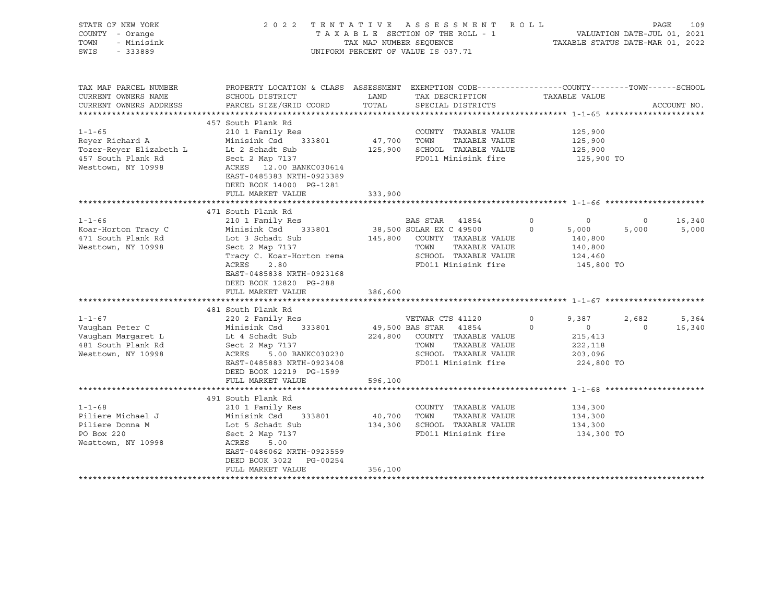| STATE OF NEW YORK<br>COUNTY - Orange<br>TOWN<br>- Minisink<br>SWIS<br>$-333889$                        | 2022 TENTATIVE ASSESSMENT<br>TAXABLE SECTION OF THE ROLL - 1<br>TAX MAP NUMBER SEQUENCE<br>UNIFORM PERCENT OF VALUE IS 037.71                                                                                                                         | ROLL                         | TAXABLE STATUS DATE-MAR 01, 2022                                                                                                                              | PAGE<br>VALUATION DATE-JUL 01, 2021 | 109                                                                      |                           |                          |
|--------------------------------------------------------------------------------------------------------|-------------------------------------------------------------------------------------------------------------------------------------------------------------------------------------------------------------------------------------------------------|------------------------------|---------------------------------------------------------------------------------------------------------------------------------------------------------------|-------------------------------------|--------------------------------------------------------------------------|---------------------------|--------------------------|
| TAX MAP PARCEL NUMBER<br>CURRENT OWNERS NAME<br>CURRENT OWNERS ADDRESS                                 | PROPERTY LOCATION & CLASS ASSESSMENT EXEMPTION CODE---------------COUNTY-------TOWN------SCHOOL<br>SCHOOL DISTRICT<br>PARCEL SIZE/GRID COORD                                                                                                          | LAND<br>TOTAL                | TAX DESCRIPTION<br>SPECIAL DISTRICTS                                                                                                                          |                                     | TAXABLE VALUE                                                            |                           | ACCOUNT NO.              |
| $1 - 1 - 65$<br>Reyer Richard A<br>Tozer-Reyer Elizabeth L<br>457 South Plank Rd<br>Westtown, NY 10998 | 457 South Plank Rd<br>210 1 Family Res<br>Minisink Csd<br>333801<br>Lt 2 Schadt Sub<br>Sect 2 Map 7137<br>ACRES 12.00 BANKC030614<br>EAST-0485383 NRTH-0923389<br>DEED BOOK 14000 PG-1281                                                             | 47,700<br>125,900            | COUNTY TAXABLE VALUE<br>TOWN<br>TAXABLE VALUE<br>SCHOOL TAXABLE VALUE<br>FD011 Minisink fire                                                                  |                                     | 125,900<br>125,900<br>125,900<br>125,900 TO                              |                           |                          |
|                                                                                                        | FULL MARKET VALUE                                                                                                                                                                                                                                     | 333,900                      |                                                                                                                                                               |                                     |                                                                          |                           |                          |
|                                                                                                        | 471 South Plank Rd                                                                                                                                                                                                                                    |                              |                                                                                                                                                               |                                     |                                                                          |                           |                          |
| $1 - 1 - 66$<br>Koar-Horton Tracy C<br>471 South Plank Rd<br>Westtown, NY 10998<br>$1 - 1 - 67$        | 210 1 Family Res<br>Minisink Csd<br>333801<br>Lot 3 Schadt Sub<br>Sect 2 Map 7137<br>Tracy C. Koar-Horton rema<br>ACRES<br>2.80<br>EAST-0485838 NRTH-0923168<br>DEED BOOK 12820 PG-288<br>FULL MARKET VALUE<br>481 South Plank Rd<br>220 2 Family Res | 145,800<br>386,600           | BAS STAR 41854<br>38,500 SOLAR EX C 49500<br>COUNTY TAXABLE VALUE<br>TOWN<br>TAXABLE VALUE<br>SCHOOL TAXABLE VALUE<br>FD011 Minisink fire<br>VETWAR CTS 41120 | $\circ$<br>$\Omega$<br>0            | $\circ$<br>5,000<br>140,800<br>140,800<br>124,460<br>145,800 TO<br>9,387 | $\circ$<br>5,000<br>2,682 | 16,340<br>5,000<br>5,364 |
| Vaughan Peter C<br>Vaughan Margaret L<br>481 South Plank Rd<br>Westtown, NY 10998                      | Minisink Csd<br>333801<br>Lt 4 Schadt Sub<br>Sect 2 Map 7137<br>5.00 BANKC030230<br>ACRES<br>EAST-0485883 NRTH-0923408<br>DEED BOOK 12219 PG-1599<br>FULL MARKET VALUE                                                                                | 224,800<br>596,100           | 49,500 BAS STAR<br>41854<br>COUNTY TAXABLE VALUE<br>TOWN<br>TAXABLE VALUE<br>SCHOOL TAXABLE VALUE<br>FD011 Minisink fire                                      | $\circ$                             | $\circ$<br>215,413<br>222,118<br>203,096<br>224,800 TO                   | $\mathbf 0$               | 16,340                   |
|                                                                                                        |                                                                                                                                                                                                                                                       |                              |                                                                                                                                                               |                                     |                                                                          |                           |                          |
| $1 - 1 - 68$<br>Piliere Michael J<br>Piliere Donna M<br>PO Box 220<br>Westtown, NY 10998               | 491 South Plank Rd<br>210 1 Family Res<br>Minisink Csd<br>333801<br>Lot 5 Schadt Sub<br>Sect 2 Map 7137<br>ACRES<br>5.00<br>EAST-0486062 NRTH-0923559<br>DEED BOOK 3022<br>PG-00254<br>FULL MARKET VALUE                                              | 40,700<br>134,300<br>356,100 | COUNTY TAXABLE VALUE<br>TOWN<br>TAXABLE VALUE<br>SCHOOL TAXABLE VALUE<br>FD011 Minisink fire                                                                  |                                     | 134,300<br>134,300<br>134,300<br>134,300 TO                              |                           |                          |
|                                                                                                        |                                                                                                                                                                                                                                                       |                              |                                                                                                                                                               |                                     |                                                                          |                           |                          |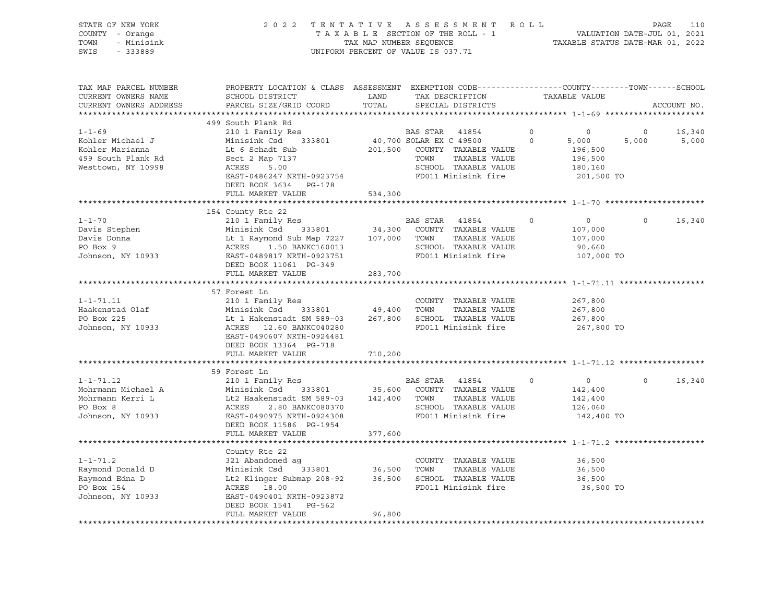| STATE OF NEW YORK<br>COUNTY - Orange<br>TOWN - Minisink<br>SWIS - 333889                                                                                                                                                                             |                                                                                                                                                                                                                                                   |         | TENTATIVE ASSESSMENT ROLL PAGE 110<br>TAXABLE SECTION OF THE ROLL - 1 VALUATION DATE-JUL 01, 2021<br>TAX MAP NUMBER SEQUENCE TAXABLE STATUS DATE-MAR 01, 2022<br>2022 TENTATIVE ASSESSMENT ROLL<br>UNIFORM PERCENT OF VALUE IS 037.71 |         |                                                               |                |             |
|------------------------------------------------------------------------------------------------------------------------------------------------------------------------------------------------------------------------------------------------------|---------------------------------------------------------------------------------------------------------------------------------------------------------------------------------------------------------------------------------------------------|---------|---------------------------------------------------------------------------------------------------------------------------------------------------------------------------------------------------------------------------------------|---------|---------------------------------------------------------------|----------------|-------------|
| TAX MAP PARCEL NUMBER<br>CURRENT OWNERS NAME<br>CURRENT OWNERS ADDRESS                                                                                                                                                                               | PROPERTY LOCATION & CLASS ASSESSMENT EXEMPTION CODE---------------COUNTY-------TOWN------SCHOOL<br>SCHOOL DISTRICT  LAND  TAX DESCRIPTION<br>PARCEL SIZE/GRID COORD                                                                               |         | TOTAL SPECIAL DISTRICTS                                                                                                                                                                                                               |         | TAXABLE VALUE                                                 |                | ACCOUNT NO. |
|                                                                                                                                                                                                                                                      |                                                                                                                                                                                                                                                   |         |                                                                                                                                                                                                                                       |         |                                                               |                |             |
| $1 - 1 - 69$                                                                                                                                                                                                                                         | 499 South Plank Rd<br>210 1 Family Res                                                                                                                                                                                                            |         |                                                                                                                                                                                                                                       |         |                                                               | $\overline{0}$ | 16,340      |
| Kohler Michael J<br>Kohler Marianna<br>499 South Plank Rd<br>Westtown, NY 10998                                                                                                                                                                      | Minisink Csd 333801<br>EXECUTE 196,500<br>Le 6 Schap 7137<br>Sect 2 Map 7137<br>ACRES 5.00<br>EAST-0486247 NRTH-0923754<br>FD011 Minisink fire 201,500 TO 201,500 TO 201,500 TO 201,500 TO 201,500 TO 201,500 TO<br>DEED BOOK 3634 PG-178         |         | BAS STAR 41854 0<br>40,700 SOLAR EX C 49500 0 5,000<br>201,500 COUNTY TAXABLE VALUE 196,500<br>TOWN TAXABLE VALUE 196,500                                                                                                             |         |                                                               | 5,000          | 5,000       |
|                                                                                                                                                                                                                                                      | FULL MARKET VALUE                                                                                                                                                                                                                                 | 534,300 |                                                                                                                                                                                                                                       |         |                                                               |                |             |
|                                                                                                                                                                                                                                                      |                                                                                                                                                                                                                                                   |         |                                                                                                                                                                                                                                       |         |                                                               |                |             |
| 1-1-70<br>210 1 Family Res<br>Davis Stephen Minisink Csd 333801<br>210 1 Family Res<br>Minisink Csd 333801<br>210 1 Family Res<br>Minisink Csd 333801<br>210 1 Family Res<br>210 1 Family Res<br>210 1 Family Res<br>210 1 Family Res<br>210 1 Famil | 154 County Rte 22<br>FULL MARKET VALUE                                                                                                                                                                                                            | 283,700 |                                                                                                                                                                                                                                       |         |                                                               | $\circ$        | 16,340      |
|                                                                                                                                                                                                                                                      |                                                                                                                                                                                                                                                   |         |                                                                                                                                                                                                                                       |         |                                                               |                |             |
| $1 - 1 - 71.11$<br>Haakenstad Olaf<br>PO Box 225<br>Johnson, NY 10933                                                                                                                                                                                | 57 Forest Ln<br>210 1 Family Res<br>Minisink Csd 333801 49,400 TOWN TAXABLE VALUE<br>Lt 1 Hakenstadt SM 589-03 267,800 SCHOOL TAXABLE VALUE<br>ACRES 12.60 BANKC040280 FD011 Minisink fire<br>EAST-0490607 NRTH-0924481<br>DEED BOOK 13364 PG-718 |         |                                                                                                                                                                                                                                       |         | 267,800<br>267,800<br>267,800<br>267,800 TO                   |                |             |
|                                                                                                                                                                                                                                                      | FULL MARKET VALUE                                                                                                                                                                                                                                 | 710,200 |                                                                                                                                                                                                                                       |         |                                                               |                |             |
|                                                                                                                                                                                                                                                      |                                                                                                                                                                                                                                                   |         |                                                                                                                                                                                                                                       |         |                                                               |                |             |
| 1-1-71.12<br>Mohrmann Michael A<br>Mohrmann Kerri L<br>Mohrmann Kerri L<br>Lt2 Haakenstadt SM 589-03<br>Lt2 Haakenstadt SM 589-03<br>142,400 TOWN TAXABLE VALUE<br>PO Box 8<br>Johnson, NY 10933<br>EAST-0490975 NRTH-09243308<br>EAST-0490975 NRT   | 59 Forest Ln<br>DEED BOOK 11586 PG-1954                                                                                                                                                                                                           |         |                                                                                                                                                                                                                                       | $\circ$ | $\overline{0}$<br>142,400<br>142,400<br>126,060<br>142,400 TO | $\Omega$       | 16,340      |
|                                                                                                                                                                                                                                                      | FULL MARKET VALUE                                                                                                                                                                                                                                 | 377,600 |                                                                                                                                                                                                                                       |         |                                                               |                |             |
|                                                                                                                                                                                                                                                      |                                                                                                                                                                                                                                                   |         |                                                                                                                                                                                                                                       |         |                                                               |                |             |
| 1-1-71.2 321 Abandoned ag COUNTY TAXABLE VALUE<br>Raymond Donald D Minisink Csd 333801 36,500 TOWN TAXABLE VALUE<br>Raymond Edna D Lt2 Klinger Submap 208-92 36,500 SCHOOL TAXABLE VALUE<br>PO Box 154 ACRES 18.00 FD011 Minisink fi                 | County Rte 22<br>DEED BOOK 1541 PG-562                                                                                                                                                                                                            |         |                                                                                                                                                                                                                                       |         | 36,500<br>36,500<br>36,500<br>36,500 TO                       |                |             |
|                                                                                                                                                                                                                                                      | FULL MARKET VALUE                                                                                                                                                                                                                                 | 96,800  |                                                                                                                                                                                                                                       |         |                                                               |                |             |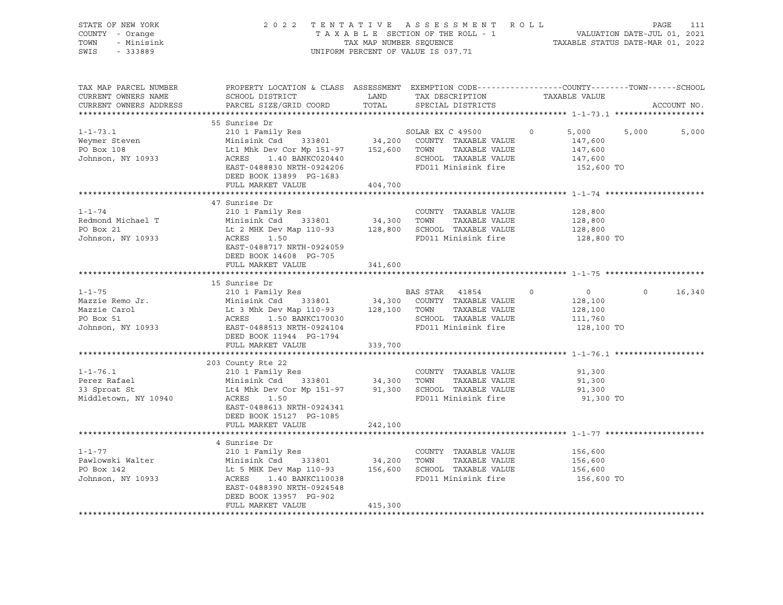| STATE OF NEW YORK<br>COUNTY - Orange<br>TOWN<br>- Minisink<br>SWIS<br>$-333889$     |                                                                                                                                                                                                                                                                                                                                                                                | 2022 TENTATIVE ASSESSMENT ROLL PAGE 111<br>TAXABLE SECTION OF THE ROLL - 1 VALUATION DATE-JUL 01, 2021<br>TAX MAP NUMBER SEQUENCE TAXABLE STATUS DATE-MAR 01, 2022<br>UNIFORM PERCENT OF VALUE IS 037.71 |                                                              |                                                               |                |  |  |  |
|-------------------------------------------------------------------------------------|--------------------------------------------------------------------------------------------------------------------------------------------------------------------------------------------------------------------------------------------------------------------------------------------------------------------------------------------------------------------------------|----------------------------------------------------------------------------------------------------------------------------------------------------------------------------------------------------------|--------------------------------------------------------------|---------------------------------------------------------------|----------------|--|--|--|
| TAX MAP PARCEL NUMBER<br>CURRENT OWNERS NAME<br>CURRENT OWNERS ADDRESS              | PROPERTY LOCATION & CLASS ASSESSMENT EXEMPTION CODE----------------COUNTY-------TOWN------SCHOOL                                                                                                                                                                                                                                                                               |                                                                                                                                                                                                          |                                                              |                                                               | ACCOUNT NO.    |  |  |  |
|                                                                                     | 55 Sunrise Dr                                                                                                                                                                                                                                                                                                                                                                  |                                                                                                                                                                                                          |                                                              |                                                               |                |  |  |  |
| $1 - 1 - 73.1$<br>Weymer Steven<br>PO Box 108<br>Johnson, NY 10933                  | 55 SUNTISE DT<br>210 1 Family Res<br>Minisink Csd 333801 34,200 COUNTY TAXABLE VALUE 147,600<br>147,600 Lt1 Mhk Dev Cor Mp 151-97 152,600 TOWN TAXABLE VALUE 147,600<br>ACRES 1.40 BANKC020440 SCHOOL TAXABLE VALUE 147,600<br>EAST-0488<br>DEED BOOK 13899 PG-1683<br>DEED BOOK 13899  PG-1683<br>FULL MARKET VALUE                 404,700                                   |                                                                                                                                                                                                          |                                                              | 152,600 TO                                                    | 5,000<br>5,000 |  |  |  |
|                                                                                     |                                                                                                                                                                                                                                                                                                                                                                                |                                                                                                                                                                                                          |                                                              |                                                               |                |  |  |  |
| $1 - 1 - 74$<br>$1 - 1 - 74$<br>Redmond Michael T<br>PO Box 21<br>Johnson, NY 10933 | 210 1 Family Res<br>Minisink Csd 333801 34,300 TOWN TAXABLE VALUE<br>Lt 2 MHK Dev Map 110-93 128,800 SCHOOL TAXABLE VALUE<br>ACRES<br>RACRES 1.50 FD011 Minisink fire<br>EAST-0488717 NRTH-0924059<br>DEED BOOK 14608 PG-705                                                                                                                                                   |                                                                                                                                                                                                          |                                                              | 128,800<br>128,800<br>128,800<br>128,800 TO                   |                |  |  |  |
|                                                                                     | FULL MARKET VALUE                                                                                                                                                                                                                                                                                                                                                              | 341,600                                                                                                                                                                                                  |                                                              |                                                               |                |  |  |  |
| $1 - 1 - 75$                                                                        | 15 Sunrise Dr<br>Mazzie Remo Jr.<br>Mazzie Carol (1993) Minisink Csd 333801 34,300 COUNTY TAXABLE VALUE<br>Mazzie Carol (1993) Lt 3 Mhk Dev Map 110-93 128,100 TOWN TAXABLE VALUE<br>PO Box 51 ACRES 1.50 BANKC170030 SCHOOL TAXABLE VALUE<br>Johnson,                                                                                                                         |                                                                                                                                                                                                          |                                                              | $\overline{0}$<br>128,100<br>128,100<br>111,760<br>128,100 TO | $0 \t 16,340$  |  |  |  |
|                                                                                     | DEED BOOK 11944 PG-1794<br>FULL MARKET VALUE 339,700                                                                                                                                                                                                                                                                                                                           |                                                                                                                                                                                                          |                                                              |                                                               |                |  |  |  |
|                                                                                     |                                                                                                                                                                                                                                                                                                                                                                                |                                                                                                                                                                                                          |                                                              |                                                               |                |  |  |  |
| $1 - 1 - 76.1$<br>Perez Rafael<br>33 Sproat St<br>Middletown, NY 10940              | 203 County Rte 22<br>210 1 Family Res<br>ACRES 1.50<br>EAST-0488613 NRTH-0924341<br>DEED BOOK 15127 PG-1085<br>FULL MARKET VALUE                                                                                                                                                                                                                                               | 242,100                                                                                                                                                                                                  | COUNTY TAXABLE VALUE<br>FD011 Minisink fire                  | 91,300<br>91,300<br>91,300<br>91,300 TO                       |                |  |  |  |
|                                                                                     |                                                                                                                                                                                                                                                                                                                                                                                |                                                                                                                                                                                                          |                                                              |                                                               |                |  |  |  |
| $1 - 1 - 77$                                                                        | 4 Sunrise Dr<br>210 1 Family Res<br>Pawlowski Walter<br>Po Box 142<br>Minisink Csd 333801<br>210 1 raminy Res<br>Minisink Csd 333801<br>210 Box 142<br>210 Box 10933<br>210 Box 140 Box 2156,600<br>2156,600<br>216,600<br>216,600<br>216,600<br>216,600<br>216,600<br>216,600<br>216,600<br>22001<br>EAST-0488390 NRTH-0924548<br>DEED BOOK 13957 PG-902<br>FULL MARKET VALUE | 415,300                                                                                                                                                                                                  | COUNTY TAXABLE VALUE<br>TAXABLE VALUE<br>FD011 Minisink fire | 156,600<br>156,600<br>156,600<br>156,600 TO                   |                |  |  |  |
|                                                                                     |                                                                                                                                                                                                                                                                                                                                                                                |                                                                                                                                                                                                          |                                                              |                                                               |                |  |  |  |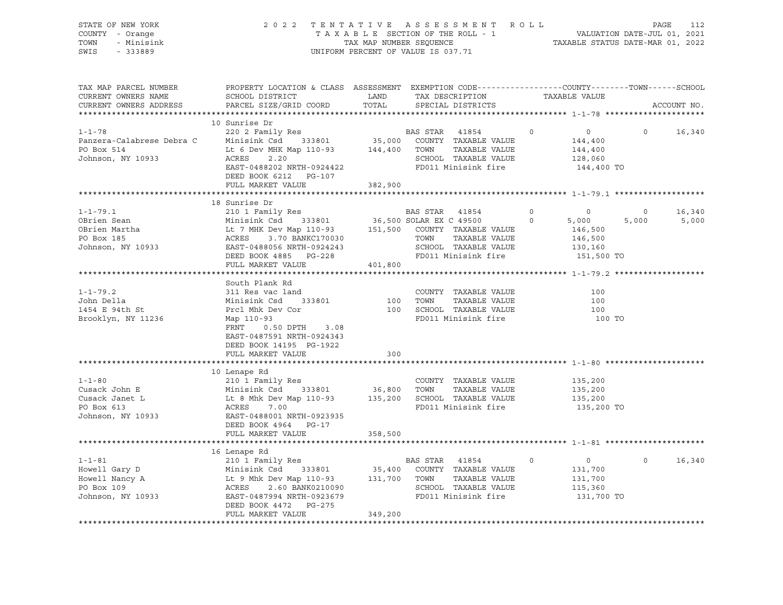| STATE OF NEW YORK<br>COUNTY - Orange<br>- Minisink<br>TOWN<br>SWIS<br>$-333889$                                                                                                                                                                                                                                                                                                                      | 2022 TENTATIVE ASSESSMENT ROLL                                                                                                                | UNIFORM PERCENT OF VALUE IS 037.71 |                                                         |         | $\begin{tabular}{lllllllllllllllll} \texttt{F} & \texttt{B} & \texttt{N} & \texttt{T} & \texttt{T} & \texttt{A} & \texttt{T} & \texttt{B} & \texttt{A} & \texttt{B} & \texttt{B} & \texttt{B} & \texttt{B} & \texttt{B} & \texttt{B} & \texttt{B} & \texttt{B} & \texttt{B} & \texttt{B} & \texttt{B} & \texttt{B} & \texttt{B} & \texttt{B} & \texttt{B} & \texttt{B} & \texttt{B} & \texttt{B} & \texttt{B} & \texttt{B} & \texttt{B$ |                         |                 |
|------------------------------------------------------------------------------------------------------------------------------------------------------------------------------------------------------------------------------------------------------------------------------------------------------------------------------------------------------------------------------------------------------|-----------------------------------------------------------------------------------------------------------------------------------------------|------------------------------------|---------------------------------------------------------|---------|-----------------------------------------------------------------------------------------------------------------------------------------------------------------------------------------------------------------------------------------------------------------------------------------------------------------------------------------------------------------------------------------------------------------------------------------|-------------------------|-----------------|
| TAX MAP PARCEL NUMBER<br>CURRENT OWNERS NAME<br>CURRENT OWNERS ADDRESS                                                                                                                                                                                                                                                                                                                               | PROPERTY LOCATION & CLASS ASSESSMENT EXEMPTION CODE----------------COUNTY-------TOWN------SCHOOL<br>SCHOOL DISTRICT<br>PARCEL SIZE/GRID COORD | TOTAL                              | LAND TAX DESCRIPTION TAXABLE VALUE<br>SPECIAL DISTRICTS |         |                                                                                                                                                                                                                                                                                                                                                                                                                                         |                         | ACCOUNT NO.     |
|                                                                                                                                                                                                                                                                                                                                                                                                      |                                                                                                                                               |                                    |                                                         |         |                                                                                                                                                                                                                                                                                                                                                                                                                                         |                         |                 |
|                                                                                                                                                                                                                                                                                                                                                                                                      | 10 Sunrise Dr                                                                                                                                 |                                    |                                                         |         |                                                                                                                                                                                                                                                                                                                                                                                                                                         | $\Omega$                | 16,340          |
| 1-1-78<br>2002 Family Res<br>2002 Family Res<br>2002 Family Res<br>2002 Family Res<br>35,000 COUNTY TAXABLE VALUE<br>2144,400<br>2144,400<br>2144,400<br>35,000 COUNTY TAXABLE VALUE<br>2144,400<br>35,000 COUNTY TAXABLE VALUE<br>35,000 COUNTY TAXAB                                                                                                                                               |                                                                                                                                               |                                    |                                                         |         |                                                                                                                                                                                                                                                                                                                                                                                                                                         |                         |                 |
|                                                                                                                                                                                                                                                                                                                                                                                                      |                                                                                                                                               |                                    |                                                         |         |                                                                                                                                                                                                                                                                                                                                                                                                                                         |                         |                 |
|                                                                                                                                                                                                                                                                                                                                                                                                      |                                                                                                                                               |                                    |                                                         |         |                                                                                                                                                                                                                                                                                                                                                                                                                                         |                         |                 |
|                                                                                                                                                                                                                                                                                                                                                                                                      |                                                                                                                                               |                                    |                                                         |         | 144,400 TO                                                                                                                                                                                                                                                                                                                                                                                                                              |                         |                 |
|                                                                                                                                                                                                                                                                                                                                                                                                      | DEED BOOK 6212 PG-107                                                                                                                         |                                    |                                                         |         |                                                                                                                                                                                                                                                                                                                                                                                                                                         |                         |                 |
|                                                                                                                                                                                                                                                                                                                                                                                                      | FULL MARKET VALUE                                                                                                                             | 382,900                            |                                                         |         |                                                                                                                                                                                                                                                                                                                                                                                                                                         |                         |                 |
|                                                                                                                                                                                                                                                                                                                                                                                                      |                                                                                                                                               |                                    |                                                         |         |                                                                                                                                                                                                                                                                                                                                                                                                                                         |                         |                 |
|                                                                                                                                                                                                                                                                                                                                                                                                      | 18 Sunrise Dr                                                                                                                                 |                                    |                                                         |         |                                                                                                                                                                                                                                                                                                                                                                                                                                         |                         |                 |
|                                                                                                                                                                                                                                                                                                                                                                                                      |                                                                                                                                               |                                    |                                                         |         |                                                                                                                                                                                                                                                                                                                                                                                                                                         | $\overline{0}$<br>5,000 | 16,340<br>5,000 |
|                                                                                                                                                                                                                                                                                                                                                                                                      |                                                                                                                                               |                                    |                                                         |         |                                                                                                                                                                                                                                                                                                                                                                                                                                         |                         |                 |
|                                                                                                                                                                                                                                                                                                                                                                                                      |                                                                                                                                               |                                    |                                                         |         |                                                                                                                                                                                                                                                                                                                                                                                                                                         |                         |                 |
|                                                                                                                                                                                                                                                                                                                                                                                                      |                                                                                                                                               |                                    |                                                         |         |                                                                                                                                                                                                                                                                                                                                                                                                                                         |                         |                 |
|                                                                                                                                                                                                                                                                                                                                                                                                      |                                                                                                                                               |                                    |                                                         |         | 151,500 TO                                                                                                                                                                                                                                                                                                                                                                                                                              |                         |                 |
|                                                                                                                                                                                                                                                                                                                                                                                                      | FULL MARKET VALUE                                                                                                                             | 401,800                            |                                                         |         |                                                                                                                                                                                                                                                                                                                                                                                                                                         |                         |                 |
|                                                                                                                                                                                                                                                                                                                                                                                                      |                                                                                                                                               |                                    |                                                         |         |                                                                                                                                                                                                                                                                                                                                                                                                                                         |                         |                 |
|                                                                                                                                                                                                                                                                                                                                                                                                      | South Plank Rd                                                                                                                                |                                    |                                                         |         |                                                                                                                                                                                                                                                                                                                                                                                                                                         |                         |                 |
| $1 - 1 - 79.2$                                                                                                                                                                                                                                                                                                                                                                                       |                                                                                                                                               |                                    | COUNTY TAXABLE VALUE                                    |         | 100                                                                                                                                                                                                                                                                                                                                                                                                                                     |                         |                 |
| John Della<br>1454 E 94th St                                                                                                                                                                                                                                                                                                                                                                         | Example 2000 country<br>311 Res vac land<br>Minisink Csd 333801 100 TOWN                                                                      |                                    | TAXABLE VALUE<br>100 SCHOOL TAXABLE VALUE               |         | 100<br>100                                                                                                                                                                                                                                                                                                                                                                                                                              |                         |                 |
| Brooklyn, NY 11236                                                                                                                                                                                                                                                                                                                                                                                   | 311 Res vac<br>Minisink Csd 333801<br>Prcl Mhk Dev Cor<br>** 110-93                                                                           |                                    | FD011 Minisink fire                                     |         | 100 TO                                                                                                                                                                                                                                                                                                                                                                                                                                  |                         |                 |
|                                                                                                                                                                                                                                                                                                                                                                                                      | 0.50 DPTH 3.08<br>FRNT                                                                                                                        |                                    |                                                         |         |                                                                                                                                                                                                                                                                                                                                                                                                                                         |                         |                 |
|                                                                                                                                                                                                                                                                                                                                                                                                      | EAST-0487591 NRTH-0924343                                                                                                                     |                                    |                                                         |         |                                                                                                                                                                                                                                                                                                                                                                                                                                         |                         |                 |
|                                                                                                                                                                                                                                                                                                                                                                                                      | DEED BOOK 14195 PG-1922                                                                                                                       |                                    |                                                         |         |                                                                                                                                                                                                                                                                                                                                                                                                                                         |                         |                 |
|                                                                                                                                                                                                                                                                                                                                                                                                      | FULL MARKET VALUE                                                                                                                             | 300                                |                                                         |         |                                                                                                                                                                                                                                                                                                                                                                                                                                         |                         |                 |
|                                                                                                                                                                                                                                                                                                                                                                                                      |                                                                                                                                               |                                    |                                                         |         |                                                                                                                                                                                                                                                                                                                                                                                                                                         |                         |                 |
|                                                                                                                                                                                                                                                                                                                                                                                                      | 10 Lenape Rd                                                                                                                                  |                                    |                                                         |         |                                                                                                                                                                                                                                                                                                                                                                                                                                         |                         |                 |
|                                                                                                                                                                                                                                                                                                                                                                                                      |                                                                                                                                               |                                    |                                                         |         | 135,200<br>135,200                                                                                                                                                                                                                                                                                                                                                                                                                      |                         |                 |
|                                                                                                                                                                                                                                                                                                                                                                                                      |                                                                                                                                               |                                    | TAXABLE VALUE                                           |         |                                                                                                                                                                                                                                                                                                                                                                                                                                         |                         |                 |
|                                                                                                                                                                                                                                                                                                                                                                                                      |                                                                                                                                               |                                    | FD011 Minisink fire                                     |         | 135,200<br>135,200 TO                                                                                                                                                                                                                                                                                                                                                                                                                   |                         |                 |
|                                                                                                                                                                                                                                                                                                                                                                                                      |                                                                                                                                               |                                    |                                                         |         |                                                                                                                                                                                                                                                                                                                                                                                                                                         |                         |                 |
|                                                                                                                                                                                                                                                                                                                                                                                                      | DEED BOOK 4964 PG-17                                                                                                                          |                                    |                                                         |         |                                                                                                                                                                                                                                                                                                                                                                                                                                         |                         |                 |
|                                                                                                                                                                                                                                                                                                                                                                                                      | FULL MARKET VALUE                                                                                                                             | 358,500                            |                                                         |         |                                                                                                                                                                                                                                                                                                                                                                                                                                         |                         |                 |
|                                                                                                                                                                                                                                                                                                                                                                                                      |                                                                                                                                               |                                    |                                                         |         |                                                                                                                                                                                                                                                                                                                                                                                                                                         |                         |                 |
|                                                                                                                                                                                                                                                                                                                                                                                                      | 16 Lenape Rd                                                                                                                                  |                                    |                                                         |         |                                                                                                                                                                                                                                                                                                                                                                                                                                         |                         |                 |
|                                                                                                                                                                                                                                                                                                                                                                                                      |                                                                                                                                               |                                    |                                                         | $\circ$ | $\overline{0}$                                                                                                                                                                                                                                                                                                                                                                                                                          |                         | $0 \t16,340$    |
| $\begin{tabular}{lcccc} 1-1-81 & 16 Lenape Rd & BAS STAR & 41854 \\ \text{Howell Gary D} & Minisink Csd & 333801 & 35,400 COUNTY TAXABLE VALUE \\ \text{Howell Nancy A} & Lt 9 Mhk Dev Map 110-93 & 131,700 TOWN & TAXABLE VALUE \\ \text{PO Box 109 & ACRES & 2.60 BANK021090 & SCHOOL TAXABLE VALUE \\ \text{Johnson, NY 10933 & EAST-0487994 NRTH-0923679 & PD011 Minisink fire \\ \end{tabular}$ |                                                                                                                                               |                                    |                                                         |         | 131,700<br>131,700                                                                                                                                                                                                                                                                                                                                                                                                                      |                         |                 |
|                                                                                                                                                                                                                                                                                                                                                                                                      |                                                                                                                                               |                                    |                                                         |         |                                                                                                                                                                                                                                                                                                                                                                                                                                         |                         |                 |
|                                                                                                                                                                                                                                                                                                                                                                                                      |                                                                                                                                               |                                    |                                                         |         | 115,360<br>131,700 TO                                                                                                                                                                                                                                                                                                                                                                                                                   |                         |                 |
|                                                                                                                                                                                                                                                                                                                                                                                                      | DEED BOOK 4472 PG-275                                                                                                                         |                                    |                                                         |         |                                                                                                                                                                                                                                                                                                                                                                                                                                         |                         |                 |
|                                                                                                                                                                                                                                                                                                                                                                                                      | FULL MARKET VALUE                                                                                                                             | 349,200                            |                                                         |         |                                                                                                                                                                                                                                                                                                                                                                                                                                         |                         |                 |
|                                                                                                                                                                                                                                                                                                                                                                                                      |                                                                                                                                               |                                    |                                                         |         |                                                                                                                                                                                                                                                                                                                                                                                                                                         |                         |                 |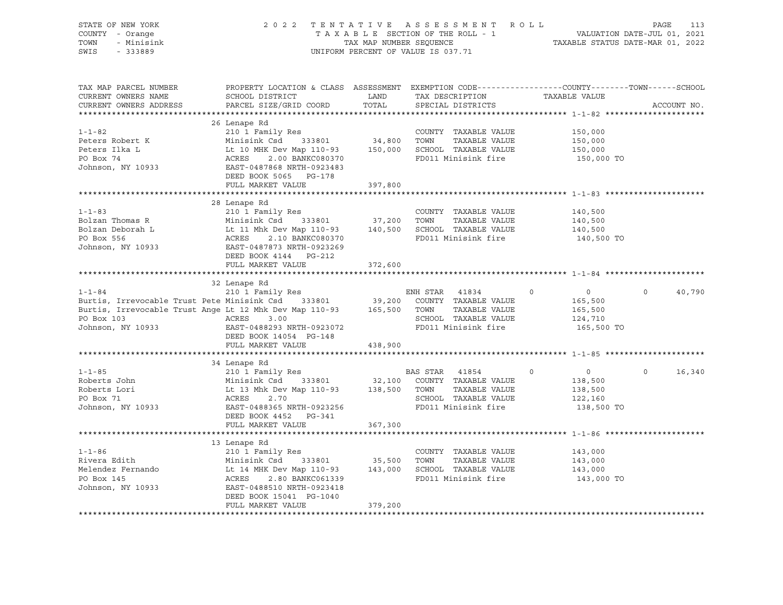| STATE OF NEW YORK<br>COUNTY - Orange<br>TOWN - Minisink<br>SWIS - 333889                                                                                                                                                                     | 2022 TENTATIVE ASSESSMENT ROLL PAGE 113<br>TAXABLE SECTION OF THE ROLL - 1 VALUATION DATE-JUL 01, 2021<br>TAX MAP NUMBER SEQUENCE TAXABLE STATUS DATE-MAR 01, 2022 |         | UNIFORM PERCENT OF VALUE IS 037.71 |                                                 |               |
|----------------------------------------------------------------------------------------------------------------------------------------------------------------------------------------------------------------------------------------------|--------------------------------------------------------------------------------------------------------------------------------------------------------------------|---------|------------------------------------|-------------------------------------------------|---------------|
| TAX MAP PARCEL NUMBER<br>CURRENT OWNERS NAME<br>CURRENT OWNERS ADDRESS                                                                                                                                                                       | PROPERTY LOCATION & CLASS ASSESSMENT EXEMPTION CODE----------------COUNTY-------TOWN------SCHOOL                                                                   |         |                                    |                                                 | ACCOUNT NO.   |
|                                                                                                                                                                                                                                              |                                                                                                                                                                    |         |                                    |                                                 |               |
| 1-1-82<br>Peters Robert K 210 1 Family Res<br>Peters Robert K Minisink Csd 333801 34,800 TOWN TAXABLE VALUE<br>Peters Ilka L Lt 10 MHK Dev Map 110-93 150,000 SCHOOL TAXABLE VALUE<br>PO Box 74 ACRES 2.00 BANKC080370 FD011 Minisink        | DEED BOOK 5065 PG-178                                                                                                                                              |         |                                    | 150,000<br>$150,000$<br>$150,000$<br>150,000 TO |               |
|                                                                                                                                                                                                                                              | FULL MARKET VALUE 397,800                                                                                                                                          |         |                                    |                                                 |               |
|                                                                                                                                                                                                                                              |                                                                                                                                                                    |         |                                    |                                                 |               |
| 1-1-83<br>Bolzan Thomas R 210 1 Family Res COUNTY TAXABLE VALUE<br>Bolzan Deborah L Lt 11 Mhk Dev Map 110-93 140,500<br>PO Box 556 ACRES 2.10 BANKC080370 FD011 Minisink fire 140,500<br>Johnson, NY 10933 EAST-0487873 NRTH-0923269<br>     |                                                                                                                                                                    |         |                                    | 140,500 TO                                      |               |
|                                                                                                                                                                                                                                              | DEED BOOK 4144 PG-212                                                                                                                                              |         |                                    |                                                 |               |
|                                                                                                                                                                                                                                              | FULL MARKET VALUE                                                                                                                                                  | 372,600 |                                    |                                                 |               |
|                                                                                                                                                                                                                                              | 32 Lenape Rd                                                                                                                                                       |         |                                    |                                                 |               |
| 32 Lenape Rd<br>210 1 Family Res<br>Burtis, Irrevocable Trust Pete Minisink Csd<br>Burtis, Irrevocable Trust Ange Lt 12 Mhk Dev Map 110-93<br>200 COUNTY TAXABLE VALUE<br>39,200 COUNTY TAXABLE VALUE<br>39,200 COUNTY TAXABLE VALUE<br>39,2 | DEED BOOK 14054 PG-148                                                                                                                                             |         |                                    |                                                 | $0 \t 40,790$ |
|                                                                                                                                                                                                                                              | FULL MARKET VALUE 438,900                                                                                                                                          |         |                                    |                                                 |               |
|                                                                                                                                                                                                                                              |                                                                                                                                                                    |         |                                    |                                                 |               |
| 34 Lenape Rd<br>210 1 Family Res<br>Roberts John Minisink Csd 333801 32,100 COUNTY TAXABLE VALUE<br>Roberts Lori Lt 13 Mhk Dev Map 110-93 138,500 TOWN TAXABLE VALUE<br>2.70 SCHOOL TAXABLE VALUE<br>Johnson, NY 10933 EAST-0488365 NRTH     | 34 Lenape Rd                                                                                                                                                       |         |                                    |                                                 | $0 \t16,340$  |
|                                                                                                                                                                                                                                              | FULL MARKET VALUE 367,300                                                                                                                                          |         |                                    |                                                 |               |
|                                                                                                                                                                                                                                              | 13 Lenape Rd                                                                                                                                                       |         |                                    |                                                 |               |
| 13 Lenape Rd<br>210 1 Family Res<br>Rivera Edith Minisink Csd 333801 35,500 TOWN TAXABLE VALUE<br>Minisink Csd 333801 35,500 TOWN TAXABLE VALUE 143,000<br>Melendez Fernando Lt 14 MHK Dev Map 110-93 143,000 SCHOOL TAXABLE VALUE 143       | DEED BOOK 15041 PG-1040<br>FULL MARKET VALUE                                                                                                                       |         |                                    |                                                 |               |
|                                                                                                                                                                                                                                              |                                                                                                                                                                    | 379,200 |                                    |                                                 |               |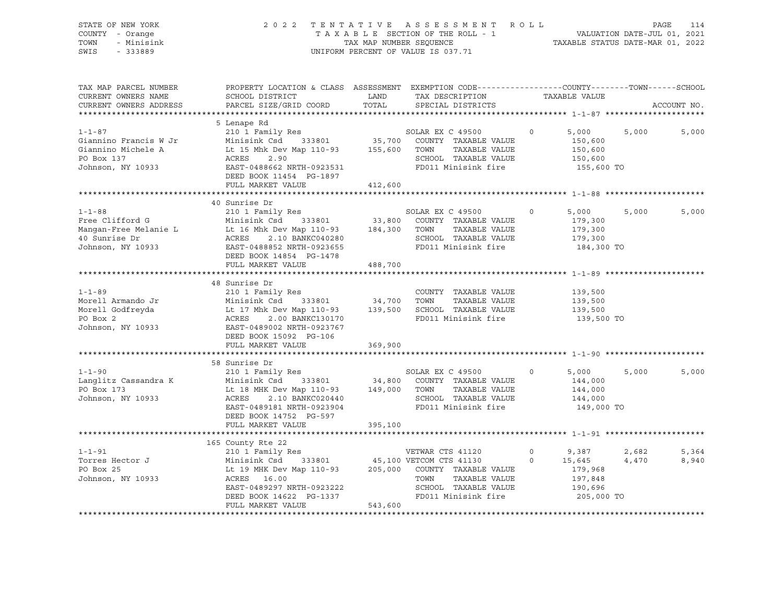| STATE OF NEW YORK<br>COUNTY - Orange<br>TOWN<br>- Minisink<br>SWIS<br>$-333889$                |                                                                                                                                                                                                                            |                              | 2022 TENTATIVE ASSESSMENT ROLL<br>TAXABLE SECTION OF THE ROLL - 1<br>TAXABLE SECTION OF THE ROLL - 1<br>TAXABLE STATUS DATE-MAR 01, 2022<br>UNIFORM PERCENT OF VALUE IS 037.71 |                    |                                                                | PAGE           | 114            |
|------------------------------------------------------------------------------------------------|----------------------------------------------------------------------------------------------------------------------------------------------------------------------------------------------------------------------------|------------------------------|--------------------------------------------------------------------------------------------------------------------------------------------------------------------------------|--------------------|----------------------------------------------------------------|----------------|----------------|
| TAX MAP PARCEL NUMBER<br>CURRENT OWNERS NAME                                                   | PROPERTY LOCATION & CLASS ASSESSMENT EXEMPTION CODE---------------COUNTY-------TOWN-----SCHOOL<br>SCHOOL DISTRICT                                                                                                          | LAND<br>TOTAL                | TAX DESCRIPTION                                                                                                                                                                |                    | TAXABLE VALUE                                                  |                |                |
| CURRENT OWNERS ADDRESS                                                                         | PARCEL SIZE/GRID COORD                                                                                                                                                                                                     |                              | SPECIAL DISTRICTS                                                                                                                                                              |                    |                                                                |                | ACCOUNT NO.    |
|                                                                                                | 5 Lenape Rd                                                                                                                                                                                                                |                              |                                                                                                                                                                                |                    |                                                                |                |                |
| $1 - 1 - 87$<br>Giannino Francis W Jr<br>Giannino Michele A<br>PO Box 137<br>Johnson, NY 10933 | 210 1 Family Res<br>Minisink Csd 333801 35,700 COUNTY TAXABLE VALUE<br>Lt 15 Mhk Dev Map 110-93<br>ACRES 2.90 155,600 TOWN<br>EAST-0488662 NRTH-0923531<br>DEED BOOK 11454 PG-1897                                         |                              | SOLAR EX C 49500<br>TAXABLE VALUE<br>SCHOOL TAXABLE VALUE<br>FD011 Minisink fire                                                                                               | $\circ$            | 5,000<br>150,600<br>150,600<br>150,600<br>155,600 TO           | 5,000          | 5,000          |
|                                                                                                | FULL MARKET VALUE                                                                                                                                                                                                          | 412,600                      |                                                                                                                                                                                |                    |                                                                |                |                |
|                                                                                                | 40 Sunrise Dr                                                                                                                                                                                                              |                              |                                                                                                                                                                                |                    |                                                                |                |                |
| $1 - 1 - 88$<br>Free Clifford G<br>Mangan-Free Melanie L<br>40 Sunrise Dr<br>Johnson, NY 10933 | 210 1 Family Res<br>Minisink Csd 333801<br>Lt 16 Mhk Dev Map 110-93<br>ACRES<br>2.10 BANKC040280<br>EAST-0488852 NRTH-0923655<br>DEED BOOK 14854 PG-1478<br>FULL MARKET VALUE                                              | 33,800<br>184,300<br>488,700 | SOLAR EX C 49500<br>COUNTY TAXABLE VALUE<br>TOWN<br>TAXABLE VALUE<br>SCHOOL TAXABLE VALUE<br>FD011 Minisink fire                                                               | $\circ$            | 5,000<br>179,300<br>179,300<br>179,300<br>184,300 TO           | 5,000          | 5,000          |
|                                                                                                |                                                                                                                                                                                                                            |                              |                                                                                                                                                                                |                    |                                                                |                |                |
| $1 - 1 - 89$<br>Morell Armando Jr<br>Morell Godfreyda<br>PO Box 2<br>Johnson, NY 10933         | 48 Sunrise Dr<br>210 1 Family Res<br>Minisink Csd 333801<br>Lt 17 Mhk Dev Map 110-93 139,500 SCHOOL TAXABLE VALUE<br>ACRES<br>2.00 BANKC130170<br>EAST-0489002 NRTH-0923767<br>DEED BOOK 15092 PG-106<br>FULL MARKET VALUE | 34,700<br>369,900            | COUNTY TAXABLE VALUE<br>TOWN<br>TAXABLE VALUE<br>FD011 Minisink fire                                                                                                           |                    | 139,500<br>139,500<br>139,500<br>139,500 TO                    |                |                |
|                                                                                                |                                                                                                                                                                                                                            |                              |                                                                                                                                                                                |                    |                                                                |                |                |
| $1 - 1 - 90$<br>Langlitz Cassandra K<br>PO Box 173<br>Johnson, NY 10933                        | 58 Sunrise Dr<br>210 1 Family Res<br>333801 34,800<br>Minisink Csd<br>Lt 18 MHK Dev Map 110-93 149,000<br>ACRES<br>2.10 BANKC020440<br>EAST-0489181 NRTH-0923904<br>DEED BOOK 14752 PG-597                                 |                              | SOLAR EX C 49500<br>COUNTY TAXABLE VALUE<br>TOWN<br>TAXABLE VALUE<br>SCHOOL TAXABLE VALUE<br>FD011 Minisink fire                                                               | $\Omega$           | 5,000<br>144,000<br>144,000<br>144,000<br>149,000 TO           | 5,000          | 5,000          |
|                                                                                                | FULL MARKET VALUE                                                                                                                                                                                                          | 395,100                      |                                                                                                                                                                                |                    |                                                                |                |                |
|                                                                                                | 165 County Rte 22                                                                                                                                                                                                          |                              |                                                                                                                                                                                |                    |                                                                |                |                |
| $1 - 1 - 91$<br>Torres Hector J<br>PO Box 25<br>Johnson, NY 10933                              | 210 1 Family Res<br>Minisink Csd<br>333801<br>Lt 19 MHK Dev Map 110-93 205,000<br>ACRES 16.00<br>EAST-0489297 NRTH-0923222<br>DEED BOOK 14622 PG-1337                                                                      |                              | VETWAR CTS 41120<br>45,100 VETCOM CTS 41130<br>COUNTY TAXABLE VALUE<br>TOWN<br>TAXABLE VALUE<br>SCHOOL TAXABLE VALUE<br>FD011 Minisink fire                                    | $\circ$<br>$\circ$ | 9,387<br>15,645<br>179,968<br>197,848<br>190,696<br>205,000 TO | 2,682<br>4,470 | 5,364<br>8,940 |

FULL MARKET VALUE 543,600 \*\*\*\*\*\*\*\*\*\*\*\*\*\*\*\*\*\*\*\*\*\*\*\*\*\*\*\*\*\*\*\*\*\*\*\*\*\*\*\*\*\*\*\*\*\*\*\*\*\*\*\*\*\*\*\*\*\*\*\*\*\*\*\*\*\*\*\*\*\*\*\*\*\*\*\*\*\*\*\*\*\*\*\*\*\*\*\*\*\*\*\*\*\*\*\*\*\*\*\*\*\*\*\*\*\*\*\*\*\*\*\*\*\*\*\*\*\*\*\*\*\*\*\*\*\*\*\*\*\*\*\*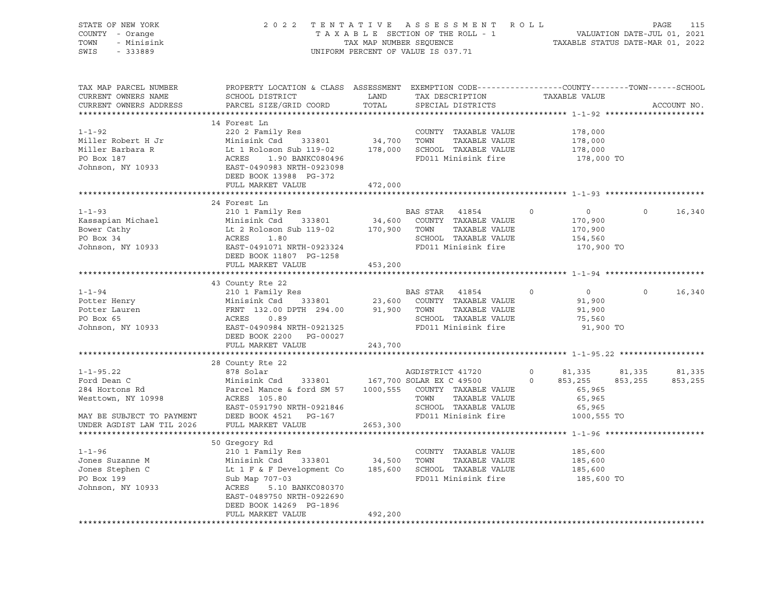| STATE OF NEW YORK<br>COUNTY - Orange<br>- Minisink<br>TOWN<br>SWIS<br>$-333889$ | 2 0 2 2                                                                                                                                      | TAX MAP NUMBER SEQUENCE | TENTATIVE ASSESSMENT ROLL<br>TAXABLE SECTION OF THE ROLL - 1<br>UNIFORM PERCENT OF VALUE IS 037.71 | PAGE<br>VALUATION DATE-JUL 01, 2021<br>TAXABLE STATUS DATE-MAR 01, 2022 |                           |          | 115         |
|---------------------------------------------------------------------------------|----------------------------------------------------------------------------------------------------------------------------------------------|-------------------------|----------------------------------------------------------------------------------------------------|-------------------------------------------------------------------------|---------------------------|----------|-------------|
| TAX MAP PARCEL NUMBER<br>CURRENT OWNERS NAME<br>CURRENT OWNERS ADDRESS          | PROPERTY LOCATION & CLASS ASSESSMENT EXEMPTION CODE----------------COUNTY-------TOWN-----SCHOOL<br>SCHOOL DISTRICT<br>PARCEL SIZE/GRID COORD | LAND<br>TOTAL           | TAX DESCRIPTION<br>SPECIAL DISTRICTS                                                               |                                                                         | TAXABLE VALUE             |          | ACCOUNT NO. |
|                                                                                 | 14 Forest Ln                                                                                                                                 |                         |                                                                                                    |                                                                         |                           |          |             |
| $1 - 1 - 92$                                                                    | 220 2 Family Res                                                                                                                             |                         | COUNTY TAXABLE VALUE                                                                               |                                                                         | 178,000                   |          |             |
| Miller Robert H Jr                                                              | Minisink Csd<br>333801                                                                                                                       | 34,700                  | TOWN<br>TAXABLE VALUE                                                                              |                                                                         | 178,000                   |          |             |
| Miller Barbara R                                                                | Lt 1 Roloson Sub 119-02                                                                                                                      | 178,000                 | SCHOOL TAXABLE VALUE                                                                               |                                                                         | 178,000                   |          |             |
| PO Box 187                                                                      | ACRES<br>1.90 BANKC080496                                                                                                                    |                         | FD011 Minisink fire                                                                                |                                                                         | 178,000 TO                |          |             |
| Johnson, NY 10933                                                               | EAST-0490983 NRTH-0923098                                                                                                                    |                         |                                                                                                    |                                                                         |                           |          |             |
|                                                                                 | DEED BOOK 13988 PG-372                                                                                                                       |                         |                                                                                                    |                                                                         |                           |          |             |
|                                                                                 | FULL MARKET VALUE                                                                                                                            | 472,000                 |                                                                                                    |                                                                         |                           |          |             |
|                                                                                 |                                                                                                                                              |                         |                                                                                                    |                                                                         |                           |          |             |
|                                                                                 | 24 Forest Ln                                                                                                                                 |                         |                                                                                                    |                                                                         |                           | $\circ$  |             |
| $1 - 1 - 93$<br>Kassapian Michael                                               | 210 1 Family Res<br>Minisink Csd<br>333801                                                                                                   | 34,600                  | BAS STAR<br>41854<br>COUNTY TAXABLE VALUE                                                          | $\circ$                                                                 | $\overline{0}$<br>170,900 |          | 16,340      |
| Bower Cathy                                                                     | Lt 2 Roloson Sub 119-02                                                                                                                      | 170,900                 | TAXABLE VALUE<br>TOWN                                                                              |                                                                         | 170,900                   |          |             |
| PO Box 34                                                                       | ACRES<br>1.80                                                                                                                                |                         | SCHOOL TAXABLE VALUE                                                                               |                                                                         | 154,560                   |          |             |
| Johnson, NY 10933                                                               | EAST-0491071 NRTH-0923324                                                                                                                    |                         | FD011 Minisink fire                                                                                |                                                                         | 170,900 TO                |          |             |
|                                                                                 | DEED BOOK 11807 PG-1258                                                                                                                      |                         |                                                                                                    |                                                                         |                           |          |             |
|                                                                                 | FULL MARKET VALUE                                                                                                                            | 453,200                 |                                                                                                    |                                                                         |                           |          |             |
|                                                                                 |                                                                                                                                              |                         |                                                                                                    |                                                                         |                           |          |             |
|                                                                                 | 43 County Rte 22                                                                                                                             |                         |                                                                                                    |                                                                         |                           |          |             |
| $1 - 1 - 94$                                                                    | 210 1 Family Res                                                                                                                             |                         | BAS STAR<br>41854                                                                                  | $\mathbf 0$                                                             | $\circ$                   | $\Omega$ | 16,340      |
| Potter Henry                                                                    | Minisink Csd<br>333801                                                                                                                       | 23,600                  | COUNTY TAXABLE VALUE                                                                               |                                                                         | 91,900                    |          |             |
| Potter Lauren<br>PO Box 65                                                      | FRNT 132.00 DPTH 294.00<br>ACRES<br>0.89                                                                                                     | 91,900                  | TOWN<br>TAXABLE VALUE<br>SCHOOL TAXABLE VALUE                                                      |                                                                         | 91,900<br>75,560          |          |             |
| Johnson, NY 10933                                                               | EAST-0490984 NRTH-0921325                                                                                                                    |                         | FD011 Minisink fire                                                                                |                                                                         | 91,900 TO                 |          |             |
|                                                                                 | DEED BOOK 2200 PG-00027                                                                                                                      |                         |                                                                                                    |                                                                         |                           |          |             |
|                                                                                 | FULL MARKET VALUE                                                                                                                            | 243,700                 |                                                                                                    |                                                                         |                           |          |             |
|                                                                                 |                                                                                                                                              |                         |                                                                                                    |                                                                         |                           |          |             |
|                                                                                 | 28 County Rte 22                                                                                                                             |                         |                                                                                                    |                                                                         |                           |          |             |
| $1 - 1 - 95.22$                                                                 | 878 Solar                                                                                                                                    |                         | AGDISTRICT 41720                                                                                   | $\circ$                                                                 | 81,335                    | 81,335   | 81,335      |
| Ford Dean C                                                                     | 333801<br>Minisink Csd                                                                                                                       |                         | 167,700 SOLAR EX C 49500                                                                           | $\circ$                                                                 | 853,255                   | 853,255  | 853,255     |
| 284 Hortons Rd                                                                  | Parcel Mance & ford SM 57                                                                                                                    | 1000,555                | COUNTY TAXABLE VALUE                                                                               |                                                                         | 65,965                    |          |             |
| Westtown, NY 10998                                                              | ACRES 105.80                                                                                                                                 |                         | TOWN<br>TAXABLE VALUE                                                                              |                                                                         | 65,965                    |          |             |
| MAY BE SUBJECT TO PAYMENT                                                       | EAST-0591790 NRTH-0921846<br>DEED BOOK 4521 PG-167                                                                                           |                         | SCHOOL TAXABLE VALUE<br>FD011 Minisink fire                                                        |                                                                         | 65,965<br>1000,555 TO     |          |             |
| UNDER AGDIST LAW TIL 2026                                                       | FULL MARKET VALUE                                                                                                                            | 2653,300                |                                                                                                    |                                                                         |                           |          |             |
|                                                                                 |                                                                                                                                              |                         |                                                                                                    |                                                                         |                           |          |             |
|                                                                                 | 50 Gregory Rd                                                                                                                                |                         |                                                                                                    |                                                                         |                           |          |             |
| $1 - 1 - 96$                                                                    | 210 1 Family Res                                                                                                                             |                         | COUNTY TAXABLE VALUE                                                                               |                                                                         | 185,600                   |          |             |
| Jones Suzanne M                                                                 | Minisink Csd<br>333801                                                                                                                       | 34,500                  | TOWN<br>TAXABLE VALUE                                                                              |                                                                         | 185,600                   |          |             |
| Jones Stephen C                                                                 | Lt 1 F & F Development Co                                                                                                                    | 185,600                 | SCHOOL TAXABLE VALUE                                                                               |                                                                         | 185,600                   |          |             |
| PO Box 199                                                                      | Sub Map 707-03                                                                                                                               |                         | FD011 Minisink fire                                                                                |                                                                         | 185,600 TO                |          |             |
| Johnson, NY 10933                                                               | ACRES<br>5.10 BANKC080370                                                                                                                    |                         |                                                                                                    |                                                                         |                           |          |             |
|                                                                                 | EAST-0489750 NRTH-0922690                                                                                                                    |                         |                                                                                                    |                                                                         |                           |          |             |
|                                                                                 | DEED BOOK 14269 PG-1896<br>FULL MARKET VALUE                                                                                                 | 492,200                 |                                                                                                    |                                                                         |                           |          |             |
|                                                                                 |                                                                                                                                              |                         |                                                                                                    |                                                                         |                           |          |             |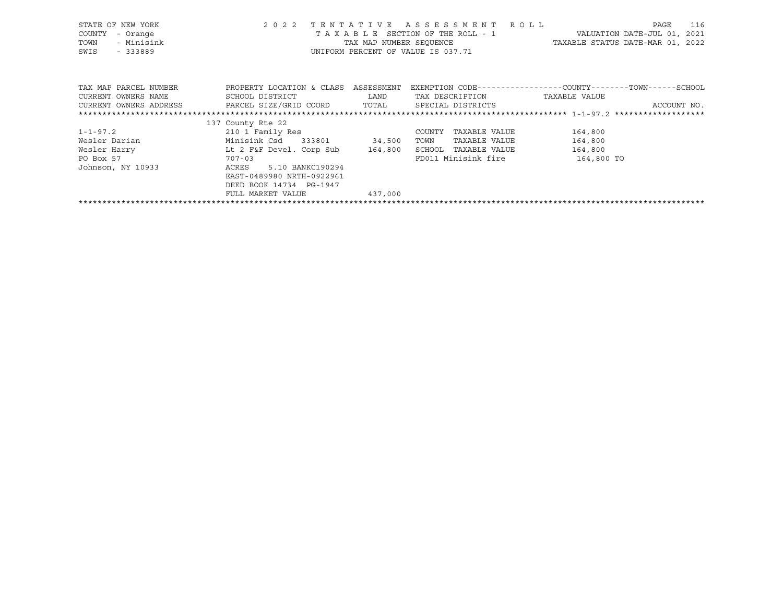| STATE OF NEW YORK<br>COUNTY<br>- Orange<br>- Minisink<br>TOWN<br>SWIS<br>- 333889               | 2 0 2 2                                                                        |         | TENTATIVE ASSESSMENT ROLL<br>TAXABLE SECTION OF THE ROLL - 1<br>UNIFORM PERCENT OF VALUE IS 037.71 | VALUATION DATE-JUL 01, 2021<br>TAX MAP NUMBER SEQUENCE TAN TAXABLE STATUS DATE-MAR 01, 2022 | 116<br>PAGE |
|-------------------------------------------------------------------------------------------------|--------------------------------------------------------------------------------|---------|----------------------------------------------------------------------------------------------------|---------------------------------------------------------------------------------------------|-------------|
| TAX MAP PARCEL NUMBER<br>CURRENT OWNERS NAME                                                    | PROPERTY LOCATION & CLASS ASSESSMENT<br>SCHOOL DISTRICT LAND                   |         | TAX DESCRIPTION                                                                                    | EXEMPTION CODE-----------------COUNTY-------TOWN------SCHOOL<br>TAXABLE VALUE               |             |
| CURRENT OWNERS ADDRESS             PARCEL SIZE/GRID COORD         TOTAL       SPECIAL DISTRICTS |                                                                                |         |                                                                                                    |                                                                                             | ACCOUNT NO. |
|                                                                                                 |                                                                                |         |                                                                                                    |                                                                                             |             |
|                                                                                                 | 137 County Rte 22                                                              |         |                                                                                                    |                                                                                             |             |
| $1 - 1 - 97.2$                                                                                  | 210 1 Family Res                                                               |         | TAXABLE VALUE<br>COUNTY                                                                            | 164,800                                                                                     |             |
| Wesler Darian Nesler Darian                                                                     | Minisink Csd 333801 34,500                                                     |         | TOWN<br>TAXABLE VALUE                                                                              | 164,800                                                                                     |             |
| Wesler Harry The Lt 2 F&F Devel. Corp Sub 164,800                                               |                                                                                |         | SCHOOL TAXABLE VALUE                                                                               | 164,800                                                                                     |             |
| PO Box 57                                                                                       | $707 - 03$                                                                     |         |                                                                                                    | FD011 Minisink fire 164,800 TO                                                              |             |
| Johnson, NY 10933                                                                               | ACRES 5.10 BANKC190294<br>EAST-0489980 NRTH-0922961<br>DEED BOOK 14734 PG-1947 |         |                                                                                                    |                                                                                             |             |
|                                                                                                 | FULL MARKET VALUE                                                              | 437,000 |                                                                                                    |                                                                                             |             |

\*\*\*\*\*\*\*\*\*\*\*\*\*\*\*\*\*\*\*\*\*\*\*\*\*\*\*\*\*\*\*\*\*\*\*\*\*\*\*\*\*\*\*\*\*\*\*\*\*\*\*\*\*\*\*\*\*\*\*\*\*\*\*\*\*\*\*\*\*\*\*\*\*\*\*\*\*\*\*\*\*\*\*\*\*\*\*\*\*\*\*\*\*\*\*\*\*\*\*\*\*\*\*\*\*\*\*\*\*\*\*\*\*\*\*\*\*\*\*\*\*\*\*\*\*\*\*\*\*\*\*\*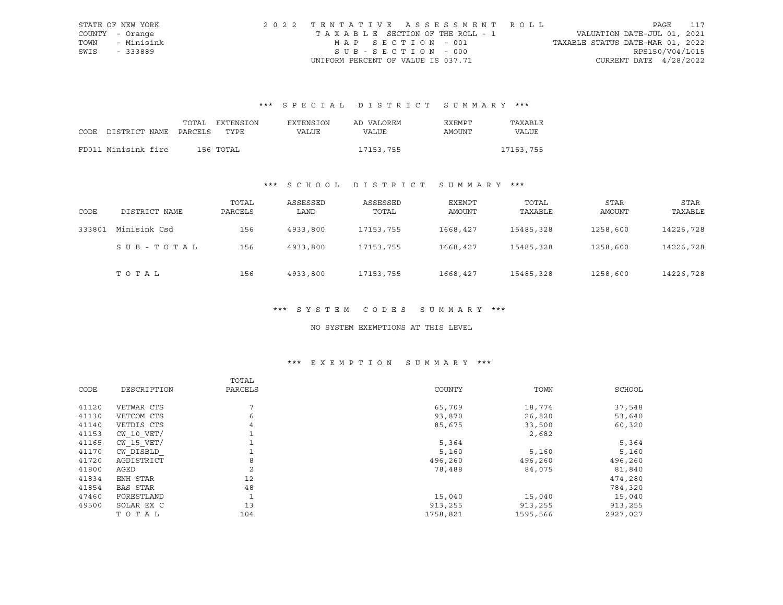|      | STATE OF NEW YORK | 2022 TENTATIVE ASSESSMENT ROLL        |                                  | PAGE | 117 |
|------|-------------------|---------------------------------------|----------------------------------|------|-----|
|      | COUNTY - Orange   | T A X A B L E SECTION OF THE ROLL - 1 | VALUATION DATE-JUL 01, 2021      |      |     |
| TOWN | - Minisink        | MAP SECTION - 001                     | TAXABLE STATUS DATE-MAR 01, 2022 |      |     |
| SWIS | - 333889          | SUB-SECTION - 000                     | RPS150/V04/L015                  |      |     |
|      |                   | UNIFORM PERCENT OF VALUE IS 037.71    | CURRENT DATE $4/28/2022$         |      |     |

# \*\*\* S P E C I A L D I S T R I C T S U M M A R Y \*\*\*

|                            | TOTAL | EXTENSION | <b>EXTENSION</b> | AD VALOREM | <b>EXEMPT</b> | TAXABLE      |
|----------------------------|-------|-----------|------------------|------------|---------------|--------------|
| CODE DISTRICT NAME PARCELS |       | TYPE.     | VALUE            | VALUE      | AMOUNT        | <b>VALUE</b> |
|                            |       |           |                  |            |               |              |
| FD011 Minisink fire        |       | 156 TOTAL |                  | 17153,755  |               | 17153,755    |

# \*\*\* S C H O O L D I S T R I C T S U M M A R Y \*\*\*

| CODE   | DISTRICT NAME | TOTAL<br>PARCELS | ASSESSED<br>LAND | ASSESSED<br>TOTAL | EXEMPT<br>AMOUNT | TOTAL<br>TAXABLE | STAR<br>AMOUNT | STAR<br>TAXABLE |
|--------|---------------|------------------|------------------|-------------------|------------------|------------------|----------------|-----------------|
| 333801 | Minisink Csd  | 156              | 4933,800         | 17153,755         | 1668,427         | 15485,328        | 1258,600       | 14226,728       |
|        | SUB-TOTAL     | 156              | 4933,800         | 17153,755         | 1668,427         | 15485,328        | 1258,600       | 14226,728       |
|        | TOTAL         | 156              | 4933,800         | 17153,755         | 1668,427         | 15485,328        | 1258,600       | 14226,728       |

#### \*\*\* S Y S T E M C O D E S S U M M A R Y \*\*\*

### NO SYSTEM EXEMPTIONS AT THIS LEVEL

# \*\*\* E X E M P T I O N S U M M A R Y \*\*\*

|       |                 | TOTAL   |          |          |          |
|-------|-----------------|---------|----------|----------|----------|
| CODE  | DESCRIPTION     | PARCELS | COUNTY   | TOWN     | SCHOOL   |
| 41120 | VETWAR CTS      | 7       | 65,709   | 18,774   | 37,548   |
| 41130 | VETCOM CTS      | 6       | 93,870   | 26,820   | 53,640   |
| 41140 | VETDIS CTS      | 4       | 85,675   | 33,500   | 60,320   |
| 41153 | $CW$ 10 $VET/$  |         |          | 2,682    |          |
| 41165 | $CW$ 15 $VET/$  |         | 5,364    |          | 5,364    |
| 41170 | CW DISBLD       |         | 5,160    | 5,160    | 5,160    |
| 41720 | AGDISTRICT      | 8       | 496,260  | 496,260  | 496,260  |
| 41800 | AGED            | 2       | 78,488   | 84,075   | 81,840   |
| 41834 | ENH STAR        | 12      |          |          | 474,280  |
| 41854 | <b>BAS STAR</b> | 48      |          |          | 784,320  |
| 47460 | FORESTLAND      | 1       | 15,040   | 15,040   | 15,040   |
| 49500 | SOLAR EX C      | 13      | 913,255  | 913,255  | 913,255  |
|       | TOTAL           | 104     | 1758,821 | 1595,566 | 2927,027 |
|       |                 |         |          |          |          |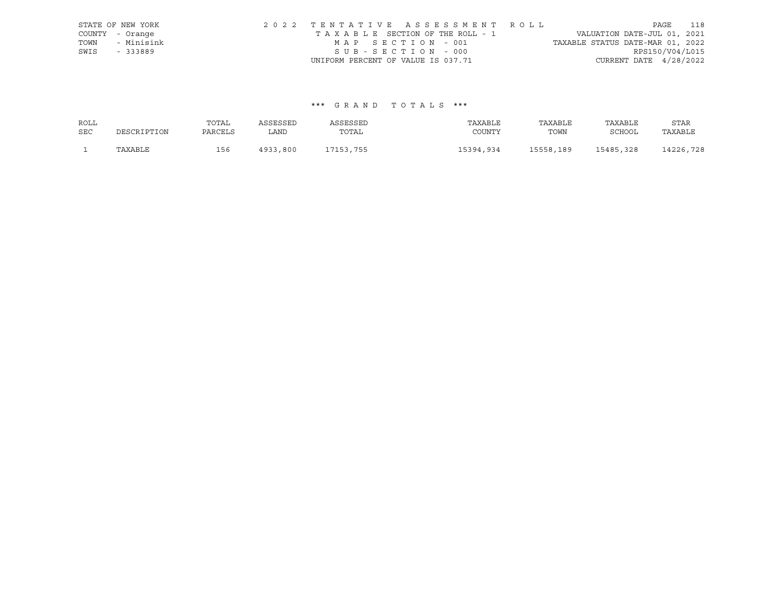|      | STATE OF NEW YORK | 2022 TENTATIVE ASSESSMENT ROLL     |                                  | PAGE                        | 118 |
|------|-------------------|------------------------------------|----------------------------------|-----------------------------|-----|
|      | COUNTY - Orange   | TAXABLE SECTION OF THE ROLL - 1    |                                  | VALUATION DATE-JUL 01, 2021 |     |
| TOWN | - Minisink        | MAP SECTION - 001                  | TAXABLE STATUS DATE-MAR 01, 2022 |                             |     |
| SWIS | $-333889$         | SUB-SECTION - 000                  |                                  | RPS150/V04/L015             |     |
|      |                   | UNIFORM PERCENT OF VALUE IS 037.71 |                                  | CURRENT DATE $4/28/2022$    |     |

## \*\*\* G R A N D T O T A L S \*\*\*

| ROLL       |             | TOTAL   | ASSESSED | ASSESSED  | TAXABLE   | TAXABLE   | TAXABLE   | STAR      |
|------------|-------------|---------|----------|-----------|-----------|-----------|-----------|-----------|
| <b>SEC</b> | DESCRIPTION | PARCELS | LAND     | TOTAL     | COUNTY    | TOWN      | SCHOOL    | TAXABLE   |
|            | TAXABLE     | 156     | 4933,800 | 17153,755 | 15394,934 | 15558,189 | 15485,328 | 14226,728 |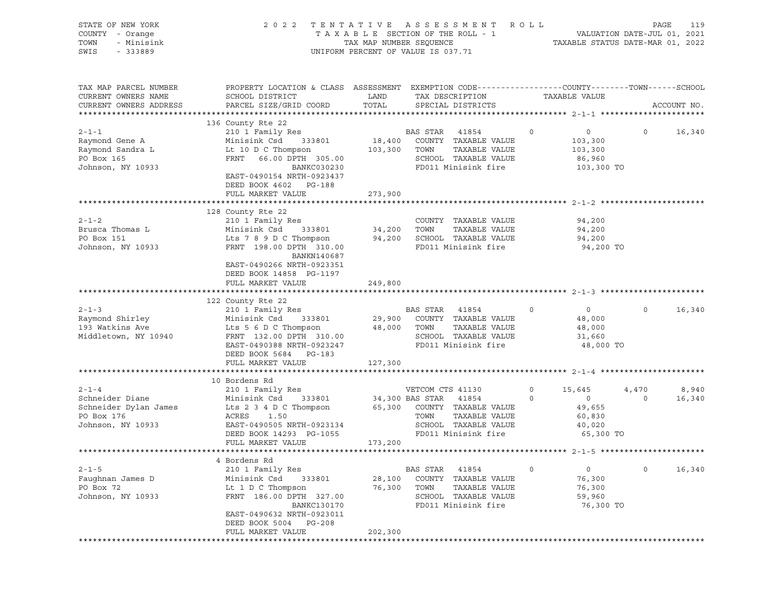| STATE OF NEW YORK<br>COUNTY - Orange<br>TOWN<br>- Minisink<br>SWIS<br>$-333889$            |                                                                                                                                                                                                                                                                                   |                             | 2022 TENTATIVE ASSESSMENT ROLL                                                                                                                   |                              | PAGE<br>119<br>TAXABLE SECTION OF THE ROLL - 1<br>TAX MAP NUMBER SEQUENCE THE ROLL - 1<br>UNIFORM PERCENT OF VALUE IS 037.71 |                   |                 |
|--------------------------------------------------------------------------------------------|-----------------------------------------------------------------------------------------------------------------------------------------------------------------------------------------------------------------------------------------------------------------------------------|-----------------------------|--------------------------------------------------------------------------------------------------------------------------------------------------|------------------------------|------------------------------------------------------------------------------------------------------------------------------|-------------------|-----------------|
| TAX MAP PARCEL NUMBER<br>CURRENT OWNERS NAME<br>CURRENT OWNERS ADDRESS                     | PROPERTY LOCATION & CLASS ASSESSMENT EXEMPTION CODE-----------------COUNTY-------TOWN------SCHOOL<br>SCHOOL DISTRICT<br>PARCEL SIZE/GRID COORD                                                                                                                                    | LAND<br>TOTAL               | TAX DESCRIPTION TAXABLE VALUE<br>SPECIAL DISTRICTS                                                                                               |                              |                                                                                                                              |                   | ACCOUNT NO.     |
| $2 - 1 - 1$<br>Raymond Gene A<br>Raymond Sandra L<br>Raymond Sandra L<br>Johnson, NY 10933 | 136 County Rte 22<br>210 1 Family Res<br>210 1 Family Res<br>210 1 Minisink Csd 333801 218,400 COUNTY TAXABLE VALUE<br>Lt 10 D C Thompson 103,300 TOWN<br>FRNT 66.00 DPTH 305.00 SCHOOL<br>BANKC030230<br>EAST-0490154 NRTH-0923437<br>DEED BOOK 4602 PG-188<br>FULL MARKET VALUE | 273,900                     | TAXABLE VALUE<br>SCHOOL TAXABLE VALUE<br>FD011 Minisink fire                                                                                     | $\circ$                      | $\overline{0}$<br>103,300<br>103,300<br>86,960<br>103,300 TO                                                                 | $\Omega$          | 16,340          |
| $2 - 1 - 2$<br>Brusca Thomas L<br>PO Box 151<br>Johnson, NY 10933                          | 128 County Rte 22<br>210 1 Family Res<br>Minisink Csd 333801 34,200 TOWN<br>Lts 7 8 9 D C Thompson 94,200 SCHOOL TAXABLE VALUE<br>FRNT 198.00 DPTH 310.00 FD011 Minisink fire<br>BANKN140687<br>EAST-0490266 NRTH-0923351<br>DEED BOOK 14858 PG-1197<br>FULL MARKET VALUE         | 249,800                     | COUNTY TAXABLE VALUE<br>TAXABLE VALUE<br>VALUE Minisink fire                                                                                     |                              | 94,200<br>94,200<br>94,200<br>94,200 TO                                                                                      |                   |                 |
| $2 - 1 - 3$<br>Raymond Shirley<br>193 Watkins Ave<br>Middletown, NY 10940                  | County Rte 22<br>210 1 Family Res<br>122 County Rte 22<br>Minisink Csd<br>Lts 5 6 D C Thompson 48,000 TOWN<br>FRNT 132.00 DPTH 310.00 SCHOOL<br>EAST-0490388 NRTH-0923247<br>DEED BOOK 5684 PG-183<br>FULL MARKET VALUE                                                           | 127,300                     | BAS STAR 41854<br>333801 29,900 COUNTY TAXABLE VALUE<br>TOWN      TAXABLE VALUE<br>SCHOOL   TAXABLE VALUE<br>FD011 Minisink fire                 | $\circ$                      | $\overline{0}$<br>48,000<br>48,000<br>31,660<br>48,000 TO                                                                    | $0 \qquad \qquad$ | 16,340          |
| $2 - 1 - 4$<br>PO Box 176<br>Johnson, NY 10933                                             | 10 Bordens Rd<br>210 1 Family Res<br>ACRES<br>1.50<br>EAST-0490505 NRTH-0923134<br>DEED BOOK 14293 PG-1055<br>FULL MARKET VALUE                                                                                                                                                   | 173,200                     | VETCOM CTS 41130<br>34,300 BAS STAR 41854<br>65,300 COUNTY TAXABLE VALUE<br>TOWN<br>TAXABLE VALUE<br>SCHOOL TAXABLE VALUE<br>FD011 Minisink fire | $0 \qquad \qquad$<br>$\circ$ | 15,645<br>$\overline{0}$<br>49,655<br>60,830<br>40,020<br>65,300 TO                                                          | 4,470<br>$\circ$  | 8,940<br>16,340 |
| $2 - 1 - 5$<br>Faughnan James D<br>PO Box 72<br>Johnson, NY 10933                          | 4 Bordens Rd<br>210 1 Family Res<br>Minisink Csd<br>333801<br>Lt 1 D C Thompson<br>FRNT 186.00 DPTH 327.00<br>BANKC130170<br>EAST-0490632 NRTH-0923011<br>DEED BOOK 5004<br>PG-208<br>FULL MARKET VALUE                                                                           | 28,100<br>76,300<br>202,300 | BAS STAR<br>41854<br>COUNTY<br>TAXABLE VALUE<br>TOWN<br>TAXABLE VALUE<br>SCHOOL TAXABLE VALUE<br>FD011 Minisink fire                             | 0                            | 0<br>76,300<br>76,300<br>59,960<br>76,300 TO                                                                                 | 0                 | 16,340          |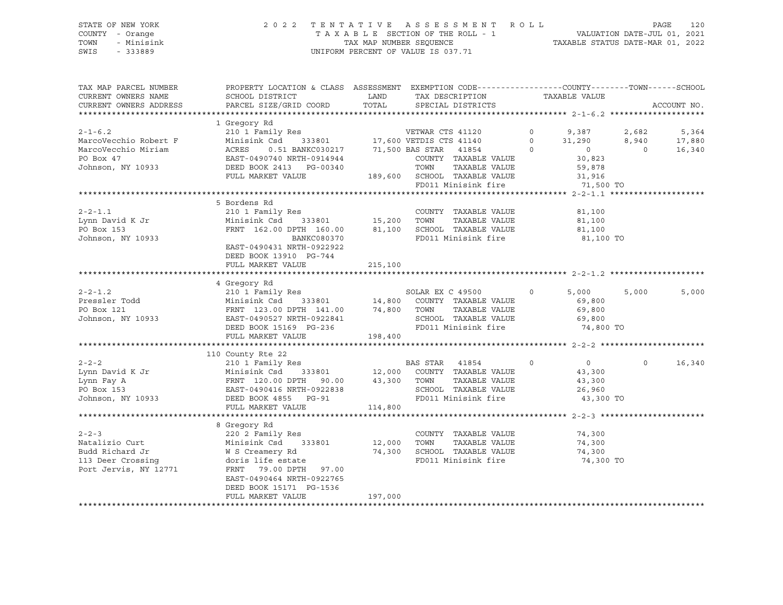### STATE OF NEW YORK 2 0 2 2 T E N T A T I V E A S S E S S M E N T R O L L PAGE 120 COUNTY - Orange T A X A B L E SECTION OF THE ROLL - 1 VALUATION DATE-JUL 01, 2021 TOWN - Minisink TAX MAP NUMBER SEQUENCE TAXABLE STATUS DATE-MAR 01, 2022 SWIS - 333889 CONSERVATION CONTROL OF VALUE IS 037.71

| TAX MAP PARCEL NUMBER<br>CURRENT OWNERS NAME                                                    | PROPERTY LOCATION & CLASS ASSESSMENT EXEMPTION CODE----------------COUNTY-------TOWN------SCHOOL<br>SCHOOL DISTRICT                                                                                                                                                                       | LAND                          | TAX DESCRIPTION                                                                                      | TAXABLE VALUE                                                                                   |                              |                           |
|-------------------------------------------------------------------------------------------------|-------------------------------------------------------------------------------------------------------------------------------------------------------------------------------------------------------------------------------------------------------------------------------------------|-------------------------------|------------------------------------------------------------------------------------------------------|-------------------------------------------------------------------------------------------------|------------------------------|---------------------------|
| CURRENT OWNERS ADDRESS                                                                          | PARCEL SIZE/GRID COORD                                                                                                                                                                                                                                                                    | TOTAL                         | SPECIAL DISTRICTS                                                                                    |                                                                                                 |                              | ACCOUNT NO.               |
| $2 - 1 - 6.2$<br>MarcoVecchio Robert F<br>MarcoVecchio Miriam<br>PO Box 47<br>Johnson, NY 10933 | 1 Gregory Rd<br>210 1 Family Res<br>Minisink Csd<br>ACRES 0.51 BANKC030217<br>EAST-0490740 NRTH-0914944<br>DEED BOOK 2413 PG-00340<br>FIIL MAPKET VALUE<br>ACRES 0.51 BANKC030217 71,500 BAS STAR 41854<br>FULL MARKET VALUE                                                              |                               | COUNTY TAXABLE VALUE<br>TOWN<br>TAXABLE VALUE<br>189,600 SCHOOL TAXABLE VALUE<br>FD011 Minisink fire | $0 \t 9,387$<br>31,290<br>$\Omega$<br>$\overline{0}$<br>30,823<br>59,878<br>31,916<br>71,500 TO | 2,682<br>8,940<br>$\bigcirc$ | 5,364<br>17,880<br>16,340 |
| $2 - 2 - 1.1$<br>Lynn David K Jr<br>PO Box 153<br>Johnson, NY 10933                             | 5 Bordens Rd<br>210 1 Family Res<br>Minisink Csd<br>FRNT 162.00 DPTH 160.00 81,100 SCHOOL TAXABLE VALUE<br>BANKC080370 FD011 Minisink fire<br>EAST-0490431 NRTH-0922922<br>DEED BOOK 13910 PG-744<br>FULL MARKET VALUE                                                                    | s<br>333801 15,200<br>215,100 | COUNTY TAXABLE VALUE<br>TOWN<br>TAXABLE VALUE                                                        | 81,100<br>81,100<br>81,100<br>81,100 TO                                                         |                              |                           |
| $2 - 2 - 1.2$<br>Pressler Todd                                                                  | 4 Gregory Rd<br>Minisink Csd<br>Pressler Todd Ministrus Company of Minister Company of Pressler Todd Press (PRNT 123.00 DPTH 141.00 74,800 TOWN<br>FRNT 123.00 DPTH 141.00 74,800 TOWN<br>Johnson, NY 10933 EAST-0490527 NRTH-0922841 SCHOOL<br>DEED BOOK 15169 PG-2<br>FULL MARKET VALUE | 198,400                       | TAXABLE VALUE<br>SCHOOL TAXABLE VALUE<br>FD011 Minisink fire 74,800 TO                               | 5,000<br>69,800<br>69,800<br>69,800                                                             | 5,000                        | 5,000                     |
| $2 - 2 - 2$<br>Lynn David K Jr                                                                  | 110 County Rte 22<br>Lynn Eay A<br>EXEL 120.00 DPTH 90.00 43,300<br>FRNT 120.00 DPTH 90.00 43,300<br>FRNT 120.00 DPTH 90.00 43,300<br>PO Box 153<br>EAST-0490416 NRTH-0922838<br>DEED BOOK 4855 PG-91<br>FULL MARKET VALUE                                                                | 114,800                       | TOWN<br>TAXABLE VALUE<br>SCHOOL TAXABLE VALUE<br>FD011 Minisink fire                                 | $\circ$<br>$\overline{0}$<br>43,300<br>43,300<br>26,960<br>43,300 TO                            | $\circ$                      | 16,340                    |
| $2 - 2 - 3$<br>Natalizio Curt<br>Budd Richard Jr<br>113 Deer Crossing<br>Port Jervis, NY 12771  | 8 Gregory Rd<br>220 2 Family Res<br>Minisink Csd<br>333801 12,000<br>W S Creamery Rd<br>doris life estate<br>FRNT 79.00 DPTH 97.00<br>EAST-0490464 NRTH-0922765<br>DEED BOOK 15171 PG-1536<br>FULL MARKET VALUE                                                                           | 74,300<br>197,000             | COUNTY TAXABLE VALUE<br>TOWN<br>TAXABLE VALUE<br>SCHOOL TAXABLE VALUE<br>FD011 Minisink fire         | 74,300<br>74,300<br>74,300<br>74,300 TO                                                         |                              |                           |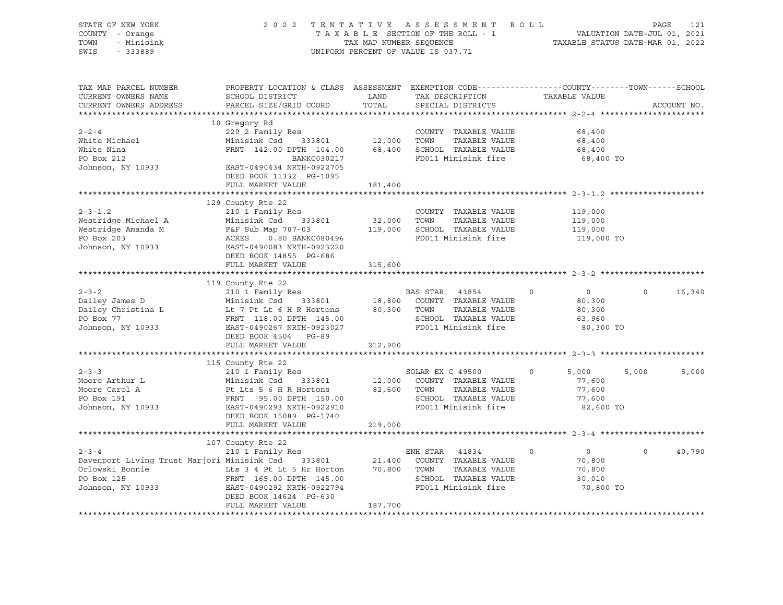| STATE OF NEW YORK<br>COUNTY - Orange<br>TOWN<br>- Minisink<br>SWIS - 333889                                                                                                                                                                              |                                                                                                                                                                                                                              |               | 2022 TENTATIVE ASSESSMENT ROLL PAGE 121<br>TAXABLE SECTION OF THE ROLL - 1 VALUATION DATE-JUL 01, 2021<br>TAX MAP NUMBER SEQUENCE TAXABLE STATUS DATE-MAR 01, 2022<br>UNIFORM PERCENT OF VALUE IS 037.71 |                                                                      |                    |
|----------------------------------------------------------------------------------------------------------------------------------------------------------------------------------------------------------------------------------------------------------|------------------------------------------------------------------------------------------------------------------------------------------------------------------------------------------------------------------------------|---------------|----------------------------------------------------------------------------------------------------------------------------------------------------------------------------------------------------------|----------------------------------------------------------------------|--------------------|
| TAX MAP PARCEL NUMBER<br>CURRENT OWNERS NAME<br>CURRENT OWNERS ADDRESS                                                                                                                                                                                   | PROPERTY LOCATION & CLASS ASSESSMENT EXEMPTION CODE----------------COUNTY-------TOWN------SCHOOL<br>SCHOOL DISTRICT<br>PARCEL SIZE/GRID COORD                                                                                | LAND<br>TOTAL | TAX DESCRIPTION TAXABLE VALUE SPECIAL DISTRICTS<br>SPECIAL DISTRICTS                                                                                                                                     |                                                                      | ACCOUNT NO.        |
| $2 - 2 - 4$<br>White Michael<br>White Nina<br>PRNT 142.00 DPTH 104.00<br>PO Box 212<br>Johnson, NY 10933<br>EAST-0490434 NRTH-0922705<br>PRNT 142.00 DPTH 104.00<br>BANKC030217<br>EAST-0490434 NRTH-0922705                                             | 10 Gregory Rd<br>220 2 Family Res<br>220 2 Family Res<br>Minisink Csd 333801 12,000 TOWN TAXABLE VALUE<br>FRNT 142.00 DPTH 104.00 68,400 SCHOOL TAXABLE VALUE<br>BANKC030217<br>DEED BOOK 11332 PG-1095<br>FULL MARKET VALUE | 181,400       | FD011 Minisink fire                                                                                                                                                                                      | 68,400<br>68,400<br>68,400<br>68,400 TO                              |                    |
|                                                                                                                                                                                                                                                          |                                                                                                                                                                                                                              |               |                                                                                                                                                                                                          |                                                                      |                    |
| $2 - 3 - 1.2$<br>Westridge Michael A Minisink Csd 333801 32,000 TOWN TAXABLE VALUE<br>Westridge Amanda M F&F Sub Map 707-03 119,000 SCHOOL TAXABLE VALUE<br>PO Box 203 ACRES 0.80 BANKC080496 FD011 Minisink fire<br>Johnson, NY 10933 EAST-0490083 N    | 129 County Rte 22<br>210 1 Family Res<br>DEED BOOK 14855 PG-686                                                                                                                                                              |               | COUNTY TAXABLE VALUE                                                                                                                                                                                     | 119,000<br>119,000<br>119,000<br>119,000 TO                          |                    |
|                                                                                                                                                                                                                                                          | FULL MARKET VALUE                                                                                                                                                                                                            | 315,600       |                                                                                                                                                                                                          |                                                                      |                    |
|                                                                                                                                                                                                                                                          |                                                                                                                                                                                                                              |               |                                                                                                                                                                                                          |                                                                      |                    |
| 2-3-2<br>210 1 Family Res<br>210 1 Family Res<br>210 1 Family Res<br>210 1 Family Res<br>210 1 Family Res<br>210 1 Family Res<br>210 1 Family Res<br>210 1 Family Res<br>210 2021<br>216 2021<br>216 2021<br>220 210 21 218,800 COUNTY TAXABLE VALUE<br> | 119 County Rte 22<br>County Rte 22<br>210 1 Family Res<br>DEED BOOK 4504 PG-89<br>FULL MARKET VALUE                                                                                                                          | 212,900       |                                                                                                                                                                                                          | $\overline{0}$<br>80,300<br>80,300<br>63,960<br>80,300 TO            | $\Omega$<br>16,340 |
|                                                                                                                                                                                                                                                          |                                                                                                                                                                                                                              |               |                                                                                                                                                                                                          |                                                                      |                    |
| 2-3-3<br>Moore Arthur L<br>Moore Carol A<br>Published and the Minisink Csd 333801<br>Moore Carol A<br>Published and Published and SCROOL TAXABLE VALUE<br>PO Box 191<br>Johnson, NY 10933<br>EAST-04902293910<br>EAST-049022910<br>FRNT 95.00 DPTH       | 115 County Rte 22<br>210 1 Family Res<br>DEED BOOK 15089 PG-1740<br>FULL MARKET VALUE                                                                                                                                        | 219,000       |                                                                                                                                                                                                          | 5,000<br>77,600<br>77,600<br>77,600<br>82,600 TO                     | 5,000<br>5,000     |
|                                                                                                                                                                                                                                                          |                                                                                                                                                                                                                              |               |                                                                                                                                                                                                          |                                                                      |                    |
| 210 1 Family Res<br>Davenport Living Trust Marjori Minisink Csd 333801 21,400 COUNTY TAXABLE VALUE<br>Orlowski Bonnie Lts 3 4 Pt Lt 5 Hr Horton 70,800 TOWN TAXABLE VALUE<br>PO Box 125 FRNT 165.00 DPTH 145.00 SCHOOL TAXABLE VALUE                     | 107 County Rte 22<br>FULL MARKET VALUE                                                                                                                                                                                       | 187,700       | SCHOOL TAXABLE VALUE<br>FD011 Minisink fire                                                                                                                                                              | $\circ$<br>$\overline{0}$<br>70,800<br>70,800<br>30,010<br>70,800 TO | $\Omega$<br>40,790 |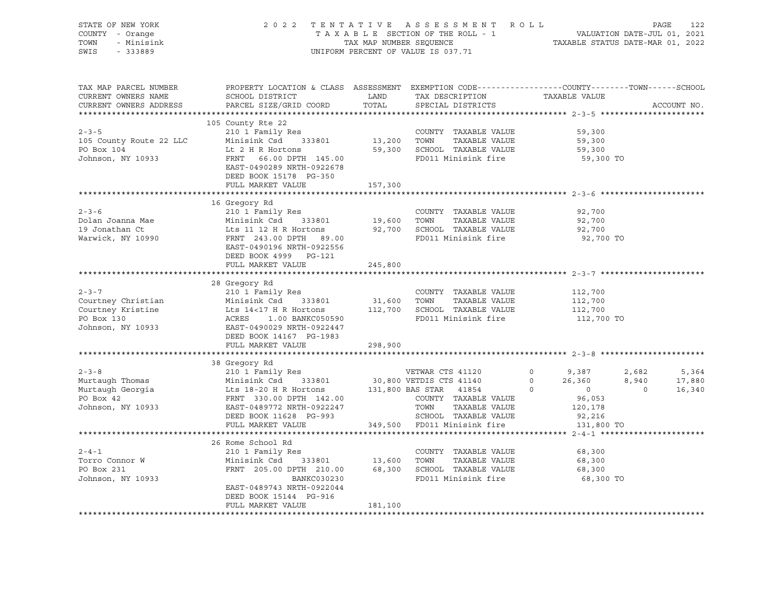|                                                                                                                                                                                                                                                                                                                                                                                                                    |                                                    |         | UNIFORM PERCENT OF VALUE IS 037.71 |  |
|--------------------------------------------------------------------------------------------------------------------------------------------------------------------------------------------------------------------------------------------------------------------------------------------------------------------------------------------------------------------------------------------------------------------|----------------------------------------------------|---------|------------------------------------|--|
| TAX MAP PARCEL NUMBER BOOPERTY LOCATION & CLASS ASSESSMENT EXEMPTION CODE----------------COUNTY--------TOWN------SCHOOL CURRENT OWNERS NAME SCHOOL DISTRICT LAND TAX DESCRIPTION TAXABLE VALUE CURRENT OWNERS ADDRESS PARCEL S                                                                                                                                                                                     |                                                    |         |                                    |  |
|                                                                                                                                                                                                                                                                                                                                                                                                                    |                                                    |         |                                    |  |
|                                                                                                                                                                                                                                                                                                                                                                                                                    |                                                    |         |                                    |  |
| $\begin{tabular}{lllllllllllll} \multicolumn{3}{c}{2-3-5} & \multicolumn{3}{c}{10} & \multicolumn{3}{c}{COUNTY} & \multicolumn{3}{c}{2-3-5} & \multicolumn{3}{c}{2-3-5} & \multicolumn{3}{c}{3-5} & \multicolumn{3}{c}{3-5} & \multicolumn{3}{c}{4-4+4+1} & \multicolumn{3}{c}{2-3-5} & \multicolumn{3}{c}{4-4+4+1} & \multicolumn{3}{c}{2-3-5} & \multicolumn{3}{c}{4-4+1} & \multicolumn{3}{c}{2-3-5} & \multic$ |                                                    |         |                                    |  |
|                                                                                                                                                                                                                                                                                                                                                                                                                    |                                                    |         |                                    |  |
|                                                                                                                                                                                                                                                                                                                                                                                                                    |                                                    |         |                                    |  |
|                                                                                                                                                                                                                                                                                                                                                                                                                    | DEED BOOK 4999 PG-121<br>FULL MARKET VALUE 245,800 |         |                                    |  |
| 28 Gregory Rd<br>Countrey Christian Minisink Csd 333801 31,600 TOWN TAXABLE VALUE<br>Countrey Kristine Lts 14<17 H R Hortons 112,700 SCHOOL TAXABLE VALUE<br>PO Box 130 ACRES 1.00 BANKC050590 FD011 Minisink fire 112,700 TO<br>Johns                                                                                                                                                                             | 28 Gregory Rd                                      |         |                                    |  |
|                                                                                                                                                                                                                                                                                                                                                                                                                    | FULL MARKET VALUE 298,900                          |         |                                    |  |
|                                                                                                                                                                                                                                                                                                                                                                                                                    |                                                    |         |                                    |  |
| $\begin{tabular}{lllllllllllll} \multicolumn{3}{c c c c c c} \multicolumn{3}{c c c c} \multicolumn{3}{c c c c} \multicolumn{3}{c c c} \multicolumn{3}{c c c} \multicolumn{3}{c c c} \multicolumn{3}{c c c} \multicolumn{3}{c c c} \multicolumn{3}{c c c} \multicolumn{3}{c c c} \multicolumn{3}{c c c} \multicolumn{3}{c c c} \multicolumn{3}{c c c} \multicolumn{3}{c c c} \multicolumn{3}{c c c} \$              |                                                    |         |                                    |  |
|                                                                                                                                                                                                                                                                                                                                                                                                                    |                                                    |         |                                    |  |
| 26 Rome School Rd<br>210 1 Family Res<br>Torro Connor W Minisink Csd 333801 13,600 TOWN TAXABLE VALUE<br>210 1 Family Res<br>210 1 Family Res<br>210 1 Family Res<br>210 1 Family Res<br>210 1 Family Res<br>210 1 Family Res<br>210 333801 23,6                                                                                                                                                                   |                                                    |         |                                    |  |
|                                                                                                                                                                                                                                                                                                                                                                                                                    | DEED BOOK 15144 PG-916<br>FULL MARKET VALUE        | 181,100 |                                    |  |
|                                                                                                                                                                                                                                                                                                                                                                                                                    |                                                    |         |                                    |  |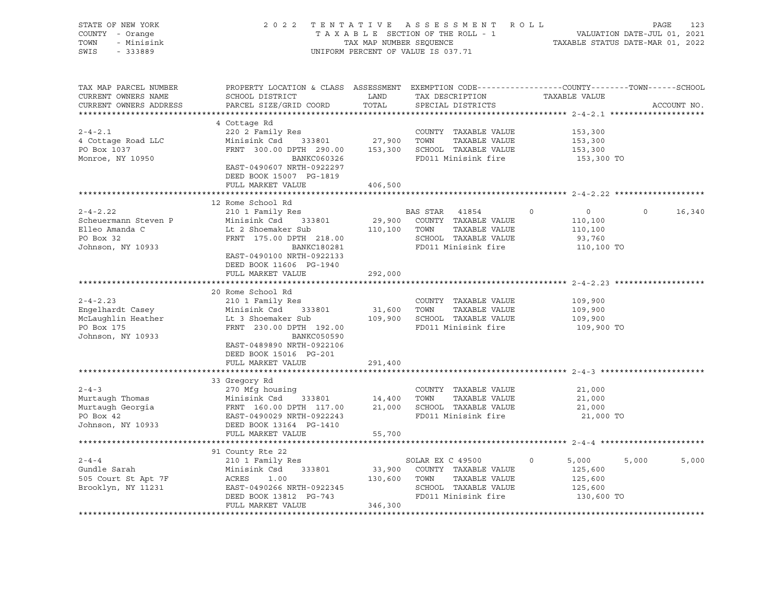| STATE OF NEW YORK<br>COUNTY - Orange<br>TOWN<br>- Minisink<br>SWIS<br>$-333889$             | 2 0 2 2                                                                                                                                                                                | TAX MAP NUMBER SEQUENCE      | TENTATIVE ASSESSMENT ROLL<br>TAXABLE SECTION OF THE ROLL - 1<br>UNIFORM PERCENT OF VALUE IS 037.71               | TAXABLE STATUS DATE-MAR 01, 2022                                        | PAGE<br>VALUATION DATE-JUL 01, 2021 | 123         |
|---------------------------------------------------------------------------------------------|----------------------------------------------------------------------------------------------------------------------------------------------------------------------------------------|------------------------------|------------------------------------------------------------------------------------------------------------------|-------------------------------------------------------------------------|-------------------------------------|-------------|
| TAX MAP PARCEL NUMBER<br>CURRENT OWNERS NAME<br>CURRENT OWNERS ADDRESS                      | PROPERTY LOCATION & CLASS ASSESSMENT EXEMPTION CODE----------------COUNTY-------TOWN------SCHOOL<br>SCHOOL DISTRICT<br>PARCEL SIZE/GRID COORD                                          | LAND<br>TOTAL                | TAX DESCRIPTION<br>SPECIAL DISTRICTS                                                                             | TAXABLE VALUE                                                           |                                     | ACCOUNT NO. |
| $2 - 4 - 2.1$<br>4 Cottage Road LLC<br>PO Box 1037<br>Monroe, NY 10950                      | 4 Cottage Rd<br>220 2 Family Res<br>Minisink Csd<br>333801<br>FRNT 300.00 DPTH 290.00<br>BANKC060326<br>EAST-0490607 NRTH-0922297<br>DEED BOOK 15007 PG-1819<br>FULL MARKET VALUE      | 27,900<br>406,500            | COUNTY TAXABLE VALUE<br>TOWN<br>TAXABLE VALUE<br>153,300 SCHOOL TAXABLE VALUE<br>FD011 Minisink fire             | 153,300<br>153,300<br>153,300<br>153,300 TO                             |                                     |             |
|                                                                                             |                                                                                                                                                                                        |                              |                                                                                                                  |                                                                         |                                     |             |
| $2 - 4 - 2.22$<br>Scheuermann Steven P<br>Elleo Amanda C<br>PO Box 32<br>Johnson, NY 10933  | 12 Rome School Rd<br>210 1 Family Res<br>Minisink Csd<br>333801<br>Lt 2 Shoemaker Sub<br>FRNT 175.00 DPTH 218.00<br>BANKC180281<br>EAST-0490100 NRTH-0922133                           | 110,100 TOWN                 | BAS STAR 41854<br>29,900 COUNTY TAXABLE VALUE<br>TAXABLE VALUE<br>SCHOOL TAXABLE VALUE<br>FD011 Minisink fire    | $\circ$<br>$\overline{0}$<br>110,100<br>110,100<br>93,760<br>110,100 TO | $\Omega$                            | 16,340      |
|                                                                                             | DEED BOOK 11606 PG-1940<br>FULL MARKET VALUE<br>20 Rome School Rd                                                                                                                      | 292,000                      |                                                                                                                  |                                                                         |                                     |             |
| $2 - 4 - 2.23$<br>Engelhardt Casey<br>McLaughlin Heather<br>PO Box 175<br>Johnson, NY 10933 | 210 1 Family Res<br>Minisink Csd<br>333801<br>Lt 3 Shoemaker Sub<br>FRNT 230.00 DPTH 192.00<br>BANKC050590<br>EAST-0489890 NRTH-0922106<br>DEED BOOK 15016 PG-201<br>FULL MARKET VALUE | 31,600 TOWN<br>291,400       | COUNTY TAXABLE VALUE<br>TAXABLE VALUE<br>109,900 SCHOOL TAXABLE VALUE<br>FD011 Minisink fire                     | 109,900<br>109,900<br>109,900<br>109,900 TO                             |                                     |             |
|                                                                                             |                                                                                                                                                                                        |                              |                                                                                                                  |                                                                         |                                     |             |
| $2 - 4 - 3$<br>Murtaugh Thomas<br>Murtaugh Georgia<br>PO Box 42<br>Johnson, NY 10933        | 33 Gregory Rd<br>270 Mfg housing<br>Minisink Csd 333801<br>FRNT 160.00 DPTH 117.00<br>EAST-0490029 NRTH-0922243<br>DEED BOOK 13164 PG-1410                                             | 14,400                       | COUNTY TAXABLE VALUE<br>TOWN<br>TAXABLE VALUE<br>21,000 SCHOOL TAXABLE VALUE<br>FD011 Minisink fire              | 21,000<br>21,000<br>21,000<br>21,000 TO                                 |                                     |             |
|                                                                                             | FULL MARKET VALUE                                                                                                                                                                      | 55,700                       |                                                                                                                  |                                                                         |                                     |             |
|                                                                                             |                                                                                                                                                                                        |                              |                                                                                                                  |                                                                         |                                     |             |
| $2 - 4 - 4$<br>Gundle Sarah<br>505 Court St Apt 7F<br>Brooklyn, NY 11231                    | 91 County Rte 22<br>210 1 Family Res<br>Minisink Csd<br>333801<br>ACRES<br>1.00<br>EAST-0490266 NRTH-0922345<br>DEED BOOK 13812 PG-743<br>FULL MARKET VALUE                            | 33,900<br>130,600<br>346,300 | SOLAR EX C 49500<br>COUNTY TAXABLE VALUE<br>TOWN<br>TAXABLE VALUE<br>SCHOOL TAXABLE VALUE<br>FD011 Minisink fire | 5,000<br>0<br>125,600<br>125,600<br>125,600<br>130,600 TO               | 5,000                               | 5,000       |
|                                                                                             |                                                                                                                                                                                        |                              |                                                                                                                  |                                                                         |                                     |             |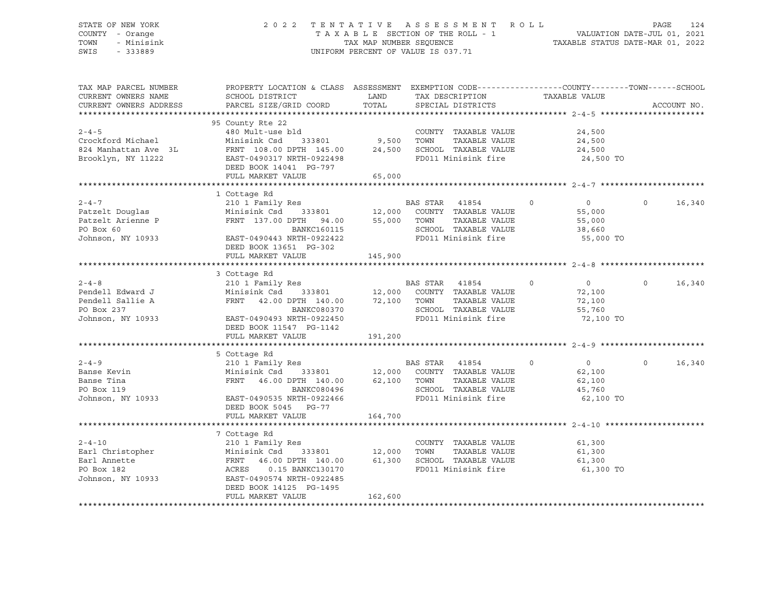### STATE OF NEW YORK 2 0 2 2 T E N T A T I V E A S S E S S M E N T R O L L PAGE 124 COUNTY - Orange T A X A B L E SECTION OF THE ROLL - 1 VALUATION DATE-JUL 01, 2021 TOWN - Minisink TAX MAP NUMBER SEQUENCE TAXABLE STATUS DATE-MAR 01, 2022 SWIS - 333889 CONSERVATION CONTROL OF VALUE IS 037.71

| TAX MAP PARCEL NUMBER<br>CURRENT OWNERS NAME<br>CURRENT OWNERS ADDRESS                 | PROPERTY LOCATION & CLASS ASSESSMENT<br>SCHOOL DISTRICT<br>PARCEL SIZE/GRID COORD                                                                                                                                  | LAND<br>TOTAL               | TAX DESCRIPTION<br>SPECIAL DISTRICTS                                                                                     | EXEMPTION CODE----------------COUNTY-------TOWN-----SCHOOL<br>TAXABLE VALUE | ACCOUNT NO.        |
|----------------------------------------------------------------------------------------|--------------------------------------------------------------------------------------------------------------------------------------------------------------------------------------------------------------------|-----------------------------|--------------------------------------------------------------------------------------------------------------------------|-----------------------------------------------------------------------------|--------------------|
|                                                                                        |                                                                                                                                                                                                                    |                             |                                                                                                                          |                                                                             |                    |
| $2 - 4 - 5$<br>Crockford Michael<br>824 Manhattan Ave 3L<br>Brooklyn, NY 11222         | 95 County Rte 22<br>480 Mult-use bld<br>Minisink Csd<br>FRNT 108.00 DPTH 145.00 24,500<br>EAST-0490317 NRTH-0922498<br>DEED BOOK 14041 PG-797<br>FULL MARKET VALUE                                                 | -<br>333801 9,500<br>65,000 | COUNTY TAXABLE VALUE<br>TOWN<br>TAXABLE VALUE<br>SCHOOL TAXABLE VALUE<br>FD011 Minisink fire                             | 24,500<br>24,500<br>24,500<br>24,500 TO                                     |                    |
|                                                                                        |                                                                                                                                                                                                                    |                             |                                                                                                                          |                                                                             |                    |
| $2 - 4 - 7$<br>Patzelt Douglas<br>Patzelt Arienne P<br>PO Box 60<br>Johnson, NY 10933  | 1 Cottage Rd<br>210 1 Family Res<br>333801 12,000<br>DPTH 94.00 55,000<br>Minisink Csd<br>FRNT 137.00 DPTH 94.00<br><b>BANKC160115</b><br>EAST-0490443 NRTH-0922422<br>DEED BOOK 13651 PG-302<br>FULL MARKET VALUE | 55,000<br>145,900           | BAS STAR<br>41854<br>COUNTY TAXABLE VALUE<br>TOWN<br>TAXABLE VALUE<br>SCHOOL TAXABLE VALUE<br>FD011 Minisink fire        | $\circ$<br>$\overline{0}$<br>55,000<br>55,000<br>38,660<br>55,000 TO        | $\Omega$<br>16,340 |
|                                                                                        |                                                                                                                                                                                                                    |                             |                                                                                                                          |                                                                             |                    |
| $2 - 4 - 8$<br>Pendell Edward J<br>Pendell Sallie A<br>PO Box 237<br>Johnson, NY 10933 | 3 Cottage Rd<br>210 1 Family Res<br>333801 12,000<br>DPTH 140.00 72,100<br>Minisink Csd<br>FRNT 42.00 DPTH 140.00<br>BANKC080370<br>EAST-0490493 NRTH-0922450<br>DEED BOOK 11547 PG-1142<br>FULL MARKET VALUE      | 191,200                     | <b>BAS STAR</b><br>41854<br>COUNTY TAXABLE VALUE<br>TAXABLE VALUE<br>TOWN<br>SCHOOL TAXABLE VALUE<br>FD011 Minisink fire | $\overline{0}$<br>$\circ$<br>72,100<br>72,100<br>55,760<br>72,100 TO        | $\Omega$<br>16,340 |
|                                                                                        |                                                                                                                                                                                                                    |                             |                                                                                                                          |                                                                             |                    |
| $2 - 4 - 9$<br>Banse Kevin<br>Banse Tina<br>PO Box 119<br>Johnson, NY 10933            | 5 Cottage Rd<br>210 1 Family Res<br>Minisink Csd 333801 12,000<br>FRNT 46.00 DPTH 140.00 62,100<br>BANKC080496<br>EAST-0490535 NRTH-0922466<br>DEED BOOK 5045 PG-77<br>FULL MARKET VALUE                           | 164,700                     | BAS STAR<br>41854<br>COUNTY TAXABLE VALUE<br>TOWN<br>TAXABLE VALUE<br>SCHOOL TAXABLE VALUE<br>FD011 Minisink fire        | $\overline{0}$<br>$\circ$<br>62,100<br>62,100<br>45,760<br>62,100 TO        | $\Omega$<br>16,340 |
|                                                                                        |                                                                                                                                                                                                                    |                             |                                                                                                                          |                                                                             |                    |
| $2 - 4 - 10$<br>Earl Christopher<br>Earl Annette<br>PO Box 182<br>Johnson, NY 10933    | 7 Cottage Rd<br>210 1 Family Res<br>Minisink Csd<br>333801<br>FRNT<br>46.00 DPTH 140.00<br>ACRES<br>0.15 BANKC130170<br>EAST-0490574 NRTH-0922485<br>DEED BOOK 14125 PG-1495<br>FULL MARKET VALUE                  | 12,000<br>61,300<br>162,600 | COUNTY TAXABLE VALUE<br>TAXABLE VALUE<br>TOWN<br>SCHOOL TAXABLE VALUE<br>FD011 Minisink fire                             | 61,300<br>61,300<br>61,300<br>61,300 TO                                     |                    |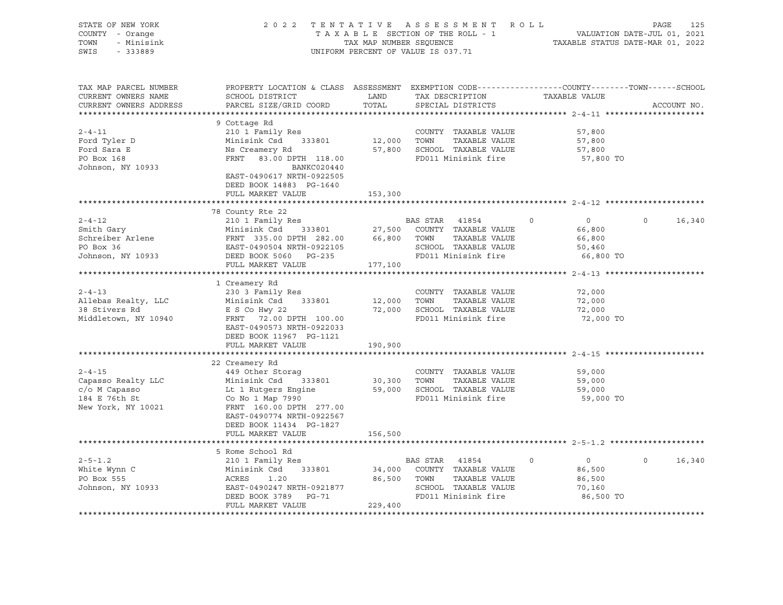| STATE OF NEW YORK<br>COUNTY - Orange<br>- Minisink<br>TOWN<br>SWIS - 333889                                                                                                                                                                                |                                                                                                                                                                                                                                                              |               | 2022 TENTATIVE ASSESSMENT ROLL PAGE 125<br>TAXABLE SECTION OF THE ROLL - 1 VALUATION DATE-JUL 01, 2021<br>TAX MAP NUMBER SEQUENCE TAXABLE STATUS DATE-MAR 01, 2022<br>UNIFORM PERCENT OF VALUE IS 037.71 |                                                                      |                   |  |
|------------------------------------------------------------------------------------------------------------------------------------------------------------------------------------------------------------------------------------------------------------|--------------------------------------------------------------------------------------------------------------------------------------------------------------------------------------------------------------------------------------------------------------|---------------|----------------------------------------------------------------------------------------------------------------------------------------------------------------------------------------------------------|----------------------------------------------------------------------|-------------------|--|
| TAX MAP PARCEL NUMBER<br>CURRENT OWNERS NAME<br>CURRENT OWNERS ADDRESS                                                                                                                                                                                     | PROPERTY LOCATION & CLASS ASSESSMENT EXEMPTION CODE----------------COUNTY-------TOWN------SCHOOL<br>SCHOOL DISTRICT<br>PARCEL SIZE/GRID COORD                                                                                                                | LAND<br>TOTAL | TAX DESCRIPTION TAXABLE VALUE<br>SPECIAL DISTRICTS                                                                                                                                                       |                                                                      | ACCOUNT NO.       |  |
| $2 - 4 - 11$<br>Ford Tyler D<br>Ford Sara E<br>PO Box 168<br>Johnson, NY 10933                                                                                                                                                                             | 9 Cottage Rd<br>210 1 Family Res<br>Minisink Csd 333801<br>Ns Creamery Rd<br>FRNT 83.00 DPTH 118.00<br>BANKC020440<br>EAST-0490617 NRTH-0922505                                                                                                              | 12,000 TOWN   | COUNTY TAXABLE VALUE<br>TAXABLE VALUE<br>57,800 SCHOOL TAXABLE VALUE<br>FD011 Minisink fire                                                                                                              | 57,800<br>57,800<br>57,800<br>57,800 TO                              |                   |  |
|                                                                                                                                                                                                                                                            | DEED BOOK 14883 PG-1640<br>FULL MARKET VALUE                                                                                                                                                                                                                 | 153,300       |                                                                                                                                                                                                          |                                                                      |                   |  |
|                                                                                                                                                                                                                                                            | 78 County Rte 22                                                                                                                                                                                                                                             |               |                                                                                                                                                                                                          |                                                                      |                   |  |
| 2-4-12<br>Smith Gary<br>Schreiber Arlene<br>PO Box 36<br>Allows 10000<br>Johnson, NY 10933                                                                                                                                                                 | 210 1 Family Res<br>210 1 Family Res<br>Minisink Csd 333801<br>FRNT 335.00 DPTH 282.00<br>EAST-0490504 NRTH-0922105<br>DEED BOOK 5060 PG-235<br>TED011 Minisink fire<br>THE RESON COUNTY TAXABLE VALUE<br>DEED BOOK 5060<br>THE SCHOOL TAXABLE V             |               |                                                                                                                                                                                                          | $\overline{0}$<br>$\circ$<br>66,800<br>66,800<br>50,460<br>66,800 TO | $\circ$<br>16,340 |  |
|                                                                                                                                                                                                                                                            | FULL MARKET VALUE                                                                                                                                                                                                                                            | 177,100       |                                                                                                                                                                                                          |                                                                      |                   |  |
| $2 - 4 - 13$<br>Allebas Realty, LLC<br>38 Stivers Rd<br>Middletown, NY 10940                                                                                                                                                                               | 1 Creamery Rd<br>230 3 Family Res<br>Minisink Csd 333801 12,000 TOWN TAXABLE VALUE<br>E S Co Hwy 22 72,000 SCHOOL TAXABLE VALUE<br>FRNT 72.00 DPTH 100.00 FD011 Minisink fire<br>Minisink Csd 333801<br>EAST-0490573 NRTH-0922033<br>DEED BOOK 11967 PG-1121 |               | COUNTY TAXABLE VALUE<br>TAXABLE VALUE                                                                                                                                                                    | 72,000<br>72,000<br>72,000<br>72,000 TO                              |                   |  |
|                                                                                                                                                                                                                                                            | FULL MARKET VALUE                                                                                                                                                                                                                                            | 190,900       |                                                                                                                                                                                                          |                                                                      |                   |  |
| $2 - 4 - 15$<br>Capasso Realty LLC<br>c/o M Capasso<br>184 E 76th St<br>New York, NY 10021                                                                                                                                                                 | 22 Creamery Rd<br>449 Other Storaq<br>Minisink Csd 333801<br>Lt 1 Rutgers Engine<br>Co No 1 Map 7990<br>FRNT 160.00 DPTH 277.00<br>EAST-0490774 NRTH-0922567<br>DEED BOOK 11434 PG-1827                                                                      |               | COUNTY TAXABLE VALUE<br>30,300 TOWN TAXABLE VALUE<br>59,000 SCHOOL TAXABLE VALUE<br>EP011 Miniciple fine<br>TAXABLE VALUE<br>FD011 Minisink fire                                                         | 59,000<br>59,000<br>59,000<br>59,000 TO                              |                   |  |
|                                                                                                                                                                                                                                                            | FULL MARKET VALUE                                                                                                                                                                                                                                            | 156,500       |                                                                                                                                                                                                          |                                                                      |                   |  |
| 2-5-1.2<br>White Wynn C<br>2010 Family Res<br>2101 Family Res<br>2101 Family Res<br>2101 Family Res<br>2101 Family Res<br>2101 Family Res<br>2101 Family Res<br>2101 Family Res<br>21021 Family Res<br>24,000 COUNTY<br>24,000 COUNTY<br>24,000 COUNTY<br> | 5 Rome School Rd<br>FULL MARKET VALUE                                                                                                                                                                                                                        | 229,400       | BAS STAR 41854<br>34,000 COUNTY TAXABLE VALUE<br>TAXABLE VALUE<br>SCHOOL TAXABLE VALUE<br>FD011 Minisink fire                                                                                            | $\overline{0}$<br>$\circ$<br>86,500<br>86,500<br>70,160<br>86,500 TO | $\circ$<br>16,340 |  |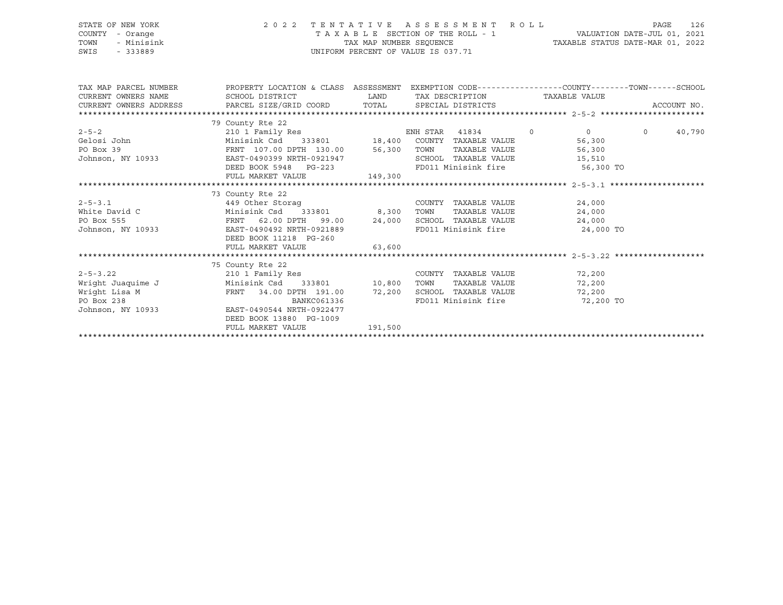| STATE OF NEW YORK  | 2022 TENTATIVE ASSESSMENT ROLL     | PAGE                             | 126 |
|--------------------|------------------------------------|----------------------------------|-----|
| COUNTY - Orange    | TAXABLE SECTION OF THE ROLL - 1    | VALUATION DATE-JUL 01, 2021      |     |
| TOWN<br>- Minisink | TAX MAP NUMBER SEOUENCE            | TAXABLE STATUS DATE-MAR 01, 2022 |     |
| SWIS<br>- 333889   | UNIFORM PERCENT OF VALUE IS 037.71 |                                  |     |

| TAX MAP PARCEL NUMBER                                                                     | PROPERTY LOCATION & CLASS ASSESSMENT EXEMPTION CODE---------------COUNTY-------TOWN-----SCHOOL |                               |                                    |                               |                             |        |                |             |
|-------------------------------------------------------------------------------------------|------------------------------------------------------------------------------------------------|-------------------------------|------------------------------------|-------------------------------|-----------------------------|--------|----------------|-------------|
| CURRENT OWNERS NAME                                                                       | SCHOOL DISTRICT                                                                                |                               | LAND TAX DESCRIPTION TAXABLE VALUE |                               |                             |        |                |             |
| CURRENT OWNERS ADDRESS FARCEL SIZE/GRID COORD TOTAL SPECIAL DISTRICTS                     |                                                                                                |                               |                                    |                               |                             |        |                | ACCOUNT NO. |
|                                                                                           |                                                                                                |                               |                                    |                               |                             |        |                |             |
|                                                                                           | 79 County Rte 22                                                                               |                               |                                    |                               |                             |        |                |             |
|                                                                                           |                                                                                                |                               |                                    |                               |                             |        | $\overline{0}$ | 40,790      |
|                                                                                           |                                                                                                |                               |                                    |                               |                             |        |                |             |
|                                                                                           |                                                                                                |                               |                                    |                               |                             |        |                |             |
|                                                                                           |                                                                                                |                               |                                    |                               |                             |        |                |             |
|                                                                                           | DEED BOOK 5948 PG-223 FD011 Minisink fire 56,300 TO                                            |                               |                                    |                               |                             |        |                |             |
|                                                                                           | FULL MARKET VALUE 149,300                                                                      |                               |                                    |                               |                             |        |                |             |
|                                                                                           |                                                                                                |                               |                                    |                               |                             |        |                |             |
|                                                                                           | 73 County Rte 22                                                                               |                               |                                    |                               |                             |        |                |             |
| $2 - 5 - 3.1$                                                                             | 449 Other Storag                                                                               |                               |                                    | COUNTY TAXABLE VALUE 24,000   |                             |        |                |             |
| 2-5-3.1<br>White David C                                                                  | Minisink Csd 333801 8,300 TOWN                                                                 |                               |                                    | TAXABLE VALUE                 |                             | 24,000 |                |             |
| PO Box 555<br>Johnson, NY 10933<br>EAST-0490492 NRTH-0921889<br>EAST-0490492 NRTH-0921889 |                                                                                                |                               |                                    |                               | SCHOOL TAXABLE VALUE 24,000 |        |                |             |
|                                                                                           |                                                                                                | FD011 Minisink fire 24,000 TO |                                    |                               |                             |        |                |             |
|                                                                                           | DEED BOOK 11218 PG-260                                                                         |                               |                                    |                               |                             |        |                |             |
|                                                                                           | FULL MARKET VALUE 63,600                                                                       |                               |                                    |                               |                             |        |                |             |
|                                                                                           |                                                                                                |                               |                                    |                               |                             |        |                |             |
|                                                                                           | 75 County Rte 22                                                                               |                               |                                    |                               |                             |        |                |             |
| 2-5-3.22<br>210 1 Family Res<br>210 1 Family Res<br>210 10,800 TOWN                       |                                                                                                |                               |                                    | COUNTY TAXABLE VALUE 72,200   |                             |        |                |             |
|                                                                                           |                                                                                                |                               |                                    | TAXABLE VALUE 72,200          |                             |        |                |             |
|                                                                                           | FRNT 34.00 DPTH 191.00 72,200 SCHOOL TAXABLE VALUE 72,200                                      |                               |                                    |                               |                             |        |                |             |
| Wright Lisa M<br>PO Box 238<br>Johnson, NY 10933<br>EAST-0490544 NRTH-0922477             | BANKC061336                                                                                    |                               |                                    | FD011 Minisink fire 72,200 TO |                             |        |                |             |
|                                                                                           |                                                                                                |                               |                                    |                               |                             |        |                |             |
|                                                                                           | DEED BOOK 13880 PG-1009                                                                        |                               |                                    |                               |                             |        |                |             |
|                                                                                           | FULL MARKET VALUE 191,500                                                                      |                               |                                    |                               |                             |        |                |             |
|                                                                                           |                                                                                                |                               |                                    |                               |                             |        |                |             |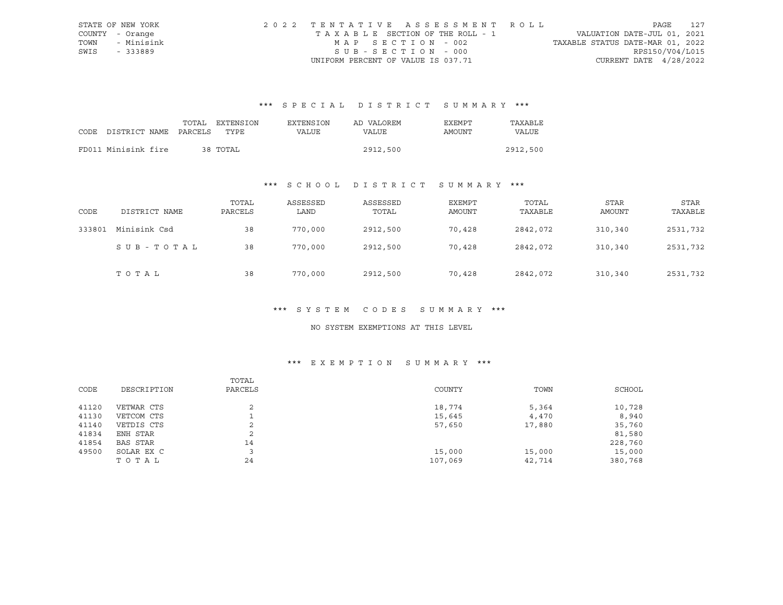|      | STATE OF NEW YORK | 2022 TENTATIVE ASSESSMENT ROLL     |                                  | PAGE                     | 127 |
|------|-------------------|------------------------------------|----------------------------------|--------------------------|-----|
|      | COUNTY - Orange   | TAXABLE SECTION OF THE ROLL - 1    | VALUATION DATE-JUL 01, 2021      |                          |     |
| TOWN | - Minisink        | MAP SECTION - 002                  | TAXABLE STATUS DATE-MAR 01, 2022 |                          |     |
| SWIS | - 333889          | SUB-SECTION - 000                  |                                  | RPS150/V04/L015          |     |
|      |                   | UNIFORM PERCENT OF VALUE IS 037.71 |                                  | CURRENT DATE $4/28/2022$ |     |

# \*\*\* S P E C I A L D I S T R I C T S U M M A R Y \*\*\*

|      |                       | TOTAL | EXTENSION | EXTENSION | AD VALOREM   | EXEMPT | TAXABLE  |
|------|-----------------------|-------|-----------|-----------|--------------|--------|----------|
| CODE | DISTRICT NAME PARCELS |       | TYPE      | VALUE     | <b>VALUE</b> | AMOUNT | VALUE    |
|      |                       |       |           |           |              |        |          |
|      | FD011 Minisink fire   |       | 38 TOTAL  |           | 2912,500     |        | 2912,500 |

# \*\*\* S C H O O L D I S T R I C T S U M M A R Y \*\*\*

| CODE   | DISTRICT NAME | TOTAL<br>PARCELS | ASSESSED<br>LAND | ASSESSED<br>TOTAL | EXEMPT<br><b>AMOUNT</b> | TOTAL<br>TAXABLE | <b>STAR</b><br>AMOUNT | STAR<br>TAXABLE |
|--------|---------------|------------------|------------------|-------------------|-------------------------|------------------|-----------------------|-----------------|
| 333801 | Minisink Csd  | 38               | 770,000          | 2912,500          | 70,428                  | 2842,072         | 310,340               | 2531,732        |
|        | SUB-TOTAL     | 38               | 770,000          | 2912,500          | 70,428                  | 2842,072         | 310,340               | 2531,732        |
|        | TOTAL         | 38               | 770,000          | 2912,500          | 70,428                  | 2842,072         | 310,340               | 2531,732        |

#### \*\*\* S Y S T E M C O D E S S U M M A R Y \*\*\*

### NO SYSTEM EXEMPTIONS AT THIS LEVEL

# \*\*\* E X E M P T I O N S U M M A R Y \*\*\*

|       |             | TOTAL          |         |        |         |
|-------|-------------|----------------|---------|--------|---------|
| CODE  | DESCRIPTION | PARCELS        | COUNTY  | TOWN   | SCHOOL  |
| 41120 | VETWAR CTS  | $\overline{2}$ | 18,774  | 5,364  | 10,728  |
| 41130 | VETCOM CTS  |                | 15,645  | 4,470  | 8,940   |
| 41140 | VETDIS CTS  | 2              | 57,650  | 17,880 | 35,760  |
| 41834 | ENH STAR    | 2              |         |        | 81,580  |
| 41854 | BAS STAR    | 14             |         |        | 228,760 |
| 49500 | SOLAR EX C  |                | 15,000  | 15,000 | 15,000  |
|       | TOTAL       | 24             | 107,069 | 42,714 | 380,768 |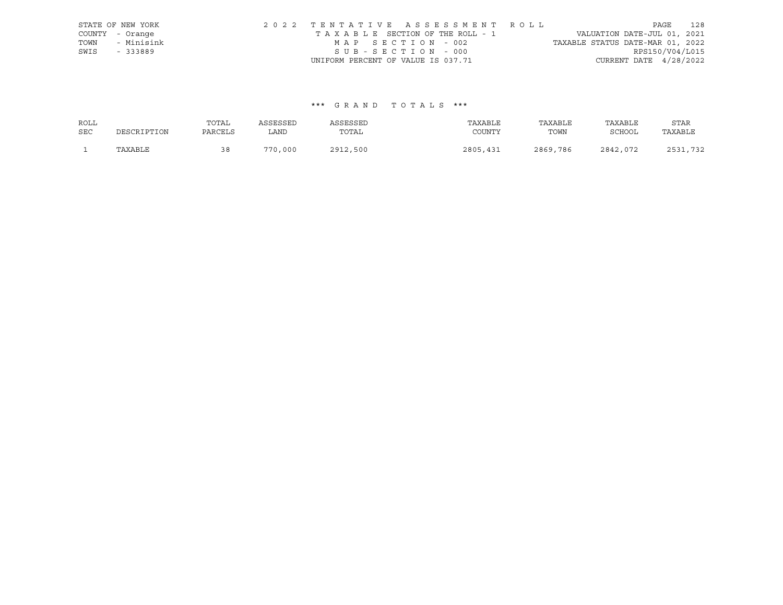|      | STATE OF NEW YORK | 2022 TENTATIVE ASSESSMENT ROLL                                 | PAGE            | 128 |
|------|-------------------|----------------------------------------------------------------|-----------------|-----|
|      | COUNTY - Orange   | VALUATION DATE-JUL 01, 2021<br>TAXABLE SECTION OF THE ROLL - 1 |                 |     |
| TOWN | - Minisink        | TAXABLE STATUS DATE-MAR 01, 2022<br>MAP SECTION - 002          |                 |     |
| SWIS | - 333889          | SUB-SECTION - 000                                              | RPS150/V04/L015 |     |
|      |                   | CURRENT DATE $4/28/2022$<br>UNIFORM PERCENT OF VALUE IS 037.71 |                 |     |

## \*\*\* G R A N D T O T A L S \*\*\*

| ROLL       |             | TOTAL   | ASSESSED | ASSESSED | TAXABLE  | TAXABLE  | TAXABLE  | STAR            |
|------------|-------------|---------|----------|----------|----------|----------|----------|-----------------|
| <b>SEC</b> | DESCRIPTION | PARCELS | LAND     | TOTAL    | COUNTY   | TOWN     | SCHOOL   | TAXABLE         |
|            | TAXABLE     | 38      | 770,000  | 2912,500 | 2805,431 | 2869,786 | 2842,072 | つにつ<br>ワマつ<br>. |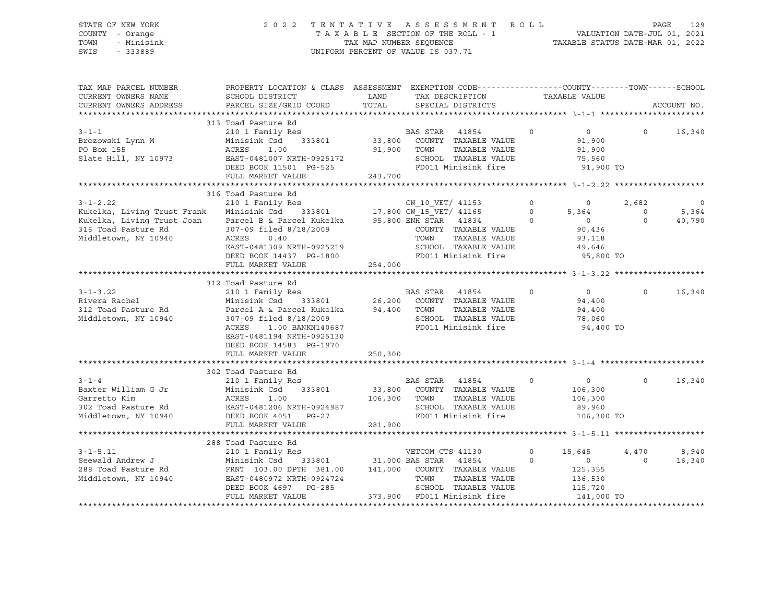### STATE OF NEW YORK 2 0 2 2 T E N T A T I V E A S S E S S M E N T R O L L PAGE 129 COUNTY - Orange T A X A B L E SECTION OF THE ROLL - 1 VALUATION DATE-JUL 01, 2021 TOWN - Minisink TAX MAP NUMBER SEQUENCE TAXABLE STATUS DATE-MAR 01, 2022 SWIS - 333889 CONSERVATION CONTROL OF VALUE IS 037.71

| TAX MAP PARCEL NUMBER<br>CURRENT OWNERS NAME<br>CURRENT OWNERS ADDRESS                                                                                                                                                                                      | PROPERTY LOCATION & CLASS ASSESSMENT EXEMPTION CODE----------------COUNTY-------TOWN------SCHOOL<br>SCHOOL DISTRICT<br>PARCEL SIZE/GRID COORD                                                                                                                        | LAND<br>TOTAL | TAX DESCRIPTION<br>SPECIAL DISTRICTS                                                                                                                   |                                                                                                                           | TAXABLE VALUE                                                                     | ACCOUNT NO.                                                               |
|-------------------------------------------------------------------------------------------------------------------------------------------------------------------------------------------------------------------------------------------------------------|----------------------------------------------------------------------------------------------------------------------------------------------------------------------------------------------------------------------------------------------------------------------|---------------|--------------------------------------------------------------------------------------------------------------------------------------------------------|---------------------------------------------------------------------------------------------------------------------------|-----------------------------------------------------------------------------------|---------------------------------------------------------------------------|
| $3 - 1 - 1$<br>Brozowski Lynn M<br>PO Box 155<br>Slate Hill, NY 10973<br>Slate Hill, NY 10973<br>DEED BOOK 11501 PG-525                                                                                                                                     | 313 Toad Pasture Rd<br>ACRES 1.00<br>FULL MARKET VALUE                                                                                                                                                                                                               | 243,700       | 91,900 TOWN<br>TAXABLE VALUE<br>SCHOOL TAXABLE VALUE 75,560<br>FD011 Minisink fire                                                                     | $\overline{0}$                                                                                                            | $\overline{0}$<br>91,900<br>91,900<br>91,900 TO                                   | $0 \t16,340$                                                              |
| 3-1-2.22 210 104 Fascure Ku 210 17,800 CW_10_VET/ 41153<br>210 Tamily Res 20 210 11 Family Res 333801 217,800 CW_15_VET/ 41165<br>Kukelka, Living Trust Joan Parcel B & Parcel Kukelka 95,800 ENH STAR 41834<br>316 Toad Pasture Rd<br>Middletown, NY 10940 | 316 Toad Pasture Rd<br>307-09 filed 8/18/2009<br>ACRES<br>0.40<br>EAST-0481309 NRTH-0925219<br>DEED BOOK 14437 PG-1800<br>FULL MARKET VALUE                                                                                                                          | 254,000       | $\overline{0}$<br>COUNTY TAXABLE VALUE<br>TOWN - TAXABLE VALUE<br>TAXABLE VALUE<br>SCHOOL TAXABLE VALUE<br>FD011 Minisink fire                         | $\overline{0}$<br>$\begin{matrix}0\\5,364\end{matrix}$<br>$\begin{matrix} & & & 0 \\ & & & & 0 \\ & & & & 0 \end{matrix}$ | 2,682<br>$\overline{0}$<br>90,436<br>93,118<br>49,646<br>$95,800$ TO              | $\overline{\phantom{0}}$<br>$\overline{0}$<br>5,364<br>$\Omega$<br>40,790 |
| $3 - 1 - 3.22$<br>Rivera Rachel<br>312 Toad Pasture Rd<br>Middletown, NY 10940                                                                                                                                                                              | 312 Toad Pasture Rd<br>210 1 Family Res<br>Minisink Csd 333801 26,200 COUNTY TAXABLE VALUE<br>Parcel A & Parcel Kukelka 94,400 TOWN<br>307-09 filed 8/18/2009<br>ACRES 1.00 BANKN140687<br>EAST-0481194 NRTH-0925130<br>DEED BOOK 14583 PG-1970<br>FULL MARKET VALUE | 250,300       | <b>BAS STAR</b> 41854<br>$\overline{0}$<br>TAXABLE VALUE<br>SCHOOL TAXABLE VALUE<br>FD011 Minisink fire                                                |                                                                                                                           | $\overline{0}$<br>94,400<br>94,400<br>78,060<br>94,400 TO                         | $\Omega$<br>16,340                                                        |
| $3 - 1 - 4$<br>Baxter William G Jr Minisi<br>Garretto Kim ACRES<br>302 Toad Pasture Rd EAST-0<br>Middletown, NY 10940 DEED B                                                                                                                                | 302 Toad Pasture Rd<br>210 1 Family Res<br>Minisink Csd<br>333801<br>1.00<br>EAST-0481206 NRTH-0924987<br>DEED BOOK 4051 PG-27<br>FULL MARKET VALUE                                                                                                                  | 281,900       | <b>BAS STAR</b> 41854<br>$\overline{0}$<br>33,800 COUNTY TAXABLE VALUE<br>106,300 TOWN<br>TAXABLE VALUE<br>SCHOOL TAXABLE VALUE<br>FD011 Minisink fire |                                                                                                                           | $\sim$ 0 $\sim$<br>106,300<br>106,300<br>89,960<br>106,300 TO                     | 16,340<br>$\Omega$                                                        |
| $3 - 1 - 5.11$<br>Seewald Andrew J<br>288 Toad Pasture Rd<br>Middletown, NY 10940                                                                                                                                                                           | 288 Toad Pasture Rd<br>210 1 Family Res<br>EAST-0480972 NRTH-0924724<br>DEED BOOK 4697 PG-285<br>DEED BOOK 4697 PG-285<br>FULL MARKET VALUE                                                                                                                          |               | VETCOM CTS 41130<br>333801 31,000 BAS STAR 41854<br>SCHOOL TAXABLE VALUE<br>373,900 FD011 Minisink fire                                                | $\Omega$<br>$\Omega$                                                                                                      | 15,645<br>4,470<br>$\overline{0}$<br>125,355<br>125, 530<br>115,720<br>141,000 TO | 8,940<br>$\Omega$<br>16,340                                               |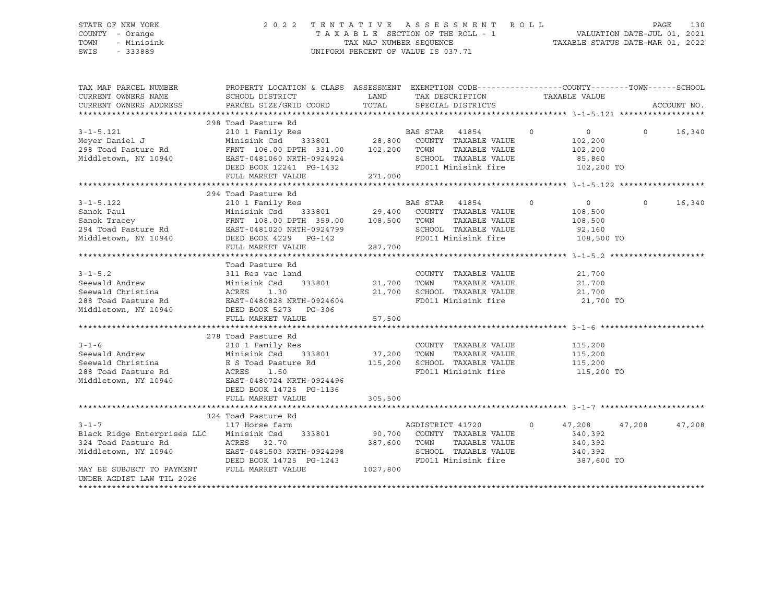### STATE OF NEW YORK 2 0 2 2 T E N T A T I V E A S S E S S M E N T R O L L PAGE 130 COUNTY - Orange T A X A B L E SECTION OF THE ROLL - 1 VALUATION DATE-JUL 01, 2021 TOWN - Minisink TAX MAP NUMBER SEQUENCE TAXABLE STATUS DATE-MAR 01, 2022 SWIS - 333889 CONSERVATION CONTROL OF VALUE IS 037.71

| TAX MAP PARCEL NUMBER<br>CURRENT OWNERS NAME<br>CURRENT OWNERS ADDRESS                                                                                                                                             | PROPERTY LOCATION & CLASS ASSESSMENT EXEMPTION CODE----------------COUNTY-------TOWN------SCHOOL<br>SCHOOL DISTRICT<br>PARCEL SIZE/GRID COORD | <b>LAND</b>      | TAX DESCRIPTION<br>TOTAL SPECIAL DISTRICTS   | TAXABLE VALUE |                |          | ACCOUNT NO. |
|--------------------------------------------------------------------------------------------------------------------------------------------------------------------------------------------------------------------|-----------------------------------------------------------------------------------------------------------------------------------------------|------------------|----------------------------------------------|---------------|----------------|----------|-------------|
|                                                                                                                                                                                                                    |                                                                                                                                               |                  |                                              |               |                |          |             |
|                                                                                                                                                                                                                    | 298 Toad Pasture Rd                                                                                                                           |                  |                                              |               |                |          |             |
| $3 - 1 - 5.121$                                                                                                                                                                                                    |                                                                                                                                               |                  | $\sim$ 0                                     |               | $\overline{0}$ | $\Omega$ | 16,340      |
| Meyer Daniel J                                                                                                                                                                                                     | 210 1 Family Res<br>210 1 Family Res<br>28,800 COUNTY TAXABLE VALUE                                                                           |                  |                                              |               | 102,200        |          |             |
| 298 Toad Pasture Rd                                                                                                                                                                                                | FRNT 106.00 DPTH 331.00 102,200 TOWN                                                                                                          |                  | TAXABLE VALUE                                |               | 102,200        |          |             |
| Middletown, NY 10940                                                                                                                                                                                               |                                                                                                                                               |                  |                                              |               | 85,860         |          |             |
|                                                                                                                                                                                                                    | ----- VEULVOU NKIH-U924924<br>DEED BOOK 12241 PG-1432<br>PHIT WILL-                                                                           |                  | SCHOOL TAXABLE VALUE<br>FD011 Minisink fire  |               | 102,200 TO     |          |             |
|                                                                                                                                                                                                                    | FULL MARKET VALUE                                                                                                                             | 271,000          |                                              |               |                |          |             |
|                                                                                                                                                                                                                    |                                                                                                                                               |                  |                                              |               |                |          |             |
|                                                                                                                                                                                                                    | 294 Toad Pasture Rd                                                                                                                           |                  |                                              |               |                |          |             |
| $3 - 1 - 5.122$                                                                                                                                                                                                    |                                                                                                                                               |                  | $\sim$ 0                                     |               | $\overline{0}$ | $\circ$  | 16,340      |
|                                                                                                                                                                                                                    |                                                                                                                                               |                  |                                              |               |                |          |             |
| Sanok Paul                                                                                                                                                                                                         |                                                                                                                                               |                  | TAXABLE VALUE                                |               | 108,500        |          |             |
|                                                                                                                                                                                                                    |                                                                                                                                               |                  |                                              |               | 108,500        |          |             |
|                                                                                                                                                                                                                    |                                                                                                                                               |                  | SCHOOL TAXABLE VALUE<br>FD011 Minisink fire  |               | 92,160         |          |             |
| Sanok Fracey<br>29, 400 COMPRESSION TRACE PRIT 108.00 DPTH 359.00 108,500 TOWN<br>294 Toad Pasture Rd EAST-0481020 NRTH-0924799 SCHOOL<br>294 Toad Pasture Rd EAST-0481020 NRTH-0924799 SCHOOL<br>287,700 FD011 Mi |                                                                                                                                               |                  |                                              |               | 108,500 TO     |          |             |
|                                                                                                                                                                                                                    |                                                                                                                                               | 287,700          |                                              |               |                |          |             |
|                                                                                                                                                                                                                    |                                                                                                                                               |                  |                                              |               |                |          |             |
|                                                                                                                                                                                                                    | Toad Pasture Rd                                                                                                                               |                  |                                              |               |                |          |             |
| $3 - 1 - 5.2$                                                                                                                                                                                                      | 311 Res vac land                                                                                                                              |                  | COUNTY TAXABLE VALUE                         |               | 21,700         |          |             |
| Seewald Andrew                                                                                                                                                                                                     | 333801 21,700 TOWN<br>Minisink Csd                                                                                                            |                  | TAXABLE VALUE<br>21,700 SCHOOL TAXABLE VALUE |               | 21,700         |          |             |
|                                                                                                                                                                                                                    |                                                                                                                                               |                  |                                              |               | 21,700         |          |             |
|                                                                                                                                                                                                                    |                                                                                                                                               |                  | FD011 Minisink fire                          |               | 21,700 TO      |          |             |
| Seewald Andrew<br>Seewald Christina Acentes 1.30<br>288 Toad Pasture Rd<br>Middletown, NY 10940 DEED BOOK 5273 PG-306<br>FULL MARKET VALUE                                                                         |                                                                                                                                               |                  |                                              |               |                |          |             |
|                                                                                                                                                                                                                    | FULL MARKET VALUE                                                                                                                             | 57,500           |                                              |               |                |          |             |
|                                                                                                                                                                                                                    |                                                                                                                                               |                  |                                              |               |                |          |             |
|                                                                                                                                                                                                                    | 278 Toad Pasture Rd                                                                                                                           |                  |                                              |               |                |          |             |
|                                                                                                                                                                                                                    |                                                                                                                                               |                  |                                              |               |                |          |             |
|                                                                                                                                                                                                                    |                                                                                                                                               |                  |                                              |               |                |          |             |
|                                                                                                                                                                                                                    |                                                                                                                                               |                  |                                              |               |                |          |             |
| 288 Toad Pasture Rd               ACRES     1.50<br>Middletown, NY 10940             EAST-0480724 NRTH-0924496                                                                                                     |                                                                                                                                               |                  | FD011 Minisink fire                          |               | 115,200 TO     |          |             |
|                                                                                                                                                                                                                    |                                                                                                                                               |                  |                                              |               |                |          |             |
|                                                                                                                                                                                                                    | DEED BOOK 14725 PG-1136                                                                                                                       |                  |                                              |               |                |          |             |
|                                                                                                                                                                                                                    | FULL MARKET VALUE                                                                                                                             | 305,500          |                                              |               |                |          |             |
|                                                                                                                                                                                                                    |                                                                                                                                               |                  |                                              |               |                |          |             |
|                                                                                                                                                                                                                    | 324 Toad Pasture Rd                                                                                                                           | AGDISTRICT 41720 |                                              |               |                |          |             |
| $3 - 1 - 7$                                                                                                                                                                                                        | 117 Horse farm                                                                                                                                |                  | $\sim$ 0                                     |               | 47,208 47,208  |          | 47,208      |
| Black Ridge Enterprises LLC Minisink Csd 333801 90,700 COUNTY TAXABLE VALUE                                                                                                                                        |                                                                                                                                               |                  |                                              |               | 340,392        |          |             |
| 324 Toad Pasture Rd                                                                                                                                                                                                | ACRES 32.70                                                                                                                                   |                  | 387,600 TOWN TAXABLE VALUE                   |               | 340,392        |          |             |
| Middletown, NY 10940                                                                                                                                                                                               | EAST-0481503 NRTH-0924298                                                                                                                     |                  | SCHOOL TAXABLE VALUE                         |               | 340,392        |          |             |
|                                                                                                                                                                                                                    | DEED BOOK 14725 PG-1243                                                                                                                       |                  | FD011 Minisink fire 387,600 TO               |               |                |          |             |
| MAY BE SUBJECT TO PAYMENT                                                                                                                                                                                          | FULL MARKET VALUE 1027,800                                                                                                                    |                  |                                              |               |                |          |             |
| UNDER AGDIST LAW TIL 2026                                                                                                                                                                                          |                                                                                                                                               |                  |                                              |               |                |          |             |
|                                                                                                                                                                                                                    |                                                                                                                                               |                  |                                              |               |                |          |             |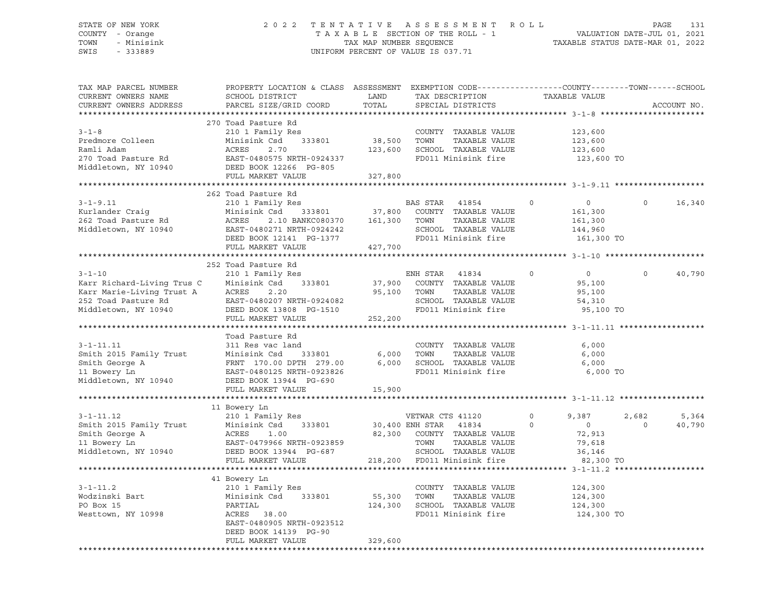### STATE OF NEW YORK 2 0 2 2 T E N T A T I V E A S S E S S M E N T R O L L PAGE 131 COUNTY - Orange T A X A B L E SECTION OF THE ROLL - 1 VALUATION DATE-JUL 01, 2021 TOWN - Minisink TAX MAP NUMBER SEQUENCE TAXABLE STATUS DATE-MAR 01, 2022 SWIS - 333889 CONSERVATION CONTROL OF VALUE IS 037.71

| TAX MAP PARCEL NUMBER<br>CURRENT OWNERS NAME<br>CURRENT OWNERS ADDRESS                                                 | PROPERTY LOCATION & CLASS ASSESSMENT EXEMPTION CODE----------------COUNTY-------TOWN------SCHOOL<br>SCHOOL DISTRICT<br>PARCEL SIZE/GRID COORD                                           | LAND<br>TOTAL                | TAX DESCRIPTION<br>SPECIAL DISTRICTS                                                                                                                     | TAXABLE VALUE                                                                            | ACCOUNT NO.                          |
|------------------------------------------------------------------------------------------------------------------------|-----------------------------------------------------------------------------------------------------------------------------------------------------------------------------------------|------------------------------|----------------------------------------------------------------------------------------------------------------------------------------------------------|------------------------------------------------------------------------------------------|--------------------------------------|
| $3 - 1 - 8$<br>Predmore Colleen<br>Ramli Adam<br>270 Toad Pasture Rd<br>Middletown, NY 10940                           | 270 Toad Pasture Rd<br>210 1 Family Res<br>333801<br>Minisink Csd<br>ACRES<br>2.70<br>EAST-0480575 NRTH-0924337<br>DEED BOOK 12266 PG-805<br>FULL MARKET VALUE                          | 38,500<br>123,600<br>327,800 | COUNTY TAXABLE VALUE<br>TOWN<br>TAXABLE VALUE<br>SCHOOL TAXABLE VALUE<br>FD011 Minisink fire                                                             | 123,600<br>123,600<br>123,600<br>123,600 TO                                              |                                      |
| $3 - 1 - 9.11$<br>Kurlander Craiq<br>262 Toad Pasture Rd<br>Middletown, NY 10940                                       | 262 Toad Pasture Rd<br>210 1 Family Res<br>Minisink Csd 333801 37,800<br>2.10 BANKC080370 161,300<br>ACRES<br>EAST-0480271 NRTH-0924242<br>DEED BOOK 12141 PG-1377<br>FULL MARKET VALUE | 427,700                      | BAS STAR 41854<br>COUNTY TAXABLE VALUE<br>TAXABLE VALUE<br>TOWN<br>SCHOOL TAXABLE VALUE<br>FD011 Minisink fire                                           | $\Omega$<br>$\circ$<br>161,300<br>161,300<br>144,960<br>161,300 TO                       | $\Omega$<br>16,340                   |
|                                                                                                                        |                                                                                                                                                                                         |                              |                                                                                                                                                          |                                                                                          |                                      |
| $3 - 1 - 10$<br>Karr Richard-Living Trus C<br>Karr Marie-Living Trust A<br>252 Toad Pasture Rd<br>Middletown, NY 10940 | 252 Toad Pasture Rd<br>210 1 Family Res<br>333801<br>Minisink Csd<br>ACRES<br>2.20<br>EAST-0480207 NRTH-0924082<br>DEED BOOK 13808 PG-1510<br>FULL MARKET VALUE                         | 95,100 TOWN<br>252,200       | ENH STAR 41834<br>37,900 COUNTY TAXABLE VALUE<br>TAXABLE VALUE<br>SCHOOL TAXABLE VALUE<br>FD011 Minisink fire                                            | $\circ$<br>$\overline{0}$<br>95,100<br>95,100<br>54,310<br>95,100 TO                     | 40,790<br>$\Omega$                   |
|                                                                                                                        |                                                                                                                                                                                         |                              |                                                                                                                                                          |                                                                                          |                                      |
| $3 - 1 - 11.11$<br>Smith 2015 Family Trust<br>Smith George A<br>11 Bowery Ln<br>Middletown, NY 10940                   | Toad Pasture Rd<br>311 Res vac land<br>333801<br>Minisink Csd<br>FRNT 170.00 DPTH 279.00<br>EAST-0480125 NRTH-0923826<br>DEED BOOK 13944 PG-690<br>FULL MARKET VALUE                    | 6,000<br>6,000<br>15,900     | COUNTY TAXABLE VALUE<br>TAXABLE VALUE<br>TOWN<br>SCHOOL TAXABLE VALUE<br>FD011 Minisink fire                                                             | 6,000<br>6,000<br>6,000<br>6,000 TO                                                      |                                      |
|                                                                                                                        |                                                                                                                                                                                         |                              |                                                                                                                                                          |                                                                                          |                                      |
| $3 - 1 - 11.12$<br>Smith 2015 Family Trust<br>Smith George A<br>11 Bowery Ln<br>Middletown, NY 10940                   | 11 Bowery Ln<br>210 1 Family Res<br>Minisink Csd<br>333801<br>ACRES<br>1.00<br>EAST-0479966 NRTH-0923859<br>DEED BOOK 13944 PG-687<br>FULL MARKET VALUE                                 |                              | VETWAR CTS 41120<br>30,400 ENH STAR 41834<br>82,300 COUNTY TAXABLE VALUE<br>TOWN<br>TAXABLE VALUE<br>SCHOOL TAXABLE VALUE<br>218,200 FD011 Minisink fire | $\circ$<br>9,387<br>$\circ$<br>$\overline{0}$<br>72,913<br>79,618<br>36,146<br>82,300 TO | 2,682<br>5,364<br>$\Omega$<br>40,790 |
|                                                                                                                        |                                                                                                                                                                                         |                              |                                                                                                                                                          |                                                                                          |                                      |
| $3 - 1 - 11.2$<br>Wodzinski Bart<br>PO Box 15<br>Westtown, NY 10998                                                    | 41 Bowery Ln<br>210 1 Family Res<br>Minisink Csd 333801<br>PARTIAL<br>ACRES 38.00<br>EAST-0480905 NRTH-0923512<br>DEED BOOK 14139 PG-90<br>FULL MARKET VALUE                            | 55,300<br>124,300<br>329,600 | COUNTY TAXABLE VALUE<br>TOWN<br>TAXABLE VALUE<br>SCHOOL TAXABLE VALUE<br>FD011 Minisink fire                                                             | 124,300<br>124,300<br>124,300<br>124,300 TO                                              |                                      |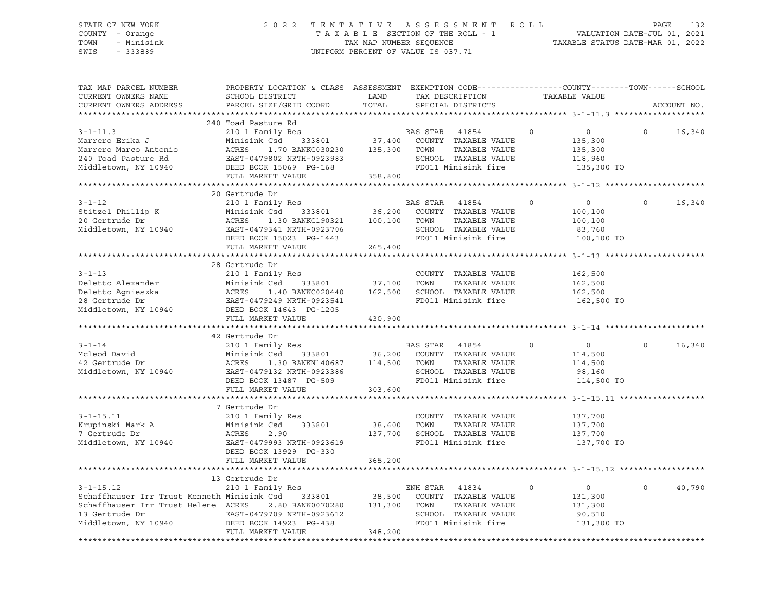### STATE OF NEW YORK 2 0 2 2 T E N T A T I V E A S S E S S M E N T R O L L PAGE 132 COUNTY - Orange T A X A B L E SECTION OF THE ROLL - 1 VALUATION DATE-JUL 01, 2021 TOWN - Minisink TAX MAP NUMBER SEQUENCE TAXABLE STATUS DATE-MAR 01, 2022 SWIS - 333889 CONSERVATION CONTROL OF VALUE IS 037.71

| TAX MAP PARCEL NUMBER<br>CURRENT OWNERS NAME<br>CURRENT OWNERS ADDRESS                                                                                                                            | PROPERTY LOCATION & CLASS ASSESSMENT EXEMPTION CODE----------------COUNTY-------TOWN------SCHOOL<br>SCHOOL DISTRICT<br>PARCEL SIZE/GRID COORD                                                               | LAND<br>TOTAL           | TAX DESCRIPTION<br>SPECIAL DISTRICTS                                                                                 |         | TAXABLE VALUE                                                            | ACCOUNT NO. |
|---------------------------------------------------------------------------------------------------------------------------------------------------------------------------------------------------|-------------------------------------------------------------------------------------------------------------------------------------------------------------------------------------------------------------|-------------------------|----------------------------------------------------------------------------------------------------------------------|---------|--------------------------------------------------------------------------|-------------|
|                                                                                                                                                                                                   |                                                                                                                                                                                                             |                         |                                                                                                                      |         |                                                                          |             |
| $3 - 1 - 11.3$<br>Marrero Erika J<br>Marrero Marco Antonio<br>240 Toad Pasture Rd<br>Middletown, NY 10940                                                                                         | 240 Toad Pasture Rd<br>210 1 Family Res<br>Res<br>333801<br>Minisink Csd<br>ACRES<br>1.70 BANKC030230<br>ACRES 1.70 BANKC030230<br>EAST-0479802 NRTH-0923983<br>DEED BOOK 15069 PG-168<br>FULL MARKET VALUE | 135,300 TOWN<br>358,800 | BAS STAR 41854<br>37,400 COUNTY TAXABLE VALUE<br>TAXABLE VALUE<br>SCHOOL TAXABLE VALUE<br>FD011 Minisink fire        | $\circ$ | $\circ$<br>$\mathsf{O}$<br>135,300<br>135,300<br>118,960<br>135,300 TO   | 16,340      |
|                                                                                                                                                                                                   | 20 Gertrude Dr                                                                                                                                                                                              |                         |                                                                                                                      |         |                                                                          |             |
| $3 - 1 - 12$<br>Stitzel Phillip K<br>20 Gertrude Dr<br>Middletown, NY 10940                                                                                                                       | 210 1 Family Res<br>Csd 333801 36,200 COUNT<br>1.30 BANKC190321 100,100 TOWN<br>Minisink Csd<br>Minis:<br>ACRES<br>EAST-0479341 NRTH-0923706<br>DEED BOOK 15023 PG-1443<br>FULL MARKET VALUE                | 265,400                 | BAS STAR 41854<br>COUNTY TAXABLE VALUE<br>TAXABLE VALUE<br>SCHOOL TAXABLE VALUE<br>FD011 Minisink fire               | $\circ$ | $\overline{0}$<br>$\Omega$<br>100,100<br>100,100<br>83,760<br>100,100 TO | 16,340      |
|                                                                                                                                                                                                   |                                                                                                                                                                                                             |                         |                                                                                                                      |         |                                                                          |             |
| $3 - 1 - 13$<br>Middletown, NY 10940                                                                                                                                                              | 28 Gertrude Dr<br>210 1 Family Res<br>DEED BOOK 14643 PG-1205<br>FULL MARKET VALUE                                                                                                                          | 37,100 TOWN<br>430,900  | COUNTY TAXABLE VALUE                                                                                                 |         | 162,500<br>162,500<br>162,500<br>162,500 TO                              |             |
|                                                                                                                                                                                                   | 42 Gertrude Dr                                                                                                                                                                                              |                         |                                                                                                                      |         |                                                                          |             |
| $3 - 1 - 14$<br>Mcleod David<br>42 Gertrude Dr<br>Middletown, NY 10940                                                                                                                            | 210 1 Family Res<br>Minisink Csd<br>1.30 BANKN140687 114,500 TOWN<br>ACRES<br>EAST-0479132 NRTH-0923386<br>DEED BOOK 13487 PG-509<br>FULL MARKET VALUE                                                      | 303,600                 | BAS STAR 41854<br>333801 36,200 COUNTY TAXABLE VALUE<br>TAXABLE VALUE<br>SCHOOL TAXABLE VALUE<br>FD011 Minisink fire | $\circ$ | $\Omega$<br>$\overline{0}$<br>114,500<br>114,500<br>98,160<br>114,500 TO | 16,340      |
|                                                                                                                                                                                                   |                                                                                                                                                                                                             |                         |                                                                                                                      |         |                                                                          |             |
| $3 - 1 - 15.11$<br>Krupinski Mark A<br>7 Gertrude Dr<br>Middletown, NY 10940                                                                                                                      | 7 Gertrude Dr<br>210 1 Family Res<br>Minisink Csd<br>333801<br>ACRES<br>2.90<br>EAST-0479993 NRTH-0923619<br>DEED BOOK 13929 PG-330<br>FULL MARKET VALUE                                                    | 38,600 TOWN<br>365,200  | COUNTY TAXABLE VALUE<br>TAXABLE VALUE<br>137,700 SCHOOL TAXABLE VALUE<br>FD011 Minisink fire                         |         | 137,700<br>137,700<br>137,700<br>137,700 TO                              |             |
|                                                                                                                                                                                                   |                                                                                                                                                                                                             |                         |                                                                                                                      |         |                                                                          |             |
| $3 - 1 - 15.12$<br>Schaffhauser Irr Trust Kenneth Minisink Csd 333801 38,500 COUNT<br>Schaffhauser Irr Trust Helene ACRES 2.80 BANK0070280 131,300 TOWN<br>13 Gertrude Dr<br>Middletown, NY 10940 | 13 Gertrude Dr<br>210 1 Family Res<br>FULL MARKET VALUE                                                                                                                                                     | 348,200                 | ENH STAR 41834<br>COUNTY TAXABLE VALUE<br>TAXABLE VALUE<br>SCHOOL TAXABLE VALUE<br>FD011 Minisink fire               | $\circ$ | $\Omega$<br>$\overline{0}$<br>131,300<br>131,300<br>90,510<br>131,300 TO | 40,790      |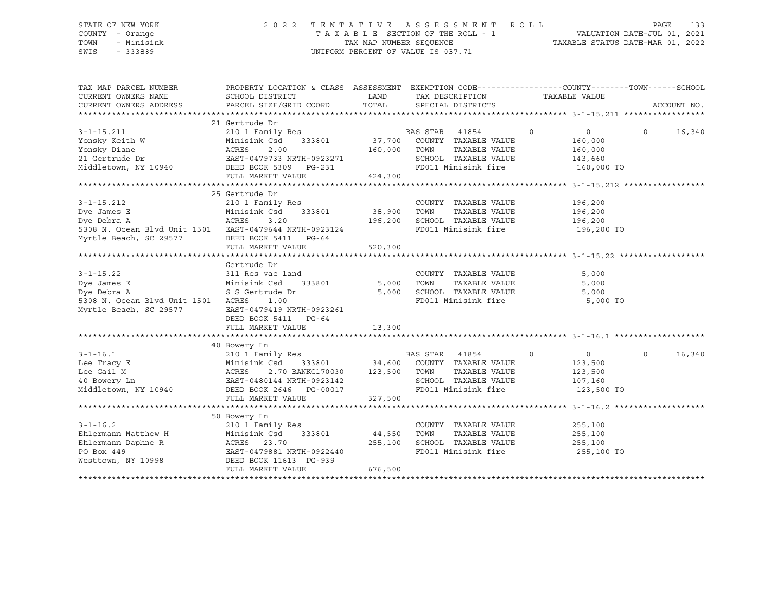### STATE OF NEW YORK 2 0 2 2 T E N T A T I V E A S S E S S M E N T R O L L PAGE 133 COUNTY - Orange T A X A B L E SECTION OF THE ROLL - 1 VALUATION DATE-JUL 01, 2021 TOWN - Minisink TAX MAP NUMBER SEQUENCE TAXABLE STATUS DATE-MAR 01, 2022 SWIS - 333889 CONSERVATION CONTROL OF VALUE IS 037.71

| TAX MAP PARCEL NUMBER                                                                                                                                                                     | PROPERTY LOCATION & CLASS ASSESSMENT EXEMPTION CODE----------------COUNTY-------TOWN------SCHOOL                                    |                      |                |                                             |               |                |                   |              |
|-------------------------------------------------------------------------------------------------------------------------------------------------------------------------------------------|-------------------------------------------------------------------------------------------------------------------------------------|----------------------|----------------|---------------------------------------------|---------------|----------------|-------------------|--------------|
| CURRENT OWNERS NAME                                                                                                                                                                       | SCHOOL DISTRICT                                                                                                                     | LAND TAX DESCRIPTION |                |                                             | TAXABLE VALUE |                |                   |              |
| CURRENT OWNERS ADDRESS                                                                                                                                                                    | PARCEL SIZE/GRID COORD                                                                                                              |                      |                | TOTAL SPECIAL DISTRICTS                     |               |                |                   | ACCOUNT NO.  |
|                                                                                                                                                                                           |                                                                                                                                     |                      |                |                                             |               |                |                   |              |
|                                                                                                                                                                                           | 21 Gertrude Dr                                                                                                                      |                      |                |                                             |               |                |                   |              |
| $3 - 1 - 15.211$                                                                                                                                                                          | 210 1 Family Res                                                                                                                    |                      | BAS STAR 41854 | $\sim$ 0                                    |               | $\overline{0}$ |                   | $0 \t16,340$ |
|                                                                                                                                                                                           | $\begin{array}{cccc}\n \text{Minisink Csd} & 333801 & 37,700 & \text{COUNTY} & \text{TAXABLE VALUE} \\  \text{15.13}\n \end{array}$ |                      |                |                                             |               | 160,000        |                   |              |
|                                                                                                                                                                                           |                                                                                                                                     | 160,000              | TOWN           | TAXABLE VALUE                               |               | 160,000        |                   |              |
|                                                                                                                                                                                           |                                                                                                                                     |                      |                | SCHOOL TAXABLE VALUE                        | 143,660       |                |                   |              |
| For Fig. 2.00<br>Yonsky Keith W Minisink Csd 333801<br>Yonsky Diane ACRES 2.00<br>21 Gertrude Dr EAST-0479733 NRTH-0923271<br>Middletown, NY 10940 DEED BOOK 5309 PG-231                  |                                                                                                                                     |                      |                | FD011 Minisink fire                         |               | 160,000 TO     |                   |              |
|                                                                                                                                                                                           | FULL MARKET VALUE                                                                                                                   | 424,300              |                |                                             |               |                |                   |              |
|                                                                                                                                                                                           |                                                                                                                                     |                      |                |                                             |               |                |                   |              |
|                                                                                                                                                                                           | 25 Gertrude Dr                                                                                                                      |                      |                |                                             |               |                |                   |              |
| $3 - 1 - 15.212$                                                                                                                                                                          | 210 1 Family Res                                                                                                                    |                      |                | COUNTY TAXABLE VALUE 196,200                |               |                |                   |              |
| Dye James E                                                                                                                                                                               | Minisink Csd 333801 38,900 TOWN                                                                                                     |                      |                | TAXABLE VALUE 196,200                       |               |                |                   |              |
|                                                                                                                                                                                           |                                                                                                                                     |                      |                |                                             |               |                |                   |              |
|                                                                                                                                                                                           |                                                                                                                                     |                      |                |                                             |               |                |                   |              |
| Myrtle Beach, SC 29577 DEED BOOK 5411 PG-64                                                                                                                                               |                                                                                                                                     |                      |                |                                             |               |                |                   |              |
|                                                                                                                                                                                           | FULL MARKET VALUE                                                                                                                   | 520,300              |                |                                             |               |                |                   |              |
|                                                                                                                                                                                           |                                                                                                                                     |                      |                |                                             |               |                |                   |              |
|                                                                                                                                                                                           | Gertrude Dr                                                                                                                         |                      |                |                                             |               |                |                   |              |
| $3 - 1 - 15.22$                                                                                                                                                                           |                                                                                                                                     |                      |                | COUNTY TAXABLE VALUE                        |               | 5,000          |                   |              |
| Dye James E                                                                                                                                                                               | 311 Res vac land GOUNT (COUNT)<br>Minisink Csd (333801 (5,000) TOWN<br>S S Gertrude Dr (5,000) SCHOO                                |                      |                | TAXABLE VALUE                               |               | 5,000          |                   |              |
| Dye Debra A                                                                                                                                                                               | S S Gertrude Dr                                                                                                                     |                      |                | $5,000$ SCHOOL TAXABLE VALUE $5,000$        |               |                |                   |              |
| 5308 N. Ocean Blvd Unit 1501 ACRES 1.00                                                                                                                                                   |                                                                                                                                     |                      |                | FD011 Minisink fire                         |               | 5,000 TO       |                   |              |
| Myrtle Beach, SC 29577                                                                                                                                                                    | EAST-0479419 NRTH-0923261                                                                                                           |                      |                |                                             |               |                |                   |              |
|                                                                                                                                                                                           | DEED BOOK 5411 PG-64                                                                                                                |                      |                |                                             |               |                |                   |              |
|                                                                                                                                                                                           | FULL MARKET VALUE                                                                                                                   | 13,300               |                |                                             |               |                |                   |              |
|                                                                                                                                                                                           |                                                                                                                                     |                      |                |                                             |               |                |                   |              |
|                                                                                                                                                                                           | 40 Bowery Ln                                                                                                                        |                      |                |                                             |               |                |                   |              |
| $3 - 1 - 16.1$                                                                                                                                                                            | EUROLY III<br>210 1 Family Res 61 1995 1997 BAS STAR 41854                                                                          |                      |                | $\sim$ 0                                    |               | $\overline{0}$ | $0 \qquad \qquad$ | 16,340       |
|                                                                                                                                                                                           | Minisink Csd 333801 34,600 COUNTY TAXABLE VALUE                                                                                     |                      |                |                                             |               | 123,500        |                   |              |
| 3-1-16.1<br>Lee Tracy E Minisink Csd 333801 34,600<br>Lee Gail M ACRES 2.70 BANKC170030 123,500<br>40 Bowery Ln EAST-0480144 NRTH-0923142<br>Middletown, NY 10940 DEED BOOK 2646 PG-00017 | 2.70 BANKC170030 123,500 TOWN                                                                                                       |                      |                | TAXABLE VALUE                               |               | 123,500        |                   |              |
|                                                                                                                                                                                           |                                                                                                                                     |                      |                | SCHOOL TAXABLE VALUE<br>FD011 Minisink fire |               | 107,160        |                   |              |
|                                                                                                                                                                                           |                                                                                                                                     |                      |                |                                             |               | 123,500 TO     |                   |              |
|                                                                                                                                                                                           | FULL MARKET VALUE                                                                                                                   | 327,500              |                |                                             |               |                |                   |              |
|                                                                                                                                                                                           |                                                                                                                                     |                      |                |                                             |               |                |                   |              |
|                                                                                                                                                                                           | 50 Bowery Ln                                                                                                                        |                      |                |                                             |               |                |                   |              |
| $3 - 1 - 16.2$                                                                                                                                                                            | 210 1 Family Res                                                                                                                    |                      |                | COUNTY TAXABLE VALUE                        |               | 255,100        |                   |              |
| Ehlermann Matthew H                                                                                                                                                                       | 333801                                                                                                                              | 44,550 TOWN          |                | TAXABLE VALUE                               |               | 255,100        |                   |              |
| Ehlermann Daphne R                                                                                                                                                                        | 210 1 Family Res<br>Minisink Csd<br>ACRES 23.70                                                                                     | 255,100              |                | SCHOOL TAXABLE VALUE 255,100                |               |                |                   |              |
| PO Box 449<br>Westtown, NY 10998                                                                                                                                                          | EAST-0479881 NRTH-0922440                                                                                                           |                      |                | FD011 Minisink fire 255,100 TO              |               |                |                   |              |
|                                                                                                                                                                                           | DEED BOOK 11613 PG-939                                                                                                              |                      |                |                                             |               |                |                   |              |
|                                                                                                                                                                                           | FULL MARKET VALUE                                                                                                                   | 676,500              |                |                                             |               |                |                   |              |
|                                                                                                                                                                                           |                                                                                                                                     |                      |                |                                             |               |                |                   |              |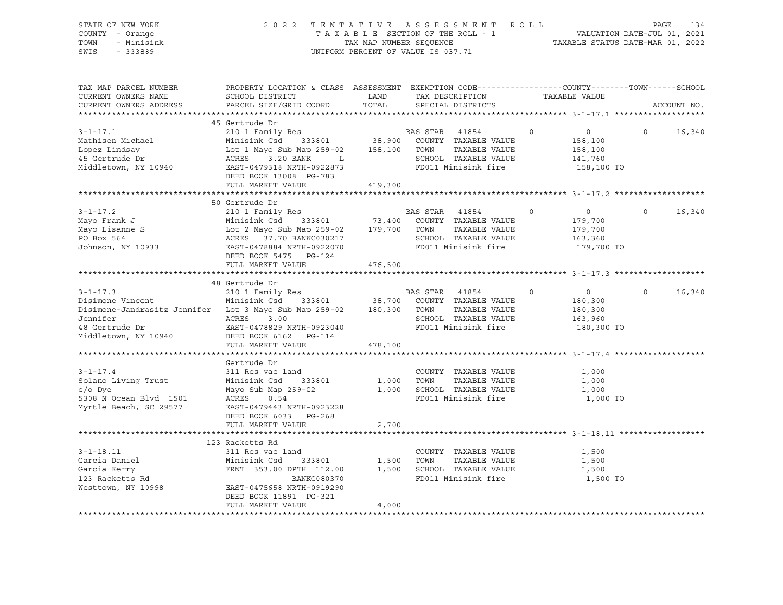| STATE OF NEW YORK<br>COUNTY - Orange<br>TOWN<br>- Minisink<br>SWIS<br>$-333889$                                                                            | 2 0 2 2                                                                                                                                                                                                                             |                         | TENTATIVE ASSESSMENT ROLL<br>T A X A B L E SECTION OF THE ROLL - 1<br>T A X A B L E SECTION OF THE ROLL - 1<br>TAXABLE STATUS DATE-MAR 01, 2022<br>UNIFORM PERCENT OF VALUE IS 037.71 |                                                                          | PAGE<br>134        |
|------------------------------------------------------------------------------------------------------------------------------------------------------------|-------------------------------------------------------------------------------------------------------------------------------------------------------------------------------------------------------------------------------------|-------------------------|---------------------------------------------------------------------------------------------------------------------------------------------------------------------------------------|--------------------------------------------------------------------------|--------------------|
| TAX MAP PARCEL NUMBER<br>CURRENT OWNERS NAME<br>CURRENT OWNERS ADDRESS                                                                                     | PROPERTY LOCATION & CLASS ASSESSMENT EXEMPTION CODE----------------COUNTY-------TOWN------SCHOOL<br>SCHOOL DISTRICT<br>PARCEL SIZE/GRID COORD                                                                                       | LAND<br>TOTAL           | TAX DESCRIPTION<br>SPECIAL DISTRICTS                                                                                                                                                  | TAXABLE VALUE                                                            | ACCOUNT NO.        |
| $3 - 1 - 17.1$<br>Mathisen Michael<br>Lopez Lindsay<br>45 Gertrude Dr<br>Middletown, NY 10940 EAST-0479318 NRTH-0922873                                    | 45 Gertrude Dr<br>210 1 Family Res<br>Minisink Csd 333801 38,900<br>Lot 1 Mayo Sub Map 259-02   158,100  TOWN   TAXABLE VALUE<br>ACRES   3.20 BANK    L        SCHOOL  TAXABLE VALUE<br>DEED BOOK 13008 PG-783<br>FULL MARKET VALUE | 419,300                 | BAS STAR 41854<br>COUNTY TAXABLE VALUE<br>SCHOOL TAXABLE VALUE<br>FD011 Minisink fire                                                                                                 | $\circ$<br>$\overline{0}$<br>158,100<br>158,100<br>141,760<br>158,100 TO | $\circ$<br>16,340  |
|                                                                                                                                                            |                                                                                                                                                                                                                                     |                         |                                                                                                                                                                                       |                                                                          |                    |
| $3 - 1 - 17.2$<br>Mayo Frank J<br>Mayo Lisanne S<br>Do Boy 564<br>Johnson, NY 10933                                                                        | 50 Gertrude Dr<br>210 1 Family Res<br>Minisink Csd 333801 73,400<br>EAST-0478884 NRTH-0922070<br>DEED BOOK 5475 PG-124                                                                                                              |                         | BAS STAR 41854<br>FD011 Minisink fire                                                                                                                                                 | $\Omega$<br>$\sim$ 0<br>179,700<br>179,700<br>163,360<br>179,700 TO      | $\Omega$<br>16,340 |
|                                                                                                                                                            | FULL MARKET VALUE                                                                                                                                                                                                                   | 476,500                 |                                                                                                                                                                                       |                                                                          |                    |
|                                                                                                                                                            |                                                                                                                                                                                                                                     |                         |                                                                                                                                                                                       |                                                                          |                    |
| $3 - 1 - 17.3$<br>Disimone Vincent<br>Disimone-Jandrasitz Jennifer Lot 3 Mayo Sub Map 259-02 180,300<br>Jennifer<br>48 Gertrude Dr<br>Middletown, NY 10940 | 48 Gertrude Dr<br>210 1 Family Res<br>Minisink Csd 333801 38,700<br>ACRES 3.00<br>EAST-0478829 NRTH-0923040                                                                                                                         |                         | BAS STAR 41854<br>COUNTY TAXABLE VALUE<br>TOWN TAXABLE VALUE<br>SCHOOL TAXABLE VALUE<br>FD011 Minisink fire                                                                           | $\overline{0}$<br>$\circ$<br>180,300<br>180,300<br>163,960<br>180,300 TO | $\circ$<br>16,340  |
|                                                                                                                                                            | FULL MARKET VALUE                                                                                                                                                                                                                   | 478,100                 |                                                                                                                                                                                       |                                                                          |                    |
| $3 - 1 - 17.4$<br>Solano Living Trust<br>$c/O$ Dye<br>5308 N Ocean Blvd 1501<br>Myrtle Beach, SC 29577                                                     | Gertrude Dr<br>311 Res vac land<br>Minisink Csd<br>333801<br>Mayo Sub Map 259-02<br>ACRES 0.54<br>EAST-0479443 NRTH-0923228<br>DEED BOOK 6033 PG-268<br>FULL MARKET VALUE                                                           | 1,000<br>1,000<br>2,700 | COUNTY TAXABLE VALUE<br>TOWN<br>TAXABLE VALUE<br>SCHOOL TAXABLE VALUE<br>FD011 Minisink fire                                                                                          | 1,000<br>1,000<br>1,000<br>1,000 TO                                      |                    |
|                                                                                                                                                            |                                                                                                                                                                                                                                     |                         |                                                                                                                                                                                       |                                                                          |                    |
|                                                                                                                                                            | 123 Racketts Rd                                                                                                                                                                                                                     |                         |                                                                                                                                                                                       |                                                                          |                    |
| $3 - 1 - 18.11$<br>Garcia Daniel<br>Garcia Kerry<br>Garcia Kerry<br>123 Racketts Rd<br>Westtown, NY 10998                                                  | 311 Res vac land<br>333801<br>Minisink Csd<br>FRNT 353.00 DPTH 112.00<br>BANKC080370<br>EAST-0475658 NRTH-0919290<br>DEED BOOK 11891 PG-321<br>FULL MARKET VALUE                                                                    | 1,500<br>1,500          | COUNTY TAXABLE VALUE<br>TOWN<br>TAXABLE VALUE<br>SCHOOL TAXABLE VALUE<br>FD011 Minisink fire                                                                                          | 1,500<br>1,500<br>1,500<br>1,500 TO                                      |                    |
|                                                                                                                                                            |                                                                                                                                                                                                                                     | 4,000                   |                                                                                                                                                                                       |                                                                          |                    |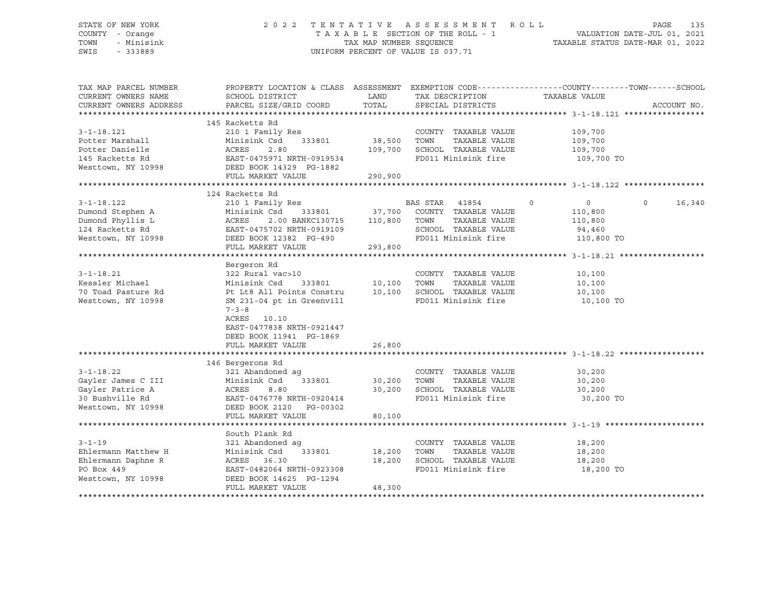| STATE OF NEW YORK<br>COUNTY - Orange<br>TOWN<br>- Minisink<br>SWIS<br>$-333889$ |                                                                                                                                              | TAX MAP NUMBER SEQUENCE | 2022 TENTATIVE ASSESSMENT ROLL<br>TAXABLE SECTION OF THE ROLL - 1<br>UNIFORM PERCENT OF VALUE IS 037.71 | VALUATION DATE-JUL 01, 2021<br>TAXABLE STATUS DATE-MAR 01, 2022 | PAGE     | 135         |
|---------------------------------------------------------------------------------|----------------------------------------------------------------------------------------------------------------------------------------------|-------------------------|---------------------------------------------------------------------------------------------------------|-----------------------------------------------------------------|----------|-------------|
| TAX MAP PARCEL NUMBER<br>CURRENT OWNERS NAME<br>CURRENT OWNERS ADDRESS          | PROPERTY LOCATION & CLASS ASSESSMENT EXEMPTION CODE----------------COUNTY-------TOWN-----SCHOOL<br>SCHOOL DISTRICT<br>PARCEL SIZE/GRID COORD | LAND<br>TOTAL           | TAX DESCRIPTION<br>SPECIAL DISTRICTS                                                                    | TAXABLE VALUE                                                   |          | ACCOUNT NO. |
|                                                                                 |                                                                                                                                              |                         |                                                                                                         |                                                                 |          |             |
|                                                                                 | 145 Racketts Rd                                                                                                                              |                         |                                                                                                         |                                                                 |          |             |
| $3 - 1 - 18.121$                                                                | 210 1 Family Res                                                                                                                             |                         | COUNTY TAXABLE VALUE                                                                                    | 109,700                                                         |          |             |
| Potter Marshall                                                                 | Minisink Csd<br>333801                                                                                                                       | 38,500 TOWN             | TAXABLE VALUE                                                                                           | 109,700                                                         |          |             |
| Potter Danielle                                                                 | ACRES<br>2.80                                                                                                                                |                         | 109,700 SCHOOL TAXABLE VALUE                                                                            | 109,700                                                         |          |             |
| 145 Racketts Rd                                                                 | EAST-0475971 NRTH-0919534                                                                                                                    |                         | FD011 Minisink fire                                                                                     | 109,700 TO                                                      |          |             |
| Westtown, NY 10998                                                              | DEED BOOK 14329 PG-1882                                                                                                                      |                         |                                                                                                         |                                                                 |          |             |
|                                                                                 | FULL MARKET VALUE                                                                                                                            | 290,900                 |                                                                                                         |                                                                 |          |             |
|                                                                                 | 124 Racketts Rd                                                                                                                              |                         |                                                                                                         |                                                                 |          |             |
| $3 - 1 - 18.122$                                                                | 210 1 Family Res                                                                                                                             |                         | BAS STAR 41854                                                                                          | $\Omega$<br>$\overline{0}$                                      | $\Omega$ | 16,340      |
| Dumond Stephen A                                                                | Minisink Csd<br>333801                                                                                                                       |                         | 37,700 COUNTY TAXABLE VALUE                                                                             | 110,800                                                         |          |             |
| Dumond Phyllis L                                                                | ACRES<br>2.00 BANKC130715                                                                                                                    |                         | TAXABLE VALUE<br>110,800 TOWN                                                                           | 110,800                                                         |          |             |
| 124 Racketts Rd                                                                 | EAST-0475702 NRTH-0919109                                                                                                                    |                         | SCHOOL TAXABLE VALUE                                                                                    | 94,460                                                          |          |             |
| Westtown, NY 10998                                                              | DEED BOOK 12382 PG-490                                                                                                                       |                         | FD011 Minisink fire                                                                                     | 110,800 TO                                                      |          |             |
|                                                                                 | FULL MARKET VALUE                                                                                                                            | 293,800                 |                                                                                                         |                                                                 |          |             |
|                                                                                 |                                                                                                                                              |                         |                                                                                                         |                                                                 |          |             |
|                                                                                 | Bergeron Rd                                                                                                                                  |                         |                                                                                                         |                                                                 |          |             |
| $3 - 1 - 18.21$<br>Kessler Michael                                              | 322 Rural vac>10<br>Minisink Csd<br>333801                                                                                                   | 10,100                  | COUNTY TAXABLE VALUE<br>TAXABLE VALUE<br>TOWN                                                           | 10,100<br>10,100                                                |          |             |
| 70 Toad Pasture Rd                                                              | Pt Lt8 All Points Constru                                                                                                                    | 10,100                  | SCHOOL TAXABLE VALUE                                                                                    | 10,100                                                          |          |             |
| Westtown, NY 10998                                                              | SM 231-04 pt in Greenvill                                                                                                                    |                         | FD011 Minisink fire                                                                                     | 10,100 TO                                                       |          |             |
|                                                                                 | $7 - 3 - 8$                                                                                                                                  |                         |                                                                                                         |                                                                 |          |             |
|                                                                                 | ACRES 10.10                                                                                                                                  |                         |                                                                                                         |                                                                 |          |             |
|                                                                                 | EAST-0477838 NRTH-0921447                                                                                                                    |                         |                                                                                                         |                                                                 |          |             |
|                                                                                 | DEED BOOK 11941 PG-1869                                                                                                                      |                         |                                                                                                         |                                                                 |          |             |
|                                                                                 | FULL MARKET VALUE                                                                                                                            | 26,800                  |                                                                                                         |                                                                 |          |             |
|                                                                                 |                                                                                                                                              |                         |                                                                                                         |                                                                 |          |             |
| $3 - 1 - 18.22$                                                                 | 146 Bergerons Rd                                                                                                                             |                         | COUNTY TAXABLE VALUE                                                                                    |                                                                 |          |             |
| Gayler James C III                                                              | 321 Abandoned ag<br>Minisink Csd<br>333801                                                                                                   | 30,200                  | TAXABLE VALUE<br>TOWN                                                                                   | 30,200<br>30,200                                                |          |             |
| Gayler Patrice A                                                                | ACRES<br>8.80                                                                                                                                |                         | 30,200 SCHOOL TAXABLE VALUE                                                                             | 30,200                                                          |          |             |
| 30 Bushville Rd                                                                 | EAST-0476778 NRTH-0920414                                                                                                                    |                         | FD011 Minisink fire                                                                                     | 30,200 TO                                                       |          |             |
| Westtown, NY 10998                                                              | DEED BOOK 2120 PG-00302                                                                                                                      |                         |                                                                                                         |                                                                 |          |             |
|                                                                                 | FULL MARKET VALUE                                                                                                                            | 80,100                  |                                                                                                         |                                                                 |          |             |
|                                                                                 |                                                                                                                                              |                         |                                                                                                         |                                                                 |          |             |
|                                                                                 | South Plank Rd                                                                                                                               |                         |                                                                                                         |                                                                 |          |             |
| $3 - 1 - 19$                                                                    | 321 Abandoned ag                                                                                                                             |                         | COUNTY TAXABLE VALUE                                                                                    | 18,200                                                          |          |             |
| Ehlermann Matthew H                                                             | Minisink Csd<br>333801                                                                                                                       | 18,200                  | TOWN<br>TAXABLE VALUE                                                                                   | 18,200                                                          |          |             |
| Ehlermann Daphne R<br>PO Box 449                                                | ACRES 36.30<br>EAST-0482064 NRTH-0923308                                                                                                     | 18,200                  | SCHOOL TAXABLE VALUE<br>FD011 Minisink fire                                                             | 18,200<br>18,200 TO                                             |          |             |
| Westtown, NY 10998                                                              | DEED BOOK 14625 PG-1294                                                                                                                      |                         |                                                                                                         |                                                                 |          |             |
|                                                                                 | FULL MARKET VALUE                                                                                                                            | 48,300                  |                                                                                                         |                                                                 |          |             |
|                                                                                 |                                                                                                                                              |                         |                                                                                                         |                                                                 |          |             |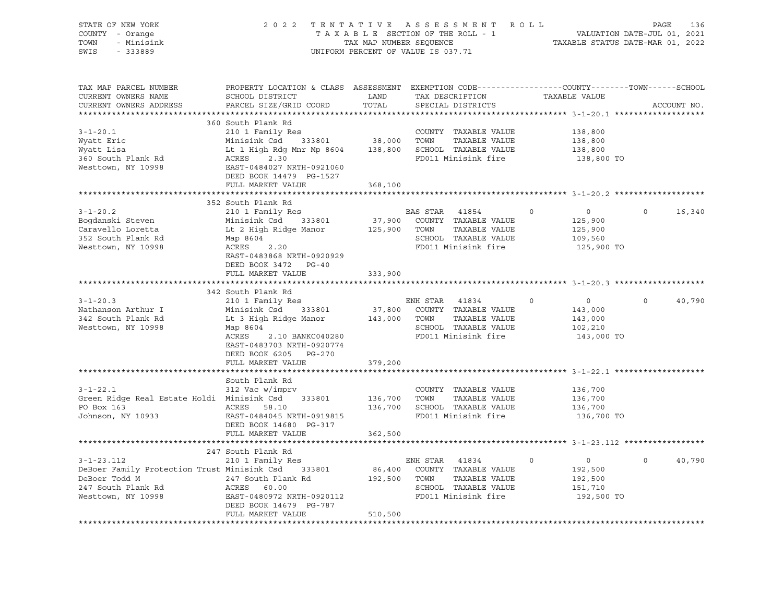| STATE OF NEW YORK<br>COUNTY - Orange<br>- Minisink<br>TOWN<br>SWIS - 333889    | 2022 TENTATIVE ASSESSMENT ROLL                                                                                                                                             | UNIFORM PERCENT OF VALUE IS 037.71 | FENTATIVE ASSESSMENT ROLL PAGE 136<br>TAXABLE SECTION OF THE ROLL - 1 VALUATION DATE-JUL 01, 2021<br>TAX MAP NUMBER SEQUENCE TAXABLE STATUS DATE-MAR 01, 2022 |         |                       |                   |             |
|--------------------------------------------------------------------------------|----------------------------------------------------------------------------------------------------------------------------------------------------------------------------|------------------------------------|---------------------------------------------------------------------------------------------------------------------------------------------------------------|---------|-----------------------|-------------------|-------------|
| TAX MAP PARCEL NUMBER<br>CURRENT OWNERS NAME<br>CURRENT OWNERS ADDRESS         | PROPERTY LOCATION & CLASS ASSESSMENT EXEMPTION CODE---------------COUNTY-------TOWN-----SCHOOL<br>SCHOOL DISTRICT<br>PARCEL SIZE/GRID COORD                                |                                    | LAND TAX DESCRIPTION<br>TOTAL SPECIAL DISTRICTS                                                                                                               |         | TAXABLE VALUE         |                   | ACCOUNT NO. |
|                                                                                |                                                                                                                                                                            |                                    |                                                                                                                                                               |         |                       |                   |             |
|                                                                                | 360 South Plank Rd                                                                                                                                                         |                                    |                                                                                                                                                               |         |                       |                   |             |
| $3 - 1 - 20.1$                                                                 |                                                                                                                                                                            |                                    |                                                                                                                                                               |         | 138,800               |                   |             |
| Wyatt Eric<br>Wyatt Lisa                                                       |                                                                                                                                                                            |                                    |                                                                                                                                                               |         | 138,800               |                   |             |
| 360 South Plank Rd                                                             |                                                                                                                                                                            |                                    |                                                                                                                                                               |         | 138,800<br>138,800 TO |                   |             |
| Westtown, NY 10998                                                             | EAST-0484027 NRTH-0921060                                                                                                                                                  |                                    |                                                                                                                                                               |         |                       |                   |             |
|                                                                                | DEED BOOK 14479 PG-1527                                                                                                                                                    |                                    |                                                                                                                                                               |         |                       |                   |             |
|                                                                                | FULL MARKET VALUE                                                                                                                                                          | 368,100                            |                                                                                                                                                               |         |                       |                   |             |
|                                                                                |                                                                                                                                                                            |                                    |                                                                                                                                                               |         |                       |                   |             |
|                                                                                | 352 South Plank Rd                                                                                                                                                         |                                    |                                                                                                                                                               |         |                       |                   |             |
| $3 - 1 - 20.2$                                                                 | 210 1 Family Res                                                                                                                                                           |                                    | BAS STAR 41854<br>37,900 COUNTY TAXABLE VALUE<br>BAS STAR 41854 0                                                                                             |         | $\overline{0}$        | $0 \qquad \qquad$ | 16,340      |
| Bogdanski Steven                                                               |                                                                                                                                                                            |                                    |                                                                                                                                                               |         | 125,900               |                   |             |
| Caravello Loretta                                                              |                                                                                                                                                                            |                                    |                                                                                                                                                               |         | 125,900<br>109,560    |                   |             |
| 352 South Plank Rd                                                             |                                                                                                                                                                            |                                    |                                                                                                                                                               |         |                       |                   |             |
| Westtown, NY 10998                                                             | Minisink Csd 333801 37,900 COUNTY TAXABLE VALUE<br>Lt 2 High Ridge Manor 125,900 TOWN TAXABLE VALUE<br>Map 8604 SCHOOL TAXABLE VALUE<br>ACRES 2.20 FD011 Minisink fire     |                                    |                                                                                                                                                               |         | 125,900 TO            |                   |             |
|                                                                                | EAST-0483868 NRTH-0920929                                                                                                                                                  |                                    |                                                                                                                                                               |         |                       |                   |             |
|                                                                                | DEED BOOK 3472 PG-40                                                                                                                                                       |                                    |                                                                                                                                                               |         |                       |                   |             |
|                                                                                | FULL MARKET VALUE                                                                                                                                                          | 333,900                            |                                                                                                                                                               |         |                       |                   |             |
|                                                                                | 342 South Plank Rd                                                                                                                                                         |                                    |                                                                                                                                                               |         |                       |                   |             |
| $3 - 1 - 20.3$                                                                 | 210 1 Family Res                                                                                                                                                           |                                    | ENH STAR 41834 0                                                                                                                                              |         | $\overline{0}$        | $\circ$           | 40,790      |
| Nathanson Arthur I                                                             |                                                                                                                                                                            |                                    |                                                                                                                                                               |         | 143,000               |                   |             |
| 342 South Plank Rd                                                             |                                                                                                                                                                            |                                    |                                                                                                                                                               |         | 143,000               |                   |             |
| Westtown, NY 10998                                                             | 210 I Family Res<br>Minisink Csd = 333801 37,800 COUNTY TAXABLE VALUE<br>Lt 3 High Ridge Manor = 143,000 TOWN TAXABLE VALUE<br>Map 8604 = SCHOOL TAXABLE VALUE<br>Map 8604 |                                    | SCHOOL TAXABLE VALUE                                                                                                                                          |         | 102,210               |                   |             |
|                                                                                | ACRES 2.10 BANKC040280                                                                                                                                                     |                                    | FD011 Minisink fire                                                                                                                                           |         | 143,000 TO            |                   |             |
|                                                                                | EAST-0483703 NRTH-0920774                                                                                                                                                  |                                    |                                                                                                                                                               |         |                       |                   |             |
|                                                                                | DEED BOOK 6205 PG-270                                                                                                                                                      |                                    |                                                                                                                                                               |         |                       |                   |             |
|                                                                                | FULL MARKET VALUE                                                                                                                                                          | 379,200                            |                                                                                                                                                               |         |                       |                   |             |
|                                                                                |                                                                                                                                                                            |                                    |                                                                                                                                                               |         |                       |                   |             |
|                                                                                | South Plank Rd<br>312 Vac w/imprv                                                                                                                                          |                                    |                                                                                                                                                               |         |                       |                   |             |
| $3 - 1 - 22.1$                                                                 |                                                                                                                                                                            |                                    | COUNTY TAXABLE VALUE                                                                                                                                          |         | 136,700               |                   |             |
|                                                                                |                                                                                                                                                                            |                                    |                                                                                                                                                               |         | 136,700               |                   |             |
| PO Box 163<br>Johnson, NY 10933                                                |                                                                                                                                                                            |                                    |                                                                                                                                                               |         | 136,700               |                   |             |
|                                                                                | EAST-0484045 NRTH-0919815                                                                                                                                                  |                                    | FD011 Minisink fire                                                                                                                                           |         | 136,700 TO            |                   |             |
|                                                                                | DEED BOOK 14680 PG-317                                                                                                                                                     |                                    |                                                                                                                                                               |         |                       |                   |             |
|                                                                                | FULL MARKET VALUE                                                                                                                                                          | 362,500                            |                                                                                                                                                               |         |                       |                   |             |
|                                                                                |                                                                                                                                                                            |                                    |                                                                                                                                                               |         |                       |                   |             |
| $3 - 1 - 23.112$                                                               | 247 South Plank Rd<br>210 1 Family Res                                                                                                                                     |                                    | ENH STAR 41834                                                                                                                                                | $\circ$ | $\overline{0}$        | $0 \qquad \qquad$ | 40,790      |
| DeBoer Family Protection Trust Minisink Csd 333801 86,400 COUNTY TAXABLE VALUE |                                                                                                                                                                            |                                    |                                                                                                                                                               |         | 192,500               |                   |             |
|                                                                                |                                                                                                                                                                            |                                    | 192,500 TOWN TAXABLE VALUE                                                                                                                                    |         | 192,500               |                   |             |
|                                                                                |                                                                                                                                                                            |                                    | SCHOOL TAXABLE VALUE                                                                                                                                          |         | 151,710               |                   |             |
|                                                                                |                                                                                                                                                                            |                                    | SCROOL TAAABLE VALUE<br>FD011 Minisink fire                                                                                                                   |         | 192,500 TO            |                   |             |
|                                                                                | DEED BOOK 14679 PG-787                                                                                                                                                     |                                    |                                                                                                                                                               |         |                       |                   |             |
|                                                                                | FULL MARKET VALUE                                                                                                                                                          | 510,500                            |                                                                                                                                                               |         |                       |                   |             |
|                                                                                |                                                                                                                                                                            |                                    |                                                                                                                                                               |         |                       |                   |             |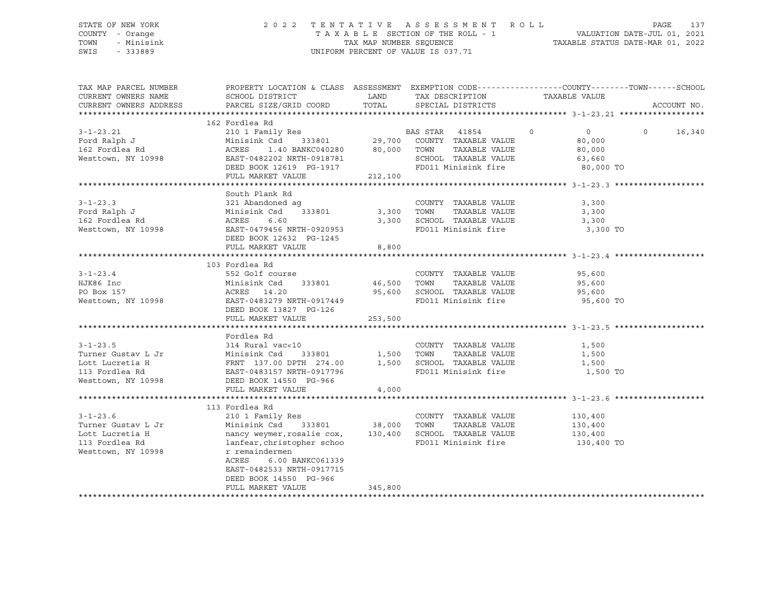### STATE OF NEW YORK 2 0 2 2 T E N T A T I V E A S S E S S M E N T R O L L PAGE 137 COUNTY - Orange T A X A B L E SECTION OF THE ROLL - 1 VALUATION DATE-JUL 01, 2021 TOWN - Minisink TAX MAP NUMBER SEQUENCE TAXABLE STATUS DATE-MAR 01, 2022 SWIS - 333889 CONSERVATION CONTROL OF VALUE IS 037.71

| TAX MAP PARCEL NUMBER<br>CURRENT OWNERS NAME | PROPERTY LOCATION & CLASS ASSESSMENT EXEMPTION CODE----------------COUNTY-------TOWN-----SCHOOL<br>SCHOOL DISTRICT                                |         | LAND TAX DESCRIPTION                                         | TAXABLE VALUE             |                    |
|----------------------------------------------|---------------------------------------------------------------------------------------------------------------------------------------------------|---------|--------------------------------------------------------------|---------------------------|--------------------|
| CURRENT OWNERS ADDRESS                       | PARCEL SIZE/GRID COORD                                                                                                                            | TOTAL   | SPECIAL DISTRICTS                                            |                           | ACCOUNT NO.        |
|                                              | 162 Fordlea Rd                                                                                                                                    |         |                                                              |                           |                    |
| $3 - 1 - 23.21$                              | 2001 - 1988 - 2008 - 2010 - 2010<br>2010 - 2011 - 2011 - 29,700 - 29,700 - 2011 - 29,700 - 29,700 - 29,700 - 29,700 - 29,700 - 2011 - 2012 - 2014 |         |                                                              | $\circ$<br>$\overline{0}$ | $\Omega$<br>16,340 |
| Ford Ralph J                                 |                                                                                                                                                   |         |                                                              | 80,000                    |                    |
| 162 Fordlea Rd<br>Westtown, NY 10998         | 1.40 BANKC040280 80,000 TOWN<br>ACRES                                                                                                             |         | TAXABLE VALUE                                                | 80,000                    |                    |
| Westtown, NY 10998                           | EAST-0482202 NRTH-0918781                                                                                                                         |         | SCHOOL TAXABLE VALUE 63,660<br>FD011 Minisink fire 80,000 TO |                           |                    |
|                                              | DEED BOOK 12619 PG-1917                                                                                                                           |         |                                                              |                           |                    |
|                                              | FULL MARKET VALUE                                                                                                                                 | 212,100 |                                                              |                           |                    |
|                                              |                                                                                                                                                   |         |                                                              |                           |                    |
|                                              | South Plank Rd                                                                                                                                    |         |                                                              |                           |                    |
| $3 - 1 - 23.3$                               | 321 Abandoned ag                                                                                                                                  |         | COUNTY TAXABLE VALUE                                         | 3,300                     |                    |
| Ford Ralph J                                 | $333801$ 3,300<br>Minisink Csd                                                                                                                    |         | TAXABLE VALUE<br>TOWN                                        | 3,300                     |                    |
| 162 Fordlea Rd                               | ACRES<br>6.60                                                                                                                                     | 3,300   | SCHOOL TAXABLE VALUE                                         | 3,300                     |                    |
| Westtown, NY 10998                           | EAST-0479456 NRTH-0920953                                                                                                                         |         | FD011 Minisink fire                                          | 3,300 TO                  |                    |
|                                              | DEED BOOK 12632 PG-1245                                                                                                                           |         |                                                              |                           |                    |
|                                              | FULL MARKET VALUE                                                                                                                                 | 8,800   |                                                              |                           |                    |
|                                              |                                                                                                                                                   |         |                                                              |                           |                    |
|                                              | 103 Fordlea Rd                                                                                                                                    |         |                                                              |                           |                    |
| $3 - 1 - 23.4$                               | 552 Golf course                                                                                                                                   |         | COUNTY TAXABLE VALUE 95,600                                  |                           |                    |
| HJK86 Inc                                    | Minisink Csd 333801 46,500 TOWN TAXABLE VALUE<br>Minisink Csd<br>ACRES 14.20                                                                      |         |                                                              | 95,600                    |                    |
| PO Box 157                                   |                                                                                                                                                   |         | 95,600 SCHOOL TAXABLE VALUE                                  | 95,600                    |                    |
| Westtown, NY 10998 EAST-0483279 NRTH-0917449 | DEED BOOK 13827 PG-126                                                                                                                            |         | FD011 Minisink fire                                          | 95,600 TO                 |                    |
|                                              | FULL MARKET VALUE                                                                                                                                 |         |                                                              |                           |                    |
|                                              |                                                                                                                                                   | 253,500 |                                                              |                           |                    |
|                                              | Fordlea Rd                                                                                                                                        |         |                                                              |                           |                    |
| $3 - 1 - 23.5$                               | 314 Rural vac<10                                                                                                                                  |         | COUNTY TAXABLE VALUE                                         | 1,500                     |                    |
|                                              |                                                                                                                                                   |         | TAXABLE VALUE                                                | 1,500                     |                    |
|                                              |                                                                                                                                                   |         | 1,500 SCHOOL TAXABLE VALUE                                   | 1,500                     |                    |
|                                              |                                                                                                                                                   |         | FD011 Minisink fire                                          | 1,500 TO                  |                    |
|                                              |                                                                                                                                                   |         |                                                              |                           |                    |
|                                              | FULL MARKET VALUE                                                                                                                                 | 4,000   |                                                              |                           |                    |
|                                              |                                                                                                                                                   |         |                                                              |                           |                    |
|                                              | 113 Fordlea Rd                                                                                                                                    |         |                                                              |                           |                    |
| $3 - 1 - 23.6$                               | 210 1 Family Res                                                                                                                                  |         | COUNTY TAXABLE VALUE                                         | 130,400                   |                    |
| Turner Gustav L Jr                           | Minisink Csd 333801 38,000 TOWN                                                                                                                   |         | TAXABLE VALUE                                                | 130,400                   |                    |
| Lott Lucretia H                              | nancy weymer, rosalie cox, 130,400                                                                                                                |         | SCHOOL TAXABLE VALUE                                         | 130,400                   |                    |
| 113 Fordlea Rd                               | lanfear, christopher schoo                                                                                                                        |         | FD011 Minisink fire                                          | 130,400 TO                |                    |
| Westtown, NY 10998                           | r remaindermen                                                                                                                                    |         |                                                              |                           |                    |
|                                              | ACRES 6.00 BANKC061339                                                                                                                            |         |                                                              |                           |                    |
|                                              | EAST-0482533 NRTH-0917715                                                                                                                         |         |                                                              |                           |                    |
|                                              | DEED BOOK 14550 PG-966                                                                                                                            |         |                                                              |                           |                    |
|                                              | FULL MARKET VALUE                                                                                                                                 | 345,800 |                                                              |                           |                    |
|                                              |                                                                                                                                                   |         |                                                              |                           |                    |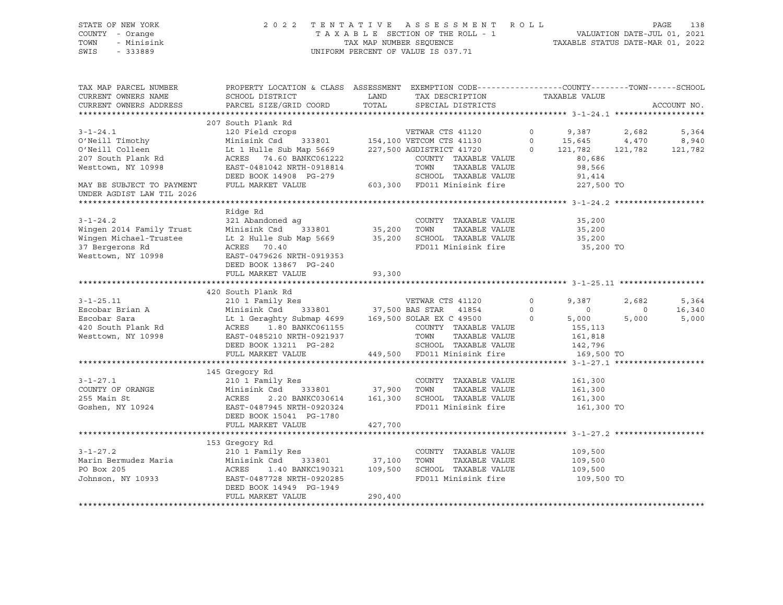#### STATE OF NEW YORK 2 0 2 2 T E N T A T I V E A S S E S S M E N T R O L L PAGE 138 COUNTY - Orange T A X A B L E SECTION OF THE ROLL - 1 VALUATION DATE-JUL 01, 2021 TOWN - Minisink TAX MAP NUMBER SEQUENCE TAXABLE STATUS DATE-MAR 01, 2022<br>TAXABLE STATUS DATE-MAR 01, 2022 UNIFORM PERCENT OF VALUE IS 037.71

TAX MAP PARCEL NUMBER PROPERTY LOCATION & CLASS ASSESSMENT EXEMPTION CODE------------------COUNTY--------TOWN------SCHOOL CURRENT OWNERS NAME SCHOOL DISTRICT LAND TAX DESCRIPTION TAXABLE VALUE CURRENT OWNERS ADDRESS PARCEL SIZE/GRID COORD TOTAL SPECIAL DISTRICTS ACCOUNT NO. \*\*\*\*\*\*\*\*\*\*\*\*\*\*\*\*\*\*\*\*\*\*\*\*\*\*\*\*\*\*\*\*\*\*\*\*\*\*\*\*\*\*\*\*\*\*\*\*\*\*\*\*\*\*\*\*\*\*\*\*\*\*\*\*\*\*\*\*\*\*\*\*\*\*\*\*\*\*\*\*\*\*\*\*\*\*\*\*\*\*\*\*\*\*\*\*\*\*\*\*\*\*\* 3-1-24.1 \*\*\*\*\*\*\*\*\*\*\*\*\*\*\*\*\*\*\* 207 South Plank Rd 3-1-24.1 120 Field crops VETWAR CTS 41120 0 9,387 2,682 5,364 O'Neill Timothy Minisink Csd 333801 154,100 VETCOM CTS 41130 0 15,645 4,470 8,940 O'Neill Colleen Lt 1 Hulle Sub Map 5669 227,500 AGDISTRICT 41720 0 121,782 121,782 121,782 207 South Plank Rd ACRES 74.60 BANKC061222 COUNTY TAXABLE VALUE 80,686 Westtown, NY 10998 **EAST-0481042 NRTH-0918814** TOWN TAXABLE VALUE 98,566 DEED BOOK 14908 PG-279 SCHOOL TAXABLE VALUE 91,414 MAY BE SUBJECT TO PAYMENT FULL MARKET VALUE 603,300 FD011 Minisink fire 227,500 TO UNDER AGDIST LAW TIL 2026 \*\*\*\*\*\*\*\*\*\*\*\*\*\*\*\*\*\*\*\*\*\*\*\*\*\*\*\*\*\*\*\*\*\*\*\*\*\*\*\*\*\*\*\*\*\*\*\*\*\*\*\*\*\*\*\*\*\*\*\*\*\*\*\*\*\*\*\*\*\*\*\*\*\*\*\*\*\*\*\*\*\*\*\*\*\*\*\*\*\*\*\*\*\*\*\*\*\*\*\*\*\*\* 3-1-24.2 \*\*\*\*\*\*\*\*\*\*\*\*\*\*\*\*\*\*\* Ridge Rd 3-1-24.2 321 Abandoned ag COUNTY TAXABLE VALUE 35,200 Wingen 2014 Family Trust Minisink Csd 333801 35,200 TOWN TAXABLE VALUE 35,200 Wingen Michael-Trustee Lt 2 Hulle Sub Map 5669 35,200 SCHOOL TAXABLE VALUE 35,200 37 Bergerons Rd ACRES 70.40 FD011 Minisink fire 35,200 TO Westtown, NY 10998 EAST-0479626 NRTH-0919353 DEED BOOK 13867 PG-240 FULL MARKET VALUE 93,300 \*\*\*\*\*\*\*\*\*\*\*\*\*\*\*\*\*\*\*\*\*\*\*\*\*\*\*\*\*\*\*\*\*\*\*\*\*\*\*\*\*\*\*\*\*\*\*\*\*\*\*\*\*\*\*\*\*\*\*\*\*\*\*\*\*\*\*\*\*\*\*\*\*\*\*\*\*\*\*\*\*\*\*\*\*\*\*\*\*\*\*\*\*\*\*\*\*\*\*\*\*\*\* 3-1-25.11 \*\*\*\*\*\*\*\*\*\*\*\*\*\*\*\*\*\* 420 South Plank Rd 3-1-25.11 210 1 Family Res VETWAR CTS 41120 0 9,387 2,682 5,364 Escobar Brian A Minisink Csd 333801 37,500 BAS STAR 41854 0 0 0 16,340 Escobar Sara Lt 1 Geraghty Submap 4699 169,500 SOLAR EX C 49500 0 5,000 5,000 5,000 420 South Plank Rd ACRES 1.80 BANKC061155 COUNTY TAXABLE VALUE 155,113 EAST-0485210 NRTH-0921937 TOWN TAXABLE VALUE 161,818 DEED BOOK 13211 PG-282 SCHOOL TAXABLE VALUE 142,796 449,500 FD011 Minisink fire 169,500 TO \*\*\*\*\*\*\*\*\*\*\*\*\*\*\*\*\*\*\*\*\*\*\*\*\*\*\*\*\*\*\*\*\*\*\*\*\*\*\*\*\*\*\*\*\*\*\*\*\*\*\*\*\*\*\*\*\*\*\*\*\*\*\*\*\*\*\*\*\*\*\*\*\*\*\*\*\*\*\*\*\*\*\*\*\*\*\*\*\*\*\*\*\*\*\*\*\*\*\*\*\*\*\* 3-1-27.1 \*\*\*\*\*\*\*\*\*\*\*\*\*\*\*\*\*\*\* 145 Gregory Rd 3-1-27.1 210 1 Family Res COUNTY TAXABLE VALUE 161,300 COUNTY OF ORANGE Minisink Csd 333801 37,900 TOWN TAXABLE VALUE 161,300 255 Main St ACRES 2.20 BANKC030614 161,300 SCHOOL TAXABLE VALUE 161,300 Goshen, NY 10924 EAST-0487945 NRTH-0920324 FD011 Minisink fire 161,300 TO DEED BOOK 15041 PG-1780 FULL MARKET VALUE 427,700 \*\*\*\*\*\*\*\*\*\*\*\*\*\*\*\*\*\*\*\*\*\*\*\*\*\*\*\*\*\*\*\*\*\*\*\*\*\*\*\*\*\*\*\*\*\*\*\*\*\*\*\*\*\*\*\*\*\*\*\*\*\*\*\*\*\*\*\*\*\*\*\*\*\*\*\*\*\*\*\*\*\*\*\*\*\*\*\*\*\*\*\*\*\*\*\*\*\*\*\*\*\*\* 3-1-27.2 \*\*\*\*\*\*\*\*\*\*\*\*\*\*\*\*\*\*\* 153 Gregory Rd 3-1-27.2 210 1 Family Res COUNTY TAXABLE VALUE 109,500 Marin Bermudez Maria Minisink Csd 333801 37,100 TOWN TAXABLE VALUE 109,500 PO Box 205 **ACRES** 1.40 BANKC190321 109,500 SCHOOL TAXABLE VALUE 109,500 Johnson, NY 10933 EAST-0487728 NRTH-0920285 FD011 Minisink fire 109,500 TO DEED BOOK 14949 PG-1949 FULL MARKET VALUE 290,400 \*\*\*\*\*\*\*\*\*\*\*\*\*\*\*\*\*\*\*\*\*\*\*\*\*\*\*\*\*\*\*\*\*\*\*\*\*\*\*\*\*\*\*\*\*\*\*\*\*\*\*\*\*\*\*\*\*\*\*\*\*\*\*\*\*\*\*\*\*\*\*\*\*\*\*\*\*\*\*\*\*\*\*\*\*\*\*\*\*\*\*\*\*\*\*\*\*\*\*\*\*\*\*\*\*\*\*\*\*\*\*\*\*\*\*\*\*\*\*\*\*\*\*\*\*\*\*\*\*\*\*\*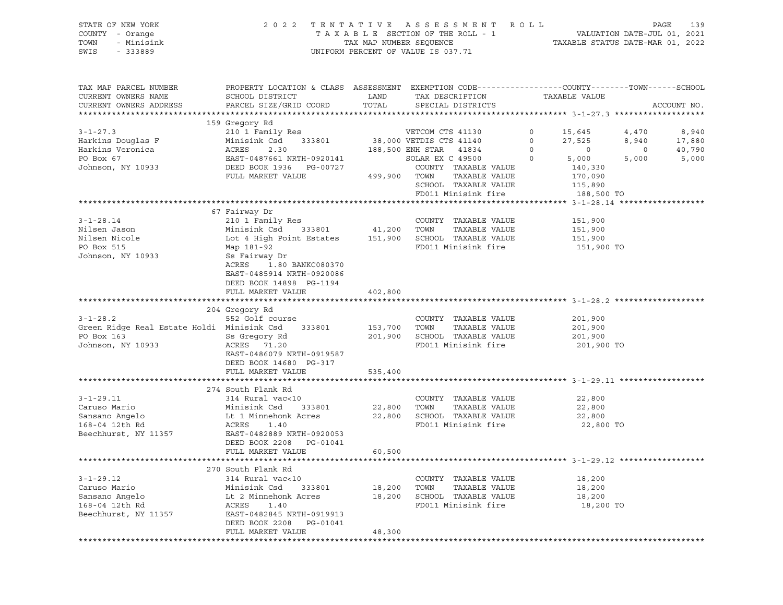| STATE OF NEW YORK<br>COUNTY - Orange<br>TOWN<br>- Minisink<br>SWIS<br>$-333889$                                                                                                                                    |                                                                                                                                                                                                                                                              |                  | 2022 TENTATIVE ASSESSMENT ROLL<br>TAXABLE SECTION OF THE ROLL - 1 VALUATION DATE-JUL 01, 2021<br>TAXABLE STATUS DATE-MAR 01, 2022<br>NIFORM DEDGENTE OF UNIES SEQUENCE<br>UNIFORM PERCENT OF VALUE IS 037.71 |                                             | PAGE                    | 139                                |
|--------------------------------------------------------------------------------------------------------------------------------------------------------------------------------------------------------------------|--------------------------------------------------------------------------------------------------------------------------------------------------------------------------------------------------------------------------------------------------------------|------------------|--------------------------------------------------------------------------------------------------------------------------------------------------------------------------------------------------------------|---------------------------------------------|-------------------------|------------------------------------|
| TAX MAP PARCEL NUMBER<br>CURRENT OWNERS NAME<br>CURRENT OWNERS ADDRESS                                                                                                                                             | PROPERTY LOCATION & CLASS ASSESSMENT EXEMPTION CODE-----------------COUNTY-------TOWN------SCHOOL<br>SCHOOL DISTRICT<br>PARCEL SIZE/GRID COORD                                                                                                               | LAND             | TAX DESCRIPTION<br>TOTAL SPECIAL DISTRICTS                                                                                                                                                                   | TAXABLE VALUE                               |                         | ACCOUNT NO.                        |
|                                                                                                                                                                                                                    | 159 Gregory Rd                                                                                                                                                                                                                                               |                  |                                                                                                                                                                                                              |                                             |                         |                                    |
| $3 - 1 - 27.3$                                                                                                                                                                                                     |                                                                                                                                                                                                                                                              |                  | VETDIS CTS 41140<br>ENH STAR 41834 0<br>SOLAR EX C 49500 0 5,000<br>TREASED VALUE 140,330                                                                                                                    | 5,000                                       | $\overline{0}$<br>5,000 | 8,940<br>17,880<br>40,790<br>5,000 |
|                                                                                                                                                                                                                    |                                                                                                                                                                                                                                                              |                  | TAXABLE VALUE 170,090<br>SCHOOL TAXABLE VALUE<br>FD011 Minisink fire                                                                                                                                         | 115,890<br>188,500 TO                       |                         |                                    |
|                                                                                                                                                                                                                    |                                                                                                                                                                                                                                                              |                  |                                                                                                                                                                                                              |                                             |                         |                                    |
| $3 - 1 - 28.14$<br>Nilsen Jason<br>Nilsen Nicole<br>PO Box 515                                                                                                                                                     | 210 1 Family Res<br>210 1 Family Res<br>210 1 Family Res<br>210 1 Family Res<br>210 1 Family Res<br>2133801<br>21,200 TOWN<br>21,200 TOWN<br>21,200 TOWN<br>21,200 TOWN<br>21,200 TOWN<br>21,200 TOWN<br>21,200 TOWN<br>22,200 TAXABLE VALUE<br>25<br>25 Fai |                  | COUNTY TAXABLE VALUE<br>FD011 Minisink fire                                                                                                                                                                  | 151,900<br>151,900<br>151,900<br>151,900 TO |                         |                                    |
| Johnson, NY 10933                                                                                                                                                                                                  | ACRES<br>1.80 BANKC080370<br>EAST-0485914 NRTH-0920086<br>DEED BOOK 14898 PG-1194<br>FULL MARKET VALUE                                                                                                                                                       | 402,800          |                                                                                                                                                                                                              |                                             |                         |                                    |
|                                                                                                                                                                                                                    |                                                                                                                                                                                                                                                              |                  |                                                                                                                                                                                                              |                                             |                         |                                    |
| 3-1-28.2 552 Golf course 652 Golf course 652 Golf course 67 60 600 600 600 61 61 61 61 61 61 61 61 61 61 61 6<br>Green Ridge Real Estate Holdi Minisink Csd 333801 153,700 70WN<br>PO Box 163<br>Johnson, NY 10933 | 204 Gregory Rd<br>ACRES 71.20<br>EAST-0486079 NRTH-0919587<br>DEED BOOK 14680 PG-317<br>FULL MARKET VALUE                                                                                                                                                    | 535,400          | COUNTY TAXABLE VALUE 201,900<br>TAXABLE VALUE<br>FD011 Minisink fire                                                                                                                                         | 201,900<br>201,900 TO                       |                         |                                    |
|                                                                                                                                                                                                                    |                                                                                                                                                                                                                                                              |                  |                                                                                                                                                                                                              |                                             |                         |                                    |
| 3-1-29.11<br>Caruso Mario 314 Rural vac<10<br>Sansano Angelo 168-04 12th Rd 2002<br>Herbald 2003<br>168-04 12th Rd 2008<br>20053<br>REAST-0482889 NRTH-0920053                                                     | 274 South Plank Rd<br>333801 22,800 TOWN                                                                                                                                                                                                                     |                  | COUNTY TAXABLE VALUE<br>TAXABLE VALUE<br>22,800 SCHOOL TAXABLE VALUE<br>FD011 Minisink fire                                                                                                                  | 22,800<br>22,800<br>22,800<br>22,800 TO     |                         |                                    |
|                                                                                                                                                                                                                    | DEED BOOK 2208    PG-01041                                                                                                                                                                                                                                   |                  |                                                                                                                                                                                                              |                                             |                         |                                    |
|                                                                                                                                                                                                                    | FULL MARKET VALUE                                                                                                                                                                                                                                            | 60,500           |                                                                                                                                                                                                              |                                             |                         |                                    |
| $3 - 1 - 29.12$<br>Caruso Mario<br>Sansano Angelo<br>168-04 12th Rd                                                                                                                                                | 270 South Plank Rd<br>314 Rural vac<10<br>Minisink Csd<br>333801<br>Lt 2 Minnehonk Acres<br>ACRES<br>1.40                                                                                                                                                    | 18,200<br>18,200 | COUNTY TAXABLE VALUE<br>TOWN<br>TAXABLE VALUE<br>SCHOOL TAXABLE VALUE<br>FD011 Minisink fire                                                                                                                 | 18,200<br>18,200<br>18,200<br>18,200 TO     |                         |                                    |
| Beechhurst, NY 11357                                                                                                                                                                                               | EAST-0482845 NRTH-0919913<br>DEED BOOK 2208<br>PG-01041<br>FULL MARKET VALUE                                                                                                                                                                                 | 48,300           |                                                                                                                                                                                                              |                                             |                         |                                    |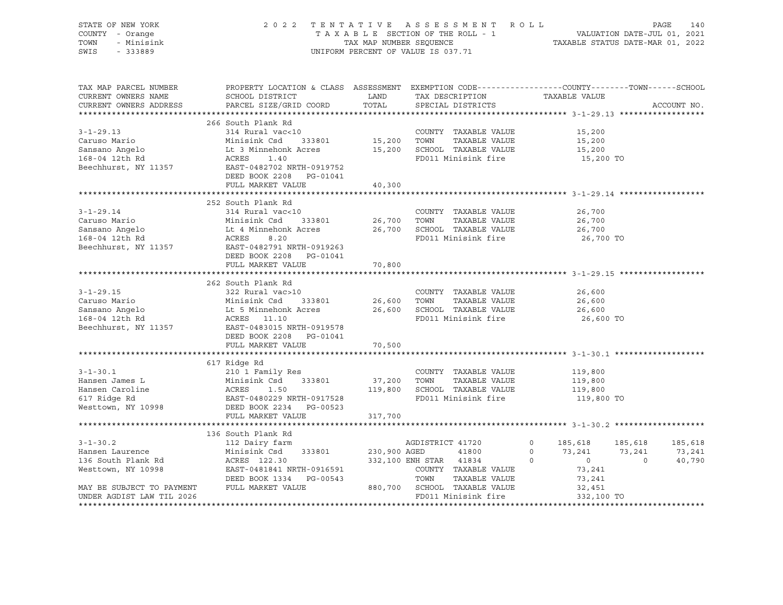| STATE OF NEW YORK<br>COUNTY - Orange<br>TOWN<br>- Minisink<br>SWIS - 333889                                                             |                                                                                                                                                                                                                                                                                                                              |                       | TENTATIVE ASSESSMENT ROLL PAGE 140<br>TAXABLE SECTION OF THE ROLL - 1 VALUATION DATE-JUL 01, 2021<br>TAX MAP NUMBER SEQUENCE TAXABLE STATUS DATE-MAR 01, 2022<br>2022 TENTATIVE ASSESSMENT ROLL<br>UNIFORM PERCENT OF VALUE IS 037.71 |                                             |                         |
|-----------------------------------------------------------------------------------------------------------------------------------------|------------------------------------------------------------------------------------------------------------------------------------------------------------------------------------------------------------------------------------------------------------------------------------------------------------------------------|-----------------------|---------------------------------------------------------------------------------------------------------------------------------------------------------------------------------------------------------------------------------------|---------------------------------------------|-------------------------|
| TAX MAP PARCEL NUMBER<br>CURRENT OWNERS NAME<br>CURRENT OWNERS ADDRESS                                                                  | PROPERTY LOCATION & CLASS ASSESSMENT EXEMPTION CODE----------------COUNTY-------TOWN------SCHOOL<br>SCHOOL DISTRICT<br>PARCEL SIZE/GRID COORD                                                                                                                                                                                | TOTAL                 | LAND TAX DESCRIPTION TAXABLE VALUE<br>SPECIAL DISTRICTS                                                                                                                                                                               |                                             | ACCOUNT NO.             |
|                                                                                                                                         |                                                                                                                                                                                                                                                                                                                              |                       |                                                                                                                                                                                                                                       |                                             |                         |
| $3 - 1 - 29.13$                                                                                                                         | 266 South Plank Rd<br>314 Rural vac<10<br>333801 15,200 TOWN<br>Caruso Mario Minisink Csd 333801<br>Sansano Angelo Lt 3 Minnehonk Acres<br>168-04 12th Rd ACRES 1.40<br>Beechhurst, NY 11357 EAST-0482702 NRTH-0919752<br>DEED BOOK 2208 PG-01041<br>FULL MARKET VALUE                                                       | 40,300                | COUNTY TAXABLE VALUE<br>TAXABLE VALUE<br>15,200 SCHOOL TAXABLE VALUE<br>FD011 Minisink fire                                                                                                                                           | 15,200<br>15,200<br>15,200<br>15,200 TO     |                         |
|                                                                                                                                         |                                                                                                                                                                                                                                                                                                                              |                       |                                                                                                                                                                                                                                       |                                             |                         |
| $3 - 1 - 29.14$<br>Caruso Mario<br>Sansano Angelo<br>168-04 12th Rd<br>Beechhurst, NY 11357                                             | 252 South Plank Rd<br>314 Rural vac<10<br>Minisink Csd 333801<br>Lt 4 Minnehonk Acres<br>ACRES 8.20<br>EAST-0482791 NRTH-0919263<br>DEED BOOK 2208 PG-01041<br>FULL MARKET VALUE                                                                                                                                             | 26,700 TOWN<br>70,800 | COUNTY TAXABLE VALUE<br>TAXABLE VALUE<br>26,700 SCHOOL TAXABLE VALUE<br>FD011 Minisink fire                                                                                                                                           | 26,700<br>26,700<br>26,700<br>26,700 TO     |                         |
|                                                                                                                                         |                                                                                                                                                                                                                                                                                                                              |                       |                                                                                                                                                                                                                                       |                                             |                         |
| $3 - 1 - 29.15$                                                                                                                         | 262 South Plank Rd<br>322 Rural vac>10<br>Caruso Mario Minisink Csd 333801 26,600 TOWN TAXABLE VALUE<br>Sansano Angelo Lt 5 Minnehonk Acres 26,600 SCHOOL TAXABLE VALUE<br>168-04 12th Rd ACRES 11.10 FD011 Minisink fire<br>Poophburgt NY 1115<br>Beechhurst, NY 11357 EAST-0483015 NRTH-0919578<br>DEED BOOK 2208 PG-01041 |                       | COUNTY TAXABLE VALUE                                                                                                                                                                                                                  | 26,600<br>26,600<br>26,600<br>26,600 TO     |                         |
|                                                                                                                                         | FULL MARKET VALUE                                                                                                                                                                                                                                                                                                            | 70,500                |                                                                                                                                                                                                                                       |                                             |                         |
| $3 - 1 - 30.1$<br>Hansen James L<br>Hansen Caroline<br>nansen carorino<br>617 Ridge Rd                                                  | 617 Ridge Rd<br>210 1 Family Res<br>Minisink Csd 333801 37,200 TOWN<br>Westtown, NY 10998 DEED BOOK 2234 PG-00523                                                                                                                                                                                                            |                       | COUNTY TAXABLE VALUE<br>TAXABLE VALUE<br>119,800 SCHOOL TAXABLE VALUE<br>FD011 Minisink fire                                                                                                                                          | 119,800<br>119,800<br>119,800<br>119,800 TO |                         |
|                                                                                                                                         |                                                                                                                                                                                                                                                                                                                              |                       |                                                                                                                                                                                                                                       |                                             |                         |
| $3 - 1 - 30.2$<br>Hansen Laurence<br>136 South Plank Rd<br>Westtown, NY 10998<br>MAY BE SUBJECT TO PAYMENT<br>UNDER AGDIST LAW TIL 2026 | 136 South Plank Rd<br>112 Dairy farm<br>Ministrix Csd 333801 230,900 AGED 41800 0 73,241 73,241 73,241 73,241 73,241 73,241 73,241 73,241 73,241 73,241 73,241 73,241 73,241 73,241 73,241 73,241 73,241 73,241 73,241 73,241 73,241 73,241 73,241 1200 0 40,790 COUNT                                                       |                       | AGDISTRICT 41720<br>FD011 Minisink fire                                                                                                                                                                                               | $\circ$<br>332,100 TO                       | 185,618 185,618 185,618 |
|                                                                                                                                         |                                                                                                                                                                                                                                                                                                                              |                       |                                                                                                                                                                                                                                       |                                             |                         |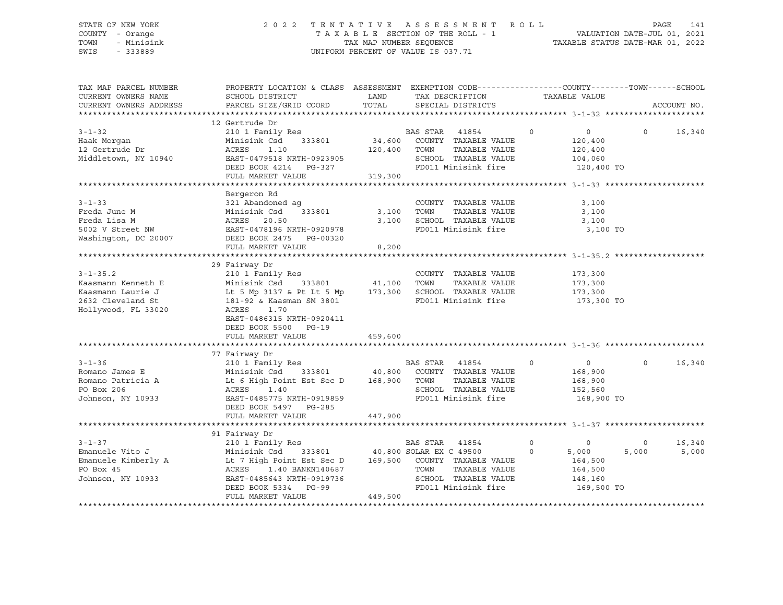### STATE OF NEW YORK 2 0 2 2 T E N T A T I V E A S S E S S M E N T R O L L PAGE 141 COUNTY - Orange T A X A B L E SECTION OF THE ROLL - 1 VALUATION DATE-JUL 01, 2021 TOWN - Minisink TAX MAP NUMBER SEQUENCE TAXABLE STATUS DATE-MAR 01, 2022 SWIS - 333889 CONSERVATION CONTROL OF VALUE IS 037.71

| TAX MAP PARCEL NUMBER<br>CURRENT OWNERS NAME<br>CURRENT OWNERS ADDRESS                                | PROPERTY LOCATION & CLASS ASSESSMENT EXEMPTION CODE---------------COUNTY-------TOWN-----SCHOOL<br>SCHOOL DISTRICT<br>PARCEL SIZE/GRID COORD                                                                                                                                                                                                                                                  | LAND<br>TOTAL                | TAX DESCRIPTION<br>SPECIAL DISTRICTS                                                           | TAXABLE VALUE                                                                  |                  | ACCOUNT NO.     |
|-------------------------------------------------------------------------------------------------------|----------------------------------------------------------------------------------------------------------------------------------------------------------------------------------------------------------------------------------------------------------------------------------------------------------------------------------------------------------------------------------------------|------------------------------|------------------------------------------------------------------------------------------------|--------------------------------------------------------------------------------|------------------|-----------------|
| $3 - 1 - 32$<br>Haak Morqan<br>12 Gertrude Dr<br>Middletown, NY 10940                                 | 12 Gertrude Dr<br>210 1 Family Res<br>Minisink Csd 333801 34,600 COUNTY TAXABLE VALUE<br>ACRES<br>1.10<br>ACRES 1.10<br>EAST-0479518 NRTH-0923905<br>---- POOK 4214 PG-327<br>FULL MARKET VALUE                                                                                                                                                                                              | 120,400 TOWN<br>319,300      | $\overline{0}$<br>TAXABLE VALUE<br>SCHOOL TAXABLE VALUE<br>FD011 Minisink fire 120,400 TO      | 120,400<br>120,400<br>104,060                                                  | 0 0 $16,340$     |                 |
| $3 - 1 - 33$<br>Freda June M<br>Freda Lisa M<br>5002 V Street NW                                      | Bergeron Rd<br>321 Abandoned ag<br>Minisink Csd<br>333801<br>ACRES 20.50<br>EAST-0478196 NRTH-0920978<br>Washington, DC 20007 DEED BOOK 2475 PG-00320<br>FULL MARKET VALUE                                                                                                                                                                                                                   | 3,100 TOWN<br>3,100<br>8,200 | COUNTY TAXABLE VALUE<br>TAXABLE VALUE<br>SCHOOL TAXABLE VALUE<br>FD011 Minisink fire           | 3,100<br>3,100<br>3,100<br>3,100 TO                                            |                  |                 |
| $3 - 1 - 35.2$<br>Kaasmann Kenneth E<br>Kaasmann Laurie J<br>2632 Cleveland St<br>Hollywood, FL 33020 | 29 Fairway Dr<br>210 1 Family Res<br>Minisink Csd 333801 41,100 TOWN<br>Minisink Csd 333801 $\begin{array}{ccc} 41,100 & 1000 & 10000 \\ 1 & 5 \text{ Mp } 3137 \text{ & Pt Lt } 5 \text{ Mp } & 173,300 \text{ } & \text{SCHOOL } TAXABLE \text{ VALUE} \end{array}$<br>181-92 & Kaasman SM 3801<br>ACRES<br>1.70<br>EAST-0486315 NRTH-0920411<br>DEED BOOK 5500 PG-19<br>FULL MARKET VALUE | 459,600                      | COUNTY TAXABLE VALUE<br>FD011 Minisink fire                                                    | 173,300<br>173,300<br>173,300<br>173,300 TO                                    |                  |                 |
| $3 - 1 - 36$<br>Romano James E<br>Romano Patricia A<br>PO Box 206<br>Johnson, NY 10933                | 77 Fairway Dr<br>Lt 6 High Point Est Sec D 168,900 TOWN<br>ACRES 1.40<br>EAST-0485775 NRTH-0919859<br>DEED BOOK 5497 PG-285<br>FULL MARKET VALUE                                                                                                                                                                                                                                             | 447,900                      | TAXABLE VALUE<br>SCHOOL TAXABLE VALUE<br>FD011 Minisink fire                                   | $\circ$<br>$\overline{0}$<br>168,900<br>168,900<br>152,560<br>168,900 TO       | $\Omega$         | 16,340          |
| $3 - 1 - 37$<br>Emanuele Vito J<br>Emanuele Kimberly A<br>Johnson, NY 10933                           | 91 Fairway Dr<br>210 1 Family Res BAS STAR 41854<br>Minisink Csd 333801 40,800 SOLAR EX C 49500<br>Lt 7 High Point Est Sec D 169,500 COUNTY TAXABLE VALUE<br>ACRES 1.40 BANKN140687<br>ACRES 1.40 BANKN140687<br>EAST-0485643 NRTH-0919736<br>DEED BOOK 5334 PG-99<br>FULL MARKET VALUE                                                                                                      | 449,500                      | BAS STAR 41854<br>TOWN TAXABLE VALUE<br>SCHOOL TAXABLE VALUE<br>FD011 Minisink fire 169,500 TO | $\circ$<br>$\overline{0}$<br>$\circ$<br>5,000<br>164,500<br>164,500<br>148,160 | $\circ$<br>5,000 | 16,340<br>5,000 |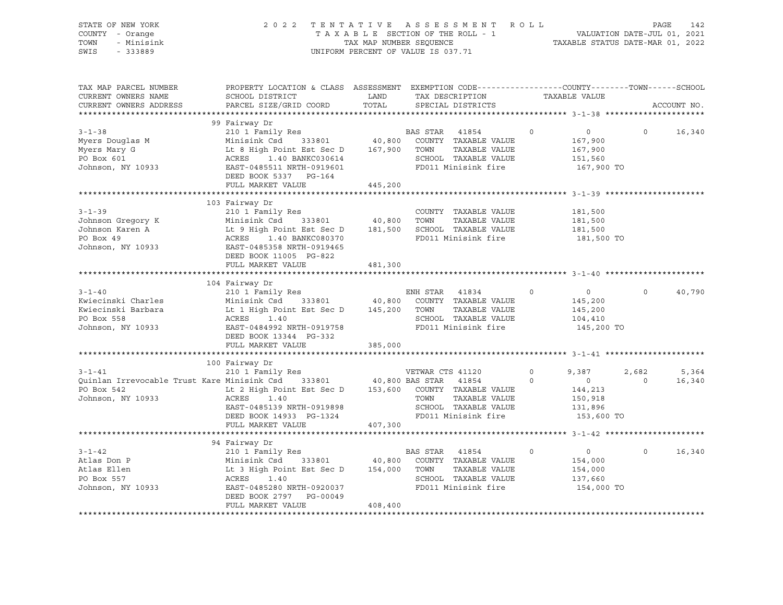| STATE OF NEW YORK<br>COUNTY - Orange<br>TOWN<br>- Minisink<br>SWIS<br>$-333889$                                       | 2 0 2 2                                                                                                                                                                                                                                                                 | UNIFORM PERCENT OF VALUE IS 037.71 |                          | TENTATIVE ASSESSMENT ROLL<br>T A X A B L E SECTION OF THE ROLL - 1<br>T A X A B L E SECTION OF THE ROLL - 1<br>TAXABLE STATUS DATE-MAR 01, 2022 |                    |                                                                        | PAGE             | 142             |
|-----------------------------------------------------------------------------------------------------------------------|-------------------------------------------------------------------------------------------------------------------------------------------------------------------------------------------------------------------------------------------------------------------------|------------------------------------|--------------------------|-------------------------------------------------------------------------------------------------------------------------------------------------|--------------------|------------------------------------------------------------------------|------------------|-----------------|
| TAX MAP PARCEL NUMBER<br>CURRENT OWNERS NAME<br>CURRENT OWNERS ADDRESS                                                | PROPERTY LOCATION & CLASS ASSESSMENT EXEMPTION CODE----------------COUNTY-------TOWN------SCHOOL<br>SCHOOL DISTRICT<br><b>EXAMPLE SERVICE SERVICE SERVICE SERVICE SERVICE SERVICE SERVICE SERVICE SERVICE SERVICE SERVICE SERVICE SERVICE</b><br>PARCEL SIZE/GRID COORD | TOTAL                              |                          | TAX DESCRIPTION TAXABLE VALUE<br>SPECIAL DISTRICTS                                                                                              |                    |                                                                        |                  | ACCOUNT NO.     |
| $3 - 1 - 38$<br>Myers Douglas M<br>Myers Mary G<br>PO Box 601<br>Johnson, NY 10933                                    | 99 Fairway Dr<br>210 1 Family Res<br>Minisink Csd 333801 40,800<br>Lt 8 High Point Est Sec D 167,900<br>ACRES 1.40 BANKC030614<br>EAST-0485511 NRTH-0919601<br>DEED BOOK 5337 PG-164<br>FULL MARKET VALUE                                                               |                                    | BAS STAR 41854           | COUNTY TAXABLE VALUE<br>TOWN TAXABLE VALUE<br>SCHOOL TAXABLE VALUE<br>FD011 Minisink fire                                                       | $\circ$            | $\overline{0}$<br>167,900<br>167,900<br>151,560<br>167,900 TO          | $\circ$          | 16,340          |
|                                                                                                                       |                                                                                                                                                                                                                                                                         | 445,200                            |                          |                                                                                                                                                 |                    |                                                                        |                  |                 |
| $3 - 1 - 39$<br>Johnson Gregory K<br>Johnson Karen A<br>PO Box 49<br>Johnson, NY 10933 EAST-0485358 NRTH-0919465      | 103 Fairway Dr<br>210 1 Family Res<br>Minisink Csd 333801 40,800<br>Minisink Csd 333801 40,800<br>Lt 9 High Point Est Sec D 181,500<br>ACRES 1.40 BANKC080370<br>DEED BOOK 11005 PG-822                                                                                 |                                    | TOWN                     | COUNTY TAXABLE VALUE<br>TAXABLE VALUE<br>SCHOOL TAXABLE VALUE<br>FD011 Minisink fire                                                            |                    | 181,500<br>181,500<br>181,500<br>181,500 TO                            |                  |                 |
|                                                                                                                       | FULL MARKET VALUE                                                                                                                                                                                                                                                       | 481,300                            |                          |                                                                                                                                                 |                    |                                                                        |                  |                 |
|                                                                                                                       |                                                                                                                                                                                                                                                                         |                                    |                          |                                                                                                                                                 |                    |                                                                        |                  |                 |
| $3 - 1 - 40$<br>Kwiecinski Charles<br>Kwiecinski Barbara<br>PO Box 558<br>Johnson, NY 10933 EAST-0484992 NRTH-0919758 | 104 Fairway Dr<br>210 1 Family Res<br>333801 40,800<br>Minisink Csd<br>Lt 1 High Point Est Sec D 145,200<br>ACRES 1.40<br>DEED BOOK 13344 PG-332                                                                                                                        |                                    | ENH STAR 41834<br>TOWN   | COUNTY TAXABLE VALUE<br>TAXABLE VALUE<br>SCHOOL TAXABLE VALUE<br>FD011 Minisink fire                                                            | $\circ$            | $\overline{0}$<br>145,200<br>145,200<br>104,410<br>145,200 TO          | $\circ$          | 40,790          |
|                                                                                                                       | FULL MARKET VALUE                                                                                                                                                                                                                                                       | 385,000                            |                          |                                                                                                                                                 |                    |                                                                        |                  |                 |
|                                                                                                                       |                                                                                                                                                                                                                                                                         |                                    |                          |                                                                                                                                                 |                    |                                                                        |                  |                 |
| $3 - 1 - 41$<br>Quinlan Irrevocable Trust Kare Minisink Csd 333801 40,800 BAS STAR 41854<br>Johnson, NY 10933         | 100 Fairway Dr<br>210 1 Family Res<br>ACRES<br>1.40<br>EAST-0485139 NRTH-0919898<br>DEED BOOK 14933 PG-1324<br>FULL MARKET VALUE                                                                                                                                        | 407,300                            | VETWAR CTS 41120<br>TOWN | TAXABLE VALUE<br>SCHOOL TAXABLE VALUE<br>FD011 Minisink fire                                                                                    | $\circ$<br>$\circ$ | 9,387<br>$\overline{0}$<br>144,213<br>150,918<br>131,896<br>153,600 TO | 2,682<br>$\circ$ | 5,364<br>16,340 |
|                                                                                                                       |                                                                                                                                                                                                                                                                         |                                    |                          |                                                                                                                                                 |                    |                                                                        |                  |                 |
|                                                                                                                       | 94 Fairway Dr                                                                                                                                                                                                                                                           |                                    |                          |                                                                                                                                                 |                    |                                                                        |                  |                 |
| $3 - 1 - 42$<br>Atlas Don P<br>Atlas Ellen<br>PO Box 557<br>Johnson, NY 10933                                         | 210 1 Family Res<br>Minisink Csd 333801 40,800<br>Lt 3 High Point Est Sec D 154,000<br>ACRES 1.40<br>EAST-0485280 NRTH-0920037<br>DEED BOOK 2797 PG-00049<br>FULL MARKET VALUE                                                                                          | 408,400                            | BAS STAR 41854           | COUNTY TAXABLE VALUE<br>TOWN TAXABLE VALUE<br>SCHOOL TAXABLE VALUE<br>FD011 Minisink fire                                                       | $\Omega$           | $\overline{0}$<br>154,000<br>154,000<br>137,660<br>154,000 TO          | $\Omega$         | 16,340          |
|                                                                                                                       |                                                                                                                                                                                                                                                                         |                                    |                          |                                                                                                                                                 |                    |                                                                        |                  |                 |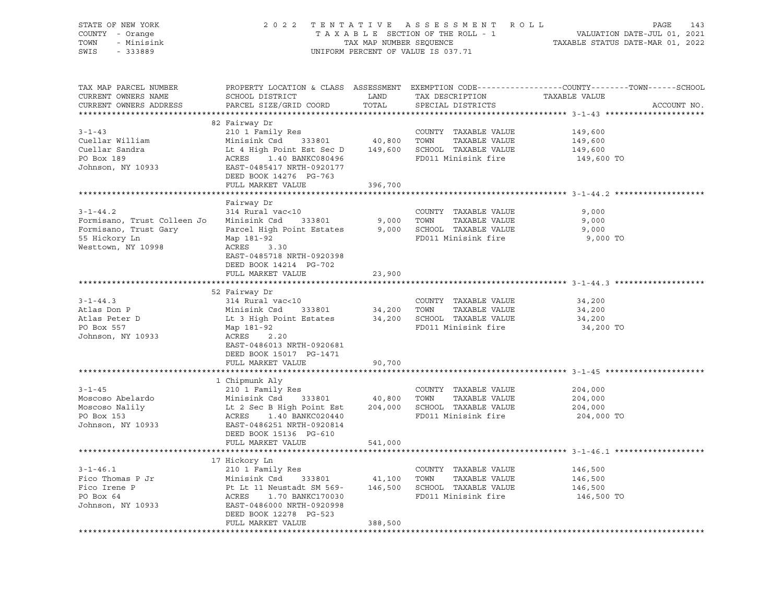| STATE OF NEW YORK<br>COUNTY - Orange<br>TOWN<br>- Minisink<br>SWIS<br>$-333889$                                                                                                                                                                      |                                                                                                                                                                                                                                  |         | UNIFORM PERCENT OF VALUE IS 037.71 | 2022 TENTATIVE ASSESSMENT ROLL PAGE 143<br>TAXABLE SECTION OF THE ROLL - 1 VALUATION DATE-JUL 01, 2021<br>TAX MAP NUMBER SEQUENCE TAXABLE STATUS DATE-MAR 01, 2022 |
|------------------------------------------------------------------------------------------------------------------------------------------------------------------------------------------------------------------------------------------------------|----------------------------------------------------------------------------------------------------------------------------------------------------------------------------------------------------------------------------------|---------|------------------------------------|--------------------------------------------------------------------------------------------------------------------------------------------------------------------|
|                                                                                                                                                                                                                                                      |                                                                                                                                                                                                                                  |         |                                    |                                                                                                                                                                    |
| TAX MAP PARCEL NUMBER<br>CURRENT OWNERS NAME<br>CURRENT OWNERS ADDRESS                                                                                                                                                                               | PROPERTY LOCATION & CLASS ASSESSMENT LOCATION TAXABLE VALUE<br>SCHOOL DISTRICT LAND TAX DESCRIPTION TAXABLE VALUE<br>PARCEL SIZE/GRID COORD                                                                                      |         | TOTAL SPECIAL DISTRICTS            | PROPERTY LOCATION & CLASS ASSESSMENT EXEMPTION CODE----------------COUNTY-------TOWN-----SCHOOL<br>ACCOUNT NO.                                                     |
|                                                                                                                                                                                                                                                      |                                                                                                                                                                                                                                  |         |                                    |                                                                                                                                                                    |
| $3 - 1 - 43$                                                                                                                                                                                                                                         | 210 1 Family Res<br>Minisink Csd 333801 40,800 TOWN TAXABLE VALUE<br>Lt 4 High Point Est Sec D 149,600 SCHOOL TAXABLE VALUE<br>ACRES 1.40 BANKC080496 FD011 Minisink fire<br>EAST-0485417 NRTH-0920177<br>DEED BOOK 14976 PO TCC |         |                                    | 149,600                                                                                                                                                            |
| Cuellar William                                                                                                                                                                                                                                      |                                                                                                                                                                                                                                  |         |                                    | 149,600                                                                                                                                                            |
| Cuellar Sandra                                                                                                                                                                                                                                       |                                                                                                                                                                                                                                  |         |                                    | 149,600                                                                                                                                                            |
| PO Box 189                                                                                                                                                                                                                                           |                                                                                                                                                                                                                                  |         |                                    | 149,600 TO                                                                                                                                                         |
| Johnson, NY 10933                                                                                                                                                                                                                                    |                                                                                                                                                                                                                                  |         |                                    |                                                                                                                                                                    |
|                                                                                                                                                                                                                                                      | DEED BOOK 14276 PG-763                                                                                                                                                                                                           |         |                                    |                                                                                                                                                                    |
|                                                                                                                                                                                                                                                      | FULL MARKET VALUE                                                                                                                                                                                                                | 396,700 |                                    |                                                                                                                                                                    |
| ******************************                                                                                                                                                                                                                       |                                                                                                                                                                                                                                  |         |                                    |                                                                                                                                                                    |
|                                                                                                                                                                                                                                                      | Fairway Dr                                                                                                                                                                                                                       |         |                                    |                                                                                                                                                                    |
| $3 - 1 - 44.2$                                                                                                                                                                                                                                       | 314 Rural vac<10                                                                                                                                                                                                                 |         | COUNTY TAXABLE VALUE               | 9,000                                                                                                                                                              |
| Formisano, Trust Colleen Jo                                                                                                                                                                                                                          | Minisink Csd 333801 9,000 TOWN TAXABLE VALUE<br>Parcel High Point Estates 9,000 SCHOOL TAXABLE VALUE                                                                                                                             |         |                                    | 9,000                                                                                                                                                              |
| Formisano, Trust Gary                                                                                                                                                                                                                                |                                                                                                                                                                                                                                  |         |                                    | 9,000                                                                                                                                                              |
| 55 Hickory Ln<br>Westtown, NY 10998                                                                                                                                                                                                                  | Map 181-92<br>ACRES 3.30                                                                                                                                                                                                         |         | FD011 Minisink fire                | 9,000 TO                                                                                                                                                           |
|                                                                                                                                                                                                                                                      | EAST-0485718 NRTH-0920398                                                                                                                                                                                                        |         |                                    |                                                                                                                                                                    |
|                                                                                                                                                                                                                                                      | DEED BOOK 14214 PG-702                                                                                                                                                                                                           |         |                                    |                                                                                                                                                                    |
|                                                                                                                                                                                                                                                      | FULL MARKET VALUE                                                                                                                                                                                                                | 23,900  |                                    |                                                                                                                                                                    |
|                                                                                                                                                                                                                                                      |                                                                                                                                                                                                                                  |         |                                    |                                                                                                                                                                    |
|                                                                                                                                                                                                                                                      | 52 Fairway Dr                                                                                                                                                                                                                    |         |                                    |                                                                                                                                                                    |
| $3 - 1 - 44.3$                                                                                                                                                                                                                                       |                                                                                                                                                                                                                                  |         |                                    | 34,200                                                                                                                                                             |
| Atlas Don P                                                                                                                                                                                                                                          |                                                                                                                                                                                                                                  |         |                                    | 34,200                                                                                                                                                             |
| Atlas Peter D<br>PO Box 557                                                                                                                                                                                                                          |                                                                                                                                                                                                                                  |         |                                    | 34,200                                                                                                                                                             |
|                                                                                                                                                                                                                                                      | COUNTY TAXABLE VALUE<br>Minisink Csd 333801 34,200 TOWN TAXABLE VALUE<br>Lt 3 High Point Estates 34,200 SCHOOL TAXABLE VALUE<br>Map 181-92<br>ACRES 2.20                                                                         |         |                                    | 34,200 TO                                                                                                                                                          |
| Johnson, NY 10933                                                                                                                                                                                                                                    |                                                                                                                                                                                                                                  |         |                                    |                                                                                                                                                                    |
|                                                                                                                                                                                                                                                      | EAST-0486013 NRTH-0920681                                                                                                                                                                                                        |         |                                    |                                                                                                                                                                    |
|                                                                                                                                                                                                                                                      | DEED BOOK 15017 PG-1471                                                                                                                                                                                                          |         |                                    |                                                                                                                                                                    |
|                                                                                                                                                                                                                                                      | FULL MARKET VALUE                                                                                                                                                                                                                | 90,700  |                                    |                                                                                                                                                                    |
|                                                                                                                                                                                                                                                      | 1 Chipmunk Aly                                                                                                                                                                                                                   |         |                                    |                                                                                                                                                                    |
|                                                                                                                                                                                                                                                      |                                                                                                                                                                                                                                  |         |                                    | 204,000                                                                                                                                                            |
|                                                                                                                                                                                                                                                      |                                                                                                                                                                                                                                  |         |                                    | 204,000                                                                                                                                                            |
| 3-1-45<br>Moscoso Abelardo<br>Moscoso Nalily (Moscoso Nalily Res (Moscoso Nalily 10 Minisink Csd 333801 40,800 TOWN TAXABLE VALUE<br>Moscoso Nalily (Moscoso Nalily 10 Minisink Csd 333801 40,800 TOWN TAXABLE VALUE<br>PO Box 153 ACR               |                                                                                                                                                                                                                                  |         |                                    | 204,000                                                                                                                                                            |
|                                                                                                                                                                                                                                                      |                                                                                                                                                                                                                                  |         |                                    | 204,000 TO                                                                                                                                                         |
| Johnson, NY 10933                                                                                                                                                                                                                                    |                                                                                                                                                                                                                                  |         |                                    |                                                                                                                                                                    |
|                                                                                                                                                                                                                                                      | DEED BOOK 15136 PG-610                                                                                                                                                                                                           |         |                                    |                                                                                                                                                                    |
|                                                                                                                                                                                                                                                      | FULL MARKET VALUE                                                                                                                                                                                                                | 541,000 |                                    |                                                                                                                                                                    |
|                                                                                                                                                                                                                                                      |                                                                                                                                                                                                                                  |         |                                    |                                                                                                                                                                    |
|                                                                                                                                                                                                                                                      | 17 Hickory Ln                                                                                                                                                                                                                    |         |                                    |                                                                                                                                                                    |
|                                                                                                                                                                                                                                                      |                                                                                                                                                                                                                                  |         |                                    | 146,500                                                                                                                                                            |
|                                                                                                                                                                                                                                                      |                                                                                                                                                                                                                                  |         |                                    | 146,500<br>146,500                                                                                                                                                 |
|                                                                                                                                                                                                                                                      |                                                                                                                                                                                                                                  |         | FD011 Minisink fire                | 146,500 TO                                                                                                                                                         |
| 3-1-46.1<br>Fico Thomas P Jr<br>Fico Thomas P Jr<br>Fico Trene P<br>Pt Lt 11 Neustadt SM 569-<br>PO Box 64<br>Johnson, NY 10933<br>EAST-0486000 NRTH-0920998<br>EAST-0486000 NRTH-0920998<br>FD011 Minisink fire<br>FD011 Minisink fire<br>FD011 Min |                                                                                                                                                                                                                                  |         |                                    |                                                                                                                                                                    |
|                                                                                                                                                                                                                                                      | DEED BOOK 12278 PG-523                                                                                                                                                                                                           |         |                                    |                                                                                                                                                                    |
|                                                                                                                                                                                                                                                      | FULL MARKET VALUE                                                                                                                                                                                                                | 388,500 |                                    |                                                                                                                                                                    |
|                                                                                                                                                                                                                                                      |                                                                                                                                                                                                                                  |         |                                    |                                                                                                                                                                    |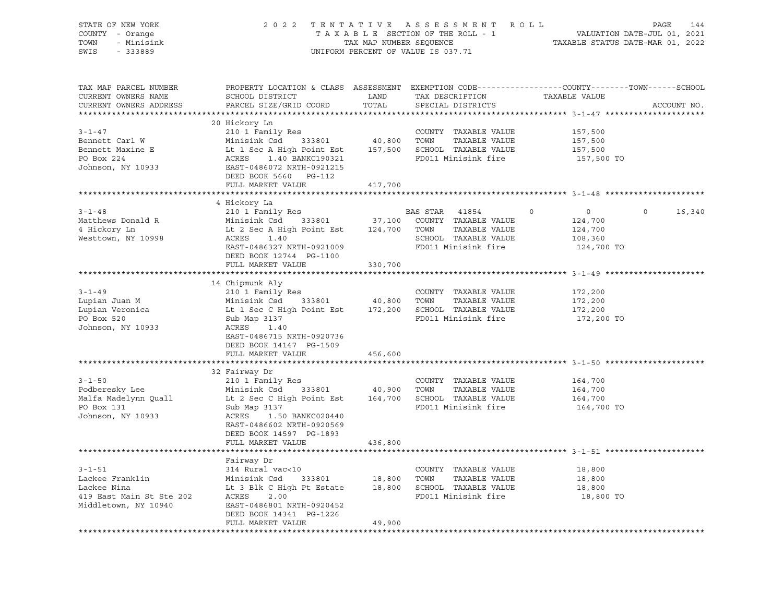| STATE OF NEW YORK<br>COUNTY - Orange<br>- Minisink<br>TOWN<br>SWIS<br>$-333889$       | 2022 TENTATIVE ASSESSMENT ROLL                                                                                                                                                                                                                                                                                                              |         | T A X A B L E SECTION OF THE ROLL - 1 VALUATION DATE-JUL 01, 2021<br>TAX MAP NUMBER SEQUENCE TAXABLE STATUS DATE-MAR 01, 2022<br>UNIFORM PERCENT OF VALUE IS 037.71 |                                                                           | PAGE<br>144        |
|---------------------------------------------------------------------------------------|---------------------------------------------------------------------------------------------------------------------------------------------------------------------------------------------------------------------------------------------------------------------------------------------------------------------------------------------|---------|---------------------------------------------------------------------------------------------------------------------------------------------------------------------|---------------------------------------------------------------------------|--------------------|
| TAX MAP PARCEL NUMBER<br>CURRENT OWNERS NAME<br>CURRENT OWNERS ADDRESS                | PROPERTY LOCATION & CLASS ASSESSMENT EXEMPTION CODE----------------COUNTY-------TOWN------SCHOOL<br>SCHOOL DISTRICT LAND<br>PARCEL SIZE/GRID COORD TOTAL                                                                                                                                                                                    |         | TAX DESCRIPTION TAXABLE VALUE<br>SPECIAL DISTRICTS<br>SPECIAL DISTRICTS                                                                                             |                                                                           | ACCOUNT NO.        |
| $3 - 1 - 47$<br>Bennett Carl W<br>Bennett Maxine E<br>PO Box 224<br>Johnson, NY 10933 | 210 1 Family Res<br>Minisink Csd 333801 40,800 TOWN TAXABLE VALUE<br>Lt 1 Sec A High Point Est 157,500 SCHOOL TAXABLE VALUE<br>ACRES 1.40 BANKC190321 FD011 Minisink fire<br>EAST-0486072 NRTH-0921215<br>DEED BOOK 5660 POLLER<br>DEED BOOK 5660 PG-112<br>FULL MARKET VALUE                                                               | 417,700 |                                                                                                                                                                     | 157,500<br>157,500<br>157,500<br>157,500 TO                               |                    |
|                                                                                       |                                                                                                                                                                                                                                                                                                                                             |         |                                                                                                                                                                     |                                                                           |                    |
| $3 - 1 - 48$<br>Matthews Donald R<br>4 Hickory Ln<br>Westtown, NY 10998               | 4 Hickory La<br>210 1 Family Res<br>Minisink Csd 333801 37,100 COUNTY TAXABLE VALUE<br>Lt 2 Sec A High Point Est 124,700 TOWN TAXABLE VALUE<br>ACRES 1.40 SCHOOL TAXABLE VALUE<br>EAST-0486327 NRTH-0921009<br>DEED BOOK 12744 PG-1100                                                                                                      |         | <b>BAS STAR</b> 41854<br>SCHOOL TAXABLE VALUE<br>SCHOOL TAXABLE VALUE<br>EDO11 MARRE<br>FD011 Minisink fire                                                         | $\overline{0}$<br>$\Omega$<br>124,700<br>124,700<br>108,360<br>124,700 TO | $\Omega$<br>16,340 |
|                                                                                       | FULL MARKET VALUE                                                                                                                                                                                                                                                                                                                           | 330,700 |                                                                                                                                                                     |                                                                           |                    |
| $3 - 1 - 49$<br>Lupian Juan M<br>Lupian Veronica<br>PO Box 520<br>Johnson, NY 10933   | 14 Chipmunk Aly<br>210 1 Family Res<br>Minisink Csd 333801 40,800 TOWN TAXABLE VALUE<br>Lt 1 Sec C High Point Est 172,200 SCHOOL TAXABLE VALUE<br>Sub Map 3137 FD011 Minisink fire<br>ACRES 1.40<br>EAST-0486715 NRTH-0920736<br>DEED BOOK 14147 PG-1509                                                                                    |         | FD011 Minisink fire                                                                                                                                                 | 172,200<br>172,200<br>172,200<br>172,200 TO                               |                    |
|                                                                                       | FULL MARKET VALUE                                                                                                                                                                                                                                                                                                                           | 456,600 |                                                                                                                                                                     |                                                                           |                    |
| Johnson, NY 10933                                                                     | 32 Fairway Dr<br>3-1-50 210 1 Family Res<br>Podberesky Lee Minisink Csd 333801 40,900 TOWN TAXABLE VALUE<br>Malfa Madelynn Quall Lt 2 Sec C High Point Est 164,700 SCHOOL TAXABLE VALUE<br>PO Box 131 Sub Map 3137<br>The Map 3137<br>The Sec C High Poin<br>ACRES 1.50 BANKC020440<br>EAST-0486602 NRTH-0920569<br>DEED BOOK 14597 PG-1893 |         | FD011 Minisink fire                                                                                                                                                 | 164,700<br>164,700<br>164,700<br>164,700 TO                               |                    |
|                                                                                       | FULL MARKET VALUE                                                                                                                                                                                                                                                                                                                           | 436,800 |                                                                                                                                                                     |                                                                           |                    |
|                                                                                       | Fairway Dr<br>COUNTY TAXABLE VALUE<br>Lackee Franklin Minisink Csd 333801 18,800 TOWN TAXABLE VALUE<br>Lackee Nina Lt 3 Blk C High Pt Estate 18,800 SCHOOL TAXABLE VALUE<br>419 East Main St Ste 202 ACRES 2.00 FD011 Minisink fire<br>Middletown, N<br>DEED BOOK 14341 PG-1226<br>FULL MARKET VALUE                                        | 49,900  |                                                                                                                                                                     | 18,800<br>18,800<br>18,800<br>18,800 TO                                   |                    |
|                                                                                       |                                                                                                                                                                                                                                                                                                                                             |         |                                                                                                                                                                     |                                                                           |                    |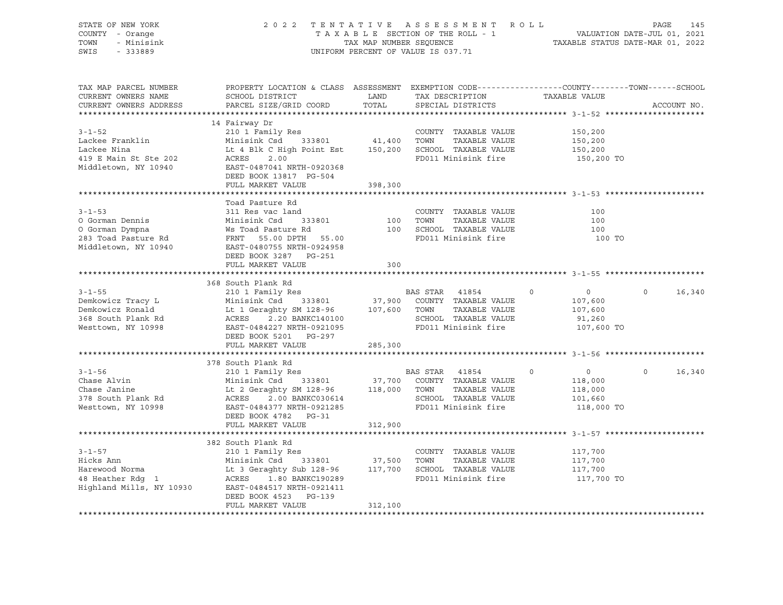| STATE OF NEW YORK<br>COUNTY - Orange<br>TOWN<br>- Minisink<br>SWIS<br>$-333889$                                                                                                                                                                                       |                                                                                                                                                                                                                                                                                                                              | TAX MAP NUMBER SEQUENCE | 2022 TENTATIVE ASSESSMENT ROLL<br>TAXABLE SECTION OF THE ROLL - 1<br>UNIFORM PERCENT OF VALUE IS 037.71        | VALUATION DATE-JUL 01, 2021<br>TAXABLE STATUS DATE-MAR 01, 2022                | 145<br>PAGE                 |
|-----------------------------------------------------------------------------------------------------------------------------------------------------------------------------------------------------------------------------------------------------------------------|------------------------------------------------------------------------------------------------------------------------------------------------------------------------------------------------------------------------------------------------------------------------------------------------------------------------------|-------------------------|----------------------------------------------------------------------------------------------------------------|--------------------------------------------------------------------------------|-----------------------------|
| TAX MAP PARCEL NUMBER<br>CURRENT OWNERS NAME<br>CURRENT OWNERS ADDRESS                                                                                                                                                                                                | PROPERTY LOCATION & CLASS ASSESSMENT EXEMPTION CODE----------------COUNTY-------TOWN------SCHOOL                                                                                                                                                                                                                             |                         | TAX DESCRIPTION<br>SPECIAL DISTRICTS                                                                           | TAXABLE VALUE                                                                  | ACCOUNT NO.                 |
|                                                                                                                                                                                                                                                                       |                                                                                                                                                                                                                                                                                                                              |                         |                                                                                                                |                                                                                |                             |
|                                                                                                                                                                                                                                                                       | 14 Fairway Dr                                                                                                                                                                                                                                                                                                                |                         |                                                                                                                |                                                                                |                             |
| $3 - 1 - 52$<br>Lackee Franklin<br>Lackee Nina<br>419 E Main St Ste 202<br>Middletown, NY 10940                                                                                                                                                                       | 210 1 Family Res<br>Minisink Csd 333801 41,400 TOWN<br>Lt 4 Blk C High Point Est 150,200 SCHOOL TAXABLE VALUE<br>ACRES<br>2.00<br>EAST-0487041 NRTH-0920368<br>DEED BOOK 13817 PG-504                                                                                                                                        |                         | COUNTY TAXABLE VALUE<br>TAXABLE VALUE<br>FD011 Minisink fire                                                   | 150,200<br>150,200<br>150,200<br>150,200 TO                                    |                             |
|                                                                                                                                                                                                                                                                       | FULL MARKET VALUE                                                                                                                                                                                                                                                                                                            | 398,300                 |                                                                                                                |                                                                                |                             |
| $3 - 1 - 53$<br>0 Gorman Dennis<br>0 Gorman Dympna<br>283 Toad Pasture Rd<br>283 Toad Pasture Rd<br>283 Toad Pasture Rd<br>283 Toad Pasture Rd<br>283 Toad Pasture Rd<br>283 Toad Pasture Rd<br>283 Toad Pasture Rd<br>283 Toad Pasture Rd<br>283 Toad Pasture Rd<br> | Toad Pasture Rd<br>311 Res vac land                                                                                                                                                                                                                                                                                          |                         | COUNTY TAXABLE VALUE<br>100    TOWN      TAXABLE VALUE<br>100    SCHOOL   TAXABLE VALUE<br>FD011 Minisink fire | 100<br>100<br>100<br>100 TO                                                    |                             |
|                                                                                                                                                                                                                                                                       | DEED BOOK 3287 PG-251<br>FULL MARKET VALUE                                                                                                                                                                                                                                                                                   | 300                     |                                                                                                                |                                                                                |                             |
|                                                                                                                                                                                                                                                                       |                                                                                                                                                                                                                                                                                                                              |                         |                                                                                                                |                                                                                |                             |
| $3 - 1 - 55$<br>Demkowicz Tracy L<br>Demkowicz Ronald<br>368 South Plank Rd<br>Westtown, NY 10998                                                                                                                                                                     | 368 South Plank Rd<br>210 1 Family Res<br>Minisink Csd 333801 37,900 COUNTY TAXABLE VALUE<br>Lt 1 Geraghty SM 128-96 107,600 TOWN TAXABLE VALUE<br>ACRES 2.20 BANKC140100 SCHOOL TAXABLE VALUE<br>EAST-0484227 NRTH-0921095 FD011 Minisink fire<br>DEED BOOK 5201 PG-297                                                     |                         | <b>BAS STAR</b> 41854<br>TAXABLE VALUE                                                                         | $\overline{0}$<br>$\overline{0}$<br>107,600<br>107,600<br>91,260<br>107,600 TO | $0 \qquad \qquad$<br>16,340 |
|                                                                                                                                                                                                                                                                       | FULL MARKET VALUE                                                                                                                                                                                                                                                                                                            | 285,300                 |                                                                                                                |                                                                                |                             |
|                                                                                                                                                                                                                                                                       |                                                                                                                                                                                                                                                                                                                              |                         |                                                                                                                |                                                                                |                             |
| $3 - 1 - 56$<br>Chase Alvin<br>Chase Janine<br>378 South Plank Rd<br>Westtown, NY 10998                                                                                                                                                                               | 378 South Plank Rd<br>210 1 Family Res<br>Minisink Csd 333801 37,700 COUNTY TAXABLE VALUE<br>Lt 2 Geraghty SM 128-96 118,000 TOWN TAXABLE VALUE<br>ACRES 2.00 BANKC030614 SCHOOL TAXABLE VALUE<br>ACKES 2.00 BANKC030614<br>EAST-0484377 NRTH-0921285<br>DEED BOOK 4790 - DO 01<br>DEED BOOK 4782 PG-31<br>FULL MARKET VALUE | 312,900                 | BAS STAR 41854<br>FD011 Minisink fire                                                                          | $\overline{0}$<br>$\circ$<br>118,000<br>118,000<br>101,660<br>118,000 TO       | $0 \t16,340$                |
|                                                                                                                                                                                                                                                                       |                                                                                                                                                                                                                                                                                                                              |                         |                                                                                                                |                                                                                |                             |
| $3 - 1 - 57$<br>Hicks Ann Minisink Csd 333801 37,500 TOWN TAXABLE VALUE<br>Harewood Norma Lt 3 Geraghty Sub 128-96 117,700 SCHOOL TAXABLE VALUE<br>48 Heather Rdg 1 ACRES 1.80 BANKC190289 FD011 Minisink fire<br>Highland Mills, NY 10930 EAST-0484                  | 382 South Plank Rd<br>210 1 Family Res<br>DEED BOOK 4523 PG-139<br>FULL MARKET VALUE                                                                                                                                                                                                                                         | 312,100                 | COUNTY TAXABLE VALUE<br>FD011 Minisink fire                                                                    | 117,700<br>117,700<br>117,700<br>117,700 TO                                    |                             |
|                                                                                                                                                                                                                                                                       |                                                                                                                                                                                                                                                                                                                              |                         |                                                                                                                |                                                                                |                             |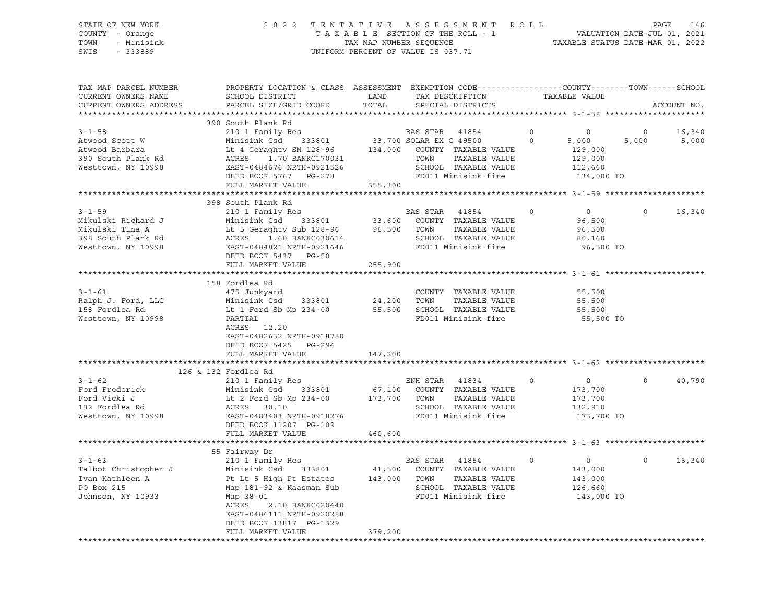| STATE OF NEW YORK  | 2022 TENTATIVE ASSESSMENT ROLL     | 146<br>PAGE                      |
|--------------------|------------------------------------|----------------------------------|
| COUNTY - Orange    | TAXABLE SECTION OF THE ROLL - 1    | VALUATION DATE-JUL 01, 2021      |
| TOWN<br>- Minisink | TAX MAP NUMBER SEOUENCE            | TAXABLE STATUS DATE-MAR 01, 2022 |
| SWIS<br>- 333889   | UNIFORM PERCENT OF VALUE IS 037.71 |                                  |

| TAX MAP PARCEL NUMBER                                                                                                                                                                                                  | PROPERTY LOCATION & CLASS ASSESSMENT EXEMPTION CODE---------------COUNTY-------TOWN------SCHOOL                                                                                                                                                                |         |                                                                       |                |                |          |              |
|------------------------------------------------------------------------------------------------------------------------------------------------------------------------------------------------------------------------|----------------------------------------------------------------------------------------------------------------------------------------------------------------------------------------------------------------------------------------------------------------|---------|-----------------------------------------------------------------------|----------------|----------------|----------|--------------|
| CURRENT OWNERS NAME                                                                                                                                                                                                    | SCHOOL DISTRICT                                                                                                                                                                                                                                                | LAND    | TAX DESCRIPTION                                                       |                | TAXABLE VALUE  |          |              |
| CURRENT OWNERS ADDRESS                                                                                                                                                                                                 | PARCEL SIZE/GRID COORD                                                                                                                                                                                                                                         | TOTAL   | SPECIAL DISTRICTS                                                     |                |                |          | ACCOUNT NO.  |
|                                                                                                                                                                                                                        |                                                                                                                                                                                                                                                                |         |                                                                       |                |                |          |              |
|                                                                                                                                                                                                                        | 390 South Plank Rd                                                                                                                                                                                                                                             |         |                                                                       |                |                |          |              |
| $3 - 1 - 58$                                                                                                                                                                                                           | 210 1 Family Res                                                                                                                                                                                                                                               |         | BAS STAR 41854                                                        | $\overline{0}$ | $\circ$        | $\circ$  | 16,340       |
| Atwood Scott W                                                                                                                                                                                                         | 210 I Family Res and BAS SIAR 41854<br>Minisink Csd 333801 33,700 SOLAR EX C 49500 (<br>Lt 4 Geraghty SM 128-96 134,000 COUNTY TAXABLE VALUE<br>RCRES 1.70 BANKC170031 TOWN TAXABLE VALUE<br>EAST-0484676 NRTH-0921526 SCHOOL TAXABLE                          |         |                                                                       | $\circ$        | 5,000          | 5,000    | 5,000        |
| Atwood Barbara                                                                                                                                                                                                         |                                                                                                                                                                                                                                                                |         |                                                                       |                | 129,000        |          |              |
|                                                                                                                                                                                                                        |                                                                                                                                                                                                                                                                |         |                                                                       |                |                |          |              |
| 390 South Plank Rd                                                                                                                                                                                                     |                                                                                                                                                                                                                                                                |         |                                                                       |                | 129,000        |          |              |
| Westtown, NY 10998                                                                                                                                                                                                     |                                                                                                                                                                                                                                                                |         |                                                                       |                | 112,660        |          |              |
|                                                                                                                                                                                                                        | DEED BOOK 5767 PG-278                                                                                                                                                                                                                                          |         | FD011 Minisink fire                                                   |                | 134,000 TO     |          |              |
|                                                                                                                                                                                                                        | FULL MARKET VALUE                                                                                                                                                                                                                                              | 355,300 |                                                                       |                |                |          |              |
|                                                                                                                                                                                                                        |                                                                                                                                                                                                                                                                |         |                                                                       |                |                |          |              |
|                                                                                                                                                                                                                        | 398 South Plank Rd<br>398 SOUTH PIANK Rd<br>210 1 Family Res<br>Minisink Csd 333801 33,600 COUNTY TAXABLE VALUE<br>Lt 5 Geraghty Sub 128-96 96,500 TOWN TAXABLE VALUE<br>ACRES 1.60 BANKC030614 SCHOOL TAXABLE VALUE<br>EAST-0484821 NRTH-0921646 FD011 Minisi |         |                                                                       |                |                |          |              |
| $3 - 1 - 59$                                                                                                                                                                                                           |                                                                                                                                                                                                                                                                |         |                                                                       | $\overline{0}$ | $\overline{0}$ |          | $0 \t16,340$ |
| Mikulski Richard J                                                                                                                                                                                                     |                                                                                                                                                                                                                                                                |         |                                                                       |                | 96,500         |          |              |
| Mikulski Tina A                                                                                                                                                                                                        |                                                                                                                                                                                                                                                                |         |                                                                       |                | 96,500         |          |              |
| 398 South Plank Rd                                                                                                                                                                                                     |                                                                                                                                                                                                                                                                |         |                                                                       |                | 80,160         |          |              |
| Westtown, NY 10998                                                                                                                                                                                                     |                                                                                                                                                                                                                                                                |         |                                                                       |                | 96,500 TO      |          |              |
|                                                                                                                                                                                                                        | DEED BOOK 5437 PG-50                                                                                                                                                                                                                                           |         |                                                                       |                |                |          |              |
|                                                                                                                                                                                                                        | FULL MARKET VALUE                                                                                                                                                                                                                                              | 255,900 |                                                                       |                |                |          |              |
|                                                                                                                                                                                                                        |                                                                                                                                                                                                                                                                |         |                                                                       |                |                |          |              |
|                                                                                                                                                                                                                        | 158 Fordlea Rd                                                                                                                                                                                                                                                 |         |                                                                       |                |                |          |              |
| $3 - 1 - 61$                                                                                                                                                                                                           | 475 Junkyard                                                                                                                                                                                                                                                   |         | COUNTY TAXABLE VALUE                                                  |                | 55,500         |          |              |
| Ralph J. Ford, LLC                                                                                                                                                                                                     |                                                                                                                                                                                                                                                                |         | TAXABLE VALUE                                                         |                | 55,500         |          |              |
|                                                                                                                                                                                                                        | Minisink Csd 333801<br>Lt 1 Ford Sb Mp 234-00                                                                                                                                                                                                                  |         | 24,200    TOWN      TAXABLE VALUE<br>55,500    SCHOOL   TAXABLE VALUE |                |                |          |              |
| 158 Fordlea Rd                                                                                                                                                                                                         |                                                                                                                                                                                                                                                                |         |                                                                       |                | 55,500         |          |              |
| Westtown, NY 10998                                                                                                                                                                                                     | PARTIAL                                                                                                                                                                                                                                                        |         | FD011 Minisink fire                                                   |                | 55,500 TO      |          |              |
|                                                                                                                                                                                                                        | ACRES 12.20                                                                                                                                                                                                                                                    |         |                                                                       |                |                |          |              |
|                                                                                                                                                                                                                        | EAST-0482632 NRTH-0918780                                                                                                                                                                                                                                      |         |                                                                       |                |                |          |              |
|                                                                                                                                                                                                                        | DEED BOOK 5425 PG-294                                                                                                                                                                                                                                          |         |                                                                       |                |                |          |              |
|                                                                                                                                                                                                                        | FULL MARKET VALUE                                                                                                                                                                                                                                              | 147,200 |                                                                       |                |                |          |              |
|                                                                                                                                                                                                                        |                                                                                                                                                                                                                                                                |         |                                                                       |                |                |          |              |
|                                                                                                                                                                                                                        | 126 & 132 Fordlea Rd                                                                                                                                                                                                                                           |         |                                                                       |                |                |          |              |
| $3 - 1 - 62$                                                                                                                                                                                                           |                                                                                                                                                                                                                                                                |         |                                                                       | $\circ$        | $\overline{0}$ | $\circ$  | 40,790       |
| Ford Frederick                                                                                                                                                                                                         |                                                                                                                                                                                                                                                                |         |                                                                       |                | 173,700        |          |              |
| Ford Vicki J                                                                                                                                                                                                           |                                                                                                                                                                                                                                                                |         |                                                                       |                | 173,700        |          |              |
| 132 Fordlea Rd                                                                                                                                                                                                         |                                                                                                                                                                                                                                                                |         |                                                                       |                | 132,910        |          |              |
| Westtown, NY 10998                                                                                                                                                                                                     | 210 1 Family Res<br>Minisink Csd 333801 67,100 COUNTY TAXABLE VALUE<br>Lt 2 Ford Sb Mp 234-00 173,700 TOWN TAXABLE VALUE<br>ACRES 30.10 SCHOOL TAXABLE VALUE<br>EAST-0483403 NRTH-0918276 FD011 Minisink fire                                                  |         |                                                                       |                | 173,700 TO     |          |              |
|                                                                                                                                                                                                                        | DEED BOOK 11207 PG-109                                                                                                                                                                                                                                         |         |                                                                       |                |                |          |              |
|                                                                                                                                                                                                                        | FULL MARKET VALUE                                                                                                                                                                                                                                              | 460,600 |                                                                       |                |                |          |              |
|                                                                                                                                                                                                                        |                                                                                                                                                                                                                                                                |         |                                                                       |                |                |          |              |
|                                                                                                                                                                                                                        | 55 Fairway Dr                                                                                                                                                                                                                                                  |         |                                                                       |                |                |          |              |
| $3 - 1 - 63$                                                                                                                                                                                                           |                                                                                                                                                                                                                                                                |         | BAS STAR 41854                                                        | $\circ$        | $\overline{0}$ | $\Omega$ | 16,340       |
|                                                                                                                                                                                                                        | 210 1 Family Res                                                                                                                                                                                                                                               |         |                                                                       |                | 143,000        |          |              |
|                                                                                                                                                                                                                        |                                                                                                                                                                                                                                                                |         |                                                                       |                |                |          |              |
| Talbot Christopher J<br>Talbot Christopher J<br>Minisink Csd 333801 41,500 COUNTY TAXABLE VALUE<br>Transference and the Betates 143,000 TOWN TAXABLE VALUE<br>PO Box 215 Map 181-92 & Kaasman Sub SCHOOL TAXABLE VALUE |                                                                                                                                                                                                                                                                |         |                                                                       |                | 143,000        |          |              |
|                                                                                                                                                                                                                        |                                                                                                                                                                                                                                                                |         |                                                                       |                | 126,660        |          |              |
| Johnson, NY 10933                                                                                                                                                                                                      | Map 38-01                                                                                                                                                                                                                                                      |         | FD011 Minisink fire                                                   |                | 143,000 TO     |          |              |
|                                                                                                                                                                                                                        | ACRES<br>2.10 BANKC020440                                                                                                                                                                                                                                      |         |                                                                       |                |                |          |              |
|                                                                                                                                                                                                                        | EAST-0486111 NRTH-0920288                                                                                                                                                                                                                                      |         |                                                                       |                |                |          |              |
|                                                                                                                                                                                                                        | DEED BOOK 13817 PG-1329                                                                                                                                                                                                                                        |         |                                                                       |                |                |          |              |
|                                                                                                                                                                                                                        | FULL MARKET VALUE                                                                                                                                                                                                                                              | 379,200 |                                                                       |                |                |          |              |
|                                                                                                                                                                                                                        |                                                                                                                                                                                                                                                                |         |                                                                       |                |                |          |              |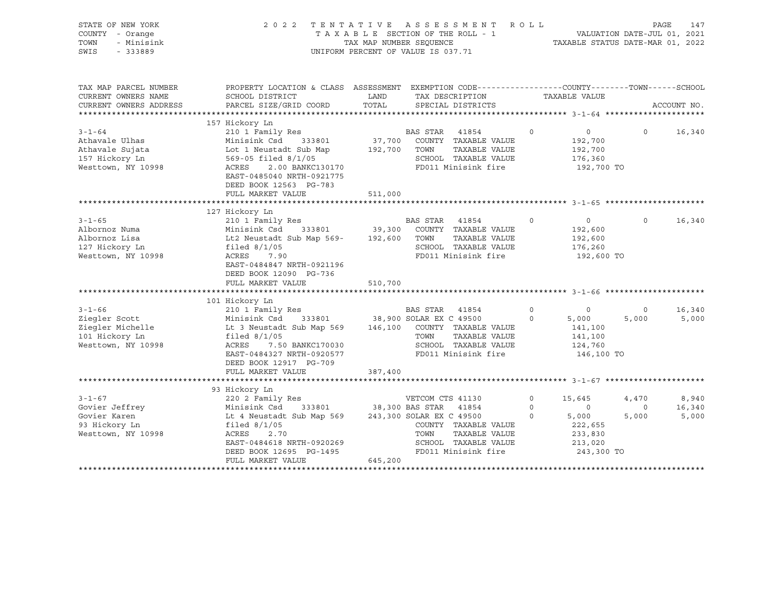| STATE OF NEW YORK<br>COUNTY - Orange<br>TOWN<br>- Minisink<br>SWIS<br>$-333889$           | 2022 TENTATIVE                                                                                                                                                                                                      | TAXABLE SECTION OF THE ROLL - 1<br>TAX MAP NUMBER SEQUENCE<br>UNIFORM PERCENT OF VALUE IS 037.71 |                                                           | ASSESSMENT                                                                                    | ROLL                | TAXABLE STATUS DATE-MAR 01, 2022                                 | PAGE<br>VALUATION DATE-JUL 01, 2021 | 147             |
|-------------------------------------------------------------------------------------------|---------------------------------------------------------------------------------------------------------------------------------------------------------------------------------------------------------------------|--------------------------------------------------------------------------------------------------|-----------------------------------------------------------|-----------------------------------------------------------------------------------------------|---------------------|------------------------------------------------------------------|-------------------------------------|-----------------|
| TAX MAP PARCEL NUMBER<br>CURRENT OWNERS NAME<br>CURRENT OWNERS ADDRESS                    | PROPERTY LOCATION & CLASS ASSESSMENT EXEMPTION CODE----------------COUNTY-------TOWN------SCHOOL<br>SCHOOL DISTRICT<br>PARCEL SIZE/GRID COORD                                                                       | LAND<br>TOTAL                                                                                    |                                                           | TAX DESCRIPTION<br>SPECIAL DISTRICTS                                                          |                     | TAXABLE VALUE                                                    |                                     | ACCOUNT NO.     |
| $3 - 1 - 64$<br>Athavale Ulhas<br>Athavale Sujata<br>157 Hickory Ln<br>Westtown, NY 10998 | 157 Hickory Ln<br>210 1 Family Res<br>Minisink Csd 333801<br>Lot 1 Neustadt Sub Map<br>569-05 filed 8/1/05<br>ACRES<br>2.00 BANKC130170<br>EAST-0485040 NRTH-0921775<br>DEED BOOK 12563 PG-783<br>FULL MARKET VALUE | 37,700<br>192,700<br>511,000                                                                     | BAS STAR<br>TOWN                                          | 41854<br>COUNTY TAXABLE VALUE<br>TAXABLE VALUE<br>SCHOOL TAXABLE VALUE<br>FD011 Minisink fire | $\circ$             | $\circ$<br>192,700<br>192,700<br>176,360<br>192,700 TO           | $\Omega$                            | 16,340          |
|                                                                                           |                                                                                                                                                                                                                     |                                                                                                  |                                                           |                                                                                               |                     |                                                                  |                                     |                 |
| $3 - 1 - 65$<br>Albornoz Numa<br>Albornoz Lisa<br>127 Hickory Ln<br>Westtown, NY 10998    | 127 Hickory Ln<br>210 1 Family Res<br>Minisink Csd<br>333801<br>Lt2 Neustadt Sub Map 569-<br>filed $8/1/05$<br>ACRES<br>7.90<br>EAST-0484847 NRTH-0921196<br>DEED BOOK 12090 PG-736<br>FULL MARKET VALUE            | 39,300<br>192,600<br>510,700                                                                     | BAS STAR<br>TOWN                                          | 41854<br>COUNTY TAXABLE VALUE<br>TAXABLE VALUE<br>SCHOOL TAXABLE VALUE<br>FD011 Minisink fire | $\circ$             | $\overline{0}$<br>192,600<br>192,600<br>176,260<br>192,600 TO    | $\Omega$                            | 16,340          |
|                                                                                           | 101 Hickory Ln                                                                                                                                                                                                      |                                                                                                  |                                                           |                                                                                               |                     |                                                                  |                                     |                 |
| $3 - 1 - 66$<br>Ziegler Scott<br>Ziegler Michelle<br>101 Hickory Ln<br>Westtown, NY 10998 | 210 1 Family Res<br>Minisink Csd<br>333801<br>Lt 3 Neustadt Sub Map 569<br>filed $8/1/05$<br>ACRES<br>7.50 BANKC170030<br>EAST-0484327 NRTH-0920577<br>DEED BOOK 12917 PG-709                                       | 38,900 SOLAR EX C 49500<br>146,100                                                               | BAS STAR 41854<br>TOWN                                    | COUNTY TAXABLE VALUE<br>TAXABLE VALUE<br>SCHOOL TAXABLE VALUE<br>FD011 Minisink fire          | $\circ$<br>$\circ$  | $\circ$<br>5,000<br>141,100<br>141,100<br>124,760<br>146,100 TO  | $\circ$<br>5,000                    | 16,340<br>5,000 |
|                                                                                           | FULL MARKET VALUE                                                                                                                                                                                                   | 387,400                                                                                          |                                                           |                                                                                               |                     |                                                                  |                                     |                 |
| $3 - 1 - 67$                                                                              | 93 Hickory Ln<br>220 2 Family Res                                                                                                                                                                                   |                                                                                                  | VETCOM CTS 41130                                          |                                                                                               | $\circ$             | 15,645                                                           | 4,470                               | 8,940           |
| Govier Jeffrey<br>Govier Karen<br>93 Hickory Ln<br>Westtown, NY 10998                     | Minisink Csd<br>333801<br>Lt 4 Neustadt Sub Map 569<br>filed $8/1/05$<br>ACRES<br>2.70<br>EAST-0484618 NRTH-0920269<br>DEED BOOK 12695 PG-1495<br>FULL MARKET VALUE                                                 | 645,200                                                                                          | 38,300 BAS STAR 41854<br>243,300 SOLAR EX C 49500<br>TOWN | COUNTY TAXABLE VALUE<br>TAXABLE VALUE<br>SCHOOL TAXABLE VALUE<br>FD011 Minisink fire          | $\circ$<br>$\Omega$ | $\Omega$<br>5,000<br>222,655<br>233,830<br>213,020<br>243,300 TO | $\mathbf 0$<br>5,000                | 16,340<br>5,000 |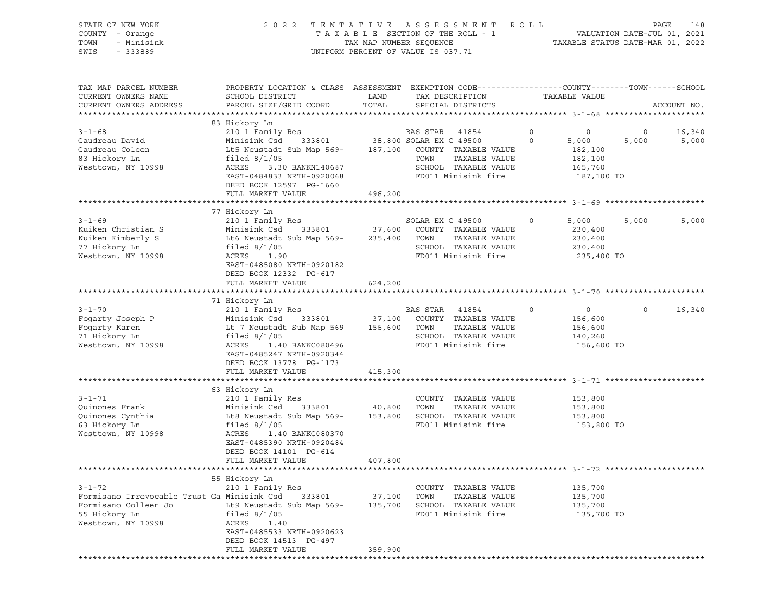| STATE OF NEW YORK<br>COUNTY - Orange<br>TOWN<br>- Minisink<br>SWIS<br>$-333889$ | 2 0 2 2                                                                                                                                      | TAX MAP NUMBER SEQUENCE | TENTATIVE ASSESSMENT<br>TAXABLE SECTION OF THE ROLL - 1<br>UNIFORM PERCENT OF VALUE IS 037.71 | R O L L<br>TAXABLE STATUS DATE-MAR 01, 2022 | VALUATION DATE-JUL 01, 2021 | PAGE<br>148 |
|---------------------------------------------------------------------------------|----------------------------------------------------------------------------------------------------------------------------------------------|-------------------------|-----------------------------------------------------------------------------------------------|---------------------------------------------|-----------------------------|-------------|
| TAX MAP PARCEL NUMBER<br>CURRENT OWNERS NAME<br>CURRENT OWNERS ADDRESS          | PROPERTY LOCATION & CLASS ASSESSMENT EXEMPTION CODE----------------COUNTY-------TOWN-----SCHOOL<br>SCHOOL DISTRICT<br>PARCEL SIZE/GRID COORD | LAND<br>TOTAL           | TAX DESCRIPTION<br>SPECIAL DISTRICTS                                                          | TAXABLE VALUE                               |                             | ACCOUNT NO. |
|                                                                                 |                                                                                                                                              |                         |                                                                                               |                                             |                             |             |
|                                                                                 | 83 Hickory Ln                                                                                                                                |                         |                                                                                               |                                             |                             |             |
| $3 - 1 - 68$                                                                    | 210 1 Family Res                                                                                                                             |                         | BAS STAR<br>41854                                                                             | $\circ$<br>0                                | 0                           | 16,340      |
| Gaudreau David                                                                  | 333801<br>Minisink Csd                                                                                                                       |                         | 38,800 SOLAR EX C 49500                                                                       | $\mathbf 0$<br>5,000                        | 5,000                       | 5,000       |
| Gaudreau Coleen<br>83 Hickory Ln                                                | Lt5 Neustadt Sub Map 569-                                                                                                                    | 187,100                 | COUNTY TAXABLE VALUE                                                                          | 182,100                                     |                             |             |
| Westtown, NY 10998                                                              | filed $8/1/05$<br>ACRES<br>3.30 BANKN140687                                                                                                  |                         | TAXABLE VALUE<br>TOWN<br>SCHOOL TAXABLE VALUE                                                 | 182,100<br>165,760                          |                             |             |
|                                                                                 | EAST-0484833 NRTH-0920068<br>DEED BOOK 12597 PG-1660                                                                                         |                         | FD011 Minisink fire                                                                           | 187,100 TO                                  |                             |             |
|                                                                                 | FULL MARKET VALUE                                                                                                                            | 496,200                 |                                                                                               |                                             |                             |             |
|                                                                                 |                                                                                                                                              |                         |                                                                                               |                                             |                             |             |
|                                                                                 | 77 Hickory Ln                                                                                                                                |                         |                                                                                               |                                             |                             |             |
| $3 - 1 - 69$                                                                    | 210 1 Family Res                                                                                                                             |                         | SOLAR EX C 49500                                                                              | 5,000<br>$\circ$                            | 5,000                       | 5,000       |
| Kuiken Christian S                                                              | Minisink Csd<br>333801                                                                                                                       | 37,600                  | COUNTY TAXABLE VALUE                                                                          | 230,400                                     |                             |             |
| Kuiken Kimberly S<br>77 Hickory Ln                                              | Lt6 Neustadt Sub Map 569-                                                                                                                    | 235,400                 | TOWN<br>TAXABLE VALUE                                                                         | 230,400                                     |                             |             |
| Westtown, NY 10998                                                              | filed $8/1/05$<br>ACRES<br>1.90                                                                                                              |                         | SCHOOL TAXABLE VALUE<br>FD011 Minisink fire                                                   | 230,400<br>235,400 TO                       |                             |             |
|                                                                                 | EAST-0485080 NRTH-0920182<br>DEED BOOK 12332 PG-617                                                                                          |                         |                                                                                               |                                             |                             |             |
|                                                                                 | FULL MARKET VALUE                                                                                                                            | 624,200                 |                                                                                               |                                             |                             |             |
|                                                                                 |                                                                                                                                              |                         |                                                                                               |                                             |                             |             |
|                                                                                 | 71 Hickory Ln                                                                                                                                |                         |                                                                                               |                                             |                             |             |
| $3 - 1 - 70$                                                                    | 210 1 Family Res                                                                                                                             |                         | BAS STAR<br>41854                                                                             | $\mathbf 0$<br>$\circ$                      | $\circ$                     | 16,340      |
| Fogarty Joseph P                                                                | Minisink Csd<br>333801                                                                                                                       | 37,100                  | COUNTY TAXABLE VALUE<br>TOWN<br>TAXABLE VALUE                                                 | 156,600                                     |                             |             |
| Fogarty Karen<br>71 Hickory Ln                                                  | Lt 7 Neustadt Sub Map 569<br>filed $8/1/05$                                                                                                  | 156,600                 | SCHOOL TAXABLE VALUE                                                                          | 156,600<br>140,260                          |                             |             |
| Westtown, NY 10998                                                              | ACRES<br>1.40 BANKC080496                                                                                                                    |                         | FD011 Minisink fire                                                                           | 156,600 TO                                  |                             |             |
|                                                                                 | EAST-0485247 NRTH-0920344                                                                                                                    |                         |                                                                                               |                                             |                             |             |
|                                                                                 | DEED BOOK 13778 PG-1173                                                                                                                      |                         |                                                                                               |                                             |                             |             |
|                                                                                 | FULL MARKET VALUE                                                                                                                            | 415,300                 |                                                                                               |                                             |                             |             |
|                                                                                 |                                                                                                                                              |                         |                                                                                               |                                             |                             |             |
|                                                                                 | 63 Hickory Ln                                                                                                                                |                         |                                                                                               |                                             |                             |             |
| $3 - 1 - 71$                                                                    | 210 1 Family Res                                                                                                                             |                         | COUNTY TAXABLE VALUE                                                                          | 153,800                                     |                             |             |
| Quinones Frank                                                                  | Minisink Csd<br>333801                                                                                                                       | 40,800                  | TOWN<br>TAXABLE VALUE                                                                         | 153,800                                     |                             |             |
| Quinones Cynthia                                                                | Lt8 Neustadt Sub Map 569-                                                                                                                    | 153,800                 | SCHOOL TAXABLE VALUE                                                                          | 153,800                                     |                             |             |
| 63 Hickory Ln                                                                   | filed $8/1/05$                                                                                                                               |                         | FD011 Minisink fire                                                                           | 153,800 TO                                  |                             |             |
| Westtown, NY 10998                                                              | ACRES<br>1.40 BANKC080370<br>EAST-0485390 NRTH-0920484                                                                                       |                         |                                                                                               |                                             |                             |             |
|                                                                                 | DEED BOOK 14101 PG-614                                                                                                                       |                         |                                                                                               |                                             |                             |             |
|                                                                                 | FULL MARKET VALUE                                                                                                                            | 407,800                 |                                                                                               |                                             |                             |             |
|                                                                                 |                                                                                                                                              |                         |                                                                                               |                                             |                             |             |
|                                                                                 | 55 Hickory Ln                                                                                                                                |                         |                                                                                               |                                             |                             |             |
| $3 - 1 - 72$                                                                    | 210 1 Family Res                                                                                                                             |                         | COUNTY TAXABLE VALUE                                                                          | 135,700                                     |                             |             |
| Formisano Irrevocable Trust Ga Minisink Csd                                     | 333801                                                                                                                                       | 37,100                  | TOWN<br>TAXABLE VALUE                                                                         | 135,700                                     |                             |             |
| Formisano Colleen Jo                                                            | Lt9 Neustadt Sub Map 569-                                                                                                                    | 135,700                 | SCHOOL TAXABLE VALUE                                                                          | 135,700                                     |                             |             |
| 55 Hickory Ln                                                                   | filed $8/1/05$                                                                                                                               |                         | FD011 Minisink fire                                                                           | 135,700 TO                                  |                             |             |
| Westtown, NY 10998                                                              | ACRES<br>1.40                                                                                                                                |                         |                                                                                               |                                             |                             |             |
|                                                                                 | EAST-0485533 NRTH-0920623                                                                                                                    |                         |                                                                                               |                                             |                             |             |
|                                                                                 | DEED BOOK 14513 PG-497<br>FULL MARKET VALUE                                                                                                  | 359,900                 |                                                                                               |                                             |                             |             |
|                                                                                 |                                                                                                                                              |                         |                                                                                               |                                             |                             |             |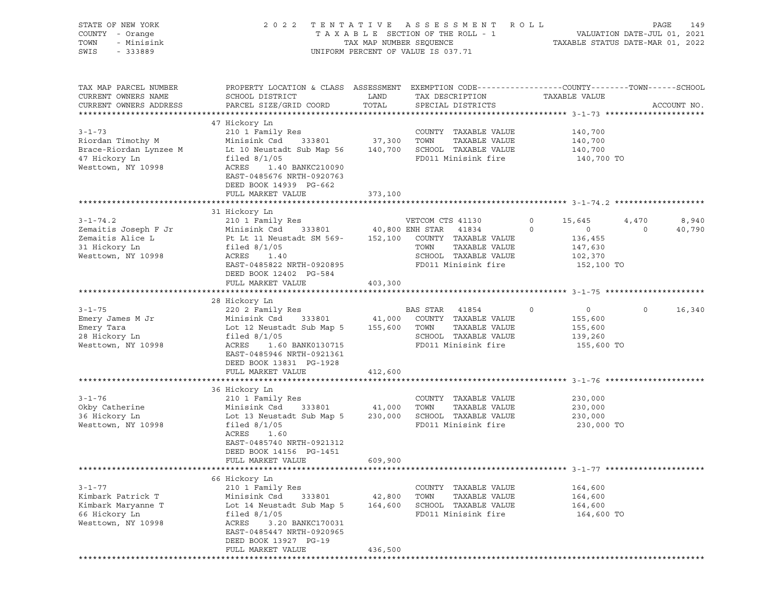| STATE OF NEW YORK<br>COUNTY - Orange<br>TOWN<br>- Minisink<br>SWIS<br>$-333889$                                                                           |                                                                                                                                                                                                                                                                           |                              | 2022 TENTATIVE ASSESSMENT ROLL<br>$\begin{array}{cccccccccccccc} \texttt{T A X A B L E} & \texttt{SECTION OF THE ROLL} & - & - & - & & & \texttt{VALUATION DATE-JUL 01, 2021} \\ & & & & & & & & \texttt{TXMAP NUMBER SEQUENCE} & & & & & \texttt{TXABLE STATUS DATE-MAR 01, 2022} \end{array}$<br>UNIFORM PERCENT OF VALUE IS 037.71 |                                                                                               | PAGE<br>149                                |
|-----------------------------------------------------------------------------------------------------------------------------------------------------------|---------------------------------------------------------------------------------------------------------------------------------------------------------------------------------------------------------------------------------------------------------------------------|------------------------------|---------------------------------------------------------------------------------------------------------------------------------------------------------------------------------------------------------------------------------------------------------------------------------------------------------------------------------------|-----------------------------------------------------------------------------------------------|--------------------------------------------|
| TAX MAP PARCEL NUMBER<br>CURRENT OWNERS NAME<br>CURRENT OWNERS ADDRESS                                                                                    | PROPERTY LOCATION & CLASS ASSESSMENT EXEMPTION CODE----------------COUNTY-------TOWN------SCHOOL<br>SCHOOL DISTRICT<br>PARCEL SIZE/GRID COORD                                                                                                                             | LAND<br>TOTAL                | TAX DESCRIPTION TAXABLE VALUE<br>SPECIAL DISTRICTS                                                                                                                                                                                                                                                                                    |                                                                                               | ACCOUNT NO.                                |
| $3 - 1 - 73$<br>Riordan Timothy M<br>Brace-Riordan Lynzee M Lt 10 Neustadt Sub Map 56 140,700 SCHOOL TAXABLE VALUE<br>47 Hickory Ln<br>Westtown, NY 10998 | 47 Hickory Ln<br>210 1 Family Res<br>---<br>Minisink Csd 333801<br>filed $8/1/05$<br>ACRES 1.40 BANKC210090<br>EAST-0485676 NRTH-0920763<br>DEED BOOK 14939 PG-662<br>FULL MARKET VALUE                                                                                   | 37,300 TOWN<br>373,100       | COUNTY TAXABLE VALUE<br>TAXABLE VALUE<br>FD011 Minisink fire                                                                                                                                                                                                                                                                          | 140,700<br>140,700<br>140,700<br>140,700 TO                                                   |                                            |
|                                                                                                                                                           | 31 Hickory Ln                                                                                                                                                                                                                                                             |                              |                                                                                                                                                                                                                                                                                                                                       |                                                                                               |                                            |
| $3 - 1 - 74.2$<br>Zemaitis Joseph F Jr<br>Zemaitis Alice L<br>31 Hickory Ln<br>Westtown, NY 10998                                                         | Pt Lt 11 Neustadt SM 569- 152,100 COUNTY TAXABLE VALUE<br>filed $8/1/05$<br>ACRES 1.40<br>EAST-0485822 NRTH-0920895<br>DEED BOOK 12402 PG-584                                                                                                                             |                              | TOWN<br>TAXABLE VALUE<br>SCHOOL TAXABLE VALUE<br>FD011 Minisink fire                                                                                                                                                                                                                                                                  | 15,645<br>$\circ$<br>$\circ$<br>$\overline{0}$<br>136,455<br>147,630<br>102,370<br>152,100 TO | 8,940<br>4,470<br>40,790<br>$\overline{0}$ |
|                                                                                                                                                           | FULL MARKET VALUE                                                                                                                                                                                                                                                         | 403,300                      |                                                                                                                                                                                                                                                                                                                                       |                                                                                               |                                            |
|                                                                                                                                                           |                                                                                                                                                                                                                                                                           |                              |                                                                                                                                                                                                                                                                                                                                       |                                                                                               |                                            |
| $3 - 1 - 75$<br>Emery James M Jr<br>Emery Tara<br>28 Hickory Ln<br>Westtown, NY 10998                                                                     | 28 Hickory Ln<br>220 2 Family Res<br>220 2 Family Res<br>Minisink Csd 333801 41,000 COUNTY TAXABLE VALUE<br>Lot 12 Neustadt Sub Map 5 $155,600$ TOWN TAXABLE VALUE<br>filed $8/1/05$<br>ACRES<br>1.60 BANK0130715<br>EAST-0485946 NRTH-0921361<br>DEED BOOK 13831 PG-1928 |                              | BAS STAR 41854<br>SCHOOL TAXABLE VALUE<br>FD011 Minisink fire                                                                                                                                                                                                                                                                         | $0 \qquad \qquad$<br>$\circ$<br>155,600<br>155,600<br>139,260<br>155,600 TO                   | $\Omega$<br>16,340                         |
|                                                                                                                                                           | FULL MARKET VALUE                                                                                                                                                                                                                                                         | 412,600                      |                                                                                                                                                                                                                                                                                                                                       |                                                                                               |                                            |
| $3 - 1 - 76$<br>Okby Catherine<br>36 Hickory Ln<br>Westtown, NY 10998                                                                                     | 36 Hickory Ln<br>210 1 Family Res<br>Minisink Csd 333801 41,000<br>Lot 13 Neustadt Sub Map 5 230,000 SCHOOL TAXABLE VALUE<br>filed $8/1/05$<br>ACRES<br>1.60<br>EAST-0485740 NRTH-0921312<br>DEED BOOK 14156 PG-1451<br>FULL MARKET VALUE                                 | 609,900                      | COUNTY TAXABLE VALUE<br>TOWN<br>TAXABLE VALUE<br>FD011 Minisink fire                                                                                                                                                                                                                                                                  | 230,000<br>230,000<br>230,000<br>230,000 TO                                                   |                                            |
|                                                                                                                                                           |                                                                                                                                                                                                                                                                           |                              |                                                                                                                                                                                                                                                                                                                                       |                                                                                               |                                            |
| $3 - 1 - 77$<br>Kimbark Patrick T<br>Kimbark Maryanne T<br>66 Hickory Ln<br>Westtown, NY 10998                                                            | 66 Hickory Ln<br>210 1 Family Res<br>Minisink Csd<br>333801<br>Lot 14 Neustadt Sub Map 5<br>filed $8/1/05$<br>ACRES<br>3.20 BANKC170031<br>EAST-0485447 NRTH-0920965<br>DEED BOOK 13927 PG-19<br>FULL MARKET VALUE                                                        | 42,800<br>164,600<br>436,500 | COUNTY TAXABLE VALUE<br>TOWN<br>TAXABLE VALUE<br>SCHOOL TAXABLE VALUE<br>FD011 Minisink fire                                                                                                                                                                                                                                          | 164,600<br>164,600<br>164,600<br>164,600 TO                                                   |                                            |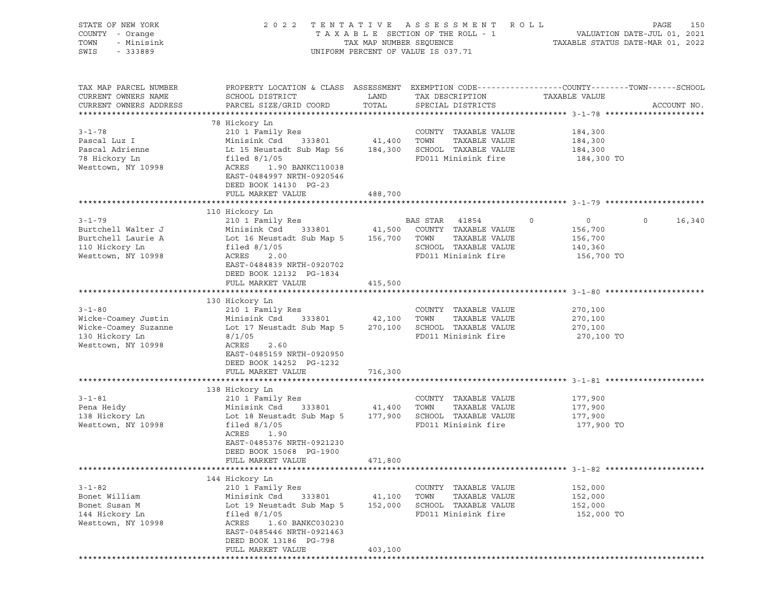| STATE OF NEW YORK<br>COUNTY - Orange<br>TOWN<br>- Minisink<br>SWIS<br>$-333889$                     |                                                                                                                                                                                                                                           |                              | 2022 TENTATIVE ASSESSMENT ROLL<br>UNIFORM PERCENT OF VALUE IS 037.71                         | PAGE<br>150                                                                                                     |
|-----------------------------------------------------------------------------------------------------|-------------------------------------------------------------------------------------------------------------------------------------------------------------------------------------------------------------------------------------------|------------------------------|----------------------------------------------------------------------------------------------|-----------------------------------------------------------------------------------------------------------------|
| TAX MAP PARCEL NUMBER<br>CURRENT OWNERS NAME<br>CURRENT OWNERS ADDRESS                              | SCHOOL DISTRICT<br>PARCEL SIZE/GRID COORD                                                                                                                                                                                                 | LAND<br>TOTAL                | TAX DESCRIPTION TAXABLE VALUE<br>SPECIAL DISTRICTS                                           | PROPERTY LOCATION & CLASS ASSESSMENT EXEMPTION CODE----------------COUNTY-------TOWN------SCHOOL<br>ACCOUNT NO. |
| $3 - 1 - 78$<br>Pascal Luz I<br>Pascal Adrienne<br>78 Hickory Ln<br>Westtown, NY 10998              | 78 Hickory Ln<br>210 1 Family Res<br>Minisink Csd 333801<br>Lt 15 Neustadt Sub Map 56 184,300 SCHOOL TAXABLE VALUE<br>filed $8/1/05$<br>ACRES 1.90 BANKC110038<br>EAST-0484997 NRTH-0920546<br>DEED BOOK 14130 PG-23<br>FULL MARKET VALUE | 488,700                      | COUNTY TAXABLE VALUE<br>41,400 TOWN TAXABLE VALUE<br>FD011 Minisink fire                     | 184,300<br>184,300<br>184,300<br>184,300 TO                                                                     |
|                                                                                                     |                                                                                                                                                                                                                                           |                              |                                                                                              |                                                                                                                 |
| $3 - 1 - 79$<br>Burtchell Walter J<br>Burtchell Laurie A<br>110 Hickory Ln<br>Westtown, NY 10998    | 110 Hickory Ln<br>210 1 Family Res<br>Minisink Csd 333801<br>Lot 16 Neustadt Sub Map 5 156,700 TOWN TAXABLE VALUE<br>filed $8/1/05$<br>ACRES<br>2.00                                                                                      |                              | BAS STAR 41854<br>41,500 COUNTY TAXABLE VALUE<br>SCHOOL TAXABLE VALUE<br>FD011 Minisink fire | $\overline{0}$<br>$\mathbf 0$<br>16,340<br>$\overline{0}$<br>156,700<br>156,700<br>140,360<br>156,700 TO        |
|                                                                                                     | EAST-0484839 NRTH-0920702<br>DEED BOOK 12132 PG-1834<br>FULL MARKET VALUE                                                                                                                                                                 | 415,500                      |                                                                                              |                                                                                                                 |
| $3 - 1 - 80$<br>Wicke-Coamey Justin<br>Wicke-Coamey Suzanne<br>130 Hickory Ln<br>Westtown, NY 10998 | 130 Hickory Ln<br>210 1 Family Res<br>Minisink Csd 333801<br>Lot 17 Neustadt Sub Map 5 270,100 SCHOOL TAXABLE VALUE<br>8/1/05<br>ACRES<br>2.60<br>EAST-0485159 NRTH-0920950<br>DEED BOOK 14252 PG-1232                                    | 42,100 TOWN                  | COUNTY TAXABLE VALUE<br>TAXABLE VALUE<br>FD011 Minisink fire                                 | 270,100<br>270,100<br>270,100<br>270,100 TO                                                                     |
|                                                                                                     | FULL MARKET VALUE                                                                                                                                                                                                                         | 716,300                      |                                                                                              |                                                                                                                 |
|                                                                                                     |                                                                                                                                                                                                                                           |                              |                                                                                              |                                                                                                                 |
| $3 - 1 - 81$<br>Pena Heidy<br>138 Hickory Ln<br>Westtown, NY 10998                                  | 138 Hickory Ln<br>210 1 Family Res<br>Minisink Csd 333801<br>Lot 18 Neustadt Sub Map 5 177,900 SCHOOL TAXABLE VALUE<br>filed $8/1/05$<br>ACRES<br>1.90<br>EAST-0485376 NRTH-0921230<br>DEED BOOK 15068 PG-1900<br>FULL MARKET VALUE       | 41,400 TOWN<br>471,800       | COUNTY TAXABLE VALUE<br>TAXABLE VALUE<br>FD011 Minisink fire                                 | 177,900<br>177,900<br>177,900<br>177,900 TO                                                                     |
|                                                                                                     |                                                                                                                                                                                                                                           |                              |                                                                                              |                                                                                                                 |
| $3 - 1 - 82$<br>Bonet William<br>Bonet Susan M<br>144 Hickory Ln<br>Westtown, NY 10998              | 144 Hickory Ln<br>210 1 Family Res<br>Minisink Csd<br>333801<br>Lot 19 Neustadt Sub Map 5<br>filed $8/1/05$<br>ACRES<br>1.60 BANKC030230<br>EAST-0485446 NRTH-0921463<br>DEED BOOK 13186 PG-798<br>FULL MARKET VALUE                      | 41,100<br>152,000<br>403,100 | COUNTY TAXABLE VALUE<br>TOWN<br>TAXABLE VALUE<br>SCHOOL TAXABLE VALUE<br>FD011 Minisink fire | 152,000<br>152,000<br>152,000<br>152,000 TO                                                                     |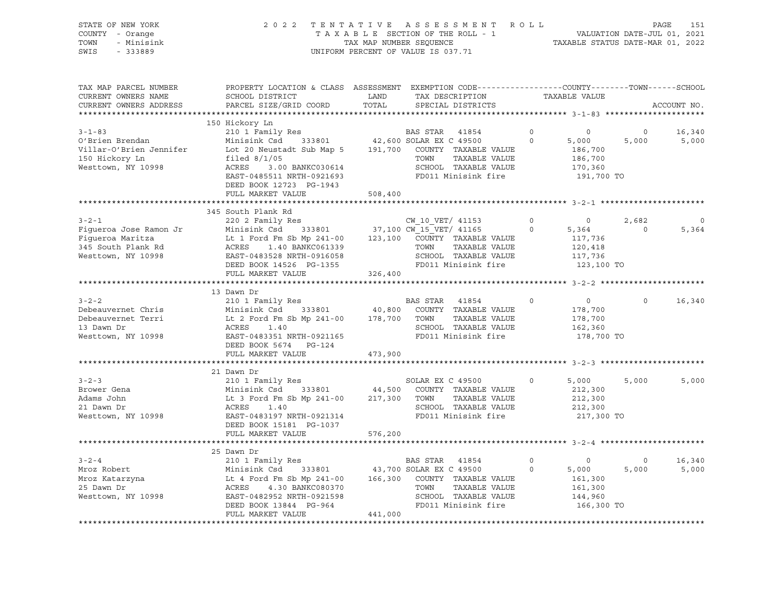#### STATE OF NEW YORK 2 0 2 2 T E N T A T I V E A S S E S S M E N T R O L L PAGE 151 COUNTY - Orange T A X A B L E SECTION OF THE ROLL - 1 VALUATION DATE-JUL 01, 2021 TOWN - Minisink TAX MAP NUMBER SEQUENCE TAXABLE STATUS DATE-MAR 01, 2022 SWIS - 333889 CONSERVATION CONTROL OF VALUE IS 037.71

| TAX MAP PARCEL NUMBER<br>CURRENT OWNERS NAME<br>CURRENT OWNERS ADDRESS                                | PROPERTY LOCATION & CLASS ASSESSMENT EXEMPTION CODE----------------COUNTY-------TOWN------SCHOOL<br>SCHOOL DISTRICT<br>PARCEL SIZE/GRID COORD                                                                                        | LAND<br>TOTAL | TAX DESCRIPTION<br>SPECIAL DISTRICTS                                                                                                                     |                            | TAXABLE VALUE                                                                    |                   | ACCOUNT NO.     |
|-------------------------------------------------------------------------------------------------------|--------------------------------------------------------------------------------------------------------------------------------------------------------------------------------------------------------------------------------------|---------------|----------------------------------------------------------------------------------------------------------------------------------------------------------|----------------------------|----------------------------------------------------------------------------------|-------------------|-----------------|
|                                                                                                       |                                                                                                                                                                                                                                      |               |                                                                                                                                                          |                            |                                                                                  |                   |                 |
|                                                                                                       | 150 Hickory Ln                                                                                                                                                                                                                       |               |                                                                                                                                                          |                            |                                                                                  |                   |                 |
| $3 - 1 - 83$<br>O'Brien Brendan<br>Villar-O'Brien Jennifer<br>150 Hickory Ln<br>Westtown, NY 10998    | 210 1 Family Res<br>Minisink Csd 333801 42,600 SOLAR EX C 49500<br>Lot 20 Neustadt Sub Map 5 191,700 COUNTY TAXABLE VALUE<br>filed $8/1/05$<br>3.00 BANKC030614<br>ACRES<br>EAST-0485511 NRTH-0921693                                |               | BAS STAR 41854<br>TAXABLE VALUE<br>TOWN<br>SCHOOL TAXABLE VALUE<br>FD011 Minisink fire                                                                   | $\circ$<br>$\circ$         | $\circ$<br>5,000<br>186,700<br>186,700<br>170,360<br>191,700 TO                  | $\circ$<br>5,000  | 16,340<br>5,000 |
|                                                                                                       | DEED BOOK 12723 PG-1943<br>FULL MARKET VALUE                                                                                                                                                                                         | 508,400       |                                                                                                                                                          |                            |                                                                                  |                   |                 |
|                                                                                                       |                                                                                                                                                                                                                                      |               |                                                                                                                                                          |                            |                                                                                  |                   |                 |
| $3 - 2 - 1$<br>Fiqueroa Jose Ramon Jr<br>Fiqueroa Maritza<br>345 South Plank Rd<br>Westtown, NY 10998 | 345 South Plank Rd<br>220 2 Family Res<br>Minisink Csd 333801 37,100 CW 15 VET/ 41165<br>Lt 1 Ford Fm Sb Mp 241-00 123,100 COUNTY TAXABLE VALUE<br>ACRES<br>1.40 BANKC061339<br>EAST-0483528 NRTH-0916058<br>DEED BOOK 14526 PG-1355 |               | CW 10 VET/ 41153<br>TOWN<br>TAXABLE VALUE<br>SCHOOL TAXABLE VALUE<br>FD011 Minisink fire                                                                 | 0<br>$\overline{0}$        | $\circ$<br>5,364<br>117,736<br>120,418<br>117,736<br>123,100 TO                  | 2,682<br>$\Omega$ | 0<br>5,364      |
|                                                                                                       | FULL MARKET VALUE                                                                                                                                                                                                                    | 326,400       |                                                                                                                                                          |                            |                                                                                  |                   |                 |
|                                                                                                       |                                                                                                                                                                                                                                      |               |                                                                                                                                                          |                            |                                                                                  |                   |                 |
| $3 - 2 - 2$<br>Debeauvernet Chris<br>Debeauvernet Terri<br>13 Dawn Dr<br>Westtown, NY 10998           | 13 Dawn Dr<br>210 1 Family Res<br>Minisink Csd<br>Lt 2 Ford Fm Sb Mp 241-00<br>ACRES<br>1.40<br>EAST-0483351 NRTH-0921165<br>DEED BOOK 5674<br>PG-124                                                                                | 178,700       | BAS STAR 41854<br>333801 40,800 COUNTY TAXABLE VALUE<br>TOWN<br>TAXABLE VALUE<br>SCHOOL TAXABLE VALUE<br>FD011 Minisink fire                             | $\Omega$                   | $\circ$<br>178,700<br>178,700<br>162,360<br>178,700 TO                           | $\Omega$          | 16,340          |
|                                                                                                       | FULL MARKET VALUE                                                                                                                                                                                                                    | 473,900       |                                                                                                                                                          |                            |                                                                                  |                   |                 |
|                                                                                                       |                                                                                                                                                                                                                                      |               |                                                                                                                                                          |                            |                                                                                  |                   |                 |
| $3 - 2 - 3$<br>Brower Gena<br>Adams John<br>21 Dawn Dr<br>Westtown, NY 10998                          | 21 Dawn Dr<br>210 1 Family Res<br>Minisink Csd 333801<br>Lt 3 Ford Fm Sb Mp 241-00<br>ACRES<br>1.40<br>EAST-0483197 NRTH-0921314<br>DEED BOOK 15181 PG-1037                                                                          | 217,300       | SOLAR EX C 49500<br>44,500 COUNTY TAXABLE VALUE<br>TOWN<br>TAXABLE VALUE<br>SCHOOL TAXABLE VALUE<br>FD011 Minisink fire                                  | $\circ$                    | 5,000<br>212,300<br>212,300<br>212,300<br>217,300 TO                             | 5,000             | 5,000           |
|                                                                                                       | FULL MARKET VALUE                                                                                                                                                                                                                    | 576,200       |                                                                                                                                                          |                            |                                                                                  |                   |                 |
|                                                                                                       |                                                                                                                                                                                                                                      |               |                                                                                                                                                          |                            |                                                                                  |                   |                 |
| $3 - 2 - 4$<br>Mroz Robert<br>Mroz Katarzyna<br>25 Dawn Dr<br>Westtown, NY 10998                      | 25 Dawn Dr<br>210 1 Family Res<br>Minisink Csd<br>Lt 4 Ford Fm Sb Mp 241-00<br>ACRES<br>4.30 BANKC080370<br>EAST-0482952 NRTH-0921598<br>DEED BOOK 13844 PG-964<br>FULL MARKET VALUE                                                 | 441,000       | BAS STAR 41854<br>333801 43,700 SOLAR EX C 49500<br>166,300 COUNTY TAXABLE VALUE<br>TOWN<br>TAXABLE VALUE<br>SCHOOL TAXABLE VALUE<br>FD011 Minisink fire | $\mathbf 0$<br>$\mathbf 0$ | $\overline{\phantom{0}}$<br>5,000<br>161,300<br>161,300<br>144,960<br>166,300 TO | $\circ$<br>5,000  | 16,340<br>5,000 |
|                                                                                                       |                                                                                                                                                                                                                                      |               |                                                                                                                                                          |                            |                                                                                  |                   |                 |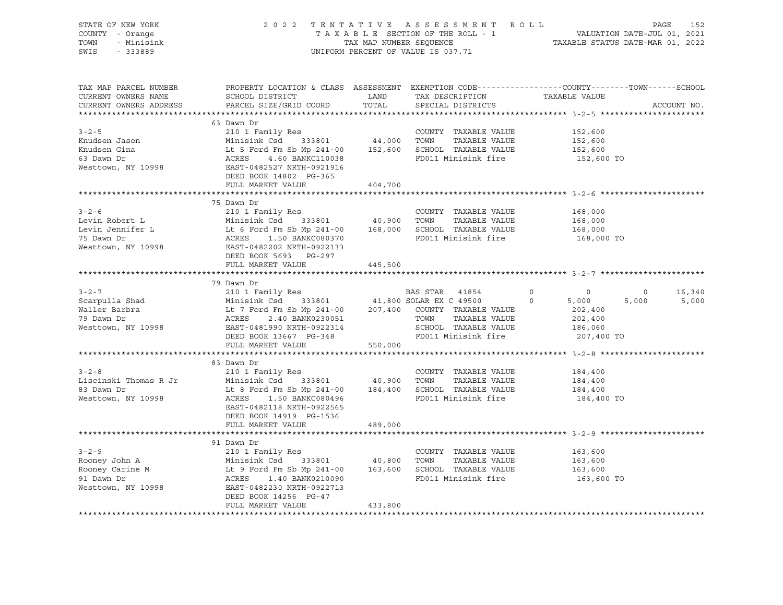| STATE OF NEW YORK<br>COUNTY - Orange<br>TOWN - Minisink<br>SWIS - 333889                                                                                                                                                                                                                                                                                                  |                         |         | UNIFORM PERCENT OF VALUE IS 037.71 | 2022 TENTATIVE ASSESSMENT ROLL PAGE 152<br>TAXABLE SECTION OF THE ROLL - 1 VALUATION DATE-JUL 01, 2021<br>TAX MAP NUMBER SEQUENCE TAXABLE STATUS DATE-MAR 01, 2022 |
|---------------------------------------------------------------------------------------------------------------------------------------------------------------------------------------------------------------------------------------------------------------------------------------------------------------------------------------------------------------------------|-------------------------|---------|------------------------------------|--------------------------------------------------------------------------------------------------------------------------------------------------------------------|
| TAX MAP PARCEL NUMBER<br>CURRENT OWNERS NAME<br>CURRENT OWNERS ADDRESS                                                                                                                                                                                                                                                                                                    |                         |         |                                    | PROPERTY LOCATION & CLASS ASSESSMENT EXEMPTION CODE----------------COUNTY-------TOWN------SCHOOL<br>ACCOUNT NO.                                                    |
|                                                                                                                                                                                                                                                                                                                                                                           | FULL MARKET VALUE       | 404,700 | FD011 Minisink fire                | 152,600<br>152,600<br>152,600<br>152,600 TO                                                                                                                        |
|                                                                                                                                                                                                                                                                                                                                                                           |                         |         |                                    |                                                                                                                                                                    |
|                                                                                                                                                                                                                                                                                                                                                                           |                         |         |                                    | 168,000 TO                                                                                                                                                         |
|                                                                                                                                                                                                                                                                                                                                                                           | FULL MARKET VALUE       | 445,500 |                                    |                                                                                                                                                                    |
|                                                                                                                                                                                                                                                                                                                                                                           |                         |         |                                    |                                                                                                                                                                    |
|                                                                                                                                                                                                                                                                                                                                                                           | 79 Dawn Dr              |         |                                    | $0 \t 16,340$<br>5,000 5,000                                                                                                                                       |
|                                                                                                                                                                                                                                                                                                                                                                           |                         |         |                                    |                                                                                                                                                                    |
| $\begin{tabular}{lllllllllllll} 3-2-8 & 210&1 Family Res & 40,900 TOWTY TAXABLE VALUE & 184,400Liscinski Thomas R Jr & Minisink Csd & 333801 & 40,900 TOWN TAXABLE VALUE & 184,40083 Dawn Dr & Lt & Ford Fm Sb Mp 241-00 & 184,400 SCHOOL TAXABLE VALUE & 184,400Westtown, NY 10998 & ACRES & 1.50 BANKC080496 & FD011 Minisink fire & 184,400EAST-0482118 NPTH-092255 &$ | DEED BOOK 14919 PG-1536 |         |                                    | 184,400 TO                                                                                                                                                         |
|                                                                                                                                                                                                                                                                                                                                                                           | FULL MARKET VALUE       | 489,000 |                                    |                                                                                                                                                                    |
|                                                                                                                                                                                                                                                                                                                                                                           |                         |         |                                    |                                                                                                                                                                    |
|                                                                                                                                                                                                                                                                                                                                                                           | FULL MARKET VALUE       | 433,800 | FD011 Minisink fire                | TAXABLE VALUE 163,600<br>TAXABLE VALUE 163,600<br>TAXABLE VALUE 163,600<br>inizirl 53<br>163,600 TO                                                                |
|                                                                                                                                                                                                                                                                                                                                                                           |                         |         |                                    |                                                                                                                                                                    |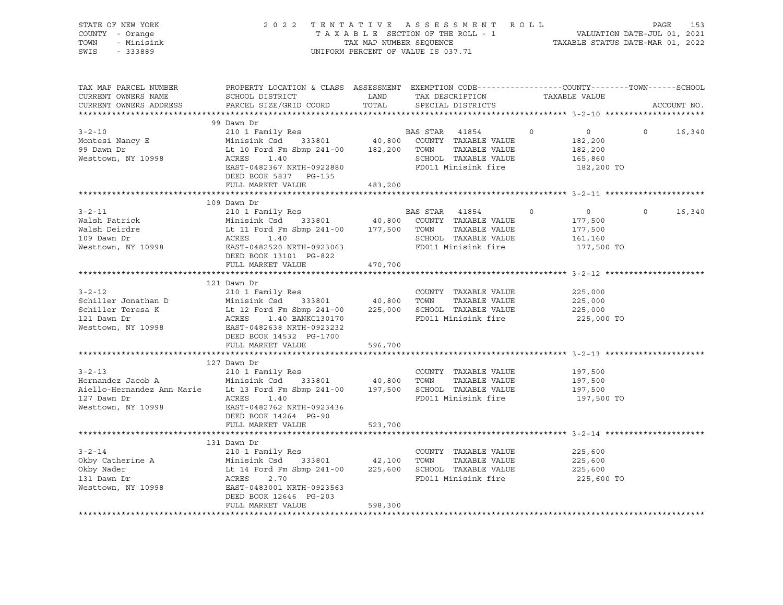| STATE OF NEW YORK<br>COUNTY - Orange<br>TOWN<br>- Minisink<br>SWIS<br>$-333889$                                                                                                                                                                                              |                                                                                                                                                                                                                                     |         | 2022 TENTATIVE ASSESSMENT ROLL PAGE 153<br>TAXABLE SECTION OF THE ROLL - 1 VALUATION DATE-JUL 01, 2021<br>TAX MAP NUMBER SEQUENCE TAXABLE STATUS DATE-MAR 01, 2022<br>UNIFORM PERCENT OF VALUE IS 037.71 |                                                                                 |               |
|------------------------------------------------------------------------------------------------------------------------------------------------------------------------------------------------------------------------------------------------------------------------------|-------------------------------------------------------------------------------------------------------------------------------------------------------------------------------------------------------------------------------------|---------|----------------------------------------------------------------------------------------------------------------------------------------------------------------------------------------------------------|---------------------------------------------------------------------------------|---------------|
| TAX MAP PARCEL NUMBER<br>CURRENT OWNERS NAME<br>CURRENT OWNERS ADDRESS                                                                                                                                                                                                       | PROPERTY LOCATION & CLASS ASSESSMENT EXEMPTION CODE----------------COUNTY-------TOWN------SCHOOL                                                                                                                                    |         |                                                                                                                                                                                                          |                                                                                 | ACCOUNT NO.   |
|                                                                                                                                                                                                                                                                              | 99 Dawn Dr                                                                                                                                                                                                                          |         |                                                                                                                                                                                                          |                                                                                 |               |
| $3 - 2 - 10$<br>Montesi Nancy E<br>99 Dawn Dr<br>Westtown, NY 10998                                                                                                                                                                                                          | 210 1 Family Res<br>Minisink Csd 333801 40,800 COUNTY TAXABLE VALUE<br>Lt 10 Ford Fm Sbmp 241-00 182,200 TOWN TAXABLE VALUE<br>$ACRES$ 1.40<br>ACRES 1.40<br>EAST-0482367 NRTH-0922880 FD011 Minisink fire<br>DEED BOOK 5837 PG-135 |         |                                                                                                                                                                                                          | $\overline{0}$<br>$\overline{0}$<br>182,200<br>182,200<br>165,860<br>182,200 TO | $0 \t 16,340$ |
|                                                                                                                                                                                                                                                                              | FULL MARKET VALUE                                                                                                                                                                                                                   | 483,200 |                                                                                                                                                                                                          |                                                                                 |               |
|                                                                                                                                                                                                                                                                              | 109 Dawn Dr                                                                                                                                                                                                                         |         |                                                                                                                                                                                                          | $\overline{0}$<br>$\overline{0}$                                                | $0 \t 16,340$ |
| 109 Dawn Dr<br>210 1 Family Res<br>210 1 Family Res<br>210 1 Family Res<br>210 1 Family Res<br>210 1 Family Res<br>210 1 Family Res<br>210 20 333801<br>210 241-00<br>210 241-00<br>217,500 TOWN TAXABLE VALUE<br>217,500 TOWN TAXABLE VALUE<br>217,50                       | DEED BOOK 13101 PG-822                                                                                                                                                                                                              |         |                                                                                                                                                                                                          | 177,500<br>177,500<br>161,160<br>177,500 TO                                     |               |
|                                                                                                                                                                                                                                                                              | FULL MARKET VALUE                                                                                                                                                                                                                   | 470,700 |                                                                                                                                                                                                          |                                                                                 |               |
| $3 - 2 - 12$<br>Schiller Jonathan D<br>Schiller Teresa K<br>Schiller Teresa K<br>121 Dawn Dr<br>121 Dawn Dr<br>121 Dawn Dr<br>120 Dawn Dr<br>120 Dawn Dr<br>120 Dawn Dr<br>120 Dawn Dr<br>120 Dawn Dr<br>120 Dawn Dr<br>120 Dawn Dr<br>120 Dawn Dr<br>120 Dawn Dr<br>120 Daw | 121 Dawn Dr<br>210 1 Family Res<br>DEED BOOK 14532 PG-1700                                                                                                                                                                          |         | COUNTY TAXABLE VALUE                                                                                                                                                                                     | 225,000<br>225,000<br>225,000<br>225,000 TO                                     |               |
|                                                                                                                                                                                                                                                                              | FULL MARKET VALUE                                                                                                                                                                                                                   | 596,700 |                                                                                                                                                                                                          |                                                                                 |               |
| $3 - 2 - 13$<br>127 Dawn Dr<br>Westtown, NY 10998                                                                                                                                                                                                                            | 127 Dawn Dr<br>210 1 Family Res<br>ACRES 1.40<br>EAST-0482762 NRTH-0923436<br>DEED BOOK 14264 PG-90<br>FULL MARKET VALUE                                                                                                            | 523,700 | COUNTY TAXABLE VALUE<br>FD011 Minisink fire                                                                                                                                                              | 197,500<br>197,500<br>197,500<br>197,500 TO                                     |               |
|                                                                                                                                                                                                                                                                              |                                                                                                                                                                                                                                     |         |                                                                                                                                                                                                          |                                                                                 |               |
| $3 - 2 - 14$<br>Okby Catherine A Minisink Csd 333801 42,100 TOWN TAXABLE VALUE<br>Okby Nader Lt 14 Ford Fm Sbmp 241-00 225,600 SCHOOL TAXABLE VALUE<br>131 Dawn Dr ACRES 2.70 FD011 Minisink fire<br>Westtown, NY 10998 EAST-0483001 NRTH-0923563                            | 131 Dawn Dr<br>210 1 Family Res<br>DEED BOOK 12646 PG-203<br>FULL MARKET VALUE                                                                                                                                                      | 598,300 | COUNTY TAXABLE VALUE<br>TAXABLE VALUE<br>FD011 Minisink fire                                                                                                                                             | 225,600<br>225,600<br>225,600<br>225,600 TO                                     |               |
|                                                                                                                                                                                                                                                                              |                                                                                                                                                                                                                                     |         |                                                                                                                                                                                                          |                                                                                 |               |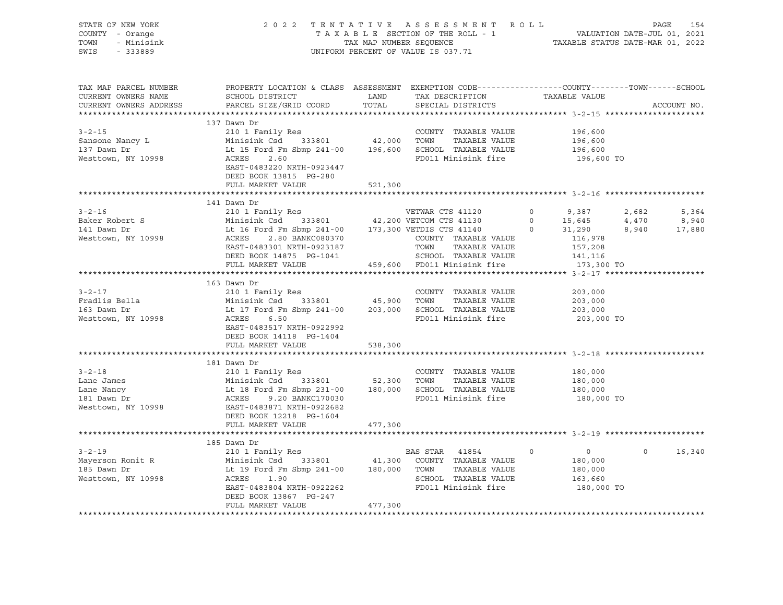| STATE OF NEW YORK<br>COUNTY - Orange<br>TOWN - Minisink<br>SWIS - 333889                                                                                                                                                                                                                                                                                                                                                                             | 2022 TENTATIVE ASSESSMENT ROLL PAGE 154<br>TAXABLE SECTION OF THE ROLL - 1 VALUATION DATE-JUL 01, 2021<br>TAX MAP NUMBER SEQUENCE TAXABLE STATUS DATE-MAR 01, 2022 |         | UNIFORM PERCENT OF VALUE IS 037.71 |            |              |
|------------------------------------------------------------------------------------------------------------------------------------------------------------------------------------------------------------------------------------------------------------------------------------------------------------------------------------------------------------------------------------------------------------------------------------------------------|--------------------------------------------------------------------------------------------------------------------------------------------------------------------|---------|------------------------------------|------------|--------------|
| TAX MAP PARCEL NUMBER BOOPERTY LOCATION & CLASS ASSESSMENT EXEMPTION CODE-----------------COUNTY--------TOWN------SCHOOL CURRENT OWNERS NAME SCHOOL DISTRICT LAND TAX DESCRIPTION TAXABLE VALUE<br>CURRENT OWNERS ADDRESS PARCEL                                                                                                                                                                                                                     |                                                                                                                                                                    |         |                                    |            |              |
|                                                                                                                                                                                                                                                                                                                                                                                                                                                      | 137 Dawn Dr                                                                                                                                                        |         |                                    | 196,600 TO |              |
|                                                                                                                                                                                                                                                                                                                                                                                                                                                      |                                                                                                                                                                    |         |                                    |            |              |
|                                                                                                                                                                                                                                                                                                                                                                                                                                                      | 141 Dawn Dr                                                                                                                                                        |         |                                    |            |              |
| $\begin{tabular}{cccccccc} 3-2-16 & 141 {\small \texttt{Dawn Dr}} & 141 {\small \texttt{Dawn Dr}} & 2101 {\small \texttt{Family Res}} & \texttt{VETWAR} \texttt{CTS 41120} & 0 & 9,387 & 2,682 & 5,364 \\ \texttt{Baker Robert S} & \texttt{Minisink Csd} & 333801 & 42,200 \texttt{VETWAR} \texttt{CTS 41130} & 0 & 15,645 & 4,470 & 8,940 \\ \texttt{141 Dawn Dr} & \texttt{Lt 16 Ford Fm Sbmp 241$                                                |                                                                                                                                                                    |         |                                    |            |              |
| 3-2-17<br>Fradlis Bella Minisink Csd 333801<br>163 Dawn Dr Lt 17 Ford Fm Sbmp 241-00<br>163 Dawn Dr Lt 17 Ford Fm Sbmp 241-00<br>163 Dawn Dr Lt 17 Ford Fm Sbmp 241-00<br>163 Dawn Dr Lt 17 Ford Fm Sbmp 241-00<br>163 Dawn Dr Lt 17 Ford                                                                                                                                                                                                            | 163 Dawn Dr<br>DEED BOOK 14118 PG-1404<br>FULL MARKET VALUE                                                                                                        | 538,300 |                                    | 203,000 TO |              |
|                                                                                                                                                                                                                                                                                                                                                                                                                                                      |                                                                                                                                                                    |         |                                    |            |              |
| $\begin{tabular}{lllllllllllll} $3\mbox{-}2\mbox{-}18$ & $\mbox{\sc $\sim$1$\;\mbox{\sc $\sim$1$\;\mbox{\sc $\sim$1$\;\mbox{\sc $\sim$1$\;\mbox{\sc $\sim$1$\;\mbox{\sc $\sim$1$\;\mbox{\sc $\sim$1$\;\mbox{\sc $\sim$1$\;\mbox{\sc $\sim$1$\;\mbox{\sc $\sim$1$\;\mbox{\sc $\sim$1$\;\mbox{\sc $\sim$1$\;\mbox{\sc $\sim$1$\;\mbox{\sc $\sim$1$\;\mbox{\sc $\sim$1$\;\mbox{\sc $\sim$1$\;\mbox{\sc $\sim$1$\;\mbox{\sc $\sim$1$\;\mbox{\sc $\sim$1$ | FULL MARKET VALUE 477,300                                                                                                                                          |         |                                    | 180,000 TO |              |
|                                                                                                                                                                                                                                                                                                                                                                                                                                                      |                                                                                                                                                                    |         |                                    |            |              |
| 165 Dawn Dr<br>210 1 Family Res<br>Mayerson Ronit R<br>Minisink Csd 333801<br>185 Dawn Dr<br>186,000<br>186,000<br>186,000<br>186,000<br>186,000<br>186,000<br>186,000<br>186,000<br>186,000<br>186,000<br>186,000<br>186,000<br>186,000<br>186,000<br>186,000<br>180,                                                                                                                                                                               | 185 Dawn Dr<br>DEED BOOK 13867 PG-247<br>FULL MARKET VALUE                                                                                                         | 477,300 |                                    |            | $0 \t16,340$ |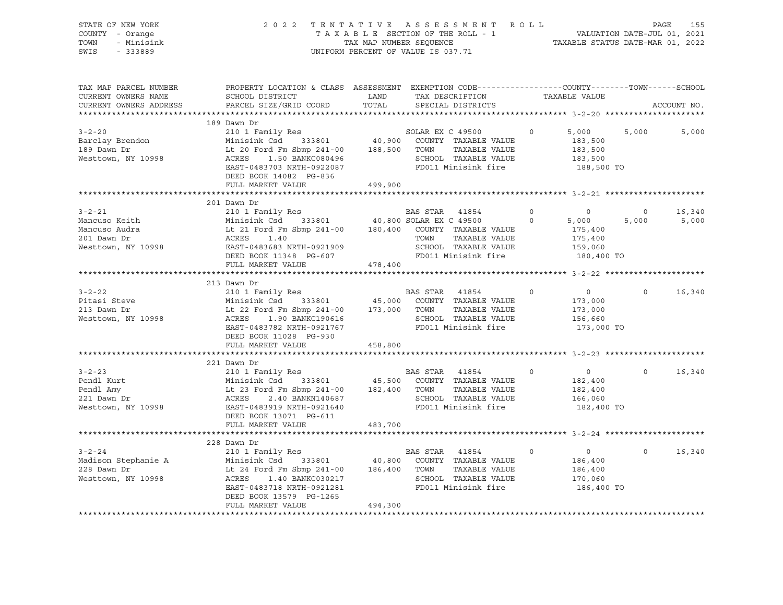| STATE OF NEW YORK  | 2022 TENTATIVE ASSESSMENT ROLL     | 155<br>PAGE                      |
|--------------------|------------------------------------|----------------------------------|
| COUNTY - Orange    | TAXABLE SECTION OF THE ROLL - 1    | VALUATION DATE-JUL 01, 2021      |
| TOWN<br>- Minisink | TAX MAP NUMBER SEOUENCE            | TAXABLE STATUS DATE-MAR 01, 2022 |
| SWIS<br>- 333889   | UNIFORM PERCENT OF VALUE IS 037.71 |                                  |

| TAX MAP PARCEL NUMBER<br>CURRENT OWNERS NAME                                                                  | PROPERTY LOCATION & CLASS ASSESSMENT EXEMPTION CODE----------------COUNTY-------TOWN------SCHOOL<br>SCHOOL DISTRICT<br><b>Example 12</b>                                                                                                                                                                                     |         | TAX DESCRIPTION                                                          | TAXABLE VALUE                                                                   |                  |                 |
|---------------------------------------------------------------------------------------------------------------|------------------------------------------------------------------------------------------------------------------------------------------------------------------------------------------------------------------------------------------------------------------------------------------------------------------------------|---------|--------------------------------------------------------------------------|---------------------------------------------------------------------------------|------------------|-----------------|
| CURRENT OWNERS ADDRESS                                                                                        | PARCEL SIZE/GRID COORD                                                                                                                                                                                                                                                                                                       | TOTAL   | SPECIAL DISTRICTS                                                        |                                                                                 |                  | ACCOUNT NO.     |
|                                                                                                               |                                                                                                                                                                                                                                                                                                                              |         |                                                                          |                                                                                 |                  |                 |
| $3 - 2 - 20$<br>3-2-20<br>Barclay Brendon<br>Westtown, NY 10998                                               | 189 Dawn Dr<br>210 1 Family Res<br>210 1 Family Res<br>Minisink Csd 333801 40,900 COUNTY TAXABLE VALUE<br>Lt 20 Ford Fm Sbmp 241-00 188,500 TOWN TAXABLE VALUE<br>ACRES 1.50 BANKC080496<br>EAST-0483703 NRTH-0922087<br>DEED BOOK 14082 PG-836<br>FULL MARKET VALUE                                                         | 499,900 | SOLAR EX C 49500 0 5,000<br>SCHOOL TAXABLE VALUE<br>FD011 Minisink fire  | 183,500<br>183,500<br>183,500<br>188,500 TO                                     | 5,000            | 5,000           |
|                                                                                                               |                                                                                                                                                                                                                                                                                                                              |         |                                                                          |                                                                                 |                  |                 |
| $3 - 2 - 21$<br>Mancuso Keith<br>Mancuso Audra<br>201 Dawn Dr<br>Westtown, NY 10998 EAST-0483683 NRTH-0921909 | 201 Dawn Dr<br>BAS STAR 41854 0<br>Minisink Csd 333801 40,800 SOLAR EX C 49500 0<br>Lt 21 Ford Fm Sbmp 241-00 180,400 COUNTY TAXABLE VALUE<br>ACRES 1.40<br>DEED BOOK 11348 PG-607                                                                                                                                           |         | SCHOOL TAXABLE VALUE 159,060<br>FD011 Minisink fire                      | $\overline{0}$<br>5,000<br>175,400<br>175,400<br>180,400 TO                     | $\circ$<br>5,000 | 16,340<br>5,000 |
|                                                                                                               | FULL MARKET VALUE                                                                                                                                                                                                                                                                                                            | 478,400 |                                                                          |                                                                                 |                  |                 |
|                                                                                                               | 213 Dawn Dr                                                                                                                                                                                                                                                                                                                  |         |                                                                          |                                                                                 |                  |                 |
| $3 - 2 - 22$<br>Pitasi Steve<br>213 Dawn Dr<br>Westtown, NY 10998                                             | ACRES 1.90 BANKC190616<br>EAST-0483782 NRTH-0921767<br>DEED BOOK 11028 PG-930<br>FULL MARKET VALUE                                                                                                                                                                                                                           | 458,800 | $\sim$ 0<br>TAXABLE VALUE<br>SCHOOL TAXABLE VALUE<br>FD011 Minisink fire | $\overline{0}$<br>173,000<br>173,000<br>156,660<br>173,000 TO                   | $\Omega$         | 16,340          |
|                                                                                                               |                                                                                                                                                                                                                                                                                                                              |         |                                                                          |                                                                                 |                  |                 |
| $3 - 2 - 23$<br>Pendl Kurt<br>Pendl Amy<br>221 Dawn Dr<br>Westtown, NY 10998                                  | 210 1 Family Res<br>210 1 Family Res<br>210 1 Family Res<br>210 1 Family Res<br>216 23 Ford Fm Sbmp 241-00<br>216 2400 TOWN TAXABLE VALUE<br>22.40 BANKN140687<br>22.40 EAST-0483919 NPT:<br>ACRES 2.40 BANKN140687 51-7.112 SCHOOL TAXABLE VALUE<br>EAST-0483919 NRTH-0921640 FD011 Minisink fire<br>DEED BOOK 13071 PG-611 |         | TAXABLE VALUE<br>SCHOOL TAXABLE VALUE                                    | $\overline{0}$<br>$\overline{0}$<br>182,400<br>182,400<br>166,060<br>182,400 TO | $\Omega$         | 16,340          |
|                                                                                                               | FULL MARKET VALUE 483,700                                                                                                                                                                                                                                                                                                    |         |                                                                          |                                                                                 |                  |                 |
|                                                                                                               |                                                                                                                                                                                                                                                                                                                              |         |                                                                          |                                                                                 |                  |                 |
|                                                                                                               | ACRES 1.40 BANKC030217 SCHOOL TAXABLE VALUE<br>EAST-0483718 NRTH-0921281 FD011 Minisink fire<br>DEED BOOK 13579 PG-1265<br>FULL MARKET VALUE                                                                                                                                                                                 | 494,300 | $\sim$ 0<br>TAXABLE VALUE<br>--.<br>SCHOOL TAXABLE VALUE                 | $\overline{0}$<br>186,400<br>186,400<br>170,060<br>186,400 TO                   | $\Omega$         | 16,340          |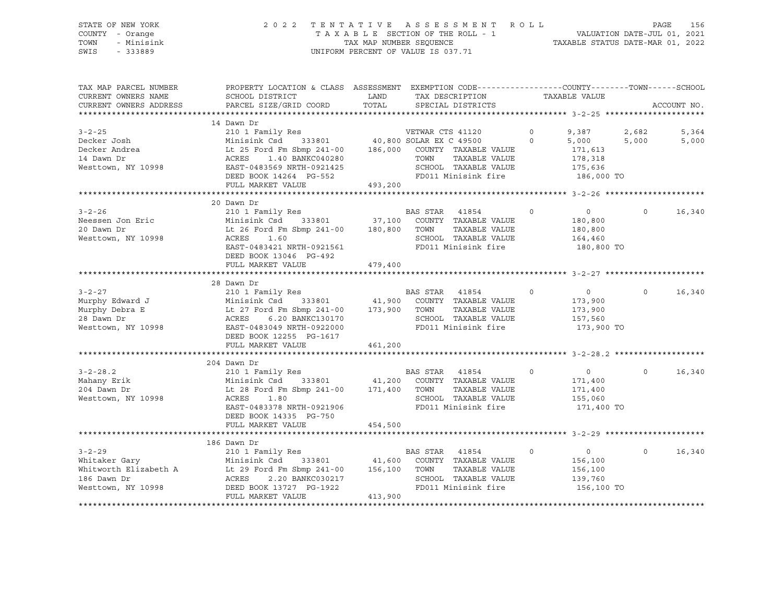#### STATE OF NEW YORK 2 0 2 2 T E N T A T I V E A S S E S S M E N T R O L L PAGE 156 COUNTY - Orange T A X A B L E SECTION OF THE ROLL - 1 VALUATION DATE-JUL 01, 2021 TOWN - Minisink TAX MAP NUMBER SEQUENCE TAXABLE STATUS DATE-MAR 01, 2022 SWIS - 333889 CONSERVATION CONTROL OF VALUE IS 037.71

| TAX MAP PARCEL NUMBER<br>CURRENT OWNERS NAME<br>CURRENT OWNERS ADDRESS                | PROPERTY LOCATION & CLASS ASSESSMENT EXEMPTION CODE---------------COUNTY-------TOWN------SCHOOL<br>SCHOOL DISTRICT<br>PARCEL SIZE/GRID COORD                                                                                                     | LAND<br>TOTAL | TAX DESCRIPTION<br>SPECIAL DISTRICTS                                                                                     | TAXABLE VALUE                                                                        |                | ACCOUNT NO.    |
|---------------------------------------------------------------------------------------|--------------------------------------------------------------------------------------------------------------------------------------------------------------------------------------------------------------------------------------------------|---------------|--------------------------------------------------------------------------------------------------------------------------|--------------------------------------------------------------------------------------|----------------|----------------|
|                                                                                       |                                                                                                                                                                                                                                                  |               |                                                                                                                          |                                                                                      |                |                |
| $3 - 2 - 25$<br>Decker Josh<br>Decker Andrea<br>14 Dawn Dr<br>Westtown, NY 10998      | 14 Dawn Dr<br>200 1 Family Res<br>Minisink Csd 333801 40,800 SOLAR EX C 49500<br>Lt 25 Ford Fm Sbmp 241-00 186,000 COUNTY TAXABLE VALUE<br>ACRES<br>1.40 BANKC040280<br>EAST-0483569 NRTH-0921425<br>DEED BOOK 14264 PG-552<br>FULL MARKET VALUE | 493,200       | TOWN<br>TAXABLE VALUE<br>SCHOOL TAXABLE VALUE<br>FD011 Minisink fire                                                     | $\circ$<br>9,387<br>$\Omega$<br>5,000<br>171,613<br>178,318<br>175,636<br>186,000 TO | 2,682<br>5,000 | 5,364<br>5,000 |
|                                                                                       | 20 Dawn Dr                                                                                                                                                                                                                                       |               |                                                                                                                          |                                                                                      |                |                |
| $3 - 2 - 26$<br>Neessen Jon Eric<br>20 Dawn Dr<br>Westtown, NY 10998                  | 210 1 Family Res BAS STAR 41854<br>Minisink Csd<br>Lt 26 Ford Fm Sbmp 241-00 180,800 TOWN<br>1.60<br>ACRES<br>EAST-0483421 NRTH-0921561<br>DEED BOOK 13046 PG-492<br>FULL MARKET VALUE                                                           | 479,400       | $\sim$ 0<br>333801 37,100 COUNTY TAXABLE VALUE<br>TAXABLE VALUE<br>SCHOOL TAXABLE VALUE<br>FD011 Minisink fire           | $\overline{0}$<br>180,800<br>180,800<br>164,460<br>180,800 TO                        | $\Omega$       | 16,340         |
|                                                                                       |                                                                                                                                                                                                                                                  |               |                                                                                                                          |                                                                                      |                |                |
| $3 - 2 - 27$<br>Murphy Edward J<br>Murphy Debra E<br>28 Dawn Dr<br>Westtown, NY 10998 | 28 Dawn Dr<br>210 1 Family Res<br>333801 41,900<br>Minisink Csd<br>Lt 27 Ford Fm Sbmp 241-00 173,900 TOWN<br>6.20 BANKC130170<br>ACRES<br>EAST-0483049 NRTH-0922000<br>DEED BOOK 12255 PG-1617<br>FULL MARKET VALUE                              | 461,200       | BAS STAR 41854<br>$\sim$ 0<br>COUNTY TAXABLE VALUE<br>TAXABLE VALUE<br>SCHOOL TAXABLE VALUE<br>FD011 Minisink fire       | $\overline{0}$<br>173,900<br>173,900<br>157,560<br>173,900 TO                        | $\Omega$       | 16,340         |
|                                                                                       | 204 Dawn Dr                                                                                                                                                                                                                                      |               |                                                                                                                          |                                                                                      |                |                |
| $3 - 2 - 28.2$<br>Mahany Erik<br>204 Dawn Dr<br>Westtown, NY 10998                    | 210 1 Family Res<br>333801 41,200<br>Minisink Csd<br>Lt 28 Ford Fm Sbmp 241-00 171,400 TOWN<br>1.80<br>ACRES<br>EAST-0483378 NRTH-0921906<br>DEED BOOK 14335 PG-750<br>FULL MARKET VALUE                                                         | 454,500       | BAS STAR 41854<br>$\overline{0}$<br>COUNTY TAXABLE VALUE<br>TAXABLE VALUE<br>SCHOOL TAXABLE VALUE<br>FD011 Minisink fire | $0 \qquad \qquad$<br>171,400<br>171,400<br>155,060<br>171,400 TO                     | $\Omega$       | 16,340         |
|                                                                                       |                                                                                                                                                                                                                                                  |               |                                                                                                                          |                                                                                      |                |                |
| $3 - 2 - 29$<br>Whitaker Gary<br>186 Dawn Dr<br>Westtown, NY 10998                    | 186 Dawn Dr<br>210 1 Family Res<br>333801 41,600<br>Minisink Csd<br>Whitworth Elizabeth A Lt 29 Ford Fm Sbmp 241-00 156,100 TOWN<br>ACRES<br>2.20 BANKC030217<br>DEED BOOK 13727 PG-1922<br>FULL MARKET VALUE                                    | 413,900       | BAS STAR 41854<br>$\overline{0}$<br>COUNTY TAXABLE VALUE<br>TAXABLE VALUE<br>SCHOOL TAXABLE VALUE<br>FD011 Minisink fire | $\overline{0}$<br>156,100<br>156,100<br>139,760<br>156,100 TO                        | $\Omega$       | 16,340         |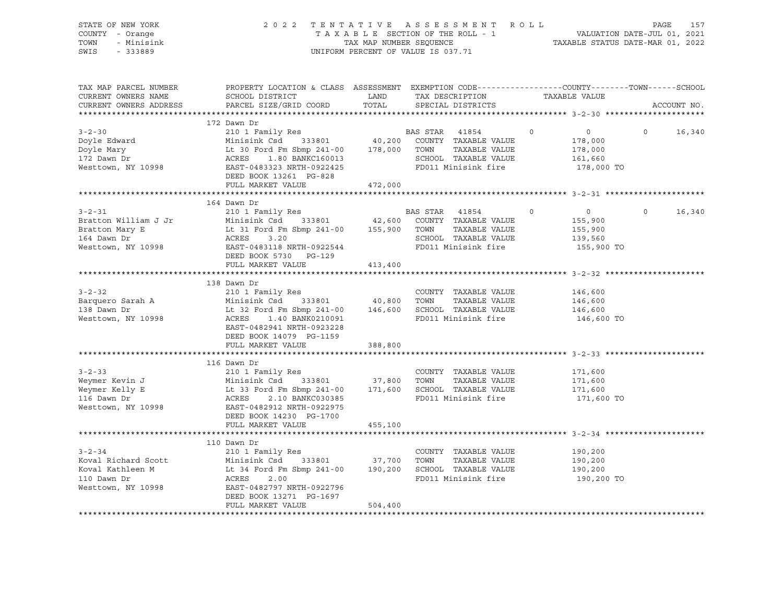| COUNTY - Orange<br>- Minisink<br>TOWN<br>SWIS<br>$-333889$<br>UNIFORM PERCENT OF VALUE IS 037.71                                                                                                                                                                                                                                                                                                                                                                                                                        | TAXABLE SECTION OF THE ROLL - 1<br>TAXABLE SECTION OF THE ROLL - 1<br>TAXABLE STATUS DATE-MAR 01, 2022 |
|-------------------------------------------------------------------------------------------------------------------------------------------------------------------------------------------------------------------------------------------------------------------------------------------------------------------------------------------------------------------------------------------------------------------------------------------------------------------------------------------------------------------------|--------------------------------------------------------------------------------------------------------|
| PROPERTY LOCATION & CLASS ASSESSMENT EXEMPTION CODE---------------COUNTY-------TOWN------SCHOOL<br>TAX MAP PARCEL NUMBER<br>TAX DESCRIPTION TAXABLE VALUE<br>CURRENT OWNERS NAME<br>SCHOOL DISTRICT<br><b>EXAMPLE THE STATE OF STATE</b><br>PARCEL SIZE/GRID COORD TOTAL<br>CURRENT OWNERS ADDRESS<br>SPECIAL DISTRICTS                                                                                                                                                                                                 | ACCOUNT NO.                                                                                            |
| 172 Dawn Dr<br>210 1 Family Res BAS STAR 41854<br>Minisink Csd 333801 40,200 COUNTY TAXABLE VALUE<br>Lt 30 Ford Fm Sbmp 241-00 178,000 TOWN TAXABLE VALUE<br>ACRES 1.80 BANKC160013 SCHOOL TAXABLE VALUE<br>$3 - 2 - 30$<br>$\Omega$<br>$\overline{0}$<br>$\Omega$<br>Doyle Edward<br>178,000<br>Doyle Mary<br>178,000<br>172 Dawn Dr<br>SCHOOL TAXABLE VALUE<br>161,660<br>EAST-0483323 NRTH-0922425<br>Westtown, NY 10998<br>FD011 Minisink fire<br>178,000 TO<br>DEED BOOK 13261 PG-828<br>FULL MARKET VALUE 472,000 | 16,340                                                                                                 |
|                                                                                                                                                                                                                                                                                                                                                                                                                                                                                                                         |                                                                                                        |
| 164 Dawn Dr<br>210 1 Family Res<br>$3 - 2 - 31$<br>BAS STAR 41854<br>$\Omega$<br>$\overline{0}$<br>$\Omega$<br>$333801$ $42,600$<br>Minisink Csd<br>Bratton William J Jr<br>COUNTY TAXABLE VALUE<br>155,900<br>Lt 31 Ford Fm Sbmp 241-00 155,900 TOWN TAXABLE VALUE<br>ACRES 3.20 SCHOOL TAXABLE VALUE<br>Bratton Mary E<br>155,900<br>SCHOOL TAXABLE VALUE<br>164 Dawn Dr<br>139,560<br>Westtown, NY 10998 EAST-0483118 NRTH-0922544<br>FD011 Minisink fire<br>155,900 TO<br>DEED BOOK 5730 PG-129                     | 16,340                                                                                                 |
| FULL MARKET VALUE<br>413,400                                                                                                                                                                                                                                                                                                                                                                                                                                                                                            |                                                                                                        |
| 138 Dawn Dr<br>$3 - 2 - 32$<br>210 1 Family Res<br>COUNTY TAXABLE VALUE<br>146,600<br>Barquero Sarah A (1999)<br>138 Dawn Dr 146.600<br>138 Dawn Dr 146.600<br>TOWN<br>TAXABLE VALUE<br>146,600<br>Lt 32 Ford Fm Sbmp 241-00 146,600<br>ACRES 1.40 BANK0210091<br>SCHOOL TAXABLE VALUE<br>146,600<br>Westtown, NY 10998<br>FD011 Minisink fire<br>146,600 TO<br>EAST-0482941 NRTH-0923228<br>DEED BOOK 14079 PG-1159<br>FULL MARKET VALUE<br>388,800                                                                    |                                                                                                        |
|                                                                                                                                                                                                                                                                                                                                                                                                                                                                                                                         |                                                                                                        |
| 116 Dawn Dr<br>$3 - 2 - 33$<br>210 1 Family Res<br>COUNTY TAXABLE VALUE<br>171,600<br>TOWN<br>TAXABLE VALUE<br>171,600<br>SCHOOL TAXABLE VALUE<br>Weymer Nevin<br>Weymer Kelly E<br>171,600<br>FD011 Minisink fire<br>171,600 TO<br>Westtown, NY 10998<br>EAST-0482912 NRTH-0922975<br>DEED BOOK 14230 PG-1700                                                                                                                                                                                                          |                                                                                                        |
| FULL MARKET VALUE<br>455,100                                                                                                                                                                                                                                                                                                                                                                                                                                                                                            |                                                                                                        |
| 110 Dawn Dr<br>$3 - 2 - 34$<br>210 1 Family Res<br>COUNTY TAXABLE VALUE<br>190,200<br>Minisink Csd 333801 37,700<br>Lt 34 Ford Fm Sbmp 241-00 190,200<br>ACRES 2.00<br>Koval Richard Scott<br>TOWN<br>TAXABLE VALUE<br>190,200<br>Koval Kathleen M<br>SCHOOL TAXABLE VALUE<br>190,200<br>FD011 Minisink fire<br>110 Dawn Dr<br>190,200 TO<br>Westtown, NY 10998 EAST-0482797 NRTH-0922796<br>DEED BOOK 13271 PG-1697<br>FULL MARKET VALUE<br>504,400                                                                    |                                                                                                        |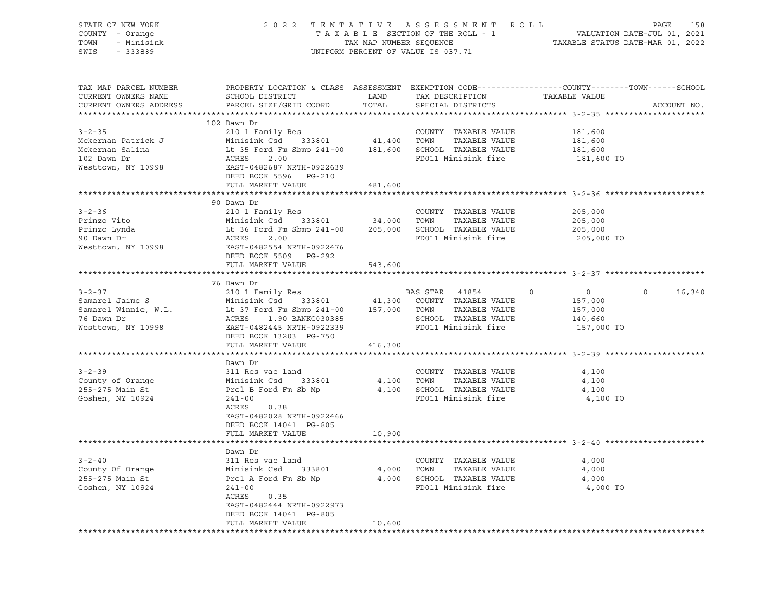| 2022 TENTATIVE ASSESSMENT ROLL PAGE 158<br>TAXABLE SECTION OF THE ROLL - 1 VALUATION DATE-JUL 01, 2021<br>TAX MAP NUMBER SEQUENCE TAXABLE STATUS DATE-MAR 01, 2022<br>UNIFORM PERCENT OF VALUE IS 037.71<br>COUNTY - Orange<br>TAX MAP NUMBER SEQUENCE<br>UNIFORM PERCENT OF VALUE IS 037.71<br>TOWN - Minisink<br>SWIS - 333889<br>PROPERTY LOCATION & CLASS ASSESSMENT EXEMPTION CODE----------------COUNTY-------TOWN------SCHOOL<br>TAX MAP PARCEL NUMBER<br>CURRENT OWNERS NAME<br>PARCEL SIZE/GRID COORD<br>TOTAL<br>ACCOUNT NO.<br>CURRENT OWNERS ADDRESS<br>SPECIAL DISTRICTS<br>102 Dawn Dr<br>210 1 Family Res<br>Mckernan Patrick J<br>Minisink Csd 333801 41,400 TOWN TAXABLE VALUE<br>Mckernan Salina Lt 35 Ford Fm Sbmp 241-00 181,600 SCHOOL TAXABLE VALUE<br>102 Dawn Dr ACRES 2.00<br>Mesttown, NY 10998 BAST-0482687 NRTH-0922<br>181,600<br>181,600<br>181,600<br>FD011 Minisink fire<br>181,600 TO<br>FULL MARKET VALUE<br>481,600<br>90 Dawn Dr<br>3-2-36 210 1 Family Res<br>Prinzo Vito Minisink Csd 333801 34,000 TOWN TAXABLE VALUE<br>Prinzo Lynda Lt 36 Ford Fm Sbmp 241-00 205,000 SCHOOL TAXABLE VALUE<br>90 Dawn Dr ACRES 2.000 ECHOOL TAXABLE VALUE<br>Westtown, NY 10998 EAST<br>205,000<br>205,000<br>205,000<br>205,000 TO<br>FULL MARKET VALUE<br>543,600<br>76 Dawn Dr<br>3-2-37<br>Samarel Jaime S<br>Samarel Winnie, W.L.<br>Communistik Csd 333801<br>Minisink Csd 333801<br>Minisink Csd 333801<br>41,300 COUNTY TAXABLE VALUE<br>76 Dawn Dr<br>McRES<br>McRES 1.90 BANKC030385<br>McRES 1.90 BANKC030385<br>McRES 1.90 BA<br>$\overline{0}$<br>$0 \qquad \qquad$<br>$\Omega$<br>16,340<br>157,000<br>157,000<br>$-140,660$<br>157,000 TO<br>DEED BOOK 13203 PG-750<br>FULL MARKET VALUE 416,300<br>Dawn Dr<br>$3 - 2 - 39$<br>COUNTY TAXABLE VALUE<br>311 Res vac land<br>4,100<br>County of Orange<br>255-275 Main St<br>333801<br>355-275 Main St<br>3241-00<br>241-00<br>4,100 TOWN TAXABLE VALUE<br>4,100<br>4,100 SCHOOL TAXABLE VALUE<br>4,100<br>Goshen, NY 10924<br>FD011 Minisink fire<br>4,100 TO<br>ACRES 0.38<br>EAST-0482028 NRTH-0922466<br>DEED BOOK 14041 PG-805<br>FULL MARKET VALUE<br>10,900<br>Dawn Dr<br>311 Res vac land<br>County Of Orange 311 Res vac land<br>255-275 Main St Prcl A Ford Fm Sb Mp 4,000 SCHOOL TAXABLE VALUE<br>36 Goshen, NY 10924 241-00<br>241-00 FD011 Minisink fire<br>4,000<br>TAXABLE VALUE 4,000<br>TAXABLE VALUE 4,000<br>FD011 Minisink fire<br>4,000 TO<br>ACRES<br>0.35<br>EAST-0482444 NRTH-0922973<br>DEED BOOK 14041 PG-805<br>10,600<br>FULL MARKET VALUE | STATE OF NEW YORK |  |  |  |  |
|--------------------------------------------------------------------------------------------------------------------------------------------------------------------------------------------------------------------------------------------------------------------------------------------------------------------------------------------------------------------------------------------------------------------------------------------------------------------------------------------------------------------------------------------------------------------------------------------------------------------------------------------------------------------------------------------------------------------------------------------------------------------------------------------------------------------------------------------------------------------------------------------------------------------------------------------------------------------------------------------------------------------------------------------------------------------------------------------------------------------------------------------------------------------------------------------------------------------------------------------------------------------------------------------------------------------------------------------------------------------------------------------------------------------------------------------------------------------------------------------------------------------------------------------------------------------------------------------------------------------------------------------------------------------------------------------------------------------------------------------------------------------------------------------------------------------------------------------------------------------------------------------------------------------------------------------------------------------------------------------------------------------------------------------------------------------------------------------------------------------------------------------------------------------------------------------------------------------------------------------------------------------------------------------------------------------------------------------------------------------------------------------------------------------------------------------------------------------------------------------------------------------------------------------------------------|-------------------|--|--|--|--|
|                                                                                                                                                                                                                                                                                                                                                                                                                                                                                                                                                                                                                                                                                                                                                                                                                                                                                                                                                                                                                                                                                                                                                                                                                                                                                                                                                                                                                                                                                                                                                                                                                                                                                                                                                                                                                                                                                                                                                                                                                                                                                                                                                                                                                                                                                                                                                                                                                                                                                                                                                              |                   |  |  |  |  |
|                                                                                                                                                                                                                                                                                                                                                                                                                                                                                                                                                                                                                                                                                                                                                                                                                                                                                                                                                                                                                                                                                                                                                                                                                                                                                                                                                                                                                                                                                                                                                                                                                                                                                                                                                                                                                                                                                                                                                                                                                                                                                                                                                                                                                                                                                                                                                                                                                                                                                                                                                              |                   |  |  |  |  |
|                                                                                                                                                                                                                                                                                                                                                                                                                                                                                                                                                                                                                                                                                                                                                                                                                                                                                                                                                                                                                                                                                                                                                                                                                                                                                                                                                                                                                                                                                                                                                                                                                                                                                                                                                                                                                                                                                                                                                                                                                                                                                                                                                                                                                                                                                                                                                                                                                                                                                                                                                              |                   |  |  |  |  |
|                                                                                                                                                                                                                                                                                                                                                                                                                                                                                                                                                                                                                                                                                                                                                                                                                                                                                                                                                                                                                                                                                                                                                                                                                                                                                                                                                                                                                                                                                                                                                                                                                                                                                                                                                                                                                                                                                                                                                                                                                                                                                                                                                                                                                                                                                                                                                                                                                                                                                                                                                              |                   |  |  |  |  |
|                                                                                                                                                                                                                                                                                                                                                                                                                                                                                                                                                                                                                                                                                                                                                                                                                                                                                                                                                                                                                                                                                                                                                                                                                                                                                                                                                                                                                                                                                                                                                                                                                                                                                                                                                                                                                                                                                                                                                                                                                                                                                                                                                                                                                                                                                                                                                                                                                                                                                                                                                              |                   |  |  |  |  |
|                                                                                                                                                                                                                                                                                                                                                                                                                                                                                                                                                                                                                                                                                                                                                                                                                                                                                                                                                                                                                                                                                                                                                                                                                                                                                                                                                                                                                                                                                                                                                                                                                                                                                                                                                                                                                                                                                                                                                                                                                                                                                                                                                                                                                                                                                                                                                                                                                                                                                                                                                              |                   |  |  |  |  |
|                                                                                                                                                                                                                                                                                                                                                                                                                                                                                                                                                                                                                                                                                                                                                                                                                                                                                                                                                                                                                                                                                                                                                                                                                                                                                                                                                                                                                                                                                                                                                                                                                                                                                                                                                                                                                                                                                                                                                                                                                                                                                                                                                                                                                                                                                                                                                                                                                                                                                                                                                              |                   |  |  |  |  |
|                                                                                                                                                                                                                                                                                                                                                                                                                                                                                                                                                                                                                                                                                                                                                                                                                                                                                                                                                                                                                                                                                                                                                                                                                                                                                                                                                                                                                                                                                                                                                                                                                                                                                                                                                                                                                                                                                                                                                                                                                                                                                                                                                                                                                                                                                                                                                                                                                                                                                                                                                              |                   |  |  |  |  |
|                                                                                                                                                                                                                                                                                                                                                                                                                                                                                                                                                                                                                                                                                                                                                                                                                                                                                                                                                                                                                                                                                                                                                                                                                                                                                                                                                                                                                                                                                                                                                                                                                                                                                                                                                                                                                                                                                                                                                                                                                                                                                                                                                                                                                                                                                                                                                                                                                                                                                                                                                              |                   |  |  |  |  |
|                                                                                                                                                                                                                                                                                                                                                                                                                                                                                                                                                                                                                                                                                                                                                                                                                                                                                                                                                                                                                                                                                                                                                                                                                                                                                                                                                                                                                                                                                                                                                                                                                                                                                                                                                                                                                                                                                                                                                                                                                                                                                                                                                                                                                                                                                                                                                                                                                                                                                                                                                              |                   |  |  |  |  |
|                                                                                                                                                                                                                                                                                                                                                                                                                                                                                                                                                                                                                                                                                                                                                                                                                                                                                                                                                                                                                                                                                                                                                                                                                                                                                                                                                                                                                                                                                                                                                                                                                                                                                                                                                                                                                                                                                                                                                                                                                                                                                                                                                                                                                                                                                                                                                                                                                                                                                                                                                              |                   |  |  |  |  |
|                                                                                                                                                                                                                                                                                                                                                                                                                                                                                                                                                                                                                                                                                                                                                                                                                                                                                                                                                                                                                                                                                                                                                                                                                                                                                                                                                                                                                                                                                                                                                                                                                                                                                                                                                                                                                                                                                                                                                                                                                                                                                                                                                                                                                                                                                                                                                                                                                                                                                                                                                              |                   |  |  |  |  |
|                                                                                                                                                                                                                                                                                                                                                                                                                                                                                                                                                                                                                                                                                                                                                                                                                                                                                                                                                                                                                                                                                                                                                                                                                                                                                                                                                                                                                                                                                                                                                                                                                                                                                                                                                                                                                                                                                                                                                                                                                                                                                                                                                                                                                                                                                                                                                                                                                                                                                                                                                              |                   |  |  |  |  |
|                                                                                                                                                                                                                                                                                                                                                                                                                                                                                                                                                                                                                                                                                                                                                                                                                                                                                                                                                                                                                                                                                                                                                                                                                                                                                                                                                                                                                                                                                                                                                                                                                                                                                                                                                                                                                                                                                                                                                                                                                                                                                                                                                                                                                                                                                                                                                                                                                                                                                                                                                              |                   |  |  |  |  |
|                                                                                                                                                                                                                                                                                                                                                                                                                                                                                                                                                                                                                                                                                                                                                                                                                                                                                                                                                                                                                                                                                                                                                                                                                                                                                                                                                                                                                                                                                                                                                                                                                                                                                                                                                                                                                                                                                                                                                                                                                                                                                                                                                                                                                                                                                                                                                                                                                                                                                                                                                              |                   |  |  |  |  |
|                                                                                                                                                                                                                                                                                                                                                                                                                                                                                                                                                                                                                                                                                                                                                                                                                                                                                                                                                                                                                                                                                                                                                                                                                                                                                                                                                                                                                                                                                                                                                                                                                                                                                                                                                                                                                                                                                                                                                                                                                                                                                                                                                                                                                                                                                                                                                                                                                                                                                                                                                              |                   |  |  |  |  |
|                                                                                                                                                                                                                                                                                                                                                                                                                                                                                                                                                                                                                                                                                                                                                                                                                                                                                                                                                                                                                                                                                                                                                                                                                                                                                                                                                                                                                                                                                                                                                                                                                                                                                                                                                                                                                                                                                                                                                                                                                                                                                                                                                                                                                                                                                                                                                                                                                                                                                                                                                              |                   |  |  |  |  |
|                                                                                                                                                                                                                                                                                                                                                                                                                                                                                                                                                                                                                                                                                                                                                                                                                                                                                                                                                                                                                                                                                                                                                                                                                                                                                                                                                                                                                                                                                                                                                                                                                                                                                                                                                                                                                                                                                                                                                                                                                                                                                                                                                                                                                                                                                                                                                                                                                                                                                                                                                              |                   |  |  |  |  |
|                                                                                                                                                                                                                                                                                                                                                                                                                                                                                                                                                                                                                                                                                                                                                                                                                                                                                                                                                                                                                                                                                                                                                                                                                                                                                                                                                                                                                                                                                                                                                                                                                                                                                                                                                                                                                                                                                                                                                                                                                                                                                                                                                                                                                                                                                                                                                                                                                                                                                                                                                              |                   |  |  |  |  |
|                                                                                                                                                                                                                                                                                                                                                                                                                                                                                                                                                                                                                                                                                                                                                                                                                                                                                                                                                                                                                                                                                                                                                                                                                                                                                                                                                                                                                                                                                                                                                                                                                                                                                                                                                                                                                                                                                                                                                                                                                                                                                                                                                                                                                                                                                                                                                                                                                                                                                                                                                              |                   |  |  |  |  |
|                                                                                                                                                                                                                                                                                                                                                                                                                                                                                                                                                                                                                                                                                                                                                                                                                                                                                                                                                                                                                                                                                                                                                                                                                                                                                                                                                                                                                                                                                                                                                                                                                                                                                                                                                                                                                                                                                                                                                                                                                                                                                                                                                                                                                                                                                                                                                                                                                                                                                                                                                              |                   |  |  |  |  |
|                                                                                                                                                                                                                                                                                                                                                                                                                                                                                                                                                                                                                                                                                                                                                                                                                                                                                                                                                                                                                                                                                                                                                                                                                                                                                                                                                                                                                                                                                                                                                                                                                                                                                                                                                                                                                                                                                                                                                                                                                                                                                                                                                                                                                                                                                                                                                                                                                                                                                                                                                              |                   |  |  |  |  |
|                                                                                                                                                                                                                                                                                                                                                                                                                                                                                                                                                                                                                                                                                                                                                                                                                                                                                                                                                                                                                                                                                                                                                                                                                                                                                                                                                                                                                                                                                                                                                                                                                                                                                                                                                                                                                                                                                                                                                                                                                                                                                                                                                                                                                                                                                                                                                                                                                                                                                                                                                              |                   |  |  |  |  |
|                                                                                                                                                                                                                                                                                                                                                                                                                                                                                                                                                                                                                                                                                                                                                                                                                                                                                                                                                                                                                                                                                                                                                                                                                                                                                                                                                                                                                                                                                                                                                                                                                                                                                                                                                                                                                                                                                                                                                                                                                                                                                                                                                                                                                                                                                                                                                                                                                                                                                                                                                              |                   |  |  |  |  |
|                                                                                                                                                                                                                                                                                                                                                                                                                                                                                                                                                                                                                                                                                                                                                                                                                                                                                                                                                                                                                                                                                                                                                                                                                                                                                                                                                                                                                                                                                                                                                                                                                                                                                                                                                                                                                                                                                                                                                                                                                                                                                                                                                                                                                                                                                                                                                                                                                                                                                                                                                              |                   |  |  |  |  |
|                                                                                                                                                                                                                                                                                                                                                                                                                                                                                                                                                                                                                                                                                                                                                                                                                                                                                                                                                                                                                                                                                                                                                                                                                                                                                                                                                                                                                                                                                                                                                                                                                                                                                                                                                                                                                                                                                                                                                                                                                                                                                                                                                                                                                                                                                                                                                                                                                                                                                                                                                              |                   |  |  |  |  |
|                                                                                                                                                                                                                                                                                                                                                                                                                                                                                                                                                                                                                                                                                                                                                                                                                                                                                                                                                                                                                                                                                                                                                                                                                                                                                                                                                                                                                                                                                                                                                                                                                                                                                                                                                                                                                                                                                                                                                                                                                                                                                                                                                                                                                                                                                                                                                                                                                                                                                                                                                              |                   |  |  |  |  |
|                                                                                                                                                                                                                                                                                                                                                                                                                                                                                                                                                                                                                                                                                                                                                                                                                                                                                                                                                                                                                                                                                                                                                                                                                                                                                                                                                                                                                                                                                                                                                                                                                                                                                                                                                                                                                                                                                                                                                                                                                                                                                                                                                                                                                                                                                                                                                                                                                                                                                                                                                              |                   |  |  |  |  |
|                                                                                                                                                                                                                                                                                                                                                                                                                                                                                                                                                                                                                                                                                                                                                                                                                                                                                                                                                                                                                                                                                                                                                                                                                                                                                                                                                                                                                                                                                                                                                                                                                                                                                                                                                                                                                                                                                                                                                                                                                                                                                                                                                                                                                                                                                                                                                                                                                                                                                                                                                              |                   |  |  |  |  |
|                                                                                                                                                                                                                                                                                                                                                                                                                                                                                                                                                                                                                                                                                                                                                                                                                                                                                                                                                                                                                                                                                                                                                                                                                                                                                                                                                                                                                                                                                                                                                                                                                                                                                                                                                                                                                                                                                                                                                                                                                                                                                                                                                                                                                                                                                                                                                                                                                                                                                                                                                              |                   |  |  |  |  |
|                                                                                                                                                                                                                                                                                                                                                                                                                                                                                                                                                                                                                                                                                                                                                                                                                                                                                                                                                                                                                                                                                                                                                                                                                                                                                                                                                                                                                                                                                                                                                                                                                                                                                                                                                                                                                                                                                                                                                                                                                                                                                                                                                                                                                                                                                                                                                                                                                                                                                                                                                              |                   |  |  |  |  |
|                                                                                                                                                                                                                                                                                                                                                                                                                                                                                                                                                                                                                                                                                                                                                                                                                                                                                                                                                                                                                                                                                                                                                                                                                                                                                                                                                                                                                                                                                                                                                                                                                                                                                                                                                                                                                                                                                                                                                                                                                                                                                                                                                                                                                                                                                                                                                                                                                                                                                                                                                              |                   |  |  |  |  |
|                                                                                                                                                                                                                                                                                                                                                                                                                                                                                                                                                                                                                                                                                                                                                                                                                                                                                                                                                                                                                                                                                                                                                                                                                                                                                                                                                                                                                                                                                                                                                                                                                                                                                                                                                                                                                                                                                                                                                                                                                                                                                                                                                                                                                                                                                                                                                                                                                                                                                                                                                              |                   |  |  |  |  |
|                                                                                                                                                                                                                                                                                                                                                                                                                                                                                                                                                                                                                                                                                                                                                                                                                                                                                                                                                                                                                                                                                                                                                                                                                                                                                                                                                                                                                                                                                                                                                                                                                                                                                                                                                                                                                                                                                                                                                                                                                                                                                                                                                                                                                                                                                                                                                                                                                                                                                                                                                              |                   |  |  |  |  |
|                                                                                                                                                                                                                                                                                                                                                                                                                                                                                                                                                                                                                                                                                                                                                                                                                                                                                                                                                                                                                                                                                                                                                                                                                                                                                                                                                                                                                                                                                                                                                                                                                                                                                                                                                                                                                                                                                                                                                                                                                                                                                                                                                                                                                                                                                                                                                                                                                                                                                                                                                              |                   |  |  |  |  |
|                                                                                                                                                                                                                                                                                                                                                                                                                                                                                                                                                                                                                                                                                                                                                                                                                                                                                                                                                                                                                                                                                                                                                                                                                                                                                                                                                                                                                                                                                                                                                                                                                                                                                                                                                                                                                                                                                                                                                                                                                                                                                                                                                                                                                                                                                                                                                                                                                                                                                                                                                              |                   |  |  |  |  |
|                                                                                                                                                                                                                                                                                                                                                                                                                                                                                                                                                                                                                                                                                                                                                                                                                                                                                                                                                                                                                                                                                                                                                                                                                                                                                                                                                                                                                                                                                                                                                                                                                                                                                                                                                                                                                                                                                                                                                                                                                                                                                                                                                                                                                                                                                                                                                                                                                                                                                                                                                              |                   |  |  |  |  |
|                                                                                                                                                                                                                                                                                                                                                                                                                                                                                                                                                                                                                                                                                                                                                                                                                                                                                                                                                                                                                                                                                                                                                                                                                                                                                                                                                                                                                                                                                                                                                                                                                                                                                                                                                                                                                                                                                                                                                                                                                                                                                                                                                                                                                                                                                                                                                                                                                                                                                                                                                              |                   |  |  |  |  |
|                                                                                                                                                                                                                                                                                                                                                                                                                                                                                                                                                                                                                                                                                                                                                                                                                                                                                                                                                                                                                                                                                                                                                                                                                                                                                                                                                                                                                                                                                                                                                                                                                                                                                                                                                                                                                                                                                                                                                                                                                                                                                                                                                                                                                                                                                                                                                                                                                                                                                                                                                              |                   |  |  |  |  |
|                                                                                                                                                                                                                                                                                                                                                                                                                                                                                                                                                                                                                                                                                                                                                                                                                                                                                                                                                                                                                                                                                                                                                                                                                                                                                                                                                                                                                                                                                                                                                                                                                                                                                                                                                                                                                                                                                                                                                                                                                                                                                                                                                                                                                                                                                                                                                                                                                                                                                                                                                              |                   |  |  |  |  |
|                                                                                                                                                                                                                                                                                                                                                                                                                                                                                                                                                                                                                                                                                                                                                                                                                                                                                                                                                                                                                                                                                                                                                                                                                                                                                                                                                                                                                                                                                                                                                                                                                                                                                                                                                                                                                                                                                                                                                                                                                                                                                                                                                                                                                                                                                                                                                                                                                                                                                                                                                              |                   |  |  |  |  |
|                                                                                                                                                                                                                                                                                                                                                                                                                                                                                                                                                                                                                                                                                                                                                                                                                                                                                                                                                                                                                                                                                                                                                                                                                                                                                                                                                                                                                                                                                                                                                                                                                                                                                                                                                                                                                                                                                                                                                                                                                                                                                                                                                                                                                                                                                                                                                                                                                                                                                                                                                              |                   |  |  |  |  |
|                                                                                                                                                                                                                                                                                                                                                                                                                                                                                                                                                                                                                                                                                                                                                                                                                                                                                                                                                                                                                                                                                                                                                                                                                                                                                                                                                                                                                                                                                                                                                                                                                                                                                                                                                                                                                                                                                                                                                                                                                                                                                                                                                                                                                                                                                                                                                                                                                                                                                                                                                              |                   |  |  |  |  |
|                                                                                                                                                                                                                                                                                                                                                                                                                                                                                                                                                                                                                                                                                                                                                                                                                                                                                                                                                                                                                                                                                                                                                                                                                                                                                                                                                                                                                                                                                                                                                                                                                                                                                                                                                                                                                                                                                                                                                                                                                                                                                                                                                                                                                                                                                                                                                                                                                                                                                                                                                              |                   |  |  |  |  |
|                                                                                                                                                                                                                                                                                                                                                                                                                                                                                                                                                                                                                                                                                                                                                                                                                                                                                                                                                                                                                                                                                                                                                                                                                                                                                                                                                                                                                                                                                                                                                                                                                                                                                                                                                                                                                                                                                                                                                                                                                                                                                                                                                                                                                                                                                                                                                                                                                                                                                                                                                              |                   |  |  |  |  |
|                                                                                                                                                                                                                                                                                                                                                                                                                                                                                                                                                                                                                                                                                                                                                                                                                                                                                                                                                                                                                                                                                                                                                                                                                                                                                                                                                                                                                                                                                                                                                                                                                                                                                                                                                                                                                                                                                                                                                                                                                                                                                                                                                                                                                                                                                                                                                                                                                                                                                                                                                              |                   |  |  |  |  |
|                                                                                                                                                                                                                                                                                                                                                                                                                                                                                                                                                                                                                                                                                                                                                                                                                                                                                                                                                                                                                                                                                                                                                                                                                                                                                                                                                                                                                                                                                                                                                                                                                                                                                                                                                                                                                                                                                                                                                                                                                                                                                                                                                                                                                                                                                                                                                                                                                                                                                                                                                              |                   |  |  |  |  |
|                                                                                                                                                                                                                                                                                                                                                                                                                                                                                                                                                                                                                                                                                                                                                                                                                                                                                                                                                                                                                                                                                                                                                                                                                                                                                                                                                                                                                                                                                                                                                                                                                                                                                                                                                                                                                                                                                                                                                                                                                                                                                                                                                                                                                                                                                                                                                                                                                                                                                                                                                              |                   |  |  |  |  |
|                                                                                                                                                                                                                                                                                                                                                                                                                                                                                                                                                                                                                                                                                                                                                                                                                                                                                                                                                                                                                                                                                                                                                                                                                                                                                                                                                                                                                                                                                                                                                                                                                                                                                                                                                                                                                                                                                                                                                                                                                                                                                                                                                                                                                                                                                                                                                                                                                                                                                                                                                              |                   |  |  |  |  |
|                                                                                                                                                                                                                                                                                                                                                                                                                                                                                                                                                                                                                                                                                                                                                                                                                                                                                                                                                                                                                                                                                                                                                                                                                                                                                                                                                                                                                                                                                                                                                                                                                                                                                                                                                                                                                                                                                                                                                                                                                                                                                                                                                                                                                                                                                                                                                                                                                                                                                                                                                              |                   |  |  |  |  |
|                                                                                                                                                                                                                                                                                                                                                                                                                                                                                                                                                                                                                                                                                                                                                                                                                                                                                                                                                                                                                                                                                                                                                                                                                                                                                                                                                                                                                                                                                                                                                                                                                                                                                                                                                                                                                                                                                                                                                                                                                                                                                                                                                                                                                                                                                                                                                                                                                                                                                                                                                              |                   |  |  |  |  |
|                                                                                                                                                                                                                                                                                                                                                                                                                                                                                                                                                                                                                                                                                                                                                                                                                                                                                                                                                                                                                                                                                                                                                                                                                                                                                                                                                                                                                                                                                                                                                                                                                                                                                                                                                                                                                                                                                                                                                                                                                                                                                                                                                                                                                                                                                                                                                                                                                                                                                                                                                              |                   |  |  |  |  |
|                                                                                                                                                                                                                                                                                                                                                                                                                                                                                                                                                                                                                                                                                                                                                                                                                                                                                                                                                                                                                                                                                                                                                                                                                                                                                                                                                                                                                                                                                                                                                                                                                                                                                                                                                                                                                                                                                                                                                                                                                                                                                                                                                                                                                                                                                                                                                                                                                                                                                                                                                              |                   |  |  |  |  |
|                                                                                                                                                                                                                                                                                                                                                                                                                                                                                                                                                                                                                                                                                                                                                                                                                                                                                                                                                                                                                                                                                                                                                                                                                                                                                                                                                                                                                                                                                                                                                                                                                                                                                                                                                                                                                                                                                                                                                                                                                                                                                                                                                                                                                                                                                                                                                                                                                                                                                                                                                              |                   |  |  |  |  |
|                                                                                                                                                                                                                                                                                                                                                                                                                                                                                                                                                                                                                                                                                                                                                                                                                                                                                                                                                                                                                                                                                                                                                                                                                                                                                                                                                                                                                                                                                                                                                                                                                                                                                                                                                                                                                                                                                                                                                                                                                                                                                                                                                                                                                                                                                                                                                                                                                                                                                                                                                              |                   |  |  |  |  |
|                                                                                                                                                                                                                                                                                                                                                                                                                                                                                                                                                                                                                                                                                                                                                                                                                                                                                                                                                                                                                                                                                                                                                                                                                                                                                                                                                                                                                                                                                                                                                                                                                                                                                                                                                                                                                                                                                                                                                                                                                                                                                                                                                                                                                                                                                                                                                                                                                                                                                                                                                              |                   |  |  |  |  |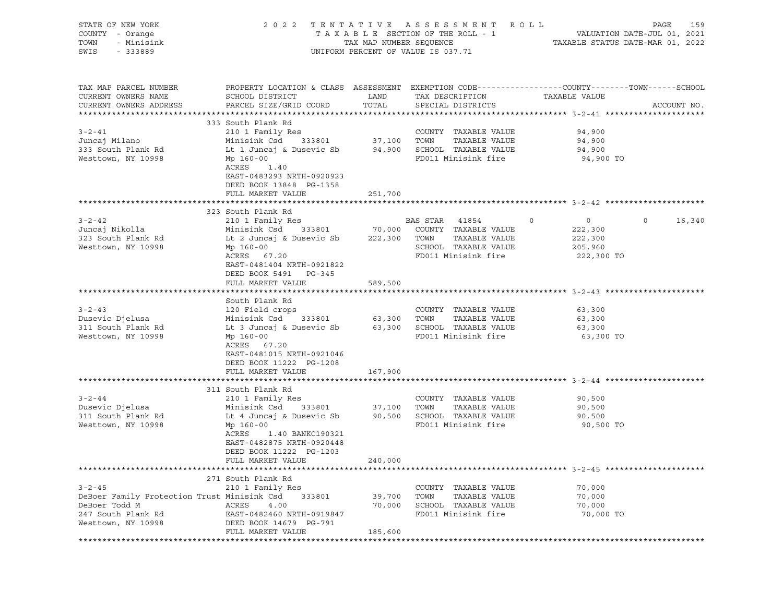| STATE OF NEW YORK<br>COUNTY - Orange<br>TOWN<br>- Minisink<br>SWIS - 333889 |                                                                                                                                              |                                                  | 2022 TENTATIVE ASSESSMENT ROLL<br>UNIFORM PERCENT OF VALUE IS 037.71 |                     | PAGE<br>159       |
|-----------------------------------------------------------------------------|----------------------------------------------------------------------------------------------------------------------------------------------|--------------------------------------------------|----------------------------------------------------------------------|---------------------|-------------------|
| TAX MAP PARCEL NUMBER<br>CURRENT OWNERS NAME<br>CURRENT OWNERS ADDRESS      | PROPERTY LOCATION & CLASS ASSESSMENT EXEMPTION CODE----------------COUNTY-------TOWN-----SCHOOL<br>SCHOOL DISTRICT<br>PARCEL SIZE/GRID COORD | $\begin{array}{ccc}\n\text{LAND} \\ \end{array}$ | TAX DESCRIPTION<br>TOTAL SPECIAL DISTRICTS                           | TAXABLE VALUE       | ACCOUNT NO.       |
|                                                                             | 333 South Plank Rd                                                                                                                           |                                                  |                                                                      |                     |                   |
| $3 - 2 - 41$                                                                | 210 1 Family Res                                                                                                                             |                                                  | COUNTY TAXABLE VALUE                                                 | 94,900              |                   |
| Juncaj Milano                                                               | Minisink Csd 333801 37,100 TOWN TAXABLE VALUE                                                                                                |                                                  |                                                                      | 94,900              |                   |
| 333 South Plank Rd<br>Westtown, NY 10998                                    | Lt 1 Juncaj & Dusevic Sb 94,900 SCHOOL TAXABLE VALUE<br>Mp 160-00<br>ACRES 1.40<br>EAST-0483293 NRTH-0920923<br>DEED BOOK 13848 PG-1358      |                                                  | FD011 Minisink fire                                                  | 94,900<br>94,900 TO |                   |
|                                                                             | FULL MARKET VALUE                                                                                                                            | 251,700                                          |                                                                      |                     |                   |
|                                                                             | 323 South Plank Rd                                                                                                                           |                                                  |                                                                      |                     |                   |
| $3 - 2 - 42$                                                                | 210 1 Family Res                                                                                                                             |                                                  | BAS STAR 41854 0                                                     | $0 \qquad \qquad$   | $\circ$<br>16,340 |
| Juncaj Nikolla                                                              | Minisink Csd 333801 70,000 COUNTY TAXABLE VALUE                                                                                              |                                                  |                                                                      | 222,300             |                   |
| 323 South Plank Rd                                                          | Lt 2 Juncaj & Dusevic Sb 222,300 TOWN TAXABLE VALUE                                                                                          |                                                  |                                                                      | 222,300             |                   |
| Westtown, NY 10998                                                          | Mp 160-00<br>ACRES 67.20                                                                                                                     |                                                  | SCHOOL TAXABLE VALUE<br>FD011 Minisink fire                          | 205,960             |                   |
|                                                                             | EAST-0481404 NRTH-0921822<br>DEED BOOK 5491 PG-345                                                                                           |                                                  |                                                                      | 222,300 TO          |                   |
|                                                                             | FULL MARKET VALUE                                                                                                                            | 589,500                                          |                                                                      |                     |                   |
|                                                                             | South Plank Rd                                                                                                                               |                                                  |                                                                      |                     |                   |
| $3 - 2 - 43$                                                                | 120 Field crops                                                                                                                              |                                                  | COUNTY TAXABLE VALUE                                                 | 63,300              |                   |
| Dusevic Djelusa                                                             | Minisink Csd 333801 63,300 TOWN TAXABLE VALUE                                                                                                |                                                  |                                                                      | 63,300              |                   |
| 311 South Plank Rd                                                          | Lt 3 Juncaj & Dusevic Sb 63,300 SCHOOL TAXABLE VALUE                                                                                         |                                                  |                                                                      | 63,300              |                   |
| Westtown, NY 10998                                                          | Mp 160-00                                                                                                                                    |                                                  | FD011 Minisink fire                                                  | 63,300 TO           |                   |
|                                                                             | ACRES 67.20<br>EAST-0481015 NRTH-0921046<br>DEED BOOK 11222 PG-1208                                                                          |                                                  |                                                                      |                     |                   |
|                                                                             | FULL MARKET VALUE                                                                                                                            | 167,900                                          |                                                                      |                     |                   |
|                                                                             |                                                                                                                                              |                                                  |                                                                      |                     |                   |
| $3 - 2 - 44$                                                                | 311 South Plank Rd<br>210 1 Family Res                                                                                                       |                                                  | COUNTY TAXABLE VALUE                                                 | 90,500              |                   |
| Dusevic Djelusa                                                             | Minisink Csd 333801 37,100 TOWN                                                                                                              |                                                  | TAXABLE VALUE                                                        | 90,500              |                   |
| 311 South Plank Rd                                                          | Lt 4 Juncaj & Dusevic Sb 90,500 SCHOOL TAXABLE VALUE                                                                                         |                                                  |                                                                      | 90,500              |                   |
| Westtown, NY 10998                                                          | Mp 160-00                                                                                                                                    |                                                  | FD011 Minisink fire                                                  | 90,500 TO           |                   |
|                                                                             | ACRES<br>1.40 BANKC190321                                                                                                                    |                                                  |                                                                      |                     |                   |
|                                                                             | EAST-0482875 NRTH-0920448                                                                                                                    |                                                  |                                                                      |                     |                   |
|                                                                             | DEED BOOK 11222 PG-1203                                                                                                                      |                                                  |                                                                      |                     |                   |
|                                                                             | FULL MARKET VALUE                                                                                                                            | 240,000                                          |                                                                      |                     |                   |
|                                                                             | 271 South Plank Rd                                                                                                                           |                                                  |                                                                      |                     |                   |
| $3 - 2 - 45$                                                                | 210 1 Family Res                                                                                                                             |                                                  | COUNTY TAXABLE VALUE                                                 | 70,000              |                   |
| DeBoer Family Protection Trust Minisink Csd                                 | 333801                                                                                                                                       | 39,700                                           | TOWN<br>TAXABLE VALUE                                                | 70,000              |                   |
| DeBoer Todd M                                                               | ACRES<br>4.00                                                                                                                                | 70,000                                           | SCHOOL TAXABLE VALUE                                                 | 70,000              |                   |
| 247 South Plank Rd                                                          | EAST-0482460 NRTH-0919847                                                                                                                    |                                                  | FD011 Minisink fire                                                  | 70,000 TO           |                   |
| Westtown, NY 10998                                                          | DEED BOOK 14679 PG-791                                                                                                                       |                                                  |                                                                      |                     |                   |
|                                                                             | FULL MARKET VALUE                                                                                                                            | 185,600                                          |                                                                      |                     |                   |
|                                                                             |                                                                                                                                              |                                                  |                                                                      |                     |                   |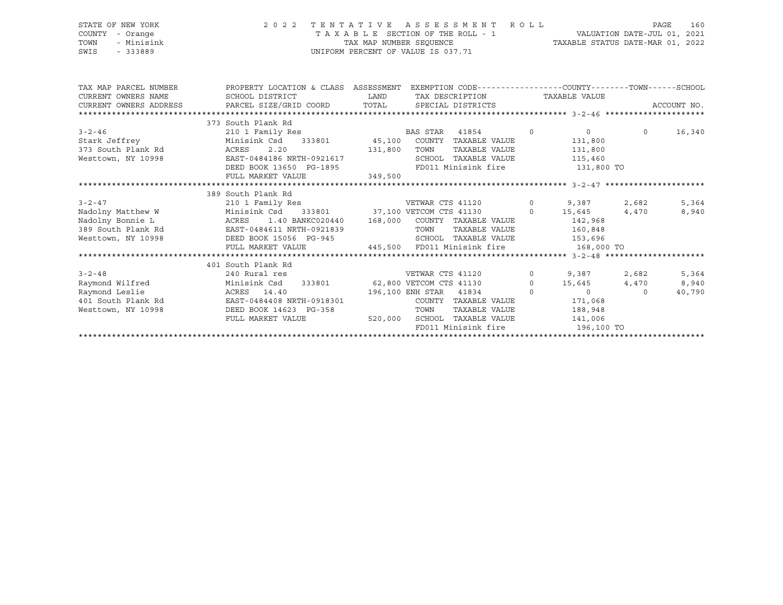|      | 'ATE OF NEW YORK |  | 2 0 2 2 | T |
|------|------------------|--|---------|---|
|      | UNTY - Orange    |  |         |   |
|      | WN - Minisink    |  |         |   |
| ITS. | $-333889$        |  |         |   |

#### STATE OF NEW YORK 2 0 2 2 T E N T A T I V E A S S E S S M E N T R O L L PAGE 160 COUNTY - Orange T A X A B L E SECTION OF THE ROLL - 1 VALUATION DATE-JUL 01, 2021 TOWN - Minisink TAX MAP NUMBER SEQUENCE TAXABLE STATUS DATE-MAR 01, 2022 SWIS - 333889 CONSERVATION CONTROL OF VALUE IS 037.71

| TAX MAP PARCEL NUMBER                                                        | PROPERTY LOCATION & CLASS ASSESSMENT EXEMPTION CODE---------------COUNTY-------TOWN-----SCHOOL                      |                                                                                                  |      |                                      |         |             |
|------------------------------------------------------------------------------|---------------------------------------------------------------------------------------------------------------------|--------------------------------------------------------------------------------------------------|------|--------------------------------------|---------|-------------|
| CURRENT OWNERS NAME                                                          |                                                                                                                     | SCHOOL DISTRICT                      LAND         TAX DESCRIPTION                  TAXABLE VALUE |      |                                      |         |             |
| CURRENT OWNERS ADDRESS 6 PARCEL SIZE/GRID COORD TOTAL SPECIAL DISTRICTS      |                                                                                                                     |                                                                                                  |      |                                      |         | ACCOUNT NO. |
|                                                                              |                                                                                                                     |                                                                                                  |      |                                      |         |             |
|                                                                              | 373 South Plank Rd                                                                                                  |                                                                                                  |      |                                      |         |             |
| $3 - 2 - 46$                                                                 |                                                                                                                     |                                                                                                  |      | 41854 0 0 0 16,340                   |         |             |
| Stark Jeffrey <b>Stark</b> Jeffrey                                           |                                                                                                                     |                                                                                                  |      |                                      |         |             |
|                                                                              |                                                                                                                     |                                                                                                  |      | TAXABLE VALUE 131,800                |         |             |
| Westtown, NY 10998                                                           | EAST-0484186 NRTH-0921617                                                                                           |                                                                                                  |      | SCHOOL TAXABLE VALUE                 | 115,460 |             |
|                                                                              | DEED BOOK 13650 PG-1895                                                                                             |                                                                                                  |      | FD011 Minisink fire 5131,800 TO      |         |             |
|                                                                              | FULL MARKET VALUE                                                                                                   | 349,500                                                                                          |      |                                      |         |             |
|                                                                              |                                                                                                                     |                                                                                                  |      |                                      |         |             |
|                                                                              | 389 South Plank Rd                                                                                                  |                                                                                                  |      |                                      |         |             |
| $3 - 2 - 47$                                                                 | 210 1 Family Res 682 CETWAR CTS 41120 0 9,387 2,682                                                                 |                                                                                                  |      |                                      |         | 5,364       |
| Nadolny Matthew W Minisink Csd 333801 37,100 VETCOM CTS 41130 0 15,645 4,470 |                                                                                                                     |                                                                                                  |      |                                      |         | 8,940       |
| Nadolny Bonnie L                                                             | ACRES 1.40 BANKC020440 168,000 COUNTY TAXABLE VALUE 142,968                                                         |                                                                                                  |      |                                      |         |             |
| 389 South Plank Rd EAST-0484611 NRTH-0921839                                 |                                                                                                                     |                                                                                                  | TOWN | TAXABLE VALUE 160,848                |         |             |
| Westtown, NY 10998 DEED BOOK 15056 PG-945 SCHOOL TAXABLE VALUE 153,696       |                                                                                                                     |                                                                                                  |      |                                      |         |             |
|                                                                              | FULL MARKET VALUE 445,500 FD011 Minisink fire 168,000 TO                                                            |                                                                                                  |      |                                      |         |             |
|                                                                              |                                                                                                                     |                                                                                                  |      |                                      |         |             |
|                                                                              | 401 South Plank Rd                                                                                                  |                                                                                                  |      |                                      |         |             |
| $3 - 2 - 48$                                                                 | 240 Rural res                                                                                                       |                                                                                                  |      | VETWAR CTS 41120 0 9,387 2,682       |         | 5,364       |
| Raymond Wilfred                                                              | Minisink Csd 333801 62,800 VETCOM CTS 41130 0 15,645 4,470<br>ACRES 14.40 196,100 ENH STAR 41834 0 0 0              |                                                                                                  |      |                                      |         | 8,940       |
| Raymond Leslie                                                               | 196,100 ENH STAR 41834                                                                                              |                                                                                                  |      |                                      |         | 40,790      |
| 401 South Plank Rd                                                           | $\texttt{EAST-0484408 NRTH-0918301}\qquad \qquad \texttt{COUNTY} \quad \texttt{TXABLE VALUE} \qquad \qquad 171,068$ |                                                                                                  |      |                                      |         |             |
| Westtown, NY 10998                                                           | DEED BOOK 14623 PG-358                                                                                              |                                                                                                  | TOWN | TAXABLE VALUE                        | 188,948 |             |
|                                                                              | FULL MARKET VALUE                                                                                                   |                                                                                                  |      | 520,000 SCHOOL TAXABLE VALUE 141,006 |         |             |
|                                                                              |                                                                                                                     |                                                                                                  |      | FD011 Minisink fire 196,100 TO       |         |             |
|                                                                              |                                                                                                                     |                                                                                                  |      |                                      |         |             |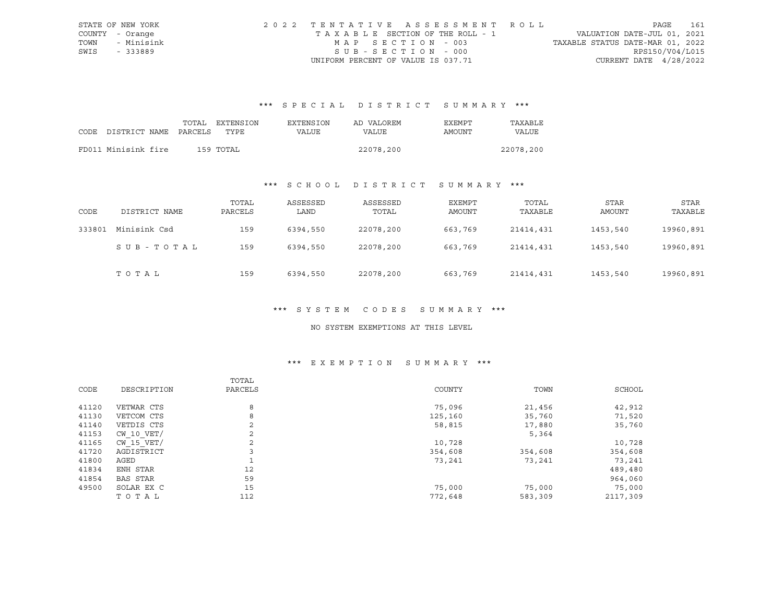|      | STATE OF NEW YORK | 2022 TENTATIVE ASSESSMENT ROLL        |                                  | PAGE | 161 |
|------|-------------------|---------------------------------------|----------------------------------|------|-----|
|      | COUNTY - Orange   | T A X A B L E SECTION OF THE ROLL - 1 | VALUATION DATE-JUL 01, 2021      |      |     |
| TOWN | - Minisink        | MAP SECTION - 003                     | TAXABLE STATUS DATE-MAR 01, 2022 |      |     |
| SWIS | - 333889          | SUB-SECTION - 000                     | RPS150/V04/L015                  |      |     |
|      |                   | UNIFORM PERCENT OF VALUE IS 037.71    | CURRENT DATE $4/28/2022$         |      |     |

# \*\*\* S P E C I A L D I S T R I C T S U M M A R Y \*\*\*

|      |                       | TOTAL | EXTENSION | EXTENSION    | AD VALOREM | <b>EXEMPT</b> | TAXABLE   |
|------|-----------------------|-------|-----------|--------------|------------|---------------|-----------|
| CODE | DISTRICT NAME PARCELS |       | TYPE      | <b>VALUE</b> | VALUE      | AMOUNT        | VALUE     |
|      |                       |       |           |              |            |               |           |
|      | FD011 Minisink fire   |       | 159 TOTAL |              | 22078,200  |               | 22078,200 |

### \*\*\* S C H O O L D I S T R I C T S U M M A R Y \*\*\*

| CODE   | DISTRICT NAME | TOTAL<br>PARCELS | ASSESSED<br>LAND | ASSESSED<br>TOTAL | EXEMPT<br>AMOUNT | TOTAL<br>TAXABLE | STAR<br>AMOUNT | STAR<br>TAXABLE |
|--------|---------------|------------------|------------------|-------------------|------------------|------------------|----------------|-----------------|
| 333801 | Minisink Csd  | 159              | 6394,550         | 22078,200         | 663,769          | 21414,431        | 1453,540       | 19960,891       |
|        | SUB-TOTAL     | 159              | 6394,550         | 22078,200         | 663,769          | 21414,431        | 1453,540       | 19960,891       |
|        | TOTAL         | 159              | 6394,550         | 22078,200         | 663,769          | 21414,431        | 1453,540       | 19960,891       |

#### \*\*\* S Y S T E M C O D E S S U M M A R Y \*\*\*

#### NO SYSTEM EXEMPTIONS AT THIS LEVEL

### \*\*\* E X E M P T I O N S U M M A R Y \*\*\*

|       |                 | TOTAL   |         |         |          |
|-------|-----------------|---------|---------|---------|----------|
| CODE  | DESCRIPTION     | PARCELS | COUNTY  | TOWN    | SCHOOL   |
| 41120 | VETWAR CTS      | 8       | 75,096  | 21,456  | 42,912   |
| 41130 | VETCOM CTS      | 8       | 125,160 | 35,760  | 71,520   |
| 41140 | VETDIS CTS      | 2       | 58,815  | 17,880  | 35,760   |
| 41153 | $CW$ 10 $VET/$  | 2       |         | 5,364   |          |
| 41165 | CW 15 VET/      | 2       | 10,728  |         | 10,728   |
| 41720 | AGDISTRICT      | 3       | 354,608 | 354,608 | 354,608  |
| 41800 | AGED            |         | 73,241  | 73,241  | 73,241   |
| 41834 | ENH STAR        | 12      |         |         | 489,480  |
| 41854 | <b>BAS STAR</b> | 59      |         |         | 964,060  |
| 49500 | SOLAR EX C      | 15      | 75,000  | 75,000  | 75,000   |
|       | TOTAL           | 112     | 772,648 | 583,309 | 2117,309 |
|       |                 |         |         |         |          |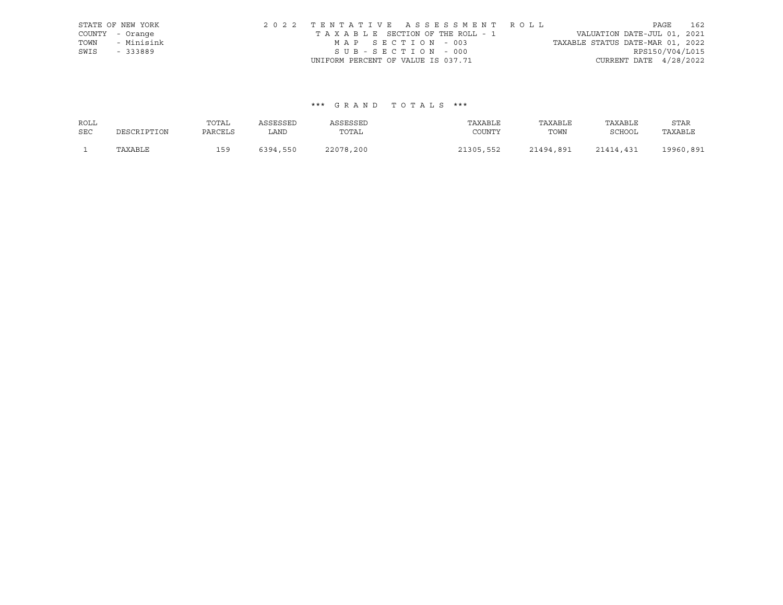|      | STATE OF NEW YORK | 2022 TENTATIVE ASSESSMENT ROLL                                 | PAGE            | 162 |
|------|-------------------|----------------------------------------------------------------|-----------------|-----|
|      | COUNTY - Orange   | VALUATION DATE-JUL 01, 2021<br>TAXABLE SECTION OF THE ROLL - 1 |                 |     |
| TOWN | - Minisink        | TAXABLE STATUS DATE-MAR 01, 2022<br>MAP SECTION - 003          |                 |     |
| SWIS | - 333889          | SUB-SECTION - 000                                              | RPS150/V04/L015 |     |
|      |                   | CURRENT DATE $4/28/2022$<br>UNIFORM PERCENT OF VALUE IS 037.71 |                 |     |

#### \*\*\* G R A N D T O T A L S \*\*\*

| ROLL       |             | TOTAL   | ASSESSED | ASSESSED  | TAXABLE   | TAXABLE   | TAXABLE   | <b>STAR</b> |
|------------|-------------|---------|----------|-----------|-----------|-----------|-----------|-------------|
| <b>SEC</b> | DESCRIPTION | PARCELS | LAND     | TOTAL     | COUNTY    | TOWN      | SCHOOL    | TAXABLE     |
|            | TAXABLE     | 159     | 6394,550 | 22078,200 | 21305,552 | 21494,891 | 21414,431 | 19960,891   |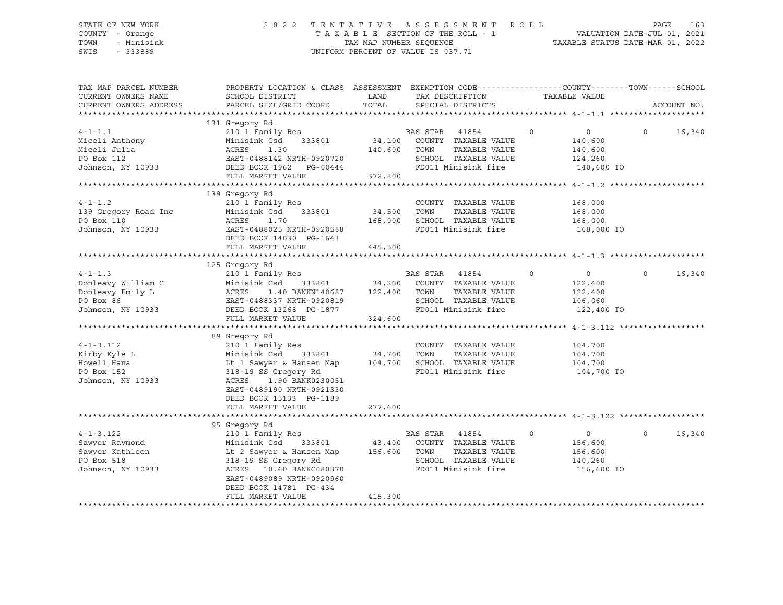#### STATE OF NEW YORK 2 0 2 2 T E N T A T I V E A S S E S S M E N T R O L L PAGE 163 COUNTY - Orange T A X A B L E SECTION OF THE ROLL - 1 VALUATION DATE-JUL 01, 2021 TOWN - Minisink TAX MAP NUMBER SEQUENCE TAXABLE STATUS DATE-MAR 01, 2022 SWIS - 333889 CONSERVATION CONTROL OF VALUE IS 037.71

| TAX MAP PARCEL NUMBER<br>CURRENT OWNERS NAME<br>CURRENT OWNERS ADDRESS                                                                                                                                                                                                  | PROPERTY LOCATION & CLASS ASSESSMENT EXEMPTION CODE----------------COUNTY-------TOWN-----SCHOOL<br>SCHOOL DISTRICT<br>PARCEL SIZE/GRID COORD                                                                                                                    | LAND<br>TOTAL                                   | TAX DESCRIPTION<br>SPECIAL DISTRICTS                                                                                      | TAXABLE VALUE                                                            |          | ACCOUNT NO. |
|-------------------------------------------------------------------------------------------------------------------------------------------------------------------------------------------------------------------------------------------------------------------------|-----------------------------------------------------------------------------------------------------------------------------------------------------------------------------------------------------------------------------------------------------------------|-------------------------------------------------|---------------------------------------------------------------------------------------------------------------------------|--------------------------------------------------------------------------|----------|-------------|
| $4 - 1 - 1.1$<br>Miceli Anthony<br>Miceli Julia<br>PO Box 112<br>Johnson, NY 10933 DEED BOOK 1962 PG-00444                                                                                                                                                              | 131 Gregory Rd<br>210 1 Family Res<br>210 1 Family Res<br>210 1 Minisink Csd 333801 34,100 COUNTY TAXABLE VALUE<br>Minisink Csd<br>ACRES 1.30 140,60<br>EAST-0488142 NRTH-0920720 140,60<br>FULL MARKET VALUE                                                   | 140,600 TOWN<br>372,800                         | TAXABLE VALUE<br>SCHOOL TAXABLE VALUE<br>FD011 Minisink fire 140,600 TO                                                   | $\circ$<br>$\overline{0}$<br>140,600<br>140,600<br>124,260               | $\Omega$ | 16,340      |
| $4 - 1 - 1.2$<br>Johnson, NY 10933                                                                                                                                                                                                                                      | 139 Gregory Rd<br>210 1 Family Res<br>EAST-0488025 NRTH-0920588<br>DEED BOOK 14030 PG-1643<br>FULL MARKET VALUE                                                                                                                                                 | 34,500     TOWN<br>168,000     SCHOO<br>445,500 | COUNTY TAXABLE VALUE<br>TAXABLE VALUE<br>SCHOOL TAXABLE VALUE<br>FD011 Minisink fire                                      | 168,000<br>168,000<br>168,000<br>168,000 TO                              |          |             |
| $4 - 1 - 1.3$<br>Donleavy William C<br>Donleavy Emily L<br>Donleavy Emily L<br>PO Box 86<br>Johnson, NY 10933<br>DEED BOOK 13268<br>PO HONG THE DON 13268<br>PO HONG TO THE DON 13268<br>PO HONG PO 1877<br>PO BOX 86<br>TO HONG PO 188337<br>NRTH-0920819<br>DEED BOOK | 125 Gregory Rd<br>210 1 Family Res<br>1.40 BANKN140687 122,400<br>FULL MARKET VALUE                                                                                                                                                                             | 333801 34,200<br>324,600                        | BAS STAR 41854<br>COUNTY TAXABLE VALUE<br>TOWN<br>TAXABLE VALUE<br>SCHOOL TAXABLE VALUE<br>FD011 Minisink fire 122,400 TO | $\circ$<br>$\overline{0}$<br>122,400<br>122,400<br>106,060               | $\circ$  | 16,340      |
| $4 - 1 - 3.112$<br>Kirby Kyle L<br>Howell Hana<br>PO Box 152<br>Johnson, NY 10933                                                                                                                                                                                       | 89 Gregory Rd<br>210 1 Family Res<br>Minisink Csd 333801 34,700 TOWN<br>Lt 1 Sawyer & Hansen Map 104,700 SCHOOL TAXABLE VALUE<br>318-19 SS Gregory Rd<br>ACRES<br>1.90 BANK0230051<br>EAST-0489190 NRTH-0921330<br>DEED BOOK 15133 PG-1189<br>FULL MARKET VALUE | 277,600                                         | COUNTY TAXABLE VALUE<br>TAXABLE VALUE<br>FD011 Minisink fire                                                              | 104,700<br>104,700<br>104,700<br>104,700 TO                              |          |             |
| $4 - 1 - 3.122$<br>Sawyer Raymond<br>Sawyer Kathleen<br>PO Box 518<br>Johnson, NY 10933                                                                                                                                                                                 | 95 Gregory Rd<br>210 1 Family Res<br>Minisink Csd 333801 43,400 COUNTY TAXABLE VALUE<br>Lt 2 Sawyer & Hansen Map<br>318-19 SS Gregory Rd<br>ACRES 10.60 BANKC080370<br>EAST-0489089 NRTH-0920960<br>DEED BOOK 14781 PG-434<br>FULL MARKET VALUE                 | 156,600<br>415,300                              | BAS STAR 41854<br>TOWN<br>TAXABLE VALUE<br>SCHOOL TAXABLE VALUE<br>FD011 Minisink fire                                    | $\circ$<br>$\overline{0}$<br>156,600<br>156,600<br>140,260<br>156,600 TO | $\Omega$ | 16,340      |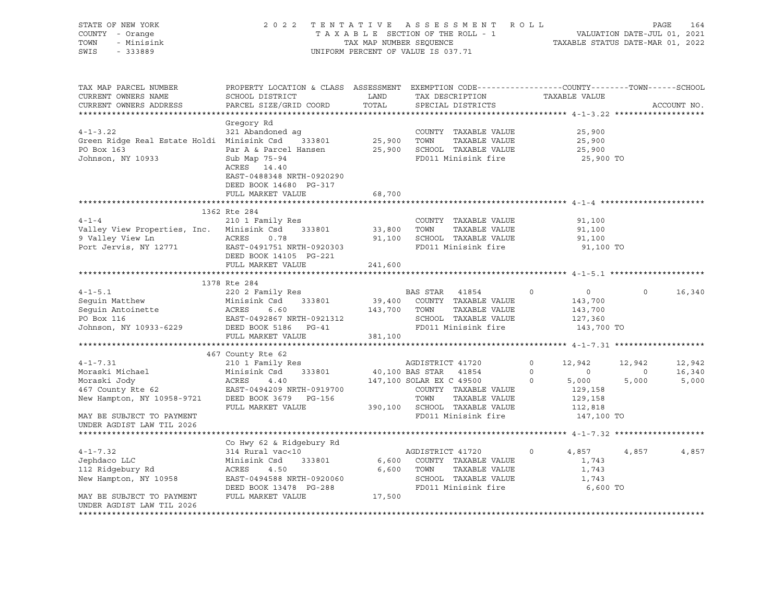| STATE OF NEW YORK<br>COUNTY - Orange<br>TOWN<br>- Minisink<br>SWIS<br>$-333889$                                   |                                                                                                                                             |                         | 2022 TENTATIVE ASSESSMENT ROLL<br>T A X A B L E SECTION OF THE ROLL - 1 WALUATION DATE-JUL 01, 2021<br>TAX MAP NUMBER SEQUENCE TAXABLE STATUS DATE-MAR 01, 2022<br>UNIFORM PERCENT OF VALUE IS 037.71 |                                                                                             | PAGE                              | 164                       |
|-------------------------------------------------------------------------------------------------------------------|---------------------------------------------------------------------------------------------------------------------------------------------|-------------------------|-------------------------------------------------------------------------------------------------------------------------------------------------------------------------------------------------------|---------------------------------------------------------------------------------------------|-----------------------------------|---------------------------|
| TAX MAP PARCEL NUMBER<br>CURRENT OWNERS NAME<br>CURRENT OWNERS ADDRESS                                            | PROPERTY LOCATION & CLASS ASSESSMENT EXEMPTION CODE---------------COUNTY-------TOWN-----SCHOOL<br>SCHOOL DISTRICT<br>PARCEL SIZE/GRID COORD | LAND<br>TOTAL           | TAX DESCRIPTION TAXABLE VALUE<br>SPECIAL DISTRICTS                                                                                                                                                    |                                                                                             |                                   | ACCOUNT NO.               |
|                                                                                                                   | Gregory Rd                                                                                                                                  |                         |                                                                                                                                                                                                       |                                                                                             |                                   |                           |
| $4 - 1 - 3.22$<br>Green Ridge Real Estate Holdi Minisink Csd 333801<br>PO Box 163<br>Johnson, NY 10933            | 321 Abandoned ag<br>Par A & Parcel Hansen<br>Sub Map 75-94                                                                                  |                         | COUNTY TAXABLE VALUE<br>25,900 TOWN TAXABLE VALUE<br>25,900 SCHOOL TAXABLE VALUE<br>FD011 Minisink fire                                                                                               | 25,900<br>25,900<br>25,900<br>25,900 TO                                                     |                                   |                           |
|                                                                                                                   | ACRES 14.40<br>EAST-0488348 NRTH-0920290<br>DEED BOOK 14680 PG-317<br>FULL MARKET VALUE                                                     | 68,700                  |                                                                                                                                                                                                       |                                                                                             |                                   |                           |
|                                                                                                                   |                                                                                                                                             |                         |                                                                                                                                                                                                       |                                                                                             |                                   |                           |
| $4 - 1 - 4$<br>Valley View Properties, Inc. Minisink Csd 333801<br>9 Valley View Ln<br>Port Jervis, NY 12771      | 1362 Rte 284<br>210 1 Family Res<br>ACRES<br>0.78<br>EAST-0491751 NRTH-0920303<br>DEED BOOK 14105 PG-221                                    | 33,800 TOWN             | COUNTY TAXABLE VALUE<br>TAXABLE VALUE<br>91,100 SCHOOL TAXABLE VALUE<br>FD011 Minisink fire                                                                                                           | 91,100<br>91,100<br>91,100<br>91,100 TO                                                     |                                   |                           |
|                                                                                                                   | FULL MARKET VALUE                                                                                                                           | 241,600                 |                                                                                                                                                                                                       |                                                                                             |                                   |                           |
|                                                                                                                   |                                                                                                                                             |                         |                                                                                                                                                                                                       |                                                                                             |                                   |                           |
|                                                                                                                   | 1378 Rte 284                                                                                                                                |                         |                                                                                                                                                                                                       |                                                                                             |                                   |                           |
| $4 - 1 - 5.1$<br>Seguin Matthew<br>Seguin Antoinette<br>PO Box 116<br>Johnson, NY 10933-6229 DEED BOOK 5186 PG-41 | 220 2 Family Res<br>Minisink Csd<br>333801<br>Minisi<br>ACRES<br>6.60<br>EAST-0492867 NRTH-0921312<br>FULL MARKET VALUE                     | 143,700 TOWN<br>381,100 | BAS STAR 41854<br>39,400 COUNTY TAXABLE VALUE<br>TAXABLE VALUE<br>SCHOOL TAXABLE VALUE<br>FD011 Minisink fire                                                                                         | $\overline{0}$<br>$\Omega$<br>143,700<br>143,700<br>127,360<br>143,700 TO                   | $\Omega$                          | 16,340                    |
|                                                                                                                   |                                                                                                                                             |                         |                                                                                                                                                                                                       |                                                                                             |                                   |                           |
|                                                                                                                   | 467 County Rte 62                                                                                                                           |                         |                                                                                                                                                                                                       |                                                                                             |                                   |                           |
| $4 - 1 - 7.31$<br>New Hampton, NY 10958-9721 DEED BOOK 3679 PG-156                                                | 210 1 Family Res                                                                                                                            |                         | AGDISTRICT 41720<br>40,100 BAS STAR 41854<br>147,100 SOLAR EX C 49500 0<br>COUNTY TAXABLE VALUE<br>TOWN<br>TAXABLE VALUE                                                                              | $\overline{0}$<br>12,942<br>$\overline{0}$<br>$\overline{0}$<br>5,000<br>129,158<br>129,158 | 12,942<br>$\overline{0}$<br>5,000 | 12,942<br>16,340<br>5,000 |
| MAY BE SUBJECT TO PAYMENT<br>UNDER AGDIST LAW TIL 2026                                                            | FULL MARKET VALUE                                                                                                                           |                         | 390,100 SCHOOL TAXABLE VALUE<br>FD011 Minisink fire                                                                                                                                                   | 112,818<br>147,100 TO                                                                       |                                   |                           |
|                                                                                                                   | Co Hwy 62 & Ridgebury Rd                                                                                                                    |                         |                                                                                                                                                                                                       |                                                                                             |                                   |                           |
| $4 - 1 - 7.32$<br>Jephdaco LLC<br>112 Ridgebury Rd<br>New Hampton, NY 10958<br>MAY BE SUBJECT TO PAYMENT          | 314 Rural vac<10<br>333801<br>Minisink Csd<br>ACRES<br>4.50<br>EAST-0494588 NRTH-0920060<br>DEED BOOK 13478 PG-288<br>FULL MARKET VALUE     |                         | AGDISTRICT 41720<br>6,600 COUNTY TAXABLE VALUE<br>6,600 TOWN TAXABLE VALUE<br>SCHOOL TAXABLE VALUE<br>FD011 Minisink fire<br>17,500                                                                   | 4,857<br>$\circ$<br>1,743<br>1,743<br>1,743<br>6,600 TO                                     | 4,857                             | 4,857                     |
| UNDER AGDIST LAW TIL 2026                                                                                         |                                                                                                                                             |                         |                                                                                                                                                                                                       |                                                                                             |                                   |                           |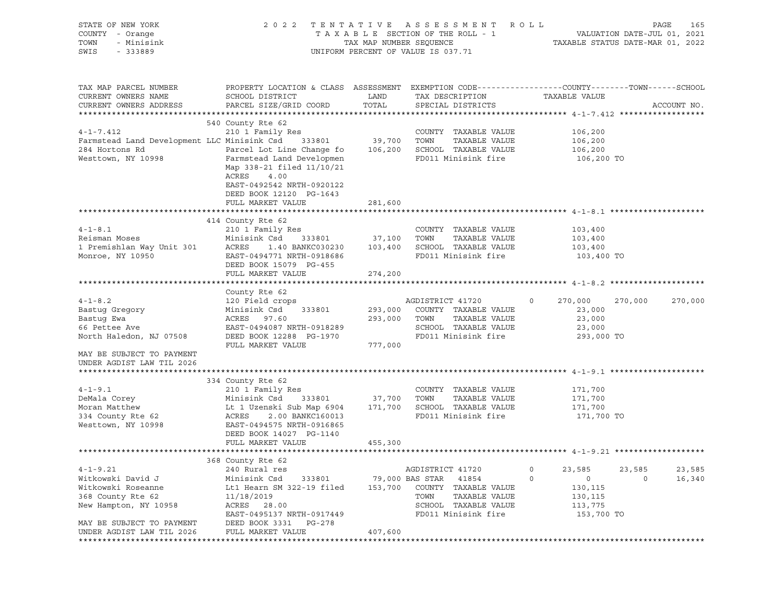| STATE OF NEW YORK<br>COUNTY - Orange<br>TOWN<br>- Minisink<br>SWIS<br>$-333889$                                        | 2022 TENTATIVE<br>TAXABLE SECTION OF THE ROLL - 1<br>TAX MAP NUMBER SEQUENCE<br>UNIFORM PERCENT OF VALUE IS 037.71                                                                                                                                                       | ASSESSMENT ROLL<br>PAGE<br>165<br>VALUATION DATE-JUL 01, 2021<br>TAXABLE STATUS DATE-MAR 01, 2022 |                                                                                                                                                 |                                                                      |                                 |
|------------------------------------------------------------------------------------------------------------------------|--------------------------------------------------------------------------------------------------------------------------------------------------------------------------------------------------------------------------------------------------------------------------|---------------------------------------------------------------------------------------------------|-------------------------------------------------------------------------------------------------------------------------------------------------|----------------------------------------------------------------------|---------------------------------|
| TAX MAP PARCEL NUMBER<br>CURRENT OWNERS NAME<br>CURRENT OWNERS ADDRESS                                                 | PROPERTY LOCATION & CLASS ASSESSMENT EXEMPTION CODE----------------COUNTY-------TOWN------SCHOOL<br>SCHOOL DISTRICT<br>PARCEL SIZE/GRID COORD                                                                                                                            | LAND<br>TOTAL                                                                                     | TAX DESCRIPTION<br>SPECIAL DISTRICTS                                                                                                            | TAXABLE VALUE                                                        | ACCOUNT NO.                     |
| $4 - 1 - 7.412$<br>Farmstead Land Development LLC Minisink Csd<br>284 Hortons Rd<br>Westtown, NY 10998                 | 540 County Rte 62<br>210 1 Family Res<br>333801 39,700<br>Parcel Lot Line Change fo 106,200 SCHOOL TAXABLE VALUE<br>Farmstead Land Developmen<br>Map 338-21 filed 11/10/21<br>ACRES<br>4.00<br>EAST-0492542 NRTH-0920122<br>DEED BOOK 12120 PG-1643<br>FULL MARKET VALUE | 281,600                                                                                           | COUNTY TAXABLE VALUE<br>TOWN<br>TAXABLE VALUE<br>FD011 Minisink fire                                                                            | 106,200<br>106,200<br>106,200<br>106,200 TO                          |                                 |
|                                                                                                                        |                                                                                                                                                                                                                                                                          |                                                                                                   |                                                                                                                                                 |                                                                      |                                 |
| $4 - 1 - 8$ . 1<br>Reisman Moses<br>1 Premishlan Way Unit 301<br>Monroe, NY 10950                                      | 414 County Rte 62<br>210 1 Family Res<br>Minisink Csd<br>333801<br>1.40 BANKC030230 103,400<br>ACRES<br>EAST-0494771 NRTH-0918686<br>DEED BOOK 15079 PG-455                                                                                                              | 37,100 TOWN                                                                                       | COUNTY TAXABLE VALUE<br>TAXABLE VALUE<br>SCHOOL TAXABLE VALUE<br>FD011 Minisink fire                                                            | 103,400<br>103,400<br>103,400<br>103,400 TO                          |                                 |
|                                                                                                                        | FULL MARKET VALUE                                                                                                                                                                                                                                                        | 274,200                                                                                           |                                                                                                                                                 |                                                                      |                                 |
|                                                                                                                        |                                                                                                                                                                                                                                                                          |                                                                                                   |                                                                                                                                                 |                                                                      |                                 |
| $4 - 1 - 8.2$<br>Bastug Gregory<br>Bastug Ewa<br>66 Pettee Ave<br>North Haledon, NJ 07508<br>MAY BE SUBJECT TO PAYMENT | County Rte 62<br>120 Field crops<br>Minisink Csd<br>333801<br>ACRES<br>97.60<br>EAST-0494087 NRTH-0918289<br>DEED BOOK 12288 PG-1970<br>FULL MARKET VALUE                                                                                                                | 293,000<br>293,000 TOWN<br>777,000                                                                | AGDISTRICT 41720<br>COUNTY TAXABLE VALUE<br>TAXABLE VALUE<br>SCHOOL TAXABLE VALUE<br>FD011 Minisink fire                                        | $\circ$<br>270,000<br>23,000<br>23,000<br>23,000<br>293,000 TO       | 270,000<br>270,000              |
| UNDER AGDIST LAW TIL 2026                                                                                              |                                                                                                                                                                                                                                                                          |                                                                                                   |                                                                                                                                                 |                                                                      |                                 |
|                                                                                                                        |                                                                                                                                                                                                                                                                          |                                                                                                   |                                                                                                                                                 |                                                                      |                                 |
| $4 - 1 - 9.1$<br>DeMala Corey<br>Moran Matthew<br>334 County Rte 62<br>Westtown, NY 10998                              | 334 County Rte 62<br>210 1 Family Res<br>Minisink Csd<br>333801<br>Lt 1 Uzenski Sub Map 6904<br>ACRES<br>2.00 BANKC160013<br>EAST-0494575 NRTH-0916865<br>DEED BOOK 14027 PG-1140                                                                                        | 37,700 TOWN<br>171,700                                                                            | COUNTY TAXABLE VALUE<br>TAXABLE VALUE<br>SCHOOL TAXABLE VALUE<br>FD011 Minisink fire                                                            | 171,700<br>171,700<br>171,700<br>171,700 TO                          |                                 |
|                                                                                                                        | FULL MARKET VALUE                                                                                                                                                                                                                                                        | 455,300                                                                                           |                                                                                                                                                 |                                                                      |                                 |
|                                                                                                                        |                                                                                                                                                                                                                                                                          |                                                                                                   |                                                                                                                                                 |                                                                      |                                 |
| $4 - 1 - 9.21$<br>Witkowski David J<br>Witkowski Roseanne<br>368 County Rte 62<br>New Hampton, NY 10958                | 368 County Rte 62<br>240 Rural res<br>Minisink Csd<br>333801<br>Lt1 Hearn SM 322-19 filed<br>11/18/2019<br>ACRES 28.00<br>EAST-0495137 NRTH-0917449<br>DEED BOOK 3331<br>PG-278                                                                                          | 153,700                                                                                           | AGDISTRICT 41720<br>79,000 BAS STAR<br>41854<br>COUNTY<br>TAXABLE VALUE<br>TOWN<br>TAXABLE VALUE<br>SCHOOL TAXABLE VALUE<br>FD011 Minisink fire | 0<br>23,585<br>0<br>0<br>130,115<br>130,115<br>113,775<br>153,700 TO | 23,585<br>23,585<br>16,340<br>0 |
| MAY BE SUBJECT TO PAYMENT<br>UNDER AGDIST LAW TIL 2026                                                                 | FULL MARKET VALUE                                                                                                                                                                                                                                                        | 407,600                                                                                           |                                                                                                                                                 |                                                                      |                                 |
|                                                                                                                        |                                                                                                                                                                                                                                                                          |                                                                                                   |                                                                                                                                                 |                                                                      |                                 |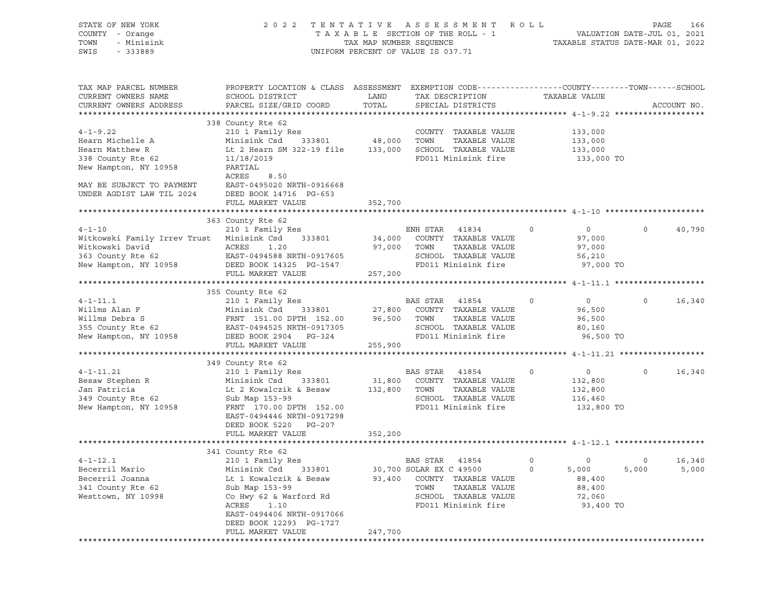| STATE OF NEW YORK<br>COUNTY - Orange<br>TOWN<br>- Minisink<br>SWIS<br>$-333889$                                                                               | 2022 TENTATIVE                                                                                                                                                                                                 | TAXABLE SECTION OF THE ROLL - 1<br>TAX MAP NUMBER SEQUENCE<br>UNIFORM PERCENT OF VALUE IS 037.71 | A S S E S S M E N T                         |                                                                                               | R O L L     | VALUATION DATE-JUL 01, 2021<br>TAXABLE STATUS DATE-MAR 01, 2022 | PAGE         | 166             |
|---------------------------------------------------------------------------------------------------------------------------------------------------------------|----------------------------------------------------------------------------------------------------------------------------------------------------------------------------------------------------------------|--------------------------------------------------------------------------------------------------|---------------------------------------------|-----------------------------------------------------------------------------------------------|-------------|-----------------------------------------------------------------|--------------|-----------------|
| TAX MAP PARCEL NUMBER<br>CURRENT OWNERS NAME<br>CURRENT OWNERS ADDRESS                                                                                        | PROPERTY LOCATION & CLASS ASSESSMENT EXEMPTION CODE----------------COUNTY-------TOWN-----SCHOOL<br>SCHOOL DISTRICT<br>PARCEL SIZE/GRID COORD                                                                   | LAND<br>TOTAL                                                                                    | TAX DESCRIPTION                             | SPECIAL DISTRICTS                                                                             |             | TAXABLE VALUE                                                   |              | ACCOUNT NO.     |
| $4 - 1 - 9.22$<br>Hearn Michelle A<br>Hearn Matthew R<br>338 County Rte 62<br>New Hampton, NY 10958<br>MAY BE SUBJECT TO PAYMENT<br>UNDER AGDIST LAW TIL 2024 | 338 County Rte 62<br>210 1 Family Res<br>Minisink Csd<br>Lt 2 Hearn SM 322-19 file 133,000<br>11/18/2019<br>PARTIAL<br>ACRES<br>8.50<br>EAST-0495020 NRTH-0916668<br>DEED BOOK 14716 PG-653                    | 333801 48,000                                                                                    | TOWN                                        | COUNTY TAXABLE VALUE<br>TAXABLE VALUE<br>SCHOOL TAXABLE VALUE<br>FD011 Minisink fire          |             | 133,000<br>133,000<br>133,000<br>133,000 TO                     |              |                 |
|                                                                                                                                                               | FULL MARKET VALUE                                                                                                                                                                                              | 352,700                                                                                          |                                             |                                                                                               |             |                                                                 |              |                 |
| $4 - 1 - 10$<br>Witkowski Family Irrev Trust Minisink Csd<br>Witkowski David                                                                                  | 363 County Rte 62<br>210 1 Family Res<br>333801<br>ACRES<br>1.20                                                                                                                                               | 34,000<br>97,000                                                                                 | ENH STAR<br>TOWN                            | 41834<br>COUNTY TAXABLE VALUE<br>TAXABLE VALUE                                                | $\circ$     | $\overline{0}$<br>97,000<br>97,000                              | $\mathsf{O}$ | 40,790          |
| 363 County Rte 62<br>New Hampton, NY 10958                                                                                                                    | EAST-0494588 NRTH-0917605<br>DEED BOOK 14325 PG-1547<br>FULL MARKET VALUE                                                                                                                                      | 257,200                                                                                          |                                             | SCHOOL TAXABLE VALUE<br>FD011 Minisink fire                                                   |             | 56,210<br>97,000 TO                                             |              |                 |
|                                                                                                                                                               | 355 County Rte 62                                                                                                                                                                                              |                                                                                                  |                                             |                                                                                               |             |                                                                 |              |                 |
| $4 - 1 - 11.1$<br>Willms Alan F<br>Willms Debra S<br>355 County Rte 62<br>New Hampton, NY 10958                                                               | 210 1 Family Res<br>Minisink Csd<br>333801<br>FRNT 151.00 DPTH 152.00<br>EAST-0494525 NRTH-0917305<br>DEED BOOK 2904 PG-324                                                                                    | 27,800<br>96,500                                                                                 | BAS STAR<br>TOWN                            | 41854<br>COUNTY TAXABLE VALUE<br>TAXABLE VALUE<br>SCHOOL TAXABLE VALUE<br>FD011 Minisink fire | $\mathbf 0$ | $\overline{0}$<br>96,500<br>96,500<br>80,160<br>96,500 TO       | $\mathbf 0$  | 16,340          |
|                                                                                                                                                               | FULL MARKET VALUE                                                                                                                                                                                              | 255,900                                                                                          |                                             |                                                                                               |             |                                                                 |              |                 |
| $4 - 1 - 11.21$<br>Besaw Stephen R<br>Jan Patricia<br>349 County Rte 62<br>New Hampton, NY 10958                                                              | 349 County Rte 62<br>210 1 Family Res<br>Minisink Csd<br>333801<br>Lt 2 Kowalczik & Besaw<br>Sub Map 153-99<br>FRNT 170.00 DPTH 152.00<br>EAST-0494446 NRTH-0917298<br>DEED BOOK 5220 PG-207                   | 31,800<br>132,800                                                                                | BAS STAR<br>TOWN                            | 41854<br>COUNTY TAXABLE VALUE<br>TAXABLE VALUE<br>SCHOOL TAXABLE VALUE<br>FD011 Minisink fire | $\circ$     | $\overline{0}$<br>132,800<br>132,800<br>116,460<br>132,800 TO   | $\mathbf 0$  | 16,340          |
|                                                                                                                                                               | FULL MARKET VALUE                                                                                                                                                                                              | 352,200                                                                                          |                                             |                                                                                               |             |                                                                 |              |                 |
|                                                                                                                                                               | 341 County Rte 62                                                                                                                                                                                              |                                                                                                  |                                             |                                                                                               |             |                                                                 |              |                 |
| $4 - 1 - 12.1$<br>Becerril Mario<br>Becerril Joanna<br>341 County Rte 62<br>Westtown, NY 10998                                                                | 210 1 Family Res<br>Minisink Csd<br>333801<br>Lt 1 Kowalczik & Besaw<br>Sub Map 153-99<br>Co Hwy 62 & Warford Rd<br>ACRES<br>1.10<br>EAST-0494406 NRTH-0917066<br>DEED BOOK 12293 PG-1727<br>FULL MARKET VALUE | 93,400<br>247,700                                                                                | BAS STAR<br>30,700 SOLAR EX C 49500<br>TOWN | 41854<br>COUNTY TAXABLE VALUE<br>TAXABLE VALUE<br>SCHOOL TAXABLE VALUE<br>FD011 Minisink fire | 0<br>0      | 0<br>5,000<br>88,400<br>88,400<br>72,060<br>93,400 TO           | 0<br>5,000   | 16,340<br>5,000 |
|                                                                                                                                                               |                                                                                                                                                                                                                |                                                                                                  |                                             |                                                                                               |             |                                                                 |              |                 |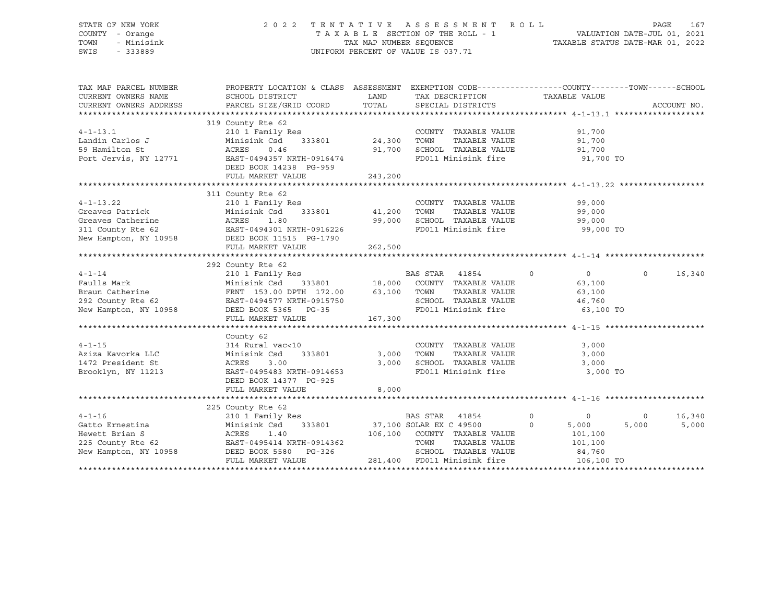STATE OF NEW YORK 2 0 2 2 T E N T A T I V E A S S E S S M E N T R O L L PAGE 167

## COUNTY - Orange T A X A B L E SECTION OF THE ROLL - 1 VALUATION DATE-JUL 01, 2021 TOWN - Minisink TAX MAP NUMBER SEQUENCE TAXABLE STATUS DATE-MAR 01, 2022 SWIS - 333889 CONSERVATION CONTROL OF VALUE IS 037.71

| CURRENT OWNERS NAME<br>SCHOOL DISTRICT<br><b>EXAMPLE THE STATE OF STATE OF STATE</b><br>TAX DESCRIPTION<br>TAXABLE VALUE<br>TOTAL SPECIAL DISTRICTS<br>PARCEL SIZE/GRID COORD<br>CURRENT OWNERS ADDRESS<br>ACCOUNT NO.<br>319 County Rte 62                                                                                                                                      |        |
|----------------------------------------------------------------------------------------------------------------------------------------------------------------------------------------------------------------------------------------------------------------------------------------------------------------------------------------------------------------------------------|--------|
|                                                                                                                                                                                                                                                                                                                                                                                  |        |
|                                                                                                                                                                                                                                                                                                                                                                                  |        |
|                                                                                                                                                                                                                                                                                                                                                                                  |        |
|                                                                                                                                                                                                                                                                                                                                                                                  |        |
| 210 1 Family Res<br>$4 - 1 - 13.1$<br>COUNTY TAXABLE VALUE<br>91,700                                                                                                                                                                                                                                                                                                             |        |
| 333801 24,300<br>Landin Carlos J<br>59 Hamilton St<br>TOWN<br>TAXABLE VALUE<br>Minisink Csd<br>91,700                                                                                                                                                                                                                                                                            |        |
| ACRES<br>0.46<br>91,700<br>SCHOOL TAXABLE VALUE<br>FD011 Minisink fire<br>91,700                                                                                                                                                                                                                                                                                                 |        |
| Port Jervis, NY 12771<br>91,700 TO<br>EAST-0494357 NRTH-0916474                                                                                                                                                                                                                                                                                                                  |        |
| DEED BOOK 14238 PG-959                                                                                                                                                                                                                                                                                                                                                           |        |
| 243,200<br>FULL MARKET VALUE                                                                                                                                                                                                                                                                                                                                                     |        |
|                                                                                                                                                                                                                                                                                                                                                                                  |        |
| 311 County Rte 62                                                                                                                                                                                                                                                                                                                                                                |        |
| $4 - 1 - 13.22$<br>COUNTY TAXABLE VALUE<br>99,000<br>99.000                                                                                                                                                                                                                                                                                                                      |        |
| Greaves Patrick<br>TAXABLE VALUE<br>99,000                                                                                                                                                                                                                                                                                                                                       |        |
| Greaves Catherine MCRES<br>SCHOOL TAXABLE VALUE<br>1.80<br>99,000<br>99,000                                                                                                                                                                                                                                                                                                      |        |
| 311 County Rte 62 EAST-0494301 NRTH-0916226<br>New Hampton, NY 10958 DEED BOOK 11515 PG-1790<br>FD011 Minisink fire 99,000 TO                                                                                                                                                                                                                                                    |        |
|                                                                                                                                                                                                                                                                                                                                                                                  |        |
| FULL MARKET VALUE<br>262,500                                                                                                                                                                                                                                                                                                                                                     |        |
|                                                                                                                                                                                                                                                                                                                                                                                  |        |
| 292 County Rte 62                                                                                                                                                                                                                                                                                                                                                                |        |
| $4 - 1 - 14$<br>$\overline{0}$<br>$\overline{0}$ and $\overline{0}$ and $\overline{0}$ and $\overline{0}$ and $\overline{0}$ and $\overline{0}$ and $\overline{0}$ and $\overline{0}$ and $\overline{0}$ and $\overline{0}$ and $\overline{0}$ and $\overline{0}$ and $\overline{0}$ and $\overline{0}$ and $\overline{0}$ and $\overline{0}$ and $\overline{0}$ and<br>$\Omega$ | 16,340 |
| County Rte 62<br>210 1 Family Res<br>Minisink Csd 333801 18,000 COUNTY TAXABLE VALUE<br>Faulls Mark<br>63,100                                                                                                                                                                                                                                                                    |        |
| TAXABLE VALUE<br>63,100                                                                                                                                                                                                                                                                                                                                                          |        |
| SCHOOL TAXABLE VALUE 46,760<br>FD011 Minisink fire 63,100 TO                                                                                                                                                                                                                                                                                                                     |        |
|                                                                                                                                                                                                                                                                                                                                                                                  |        |
| 167,300<br>FULL MARKET VALUE                                                                                                                                                                                                                                                                                                                                                     |        |
|                                                                                                                                                                                                                                                                                                                                                                                  |        |
| County 62                                                                                                                                                                                                                                                                                                                                                                        |        |
| COUNTY TAXABLE VALUE<br>$4 - 1 - 15$<br>314 Rural vac<10<br>3,000                                                                                                                                                                                                                                                                                                                |        |
| Aziza Kavorka LLC<br>1472 President St<br>Minisink Csd<br>333801<br>3,000 TOWN TAXABLE VALUE<br>3,000 SCHOOL TAXABLE VALUE<br>3,000                                                                                                                                                                                                                                              |        |
| 1472 President St<br>ACRES<br>3,000<br>3.00<br>ACRES 3.00 3.00<br>EAST-0495483 NRTH-0914653<br>FD011 Minisink fire 3,000 TO                                                                                                                                                                                                                                                      |        |
| Brooklyn, NY 11213                                                                                                                                                                                                                                                                                                                                                               |        |
| DEED BOOK 14377 PG-925                                                                                                                                                                                                                                                                                                                                                           |        |
| 8,000<br>FULL MARKET VALUE                                                                                                                                                                                                                                                                                                                                                       |        |
|                                                                                                                                                                                                                                                                                                                                                                                  |        |
| 225 County Rte 62<br>BAS STAR 41854<br>$\overline{0}$<br>$4 - 1 - 16$<br>$\circ$<br>$\overline{0}$                                                                                                                                                                                                                                                                               | 16,340 |
| 210 1 Family Res BAS STAR 41854<br>Minisink Csd 333801 37,100 SOLAR EX C 49500<br>Gatto Ernestina<br>$\overline{a}$<br>5,000<br>Minisink Csd<br>5,000                                                                                                                                                                                                                            | 5,000  |
| 106,100 COUNTY TAXABLE VALUE                                                                                                                                                                                                                                                                                                                                                     |        |
| Hewett Brian S<br>225 County Rte 62<br>New Hampton, NY 10958<br>226 DEED BOOK 5580 PG-326<br>101,100<br>TOWN<br>TAXABLE VALUE<br>101,100                                                                                                                                                                                                                                         |        |
| SCHOOL TAXABLE VALUE<br>84,760                                                                                                                                                                                                                                                                                                                                                   |        |
| 281,400 FD011 Minisink fire<br>FULL MARKET VALUE<br>106,100 TO                                                                                                                                                                                                                                                                                                                   |        |
|                                                                                                                                                                                                                                                                                                                                                                                  |        |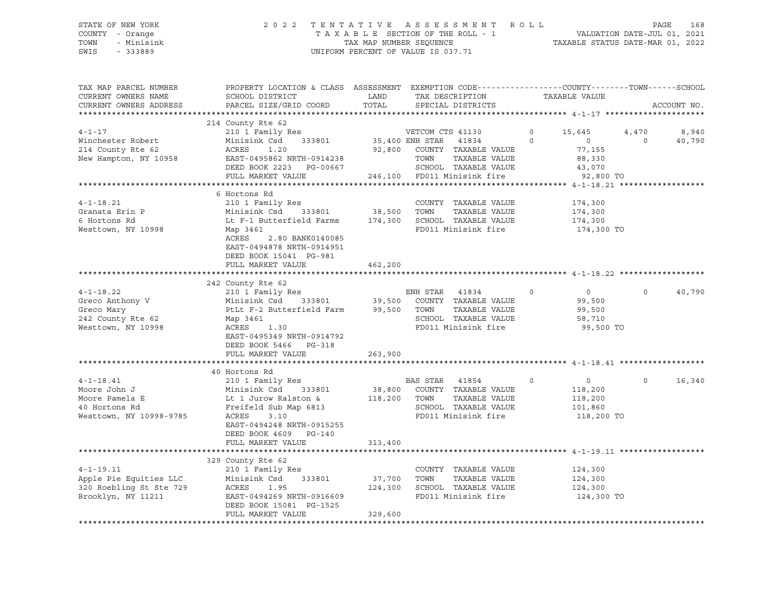#### STATE OF NEW YORK 2 0 2 2 T E N T A T I V E A S S E S S M E N T R O L L PAGE 168 COUNTY - Orange T A X A B L E SECTION OF THE ROLL - 1 VALUATION DATE-JUL 01, 2021 TOWN - Minisink TAX MAP NUMBER SEQUENCE TAXABLE STATUS DATE-MAR 01, 2022 SWIS - 333889 CONSERVATION CONTROL OF VALUE IS 037.71

| TAX MAP PARCEL NUMBER<br>CURRENT OWNERS NAME<br>CURRENT OWNERS ADDRESS                        | PROPERTY LOCATION & CLASS ASSESSMENT EXEMPTION CODE----------------COUNTY-------TOWN------SCHOOL<br>SCHOOL DISTRICT<br>PARCEL SIZE/GRID COORD                                                                       | LAND<br>TOTAL                |                          | TAX DESCRIPTION<br>SPECIAL DISTRICTS                                                                |                     | TAXABLE VALUE                                                       |                   | ACCOUNT NO.     |
|-----------------------------------------------------------------------------------------------|---------------------------------------------------------------------------------------------------------------------------------------------------------------------------------------------------------------------|------------------------------|--------------------------|-----------------------------------------------------------------------------------------------------|---------------------|---------------------------------------------------------------------|-------------------|-----------------|
|                                                                                               |                                                                                                                                                                                                                     |                              |                          |                                                                                                     |                     |                                                                     |                   |                 |
| $4 - 1 - 17$<br>Winchester Robert<br>214 County Rte 62<br>New Hampton, NY 10958               | 214 County Rte 62<br>210 1 Family Res<br>333801<br>Minisink Csd<br>1.20<br>ACRES<br>EAST-0495862 NRTH-0914238<br>DEED BOOK 2223 PG-00667<br>FULL MARKET VALUE                                                       | 35,400 ENH STAR 41834        | VETCOM CTS 41130<br>TOWN | 92,800 COUNTY TAXABLE VALUE<br>TAXABLE VALUE<br>SCHOOL TAXABLE VALUE<br>246,100 FD011 Minisink fire | $\circ$<br>$\Omega$ | 15,645<br>$\overline{0}$<br>77,155<br>88,330<br>43,070<br>92,800 TO | 4,470<br>$\Omega$ | 8,940<br>40,790 |
|                                                                                               |                                                                                                                                                                                                                     |                              |                          |                                                                                                     |                     |                                                                     |                   |                 |
| $4 - 1 - 18.21$<br>Granata Erin P<br>6 Hortons Rd<br>Westtown, NY 10998                       | 6 Hortons Rd<br>210 1 Family Res<br>333801<br>Minisink Csd<br>Lt F-1 Butterfield Farms 174,300<br>Map 3461<br>ACRES<br>2.80 BANK0140085<br>EAST-0494878 NRTH-0914951<br>DEED BOOK 15041 PG-981<br>FULL MARKET VALUE | 38,500<br>462,200            | TOWN                     | COUNTY TAXABLE VALUE<br>TAXABLE VALUE<br>SCHOOL TAXABLE VALUE<br>FD011 Minisink fire                |                     | 174,300<br>174,300<br>174,300<br>174,300 TO                         |                   |                 |
|                                                                                               |                                                                                                                                                                                                                     |                              |                          |                                                                                                     |                     |                                                                     |                   |                 |
| $4 - 1 - 18.22$<br>Greco Anthony V<br>Greco Mary<br>242 County Rte 62<br>Westtown, NY 10998   | 242 County Rte 62<br>210 1 Family Res<br>Minisink Csd<br>333801 39,500<br>PtLt F-2 Butterfield Farm<br>Map 3461<br>ACRES<br>1.30<br>EAST-0495349 NRTH-0914792<br>DEED BOOK 5466 PG-318<br>FULL MARKET VALUE         | 99,500<br>263,900            | ENH STAR 41834<br>TOWN   | COUNTY TAXABLE VALUE<br>TAXABLE VALUE<br>SCHOOL TAXABLE VALUE<br>FD011 Minisink fire                | $\Omega$            | $\overline{0}$<br>99,500<br>99,500<br>58,710<br>99,500 TO           | $\Omega$          | 40,790          |
|                                                                                               |                                                                                                                                                                                                                     |                              |                          |                                                                                                     |                     |                                                                     |                   |                 |
| $4 - 1 - 18.41$<br>Moore John J<br>Moore Pamela E<br>40 Hortons Rd<br>Westtown, NY 10998-9785 | 40 Hortons Rd<br>210 1 Family Res<br>Minisink Csd 333801<br>Lt 1 Jurow Ralston &<br>Freifeld Sub Map 6813<br>ACRES<br>3.10<br>EAST-0494248 NRTH-0915255<br>DEED BOOK 4609 PG-140<br>FULL MARKET VALUE               | 118,200<br>313,400           | BAS STAR 41854<br>TOWN   | 38,800 COUNTY TAXABLE VALUE<br>TAXABLE VALUE<br>SCHOOL TAXABLE VALUE<br>FD011 Minisink fire         | $\circ$             | $\sim$ 0<br>118,200<br>118,200<br>101,860<br>118,200 TO             | $\Omega$          | 16,340          |
|                                                                                               |                                                                                                                                                                                                                     |                              |                          |                                                                                                     |                     |                                                                     |                   |                 |
| $4 - 1 - 19.11$<br>Apple Pie Equities LLC<br>320 Roebling St Ste 729<br>Brooklyn, NY 11211    | 329 County Rte 62<br>210 1 Family Res<br>Minisink Csd<br>333801<br>ACRES<br>1.95<br>EAST-0494269 NRTH-0916609<br>DEED BOOK 15081 PG-1525<br>FULL MARKET VALUE                                                       | 37,700<br>124,300<br>329,600 | TOWN                     | COUNTY TAXABLE VALUE<br>TAXABLE VALUE<br>SCHOOL TAXABLE VALUE<br>FD011 Minisink fire                |                     | 124,300<br>124,300<br>124,300<br>124,300 TO                         |                   |                 |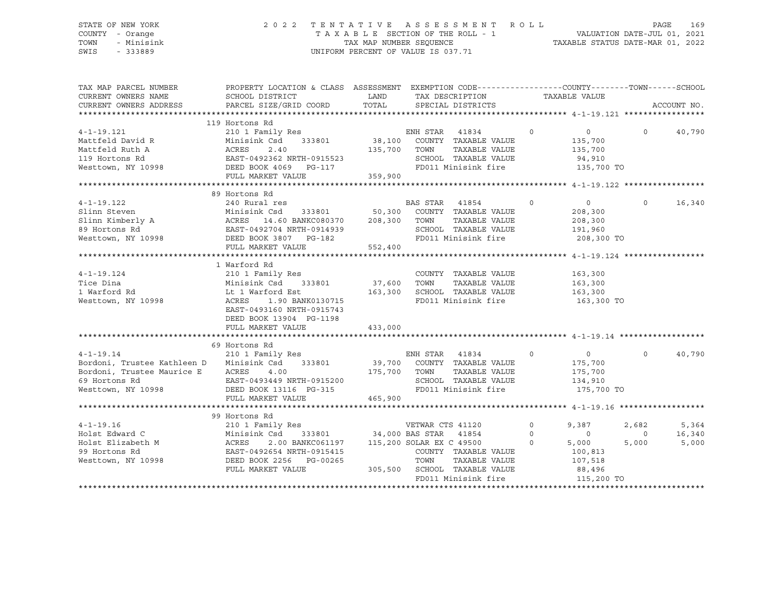#### STATE OF NEW YORK 2 0 2 2 T E N T A T I V E A S S E S S M E N T R O L L PAGE 169 COUNTY - Orange T A X A B L E SECTION OF THE ROLL - 1 TOWN - Minisink TAX MAP NUMBER SEQUENCE TAXABLE STATUS DATE-MAR 01, 2022<br>TAXABLE STATUS DATE-MAR 01, 2022 UNIFORM PERCENT OF VALUE IS 037.71

TAX MAP PARCEL NUMBER PROPERTY LOCATION & CLASS ASSESSMENT EXEMPTION CODE------------------COUNTY--------TOWN------SCHOOL CURRENT OWNERS NAME SCHOOL DISTRICT LAND TAX DESCRIPTION TAXABLE VALUE CURRENT OWNERS ADDRESS PARCEL SIZE/GRID COORD TOTAL SPECIAL DISTRICTS ACCOUNT NO. \*\*\*\*\*\*\*\*\*\*\*\*\*\*\*\*\*\*\*\*\*\*\*\*\*\*\*\*\*\*\*\*\*\*\*\*\*\*\*\*\*\*\*\*\*\*\*\*\*\*\*\*\*\*\*\*\*\*\*\*\*\*\*\*\*\*\*\*\*\*\*\*\*\*\*\*\*\*\*\*\*\*\*\*\*\*\*\*\*\*\*\*\*\*\*\*\*\*\*\*\*\*\* 4-1-19.121 \*\*\*\*\*\*\*\*\*\*\*\*\*\*\*\*\* 119 Hortons Rd 4-1-19.121 210 1 Family Res ENH STAR 41834 0 0 0 40,790 Mattfeld David R Minisink Csd 333801 38,100 COUNTY TAXABLE VALUE 135,700 Mattfeld Ruth A ACRES 2.40 135,700 TOWN TAXABLE VALUE 135,700 119 Hortons Rd EAST-0492362 NRTH-0915523 SCHOOL TAXABLE VALUE 94,910 Westtown, NY 10998 DEED BOOK 4069 PG-117 FD011 Minisink fire 135,700 TO FULL MARKET VALUE 359,900 \*\*\*\*\*\*\*\*\*\*\*\*\*\*\*\*\*\*\*\*\*\*\*\*\*\*\*\*\*\*\*\*\*\*\*\*\*\*\*\*\*\*\*\*\*\*\*\*\*\*\*\*\*\*\*\*\*\*\*\*\*\*\*\*\*\*\*\*\*\*\*\*\*\*\*\*\*\*\*\*\*\*\*\*\*\*\*\*\*\*\*\*\*\*\*\*\*\*\*\*\*\*\* 4-1-19.122 \*\*\*\*\*\*\*\*\*\*\*\*\*\*\*\*\* 89 Hortons Rd 4-1-19.122 240 Rural res BAS STAR 41854 0 0 0 16,340 Slinn Steven Minisink Csd 333801 50,300 COUNTY TAXABLE VALUE 208,300 Slinn Kimberly A ACRES 14.60 BANKC080370 208,300 TOWN TAXABLE VALUE 208,300 89 Hortons Rd EAST-0492704 NRTH-0914939 SCHOOL TAXABLE VALUE 191,960 Westtown, NY 10998 DEED BOOK 3807 PG-182 FD011 Minisink fire 208,300 TO FULL MARKET VALUE 552,400 \*\*\*\*\*\*\*\*\*\*\*\*\*\*\*\*\*\*\*\*\*\*\*\*\*\*\*\*\*\*\*\*\*\*\*\*\*\*\*\*\*\*\*\*\*\*\*\*\*\*\*\*\*\*\*\*\*\*\*\*\*\*\*\*\*\*\*\*\*\*\*\*\*\*\*\*\*\*\*\*\*\*\*\*\*\*\*\*\*\*\*\*\*\*\*\*\*\*\*\*\*\*\* 4-1-19.124 \*\*\*\*\*\*\*\*\*\*\*\*\*\*\*\*\* 1 Warford Rd 4-1-19.124 210 1 Family Res COUNTY TAXABLE VALUE 163,300 Tice Dina Minisink Csd 333801 37,600 TOWN TAXABLE VALUE 163,300 1 Warford Rd Lt 1 Warford Est 163,300 SCHOOL TAXABLE VALUE 163,300 Westtown, NY 10998 ACRES 1.90 BANK0130715 FD011 Minisink fire 163,300 TO EAST-0493160 NRTH-0915743 DEED BOOK 13904 PG-1198 FULL MARKET VALUE 433,000 \*\*\*\*\*\*\*\*\*\*\*\*\*\*\*\*\*\*\*\*\*\*\*\*\*\*\*\*\*\*\*\*\*\*\*\*\*\*\*\*\*\*\*\*\*\*\*\*\*\*\*\*\*\*\*\*\*\*\*\*\*\*\*\*\*\*\*\*\*\*\*\*\*\*\*\*\*\*\*\*\*\*\*\*\*\*\*\*\*\*\*\*\*\*\*\*\*\*\*\*\*\*\* 4-1-19.14 \*\*\*\*\*\*\*\*\*\*\*\*\*\*\*\*\*\* 69 Hortons Rd 4-1-19.14 210 1 Family Res ENH STAR 41834 0 0 0 40,790 Bordoni, Trustee Kathleen D Minisink Csd 333801 39,700 COUNTY TAXABLE VALUE 175,700 Bordoni, Trustee Maurice E ACRES 4.00 175,700 TOWN TAXABLE VALUE 175,700 69 Hortons Rd EAST-0493449 NRTH-0915200 SCHOOL TAXABLE VALUE 134,910 Westtown, NY 10998 DEED BOOK 13116 PG-315 FD011 Minisink fire 175,700 TO FULL MARKET VALUE 465,900 \*\*\*\*\*\*\*\*\*\*\*\*\*\*\*\*\*\*\*\*\*\*\*\*\*\*\*\*\*\*\*\*\*\*\*\*\*\*\*\*\*\*\*\*\*\*\*\*\*\*\*\*\*\*\*\*\*\*\*\*\*\*\*\*\*\*\*\*\*\*\*\*\*\*\*\*\*\*\*\*\*\*\*\*\*\*\*\*\*\*\*\*\*\*\*\*\*\*\*\*\*\*\* 4-1-19.16 \*\*\*\*\*\*\*\*\*\*\*\*\*\*\*\*\*\* 99 Hortons Rd 4-1-19.16 210 1 Family Res VETWAR CTS 41120 0 9,387 2,682 5,364 Holst Edward C Minisink Csd 333801 34,000 BAS STAR 41854 0 0 0 16,340 Holst Elizabeth M ACRES 2.00 BANKC061197 115,200 SOLAR EX C 49500 0 5,000 5,000 5,000 99 Hortons Rd EAST-0492654 NRTH-0915415 COUNTY TAXABLE VALUE 100,813 Westtown, NY 10998 DEED BOOK 2256 PG-00265 TOWN TAXABLE VALUE 107,518 FULL MARKET VALUE 305,500 SCHOOL TAXABLE VALUE 88,496<br>FD011 Minisink fire 315,200 TO FD011 Minisink fire \*\*\*\*\*\*\*\*\*\*\*\*\*\*\*\*\*\*\*\*\*\*\*\*\*\*\*\*\*\*\*\*\*\*\*\*\*\*\*\*\*\*\*\*\*\*\*\*\*\*\*\*\*\*\*\*\*\*\*\*\*\*\*\*\*\*\*\*\*\*\*\*\*\*\*\*\*\*\*\*\*\*\*\*\*\*\*\*\*\*\*\*\*\*\*\*\*\*\*\*\*\*\*\*\*\*\*\*\*\*\*\*\*\*\*\*\*\*\*\*\*\*\*\*\*\*\*\*\*\*\*\*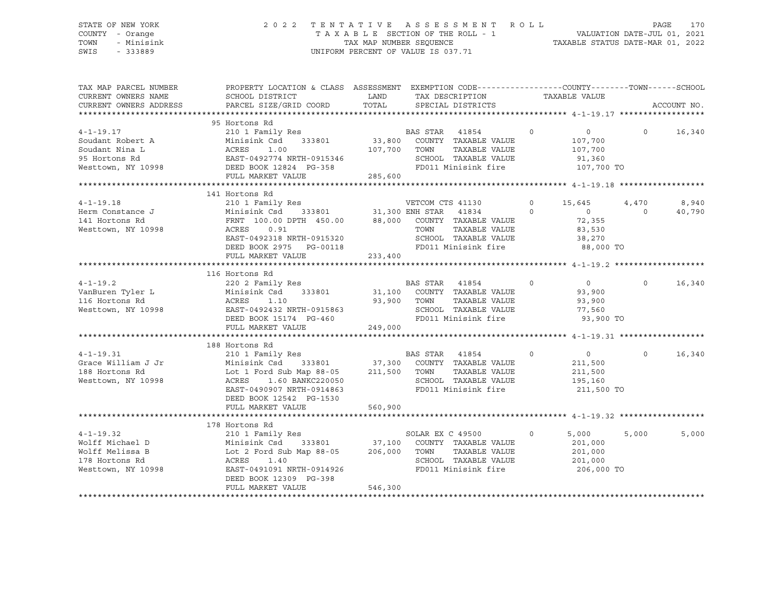#### STATE OF NEW YORK 2 0 2 2 T E N T A T I V E A S S E S S M E N T R O L L PAGE 170 COUNTY - Orange T A X A B L E SECTION OF THE ROLL - 1 VALUATION DATE-JUL 01, 2021 TOWN - Minisink TAX MAP NUMBER SEQUENCE TAXABLE STATUS DATE-MAR 01, 2022 SWIS - 333889 CONSERVATION CONTROL OF VALUE IS 037.71

| CURRENT OWNERS NAME<br>SCHOOL DISTRICT<br>LAND TAX DESCRIPTION<br>TAXABLE VALUE<br>PARCEL SIZE/GRID COORD<br>TOTAL SPECIAL DISTRICTS<br>CURRENT OWNERS ADDRESS<br>ACCOUNT NO.<br>95 Hortons Rd<br>210 1 Family Res<br>Minisink Csd 333801 33,800 COUNTY TAXABLE VALUE<br>$\overline{0}$<br>$4 - 1 - 19.17$<br>$\overline{0}$<br>$\overline{0}$<br>16,340<br>Soudant Robert A<br>107,700<br>Soudant Nina L<br>Soudant Nina L<br>95 Hortons Rd<br>Westtown, NY 10998<br>RULL MARKET VALUE<br>PULL MARKET VALUE<br>285,600<br>TOWN      TAXABLE VALUE<br>SCHOOL   TAXABLE VALUE<br>107,700<br>91,360<br>FD011 Minisink fire 107,700 TO<br>141 Hortons Rd<br>8,940<br>$\circ$<br>15,645<br>4,470<br>$\overline{0}$<br>40,790<br>$\begin{array}{c} 0 \\ 72,355 \end{array}$<br>$\circ$<br>Westtown, NY 10998<br>TAXABLE VALUE<br>83,530<br>TOWN<br>TOWN TAAADDE VADUL<br>SCHOOL TAXABLE VALUE 38,270<br>FD011 Minisink fire 88,000 TO<br>DEED BOOK 2975 PG-00118<br>233,400<br>FULL MARKET VALUE<br>116 Hortons Rd<br>$\begin{tabular}{lllllllllllllllllll} \multicolumn{3}{c l}{} & & & & & \multicolumn{3}{c l}{} & \multicolumn{3}{c l}{} & \multicolumn{3}{c l}{} & \multicolumn{3}{c l}{} & \multicolumn{3}{c l}{} & \multicolumn{3}{c l}{} & \multicolumn{3}{c l}{} & \multicolumn{3}{c l}{} & \multicolumn{3}{c l}{} & \multicolumn{3}{c l}{} & \multicolumn{3}{c l}{} & \multicolumn{3}{c l}{} & \multicolumn{3}{c l}{} & \multicolumn{3}{c l}{} & \multicolumn$<br>$\overline{0}$<br>$\overline{0}$<br>$\Omega$<br>16,340<br>93,900<br>93,900<br>SCHOOL TAXABLE VALUE<br>77,560<br>DEED BOOK 15174 PG-460<br>FD011 Minisink fire 93,900 TO<br>FULL MARKET VALUE<br>249,000<br>188 Hortons Rd<br>$\begin{array}{ccc} & & & 0 & \quad & & 0 \end{array}$<br>$0 \qquad \qquad$<br>16,340<br>$4 - 1 - 19.31$<br>Minisink Csd 333801 37,300 COUNTY TAXABLE VALUE<br>Lot 1 Ford Sub Map 88-05 211,500 TOWN TAXABLE VALUE<br>ACRES 1.60 BANKC220050 SCHOOL TAXABLE VALUE<br>Grace William J Jr<br>211,500<br>188 Hortons Rd<br>211,500<br>SCHOOL TAXABLE VALUE 195,160<br>Westtown, NY 10998<br>FD011 Minisink fire 211,500 TO<br>EAST-0490907 NRTH-0914863<br>DEED BOOK 12542 PG-1530<br>560,900<br>FULL MARKET VALUE<br>178 Hortons Rd<br>$4 - 1 - 19.32$<br>SOLAR EX C 49500<br>5,000<br>5,000<br>5,000<br>210 1 Family Res<br>$\Omega$<br>Minisink Csd 333801 37,100 COUNTY TAXABLE VALUE<br>Wolff Michael D<br>201,000<br>Lot 2 Ford Sub Map 88-05    206,000   TOWN   TAXABLE VALUE        201,000<br>ACRES   1.40                 SCHOOL  TAXABLE VALUE        201,000<br>Wolff Melissa B<br>SCHOOL TAXABLE VALUE<br>178 Hortons Rd<br>ACRES 1.40<br>201,000<br>EAST-0491091 NRTH-0914926<br>FD011 Minisink fire 206,000 TO<br>Westtown, NY 10998<br>DEED BOOK 12309 PG-398<br>546,300<br>FULL MARKET VALUE | TAX MAP PARCEL NUMBER | PROPERTY LOCATION & CLASS ASSESSMENT EXEMPTION CODE---------------COUNTY-------TOWN-----SCHOOL |  |  |  |  |
|-----------------------------------------------------------------------------------------------------------------------------------------------------------------------------------------------------------------------------------------------------------------------------------------------------------------------------------------------------------------------------------------------------------------------------------------------------------------------------------------------------------------------------------------------------------------------------------------------------------------------------------------------------------------------------------------------------------------------------------------------------------------------------------------------------------------------------------------------------------------------------------------------------------------------------------------------------------------------------------------------------------------------------------------------------------------------------------------------------------------------------------------------------------------------------------------------------------------------------------------------------------------------------------------------------------------------------------------------------------------------------------------------------------------------------------------------------------------------------------------------------------------------------------------------------------------------------------------------------------------------------------------------------------------------------------------------------------------------------------------------------------------------------------------------------------------------------------------------------------------------------------------------------------------------------------------------------------------------------------------------------------------------------------------------------------------------------------------------------------------------------------------------------------------------------------------------------------------------------------------------------------------------------------------------------------------------------------------------------------------------------------------------------------------------------------------------------------------------------------------------------------------------------------------------------------------------------------------------------------------------------------------------------------------------------------------------------------------------------------------------------------------------------------------------------------------|-----------------------|------------------------------------------------------------------------------------------------|--|--|--|--|
|                                                                                                                                                                                                                                                                                                                                                                                                                                                                                                                                                                                                                                                                                                                                                                                                                                                                                                                                                                                                                                                                                                                                                                                                                                                                                                                                                                                                                                                                                                                                                                                                                                                                                                                                                                                                                                                                                                                                                                                                                                                                                                                                                                                                                                                                                                                                                                                                                                                                                                                                                                                                                                                                                                                                                                                                                 |                       |                                                                                                |  |  |  |  |
|                                                                                                                                                                                                                                                                                                                                                                                                                                                                                                                                                                                                                                                                                                                                                                                                                                                                                                                                                                                                                                                                                                                                                                                                                                                                                                                                                                                                                                                                                                                                                                                                                                                                                                                                                                                                                                                                                                                                                                                                                                                                                                                                                                                                                                                                                                                                                                                                                                                                                                                                                                                                                                                                                                                                                                                                                 |                       |                                                                                                |  |  |  |  |
|                                                                                                                                                                                                                                                                                                                                                                                                                                                                                                                                                                                                                                                                                                                                                                                                                                                                                                                                                                                                                                                                                                                                                                                                                                                                                                                                                                                                                                                                                                                                                                                                                                                                                                                                                                                                                                                                                                                                                                                                                                                                                                                                                                                                                                                                                                                                                                                                                                                                                                                                                                                                                                                                                                                                                                                                                 |                       |                                                                                                |  |  |  |  |
|                                                                                                                                                                                                                                                                                                                                                                                                                                                                                                                                                                                                                                                                                                                                                                                                                                                                                                                                                                                                                                                                                                                                                                                                                                                                                                                                                                                                                                                                                                                                                                                                                                                                                                                                                                                                                                                                                                                                                                                                                                                                                                                                                                                                                                                                                                                                                                                                                                                                                                                                                                                                                                                                                                                                                                                                                 |                       |                                                                                                |  |  |  |  |
|                                                                                                                                                                                                                                                                                                                                                                                                                                                                                                                                                                                                                                                                                                                                                                                                                                                                                                                                                                                                                                                                                                                                                                                                                                                                                                                                                                                                                                                                                                                                                                                                                                                                                                                                                                                                                                                                                                                                                                                                                                                                                                                                                                                                                                                                                                                                                                                                                                                                                                                                                                                                                                                                                                                                                                                                                 |                       |                                                                                                |  |  |  |  |
|                                                                                                                                                                                                                                                                                                                                                                                                                                                                                                                                                                                                                                                                                                                                                                                                                                                                                                                                                                                                                                                                                                                                                                                                                                                                                                                                                                                                                                                                                                                                                                                                                                                                                                                                                                                                                                                                                                                                                                                                                                                                                                                                                                                                                                                                                                                                                                                                                                                                                                                                                                                                                                                                                                                                                                                                                 |                       |                                                                                                |  |  |  |  |
|                                                                                                                                                                                                                                                                                                                                                                                                                                                                                                                                                                                                                                                                                                                                                                                                                                                                                                                                                                                                                                                                                                                                                                                                                                                                                                                                                                                                                                                                                                                                                                                                                                                                                                                                                                                                                                                                                                                                                                                                                                                                                                                                                                                                                                                                                                                                                                                                                                                                                                                                                                                                                                                                                                                                                                                                                 |                       |                                                                                                |  |  |  |  |
|                                                                                                                                                                                                                                                                                                                                                                                                                                                                                                                                                                                                                                                                                                                                                                                                                                                                                                                                                                                                                                                                                                                                                                                                                                                                                                                                                                                                                                                                                                                                                                                                                                                                                                                                                                                                                                                                                                                                                                                                                                                                                                                                                                                                                                                                                                                                                                                                                                                                                                                                                                                                                                                                                                                                                                                                                 |                       |                                                                                                |  |  |  |  |
|                                                                                                                                                                                                                                                                                                                                                                                                                                                                                                                                                                                                                                                                                                                                                                                                                                                                                                                                                                                                                                                                                                                                                                                                                                                                                                                                                                                                                                                                                                                                                                                                                                                                                                                                                                                                                                                                                                                                                                                                                                                                                                                                                                                                                                                                                                                                                                                                                                                                                                                                                                                                                                                                                                                                                                                                                 |                       |                                                                                                |  |  |  |  |
|                                                                                                                                                                                                                                                                                                                                                                                                                                                                                                                                                                                                                                                                                                                                                                                                                                                                                                                                                                                                                                                                                                                                                                                                                                                                                                                                                                                                                                                                                                                                                                                                                                                                                                                                                                                                                                                                                                                                                                                                                                                                                                                                                                                                                                                                                                                                                                                                                                                                                                                                                                                                                                                                                                                                                                                                                 |                       |                                                                                                |  |  |  |  |
|                                                                                                                                                                                                                                                                                                                                                                                                                                                                                                                                                                                                                                                                                                                                                                                                                                                                                                                                                                                                                                                                                                                                                                                                                                                                                                                                                                                                                                                                                                                                                                                                                                                                                                                                                                                                                                                                                                                                                                                                                                                                                                                                                                                                                                                                                                                                                                                                                                                                                                                                                                                                                                                                                                                                                                                                                 |                       |                                                                                                |  |  |  |  |
|                                                                                                                                                                                                                                                                                                                                                                                                                                                                                                                                                                                                                                                                                                                                                                                                                                                                                                                                                                                                                                                                                                                                                                                                                                                                                                                                                                                                                                                                                                                                                                                                                                                                                                                                                                                                                                                                                                                                                                                                                                                                                                                                                                                                                                                                                                                                                                                                                                                                                                                                                                                                                                                                                                                                                                                                                 |                       |                                                                                                |  |  |  |  |
|                                                                                                                                                                                                                                                                                                                                                                                                                                                                                                                                                                                                                                                                                                                                                                                                                                                                                                                                                                                                                                                                                                                                                                                                                                                                                                                                                                                                                                                                                                                                                                                                                                                                                                                                                                                                                                                                                                                                                                                                                                                                                                                                                                                                                                                                                                                                                                                                                                                                                                                                                                                                                                                                                                                                                                                                                 |                       |                                                                                                |  |  |  |  |
|                                                                                                                                                                                                                                                                                                                                                                                                                                                                                                                                                                                                                                                                                                                                                                                                                                                                                                                                                                                                                                                                                                                                                                                                                                                                                                                                                                                                                                                                                                                                                                                                                                                                                                                                                                                                                                                                                                                                                                                                                                                                                                                                                                                                                                                                                                                                                                                                                                                                                                                                                                                                                                                                                                                                                                                                                 |                       |                                                                                                |  |  |  |  |
|                                                                                                                                                                                                                                                                                                                                                                                                                                                                                                                                                                                                                                                                                                                                                                                                                                                                                                                                                                                                                                                                                                                                                                                                                                                                                                                                                                                                                                                                                                                                                                                                                                                                                                                                                                                                                                                                                                                                                                                                                                                                                                                                                                                                                                                                                                                                                                                                                                                                                                                                                                                                                                                                                                                                                                                                                 |                       |                                                                                                |  |  |  |  |
|                                                                                                                                                                                                                                                                                                                                                                                                                                                                                                                                                                                                                                                                                                                                                                                                                                                                                                                                                                                                                                                                                                                                                                                                                                                                                                                                                                                                                                                                                                                                                                                                                                                                                                                                                                                                                                                                                                                                                                                                                                                                                                                                                                                                                                                                                                                                                                                                                                                                                                                                                                                                                                                                                                                                                                                                                 |                       |                                                                                                |  |  |  |  |
|                                                                                                                                                                                                                                                                                                                                                                                                                                                                                                                                                                                                                                                                                                                                                                                                                                                                                                                                                                                                                                                                                                                                                                                                                                                                                                                                                                                                                                                                                                                                                                                                                                                                                                                                                                                                                                                                                                                                                                                                                                                                                                                                                                                                                                                                                                                                                                                                                                                                                                                                                                                                                                                                                                                                                                                                                 |                       |                                                                                                |  |  |  |  |
|                                                                                                                                                                                                                                                                                                                                                                                                                                                                                                                                                                                                                                                                                                                                                                                                                                                                                                                                                                                                                                                                                                                                                                                                                                                                                                                                                                                                                                                                                                                                                                                                                                                                                                                                                                                                                                                                                                                                                                                                                                                                                                                                                                                                                                                                                                                                                                                                                                                                                                                                                                                                                                                                                                                                                                                                                 |                       |                                                                                                |  |  |  |  |
|                                                                                                                                                                                                                                                                                                                                                                                                                                                                                                                                                                                                                                                                                                                                                                                                                                                                                                                                                                                                                                                                                                                                                                                                                                                                                                                                                                                                                                                                                                                                                                                                                                                                                                                                                                                                                                                                                                                                                                                                                                                                                                                                                                                                                                                                                                                                                                                                                                                                                                                                                                                                                                                                                                                                                                                                                 |                       |                                                                                                |  |  |  |  |
|                                                                                                                                                                                                                                                                                                                                                                                                                                                                                                                                                                                                                                                                                                                                                                                                                                                                                                                                                                                                                                                                                                                                                                                                                                                                                                                                                                                                                                                                                                                                                                                                                                                                                                                                                                                                                                                                                                                                                                                                                                                                                                                                                                                                                                                                                                                                                                                                                                                                                                                                                                                                                                                                                                                                                                                                                 |                       |                                                                                                |  |  |  |  |
|                                                                                                                                                                                                                                                                                                                                                                                                                                                                                                                                                                                                                                                                                                                                                                                                                                                                                                                                                                                                                                                                                                                                                                                                                                                                                                                                                                                                                                                                                                                                                                                                                                                                                                                                                                                                                                                                                                                                                                                                                                                                                                                                                                                                                                                                                                                                                                                                                                                                                                                                                                                                                                                                                                                                                                                                                 |                       |                                                                                                |  |  |  |  |
|                                                                                                                                                                                                                                                                                                                                                                                                                                                                                                                                                                                                                                                                                                                                                                                                                                                                                                                                                                                                                                                                                                                                                                                                                                                                                                                                                                                                                                                                                                                                                                                                                                                                                                                                                                                                                                                                                                                                                                                                                                                                                                                                                                                                                                                                                                                                                                                                                                                                                                                                                                                                                                                                                                                                                                                                                 |                       |                                                                                                |  |  |  |  |
|                                                                                                                                                                                                                                                                                                                                                                                                                                                                                                                                                                                                                                                                                                                                                                                                                                                                                                                                                                                                                                                                                                                                                                                                                                                                                                                                                                                                                                                                                                                                                                                                                                                                                                                                                                                                                                                                                                                                                                                                                                                                                                                                                                                                                                                                                                                                                                                                                                                                                                                                                                                                                                                                                                                                                                                                                 |                       |                                                                                                |  |  |  |  |
|                                                                                                                                                                                                                                                                                                                                                                                                                                                                                                                                                                                                                                                                                                                                                                                                                                                                                                                                                                                                                                                                                                                                                                                                                                                                                                                                                                                                                                                                                                                                                                                                                                                                                                                                                                                                                                                                                                                                                                                                                                                                                                                                                                                                                                                                                                                                                                                                                                                                                                                                                                                                                                                                                                                                                                                                                 |                       |                                                                                                |  |  |  |  |
|                                                                                                                                                                                                                                                                                                                                                                                                                                                                                                                                                                                                                                                                                                                                                                                                                                                                                                                                                                                                                                                                                                                                                                                                                                                                                                                                                                                                                                                                                                                                                                                                                                                                                                                                                                                                                                                                                                                                                                                                                                                                                                                                                                                                                                                                                                                                                                                                                                                                                                                                                                                                                                                                                                                                                                                                                 |                       |                                                                                                |  |  |  |  |
|                                                                                                                                                                                                                                                                                                                                                                                                                                                                                                                                                                                                                                                                                                                                                                                                                                                                                                                                                                                                                                                                                                                                                                                                                                                                                                                                                                                                                                                                                                                                                                                                                                                                                                                                                                                                                                                                                                                                                                                                                                                                                                                                                                                                                                                                                                                                                                                                                                                                                                                                                                                                                                                                                                                                                                                                                 |                       |                                                                                                |  |  |  |  |
|                                                                                                                                                                                                                                                                                                                                                                                                                                                                                                                                                                                                                                                                                                                                                                                                                                                                                                                                                                                                                                                                                                                                                                                                                                                                                                                                                                                                                                                                                                                                                                                                                                                                                                                                                                                                                                                                                                                                                                                                                                                                                                                                                                                                                                                                                                                                                                                                                                                                                                                                                                                                                                                                                                                                                                                                                 |                       |                                                                                                |  |  |  |  |
|                                                                                                                                                                                                                                                                                                                                                                                                                                                                                                                                                                                                                                                                                                                                                                                                                                                                                                                                                                                                                                                                                                                                                                                                                                                                                                                                                                                                                                                                                                                                                                                                                                                                                                                                                                                                                                                                                                                                                                                                                                                                                                                                                                                                                                                                                                                                                                                                                                                                                                                                                                                                                                                                                                                                                                                                                 |                       |                                                                                                |  |  |  |  |
|                                                                                                                                                                                                                                                                                                                                                                                                                                                                                                                                                                                                                                                                                                                                                                                                                                                                                                                                                                                                                                                                                                                                                                                                                                                                                                                                                                                                                                                                                                                                                                                                                                                                                                                                                                                                                                                                                                                                                                                                                                                                                                                                                                                                                                                                                                                                                                                                                                                                                                                                                                                                                                                                                                                                                                                                                 |                       |                                                                                                |  |  |  |  |
|                                                                                                                                                                                                                                                                                                                                                                                                                                                                                                                                                                                                                                                                                                                                                                                                                                                                                                                                                                                                                                                                                                                                                                                                                                                                                                                                                                                                                                                                                                                                                                                                                                                                                                                                                                                                                                                                                                                                                                                                                                                                                                                                                                                                                                                                                                                                                                                                                                                                                                                                                                                                                                                                                                                                                                                                                 |                       |                                                                                                |  |  |  |  |
|                                                                                                                                                                                                                                                                                                                                                                                                                                                                                                                                                                                                                                                                                                                                                                                                                                                                                                                                                                                                                                                                                                                                                                                                                                                                                                                                                                                                                                                                                                                                                                                                                                                                                                                                                                                                                                                                                                                                                                                                                                                                                                                                                                                                                                                                                                                                                                                                                                                                                                                                                                                                                                                                                                                                                                                                                 |                       |                                                                                                |  |  |  |  |
|                                                                                                                                                                                                                                                                                                                                                                                                                                                                                                                                                                                                                                                                                                                                                                                                                                                                                                                                                                                                                                                                                                                                                                                                                                                                                                                                                                                                                                                                                                                                                                                                                                                                                                                                                                                                                                                                                                                                                                                                                                                                                                                                                                                                                                                                                                                                                                                                                                                                                                                                                                                                                                                                                                                                                                                                                 |                       |                                                                                                |  |  |  |  |
|                                                                                                                                                                                                                                                                                                                                                                                                                                                                                                                                                                                                                                                                                                                                                                                                                                                                                                                                                                                                                                                                                                                                                                                                                                                                                                                                                                                                                                                                                                                                                                                                                                                                                                                                                                                                                                                                                                                                                                                                                                                                                                                                                                                                                                                                                                                                                                                                                                                                                                                                                                                                                                                                                                                                                                                                                 |                       |                                                                                                |  |  |  |  |
|                                                                                                                                                                                                                                                                                                                                                                                                                                                                                                                                                                                                                                                                                                                                                                                                                                                                                                                                                                                                                                                                                                                                                                                                                                                                                                                                                                                                                                                                                                                                                                                                                                                                                                                                                                                                                                                                                                                                                                                                                                                                                                                                                                                                                                                                                                                                                                                                                                                                                                                                                                                                                                                                                                                                                                                                                 |                       |                                                                                                |  |  |  |  |
|                                                                                                                                                                                                                                                                                                                                                                                                                                                                                                                                                                                                                                                                                                                                                                                                                                                                                                                                                                                                                                                                                                                                                                                                                                                                                                                                                                                                                                                                                                                                                                                                                                                                                                                                                                                                                                                                                                                                                                                                                                                                                                                                                                                                                                                                                                                                                                                                                                                                                                                                                                                                                                                                                                                                                                                                                 |                       |                                                                                                |  |  |  |  |
|                                                                                                                                                                                                                                                                                                                                                                                                                                                                                                                                                                                                                                                                                                                                                                                                                                                                                                                                                                                                                                                                                                                                                                                                                                                                                                                                                                                                                                                                                                                                                                                                                                                                                                                                                                                                                                                                                                                                                                                                                                                                                                                                                                                                                                                                                                                                                                                                                                                                                                                                                                                                                                                                                                                                                                                                                 |                       |                                                                                                |  |  |  |  |
|                                                                                                                                                                                                                                                                                                                                                                                                                                                                                                                                                                                                                                                                                                                                                                                                                                                                                                                                                                                                                                                                                                                                                                                                                                                                                                                                                                                                                                                                                                                                                                                                                                                                                                                                                                                                                                                                                                                                                                                                                                                                                                                                                                                                                                                                                                                                                                                                                                                                                                                                                                                                                                                                                                                                                                                                                 |                       |                                                                                                |  |  |  |  |
|                                                                                                                                                                                                                                                                                                                                                                                                                                                                                                                                                                                                                                                                                                                                                                                                                                                                                                                                                                                                                                                                                                                                                                                                                                                                                                                                                                                                                                                                                                                                                                                                                                                                                                                                                                                                                                                                                                                                                                                                                                                                                                                                                                                                                                                                                                                                                                                                                                                                                                                                                                                                                                                                                                                                                                                                                 |                       |                                                                                                |  |  |  |  |
|                                                                                                                                                                                                                                                                                                                                                                                                                                                                                                                                                                                                                                                                                                                                                                                                                                                                                                                                                                                                                                                                                                                                                                                                                                                                                                                                                                                                                                                                                                                                                                                                                                                                                                                                                                                                                                                                                                                                                                                                                                                                                                                                                                                                                                                                                                                                                                                                                                                                                                                                                                                                                                                                                                                                                                                                                 |                       |                                                                                                |  |  |  |  |
|                                                                                                                                                                                                                                                                                                                                                                                                                                                                                                                                                                                                                                                                                                                                                                                                                                                                                                                                                                                                                                                                                                                                                                                                                                                                                                                                                                                                                                                                                                                                                                                                                                                                                                                                                                                                                                                                                                                                                                                                                                                                                                                                                                                                                                                                                                                                                                                                                                                                                                                                                                                                                                                                                                                                                                                                                 |                       |                                                                                                |  |  |  |  |
|                                                                                                                                                                                                                                                                                                                                                                                                                                                                                                                                                                                                                                                                                                                                                                                                                                                                                                                                                                                                                                                                                                                                                                                                                                                                                                                                                                                                                                                                                                                                                                                                                                                                                                                                                                                                                                                                                                                                                                                                                                                                                                                                                                                                                                                                                                                                                                                                                                                                                                                                                                                                                                                                                                                                                                                                                 |                       |                                                                                                |  |  |  |  |
|                                                                                                                                                                                                                                                                                                                                                                                                                                                                                                                                                                                                                                                                                                                                                                                                                                                                                                                                                                                                                                                                                                                                                                                                                                                                                                                                                                                                                                                                                                                                                                                                                                                                                                                                                                                                                                                                                                                                                                                                                                                                                                                                                                                                                                                                                                                                                                                                                                                                                                                                                                                                                                                                                                                                                                                                                 |                       |                                                                                                |  |  |  |  |
|                                                                                                                                                                                                                                                                                                                                                                                                                                                                                                                                                                                                                                                                                                                                                                                                                                                                                                                                                                                                                                                                                                                                                                                                                                                                                                                                                                                                                                                                                                                                                                                                                                                                                                                                                                                                                                                                                                                                                                                                                                                                                                                                                                                                                                                                                                                                                                                                                                                                                                                                                                                                                                                                                                                                                                                                                 |                       |                                                                                                |  |  |  |  |
|                                                                                                                                                                                                                                                                                                                                                                                                                                                                                                                                                                                                                                                                                                                                                                                                                                                                                                                                                                                                                                                                                                                                                                                                                                                                                                                                                                                                                                                                                                                                                                                                                                                                                                                                                                                                                                                                                                                                                                                                                                                                                                                                                                                                                                                                                                                                                                                                                                                                                                                                                                                                                                                                                                                                                                                                                 |                       |                                                                                                |  |  |  |  |
|                                                                                                                                                                                                                                                                                                                                                                                                                                                                                                                                                                                                                                                                                                                                                                                                                                                                                                                                                                                                                                                                                                                                                                                                                                                                                                                                                                                                                                                                                                                                                                                                                                                                                                                                                                                                                                                                                                                                                                                                                                                                                                                                                                                                                                                                                                                                                                                                                                                                                                                                                                                                                                                                                                                                                                                                                 |                       |                                                                                                |  |  |  |  |
|                                                                                                                                                                                                                                                                                                                                                                                                                                                                                                                                                                                                                                                                                                                                                                                                                                                                                                                                                                                                                                                                                                                                                                                                                                                                                                                                                                                                                                                                                                                                                                                                                                                                                                                                                                                                                                                                                                                                                                                                                                                                                                                                                                                                                                                                                                                                                                                                                                                                                                                                                                                                                                                                                                                                                                                                                 |                       |                                                                                                |  |  |  |  |
|                                                                                                                                                                                                                                                                                                                                                                                                                                                                                                                                                                                                                                                                                                                                                                                                                                                                                                                                                                                                                                                                                                                                                                                                                                                                                                                                                                                                                                                                                                                                                                                                                                                                                                                                                                                                                                                                                                                                                                                                                                                                                                                                                                                                                                                                                                                                                                                                                                                                                                                                                                                                                                                                                                                                                                                                                 |                       |                                                                                                |  |  |  |  |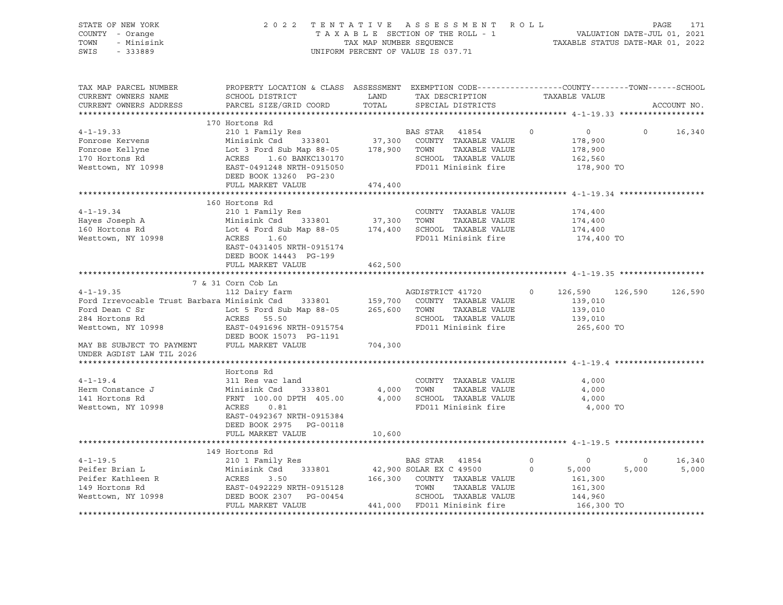| STATE OF NEW YORK<br>2022 TENTATIVE ASSESSMENT ROLL<br>COUNTY - Orange<br>TAXABLE SECTION OF THE ROLL - 1<br>TOWN<br>- Minisink<br>TAX MAP NUMBER SEQUENCE                                                                     |                                                                                                                                                                             |         |                                      |                | 171<br>PAGE<br>VALUATION DATE-JUL 01, 2021<br>TAXABLE STATUS DATE-MAR 01, 2022 |                |             |
|--------------------------------------------------------------------------------------------------------------------------------------------------------------------------------------------------------------------------------|-----------------------------------------------------------------------------------------------------------------------------------------------------------------------------|---------|--------------------------------------|----------------|--------------------------------------------------------------------------------|----------------|-------------|
| SWIS<br>$-333889$                                                                                                                                                                                                              |                                                                                                                                                                             |         | UNIFORM PERCENT OF VALUE IS 037.71   |                |                                                                                |                |             |
| TAX MAP PARCEL NUMBER<br>CURRENT OWNERS NAME<br>CURRENT OWNERS ADDRESS                                                                                                                                                         | PROPERTY LOCATION & CLASS ASSESSMENT EXEMPTION CODE---------------COUNTY-------TOWN-----SCHOOL<br>SCHOOL DISTRICT<br>PARCEL SIZE/GRID COORD TOTAL                           | LAND    | TAX DESCRIPTION<br>SPECIAL DISTRICTS |                | TAXABLE VALUE                                                                  |                | ACCOUNT NO. |
|                                                                                                                                                                                                                                |                                                                                                                                                                             |         |                                      |                |                                                                                |                |             |
|                                                                                                                                                                                                                                | 170 Hortons Rd                                                                                                                                                              |         |                                      |                |                                                                                |                |             |
| $4 - 1 - 19.33$                                                                                                                                                                                                                | 210 1 Family Res                                                                                                                                                            |         | BAS STAR 41854                       | $\overline{0}$ | $\overline{0}$                                                                 | $\circ$        | 16,340      |
| Fonrose Kervens                                                                                                                                                                                                                | Minisink Csd 333801 37,300 COUNTY TAXABLE VALUE                                                                                                                             |         |                                      |                | 178,900                                                                        |                |             |
| Fonrose Kellyne                                                                                                                                                                                                                |                                                                                                                                                                             |         | TAXABLE VALUE                        |                | 178,900                                                                        |                |             |
| 170 Hortons Rd                                                                                                                                                                                                                 |                                                                                                                                                                             |         | SCHOOL TAXABLE VALUE                 |                | 162,560                                                                        |                |             |
| Westtown, NY 10998                                                                                                                                                                                                             | Minisink Csd 333801 37,300 COUNTY<br>Lot 3 Ford Sub Map 88-05 178,900 TOWN<br>ACRES 1.60 BANKC130170 SCHOOL<br>EAST-0491248 NRTH-0915050 FD011 M:<br>DEED BOOK 13260 PG-230 |         | FD011 Minisink fire                  |                | 178,900 TO                                                                     |                |             |
|                                                                                                                                                                                                                                | FULL MARKET VALUE                                                                                                                                                           | 474,400 |                                      |                |                                                                                |                |             |
|                                                                                                                                                                                                                                | 160 Hortons Rd                                                                                                                                                              |         |                                      |                |                                                                                |                |             |
| $4 - 1 - 19.34$                                                                                                                                                                                                                | 210 1 Family Res                                                                                                                                                            |         | COUNTY TAXABLE VALUE                 |                | 174,400                                                                        |                |             |
|                                                                                                                                                                                                                                |                                                                                                                                                                             |         |                                      |                | 174,400                                                                        |                |             |
| Hayes Joseph A<br>160 Hortons Rd                                                                                                                                                                                               |                                                                                                                                                                             |         |                                      |                | 174,400                                                                        |                |             |
| Westtown, NY 10998                                                                                                                                                                                                             | Minisink Csd 333801 37,300 TOWN TAXABLE VALUE<br>Lot 4 Ford Sub Map 88-05 174,400 SCHOOL TAXABLE VALUE<br>ACRES 1.60 FD011 Minisink fire                                    |         |                                      |                | 174,400 TO                                                                     |                |             |
|                                                                                                                                                                                                                                | EAST-0431405 NRTH-0915174                                                                                                                                                   |         |                                      |                |                                                                                |                |             |
|                                                                                                                                                                                                                                | DEED BOOK 14443 PG-199                                                                                                                                                      |         |                                      |                |                                                                                |                |             |
|                                                                                                                                                                                                                                | FULL MARKET VALUE                                                                                                                                                           | 462,500 |                                      |                |                                                                                |                |             |
|                                                                                                                                                                                                                                |                                                                                                                                                                             |         |                                      |                |                                                                                |                |             |
|                                                                                                                                                                                                                                | 7 & 31 Corn Cob Ln                                                                                                                                                          |         |                                      |                |                                                                                |                |             |
| $4 - 1 - 19.35$                                                                                                                                                                                                                | 112 Dairy farm                                                                                                                                                              |         | AGDISTRICT 41720                     | $\circ$        | 126,590                                                                        | 126,590        | 126,590     |
| Ford Irrevocable Trust Barbara Minisink Csd 333801 159,700 COUNTY TAXABLE VALUE Ford Dean C Sr 100 Lot 5 Ford Sub Map 88-05 265,600 TOWN TAXABLE VALUE                                                                         |                                                                                                                                                                             |         | TAXABLE VALUE                        |                | 139,010<br>139,010                                                             |                |             |
| 284 Hortons Rd                                                                                                                                                                                                                 |                                                                                                                                                                             |         | SCHOOL TAXABLE VALUE                 |                | 139,010                                                                        |                |             |
| Westtown, NY 10998                                                                                                                                                                                                             | ACRES 55.50<br>EAST-0491696 NRTH-0915754                                                                                                                                    |         | FD011 Minisink fire                  |                | 265,600 TO                                                                     |                |             |
|                                                                                                                                                                                                                                | DEED BOOK 15073 PG-1191                                                                                                                                                     |         |                                      |                |                                                                                |                |             |
| MAY BE SUBJECT TO PAYMENT FULL MARKET VALUE                                                                                                                                                                                    |                                                                                                                                                                             | 704,300 |                                      |                |                                                                                |                |             |
| UNDER AGDIST LAW TIL 2026                                                                                                                                                                                                      |                                                                                                                                                                             |         |                                      |                |                                                                                |                |             |
|                                                                                                                                                                                                                                |                                                                                                                                                                             |         |                                      |                |                                                                                |                |             |
|                                                                                                                                                                                                                                | Hortons Rd                                                                                                                                                                  |         |                                      |                |                                                                                |                |             |
| $4 - 1 - 19.4$                                                                                                                                                                                                                 | 311 Res vac land                                                                                                                                                            |         | COUNTY TAXABLE VALUE                 |                | 4,000                                                                          |                |             |
| Herm Constance J                                                                                                                                                                                                               | 311 Res vac 1and<br>Minisink Csd 333801 4,000 TOWN<br>FRNT 100.00 DPTH 405.00 4,000 SCHOO                                                                                   |         | TAXABLE VALUE                        |                | 4,000                                                                          |                |             |
| 141 Hortons Rd                                                                                                                                                                                                                 |                                                                                                                                                                             |         | 4,000 SCHOOL TAXABLE VALUE           |                | 4,000                                                                          |                |             |
| Westtown, NY 10998                                                                                                                                                                                                             | ACRES<br>0.81                                                                                                                                                               |         | FD011 Minisink fire                  |                | 4,000 TO                                                                       |                |             |
|                                                                                                                                                                                                                                | EAST-0492367 NRTH-0915384                                                                                                                                                   |         |                                      |                |                                                                                |                |             |
|                                                                                                                                                                                                                                | DEED BOOK 2975 PG-00118                                                                                                                                                     |         |                                      |                |                                                                                |                |             |
|                                                                                                                                                                                                                                | FULL MARKET VALUE                                                                                                                                                           | 10,600  |                                      |                |                                                                                |                |             |
|                                                                                                                                                                                                                                | 149 Hortons Rd                                                                                                                                                              |         |                                      |                |                                                                                |                |             |
|                                                                                                                                                                                                                                |                                                                                                                                                                             |         |                                      | $\circ$        | $\overline{\phantom{0}}$                                                       | $\overline{0}$ | 16,340      |
|                                                                                                                                                                                                                                |                                                                                                                                                                             |         |                                      | $\Omega$       | 5,000                                                                          | 5,000          | 5,000       |
|                                                                                                                                                                                                                                |                                                                                                                                                                             |         |                                      |                | 161,300                                                                        |                |             |
|                                                                                                                                                                                                                                |                                                                                                                                                                             |         |                                      |                | 161,300                                                                        |                |             |
|                                                                                                                                                                                                                                |                                                                                                                                                                             |         |                                      |                | 144,960                                                                        |                |             |
| Peifer Brian Land Land Minisink Csd 333801 Minisink Csd 333801 Minisink Csd 333801 Minisink Csd 333801 Minisink Csd 333801 Minisink Csd 333801 Minisink Csd 333801 Minisink Csd 333801 Minisink Csd 333801 Minisink Csd 22,900 |                                                                                                                                                                             |         |                                      |                | 166,300 TO                                                                     |                |             |
|                                                                                                                                                                                                                                |                                                                                                                                                                             |         |                                      |                |                                                                                |                |             |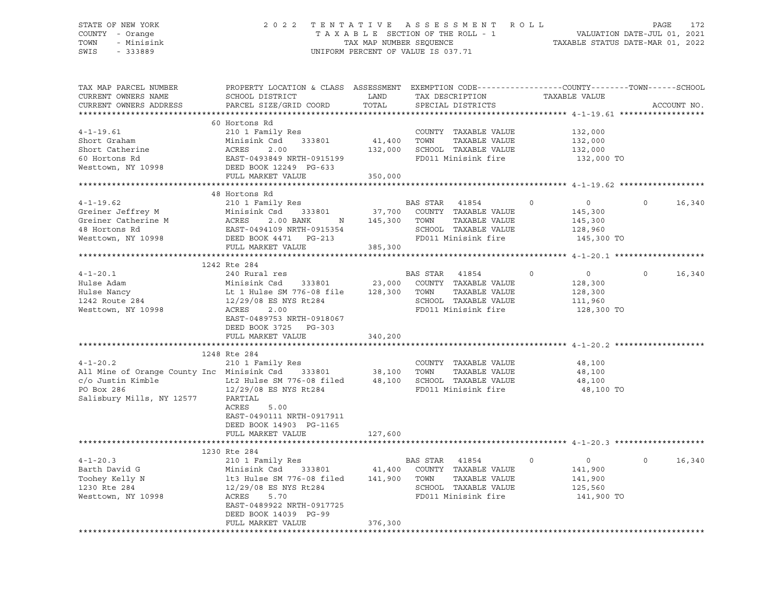#### STATE OF NEW YORK 2 0 2 2 T E N T A T I V E A S S E S S M E N T R O L L PAGE 172 COUNTY - Orange T A X A B L E SECTION OF THE ROLL - 1 VALUATION DATE-JUL 01, 2021 TOWN - Minisink TAX MAP NUMBER SEQUENCE TAXABLE STATUS DATE-MAR 01, 2022<br>TAXABLE STATUS DATE-MAR 01, 2022 UNIFORM PERCENT OF VALUE IS 037.71

TAX MAP PARCEL NUMBER PROPERTY LOCATION & CLASS ASSESSMENT EXEMPTION CODE------------------COUNTY--------TOWN------SCHOOL CURRENT OWNERS NAME SCHOOL DISTRICT LAND TAX DESCRIPTION TAXABLE VALUE CURRENT OWNERS ADDRESS PARCEL SIZE/GRID COORD TOTAL SPECIAL DISTRICTS ACCOUNT NO. \*\*\*\*\*\*\*\*\*\*\*\*\*\*\*\*\*\*\*\*\*\*\*\*\*\*\*\*\*\*\*\*\*\*\*\*\*\*\*\*\*\*\*\*\*\*\*\*\*\*\*\*\*\*\*\*\*\*\*\*\*\*\*\*\*\*\*\*\*\*\*\*\*\*\*\*\*\*\*\*\*\*\*\*\*\*\*\*\*\*\*\*\*\*\*\*\*\*\*\*\*\*\* 4-1-19.61 \*\*\*\*\*\*\*\*\*\*\*\*\*\*\*\*\*\* 60 Hortons Rd 4-1-19.61 210 1 Family Res COUNTY TAXABLE VALUE 132,000 Short Graham Minisink Csd 333801 41,400 TOWN TAXABLE VALUE 132,000 Short Catherine ACRES 2.00 132,000 SCHOOL TAXABLE VALUE 132,000 60 Hortons Rd EAST-0493849 NRTH-0915199 FD011 Minisink fire 132,000 TO Westtown, NY 10998 DEED BOOK 12249 PG-633 FULL MARKET VALUE 350,000 \*\*\*\*\*\*\*\*\*\*\*\*\*\*\*\*\*\*\*\*\*\*\*\*\*\*\*\*\*\*\*\*\*\*\*\*\*\*\*\*\*\*\*\*\*\*\*\*\*\*\*\*\*\*\*\*\*\*\*\*\*\*\*\*\*\*\*\*\*\*\*\*\*\*\*\*\*\*\*\*\*\*\*\*\*\*\*\*\*\*\*\*\*\*\*\*\*\*\*\*\*\*\* 4-1-19.62 \*\*\*\*\*\*\*\*\*\*\*\*\*\*\*\*\*\* 48 Hortons Rd 4-1-19.62 210 1 Family Res BAS STAR 41854 0 0 0 16,340 Greiner Jeffrey M Minisink Csd 333801 37,700 COUNTY TAXABLE VALUE 145,300 Greiner Catherine M ACRES 2.00 BANK N 145,300 TOWN TAXABLE VALUE 145,300 48 Hortons Rd EAST-0494109 NRTH-0915354 SCHOOL TAXABLE VALUE 128,960 Westtown, NY 10998 DEED BOOK 4471 PG-213 FD011 Minisink fire 145,300 TO FULL MARKET VALUE 385,300 \*\*\*\*\*\*\*\*\*\*\*\*\*\*\*\*\*\*\*\*\*\*\*\*\*\*\*\*\*\*\*\*\*\*\*\*\*\*\*\*\*\*\*\*\*\*\*\*\*\*\*\*\*\*\*\*\*\*\*\*\*\*\*\*\*\*\*\*\*\*\*\*\*\*\*\*\*\*\*\*\*\*\*\*\*\*\*\*\*\*\*\*\*\*\*\*\*\*\*\*\*\*\* 4-1-20.1 \*\*\*\*\*\*\*\*\*\*\*\*\*\*\*\*\*\*\* 1242 Rte 284 4-1-20.1 240 Rural res BAS STAR 41854 0 0 0 16,340 Hulse Adam Minisink Csd 333801 23,000 COUNTY TAXABLE VALUE 128,300 Hulse Nancy Lt 1 Hulse SM 776-08 file 128,300 TOWN TAXABLE VALUE 128,300 1242 Route 284 12/29/08 ES NYS Rt284 SCHOOL TAXABLE VALUE 111,960 Westtown, NY 10998 ACRES 2.00 FD011 Minisink fire 128,300 TO EAST-0489753 NRTH-0918067 DEED BOOK 3725 PG-303 FULL MARKET VALUE 340,200 \*\*\*\*\*\*\*\*\*\*\*\*\*\*\*\*\*\*\*\*\*\*\*\*\*\*\*\*\*\*\*\*\*\*\*\*\*\*\*\*\*\*\*\*\*\*\*\*\*\*\*\*\*\*\*\*\*\*\*\*\*\*\*\*\*\*\*\*\*\*\*\*\*\*\*\*\*\*\*\*\*\*\*\*\*\*\*\*\*\*\*\*\*\*\*\*\*\*\*\*\*\*\* 4-1-20.2 \*\*\*\*\*\*\*\*\*\*\*\*\*\*\*\*\*\*\* 1248 Rte 284 4-1-20.2 210 1 Family Res COUNTY TAXABLE VALUE 48,100 All Mine of Orange County Inc Minisink Csd 333801 38,100 TOWN TAXABLE VALUE 48,100 c/o Justin Kimble Lt2 Hulse SM 776-08 filed 48,100 SCHOOL TAXABLE VALUE 48,100 PO Box 286 12/29/08 ES NYS Rt284 FD011 Minisink fire 48,100 TO Salisbury Mills. NY 12577 PARTIAL Salisbury Mills, NY 12577 ACRES 5.00 EAST-0490111 NRTH-0917911 DEED BOOK 14903 PG-1165 FULL MARKET VALUE 127,600 \*\*\*\*\*\*\*\*\*\*\*\*\*\*\*\*\*\*\*\*\*\*\*\*\*\*\*\*\*\*\*\*\*\*\*\*\*\*\*\*\*\*\*\*\*\*\*\*\*\*\*\*\*\*\*\*\*\*\*\*\*\*\*\*\*\*\*\*\*\*\*\*\*\*\*\*\*\*\*\*\*\*\*\*\*\*\*\*\*\*\*\*\*\*\*\*\*\*\*\*\*\*\* 4-1-20.3 \*\*\*\*\*\*\*\*\*\*\*\*\*\*\*\*\*\*\* 1230 Rte 284 1230 kte 284<br>210 1 Family Res BAS STAR 41854 0 0 0 16,340<br>210 11 100 COUNTY TAXABLE VALUE 141,900 Barth David G Minisink Csd 333801 41,400 COUNTY TAXABLE VALUE 141,900 Toohey Kelly N lt3 Hulse SM 776-08 filed 141,900 TOWN TAXABLE VALUE 1230 Rte 284 12/29/08 ES NYS Rt284 SCHOOL TAXABLE VALUE 12/29/08 ES NYS Rt284 SCHOOL TAXABLE VALUE 125,560 Westtown, NY 10998 ACRES 5.70 FD011 Minisink fire 141,900 TO EAST-0489922 NRTH-0917725 DEED BOOK 14039 PG-99 FULL MARKET VALUE 376,300 \*\*\*\*\*\*\*\*\*\*\*\*\*\*\*\*\*\*\*\*\*\*\*\*\*\*\*\*\*\*\*\*\*\*\*\*\*\*\*\*\*\*\*\*\*\*\*\*\*\*\*\*\*\*\*\*\*\*\*\*\*\*\*\*\*\*\*\*\*\*\*\*\*\*\*\*\*\*\*\*\*\*\*\*\*\*\*\*\*\*\*\*\*\*\*\*\*\*\*\*\*\*\*\*\*\*\*\*\*\*\*\*\*\*\*\*\*\*\*\*\*\*\*\*\*\*\*\*\*\*\*\*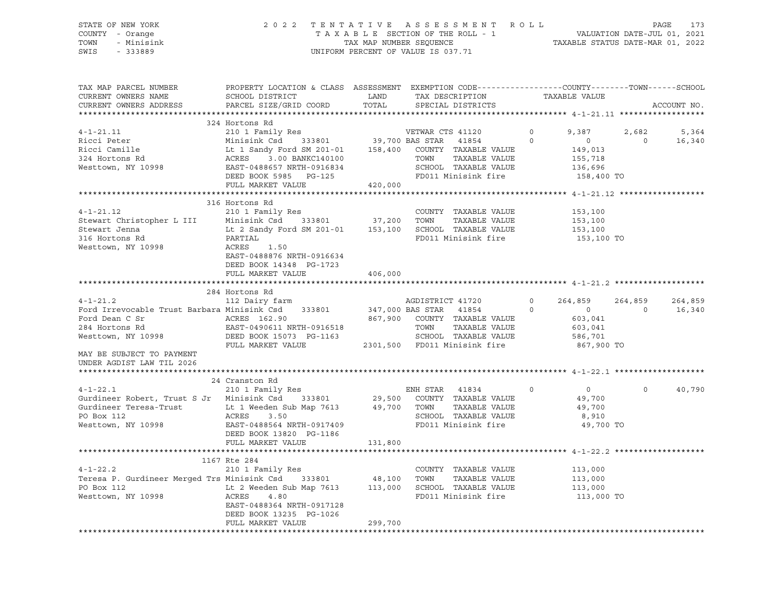| STATE OF NEW YORK<br>COUNTY - Orange<br>- Minisink<br>TOWN<br>SWIS<br>$-333889$                                                                                                                                                                                                                                                                                                                                                                   |                                                                                                                          |         | 2022 TENTATIVE ASSESSMENT ROLL PAGE 173<br>TAXABLE SECTION OF THE ROLL - 1 VALUATION DATE-JUL 01, 2021<br>TAX MAP NUMBER SEQUENCE TAXABLE STATUS DATE-MAR 01, 2022<br>UNIFORM PERCENT OF VALUE IS 037.71 |                                                                     |                                    |             |
|---------------------------------------------------------------------------------------------------------------------------------------------------------------------------------------------------------------------------------------------------------------------------------------------------------------------------------------------------------------------------------------------------------------------------------------------------|--------------------------------------------------------------------------------------------------------------------------|---------|----------------------------------------------------------------------------------------------------------------------------------------------------------------------------------------------------------|---------------------------------------------------------------------|------------------------------------|-------------|
| TAX MAP PARCEL NUMBER<br>CURRENT OWNERS NAME<br>CURRENT OWNERS ADDRESS                                                                                                                                                                                                                                                                                                                                                                            | PROPERTY LOCATION & CLASS ASSESSMENT EXEMPTION CODE---------------COUNTY-------TOWN-----SCHOOL<br>PARCEL SIZE/GRID COORD | TOTAL   | SPECIAL DISTRICTS                                                                                                                                                                                        |                                                                     |                                    | ACCOUNT NO. |
|                                                                                                                                                                                                                                                                                                                                                                                                                                                   | 324 Hortons Rd                                                                                                           |         |                                                                                                                                                                                                          |                                                                     |                                    |             |
|                                                                                                                                                                                                                                                                                                                                                                                                                                                   |                                                                                                                          |         |                                                                                                                                                                                                          |                                                                     | 9,387 2,682 5,364<br>$0 \t 16,340$ |             |
| $\begin{tabular}{ccccc} 4-1-21.11 & 324 Hortons Rd & 2101 Family Res & 2101 and 2101. The image is a 33801. The image is a 33801. The image is a 33801. The image is a 33801. The image is a 33801. The image is a 33801. The image is a 33801. The image is a 33801. The image is a 33801. The image is a 33801. The image is a 33801. The image is a 33801. The image is a 33801. The image is a 33801. The image is a 33801. The image is a 3$ |                                                                                                                          |         |                                                                                                                                                                                                          |                                                                     |                                    |             |
|                                                                                                                                                                                                                                                                                                                                                                                                                                                   |                                                                                                                          |         |                                                                                                                                                                                                          |                                                                     |                                    |             |
| $4 - 1 - 21.12$<br>Stewart Christopher L III Minisink Csd 333801 37,200 TOWN TAXABLE VALUE<br>Stewart Jenna Lt 2 Sandy Ford SM 201-01 153,100 SCHOOL TAXABLE VALUE<br>316 Hortons Rd PARTIAL FD011 Minisink fire<br>Westtown, NY 10998 ACRES 1.50                                                                                                                                                                                                 | 316 Hortons Rd<br>210 1 Family Res<br>EAST-0488876 NRTH-0916634                                                          |         | COUNTY TAXABLE VALUE                                                                                                                                                                                     | 153,100<br>153,100<br>153,100<br>153,100 TO                         |                                    |             |
|                                                                                                                                                                                                                                                                                                                                                                                                                                                   | DEED BOOK 14348 PG-1723<br>FULL MARKET VALUE                                                                             | 406,000 |                                                                                                                                                                                                          |                                                                     |                                    |             |
|                                                                                                                                                                                                                                                                                                                                                                                                                                                   | 284 Hortons Rd                                                                                                           |         |                                                                                                                                                                                                          |                                                                     |                                    |             |
| 4-1-21.2<br>112 Dairy farm<br>112 Dairy farm<br>264,859<br>264,859<br>264,859<br>264,859<br>264,859<br>264,859<br>264,859<br>264,859<br>Ford Dean C Sr<br>Ford Dean C Sr<br>284 Hortons Rd<br>284 Hortons Rd<br>284 Hortons Rd<br>2867,900 COUNTY TAXABLE VALUE<br>284 Hortons Rd<br>2301,500 FOULI Minisink fire<br>2301,500 FD011 Minisink fire<br>2301,500 FD011 Minisink fire<br>2301,                                                        |                                                                                                                          |         |                                                                                                                                                                                                          |                                                                     | 264,859 264,859<br>$\overline{0}$  | 16,340      |
| MAY BE SUBJECT TO PAYMENT                                                                                                                                                                                                                                                                                                                                                                                                                         |                                                                                                                          |         |                                                                                                                                                                                                          |                                                                     |                                    |             |
| UNDER AGDIST LAW TIL 2026                                                                                                                                                                                                                                                                                                                                                                                                                         |                                                                                                                          |         |                                                                                                                                                                                                          |                                                                     |                                    |             |
|                                                                                                                                                                                                                                                                                                                                                                                                                                                   | 24 Cranston Rd                                                                                                           |         |                                                                                                                                                                                                          |                                                                     |                                    |             |
| $4 - 1 - 22.1$<br>Gurdineer Robert, Trust S Jr Minisink Csd 333801 29,500 COUNTY TAXABLE VALUE<br>Gurdineer Teresa-Trust Lt 1 Weeden Sub Map 7613 49,700 TOWNY TAXABLE VALUE<br>PO Box 112<br>Westtown, NY 10998<br>EAST-0488564 NRTH-0917409<br>DEED BOOK 13820 PG-1186                                                                                                                                                                          | 210 1 Family Res<br>FULL MARKET VALUE                                                                                    | 131,800 | ENH STAR 41834<br>SCHOOL TAXABLE VALUE<br>FD011 Minisink fire<br>FD011 Minisink fire                                                                                                                     | $\circ$<br>$\overline{0}$<br>49,700<br>49,700<br>8,910<br>49,700 TO | $\circ$                            | 40,790      |
|                                                                                                                                                                                                                                                                                                                                                                                                                                                   |                                                                                                                          |         |                                                                                                                                                                                                          |                                                                     |                                    |             |
|                                                                                                                                                                                                                                                                                                                                                                                                                                                   | 1167 Rte 284                                                                                                             |         |                                                                                                                                                                                                          |                                                                     |                                    |             |
| 4-1-22.2 210 1 Family Res<br>Teresa P. Gurdineer Merged Trs Minisink Csd 333801 48,100 TOWN TAXABLE VALUE<br>PO Box 112 Lt 2 Weeden Sub Map 7613 113,000 SCHOOL TAXABLE VALUE<br>Westtown, NY 10998 ACRES 4.80 FD011 Minisink fire                                                                                                                                                                                                                | EAST-0488364 NRTH-0917128<br>DEED BOOK 13235 PG-1026                                                                     |         | COUNTY TAXABLE VALUE                                                                                                                                                                                     | 113,000<br>113,000<br>113,000<br>113,000 TO                         |                                    |             |

FULL MARKET VALUE 299,700 \*\*\*\*\*\*\*\*\*\*\*\*\*\*\*\*\*\*\*\*\*\*\*\*\*\*\*\*\*\*\*\*\*\*\*\*\*\*\*\*\*\*\*\*\*\*\*\*\*\*\*\*\*\*\*\*\*\*\*\*\*\*\*\*\*\*\*\*\*\*\*\*\*\*\*\*\*\*\*\*\*\*\*\*\*\*\*\*\*\*\*\*\*\*\*\*\*\*\*\*\*\*\*\*\*\*\*\*\*\*\*\*\*\*\*\*\*\*\*\*\*\*\*\*\*\*\*\*\*\*\*\*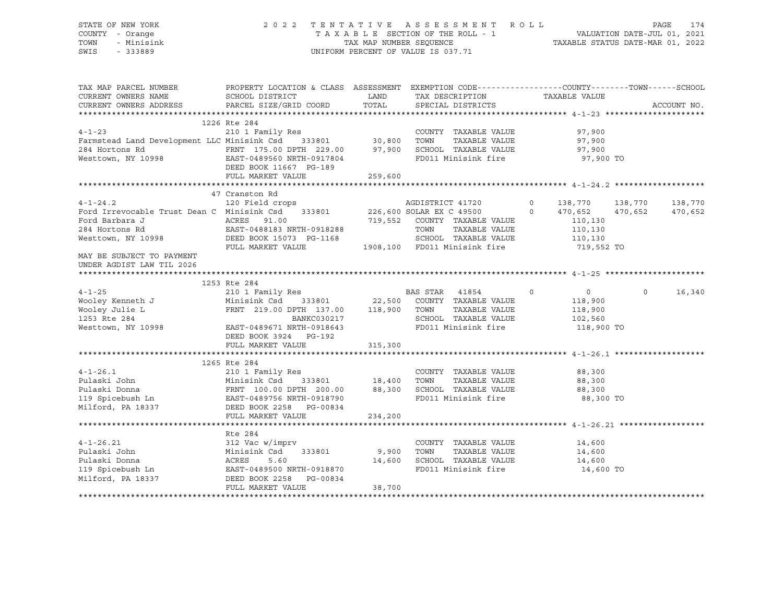STATE OF NEW YORK 2 0 2 2 T E N T A T I V E A S S E S S M E N T R O L L PAGE 174 COUNTY - Orange T A X A B L E SECTION OF THE ROLL - 1 VALUATION DATE-JUL 01, 2021 TOWN - Minisink TAX MAP NUMBER SEQUENCE TAXABLE STATUS DATE-MAR 01, 2022 SWIS - 333889 CONSERVATION CONTROL OF VALUE IS 037.71

| TAX MAP PARCEL NUMBER<br>CURRENT OWNERS NAME<br>CURRENT OWNERS ADDRESS                                                                      | PROPERTY LOCATION & CLASS ASSESSMENT EXEMPTION CODE---------------COUNTY-------TOWN------SCHOOL<br>SCHOOL DISTRICT<br>PARCEL SIZE/GRID COORD | LAND<br>TOTAL | TAX DESCRIPTION                               | TAXABLE VALUE             | ACCOUNT NO.        |
|---------------------------------------------------------------------------------------------------------------------------------------------|----------------------------------------------------------------------------------------------------------------------------------------------|---------------|-----------------------------------------------|---------------------------|--------------------|
|                                                                                                                                             |                                                                                                                                              |               | SPECIAL DISTRICTS                             |                           |                    |
|                                                                                                                                             | 1226 Rte 284                                                                                                                                 |               |                                               |                           |                    |
|                                                                                                                                             |                                                                                                                                              |               | COUNTY TAXABLE VALUE                          | 97,900                    |                    |
| 4-1-23 210 1 Family Res<br>Farmstead Land Development LLC Minisink Csd 333801 30,800                                                        |                                                                                                                                              |               | TOWN<br>TAXABLE VALUE                         | 97,900                    |                    |
|                                                                                                                                             |                                                                                                                                              |               | SCHOOL TAXABLE VALUE                          | 97,900                    |                    |
| 284 Hortons Rd<br>Westtown, NY 10998<br>EAST-0489560 NRTH-0917804<br>$\begin{array}{r} 29.00 \\ -22.00 \\ -22.00 \end{array}$ 97,900        |                                                                                                                                              |               | FD011 Minisink fire                           | 97,900 TO                 |                    |
|                                                                                                                                             | DEED BOOK 11667 PG-189                                                                                                                       |               |                                               |                           |                    |
|                                                                                                                                             | FULL MARKET VALUE                                                                                                                            | 259,600       |                                               |                           |                    |
|                                                                                                                                             |                                                                                                                                              |               |                                               |                           |                    |
|                                                                                                                                             | 47 Cranston Rd                                                                                                                               |               |                                               |                           |                    |
|                                                                                                                                             |                                                                                                                                              |               |                                               | 138,770                   | 138,770<br>138,770 |
| 4-1-24.2 120 Field crops AGDISTRICT 41720 0 138,770<br>Ford Irrevocable Trust Dean C Minisink Csd 333801 226,600 SOLAR EX C 49500 0 470,652 |                                                                                                                                              |               |                                               |                           | 470,652<br>470,652 |
| Ford Barbara J                                                                                                                              |                                                                                                                                              |               | 719,552 COUNTY TAXABLE VALUE                  | 110,130                   |                    |
| 284 Hortons Rd                                                                                                                              | ACRES 91.00<br>EAST-0488183 NRTH-0918288                                                                                                     |               | TOWN<br>TAXABLE VALUE                         | $\frac{110}{110}$ , 130   |                    |
| Westtown, NY 10998 DEED BOOK 15073 PG-1168                                                                                                  |                                                                                                                                              |               | SCHOOL TAXABLE VALUE 110,130                  |                           |                    |
|                                                                                                                                             | FULL MARKET VALUE                                                                                                                            |               | 1908,100 FD011 Minisink fire                  | 719,552 TO                |                    |
| MAY BE SUBJECT TO PAYMENT                                                                                                                   |                                                                                                                                              |               |                                               |                           |                    |
| UNDER AGDIST LAW TIL 2026                                                                                                                   |                                                                                                                                              |               |                                               |                           |                    |
|                                                                                                                                             |                                                                                                                                              |               |                                               |                           |                    |
|                                                                                                                                             | 1253 Rte 284                                                                                                                                 |               |                                               |                           |                    |
| $4 - 1 - 25$                                                                                                                                | 210 1 Family Res                                                                                                                             |               | BAS STAR 41854                                | $\circ$<br>$\overline{0}$ | $\Omega$<br>16,340 |
| Wooley Kenneth J                                                                                                                            | Minisink Csd 333801 22,500 COUNTY TAXABLE VALUE                                                                                              |               |                                               | 118,900                   |                    |
| Wooley Julie L<br>1253 Rte 284<br>Westtown, NY 10998                                                                                        | FRNT 219.00 DPTH 137.00 118,900 TOWN                                                                                                         |               | TAXABLE VALUE                                 | 118,900                   |                    |
|                                                                                                                                             | BANKC030217                                                                                                                                  |               | SCHOOL TAXABLE VALUE                          | 102,560                   |                    |
|                                                                                                                                             | EAST-0489671 NRTH-0918643                                                                                                                    |               | FD011 Minisink fire                           | 118,900 TO                |                    |
|                                                                                                                                             | DEED BOOK 3924 PG-192                                                                                                                        |               |                                               |                           |                    |
|                                                                                                                                             | FULL MARKET VALUE                                                                                                                            | 315,300       |                                               |                           |                    |
|                                                                                                                                             |                                                                                                                                              |               |                                               |                           |                    |
|                                                                                                                                             | 1265 Rte 284                                                                                                                                 |               |                                               |                           |                    |
|                                                                                                                                             |                                                                                                                                              |               | COUNTY TAXABLE VALUE                          | 88,300                    |                    |
|                                                                                                                                             |                                                                                                                                              |               | TAXABLE VALUE                                 | 88,300                    |                    |
|                                                                                                                                             |                                                                                                                                              |               | SCHOOL TAXABLE VALUE 68,300                   |                           |                    |
|                                                                                                                                             |                                                                                                                                              |               | FD011 Minisink fire                           | 88,300 TO                 |                    |
|                                                                                                                                             |                                                                                                                                              |               |                                               |                           |                    |
|                                                                                                                                             | FULL MARKET VALUE                                                                                                                            | 234,200       |                                               |                           |                    |
|                                                                                                                                             |                                                                                                                                              |               |                                               |                           |                    |
|                                                                                                                                             | Rte 284                                                                                                                                      |               |                                               |                           |                    |
| $4 - 1 - 26.21$                                                                                                                             | 312 Vac w/imprv                                                                                                                              | 333801 9,900  | COUNTY TAXABLE VALUE<br>TOWN<br>TAXABLE VALUE | 14,600<br>14,600          |                    |
|                                                                                                                                             |                                                                                                                                              | 14,600        |                                               | 14,600                    |                    |
|                                                                                                                                             |                                                                                                                                              |               | SCHOOL TAXABLE VALUE<br>FD011 Minisink fire   | 14,600 TO                 |                    |
| Milford, PA 18337 DEED BOOK 2258 PG-00834                                                                                                   |                                                                                                                                              |               |                                               |                           |                    |
|                                                                                                                                             | FULL MARKET VALUE                                                                                                                            | 38,700        |                                               |                           |                    |
|                                                                                                                                             |                                                                                                                                              |               |                                               |                           |                    |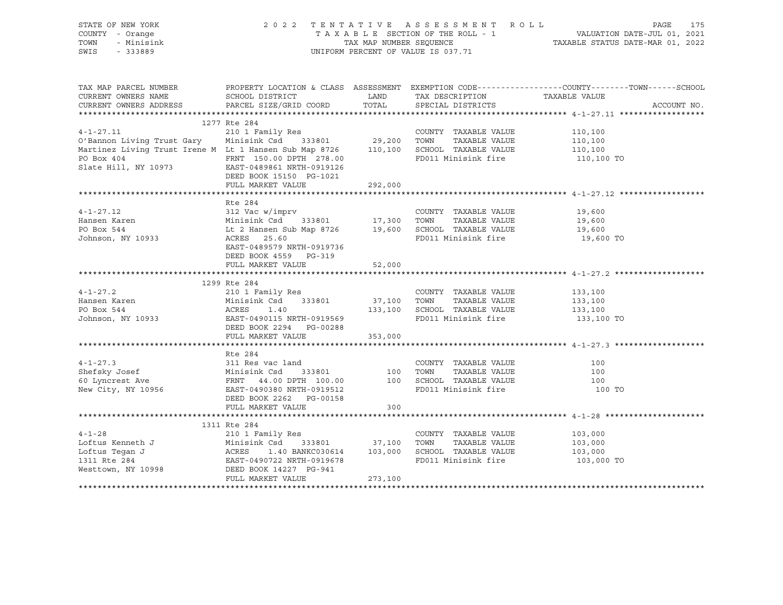| STATE OF NEW YORK<br>COUNTY - Orange<br>TOWN - Minisink<br>SWIS - 333889                                                                                                                                                                                          |                                                    |                      | UNIFORM PERCENT OF VALUE IS 037.71 | 2022 TENTATIVE ASSESSMENT ROLL PAGE 175<br>TAXABLE SECTION OF THE ROLL - 1 VALUATION DATE-JUL 01, 2021<br>TAX MAP NUMBER SEQUENCE TAXABLE STATUS DATE-MAR 01, 2022<br>UNIFORM PERCENT OF VALUE IS 037.71 |
|-------------------------------------------------------------------------------------------------------------------------------------------------------------------------------------------------------------------------------------------------------------------|----------------------------------------------------|----------------------|------------------------------------|----------------------------------------------------------------------------------------------------------------------------------------------------------------------------------------------------------|
|                                                                                                                                                                                                                                                                   |                                                    |                      |                                    | TAX MAP PARCEL NUMBER PROPERTY LOCATION & CLASS ASSESSMENT EXEMPTION CODE---------------COUNTY--------TOWN------SCHOOL                                                                                   |
|                                                                                                                                                                                                                                                                   |                                                    |                      |                                    | ACCOUNT NO.                                                                                                                                                                                              |
|                                                                                                                                                                                                                                                                   |                                                    |                      |                                    |                                                                                                                                                                                                          |
|                                                                                                                                                                                                                                                                   | 1277 Rte 284                                       |                      |                                    |                                                                                                                                                                                                          |
| $4 - 1 - 27.11$<br>4-1-27.11 210 1 Family Res<br>210 1 Family Res<br>210 1 Family Res<br>29,200 TOWN TAXABLE VALUE<br>29,200 TOWN TAXABLE VALUE<br>29,200 TOWN TAXABLE VALUE<br>29,200 TOWN TAXABLE VALUE<br>29,200 TOWN TAXABLE VALUE<br>29,200 TOWN TAXABLE VAL |                                                    |                      |                                    |                                                                                                                                                                                                          |
|                                                                                                                                                                                                                                                                   |                                                    |                      |                                    |                                                                                                                                                                                                          |
|                                                                                                                                                                                                                                                                   |                                                    |                      |                                    |                                                                                                                                                                                                          |
| PO Box 404<br>Slate Hill, NY 10973<br>EAST-0489861 NRTH-0919126<br>$FDM = 0.00 \text{ D}$<br>EAST-0489861 NRTH-0919126                                                                                                                                            | DEED BOOK 15150 PG-1021                            |                      |                                    | 110,100 TO                                                                                                                                                                                               |
|                                                                                                                                                                                                                                                                   | FULL MARKET VALUE                                  | 292,000              |                                    |                                                                                                                                                                                                          |
|                                                                                                                                                                                                                                                                   |                                                    |                      |                                    |                                                                                                                                                                                                          |
|                                                                                                                                                                                                                                                                   | Rte 284                                            |                      |                                    |                                                                                                                                                                                                          |
|                                                                                                                                                                                                                                                                   |                                                    |                      |                                    |                                                                                                                                                                                                          |
|                                                                                                                                                                                                                                                                   |                                                    |                      |                                    |                                                                                                                                                                                                          |
|                                                                                                                                                                                                                                                                   |                                                    |                      |                                    |                                                                                                                                                                                                          |
| 4-1-27.12<br>Hansen Karen Minisink Csd 333801 17,300 TOWN TAXABLE VALUE 19,600<br>PO Box 544 Lt 2 Hansen Sub Map 8726 19,600 SCHOOL TAXABLE VALUE 19,600<br>Johnson, NY 10933 ACRES 25.60 INTIL 2018726 FD011 Minisink fire 19,600 T                              | EAST-0489579 NRTH-0919736<br>DEED BOOK 4559 PG-319 |                      |                                    |                                                                                                                                                                                                          |
|                                                                                                                                                                                                                                                                   | FULL MARKET VALUE                                  | 52,000               |                                    |                                                                                                                                                                                                          |
|                                                                                                                                                                                                                                                                   | 1299 Rte 284                                       |                      |                                    |                                                                                                                                                                                                          |
|                                                                                                                                                                                                                                                                   |                                                    |                      |                                    |                                                                                                                                                                                                          |
|                                                                                                                                                                                                                                                                   |                                                    |                      |                                    |                                                                                                                                                                                                          |
|                                                                                                                                                                                                                                                                   |                                                    |                      |                                    |                                                                                                                                                                                                          |
| 4-1-27.2<br>Hansen Karen 210 1 Family Res COUNTY TAXABLE VALUE 133,100<br>PO Box 544 ACRES 1.40 133,100 SCHOOL TAXABLE VALUE 133,100<br>Johnson, NY 10933 EAST-0490115 NRTH-0919569 FD011 Minisink fire 133,100 TO<br>DEED BOOK 2294 P                            |                                                    |                      |                                    |                                                                                                                                                                                                          |
|                                                                                                                                                                                                                                                                   | FULL MARKET VALUE 353,000                          |                      |                                    |                                                                                                                                                                                                          |
|                                                                                                                                                                                                                                                                   |                                                    |                      |                                    |                                                                                                                                                                                                          |
| 4-1-27.3<br>Ate 284<br>Shefsky Josef Minisink Csd 333801<br>EXRT 44.00 DPTH 100.00<br>New City, NY 10956<br>DEED BOOK 2262 PG-00158<br>DEED BOOK 2262 PG-00158<br>Ate 284<br>COUNTY TAXABLE VALUE<br>TAXABLE VALUE<br>TAXABLE VALUE<br>TAXABLE VALUE              |                                                    |                      |                                    |                                                                                                                                                                                                          |
|                                                                                                                                                                                                                                                                   |                                                    |                      |                                    |                                                                                                                                                                                                          |
|                                                                                                                                                                                                                                                                   |                                                    |                      |                                    |                                                                                                                                                                                                          |
|                                                                                                                                                                                                                                                                   |                                                    |                      |                                    |                                                                                                                                                                                                          |
|                                                                                                                                                                                                                                                                   |                                                    |                      |                                    | 100 TO                                                                                                                                                                                                   |
|                                                                                                                                                                                                                                                                   |                                                    |                      |                                    |                                                                                                                                                                                                          |
|                                                                                                                                                                                                                                                                   | FULL MARKET VALUE                                  | $\frac{155}{20}$ 300 |                                    |                                                                                                                                                                                                          |
|                                                                                                                                                                                                                                                                   |                                                    |                      |                                    |                                                                                                                                                                                                          |
|                                                                                                                                                                                                                                                                   | 1311 Rte 284                                       |                      |                                    |                                                                                                                                                                                                          |
|                                                                                                                                                                                                                                                                   |                                                    |                      |                                    |                                                                                                                                                                                                          |
|                                                                                                                                                                                                                                                                   |                                                    |                      |                                    |                                                                                                                                                                                                          |
|                                                                                                                                                                                                                                                                   |                                                    |                      | FD011 Minisink fire 103,000 TO     |                                                                                                                                                                                                          |
| 4-1-28<br>Loftus Kenneth J<br>Loftus Tegan J<br>Loftus Tegan J<br>Loftus Tegan J<br>Loftus Tegan J<br>Loftus Tegan J<br>Loftus Tegan J<br>210 1 Family Res<br>Minisink Csd<br>37,100 TOWN TAXABLE VALUE<br>37,100 TOWN TAXABLE VALUE<br>TAXABLE VALUE<br>         |                                                    |                      |                                    |                                                                                                                                                                                                          |
|                                                                                                                                                                                                                                                                   | FULL MARKET VALUE                                  | 273,100              |                                    |                                                                                                                                                                                                          |
|                                                                                                                                                                                                                                                                   |                                                    |                      |                                    |                                                                                                                                                                                                          |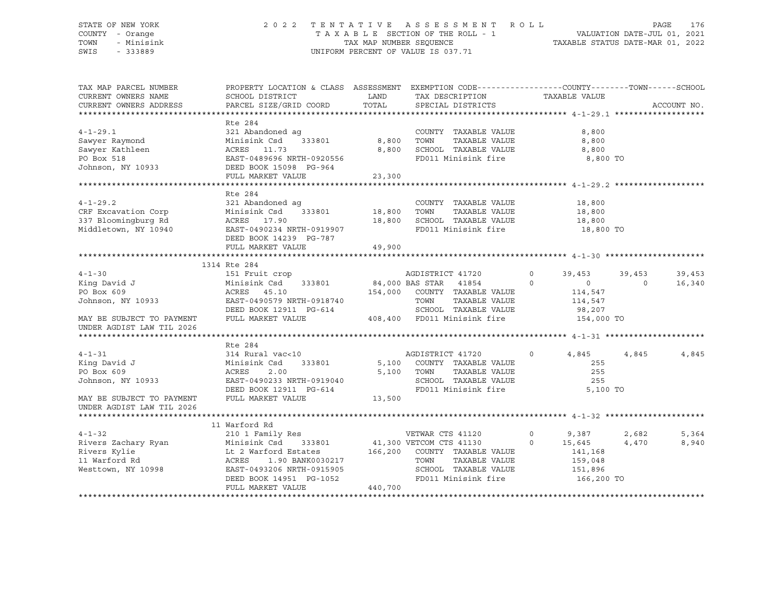#### STATE OF NEW YORK 2 0 2 2 T E N T A T I V E A S S E S S M E N T R O L L PAGE 176 COUNTY - Orange T A X A B L E SECTION OF THE ROLL - 1 VALUATION DATE-JUL 01, 2021 TOWN - Minisink TAX MAP NUMBER SEQUENCE TAXABLE STATUS DATE-MAR 01, 2022 SWIS - 333889 CONSERVATION CONTROL OF VALUE IS 037.71

| TAX MAP PARCEL NUMBER                                                                                                                                                                                                                              | PROPERTY LOCATION & CLASS ASSESSMENT EXEMPTION CODE----------------COUNTY-------TOWN------SCHOOL |                               |                                                                             |         |                |               |             |
|----------------------------------------------------------------------------------------------------------------------------------------------------------------------------------------------------------------------------------------------------|--------------------------------------------------------------------------------------------------|-------------------------------|-----------------------------------------------------------------------------|---------|----------------|---------------|-------------|
| CURRENT OWNERS NAME                                                                                                                                                                                                                                | SCHOOL DISTRICT                                                                                  | <b>LAND</b>                   | TAX DESCRIPTION                                                             |         | TAXABLE VALUE  |               |             |
| CURRENT OWNERS ADDRESS                                                                                                                                                                                                                             | PARCEL SIZE/GRID COORD                                                                           | TOTAL                         | SPECIAL DISTRICTS                                                           |         |                |               | ACCOUNT NO. |
|                                                                                                                                                                                                                                                    |                                                                                                  |                               |                                                                             |         |                |               |             |
|                                                                                                                                                                                                                                                    | Rte 284                                                                                          |                               |                                                                             |         |                |               |             |
| $4 - 1 - 29.1$                                                                                                                                                                                                                                     | 321 Abandoned ag                                                                                 | $\frac{5}{333801}$ 8,800 TOWN | COUNTY TAXABLE VALUE                                                        |         | 8,800          |               |             |
| Sawyer Raymond                                                                                                                                                                                                                                     | Minisink Csd                                                                                     |                               | TAXABLE VALUE                                                               |         | 8,800          |               |             |
| Sawyer Marineen<br>Sawyer Kathleen<br>DO BOY 518 (EAST-0489696 NRTH-0920556                                                                                                                                                                        |                                                                                                  | 8,800                         | SCHOOL TAXABLE VALUE                                                        |         | 8,800          |               |             |
|                                                                                                                                                                                                                                                    |                                                                                                  |                               | FD011 Minisink fire                                                         |         | 8,800 TO       |               |             |
| Johnson, NY 10933 DEED BOOK 15098 PG-964                                                                                                                                                                                                           |                                                                                                  |                               |                                                                             |         |                |               |             |
|                                                                                                                                                                                                                                                    | FULL MARKET VALUE 23,300                                                                         |                               |                                                                             |         |                |               |             |
|                                                                                                                                                                                                                                                    |                                                                                                  |                               |                                                                             |         |                |               |             |
|                                                                                                                                                                                                                                                    | Rte 284                                                                                          |                               |                                                                             |         |                |               |             |
| $4 - 1 - 29.2$                                                                                                                                                                                                                                     | 321 Abandoned ag                                                                                 |                               | COUNTY TAXABLE VALUE                                                        |         | 18,800         |               |             |
|                                                                                                                                                                                                                                                    |                                                                                                  |                               | TOWN<br>TAXABLE VALUE                                                       |         | 18,800         |               |             |
|                                                                                                                                                                                                                                                    |                                                                                                  |                               | SCHOOL TAXABLE VALUE<br>FD011 Minisink fire                                 | 18,800  |                |               |             |
| CRF Excavation Corp<br>337 Bloomingburg Rd<br>337 Bloomingburg Rd<br>337 Bloomingburg Rd<br>337 Bloomingburg Rd<br>348 Bloomingburg Rd<br>348 Bloomingburg Rd<br>348 Bloomingburg Rd<br>348 Bloomingburg Rd<br>348 Bloomingburg Rd<br>358 Blooming |                                                                                                  |                               |                                                                             |         | 18,800 TO      |               |             |
|                                                                                                                                                                                                                                                    | DEED BOOK 14239 PG-787                                                                           |                               |                                                                             |         |                |               |             |
|                                                                                                                                                                                                                                                    | FULL MARKET VALUE                                                                                | 49,900                        |                                                                             |         |                |               |             |
|                                                                                                                                                                                                                                                    |                                                                                                  |                               |                                                                             |         |                |               |             |
|                                                                                                                                                                                                                                                    | 1314 Rte 284                                                                                     |                               |                                                                             |         |                |               |             |
| $4 - 1 - 30$                                                                                                                                                                                                                                       | 151 Fruit crop                                                                                   |                               | AGDISTRICT 41720                                                            | $\circ$ |                | 39,453 39,453 | 39,453      |
| King David J                                                                                                                                                                                                                                       | Minisink Csd 333801 84,000 BAS STAR 41854                                                        |                               |                                                                             | $\circ$ | $\overline{0}$ | $\Omega$      | 16,340      |
| PO Box 609                                                                                                                                                                                                                                         | ACRES 45.10                                                                                      |                               | 154,000 COUNTY TAXABLE VALUE                                                |         | 114,547        |               |             |
| Johnson, NY 10933<br>EAST-0490579 NRTH-0918740                                                                                                                                                                                                     |                                                                                                  |                               | TAXABLE VALUE<br>TOWN                                                       |         | 114,547        |               |             |
|                                                                                                                                                                                                                                                    | DEED BOOK 12911 PG-614                                                                           |                               | G-614 SCHOOL TAXABLE VALUE 98,207<br>408,400 FD011 Minisink fire 154,000 TO |         |                |               |             |
| MAY BE SUBJECT TO PAYMENT FULL MARKET VALUE                                                                                                                                                                                                        |                                                                                                  |                               |                                                                             |         |                |               |             |
| UNDER AGDIST LAW TIL 2026                                                                                                                                                                                                                          |                                                                                                  |                               |                                                                             |         |                |               |             |
|                                                                                                                                                                                                                                                    |                                                                                                  |                               |                                                                             |         |                |               |             |
|                                                                                                                                                                                                                                                    | Rte 284                                                                                          |                               |                                                                             |         |                |               |             |
| $4 - 1 - 31$                                                                                                                                                                                                                                       | 314 Rural vac<10                                                                                 |                               | AGDISTRICT 41720                                                            | $\circ$ | 4,845          | 4,845         | 4,845       |
| King David J                                                                                                                                                                                                                                       | Minisink Csd                                                                                     |                               | 333801 5,100 COUNTY TAXABLE VALUE                                           |         | 255            |               |             |
| PO Box 609                                                                                                                                                                                                                                         | ACRES<br>2.00                                                                                    |                               | 5,100 TOWN<br>TAXABLE VALUE                                                 |         | 255            |               |             |
| Johnson, NY 10933                                                                                                                                                                                                                                  | EAST-0490233 NRTH-0919040                                                                        |                               | SCHOOL TAXABLE VALUE                                                        |         | 255            |               |             |
|                                                                                                                                                                                                                                                    | DEED BOOK 12911 PG-614                                                                           |                               | FD011 Minisink fire 5,100 TO                                                |         |                |               |             |
| MAY BE SUBJECT TO PAYMENT                                                                                                                                                                                                                          | FULL MARKET VALUE 13,500                                                                         |                               |                                                                             |         |                |               |             |
| UNDER AGDIST LAW TIL 2026                                                                                                                                                                                                                          |                                                                                                  |                               |                                                                             |         |                |               |             |
|                                                                                                                                                                                                                                                    |                                                                                                  |                               |                                                                             |         |                |               |             |
|                                                                                                                                                                                                                                                    | 11 Warford Rd                                                                                    |                               |                                                                             |         |                |               |             |
| $4 - 1 - 32$                                                                                                                                                                                                                                       | 210 1 Family Res                                                                                 |                               | VETWAR CTS 41120                                                            | $\circ$ | 9,387          | 2,682         | 5,364       |
|                                                                                                                                                                                                                                                    |                                                                                                  |                               |                                                                             | $\circ$ | 15,645         | 4,470         | 8,940       |
|                                                                                                                                                                                                                                                    | Minisink Csd 333801 41,300 VETCOM CTS 41130<br>Lt 2 Warford Estates 166,200 COUNTY TAXABLE VALUE |                               |                                                                             |         | 141,168        |               |             |
|                                                                                                                                                                                                                                                    |                                                                                                  |                               | TOWN<br>TAXABLE VALUE                                                       |         | 159,048        |               |             |
| Westtown, NY 10998                                                                                                                                                                                                                                 | ACRES 1.90 BANK0030217<br>EAST-0493206 NRTH-0915905                                              |                               | SCHOOL TAXABLE VALUE                                                        |         | 151,896        |               |             |
|                                                                                                                                                                                                                                                    | DEED BOOK 14951 PG-1052                                                                          |                               | FD011 Minisink fire 166,200 TO                                              |         |                |               |             |
|                                                                                                                                                                                                                                                    | FULL MARKET VALUE                                                                                | 440,700                       |                                                                             |         |                |               |             |
|                                                                                                                                                                                                                                                    |                                                                                                  |                               |                                                                             |         |                |               |             |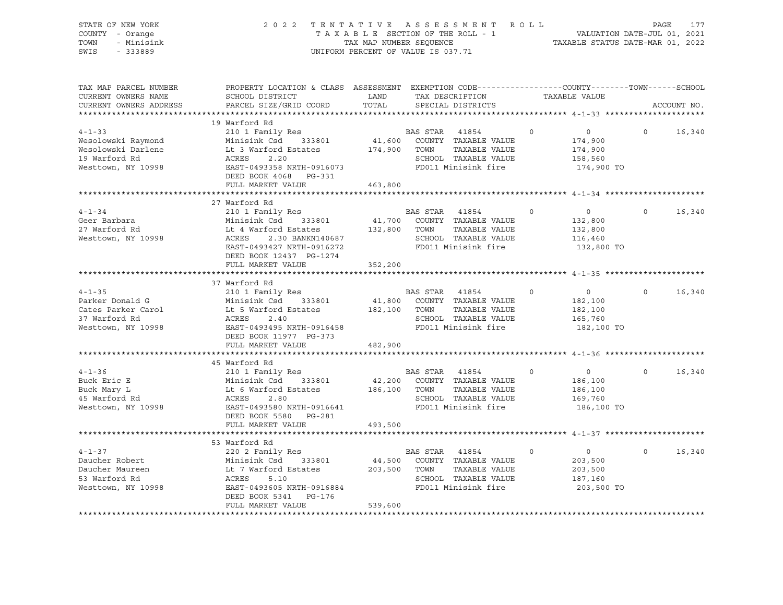| STATE OF NEW YORK<br>COUNTY - Orange<br>TOWN<br>- Minisink<br>SWIS - 333889                                                                                                                                                                                     | 2022 TENTATIVE ASSESSMENT ROLL PAGE 177<br>TAXABLE SECTION OF THE ROLL - 1 VALUATION DATE-JUL 01, 2021<br>TAX MAP NUMBER SEQUENCE TAXABLE STATUS DATE-MAR 01, 2022 | UNIFORM PERCENT OF VALUE IS 037.71 |                                                               |         |                                                               |                |             |
|-----------------------------------------------------------------------------------------------------------------------------------------------------------------------------------------------------------------------------------------------------------------|--------------------------------------------------------------------------------------------------------------------------------------------------------------------|------------------------------------|---------------------------------------------------------------|---------|---------------------------------------------------------------|----------------|-------------|
| TAX MAP PARCEL NUMBER<br>CURRENT OWNERS NAME<br>CURRENT OWNERS ADDRESS                                                                                                                                                                                          | PROPERTY LOCATION & CLASS ASSESSMENT EXEMPTION CODE---------------COUNTY-------TOWN-----SCHOOL<br>SCHOOL DISTRICT<br>PARCEL SIZE/GRID COORD                        | <b>LAND</b><br>TOTAL               | TAX DESCRIPTION<br>SPECIAL DISTRICTS                          |         | TAXABLE VALUE                                                 |                | ACCOUNT NO. |
|                                                                                                                                                                                                                                                                 |                                                                                                                                                                    |                                    |                                                               |         |                                                               |                |             |
| 4-1-33<br>Wesolowski Raymond<br>Wesolowski Darlene Lt 3 Warford Estates<br>19 Warford Rd<br>19 Warford Rd<br>19 Warford Rd<br>20 Minisink Csd<br>20 333801<br>174,900 TOWN TAXABLE VALUE<br>SCHOOL TAXABLE VALUE<br>SCHOOL TAXABLE VALUE<br>Nesttown            | 19 Warford Rd<br>DEED BOOK 4068 PG-331                                                                                                                             |                                    |                                                               |         | $\overline{0}$<br>174,900<br>174,900<br>158,560<br>174,900 TO | $\Omega$       | 16,340      |
|                                                                                                                                                                                                                                                                 | FULL MARKET VALUE                                                                                                                                                  | 463,800                            |                                                               |         |                                                               |                |             |
|                                                                                                                                                                                                                                                                 |                                                                                                                                                                    |                                    |                                                               |         |                                                               |                |             |
| $4 - 1 - 34$<br>Geer Barbara<br>27 Warford Rd<br>Westtown, NY 10998                                                                                                                                                                                             | 27 Warford Rd<br>210 1 Family Res 60 BAS STAR 41854<br>DEED BOOK 12437 PG-1274                                                                                     |                                    |                                                               |         | $\overline{0}$<br>132,800<br>132,800<br>116,460<br>132,800 TO | $\overline{0}$ | 16,340      |
|                                                                                                                                                                                                                                                                 | FULL MARKET VALUE                                                                                                                                                  | 352,200                            |                                                               |         |                                                               |                |             |
|                                                                                                                                                                                                                                                                 |                                                                                                                                                                    |                                    |                                                               |         |                                                               |                |             |
| $4 - 1 - 35$<br>Parker Donald G<br>Cates Parker Carol Minisink Csd 333801 41,800 COUNTY TAXABLE VALUE<br>37 Warford Rd ACRES 2.40 5CHOOL TAXABLE VALUE<br>Westtown, NY 10998 EAST-0493495 NRTH-0916458 FD011 Minisink fire<br>NERD BOOK 11977 DC-373            | 37 Warford Rd<br>210 1 Family Res<br>DEED BOOK 11977 PG-373                                                                                                        |                                    | BAS STAR 41854 0                                              |         | $\overline{0}$<br>182,100<br>182,100<br>165,760<br>182,100 TO | $\Omega$       | 16,340      |
|                                                                                                                                                                                                                                                                 | FULL MARKET VALUE                                                                                                                                                  | 482,900                            |                                                               |         |                                                               |                |             |
| $4 - 1 - 36$<br>Buck Eric E<br>Buck Eric E<br>Buck Mary L<br>Minisink Csd 333801 42,200 COUNTY TAXABLE VALUE<br>ALCOUNTY TAXABLE VALUE<br>42,200 COUNTY TAXABLE VALUE<br>TAXABLE VALUE<br>42,200 COUNTY TAXABLE VALUE<br>TAXABLE VALUE<br>42,200 COUNTY TAXABLE | 45 Warford Rd<br>210 1 Family Res<br>DEED BOOK 5580 PG-281<br>FULL MARKET VALUE                                                                                    | 493,500                            | BAS STAR 41854 0<br>FD011 Minisink fire                       |         | $\overline{0}$<br>186,100<br>186,100<br>169,760<br>186,100 TO | $\Omega$       | 16,340      |
|                                                                                                                                                                                                                                                                 |                                                                                                                                                                    |                                    |                                                               |         |                                                               |                |             |
| $4 - 1 - 37$<br>Daucher Robert<br>Daucher Naureen<br>Daucher Maureen<br>Lt 7 Warford Estates<br>Lt 7 Warford Estates<br>203,500 TOWN TAXABLE VALUE<br>ST-0493605 NRTH-0916884<br>FD011 Minisink fire<br>FD011 Minisink fire<br>FD011 Minisink fire              | 53 Warford Rd<br>220 2 Family Res<br>DEED BOOK 5341 PG-176<br>FULL MARKET VALUE                                                                                    | 539,600                            | BAS STAR 41854<br>SCHOOL TAXABLE VALUE<br>FD011 Minisink fire | $\circ$ | $\overline{0}$<br>203,500<br>203,500<br>187,160<br>203,500 TO | $\Omega$       | 16,340      |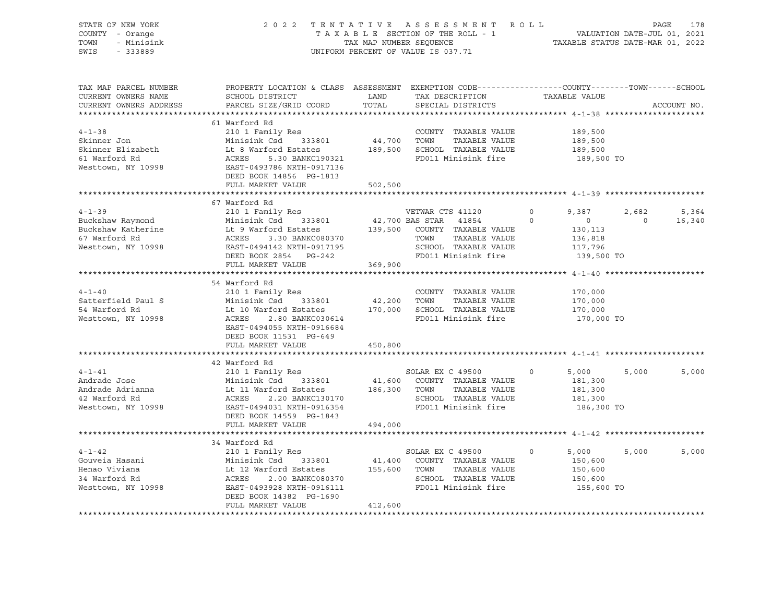| STATE OF NEW YORK      |                                                                                                                                                                                                                                                      |             |                                                           |                           |                |             |
|------------------------|------------------------------------------------------------------------------------------------------------------------------------------------------------------------------------------------------------------------------------------------------|-------------|-----------------------------------------------------------|---------------------------|----------------|-------------|
| COUNTY - Orange        | PAGE 178 7 A T I V E A S S E S S M E N T R O L L<br>T A X A B L E SECTION OF THE ROLL - 1 VALUATION DATE-JUL 01, 2021<br>TAX MAP NUMBER SEQUENCE TAXABLE STATUS DATE-MAR 01, 2022                                                                    |             |                                                           |                           |                |             |
| TOWN<br>- Minisink     |                                                                                                                                                                                                                                                      |             |                                                           |                           |                |             |
| SWIS<br>$-333889$      |                                                                                                                                                                                                                                                      |             | UNIFORM PERCENT OF VALUE IS 037.71                        |                           |                |             |
|                        |                                                                                                                                                                                                                                                      |             |                                                           |                           |                |             |
|                        |                                                                                                                                                                                                                                                      |             |                                                           |                           |                |             |
| TAX MAP PARCEL NUMBER  |                                                                                                                                                                                                                                                      |             |                                                           |                           |                |             |
|                        | PROPERTY LOCATION & CLASS ASSESSMENT EXEMPTION CODE----------------COUNTY-------TOWN-----SCHOOL                                                                                                                                                      |             |                                                           |                           |                |             |
| CURRENT OWNERS NAME    | SCHOOL DISTRICT                                                                                                                                                                                                                                      | <b>LAND</b> | TAX DESCRIPTION                                           | TAXABLE VALUE             |                |             |
| CURRENT OWNERS ADDRESS | PARCEL SIZE/GRID COORD                                                                                                                                                                                                                               | TOTAL       | SPECIAL DISTRICTS                                         |                           |                | ACCOUNT NO. |
|                        |                                                                                                                                                                                                                                                      |             |                                                           |                           |                |             |
|                        | 61 Warford Rd                                                                                                                                                                                                                                        |             |                                                           |                           |                |             |
| $4 - 1 - 38$           | 210 1 Family Res                                                                                                                                                                                                                                     |             | COUNTY TAXABLE VALUE                                      | 189,500                   |                |             |
| Skinner Jon            | Minisink Csd 333801                                                                                                                                                                                                                                  | 44,700 TOWN | TAXABLE VALUE                                             | 189,500                   |                |             |
| Skinner Elizabeth      |                                                                                                                                                                                                                                                      |             |                                                           | 189,500                   |                |             |
| 61 Warford Rd          | EXECUTE 18 Warford Estates<br>Lt 8 Warford Estates<br>ACRES 5.30 BANKC190321<br>EAST -0493786 NRTH-0917136<br>EAST -0493786 NRTH-0917136<br>FD011 Minisink fire                                                                                      |             |                                                           | 189,500 TO                |                |             |
| Westtown, NY 10998     |                                                                                                                                                                                                                                                      |             |                                                           |                           |                |             |
|                        | DEED BOOK 14856 PG-1813                                                                                                                                                                                                                              |             |                                                           |                           |                |             |
|                        | FULL MARKET VALUE                                                                                                                                                                                                                                    | 502,500     |                                                           |                           |                |             |
|                        |                                                                                                                                                                                                                                                      |             |                                                           |                           |                |             |
|                        | 67 Warford Rd                                                                                                                                                                                                                                        |             |                                                           |                           |                |             |
| $4 - 1 - 39$           | 210 1 Family Res WETWAR CTS 41120                                                                                                                                                                                                                    |             |                                                           | $\overline{0}$<br>9,387   |                | 2,682 5,364 |
| Buckshaw Raymond       | Minisink Csd 333801                                                                                                                                                                                                                                  |             | 42,700 BAS STAR 41854                                     | $\circ$<br>$\overline{0}$ | $\overline{0}$ | 16,340      |
|                        |                                                                                                                                                                                                                                                      |             |                                                           | 130, 113                  |                |             |
|                        | Buckshaw Kalerine Lt 9 Warford Estates<br>Funishik Usuan and ACRES<br>For Marford Rd acres a 3.30 BANKC080370 TOWN TAXABLE VALUE<br>Westtown, NY 10998 EAST-0494142 NRTH-0917195 SCHOOL TAXABLE VALUE<br>DEED BOOK 2854 PG-242 FD011 M               |             |                                                           | 136,818                   |                |             |
|                        |                                                                                                                                                                                                                                                      |             |                                                           | 117,796                   |                |             |
|                        |                                                                                                                                                                                                                                                      |             | FD011 Minisink fire                                       | 139,500 TO                |                |             |
|                        | FULL MARKET VALUE                                                                                                                                                                                                                                    | 369,900     |                                                           |                           |                |             |
|                        |                                                                                                                                                                                                                                                      |             |                                                           |                           |                |             |
|                        | 54 Warford Rd                                                                                                                                                                                                                                        |             |                                                           |                           |                |             |
| $4 - 1 - 40$           | 210 1 Family Res                                                                                                                                                                                                                                     |             | COUNTY TAXABLE VALUE                                      | 170,000                   |                |             |
| Satterfield Paul S     |                                                                                                                                                                                                                                                      |             |                                                           | 170,000                   |                |             |
| 54 Warford Rd          |                                                                                                                                                                                                                                                      |             |                                                           | 170,000                   |                |             |
| Westtown, NY 10998     | Minisink Csd 333801 42,200 TOWN TAXABLE VALUE<br>Lt 10 Warford Estates 170,000 SCHOOL TAXABLE VALUE<br>ACRES 2.80 BANKC030614 FD011 Minisink fire                                                                                                    |             |                                                           | 170,000 TO                |                |             |
|                        | EAST-0494055 NRTH-0916684                                                                                                                                                                                                                            |             |                                                           |                           |                |             |
|                        | DEED BOOK 11531 PG-649                                                                                                                                                                                                                               |             |                                                           |                           |                |             |
|                        | FULL MARKET VALUE                                                                                                                                                                                                                                    | 450,800     |                                                           |                           |                |             |
|                        |                                                                                                                                                                                                                                                      |             |                                                           |                           |                |             |
|                        | 42 Warford Rd                                                                                                                                                                                                                                        |             |                                                           |                           |                |             |
| $4 - 1 - 41$           | 210 1 Family Res                                                                                                                                                                                                                                     |             | SOLAR EX C 49500                                          | $\circ$<br>5,000          | 5,000          | 5,000       |
| Andrade Jose           |                                                                                                                                                                                                                                                      |             |                                                           | 181,300                   |                |             |
| Andrade Adrianna       |                                                                                                                                                                                                                                                      |             |                                                           | 181,300                   |                |             |
| 42 Warford Rd          | Minisink Csd 333801 41,600 COUNTY TAXABLE VALUE<br>Lt 11 Warford Estates 186,300 TOWN TAXABLE VALUE<br>ACRES 2.20 BANKC130170 SCHOOL TAXABLE VALUE<br>EAST -0494031 NRTH-0916354 FD011 Minisink fire                                                 |             |                                                           | 181,300                   |                |             |
|                        | Westtown, NY 10998 EAST-0494031 NRTH-0916354                                                                                                                                                                                                         |             |                                                           | 186,300 TO                |                |             |
|                        | DEED BOOK 14559 PG-1843                                                                                                                                                                                                                              |             |                                                           |                           |                |             |
|                        | FULL MARKET VALUE                                                                                                                                                                                                                                    | 494,000     |                                                           |                           |                |             |
|                        |                                                                                                                                                                                                                                                      |             |                                                           |                           |                |             |
|                        | 34 Warford Rd                                                                                                                                                                                                                                        |             |                                                           |                           |                |             |
| $4 - 1 - 42$           | 210 1 Family Res                                                                                                                                                                                                                                     |             | SOLAR EX C 49500                                          | $\Omega$<br>5,000         | 5,000          | 5,000       |
|                        |                                                                                                                                                                                                                                                      |             |                                                           | 150,600                   |                |             |
|                        |                                                                                                                                                                                                                                                      |             | 41,400 COUNTY TAXABLE VALUE<br>155,600 TOWN TAXABLE VALUE | 150,600                   |                |             |
|                        |                                                                                                                                                                                                                                                      |             | SCHOOL TAXABLE VALUE                                      | 150,600                   |                |             |
|                        | Gouveia Hasani<br>Henao Viviana<br>33 Menao Viviana<br>34 Warford Rd<br>34 Warford Rd<br>34 Warford Rd<br>34 Warford Rd<br>35 Menao 2.00 BANKC080370<br>37 Mesttown, NY 10998<br>37 Mesttown, NY 10998<br>37 Mesttown, NY 10998<br>38 Mesttown, NY 1 |             | FD011 Minisink fire                                       | 155,600 TO                |                |             |
|                        | DEED BOOK 14382 PG-1690                                                                                                                                                                                                                              |             |                                                           |                           |                |             |
|                        | FULL MARKET VALUE                                                                                                                                                                                                                                    | 412,600     |                                                           |                           |                |             |
|                        |                                                                                                                                                                                                                                                      |             |                                                           |                           |                |             |
|                        |                                                                                                                                                                                                                                                      |             |                                                           |                           |                |             |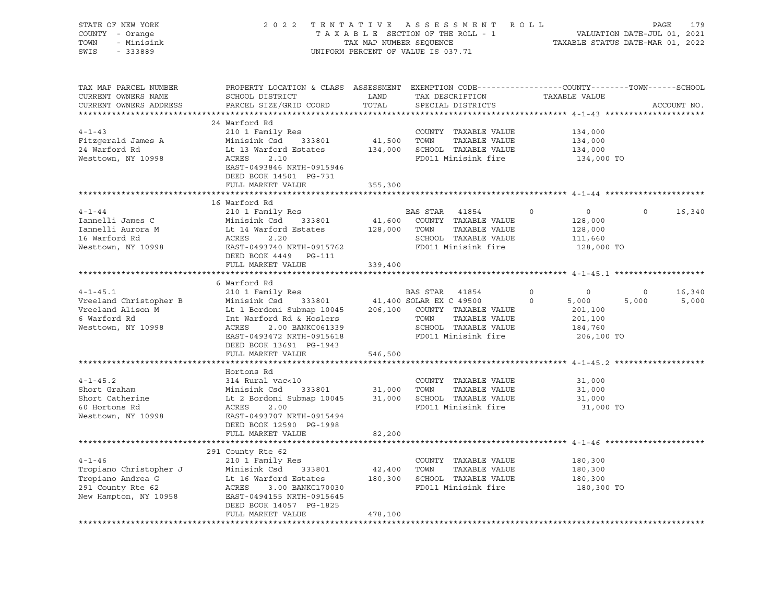| STATE OF NEW YORK<br>COUNTY - Orange<br>- Minisink<br>TOWN<br>SWIS<br>$-333889$              | 2 0 2 2<br>TENTATIVE<br>TAXABLE SECTION OF THE ROLL - 1<br>TAX MAP NUMBER SEQUENCE<br>UNIFORM PERCENT OF VALUE IS 037.71                                    | R O L L<br>179<br>PAGE<br>VALUATION DATE-JUL 01, 2021<br>TAXABLE STATUS DATE-MAR 01, 2022 |                                                                                                                   |                                                                       |             |             |
|----------------------------------------------------------------------------------------------|-------------------------------------------------------------------------------------------------------------------------------------------------------------|-------------------------------------------------------------------------------------------|-------------------------------------------------------------------------------------------------------------------|-----------------------------------------------------------------------|-------------|-------------|
| TAX MAP PARCEL NUMBER<br>CURRENT OWNERS NAME<br>CURRENT OWNERS ADDRESS                       | PROPERTY LOCATION & CLASS ASSESSMENT EXEMPTION CODE----------------COUNTY-------TOWN-----SCHOOL<br>SCHOOL DISTRICT<br>PARCEL SIZE/GRID COORD                | LAND<br>TOTAL                                                                             | TAX DESCRIPTION<br>SPECIAL DISTRICTS                                                                              | TAXABLE VALUE                                                         |             | ACCOUNT NO. |
|                                                                                              | 24 Warford Rd                                                                                                                                               |                                                                                           |                                                                                                                   |                                                                       |             |             |
| $4 - 1 - 43$                                                                                 | 210 1 Family Res                                                                                                                                            |                                                                                           | COUNTY TAXABLE VALUE                                                                                              | 134,000                                                               |             |             |
| Fitzgerald James A                                                                           | Minisink Csd<br>333801                                                                                                                                      | 41,500                                                                                    | TOWN<br>TAXABLE VALUE                                                                                             | 134,000                                                               |             |             |
| 24 Warford Rd                                                                                | Lt 13 Warford Estates                                                                                                                                       | 134,000                                                                                   | SCHOOL TAXABLE VALUE                                                                                              | 134,000                                                               |             |             |
| Westtown, NY 10998                                                                           | ACRES<br>2.10<br>EAST-0493846 NRTH-0915946<br>DEED BOOK 14501 PG-731                                                                                        |                                                                                           | FD011 Minisink fire                                                                                               | 134,000 TO                                                            |             |             |
|                                                                                              | FULL MARKET VALUE                                                                                                                                           | 355,300                                                                                   |                                                                                                                   |                                                                       |             |             |
|                                                                                              |                                                                                                                                                             |                                                                                           |                                                                                                                   |                                                                       |             |             |
| $4 - 1 - 44$<br>Iannelli James C<br>Iannelli Aurora M<br>16 Warford Rd<br>Westtown, NY 10998 | 16 Warford Rd<br>210 1 Family Res<br>Minisink Csd<br>333801<br>Lt 14 Warford Estates<br>ACRES<br>2.20<br>EAST-0493740 NRTH-0915762<br>DEED BOOK 4449 PG-111 | 41,600<br>128,000                                                                         | BAS STAR<br>41854<br>COUNTY TAXABLE VALUE<br>TOWN<br>TAXABLE VALUE<br>SCHOOL TAXABLE VALUE<br>FD011 Minisink fire | $\mathbf 0$<br>$\circ$<br>128,000<br>128,000<br>111,660<br>128,000 TO | $\circ$     | 16,340      |
|                                                                                              | FULL MARKET VALUE                                                                                                                                           | 339,400                                                                                   |                                                                                                                   |                                                                       |             |             |
|                                                                                              |                                                                                                                                                             |                                                                                           |                                                                                                                   |                                                                       |             |             |
| $4 - 1 - 45.1$                                                                               | 6 Warford Rd<br>210 1 Family Res                                                                                                                            |                                                                                           | BAS STAR                                                                                                          | $\circ$<br>$\mathbf 0$                                                | $\mathbf 0$ | 16,340      |
| Vreeland Christopher B                                                                       | Minisink Csd<br>333801                                                                                                                                      |                                                                                           | 41854<br>41,400 SOLAR EX C 49500                                                                                  | $\mathbf 0$<br>5,000                                                  | 5,000       | 5,000       |
| Vreeland Alison M                                                                            | Lt 1 Bordoni Submap 10045                                                                                                                                   | 206,100                                                                                   | COUNTY TAXABLE VALUE                                                                                              | 201,100                                                               |             |             |
| 6 Warford Rd                                                                                 | Int Warford Rd & Hoslers                                                                                                                                    |                                                                                           | TAXABLE VALUE<br>TOWN                                                                                             | 201,100                                                               |             |             |
| Westtown, NY 10998                                                                           | 2.00 BANKC061339<br>ACRES                                                                                                                                   |                                                                                           | SCHOOL TAXABLE VALUE                                                                                              | 184,760                                                               |             |             |
|                                                                                              | EAST-0493472 NRTH-0915618                                                                                                                                   |                                                                                           | FD011 Minisink fire                                                                                               | 206,100 TO                                                            |             |             |
|                                                                                              | DEED BOOK 13691 PG-1943                                                                                                                                     |                                                                                           |                                                                                                                   |                                                                       |             |             |
|                                                                                              | FULL MARKET VALUE                                                                                                                                           | 546,500                                                                                   |                                                                                                                   |                                                                       |             |             |
|                                                                                              | Hortons Rd                                                                                                                                                  |                                                                                           |                                                                                                                   |                                                                       |             |             |
| $4 - 1 - 45.2$                                                                               | 314 Rural vac<10                                                                                                                                            |                                                                                           | COUNTY TAXABLE VALUE                                                                                              | 31,000                                                                |             |             |
| Short Graham                                                                                 | Minisink Csd<br>333801                                                                                                                                      | 31,000                                                                                    | TOWN<br>TAXABLE VALUE                                                                                             | 31,000                                                                |             |             |
| Short Catherine                                                                              | Lt 2 Bordoni Submap 10045                                                                                                                                   | 31,000                                                                                    | SCHOOL TAXABLE VALUE                                                                                              | 31,000                                                                |             |             |
| 60 Hortons Rd<br>Westtown, NY 10998                                                          | ACRES<br>2.00<br>EAST-0493707 NRTH-0915494<br>DEED BOOK 12590 PG-1998                                                                                       |                                                                                           | FD011 Minisink fire                                                                                               | 31,000 TO                                                             |             |             |
|                                                                                              | FULL MARKET VALUE                                                                                                                                           | 82,200                                                                                    |                                                                                                                   |                                                                       |             |             |
|                                                                                              |                                                                                                                                                             |                                                                                           |                                                                                                                   |                                                                       |             |             |
| $4 - 1 - 46$                                                                                 | 291 County Rte 62<br>210 1 Family Res                                                                                                                       |                                                                                           | COUNTY TAXABLE VALUE                                                                                              | 180,300                                                               |             |             |
| Tropiano Christopher J                                                                       | Minisink Csd<br>333801                                                                                                                                      | 42,400                                                                                    | TOWN<br>TAXABLE VALUE                                                                                             | 180,300                                                               |             |             |
| Tropiano Andrea G                                                                            | Lt 16 Warford Estates                                                                                                                                       | 180,300                                                                                   | SCHOOL TAXABLE VALUE                                                                                              | 180,300                                                               |             |             |
| 291 County Rte 62                                                                            | ACRES<br>3.00 BANKC170030                                                                                                                                   |                                                                                           | FD011 Minisink fire                                                                                               | 180,300 TO                                                            |             |             |
| New Hampton, NY 10958                                                                        | EAST-0494155 NRTH-0915645<br>DEED BOOK 14057 PG-1825                                                                                                        |                                                                                           |                                                                                                                   |                                                                       |             |             |
|                                                                                              | FULL MARKET VALUE                                                                                                                                           | 478,100                                                                                   |                                                                                                                   |                                                                       |             |             |
|                                                                                              |                                                                                                                                                             |                                                                                           |                                                                                                                   |                                                                       |             |             |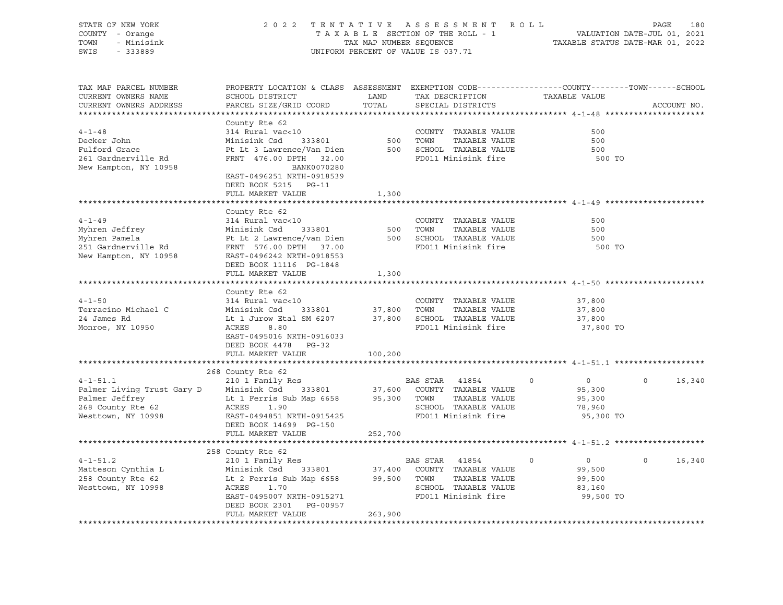| STATE OF NEW YORK<br>2 0 2 2<br>TENTATIVE ASSESSMENT ROLL<br>COUNTY - Orange<br>TAXABLE SECTION OF THE ROLL - 1<br>- Minisink<br>TOWN<br>TAX MAP NUMBER SEQUENCE<br>SWIS<br>$-333889$<br>UNIFORM PERCENT OF VALUE IS 037.71 |                                                                                                                                              |               |                | 180<br>PAGE<br>VALUATION DATE-JUL 01, 2021<br>TAXABLE STATUS DATE-MAR 01, 2022                                                               |                            |          |             |  |
|-----------------------------------------------------------------------------------------------------------------------------------------------------------------------------------------------------------------------------|----------------------------------------------------------------------------------------------------------------------------------------------|---------------|----------------|----------------------------------------------------------------------------------------------------------------------------------------------|----------------------------|----------|-------------|--|
| TAX MAP PARCEL NUMBER<br>CURRENT OWNERS NAME<br>CURRENT OWNERS ADDRESS                                                                                                                                                      | PROPERTY LOCATION & CLASS ASSESSMENT EXEMPTION CODE---------------COUNTY-------TOWN------SCHOOL<br>SCHOOL DISTRICT<br>PARCEL SIZE/GRID COORD | LAND<br>TOTAL |                | TAX DESCRIPTION<br>SPECIAL DISTRICTS                                                                                                         | TAXABLE VALUE              |          | ACCOUNT NO. |  |
|                                                                                                                                                                                                                             | County Rte 62                                                                                                                                |               |                |                                                                                                                                              |                            |          |             |  |
| $4 - 1 - 48$                                                                                                                                                                                                                | 314 Rural vac<10                                                                                                                             |               |                | COUNTY TAXABLE VALUE                                                                                                                         | 500                        |          |             |  |
| Decker John                                                                                                                                                                                                                 | 333801<br>Minisink Csd                                                                                                                       |               |                | TAXABLE VALUE                                                                                                                                | 500                        |          |             |  |
| Fulford Grace                                                                                                                                                                                                               | Pt Lt 3 Lawrence/Van Dien                                                                                                                    |               |                | 500 SCHOOL TAXABLE VALUE                                                                                                                     | 500                        |          |             |  |
| 261 Gardnerville Rd                                                                                                                                                                                                         | FRNT 476.00 DPTH 32.00                                                                                                                       |               |                | FD011 Minisink fire                                                                                                                          | 500 TO                     |          |             |  |
| New Hampton, NY 10958                                                                                                                                                                                                       | BANK0070280<br>EAST-0496251 NRTH-0918539<br>DEED BOOK 5215 PG-11<br>FULL MARKET VALUE                                                        | 1,300         |                |                                                                                                                                              |                            |          |             |  |
|                                                                                                                                                                                                                             | County Rte 62                                                                                                                                |               |                |                                                                                                                                              |                            |          |             |  |
| $4 - 1 - 49$                                                                                                                                                                                                                | 314 Rural vac<10                                                                                                                             |               |                | COUNTY TAXABLE VALUE                                                                                                                         | 500                        |          |             |  |
| Myhren Jeffrey                                                                                                                                                                                                              | 333801<br>Minisink Csd                                                                                                                       |               | 500 TOWN       | TAXABLE VALUE                                                                                                                                | 500                        |          |             |  |
| Myhren Pamela                                                                                                                                                                                                               | Pt Lt 2 Lawrence/van Dien 500 SCHOOL TAXABLE VALUE                                                                                           |               |                |                                                                                                                                              | 500                        |          |             |  |
| 251 Gardnerville Rd                                                                                                                                                                                                         | FRNT 576.00 DPTH 37.00                                                                                                                       |               |                | FD011 Minisink fire                                                                                                                          | 500 TO                     |          |             |  |
| New Hampton, NY 10958                                                                                                                                                                                                       | EAST-0496242 NRTH-0918553<br>DEED BOOK 11116 PG-1848<br>FULL MARKET VALUE                                                                    |               |                |                                                                                                                                              |                            |          |             |  |
|                                                                                                                                                                                                                             |                                                                                                                                              | 1,300         |                |                                                                                                                                              |                            |          |             |  |
|                                                                                                                                                                                                                             | County Rte 62                                                                                                                                |               |                |                                                                                                                                              |                            |          |             |  |
| $4 - 1 - 50$                                                                                                                                                                                                                | 314 Rural vac<10                                                                                                                             |               |                | COUNTY TAXABLE VALUE                                                                                                                         | 37,800                     |          |             |  |
| Terracino Michael C                                                                                                                                                                                                         | Minisink Csd<br>333801                                                                                                                       | 37,800 TOWN   |                | TAXABLE VALUE                                                                                                                                | 37,800                     |          |             |  |
| 24 James Rd                                                                                                                                                                                                                 | Lt 1 Jurow Etal SM 6207                                                                                                                      |               |                | 37,800 SCHOOL TAXABLE VALUE                                                                                                                  | 37,800                     |          |             |  |
| Monroe, NY 10950                                                                                                                                                                                                            | ACRES<br>8.80                                                                                                                                |               |                | FD011 Minisink fire                                                                                                                          | 37,800 TO                  |          |             |  |
|                                                                                                                                                                                                                             | EAST-0495016 NRTH-0916033                                                                                                                    |               |                |                                                                                                                                              |                            |          |             |  |
|                                                                                                                                                                                                                             | DEED BOOK 4478 PG-32                                                                                                                         |               |                |                                                                                                                                              |                            |          |             |  |
|                                                                                                                                                                                                                             | FULL MARKET VALUE                                                                                                                            | 100,200       |                |                                                                                                                                              |                            |          |             |  |
|                                                                                                                                                                                                                             | 268 County Rte 62                                                                                                                            |               |                |                                                                                                                                              |                            |          |             |  |
| $4 - 1 - 51.1$                                                                                                                                                                                                              | 210 1 Family Res                                                                                                                             |               | BAS STAR 41854 |                                                                                                                                              | $\overline{0}$<br>$\Omega$ | $\Omega$ | 16,340      |  |
| Palmer Living Trust Gary D                                                                                                                                                                                                  | Minisink Csd                                                                                                                                 |               |                | 333801 37,600 COUNTY TAXABLE VALUE                                                                                                           | 95,300                     |          |             |  |
|                                                                                                                                                                                                                             | Lt 1 Ferris Sub Map 6658 95,300 TOWN TAXABLE VALUE                                                                                           |               |                |                                                                                                                                              | 95,300                     |          |             |  |
|                                                                                                                                                                                                                             | ACRES 1.90                                                                                                                                   |               |                | SCHOOL TAXABLE VALUE                                                                                                                         | 78,960                     |          |             |  |
| Palmer Jeffrey<br>268 County Rte 62<br>Westtown, NY 10998                                                                                                                                                                   | EAST-0494851 NRTH-0915425                                                                                                                    |               |                | FD011 Minisink fire                                                                                                                          | 95,300 TO                  |          |             |  |
|                                                                                                                                                                                                                             | DEED BOOK 14699 PG-150                                                                                                                       |               |                |                                                                                                                                              |                            |          |             |  |
|                                                                                                                                                                                                                             | FULL MARKET VALUE                                                                                                                            | 252,700       |                |                                                                                                                                              |                            |          |             |  |
|                                                                                                                                                                                                                             |                                                                                                                                              |               |                |                                                                                                                                              |                            |          |             |  |
|                                                                                                                                                                                                                             | 258 County Rte 62                                                                                                                            |               |                |                                                                                                                                              |                            |          |             |  |
| $4 - 1 - 51.2$                                                                                                                                                                                                              | 210 1 Family Res                                                                                                                             |               | BAS STAR 41854 |                                                                                                                                              | $\overline{0}$<br>$\Omega$ | $\Omega$ | 16,340      |  |
|                                                                                                                                                                                                                             |                                                                                                                                              |               |                | $333801 \qquad 37,400 \qquad \text{COUNTY} \qquad \text{TXABLE VALUE}$<br>ub Map 6658 $99,500 \qquad \text{TOWN} \qquad \text{TXABLE VALUE}$ | 99,500                     |          |             |  |
| Westtown, NY 10998                                                                                                                                                                                                          |                                                                                                                                              |               |                | SCHOOL TAXABLE VALUE                                                                                                                         | 99,500<br>83,160           |          |             |  |
|                                                                                                                                                                                                                             | EAST-0495007 NRTH-0915271                                                                                                                    |               |                | FD011 Minisink fire                                                                                                                          | 99,500 TO                  |          |             |  |
|                                                                                                                                                                                                                             | DEED BOOK 2301 PG-00957                                                                                                                      |               |                |                                                                                                                                              |                            |          |             |  |
|                                                                                                                                                                                                                             | FULL MARKET VALUE                                                                                                                            | 263,900       |                |                                                                                                                                              |                            |          |             |  |
|                                                                                                                                                                                                                             |                                                                                                                                              |               |                |                                                                                                                                              |                            |          |             |  |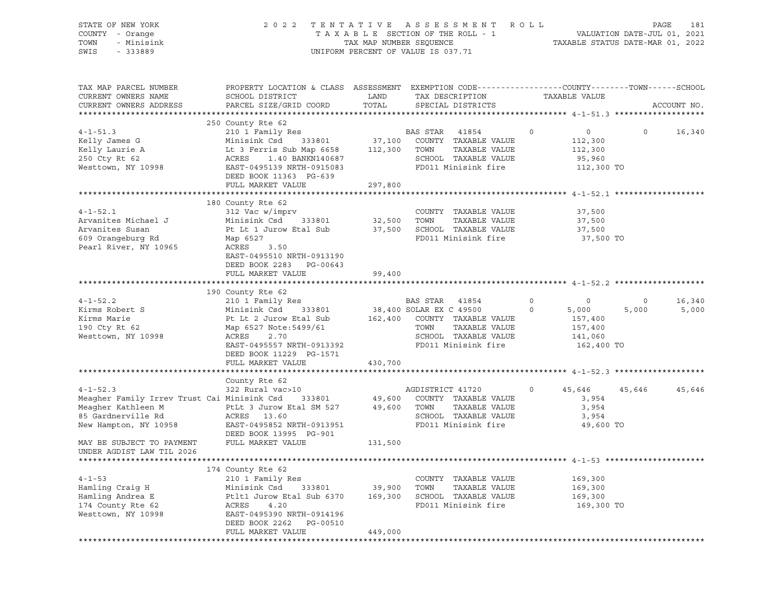| STATE OF NEW YORK<br>COUNTY - Orange<br>TOWN<br>- Minisink<br>SWIS<br>$-333889$                                                    | 2 0 2 2                                                                                                                                                                                                           | A S S E S S M E N T<br>TENTATIVE<br>TAXABLE SECTION OF THE ROLL - 1<br>TAX MAP NUMBER SEQUENCE<br>UNIFORM PERCENT OF VALUE IS 037.71 | R O L L<br>PAGE<br>181<br>VALUATION DATE-JUL 01, 2021<br>TAXABLE STATUS DATE-MAR 01, 2022                                                            |                                                                                       |                  |                 |
|------------------------------------------------------------------------------------------------------------------------------------|-------------------------------------------------------------------------------------------------------------------------------------------------------------------------------------------------------------------|--------------------------------------------------------------------------------------------------------------------------------------|------------------------------------------------------------------------------------------------------------------------------------------------------|---------------------------------------------------------------------------------------|------------------|-----------------|
| TAX MAP PARCEL NUMBER<br>CURRENT OWNERS NAME<br>CURRENT OWNERS ADDRESS                                                             | PROPERTY LOCATION & CLASS ASSESSMENT EXEMPTION CODE----------------COUNTY-------TOWN------SCHOOL<br>SCHOOL DISTRICT<br>PARCEL SIZE/GRID COORD                                                                     | LAND<br>TOTAL                                                                                                                        | TAX DESCRIPTION<br>SPECIAL DISTRICTS                                                                                                                 | TAXABLE VALUE                                                                         |                  | ACCOUNT NO.     |
| $4 - 1 - 51.3$<br>Kelly James G<br>Kelly Laurie A<br>250 Cty Rt 62<br>Westtown, NY 10998                                           | 250 County Rte 62<br>210 1 Family Res<br>Minisink Csd<br>333801<br>Lt 3 Ferris Sub Map 6658<br>ACRES<br>1.40 BANKN140687<br>EAST-0495139 NRTH-0915083<br>DEED BOOK 11363 PG-639<br>FULL MARKET VALUE              | 112,300 TOWN<br>297,800                                                                                                              | BAS STAR<br>41854<br>37,100 COUNTY TAXABLE VALUE<br>TAXABLE VALUE<br>SCHOOL TAXABLE VALUE<br>FD011 Minisink fire                                     | $\circ$<br>$\overline{0}$<br>112,300<br>112,300<br>95,960<br>112,300 TO               | $\circ$          | 16,340          |
| $4 - 1 - 52.1$<br>Arvanites Michael J<br>Arvanites Susan<br>609 Orangeburg Rd<br>Pearl River, NY 10965                             | 180 County Rte 62<br>312 Vac w/imprv<br>Minisink Csd<br>333801<br>Pt Lt 1 Jurow Etal Sub<br>Map 6527<br>ACRES<br>3.50<br>EAST-0495510 NRTH-0913190<br>DEED BOOK 2283 PG-00643<br>FULL MARKET VALUE                | 32,500<br>37,500<br>99,400                                                                                                           | COUNTY TAXABLE VALUE<br>TOWN<br>TAXABLE VALUE<br>SCHOOL TAXABLE VALUE<br>FD011 Minisink fire                                                         | 37,500<br>37,500<br>37,500<br>37,500 TO                                               |                  |                 |
| $4 - 1 - 52.2$<br>Kirms Robert S<br>Kirms Marie<br>190 Cty Rt 62<br>Westtown, NY 10998                                             | 190 County Rte 62<br>210 1 Family Res<br>Minisink Csd<br>333801<br>Pt Lt 2 Jurow Etal Sub<br>Map 6527 Note: 5499/61<br>ACRES<br>2.70<br>EAST-0495557 NRTH-0913392<br>DEED BOOK 11229 PG-1571<br>FULL MARKET VALUE | 430,700                                                                                                                              | BAS STAR<br>41854<br>38,400 SOLAR EX C 49500<br>162,400 COUNTY TAXABLE VALUE<br>TOWN<br>TAXABLE VALUE<br>SCHOOL TAXABLE VALUE<br>FD011 Minisink fire | $\circ$<br>$\circ$<br>$\circ$<br>5,000<br>157,400<br>157,400<br>141,060<br>162,400 TO | $\circ$<br>5,000 | 16,340<br>5,000 |
| $4 - 1 - 52.3$<br>Meagher Family Irrev Trust Cai Minisink Csd<br>Meagher Kathleen M<br>85 Gardnerville Rd<br>New Hampton, NY 10958 | County Rte 62<br>322 Rural vac>10<br>333801<br>PtLt 3 Jurow Etal SM 527<br>ACRES 13.60<br>EAST-0495852 NRTH-0913951                                                                                               | 49,600<br>49,600                                                                                                                     | AGDISTRICT 41720<br>COUNTY TAXABLE VALUE<br>TOWN<br>TAXABLE VALUE<br>SCHOOL TAXABLE VALUE<br>FD011 Minisink fire                                     | 45,646<br>$\circ$<br>3,954<br>3,954<br>3,954<br>49,600 TO                             | 45,646           | 45,646          |
| MAY BE SUBJECT TO PAYMENT<br>UNDER AGDIST LAW TIL 2026                                                                             | DEED BOOK 13995 PG-901<br>FULL MARKET VALUE                                                                                                                                                                       | 131,500                                                                                                                              |                                                                                                                                                      |                                                                                       |                  |                 |
| $4 - 1 - 53$<br>Hamling Craig H<br>Hamling Andrea E<br>174 County Rte 62<br>Westtown, NY 10998                                     | 174 County Rte 62<br>210 1 Family Res<br>Minisink Csd<br>333801<br>Ptlt1 Jurow Etal Sub 6370<br>ACRES<br>4.20<br>EAST-0495390 NRTH-0914196<br>DEED BOOK 2262<br>PG-00510<br>FULL MARKET VALUE                     | 39,900<br>169,300<br>449,000                                                                                                         | COUNTY TAXABLE VALUE<br>TOWN<br>TAXABLE VALUE<br>SCHOOL TAXABLE VALUE<br>FD011 Minisink fire                                                         | 169,300<br>169,300<br>169,300<br>169,300 TO                                           |                  |                 |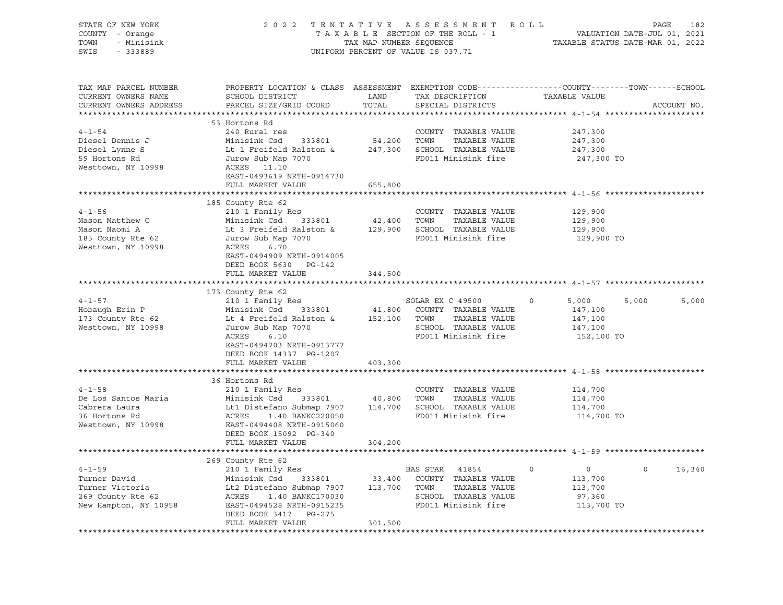| STATE OF NEW YORK<br>COUNTY - Orange<br>TOWN - Minisink<br>SWIS - 333889                                                                                                                                                                             |                                                                                                                                                                                                                    |         | 2022 TENTATIVE ASSESSMENT ROLL PAGE 182<br>TAXABLE SECTION OF THE ROLL - 1 VALUATION DATE-JUL 01, 2021<br>TAXABLE STATUS DATE-MAR 01, 2022<br>UNIFORM PERCENT OF VALUE IS 037.71 |                                             |                          |
|------------------------------------------------------------------------------------------------------------------------------------------------------------------------------------------------------------------------------------------------------|--------------------------------------------------------------------------------------------------------------------------------------------------------------------------------------------------------------------|---------|----------------------------------------------------------------------------------------------------------------------------------------------------------------------------------|---------------------------------------------|--------------------------|
| TAX MAP PARCEL NUMBER<br>CURRENT OWNERS NAME<br>CURRENT OWNERS ADDRESS                                                                                                                                                                               | PROPERTY LOCATION & CLASS ASSESSMENT EXEMPTION CODE----------------COUNTY-------TOWN------SCHOOL                                                                                                                   |         |                                                                                                                                                                                  |                                             | ACCOUNT NO.              |
|                                                                                                                                                                                                                                                      | 53 Hortons Rd                                                                                                                                                                                                      |         |                                                                                                                                                                                  |                                             |                          |
|                                                                                                                                                                                                                                                      |                                                                                                                                                                                                                    |         | COUNTY TAXABLE VALUE 247,300                                                                                                                                                     |                                             |                          |
|                                                                                                                                                                                                                                                      |                                                                                                                                                                                                                    |         |                                                                                                                                                                                  | 247,300                                     |                          |
|                                                                                                                                                                                                                                                      |                                                                                                                                                                                                                    |         |                                                                                                                                                                                  | 247,300                                     |                          |
|                                                                                                                                                                                                                                                      |                                                                                                                                                                                                                    |         | FD011 Minisink fire                                                                                                                                                              | 247,300 TO                                  |                          |
| COUNTY TAXABLE VALUE<br>Diesel Dennis J<br>Diesel Lynne S<br>Diesel Lynne S<br>Lt 1 Freifeld Ralston & 247,300 SCHOOL TAXABLE VALUE<br>59 Hortons Rd<br>Mesttown, NY 10998<br>Mesttown, NY 10998<br>Mesttown, NY 10998<br>ACRES 11.10<br>FROM CONS   |                                                                                                                                                                                                                    |         |                                                                                                                                                                                  |                                             |                          |
|                                                                                                                                                                                                                                                      | EAST-0493619 NRTH-0914730                                                                                                                                                                                          |         |                                                                                                                                                                                  |                                             |                          |
|                                                                                                                                                                                                                                                      | FULL MARKET VALUE                                                                                                                                                                                                  | 655,800 |                                                                                                                                                                                  |                                             |                          |
|                                                                                                                                                                                                                                                      |                                                                                                                                                                                                                    |         |                                                                                                                                                                                  |                                             |                          |
|                                                                                                                                                                                                                                                      | 185 County Rte 62                                                                                                                                                                                                  |         |                                                                                                                                                                                  |                                             |                          |
| $4 - 1 - 56$                                                                                                                                                                                                                                         | 210 1 Family Res                                                                                                                                                                                                   |         | COUNTY TAXABLE VALUE                                                                                                                                                             |                                             |                          |
|                                                                                                                                                                                                                                                      |                                                                                                                                                                                                                    |         |                                                                                                                                                                                  | 129,900<br>129,900<br>129,900               |                          |
|                                                                                                                                                                                                                                                      |                                                                                                                                                                                                                    |         |                                                                                                                                                                                  |                                             |                          |
| Mason Matthew C<br>Mason Naomi A<br>185 County Rte 62<br>Westtown, NY 10998                                                                                                                                                                          | COUNTY TAXABLE VALUE<br>Minisink Csd 333801 42,400 TOWN TAXABLE VALUE<br>Lt 3 Freifeld Ralston & 129,900 SCHOOL TAXABLE VALUE<br>Jurow Sub Map 7070 FD011 Minisink fire<br>ACRES 6.70<br>FACE 0.0000 NDTY 000 ---- |         |                                                                                                                                                                                  | 129,900 TO                                  |                          |
|                                                                                                                                                                                                                                                      | EAST-0494909 NRTH-0914005                                                                                                                                                                                          |         |                                                                                                                                                                                  |                                             |                          |
|                                                                                                                                                                                                                                                      | DEED BOOK 5630 PG-142                                                                                                                                                                                              |         |                                                                                                                                                                                  |                                             |                          |
|                                                                                                                                                                                                                                                      | FULL MARKET VALUE                                                                                                                                                                                                  | 344,500 |                                                                                                                                                                                  |                                             |                          |
| **********************                                                                                                                                                                                                                               |                                                                                                                                                                                                                    |         |                                                                                                                                                                                  |                                             |                          |
|                                                                                                                                                                                                                                                      | 173 County Rte 62                                                                                                                                                                                                  |         |                                                                                                                                                                                  |                                             |                          |
|                                                                                                                                                                                                                                                      |                                                                                                                                                                                                                    |         |                                                                                                                                                                                  | $0 \t 5,000 \t 5,000$                       | 5,000                    |
|                                                                                                                                                                                                                                                      |                                                                                                                                                                                                                    |         |                                                                                                                                                                                  |                                             |                          |
|                                                                                                                                                                                                                                                      |                                                                                                                                                                                                                    |         |                                                                                                                                                                                  |                                             |                          |
|                                                                                                                                                                                                                                                      |                                                                                                                                                                                                                    |         |                                                                                                                                                                                  |                                             |                          |
|                                                                                                                                                                                                                                                      |                                                                                                                                                                                                                    |         |                                                                                                                                                                                  | 152,100 TO                                  |                          |
|                                                                                                                                                                                                                                                      | EAST-0494703 NRTH-0913777                                                                                                                                                                                          |         |                                                                                                                                                                                  |                                             |                          |
|                                                                                                                                                                                                                                                      | DEED BOOK 14337 PG-1207                                                                                                                                                                                            |         |                                                                                                                                                                                  |                                             |                          |
|                                                                                                                                                                                                                                                      | FULL MARKET VALUE                                                                                                                                                                                                  | 403,300 |                                                                                                                                                                                  |                                             |                          |
|                                                                                                                                                                                                                                                      | 36 Hortons Rd                                                                                                                                                                                                      |         |                                                                                                                                                                                  |                                             |                          |
| 4-1-58<br>De Los Santos Maria<br>Cabrera Laura<br>Cabrera Laura<br>Minisink Csd 333801<br>Let Distefano Submap 7907<br>114,700 SCHOOL TAXABLE VALUE<br>SCHOOL TAXABLE VALUE<br>36 Hortons Rd<br>Westtown, NY 10998<br>EAST-0494408 NRTH-0915060<br>R |                                                                                                                                                                                                                    |         |                                                                                                                                                                                  | 114,700                                     |                          |
|                                                                                                                                                                                                                                                      |                                                                                                                                                                                                                    |         |                                                                                                                                                                                  | 114,700                                     |                          |
|                                                                                                                                                                                                                                                      |                                                                                                                                                                                                                    |         |                                                                                                                                                                                  | 114,700                                     |                          |
|                                                                                                                                                                                                                                                      |                                                                                                                                                                                                                    |         |                                                                                                                                                                                  | 114,700 TO                                  |                          |
| Westtown, NY 10998                                                                                                                                                                                                                                   |                                                                                                                                                                                                                    |         |                                                                                                                                                                                  |                                             |                          |
|                                                                                                                                                                                                                                                      | DEED BOOK 15092 PG-340                                                                                                                                                                                             |         |                                                                                                                                                                                  |                                             |                          |
|                                                                                                                                                                                                                                                      | FULL MARKET VALUE                                                                                                                                                                                                  | 304,200 |                                                                                                                                                                                  |                                             |                          |
|                                                                                                                                                                                                                                                      |                                                                                                                                                                                                                    |         |                                                                                                                                                                                  |                                             |                          |
|                                                                                                                                                                                                                                                      | 269 County Rte 62                                                                                                                                                                                                  |         |                                                                                                                                                                                  |                                             |                          |
| $4 - 1 - 59$                                                                                                                                                                                                                                         | 210 1 Family Res                                                                                                                                                                                                   |         |                                                                                                                                                                                  | $\begin{array}{c} 0 \\ 113,700 \end{array}$ | $\overline{0}$<br>16,340 |
|                                                                                                                                                                                                                                                      |                                                                                                                                                                                                                    |         |                                                                                                                                                                                  |                                             |                          |
|                                                                                                                                                                                                                                                      |                                                                                                                                                                                                                    |         |                                                                                                                                                                                  | 113,700                                     |                          |
|                                                                                                                                                                                                                                                      |                                                                                                                                                                                                                    |         |                                                                                                                                                                                  | 97,360<br>113,700 TO                        |                          |
|                                                                                                                                                                                                                                                      |                                                                                                                                                                                                                    |         |                                                                                                                                                                                  |                                             |                          |
|                                                                                                                                                                                                                                                      |                                                                                                                                                                                                                    |         |                                                                                                                                                                                  |                                             |                          |
|                                                                                                                                                                                                                                                      | DEED BOOK 3417 PG-275<br>FULL MARKET VALUE                                                                                                                                                                         | 301,500 |                                                                                                                                                                                  |                                             |                          |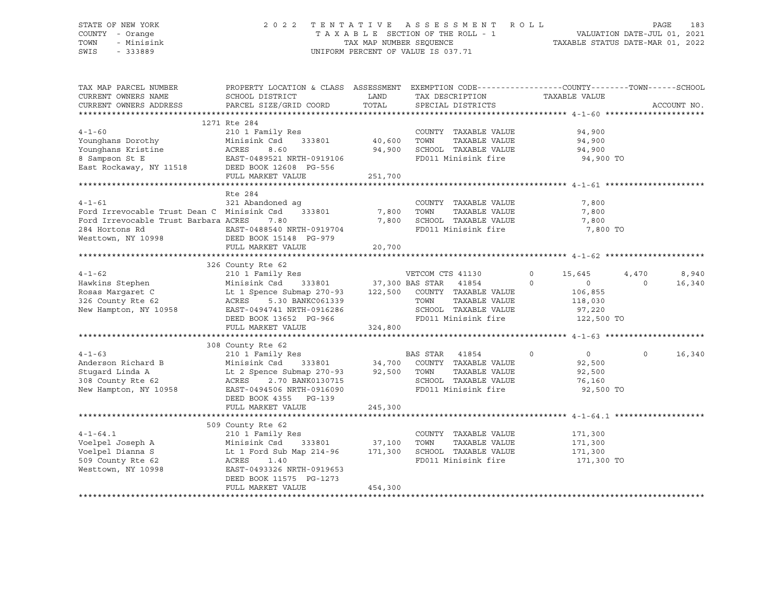### STATE OF NEW YORK 2 0 2 2 T E N T A T I V E A S S E S S M E N T R O L L PAGE 183 COUNTY - Orange T A X A B L E SECTION OF THE ROLL - 1 VALUATION DATE-JUL 01, 2021 TOWN - Minisink TAX MAP NUMBER SEQUENCE TAXABLE STATUS DATE-MAR 01, 2022 SWIS - 333889 CONSERVATION CONTROL OF VALUE IS 037.71

| TAX MAP PARCEL NUMBER<br>CURRENT OWNERS NAME<br>CURRENT OWNERS ADDRESS                                                                                                                          | PROPERTY LOCATION & CLASS ASSESSMENT EXEMPTION CODE---------------COUNTY-------TOWN-----SCHOOL<br>SCHOOL DISTRICT<br>PARCEL SIZE/GRID COORD                                                                                                                                    | LAND<br>TOTAL   | TAX DESCRIPTION TAXABLE VALUE<br>SPECIAL DISTRICTS                                                 |                                                            | ACCOUNT NO.                          |
|-------------------------------------------------------------------------------------------------------------------------------------------------------------------------------------------------|--------------------------------------------------------------------------------------------------------------------------------------------------------------------------------------------------------------------------------------------------------------------------------|-----------------|----------------------------------------------------------------------------------------------------|------------------------------------------------------------|--------------------------------------|
| 4-1-60 210 1 Family Res<br>Younghans Dorothy Minisink Csd 333801<br>Younghans Kristine ACRES 8.60<br>8 Sampson St E EAST-0489521 NRTH-0919106<br>East Rockaway, NY 11518 DEED BOOK 12608 PG-556 | 1271 Rte 284                                                                                                                                                                                                                                                                   | 94,900          | COUNTY TAXABLE VALUE<br>TAXABLE VALUE<br>SCHOOL TAXABLE VALUE 94,900<br>FD011 Minisink fire        | 94,900<br>94,900<br>94,900 TO                              |                                      |
|                                                                                                                                                                                                 | FULL MARKET VALUE                                                                                                                                                                                                                                                              | 251,700         |                                                                                                    |                                                            |                                      |
| $4 - 1 - 61$<br>Ford Irrevocable Trust Dean C Minisink Csd 333801 7,800 TOWN<br>Ford Irrevocable Trust Barbara ACRES                                                                            | Rte 284<br>321 Abandoned aq<br>7.80<br>FULL MARKET VALUE                                                                                                                                                                                                                       | 7,800<br>20,700 | COUNTY TAXABLE VALUE<br>TAXABLE VALUE<br>SCHOOL TAXABLE VALUE<br>FD011 Minisink fire               | 7,800<br>7,800<br>7,800<br>7,800 TO                        |                                      |
| $4 - 1 - 62$<br>Hawkins Stephen<br>Rosas Margaret C<br>326 County Rte 62<br>New Hampton, NY 10958                                                                                               | 326 County Rte 62<br>210 1 Family Res New YETCOM CTS 41130<br>Minisink Csd 333801 37,300 BAS STAR 41854 (<br>Lt 1 Spence Submap 270-93 122,500 COUNTY TAXABLE VALUE<br>5.30 BANKC061339<br>ACRES<br>EAST-0494741 NRTH-0916286<br>DEED BOOK 13652 PG-966<br>FULL MARKET VALUE   | 324,800         | $\sim$ 0<br>TOWN<br>TAXABLE VALUE<br>SCHOOL TAXABLE VALUE 97,220<br>FD011 Minisink fire 122,500 TO | 15,645<br>$\Omega$<br>$\overline{0}$<br>106,855<br>118,030 | 8,940<br>4,470<br>$\Omega$<br>16,340 |
| $4 - 1 - 63$<br>Anderson Richard B<br>Stugard Linda A<br>308 County Rte 62<br>New Hampton, NY 10958                                                                                             | 308 County Rte 62<br>308 County Rte 62<br>210 1 Family Res<br>B Minisink Csd 333801 34,700 COUNTY TAXABLE VALUE<br>22 ACRES 2.70 BANK0130715 32,500 TOWN TAXABLE VALUE<br>22 ACRES 2.70 BANK0130715<br>EAST-0494506 NRTH-0916090<br>DEED BOOK 4355 PG-139<br>FULL MARKET VALUE | 245,300         | FD011 Minisink fire 92,500 TO                                                                      | $\overline{0}$<br>92,500<br>92,500<br>76,160               | $\Omega$<br>16,340                   |
| $4 - 1 - 64.1$<br>Voelpel Joseph A<br>Voelpel Dianna S<br>509 County Rte 62<br>Westtown, NY 10998                                                                                               | 509 County Rte 62<br>210 1 Family Res<br>333801 37,100 TOWN<br>Minisink Csd<br>Lt 1 Ford Sub Map 214-96 171,300 SCHOOL TAXABLE VALUE 171,300<br>ACRES 1.40<br>EAST-0493326 NRTH-0919653<br>DEED BOOK 11575 PG-1273<br>FULL MARKET VALUE                                        | 454,300         | COUNTY TAXABLE VALUE<br>TAXABLE VALUE<br>FD011 Minisink fire                                       | 171,300<br>171,300<br>171,300 TO                           |                                      |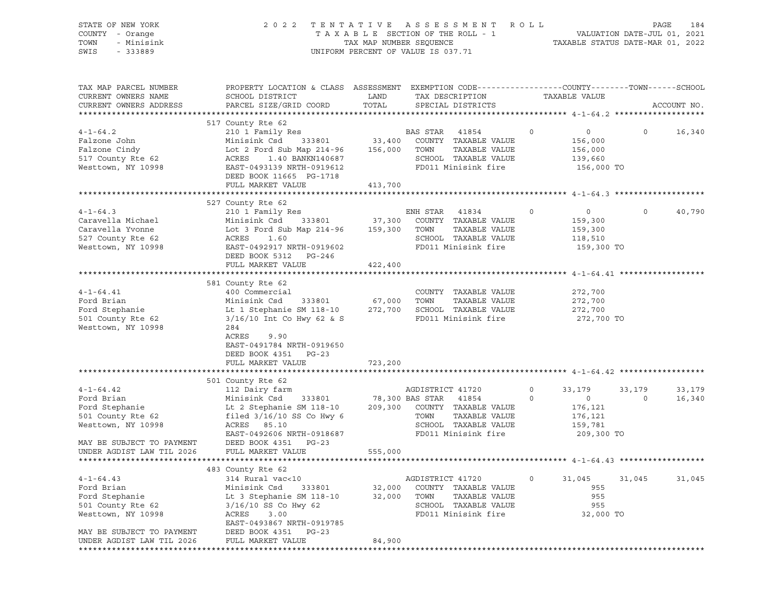| STATE OF NEW YORK<br>COUNTY - Orange<br>TOWN<br>- Minisink<br>SWIS<br>$-333889$ | TENTATIVE ASSESSMENT<br>2 0 2 2<br>TAXABLE SECTION OF THE ROLL - 1<br>TAX MAP NUMBER SEQUENCE<br>UNIFORM PERCENT OF VALUE IS 037.71 | R O L L       | PAGE<br>184<br>VALUATION DATE-JUL 01, 2021<br>TAXABLE STATUS DATE-MAR 01, 2022 |             |                           |         |             |
|---------------------------------------------------------------------------------|-------------------------------------------------------------------------------------------------------------------------------------|---------------|--------------------------------------------------------------------------------|-------------|---------------------------|---------|-------------|
| TAX MAP PARCEL NUMBER                                                           | PROPERTY LOCATION & CLASS ASSESSMENT EXEMPTION CODE----------------COUNTY-------TOWN------SCHOOL                                    |               |                                                                                |             |                           |         |             |
| CURRENT OWNERS NAME<br>CURRENT OWNERS ADDRESS                                   | SCHOOL DISTRICT<br>PARCEL SIZE/GRID COORD                                                                                           | LAND<br>TOTAL | TAX DESCRIPTION<br>SPECIAL DISTRICTS                                           |             | TAXABLE VALUE             |         | ACCOUNT NO. |
|                                                                                 |                                                                                                                                     |               |                                                                                |             |                           |         |             |
|                                                                                 | 517 County Rte 62<br>210 1 Family Res                                                                                               |               |                                                                                |             |                           |         |             |
| $4 - 1 - 64.2$<br>Falzone John                                                  | Minisink Csd 333801                                                                                                                 |               | BAS STAR<br>41854<br>33,400 COUNTY TAXABLE VALUE                               | $\circ$     | $\overline{0}$<br>156,000 | $\circ$ | 16,340      |
| Falzone Cindy                                                                   | Lot 2 Ford Sub Map 214-96                                                                                                           | 156,000 TOWN  | TAXABLE VALUE                                                                  |             | 156,000                   |         |             |
| 517 County Rte 62                                                               | ACRES 1.40 BANKN140687                                                                                                              |               | SCHOOL TAXABLE VALUE                                                           |             | 139,660                   |         |             |
| Westtown, NY 10998                                                              | EAST-0493139 NRTH-0919612                                                                                                           |               | FD011 Minisink fire                                                            |             | 156,000 TO                |         |             |
|                                                                                 | DEED BOOK 11665 PG-1718                                                                                                             |               |                                                                                |             |                           |         |             |
|                                                                                 | FULL MARKET VALUE                                                                                                                   | 413,700       |                                                                                |             |                           |         |             |
|                                                                                 |                                                                                                                                     |               |                                                                                |             |                           |         |             |
|                                                                                 | 527 County Rte 62                                                                                                                   |               |                                                                                |             |                           |         |             |
| $4 - 1 - 64.3$                                                                  | 210 1 Family Res                                                                                                                    |               | ENH STAR<br>41834                                                              | 0           | $\circ$                   | $\circ$ | 40,790      |
| Caravella Michael                                                               | Minisink Csd<br>333801                                                                                                              | 37,300        | COUNTY TAXABLE VALUE                                                           |             | 159,300                   |         |             |
| Caravella Yvonne                                                                | Lot 3 Ford Sub Map 214-96 159,300                                                                                                   |               | TOWN<br>TAXABLE VALUE                                                          |             | 159,300                   |         |             |
| 527 County Rte 62                                                               | ACRES<br>1.60                                                                                                                       |               | SCHOOL TAXABLE VALUE                                                           |             | 118,510                   |         |             |
| Westtown, NY 10998                                                              | EAST-0492917 NRTH-0919602                                                                                                           |               | FD011 Minisink fire                                                            |             | 159,300 TO                |         |             |
|                                                                                 | DEED BOOK 5312 PG-246                                                                                                               |               |                                                                                |             |                           |         |             |
|                                                                                 | FULL MARKET VALUE                                                                                                                   | 422,400       |                                                                                |             |                           |         |             |
|                                                                                 |                                                                                                                                     |               |                                                                                |             |                           |         |             |
|                                                                                 | 581 County Rte 62                                                                                                                   |               |                                                                                |             |                           |         |             |
| $4 - 1 - 64.41$                                                                 | 400 Commercial                                                                                                                      |               | COUNTY TAXABLE VALUE                                                           |             | 272,700                   |         |             |
| Ford Brian                                                                      | Minisink Csd<br>333801                                                                                                              | 67,000        | TOWN<br>TAXABLE VALUE                                                          |             | 272,700                   |         |             |
| Ford Stephanie                                                                  | Lt 1 Stephanie SM 118-10                                                                                                            | 272,700       | SCHOOL TAXABLE VALUE                                                           |             | 272,700                   |         |             |
| 501 County Rte 62                                                               | $3/16/10$ Int Co Hwy 62 & S<br>284                                                                                                  |               | FD011 Minisink fire                                                            |             | 272,700 TO                |         |             |
| Westtown, NY 10998                                                              | ACRES<br>9.90                                                                                                                       |               |                                                                                |             |                           |         |             |
|                                                                                 | EAST-0491784 NRTH-0919650                                                                                                           |               |                                                                                |             |                           |         |             |
|                                                                                 | DEED BOOK 4351 PG-23                                                                                                                |               |                                                                                |             |                           |         |             |
|                                                                                 | FULL MARKET VALUE                                                                                                                   | 723,200       |                                                                                |             |                           |         |             |
|                                                                                 |                                                                                                                                     |               |                                                                                |             |                           |         |             |
|                                                                                 | 501 County Rte 62                                                                                                                   |               |                                                                                |             |                           |         |             |
| $4 - 1 - 64.42$                                                                 | 112 Dairy farm                                                                                                                      |               | AGDISTRICT 41720                                                               | $\circ$     | 33,179                    | 33,179  | 33,179      |
| Ford Brian                                                                      | Minisink Csd<br>333801                                                                                                              |               | 78,300 BAS STAR<br>41854                                                       | $\mathbf 0$ | $\circ$                   | $\circ$ | 16,340      |
| Ford Stephanie                                                                  | Lt 2 Stephanie SM 118-10                                                                                                            | 209,300       | COUNTY TAXABLE VALUE                                                           |             | 176,121                   |         |             |
| 501 County Rte 62                                                               | filed $3/16/10$ SS Co Hwy 6                                                                                                         |               | TOWN<br>TAXABLE VALUE                                                          |             | 176,121                   |         |             |
| Westtown, NY 10998                                                              | ACRES 85.10                                                                                                                         |               | SCHOOL TAXABLE VALUE                                                           |             | 159,781                   |         |             |
|                                                                                 | EAST-0492606 NRTH-0918687                                                                                                           |               | FD011 Minisink fire                                                            |             | 209,300 TO                |         |             |
| MAY BE SUBJECT TO PAYMENT                                                       | DEED BOOK 4351 PG-23                                                                                                                |               |                                                                                |             |                           |         |             |
| UNDER AGDIST LAW TIL 2026                                                       | FULL MARKET VALUE                                                                                                                   | 555,000       |                                                                                |             |                           |         |             |
|                                                                                 |                                                                                                                                     |               |                                                                                |             |                           |         |             |
|                                                                                 | 483 County Rte 62                                                                                                                   |               |                                                                                |             |                           |         |             |
| $4 - 1 - 64.43$                                                                 | 314 Rural vac<10                                                                                                                    |               | AGDISTRICT 41720                                                               | 0           | 31,045                    | 31,045  | 31,045      |
| Ford Brian                                                                      | Minisink Csd<br>333801                                                                                                              | 32,000        | COUNTY TAXABLE VALUE                                                           |             | 955                       |         |             |
| Ford Stephanie                                                                  | Lt 3 Stephanie SM 118-10                                                                                                            | 32,000        | TOWN<br>TAXABLE VALUE                                                          |             | 955                       |         |             |
| 501 County Rte 62<br>Westtown, NY 10998                                         | 3/16/10 SS Co Hwy 62<br>ACRES<br>3.00                                                                                               |               | SCHOOL TAXABLE VALUE<br>FD011 Minisink fire                                    |             | 955                       |         |             |
|                                                                                 | EAST-0493867 NRTH-0919785                                                                                                           |               |                                                                                |             | 32,000 TO                 |         |             |
| MAY BE SUBJECT TO PAYMENT                                                       | DEED BOOK 4351<br>$PG-23$                                                                                                           |               |                                                                                |             |                           |         |             |
| UNDER AGDIST LAW TIL 2026                                                       | FULL MARKET VALUE                                                                                                                   | 84,900        |                                                                                |             |                           |         |             |
|                                                                                 |                                                                                                                                     |               |                                                                                |             |                           |         |             |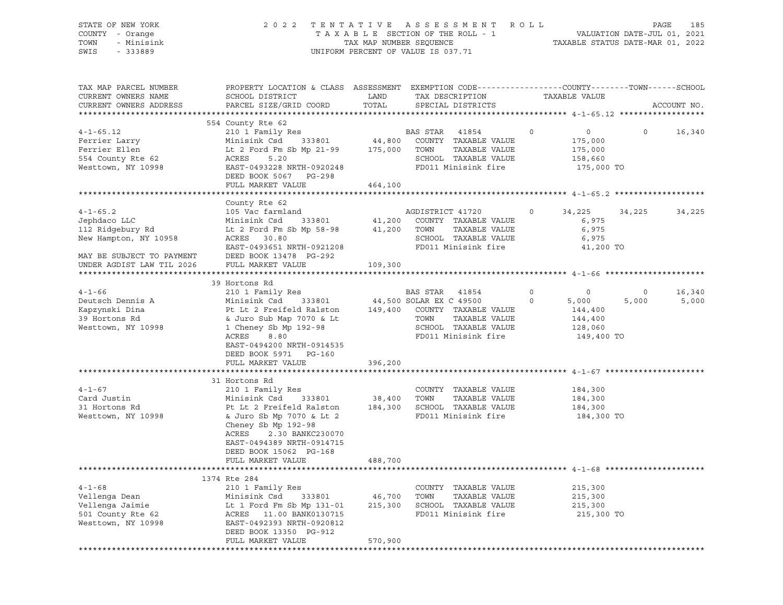| STATE OF NEW YORK<br>COUNTY - Orange<br>TOWN<br>- Minisink<br>SWIS<br>$-333889$                                                       |                                                                                                                                                                                                                                |                              | 2022 TENTATIVE ASSESSMENT ROLL<br>UNIFORM PERCENT OF VALUE IS 037.71                                                                                     |                    |                                                                 |                  | 185<br>PAGE     |
|---------------------------------------------------------------------------------------------------------------------------------------|--------------------------------------------------------------------------------------------------------------------------------------------------------------------------------------------------------------------------------|------------------------------|----------------------------------------------------------------------------------------------------------------------------------------------------------|--------------------|-----------------------------------------------------------------|------------------|-----------------|
| TAX MAP PARCEL NUMBER<br>CURRENT OWNERS NAME<br>CURRENT OWNERS ADDRESS                                                                | PROPERTY LOCATION & CLASS ASSESSMENT EXEMPTION CODE----------------COUNTY-------TOWN------SCHOOL<br>SCHOOL DISTRICT<br>PARCEL SIZE/GRID COORD                                                                                  | LAND<br>TOTAL                | TAX DESCRIPTION<br>SPECIAL DISTRICTS                                                                                                                     |                    | TAXABLE VALUE                                                   |                  | ACCOUNT NO.     |
|                                                                                                                                       |                                                                                                                                                                                                                                |                              |                                                                                                                                                          |                    |                                                                 |                  |                 |
| $4 - 1 - 65.12$<br>Ferrier Larry<br>Ferrier Ellen<br>554 County Rte 62<br>Westtown, NY 10998                                          | 554 County Rte 62<br>210 1 Family Res<br>Minisink Csd<br>Lt 2 Ford Fm Sb Mp 21-99 175,000 TOWN<br>ACRES<br>5.20<br>EAST-0493228 NRTH-0920248<br>DEED BOOK 5067 PG-298<br>FULL MARKET VALUE                                     | 464,100                      | BAS STAR 41854<br>$\overline{0}$<br>333801 44,800 COUNTY TAXABLE VALUE<br>TAXABLE VALUE<br>SCHOOL TAXABLE VALUE<br>FD011 Minisink fire                   |                    | $\overline{0}$<br>175,000<br>175,000<br>158,660<br>175,000 TO   | $\Omega$         | 16,340          |
|                                                                                                                                       |                                                                                                                                                                                                                                |                              |                                                                                                                                                          |                    |                                                                 |                  |                 |
| $4 - 1 - 65.2$<br>Jephdaco LLC<br>112 Ridgebury Rd<br>New Hampton, NY 10958<br>MAY BE SUBJECT TO PAYMENT<br>UNDER AGDIST LAW TIL 2026 | County Rte 62<br>105 Vac farmland<br>Minisink Csd 333801 41,200 COUNTY TAXABLE VALUE<br>Lt 2 Ford Fm Sb Mp 58-98 41,200 TOWN<br>ACRES 30.80<br>EAST-0493651 NRTH-0921208<br>DEED BOOK 13478 PG-292<br>FULL MARKET VALUE        | 109,300                      | AGDISTRICT 41720<br>TAXABLE VALUE<br>SCHOOL TAXABLE VALUE<br>FD011 Minisink fire                                                                         | $\circ$            | 34,225 34,225<br>6,975<br>6,975<br>6,975<br>41,200 TO           |                  | 34,225          |
|                                                                                                                                       |                                                                                                                                                                                                                                |                              |                                                                                                                                                          |                    |                                                                 |                  |                 |
| $4 - 1 - 66$<br>Deutsch Dennis A<br>Kapzynski Dina<br>39 Hortons Rd<br>Westtown, NY 10998                                             | 39 Hortons Rd<br>210 1 Family Res<br>Minisink Csd<br>Pt Lt 2 Freifeld Ralston<br>& Juro Sub Map 7070 & Lt<br>1 Cheney Sb Mp 192-98<br>ACRES<br>8.80<br>EAST-0494200 NRTH-0914535<br>DEED BOOK 5971 PG-160<br>FULL MARKET VALUE | 396,200                      | BAS STAR 41854<br>333801 44,500 SOLAR EX C 49500<br>149,400 COUNTY TAXABLE VALUE<br>TOWN<br>TAXABLE VALUE<br>SCHOOL TAXABLE VALUE<br>FD011 Minisink fire | $\circ$<br>$\circ$ | $\circ$<br>5,000<br>144,400<br>144,400<br>128,060<br>149,400 TO | $\circ$<br>5,000 | 16,340<br>5,000 |
|                                                                                                                                       |                                                                                                                                                                                                                                |                              |                                                                                                                                                          |                    |                                                                 |                  |                 |
| $4 - 1 - 67$<br>Card Justin<br>31 Hortons Rd<br>Westtown, NY 10998                                                                    | 31 Hortons Rd<br>210 1 Family Res<br>Minisink Csd 333801<br>Pt Lt 2 Freifeld Ralston<br>& Juro Sb Mp 7070 & Lt 2<br>Cheney Sb Mp 192-98<br>ACRES<br>2.30 BANKC230070<br>EAST-0494389 NRTH-0914715<br>DEED BOOK 15062 PG-168    |                              | COUNTY TAXABLE VALUE<br>38,400 TOWN<br>TAXABLE VALUE<br>184,300 SCHOOL TAXABLE VALUE<br>FD011 Minisink fire                                              |                    | 184,300<br>184,300<br>184,300<br>184,300 TO                     |                  |                 |
|                                                                                                                                       | FULL MARKET VALUE                                                                                                                                                                                                              | 488,700                      |                                                                                                                                                          |                    |                                                                 |                  |                 |
|                                                                                                                                       |                                                                                                                                                                                                                                |                              |                                                                                                                                                          |                    |                                                                 |                  |                 |
| $4 - 1 - 68$<br>Vellenga Dean<br>Vellenga Jaimie<br>501 County Rte 62<br>Westtown, NY 10998                                           | 1374 Rte 284<br>210 1 Family Res<br>Minisink Csd<br>333801<br>Lt 1 Ford Fm Sb Mp 131-01<br>ACRES<br>11.00 BANK0130715<br>EAST-0492393 NRTH-0920812<br>DEED BOOK 13350 PG-912<br>FULL MARKET VALUE                              | 46,700<br>215,300<br>570,900 | COUNTY TAXABLE VALUE<br>TAXABLE VALUE<br>TOWN<br>SCHOOL TAXABLE VALUE<br>FD011 Minisink fire                                                             |                    | 215,300<br>215,300<br>215,300<br>215,300 TO                     |                  |                 |
|                                                                                                                                       |                                                                                                                                                                                                                                |                              |                                                                                                                                                          |                    |                                                                 |                  |                 |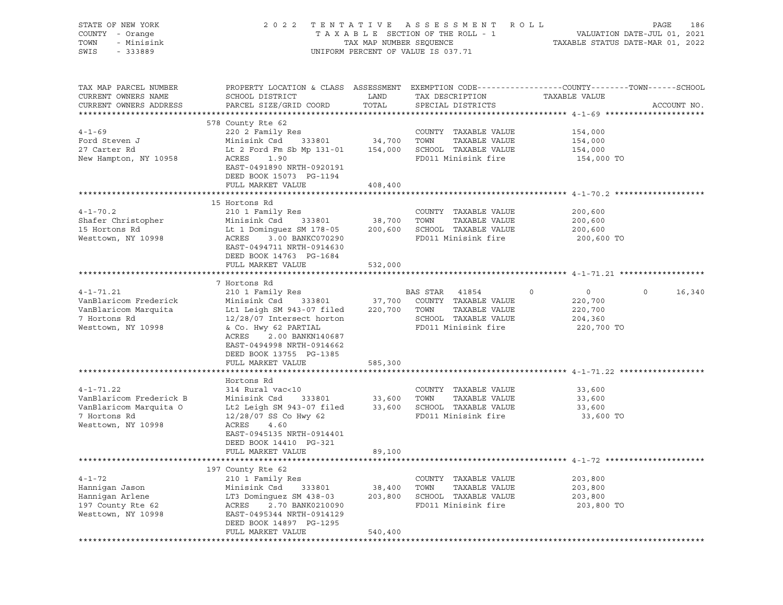| STATE OF NEW YORK<br>COUNTY - Orange<br>TOWN<br>- Minisink<br>SWIS<br>$-333889$ | 2022 TENTATIVE ASSESSMENT ROLL<br>PAGE<br>186<br>VALUATION DATE-JUL 01, 2021<br>TAXABLE STATUS DATE-MAR 01, 2022 |               |                                      |                                                                                                                                 |
|---------------------------------------------------------------------------------|------------------------------------------------------------------------------------------------------------------|---------------|--------------------------------------|---------------------------------------------------------------------------------------------------------------------------------|
| TAX MAP PARCEL NUMBER<br>CURRENT OWNERS NAME<br>CURRENT OWNERS ADDRESS          | SCHOOL DISTRICT<br>PARCEL SIZE/GRID COORD                                                                        | LAND<br>TOTAL | TAX DESCRIPTION<br>SPECIAL DISTRICTS | PROPERTY LOCATION & CLASS ASSESSMENT EXEMPTION CODE----------------COUNTY-------TOWN-----SCHOOL<br>TAXABLE VALUE<br>ACCOUNT NO. |
|                                                                                 | 578 County Rte 62                                                                                                |               |                                      |                                                                                                                                 |
| $4 - 1 - 69$                                                                    | 220 2 Family Res                                                                                                 |               | COUNTY TAXABLE VALUE                 | 154,000                                                                                                                         |
| Ford Steven J                                                                   | Minisink Csd<br>333801                                                                                           | 34,700        | TOWN<br>TAXABLE VALUE                | 154,000                                                                                                                         |
| 27 Carter Rd                                                                    | Lt 2 Ford Fm Sb Mp 131-01 154,000 SCHOOL TAXABLE VALUE                                                           |               |                                      | 154,000                                                                                                                         |
| New Hampton, NY 10958                                                           | 1.90<br>ACRES<br>EAST-0491890 NRTH-0920191<br>DEED BOOK 15073 PG-1194                                            |               | FD011 Minisink fire                  | 154,000 TO                                                                                                                      |
|                                                                                 | FULL MARKET VALUE                                                                                                | 408,400       |                                      |                                                                                                                                 |
|                                                                                 | 15 Hortons Rd                                                                                                    |               |                                      |                                                                                                                                 |
| $4 - 1 - 70.2$                                                                  | 210 1 Family Res                                                                                                 |               | COUNTY TAXABLE VALUE                 | 200,600                                                                                                                         |
| Shafer Christopher                                                              | Minisink Csd<br>333801                                                                                           | 38,700        | TOWN<br>TAXABLE VALUE                | 200,600                                                                                                                         |
| 15 Hortons Rd                                                                   | Lt 1 Dominquez SM 178-05                                                                                         | 200,600       | SCHOOL TAXABLE VALUE                 | 200,600                                                                                                                         |
| Westtown, NY 10998                                                              | ACRES<br>3.00 BANKC070290<br>EAST-0494711 NRTH-0914630<br>DEED BOOK 14763 PG-1684                                |               | FD011 Minisink fire                  | 200,600 TO                                                                                                                      |
|                                                                                 | FULL MARKET VALUE                                                                                                | 532,000       |                                      |                                                                                                                                 |
|                                                                                 |                                                                                                                  |               |                                      |                                                                                                                                 |
|                                                                                 | 7 Hortons Rd                                                                                                     |               |                                      |                                                                                                                                 |
| $4 - 1 - 71.21$                                                                 | 210 1 Family Res                                                                                                 |               | BAS STAR<br>41854                    | 0<br>$\circ$<br>0<br>16,340                                                                                                     |
| VanBlaricom Frederick                                                           | Minisink Csd<br>333801                                                                                           | 37,700        | COUNTY TAXABLE VALUE                 | 220,700                                                                                                                         |
| VanBlaricom Marquita                                                            | Lt1 Leigh SM 943-07 filed                                                                                        | 220,700       | TOWN<br>TAXABLE VALUE                | 220,700                                                                                                                         |
| 7 Hortons Rd                                                                    | 12/28/07 Intersect horton                                                                                        |               | SCHOOL TAXABLE VALUE                 | 204,360                                                                                                                         |
| Westtown, NY 10998                                                              | & Co. Hwy 62 PARTIAL<br>2.00 BANKN140687<br>ACRES<br>EAST-0494998 NRTH-0914662<br>DEED BOOK 13755 PG-1385        |               | FD011 Minisink fire                  | 220,700 TO                                                                                                                      |
|                                                                                 | FULL MARKET VALUE                                                                                                | 585,300       |                                      |                                                                                                                                 |
|                                                                                 | Hortons Rd                                                                                                       |               |                                      |                                                                                                                                 |
| $4 - 1 - 71.22$                                                                 | 314 Rural vac<10                                                                                                 |               | COUNTY TAXABLE VALUE                 | 33,600                                                                                                                          |
| VanBlaricom Frederick B                                                         | Minisink Csd<br>333801                                                                                           |               | 33,600 TOWN<br>TAXABLE VALUE         | 33,600                                                                                                                          |
| VanBlaricom Marquita O                                                          | Lt2 Leigh SM $943-07$ filed                                                                                      |               | 33,600 SCHOOL TAXABLE VALUE          | 33,600                                                                                                                          |
| 7 Hortons Rd                                                                    | 12/28/07 SS Co Hwy 62                                                                                            |               | FD011 Minisink fire                  | 33,600 TO                                                                                                                       |
| Westtown, NY 10998                                                              | ACRES<br>4.60                                                                                                    |               |                                      |                                                                                                                                 |
|                                                                                 | EAST-0945135 NRTH-0914401                                                                                        |               |                                      |                                                                                                                                 |
|                                                                                 | DEED BOOK 14410 PG-321                                                                                           |               |                                      |                                                                                                                                 |
|                                                                                 | FULL MARKET VALUE                                                                                                | 89,100        |                                      |                                                                                                                                 |
|                                                                                 |                                                                                                                  |               |                                      |                                                                                                                                 |
|                                                                                 | 197 County Rte 62                                                                                                |               |                                      |                                                                                                                                 |
| $4 - 1 - 72$                                                                    | 210 1 Family Res                                                                                                 |               | COUNTY TAXABLE VALUE                 | 203,800                                                                                                                         |
| Hannigan Jason                                                                  | Minisink Csd<br>333801                                                                                           | 38,400        | TOWN<br>TAXABLE VALUE                | 203,800                                                                                                                         |
| Hannigan Arlene                                                                 | LT3 Dominquez SM 438-03                                                                                          | 203,800       | SCHOOL TAXABLE VALUE                 | 203,800                                                                                                                         |
| 197 County Rte 62                                                               | ACRES<br>2.70 BANK0210090                                                                                        |               | FD011 Minisink fire                  | 203,800 TO                                                                                                                      |
| Westtown, NY 10998                                                              | EAST-0495344 NRTH-0914129                                                                                        |               |                                      |                                                                                                                                 |
|                                                                                 | DEED BOOK 14897 PG-1295                                                                                          |               |                                      |                                                                                                                                 |
|                                                                                 | FULL MARKET VALUE                                                                                                | 540,400       |                                      |                                                                                                                                 |
|                                                                                 |                                                                                                                  |               |                                      |                                                                                                                                 |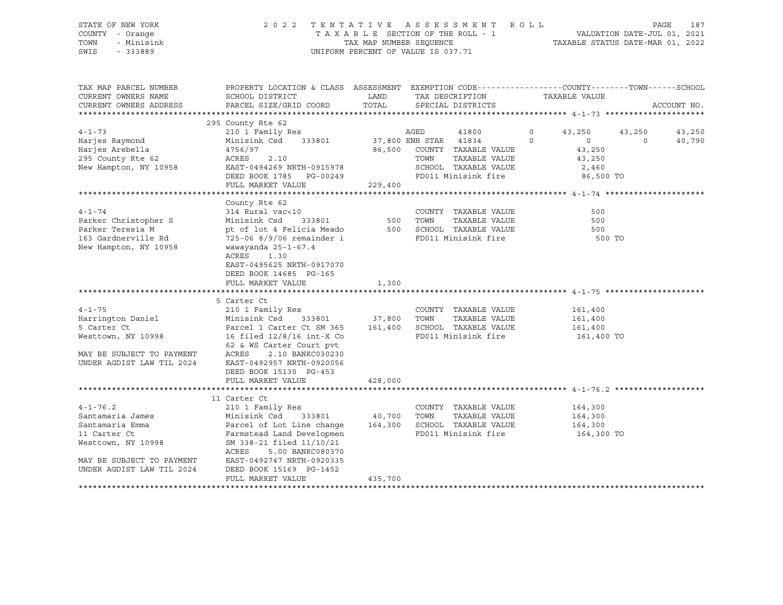| STATE OF NEW YORK | 2022 TENTATIVE ASSESSMENT ROLL     |                                 |  |                                  | PAGE | 187 |
|-------------------|------------------------------------|---------------------------------|--|----------------------------------|------|-----|
| COUNTY - Orange   |                                    | TAXABLE SECTION OF THE ROLL - 1 |  | VALUATION DATE-JUL 01, 2021      |      |     |
| TOWN - Minisink   |                                    | TAX MAP NUMBER SEOUENCE         |  | TAXABLE STATUS DATE-MAR 01, 2022 |      |     |
| SWIS<br>- 333889  | UNIFORM PERCENT OF VALUE IS 037.71 |                                 |  |                                  |      |     |

| TAX MAP PARCEL NUMBER                                                                                                                                                                                                                              | PROPERTY LOCATION & CLASS ASSESSMENT EXEMPTION CODE---------------COUNTY-------TOWN------SCHOOL                                                                                                       |         |      |                                                                        |               |          |             |
|----------------------------------------------------------------------------------------------------------------------------------------------------------------------------------------------------------------------------------------------------|-------------------------------------------------------------------------------------------------------------------------------------------------------------------------------------------------------|---------|------|------------------------------------------------------------------------|---------------|----------|-------------|
| CURRENT OWNERS NAME                                                                                                                                                                                                                                | SCHOOL DISTRICT<br>LAND                                                                                                                                                                               |         |      | TAX DESCRIPTION TAXABLE VALUE                                          |               |          |             |
| CURRENT OWNERS ADDRESS                                                                                                                                                                                                                             | PARCEL SIZE/GRID COORD                                                                                                                                                                                |         |      | TOTAL SPECIAL DISTRICTS                                                |               |          | ACCOUNT NO. |
|                                                                                                                                                                                                                                                    |                                                                                                                                                                                                       |         |      |                                                                        |               |          |             |
|                                                                                                                                                                                                                                                    | 295 County Rte 62                                                                                                                                                                                     |         |      |                                                                        |               |          |             |
| $4 - 1 - 73$                                                                                                                                                                                                                                       |                                                                                                                                                                                                       |         |      |                                                                        | 43,250 43,250 |          | 43,250      |
| Harjes Raymond                                                                                                                                                                                                                                     |                                                                                                                                                                                                       |         |      |                                                                        |               | $\Omega$ | 40,790      |
|                                                                                                                                                                                                                                                    |                                                                                                                                                                                                       |         |      |                                                                        |               |          |             |
|                                                                                                                                                                                                                                                    | $\begin{array}{ccccccccc} 4756/97 && 2.10 && 86,500 && \text{COUNTY} & \text{TAXABLE VALUE} && 43,250 \\ \text{ACRES} && 2.10 && 86,500 && \text{TOWN} && \text{TAXABLE VALUE} && 43,250 \end{array}$ |         |      |                                                                        |               |          |             |
| Harjes Arebella<br>295 County Rte 62<br>New Hampton, NY 10958                                                                                                                                                                                      | EAST-0494269 NRTH-0915978                                                                                                                                                                             |         |      | SCHOOL TAXABLE VALUE 2,460                                             |               |          |             |
|                                                                                                                                                                                                                                                    | DEED BOOK 1785 PG-00249                                                                                                                                                                               |         |      | FD011 Minisink fire 86,500 TO                                          |               |          |             |
|                                                                                                                                                                                                                                                    | FULL MARKET VALUE 229,400                                                                                                                                                                             |         |      |                                                                        |               |          |             |
|                                                                                                                                                                                                                                                    |                                                                                                                                                                                                       |         |      |                                                                        |               |          |             |
|                                                                                                                                                                                                                                                    | County Rte 62                                                                                                                                                                                         |         |      |                                                                        |               |          |             |
| $4 - 1 - 74$                                                                                                                                                                                                                                       | 314 Rural vac<10                                                                                                                                                                                      |         |      | COUNTY TAXABLE VALUE                                                   | 500           |          |             |
|                                                                                                                                                                                                                                                    |                                                                                                                                                                                                       |         | TOWN | TAXABLE VALUE                                                          | 500           |          |             |
|                                                                                                                                                                                                                                                    |                                                                                                                                                                                                       |         |      | SCHOOL TAXABLE VALUE                                                   | 500           |          |             |
| Parker Christopher S<br>Parker Teresia M<br>163 Gardnerville Rd<br>163 Gardnerville Rd<br>163 Gardnerville Rd<br>163 Gardnerville Rd<br>163 Gardnerville Rd<br>163 Gardnerville Rd<br>163 Gardnerville Rd<br>163 Gardnerville Rd<br>163 Gardnervil |                                                                                                                                                                                                       |         |      | FD011 Minisink fire 500 TO                                             |               |          |             |
| New Hampton, NY 10958                                                                                                                                                                                                                              | wawayanda 25-1-67.4                                                                                                                                                                                   |         |      |                                                                        |               |          |             |
|                                                                                                                                                                                                                                                    | ACRES 1.30                                                                                                                                                                                            |         |      |                                                                        |               |          |             |
|                                                                                                                                                                                                                                                    | EAST-0495625 NRTH-0917070                                                                                                                                                                             |         |      |                                                                        |               |          |             |
|                                                                                                                                                                                                                                                    | DEED BOOK 14685 PG-165                                                                                                                                                                                |         |      |                                                                        |               |          |             |
|                                                                                                                                                                                                                                                    | FULL MARKET VALUE                                                                                                                                                                                     | 1,300   |      |                                                                        |               |          |             |
|                                                                                                                                                                                                                                                    |                                                                                                                                                                                                       |         |      |                                                                        |               |          |             |
|                                                                                                                                                                                                                                                    | 5 Carter Ct                                                                                                                                                                                           |         |      |                                                                        |               |          |             |
| $4 - 1 - 75$                                                                                                                                                                                                                                       | 210 1 Family Res                                                                                                                                                                                      |         |      | COUNTY TAXABLE VALUE 161,400                                           |               |          |             |
|                                                                                                                                                                                                                                                    |                                                                                                                                                                                                       |         | TOWN |                                                                        |               |          |             |
| Harrington Daniel Minisink Csd 333801 37,800<br>5 Carter Ct Ct Carter Ct CM 365 161,400                                                                                                                                                            |                                                                                                                                                                                                       |         |      | TAXABLE VALUE 161,400<br>TAXABLE VALUE 161,400<br>SCHOOL TAXABLE VALUE |               |          |             |
| Westtown, NY 10998 16 filed 12/8/16 int-X Co                                                                                                                                                                                                       |                                                                                                                                                                                                       |         |      | FD011 Minisink fire 161,400 TO                                         |               |          |             |
|                                                                                                                                                                                                                                                    | 62 & WS Carter Court pvt                                                                                                                                                                              |         |      |                                                                        |               |          |             |
| MAY BE SUBJECT TO PAYMENT                                                                                                                                                                                                                          | ACRES<br>2.10 BANKC030230                                                                                                                                                                             |         |      |                                                                        |               |          |             |
| UNDER AGDIST LAW TIL 2024                                                                                                                                                                                                                          | EAST-0492957 NRTH-0920056                                                                                                                                                                             |         |      |                                                                        |               |          |             |
|                                                                                                                                                                                                                                                    | DEED BOOK 15130 PG-453                                                                                                                                                                                |         |      |                                                                        |               |          |             |
|                                                                                                                                                                                                                                                    | FULL MARKET VALUE                                                                                                                                                                                     | 428,000 |      |                                                                        |               |          |             |
|                                                                                                                                                                                                                                                    |                                                                                                                                                                                                       |         |      |                                                                        |               |          |             |
|                                                                                                                                                                                                                                                    | 11 Carter Ct                                                                                                                                                                                          |         |      |                                                                        |               |          |             |
| $4 - 1 - 76.2$                                                                                                                                                                                                                                     | 210 1 Family Res                                                                                                                                                                                      |         |      | COUNTY TAXABLE VALUE 164,300                                           |               |          |             |
|                                                                                                                                                                                                                                                    |                                                                                                                                                                                                       |         | TOWN |                                                                        |               |          |             |
|                                                                                                                                                                                                                                                    |                                                                                                                                                                                                       |         |      | TAXABLE VALUE 164,300<br>TAXABLE VALUE 164,300<br>SCHOOL TAXABLE VALUE |               |          |             |
| Fantamaria James<br>Santamaria Emma<br>Santamaria Emma<br>164,300<br>11 Carter Ct<br>164,300<br>164,300<br>164,300<br>164,300<br>164,300<br>164,300<br>164,300<br>164,300<br>164,300<br>1710/21<br>1710/21<br>1710/21                              |                                                                                                                                                                                                       |         |      | FD011 Minisink fire 164,300 TO                                         |               |          |             |
|                                                                                                                                                                                                                                                    |                                                                                                                                                                                                       |         |      |                                                                        |               |          |             |
|                                                                                                                                                                                                                                                    | ACRES<br>5.00 BANKC080370                                                                                                                                                                             |         |      |                                                                        |               |          |             |
| MAY BE SUBJECT TO PAYMENT                                                                                                                                                                                                                          |                                                                                                                                                                                                       |         |      |                                                                        |               |          |             |
|                                                                                                                                                                                                                                                    |                                                                                                                                                                                                       |         |      |                                                                        |               |          |             |
|                                                                                                                                                                                                                                                    | EAST-0492747 NRTH-0920335                                                                                                                                                                             |         |      |                                                                        |               |          |             |
| UNDER AGDIST LAW TIL 2024                                                                                                                                                                                                                          | DEED BOOK 15169 PG-1452<br>FULL MARKET VALUE                                                                                                                                                          | 435,700 |      |                                                                        |               |          |             |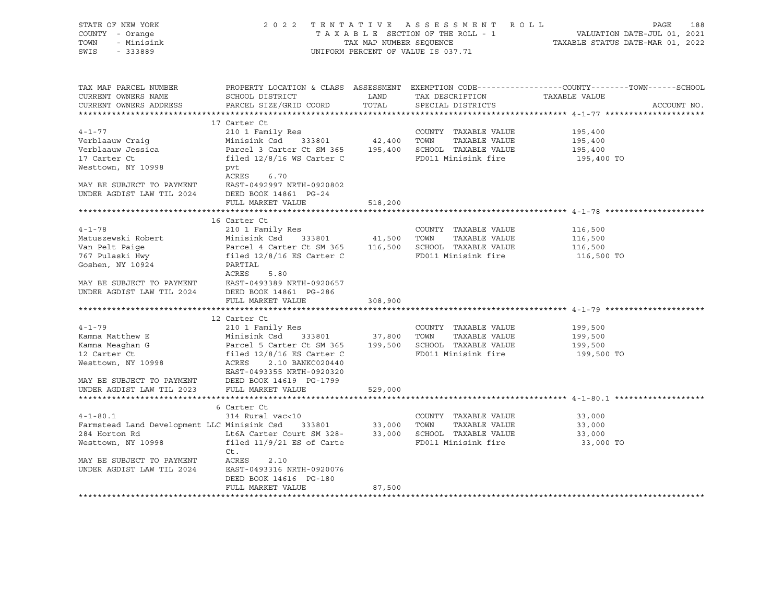| STATE OF NEW YORK<br>COUNTY - Orange<br>TOWN<br>- Minisink<br>SWIS<br>$-333889$                                                                                                                       |                                                                                                                                                                                                                                                                                                                     | 2022 TENTATIVE ASSESSMENT ROLL<br>UNIFORM PERCENT OF VALUE IS 037.71 | PAGE<br>188<br>TAXABLE SECTION OF THE ROLL - 1<br>TAXABLE SECTION OF THE ROLL - 1<br>TAXABLE STATUS DATE-MAR 01, 2022 |                                                                                                                                  |  |  |
|-------------------------------------------------------------------------------------------------------------------------------------------------------------------------------------------------------|---------------------------------------------------------------------------------------------------------------------------------------------------------------------------------------------------------------------------------------------------------------------------------------------------------------------|----------------------------------------------------------------------|-----------------------------------------------------------------------------------------------------------------------|----------------------------------------------------------------------------------------------------------------------------------|--|--|
| TAX MAP PARCEL NUMBER<br>CURRENT OWNERS NAME<br>CURRENT OWNERS ADDRESS                                                                                                                                | SCHOOL DISTRICT<br>PARCEL SIZE/GRID COORD                                                                                                                                                                                                                                                                           | <b>EXAMPLE THE STATE OF STATE OF STATE</b><br>TOTAL                  | TAX DESCRIPTION<br>SPECIAL DISTRICTS                                                                                  | PROPERTY LOCATION & CLASS ASSESSMENT EXEMPTION CODE----------------COUNTY-------TOWN------SCHOOL<br>TAXABLE VALUE<br>ACCOUNT NO. |  |  |
|                                                                                                                                                                                                       |                                                                                                                                                                                                                                                                                                                     |                                                                      |                                                                                                                       |                                                                                                                                  |  |  |
|                                                                                                                                                                                                       | 17 Carter Ct                                                                                                                                                                                                                                                                                                        |                                                                      |                                                                                                                       |                                                                                                                                  |  |  |
| $4 - 1 - 77$<br>Verblaauw Craig<br>17 Carter Ct<br>Westtown, NY 10998                                                                                                                                 | 210 1 Family Res<br>Minisink Csd 333801 42,400 TOWN<br>Verblaauw Jessica (Parcel 3 Carter Ct SM 365 195,400 SCHOOL TAXABLE VALUE<br>filed 12/8/16 WS Carter C<br>pvt                                                                                                                                                |                                                                      | COUNTY TAXABLE VALUE<br>TAXABLE VALUE<br>FD011 Minisink fire                                                          | 195,400<br>195,400<br>195,400<br>195,400 TO                                                                                      |  |  |
| ACRES 6.70<br>MAY BE SUBJECT TO PAYMENT EAST-0492997 NRTH-09208<br>UNDER AGDIST LAW TIL 2024 DEED BOOK 14861 PG-24                                                                                    | ACRES<br>6.70<br>EAST-0492997 NRTH-0920802<br>FULL MARKET VALUE                                                                                                                                                                                                                                                     | 518,200                                                              |                                                                                                                       |                                                                                                                                  |  |  |
|                                                                                                                                                                                                       |                                                                                                                                                                                                                                                                                                                     |                                                                      |                                                                                                                       |                                                                                                                                  |  |  |
| $4 - 1 - 78$<br>Matuszewski Robert<br>Van Pelt Paige<br>767 Pulaski Hwy<br>Goshen, NY 10924<br>MAY BE SUBJECT TO PAYMENT EAST-0493389 NRTH-092065<br>UNDER AGDIST LAW TIL 2024 DEED BOOK 14861 PG-286 | 16 Carter Ct<br>210 1 Family Res<br>-- - - -------- - ---<br>Minisink Csd 333801 41,500 TOWN TAXABLE VALUE<br>Parcel 4 Carter Ct SM 365 116,500 SCHOOL TAXABLE VALUE<br>filed 12/8/16 ES Carter C FD011 Minisink fire<br>PARTIAL<br>ACRES<br>5.80<br>EAST-0493389 NRTH-0920657<br>FULL MARKET VALUE<br>12 Carter Ct | 308,900                                                              | COUNTY TAXABLE VALUE                                                                                                  | 116,500<br>116,500<br>116,500<br>116,500 TO                                                                                      |  |  |
| $4 - 1 - 79$<br>Kamna Matthew E                                                                                                                                                                       | 210 1 Family Res                                                                                                                                                                                                                                                                                                    |                                                                      | COUNTY TAXABLE VALUE                                                                                                  | 199,500<br>199,500                                                                                                               |  |  |
| Kamna Meaghan G<br>12 Carter Ct<br>Westtown, NY 10998<br>MAY BE SUBJECT TO PAYMENT DEED BOOK 14619 PG-1799<br>UNDER AGDIST LAW TIL 2023 FULL MARKET VALUE                                             | Minisink Csd 333801 37,800 TOWN TAXABLE VALUE<br>Parcel 5 Carter Ct SM 365 199,500 SCHOOL TAXABLE VALUE<br>filed 12/8/16 ES Carter C FD011 Minisink fire<br>ACRES 2.10 BANKC020440<br>EAST-0493355 NRTH-0920320                                                                                                     | 529,000                                                              |                                                                                                                       | 199,500<br>199,500 TO                                                                                                            |  |  |
|                                                                                                                                                                                                       |                                                                                                                                                                                                                                                                                                                     |                                                                      |                                                                                                                       |                                                                                                                                  |  |  |
| $4 - 1 - 80.1$<br>Westtown, NY 10998<br>MAY BE SUBJECT TO PAYMENT<br>UNDER AGDIST LAW TIL 2024                                                                                                        | 6 Carter Ct<br>314 Rural vac<10<br>Farmstead Land Development LLC Minisink Csd 333801 33,000 TOWN TAXABLE VALUE<br>284 Horton Rd Lt6A Carter Court SM 328- 33,000 SCHOOL TAXABLE VALUE<br>filed $11/9/21$ ES of Carte<br>Ct.<br>ACRES<br>2.10<br>EAST-0493316 NRTH-0920076<br>DEED BOOK 14616 PG-180                |                                                                      | COUNTY TAXABLE VALUE<br>TAXABLE VALUE<br>FD011 Minisink fire                                                          | 33,000<br>33,000<br>33,000<br>33,000 TO                                                                                          |  |  |
|                                                                                                                                                                                                       | FULL MARKET VALUE                                                                                                                                                                                                                                                                                                   | 87,500                                                               |                                                                                                                       |                                                                                                                                  |  |  |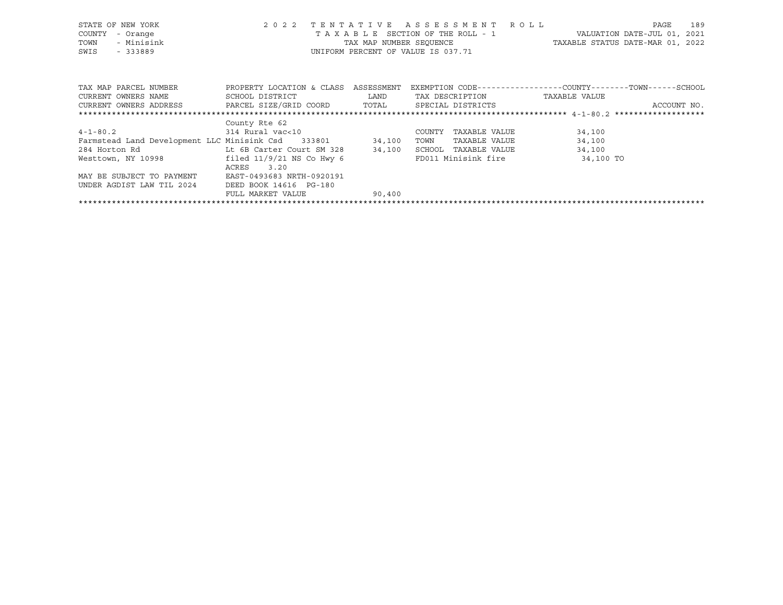| STATE OF NEW YORK<br>COUNTY<br>- Orange<br>- Minisink<br>TOWN<br>SWIS<br>$-333889$ | 2 0 2 2                                        | TENTATIVE  | ASSESSMENT ROLL<br>TAXABLE SECTION OF THE ROLL - 1<br>UNIFORM PERCENT OF VALUE IS 037.71 | TAX MAP NUMBER SEOUENCE TAXABLE STATUS DATE-MAR 01, 2022     | 189<br>PAGE<br>VALUATION DATE-JUL 01, 2021 |
|------------------------------------------------------------------------------------|------------------------------------------------|------------|------------------------------------------------------------------------------------------|--------------------------------------------------------------|--------------------------------------------|
| TAX MAP PARCEL NUMBER                                                              | PROPERTY LOCATION & CLASS                      | ASSESSMENT |                                                                                          | EXEMPTION CODE-----------------COUNTY-------TOWN------SCHOOL |                                            |
| CURRENT OWNERS NAME                                                                | SCHOOL DISTRICT                                | LAND       | TAX DESCRIPTION                                                                          | TAXABLE VALUE                                                |                                            |
| CURRENT OWNERS ADDRESS                                                             | PARCEL SIZE/GRID COORD TOTAL SPECIAL DISTRICTS |            |                                                                                          |                                                              | ACCOUNT NO.                                |
|                                                                                    |                                                |            |                                                                                          |                                                              |                                            |
| $4 - 1 - 80.2$                                                                     | County Rte 62<br>314 Rural vac<10              |            | TAXABLE VALUE<br>COUNTY                                                                  | 34,100                                                       |                                            |
|                                                                                    |                                                |            | TOWN<br>TAXABLE VALUE                                                                    |                                                              |                                            |
| Farmstead Land Development LLC Minisink Csd 333801 34,100                          |                                                |            |                                                                                          | 34,100                                                       |                                            |
| 284 Horton Rd                                                                      | Lt 6B Carter Court SM 328                      | 34,100     | SCHOOL<br>TAXABLE VALUE                                                                  | 34,100                                                       |                                            |
| Westtown, NY 10998 $\qquad \qquad$ filed 11/9/21 NS Co Hwy 6                       |                                                |            | FD011 Minisink fire                                                                      | 34,100 TO                                                    |                                            |
|                                                                                    | ACRES<br>3.20                                  |            |                                                                                          |                                                              |                                            |
| MAY BE SUBJECT TO PAYMENT                                                          | EAST-0493683 NRTH-0920191                      |            |                                                                                          |                                                              |                                            |
| UNDER AGDIST LAW TIL 2024                                                          | DEED BOOK 14616 PG-180                         |            |                                                                                          |                                                              |                                            |
|                                                                                    | FULL MARKET VALUE                              | 90,400     |                                                                                          |                                                              |                                            |

\*\*\*\*\*\*\*\*\*\*\*\*\*\*\*\*\*\*\*\*\*\*\*\*\*\*\*\*\*\*\*\*\*\*\*\*\*\*\*\*\*\*\*\*\*\*\*\*\*\*\*\*\*\*\*\*\*\*\*\*\*\*\*\*\*\*\*\*\*\*\*\*\*\*\*\*\*\*\*\*\*\*\*\*\*\*\*\*\*\*\*\*\*\*\*\*\*\*\*\*\*\*\*\*\*\*\*\*\*\*\*\*\*\*\*\*\*\*\*\*\*\*\*\*\*\*\*\*\*\*\*\*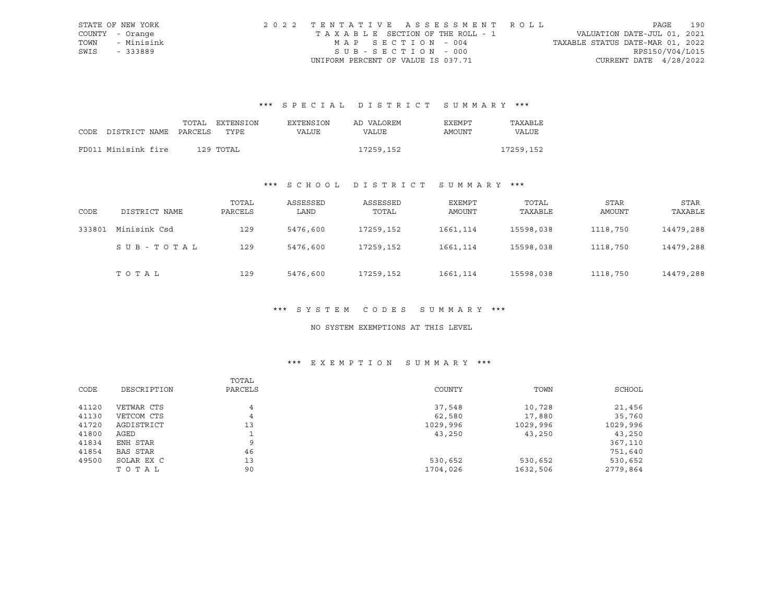|      | STATE OF NEW YORK | 2022 TENTATIVE ASSESSMENT ROLL        |                                  | PAGE | 190 |
|------|-------------------|---------------------------------------|----------------------------------|------|-----|
|      | COUNTY - Orange   | T A X A B L E SECTION OF THE ROLL - 1 | VALUATION DATE-JUL 01, 2021      |      |     |
| TOWN | - Minisink        | MAP SECTION - 004                     | TAXABLE STATUS DATE-MAR 01, 2022 |      |     |
| SWIS | - 333889          | SUB-SECTION - 000                     | RPS150/V04/L015                  |      |     |
|      |                   | UNIFORM PERCENT OF VALUE IS 037.71    | CURRENT DATE $4/28/2022$         |      |     |

# \*\*\* S P E C I A L D I S T R I C T S U M M A R Y \*\*\*

|                            | TOTAL | EXTENSION | <b>EXTENSION</b> | AD VALOREM | <b>EXEMPT</b> | TAXABLE   |
|----------------------------|-------|-----------|------------------|------------|---------------|-----------|
| CODE DISTRICT NAME PARCELS |       | TYPE      | VALUE            | VALUE      | AMOUNT        | VALUE     |
|                            |       |           |                  |            |               |           |
| FD011 Minisink fire        |       | 129 TOTAL |                  | 17259,152  |               | 17259,152 |

# \*\*\* S C H O O L D I S T R I C T S U M M A R Y \*\*\*

| CODE   | DISTRICT NAME | TOTAL<br>PARCELS | ASSESSED<br>LAND | ASSESSED<br>TOTAL | EXEMPT<br>AMOUNT | TOTAL<br>TAXABLE | STAR<br>AMOUNT | STAR<br>TAXABLE |
|--------|---------------|------------------|------------------|-------------------|------------------|------------------|----------------|-----------------|
| 333801 | Minisink Csd  | 129              | 5476,600         | 17259,152         | 1661,114         | 15598,038        | 1118,750       | 14479,288       |
|        | SUB-TOTAL     | 129              | 5476,600         | 17259,152         | 1661, 114        | 15598,038        | 1118,750       | 14479,288       |
|        | TOTAL         | 129              | 5476,600         | 17259,152         | 1661,114         | 15598,038        | 1118,750       | 14479,288       |

#### \*\*\* S Y S T E M C O D E S S U M M A R Y \*\*\*

#### NO SYSTEM EXEMPTIONS AT THIS LEVEL

# \*\*\* E X E M P T I O N S U M M A R Y \*\*\*

|       |             | TOTAL   |          |          |          |
|-------|-------------|---------|----------|----------|----------|
| CODE  | DESCRIPTION | PARCELS | COUNTY   | TOWN     | SCHOOL   |
| 41120 | VETWAR CTS  | 4       | 37,548   | 10,728   | 21,456   |
| 41130 | VETCOM CTS  | 4       | 62,580   | 17,880   | 35,760   |
| 41720 | AGDISTRICT  | 13      | 1029,996 | 1029,996 | 1029,996 |
| 41800 | AGED        |         | 43,250   | 43,250   | 43,250   |
| 41834 | ENH STAR    | 9       |          |          | 367,110  |
| 41854 | BAS STAR    | 46      |          |          | 751,640  |
| 49500 | SOLAR EX C  | 13      | 530,652  | 530,652  | 530,652  |
|       | TOTAL       | 90      | 1704,026 | 1632,506 | 2779,864 |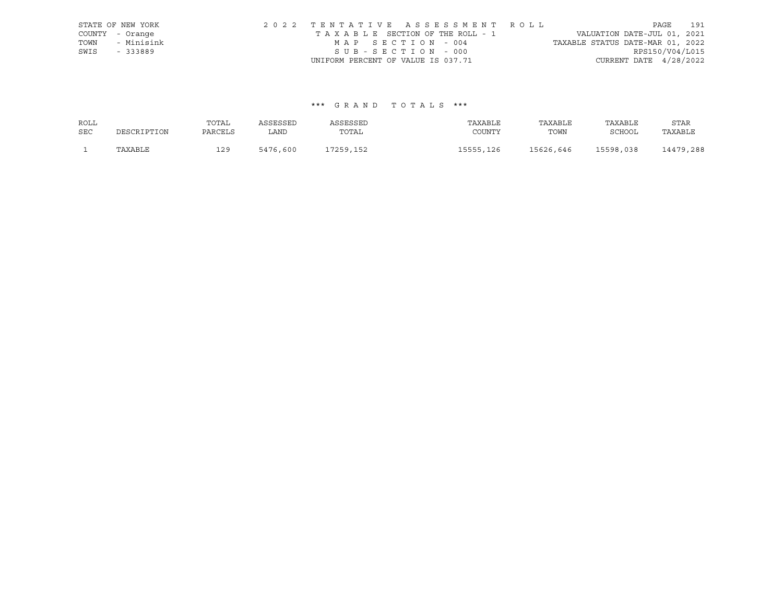|      | STATE OF NEW YORK | 2022 TENTATIVE ASSESSMENT ROLL     | PAGE                             | 191 |
|------|-------------------|------------------------------------|----------------------------------|-----|
|      | COUNTY - Orange   | TAXABLE SECTION OF THE ROLL - 1    | VALUATION DATE-JUL 01, 2021      |     |
| TOWN | - Minisink        | MAP SECTION - 004                  | TAXABLE STATUS DATE-MAR 01, 2022 |     |
| SWIS | - 333889          | SUB-SECTION - 000                  | RPS150/V04/L015                  |     |
|      |                   | UNIFORM PERCENT OF VALUE IS 037.71 | CURRENT DATE $4/28/2022$         |     |

## \*\*\* G R A N D T O T A L S \*\*\*

| ROLL       |             | TOTAL   | ASSESSED | ASSESSED  | TAXABLE   | TAXABLE   | TAXABLE       | STAR      |
|------------|-------------|---------|----------|-----------|-----------|-----------|---------------|-----------|
| <b>SEC</b> | DESCRIPTION | PARCELS | LAND     | TOTAL     | COUNTY    | TOWN      | <b>SCHOOL</b> | TAXABLE   |
|            | TAXABLE     | 129     | 5476,600 | 17259,152 | 15555,126 | 15626,646 | 15598,038     | 14479,288 |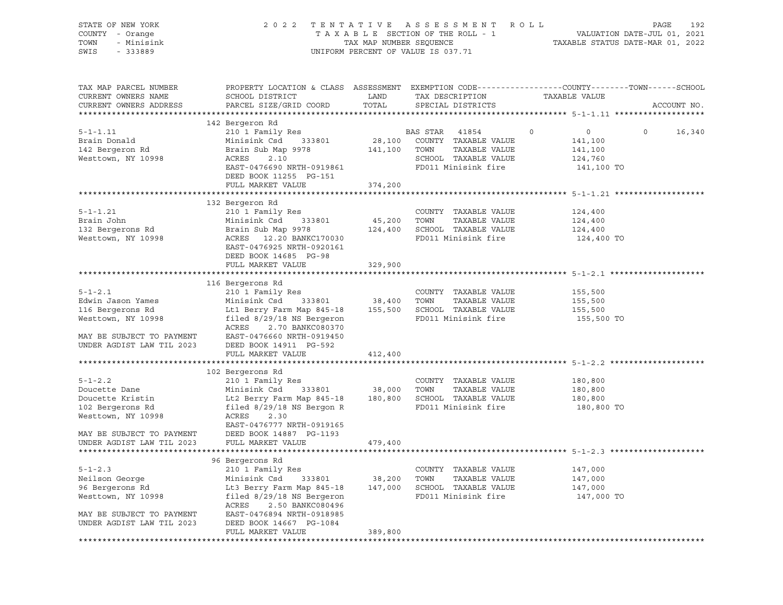| STATE OF NEW YORK<br>COUNTY - Orange<br>TOWN<br>- Minisink<br>SWIS<br>$-333889$                                                        | 2 0 2 2                                                                                                                                                                                                      | TAX MAP NUMBER SEQUENCE      | TENTATIVE ASSESSMENT<br>TAXABLE SECTION OF THE ROLL - 1<br>UNIFORM PERCENT OF VALUE IS 037.71                    | R O L L<br>TAXABLE STATUS DATE-MAR 01, 2022                              | 192<br>PAGE<br>VALUATION DATE-JUL 01, 2021 |
|----------------------------------------------------------------------------------------------------------------------------------------|--------------------------------------------------------------------------------------------------------------------------------------------------------------------------------------------------------------|------------------------------|------------------------------------------------------------------------------------------------------------------|--------------------------------------------------------------------------|--------------------------------------------|
| TAX MAP PARCEL NUMBER<br>CURRENT OWNERS NAME<br>CURRENT OWNERS ADDRESS                                                                 | PROPERTY LOCATION & CLASS ASSESSMENT EXEMPTION CODE----------------COUNTY-------TOWN------SCHOOL<br>SCHOOL DISTRICT                                                                                          | LAND<br>TOTAL                | TAX DESCRIPTION                                                                                                  | TAXABLE VALUE                                                            |                                            |
|                                                                                                                                        | PARCEL SIZE/GRID COORD                                                                                                                                                                                       |                              | SPECIAL DISTRICTS                                                                                                |                                                                          | ACCOUNT NO.                                |
|                                                                                                                                        | 142 Bergeron Rd                                                                                                                                                                                              |                              |                                                                                                                  |                                                                          |                                            |
| $5 - 1 - 1.11$<br>Brain Donald<br>142 Bergeron Rd<br>Westtown, NY 10998                                                                | 210 1 Family Res<br>333801<br>Minisink Csd<br>Brain Sub Map 9978<br>ACRES<br>2.10<br>EAST-0476690 NRTH-0919861<br>DEED BOOK 11255 PG-151                                                                     | 141,100 TOWN                 | BAS STAR<br>41854<br>28,100 COUNTY TAXABLE VALUE<br>TAXABLE VALUE<br>SCHOOL TAXABLE VALUE<br>FD011 Minisink fire | $\circ$<br>$\overline{0}$<br>141,100<br>141,100<br>124,760<br>141,100 TO | $\circ$<br>16,340                          |
|                                                                                                                                        | FULL MARKET VALUE                                                                                                                                                                                            | 374,200                      |                                                                                                                  |                                                                          |                                            |
|                                                                                                                                        |                                                                                                                                                                                                              |                              |                                                                                                                  |                                                                          |                                            |
| $5 - 1 - 1.21$<br>Brain John<br>132 Bergerons Rd<br>Westtown, NY 10998                                                                 | 132 Bergeron Rd<br>210 1 Family Res<br>Minisink Csd<br>333801<br>Brain Sub Map 9978<br>ACRES 12.20 BANKC170030<br>EAST-0476925 NRTH-0920161<br>DEED BOOK 14685 PG-98                                         | 45,200<br>124,400<br>329,900 | COUNTY TAXABLE VALUE<br>TOWN<br>TAXABLE VALUE<br>SCHOOL TAXABLE VALUE<br>FD011 Minisink fire                     | 124,400<br>124,400<br>124,400<br>124,400 TO                              |                                            |
|                                                                                                                                        | FULL MARKET VALUE                                                                                                                                                                                            |                              |                                                                                                                  |                                                                          |                                            |
|                                                                                                                                        | 116 Bergerons Rd                                                                                                                                                                                             |                              |                                                                                                                  |                                                                          |                                            |
| $5 - 1 - 2.1$<br>Edwin Jason Yames<br>116 Bergerons Rd<br>Westtown, NY 10998<br>MAY BE SUBJECT TO PAYMENT<br>UNDER AGDIST LAW TIL 2023 | 210 1 Family Res<br>333801<br>Minisink Csd<br>Lt1 Berry Farm Map 845-18<br>filed $8/29/18$ NS Bergeron<br>2.70 BANKC080370<br>ACRES<br>EAST-0476660 NRTH-0919450<br>DEED BOOK 14911 PG-592                   | 38,400                       | COUNTY TAXABLE VALUE<br>TOWN<br>TAXABLE VALUE<br>155,500 SCHOOL TAXABLE VALUE<br>FD011 Minisink fire             | 155,500<br>155,500<br>155,500<br>155,500 TO                              |                                            |
|                                                                                                                                        | FULL MARKET VALUE                                                                                                                                                                                            | 412,400                      |                                                                                                                  |                                                                          |                                            |
|                                                                                                                                        |                                                                                                                                                                                                              |                              |                                                                                                                  |                                                                          |                                            |
| $5 - 1 - 2.2$<br>Doucette Dane<br>Doucette Kristin<br>102 Bergerons Rd<br>Westtown, NY 10998<br>MAY BE SUBJECT TO PAYMENT              | 102 Bergerons Rd<br>210 1 Family Res<br>Minisink Csd<br>333801<br>Lt2 Berry Farm Map 845-18<br>filed $8/29/18$ NS Bergon R<br>ACRES<br>2.30<br>EAST-0476777 NRTH-0919165<br>DEED BOOK 14887 PG-1193          | 38,000                       | COUNTY TAXABLE VALUE<br>TOWN<br>TAXABLE VALUE<br>180,800 SCHOOL TAXABLE VALUE<br>FD011 Minisink fire             | 180,800<br>180,800<br>180,800<br>180,800 TO                              |                                            |
| UNDER AGDIST LAW TIL 2023                                                                                                              | FULL MARKET VALUE                                                                                                                                                                                            | 479,400                      |                                                                                                                  |                                                                          |                                            |
|                                                                                                                                        |                                                                                                                                                                                                              |                              |                                                                                                                  |                                                                          |                                            |
| $5 - 1 - 2.3$<br>Neilson George<br>96 Bergerons Rd<br>Westtown, NY 10998<br>MAY BE SUBJECT TO PAYMENT<br>UNDER AGDIST LAW TIL 2023     | 96 Bergerons Rd<br>210 1 Family Res<br>Minisink Csd<br>333801<br>Lt3 Berry Farm Map 845-18<br>filed 8/29/18 NS Bergeron<br>ACRES<br>2.50 BANKC080496<br>EAST-0476894 NRTH-0918985<br>DEED BOOK 14667 PG-1084 | 38,200<br>147,000            | COUNTY TAXABLE VALUE<br>TOWN<br>TAXABLE VALUE<br>SCHOOL TAXABLE VALUE<br>FD011 Minisink fire                     | 147,000<br>147,000<br>147,000<br>147,000 TO                              |                                            |
|                                                                                                                                        | FULL MARKET VALUE                                                                                                                                                                                            | 389,800                      |                                                                                                                  |                                                                          |                                            |
|                                                                                                                                        |                                                                                                                                                                                                              |                              |                                                                                                                  |                                                                          |                                            |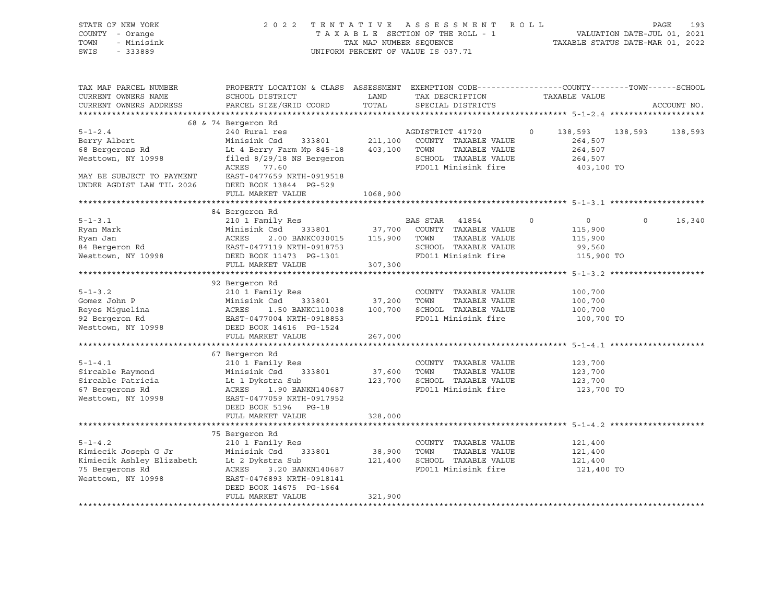| STATE OF NEW YORK<br>COUNTY - Orange<br>TOWN<br>- Minisink<br>SWIS<br>$-333889$                                                  |                                                                                                                                                                                                         | TAX MAP NUMBER SEQUENCE | 2022 TENTATIVE ASSESSMENT ROLL<br>TAXABLE SECTION OF THE ROLL - 1<br>UNIFORM PERCENT OF VALUE IS 037.71                 |                                                                         | PAGE<br>VALUATION DATE-JUL 01, 2021<br>TAXABLE STATUS DATE-MAR 01, 2022 | 193     |
|----------------------------------------------------------------------------------------------------------------------------------|---------------------------------------------------------------------------------------------------------------------------------------------------------------------------------------------------------|-------------------------|-------------------------------------------------------------------------------------------------------------------------|-------------------------------------------------------------------------|-------------------------------------------------------------------------|---------|
| TAX MAP PARCEL NUMBER<br>CURRENT OWNERS NAME<br>CURRENT OWNERS ADDRESS                                                           | PROPERTY LOCATION & CLASS ASSESSMENT EXEMPTION CODE----------------COUNTY-------TOWN------SCHOOL<br>SCHOOL DISTRICT<br>PARCEL SIZE/GRID COORD                                                           | LAND<br>TOTAL           | TAX DESCRIPTION<br>SPECIAL DISTRICTS                                                                                    | TAXABLE VALUE                                                           | ACCOUNT NO.                                                             |         |
|                                                                                                                                  | 68 & 74 Bergeron Rd                                                                                                                                                                                     |                         |                                                                                                                         |                                                                         |                                                                         |         |
| $5 - 1 - 2.4$<br>Berry Albert<br>68 Bergerons Rd<br>Westtown, NY 10998<br>MAY BE SUBJECT TO PAYMENT<br>UNDER AGDIST LAW TIL 2026 | 240 Rural res<br>Minisink Csd<br>Lt 4 Berry Farm Mp 845-18<br>filed 8/29/18 NS Bergeron<br>ACRES 77.60<br>EAST-0477659 NRTH-0919518<br>DEED BOOK 13844 PG-529                                           | 403,100 TOWN            | AGDISTRICT 41720<br>333801 211,100 COUNTY TAXABLE VALUE<br>TAXABLE VALUE<br>SCHOOL TAXABLE VALUE<br>FD011 Minisink fire | 138,593<br>$\Omega$<br>264,507<br>264,507<br>264,507<br>403,100 TO      | 138,593                                                                 | 138,593 |
|                                                                                                                                  | FULL MARKET VALUE                                                                                                                                                                                       | 1068,900                |                                                                                                                         |                                                                         |                                                                         |         |
|                                                                                                                                  |                                                                                                                                                                                                         |                         |                                                                                                                         |                                                                         |                                                                         |         |
| $5 - 1 - 3.1$<br>Ryan Mark<br>Ryan Jan<br>84 Bergeron Rd<br>Westter<br>Westtown, NY 10998                                        | 84 Bergeron Rd<br>210 1 Family Res<br>Minisink Csd 333801<br>ACRES<br>2.00 BANKC030015<br>- ACKES - 2.000<br>EAST-0477119 NRTH-0918753<br>- 1301 - 1301<br>DEED BOOK 11473 PG-1301<br>FULL MARKET VALUE | 115,900<br>307,300      | BAS STAR 41854<br>37,700 COUNTY TAXABLE VALUE<br>TAXABLE VALUE<br>TOWN<br>SCHOOL TAXABLE VALUE<br>FD011 Minisink fire   | $\overline{0}$<br>$\circ$<br>115,900<br>115,900<br>99,560<br>115,900 TO | $\circ$                                                                 | 16,340  |
|                                                                                                                                  |                                                                                                                                                                                                         |                         |                                                                                                                         |                                                                         |                                                                         |         |
| $5 - 1 - 3.2$<br>Gomez John P<br>Reyes Miguelina<br>92 Bergeron Rd<br>Westtown, NY 10998                                         | 92 Bergeron Rd<br>210 1 Family Res<br>Minisink Csd<br>333801<br>ACRES<br>EAST-0477004 NRTH-0918853<br>DEED BOOK 14616 PG-1524<br>FULL MARKET VALUE                                                      | 37,200<br>267,000       | COUNTY TAXABLE VALUE<br>TOWN<br>TAXABLE VALUE<br>1.50 BANKC110038 100,700 SCHOOL TAXABLE VALUE<br>FD011 Minisink fire   | 100,700<br>100,700<br>100,700<br>100,700 TO                             |                                                                         |         |
|                                                                                                                                  |                                                                                                                                                                                                         |                         |                                                                                                                         |                                                                         |                                                                         |         |
| $5 - 1 - 4.1$<br>Sircable Raymond<br>Sircable Patricia<br>67 Bergerons Rd<br>Westtown, NY 10998                                  | 67 Bergeron Rd<br>210 1 Family Res<br>Minisink Csd 333801<br>Lt 1 Dykstra Sub<br>ACRES<br>1.90 BANKN140687<br>EAST-0477059 NRTH-0917952<br>DEED BOOK 5196 PG-18                                         | 37,600                  | COUNTY TAXABLE VALUE<br>TOWN<br>TAXABLE VALUE<br>123,700 SCHOOL TAXABLE VALUE<br>FD011 Minisink fire                    | 123,700<br>123,700<br>123,700<br>123,700 TO                             |                                                                         |         |
|                                                                                                                                  | FULL MARKET VALUE                                                                                                                                                                                       | 328,000                 |                                                                                                                         |                                                                         |                                                                         |         |
|                                                                                                                                  | 75 Bergeron Rd                                                                                                                                                                                          |                         |                                                                                                                         |                                                                         |                                                                         |         |
| $5 - 1 - 4.2$<br>Kimiecik Joseph G Jr<br>Kimiecik Ashley Elizabeth<br>75 Bergerons Rd<br>Westtown, NY 10998                      | 210 1 Family Res<br>Minisink Csd 333801<br>Lt 2 Dykstra Sub<br>ACRES<br>3.20 BANKN140687<br>EAST-0476893 NRTH-0918141<br>DEED BOOK 14675 PG-1664                                                        | 38,900                  | COUNTY TAXABLE VALUE<br>TOWN<br>TAXABLE VALUE<br>121,400 SCHOOL TAXABLE VALUE<br>FD011 Minisink fire                    | 121,400<br>121,400<br>121,400<br>121,400 TO                             |                                                                         |         |
|                                                                                                                                  | FULL MARKET VALUE                                                                                                                                                                                       | 321,900                 |                                                                                                                         |                                                                         |                                                                         |         |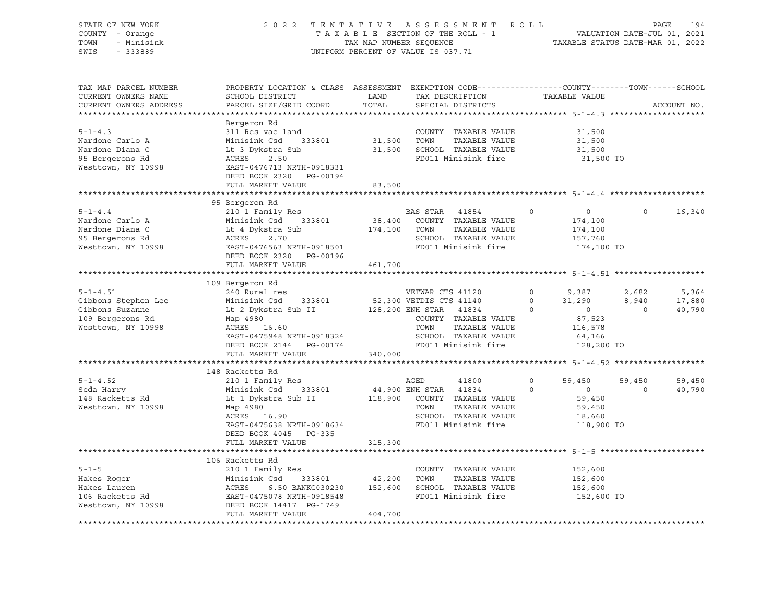| STATE OF NEW YORK<br>COUNTY - Orange<br>TOWN<br>- Minisink | 2 0 2 2                                                                                                                          | TENTATIVE<br>TAX MAP NUMBER SEQUENCE | ASSESSMENT ROLL<br>TAXABLE SECTION OF THE ROLL - 1 |               |                | VALUATION DATE-JUL 01, 2021<br>TAXABLE STATUS DATE-MAR 01, 2022 |                | 194<br>PAGE |
|------------------------------------------------------------|----------------------------------------------------------------------------------------------------------------------------------|--------------------------------------|----------------------------------------------------|---------------|----------------|-----------------------------------------------------------------|----------------|-------------|
| SWIS<br>$-333889$                                          |                                                                                                                                  |                                      | UNIFORM PERCENT OF VALUE IS 037.71                 |               |                |                                                                 |                |             |
| TAX MAP PARCEL NUMBER                                      | PROPERTY LOCATION & CLASS ASSESSMENT EXEMPTION CODE---------------COUNTY-------TOWN-----SCHOOL                                   |                                      |                                                    |               |                |                                                                 |                |             |
| CURRENT OWNERS NAME                                        | SCHOOL DISTRICT                                                                                                                  | LAND                                 | TAX DESCRIPTION                                    |               |                | TAXABLE VALUE                                                   |                |             |
| CURRENT OWNERS ADDRESS                                     | PARCEL SIZE/GRID COORD                                                                                                           | TOTAL                                | SPECIAL DISTRICTS                                  |               |                |                                                                 |                | ACCOUNT NO. |
|                                                            |                                                                                                                                  |                                      |                                                    |               |                |                                                                 |                |             |
|                                                            | Bergeron Rd                                                                                                                      |                                      |                                                    |               |                |                                                                 |                |             |
| $5 - 1 - 4.3$                                              | 311 Res vac land                                                                                                                 |                                      | COUNTY TAXABLE VALUE                               |               |                | 31,500                                                          |                |             |
| Nardone Carlo A                                            | Minisink Csd 333801                                                                                                              | 31,500 TOWN                          |                                                    | TAXABLE VALUE |                | 31,500                                                          |                |             |
| Nardone Diana C                                            | Lt 3 Dykstra Sub                                                                                                                 |                                      | 31,500 SCHOOL TAXABLE VALUE                        |               |                | 31,500                                                          |                |             |
| 95 Bergerons Rd                                            | ACRES<br>2.50                                                                                                                    |                                      | FD011 Minisink fire                                |               |                | 31,500 TO                                                       |                |             |
| Westtown, NY 10998                                         | EAST-0476713 NRTH-0918331                                                                                                        |                                      |                                                    |               |                |                                                                 |                |             |
|                                                            | DEED BOOK 2320 PG-00194                                                                                                          |                                      |                                                    |               |                |                                                                 |                |             |
|                                                            | FULL MARKET VALUE                                                                                                                | 83,500                               |                                                    |               |                |                                                                 |                |             |
|                                                            |                                                                                                                                  |                                      |                                                    |               |                |                                                                 |                |             |
| $5 - 1 - 4.4$                                              | 95 Bergeron Rd                                                                                                                   |                                      | BAS STAR                                           |               | 0              | $\circ$                                                         | $\Omega$       | 16,340      |
| Nardone Carlo A                                            | 210 1 Family Res<br>Minisink Csd 333801                                                                                          |                                      | 41854<br>38,400 COUNTY TAXABLE VALUE               |               |                | 174,100                                                         |                |             |
| Nardone Diana C                                            | Lt 4 Dykstra Sub                                                                                                                 | 174,100 TOWN                         |                                                    | TAXABLE VALUE |                | 174,100                                                         |                |             |
| 95 Bergerons Rd                                            | 2.70<br>ACRES                                                                                                                    |                                      | SCHOOL TAXABLE VALUE                               |               |                | 157,760                                                         |                |             |
| Westtown, NY 10998                                         | EAST-0476563 NRTH-0918501                                                                                                        |                                      | FD011 Minisink fire                                |               |                | 174,100 TO                                                      |                |             |
|                                                            | DEED BOOK 2320 PG-00196                                                                                                          |                                      |                                                    |               |                |                                                                 |                |             |
|                                                            | FULL MARKET VALUE                                                                                                                | 461,700                              |                                                    |               |                |                                                                 |                |             |
|                                                            |                                                                                                                                  |                                      |                                                    |               |                |                                                                 |                |             |
|                                                            | 109 Bergeron Rd                                                                                                                  |                                      |                                                    |               |                |                                                                 |                |             |
| $5 - 1 - 4.51$                                             | 240 Rural res                                                                                                                    |                                      | VETWAR CTS 41120                                   |               | $\circ$        | 9,387                                                           | 2,682          | 5,364       |
| Gibbons Stephen Lee                                        | Minisink Csd 333801                                                                                                              |                                      |                                                    |               | $\overline{0}$ | 31,290                                                          | 8,940          | 17,880      |
| Gibbons Suzanne                                            | Lt 2 Dykstra Sub II                                                                                                              |                                      | 52,300 VETDIS CTS 41140<br>128,200 ENH STAR 41834  |               | $\circ$        | $\overline{0}$                                                  | $\overline{0}$ | 40,790      |
| 109 Bergerons Rd                                           | Map 4980                                                                                                                         |                                      | COUNTY TAXABLE VALUE                               |               |                | 87,523                                                          |                |             |
| Westtown, NY 10998                                         | ACRES 16.60                                                                                                                      |                                      | TOWN                                               | TAXABLE VALUE |                | 116,578                                                         |                |             |
|                                                            | EAST-0475948 NRTH-0918324                                                                                                        |                                      | SCHOOL TAXABLE VALUE                               |               |                | 64,166                                                          |                |             |
|                                                            | DEED BOOK 2144 PG-00174                                                                                                          |                                      | FD011 Minisink fire                                |               |                | 128,200 TO                                                      |                |             |
|                                                            | FULL MARKET VALUE                                                                                                                | 340,000                              |                                                    |               |                |                                                                 |                |             |
|                                                            |                                                                                                                                  |                                      |                                                    |               |                |                                                                 |                |             |
|                                                            | 148 Racketts Rd                                                                                                                  |                                      |                                                    |               |                |                                                                 |                |             |
| $5 - 1 - 4.52$                                             | 210 1 Family Res                                                                                                                 |                                      | AGED<br>41800                                      |               | 0              | 59,450                                                          | 59,450         | 59,450      |
| Seda Harry                                                 | Minisink Csd<br>333801                                                                                                           | 44,900 ENH STAR                      | 41834                                              |               | $\Omega$       | $\Omega$                                                        | $\Omega$       | 40,790      |
| 148 Racketts Rd                                            | Lt 1 Dykstra Sub II                                                                                                              |                                      | 118,900 COUNTY TAXABLE VALUE                       |               |                | 59,450                                                          |                |             |
| Westtown, NY 10998                                         | Map 4980                                                                                                                         |                                      | TOWN                                               | TAXABLE VALUE |                | 59,450                                                          |                |             |
|                                                            | ACRES 16.90                                                                                                                      |                                      | SCHOOL TAXABLE VALUE                               |               |                | 18,660                                                          |                |             |
|                                                            | EAST-0475638 NRTH-0918634                                                                                                        |                                      | FD011 Minisink fire                                |               |                | 118,900 TO                                                      |                |             |
|                                                            | DEED BOOK 4045 PG-335                                                                                                            |                                      |                                                    |               |                |                                                                 |                |             |
|                                                            | FULL MARKET VALUE                                                                                                                | 315,300                              |                                                    |               |                |                                                                 |                |             |
|                                                            |                                                                                                                                  |                                      |                                                    |               |                |                                                                 |                |             |
|                                                            | 106 Racketts Rd                                                                                                                  |                                      |                                                    |               |                |                                                                 |                |             |
| $5 - 1 - 5$                                                | 210 1 Family Res                                                                                                                 |                                      | COUNTY TAXABLE VALUE<br>TOWN                       |               |                | 152,600                                                         |                |             |
| Hakes Roger<br>Hakes Lauren                                | 6.50 BANKC030230                                                                                                                 | 42,200<br>152,600                    | SCHOOL TAXABLE VALUE                               | TAXABLE VALUE |                | 152,600<br>152,600                                              |                |             |
| 106 Racketts Rd                                            |                                                                                                                                  |                                      | FD011 Minisink fire                                |               |                | 152,600 TO                                                      |                |             |
| Westtown, NY 10998                                         | Minisink Csd 333801<br>ACRES 6.50 BANKC030230<br>EAST-0475078 NRTH-0918548<br>DEED BOOK 14417 PG-1749<br>DEED BOOK 14417 PG-1749 |                                      |                                                    |               |                |                                                                 |                |             |
|                                                            | FULL MARKET VALUE                                                                                                                | 404,700                              |                                                    |               |                |                                                                 |                |             |
|                                                            | ************************                                                                                                         |                                      |                                                    |               |                |                                                                 |                |             |
|                                                            |                                                                                                                                  |                                      |                                                    |               |                |                                                                 |                |             |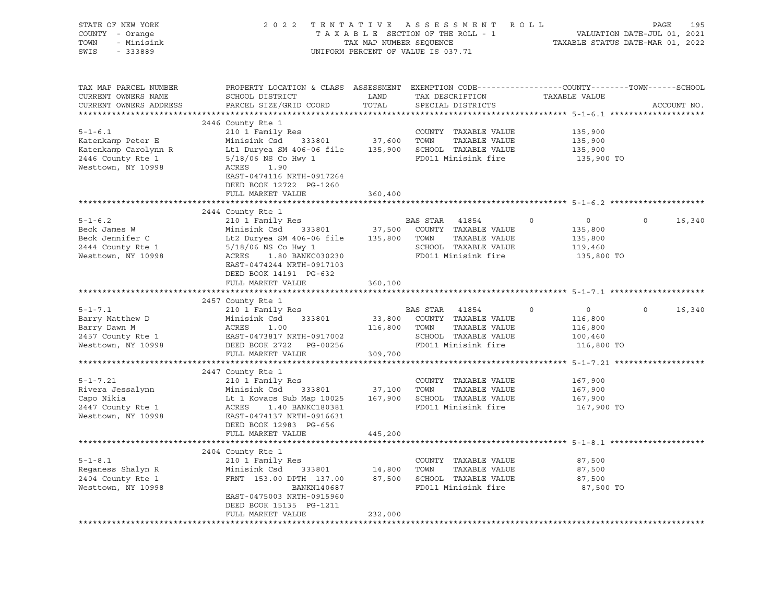| STATE OF NEW YORK<br>COUNTY - Orange<br>- Minisink<br>TOWN<br>SWIS<br>$-333889$                       |                                                                                                                                                                                                                                                       |               | 2022 TENTATIVE ASSESSMENT ROLL<br>TAXABLE SECTION OF THE ROLL - 1 VALUATION DATE-JUL 01, 2021<br>TAXABLE SECTION OF THE ROLL - 1 VALUATION DATE-JUL 01, 2021<br>UNIFORM PERCENT OF VALUE IS 037.71 |         |                                                               | PAGE           | 195         |
|-------------------------------------------------------------------------------------------------------|-------------------------------------------------------------------------------------------------------------------------------------------------------------------------------------------------------------------------------------------------------|---------------|----------------------------------------------------------------------------------------------------------------------------------------------------------------------------------------------------|---------|---------------------------------------------------------------|----------------|-------------|
| TAX MAP PARCEL NUMBER<br>CURRENT OWNERS NAME<br>CURRENT OWNERS ADDRESS                                | PROPERTY LOCATION & CLASS ASSESSMENT EXEMPTION CODE---------------COUNTY-------TOWN------SCHOOL<br>SCHOOL DISTRICT<br>PARCEL SIZE/GRID COORD                                                                                                          | LAND<br>TOTAL | TAX DESCRIPTION TAXABLE VALUE<br>SPECIAL DISTRICTS                                                                                                                                                 |         |                                                               |                | ACCOUNT NO. |
|                                                                                                       | 2446 County Rte 1                                                                                                                                                                                                                                     |               |                                                                                                                                                                                                    |         |                                                               |                |             |
| $5 - 1 - 6.1$<br>Katenkamp Peter E<br>Katenkamp Carolynn R<br>2446 County Rte 1<br>Westtown, NY 10998 | 210 1 Family Res<br>Minisink Csd 333801 37,600 TOWN<br>Lt1 Duryea SM 406-06 file 135,900 SCHOOL TAXABLE VALUE<br>5/18/06 NS Co Hwy 1<br>ACRES 1.90<br>EAST-0474116 NRTH-0917264                                                                       |               | COUNTY TAXABLE VALUE<br>TAXABLE VALUE<br>FD011 Minisink fire                                                                                                                                       |         | 135,900<br>135,900<br>135,900<br>135,900 TO                   |                |             |
|                                                                                                       | DEED BOOK 12722 PG-1260                                                                                                                                                                                                                               |               |                                                                                                                                                                                                    |         |                                                               |                |             |
|                                                                                                       | FULL MARKET VALUE                                                                                                                                                                                                                                     | 360,400       |                                                                                                                                                                                                    |         |                                                               |                |             |
|                                                                                                       | 2444 County Rte 1                                                                                                                                                                                                                                     |               |                                                                                                                                                                                                    |         |                                                               |                |             |
| $5 - 1 - 6.2$<br>Beck James W<br>Beck Jennifer C<br>2444 County Rte 1<br>Westtown, NY 10998           | 210 1 Family Res<br>Minisink Csd 333801 37,500 COUNTY TAXABLE VALUE<br>Lt2 Duryea SM 406-06 file 135,800 TOWN<br>5/18/06 NS Co Hwy 1 SCHOOL<br>ACRES 1.80 BANKC030230<br>EAST-0474244 NRTH-0917103                                                    |               | BAS STAR 41854<br>TAXABLE VALUE<br>SCHOOL TAXABLE VALUE<br>FD011 Minisink fire                                                                                                                     | $\circ$ | $\overline{0}$<br>135,800<br>135,800<br>119,460<br>135,800 TO | $\circ$        | 16,340      |
|                                                                                                       | DEED BOOK 14191 PG-632<br>FULL MARKET VALUE                                                                                                                                                                                                           | 360,100       |                                                                                                                                                                                                    |         |                                                               |                |             |
|                                                                                                       |                                                                                                                                                                                                                                                       |               |                                                                                                                                                                                                    |         |                                                               |                |             |
|                                                                                                       | 2457 County Rte 1                                                                                                                                                                                                                                     |               |                                                                                                                                                                                                    |         |                                                               |                |             |
| $5 - 1 - 7.1$<br>Barry Matthew D<br>Barry Dawn M<br>2457 County Rte 1<br>Westtown, NY 10998           | 210 1 Family Res<br>333801<br>Minisink Csd<br>ACRES 1.00 110,000<br>EAST-0473817 NRTH-0917002<br>III DOOK 2722 PG-00256                                                                                                                               | 116,800 TOWN  | BAS STAR 41854<br>33,800 COUNTY TAXABLE VALUE<br>TAXABLE VALUE<br>SCHOOL TAXABLE VALUE<br>FD011 Minisink fire                                                                                      | $\circ$ | $\overline{0}$<br>116,800<br>116,800<br>100,460<br>116,800 TO | $\overline{0}$ | 16,340      |
|                                                                                                       | FULL MARKET VALUE                                                                                                                                                                                                                                     | 309,700       |                                                                                                                                                                                                    |         |                                                               |                |             |
|                                                                                                       |                                                                                                                                                                                                                                                       |               |                                                                                                                                                                                                    |         |                                                               |                |             |
| $5 - 1 - 7.21$<br>Rivera Jessalynn<br>Capo Nikia<br>2447 County Rte 1<br>Westtown, NY 10998           | 2447 County Rte 1<br>210 1 Family Res<br>Minisink Csd 333801 37,100 TOWN TAXABLE VALUE<br>Lt 1 Kovacs Sub Map 10025 167,900 SCHOOL TAXABLE VALUE<br>ACRES 1.40 BANKC180381 FD011 Minisink fire<br>EAST-0474137 NRTH-0916631<br>DEED BOOK 12983 PG-656 |               | COUNTY TAXABLE VALUE                                                                                                                                                                               |         | 167,900<br>167,900<br>167,900<br>167,900 TO                   |                |             |
|                                                                                                       | FULL MARKET VALUE                                                                                                                                                                                                                                     | 445,200       |                                                                                                                                                                                                    |         |                                                               |                |             |
|                                                                                                       | 2404 County Rte 1                                                                                                                                                                                                                                     |               |                                                                                                                                                                                                    |         |                                                               |                |             |
| $5 - 1 - 8.1$<br>Reganess Shalyn R<br>2404 County Rte 1<br>2404 County Rte 1<br>Westtown, NY 10998    | 210 1 Family Res<br>Minisink Csd 333801 14,800<br>FRNT 153.00 DPTH 137.00 87,500<br>BANKN140687<br>EAST-0475003 NRTH-0915960                                                                                                                          |               | COUNTY TAXABLE VALUE<br>TOWN<br>TAXABLE VALUE<br>87,500 SCHOOL TAXABLE VALUE<br>FD011 Minisink fire                                                                                                |         | 87,500<br>87,500<br>87,500<br>87,500 TO                       |                |             |
|                                                                                                       | DEED BOOK 15135 PG-1211<br>FULL MARKET VALUE                                                                                                                                                                                                          | 232,000       |                                                                                                                                                                                                    |         |                                                               |                |             |
|                                                                                                       |                                                                                                                                                                                                                                                       |               |                                                                                                                                                                                                    |         |                                                               |                |             |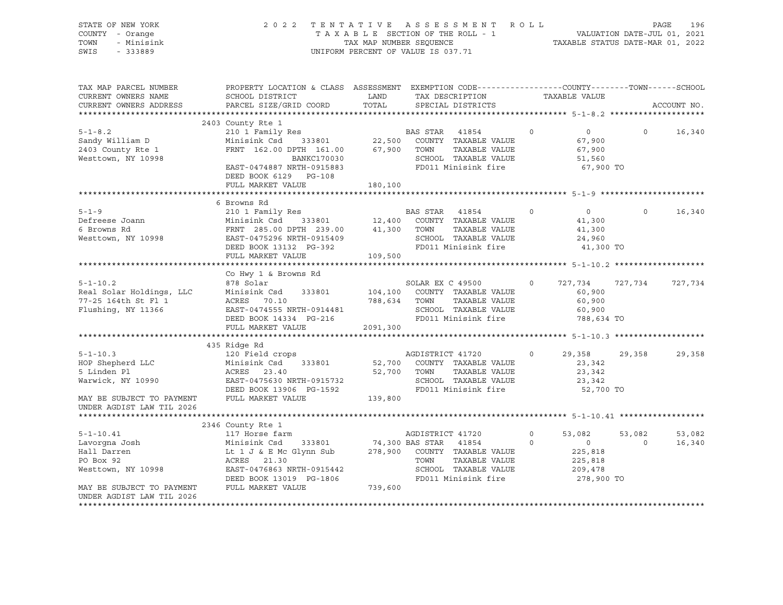| STATE OF NEW YORK<br>COUNTY - Orange<br>- Minisink<br>TOWN<br>SWIS<br>$-333889$ | 2 0 2 2                                                                                                                                                                                                                                          | TENTATIVE     | ASSESSMENT ROLL<br>$\begin{array}{cccccccccccccc} \text{I}' & \text{E} & \text{N} & \text{T} & \text{A} & \text{T} & \text{A} & \text{B} & \text{A} & \text{B} & \text{B} & \text{B} & \text{C} & \text{C} & \text{A} & \text{B} & \text{C} & \text{A} & \text{C} & \text{A} & \text{C} & \text{A} & \text{C} & \text{A} & \text{C} & \text{A} & \text{C} & \text{A} & \text{D} & \text{A} & \text{D} & \text{A} & \text{D} & \text{A} & \text{D} & \text$<br>UNIFORM PERCENT OF VALUE IS 037.71 |          |                                                           | PAGE     | 196         |
|---------------------------------------------------------------------------------|--------------------------------------------------------------------------------------------------------------------------------------------------------------------------------------------------------------------------------------------------|---------------|--------------------------------------------------------------------------------------------------------------------------------------------------------------------------------------------------------------------------------------------------------------------------------------------------------------------------------------------------------------------------------------------------------------------------------------------------------------------------------------------------|----------|-----------------------------------------------------------|----------|-------------|
| TAX MAP PARCEL NUMBER<br>CURRENT OWNERS NAME<br>CURRENT OWNERS ADDRESS          | PROPERTY LOCATION & CLASS ASSESSMENT EXEMPTION CODE----------------COUNTY-------TOWN-----SCHOOL<br>SCHOOL DISTRICT<br>PARCEL SIZE/GRID COORD                                                                                                     | LAND<br>TOTAL | TAX DESCRIPTION<br>SPECIAL DISTRICTS                                                                                                                                                                                                                                                                                                                                                                                                                                                             |          | TAXABLE VALUE                                             |          | ACCOUNT NO. |
|                                                                                 |                                                                                                                                                                                                                                                  |               |                                                                                                                                                                                                                                                                                                                                                                                                                                                                                                  |          |                                                           |          |             |
|                                                                                 | 2403 County Rte 1                                                                                                                                                                                                                                |               |                                                                                                                                                                                                                                                                                                                                                                                                                                                                                                  |          |                                                           |          |             |
| $5 - 1 - 8.2$<br>Sandy William D<br>2403 County Rte 1<br>Westtown, NY 10998     | 210 1 Family Res<br>Minisink Csd 333801<br>$\begin{tabular}{lllllll} \multicolumn{2}{l}{{\bf FRNT}} & 162.00 & DPTH & 161.00 & 67,900 & TOWN & TAXABLE VALUE \end{tabular}$<br>BANKC170030<br>EAST-0474887 NRTH-0915883<br>DEED BOOK 6129 PG-108 | 22,500        | BAS STAR 41854<br>COUNTY TAXABLE VALUE<br>SCHOOL TAXABLE VALUE<br>FD011 Minisink fire                                                                                                                                                                                                                                                                                                                                                                                                            | $\Omega$ | $\overline{0}$<br>67,900<br>67,900<br>51,560<br>67,900 TO | $\Omega$ | 16,340      |
|                                                                                 | FULL MARKET VALUE                                                                                                                                                                                                                                | 180,100       |                                                                                                                                                                                                                                                                                                                                                                                                                                                                                                  |          |                                                           |          |             |
|                                                                                 | 6 Browns Rd                                                                                                                                                                                                                                      |               |                                                                                                                                                                                                                                                                                                                                                                                                                                                                                                  |          |                                                           |          |             |
| $5 - 1 - 9$<br>Defreese Joann<br>6 Browns Rd<br>Westtown, NY 10998              | 210 1 Family Res<br>Minisink Csd 333801 12,400<br>FRNT 285.00 DPTH 239.00 41,300 TOWN<br>EAST-0475296 NRTH-0915409 41,300 SCHOOL                                                                                                                 |               | BAS STAR 41854<br>COUNTY TAXABLE VALUE<br>TAXABLE VALUE<br>SCHOOL TAXABLE VALUE                                                                                                                                                                                                                                                                                                                                                                                                                  | $\Omega$ | $\overline{0}$<br>41,300<br>41,300<br>24,960              | $\circ$  | 16,340      |
|                                                                                 | DEED BOOK 13132 PG-392                                                                                                                                                                                                                           |               | FD011 Minisink fire                                                                                                                                                                                                                                                                                                                                                                                                                                                                              |          | 41,300 TO                                                 |          |             |
|                                                                                 | FULL MARKET VALUE                                                                                                                                                                                                                                | 109,500       |                                                                                                                                                                                                                                                                                                                                                                                                                                                                                                  |          |                                                           |          |             |
|                                                                                 | Co Hwy 1 & Browns Rd                                                                                                                                                                                                                             |               |                                                                                                                                                                                                                                                                                                                                                                                                                                                                                                  |          |                                                           |          |             |
| $5 - 1 - 10.2$                                                                  | 878 Solar                                                                                                                                                                                                                                        |               | SOLAR EX C 49500                                                                                                                                                                                                                                                                                                                                                                                                                                                                                 | $\circ$  | 727,734                                                   | 727,734  | 727,734     |
| Real Solar Holdings, LLC                                                        | Minisink Csd<br>333801                                                                                                                                                                                                                           | 104,100       | COUNTY TAXABLE VALUE                                                                                                                                                                                                                                                                                                                                                                                                                                                                             |          | 60,900                                                    |          |             |
| 77-25 164th St Fl 1                                                             | ACRES 70.10                                                                                                                                                                                                                                      | 788,634       | TOWN<br>TAXABLE VALUE                                                                                                                                                                                                                                                                                                                                                                                                                                                                            |          | 60,900                                                    |          |             |
| Flushing, NY 11366                                                              | EAST-0474555 NRTH-0914481                                                                                                                                                                                                                        |               | SCHOOL TAXABLE VALUE                                                                                                                                                                                                                                                                                                                                                                                                                                                                             |          | 60,900                                                    |          |             |
|                                                                                 | DEED BOOK 14334 PG-216                                                                                                                                                                                                                           |               | FD011 Minisink fire                                                                                                                                                                                                                                                                                                                                                                                                                                                                              |          | 788,634 TO                                                |          |             |
|                                                                                 | FULL MARKET VALUE                                                                                                                                                                                                                                | 2091,300      |                                                                                                                                                                                                                                                                                                                                                                                                                                                                                                  |          |                                                           |          |             |
|                                                                                 |                                                                                                                                                                                                                                                  |               |                                                                                                                                                                                                                                                                                                                                                                                                                                                                                                  |          |                                                           |          |             |
|                                                                                 | 435 Ridge Rd                                                                                                                                                                                                                                     |               |                                                                                                                                                                                                                                                                                                                                                                                                                                                                                                  |          |                                                           |          |             |
| $5 - 1 - 10.3$                                                                  | 120 Field crops                                                                                                                                                                                                                                  |               | AGDISTRICT 41720                                                                                                                                                                                                                                                                                                                                                                                                                                                                                 | $\Omega$ | 29,358                                                    | 29,358   | 29,358      |
| HOP Shepherd LLC                                                                | Minisink Csd<br>333801                                                                                                                                                                                                                           | 52,700        | COUNTY TAXABLE VALUE                                                                                                                                                                                                                                                                                                                                                                                                                                                                             |          | 23,342                                                    |          |             |
| 5 Linden Pl                                                                     | ACRES 23.40                                                                                                                                                                                                                                      | 52,700        | TOWN<br>TAXABLE VALUE<br>SCHOOL TAXABLE VALUE                                                                                                                                                                                                                                                                                                                                                                                                                                                    |          | 23,342<br>23,342                                          |          |             |
| Warwick, NY 10990                                                               | EAST-0475630 NRTH-0915732<br>DEED BOOK 13906 PG-1592                                                                                                                                                                                             |               | FD011 Minisink fire                                                                                                                                                                                                                                                                                                                                                                                                                                                                              |          | 52,700 TO                                                 |          |             |
| MAY BE SUBJECT TO PAYMENT                                                       | FULL MARKET VALUE                                                                                                                                                                                                                                | 139,800       |                                                                                                                                                                                                                                                                                                                                                                                                                                                                                                  |          |                                                           |          |             |
| UNDER AGDIST LAW TIL 2026                                                       |                                                                                                                                                                                                                                                  |               |                                                                                                                                                                                                                                                                                                                                                                                                                                                                                                  |          |                                                           |          |             |
|                                                                                 |                                                                                                                                                                                                                                                  |               |                                                                                                                                                                                                                                                                                                                                                                                                                                                                                                  |          |                                                           |          |             |
|                                                                                 | 2346 County Rte 1                                                                                                                                                                                                                                |               |                                                                                                                                                                                                                                                                                                                                                                                                                                                                                                  |          |                                                           |          |             |
| $5 - 1 - 10.41$                                                                 | 117 Horse farm                                                                                                                                                                                                                                   |               | AGDISTRICT 41720                                                                                                                                                                                                                                                                                                                                                                                                                                                                                 | $\circ$  | 53,082                                                    | 53,082   | 53,082      |
| Lavorqna Josh                                                                   | Minisink Csd 333801                                                                                                                                                                                                                              |               | 74,300 BAS STAR 41854                                                                                                                                                                                                                                                                                                                                                                                                                                                                            | $\circ$  | $\overline{0}$                                            | $\circ$  | 16,340      |
| Hall Darren                                                                     | Lt 1 J & E Mc Glynn Sub                                                                                                                                                                                                                          | 278,900       | COUNTY TAXABLE VALUE                                                                                                                                                                                                                                                                                                                                                                                                                                                                             |          | 225,818                                                   |          |             |
| PO Box 92                                                                       | ACRES 21.30                                                                                                                                                                                                                                      |               | TOWN<br>TAXABLE VALUE                                                                                                                                                                                                                                                                                                                                                                                                                                                                            |          | 225,818                                                   |          |             |
| Westtown, NY 10998                                                              | EAST-0476863 NRTH-0915442                                                                                                                                                                                                                        |               | SCHOOL TAXABLE VALUE                                                                                                                                                                                                                                                                                                                                                                                                                                                                             |          | 209,478                                                   |          |             |
|                                                                                 | DEED BOOK 13019 PG-1806                                                                                                                                                                                                                          |               | FD011 Minisink fire                                                                                                                                                                                                                                                                                                                                                                                                                                                                              |          | 278,900 TO                                                |          |             |
| MAY BE SUBJECT TO PAYMENT                                                       | FULL MARKET VALUE                                                                                                                                                                                                                                | 739,600       |                                                                                                                                                                                                                                                                                                                                                                                                                                                                                                  |          |                                                           |          |             |
| UNDER AGDIST LAW TIL 2026                                                       |                                                                                                                                                                                                                                                  |               |                                                                                                                                                                                                                                                                                                                                                                                                                                                                                                  |          |                                                           |          |             |
| *********************                                                           |                                                                                                                                                                                                                                                  |               |                                                                                                                                                                                                                                                                                                                                                                                                                                                                                                  |          |                                                           |          |             |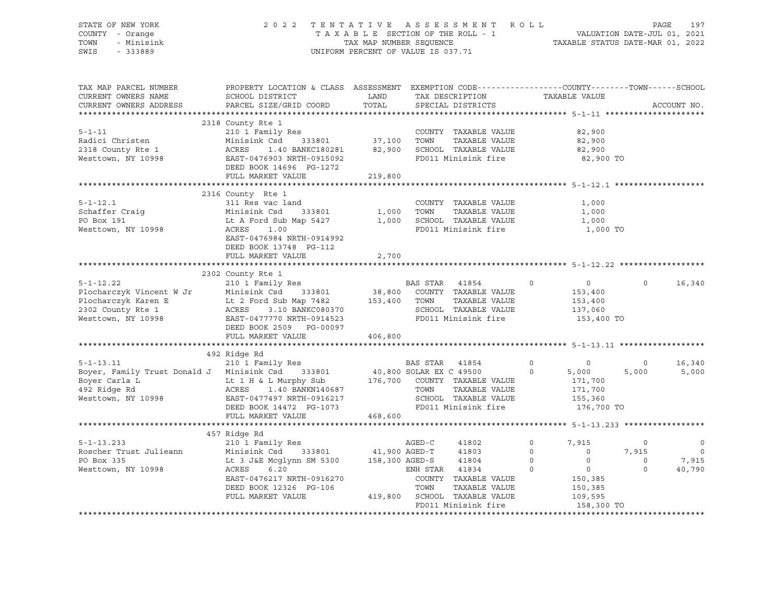| STATE OF NEW YORK<br>COUNTY - Orange<br>TOWN - Minisink<br>SWIS - 333889                                                                                                                                                                                                                                                                                                |                                                                                                                                                                                                                         |                   | 2022 TENTATIVE ASSESSMENT ROLL PAGE 197<br>TAXABLE SECTION OF THE ROLL - 1 VALUATION DATE-JUL 01, 2021<br>TAX MAP NUMBER SEQUENCE TAXABLE STATUS DATE-MAR 01, 2022<br>UNIFORM PERCENT OF VALUE IS 037.71 |                         |                                            |                          |
|-------------------------------------------------------------------------------------------------------------------------------------------------------------------------------------------------------------------------------------------------------------------------------------------------------------------------------------------------------------------------|-------------------------------------------------------------------------------------------------------------------------------------------------------------------------------------------------------------------------|-------------------|----------------------------------------------------------------------------------------------------------------------------------------------------------------------------------------------------------|-------------------------|--------------------------------------------|--------------------------|
| TAX MAP PARCEL NUMBER BOPERTY LOCATION & CLASS ASSESSMENT EXEMPTION CODE----------------COUNTY-------TOWN------SCHOOL CURRENT OWNERS NAME SCHOOL DISTRICT LAND TAX DESCRIPTION TAXABLE VALUE<br>CURRENT OWNERS ADDRESS                                                                                                                                                  | ${\tt SCHOOL\ DISTRICT}\qquad \qquad {\tt LAND}\qquad \qquad {\tt TAX\ DESCRIPTION}\qquad \qquad {\tt TAXABLE\ VALUE}$<br>PARCEL SIZE/GRID COORD                                                                        | TOTAL             | SPECIAL DISTRICTS                                                                                                                                                                                        |                         |                                            | ACCOUNT NO.              |
|                                                                                                                                                                                                                                                                                                                                                                         | 2318 County Rte 1                                                                                                                                                                                                       |                   |                                                                                                                                                                                                          |                         |                                            |                          |
|                                                                                                                                                                                                                                                                                                                                                                         |                                                                                                                                                                                                                         |                   |                                                                                                                                                                                                          | 82,900                  |                                            |                          |
|                                                                                                                                                                                                                                                                                                                                                                         |                                                                                                                                                                                                                         |                   |                                                                                                                                                                                                          | 82,900<br>82,900        |                                            |                          |
| For the state of the state of the state of the state of the state of the state of the state of the state of the state of the state of the state of the state of the state of the state of the state of the state of the state                                                                                                                                           |                                                                                                                                                                                                                         |                   | FD011 Minisink fire                                                                                                                                                                                      | 82,900 TO               |                                            |                          |
|                                                                                                                                                                                                                                                                                                                                                                         | FULL MARKET VALUE                                                                                                                                                                                                       | $1272$<br>219,800 |                                                                                                                                                                                                          |                         |                                            |                          |
|                                                                                                                                                                                                                                                                                                                                                                         |                                                                                                                                                                                                                         |                   |                                                                                                                                                                                                          |                         |                                            |                          |
|                                                                                                                                                                                                                                                                                                                                                                         | 2316 County Rte 1                                                                                                                                                                                                       |                   |                                                                                                                                                                                                          |                         |                                            |                          |
| $5 - 1 - 12.1$                                                                                                                                                                                                                                                                                                                                                          | 311 Res vac land<br>Minisink Csd 333801 1,000 TOWN TAXABLE VALUE<br>Lt A Ford Sub Map 5427 1,000 SCHOOL TAXABLE VALUE<br>ACRES 1.00<br>RARES 1.00<br>RARES 1.00<br>RARES 1.00<br>RARES 1.00<br>RARES 1.00<br>RARES 1.00 |                   |                                                                                                                                                                                                          | 1,000                   |                                            |                          |
| Schaffer Craig<br>PO Box 191                                                                                                                                                                                                                                                                                                                                            |                                                                                                                                                                                                                         |                   |                                                                                                                                                                                                          | 1,000                   |                                            |                          |
|                                                                                                                                                                                                                                                                                                                                                                         |                                                                                                                                                                                                                         |                   |                                                                                                                                                                                                          | 1,000                   |                                            |                          |
| Westtown, NY 10998                                                                                                                                                                                                                                                                                                                                                      | EAST-0476984 NRTH-0914992<br>DEED BOOK 13748 PG-112<br>FULL MARKET VALUE                                                                                                                                                | 2,700             |                                                                                                                                                                                                          | 1,000 TO                |                                            |                          |
|                                                                                                                                                                                                                                                                                                                                                                         |                                                                                                                                                                                                                         |                   |                                                                                                                                                                                                          |                         |                                            |                          |
|                                                                                                                                                                                                                                                                                                                                                                         |                                                                                                                                                                                                                         |                   |                                                                                                                                                                                                          |                         |                                            |                          |
| $\begin{tabular}{lllllllllllllllll} \multicolumn{3}{c }{5-1-12.22} & \multicolumn{3}{c }{5-1-12.22} & \multicolumn{3}{c }{5-1-12.22} & \multicolumn{3}{c }{5-1-12.22} & \multicolumn{3}{c }{5-1-12.22} & \multicolumn{3}{c }{5-1-12.22} & \multicolumn{3}{c }{5-1-12.22} & \multicolumn{3}{c }{5-1-12.22} & \multicolumn{3}{c }{5-1-12.22} & \multicolumn{3}{c }{5-1-1$ |                                                                                                                                                                                                                         |                   |                                                                                                                                                                                                          |                         | $\circ$                                    | 16,340                   |
|                                                                                                                                                                                                                                                                                                                                                                         |                                                                                                                                                                                                                         |                   |                                                                                                                                                                                                          |                         |                                            |                          |
|                                                                                                                                                                                                                                                                                                                                                                         |                                                                                                                                                                                                                         |                   |                                                                                                                                                                                                          |                         |                                            |                          |
|                                                                                                                                                                                                                                                                                                                                                                         |                                                                                                                                                                                                                         |                   |                                                                                                                                                                                                          |                         |                                            |                          |
|                                                                                                                                                                                                                                                                                                                                                                         |                                                                                                                                                                                                                         |                   |                                                                                                                                                                                                          |                         |                                            |                          |
|                                                                                                                                                                                                                                                                                                                                                                         | FULL MARKET VALUE 406,800                                                                                                                                                                                               |                   |                                                                                                                                                                                                          |                         |                                            |                          |
|                                                                                                                                                                                                                                                                                                                                                                         |                                                                                                                                                                                                                         |                   |                                                                                                                                                                                                          |                         |                                            |                          |
|                                                                                                                                                                                                                                                                                                                                                                         | 492 Ridge Rd                                                                                                                                                                                                            |                   |                                                                                                                                                                                                          |                         |                                            |                          |
|                                                                                                                                                                                                                                                                                                                                                                         |                                                                                                                                                                                                                         |                   |                                                                                                                                                                                                          |                         | $\overline{0}$                             | 16,340                   |
|                                                                                                                                                                                                                                                                                                                                                                         |                                                                                                                                                                                                                         |                   |                                                                                                                                                                                                          |                         | 5,000                                      | 5,000                    |
|                                                                                                                                                                                                                                                                                                                                                                         |                                                                                                                                                                                                                         |                   |                                                                                                                                                                                                          |                         |                                            |                          |
|                                                                                                                                                                                                                                                                                                                                                                         |                                                                                                                                                                                                                         |                   |                                                                                                                                                                                                          |                         |                                            |                          |
| 492 Kidge Kd 210 1 Family Res 210 1 Family Res 210 1 Family Res 210 1 Family Res 210 1 Family Res 210 1 Family Res 210 1 Family Res 210 1 Family Res 210 1 Family Res 210 1 Family Res 210 1 Family Res 210 1 Family Res 210 1                                                                                                                                          |                                                                                                                                                                                                                         |                   |                                                                                                                                                                                                          |                         |                                            |                          |
|                                                                                                                                                                                                                                                                                                                                                                         | FULL MARKET VALUE 468,600                                                                                                                                                                                               |                   |                                                                                                                                                                                                          | 176,700 TO              |                                            |                          |
|                                                                                                                                                                                                                                                                                                                                                                         |                                                                                                                                                                                                                         |                   |                                                                                                                                                                                                          |                         |                                            |                          |
|                                                                                                                                                                                                                                                                                                                                                                         | 457 Ridge Rd                                                                                                                                                                                                            |                   |                                                                                                                                                                                                          |                         |                                            |                          |
|                                                                                                                                                                                                                                                                                                                                                                         |                                                                                                                                                                                                                         |                   |                                                                                                                                                                                                          | $\overline{0}$<br>7,915 | $\overline{0}$                             | $\overline{\phantom{0}}$ |
|                                                                                                                                                                                                                                                                                                                                                                         |                                                                                                                                                                                                                         |                   |                                                                                                                                                                                                          | 1, 915                  |                                            | $\overline{\phantom{0}}$ |
| 5-1-13.233<br>Roscher Trust Julieann Minisink Csd 333801 41,900 AGED-C 41803<br>PO Box 335 Lt 3 J&E Mcglynn SM 5300 158,300 AGED-S 41804<br>Westtown, NY 10998 ACES 6.20<br>The Community Restant Communication of the 31824<br>The Comm                                                                                                                                |                                                                                                                                                                                                                         |                   |                                                                                                                                                                                                          |                         | $\begin{array}{ccc} 0 & 7,915 \end{array}$ |                          |
|                                                                                                                                                                                                                                                                                                                                                                         |                                                                                                                                                                                                                         |                   |                                                                                                                                                                                                          |                         | $\overline{0}$                             | 40,790                   |
|                                                                                                                                                                                                                                                                                                                                                                         |                                                                                                                                                                                                                         |                   |                                                                                                                                                                                                          |                         |                                            |                          |
|                                                                                                                                                                                                                                                                                                                                                                         |                                                                                                                                                                                                                         |                   |                                                                                                                                                                                                          |                         |                                            |                          |
|                                                                                                                                                                                                                                                                                                                                                                         |                                                                                                                                                                                                                         |                   | FD011 Minisink fire 158,300 TO                                                                                                                                                                           |                         |                                            |                          |
|                                                                                                                                                                                                                                                                                                                                                                         |                                                                                                                                                                                                                         |                   |                                                                                                                                                                                                          |                         |                                            |                          |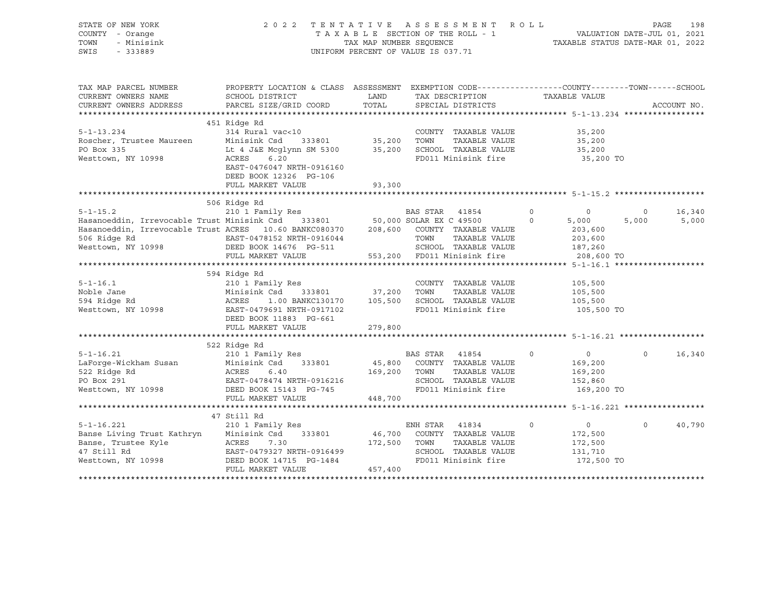| STATE OF NEW YORK<br>COUNTY - Orange<br>TOWN<br>- Minisink<br>SWIS<br>$-333889$              | 2 0 2 2                                                                                                                                                                                                                  | TAX MAP NUMBER SEQUENCE      | TENTATIVE ASSESSMENT<br>TAXABLE SECTION OF THE ROLL - 1<br>UNIFORM PERCENT OF VALUE IS 037.71                         | R O L L<br>VALUATION DATE-JUL 01, 2021<br>TAXABLE STATUS DATE-MAR 01, 2022 | PAGE     | 198         |
|----------------------------------------------------------------------------------------------|--------------------------------------------------------------------------------------------------------------------------------------------------------------------------------------------------------------------------|------------------------------|-----------------------------------------------------------------------------------------------------------------------|----------------------------------------------------------------------------|----------|-------------|
| TAX MAP PARCEL NUMBER<br>CURRENT OWNERS NAME<br>CURRENT OWNERS ADDRESS                       | PROPERTY LOCATION & CLASS ASSESSMENT EXEMPTION CODE----------------COUNTY-------TOWN-----SCHOOL<br>SCHOOL DISTRICT<br>PARCEL SIZE/GRID COORD                                                                             | LAND<br>TOTAL                | TAX DESCRIPTION<br>SPECIAL DISTRICTS                                                                                  | TAXABLE VALUE                                                              |          | ACCOUNT NO. |
|                                                                                              |                                                                                                                                                                                                                          |                              |                                                                                                                       |                                                                            |          |             |
| $5 - 1 - 13.234$<br>Roscher, Trustee Maureen<br>PO Box 335                                   | 451 Ridge Rd<br>314 Rural vac<10<br>Minisink Csd<br>Lt 4 J&E Mcglynn SM 5300                                                                                                                                             | 333801 35,200<br>35,200      | COUNTY TAXABLE VALUE<br>TOWN<br>TAXABLE VALUE<br>SCHOOL TAXABLE VALUE<br>FD011 Minisink fire                          | 35,200<br>35,200<br>35,200                                                 |          |             |
| Westtown, NY 10998                                                                           | ACRES<br>6.20<br>EAST-0476047 NRTH-0916160<br>DEED BOOK 12326 PG-106<br>FULL MARKET VALUE                                                                                                                                | 93,300                       |                                                                                                                       | 35,200 TO                                                                  |          |             |
|                                                                                              |                                                                                                                                                                                                                          |                              |                                                                                                                       |                                                                            |          |             |
| $5 - 1 - 15.2$                                                                               | 506 Ridge Rd<br>210 1 Family Res                                                                                                                                                                                         |                              | BAS STAR 41854                                                                                                        | $\circ$<br>$\circ$                                                         | $\Omega$ | 16,340      |
| 506 Ridge Rd<br>Westtown, NY 10998                                                           | Hasanoeddin, Irrevocable Trust Minisink Csd 333801 50,000 SOLAR EX C 49500<br>Hasanoeddin, Irrevocable Trust ACRES 10.60 BANKC080370 208,600 COUNTY TAXABLE VALUE<br>EAST-0478152 NRTH-0916044<br>DEED BOOK 14676 PG-511 |                              | TOWN<br>TAXABLE VALUE<br>SCHOOL TAXABLE VALUE                                                                         | $\Omega$<br>5,000<br>203,600<br>203,600<br>187,260                         | 5,000    | 5,000       |
|                                                                                              | FULL MARKET VALUE                                                                                                                                                                                                        |                              | 553,200 FD011 Minisink fire                                                                                           | 208,600 TO                                                                 |          |             |
|                                                                                              |                                                                                                                                                                                                                          |                              |                                                                                                                       |                                                                            |          |             |
|                                                                                              | 594 Ridge Rd                                                                                                                                                                                                             |                              |                                                                                                                       |                                                                            |          |             |
| $5 - 1 - 16.1$<br>Noble Jane<br>594 Ridge Rd<br>Westtown, NY 10998                           | 210 1 Family Res<br>Minisink Csd 333801<br>ACRES<br>1.00 BANKC130170<br>EAST-0479691 NRTH-0917102<br>DEED BOOK 11883 PG-661                                                                                              | 37,200<br>105,500            | COUNTY TAXABLE VALUE<br>TOWN<br>TAXABLE VALUE<br>SCHOOL TAXABLE VALUE<br>FD011 Minisink fire                          | 105,500<br>105,500<br>105,500<br>105,500 TO                                |          |             |
|                                                                                              | FULL MARKET VALUE                                                                                                                                                                                                        | 279,800                      |                                                                                                                       |                                                                            |          |             |
|                                                                                              |                                                                                                                                                                                                                          |                              |                                                                                                                       |                                                                            |          |             |
|                                                                                              | 522 Ridge Rd                                                                                                                                                                                                             |                              |                                                                                                                       |                                                                            |          |             |
| $5 - 1 - 16.21$<br>LaForge-Wickham Susan<br>522 Ridge Rd<br>PO Box 291<br>Westtown, NY 10998 | 210 1 Family Res<br>Minisink Csd<br>333801<br>ACRES<br>6.40<br>EAST-0478474 NRTH-0916216<br>DEED BOOK 15143 PG-745<br>FULL MARKET VALUE                                                                                  | 169,200<br>448,700           | BAS STAR 41854<br>45,800 COUNTY TAXABLE VALUE<br>TAXABLE VALUE<br>TOWN<br>SCHOOL TAXABLE VALUE<br>FD011 Minisink fire | 0<br>$\mathbf 0$<br>169,200<br>169,200<br>152,860<br>169,200 TO            | $\Omega$ | 16,340      |
|                                                                                              |                                                                                                                                                                                                                          |                              |                                                                                                                       |                                                                            |          |             |
| $5 - 1 - 16.221$                                                                             | 47 Still Rd<br>210 1 Family Res                                                                                                                                                                                          |                              | ENH STAR 41834                                                                                                        | $\circ$<br>$\Omega$                                                        | $\Omega$ | 40,790      |
| Banse Living Trust Kathryn<br>Banse, Trustee Kyle<br>47 Still Rd<br>Westtown, NY 10998       | 333801<br>Minisink Csd<br>ACRES<br>7.30<br>EAST-0479327 NRTH-0916499<br>DEED BOOK 14715 PG-1484<br>FULL MARKET VALUE                                                                                                     | 46,700<br>172,500<br>457,400 | COUNTY TAXABLE VALUE<br>TAXABLE VALUE<br>TOWN<br>SCHOOL TAXABLE VALUE<br>FD011 Minisink fire                          | 172,500<br>172,500<br>131,710<br>172,500 TO                                |          |             |
|                                                                                              |                                                                                                                                                                                                                          |                              |                                                                                                                       |                                                                            |          |             |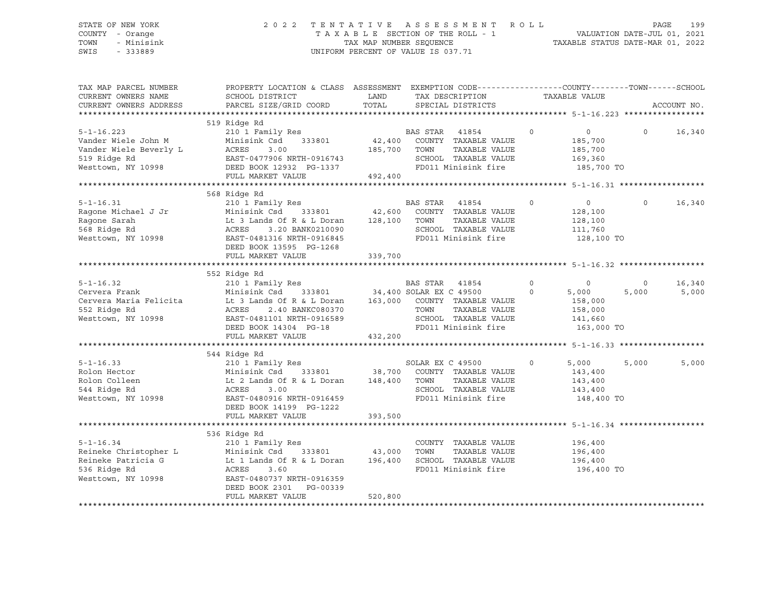### STATE OF NEW YORK 2 0 2 2 T E N T A T I V E A S S E S S M E N T R O L L PAGE 199 COUNTY - Orange T A X A B L E SECTION OF THE ROLL - 1 VALUATION DATE-JUL 01, 2021 TOWN - Minisink TAX MAP NUMBER SEQUENCE TAXABLE STATUS DATE-MAR 01, 2022 SWIS - 333889 CONSERVATION CONTROL OF VALUE IS 037.71

| TAX MAP PARCEL NUMBER<br>CURRENT OWNERS NAME<br>CURRENT OWNERS ADDRESS | PROPERTY LOCATION & CLASS ASSESSMENT EXEMPTION CODE---------------COUNTY-------TOWN-----SCHOOL<br>SCHOOL DISTRICT<br>PARCEL SIZE/GRID COORD                                                                                                                                                                                                                                                                                                                                        |         | LAND TAX DESCRIPTION<br>TOTAL SPECIAL DISTRICTS                                           | TAXABLE VALUE                                                     |                         | ACCOUNT NO.     |
|------------------------------------------------------------------------|------------------------------------------------------------------------------------------------------------------------------------------------------------------------------------------------------------------------------------------------------------------------------------------------------------------------------------------------------------------------------------------------------------------------------------------------------------------------------------|---------|-------------------------------------------------------------------------------------------|-------------------------------------------------------------------|-------------------------|-----------------|
| $5 - 1 - 16.223$                                                       | 519 Ridge Rd<br>Example Audio 210 1 Family Res RAS STAR 41854 0<br>Minisink Csd 333801 42,400 COUNTY TAXABLE VALUE 185,700<br>All the Country Taxable VALUE 125,700<br>Vander Wiele John M Minisink Csd 333801 42,400 COUNTY TAXABLE VALUE 185,700<br>Vander Wiele Beverly L ACRES 3.00 185,700 TOWN TAXABLE VALUE 185,700<br>519 Ridge Rd EAST-0477906 NRTH-0916743 SCHOOL TAXABLE VALUE 169,360<br>Westto                                                                        |         |                                                                                           |                                                                   | 0 16,340                |                 |
|                                                                        | 568 Ridge Rd<br>568 Ridge Rd 5-1-16.31<br>210 1 Family Res 210 1 Family Res 210 1 Family Res 210 1 Family Res 210 1 Family Res 210 1 Family Res 210 1 Family Res 210 1 Family Res 210 1 Family Res 210 1 Family Res 210 1 Family Res 210 1 Famil<br>DEED BOOK 13595 PG-1268<br>FULL MARKET VALUE                                                                                                                                                                                   | 339,700 | $\overline{0}$<br>TAXABLE VALUE<br>SCHOOL TAXABLE VALUE<br>FD011 Minisink fire 128,100 TO | $\begin{array}{c} 0 \\ 128,100 \end{array}$<br>128,100<br>111,760 | $\circ$                 | 16,340          |
|                                                                        | 5-1-16.32<br>Cervera Frank Minisink Csd 333801<br>Cervera Maria Felicita Minisink Csd 333801<br>Minisink Csd 333801<br>Lt 3 Lands Of R & L Doran 163,000 COUNTY TAXABLE VALUE<br>552 Ridge Rd<br>Minisink Csd 333801<br>ACRES 2.40 BANKC0803<br>Cervera Maria religioa (h. 158,000 ACRES 2.40 BANKC080370 TOWN TAXABLE VALUE 158,000 158,000 ACRES 2.40 BANKC080370 TOWN TAXABLE VALUE 158,000 16<br>Westtown, NY 10998 EAST-0481101 NRTH-0916589 SCHOOL TAXABLE VALUE 141,660<br> |         |                                                                                           | $\begin{array}{c}0\\5\,,\,0\,0\,0\end{array}$<br>5,000<br>158,000 | $\overline{0}$<br>5,000 | 16,340<br>5,000 |
|                                                                        | 544 Ridge Rd<br>5-1-16.33 344 KIUE 210 1 Family Res<br>Rolon Hector Minisink Csd 333801 38,700 COUNTY TAXABLE VALUE 143,400<br>Rolon Colleen Lt 2 Lands Of R & L Doran 148,400 TOWN TAXABLE VALUE 143,400<br>544 Ridge Rd ACRES 3.00 SCHOOL TAXABLE<br>DEED BOOK 14199 PG-1222<br>FULL MARKET VALUE                                                                                                                                                                                | 393,500 |                                                                                           |                                                                   | 5,000                   | 5,000           |
|                                                                        | 536 Ridge Rd<br>DEED BOOK 2301 PG-00339<br>FULL MARKET VALUE                                                                                                                                                                                                                                                                                                                                                                                                                       | 520,800 | FD011 Minisink fire                                                                       | 196,400<br>196,400<br>196,400<br>196,400 TO                       |                         |                 |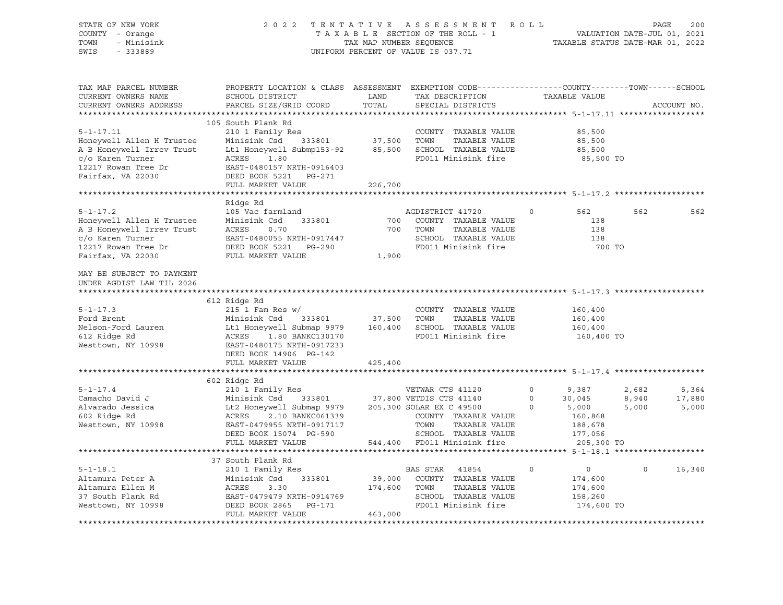| STATE OF NEW YORK<br>COUNTY - Orange                   |                                                                                                 |                         | 2022 TENTATIVE ASSESSMENT ROLL<br>TAXABLE SECTION OF THE ROLL - 1 | VALUATION DATE-JUL 01, 2021<br>TAXABLE STATUS DATE-MAR 01, 2022 | PAGE     | 200         |
|--------------------------------------------------------|-------------------------------------------------------------------------------------------------|-------------------------|-------------------------------------------------------------------|-----------------------------------------------------------------|----------|-------------|
| - Minisink<br>TOWN                                     |                                                                                                 | TAX MAP NUMBER SEOUENCE |                                                                   |                                                                 |          |             |
| SWIS<br>$-333889$                                      |                                                                                                 |                         | UNIFORM PERCENT OF VALUE IS 037.71                                |                                                                 |          |             |
|                                                        |                                                                                                 |                         |                                                                   |                                                                 |          |             |
|                                                        |                                                                                                 |                         |                                                                   |                                                                 |          |             |
| TAX MAP PARCEL NUMBER                                  | PROPERTY LOCATION & CLASS ASSESSMENT EXEMPTION CODE---------------COUNTY-------TOWN------SCHOOL |                         |                                                                   |                                                                 |          |             |
| CURRENT OWNERS NAME                                    | SCHOOL DISTRICT                                                                                 | LAND                    | TAX DESCRIPTION                                                   | TAXABLE VALUE                                                   |          |             |
| CURRENT OWNERS ADDRESS                                 | PARCEL SIZE/GRID COORD                                                                          | TOTAL                   | SPECIAL DISTRICTS                                                 |                                                                 |          | ACCOUNT NO. |
|                                                        | 105 South Plank Rd                                                                              |                         |                                                                   |                                                                 |          |             |
| $5 - 1 - 17.11$                                        | 210 1 Family Res                                                                                |                         | COUNTY TAXABLE VALUE                                              | 85,500                                                          |          |             |
| Honeywell Allen H Trustee                              | Minisink Csd 333801 37,500                                                                      |                         | TOWN<br>TAXABLE VALUE                                             | 85,500                                                          |          |             |
| A B Honeywell Irrev Trust                              | Lt1 Honeywell Submp153-92 85,500 SCHOOL TAXABLE VALUE                                           |                         |                                                                   | 85,500                                                          |          |             |
| c/o Karen Turner                                       | ACRES<br>1.80                                                                                   |                         | FD011 Minisink fire                                               | 85,500 TO                                                       |          |             |
| 12217 Rowan Tree Dr                                    | EAST-0480157 NRTH-0916403                                                                       |                         |                                                                   |                                                                 |          |             |
| Fairfax, VA 22030                                      | DEED BOOK 5221 PG-271                                                                           |                         |                                                                   |                                                                 |          |             |
|                                                        | FULL MARKET VALUE                                                                               | 226,700                 |                                                                   |                                                                 |          |             |
|                                                        |                                                                                                 |                         |                                                                   |                                                                 |          |             |
|                                                        | Ridge Rd                                                                                        |                         |                                                                   |                                                                 |          |             |
| $5 - 1 - 17.2$                                         | 105 Vac farmland                                                                                |                         | AGDISTRICT 41720                                                  | $\circ$<br>562                                                  | 562      | 562         |
| Honeywell Allen H Trustee<br>A B Honeywell Irrev Trust | Minisink Csd<br>333801<br>ACRES<br>0.70                                                         |                         | 700 COUNTY TAXABLE VALUE<br>TAXABLE VALUE<br>700 TOWN             | 138<br>138                                                      |          |             |
| c/o Karen Turner                                       | EAST-0480055 NRTH-0917447                                                                       |                         | SCHOOL TAXABLE VALUE                                              | 138                                                             |          |             |
| 12217 Rowan Tree Dr                                    | DEED BOOK 5221 PG-290                                                                           |                         | FD011 Minisink fire                                               | 700 TO                                                          |          |             |
| Fairfax, VA 22030                                      | FULL MARKET VALUE                                                                               | 1,900                   |                                                                   |                                                                 |          |             |
|                                                        |                                                                                                 |                         |                                                                   |                                                                 |          |             |
| MAY BE SUBJECT TO PAYMENT                              |                                                                                                 |                         |                                                                   |                                                                 |          |             |
| UNDER AGDIST LAW TIL 2026                              |                                                                                                 |                         |                                                                   |                                                                 |          |             |
| ****************************                           |                                                                                                 |                         |                                                                   |                                                                 |          |             |
|                                                        | 612 Ridge Rd                                                                                    |                         |                                                                   |                                                                 |          |             |
| $5 - 1 - 17.3$                                         | $215$ 1 Fam Res w/                                                                              |                         | COUNTY TAXABLE VALUE                                              | 160,400                                                         |          |             |
| Ford Brent                                             | Minisink Csd 333801 37,500                                                                      |                         | TOWN<br>TAXABLE VALUE                                             | 160,400                                                         |          |             |
| Nelson-Ford Lauren<br>612 Ridge Rd                     | Lt1 Honeywell Submap 9979<br>ACRES 1.80 BANKC130170                                             |                         | 160,400 SCHOOL TAXABLE VALUE<br>FD011 Minisink fire               | 160,400<br>160,400 TO                                           |          |             |
| Westtown, NY 10998                                     | EAST-0480175 NRTH-0917233                                                                       |                         |                                                                   |                                                                 |          |             |
|                                                        | DEED BOOK 14906 PG-142                                                                          |                         |                                                                   |                                                                 |          |             |
|                                                        | FULL MARKET VALUE                                                                               | 425,400                 |                                                                   |                                                                 |          |             |
|                                                        |                                                                                                 |                         |                                                                   |                                                                 |          |             |
|                                                        | 602 Ridge Rd                                                                                    |                         |                                                                   |                                                                 |          |             |
| $5 - 1 - 17.4$                                         | 210 1 Family Res                                                                                |                         | VETWAR CTS 41120                                                  | 0 9,387                                                         | 2,682    | 5,364       |
| Camacho David J                                        | Minisink Csd 333801 37,800 VETDIS CTS 41140                                                     |                         |                                                                   | 0 $30,045$<br>0 5 000                                           | 8,940    | 17,880      |
| Alvarado Jessica                                       | Le Honeywell Submap 9979 205,300 SOLAR EX C 49500<br>ACRES 2.10 BANKC061339 COUNTY TAXABLE      |                         |                                                                   | 5,000<br>$\circ$                                                | 5,000    | 5,000       |
| 602 Ridge Rd                                           |                                                                                                 |                         | COUNTY TAXABLE VALUE                                              | 160,868                                                         |          |             |
| Westtown, NY 10998                                     | EAST-0479955 NRTH-0917117<br>DEED BOOK 15074 PG-590                                             |                         | TOWN<br>TAXABLE VALUE<br>SCHOOL TAXABLE VALUE                     | 188,678<br>177,056                                              |          |             |
|                                                        | FULL MARKET VALUE                                                                               |                         | 544,400 FD011 Minisink fire                                       | 205,300 TO                                                      |          |             |
|                                                        |                                                                                                 |                         |                                                                   |                                                                 |          |             |
|                                                        | 37 South Plank Rd                                                                               |                         |                                                                   |                                                                 |          |             |
| $5 - 1 - 18.1$                                         | 210 1 Family Res                                                                                |                         | BAS STAR 41854                                                    | $\circ$<br>$\overline{0}$                                       | $\Omega$ | 16,340      |
| Altamura Peter A                                       |                                                                                                 |                         | 39,000 COUNTY TAXABLE VALUE                                       | 174,600                                                         |          |             |
| Altamura Ellen M                                       |                                                                                                 |                         | 174,600 TOWN<br>TAXABLE VALUE                                     | 174,600                                                         |          |             |
| 37 South Plank Rd                                      | Minisink Csd 333801<br>ACRES 3.30<br>EAST-0479479 NRTH-0914769<br>PERS RESERT DER 2013          |                         | SCHOOL TAXABLE VALUE                                              | 158,260                                                         |          |             |
| Westtown, NY 10998                                     | DEED BOOK 2865 PG-171                                                                           |                         | FD011 Minisink fire                                               | 174,600 TO                                                      |          |             |
|                                                        | FULL MARKET VALUE                                                                               | 463,000                 |                                                                   |                                                                 |          |             |
|                                                        |                                                                                                 |                         |                                                                   |                                                                 |          |             |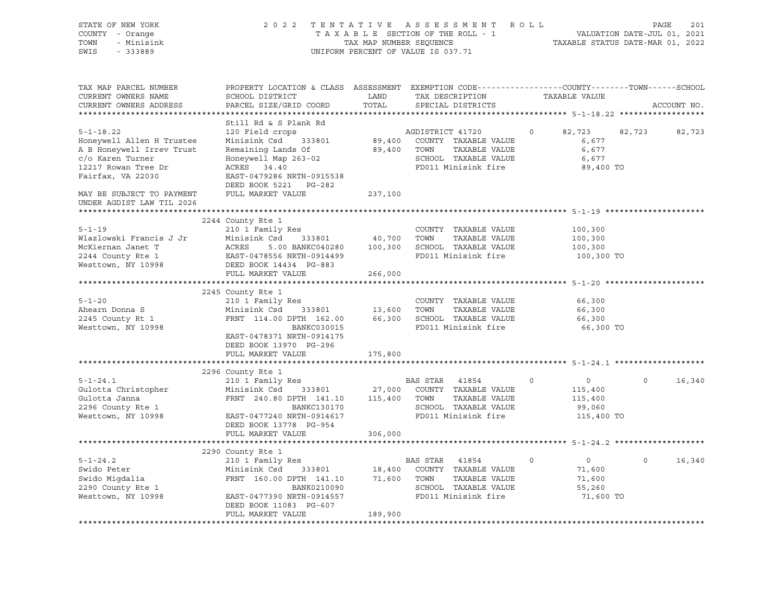| STATE OF NEW YORK<br>COUNTY - Orange<br>- Minisink<br>TOWN<br>SWIS<br>$-333889$           | 2022 TENTATIVE ASSESSMENT ROLL<br>TAXABLE SECTION OF THE ROLL - 1<br>TAX MAP NUMBER SEQUENCE<br>UNIFORM PERCENT OF VALUE IS 037.71                                                                                                                                                                                                                                                                                           | 201<br>PAGE<br>VALUATION DATE-JUL 01, 2021<br>TAXABLE STATUS DATE-MAR 01, 2022 |                                                                             |                                     |         |             |
|-------------------------------------------------------------------------------------------|------------------------------------------------------------------------------------------------------------------------------------------------------------------------------------------------------------------------------------------------------------------------------------------------------------------------------------------------------------------------------------------------------------------------------|--------------------------------------------------------------------------------|-----------------------------------------------------------------------------|-------------------------------------|---------|-------------|
| TAX MAP PARCEL NUMBER<br>CURRENT OWNERS NAME<br>CURRENT OWNERS ADDRESS                    | PROPERTY LOCATION & CLASS ASSESSMENT EXEMPTION CODE---------------COUNTY-------TOWN-----SCHOOL<br>SCHOOL DISTRICT<br>PARCEL SIZE/GRID COORD                                                                                                                                                                                                                                                                                  | LAND<br>TOTAL                                                                  | TAX DESCRIPTION<br>SPECIAL DISTRICTS                                        | TAXABLE VALUE                       |         | ACCOUNT NO. |
|                                                                                           | Still Rd & S Plank Rd                                                                                                                                                                                                                                                                                                                                                                                                        |                                                                                |                                                                             |                                     |         |             |
| $5 - 1 - 18.22$<br>Honeywell Allen H Trustee                                              | 120 Field crops<br>Minisink Csd 333801                                                                                                                                                                                                                                                                                                                                                                                       |                                                                                | AGDISTRICT 41720<br>89,400 COUNTY TAXABLE VALUE                             | 82,723<br>$\circ$<br>6,677          | 82,723  | 82,723      |
| A B Honeywell Irrev Trust<br>c/o Karen Turner<br>12217 Rowan Tree Dr<br>Fairfax, VA 22030 | <br>Remaining Lands Of<br>Honeywell Map 263-02<br>ACRES 34.40<br>EAST-0479286 NRTH-0915538<br>DEED BOOK 5221 PG-282                                                                                                                                                                                                                                                                                                          |                                                                                | 89,400 TOWN<br>TAXABLE VALUE<br>SCHOOL TAXABLE VALUE<br>FD011 Minisink fire | 6,677<br>6,677<br>89,400 TO         |         |             |
| MAY BE SUBJECT TO PAYMENT<br>UNDER AGDIST LAW TIL 2026                                    | FULL MARKET VALUE                                                                                                                                                                                                                                                                                                                                                                                                            | 237,100                                                                        |                                                                             |                                     |         |             |
|                                                                                           |                                                                                                                                                                                                                                                                                                                                                                                                                              |                                                                                |                                                                             |                                     |         |             |
|                                                                                           | 2244 County Rte 1                                                                                                                                                                                                                                                                                                                                                                                                            |                                                                                |                                                                             |                                     |         |             |
| $5 - 1 - 19$<br>Vlazlowski Francis J Jr                                                   | 210 1 Family Res                                                                                                                                                                                                                                                                                                                                                                                                             |                                                                                | COUNTY TAXABLE VALUE                                                        | 100,300<br>100,300                  |         |             |
| McKiernan Janet T                                                                         |                                                                                                                                                                                                                                                                                                                                                                                                                              |                                                                                |                                                                             | 100,300                             |         |             |
| 2244 County Rte 1                                                                         |                                                                                                                                                                                                                                                                                                                                                                                                                              |                                                                                | FD011 Minisink fire                                                         | 100,300 TO                          |         |             |
| 2244 County Rte 1<br>Westtown, NY 10998                                                   | ACRES - 5.00 BANKC040280<br>EAST-0478556 NRTH-0914499<br>DEED BOOK 14434 PG-883<br>EHIT MARTH-1434 PG-883<br>FULL MARKET VALUE                                                                                                                                                                                                                                                                                               | 266,000                                                                        |                                                                             |                                     |         |             |
|                                                                                           |                                                                                                                                                                                                                                                                                                                                                                                                                              |                                                                                |                                                                             |                                     |         |             |
|                                                                                           | 2245 County Rte 1                                                                                                                                                                                                                                                                                                                                                                                                            |                                                                                |                                                                             |                                     |         |             |
| $5 - 1 - 20$                                                                              | 210 1 Family Res                                                                                                                                                                                                                                                                                                                                                                                                             |                                                                                | COUNTY TAXABLE VALUE                                                        | 66,300                              |         |             |
| Ahearn Donna S                                                                            | Minisink Csd 333801                                                                                                                                                                                                                                                                                                                                                                                                          |                                                                                |                                                                             | 66,300                              |         |             |
| 2245 County Rt 1<br>Westtown, NY 10998                                                    | XIO I Family Res<br>Minisink Csd 333801 13,600 TOWN TAXABLE VALUE<br>FRNT 114.00 DPTH 162.00 66,300 SCHOOL TAXABLE VALUE<br>PRNT 114.00 PANKC020015                                                                                                                                                                                                                                                                          |                                                                                |                                                                             | 66,300                              |         |             |
|                                                                                           | BANKC030015<br>EAST-0478371 NRTH-0914175<br>DEED BOOK 13970 PG-296                                                                                                                                                                                                                                                                                                                                                           |                                                                                | FD011 Minisink fire                                                         | 66,300 TO                           |         |             |
|                                                                                           | FULL MARKET VALUE                                                                                                                                                                                                                                                                                                                                                                                                            | 175,800                                                                        |                                                                             |                                     |         |             |
|                                                                                           |                                                                                                                                                                                                                                                                                                                                                                                                                              |                                                                                |                                                                             |                                     |         |             |
|                                                                                           | 2296 County Rte 1                                                                                                                                                                                                                                                                                                                                                                                                            |                                                                                |                                                                             |                                     |         |             |
| $5 - 1 - 24.1$                                                                            | 210 1 Family Res                                                                                                                                                                                                                                                                                                                                                                                                             |                                                                                | BAS STAR 41854                                                              | $\circ$<br>$\overline{0}$           | $\circ$ | 16,340      |
| Gulotta Christopher                                                                       | Minisink Csd                                                                                                                                                                                                                                                                                                                                                                                                                 |                                                                                | $27,000$ COUNTY TAXABLE VALUE                                               | 115,400                             |         |             |
| Gulotta Janna                                                                             | $\begin{tabular}{lllll} \multicolumn{2}{c}{\textbf{FRNT}} & 240.80 & \textbf{DPTH} & 141.10 & & 115,400 & \textbf{TOWN} \\ & \multicolumn{2}{c}{\textbf{BANKC130170}} & & & \\ \multicolumn{2}{c}{\textbf{BANKC130170}} & & & \\ \multicolumn{2}{c}{\textbf{SCHOOL}} & & & \\ \multicolumn{2}{c}{\textbf{SCHOOL}} & & & \\ \multicolumn{2}{c}{\textbf{BANKC130170}} & & & \\ \multicolumn{2}{c}{\textbf{SCHOOL}} & & & \\ \$ |                                                                                | TAXABLE VALUE                                                               | 115,400                             |         |             |
| 2296 County Rte 1<br>Westtown, NY 10998                                                   | EAST-0477240 NRTH-0914617                                                                                                                                                                                                                                                                                                                                                                                                    |                                                                                | SCHOOL TAXABLE VALUE<br>SCHOOD TAAABDE VADOE<br>FD011 Minisink fire         | 99,060<br>115,400 TO                |         |             |
|                                                                                           | DEED BOOK 13778 PG-954                                                                                                                                                                                                                                                                                                                                                                                                       |                                                                                |                                                                             |                                     |         |             |
|                                                                                           | FULL MARKET VALUE                                                                                                                                                                                                                                                                                                                                                                                                            | 306,000                                                                        |                                                                             |                                     |         |             |
|                                                                                           |                                                                                                                                                                                                                                                                                                                                                                                                                              |                                                                                |                                                                             |                                     |         |             |
|                                                                                           | 2290 County Rte 1                                                                                                                                                                                                                                                                                                                                                                                                            |                                                                                |                                                                             |                                     |         |             |
| $5 - 1 - 24.2$<br>Swido Peter                                                             | 210 1 Family Res                                                                                                                                                                                                                                                                                                                                                                                                             |                                                                                | BAS STAR 41854                                                              | $\overline{0}$<br>$\circ$<br>71,600 | $\circ$ | 16,340      |
|                                                                                           |                                                                                                                                                                                                                                                                                                                                                                                                                              |                                                                                |                                                                             | 71,600                              |         |             |
|                                                                                           |                                                                                                                                                                                                                                                                                                                                                                                                                              |                                                                                | SCHOOL TAXABLE VALUE                                                        | 55,260                              |         |             |
| Swido Migdalia<br>2290 County Rte 1<br>Westtown, NY 10998                                 | EAST-0477390 NRTH-0914557                                                                                                                                                                                                                                                                                                                                                                                                    |                                                                                | FD011 Minisink fire                                                         | 71,600 TO                           |         |             |
|                                                                                           | DEED BOOK 11083 PG-607                                                                                                                                                                                                                                                                                                                                                                                                       |                                                                                |                                                                             |                                     |         |             |
|                                                                                           | FULL MARKET VALUE                                                                                                                                                                                                                                                                                                                                                                                                            | 189,900                                                                        |                                                                             |                                     |         |             |
|                                                                                           |                                                                                                                                                                                                                                                                                                                                                                                                                              |                                                                                |                                                                             |                                     |         |             |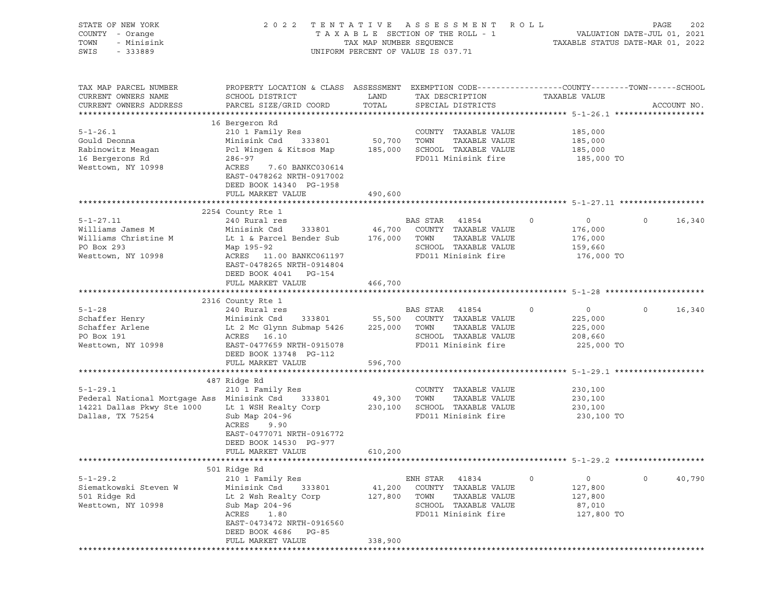| STATE OF NEW YORK<br>COUNTY - Orange<br>TOWN<br>- Minisink<br>SWIS<br>- 333889                                 | 2 0 2 2                                                                                                                                                                                                                       | TAX MAP NUMBER SEQUENCE      | TENTATIVE ASSESSMENT<br>TAXABLE SECTION OF THE ROLL - 1<br>UNIFORM PERCENT OF VALUE IS 037.71                     | R O L L | VALUATION DATE-JUL 01, 2021<br>TAXABLE STATUS DATE-MAR 01, 2022 | PAGE         | 202         |
|----------------------------------------------------------------------------------------------------------------|-------------------------------------------------------------------------------------------------------------------------------------------------------------------------------------------------------------------------------|------------------------------|-------------------------------------------------------------------------------------------------------------------|---------|-----------------------------------------------------------------|--------------|-------------|
| TAX MAP PARCEL NUMBER<br>CURRENT OWNERS NAME<br>CURRENT OWNERS ADDRESS                                         | PROPERTY LOCATION & CLASS ASSESSMENT EXEMPTION CODE---------------COUNTY-------TOWN------SCHOOL<br>SCHOOL DISTRICT<br>PARCEL SIZE/GRID COORD                                                                                  | LAND<br>TOTAL                | TAX DESCRIPTION<br>SPECIAL DISTRICTS                                                                              |         | TAXABLE VALUE                                                   |              | ACCOUNT NO. |
| $5 - 1 - 26.1$<br>Gould Deonna<br>Rabinowitz Meagan<br>16 Bergerons Rd<br>Westtown, NY 10998                   | 16 Bergeron Rd<br>210 1 Family Res<br>Minisink Csd 333801<br>Pcl Wingen & Kitsos Map 185,000<br>$286 - 97$<br>ACRES<br>7.60 BANKC030614<br>EAST-0478262 NRTH-0917002<br>DEED BOOK 14340 PG-1958<br>FULL MARKET VALUE          | 50,700 TOWN<br>490,600       | COUNTY TAXABLE VALUE<br>TAXABLE VALUE<br>SCHOOL TAXABLE VALUE<br>FD011 Minisink fire                              |         | 185,000<br>185,000<br>185,000<br>185,000 TO                     |              |             |
|                                                                                                                |                                                                                                                                                                                                                               |                              |                                                                                                                   |         |                                                                 |              |             |
| $5 - 1 - 27.11$<br>Williams James M<br>Williams Christine M<br>PO Box 293<br>Westtown, NY 10998                | 2254 County Rte 1<br>240 Rural res<br>Minisink Csd 333801 46,700 COUNTY TAXABLE VALUE<br>Lt 1 & Parcel Bender Sub 176,000 TOWN<br>Map 195-92<br>ACRES 11.00 BANKC061197<br>EAST-0478265 NRTH-0914804<br>DEED BOOK 4041 PG-154 |                              | BAS STAR<br>41854<br>TAXABLE VALUE<br>SCHOOL TAXABLE VALUE<br>FD011 Minisink fire                                 | 0       | $\overline{0}$<br>176,000<br>176,000<br>159,660<br>176,000 TO   | $\circ$      | 16,340      |
|                                                                                                                | FULL MARKET VALUE                                                                                                                                                                                                             | 466,700                      |                                                                                                                   |         |                                                                 |              |             |
|                                                                                                                |                                                                                                                                                                                                                               |                              |                                                                                                                   |         |                                                                 |              |             |
|                                                                                                                | 2316 County Rte 1                                                                                                                                                                                                             |                              |                                                                                                                   |         |                                                                 |              |             |
| $5 - 1 - 28$<br>Schaffer Henry<br>Schaffer Arlene<br>PO Box 191<br>Westtown, NY 10998                          | 240 Rural res<br>Minisink Csd<br>333801<br>Lt 2 Mc Glynn Submap 5426<br>ACRES 16.10<br>EAST-0477659 NRTH-0915078<br>DEED BOOK 13748 PG-112                                                                                    | 55,500<br>225,000 TOWN       | BAS STAR 41854<br>COUNTY TAXABLE VALUE<br>TAXABLE VALUE<br>SCHOOL TAXABLE VALUE<br>FD011 Minisink fire            | $\circ$ | $\overline{0}$<br>225,000<br>225,000<br>208,660<br>225,000 TO   | $\mathsf{O}$ | 16,340      |
|                                                                                                                | FULL MARKET VALUE                                                                                                                                                                                                             | 596,700                      |                                                                                                                   |         |                                                                 |              |             |
| $5 - 1 - 29.1$<br>Federal National Mortgage Ass Minisink Csd<br>14221 Dallas Pkwy Ste 1000<br>Dallas, TX 75254 | 487 Ridge Rd<br>210 1 Family Res<br>333801<br>Lt 1 WSH Realty Corp<br>Sub Map 204-96<br>ACRES<br>9.90<br>EAST-0477071 NRTH-0916772                                                                                            | 49,300                       | COUNTY TAXABLE VALUE<br>TOWN<br>TAXABLE VALUE<br>230,100 SCHOOL TAXABLE VALUE<br>FD011 Minisink fire              |         | 230,100<br>230,100<br>230,100<br>230,100 TO                     |              |             |
|                                                                                                                | DEED BOOK 14530 PG-977<br>FULL MARKET VALUE                                                                                                                                                                                   | 610,200                      |                                                                                                                   |         |                                                                 |              |             |
|                                                                                                                |                                                                                                                                                                                                                               |                              |                                                                                                                   |         |                                                                 |              |             |
| $5 - 1 - 29.2$<br>Siematkowski Steven W<br>501 Ridge Rd<br>Westtown, NY 10998                                  | 501 Ridge Rd<br>210 1 Family Res<br>Minisink Csd<br>333801<br>Lt 2 Wsh Realty Corp<br>Sub Map 204-96<br>ACRES<br>1.80<br>EAST-0473472 NRTH-0916560<br>DEED BOOK 4686<br>PG-85<br>FULL MARKET VALUE                            | 41,200<br>127,800<br>338,900 | ENH STAR<br>41834<br>COUNTY TAXABLE VALUE<br>TOWN<br>TAXABLE VALUE<br>SCHOOL TAXABLE VALUE<br>FD011 Minisink fire | 0       | $\circ$<br>127,800<br>127,800<br>87,010<br>127,800 TO           | $\mathbf 0$  | 40,790      |
|                                                                                                                |                                                                                                                                                                                                                               |                              |                                                                                                                   |         |                                                                 |              |             |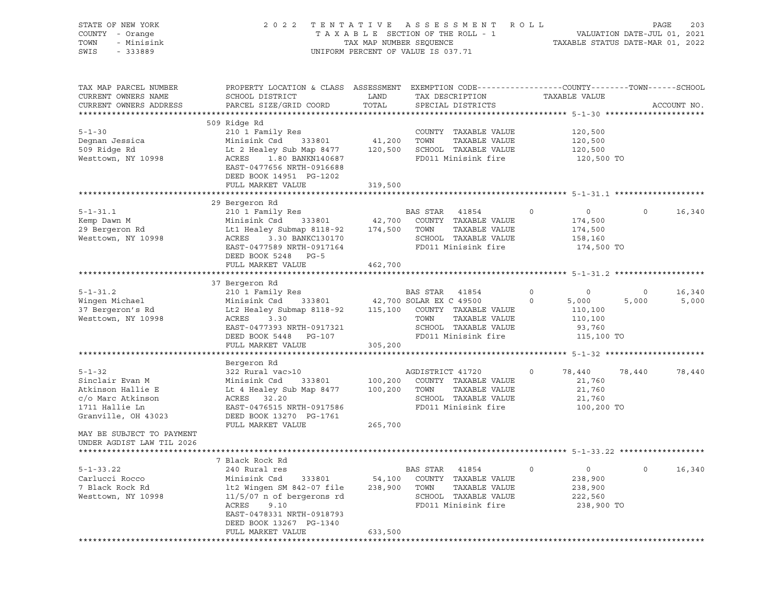| STATE OF NEW YORK<br>COUNTY - Orange<br>TOWN<br>- Minisink<br>SWIS<br>$-333889$                                    | 2022 TENTATIVE ASSESSMENT<br>TAXABLE SECTION OF THE ROLL - 1<br>TAX MAP NUMBER SEQUENCE<br>UNIFORM PERCENT OF VALUE IS 037.71                                                                                                      | R O L L                             | VALUATION DATE-JUL 01, 2021<br>TAXABLE STATUS DATE-MAR 01, 2022                                                                                  | PAGE                       | 203                                                            |                  |                 |
|--------------------------------------------------------------------------------------------------------------------|------------------------------------------------------------------------------------------------------------------------------------------------------------------------------------------------------------------------------------|-------------------------------------|--------------------------------------------------------------------------------------------------------------------------------------------------|----------------------------|----------------------------------------------------------------|------------------|-----------------|
| TAX MAP PARCEL NUMBER<br>CURRENT OWNERS NAME<br>CURRENT OWNERS ADDRESS                                             | PROPERTY LOCATION & CLASS ASSESSMENT EXEMPTION CODE---------------COUNTY-------TOWN------SCHOOL<br>SCHOOL DISTRICT<br>PARCEL SIZE/GRID COORD                                                                                       | LAND<br>TOTAL                       | TAX DESCRIPTION<br>SPECIAL DISTRICTS                                                                                                             |                            | TAXABLE VALUE                                                  |                  | ACCOUNT NO.     |
| $5 - 1 - 30$<br>Degnan Jessica<br>509 Ridge Rd<br>Westtown, NY 10998                                               | 509 Ridge Rd<br>210 1 Family Res<br>Minisink Csd<br>Lt 2 Healey Sub Map 8477<br>1.80 BANKN140687<br>ACRES<br>EAST-0477656 NRTH-0916688<br>DEED BOOK 14951 PG-1202<br>FULL MARKET VALUE                                             | 333801 41,200<br>120,500<br>319,500 | COUNTY TAXABLE VALUE<br>TAXABLE VALUE<br>TOWN<br>SCHOOL TAXABLE VALUE<br>FD011 Minisink fire                                                     |                            | 120,500<br>120,500<br>120,500<br>120,500 TO                    |                  |                 |
|                                                                                                                    |                                                                                                                                                                                                                                    |                                     |                                                                                                                                                  |                            |                                                                |                  |                 |
| $5 - 1 - 31.1$<br>Kemp Dawn M<br>29 Bergeron Rd<br>Westtown, NY 10998                                              | 29 Bergeron Rd<br>210 1 Family Res<br>Minisink Csd 333801 42,700 COUNTY TAXABLE VALUE<br>Lt1 Healey Submap 8118-92 174,500 TOWN<br>ACRES 3.30 BANKC130170<br>EAST-0477589 NRTH-0917164<br>DEED BOOK 5248 PG-5<br>FULL MARKET VALUE | 462,700                             | BAS STAR<br>41854<br>TAXABLE VALUE<br>SCHOOL TAXABLE VALUE<br>FD011 Minisink fire                                                                | $\circ$                    | $\overline{0}$<br>174,500<br>174,500<br>158,160<br>174,500 TO  | $\circ$          | 16,340          |
|                                                                                                                    |                                                                                                                                                                                                                                    |                                     |                                                                                                                                                  |                            |                                                                |                  |                 |
|                                                                                                                    | 37 Bergeron Rd                                                                                                                                                                                                                     |                                     |                                                                                                                                                  |                            |                                                                |                  |                 |
| $5 - 1 - 31.2$<br>Wingen Michael<br>37 Bergeron's Rd<br>Westtown, NY 10998                                         | 210 1 Family Res<br>Minisink Csd<br>Lt2 Healey Submap 8118-92<br>ACRES<br>3.30<br>EAST-0477393 NRTH-0917321<br>DEED BOOK 5448 PG-107                                                                                               | 115,100                             | BAS STAR 41854<br>333801 42,700 SOLAR EX C 49500<br>COUNTY TAXABLE VALUE<br>TAXABLE VALUE<br>TOWN<br>SCHOOL TAXABLE VALUE<br>FD011 Minisink fire | $\mathbf 0$<br>$\mathbf 0$ | $\circ$<br>5,000<br>110,100<br>110,100<br>93,760<br>115,100 TO | $\circ$<br>5,000 | 16,340<br>5,000 |
|                                                                                                                    | FULL MARKET VALUE                                                                                                                                                                                                                  | 305,200                             |                                                                                                                                                  |                            |                                                                |                  |                 |
|                                                                                                                    | Bergeron Rd                                                                                                                                                                                                                        |                                     |                                                                                                                                                  |                            |                                                                |                  |                 |
| $5 - 1 - 32$<br>Sinclair Evan M<br>Atkinson Hallie E<br>c/o Marc Atkinson<br>1711 Hallie Ln<br>Granville, OH 43023 | 322 Rural vac>10<br>Minisink Csd<br>333801<br>Lt 4 Healey Sub Map 8477<br>ACRES 32.20<br>EAST-0476515 NRTH-0917586<br>DEED BOOK 13270 PG-1761                                                                                      | 100,200<br>100,200                  | AGDISTRICT 41720<br>COUNTY TAXABLE VALUE<br>TOWN<br>TAXABLE VALUE<br>SCHOOL TAXABLE VALUE<br>FD011 Minisink fire                                 | $\circ$                    | 78,440<br>21,760<br>21,760<br>21,760<br>100,200 TO             | 78,440           | 78,440          |
| MAY BE SUBJECT TO PAYMENT<br>UNDER AGDIST LAW TIL 2026                                                             | FULL MARKET VALUE                                                                                                                                                                                                                  | 265,700                             |                                                                                                                                                  |                            |                                                                |                  |                 |
|                                                                                                                    |                                                                                                                                                                                                                                    |                                     |                                                                                                                                                  |                            |                                                                |                  |                 |
| $5 - 1 - 33.22$<br>Carlucci Rocco<br>7 Black Rock Rd<br>Westtown, NY 10998                                         | 7 Black Rock Rd<br>240 Rural res<br>Minisink Csd<br>333801<br>lt2 Wingen SM 842-07 file<br>$11/5/07$ n of bergerons rd<br>ACRES<br>9.10<br>EAST-0478331 NRTH-0918793<br>DEED BOOK 13267 PG-1340                                    | 54,100<br>238,900                   | BAS STAR<br>41854<br>COUNTY TAXABLE VALUE<br>TAXABLE VALUE<br>TOWN<br>SCHOOL TAXABLE VALUE<br>FD011 Minisink fire                                | 0                          | $\circ$<br>238,900<br>238,900<br>222,560<br>238,900 TO         | 0                | 16,340          |
|                                                                                                                    | FULL MARKET VALUE                                                                                                                                                                                                                  | 633,500                             |                                                                                                                                                  |                            |                                                                |                  |                 |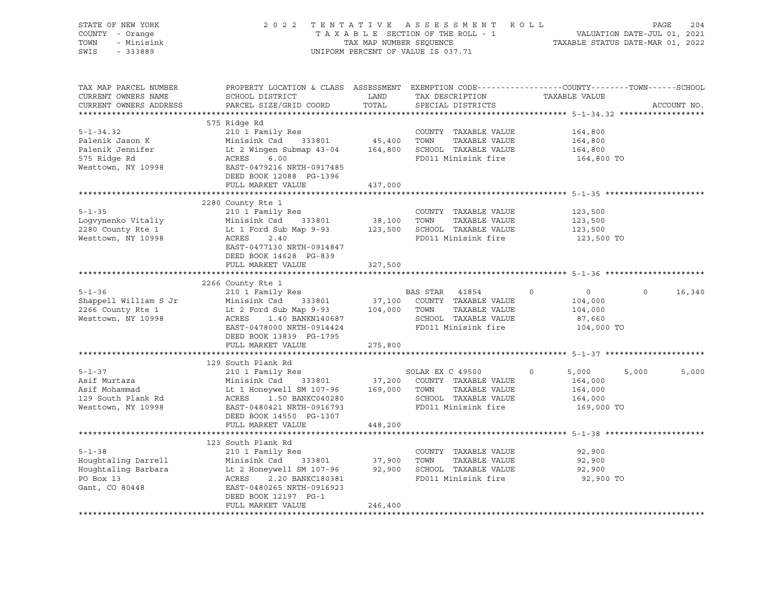| STATE OF NEW YORK<br>COUNTY - Orange<br>- Minisink<br>TOWN<br>SWIS<br>$-333889$                                                                                                                                                                                                                |                                                                                                                                               |                      | 2022 TENTATIVE ASSESSMENT ROLL<br>TAXABLE SECTION OF THE ROLL - 1<br>TAXABLE SECTION OF THE ROLL - 1<br>TAXABLE STATUS DATE-MAR 01, 2022<br>UNIFORM PERCENT OF VALUE IS 037.71 |                                                                 | PAGE<br>204    |
|------------------------------------------------------------------------------------------------------------------------------------------------------------------------------------------------------------------------------------------------------------------------------------------------|-----------------------------------------------------------------------------------------------------------------------------------------------|----------------------|--------------------------------------------------------------------------------------------------------------------------------------------------------------------------------|-----------------------------------------------------------------|----------------|
| TAX MAP PARCEL NUMBER<br>CURRENT OWNERS NAME<br>CURRENT OWNERS ADDRESS                                                                                                                                                                                                                         | PROPERTY LOCATION & CLASS ASSESSMENT EXEMPTION CODE----------------COUNTY-------TOWN------SCHOOL<br>SCHOOL DISTRICT<br>PARCEL SIZE/GRID COORD | <b>LAND</b><br>TOTAL | TAX DESCRIPTION TAXABLE VALUE<br>SPECIAL DISTRICTS                                                                                                                             |                                                                 | ACCOUNT NO.    |
| $5 - 1 - 34.32$<br>Palenik Jason K<br>Palenik Jennifer and Minisink Csd 333801 45,400 TOWN TAXABLE VALUE<br>Palenik Jennifer Lt 2 Wingen Submap 43-04 164,800 SCHOOL TAXABLE VALUE<br>575 Ridge Rd ACRES 6.00 FD011 Minisink fire<br>Westtown, NY 10998 E                                      | 575 Ridge Rd<br>210 1 Family Res<br>DEED BOOK 12088 PG-1396<br>FULL MARKET VALUE                                                              | 437,000              | COUNTY TAXABLE VALUE                                                                                                                                                           | 164,800<br>164,800<br>164,800<br>164,800 TO                     |                |
|                                                                                                                                                                                                                                                                                                |                                                                                                                                               |                      |                                                                                                                                                                                |                                                                 |                |
| $5 - 1 - 35$<br>Extraming Ness<br>Logvynenko Vitaliy Minisink Csd 333801 38,100 TOWN TAXABLE VALUE<br>2280 County Rte 1 Lt 1 Ford Sub Map 9-93 123,500 SCHOOL TAXABLE VALUE<br>Westtown, NY 10998 ACRES 2.40<br>RES 2.40                                                                       | 2280 County Rte 1<br>210 1 Family Res<br>EAST-0477130 NRTH-0914847<br>DEED BOOK 14628 PG-839                                                  |                      | COUNTY TAXABLE VALUE                                                                                                                                                           | 123,500<br>123,500<br>123,500<br>123,500 TO                     |                |
|                                                                                                                                                                                                                                                                                                | FULL MARKET VALUE                                                                                                                             | 327,500              |                                                                                                                                                                                |                                                                 |                |
|                                                                                                                                                                                                                                                                                                |                                                                                                                                               |                      |                                                                                                                                                                                |                                                                 |                |
| 5-1-36<br>Shappell William S Jr Minisink Csd 333801 37,100 COUNTY TAXABLE VALUE<br>2266 County Rte 1 Lt 2 Ford Sub Map 9-93 104,000 TOWN TAXABLE VALUE<br>Westtown, NY 10998 ACRES 1.40 BANKN140687 SCHOOL TAXABLE VALUE<br>EAST-0478                                                          | 2266 County Rte 1<br>210 1 Family Res<br>DEED BOOK 13839 PG-1795<br>FULL MARKET VALUE 275,800                                                 |                      | BAS STAR 41854 0<br>FD011 Minisink fire                                                                                                                                        | $\overline{0}$<br>104,000<br>104,000<br>87,660<br>104,000 TO    | $0 \t16,340$   |
|                                                                                                                                                                                                                                                                                                |                                                                                                                                               |                      |                                                                                                                                                                                |                                                                 |                |
| $5 - 1 - 37$<br>Asif Murtaza<br>Asif Murtaza<br>Asif Mohammad<br>Asif Mohammad<br>Asif Mohammad<br>Lt 1 Honeywell SM 107-96<br>Lt 1 Honeywell SM 107-96<br>169,000 TOWN TAXABLE VALUE<br>SCHOOL TAXABLE VALUE<br>SCHOOL TAXABLE VALUE<br>Mesttown, NY 10998<br>EXPRE<br>b-1-3,<br>Asif Murtaza | 129 South Plank Rd<br>south Plank Rd<br>210 1 Family Res<br>Miniciple Col<br>DEED BOOK 14550 PG-1307                                          |                      | SOLAR EX C 49500<br>FD011 Minisink fire                                                                                                                                        | $\circ$<br>5,000<br>164,000<br>164,000<br>164,000<br>169,000 TO | 5,000<br>5,000 |
|                                                                                                                                                                                                                                                                                                | FULL MARKET VALUE                                                                                                                             | 448,200              |                                                                                                                                                                                |                                                                 |                |
| $5 - 1 - 38$<br>Example 1 2.1 and 133801 37,900 TOWN TAXABLE VALUE<br>Houghtaling Barbara 1 2.20 BANKC180381 32,900 SCHOOL TAXABLE VALUE<br>PO Box 13 2.20 BANKC180381 FD011 Minisink fire<br>Gant, CO 80448 EAST-0480265 NRTH-0916923                                                         | 123 South Plank Rd<br>210 1 Family Res<br>DEED BOOK 12197 PG-1<br>FULL MARKET VALUE                                                           | 246,400              | COUNTY TAXABLE VALUE<br>TAXABLE VALUE<br>FD011 Minisink fire                                                                                                                   | 92,900<br>92,900<br>92,900<br>92,900 TO                         |                |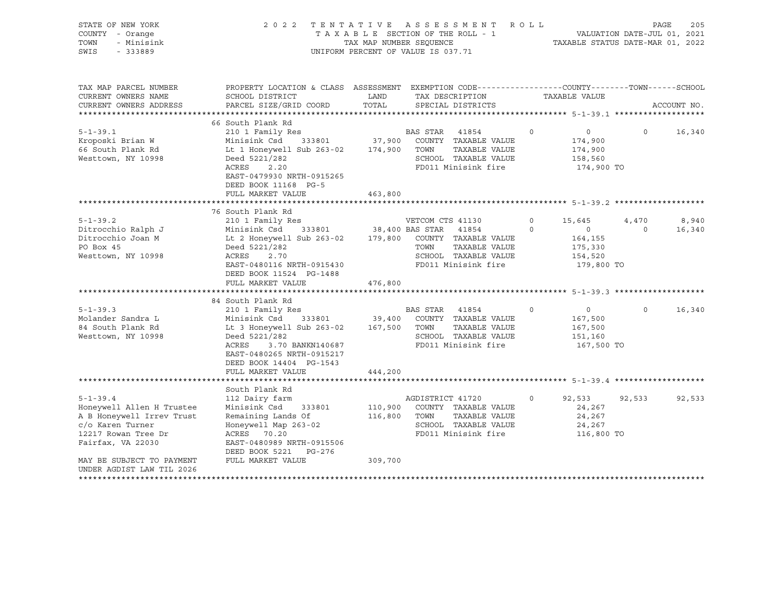| STATE OF NEW YORK<br>COUNTY - Orange<br>TOWN<br>- Minisink<br>SWIS<br>$-333889$                                                                                                                                             | 2 0 2 2<br>TENTATIVE                                                                                                                                                                                                                                                                                                                                                                                                                            | TAXABLE SECTION OF THE ROLL - 1<br>TAX MAP NUMBER SEOUENCE<br>UNIFORM PERCENT OF VALUE IS 037.71 |                                            | ASSESSMENT                                                                                                                                                                                         | ROLL                           | TAXABLE STATUS DATE-MAR 01, 2022                                                                                                  | PAGE<br>VALUATION DATE-JUL 01, 2021 | 205                       |
|-----------------------------------------------------------------------------------------------------------------------------------------------------------------------------------------------------------------------------|-------------------------------------------------------------------------------------------------------------------------------------------------------------------------------------------------------------------------------------------------------------------------------------------------------------------------------------------------------------------------------------------------------------------------------------------------|--------------------------------------------------------------------------------------------------|--------------------------------------------|----------------------------------------------------------------------------------------------------------------------------------------------------------------------------------------------------|--------------------------------|-----------------------------------------------------------------------------------------------------------------------------------|-------------------------------------|---------------------------|
| TAX MAP PARCEL NUMBER<br>CURRENT OWNERS NAME<br>CURRENT OWNERS ADDRESS<br>*********************                                                                                                                             | PROPERTY LOCATION & CLASS ASSESSMENT EXEMPTION CODE----------------COUNTY-------TOWN------SCHOOL<br>SCHOOL DISTRICT<br>PARCEL SIZE/GRID COORD                                                                                                                                                                                                                                                                                                   | LAND<br>TOTAL                                                                                    |                                            | TAX DESCRIPTION<br>SPECIAL DISTRICTS                                                                                                                                                               |                                | TAXABLE VALUE                                                                                                                     |                                     | ACCOUNT NO.               |
| $5 - 1 - 39.1$<br>Kroposki Brian W<br>66 South Plank Rd<br>Westtown, NY 10998                                                                                                                                               | 66 South Plank Rd<br>210 1 Family Res<br>Minisink Csd<br>333801<br>Lt 1 Honeywell Sub 263-02 174,900 TOWN<br>Deed 5221/282<br>ACRES<br>2.20<br>EAST-0479930 NRTH-0915265<br>DEED BOOK 11168 PG-5<br>FULL MARKET VALUE                                                                                                                                                                                                                           | 463,800                                                                                          | BAS STAR                                   | 41854<br>37,900 COUNTY TAXABLE VALUE<br>TAXABLE VALUE<br>SCHOOL TAXABLE VALUE<br>FD011 Minisink fire                                                                                               | $\circ$                        | $\overline{0}$<br>174,900<br>174,900<br>158,560<br>174,900 TO                                                                     | $\Omega$                            | 16,340                    |
|                                                                                                                                                                                                                             |                                                                                                                                                                                                                                                                                                                                                                                                                                                 |                                                                                                  |                                            |                                                                                                                                                                                                    |                                |                                                                                                                                   |                                     |                           |
| $5 - 1 - 39.2$<br>Ditrocchio Ralph J<br>Ditrocchio Joan M<br>PO Box 45<br>Westtown, NY 10998<br>$5 - 1 - 39.3$<br>Molander Sandra L<br>84 South Plank Rd<br>Westtown, NY 10998                                              | 76 South Plank Rd<br>210 1 Family Res<br>Minisink Csd 333801 38,400 BAS STAR 41854<br>Lt 2 Honeywell Sub 263-02<br>Deed 5221/282<br>ACRES<br>2.70<br>EAST-0480116 NRTH-0915430<br>DEED BOOK 11524 PG-1488<br>FULL MARKET VALUE<br>84 South Plank Rd<br>210 1 Family Res<br>Minisink Csd<br>Lt 3 Honeywell Sub 263-02<br>Deed 5221/282<br>ACRES<br>3.70 BANKN140687<br>EAST-0480265 NRTH-0915217<br>DEED BOOK 14404 PG-1543<br>FULL MARKET VALUE | 476,800<br>167,500 TOWN<br>444,200                                                               | VETCOM CTS 41130<br>TOWN<br>BAS STAR 41854 | 179,800 COUNTY TAXABLE VALUE<br>TAXABLE VALUE<br>SCHOOL TAXABLE VALUE<br>FD011 Minisink fire<br>333801 39,400 COUNTY TAXABLE VALUE<br>TAXABLE VALUE<br>SCHOOL TAXABLE VALUE<br>FD011 Minisink fire | $\circ$<br>$\Omega$<br>$\circ$ | 15,645<br>$\circ$<br>164,155<br>175,330<br>154,520<br>179,800 TO<br>$\overline{0}$<br>167,500<br>167,500<br>151,160<br>167,500 TO | 4,470<br>$\Omega$<br>$\Omega$       | 8,940<br>16,340<br>16,340 |
|                                                                                                                                                                                                                             |                                                                                                                                                                                                                                                                                                                                                                                                                                                 |                                                                                                  |                                            |                                                                                                                                                                                                    |                                |                                                                                                                                   |                                     |                           |
| $5 - 1 - 39.4$<br>Honeywell Allen H Trustee<br>A B Honeywell Irrev Trust<br>c/o Karen Turner<br>12217 Rowan Tree Dr<br>Fairfax, VA 22030<br>MAY BE SUBJECT TO PAYMENT<br>UNDER AGDIST LAW TIL 2026<br>********************* | South Plank Rd<br>112 Dairy farm<br>Minisink Csd<br>333801<br>Remaining Lands Of<br>Honeywell Map 263-02<br>ACRES 70.20<br>EAST-0480989 NRTH-0915506<br>DEED BOOK 5221 PG-276<br>FULL MARKET VALUE                                                                                                                                                                                                                                              | 116,800 TOWN<br>309,700                                                                          | AGDISTRICT 41720                           | 110,900 COUNTY TAXABLE VALUE<br>TAXABLE VALUE<br>SCHOOL TAXABLE VALUE<br>FD011 Minisink fire                                                                                                       | $\circ$                        | 92,533<br>24,267<br>24,267<br>24,267<br>116,800 TO                                                                                | 92,533                              | 92,533                    |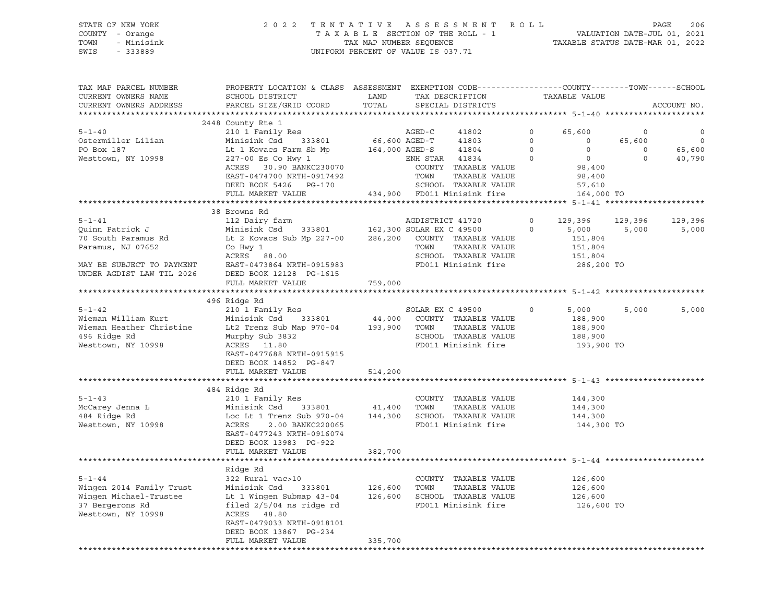### STATE OF NEW YORK 2 0 2 2 T E N T A T I V E A S S E S S M E N T R O L L PAGE 206 COUNTY - Orange T A X A B L E SECTION OF THE ROLL - 1 VALUATION DATE-JUL 01, 2021 TOWN - Minisink TAX MAP NUMBER SEQUENCE TAXABLE STATUS DATE-MAR 01, 2022 SWIS - 333889 CONSERVATION CONTROL OF VALUE IS 037.71

| TAX MAP PARCEL NUMBER<br>CURRENT OWNERS NAME<br>CURRENT OWNERS ADDRESS                                                                | PROPERTY LOCATION & CLASS ASSESSMENT<br>SCHOOL DISTRICT<br>PARCEL SIZE/GRID COORD                                                                                                                                  | LAND<br>TOTAL                 | EXEMPTION CODE-----------------COUNTY-------TOWN------SCHOOL<br>TAX DESCRIPTION<br>SPECIAL DISTRICTS                                                                          |                                            | TAXABLE VALUE                                                                               |                                              | ACCOUNT NO.                            |
|---------------------------------------------------------------------------------------------------------------------------------------|--------------------------------------------------------------------------------------------------------------------------------------------------------------------------------------------------------------------|-------------------------------|-------------------------------------------------------------------------------------------------------------------------------------------------------------------------------|--------------------------------------------|---------------------------------------------------------------------------------------------|----------------------------------------------|----------------------------------------|
| *************************                                                                                                             |                                                                                                                                                                                                                    |                               |                                                                                                                                                                               |                                            |                                                                                             |                                              |                                        |
| $5 - 1 - 40$<br>Ostermiller Lilian<br>PO Box 187<br>Westtown, NY 10998                                                                | 2448 County Rte 1<br>210 1 Family Res<br>Minisink Csd 333801<br>Lt 1 Kovacs Farm Sb Mp<br>227-00 Es Co Hwy 1<br>ACRES 30.90 BANKC230070<br>EAST-0474700 NRTH-0917492<br>DEED BOOK 5426 PG-170<br>FULL MARKET VALUE | 66,600 AGED-T                 | AGED-C<br>41802<br>41803<br>41804<br>164,000 AGED-S<br>ENH STAR 41834<br>COUNTY TAXABLE VALUE<br>TOWN<br>TAXABLE VALUE<br>SCHOOL TAXABLE VALUE<br>434,900 FD011 Minisink fire | $\circ$<br>$\Omega$<br>$\circ$<br>$\Omega$ | 65,600<br>$\Omega$<br>$\circ$<br>$\overline{0}$<br>98,400<br>98,400<br>57,610<br>164,000 TO | $\mathbf 0$<br>65,600<br>$\circ$<br>$\Omega$ | $\circ$<br>$\circ$<br>65,600<br>40,790 |
|                                                                                                                                       | 38 Browns Rd                                                                                                                                                                                                       |                               |                                                                                                                                                                               |                                            |                                                                                             |                                              |                                        |
| $5 - 1 - 41$<br>Quinn Patrick J<br>70 South Paramus Rd<br>Paramus, NJ 07652<br>MAY BE SUBJECT TO PAYMENT<br>UNDER AGDIST LAW TIL 2026 | 112 Dairy farm<br>Minisink Csd 333801<br>Lt 2 Kovacs Sub Mp 227-00<br>Co Hwy 1<br>ACRES 88.00<br>EAST-0473864 NRTH-0915983<br>DEED BOOK 12128 PG-1615<br>FULL MARKET VALUE                                         | 286,200<br>759,000            | AGDISTRICT 41720<br>162,300 SOLAR EX C 49500<br>COUNTY TAXABLE VALUE<br>TOWN<br>TAXABLE VALUE<br>SCHOOL TAXABLE VALUE<br>FD011 Minisink fire                                  | $\circ$<br>$\mathbf 0$                     | 129,396<br>5,000<br>151,804<br>151,804<br>151,804<br>286,200 TO                             | 129,396<br>5,000                             | 129,396<br>5,000                       |
|                                                                                                                                       |                                                                                                                                                                                                                    |                               |                                                                                                                                                                               |                                            |                                                                                             |                                              |                                        |
| $5 - 1 - 42$<br>Wieman William Kurt<br>Wieman Heather Christine<br>496 Ridge Rd<br>Westtown, NY 10998                                 | 496 Ridge Rd<br>210 1 Family Res<br>Minisink Csd<br>333801<br>Lt2 Trenz Sub Map 970-04<br>Murphy Sub 3832<br>ACRES 11.80<br>EAST-0477688 NRTH-0915915<br>DEED BOOK 14852 PG-847<br>FULL MARKET VALUE               | 44,000<br>193,900<br>514,200  | SOLAR EX C 49500<br>COUNTY TAXABLE VALUE<br>TAXABLE VALUE<br>TOWN<br>SCHOOL TAXABLE VALUE<br>FD011 Minisink fire                                                              | $\circ$                                    | 5,000<br>188,900<br>188,900<br>188,900<br>193,900 TO                                        | 5,000                                        | 5,000                                  |
|                                                                                                                                       |                                                                                                                                                                                                                    |                               |                                                                                                                                                                               |                                            |                                                                                             |                                              |                                        |
| $5 - 1 - 43$<br>McCarey Jenna L<br>484 Ridge Rd<br>Westtown, NY 10998                                                                 | 484 Ridge Rd<br>210 1 Family Res<br>Minisink Csd<br>333801<br>Loc Lt 1 Trenz Sub 970-04<br>ACRES<br>2.00 BANKC220065<br>EAST-0477243 NRTH-0916074<br>DEED BOOK 13983 PG-922                                        | 41,400<br>144,300             | COUNTY TAXABLE VALUE<br>TOWN<br>TAXABLE VALUE<br>SCHOOL TAXABLE VALUE<br>FD011 Minisink fire                                                                                  |                                            | 144,300<br>144,300<br>144,300<br>144,300 TO                                                 |                                              |                                        |
|                                                                                                                                       | FULL MARKET VALUE                                                                                                                                                                                                  | 382,700                       |                                                                                                                                                                               |                                            |                                                                                             |                                              |                                        |
| $5 - 1 - 44$<br>Wingen 2014 Family Trust<br>Wingen Michael-Trustee<br>37 Bergerons Rd<br>Westtown, NY 10998                           | Ridge Rd<br>322 Rural vac>10<br>Minisink Csd<br>333801<br>Lt 1 Wingen Submap 43-04<br>filed 2/5/04 ns ridge rd<br>ACRES 48.80<br>EAST-0479033 NRTH-0918101<br>DEED BOOK 13867 PG-234<br>FULL MARKET VALUE          | 126,600<br>126,600<br>335,700 | ******************************** 5-1-44 ********<br>COUNTY TAXABLE VALUE<br>TOWN<br>TAXABLE VALUE<br>SCHOOL TAXABLE VALUE<br>FD011 Minisink fire                              |                                            | 126,600<br>126,600<br>126,600<br>126,600 TO                                                 |                                              |                                        |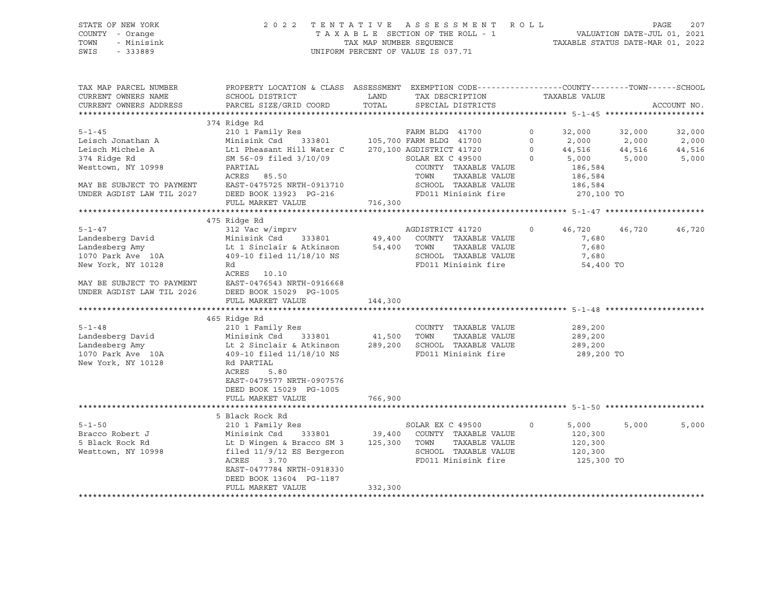### STATE OF NEW YORK 2 0 2 2 T E N T A T I V E A S S E S S M E N T R O L L PAGE 207 COUNTY - Orange T A X A B L E SECTION OF THE ROLL - 1 VALUATION DATE-JUL 01, 2021 TOWN - Minisink TAX MAP NUMBER SEQUENCE TAXABLE STATUS DATE-MAR 01, 2022 SWIS - 333889 CONSERVATION CONTROL OF VALUE IS 037.71

| TAX MAP PARCEL NUMBER<br>CURRENT OWNERS NAME<br>CURRENT OWNERS ADDRESS | PROPERTY LOCATION & CLASS ASSESSMENT EXEMPTION CODE----------------COUNTY-------TOWN------SCHOOL<br>SCHOOL DISTRICT<br>PARCEL SIZE/GRID COORD | LAND<br>TOTAL | TAX DESCRIPTION TAXABLE VALUE<br>SPECIAL DISTRICTS |                          |             | ACCOUNT NO. |
|------------------------------------------------------------------------|-----------------------------------------------------------------------------------------------------------------------------------------------|---------------|----------------------------------------------------|--------------------------|-------------|-------------|
|                                                                        |                                                                                                                                               |               |                                                    |                          |             |             |
|                                                                        | 374 Ridge Rd                                                                                                                                  |               |                                                    |                          |             |             |
| $5 - 1 - 45$                                                           |                                                                                                                                               |               |                                                    | 32,000<br>$\circ$        | 32,000      | 32,000      |
| Leisch Jonathan A                                                      | $210$ I Family Res $$\tt FRRM$ BLDG $\,$ 41700 $\,$ Minisink Csd $\,$ 333801 $\,$ 105,700 $\tt FRM$ BLDG 41700                                |               |                                                    | $\Omega$<br>2,000        | 2,000       | 2,000       |
| Leisch Michele A                                                       | Lt1 Pheasant Hill Water C 270,100 AGDISTRICT 41720                                                                                            |               |                                                    | 44,516 44,516<br>$\circ$ |             | 44,516      |
| 374 Ridge Rd                                                           | SM 56-09 filed 3/10/09                                                                                                                        |               | SOLAR EX C 49500                                   | $\Omega$                 | 5,000 5,000 | 5,000       |
| Westtown, NY 10998                                                     | PARTIAL                                                                                                                                       |               | COUNTY TAXABLE VALUE                               | 186,584                  |             |             |
|                                                                        | ACRES 85.50                                                                                                                                   |               | TOWN<br>TAXABLE VALUE                              | 186,584                  |             |             |
| MAY BE SUBJECT TO PAYMENT                                              | EAST-0475725 NRTH-0913710                                                                                                                     |               | SCHOOL TAXABLE VALUE                               | 186,584                  |             |             |
| UNDER AGDIST LAW TIL 2027                                              | DEED BOOK 13923 PG-216                                                                                                                        |               | FD011 Minisink fire 270,100 TO                     |                          |             |             |
|                                                                        | FULL MARKET VALUE                                                                                                                             | 716,300       |                                                    |                          |             |             |
|                                                                        |                                                                                                                                               |               |                                                    |                          |             |             |
|                                                                        | 475 Ridge Rd                                                                                                                                  |               |                                                    |                          |             |             |
| $5 - 1 - 47$                                                           | $312$ Vac w/imprv                                                                                                                             |               | AGDISTRICT 41720 0                                 | 46,720 46,720            |             | 46,720      |
| Landesberg David                                                       | Minisink Csd 333801 49,400 COUNTY TAXABLE VALUE                                                                                               |               |                                                    | 7,680                    |             |             |
| Landesberg Amy                                                         | Lt 1 Sinclair & Atkinson $54,400$ TOWN $409-10$ filed $11/18/10$ NS SCHOOL                                                                    |               | TAXABLE VALUE                                      | 7,680                    |             |             |
| $1070$ Park Ave $10A$                                                  |                                                                                                                                               |               | SCHOOL TAXABLE VALUE                               | 7,680                    |             |             |
| New York, NY 10128                                                     | Rd                                                                                                                                            |               | FD011 Minisink fire                                | 54,400 TO                |             |             |
| MAY BE SUBJECT TO PAYMENT<br>2026 - יחי שיישר                          | ACRES 10.10                                                                                                                                   |               |                                                    |                          |             |             |
|                                                                        | EAST-0476543 NRTH-0916668                                                                                                                     |               |                                                    |                          |             |             |
|                                                                        | DEED BOOK 15029 PG-1005                                                                                                                       |               |                                                    |                          |             |             |
|                                                                        | FULL MARKET VALUE                                                                                                                             | 144,300       |                                                    |                          |             |             |
|                                                                        |                                                                                                                                               |               |                                                    |                          |             |             |
|                                                                        | 465 Ridge Rd                                                                                                                                  |               |                                                    |                          |             |             |
| $5 - 1 - 48$<br>Landesberg David                                       | 210 1 Family Res<br>210 1 Family Res<br>Minisink Csd       333801                41,500                                                       |               | COUNTY TAXABLE VALUE                               | 289,200                  |             |             |
|                                                                        |                                                                                                                                               |               | TOWN<br>TAXABLE VALUE<br>SCHOOL TAXABLE VALUE      | 289,200<br>289,200       |             |             |
|                                                                        | Landesberg Amy Lt 2 Sinclair & Atkinson 289,200<br>1070 Park Ave 10A 409-10 filed 11/18/10 NS                                                 |               | FD011 Minisink fire                                | 289,200 TO               |             |             |
| New York, NY 10128                                                     | Rd PARTIAL                                                                                                                                    |               |                                                    |                          |             |             |
|                                                                        | ACRES<br>5.80                                                                                                                                 |               |                                                    |                          |             |             |
|                                                                        | EAST-0479577 NRTH-0907576                                                                                                                     |               |                                                    |                          |             |             |
|                                                                        | DEED BOOK 15029 PG-1005                                                                                                                       |               |                                                    |                          |             |             |
|                                                                        | FULL MARKET VALUE                                                                                                                             | 766,900       |                                                    |                          |             |             |
|                                                                        |                                                                                                                                               |               |                                                    |                          |             |             |
|                                                                        | 5 Black Rock Rd                                                                                                                               |               |                                                    |                          |             |             |
| $5 - 1 - 50$                                                           | 210 1 Family Res                                                                                                                              |               | SOLAR EX C 49500                                   | $\circ$<br>5,000         | 5,000       | 5,000       |
| Bracco Robert J                                                        |                                                                                                                                               |               | 333801 39,400 COUNTY TAXABLE VALUE                 | 120,300                  |             |             |
| 5 Black Rock Rd                                                        | Minisink Csd      33801              39,400<br>Lt D Wingen & Bracco SM 3       125,300                                                        |               | TOWN<br>TAXABLE VALUE                              | 120,300                  |             |             |
| Westtown, NY 10998                                                     | filed 11/9/12 ES Bergeron                                                                                                                     |               | SCHOOL TAXABLE VALUE                               | 120,300                  |             |             |
|                                                                        | ACRES<br>3.70                                                                                                                                 |               | FD011 Minisink fire                                | 125,300 TO               |             |             |
|                                                                        | EAST-0477784 NRTH-0918330                                                                                                                     |               |                                                    |                          |             |             |
|                                                                        | DEED BOOK 13604 PG-1187                                                                                                                       |               |                                                    |                          |             |             |
|                                                                        | FULL MARKET VALUE                                                                                                                             | 332,300       |                                                    |                          |             |             |
|                                                                        |                                                                                                                                               |               |                                                    |                          |             |             |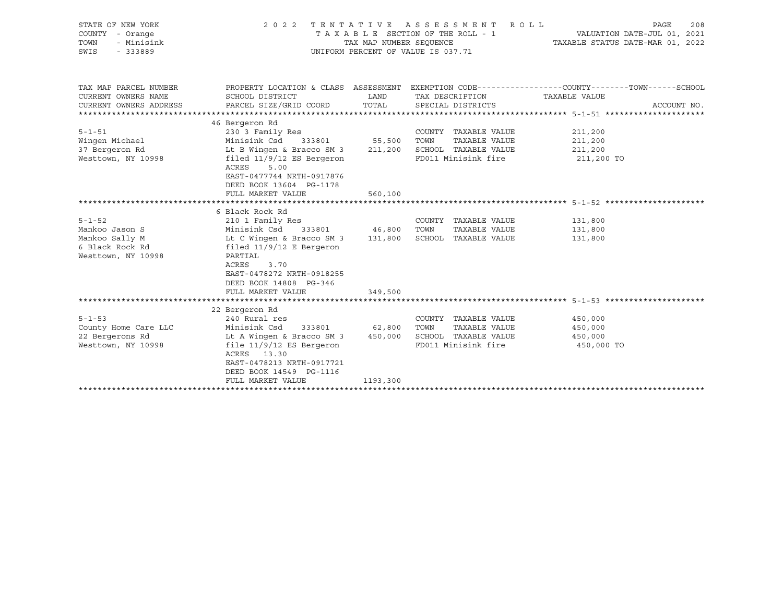| STATE OF NEW YORK<br>COUNTY - Orange<br>TOWN<br>- Minisink<br>SWIS<br>$-333889$ | TENTATIVE ASSESSMENT ROLL<br>2 0 2 2<br>TAXABLE SECTION OF THE ROLL - 1<br>TAX MAP NUMBER SEOUENCE<br>UNIFORM PERCENT OF VALUE IS 037.71 | PAGE<br>208<br>VALUATION DATE-JUL 01, 2021<br>TAXABLE STATUS DATE-MAR 01, 2022 |                                               |                                                                                                |
|---------------------------------------------------------------------------------|------------------------------------------------------------------------------------------------------------------------------------------|--------------------------------------------------------------------------------|-----------------------------------------------|------------------------------------------------------------------------------------------------|
| TAX MAP PARCEL NUMBER                                                           |                                                                                                                                          |                                                                                |                                               | PROPERTY LOCATION & CLASS ASSESSMENT EXEMPTION CODE---------------COUNTY-------TOWN-----SCHOOL |
| CURRENT OWNERS NAME                                                             | SCHOOL DISTRICT                                                                                                                          | LAND                                                                           | TAX DESCRIPTION                               | TAXABLE VALUE                                                                                  |
| CURRENT OWNERS ADDRESS                                                          | PARCEL SIZE/GRID COORD                                                                                                                   | TOTAL                                                                          | SPECIAL DISTRICTS                             | ACCOUNT NO.                                                                                    |
|                                                                                 |                                                                                                                                          |                                                                                |                                               |                                                                                                |
| $5 - 1 - 51$                                                                    | 46 Bergeron Rd<br>230 3 Family Res                                                                                                       |                                                                                | COUNTY TAXABLE VALUE                          | 211,200                                                                                        |
| Wingen Michael                                                                  | 333801 55,500 TOWN<br>Minisink Csd                                                                                                       |                                                                                | TAXABLE VALUE                                 | 211,200                                                                                        |
| 37 Bergeron Rd                                                                  | Lt B Wingen & Bracco SM 3 211,200 SCHOOL TAXABLE VALUE                                                                                   |                                                                                |                                               | 211,200                                                                                        |
| Westtown, NY 10998                                                              | filed $11/9/12$ ES Bergeron<br>5.00<br>ACRES<br>EAST-0477744 NRTH-0917876<br>DEED BOOK 13604 PG-1178                                     |                                                                                | FD011 Minisink fire                           | 211,200 TO                                                                                     |
|                                                                                 | FULL MARKET VALUE                                                                                                                        | 560,100                                                                        |                                               |                                                                                                |
|                                                                                 | 6 Black Rock Rd                                                                                                                          |                                                                                |                                               |                                                                                                |
| $5 - 1 - 52$                                                                    | 210 1 Family Res                                                                                                                         |                                                                                | COUNTY TAXABLE VALUE                          | 131,800                                                                                        |
| Mankoo Jason S                                                                  |                                                                                                                                          |                                                                                |                                               | 131,800                                                                                        |
| Mankoo Sally M                                                                  | Minisink Csd 333801 46,800 TOWN TAXABLE VALUE<br>Lt C Wingen & Bracco SM 3 131,800 SCHOOL TAXABLE VALUE                                  |                                                                                |                                               | 131,800                                                                                        |
| 6 Black Rock Rd<br>Westtown, NY 10998                                           | filed $11/9/12$ E Bergeron<br>PARTIAL<br>ACRES<br>3.70<br>EAST-0478272 NRTH-0918255<br>DEED BOOK 14808 PG-346<br>FULL MARKET VALUE       | 349,500                                                                        |                                               |                                                                                                |
|                                                                                 |                                                                                                                                          |                                                                                |                                               |                                                                                                |
|                                                                                 | 22 Bergeron Rd                                                                                                                           |                                                                                |                                               |                                                                                                |
| $5 - 1 - 53$                                                                    | 240 Rural res<br>Minisink Csd 333801 62,800                                                                                              |                                                                                | COUNTY TAXABLE VALUE<br>TOWN<br>TAXABLE VALUE | 450,000                                                                                        |
| County Home Care LLC<br>22 Bergerons Rd                                         | Lt A Wingen & Bracco SM 3 450,000                                                                                                        |                                                                                | SCHOOL TAXABLE VALUE                          | 450,000<br>450,000                                                                             |
| Westtown, NY 10998                                                              | file $11/9/12$ ES Bergeron<br>ACRES 13.30<br>EAST-0478213 NRTH-0917721<br>DEED BOOK 14549 PG-1116                                        |                                                                                | FD011 Minisink fire                           | 450,000 TO                                                                                     |
|                                                                                 | FULL MARKET VALUE                                                                                                                        | 1193,300                                                                       |                                               |                                                                                                |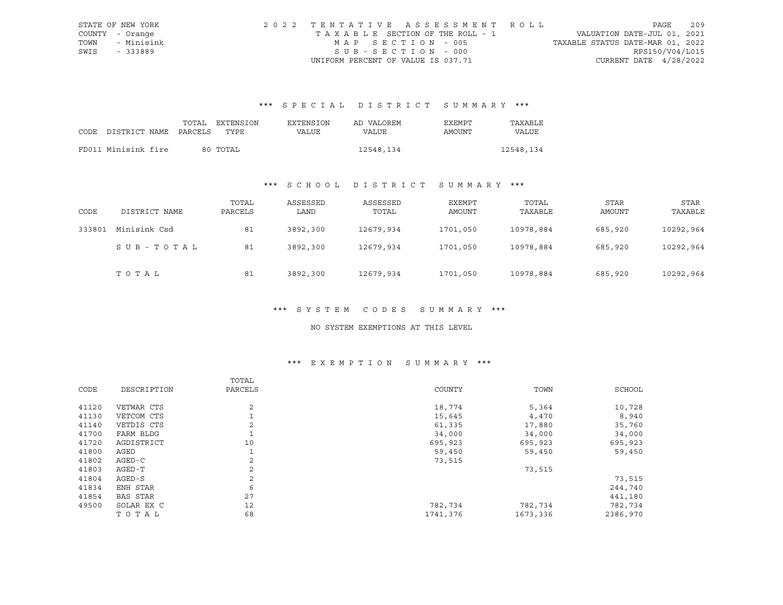|      | STATE OF NEW YORK | 2022 TENTATIVE ASSESSMENT ROLL        |                                  | PAGE            | 209 |
|------|-------------------|---------------------------------------|----------------------------------|-----------------|-----|
|      | COUNTY - Orange   | T A X A B L E SECTION OF THE ROLL - 1 | VALUATION DATE-JUL 01, 2021      |                 |     |
| TOWN | - Minisink        | MAP SECTION - 005                     | TAXABLE STATUS DATE-MAR 01, 2022 |                 |     |
| SWIS | - 333889          | SUB-SECTION - 000                     |                                  | RPS150/V04/L015 |     |
|      |                   | UNIFORM PERCENT OF VALUE IS 037.71    | CURRENT DATE $4/28/2022$         |                 |     |

# \*\*\* S P E C I A L D I S T R I C T S U M M A R Y \*\*\*

|                            | TOTAL | EXTENSION | EXTENSION | AD VALOREM | EXEMPT | TAXABLE   |
|----------------------------|-------|-----------|-----------|------------|--------|-----------|
| CODE DISTRICT NAME PARCELS |       | TYPE      | VALUE     | VALUE      | AMOUNT | VALUE     |
|                            |       |           |           |            |        |           |
| FD011 Minisink fire        |       | 80 TOTAL  |           | 12548,134  |        | 12548,134 |

# \*\*\* S C H O O L D I S T R I C T S U M M A R Y \*\*\*

| CODE   | DISTRICT NAME | TOTAL<br>PARCELS | ASSESSED<br>LAND | ASSESSED<br>TOTAL | EXEMPT<br>AMOUNT | TOTAL<br>TAXABLE | STAR<br>AMOUNT | STAR<br>TAXABLE |
|--------|---------------|------------------|------------------|-------------------|------------------|------------------|----------------|-----------------|
| 333801 | Minisink Csd  | 81               | 3892,300         | 12679,934         | 1701,050         | 10978,884        | 685,920        | 10292,964       |
|        | SUB-TOTAL     | 81               | 3892,300         | 12679,934         | 1701,050         | 10978,884        | 685,920        | 10292,964       |
|        | тотаь         | 81               | 3892,300         | 12679,934         | 1701,050         | 10978,884        | 685,920        | 10292,964       |

#### \*\*\* S Y S T E M C O D E S S U M M A R Y \*\*\*

### NO SYSTEM EXEMPTIONS AT THIS LEVEL

# \*\*\* E X E M P T I O N S U M M A R Y \*\*\*

|       |             | TOTAL          |          |          |          |
|-------|-------------|----------------|----------|----------|----------|
| CODE  | DESCRIPTION | PARCELS        | COUNTY   | TOWN     | SCHOOL   |
| 41120 | VETWAR CTS  | 2              | 18,774   | 5,364    | 10,728   |
| 41130 | VETCOM CTS  |                | 15,645   | 4,470    | 8,940    |
| 41140 | VETDIS CTS  | 2              | 61,335   | 17,880   | 35,760   |
| 41700 | FARM BLDG   |                | 34,000   | 34,000   | 34,000   |
| 41720 | AGDISTRICT  | 10             | 695,923  | 695,923  | 695,923  |
| 41800 | AGED        | $\mathbf{1}$   | 59,450   | 59,450   | 59,450   |
| 41802 | AGED-C      | 2              | 73,515   |          |          |
| 41803 | AGED-T      | 2              |          | 73,515   |          |
| 41804 | AGED-S      | $\overline{a}$ |          |          | 73,515   |
| 41834 | ENH STAR    | 6              |          |          | 244,740  |
| 41854 | BAS STAR    | 27             |          |          | 441,180  |
| 49500 | SOLAR EX C  | 12             | 782,734  | 782,734  | 782,734  |
|       | TOTAL       | 68             | 1741,376 | 1673,336 | 2386,970 |
|       |             |                |          |          |          |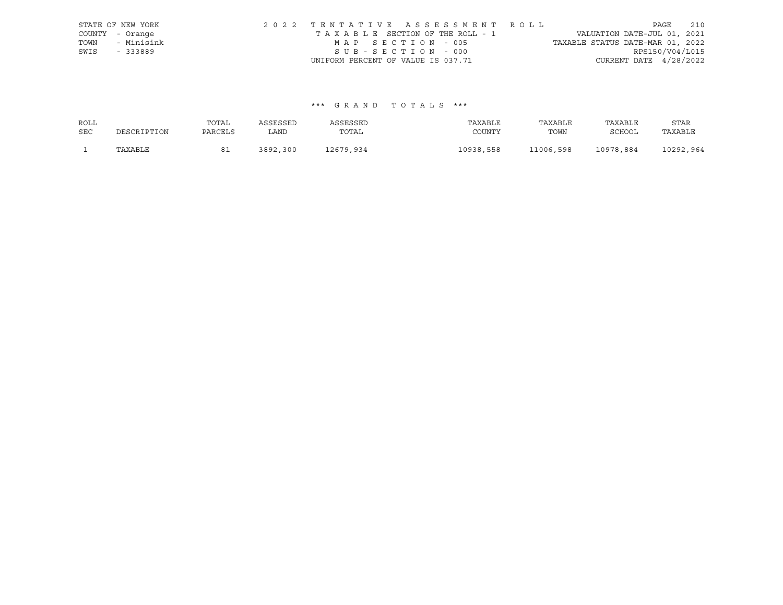|      | STATE OF NEW YORK | 2022 TENTATIVE ASSESSMENT ROLL                                 | PAGE            | 210 |
|------|-------------------|----------------------------------------------------------------|-----------------|-----|
|      | COUNTY - Orange   | VALUATION DATE-JUL 01, 2021<br>TAXABLE SECTION OF THE ROLL - 1 |                 |     |
| TOWN | - Minisink        | TAXABLE STATUS DATE-MAR 01, 2022<br>MAP SECTION - 005          |                 |     |
| SWIS | - 333889          | SUB-SECTION - 000                                              | RPS150/V04/L015 |     |
|      |                   | CURRENT DATE $4/28/2022$<br>UNIFORM PERCENT OF VALUE IS 037.71 |                 |     |

## \*\*\* G R A N D T O T A L S \*\*\*

| ROLL       |             | TOTAL   | ASSESSED | ASSESSED  | TAXABLE   | TAXABLE   | TAXABLE   | STAR      |
|------------|-------------|---------|----------|-----------|-----------|-----------|-----------|-----------|
| <b>SEC</b> | DESCRIPTION | PARCELS | LAND     | TOTAL     | COUNTY    | TOWN      | SCHOOL    | TAXABLE   |
|            | TAXABLE     |         | 3892,300 | 12679,934 | 10938,558 | 11006,598 | 10978,884 | 10292,964 |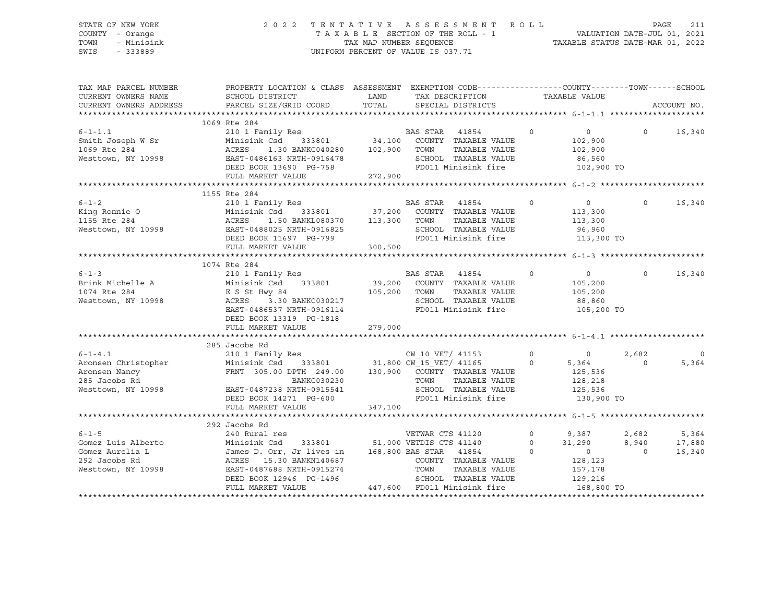### STATE OF NEW YORK 2 0 2 2 T E N T A T I V E A S S E S S M E N T R O L L PAGE 211 COUNTY - Orange T A X A B L E SECTION OF THE ROLL - 1 VALUATION DATE-JUL 01, 2021 TOWN - Minisink TAX MAP NUMBER SEQUENCE TAXABLE STATUS DATE-MAR 01, 2022 SWIS - 333889 CONSERVATION CONTROL OF VALUE IS 037.71

| TAX MAP PARCEL NUMBER                                                                                  | PROPERTY LOCATION & CLASS ASSESSMENT EXEMPTION CODE---------------COUNTY-------TOWN-----SCHOOL<br>CURRENT OWNERS NAME SCHOOL DISTRICT THE LAND TAX DESCRIPTION                                                                         |         |                                                               |         | TAXABLE VALUE                                                                                                                                                                                                                                                                                 |                |              |
|--------------------------------------------------------------------------------------------------------|----------------------------------------------------------------------------------------------------------------------------------------------------------------------------------------------------------------------------------------|---------|---------------------------------------------------------------|---------|-----------------------------------------------------------------------------------------------------------------------------------------------------------------------------------------------------------------------------------------------------------------------------------------------|----------------|--------------|
| CURRENT OWNERS ADDRESS                                                                                 | PARCEL SIZE/GRID COORD                                                                                                                                                                                                                 |         | TOTAL SPECIAL DISTRICTS                                       |         |                                                                                                                                                                                                                                                                                               |                | ACCOUNT NO.  |
|                                                                                                        |                                                                                                                                                                                                                                        |         |                                                               |         |                                                                                                                                                                                                                                                                                               |                |              |
|                                                                                                        | 1009 ACES 233801 34,100 COUNIT ALLOTE 1.1<br>Smith Joseph W Sr Minisink Csd 333801 34,100 COUNIT ALLOTE<br>1069 Ree 284 ACRES 1.30 BANKC040280 102,900 TOWN TAXABLE VALUE<br>Westtown, NY 10998 BAST-0486163 NRTH-0916478 SCHOOL TAX   |         |                                                               |         |                                                                                                                                                                                                                                                                                               |                |              |
|                                                                                                        |                                                                                                                                                                                                                                        |         |                                                               |         | $\sim$ 0 $\sim$ 0 $\sim$ 0 $\sim$ 0 $\sim$ 0 $\sim$ 0 $\sim$ 0 $\sim$ 0 $\sim$ 0 $\sim$ 0 $\sim$ 0 $\sim$ 0 $\sim$ 0 $\sim$ 0 $\sim$ 0 $\sim$ 0 $\sim$ 0 $\sim$ 0 $\sim$ 0 $\sim$ 0 $\sim$ 0 $\sim$ 0 $\sim$ 0 $\sim$ 0 $\sim$ 0 $\sim$ 0 $\sim$ 0 $\sim$ 0 $\sim$ 0 $\sim$ 0 $\sim$ 0 $\sim$ |                | $0 \t16,340$ |
|                                                                                                        |                                                                                                                                                                                                                                        |         |                                                               |         |                                                                                                                                                                                                                                                                                               |                |              |
|                                                                                                        |                                                                                                                                                                                                                                        |         |                                                               |         |                                                                                                                                                                                                                                                                                               |                |              |
|                                                                                                        |                                                                                                                                                                                                                                        |         |                                                               |         |                                                                                                                                                                                                                                                                                               |                |              |
|                                                                                                        |                                                                                                                                                                                                                                        |         |                                                               |         |                                                                                                                                                                                                                                                                                               |                |              |
|                                                                                                        |                                                                                                                                                                                                                                        |         |                                                               |         |                                                                                                                                                                                                                                                                                               |                |              |
|                                                                                                        |                                                                                                                                                                                                                                        |         |                                                               |         |                                                                                                                                                                                                                                                                                               |                |              |
|                                                                                                        |                                                                                                                                                                                                                                        |         |                                                               |         |                                                                                                                                                                                                                                                                                               |                |              |
|                                                                                                        | 210 1 Family Res BAS STAR 41854<br>Minisink Csd 333801 37,200 COUNTY TAXABLE VALUE                                                                                                                                                     |         |                                                               |         |                                                                                                                                                                                                                                                                                               | $\Omega$       | 16,340       |
|                                                                                                        |                                                                                                                                                                                                                                        |         |                                                               |         | 113,300                                                                                                                                                                                                                                                                                       |                |              |
|                                                                                                        |                                                                                                                                                                                                                                        |         | TAXABLE VALUE                                                 |         | 113,300                                                                                                                                                                                                                                                                                       |                |              |
|                                                                                                        |                                                                                                                                                                                                                                        |         | SCHOOL TAXABLE VALUE                                          |         | 96,960                                                                                                                                                                                                                                                                                        |                |              |
|                                                                                                        |                                                                                                                                                                                                                                        |         | FD011 Minisink fire 113,300 TO                                |         |                                                                                                                                                                                                                                                                                               |                |              |
|                                                                                                        | 6-1-2<br>King Ronnie O Minisink Csd 333801 37,200 COUNTY<br>1155 Rte 284 ACRES 1.50 BANKL080370 113,300 TOWN<br>Westtown, NY 10998 EAST-0488025 NRTH-0916825 SCHOOL<br>DEED BOOK 11697 PG-799 300,500 FD011 M:<br>FULL MARKET VALUE    |         |                                                               |         |                                                                                                                                                                                                                                                                                               |                |              |
|                                                                                                        |                                                                                                                                                                                                                                        |         |                                                               |         |                                                                                                                                                                                                                                                                                               |                |              |
|                                                                                                        | 1074 Rte 284                                                                                                                                                                                                                           |         |                                                               |         |                                                                                                                                                                                                                                                                                               |                |              |
|                                                                                                        |                                                                                                                                                                                                                                        |         |                                                               |         | $\sim$ 0 $\sim$ 0                                                                                                                                                                                                                                                                             | $\Omega$       | 16,340       |
|                                                                                                        |                                                                                                                                                                                                                                        |         |                                                               |         | 105,200<br>105,200                                                                                                                                                                                                                                                                            |                |              |
| 6-1-3<br>Brink Michelle A<br>1074 Rte 284<br>Westtown, NY 10998<br>RCRES<br>2.3.30<br>2.3.30<br>2.3.30 |                                                                                                                                                                                                                                        |         |                                                               |         |                                                                                                                                                                                                                                                                                               |                |              |
|                                                                                                        |                                                                                                                                                                                                                                        |         | SCHOOL TAXABLE VALUE 88,860<br>FD011 Minisink fire 105,200 TO |         |                                                                                                                                                                                                                                                                                               |                |              |
|                                                                                                        | EXECTS<br>210 1 Family Res<br>Minisink Csd 333801 39,200 COUNTY TAXABLE VALUE<br>E S St Hwy 84 105,200 TOWN TAXABLE VALUE<br>ACRES 3.30 BANKC030217 SCHOOL TAXABLE VALUE<br>EAST-0486537 NRTH-0916114 FD011 Minisink fire              |         | FD011 Minisink fire                                           |         |                                                                                                                                                                                                                                                                                               |                |              |
|                                                                                                        | DEED BOOK 13319 PG-1818                                                                                                                                                                                                                |         |                                                               |         |                                                                                                                                                                                                                                                                                               |                |              |
|                                                                                                        | FULL MARKET VALUE                                                                                                                                                                                                                      | 279,000 |                                                               |         |                                                                                                                                                                                                                                                                                               |                |              |
|                                                                                                        |                                                                                                                                                                                                                                        |         |                                                               |         |                                                                                                                                                                                                                                                                                               |                |              |
|                                                                                                        | 285 Jacobs Rd                                                                                                                                                                                                                          |         |                                                               |         |                                                                                                                                                                                                                                                                                               |                |              |
| $6 - 1 - 4.1$                                                                                          | Jacobs Rd<br>210 1 Family Res<br>Minisink Csd 333801 31,800 CW_15_VET/ 41165 0 5,364<br>FRNT 305.00 DPTH 249.00 130,900 COUNTY TAXABLE VALUE 125,536<br>BANKC030230 130,900 COUNTY TAXABLE VALUE 128,218<br>TOWN TAXABLE VALUE 128,218 |         |                                                               |         |                                                                                                                                                                                                                                                                                               | 2,682          | $\circ$      |
|                                                                                                        |                                                                                                                                                                                                                                        |         |                                                               |         |                                                                                                                                                                                                                                                                                               | $\Omega$       | 5,364        |
| Aronsen Christopher<br>Aronsen Nancy<br>285 Jacobs Rd                                                  |                                                                                                                                                                                                                                        |         |                                                               |         |                                                                                                                                                                                                                                                                                               |                |              |
|                                                                                                        |                                                                                                                                                                                                                                        |         |                                                               |         |                                                                                                                                                                                                                                                                                               |                |              |
|                                                                                                        | EAST-0487238 NRTH-0915541 SCHOOL TAXABLE VALUE 125,536<br>DEED BOOK 14271 PG-600 FD011 Minisink fire 130,900 TO                                                                                                                        |         |                                                               |         |                                                                                                                                                                                                                                                                                               |                |              |
| Westtown, NY 10998                                                                                     |                                                                                                                                                                                                                                        |         |                                                               |         |                                                                                                                                                                                                                                                                                               |                |              |
|                                                                                                        | FULL MARKET VALUE                                                                                                                                                                                                                      | 347,100 |                                                               |         |                                                                                                                                                                                                                                                                                               |                |              |
|                                                                                                        |                                                                                                                                                                                                                                        |         |                                                               |         |                                                                                                                                                                                                                                                                                               |                |              |
|                                                                                                        | 292 Jacobs Rd                                                                                                                                                                                                                          |         |                                                               |         |                                                                                                                                                                                                                                                                                               |                |              |
| $6 - 1 - 5$                                                                                            |                                                                                                                                                                                                                                        |         |                                                               | $\circ$ | 9,387<br>31,290                                                                                                                                                                                                                                                                               | 2,682          | 5,364        |
| Gomez Luis Alberto                                                                                     | Jacobs Rd<br>240 Rural res<br>Minisink Csd 333801 51,000 VETDIS CTS 41140 0<br>James D. Orr, Jr lives in 168,800 BAS STAR 41854 0<br>COUNTY TAXARLE VALUE                                                                              |         |                                                               |         |                                                                                                                                                                                                                                                                                               | 8,940          | 17,880       |
| Gomez Aurelia L                                                                                        |                                                                                                                                                                                                                                        |         |                                                               |         | $\overline{0}$                                                                                                                                                                                                                                                                                | $\overline{0}$ | 16,340       |
| 292 Jacobs Rd                                                                                          |                                                                                                                                                                                                                                        |         |                                                               |         | 128,123                                                                                                                                                                                                                                                                                       |                |              |
| Westtown, NY 10998                                                                                     |                                                                                                                                                                                                                                        |         |                                                               |         | 157,178                                                                                                                                                                                                                                                                                       |                |              |
|                                                                                                        |                                                                                                                                                                                                                                        |         |                                                               |         |                                                                                                                                                                                                                                                                                               |                |              |
|                                                                                                        |                                                                                                                                                                                                                                        |         |                                                               |         |                                                                                                                                                                                                                                                                                               |                |              |
|                                                                                                        |                                                                                                                                                                                                                                        |         |                                                               |         |                                                                                                                                                                                                                                                                                               |                |              |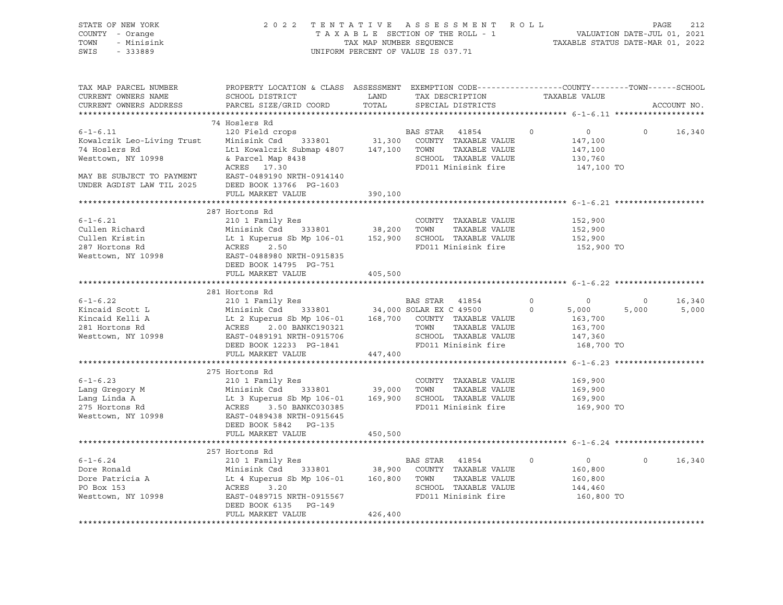| SWIS<br>$-333889$                                                                                                                                                                                                                      | 2022 TENTATIVE ASSESSMENT ROLL<br>STATE OF NEW YORK<br>COUNTY - Orange<br>TAX MAP NUMBER SEQUENCE<br>UNIFORM PERCENT OF VALUE IS 037.71<br>- Minisink<br>TOWN                                                                                                        |               |                                                 |                                  |                   | 212<br>PAGE |
|----------------------------------------------------------------------------------------------------------------------------------------------------------------------------------------------------------------------------------------|----------------------------------------------------------------------------------------------------------------------------------------------------------------------------------------------------------------------------------------------------------------------|---------------|-------------------------------------------------|----------------------------------|-------------------|-------------|
| TAX MAP PARCEL NUMBER<br>CURRENT OWNERS NAME<br>CURRENT OWNERS ADDRESS                                                                                                                                                                 | PROPERTY LOCATION & CLASS ASSESSMENT EXEMPTION CODE----------------COUNTY-------TOWN-----SCHOOL<br>SCHOOL DISTRICT<br>PARCEL SIZE/GRID COORD                                                                                                                         | LAND<br>TOTAL | TAX DESCRIPTION TAXABLE VALUE SPECIAL DISTRICTS |                                  |                   | ACCOUNT NO. |
|                                                                                                                                                                                                                                        |                                                                                                                                                                                                                                                                      |               |                                                 |                                  |                   |             |
|                                                                                                                                                                                                                                        | 74 Hoslers Rd                                                                                                                                                                                                                                                        |               |                                                 |                                  |                   |             |
| $6 - 1 - 6.11$<br>For the state of the state of the state of the state of the state of the state of the state of the state of the<br>Kowalczik Leo-Living Trust Minisink Csd 333801 31,300 COUNTY TAXABLE VALUE                        | 120 Field crops                                                                                                                                                                                                                                                      |               | BAS STAR 41854                                  | $\overline{0}$<br>$\overline{0}$ | $\circ$           | 16,340      |
| 74 Hoslers Rd                                                                                                                                                                                                                          | Lt1 Kowalczik Submap 4807 147,100 TOWN TAXABLE VALUE                                                                                                                                                                                                                 |               |                                                 | 147,100<br>147,100               |                   |             |
| Westtown, NY 10998                                                                                                                                                                                                                     |                                                                                                                                                                                                                                                                      |               |                                                 | 130,760                          |                   |             |
|                                                                                                                                                                                                                                        |                                                                                                                                                                                                                                                                      |               |                                                 | 147,100 TO                       |                   |             |
| MAY BE SUBJECT TO PAYMENT EAST-0489190 NRTH-0914140                                                                                                                                                                                    |                                                                                                                                                                                                                                                                      |               |                                                 |                                  |                   |             |
| UNDER AGDIST LAW TIL 2025 DEED BOOK 13766 PG-1603                                                                                                                                                                                      | FULL MARKET VALUE                                                                                                                                                                                                                                                    | 390,100       |                                                 |                                  |                   |             |
|                                                                                                                                                                                                                                        |                                                                                                                                                                                                                                                                      |               |                                                 |                                  |                   |             |
|                                                                                                                                                                                                                                        | 287 Hortons Rd                                                                                                                                                                                                                                                       |               |                                                 |                                  |                   |             |
| $6 - 1 - 6.21$                                                                                                                                                                                                                         | 210 1 Family Res                                                                                                                                                                                                                                                     |               | COUNTY TAXABLE VALUE                            | 152,900                          |                   |             |
| Cullen Richard                                                                                                                                                                                                                         |                                                                                                                                                                                                                                                                      |               |                                                 | 152,900                          |                   |             |
| Cullen Kristin<br>Cuilen Kriscin<br>287 Hortons Rd                                                                                                                                                                                     |                                                                                                                                                                                                                                                                      |               |                                                 | 152,900                          |                   |             |
|                                                                                                                                                                                                                                        | Are Family Research and the COUNTY TAXABLE VALUE<br>Minisink Csd 333801 38,200 TOWN TAXABLE VALUE<br>Lt 1 Kuperus Sb Mp 106-01 152,900 SCHOOL TAXABLE VALUE<br>ACRES 2.50 FD011 Minisink fire<br>EAST-0488980 NRTH-0915835                                           |               | FD011 Minisink fire                             | 152,900 TO                       |                   |             |
| Westtown, NY 10998                                                                                                                                                                                                                     | DEED BOOK 14795 PG-751                                                                                                                                                                                                                                               |               |                                                 |                                  |                   |             |
|                                                                                                                                                                                                                                        | FULL MARKET VALUE                                                                                                                                                                                                                                                    | 405,500       |                                                 |                                  |                   |             |
|                                                                                                                                                                                                                                        |                                                                                                                                                                                                                                                                      |               |                                                 |                                  |                   |             |
|                                                                                                                                                                                                                                        | 281 Hortons Rd                                                                                                                                                                                                                                                       |               |                                                 |                                  |                   |             |
| $6 - 1 - 6.22$                                                                                                                                                                                                                         |                                                                                                                                                                                                                                                                      |               |                                                 |                                  |                   |             |
|                                                                                                                                                                                                                                        |                                                                                                                                                                                                                                                                      |               |                                                 | $\overline{0}$                   | $\overline{0}$    | 16,340      |
| Kincaid Scott L                                                                                                                                                                                                                        |                                                                                                                                                                                                                                                                      |               |                                                 | 5,000                            | 5,000             | 5,000       |
| Kincaid Kelli A                                                                                                                                                                                                                        |                                                                                                                                                                                                                                                                      |               |                                                 | 163,700                          |                   |             |
| 281 Hortons Rd                                                                                                                                                                                                                         |                                                                                                                                                                                                                                                                      |               |                                                 | 163,700                          |                   |             |
| Westtown, NY 10998                                                                                                                                                                                                                     |                                                                                                                                                                                                                                                                      |               |                                                 | 147,360                          |                   |             |
|                                                                                                                                                                                                                                        |                                                                                                                                                                                                                                                                      |               |                                                 | 168,700 TO                       |                   |             |
|                                                                                                                                                                                                                                        | 201 IRamily Res<br>210 1 Family Res<br>Minisink Csd 333801 34,000 SOLAR EX C 49500 0<br>Lt 2 Kuperus Sb Mp 106-01 168,700 COUNTY TAXABLE VALUE<br>ACRES 2.00 BANKC190321 TOWN TAXABLE VALUE<br>EAST-0489191 NRTH-0915706 SCHOOL TAXABLE<br>FULL MARKET VALUE 447,400 |               |                                                 |                                  |                   |             |
|                                                                                                                                                                                                                                        | 275 Hortons Rd                                                                                                                                                                                                                                                       |               |                                                 |                                  |                   |             |
| $6 - 1 - 6.23$                                                                                                                                                                                                                         | 210 1 Family Res                                                                                                                                                                                                                                                     |               | COUNTY TAXABLE VALUE                            | 169,900                          |                   |             |
|                                                                                                                                                                                                                                        |                                                                                                                                                                                                                                                                      |               |                                                 | 169,900                          |                   |             |
|                                                                                                                                                                                                                                        |                                                                                                                                                                                                                                                                      |               |                                                 | 169,900                          |                   |             |
|                                                                                                                                                                                                                                        |                                                                                                                                                                                                                                                                      |               |                                                 | 169,900 TO                       |                   |             |
| COUNTY TAXABLE VALUE<br>Lang Gregory M Minisink Csd 333801 39,000 TOWN TAXABLE VALUE<br>Lang Linda A Lt 3 Kuperus Sb Mp 106-01 169,900 SCHOOL TAXABLE VALUE<br>275 Hortons Rd ACRES 3.50 BANKC030385<br>Westtown, NY 10998 EAST-048943 |                                                                                                                                                                                                                                                                      |               |                                                 |                                  |                   |             |
|                                                                                                                                                                                                                                        | DEED BOOK 5842 PG-135                                                                                                                                                                                                                                                |               |                                                 |                                  |                   |             |
|                                                                                                                                                                                                                                        | FULL MARKET VALUE                                                                                                                                                                                                                                                    | 450,500       |                                                 |                                  |                   |             |
|                                                                                                                                                                                                                                        |                                                                                                                                                                                                                                                                      |               |                                                 |                                  |                   |             |
| $6 - 1 - 6.24$                                                                                                                                                                                                                         | 257 Hortons Rd<br>210 1 Family Res                                                                                                                                                                                                                                   |               | BAS STAR 41854                                  | $\overline{0}$<br>$\circ$        | $0 \qquad \qquad$ | 16,340      |
|                                                                                                                                                                                                                                        |                                                                                                                                                                                                                                                                      |               |                                                 | 160,800                          |                   |             |
|                                                                                                                                                                                                                                        |                                                                                                                                                                                                                                                                      |               |                                                 | 160,800                          |                   |             |
| b-1-0.2+<br>Dore Ronald<br>Dore Patricia A<br>PO Box 153                                                                                                                                                                               | Minisink Csd 333801 38,900 COUNTY TAXABLE VALUE<br>Lt 4 Kuperus Sb Mp 106-01 160,800 TOWN TAXABLE VALUE<br>ACRES 3.20 SCHOOL TAXABLE VALUE                                                                                                                           |               |                                                 | 144,460                          |                   |             |
|                                                                                                                                                                                                                                        |                                                                                                                                                                                                                                                                      |               |                                                 |                                  | 160,800 TO        |             |
| ACRES 3.20<br>Westtown, NY 10998 EAST-0489715 NRTH-0915567 SCHOOL TAXABLE VALUE<br>Mesttown, NY 10998 EAST-0489715 NRTH-0915567 FD011 Minisink fire                                                                                    | FULL MARKET VALUE                                                                                                                                                                                                                                                    | 426,400       |                                                 |                                  |                   |             |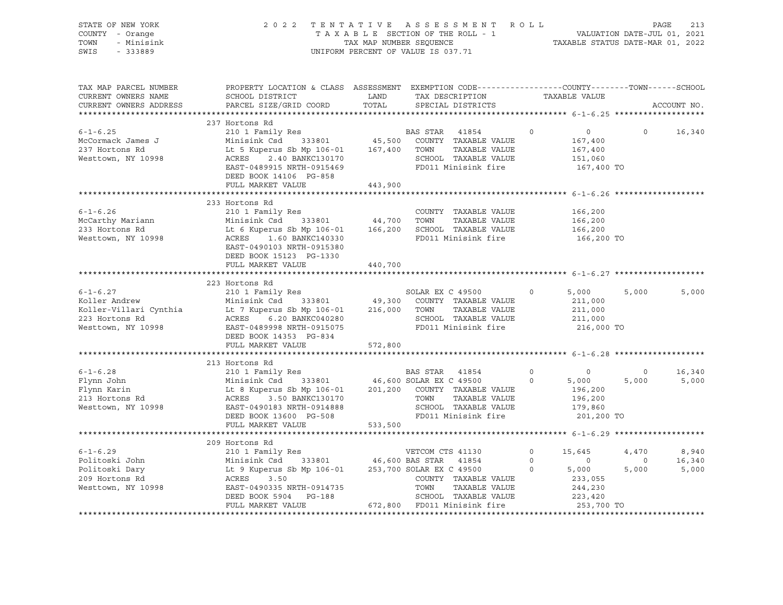| STATE OF NEW YORK<br>COUNTY - Orange<br>TOWN<br>- Minisink<br>SWIS<br>$-333889$ | 2022 TENTATIVE ASSESSMENT ROLL PAGE 213<br>TAXABLE SECTION OF THE ROLL - 1 VALUATION DATE-JUL 01, 2021<br>TAX MAP NUMBER SEQUENCE TAXABLE STATUS DATE-MAR 01, 2022<br>UNIFORM PERCENT OF VALUE IS 037.71                                                                                                  |         |  |                   |                                                                                                             |                |                                                                        |  |  |  |
|---------------------------------------------------------------------------------|-----------------------------------------------------------------------------------------------------------------------------------------------------------------------------------------------------------------------------------------------------------------------------------------------------------|---------|--|-------------------|-------------------------------------------------------------------------------------------------------------|----------------|------------------------------------------------------------------------|--|--|--|
| TAX MAP PARCEL NUMBER<br>CURRENT OWNERS NAME<br>CURRENT OWNERS ADDRESS          | PROPERTY LOCATION & CLASS ASSESSMENT EXEMPTION CODE----------------COUNTY-------TOWN------SCHOOL                                                                                                                                                                                                          |         |  |                   |                                                                                                             |                | ACCOUNT NO.                                                            |  |  |  |
|                                                                                 | 237 Hortons Rd                                                                                                                                                                                                                                                                                            |         |  |                   |                                                                                                             |                |                                                                        |  |  |  |
| $6 - 1 - 6.25$<br>McCormack James J<br>237 Hortons Rd<br>Westtown, NY 10998     | 237 HOTLONS RQ<br>210 1 Family Res<br>Minisink Csd 333801 45,500 COUNTY TAXABLE VALUE<br>Lt 5 Kuperus Sb Mp 106-01 167,400 TOWN TAXABLE VALUE<br>ACRES 2.40 BANKC130170 SCHOOL TAXABLE VALUE<br>EAST-0489915 NRTH-0915469 FD011 Minisink<br>DEED BOOK 14106 PG-858                                        |         |  |                   | 0 0 0 16,340<br>167,400<br>$167,400$<br>$151,060$<br>167,400 TO                                             |                |                                                                        |  |  |  |
|                                                                                 | FULL MARKET VALUE                                                                                                                                                                                                                                                                                         | 443,900 |  |                   |                                                                                                             |                |                                                                        |  |  |  |
|                                                                                 | 233 Hortons Rd<br>EAST-0490103 NRTH-0915380<br>DEED BOOK 15123 PG-1330<br>FULL MARKET VALUE 440,700                                                                                                                                                                                                       |         |  |                   | 166,200 TO                                                                                                  |                |                                                                        |  |  |  |
|                                                                                 |                                                                                                                                                                                                                                                                                                           |         |  |                   |                                                                                                             |                |                                                                        |  |  |  |
|                                                                                 | 223 Hortons Rd<br>223 Hortons Rd<br>EXEC 49500 0 5,000 5<br>Koller Andrew Minisink Csd 333801 49,300 COUNTY TAXABLE VALUE<br>Koller-Villari Cynthia Lt 7 Kuperus Sb Mp 106-01 216,000 TOWN TAXABLE VALUE<br>211,000 223 Hortons Rd<br>211,000 ACRES 6.20 B<br>DEED BOOK 14353 PG-834<br>FULL MARKET VALUE | 572,800 |  |                   |                                                                                                             | 5,000          | 5,000                                                                  |  |  |  |
|                                                                                 |                                                                                                                                                                                                                                                                                                           |         |  |                   |                                                                                                             |                |                                                                        |  |  |  |
|                                                                                 | 213 Hortons Rd                                                                                                                                                                                                                                                                                            |         |  |                   | $0$ 0<br>0 5,000<br>UE 196,200<br>196,200<br>179,860<br>201,200 TO                                          | $\overline{0}$ | 16,340<br>5,000 5,000                                                  |  |  |  |
|                                                                                 |                                                                                                                                                                                                                                                                                                           |         |  |                   |                                                                                                             |                |                                                                        |  |  |  |
|                                                                                 | 209 Hortons Rd<br>209 Hortons Rd<br>Politoski John Minisink Csd 333801 46,600 BAS STAR 41854 0<br>Politoski Dary Lt 9 Kuperus Sb Mp 106-01 253,700 SOLAR EX C 49500 0<br>209 Hortons Rd<br>209 Hortons Rd<br>209 Hortons Rd<br>209 Kuperus Sb Mp 106-01 253,                                              |         |  | $0 \qquad \qquad$ | 15,645<br>$\begin{matrix} 0 &&&0\\ 0&&&5\,,000 \end{matrix}$<br>233,055<br>244,230<br>223,420<br>253,700 TO | 4,470          | 8,940<br>$\begin{array}{cccc} 0 & 16,340 \\ 5,000 & 5,000 \end{array}$ |  |  |  |
|                                                                                 |                                                                                                                                                                                                                                                                                                           |         |  |                   |                                                                                                             |                |                                                                        |  |  |  |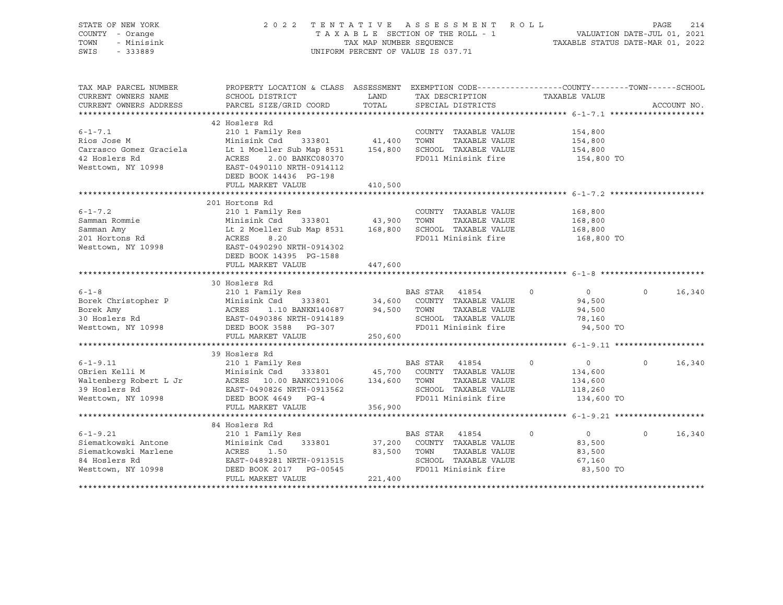| STATE OF NEW YORK<br>COUNTY - Orange<br>TOWN<br>- Minisink<br>SWIS<br>$-333889$ | 2 0 2 2<br>TENTATIVE ASSESSMENT<br>R O L L<br>VALUATION DATE-JUL 01, 2021<br>TAXABLE STATUS DATE-MAR 01, 2022<br>TAXABLE SECTION OF THE ROLL - 1<br>TAX MAP NUMBER SEQUENCE<br>UNIFORM PERCENT OF VALUE IS 037.71              |             |                                               |               |                            |            | 214<br>PAGE |
|---------------------------------------------------------------------------------|--------------------------------------------------------------------------------------------------------------------------------------------------------------------------------------------------------------------------------|-------------|-----------------------------------------------|---------------|----------------------------|------------|-------------|
| TAX MAP PARCEL NUMBER<br>CURRENT OWNERS NAME                                    | PROPERTY LOCATION & CLASS ASSESSMENT EXEMPTION CODE----------------COUNTY-------TOWN------SCHOOL<br>SCHOOL DISTRICT                                                                                                            | LAND        | TAX DESCRIPTION                               |               | TAXABLE VALUE              |            |             |
| CURRENT OWNERS ADDRESS                                                          | PARCEL SIZE/GRID COORD                                                                                                                                                                                                         | TOTAL       | SPECIAL DISTRICTS                             |               |                            |            | ACCOUNT NO. |
|                                                                                 |                                                                                                                                                                                                                                |             |                                               |               |                            |            |             |
|                                                                                 | 42 Hoslers Rd                                                                                                                                                                                                                  |             |                                               |               |                            |            |             |
| $6 - 1 - 7.1$                                                                   | 210 1 Family Res                                                                                                                                                                                                               |             | COUNTY TAXABLE VALUE                          |               | 154,800                    |            |             |
| Rios Jose M                                                                     | Minisink Csd 333801 41,400 TOWN<br>Lt 1 Moeller Sub Map 8531 154,800 SCHOOL TAXABLE VALUE                                                                                                                                      |             |                                               | TAXABLE VALUE | 154,800                    |            |             |
| Carrasco Gomez Graciela<br>42 Hoslers Rd                                        | 2.00 BANKC080370<br>ACRES                                                                                                                                                                                                      |             | FD011 Minisink fire                           |               | 154,800                    | 154,800 TO |             |
| Westtown, NY 10998                                                              | EAST-0490110 NRTH-0914112                                                                                                                                                                                                      |             |                                               |               |                            |            |             |
|                                                                                 | DEED BOOK 14436 PG-198                                                                                                                                                                                                         |             |                                               |               |                            |            |             |
|                                                                                 | FULL MARKET VALUE                                                                                                                                                                                                              | 410,500     |                                               |               |                            |            |             |
|                                                                                 |                                                                                                                                                                                                                                |             |                                               |               |                            |            |             |
|                                                                                 | 201 Hortons Rd                                                                                                                                                                                                                 |             |                                               |               |                            |            |             |
| $6 - 1 - 7.2$                                                                   | 210 1 Family Res                                                                                                                                                                                                               |             | COUNTY TAXABLE VALUE                          |               | 168,800                    |            |             |
| Samman Rommie                                                                   | Minisink Csd 333801                                                                                                                                                                                                            | 43,900      | TOWN                                          | TAXABLE VALUE | 168,800                    |            |             |
| Samman Amy<br>Janunall AMY<br>201 Hortons Rd                                    | Lt 2 Moeller Sub Map 8531 168,800 SCHOOL TAXABLE VALUE                                                                                                                                                                         |             |                                               |               | 168,800                    |            |             |
|                                                                                 | ACRES<br>8.20                                                                                                                                                                                                                  |             | FD011 Minisink fire                           |               |                            | 168,800 TO |             |
| Westtown, NY 10998                                                              | EAST-0490290 NRTH-0914302<br>DEED BOOK 14395 PG-1588                                                                                                                                                                           |             |                                               |               |                            |            |             |
|                                                                                 | FULL MARKET VALUE                                                                                                                                                                                                              | 447,600     |                                               |               |                            |            |             |
|                                                                                 |                                                                                                                                                                                                                                |             |                                               |               |                            |            |             |
|                                                                                 | 30 Hoslers Rd                                                                                                                                                                                                                  |             |                                               |               |                            |            |             |
| $6 - 1 - 8$                                                                     | 210 1 Family Res                                                                                                                                                                                                               |             | BAS STAR 41854                                |               | $\overline{0}$<br>$\Omega$ | $\Omega$   | 16,340      |
| Borek Christopher P                                                             |                                                                                                                                                                                                                                |             |                                               |               | 94,500                     |            |             |
| Borek Amy                                                                       |                                                                                                                                                                                                                                |             |                                               | TAXABLE VALUE | 94,500                     |            |             |
| 30 Hoslers Rd                                                                   | Example of the strategy and the strategy of the strategy of the strategy of the strategy of the strategy of the strategy of the strategy of the strategy of the strategy of the strategy of the strategy of the strategy of th |             | SCHOOL TAXABLE VALUE                          |               | 78,160                     |            |             |
| Westtown, NY 10998                                                              | DEED BOOK 3588 PG-307                                                                                                                                                                                                          |             | FD011 Minisink fire                           |               |                            | 94,500 TO  |             |
|                                                                                 | FULL MARKET VALUE                                                                                                                                                                                                              | 250,600     |                                               |               |                            |            |             |
|                                                                                 |                                                                                                                                                                                                                                |             |                                               |               |                            |            |             |
|                                                                                 | 39 Hoslers Rd                                                                                                                                                                                                                  |             |                                               |               |                            |            |             |
| $6 - 1 - 9.11$<br>OBrien Kelli M                                                | 210 1 Family Res                                                                                                                                                                                                               |             | BAS STAR 41854<br>45,700 COUNTY TAXABLE VALUE |               | $\circ$<br>$\overline{0}$  | $\Omega$   | 16,340      |
|                                                                                 | Minisink Csd 333801                                                                                                                                                                                                            |             |                                               | TAXABLE VALUE | 134,600<br>134,600         |            |             |
| 39 Hoslers Rd                                                                   | Waltenberg Robert L Jr (ACRES 10.00 BANKC191006 134,600 TOWN<br>EAST-0490826 NRTH-0913562                                                                                                                                      |             | SCHOOL TAXABLE VALUE                          |               | 118,260                    |            |             |
| Westtown, NY 10998                                                              | DEED BOOK 4649 PG-4                                                                                                                                                                                                            |             | FD011 Minisink fire                           |               |                            | 134,600 TO |             |
|                                                                                 | FULL MARKET VALUE                                                                                                                                                                                                              | 356,900     |                                               |               |                            |            |             |
|                                                                                 |                                                                                                                                                                                                                                |             |                                               |               |                            |            |             |
|                                                                                 | 84 Hoslers Rd                                                                                                                                                                                                                  |             |                                               |               |                            |            |             |
| $6 - 1 - 9.21$                                                                  | 210 1 Family Res                                                                                                                                                                                                               |             | BAS STAR 41854                                |               | $\circ$<br>$\overline{0}$  | $\Omega$   | 16,340      |
| Siematkowski Antone                                                             | Minisink Csd<br>333801<br>Minisi<br>ACRES                                                                                                                                                                                      |             | 37,200 COUNTY TAXABLE VALUE                   |               | 83,500                     |            |             |
| Siematkowski Marlene                                                            | 1.50                                                                                                                                                                                                                           | 83,500 TOWN |                                               | TAXABLE VALUE | 83,500                     |            |             |
| 84 Hoslers Rd                                                                   | EAST-0489281 NRTH-0913515                                                                                                                                                                                                      |             | SCHOOL TAXABLE VALUE                          |               | 67,160                     |            |             |
| Westtown, NY 10998                                                              | DEED BOOK 2017 PG-00545                                                                                                                                                                                                        |             | FD011 Minisink fire                           |               |                            | 83,500 TO  |             |
|                                                                                 | FULL MARKET VALUE                                                                                                                                                                                                              | 221,400     |                                               |               |                            |            |             |
|                                                                                 |                                                                                                                                                                                                                                |             |                                               |               |                            |            |             |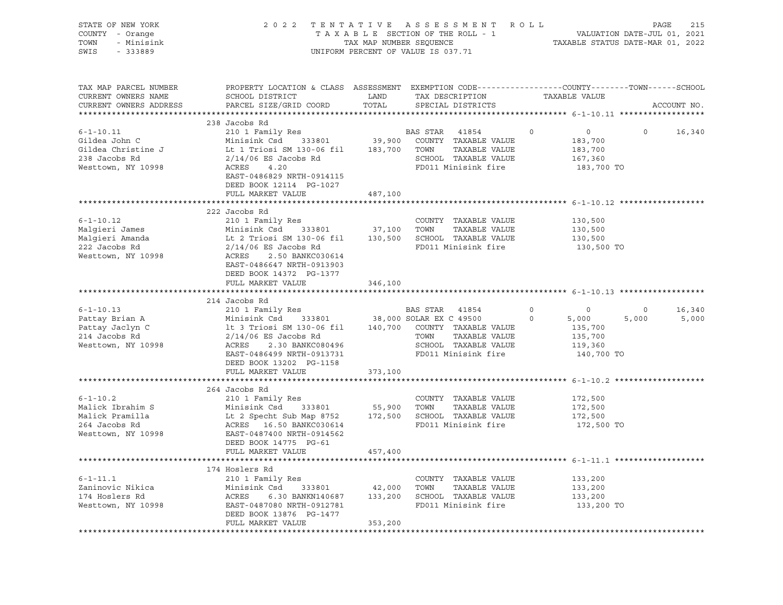| STATE OF NEW YORK<br>COUNTY - Orange<br>TOWN<br>- Minisink<br>SWIS<br>- 333889                |                                                                                                                                                                                                                                                                      |                        | 2022 TENTATIVE ASSESSMENT ROLL<br>TENTAILVE ASSESSERIENI ROLLI<br>TAXABLE SECTION OF THE ROLL - 1 VALUATION DATE-JUL 01, 2021<br>TAXABLE STATUS DATE-MAR 01, 2022<br>UNIFORM PERCENT OF VALUE IS 037.71 |                     |                                                                        | PAGE             | 215             |
|-----------------------------------------------------------------------------------------------|----------------------------------------------------------------------------------------------------------------------------------------------------------------------------------------------------------------------------------------------------------------------|------------------------|---------------------------------------------------------------------------------------------------------------------------------------------------------------------------------------------------------|---------------------|------------------------------------------------------------------------|------------------|-----------------|
| TAX MAP PARCEL NUMBER<br>CURRENT OWNERS NAME<br>CURRENT OWNERS ADDRESS                        | PROPERTY LOCATION & CLASS ASSESSMENT EXEMPTION CODE---------------COUNTY-------TOWN-----SCHOOL<br>SCHOOL DISTRICT<br>PARCEL SIZE/GRID COORD                                                                                                                          | LAND<br>TOTAL          | TAX DESCRIPTION<br>SPECIAL DISTRICTS                                                                                                                                                                    |                     | TAXABLE VALUE                                                          |                  | ACCOUNT NO.     |
|                                                                                               |                                                                                                                                                                                                                                                                      |                        |                                                                                                                                                                                                         |                     |                                                                        |                  |                 |
| $6 - 1 - 10.11$<br>Gildea John C<br>Gildea Christine J<br>238 Jacobs Rd<br>Westtown, NY 10998 | 238 Jacobs Rd<br>210 1 Family Res<br>Minisink Csd 333801<br>Lt 1 Triosi SM 130-06 fil 183,700 TOWN TAXABLE VALUE<br>$2/14/06$ ES Jacobs Rd<br>ACRES<br>4.20<br>EAST-0486829 NRTH-0914115<br>DEED BOOK 12114 PG-1027                                                  |                        | BAS STAR 41854<br>39,900 COUNTY TAXABLE VALUE<br>SCHOOL TAXABLE VALUE<br>FD011 Minisink fire                                                                                                            | $\Omega$            | $\overline{0}$<br>183,700<br>183,700<br>167,360<br>183,700 TO          | $\Omega$         | 16,340          |
|                                                                                               | FULL MARKET VALUE                                                                                                                                                                                                                                                    | 487,100                |                                                                                                                                                                                                         |                     |                                                                        |                  |                 |
|                                                                                               |                                                                                                                                                                                                                                                                      |                        |                                                                                                                                                                                                         |                     |                                                                        |                  |                 |
| $6 - 1 - 10.12$<br>Malqieri James<br>Malgieri Amanda<br>200 Jacobs Rd<br>Westtown, NY 10998   | 222 Jacobs Rd<br>210 1 Family Res<br>Minisink Csd 333801 37,100 TOWN TAXABLE VALUE<br>Lt 2 Triosi SM 130-06 fil 130,500 SCHOOL TAXABLE VALUE<br>2/14/06 ES Jacobs Rd FD011 Minisink fire<br>ACRES 2.50 BANKC030614<br>EAST-0486647 NRTH-0913903                      |                        | COUNTY TAXABLE VALUE                                                                                                                                                                                    |                     | 130,500<br>130,500<br>130,500<br>130,500 TO                            |                  |                 |
|                                                                                               | DEED BOOK 14372 PG-1377<br>FULL MARKET VALUE                                                                                                                                                                                                                         | 346,100                |                                                                                                                                                                                                         |                     |                                                                        |                  |                 |
|                                                                                               | 214 Jacobs Rd                                                                                                                                                                                                                                                        |                        |                                                                                                                                                                                                         |                     |                                                                        |                  |                 |
| $6 - 1 - 10.13$<br>Pattay Brian A<br>Pattay Jaclyn C<br>214 Jacobs Rd<br>Westtown, NY 10998   | BAS STAR 41854<br>Minisink Csd 333801 38,000 SOLAR EX C 49500<br>1t 3 Triosi SM 130-06 fil 140,700 COUNTY TAXABLE VALUE<br>2/14/06 ES Jacobs Rd mount mount and mount and mount<br>ACRES<br>2.30 BANKC080496<br>EAST-0486499 NRTH-0913731<br>DEED BOOK 13202 PG-1158 |                        | SCHOOL TAXABLE VALUE<br>FD011 Minisink fire                                                                                                                                                             | $\circ$<br>$\Omega$ | $\overline{0}$<br>5,000<br>135,700<br>135,700<br>119,360<br>140,700 TO | $\circ$<br>5,000 | 16,340<br>5,000 |
|                                                                                               | FULL MARKET VALUE                                                                                                                                                                                                                                                    | 373,100                |                                                                                                                                                                                                         |                     |                                                                        |                  |                 |
|                                                                                               |                                                                                                                                                                                                                                                                      |                        |                                                                                                                                                                                                         |                     |                                                                        |                  |                 |
| $6 - 1 - 10.2$<br>Malick Ibrahim S<br>Malick Pramilla<br>264 Jacobs Rd<br>Westtown, NY 10998  | 264 Jacobs Rd<br>210 1 Family Res<br>Minisink Csd 333801 55,900 TOWN TAXABLE VALUE<br>Lt 2 Specht Sub Map 8752 172,500 SCHOOL TAXABLE VALUE<br>ACRES 16.50 BANKC030614 FD011 Minisink fire<br>EAST-0487400 NRTH-0914562<br>DEED BOOK 14775 PG-61                     |                        | COUNTY TAXABLE VALUE                                                                                                                                                                                    |                     | 172,500<br>172,500<br>172,500<br>172,500 TO                            |                  |                 |
|                                                                                               | FULL MARKET VALUE                                                                                                                                                                                                                                                    | 457,400                |                                                                                                                                                                                                         |                     |                                                                        |                  |                 |
|                                                                                               |                                                                                                                                                                                                                                                                      |                        |                                                                                                                                                                                                         |                     |                                                                        |                  |                 |
| $6 - 1 - 11.1$<br>Zaninovic Nikica<br>174 Hoslers Rd<br>Westtown, NY 10998                    | 174 Hoslers Rd<br>210 1 Family Res<br>Minisink Csd 333801<br>ACRES<br>EAST-0487080 NRTH-0912781<br>DEED BOOK 13876 PG-1477<br>FULL MARKET VALUE                                                                                                                      | 42,000 TOWN<br>353,200 | COUNTY TAXABLE VALUE<br>TAXABLE VALUE<br>$6.30 BANKN140687 133,200 SCH OOL TAXABLE VALUE$<br>FD011 Minisink fire                                                                                        |                     | 133,200<br>133,200<br>133,200<br>133,200 TO                            |                  |                 |
|                                                                                               |                                                                                                                                                                                                                                                                      |                        |                                                                                                                                                                                                         |                     |                                                                        |                  |                 |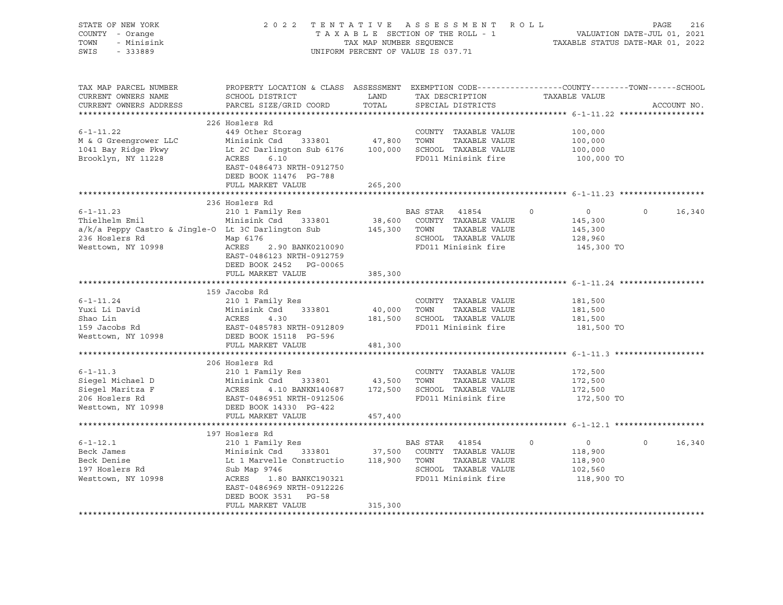| STATE OF NEW YORK<br>COUNTY - Orange<br>- Minisink<br>TOWN<br>SWIS - 333889                                                                                                                                                                               |                                                                                                                                                                                                                                                                                           |                      | TENTATIVE ASSESSMENT ROLL<br>TAXABLE SECTION OF THE ROLL - 1 VALUATION DATE-JUL 01, 2021<br>TAXABLE STATUS DATE-MAR 01, 2022<br>2022 TENTATIVE ASSESSMENT ROLL<br>UNIFORM PERCENT OF VALUE IS 037.71 |                                                                          |                    |
|-----------------------------------------------------------------------------------------------------------------------------------------------------------------------------------------------------------------------------------------------------------|-------------------------------------------------------------------------------------------------------------------------------------------------------------------------------------------------------------------------------------------------------------------------------------------|----------------------|------------------------------------------------------------------------------------------------------------------------------------------------------------------------------------------------------|--------------------------------------------------------------------------|--------------------|
| TAX MAP PARCEL NUMBER<br>CURRENT OWNERS NAME<br>CURRENT OWNERS ADDRESS                                                                                                                                                                                    | PROPERTY LOCATION & CLASS ASSESSMENT EXEMPTION CODE----------------COUNTY-------TOWN------SCHOOL<br>SCHOOL DISTRICT<br>PARCEL SIZE/GRID COORD                                                                                                                                             | <b>LAND</b><br>TOTAL | TAX DESCRIPTION TAXABLE VALUE<br>SPECIAL DISTRICTS                                                                                                                                                   |                                                                          | ACCOUNT NO.        |
| $6 - 1 - 11.22$<br>M & G Greengrower LLC Minisink Csd 333801 47,800 TOWN TAXABLE VALUE<br>1041 Bay Ridge Pkwy Lt 2C Darlington Sub 6176 100,000 SCHOOL TAXABLE VALUE<br>Brooklyn, NY 11228 ACRES 6.10 CHOOL TO PD011 Minisink fire<br>PD011 Minisink fire | 226 Hoslers Rd<br>449 Other Storaq<br>EAST-0486473 NRTH-0912750<br>DEED BOOK 11476 PG-788<br>FULL MARKET VALUE                                                                                                                                                                            | 265,200              | COUNTY TAXABLE VALUE                                                                                                                                                                                 | 100,000<br>100,000<br>100,000<br>100,000 TO                              |                    |
|                                                                                                                                                                                                                                                           |                                                                                                                                                                                                                                                                                           |                      |                                                                                                                                                                                                      |                                                                          |                    |
| $6 - 1 - 11.23$<br>Thielhelm Emil<br>a/k/a Peppy Castro & Jingle-O Lt 3C Darlington Sub<br>236 Hoslers Rd<br>Westtown, NY 10998                                                                                                                           | 236 Hoslers Rd<br>210 1 Family Res<br>Minisink Csd 333801 38,600 COUNTY TAXABLE VALUE<br>Minisink Csd 333801 38,600 COUNTY TAXABLE VALUE<br>Lt 3C Darlington Sub 145,300 TOWN TAXABLE VALUE<br>Map 6176<br>ACRES 2.90 BANK0210090<br>EAST-0486123 NRTH-0912759<br>DEED BOOK 2452 PG-00065 |                      | BAS STAR 41854 0<br>SCHOOL TAXABLE VALUE<br>FD011 Minisink fire                                                                                                                                      | $\overline{0}$<br>145,300<br>145,300<br>128,960<br>145,300 TO            | $\Omega$<br>16,340 |
|                                                                                                                                                                                                                                                           | FULL MARKET VALUE                                                                                                                                                                                                                                                                         | 385,300              |                                                                                                                                                                                                      |                                                                          |                    |
|                                                                                                                                                                                                                                                           |                                                                                                                                                                                                                                                                                           |                      |                                                                                                                                                                                                      |                                                                          |                    |
| Vari 11.24<br>Yuxi Li David<br>Shao Lin (1998)<br>Shao Lin (1998)<br>Minisink Csd 333801 (19,000<br>210 1 Family Res<br>Minisink Csd 333801 (19,000<br>ACRES 4.30 181,500<br>181,500<br>Nesttown, NY 10998 DEED BOOK 15118 PG-596<br>THIT MARYER W        | 159 Jacobs Rd<br>FULL MARKET VALUE                                                                                                                                                                                                                                                        | 481,300              | COUNTY TAXABLE VALUE<br>40,000 TOWN TAXABLE VALUE<br>181,500 SCHOOL TAXABLE VALUE<br>FD011 Minisink fire                                                                                             | 181,500<br>181,500<br>181,500<br>181,500 TO                              |                    |
|                                                                                                                                                                                                                                                           |                                                                                                                                                                                                                                                                                           |                      |                                                                                                                                                                                                      |                                                                          |                    |
| $6 - 1 - 11.3$<br>COUNTY TAXABLE VALUE<br>Siegel Michael D Minisink Csd 333801 43,500 TOWN TAXABLE VALUE<br>Siegel Maritza F ACRES 4.10 BANKN140687 172,500 SCHOOL TAXABLE VALUE<br>206 Hoslers Rd EAST-0486951 NRTH-0912506 FD011 Minisink fire<br>West  | 206 Hoslers Rd<br>210 1 Family Res<br>FULL MARKET VALUE                                                                                                                                                                                                                                   | 457,400              | COUNTY TAXABLE VALUE<br>TAXABLE VALUE<br>FD011 Minisink fire 172,500 TO                                                                                                                              | 172,500<br>172,500<br>172,500                                            |                    |
|                                                                                                                                                                                                                                                           |                                                                                                                                                                                                                                                                                           |                      |                                                                                                                                                                                                      |                                                                          |                    |
| $6 - 1 - 12.1$<br>Beck James<br>Beck Denise<br>Beck Denise<br>197 Hoslers Rd<br>Westtown, NY 10998                                                                                                                                                        | EXECUTIVE RES<br>Minisink Csd 333801 37,500 COUNTY TAXABLE VALUE<br>Lt 1 Marvelle Constructio 118,900 TOWN TAXABLE VALUE<br>Sub Map 9746 SCHOOL TAXABLE VALUE<br>ACRES 1.80 BANKC190321 SCHOOL TAXABLE VALUE<br>EAST-0486969 NRTH-0912226<br>DEED BOOK 3531 PG-58<br>FULL MARKET VALUE    | 315,300              | FD011 Minisink fire                                                                                                                                                                                  | $\circ$<br>$\overline{0}$<br>118,900<br>118,900<br>102,560<br>118,900 TO | 16,340<br>$\circ$  |
|                                                                                                                                                                                                                                                           |                                                                                                                                                                                                                                                                                           |                      |                                                                                                                                                                                                      |                                                                          |                    |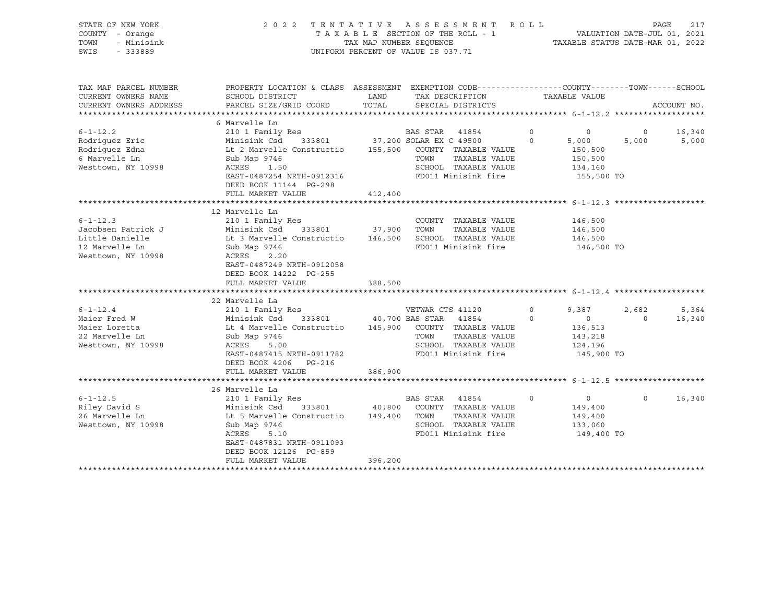| STATE OF NEW YORK<br>COUNTY - Orange<br>- Minisink<br>TOWN<br>SWIS<br>$-333889$                     | 2 0 2 2                                                                                                                                                                                      | TENTATIVE ASSESSMENT ROLL<br>TAXABLE SECTION OF THE ROLL - 1<br>TAX MAP NUMBER SEQUENCE<br>UNIFORM PERCENT OF VALUE IS 037.71                            |                                      | VALUATION DATE-JUL 01, 2021<br>TAXABLE STATUS DATE-MAR 01, 2022        | PAGE              | 217             |
|-----------------------------------------------------------------------------------------------------|----------------------------------------------------------------------------------------------------------------------------------------------------------------------------------------------|----------------------------------------------------------------------------------------------------------------------------------------------------------|--------------------------------------|------------------------------------------------------------------------|-------------------|-----------------|
| TAX MAP PARCEL NUMBER<br>CURRENT OWNERS NAME<br>CURRENT OWNERS ADDRESS<br>************************* | SCHOOL DISTRICT<br>PARCEL SIZE/GRID COORD                                                                                                                                                    | PROPERTY LOCATION & CLASS ASSESSMENT EXEMPTION CODE----------------COUNTY-------TOWN-----SCHOOL<br>LAND<br>TAX DESCRIPTION<br>TOTAL<br>SPECIAL DISTRICTS |                                      | TAXABLE VALUE                                                          |                   | ACCOUNT NO.     |
|                                                                                                     | 6 Marvelle Ln                                                                                                                                                                                |                                                                                                                                                          |                                      |                                                                        |                   |                 |
| $6 - 1 - 12.2$<br>Rodriquez Eric<br>Rodriguez Edna<br>6 Marvelle Ln<br>Westtown, NY 10998           | 210 1 Family Res<br>Minisink Csd 333801<br>Lt 2 Marvelle Constructio<br>Sub Map 9746<br>ACRES<br>1.50<br>EAST-0487254 NRTH-0912316<br>DEED BOOK 11144 PG-298<br>FULL MARKET VALUE            | BAS STAR<br>41854<br>37,200 SOLAR EX C 49500<br>155,500 COUNTY TAXABLE VALUE<br>TOWN<br>SCHOOL TAXABLE VALUE<br>FD011 Minisink fire<br>412,400           | $\circ$<br>$\Omega$<br>TAXABLE VALUE | $\circ$<br>5,000<br>150,500<br>150,500<br>134,160<br>155,500 TO        | $\circ$<br>5,000  | 16,340<br>5,000 |
|                                                                                                     |                                                                                                                                                                                              |                                                                                                                                                          |                                      |                                                                        |                   |                 |
| $6 - 1 - 12.3$<br>Jacobsen Patrick J<br>Little Danielle<br>12 Marvelle Ln<br>Westtown, NY 10998     | 12 Marvelle Ln<br>210 1 Family Res<br>Minisink Csd<br>Lt 3 Marvelle Constructio<br>Sub Map 9746<br>ACRES<br>2.20<br>EAST-0487249 NRTH-0912058<br>DEED BOOK 14222 PG-255<br>FULL MARKET VALUE | COUNTY TAXABLE VALUE<br>333801 37,900 TOWN<br>146,500 SCHOOL TAXABLE VALUE<br>FD011 Minisink fire<br>388,500                                             | TAXABLE VALUE                        | 146,500<br>146,500<br>146,500<br>146,500 TO                            |                   |                 |
|                                                                                                     | 22 Marvelle La                                                                                                                                                                               |                                                                                                                                                          |                                      |                                                                        |                   |                 |
| $6 - 1 - 12.4$<br>Maier Fred W<br>Maier Loretta<br>22 Marvelle Ln<br>Westtown, NY 10998             | 210 1 Family Res<br>Minisink Csd<br>Lt 4 Marvelle Constructio<br>Sub Map 9746<br>ACRES<br>5.00<br>EAST-0487415 NRTH-0911782<br>DEED BOOK 4206<br>PG-216                                      | VETWAR CTS 41120<br>333801 40,700 BAS STAR 41854<br>145,900 COUNTY TAXABLE VALUE<br>TOWN<br>SCHOOL TAXABLE VALUE<br>FD011 Minisink fire                  | $\circ$<br>$\Omega$<br>TAXABLE VALUE | 9,387<br>$\overline{0}$<br>136,513<br>143,218<br>124,196<br>145,900 TO | 2,682<br>$\Omega$ | 5,364<br>16,340 |
|                                                                                                     | FULL MARKET VALUE                                                                                                                                                                            | 386,900                                                                                                                                                  |                                      |                                                                        |                   |                 |
|                                                                                                     | 26 Marvelle La                                                                                                                                                                               |                                                                                                                                                          |                                      |                                                                        |                   |                 |
| $6 - 1 - 12.5$<br>Riley David S<br>26 Marvelle Ln<br>Westtown, NY 10998                             | 210 1 Family Res<br>Minisink Csd 333801<br>Lt 5 Marvelle Constructio<br>Sub Map 9746<br>ACRES<br>5.10<br>EAST-0487831 NRTH-0911093<br>DEED BOOK 12126 PG-859<br>FULL MARKET VALUE            | BAS STAR 41854<br>40,800 COUNTY TAXABLE VALUE<br>149,400 TOWN<br>SCHOOL TAXABLE VALUE<br>FD011 Minisink fire<br>396,200                                  | $\Omega$<br>TAXABLE VALUE            | $0 \qquad \qquad$<br>149,400<br>149,400<br>133,060<br>149,400 TO       | $\Omega$          | 16,340          |
|                                                                                                     |                                                                                                                                                                                              |                                                                                                                                                          |                                      |                                                                        |                   |                 |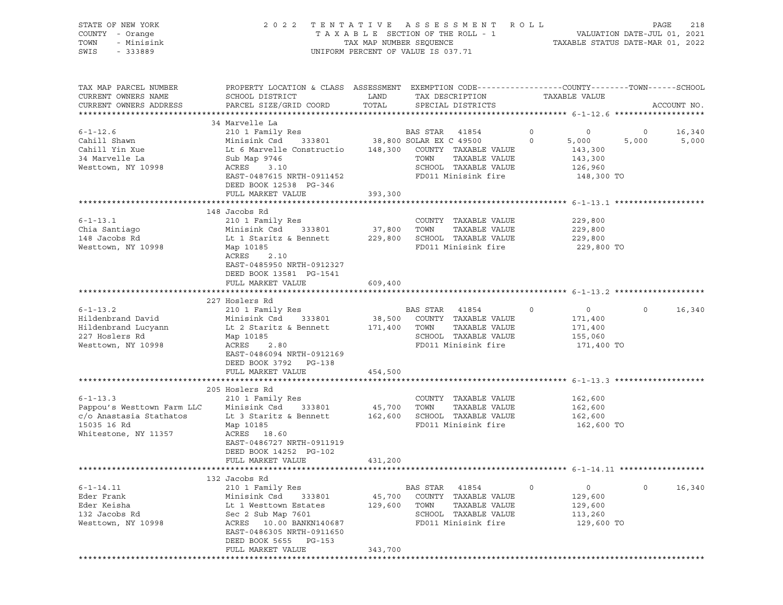| STATE OF NEW YORK<br>COUNTY - Orange<br>- Minisink<br>TOWN<br>SWIS<br>$-333889$ |                                                                                                                   |              | 2022 TENTATIVE ASSESSMENT ROLL<br>UNIFORM PERCENT OF VALUE IS 037.71       |                                  | PAGE<br>218<br>T A X A B L E SECTION OF THE ROLL - 1 VALUATION DATE-JUL 01, 2021<br>TAX MAP NUMBER SEQUENCE TAXABLE STATUS DATE-MAR 01, 2022 |  |  |
|---------------------------------------------------------------------------------|-------------------------------------------------------------------------------------------------------------------|--------------|----------------------------------------------------------------------------|----------------------------------|----------------------------------------------------------------------------------------------------------------------------------------------|--|--|
| TAX MAP PARCEL NUMBER<br>CURRENT OWNERS NAME                                    | PROPERTY LOCATION & CLASS ASSESSMENT EXEMPTION CODE---------------COUNTY-------TOWN-----SCHOOL<br>SCHOOL DISTRICT | LAND         | TAX DESCRIPTION                                                            | TAXABLE VALUE                    |                                                                                                                                              |  |  |
| CURRENT OWNERS ADDRESS                                                          | PARCEL SIZE/GRID COORD                                                                                            | TOTAL        | SPECIAL DISTRICTS                                                          |                                  | ACCOUNT NO.                                                                                                                                  |  |  |
|                                                                                 | 34 Marvelle La                                                                                                    |              |                                                                            |                                  |                                                                                                                                              |  |  |
| $6 - 1 - 12.6$                                                                  | 210 1 Family Res                                                                                                  |              | BAS STAR 41854                                                             | $\overline{0}$<br>$\overline{0}$ | $\overline{0}$<br>16,340                                                                                                                     |  |  |
| Cahill Shawn                                                                    | Minisink Csd 333801 38,800 SOLAR EX C 49500 0<br>Lt 6 Marvelle Constructio 148,300 COUNTY TAXABLE VALUE           |              |                                                                            | 5,000                            | 5,000 5,000                                                                                                                                  |  |  |
| Cahill Yin Xue                                                                  |                                                                                                                   |              |                                                                            | 143,300                          |                                                                                                                                              |  |  |
| 34 Marvelle La                                                                  | Sub Map 9746                                                                                                      |              | TOWN<br>TAXABLE VALUE                                                      | 143,300                          |                                                                                                                                              |  |  |
| Westtown, NY 10998                                                              | ACRES 3.10                                                                                                        |              | SCHOOL TAXABLE VALUE                                                       | 126,960                          |                                                                                                                                              |  |  |
|                                                                                 | EAST-0487615 NRTH-0911452<br>DEED BOOK 12538 PG-346                                                               |              | FD011 Minisink fire                                                        | 148,300 TO                       |                                                                                                                                              |  |  |
|                                                                                 | FULL MARKET VALUE                                                                                                 | 393,300      |                                                                            |                                  |                                                                                                                                              |  |  |
|                                                                                 |                                                                                                                   |              |                                                                            |                                  |                                                                                                                                              |  |  |
|                                                                                 | 148 Jacobs Rd                                                                                                     |              |                                                                            |                                  |                                                                                                                                              |  |  |
| $6 - 1 - 13.1$                                                                  | 210 1 Family Res                                                                                                  |              | COUNTY TAXABLE VALUE                                                       | 229,800                          |                                                                                                                                              |  |  |
| Chia Santiago                                                                   |                                                                                                                   | 37,800 TOWN  | TAXABLE VALUE                                                              | 229,800                          |                                                                                                                                              |  |  |
| 148 Jacobs Rd                                                                   | Minisink County<br>Lt 1 Staritz & Bennett                                                                         |              | 229,800 SCHOOL TAXABLE VALUE                                               | 229,800                          |                                                                                                                                              |  |  |
| Westtown, NY 10998                                                              | Map 10185<br>2.10<br>ACRES<br>EAST-0485950 NRTH-0912327<br>DEED BOOK 13581 PG-1541                                |              | FD011 Minisink fire                                                        | 229,800 TO                       |                                                                                                                                              |  |  |
|                                                                                 | FULL MARKET VALUE                                                                                                 | 609,400      |                                                                            |                                  |                                                                                                                                              |  |  |
|                                                                                 |                                                                                                                   |              |                                                                            |                                  |                                                                                                                                              |  |  |
|                                                                                 | 227 Hoslers Rd                                                                                                    |              |                                                                            |                                  |                                                                                                                                              |  |  |
| $6 - 1 - 13.2$<br>Hildenbrand David                                             | 210 1 Family Res<br>Minisink Csd 333801                                                                           |              | BAS STAR 41854<br>$\sim$ 0                                                 | $\overline{0}$<br>171,400        | $0 \qquad \qquad$<br>16,340                                                                                                                  |  |  |
| Hildenbrand Lucyann                                                             | Lt 2 Staritz & Bennett                                                                                            |              | 38,500 COUNTY TAXABLE VALUE<br>171,400 TOWN TAXABLE VALUE<br>TAXABLE VALUE | 171,400                          |                                                                                                                                              |  |  |
| 227 Hoslers Rd                                                                  | Map 10185                                                                                                         |              | SCHOOL TAXABLE VALUE                                                       | 155,060                          |                                                                                                                                              |  |  |
| Westtown, NY 10998                                                              | ACRES 2.80                                                                                                        |              | FD011 Minisink fire                                                        | 171,400 TO                       |                                                                                                                                              |  |  |
|                                                                                 | EAST-0486094 NRTH-0912169<br>DEED BOOK 3792 PG-138                                                                |              |                                                                            |                                  |                                                                                                                                              |  |  |
|                                                                                 | FULL MARKET VALUE                                                                                                 | 454,500      |                                                                            |                                  |                                                                                                                                              |  |  |
|                                                                                 | 205 Hoslers Rd                                                                                                    |              |                                                                            |                                  |                                                                                                                                              |  |  |
| $6 - 1 - 13.3$                                                                  | 210 1 Family Res                                                                                                  |              | COUNTY TAXABLE VALUE                                                       | 162,600                          |                                                                                                                                              |  |  |
| Pappou's Westtown Farm LLC<br>c/o Anastasia Stathatos                           | Minisink Csd 333801                                                                                               | 45,700 TOWN  | TAXABLE VALUE                                                              | 162,600                          |                                                                                                                                              |  |  |
| c/o Anastasia Stathatos                                                         | Lt 3 Staritz & Bennett                                                                                            |              | 162,600 SCHOOL TAXABLE VALUE                                               | 162,600                          |                                                                                                                                              |  |  |
| 15035 16 Rd                                                                     | Map 10185                                                                                                         |              | FD011 Minisink fire                                                        | 162,600 TO                       |                                                                                                                                              |  |  |
| Whitestone, NY 11357                                                            | ACRES 18.60                                                                                                       |              |                                                                            |                                  |                                                                                                                                              |  |  |
|                                                                                 | EAST-0486727 NRTH-0911919                                                                                         |              |                                                                            |                                  |                                                                                                                                              |  |  |
|                                                                                 | DEED BOOK 14252 PG-102<br>FULL MARKET VALUE                                                                       | 431,200      |                                                                            |                                  |                                                                                                                                              |  |  |
|                                                                                 |                                                                                                                   |              |                                                                            |                                  |                                                                                                                                              |  |  |
|                                                                                 | 132 Jacobs Rd                                                                                                     |              |                                                                            |                                  |                                                                                                                                              |  |  |
| $6 - 1 - 14.11$                                                                 | 210 1 Family Res                                                                                                  |              | BAS STAR 41854                                                             | $\circ$<br>$\circ$               | $\circ$<br>16,340                                                                                                                            |  |  |
| Eder Frank                                                                      | Minisink Csd<br>333801                                                                                            | 45,700       | COUNTY TAXABLE VALUE                                                       | 129,600                          |                                                                                                                                              |  |  |
| Eder Keisha                                                                     | Lt 1 Westtown Estates                                                                                             | 129,600 TOWN | TAXABLE VALUE                                                              | 129,600                          |                                                                                                                                              |  |  |
| 132 Jacobs Rd                                                                   | Sec 2 Sub Map 7601                                                                                                |              | SCHOOL TAXABLE VALUE                                                       | 113,260                          |                                                                                                                                              |  |  |
| Westtown, NY 10998                                                              | ACRES 10.00 BANKN140687<br>EAST-0486305 NRTH-0911650                                                              |              | FD011 Minisink fire                                                        | 129,600 TO                       |                                                                                                                                              |  |  |
|                                                                                 | DEED BOOK 5655 PG-153                                                                                             |              |                                                                            |                                  |                                                                                                                                              |  |  |
|                                                                                 | FULL MARKET VALUE                                                                                                 | 343,700      |                                                                            |                                  |                                                                                                                                              |  |  |
|                                                                                 |                                                                                                                   |              |                                                                            |                                  |                                                                                                                                              |  |  |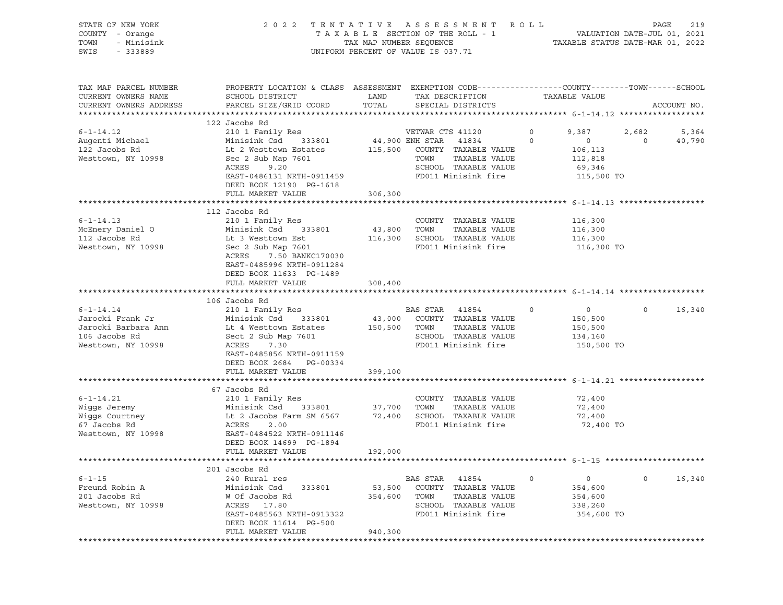| STATE OF NEW YORK<br>COUNTY - Orange<br>TOWN<br>- Minisink<br>SWIS<br>$-333889$                   |                                                                                                                                                                                                                                                                                                |                          | 2022 TENTATIVE ASSESSMENT ROLL<br>T A X A B L E SECTION OF THE ROLL - 1 VALUATION DATE-JUL 01, 2021<br>TAX MAP NUMBER SEQUENCE TAXIS DATE-MAR 01, 2022<br>UNIFORM PERCENT OF VALUE IS 037.71 |                                                                           | PAGE<br>219                                |
|---------------------------------------------------------------------------------------------------|------------------------------------------------------------------------------------------------------------------------------------------------------------------------------------------------------------------------------------------------------------------------------------------------|--------------------------|----------------------------------------------------------------------------------------------------------------------------------------------------------------------------------------------|---------------------------------------------------------------------------|--------------------------------------------|
| TAX MAP PARCEL NUMBER<br>CURRENT OWNERS NAME<br>CURRENT OWNERS ADDRESS                            | PROPERTY LOCATION & CLASS ASSESSMENT EXEMPTION CODE---------------COUNTY-------TOWN------SCHOOL<br>SCHOOL DISTRICT<br>PARCEL SIZE/GRID COORD                                                                                                                                                   | LAND<br>TOTAL            | TAX DESCRIPTION<br>SPECIAL DISTRICTS                                                                                                                                                         | TAXABLE VALUE                                                             | ACCOUNT NO.                                |
|                                                                                                   | 122 Jacobs Rd                                                                                                                                                                                                                                                                                  |                          |                                                                                                                                                                                              |                                                                           |                                            |
| $6 - 1 - 14.12$<br>Augenti Michael<br>122 Jacobs Rd<br>Westtown, NY 10998                         | 210 1 Family Res<br>Minisink Csd 333801<br>Lt 2 Westtown Estates<br>$\begin{array}{cccc}\n\text{Lc} & \text{R} & \text{R} & \text{R} & \text{R} \\ \text{Sec} & 2 & \text{Sub Map} & 7601 \\ \hline\n\end{array}$<br>EAST-0486131 NRTH-0911459<br>DEED BOOK 12190 PG-1618<br>FULL MARKET VALUE | 306,300                  | VETWAR CTS 41120<br>44,900 ENH STAR 41834<br>115,500 COUNTY TAXABLE VALUE<br>TOWN TAXABLE VALUE<br>SCHOOL TAXABLE VALUE<br>FD011 Minisink fire 5115,500 TO                                   | $0 \t 9,387$<br>$\circ$<br>$\overline{0}$<br>106,113<br>112,818<br>69,346 | 2,682<br>5,364<br>$\overline{0}$<br>40,790 |
|                                                                                                   |                                                                                                                                                                                                                                                                                                |                          |                                                                                                                                                                                              |                                                                           |                                            |
| $6 - 1 - 14.13$<br>McEnery Daniel O<br>112 Jacobs Rd<br>Westtown, NY 10998                        | 112 Jacobs Rd<br>210 1 Family Res<br>Minisink Csu<br>Lt 3 Westtown Est<br>- Alma 7601<br>Minisink Csd 333801<br>Sec 2 Sub Map 7601<br>7.50 BANKC170030<br>ACRES<br>EAST-0485996 NRTH-0911284<br>DEED BOOK 11633 PG-1489<br>FULL MARKET VALUE                                                   | 43,800 TOWN<br>308,400   | COUNTY TAXABLE VALUE<br>TAXABLE VALUE<br>116,300 SCHOOL TAXABLE VALUE<br>FD011 Minisink fire                                                                                                 | 116,300<br>116,300<br>116,300<br>116,300 TO                               |                                            |
|                                                                                                   |                                                                                                                                                                                                                                                                                                |                          |                                                                                                                                                                                              |                                                                           |                                            |
| $6 - 1 - 14.14$<br>Jarocki Frank Jr<br>Jarocki Barbara Ann<br>106 Jacobs Rd<br>Westtown, NY 10998 | 106 Jacobs Rd<br>210 1 Family Res<br>Minisink Csd 333801<br>Ann              Lt 4 Westtown Estates<br>Sect 2 Sub Map 7601<br>ACRES<br>7.30<br>EAST-0485856 NRTH-0911159<br>DEED BOOK 2684 PG-00334<br>FULL MARKET VALUE                                                                        | 399,100                  | BAS STAR 41854<br>$\sim$ 0<br>43,000    COUNTY   TAXABLE  VALUE<br>150,500     TOWN       TAXABLE  VALUE<br>SCHOOL TAXABLE VALUE<br>FD011 Minisink fire                                      | $\overline{0}$<br>150,500<br>150,500<br>134,160<br>150,500 TO             | $0 \qquad \qquad$<br>16,340                |
|                                                                                                   |                                                                                                                                                                                                                                                                                                |                          |                                                                                                                                                                                              |                                                                           |                                            |
| $6 - 1 - 14.21$<br>Wiggs Jeremy<br>Wiggs Courtney<br>67 Jacobs Rd<br>Westtown, NY 10998           | 67 Jacobs Rd<br>210 1 Family Res<br>Minisink Csd 333801 37,700 TOWN TAXABLE VALUE<br>Lt 2 Jacobs Farm SM 6567 72,400 SCHOOL TAXABLE VALUE<br>ACRES 2.00 FD011 Minisink fire<br>EAST-0484522 NRTH-0911146                                                                                       |                          | COUNTY TAXABLE VALUE<br>FD011 Minisink fire                                                                                                                                                  | 72,400<br>72,400<br>72,400<br>72,400 TO                                   |                                            |
|                                                                                                   | DEED BOOK 14699 PG-1894                                                                                                                                                                                                                                                                        |                          |                                                                                                                                                                                              |                                                                           |                                            |
|                                                                                                   | FULL MARKET VALUE                                                                                                                                                                                                                                                                              | 192,000                  |                                                                                                                                                                                              |                                                                           |                                            |
| $6 - 1 - 15$<br>Freund Robin A<br>201 Jacobs Rd                                                   | 201 Jacobs Rd<br>240 Rural res<br>Minisink Csd<br>333801<br>W Of Jacobs Rd                                                                                                                                                                                                                     | 53,500<br>354,600        | <b>BAS STAR</b><br>41854<br>COUNTY TAXABLE VALUE<br>TOWN<br>TAXABLE VALUE                                                                                                                    | $\circ$<br>$\circ$<br>354,600<br>354,600                                  | $\mathbf 0$<br>16,340                      |
| Westtown, NY 10998                                                                                | ACRES<br>17.80<br>EAST-0485563 NRTH-0913322<br>DEED BOOK 11614 PG-500<br>FULL MARKET VALUE                                                                                                                                                                                                     | 940,300                  | SCHOOL TAXABLE VALUE<br>FD011 Minisink fire                                                                                                                                                  | 338,260<br>354,600 TO                                                     |                                            |
|                                                                                                   | **************                                                                                                                                                                                                                                                                                 | ************************ |                                                                                                                                                                                              |                                                                           |                                            |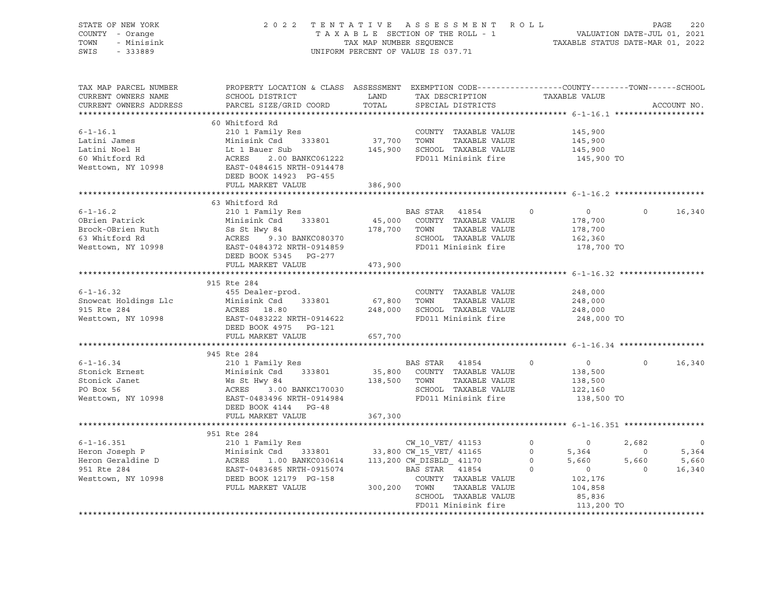| STATE OF NEW YORK<br>COUNTY - Orange<br>TOWN<br>- Minisink<br>SWIS<br>$-333889$                                                                                                                                                           | 2022 TENTATIVE ASSESSMENT ROLL PAGE 220<br>TAXABLE SECTION OF THE ROLL - 1 VALUATION DATE-JUL 01, 2021<br>TAX MAP NUMBER SEQUENCE TAXABLE STATUS DATE-MAR 01, 2022                                                                                       |                      | UNIFORM PERCENT OF VALUE IS 037.71                                                                                                                       |                |                           |                |             |
|-------------------------------------------------------------------------------------------------------------------------------------------------------------------------------------------------------------------------------------------|----------------------------------------------------------------------------------------------------------------------------------------------------------------------------------------------------------------------------------------------------------|----------------------|----------------------------------------------------------------------------------------------------------------------------------------------------------|----------------|---------------------------|----------------|-------------|
| TAX MAP PARCEL NUMBER<br>CURRENT OWNERS NAME<br>CURRENT OWNERS ADDRESS                                                                                                                                                                    | PROPERTY LOCATION & CLASS ASSESSMENT EXEMPTION CODE----------------COUNTY-------TOWN------SCHOOL<br>SCHOOL DISTRICT<br>PARCEL SIZE/GRID COORD                                                                                                            | <b>LAND</b><br>TOTAL | TAX DESCRIPTION<br>SPECIAL DISTRICTS                                                                                                                     |                | TAXABLE VALUE             |                | ACCOUNT NO. |
|                                                                                                                                                                                                                                           | 60 Whitford Rd                                                                                                                                                                                                                                           |                      |                                                                                                                                                          |                |                           |                |             |
| $6 - 1 - 16.1$                                                                                                                                                                                                                            | 210 1 Family Res                                                                                                                                                                                                                                         |                      | COUNTY TAXABLE VALUE                                                                                                                                     |                | 145,900                   |                |             |
| Latini James                                                                                                                                                                                                                              | Minisink Csd 333801                                                                                                                                                                                                                                      | 37,700 TOWN          | TAXABLE VALUE                                                                                                                                            |                | 145,900                   |                |             |
|                                                                                                                                                                                                                                           |                                                                                                                                                                                                                                                          |                      |                                                                                                                                                          |                | 145,900                   |                |             |
| Latini Noel H<br>60 Whitford Rd                                                                                                                                                                                                           |                                                                                                                                                                                                                                                          |                      |                                                                                                                                                          |                | 145,900 TO                |                |             |
| Westtown, NY 10998                                                                                                                                                                                                                        | Example which the transition of the transition of the transition of the transition of the transition of the transition of the transition of the transition of the transition of the transition of the transition of the transi<br>DEED BOOK 14923 PG-455 |                      |                                                                                                                                                          |                |                           |                |             |
|                                                                                                                                                                                                                                           | FULL MARKET VALUE                                                                                                                                                                                                                                        | 386,900              |                                                                                                                                                          |                |                           |                |             |
|                                                                                                                                                                                                                                           |                                                                                                                                                                                                                                                          |                      |                                                                                                                                                          |                |                           |                |             |
|                                                                                                                                                                                                                                           | 63 Whitford Rd                                                                                                                                                                                                                                           |                      |                                                                                                                                                          |                |                           |                |             |
| $6 - 1 - 16.2$                                                                                                                                                                                                                            | 210 1 Family Res                                                                                                                                                                                                                                         |                      | BAS STAR 41854                                                                                                                                           | $\overline{0}$ | $\overline{0}$            | $\overline{0}$ | 16,340      |
| OBrien Patrick                                                                                                                                                                                                                            | Minisink Csd 333801                                                                                                                                                                                                                                      |                      | 45,000 COUNTY TAXABLE VALUE                                                                                                                              |                | 178,700<br>178,700        |                |             |
|                                                                                                                                                                                                                                           |                                                                                                                                                                                                                                                          |                      | TAXABLE VALUE                                                                                                                                            |                |                           |                |             |
| Brock-OBrien Ruth<br>Brock-OBrien Ruth<br>SS St Hwy 84<br>SS St Hwy 84<br>Ministra CSM 37300 178,700 TOWN<br>SCHOOL<br>Westtown, NY 10998<br>EAST-0484372 NRTH-0914859<br>EAST-0484372 NRTH-0914859<br>FD011 Mi                           |                                                                                                                                                                                                                                                          |                      | SCHOOL TAXABLE VALUE<br>FD011 Minisink fire                                                                                                              |                | 162,360<br>178,700 TO     |                |             |
|                                                                                                                                                                                                                                           | DEED BOOK 5345 PG-277                                                                                                                                                                                                                                    |                      |                                                                                                                                                          |                |                           |                |             |
|                                                                                                                                                                                                                                           | FULL MARKET VALUE                                                                                                                                                                                                                                        | 473,900              |                                                                                                                                                          |                |                           |                |             |
|                                                                                                                                                                                                                                           |                                                                                                                                                                                                                                                          |                      |                                                                                                                                                          |                |                           |                |             |
|                                                                                                                                                                                                                                           | 915 Rte 284                                                                                                                                                                                                                                              |                      |                                                                                                                                                          |                |                           |                |             |
| $6 - 1 - 16.32$                                                                                                                                                                                                                           | 455 Dealer-prod.                                                                                                                                                                                                                                         |                      | COUNTY TAXABLE VALUE                                                                                                                                     |                | 248,000                   |                |             |
| Snowcat Holdings Llc Minisink Csd                                                                                                                                                                                                         | 333801                                                                                                                                                                                                                                                   | 67,800 TOWN          | TAXABLE VALUE                                                                                                                                            |                | 248,000                   |                |             |
|                                                                                                                                                                                                                                           |                                                                                                                                                                                                                                                          |                      | 248,000 SCHOOL TAXABLE VALUE                                                                                                                             |                | 248,000                   |                |             |
| 915 Rte 284<br>Westtown, NY 10998                                                                                                                                                                                                         | ACRES 18.80<br>EAST-0483222 NRTH-0914622                                                                                                                                                                                                                 |                      | FD011 Minisink fire                                                                                                                                      |                | 248,000 TO                |                |             |
|                                                                                                                                                                                                                                           | DEED BOOK 4975 PG-121                                                                                                                                                                                                                                    |                      |                                                                                                                                                          |                |                           |                |             |
|                                                                                                                                                                                                                                           | FULL MARKET VALUE                                                                                                                                                                                                                                        | 657,700              |                                                                                                                                                          |                |                           |                |             |
|                                                                                                                                                                                                                                           |                                                                                                                                                                                                                                                          |                      |                                                                                                                                                          |                |                           |                |             |
|                                                                                                                                                                                                                                           | 945 Rte 284                                                                                                                                                                                                                                              |                      |                                                                                                                                                          | $\Omega$       |                           | $\Omega$       |             |
|                                                                                                                                                                                                                                           |                                                                                                                                                                                                                                                          |                      | BAS STAR 41854                                                                                                                                           |                | $\overline{0}$<br>138,500 |                | 16,340      |
|                                                                                                                                                                                                                                           |                                                                                                                                                                                                                                                          |                      | ${\tt333801} \qquad {\tt35,800} \qquad {\tt COUNTY} \qquad {\tt TAXABLE\ VALUE} \nonumber \\ {\tt138,500} \qquad {\tt TOWN} \qquad {\tt TAXABLE\ VALUE}$ |                | 138,500                   |                |             |
|                                                                                                                                                                                                                                           |                                                                                                                                                                                                                                                          |                      | SCHOOL TAXABLE VALUE                                                                                                                                     |                | 122,160                   |                |             |
| 6-1-16.34<br>Stonick Ernest<br>Stonick Janet<br>Minisink Csd 333801<br>Stonick Janet<br>Minisink Csd 333801<br>Ws St Hwy 84<br>PO Box 56<br>ACRES 3.00 BANKC170030<br>Westtown, NY 10998<br>EAST-0483496 NRTH-0914984<br>DEED BOOK 4144   |                                                                                                                                                                                                                                                          |                      | FD011 Minisink fire                                                                                                                                      |                | 138,500 TO                |                |             |
|                                                                                                                                                                                                                                           |                                                                                                                                                                                                                                                          |                      |                                                                                                                                                          |                |                           |                |             |
|                                                                                                                                                                                                                                           | FULL MARKET VALUE                                                                                                                                                                                                                                        | 367,300              |                                                                                                                                                          |                |                           |                |             |
|                                                                                                                                                                                                                                           |                                                                                                                                                                                                                                                          |                      |                                                                                                                                                          |                |                           |                |             |
|                                                                                                                                                                                                                                           |                                                                                                                                                                                                                                                          |                      |                                                                                                                                                          |                |                           |                |             |
|                                                                                                                                                                                                                                           | 951 Rte 284                                                                                                                                                                                                                                              |                      |                                                                                                                                                          |                |                           |                |             |
|                                                                                                                                                                                                                                           |                                                                                                                                                                                                                                                          |                      |                                                                                                                                                          |                |                           | 2,682          | $\circ$     |
|                                                                                                                                                                                                                                           |                                                                                                                                                                                                                                                          |                      |                                                                                                                                                          |                |                           | $\overline{0}$ | 5,364       |
|                                                                                                                                                                                                                                           |                                                                                                                                                                                                                                                          |                      |                                                                                                                                                          |                |                           | 5,660          | 5,660       |
|                                                                                                                                                                                                                                           |                                                                                                                                                                                                                                                          |                      |                                                                                                                                                          |                |                           | $\overline{0}$ | 16,340      |
|                                                                                                                                                                                                                                           |                                                                                                                                                                                                                                                          |                      |                                                                                                                                                          |                |                           |                |             |
| 6-1-16.351<br>Heron Joseph P<br>Minisink Csd 333801 33,800 CW_15_VET/41153<br>Heron Geraldine D<br>951 Rte 284 EAST-0483685 NRTH-0915074 BAS STAR 41854<br>Nesttown, NY 10998 DEED BOOK 12179 PG-158 COUNTY TAXABLE VA<br>FULL MARKET VAL | 33,800 CW_15_VET/ 41153 0<br>1.00 BANKC030614 113,200 CW_DISBLD_ 41170 0<br>3685 NRTH-0915074 BAS STAR 41854 0<br>200 CW_DISBLD_ 41170 0<br>200 COUNTY TAXARLE VALUE                                                                                     |                      |                                                                                                                                                          |                |                           |                |             |
|                                                                                                                                                                                                                                           |                                                                                                                                                                                                                                                          |                      | SCHOOL TAXABLE VALUE<br>FD011 Minisink fire                                                                                                              |                | 85,836<br>113,200 TO      |                |             |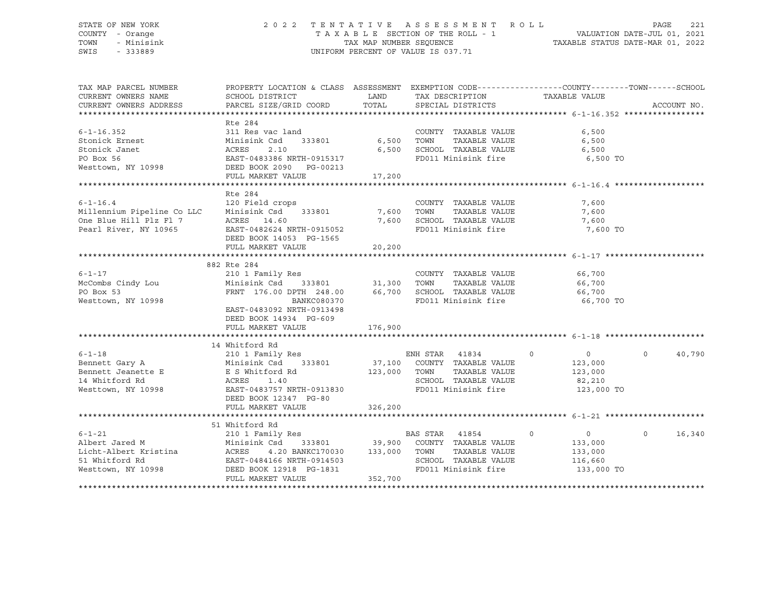## STATE OF NEW YORK 2 0 2 2 T E N T A T I V E A S S E S S M E N T R O L L PAGE 221 COUNTY - Orange T A X A B L E SECTION OF THE ROLL - 1 VALUATION DATE-JUL 01, 2021 TOWN - Minisink TAX MAP NUMBER SEQUENCE TAXABLE STATUS DATE-MAR 01, 2022 SWIS - 333889 CONSERVATION CONTROL OF VALUE IS 037.71

| TAX MAP PARCEL NUMBER<br>CURRENT OWNERS NAME<br>CURRENT OWNERS ADDRESS                                                                                   | PROPERTY LOCATION & CLASS ASSESSMENT EXEMPTION CODE----------------COUNTY-------TOWN------SCHOOL<br>SCHOOL DISTRICT<br>PARCEL SIZE/GRID COORD | LAND<br>TOTAL  | TAX DESCRIPTION TAXABLE VALUE<br>SPECIAL DISTRICTS                                                                           |                                                                          | ACCOUNT NO.       |
|----------------------------------------------------------------------------------------------------------------------------------------------------------|-----------------------------------------------------------------------------------------------------------------------------------------------|----------------|------------------------------------------------------------------------------------------------------------------------------|--------------------------------------------------------------------------|-------------------|
|                                                                                                                                                          |                                                                                                                                               |                |                                                                                                                              |                                                                          |                   |
| $6 - 1 - 16.352$<br>Stonick Ernest                                                                                                                       | Rte 284<br>311 Res vac land<br>Minisink Csd<br>333801                                                                                         | 6,500          | COUNTY TAXABLE VALUE<br>TAXABLE VALUE<br>TOWN                                                                                | 6,500<br>6,500                                                           |                   |
| Stonick Janet<br>PO Box 56<br>Westtown, NY 10998                                                                                                         | 2.10<br>ACRES<br>EAST-0483386 NRTH-0915317<br>DEED BOOK 2090 PG-00213                                                                         | 6,500          | SCHOOL TAXABLE VALUE<br>FD011 Minisink fire                                                                                  | 6,500<br>6,500 TO                                                        |                   |
|                                                                                                                                                          | FULL MARKET VALUE                                                                                                                             | 17,200         |                                                                                                                              |                                                                          |                   |
|                                                                                                                                                          |                                                                                                                                               |                |                                                                                                                              |                                                                          |                   |
| $6 - 1 - 16.4$<br>Millennium Pipeline Co LLC<br>One Blue Hill Plz Fl 7<br>Pearl River, NY 10965                                                          | Rte 284<br>120 Field crops<br>Minisink Csd 333801<br>ACRES 14.60<br>EAST-0482624 NRTH-0915052                                                 | 7,600<br>7,600 | COUNTY TAXABLE VALUE<br>TOWN<br>TAXABLE VALUE<br>SCHOOL TAXABLE VALUE<br>FD011 Minisink fire 7,600 TO                        | 7,600<br>7,600<br>7,600                                                  |                   |
|                                                                                                                                                          | DEED BOOK 14053 PG-1565<br>FULL MARKET VALUE                                                                                                  | 20,200         |                                                                                                                              |                                                                          |                   |
|                                                                                                                                                          |                                                                                                                                               |                |                                                                                                                              |                                                                          |                   |
| $6 - 1 - 17$                                                                                                                                             | 882 Rte 284<br>210 1 Family Res                                                                                                               |                | COUNTY TAXABLE VALUE                                                                                                         | 66,700                                                                   |                   |
| McCombs Cindy Lou<br>PO Box 53<br>Westtown, NY 10998                                                                                                     | Minisink Csd 333801 31,300<br>FRNT 176.00 DPTH 248.00 66,700<br>BANKC080370<br>EAST-0483092 NRTH-0913498<br>DEED BOOK 14934 PG-609            |                | TOWN<br>TAXABLE VALUE<br>SCHOOL TAXABLE VALUE<br>FD011 Minisink fire                                                         | 66,700<br>66,700<br>66,700 TO                                            |                   |
|                                                                                                                                                          | FULL MARKET VALUE                                                                                                                             | 176,900        |                                                                                                                              |                                                                          |                   |
|                                                                                                                                                          |                                                                                                                                               |                |                                                                                                                              |                                                                          |                   |
| $6 - 1 - 18$<br>6-1-18 210 1 Family<br>Bennett Gary A Minisink Csd<br>Bennett Jeanette E E S Whitford<br>14 Whitford Rd ACRES 1.40<br>Westtown, NY 10998 | 14 Whitford Rd<br>210 1 Family Res<br>E S Whitford Rd<br>1.40<br>EAST-0483757 NRTH-0913830<br>DEED BOOK 12347 PG-80                           | 123,000        | ENH STAR 41834<br>333801 37,100 COUNTY TAXABLE VALUE<br>TOWN<br>TAXABLE VALUE<br>SCHOOL TAXABLE VALUE<br>FD011 Minisink fire | $\circ$<br>$\overline{0}$<br>123,000<br>123,000<br>82,210<br>123,000 TO  | $\circ$<br>40,790 |
|                                                                                                                                                          | FULL MARKET VALUE                                                                                                                             | 326,200        |                                                                                                                              |                                                                          |                   |
|                                                                                                                                                          |                                                                                                                                               |                |                                                                                                                              |                                                                          |                   |
| $6 - 1 - 21$<br>Albert Jared M<br>Licht-Albert Kristina<br>51 Whitford Rd<br>Westtown, NY 10998                                                          | 51 Whitford Rd<br>210 1 Family Res<br>Minisink Csd<br>ACRES<br>EAST-0484166 NRTH-0914503<br>DEED BOOK 12918 PG-1831<br>FULL MARKET VALUE      | 352,700        | BAS STAR 41854<br>TAXABLE VALUE<br>SCHOOL TAXABLE VALUE<br>FD011 Minisink fire                                               | $\circ$<br>$\overline{0}$<br>133,000<br>133,000<br>116,660<br>133,000 TO | 16,340<br>$\circ$ |
|                                                                                                                                                          |                                                                                                                                               |                |                                                                                                                              |                                                                          |                   |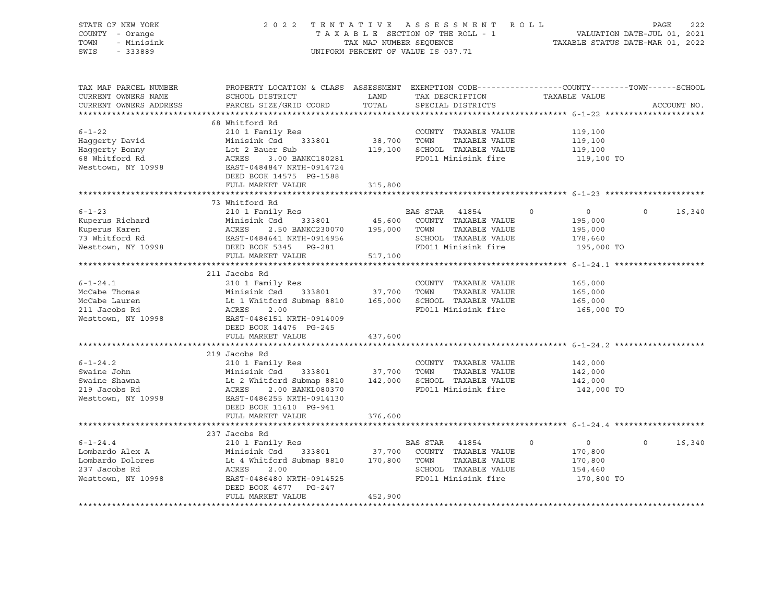| STATE OF NEW YORK<br>COUNTY - Orange<br>- Minisink<br>TOWN<br>SWIS<br>$-333889$                                                                                         | 2022 TENTATIVE ASSESSMENT ROLL                                                                                                                                                                                                                                                     | UNIFORM PERCENT OF VALUE IS 037.71 |                                |                                                                                              |          |                                                               | PAGE              | 222         |
|-------------------------------------------------------------------------------------------------------------------------------------------------------------------------|------------------------------------------------------------------------------------------------------------------------------------------------------------------------------------------------------------------------------------------------------------------------------------|------------------------------------|--------------------------------|----------------------------------------------------------------------------------------------|----------|---------------------------------------------------------------|-------------------|-------------|
| TAX MAP PARCEL NUMBER<br>CURRENT OWNERS NAME<br>CURRENT OWNERS ADDRESS                                                                                                  | PROPERTY LOCATION & CLASS ASSESSMENT EXEMPTION CODE---------------COUNTY-------TOWN-----SCHOOL<br>SCHOOL DISTRICT<br>PARCEL SIZE/GRID COORD                                                                                                                                        | LAND<br>TOTAL                      |                                | TAX DESCRIPTION TAXABLE VALUE<br>SPECIAL DISTRICTS                                           |          |                                                               |                   | ACCOUNT NO. |
|                                                                                                                                                                         | 68 Whitford Rd                                                                                                                                                                                                                                                                     |                                    |                                |                                                                                              |          |                                                               |                   |             |
| $6 - 1 - 22$<br>Haqqerty David<br>Haggerty Bonny<br>68 Whitford Rd<br>Westtown, NY 10998                                                                                | 210 1 Family Res<br>Minisink Csd 333801 38,700 TOWN TAXABLE VALUE<br>Lot 2 Bauer Sub 119,100 SCHOOL TAXABLE VALUE<br>Lot 2 Bauer Sub<br>ACRES     3.00 BANKC180281<br>EAST-0484847 NRTH-0914724<br>DEED BOOK 14575 PG-1588                                                         |                                    |                                | COUNTY TAXABLE VALUE<br>FD011 Minisink fire                                                  |          | 119,100<br>119,100<br>119,100<br>119,100 TO                   |                   |             |
|                                                                                                                                                                         | FULL MARKET VALUE                                                                                                                                                                                                                                                                  | 315,800                            |                                |                                                                                              |          |                                                               |                   |             |
|                                                                                                                                                                         |                                                                                                                                                                                                                                                                                    |                                    |                                |                                                                                              |          |                                                               |                   |             |
| $6 - 1 - 23$<br>Example 210 1 Palling Ness<br>Kuperus Karen Minisink Csd 333801<br>73 Whitford Rd EAST-0484641 NRTH-0914956<br>Westtown, NY 10998 DEED BOOK 5345 PG-281 | 73 Whitford Rd<br>210 1 Family Res<br>333801 45,600<br>2.50 BANKC230070 195,000 TOWN                                                                                                                                                                                               |                                    | BAS STAR 41854                 | COUNTY TAXABLE VALUE<br>TAXABLE VALUE<br>SCHOOL TAXABLE VALUE<br>FD011 Minisink fire         | $\Omega$ | $\overline{0}$<br>195,000<br>195,000<br>178,660<br>195,000 TO | $\Omega$          | 16,340      |
|                                                                                                                                                                         | FULL MARKET VALUE                                                                                                                                                                                                                                                                  | 517,100                            |                                |                                                                                              |          |                                                               |                   |             |
|                                                                                                                                                                         |                                                                                                                                                                                                                                                                                    |                                    |                                |                                                                                              |          |                                                               |                   |             |
| $6 - 1 - 24.1$<br>McCabe Thomas<br>McCabe Lauren<br>211 Jacobs Rd<br>Westtown, NY 10998                                                                                 | 211 Jacobs Rd<br>210 1 Family Res<br>Minisink Csd 333801 37,700 TOWN<br>Lt 1 Whitford Submap 8810 165,000 SCHOO!<br>ACPES 3.00 300<br>ACRES<br>2.00<br>EAST-0486151 NRTH-0914009<br>DEED BOOK 14476 PG-245                                                                         |                                    |                                | COUNTY TAXABLE VALUE<br>TAXABLE VALUE<br>165,000 SCHOOL TAXABLE VALUE<br>FD011 Minisink fire |          | 165,000<br>165,000<br>165,000<br>165,000 TO                   |                   |             |
|                                                                                                                                                                         | FULL MARKET VALUE                                                                                                                                                                                                                                                                  | 437,600                            |                                |                                                                                              |          |                                                               |                   |             |
|                                                                                                                                                                         | 219 Jacobs Rd                                                                                                                                                                                                                                                                      |                                    |                                |                                                                                              |          |                                                               |                   |             |
| $6 - 1 - 24.2$<br>Swaine John<br>Swaine Shawna<br>219 Jacobs Rd<br>Westtown, NY 10998                                                                                   | 210 1 Family Res<br>Minisink Csd 333801 37,700 TOWN TAXABLE VALUE<br>Lt 2 Whitford Submap 8810 142,000 SCHOOL TAXABLE VALUE<br>ACRES 2.00 BANKL080370 FD011 Minisink fire<br>EAST-0486255 NRTH-0914130<br>EAST-0486255 NRTH-0914130<br>DEED BOOK 11610 PG-941<br>FULL MARKET VALUE | 376,600                            |                                | COUNTY TAXABLE VALUE                                                                         |          | 142,000<br>142,000<br>142,000<br>142,000 TO                   |                   |             |
|                                                                                                                                                                         |                                                                                                                                                                                                                                                                                    |                                    |                                |                                                                                              |          |                                                               |                   |             |
| $6 - 1 - 24.4$<br>Lombardo Alex A<br>Lombardo Dolores<br>237 Jacobs Rd<br>Westtown, NY 10998                                                                            | 237 Jacobs Rd<br>210 1 Family Res<br>210 1 Family Res<br>Minisink Csd 333801<br>Lt 4 Whitford Submap 8810<br>Minisink Csd 333801 37,700 COUNTY TAXABLE VALUE<br>ACRES<br>2.00<br>EAST-0486480 NRTH-0914525<br>DEED BOOK 4677 PG-247                                                |                                    | BAS STAR 41854<br>170,800 TOWN | TAXABLE VALUE<br>SCHOOL TAXABLE VALUE<br>FD011 Minisink fire                                 | $\circ$  | $\overline{0}$<br>170,800<br>170,800<br>154,460<br>170,800 TO | $0 \qquad \qquad$ | 16,340      |
|                                                                                                                                                                         | FULL MARKET VALUE                                                                                                                                                                                                                                                                  | 452,900                            |                                |                                                                                              |          |                                                               |                   |             |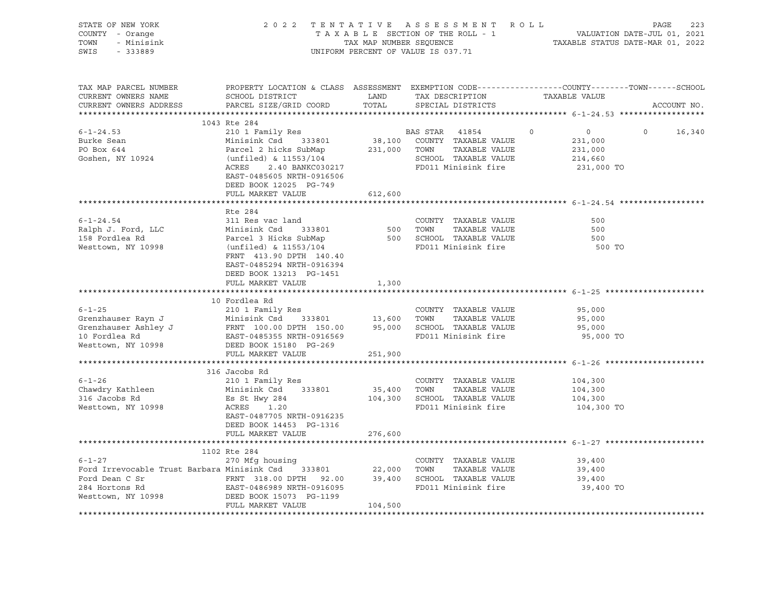| STATE OF NEW YORK<br>COUNTY - Orange<br>TOWN<br>- Minisink<br>SWIS<br>$-333889$                                                                                                                                                                                                                                                                                                                                                         | 2022 TENTATIVE ASSESSMENT ROLL                                                                                                                                                          | TAX MAP NUMBER SEQUENCE<br>UNIFORM PERCENT OF VALUE IS 037.71 |                | TAXABLE SECTION OF THE ROLL - 1                                                              |          | $\begin{tabular}{lllllllll} \texttt{T} & \texttt{R} & \texttt{O} & \texttt{L} & \texttt{PAGE} & \texttt{223} \\ & & & \texttt{VALUATION DATE-JUL} & \texttt{01, 2021} \\ & & & \texttt{TAXABLE STATUS DATE-MAR} & \texttt{01, 2022} \\ \end{tabular}$ |          |             |        |
|-----------------------------------------------------------------------------------------------------------------------------------------------------------------------------------------------------------------------------------------------------------------------------------------------------------------------------------------------------------------------------------------------------------------------------------------|-----------------------------------------------------------------------------------------------------------------------------------------------------------------------------------------|---------------------------------------------------------------|----------------|----------------------------------------------------------------------------------------------|----------|-------------------------------------------------------------------------------------------------------------------------------------------------------------------------------------------------------------------------------------------------------|----------|-------------|--------|
| TAX MAP PARCEL NUMBER<br>CURRENT OWNERS NAME<br>CURRENT OWNERS ADDRESS<br>***********************                                                                                                                                                                                                                                                                                                                                       | PROPERTY LOCATION & CLASS ASSESSMENT EXEMPTION CODE---------------COUNTY-------TOWN-----SCHOOL<br>SCHOOL DISTRICT<br>PARCEL SIZE/GRID COORD                                             | LAND<br>TOTAL                                                 |                | TAX DESCRIPTION TAXABLE VALUE<br>SPECIAL DISTRICTS                                           |          |                                                                                                                                                                                                                                                       |          | ACCOUNT NO. |        |
|                                                                                                                                                                                                                                                                                                                                                                                                                                         | 1043 Rte 284                                                                                                                                                                            |                                                               |                |                                                                                              |          |                                                                                                                                                                                                                                                       |          |             |        |
| $6 - 1 - 24.53$<br>Burke Sean<br>PO Box 644<br>Goshen, NY 10924                                                                                                                                                                                                                                                                                                                                                                         | 210 1 Family Res<br>Minisink Csd 333801<br>Parcel 2 hicks SubMap<br>(unfiled) & 11553/104<br>2.40 BANKC030217<br>ACRES<br>EAST-0485605 NRTH-0916506<br>DEED BOOK 12025 PG-749           | 231,000 TOWN                                                  | BAS STAR 41854 | 38,100 COUNTY TAXABLE VALUE<br>TAXABLE VALUE<br>SCHOOL TAXABLE VALUE<br>FD011 Minisink fire  | $\Omega$ | $\overline{0}$<br>231,000<br>231,000<br>214,660<br>231,000 TO                                                                                                                                                                                         | $\Omega$ |             | 16,340 |
|                                                                                                                                                                                                                                                                                                                                                                                                                                         | FULL MARKET VALUE                                                                                                                                                                       | 612,600                                                       |                |                                                                                              |          |                                                                                                                                                                                                                                                       |          |             |        |
|                                                                                                                                                                                                                                                                                                                                                                                                                                         |                                                                                                                                                                                         |                                                               |                |                                                                                              |          |                                                                                                                                                                                                                                                       |          |             |        |
| $6 - 1 - 24.54$<br>Ralph J. Ford, LLC<br>158 Fordlea Rd<br>Westtown, NY 10998                                                                                                                                                                                                                                                                                                                                                           | Rte 284<br>311 Res vac land<br>Minisink Csd 333801<br>Parcel 3 Hicks SubMap<br>(unfiled) & 11553/104<br>FRNT 413.90 DPTH 140.40<br>EAST-0485294 NRTH-0916394<br>DEED BOOK 13213 PG-1451 | 500 TOWN                                                      |                | COUNTY TAXABLE VALUE<br>TAXABLE VALUE<br>500 SCHOOL TAXABLE VALUE<br>FD011 Minisink fire     |          | 500<br>500<br>500<br>500 TO                                                                                                                                                                                                                           |          |             |        |
|                                                                                                                                                                                                                                                                                                                                                                                                                                         | FULL MARKET VALUE                                                                                                                                                                       | 1,300                                                         |                |                                                                                              |          |                                                                                                                                                                                                                                                       |          |             |        |
| 6-1-25<br>Grenzhauser Rayn J<br>Grenzhauser Ashley J<br>COUNTY TAXABLE VALUE<br>Grenzhauser Ashley J<br>FRNT 100.00 DPTH 150.00<br>TAXABLE VALUE<br>TAXABLE VALUE<br>TAXABLE VALUE<br>TAXABLE VALUE<br>TOOL TAXABLE VALUE<br>TOOL TAXABLE VALUE<br>TOO                                                                                                                                                                                  | FULL MARKET VALUE                                                                                                                                                                       | 251,900                                                       |                |                                                                                              |          | 95,000<br>95,000<br>95,000<br>95,000 TO                                                                                                                                                                                                               |          |             |        |
|                                                                                                                                                                                                                                                                                                                                                                                                                                         | 316 Jacobs Rd                                                                                                                                                                           |                                                               |                |                                                                                              |          |                                                                                                                                                                                                                                                       |          |             |        |
| $6 - 1 - 26$<br>Chawdry Kathleen<br>316 Jacobs Rd<br>Westtown, NY 10998                                                                                                                                                                                                                                                                                                                                                                 | 210 1 Family Res<br>Minisink Csd 333801<br>Es St Hwy 284<br>ACRES<br>1.20<br>EAST-0487705 NRTH-0916235<br>DEED BOOK 14453 PG-1316                                                       | 35,400 TOWN                                                   |                | COUNTY TAXABLE VALUE<br>TAXABLE VALUE<br>104,300 SCHOOL TAXABLE VALUE<br>FD011 Minisink fire |          | 104,300<br>104,300<br>104,300<br>104,300 TO                                                                                                                                                                                                           |          |             |        |
|                                                                                                                                                                                                                                                                                                                                                                                                                                         | FULL MARKET VALUE                                                                                                                                                                       | 276,600                                                       |                |                                                                                              |          |                                                                                                                                                                                                                                                       |          |             |        |
|                                                                                                                                                                                                                                                                                                                                                                                                                                         |                                                                                                                                                                                         |                                                               |                |                                                                                              |          |                                                                                                                                                                                                                                                       |          |             |        |
| $6 - 1 - 27$<br>Ford Irrevocable Trust Barbara Minisink Csd 333801 22,000 TOWN<br>Ford Dean C Sr $\begin{array}{ccccccccc}\n\text{Ford} & \text{Den} & \text{OR} & \text{S} & \text{OR} & \text{OR} \\ \text{Pind} & \text{Den} & \text{Den} & \text{OR} & \text{OR} & \text{OR} & \text{OR} \\ \text{OR} & \text{O} & \text{O} & \text{OR} & \text{OR} & \text{OR} & \text{OR} \\ \end{array}$<br>284 Hortons Rd<br>Westtown, NY 10998 | 1102 Rte 284<br>270 Mfg housing<br>EAST-0486989 NRTH-0916095<br>FULL MARKET VALUE                                                                                                       | 104,500                                                       |                | COUNTY TAXABLE VALUE<br>TAXABLE VALUE<br>FD011 Minisink fire                                 |          | 39,400<br>39,400<br>39,400<br>39,400 TO                                                                                                                                                                                                               |          |             |        |
|                                                                                                                                                                                                                                                                                                                                                                                                                                         |                                                                                                                                                                                         |                                                               |                |                                                                                              |          |                                                                                                                                                                                                                                                       |          |             |        |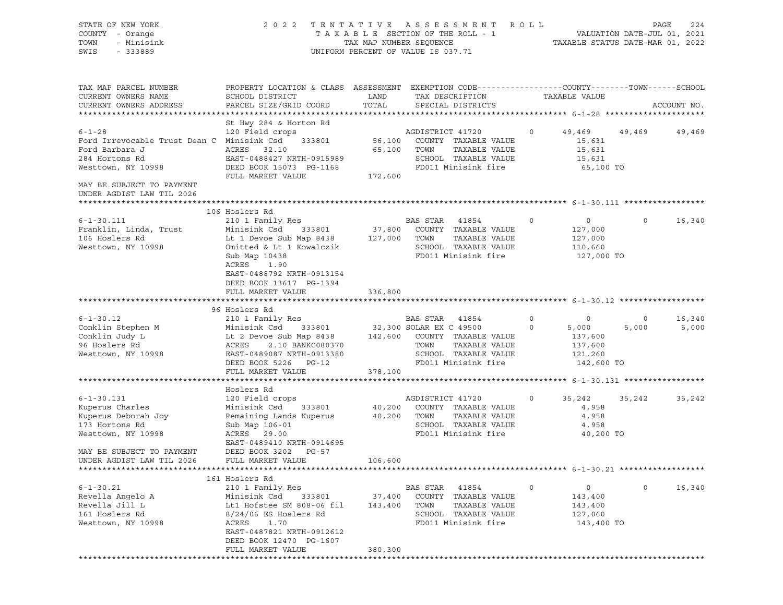| STATE OF NEW YORK<br>COUNTY - Orange<br>TOWN<br>- Minisink<br>SWIS<br>$-333889$ | 2 0 2 2                                                                                                             | TAX MAP NUMBER SEQUENCE | TENTATIVE ASSESSMENT ROLL<br>TAXABLE SECTION OF THE ROLL - 1<br>UNIFORM PERCENT OF VALUE IS 037.71 | TAXABLE STATUS DATE-MAR 01, 2022 | VALUATION DATE-JUL 01, 2021 | PAGE<br>224 |
|---------------------------------------------------------------------------------|---------------------------------------------------------------------------------------------------------------------|-------------------------|----------------------------------------------------------------------------------------------------|----------------------------------|-----------------------------|-------------|
| TAX MAP PARCEL NUMBER<br>CURRENT OWNERS NAME                                    | PROPERTY LOCATION & CLASS ASSESSMENT EXEMPTION CODE----------------COUNTY-------TOWN------SCHOOL<br>SCHOOL DISTRICT | LAND                    | TAX DESCRIPTION                                                                                    | TAXABLE VALUE                    |                             |             |
| CURRENT OWNERS ADDRESS                                                          | PARCEL SIZE/GRID COORD                                                                                              | TOTAL                   | SPECIAL DISTRICTS                                                                                  |                                  |                             | ACCOUNT NO. |
|                                                                                 | St Hwy 284 & Horton Rd                                                                                              |                         |                                                                                                    |                                  |                             |             |
| $6 - 1 - 28$                                                                    | 120 Field crops                                                                                                     |                         | AGDISTRICT 41720                                                                                   | $\circ$                          | 49,469 49,469               | 49,469      |
| Ford Irrevocable Trust Dean C Minisink Csd                                      | 333801                                                                                                              |                         | 56,100 COUNTY TAXABLE VALUE                                                                        | 15,631                           |                             |             |
| Ford Barbara J                                                                  | ACRES 32.10                                                                                                         |                         | 65,100 TOWN<br>TAXABLE VALUE                                                                       | 15,631                           |                             |             |
| 284 Hortons Rd                                                                  | EAST-0488427 NRTH-0915989                                                                                           |                         | SCHOOL TAXABLE VALUE                                                                               | 15,631                           |                             |             |
| Westtown, NY 10998                                                              | DEED BOOK 15073 PG-1168                                                                                             |                         | FD011 Minisink fire                                                                                | 65,100 TO                        |                             |             |
| MAY BE SUBJECT TO PAYMENT<br>UNDER AGDIST LAW TIL 2026                          | FULL MARKET VALUE                                                                                                   | 172,600                 |                                                                                                    |                                  |                             |             |
|                                                                                 |                                                                                                                     |                         |                                                                                                    |                                  |                             |             |
| $6 - 1 - 30.111$                                                                | 106 Hoslers Rd<br>210 1 Family Res                                                                                  |                         | BAS STAR 41854                                                                                     | $\circ$<br>$\circ$               | $\mathsf{O}$                | 16,340      |
| Franklin, Linda, Trust                                                          | Minisink Csd<br>333801                                                                                              | 37,800                  | COUNTY TAXABLE VALUE                                                                               | 127,000                          |                             |             |
| 106 Hoslers Rd                                                                  | Lt 1 Devoe Sub Map 8438                                                                                             | 127,000                 | TOWN<br>TAXABLE VALUE                                                                              | 127,000                          |                             |             |
| Westtown, NY 10998                                                              | Omitted & Lt 1 Kowalczik                                                                                            |                         | SCHOOL TAXABLE VALUE                                                                               | 110,660                          |                             |             |
|                                                                                 | Sub Map 10438                                                                                                       |                         | FD011 Minisink fire                                                                                | 127,000 TO                       |                             |             |
|                                                                                 | ACRES<br>1.90                                                                                                       |                         |                                                                                                    |                                  |                             |             |
|                                                                                 | EAST-0488792 NRTH-0913154<br>DEED BOOK 13617 PG-1394                                                                |                         |                                                                                                    |                                  |                             |             |
|                                                                                 | FULL MARKET VALUE                                                                                                   | 336,800                 |                                                                                                    |                                  |                             |             |
|                                                                                 |                                                                                                                     |                         |                                                                                                    |                                  |                             |             |
|                                                                                 | 96 Hoslers Rd                                                                                                       |                         |                                                                                                    |                                  |                             |             |
| $6 - 1 - 30.12$                                                                 | 210 1 Family Res                                                                                                    |                         | BAS STAR 41854                                                                                     | 0<br>$\circ$                     | $\circ$                     | 16,340      |
| Conklin Stephen M<br>Conklin Judy L                                             | Minisink Csd 333801<br>Lt 2 Devoe Sub Map 8438 142,600                                                              |                         | 32,300 SOLAR EX C 49500<br>COUNTY TAXABLE VALUE                                                    | $\circ$<br>5,000<br>137,600      | 5,000                       | 5,000       |
| 96 Hoslers Rd                                                                   | ACRES<br>2.10 BANKC080370                                                                                           |                         | TOWN<br>TAXABLE VALUE                                                                              | 137,600                          |                             |             |
| Westtown, NY 10998                                                              | EAST-0489087 NRTH-0913380                                                                                           |                         | SCHOOL TAXABLE VALUE                                                                               | 121,260                          |                             |             |
|                                                                                 | DEED BOOK 5226 PG-12                                                                                                |                         | FD011 Minisink fire                                                                                | 142,600 TO                       |                             |             |
|                                                                                 | FULL MARKET VALUE                                                                                                   | 378,100                 |                                                                                                    |                                  |                             |             |
|                                                                                 |                                                                                                                     |                         |                                                                                                    |                                  |                             |             |
| $6 - 1 - 30.131$                                                                | Hoslers Rd<br>120 Field crops                                                                                       |                         | AGDISTRICT 41720                                                                                   | $\circ$<br>35,242                | 35,242                      | 35,242      |
| Kuperus Charles                                                                 | Minisink Csd<br>333801                                                                                              | 40,200                  | COUNTY TAXABLE VALUE                                                                               | 4,958                            |                             |             |
| Kuperus Deborah Joy                                                             | Remaining Lands Kuperus                                                                                             | 40,200                  | TOWN<br>TAXABLE VALUE                                                                              | 4,958                            |                             |             |
| 173 Hortons Rd                                                                  | Sub Map 106-01                                                                                                      |                         | SCHOOL TAXABLE VALUE                                                                               | 4,958                            |                             |             |
| Westtown, NY 10998                                                              | ACRES 29.00                                                                                                         |                         | FD011 Minisink fire                                                                                | 40,200 TO                        |                             |             |
|                                                                                 | EAST-0489410 NRTH-0914695                                                                                           |                         |                                                                                                    |                                  |                             |             |
| MAY BE SUBJECT TO PAYMENT                                                       | DEED BOOK 3202 PG-57                                                                                                |                         |                                                                                                    |                                  |                             |             |
| UNDER AGDIST LAW TIL 2026                                                       | FULL MARKET VALUE                                                                                                   | 106,600                 |                                                                                                    |                                  |                             |             |
|                                                                                 | 161 Hoslers Rd                                                                                                      |                         |                                                                                                    |                                  |                             |             |
| $6 - 1 - 30.21$                                                                 | 210 1 Family Res                                                                                                    |                         | BAS STAR<br>41854                                                                                  | $\mathsf{O}$<br>$\mathbf 0$      | $\mathsf{O}$                | 16,340      |
| Revella Angelo A                                                                | Minisink Csd<br>333801                                                                                              | 37,400                  | TAXABLE VALUE<br>COUNTY                                                                            | 143,400                          |                             |             |
| Revella Jill L                                                                  | Lt1 Hofstee SM 808-06 fil                                                                                           | 143,400                 | TAXABLE VALUE<br>TOWN                                                                              | 143,400                          |                             |             |
| 161 Hoslers Rd                                                                  | $8/24/06$ ES Hoslers Rd<br>1.70                                                                                     |                         | SCHOOL TAXABLE VALUE<br>FD011 Minisink fire                                                        | 127,060                          |                             |             |
| Westtown, NY 10998                                                              | ACRES<br>EAST-0487821 NRTH-0912612                                                                                  |                         |                                                                                                    | 143,400 TO                       |                             |             |
|                                                                                 | DEED BOOK 12470 PG-1607                                                                                             |                         |                                                                                                    |                                  |                             |             |
|                                                                                 | FULL MARKET VALUE                                                                                                   | 380,300                 |                                                                                                    |                                  |                             |             |
|                                                                                 |                                                                                                                     |                         |                                                                                                    |                                  |                             |             |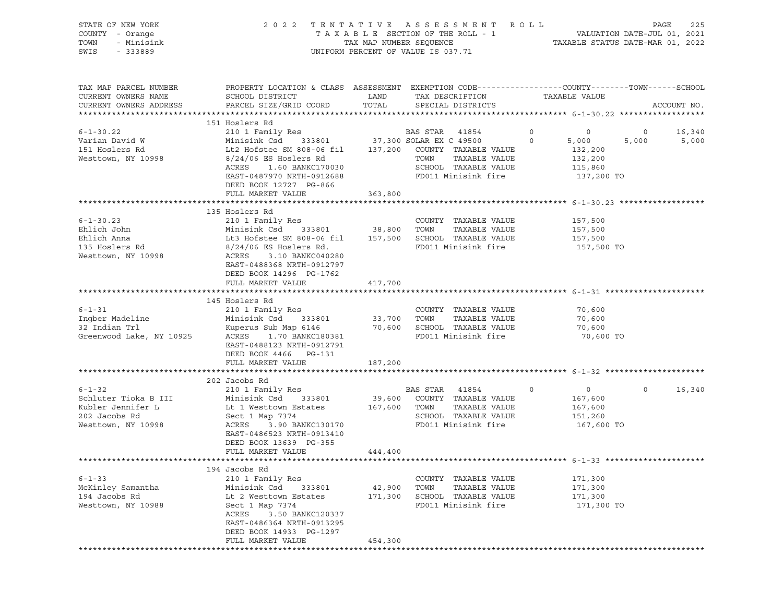| TOWN<br>- Minisink<br>$-333889$<br>SWIS      | TAXABLE SECTION OF THE ROLL - 1<br>TAX MAP NUMBER SEQUENCE<br>UNIFORM PERCENT OF VALUE IS 037.71                   | R O L L<br>225<br>PAGE<br>VALUATION DATE-JUL 01, 2021<br>TAXABLE STATUS DATE-MAR 01, 2022 |                              |   |               |         |             |
|----------------------------------------------|--------------------------------------------------------------------------------------------------------------------|-------------------------------------------------------------------------------------------|------------------------------|---|---------------|---------|-------------|
| TAX MAP PARCEL NUMBER<br>CURRENT OWNERS NAME | PROPERTY LOCATION & CLASS ASSESSMENT EXEMPTION CODE----------------COUNTY-------TOWN-----SCHOOL<br>SCHOOL DISTRICT | LAND                                                                                      | TAX DESCRIPTION              |   | TAXABLE VALUE |         |             |
| CURRENT OWNERS ADDRESS                       | PARCEL SIZE/GRID COORD                                                                                             | TOTAL                                                                                     | SPECIAL DISTRICTS            |   |               |         | ACCOUNT NO. |
|                                              | 151 Hoslers Rd                                                                                                     |                                                                                           |                              |   |               |         |             |
| $6 - 1 - 30.22$                              | 210 1 Family Res                                                                                                   |                                                                                           | BAS STAR<br>41854            | 0 | 0             | $\circ$ | 16,340      |
| Varian David W                               | 333801<br>Minisink Csd                                                                                             |                                                                                           | 37,300 SOLAR EX C 49500      | 0 | 5,000         | 5,000   | 5,000       |
| 151 Hoslers Rd                               | Lt2 Hofstee SM 808-06 fil                                                                                          |                                                                                           | 137,200 COUNTY TAXABLE VALUE |   | 132,200       |         |             |
| Westtown, NY 10998                           | $8/24/06$ ES Hoslers Rd                                                                                            |                                                                                           | TOWN<br>TAXABLE VALUE        |   | 132,200       |         |             |
|                                              | 1.60 BANKC170030<br>ACRES                                                                                          |                                                                                           | SCHOOL TAXABLE VALUE         |   | 115,860       |         |             |
|                                              | EAST-0487970 NRTH-0912688<br>DEED BOOK 12727 PG-866                                                                |                                                                                           | FD011 Minisink fire          |   | 137,200 TO    |         |             |
|                                              | FULL MARKET VALUE                                                                                                  | 363,800                                                                                   |                              |   |               |         |             |
|                                              |                                                                                                                    |                                                                                           |                              |   |               |         |             |
|                                              | 135 Hoslers Rd                                                                                                     |                                                                                           |                              |   |               |         |             |
| $6 - 1 - 30.23$                              | 210 1 Family Res                                                                                                   |                                                                                           | COUNTY TAXABLE VALUE         |   | 157,500       |         |             |
| Ehlich John                                  | Minisink Csd<br>333801                                                                                             | 38,800                                                                                    | TOWN<br>TAXABLE VALUE        |   | 157,500       |         |             |
| Ehlich Anna                                  | Lt3 Hofstee SM 808-06 fil                                                                                          | 157,500                                                                                   | SCHOOL TAXABLE VALUE         |   | 157,500       |         |             |
| 135 Hoslers Rd                               | $8/24/06$ ES Hoslers Rd.                                                                                           |                                                                                           | FD011 Minisink fire          |   | 157,500 TO    |         |             |
| Westtown, NY 10998                           | 3.10 BANKC040280<br>ACRES                                                                                          |                                                                                           |                              |   |               |         |             |
|                                              | EAST-0488368 NRTH-0912797                                                                                          |                                                                                           |                              |   |               |         |             |
|                                              | DEED BOOK 14296 PG-1762                                                                                            |                                                                                           |                              |   |               |         |             |
|                                              | FULL MARKET VALUE                                                                                                  | 417,700                                                                                   |                              |   |               |         |             |
|                                              | 145 Hoslers Rd                                                                                                     |                                                                                           |                              |   |               |         |             |
| $6 - 1 - 31$                                 | 210 1 Family Res                                                                                                   |                                                                                           | COUNTY TAXABLE VALUE         |   | 70,600        |         |             |
| Ingber Madeline                              | Minisink Csd<br>333801                                                                                             | 33,700                                                                                    | TOWN<br>TAXABLE VALUE        |   | 70,600        |         |             |
| 32 Indian Trl                                | Kuperus Sub Map 6146                                                                                               | 70,600                                                                                    | SCHOOL TAXABLE VALUE         |   | 70,600        |         |             |
| Greenwood Lake, NY 10925                     | ACRES<br>1.70 BANKC180381                                                                                          |                                                                                           | FD011 Minisink fire          |   | 70,600 TO     |         |             |
|                                              | EAST-0488123 NRTH-0912791                                                                                          |                                                                                           |                              |   |               |         |             |
|                                              | DEED BOOK 4466 PG-131                                                                                              |                                                                                           |                              |   |               |         |             |
|                                              |                                                                                                                    |                                                                                           |                              |   |               |         |             |
|                                              | FULL MARKET VALUE                                                                                                  | 187,200                                                                                   |                              |   |               |         |             |
|                                              |                                                                                                                    |                                                                                           |                              |   |               |         |             |
|                                              | 202 Jacobs Rd                                                                                                      |                                                                                           |                              |   |               |         |             |
| $6 - 1 - 32$                                 | 210 1 Family Res                                                                                                   |                                                                                           | BAS STAR<br>41854            | 0 | $\circ$       | $\circ$ | 16,340      |
| Schluter Tioka B III                         | Minisink Csd 333801                                                                                                | 39,600                                                                                    | COUNTY TAXABLE VALUE         |   | 167,600       |         |             |
| Kubler Jennifer L                            | Lt 1 Westtown Estates                                                                                              | 167,600                                                                                   | TOWN<br>TAXABLE VALUE        |   | 167,600       |         |             |
| 202 Jacobs Rd                                | Sect 1 Map 7374                                                                                                    |                                                                                           | SCHOOL TAXABLE VALUE         |   | 151,260       |         |             |
| Westtown, NY 10998                           | ACRES<br>3.90 BANKC130170                                                                                          |                                                                                           | FD011 Minisink fire          |   | 167,600 TO    |         |             |
|                                              | EAST-0486523 NRTH-0913410                                                                                          |                                                                                           |                              |   |               |         |             |
|                                              | DEED BOOK 13639 PG-355                                                                                             |                                                                                           |                              |   |               |         |             |
|                                              | FULL MARKET VALUE                                                                                                  | 444,400                                                                                   |                              |   |               |         |             |
|                                              | 194 Jacobs Rd                                                                                                      |                                                                                           |                              |   |               |         |             |
| $6 - 1 - 33$                                 | 210 1 Family Res                                                                                                   |                                                                                           | COUNTY TAXABLE VALUE         |   | 171,300       |         |             |
| McKinley Samantha                            | Minisink Csd<br>333801                                                                                             | 42,900                                                                                    | TOWN<br>TAXABLE VALUE        |   | 171,300       |         |             |
| 194 Jacobs Rd                                | Lt 2 Westtown Estates                                                                                              | 171,300                                                                                   | SCHOOL TAXABLE VALUE         |   | 171,300       |         |             |
| Westtown, NY 10988                           | Sect 1 Map 7374                                                                                                    |                                                                                           | FD011 Minisink fire          |   | 171,300 TO    |         |             |
|                                              | ACRES<br>3.50 BANKC120337                                                                                          |                                                                                           |                              |   |               |         |             |
|                                              | EAST-0486364 NRTH-0913295                                                                                          |                                                                                           |                              |   |               |         |             |
|                                              | DEED BOOK 14933 PG-1297<br>FULL MARKET VALUE                                                                       | 454,300                                                                                   |                              |   |               |         |             |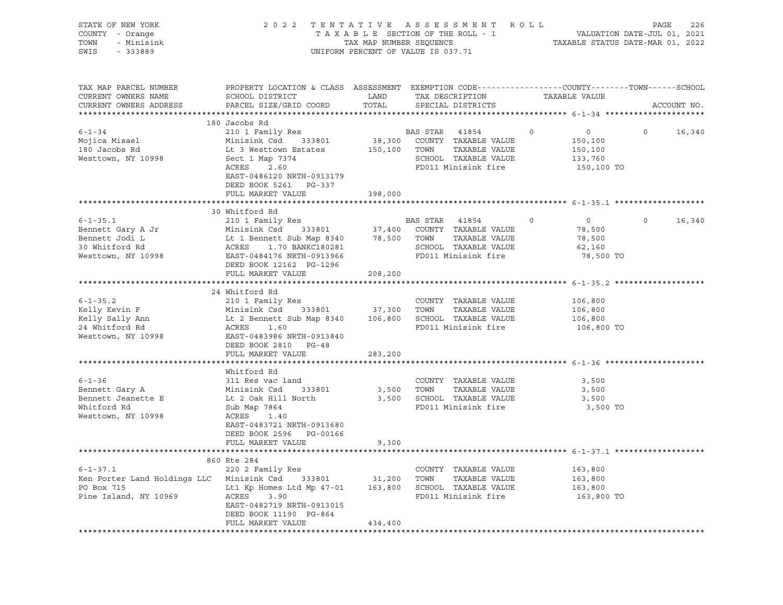| STATE OF NEW YORK<br>COUNTY - Orange<br>- Minisink<br>TOWN<br>SWIS<br>- 333889                                                                                                                                                                           |                                                                                                                                                                                                                                                            |         | TENTATIVE ASSESSMENT ROLL<br>TAXABLE SECTION OF THE ROLL - 1 VALUATION DATE-JUL 01, 2021<br>TAXABLE STATUS DATE-MAR 01, 2022<br>2022 TENTATIVE ASSESSMENT ROLL<br>UNIFORM PERCENT OF VALUE IS 037.71 |               |                                                               |                          |
|----------------------------------------------------------------------------------------------------------------------------------------------------------------------------------------------------------------------------------------------------------|------------------------------------------------------------------------------------------------------------------------------------------------------------------------------------------------------------------------------------------------------------|---------|------------------------------------------------------------------------------------------------------------------------------------------------------------------------------------------------------|---------------|---------------------------------------------------------------|--------------------------|
| TAX MAP PARCEL NUMBER<br>CURRENT OWNERS NAME<br>CURRENT OWNERS ADDRESS                                                                                                                                                                                   | PROPERTY LOCATION & CLASS ASSESSMENT EXEMPTION CODE---------------COUNTY-------TOWN-----SCHOOL<br>SCHOOL DISTRICT LAND<br>PARCEL SIZE/GRID COORD                                                                                                           | TOTAL   | TAX DESCRIPTION<br>SPECIAL DISTRICTS                                                                                                                                                                 | TAXABLE VALUE |                                                               | ACCOUNT NO.              |
|                                                                                                                                                                                                                                                          | 180 Jacobs Rd                                                                                                                                                                                                                                              |         |                                                                                                                                                                                                      |               |                                                               |                          |
| $6 - 1 - 34$<br>Mojica Misael<br>180 Jacobs Rd<br>Westtown, NY 10998                                                                                                                                                                                     | 210 1 Family Res<br>Minisink Csd 333801<br>Lt 3 Westtown Estates<br>Sect 1 Map 7374<br>ACRES<br>2.60                                                                                                                                                       |         | BAS STAR<br>41854<br>38,300 COUNTY TAXABLE VALUE<br>150,100 TOWN TAXABLE VALUE<br>SCHOOL TAXABLE VALUE<br>FD011 Minisink fire                                                                        | $\circ$       | $\overline{0}$<br>150,100<br>150,100<br>133,760<br>150,100 TO | $\overline{0}$<br>16,340 |
|                                                                                                                                                                                                                                                          | EAST-0486120 NRTH-0913179<br>DEED BOOK 5261 PG-337                                                                                                                                                                                                         |         |                                                                                                                                                                                                      |               |                                                               |                          |
|                                                                                                                                                                                                                                                          | FULL MARKET VALUE                                                                                                                                                                                                                                          | 398,000 |                                                                                                                                                                                                      |               |                                                               |                          |
|                                                                                                                                                                                                                                                          |                                                                                                                                                                                                                                                            |         |                                                                                                                                                                                                      |               |                                                               |                          |
|                                                                                                                                                                                                                                                          | 30 Whitford Rd                                                                                                                                                                                                                                             |         |                                                                                                                                                                                                      |               |                                                               |                          |
| $6 - 1 - 35.1$<br>Bennett Gary A Jr<br>Bennett Jodi L<br>30 Whitford Rd<br>Westtown, NY 10998                                                                                                                                                            | 210 1 Family Res<br>210 I Family Res and BAS STAR 41854<br>Minisink Csd 333801 37,400 COUNTY TAXABLE VALUE<br>Lt 1 Bennett Sub Map 8340 78,500 TOWN TAXABLE VALUE<br>ACRES 1.70 BANKC180281 SCHOOL TAXABLE VALUE<br>EAST-0484176 NRTH-0913966 FD011 Minisi |         | BAS STAR 41854<br>SCHOOL TAXABLE VALUE<br>FD011 Minisink fire                                                                                                                                        | $\circ$       | $\overline{0}$<br>78,500<br>78,500<br>62,160<br>78,500 TO     | $\circ$<br>16,340        |
|                                                                                                                                                                                                                                                          | DEED BOOK 12162 PG-1296                                                                                                                                                                                                                                    |         |                                                                                                                                                                                                      |               |                                                               |                          |
|                                                                                                                                                                                                                                                          | FULL MARKET VALUE                                                                                                                                                                                                                                          | 208,200 |                                                                                                                                                                                                      |               |                                                               |                          |
|                                                                                                                                                                                                                                                          |                                                                                                                                                                                                                                                            |         |                                                                                                                                                                                                      |               |                                                               |                          |
| $6 - 1 - 35.2$<br>Extra 1.5 and 106,800 TOWN TAXABLE VALUE<br>Kelly Sally Ann Lt 2 Bennett Sub Map 8340 106,800 SCHOOL TAXABLE VALUE<br>24 Whitford Rd ACRES 1.60 PD011 Minisink fire<br>Westtown, NY 10998 EAST-0483966 NRTH-0913840<br>EAST-0483966 NR | 24 Whitford Rd<br>210 1 Family Res<br>DEED BOOK 2810 PG-48                                                                                                                                                                                                 |         | COUNTY TAXABLE VALUE                                                                                                                                                                                 |               | 106,800<br>106,800<br>106,800<br>106,800 TO                   |                          |
|                                                                                                                                                                                                                                                          | FULL MARKET VALUE                                                                                                                                                                                                                                          | 283,200 |                                                                                                                                                                                                      |               |                                                               |                          |
| $6 - 1 - 36$<br>Bennett Gary A<br>Bennett Jeanette E<br>Whitford Rd<br>Westtown, NY 10998                                                                                                                                                                | Whitford Rd<br>311 Res vac land<br>Minisink Csd 333801<br>Lt 2 Oak Hill North<br>Sub Map 7864<br>ACRES<br>1.40<br>EAST-0483721 NRTH-0913680                                                                                                                |         | COUNTY TAXABLE VALUE<br>3,500 TOWN TAXABLE VALUE<br>3,500 SCHOOL TAXABLE VALUE<br>FD011 Minisink fire                                                                                                |               | 3,500<br>3,500<br>3,500<br>3,500 TO                           |                          |
|                                                                                                                                                                                                                                                          | DEED BOOK 2596 PG-00166<br>FULL MARKET VALUE                                                                                                                                                                                                               | 9,300   |                                                                                                                                                                                                      |               |                                                               |                          |
|                                                                                                                                                                                                                                                          | 860 Rte 284                                                                                                                                                                                                                                                |         |                                                                                                                                                                                                      |               |                                                               |                          |
| $6 - 1 - 37.1$<br>Ken Porter Land Holdings LLC Minisink Csd 333801 31,200 TOWN TAXABLE VALUE<br>PO Box 715<br>Pine Island, NY 10969                                                                                                                      | 220 2 Family Res<br>Lt1 Kp Homes Ltd Mp 47-01 163,800 SCHOOL TAXABLE VALUE<br>ACRES<br>3.90<br>EAST-0482719 NRTH-0913015<br>DEED BOOK 11190 PG-864                                                                                                         |         | COUNTY TAXABLE VALUE<br>FD011 Minisink fire                                                                                                                                                          |               | 163,800<br>163,800<br>163,800<br>163,800 TO                   |                          |
|                                                                                                                                                                                                                                                          | FULL MARKET VALUE                                                                                                                                                                                                                                          | 434,400 |                                                                                                                                                                                                      |               |                                                               |                          |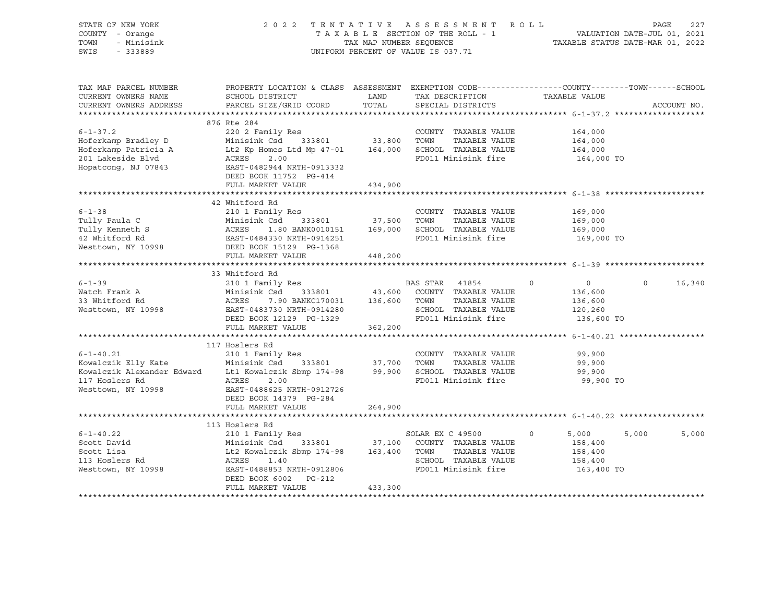| STATE OF NEW YORK<br>COUNTY - Orange<br>TOWN<br>- Minisink<br>SWIS<br>$-333889$                              |                                                                                                                                                                                                                                                                                        |                      | 2022 TENTATIVE ASSESSMENT ROLL<br>UNIFORM PERCENT OF VALUE IS 037.71 |                                                                           | PAGE<br>227        |
|--------------------------------------------------------------------------------------------------------------|----------------------------------------------------------------------------------------------------------------------------------------------------------------------------------------------------------------------------------------------------------------------------------------|----------------------|----------------------------------------------------------------------|---------------------------------------------------------------------------|--------------------|
| TAX MAP PARCEL NUMBER<br>CURRENT OWNERS NAME<br>CURRENT OWNERS ADDRESS                                       | PROPERTY LOCATION & CLASS ASSESSMENT EXEMPTION CODE---------------COUNTY-------TOWN-----SCHOOL<br>SCHOOL DISTRICT<br>PARCEL SIZE/GRID COORD                                                                                                                                            | <b>LAND</b><br>TOTAL | TAX DESCRIPTION TAXABLE VALUE<br>SPECIAL DISTRICTS                   |                                                                           | ACCOUNT NO.        |
|                                                                                                              |                                                                                                                                                                                                                                                                                        |                      |                                                                      |                                                                           |                    |
| $6 - 1 - 37.2$                                                                                               | 876 Rte 284<br>220 2 Family Res<br>DEED BOOK 11752 PG-414                                                                                                                                                                                                                              |                      | COUNTY TAXABLE VALUE<br>FD011 Minisink fire                          | 164,000<br>164,000<br>164,000<br>164,000 TO                               |                    |
|                                                                                                              | FULL MARKET VALUE                                                                                                                                                                                                                                                                      | 434,900              |                                                                      |                                                                           |                    |
|                                                                                                              |                                                                                                                                                                                                                                                                                        |                      |                                                                      |                                                                           |                    |
| $6 - 1 - 38$                                                                                                 | 42 Whitford Rd<br>210 1 Family Res<br>Tully Paula C<br>Tully Anneth S<br>Tully Kenneth S<br>ACRES 1.80 BANK0010151 169,000 SCHOOL TAXABLE VALUE<br>42 Whitford Rd<br>Westtown, NY 10998<br>DEED BOOL TO POST POLI Minisink fire<br>Westtown, NY 10998<br>DEED BOOL TO POLI Minisink    |                      | COUNTY TAXABLE VALUE                                                 | 169,000<br>169,000<br>169,000<br>169,000 TO                               |                    |
|                                                                                                              | FULL MARKET VALUE                                                                                                                                                                                                                                                                      | 448,200              |                                                                      |                                                                           |                    |
|                                                                                                              |                                                                                                                                                                                                                                                                                        |                      |                                                                      |                                                                           |                    |
| $6 - 1 - 39$<br>Watch Frank A<br>33 Whitford Rd<br>Westtown, NY 10998                                        | 33 Whitford Rd<br>210 1 Family Res<br>Exto I railly Res and Minisink Csd 333801 43,600 COUNTY TAXABLE VALUE<br>ACRES 7.90 BANKC170031 136,600 TOWN TAXABLE VALUE<br>EAST-0483730 NRTH-0914280 SCHOOL TAXABLE VALUE<br>DEED BOOK 12129 PG-1329 FD011 Minisink fire<br>FULL MARKET VALUE | 362,200              | BAS STAR 41854 0                                                     | $\overline{0}$<br>136,600<br>136,600<br>120,260<br>136,600 TO             | $\Omega$<br>16,340 |
|                                                                                                              | **********************************                                                                                                                                                                                                                                                     |                      |                                                                      |                                                                           |                    |
| $6 - 1 - 40.21$<br>Kowalczik Elly Kate<br>Kowalczik Alexander Edward<br>117 Hoslers Rd<br>Westtown, NY 10998 | 117 Hoslers Rd<br>210 1 Family Res<br>Minisink Csd 333801 37,700 TOWN TAXABLE VALUE<br>Lt1 Kowalczik Sbmp 174-98 99,900 SCHOOL TAXABLE VALUE<br>ACRES<br>2.00<br>EAST-0488625 NRTH-0912726<br>DEED BOOK 14379 PG-284                                                                   |                      | COUNTY TAXABLE VALUE<br>TAXABLE VALUE<br>FD011 Minisink fire         | 99,900<br>99,900<br>99,900<br>99,900 TO                                   |                    |
|                                                                                                              | FULL MARKET VALUE                                                                                                                                                                                                                                                                      | 264,900              |                                                                      |                                                                           |                    |
|                                                                                                              | 113 Hoslers Rd                                                                                                                                                                                                                                                                         |                      |                                                                      |                                                                           |                    |
| $6 - 1 - 40.22$<br>Scott David<br>Scott Lisa<br>113 Hoslers Rd<br>Westtown, NY 10998                         | 210 1 Family Res<br>Minisink Csd 333801 37,100 COUNTY TAXABLE VALUE<br>Lt2 Kowalczik Sbmp 174-98 163,400 TOWN TAXABLE VALUE<br>ACRES 1.40 SCHOOL TAXABLE VALUE<br>EAST-0488853 NRTH-0912806<br>FULL MARKET VALUE                                                                       | 433,300              | SOLAR EX C 49500<br>SCHOOL TAXABLE VALUE<br>FD011 Minisink fire      | 5,000<br>$0 \qquad \qquad$<br>158,400<br>158,400<br>158,400<br>163,400 TO | 5,000<br>5,000     |
|                                                                                                              |                                                                                                                                                                                                                                                                                        |                      |                                                                      |                                                                           |                    |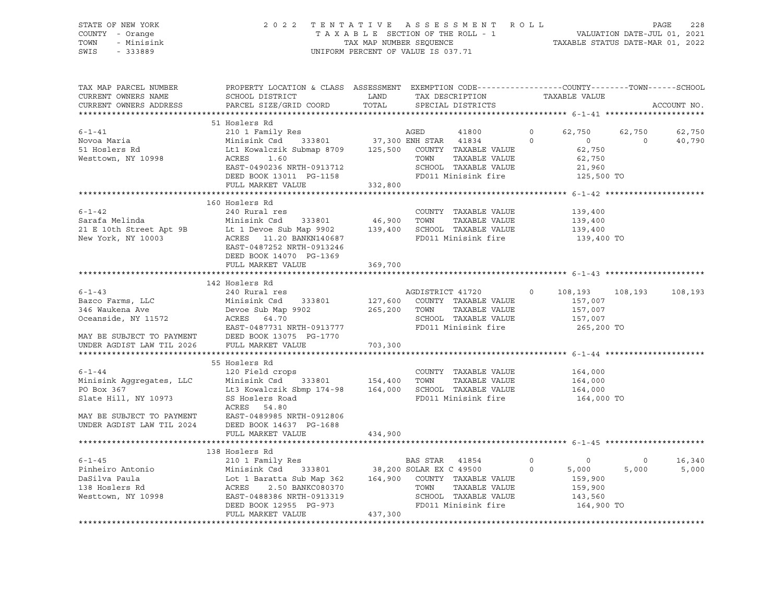STATE OF NEW YORK 2 0 2 2 T E N T A T I V E A S S E S S M E N T R O L L PAGE 228 COUNTY - Orange T A X A B L E SECTION OF THE ROLL - 1 VALUATION DATE-JUL 01, 2021 TOWN - Minisink TAX MAP NUMBER SEQUENCE TAXABLE STATUS DATE-MAR 01, 2022 SWIS - 333889 CONSERVATION CONTROL OF VALUE IS 037.71

| TAX MAP PARCEL NUMBER<br>CURRENT OWNERS NAME<br>CURRENT OWNERS ADDRESS                                     | PROPERTY LOCATION & CLASS ASSESSMENT EXEMPTION CODE----------------COUNTY-------TOWN-----SCHOOL<br>SCHOOL DISTRICT<br>PARCEL SIZE/GRID COORD                                                                                                                                | LAND<br>TOTAL                      | TAX DESCRIPTION TAXABLE VALUE<br>SPECIAL DISTRICTS                                                                       |                    |                                                               |                  | ACCOUNT NO.      |
|------------------------------------------------------------------------------------------------------------|-----------------------------------------------------------------------------------------------------------------------------------------------------------------------------------------------------------------------------------------------------------------------------|------------------------------------|--------------------------------------------------------------------------------------------------------------------------|--------------------|---------------------------------------------------------------|------------------|------------------|
|                                                                                                            |                                                                                                                                                                                                                                                                             |                                    |                                                                                                                          |                    |                                                               |                  |                  |
| $6 - 1 - 41$<br>Novoa Maria<br>51 Hoslers Rd<br>Westtown, NY 10998                                         | 51 Hoslers Rd<br>210 1 Family Res<br>Minisink Csd 333801 (2015), المساحة المستوى المستوى المستوى المستوى المستوى المستوى المستوى المستوى المستوى ا<br>Lt1 Kowalczik Submap 8709 (2015) 700N TAXABLE VALUE<br>EAST-0490236 NRTH-0913712<br>DEED BOOK 13011 PG-1158           |                                    | AGED<br>41800<br>333801 37,300 ENH STAR 41834<br>TAXABLE VALUE<br>SCHOOL TAXABLE VALUE<br>FD011 Minisink fire 125,500 TO | $\circ$<br>$\circ$ | 62,750 62,750<br>$\overline{0}$<br>62,750<br>62,750<br>21,960 | $\Omega$         | 62,750<br>40,790 |
|                                                                                                            | FULL MARKET VALUE                                                                                                                                                                                                                                                           | 332,800                            |                                                                                                                          |                    |                                                               |                  |                  |
| $6 - 1 - 42$<br>Sarafa Melinda<br>New York, NY 10003                                                       | 160 Hoslers Rd<br>240 Rural res<br>Minisink Csd      333801<br>21 E 10th Street Apt 9B Lt 1 Devoe Sub Map 9902 139,400<br>New York, NY 10003 ACRES 11.20 BANKN140687<br>EAST-0487252 NRTH-0913246<br>DEED BOOK 14070 PG-1369<br>FULL MARKET VALUE                           | 46,900<br>369,700                  | COUNTY TAXABLE VALUE<br>TAXABLE VALUE<br>TOWN<br>SCHOOL TAXABLE VALUE<br>FD011 Minisink fire                             |                    | 139,400<br>139,400<br>139,400<br>139,400 TO                   |                  |                  |
|                                                                                                            |                                                                                                                                                                                                                                                                             |                                    |                                                                                                                          |                    |                                                               |                  |                  |
|                                                                                                            | 142 Hoslers Rd                                                                                                                                                                                                                                                              |                                    |                                                                                                                          |                    |                                                               |                  |                  |
| $6 - 1 - 43$<br>MAY BE SUBJECT TO PAYMENT DEED BOOK 13075 I<br>UNDER AGDIST LAW TIL 2026 FULL MARKET VALUE | 240 Rural res<br>333801<br>EAST-0487731 NRTH-0913777<br>DEED BOOK 13075 PG-1770                                                                                                                                                                                             | 127,600<br>265,200 TOWN<br>703,300 | AGDISTRICT 41720<br>COUNTY TAXABLE VALUE<br>TAXABLE VALUE<br>SCHOOL TAXABLE VALUE<br>FD011 Minisink fire                 | $\circ$            | 108,193<br>157,007<br>157,007<br>157,007<br>265,200 TO        | 108,193          | 108,193          |
|                                                                                                            |                                                                                                                                                                                                                                                                             |                                    |                                                                                                                          |                    |                                                               |                  |                  |
| $6 - 1 - 44$<br>Minisink Aqqreqates, LLC<br>PO Box 367<br>Slate Hill, NY 10973                             | 55 Hoslers Rd<br>120 Field crops<br>333801 154,400 TOWN<br>Minisink Csd<br>Lt3 Kowalczik Sbmp 174-98 164,000 SCHOOL TAXABLE VALUE<br>SS Hoslers Road<br>ACRES 54.80<br>MAY BE SUBJECT TO PAYMENT<br>UNDER AGDIST LAW TIL 2024 DEED BOOK 14637 PG-1688<br>FIILL MARKET VALUE |                                    | COUNTY TAXABLE VALUE<br>TAXABLE VALUE<br>FD011 Minisink fire                                                             |                    | 164,000<br>164,000<br>164,000<br>164,000 TO                   |                  |                  |
|                                                                                                            | FULL MARKET VALUE                                                                                                                                                                                                                                                           | 434,900                            |                                                                                                                          |                    |                                                               |                  |                  |
|                                                                                                            |                                                                                                                                                                                                                                                                             |                                    |                                                                                                                          |                    |                                                               |                  |                  |
| $6 - 1 - 45$                                                                                               | 138 Hoslers Rd<br>210 1 Family Res                                                                                                                                                                                                                                          |                                    | BAS STAR 41854<br>$\overline{a}$<br>SCHOOL TAXABLE VALUE<br>FD011 Minisink fire 164,900 TO                               | $\circ$            | $\overline{0}$<br>5,000<br>159,900<br>159,900<br>143,560      | $\circ$<br>5,000 | 16,340<br>5,000  |
|                                                                                                            |                                                                                                                                                                                                                                                                             |                                    |                                                                                                                          |                    |                                                               |                  |                  |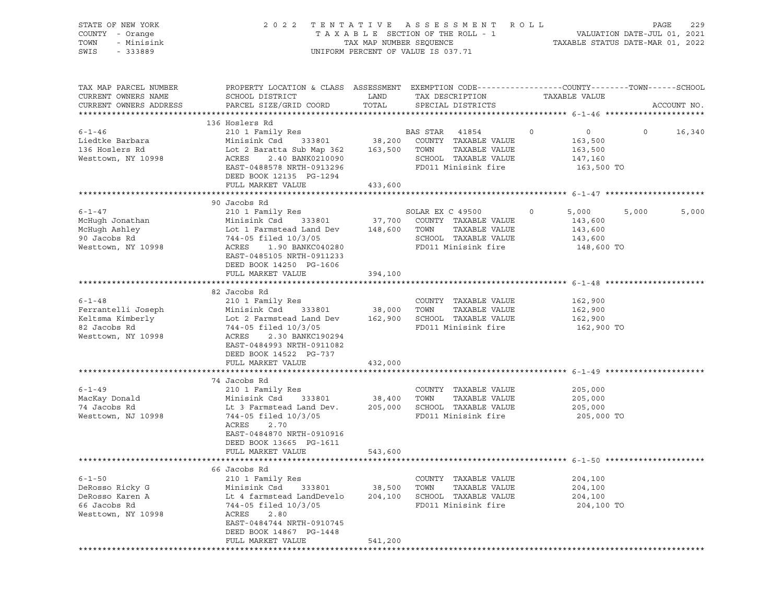| STATE OF NEW YORK      | 2022 TENTATIVE ASSESSMENT                                                                      | R O L L<br>PAGE<br>229                                          |                                                 |                           |                    |
|------------------------|------------------------------------------------------------------------------------------------|-----------------------------------------------------------------|-------------------------------------------------|---------------------------|--------------------|
| COUNTY - Orange        | TAXABLE SECTION OF THE ROLL - 1                                                                | VALUATION DATE-JUL 01, 2021<br>TAXABLE STATUS DATE-MAR 01, 2022 |                                                 |                           |                    |
| TOWN<br>- Minisink     |                                                                                                | TAX MAP NUMBER SEQUENCE                                         |                                                 |                           |                    |
| SWIS<br>- 333889       |                                                                                                |                                                                 | UNIFORM PERCENT OF VALUE IS 037.71              |                           |                    |
|                        |                                                                                                |                                                                 |                                                 |                           |                    |
| TAX MAP PARCEL NUMBER  | PROPERTY LOCATION & CLASS ASSESSMENT EXEMPTION CODE---------------COUNTY-------TOWN-----SCHOOL |                                                                 |                                                 |                           |                    |
| CURRENT OWNERS NAME    | SCHOOL DISTRICT                                                                                | LAND                                                            | TAX DESCRIPTION                                 | TAXABLE VALUE             |                    |
| CURRENT OWNERS ADDRESS | PARCEL SIZE/GRID COORD                                                                         | TOTAL                                                           | SPECIAL DISTRICTS                               |                           | ACCOUNT NO.        |
|                        |                                                                                                |                                                                 |                                                 |                           |                    |
|                        | 136 Hoslers Rd                                                                                 |                                                                 |                                                 |                           |                    |
| $6 - 1 - 46$           | 210 1 Family Res                                                                               |                                                                 | BAS STAR 41854                                  | $\circ$<br>$\overline{0}$ | $\Omega$<br>16,340 |
| Liedtke Barbara        |                                                                                                |                                                                 |                                                 | 163,500                   |                    |
| 136 Hoslers Rd         |                                                                                                |                                                                 |                                                 | 163,500                   |                    |
| Westtown, NY 10998     | ACRES<br>2.40 BANK0210090                                                                      |                                                                 | SCHOOL TAXABLE VALUE                            | 147,160                   |                    |
|                        | EAST-0488578 NRTH-0913296                                                                      |                                                                 | FD011 Minisink fire                             | 163,500 TO                |                    |
|                        |                                                                                                |                                                                 |                                                 |                           |                    |
|                        | DEED BOOK 12135 PG-1294                                                                        |                                                                 |                                                 |                           |                    |
|                        | FULL MARKET VALUE                                                                              | 433,600                                                         |                                                 |                           |                    |
|                        |                                                                                                |                                                                 |                                                 |                           |                    |
|                        | 90 Jacobs Rd                                                                                   |                                                                 |                                                 |                           |                    |
| $6 - 1 - 47$           | 210 1 Family Res                                                                               |                                                                 | SOLAR EX C 49500<br>37,700 COUNTY TAXABLE VALUE | $\circ$<br>5,000          | 5,000<br>5,000     |
| McHugh Jonathan        | Minisink Csd 333801                                                                            |                                                                 |                                                 | 143,600                   |                    |
| McHugh Ashley          | Lot 1 Farmstead Land Dev 148,600 TOWN                                                          |                                                                 | TAXABLE VALUE                                   | 143,600                   |                    |
| 90 Jacobs Rd           | Lot 1 rainwood.<br>744-05 filed 10/3/05                                                        |                                                                 | SCHOOL TAXABLE VALUE                            | 143,600                   |                    |
| Westtown, NY 10998     | ACRES<br>1.90 BANKC040280                                                                      |                                                                 | FD011 Minisink fire                             | 148,600 TO                |                    |
|                        | EAST-0485105 NRTH-0911233                                                                      |                                                                 |                                                 |                           |                    |
|                        | DEED BOOK 14250 PG-1606                                                                        |                                                                 |                                                 |                           |                    |
|                        | FULL MARKET VALUE                                                                              | 394,100                                                         |                                                 |                           |                    |
|                        |                                                                                                |                                                                 |                                                 |                           |                    |
|                        | 82 Jacobs Rd                                                                                   |                                                                 |                                                 |                           |                    |
| $6 - 1 - 48$           | 210 1 Family Res                                                                               |                                                                 | COUNTY TAXABLE VALUE                            | 162,900                   |                    |
| Ferrantelli Joseph     | Minisink Csd 333801                                                                            | 38,000 TOWN                                                     | TAXABLE VALUE                                   | 162,900                   |                    |
|                        |                                                                                                |                                                                 |                                                 | 162,900                   |                    |
| 82 Jacobs Rd           | Keltsma Kimberly<br>Compared Land Dev 162,900 SCHOOL TAXABLE VALUE<br>744-05 filed 10/3/05     |                                                                 | FD011 Minisink fire                             | 162,900 TO                |                    |
| Westtown, NY 10998     | ACRES<br>2.30 BANKC190294                                                                      |                                                                 |                                                 |                           |                    |
|                        | EAST-0484993 NRTH-0911082                                                                      |                                                                 |                                                 |                           |                    |
|                        |                                                                                                |                                                                 |                                                 |                           |                    |
|                        | DEED BOOK 14522 PG-737                                                                         |                                                                 |                                                 |                           |                    |
|                        | FULL MARKET VALUE                                                                              | 432,000                                                         |                                                 |                           |                    |
|                        |                                                                                                |                                                                 |                                                 |                           |                    |
|                        | 74 Jacobs Rd                                                                                   |                                                                 |                                                 |                           |                    |
| $6 - 1 - 49$           | 210 1 Family Res                                                                               |                                                                 | COUNTY TAXABLE VALUE                            | 205,000                   |                    |
| MacKay Donald          | Minisink Csd 333801                                                                            | 38,400 TOWN                                                     | TAXABLE VALUE                                   | 205,000                   |                    |
| 74 Jacobs Rd           | Lt 3 Farmstead Land Dev.                                                                       |                                                                 | 205,000 SCHOOL TAXABLE VALUE                    | 205,000                   |                    |
| Westtown, NJ 10998     | 744-05 filed 10/3/05                                                                           |                                                                 | FD011 Minisink fire                             | 205,000 TO                |                    |
|                        | ACRES<br>2.70                                                                                  |                                                                 |                                                 |                           |                    |
|                        | EAST-0484870 NRTH-0910916                                                                      |                                                                 |                                                 |                           |                    |
|                        | DEED BOOK 13665 PG-1611                                                                        |                                                                 |                                                 |                           |                    |
|                        | FULL MARKET VALUE                                                                              | 543,600                                                         |                                                 |                           |                    |
|                        |                                                                                                |                                                                 |                                                 |                           |                    |
|                        | 66 Jacobs Rd                                                                                   |                                                                 |                                                 |                           |                    |
| $6 - 1 - 50$           | 210 1 Family Res                                                                               |                                                                 | COUNTY TAXABLE VALUE                            | 204,100                   |                    |
| DeRosso Ricky G        | Minisink Csd<br>333801                                                                         |                                                                 | TAXABLE VALUE<br>TOWN                           | 204,100                   |                    |
|                        |                                                                                                | 38,500                                                          |                                                 |                           |                    |
| DeRosso Karen A        | Lt 4 farmstead LandDevelo                                                                      | 204,100                                                         | SCHOOL TAXABLE VALUE                            | 204,100                   |                    |
| 66 Jacobs Rd           | 744-05 filed 10/3/05                                                                           |                                                                 | FD011 Minisink fire                             | 204,100 TO                |                    |
| Westtown, NY 10998     | ACRES<br>2.80                                                                                  |                                                                 |                                                 |                           |                    |
|                        | EAST-0484744 NRTH-0910745                                                                      |                                                                 |                                                 |                           |                    |
|                        | DEED BOOK 14867 PG-1448                                                                        |                                                                 |                                                 |                           |                    |
|                        | FULL MARKET VALUE                                                                              | 541,200                                                         |                                                 |                           |                    |
|                        | *******************                                                                            |                                                                 |                                                 |                           |                    |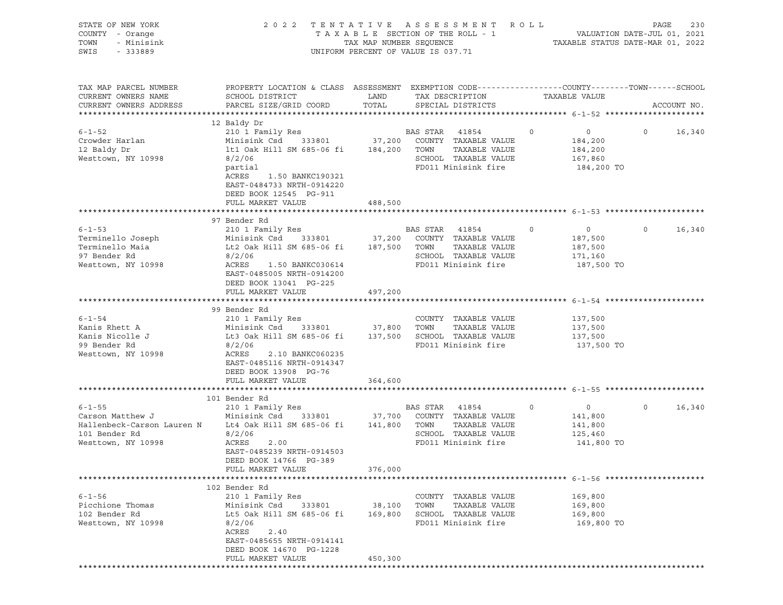| STATE OF NEW YORK<br>COUNTY - Orange<br>TOWN<br>- Minisink<br>SWIS<br>$-333889$                       |                                                                                                                                                                                                                                                 |                              | 2022 TENTATIVE ASSESSMENT ROLL<br>T A X A B L E SECTION OF THE ROLL - 1 VALUATION DATE-JUL 01, 2021<br>TAX MAP NUMBER SEQUENCE TAXABLE STATUS DATE-MAR 01, 2022<br>UNIFORM PERCENT OF VALUE IS 037.71 |         |                                                               | PAGE              | 230         |
|-------------------------------------------------------------------------------------------------------|-------------------------------------------------------------------------------------------------------------------------------------------------------------------------------------------------------------------------------------------------|------------------------------|-------------------------------------------------------------------------------------------------------------------------------------------------------------------------------------------------------|---------|---------------------------------------------------------------|-------------------|-------------|
| TAX MAP PARCEL NUMBER<br>CURRENT OWNERS NAME<br>CURRENT OWNERS ADDRESS                                | PROPERTY LOCATION & CLASS ASSESSMENT EXEMPTION CODE----------------COUNTY-------TOWN------SCHOOL<br>SCHOOL DISTRICT<br>PARCEL SIZE/GRID COORD                                                                                                   | LAND<br>TOTAL                | TAX DESCRIPTION<br>SPECIAL DISTRICTS                                                                                                                                                                  |         | TAXABLE VALUE                                                 |                   | ACCOUNT NO. |
|                                                                                                       |                                                                                                                                                                                                                                                 |                              |                                                                                                                                                                                                       |         |                                                               |                   |             |
| $6 - 1 - 52$<br>Crowder Harlan<br>12 Baldy Dr<br>Westtown, NY 10998                                   | 12 Baldy Dr<br>210 1 Family Res<br>Minisink Csd 333801 37,200 COUNTY TAXABLE VALUE<br>lt1 Oak Hill SM 685-06 fi 184,200 TOWN<br>8/2/06<br>partial<br>ACRES<br>1.50 BANKC190321<br>EAST-0484733 NRTH-0914220<br>DEED BOOK 12545 PG-911           |                              | BAS STAR 41854<br>TAXABLE VALUE<br>SCHOOL TAXABLE VALUE<br>FD011 Minisink fire                                                                                                                        | $\circ$ | $\overline{0}$<br>184,200<br>184,200<br>167,860<br>184,200 TO | $0 \qquad \qquad$ | 16,340      |
|                                                                                                       | FULL MARKET VALUE                                                                                                                                                                                                                               | 488,500                      |                                                                                                                                                                                                       |         |                                                               |                   |             |
| $6 - 1 - 53$<br>Terminello Joseph<br>Terminello Maia<br>97 Bender Rd<br>Westtown, NY 10998            | 97 Bender Rd<br>210 1 Family Res<br>Minisink Csd 333801<br>Lt2 Oak Hill SM 685-06 fi 187,500 TOWN<br>8/2/06<br>ACRES<br>1.50 BANKC030614<br>EAST-0485005 NRTH-0914200<br>DEED BOOK 13041 PG-225                                                 | 37,200                       | BAS STAR 41854<br>COUNTY TAXABLE VALUE<br>TAXABLE VALUE<br>SCHOOL TAXABLE VALUE<br>FD011 Minisink fire                                                                                                | $\circ$ | $\overline{0}$<br>187,500<br>187,500<br>171,160<br>187,500 TO | $\circ$           | 16,340      |
|                                                                                                       | FULL MARKET VALUE                                                                                                                                                                                                                               | 497,200                      |                                                                                                                                                                                                       |         |                                                               |                   |             |
| $6 - 1 - 54$<br>Kanis Rhett A<br>Kanis Nicolle J<br>99 Bender Rd<br>Westtown, NY 10998                | 99 Bender Rd<br>210 1 Family Res<br>Minisink Csd 333801 37,800 TOWN<br>Lt3 Oak Hill SM 685-06 fi 137,500 SCHOOL TAXABLE VALUE<br>8/2/06<br>ACRES<br>2.10 BANKC060235<br>EAST-0485116 NRTH-0914347<br>DEED BOOK 13908 PG-76<br>FULL MARKET VALUE | 364,600                      | COUNTY TAXABLE VALUE<br>TAXABLE VALUE<br>FD011 Minisink fire                                                                                                                                          |         | 137,500<br>137,500<br>137,500<br>137,500 TO                   |                   |             |
|                                                                                                       |                                                                                                                                                                                                                                                 |                              |                                                                                                                                                                                                       |         |                                                               |                   |             |
| $6 - 1 - 55$<br>Carson Matthew J<br>Hallenbeck-Carson Lauren N<br>101 Bender Rd<br>Westtown, NY 10998 | 101 Bender Rd<br>210 1 Family Res<br>Minisink Csd 333801<br>Lt4 Oak Hill SM 685-06 fi 141,800<br>8/2/06<br>ACRES<br>2.00<br>EAST-0485239 NRTH-0914503<br>DEED BOOK 14766 PG-389<br>FULL MARKET VALUE                                            | 37,700<br>376,000            | BAS STAR 41854<br>COUNTY TAXABLE VALUE<br>TOWN<br>TAXABLE VALUE<br>SCHOOL TAXABLE VALUE<br>FD011 Minisink fire                                                                                        | $\circ$ | $\overline{0}$<br>141,800<br>141,800<br>125,460<br>141,800 TO | $\circ$           | 16,340      |
|                                                                                                       |                                                                                                                                                                                                                                                 |                              |                                                                                                                                                                                                       |         |                                                               |                   |             |
| $6 - 1 - 56$<br>Picchione Thomas<br>102 Bender Rd<br>Westtown, NY 10998                               | 102 Bender Rd<br>210 1 Family Res<br>Minisink Csd<br>333801<br>Lt5 Oak Hill SM 685-06 fi<br>8/2/06<br>ACRES<br>2.40<br>EAST-0485655 NRTH-0914141<br>DEED BOOK 14670 PG-1228<br>FULL MARKET VALUE                                                | 38,100<br>169,800<br>450,300 | TAXABLE VALUE<br>COUNTY<br>TOWN<br>TAXABLE VALUE<br>SCHOOL TAXABLE VALUE<br>FD011 Minisink fire                                                                                                       |         | 169,800<br>169,800<br>169,800<br>169,800 TO                   |                   |             |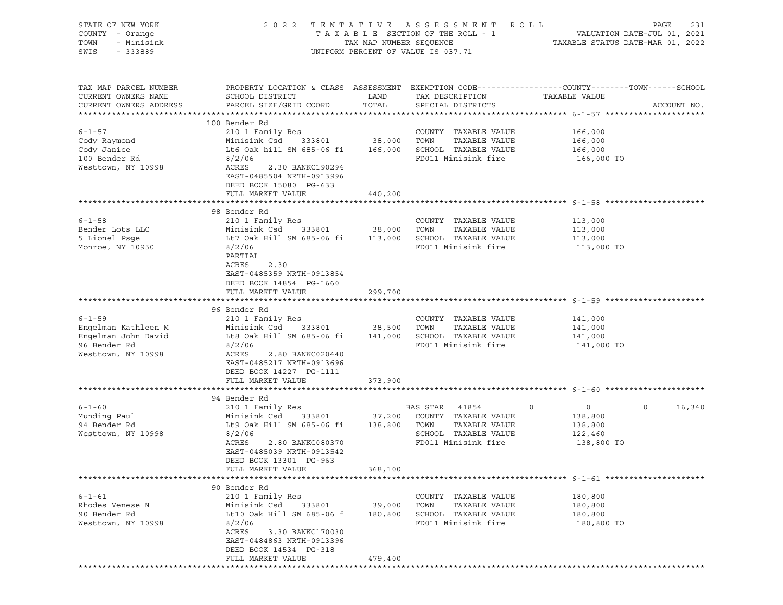| STATE OF NEW YORK<br>COUNTY - Orange<br>TOWN<br>- Minisink<br>SWIS<br>- 333889                   |                                                                                                                                                                                                                                                   |                              | 2022 TENTATIVE ASSESSMENT ROLL<br>UNIFORM PERCENT OF VALUE IS 037.71                         | PAGE                                                                                                                             | 231 |
|--------------------------------------------------------------------------------------------------|---------------------------------------------------------------------------------------------------------------------------------------------------------------------------------------------------------------------------------------------------|------------------------------|----------------------------------------------------------------------------------------------|----------------------------------------------------------------------------------------------------------------------------------|-----|
| TAX MAP PARCEL NUMBER<br>CURRENT OWNERS NAME<br>CURRENT OWNERS ADDRESS                           | SCHOOL DISTRICT<br>PARCEL SIZE/GRID COORD                                                                                                                                                                                                         | LAND<br>TOTAL                | TAX DESCRIPTION<br>SPECIAL DISTRICTS                                                         | PROPERTY LOCATION & CLASS ASSESSMENT EXEMPTION CODE----------------COUNTY-------TOWN------SCHOOL<br>TAXABLE VALUE<br>ACCOUNT NO. |     |
| $6 - 1 - 57$<br>Cody Raymond<br>Cody Janice<br>100 Bender Rd<br>Westtown, NY 10998               | 100 Bender Rd<br>210 1 Family Res<br>Minisink Csd 333801 38,000 TOWN<br>Lt6 Oak hill SM 685-06 fi 166,000 SCHOOL TAXABLE VALUE<br>8/2/06<br>ACRES<br>2.30 BANKC190294<br>EAST-0485504 NRTH-0913996<br>DEED BOOK 15080 PG-633<br>FULL MARKET VALUE | 440,200                      | COUNTY TAXABLE VALUE<br>TAXABLE VALUE<br>FD011 Minisink fire                                 | 166,000<br>166,000<br>166,000<br>166,000 TO                                                                                      |     |
|                                                                                                  |                                                                                                                                                                                                                                                   |                              |                                                                                              |                                                                                                                                  |     |
| $6 - 1 - 58$<br>Bender Lots LLC<br>5 Lionel Psqe<br>Monroe, NY 10950                             | 98 Bender Rd<br>210 1 Family Res<br>Minisink Csd 333801<br>Lt7 Oak Hill SM 685-06 fi 113,000 SCHOOL TAXABLE VALUE<br>8/2/06<br>PARTIAL<br>2.30<br>ACRES<br>EAST-0485359 NRTH-0913854<br>DEED BOOK 14854 PG-1660                                   | 38,000 TOWN                  | COUNTY TAXABLE VALUE<br>TAXABLE VALUE<br>FD011 Minisink fire                                 | 113,000<br>113,000<br>113,000<br>113,000 TO                                                                                      |     |
|                                                                                                  | FULL MARKET VALUE                                                                                                                                                                                                                                 | 299,700                      |                                                                                              |                                                                                                                                  |     |
| $6 - 1 - 59$<br>Engelman Kathleen M<br>Engelman John David<br>96 Bender Rd<br>Westtown, NY 10998 | 96 Bender Rd<br>210 1 Family Res<br>Minisink Csd 333801 38,500 TOWN TAXABLE VALUE<br>Lt8 Oak Hill SM 685-06 fi 141,000 SCHOOL TAXABLE VALUE<br>8/2/06<br>ACRES<br>2.80 BANKC020440<br>EAST-0485217 NRTH-0913696<br>DEED BOOK 14227 PG-1111        |                              | COUNTY TAXABLE VALUE<br>FD011 Minisink fire                                                  | 141,000<br>141,000<br>141,000<br>141,000 TO                                                                                      |     |
|                                                                                                  | FULL MARKET VALUE                                                                                                                                                                                                                                 | 373,900                      |                                                                                              |                                                                                                                                  |     |
|                                                                                                  | 94 Bender Rd                                                                                                                                                                                                                                      |                              |                                                                                              |                                                                                                                                  |     |
| $6 - 1 - 60$<br>Munding Paul<br>94 Bender Rd<br>Westtown, NY 10998                               | 210 1 Family Res<br>Minisink Csd 333801 37,200 COUNTY TAXABLE VALUE<br>Lt9 Oak Hill SM 685-06 fi<br>8/2/06<br>ACRES<br>2.80 BANKC080370<br>EAST-0485039 NRTH-0913542<br>DEED BOOK 13301 PG-963                                                    | 138,800 TOWN                 | BAS STAR 41854<br>TAXABLE VALUE<br>SCHOOL TAXABLE VALUE<br>FD011 Minisink fire               | $\overline{0}$<br>$\circ$<br>16,340<br>$\circ$<br>138,800<br>138,800<br>122,460<br>138,800 TO                                    |     |
|                                                                                                  | FULL MARKET VALUE                                                                                                                                                                                                                                 | 368,100                      |                                                                                              |                                                                                                                                  |     |
| $6 - 1 - 61$<br>Rhodes Venese N<br>90 Bender Rd<br>Westtown, NY 10998                            | 90 Bender Rd<br>210 1 Family Res<br>Minisink Csd<br>333801<br>Lt10 Oak Hill SM 685-06 f<br>8/2/06<br>ACRES<br>3.30 BANKC170030<br>EAST-0484863 NRTH-0913396<br>DEED BOOK 14534 PG-318<br>FULL MARKET VALUE                                        | 39,000<br>180,800<br>479,400 | COUNTY TAXABLE VALUE<br>TOWN<br>TAXABLE VALUE<br>SCHOOL TAXABLE VALUE<br>FD011 Minisink fire | 180,800<br>180,800<br>180,800<br>180,800 TO                                                                                      |     |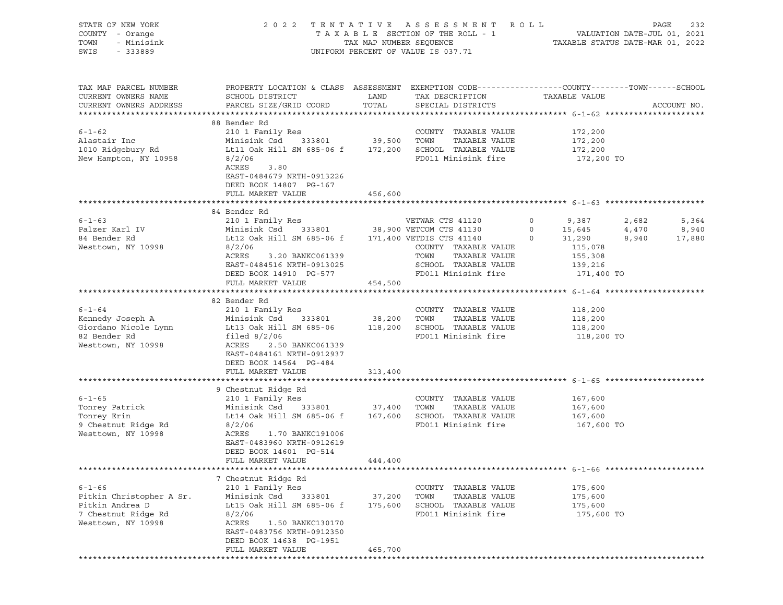| STATE OF NEW YORK<br>COUNTY - Orange<br>TOWN<br>- Minisink<br>SWIS - 333889                                         |                                                                                                                                                                                                                                                                                             |                              | 2022 TENTATIVE ASSESSMENT ROLL<br>UNIFORM PERCENT OF VALUE IS 037.71                         |                               |                | PAGE<br>232                      |
|---------------------------------------------------------------------------------------------------------------------|---------------------------------------------------------------------------------------------------------------------------------------------------------------------------------------------------------------------------------------------------------------------------------------------|------------------------------|----------------------------------------------------------------------------------------------|-------------------------------|----------------|----------------------------------|
| TAX MAP PARCEL NUMBER<br>CURRENT OWNERS NAME<br>CURRENT OWNERS ADDRESS                                              | PROPERTY LOCATION & CLASS ASSESSMENT EXEMPTION CODE----------------COUNTY-------TOWN-----SCHOOL                                                                                                                                                                                             |                              | TAX DESCRIPTION TAXABLE VALUE                                                                |                               |                | ACCOUNT NO.                      |
| $6 - 1 - 62$<br>Alastair Inc<br>1010 Ridgebury Rd<br>New Hampton, NY 10958                                          | 88 Bender Rd<br>Lt11 Oak Hill SM 685-06 f 172,200 SCHOOL TAXABLE VALUE 172,200<br>8/2/06<br>ACRES<br>3.80<br>EAST-0484679 NRTH-0913226<br>DEED BOOK 14807 PG-167<br>FULL MARKET VALUE                                                                                                       | 456,600                      | FD011 Minisink fire                                                                          | 172,200<br>172,200            | 172,200 TO     |                                  |
|                                                                                                                     |                                                                                                                                                                                                                                                                                             |                              |                                                                                              |                               |                |                                  |
| $6 - 1 - 63$<br>Palzer Karl IV<br>84 Bender Rd<br>Westtown, NY 10998                                                | 84 Bender Rd<br>210 1 Family Res<br>210 1 Family Res<br>Minisink Csd 333801 38,900 VETCOM CTS 41130 0 15,645<br>Lt12 Oak Hill SM 685-06 f 171,400 VETDIS CTS 41140 0 31,290<br>2011 115 078<br>8/2/06<br>ACRES<br>3.20 BANKC061339<br>EAST-0484516 NRTH-0913025                             |                              | COUNTY TAXABLE VALUE<br>TAXABLE VALUE<br>TOWN<br>SCHOOL TAXABLE VALUE                        | 115,078<br>155,308<br>139,216 | 2,682<br>4,470 | 5,364<br>8,940<br>$8,940$ 17,880 |
|                                                                                                                     | DEED BOOK 14910 PG-577<br>FULL MARKET VALUE                                                                                                                                                                                                                                                 | 454,500                      | FD011 Minisink fire 171,400 TO                                                               |                               |                |                                  |
| $6 - 1 - 64$<br>Westtown, NY 10998                                                                                  | 82 Bender Rd<br>ACRES<br>2.50 BANKC061339<br>EAST-0484161 NRTH-0912937<br>DEED BOOK 14564 PG-484                                                                                                                                                                                            |                              |                                                                                              | 118,200<br>118,200            | 118,200 TO     |                                  |
|                                                                                                                     | FULL MARKET VALUE                                                                                                                                                                                                                                                                           | 313,400                      |                                                                                              |                               |                |                                  |
|                                                                                                                     |                                                                                                                                                                                                                                                                                             |                              |                                                                                              |                               |                |                                  |
| $6 - 1 - 65$<br>6-1-05<br>Tonrey Patrick<br>Tomarr Frin<br>Tonrey Erin<br>9 Chestnut Ridge Rd<br>Westtown, NY 10998 | 9 Chestnut Ridge Rd<br>210 1 Family Res<br>210 1 Family Res<br>Minisink Csd 333801 37,400 TOWN<br>Lt14 Oak Hill SM 685-06 f 167,600 SCHOOL TAXABLE VALUE 167,600<br>8/2/06<br>ACRES<br>1.70 BANKC191006<br>EAST-0483960 NRTH-0912619<br>DEED BOOK 14601 PG-514<br>FULL MARKET VALUE 444,400 |                              | COUNTY TAXABLE VALUE<br>TAXABLE VALUE<br>FD011 Minisink fire                                 | 167,600<br>167,600            | 167,600 TO     |                                  |
|                                                                                                                     |                                                                                                                                                                                                                                                                                             |                              |                                                                                              |                               |                |                                  |
| $6 - 1 - 66$<br>Pitkin Christopher A Sr.<br>Pitkin Andrea D<br>7 Chestnut Ridge Rd<br>Westtown, NY 10998            | 7 Chestnut Ridge Rd<br>210 1 Family Res<br>Minisink Csd<br>333801<br>Lt15 Oak Hill SM 685-06 f<br>8/2/06<br>ACRES<br>1.50 BANKC130170<br>EAST-0483756 NRTH-0912350<br>DEED BOOK 14638 PG-1951<br>FULL MARKET VALUE                                                                          | 37,200<br>175,600<br>465,700 | COUNTY TAXABLE VALUE<br>TOWN<br>TAXABLE VALUE<br>SCHOOL TAXABLE VALUE<br>FD011 Minisink fire | 175,600<br>175,600<br>175,600 | 175,600 TO     |                                  |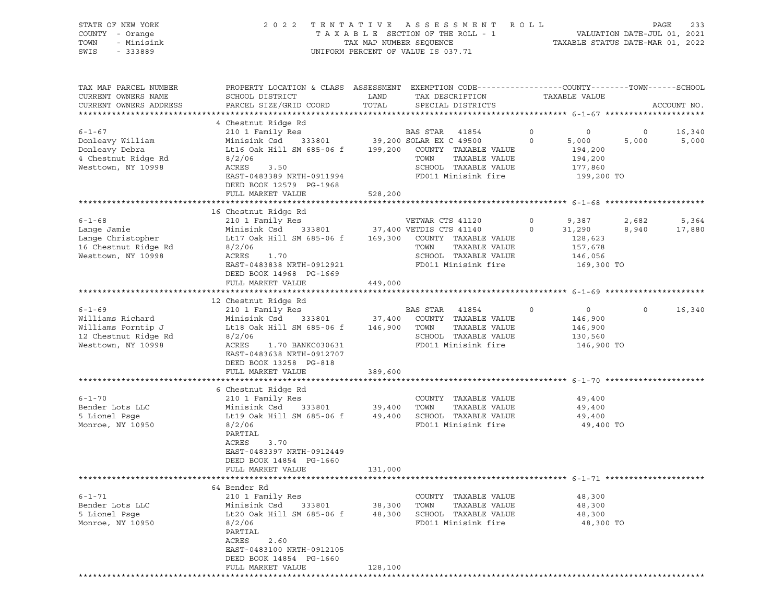COUNTY - Orange T A X A B L E SECTION OF THE ROLL - 1 VALUATION DATE-JUL 01, 2021 TOWN - TAX MAP NUMBER SEQUENCE TAX TAX TAXABLE STATUS DATE-MAR 01, 2022<br>TOWN - Minisink - Saysan - Taxable Status Date-Mar 01, 2022<br>SWIS - 333889 UNIFORM PERCENT OF VALUE IS 037.71 TAX MAP PARCEL NUMBER PROPERTY LOCATION & CLASS ASSESSMENT EXEMPTION CODE------------------COUNTY--------TOWN------SCHOOL CURRENT OWNERS NAME SCHOOL DISTRICT TAX DESCRIPTION TAXABLE VALUE CURRENT OWNERS ADDRESS PARCEL SIZE/GRID COORD TOTAL SPECIAL DISTRICTS ACCOUNT NO. \*\*\*\*\*\*\*\*\*\*\*\*\*\*\*\*\*\*\*\*\*\*\*\*\*\*\*\*\*\*\*\*\*\*\*\*\*\*\*\*\*\*\*\*\*\*\*\*\*\*\*\*\*\*\*\*\*\*\*\*\*\*\*\*\*\*\*\*\*\*\*\*\*\*\*\*\*\*\*\*\*\*\*\*\*\*\*\*\*\*\*\*\*\*\*\*\*\*\*\*\*\*\* 6-1-67 \*\*\*\*\*\*\*\*\*\*\*\*\*\*\*\*\*\*\*\*\* 4 Chestnut Ridge Rd 6-1-67 210 1 Family Res BAS STAR 41854 0 0 0 16,340 Donleavy William Minisink Csd 333801 39,200 SOLAR EX C 49500 0 5,000 5,000 5,000 Donleavy Debra Lt16 Oak Hill SM 685-06 f 199,200 COUNTY TAXABLE VALUE 194,200 4 Chestnut Ridge Rd 8/2/06 TOWN TAXABLE VALUE 194,200 Westtown, NY 10998 ACRES 3.50 SCHOOL TAXABLE VALUE 177,860 EAST-0483389 NRTH-0911994 FD011 Minisink fire 199,200 TO DEED BOOK 12579 PG-1968 FULL MARKET VALUE 528,200 \*\*\*\*\*\*\*\*\*\*\*\*\*\*\*\*\*\*\*\*\*\*\*\*\*\*\*\*\*\*\*\*\*\*\*\*\*\*\*\*\*\*\*\*\*\*\*\*\*\*\*\*\*\*\*\*\*\*\*\*\*\*\*\*\*\*\*\*\*\*\*\*\*\*\*\*\*\*\*\*\*\*\*\*\*\*\*\*\*\*\*\*\*\*\*\*\*\*\*\*\*\*\* 6-1-68 \*\*\*\*\*\*\*\*\*\*\*\*\*\*\*\*\*\*\*\*\* 16 Chestnut Ridge Rd 6-1-68 210 1 Family Res VETWAR CTS 41120 0 9,387 2,682 5,364 Lange Jamie Minisink Csd 333801 37,400 VETDIS CTS 41140 0 31,290 8,940 17,880 Lange Christopher **Lt17 Oak Hill SM 685-06 f** 169,300 COUNTY TAXABLE VALUE 128,623 16 Chestnut Ridge Rd 8/2/06 TOWN TAXABLE VALUE 157,678 Westtown, NY 10998 ACRES 1.70 SCHOOL TAXABLE VALUE 146,056 EAST-0483838 NRTH-0912921 FD011 Minisink fire 169,300 TO DEED BOOK 14968 PG-1669 FULL MARKET VALUE 449,000 \*\*\*\*\*\*\*\*\*\*\*\*\*\*\*\*\*\*\*\*\*\*\*\*\*\*\*\*\*\*\*\*\*\*\*\*\*\*\*\*\*\*\*\*\*\*\*\*\*\*\*\*\*\*\*\*\*\*\*\*\*\*\*\*\*\*\*\*\*\*\*\*\*\*\*\*\*\*\*\*\*\*\*\*\*\*\*\*\*\*\*\*\*\*\*\*\*\*\*\*\*\*\* 6-1-69 \*\*\*\*\*\*\*\*\*\*\*\*\*\*\*\*\*\*\*\*\* 12 Chestnut Ridge Rd<br>5-1-69 210 1 Family Res 6-1-69 210 1 Family Res BAS STAR 41854 0 0 0 16,340 Williams Richard Minisink Csd 333801 37,400 COUNTY TAXABLE VALUE 146,900 Williams Porntip J Lt18 Oak Hill SM 685-06 f 146,900 TOWN TAXABLE VALUE 146,900 12 Chestnut Ridge Rd 8/2/06 SCHOOL TAXABLE VALUE 130,560 Westtown, NY 10998 ACRES 1.70 BANKC030631 FD011 Minisink fire 146,900 TO EAST-0483638 NRTH-0912707 DEED BOOK 13258 PG-818 FULL MARKET VALUE 389,600 \*\*\*\*\*\*\*\*\*\*\*\*\*\*\*\*\*\*\*\*\*\*\*\*\*\*\*\*\*\*\*\*\*\*\*\*\*\*\*\*\*\*\*\*\*\*\*\*\*\*\*\*\*\*\*\*\*\*\*\*\*\*\*\*\*\*\*\*\*\*\*\*\*\*\*\*\*\*\*\*\*\*\*\*\*\*\*\*\*\*\*\*\*\*\*\*\*\*\*\*\*\*\* 6-1-70 \*\*\*\*\*\*\*\*\*\*\*\*\*\*\*\*\*\*\*\*\* 6 Chestnut Ridge Rd 6-1-70 210 1 Family Res COUNTY TAXABLE VALUE 49,400 Bender Lots LLC Minisink Csd 333801 39,400 TOWN TAXABLE VALUE 49,400 5 Lionel Psge 649,400 Lt19 Oak Hill SM 685-06 f 49,400 SCHOOL TAXABLE VALUE 49,400 Monroe, NY 10950 8/2/06 FD011 Minisink fire 49,400 TO PARTIAL ACRES 3.70 EAST-0483397 NRTH-0912449 DEED BOOK 14854 PG-1660 FULL MARKET VALUE 131,000 \*\*\*\*\*\*\*\*\*\*\*\*\*\*\*\*\*\*\*\*\*\*\*\*\*\*\*\*\*\*\*\*\*\*\*\*\*\*\*\*\*\*\*\*\*\*\*\*\*\*\*\*\*\*\*\*\*\*\*\*\*\*\*\*\*\*\*\*\*\*\*\*\*\*\*\*\*\*\*\*\*\*\*\*\*\*\*\*\*\*\*\*\*\*\*\*\*\*\*\*\*\*\* 6-1-71 \*\*\*\*\*\*\*\*\*\*\*\*\*\*\*\*\*\*\*\*\* 64 Bender Rd 6-1-71 210 1 Family Res COUNTY TAXABLE VALUE 48,300 Bender Lots LLC Minisink Csd 333801 38,300 TOWN TAXABLE VALUE 48,300 5 Lionel Psge 648,300 Lt20 Oak Hill SM 685-06 f 48,300 SCHOOL TAXABLE VALUE 48,300 Monroe, NY 10950 8/2/06 FD011 Minisink fire 48,300 TO PARTIAL ACRES 2.60 EAST-0483100 NRTH-0912105 DEED BOOK 14854 PG-1660 FULL MARKET VALUE 128,100

\*\*\*\*\*\*\*\*\*\*\*\*\*\*\*\*\*\*\*\*\*\*\*\*\*\*\*\*\*\*\*\*\*\*\*\*\*\*\*\*\*\*\*\*\*\*\*\*\*\*\*\*\*\*\*\*\*\*\*\*\*\*\*\*\*\*\*\*\*\*\*\*\*\*\*\*\*\*\*\*\*\*\*\*\*\*\*\*\*\*\*\*\*\*\*\*\*\*\*\*\*\*\*\*\*\*\*\*\*\*\*\*\*\*\*\*\*\*\*\*\*\*\*\*\*\*\*\*\*\*\*\*

STATE OF NEW YORK 2 0 2 2 T E N T A T I V E A S S E S S M E N T R O L L PAGE 233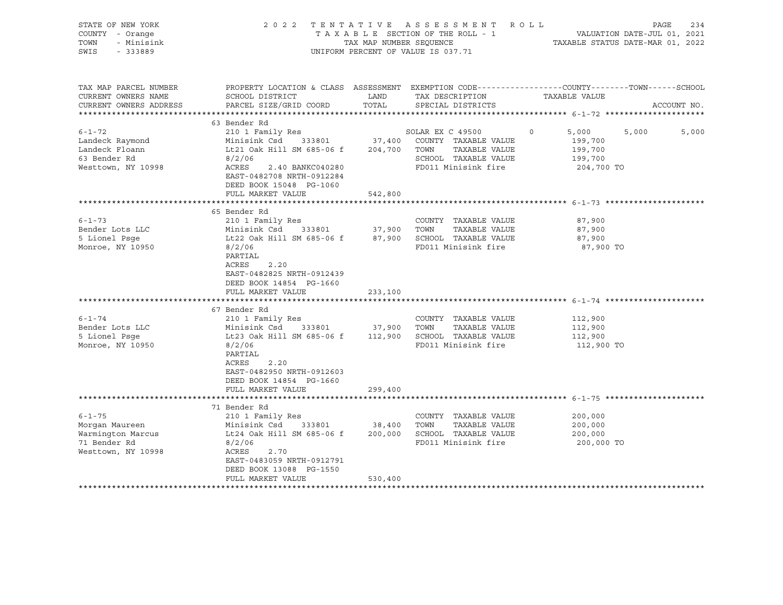| STATE OF NEW YORK<br>COUNTY - Orange<br>- Minisink<br>TOWN<br>SWIS<br>$-333889$                                                              |                                                                                                                                                                                                                                                                                                                                                    |                        | 2022 TENTATIVE ASSESSMENT ROLL<br>UNIFORM PERCENT OF VALUE IS 037.71                                                                                        | PAGE<br>234<br>T A X A B L E SECTION OF THE ROLL - 1 VALUATION DATE-JUL 01, 2021<br>TAX MAP NUMBER SEQUENCE TAXIBLE STATUS DATE-MAR 01, 2022 |
|----------------------------------------------------------------------------------------------------------------------------------------------|----------------------------------------------------------------------------------------------------------------------------------------------------------------------------------------------------------------------------------------------------------------------------------------------------------------------------------------------------|------------------------|-------------------------------------------------------------------------------------------------------------------------------------------------------------|----------------------------------------------------------------------------------------------------------------------------------------------|
| TAX MAP PARCEL NUMBER<br>CURRENT OWNERS NAME<br>CURRENT OWNERS ADDRESS                                                                       | <b>EXAMPLE DESCRIPTION OF STREET AND STREET AND STREET AND STREET AND STREET AND STREET AND STREET AND STREET AND</b><br>SCHOOL DISTRICT<br>PARCEL SIZE/GRID COORD                                                                                                                                                                                 | TOTAL                  | TAX DESCRIPTION<br>SPECIAL DISTRICTS                                                                                                                        | PROPERTY LOCATION & CLASS ASSESSMENT EXEMPTION CODE----------------COUNTY-------TOWN------SCHOOL<br>TAXABLE VALUE<br>ACCOUNT NO.             |
|                                                                                                                                              |                                                                                                                                                                                                                                                                                                                                                    |                        |                                                                                                                                                             |                                                                                                                                              |
| $6 - 1 - 72$<br>Landeck Raymond<br>Landeck Floann<br>63 Bender Rd<br>Westtown, NY 10998                                                      | 63 Bender Rd<br>210 1 Family Res<br>Minisink Csd 333801 37,400 COUNTY TAXABLE VALUE<br>Lt21 Oak Hill SM 685-06 f<br>8/2/06<br>ACRES<br>2.40 BANKC040280<br>EAST-0482708 NRTH-0912284<br>DEED BOOK 15048 PG-1060                                                                                                                                    |                        | SOLAR EX C 49500<br>204,700 TOWN TAXABLE VALUE<br>SCHOOL TAXABLE VALUE<br>FD011 Minisink fire                                                               | $\circ$<br>5,000<br>5,000<br>5,000<br>199,700<br>199,700<br>199,700<br>204,700 TO                                                            |
|                                                                                                                                              | FULL MARKET VALUE                                                                                                                                                                                                                                                                                                                                  | 542,800                |                                                                                                                                                             |                                                                                                                                              |
| $6 - 1 - 73$<br>Bender Lots LLC<br>5 Lionel Psqe<br>Monroe, NY 10950<br>$6 - 1 - 74$<br>Bender Lots LLC<br>5 Lionel Psqe<br>Monroe, NY 10950 | 65 Bender Rd<br>210 1 Family Res<br>Minisink Csd 333801 37,900 TOWN<br>Lt22 Oak Hill SM 685-06 f<br>8/2/06<br>PARTIAL<br>ACRES<br>2.20<br>EAST-0482825 NRTH-0912439<br>DEED BOOK 14854 PG-1660<br>FULL MARKET VALUE<br>67 Bender Rd<br>210 1 Family Res<br>Minisink Csd 333801<br>Lt23 Oak Hill SM 685-06 f 112,900 SCHOOL TAXABLE VALUE<br>8/2/06 | 233,100<br>37,900 TOWN | COUNTY TAXABLE VALUE<br>TAXABLE VALUE<br>87,900 SCHOOL TAXABLE VALUE<br>FD011 Minisink fire<br>COUNTY TAXABLE VALUE<br>TAXABLE VALUE<br>FD011 Minisink fire | 87,900<br>87,900<br>87,900<br>87,900 TO<br>112,900<br>112,900<br>112,900<br>112,900 TO                                                       |
| $6 - 1 - 75$<br>Morgan Maureen<br>Warmington Marcus<br>71 Bender Rd<br>Westtown, NY 10998                                                    | PARTIAL<br>ACRES<br>2.20<br>EAST-0482950 NRTH-0912603<br>DEED BOOK 14854 PG-1660<br>FULL MARKET VALUE<br>71 Bender Rd<br>210 1 Family Res<br>333801 38,400 TOWN<br>Minisink Csd<br>Lt24 Oak Hill SM 685-06 f 200,000 SCHOOL TAXABLE VALUE<br>8/2/06<br>2.70<br>ACRES<br>EAST-0483059 NRTH-0912791<br>DEED BOOK 13088 PG-1550                       | 299,400                | COUNTY TAXABLE VALUE<br>TAXABLE VALUE<br>FD011 Minisink fire                                                                                                | 200,000<br>200,000<br>200,000<br>200,000 TO                                                                                                  |
|                                                                                                                                              | FULL MARKET VALUE                                                                                                                                                                                                                                                                                                                                  | 530,400                |                                                                                                                                                             |                                                                                                                                              |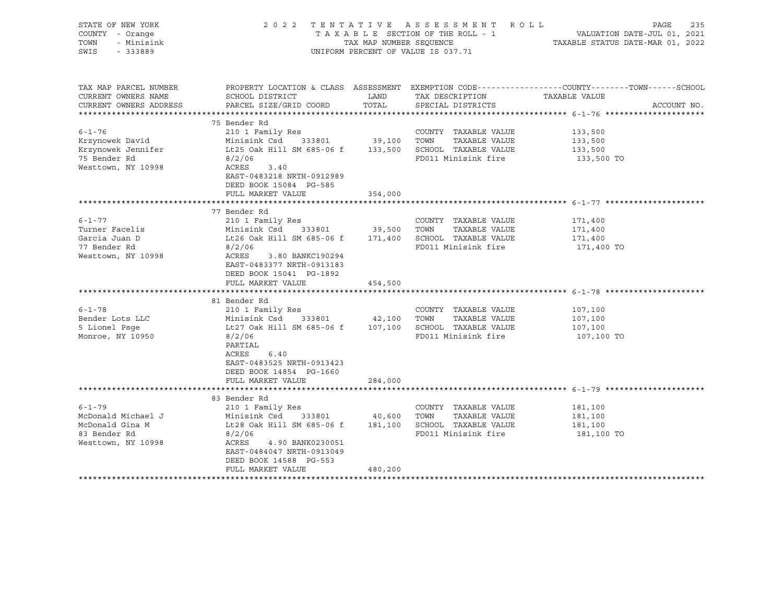| STATE OF NEW YORK<br>COUNTY - Orange<br>TOWN<br>- Minisink<br>SWIS<br>$-333889$             |                                                                                                                                                                                                                                                                                                |               | 2022 TENTATIVE ASSESSMENT ROLL<br>UNIFORM PERCENT OF VALUE IS 037.71 | PAGE<br>235<br>TAXABLE SECTION OF THE ROLL - 1<br>TAXABLE SECTION OF THE ROLL - 1<br>TAXABLE STATUS DATE-MAR 01, 2022            |
|---------------------------------------------------------------------------------------------|------------------------------------------------------------------------------------------------------------------------------------------------------------------------------------------------------------------------------------------------------------------------------------------------|---------------|----------------------------------------------------------------------|----------------------------------------------------------------------------------------------------------------------------------|
| TAX MAP PARCEL NUMBER<br>CURRENT OWNERS NAME<br>CURRENT OWNERS ADDRESS                      | SCHOOL DISTRICT<br>PARCEL SIZE/GRID COORD                                                                                                                                                                                                                                                      | LAND<br>TOTAL | TAX DESCRIPTION<br>SPECIAL DISTRICTS                                 | PROPERTY LOCATION & CLASS ASSESSMENT EXEMPTION CODE----------------COUNTY-------TOWN------SCHOOL<br>TAXABLE VALUE<br>ACCOUNT NO. |
| $6 - 1 - 76$<br>Krzynowek David<br>Krzynowek Jennifer<br>75 Bender Rd<br>Westtown, NY 10998 | 75 Bender Rd<br>Lt25 Oak Hill SM 685-06 f 133,500 SCHOOL TAXABLE VALUE<br>8/2/06<br>3.40<br>ACRES<br>EAST-0483218 NRTH-0912989<br>DEED BOOK 15084 PG-585                                                                                                                                       |               | COUNTY TAXABLE VALUE<br>TAXABLE VALUE<br>FD011 Minisink fire         | 133,500<br>133,500<br>133,500<br>133,500 TO                                                                                      |
|                                                                                             | FULL MARKET VALUE                                                                                                                                                                                                                                                                              | 354,000       |                                                                      |                                                                                                                                  |
|                                                                                             | 77 Bender Rd                                                                                                                                                                                                                                                                                   |               |                                                                      |                                                                                                                                  |
| $6 - 1 - 77$<br>Turner Facelis<br>Garcia Juan D<br>77 Bender Rd<br>Westtown, NY 10998       | 210 1 Family Res<br>Minisink Csd 333801 39,500 TOWN TAXABLE VALUE<br>Lt26 Oak Hill SM 685-06 f 171,400 SCHOOL TAXABLE VALUE<br>8/2/06<br>ACRES<br>3.80 BANKC190294<br>EAST-0483377 NRTH-0913183<br>DEED BOOK 15041 PG-1892<br>FULL MARKET VALUE                                                | 454,500       | COUNTY TAXABLE VALUE<br>FD011 Minisink fire                          | 171,400<br>171,400<br>171,400<br>171,400 TO                                                                                      |
|                                                                                             |                                                                                                                                                                                                                                                                                                |               |                                                                      |                                                                                                                                  |
| $6 - 1 - 78$<br>Bender Lots LLC<br>5 Lionel Psge<br>Monroe, NY 10950                        | 81 Bender Rd<br>210 1 Family Res<br>333801 42,100 TOWN<br>Minisink Csd<br>Lt27 Oak Hill SM 685-06 f 107,100 SCHOOL TAXABLE VALUE<br>8/2/06<br>PARTIAL<br>6.40<br>ACRES<br>EAST-0483525 NRTH-0913423                                                                                            |               | COUNTY TAXABLE VALUE<br>TAXABLE VALUE<br>FD011 Minisink fire         | 107,100<br>107,100<br>107,100<br>107,100 TO                                                                                      |
|                                                                                             | DEED BOOK 14854 PG-1660<br>FULL MARKET VALUE                                                                                                                                                                                                                                                   | 284,000       |                                                                      |                                                                                                                                  |
|                                                                                             |                                                                                                                                                                                                                                                                                                |               |                                                                      |                                                                                                                                  |
| $6 - 1 - 79$<br>McDonald Michael J<br>McDonald Gina M<br>83 Bender Rd<br>Westtown, NY 10998 | 83 Bender Rd<br>210 1 Family Res<br>Minisink Csd      333801            40,600    TOWN     TAXABLE VALUE<br>Lt28 Oak Hill SM 685-06 f      181,100    SCHOOL  TAXABLE VALUE<br>8/2/06<br>ACRES<br>4.90 BANK0230051<br>EAST-0484047 NRTH-0913049<br>DEED BOOK 14588 PG-553<br>FULL MARKET VALUE | 480,200       | COUNTY TAXABLE VALUE<br>FD011 Minisink fire                          | 181,100<br>181,100<br>181,100<br>181,100 TO                                                                                      |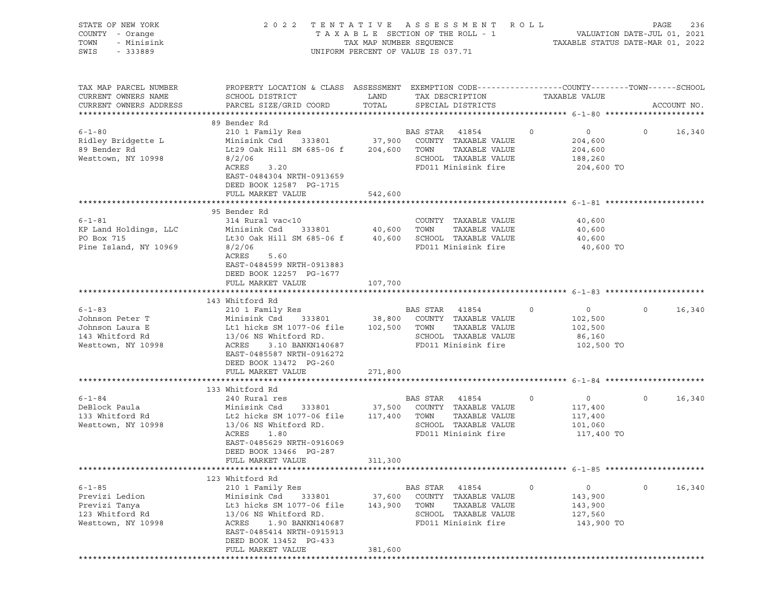| STATE OF NEW YORK<br>COUNTY - Orange<br>TOWN<br>- Minisink<br>SWIS - 333889                 | 2022 TENTATIVE ASSESSMENT ROLL<br>UNIFORM PERCENT OF VALUE IS 037.71                                                                                                                                                                                                                                                                                                | PAGE<br>236<br>T A X A B L E SECTION OF THE ROLL - 1 VALUATION DATE-JUL 01, 2021<br>TAX MAP NUMBER SEQUENCE TAXABLE STATUS DATE-MAR 01, 2022 |                                                                                                        |                                                                                 |                          |
|---------------------------------------------------------------------------------------------|---------------------------------------------------------------------------------------------------------------------------------------------------------------------------------------------------------------------------------------------------------------------------------------------------------------------------------------------------------------------|----------------------------------------------------------------------------------------------------------------------------------------------|--------------------------------------------------------------------------------------------------------|---------------------------------------------------------------------------------|--------------------------|
| TAX MAP PARCEL NUMBER<br>CURRENT OWNERS NAME<br>CURRENT OWNERS ADDRESS                      | PROPERTY LOCATION & CLASS ASSESSMENT EXEMPTION CODE----------------COUNTY-------TOWN------SCHOOL<br>SCHOOL DISTRICT<br>PARCEL SIZE/GRID COORD                                                                                                                                                                                                                       | LAND<br>TOTAL                                                                                                                                | TAX DESCRIPTION<br>SPECIAL DISTRICTS                                                                   | TAXABLE VALUE                                                                   | ACCOUNT NO.              |
|                                                                                             | 89 Bender Rd                                                                                                                                                                                                                                                                                                                                                        |                                                                                                                                              |                                                                                                        |                                                                                 |                          |
| $6 - 1 - 80$<br>Ridley Bridgette L<br>89 Bender Rd<br>Westtown, NY 10998                    | 210 1 Family Res<br>210 1 Family Res<br>Minisink Csd 333801 37,900 COUNTY TAXABLE VALUE<br>204,600 Lt29 Oak Hill SM 685-06 f 204,600 TOWN TAXABLE VALUE<br>204,600 TOWN TAXABLE VALUE<br>204,600 TOWN TAXABLE VALUE<br>204,600 TOWN TAXABL<br>8/2/06<br>ACRES<br>3.20<br>EAST-0484304 NRTH-0913659<br>DEED BOOK 12587 PG-1715                                       |                                                                                                                                              | SCHOOL TAXABLE VALUE<br>FD011 Minisink fire                                                            | 188,260<br>204,600 TO                                                           | $\overline{0}$<br>16,340 |
|                                                                                             | FULL MARKET VALUE                                                                                                                                                                                                                                                                                                                                                   | 542,600                                                                                                                                      |                                                                                                        |                                                                                 |                          |
| Pine Island, NY 10969                                                                       | 95 Bender Rd<br>8/2/06<br>ACRES<br>5.60<br>EAST-0484599 NRTH-0913883<br>DEED BOOK 12257 PG-1677                                                                                                                                                                                                                                                                     |                                                                                                                                              | TAXABLE VALUE<br>FD011 Minisink fire                                                                   | 40,600<br>40,600<br>40,600<br>40,600 TO                                         |                          |
|                                                                                             | FULL MARKET VALUE                                                                                                                                                                                                                                                                                                                                                   | 107,700                                                                                                                                      |                                                                                                        |                                                                                 |                          |
|                                                                                             |                                                                                                                                                                                                                                                                                                                                                                     |                                                                                                                                              |                                                                                                        |                                                                                 |                          |
| $6 - 1 - 83$<br>Johnson Peter T<br>Johnson Laura E<br>143 Whitford Rd<br>Westtown, NY 10998 | 143 Whitford Rd<br>Minisink Csd 333801 38,800 COUNTY TAXABLE VALUE 102,500<br>Lt1 hicks SM 1077-06 file 102,500 TOWN TAXABLE VALUE 102,500<br>13/06 NS Whitford RD.<br>ACEES - 3 10 BANKN140687<br>ACRES<br>3.10 BANKN140687<br>EAST-0485587 NRTH-0916272<br>DEED BOOK 13472 PG-260<br>FULL MARKET VALUE                                                            | 271,800                                                                                                                                      | SCHOOL TAXABLE VALUE<br>FD011 Minisink fire                                                            | $\overline{0}$<br>86,160<br>102,500 TO                                          | $0 \t 16,340$            |
|                                                                                             |                                                                                                                                                                                                                                                                                                                                                                     |                                                                                                                                              |                                                                                                        |                                                                                 |                          |
| $6 - 1 - 84$<br>Westtown, NY 10998                                                          | 133 Whitford Rd<br>240 Rural res<br>DeBlock Paula                            Minisink Csd     333801           37,500  COUNTY  TAXABLE VALUE<br>133 Whitford Rd                    Lt2 hicks SM 1077-06 file     117,400   TOWN    TAXABLE VALUE<br>13/06 NS Whitford RD.<br>ACRES 1.80<br>EAST-0485629 NRTH-0916069<br>DEED BOOK 13466 PG-287<br>FULL MARKET VALUE | 311,300                                                                                                                                      | BAS STAR 41854<br>SCHOOL TAXABLE VALUE<br>FD011 Minisink fire                                          | $\overline{0}$<br>$\overline{0}$<br>117,400<br>117,400<br>101,060<br>117,400 TO | $\overline{0}$<br>16,340 |
|                                                                                             |                                                                                                                                                                                                                                                                                                                                                                     |                                                                                                                                              |                                                                                                        |                                                                                 |                          |
| $6 - 1 - 85$<br>Previzi Ledion<br>Previzi Tanya<br>123 Whitford Rd<br>Westtown, NY 10998    | 123 Whitford Rd<br>210 1 Family Res<br>Minisink Csd<br>Lt3 hicks SM 1077-06 file<br>13/06 NS Whitford RD.<br>1.90 BANKN140687<br>ACRES<br>EAST-0485414 NRTH-0915913<br>DEED BOOK 13452 PG-433<br>FULL MARKET VALUE                                                                                                                                                  | 333801 37,600<br>143,900 TOWN<br>381,600                                                                                                     | BAS STAR 41854<br>COUNTY TAXABLE VALUE<br>TAXABLE VALUE<br>SCHOOL TAXABLE VALUE<br>FD011 Minisink fire | $\circ$<br>$\circ$<br>143,900<br>143,900<br>127,560<br>143,900 TO               | $\circ$<br>16,340        |
|                                                                                             |                                                                                                                                                                                                                                                                                                                                                                     |                                                                                                                                              |                                                                                                        |                                                                                 |                          |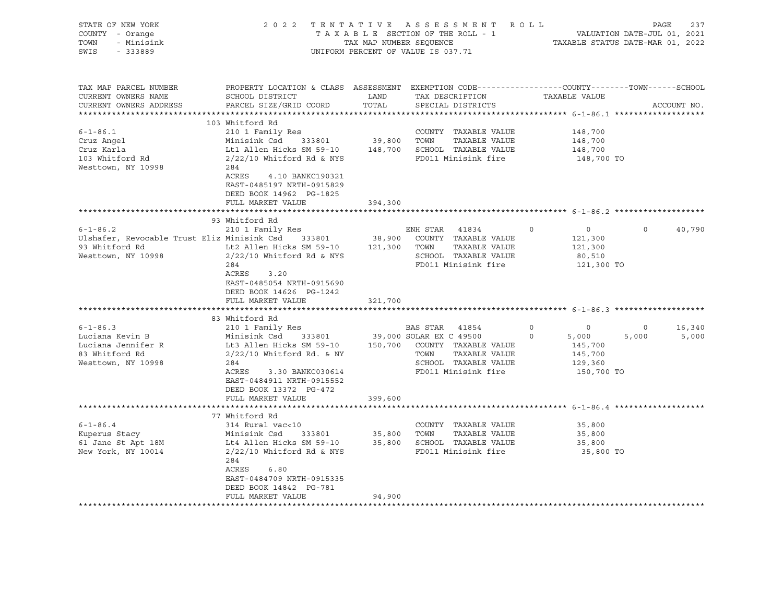| STATE OF NEW YORK<br>COUNTY - Orange<br>TOWN<br>- Minisink<br>SWIS<br>$-333889$                                                                                                                                 | 2022 TENTATIVE ASSESSMENT ROLL                                                                                                                                                                                                                                                                                                                                                                         | TAX MAP NUMBER SEQUENCE<br>UNIFORM PERCENT OF VALUE IS 037.71 |                                                          | TAXABLE SECTION OF THE ROLL - 1                                                                                                                                                      |                                | VALUATION DATE-JUL 01, 2021<br>TAXABLE STATUS DATE-MAR 01, 2022                                                                        | PAGE                         | 237                       |
|-----------------------------------------------------------------------------------------------------------------------------------------------------------------------------------------------------------------|--------------------------------------------------------------------------------------------------------------------------------------------------------------------------------------------------------------------------------------------------------------------------------------------------------------------------------------------------------------------------------------------------------|---------------------------------------------------------------|----------------------------------------------------------|--------------------------------------------------------------------------------------------------------------------------------------------------------------------------------------|--------------------------------|----------------------------------------------------------------------------------------------------------------------------------------|------------------------------|---------------------------|
| TAX MAP PARCEL NUMBER<br>CURRENT OWNERS NAME<br>CURRENT OWNERS ADDRESS                                                                                                                                          | PROPERTY LOCATION & CLASS ASSESSMENT EXEMPTION CODE----------------COUNTY-------TOWN------SCHOOL<br>SCHOOL DISTRICT<br>PARCEL SIZE/GRID COORD                                                                                                                                                                                                                                                          | LAND<br>TOTAL                                                 |                                                          | TAX DESCRIPTION<br>SPECIAL DISTRICTS                                                                                                                                                 |                                | TAXABLE VALUE                                                                                                                          |                              | ACCOUNT NO.               |
|                                                                                                                                                                                                                 |                                                                                                                                                                                                                                                                                                                                                                                                        |                                                               |                                                          |                                                                                                                                                                                      |                                |                                                                                                                                        |                              |                           |
| $6 - 1 - 86.1$<br>Cruz Angel<br>Cruz Karla<br>103 Whitford Rd<br>Westtown, NY 10998                                                                                                                             | 103 Whitford Rd<br>210 1 Family Res<br>Minisink Csd 333801<br>Lt1 Allen Hicks SM 59-10 $148,700$ SCHOOL TAXABLE VALUE<br>$2/22/10$ Whitford Rd & NYS<br>284<br>ACRES<br>4.10 BANKC190321<br>EAST-0485197 NRTH-0915829<br>DEED BOOK 14962 PG-1825                                                                                                                                                       |                                                               | 39,800 TOWN                                              | COUNTY TAXABLE VALUE<br>TAXABLE VALUE<br>FD011 Minisink fire                                                                                                                         |                                | 148,700<br>148,700<br>148,700<br>148,700 TO                                                                                            |                              |                           |
|                                                                                                                                                                                                                 | FULL MARKET VALUE                                                                                                                                                                                                                                                                                                                                                                                      | 394,300                                                       |                                                          |                                                                                                                                                                                      |                                |                                                                                                                                        |                              |                           |
|                                                                                                                                                                                                                 |                                                                                                                                                                                                                                                                                                                                                                                                        |                                                               |                                                          |                                                                                                                                                                                      |                                |                                                                                                                                        |                              |                           |
|                                                                                                                                                                                                                 | 93 Whitford Rd                                                                                                                                                                                                                                                                                                                                                                                         |                                                               |                                                          |                                                                                                                                                                                      |                                |                                                                                                                                        |                              |                           |
| $6 - 1 - 86.2$<br>Ulshafer, Revocable Trust Eliz Minisink Csd 333801<br>93 Whitford Rd<br>Westtown, NY 10998<br>$6 - 1 - 86.3$<br>Luciana Kevin B<br>Luciana Jennifer R<br>83 Whitford Rd<br>Westtown, NY 10998 | 210 1 Family Res<br>Lt2 Allen Hicks SM 59-10<br>$2/22/10$ Whitford Rd & NYS<br>284<br>ACRES<br>3.20<br>EAST-0485054 NRTH-0915690<br>DEED BOOK 14626 PG-1242<br>FULL MARKET VALUE<br>83 Whitford Rd<br>210 1 Family Res<br>Minisink Csd<br>333801<br>Lt3 Allen Hicks SM 59-10<br>$2/22/10$ Whitford Rd. & NY<br>284<br>ACRES<br>3.30 BANKC030614<br>EAST-0484911 NRTH-0915552<br>DEED BOOK 13372 PG-472 | 38,900<br>321,700<br>39,000 SOLAR EX C 49500                  | ENH STAR 41834<br>121,300 TOWN<br>BAS STAR 41854<br>TOWN | COUNTY TAXABLE VALUE<br>TAXABLE VALUE<br>SCHOOL TAXABLE VALUE<br>FD011 Minisink fire<br>150,700 COUNTY TAXABLE VALUE<br>TAXABLE VALUE<br>SCHOOL TAXABLE VALUE<br>FD011 Minisink fire | $\circ$<br>$\circ$<br>$\Omega$ | $\overline{0}$<br>121,300<br>121,300<br>80,510<br>121,300 TO<br>$\overline{0}$<br>5,000<br>145,700<br>145,700<br>129,360<br>150,700 TO | $\Omega$<br>$\circ$<br>5,000 | 40,790<br>16,340<br>5,000 |
|                                                                                                                                                                                                                 | FULL MARKET VALUE                                                                                                                                                                                                                                                                                                                                                                                      | 399,600                                                       |                                                          |                                                                                                                                                                                      |                                |                                                                                                                                        |                              |                           |
|                                                                                                                                                                                                                 |                                                                                                                                                                                                                                                                                                                                                                                                        |                                                               |                                                          |                                                                                                                                                                                      |                                |                                                                                                                                        |                              |                           |
| $6 - 1 - 86.4$<br>Kuperus Stacy<br>61 Jane St Apt 18M<br>New York, NY 10014                                                                                                                                     | 77 Whitford Rd<br>314 Rural vac<10<br>Minisink Csd<br>333801<br>Lt4 Allen Hicks SM 59-10<br>$2/22/10$ Whitford Rd & NYS                                                                                                                                                                                                                                                                                | 35,800                                                        | TOWN                                                     | COUNTY TAXABLE VALUE<br>TAXABLE VALUE<br>35,800 SCHOOL TAXABLE VALUE<br>FD011 Minisink fire                                                                                          |                                | 35,800<br>35,800<br>35,800<br>35,800 TO                                                                                                |                              |                           |
|                                                                                                                                                                                                                 | 284<br>ACRES<br>6.80<br>EAST-0484709 NRTH-0915335<br>DEED BOOK 14842 PG-781<br>FULL MARKET VALUE                                                                                                                                                                                                                                                                                                       | 94,900                                                        |                                                          |                                                                                                                                                                                      |                                |                                                                                                                                        |                              |                           |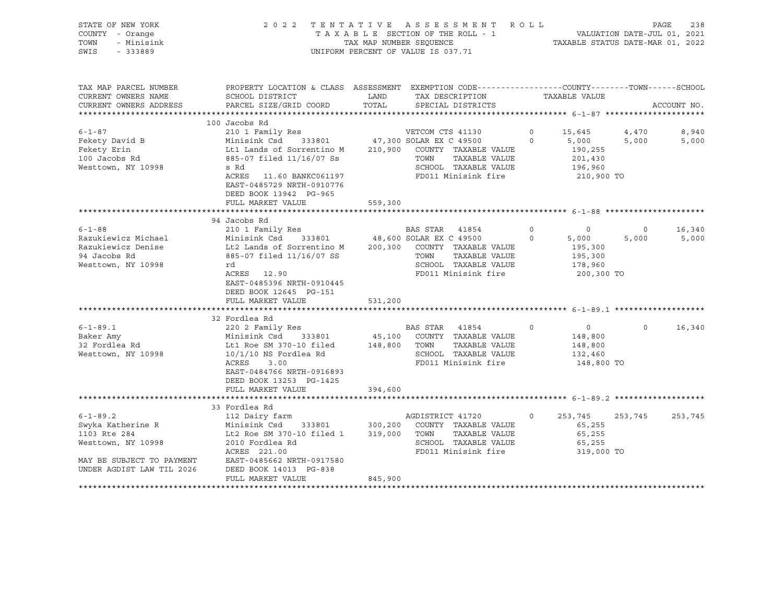| STATE OF NEW YORK<br>COUNTY - Orange<br>- Minisink<br>TOWN<br>SWIS<br>$-333889$                                                     | TENTATIVE ASSESSMENT<br>R O L L<br>2 0 2 2<br>TAXABLE SECTION OF THE ROLL - 1<br>TAX MAP NUMBER SEQUENCE<br>UNIFORM PERCENT OF VALUE IS 037.71                                             |                    |                                                                                                                                             |                     |                                                                | VALUATION DATE-JUL 01, 2021<br>TAXABLE STATUS DATE-MAR 01, 2022 | 238<br>PAGE    |
|-------------------------------------------------------------------------------------------------------------------------------------|--------------------------------------------------------------------------------------------------------------------------------------------------------------------------------------------|--------------------|---------------------------------------------------------------------------------------------------------------------------------------------|---------------------|----------------------------------------------------------------|-----------------------------------------------------------------|----------------|
| TAX MAP PARCEL NUMBER<br>CURRENT OWNERS NAME<br>CURRENT OWNERS ADDRESS                                                              | PROPERTY LOCATION & CLASS ASSESSMENT EXEMPTION CODE----------------COUNTY-------TOWN------SCHOOL<br>SCHOOL DISTRICT<br>PARCEL SIZE/GRID COORD                                              | LAND<br>TOTAL      | TAX DESCRIPTION<br>SPECIAL DISTRICTS                                                                                                        |                     | TAXABLE VALUE                                                  |                                                                 | ACCOUNT NO.    |
|                                                                                                                                     |                                                                                                                                                                                            |                    |                                                                                                                                             |                     |                                                                |                                                                 |                |
|                                                                                                                                     | 100 Jacobs Rd                                                                                                                                                                              |                    |                                                                                                                                             |                     |                                                                |                                                                 |                |
| $6 - 1 - 87$<br>Fekety David B<br>Fekety Erin<br>100 Jacobs Rd<br>Westtown, NY 10998                                                | 210 1 Family Res<br>Minisink Csd<br>333801<br>Lt1 Lands of Sorrentino M<br>885-07 filed 11/16/07 Ss<br>s Rd<br>ACRES<br>11.60 BANKC061197<br>EAST-0485729 NRTH-0910776                     | 210,900            | VETCOM CTS 41130<br>47,300 SOLAR EX C 49500<br>COUNTY TAXABLE VALUE<br>TOWN<br>TAXABLE VALUE<br>SCHOOL TAXABLE VALUE<br>FD011 Minisink fire | $\circ$<br>$\Omega$ | 15,645<br>5,000<br>190,255<br>201,430<br>196,960<br>210,900 TO | 4,470<br>5,000                                                  | 8,940<br>5,000 |
|                                                                                                                                     | DEED BOOK 13942 PG-965<br>FULL MARKET VALUE                                                                                                                                                | 559,300            |                                                                                                                                             |                     |                                                                |                                                                 |                |
|                                                                                                                                     |                                                                                                                                                                                            |                    |                                                                                                                                             |                     |                                                                |                                                                 |                |
| $6 - 1 - 88$                                                                                                                        | 94 Jacobs Rd<br>210 1 Family Res                                                                                                                                                           |                    | BAS STAR 41854                                                                                                                              | $\circ$             | $\circ$                                                        | $\circ$                                                         | 16,340         |
| Razukiewicz Michael<br>Razukiewicz Denise<br>94 Jacobs Rd<br>Westtown, NY 10998                                                     | Minisink Csd<br>333801<br>Lt2 Lands of Sorrentino M<br>885-07 filed 11/16/07 SS<br>rd<br>ACRES 12.90<br>EAST-0485396 NRTH-0910445<br>DEED BOOK 12645 PG-151                                | 200,300            | 48,600 SOLAR EX C 49500<br>COUNTY TAXABLE VALUE<br>TOWN<br>TAXABLE VALUE<br>SCHOOL TAXABLE VALUE<br>FD011 Minisink fire                     | $\circ$             | 5,000<br>195,300<br>195,300<br>178,960<br>200,300 TO           | 5,000                                                           | 5,000          |
|                                                                                                                                     | FULL MARKET VALUE                                                                                                                                                                          | 531,200            |                                                                                                                                             |                     |                                                                |                                                                 |                |
|                                                                                                                                     |                                                                                                                                                                                            |                    |                                                                                                                                             |                     |                                                                |                                                                 |                |
| $6 - 1 - 89.1$<br>Baker Amy<br>32 Fordlea Rd<br>Westtown, NY 10998                                                                  | 32 Fordlea Rd<br>220 2 Family Res<br>Minisink Csd<br>333801<br>Lt1 Roe SM 370-10 filed<br>$10/1/10$ NS Fordlea Rd<br>ACRES<br>3.00<br>EAST-0484766 NRTH-0916893<br>DEED BOOK 13253 PG-1425 | 45,100             | BAS STAR 41854<br>COUNTY TAXABLE VALUE<br>TAXABLE VALUE<br>148,800 TOWN<br>SCHOOL TAXABLE VALUE<br>FD011 Minisink fire                      | $\circ$             | $\circ$<br>148,800<br>148,800<br>132,460<br>148,800 TO         | $\circ$                                                         | 16,340         |
|                                                                                                                                     | FULL MARKET VALUE                                                                                                                                                                          | 394,600            |                                                                                                                                             |                     |                                                                |                                                                 |                |
|                                                                                                                                     | 33 Fordlea Rd                                                                                                                                                                              |                    |                                                                                                                                             |                     |                                                                |                                                                 |                |
| $6 - 1 - 89.2$<br>Swyka Katherine R<br>1103 Rte 284<br>Westtown, NY 10998<br>MAY BE SUBJECT TO PAYMENT<br>UNDER AGDIST LAW TIL 2026 | 112 Dairy farm<br>Minisink Csd<br>333801<br>Lt2 Roe SM 370-10 filed 1<br>2010 Fordlea Rd<br>ACRES 221.00<br>EAST-0485662 NRTH-0917580<br>DEED BOOK 14013 PG-838                            | 300,200<br>319,000 | AGDISTRICT 41720<br>COUNTY TAXABLE VALUE<br>TOWN<br>TAXABLE VALUE<br>SCHOOL TAXABLE VALUE<br>FD011 Minisink fire                            | $\circ$             | 253,745<br>65,255<br>65,255<br>65,255<br>319,000 TO            | 253,745                                                         | 253,745        |
|                                                                                                                                     | FULL MARKET VALUE                                                                                                                                                                          | 845,900            |                                                                                                                                             |                     |                                                                |                                                                 |                |

\*\*\*\*\*\*\*\*\*\*\*\*\*\*\*\*\*\*\*\*\*\*\*\*\*\*\*\*\*\*\*\*\*\*\*\*\*\*\*\*\*\*\*\*\*\*\*\*\*\*\*\*\*\*\*\*\*\*\*\*\*\*\*\*\*\*\*\*\*\*\*\*\*\*\*\*\*\*\*\*\*\*\*\*\*\*\*\*\*\*\*\*\*\*\*\*\*\*\*\*\*\*\*\*\*\*\*\*\*\*\*\*\*\*\*\*\*\*\*\*\*\*\*\*\*\*\*\*\*\*\*\*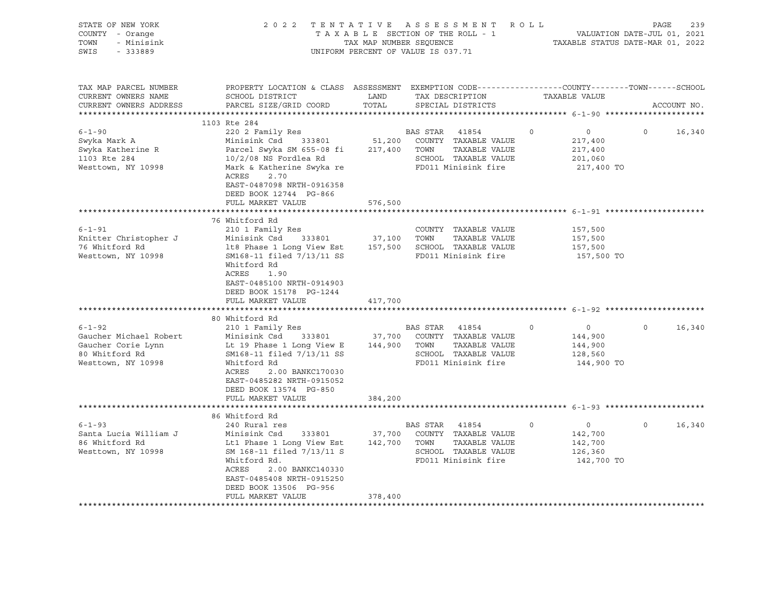| STATE OF NEW YORK<br>COUNTY - Orange<br>- Minisink<br>TOWN<br>SWIS - 333889                                                                                                           |                                                                                                                                                                                                                                                                                                                                                                                                                                                                                                                                                                             |         | 2022 TENTATIVE ASSESSMENT ROLL<br>TAXABLE SECTION OF THE ROLL - 1<br>TAX MAP NUMBER SEQUENCE<br>UNIFORM PERCENT OF VALUE IS 037.71 | $\begin{tabular}{ccccc} - & - & - & - & - \\ 1 & 1 & 2021 & \\ & & & \end{tabular}$<br>TAXABLE STATUS DATE-MAR 01, 2022 | 239<br>PAGE       |
|---------------------------------------------------------------------------------------------------------------------------------------------------------------------------------------|-----------------------------------------------------------------------------------------------------------------------------------------------------------------------------------------------------------------------------------------------------------------------------------------------------------------------------------------------------------------------------------------------------------------------------------------------------------------------------------------------------------------------------------------------------------------------------|---------|------------------------------------------------------------------------------------------------------------------------------------|-------------------------------------------------------------------------------------------------------------------------|-------------------|
| TAX MAP PARCEL NUMBER<br>CURRENT OWNERS NAME<br>CURRENT OWNERS ADDRESS                                                                                                                | PROPERTY LOCATION & CLASS ASSESSMENT EXEMPTION CODE----------------COUNTY-------TOWN-----SCHOOL<br>SCHOOL DISTRICT<br>PARCEL SIZE/GRID COORD                                                                                                                                                                                                                                                                                                                                                                                                                                | TOTAL   | LAND TAX DESCRIPTION TAXABLE VALUE<br>SPECIAL DISTRICTS                                                                            |                                                                                                                         | ACCOUNT NO.       |
|                                                                                                                                                                                       |                                                                                                                                                                                                                                                                                                                                                                                                                                                                                                                                                                             |         |                                                                                                                                    |                                                                                                                         |                   |
| $6 - 1 - 90$<br>Swyka Mark A<br>Swyka Katherine R<br>1103 Rte 284<br>Westtown, NY 10998                                                                                               | 1103 Rte 284<br>220 2 Family Res<br>Minisink Csd<br>Parcel Swyka SM 655-08 fi 217,400 TOWN TAXABLE VALUE<br>10/2/08 NS Fordlea Rd<br>Mark & Katherine Swyka re<br>ACRES<br>2.70<br>EAST-0487098 NRTH-0916358<br>DEED BOOK 12744 PG-866                                                                                                                                                                                                                                                                                                                                      |         | BAS STAR 41854<br>333801 51,200 COUNTY TAXABLE VALUE<br>SCHOOL TAXABLE VALUE<br>FD011 Minisink fire                                | $\circ$<br>$\overline{0}$<br>217,400<br>217,400<br>201,060<br>217,400 TO                                                | $\circ$<br>16,340 |
|                                                                                                                                                                                       | FULL MARKET VALUE                                                                                                                                                                                                                                                                                                                                                                                                                                                                                                                                                           | 576,500 |                                                                                                                                    |                                                                                                                         |                   |
| $6 - 1 - 91$<br>Knitter Christopher J<br>76 Whitford Rd<br>Westtown, NY 10998<br>$6 - 1 - 92$<br>Gaucher Michael Robert<br>Gaucher Corie Lynn<br>80 Whitford Rd<br>Westtown, NY 10998 | 76 Whitford Rd<br>210 1 Family Res<br>Minisink Csd 333801 37,100 TOWN<br>1t8 Phase 1 Long View Est 157,500 SCHOOL TAXABLE VALUE<br>SM168-11 filed 7/13/11 SS FD011 Minisink fire<br>Whitford Rd<br>ACRES 1.90<br>EAST-0485100 NRTH-0914903<br>DEED BOOK 15178 PG-1244<br>FULL MARKET VALUE<br>80 Whitford Rd<br>210 1 Family Res<br>Minisink Csd 333801 37,700 COUNTY TAXABLE VALUE<br>Lt 19 Phase 1 Long View E 144,900 TOWN TAXABLE VALUE<br>SM168-11 filed 7/13/11 SS<br>Whitford Rd<br>ACRES<br>2.00 BANKC170030<br>EAST-0485282 NRTH-0915052<br>DEED BOOK 13574 PG-850 | 417,700 | COUNTY TAXABLE VALUE<br>TAXABLE VALUE<br><b>BAS STAR</b> 41854<br>SCHOOL TAXABLE VALUE<br>FD011 Minisink fire                      | 157,500<br>157,500<br>157,500<br>157,500 TO<br>$\overline{0}$<br>$\circ$<br>144,900<br>144,900<br>128,560<br>144,900 TO | $\circ$<br>16,340 |
|                                                                                                                                                                                       | FULL MARKET VALUE                                                                                                                                                                                                                                                                                                                                                                                                                                                                                                                                                           | 384,200 |                                                                                                                                    |                                                                                                                         |                   |
|                                                                                                                                                                                       | 86 Whitford Rd                                                                                                                                                                                                                                                                                                                                                                                                                                                                                                                                                              |         |                                                                                                                                    |                                                                                                                         |                   |
| $6 - 1 - 93$<br>Santa Lucia William J<br>86 Whitford Rd<br>Westtown, NY 10998                                                                                                         | 240 Rural res<br>Minisink Csd 333801 37,700 COUNTY TAXABLE VALUE<br>Lt1 Phase 1 Long View Est 142,700 TOWN TAXABLE VALUE<br>SM 168-11 filed 7/13/11 S<br>Whitford Rd.<br>ACRES<br>2.00 BANKC140330<br>EAST-0485408 NRTH-0915250<br>DEED BOOK 13506 PG-956<br>FULL MARKET VALUE                                                                                                                                                                                                                                                                                              | 378,400 | BAS STAR 41854<br>SCHOOL TAXABLE VALUE<br>FD011 Minisink fire                                                                      | $\circ$<br>$\overline{0}$<br>142,700<br>142,700<br>126,360<br>142,700 TO                                                | $\circ$<br>16,340 |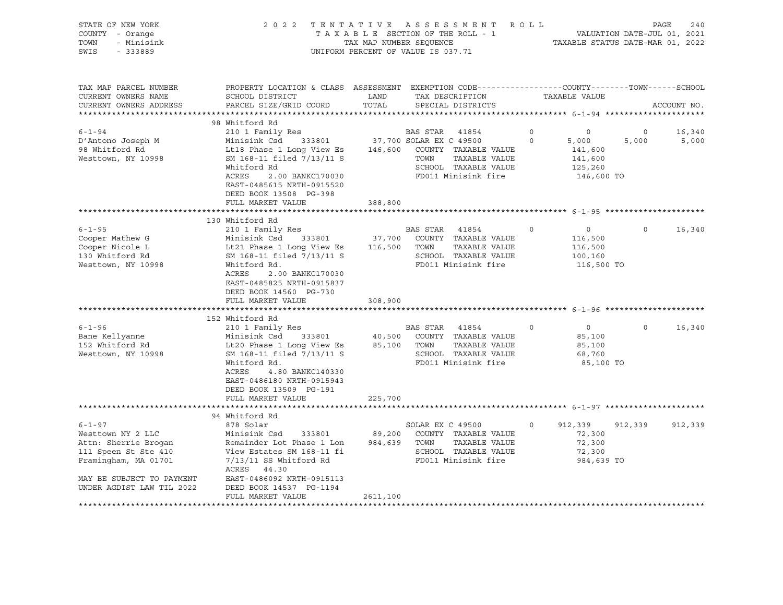| STATE OF NEW YORK<br>COUNTY - Orange<br>- Minisink<br>TOWN<br>SWIS<br>$-333889$                                                                                                                 |                                                                                                                                                                                                                                                                                                                                                                                                                                                                                                                                                                                    | TAX MAP NUMBER SEQUENCE | 2022 TENTATIVE ASSESSMENT ROLL<br>TAXABLE SECTION OF THE ROLL - 1<br>UNIFORM PERCENT OF VALUE IS 037.71                                         |                              | VALUATION DATE-JUL 01, 2021<br>TAXABLE STATUS DATE-MAR 01, 2022                                                               | PAGE                    | 240              |
|-------------------------------------------------------------------------------------------------------------------------------------------------------------------------------------------------|------------------------------------------------------------------------------------------------------------------------------------------------------------------------------------------------------------------------------------------------------------------------------------------------------------------------------------------------------------------------------------------------------------------------------------------------------------------------------------------------------------------------------------------------------------------------------------|-------------------------|-------------------------------------------------------------------------------------------------------------------------------------------------|------------------------------|-------------------------------------------------------------------------------------------------------------------------------|-------------------------|------------------|
| TAX MAP PARCEL NUMBER<br>CURRENT OWNERS NAME<br>CURRENT OWNERS ADDRESS                                                                                                                          | PROPERTY LOCATION & CLASS ASSESSMENT EXEMPTION CODE----------------COUNTY-------TOWN-----SCHOOL<br>SCHOOL DISTRICT<br>PARCEL SIZE/GRID COORD                                                                                                                                                                                                                                                                                                                                                                                                                                       | LAND<br>TOTAL           | TAX DESCRIPTION<br>SPECIAL DISTRICTS                                                                                                            |                              | TAXABLE VALUE                                                                                                                 |                         | ACCOUNT NO.      |
|                                                                                                                                                                                                 | 98 Whitford Rd                                                                                                                                                                                                                                                                                                                                                                                                                                                                                                                                                                     |                         |                                                                                                                                                 |                              |                                                                                                                               |                         |                  |
| $6 - 1 - 94$<br>D'Antono Joseph M<br>98 Whitford Rd<br>Westtown, NY 10998                                                                                                                       | 210 1 Family Res<br>Minisink Csd 333801 37,700 SOLAR EX C 49500<br>Lt18 Phase 1 Long View Es<br>SM 168-11 filed 7/13/11 S<br>Whitford Rd                                                                                                                                                                                                                                                                                                                                                                                                                                           |                         | BAS STAR 41854<br>146,600 COUNTY TAXABLE VALUE<br>TOWN<br>TAXABLE VALUE<br>SCHOOL TAXABLE VALUE                                                 | $0 \qquad \qquad$<br>$\circ$ | $\overline{0}$<br>5,000<br>141,600<br>141,600<br>125,260                                                                      | $\overline{0}$<br>5,000 | 16,340<br>5,000  |
|                                                                                                                                                                                                 | 2.00 BANKC170030<br>ACRES<br>EAST-0485615 NRTH-0915520<br>DEED BOOK 13508 PG-398<br>FULL MARKET VALUE                                                                                                                                                                                                                                                                                                                                                                                                                                                                              | 388,800                 | FD011 Minisink fire                                                                                                                             |                              | 146,600 TO                                                                                                                    |                         |                  |
|                                                                                                                                                                                                 |                                                                                                                                                                                                                                                                                                                                                                                                                                                                                                                                                                                    |                         |                                                                                                                                                 |                              |                                                                                                                               |                         |                  |
| $6 - 1 - 95$<br>Cooper Mathew G<br>Cooper Nicole L<br>130 Whitford Rd<br>Westtown, NY 10998<br>$6 - 1 - 96$<br>Bane Kellyanne<br>152 Whitford Rd<br>Westtown, NY 10998                          | 130 Whitford Rd<br>210 1 Family Res<br>Minisink Csd 333801 37,700 COUNTY TAXABLE VALUE<br>SM 168-11 filed 7/13/11 S<br>Whitford Rd.<br>ACRES<br>2.00 BANKC170030<br>EAST-0485825 NRTH-0915837<br>DEED BOOK 14560 PG-730<br>FULL MARKET VALUE<br>152 Whitford Rd<br>210 1 Family Res<br>Minisink Csd 333801 40,500 COUNTY TAXABLE VALUE<br>Lt20 Phase 1 Long View Es 85,100 TOWN TAXABLE VALUE<br>Minisink Csd 333801<br>Lt20 Phase 1 Long View Es<br>SM 168-11 filed 7/13/11 S<br>Whitford Rd.<br>4.80 BANKC140330<br>ACRES<br>EAST-0486180 NRTH-0915943<br>DEED BOOK 13509 PG-191 | 308,900                 | BAS STAR 41854<br>TAXABLE VALUE<br>SCHOOL TAXABLE VALUE<br>FD011 Minisink fire<br>BAS STAR 41854<br>SCHOOL TAXABLE VALUE<br>FD011 Minisink fire | $\Omega$<br>$\circ$          | $0 \qquad \qquad$<br>116,500<br>116,500<br>100,160<br>116,500 TO<br>$\overline{0}$<br>85,100<br>85,100<br>68,760<br>85,100 TO | $\Omega$<br>$\Omega$    | 16,340<br>16,340 |
|                                                                                                                                                                                                 | FULL MARKET VALUE                                                                                                                                                                                                                                                                                                                                                                                                                                                                                                                                                                  | 225,700                 |                                                                                                                                                 |                              |                                                                                                                               |                         |                  |
|                                                                                                                                                                                                 |                                                                                                                                                                                                                                                                                                                                                                                                                                                                                                                                                                                    |                         |                                                                                                                                                 |                              |                                                                                                                               |                         |                  |
| $6 - 1 - 97$<br>Westtown NY 2 LLC<br>Attn: Sherrie Brogan<br>111 Speen St Ste 410<br>Framingham, MA 01701<br>MAY BE SUBJECT TO PAYMENT<br>UNDER AGDIST LAW TIL 2022<br>************************ | 94 Whitford Rd<br>878 Solar<br>Minisink Csd 333801 89,200 COUNTY TAXABLE VALUE<br>Remainder Lot Phase 1 Lon 984,639 TOWN TAXABLE VALUE<br>View Estates SM 168-11 fi<br>7/13/11 SS Whitford Rd FD011 Minisink fire FD011 Minisink fire<br>7/13/11 SS Whitford Rd<br>ACRES 44.30<br>EAST-0486092 NRTH-0915113<br>DEED BOOK 14537 PG-1194<br>FULL MARKET VALUE                                                                                                                                                                                                                        | 2611,100                | SOLAR EX C 49500<br>FD011 Minisink fire                                                                                                         | $\circ$                      | 912,339<br>72,300<br>72,300<br>72,300<br>984,639 TO                                                                           | 912,339                 | 912,339          |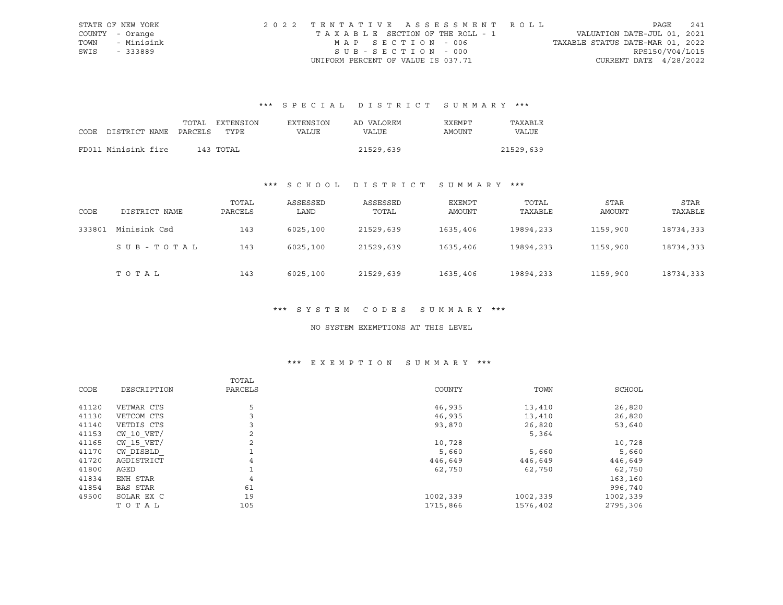|      | STATE OF NEW YORK | 2022 TENTATIVE ASSESSMENT ROLL        |                                  | PAGE                     | 241 |
|------|-------------------|---------------------------------------|----------------------------------|--------------------------|-----|
|      | COUNTY - Orange   | T A X A B L E SECTION OF THE ROLL - 1 | VALUATION DATE-JUL 01, 2021      |                          |     |
| TOWN | - Minisink        | MAP SECTION - 006                     | TAXABLE STATUS DATE-MAR 01, 2022 |                          |     |
| SWIS | - 333889          | SUB-SECTION - 000                     |                                  | RPS150/V04/L015          |     |
|      |                   | UNIFORM PERCENT OF VALUE IS 037.71    |                                  | CURRENT DATE $4/28/2022$ |     |

# \*\*\* S P E C I A L D I S T R I C T S U M M A R Y \*\*\*

|                            | TOTAL | EXTENSION | <b>EXTENSION</b> | AD VALOREM | <b>EXEMPT</b> | TAXABLE      |
|----------------------------|-------|-----------|------------------|------------|---------------|--------------|
| CODE DISTRICT NAME PARCELS |       | TYPE.     | VALUE            | VALUE      | AMOUNT        | <b>VALUE</b> |
|                            |       |           |                  |            |               |              |
| FD011 Minisink fire        |       | 143 TOTAL |                  | 21529,639  |               | 21529,639    |

# \*\*\* S C H O O L D I S T R I C T S U M M A R Y \*\*\*

| CODE   | DISTRICT NAME | TOTAL<br>PARCELS | ASSESSED<br>LAND | ASSESSED<br>TOTAL | EXEMPT<br>AMOUNT | TOTAL<br>TAXABLE | STAR<br>AMOUNT | STAR<br>TAXABLE |
|--------|---------------|------------------|------------------|-------------------|------------------|------------------|----------------|-----------------|
| 333801 | Minisink Csd  | 143              | 6025,100         | 21529,639         | 1635,406         | 19894,233        | 1159,900       | 18734,333       |
|        | SUB-TOTAL     | 143              | 6025,100         | 21529,639         | 1635,406         | 19894, 233       | 1159,900       | 18734,333       |
|        | TOTAL         | 143              | 6025,100         | 21529,639         | 1635,406         | 19894,233        | 1159,900       | 18734,333       |

#### \*\*\* S Y S T E M C O D E S S U M M A R Y \*\*\*

#### NO SYSTEM EXEMPTIONS AT THIS LEVEL

# \*\*\* E X E M P T I O N S U M M A R Y \*\*\*

|                 | TOTAL          |          |          |          |
|-----------------|----------------|----------|----------|----------|
| DESCRIPTION     | PARCELS        | COUNTY   | TOWN     | SCHOOL   |
| VETWAR CTS      | 5              | 46,935   | 13,410   | 26,820   |
| VETCOM CTS      |                | 46,935   | 13,410   | 26,820   |
| VETDIS CTS      |                | 93,870   | 26,820   | 53,640   |
| $CW$ 10 $VET/$  | $\overline{a}$ |          | 5,364    |          |
| $CW$ 15 $VET/$  | 2              | 10,728   |          | 10,728   |
| CW DISBLD       | 1              | 5,660    | 5,660    | 5,660    |
| AGDISTRICT      | 4              | 446,649  | 446,649  | 446,649  |
| AGED            |                | 62,750   | 62,750   | 62,750   |
| ENH STAR        | 4              |          |          | 163,160  |
| <b>BAS STAR</b> | 61             |          |          | 996,740  |
| SOLAR EX C      | 19             | 1002,339 | 1002,339 | 1002,339 |
| TOTAL           | 105            | 1715,866 | 1576,402 | 2795,306 |
|                 |                |          |          |          |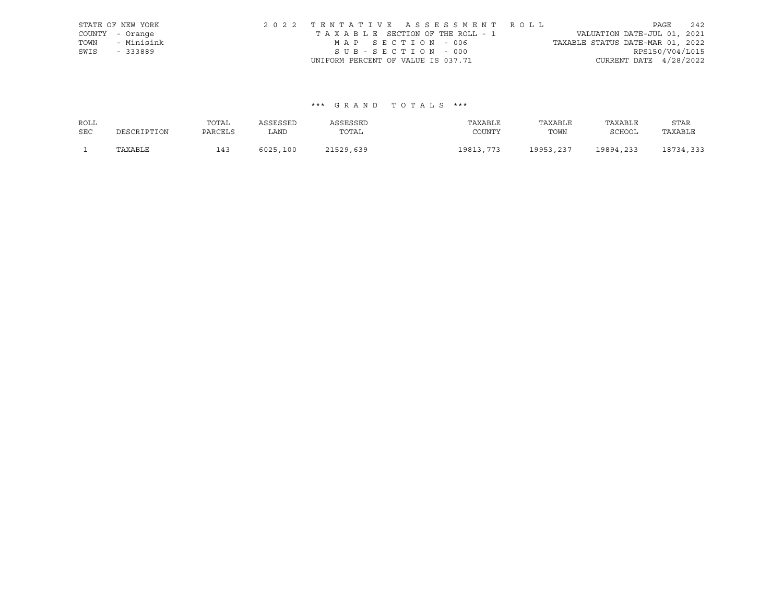|      | STATE OF NEW YORK | 2022 TENTATIVE ASSESSMENT ROLL                                 | PAGE            | 242 |
|------|-------------------|----------------------------------------------------------------|-----------------|-----|
|      | COUNTY - Orange   | VALUATION DATE-JUL 01, 2021<br>TAXABLE SECTION OF THE ROLL - 1 |                 |     |
| TOWN | - Minisink        | TAXABLE STATUS DATE-MAR 01, 2022<br>MAP SECTION - 006          |                 |     |
| SWIS | - 333889          | SUB-SECTION - 000                                              | RPS150/V04/L015 |     |
|      |                   | CURRENT DATE $4/28/2022$<br>UNIFORM PERCENT OF VALUE IS 037.71 |                 |     |

## \*\*\* G R A N D T O T A L S \*\*\*

| ROLL       |             | TOTAL   | ASSESSED | ASSESSED  | TAXABLE   | TAXABLE   | TAXABLE   | STAR      |
|------------|-------------|---------|----------|-----------|-----------|-----------|-----------|-----------|
| <b>SEC</b> | DESCRIPTION | PARCELS | LAND     | TOTAL     | COUNTY    | TOWN      | SCHOOL    | TAXABLE   |
|            | TAXABLE     | 143     | 6025,100 | 21529,639 | 19813,773 | 19953,237 | 19894,233 | 18734,333 |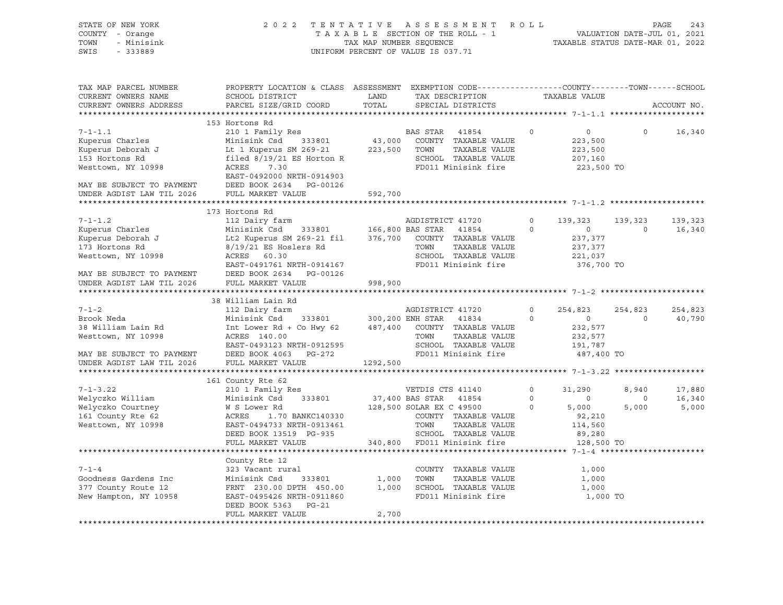| STATE OF NEW YORK<br>COUNTY - Orange<br>TOWN<br>- Minisink<br>SWIS<br>$-333889$ | 2 0 2 2<br>TENTATIVE ASSESSMENT ROLL<br>TAXABLE SECTION OF THE ROLL - 1<br>TAX MAP NUMBER SEQUENCE<br>UNIFORM PERCENT OF VALUE IS 037.71    |               | PAGE<br>243<br>VALUATION DATE-JUL 01, 2021<br>TAXABLE STATUS DATE-MAR 01, 2022 |                            |                     |                     |                   |
|---------------------------------------------------------------------------------|---------------------------------------------------------------------------------------------------------------------------------------------|---------------|--------------------------------------------------------------------------------|----------------------------|---------------------|---------------------|-------------------|
| TAX MAP PARCEL NUMBER<br>CURRENT OWNERS NAME<br>CURRENT OWNERS ADDRESS          | PROPERTY LOCATION & CLASS ASSESSMENT EXEMPTION CODE---------------COUNTY-------TOWN-----SCHOOL<br>SCHOOL DISTRICT<br>PARCEL SIZE/GRID COORD | LAND<br>TOTAL | TAX DESCRIPTION<br>SPECIAL DISTRICTS                                           |                            | TAXABLE VALUE       |                     | ACCOUNT NO.       |
|                                                                                 | 153 Hortons Rd                                                                                                                              |               |                                                                                |                            |                     |                     |                   |
| $7 - 1 - 1.1$                                                                   | 210 1 Family Res                                                                                                                            |               | BAS STAR<br>41854                                                              | $\circ$                    | $\overline{0}$      | $\circ$             | 16,340            |
| Kuperus Charles                                                                 | Minisink Csd 333801                                                                                                                         |               | 43,000 COUNTY TAXABLE VALUE                                                    |                            | 223,500             |                     |                   |
| Kuperus Deborah J                                                               | Lt 1 Kuperus SM 269-21                                                                                                                      |               | 223,500 TOWN<br>TAXABLE VALUE                                                  |                            | 223,500             |                     |                   |
| 153 Hortons Rd                                                                  | Lt 1 Auperus S. 2002<br>filed 8/19/21 ES Horton R                                                                                           |               | SCHOOL TAXABLE VALUE                                                           |                            | 207,160             |                     |                   |
| Westtown, NY 10998                                                              | ACRES<br>7.30                                                                                                                               |               | FD011 Minisink fire                                                            |                            | 223,500 TO          |                     |                   |
|                                                                                 | EAST-0492000 NRTH-0914903                                                                                                                   |               |                                                                                |                            |                     |                     |                   |
|                                                                                 |                                                                                                                                             | 592,700       |                                                                                |                            |                     |                     |                   |
|                                                                                 |                                                                                                                                             |               |                                                                                |                            |                     |                     |                   |
|                                                                                 | 173 Hortons Rd                                                                                                                              |               |                                                                                |                            |                     |                     |                   |
| $7 - 1 - 1.2$                                                                   | 112 Dairy farm                                                                                                                              |               | AGDISTRICT 41720                                                               | $\overline{0}$             | 139,323             | 139,323             | 139,323           |
| Kuperus Charles                                                                 | Minisink Csd 333801                                                                                                                         |               | 166,800 BAS STAR 41854                                                         | $\circ$                    | $\overline{0}$      | $\overline{0}$      | 16,340            |
| Kuperus Deborah J                                                               | Lt2 Kuperus SM 269-21 fil 376,700 COUNTY TAXABLE VALUE                                                                                      |               |                                                                                |                            | 237,377             |                     |                   |
| 173 Hortons Rd                                                                  | 8/19/21 ES Hoslers Rd                                                                                                                       |               | TOWN<br>TAXABLE VALUE                                                          |                            | 237,377             |                     |                   |
| Westtown, NY 10998                                                              | ACRES 60.30                                                                                                                                 |               | SCHOOL TAXABLE VALUE                                                           |                            | 221,037             |                     |                   |
|                                                                                 | EAST-0491761 NRTH-0914167                                                                                                                   |               | FD011 Minisink fire                                                            |                            | 376,700 TO          |                     |                   |
|                                                                                 | MAY BE SUBJECT TO PAYMENT DEED BOOK 2634 PG-00126                                                                                           |               |                                                                                |                            |                     |                     |                   |
|                                                                                 | UNDER AGDIST LAW TIL 2026 FULL MARKET VALUE                                                                                                 | 998,900       |                                                                                |                            |                     |                     |                   |
|                                                                                 |                                                                                                                                             |               |                                                                                |                            |                     |                     |                   |
|                                                                                 | 38 William Lain Rd                                                                                                                          |               |                                                                                |                            |                     |                     |                   |
| $7 - 1 - 2$<br>Brook Neda                                                       | 112 Dairy farm<br>Minisink Csd 333801 300,200 ENH STAR 41834                                                                                |               | AGDISTRICT 41720                                                               | $\overline{0}$<br>$\Omega$ | 254,823<br>$\sim$ 0 | 254,823<br>$\Omega$ | 254,823<br>40,790 |
| 38 William Lain Rd                                                              | Int Lower Rd + Co Hwy 62 487,400 COUNTY TAXABLE VALUE                                                                                       |               |                                                                                |                            | 232,577             |                     |                   |
| Westtown, NY 10998                                                              | ACRES 140.00                                                                                                                                |               |                                                                                |                            | 232,577             |                     |                   |
|                                                                                 | EAST-0493123 NRTH-0912595                                                                                                                   |               |                                                                                |                            | 191,787             |                     |                   |
| MAY BE SUBJECT TO PAYMENT                                                       | DEED BOOK 4063 PG-272                                                                                                                       |               | LOWN TAXABLE VALUE<br>SCHOOL TAXABLE VALUE<br>FD011 Minici                     |                            | 487,400 TO          |                     |                   |
| UNDER AGDIST LAW TIL 2026                                                       | FULL MARKET VALUE                                                                                                                           | 1292,500      |                                                                                |                            |                     |                     |                   |
|                                                                                 |                                                                                                                                             |               |                                                                                |                            |                     |                     |                   |
|                                                                                 | 161 County Rte 62                                                                                                                           |               |                                                                                |                            |                     |                     |                   |
| $7 - 1 - 3.22$                                                                  | 210 1 Family Res                                                                                                                            |               | VETDIS CTS 41140                                                               | $\circ$                    | 31,290              | 8,940               | 17,880            |
| Welyczko William                                                                | Minisink Csd 333801                                                                                                                         |               | 37,400 BAS STAR 41854                                                          | $\circ$                    | $\overline{0}$      | $\circ$             | 16,340            |
| Welyczko Courtney<br>Allyczko Courtney<br>Courte Pto 62                         | W S Lower Rd                                                                                                                                |               |                                                                                | $\Omega$                   | 5,000               | 5,000               | 5,000             |
| 161 County Rte 62                                                               | ACRES                                                                                                                                       |               | COUNTY TAXABLE VALUE                                                           |                            | 92,210              |                     |                   |
| Westtown, NY 10998                                                              | EAST-0494733 NRTH-0913461                                                                                                                   |               | TAXABLE VALUE                                                                  |                            | 114,560             |                     |                   |
|                                                                                 | DEED BOOK 13519 PG-935                                                                                                                      |               | SCHOOL TAXABLE VALUE                                                           |                            | 89,280              |                     |                   |
|                                                                                 | FULL MARKET VALUE                                                                                                                           |               | 340,800 FD011 Minisink fire                                                    |                            | 128,500 TO          |                     |                   |
|                                                                                 | County Rte 12                                                                                                                               |               |                                                                                |                            |                     |                     |                   |
| $7 - 1 - 4$                                                                     | 323 Vacant rural                                                                                                                            |               | COUNTY TAXABLE VALUE                                                           |                            | 1,000               |                     |                   |
| Goodness Gardens Inc                                                            | Minisink Csd 333801                                                                                                                         |               | 1,000 TOWN<br>TAXABLE VALUE                                                    |                            | 1,000               |                     |                   |
| 377 County Route 12                                                             |                                                                                                                                             |               | 1,000 SCHOOL TAXABLE VALUE                                                     |                            | 1,000               |                     |                   |
| New Hampton, NY 10958                                                           | FRNT 230.00 DPTH 450.00<br>EAST-0495426 NRTH-0911860<br>EAST-0495426 NRTH-0911860                                                           |               | FD011 Minisink fire                                                            |                            | 1,000 TO            |                     |                   |
|                                                                                 | DEED BOOK 5363 PG-21                                                                                                                        |               |                                                                                |                            |                     |                     |                   |
|                                                                                 | FULL MARKET VALUE                                                                                                                           | 2,700         |                                                                                |                            |                     |                     |                   |
|                                                                                 |                                                                                                                                             |               |                                                                                |                            |                     |                     |                   |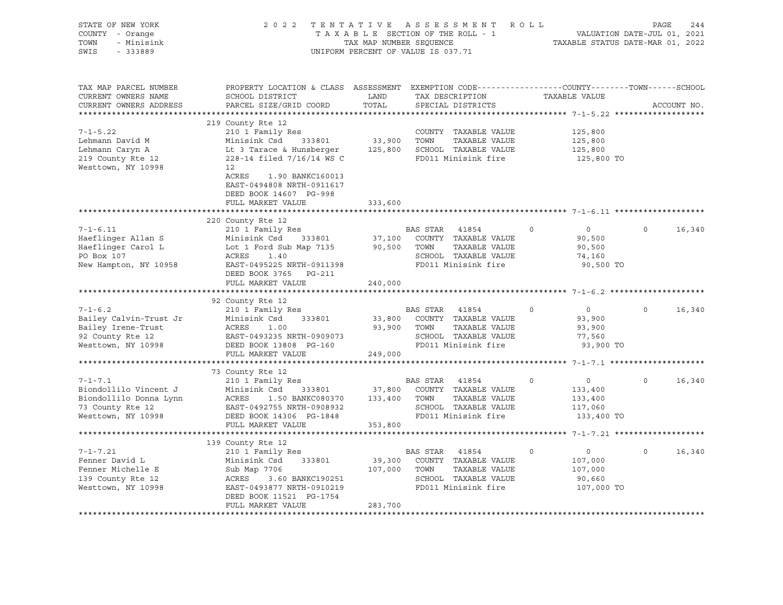| STATE OF NEW YORK<br>COUNTY - Orange<br>- Minisink<br>TOWN<br>SWIS<br>$-333889$                            | 2022 TENTATIVE ASSESSMENT ROLL                                                                                                                                                                                                                                                | UNIFORM PERCENT OF VALUE IS 037.71 |                | TAXABLE SECTION OF THE ROLL - 1<br>TAXABLE SECTION OF THE ROLL - 1<br>TAXABLE STATUS DATE-MAR 01, 2022                                            |          |                                                               | PAGE         | 244         |
|------------------------------------------------------------------------------------------------------------|-------------------------------------------------------------------------------------------------------------------------------------------------------------------------------------------------------------------------------------------------------------------------------|------------------------------------|----------------|---------------------------------------------------------------------------------------------------------------------------------------------------|----------|---------------------------------------------------------------|--------------|-------------|
| TAX MAP PARCEL NUMBER<br>CURRENT OWNERS NAME<br>CURRENT OWNERS ADDRESS                                     | PROPERTY LOCATION & CLASS ASSESSMENT EXEMPTION CODE---------------COUNTY-------TOWN------SCHOOL<br>SCHOOL DISTRICT<br>PARCEL SIZE/GRID COORD                                                                                                                                  | LAND<br>TOTAL                      |                | TAX DESCRIPTION TAXABLE VALUE<br>SPECIAL DISTRICTS                                                                                                |          |                                                               |              | ACCOUNT NO. |
| $7 - 1 - 5.22$<br>Lehmann David M<br>Lehmann Caryn A<br>219 County Rte 12<br>Westtown, NY 10998            | 219 County Rte 12<br>COUNTY TAXABLE VALUE<br>Minisink Csd 333801 33,900 TOWN TAXABLE VALUE<br>Lt 3 Tarace & Hunsberger 125,800 SCHOOL TAXABLE VALUE<br>228-14 filed 7/16/14 WS C<br>228-14 filed 7/16/14 WS C<br>12<br>ACRES<br>1.90 BANKC160013<br>EAST-0494808 NRTH-0911617 |                                    |                |                                                                                                                                                   |          | 125,800<br>125,800<br>125,800<br>125,800 TO                   |              |             |
|                                                                                                            | DEED BOOK 14607 PG-998<br>FULL MARKET VALUE<br>220 County Rte 12                                                                                                                                                                                                              | 333,600                            |                |                                                                                                                                                   |          |                                                               |              |             |
| $7 - 1 - 6.11$<br>Haeflinger Allan S<br>Haeflinger Carol L<br>PO Box 107<br>New Hampton, NY 10958          | 210 1 Family Res<br>Minisink Csd 333801 37,100 COUNTY TAXABLE VALUE<br>Lot 1 Ford Sub Map 7135 90,500 TOWN TAXABLE VALUE<br>ACRES 1.40<br>EAST-0495225 NRTH-0911398<br>DEED BOOK 3765 PG-211<br>FULL MARKET VALUE                                                             | 240,000                            |                | BAS STAR 41854<br>SCHOOL TAXABLE VALUE<br>FD011 Minisink fire                                                                                     | $\circ$  | $\overline{0}$<br>90,500<br>90,500<br>74,160<br>90,500 TO     | $\mathsf{O}$ | 16,340      |
| $7 - 1 - 6.2$<br>Bailey Calvin-Trust Jr<br>Bailey Irene-Trust<br>92 County Rte 12<br>Westtown, NY 10998    | 92 County Rte 12<br>210 1 Family Res<br>Minisink Csd 333801<br>Minisink Csd 333801<br>ACRES 1.00<br>EAST-0493235 NRTH-0909073<br>DEED BOOK 13808 PG-160<br>FULL MARKET VALUE                                                                                                  | 249,000                            | BAS STAR 41854 | 33,800 COUNTY TAXABLE VALUE<br>93,900 TOWN TAXABLE VALUE<br>SCHOOL TAXABLE VALUE<br>FD011 Minisink fire                                           | $\Omega$ | $\overline{0}$<br>93,900<br>93,900<br>77,560<br>93,900 TO     | $\Omega$     | 16,340      |
| $7 - 1 - 7.1$<br>Biondollilo Vincent J<br>Biondollilo Donna Lynn<br>73 County Rte 12<br>Westtown, NY 10998 | 73 County Rte 12<br>210 1 Family Res<br>Minisink Csd<br>ACRES 1.50 BANKC080370 133, 2000<br>EAST-0492755 NRTH-0908932<br>THE ROOK 14306 PG-1848 353, 800<br>ACRES 1.50 BANKC080370 133,400 TOWN                                                                               |                                    |                | BAS STAR 41854<br>37,800 COUNTY TAXABLE VALUE<br>TAXABLE VALUE<br>SCHOOL TAXABLE VALUE<br>FD011 Minisink fire                                     | $\circ$  | $\overline{0}$<br>133,400<br>133,400<br>117,060<br>133,400 TO | $\circ$      | 16,340      |
| $7 - 1 - 7.21$<br>Fenner David L<br>Fenner Michelle E<br>139 County Rte 12<br>Westtown, NY 10998           | 139 County Rte 12<br>210 1 Family Res<br>333801<br>Minisink Csd 333801<br>Sub Map 7706<br>NGC 2007<br>ACRES 3.60 BANKC190251<br>EAST-0493877 NRTH-0910219<br>DEED BOOK 11521 PG-1754<br>FULL MARKET VALUE                                                                     | 283,700                            |                | BAS STAR 41854<br>39,300 COUNTY TAXABLE VALUE<br>107,000 TOWN TAXABLE VALUE<br>SCHOOL TAXABLE VALUE<br>FD011 Minisink fire<br>FD011 Minisink fire | $\Omega$ | $\overline{0}$<br>107,000<br>107,000<br>90,660<br>107,000 TO  | $\Omega$     | 16,340      |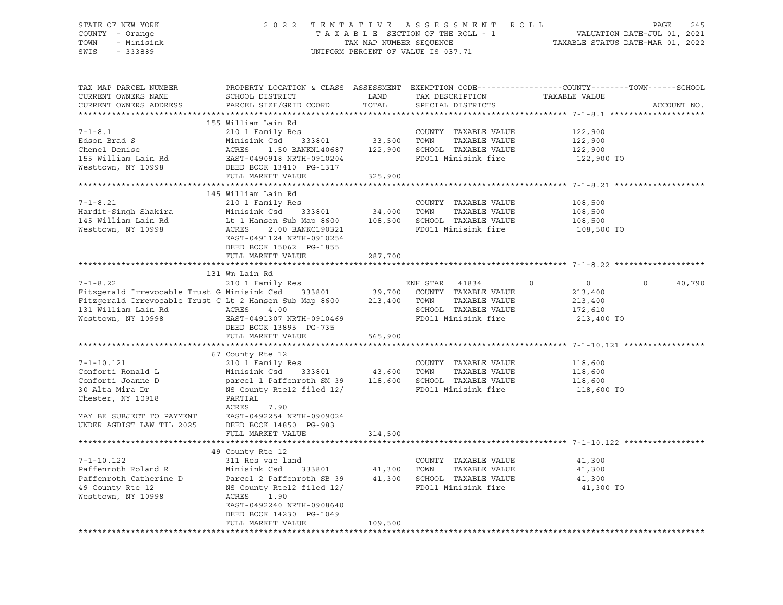| STATE OF NEW YORK<br>COUNTY - Orange<br>TOWN<br>- Minisink<br>SWIS<br>- 333889 | T A X A B L E SECTION OF THE ROLL - 1<br>TAX MAP NUMBER SEQUENCE<br>UNIFORM PERCENT OF VALUE IS 037.71                   | 2022 TENTATIVE ASSESSMENT ROLL<br>TAXABLE SECTION OF THE ROLL - 1 VALUATION DATE-JUL 01, 2021<br>TAX MAP NUMBER SEQUENCE TAXABLE STATUS DATE-MAR 01, 2022 |         | 245<br>PAGE |
|--------------------------------------------------------------------------------|--------------------------------------------------------------------------------------------------------------------------|-----------------------------------------------------------------------------------------------------------------------------------------------------------|---------|-------------|
|                                                                                | TAX MAP PARCEL NUMBER THE PROPERTY LOCATION & CLASS ASSESSMENT EXEMPTION CODE--------------COUNTY-------TOWN------SCHOOL |                                                                                                                                                           |         |             |
|                                                                                | CURRENT OWNERS ADDRESS PARCEL SIZE/GRID COORD TOTAL SPECIAL DISTRICTS                                                    |                                                                                                                                                           |         | ACCOUNT NO. |
|                                                                                |                                                                                                                          |                                                                                                                                                           |         |             |
|                                                                                | 155 William Lain Rd                                                                                                      |                                                                                                                                                           |         |             |
|                                                                                | $7-1-8.1$ and $210$ 1 Family Reserve that the COUNTY TAXABLE VALUE $122,900$                                             |                                                                                                                                                           |         |             |
|                                                                                |                                                                                                                          |                                                                                                                                                           |         |             |
|                                                                                |                                                                                                                          |                                                                                                                                                           |         |             |
|                                                                                | 155 William Lain Rd               EAST-0490918 NRTH-0910204                 FD011 Minisink fire               122,900 TO |                                                                                                                                                           |         |             |
|                                                                                | Westtown, NY 10998 DEED BOOK 13410 PG-1317                                                                               |                                                                                                                                                           |         |             |
|                                                                                | FULL MARKET VALUE 325,900                                                                                                |                                                                                                                                                           |         |             |
|                                                                                |                                                                                                                          |                                                                                                                                                           |         |             |
|                                                                                | 145 William Lain Rd                                                                                                      |                                                                                                                                                           |         |             |
|                                                                                |                                                                                                                          | COUNTY TAXABLE VALUE 108,500                                                                                                                              |         |             |
|                                                                                |                                                                                                                          | TOWN TAXABLE VALUE                                                                                                                                        | 108,500 |             |
|                                                                                |                                                                                                                          | SCHOOL TAXABLE VALUE 108,500                                                                                                                              |         |             |
|                                                                                | Westtown, NY 10998 6 ACRES 2.00 BANKC190321<br>EAST-0491124 NRTH-0910254<br>DEED BOOK 15062 PG-1855                      | FD011 Minisink fire 108,500 TO                                                                                                                            |         |             |

FULL MARKET VALUE 287,700

|                                                     | 131 Wm Lain Rd                                                                                |         |                                |           |                |        |
|-----------------------------------------------------|-----------------------------------------------------------------------------------------------|---------|--------------------------------|-----------|----------------|--------|
| $7 - 1 - 8.22$                                      | 210 1 Family Res                                                                              |         | ENH STAR 41834 0 0             |           | $\overline{0}$ | 40,790 |
|                                                     | Fitzgerald Irrevocable Trust G Minisink Csd 333801 39,700 COUNTY TAXABLE VALUE                |         |                                | 213,400   |                |        |
|                                                     | Fitzgerald Irrevocable Trust C Lt 2 Hansen Sub Map 8600 213,400 TOWN                          |         | TAXABLE VALUE 213,400          |           |                |        |
| 131 William Lain Rd                                 | ACRES<br>4.00                                                                                 |         | SCHOOL TAXABLE VALUE 172,610   |           |                |        |
| Westtown, NY 10998                                  | ACRES 4.00<br>EAST-0491307 NRTH-0910469                                                       |         | FD011 Minisink fire 213,400 TO |           |                |        |
|                                                     | DEED BOOK 13895 PG-735                                                                        |         |                                |           |                |        |
|                                                     | FULL MARKET VALUE 565,900                                                                     |         |                                |           |                |        |
|                                                     |                                                                                               |         |                                |           |                |        |
|                                                     | 67 County Rte 12                                                                              |         |                                |           |                |        |
| $7 - 1 - 10.121$                                    | 210 1 Family Res                                                                              |         | COUNTY TAXABLE VALUE 118,600   |           |                |        |
| Conforti Ronald L                                   | Minisink Csd 333801 43,600 TOWN                                                               |         | TAXABLE VALUE 118,600          |           |                |        |
| Conforti Joanne D                                   | parcel 1 Paffenroth SM 39 118,600 SCHOOL TAXABLE VALUE 118,600                                |         |                                |           |                |        |
| 30 Alta Mira Dr                                     | NS County Rte12 filed 12/ FD011 Minisink fire 118,600 TO                                      |         |                                |           |                |        |
| Chester, NY 10918                                   | PARTIAL                                                                                       |         |                                |           |                |        |
|                                                     | ACRES<br>7.90                                                                                 |         |                                |           |                |        |
| MAY BE SUBJECT TO PAYMENT EAST-0492254 NRTH-0909024 |                                                                                               |         |                                |           |                |        |
| UNDER AGDIST LAW TIL 2025                           | DEED BOOK 14850 PG-983                                                                        |         |                                |           |                |        |
|                                                     | FULL MARKET VALUE 314,500                                                                     |         |                                |           |                |        |
|                                                     |                                                                                               |         |                                |           |                |        |
|                                                     | 49 County Rte 12                                                                              |         |                                |           |                |        |
| $7 - 1 - 10.122$                                    | 311 Res vac land                                                                              |         | COUNTY TAXABLE VALUE           | 41,300    |                |        |
| Paffenroth Roland R                                 | Minisink Csd 333801 41,300 TOWN                                                               |         | TAXABLE VALUE                  | 41,300    |                |        |
|                                                     | Paffenroth Catherine D          Parcel 2 Paffenroth SB 39       41,300   SCHOOL TAXABLE VALUE |         |                                | 41,300    |                |        |
| 49 County Rte 12                                    | NS County Rte12 filed 12/                                                                     |         | FD011 Minisink fire            | 41,300 TO |                |        |
| Westtown, NY 10998                                  | 1.90<br>ACRES                                                                                 |         |                                |           |                |        |
|                                                     | EAST-0492240 NRTH-0908640                                                                     |         |                                |           |                |        |
|                                                     | DEED BOOK 14230 PG-1049                                                                       |         |                                |           |                |        |
|                                                     | FULL MARKET VALUE                                                                             | 109,500 |                                |           |                |        |

\*\*\*\*\*\*\*\*\*\*\*\*\*\*\*\*\*\*\*\*\*\*\*\*\*\*\*\*\*\*\*\*\*\*\*\*\*\*\*\*\*\*\*\*\*\*\*\*\*\*\*\*\*\*\*\*\*\*\*\*\*\*\*\*\*\*\*\*\*\*\*\*\*\*\*\*\*\*\*\*\*\*\*\*\*\*\*\*\*\*\*\*\*\*\*\*\*\*\*\*\*\*\*\*\*\*\*\*\*\*\*\*\*\*\*\*\*\*\*\*\*\*\*\*\*\*\*\*\*\*\*\*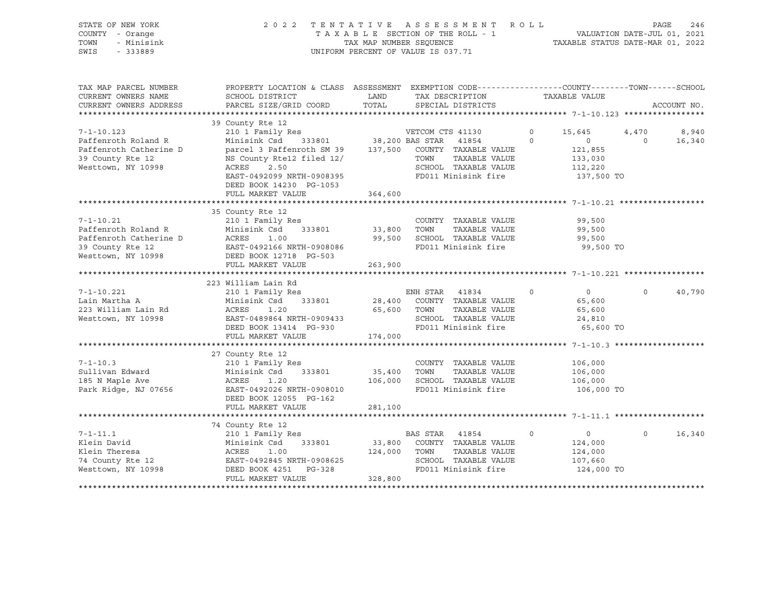| STATE OF NEW YORK<br>COUNTY - Orange<br>- Minisink<br>TOWN<br>SWIS<br>$-333889$                                                   |                                                                                                                                                                                          |                   | 2022 TENTATIVE ASSESSMENT ROLL<br>T A X A B L E SECTION OF THE ROLL - 1 VALUATION DATE-JUL 01, 2021<br>TAX MAP NUMBER SEQUENCE<br>TAXABLE STATUS DATE-MAR 01, 2022<br>UNIFORM PERCENT OF VALUE IS 037.71 |         |                                                           | PAGE              | 246             |
|-----------------------------------------------------------------------------------------------------------------------------------|------------------------------------------------------------------------------------------------------------------------------------------------------------------------------------------|-------------------|----------------------------------------------------------------------------------------------------------------------------------------------------------------------------------------------------------|---------|-----------------------------------------------------------|-------------------|-----------------|
| TAX MAP PARCEL NUMBER<br>CURRENT OWNERS NAME<br>CURRENT OWNERS ADDRESS                                                            | PROPERTY LOCATION & CLASS ASSESSMENT EXEMPTION CODE----------------COUNTY-------TOWN------SCHOOL<br>SCHOOL DISTRICT<br>PARCEL SIZE/GRID COORD                                            | TOTAL             | LAND TAX DESCRIPTION TAXABLE VALUE<br>SPECIAL DISTRICTS                                                                                                                                                  |         |                                                           |                   | ACCOUNT NO.     |
|                                                                                                                                   |                                                                                                                                                                                          |                   |                                                                                                                                                                                                          |         |                                                           |                   |                 |
| $7 - 1 - 10.123$<br>Paffenroth Roland R<br>Paffenroth Catherine D<br>39 County Rte 12<br>Westtown, NY 10998<br>Westtown, NY 10998 | 39 County Rte 12<br>210 1 Family Res<br>Minisink Csd 333801 38,200 BAS STAR 41854 0<br>parcel 3 Paffenroth SM 39 137,500 COUNTY TAXABLE VALUE<br>NS County Rte12 filed 12/<br>ACRES 2.50 |                   | VETCOM CTS 41130<br>TOWN<br>TAXABLE VALUE<br>SCHOOL TAXABLE VALUE                                                                                                                                        | $\circ$ | 15,645<br>$\overline{0}$<br>121,855<br>133,030<br>112,220 | 4,470<br>$\Omega$ | 8,940<br>16,340 |
|                                                                                                                                   | EAST-0492099 NRTH-0908395<br>DEED BOOK 14230 PG-1053<br>FULL MARKET VALUE                                                                                                                | 364,600           | FD011 Minisink fire                                                                                                                                                                                      |         | 137,500 TO                                                |                   |                 |
|                                                                                                                                   |                                                                                                                                                                                          |                   |                                                                                                                                                                                                          |         |                                                           |                   |                 |
| $7 - 1 - 10.21$<br>Paffenroth Roland R<br>Paffenroth Catherine D<br>39 County Rte 12<br>Westtown, NY 10998                        | 35 County Rte 12<br>210 1 Family Res<br>Minisink Csd 333801 33,800<br>ACRES 1.00<br>EAST-0492166 NRTH-0908086<br>DEED BOOK 12718 PG-503<br>FULL MARKET VALUE                             | 99,500<br>263,900 | COUNTY TAXABLE VALUE<br>TAXABLE VALUE<br>TOWN<br>SCHOOL TAXABLE VALUE<br>FD011 Minisink fire                                                                                                             |         | 99,500<br>99,500<br>99,500<br>99,500 TO                   |                   |                 |
|                                                                                                                                   |                                                                                                                                                                                          |                   |                                                                                                                                                                                                          |         |                                                           |                   |                 |
| $7 - 1 - 10.221$<br>Lain Martha A<br>223 William Lain Rd<br>Westtown, NY 10998                                                    | 223 William Lain Rd<br>210 1 Family Res<br>Minisink Csd 333801 28,400 COUNTY TAXABLE VALUE<br>ACRES 1.20<br>EAST-0489864 NRTH-0909433<br>DEED BOOK 13414 PG-930<br>FULL MARKET VALUE     | 65,600<br>174,000 | ENH STAR 41834<br>$\overline{0}$<br>TOWN<br>TAXABLE VALUE<br>SCHOOL TAXABLE VALUE<br>FD011 Minisink fire                                                                                                 |         | $\overline{0}$<br>65,600<br>65,600<br>24,810<br>65,600 TO | $\Omega$          | 40,790          |
|                                                                                                                                   |                                                                                                                                                                                          |                   |                                                                                                                                                                                                          |         |                                                           |                   |                 |
| $7 - 1 - 10.3$<br>Sullivan Edward<br>185 N Maple Ave<br>Park Ridge, NJ 07656                                                      | 27 County Rte 12<br>210 1 Family Res<br>Minisink Csd 333801<br>ACRES<br>1.20<br>EAST-0492026 NRTH-0908010<br>DEED BOOK 12055 PG-162                                                      | 35,400<br>106,000 | COUNTY TAXABLE VALUE<br>TOWN<br>TAXABLE VALUE<br>SCHOOL TAXABLE VALUE<br>FD011 Minisink fire                                                                                                             |         | 106,000<br>106,000<br>106,000<br>106,000 TO               |                   |                 |

\*\*\*\*\*\*\*\*\*\*\*\*\*\*\*\*\*\*\*\*\*\*\*\*\*\*\*\*\*\*\*\*\*\*\*\*\*\*\*\*\*\*\*\*\*\*\*\*\*\*\*\*\*\*\*\*\*\*\*\*\*\*\*\*\*\*\*\*\*\*\*\*\*\*\*\*\*\*\*\*\*\*\*\*\*\*\*\*\*\*\*\*\*\*\*\*\*\*\*\*\*\*\* 7-1-11.1 \*\*\*\*\*\*\*\*\*\*\*\*\*\*\*\*\*\*\*

7-1-11.1 210 1 Family Res BAS STAR 41854 0 0 0 16,340

\*\*\*\*\*\*\*\*\*\*\*\*\*\*\*\*\*\*\*\*\*\*\*\*\*\*\*\*\*\*\*\*\*\*\*\*\*\*\*\*\*\*\*\*\*\*\*\*\*\*\*\*\*\*\*\*\*\*\*\*\*\*\*\*\*\*\*\*\*\*\*\*\*\*\*\*\*\*\*\*\*\*\*\*\*\*\*\*\*\*\*\*\*\*\*\*\*\*\*\*\*\*\*\*\*\*\*\*\*\*\*\*\*\*\*\*\*\*\*\*\*\*\*\*\*\*\*\*\*\*\*\*

FULL MARKET VALUE 281,100

FULL MARKET VALUE 328,800

Klein David Minisink Csd 333801 33,800 COUNTY TAXABLE VALUE 124,000 Klein Theresa ACRES 1.00 124,000 TOWN TAXABLE VALUE 124,000 74 County Rte 12 EAST-0492845 NRTH-0908625 SCHOOL TAXABLE VALUE 107,660 Westtown, NY 10998 DEED BOOK 4251 PG-328 FD011 Minisink fire 124,000 TO

74 County Rte 12<br>7-1-11.1 210 1 Family R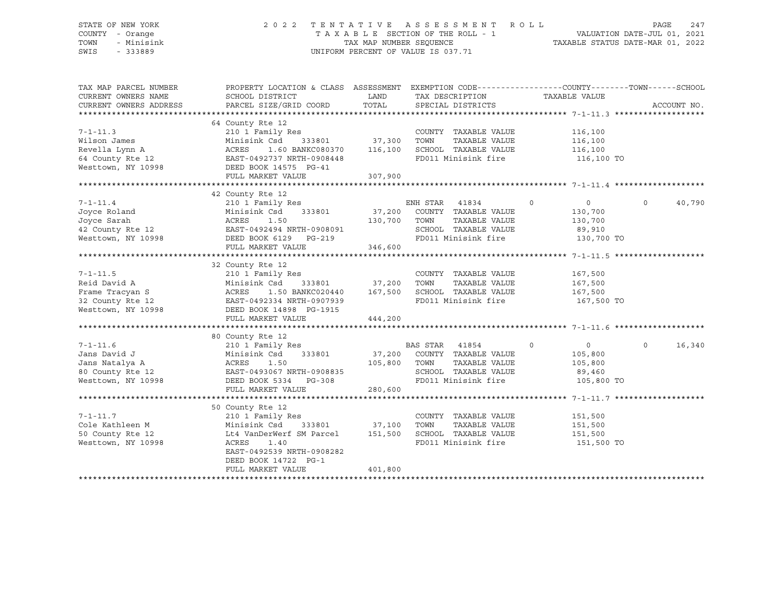## STATE OF NEW YORK 2 0 2 2 T E N T A T I V E A S S E S S M E N T R O L L PAGE 247 COUNTY - Orange T A X A B L E SECTION OF THE ROLL - 1 VALUATION DATE-JUL 01, 2021 TOWN - Minisink TAX MAP NUMBER SEQUENCE TAXABLE STATUS DATE-MAR 01, 2022 SWIS - 333889 CONSERVATION CONTROL OF VALUE IS 037.71

| TAX MAP PARCEL NUMBER  | PROPERTY LOCATION & CLASS ASSESSMENT EXEMPTION CODE----------------COUNTY-------TOWN-----SCHOOL                                                                                                                                                |         |                                  |                |                    |
|------------------------|------------------------------------------------------------------------------------------------------------------------------------------------------------------------------------------------------------------------------------------------|---------|----------------------------------|----------------|--------------------|
| CURRENT OWNERS NAME    | SCHOOL DISTRICT                                                                                                                                                                                                                                | LAND    | TAX DESCRIPTION                  | TAXABLE VALUE  |                    |
| CURRENT OWNERS ADDRESS | PARCEL SIZE/GRID COORD                                                                                                                                                                                                                         | TOTAL   | SPECIAL DISTRICTS                |                | ACCOUNT NO.        |
|                        |                                                                                                                                                                                                                                                |         |                                  |                |                    |
|                        | 64 County Rte 12                                                                                                                                                                                                                               |         |                                  |                |                    |
| $7 - 1 - 11.3$         | 210 1 Family Res                                                                                                                                                                                                                               |         | COUNTY TAXABLE VALUE             | 116,100        |                    |
| Wilson James           | Minisink Csd 333801 37,300 TOWN                                                                                                                                                                                                                |         | TAXABLE VALUE                    | 116,100        |                    |
| Revella Lynn A         | 1.60 BANKC080370 116,100<br>ACRES                                                                                                                                                                                                              |         | SCHOOL TAXABLE VALUE             | 116,100        |                    |
|                        | 64 County Rte 12 EAST-0492737 NRTH-0908448                                                                                                                                                                                                     |         | FD011 Minisink fire 116,100 TO   |                |                    |
| Westtown, NY 10998     | DEED BOOK 14575 PG-41                                                                                                                                                                                                                          |         |                                  |                |                    |
|                        | FULL MARKET VALUE                                                                                                                                                                                                                              | 307,900 |                                  |                |                    |
|                        |                                                                                                                                                                                                                                                |         |                                  |                |                    |
|                        | 42 County Rte 12                                                                                                                                                                                                                               |         |                                  |                |                    |
| $7 - 1 - 11.4$         | 210 1 Family Res                                                                                                                                                                                                                               |         | ENH STAR 41834<br>$\overline{0}$ | $\overline{0}$ | $\circ$<br>40,790  |
|                        | Minisink Csd 333801 37,200 COUNTY TAXABLE VALUE                                                                                                                                                                                                |         |                                  | 130,700        |                    |
|                        |                                                                                                                                                                                                                                                |         | TAXABLE VALUE                    | 130,700        |                    |
|                        |                                                                                                                                                                                                                                                |         | SCHOOL TAXABLE VALUE 89,910      |                |                    |
|                        | Voyce Roland<br>Joyce Roland<br>Joyce Sarah (1998)<br>2001 - ACRES 1.50<br>2001 - ACRES 1.50<br>2007 - ACRES 1.50<br>2007 - ACRES 1.50<br>2007 - ACRES 1.50<br>2010 - ACRES 2.19<br>216 600 FD011 M<br>216 600 FD011 M                         |         | FD011 Minisink fire 130,700 TO   |                |                    |
|                        | FULL MARKET VALUE                                                                                                                                                                                                                              | 346,600 |                                  |                |                    |
|                        |                                                                                                                                                                                                                                                |         |                                  |                |                    |
|                        | 32 County Rte 12                                                                                                                                                                                                                               |         |                                  |                |                    |
| $7 - 1 - 11.5$         | Res<br>333801 37,200<br>210 1 Family Res                                                                                                                                                                                                       |         | COUNTY TAXABLE VALUE             | 167,500        |                    |
| Reid David A           | Minisink Csd                                                                                                                                                                                                                                   |         | TOWN<br>TAXABLE VALUE            | 167,500        |                    |
|                        | 1.50 BANKC020440 167,500                                                                                                                                                                                                                       |         | SCHOOL TAXABLE VALUE             | 167,500        |                    |
|                        | Frame Tracyan S<br>32 County Rte 12<br>Westtown, NY 10998<br>Westtown, NY 10998<br>CEED BOOK 14898 PG-1915                                                                                                                                     |         | FD011 Minisink fire              | 167,500 TO     |                    |
|                        |                                                                                                                                                                                                                                                |         |                                  |                |                    |
|                        | FULL MARKET VALUE                                                                                                                                                                                                                              | 444,200 |                                  |                |                    |
|                        |                                                                                                                                                                                                                                                |         |                                  |                |                    |
|                        | 80 County Rte 12                                                                                                                                                                                                                               |         |                                  |                |                    |
| $7 - 1 - 11.6$         |                                                                                                                                                                                                                                                |         | $\sim$ 0                         | $\overline{0}$ | 16,340<br>$\Omega$ |
| Jans David J           |                                                                                                                                                                                                                                                |         |                                  | 105,800        |                    |
| Jans Natalya A         | 210 1 Family F<br>Minisink Csd<br>ACRES     1.50                                                                                                                                                                                               |         | TAXABLE VALUE                    | 105,800        |                    |
|                        | County Rte 12<br>210 1 Family Res<br>Minisink Csd 333801<br>37,200 COUNTY TAXABLE VALUE<br>1 50 105,800 TOWN TAXABLE VALUE<br>2011 150 105,800 TOWN TAXABLE VALUE                                                                              |         | SCHOOL TAXABLE VALUE 89,460      |                |                    |
|                        | 80 County Rte 12<br>Westtown, NY 10998<br>Westtown, NY 10998<br>The Check Cook 5334<br>The Check Cook 5334<br>The Check Cook Cook Cook Cook Cook<br>The Check Cook Cook Cook Cook<br>The Cook Cook Cook Cook Cook Cook Cook<br>The Cook Cook C |         | FD011 Minisink fire              | 105,800 TO     |                    |
|                        | FULL MARKET VALUE                                                                                                                                                                                                                              | 280,600 |                                  |                |                    |
|                        |                                                                                                                                                                                                                                                |         |                                  |                |                    |
|                        | 50 County Rte 12                                                                                                                                                                                                                               |         |                                  |                |                    |
| $7 - 1 - 11.7$         | 210 1 Family Res                                                                                                                                                                                                                               |         | COUNTY TAXABLE VALUE 151,500     |                |                    |
| Cole Kathleen M        |                                                                                                                                                                                                                                                |         | TOWN<br>TAXABLE VALUE            | 151,500        |                    |
| 50 County Rte 12       | Minisink Csd 333801 37,100<br>Lt4 VanDerWerf SM Parcel 151,500                                                                                                                                                                                 |         | SCHOOL TAXABLE VALUE             | 151,500        |                    |
| Westtown, NY 10998     | 1.40<br>ACRES                                                                                                                                                                                                                                  |         | FD011 Minisink fire              | 151,500 TO     |                    |
|                        | EAST-0492539 NRTH-0908282                                                                                                                                                                                                                      |         |                                  |                |                    |
|                        | DEED BOOK 14722 PG-1                                                                                                                                                                                                                           |         |                                  |                |                    |
|                        | FULL MARKET VALUE                                                                                                                                                                                                                              | 401,800 |                                  |                |                    |
|                        |                                                                                                                                                                                                                                                |         |                                  |                |                    |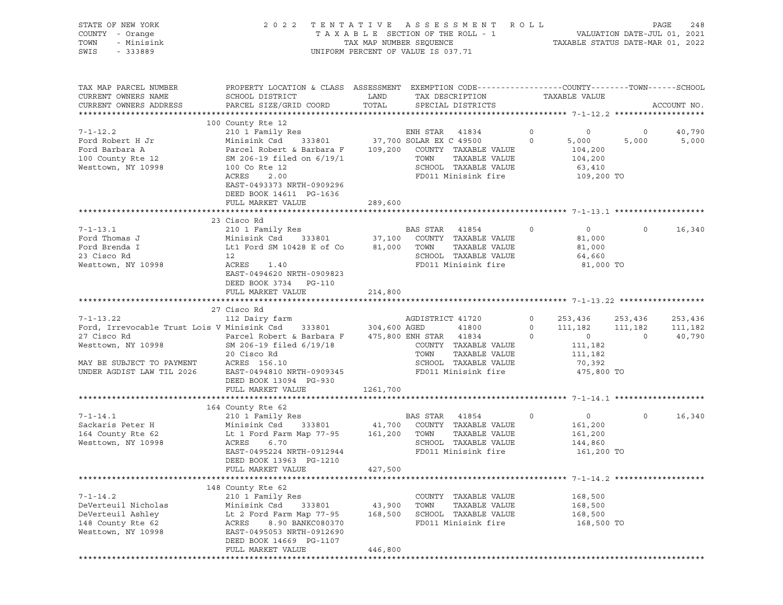| STATE OF NEW YORK<br>COUNTY - Orange<br>TOWN<br>- Minisink<br>SWIS<br>- 333889 | 2 0 2 2                                                                                                                                     |               | TENTATIVE ASSESSMENT ROLL<br>UNIFORM PERCENT OF VALUE IS 037.71 |             |                    |                | PAGE<br>248 |
|--------------------------------------------------------------------------------|---------------------------------------------------------------------------------------------------------------------------------------------|---------------|-----------------------------------------------------------------|-------------|--------------------|----------------|-------------|
| TAX MAP PARCEL NUMBER<br>CURRENT OWNERS NAME<br>CURRENT OWNERS ADDRESS         | PROPERTY LOCATION & CLASS ASSESSMENT EXEMPTION CODE---------------COUNTY-------TOWN-----SCHOOL<br>SCHOOL DISTRICT<br>PARCEL SIZE/GRID COORD | LAND<br>TOTAL | TAX DESCRIPTION<br>SPECIAL DISTRICTS                            |             | TAXABLE VALUE      |                | ACCOUNT NO. |
|                                                                                | 100 County Rte 12                                                                                                                           |               |                                                                 |             |                    |                |             |
| $7 - 1 - 12.2$                                                                 | 210 1 Family Res                                                                                                                            |               | ENH STAR 41834                                                  | $\circ$     | $\circ$            | $\circ$        | 40,790      |
| Ford Robert H Jr                                                               | Minisink Csd                                                                                                                                |               | 333801 37,700 SOLAR EX C 49500                                  | $\mathbf 0$ | 5,000              | 5,000          | 5,000       |
| Ford Barbara A                                                                 | Parcel Robert & Barbara F 109,200 COUNTY TAXABLE VALUE                                                                                      |               |                                                                 |             | 104,200            |                |             |
| 100 County Rte 12                                                              | SM 206-19 filed on 6/19/1                                                                                                                   |               | TOWN<br>TAXABLE VALUE                                           |             | 104,200            |                |             |
| Westtown, NY 10998                                                             | 100 Co Rte 12                                                                                                                               |               | SCHOOL TAXABLE VALUE                                            |             | 63,410             |                |             |
|                                                                                | ACRES<br>2.00<br>EAST-0493373 NRTH-0909296<br>DEED BOOK 14611 PG-1636<br>FULL MARKET VALUE                                                  | 289,600       | FD011 Minisink fire                                             |             | 109,200 TO         |                |             |
|                                                                                |                                                                                                                                             |               |                                                                 |             |                    |                |             |
|                                                                                | 23 Cisco Rd                                                                                                                                 |               |                                                                 |             |                    |                |             |
| $7 - 1 - 13.1$                                                                 | 210 1 Family Res                                                                                                                            |               | BAS STAR 41854                                                  | $\circ$     | $\circ$            | $\circ$        | 16,340      |
| Ford Thomas J                                                                  | Minisink Csd 333801 37,100 COUNTY TAXABLE VALUE                                                                                             |               |                                                                 |             | 81,000             |                |             |
| Ford Brenda I                                                                  | Lt1 Ford SM 10428 E of Co                                                                                                                   | 81,000        | TOWN<br>TAXABLE VALUE                                           |             | 81,000             |                |             |
| 23 Cisco Rd                                                                    | 12                                                                                                                                          |               | SCHOOL TAXABLE VALUE                                            |             | 64,660             |                |             |
| Westtown, NY 10998                                                             | ACRES<br>1.40<br>EAST-0494620 NRTH-0909823<br>DEED BOOK 3734 PG-110                                                                         |               | FD011 Minisink fire                                             |             | 81,000 TO          |                |             |
|                                                                                | FULL MARKET VALUE                                                                                                                           | 214,800       |                                                                 |             |                    |                |             |
|                                                                                | 27 Cisco Rd                                                                                                                                 |               |                                                                 |             |                    |                |             |
| $7 - 1 - 13.22$                                                                | 112 Dairy farm                                                                                                                              |               | AGDISTRICT 41720                                                | $\circ$     | 253,436            | 253,436        | 253,436     |
|                                                                                |                                                                                                                                             |               |                                                                 | $\circ$     | 111,182            | 111,182        | 111,182     |
|                                                                                |                                                                                                                                             |               |                                                                 | $\circ$     | $\overline{0}$     | $\overline{0}$ | 40,790      |
| Westtown, NY 10998                                                             | SM 206-19 filed 6/19/18                                                                                                                     |               | COUNTY TAXABLE VALUE                                            |             | 111,182            |                |             |
|                                                                                | 20 Cisco Rd                                                                                                                                 |               | TOWN<br>TAXABLE VALUE                                           |             | 111,182            |                |             |
| MAY BE SUBJECT TO PAYMENT                                                      | ACRES 156.10                                                                                                                                |               | SCHOOL TAXABLE VALUE                                            |             | 70,392             |                |             |
| UNDER AGDIST LAW TIL 2026                                                      | EAST-0494810 NRTH-0909345                                                                                                                   |               | FD011 Minisink fire                                             |             | 475,800 TO         |                |             |
|                                                                                | DEED BOOK 13094 PG-930                                                                                                                      |               |                                                                 |             |                    |                |             |
|                                                                                | FULL MARKET VALUE                                                                                                                           | 1261,700      |                                                                 |             |                    |                |             |
|                                                                                |                                                                                                                                             |               |                                                                 |             |                    |                |             |
|                                                                                | 164 County Rte 62                                                                                                                           |               |                                                                 |             |                    |                |             |
| $7 - 1 - 14.1$                                                                 | 210 1 Family Res<br>333801                                                                                                                  |               | BAS STAR 41854<br>41,700 COUNTY TAXABLE VALUE                   | 0           | $\overline{0}$     | $\circ$        | 16,340      |
| Sackaris Peter H<br>164 County Rte 62                                          | Minisink Csd<br>Lt 1 Ford Farm Map 77-95 161,200 TOWN                                                                                       |               | TAXABLE VALUE                                                   |             | 161,200            |                |             |
| Westtown, NY 10998                                                             | ACRES<br>6.70                                                                                                                               |               | SCHOOL TAXABLE VALUE                                            |             | 161,200<br>144,860 |                |             |
|                                                                                | EAST-0495224 NRTH-0912944                                                                                                                   |               | FD011 Minisink fire                                             |             | 161,200 TO         |                |             |
|                                                                                | DEED BOOK 13963 PG-1210                                                                                                                     |               |                                                                 |             |                    |                |             |
|                                                                                | FULL MARKET VALUE                                                                                                                           | 427,500       |                                                                 |             |                    |                |             |
|                                                                                |                                                                                                                                             |               |                                                                 |             |                    |                |             |
|                                                                                | 148 County Rte 62                                                                                                                           |               |                                                                 |             |                    |                |             |
| $7 - 1 - 14.2$                                                                 | 210 1 Family Res                                                                                                                            |               | COUNTY TAXABLE VALUE                                            |             | 168,500            |                |             |
| DeVerteuil Nicholas                                                            | Minisink Csd<br>333801                                                                                                                      | 43,900        | TOWN<br>TAXABLE VALUE                                           |             | 168,500            |                |             |
| DeVerteuil Ashley                                                              | Lt 2 Ford Farm Map 77-95                                                                                                                    | 168,500       | SCHOOL TAXABLE VALUE                                            |             | 168,500            |                |             |
| 148 County Rte 62                                                              | 8.90 BANKC080370<br>ACRES                                                                                                                   |               | FD011 Minisink fire                                             |             | 168,500 TO         |                |             |
| Westtown, NY 10998                                                             | EAST-0495053 NRTH-0912690                                                                                                                   |               |                                                                 |             |                    |                |             |
|                                                                                | DEED BOOK 14669 PG-1107                                                                                                                     |               |                                                                 |             |                    |                |             |
|                                                                                | FULL MARKET VALUE                                                                                                                           | 446,800       |                                                                 |             |                    |                |             |
|                                                                                |                                                                                                                                             |               |                                                                 |             |                    |                |             |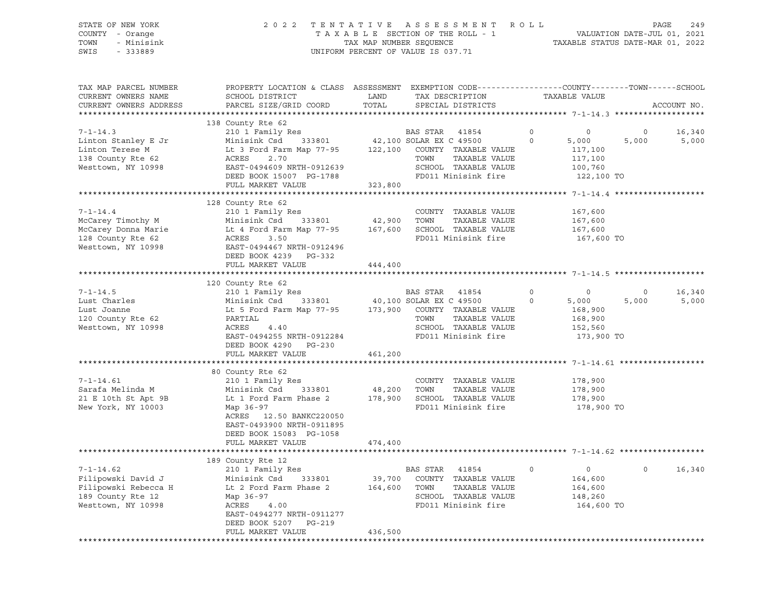|      | STATE OF NEW YORK | 2022 TENTATIVE ASSESSMENT ROLL                                 | PAGE | 249 |
|------|-------------------|----------------------------------------------------------------|------|-----|
|      | COUNTY - Orange   | VALUATION DATE-JUL 01, 2021<br>TAXABLE SECTION OF THE ROLL - 1 |      |     |
|      | TOWN - Minisink   | TAXABLE STATUS DATE-MAR 01, 2022<br>TAX MAP NUMBER SEOUENCE    |      |     |
| SWIS | - 333889          | UNIFORM PERCENT OF VALUE IS 037.71                             |      |     |

| TAX MAP PARCEL NUMBER<br>CURRENT OWNERS NAME<br>CURRENT OWNERS ADDRESS                                                                                                       | PROPERTY LOCATION & CLASS ASSESSMENT EXEMPTION CODE----------------COUNTY-------TOWN-----SCHOOL<br>SCHOOL DISTRICT<br>PARCEL SIZE/GRID COORD                                                                                                                                                                                                                                                                                                                                                    | LAND<br>TOTAL      | TAX DESCRIPTION<br>SPECIAL DISTRICTS                                                                                                                                  | TAXABLE VALUE                                                                                                                         |                  | ACCOUNT NO.     |
|------------------------------------------------------------------------------------------------------------------------------------------------------------------------------|-------------------------------------------------------------------------------------------------------------------------------------------------------------------------------------------------------------------------------------------------------------------------------------------------------------------------------------------------------------------------------------------------------------------------------------------------------------------------------------------------|--------------------|-----------------------------------------------------------------------------------------------------------------------------------------------------------------------|---------------------------------------------------------------------------------------------------------------------------------------|------------------|-----------------|
|                                                                                                                                                                              |                                                                                                                                                                                                                                                                                                                                                                                                                                                                                                 |                    |                                                                                                                                                                       |                                                                                                                                       |                  |                 |
| $7 - 1 - 14.3$<br>Linton Stanley E Jr<br>Linton Terese M<br>138 County Rte 62<br>Westtown, NY 10998                                                                          | 138 County Rte 62<br>210 1 Family Res<br>Minisink Csd $333801$<br>Lt 3 Ford Farm Map 77-95 122,100 COUNTY TAXABLE VALUE<br>2.70<br>ACRES<br>EAST-0494609 NRTH-0912639<br>DEED BOOK 15007 PG-1788<br>FULL MARKET VALUE                                                                                                                                                                                                                                                                           | 323,800            | BAS STAR 41854<br>42,100 SOLAR EX C 49500<br>TAXABLE VALUE<br>TOWN<br>SCHOOL TAXABLE VALUE<br>FD011 Minisink fire                                                     | $\circ$<br>$\overline{0}$<br>$\Omega$<br>5,000<br>117,100<br>117,100<br>100,760<br>122,100 TO                                         | $\circ$<br>5,000 | 16,340<br>5,000 |
|                                                                                                                                                                              |                                                                                                                                                                                                                                                                                                                                                                                                                                                                                                 |                    |                                                                                                                                                                       |                                                                                                                                       |                  |                 |
| $7 - 1 - 14.4$<br>McCarey Timothy M<br>McCarey Donna Marie<br>128 County Rte 62<br>Westtown, NY 10998                                                                        | 128 County Rte 62<br>210 1 Family Res<br>Minisink Csd<br>333801<br>Lt 4 Ford Farm Map 77-95 167,600 SCHOOL TAXABLE VALUE<br>ACRES<br>3.50<br>EAST-0494467 NRTH-0912496<br>DEED BOOK 4239 PG-332                                                                                                                                                                                                                                                                                                 | 42,900 TOWN        | COUNTY TAXABLE VALUE<br>TAXABLE VALUE<br>FD011 Minisink fire                                                                                                          | 167,600<br>167,600<br>167,600<br>167,600 TO                                                                                           |                  |                 |
|                                                                                                                                                                              | FULL MARKET VALUE                                                                                                                                                                                                                                                                                                                                                                                                                                                                               | 444,400            |                                                                                                                                                                       |                                                                                                                                       |                  |                 |
|                                                                                                                                                                              |                                                                                                                                                                                                                                                                                                                                                                                                                                                                                                 |                    |                                                                                                                                                                       |                                                                                                                                       |                  |                 |
| $7 - 1 - 14.5$<br>Lust Charles<br>Lust Joanne<br>120 County Rte 62<br>Westtown, NY 10998<br>$7 - 1 - 14.61$<br>Sarafa Melinda M<br>21 E 10th St Apt 9B<br>New York, NY 10003 | 120 County Rte 62<br>210 1 Family Res<br>Minisink Csd 333801 40,100 SOLAR EX C 49500<br>Lt 5 Ford Farm Map 77-95 173,900 COUNTY TAXABLE VALUE<br>PARTIAL<br>ACRES<br>4.40<br>EAST-0494255 NRTH-0912284<br>DEED BOOK 4290 PG-230<br>FULL MARKET VALUE<br>80 County Rte 62<br>210 1 Family Res<br>Minisink Csd 333801<br>Lt 1 Ford Farm Phase 2 178,900 SCHOOL TAXABLE VALUE<br>Map 36-97<br>ACRES 12.50 BANKC220050<br>EAST-0493900 NRTH-0911895<br>DEED BOOK 15083 PG-1058<br>FULL MARKET VALUE | 461,200<br>474,400 | BAS STAR 41854<br>TOWN<br>TAXABLE VALUE<br>SCHOOL TAXABLE VALUE<br>FD011 Minisink fire<br>COUNTY TAXABLE VALUE<br>48,200 TOWN<br>TAXABLE VALUE<br>FD011 Minisink fire | $\circ$<br>$\circ$<br>$\Omega$<br>5,000<br>168,900<br>168,900<br>152,560<br>173,900 TO<br>178,900<br>178,900<br>178,900<br>178,900 TO | $\circ$<br>5,000 | 16,340<br>5,000 |
|                                                                                                                                                                              | 189 County Rte 12                                                                                                                                                                                                                                                                                                                                                                                                                                                                               |                    |                                                                                                                                                                       |                                                                                                                                       |                  |                 |
| $7 - 1 - 14.62$<br>Filipowski David J<br>Filipowski Rebecca H<br>189 County Rte 12<br>Westtown, NY 10998                                                                     | 210 1 Family Res<br>Minisink Csd 333801<br>Lt 2 Ford Farm Phase 2 164,600 TOWN<br>Map 36-97<br>ACRES<br>4.00<br>EAST-0494277 NRTH-0911277<br>DEED BOOK 5207 PG-219<br>FULL MARKET VALUE                                                                                                                                                                                                                                                                                                         | 436,500            | BAS STAR 41854<br>39,700 COUNTY TAXABLE VALUE<br>TAXABLE VALUE<br>SCHOOL TAXABLE VALUE<br>FD011 Minisink fire                                                         | $\circ$<br>$\overline{0}$<br>164,600<br>164,600<br>148,260<br>164,600 TO                                                              | $\Omega$         | 16,340          |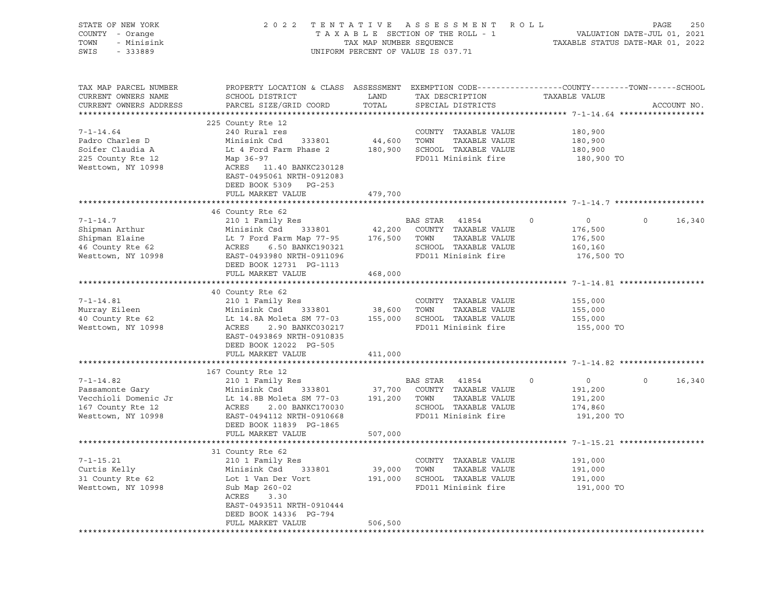| STATE OF NEW YORK<br>COUNTY - Orange<br>TOWN<br>- Minisink<br>SWIS<br>$-333889$ |                                                                                                                                                                                                                            |               | 2022 TENTATIVE ASSESSMENT ROLL<br>TENIALIVE ASSESSMENI AVOIL<br>TAXABLE SECTION OF THE ROLL - 1 VALUATION DATE-JUL 01, 2021<br>TAX MAP NUMBER SEQUENCE TAXABLE STATUS DATE-MAR 01, 2022<br>UNIFORM PERCENT OF VALUE IS 037.71 |                           | PAGE           | 250         |
|---------------------------------------------------------------------------------|----------------------------------------------------------------------------------------------------------------------------------------------------------------------------------------------------------------------------|---------------|-------------------------------------------------------------------------------------------------------------------------------------------------------------------------------------------------------------------------------|---------------------------|----------------|-------------|
| TAX MAP PARCEL NUMBER<br>CURRENT OWNERS NAME<br>CURRENT OWNERS ADDRESS          | PROPERTY LOCATION & CLASS ASSESSMENT EXEMPTION CODE---------------COUNTY-------TOWN-----SCHOOL<br>SCHOOL DISTRICT<br>PARCEL SIZE/GRID COORD                                                                                | LAND<br>TOTAL | TAX DESCRIPTION<br>SPECIAL DISTRICTS                                                                                                                                                                                          | TAXABLE VALUE             |                | ACCOUNT NO. |
|                                                                                 |                                                                                                                                                                                                                            |               |                                                                                                                                                                                                                               |                           |                |             |
| $7 - 1 - 14.64$                                                                 | 225 County Rte 12<br>240 Rural res                                                                                                                                                                                         |               |                                                                                                                                                                                                                               | 180,900                   |                |             |
| Padro Charles D                                                                 | Minisink Csd 333801                                                                                                                                                                                                        |               | COUNTY TAXABLE VALUE<br>44,600 TOWN TAXABLE VALUE                                                                                                                                                                             | 180,900                   |                |             |
| Soifer Claudia A                                                                | Lt 4 Ford Farm Phase 2 180,900 SCHOOL TAXABLE VALUE                                                                                                                                                                        |               |                                                                                                                                                                                                                               | 180,900                   |                |             |
| 225 County Rte 12                                                               | Map 36-97                                                                                                                                                                                                                  |               | FD011 Minisink fire                                                                                                                                                                                                           | 180,900 TO                |                |             |
| Westtown, NY 10998                                                              | ACRES 11.40 BANKC230128                                                                                                                                                                                                    |               |                                                                                                                                                                                                                               |                           |                |             |
|                                                                                 | EAST-0495061 NRTH-0912083                                                                                                                                                                                                  |               |                                                                                                                                                                                                                               |                           |                |             |
|                                                                                 | DEED BOOK 5309 PG-253                                                                                                                                                                                                      |               |                                                                                                                                                                                                                               |                           |                |             |
|                                                                                 | FULL MARKET VALUE                                                                                                                                                                                                          | 479,700       |                                                                                                                                                                                                                               |                           |                |             |
|                                                                                 |                                                                                                                                                                                                                            |               |                                                                                                                                                                                                                               |                           |                |             |
|                                                                                 | 46 County Rte 62                                                                                                                                                                                                           |               |                                                                                                                                                                                                                               |                           |                |             |
| $7 - 1 - 14.7$                                                                  | 210 1 Family Res                                                                                                                                                                                                           |               | BAS STAR 41854                                                                                                                                                                                                                | $\overline{0}$<br>0       | $\Omega$       | 16,340      |
| Shipman Arthur                                                                  |                                                                                                                                                                                                                            |               |                                                                                                                                                                                                                               | 176,500                   |                |             |
| Shipman Elaine                                                                  |                                                                                                                                                                                                                            |               |                                                                                                                                                                                                                               | 176,500<br>160,160        |                |             |
| snipman Elaine<br>46 County Rte 62<br>Westtown, NY 10998                        | 210 1 Family Res<br>Minisink Csd 333801 42,200 COUNTY TAXABLE VALUE<br>Lt 7 Ford Farm Map 77-95 176,500 TOWN TAXABLE VALUE<br>ACRES 6.50 BANKC190321 SCHOOL TAXABLE VALUE<br>EAST-0493980 NRTH-0911096 FD011 Minisink fire |               |                                                                                                                                                                                                                               | 176,500 TO                |                |             |
|                                                                                 | DEED BOOK 12731 PG-1113                                                                                                                                                                                                    |               |                                                                                                                                                                                                                               |                           |                |             |
|                                                                                 | FULL MARKET VALUE                                                                                                                                                                                                          | 468,000       |                                                                                                                                                                                                                               |                           |                |             |
|                                                                                 |                                                                                                                                                                                                                            |               |                                                                                                                                                                                                                               |                           |                |             |
|                                                                                 | 40 County Rte 62                                                                                                                                                                                                           |               |                                                                                                                                                                                                                               |                           |                |             |
| $7 - 1 - 14.81$                                                                 | 210 1 Family Res                                                                                                                                                                                                           |               | COUNTY TAXABLE VALUE                                                                                                                                                                                                          | 155,000                   |                |             |
| Murray Eileen                                                                   |                                                                                                                                                                                                                            |               |                                                                                                                                                                                                                               | 155,000                   |                |             |
| 40 County Rte 62                                                                | Minisink Csd 333801 38,600 TOWN TAXABLE VALUE<br>Lt 14.8A Moleta SM 77-03 155,000 SCHOOL TAXABLE VALUE                                                                                                                     |               |                                                                                                                                                                                                                               | 155,000                   |                |             |
| Westtown, NY 10998                                                              | ACRES 2.90 BANKC030217<br>EAST-0493869 NRTH-0910835<br>DEED BOOK 12022 PG-505                                                                                                                                              |               | FD011 Minisink fire                                                                                                                                                                                                           | 155,000 TO                |                |             |
|                                                                                 | FULL MARKET VALUE                                                                                                                                                                                                          | 411,000       |                                                                                                                                                                                                                               |                           |                |             |
|                                                                                 |                                                                                                                                                                                                                            |               |                                                                                                                                                                                                                               |                           |                |             |
|                                                                                 | 167 County Rte 12                                                                                                                                                                                                          |               |                                                                                                                                                                                                                               |                           |                |             |
| $7 - 1 - 14.82$                                                                 | 210 1 Family Res                                                                                                                                                                                                           |               | BAS STAR 41854                                                                                                                                                                                                                | $\circ$<br>$\overline{0}$ | $\overline{0}$ | 16,340      |
| Passamonte Gary                                                                 | Minisink Csd 333801                                                                                                                                                                                                        |               | 37,700 COUNTY TAXABLE VALUE                                                                                                                                                                                                   | 191,200                   |                |             |
| Vecchioli Domenic Jr                                                            |                                                                                                                                                                                                                            |               |                                                                                                                                                                                                                               | 191,200                   |                |             |
| 167 County Rte 12                                                               | EXECUTE 14.8B Moleta SM 77-03<br>ACRES 2.00 BANKC170030 SCHOOL TAXABLE VALUE<br>ACRES 2.00 BANKC170030 SCHOOL TAXABLE VALUE                                                                                                |               | SCHOOL TAXABLE VALUE                                                                                                                                                                                                          | 174,860                   |                |             |
| Westtown, NY 10998                                                              | EAST-0494112 NRTH-0910668                                                                                                                                                                                                  |               | FD011 Minisink fire                                                                                                                                                                                                           | 191,200 TO                |                |             |
|                                                                                 | DEED BOOK 11839 PG-1865                                                                                                                                                                                                    |               |                                                                                                                                                                                                                               |                           |                |             |
|                                                                                 | FULL MARKET VALUE                                                                                                                                                                                                          | 507,000       |                                                                                                                                                                                                                               |                           |                |             |
|                                                                                 | 31 County Rte 62                                                                                                                                                                                                           |               |                                                                                                                                                                                                                               |                           |                |             |
| $7 - 1 - 15.21$                                                                 | 210 1 Family Res                                                                                                                                                                                                           |               | COUNTY TAXABLE VALUE                                                                                                                                                                                                          | 191,000                   |                |             |
| Curtis Kelly                                                                    | Minisink Csd 333801                                                                                                                                                                                                        | $39,000$ TOWN | TAXABLE VALUE                                                                                                                                                                                                                 | 191,000                   |                |             |
| 31 County Rte 62                                                                | Lot 1 Van Der Vort                                                                                                                                                                                                         |               | 191,000 SCHOOL TAXABLE VALUE                                                                                                                                                                                                  | 191,000                   |                |             |
| Westtown, NY 10998                                                              | Sub Map 260-02                                                                                                                                                                                                             |               | FD011 Minisink fire                                                                                                                                                                                                           | 191,000 TO                |                |             |
|                                                                                 | ACRES 3.30                                                                                                                                                                                                                 |               |                                                                                                                                                                                                                               |                           |                |             |
|                                                                                 | EAST-0493511 NRTH-0910444                                                                                                                                                                                                  |               |                                                                                                                                                                                                                               |                           |                |             |
|                                                                                 | DEED BOOK 14336 PG-794                                                                                                                                                                                                     |               |                                                                                                                                                                                                                               |                           |                |             |
|                                                                                 | FULL MARKET VALUE                                                                                                                                                                                                          | 506,500       |                                                                                                                                                                                                                               |                           |                |             |
|                                                                                 |                                                                                                                                                                                                                            |               |                                                                                                                                                                                                                               |                           |                |             |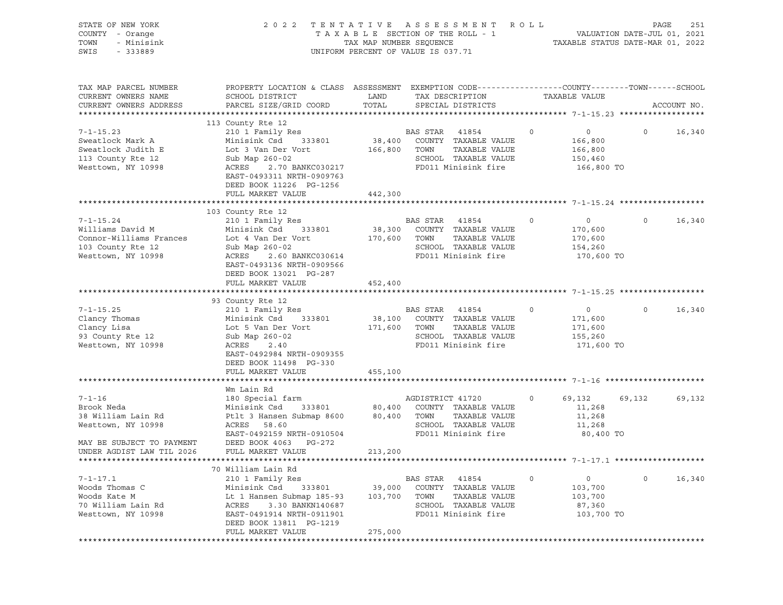| STATE OF NEW YORK<br>COUNTY - Orange<br>TOWN<br>- Minisink<br>SWIS<br>- 333889                            | 2 0 2 2                                                                                                                                                                                                       | TAXABLE SECTION OF THE ROLL - 1<br>TAX MAP NUMBER SEQUENCE<br>UNIFORM PERCENT OF VALUE IS 037.71 |                                 | TENTATIVE ASSESSMENT ROLL                                                                            |         | TAXABLE STATUS DATE-MAR 01, 2022                       | PAGE<br>VALUATION DATE-JUL 01, 2021 | 251         |
|-----------------------------------------------------------------------------------------------------------|---------------------------------------------------------------------------------------------------------------------------------------------------------------------------------------------------------------|--------------------------------------------------------------------------------------------------|---------------------------------|------------------------------------------------------------------------------------------------------|---------|--------------------------------------------------------|-------------------------------------|-------------|
| TAX MAP PARCEL NUMBER<br>CURRENT OWNERS NAME<br>CURRENT OWNERS ADDRESS                                    | PROPERTY LOCATION & CLASS ASSESSMENT EXEMPTION CODE----------------COUNTY-------TOWN------SCHOOL<br>SCHOOL DISTRICT<br>PARCEL SIZE/GRID COORD                                                                 | LAND<br>TOTAL                                                                                    |                                 | TAX DESCRIPTION<br>SPECIAL DISTRICTS                                                                 |         | TAXABLE VALUE                                          |                                     | ACCOUNT NO. |
| $7 - 1 - 15.23$<br>Sweatlock Mark A<br>Sweatlock Judith E<br>113 County Rte 12<br>Westtown, NY 10998      | 113 County Rte 12<br>210 1 Family Res<br>Minisink Csd<br>333801<br>Lot 3 Van Der Vort<br>Sub Map 260-02<br>ACRES 2.70 BANKC030217<br>EAST-0493311 NRTH-0909763<br>DEED BOOK 11226 PG-1256                     | 166,800 TOWN                                                                                     | BAS STAR                        | 41854<br>38,400 COUNTY TAXABLE VALUE<br>TAXABLE VALUE<br>SCHOOL TAXABLE VALUE<br>FD011 Minisink fire | $\circ$ | $\circ$<br>166,800<br>166,800<br>150,460<br>166,800 TO | $\circ$                             | 16,340      |
|                                                                                                           | FULL MARKET VALUE                                                                                                                                                                                             | 442,300                                                                                          |                                 |                                                                                                      |         |                                                        |                                     |             |
| $7 - 1 - 15.24$<br>Williams David M<br>Connor-Williams Frances<br>103 County Rte 12<br>Westtown, NY 10998 | 103 County Rte 12<br>210 1 Family Res<br>Minisink Csd 333801<br>Lot 4 Van Der Vort<br>Sub Map 260-02<br>ACRES<br>2.60 BANKC030614<br>EAST-0493136 NRTH-0909566<br>DEED BOOK 13021 PG-287<br>FULL MARKET VALUE | 38,300<br>170,600<br>452,400                                                                     | BAS STAR<br>TOWN                | 41854<br>COUNTY TAXABLE VALUE<br>TAXABLE VALUE<br>SCHOOL TAXABLE VALUE<br>FD011 Minisink fire        | 0       | $\circ$<br>170,600<br>170,600<br>154,260<br>170,600 TO | $\circ$                             | 16,340      |
|                                                                                                           |                                                                                                                                                                                                               |                                                                                                  |                                 |                                                                                                      |         |                                                        |                                     |             |
| $7 - 1 - 15.25$<br>Clancy Thomas<br>Clancy Lisa<br>93 County Rte 12<br>Westtown, NY 10998                 | 93 County Rte 12<br>210 1 Family Res<br>Minisink Csd<br>333801<br>Lot 5 Van Der Vort<br>Sub Map 260-02<br>ACRES<br>2.40<br>EAST-0492984 NRTH-0909355<br>DEED BOOK 11498 PG-330<br>FULL MARKET VALUE           | 171,600 TOWN<br>455,100                                                                          | BAS STAR 41854                  | 38,100 COUNTY TAXABLE VALUE<br>TAXABLE VALUE<br>SCHOOL TAXABLE VALUE<br>FD011 Minisink fire          | 0       | $\circ$<br>171,600<br>171,600<br>155,260<br>171,600 TO | $\circ$                             | 16,340      |
|                                                                                                           |                                                                                                                                                                                                               |                                                                                                  |                                 |                                                                                                      |         |                                                        |                                     |             |
| $7 - 1 - 16$<br>Brook Neda<br>38 William Lain Rd<br>Westtown, NY 10998                                    | Wm Lain Rd<br>180 Special farm<br>333801<br>Minisink Csd<br>Ptlt 3 Hansen Submap 8600<br>ACRES 58.60<br>EAST-0492159 NRTH-0910504                                                                             |                                                                                                  | AGDISTRICT 41720<br>80,400 TOWN | 80,400 COUNTY TAXABLE VALUE<br>TAXABLE VALUE<br>SCHOOL TAXABLE VALUE<br>FD011 Minisink fire          | $\circ$ | 69,132<br>11,268<br>11,268<br>11,268<br>80,400 TO      | 69,132                              | 69,132      |
| MAY BE SUBJECT TO PAYMENT<br>UNDER AGDIST LAW TIL 2026                                                    | DEED BOOK 4063 PG-272<br>FULL MARKET VALUE                                                                                                                                                                    | 213,200                                                                                          |                                 |                                                                                                      |         |                                                        |                                     |             |
|                                                                                                           |                                                                                                                                                                                                               |                                                                                                  |                                 |                                                                                                      |         |                                                        |                                     |             |
| $7 - 1 - 17.1$<br>Woods Thomas C<br>Woods Kate M<br>70 William Lain Rd<br>Westtown, NY 10998              | 70 William Lain Rd<br>210 1 Family Res<br>Minisink Csd<br>333801<br>Lt 1 Hansen Submap 185-93<br>ACRES<br>3.30 BANKN140687<br>EAST-0491914 NRTH-0911901<br>DEED BOOK 13811 PG-1219<br>FULL MARKET VALUE       | 39,000<br>103,700<br>275,000                                                                     | BAS STAR<br>TOWN                | 41854<br>COUNTY TAXABLE VALUE<br>TAXABLE VALUE<br>SCHOOL TAXABLE VALUE<br>FD011 Minisink fire        | 0       | 0<br>103,700<br>103,700<br>87,360<br>103,700 TO        | $\circ$                             | 16,340      |
|                                                                                                           |                                                                                                                                                                                                               |                                                                                                  |                                 |                                                                                                      |         |                                                        |                                     |             |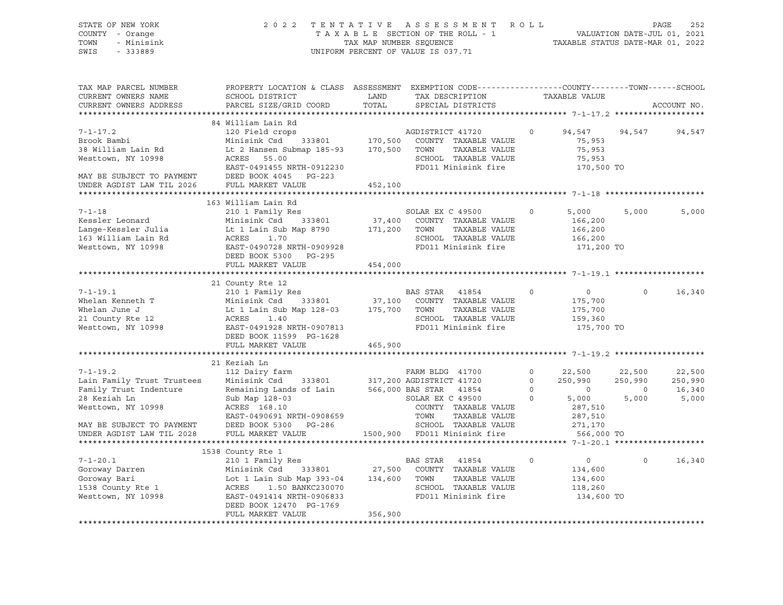| STATE OF NEW YORK<br>COUNTY - Orange<br>TOWN<br>- Minisink<br>SWIS<br>$-333889$                                                           | 2 0 2 2                                                                                                                                                                                                | TENTATIVE<br>TAX MAP NUMBER SEQUENCE | A S S E S S M E N T<br>TAXABLE SECTION OF THE ROLL - 1<br>UNIFORM PERCENT OF VALUE IS 037.71                                                                          | ROLL                                      | TAXABLE STATUS DATE-MAR 01, 2022                                              |                                              | PAGE<br>252<br>VALUATION DATE-JUL 01, 2021 |
|-------------------------------------------------------------------------------------------------------------------------------------------|--------------------------------------------------------------------------------------------------------------------------------------------------------------------------------------------------------|--------------------------------------|-----------------------------------------------------------------------------------------------------------------------------------------------------------------------|-------------------------------------------|-------------------------------------------------------------------------------|----------------------------------------------|--------------------------------------------|
| TAX MAP PARCEL NUMBER<br>CURRENT OWNERS NAME<br>CURRENT OWNERS ADDRESS                                                                    | PROPERTY LOCATION & CLASS ASSESSMENT EXEMPTION CODE----------------COUNTY-------TOWN------SCHOOL<br>SCHOOL DISTRICT<br>PARCEL SIZE/GRID COORD                                                          | LAND<br>TOTAL                        | TAX DESCRIPTION<br>SPECIAL DISTRICTS                                                                                                                                  |                                           | TAXABLE VALUE                                                                 |                                              | ACCOUNT NO.                                |
|                                                                                                                                           | 84 William Lain Rd                                                                                                                                                                                     |                                      |                                                                                                                                                                       |                                           |                                                                               |                                              |                                            |
| $7 - 1 - 17.2$<br>Brook Bambi<br>38 William Lain Rd<br>Westtown, NY 10998<br>MAY BE SUBJECT TO PAYMENT                                    | 120 Field crops<br>Minisink Csd<br>333801<br>Lt 2 Hansen Submap 185-93<br>ACRES<br>55.00<br>EAST-0491455 NRTH-0912230<br>DEED BOOK 4045 PG-223                                                         | 170,500<br>170,500                   | AGDISTRICT 41720<br>COUNTY TAXABLE VALUE<br>TOWN<br>TAXABLE VALUE<br>SCHOOL TAXABLE VALUE<br>FD011 Minisink fire                                                      | $\Omega$                                  | 94,547<br>75,953<br>75,953<br>75,953<br>170,500 TO                            | 94,547                                       | 94,547                                     |
| UNDER AGDIST LAW TIL 2026                                                                                                                 | FULL MARKET VALUE                                                                                                                                                                                      | 452,100                              |                                                                                                                                                                       |                                           |                                                                               |                                              |                                            |
|                                                                                                                                           |                                                                                                                                                                                                        |                                      |                                                                                                                                                                       |                                           |                                                                               |                                              |                                            |
| $7 - 1 - 18$<br>Kessler Leonard<br>Lange-Kessler Julia<br>163 William Lain Rd<br>Westtown, NY 10998                                       | 163 William Lain Rd<br>210 1 Family Res<br>Minisink Csd<br>333801<br>Lt 1 Lain Sub Map 8790<br>ACRES<br>1.70<br>EAST-0490728 NRTH-0909928<br>DEED BOOK 5300 PG-295                                     | 37,400<br>171,200                    | SOLAR EX C 49500<br>COUNTY TAXABLE VALUE<br>TOWN<br>TAXABLE VALUE<br>SCHOOL TAXABLE VALUE<br>FD011 Minisink fire                                                      | $\circ$                                   | 5,000<br>166,200<br>166,200<br>166,200<br>171,200 TO                          | 5,000                                        | 5,000                                      |
|                                                                                                                                           | FULL MARKET VALUE                                                                                                                                                                                      | 454,000                              |                                                                                                                                                                       |                                           |                                                                               |                                              |                                            |
|                                                                                                                                           | 21 County Rte 12                                                                                                                                                                                       |                                      |                                                                                                                                                                       |                                           |                                                                               |                                              |                                            |
| $7 - 1 - 19.1$<br>Whelan Kenneth T<br>Whelan June J<br>21 County Rte 12<br>Westtown, NY 10998                                             | 210 1 Family Res<br>Minisink Csd<br>333801<br>Lt 1 Lain Sub Map 128-03<br>ACRES<br>1.40<br>EAST-0491928 NRTH-0907813<br>DEED BOOK 11599 PG-1628                                                        | 37,100<br>175,700                    | BAS STAR<br>41854<br>COUNTY TAXABLE VALUE<br>TOWN<br>TAXABLE VALUE<br>SCHOOL TAXABLE VALUE<br>FD011 Minisink fire                                                     | 0                                         | $\circ$<br>175,700<br>175,700<br>159,360<br>175,700 TO                        | $\Omega$                                     | 16,340                                     |
|                                                                                                                                           | FULL MARKET VALUE                                                                                                                                                                                      | 465,900                              |                                                                                                                                                                       |                                           |                                                                               |                                              |                                            |
|                                                                                                                                           | *********************                                                                                                                                                                                  |                                      |                                                                                                                                                                       |                                           | ********* 7-1-19.2 ****                                                       |                                              |                                            |
| $7 - 1 - 19.2$<br>Lain Family Trust Trustees<br>Family Trust Indenture<br>28 Keziah Ln<br>Westtown, NY 10998<br>MAY BE SUBJECT TO PAYMENT | 21 Keziah Ln<br>112 Dairy farm<br>Minisink Csd<br>333801<br>Remaining Lands of Lain<br>Sub Map 128-03<br>ACRES 168.10<br>EAST-0490691 NRTH-0908659<br>DEED BOOK 5300 PG-286                            |                                      | FARM BLDG 41700<br>317,200 AGDISTRICT 41720<br>566,000 BAS STAR<br>41854<br>SOLAR EX C 49500<br>COUNTY TAXABLE VALUE<br>TOWN<br>TAXABLE VALUE<br>SCHOOL TAXABLE VALUE | $\circ$<br>$\circ$<br>$\Omega$<br>$\circ$ | 22,500<br>250,990<br>$\overline{0}$<br>5,000<br>287,510<br>287,510<br>271,170 | 22,500<br>250,990<br>$\overline{0}$<br>5,000 | 22,500<br>250,990<br>16,340<br>5,000       |
| UNDER AGDIST LAW TIL 2028                                                                                                                 | FULL MARKET VALUE                                                                                                                                                                                      | 1500,900                             | FD011 Minisink fire                                                                                                                                                   |                                           | 566,000 TO                                                                    |                                              |                                            |
|                                                                                                                                           |                                                                                                                                                                                                        |                                      |                                                                                                                                                                       |                                           |                                                                               |                                              |                                            |
| $7 - 1 - 20.1$<br>Goroway Darren<br>Goroway Bari<br>1538 County Rte 1<br>Westtown, NY 10998                                               | 1538 County Rte 1<br>210 1 Family Res<br>Minisink Csd<br>333801<br>Lot 1 Lain Sub Map 393-04<br>ACRES<br>1.50 BANKC230070<br>EAST-0491414 NRTH-0906833<br>DEED BOOK 12470 PG-1769<br>FULL MARKET VALUE | 27,500<br>134,600<br>356,900         | <b>BAS STAR</b><br>41854<br>COUNTY TAXABLE VALUE<br>TOWN<br>TAXABLE VALUE<br>SCHOOL TAXABLE VALUE<br>FD011 Minisink fire                                              | $\Omega$                                  | $\circ$<br>134,600<br>134,600<br>118,260<br>134,600 TO                        | $\Omega$                                     | 16,340                                     |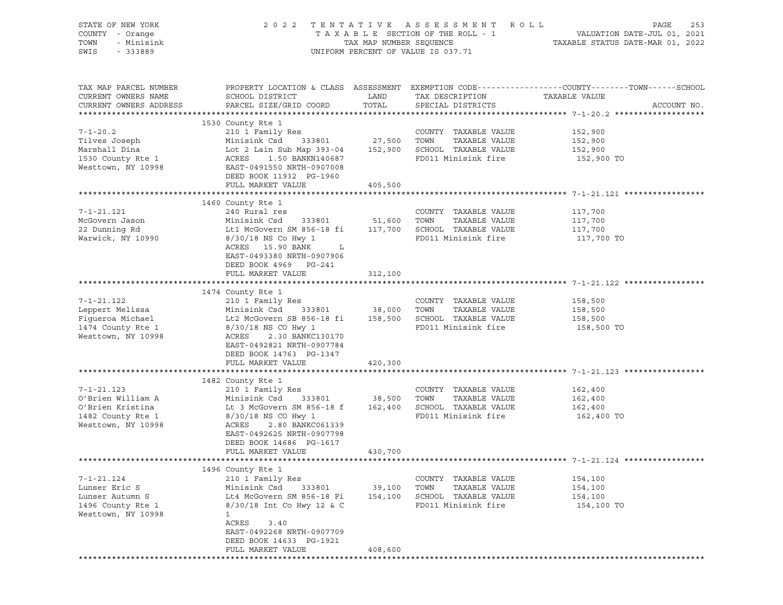| STATE OF NEW YORK<br>2022 TENTATIVE ASSESSMENT ROLL<br>PAGE<br>COUNTY - Orange<br>TOWN<br>- Minisink<br>SWIS<br>$-333889$<br>UNIFORM PERCENT OF VALUE IS 037.71                                                                                                                                                                                                                                                                                                                                                                                                   | 253 |
|-------------------------------------------------------------------------------------------------------------------------------------------------------------------------------------------------------------------------------------------------------------------------------------------------------------------------------------------------------------------------------------------------------------------------------------------------------------------------------------------------------------------------------------------------------------------|-----|
| PROPERTY LOCATION & CLASS ASSESSMENT EXEMPTION CODE----------------COUNTY-------TOWN-----SCHOOL<br>TAX MAP PARCEL NUMBER<br>CURRENT OWNERS NAME<br>SCHOOL DISTRICT<br>LAND<br>TAX DESCRIPTION TAXABLE VALUE<br>TOTAL<br>PARCEL SIZE/GRID COORD<br>CURRENT OWNERS ADDRESS<br>SPECIAL DISTRICTS<br>ACCOUNT NO.                                                                                                                                                                                                                                                      |     |
| 1530 County Rte 1<br>210 1 Family Res COUNTY<br>Minisink Csd 333801 27,500 TOWN<br>$7 - 1 - 20.2$<br>COUNTY TAXABLE VALUE<br>152,900<br>152,900<br>Tilves Joseph<br>TAXABLE VALUE<br>Lot 2 Lain Sub Map 393-04 152,900 SCHOOL TAXABLE VALUE<br>Marshall Dina<br>152,900<br>FD011 Minisink fire<br>1530 County Rte 1<br>1.50 BANKN140687<br>152,900 TO<br>ACRES<br>Westtown, NY 10998<br>EAST-0491550 NRTH-0907008<br>DEED BOOK 11932 PG-1960<br>FULL MARKET VALUE<br>405,500                                                                                      |     |
|                                                                                                                                                                                                                                                                                                                                                                                                                                                                                                                                                                   |     |
| 1460 County Rte 1<br>County Rue 1<br>240 Rural res<br>$7 - 1 - 21.121$<br>COUNTY TAXABLE VALUE<br>117,700<br>McGovern Jason<br>Minisink Csd 333801 51,600 TOWN TAXABLE VALUE<br>Lt1 McGovern SM 856-18 fi 117,700 SCHOOL TAXABLE VALUE<br>117,700<br>117,700<br>22 Dunning Rd<br>FD011 Minisink fire 117,700 TO<br>Warwick, NY 10990<br>8/30/18 NS Co Hwy 1<br>ACRES 15.90 BANK<br>$\mathbf{L}$<br>EAST-0493380 NRTH-0907906                                                                                                                                      |     |
| DEED BOOK 4969 PG-241<br>FULL MARKET VALUE<br>312,100                                                                                                                                                                                                                                                                                                                                                                                                                                                                                                             |     |
| 1474 County Rte 1<br>$7 - 1 - 21.122$<br>210 1 Family Res<br>COUNTY TAXABLE VALUE<br>158,500<br>XIO I Family ACD<br>Minisink Csd 333801 38,000 TOWN TAXABLE VALUE<br>T. + 2 McGovern SB 856-18 fi 158,500 SCHOOL TAXABLE VALUE<br>Leppert Melissa<br>Minisink Csa<br>Lt2 McGovern SB 856-18 fi<br>158,500<br>Figueroa Michael<br>158,500<br>1474 County Rte 1<br>FD011 Minisink fire 158,500 TO<br>8/30/18 NS CO Hwy 1<br>Westtown, NY 10998<br>ACRES<br>2.30 BANKC130170<br>EAST-0492821 NRTH-0907784<br>DEED BOOK 14763 PG-1347<br>FULL MARKET VALUE<br>420,300 |     |
|                                                                                                                                                                                                                                                                                                                                                                                                                                                                                                                                                                   |     |
| 1482 County Rte 1<br>210 1 Family Res<br>$7 - 1 - 21.123$<br>COUNTY TAXABLE VALUE<br>162,400<br>O'Brien William A<br>Minisink Csd 333801 38,500 TOWN TAXABLE VALUE<br>Lt 3 McGovern SM 856-18 f 162,400 SCHOOL TAXABLE VALUE<br>162,400<br>O'Brien Kristina<br>162,400<br>FD011 Minisink fire 162,400 TO<br>1482 County Rte 1<br>8/30/18 NS CO Hwy 1<br>Westtown, NY 10998<br>ACRES<br>2.80 BANKC061339<br>EAST-0492625 NRTH-0907798<br>DEED BOOK 14686 PG-1617<br>FULL MARKET VALUE<br>430,700                                                                   |     |
|                                                                                                                                                                                                                                                                                                                                                                                                                                                                                                                                                                   |     |
| 1496 County Rte 1<br>$7 - 1 - 21.124$<br>210 1 Family Res<br>COUNTY TAXABLE VALUE<br>154,100<br>Lunser Eric S<br>Minisink Csd<br>333801<br>39,100<br>TOWN<br>TAXABLE VALUE<br>154,100<br>Lunser Autumn S<br>Lt4 McGovern SM 856-18 Fi<br>154,100<br>SCHOOL TAXABLE VALUE<br>154,100<br>1496 County Rte 1<br>8/30/18 Int Co Hwy 12 & C<br>FD011 Minisink fire<br>154,100 TO<br>Westtown, NY 10998<br>$\mathbf{1}$<br>ACRES<br>3.40<br>EAST-0492268 NRTH-0907709<br>DEED BOOK 14633 PG-1921<br>FULL MARKET VALUE<br>408,600                                         |     |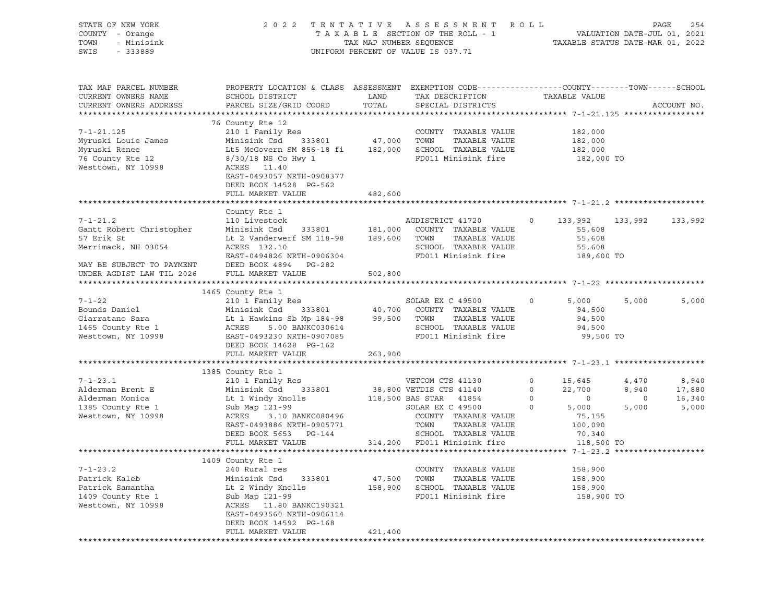| STATE OF NEW YORK<br>COUNTY - Orange<br>TOWN<br>- Minisink<br>SWIS<br>$-333889$                    |                                                                                                                                                                                         |                    | 2022 TENTATIVE ASSESSMENT ROLL<br>UNIFORM PERCENT OF VALUE IS 037.71                                             |                                          |                                                     |                                    | PAGE<br>254                        |
|----------------------------------------------------------------------------------------------------|-----------------------------------------------------------------------------------------------------------------------------------------------------------------------------------------|--------------------|------------------------------------------------------------------------------------------------------------------|------------------------------------------|-----------------------------------------------------|------------------------------------|------------------------------------|
| TAX MAP PARCEL NUMBER<br>CURRENT OWNERS NAME<br>CURRENT OWNERS ADDRESS                             | PROPERTY LOCATION & CLASS ASSESSMENT EXEMPTION CODE---------------COUNTY-------TOWN-----SCHOOL<br>SCHOOL DISTRICT<br>PARCEL SIZE/GRID COORD                                             | LAND<br>TOTAL      | TAX DESCRIPTION<br>SPECIAL DISTRICTS                                                                             |                                          | TAXABLE VALUE                                       |                                    | ACCOUNT NO.                        |
|                                                                                                    | 76 County Rte 12                                                                                                                                                                        |                    |                                                                                                                  |                                          |                                                     |                                    |                                    |
| $7 - 1 - 21.125$<br>Myruski Louie James<br>Myruski Renee<br>76 County Rte 12<br>Westtown, NY 10998 | 210 1 Family Res<br>Minisink Csd<br>Lt5 McGovern SM 856-18 fi 182,000 SCHOOL TAXABLE VALUE<br>8/30/18 NS Co Hwy 1<br>ACRES 11.40<br>EAST-0493057 NRTH-0908377<br>DEED BOOK 14528 PG-562 | 333801 47,000 TOWN | COUNTY TAXABLE VALUE<br>TAXABLE VALUE<br>FD011 Minisink fire                                                     |                                          | 182,000<br>182,000<br>182,000<br>182,000 TO         |                                    |                                    |
|                                                                                                    | FULL MARKET VALUE                                                                                                                                                                       | 482,600            |                                                                                                                  |                                          |                                                     |                                    |                                    |
|                                                                                                    |                                                                                                                                                                                         |                    |                                                                                                                  |                                          |                                                     |                                    |                                    |
| $7 - 1 - 21.2$<br>Gantt Robert Christopher<br>57 Erik St<br>Merrimack, NH 03054                    | County Rte 1<br>110 Livestock<br>Minisink Csd 333801 181,000<br>Lt 2 Vanderwerf SM 118-98 189,600<br>ACRES 132.10<br>EAST-0494826 NRTH-0906304                                          |                    | AGDISTRICT 41720<br>COUNTY TAXABLE VALUE<br>TOWN<br>TAXABLE VALUE<br>SCHOOL TAXABLE VALUE<br>FD011 Minisink fire | $\circ$                                  | 133,992<br>55,608<br>55,608<br>55,608<br>189,600 TO | 133,992                            | 133,992                            |
| MAY BE SUBJECT TO PAYMENT<br>UNDER AGDIST LAW TIL 2026                                             | DEED BOOK 4894 PG-282<br>FULL MARKET VALUE                                                                                                                                              | 502,800            |                                                                                                                  |                                          |                                                     |                                    |                                    |
|                                                                                                    | 1465 County Rte 1                                                                                                                                                                       |                    |                                                                                                                  |                                          |                                                     |                                    |                                    |
| $7 - 1 - 22$<br>Bounds Daniel<br>Giarratano Sara<br>1465 County Rte 1<br>Westtown, NY 10998        | 210 1 Family Res<br>Minisink Csd<br>Lt 1 Hawkins Sb Mp 184-98<br>ACRES<br>5.00 BANKC030614<br>EAST-0493230 NRTH-0907085<br>DEED BOOK 14628 PG-162<br>FULL MARKET VALUE                  | 263,900            | SOLAR EX C 49500<br>TAXABLE VALUE<br>SCHOOL TAXABLE VALUE<br>FD011 Minisink fire                                 | $\circ$                                  | 5,000<br>94,500<br>94,500<br>94,500<br>99,500 TO    | 5,000                              | 5,000                              |
|                                                                                                    |                                                                                                                                                                                         |                    |                                                                                                                  |                                          |                                                     |                                    |                                    |
| $7 - 1 - 23.1$<br>Alderman Brent E<br>Alderman Monica<br>1385 County Rte 1                         | 1385 County Rte 1<br>210 1 Family Res<br>Minisink Csd<br>Sub Map 121-99                                                                                                                 |                    | VETCOM CTS 41130<br>333801 38,800 VETDIS CTS 41140<br>SOLAR EX C 49500                                           | $\circ$<br>$\circ$<br>$\circ$<br>$\circ$ | 15,645<br>22,700<br>$\overline{0}$<br>5,000         | 4,470<br>8,940<br>$\circ$<br>5,000 | 8,940<br>17,880<br>16,340<br>5,000 |
| Westtown, NY 10998                                                                                 | ACRES<br>3.10 BANKC080496<br>EAST-0493886 NRTH-0905771<br>DEED BOOK 5653 PG-144<br>FULL MARKET VALUE                                                                                    |                    | COUNTY TAXABLE VALUE<br>TOWN<br>TAXABLE VALUE<br>SCHOOL TAXABLE VALUE<br>314,200 FD011 Minisink fire             |                                          | 75,155<br>100,090<br>70,340<br>118,500 TO           |                                    |                                    |
|                                                                                                    | 1409 County Rte 1                                                                                                                                                                       |                    |                                                                                                                  |                                          |                                                     |                                    |                                    |
| $7 - 1 - 23.2$<br>Patrick Kaleb<br>Patrick Samantha<br>1409 County Rte 1<br>Westtown, NY 10998     | 240 Rural res<br>Minisink Csd<br>333801<br>Lt 2 Windy Knolls<br>Sub Map 121-99<br>ACRES 11.80 BANKC190321<br>EAST-0493560 NRTH-0906114<br>DEED BOOK 14592 PG-168                        | 47,500<br>158,900  | COUNTY TAXABLE VALUE<br>TOWN<br>TAXABLE VALUE<br>SCHOOL TAXABLE VALUE<br>FD011 Minisink fire                     |                                          | 158,900<br>158,900<br>158,900<br>158,900 TO         |                                    |                                    |
|                                                                                                    | FULL MARKET VALUE                                                                                                                                                                       | 421,400            |                                                                                                                  |                                          |                                                     |                                    |                                    |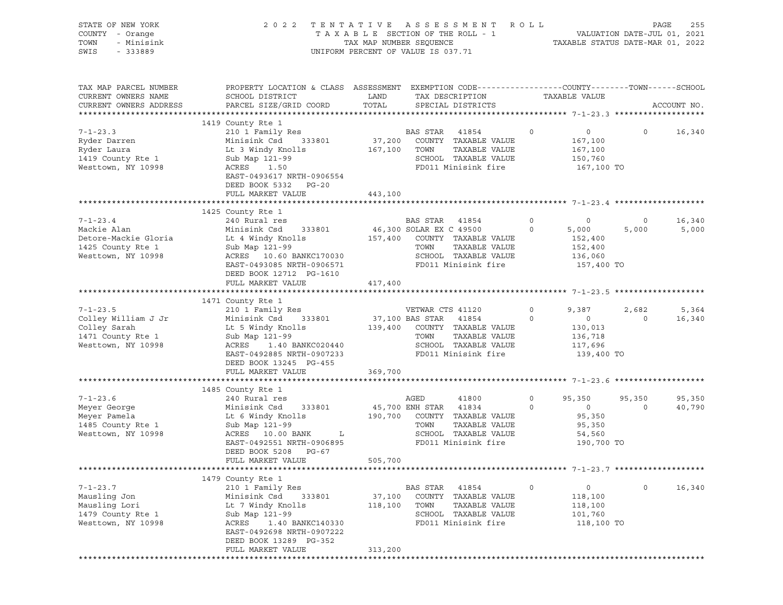| STATE OF NEW YORK<br>COUNTY - Orange<br>TOWN<br>- Minisink<br>SWIS<br>$-333889$                  |                                                                                                                                                                                                                   | 2022 TENTATIVE ASSESSMENT ROLL<br>UNIFORM PERCENT OF VALUE IS 037.71                                                                                         |                    |                                                                        | PAGE<br>255                           |
|--------------------------------------------------------------------------------------------------|-------------------------------------------------------------------------------------------------------------------------------------------------------------------------------------------------------------------|--------------------------------------------------------------------------------------------------------------------------------------------------------------|--------------------|------------------------------------------------------------------------|---------------------------------------|
| TAX MAP PARCEL NUMBER<br>CURRENT OWNERS NAME<br>CURRENT OWNERS ADDRESS                           | SCHOOL DISTRICT<br>PARCEL SIZE/GRID COORD                                                                                                                                                                         | PROPERTY LOCATION & CLASS ASSESSMENT EXEMPTION CODE---------------COUNTY-------TOWN------SCHOOL<br>LAND<br>TAX DESCRIPTION<br>TOTAL<br>SPECIAL DISTRICTS     |                    | TAXABLE VALUE                                                          | ACCOUNT NO.                           |
| $7 - 1 - 23.3$<br>Ryder Darren<br>Ryder Laura<br>1419 County Rte 1<br>Westtown, NY 10998         | 1419 County Rte 1<br>210 1 Family Res<br>Minisink Csd<br>333801<br>Lt 3 Windy Knolls<br>Sub Map 121-99<br>ACRES 1.50<br>EAST-0493617 NRTH-0906554<br>DEED BOOK 5332 PG-20<br>FULL MARKET VALUE                    | BAS STAR 41854<br>37,200<br>COUNTY TAXABLE VALUE<br>167,100 TOWN<br>TAXABLE VALUE<br>SCHOOL TAXABLE VALUE<br>FD011 Minisink fire<br>443,100                  | $\circ$            | $\overline{0}$<br>167,100<br>167,100<br>150,760<br>167,100 TO          | $\circ$<br>16,340                     |
| $7 - 1 - 23.4$<br>Mackie Alan<br>Detore-Mackie Gloria<br>1425 County Rte 1<br>Westtown, NY 10998 | 1425 County Rte 1<br>240 Rural res<br>Minisink Csd<br>333801<br>Lt 4 Windy Knolls<br>Sub Map 121-99<br>ACRES 10.60 BANKC170030<br>EAST-0493085 NRTH-0906571<br>DEED BOOK 12712 PG-1610<br>FULL MARKET VALUE       | BAS STAR 41854<br>46,300 SOLAR EX C 49500<br>157,400 COUNTY TAXABLE VALUE<br>TOWN<br>TAXABLE VALUE<br>SCHOOL TAXABLE VALUE<br>FD011 Minisink fire<br>417,400 | 0<br>$\circ$       | $\circ$<br>5,000<br>152,400<br>152,400<br>136,060<br>157,400 TO        | 16,340<br>$\circ$<br>5,000<br>5,000   |
| $7 - 1 - 23.5$<br>Colley William J Jr<br>Colley Sarah<br>1471 County Rte 1<br>Westtown, NY 10998 | 1471 County Rte 1<br>210 1 Family Res<br>333801<br>Minisink Csd<br>Lt 5 Windy Knolls<br>Sub Map 121-99<br>ACRES 1.40 BANKC020440<br>EAST-0492885 NRTH-0907233<br>DEED BOOK 13245 PG-455<br>FULL MARKET VALUE      | VETWAR CTS 41120<br>37,100 BAS STAR 41854<br>139,400 COUNTY TAXABLE VALUE<br>TOWN<br>TAXABLE VALUE<br>SCHOOL TAXABLE VALUE<br>FD011 Minisink fire<br>369,700 | 0<br>$\circ$       | 9,387<br>$\overline{0}$<br>130,013<br>136,718<br>117,696<br>139,400 TO | 2,682<br>5,364<br>16,340<br>$\circ$   |
|                                                                                                  |                                                                                                                                                                                                                   |                                                                                                                                                              |                    |                                                                        |                                       |
| $7 - 1 - 23.6$<br>Meyer George<br>Meyer Pamela<br>1485 County Rte 1<br>Westtown, NY 10998        | 1485 County Rte 1<br>240 Rural res<br>Minisink Csd<br>333801<br>Lt 6 Windy Knolls<br>Sub Map 121-99<br>ACRES 10.00 BANK<br>$\mathbf{L}$<br>EAST-0492551 NRTH-0906895<br>DEED BOOK 5208 PG-67<br>FULL MARKET VALUE | AGED<br>41800<br>45,700 ENH STAR 41834<br>190,700<br>COUNTY TAXABLE VALUE<br>TOWN<br>TAXABLE VALUE<br>SCHOOL TAXABLE VALUE<br>FD011 Minisink fire<br>505,700 | $\circ$<br>$\circ$ | 95,350<br>$\overline{0}$<br>95,350<br>95,350<br>54,560<br>190,700 TO   | 95,350<br>95,350<br>$\circ$<br>40,790 |
|                                                                                                  |                                                                                                                                                                                                                   |                                                                                                                                                              |                    |                                                                        |                                       |
| $7 - 1 - 23.7$<br>Mausling Jon<br>Mausling Lori<br>1479 County Rte 1<br>Westtown, NY 10998       | 1479 County Rte 1<br>210 1 Family Res<br>Minisink Csd<br>333801<br>Lt 7 Windy Knolls<br>Sub Map 121-99<br>ACRES<br>1.40 BANKC140330<br>EAST-0492698 NRTH-0907222<br>DEED BOOK 13289 PG-352<br>FULL MARKET VALUE   | BAS STAR<br>41854<br>COUNTY TAXABLE VALUE<br>37,100<br>118,100<br>TOWN<br>TAXABLE VALUE<br>SCHOOL TAXABLE VALUE<br>FD011 Minisink fire<br>313,200            | 0                  | 0<br>118,100<br>118,100<br>101,760<br>118,100 TO                       | 16,340<br>$\circ$                     |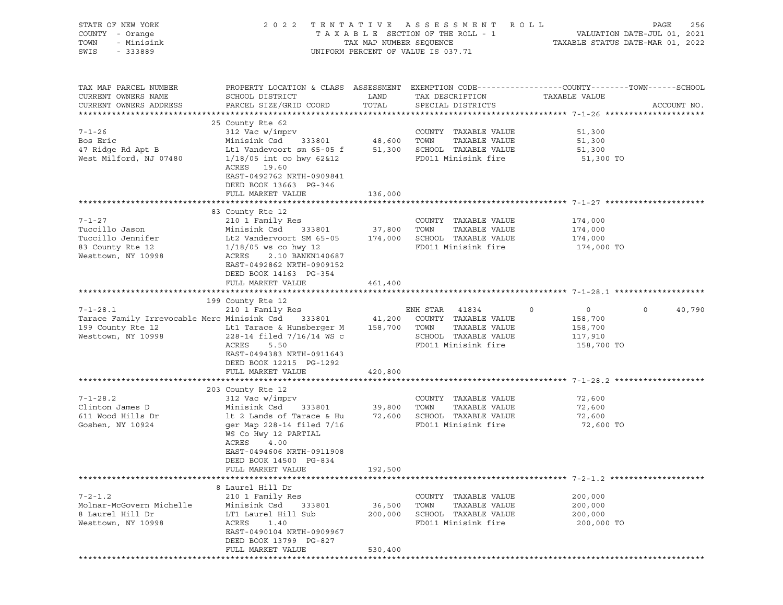| STATE OF NEW YORK<br>COUNTY - Orange<br>TOWN<br>- Minisink<br>SWIS<br>$-333889$                                                                                                                                              |                                                                                                                                                                                                                                                                                                |                   | 2022 TENTATIVE ASSESSMENT ROLL<br>UNIFORM PERCENT OF VALUE IS 037.71                         | PAGE<br>256<br>TAXABLE SECTION OF THE ROLL - 1 VALUATION DATE-JUL 01, 2021<br>TAX MAP NUMBER SEQUENCE TAXABLE STATUS DATE-MAR 01, 2022 |
|------------------------------------------------------------------------------------------------------------------------------------------------------------------------------------------------------------------------------|------------------------------------------------------------------------------------------------------------------------------------------------------------------------------------------------------------------------------------------------------------------------------------------------|-------------------|----------------------------------------------------------------------------------------------|----------------------------------------------------------------------------------------------------------------------------------------|
| TAX MAP PARCEL NUMBER<br>CURRENT OWNERS NAME<br>CURRENT OWNERS ADDRESS                                                                                                                                                       |                                                                                                                                                                                                                                                                                                |                   | TAX DESCRIPTION TAXABLE VALUE                                                                | PROPERTY LOCATION & CLASS ASSESSMENT EXEMPTION CODE----------------COUNTY-------TOWN-----SCHOOL<br>ACCOUNT NO.                         |
| $7 - 1 - 26$<br>Bos Eric<br>47 Ridge Rd Apt B<br>West Milford, NJ 07480                                                                                                                                                      | 25 County Rte 62<br>312 Vac w/imprv<br>Minisink Csd 333801 48,600 TOWN TAXABLE VALUE<br>312 Vac w/imprv<br>Minicir <sup>1</sup><br>Lt1 Vandevoort sm $65-05$ f $51,300$ SCHOOL TAXABLE VALUE<br>1/18/05 int co hwy 62&12<br>ACRES 19.60<br>EAST-0492762 NRTH-0909841<br>DEED BOOK 13663 PG-346 |                   | FD011 Minisink fire                                                                          | 51,300<br>51,300<br>51,300<br>51,300 TO                                                                                                |
|                                                                                                                                                                                                                              | FULL MARKET VALUE                                                                                                                                                                                                                                                                              | 136,000           |                                                                                              |                                                                                                                                        |
| $7 - 1 - 27$<br>Tuccillo Jason<br>Tuccillo Jennifer 174,000 Lt2 Vandervoort SM 65-05 174,000 SCHOOL TAXABLE VALUE 174,000 174,000<br>83 County Rte 12 1/18/05 ws co hwy 12 FD011 Minisink fire 174,000<br>Westtown, NY 10998 | 83 County Rte 12<br>2.10 BANKN140687<br>ACRES<br>EAST-0492862 NRTH-0909152<br>DEED BOOK 14163 PG-354                                                                                                                                                                                           |                   | COUNTY TAXABLE VALUE                                                                         | 174,000<br>174,000<br>174,000 TO                                                                                                       |
|                                                                                                                                                                                                                              | FULL MARKET VALUE                                                                                                                                                                                                                                                                              | 461,400           |                                                                                              |                                                                                                                                        |
|                                                                                                                                                                                                                              |                                                                                                                                                                                                                                                                                                |                   |                                                                                              |                                                                                                                                        |
| 199 County Rte 12 Lt1 Tarace & Hunsberger M 158,700 TOWN TAXABLE VALUE<br>Westtown, NY 10998 228-14 filed 7/16/14 WS c SCHOOL TAXABLE VALUE<br>Westtown, NY 10998                                                            | 199 County Rte 12<br>228-14 filed 7/16/14 WS c<br>ACRES<br>5.50<br>EAST-0494383 NRTH-0911643<br>DEED BOOK 12215 PG-1292                                                                                                                                                                        |                   | $\overline{0}$<br>SCHOOL TAXABLE VALUE<br>FD011 Minisink fire 158,700 TO                     | $\begin{smallmatrix}&&0\158,700\end{smallmatrix}$<br>40,790<br>$\circ$<br>158,700<br>117,910                                           |
|                                                                                                                                                                                                                              | FULL MARKET VALUE                                                                                                                                                                                                                                                                              | 420,800           |                                                                                              |                                                                                                                                        |
|                                                                                                                                                                                                                              |                                                                                                                                                                                                                                                                                                |                   |                                                                                              |                                                                                                                                        |
| $7 - 1 - 28.2$<br>Clinton James D<br>611 Wood Hills Dr<br>Goshen, NY 10924                                                                                                                                                   | 203 County Rte 12<br>WS Co Hwy 12 PARTIAL<br>ACRES<br>4.00<br>EAST-0494606 NRTH-0911908<br>DEED BOOK 14500 PG-834                                                                                                                                                                              |                   | COUNTY TAXABLE VALUE<br>TAXABLE VALUE                                                        | 72,600<br>72,600                                                                                                                       |
|                                                                                                                                                                                                                              | FULL MARKET VALUE                                                                                                                                                                                                                                                                              | 192,500           |                                                                                              |                                                                                                                                        |
|                                                                                                                                                                                                                              |                                                                                                                                                                                                                                                                                                |                   |                                                                                              |                                                                                                                                        |
| $7 - 2 - 1.2$<br>Molnar-McGovern Michelle<br>8 Laurel Hill Dr<br>Westtown, NY 10998                                                                                                                                          | 8 Laurel Hill Dr<br>210 1 Family Res<br>Minisink Csd<br>333801<br>LT1 Laurel Hill Sub<br>ACRES<br>1.40<br>EAST-0490104 NRTH-0909967                                                                                                                                                            | 36,500<br>200,000 | COUNTY TAXABLE VALUE<br>TOWN<br>TAXABLE VALUE<br>SCHOOL TAXABLE VALUE<br>FD011 Minisink fire | 200,000<br>200,000<br>200,000<br>200,000 TO                                                                                            |
|                                                                                                                                                                                                                              | DEED BOOK 13799 PG-827<br>FULL MARKET VALUE                                                                                                                                                                                                                                                    | 530,400           |                                                                                              |                                                                                                                                        |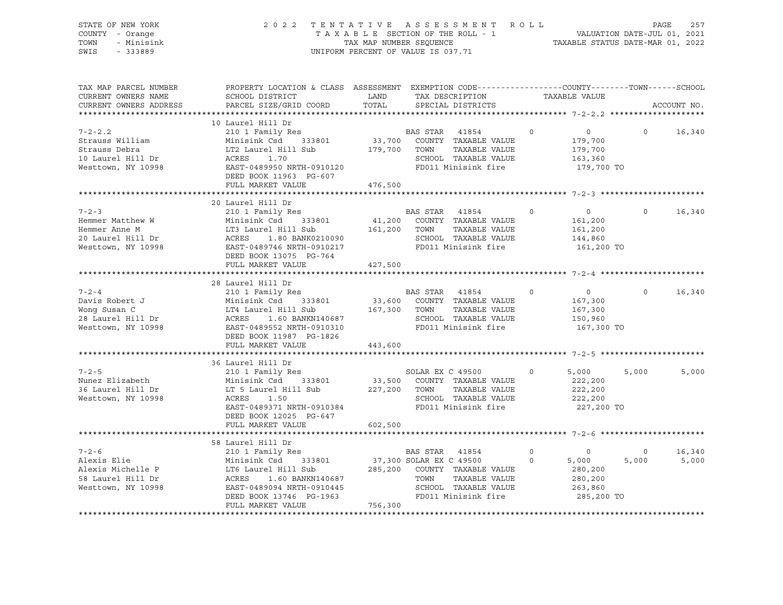|                                            |                                                                                                                                                                                                                       |                                                                                                                                            |                                                                                                                                                                                                                                                                                                                                                                                                                                 |                                                                                                                                                                                                                                                                                                                                                                                                                                                                                                                                                                                                                                                                                                                                                                                                                                                                                                                                                                                                            | PAGE<br>257                                                                                                                                                                                                                                                                                                                                                                                                                                                                                                                                                              |
|--------------------------------------------|-----------------------------------------------------------------------------------------------------------------------------------------------------------------------------------------------------------------------|--------------------------------------------------------------------------------------------------------------------------------------------|---------------------------------------------------------------------------------------------------------------------------------------------------------------------------------------------------------------------------------------------------------------------------------------------------------------------------------------------------------------------------------------------------------------------------------|------------------------------------------------------------------------------------------------------------------------------------------------------------------------------------------------------------------------------------------------------------------------------------------------------------------------------------------------------------------------------------------------------------------------------------------------------------------------------------------------------------------------------------------------------------------------------------------------------------------------------------------------------------------------------------------------------------------------------------------------------------------------------------------------------------------------------------------------------------------------------------------------------------------------------------------------------------------------------------------------------------|--------------------------------------------------------------------------------------------------------------------------------------------------------------------------------------------------------------------------------------------------------------------------------------------------------------------------------------------------------------------------------------------------------------------------------------------------------------------------------------------------------------------------------------------------------------------------|
| SCHOOL DISTRICT                            |                                                                                                                                                                                                                       | SPECIAL DISTRICTS                                                                                                                          |                                                                                                                                                                                                                                                                                                                                                                                                                                 |                                                                                                                                                                                                                                                                                                                                                                                                                                                                                                                                                                                                                                                                                                                                                                                                                                                                                                                                                                                                            | ACCOUNT NO.                                                                                                                                                                                                                                                                                                                                                                                                                                                                                                                                                              |
| DEED BOOK 11963 PG-607                     |                                                                                                                                                                                                                       |                                                                                                                                            |                                                                                                                                                                                                                                                                                                                                                                                                                                 | $\overline{0}$                                                                                                                                                                                                                                                                                                                                                                                                                                                                                                                                                                                                                                                                                                                                                                                                                                                                                                                                                                                             | $\Omega$<br>16,340                                                                                                                                                                                                                                                                                                                                                                                                                                                                                                                                                       |
|                                            |                                                                                                                                                                                                                       |                                                                                                                                            |                                                                                                                                                                                                                                                                                                                                                                                                                                 |                                                                                                                                                                                                                                                                                                                                                                                                                                                                                                                                                                                                                                                                                                                                                                                                                                                                                                                                                                                                            |                                                                                                                                                                                                                                                                                                                                                                                                                                                                                                                                                                          |
|                                            |                                                                                                                                                                                                                       |                                                                                                                                            |                                                                                                                                                                                                                                                                                                                                                                                                                                 |                                                                                                                                                                                                                                                                                                                                                                                                                                                                                                                                                                                                                                                                                                                                                                                                                                                                                                                                                                                                            | $0 \t16,340$                                                                                                                                                                                                                                                                                                                                                                                                                                                                                                                                                             |
|                                            |                                                                                                                                                                                                                       |                                                                                                                                            |                                                                                                                                                                                                                                                                                                                                                                                                                                 |                                                                                                                                                                                                                                                                                                                                                                                                                                                                                                                                                                                                                                                                                                                                                                                                                                                                                                                                                                                                            |                                                                                                                                                                                                                                                                                                                                                                                                                                                                                                                                                                          |
|                                            |                                                                                                                                                                                                                       |                                                                                                                                            |                                                                                                                                                                                                                                                                                                                                                                                                                                 |                                                                                                                                                                                                                                                                                                                                                                                                                                                                                                                                                                                                                                                                                                                                                                                                                                                                                                                                                                                                            |                                                                                                                                                                                                                                                                                                                                                                                                                                                                                                                                                                          |
| 210 1 Family Res                           |                                                                                                                                                                                                                       |                                                                                                                                            |                                                                                                                                                                                                                                                                                                                                                                                                                                 |                                                                                                                                                                                                                                                                                                                                                                                                                                                                                                                                                                                                                                                                                                                                                                                                                                                                                                                                                                                                            | $0 \t16,340$                                                                                                                                                                                                                                                                                                                                                                                                                                                                                                                                                             |
|                                            |                                                                                                                                                                                                                       |                                                                                                                                            |                                                                                                                                                                                                                                                                                                                                                                                                                                 |                                                                                                                                                                                                                                                                                                                                                                                                                                                                                                                                                                                                                                                                                                                                                                                                                                                                                                                                                                                                            |                                                                                                                                                                                                                                                                                                                                                                                                                                                                                                                                                                          |
| 210 1 Family Res<br>DEED BOOK 12025 PG-647 |                                                                                                                                                                                                                       |                                                                                                                                            | $\Omega$                                                                                                                                                                                                                                                                                                                                                                                                                        |                                                                                                                                                                                                                                                                                                                                                                                                                                                                                                                                                                                                                                                                                                                                                                                                                                                                                                                                                                                                            | 5,000<br>5,000                                                                                                                                                                                                                                                                                                                                                                                                                                                                                                                                                           |
|                                            |                                                                                                                                                                                                                       |                                                                                                                                            |                                                                                                                                                                                                                                                                                                                                                                                                                                 |                                                                                                                                                                                                                                                                                                                                                                                                                                                                                                                                                                                                                                                                                                                                                                                                                                                                                                                                                                                                            |                                                                                                                                                                                                                                                                                                                                                                                                                                                                                                                                                                          |
|                                            |                                                                                                                                                                                                                       |                                                                                                                                            |                                                                                                                                                                                                                                                                                                                                                                                                                                 |                                                                                                                                                                                                                                                                                                                                                                                                                                                                                                                                                                                                                                                                                                                                                                                                                                                                                                                                                                                                            |                                                                                                                                                                                                                                                                                                                                                                                                                                                                                                                                                                          |
| 210 1 Family Res<br>FULL MARKET VALUE      |                                                                                                                                                                                                                       |                                                                                                                                            | $\overline{0}$                                                                                                                                                                                                                                                                                                                                                                                                                  |                                                                                                                                                                                                                                                                                                                                                                                                                                                                                                                                                                                                                                                                                                                                                                                                                                                                                                                                                                                                            | $\overline{O}$<br>16,340<br>5,000                                                                                                                                                                                                                                                                                                                                                                                                                                                                                                                                        |
|                                            | TAX MAP PARCEL NUMBER<br>10 Laurel Hill Dr<br>20 Laurel Hill Dr<br>DEED BOOK 13075 PG-764<br>28 Laurel Hill Dr<br>36 Laurel Hill Dr<br>Minisink Csd 333801<br>LT 5 Laurel Hill Sub<br>ACRES 1.50<br>58 Laurel Hill Dr | PARCEL SIZE/GRID COORD TOTAL<br>210 1 Family Res<br>210 1 Family Res<br>DEED BOOK 11987 PG-1826<br>FULL MARKET VALUE<br>602,500<br>756,300 | UNIFORM PERCENT OF VALUE IS 037.71<br><b>LAND</b><br>Strauss William Minisink Csd 333801 33,700 COUNTY TAXABLE VALUE<br>Strauss Debra LT2 Laurel Hill Sub 179,700 TOWN TAXABLE VALUE<br>10 Laurel Hill Dr ACRES 1.70 SCHOOL TAXABLE VALUE<br>Westtown, NY 10998 EAST-0489950 NRTH-0910120<br>FULL MARKET VALUE 476,500<br>FULL MARKET VALUE 427,500<br>FULL MARKET VALUE 443,600<br>EAST-0489371 NRTH-0910384<br>BAS STAR 41854 | 2022 TENTATIVE ASSESSMENT ROLL<br>BAS STAR 41854 0<br>SCHOOL TAXABLE VALUE<br>FD011 Minisink fire<br>BAS STAR 41854 0<br>Hemmer Matthew W Minisink Csd 333801 41,200 COUNTY TAXABLE VALUE<br>Hemmer Anne M LT3 Laurel Hill Sub 161,200 TOWN TAXABLE VALUE<br>20 Laurel Hill Dr ACRES 1.80 BANK0210090 SCHOOL TAXABLE VALUE<br>Westtown, NY 10998 EAST-0408974<br>BAS STAR 41854 0<br>Pavis Robert J<br>Minisink Csd 333801 33,600 COUNTY TAXABLE VALUE<br>Mong Susan C<br>28 Laurel Hill Dr ACRES 1.60 BANKN140687 5CHOOL TAXABLE VALUE<br>Mesttown, NY 10998 EAST-0489552 NRTH-0910310 FD011 Minisink fire<br>FD011 Minisink fire<br>SOLAR EX C 49500<br>33,500 COUNTY TAXABLE VALUE<br>227,200 TOWN TAXABLE VALUE<br>SCHOOL TAXABLE VALUE<br>FD011 Minisink fire<br>Alexis Elie Minisink Csd 333801 37,300 SOLAR EX C 49500 0<br>Alexis Michelle P LT6 Laurel Hill Sub<br>58 Laurel Hill Dr ACRES 1.60 BANKN140687 TOWN TAXABLE VALUE<br>Westtown, NY 10998 BAST-0489094 NRTH-0910445 SCHOOL TAXABLE VAL | TAXABLE SECTION OF THE ROLL - 1<br>TAXABLE SECTION OF THE ROLL - 1<br>TAXABLE STATUS DATE-MAR 01, 2021<br>PROPERTY LOCATION & CLASS ASSESSMENT EXEMPTION CODE----------------COUNTY-------TOWN------SCHOOL<br>TAX DESCRIPTION TAXABLE VALUE<br>179,700<br>179,700<br>163,360<br>179,700 TO<br>$\overline{0}$<br>161,200<br>161,200<br>144,860<br>161,200 TO<br>$\overline{0}$<br>167,300<br>167,300<br>150,960<br>167,300 TO<br>5,000<br>222,200<br>222,200<br>222,200<br>227,200 TO<br>$\sim$ 0 $\sim$<br>5,000<br>5,000<br>280,200<br>280,200<br>263,860<br>285,200 TO |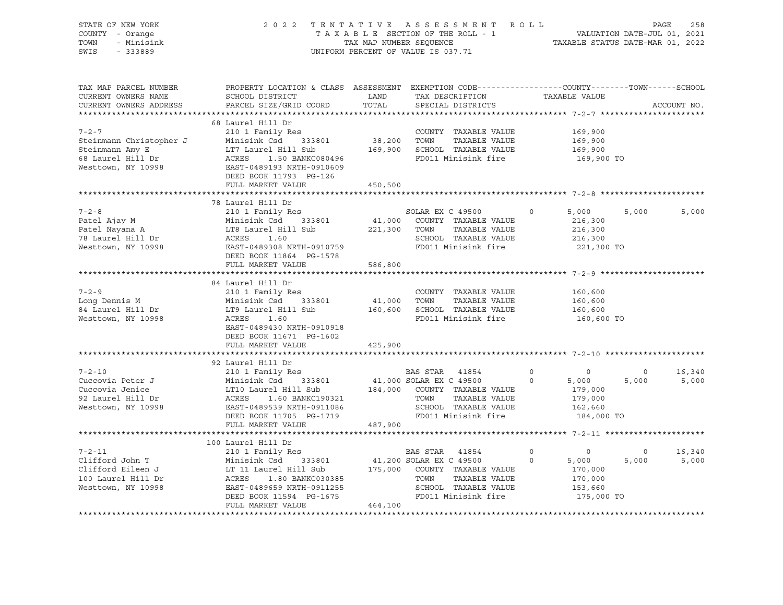| STATE OF NEW YORK<br>COUNTY - Orange<br>TOWN<br>- Minisink<br>SWIS - 333889                                                                                                                                                                                                                                                                                                                                                                                 |                                                                                                                                                                                                                                                        |         | 2022 TENTATIVE ASSESSMENT ROLL PAGE 258<br>TAXABLE SECTION OF THE ROLL - 1<br>TAXABLE SECTION OF THE ROLL - 1<br>TAXABLE STATUS DATE-MAR 01, 2022<br>UNIFORM PERCENT OF VALUE IS 037.71 |                               |                              |                       |
|-------------------------------------------------------------------------------------------------------------------------------------------------------------------------------------------------------------------------------------------------------------------------------------------------------------------------------------------------------------------------------------------------------------------------------------------------------------|--------------------------------------------------------------------------------------------------------------------------------------------------------------------------------------------------------------------------------------------------------|---------|-----------------------------------------------------------------------------------------------------------------------------------------------------------------------------------------|-------------------------------|------------------------------|-----------------------|
| TAX MAP PARCEL NUMBER<br>CURRENT OWNERS NAME<br>CURRENT OWNERS ADDRESS                                                                                                                                                                                                                                                                                                                                                                                      | PROPERTY LOCATION & CLASS ASSESSMENT EXEMPTION CODE----------------COUNTY-------TOWN------SCHOOL<br>SCHOOL DISTRICT<br>PARCEL SIZE/GRID COORD                                                                                                          |         | LAND TAX DESCRIPTION TAXABLE VALUE COORD TOTAL SPECIAL DISTRICTS                                                                                                                        |                               |                              | ACCOUNT NO.           |
|                                                                                                                                                                                                                                                                                                                                                                                                                                                             |                                                                                                                                                                                                                                                        |         |                                                                                                                                                                                         |                               |                              |                       |
|                                                                                                                                                                                                                                                                                                                                                                                                                                                             |                                                                                                                                                                                                                                                        |         |                                                                                                                                                                                         | 169,900                       |                              |                       |
|                                                                                                                                                                                                                                                                                                                                                                                                                                                             |                                                                                                                                                                                                                                                        |         |                                                                                                                                                                                         |                               |                              |                       |
|                                                                                                                                                                                                                                                                                                                                                                                                                                                             |                                                                                                                                                                                                                                                        |         |                                                                                                                                                                                         | 169,900<br>169,900            | 169,900 TO                   |                       |
|                                                                                                                                                                                                                                                                                                                                                                                                                                                             |                                                                                                                                                                                                                                                        |         |                                                                                                                                                                                         |                               |                              |                       |
|                                                                                                                                                                                                                                                                                                                                                                                                                                                             |                                                                                                                                                                                                                                                        |         |                                                                                                                                                                                         |                               |                              |                       |
|                                                                                                                                                                                                                                                                                                                                                                                                                                                             |                                                                                                                                                                                                                                                        |         |                                                                                                                                                                                         |                               |                              |                       |
| $\begin{array}{cccccccc} \text{7-2-8} & & & & & \text{78} \text{ Laurent} & \text{Dir} \\ \text{Patel Ajay M} & & & & & \text{Minisink Csd} & 333801 & & 41,000 & \text{COUNTY} & \text{TAXABLE VALUE} & 216,300 \\ \text{Patel Nayana A} & & & & \text{LTS} \text{ Laurent} & \text{Hill Sub} & & 221,300 & \text{TOWN} & \text{TAXABLE VALUE} & 216,300 \\ \text{78} \text{Laurel Hill Dr} & & & & \text{ACRES} & 1.60 & & & \text{SCHOOL TAXABLE VALUE}$ |                                                                                                                                                                                                                                                        |         |                                                                                                                                                                                         |                               | 5,000 5,000<br>221,300 TO    | 5,000                 |
|                                                                                                                                                                                                                                                                                                                                                                                                                                                             | DEED BOOK 11864 PG-1578                                                                                                                                                                                                                                |         |                                                                                                                                                                                         |                               |                              |                       |
|                                                                                                                                                                                                                                                                                                                                                                                                                                                             | FULL MARKET VALUE 586,800                                                                                                                                                                                                                              |         |                                                                                                                                                                                         |                               |                              |                       |
|                                                                                                                                                                                                                                                                                                                                                                                                                                                             |                                                                                                                                                                                                                                                        |         |                                                                                                                                                                                         |                               |                              |                       |
| $7 - 2 - 9$<br>Long Dennis M<br>84 Laurel Hill Dr<br>Westtown, NY 10998                                                                                                                                                                                                                                                                                                                                                                                     | 84 Laurel Hill Dr<br>Laurel Hill Dr<br>210 1 Family Res<br>Minisink Csd 333801 41,000 TOWN TAXABLE VALUE<br>LT9 Laurel Hill Sub 160,600 SCHOOL TAXABLE VALUE<br>ACRES 1.60 FD011 Minisink fire<br>EAST-0489430 NRTH-0910918<br>DEED BOOK 11671 PG-1602 |         | COUNTY TAXABLE VALUE                                                                                                                                                                    | 160,600<br>160,600<br>160,600 | 160,600 TO                   |                       |
|                                                                                                                                                                                                                                                                                                                                                                                                                                                             | FULL MARKET VALUE                                                                                                                                                                                                                                      | 425,900 |                                                                                                                                                                                         |                               |                              |                       |
|                                                                                                                                                                                                                                                                                                                                                                                                                                                             |                                                                                                                                                                                                                                                        |         |                                                                                                                                                                                         |                               |                              |                       |
|                                                                                                                                                                                                                                                                                                                                                                                                                                                             |                                                                                                                                                                                                                                                        |         |                                                                                                                                                                                         |                               |                              |                       |
|                                                                                                                                                                                                                                                                                                                                                                                                                                                             |                                                                                                                                                                                                                                                        |         |                                                                                                                                                                                         |                               |                              |                       |
| $\begin{tabular}{lllllllllll} \hline $\gamma$-2-10 & $\quad$2101 Family Res & $\quad$BAS STR & 41854 & 0 & 0 & 0 & 16,340 \\ \hline \hline \end{tabular} \begin{tabular}{lllllllllll} \hline $\gamma$-2-10 & $\quad$2101 Family Res & $\quad$BAS STR & 41854 & 0 & 0 & 0 & 16,340 \\ \hline \end{tabular} \begin{tabular}{lllllllllllll} \hline $\gamma$-2-10 & $\quad$2101 Family Res & $\quad$BAS STR & 41854 & 0 & 0 & 0 & 16,340 \\$                    | FULL MARKET VALUE 487,900                                                                                                                                                                                                                              |         |                                                                                                                                                                                         |                               |                              |                       |
|                                                                                                                                                                                                                                                                                                                                                                                                                                                             |                                                                                                                                                                                                                                                        |         |                                                                                                                                                                                         |                               |                              |                       |
|                                                                                                                                                                                                                                                                                                                                                                                                                                                             | 100 Laurel Hill Dr                                                                                                                                                                                                                                     |         |                                                                                                                                                                                         |                               |                              |                       |
|                                                                                                                                                                                                                                                                                                                                                                                                                                                             | No Laurel Hill Dr<br>210 1 Family Res                                                                                                                                                                                                                  |         |                                                                                                                                                                                         |                               | $\overline{0}$<br>175,000 TO | 16,340<br>5,000 5,000 |
|                                                                                                                                                                                                                                                                                                                                                                                                                                                             | FULL MARKET VALUE                                                                                                                                                                                                                                      | 464,100 |                                                                                                                                                                                         |                               |                              |                       |
|                                                                                                                                                                                                                                                                                                                                                                                                                                                             |                                                                                                                                                                                                                                                        |         |                                                                                                                                                                                         |                               |                              |                       |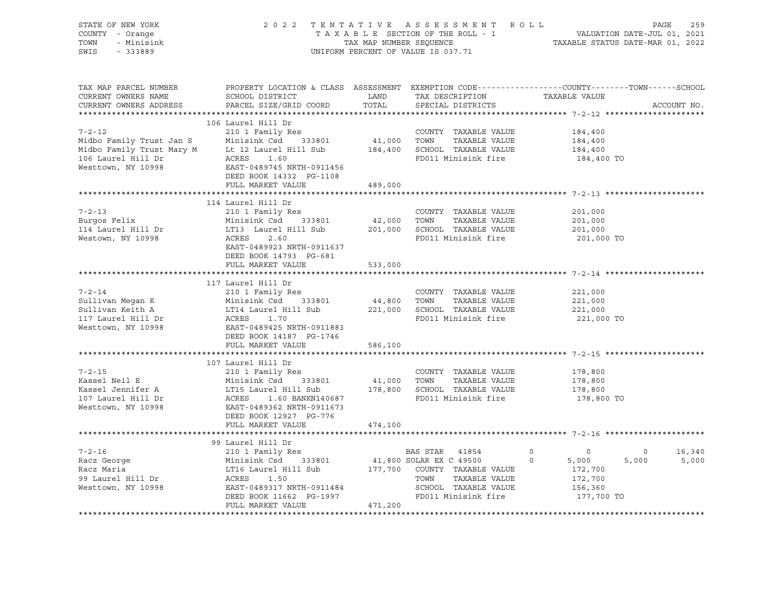| STATE OF NEW YORK<br>COUNTY - Orange<br>TOWN<br>- Minisink<br>SWIS<br>$-333889$ |                                                                                                                                                                                                                                                                                                                                  |         | 2022 TENTATIVE ASSESSMENT ROLL<br>TAXABLE SECTION OF THE ROLL - 1<br>TAXABLE SECTION OF THE ROLL - 1<br>TAXABLE STATUS DATE-MAR 01, 2022<br>UNIFORM PERCENT OF VALUE IS 037.71 |                                                 | 259<br>PAGE                                |
|---------------------------------------------------------------------------------|----------------------------------------------------------------------------------------------------------------------------------------------------------------------------------------------------------------------------------------------------------------------------------------------------------------------------------|---------|--------------------------------------------------------------------------------------------------------------------------------------------------------------------------------|-------------------------------------------------|--------------------------------------------|
| TAX MAP PARCEL NUMBER<br>CURRENT OWNERS NAME<br>CURRENT OWNERS ADDRESS          | PROPERTY LOCATION & CLASS ASSESSMENT EXEMPTION CODE----------------COUNTY-------TOWN------SCHOOL<br>SCHOOL DISTRICT<br>PARCEL SIZE/GRID COORD                                                                                                                                                                                    | TOTAL   | LAND TAX DESCRIPTION TAXABLE VALUE<br>SPECIAL DISTRICTS                                                                                                                        |                                                 | ACCOUNT NO.                                |
| $7 - 2 - 12$                                                                    | 106 Laurel Hill Dr<br>210 1 Family Res<br>Midbo Family Trust Jan S<br>Minisink Csd 333801 41,000 TOWN TAXABLE VALUE<br>Midbo Family Trust Mary M Lt 12 Laurel Hill Sub 184,400 SCHOOL TAXABLE VALUE<br>106 Laurel Hill Dr ACRES 1.60 FD011 Minisink fire<br>Westtown, NY 10998 E<br>DEED BOOK 14332 PG-1108<br>FULL MARKET VALUE | 489,000 | COUNTY TAXABLE VALUE                                                                                                                                                           | 184,400<br>184,400<br>184,400<br>184,400 TO     |                                            |
|                                                                                 |                                                                                                                                                                                                                                                                                                                                  |         |                                                                                                                                                                                |                                                 |                                            |
| $7 - 2 - 13$<br>Burgos Felix<br>114 Laurel Hill Dr<br>Westown, NY 10998         | 114 Laurel Hill Dr<br>210 1 Family Res<br>Minisink Csd 333801 42,000 TOWN TAXABLE VALUE<br>LT13 Laurel Hill Sub 201,000 SCHOOL TAXABLE VALUE<br>ACRES 2.60 FD011 Minisink fire<br>EAST-0489923 NRTH-0911637<br>DEED BOOK 14793 PG-681                                                                                            |         | COUNTY TAXABLE VALUE<br>TAXABLE VALUE<br>FD011 Minisink fire                                                                                                                   | 201,000<br>201,000<br>201,000<br>201,000 TO     |                                            |
|                                                                                 | FULL MARKET VALUE                                                                                                                                                                                                                                                                                                                | 533,000 |                                                                                                                                                                                |                                                 |                                            |
|                                                                                 |                                                                                                                                                                                                                                                                                                                                  |         |                                                                                                                                                                                |                                                 |                                            |
| $7 - 2 - 14$                                                                    | 117 Laurel Hill Dr<br>210 1 Family Res<br>Sullivan Megan K<br>Sullivan Keith A<br>Sullivan Keith A<br>117 Laurel Hill Dr ACRES<br>Minisink Csd 333801<br>14,800 TOWN TAXABLE VALUE<br>221,000 SCHOOL TAXABLE VALUE<br>FD011 Minisink fire<br>FD011 Minisink fire<br>Westtown, NY 10998<br>FR<br>DEED BOOK 14187 PG-1746          |         | COUNTY TAXABLE VALUE<br>TAXABLE VALUE<br>FD011 Minisink fire                                                                                                                   | 221,000<br>221,000<br>221,000<br>221,000 TO     |                                            |
|                                                                                 | FULL MARKET VALUE                                                                                                                                                                                                                                                                                                                | 586,100 |                                                                                                                                                                                |                                                 |                                            |
|                                                                                 |                                                                                                                                                                                                                                                                                                                                  |         |                                                                                                                                                                                |                                                 |                                            |
| $7 - 2 - 15$                                                                    | 107 Laurel Hill Dr<br>210 1 Family Res<br>Example 1210 1 1 2002<br>Kassel Neil E Minisink Csd 333801 41,000 TOWN TAXABLE VALUE<br>107 Laurel Hill Dr ACRES 1.60 BANKN140687 FD011 Minisink fire<br>Nesttown, NY 10998 EAST-0489362 NRTH-0911673 FD011 Minisink fire<br>DEED BOOK 12927 PG-776                                    |         | COUNTY TAXABLE VALUE<br>TAXABLE VALUE                                                                                                                                          | 178,800<br>$178,800$<br>$178,800$<br>178,800 TO |                                            |
|                                                                                 | FULL MARKET VALUE                                                                                                                                                                                                                                                                                                                | 474,100 |                                                                                                                                                                                |                                                 |                                            |
|                                                                                 | 99 Laurel Hill Dr                                                                                                                                                                                                                                                                                                                |         |                                                                                                                                                                                |                                                 |                                            |
|                                                                                 | 210 1 Family Res<br>Racz George Minisink Csd 333801 41,800 SOLAR EX C 49500 0 5,000<br>Racz Maria LT16 Laurel Hill Sub 177,700 COUNTY TAXABLE VALUE 172,700<br>99 Laurel Hill Dr ACRES 1.50 TOWN TAXABLE VALUE 172,700<br>Westtown, NY<br>FULL MARKET VALUE                                                                      | 471,200 |                                                                                                                                                                                | 177,700 TO                                      | 16,340<br>$\overline{0}$<br>5,000<br>5,000 |
|                                                                                 |                                                                                                                                                                                                                                                                                                                                  |         |                                                                                                                                                                                |                                                 |                                            |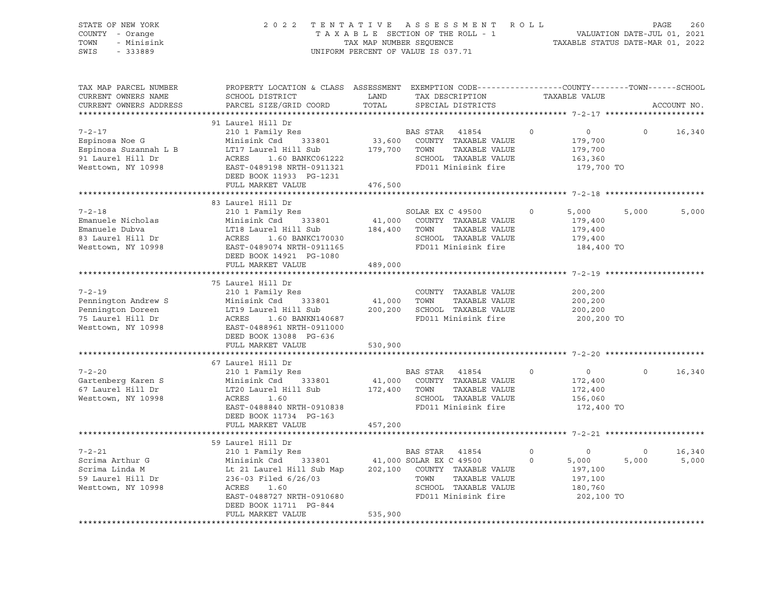| STATE OF NEW YORK<br>COUNTY - Orange<br>TOWN<br>- Minisink<br>SWIS<br>$-333889$ | 2 0 2 2                                                                                                                                       | UNIFORM PERCENT OF VALUE IS 037.71 |                         | TENTATIVE ASSESSMENT ROLL<br>$\begin{array}{cccccccccccccc} \text{I} & \text{E} & \text{n} & \text{I} & \text{A} & \text{I} & \text{I} & \text{V} & \text{E} & \text{A} & \text{B} & \text{B} & \text{B} & \text{C} & \text{C} & \text{A} & \text{I} & \text{A} & \text{A} & \text{A} & \text{A} & \text{A} & \text{A} & \text{A} & \text{A} & \text{B} & \text{A} & \text{B} & \text{E} & \text{SECTION} & \text{OF} & \text{THE} & \text{ROL} & \text{I} & \text{A} & \$ |          |                | PAGE     | 260         |
|---------------------------------------------------------------------------------|-----------------------------------------------------------------------------------------------------------------------------------------------|------------------------------------|-------------------------|----------------------------------------------------------------------------------------------------------------------------------------------------------------------------------------------------------------------------------------------------------------------------------------------------------------------------------------------------------------------------------------------------------------------------------------------------------------------------|----------|----------------|----------|-------------|
| TAX MAP PARCEL NUMBER<br>CURRENT OWNERS NAME<br>CURRENT OWNERS ADDRESS          | PROPERTY LOCATION & CLASS ASSESSMENT EXEMPTION CODE----------------COUNTY-------TOWN------SCHOOL<br>SCHOOL DISTRICT<br>PARCEL SIZE/GRID COORD | LAND<br>TOTAL                      |                         | TAX DESCRIPTION TAXABLE VALUE<br>SPECIAL DISTRICTS                                                                                                                                                                                                                                                                                                                                                                                                                         |          |                |          | ACCOUNT NO. |
|                                                                                 | 91 Laurel Hill Dr                                                                                                                             |                                    |                         |                                                                                                                                                                                                                                                                                                                                                                                                                                                                            |          |                |          |             |
| $7 - 2 - 17$                                                                    | 210 1 Family Res                                                                                                                              |                                    | BAS STAR 41854          |                                                                                                                                                                                                                                                                                                                                                                                                                                                                            | $\circ$  | $\overline{0}$ | $\Omega$ | 16,340      |
| Espinosa Noe G                                                                  | Minisink Csd 333801                                                                                                                           | 33,600                             |                         | COUNTY TAXABLE VALUE                                                                                                                                                                                                                                                                                                                                                                                                                                                       |          | 179,700        |          |             |
| Espinosa Suzannah L B                                                           | LT17 Laurel Hill Sub                                                                                                                          | 179,700                            | TOWN                    | TAXABLE VALUE                                                                                                                                                                                                                                                                                                                                                                                                                                                              |          | 179,700        |          |             |
| 91 Laurel Hill Dr                                                               | ACRES 1.60 BANKC061222                                                                                                                        |                                    |                         | SCHOOL TAXABLE VALUE                                                                                                                                                                                                                                                                                                                                                                                                                                                       |          | 163,360        |          |             |
| Westtown, NY 10998                                                              | EAST-0489198 NRTH-0911321                                                                                                                     |                                    |                         | FD011 Minisink fire                                                                                                                                                                                                                                                                                                                                                                                                                                                        |          | 179,700 TO     |          |             |
|                                                                                 | DEED BOOK 11933 PG-1231                                                                                                                       |                                    |                         |                                                                                                                                                                                                                                                                                                                                                                                                                                                                            |          |                |          |             |
|                                                                                 | FULL MARKET VALUE                                                                                                                             | 476,500                            |                         |                                                                                                                                                                                                                                                                                                                                                                                                                                                                            |          |                |          |             |
|                                                                                 |                                                                                                                                               |                                    |                         |                                                                                                                                                                                                                                                                                                                                                                                                                                                                            |          |                |          |             |
|                                                                                 | 83 Laurel Hill Dr                                                                                                                             |                                    |                         |                                                                                                                                                                                                                                                                                                                                                                                                                                                                            |          |                |          |             |
| $7 - 2 - 18$                                                                    | 210 1 Family Res                                                                                                                              |                                    |                         | SOLAR EX C 49500                                                                                                                                                                                                                                                                                                                                                                                                                                                           | $\circ$  | 5,000          | 5,000    | 5,000       |
| Emanuele Nicholas                                                               | Minisink Csd 333801                                                                                                                           | 41,000                             |                         | COUNTY TAXABLE VALUE                                                                                                                                                                                                                                                                                                                                                                                                                                                       |          | 179,400        |          |             |
| Emanuele Dubva                                                                  | LT18 Laurel Hill Sub                                                                                                                          | 184,400                            |                         | TOWN TAXABLE VALUE                                                                                                                                                                                                                                                                                                                                                                                                                                                         |          | 179,400        |          |             |
| 83 Laurel Hill Dr                                                               | ACRES<br>ACRES<br>EAST-0<br>1.60 BANKC170030                                                                                                  |                                    |                         | SCHOOL TAXABLE VALUE                                                                                                                                                                                                                                                                                                                                                                                                                                                       |          | 179,400        |          |             |
| Westtown, NY 10998                                                              | EAST-0489074 NRTH-0911165                                                                                                                     |                                    |                         | FD011 Minisink fire                                                                                                                                                                                                                                                                                                                                                                                                                                                        |          | 184,400 TO     |          |             |
|                                                                                 | DEED BOOK 14921 PG-1080                                                                                                                       |                                    |                         |                                                                                                                                                                                                                                                                                                                                                                                                                                                                            |          |                |          |             |
|                                                                                 | FULL MARKET VALUE                                                                                                                             | 489,000                            |                         |                                                                                                                                                                                                                                                                                                                                                                                                                                                                            |          |                |          |             |
|                                                                                 |                                                                                                                                               |                                    |                         |                                                                                                                                                                                                                                                                                                                                                                                                                                                                            |          |                |          |             |
|                                                                                 | 75 Laurel Hill Dr                                                                                                                             |                                    |                         |                                                                                                                                                                                                                                                                                                                                                                                                                                                                            |          |                |          |             |
| $7 - 2 - 19$                                                                    | 210 1 Family Res                                                                                                                              |                                    |                         | COUNTY TAXABLE VALUE                                                                                                                                                                                                                                                                                                                                                                                                                                                       |          | 200,200        |          |             |
| Pennington Andrew S                                                             | Minisink Csd 333801                                                                                                                           | 41,000                             | TOWN                    | TAXABLE VALUE                                                                                                                                                                                                                                                                                                                                                                                                                                                              |          | 200,200        |          |             |
| Pennington Doreen                                                               | LT19 Laurel Hill Sub                                                                                                                          | 200,200                            |                         | SCHOOL TAXABLE VALUE                                                                                                                                                                                                                                                                                                                                                                                                                                                       |          | 200,200        |          |             |
| 75 Laurel Hill Dr                                                               | ACRES 1.60 BANKN140687                                                                                                                        |                                    |                         | FD011 Minisink fire                                                                                                                                                                                                                                                                                                                                                                                                                                                        |          | 200,200 TO     |          |             |
| Westtown, NY 10998                                                              | EAST-0488961 NRTH-0911000                                                                                                                     |                                    |                         |                                                                                                                                                                                                                                                                                                                                                                                                                                                                            |          |                |          |             |
|                                                                                 | DEED BOOK 13088 PG-636                                                                                                                        |                                    |                         |                                                                                                                                                                                                                                                                                                                                                                                                                                                                            |          |                |          |             |
|                                                                                 | FULL MARKET VALUE                                                                                                                             | 530,900                            |                         |                                                                                                                                                                                                                                                                                                                                                                                                                                                                            |          |                |          |             |
|                                                                                 |                                                                                                                                               | ************                       |                         |                                                                                                                                                                                                                                                                                                                                                                                                                                                                            |          |                |          |             |
|                                                                                 | 67 Laurel Hill Dr                                                                                                                             |                                    |                         |                                                                                                                                                                                                                                                                                                                                                                                                                                                                            |          |                |          |             |
| $7 - 2 - 20$                                                                    | 210 1 Family Res                                                                                                                              |                                    | BAS STAR 41854          |                                                                                                                                                                                                                                                                                                                                                                                                                                                                            | $\Omega$ | $\overline{0}$ | $\Omega$ | 16,340      |
| Gartenberg Karen S                                                              | Minisink Csd 333801                                                                                                                           | 41,000                             |                         | COUNTY TAXABLE VALUE                                                                                                                                                                                                                                                                                                                                                                                                                                                       |          | 172,400        |          |             |
| 67 Laurel Hill Dr                                                               | LT20 Laurel Hill Sub                                                                                                                          | 172,400                            | TOWN                    | TAXABLE VALUE                                                                                                                                                                                                                                                                                                                                                                                                                                                              |          | 172,400        |          |             |
| Westtown, NY 10998                                                              | ACRES 1.60                                                                                                                                    |                                    |                         | SCHOOL TAXABLE VALUE                                                                                                                                                                                                                                                                                                                                                                                                                                                       |          | 156,060        |          |             |
|                                                                                 | EAST-0488840 NRTH-0910838                                                                                                                     |                                    |                         | FD011 Minisink fire                                                                                                                                                                                                                                                                                                                                                                                                                                                        |          | 172,400 TO     |          |             |
|                                                                                 | DEED BOOK 11734 PG-163                                                                                                                        |                                    |                         |                                                                                                                                                                                                                                                                                                                                                                                                                                                                            |          |                |          |             |
|                                                                                 | FULL MARKET VALUE                                                                                                                             | 457,200                            |                         |                                                                                                                                                                                                                                                                                                                                                                                                                                                                            |          |                |          |             |
|                                                                                 |                                                                                                                                               |                                    |                         |                                                                                                                                                                                                                                                                                                                                                                                                                                                                            |          |                |          |             |
|                                                                                 | 59 Laurel Hill Dr                                                                                                                             |                                    |                         |                                                                                                                                                                                                                                                                                                                                                                                                                                                                            |          |                |          |             |
| $7 - 2 - 21$                                                                    | 210 1 Family Res                                                                                                                              |                                    | BAS STAR 41854          |                                                                                                                                                                                                                                                                                                                                                                                                                                                                            | $\circ$  | $\overline{0}$ | $\circ$  | 16,340      |
| Scrima Arthur G                                                                 | Minisink Csd 333801                                                                                                                           |                                    | 41,000 SOLAR EX C 49500 |                                                                                                                                                                                                                                                                                                                                                                                                                                                                            | $\circ$  | 5,000          | 5,000    | 5,000       |
| Scrima Linda M                                                                  | Lt 21 Laurel Hill Sub Map                                                                                                                     | 202,100                            |                         | COUNTY TAXABLE VALUE                                                                                                                                                                                                                                                                                                                                                                                                                                                       |          | 197,100        |          |             |
| 59 Laurel Hill Dr                                                               | 236-03 Filed 6/26/03                                                                                                                          |                                    | TOWN                    | TAXABLE VALUE                                                                                                                                                                                                                                                                                                                                                                                                                                                              |          | 197,100        |          |             |
| Westtown, NY 10998                                                              | ACRES 1.60                                                                                                                                    |                                    |                         | SCHOOL TAXABLE VALUE                                                                                                                                                                                                                                                                                                                                                                                                                                                       |          | 180,760        |          |             |
|                                                                                 | EAST-0488727 NRTH-0910680                                                                                                                     |                                    |                         | FD011 Minisink fire                                                                                                                                                                                                                                                                                                                                                                                                                                                        |          | 202,100 TO     |          |             |
|                                                                                 | DEED BOOK 11711 PG-844                                                                                                                        |                                    |                         |                                                                                                                                                                                                                                                                                                                                                                                                                                                                            |          |                |          |             |
|                                                                                 | FULL MARKET VALUE                                                                                                                             | 535,900                            |                         |                                                                                                                                                                                                                                                                                                                                                                                                                                                                            |          |                |          |             |
|                                                                                 |                                                                                                                                               |                                    |                         |                                                                                                                                                                                                                                                                                                                                                                                                                                                                            |          |                |          |             |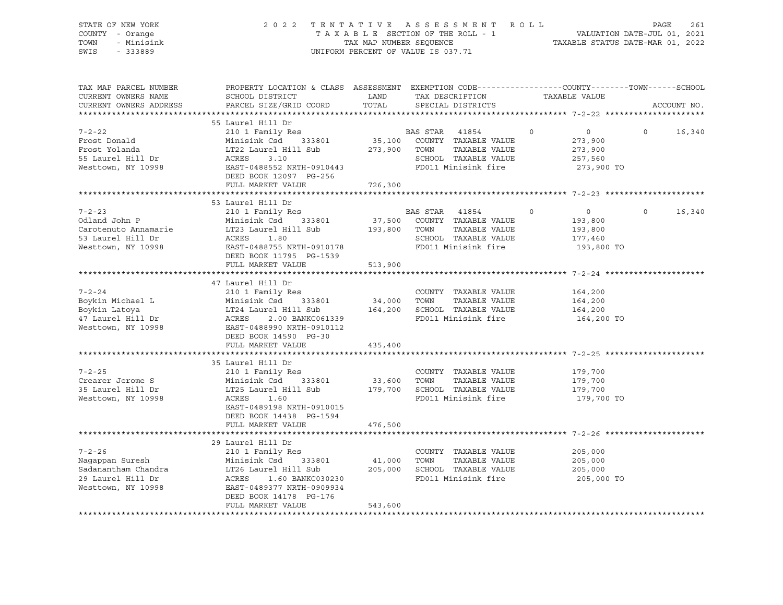| STATE OF NEW YORK<br>COUNTY - Orange<br>TOWN<br>- Minisink<br>SWIS<br>$-333889$                                                                                                                                                                          |                                                                                                                                                                                        |         | 2022 TENTATIVE ASSESSMENT ROLL<br>TAXABLE SECTION OF THE ROLL - 1<br>TAXABLE SECTION OF THE ROLL - 1<br>TAXABLE STATUS DATE-MAR 01, 2022<br>UNIFORM PERCENT OF VALUE IS 037.71 |                                                                          | PAGE<br>261        |
|----------------------------------------------------------------------------------------------------------------------------------------------------------------------------------------------------------------------------------------------------------|----------------------------------------------------------------------------------------------------------------------------------------------------------------------------------------|---------|--------------------------------------------------------------------------------------------------------------------------------------------------------------------------------|--------------------------------------------------------------------------|--------------------|
| TAX MAP PARCEL NUMBER<br>CURRENT OWNERS NAME<br>CURRENT OWNERS ADDRESS                                                                                                                                                                                   | PROPERTY LOCATION & CLASS ASSESSMENT EXEMPTION CODE----------------COUNTY-------TOWN------SCHOOL<br>SCHOOL DISTRICT LAND<br>PARCEL SIZE/GRID COORD TOTAL                               |         | TAX DESCRIPTION TAXABLE VALUE<br>SPECIAL DISTRICTS                                                                                                                             |                                                                          | ACCOUNT NO.        |
| $7 - 2 - 22$<br>Frost Donald                                                                                                                                                                                                                             | 55 Laurel Hill Dr<br>210 1 Family Res<br>Minisink Csd 333801 35,100 COUNTY TAXABLE VALUE<br>DEED BOOK 12097 PG-256<br>FULL MARKET VALUE 726,300                                        |         | BAS STAR 41854<br>273,900 TOWN TAXABLE VALUE<br>SCHOOL TAXABLE VALUE<br>FD011 Minisink fire                                                                                    | $\circ$<br>$\overline{0}$<br>273,900<br>273,900<br>257,560<br>273,900 TO | $\circ$<br>16,340  |
|                                                                                                                                                                                                                                                          |                                                                                                                                                                                        |         |                                                                                                                                                                                |                                                                          |                    |
| $7 - 2 - 23$<br>Odland John P Minisink Csd 333801 37,500 COUNTY TAXABLE VALUE<br>Carotenuto Annamarie LT23 Laurel Hill Sub 193,800 TOWN TAXABLE VALUE<br>53 Laurel Hill Dr ACRES 1.80 SCHOOL TAXABLE VALUE<br>Westtown, NY 10998 EAST-0488755 NRTH-0     | 53 Laurel Hill Dr<br>210 1 Family Res<br>DEED BOOK 11795 PG-1539                                                                                                                       |         | BAS STAR 41854<br>SCHOOL TAXABLE VALUE<br>FD011 Minisink fire                                                                                                                  | $\circ$<br>$\overline{0}$<br>193,800<br>193,800<br>177,460<br>193,800 TO | $\Omega$<br>16,340 |
|                                                                                                                                                                                                                                                          | FULL MARKET VALUE 513,900                                                                                                                                                              |         |                                                                                                                                                                                |                                                                          |                    |
|                                                                                                                                                                                                                                                          |                                                                                                                                                                                        |         |                                                                                                                                                                                |                                                                          |                    |
| $7 - 2 - 24$<br>Example 18 1998<br>Boykin Michael L Minisink Csd 333801<br>Boykin Latoya LT24 Laurel Hill Sub 164,200 SCHOOL TAXABLE VALUE<br>47 Laurel Hill Dr ACRES 2.00 BANKC061339<br>Westtown, NY 10998 EAST-0488990 NRTH-0910112<br>EAST-0488990 N | 47 Laurel Hill Dr<br>210 1 Family Res<br>DEED BOOK 14590 PG-30                                                                                                                         |         | COUNTY TAXABLE VALUE                                                                                                                                                           | 164,200<br>164,200<br>164,200<br>164,200 TO                              |                    |
|                                                                                                                                                                                                                                                          | FULL MARKET VALUE                                                                                                                                                                      | 435,400 |                                                                                                                                                                                |                                                                          |                    |
|                                                                                                                                                                                                                                                          |                                                                                                                                                                                        |         |                                                                                                                                                                                |                                                                          |                    |
| $7 - 2 - 25$<br>Crearer Jerome S<br>35 Laurel Hill Dr<br>Westtown, NY 10998                                                                                                                                                                              | 35 Laurel Hill Dr<br>210 1 Family Res<br>Minisink Csd 333801 33,600<br>LT25 Laurel Hill Sub<br>ACRES 1.60<br>EAST-0489198 NRTH-0910015<br>DEED BOOK 14438 PG-1594<br>FULL MARKET VALUE | 476,500 | COUNTY TAXABLE VALUE<br>TOWN TAXABLE VALUE<br>179,700 SCHOOL TAXABLE VALUE<br>FD011 Minisink fire                                                                              | 179,700<br>179,700<br>179,700<br>179,700 TO                              |                    |
|                                                                                                                                                                                                                                                          |                                                                                                                                                                                        |         |                                                                                                                                                                                |                                                                          |                    |
| $7 - 2 - 26$<br>Nagappan Suresh Minisink Csd 333801 41,000 TOWN TAXABLE VALUE<br>Sadanantham Chandra LT26 Laurel Hill Sub 205,000 SCHOOL TAXABLE VALUE<br>29 Laurel Hill Dr ACRES 1.60 BANKC030230 FD011 Minisink fire<br>Westtown, NY 10998 EAST-04     | 29 Laurel Hill Dr<br>210 1 Family Res<br>DEED BOOK 14178 PG-176<br>FULL MARKET VALUE                                                                                                   | 543,600 | COUNTY TAXABLE VALUE<br>FD011 Minisink fire                                                                                                                                    | 205,000<br>205,000<br>205,000<br>205,000 TO                              |                    |
|                                                                                                                                                                                                                                                          |                                                                                                                                                                                        |         |                                                                                                                                                                                |                                                                          |                    |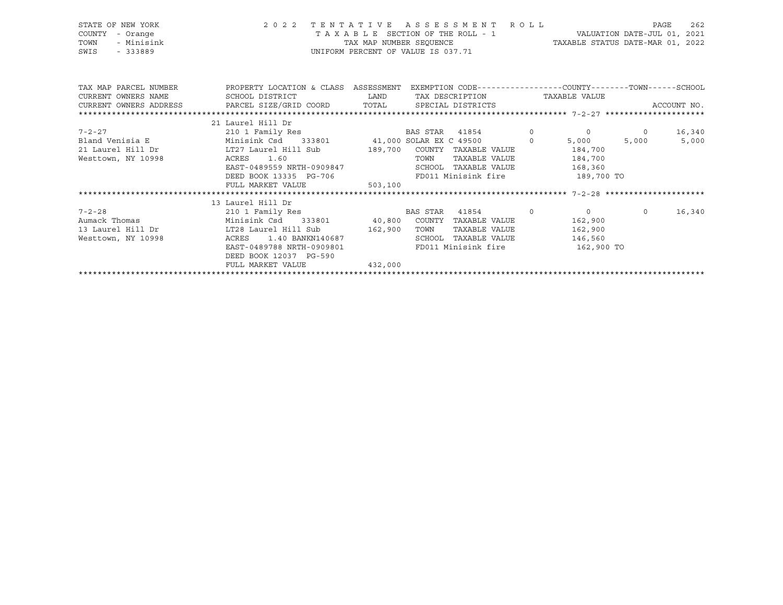| STATE OF NEW YORK<br>COUNTY<br>- Orange<br>- Minisink<br>TOWN<br>SWIS<br>$-333889$                                                                                                                                                                                                                                                                                                                                                                                                                                     |                                                                                                     | 2022 TENTATIVE ASSESSMENT ROLL<br>TAX MAP NUMBER SEQUENCE TAXABLE STATUS DATE-MAR 01, 2021<br>UNIFORM PERCENT OF VALUE IS 037.71 |                           |         | PAGE<br>262 |
|------------------------------------------------------------------------------------------------------------------------------------------------------------------------------------------------------------------------------------------------------------------------------------------------------------------------------------------------------------------------------------------------------------------------------------------------------------------------------------------------------------------------|-----------------------------------------------------------------------------------------------------|----------------------------------------------------------------------------------------------------------------------------------|---------------------------|---------|-------------|
| TAX MAP PARCEL NUMBER THE PROPERTY LOCATION & CLASS ASSESSMENT EXEMPTION CODE--------------COUNTY-------TOWN------SCHOOL<br>CURRENT OWNERS NAME                                                                                                                                                                                                                                                                                                                                                                        | SCHOOL DISTRICT                        LAND         TAX DESCRIPTION                   TAXABLE VALUE |                                                                                                                                  |                           |         |             |
|                                                                                                                                                                                                                                                                                                                                                                                                                                                                                                                        |                                                                                                     |                                                                                                                                  |                           |         |             |
| $\begin{minipage}{.45\textwidth} \begin{minipage}{.45\textwidth} \begin{minipage}{.45\textwidth} \begin{minipage}{.45\textwidth} \begin{minipage}{.45\textwidth} \begin{minipage}{.45\textwidth} \begin{minipage}{.45\textwidth} \begin{minipage}{.45\textwidth} \begin{minipage}{.45\textwidth} \begin{minipage}{.45\textwidth} \begin{minipage}{.45\textwidth} \begin{minipage}{.45\textwidth} \begin{minipage}{.45\textwidth} \begin{minipage}{.45\textwidth} \begin{minipage}{.45\textwidth} \begin{minipage}{.45$ |                                                                                                     |                                                                                                                                  |                           |         |             |
|                                                                                                                                                                                                                                                                                                                                                                                                                                                                                                                        | 21 Laurel Hill Dr                                                                                   |                                                                                                                                  |                           |         |             |
|                                                                                                                                                                                                                                                                                                                                                                                                                                                                                                                        |                                                                                                     |                                                                                                                                  |                           |         |             |
|                                                                                                                                                                                                                                                                                                                                                                                                                                                                                                                        |                                                                                                     |                                                                                                                                  |                           |         |             |
| 21 Laurel Hill Dr LT27 Laurel Hill Sub 189,700 COUNTY TAXABLE VALUE 184,700                                                                                                                                                                                                                                                                                                                                                                                                                                            |                                                                                                     |                                                                                                                                  |                           |         |             |
| Westtown, NY 10998 ACRES                                                                                                                                                                                                                                                                                                                                                                                                                                                                                               | 1.60                                                                                                | TOWN                                                                                                                             | TAXABLE VALUE 184,700     |         |             |
|                                                                                                                                                                                                                                                                                                                                                                                                                                                                                                                        | EAST-0489559 NRTH-0909847                                                                           | SCHOOL TAXABLE VALUE 168,360                                                                                                     |                           |         |             |
|                                                                                                                                                                                                                                                                                                                                                                                                                                                                                                                        | DEED BOOK 13335 PG-706 FD011 Minisink fire 189,700 TO                                               |                                                                                                                                  |                           |         |             |
|                                                                                                                                                                                                                                                                                                                                                                                                                                                                                                                        | FULL MARKET VALUE 503,100                                                                           |                                                                                                                                  |                           |         |             |
|                                                                                                                                                                                                                                                                                                                                                                                                                                                                                                                        |                                                                                                     |                                                                                                                                  |                           |         |             |
|                                                                                                                                                                                                                                                                                                                                                                                                                                                                                                                        | 13 Laurel Hill Dr                                                                                   |                                                                                                                                  |                           |         |             |
| $7 - 2 - 28$                                                                                                                                                                                                                                                                                                                                                                                                                                                                                                           | 210 1 Family Res                                                                                    | BAS STAR<br>41854 0                                                                                                              | $\overline{0}$<br>162,900 | $\circ$ | 16,340      |
|                                                                                                                                                                                                                                                                                                                                                                                                                                                                                                                        |                                                                                                     |                                                                                                                                  | 162,900                   |         |             |
| Westtown, NY 10998                                                                                                                                                                                                                                                                                                                                                                                                                                                                                                     | 1.40 BANKN140687<br>ACRES                                                                           | SCHOOL TAXABLE VALUE                                                                                                             | 146,560                   |         |             |
|                                                                                                                                                                                                                                                                                                                                                                                                                                                                                                                        | EAST-0489788 NRTH-0909801                                                                           | FD011 Minisink fire 162,900 TO                                                                                                   |                           |         |             |
|                                                                                                                                                                                                                                                                                                                                                                                                                                                                                                                        | DEED BOOK 12037 PG-590                                                                              |                                                                                                                                  |                           |         |             |

\*\*\*\*\*\*\*\*\*\*\*\*\*\*\*\*\*\*\*\*\*\*\*\*\*\*\*\*\*\*\*\*\*\*\*\*\*\*\*\*\*\*\*\*\*\*\*\*\*\*\*\*\*\*\*\*\*\*\*\*\*\*\*\*\*\*\*\*\*\*\*\*\*\*\*\*\*\*\*\*\*\*\*\*\*\*\*\*\*\*\*\*\*\*\*\*\*\*\*\*\*\*\*\*\*\*\*\*\*\*\*\*\*\*\*\*\*\*\*\*\*\*\*\*\*\*\*\*\*\*\*\*

FULL MARKET VALUE 432,000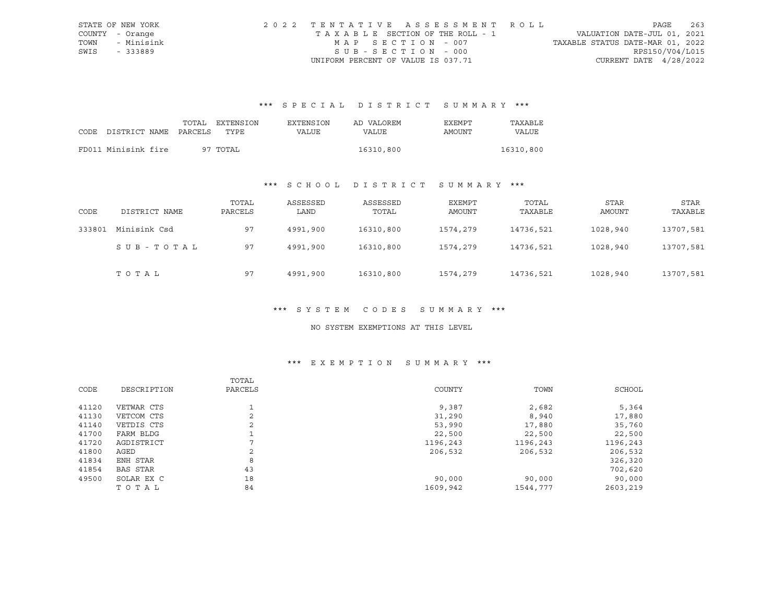|      | STATE OF NEW YORK | 2022 TENTATIVE ASSESSMENT ROLL        |                                  | PAGE            | 263 |
|------|-------------------|---------------------------------------|----------------------------------|-----------------|-----|
|      | COUNTY - Orange   | T A X A B L E SECTION OF THE ROLL - 1 | VALUATION DATE-JUL 01, 2021      |                 |     |
| TOWN | - Minisink        | MAP SECTION - 007                     | TAXABLE STATUS DATE-MAR 01, 2022 |                 |     |
| SWIS | - 333889          | SUB-SECTION - 000                     |                                  | RPS150/V04/L015 |     |
|      |                   | UNIFORM PERCENT OF VALUE IS 037.71    | CURRENT DATE $4/28/2022$         |                 |     |

# \*\*\* S P E C I A L D I S T R I C T S U M M A R Y \*\*\*

|      |                       | TOTAL | EXTENSION | EXTENSION | AD VALOREM | <b>EXEMPT</b> | TAXABLE   |
|------|-----------------------|-------|-----------|-----------|------------|---------------|-----------|
| CODE | DISTRICT NAME PARCELS |       | TYPE      | VALUE     | VALUE      | AMOUNT        | VALUE     |
|      |                       |       |           |           |            |               |           |
|      | FD011 Minisink fire   |       | 97 TOTAL  |           | 16310,800  |               | 16310,800 |

## \*\*\* S C H O O L D I S T R I C T S U M M A R Y \*\*\*

| CODE   | DISTRICT NAME | TOTAL<br>PARCELS | ASSESSED<br>LAND | ASSESSED<br>TOTAL | EXEMPT<br>AMOUNT | TOTAL<br>TAXABLE | STAR<br>AMOUNT | STAR<br>TAXABLE |
|--------|---------------|------------------|------------------|-------------------|------------------|------------------|----------------|-----------------|
| 333801 | Minisink Csd  | 97               | 4991,900         | 16310,800         | 1574,279         | 14736,521        | 1028,940       | 13707,581       |
|        | SUB-TOTAL     | 97               | 4991,900         | 16310,800         | 1574,279         | 14736,521        | 1028,940       | 13707,581       |
|        | тотаь         | 97               | 4991,900         | 16310,800         | 1574,279         | 14736,521        | 1028,940       | 13707,581       |

#### \*\*\* S Y S T E M C O D E S S U M M A R Y \*\*\*

#### NO SYSTEM EXEMPTIONS AT THIS LEVEL

## \*\*\* E X E M P T I O N S U M M A R Y \*\*\*

|       |                 | TOTAL          |          |          |          |
|-------|-----------------|----------------|----------|----------|----------|
| CODE  | DESCRIPTION     | PARCELS        | COUNTY   | TOWN     | SCHOOL   |
|       |                 |                |          |          |          |
| 41120 | VETWAR CTS      |                | 9,387    | 2,682    | 5,364    |
| 41130 | VETCOM CTS      | $\mathfrak{D}$ | 31,290   | 8,940    | 17,880   |
| 41140 | VETDIS CTS      | 2              | 53,990   | 17,880   | 35,760   |
| 41700 | FARM BLDG       |                | 22,500   | 22,500   | 22,500   |
| 41720 | AGDISTRICT      |                | 1196,243 | 1196,243 | 1196,243 |
| 41800 | AGED            | 2              | 206,532  | 206,532  | 206,532  |
| 41834 | ENH STAR        | 8              |          |          | 326,320  |
| 41854 | <b>BAS STAR</b> | 43             |          |          | 702,620  |
| 49500 | SOLAR EX C      | 18             | 90,000   | 90,000   | 90,000   |
|       | TOTAL           | 84             | 1609,942 | 1544,777 | 2603,219 |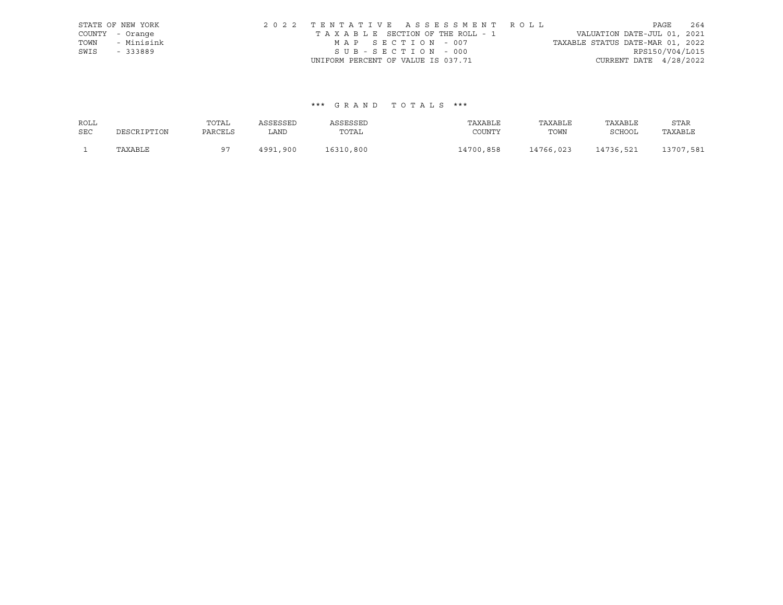|      | STATE OF NEW YORK | 2022 TENTATIVE ASSESSMENT ROLL                                 | PAGE            | 264 |
|------|-------------------|----------------------------------------------------------------|-----------------|-----|
|      | COUNTY - Orange   | VALUATION DATE-JUL 01, 2021<br>TAXABLE SECTION OF THE ROLL - 1 |                 |     |
| TOWN | - Minisink        | TAXABLE STATUS DATE-MAR 01, 2022<br>MAP SECTION - 007          |                 |     |
| SWIS | - 333889          | SUB-SECTION - 000                                              | RPS150/V04/L015 |     |
|      |                   | CURRENT DATE $4/28/2022$<br>UNIFORM PERCENT OF VALUE IS 037.71 |                 |     |

#### \*\*\* G R A N D T O T A L S \*\*\*

| ROLL       |             | TOTAL          | ASSESSED | ASSESSED  | TAXABLE   | TAXABLE   | TAXABLE   | STAR      |
|------------|-------------|----------------|----------|-----------|-----------|-----------|-----------|-----------|
| <b>SEC</b> | DESCRIPTION | PARCELS        | LAND     | TOTAL     | COUNTY    | TOWN      | SCHOOL    | TAXABLE   |
|            | TAXABLE     | Q <sub>7</sub> | 4991,900 | 16310,800 | 14700,858 | 14766,023 | 14736,521 | 13707,581 |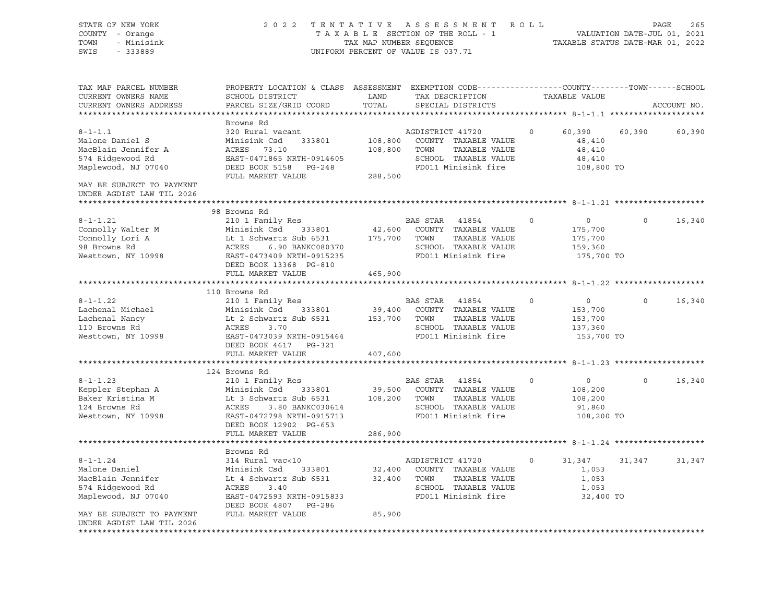STATE OF NEW YORK 2 0 2 2 T E N T A T I V E A S S E S S M E N T R O L L PAGE 265 COUNTY - Orange T A X A B L E SECTION OF THE ROLL - 1 TOWN - Minisink TAX MAP NUMBER SEQUENCE TAXABLE STATUS DATE-MAR 01, 2022<br>TAXABLE STATUS DATE-MAR 01, 2022 UNIFORM PERCENT OF VALUE IS 037.71 TAX MAP PARCEL NUMBER PROPERTY LOCATION & CLASS ASSESSMENT EXEMPTION CODE------------------COUNTY--------TOWN------SCHOOL CURRENT OWNERS NAME SCHOOL DISTRICT LAND TAX DESCRIPTION TAXABLE VALUE CURRENT OWNERS ADDRESS PARCEL SIZE/GRID COORD TOTAL SPECIAL DISTRICTS ACCOUNT NO. \*\*\*\*\*\*\*\*\*\*\*\*\*\*\*\*\*\*\*\*\*\*\*\*\*\*\*\*\*\*\*\*\*\*\*\*\*\*\*\*\*\*\*\*\*\*\*\*\*\*\*\*\*\*\*\*\*\*\*\*\*\*\*\*\*\*\*\*\*\*\*\*\*\*\*\*\*\*\*\*\*\*\*\*\*\*\*\*\*\*\*\*\*\*\*\*\*\*\*\*\*\*\* 8-1-1.1 \*\*\*\*\*\*\*\*\*\*\*\*\*\*\*\*\*\*\*\* Browns Rd 8-1-1.1 320 Rural vacant AGDISTRICT 41720 0 60,390 60,390 60,390 Malone Daniel S Minisink Csd 333801 108,800 COUNTY TAXABLE VALUE 48,410 MacBlain Jennifer A ACRES 73.10 108,800 TOWN TAXABLE VALUE 48,410 574 Ridgewood Rd EAST-0471865 NRTH-0914605 SCHOOL TAXABLE VALUE 48,410 Maplewood, NJ 07040 DEED BOOK 5158 PG-248 FD011 Minisink fire 108,800 TO FULL MARKET VALUE 288,500 MAY BE SUBJECT TO PAYMENT UNDER AGDIST LAW TIL 2026 \*\*\*\*\*\*\*\*\*\*\*\*\*\*\*\*\*\*\*\*\*\*\*\*\*\*\*\*\*\*\*\*\*\*\*\*\*\*\*\*\*\*\*\*\*\*\*\*\*\*\*\*\*\*\*\*\*\*\*\*\*\*\*\*\*\*\*\*\*\*\*\*\*\*\*\*\*\*\*\*\*\*\*\*\*\*\*\*\*\*\*\*\*\*\*\*\*\*\*\*\*\*\* 8-1-1.21 \*\*\*\*\*\*\*\*\*\*\*\*\*\*\*\*\*\*\* 98 Browns Rd 8-1-1.21 210 1 Family Res BAS STAR 41854 0 0 0 16,340 Connolly Walter M Minisink Csd 333801 42,600 COUNTY TAXABLE VALUE 175,700 Connolly Lori A Lt 1 Schwartz Sub 6531 175,700 TOWN TAXABLE VALUE 175,700 98 Browns Rd ACRES 6.90 BANKC080370 SCHOOL TAXABLE VALUE 159,360 Westtown, NY 10998 **EAST-0473409 NRTH-0915235** FD011 Minisink fire 175,700 TO DEED BOOK 13368 PG-810 FULL MARKET VALUE 465,900 \*\*\*\*\*\*\*\*\*\*\*\*\*\*\*\*\*\*\*\*\*\*\*\*\*\*\*\*\*\*\*\*\*\*\*\*\*\*\*\*\*\*\*\*\*\*\*\*\*\*\*\*\*\*\*\*\*\*\*\*\*\*\*\*\*\*\*\*\*\*\*\*\*\*\*\*\*\*\*\*\*\*\*\*\*\*\*\*\*\*\*\*\*\*\*\*\*\*\*\*\*\*\* 8-1-1.22 \*\*\*\*\*\*\*\*\*\*\*\*\*\*\*\*\*\*\* 110 Browns Rd 8-1-1.22 210 1 Family Res BAS STAR 41854 0 0 0 16,340 Lachenal Michael Minisink Csd 333801 39,400 COUNTY TAXABLE VALUE 153,700 Lachenal Nancy Lt 2 Schwartz Sub 6531 153,700 TOWN TAXABLE VALUE 153,700 110 Browns Rd ACRES 3.70 SCHOOL TAXABLE VALUE 137,360 Westtown, NY 10998 **EAST-0473039 NRTH-0915464** FD011 Minisink fire 153,700 TO DEED BOOK 4617 PG-321 FULL MARKET VALUE 407,600 \*\*\*\*\*\*\*\*\*\*\*\*\*\*\*\*\*\*\*\*\*\*\*\*\*\*\*\*\*\*\*\*\*\*\*\*\*\*\*\*\*\*\*\*\*\*\*\*\*\*\*\*\*\*\*\*\*\*\*\*\*\*\*\*\*\*\*\*\*\*\*\*\*\*\*\*\*\*\*\*\*\*\*\*\*\*\*\*\*\*\*\*\*\*\*\*\*\*\*\*\*\*\* 8-1-1.23 \*\*\*\*\*\*\*\*\*\*\*\*\*\*\*\*\*\*\* 124 Browns Rd 8-1-1.23 210 1 Family Res BAS STAR 41854 0 0 0 16,340 Keppler Stephan A Minisink Csd 333801 39,500 COUNTY TAXABLE VALUE 108,200 Baker Kristina M Lt 3 Schwartz Sub 6531 108,200 TOWN TAXABLE VALUE 108,200 124 Browns Rd ACRES 3.80 BANKC030614 SCHOOL TAXABLE VALUE 91,860 EAST-0472798 NRTH-0915713 FD011 Minisink fire 108,200 TO DEED BOOK 12902 PG-653 FULL MARKET VALUE 286,900 \*\*\*\*\*\*\*\*\*\*\*\*\*\*\*\*\*\*\*\*\*\*\*\*\*\*\*\*\*\*\*\*\*\*\*\*\*\*\*\*\*\*\*\*\*\*\*\*\*\*\*\*\*\*\*\*\*\*\*\*\*\*\*\*\*\*\*\*\*\*\*\*\*\*\*\*\*\*\*\*\*\*\*\*\*\*\*\*\*\*\*\*\*\*\*\*\*\*\*\*\*\*\* 8-1-1.24 \*\*\*\*\*\*\*\*\*\*\*\*\*\*\*\*\*\*\* Browns Rd 8-1-1.24 314 Rural vac<10 AGDISTRICT 41720 0 31,347 31,347 31,347 Malone Daniel Minisink Csd 333801 32,400 COUNTY TAXABLE VALUE 1,053 MacBlain Jennifer Lt 4 Schwartz Sub 6531 32,400 TOWN TAXABLE VALUE 1,053 574 Ridgewood Rd ACRES 3.40 SCHOOL TAXABLE VALUE 1,053 Maplewood, NJ 07040 EAST-0472593 NRTH-0915833 FD011 Minisink fire 32,400 TO DEED BOOK 4807 PG-286 MAY BE SUBJECT TO PAYMENT FULL MARKET VALUE 85,900 UNDER AGDIST LAW TIL 2026 \*\*\*\*\*\*\*\*\*\*\*\*\*\*\*\*\*\*\*\*\*\*\*\*\*\*\*\*\*\*\*\*\*\*\*\*\*\*\*\*\*\*\*\*\*\*\*\*\*\*\*\*\*\*\*\*\*\*\*\*\*\*\*\*\*\*\*\*\*\*\*\*\*\*\*\*\*\*\*\*\*\*\*\*\*\*\*\*\*\*\*\*\*\*\*\*\*\*\*\*\*\*\*\*\*\*\*\*\*\*\*\*\*\*\*\*\*\*\*\*\*\*\*\*\*\*\*\*\*\*\*\*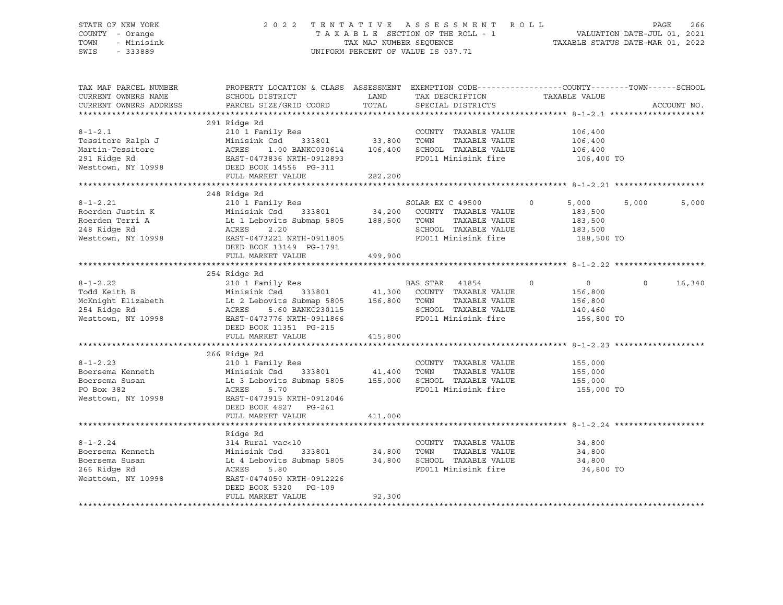#### STATE OF NEW YORK 2 0 2 2 T E N T A T I V E A S S E S S M E N T R O L L PAGE 266 COUNTY - Orange T A X A B L E SECTION OF THE ROLL - 1 VALUATION DATE-JUL 01, 2021 TOWN - Minisink TAX MAP NUMBER SEQUENCE TAXABLE STATUS DATE-MAR 01, 2022 SWIS - 333889 CONSERVATION CONTROL OF VALUE IS 037.71

| TAX MAP PARCEL NUMBER<br>CURRENT OWNERS NAME<br>CURRENT OWNERS ADDRESS | PROPERTY LOCATION & CLASS ASSESSMENT EXEMPTION CODE----------------COUNTY-------TOWN------SCHOOL<br>SCHOOL DISTRICT                        LAND         TAX DESCRIPTION                    TAXABLE VALUE<br>PARCEL SIZE/GRID COORD TOTAL                                                                                                                                                                                                                                                                                           |         | SPECIAL DISTRICTS              |                                                                                                                                                        | ACCOUNT NO.        |
|------------------------------------------------------------------------|------------------------------------------------------------------------------------------------------------------------------------------------------------------------------------------------------------------------------------------------------------------------------------------------------------------------------------------------------------------------------------------------------------------------------------------------------------------------------------------------------------------------------------|---------|--------------------------------|--------------------------------------------------------------------------------------------------------------------------------------------------------|--------------------|
| $8 - 1 - 2.1$                                                          | 291 Ridge Rd<br>210 1 Family Res<br>210 1 Family Res<br>Minisink Csd 333801 33,800 TOWN<br>Tessitore Ralph J<br>Minisink Csd 333801 33,800 TOWN TAXABLE VALUE 106,400<br>Martin-Tessitore ACRES 1.00 BANKC030614 106,400 SCHOOL TAXABLE VALUE 106,400<br>291 Ridge Rd EAST-0473836 NRTH-0912893<br>Westtown, NY 10998 DEED BOOK 1<br>FULL MARKET VALUE                                                                                                                                                                             | 282,200 | COUNTY TAXABLE VALUE 106,400   |                                                                                                                                                        |                    |
|                                                                        | 248 Ridge Rd<br>8-1-2.21 210 210 1 Family Res<br>Roerden Justin K Minisink Csd 333801 34,200 COUNTY TAXABLE VALUE<br>Roerden Terri A Lt 1 Lebovits Submap 5805 188,500 TOWN TAXABLE VALUE 183,500<br>248 Ridge Rd ACRES 2.20 SCHOOL TAXABLE VALUE 18<br>DEED BOOK 13149 PG-1791<br>FULL MARKET VALUE                                                                                                                                                                                                                               | 499,900 |                                |                                                                                                                                                        | 5,000<br>5,000     |
|                                                                        | 254 Ridge Rd<br>8-1-2.22<br>201 Family Res<br>210 1 Family Res<br>210 1 Family Res<br>210 1 Family Res<br>210 1 Family Res<br>210 1 Family Res<br>210 1 Family Res<br>210 21 Family Res<br>254 210 2000 254 2156,800<br>254 Ridge Rd<br>254 Ridge Rd<br>254 Ridge Rd<br><br>DEED BOOK 11351 PG-215<br>FULL MARKET VALUE                                                                                                                                                                                                            | 415,800 |                                | $\begin{array}{ccccc} 41854 & 0 & 0 \\ \text{TAXABLE VALUE} & 156,800 \\ \text{TAXABLE VALUE} & 156,800 \\ \text{TAXABLE VALUE} & 156,800 \end{array}$ | $\Omega$<br>16,340 |
|                                                                        | 8-1-2.23<br>Boersema Kenneth Minisink Csd 333801<br>Boersema Susan Lt 3 Lebovits Submap 5805<br>PO Box 382<br>Westtown, NY 10998<br>RAST-0473915 NRTH-0912046<br>RAST-0473915 NRTH-0912046<br>RAST-0473915 NRTH-0912046<br>RAST-0473915 NRTH-0<br>DEED BOOK 4827 PG-261<br>FULL MARKET VALUE                                                                                                                                                                                                                                       | 411,000 | FD011 Minisink fire 155,000 TO |                                                                                                                                                        |                    |
|                                                                        | $\begin{tabular}{lllllllllllll} \multicolumn{3}{c}{\texttt{8-1-2.24}} & \multicolumn{3}{c}{\texttt{a}} & \multicolumn{3}{c}{\texttt{0}} & \multicolumn{3}{c}{\texttt{COUNTY}} & \multicolumn{3}{c}{\texttt{TAXABLE VALUE}} & \multicolumn{3}{c}{\texttt{314 Rural vac} & \multicolumn{3}{c}{\texttt{COUNTY}} & \multicolumn{3}{c}{\texttt{TAXABLE VALUE}} & \multicolumn{3}{c}{\texttt{314, 800}} \\ \multicolumn{3}{c}{\texttt{Bocresema Sunant}} & \multicolumn{3}{c}{\texttt{Min$<br>DEED BOOK 5320 PG-109<br>FULL MARKET VALUE | 92,300  |                                | 34,800 TO                                                                                                                                              |                    |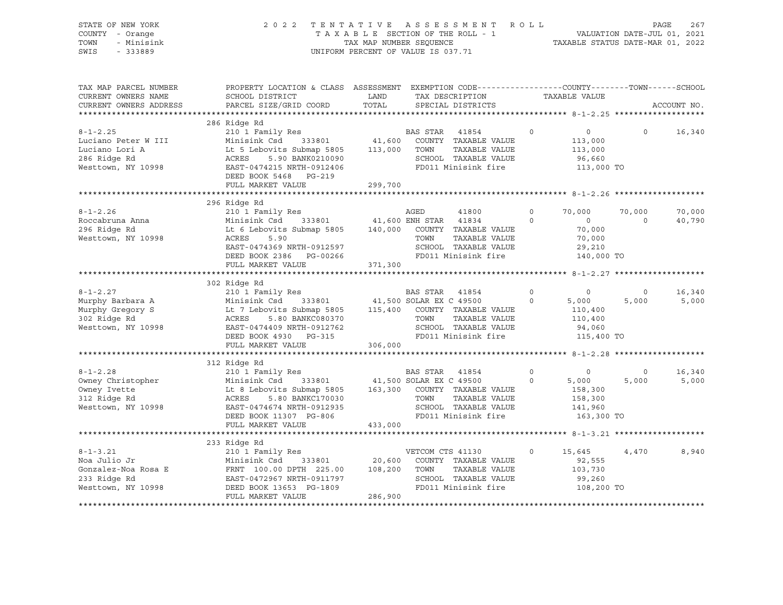| STATE OF NEW YORK<br>COUNTY - Orange<br>TOWN<br>- Minisink<br>SWIS<br>$-333889$ | 2 0 2 2                                                                                                             | TAXABLE SECTION OF THE ROLL - 1<br>TAX MAP NUMBER SEQUENCE<br>UNIFORM PERCENT OF VALUE IS 037.71 |                  | TENTATIVE ASSESSMENT ROLL                     |                        | VALUATION DATE-JUL 01, 2021<br>TAXABLE STATUS DATE-MAR 01, 2022 |                  | PAGE<br>267     |
|---------------------------------------------------------------------------------|---------------------------------------------------------------------------------------------------------------------|--------------------------------------------------------------------------------------------------|------------------|-----------------------------------------------|------------------------|-----------------------------------------------------------------|------------------|-----------------|
| TAX MAP PARCEL NUMBER<br>CURRENT OWNERS NAME                                    | PROPERTY LOCATION & CLASS ASSESSMENT EXEMPTION CODE----------------COUNTY-------TOWN------SCHOOL<br>SCHOOL DISTRICT | LAND                                                                                             |                  | TAX DESCRIPTION                               |                        | TAXABLE VALUE                                                   |                  |                 |
| CURRENT OWNERS ADDRESS                                                          | PARCEL SIZE/GRID COORD                                                                                              | TOTAL                                                                                            |                  | SPECIAL DISTRICTS                             |                        |                                                                 |                  | ACCOUNT NO.     |
|                                                                                 | 286 Ridge Rd                                                                                                        |                                                                                                  |                  |                                               |                        |                                                                 |                  |                 |
| $8 - 1 - 2.25$                                                                  | 210 1 Family Res                                                                                                    |                                                                                                  |                  |                                               | $\circ$                | 0                                                               | $\circ$          | 16,340          |
| Luciano Peter W III                                                             | Minisink Csd 333801                                                                                                 |                                                                                                  |                  | BAS STAR 41854<br>41,600 COUNTY TAXABLE VALUE |                        | 113,000                                                         |                  |                 |
| Luciano Lori A                                                                  | Lt 5 Lebovits Submap 5805 113,000 TOWN                                                                              |                                                                                                  |                  | TAXABLE VALUE                                 |                        | 113,000                                                         |                  |                 |
| 286 Ridge Rd                                                                    | ACRES<br>5.90 BANK0210090                                                                                           |                                                                                                  |                  | SCHOOL TAXABLE VALUE                          |                        | 96,660                                                          |                  |                 |
| Westtown, NY 10998                                                              | EAST-0474215 NRTH-0912406                                                                                           |                                                                                                  |                  | FD011 Minisink fire                           |                        | 113,000 TO                                                      |                  |                 |
|                                                                                 | DEED BOOK 5468 PG-219                                                                                               |                                                                                                  |                  |                                               |                        |                                                                 |                  |                 |
|                                                                                 | FULL MARKET VALUE                                                                                                   | 299,700                                                                                          |                  |                                               |                        |                                                                 |                  |                 |
|                                                                                 | 296 Ridge Rd                                                                                                        |                                                                                                  |                  |                                               |                        |                                                                 |                  |                 |
| $8 - 1 - 2.26$                                                                  | 210 1 Family Res                                                                                                    |                                                                                                  | AGED             | 41800                                         | $\Omega$               | 70,000                                                          | 70,000           | 70,000          |
| Roccabruna Anna                                                                 | Minisink Csd<br>333801                                                                                              | 41,600 ENH STAR 41834                                                                            |                  |                                               | $\circ$                | $\circ$                                                         | $\Omega$         | 40,790          |
| 296 Ridge Rd                                                                    | Minising Com<br>Lt 6 Lebovits Submap 5805                                                                           |                                                                                                  |                  | 140,000 COUNTY TAXABLE VALUE                  |                        | 70,000                                                          |                  |                 |
| Westtown, NY 10998                                                              | ACRES<br>5.90                                                                                                       |                                                                                                  | TOWN             | TAXABLE VALUE                                 |                        | 70,000                                                          |                  |                 |
|                                                                                 | EAST-0474369 NRTH-0912597                                                                                           |                                                                                                  |                  | SCHOOL TAXABLE VALUE                          |                        | 29,210                                                          |                  |                 |
|                                                                                 | DEED BOOK 2386 PG-00266                                                                                             |                                                                                                  |                  | FD011 Minisink fire                           |                        | 140,000 TO                                                      |                  |                 |
|                                                                                 | FULL MARKET VALUE                                                                                                   | 371,300                                                                                          |                  |                                               |                        |                                                                 |                  |                 |
|                                                                                 |                                                                                                                     |                                                                                                  |                  |                                               |                        |                                                                 |                  |                 |
|                                                                                 | 302 Ridge Rd<br>210 1 Family Res                                                                                    |                                                                                                  |                  |                                               |                        |                                                                 |                  |                 |
| $8 - 1 - 2.27$<br>Murphy Barbara A                                              | Minisink Csd                                                                                                        |                                                                                                  | BAS STAR 41854   |                                               | $\circ$<br>$\mathbf 0$ | $\circ$<br>5,000                                                | $\circ$<br>5,000 | 16,340<br>5,000 |
| Murphy Gregory S                                                                | Lt 7 Lebovits Submap 5805 115,400 COUNTY TAXABLE VALUE                                                              | 333801 41,500 SOLAR EX C 49500                                                                   |                  |                                               |                        | 110,400                                                         |                  |                 |
| 302 Ridge Rd                                                                    | ACRES<br>5.80 BANKC080370                                                                                           |                                                                                                  | TOWN             | TAXABLE VALUE                                 |                        | 110,400                                                         |                  |                 |
| Westtown, NY 10998                                                              | EAST-0474409 NRTH-0912762                                                                                           |                                                                                                  |                  | SCHOOL TAXABLE VALUE                          |                        | 94,060                                                          |                  |                 |
|                                                                                 | DEED BOOK 4930 PG-315                                                                                               |                                                                                                  |                  | FD011 Minisink fire                           |                        | 115,400 TO                                                      |                  |                 |
|                                                                                 | FULL MARKET VALUE                                                                                                   | 306,000                                                                                          |                  |                                               |                        |                                                                 |                  |                 |
|                                                                                 |                                                                                                                     |                                                                                                  |                  |                                               |                        |                                                                 |                  |                 |
|                                                                                 | 312 Ridge Rd                                                                                                        |                                                                                                  |                  |                                               |                        |                                                                 |                  |                 |
| $8 - 1 - 2.28$                                                                  | 210 1 Family Res                                                                                                    |                                                                                                  | BAS STAR         | 41854                                         | $\circ$                | $\circ$                                                         | $\circ$          | 16,340          |
| Owney Christopher                                                               | Minisink Csd<br>333801                                                                                              | 41,500 SOLAR EX C 49500                                                                          |                  |                                               | $\circ$                | 5,000                                                           | 5,000            | 5,000           |
| Owney Ivette                                                                    | Lt 8 Lebovits Submap 5805                                                                                           |                                                                                                  |                  | 163,300 COUNTY TAXABLE VALUE                  |                        | 158,300                                                         |                  |                 |
| 312 Ridge Rd<br>Westtown, NY 10998                                              | ACRES<br>5.80 BANKC170030<br>EAST-0474674 NRTH-0912935                                                              |                                                                                                  | TOWN             | TAXABLE VALUE<br>SCHOOL TAXABLE VALUE         |                        | 158,300<br>141,960                                              |                  |                 |
|                                                                                 | DEED BOOK 11307 PG-806                                                                                              |                                                                                                  |                  | FD011 Minisink fire                           |                        | 163,300 TO                                                      |                  |                 |
|                                                                                 | FULL MARKET VALUE                                                                                                   | 433,000                                                                                          |                  |                                               |                        |                                                                 |                  |                 |
|                                                                                 |                                                                                                                     |                                                                                                  |                  |                                               |                        |                                                                 |                  |                 |
|                                                                                 | 233 Ridge Rd                                                                                                        |                                                                                                  |                  |                                               |                        |                                                                 |                  |                 |
| $8 - 1 - 3.21$                                                                  | 210 1 Family Res                                                                                                    |                                                                                                  | VETCOM CTS 41130 |                                               | $\circ$                | 15,645                                                          | 4,470            | 8,940           |
| Noa Julio Jr                                                                    | 333801<br>Minisink Csd                                                                                              |                                                                                                  |                  | 20,600 COUNTY TAXABLE VALUE                   |                        | 92,555                                                          |                  |                 |
| Gonzalez-Noa Rosa E                                                             | FRNT 100.00 DPTH 225.00                                                                                             | 108,200                                                                                          | TOWN             | TAXABLE VALUE                                 |                        | 103,730                                                         |                  |                 |

\*\*\*\*\*\*\*\*\*\*\*\*\*\*\*\*\*\*\*\*\*\*\*\*\*\*\*\*\*\*\*\*\*\*\*\*\*\*\*\*\*\*\*\*\*\*\*\*\*\*\*\*\*\*\*\*\*\*\*\*\*\*\*\*\*\*\*\*\*\*\*\*\*\*\*\*\*\*\*\*\*\*\*\*\*\*\*\*\*\*\*\*\*\*\*\*\*\*\*\*\*\*\*\*\*\*\*\*\*\*\*\*\*\*\*\*\*\*\*\*\*\*\*\*\*\*\*\*\*\*\*\*

233 Ridge Rd EAST-0472967 NRTH-0911797 SCHOOL TAXABLE VALUE 99,260 Westtown, NY 10998 DEED BOOK 13653 PG-1809 FD011 Minisink fire 108,200 TO

FULL MARKET VALUE 286,900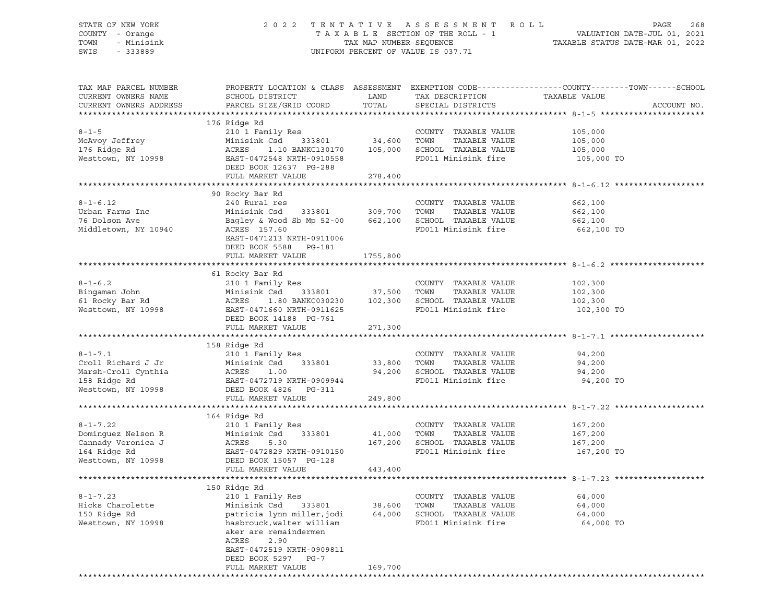STATE OF NEW YORK 2 0 2 2 T E N T A T I V E A S S E S S M E N T R O L L PAGE 268

## COUNTY - Orange T A X A B L E SECTION OF THE ROLL - 1 VALUATION DATE-JUL 01, 2021 TOWN - Minisink TAX MAP NUMBER SEQUENCE TAXABLE STATUS DATE-MAR 01, 2022 SWIS - 333889 CONSERVATION CONTROL OF VALUE IS 037.71

| TAX MAP PARCEL NUMBER<br>CURRENT OWNERS NAME<br>CURRENT OWNERS ADDRESS | SCHOOL DISTRICT<br>PARCEL SIZE/GRID COORD                                                                                                                                  | LAND<br>TOTAL      | TAX DESCRIPTION<br>SPECIAL DISTRICTS | PROPERTY LOCATION & CLASS ASSESSMENT EXEMPTION CODE----------------COUNTY-------TOWN-----SCHOOL<br>TAXABLE VALUE<br>ACCOUNT NO. |  |
|------------------------------------------------------------------------|----------------------------------------------------------------------------------------------------------------------------------------------------------------------------|--------------------|--------------------------------------|---------------------------------------------------------------------------------------------------------------------------------|--|
|                                                                        |                                                                                                                                                                            |                    |                                      |                                                                                                                                 |  |
|                                                                        | 176 Ridge Rd                                                                                                                                                               |                    |                                      |                                                                                                                                 |  |
| $8 - 1 - 5$                                                            | 210 1 Family Res                                                                                                                                                           |                    | COUNTY TAXABLE VALUE                 | 105,000                                                                                                                         |  |
| McAvoy Jeffrey                                                         |                                                                                                                                                                            |                    |                                      | 105,000                                                                                                                         |  |
| 176 Ridge Rd                                                           | Minisink Csd 333801 34,600 TOWN TAXABLE VALUE<br>ACRES 1.10 BANKC130170 105,000 SCHOOL TAXABLE VALUE<br>EAST-0472548 NRTH-0910558 FD011 Minisink fire                      |                    |                                      | 105,000                                                                                                                         |  |
| Westtown, NY 10998                                                     |                                                                                                                                                                            |                    |                                      | 105,000 TO                                                                                                                      |  |
|                                                                        | DEED BOOK 12637 PG-288                                                                                                                                                     |                    |                                      |                                                                                                                                 |  |
|                                                                        | FULL MARKET VALUE                                                                                                                                                          | 278,400            |                                      |                                                                                                                                 |  |
|                                                                        |                                                                                                                                                                            |                    |                                      |                                                                                                                                 |  |
|                                                                        |                                                                                                                                                                            |                    |                                      |                                                                                                                                 |  |
|                                                                        | 90 Rocky Bar Rd                                                                                                                                                            |                    |                                      |                                                                                                                                 |  |
| $8 - 1 - 6.12$                                                         | 240 Rural res                                                                                                                                                              |                    | COUNTY TAXABLE VALUE                 | 662,100                                                                                                                         |  |
| Urban Farms Inc                                                        | Minisink Csd 333801 309,700 TOWN TAXABLE VALUE                                                                                                                             |                    |                                      | 662,100                                                                                                                         |  |
| 76 Dolson Ave                                                          | Bagley & Wood Sb Mp 52-00 662,100 SCHOOL TAXABLE VALUE                                                                                                                     |                    |                                      | 662,100                                                                                                                         |  |
| Middletown, NY 10940                                                   | ACRES 157.60                                                                                                                                                               |                    | FD011 Minisink fire                  | 662,100 TO                                                                                                                      |  |
|                                                                        | EAST-0471213 NRTH-0911006                                                                                                                                                  |                    |                                      |                                                                                                                                 |  |
|                                                                        | DEED BOOK 5588 PG-181                                                                                                                                                      |                    |                                      |                                                                                                                                 |  |
|                                                                        | FULL MARKET VALUE                                                                                                                                                          | 1755,800           |                                      |                                                                                                                                 |  |
|                                                                        |                                                                                                                                                                            |                    |                                      |                                                                                                                                 |  |
|                                                                        | 61 Rocky Bar Rd                                                                                                                                                            |                    |                                      |                                                                                                                                 |  |
|                                                                        | 210 1 Family Res                                                                                                                                                           |                    |                                      |                                                                                                                                 |  |
| $8 - 1 - 6.2$                                                          | 210 I Family Res<br>Minisink Csd 333801 37,500 TOWN TAXABLE VALUE                                                                                                          |                    | COUNTY TAXABLE VALUE                 | 102,300                                                                                                                         |  |
| Bingaman John                                                          |                                                                                                                                                                            |                    |                                      | 102,300                                                                                                                         |  |
| 61 Rocky Bar Rd                                                        |                                                                                                                                                                            |                    |                                      | 102,300                                                                                                                         |  |
| Westtown, NY 10998                                                     | Minisink Csd 333801 37, 500 10m. 1.1.<br>ACRES 1.80 BANKC030230 102, 300 SCHOOL TAXABLE VALUE<br>EAST-0471660 NRTH-0911625 FD011 Minisink fire                             |                    |                                      | 102,300 TO                                                                                                                      |  |
|                                                                        |                                                                                                                                                                            |                    |                                      |                                                                                                                                 |  |
|                                                                        | FULL MARKET VALUE                                                                                                                                                          | 271,300            |                                      |                                                                                                                                 |  |
|                                                                        |                                                                                                                                                                            |                    |                                      |                                                                                                                                 |  |
|                                                                        |                                                                                                                                                                            |                    |                                      |                                                                                                                                 |  |
|                                                                        | 158 Ridge Rd                                                                                                                                                               |                    |                                      |                                                                                                                                 |  |
| $8 - 1 - 7.1$                                                          |                                                                                                                                                                            |                    | COUNTY TAXABLE VALUE                 | 94,200                                                                                                                          |  |
|                                                                        | 210 1 Family Res                                                                                                                                                           |                    |                                      |                                                                                                                                 |  |
| Croll Richard J Jr                                                     |                                                                                                                                                                            | 333801 33,800 TOWN | TAXABLE VALUE                        | 94,200                                                                                                                          |  |
| Marsh-Croll Cynthia                                                    |                                                                                                                                                                            |                    | 94,200 SCHOOL TAXABLE VALUE          | 94,200                                                                                                                          |  |
| 158 Ridge Rd                                                           | EAST-0472719 NRTH-0909944                                                                                                                                                  |                    | FD011 Minisink fire                  | 94,200 TO                                                                                                                       |  |
| Westtown, NY 10998                                                     | DEED BOOK 4826 PG-311                                                                                                                                                      |                    |                                      |                                                                                                                                 |  |
|                                                                        | FULL MARKET VALUE                                                                                                                                                          | 249,800            |                                      |                                                                                                                                 |  |
|                                                                        |                                                                                                                                                                            |                    |                                      |                                                                                                                                 |  |
|                                                                        | 164 Ridge Rd                                                                                                                                                               |                    |                                      |                                                                                                                                 |  |
| $8 - 1 - 7.22$                                                         | 210 1 Family Res                                                                                                                                                           |                    | COUNTY TAXABLE VALUE                 | 167,200                                                                                                                         |  |
| Dominguez Nelson R                                                     | Minisink Csd 333801                                                                                                                                                        | 41,000 TOWN        | TAXABLE VALUE                        | 167,200                                                                                                                         |  |
| Cannady Veronica J                                                     | 5.30                                                                                                                                                                       |                    | 167,200 SCHOOL TAXABLE VALUE         | 167,200                                                                                                                         |  |
| 164 Ridge Rd                                                           | Minis:<br>ACRES                                                                                                                                                            |                    | FD011 Minisink fire                  | 167,200 TO                                                                                                                      |  |
| Westtown, NY 10998                                                     | EAST-0472829 NRTH-0910150<br>DEED BOOK 15057 PG-128                                                                                                                        |                    |                                      |                                                                                                                                 |  |
|                                                                        |                                                                                                                                                                            |                    |                                      |                                                                                                                                 |  |
|                                                                        | FULL MARKET VALUE                                                                                                                                                          | 443,400            |                                      | ************************************* 8-1-7.23 ******                                                                           |  |
|                                                                        |                                                                                                                                                                            |                    |                                      |                                                                                                                                 |  |
|                                                                        | 150 Ridge Rd                                                                                                                                                               |                    |                                      |                                                                                                                                 |  |
| $8 - 1 - 7.23$                                                         | 210 1 Family Res                                                                                                                                                           |                    | COUNTY TAXABLE VALUE                 | 64,000                                                                                                                          |  |
| Hicks Charolette                                                       |                                                                                                                                                                            |                    |                                      | 64,000                                                                                                                          |  |
| 150 Ridge Rd                                                           |                                                                                                                                                                            |                    |                                      | 64,000                                                                                                                          |  |
| Westtown, NY 10998                                                     | 210 1 Family Res<br>Minisink Csd 333801 38,600 TOWN TAXABLE VALUE<br>patricia lynn miller,jodi 64,000 SCHOOL TAXABLE VALUE<br>hasbrouck,walter william FD011 Minisink fire |                    | FD011 Minisink fire                  | 64,000 TO                                                                                                                       |  |
|                                                                        | aker are remaindermen                                                                                                                                                      |                    |                                      |                                                                                                                                 |  |
|                                                                        | ACRES<br>2.90                                                                                                                                                              |                    |                                      |                                                                                                                                 |  |
|                                                                        | EAST-0472519 NRTH-0909811                                                                                                                                                  |                    |                                      |                                                                                                                                 |  |
|                                                                        | DEED BOOK 5297 PG-7                                                                                                                                                        |                    |                                      |                                                                                                                                 |  |
|                                                                        | FULL MARKET VALUE                                                                                                                                                          | 169,700            |                                      |                                                                                                                                 |  |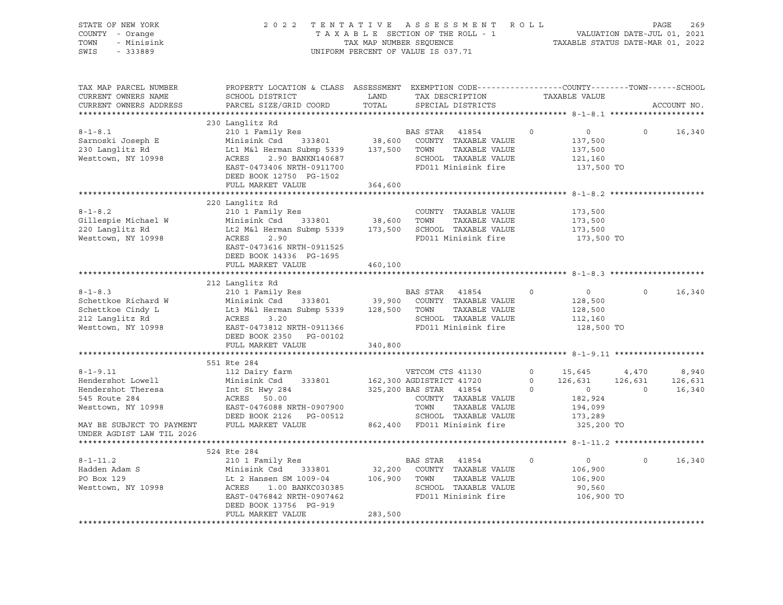| STATE OF NEW YORK<br>COUNTY - Orange<br>- Minisink<br>TOWN<br>SWIS<br>$-333889$                                                                            | TENTATIVE ASSESSMENT ROLL<br>269<br>PAGE<br>VALUATION DATE-JUL 01, 2021<br>TAXABLE STATUS DATE-MAR 01, 2022                                                                                                                                                |                         |                                                                                                                                                                                |                                                                                                                           |                                    |                            |
|------------------------------------------------------------------------------------------------------------------------------------------------------------|------------------------------------------------------------------------------------------------------------------------------------------------------------------------------------------------------------------------------------------------------------|-------------------------|--------------------------------------------------------------------------------------------------------------------------------------------------------------------------------|---------------------------------------------------------------------------------------------------------------------------|------------------------------------|----------------------------|
| TAX MAP PARCEL NUMBER<br>CURRENT OWNERS NAME<br>CURRENT OWNERS ADDRESS                                                                                     | PROPERTY LOCATION & CLASS ASSESSMENT EXEMPTION CODE----------------COUNTY-------TOWN------SCHOOL<br>SCHOOL DISTRICT<br>PARCEL SIZE/GRID COORD                                                                                                              | LAND<br>TOTAL           | TAX DESCRIPTION<br>SPECIAL DISTRICTS                                                                                                                                           | TAXABLE VALUE                                                                                                             |                                    | ACCOUNT NO.                |
| $8 - 1 - 8.1$<br>Sarnoski Joseph E<br>230 Langlitz Rd<br>Westtown, NY 10998                                                                                | 230 Langlitz Rd<br>210 1 Family Res<br>333801<br>Minisink Csd<br>Lt1 M&l Herman Submp 5339 137,500 TOWN<br>ACRES 2.90 BANKN140687 SCHOOL<br>EAST-0473406 NRTH-0911700 FD011 M<br>EAST-0473406 NRTH-0911700<br>DEED BOOK 12750 PG-1502<br>FULL MARKET VALUE | 38,600<br>364,600       | BAS STAR<br>41854<br>COUNTY TAXABLE VALUE<br>TAXABLE VALUE<br>SCHOOL TAXABLE VALUE<br>FD011 Minisink fire                                                                      | $\circ$<br>$0 \qquad \qquad$<br>137,500<br>137,500<br>121,160<br>137,500 TO                                               | $\circ$                            | 16,340                     |
|                                                                                                                                                            |                                                                                                                                                                                                                                                            |                         |                                                                                                                                                                                |                                                                                                                           |                                    |                            |
| $8 - 1 - 8.2$<br>Gillespie Michael W<br>220 Langlitz Rd<br>Westtown, NY 10998                                                                              | 220 Langlitz Rd<br>210 1 Family Res<br>333801<br>Minisink Csd<br>Lt2 M&l Herman Submp 5339<br>ACRES<br>2.90<br>EAST-0473616 NRTH-0911525<br>DEED BOOK 14336 PG-1695                                                                                        | 38,600 TOWN             | COUNTY TAXABLE VALUE<br>TAXABLE VALUE<br>173,500 SCHOOL TAXABLE VALUE<br>FD011 Minisink fire                                                                                   | 173,500<br>173,500<br>173,500<br>173,500 TO                                                                               |                                    |                            |
|                                                                                                                                                            | FULL MARKET VALUE                                                                                                                                                                                                                                          | 460,100                 |                                                                                                                                                                                |                                                                                                                           |                                    |                            |
|                                                                                                                                                            | 212 Langlitz Rd                                                                                                                                                                                                                                            |                         |                                                                                                                                                                                |                                                                                                                           |                                    |                            |
| $8 - 1 - 8.3$<br>Schettkoe Richard W<br>Schettkoe Cindy L<br>212 Langlitz Rd<br>Westtown, NY 10998                                                         | 210 1 Family Res<br>Minisink Csd 333801 39,900 COUNTY<br>Lt3 M&l Herman Submp 5339 128,500 TOWN<br>ACRES 3.20 SCHOOL<br>ACRES<br>3.20<br>EAST-0473812 NRTH-0911366<br>DEED BOOK 2350 PG-00102<br>FULL MARKET VALUE                                         | 340,800                 | BAS STAR<br>41854<br>COUNTY TAXABLE VALUE<br>TAXABLE VALUE<br>SCHOOL TAXABLE VALUE<br>FD011 Minisink fire                                                                      | $\circ$<br>$\overline{0}$<br>128,500<br>128,500<br>112,160<br>128,500 TO                                                  | $\circ$                            | 16,340                     |
|                                                                                                                                                            |                                                                                                                                                                                                                                                            |                         |                                                                                                                                                                                |                                                                                                                           |                                    |                            |
| $8 - 1 - 9.11$<br>Hendershot Lowell<br>Hendershot Theresa<br>545 Route 284<br>Westtown, NY 10998<br>MAY BE SUBJECT TO PAYMENT<br>UNDER AGDIST LAW TIL 2026 | 551 Rte 284<br>112 Dairy farm<br>Minisink Csd<br>333801<br>Int St Hwy 284<br>ACRES 50.00<br>EAST-0476088 NRTH-0907900<br>DEED BOOK 2126    PG-00512<br>FULL MARKET VALUE                                                                                   |                         | VETCOM CTS 41130<br>162,300 AGDISTRICT 41720<br>325,200 BAS STAR 41854<br>COUNTY TAXABLE VALUE<br>TOWN<br>TAXABLE VALUE<br>SCHOOL TAXABLE VALUE<br>862,400 FD011 Minisink fire | $0 \t 15,645$<br>$0 \qquad \qquad$<br>126,631<br>$\circ$<br>$\overline{0}$<br>182,924<br>194,099<br>173,289<br>325,200 TO | 4,470<br>126,631<br>$\overline{0}$ | 8,940<br>126,631<br>16,340 |
|                                                                                                                                                            |                                                                                                                                                                                                                                                            |                         |                                                                                                                                                                                |                                                                                                                           |                                    |                            |
| $8 - 1 - 11.2$<br>Hadden Adam S<br>PO Box 129<br>Westtown, NY 10998                                                                                        | 524 Rte 284<br>210 1 Family Res<br>Minisink Csd<br>333801<br>Lt 2 Hansen SM 1009-04<br>ACRES    1.00 BANKC030385<br>ACRES<br>1.00 BANKC030385<br>EAST-0476842 NRTH-0907462<br>DEED BOOK 13756 PG-919<br>FULL MARKET VALUE                                  | 106,900 TOWN<br>283,500 | BAS STAR<br>41854<br>32,200 COUNTY TAXABLE VALUE<br>TAXABLE VALUE<br>SCHOOL TAXABLE VALUE<br>FD011 Minisink fire                                                               | $\Omega$<br>$\overline{0}$<br>106,900<br>106,900<br>90,560<br>106,900 TO                                                  | $\Omega$                           | 16,340                     |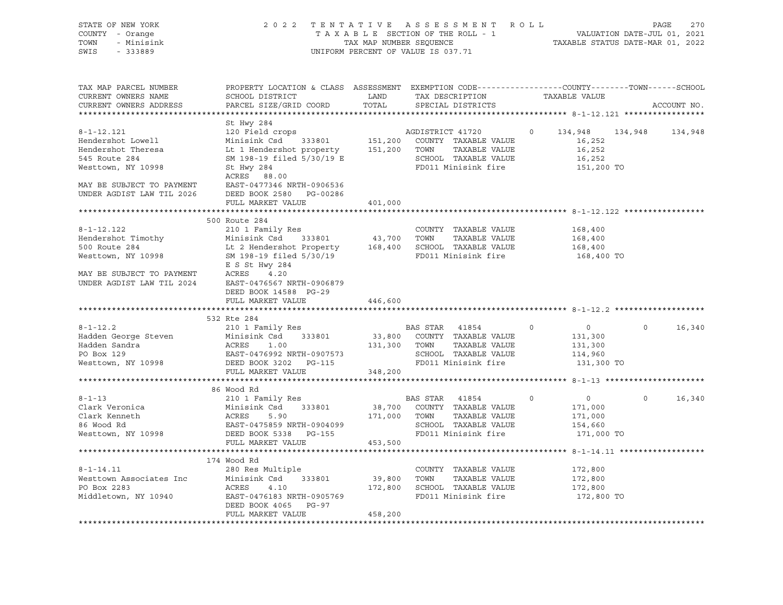| STATE OF NEW YORK<br>COUNTY - Orange<br>TOWN<br>- Minisink<br>SWIS<br>$-333889$ | 2 0 2 2<br>TAX MAP NUMBER SEQUENCE<br>UNIFORM PERCENT OF VALUE IS 037.71                                                                                                                                                                       |         | TENTATIVE ASSESSMENT ROLL PAGE 270<br>TAXABLE SECTION OF THE ROLL - 1 VALUATION DATE-JUL 01, 2021<br>TAX MAP NUMBER SEQUENCE TAXABLE STATUS DATE-MAR 01, 2022 |         |                           |                    |  |
|---------------------------------------------------------------------------------|------------------------------------------------------------------------------------------------------------------------------------------------------------------------------------------------------------------------------------------------|---------|---------------------------------------------------------------------------------------------------------------------------------------------------------------|---------|---------------------------|--------------------|--|
| TAX MAP PARCEL NUMBER<br>CURRENT OWNERS NAME<br>CURRENT OWNERS ADDRESS          | PROPERTY LOCATION & CLASS ASSESSMENT EXEMPTION CODE---------------COUNTY-------TOWN-----SCHOOL<br>SCHOOL DISTRICT LAND<br>PARCEL SIZE/GRID COORD                                                                                               | TOTAL   | TAX DESCRIPTION TAXABLE VALUE SPECIAL DISTRICTS                                                                                                               |         |                           | ACCOUNT NO.        |  |
|                                                                                 | St Hwy 284                                                                                                                                                                                                                                     |         |                                                                                                                                                               |         |                           |                    |  |
| $8 - 1 - 12.121$                                                                | St Hwy 284<br>120 Field crops<br>Minisink Csd 333801<br>151,200 COUNTY TAXABLE VALUE<br>151,200 TOWN TAXABLE VALUE<br>SM 198-19 filed 5/30/19 E<br>SCHOOL TAXABLE VALUE<br>SL Hwy 284<br>FD011 Minisink fire                                   |         |                                                                                                                                                               |         | 0 134,948 134,948         | 134,948            |  |
| Hendershot Lowell                                                               |                                                                                                                                                                                                                                                |         |                                                                                                                                                               |         | 16,252                    |                    |  |
| Hendershot Theresa                                                              |                                                                                                                                                                                                                                                |         |                                                                                                                                                               |         | 16,252                    |                    |  |
| 545 Route 284                                                                   |                                                                                                                                                                                                                                                |         |                                                                                                                                                               |         |                           |                    |  |
| Westtown, NY 10998                                                              |                                                                                                                                                                                                                                                |         |                                                                                                                                                               |         | 16,252<br>151,200 TO      |                    |  |
|                                                                                 | ACRES 88.00                                                                                                                                                                                                                                    |         |                                                                                                                                                               |         |                           |                    |  |
|                                                                                 |                                                                                                                                                                                                                                                |         |                                                                                                                                                               |         |                           |                    |  |
|                                                                                 |                                                                                                                                                                                                                                                |         |                                                                                                                                                               |         |                           |                    |  |
| **********************                                                          | FULL MARKET VALUE                                                                                                                                                                                                                              | 401,000 |                                                                                                                                                               |         |                           |                    |  |
|                                                                                 | 500 Route 284                                                                                                                                                                                                                                  |         |                                                                                                                                                               |         |                           |                    |  |
|                                                                                 | E S St Hwy 284<br>Minisink Csd 333801 43,700 TOWN TAXABLE VALUE<br>Minisink Csd 333801 43,700 TOWN TAXABLE VALUE<br>Mesttown, NY 10998 5M 198-19 filed 5/30/19 FD011 Minisink fire<br>E S St Hwy 284<br>MAY BE S St Hwy 284                    |         |                                                                                                                                                               |         | 168,400                   |                    |  |
|                                                                                 |                                                                                                                                                                                                                                                |         |                                                                                                                                                               |         |                           |                    |  |
|                                                                                 |                                                                                                                                                                                                                                                |         |                                                                                                                                                               |         | 168,400<br>168,400        |                    |  |
|                                                                                 |                                                                                                                                                                                                                                                |         |                                                                                                                                                               |         | 168,400 TO                |                    |  |
|                                                                                 |                                                                                                                                                                                                                                                |         |                                                                                                                                                               |         |                           |                    |  |
|                                                                                 | MAY BE SUBJECT TO PAYMENT<br>UNDER AGDIST LAW TIL 2024 EAST-0476567 NRTH-0906879                                                                                                                                                               |         |                                                                                                                                                               |         |                           |                    |  |
|                                                                                 | DEED BOOK 14588 PG-29                                                                                                                                                                                                                          |         |                                                                                                                                                               |         |                           |                    |  |
|                                                                                 | FULL MARKET VALUE                                                                                                                                                                                                                              | 446,600 |                                                                                                                                                               |         |                           |                    |  |
|                                                                                 |                                                                                                                                                                                                                                                |         |                                                                                                                                                               |         |                           |                    |  |
|                                                                                 | 532 Rte 284<br>210 1 Family Res                                                                                                                                                                                                                |         |                                                                                                                                                               |         |                           | $0 \qquad \qquad$  |  |
| $8 - 1 - 12.2$                                                                  |                                                                                                                                                                                                                                                |         | <b>BAS STAR 41854</b>                                                                                                                                         | $\circ$ | $\overline{0}$<br>131,300 | 16,340             |  |
|                                                                                 |                                                                                                                                                                                                                                                |         |                                                                                                                                                               |         | 131,300                   |                    |  |
|                                                                                 | 8-1-12.2<br>Hadden George Steven Minisink Csd 333801 33,800 COUNTY TAXABLE VALUE<br>Hadden Sandra (ACRES 1.00 1998 EAST-0476992 NRTH-0907573 SCHOOL TAXABLE VALUE<br>Mesttown, NY 10998 DEED BOOK 3202 PC-115 FD011 Minisink fire<br>W         |         |                                                                                                                                                               |         | 114,960                   |                    |  |
|                                                                                 |                                                                                                                                                                                                                                                |         |                                                                                                                                                               |         | 131,300 TO                |                    |  |
|                                                                                 | FULL MARKET VALUE                                                                                                                                                                                                                              | 348,200 |                                                                                                                                                               |         |                           |                    |  |
|                                                                                 |                                                                                                                                                                                                                                                |         |                                                                                                                                                               |         |                           |                    |  |
|                                                                                 | 86 Wood Rd                                                                                                                                                                                                                                     |         |                                                                                                                                                               |         |                           |                    |  |
|                                                                                 |                                                                                                                                                                                                                                                |         |                                                                                                                                                               |         |                           | $\Omega$<br>16,340 |  |
|                                                                                 |                                                                                                                                                                                                                                                |         |                                                                                                                                                               |         |                           |                    |  |
|                                                                                 | 3-1-13<br>Clark Veronica 210 1 Family Res<br>Clark Kenneth ACRES 5.90<br>86 Wood Rd EAST-0475859 NRTH-0904099<br>210 1 Family Res<br>38,700 COUNTY TAXABLE VALUE 171,000<br>38,700 COUNTY TAXABLE VALUE 171,000<br>TAXABLE VALUE 171,000<br>21 |         |                                                                                                                                                               |         |                           |                    |  |
|                                                                                 |                                                                                                                                                                                                                                                |         |                                                                                                                                                               |         |                           |                    |  |
|                                                                                 |                                                                                                                                                                                                                                                |         |                                                                                                                                                               |         |                           |                    |  |
|                                                                                 | FULL MARKET VALUE                                                                                                                                                                                                                              | 453,500 |                                                                                                                                                               |         |                           |                    |  |
|                                                                                 |                                                                                                                                                                                                                                                |         |                                                                                                                                                               |         |                           |                    |  |
|                                                                                 | 174 Wood Rd                                                                                                                                                                                                                                    |         | COUNTY TAXABLE VALUE 172,800                                                                                                                                  |         |                           |                    |  |
|                                                                                 | 8-1-14.11 280 Res Multiple<br>Vesttown Associates Inc Minisink Csd 333801 39,800 TOWN TAXABLE VALUE<br>PO Box 2283 ACRES 4.10 172,800 SCHOOL TAXABLE VALUE<br>Middletown, NY 10940 EAST-0476183 NRTH-0905769 FD011 Minisink fire               |         |                                                                                                                                                               |         | 172,800                   |                    |  |
|                                                                                 |                                                                                                                                                                                                                                                |         |                                                                                                                                                               |         | 172,800                   |                    |  |
|                                                                                 |                                                                                                                                                                                                                                                |         |                                                                                                                                                               |         | 172,800 TO                |                    |  |
|                                                                                 | DEED BOOK 4065 PG-97                                                                                                                                                                                                                           |         |                                                                                                                                                               |         |                           |                    |  |
|                                                                                 | FULL MARKET VALUE                                                                                                                                                                                                                              | 458,200 |                                                                                                                                                               |         |                           |                    |  |
|                                                                                 |                                                                                                                                                                                                                                                |         |                                                                                                                                                               |         |                           |                    |  |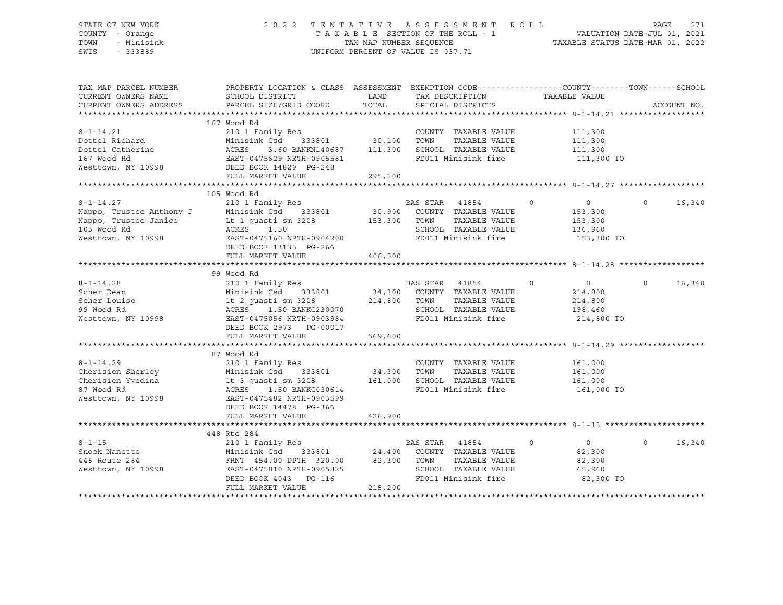#### STATE OF NEW YORK 2 0 2 2 T E N T A T I V E A S S E S S M E N T R O L L PAGE 271 COUNTY - Orange T A X A B L E SECTION OF THE ROLL - 1 VALUATION DATE-JUL 01, 2021 TOWN - Minisink TAX MAP NUMBER SEQUENCE TAXABLE STATUS DATE-MAR 01, 2022 SWIS - 333889 CONSERVATION CONTROL OF VALUE IS 037.71

| TAX MAP PARCEL NUMBER  | PROPERTY LOCATION & CLASS ASSESSMENT EXEMPTION CODE---------------COUNTY-------TOWN-----SCHOOL                                                                                                                                       |                            |                                              |                                  |                    |
|------------------------|--------------------------------------------------------------------------------------------------------------------------------------------------------------------------------------------------------------------------------------|----------------------------|----------------------------------------------|----------------------------------|--------------------|
| CURRENT OWNERS NAME    | SCHOOL DISTRICT                                                                                                                                                                                                                      | LAND                       | TAX DESCRIPTION                              | TAXABLE VALUE                    |                    |
| CURRENT OWNERS ADDRESS | PARCEL SIZE/GRID COORD                                                                                                                                                                                                               |                            | TOTAL SPECIAL DISTRICTS                      |                                  | ACCOUNT NO.        |
|                        |                                                                                                                                                                                                                                      |                            |                                              |                                  |                    |
|                        | 167 Wood Rd                                                                                                                                                                                                                          |                            |                                              |                                  |                    |
| $8 - 1 - 14.21$        |                                                                                                                                                                                                                                      |                            | COUNTY TAXABLE VALUE 111,300                 |                                  |                    |
|                        |                                                                                                                                                                                                                                      |                            |                                              | TAXABLE VALUE 111,300            |                    |
|                        |                                                                                                                                                                                                                                      |                            |                                              | 111,300<br>111,300 TO            |                    |
|                        |                                                                                                                                                                                                                                      |                            |                                              |                                  |                    |
|                        | Pottel Richard Minisink Csd 333801<br>Dottel Catherine ACRES 3.60 BANKN140687<br>167 Wood Rd EAST-0475629 NRTH-0905581<br>Nesttown, NY 10998 DEED BOOK 14829 PG-248                                                                  |                            |                                              |                                  |                    |
|                        | FULL MARKET VALUE                                                                                                                                                                                                                    | 295,100                    |                                              |                                  |                    |
|                        |                                                                                                                                                                                                                                      |                            |                                              |                                  |                    |
|                        | 105 Wood Rd                                                                                                                                                                                                                          |                            |                                              |                                  |                    |
| $8 - 1 - 14.27$        | 210 1 Family Res                                                                                                                                                                                                                     |                            | BAS STAR 41854                               | $\overline{0}$<br>$\overline{0}$ | $\circ$<br>16,340  |
|                        |                                                                                                                                                                                                                                      |                            |                                              | 153,300                          |                    |
|                        |                                                                                                                                                                                                                                      |                            | TAXABLE VALUE                                | 153,300                          |                    |
|                        |                                                                                                                                                                                                                                      |                            | SCHOOL TAXABLE VALUE 136,960                 |                                  |                    |
|                        |                                                                                                                                                                                                                                      |                            | FD011 Minisink fire                          | 153,300 TO                       |                    |
|                        | Also and the Mappo, Trustee Anthony J<br>Nappo, Trustee Janice and Minisink Csd 333801 30,900 COUNTY TAXABLE VALUE<br>Nappo, Trustee Janice Lt 1 guasti sm 3208 153,300 TOWN TAXABLE VALUE<br>105 Wood Rd ACRES 1.50 SCHOOL TAXABLE  |                            |                                              |                                  |                    |
|                        | FULL MARKET VALUE                                                                                                                                                                                                                    | 406,500                    |                                              |                                  |                    |
|                        |                                                                                                                                                                                                                                      |                            |                                              |                                  |                    |
|                        | 99 Wood Rd                                                                                                                                                                                                                           |                            |                                              |                                  |                    |
| $8 - 1 - 14.28$        |                                                                                                                                                                                                                                      |                            |                                              | $\overline{0}$                   | $\Omega$<br>16,340 |
| Scher Dean             |                                                                                                                                                                                                                                      |                            |                                              | 214,800                          |                    |
|                        |                                                                                                                                                                                                                                      |                            |                                              | 214,800                          |                    |
|                        |                                                                                                                                                                                                                                      |                            |                                              | 198,460                          |                    |
|                        |                                                                                                                                                                                                                                      |                            | FD011 Minisink fire 214,800 TO               |                                  |                    |
|                        | DEED BOOK 2973 PG-00017                                                                                                                                                                                                              |                            |                                              |                                  |                    |
|                        | FULL MARKET VALUE                                                                                                                                                                                                                    | 569,600                    |                                              |                                  |                    |
|                        |                                                                                                                                                                                                                                      |                            |                                              |                                  |                    |
|                        | 87 Wood Rd                                                                                                                                                                                                                           |                            |                                              |                                  |                    |
| $8 - 1 - 14.29$        | 210 1 Family Res                                                                                                                                                                                                                     |                            | COUNTY TAXABLE VALUE 161,000                 |                                  |                    |
|                        |                                                                                                                                                                                                                                      | COUNTY<br>34,300      TOWN |                                              |                                  |                    |
|                        |                                                                                                                                                                                                                                      |                            |                                              |                                  |                    |
|                        |                                                                                                                                                                                                                                      |                            | FD011 Minisink fire 161,000 TO               |                                  |                    |
|                        | 8-1-14.29 210 1 Family Res COUNTY TAXABLE VALUE 161,000<br>Cherisien Sherley Minisink Csd 333801 34,300 TOWN TAXABLE VALUE 161,000<br>Cherisien Yvedina 1t 3 guasti sm 3208 161,000 SCHOOL TAXABLE VALUE 161,000<br>87 Wood Rd ACRES |                            |                                              |                                  |                    |
|                        | DEED BOOK 14478 PG-366                                                                                                                                                                                                               |                            |                                              |                                  |                    |
|                        | FULL MARKET VALUE                                                                                                                                                                                                                    | 426,900                    |                                              |                                  |                    |
|                        |                                                                                                                                                                                                                                      |                            |                                              |                                  |                    |
|                        | 448 Rte 284                                                                                                                                                                                                                          |                            |                                              |                                  |                    |
| $8 - 1 - 15$           | 210 1 Family Res                                                                                                                                                                                                                     |                            | BAS STAR 41854<br>$\overline{\phantom{a}}$ 0 | $\overline{0}$                   | 16,340<br>$\Omega$ |
|                        | 8-1-15<br>Snook Nanette Minisink Csd 333801 24,400 COON11<br>448 Route 284 FRNT 454.00 DPTH 320.00 82,300 TOWN<br>Westtown, NY 10998 EAST-0475810 NRTH-0905825 SCHOOL<br>DRED BOOK 4043 PG-116 FD011 Mi                              |                            | 333801 $24,400$ COUNTY TAXABLE VALUE         | 82,300                           |                    |
|                        |                                                                                                                                                                                                                                      |                            | TAXABLE VALUE                                | 82,300                           |                    |
|                        |                                                                                                                                                                                                                                      |                            | SCHOOL TAXABLE VALUE                         | 65,960                           |                    |
|                        |                                                                                                                                                                                                                                      |                            | FD011 Minisink fire                          | 82,300 TO                        |                    |
|                        | FULL MARKET VALUE                                                                                                                                                                                                                    | 218,200                    |                                              |                                  |                    |
|                        |                                                                                                                                                                                                                                      |                            |                                              |                                  |                    |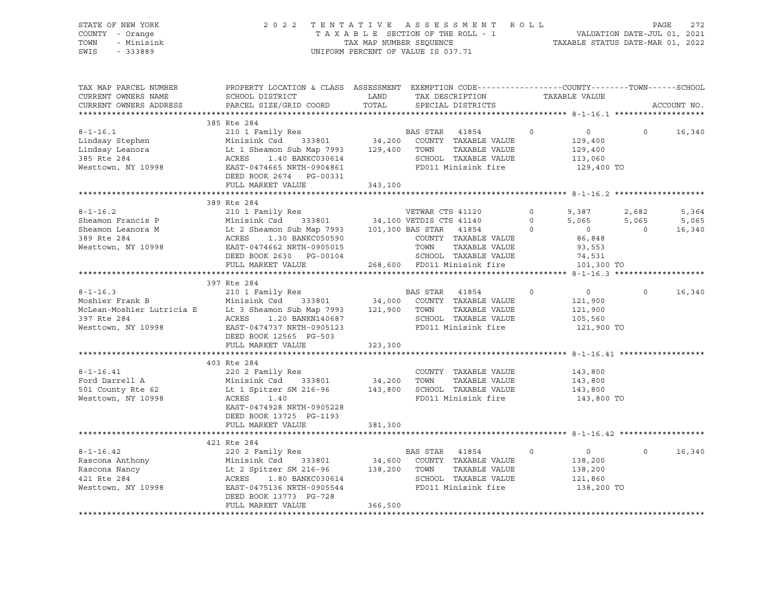| STATE OF NEW YORK<br>COUNTY - Orange<br>TOWN<br>- Minisink<br>SWIS<br>$-333889$                          | 2022                                                                                                                                                                                                                                                                                                      | UNIFORM PERCENT OF VALUE IS 037.71 | TENTATIVE ASSESSMENT ROLL<br>TAXABLE SECTION OF THE ROLL - 1 VALUATION DATE-JUL 01, 2021<br>TAX MAP NUMBER SEQUENCE TAXABLE STATUS DATE-MAR 01, 2022 |                   |                                                               |                                  |                          |
|----------------------------------------------------------------------------------------------------------|-----------------------------------------------------------------------------------------------------------------------------------------------------------------------------------------------------------------------------------------------------------------------------------------------------------|------------------------------------|------------------------------------------------------------------------------------------------------------------------------------------------------|-------------------|---------------------------------------------------------------|----------------------------------|--------------------------|
| TAX MAP PARCEL NUMBER<br>CURRENT OWNERS NAME<br>CURRENT OWNERS ADDRESS                                   | PROPERTY LOCATION & CLASS ASSESSMENT EXEMPTION CODE---------------COUNTY-------TOWN-----SCHOOL<br>SCHOOL DISTRICT<br>PARCEL SIZE/GRID COORD                                                                                                                                                               | LAND<br>TOTAL                      | XEMPIION<br>TAX DESCRIPTION<br>SPECIAL DISTRICTS                                                                                                     |                   | TAXABLE VALUE                                                 |                                  | ACCOUNT NO.              |
|                                                                                                          | 385 Rte 284                                                                                                                                                                                                                                                                                               |                                    |                                                                                                                                                      |                   |                                                               |                                  |                          |
| $8 - 1 - 16.1$<br>Lindsay Stephen<br>Lindsay Leanora<br>385 Rte 284<br>385 Rte 284<br>Westtown, NY 10998 | 210 1 Family Res<br>Minisink Csd 333801 34,200 COUNTY TAXABLE VALUE<br>Minisink Csd 333801 34,200 COUNIT IAAADLE VALUE<br>Lt 1 Sheamon Sub Map 7993 129,400 TOWN TAXABLE VALUE<br>ACRES 1.40 BANKC030614 SCHOOL TAXABLE VALUE<br>EAST-0474665 NRTH-0904861 FD011 Minisink fire<br>DEED BOOK 2674 PG-00331 |                                    |                                                                                                                                                      | $0 \qquad \qquad$ | $\overline{0}$<br>129,400<br>129,400<br>113,060<br>129,400 TO | $\Omega$                         | 16,340                   |
|                                                                                                          | FULL MARKET VALUE 343,100                                                                                                                                                                                                                                                                                 |                                    |                                                                                                                                                      |                   |                                                               |                                  |                          |
|                                                                                                          |                                                                                                                                                                                                                                                                                                           |                                    |                                                                                                                                                      |                   |                                                               |                                  |                          |
|                                                                                                          | 389 Rte 284<br>389 Rte 284<br>Sheamon Francis P<br>Sheamon Leanora M<br>389 Rte 284<br>39 Rte 284<br>389 Rte 284<br>389 Rte 284<br>389 Rte 284<br>389 Rte 284<br>389 Rte 284<br>389 Rte 284<br>389 Rte 284<br>389 Rte 284<br>389 Rte 284<br>389 Rte 284<br>389 Rte 284<br>389<br>DEED BOOK 2630 PG-00104  |                                    | TOWN TAXABLE VALUE<br>SCHOOL TAXABLE VALUE                                                                                                           |                   | 74,531                                                        | 2,682<br>5,065<br>$\overline{0}$ | 5,364<br>5,065<br>16,340 |
|                                                                                                          | FULL MARKET VALUE 268,600 FD011 Minisink fire                                                                                                                                                                                                                                                             |                                    |                                                                                                                                                      |                   | 101,300 TO                                                    |                                  |                          |
|                                                                                                          | 397 Rte 284                                                                                                                                                                                                                                                                                               |                                    |                                                                                                                                                      |                   |                                                               |                                  |                          |
| Westtown, NY 10998                                                                                       | 8-1-16.3<br>Moshier Frank B<br>Moshier Lutricia E Minisink Csd 333801 34,000 COUNTY TAXABLE VALUE<br>McLean-Moshier Lutricia E Lt 3 Sheamon Sub Map 7993 121,900 TOWN TAXABLE VALUE<br>397 Rte 284 ACRES 1.20 BANKN140687 SCHOOL TAXAB<br>EAST-0474737 NRTH-0905123<br>DEED BOOK 12565 PG-503             |                                    | SCHOOL TAXABLE VALUE<br>FD011 Minisink fire                                                                                                          | $\circ$           | $\overline{0}$<br>121,900<br>121,900<br>105,560<br>121,900 TO | $\circ$                          | 16,340                   |
|                                                                                                          | FULL MARKET VALUE                                                                                                                                                                                                                                                                                         | 323,300                            |                                                                                                                                                      |                   |                                                               |                                  |                          |
| $8 - 1 - 16.41$<br>Ford Darrell A<br>501 County Rte 62<br>Westtown, NY 10998                             | 403 Rte 284<br>220 2 Family Res<br>Minisink Csd 333801 34,200 TOWN TAXABLE VALUE<br>Lt 1 Spitzer SM 216-96 143,800 SCHOOL TAXABLE VALUE<br>ACRES 1.40<br>EAST-0474928 NRTH-0905228<br>DEED BOOK 13725 PG-1193                                                                                             |                                    | COUNTY TAXABLE VALUE<br>FD011 Minisink fire                                                                                                          |                   | 143,800<br>143,800<br>143,800<br>143,800 TO                   |                                  |                          |
|                                                                                                          | FULL MARKET VALUE                                                                                                                                                                                                                                                                                         | 381,300                            |                                                                                                                                                      |                   |                                                               |                                  |                          |
|                                                                                                          |                                                                                                                                                                                                                                                                                                           |                                    |                                                                                                                                                      |                   |                                                               |                                  |                          |
| $8 - 1 - 16.42$<br>Rascona Anthony<br>Rascona Nancy<br>421 Rte 284<br>Westtown, NY 10998                 | 421 Rte 284<br>220 2 Family Res<br>Exercise of the state and the state of the state of the state of the state of the state of the state of the state of the state of the state of the school of the school of the school state of the school school that the scho<br>DEED BOOK 13773 PG-728               |                                    | BAS STAR<br>41854                                                                                                                                    | $\circ$           | $\overline{0}$<br>138,200<br>138,200<br>121,860<br>138,200 TO | $\Omega$                         | 16,340                   |
|                                                                                                          | FULL MARKET VALUE                                                                                                                                                                                                                                                                                         | 366,500                            |                                                                                                                                                      |                   |                                                               |                                  |                          |

\*\*\*\*\*\*\*\*\*\*\*\*\*\*\*\*\*\*\*\*\*\*\*\*\*\*\*\*\*\*\*\*\*\*\*\*\*\*\*\*\*\*\*\*\*\*\*\*\*\*\*\*\*\*\*\*\*\*\*\*\*\*\*\*\*\*\*\*\*\*\*\*\*\*\*\*\*\*\*\*\*\*\*\*\*\*\*\*\*\*\*\*\*\*\*\*\*\*\*\*\*\*\*\*\*\*\*\*\*\*\*\*\*\*\*\*\*\*\*\*\*\*\*\*\*\*\*\*\*\*\*\*

STATE OF NEW YORK 2 0 2 2 T E N T A T I V E A S S E S S M E N T R O L L PAGE 272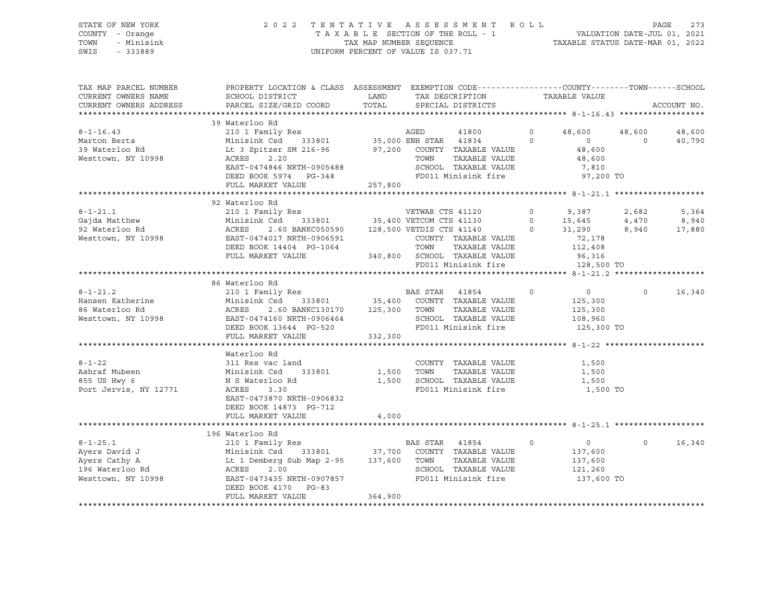| STATE OF NEW YORK | 2022 TENTATIVE ASSESSMENT ROLL |                                    |  | PAGE                             | 273 |
|-------------------|--------------------------------|------------------------------------|--|----------------------------------|-----|
| COUNTY - Orange   |                                | TAXABLE SECTION OF THE ROLL - 1    |  | VALUATION DATE-JUL 01, 2021      |     |
| TOWN - Minisink   |                                | TAX MAP NUMBER SEOUENCE            |  | TAXABLE STATUS DATE-MAR 01, 2022 |     |
| SWIS<br>- 333889  |                                | UNIFORM PERCENT OF VALUE IS 037.71 |  |                                  |     |

| TAX MAP PARCEL NUMBER<br>CURRENT OWNERS NAME<br>CURRENT OWNERS ADDRESS                    | PROPERTY LOCATION & CLASS ASSESSMENT EXEMPTION CODE---------------COUNTY-------TOWN-----SCHOOL<br>SCHOOL DISTRICT<br>PARCEL SIZE/GRID COORD                                                                                                                                                                                                                          |         | LAND TAX DESCRIPTION<br>TOTAL SPECIAL DISTRICTS                                                                | TAXABLE VALUE                                                                         | ACCOUNT NO.                                         |
|-------------------------------------------------------------------------------------------|----------------------------------------------------------------------------------------------------------------------------------------------------------------------------------------------------------------------------------------------------------------------------------------------------------------------------------------------------------------------|---------|----------------------------------------------------------------------------------------------------------------|---------------------------------------------------------------------------------------|-----------------------------------------------------|
| $8 - 1 - 16.43$<br>Marton Berta                                                           | 39 Waterloo Rd<br>210 1 Family Res<br>210 1 Family Res<br>210 1 Family Res<br>233801 25,000 ENH STAR 41834 20<br>Minisink Csd<br>Lt 3 Spitzer SM 216-96 97,200 COUNTY TAXABLE VALUE<br>ACRES 2.20 TOWN TAXABLE VALUE<br>EAST-0474846 NRTH-0905488<br>DEED BOOK 5974 PG-348<br>FULL MARKET VALUE                                                                      | 257,800 | SCHOOL TAXABLE VALUE<br>FD011 Minisink fire                                                                    | $0 \t 48,600 \t 48,600$<br>$\overline{0}$<br>48,600<br>48,600<br>$7,810$<br>97,200 TO | 48,600<br>$\Omega$<br>40,790                        |
|                                                                                           | 92 Waterloo Rd<br>92 Waterloo Rd<br>210 1 Family Res<br>Gajda Matthew Minisink Csd 333801 35,400 VETCOM CTS 41130 0 15,645<br>92 Waterloo Rd ACRES 2.60 BANKC050590 128,500 VETDIS CTS 41140 0 31,290<br>93 Westtown, NY 10998 EAST-0474017 NRTH-0906591                                                                                                             |         | FD011 Minisink fire 128,500 TO                                                                                 | 112,408<br>96,316                                                                     | 2,682<br>5,364<br>4,470<br>8,940<br>8,940<br>17,880 |
|                                                                                           | 86 Waterloo Rd<br>Minisink Csd 333801 35,400 COUNTY TAXABLE VALUE<br>8-1-21.2<br>Hansen Katherine Minisink Csd 333801<br>86 Waterloo Rd ACRES 2.60 BANKC130170 125,300<br>Westtown, NY 10998 EAST-0474160 NRTH-0906464<br>DEED BOOK 13644 PG-520<br>Westtown, NY 10998 EAST-0474160 NRTH-0906464<br>DEED BOOK 1<br>ACRES 2.60 BANKC130170 125,300 TOWN TAXABLE VALUE |         | SCHOOL TAXABLE VALUE 108,960<br>FD011 Minisink fire 125,300 TO                                                 | $\begin{array}{ccc} & & & 0 & \quad & & 0 \end{array}$<br>125,300<br>125,300          | $0 \qquad \qquad$<br>16,340                         |
| $8 - 1 - 22$<br>Ashraf Mubeen<br>855 US Hwy 6<br>Port Jervis, NY 12771                    | Waterloo Rd<br>311 Res vac land<br>Minisink Csd 333801<br>N S Waterloo Rd<br>ACRES<br>3.30<br>EAST-0473870 NRTH-0906832<br>DEED BOOK 14873 PG-712<br>FULL MARKET VALUE                                                                                                                                                                                               | 4,000   | COUNTY TAXABLE VALUE<br>1,500 TOWN<br>TAXABLE VALUE<br>1,500 SCHOOL TAXABLE VALUE 1,500<br>FD011 Minisink fire | 1,500<br>1,500<br>1,500 TO                                                            |                                                     |
| $8 - 1 - 25.1$<br>Ayers David J<br>Ayers Cathy A<br>196 Waterloo Rd<br>Westtown, NY 10998 | 196 Waterloo Rd<br>210 1 Family Res<br>Minisink Csd 333801 37,700 COUNTY TAXABLE VALUE<br>Lt 1 Demberg Sub Map 2-95 137,600 TOWN TAXABLE VALUE<br>ACRES 2.00 SCHOOL TAXABLE VALUE<br>EAST-0473435 NRTH-0907857 FD011 Minisink fire<br>DEED BOOK 4170 PG-83<br>FULL MARKET VALUE                                                                                      | 364,900 |                                                                                                                | $\sim$ 0<br>137,600<br>137,600<br>121,260<br>137,600 TO                               | 16,340<br>$\circ$                                   |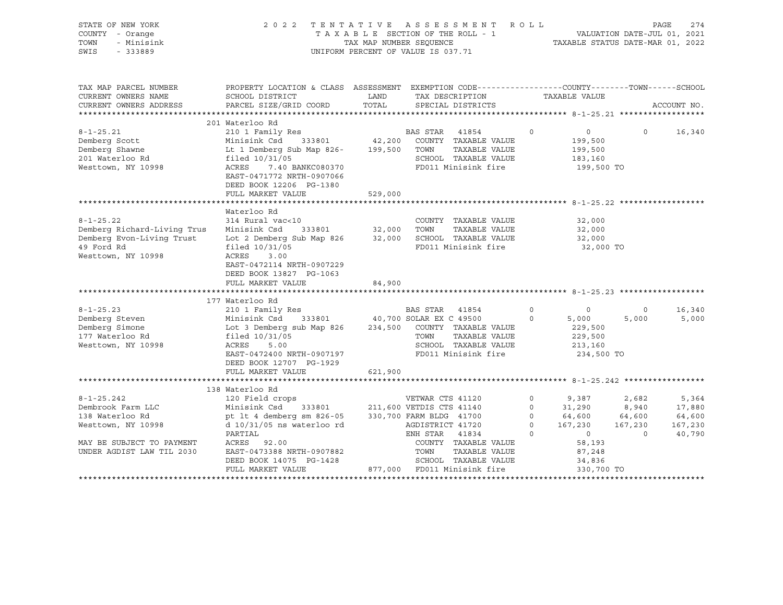| STATE OF NEW YORK<br>COUNTY - Orange<br>TOWN<br>- Minisink<br>SWIS<br>$-333889$                                                                                                                                 |                                                                                                                                                                                                                                                                                                                                          |         | 2022 TENTATIVE ASSESSMENT ROLL<br>TAXABLE SECTION OF THE ROLL - 1<br>TAXABLE SECTION OF THE ROLL - 1<br>TAXABLE STATUS DATE-MAR 01, 2022<br>UNIFORM PERCENT OF VALUE IS 037.71                                                   |                               |                                                                                               |                                                       | PAGE<br>274                                    |
|-----------------------------------------------------------------------------------------------------------------------------------------------------------------------------------------------------------------|------------------------------------------------------------------------------------------------------------------------------------------------------------------------------------------------------------------------------------------------------------------------------------------------------------------------------------------|---------|----------------------------------------------------------------------------------------------------------------------------------------------------------------------------------------------------------------------------------|-------------------------------|-----------------------------------------------------------------------------------------------|-------------------------------------------------------|------------------------------------------------|
| TAX MAP PARCEL NUMBER<br>CURRENT OWNERS NAME<br>CURRENT OWNERS ADDRESS                                                                                                                                          | PROPERTY LOCATION & CLASS ASSESSMENT EXEMPTION CODE---------------COUNTY-------TOWN-----SCHOOL<br>SCHOOL DISTRICT<br>PARCEL SIZE/GRID COORD                                                                                                                                                                                              | TOTAL   | LAND TAX DESCRIPTION<br>SPECIAL DISTRICTS                                                                                                                                                                                        |                               | TAXABLE VALUE                                                                                 |                                                       | ACCOUNT NO.                                    |
|                                                                                                                                                                                                                 | 201 Waterloo Rd                                                                                                                                                                                                                                                                                                                          |         |                                                                                                                                                                                                                                  |                               |                                                                                               |                                                       |                                                |
| $8 - 1 - 25.21$<br>Demberg Scott<br>Demberg Shawne<br>201 Waterloo Rd<br>Westtown, NY 10998                                                                                                                     | 210 1 Family Res<br>Minisink Csd 333801<br>Lt 1 Demberg Sub Map 826- 199,500 TOWN<br>filed 10/31/05<br>ACRES<br>7.40 BANKC080370<br>EAST-0471772 NRTH-0907066<br>DEED BOOK 12206 PG-1380                                                                                                                                                 |         | BAS STAR 41854<br>42,200 COUNTY TAXABLE VALUE<br>TAXABLE VALUE<br>SCHOOL TAXABLE VALUE<br>SCHOOD<br>FD011 Minisink fire                                                                                                          | $\circ$                       | $\circ$<br>199,500<br>199,500<br>183,160<br>199,500 TO                                        | $\circ$                                               | 16,340                                         |
|                                                                                                                                                                                                                 | FULL MARKET VALUE                                                                                                                                                                                                                                                                                                                        | 529,000 |                                                                                                                                                                                                                                  |                               |                                                                                               |                                                       |                                                |
|                                                                                                                                                                                                                 |                                                                                                                                                                                                                                                                                                                                          |         |                                                                                                                                                                                                                                  |                               |                                                                                               |                                                       |                                                |
| $8 - 1 - 25.22$<br>Demberg Richard-Living Trus<br>Demberg Evon-Living Trust<br>49 Ford Rd<br>Westtown, NY 10998<br>$8 - 1 - 25.23$<br>Demberg Steven<br>Demberg Simone<br>177 Waterloo Rd<br>Westtown, NY 10998 | Waterloo Rd<br>314 Rural vac<10<br>Minisink Csd 333801 32,000 TOWN<br>Lot 2 Demberg Sub Map 826<br>filed $10/31/05$<br>ACRES<br>3.00<br>EAST-0472114 NRTH-0907229<br>DEED BOOK 13827 PG-1063<br>FULL MARKET VALUE<br>177 Waterloo Rd<br>210 1 Family Res<br>Minisink Csd<br>Lot 3 Demberg sub Map 826<br>filed 10/31/05<br>ACRES<br>5.00 | 84,900  | COUNTY TAXABLE VALUE<br>TAXABLE VALUE<br>32,000 SCHOOL TAXABLE VALUE<br>FD011 Minisink fire<br>BAS STAR 41854<br>333801 40,700 SOLAR EX C 49500<br>234,500 COUNTY TAXABLE VALUE<br>TOWN<br>TAXABLE VALUE<br>SCHOOL TAXABLE VALUE | $0 \qquad \qquad$<br>$\Omega$ | 32,000<br>32,000<br>32,000<br>32,000 TO<br>$\sim$ 0<br>5,000<br>229,500<br>229,500<br>213,160 | $\Omega$<br>5,000                                     | 16,340<br>5,000                                |
|                                                                                                                                                                                                                 | EAST-0472400 NRTH-0907197<br>DEED BOOK 12707 PG-1929                                                                                                                                                                                                                                                                                     |         | FD011 Minisink fire                                                                                                                                                                                                              |                               | 234,500 TO                                                                                    |                                                       |                                                |
|                                                                                                                                                                                                                 | FULL MARKET VALUE                                                                                                                                                                                                                                                                                                                        | 621,900 |                                                                                                                                                                                                                                  |                               |                                                                                               |                                                       |                                                |
|                                                                                                                                                                                                                 | 138 Waterloo Rd                                                                                                                                                                                                                                                                                                                          |         |                                                                                                                                                                                                                                  |                               |                                                                                               |                                                       |                                                |
| $8 - 1 - 25.242$<br>Dembrook Farm LLC<br>138 Waterloo Rd<br>Westtown, NY 10998<br>MAY BE SUBJECT TO PAYMENT<br>UNDER AGDIST LAW TIL 2030                                                                        | 120 Field crops<br>Minisink Csd<br>pt lt 4 demberg sm 826-05 330,700 FARM BLDG 41700<br>$d$ 10/31/05 ns waterloo rd<br>PARTIAL<br>ACRES 92.00<br>EAST-0473388 NRTH-0907882                                                                                                                                                               |         | VETWAR CTS 41120<br>333801 211,600 VETDIS CTS 41140<br>AGDISTRICT 41720<br>ENH STAR 41834<br>COUNTY TAXABLE VALUE<br>TOWN<br>TAXABLE VALUE                                                                                       | $\circ$                       | $0$ 9,387<br>0 31,290<br>$0$ $64,600$<br>0 $167,230$<br>$\overline{0}$<br>58,193<br>87,248    | 2,682<br>8,940<br>64,600<br>167,230<br>$\overline{0}$ | 5,364<br>17,880<br>64,600<br>167,230<br>40,790 |
|                                                                                                                                                                                                                 | DEED BOOK 14075 PG-1428 SCHOOL TAXABLE VALUE FULL MARKET VALUE 877,000 FD011 Minisink fire                                                                                                                                                                                                                                               |         | SCHOOL TAXABLE VALUE                                                                                                                                                                                                             |                               | 34,836<br>330,700 TO                                                                          |                                                       |                                                |
|                                                                                                                                                                                                                 |                                                                                                                                                                                                                                                                                                                                          |         |                                                                                                                                                                                                                                  |                               |                                                                                               |                                                       |                                                |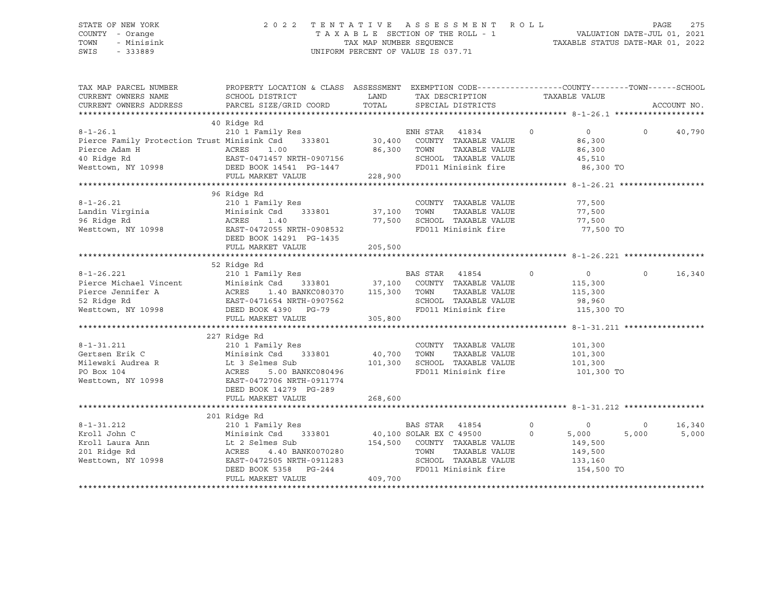#### STATE OF NEW YORK 2 0 2 2 T E N T A T I V E A S S E S S M E N T R O L L PAGE 275 COUNTY - Orange T A X A B L E SECTION OF THE ROLL - 1 VALUATION DATE-JUL 01, 2021 TOWN - Minisink TAX MAP NUMBER SEQUENCE TAXABLE STATUS DATE-MAR 01, 2022 SWIS - 333889 CONSERVATION CONTROL OF VALUE IS 037.71

| TAX MAP PARCEL NUMBER<br>CURRENT OWNERS NAME<br>CURRENT OWNERS ADDRESS                                                                                                                                                                                                                                                                                                                                                                                                                                        | PROPERTY LOCATION & CLASS ASSESSMENT EXEMPTION CODE---------------COUNTY-------TOWN------SCHOOL<br>SCHOOL DISTRICT<br>PARCEL SIZE/GRID COORD | LAND    | TAX DESCRIPTION<br>TOTAL SPECIAL DISTRICTS                                                                                        |         | TAXABLE VALUE  |                | ACCOUNT NO. |
|---------------------------------------------------------------------------------------------------------------------------------------------------------------------------------------------------------------------------------------------------------------------------------------------------------------------------------------------------------------------------------------------------------------------------------------------------------------------------------------------------------------|----------------------------------------------------------------------------------------------------------------------------------------------|---------|-----------------------------------------------------------------------------------------------------------------------------------|---------|----------------|----------------|-------------|
|                                                                                                                                                                                                                                                                                                                                                                                                                                                                                                               |                                                                                                                                              |         |                                                                                                                                   |         |                |                |             |
|                                                                                                                                                                                                                                                                                                                                                                                                                                                                                                               | 40 Ridge Rd                                                                                                                                  |         |                                                                                                                                   | $\circ$ | $\overline{0}$ | $\circ$        | 40,790      |
|                                                                                                                                                                                                                                                                                                                                                                                                                                                                                                               |                                                                                                                                              |         |                                                                                                                                   |         | 86,300         |                |             |
|                                                                                                                                                                                                                                                                                                                                                                                                                                                                                                               |                                                                                                                                              |         | TAXABLE VALUE                                                                                                                     |         | 86,300         |                |             |
|                                                                                                                                                                                                                                                                                                                                                                                                                                                                                                               |                                                                                                                                              |         | SCHOOL TAXABLE VALUE                                                                                                              |         | 45,510         |                |             |
|                                                                                                                                                                                                                                                                                                                                                                                                                                                                                                               |                                                                                                                                              |         | FD011 Minisink fire                                                                                                               |         | 86,300 TO      |                |             |
|                                                                                                                                                                                                                                                                                                                                                                                                                                                                                                               |                                                                                                                                              |         |                                                                                                                                   |         |                |                |             |
|                                                                                                                                                                                                                                                                                                                                                                                                                                                                                                               |                                                                                                                                              |         |                                                                                                                                   |         |                |                |             |
| 8-1-26.21 210 1 Family Res<br>1 210 1 Family Res<br>1 210 1 Family Res<br>210 1 Family Res<br>210 1 Family Res<br>210 1 Family Res<br>210 1 Family Res<br>210 1 Family Res<br>210 1 Family Res<br>210 200 37,100 TOWN TAXABLE VALUE<br>27,500 SCHO                                                                                                                                                                                                                                                            |                                                                                                                                              |         |                                                                                                                                   |         |                |                |             |
|                                                                                                                                                                                                                                                                                                                                                                                                                                                                                                               |                                                                                                                                              |         | COUNTY TAXABLE VALUE 77,500                                                                                                       |         |                |                |             |
|                                                                                                                                                                                                                                                                                                                                                                                                                                                                                                               |                                                                                                                                              |         |                                                                                                                                   |         | 77,500         |                |             |
|                                                                                                                                                                                                                                                                                                                                                                                                                                                                                                               |                                                                                                                                              |         |                                                                                                                                   |         | 77,500         |                |             |
|                                                                                                                                                                                                                                                                                                                                                                                                                                                                                                               |                                                                                                                                              |         | FD011 Minisink fire 77,500 TO                                                                                                     |         |                |                |             |
|                                                                                                                                                                                                                                                                                                                                                                                                                                                                                                               |                                                                                                                                              |         |                                                                                                                                   |         |                |                |             |
|                                                                                                                                                                                                                                                                                                                                                                                                                                                                                                               | FULL MARKET VALUE                                                                                                                            | 205,500 |                                                                                                                                   |         |                |                |             |
|                                                                                                                                                                                                                                                                                                                                                                                                                                                                                                               |                                                                                                                                              |         |                                                                                                                                   |         |                |                |             |
| $\begin{tabular}{lllllllllllllllllll} \multicolumn{3}{c}{\begin{tabular}{l} \multicolumn{3}{c}{\begin{tabular}{l} \multicolumn{3}{c}{\begin{tabular}{l} \multicolumn{3}{c}{\begin{tabular}{l} \multicolumn{3}{c}{\begin{tabular}{l} \multicolumn{3}{c}{\begin{tabular}{l} \multicolumn{3}{c}{\begin{tabular}{l} \multicolumn{3}{c}{\begin{tabular}{l} \multicolumn{3}{c}{\begin{tabular}{l} \multicolumn{3}{c}{\begin{tabular}{l} \multicolumn{3}{c}{\begin{tabular}{l} \multicolumn{3}{c}{\begin{tabular}{l$ |                                                                                                                                              |         |                                                                                                                                   |         |                |                |             |
|                                                                                                                                                                                                                                                                                                                                                                                                                                                                                                               |                                                                                                                                              |         |                                                                                                                                   |         | $\overline{0}$ | $\Omega$       | 16,340      |
|                                                                                                                                                                                                                                                                                                                                                                                                                                                                                                               |                                                                                                                                              |         |                                                                                                                                   |         | 115,300        |                |             |
|                                                                                                                                                                                                                                                                                                                                                                                                                                                                                                               |                                                                                                                                              |         |                                                                                                                                   |         | 115,300        |                |             |
|                                                                                                                                                                                                                                                                                                                                                                                                                                                                                                               |                                                                                                                                              |         |                                                                                                                                   |         |                |                |             |
|                                                                                                                                                                                                                                                                                                                                                                                                                                                                                                               |                                                                                                                                              |         | SCHOOL TAXABLE VALUE 98,960<br>FD011 Minisink fire 115,300 TO                                                                     |         |                |                |             |
|                                                                                                                                                                                                                                                                                                                                                                                                                                                                                                               |                                                                                                                                              |         |                                                                                                                                   |         |                |                |             |
|                                                                                                                                                                                                                                                                                                                                                                                                                                                                                                               |                                                                                                                                              |         |                                                                                                                                   |         |                |                |             |
|                                                                                                                                                                                                                                                                                                                                                                                                                                                                                                               | 227 Ridge Rd                                                                                                                                 |         |                                                                                                                                   |         |                |                |             |
|                                                                                                                                                                                                                                                                                                                                                                                                                                                                                                               |                                                                                                                                              |         | COUNTY TAXABLE VALUE 101,300                                                                                                      |         |                |                |             |
|                                                                                                                                                                                                                                                                                                                                                                                                                                                                                                               |                                                                                                                                              |         |                                                                                                                                   |         |                |                |             |
|                                                                                                                                                                                                                                                                                                                                                                                                                                                                                                               |                                                                                                                                              |         |                                                                                                                                   |         |                |                |             |
|                                                                                                                                                                                                                                                                                                                                                                                                                                                                                                               |                                                                                                                                              |         | 101,300<br>mes Sub 101,300<br>5.00 BANKC080496 101,300<br>5.00 BANKC080496 FD011 Miniciple fisc<br>FD011 Minisink fire 101,300 TO |         |                |                |             |
| 8-1-31.211 2011 Family Res<br>Gertsen Erik C Minisink Csd 333801 40,700 TOWN<br>Milewski Audrea R Lt 3 Selmes Sub 101,300 SCHOOL<br>PO Box 104 ACRES 5.00 BANKC080496 FD011 Mi<br>Westtown, NY 10998 EAST-0472706 NRTH-0911774                                                                                                                                                                                                                                                                                |                                                                                                                                              |         |                                                                                                                                   |         |                |                |             |
|                                                                                                                                                                                                                                                                                                                                                                                                                                                                                                               | DEED BOOK 14279 PG-289                                                                                                                       |         |                                                                                                                                   |         |                |                |             |
|                                                                                                                                                                                                                                                                                                                                                                                                                                                                                                               | FULL MARKET VALUE                                                                                                                            | 268,600 |                                                                                                                                   |         |                |                |             |
|                                                                                                                                                                                                                                                                                                                                                                                                                                                                                                               |                                                                                                                                              |         |                                                                                                                                   |         |                |                |             |
|                                                                                                                                                                                                                                                                                                                                                                                                                                                                                                               | 201 Ridge Rd                                                                                                                                 |         |                                                                                                                                   |         |                |                |             |
| $8 - 1 - 31.212$                                                                                                                                                                                                                                                                                                                                                                                                                                                                                              | $210$ 1 Family Res                                                                                                                           |         | BAS STAR 41854 0                                                                                                                  |         | $\overline{0}$ | $\overline{0}$ | 16,340      |
| Kroll John C                                                                                                                                                                                                                                                                                                                                                                                                                                                                                                  | Minisink Csd 333801 40,100 SOLAR EX C 49500 0                                                                                                |         |                                                                                                                                   |         | 5,000          | 5,000          | 5,000       |
|                                                                                                                                                                                                                                                                                                                                                                                                                                                                                                               |                                                                                                                                              |         |                                                                                                                                   |         | 149,500        |                |             |
|                                                                                                                                                                                                                                                                                                                                                                                                                                                                                                               |                                                                                                                                              |         |                                                                                                                                   |         | 149,500        |                |             |
|                                                                                                                                                                                                                                                                                                                                                                                                                                                                                                               |                                                                                                                                              |         | SCHOOL TAXABLE VALUE 133,160                                                                                                      |         |                |                |             |
|                                                                                                                                                                                                                                                                                                                                                                                                                                                                                                               | EAST-0472505 NRTH-0911283<br>DEED BOOK 5358 PG-244                                                                                           |         | FD011 Minisink fire 154,500 TO                                                                                                    |         |                |                |             |
|                                                                                                                                                                                                                                                                                                                                                                                                                                                                                                               | FULL MARKET VALUE                                                                                                                            | 409,700 |                                                                                                                                   |         |                |                |             |
|                                                                                                                                                                                                                                                                                                                                                                                                                                                                                                               |                                                                                                                                              |         |                                                                                                                                   |         |                |                |             |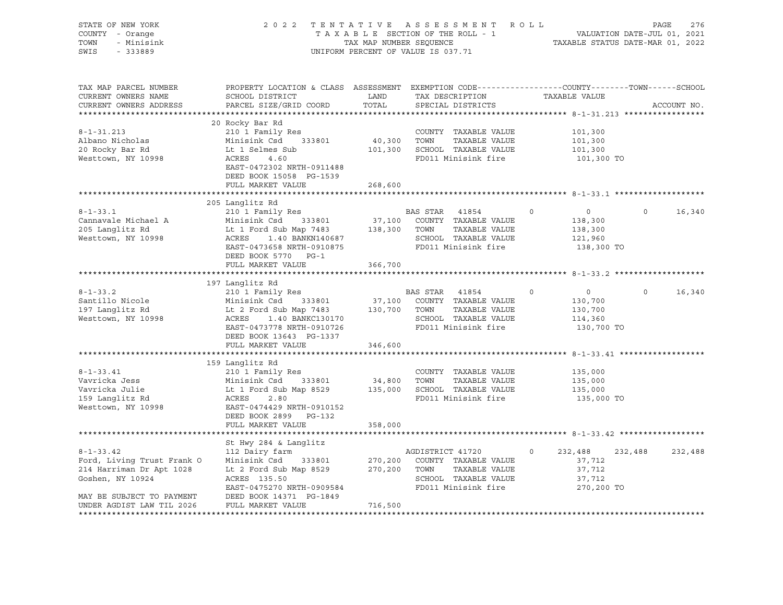| STATE OF NEW YORK<br>COUNTY - Orange<br>TOWN<br>- Minisink<br>SWIS<br>$-333889$                                                                         |                                                                                                                                                                                                                                                                                             |         | 2022 TENTATIVE ASSESSMENT ROLL<br>TAXABLE SECTION OF THE ROLL - 1<br>TAXABLE SECTION OF THE ROLL - 1<br>TAXABLE STATUS DATE-MAR 01, 2021<br>UNIFORM PERCENT OF VALUE IS 037.71 |         |                                                                | PAGE<br>276        |
|---------------------------------------------------------------------------------------------------------------------------------------------------------|---------------------------------------------------------------------------------------------------------------------------------------------------------------------------------------------------------------------------------------------------------------------------------------------|---------|--------------------------------------------------------------------------------------------------------------------------------------------------------------------------------|---------|----------------------------------------------------------------|--------------------|
| TAX MAP PARCEL NUMBER<br>CURRENT OWNERS NAME<br>CURRENT OWNERS ADDRESS                                                                                  | PROPERTY LOCATION & CLASS ASSESSMENT EXEMPTION CODE---------------COUNTY-------TOWN------SCHOOL<br>SCHOOL DISTRICT<br><b>LAND</b><br>PARCEL SIZE/GRID COORD<br>20 Rocky Bar Rd                                                                                                              | TOTAL   | TAX DESCRIPTION TAXABLE VALUE<br>SPECIAL DISTRICTS                                                                                                                             |         |                                                                | ACCOUNT NO.        |
| $8 - 1 - 31.213$<br>Albano Nicholas<br>20 Rocky Bar Rd<br>Westtown, NY 10998                                                                            | 210 1 Family Res<br>Minisink Csd 333801 40,300 TOWN<br>Lt 1 Selmes Sub 101,300 SCHOOL<br>ACRES 4.60 FD011 Mi<br>EAST-0472302 NRTH-0911488<br>DEED BOOK 15058 PG-1539                                                                                                                        |         | COUNTY TAXABLE VALUE<br>TAXABLE VALUE<br>101,300 SCHOOL TAXABLE VALUE<br>FD011 Minisink fire                                                                                   |         | 101,300<br>101,300<br>101,300<br>101,300 TO                    |                    |
|                                                                                                                                                         | FULL MARKET VALUE 268,600                                                                                                                                                                                                                                                                   |         |                                                                                                                                                                                |         |                                                                |                    |
|                                                                                                                                                         | 205 Langlitz Rd                                                                                                                                                                                                                                                                             |         |                                                                                                                                                                                |         |                                                                |                    |
| $8 - 1 - 33.1$<br>Cannavale Michael A<br>205 Langlitz Rd<br>Westtown, NY 10998                                                                          | 210 1 Family Res<br>XOO FRAME IS NOT TAXABLE VALUE<br>Minisink Csd 333801 37,100 COUNTY TAXABLE VALUE<br>Lt 1 Ford Sub Map 7483 138,300 TOWN TAXABLE VALUE<br>ACRES 1.40 BANKN140687 SCHOOL TAXABLE VALUE<br>EAST-0473658 NRTH-0910875 FD011 Minisink fire<br>DEED BOOK 5770 PG-1           |         | BAS STAR 41854 0<br>FD011 Minisink fire                                                                                                                                        |         | $\overline{0}$<br>138,300<br>138,300<br>121,960<br>138,300 TO  | $\Omega$<br>16,340 |
|                                                                                                                                                         | FULL MARKET VALUE                                                                                                                                                                                                                                                                           | 366,700 |                                                                                                                                                                                |         |                                                                |                    |
|                                                                                                                                                         |                                                                                                                                                                                                                                                                                             |         |                                                                                                                                                                                |         |                                                                |                    |
| $8 - 1 - 33.2$<br>Santillo Nicole<br>197 Langlitz Rd<br>Westtown, NY 10998                                                                              | 197 Langlitz Rd<br>210 1 Family Res<br>Minisink Csd 333801 37,100 COUNTY TAXABLE VALUE<br>Lt 2 Ford Sub Map 7483 130,700 TOWN TAXABLE VALUE<br>ACRES 1.40 BANKC130170 SCHOOL TAXABLE VALUE<br>EAST-0473778 NRTH-0910726 FD011 Minisink fire<br>DEED BOOK 13643 PG-1337<br>FULL MARKET VALUE | 346,600 | BAS STAR 41854                                                                                                                                                                 | $\circ$ | $\overline{0}$<br>130,700<br>130,700<br>114,360<br>130,700 TO  | $\Omega$<br>16,340 |
|                                                                                                                                                         |                                                                                                                                                                                                                                                                                             |         |                                                                                                                                                                                |         |                                                                |                    |
| $8 - 1 - 33.41$<br>Vavricka Jess<br>Vavricka Julie<br>.<br>159 Langlitz Rd<br>Westtown, NY 10998                                                        | 159 Langlitz Rd<br>210 1 Family Res<br>ACRES 2.80<br>EAST-0474429 NRTH-0910152<br>DEED BOOK 2899 PG-132<br>FULL MARKET VALUE                                                                                                                                                                | 358,000 | COUNTY TAXABLE VALUE<br>TAXABLE VALUE<br>FD011 Minisink fire                                                                                                                   |         | 135,000<br>135,000<br>135,000<br>135,000 TO                    |                    |
|                                                                                                                                                         |                                                                                                                                                                                                                                                                                             |         |                                                                                                                                                                                |         |                                                                |                    |
| $8 - 1 - 33.42$<br>Ford, Living Trust Frank O<br>214 Harriman Dr Apt 1028<br>Goshen, NY 10924<br>MAY BE SUBJECT TO PAYMENT<br>UNDER AGDIST LAW TIL 2026 | St Hwy 284 & Langlitz<br>112 Dairy farm<br>Minisink Csd 333801 270,200 COUNTY TAXABLE VALUE<br>Lt 2 Ford Sub Map 8529 270,200 TOWN TAXABLE VALUE<br>ACRES 135.50<br>EAST-0475270 NRTH-0909584<br>DEED BOOK 14371 DG 1940<br>FULL MARKET VALUE                                               | 716,500 | AGDISTRICT 41720<br>SCHOOL TAXABLE VALUE<br>FD011 Minisink fire                                                                                                                | $\circ$ | 232,488<br>232,488<br>37,712<br>37,712<br>37,712<br>270,200 TO | 232,488            |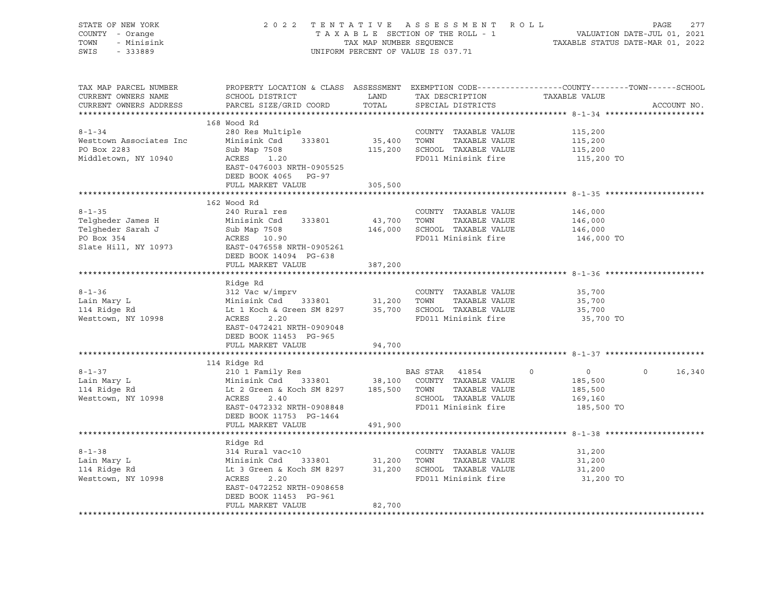| STATE OF NEW YORK<br>COUNTY - Orange<br>TOWN<br>- Minisink<br>SWIS<br>$-333889$                                                                                                                                                                                  |                                                                                                                                               |             | UNIFORM PERCENT OF VALUE IS 037.71 |                    |                    |
|------------------------------------------------------------------------------------------------------------------------------------------------------------------------------------------------------------------------------------------------------------------|-----------------------------------------------------------------------------------------------------------------------------------------------|-------------|------------------------------------|--------------------|--------------------|
| TAX MAP PARCEL NUMBER<br>CURRENT OWNERS NAME<br>CURRENT OWNERS ADDRESS                                                                                                                                                                                           | PROPERTY LOCATION & CLASS ASSESSMENT EXEMPTION CODE----------------COUNTY-------TOWN------SCHOOL<br>SCHOOL DISTRICT<br>PARCEL SIZE/GRID COORD |             |                                    | TAXABLE VALUE      | ACCOUNT NO.        |
|                                                                                                                                                                                                                                                                  | 168 Wood Rd                                                                                                                                   |             |                                    |                    |                    |
| $8 - 1 - 34$                                                                                                                                                                                                                                                     | 280 Res Multiple                                                                                                                              |             | COUNTY TAXABLE VALUE               | 115,200            |                    |
| Westtown Associates Inc                                                                                                                                                                                                                                          | Minisink Csd 333801                                                                                                                           |             | 35,400 TOWN TAXABLE VALUE          | 115,200            |                    |
| PO Box 2283                                                                                                                                                                                                                                                      |                                                                                                                                               |             | 115,200 SCHOOL TAXABLE VALUE       | 115,200            |                    |
| Middletown, NY 10940                                                                                                                                                                                                                                             | Sub Map 7508<br>ACRES 1.20<br>EAST-0476003 NRTH-0905525<br>DEED BOOK 4065 PG-97                                                               |             | FD011 Minisink fire                | 115,200 TO         |                    |
|                                                                                                                                                                                                                                                                  | FULL MARKET VALUE                                                                                                                             | 305,500     |                                    |                    |                    |
|                                                                                                                                                                                                                                                                  | 162 Wood Rd                                                                                                                                   |             |                                    |                    |                    |
| $8 - 1 - 35$                                                                                                                                                                                                                                                     | 240 Rural res                                                                                                                                 |             | COUNTY TAXABLE VALUE               | 146,000            |                    |
| 8-1-33<br>Telgheder James H Minisius Code<br>Telgheder Sarah J Sub Map 7508<br>ACRES 10.90<br>ACRES 10.90                                                                                                                                                        | Minisink Csd 333801                                                                                                                           | 43,700 TOWN | TAXABLE VALUE                      | 146,000            |                    |
|                                                                                                                                                                                                                                                                  |                                                                                                                                               |             | 146,000 SCHOOL TAXABLE VALUE       | 146,000<br>146,000 |                    |
|                                                                                                                                                                                                                                                                  |                                                                                                                                               |             | FD011 Minisink fire                | 146,000 TO         |                    |
| Slate Hill, NY 10973 EAST-0476558 NRTH-0905261                                                                                                                                                                                                                   |                                                                                                                                               |             |                                    |                    |                    |
|                                                                                                                                                                                                                                                                  | DEED BOOK 14094 PG-638                                                                                                                        |             |                                    |                    |                    |
|                                                                                                                                                                                                                                                                  | FULL MARKET VALUE                                                                                                                             | 387,200     |                                    |                    |                    |
|                                                                                                                                                                                                                                                                  | Ridge Rd                                                                                                                                      |             |                                    |                    |                    |
| $8 - 1 - 36$                                                                                                                                                                                                                                                     | 312 Vac w/imprv                                                                                                                               |             | COUNTY TAXABLE VALUE               | 35,700             |                    |
| Lain Mary L                                                                                                                                                                                                                                                      |                                                                                                                                               |             |                                    | 35,700             |                    |
|                                                                                                                                                                                                                                                                  |                                                                                                                                               |             |                                    | 35,700             |                    |
| Westtown, NY 10998                                                                                                                                                                                                                                               | EAST-0472421 NRTH-0909048<br>DEED BOOK 11453 PG-965                                                                                           |             |                                    | 35,700 TO          |                    |
|                                                                                                                                                                                                                                                                  | FULL MARKET VALUE                                                                                                                             | 94,700      |                                    |                    |                    |
| 8-1-37<br>Lain Mary L<br>114 Ridge Rd<br>114 Ridge Rd<br>114 Ridge Rd<br>114 Ridge Rd<br>12 0 1 Family Res<br>12 0 1 Family Res<br>133801<br>138,100 COUNTY TAXABLE VALUE<br>138,500<br>138,500 TOWN<br>185,500<br>185,500<br>185,500<br>185,500<br>185,500<br>1 |                                                                                                                                               |             |                                    |                    |                    |
|                                                                                                                                                                                                                                                                  |                                                                                                                                               |             |                                    |                    | $\Omega$<br>16,340 |
|                                                                                                                                                                                                                                                                  |                                                                                                                                               |             |                                    |                    |                    |
|                                                                                                                                                                                                                                                                  |                                                                                                                                               |             |                                    |                    |                    |
|                                                                                                                                                                                                                                                                  |                                                                                                                                               |             |                                    |                    |                    |
|                                                                                                                                                                                                                                                                  | EAST-0472332 NRTH-0908848<br>DEED BOOK 11753 PG-1464                                                                                          |             | FD011 Minisink fire                | 185,500 TO         |                    |
|                                                                                                                                                                                                                                                                  | FULL MARKET VALUE                                                                                                                             | 491,900     |                                    |                    |                    |
|                                                                                                                                                                                                                                                                  |                                                                                                                                               |             |                                    |                    |                    |
|                                                                                                                                                                                                                                                                  |                                                                                                                                               |             |                                    | 31,200             |                    |
|                                                                                                                                                                                                                                                                  |                                                                                                                                               |             | TAXABLE VALUE                      | 31,200             |                    |
|                                                                                                                                                                                                                                                                  |                                                                                                                                               |             |                                    | 31,200             |                    |
|                                                                                                                                                                                                                                                                  |                                                                                                                                               |             | FD011 Minisink fire                | 31,200 TO          |                    |
|                                                                                                                                                                                                                                                                  | EAST-0472252 NRTH-0908658<br>DEED BOOK 11453 PG-961                                                                                           |             |                                    |                    |                    |
|                                                                                                                                                                                                                                                                  | FULL MARKET VALUE                                                                                                                             | 82,700      |                                    |                    |                    |
|                                                                                                                                                                                                                                                                  |                                                                                                                                               |             |                                    |                    |                    |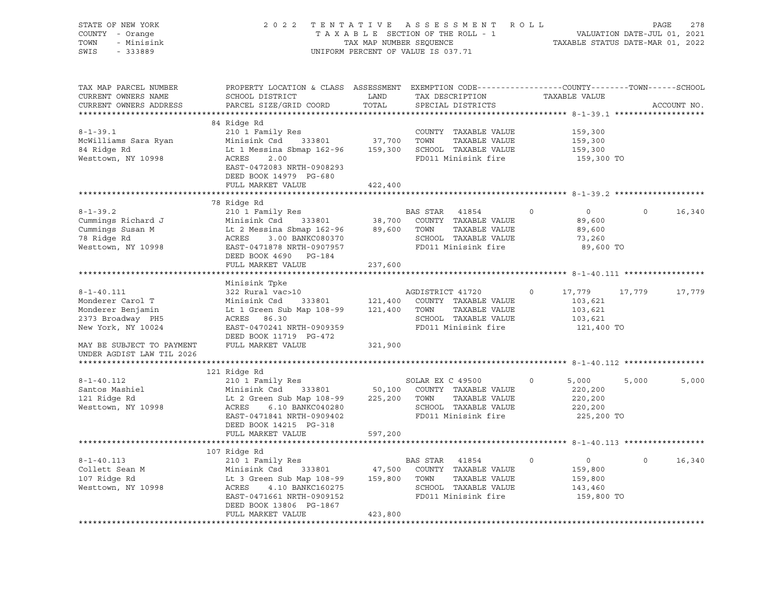| STATE OF NEW YORK<br>COUNTY - Orange<br>TOWN<br>- Minisink<br>SWIS<br>$-333889$                      |                                                                                                                                                                                                                                                         | TAX MAP NUMBER SEQUENCE | 2022 TENTATIVE ASSESSMENT ROLL<br>TAXABLE SECTION OF THE ROLL - 1<br>UNIFORM PERCENT OF VALUE IS 037.71                         | PAGE 278<br>VALUATION DATE-JUL 01, 2021<br>TAXABLE STATIIS DATE 105 1000 | TAXABLE STATUS DATE-MAR 01, 2022 |             |
|------------------------------------------------------------------------------------------------------|---------------------------------------------------------------------------------------------------------------------------------------------------------------------------------------------------------------------------------------------------------|-------------------------|---------------------------------------------------------------------------------------------------------------------------------|--------------------------------------------------------------------------|----------------------------------|-------------|
| TAX MAP PARCEL NUMBER<br>CURRENT OWNERS NAME<br>CURRENT OWNERS ADDRESS                               | PROPERTY LOCATION & CLASS ASSESSMENT EXEMPTION CODE---------------COUNTY-------TOWN------SCHOOL<br>SCHOOL DISTRICT<br>PARCEL SIZE/GRID COORD                                                                                                            | LAND<br>TOTAL           | TAX DESCRIPTION<br>SPECIAL DISTRICTS                                                                                            | TAXABLE VALUE                                                            |                                  | ACCOUNT NO. |
| $8 - 1 - 39.1$<br>McWilliams Sara Ryan<br>84 Ridge Rd<br>Westtown, NY 10998                          | 84 Ridge Rd<br>210 1 Family Res<br>Minisink Csd 333801<br>Lt 1 Messina Sbmap 162-96 159,300 SCHOOL TAXABLE VALUE<br>ACRES<br>2.00<br>EAST-0472083 NRTH-0908293<br>DEED BOOK 14979 PG-680<br>FULL MARKET VALUE                                           | 37,700<br>422,400       | COUNTY TAXABLE VALUE<br>TOWN<br>TAXABLE VALUE<br>FD011 Minisink fire                                                            | 159,300<br>159,300<br>159,300<br>159,300 TO                              |                                  |             |
|                                                                                                      | ****************************                                                                                                                                                                                                                            |                         |                                                                                                                                 |                                                                          |                                  |             |
| $8 - 1 - 39.2$<br>Cummings Richard J<br>Cummings Susan M<br>78 Ridge Rd<br>Westtown, NY 10998        | 78 Ridge Rd<br>210 1 Family Res<br>Minisink Csd 333801<br>Minisink Csd 333801 38,70<br>Lt 2 Messina Sbmap 162-96 89,60<br>ACRES 3.00 BANKC080370<br>EAST-0471878 NRTH-0907957<br>EAST-0471878 NRTH-0907957<br>DEED BOOK 4690 PG-184                     |                         | BAS STAR 41854<br>38,700 COUNTY TAXABLE VALUE<br>89,600 TOWN<br>TAXABLE VALUE<br>SCHOOL TAXABLE VALUE<br>FD011 Minisink fire    | $\circ$<br>$\overline{0}$<br>89,600<br>89,600<br>73,260<br>89,600 TO     | $\mathbf 0$                      | 16,340      |
|                                                                                                      | FULL MARKET VALUE                                                                                                                                                                                                                                       | 237,600                 |                                                                                                                                 |                                                                          |                                  |             |
|                                                                                                      |                                                                                                                                                                                                                                                         |                         |                                                                                                                                 |                                                                          |                                  |             |
| $8 - 1 - 40.111$<br>Monderer Carol T<br>Monderer Benjamin<br>2373 Broadway PH5<br>New York, NY 10024 | Minisink Tpke<br>322 Rural vac>10<br>Minisink Csd<br>Lt 1 Green Sub Map 108-99 121,400 TOWN<br>ACRES 86.30<br>EAST-0470241 NRTH-0909359<br>DEED BOOK 11719 PG-472                                                                                       |                         | AGDISTRICT 41720<br>333801 121,400 COUNTY TAXABLE VALUE<br>TAXABLE VALUE<br>SCHOOL TAXABLE VALUE<br>FD011 Minisink fire         | 17,779<br>0<br>103,621<br>103,621<br>103,621<br>121,400 TO               | 17,779                           | 17,779      |
| MAY BE SUBJECT TO PAYMENT                                                                            | FULL MARKET VALUE                                                                                                                                                                                                                                       | 321,900                 |                                                                                                                                 |                                                                          |                                  |             |
| UNDER AGDIST LAW TIL 2026<br>**********************                                                  |                                                                                                                                                                                                                                                         |                         |                                                                                                                                 |                                                                          |                                  |             |
|                                                                                                      | 121 Ridge Rd                                                                                                                                                                                                                                            |                         |                                                                                                                                 |                                                                          |                                  |             |
| $8 - 1 - 40.112$<br>Santos Mashiel<br>121 Ridge Rd<br>Westtown, NY 10998                             | 210 1 Family Res<br>333801<br>Minisink Csd<br>Lt 2 Green Sub Map 108-99<br>ACRES<br>6.10 BANKC040280<br>EAST-0471841 NRTH-0909402<br>DEED BOOK 14215 PG-318                                                                                             |                         | SOLAR EX C 49500<br>50,100 COUNTY TAXABLE VALUE<br>225,200 TOWN<br>TAXABLE VALUE<br>SCHOOL TAXABLE VALUE<br>FD011 Minisink fire | $\circ$<br>5,000<br>220,200<br>220,200<br>220,200<br>225,200 TO          | 5,000                            | 5,000       |
|                                                                                                      | FULL MARKET VALUE                                                                                                                                                                                                                                       | 597,200                 |                                                                                                                                 |                                                                          |                                  |             |
|                                                                                                      |                                                                                                                                                                                                                                                         |                         |                                                                                                                                 |                                                                          |                                  |             |
| $8 - 1 - 40.113$<br>Collett Sean M<br>107 Ridge Rd<br>Westtown, NY 10998                             | 107 Ridge Rd<br>210 1 Family Res<br>Minisink Csd 333801 47,500 COUNTY<br>Lt 3 Green Sub Map 108-99 159,800 TOWN<br>Minisink Csd 333801 47,500 COUNTY TAXABLE VALUE<br>4.10 BANKC160275<br>ACRES<br>EAST-0471661 NRTH-0909152<br>DEED BOOK 13806 PG-1867 |                         | BAS STAR 41854<br>TAXABLE VALUE<br>SCHOOL TAXABLE VALUE<br>FD011 Minisink fire                                                  | 0<br>0<br>159,800<br>159,800<br>143,460<br>159,800 TO                    | $\Omega$                         | 16,340      |
|                                                                                                      | FULL MARKET VALUE                                                                                                                                                                                                                                       | 423,800                 |                                                                                                                                 |                                                                          |                                  |             |
|                                                                                                      |                                                                                                                                                                                                                                                         |                         |                                                                                                                                 |                                                                          |                                  |             |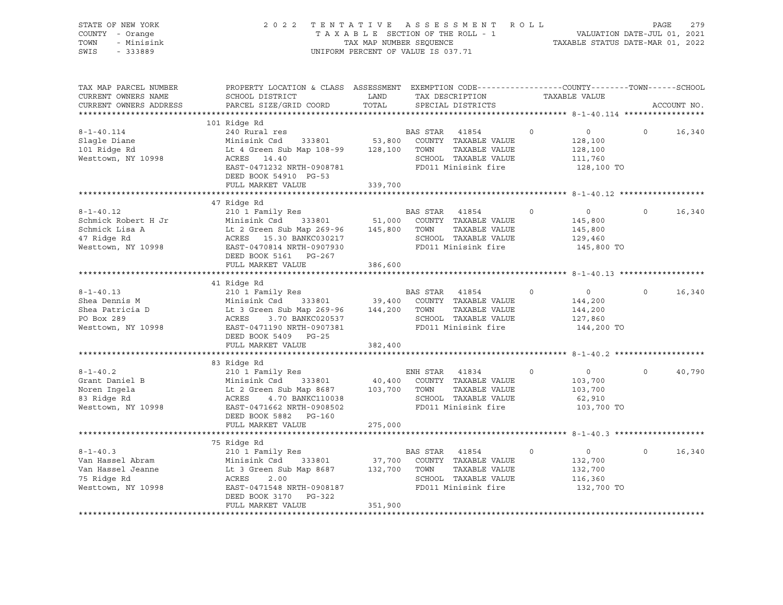| STATE OF NEW YORK<br>COUNTY - Orange<br>TOWN<br>- Minisink<br>SWIS<br>$-333889$               | 2 0 2 2                                                                                                                                                                                                                                           | TAXABLE SECTION OF THE ROLL - 1<br>TAX MAP NUMBER SEQUENCE<br>UNIFORM PERCENT OF VALUE IS 037.71 |                | TENTATIVE ASSESSMENT ROLL                                                                   |          | VALUATION DATE-JUL 01, 2021<br>TAXABLE STATUS DATE-MAR 01, 2022 | PAGE     | 279         |
|-----------------------------------------------------------------------------------------------|---------------------------------------------------------------------------------------------------------------------------------------------------------------------------------------------------------------------------------------------------|--------------------------------------------------------------------------------------------------|----------------|---------------------------------------------------------------------------------------------|----------|-----------------------------------------------------------------|----------|-------------|
| TAX MAP PARCEL NUMBER<br>CURRENT OWNERS NAME<br>CURRENT OWNERS ADDRESS                        | PROPERTY LOCATION & CLASS ASSESSMENT EXEMPTION CODE----------------COUNTY-------TOWN-----SCHOOL<br>SCHOOL DISTRICT<br>PARCEL SIZE/GRID COORD                                                                                                      | LAND<br>TOTAL                                                                                    |                | TAX DESCRIPTION<br>SPECIAL DISTRICTS                                                        |          | TAXABLE VALUE                                                   |          | ACCOUNT NO. |
|                                                                                               |                                                                                                                                                                                                                                                   |                                                                                                  |                |                                                                                             |          |                                                                 |          |             |
| $8 - 1 - 40.114$<br>Slagle Diane<br>101 Ridge Rd<br>Westtown, NY 10998                        | 101 Ridge Rd<br>240 Rural res<br>Minisink Csd 333801 53,800 COUNTY TAXABLE VALUE<br>Lt 4 Green Sub Map 108-99 128,100 TOWN<br>ACRES 14.40<br>EAST-0471232 NRTH-0908781<br>DEED BOOK 54910 PG-53                                                   |                                                                                                  | BAS STAR 41854 | TAXABLE VALUE<br>SCHOOL TAXABLE VALUE<br>FD011 Minisink fire                                | $\circ$  | $\overline{0}$<br>128,100<br>128,100<br>111,760<br>128,100 TO   | $\circ$  | 16,340      |
|                                                                                               | FULL MARKET VALUE                                                                                                                                                                                                                                 | 339,700                                                                                          |                |                                                                                             |          |                                                                 |          |             |
| $8 - 1 - 40.12$<br>Schmick Robert H Jr<br>Schmick Lisa A<br>47 Ridge Rd<br>Westtown, NY 10998 | 47 Ridge Rd<br>210 1 Family Res<br>Minisink Csd 333801 51,000 COUNTY TAXABLE VALUE<br>Lt 2 Green Sub Map 269-96 145,800 TOWN<br>ACRES 15.30 BANKC030217<br>EAST-0470814 NRTH-0907930<br>DEED BOOK 5161 PG-267                                     |                                                                                                  | BAS STAR 41854 | TAXABLE VALUE<br>SCHOOL TAXABLE VALUE<br>FD011 Minisink fire                                | $\circ$  | $\overline{0}$<br>145,800<br>145,800<br>129,460<br>145,800 TO   | $\circ$  | 16,340      |
|                                                                                               | FULL MARKET VALUE                                                                                                                                                                                                                                 | 386,600                                                                                          |                |                                                                                             |          |                                                                 |          |             |
| $8 - 1 - 40.13$<br>Shea Dennis M<br>Shea Patricia D<br>PO Box 289<br>Westtown, NY 10998       | 41 Ridge Rd<br>210 1 Family Res<br>Minisink Csd 333801 39,400 COUNTY TAXABLE VALUE<br>Lt 3 Green Sub Map 269-96 144,200 TOWN TAXABLE VALUE<br>ACRES<br>3.70 BANKC020537<br>EAST-0471190 NRTH-0907381<br>DEED BOOK 5409 PG-25<br>FULL MARKET VALUE | 382,400                                                                                          | BAS STAR 41854 | SCHOOL TAXABLE VALUE<br>FD011 Minisink fire                                                 | $\circ$  | $\overline{0}$<br>144,200<br>144,200<br>127,860<br>144,200 TO   | $\circ$  | 16,340      |
|                                                                                               |                                                                                                                                                                                                                                                   |                                                                                                  |                |                                                                                             |          |                                                                 |          |             |
| $8 - 1 - 40.2$<br>Grant Daniel B<br>Noren Ingela<br>83 Ridge Rd<br>Westtown, NY 10998         | 83 Ridge Rd<br>210 1 Family Res<br>Minisink Csd 333801<br>Lt 2 Green Sub Map 8687<br>ACRES 1 - 1<br>ACRES<br>4.70 BANKC110038<br>EAST-0471662 NRTH-0908502<br>DEED BOOK 5882 PG-160<br>FULL MARKET VALUE                                          | 103,700 TOWN<br>275,000                                                                          | ENH STAR 41834 | 40,400 COUNTY TAXABLE VALUE<br>TAXABLE VALUE<br>SCHOOL TAXABLE VALUE<br>FD011 Minisink fire | $\Omega$ | $\overline{0}$<br>103,700<br>103,700<br>62,910<br>103,700 TO    | $\Omega$ | 40,790      |
|                                                                                               |                                                                                                                                                                                                                                                   |                                                                                                  |                | *********************************** 8-1-40.3                                                |          |                                                                 |          |             |
| $8 - 1 - 40.3$<br>Van Hassel Abram<br>Van Hassel Jeanne<br>75 Ridge Rd<br>Westtown, NY 10998  | 75 Ridge Rd<br>210 1 Family Res<br>Minisink Csd 333801<br>Lt 3 Green Sub Map 8687<br>ACRES<br>2.00<br>EAST-0471548 NRTH-0908187<br>DEED BOOK 3170<br>PG-322<br>FULL MARKET VALUE                                                                  | 37,700<br>132,700 TOWN<br>351,900                                                                | BAS STAR 41854 | COUNTY TAXABLE VALUE<br>TAXABLE VALUE<br>SCHOOL TAXABLE VALUE<br>FD011 Minisink fire        | $\Omega$ | $\overline{0}$<br>132,700<br>132,700<br>116,360<br>132,700 TO   | $\Omega$ | 16,340      |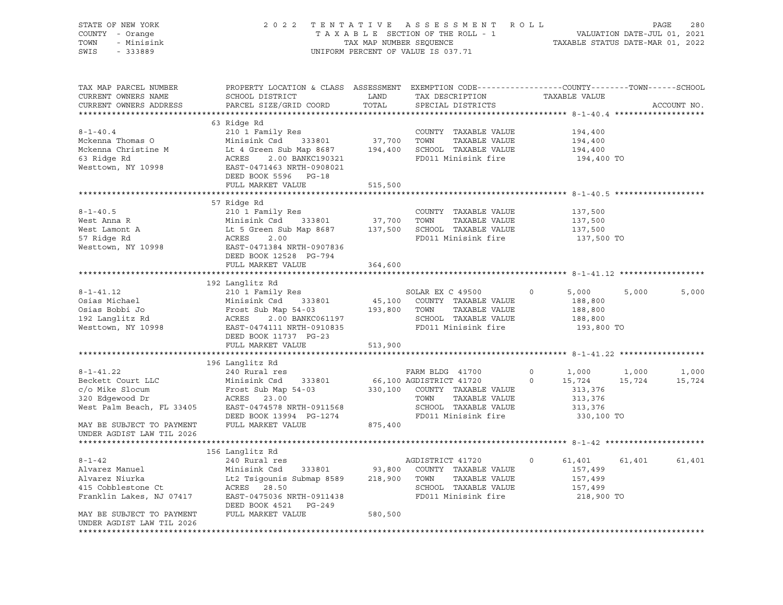| PROPERTY LOCATION & CLASS ASSESSMENT EXEMPTION CODE---------------COUNTY-------TOWN-----SCHOOL<br>TAX MAP PARCEL NUMBER<br>SCHOOL DISTRICT LAND<br>TAX DESCRIPTION TAXABLE VALUE<br>CURRENT OWNERS NAME<br>PARCEL SIZE/GRID COORD<br>TOTAL<br>CURRENT OWNERS ADDRESS<br>SPECIAL DISTRICTS<br>ACCOUNT NO.<br>63 Ridge Rd<br>8-1-40.4<br>Mckenna Thomas O<br>210 1 Family Res<br>Mckenna Christine M<br>194,400 SCHOOL TAXABLE VALUE<br> |
|----------------------------------------------------------------------------------------------------------------------------------------------------------------------------------------------------------------------------------------------------------------------------------------------------------------------------------------------------------------------------------------------------------------------------------------|
|                                                                                                                                                                                                                                                                                                                                                                                                                                        |
|                                                                                                                                                                                                                                                                                                                                                                                                                                        |
|                                                                                                                                                                                                                                                                                                                                                                                                                                        |
|                                                                                                                                                                                                                                                                                                                                                                                                                                        |
|                                                                                                                                                                                                                                                                                                                                                                                                                                        |
|                                                                                                                                                                                                                                                                                                                                                                                                                                        |
|                                                                                                                                                                                                                                                                                                                                                                                                                                        |
|                                                                                                                                                                                                                                                                                                                                                                                                                                        |
|                                                                                                                                                                                                                                                                                                                                                                                                                                        |
|                                                                                                                                                                                                                                                                                                                                                                                                                                        |
|                                                                                                                                                                                                                                                                                                                                                                                                                                        |
|                                                                                                                                                                                                                                                                                                                                                                                                                                        |
|                                                                                                                                                                                                                                                                                                                                                                                                                                        |
|                                                                                                                                                                                                                                                                                                                                                                                                                                        |
|                                                                                                                                                                                                                                                                                                                                                                                                                                        |
|                                                                                                                                                                                                                                                                                                                                                                                                                                        |
|                                                                                                                                                                                                                                                                                                                                                                                                                                        |
|                                                                                                                                                                                                                                                                                                                                                                                                                                        |
|                                                                                                                                                                                                                                                                                                                                                                                                                                        |
|                                                                                                                                                                                                                                                                                                                                                                                                                                        |
|                                                                                                                                                                                                                                                                                                                                                                                                                                        |
|                                                                                                                                                                                                                                                                                                                                                                                                                                        |
|                                                                                                                                                                                                                                                                                                                                                                                                                                        |
|                                                                                                                                                                                                                                                                                                                                                                                                                                        |
|                                                                                                                                                                                                                                                                                                                                                                                                                                        |
|                                                                                                                                                                                                                                                                                                                                                                                                                                        |
|                                                                                                                                                                                                                                                                                                                                                                                                                                        |
|                                                                                                                                                                                                                                                                                                                                                                                                                                        |
|                                                                                                                                                                                                                                                                                                                                                                                                                                        |
|                                                                                                                                                                                                                                                                                                                                                                                                                                        |
|                                                                                                                                                                                                                                                                                                                                                                                                                                        |
|                                                                                                                                                                                                                                                                                                                                                                                                                                        |
|                                                                                                                                                                                                                                                                                                                                                                                                                                        |
|                                                                                                                                                                                                                                                                                                                                                                                                                                        |
|                                                                                                                                                                                                                                                                                                                                                                                                                                        |
|                                                                                                                                                                                                                                                                                                                                                                                                                                        |
|                                                                                                                                                                                                                                                                                                                                                                                                                                        |
|                                                                                                                                                                                                                                                                                                                                                                                                                                        |
|                                                                                                                                                                                                                                                                                                                                                                                                                                        |
|                                                                                                                                                                                                                                                                                                                                                                                                                                        |
| FD011 Minisink fire<br>218,900 TO                                                                                                                                                                                                                                                                                                                                                                                                      |
| DEED BOOK 4521 PG-249<br>MAY BE SUBJECT TO PAYMENT FULL MARKET VALUE<br>580,500                                                                                                                                                                                                                                                                                                                                                        |
|                                                                                                                                                                                                                                                                                                                                                                                                                                        |
| UNDER AGDIST LAW TIL 2026                                                                                                                                                                                                                                                                                                                                                                                                              |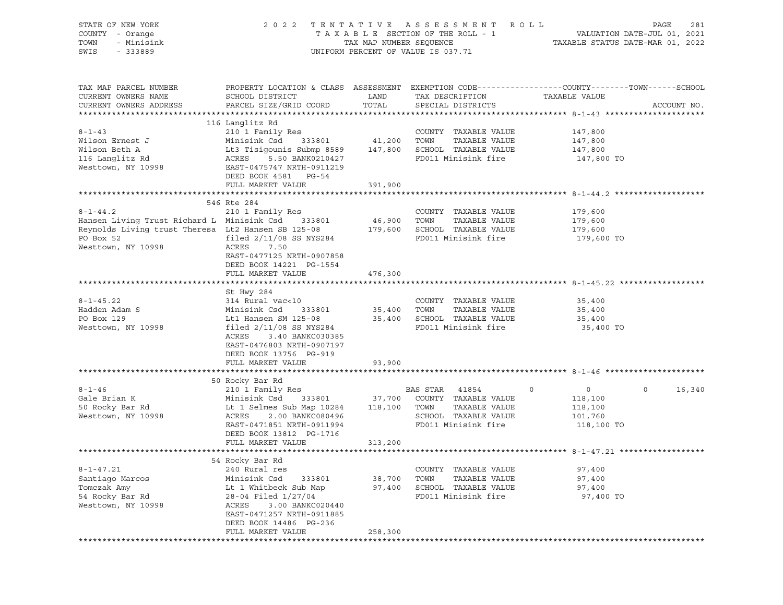| STATE OF NEW YORK<br>COUNTY - Orange<br>TOWN<br>- Minisink<br>SWIS<br>$-333889$                                                                                                                                     |                                                                                                                                              |                       | 2022 TENTATIVE ASSESSMENT ROLL<br>T A X A B L E SECTION OF THE ROLL - 1 VALUATION DATE-JUL 01, 2021<br>TAX MAP NUMBER SEQUENCE TAXABLE STATUS DATE-MAR 01, 2022<br>UNIFORM PERCENT OF VALUE IS 037.71 |                       | PAGE<br>281                 |
|---------------------------------------------------------------------------------------------------------------------------------------------------------------------------------------------------------------------|----------------------------------------------------------------------------------------------------------------------------------------------|-----------------------|-------------------------------------------------------------------------------------------------------------------------------------------------------------------------------------------------------|-----------------------|-----------------------------|
| TAX MAP PARCEL NUMBER<br>CURRENT OWNERS NAME<br>CURRENT OWNERS ADDRESS                                                                                                                                              | PROPERTY LOCATION & CLASS ASSESSMENT EXEMPTION CODE---------------COUNTY-------TOWN------SCHOOL<br>SCHOOL DISTRICT<br>PARCEL SIZE/GRID COORD | LAND<br>LAND<br>TOTAL | TAX DESCRIPTION TAXABLE VALUE<br>SPECIAL DISTRICTS                                                                                                                                                    |                       | ACCOUNT NO.                 |
|                                                                                                                                                                                                                     | 116 Langlitz Rd                                                                                                                              |                       |                                                                                                                                                                                                       |                       |                             |
| $8 - 1 - 43$                                                                                                                                                                                                        |                                                                                                                                              |                       |                                                                                                                                                                                                       |                       |                             |
| Wilson Ernest J                                                                                                                                                                                                     |                                                                                                                                              |                       |                                                                                                                                                                                                       | 147,800<br>147,800    |                             |
| Wilson Beth A                                                                                                                                                                                                       | Lt3 Tisigounis Submp 8589 147,800 SCHOOL TAXABLE VALUE 147,800 147,800<br>ACRES 5.50 BANK0210427 FD011 Minisink fire 147,800                 |                       |                                                                                                                                                                                                       |                       |                             |
| 116 Langlitz Rd                                                                                                                                                                                                     | ACRES<br>5.50 BANK0210427                                                                                                                    |                       |                                                                                                                                                                                                       | 147,800 TO            |                             |
| Westtown, NY 10998                                                                                                                                                                                                  | EAST-0475747 NRTH-0911219                                                                                                                    |                       |                                                                                                                                                                                                       |                       |                             |
|                                                                                                                                                                                                                     | DEED BOOK 4581 PG-54                                                                                                                         |                       |                                                                                                                                                                                                       |                       |                             |
|                                                                                                                                                                                                                     | FULL MARKET VALUE                                                                                                                            | 391,900               |                                                                                                                                                                                                       |                       |                             |
|                                                                                                                                                                                                                     |                                                                                                                                              |                       |                                                                                                                                                                                                       |                       |                             |
|                                                                                                                                                                                                                     | 546 Rte 284                                                                                                                                  |                       |                                                                                                                                                                                                       |                       |                             |
| $8 - 1 - 44.2$                                                                                                                                                                                                      | 210 1 Family Res                                                                                                                             |                       | COUNTY TAXABLE VALUE                                                                                                                                                                                  | 179,600               |                             |
| Hansen Living Trust Richard L Minisink Csd 333801<br>Hansen Living Trust Richard L Minisink Csd 333801 46,900 TOWN TAXABLE VALUE<br>Reynolds Living trust Theresa Lt2 Hansen SB 125-08 179,600 SCHOOL TAXABLE VALUE |                                                                                                                                              |                       |                                                                                                                                                                                                       | 179,600<br>179,600    |                             |
|                                                                                                                                                                                                                     |                                                                                                                                              |                       |                                                                                                                                                                                                       |                       |                             |
| PO Box 52                                                                                                                                                                                                           | filed 2/11/08 SS NYS284<br>ACRES 7.50                                                                                                        |                       | FD011 Minisink fire 179,600 TO                                                                                                                                                                        |                       |                             |
| Westtown, NY 10998                                                                                                                                                                                                  | EAST-0477125 NRTH-0907858                                                                                                                    |                       |                                                                                                                                                                                                       |                       |                             |
|                                                                                                                                                                                                                     | DEED BOOK 14221 PG-1554                                                                                                                      |                       |                                                                                                                                                                                                       |                       |                             |
|                                                                                                                                                                                                                     | FULL MARKET VALUE                                                                                                                            | 476,300               |                                                                                                                                                                                                       |                       |                             |
|                                                                                                                                                                                                                     |                                                                                                                                              |                       |                                                                                                                                                                                                       |                       |                             |
|                                                                                                                                                                                                                     | St Hwy 284                                                                                                                                   |                       |                                                                                                                                                                                                       |                       |                             |
| $8 - 1 - 45.22$                                                                                                                                                                                                     | 314 Rural vac<10                                                                                                                             |                       | COUNTY TAXABLE VALUE                                                                                                                                                                                  | 35,400                |                             |
| Hadden Adam S                                                                                                                                                                                                       | Minisink Csd 333801                                                                                                                          |                       | TAXABLE VALUE                                                                                                                                                                                         | 35,400                |                             |
| PO Box 129                                                                                                                                                                                                          | Lt1 Hansen SM 125-08                                                                                                                         |                       | 35,400    TOWN      TAXABLE VALUE<br>35,400    SCHOOL   TAXABLE VALUE                                                                                                                                 | 35,400                |                             |
| Westtown, NY 10998                                                                                                                                                                                                  | filed 2/11/08 SS NYS284                                                                                                                      |                       | FD011 Minisink fire                                                                                                                                                                                   | 35,400 TO             |                             |
|                                                                                                                                                                                                                     | ACRES<br>3.40 BANKC030385                                                                                                                    |                       |                                                                                                                                                                                                       |                       |                             |
|                                                                                                                                                                                                                     | EAST-0476803 NRTH-0907197                                                                                                                    |                       |                                                                                                                                                                                                       |                       |                             |
|                                                                                                                                                                                                                     | DEED BOOK 13756 PG-919                                                                                                                       |                       |                                                                                                                                                                                                       |                       |                             |
|                                                                                                                                                                                                                     | FULL MARKET VALUE                                                                                                                            | 93,900                |                                                                                                                                                                                                       |                       |                             |
|                                                                                                                                                                                                                     |                                                                                                                                              |                       |                                                                                                                                                                                                       |                       |                             |
|                                                                                                                                                                                                                     | 50 Rocky Bar Rd<br>noony bar nu<br>210 1 Family Res                                                                                          |                       |                                                                                                                                                                                                       |                       |                             |
| $8 - 1 - 46$                                                                                                                                                                                                        |                                                                                                                                              |                       | BAS STAR 41854 0                                                                                                                                                                                      | $\overline{0}$        | $0 \qquad \qquad$<br>16,340 |
| Gale Brian K                                                                                                                                                                                                        | Minisink Csd 333801 37,700 COUNTY TAXABLE VALUE<br>Lt 1 Selmes Sub Map 10284 118,100 TOWN TAXABLE VALUE                                      |                       |                                                                                                                                                                                                       | 118,100               |                             |
| 50 Rocky Bar Rd                                                                                                                                                                                                     | ACRES                                                                                                                                        |                       | SCHOOL TAXABLE VALUE                                                                                                                                                                                  | 118,100               |                             |
| Westtown, NY 10998                                                                                                                                                                                                  | 2.00 BANKC080496<br>EAST-0471851 NRTH-0911994                                                                                                |                       | FD011 Minisink fire                                                                                                                                                                                   | 101,760<br>118,100 TO |                             |
|                                                                                                                                                                                                                     | DEED BOOK 13812 PG-1716                                                                                                                      |                       |                                                                                                                                                                                                       |                       |                             |
|                                                                                                                                                                                                                     | FULL MARKET VALUE                                                                                                                            | 313,200               |                                                                                                                                                                                                       |                       |                             |
|                                                                                                                                                                                                                     |                                                                                                                                              |                       |                                                                                                                                                                                                       |                       |                             |
|                                                                                                                                                                                                                     | 54 Rocky Bar Rd                                                                                                                              |                       |                                                                                                                                                                                                       |                       |                             |
| $8 - 1 - 47.21$                                                                                                                                                                                                     | 240 Rural res                                                                                                                                |                       | COUNTY TAXABLE VALUE                                                                                                                                                                                  | 97,400                |                             |
| Santiago Marcos                                                                                                                                                                                                     | Minisink Csd<br>333801                                                                                                                       | 38,700                | TAXABLE VALUE<br>TOWN                                                                                                                                                                                 | 97,400                |                             |
| Tomczak Amy                                                                                                                                                                                                         | Lt 1 Whitbeck Sub Map                                                                                                                        | 97,400                | SCHOOL TAXABLE VALUE                                                                                                                                                                                  | 97,400                |                             |
| 54 Rocky Bar Rd                                                                                                                                                                                                     | 28-04 Filed 1/27/04                                                                                                                          |                       | FD011 Minisink fire                                                                                                                                                                                   | 97,400 TO             |                             |
| Westtown, NY 10998                                                                                                                                                                                                  | ACRES<br>3.00 BANKC020440                                                                                                                    |                       |                                                                                                                                                                                                       |                       |                             |
|                                                                                                                                                                                                                     | EAST-0471257 NRTH-0911885                                                                                                                    |                       |                                                                                                                                                                                                       |                       |                             |
|                                                                                                                                                                                                                     | DEED BOOK 14486 PG-236                                                                                                                       |                       |                                                                                                                                                                                                       |                       |                             |
|                                                                                                                                                                                                                     | FULL MARKET VALUE                                                                                                                            | 258,300               |                                                                                                                                                                                                       |                       |                             |
|                                                                                                                                                                                                                     |                                                                                                                                              |                       |                                                                                                                                                                                                       |                       |                             |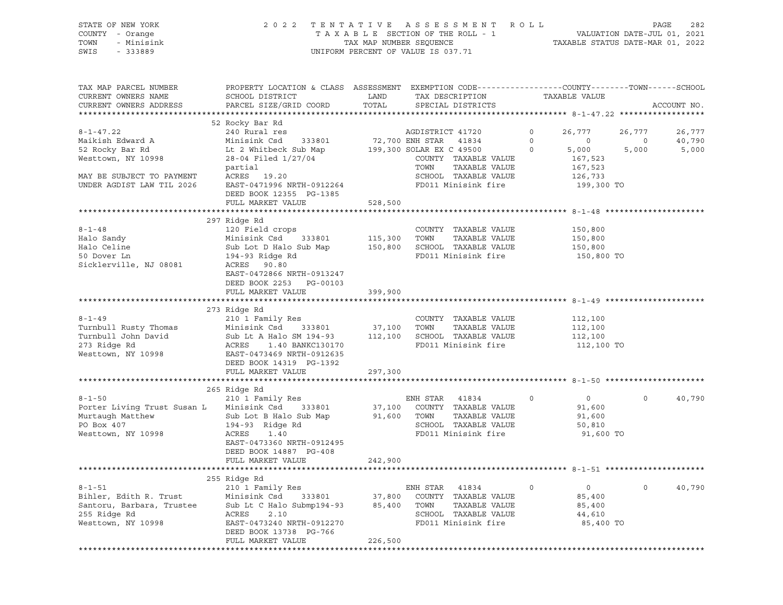STATE OF NEW YORK 2 0 2 2 T E N T A T I V E A S S E S S M E N T R O L L PAGE 282 COUNTY - Orange T A X A B L E SECTION OF THE ROLL - 1 VALUATION DATE-JUL 01, 2021 TOWN - Minisink TAX MAP NUMBER SEQUENCE TAXABLE STATUS DATE-MAR 01, 2022<br>TAXABLE STATUS DATE-MAR 01, 2022 UNIFORM PERCENT OF VALUE IS 037.71

TAX MAP PARCEL NUMBER PROPERTY LOCATION & CLASS ASSESSMENT EXEMPTION CODE----------------COUNTY-------TOWN-----SCHOOL CURRENT OWNERS NAME SCHOOL DISTRICT LAND TAX DESCRIPTION TAXABLE VALUE CURRENT OWNERS ADDRESS PARCEL SIZE/GRID COORD TOTAL SPECIAL DISTRICTS ACCOUNT NO. \*\*\*\*\*\*\*\*\*\*\*\*\*\*\*\*\*\*\*\*\*\*\*\*\*\*\*\*\*\*\*\*\*\*\*\*\*\*\*\*\*\*\*\*\*\*\*\*\*\*\*\*\*\*\*\*\*\*\*\*\*\*\*\*\*\*\*\*\*\*\*\*\*\*\*\*\*\*\*\*\*\*\*\*\*\*\*\*\*\*\*\*\*\*\*\*\*\*\*\*\*\*\* 8-1-47.22 \*\*\*\*\*\*\*\*\*\*\*\*\*\*\*\*\*\* 52 Rocky Bar Rd 8-1-47.22 240 Rural res AGDISTRICT 41720 0 26,777 26,777 26,777 26,777 Maikish Edward A Minisink Csd 333801 72,700 ENH STAR 41834 0 0 0 40,790 52 Rocky Bar Rd Lt 2 Whitbeck Sub Map 199,300 SOLAR EX C 49500 0 5,000 5,000 5,000 Westtown, NY 10998 28-04 Filed 1/27/04 COUNTY TAXABLE VALUE 167,523 partial TOWN TAXABLE VALUE 167,523 MAY BE SUBJECT TO PAYMENT ACRES 19.20 SCHOOL SCHOOL TAXABLE VALUE 126,733 UNDER AGDIST LAW TIL 2026 EAST-0471996 NRTH-0912264 FD011 Minisink fire 199,300 TO DEED BOOK 12355 PG-1385 FULL MARKET VALUE 528,500 \*\*\*\*\*\*\*\*\*\*\*\*\*\*\*\*\*\*\*\*\*\*\*\*\*\*\*\*\*\*\*\*\*\*\*\*\*\*\*\*\*\*\*\*\*\*\*\*\*\*\*\*\*\*\*\*\*\*\*\*\*\*\*\*\*\*\*\*\*\*\*\*\*\*\*\*\*\*\*\*\*\*\*\*\*\*\*\*\*\*\*\*\*\*\*\*\*\*\*\*\*\*\* 8-1-48 \*\*\*\*\*\*\*\*\*\*\*\*\*\*\*\*\*\*\*\*\* 297 Ridge Rd 8-1-48 120 Field crops COUNTY TAXABLE VALUE 150,800 Halo Sandy Minisink Csd 333801 115,300 TOWN TAXABLE VALUE 150,800 Halo Celine Sub Lot D Halo Sub Map 150,800 SCHOOL TAXABLE VALUE 150,800 50 Dover Ln 194-93 Ridge Rd FD011 Minisink fire 150,800 TO Sicklerville, NJ 08081 EAST-0472866 NRTH-0913247 DEED BOOK 2253 PG-00103 FULL MARKET VALUE 399,900 \*\*\*\*\*\*\*\*\*\*\*\*\*\*\*\*\*\*\*\*\*\*\*\*\*\*\*\*\*\*\*\*\*\*\*\*\*\*\*\*\*\*\*\*\*\*\*\*\*\*\*\*\*\*\*\*\*\*\*\*\*\*\*\*\*\*\*\*\*\*\*\*\*\*\*\*\*\*\*\*\*\*\*\*\*\*\*\*\*\*\*\*\*\*\*\*\*\*\*\*\*\*\* 8-1-49 \*\*\*\*\*\*\*\*\*\*\*\*\*\*\*\*\*\*\*\*\* 273 Ridge Rd 8-1-49 210 1 Family Res COUNTY TAXABLE VALUE 112,100 Turnbull Rusty Thomas Minisink Csd 333801 37,100 TOWN TAXABLE VALUE 112,100 Turnbull John David Sub Lt A Halo SM 194-93 112,100 SCHOOL TAXABLE VALUE 112,100 273 Ridge Rd ACRES 1.40 BANKC130170 FD011 Minisink fire 112,100 TO EAST-0473469 NRTH-0912635 DEED BOOK 14319 PG-1392 FULL MARKET VALUE 297,300 \*\*\*\*\*\*\*\*\*\*\*\*\*\*\*\*\*\*\*\*\*\*\*\*\*\*\*\*\*\*\*\*\*\*\*\*\*\*\*\*\*\*\*\*\*\*\*\*\*\*\*\*\*\*\*\*\*\*\*\*\*\*\*\*\*\*\*\*\*\*\*\*\*\*\*\*\*\*\*\*\*\*\*\*\*\*\*\*\*\*\*\*\*\*\*\*\*\*\*\*\*\*\* 8-1-50 \*\*\*\*\*\*\*\*\*\*\*\*\*\*\*\*\*\*\*\*\* 265 Ridge Rd<br>210 1 Family Res 8-1-50 210 1 Family Res ENH STAR 41834 0 0 0 40,790 Porter Living Trust Susan L Minisink Csd 333801 37,100 COUNTY TAXABLE VALUE 91,600 Murtaugh Matthew Sub Lot B Halo Sub Map 91,600 TOWN TAXABLE VALUE 91,600 PO Box 407 194-93 Ridge Rd SCHOOL TAXABLE VALUE 50,810 Westtown, NY 10998  $ACRES$  1.40 FD011 Minisink fire 91,600 TO EAST-0473360 NRTH-0912495 DEED BOOK 14887 PG-408 FULL MARKET VALUE 242,900 \*\*\*\*\*\*\*\*\*\*\*\*\*\*\*\*\*\*\*\*\*\*\*\*\*\*\*\*\*\*\*\*\*\*\*\*\*\*\*\*\*\*\*\*\*\*\*\*\*\*\*\*\*\*\*\*\*\*\*\*\*\*\*\*\*\*\*\*\*\*\*\*\*\*\*\*\*\*\*\*\*\*\*\*\*\*\*\*\*\*\*\*\*\*\*\*\*\*\*\*\*\*\* 8-1-51 \*\*\*\*\*\*\*\*\*\*\*\*\*\*\*\*\*\*\*\*\* 255 Ridge Rd 8-1-51 210 1 Family Res ENH STAR 41834 0 0 0 40,790 Bihler, Edith R. Trust Minisink Csd 333801 37,800 COUNTY TAXABLE VALUE 85,400 Santoru, Barbara, Trustee Sub Lt C Halo Submp194-93 85,400 TOWN TAXABLE VALUE 85,400 255 Ridge Rd ACRES 2.10 SCHOOL TAXABLE VALUE 44,610 Westtown, NY 10998 EAST-0473240 NRTH-0912270 FD011 Minisink fire 85,400 TO DEED BOOK 13738 PG-766 FULL MARKET VALUE 226,500 \*\*\*\*\*\*\*\*\*\*\*\*\*\*\*\*\*\*\*\*\*\*\*\*\*\*\*\*\*\*\*\*\*\*\*\*\*\*\*\*\*\*\*\*\*\*\*\*\*\*\*\*\*\*\*\*\*\*\*\*\*\*\*\*\*\*\*\*\*\*\*\*\*\*\*\*\*\*\*\*\*\*\*\*\*\*\*\*\*\*\*\*\*\*\*\*\*\*\*\*\*\*\*\*\*\*\*\*\*\*\*\*\*\*\*\*\*\*\*\*\*\*\*\*\*\*\*\*\*\*\*\*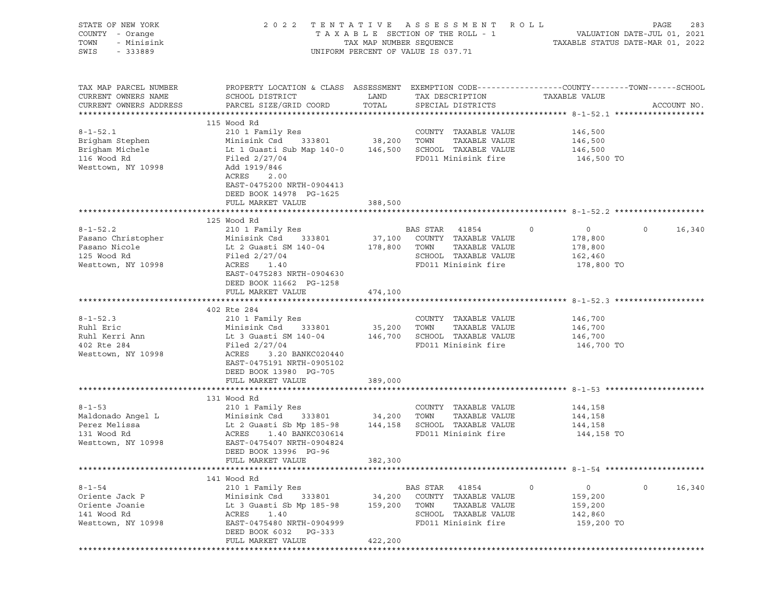| STATE OF NEW YORK<br>COUNTY - Orange<br>TOWN<br>- Minisink<br>SWIS<br>- 333889 |                                                                                                                                              | TAX MAP NUMBER SEQUENCE | 2022 TENTATIVE ASSESSMENT ROLL<br>TAXABLE SECTION OF THE ROLL - 1<br>UNIFORM PERCENT OF VALUE IS 037.71 | TAXABLE STATUS DATE-MAR 01, 2022            | PAGE<br>283<br>VALUATION DATE-JUL 01, 2021 |
|--------------------------------------------------------------------------------|----------------------------------------------------------------------------------------------------------------------------------------------|-------------------------|---------------------------------------------------------------------------------------------------------|---------------------------------------------|--------------------------------------------|
| TAX MAP PARCEL NUMBER<br>CURRENT OWNERS NAME<br>CURRENT OWNERS ADDRESS         | PROPERTY LOCATION & CLASS ASSESSMENT EXEMPTION CODE----------------COUNTY-------TOWN-----SCHOOL<br>SCHOOL DISTRICT<br>PARCEL SIZE/GRID COORD | LAND<br>TOTAL           | TAX DESCRIPTION<br>SPECIAL DISTRICTS                                                                    | TAXABLE VALUE                               | ACCOUNT NO.                                |
|                                                                                | 115 Wood Rd                                                                                                                                  |                         |                                                                                                         |                                             |                                            |
| $8 - 1 - 52.1$<br>Brigham Stephen<br>Brigham Michele<br>116 Wood Rd            | 210 1 Family Res<br>Minisink Csd<br>333801<br>Lt 1 Guasti Sub Map 140-0 146,500 SCHOOL TAXABLE VALUE<br>Filed $2/27/04$                      | 38,200 TOWN             | COUNTY TAXABLE VALUE<br>TAXABLE VALUE<br>FD011 Minisink fire                                            | 146,500<br>146,500<br>146,500<br>146,500 TO |                                            |
| Westtown, NY 10998                                                             | Add 1919/846<br>ACRES<br>2.00<br>EAST-0475200 NRTH-0904413<br>DEED BOOK 14978 PG-1625<br>FULL MARKET VALUE                                   | 388,500                 |                                                                                                         |                                             |                                            |
|                                                                                |                                                                                                                                              |                         |                                                                                                         |                                             |                                            |
|                                                                                | 125 Wood Rd                                                                                                                                  |                         |                                                                                                         |                                             |                                            |
| $8 - 1 - 52.2$<br>Fasano Christopher                                           | 210 1 Family Res<br>Minisink Csd<br>333801                                                                                                   | 37,100                  | BAS STAR 41854<br>COUNTY TAXABLE VALUE                                                                  | $\circ$<br>0<br>178,800                     | $\circ$<br>16,340                          |
| Fasano Nicole                                                                  | Lt 2 Guasti SM 140-04                                                                                                                        | 178,800                 | TOWN<br>TAXABLE VALUE                                                                                   | 178,800                                     |                                            |
| 125 Wood Rd                                                                    | Filed 2/27/04                                                                                                                                |                         | SCHOOL TAXABLE VALUE                                                                                    | 162,460                                     |                                            |
| Westtown, NY 10998                                                             | ACRES<br>1.40                                                                                                                                |                         | FD011 Minisink fire                                                                                     | 178,800 TO                                  |                                            |
|                                                                                | EAST-0475283 NRTH-0904630                                                                                                                    |                         |                                                                                                         |                                             |                                            |
|                                                                                | DEED BOOK 11662 PG-1258<br>FULL MARKET VALUE                                                                                                 | 474,100                 |                                                                                                         |                                             |                                            |
|                                                                                |                                                                                                                                              |                         |                                                                                                         |                                             |                                            |
|                                                                                | 402 Rte 284                                                                                                                                  |                         |                                                                                                         |                                             |                                            |
| $8 - 1 - 52.3$                                                                 | 210 1 Family Res                                                                                                                             |                         | COUNTY TAXABLE VALUE                                                                                    | 146,700                                     |                                            |
| Ruhl Eric                                                                      | Minisink Csd 333801                                                                                                                          | 35,200                  | TOWN<br>TAXABLE VALUE                                                                                   | 146,700                                     |                                            |
| Ruhl Kerri Ann                                                                 | Lt 3 Guasti SM 140-04                                                                                                                        |                         | 146,700 SCHOOL TAXABLE VALUE                                                                            | 146,700                                     |                                            |
| 402 Rte 284<br>Westtown, NY 10998                                              | Filed $2/27/04$<br>ACRES<br>3.20 BANKC020440<br>EAST-0475191 NRTH-0905102                                                                    |                         | FD011 Minisink fire                                                                                     | 146,700 TO                                  |                                            |
|                                                                                | DEED BOOK 13980 PG-705                                                                                                                       |                         |                                                                                                         |                                             |                                            |
|                                                                                | FULL MARKET VALUE                                                                                                                            | 389,000                 |                                                                                                         |                                             |                                            |
|                                                                                | 131 Wood Rd                                                                                                                                  |                         |                                                                                                         |                                             |                                            |
| $8 - 1 - 53$                                                                   | 210 1 Family Res                                                                                                                             |                         | COUNTY TAXABLE VALUE                                                                                    | 144,158                                     |                                            |
| Maldonado Angel L                                                              | Minisink Csd<br>333801                                                                                                                       | 34,200                  | TOWN<br>TAXABLE VALUE                                                                                   | 144,158                                     |                                            |
| Perez Melissa                                                                  | Lt 2 Guasti Sb Mp 185-98                                                                                                                     |                         | 144,158 SCHOOL TAXABLE VALUE                                                                            | 144,158                                     |                                            |
| 131 Wood Rd<br>Westtown, NY 10998                                              | ACRES<br>1.40 BANKC030614<br>EAST-0475407 NRTH-0904824<br>DEED BOOK 13996 PG-96                                                              |                         | FD011 Minisink fire                                                                                     | 144,158 TO                                  |                                            |
|                                                                                | FULL MARKET VALUE                                                                                                                            | 382,300                 |                                                                                                         |                                             |                                            |
|                                                                                | 141 Wood Rd                                                                                                                                  |                         |                                                                                                         |                                             |                                            |
| $8 - 1 - 54$                                                                   | 210 1 Family Res                                                                                                                             |                         | BAS STAR<br>41854                                                                                       | 0<br>0                                      | $\mathbf 0$<br>16,340                      |
| Oriente Jack P                                                                 | Minisink Csd<br>333801                                                                                                                       | 34,200                  | COUNTY TAXABLE VALUE                                                                                    | 159,200                                     |                                            |
| Oriente Joanie                                                                 | Lt 3 Guasti Sb Mp 185-98                                                                                                                     | 159,200                 | TOWN<br>TAXABLE VALUE                                                                                   | 159,200                                     |                                            |
| 141 Wood Rd                                                                    | ACRES<br>1.40                                                                                                                                |                         | SCHOOL TAXABLE VALUE                                                                                    | 142,860                                     |                                            |
| Westtown, NY 10998                                                             | EAST-0475480 NRTH-0904999<br>DEED BOOK 6032 PG-333                                                                                           |                         | FD011 Minisink fire                                                                                     | 159,200 TO                                  |                                            |
|                                                                                | FULL MARKET VALUE                                                                                                                            | 422,200                 |                                                                                                         |                                             |                                            |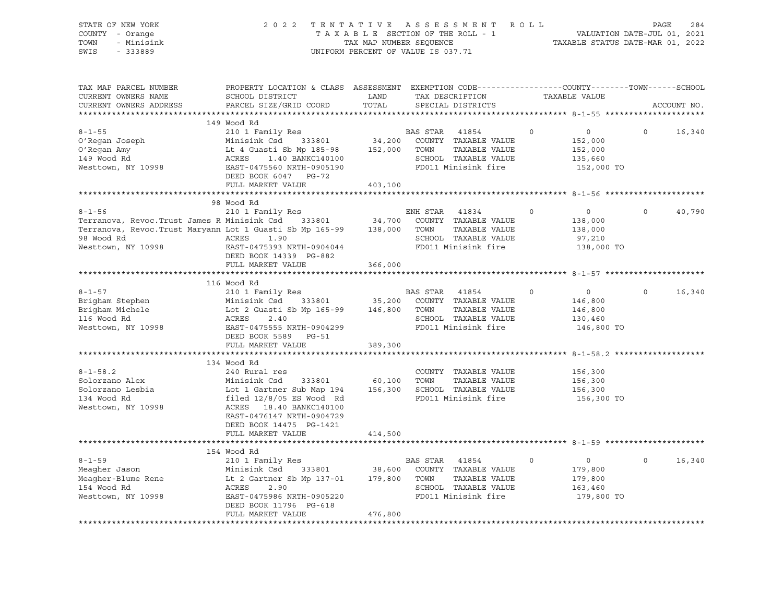| STATE OF NEW YORK<br>COUNTY - Orange<br>- Minisink<br>TOWN<br>SWIS<br>$-333889$ | 2 0 2 2                                                                                                                                      | TENTATIVE<br>TAXABLE SECTION OF THE ROLL - 1<br>TAX MAP NUMBER SEQUENCE<br>UNIFORM PERCENT OF VALUE IS 037.71 |              | ASSESSMENT ROLL                       |             | VALUATION DATE-JUL 01, 2021<br>TAXABLE STATUS DATE-MAR 01, 2022 | PAGE     | 284         |
|---------------------------------------------------------------------------------|----------------------------------------------------------------------------------------------------------------------------------------------|---------------------------------------------------------------------------------------------------------------|--------------|---------------------------------------|-------------|-----------------------------------------------------------------|----------|-------------|
| TAX MAP PARCEL NUMBER<br>CURRENT OWNERS NAME<br>CURRENT OWNERS ADDRESS          | PROPERTY LOCATION & CLASS ASSESSMENT EXEMPTION CODE----------------COUNTY-------TOWN-----SCHOOL<br>SCHOOL DISTRICT<br>PARCEL SIZE/GRID COORD | LAND<br>TOTAL                                                                                                 |              | TAX DESCRIPTION<br>SPECIAL DISTRICTS  |             | TAXABLE VALUE                                                   |          | ACCOUNT NO. |
|                                                                                 | 149 Wood Rd                                                                                                                                  |                                                                                                               |              |                                       |             |                                                                 |          |             |
| $8 - 1 - 55$                                                                    | 210 1 Family Res                                                                                                                             |                                                                                                               | BAS STAR     | 41854                                 | $\circ$     | $0 \qquad \qquad$                                               | $\circ$  | 16,340      |
| O'Regan Joseph                                                                  | Minisink Csd 333801                                                                                                                          | 34,200                                                                                                        |              | COUNTY TAXABLE VALUE                  |             | 152,000                                                         |          |             |
| O'Regan Amy                                                                     | Lt 4 Guasti Sb Mp 185-98                                                                                                                     | 152,000 TOWN                                                                                                  |              | TAXABLE VALUE                         |             | 152,000                                                         |          |             |
| 149 Wood Rd                                                                     | 3ti Sb Mp 100 00<br>1.40 BANKC140100<br>ACRES                                                                                                |                                                                                                               |              | SCHOOL TAXABLE VALUE                  |             | 135,660                                                         |          |             |
| Westtown, NY 10998                                                              | EAST-0475560 NRTH-0905190                                                                                                                    |                                                                                                               |              | FD011 Minisink fire                   |             | 152,000 TO                                                      |          |             |
|                                                                                 | DEED BOOK 6047 PG-72                                                                                                                         |                                                                                                               |              |                                       |             |                                                                 |          |             |
|                                                                                 | FULL MARKET VALUE                                                                                                                            | 403,100                                                                                                       |              |                                       |             |                                                                 |          |             |
|                                                                                 |                                                                                                                                              |                                                                                                               |              |                                       |             |                                                                 |          |             |
|                                                                                 | 98 Wood Rd                                                                                                                                   |                                                                                                               |              |                                       |             |                                                                 |          |             |
| $8 - 1 - 56$                                                                    | 210 1 Family Res                                                                                                                             |                                                                                                               | ENH STAR     | 41834                                 | $\mathbf 0$ | $\circ$                                                         | $\circ$  | 40,790      |
| Terranova, Revoc. Trust James R Minisink Csd 333801 34,700                      |                                                                                                                                              |                                                                                                               |              | COUNTY TAXABLE VALUE                  |             | 138,000                                                         |          |             |
| Terranova, Revoc. Trust Maryann Lot 1 Guasti Sb Mp 165-99 138,000<br>98 Wood Rd | ACRES<br>1.90                                                                                                                                |                                                                                                               | TOWN         | TAXABLE VALUE<br>SCHOOL TAXABLE VALUE |             | 138,000                                                         |          |             |
| Westtown, NY 10998                                                              | EAST-0475393 NRTH-0904044                                                                                                                    |                                                                                                               |              | FD011 Minisink fire                   |             | 97,210<br>138,000 TO                                            |          |             |
|                                                                                 | DEED BOOK 14339 PG-882                                                                                                                       |                                                                                                               |              |                                       |             |                                                                 |          |             |
|                                                                                 | FULL MARKET VALUE                                                                                                                            | 366,000                                                                                                       |              |                                       |             |                                                                 |          |             |
|                                                                                 |                                                                                                                                              |                                                                                                               |              |                                       |             |                                                                 |          |             |
|                                                                                 | 116 Wood Rd                                                                                                                                  |                                                                                                               |              |                                       |             |                                                                 |          |             |
| $8 - 1 - 57$                                                                    | 210 1 Family Res                                                                                                                             |                                                                                                               | BAS STAR     | 41854                                 | $\Omega$    | $\overline{0}$                                                  | $\Omega$ | 16,340      |
| Brigham Stephen                                                                 | Minisink Csd 333801 35,200                                                                                                                   |                                                                                                               |              | COUNTY TAXABLE VALUE                  |             | 146,800                                                         |          |             |
| Brigham Michele                                                                 | Minisink Csd 333801 35,200<br>Lot 2 Guasti Sb Mp 165-99 146,800<br>ACRES 2 40                                                                |                                                                                                               | TOWN         | TAXABLE VALUE                         |             | 146,800                                                         |          |             |
| 116 Wood Rd                                                                     | ACRES<br>2.40                                                                                                                                |                                                                                                               |              | SCHOOL TAXABLE VALUE                  |             | 130,460                                                         |          |             |
| Westtown, NY 10998                                                              | EAST-0475555 NRTH-0904299                                                                                                                    |                                                                                                               |              | FD011 Minisink fire                   |             | 146,800 TO                                                      |          |             |
|                                                                                 | DEED BOOK 5589 PG-51<br>FULL MARKET VALUE                                                                                                    | 389,300                                                                                                       |              |                                       |             |                                                                 |          |             |
|                                                                                 |                                                                                                                                              |                                                                                                               |              |                                       |             | ********************** 8-1-58.2 ****                            |          |             |
|                                                                                 | 134 Wood Rd                                                                                                                                  |                                                                                                               |              |                                       |             |                                                                 |          |             |
| $8 - 1 - 58.2$                                                                  | 240 Rural res                                                                                                                                |                                                                                                               |              | COUNTY TAXABLE VALUE                  |             | 156,300                                                         |          |             |
| Solorzano Alex                                                                  | Minisink Csd<br>333801                                                                                                                       | 60,100                                                                                                        | TOWN         | TAXABLE VALUE                         |             | 156,300                                                         |          |             |
| Solorzano Lesbia                                                                | Lot 1 Gartner Sub Map 194                                                                                                                    |                                                                                                               |              | 156,300 SCHOOL TAXABLE VALUE          |             | 156,300                                                         |          |             |
| 134 Wood Rd                                                                     | filed $12/8/05$ ES Wood Rd                                                                                                                   |                                                                                                               |              | FD011 Minisink fire                   |             | 156,300 TO                                                      |          |             |
| Westtown, NY 10998                                                              | ACRES 18.40 BANKC140100                                                                                                                      |                                                                                                               |              |                                       |             |                                                                 |          |             |
|                                                                                 | EAST-0476147 NRTH-0904729                                                                                                                    |                                                                                                               |              |                                       |             |                                                                 |          |             |
|                                                                                 | DEED BOOK 14475 PG-1421                                                                                                                      |                                                                                                               |              |                                       |             |                                                                 |          |             |
|                                                                                 | FULL MARKET VALUE<br>****************************                                                                                            | 414,500                                                                                                       |              |                                       |             |                                                                 |          |             |
|                                                                                 | 154 Wood Rd                                                                                                                                  |                                                                                                               |              |                                       |             |                                                                 |          |             |
| $8 - 1 - 59$                                                                    | 210 1 Family Res                                                                                                                             |                                                                                                               | BAS STAR     | 41854                                 | $\Omega$    | 0                                                               | $\Omega$ | 16,340      |
| Meagher Jason                                                                   | 333801 38,600<br>Minisink Csd                                                                                                                |                                                                                                               |              | COUNTY TAXABLE VALUE                  |             | 179,800                                                         |          |             |
| Meagher-Blume Rene                                                              | Minisink Csd      333801<br>Lt 2 Gartner Sb Mp 137-01                                                                                        |                                                                                                               | 179,800 TOWN | TAXABLE VALUE                         |             | 179,800                                                         |          |             |
| 154 Wood Rd                                                                     | ACRES<br>2.90                                                                                                                                |                                                                                                               |              | SCHOOL TAXABLE VALUE                  |             | 163,460                                                         |          |             |
| Westtown, NY 10998                                                              | EAST-0475986 NRTH-0905220                                                                                                                    |                                                                                                               |              | FD011 Minisink fire                   |             | 179,800 TO                                                      |          |             |
|                                                                                 | DEED BOOK 11796 PG-618                                                                                                                       |                                                                                                               |              |                                       |             |                                                                 |          |             |
|                                                                                 | FULL MARKET VALUE                                                                                                                            | 476,800                                                                                                       |              |                                       |             |                                                                 |          |             |
|                                                                                 |                                                                                                                                              |                                                                                                               |              |                                       |             |                                                                 |          |             |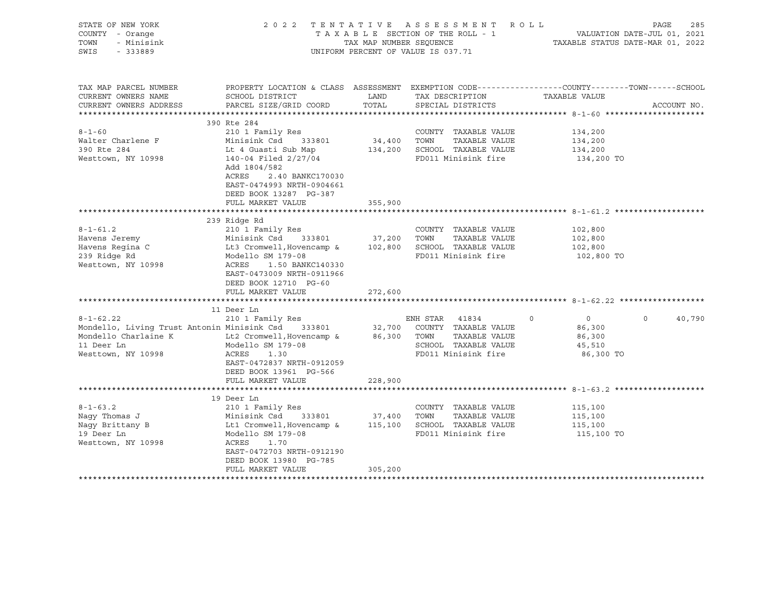| STATE OF NEW YORK<br>COUNTY - Orange<br>TOWN<br>- Minisink<br>SWIS<br>$-333889$ |                                                                                                                           |               | 2022 TENTATIVE ASSESSMENT ROLL<br>UNIFORM PERCENT OF VALUE IS 037.71 | PAGE<br>285                                                                                                                    |
|---------------------------------------------------------------------------------|---------------------------------------------------------------------------------------------------------------------------|---------------|----------------------------------------------------------------------|--------------------------------------------------------------------------------------------------------------------------------|
| TAX MAP PARCEL NUMBER<br>CURRENT OWNERS NAME<br>CURRENT OWNERS ADDRESS          | SCHOOL DISTRICT<br>PARCEL SIZE/GRID COORD                                                                                 | LAND<br>TOTAL | TAX DESCRIPTION<br>SPECIAL DISTRICTS                                 | PROPERTY LOCATION & CLASS ASSESSMENT EXEMPTION CODE---------------COUNTY-------TOWN-----SCHOOL<br>TAXABLE VALUE<br>ACCOUNT NO. |
|                                                                                 | 390 Rte 284                                                                                                               |               |                                                                      |                                                                                                                                |
| $8 - 1 - 60$                                                                    | 210 1 Family Res                                                                                                          |               | COUNTY TAXABLE VALUE                                                 | 134,200                                                                                                                        |
| Walter Charlene F                                                               | Minisink Csd 333801                                                                                                       | 34,400 TOWN   | TAXABLE VALUE                                                        | 134,200                                                                                                                        |
| 390 Rte 284                                                                     | Lt 4 Guasti Sub Map                                                                                                       |               | 134,200 SCHOOL TAXABLE VALUE                                         | 134,200                                                                                                                        |
| Westtown, NY 10998                                                              | 140-04 Filed 2/27/04<br>Add 1804/582<br>ACRES<br>2.40 BANKC170030<br>EAST-0474993 NRTH-0904661<br>DEED BOOK 13287 PG-387  |               | FD011 Minisink fire                                                  | 134,200 TO                                                                                                                     |
|                                                                                 | FULL MARKET VALUE                                                                                                         | 355,900       |                                                                      |                                                                                                                                |
|                                                                                 |                                                                                                                           |               |                                                                      |                                                                                                                                |
|                                                                                 | 239 Ridge Rd                                                                                                              |               |                                                                      |                                                                                                                                |
| $8 - 1 - 61.2$                                                                  | 210 1 Family Res                                                                                                          |               | COUNTY TAXABLE VALUE                                                 | 102,800                                                                                                                        |
| Havens Jeremy                                                                   | Minisink Csd 333801                                                                                                       | 37,200 TOWN   | TAXABLE VALUE                                                        | 102,800                                                                                                                        |
| Havens Regina C                                                                 | Lt3 Cromwell, Hovencamp &                                                                                                 |               | 102,800 SCHOOL TAXABLE VALUE                                         | 102,800                                                                                                                        |
| 239 Ridge Rd<br>Westtown, NY 10998                                              | Modello SM 179-08<br>ACRES<br>1.50 BANKC140330<br>EAST-0473009 NRTH-0911966<br>DEED BOOK 12710 PG-60<br>FULL MARKET VALUE | 272,600       | FD011 Minisink fire                                                  | 102,800 TO                                                                                                                     |
|                                                                                 |                                                                                                                           |               |                                                                      |                                                                                                                                |
|                                                                                 | 11 Deer Ln                                                                                                                |               |                                                                      |                                                                                                                                |
| $8 - 1 - 62.22$                                                                 | 210 1 Family Res                                                                                                          |               | ENH STAR 41834                                                       | $\circ$<br>40,790<br>$\circ$<br>$\overline{0}$                                                                                 |
| Mondello, Living Trust Antonin Minisink Csd 333801                              |                                                                                                                           |               | 32,700 COUNTY TAXABLE VALUE                                          | 86,300                                                                                                                         |
| Mondello Charlaine K                                                            | Lt2 Cromwell, Hovencamp &                                                                                                 |               | 86,300 TOWN<br>TAXABLE VALUE                                         | 86,300                                                                                                                         |
| 11 Deer Ln                                                                      | Modello SM 179-08                                                                                                         |               | SCHOOL TAXABLE VALUE                                                 | 45,510                                                                                                                         |
| Westtown, NY 10998                                                              | ACRES<br>1.30<br>EAST-0472837 NRTH-0912059<br>DEED BOOK 13961 PG-566                                                      |               | FD011 Minisink fire                                                  | 86,300 TO                                                                                                                      |
|                                                                                 | FULL MARKET VALUE                                                                                                         | 228,900       |                                                                      |                                                                                                                                |
|                                                                                 |                                                                                                                           |               |                                                                      |                                                                                                                                |
|                                                                                 | 19 Deer Ln                                                                                                                |               |                                                                      |                                                                                                                                |
| $8 - 1 - 63.2$                                                                  | 210 1 Family Res                                                                                                          |               | COUNTY TAXABLE VALUE                                                 | 115,100                                                                                                                        |
| Naqy Thomas J                                                                   | 333801<br>Minisink Csu<br>Lt1 Cromwell, Hovencamp &                                                                       |               | 37,400 TOWN TAXABLE VALUE<br>115,100 SCHOOL TAXABLE VALUE            | 115,100                                                                                                                        |
| Nagy Brittany B                                                                 |                                                                                                                           |               |                                                                      | 115,100                                                                                                                        |
| 19 Deer Ln                                                                      | Modello SM 179-08                                                                                                         |               | FD011 Minisink fire                                                  | 115,100 TO                                                                                                                     |
| Westtown, NY 10998                                                              | ACRES<br>1.70<br>EAST-0472703 NRTH-0912190                                                                                |               |                                                                      |                                                                                                                                |
|                                                                                 | DEED BOOK 13980 PG-785                                                                                                    |               |                                                                      |                                                                                                                                |
|                                                                                 | FULL MARKET VALUE                                                                                                         | 305,200       |                                                                      |                                                                                                                                |
|                                                                                 |                                                                                                                           |               |                                                                      |                                                                                                                                |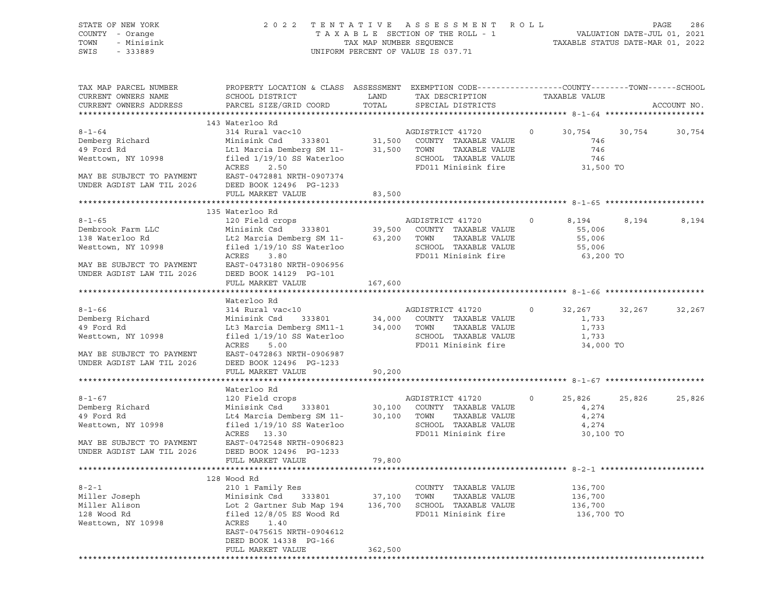| STATE OF NEW YORK<br>COUNTY - Orange<br>TOWN<br>- Minisink<br>SWIS<br>$-333889$                                                                                                                                                                                                                                                                                |                                                                                                                                                                                                                                                                                                                                        |                              | 2022 TENTATIVE ASSESSMENT ROLL<br>TAXABLE SECTION OF THE ROLL - 1<br>TAXABLE STATUS DATE-JUL 01, 2021<br>TAXABLE STATUS DATE-MAR 01, 2022<br>UNIFORM PERCENT OF VALUE IS 037.71 |               |                                                             | PAGE<br>286 |
|----------------------------------------------------------------------------------------------------------------------------------------------------------------------------------------------------------------------------------------------------------------------------------------------------------------------------------------------------------------|----------------------------------------------------------------------------------------------------------------------------------------------------------------------------------------------------------------------------------------------------------------------------------------------------------------------------------------|------------------------------|---------------------------------------------------------------------------------------------------------------------------------------------------------------------------------|---------------|-------------------------------------------------------------|-------------|
| TAX MAP PARCEL NUMBER<br>CURRENT OWNERS NAME<br>CURRENT OWNERS ADDRESS                                                                                                                                                                                                                                                                                         | PROPERTY LOCATION & CLASS ASSESSMENT EXEMPTION CODE----------------COUNTY-------TOWN-----SCHOOL<br>SCHOOL DISTRICT<br>PARCEL SIZE/GRID COORD                                                                                                                                                                                           | LAND<br>TOTAL                | TAX DESCRIPTION<br>SPECIAL DISTRICTS                                                                                                                                            | TAXABLE VALUE |                                                             | ACCOUNT NO. |
| 8-1-64<br>Bemberg Richard 314 Rural vac<10<br>49 Ford Rd Lt1 Marcia Demberg SM 11-<br>Westtown, NY 10998<br>1.500 TOWN TAXABLE VALUE<br>Mesttown, NY 10998<br>1.500 TOWN TAXABLE VALUE<br>TAXABLE VALUE<br>TAXABLE VALUE<br>TAXABLE VALUE<br>TAXAB<br>MAY BE SUBJECT TO PAYMENT EAST-0472881 NRTH-0907374<br>UNDER AGDIST LAW TIL 2026 DEED BOOK 12496 PG-1233 | 143 Waterloo Rd<br>ACRES 2.50<br>FULL MARKET VALUE                                                                                                                                                                                                                                                                                     | 83,500                       | FD011 Minisink fire 31,500 TO                                                                                                                                                   |               | $0 \t 30,754 \t 30,754$<br>746<br>746<br>746                | 30,754      |
| $8 - 1 - 65$<br>Dembrook Farm LLC<br>138 Waterloo Rd<br>138 Waterloo Rd<br>138 Waterloo Rd<br>138 Waterloo Rd<br>12 Marcia Demberg SM 11-<br>138 Waterloo SCHOOL TAXABLE VALUE<br>138 Waterloo SCHOOL TAXABLE VALUE<br>MAY BE SUBJECT TO PAYMENT EAST-0473180 NRTH-0906956<br>UNDER AGDIST LAW TIL 2026                                                        | 135 Waterloo Rd<br>ACRES<br>3.80<br>DEED BOOK 14129 PG-101<br>FULL MARKET VALUE                                                                                                                                                                                                                                                        | 167,600                      | FD011 Minisink fire                                                                                                                                                             | $\circ$       | 8,194<br>8,194<br>55,006<br>55,006<br>55,006<br>63,200 TO   | 8,194       |
| $8 - 1 - 66$<br>Demberg Richard<br>49 Ford Rd<br>Westtown, NY 10998<br>MAY BE SUBJECT TO PAYMENT<br>UNDER AGDIST LAW TIL 2026                                                                                                                                                                                                                                  | Waterloo Rd<br>WATERIOU KONTRACKS AND MANUSCRIPT AND ANONE THAT AND MANUSCRIPT AND MANUSCRIPT AND MANUSCRIPT ON MANUSCRIPT ON MANUSCRIPT ON MANUSCRIPT AND MANUSCRIPT ON MANUSCRIPT ON MANUSCRIPT ON MANUSCRIPT ON MANUSCRIPT ON MANUSCRIPT O<br>ACRES<br>5.00<br>EAST-0472863 NRTH-0906987<br>DEED BOOK 12496 PG-1233                 |                              | SCHOOL TAXABLE VALUE<br>FD011 Minisink fire                                                                                                                                     |               | 0 $32,267$ $32,267$<br>1,733<br>1,733<br>1,733<br>34,000 TO | 32,267      |
|                                                                                                                                                                                                                                                                                                                                                                | FULL MARKET VALUE                                                                                                                                                                                                                                                                                                                      | 90,200                       |                                                                                                                                                                                 |               |                                                             |             |
| $8 - 1 - 67$<br>Demberg Richard<br>49 Ford Rd<br>Westtown, NY 10998<br>MAY BE SUBJECT TO PAYMENT<br>UNDER AGDIST LAW TIL 2026                                                                                                                                                                                                                                  | Waterloo Rd<br>120 Field crops                           AGDISTRICT 41720               0<br>Minisink Csd     333801               30,100   COUNTY   TAXABLE VALUE<br>Lt4 Marcia Demberg SM 11-<br>filed 1/19/10 SS Waterloo SCHOOL SCHOOL<br>ACRES 13.30<br>EAST-0472548 NRTH-0906823<br>DEED BOOK 12496 PG-1233<br>FULL MARKET VALUE | 79,800                       | TAXABLE VALUE<br>SCHOOL TAXABLE VALUE<br>FD011 Minisink fire                                                                                                                    |               | 25,826<br>25,826<br>4,274<br>4,274<br>4,274<br>30,100 TO    | 25,826      |
|                                                                                                                                                                                                                                                                                                                                                                |                                                                                                                                                                                                                                                                                                                                        |                              |                                                                                                                                                                                 |               |                                                             |             |
| $8 - 2 - 1$<br>Miller Joseph<br>Miller Alison<br>128 Wood Rd<br>Westtown, NY 10998                                                                                                                                                                                                                                                                             | 128 Wood Rd<br>210 1 Family Res<br>Minisink Csd<br>333801<br>Lot 2 Gartner Sub Map 194<br>filed $12/8/05$ ES Wood Rd<br>ACRES<br>1.40<br>EAST-0475615 NRTH-0904612<br>DEED BOOK 14338 PG-166<br>FULL MARKET VALUE                                                                                                                      | 37,100<br>136,700<br>362,500 | COUNTY TAXABLE VALUE<br>TOWN<br>TAXABLE VALUE<br>SCHOOL TAXABLE VALUE<br>FD011 Minisink fire                                                                                    |               | 136,700<br>136,700<br>136,700<br>136,700 TO                 |             |
|                                                                                                                                                                                                                                                                                                                                                                |                                                                                                                                                                                                                                                                                                                                        |                              |                                                                                                                                                                                 |               |                                                             |             |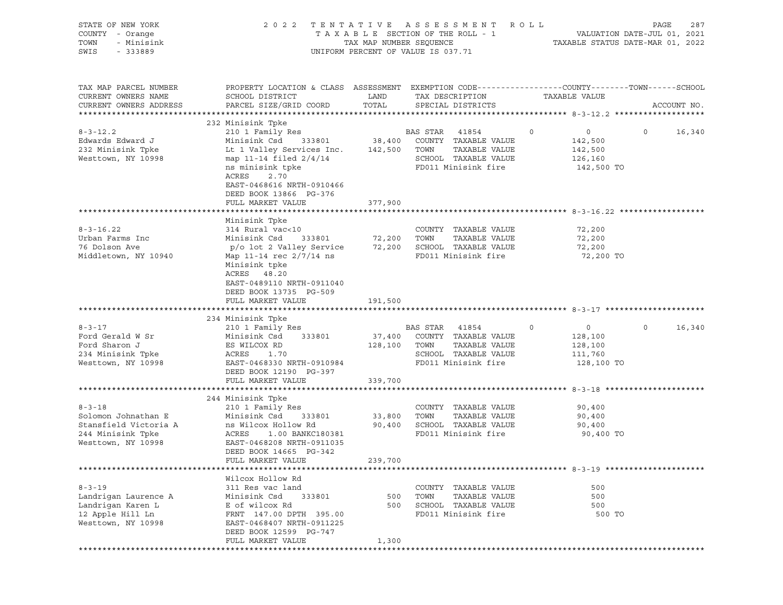| STATE OF NEW YORK<br>COUNTY - Orange<br>TOWN<br>- Minisink<br>SWIS<br>$-333889$ | 2022 TENTATIVE ASSESSMENT ROLL                                                                        | UNIFORM PERCENT OF VALUE IS 037.71 |                | T A X A B L E SECTION OF THE ROLL - 1 VALUATION DATE-JUL 01, 2021<br>TAX MAP NUMBER SEQUENCE TAXABLE STATUS DATE-MAR 01, 2022 |         |                   | PAGE    | 287         |
|---------------------------------------------------------------------------------|-------------------------------------------------------------------------------------------------------|------------------------------------|----------------|-------------------------------------------------------------------------------------------------------------------------------|---------|-------------------|---------|-------------|
| TAX MAP PARCEL NUMBER                                                           | PROPERTY LOCATION & CLASS ASSESSMENT EXEMPTION CODE----------------COUNTY-------TOWN------SCHOOL      |                                    |                |                                                                                                                               |         |                   |         |             |
| CURRENT OWNERS NAME                                                             | SCHOOL DISTRICT                                                                                       | LAND                               |                | TAX DESCRIPTION TAXABLE VALUE                                                                                                 |         |                   |         |             |
| CURRENT OWNERS ADDRESS                                                          | PARCEL SIZE/GRID COORD                                                                                | TOTAL                              |                | SPECIAL DISTRICTS                                                                                                             |         |                   |         | ACCOUNT NO. |
|                                                                                 | 232 Minisink Tpke                                                                                     |                                    |                |                                                                                                                               |         |                   |         |             |
| $8 - 3 - 12.2$                                                                  | 210 1 Family Res                                                                                      |                                    | BAS STAR 41854 |                                                                                                                               | $\circ$ | $\overline{0}$    | $\circ$ | 16,340      |
| Edwards Edward J                                                                | Minisink Csd                                                                                          |                                    |                | 333801 38,400 COUNTY TAXABLE VALUE                                                                                            |         | 142,500           |         |             |
| 232 Minisink Tpke                                                               | Lt 1 Valley Services Inc. 142,500 TOWN TAXABLE VALUE                                                  |                                    |                |                                                                                                                               |         | 142,500           |         |             |
| Westtown, NY 10998                                                              | map 11-14 filed $2/4/14$                                                                              |                                    |                | SCHOOL TAXABLE VALUE                                                                                                          |         | 126,160           |         |             |
|                                                                                 | ns minisink tpke<br>2.70<br>ACRES                                                                     |                                    |                | FD011 Minisink fire                                                                                                           |         | 142,500 TO        |         |             |
|                                                                                 | EAST-0468616 NRTH-0910466                                                                             |                                    |                |                                                                                                                               |         |                   |         |             |
|                                                                                 | DEED BOOK 13866 PG-376<br>FULL MARKET VALUE                                                           | 377,900                            |                |                                                                                                                               |         |                   |         |             |
|                                                                                 |                                                                                                       |                                    |                |                                                                                                                               |         |                   |         |             |
|                                                                                 | Minisink Tpke                                                                                         |                                    |                |                                                                                                                               |         |                   |         |             |
| $8 - 3 - 16.22$                                                                 | 314 Rural vac<10                                                                                      |                                    |                | COUNTY TAXABLE VALUE                                                                                                          |         | 72,200            |         |             |
| Urban Farms Inc                                                                 |                                                                                                       |                                    |                |                                                                                                                               |         | 72,200            |         |             |
| 76 Dolson Ave                                                                   | Minisink Csd 333801 72,200 TOWN TAXABLE VALUE<br>p/o lot 2 Valley Service 72,200 SCHOOL TAXABLE VALUE |                                    |                |                                                                                                                               |         | 72,200            |         |             |
| Middletown, NY 10940                                                            | Map 11-14 rec 2/7/14 ns<br>Minisink tpke<br>ACRES 48.20                                               |                                    |                | FD011 Minisink fire                                                                                                           |         | 72,200 TO         |         |             |
|                                                                                 | EAST-0489110 NRTH-0911040<br>DEED BOOK 13735 PG-509                                                   |                                    |                |                                                                                                                               |         |                   |         |             |
|                                                                                 | FULL MARKET VALUE                                                                                     | 191,500                            |                |                                                                                                                               |         |                   |         |             |
|                                                                                 | 234 Minisink Tpke                                                                                     |                                    |                |                                                                                                                               |         |                   |         |             |
| $8 - 3 - 17$                                                                    | 210 1 Family Res                                                                                      |                                    | BAS STAR 41854 |                                                                                                                               | $\circ$ | $0 \qquad \qquad$ | $\circ$ | 16,340      |
| Ford Gerald W Sr                                                                | Minisink Csd 333801                                                                                   |                                    |                | 37,400 COUNTY TAXABLE VALUE                                                                                                   |         | 128,100           |         |             |
| Ford Sharon J                                                                   | ES WILCOX RD                                                                                          | 128,100 TOWN                       |                | TAXABLE VALUE                                                                                                                 |         | 128,100           |         |             |
| 234 Minisink Tpke                                                               | ACRES<br>1.70                                                                                         |                                    |                | SCHOOL TAXABLE VALUE                                                                                                          |         | 111,760           |         |             |
| Westtown, NY 10998                                                              | EAST-0468330 NRTH-0910984<br>DEED BOOK 12190 PG-397                                                   |                                    |                | FD011 Minisink fire                                                                                                           |         | 128,100 TO        |         |             |
|                                                                                 | FULL MARKET VALUE                                                                                     | 339,700                            |                |                                                                                                                               |         |                   |         |             |
|                                                                                 |                                                                                                       |                                    |                |                                                                                                                               |         |                   |         |             |
| $8 - 3 - 18$                                                                    | 244 Minisink Tpke                                                                                     |                                    |                | COUNTY TAXABLE VALUE                                                                                                          |         | 90,400            |         |             |
| Solomon Johnathan E                                                             | 210 1 Family Res<br>Minisink Csd<br>333801                                                            | 33,800 TOWN                        |                | TAXABLE VALUE                                                                                                                 |         | 90,400            |         |             |
| Stansfield Victoria A                                                           | ns Wilcox Hollow Rd                                                                                   |                                    |                | 90,400 SCHOOL TAXABLE VALUE                                                                                                   |         | 90,400            |         |             |
| 244 Minisink Tpke                                                               | ACRES 1.00 BANKC180381                                                                                |                                    |                | FD011 Minisink fire                                                                                                           |         | 90,400 TO         |         |             |
| Westtown, NY 10998                                                              | EAST-0468208 NRTH-0911035<br>DEED BOOK 14665 PG-342                                                   |                                    |                |                                                                                                                               |         |                   |         |             |
|                                                                                 | FULL MARKET VALUE                                                                                     | 239,700                            |                |                                                                                                                               |         |                   |         |             |
|                                                                                 |                                                                                                       |                                    |                |                                                                                                                               |         |                   |         |             |
|                                                                                 | Wilcox Hollow Rd                                                                                      |                                    |                |                                                                                                                               |         |                   |         |             |
| $8 - 3 - 19$                                                                    | 311 Res vac land                                                                                      |                                    |                | COUNTY TAXABLE VALUE                                                                                                          |         | 500               |         |             |
| Landrigan Laurence A                                                            | Minisink Csd<br>333801                                                                                | 500                                | TOWN           | TAXABLE VALUE                                                                                                                 |         | 500               |         |             |
| Landrigan Karen L                                                               | E of wilcox Rd                                                                                        | 500                                |                | SCHOOL TAXABLE VALUE                                                                                                          |         | 500               |         |             |
| 12 Apple Hill Ln<br>Westtown, NY 10998                                          | FRNT 147.00 DPTH 395.00<br>EAST-0468407 NRTH-0911225<br>DEED BOOK 12599 PG-747                        |                                    |                | FD011 Minisink fire                                                                                                           |         | 500 TO            |         |             |
|                                                                                 | FULL MARKET VALUE                                                                                     | 1,300                              |                |                                                                                                                               |         |                   |         |             |
|                                                                                 |                                                                                                       |                                    |                |                                                                                                                               |         |                   |         |             |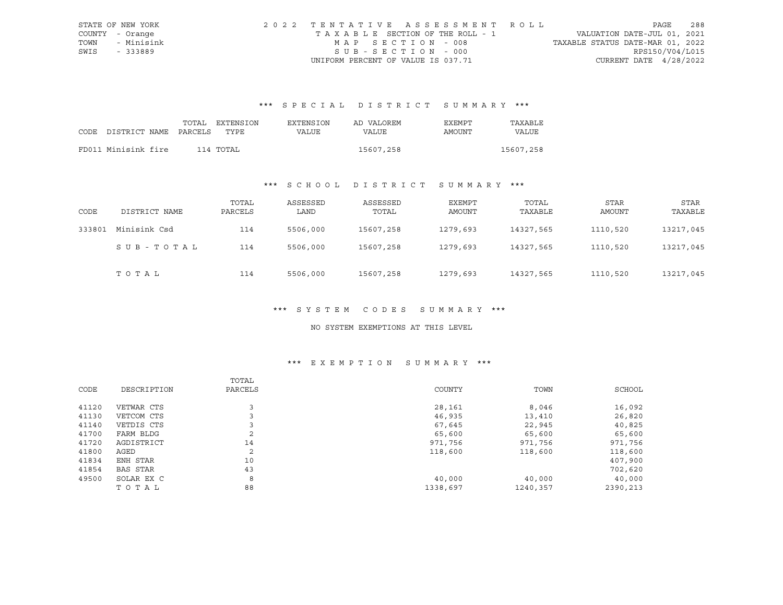|      | STATE OF NEW YORK | 2022 TENTATIVE ASSESSMENT ROLL        |                                  | PAGE            | 288 |
|------|-------------------|---------------------------------------|----------------------------------|-----------------|-----|
|      | COUNTY - Orange   | T A X A B L E SECTION OF THE ROLL - 1 | VALUATION DATE-JUL 01, 2021      |                 |     |
| TOWN | - Minisink        | MAP SECTION - 008                     | TAXABLE STATUS DATE-MAR 01, 2022 |                 |     |
| SWIS | - 333889          | SUB-SECTION - 000                     |                                  | RPS150/V04/L015 |     |
|      |                   | UNIFORM PERCENT OF VALUE IS 037.71    | CURRENT DATE $4/28/2022$         |                 |     |

# \*\*\* S P E C I A L D I S T R I C T S U M M A R Y \*\*\*

|                            | TOTAL | EXTENSION | EXTENSION | AD VALOREM | <b>EXEMPT</b> | TAXABLE   |
|----------------------------|-------|-----------|-----------|------------|---------------|-----------|
| CODE DISTRICT NAME PARCELS |       | TYPE      | VALUE     | VALUE      | AMOUNT        | VALUE     |
|                            |       |           |           |            |               |           |
| FD011 Minisink fire        |       | 114 TOTAL |           | 15607,258  |               | 15607,258 |

## \*\*\* S C H O O L D I S T R I C T S U M M A R Y \*\*\*

| CODE   | DISTRICT NAME | TOTAL<br>PARCELS | ASSESSED<br>LAND | ASSESSED<br>TOTAL | EXEMPT<br>AMOUNT | TOTAL<br>TAXABLE | STAR<br>AMOUNT | STAR<br>TAXABLE |
|--------|---------------|------------------|------------------|-------------------|------------------|------------------|----------------|-----------------|
| 333801 | Minisink Csd  | 114              | 5506,000         | 15607,258         | 1279,693         | 14327,565        | 1110,520       | 13217,045       |
|        | SUB-TOTAL     | 114              | 5506,000         | 15607,258         | 1279,693         | 14327,565        | 1110,520       | 13217,045       |
|        | TOTAL         | 114              | 5506,000         | 15607,258         | 1279,693         | 14327,565        | 1110,520       | 13217,045       |

#### \*\*\* S Y S T E M C O D E S S U M M A R Y \*\*\*

#### NO SYSTEM EXEMPTIONS AT THIS LEVEL

## \*\*\* E X E M P T I O N S U M M A R Y \*\*\*

|       |                 | TOTAL   |          |          |          |
|-------|-----------------|---------|----------|----------|----------|
| CODE  | DESCRIPTION     | PARCELS | COUNTY   | TOWN     | SCHOOL   |
|       |                 |         |          |          |          |
| 41120 | VETWAR CTS      |         | 28,161   | 8,046    | 16,092   |
| 41130 | VETCOM CTS      |         | 46,935   | 13,410   | 26,820   |
| 41140 | VETDIS CTS      |         | 67,645   | 22,945   | 40,825   |
| 41700 | FARM BLDG       | 2       | 65,600   | 65,600   | 65,600   |
| 41720 | AGDISTRICT      | 14      | 971,756  | 971,756  | 971,756  |
| 41800 | AGED            | 2       | 118,600  | 118,600  | 118,600  |
| 41834 | ENH STAR        | 10      |          |          | 407,900  |
| 41854 | <b>BAS STAR</b> | 43      |          |          | 702,620  |
| 49500 | SOLAR EX C      | 8       | 40,000   | 40,000   | 40,000   |
|       | TOTAL           | 88      | 1338,697 | 1240,357 | 2390,213 |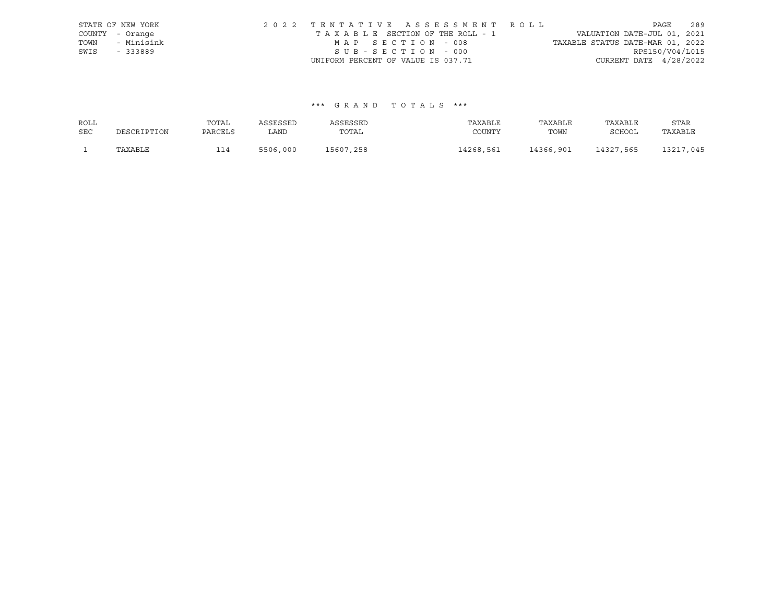|      | STATE OF NEW YORK |                                    | 2022 TENTATIVE ASSESSMENT ROLL  |                                  | PAGE                        | 289 |
|------|-------------------|------------------------------------|---------------------------------|----------------------------------|-----------------------------|-----|
|      | COUNTY - Orange   |                                    | TAXABLE SECTION OF THE ROLL - 1 |                                  | VALUATION DATE-JUL 01, 2021 |     |
| TOWN | - Minisink        | MAP SECTION - 008                  |                                 | TAXABLE STATUS DATE-MAR 01, 2022 |                             |     |
| SWIS | - 333889          | SUB-SECTION - 000                  |                                 |                                  | RPS150/V04/L015             |     |
|      |                   | UNIFORM PERCENT OF VALUE IS 037.71 |                                 |                                  | CURRENT DATE $4/28/2022$    |     |

## \*\*\* G R A N D T O T A L S \*\*\*

| ROLL       |             | TOTAL   | ASSESSED | ASSESSED  | TAXABLE   | TAXABLE   | TAXABLE   | STAR      |
|------------|-------------|---------|----------|-----------|-----------|-----------|-----------|-----------|
| <b>SEC</b> | DESCRIPTION | PARCELS | LAND     | TOTAL     | COUNTY    | TOWN      | SCHOOL    | TAXABLE   |
|            | TAXABLE     | 114     | 5506,000 | 15607,258 | 14268.561 | 14366,901 | 14327,565 | 13217,045 |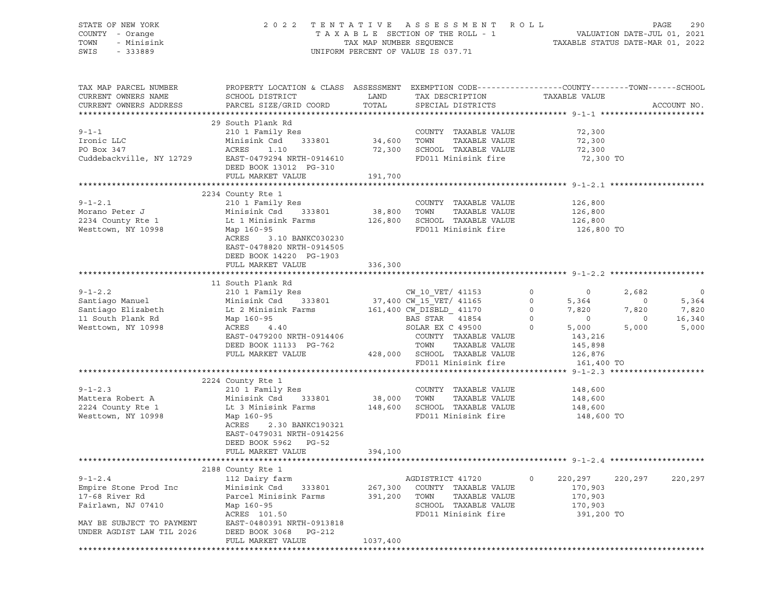| STATE OF NEW YORK<br>COUNTY - Orange<br>TOWN<br>- Minisink<br>SWIS<br>$-333889$                                                                                                                                                                     |                                                                                                                       |                        | 2022 TENTATIVE ASSESSMENT ROLL<br>T A X A B L E SECTION OF THE ROLL - 1 WALUATION DATE-JUL 01, 2021<br>TAX MAP NUMBER SEQUENCE TAXABLE STATUS DATE-MAR 01, 2022<br>JNIFORM PERCENT OF VALUE IS 037.71<br>UNIFORM PERCENT OF VALUE IS 037.71 |                    | PAGE<br>290                       |
|-----------------------------------------------------------------------------------------------------------------------------------------------------------------------------------------------------------------------------------------------------|-----------------------------------------------------------------------------------------------------------------------|------------------------|---------------------------------------------------------------------------------------------------------------------------------------------------------------------------------------------------------------------------------------------|--------------------|-----------------------------------|
| TAX MAP PARCEL NUMBER<br>CURRENT OWNERS NAME                                                                                                                                                                                                        | PROPERTY LOCATION & CLASS ASSESSMENT EXEMPTION CODE-----------------COUNTY--------TOWN------SCHOOL<br>SCHOOL DISTRICT | LAND                   |                                                                                                                                                                                                                                             |                    |                                   |
| CURRENT OWNERS ADDRESS                                                                                                                                                                                                                              | PARCEL SIZE/GRID COORD                                                                                                | TOTAL                  | TAX DESCRIPTION TAXABLE VALUE SPECIAL DISTRICTS                                                                                                                                                                                             |                    | ACCOUNT NO.                       |
|                                                                                                                                                                                                                                                     |                                                                                                                       |                        |                                                                                                                                                                                                                                             |                    |                                   |
|                                                                                                                                                                                                                                                     | 29 South Plank Rd<br>South Plank Rd<br>210 1 Family Res                                                               |                        |                                                                                                                                                                                                                                             |                    |                                   |
| $9 - 1 - 1$                                                                                                                                                                                                                                         |                                                                                                                       |                        | COUNTY TAXABLE VALUE                                                                                                                                                                                                                        | 72,300             |                                   |
| Ironic LLC                                                                                                                                                                                                                                          | Minisink Csd 333801 34,600 TOWN TAXABLE VALUE                                                                         |                        |                                                                                                                                                                                                                                             | 72,300             |                                   |
| PO Box 347                                                                                                                                                                                                                                          | ACRES 1.10                                                                                                            |                        | 72,300 SCHOOL TAXABLE VALUE                                                                                                                                                                                                                 | 72,300             |                                   |
| Cuddebackville, NY 12729 EAST-0479294 NRTH-0914610                                                                                                                                                                                                  | DEED BOOK 13012 PG-310                                                                                                |                        | FD011 Minisink fire                                                                                                                                                                                                                         | 72,300 TO          |                                   |
|                                                                                                                                                                                                                                                     | FULL MARKET VALUE                                                                                                     | 191,700                |                                                                                                                                                                                                                                             |                    |                                   |
|                                                                                                                                                                                                                                                     |                                                                                                                       |                        |                                                                                                                                                                                                                                             |                    |                                   |
|                                                                                                                                                                                                                                                     | 2234 County Rte 1<br>210 1 Family Res                                                                                 |                        |                                                                                                                                                                                                                                             |                    |                                   |
| $9 - 1 - 2.1$<br>9-1-2.1               210 1 Family Res             COUNTY TAXABLE VALUE<br>Morano Peter J           Minisink Csd   333801      38,800  TOWN   TAXABLE VALUE<br>2234 County Rte 1         Lt 1 Minisink Farms      126,800   SCHOOL |                                                                                                                       |                        | COUNTY TAXABLE VALUE 126,800                                                                                                                                                                                                                |                    |                                   |
|                                                                                                                                                                                                                                                     |                                                                                                                       |                        |                                                                                                                                                                                                                                             | 126,800<br>126,800 |                                   |
|                                                                                                                                                                                                                                                     |                                                                                                                       |                        | FD011 Minisink fire                                                                                                                                                                                                                         |                    |                                   |
| Westtown, NY 10998                                                                                                                                                                                                                                  | Map 160-95<br>ACRES<br>3.10 BANKC030230<br>EAST-0478820 NRTH-0914505<br>DEED BOOK 14220 PG-1903<br>FULL MARKET VALUE  | 336,300                |                                                                                                                                                                                                                                             | 126,800 TO         |                                   |
|                                                                                                                                                                                                                                                     |                                                                                                                       |                        |                                                                                                                                                                                                                                             |                    |                                   |
|                                                                                                                                                                                                                                                     | 11 South Plank Rd                                                                                                     |                        |                                                                                                                                                                                                                                             |                    |                                   |
| 9-1-2.2<br>Santiago Manuel 210 1 Family Res<br>Santiago Elizabeth 1. South Plank Ramma Munisink Csd 333801<br>1. South Plank Rd Map 160-95<br>Munisink Farms<br>161,400 CW_15_VET/41165<br>161,400 CW_DISBLD_41170<br>20 BAS STAR 41854<br>20       |                                                                                                                       |                        |                                                                                                                                                                                                                                             | $\overline{a}$     | 2,682<br>$\overline{\phantom{0}}$ |
|                                                                                                                                                                                                                                                     |                                                                                                                       |                        |                                                                                                                                                                                                                                             | 5,364              | $\overline{0}$<br>5,364           |
|                                                                                                                                                                                                                                                     |                                                                                                                       |                        |                                                                                                                                                                                                                                             | 7,820              | 7,820<br>7,820                    |
|                                                                                                                                                                                                                                                     |                                                                                                                       |                        |                                                                                                                                                                                                                                             | $\overline{0}$     | 16,340<br>$\overline{0}$          |
| Westtown, NY 10998                                                                                                                                                                                                                                  | ACRES<br>4.40                                                                                                         |                        | SOLAR EX C 49500 0                                                                                                                                                                                                                          | 5,000              | 5,000<br>5,000                    |
|                                                                                                                                                                                                                                                     | EAST-0479200 NRTH-0914406                                                                                             |                        | COUNTY TAXABLE VALUE                                                                                                                                                                                                                        | 143,216            |                                   |
|                                                                                                                                                                                                                                                     | DEED BOOK 11133 PG-762                                                                                                |                        | TOWN TAXABLE VALUE<br>428,000 SCHOOL TAXABLE VALUE<br>TOWN TAXABLE VALUE                                                                                                                                                                    | 145,898            |                                   |
|                                                                                                                                                                                                                                                     | FULL MARKET VALUE                                                                                                     |                        |                                                                                                                                                                                                                                             | 126,876            |                                   |
|                                                                                                                                                                                                                                                     |                                                                                                                       |                        | FD011 Minisink fire                                                                                                                                                                                                                         | 161,400 TO         |                                   |
|                                                                                                                                                                                                                                                     |                                                                                                                       |                        |                                                                                                                                                                                                                                             |                    |                                   |
|                                                                                                                                                                                                                                                     | 2224 County Rte 1                                                                                                     |                        |                                                                                                                                                                                                                                             |                    |                                   |
| $9 - 1 - 2.3$                                                                                                                                                                                                                                       | 210 1 Family Res                                                                                                      |                        | COUNTY TAXABLE VALUE                                                                                                                                                                                                                        | 148,600            |                                   |
| Mattera Robert A                                                                                                                                                                                                                                    | Minisink Csd 333801<br>Lt 3 Minisink Farms                                                                            | 38,000 TOWN<br>148,600 | TAXABLE VALUE                                                                                                                                                                                                                               | 148,600<br>148,600 |                                   |
| 2224 County Rte 1                                                                                                                                                                                                                                   |                                                                                                                       |                        | SCHOOL TAXABLE VALUE                                                                                                                                                                                                                        |                    |                                   |
| Westtown, NY 10998                                                                                                                                                                                                                                  | Map 160-95<br>ACRES<br>2.30 BANKC190321<br>EAST-0479031 NRTH-0914256<br>DEED BOOK 5962 PG-52                          |                        | FD011 Minisink fire                                                                                                                                                                                                                         | 148,600 TO         |                                   |
|                                                                                                                                                                                                                                                     | FULL MARKET VALUE                                                                                                     | 394,100                |                                                                                                                                                                                                                                             |                    |                                   |
|                                                                                                                                                                                                                                                     | $2100$ $Comatrix$ $D0$ $1$                                                                                            |                        |                                                                                                                                                                                                                                             |                    |                                   |

|                           | 2188 COUNTY RIE 1         |                                    |               |                    |         |
|---------------------------|---------------------------|------------------------------------|---------------|--------------------|---------|
| $9 - 1 - 2.4$             | 112 Dairy farm            | AGDISTRICT 41720                   |               | 220,297<br>220,297 | 220,297 |
| Empire Stone Prod Inc     | Minisink Csd<br>333801    | TAXABLE VALUE<br>267,300<br>COUNTY |               | 170,903            |         |
| 17-68 River Rd            | Parcel Minisink Farms     | 391,200<br>TOWN                    | TAXABLE VALUE | 170,903            |         |
| Fairlawn, NJ 07410        | Map 160-95                | SCHOOL                             | TAXABLE VALUE | 170,903            |         |
|                           | ACRES 101.50              | FD011 Minisink fire                |               | 391,200 TO         |         |
| MAY BE SUBJECT TO PAYMENT | EAST-0480391 NRTH-0913818 |                                    |               |                    |         |
| UNDER AGDIST LAW TIL 2026 | DEED BOOK 3068<br>PG-212  |                                    |               |                    |         |
|                           | FULL MARKET VALUE         | 1037,400                           |               |                    |         |
|                           |                           |                                    |               |                    |         |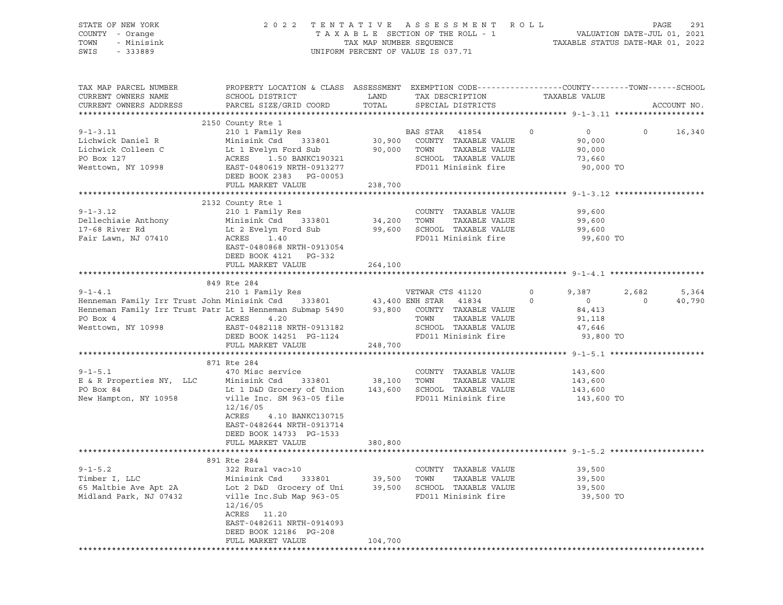| STATE OF NEW YORK<br>TENTATIVE ASSESSMENT ROLL<br>2 0 2 2<br>COUNTY - Orange<br>TOWN<br>- Minisink<br>SWIS<br>$-333889$<br>UNIFORM PERCENT OF VALUE IS 037.71                                                                                                          |                                                                                                                                                                                           |                  |                                                                                                         |         |                                                                                  | PAGE<br>291           |
|------------------------------------------------------------------------------------------------------------------------------------------------------------------------------------------------------------------------------------------------------------------------|-------------------------------------------------------------------------------------------------------------------------------------------------------------------------------------------|------------------|---------------------------------------------------------------------------------------------------------|---------|----------------------------------------------------------------------------------|-----------------------|
| TAX MAP PARCEL NUMBER<br>CURRENT OWNERS NAME<br>CURRENT OWNERS ADDRESS                                                                                                                                                                                                 | PROPERTY LOCATION & CLASS ASSESSMENT EXEMPTION CODE----------------COUNTY-------TOWN------SCHOOL<br>SCHOOL DISTRICT<br><b>EXAMPLE STATE SERVICE STATE</b><br>PARCEL SIZE/GRID COORD TOTAL |                  | TAX DESCRIPTION TAXABLE VALUE<br>SPECIAL DISTRICTS                                                      |         |                                                                                  | ACCOUNT NO.           |
| 9-1-3.11 2100 COUNTY Res<br>Lichwick Daniel R Minisink Csd 333801 30,900 COUNTY TAXABLE VALUE<br>Lichwick Colleen C Lt 1 Evelyn Ford Sub 90,000 TOWN TAXABLE VALUE<br>PO Box 127 ACRES 1.50 BANKC190321 SCHOOL TAXABLE VALUE<br>Westto                                 | 2150 County Rte 1<br>DEED BOOK 2383 PG-00053<br>FULL MARKET VALUE                                                                                                                         | 238,700          | BAS STAR 41854 0<br>SCHOOL TAXABLE VALUE<br>FD011 Minisink fire 90,000 TO                               |         | $\begin{smallmatrix}0\0\90\,000\end{smallmatrix}$<br>$\circ$<br>90,000<br>73,660 | 16,340                |
|                                                                                                                                                                                                                                                                        |                                                                                                                                                                                           |                  |                                                                                                         |         |                                                                                  |                       |
| $9 - 1 - 3.12$<br>Dellechiaie Anthony<br>17-68 River Rd<br>17-68 River Rd<br>17-68 River Rd<br>17-68 River Rd<br>17-68 River Rd<br>17-68 River Rd<br>17-68 River Rd<br>17-68 River Rd<br>17-68 River Rd<br>17-68 River Rd<br>28 River Both Street Street And Recent AC | 2132 County Rte 1<br>210 1 Family Res<br>EAST-0480868 NRTH-0913054<br>DEED BOOK 4121 PG-332                                                                                               |                  | COUNTY TAXABLE VALUE<br>FD011 Minisink fire 99,600 TO                                                   | 99,600  | 99,600<br>99,600                                                                 |                       |
|                                                                                                                                                                                                                                                                        | FULL MARKET VALUE                                                                                                                                                                         | 264,100          |                                                                                                         |         |                                                                                  |                       |
|                                                                                                                                                                                                                                                                        |                                                                                                                                                                                           |                  |                                                                                                         |         |                                                                                  |                       |
|                                                                                                                                                                                                                                                                        | 849 Rte 284                                                                                                                                                                               |                  |                                                                                                         |         |                                                                                  |                       |
| Henneman Family Irr Trust Patr Lt 1 Henneman Submap 5490 93,800 COUNTY TAXABLE VALUE 84,413<br>PO Box 4<br>ACRES 4.20<br>Westtown, NY 10998                                                                                                                            | EAST-0482118 NRTH-0913182<br>DEED BOOK 14251 PG-1124                                                                                                                                      |                  | VETWAR CTS 41120 0 9,387<br>TOWN<br>TAXABLE VALUE<br>SCHOOL TAXABLE VALUE 47,646<br>FD011 Minisink fire |         | $\overline{0}$<br>$\overline{0}$<br>91,118<br>93,800 TO                          | 2,682 5,364<br>40,790 |
|                                                                                                                                                                                                                                                                        | FULL MARKET VALUE                                                                                                                                                                         | 248,700          |                                                                                                         |         |                                                                                  |                       |
|                                                                                                                                                                                                                                                                        |                                                                                                                                                                                           |                  |                                                                                                         |         |                                                                                  |                       |
|                                                                                                                                                                                                                                                                        | 871 Rte 284                                                                                                                                                                               |                  |                                                                                                         |         |                                                                                  |                       |
| $9 - 1 - 5.1$<br>E & R Properties NY, LLC Minisink Csd 333801 38,100<br>PO Box 84 Lt 1 D&D Grocery of Union 143,600<br>New Hampton, NY 10958 ville Inc. SM 963-05 file                                                                                                 | 470 Misc service<br>12/16/05<br>ACRES<br>4.10 BANKC130715<br>EAST-0482644 NRTH-0913714<br>DEED BOOK 14733 PG-1533                                                                         |                  | COUNTY TAXABLE VALUE<br>TOWN<br>TAXABLE VALUE<br>SCHOOL TAXABLE VALUE<br>FD011 Minisink fire 143,600 TO | 143,600 | 143,600<br>143,600                                                               |                       |
|                                                                                                                                                                                                                                                                        | FULL MARKET VALUE                                                                                                                                                                         | 380,800          |                                                                                                         |         |                                                                                  |                       |
|                                                                                                                                                                                                                                                                        |                                                                                                                                                                                           |                  |                                                                                                         |         |                                                                                  |                       |
|                                                                                                                                                                                                                                                                        | 891 Rte 284                                                                                                                                                                               |                  |                                                                                                         |         |                                                                                  |                       |
| $9 - 1 - 5.2$<br>Timber I, LLC<br>65 Maltbie Ave Apt 2A<br>Midland Park, NJ 07432                                                                                                                                                                                      | 322 Rural vac>10<br>Minisink Csd<br>333801<br>Lot 2 D&D Grocery of Uni<br>ville Inc.Sub Map 963-05<br>12/16/05<br>ACRES 11.20<br>EAST-0482611 NRTH-0914093                                | 39,500<br>39,500 | COUNTY TAXABLE VALUE<br>TOWN<br>TAXABLE VALUE<br>SCHOOL TAXABLE VALUE<br>FD011 Minisink fire            |         | 39,500<br>39,500<br>39,500<br>39,500 TO                                          |                       |
|                                                                                                                                                                                                                                                                        | DEED BOOK 12186 PG-208<br>FULL MARKET VALUE                                                                                                                                               | 104,700          |                                                                                                         |         |                                                                                  |                       |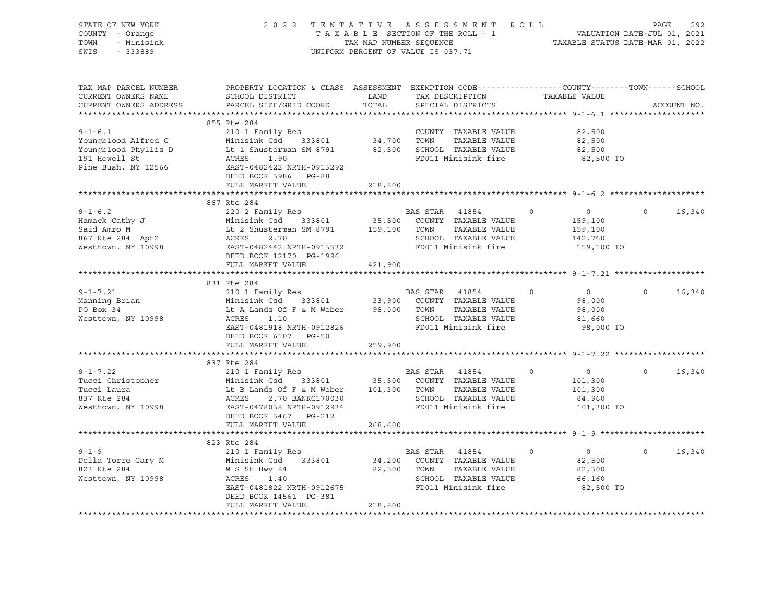| STATE OF NEW YORK<br>COUNTY - Orange<br>TOWN<br>- Minisink<br>SWIS<br>$-333889$                                                                                                                                                                     | 2022 TENTATIVE ASSESSMENT ROLL PAGE 292<br>TAXABLE SECTION OF THE ROLL - 1 VALUATION DATE-JUL 01, 2021<br>TAXABLE STATUS DATE-MAR 01, 2022<br>TRITPONA ENTERTAINMENT OF UNIUS TO 27 71 |         | UNIFORM PERCENT OF VALUE IS 037.71                               |          |                    |               |
|-----------------------------------------------------------------------------------------------------------------------------------------------------------------------------------------------------------------------------------------------------|----------------------------------------------------------------------------------------------------------------------------------------------------------------------------------------|---------|------------------------------------------------------------------|----------|--------------------|---------------|
| TAX MAP PARCEL NUMBER<br>CURRENT OWNERS NAME<br>CURRENT OWNERS ADDRESS                                                                                                                                                                              | PROPERTY LOCATION & CLASS ASSESSMENT EXEMPTION CODE---------------COUNTY-------TOWN-----SCHOOL<br>SCHOOL DISTRICT<br>PARCEL SIZE/GRID COORD                                            |         | LAND TAX DESCRIPTION TAXABLE VALUE COORD TOTAL SPECIAL DISTRICTS |          |                    | ACCOUNT NO.   |
|                                                                                                                                                                                                                                                     |                                                                                                                                                                                        |         |                                                                  |          |                    |               |
|                                                                                                                                                                                                                                                     |                                                                                                                                                                                        |         |                                                                  |          | 82,500             |               |
|                                                                                                                                                                                                                                                     |                                                                                                                                                                                        |         |                                                                  |          | 82,500             |               |
|                                                                                                                                                                                                                                                     |                                                                                                                                                                                        |         |                                                                  |          | 82,500             |               |
|                                                                                                                                                                                                                                                     |                                                                                                                                                                                        |         |                                                                  |          | 82,500 TO          |               |
| COUNTY TAXABLE VALUE<br>Youngblood Alfred C Minisink Csd 333801 34,700 TOWN TAXABLE VALUE<br>Youngblood Phyllis D Lt 1 Shusterman SM 8791 82,500 SCHOOL TAXABLE VALUE<br>191 Howell St ACRES 1.90<br>Pine Bush, NY 12566 EAST-0482422               |                                                                                                                                                                                        |         |                                                                  |          |                    |               |
|                                                                                                                                                                                                                                                     |                                                                                                                                                                                        |         |                                                                  |          |                    |               |
|                                                                                                                                                                                                                                                     | FULL MARKET VALUE                                                                                                                                                                      | 218,800 |                                                                  |          |                    |               |
|                                                                                                                                                                                                                                                     | 867 Rte 284                                                                                                                                                                            |         |                                                                  |          |                    |               |
| 9-1-6.2<br>Hamack Cathy J<br>Hamack Cathy J<br>Said Amro M<br>Said Amro M<br>Said Amro M<br>Lt 2 Shusterman SM 8791<br>Lt 2 Shusterman SM 8791<br>Lt 2 Shusterman SM 8791<br>159,100 TOWN TAXABLE VALUE<br>SCHOOL TAXABLE VALUE<br>Nesttown, NY 109 |                                                                                                                                                                                        |         |                                                                  |          | $\overline{0}$     | $0 \t16,340$  |
|                                                                                                                                                                                                                                                     |                                                                                                                                                                                        |         |                                                                  |          |                    |               |
|                                                                                                                                                                                                                                                     |                                                                                                                                                                                        |         |                                                                  |          | 159,100<br>159,100 |               |
|                                                                                                                                                                                                                                                     |                                                                                                                                                                                        |         |                                                                  |          | 142,760            |               |
|                                                                                                                                                                                                                                                     |                                                                                                                                                                                        |         |                                                                  |          | 159,100 TO         |               |
|                                                                                                                                                                                                                                                     | DEED BOOK 12170 PG-1996                                                                                                                                                                |         |                                                                  |          |                    |               |
|                                                                                                                                                                                                                                                     | FULL MARKET VALUE 421,900                                                                                                                                                              |         |                                                                  |          |                    |               |
|                                                                                                                                                                                                                                                     |                                                                                                                                                                                        |         |                                                                  |          |                    |               |
| $9 - 1 - 7.21$                                                                                                                                                                                                                                      |                                                                                                                                                                                        |         |                                                                  |          | $\overline{0}$     | $0 \t16,340$  |
|                                                                                                                                                                                                                                                     |                                                                                                                                                                                        |         |                                                                  |          | 98,000             |               |
| Manning Brian<br>PO Box 34                                                                                                                                                                                                                          |                                                                                                                                                                                        |         |                                                                  |          | 98,000<br>98,000   |               |
| Westtown, NY 10998                                                                                                                                                                                                                                  | 210 1 Family Res<br>Minisink Csd 333801 33,900 COUNTY TAXABLE VALUE<br>Lt A Lands Of F & M Weber 98,000 TOWN TAXABLE VALUE<br>ACRES 1.10 SCHOOL TAXABLE VALUE<br>FACT 0401010 VILLE    |         |                                                                  |          | 81,660             |               |
|                                                                                                                                                                                                                                                     | ACRES 1.10<br>EAST-0481918 NRTH-0912826 SCHOOL TAXABLE VALUE<br>DEED BOOK 6107 DE CO                                                                                                   |         |                                                                  |          | 98,000 TO          |               |
|                                                                                                                                                                                                                                                     | DEED BOOK 6107 PG-50                                                                                                                                                                   |         |                                                                  |          |                    |               |
|                                                                                                                                                                                                                                                     | FULL MARKET VALUE                                                                                                                                                                      | 259,900 |                                                                  |          |                    |               |
|                                                                                                                                                                                                                                                     | 837 Rte 284                                                                                                                                                                            |         |                                                                  |          |                    |               |
|                                                                                                                                                                                                                                                     |                                                                                                                                                                                        |         |                                                                  |          |                    | $0 \t 16,340$ |
|                                                                                                                                                                                                                                                     |                                                                                                                                                                                        |         |                                                                  |          |                    |               |
|                                                                                                                                                                                                                                                     |                                                                                                                                                                                        |         |                                                                  |          |                    |               |
|                                                                                                                                                                                                                                                     |                                                                                                                                                                                        |         |                                                                  |          |                    |               |
| 337 Rte 284<br>Pucci Christopher Minisink Csd 333801<br>Tucci Laura Lt B Lands Of F & M Weber 101,300<br>837 Rte 284<br>Minisink Csd 333801<br>2.70 BANKC170030<br>837 Rte 284<br>ACRES 2.70 BANKC170030<br>84,960<br>Resttown, NY 10998<br>EAS ST  |                                                                                                                                                                                        |         |                                                                  |          |                    |               |
|                                                                                                                                                                                                                                                     | DEED BOOK 3467 PG-212                                                                                                                                                                  |         |                                                                  |          |                    |               |
|                                                                                                                                                                                                                                                     | FULL MARKET VALUE                                                                                                                                                                      | 268,600 |                                                                  |          |                    |               |
|                                                                                                                                                                                                                                                     |                                                                                                                                                                                        |         |                                                                  |          |                    |               |
| $9 - 1 - 9$                                                                                                                                                                                                                                         | 823 Rte 284<br>210 1 Family Res                                                                                                                                                        |         | BAS STAR 41854                                                   | $\Omega$ | $\overline{0}$     | $0 \t 16,340$ |
|                                                                                                                                                                                                                                                     |                                                                                                                                                                                        |         |                                                                  |          | 82,500             |               |
|                                                                                                                                                                                                                                                     |                                                                                                                                                                                        |         |                                                                  |          | 82,500             |               |
|                                                                                                                                                                                                                                                     |                                                                                                                                                                                        |         |                                                                  |          | 66,160             |               |
| Della Torre Gary M<br>Minisink Csd 333801 34,200 COUNTY TAXABLE VALUE<br>823 Rte 284 W S St Hwy 84 82,500 TOWN TAXABLE VALUE<br>Westtown, NY 10998 ACRES 1.40 SCHOOL TAXABLE VALUE<br>EAS 314 41654<br>Minisink Csd 333801 34,200 COUNTY            |                                                                                                                                                                                        |         |                                                                  |          | 82,500 TO          |               |
|                                                                                                                                                                                                                                                     | DEED BOOK 14561 PG-381                                                                                                                                                                 |         |                                                                  |          |                    |               |
|                                                                                                                                                                                                                                                     | FULL MARKET VALUE                                                                                                                                                                      | 218,800 |                                                                  |          |                    |               |
|                                                                                                                                                                                                                                                     |                                                                                                                                                                                        |         |                                                                  |          |                    |               |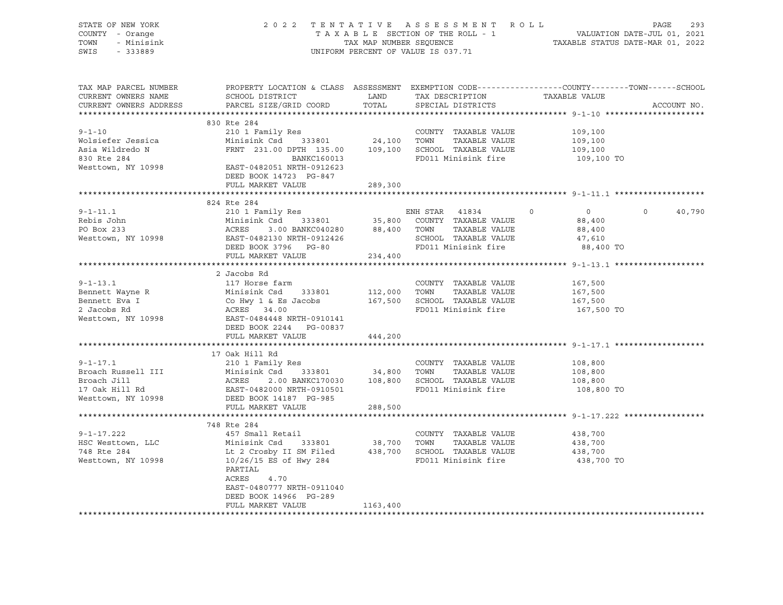| Rebis John<br>Repis John<br>PO Box 233<br>Westtown, NY 10998 | Minisink Csd 333801 35,800 COUNTY TAXABLE VALUE<br>ACRES 3.00 BANKC040280 88,400 TOWN TAXABLE VALUE<br>EAST-0482130 NRTH-0912426 SCHOOL TAXABLE VALUE<br>EAST-0482130 NRTH-0912426 SCHOOL TAXABLE VALUE<br>DEED BOOK 3796 DC 90        |          |                                             | 88,400<br>88,400 |  |
|--------------------------------------------------------------|----------------------------------------------------------------------------------------------------------------------------------------------------------------------------------------------------------------------------------------|----------|---------------------------------------------|------------------|--|
|                                                              |                                                                                                                                                                                                                                        |          | SCHOOL TAXABLE VALUE<br>FD011 Minisink fire | 47,610           |  |
|                                                              | DEED BOOK 3796 PG-80                                                                                                                                                                                                                   |          |                                             | 88,400 TO        |  |
|                                                              | FULL MARKET VALUE                                                                                                                                                                                                                      | 234,400  |                                             |                  |  |
|                                                              |                                                                                                                                                                                                                                        |          |                                             |                  |  |
|                                                              | 2 Jacobs Rd                                                                                                                                                                                                                            |          |                                             |                  |  |
| $9 - 1 - 13.1$                                               | 117 Horse farm                                                                                                                                                                                                                         |          | COUNTY TAXABLE VALUE                        | 167,500          |  |
|                                                              |                                                                                                                                                                                                                                        |          |                                             | 167,500          |  |
|                                                              |                                                                                                                                                                                                                                        |          |                                             | 167,500          |  |
|                                                              |                                                                                                                                                                                                                                        |          |                                             | 167,500 TO       |  |
|                                                              | Franchi Hannel Remett Eva I<br>Bennett Eva I (Co Hwy 1 & Es Jacobs) 112,000 TOWN TAXABLE VALUE<br>2 Jacobs Rd (Co Hwy 1 & Es Jacobs) 167,500 SCHOOL TAXABLE VALUE<br>2 Jacobs Rd (Co Hwy 1 & Es Jacobs) 167,500 SCHOOL TAXABLE VALUE   |          |                                             |                  |  |
|                                                              | DEED BOOK 2244 PG-00837                                                                                                                                                                                                                |          |                                             |                  |  |
|                                                              | FULL MARKET VALUE                                                                                                                                                                                                                      | 444,200  |                                             |                  |  |
|                                                              |                                                                                                                                                                                                                                        |          |                                             |                  |  |
| $9 - 1 - 17.1$                                               | 17 Oak Hill Rd                                                                                                                                                                                                                         |          |                                             |                  |  |
|                                                              | 210 1 Family Res                                                                                                                                                                                                                       |          | COUNTY TAXABLE VALUE                        | 108,800          |  |
|                                                              | 9-1-17.1 210 1 Family Res<br>Broach Russell III Minisink Csd 333801 34,800 TOWN TAXABLE VALUE<br>Broach Jill ACRES 2.00 BANKC170030 108,800 SCHOOL TAXABLE VALUE<br>17 Oak Hill Rd EAST-0482000 NRTH-0910501 FD011 Minisink fire<br>We |          |                                             | 108,800          |  |
|                                                              |                                                                                                                                                                                                                                        |          |                                             | 108,800          |  |
|                                                              |                                                                                                                                                                                                                                        |          |                                             | 108,800 TO       |  |
| Westtown, NY 10998                                           |                                                                                                                                                                                                                                        |          |                                             |                  |  |
|                                                              | FULL MARKET VALUE                                                                                                                                                                                                                      | 288,500  |                                             |                  |  |
|                                                              |                                                                                                                                                                                                                                        |          |                                             |                  |  |
|                                                              | 748 Rte 284                                                                                                                                                                                                                            |          |                                             |                  |  |
| $9 - 1 - 17.222$                                             | 457 Small Retail                                                                                                                                                                                                                       |          | COUNTY TAXABLE VALUE                        | 438,700          |  |
|                                                              | Minisink Csd 333801 38,700 TOWN TAXABLE VALUE<br>Minisink Csd 333801 38,700 TOWN TAXABLE VALUE<br>Lt 2 Crosby II SM Filed 438,700 SCHOOL TAXABLE VALUE                                                                                 |          |                                             | 438,700          |  |
| HSC Westtown, LLC<br>748 Rte 284                             |                                                                                                                                                                                                                                        |          |                                             | 438,700          |  |
| Westtown, NY 10998                                           | 10/26/15 ES of Hwy 284                                                                                                                                                                                                                 |          | FD011 Minisink fire                         | 438,700 TO       |  |
|                                                              | PARTIAL                                                                                                                                                                                                                                |          |                                             |                  |  |
|                                                              | ACRES<br>4.70                                                                                                                                                                                                                          |          |                                             |                  |  |
|                                                              |                                                                                                                                                                                                                                        |          |                                             |                  |  |
|                                                              | EAST-0480777 NRTH-0911040                                                                                                                                                                                                              |          |                                             |                  |  |
|                                                              | DEED BOOK 14966 PG-289                                                                                                                                                                                                                 |          |                                             |                  |  |
|                                                              | FULL MARKET VALUE                                                                                                                                                                                                                      | 1163,400 |                                             |                  |  |
|                                                              |                                                                                                                                                                                                                                        |          |                                             |                  |  |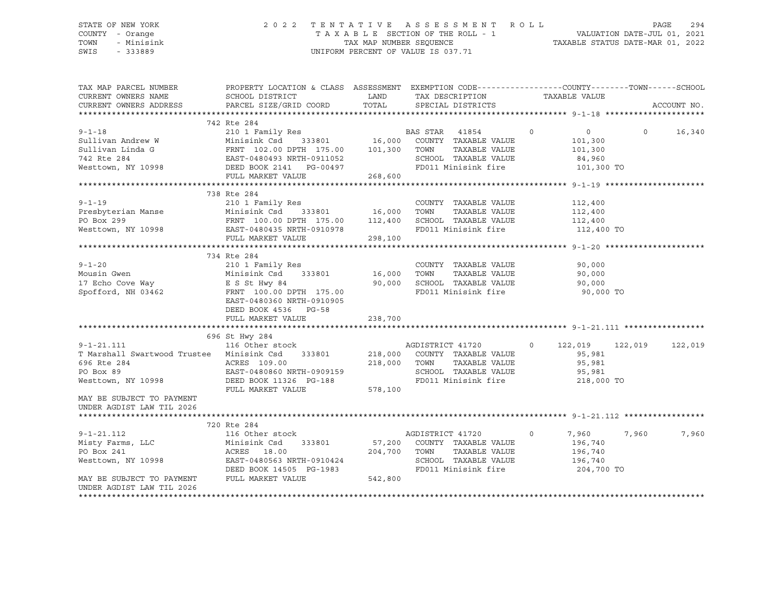#### STATE OF NEW YORK 2 0 2 2 T E N T A T I V E A S S E S S M E N T R O L L PAGE 294 COUNTY - Orange T A X A B L E SECTION OF THE ROLL - 1 TOWN - Minisink TAX MAP NUMBER SEQUENCE TAXABLE STATUS DATE-MAR 01, 2022<br>TAXABLE STATUS DATE-MAR 01, 2022 UNIFORM PERCENT OF VALUE IS 037.71

TAX MAP PARCEL NUMBER PROPERTY LOCATION & CLASS ASSESSMENT EXEMPTION CODE------------------COUNTY--------TOWN------SCHOOL CURRENT OWNERS NAME SCHOOL DISTRICT LAND TAX DESCRIPTION TAXABLE VALUE CURRENT OWNERS ADDRESS PARCEL SIZE/GRID COORD TOTAL SPECIAL DISTRICTS ACCOUNT NO. \*\*\*\*\*\*\*\*\*\*\*\*\*\*\*\*\*\*\*\*\*\*\*\*\*\*\*\*\*\*\*\*\*\*\*\*\*\*\*\*\*\*\*\*\*\*\*\*\*\*\*\*\*\*\*\*\*\*\*\*\*\*\*\*\*\*\*\*\*\*\*\*\*\*\*\*\*\*\*\*\*\*\*\*\*\*\*\*\*\*\*\*\*\*\*\*\*\*\*\*\*\*\* 9-1-18 \*\*\*\*\*\*\*\*\*\*\*\*\*\*\*\*\*\*\*\*\* 742 Rte 284 9-1-18 210 1 Family Res BAS STAR 41854 0 0 0 16,340 Sullivan Andrew W Minisink Csd 333801 16,000 COUNTY TAXABLE VALUE 101,300 Sullivan Linda G FRNT 102.00 DPTH 175.00 101,300 TOWN TAXABLE VALUE 101,300 742 Rte 284 EAST-0480493 NRTH-0911052 SCHOOL TAXABLE VALUE 84,960 Westtown, NY 10998 DEED BOOK 2141 PG-00497 FD011 Minisink fire 101,300 TO<br>FULL MARKET VALUE 268,600 FULL MARKET VALUE \*\*\*\*\*\*\*\*\*\*\*\*\*\*\*\*\*\*\*\*\*\*\*\*\*\*\*\*\*\*\*\*\*\*\*\*\*\*\*\*\*\*\*\*\*\*\*\*\*\*\*\*\*\*\*\*\*\*\*\*\*\*\*\*\*\*\*\*\*\*\*\*\*\*\*\*\*\*\*\*\*\*\*\*\*\*\*\*\*\*\*\*\*\*\*\*\*\*\*\*\*\*\* 9-1-19 \*\*\*\*\*\*\*\*\*\*\*\*\*\*\*\*\*\*\*\*\* 738 Rte 284 9-1-19 210 1 Family Res COUNTY TAXABLE VALUE 112,400 Presbyterian Manse Minisink Csd 333801 16,000 TOWN TAXABLE VALUE 112,400 PO Box 299 FRNT 100.00 DPTH 175.00 112,400 SCHOOL TAXABLE VALUE 112,400 Westtown, NY 10998 **EAST-0480435 NRTH-0910978** FD011 Minisink fire 112,400 TO FULL MARKET VALUE 298,100 \*\*\*\*\*\*\*\*\*\*\*\*\*\*\*\*\*\*\*\*\*\*\*\*\*\*\*\*\*\*\*\*\*\*\*\*\*\*\*\*\*\*\*\*\*\*\*\*\*\*\*\*\*\*\*\*\*\*\*\*\*\*\*\*\*\*\*\*\*\*\*\*\*\*\*\*\*\*\*\*\*\*\*\*\*\*\*\*\*\*\*\*\*\*\*\*\*\*\*\*\*\*\* 9-1-20 \*\*\*\*\*\*\*\*\*\*\*\*\*\*\*\*\*\*\*\*\* 734 Rte 284 9-1-20 210 1 Family Res COUNTY TAXABLE VALUE 90,000 Mousin Gwen Minisink Csd 333801 16,000 TOWN TAXABLE VALUE 90,000 17 Echo Cove Way E S St Hwy 84 90,000 SCHOOL TAXABLE VALUE 90,000 Spofford, NH 03462 FRNT 100.00 DPTH 175.00 FD011 Minisink fire 90,000 TO EAST-0480360 NRTH-0910905 DEED BOOK 4536 PG-58 FULL MARKET VALUE 238,700 \*\*\*\*\*\*\*\*\*\*\*\*\*\*\*\*\*\*\*\*\*\*\*\*\*\*\*\*\*\*\*\*\*\*\*\*\*\*\*\*\*\*\*\*\*\*\*\*\*\*\*\*\*\*\*\*\*\*\*\*\*\*\*\*\*\*\*\*\*\*\*\*\*\*\*\*\*\*\*\*\*\*\*\*\*\*\*\*\*\*\*\*\*\*\*\*\*\*\*\*\*\*\* 9-1-21.111 \*\*\*\*\*\*\*\*\*\*\*\*\*\*\*\*\* 696 St Hwy 284 9-1-21.111 116 Other stock AGDISTRICT 41720 0 122,019 122,019 122,019 T Marshall Swartwood Trustee Minisink Csd 333801 218,000 COUNTY TAXABLE VALUE 95,981 696 Rte 284 ACRES 109.00 218,000 TOWN TAXABLE VALUE 95,981 PO Box 89 EAST-0480860 NRTH-0909159 SCHOOL TAXABLE VALUE 95,981 Westtown, NY 10998 DEED BOOK 11326 PG-188 FD011 Minisink fire 218,000 TO FULL MARKET VALUE 578,100 MAY BE SUBJECT TO PAYMENT UNDER AGDIST LAW TIL 2026 \*\*\*\*\*\*\*\*\*\*\*\*\*\*\*\*\*\*\*\*\*\*\*\*\*\*\*\*\*\*\*\*\*\*\*\*\*\*\*\*\*\*\*\*\*\*\*\*\*\*\*\*\*\*\*\*\*\*\*\*\*\*\*\*\*\*\*\*\*\*\*\*\*\*\*\*\*\*\*\*\*\*\*\*\*\*\*\*\*\*\*\*\*\*\*\*\*\*\*\*\*\*\* 9-1-21.112 \*\*\*\*\*\*\*\*\*\*\*\*\*\*\*\*\* 720 Rte 284 9-1-21.112 116 Other stock AGDISTRICT 41720 0 7,960 7,960 7,960 Misty Farms, LLC Minisink Csd 333801 57,200 COUNTY TAXABLE VALUE 196,740 PO Box 241 ACRES 18.00 204,700 TOWN TAXABLE VALUE 196,740 Westtown, NY 10998 EAST-0480563 NRTH-0910424 SCHOOL TAXABLE VALUE 196,740 DEED BOOK 14505 PG-1983 FD011 Minisink fire 204,700 TO MAY BE SUBJECT TO PAYMENT FULL MARKET VALUE 542,800 UNDER AGDIST LAW TIL 2026 \*\*\*\*\*\*\*\*\*\*\*\*\*\*\*\*\*\*\*\*\*\*\*\*\*\*\*\*\*\*\*\*\*\*\*\*\*\*\*\*\*\*\*\*\*\*\*\*\*\*\*\*\*\*\*\*\*\*\*\*\*\*\*\*\*\*\*\*\*\*\*\*\*\*\*\*\*\*\*\*\*\*\*\*\*\*\*\*\*\*\*\*\*\*\*\*\*\*\*\*\*\*\*\*\*\*\*\*\*\*\*\*\*\*\*\*\*\*\*\*\*\*\*\*\*\*\*\*\*\*\*\*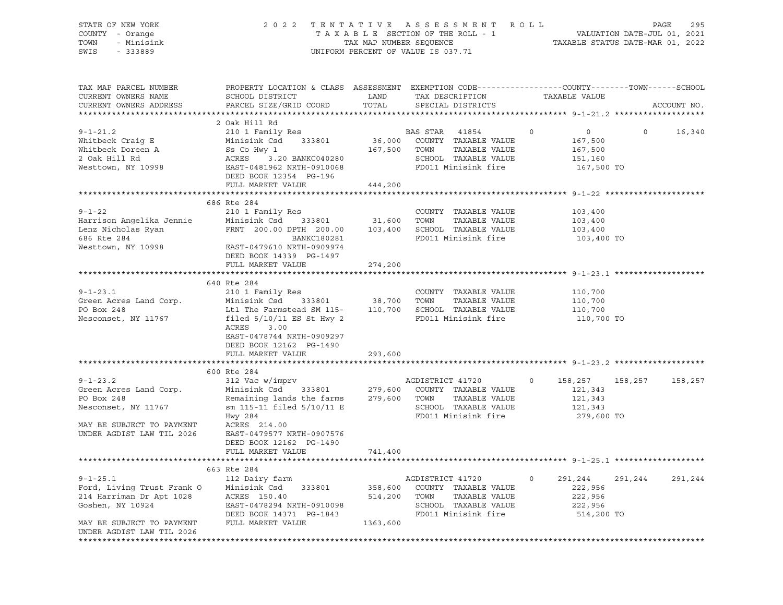| STATE OF NEW YORK<br>COUNTY - Orange<br>TOWN<br>- Minisink<br>$-333889$<br>SWIS                                                         | TENTATIVE ASSESSMENT<br>2 0 2 2<br>TAXABLE SECTION OF THE ROLL - 1<br>TAX MAP NUMBER SEQUENCE<br>UNIFORM PERCENT OF VALUE IS 037.71                                                                                 | R O L L<br>295<br>PAGE<br>VALUATION DATE-JUL 01, 2021<br>TAXABLE STATUS DATE-MAR 01, 2022 |                                                                                                                               |                                                                          |                    |
|-----------------------------------------------------------------------------------------------------------------------------------------|---------------------------------------------------------------------------------------------------------------------------------------------------------------------------------------------------------------------|-------------------------------------------------------------------------------------------|-------------------------------------------------------------------------------------------------------------------------------|--------------------------------------------------------------------------|--------------------|
| TAX MAP PARCEL NUMBER<br>CURRENT OWNERS NAME<br>CURRENT OWNERS ADDRESS                                                                  | PROPERTY LOCATION & CLASS ASSESSMENT EXEMPTION CODE----------------COUNTY-------TOWN------SCHOOL<br>SCHOOL DISTRICT<br>PARCEL SIZE/GRID COORD                                                                       | LAND<br>TOTAL                                                                             | TAX DESCRIPTION<br>SPECIAL DISTRICTS                                                                                          | TAXABLE VALUE                                                            | ACCOUNT NO.        |
|                                                                                                                                         |                                                                                                                                                                                                                     |                                                                                           |                                                                                                                               |                                                                          |                    |
| $9 - 1 - 21.2$<br>Whitbeck Craig E<br>Whitbeck Doreen A<br>2 Oak Hill Rd<br>Westtown, NY 10998                                          | 2 Oak Hill Rd<br>210 1 Family Res<br>333801<br>Minisink Csd<br>Ss Co Hwy 1<br>ACRES<br>3.20 BANKC040280<br>EAST-0481962 NRTH-0910068                                                                                |                                                                                           | BAS STAR 41854<br>36,000 COUNTY TAXABLE VALUE<br>167,500 TOWN<br>TAXABLE VALUE<br>SCHOOL TAXABLE VALUE<br>FD011 Minisink fire | $\circ$<br>$\overline{0}$<br>167,500<br>167,500<br>151,160<br>167,500 TO | $\circ$<br>16,340  |
|                                                                                                                                         | DEED BOOK 12354 PG-196<br>FULL MARKET VALUE                                                                                                                                                                         | 444,200                                                                                   |                                                                                                                               |                                                                          |                    |
|                                                                                                                                         |                                                                                                                                                                                                                     |                                                                                           |                                                                                                                               |                                                                          |                    |
| $9 - 1 - 22$<br>Harrison Angelika Jennie<br>Lenz Nicholas Ryan<br>686 Rte 284<br>Westtown, NY 10998                                     | 686 Rte 284<br>210 1 Family Res<br>Minisink Csd<br>333801<br>FRNT 200.00 DPTH 200.00<br><b>BANKC180281</b><br>EAST-0479610 NRTH-0909974<br>DEED BOOK 14339 PG-1497<br>FULL MARKET VALUE                             | 31,600<br>103,400<br>274,200                                                              | COUNTY TAXABLE VALUE<br>TOWN<br>TAXABLE VALUE<br>SCHOOL TAXABLE VALUE<br>FD011 Minisink fire                                  | 103,400<br>103,400<br>103,400<br>103,400 TO                              |                    |
|                                                                                                                                         |                                                                                                                                                                                                                     |                                                                                           |                                                                                                                               |                                                                          |                    |
| $9 - 1 - 23.1$<br>Green Acres Land Corp.<br>PO Box 248<br>Nesconset, NY 11767                                                           | 640 Rte 284<br>210 1 Family Res<br>Minisink Csd<br>333801<br>Lt1 The Farmstead SM 115-<br>filed $5/10/11$ ES St Hwy 2<br>3.00<br>ACRES<br>EAST-0478744 NRTH-0909297<br>DEED BOOK 12162 PG-1490<br>FULL MARKET VALUE | 38,700 TOWN<br>293,600                                                                    | COUNTY TAXABLE VALUE<br>TAXABLE VALUE<br>110,700 SCHOOL TAXABLE VALUE<br>FD011 Minisink fire                                  | 110,700<br>110,700<br>110,700<br>110,700 TO                              |                    |
|                                                                                                                                         |                                                                                                                                                                                                                     |                                                                                           |                                                                                                                               |                                                                          |                    |
| $9 - 1 - 23.2$<br>Green Acres Land Corp.<br>PO Box 248<br>Nesconset, NY 11767<br>MAY BE SUBJECT TO PAYMENT<br>UNDER AGDIST LAW TIL 2026 | 600 Rte 284<br>312 Vac w/imprv<br>Minisink Csd<br>333801<br>Remaining lands the farms<br>sm 115-11 filed 5/10/11 E<br>Hwy 284<br>ACRES 214.00<br>EAST-0479577 NRTH-0907576<br>DEED BOOK 12162 PG-1490               | 279,600 TOWN                                                                              | AGDISTRICT 41720<br>279,600 COUNTY TAXABLE VALUE<br>TAXABLE VALUE<br>SCHOOL TAXABLE VALUE<br>FD011 Minisink fire              | $\circ$<br>158,257<br>121,343<br>121,343<br>121,343<br>279,600 TO        | 158,257<br>158,257 |
|                                                                                                                                         | FULL MARKET VALUE                                                                                                                                                                                                   | 741,400                                                                                   |                                                                                                                               |                                                                          |                    |
|                                                                                                                                         |                                                                                                                                                                                                                     |                                                                                           |                                                                                                                               |                                                                          |                    |
| $9 - 1 - 25.1$<br>Ford, Living Trust Frank O<br>214 Harriman Dr Apt 1028<br>Goshen, NY 10924                                            | 663 Rte 284<br>112 Dairy farm<br>Minisink Csd<br>333801<br>ACRES 150.40<br>EAST-0478294 NRTH-0910098<br>DEED BOOK 14371 PG-1843                                                                                     | 358,600<br>514,200                                                                        | AGDISTRICT 41720<br>COUNTY TAXABLE VALUE<br>TOWN<br>TAXABLE VALUE<br>SCHOOL TAXABLE VALUE<br>FD011 Minisink fire              | 291,244<br>0<br>222,956<br>222,956<br>222,956<br>514,200 TO              | 291,244<br>291,244 |
| MAY BE SUBJECT TO PAYMENT<br>UNDER AGDIST LAW TIL 2026                                                                                  | FULL MARKET VALUE                                                                                                                                                                                                   | 1363,600                                                                                  |                                                                                                                               |                                                                          |                    |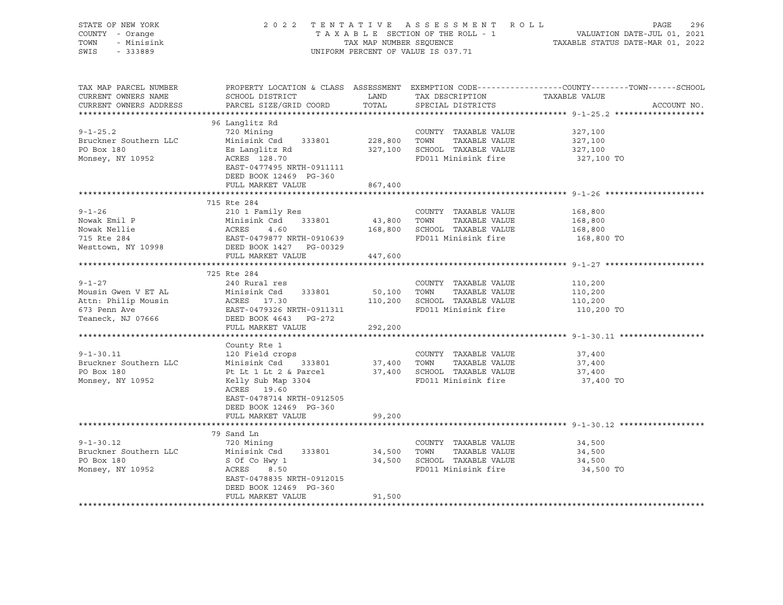| STATE OF NEW YORK<br>COUNTY - Orange<br>TOWN<br>- Minisink<br>SWIS<br>$-333889$                 |                                                                                                                                                                                                              |                       | 2022 TENTATIVE ASSESSMENT ROLL<br>UNIFORM PERCENT OF VALUE IS 037.71                                 | PAGE<br>296<br>T A X A B L E SECTION OF THE ROLL - 1<br>T A X A B L E SECTION OF THE ROLL - 1<br>TAXABLE STATUS DATE-MAR 01, 2022 |
|-------------------------------------------------------------------------------------------------|--------------------------------------------------------------------------------------------------------------------------------------------------------------------------------------------------------------|-----------------------|------------------------------------------------------------------------------------------------------|-----------------------------------------------------------------------------------------------------------------------------------|
| TAX MAP PARCEL NUMBER<br>CURRENT OWNERS NAME<br>CURRENT OWNERS ADDRESS                          | SCHOOL DISTRICT<br>PARCEL SIZE/GRID COORD                                                                                                                                                                    | LAND<br>TOTAL         | TAX DESCRIPTION<br>SPECIAL DISTRICTS                                                                 | PROPERTY LOCATION & CLASS ASSESSMENT EXEMPTION CODE----------------COUNTY-------TOWN------SCHOOL<br>TAXABLE VALUE<br>ACCOUNT NO.  |
| $9 - 1 - 25.2$<br>Bruckner Southern LLC<br>PO Box 180<br>Monsey, NY 10952                       | 96 Langlitz Rd<br>720 Mining<br>Minisink Csd 333801 228,800 TOWN TAXABLE VALUE<br>Es Langlitz Rd<br>ACRES 128.70<br>EAST-0477495 NRTH-0911111<br>DEED BOOK 12469 PG-360<br>FULL MARKET VALUE                 | 867,400               | COUNTY TAXABLE VALUE<br>327,100 SCHOOL TAXABLE VALUE<br>FD011 Minisink fire                          | 327,100<br>327,100<br>327,100<br>327,100 TO                                                                                       |
|                                                                                                 |                                                                                                                                                                                                              |                       |                                                                                                      |                                                                                                                                   |
| $9 - 1 - 26$<br>Nowak Emil P<br>Nowak Nellie<br>715 Rte 284<br>Westtown, NY 10998               | 715 Rte 284<br>210 1 Family Res<br>Minisink Co.<br>ACRES 4.60<br>EAST-0479877 NRTH-0910639<br>DEED BOOK 1427 PG-00329<br>THE MARKET VALUE                                                                    | 43,800 TOWN           | COUNTY TAXABLE VALUE<br>TAXABLE VALUE<br>168,800 SCHOOL TAXABLE VALUE<br>FD011 Minisink fire         | 168,800<br>168,800<br>168,800<br>168,800 TO                                                                                       |
|                                                                                                 |                                                                                                                                                                                                              | 447,600               |                                                                                                      |                                                                                                                                   |
|                                                                                                 |                                                                                                                                                                                                              |                       |                                                                                                      |                                                                                                                                   |
| $9 - 1 - 27$<br>Mousin Gwen V ET AL<br>Attn: Philip Mousin<br>673 Penn Ave<br>Teaneck, NJ 07666 | 725 Rte 284<br>240 Rural res<br>Minisink Csd 333801<br>ACRES 17.30<br>FACE 0479336 NPEH 0011311<br>EAST-0479326 NRTH-0911311<br>DEED BOOK 4643 PG-272<br>FULL MARKET VALUE                                   | 50,100                | COUNTY TAXABLE VALUE<br>TOWN<br>TAXABLE VALUE<br>110,200 SCHOOL TAXABLE VALUE<br>FD011 Minisink fire | 110,200<br>110,200<br>110,200<br>110,200 TO                                                                                       |
|                                                                                                 |                                                                                                                                                                                                              | 292,200               |                                                                                                      |                                                                                                                                   |
| $9 - 1 - 30.11$<br>Bruckner Southern LLC<br>PO Box 180<br>Monsey, NY 10952                      | County Rte 1<br>120 Field crops<br>Minisink Csd 333801 37,400 TOWN<br>Pt Lt 1 Lt 2 & Parcel<br>Kelly Sub Map 3304<br>ACRES 19.60<br>EAST-0478714 NRTH-0912505<br>DEED BOOK 12469 PG-360<br>FULL MARKET VALUE | 99,200                | COUNTY TAXABLE VALUE<br>TAXABLE VALUE<br>37,400 SCHOOL TAXABLE VALUE<br>FD011 Minisink fire          | 37,400<br>37,400<br>37,400<br>37,400 TO                                                                                           |
|                                                                                                 |                                                                                                                                                                                                              |                       |                                                                                                      |                                                                                                                                   |
| $9 - 1 - 30.12$<br>Bruckner Southern LLC<br>PO Box 180<br>Monsey, NY 10952                      | 79 Sand Ln<br>720 Mining<br>Minisink Csd 333801<br>S Of Co Hwy 1<br>ACRES 8.50<br>EAST-0478835 NRTH-0912015<br>DEED BOOK 12469 PG-360<br>FULL MARKET VALUE                                                   | 34,500 TOWN<br>91,500 | COUNTY TAXABLE VALUE<br>TAXABLE VALUE<br>34,500 SCHOOL TAXABLE VALUE<br>FD011 Minisink fire          | 34,500<br>34,500<br>34,500<br>34,500 TO                                                                                           |
|                                                                                                 |                                                                                                                                                                                                              |                       |                                                                                                      |                                                                                                                                   |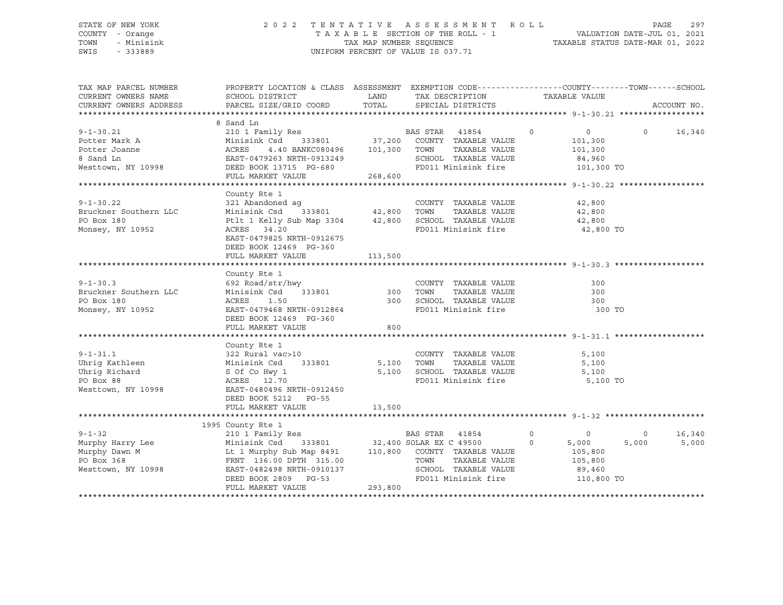### STATE OF NEW YORK 2 0 2 2 T E N T A T I V E A S S E S S M E N T R O L L PAGE 297 COUNTY - Orange T A X A B L E SECTION OF THE ROLL - 1 VALUATION DATE-JUL 01, 2021 TOWN - Minisink TAX MAP NUMBER SEQUENCE TAXABLE STATUS DATE-MAR 01, 2022 SWIS - 333889 CONSERVATION CONTROL OF VALUE IS 037.71

| TAX MAP PARCEL NUMBER<br>CURRENT OWNERS NAME                                                                                                                                                                                                   | PROPERTY LOCATION & CLASS ASSESSMENT EXEMPTION CODE----------------COUNTY-------TOWN------SCHOOL<br>SCHOOL DISTRICT TAND TAX DESCRIPTION                               |        |                                                                  | TAXABLE VALUE        |                          |
|------------------------------------------------------------------------------------------------------------------------------------------------------------------------------------------------------------------------------------------------|------------------------------------------------------------------------------------------------------------------------------------------------------------------------|--------|------------------------------------------------------------------|----------------------|--------------------------|
| CURRENT OWNERS ADDRESS                                                                                                                                                                                                                         | PARCEL SIZE/GRID COORD TOTAL SPECIAL DISTRICTS                                                                                                                         |        |                                                                  |                      | ACCOUNT NO.              |
|                                                                                                                                                                                                                                                |                                                                                                                                                                        |        |                                                                  |                      |                          |
|                                                                                                                                                                                                                                                | 8 Sand Ln                                                                                                                                                              |        |                                                                  |                      |                          |
| 8 Sand Ln<br>210 1 Family Res<br>Potter Mark A Minisink Csd 333801 37,200 COUNTY TAXABLE VALUE<br>210 1 Family Res<br>210 1 Family Res<br>210 1 Family Res<br>233801 37,200 COUNTY TAXABLE VALUE<br>268,600 TOWN TAXABLE VALUE<br>268,600 FD01 |                                                                                                                                                                        |        |                                                                  |                      | $0 \t16,340$             |
|                                                                                                                                                                                                                                                |                                                                                                                                                                        |        |                                                                  |                      |                          |
|                                                                                                                                                                                                                                                |                                                                                                                                                                        |        |                                                                  |                      |                          |
|                                                                                                                                                                                                                                                |                                                                                                                                                                        |        |                                                                  |                      |                          |
|                                                                                                                                                                                                                                                |                                                                                                                                                                        |        |                                                                  |                      |                          |
|                                                                                                                                                                                                                                                |                                                                                                                                                                        |        |                                                                  |                      |                          |
|                                                                                                                                                                                                                                                |                                                                                                                                                                        |        |                                                                  |                      |                          |
|                                                                                                                                                                                                                                                | County Rte 1                                                                                                                                                           |        |                                                                  |                      |                          |
|                                                                                                                                                                                                                                                |                                                                                                                                                                        |        | COUNTY TAXABLE VALUE                                             | 42,800               |                          |
|                                                                                                                                                                                                                                                |                                                                                                                                                                        |        |                                                                  | TAXABLE VALUE 42,800 |                          |
| 9-1-30.22<br>Bruckner Southern LLC<br>PO Box 180                                                                                                                                                                                               |                                                                                                                                                                        |        |                                                                  |                      |                          |
| Monsey, NY 10952                                                                                                                                                                                                                               | Ptlt 1 Kelly Sub Map 3304 $\overline{a}$ ,800 SCHOOL TAXABLE VALUE $\overline{a}$ 42,800 TO<br>ACRES 34.20 $\overline{a}$ FD011 Minisink fire $\overline{a}$ 42,800 TO |        |                                                                  |                      |                          |
|                                                                                                                                                                                                                                                | EAST-0479825 NRTH-0912675                                                                                                                                              |        |                                                                  |                      |                          |
|                                                                                                                                                                                                                                                | DEED BOOK 12469 PG-360                                                                                                                                                 |        |                                                                  |                      |                          |
|                                                                                                                                                                                                                                                | FULL MARKET VALUE 113,500                                                                                                                                              |        |                                                                  |                      |                          |
|                                                                                                                                                                                                                                                |                                                                                                                                                                        |        |                                                                  |                      |                          |
|                                                                                                                                                                                                                                                | County Rte 1                                                                                                                                                           |        |                                                                  |                      |                          |
|                                                                                                                                                                                                                                                |                                                                                                                                                                        |        |                                                                  |                      |                          |
|                                                                                                                                                                                                                                                | 692 Road/str/hwy<br>Minisink Csd 333801 300 TOWN<br>10PES 156                                                                                                          |        | COUNTY TAXABLE VALUE 300<br>TOWN TAXABLE VALUE 300               |                      |                          |
|                                                                                                                                                                                                                                                |                                                                                                                                                                        |        |                                                                  |                      |                          |
| 9-1-30.3<br>Bruckner Southern LLC<br>PO Box 180<br>Monsey, NY 10952                                                                                                                                                                            | ACRES 1.50 300 SCHOOL TAXABLE VALUE 300<br>EAST-0479468 NRTH-0912864 FD011 Minisink fire 300                                                                           |        |                                                                  | 300 TO               |                          |
|                                                                                                                                                                                                                                                | DEED BOOK 12469 PG-360                                                                                                                                                 |        |                                                                  |                      |                          |
|                                                                                                                                                                                                                                                | FULL MARKET VALUE                                                                                                                                                      | 800    |                                                                  |                      |                          |
|                                                                                                                                                                                                                                                |                                                                                                                                                                        |        |                                                                  |                      |                          |
|                                                                                                                                                                                                                                                | County Rte 1                                                                                                                                                           |        |                                                                  |                      |                          |
| $9 - 1 - 31.1$                                                                                                                                                                                                                                 | $322$ Rural vac > 10                                                                                                                                                   |        | COUNTY TAXABLE VALUE                                             | 5,100                |                          |
|                                                                                                                                                                                                                                                |                                                                                                                                                                        |        | TAXABLE VALUE                                                    | 5,100                |                          |
|                                                                                                                                                                                                                                                |                                                                                                                                                                        |        |                                                                  |                      |                          |
|                                                                                                                                                                                                                                                |                                                                                                                                                                        |        | 5,100 SCHOOL TAXABLE VALUE 5,100<br>FD011 Minisink fire 5,100 TO |                      |                          |
| Uhrig Kathleen<br>Uhrig Kathleen<br>1998 Minisink Csd 333801 5,100 TOWN<br>1998 EACRES<br>12.70 FD011<br>1998 EAST-0480496 NRTH-0912450<br>1998 EAST-0480496 NRTH-0912450<br>1998 EAST-0480496 NRTH-0912450                                    |                                                                                                                                                                        |        |                                                                  |                      |                          |
|                                                                                                                                                                                                                                                | DEED BOOK 5212 PG-55                                                                                                                                                   |        |                                                                  |                      |                          |
|                                                                                                                                                                                                                                                | FULL MARKET VALUE                                                                                                                                                      |        |                                                                  |                      |                          |
|                                                                                                                                                                                                                                                |                                                                                                                                                                        | 13,500 |                                                                  |                      |                          |
|                                                                                                                                                                                                                                                |                                                                                                                                                                        |        |                                                                  |                      |                          |
|                                                                                                                                                                                                                                                |                                                                                                                                                                        |        |                                                                  |                      | 16,340<br>$\overline{0}$ |
|                                                                                                                                                                                                                                                |                                                                                                                                                                        |        |                                                                  | 5,000                | 5,000<br>5,000           |
|                                                                                                                                                                                                                                                |                                                                                                                                                                        |        |                                                                  |                      |                          |
|                                                                                                                                                                                                                                                |                                                                                                                                                                        |        |                                                                  |                      |                          |
|                                                                                                                                                                                                                                                |                                                                                                                                                                        |        |                                                                  |                      |                          |
|                                                                                                                                                                                                                                                |                                                                                                                                                                        |        |                                                                  |                      |                          |
|                                                                                                                                                                                                                                                |                                                                                                                                                                        |        | FD011 Minisink fire 110,800 TO                                   |                      |                          |
|                                                                                                                                                                                                                                                |                                                                                                                                                                        |        |                                                                  |                      |                          |
|                                                                                                                                                                                                                                                |                                                                                                                                                                        |        |                                                                  |                      |                          |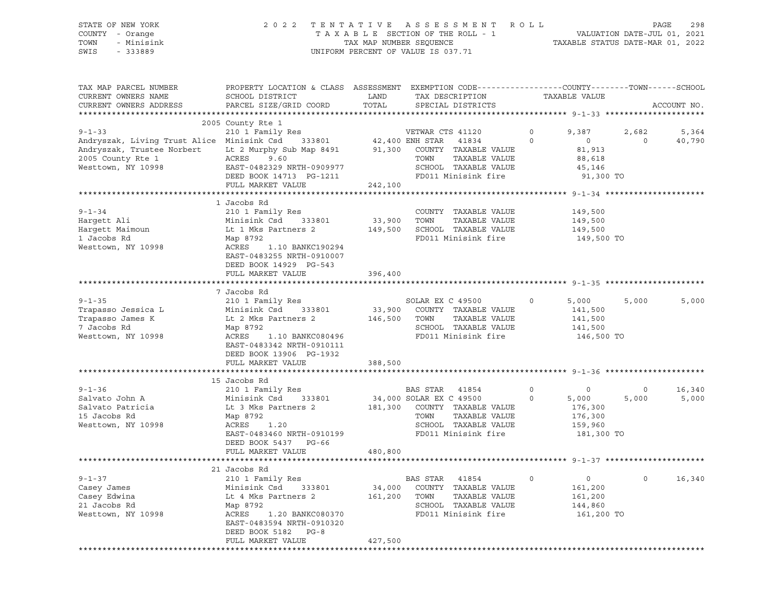STATE OF NEW YORK 2 0 2 2 T E N T A T I V E A S S E S S M E N T R O L L PAGE 298 COUNTY - Orange T A X A B L E SECTION OF THE ROLL - 1 VALUATION DATE-JUL 01, 2021 TOWN - Minisink TAX MAP NUMBER SEQUENCE TAXABLE STATUS DATE-MAR 01, 2022 SWIS - 333889 CONSERVATION CONTROL OF VALUE IS 037.71

| TAX MAP PARCEL NUMBER<br>CURRENT OWNERS NAME                                                                                                                                                                                   | PROPERTY LOCATION & CLASS ASSESSMENT EXEMPTION CODE----------------COUNTY-------TOWN------SCHOOL<br>SCHOOL DISTRICT | LAND    | TAX DESCRIPTION<br>LAND TAX DESCRIPTION<br>TOTAL SPECIAL DISTRICTS | TAXABLE VALUE  |                                                                                |                |             |
|--------------------------------------------------------------------------------------------------------------------------------------------------------------------------------------------------------------------------------|---------------------------------------------------------------------------------------------------------------------|---------|--------------------------------------------------------------------|----------------|--------------------------------------------------------------------------------|----------------|-------------|
| CURRENT OWNERS ADDRESS                                                                                                                                                                                                         | PARCEL SIZE/GRID COORD                                                                                              |         |                                                                    |                |                                                                                |                | ACCOUNT NO. |
|                                                                                                                                                                                                                                |                                                                                                                     |         |                                                                    |                |                                                                                |                |             |
|                                                                                                                                                                                                                                | 2005 County Rte 1                                                                                                   |         |                                                                    |                |                                                                                |                |             |
| 9-1-33 210 1 Family Res WETWAR CTS 41120 (210 1 Family Res WETWAR CTS 41120 (210 1 Family Res 210 1 Family Res 210 1 Family Res 210 1 Family Res 212,400 ENH STAR 41834 (216 1 Andryszak, Trustee Norbert 2 Murphy Sub Map 849 |                                                                                                                     |         |                                                                    | $\circ$        | 9,387                                                                          | 2,682          | 5,364       |
|                                                                                                                                                                                                                                |                                                                                                                     |         |                                                                    | $\Omega$       | $\overline{0}$                                                                 | $\overline{0}$ | 40,790      |
|                                                                                                                                                                                                                                |                                                                                                                     |         |                                                                    |                | 81,913                                                                         |                |             |
| 2005 County Rte 1<br>Westtown, NY 10998                                                                                                                                                                                        | ACRES 9.60                                                                                                          |         | TOWN<br>TAXABLE VALUE                                              |                | 88,618                                                                         |                |             |
|                                                                                                                                                                                                                                |                                                                                                                     |         |                                                                    |                | 45,146                                                                         |                |             |
|                                                                                                                                                                                                                                | ACRES 9.60<br>EAST-0482329 NRTH-0909977 SCHOOL TAXABLE VALUE<br>DEED BOOK 14713 PG-1211 FD011 Minisink fire         |         |                                                                    |                | 91,300 TO                                                                      |                |             |
|                                                                                                                                                                                                                                | FULL MARKET VALUE                                                                                                   | 242,100 |                                                                    |                |                                                                                |                |             |
|                                                                                                                                                                                                                                |                                                                                                                     |         |                                                                    |                |                                                                                |                |             |
|                                                                                                                                                                                                                                | 1 Jacobs Rd                                                                                                         |         |                                                                    |                |                                                                                |                |             |
| $9 - 1 - 34$                                                                                                                                                                                                                   | 210 1 Family Res                                                                                                    |         | COUNTY TAXABLE VALUE 149,500                                       |                |                                                                                |                |             |
| Harqett Ali                                                                                                                                                                                                                    | Minisink Csd 333801 33,900 TOWN TAXABLE VALUE<br>Lt 1 Mks Partners 2 149,500 SCHOOL TAXABLE VALUE                   |         |                                                                    |                | 149,500                                                                        |                |             |
| Hargett Maimoun                                                                                                                                                                                                                |                                                                                                                     |         |                                                                    |                | 149,500                                                                        |                |             |
| 1 Jacobs Rd                                                                                                                                                                                                                    | Map 8792                                                                                                            |         | FD011 Minisink fire                                                |                | 149,500 TO                                                                     |                |             |
| Westtown, NY 10998                                                                                                                                                                                                             | ACRES 1.10 BANKC190294                                                                                              |         |                                                                    |                |                                                                                |                |             |
|                                                                                                                                                                                                                                | EAST-0483255 NRTH-0910007                                                                                           |         |                                                                    |                |                                                                                |                |             |
|                                                                                                                                                                                                                                | DEED BOOK 14929 PG-543                                                                                              |         |                                                                    |                |                                                                                |                |             |
|                                                                                                                                                                                                                                | FULL MARKET VALUE                                                                                                   | 396,400 |                                                                    |                |                                                                                |                |             |
|                                                                                                                                                                                                                                |                                                                                                                     |         |                                                                    |                |                                                                                |                |             |
|                                                                                                                                                                                                                                | 7 Jacobs Rd                                                                                                         |         |                                                                    |                |                                                                                |                |             |
| $9 - 1 - 35$                                                                                                                                                                                                                   | 210 1 Family Res SOLAR EX C 49500                                                                                   |         |                                                                    | $\overline{0}$ | 5,000                                                                          | 5,000          | 5,000       |
| Trapasso Jessica L                                                                                                                                                                                                             |                                                                                                                     |         |                                                                    |                |                                                                                |                |             |
| Trapasso James K                                                                                                                                                                                                               | Minisink Csd 333801<br>Lt 2 Mks Partners 2                                                                          |         | 33,900 COUNTY TAXABLE VALUE<br>146,500 TOWN TAXABLE VALUE          |                | 141,500<br>141,500                                                             |                |             |
| 7 Jacobs Rd                                                                                                                                                                                                                    | Map 8792                                                                                                            |         | SCHOOL TAXABLE VALUE                                               |                | 141,500                                                                        |                |             |
| Westtown, NY 10998                                                                                                                                                                                                             | ACRES 1.10 BANKC080496                                                                                              |         | FD011 Minisink fire                                                |                | 146,500 TO                                                                     |                |             |
|                                                                                                                                                                                                                                | EAST-0483342 NRTH-0910111                                                                                           |         |                                                                    |                |                                                                                |                |             |
|                                                                                                                                                                                                                                | DEED BOOK 13906 PG-1932                                                                                             |         |                                                                    |                |                                                                                |                |             |
|                                                                                                                                                                                                                                | FULL MARKET VALUE                                                                                                   | 388,500 |                                                                    |                |                                                                                |                |             |
|                                                                                                                                                                                                                                |                                                                                                                     |         |                                                                    |                |                                                                                |                |             |
|                                                                                                                                                                                                                                | 15 Jacobs Rd                                                                                                        |         |                                                                    |                |                                                                                |                |             |
| $9 - 1 - 36$                                                                                                                                                                                                                   | 210 1 Family Res 6 210 BAS STAR 41854                                                                               |         |                                                                    |                |                                                                                | $\overline{0}$ | 16,340      |
| Salvato John A                                                                                                                                                                                                                 |                                                                                                                     |         |                                                                    |                | 5,000                                                                          | 5,000          | 5,000       |
| Salvato Patricia                                                                                                                                                                                                               | Minisink Csd 333801<br>Lt 3 Mks Partners 2                                                                          |         | 34,000 SOLAR EX C 49500<br>181,300 COUNTY TAXABLE VALUE            |                | $\begin{array}{ccc} 0 & & & 0 \\ 0 & & & 5\,000 \\ & & & 176\,300 \end{array}$ |                |             |
| 15 Jacobs Rd                                                                                                                                                                                                                   | Map 8792                                                                                                            |         | TOWN<br>TAXABLE VALUE                                              |                |                                                                                |                |             |
| Westtown, NY 10998                                                                                                                                                                                                             |                                                                                                                     |         | SCHOOL TAXABLE VALUE                                               |                | 176,300<br>159,960                                                             |                |             |
|                                                                                                                                                                                                                                | EAST-0483460 NRTH-0910199                                                                                           |         | FD011 Minisink fire                                                |                | 181,300 TO                                                                     |                |             |
|                                                                                                                                                                                                                                | DEED BOOK 5437 PG-66                                                                                                |         |                                                                    |                |                                                                                |                |             |
|                                                                                                                                                                                                                                | FULL MARKET VALUE                                                                                                   | 480,800 |                                                                    |                |                                                                                |                |             |
|                                                                                                                                                                                                                                |                                                                                                                     |         |                                                                    |                |                                                                                |                |             |
|                                                                                                                                                                                                                                | 21 Jacobs Rd                                                                                                        |         |                                                                    |                |                                                                                |                |             |
| $9 - 1 - 37$                                                                                                                                                                                                                   | 210 1 Family Res                                                                                                    |         | <b>BAS STAR 41854</b>                                              | $\circ$        | $\overline{0}$                                                                 | $\Omega$       | 16,340      |
| Casey James                                                                                                                                                                                                                    | Minisink Csd 333801 34,000 COUNTY TAXABLE VALUE                                                                     |         |                                                                    |                | 161,200                                                                        |                |             |
| Casey Edwina                                                                                                                                                                                                                   |                                                                                                                     |         |                                                                    |                | 161,200                                                                        |                |             |
| 21 Jacobs Rd                                                                                                                                                                                                                   | Lt 4 Mks Partners 2<br>Map 8792                                                                                     |         | 161,200 TOWN TAXABLE VALUE<br>SCHOOL TAXABLE VALUE                 |                | 144,860                                                                        |                |             |
|                                                                                                                                                                                                                                | Map 8792<br>ACRES<br>ACRES 1.20 BANKC080370                                                                         |         | FD011 Minisink fire                                                |                |                                                                                |                |             |
| Westtown, NY 10998                                                                                                                                                                                                             | EAST-0483594 NRTH-0910320                                                                                           |         |                                                                    |                | 161,200 TO                                                                     |                |             |
|                                                                                                                                                                                                                                |                                                                                                                     |         |                                                                    |                |                                                                                |                |             |
|                                                                                                                                                                                                                                | DEED BOOK 5182 PG-8<br>FULL MARKET VALUE                                                                            | 427,500 |                                                                    |                |                                                                                |                |             |
|                                                                                                                                                                                                                                |                                                                                                                     |         |                                                                    |                |                                                                                |                |             |
|                                                                                                                                                                                                                                |                                                                                                                     |         |                                                                    |                |                                                                                |                |             |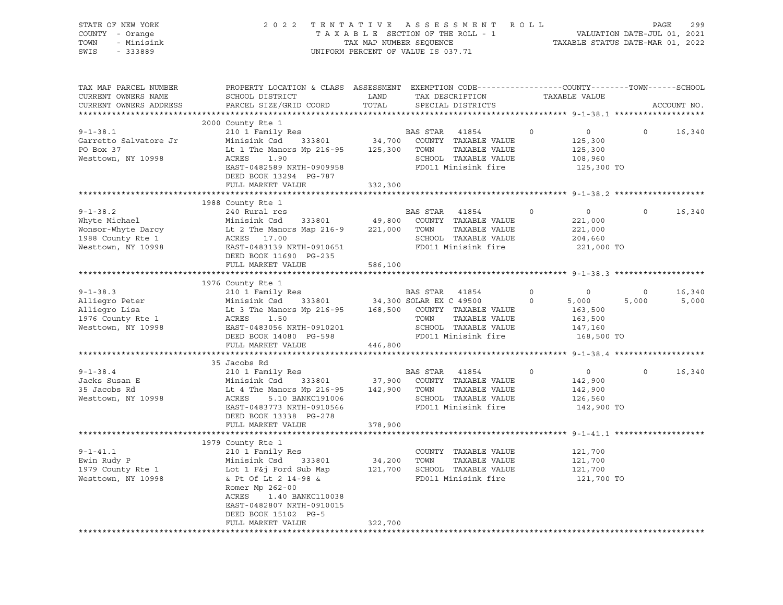| STATE OF NEW YORK<br>COUNTY - Orange<br>- Minisink<br>TOWN<br>SWIS<br>$-333889$ | TENTATIVE ASSESSMENT ROLL PAGE 299<br>TAXABLE SECTION OF THE ROLL - 1<br>TAX MAP NUMBER SEQUENCE TAXABLE STATUS DATE-JUL 01, 2021<br>TAXABLE STATUS DATE-MAR 01, 2022<br>2 0 2 2<br>TAX MAP NUMBER SEQUENCE<br>UNIFORM PERCENT OF VALUE IS 037.71                                                   |         |                       |                                                                   |                   |                                                                                                                                                                                                                                                                                                                                                                                   |                         |                 |
|---------------------------------------------------------------------------------|-----------------------------------------------------------------------------------------------------------------------------------------------------------------------------------------------------------------------------------------------------------------------------------------------------|---------|-----------------------|-------------------------------------------------------------------|-------------------|-----------------------------------------------------------------------------------------------------------------------------------------------------------------------------------------------------------------------------------------------------------------------------------------------------------------------------------------------------------------------------------|-------------------------|-----------------|
| TAX MAP PARCEL NUMBER<br>CURRENT OWNERS NAME<br>CURRENT OWNERS ADDRESS          | PROPERTY LOCATION & CLASS ASSESSMENT EXEMPTION CODE----------------COUNTY-------TOWN------SCHOOL<br>SCHOOL DISTRICT LAND<br>PARCEL SIZE/GRID COORD                                                                                                                                                  | TOTAL   |                       |                                                                   |                   |                                                                                                                                                                                                                                                                                                                                                                                   | ACCOUNT NO.             |                 |
| $9 - 1 - 38.1$<br>Garretto Salvatore Jr<br>PO Box 37<br>Westtown, NY 10998      | 2000 County Rte 1<br>210 1 Family Res<br>ACRES 1.90<br>EAST-0482589 NRTH-0909958<br>DEED BOOK 13294 PG-787<br>FULL MARKET VALUE                                                                                                                                                                     | 332,300 | <b>BAS STAR 41854</b> | SCHOOL TAXABLE VALUE<br>FD011 Minisink fire 125,300 TO            | $0 \qquad \qquad$ | $\overline{0}$<br>125,300<br>125,300<br>108,960                                                                                                                                                                                                                                                                                                                                   | $\Omega$                | 16,340          |
|                                                                                 |                                                                                                                                                                                                                                                                                                     |         |                       |                                                                   |                   |                                                                                                                                                                                                                                                                                                                                                                                   |                         |                 |
|                                                                                 | 1988 County Rte 1<br>Whyte Michael Minisink Csd 333801 49,800 COUNTY TAXABLE VALUE<br>Monsor-Whyte Darcy Lt 2 The Manors Map 216-9 221,000 TOWN TAXABLE VALUE<br>1988 County Rte 1 ACRES 17.00 SCHOOL TAXABLE VALUE<br>Westtown, NY 10998 EAST-0483139 NR                                           |         |                       | SCHOOL TAXABLE VALUE<br>FD011 Minisink fire                       | $\Omega$          | $\overline{0}$<br>221,000<br>221,000<br>204,660<br>221,000 TO                                                                                                                                                                                                                                                                                                                     | $\Omega$                | 16,340          |
|                                                                                 | FULL MARKET VALUE                                                                                                                                                                                                                                                                                   | 586,100 |                       |                                                                   |                   |                                                                                                                                                                                                                                                                                                                                                                                   |                         |                 |
|                                                                                 |                                                                                                                                                                                                                                                                                                     |         |                       |                                                                   |                   |                                                                                                                                                                                                                                                                                                                                                                                   |                         |                 |
|                                                                                 | 1976 County Rte 1                                                                                                                                                                                                                                                                                   |         |                       |                                                                   |                   |                                                                                                                                                                                                                                                                                                                                                                                   |                         |                 |
|                                                                                 | 9-1-38.3 210 1 Family Res<br>Alliegro Peter Minisink Csd 333801 34,300 SOLAR EX C 49500 0 5,000<br>Alliegro Lisa Lt 3 The Manors Mp 216-95 168,500 COUNTY TAXABLE VALUE 163,500<br>1976 County Rte 1 ACRES 1.50 TOWN TAXABLE VALUE 1<br>DEED BOOK 14080 PG-598<br>FULL MARKET VALUE 446,800         |         |                       | TOWN TAXABLE VALUE<br>SCHOOL TAXABLE VALUE<br>FD011 Minisink fire |                   | 168,500 TO                                                                                                                                                                                                                                                                                                                                                                        | $\overline{0}$<br>5,000 | 16,340<br>5,000 |
|                                                                                 |                                                                                                                                                                                                                                                                                                     |         |                       |                                                                   |                   |                                                                                                                                                                                                                                                                                                                                                                                   |                         |                 |
| $9 - 1 - 38.4$<br>Jacks Susan E<br>35 Jacobs Rd<br>Westtown, NY 10998           | 35 Jacobs Rd<br>210 1 Family Res<br>X10 I Family Res Minisink Csd 333801 37,900 COUNTY TAXABLE VALUE<br>Lt 4 The Manors Mp 216-95 142,900 TOWN TAXABLE VALUE<br>ACRES 5.10 BANKC191006 SCHOOL TAXABLE VALUE<br>EAST-0483773 NRTH-0910566 FD011 Minisink fire<br>PERD POOK<br>DEED BOOK 13338 PG-278 |         | BAS STAR 41854        |                                                                   | $\Omega$          | $\overline{0}$ and $\overline{0}$ and $\overline{0}$ and $\overline{0}$ and $\overline{0}$ and $\overline{0}$ and $\overline{0}$ and $\overline{0}$ and $\overline{0}$ and $\overline{0}$ and $\overline{0}$ and $\overline{0}$ and $\overline{0}$ and $\overline{0}$ and $\overline{0}$ and $\overline{0}$ and $\overline{0}$ and<br>142,900<br>142,900<br>126,560<br>142,900 TO |                         | $0 \t16,340$    |
|                                                                                 | FULL MARKET VALUE 378,900                                                                                                                                                                                                                                                                           |         |                       |                                                                   |                   |                                                                                                                                                                                                                                                                                                                                                                                   |                         |                 |
|                                                                                 |                                                                                                                                                                                                                                                                                                     |         |                       |                                                                   |                   |                                                                                                                                                                                                                                                                                                                                                                                   |                         |                 |
|                                                                                 | 1979 County Rte 1<br>Romer Mp 262-00<br>ACRES 1.40 BANKC110038<br>EAST-0482807 NRTH-0910015<br>DEED BOOK 15102 PG-5                                                                                                                                                                                 |         |                       |                                                                   |                   | 121,700<br>121,700<br>121,700<br>121,700 TO                                                                                                                                                                                                                                                                                                                                       |                         |                 |
|                                                                                 | FULL MARKET VALUE                                                                                                                                                                                                                                                                                   | 322,700 |                       |                                                                   |                   |                                                                                                                                                                                                                                                                                                                                                                                   |                         |                 |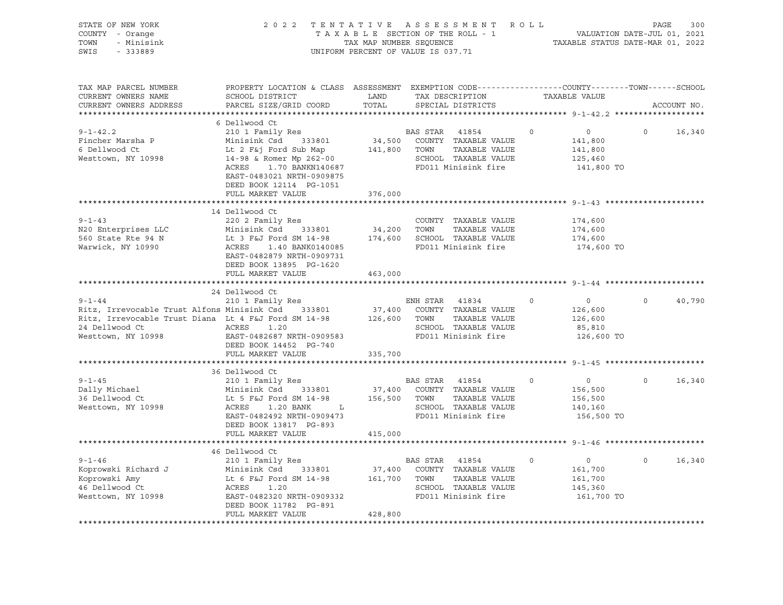| STATE OF NEW YORK<br>COUNTY - Orange<br>- Minisink<br>TOWN<br>SWIS<br>$-333889$                                                                                                                                                                                                          |                                                                                                                                                                                                                                                  | TAX MAP NUMBER SEQUENCE | 2022 TENTATIVE ASSESSMENT ROLL<br>TAXABLE SECTION OF THE ROLL - 1<br>UNIFORM PERCENT OF VALUE IS 037.71            |          | 300<br>PAGE<br>VALUATION DATE-JUL 01, 2021<br>TAXABLE STATUS DATE-MAR 01, 2022 |          |             |
|------------------------------------------------------------------------------------------------------------------------------------------------------------------------------------------------------------------------------------------------------------------------------------------|--------------------------------------------------------------------------------------------------------------------------------------------------------------------------------------------------------------------------------------------------|-------------------------|--------------------------------------------------------------------------------------------------------------------|----------|--------------------------------------------------------------------------------|----------|-------------|
| TAX MAP PARCEL NUMBER<br>CURRENT OWNERS NAME<br>CURRENT OWNERS ADDRESS                                                                                                                                                                                                                   | PROPERTY LOCATION & CLASS ASSESSMENT EXEMPTION CODE---------------COUNTY-------TOWN------SCHOOL<br><b>Example 12</b> LAND<br>SCHOOL DISTRICT<br>PARCEL SIZE/GRID COORD                                                                           | TOTAL                   | TAX DESCRIPTION TAXABLE VALUE<br>SPECIAL DISTRICTS                                                                 |          |                                                                                |          | ACCOUNT NO. |
|                                                                                                                                                                                                                                                                                          | 6 Dellwood Ct                                                                                                                                                                                                                                    |                         |                                                                                                                    |          |                                                                                |          |             |
| $9 - 1 - 42.2$<br>Fincher Marsha P<br>6 Dellwood Ct<br>Westtown, NY 10998                                                                                                                                                                                                                | 210 1 Family Res<br>Minisink Csd 333801<br>Lt 2 F&j Ford Sub Map 141,800 TOWN<br>14-98 & Romer Mp 262-00 SCHOOL<br>ACRES<br>1.70 BANKN140687<br>EAST-0483021 NRTH-0909875<br>DEED BOOK 12114 PG-1051                                             |                         | BAS STAR<br>41854<br>$34,500$ COUNTY TAXABLE VALUE<br>TAXABLE VALUE<br>SCHOOL TAXABLE VALUE<br>FD011 Minisink fire | $\circ$  | $\overline{0}$<br>141,800<br>141,800<br>125,460<br>141,800 TO                  | $\circ$  | 16,340      |
|                                                                                                                                                                                                                                                                                          | FULL MARKET VALUE                                                                                                                                                                                                                                | 376,000                 |                                                                                                                    |          |                                                                                |          |             |
| $9 - 1 - 43$<br>N20 Enterprises LLC<br>560 State Rte 94 N<br>Warwick, NY 10990                                                                                                                                                                                                           | 14 Dellwood Ct<br>220 2 Family Res<br>Minisink Csd 333801 34,200 TOWN TAXABLE VALUE<br>Lt 3 F&J Ford SM 14-98 174,600 SCHOOL TAXABLE VALUE<br>ACRES 1.40 BANK0140085 FD011 Minisink fire<br>EAST-0482879 NRTH-0909731<br>DEED BOOK 13895 PG-1620 |                         | COUNTY TAXABLE VALUE                                                                                               |          | 174,600<br>174,600<br>174,600<br>174,600 TO                                    |          |             |
|                                                                                                                                                                                                                                                                                          | FULL MARKET VALUE                                                                                                                                                                                                                                | 463,000                 |                                                                                                                    |          |                                                                                |          |             |
|                                                                                                                                                                                                                                                                                          | 24 Dellwood Ct                                                                                                                                                                                                                                   |                         |                                                                                                                    |          |                                                                                |          |             |
| $9 - 1 - 44$<br>ENH STAR 41834 (Ritz, Irrevocable Trust Alfons Minisink Csd 333801 (Ritz, Irrevocable Trust Alfons Minisink Csd 333801 (Ritz, Irrevocable Trust Diana Lt 4 F&J FORD 37,400 COUNTY TAXABLE VALUE<br>Ritz, Irrevocable Trust Diana<br>24 Dellwood Ct<br>Westtown, NY 10998 | 210 1 Family Res<br>ACRES<br>1.20<br>EAST-0482687 NRTH-0909583<br>DEED BOOK 14452 PG-740                                                                                                                                                         |                         | ENH STAR 41834<br>SCHOOL TAXABLE VALUE<br>FD011 Minisink fire                                                      | $\circ$  | $\overline{0}$<br>126,600<br>126,600<br>85,810<br>126,600 TO                   | $\circ$  | 40,790      |
|                                                                                                                                                                                                                                                                                          | FULL MARKET VALUE                                                                                                                                                                                                                                | 335,700                 |                                                                                                                    |          |                                                                                |          |             |
|                                                                                                                                                                                                                                                                                          |                                                                                                                                                                                                                                                  |                         |                                                                                                                    |          |                                                                                |          |             |
| $9 - 1 - 45$<br>Dally Michael<br>36 Dellwood Ct<br>Westtown, NY 10998                                                                                                                                                                                                                    | 36 Dellwood Ct<br>210 1 Family Res<br>210 1 ramily Res<br>Minisink Csd 333801<br>Lt 5 F&J Ford SM 14-98<br>ACRES 1.20 BANK L<br>1.20 BANK L<br>EAST-0482492 NRTH-0909473<br>DEED BOOK 13817 PG-893                                               | 156,500 TOWN            | BAS STAR 41854<br>37,400 COUNTY TAXABLE VALUE<br>TAXABLE VALUE<br>SCHOOL TAXABLE VALUE<br>FD011 Minisink fire      | $\circ$  | $\overline{0}$<br>156,500<br>156,500<br>140,160<br>156,500 TO                  | $\circ$  | 16,340      |
|                                                                                                                                                                                                                                                                                          | FULL MARKET VALUE                                                                                                                                                                                                                                | 415,000                 |                                                                                                                    |          |                                                                                |          |             |
|                                                                                                                                                                                                                                                                                          |                                                                                                                                                                                                                                                  |                         |                                                                                                                    |          |                                                                                |          |             |
| $9 - 1 - 46$<br>Xoprowski Richard J<br>Xoprowski Richard J<br>Xoprowski Amy Lt 6 F&J Ford SM 14-98 161,700 TOWN TAXABLE VALUE<br>46 Dellwood Ct ACRES 1.20 161,700 TOWN TAXABLE VALUE<br>Westtown, NY 10998 EAST-0482320 NRTH-0909332                                                    | 46 Dellwood Ct<br>210 1 Family Res<br>DEED BOOK 11782 PG-891<br>FULL MARKET VALUE                                                                                                                                                                | 428,800                 | BAS STAR 41854<br>161,700 TOWN TAXABLE VALUE<br>SCHOOL TAXABLE VALUE<br>FD011 Minisink fire                        | $\Omega$ | $\overline{0}$<br>161,700<br>161,700<br>145,360<br>161,700 TO                  | $\Omega$ | 16,340      |
|                                                                                                                                                                                                                                                                                          |                                                                                                                                                                                                                                                  |                         |                                                                                                                    |          |                                                                                |          |             |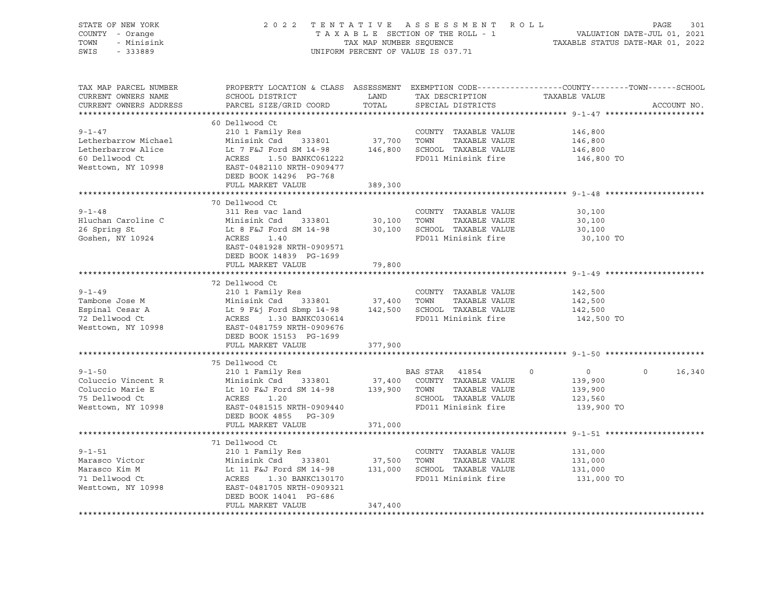| STATE OF NEW YORK<br>COUNTY - Orange<br>TOWN<br>- Minisink<br>SWIS<br>$-333889$ |                                                                                                                                                      | 2022 TENTATIVE ASSESSMENT ROLL<br>TAXABLE SECTION OF THE ROLL - 1<br>TAX MAP NUMBER SEQUENCE<br>UNIFORM PERCENT OF VALUE IS 037.71 | PAGE<br>VALUATION DATE-JUL 01, 2021<br>TAXABLE STATUS DATE-MAR 01, 2022                                                                                                                                                                       | 301                                                                                                                              |        |
|---------------------------------------------------------------------------------|------------------------------------------------------------------------------------------------------------------------------------------------------|------------------------------------------------------------------------------------------------------------------------------------|-----------------------------------------------------------------------------------------------------------------------------------------------------------------------------------------------------------------------------------------------|----------------------------------------------------------------------------------------------------------------------------------|--------|
| TAX MAP PARCEL NUMBER<br>CURRENT OWNERS NAME<br>CURRENT OWNERS ADDRESS          | SCHOOL DISTRICT<br>PARCEL SIZE/GRID COORD                                                                                                            | LAND<br>TOTAL                                                                                                                      | TAX DESCRIPTION<br>SPECIAL DISTRICTS                                                                                                                                                                                                          | PROPERTY LOCATION & CLASS ASSESSMENT EXEMPTION CODE----------------COUNTY-------TOWN------SCHOOL<br>TAXABLE VALUE<br>ACCOUNT NO. |        |
|                                                                                 |                                                                                                                                                      |                                                                                                                                    |                                                                                                                                                                                                                                               |                                                                                                                                  |        |
|                                                                                 | 60 Dellwood Ct                                                                                                                                       |                                                                                                                                    |                                                                                                                                                                                                                                               |                                                                                                                                  |        |
| $9 - 1 - 47$                                                                    | 210 1 Family Res                                                                                                                                     |                                                                                                                                    | COUNTY TAXABLE VALUE                                                                                                                                                                                                                          | 146,800                                                                                                                          |        |
| Letherbarrow Michael                                                            | Minisink Csd 333801<br>Lt 7 F&J Ford SM 14-98 146,800 SCHOOL TAXABLE VALUE                                                                           | 37,700 TOWN                                                                                                                        | TAXABLE VALUE                                                                                                                                                                                                                                 | 146,800                                                                                                                          |        |
| Letherbarrow Alice<br>60 Dellwood Ct<br>Westtown, NY 10998                      | Lt 7 F<br>ACRES<br>1.50 BANKC061222<br>EAST-0482110 NRTH-0909477<br>DEED BOOK 14296 PG-768                                                           |                                                                                                                                    | FD011 Minisink fire                                                                                                                                                                                                                           | 146,800<br>146,800 TO                                                                                                            |        |
|                                                                                 | FULL MARKET VALUE                                                                                                                                    | 389,300                                                                                                                            |                                                                                                                                                                                                                                               |                                                                                                                                  |        |
|                                                                                 |                                                                                                                                                      |                                                                                                                                    |                                                                                                                                                                                                                                               |                                                                                                                                  |        |
|                                                                                 | 70 Dellwood Ct                                                                                                                                       |                                                                                                                                    |                                                                                                                                                                                                                                               |                                                                                                                                  |        |
| $9 - 1 - 48$                                                                    | 311 Res vac land                                                                                                                                     |                                                                                                                                    | COUNTY TAXABLE VALUE                                                                                                                                                                                                                          | 30,100                                                                                                                           |        |
| Hluchan Caroline C                                                              | Minisink Csd 333801                                                                                                                                  | 30,100 TOWN                                                                                                                        | TAXABLE VALUE                                                                                                                                                                                                                                 | 30,100                                                                                                                           |        |
| 26 Spring St                                                                    | Lt 8 F&J Ford SM 14-98                                                                                                                               |                                                                                                                                    | 30,100 SCHOOL TAXABLE VALUE                                                                                                                                                                                                                   | 30,100                                                                                                                           |        |
| Goshen, NY 10924                                                                | ACRES<br>1.40<br>EAST-0481928 NRTH-0909571<br>DEED BOOK 14839 PG-1699                                                                                |                                                                                                                                    | FD011 Minisink fire                                                                                                                                                                                                                           | 30,100 TO                                                                                                                        |        |
|                                                                                 | FULL MARKET VALUE                                                                                                                                    | 79,800                                                                                                                             |                                                                                                                                                                                                                                               |                                                                                                                                  |        |
|                                                                                 |                                                                                                                                                      |                                                                                                                                    |                                                                                                                                                                                                                                               |                                                                                                                                  |        |
|                                                                                 | 72 Dellwood Ct                                                                                                                                       |                                                                                                                                    |                                                                                                                                                                                                                                               |                                                                                                                                  |        |
| $9 - 1 - 49$                                                                    | 210 1 Family Res                                                                                                                                     |                                                                                                                                    | COUNTY TAXABLE VALUE                                                                                                                                                                                                                          | 142,500                                                                                                                          |        |
| Tambone Jose M                                                                  |                                                                                                                                                      |                                                                                                                                    |                                                                                                                                                                                                                                               | 142,500                                                                                                                          |        |
| Espinal Cesar A                                                                 | Minisink Csd 333801 37,400 TOWN TAXABLE VALUE<br>Lt 9 F&j Ford Sbmp 14-98 142,500 SCHOOL TAXABLE VALUE<br>ACRES 1.30 BANKC030614 FD011 Minisink fire |                                                                                                                                    |                                                                                                                                                                                                                                               | 142,500                                                                                                                          |        |
| 72 Dellwood Ct<br>Westtown, NY 10998                                            | EAST-0481759 NRTH-0909676<br>DEED BOOK 15153 PG-1699                                                                                                 |                                                                                                                                    |                                                                                                                                                                                                                                               | 142,500 TO                                                                                                                       |        |
|                                                                                 | FULL MARKET VALUE                                                                                                                                    | 377,900                                                                                                                            |                                                                                                                                                                                                                                               |                                                                                                                                  |        |
|                                                                                 |                                                                                                                                                      |                                                                                                                                    |                                                                                                                                                                                                                                               |                                                                                                                                  |        |
|                                                                                 | 75 Dellwood Ct                                                                                                                                       |                                                                                                                                    |                                                                                                                                                                                                                                               |                                                                                                                                  |        |
| $9 - 1 - 50$                                                                    | 210 1 Family Res                                                                                                                                     |                                                                                                                                    | BAS STAR 41854                                                                                                                                                                                                                                | $\overline{0}$<br>$\Omega$<br>$\circ$                                                                                            | 16,340 |
| Coluccio Vincent R                                                              |                                                                                                                                                      |                                                                                                                                    |                                                                                                                                                                                                                                               |                                                                                                                                  |        |
|                                                                                 |                                                                                                                                                      |                                                                                                                                    |                                                                                                                                                                                                                                               | 139,900                                                                                                                          |        |
| Coluccio Marie E                                                                |                                                                                                                                                      |                                                                                                                                    |                                                                                                                                                                                                                                               | 139,900                                                                                                                          |        |
| 75 Dellwood Ct                                                                  |                                                                                                                                                      |                                                                                                                                    |                                                                                                                                                                                                                                               | 123,560                                                                                                                          |        |
| Westtown, NY 10998                                                              | EAST-0481515 NRTH-0909440<br>DEED BOOK 4855 PG-309<br>FULL MARKET VALUE                                                                              |                                                                                                                                    | FD011 Minisink fire                                                                                                                                                                                                                           | 139,900 TO                                                                                                                       |        |
|                                                                                 |                                                                                                                                                      | 371,000                                                                                                                            |                                                                                                                                                                                                                                               |                                                                                                                                  |        |
|                                                                                 | 71 Dellwood Ct                                                                                                                                       |                                                                                                                                    |                                                                                                                                                                                                                                               |                                                                                                                                  |        |
| $9 - 1 - 51$                                                                    | 210 1 Family Res                                                                                                                                     |                                                                                                                                    | COUNTY TAXABLE VALUE                                                                                                                                                                                                                          | 131,000                                                                                                                          |        |
| Marasco Victor                                                                  |                                                                                                                                                      |                                                                                                                                    |                                                                                                                                                                                                                                               | 131,000                                                                                                                          |        |
| Marasco Kim M                                                                   |                                                                                                                                                      |                                                                                                                                    | $333801 \qquad 37,500 \qquad {\small{TOWN}} \qquad {\small{TAXABLE\ VALUE}} \\ \noalign{\vskip 1.3cm} \text{d } \text{SM } 14-\text{98} \qquad 131,000 \qquad {\small{SCHOOL}} \qquad {\small{TAXABLE\ VALUE}} \qquad \noalign{\vskip 1.3cm}$ | 131,000                                                                                                                          |        |
| 71 Dellwood Ct                                                                  | Minisink Csd 333801<br>Lt 11 F&J Ford SM 14-98<br>ACRES 1.30 BANKC130170<br>ACRES    1.30 BANKC130170                                                |                                                                                                                                    | FD011 Minisink fire                                                                                                                                                                                                                           | 131,000 TO                                                                                                                       |        |
| Westtown, NY 10998                                                              | EAST-0481705 NRTH-0909321                                                                                                                            |                                                                                                                                    |                                                                                                                                                                                                                                               |                                                                                                                                  |        |
|                                                                                 | DEED BOOK 14041 PG-686<br>FULL MARKET VALUE                                                                                                          | 347,400                                                                                                                            |                                                                                                                                                                                                                                               |                                                                                                                                  |        |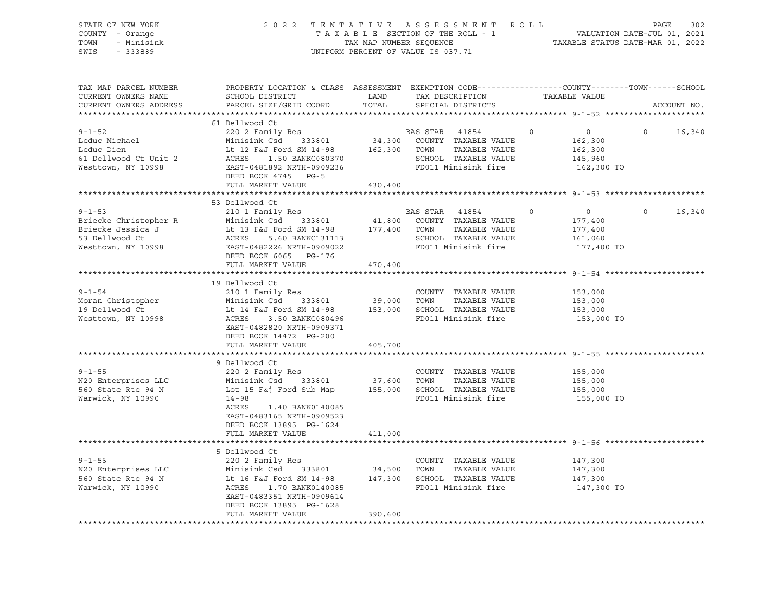| STATE OF NEW YORK<br>COUNTY - Orange<br>TOWN<br>- Minisink<br>SWIS<br>$-333889$                    | 2 0 2 2                                                                                                                                                                                                    | TAX MAP NUMBER SEQUENCE      | TENTATIVE ASSESSMENT ROLL<br>TAXABLE SECTION OF THE ROLL - 1<br>UNIFORM PERCENT OF VALUE IS 037.71             |                                                                           | PAGE<br>302<br>VALUATION DATE-JUL 01, 2021<br>TAXABLE STATUS DATE-MAR 01, 2022 |
|----------------------------------------------------------------------------------------------------|------------------------------------------------------------------------------------------------------------------------------------------------------------------------------------------------------------|------------------------------|----------------------------------------------------------------------------------------------------------------|---------------------------------------------------------------------------|--------------------------------------------------------------------------------|
| TAX MAP PARCEL NUMBER<br>CURRENT OWNERS NAME<br>CURRENT OWNERS ADDRESS                             | PROPERTY LOCATION & CLASS ASSESSMENT EXEMPTION CODE----------------COUNTY-------TOWN-----SCHOOL<br>SCHOOL DISTRICT<br>PARCEL SIZE/GRID COORD                                                               | LAND<br>TOTAL                | TAX DESCRIPTION TAXABLE VALUE<br>SPECIAL DISTRICTS                                                             |                                                                           | ACCOUNT NO.                                                                    |
|                                                                                                    | 61 Dellwood Ct                                                                                                                                                                                             |                              |                                                                                                                |                                                                           |                                                                                |
| $9 - 1 - 52$<br>Leduc Michael<br>Leduc Dien<br>61 Dellwood Ct Unit 2<br>Westtown, NY 10998         | 220 2 Family Res<br>Minisink Csd 333801<br>Lt 12 F&J Ford SM 14-98<br>ACRES<br>1.50 BANKC080370<br>EAST-0481892 NRTH-0909236<br>DEED BOOK 4745 PG-5                                                        | 34,300<br>162,300            | BAS STAR 41854<br>COUNTY TAXABLE VALUE<br>TOWN<br>TAXABLE VALUE<br>SCHOOL TAXABLE VALUE<br>FD011 Minisink fire | $\overline{0}$<br>$\Omega$<br>162,300<br>162,300<br>145,960<br>162,300 TO | 16,340<br>$\Omega$                                                             |
|                                                                                                    | FULL MARKET VALUE                                                                                                                                                                                          | 430,400                      |                                                                                                                |                                                                           |                                                                                |
|                                                                                                    | **********************                                                                                                                                                                                     |                              |                                                                                                                |                                                                           |                                                                                |
| $9 - 1 - 53$<br>Briecke Christopher R<br>Briecke Jessica J<br>53 Dellwood Ct<br>Westtown, NY 10998 | 53 Dellwood Ct<br>210 1 Family Res<br>Minisink Csd 333801<br>Lt 13 F&J Ford SM 14-98<br>ACRES<br>5.60 BANKC131113<br>EAST-0482226 NRTH-0909022<br>DEED BOOK 6065 PG-176                                    | 41,800<br>177,400            | BAS STAR 41854<br>COUNTY TAXABLE VALUE<br>TAXABLE VALUE<br>TOWN<br>SCHOOL TAXABLE VALUE<br>FD011 Minisink fire | 0<br>$\circ$<br>177,400<br>177,400<br>161,060<br>177,400 TO               | 16,340<br>$\circ$                                                              |
|                                                                                                    | FULL MARKET VALUE                                                                                                                                                                                          | 470,400                      |                                                                                                                |                                                                           |                                                                                |
| $9 - 1 - 54$<br>Moran Christopher<br>19 Dellwood Ct<br>Westtown, NY 10998                          | 19 Dellwood Ct<br>210 1 Family Res<br>Minisink Csd<br>333801<br>Lt 14 F&J Ford SM 14-98<br>ACRES<br>3.50 BANKC080496<br>EAST-0482820 NRTH-0909371<br>DEED BOOK 14472 PG-200<br>FULL MARKET VALUE           | 39,000<br>153,000<br>405,700 | COUNTY TAXABLE VALUE<br>TAXABLE VALUE<br>TOWN<br>SCHOOL TAXABLE VALUE<br>FD011 Minisink fire                   | 153,000<br>153,000<br>153,000<br>153,000 TO                               |                                                                                |
|                                                                                                    |                                                                                                                                                                                                            |                              |                                                                                                                |                                                                           |                                                                                |
| $9 - 1 - 55$<br>N20 Enterprises LLC<br>560 State Rte 94 N<br>Warwick, NY 10990                     | 9 Dellwood Ct<br>220 2 Family Res<br>Minisink Csd 333801<br>Lot 15 F&j Ford Sub Map<br>$14 - 98$<br>ACRES<br>1.40 BANK0140085<br>EAST-0483165 NRTH-0909523<br>DEED BOOK 13895 PG-1624<br>FULL MARKET VALUE | 37,600<br>155,000<br>411,000 | COUNTY TAXABLE VALUE<br>TOWN<br>TAXABLE VALUE<br>SCHOOL TAXABLE VALUE<br>FD011 Minisink fire                   | 155,000<br>155,000<br>155,000<br>155,000 TO                               |                                                                                |
|                                                                                                    |                                                                                                                                                                                                            |                              |                                                                                                                |                                                                           |                                                                                |
| $9 - 1 - 56$<br>N20 Enterprises LLC<br>560 State Rte 94 N<br>Warwick, NY 10990                     | 5 Dellwood Ct<br>220 2 Family Res<br>Minisink Csd 333801<br>Lt 16 F&J Ford SM 14-98<br>ACRES<br>1.70 BANK0140085<br>EAST-0483351 NRTH-0909614<br>DEED BOOK 13895 PG-1628<br>FULL MARKET VALUE              | 34,500<br>147,300<br>390,600 | COUNTY TAXABLE VALUE<br>TOWN<br>TAXABLE VALUE<br>SCHOOL TAXABLE VALUE<br>FD011 Minisink fire                   | 147,300<br>147,300<br>147,300<br>147,300 TO                               |                                                                                |
|                                                                                                    |                                                                                                                                                                                                            |                              |                                                                                                                |                                                                           |                                                                                |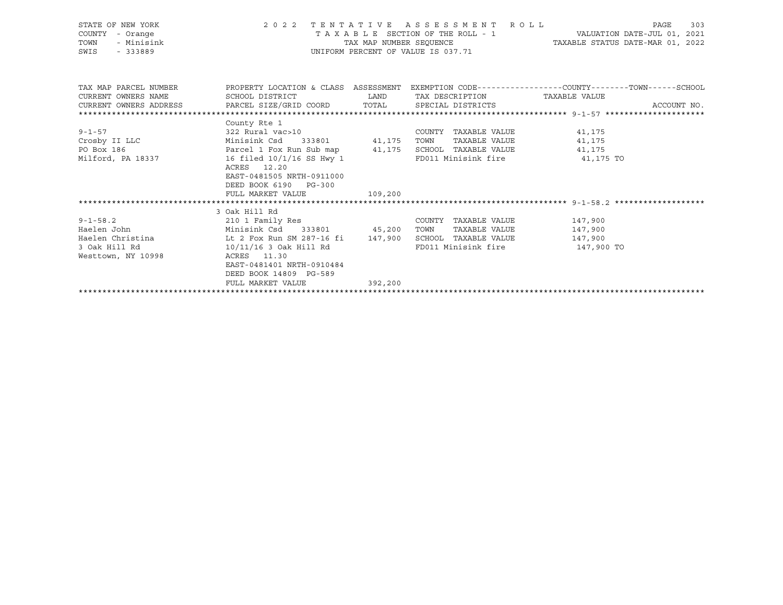| STATE OF NEW YORK<br>STATE OF NEW YORK<br>COUNTY - Orange<br>TOWN - Minisink<br>-- 223889                                | 2022 TENTATIVE ASSESSMENT ROLL<br>UNIFORM PERCENT OF VALUE IS 037.71 | TAXABLE SECTION OF THE ROLL - 1<br>TAX MAP NUMBER SEQUENCE TAXABLE STATUS DATE-MAR 01, 2022 | 303<br>PAGE                     |  |             |
|--------------------------------------------------------------------------------------------------------------------------|----------------------------------------------------------------------|---------------------------------------------------------------------------------------------|---------------------------------|--|-------------|
| TAX MAP PARCEL NUMBER THE PROPERTY LOCATION & CLASS ASSESSMENT EXEMPTION CODE--------------COUNTY-------TOWN------SCHOOL |                                                                      |                                                                                             |                                 |  |             |
|                                                                                                                          |                                                                      |                                                                                             |                                 |  |             |
| CURRENT OWNERS ADDRESS PARCEL SIZE/GRID COORD TOTAL SPECIAL DISTRICTS                                                    |                                                                      |                                                                                             |                                 |  | ACCOUNT NO. |
|                                                                                                                          | County Rte 1                                                         |                                                                                             |                                 |  |             |
|                                                                                                                          |                                                                      |                                                                                             |                                 |  |             |
|                                                                                                                          |                                                                      |                                                                                             |                                 |  |             |
|                                                                                                                          |                                                                      |                                                                                             |                                 |  |             |
|                                                                                                                          |                                                                      |                                                                                             | FD011 Minisink fire 41,175 TO   |  |             |
|                                                                                                                          | ACRES 12.20                                                          |                                                                                             |                                 |  |             |
|                                                                                                                          | EAST-0481505 NRTH-0911000                                            |                                                                                             |                                 |  |             |
|                                                                                                                          | DEED BOOK 6190 PG-300                                                |                                                                                             |                                 |  |             |
|                                                                                                                          | FULL MARKET VALUE                                                    | 109,200                                                                                     |                                 |  |             |
|                                                                                                                          |                                                                      |                                                                                             |                                 |  |             |
|                                                                                                                          | 3 Oak Hill Rd                                                        |                                                                                             |                                 |  |             |
| 9-1-58.2 210 1 Family Res                                                                                                |                                                                      |                                                                                             | COUNTY TAXABLE VALUE 147,900    |  |             |
| Haelen John                       Minisink Csd     333801         45,200   TOWN     TAXABLE VALUE             147,900    |                                                                      |                                                                                             |                                 |  |             |
| Haelen Christina (a) Lt 2 Fox Run SM 287-16 fi 147,900 SCHOOL TAXABLE VALUE 147,900<br>3 Oak Hill Rd                     |                                                                      |                                                                                             | FD011 Minisink fire 5147,900 TO |  |             |
| Westtown, NY 10998                                                                                                       | $10/11/16$ 3 Oak Hill Rd<br>ACRES 11.30                              |                                                                                             |                                 |  |             |
|                                                                                                                          | EAST-0481401 NRTH-0910484                                            |                                                                                             |                                 |  |             |
|                                                                                                                          | DEED BOOK 14809 PG-589                                               |                                                                                             |                                 |  |             |
|                                                                                                                          | FULL MARKET VALUE                                                    | 392,200                                                                                     |                                 |  |             |
|                                                                                                                          |                                                                      |                                                                                             |                                 |  |             |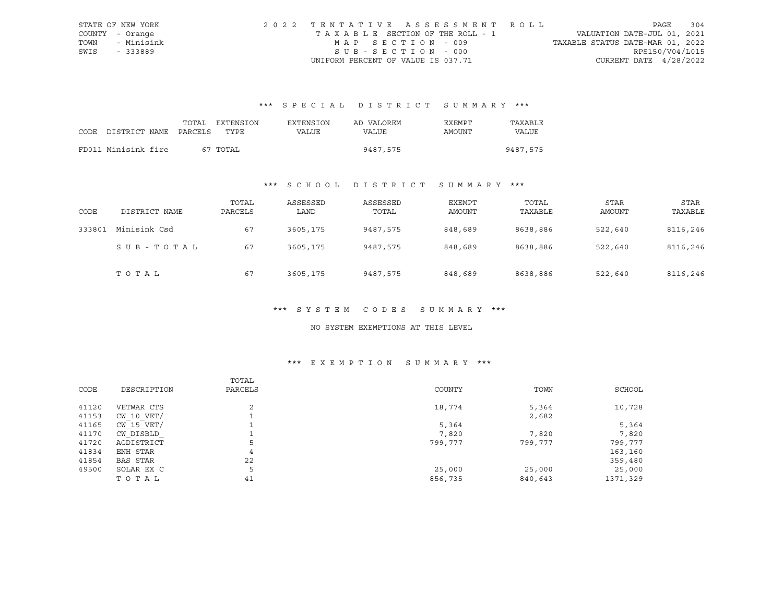|      | STATE OF NEW YORK | 2022 TENTATIVE ASSESSMENT ROLL     |                                  | PAGE            | 304 |
|------|-------------------|------------------------------------|----------------------------------|-----------------|-----|
|      | COUNTY - Orange   | TAXABLE SECTION OF THE ROLL - 1    | VALUATION DATE-JUL 01, 2021      |                 |     |
|      | TOWN - Minisink   | MAP SECTION - 009                  | TAXABLE STATUS DATE-MAR 01, 2022 |                 |     |
| SWIS | - 333889          | SUB-SECTION - 000                  |                                  | RPS150/V04/L015 |     |
|      |                   | UNIFORM PERCENT OF VALUE IS 037.71 | CURRENT DATE $4/28/2022$         |                 |     |

# \*\*\* S P E C I A L D I S T R I C T S U M M A R Y \*\*\*

|                                 | TOTAL | EXTENSION | <b>EXTENSION</b> | AD VALOREM | EXEMPT | TAXABLE  |
|---------------------------------|-------|-----------|------------------|------------|--------|----------|
| CODE DISTRICT NAME PARCELS TYPE |       |           | VALUE            | VALUE      | AMOUNT | VALUE    |
|                                 |       |           |                  |            |        |          |
| FD011 Minisink fire             |       | 67 TOTAL  |                  | 9487,575   |        | 9487,575 |

# \*\*\* S C H O O L D I S T R I C T S U M M A R Y \*\*\*

| CODE   | DISTRICT NAME | TOTAL<br>PARCELS | ASSESSED<br>LAND | ASSESSED<br>TOTAL | EXEMPT<br>AMOUNT | TOTAL<br>TAXABLE | STAR<br>AMOUNT | STAR<br>TAXABLE |
|--------|---------------|------------------|------------------|-------------------|------------------|------------------|----------------|-----------------|
| 333801 | Minisink Csd  | 67               | 3605,175         | 9487,575          | 848,689          | 8638,886         | 522,640        | 8116,246        |
|        | SUB-TOTAL     | 67               | 3605,175         | 9487,575          | 848,689          | 8638,886         | 522,640        | 8116,246        |
|        | TOTAL         | 67               | 3605,175         | 9487,575          | 848,689          | 8638,886         | 522,640        | 8116,246        |

#### \*\*\* S Y S T E M C O D E S S U M M A R Y \*\*\*

#### NO SYSTEM EXEMPTIONS AT THIS LEVEL

# \*\*\* E X E M P T I O N S U M M A R Y \*\*\*

| CODE  | DESCRIPTION    | TOTAL<br>PARCELS | COUNTY  | TOWN    | SCHOOL   |
|-------|----------------|------------------|---------|---------|----------|
| 41120 | VETWAR CTS     | 2                | 18,774  | 5,364   | 10,728   |
| 41153 | $CW$ 10 $VET/$ |                  |         | 2,682   |          |
| 41165 | CW 15 VET/     |                  | 5,364   |         | 5,364    |
| 41170 | CW DISBLD      |                  | 7,820   | 7,820   | 7,820    |
| 41720 | AGDISTRICT     | 5                | 799,777 | 799,777 | 799,777  |
| 41834 | ENH STAR       | 4                |         |         | 163,160  |
| 41854 | BAS STAR       | 22               |         |         | 359,480  |
| 49500 | SOLAR EX C     | 5                | 25,000  | 25,000  | 25,000   |
|       | TOTAL          | 41               | 856,735 | 840,643 | 1371,329 |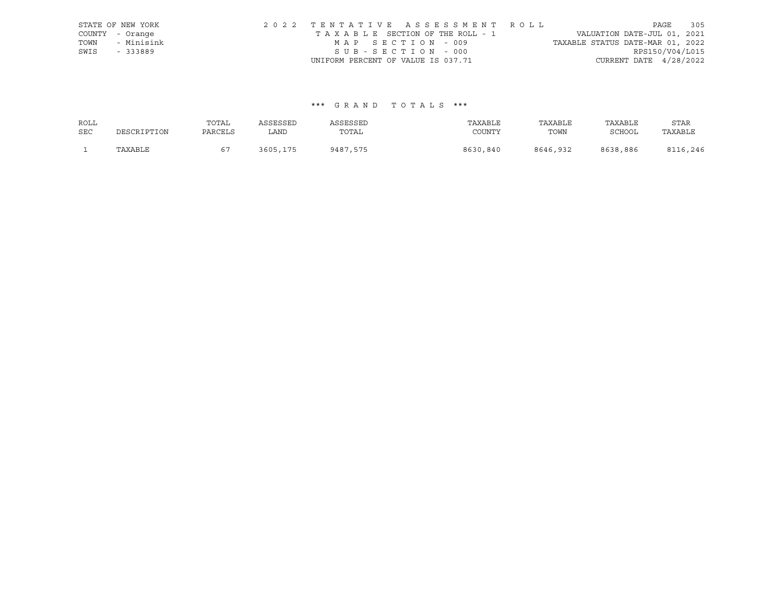|      | STATE OF NEW YORK | 2022 TENTATIVE ASSESSMENT ROLL     |                                  | PAGE            | 305 |
|------|-------------------|------------------------------------|----------------------------------|-----------------|-----|
|      | COUNTY - Orange   | TAXABLE SECTION OF THE ROLL - 1    | VALUATION DATE-JUL 01, 2021      |                 |     |
| TOWN | - Minisink        | MAP SECTION - 009                  | TAXABLE STATUS DATE-MAR 01, 2022 |                 |     |
| SWIS | - 333889          | SUB-SECTION - 000                  |                                  | RPS150/V04/L015 |     |
|      |                   | UNIFORM PERCENT OF VALUE IS 037.71 | CURRENT DATE $4/28/2022$         |                 |     |

## \*\*\* G R A N D T O T A L S \*\*\*

| ROLL       |             | TOTAL   | ASSESSED | ASSESSED | TAXABLE  | TAXABLE  | TAXABLE  | STAR     |
|------------|-------------|---------|----------|----------|----------|----------|----------|----------|
| <b>SEC</b> | DESCRIPTION | PARCELS | LAND     | TOTAL    | COUNTY   | TOWN     | SCHOOL   | TAXABLE  |
|            | TAXABLE     |         | 3605,175 | 9487,575 | 8630,840 | 8646,932 | 8638,886 | 8116,246 |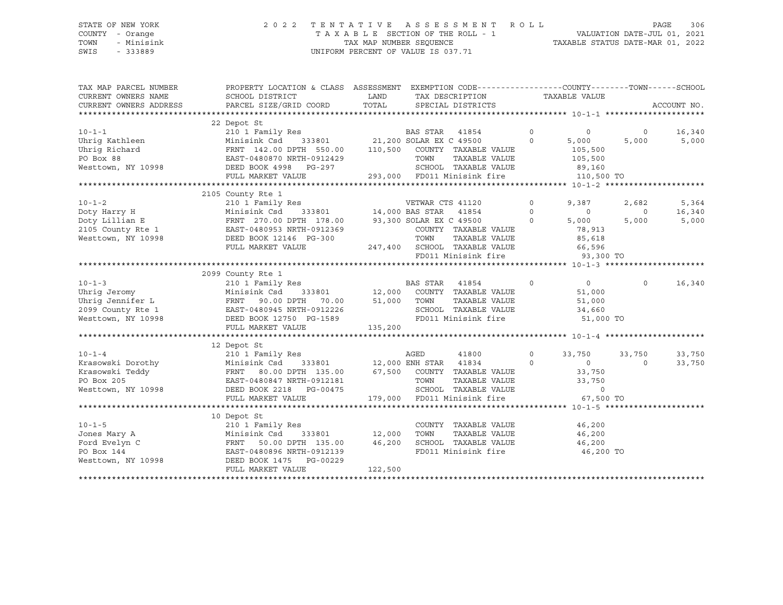### STATE OF NEW YORK 2 0 2 2 T E N T A T I V E A S S E S S M E N T R O L L PAGE 306 COUNTY - Orange T A X A B L E SECTION OF THE ROLL - 1 VALUATION DATE-JUL 01, 2021 TOWN - Minisink TAX MAP NUMBER SEQUENCE TAXABLE STATUS DATE-MAR 01, 2022 SWIS - 333889 CONSERVATION CONTROL OF VALUE IS 037.71

TAX MAP PARCEL NUMBER PROPERTY LOCATION & CLASS ASSESSMENT EXEMPTION CODE------------------COUNTY--------TOWN------SCHOOL CURRENT OWNERS NAME SCHOOL DISTRICT LAND TAX DESCRIPTION TAXABLE VALUE CURRENT OWNERS ADDRESS PARCEL SIZE/GRID COORD TOTAL SPECIAL DISTRICTS ACCOUNT NO. \*\*\*\*\*\*\*\*\*\*\*\*\*\*\*\*\*\*\*\*\*\*\*\*\*\*\*\*\*\*\*\*\*\*\*\*\*\*\*\*\*\*\*\*\*\*\*\*\*\*\*\*\*\*\*\*\*\*\*\*\*\*\*\*\*\*\*\*\*\*\*\*\*\*\*\*\*\*\*\*\*\*\*\*\*\*\*\*\*\*\*\*\*\*\*\*\*\*\*\*\*\*\* 10-1-1 \*\*\*\*\*\*\*\*\*\*\*\*\*\*\*\*\*\*\*\*\* 22 Depot St 10-1-1 210 1 Family Res BAS STAR 41854 0 0 0 16,340 Uhrig Kathleen Minisink Csd 333801 21,200 SOLAR EX C 49500 0 5,000 5,000 5,000 Uhrig Richard FRNT 142.00 DPTH 550.00 110,500 COUNTY TAXABLE VALUE 105,500 PO Box 88 EAST-0480870 NRTH-0912429 TOWN TAXABLE VALUE 105,500 Westtown, NY 10998 DEED BOOK 4998 PG-297 SCHOOL TAXABLE VALUE 89,160 FULL MARKET VALUE 293,000 FD011 Minisink fire 110,500 TO \*\*\*\*\*\*\*\*\*\*\*\*\*\*\*\*\*\*\*\*\*\*\*\*\*\*\*\*\*\*\*\*\*\*\*\*\*\*\*\*\*\*\*\*\*\*\*\*\*\*\*\*\*\*\*\*\*\*\*\*\*\*\*\*\*\*\*\*\*\*\*\*\*\*\*\*\*\*\*\*\*\*\*\*\*\*\*\*\*\*\*\*\*\*\*\*\*\*\*\*\*\*\* 10-1-2 \*\*\*\*\*\*\*\*\*\*\*\*\*\*\*\*\*\*\*\*\* 2105 County Rte 1 10-1-2 210 1 Family Res VETWAR CTS 41120 0 9,387 2,682 5,364 Doty Harry H Minisink Csd 333801 14,000 BAS STAR 41854 0 0 0 16,340 Doty Lillian E FRNT 270.00 DPTH 178.00 93,300 SOLAR EX C 49500 0 5,000 5,000 5,000 2105 County Rte 1 EAST-0480953 NRTH-0912369 COUNTY TAXABLE VALUE 78,913 Westtown, NY 10998 DEED BOOK 12146 PG-300 TOWN TAXABLE VALUE 85,618 FULL MARKET VALUE 247,400 SCHOOL TAXABLE VALUE 66,596 FD011 Minisink fire 33,300 TO \*\*\*\*\*\*\*\*\*\*\*\*\*\*\*\*\*\*\*\*\*\*\*\*\*\*\*\*\*\*\*\*\*\*\*\*\*\*\*\*\*\*\*\*\*\*\*\*\*\*\*\*\*\*\*\*\*\*\*\*\*\*\*\*\*\*\*\*\*\*\*\*\*\*\*\*\*\*\*\*\*\*\*\*\*\*\*\*\*\*\*\*\*\*\*\*\*\*\*\*\*\*\* 10-1-3 \*\*\*\*\*\*\*\*\*\*\*\*\*\*\*\*\*\*\*\*\* 2099 County Rte 1 10-1-3 210 1 Family Res BAS STAR 41854 0 0 0 16,340 Uhrig Jeromy Minisink Csd 333801 12,000 COUNTY TAXABLE VALUE 51,000 Uhrig Jennifer L FRNT 90.00 DPTH 70.00 51,000 TOWN TAXABLE VALUE 51,000 2099 County Rte 1 EAST-0480945 NRTH-0912226 SCHOOL TAXABLE VALUE 34,660 Westtown, NY 10998 DEED BOOK 12750 PG-1589 FD011 Minisink fire 51,000 TO FULL MARKET VALUE 135,200 \*\*\*\*\*\*\*\*\*\*\*\*\*\*\*\*\*\*\*\*\*\*\*\*\*\*\*\*\*\*\*\*\*\*\*\*\*\*\*\*\*\*\*\*\*\*\*\*\*\*\*\*\*\*\*\*\*\*\*\*\*\*\*\*\*\*\*\*\*\*\*\*\*\*\*\*\*\*\*\*\*\*\*\*\*\*\*\*\*\*\*\*\*\*\*\*\*\*\*\*\*\*\* 10-1-4 \*\*\*\*\*\*\*\*\*\*\*\*\*\*\*\*\*\*\*\*\* 12 Depot St 10-1-4 210 1 Family Res AGED 41800 0 33,750 33,750 33,750 Krasowski Dorothy Minisink Csd 333801 12,000 ENH STAR 41834 0 0 0 33,750 Krasowski Teddy FRNT 80.00 DPTH 135.00 67,500 COUNTY TAXABLE VALUE 33,750 PO Box 205 EAST-0480847 NRTH-0912181 TOWN TAXABLE VALUE 33,750 Westtown, NY 10998 DEED BOOK 2218 PG-00475 SCHOOL TAXABLE VALUE 0 FULL MARKET VALUE 179,000 FD011 Minisink fire 67,500 TO \*\*\*\*\*\*\*\*\*\*\*\*\*\*\*\*\*\*\*\*\*\*\*\*\*\*\*\*\*\*\*\*\*\*\*\*\*\*\*\*\*\*\*\*\*\*\*\*\*\*\*\*\*\*\*\*\*\*\*\*\*\*\*\*\*\*\*\*\*\*\*\*\*\*\*\*\*\*\*\*\*\*\*\*\*\*\*\*\*\*\*\*\*\*\*\*\*\*\*\*\*\*\* 10-1-5 \*\*\*\*\*\*\*\*\*\*\*\*\*\*\*\*\*\*\*\*\* 10 Depot St 10-1-5 210 1 Family Res COUNTY TAXABLE VALUE 46,200 Jones Mary A Minisink Csd 333801 12,000 TOWN TAXABLE VALUE 46,200 Ford Evelyn C FRNT 50.00 DPTH 135.00 46,200 SCHOOL TAXABLE VALUE 46,200 PO Box 144 EAST-0480896 NRTH-0912139 FD011 Minisink fire 46,200 TO Westtown, NY 10998 DEED BOOK 1475 PG-00229 FULL MARKET VALUE 122,500 \*\*\*\*\*\*\*\*\*\*\*\*\*\*\*\*\*\*\*\*\*\*\*\*\*\*\*\*\*\*\*\*\*\*\*\*\*\*\*\*\*\*\*\*\*\*\*\*\*\*\*\*\*\*\*\*\*\*\*\*\*\*\*\*\*\*\*\*\*\*\*\*\*\*\*\*\*\*\*\*\*\*\*\*\*\*\*\*\*\*\*\*\*\*\*\*\*\*\*\*\*\*\*\*\*\*\*\*\*\*\*\*\*\*\*\*\*\*\*\*\*\*\*\*\*\*\*\*\*\*\*\*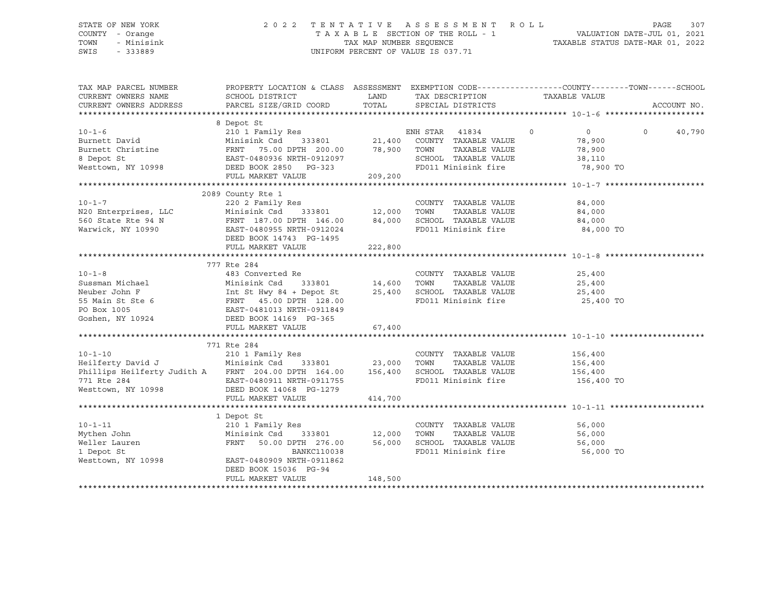#### STATE OF NEW YORK 2 0 2 2 T E N T A T I V E A S S E S S M E N T R O L L PAGE 307 COUNTY - Orange T A X A B L E SECTION OF THE ROLL - 1 VALUATION DATE-JUL 01, 2021 TOWN - Minisink TAX MAP NUMBER SEQUENCE TAXABLE STATUS DATE-MAR 01, 2022<br>TAXABLE STATUS DATE-MAR 01, 2022 UNIFORM PERCENT OF VALUE IS 037.71

TAX MAP PARCEL NUMBER PROPERTY LOCATION & CLASS ASSESSMENT EXEMPTION CODE------------------COUNTY--------TOWN------SCHOOL CURRENT OWNERS NAME SCHOOL DISTRICT LAND TAX DESCRIPTION TAXABLE VALUE CURRENT OWNERS ADDRESS PARCEL SIZE/GRID COORD TOTAL SPECIAL DISTRICTS ACCOUNT NO. \*\*\*\*\*\*\*\*\*\*\*\*\*\*\*\*\*\*\*\*\*\*\*\*\*\*\*\*\*\*\*\*\*\*\*\*\*\*\*\*\*\*\*\*\*\*\*\*\*\*\*\*\*\*\*\*\*\*\*\*\*\*\*\*\*\*\*\*\*\*\*\*\*\*\*\*\*\*\*\*\*\*\*\*\*\*\*\*\*\*\*\*\*\*\*\*\*\*\*\*\*\*\* 10-1-6 \*\*\*\*\*\*\*\*\*\*\*\*\*\*\*\*\*\*\*\*\* 8 Depot St 10-1-6 210 1 Family Res ENH STAR 41834 0 0 0 40,790 Burnett David Minisink Csd 333801 21,400 COUNTY TAXABLE VALUE 78,900 Burnett Christine FRNT 75.00 DPTH 200.00 78,900 TOWN TAXABLE VALUE 78,900 8 Depot St EAST-0480936 NRTH-0912097 SCHOOL TAXABLE VALUE 38,110 Westtown, NY 10998 DEED BOOK 2850 PG-323 FD011 Minisink fire 78,900 TO FULL MARKET VALUE 209,200 \*\*\*\*\*\*\*\*\*\*\*\*\*\*\*\*\*\*\*\*\*\*\*\*\*\*\*\*\*\*\*\*\*\*\*\*\*\*\*\*\*\*\*\*\*\*\*\*\*\*\*\*\*\*\*\*\*\*\*\*\*\*\*\*\*\*\*\*\*\*\*\*\*\*\*\*\*\*\*\*\*\*\*\*\*\*\*\*\*\*\*\*\*\*\*\*\*\*\*\*\*\*\* 10-1-7 \*\*\*\*\*\*\*\*\*\*\*\*\*\*\*\*\*\*\*\*\* 2089 County Rte 1 10-1-7 220 2 Family Res COUNTY TAXABLE VALUE 84,000 N20 Enterprises, LLC Minisink Csd 333801 12,000 TOWN TAXABLE VALUE 84,000 560 State Rte 94 N FRNT 187.00 DPTH 146.00 84,000 SCHOOL TAXABLE VALUE 84,000 Warwick, NY 10990 EAST-0480955 NRTH-0912024 FD011 Minisink fire 84,000 TO DEED BOOK 14743 PG-1495 FULL MARKET VALUE 222,800 \*\*\*\*\*\*\*\*\*\*\*\*\*\*\*\*\*\*\*\*\*\*\*\*\*\*\*\*\*\*\*\*\*\*\*\*\*\*\*\*\*\*\*\*\*\*\*\*\*\*\*\*\*\*\*\*\*\*\*\*\*\*\*\*\*\*\*\*\*\*\*\*\*\*\*\*\*\*\*\*\*\*\*\*\*\*\*\*\*\*\*\*\*\*\*\*\*\*\*\*\*\*\* 10-1-8 \*\*\*\*\*\*\*\*\*\*\*\*\*\*\*\*\*\*\*\*\* 777 Rte 284 10-1-8 483 Converted Re COUNTY TAXABLE VALUE 25,400 Sussman Michael Minisink Csd 333801 14,600 TOWN TAXABLE VALUE 25,400 Neuber John F Int St Hwy 84 + Depot St 25,400 SCHOOL TAXABLE VALUE 25,400 55 Main St Ste 6 6 FRNT 45.00 DPTH 128.00 FD011 Minisink fire 25,400 TO PO Box 1005 EAST-0481013 NRTH-0911849 Goshen, NY 10924 DEED BOOK 14169 PG-365 FULL MARKET VALUE 67,400 \*\*\*\*\*\*\*\*\*\*\*\*\*\*\*\*\*\*\*\*\*\*\*\*\*\*\*\*\*\*\*\*\*\*\*\*\*\*\*\*\*\*\*\*\*\*\*\*\*\*\*\*\*\*\*\*\*\*\*\*\*\*\*\*\*\*\*\*\*\*\*\*\*\*\*\*\*\*\*\*\*\*\*\*\*\*\*\*\*\*\*\*\*\*\*\*\*\*\*\*\*\*\* 10-1-10 \*\*\*\*\*\*\*\*\*\*\*\*\*\*\*\*\*\*\*\* 771 Rte 284 10-1-10 210 1 Family Res COUNTY TAXABLE VALUE 156,400 Heilferty David J Minisink Csd 333801 23,000 TOWN TAXABLE VALUE 156,400 Phillips Heilferty Judith A FRNT 204.00 DPTH 164.00 156,400 SCHOOL TAXABLE VALUE 156,400 771 Rte 284 EAST-0480911 NRTH-0911755 FD011 Minisink fire 156,400 TO Westtown, NY 10998 DEED BOOK 14068 PG-1279 FULL MARKET VALUE 414,700 \*\*\*\*\*\*\*\*\*\*\*\*\*\*\*\*\*\*\*\*\*\*\*\*\*\*\*\*\*\*\*\*\*\*\*\*\*\*\*\*\*\*\*\*\*\*\*\*\*\*\*\*\*\*\*\*\*\*\*\*\*\*\*\*\*\*\*\*\*\*\*\*\*\*\*\*\*\*\*\*\*\*\*\*\*\*\*\*\*\*\*\*\*\*\*\*\*\*\*\*\*\*\* 10-1-11 \*\*\*\*\*\*\*\*\*\*\*\*\*\*\*\*\*\*\*\* 1 Depot St 10-1-11 210 1 Family Res COUNTY TAXABLE VALUE 56,000 Mythen John Minisink Csd 333801 12,000 TOWN TAXABLE VALUE 56,000 Weller Lauren FRNT 50.00 DPTH 276.00 56,000 SCHOOL TAXABLE VALUE 56,000

1 Depot St 56,000 TO BANKC110038 FD011 Minisink fire 56,000 TO

\*\*\*\*\*\*\*\*\*\*\*\*\*\*\*\*\*\*\*\*\*\*\*\*\*\*\*\*\*\*\*\*\*\*\*\*\*\*\*\*\*\*\*\*\*\*\*\*\*\*\*\*\*\*\*\*\*\*\*\*\*\*\*\*\*\*\*\*\*\*\*\*\*\*\*\*\*\*\*\*\*\*\*\*\*\*\*\*\*\*\*\*\*\*\*\*\*\*\*\*\*\*\*\*\*\*\*\*\*\*\*\*\*\*\*\*\*\*\*\*\*\*\*\*\*\*\*\*\*\*\*\*

Westtown, NY 10998 EAST-0480909 NRTH-0911862

DEED BOOK 15036 PG-94

FULL MARKET VALUE 148,500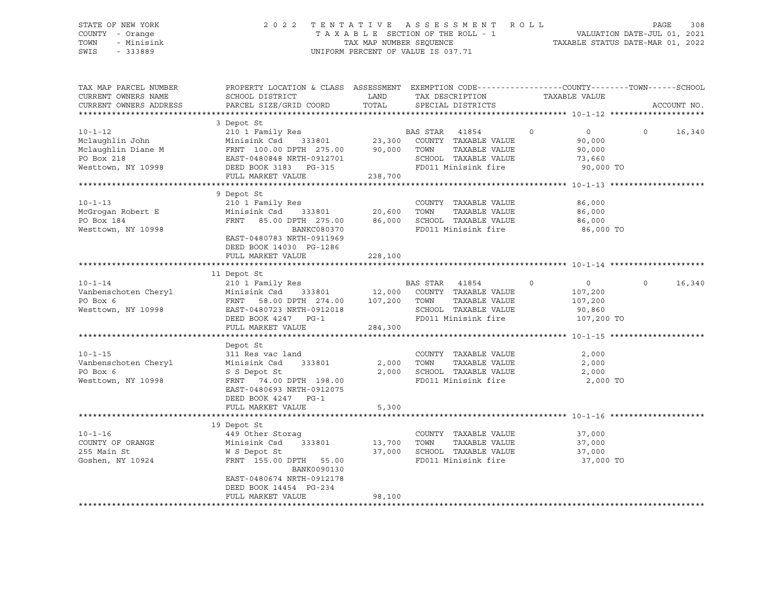### STATE OF NEW YORK 2 0 2 2 T E N T A T I V E A S S E S S M E N T R O L L PAGE 308 COUNTY - Orange T A X A B L E SECTION OF THE ROLL - 1 VALUATION DATE-JUL 01, 2021 TOWN - Minisink TAX MAP NUMBER SEQUENCE TAXABLE STATUS DATE-MAR 01, 2022 SWIS - 333889 CONSERVATION CONTROL OF VALUE IS 037.71

| TAX MAP PARCEL NUMBER<br>CURRENT OWNERS NAME<br>CURRENT OWNERS ADDRESS                                                                                                                                                                                 | PROPERTY LOCATION & CLASS ASSESSMENT EXEMPTION CODE----------------COUNTY-------TOWN------SCHOOL<br>SCHOOL DISTRICT<br>PARCEL SIZE/GRID COORD                                   | LAND<br>TOTAL    | TAX DESCRIPTION<br>SPECIAL DISTRICTS                                                             | TAXABLE VALUE                           | ACCOUNT NO.        |
|--------------------------------------------------------------------------------------------------------------------------------------------------------------------------------------------------------------------------------------------------------|---------------------------------------------------------------------------------------------------------------------------------------------------------------------------------|------------------|--------------------------------------------------------------------------------------------------|-----------------------------------------|--------------------|
| 3 Depot St<br>210 1 Family Res<br>210 1 Family Res<br>23,300 COUNTY TAXABLE VALUE<br>23,300 COUNTY TAXABLE VALUE<br>23,300 COUNTY TAXABLE VALUE<br>23,300 COUNTY TAXABLE VALUE<br>23,300 COUNTY TAXABLE VALUE<br>23,300 COUNTY TAXABLE VALUE<br>       | 3 Depot St                                                                                                                                                                      |                  | TOWN       TAXABLE  VALUE<br>SCHOOL    TAXABLE  VALUE<br>FD011 Minisink fire 90,000 TO           | 90,000<br>90,000<br>73,660              | $0 \t 0 \t 16,340$ |
| $10 - 1 - 13$<br>McGrogan Robert E<br>PO Box 184<br>Westtown, NY 10998                                                                                                                                                                                 | 9 Depot St<br>BANKC080370<br>EAST-0480783 NRTH-0911969<br>DEED BOOK 14030 PG-1286<br>FULL MARKET VALUE                                                                          | 228,100          | FD011 Minisink fire                                                                              | 86,000 TO                               |                    |
| 10-1-14<br>Vanbenschoten Cheryl<br>PO Box 6<br>Westtown, NY 10998<br>Minisink Csd 333801<br>Minisink Csd 333801<br>PO Box 6<br>FRNT 58.00 DPTH 274.00<br>DEED BOX 107,200<br>TOWN TAXABLE VALUE<br>SCHOOL TAXABLE VALUE<br>SCHOOL TAXABLE VALUE<br>DEE | 11 Depot St<br>FULL MARKET VALUE                                                                                                                                                | 284,300          | $\overline{0}$<br>TAXABLE VALUE<br>SCHOOL TAXABLE VALUE 90,860<br>FD011 Minisink fire 107,200 TO | $\overline{0}$<br>107,200<br>107,200    | 16,340<br>$\Omega$ |
| $10 - 1 - 15$<br>Vanbenschoten Cheryl<br>PO Box 6<br>Westtown, NY 10998                                                                                                                                                                                | Depot St<br>311 Res vac land<br>333801 2,000<br>Minisink Csd<br>S S Depot St<br>FRNT 74.00 DPTH 198.00<br>EAST-0480693 NRTH-0912075<br>DEED BOOK 4247 PG-1<br>FULL MARKET VALUE | 2,000<br>5,300   | COUNTY TAXABLE VALUE<br>TOWN<br>TAXABLE VALUE<br>SCHOOL TAXABLE VALUE<br>FD011 Minisink fire     | 2,000<br>2,000<br>2,000<br>2,000 TO     |                    |
|                                                                                                                                                                                                                                                        |                                                                                                                                                                                 |                  |                                                                                                  |                                         |                    |
| $10 - 1 - 16$<br>COUNTY OF ORANGE Minisink Csd 333801 13,700<br>255 Main St<br>Goshen, NY 10924                                                                                                                                                        | 19 Depot St<br>449 Other Storag<br>W S Depot St<br>FRNT 155.00 DPTH 55.00<br>BANK0090130<br>EAST-0480674 NRTH-0912178<br>DEED BOOK 14454 PG-234<br>FULL MARKET VALUE            | 37,000<br>98,100 | COUNTY TAXABLE VALUE<br>TOWN<br>TAXABLE VALUE<br>SCHOOL TAXABLE VALUE<br>FD011 Minisink fire     | 37,000<br>37,000<br>37,000<br>37,000 TO |                    |
|                                                                                                                                                                                                                                                        |                                                                                                                                                                                 |                  |                                                                                                  |                                         |                    |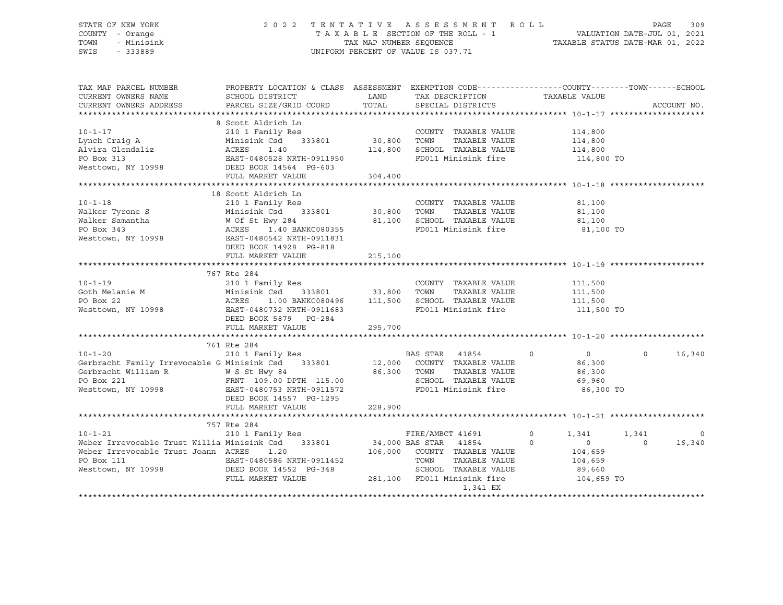### STATE OF NEW YORK 2 0 2 2 T E N T A T I V E A S S E S S M E N T R O L L PAGE 309 COUNTY - Orange T A X A B L E SECTION OF THE ROLL - 1 VALUATION DATE-JUL 01, 2021 TOWN - Minisink TAX MAP NUMBER SEQUENCE TAXABLE STATUS DATE-MAR 01, 2022 SWIS - 333889 CONSERVATION CONTROL OF VALUE IS 037.71

| TAX MAP PARCEL NUMBER<br>CURRENT OWNERS NAME<br>CURRENT OWNERS ADDRESS                                                                                                                                                           | PROPERTY LOCATION & CLASS ASSESSMENT EXEMPTION CODE----------------COUNTY-------TOWN-----SCHOOL<br>SCHOOL DISTRICT<br>PARCEL SIZE/GRID COORD | LAND<br>TOTAL | TAX DESCRIPTION TAXABLE VALUE<br>SPECIAL DISTRICTS            |                    | ACCOUNT NO.        |
|----------------------------------------------------------------------------------------------------------------------------------------------------------------------------------------------------------------------------------|----------------------------------------------------------------------------------------------------------------------------------------------|---------------|---------------------------------------------------------------|--------------------|--------------------|
|                                                                                                                                                                                                                                  |                                                                                                                                              |               |                                                               |                    |                    |
|                                                                                                                                                                                                                                  |                                                                                                                                              |               |                                                               |                    |                    |
| $10 - 1 - 17$                                                                                                                                                                                                                    | 8 Scott Aldrich Ln<br>210 1 Family Res                                                                                                       |               | COUNTY TAXABLE VALUE                                          | 114,800            |                    |
| Lynch Craig A                                                                                                                                                                                                                    | Minisink Csd 333801 30,800 TOWN                                                                                                              |               | TAXABLE VALUE                                                 | 114,800            |                    |
| <b>ACRES</b><br>Alvira Glendaliz                                                                                                                                                                                                 | 1.40                                                                                                                                         | 114,800       | SCHOOL TAXABLE VALUE                                          | 114,800            |                    |
| PO Box 313                                                                                                                                                                                                                       | EAST-0480528 NRTH-091195<br>DEED BOOK 14564 PG-603<br>EAST-0480528 NRTH-0911950                                                              |               | FD011 Minisink fire                                           | 114,800 TO         |                    |
| PO Box 313<br>Westtown, NY 10998                                                                                                                                                                                                 | FULL MARKET VALUE                                                                                                                            | 304,400       |                                                               |                    |                    |
|                                                                                                                                                                                                                                  |                                                                                                                                              |               |                                                               |                    |                    |
|                                                                                                                                                                                                                                  | 18 Scott Aldrich Ln                                                                                                                          |               |                                                               |                    |                    |
| $10 - 1 - 18$                                                                                                                                                                                                                    |                                                                                                                                              |               | COUNTY TAXABLE VALUE                                          | 81,100             |                    |
| Walker Tyrone S                                                                                                                                                                                                                  |                                                                                                                                              |               | TAXABLE VALUE                                                 | 81,100             |                    |
|                                                                                                                                                                                                                                  |                                                                                                                                              | 81,100        | SCHOOL TAXABLE VALUE                                          | 81,100             |                    |
|                                                                                                                                                                                                                                  |                                                                                                                                              |               | FD011 Minisink fire                                           | 81,100 TO          |                    |
|                                                                                                                                                                                                                                  | DEED BOOK 14928 PG-818                                                                                                                       |               |                                                               |                    |                    |
|                                                                                                                                                                                                                                  | FULL MARKET VALUE                                                                                                                            | 215,100       |                                                               |                    |                    |
|                                                                                                                                                                                                                                  |                                                                                                                                              |               |                                                               |                    |                    |
| $10 - 1 - 19$                                                                                                                                                                                                                    |                                                                                                                                              |               | COUNTY TAXABLE VALUE                                          |                    |                    |
| Goth Melanie M                                                                                                                                                                                                                   |                                                                                                                                              |               | TAXABLE VALUE                                                 | 111,500            |                    |
| PO Box 22                                                                                                                                                                                                                        |                                                                                                                                              |               | 1.00 BANKC080496   111,500   SCHOOL TAXABLE   VALUE   111,500 | 111,500            |                    |
| Westtown, NY 10998                                                                                                                                                                                                               |                                                                                                                                              |               | FD011 Minisink fire                                           | 111,500 TO         |                    |
|                                                                                                                                                                                                                                  | DEED BOOK 5879 PG-284                                                                                                                        |               |                                                               |                    |                    |
|                                                                                                                                                                                                                                  |                                                                                                                                              | 295,700       |                                                               |                    |                    |
|                                                                                                                                                                                                                                  | FULL MARKET VALUE                                                                                                                            |               |                                                               |                    |                    |
|                                                                                                                                                                                                                                  | 761 Rte 284                                                                                                                                  |               |                                                               |                    |                    |
| $10 - 1 - 20$                                                                                                                                                                                                                    | 210 1 Family Res                                                                                                                             |               | BAS STAR 41854<br>$\sim$ 0                                    | $\overline{0}$     | $\Omega$<br>16,340 |
| Gerbracht Family Irrevocable G Minisink Csd 333801 12,000 COUNTY TAXABLE VALUE                                                                                                                                                   |                                                                                                                                              |               |                                                               | 86,300             |                    |
|                                                                                                                                                                                                                                  |                                                                                                                                              |               |                                                               | 86,300             |                    |
| Gerbracht William R W S St Hwy 84 86,300 TOWN TAXABLE VALUE<br>PO Box 221 FRNT 109.00 DPTH 115.00 SCHOOL TAXABLE VALUE                                                                                                           |                                                                                                                                              |               |                                                               | 69,960             |                    |
| Westtown, NY 10998 EAST-0480753 NRTH-0911572                                                                                                                                                                                     |                                                                                                                                              |               | FD011 Minisink fire                                           | 86,300 TO          |                    |
|                                                                                                                                                                                                                                  | DEED BOOK 14557 PG-1295                                                                                                                      |               |                                                               |                    |                    |
|                                                                                                                                                                                                                                  | FULL MARKET VALUE                                                                                                                            | 228,900       |                                                               |                    |                    |
|                                                                                                                                                                                                                                  |                                                                                                                                              |               |                                                               |                    |                    |
| 757 Rte 284<br>210-1-21 210 1 Family Res<br>Weber Irrevocable Trust Willia Minisink Csd 333801 34,000 BAS STAR 41854<br>Neber Irrevocable Trust Willia Minisink Csd 333801 34,000 BAS STAR 41854<br>106,000 COUNTY TAXABLE VALUE |                                                                                                                                              |               |                                                               |                    |                    |
|                                                                                                                                                                                                                                  |                                                                                                                                              |               |                                                               | $\circ$<br>1,341   | 1,341<br>$\Omega$  |
|                                                                                                                                                                                                                                  |                                                                                                                                              |               |                                                               | $\circ$<br>$\circ$ | 16,340<br>$\Omega$ |
|                                                                                                                                                                                                                                  |                                                                                                                                              |               |                                                               | 104,659            |                    |
| PO Box 111                                                                                                                                                                                                                       | EAST-0480586 NRTH-0911452                                                                                                                    |               | TOWN<br>TAXABLE VALUE                                         | 104,659            |                    |
| Westtown, NY 10998 DEED BOOK 14552 PG-348                                                                                                                                                                                        |                                                                                                                                              |               | SCHOOL TAXABLE VALUE                                          | 89,660             |                    |
|                                                                                                                                                                                                                                  | FULL MARKET VALUE                                                                                                                            |               | 281,100 FD011 Minisink fire                                   | 104,659 TO         |                    |
|                                                                                                                                                                                                                                  |                                                                                                                                              |               | 1,341 EX                                                      |                    |                    |
|                                                                                                                                                                                                                                  |                                                                                                                                              |               |                                                               |                    |                    |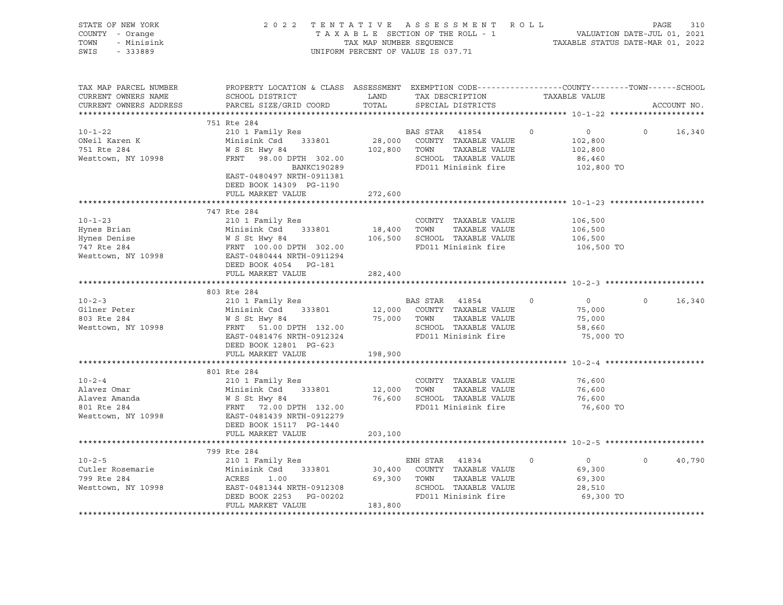| STATE OF NEW YORK<br>COUNTY - Orange<br>- Minisink<br>TOWN<br>SWIS<br>$-333889$   | 2022 TENTATIVE ASSESSMENT ROLL<br>TAXABLE SECTION OF THE ROLL - 1<br>TAX MAP NUMBER SEQUENCE<br>UNIFORM PERCENT OF VALUE IS 037.71                                              | VALUATION DATE-JUL 01, 2021<br>TAXABLE STATUS DATE-MAR 01, 2022 | PAGE<br>310                                                                                                                     |                                                                         |                    |
|-----------------------------------------------------------------------------------|---------------------------------------------------------------------------------------------------------------------------------------------------------------------------------|-----------------------------------------------------------------|---------------------------------------------------------------------------------------------------------------------------------|-------------------------------------------------------------------------|--------------------|
| TAX MAP PARCEL NUMBER<br>CURRENT OWNERS NAME<br>CURRENT OWNERS ADDRESS            | PROPERTY LOCATION & CLASS ASSESSMENT EXEMPTION CODE---------------COUNTY-------TOWN-----SCHOOL<br>SCHOOL DISTRICT<br>PARCEL SIZE/GRID COORD                                     | LAND<br>TOTAL                                                   | TAX DESCRIPTION<br>SPECIAL DISTRICTS                                                                                            | TAXABLE VALUE                                                           | ACCOUNT NO.        |
|                                                                                   |                                                                                                                                                                                 |                                                                 |                                                                                                                                 |                                                                         |                    |
|                                                                                   | 751 Rte 284                                                                                                                                                                     |                                                                 |                                                                                                                                 |                                                                         |                    |
| $10 - 1 - 22$<br>ONeil Karen K<br>751 Rte 284<br>Westtown, NY 10998               | 210 1 Family Res<br>Minisink Csd 333801<br>W S St Hwy 84<br>FRNT 98.00 DPTH 302.00<br>BANKC190289<br>EAST-0480497 NRTH-0911381<br>DEED BOOK 14309 PG-1190                       | 102,800 TOWN                                                    | BAS STAR 41854<br>28,000 COUNTY TAXABLE VALUE<br>TAXABLE VALUE<br>SCHOOL TAXABLE VALUE<br>FD011 Minisink fire                   | $\circ$<br>$\overline{0}$<br>102,800<br>102,800<br>86,460<br>102,800 TO | $\circ$<br>16,340  |
|                                                                                   | FULL MARKET VALUE                                                                                                                                                               | 272,600                                                         |                                                                                                                                 |                                                                         |                    |
|                                                                                   |                                                                                                                                                                                 |                                                                 |                                                                                                                                 |                                                                         |                    |
| $10 - 1 - 23$<br>Hynes Brian<br>Hynes Denise<br>747 Rte 284<br>Westtown, NY 10998 | 747 Rte 284<br>210 1 Family Res<br>Minisink Csd 333801<br>Minisink Csd 333801<br>W S St Hwy 84<br>FRNT 100.00 DPTH 302.00<br>EAST-0480444 NRTH-0911294<br>DEED BOOK 4054 PG-181 | 18,400 TOWN                                                     | COUNTY TAXABLE VALUE<br>TAXABLE VALUE<br>106,500 SCHOOL TAXABLE VALUE<br>FD011 Minisink fire                                    | 106,500<br>106,500<br>106,500<br>106,500 TO                             |                    |
|                                                                                   | FULL MARKET VALUE                                                                                                                                                               | 282,400                                                         |                                                                                                                                 |                                                                         |                    |
|                                                                                   |                                                                                                                                                                                 |                                                                 |                                                                                                                                 |                                                                         |                    |
| $10 - 2 - 3$<br>Gilner Peter<br>803 Rte 284<br>Westtown, NY 10998                 | 803 Rte 284<br>210 1 Family Res<br>Minisink Csd 333801<br>W S St Hwy 84<br>FRNT 51.00 DPTH 132.00<br>EAST-0481476 NRTH-0912324<br>DEED BOOK 12801 PG-623                        |                                                                 | BAS STAR<br>41854<br>12,000 COUNTY TAXABLE VALUE<br>75,000 TOWN<br>TAXABLE VALUE<br>SCHOOL TAXABLE VALUE<br>FD011 Minisink fire | $\overline{0}$<br>$\circ$<br>75,000<br>75,000<br>58,660<br>75,000 TO    | $\Omega$<br>16,340 |
|                                                                                   | FULL MARKET VALUE                                                                                                                                                               | 198,900                                                         |                                                                                                                                 |                                                                         |                    |
| $10 - 2 - 4$<br>Alavez Omar<br>Alavez Amanda<br>801 Rte 284<br>Westtown, NY 10998 | 801 Rte 284<br>210 1 Family Res<br>Minisink Csd 333801<br>WINLESTING CS<br>W S St Hwy 84<br>FRNT 72.00 DPTH 132.00<br>EAST-0481439 NRTH-0912279<br>EAST-0481439 NRTH-0912279    | 12,000 TOWN                                                     | COUNTY TAXABLE VALUE<br>TAXABLE VALUE<br>76,600 SCHOOL TAXABLE VALUE<br>FD011 Minisink fire                                     | 76,600<br>76,600<br>76,600<br>76,600 TO                                 |                    |
|                                                                                   | DEED BOOK 15117 PG-1440<br>FULL MARKET VALUE                                                                                                                                    | 203,100                                                         |                                                                                                                                 |                                                                         |                    |
|                                                                                   |                                                                                                                                                                                 |                                                                 |                                                                                                                                 |                                                                         |                    |
| $10 - 2 - 5$<br>Cutler Rosemarie<br>799 Rte 284<br>Westtown, NY 10998             | 799 Rte 284<br>210 1 Family Res<br>Minisink Csd 333801<br>ACRES<br>1.00<br>EAST-0481344 NRTH-0912308<br>DEED BOOK 2253<br>PG-00202<br>FULL MARKET VALUE                         | 69,300<br>183,800                                               | ENH STAR 41834<br>30,400 COUNTY TAXABLE VALUE<br>TOWN<br>TAXABLE VALUE<br>SCHOOL TAXABLE VALUE<br>FD011 Minisink fire           | $\overline{0}$<br>0<br>69,300<br>69,300<br>28,510<br>69,300 TO          | $\circ$<br>40,790  |
|                                                                                   |                                                                                                                                                                                 |                                                                 |                                                                                                                                 |                                                                         |                    |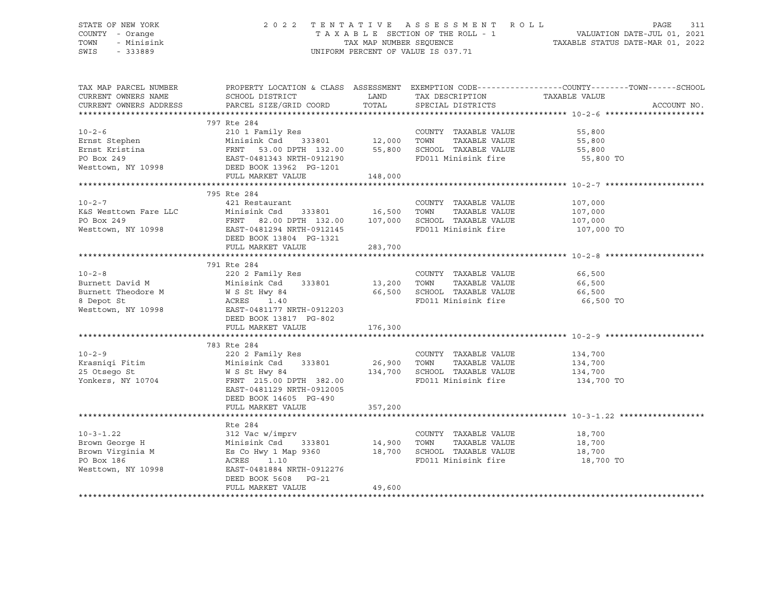### STATE OF NEW YORK 2 0 2 2 T E N T A T I V E A S S E S S M E N T R O L L PAGE 311 COUNTY - Orange T A X A B L E SECTION OF THE ROLL - 1 VALUATION DATE-JUL 01, 2021 TOWN - Minisink TAX MAP NUMBER SEQUENCE TAXABLE STATUS DATE-MAR 01, 2022 SWIS - 333889 CONSERVATION CONTROL OF VALUE IS 037.71

| TAX MAP PARCEL NUMBER<br>CURRENT OWNERS NAME                                                                                                                                                                                                                                                                                                                                                                                         | PROPERTY LOCATION & CLASS ASSESSMENT EXEMPTION CODE----------------COUNTY-------TOWN------SCHOOL |         |      |                                                          |            |             |
|--------------------------------------------------------------------------------------------------------------------------------------------------------------------------------------------------------------------------------------------------------------------------------------------------------------------------------------------------------------------------------------------------------------------------------------|--------------------------------------------------------------------------------------------------|---------|------|----------------------------------------------------------|------------|-------------|
|                                                                                                                                                                                                                                                                                                                                                                                                                                      |                                                                                                  |         |      | TAX DESCRIPTION TAXABLE VALUE                            |            |             |
| CURRENT OWNERS ADDRESS                                                                                                                                                                                                                                                                                                                                                                                                               |                                                                                                  |         |      | SPECIAL DISTRICTS                                        |            | ACCOUNT NO. |
|                                                                                                                                                                                                                                                                                                                                                                                                                                      |                                                                                                  |         |      |                                                          |            |             |
| 10-2-6<br>Ernst Stephen Minisink Csd 333801 12,000<br>Ernst Kristina FRNT 53.00 DPTH 132.00 55,800<br>PO Box 249<br>Westtown, NY 10998 DEED BOOK 13962 PG-1201<br>FULL MARKET VALUE 148,000<br>FULL MARKET VALUE 148,000                                                                                                                                                                                                             | 797 Rte 284                                                                                      |         |      |                                                          |            |             |
|                                                                                                                                                                                                                                                                                                                                                                                                                                      |                                                                                                  |         |      | COUNTY TAXABLE VALUE                                     | 55,800     |             |
|                                                                                                                                                                                                                                                                                                                                                                                                                                      |                                                                                                  |         | TOWN | TOWN TAXABLE VALUE 55,800<br>SCHOOL TAXABLE VALUE 55,800 |            |             |
|                                                                                                                                                                                                                                                                                                                                                                                                                                      |                                                                                                  |         |      |                                                          |            |             |
|                                                                                                                                                                                                                                                                                                                                                                                                                                      |                                                                                                  |         |      | FD011 Minisink fire 55,800 TO                            |            |             |
|                                                                                                                                                                                                                                                                                                                                                                                                                                      |                                                                                                  |         |      |                                                          |            |             |
|                                                                                                                                                                                                                                                                                                                                                                                                                                      |                                                                                                  |         |      |                                                          |            |             |
|                                                                                                                                                                                                                                                                                                                                                                                                                                      |                                                                                                  |         |      |                                                          |            |             |
|                                                                                                                                                                                                                                                                                                                                                                                                                                      | 795 Rte 284                                                                                      |         |      |                                                          |            |             |
|                                                                                                                                                                                                                                                                                                                                                                                                                                      |                                                                                                  |         |      |                                                          |            |             |
|                                                                                                                                                                                                                                                                                                                                                                                                                                      |                                                                                                  |         |      |                                                          |            |             |
|                                                                                                                                                                                                                                                                                                                                                                                                                                      |                                                                                                  |         |      |                                                          |            |             |
| 10-2-7<br>K&S Westtown Fare LLC Minisink Csd 333801<br>PO Box 249<br>Westtown, NY 10998<br>Westtown, NY 10998<br>Mesttown, NY 10998<br>PEED BOOK 13804<br>PG-1321<br>PG-1321<br>PG-1321<br>PG-1321                                                                                                                                                                                                                                   |                                                                                                  |         |      |                                                          | 107,000 TO |             |
|                                                                                                                                                                                                                                                                                                                                                                                                                                      |                                                                                                  |         |      |                                                          |            |             |
|                                                                                                                                                                                                                                                                                                                                                                                                                                      | FULL MARKET VALUE                                                                                | 283,700 |      |                                                          |            |             |
|                                                                                                                                                                                                                                                                                                                                                                                                                                      |                                                                                                  |         |      |                                                          |            |             |
|                                                                                                                                                                                                                                                                                                                                                                                                                                      | 791 Rte 284                                                                                      |         |      |                                                          |            |             |
| $10 - 2 - 8$                                                                                                                                                                                                                                                                                                                                                                                                                         | 220 2 Family Res                                                                                 |         |      | COUNTY TAXABLE VALUE                                     | 66,500     |             |
|                                                                                                                                                                                                                                                                                                                                                                                                                                      | Minisink Csd 333801 13,200                                                                       |         |      |                                                          |            |             |
| Burnett David M                                                                                                                                                                                                                                                                                                                                                                                                                      |                                                                                                  |         |      | TOWN TAXABLE VALUE 66,500                                |            |             |
| Burnett Theodore M<br>8 Depot St<br>8 Depot St<br>Westtown, NY 10998<br>RAST-0481177 NRTH-0912203<br>DEED BOOK 13817 PG-802                                                                                                                                                                                                                                                                                                          |                                                                                                  |         |      |                                                          |            |             |
|                                                                                                                                                                                                                                                                                                                                                                                                                                      |                                                                                                  |         |      |                                                          |            |             |
|                                                                                                                                                                                                                                                                                                                                                                                                                                      |                                                                                                  |         |      |                                                          |            |             |
|                                                                                                                                                                                                                                                                                                                                                                                                                                      |                                                                                                  |         |      |                                                          |            |             |
|                                                                                                                                                                                                                                                                                                                                                                                                                                      | FULL MARKET VALUE                                                                                | 176,300 |      |                                                          |            |             |
|                                                                                                                                                                                                                                                                                                                                                                                                                                      |                                                                                                  |         |      |                                                          |            |             |
|                                                                                                                                                                                                                                                                                                                                                                                                                                      | 783 Rte 284                                                                                      |         |      |                                                          |            |             |
| $10 - 2 - 9$                                                                                                                                                                                                                                                                                                                                                                                                                         | 220 2 Family Res                                                                                 |         |      |                                                          |            |             |
|                                                                                                                                                                                                                                                                                                                                                                                                                                      |                                                                                                  |         |      |                                                          |            |             |
|                                                                                                                                                                                                                                                                                                                                                                                                                                      |                                                                                                  |         |      |                                                          |            |             |
| 220 2 Family Res<br>E COUNTY TAXABLE VALUE 134,700<br>25 Otsego St MS St Hwy 84<br>26,900 TOWN TAXABLE VALUE 134,700<br>25 Otsego St MS St Hwy 84<br>26,900 TOWN TAXABLE VALUE 134,700<br>26,900 TOWN TAXABLE VALUE 134,700<br>26,900 TOWN T                                                                                                                                                                                         |                                                                                                  |         |      |                                                          | 134,700 TO |             |
|                                                                                                                                                                                                                                                                                                                                                                                                                                      | EAST-0481129 NRTH-0912005                                                                        |         |      |                                                          |            |             |
|                                                                                                                                                                                                                                                                                                                                                                                                                                      | DEED BOOK 14605 PG-490                                                                           |         |      |                                                          |            |             |
|                                                                                                                                                                                                                                                                                                                                                                                                                                      | FULL MARKET VALUE                                                                                | 357,200 |      |                                                          |            |             |
|                                                                                                                                                                                                                                                                                                                                                                                                                                      |                                                                                                  |         |      |                                                          |            |             |
|                                                                                                                                                                                                                                                                                                                                                                                                                                      | Rte 284                                                                                          |         |      |                                                          |            |             |
|                                                                                                                                                                                                                                                                                                                                                                                                                                      |                                                                                                  |         |      |                                                          |            |             |
|                                                                                                                                                                                                                                                                                                                                                                                                                                      |                                                                                                  |         |      |                                                          |            |             |
|                                                                                                                                                                                                                                                                                                                                                                                                                                      |                                                                                                  |         |      |                                                          |            |             |
| $\begin{array}{lllllllllllllllllll} \text{10-3-1.22} & & & & & & & 312\text{ Vac w/imprv} & & & & & & \text{COUNTY} & \text{TAXABLE VALUE} & & & & 18,700 \\ \text{Brown George H} & & & & & \text{Minisink Csd} & & 333801 & & 14,900 & \text{TOWN} & \text{TAXABLE VALUE} & & & 18,700 \\ \text{Brown Virginia M} & & & & & \text{Es Co Hwy 1 Map 9360} & & & 18,700 & \text{SCHOOL TAXABLE VALUE} & & & 18,700 \\ \text{PO Box 1$ |                                                                                                  |         |      |                                                          | 18,700 TO  |             |
| PO Box 186<br>Westtown, NY 10998                                                                                                                                                                                                                                                                                                                                                                                                     | EAST-0481884 NRTH-0912276                                                                        |         |      |                                                          |            |             |
|                                                                                                                                                                                                                                                                                                                                                                                                                                      | DEED BOOK 5608 PG-21                                                                             |         |      |                                                          |            |             |
|                                                                                                                                                                                                                                                                                                                                                                                                                                      | FULL MARKET VALUE                                                                                | 49,600  |      |                                                          |            |             |
|                                                                                                                                                                                                                                                                                                                                                                                                                                      |                                                                                                  |         |      |                                                          |            |             |
|                                                                                                                                                                                                                                                                                                                                                                                                                                      |                                                                                                  |         |      |                                                          |            |             |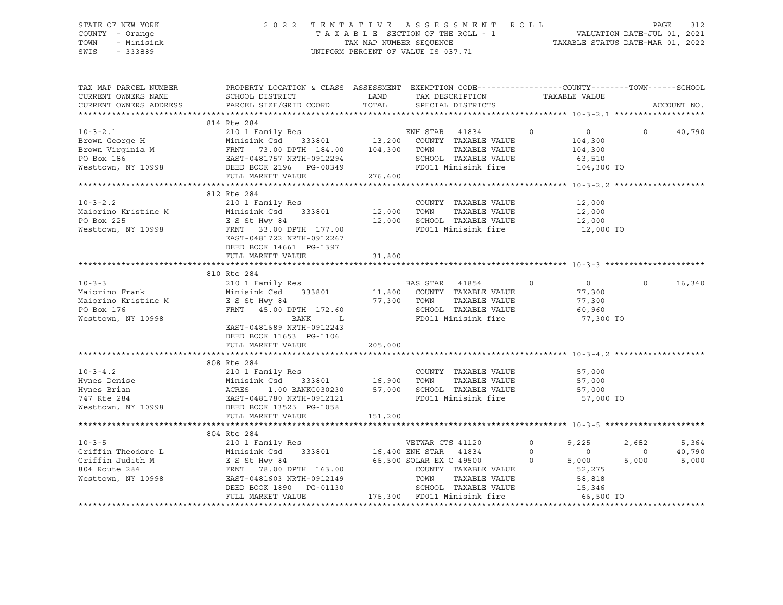### STATE OF NEW YORK 2 0 2 2 T E N T A T I V E A S S E S S M E N T R O L L PAGE 312 COUNTY - Orange T A X A B L E SECTION OF THE ROLL - 1 VALUATION DATE-JUL 01, 2021 TOWN - Minisink TAX MAP NUMBER SEQUENCE TAXABLE STATUS DATE-MAR 01, 2022 SWIS - 333889 CONSERVATION CONTROL OF VALUE IS 037.71

| TAX MAP PARCEL NUMBER<br>CURRENT OWNERS NAME<br>CURRENT OWNERS ADDRESS | PROPERTY LOCATION & CLASS ASSESSMENT EXEMPTION CODE---------------COUNTY-------TOWN------SCHOOL<br>${\tt SCHOOD\ \ } {\tt DISTRICT} \begin{picture}(180,10) \put(0,0){\vector(180,0){100}} \put(10,0){\vector(180,0){100}} \put(10,0){\vector(180,0){100}} \put(10,0){\vector(180,0){100}} \put(10,0){\vector(180,0){100}} \put(10,0){\vector(180,0){100}} \put(10,0){\vector(180,0){100}} \put(10,0){\vector(180,0){100}} \put(10,0){\vector(180,0){100}} \put(10$<br>PARCEL SIZE/GRID COORD TOTAL SPECIAL DISTRICTS |         |               | ACCOUNT NO.                                                  |
|------------------------------------------------------------------------|-----------------------------------------------------------------------------------------------------------------------------------------------------------------------------------------------------------------------------------------------------------------------------------------------------------------------------------------------------------------------------------------------------------------------------------------------------------------------------------------------------------------------|---------|---------------|--------------------------------------------------------------|
|                                                                        | 814 Rte 284<br>$\begin{array}{lllllllllllllll} \text{10-3-2.1} & \text{814 Re } 284 & \text{ENH STAR} & 41834 & 0 & 0 & 40,790 \\ \text{Brown George H} & \text{Minisink Csd} & 333801 & 13,200 & \text{COUNTY TAXABLE VALUE} & 104,300 & 0 & 40,790 \\ \text{Brown Virginia M} & \text{FRNT} & 73.00 DPTH & 184.00 & 104,300 & \text{TOWN} & \text{TAXABLE VALUE} & 104,300 \\ \text{PO Box 186} & \text{EAST-048$                                                                                                   |         |               |                                                              |
|                                                                        | 10-3-2.2<br>10-3-2.2<br>Maiorino Kristine M<br>Minisink Csd 333801<br>PO Box 225<br>Westtown, NY 10998<br>Westtown, NY 10998<br>E S St Hwy 84<br>Westtown, NY 10998<br>E S ST Hwy 84<br>Minisink Csd 333801<br>2,000<br>FRNT 33.00 DPTH 177.00<br>E S ST<br>DEED BOOK 14661 PG-1397                                                                                                                                                                                                                                   |         | 12,000 TO     |                                                              |
|                                                                        | 810 Rte 284<br>10-3-3<br>Maiorino Frank 210 1 Family Res<br>Maiorino Kristine M ESSt Hwy 84<br>PO Box 176 FRNT 45.00 DPTH 172.60<br>Mesttown, NY 10998 FRNT 45.00 DPTH 172.60<br>Mesttown, NY 10998 EANK L<br>PO 11 Minisink fire 77,300 TOWN CHOOL TAXAB<br>EAST-0481689 NRTH-0912243<br>DEED BOOK 11653 PG-1106<br>FULL MARKET VALUE                                                                                                                                                                                | 205,000 | $0$<br>77.300 | $0 \qquad \qquad$<br>16,340                                  |
|                                                                        | 808 Rte 284                                                                                                                                                                                                                                                                                                                                                                                                                                                                                                           |         |               |                                                              |
|                                                                        | 804 Rte 284<br>$\begin{tabular}{lllllllllllllllllllllll} \hline & 10-3-5 && 804 \; \mathrm{K}e & 284 && 210 & 15\, \mathrm{Amily} \; \mathrm{Res} && \mathrm{VETWAR} \; \mathrm{CTS} \; 41120 && 0 && 9,225 && 2\, \mathrm{Griffin} \; \mathrm{Theodore} \; \mathrm{L} && \mathrm{Minisink} \; \mathrm{Csd} && 333801 && 16,400 \; \mathrm{ENH} \; \mathrm{STAR} && 41834 && 0 && 0\, \mathrm{Griffin} \; \mathrm{Judith} \; \mathrm{M} &&$                                                                           |         |               | 2,682<br>5,364<br>40,790<br>$\overline{0}$<br>5,000<br>5,000 |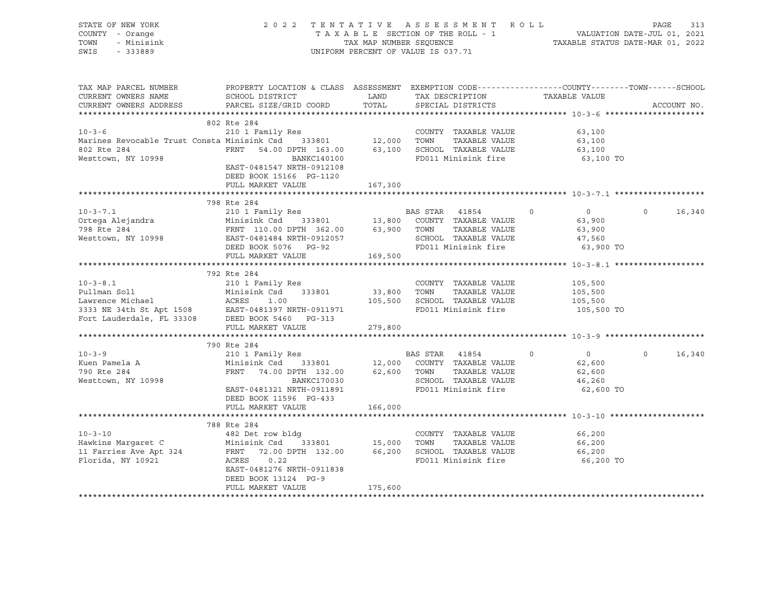| STATE OF NEW YORK                                                                                                                                                                                                                                      |                                                                                                                                                                                                          |         |                                |                |                |        |
|--------------------------------------------------------------------------------------------------------------------------------------------------------------------------------------------------------------------------------------------------------|----------------------------------------------------------------------------------------------------------------------------------------------------------------------------------------------------------|---------|--------------------------------|----------------|----------------|--------|
| COUNTY - Orange                                                                                                                                                                                                                                        | 2022 TENTATIVE ASSESSMENT ROLL PAGE 313<br>TAXABLE SECTION OF THE ROLL - 1 VALUATION DATE-JUL 01, 2021<br>TAX MAP NUMBER SEQUENCE TAXABLE STATUS DATE-MAR 01, 2022<br>UNIFORM PERCENT OF VALUE IS 037.71 |         |                                |                |                |        |
| TOWN<br>- Minisink                                                                                                                                                                                                                                     |                                                                                                                                                                                                          |         |                                |                |                |        |
| SWIS - 333889                                                                                                                                                                                                                                          |                                                                                                                                                                                                          |         |                                |                |                |        |
|                                                                                                                                                                                                                                                        |                                                                                                                                                                                                          |         |                                |                |                |        |
|                                                                                                                                                                                                                                                        |                                                                                                                                                                                                          |         |                                |                |                |        |
|                                                                                                                                                                                                                                                        |                                                                                                                                                                                                          |         |                                |                |                |        |
|                                                                                                                                                                                                                                                        |                                                                                                                                                                                                          |         |                                |                |                |        |
|                                                                                                                                                                                                                                                        | ${\tt SCHOOD\ \ } {\tt DISTRICT} \begin{picture}(120,110) {\tt SCHOOL\ \ } {\tt DISTRICT} \end{picture}$                                                                                                 |         |                                |                |                |        |
| CURRENT OWNERS ADDRESS PARCEL SIZE/GRID COORD                                                                                                                                                                                                          |                                                                                                                                                                                                          | TOTAL   | SPECIAL DISTRICTS              |                | ACCOUNT NO.    |        |
|                                                                                                                                                                                                                                                        |                                                                                                                                                                                                          |         |                                |                |                |        |
|                                                                                                                                                                                                                                                        | 802 Rte 284                                                                                                                                                                                              |         |                                |                |                |        |
| 10-3-6<br>Marines Revocable Trust Consta Minisink Csd<br>210 1 Family Res<br>210 1 Family Res<br>210 1 Family Res<br>210 1 Family Res<br>210 333801<br>212,000 TOWN TAXABLE VALUE<br>284<br>284 FRNT 54.00 DPTH 163.00<br>22.000 FOWN TAXABLE VALU     |                                                                                                                                                                                                          |         |                                | 63,100         |                |        |
|                                                                                                                                                                                                                                                        |                                                                                                                                                                                                          |         |                                | 63,100         |                |        |
|                                                                                                                                                                                                                                                        |                                                                                                                                                                                                          |         |                                | 63,100         |                |        |
|                                                                                                                                                                                                                                                        |                                                                                                                                                                                                          |         |                                | 63,100 TO      |                |        |
|                                                                                                                                                                                                                                                        | EAST-0481547 NRTH-0912108                                                                                                                                                                                |         |                                |                |                |        |
|                                                                                                                                                                                                                                                        |                                                                                                                                                                                                          |         |                                |                |                |        |
|                                                                                                                                                                                                                                                        | DEED BOOK 15166 PG-1120                                                                                                                                                                                  |         |                                |                |                |        |
|                                                                                                                                                                                                                                                        | FULL MARKET VALUE                                                                                                                                                                                        | 167,300 |                                |                |                |        |
|                                                                                                                                                                                                                                                        |                                                                                                                                                                                                          |         |                                |                |                |        |
|                                                                                                                                                                                                                                                        | 798 Rte 284                                                                                                                                                                                              |         |                                |                |                |        |
|                                                                                                                                                                                                                                                        |                                                                                                                                                                                                          |         |                                |                | $\overline{0}$ | 16,340 |
|                                                                                                                                                                                                                                                        |                                                                                                                                                                                                          |         |                                |                |                |        |
|                                                                                                                                                                                                                                                        |                                                                                                                                                                                                          |         |                                |                |                |        |
|                                                                                                                                                                                                                                                        |                                                                                                                                                                                                          |         |                                |                |                |        |
|                                                                                                                                                                                                                                                        |                                                                                                                                                                                                          |         |                                |                |                |        |
|                                                                                                                                                                                                                                                        |                                                                                                                                                                                                          |         |                                |                |                |        |
| 10-3-8.1<br>210 1 Family Res<br>210 1 Family Res<br>210 1 Family Res<br>210 1 Family Res<br>210 1 Family Res<br>210 1 Family Res<br>210 1 Family Res<br>210 1 Family Res<br>23,800 TOWN TAXABLE VALUE<br>23,800 TOWN TAXABLE VALUE<br>2015,500<br>2333 |                                                                                                                                                                                                          |         |                                |                |                |        |
|                                                                                                                                                                                                                                                        |                                                                                                                                                                                                          |         |                                |                |                |        |
|                                                                                                                                                                                                                                                        |                                                                                                                                                                                                          |         |                                |                |                |        |
|                                                                                                                                                                                                                                                        |                                                                                                                                                                                                          |         |                                |                |                |        |
|                                                                                                                                                                                                                                                        |                                                                                                                                                                                                          |         |                                |                |                |        |
|                                                                                                                                                                                                                                                        |                                                                                                                                                                                                          |         | FD011 Minisink fire 105,500 TO |                |                |        |
|                                                                                                                                                                                                                                                        |                                                                                                                                                                                                          |         |                                |                |                |        |
|                                                                                                                                                                                                                                                        |                                                                                                                                                                                                          |         |                                |                |                |        |
|                                                                                                                                                                                                                                                        |                                                                                                                                                                                                          |         |                                |                |                |        |
|                                                                                                                                                                                                                                                        | 790 Rte 284                                                                                                                                                                                              |         |                                |                |                |        |
| $10 - 3 - 9$                                                                                                                                                                                                                                           |                                                                                                                                                                                                          |         |                                | $\overline{0}$ | $\overline{0}$ | 16,340 |
| Kuen Pamela A                                                                                                                                                                                                                                          |                                                                                                                                                                                                          |         |                                | 62,600         |                |        |
| 790 Rte 284                                                                                                                                                                                                                                            |                                                                                                                                                                                                          |         |                                | 62,600         |                |        |
| Westtown, NY 10998                                                                                                                                                                                                                                     | FRNT 74.00 DPTH 132.00 62,600 TOWN TAXABLE VALUE<br>BANKC170030 SCHOOL TAXABLE VALUE<br>EAST-0481321 NRTH-0911891 FD011 Minisink fire                                                                    |         |                                |                |                |        |
|                                                                                                                                                                                                                                                        |                                                                                                                                                                                                          |         |                                | 46,260         |                |        |
|                                                                                                                                                                                                                                                        |                                                                                                                                                                                                          |         |                                | 62,600 TO      |                |        |
|                                                                                                                                                                                                                                                        | DEED BOOK 11596 PG-433                                                                                                                                                                                   |         |                                |                |                |        |
|                                                                                                                                                                                                                                                        | FULL MARKET VALUE                                                                                                                                                                                        | 166,000 |                                |                |                |        |
|                                                                                                                                                                                                                                                        |                                                                                                                                                                                                          |         |                                |                |                |        |
|                                                                                                                                                                                                                                                        | 788 Rte 284                                                                                                                                                                                              |         |                                |                |                |        |
|                                                                                                                                                                                                                                                        |                                                                                                                                                                                                          |         |                                |                |                |        |
|                                                                                                                                                                                                                                                        |                                                                                                                                                                                                          |         |                                |                |                |        |
|                                                                                                                                                                                                                                                        |                                                                                                                                                                                                          |         |                                |                |                |        |
| 10-3-10<br>Hawkins Margaret C Minisink Csd 333801<br>Hawkins Margaret C Minisink Csd 333801<br>Harries Ave Apt 324<br>FRNT 72.00 DPTH 132.00<br>FLOTIda, NY 10921<br>EAST 0.22<br>EAST 0.22<br>EAST 0.22<br>EAST 0.22<br>FD011 Minisink fire<br>FD01   |                                                                                                                                                                                                          |         |                                | 66,200 TO      |                |        |
|                                                                                                                                                                                                                                                        |                                                                                                                                                                                                          |         |                                |                |                |        |
|                                                                                                                                                                                                                                                        | DEED BOOK 13124 PG-9                                                                                                                                                                                     |         |                                |                |                |        |
|                                                                                                                                                                                                                                                        | FULL MARKET VALUE                                                                                                                                                                                        | 175,600 |                                |                |                |        |
|                                                                                                                                                                                                                                                        |                                                                                                                                                                                                          |         |                                |                |                |        |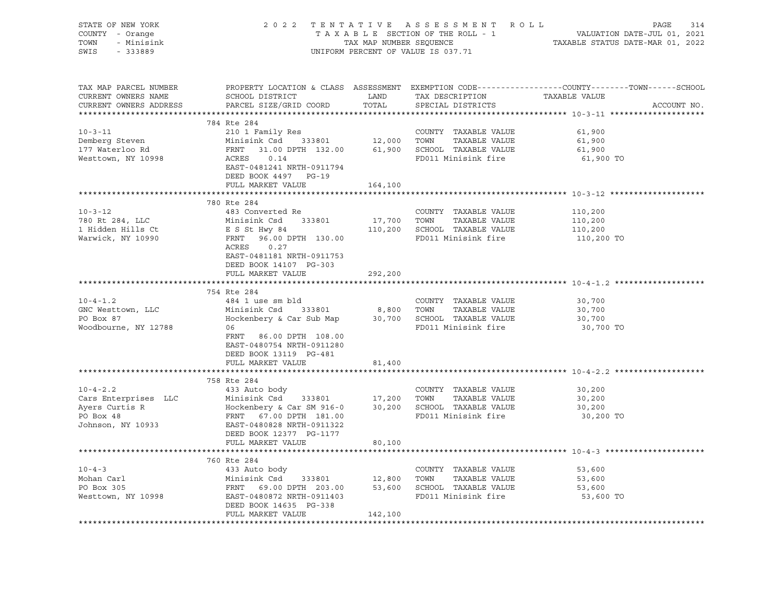| PROPERTY LOCATION & CLASS ASSESSMENT EXEMPTION CODE----------------COUNTY-------TOWN------SCHOOL<br>TAX MAP PARCEL NUMBER<br>CURRENT OWNERS NAME<br>CURRENT OWNERS ADDRESS<br>ACCOUNT NO.<br>210 1 Family Res<br>Minisink Csd 333801 12,000 TOWN TAXABLE VALUE<br>FRNT 31.00 DPTH 132.00 61,900 SCHOOL TAXABLE VALUE<br>ACRES 0.14 FD011 Minisiph fire<br>$10 - 3 - 11$<br>61,900<br>Demberg Steven<br>61,900<br>177 Waterloo Rd<br>61,900<br>Westtown, NY 10998<br>61,900 TO<br>EAST-0481241 NRTH-0911794<br>DEED BOOK 4497 PG-19<br>FULL MARKET VALUE<br>164,100<br>780 Rte 284<br>483 Converted Re<br>$10 - 3 - 12$<br>COUNTY TAXABLE VALUE 110,200<br>The country that the country of the country of the country of the country of the country of the country of the country of the country of the country of the country of the country of the country of the country of the countr<br>110,200<br>110, 200<br>110,200 TO<br>ACRES 0.27<br>EAST-0481181 NRTH-0911753<br>DEED BOOK 14107 PG-303<br>FULL MARKET VALUE<br>292,200<br>754 Rte 284<br>$10 - 4 - 1.2$<br>484 1 use sm bld<br>COUNTY TAXABLE VALUE<br>30,700<br>Minisink Csd 333801 8,800 TOWN TAXABLE VALUE<br>Hockenbery & Car Sub Map 30,700 SCHOOL TAXABLE VALUE<br>GNC Westtown, LLC<br>PO Box 87<br>30,700<br>30,700<br>06<br>FD011 Minisink fire<br>Woodbourne, NY 12788<br>30,700 TO<br>FRNT 86.00 DPTH 108.00<br>EAST-0480754 NRTH-0911280<br>DEED BOOK 13119 PG-481<br>FULL MARKET VALUE<br>81,400<br>10-4-2.2<br>2000 Cars Enterprises LLC<br>2000 Cars Enterprises LLC<br>2000 Cars Enterprises LLC<br>2000 COUNTY TAXABLE VALUE<br>2000 AVENCION TAXABLE VALUE<br>2000 AVENCION TAXABLE VALUE<br>2000 AVENCION TAXABLE VALUE<br>2000 AVENCION TAX<br>30,200<br>30,200<br>30,200<br>30,200 TO<br>DEED BOOK 12377 PG-1177<br>FULL MARKET VALUE<br>80,100<br>760 Rte 284<br>10-4-3<br>10-4-3<br>Mohan Carl<br>Minisink Csd 333801<br>27,800 TOWN TAXABLE VALUE<br>Minisink Csd 333801<br>203.00 53,600 SCHOOL TAXABLE VALUE<br>Westtown, NY 10998<br>Minisink Extra 0911403<br>EAST-0480872 NRTH-0911403<br>FRNT 69.00 DFTH 20<br>COUNTY TAXABLE VALUE<br>53,600<br>53,600<br>53,600<br>FD011 Minisink fire<br>53,600 TO<br>DEED BOOK 14635 PG-338<br>FULL MARKET VALUE<br>142,100 | STATE OF NEW YORK<br>COUNTY - Orange<br>TOWN - Minisink<br>SWIS - 333889 |  | UNIFORM PERCENT OF VALUE IS 037.71 | 2022 TENTATIVE ASSESSMENT ROLL PAGE 314<br>TAXABLE SECTION OF THE ROLL - 1 VALUATION DATE-JUL 01, 2021<br>TAX MAP NUMBER SEQUENCE TAXABLE STATUS DATE-MAR 01, 2022 |
|-----------------------------------------------------------------------------------------------------------------------------------------------------------------------------------------------------------------------------------------------------------------------------------------------------------------------------------------------------------------------------------------------------------------------------------------------------------------------------------------------------------------------------------------------------------------------------------------------------------------------------------------------------------------------------------------------------------------------------------------------------------------------------------------------------------------------------------------------------------------------------------------------------------------------------------------------------------------------------------------------------------------------------------------------------------------------------------------------------------------------------------------------------------------------------------------------------------------------------------------------------------------------------------------------------------------------------------------------------------------------------------------------------------------------------------------------------------------------------------------------------------------------------------------------------------------------------------------------------------------------------------------------------------------------------------------------------------------------------------------------------------------------------------------------------------------------------------------------------------------------------------------------------------------------------------------------------------------------------------------------------------------------------------------------------------------------------------------------------------------------------------------------------------------------------------------------------------------------------------------------------------|--------------------------------------------------------------------------|--|------------------------------------|--------------------------------------------------------------------------------------------------------------------------------------------------------------------|
|                                                                                                                                                                                                                                                                                                                                                                                                                                                                                                                                                                                                                                                                                                                                                                                                                                                                                                                                                                                                                                                                                                                                                                                                                                                                                                                                                                                                                                                                                                                                                                                                                                                                                                                                                                                                                                                                                                                                                                                                                                                                                                                                                                                                                                                           |                                                                          |  |                                    |                                                                                                                                                                    |
|                                                                                                                                                                                                                                                                                                                                                                                                                                                                                                                                                                                                                                                                                                                                                                                                                                                                                                                                                                                                                                                                                                                                                                                                                                                                                                                                                                                                                                                                                                                                                                                                                                                                                                                                                                                                                                                                                                                                                                                                                                                                                                                                                                                                                                                           |                                                                          |  |                                    |                                                                                                                                                                    |
|                                                                                                                                                                                                                                                                                                                                                                                                                                                                                                                                                                                                                                                                                                                                                                                                                                                                                                                                                                                                                                                                                                                                                                                                                                                                                                                                                                                                                                                                                                                                                                                                                                                                                                                                                                                                                                                                                                                                                                                                                                                                                                                                                                                                                                                           |                                                                          |  |                                    |                                                                                                                                                                    |
|                                                                                                                                                                                                                                                                                                                                                                                                                                                                                                                                                                                                                                                                                                                                                                                                                                                                                                                                                                                                                                                                                                                                                                                                                                                                                                                                                                                                                                                                                                                                                                                                                                                                                                                                                                                                                                                                                                                                                                                                                                                                                                                                                                                                                                                           |                                                                          |  |                                    |                                                                                                                                                                    |
|                                                                                                                                                                                                                                                                                                                                                                                                                                                                                                                                                                                                                                                                                                                                                                                                                                                                                                                                                                                                                                                                                                                                                                                                                                                                                                                                                                                                                                                                                                                                                                                                                                                                                                                                                                                                                                                                                                                                                                                                                                                                                                                                                                                                                                                           |                                                                          |  |                                    |                                                                                                                                                                    |
|                                                                                                                                                                                                                                                                                                                                                                                                                                                                                                                                                                                                                                                                                                                                                                                                                                                                                                                                                                                                                                                                                                                                                                                                                                                                                                                                                                                                                                                                                                                                                                                                                                                                                                                                                                                                                                                                                                                                                                                                                                                                                                                                                                                                                                                           |                                                                          |  |                                    |                                                                                                                                                                    |
|                                                                                                                                                                                                                                                                                                                                                                                                                                                                                                                                                                                                                                                                                                                                                                                                                                                                                                                                                                                                                                                                                                                                                                                                                                                                                                                                                                                                                                                                                                                                                                                                                                                                                                                                                                                                                                                                                                                                                                                                                                                                                                                                                                                                                                                           |                                                                          |  |                                    |                                                                                                                                                                    |
|                                                                                                                                                                                                                                                                                                                                                                                                                                                                                                                                                                                                                                                                                                                                                                                                                                                                                                                                                                                                                                                                                                                                                                                                                                                                                                                                                                                                                                                                                                                                                                                                                                                                                                                                                                                                                                                                                                                                                                                                                                                                                                                                                                                                                                                           |                                                                          |  |                                    |                                                                                                                                                                    |
|                                                                                                                                                                                                                                                                                                                                                                                                                                                                                                                                                                                                                                                                                                                                                                                                                                                                                                                                                                                                                                                                                                                                                                                                                                                                                                                                                                                                                                                                                                                                                                                                                                                                                                                                                                                                                                                                                                                                                                                                                                                                                                                                                                                                                                                           |                                                                          |  |                                    |                                                                                                                                                                    |
|                                                                                                                                                                                                                                                                                                                                                                                                                                                                                                                                                                                                                                                                                                                                                                                                                                                                                                                                                                                                                                                                                                                                                                                                                                                                                                                                                                                                                                                                                                                                                                                                                                                                                                                                                                                                                                                                                                                                                                                                                                                                                                                                                                                                                                                           |                                                                          |  |                                    |                                                                                                                                                                    |
|                                                                                                                                                                                                                                                                                                                                                                                                                                                                                                                                                                                                                                                                                                                                                                                                                                                                                                                                                                                                                                                                                                                                                                                                                                                                                                                                                                                                                                                                                                                                                                                                                                                                                                                                                                                                                                                                                                                                                                                                                                                                                                                                                                                                                                                           |                                                                          |  |                                    |                                                                                                                                                                    |
|                                                                                                                                                                                                                                                                                                                                                                                                                                                                                                                                                                                                                                                                                                                                                                                                                                                                                                                                                                                                                                                                                                                                                                                                                                                                                                                                                                                                                                                                                                                                                                                                                                                                                                                                                                                                                                                                                                                                                                                                                                                                                                                                                                                                                                                           |                                                                          |  |                                    |                                                                                                                                                                    |
|                                                                                                                                                                                                                                                                                                                                                                                                                                                                                                                                                                                                                                                                                                                                                                                                                                                                                                                                                                                                                                                                                                                                                                                                                                                                                                                                                                                                                                                                                                                                                                                                                                                                                                                                                                                                                                                                                                                                                                                                                                                                                                                                                                                                                                                           |                                                                          |  |                                    |                                                                                                                                                                    |
|                                                                                                                                                                                                                                                                                                                                                                                                                                                                                                                                                                                                                                                                                                                                                                                                                                                                                                                                                                                                                                                                                                                                                                                                                                                                                                                                                                                                                                                                                                                                                                                                                                                                                                                                                                                                                                                                                                                                                                                                                                                                                                                                                                                                                                                           |                                                                          |  |                                    |                                                                                                                                                                    |
|                                                                                                                                                                                                                                                                                                                                                                                                                                                                                                                                                                                                                                                                                                                                                                                                                                                                                                                                                                                                                                                                                                                                                                                                                                                                                                                                                                                                                                                                                                                                                                                                                                                                                                                                                                                                                                                                                                                                                                                                                                                                                                                                                                                                                                                           |                                                                          |  |                                    |                                                                                                                                                                    |
|                                                                                                                                                                                                                                                                                                                                                                                                                                                                                                                                                                                                                                                                                                                                                                                                                                                                                                                                                                                                                                                                                                                                                                                                                                                                                                                                                                                                                                                                                                                                                                                                                                                                                                                                                                                                                                                                                                                                                                                                                                                                                                                                                                                                                                                           |                                                                          |  |                                    |                                                                                                                                                                    |
|                                                                                                                                                                                                                                                                                                                                                                                                                                                                                                                                                                                                                                                                                                                                                                                                                                                                                                                                                                                                                                                                                                                                                                                                                                                                                                                                                                                                                                                                                                                                                                                                                                                                                                                                                                                                                                                                                                                                                                                                                                                                                                                                                                                                                                                           |                                                                          |  |                                    |                                                                                                                                                                    |
|                                                                                                                                                                                                                                                                                                                                                                                                                                                                                                                                                                                                                                                                                                                                                                                                                                                                                                                                                                                                                                                                                                                                                                                                                                                                                                                                                                                                                                                                                                                                                                                                                                                                                                                                                                                                                                                                                                                                                                                                                                                                                                                                                                                                                                                           |                                                                          |  |                                    |                                                                                                                                                                    |
|                                                                                                                                                                                                                                                                                                                                                                                                                                                                                                                                                                                                                                                                                                                                                                                                                                                                                                                                                                                                                                                                                                                                                                                                                                                                                                                                                                                                                                                                                                                                                                                                                                                                                                                                                                                                                                                                                                                                                                                                                                                                                                                                                                                                                                                           |                                                                          |  |                                    |                                                                                                                                                                    |
|                                                                                                                                                                                                                                                                                                                                                                                                                                                                                                                                                                                                                                                                                                                                                                                                                                                                                                                                                                                                                                                                                                                                                                                                                                                                                                                                                                                                                                                                                                                                                                                                                                                                                                                                                                                                                                                                                                                                                                                                                                                                                                                                                                                                                                                           |                                                                          |  |                                    |                                                                                                                                                                    |
|                                                                                                                                                                                                                                                                                                                                                                                                                                                                                                                                                                                                                                                                                                                                                                                                                                                                                                                                                                                                                                                                                                                                                                                                                                                                                                                                                                                                                                                                                                                                                                                                                                                                                                                                                                                                                                                                                                                                                                                                                                                                                                                                                                                                                                                           |                                                                          |  |                                    |                                                                                                                                                                    |
|                                                                                                                                                                                                                                                                                                                                                                                                                                                                                                                                                                                                                                                                                                                                                                                                                                                                                                                                                                                                                                                                                                                                                                                                                                                                                                                                                                                                                                                                                                                                                                                                                                                                                                                                                                                                                                                                                                                                                                                                                                                                                                                                                                                                                                                           |                                                                          |  |                                    |                                                                                                                                                                    |
|                                                                                                                                                                                                                                                                                                                                                                                                                                                                                                                                                                                                                                                                                                                                                                                                                                                                                                                                                                                                                                                                                                                                                                                                                                                                                                                                                                                                                                                                                                                                                                                                                                                                                                                                                                                                                                                                                                                                                                                                                                                                                                                                                                                                                                                           |                                                                          |  |                                    |                                                                                                                                                                    |
|                                                                                                                                                                                                                                                                                                                                                                                                                                                                                                                                                                                                                                                                                                                                                                                                                                                                                                                                                                                                                                                                                                                                                                                                                                                                                                                                                                                                                                                                                                                                                                                                                                                                                                                                                                                                                                                                                                                                                                                                                                                                                                                                                                                                                                                           |                                                                          |  |                                    |                                                                                                                                                                    |
|                                                                                                                                                                                                                                                                                                                                                                                                                                                                                                                                                                                                                                                                                                                                                                                                                                                                                                                                                                                                                                                                                                                                                                                                                                                                                                                                                                                                                                                                                                                                                                                                                                                                                                                                                                                                                                                                                                                                                                                                                                                                                                                                                                                                                                                           |                                                                          |  |                                    |                                                                                                                                                                    |
|                                                                                                                                                                                                                                                                                                                                                                                                                                                                                                                                                                                                                                                                                                                                                                                                                                                                                                                                                                                                                                                                                                                                                                                                                                                                                                                                                                                                                                                                                                                                                                                                                                                                                                                                                                                                                                                                                                                                                                                                                                                                                                                                                                                                                                                           |                                                                          |  |                                    |                                                                                                                                                                    |
|                                                                                                                                                                                                                                                                                                                                                                                                                                                                                                                                                                                                                                                                                                                                                                                                                                                                                                                                                                                                                                                                                                                                                                                                                                                                                                                                                                                                                                                                                                                                                                                                                                                                                                                                                                                                                                                                                                                                                                                                                                                                                                                                                                                                                                                           |                                                                          |  |                                    |                                                                                                                                                                    |
|                                                                                                                                                                                                                                                                                                                                                                                                                                                                                                                                                                                                                                                                                                                                                                                                                                                                                                                                                                                                                                                                                                                                                                                                                                                                                                                                                                                                                                                                                                                                                                                                                                                                                                                                                                                                                                                                                                                                                                                                                                                                                                                                                                                                                                                           |                                                                          |  |                                    |                                                                                                                                                                    |
|                                                                                                                                                                                                                                                                                                                                                                                                                                                                                                                                                                                                                                                                                                                                                                                                                                                                                                                                                                                                                                                                                                                                                                                                                                                                                                                                                                                                                                                                                                                                                                                                                                                                                                                                                                                                                                                                                                                                                                                                                                                                                                                                                                                                                                                           |                                                                          |  |                                    |                                                                                                                                                                    |
|                                                                                                                                                                                                                                                                                                                                                                                                                                                                                                                                                                                                                                                                                                                                                                                                                                                                                                                                                                                                                                                                                                                                                                                                                                                                                                                                                                                                                                                                                                                                                                                                                                                                                                                                                                                                                                                                                                                                                                                                                                                                                                                                                                                                                                                           |                                                                          |  |                                    |                                                                                                                                                                    |
|                                                                                                                                                                                                                                                                                                                                                                                                                                                                                                                                                                                                                                                                                                                                                                                                                                                                                                                                                                                                                                                                                                                                                                                                                                                                                                                                                                                                                                                                                                                                                                                                                                                                                                                                                                                                                                                                                                                                                                                                                                                                                                                                                                                                                                                           |                                                                          |  |                                    |                                                                                                                                                                    |
|                                                                                                                                                                                                                                                                                                                                                                                                                                                                                                                                                                                                                                                                                                                                                                                                                                                                                                                                                                                                                                                                                                                                                                                                                                                                                                                                                                                                                                                                                                                                                                                                                                                                                                                                                                                                                                                                                                                                                                                                                                                                                                                                                                                                                                                           |                                                                          |  |                                    |                                                                                                                                                                    |
|                                                                                                                                                                                                                                                                                                                                                                                                                                                                                                                                                                                                                                                                                                                                                                                                                                                                                                                                                                                                                                                                                                                                                                                                                                                                                                                                                                                                                                                                                                                                                                                                                                                                                                                                                                                                                                                                                                                                                                                                                                                                                                                                                                                                                                                           |                                                                          |  |                                    |                                                                                                                                                                    |
|                                                                                                                                                                                                                                                                                                                                                                                                                                                                                                                                                                                                                                                                                                                                                                                                                                                                                                                                                                                                                                                                                                                                                                                                                                                                                                                                                                                                                                                                                                                                                                                                                                                                                                                                                                                                                                                                                                                                                                                                                                                                                                                                                                                                                                                           |                                                                          |  |                                    |                                                                                                                                                                    |
|                                                                                                                                                                                                                                                                                                                                                                                                                                                                                                                                                                                                                                                                                                                                                                                                                                                                                                                                                                                                                                                                                                                                                                                                                                                                                                                                                                                                                                                                                                                                                                                                                                                                                                                                                                                                                                                                                                                                                                                                                                                                                                                                                                                                                                                           |                                                                          |  |                                    |                                                                                                                                                                    |
|                                                                                                                                                                                                                                                                                                                                                                                                                                                                                                                                                                                                                                                                                                                                                                                                                                                                                                                                                                                                                                                                                                                                                                                                                                                                                                                                                                                                                                                                                                                                                                                                                                                                                                                                                                                                                                                                                                                                                                                                                                                                                                                                                                                                                                                           |                                                                          |  |                                    |                                                                                                                                                                    |
|                                                                                                                                                                                                                                                                                                                                                                                                                                                                                                                                                                                                                                                                                                                                                                                                                                                                                                                                                                                                                                                                                                                                                                                                                                                                                                                                                                                                                                                                                                                                                                                                                                                                                                                                                                                                                                                                                                                                                                                                                                                                                                                                                                                                                                                           |                                                                          |  |                                    |                                                                                                                                                                    |
|                                                                                                                                                                                                                                                                                                                                                                                                                                                                                                                                                                                                                                                                                                                                                                                                                                                                                                                                                                                                                                                                                                                                                                                                                                                                                                                                                                                                                                                                                                                                                                                                                                                                                                                                                                                                                                                                                                                                                                                                                                                                                                                                                                                                                                                           |                                                                          |  |                                    |                                                                                                                                                                    |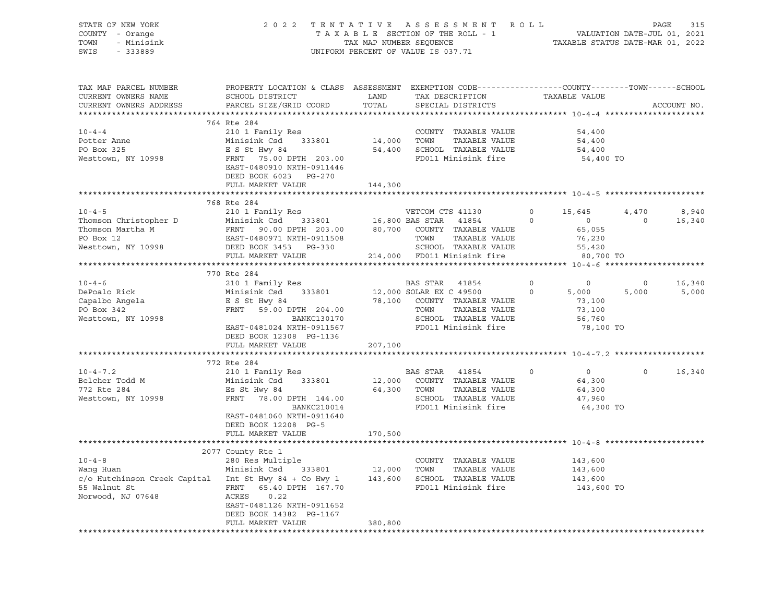| TAX MAP PARCEL NUMBER<br>PROPERTY LOCATION & CLASS ASSESSMENT EXEMPTION CODE---------------COUNTY-------TOWN-----SCHOOL<br>TAX DESCRIPTION<br>TAXABLE VALUE<br>SCHOOL DISTRICT<br>CURRENT OWNERS NAME<br>LAND<br>TOTAL<br>PARCEL SIZE/GRID COORD<br>SPECIAL DISTRICTS<br>ACCOUNT NO.<br>CURRENT OWNERS ADDRESS<br>764 Rte 284<br>210 1 Family Res<br>$10 - 4 - 4$<br>COUNTY TAXABLE VALUE<br>54,400<br>Minisink Csd 333801<br>14,000 TOWN TAXABLE VALUE<br>Potter Anne<br>54,400<br>E S St Hwy 84<br>FRNT   75.00 DPTH  203.00<br>54,400 SCHOOL TAXABLE VALUE<br>PO Box 325<br>54,400<br>FD011 Minisink fire<br>Westtown, NY 10998<br>54,400 TO<br>EAST-0480910 NRTH-0911446<br>DEED BOOK 6023 PG-270<br>FULL MARKET VALUE<br>144,300<br>**************<br>***************************<br>768 Rte 284<br>4,470<br>8,940<br>$\circ$<br>15,645<br>$\begin{tabular}{lllllllllllllllllllll} \textsc{Thomson Christopher D} & \textsc{in, x small y res} & \textsc{VETCOM CTS 41130} \\ \textsc{Thomson Martha M} & \textsc{Minishk Csd} & 333801 & 16,800 BAS STAR & 41854 \\ \textsc{Thomson Martha M} & \textsc{FRNT} & 90.00 DPTH & 203.00 & 80,700 & \textsc{COUNTY} & \textsc{TXABLE VALUE} \\ \textsc{PO Box 12} & \textsc{EAST-0480971 NRTH-0911508} & \textsc{TOM} & \textsc{TNX$<br>$\circ$<br>$\overline{0}$<br>$\overline{0}$<br>16,340<br>65,055<br>76,230<br>TOWN       TAXABLE  VALUE<br>SCHOOL    TAXABLE  VALUE<br>55,420<br>214,000 FD011 Minisink fire<br>80,700 TO<br>770 Rte 284<br>$10 - 4 - 6$<br>210 1 Family Res<br>210 1 Family Res<br>210 1 2,000 SOLAR EX C 49500<br>22.100 2011 2010 2011 2021 2021 2031 2041<br>$\overline{0}$<br>$\overline{0}$<br>16,340<br>$\circ$<br>DePoalo Rick<br>5,000<br>$\circ$<br>5,000<br>5,000<br>E S St Hwy 84<br>FRNT 59.00 DPTH 204.00<br>78,100 COUNTY TAXABLE VALUE<br>Capalbo Angela<br>PO Box 342<br>73,100<br>FRNT 59.00 DPTH 204.00<br>TOWN TAXABLE VALUE<br>73,100<br><b>BANKC130170</b><br>SCHOOL TAXABLE VALUE<br>Westtown, NY 10998<br>56,760<br>FD011 Minisink fire<br>EAST-0481024 NRTH-0911567<br>78,100 TO<br>DEED BOOK 12308 PG-1136<br>FULL MARKET VALUE<br>207,100<br>772 Rte 284<br>$10 - 4 - 7.2$<br>210 1 Family Res<br>BAS STAR 41854<br>$\overline{0}$<br>$\Omega$<br>16,340<br>$\Omega$<br>12,000 COUNTY TAXABLE VALUE<br>64,300<br>Belcher Todd M<br>772 Rte 284<br>Minisink Csd 333801<br>64,300 TOWN TAXABLE VALUE<br>Es St Hwy 84<br>64,300<br>Westtown, NY 10998<br>FRNT 78.00 DPTH 144.00<br>SCHOOL TAXABLE VALUE<br>47,960<br>FD011 Minisink fire<br>BANKC210014<br>64,300 TO<br>EAST-0481060 NRTH-0911640<br>DEED BOOK 12208 PG-5<br>170,500<br>FULL MARKET VALUE<br>2077 County Rte 1<br>280 Res Multiple<br>$10 - 4 - 8$<br>COUNTY TAXABLE VALUE<br>143,600<br>Wang Huan Minisink Csd 333801 12,000 TOWN TAXABLE VALUE<br>c/o Hutchinson Creek Capital Int St Hwy 84 + Co Hwy 1 143,600 SCHOOL TAXABLE VALUE<br>143,600<br>143,600<br>FRNT 65.40 DPTH 167.70<br>FD011 Minisink fire<br>143,600 TO<br>55 Walnut St<br>Norwood, NJ 07648<br>ACRES<br>0.22<br>EAST-0481126 NRTH-0911652<br>DEED BOOK 14382 PG-1167<br>380,800<br>FULL MARKET VALUE | STATE OF NEW YORK<br>COUNTY - Orange<br>TOWN<br>- Minisink<br>SWIS<br>$-333889$ | $\begin{tabular}{lllllllllllllllll} \hline & 2&0&2&2&\text{T} & \text{E} & \text{N} & \text{T} & \text{A} & \text{T} & \text{A} & \text{E} & \text{S} & \text{E} & \text{S} & \text{E} & \text{S} & \text{S} & \text{M} & \text{E} & \text{N} & \text{T} & \text{A} & \text{A} & \text{B} & \text{E} & \text{S} & \text{E} & \text{S} & \text{T} & \text{A} & \text{A} & \text{B} & \text{E} & \text{S} & \text{E} & \text{C$ |  |  |  |
|-------------------------------------------------------------------------------------------------------------------------------------------------------------------------------------------------------------------------------------------------------------------------------------------------------------------------------------------------------------------------------------------------------------------------------------------------------------------------------------------------------------------------------------------------------------------------------------------------------------------------------------------------------------------------------------------------------------------------------------------------------------------------------------------------------------------------------------------------------------------------------------------------------------------------------------------------------------------------------------------------------------------------------------------------------------------------------------------------------------------------------------------------------------------------------------------------------------------------------------------------------------------------------------------------------------------------------------------------------------------------------------------------------------------------------------------------------------------------------------------------------------------------------------------------------------------------------------------------------------------------------------------------------------------------------------------------------------------------------------------------------------------------------------------------------------------------------------------------------------------------------------------------------------------------------------------------------------------------------------------------------------------------------------------------------------------------------------------------------------------------------------------------------------------------------------------------------------------------------------------------------------------------------------------------------------------------------------------------------------------------------------------------------------------------------------------------------------------------------------------------------------------------------------------------------------------------------------------------------------------------------------------------------------------------------------------------------------------------------------------------------------------------------------------------------------------------------------------------------------------------------------------------------------------------------------------------------------------------------------------------------------------------------------------------------------------------------------------------------------------------------------------|---------------------------------------------------------------------------------|-------------------------------------------------------------------------------------------------------------------------------------------------------------------------------------------------------------------------------------------------------------------------------------------------------------------------------------------------------------------------------------------------------------------------------|--|--|--|
|                                                                                                                                                                                                                                                                                                                                                                                                                                                                                                                                                                                                                                                                                                                                                                                                                                                                                                                                                                                                                                                                                                                                                                                                                                                                                                                                                                                                                                                                                                                                                                                                                                                                                                                                                                                                                                                                                                                                                                                                                                                                                                                                                                                                                                                                                                                                                                                                                                                                                                                                                                                                                                                                                                                                                                                                                                                                                                                                                                                                                                                                                                                                           |                                                                                 |                                                                                                                                                                                                                                                                                                                                                                                                                               |  |  |  |
|                                                                                                                                                                                                                                                                                                                                                                                                                                                                                                                                                                                                                                                                                                                                                                                                                                                                                                                                                                                                                                                                                                                                                                                                                                                                                                                                                                                                                                                                                                                                                                                                                                                                                                                                                                                                                                                                                                                                                                                                                                                                                                                                                                                                                                                                                                                                                                                                                                                                                                                                                                                                                                                                                                                                                                                                                                                                                                                                                                                                                                                                                                                                           |                                                                                 |                                                                                                                                                                                                                                                                                                                                                                                                                               |  |  |  |
|                                                                                                                                                                                                                                                                                                                                                                                                                                                                                                                                                                                                                                                                                                                                                                                                                                                                                                                                                                                                                                                                                                                                                                                                                                                                                                                                                                                                                                                                                                                                                                                                                                                                                                                                                                                                                                                                                                                                                                                                                                                                                                                                                                                                                                                                                                                                                                                                                                                                                                                                                                                                                                                                                                                                                                                                                                                                                                                                                                                                                                                                                                                                           |                                                                                 |                                                                                                                                                                                                                                                                                                                                                                                                                               |  |  |  |
|                                                                                                                                                                                                                                                                                                                                                                                                                                                                                                                                                                                                                                                                                                                                                                                                                                                                                                                                                                                                                                                                                                                                                                                                                                                                                                                                                                                                                                                                                                                                                                                                                                                                                                                                                                                                                                                                                                                                                                                                                                                                                                                                                                                                                                                                                                                                                                                                                                                                                                                                                                                                                                                                                                                                                                                                                                                                                                                                                                                                                                                                                                                                           |                                                                                 |                                                                                                                                                                                                                                                                                                                                                                                                                               |  |  |  |
|                                                                                                                                                                                                                                                                                                                                                                                                                                                                                                                                                                                                                                                                                                                                                                                                                                                                                                                                                                                                                                                                                                                                                                                                                                                                                                                                                                                                                                                                                                                                                                                                                                                                                                                                                                                                                                                                                                                                                                                                                                                                                                                                                                                                                                                                                                                                                                                                                                                                                                                                                                                                                                                                                                                                                                                                                                                                                                                                                                                                                                                                                                                                           |                                                                                 |                                                                                                                                                                                                                                                                                                                                                                                                                               |  |  |  |
|                                                                                                                                                                                                                                                                                                                                                                                                                                                                                                                                                                                                                                                                                                                                                                                                                                                                                                                                                                                                                                                                                                                                                                                                                                                                                                                                                                                                                                                                                                                                                                                                                                                                                                                                                                                                                                                                                                                                                                                                                                                                                                                                                                                                                                                                                                                                                                                                                                                                                                                                                                                                                                                                                                                                                                                                                                                                                                                                                                                                                                                                                                                                           |                                                                                 |                                                                                                                                                                                                                                                                                                                                                                                                                               |  |  |  |
|                                                                                                                                                                                                                                                                                                                                                                                                                                                                                                                                                                                                                                                                                                                                                                                                                                                                                                                                                                                                                                                                                                                                                                                                                                                                                                                                                                                                                                                                                                                                                                                                                                                                                                                                                                                                                                                                                                                                                                                                                                                                                                                                                                                                                                                                                                                                                                                                                                                                                                                                                                                                                                                                                                                                                                                                                                                                                                                                                                                                                                                                                                                                           |                                                                                 |                                                                                                                                                                                                                                                                                                                                                                                                                               |  |  |  |
|                                                                                                                                                                                                                                                                                                                                                                                                                                                                                                                                                                                                                                                                                                                                                                                                                                                                                                                                                                                                                                                                                                                                                                                                                                                                                                                                                                                                                                                                                                                                                                                                                                                                                                                                                                                                                                                                                                                                                                                                                                                                                                                                                                                                                                                                                                                                                                                                                                                                                                                                                                                                                                                                                                                                                                                                                                                                                                                                                                                                                                                                                                                                           |                                                                                 |                                                                                                                                                                                                                                                                                                                                                                                                                               |  |  |  |
|                                                                                                                                                                                                                                                                                                                                                                                                                                                                                                                                                                                                                                                                                                                                                                                                                                                                                                                                                                                                                                                                                                                                                                                                                                                                                                                                                                                                                                                                                                                                                                                                                                                                                                                                                                                                                                                                                                                                                                                                                                                                                                                                                                                                                                                                                                                                                                                                                                                                                                                                                                                                                                                                                                                                                                                                                                                                                                                                                                                                                                                                                                                                           |                                                                                 |                                                                                                                                                                                                                                                                                                                                                                                                                               |  |  |  |
|                                                                                                                                                                                                                                                                                                                                                                                                                                                                                                                                                                                                                                                                                                                                                                                                                                                                                                                                                                                                                                                                                                                                                                                                                                                                                                                                                                                                                                                                                                                                                                                                                                                                                                                                                                                                                                                                                                                                                                                                                                                                                                                                                                                                                                                                                                                                                                                                                                                                                                                                                                                                                                                                                                                                                                                                                                                                                                                                                                                                                                                                                                                                           |                                                                                 |                                                                                                                                                                                                                                                                                                                                                                                                                               |  |  |  |
|                                                                                                                                                                                                                                                                                                                                                                                                                                                                                                                                                                                                                                                                                                                                                                                                                                                                                                                                                                                                                                                                                                                                                                                                                                                                                                                                                                                                                                                                                                                                                                                                                                                                                                                                                                                                                                                                                                                                                                                                                                                                                                                                                                                                                                                                                                                                                                                                                                                                                                                                                                                                                                                                                                                                                                                                                                                                                                                                                                                                                                                                                                                                           |                                                                                 |                                                                                                                                                                                                                                                                                                                                                                                                                               |  |  |  |
|                                                                                                                                                                                                                                                                                                                                                                                                                                                                                                                                                                                                                                                                                                                                                                                                                                                                                                                                                                                                                                                                                                                                                                                                                                                                                                                                                                                                                                                                                                                                                                                                                                                                                                                                                                                                                                                                                                                                                                                                                                                                                                                                                                                                                                                                                                                                                                                                                                                                                                                                                                                                                                                                                                                                                                                                                                                                                                                                                                                                                                                                                                                                           |                                                                                 |                                                                                                                                                                                                                                                                                                                                                                                                                               |  |  |  |
|                                                                                                                                                                                                                                                                                                                                                                                                                                                                                                                                                                                                                                                                                                                                                                                                                                                                                                                                                                                                                                                                                                                                                                                                                                                                                                                                                                                                                                                                                                                                                                                                                                                                                                                                                                                                                                                                                                                                                                                                                                                                                                                                                                                                                                                                                                                                                                                                                                                                                                                                                                                                                                                                                                                                                                                                                                                                                                                                                                                                                                                                                                                                           |                                                                                 |                                                                                                                                                                                                                                                                                                                                                                                                                               |  |  |  |
|                                                                                                                                                                                                                                                                                                                                                                                                                                                                                                                                                                                                                                                                                                                                                                                                                                                                                                                                                                                                                                                                                                                                                                                                                                                                                                                                                                                                                                                                                                                                                                                                                                                                                                                                                                                                                                                                                                                                                                                                                                                                                                                                                                                                                                                                                                                                                                                                                                                                                                                                                                                                                                                                                                                                                                                                                                                                                                                                                                                                                                                                                                                                           |                                                                                 |                                                                                                                                                                                                                                                                                                                                                                                                                               |  |  |  |
|                                                                                                                                                                                                                                                                                                                                                                                                                                                                                                                                                                                                                                                                                                                                                                                                                                                                                                                                                                                                                                                                                                                                                                                                                                                                                                                                                                                                                                                                                                                                                                                                                                                                                                                                                                                                                                                                                                                                                                                                                                                                                                                                                                                                                                                                                                                                                                                                                                                                                                                                                                                                                                                                                                                                                                                                                                                                                                                                                                                                                                                                                                                                           |                                                                                 |                                                                                                                                                                                                                                                                                                                                                                                                                               |  |  |  |
|                                                                                                                                                                                                                                                                                                                                                                                                                                                                                                                                                                                                                                                                                                                                                                                                                                                                                                                                                                                                                                                                                                                                                                                                                                                                                                                                                                                                                                                                                                                                                                                                                                                                                                                                                                                                                                                                                                                                                                                                                                                                                                                                                                                                                                                                                                                                                                                                                                                                                                                                                                                                                                                                                                                                                                                                                                                                                                                                                                                                                                                                                                                                           |                                                                                 |                                                                                                                                                                                                                                                                                                                                                                                                                               |  |  |  |
|                                                                                                                                                                                                                                                                                                                                                                                                                                                                                                                                                                                                                                                                                                                                                                                                                                                                                                                                                                                                                                                                                                                                                                                                                                                                                                                                                                                                                                                                                                                                                                                                                                                                                                                                                                                                                                                                                                                                                                                                                                                                                                                                                                                                                                                                                                                                                                                                                                                                                                                                                                                                                                                                                                                                                                                                                                                                                                                                                                                                                                                                                                                                           |                                                                                 |                                                                                                                                                                                                                                                                                                                                                                                                                               |  |  |  |
|                                                                                                                                                                                                                                                                                                                                                                                                                                                                                                                                                                                                                                                                                                                                                                                                                                                                                                                                                                                                                                                                                                                                                                                                                                                                                                                                                                                                                                                                                                                                                                                                                                                                                                                                                                                                                                                                                                                                                                                                                                                                                                                                                                                                                                                                                                                                                                                                                                                                                                                                                                                                                                                                                                                                                                                                                                                                                                                                                                                                                                                                                                                                           |                                                                                 |                                                                                                                                                                                                                                                                                                                                                                                                                               |  |  |  |
|                                                                                                                                                                                                                                                                                                                                                                                                                                                                                                                                                                                                                                                                                                                                                                                                                                                                                                                                                                                                                                                                                                                                                                                                                                                                                                                                                                                                                                                                                                                                                                                                                                                                                                                                                                                                                                                                                                                                                                                                                                                                                                                                                                                                                                                                                                                                                                                                                                                                                                                                                                                                                                                                                                                                                                                                                                                                                                                                                                                                                                                                                                                                           |                                                                                 |                                                                                                                                                                                                                                                                                                                                                                                                                               |  |  |  |
|                                                                                                                                                                                                                                                                                                                                                                                                                                                                                                                                                                                                                                                                                                                                                                                                                                                                                                                                                                                                                                                                                                                                                                                                                                                                                                                                                                                                                                                                                                                                                                                                                                                                                                                                                                                                                                                                                                                                                                                                                                                                                                                                                                                                                                                                                                                                                                                                                                                                                                                                                                                                                                                                                                                                                                                                                                                                                                                                                                                                                                                                                                                                           |                                                                                 |                                                                                                                                                                                                                                                                                                                                                                                                                               |  |  |  |
|                                                                                                                                                                                                                                                                                                                                                                                                                                                                                                                                                                                                                                                                                                                                                                                                                                                                                                                                                                                                                                                                                                                                                                                                                                                                                                                                                                                                                                                                                                                                                                                                                                                                                                                                                                                                                                                                                                                                                                                                                                                                                                                                                                                                                                                                                                                                                                                                                                                                                                                                                                                                                                                                                                                                                                                                                                                                                                                                                                                                                                                                                                                                           |                                                                                 |                                                                                                                                                                                                                                                                                                                                                                                                                               |  |  |  |
|                                                                                                                                                                                                                                                                                                                                                                                                                                                                                                                                                                                                                                                                                                                                                                                                                                                                                                                                                                                                                                                                                                                                                                                                                                                                                                                                                                                                                                                                                                                                                                                                                                                                                                                                                                                                                                                                                                                                                                                                                                                                                                                                                                                                                                                                                                                                                                                                                                                                                                                                                                                                                                                                                                                                                                                                                                                                                                                                                                                                                                                                                                                                           |                                                                                 |                                                                                                                                                                                                                                                                                                                                                                                                                               |  |  |  |
|                                                                                                                                                                                                                                                                                                                                                                                                                                                                                                                                                                                                                                                                                                                                                                                                                                                                                                                                                                                                                                                                                                                                                                                                                                                                                                                                                                                                                                                                                                                                                                                                                                                                                                                                                                                                                                                                                                                                                                                                                                                                                                                                                                                                                                                                                                                                                                                                                                                                                                                                                                                                                                                                                                                                                                                                                                                                                                                                                                                                                                                                                                                                           |                                                                                 |                                                                                                                                                                                                                                                                                                                                                                                                                               |  |  |  |
|                                                                                                                                                                                                                                                                                                                                                                                                                                                                                                                                                                                                                                                                                                                                                                                                                                                                                                                                                                                                                                                                                                                                                                                                                                                                                                                                                                                                                                                                                                                                                                                                                                                                                                                                                                                                                                                                                                                                                                                                                                                                                                                                                                                                                                                                                                                                                                                                                                                                                                                                                                                                                                                                                                                                                                                                                                                                                                                                                                                                                                                                                                                                           |                                                                                 |                                                                                                                                                                                                                                                                                                                                                                                                                               |  |  |  |
|                                                                                                                                                                                                                                                                                                                                                                                                                                                                                                                                                                                                                                                                                                                                                                                                                                                                                                                                                                                                                                                                                                                                                                                                                                                                                                                                                                                                                                                                                                                                                                                                                                                                                                                                                                                                                                                                                                                                                                                                                                                                                                                                                                                                                                                                                                                                                                                                                                                                                                                                                                                                                                                                                                                                                                                                                                                                                                                                                                                                                                                                                                                                           |                                                                                 |                                                                                                                                                                                                                                                                                                                                                                                                                               |  |  |  |
|                                                                                                                                                                                                                                                                                                                                                                                                                                                                                                                                                                                                                                                                                                                                                                                                                                                                                                                                                                                                                                                                                                                                                                                                                                                                                                                                                                                                                                                                                                                                                                                                                                                                                                                                                                                                                                                                                                                                                                                                                                                                                                                                                                                                                                                                                                                                                                                                                                                                                                                                                                                                                                                                                                                                                                                                                                                                                                                                                                                                                                                                                                                                           |                                                                                 |                                                                                                                                                                                                                                                                                                                                                                                                                               |  |  |  |
|                                                                                                                                                                                                                                                                                                                                                                                                                                                                                                                                                                                                                                                                                                                                                                                                                                                                                                                                                                                                                                                                                                                                                                                                                                                                                                                                                                                                                                                                                                                                                                                                                                                                                                                                                                                                                                                                                                                                                                                                                                                                                                                                                                                                                                                                                                                                                                                                                                                                                                                                                                                                                                                                                                                                                                                                                                                                                                                                                                                                                                                                                                                                           |                                                                                 |                                                                                                                                                                                                                                                                                                                                                                                                                               |  |  |  |
|                                                                                                                                                                                                                                                                                                                                                                                                                                                                                                                                                                                                                                                                                                                                                                                                                                                                                                                                                                                                                                                                                                                                                                                                                                                                                                                                                                                                                                                                                                                                                                                                                                                                                                                                                                                                                                                                                                                                                                                                                                                                                                                                                                                                                                                                                                                                                                                                                                                                                                                                                                                                                                                                                                                                                                                                                                                                                                                                                                                                                                                                                                                                           |                                                                                 |                                                                                                                                                                                                                                                                                                                                                                                                                               |  |  |  |
|                                                                                                                                                                                                                                                                                                                                                                                                                                                                                                                                                                                                                                                                                                                                                                                                                                                                                                                                                                                                                                                                                                                                                                                                                                                                                                                                                                                                                                                                                                                                                                                                                                                                                                                                                                                                                                                                                                                                                                                                                                                                                                                                                                                                                                                                                                                                                                                                                                                                                                                                                                                                                                                                                                                                                                                                                                                                                                                                                                                                                                                                                                                                           |                                                                                 |                                                                                                                                                                                                                                                                                                                                                                                                                               |  |  |  |
|                                                                                                                                                                                                                                                                                                                                                                                                                                                                                                                                                                                                                                                                                                                                                                                                                                                                                                                                                                                                                                                                                                                                                                                                                                                                                                                                                                                                                                                                                                                                                                                                                                                                                                                                                                                                                                                                                                                                                                                                                                                                                                                                                                                                                                                                                                                                                                                                                                                                                                                                                                                                                                                                                                                                                                                                                                                                                                                                                                                                                                                                                                                                           |                                                                                 |                                                                                                                                                                                                                                                                                                                                                                                                                               |  |  |  |
|                                                                                                                                                                                                                                                                                                                                                                                                                                                                                                                                                                                                                                                                                                                                                                                                                                                                                                                                                                                                                                                                                                                                                                                                                                                                                                                                                                                                                                                                                                                                                                                                                                                                                                                                                                                                                                                                                                                                                                                                                                                                                                                                                                                                                                                                                                                                                                                                                                                                                                                                                                                                                                                                                                                                                                                                                                                                                                                                                                                                                                                                                                                                           |                                                                                 |                                                                                                                                                                                                                                                                                                                                                                                                                               |  |  |  |
|                                                                                                                                                                                                                                                                                                                                                                                                                                                                                                                                                                                                                                                                                                                                                                                                                                                                                                                                                                                                                                                                                                                                                                                                                                                                                                                                                                                                                                                                                                                                                                                                                                                                                                                                                                                                                                                                                                                                                                                                                                                                                                                                                                                                                                                                                                                                                                                                                                                                                                                                                                                                                                                                                                                                                                                                                                                                                                                                                                                                                                                                                                                                           |                                                                                 |                                                                                                                                                                                                                                                                                                                                                                                                                               |  |  |  |
|                                                                                                                                                                                                                                                                                                                                                                                                                                                                                                                                                                                                                                                                                                                                                                                                                                                                                                                                                                                                                                                                                                                                                                                                                                                                                                                                                                                                                                                                                                                                                                                                                                                                                                                                                                                                                                                                                                                                                                                                                                                                                                                                                                                                                                                                                                                                                                                                                                                                                                                                                                                                                                                                                                                                                                                                                                                                                                                                                                                                                                                                                                                                           |                                                                                 |                                                                                                                                                                                                                                                                                                                                                                                                                               |  |  |  |
|                                                                                                                                                                                                                                                                                                                                                                                                                                                                                                                                                                                                                                                                                                                                                                                                                                                                                                                                                                                                                                                                                                                                                                                                                                                                                                                                                                                                                                                                                                                                                                                                                                                                                                                                                                                                                                                                                                                                                                                                                                                                                                                                                                                                                                                                                                                                                                                                                                                                                                                                                                                                                                                                                                                                                                                                                                                                                                                                                                                                                                                                                                                                           |                                                                                 |                                                                                                                                                                                                                                                                                                                                                                                                                               |  |  |  |
|                                                                                                                                                                                                                                                                                                                                                                                                                                                                                                                                                                                                                                                                                                                                                                                                                                                                                                                                                                                                                                                                                                                                                                                                                                                                                                                                                                                                                                                                                                                                                                                                                                                                                                                                                                                                                                                                                                                                                                                                                                                                                                                                                                                                                                                                                                                                                                                                                                                                                                                                                                                                                                                                                                                                                                                                                                                                                                                                                                                                                                                                                                                                           |                                                                                 |                                                                                                                                                                                                                                                                                                                                                                                                                               |  |  |  |
|                                                                                                                                                                                                                                                                                                                                                                                                                                                                                                                                                                                                                                                                                                                                                                                                                                                                                                                                                                                                                                                                                                                                                                                                                                                                                                                                                                                                                                                                                                                                                                                                                                                                                                                                                                                                                                                                                                                                                                                                                                                                                                                                                                                                                                                                                                                                                                                                                                                                                                                                                                                                                                                                                                                                                                                                                                                                                                                                                                                                                                                                                                                                           |                                                                                 |                                                                                                                                                                                                                                                                                                                                                                                                                               |  |  |  |
|                                                                                                                                                                                                                                                                                                                                                                                                                                                                                                                                                                                                                                                                                                                                                                                                                                                                                                                                                                                                                                                                                                                                                                                                                                                                                                                                                                                                                                                                                                                                                                                                                                                                                                                                                                                                                                                                                                                                                                                                                                                                                                                                                                                                                                                                                                                                                                                                                                                                                                                                                                                                                                                                                                                                                                                                                                                                                                                                                                                                                                                                                                                                           |                                                                                 |                                                                                                                                                                                                                                                                                                                                                                                                                               |  |  |  |
|                                                                                                                                                                                                                                                                                                                                                                                                                                                                                                                                                                                                                                                                                                                                                                                                                                                                                                                                                                                                                                                                                                                                                                                                                                                                                                                                                                                                                                                                                                                                                                                                                                                                                                                                                                                                                                                                                                                                                                                                                                                                                                                                                                                                                                                                                                                                                                                                                                                                                                                                                                                                                                                                                                                                                                                                                                                                                                                                                                                                                                                                                                                                           |                                                                                 |                                                                                                                                                                                                                                                                                                                                                                                                                               |  |  |  |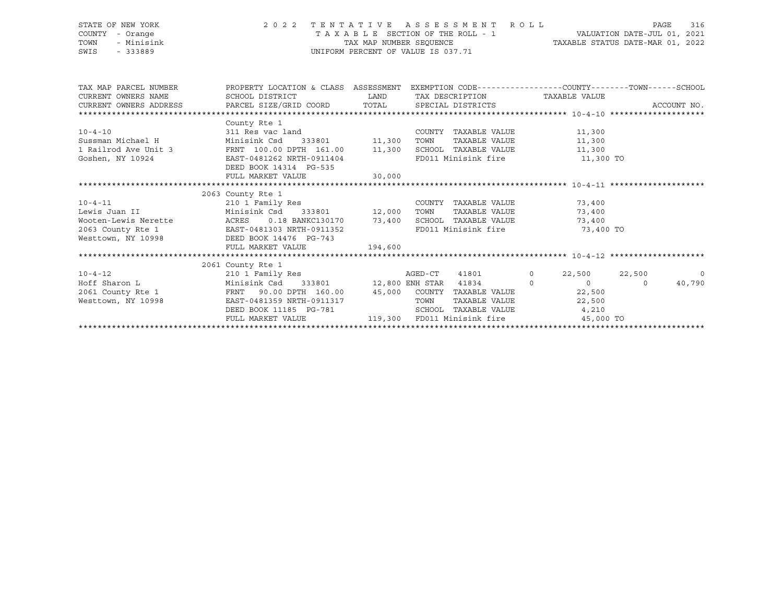| STATE OF NEW YORK  | 2022 TENTATIVE ASSESSMENT ROLL        | 316<br>PAGE                      |
|--------------------|---------------------------------------|----------------------------------|
| COUNTY - Orange    | T A X A B L E SECTION OF THE ROLL - 1 | VALUATION DATE-JUL 01, 2021      |
| - Minisink<br>TOWN | TAX MAP NUMBER SEOUENCE               | TAXABLE STATUS DATE-MAR 01, 2022 |
| SWIS<br>$-333889$  | UNIFORM PERCENT OF VALUE IS 037.71    |                                  |
|                    |                                       |                                  |

| TAX MAP PARCEL NUMBER<br>CURRENT OWNERS NAME SCHOOL DISTRICT AND LAND TAX DESCRIPTION TAXABLE VALUE | PROPERTY LOCATION & CLASS ASSESSMENT EXEMPTION CODE----------------COUNTY-------TOWN------SCHOOL |  |        |                                       |  |        |  |                |  |  |  |
|-----------------------------------------------------------------------------------------------------|--------------------------------------------------------------------------------------------------|--|--------|---------------------------------------|--|--------|--|----------------|--|--|--|
| CURRENT OWNERS ADDRESS     PARCEL SIZE/GRID COORD     TOTAL     SPECIAL DISTRICTS                   |                                                                                                  |  |        |                                       |  |        |  | ACCOUNT NO.    |  |  |  |
|                                                                                                     |                                                                                                  |  |        |                                       |  |        |  |                |  |  |  |
|                                                                                                     | County Rte 1                                                                                     |  |        |                                       |  |        |  |                |  |  |  |
| $10 - 4 - 10$                                                                                       |                                                                                                  |  |        | COUNTY TAXABLE VALUE 11,300           |  |        |  |                |  |  |  |
|                                                                                                     |                                                                                                  |  |        | TOWN TAXABLE VALUE                    |  | 11,300 |  |                |  |  |  |
| 1 Railrod Ave Unit 3 FRNT 100.00 DPTH 161.00 11,300                                                 |                                                                                                  |  |        | SCHOOL TAXABLE VALUE 11,300           |  |        |  |                |  |  |  |
| Goshen, NY 10924                                                                                    | EAST-0481262 NRTH-0911404                                                                        |  |        | FD011 Minisink fire 11,300 TO         |  |        |  |                |  |  |  |
|                                                                                                     | DEED BOOK 14314 PG-535                                                                           |  |        |                                       |  |        |  |                |  |  |  |
|                                                                                                     | FULL MARKET VALUE 30,000                                                                         |  |        |                                       |  |        |  |                |  |  |  |
|                                                                                                     |                                                                                                  |  |        |                                       |  |        |  |                |  |  |  |
|                                                                                                     | 2063 County Rte 1                                                                                |  |        |                                       |  |        |  |                |  |  |  |
| $10 - 4 - 11$                                                                                       | 210 1 Family Res                                                                                 |  |        | COUNTY TAXABLE VALUE 73,400           |  |        |  |                |  |  |  |
|                                                                                                     |                                                                                                  |  |        | TAXABLE VALUE                         |  | 73,400 |  |                |  |  |  |
| Wooten-Lewis Nerette ACRES 0.18 BANKC130170 73,400                                                  |                                                                                                  |  |        | SCHOOL TAXABLE VALUE 73,400           |  |        |  |                |  |  |  |
|                                                                                                     |                                                                                                  |  |        | FD011 Minisink fire 73,400 TO         |  |        |  |                |  |  |  |
| 2063 County Rte 1 EAST-0481303 NRTH-0911352<br>Westtown, NY 10998 DEED BOOK 14476 PG-743            |                                                                                                  |  |        |                                       |  |        |  |                |  |  |  |
|                                                                                                     | FULL MARKET VALUE 194,600                                                                        |  |        |                                       |  |        |  |                |  |  |  |
|                                                                                                     |                                                                                                  |  |        |                                       |  |        |  |                |  |  |  |
|                                                                                                     | 2061 County Rte 1                                                                                |  |        |                                       |  |        |  |                |  |  |  |
|                                                                                                     |                                                                                                  |  |        |                                       |  |        |  | $\overline{0}$ |  |  |  |
|                                                                                                     |                                                                                                  |  |        |                                       |  |        |  | 40,790         |  |  |  |
|                                                                                                     |                                                                                                  |  |        |                                       |  |        |  |                |  |  |  |
| Westtown, NY 10998                                                                                  | EAST-0481359 NRTH-0911317                                                                        |  | TOWN   | TAXABLE VALUE 22,500                  |  |        |  |                |  |  |  |
|                                                                                                     |                                                                                                  |  | SCHOOL | TAXABLE VALUE 4,210                   |  |        |  |                |  |  |  |
|                                                                                                     | FULL MARKET VALUE                                                                                |  |        | 119,300 FD011 Minisink fire 35,000 TO |  |        |  |                |  |  |  |
|                                                                                                     |                                                                                                  |  |        |                                       |  |        |  |                |  |  |  |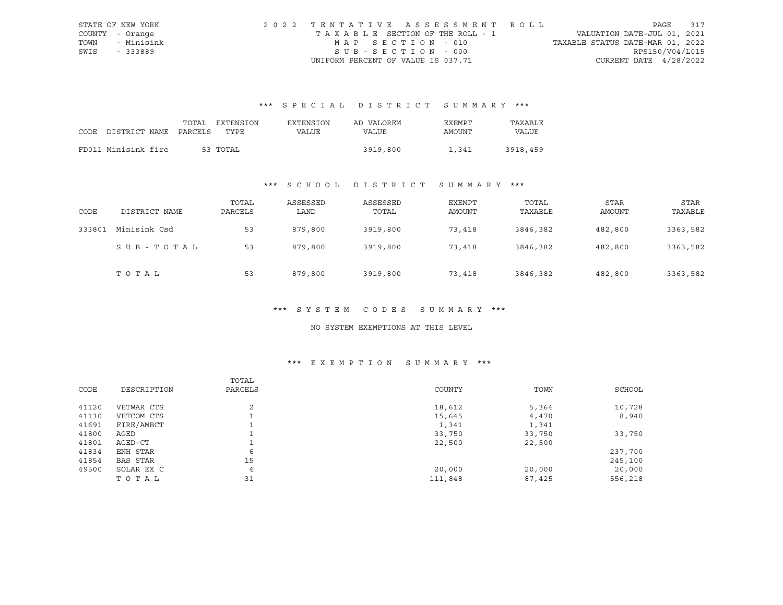|      | STATE OF NEW YORK | 2022 TENTATIVE ASSESSMENT ROLL        |                                  | PAGE            | 317 |
|------|-------------------|---------------------------------------|----------------------------------|-----------------|-----|
|      | COUNTY - Orange   | T A X A B L E SECTION OF THE ROLL - 1 | VALUATION DATE-JUL 01, 2021      |                 |     |
| TOWN | - Minisink        | MAP SECTION - 010                     | TAXABLE STATUS DATE-MAR 01, 2022 |                 |     |
| SWIS | - 333889          | SUB-SECTION - 000                     |                                  | RPS150/V04/L015 |     |
|      |                   | UNIFORM PERCENT OF VALUE IS 037.71    | CURRENT DATE $4/28/2022$         |                 |     |

# \*\*\* S P E C I A L D I S T R I C T S U M M A R Y \*\*\*

| CODE DISTRICT NAME PARCELS | TOTAL | <b>EXTENSION</b><br>TYPE. | <b>EXTENSION</b><br>VALUE | AD VALOREM<br>VALUE | EXEMPT<br>AMOUNT | TAXABLE<br><b>VALUE</b> |
|----------------------------|-------|---------------------------|---------------------------|---------------------|------------------|-------------------------|
| FD011 Minisink fire        |       | 53 TOTAL                  |                           | 3919,800            | 1,341            | 3918,459                |

# \*\*\* S C H O O L D I S T R I C T S U M M A R Y \*\*\*

| CODE   | DISTRICT NAME | TOTAL<br>PARCELS | ASSESSED<br>LAND | ASSESSED<br>TOTAL | EXEMPT<br>AMOUNT | TOTAL<br>TAXABLE | STAR<br>AMOUNT | STAR<br>TAXABLE |
|--------|---------------|------------------|------------------|-------------------|------------------|------------------|----------------|-----------------|
| 333801 | Minisink Csd  | 53               | 879,800          | 3919,800          | 73,418           | 3846,382         | 482,800        | 3363,582        |
|        | SUB-TOTAL     | 53               | 879,800          | 3919,800          | 73,418           | 3846,382         | 482,800        | 3363,582        |
|        | TOTAL         | 53               | 879,800          | 3919,800          | 73,418           | 3846,382         | 482,800        | 3363,582        |

#### \*\*\* S Y S T E M C O D E S S U M M A R Y \*\*\*

#### NO SYSTEM EXEMPTIONS AT THIS LEVEL

## \*\*\* E X E M P T I O N S U M M A R Y \*\*\*

|       |                 | TOTAL          |         |        |         |
|-------|-----------------|----------------|---------|--------|---------|
| CODE  | DESCRIPTION     | PARCELS        | COUNTY  | TOWN   | SCHOOL  |
| 41120 | VETWAR CTS      | 2              | 18,612  | 5,364  | 10,728  |
| 41130 | VETCOM CTS      |                | 15,645  | 4,470  | 8,940   |
| 41691 | FIRE/AMBCT      |                | 1,341   | 1,341  |         |
| 41800 | AGED            |                | 33,750  | 33,750 | 33,750  |
| 41801 | AGED-CT         |                | 22,500  | 22,500 |         |
| 41834 | ENH STAR        | 6              |         |        | 237,700 |
| 41854 | <b>BAS STAR</b> | 15             |         |        | 245,100 |
| 49500 | SOLAR EX C      | $\overline{4}$ | 20,000  | 20,000 | 20,000  |
|       | TOTAL           | 31             | 111,848 | 87,425 | 556,218 |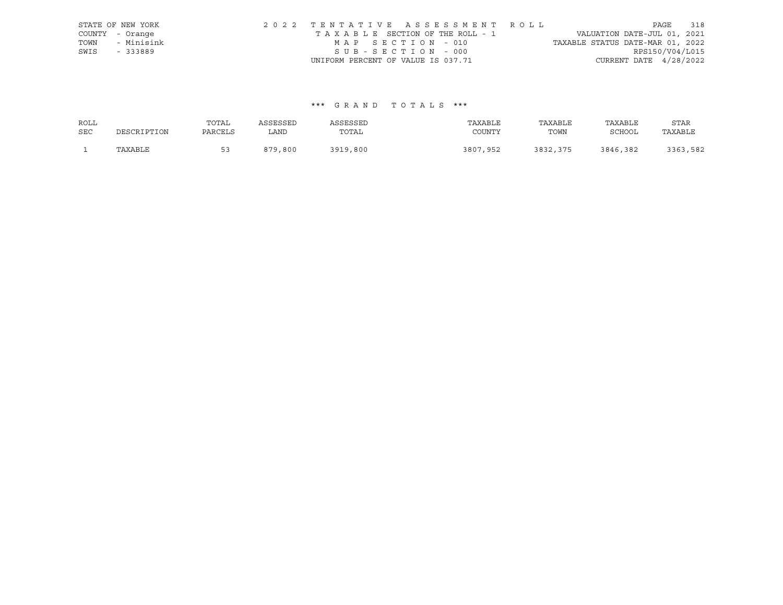|      | STATE OF NEW YORK | 2022 TENTATIVE ASSESSMENT ROLL                                 | PAGE            | 318 |
|------|-------------------|----------------------------------------------------------------|-----------------|-----|
|      | COUNTY - Orange   | VALUATION DATE-JUL 01, 2021<br>TAXABLE SECTION OF THE ROLL - 1 |                 |     |
| TOWN | - Minisink        | TAXABLE STATUS DATE-MAR 01, 2022<br>MAP SECTION - 010          |                 |     |
| SWIS | - 333889          | SUB-SECTION - 000                                              | RPS150/V04/L015 |     |
|      |                   | CURRENT DATE $4/28/2022$<br>UNIFORM PERCENT OF VALUE IS 037.71 |                 |     |

## \*\*\* G R A N D T O T A L S \*\*\*

| ROLL       |             | TOTAL   | ASSESSED | ASSESSED | TAXABLE  | TAXABLE  | TAXABLE       | STAR     |
|------------|-------------|---------|----------|----------|----------|----------|---------------|----------|
| <b>SEC</b> | DESCRIPTION | PARCELS | LAND     | TOTAL    | COUNTY   | TOWN     | <b>SCHOOL</b> | TAXABLE  |
|            | TAXABLE     | 53      | 879,800  | 3919,800 | 3807,952 | 3832,375 | 3846,382      | 3363,582 |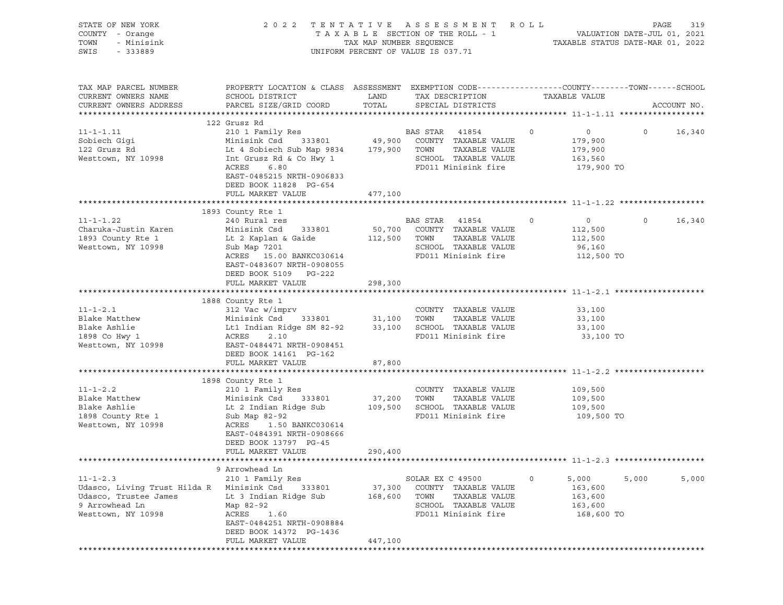| STATE OF NEW YORK<br>COUNTY - Orange<br>TOWN<br>- Minisink<br>SWIS<br>- 333889                                  | 2022 TENTATIVE ASSESSMENT ROLL                                                                                                                                                                                    | UNIFORM PERCENT OF VALUE IS 037.71 |                          | T A X A B L E SECTION OF THE ROLL - 1 VALUATION DATE-JUL 01, 2021<br>TAX MAP NUMBER SEQUENCE TAXABLE STATUS DATE-MAR 01, 2022 |         |                                                               | PAGE    | 319         |
|-----------------------------------------------------------------------------------------------------------------|-------------------------------------------------------------------------------------------------------------------------------------------------------------------------------------------------------------------|------------------------------------|--------------------------|-------------------------------------------------------------------------------------------------------------------------------|---------|---------------------------------------------------------------|---------|-------------|
| TAX MAP PARCEL NUMBER<br>CURRENT OWNERS NAME<br>CURRENT OWNERS ADDRESS                                          | PROPERTY LOCATION & CLASS ASSESSMENT EXEMPTION CODE---------------COUNTY-------TOWN------SCHOOL<br>SCHOOL DISTRICT<br>PARCEL SIZE/GRID COORD                                                                      | LAND<br>TOTAL                      |                          | TAX DESCRIPTION<br>SPECIAL DISTRICTS                                                                                          |         | TAXABLE VALUE                                                 |         | ACCOUNT NO. |
|                                                                                                                 | 122 Grusz Rd                                                                                                                                                                                                      |                                    |                          |                                                                                                                               |         |                                                               |         |             |
| $11 - 1 - 1.11$<br>Sobiech Gigi<br>122 Grusz Rd<br>Westtown, NY 10998                                           | 210 1 Family Res<br>Minisink Csd<br>Lt 4 Sobiech Sub Map 9834 179,900 TOWN<br>Int Grusz Rd & Co Hwy 1<br>ACRES<br>6.80<br>EAST-0485215 NRTH-0906833<br>DEED BOOK 11828 PG-654                                     |                                    | BAS STAR 41854           | $333801$ 49,900 COUNTY TAXABLE VALUE<br>TAXABLE VALUE<br>SCHOOL TAXABLE VALUE<br>FD011 Minisink fire                          | $\circ$ | $\overline{0}$<br>179,900<br>179,900<br>163,560<br>179,900 TO | $\circ$ | 16,340      |
|                                                                                                                 | FULL MARKET VALUE                                                                                                                                                                                                 | 477,100                            |                          |                                                                                                                               |         |                                                               |         |             |
| $11 - 1 - 1.22$<br>Charuka-Justin Karen<br>1893 County Rte 1<br>Westtown, NY 10998                              | 1893 County Rte 1<br>240 Rural res<br>Minisink Csd 333801<br>Lt 2 Kaplan & Gaide<br>Sub Map 7201<br>ACRES 15.00 BANKC030614<br>EAST-0483607 NRTH-0908055<br>DEED BOOK 5109 PG-222                                 | 112,500 TOWN                       | BAS STAR 41854           | 50,700 COUNTY TAXABLE VALUE<br>TAXABLE VALUE<br>SCHOOL TAXABLE VALUE<br>FD011 Minisink fire                                   | 0       | $\overline{0}$<br>112,500<br>112,500<br>96,160<br>112,500 TO  | $\circ$ | 16,340      |
|                                                                                                                 | FULL MARKET VALUE                                                                                                                                                                                                 | 298,300                            |                          |                                                                                                                               |         |                                                               |         |             |
| $11 - 1 - 2.1$<br>Blake Matthew<br>Blake Ashlie<br>1898 Co Hwy 1<br>Westtown, NY 10998                          | 1888 County Rte 1<br>312 Vac w/imprv<br>Minisink Csd<br>Lt1 Indian Ridge SM 82-92 33,100 SCHOOL TAXABLE VALUE<br>ACRES<br>2.10<br>EAST-0484471 NRTH-0908451<br>DEED BOOK 14161 PG-162                             | 333801 31,100 TOWN                 |                          | COUNTY TAXABLE VALUE<br>TAXABLE VALUE<br>FD011 Minisink fire                                                                  |         | 33,100<br>33,100<br>33,100<br>33,100 TO                       |         |             |
|                                                                                                                 | FULL MARKET VALUE                                                                                                                                                                                                 | 87,800                             |                          |                                                                                                                               |         |                                                               |         |             |
|                                                                                                                 |                                                                                                                                                                                                                   |                                    |                          |                                                                                                                               |         |                                                               |         |             |
| $11 - 1 - 2.2$<br>Blake Matthew<br>Blake Ashlie<br>1898 County Rte 1<br>Westtown, NY 10998                      | 1898 County Rte 1<br>210 1 Family Res<br>333801<br>Minisink Csd<br>Lt 2 Indian Ridge Sub<br>Sub Map 82-92<br>ACRES<br>1.50 BANKC030614<br>EAST-0484391 NRTH-0908666<br>DEED BOOK 13797 PG-45<br>FULL MARKET VALUE | 290,400                            | 37,200 TOWN              | COUNTY TAXABLE VALUE<br>TAXABLE VALUE<br>109,500 SCHOOL TAXABLE VALUE<br>FD011 Minisink fire                                  |         | 109,500<br>109,500<br>109,500<br>109,500 TO                   |         |             |
|                                                                                                                 |                                                                                                                                                                                                                   |                                    |                          |                                                                                                                               |         |                                                               |         |             |
| $11 - 1 - 2.3$<br>Udasco, Living Trust Hilda R<br>Udasco, Trustee James<br>9 Arrowhead Ln<br>Westtown, NY 10998 | 9 Arrowhead Ln<br>210 1 Family Res<br>Minisink Csd<br>333801<br>Lt 3 Indian Ridge Sub<br>Map 82-92<br>ACRES<br>1.60<br>EAST-0484251 NRTH-0908884<br>DEED BOOK 14372 PG-1436<br>FULL MARKET VALUE                  | 37,300<br>168,600<br>447,100       | SOLAR EX C 49500<br>TOWN | COUNTY TAXABLE VALUE<br>TAXABLE VALUE<br>SCHOOL TAXABLE VALUE<br>FD011 Minisink fire                                          | 0       | 5,000<br>163,600<br>163,600<br>163,600<br>168,600 TO          | 5,000   | 5,000       |
|                                                                                                                 |                                                                                                                                                                                                                   |                                    |                          |                                                                                                                               |         |                                                               |         |             |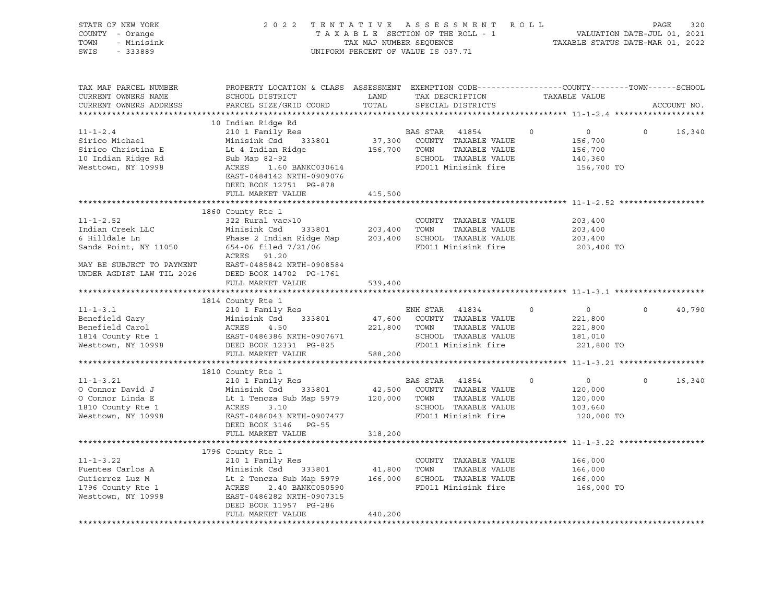| STATE OF NEW YORK<br>COUNTY - Orange<br>- Minisink<br>TOWN<br>SWIS - 333889                        |                                                                                                                                                                                                                                                                                                                      |               | 2022 TENTATIVE ASSESSMENT ROLL PAGE 320<br>TAXABLE SECTION OF THE ROLL - 1 VALUATION DATE-JUL 01, 2021<br>TAXABLE STATUS DATE-MAR 01, 2022<br>UNIFORM PERCENT OF VALUE IS 037.71 |                   |                                                               |                   |             |
|----------------------------------------------------------------------------------------------------|----------------------------------------------------------------------------------------------------------------------------------------------------------------------------------------------------------------------------------------------------------------------------------------------------------------------|---------------|----------------------------------------------------------------------------------------------------------------------------------------------------------------------------------|-------------------|---------------------------------------------------------------|-------------------|-------------|
| TAX MAP PARCEL NUMBER<br>CURRENT OWNERS NAME<br>CURRENT OWNERS ADDRESS                             | PROPERTY LOCATION & CLASS ASSESSMENT EXEMPTION CODE-----------------COUNTY-------TOWN------SCHOOL<br>SCHOOL DISTRICT<br>PARCEL SIZE/GRID COORD                                                                                                                                                                       | LAND<br>TOTAL | TAX DESCRIPTION<br>SPECIAL DISTRICTS                                                                                                                                             |                   | TAXABLE VALUE                                                 |                   | ACCOUNT NO. |
|                                                                                                    |                                                                                                                                                                                                                                                                                                                      |               |                                                                                                                                                                                  |                   |                                                               |                   |             |
| $11 - 1 - 2.4$<br>Sirico Michael<br>Sirico Christina E<br>10 Indian Ridge Rd<br>Westtown, NY 10998 | 10 Indian Ridge Rd<br>210 1 Family Res<br>Minisink Csd 333801<br>Minisink Csd 333801 37,300 COUNTY TAXABLE VALUE<br>Lt 4 Indian Ridge 156,700 TOWN TAXABLE VALUE<br>Sub Map 82-92 SCHOOL TAXABLE VALUE<br>ACRES 1.60 BANKC030614 FD011 Minisink fire<br>EAST-0484142 NRTH-0909076<br>DEED BOOK 12751 PG-878          |               | BAS STAR 41854<br>37,300 COUNTY TAXABLE VALUE                                                                                                                                    | $0 \qquad \qquad$ | $\overline{0}$<br>156,700<br>156,700<br>140,360<br>156,700 TO | $\Omega$          | 16,340      |
|                                                                                                    | FULL MARKET VALUE                                                                                                                                                                                                                                                                                                    | 415,500       |                                                                                                                                                                                  |                   |                                                               |                   |             |
| $11 - 1 - 2.52$                                                                                    | 1860 County Rte 1<br>322 Rural vac>10<br>ACRES 91.20                                                                                                                                                                                                                                                                 |               | COUNTY TAXABLE VALUE                                                                                                                                                             |                   | 203,400<br>203,400<br>203,400<br>203,400 TO                   |                   |             |
|                                                                                                    | FULL MARKET VALUE                                                                                                                                                                                                                                                                                                    | 539,400       |                                                                                                                                                                                  |                   |                                                               |                   |             |
|                                                                                                    |                                                                                                                                                                                                                                                                                                                      |               |                                                                                                                                                                                  |                   |                                                               |                   |             |
| $11 - 1 - 3.1$                                                                                     | 1814 County Rte 1<br>County Rte 1<br>210 1 Family Res<br>Benefield Gary<br>Benefield Carol Minisink Csd 333801 47,600<br>1814 County Rte 1 EAST-0486386 NRTH-0907671<br>Westtown, NY 10998 DEED BOOK 12331 PG-825                                                                                                    | 221,800 TOWN  | ENH STAR 41834<br>47,600 COUNTY TAXABLE VALUE<br>TAXABLE VALUE<br>SCHOOL TAXABLE VALUE<br>FD011 Minisink fire                                                                    | $\overline{0}$    | $\overline{0}$<br>221,800<br>221,800<br>181,010<br>221,800 TO | $0 \qquad \qquad$ | 40,790      |
|                                                                                                    | FULL MARKET VALUE 588,200                                                                                                                                                                                                                                                                                            |               |                                                                                                                                                                                  |                   |                                                               |                   |             |
|                                                                                                    |                                                                                                                                                                                                                                                                                                                      |               |                                                                                                                                                                                  |                   |                                                               |                   |             |
| $11 - 1 - 3.21$<br>O Connor David J<br>O Connor Linda E<br>1810 County Rte 1<br>Westtown, NY 10998 | 1810 County Rte 1<br>210 1 Family Res<br>EXECUTE Minisink Csd 333801 Minisink Csd 333801 42,500 COUNTY TAXABLE VALUE<br>Lt 1 Tencza Sub Map 5979 120,000 TOWN TAXABLE VALUE<br>ACRES 3.10 SCHOOL TAXABLE VALUE<br>EAST-0486043 NRTH-0907477 FD011 Minisink fire<br>EAST-0486043 NRTH-0907477<br>DEED BOOK 3146 PG-55 |               | BAS STAR 41854<br>FD011 Minisink fire                                                                                                                                            | $\Omega$          | $\overline{0}$<br>120,000<br>120,000<br>103,660<br>120,000 TO | $\Omega$          | 16,340      |
|                                                                                                    | FULL MARKET VALUE                                                                                                                                                                                                                                                                                                    | 318,200       |                                                                                                                                                                                  |                   |                                                               |                   |             |
|                                                                                                    |                                                                                                                                                                                                                                                                                                                      |               |                                                                                                                                                                                  |                   |                                                               |                   |             |
| $11 - 1 - 3.22$<br>Fuentes Carlos A<br>Gutierrez Luz M<br>1796 County Rte 1<br>Westtown, NY 10998  | 1796 County Rte 1<br>210 1 Family Res<br>Minisink Csd 333801 41,800 TOWN TAXABLE VALUE<br>Lt 2 Tencza Sub Map 5979 166,000 SCHOOL TAXABLE VALUE<br>ACRES 2.40 BANKC050590 FD011 Minisink fire<br>EAST-0486282 NRTH-0907315<br>DEED BOOK 11957 PG-286<br>FULL MARKET VALUE                                            | 440,200       | COUNTY TAXABLE VALUE<br>TAXABLE VALUE                                                                                                                                            |                   | 166,000<br>166,000<br>166,000<br>166,000 TO                   |                   |             |
|                                                                                                    |                                                                                                                                                                                                                                                                                                                      |               |                                                                                                                                                                                  |                   |                                                               |                   |             |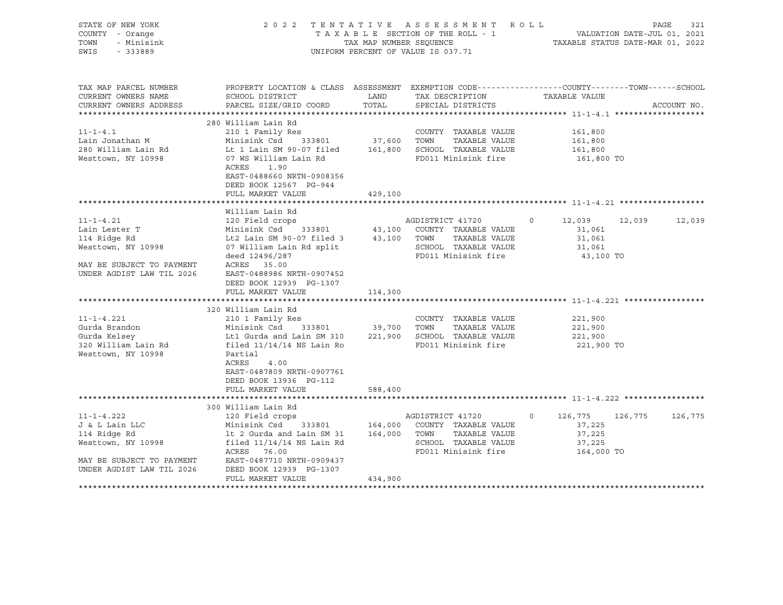| STATE OF NEW YORK<br>COUNTY - Orange<br>TOWN<br>- Minisink<br>SWIS<br>$-333889$                                                                                                                                                    |                                                                                                                                                                                                                                                                                                                                                                                                                                                     | TAX MAP NUMBER SEOUENCE | 2022 TENTATIVE ASSESSMENT ROLL<br>$T A X A B L E$ SECTION OF THE ROLL - 1 VALUATION DATE-JUL 01, 2021<br>UNIFORM PERCENT OF VALUE IS 037.71                  | TAXABLE STATUS DATE-MAR 01, 2022                                                                                   | PAGE<br>321     |
|------------------------------------------------------------------------------------------------------------------------------------------------------------------------------------------------------------------------------------|-----------------------------------------------------------------------------------------------------------------------------------------------------------------------------------------------------------------------------------------------------------------------------------------------------------------------------------------------------------------------------------------------------------------------------------------------------|-------------------------|--------------------------------------------------------------------------------------------------------------------------------------------------------------|--------------------------------------------------------------------------------------------------------------------|-----------------|
| TAX MAP PARCEL NUMBER<br>CURRENT OWNERS NAME<br>CURRENT OWNERS ADDRESS                                                                                                                                                             | PROPERTY LOCATION & CLASS ASSESSMENT EXEMPTION CODE----------------COUNTY-------TOWN-----SCHOOL<br>SCHOOL DISTRICT<br>PARCEL SIZE/GRID COORD                                                                                                                                                                                                                                                                                                        | LAND<br>TOTAL           | TAX DESCRIPTION<br>SPECIAL DISTRICTS                                                                                                                         | TAXABLE VALUE                                                                                                      | ACCOUNT NO.     |
| $11 - 1 - 4.1$<br>Lain Jonathan M<br>280 William Lain Rd<br>Westtown, NY 10998                                                                                                                                                     | 280 William Lain Rd<br>210 1 Family Res<br>Minisink Csd 333801<br>Lt 1 Lain SM 90-07 filed<br>07 WS William Lain Rd<br>1.90<br>ACRES<br>EAST-0488660 NRTH-0908356<br>DEED BOOK 12567 PG-944<br>FULL MARKET VALUE                                                                                                                                                                                                                                    | 37,600<br>429,100       | COUNTY TAXABLE VALUE<br>TOWN<br>TAXABLE VALUE<br>161,800 SCHOOL TAXABLE VALUE<br>FD011 Minisink fire                                                         | 161,800<br>161,800<br>161,800<br>161,800 TO                                                                        |                 |
|                                                                                                                                                                                                                                    |                                                                                                                                                                                                                                                                                                                                                                                                                                                     |                         |                                                                                                                                                              |                                                                                                                    |                 |
| $11 - 1 - 4.21$<br>Lain Lester T<br>114 Ridge Rd<br>Westtown, NY 10998<br>MAY BE SUBJECT TO PAYMENT<br>UNDER AGDIST LAW TIL 2026<br>$11 - 1 - 4.221$<br>Gurda Brandon<br>Gurda Kelsey<br>320 William Lain Rd<br>Westtown, NY 10998 | William Lain Rd<br>120 Field crops<br>Minisink Csd 333801 43,100 COUNTY TAXABLE VALUE<br>Lt2 Lain SM 90-07 filed 3<br>07 William Lain Rd split<br>deed 12496/287<br>ACRES 35.00<br>EAST-0488986 NRTH-0907452<br>DEED BOOK 12939 PG-1307<br>FULL MARKET VALUE<br>320 William Lain Rd<br>210 1 Family Res<br>Minisink Csd 333801<br>Lt1 Gurda and Lain SM 310 221,900 SCHOOL TAXABLE VALUE<br>filed $11/14/14$ NS Lain Ro<br>Partial<br>ACRES<br>4.00 | 114,300<br>39,700 TOWN  | AGDISTRICT 41720<br>43,100 TOWN TAXABLE VALUE<br>SCHOOL TAXABLE VALUE<br>FD011 Minisink fire<br>COUNTY TAXABLE VALUE<br>TAXABLE VALUE<br>FD011 Minisink fire | 12,039 12,039<br>$\circ$<br>31,061<br>31,061<br>31,061<br>43,100 TO<br>221,900<br>221,900<br>221,900<br>221,900 TO | 12,039          |
|                                                                                                                                                                                                                                    | EAST-0487809 NRTH-0907761<br>DEED BOOK 13936 PG-112<br>FULL MARKET VALUE                                                                                                                                                                                                                                                                                                                                                                            | 588,400                 |                                                                                                                                                              |                                                                                                                    |                 |
| $11 - 1 - 4.222$<br>J & L Lain LLC<br>114 Ridge Rd<br>Westtown, NY 10998<br>MAY BE SUBJECT TO PAYMENT<br>UNDER AGDIST LAW TIL 2026<br>************************                                                                     | 300 William Lain Rd<br>120 Field crops<br>Minisink Csd<br>1t 2 Gurda and Lain SM 31 164,000 TOWN TAXABLE VALUE<br>filed $11/14/14$ NS Lain Rd<br>ACRES 76.00<br>EAST-0487710 NRTH-0909437<br>DEED BOOK 12939 PG-1307<br>FULL MARKET VALUE                                                                                                                                                                                                           | 434,900                 | AGDISTRICT 41720<br>333801 164,000 COUNTY TAXABLE VALUE<br>SCHOOL TAXABLE VALUE<br>FD011 Minisink fire                                                       | 126,775<br>$\Omega$<br>37,225<br>37,225<br>37,225<br>164,000 TO                                                    | 126,775 126,775 |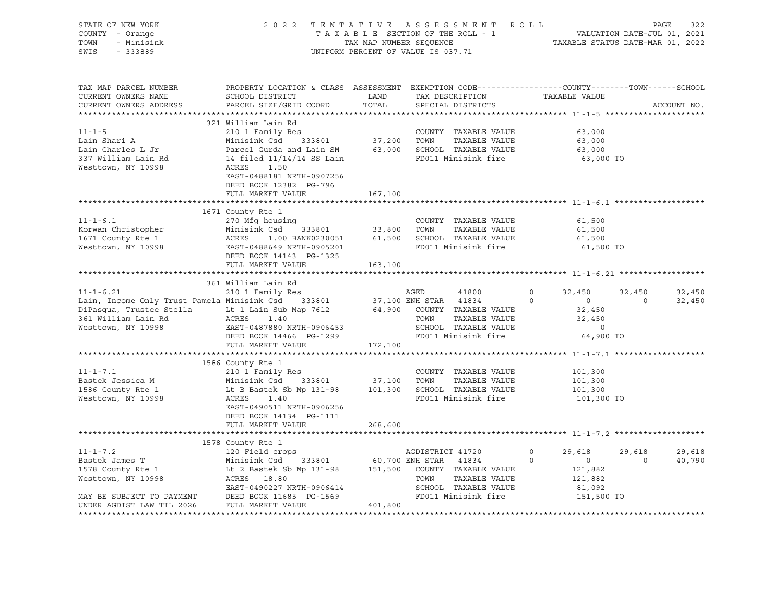| STATE OF NEW YORK<br>COUNTY - Orange<br>TOWN<br>- Minisink<br>SWIS<br>$-333889$                                                                                                                                                                                                                                        |                                                                                                                                                                                                                                                                                                        |                      | 2022 TENTATIVE ASSESSMENT ROLL<br>TAXABLE SECTION OF THE ROLL - 1<br>TAXABLE SECTION OF THE ROLL - 1<br>TAXABLE STATUS DATE-MAR 01, 2022<br>UNIFORM PERCENT OF VALUE IS 037.71 |                                                                                                             | PAGE              | 322              |
|------------------------------------------------------------------------------------------------------------------------------------------------------------------------------------------------------------------------------------------------------------------------------------------------------------------------|--------------------------------------------------------------------------------------------------------------------------------------------------------------------------------------------------------------------------------------------------------------------------------------------------------|----------------------|--------------------------------------------------------------------------------------------------------------------------------------------------------------------------------|-------------------------------------------------------------------------------------------------------------|-------------------|------------------|
| TAX MAP PARCEL NUMBER<br>CURRENT OWNERS NAME<br>CURRENT OWNERS ADDRESS                                                                                                                                                                                                                                                 | PROPERTY LOCATION & CLASS ASSESSMENT EXEMPTION CODE----------------COUNTY-------TOWN------SCHOOL<br>SCHOOL DISTRICT<br>PARCEL SIZE/GRID COORD                                                                                                                                                          | <b>LAND</b><br>TOTAL | TAX DESCRIPTION TAXABLE VALUE<br>SPECIAL DISTRICTS                                                                                                                             |                                                                                                             |                   | ACCOUNT NO.      |
| $11 - 1 - 5$<br>Lain Shari A<br>Lain Charles L Jr<br>337 William Lain Rd<br>Westtown, NY 10998                                                                                                                                                                                                                         | 321 William Lain Rd<br>COUNTY TAXABLE VALUE<br>Minisink Csd 333801 37,200 TOWN TAXABLE VALUE<br>Parcel Gurda and Lain SM 63,000 SCHOOL TAXABLE VALUE<br>14 filed 11/14/14 SS Lain<br>ACRES 1.50<br>PED011 Minisink fire<br>PED011 Minisink fire<br>EAST-0488181 NRTH-0907256<br>DEED BOOK 12382 PG-796 |                      | TAXABLE VALUE<br>FD011 Minisink fire                                                                                                                                           | 63,000<br>63,000<br>63,000<br>63,000 TO                                                                     |                   |                  |
|                                                                                                                                                                                                                                                                                                                        | FULL MARKET VALUE                                                                                                                                                                                                                                                                                      | 167,100              |                                                                                                                                                                                |                                                                                                             |                   |                  |
|                                                                                                                                                                                                                                                                                                                        | 1671 County Rte 1                                                                                                                                                                                                                                                                                      |                      |                                                                                                                                                                                | 61,500                                                                                                      |                   |                  |
| 11-1-6.1<br>EVI COUNTY TAXABLE VALUE<br>EVI COUNTY 270 Mfg housing<br>270 Mfg housing<br>270 Mfg housing<br>270 Mfg housing<br>270 Mfg housing<br>333801<br>33,800 TOWN TAXABLE VALUE<br>33,800 TOWN TAXABLE VALUE<br>270 Minisink Csd<br>233801<br>23                                                                 | DEED BOOK 14143 PG-1325                                                                                                                                                                                                                                                                                |                      | FD011 Minisink fire                                                                                                                                                            | 61,500<br>61,500<br>61,500 TO                                                                               |                   |                  |
|                                                                                                                                                                                                                                                                                                                        | FULL MARKET VALUE 163,100                                                                                                                                                                                                                                                                              |                      |                                                                                                                                                                                |                                                                                                             |                   |                  |
|                                                                                                                                                                                                                                                                                                                        | 361 William Lain Rd                                                                                                                                                                                                                                                                                    |                      |                                                                                                                                                                                |                                                                                                             |                   |                  |
| $11 - 1 - 6.21$<br>11-1-6.21 210 1 Family Res<br>Lain, Income Only Trust Pamela Minisink Csd 333801 37,100 ENH STAR 41834 0<br>DiPasqua, Trustee Stella Lt 1 Lain Sub Map 7612 64,900 COUNTY TAXABLE VALUE<br>361 William Lain Rd ACRES 1.40 TOWN TAXAB                                                                | 210 1 Family Res                                                                                                                                                                                                                                                                                       |                      | AGED<br>41800<br>TOWN      TAXABLE VALUE<br>SCHOOL   TAXABLE VALUE<br>FD011 Minisink fire                                                                                      | $0 \qquad \qquad$<br>32,450<br>$\overline{0}$<br>$\circ$<br>32,450<br>32,450<br>$\overline{0}$<br>64,900 TO | 32,450<br>$\circ$ | 32,450<br>32,450 |
|                                                                                                                                                                                                                                                                                                                        | FULL MARKET VALUE 172,100                                                                                                                                                                                                                                                                              |                      |                                                                                                                                                                                |                                                                                                             |                   |                  |
| $11 - 1 - 7.1$<br>Bastek Jessica M<br>1586 County Rte 1<br>Westtown, NY 10998                                                                                                                                                                                                                                          | 1586 County Rte 1<br>210 1 Family Res<br>Minisink Csd 333801 37,100 TOWN TAXABLE VALUE<br>Lt B Bastek Sb Mp 131-98 101,300 SCHOOL TAXABLE VALUE<br>ACRES 1.40 FD011 Minisink fire<br>EAST-0490511 NRTH-0906256<br>DEED BOOK 14134 PG-1111<br>FULL MARKET VALUE                                         | 268,600              | COUNTY TAXABLE VALUE<br>TAXABLE VALUE                                                                                                                                          | 101,300<br>101,300<br>101,300<br>101,300 TO                                                                 |                   |                  |
|                                                                                                                                                                                                                                                                                                                        |                                                                                                                                                                                                                                                                                                        |                      |                                                                                                                                                                                |                                                                                                             |                   |                  |
| Bastek James T<br>1578 County Rte 1 Lt 2 Bastek Sb Mp 131-98 (1578 County Rte 1 Lt 2 Bastek Sb Mp 131-98 151,500 COUNTY TAXABLE VALUE<br>Westtown, NY 10998 ACRES 18.80 TOWN TAXABLE VALUE<br>MAY PR 2WR ===========================<br>MAY BE SUBJECT TO PAYMENT DEED BOOK 11685 PG-1569<br>UNDER AGDIST LAW TIL 2026 | RCRES 16.80<br>EAST-0490227 NRTH-0906414<br>DEED BOOK 11685 PG-1569<br>FULL MARKET VALUE                                                                                                                                                                                                               | 401,800              | FD011 Minisink fire                                                                                                                                                            | $0 \qquad \qquad$<br>29,618<br>0<br>$\circ$<br>121,882<br>121,882<br>81,092<br>151,500 TO                   | 29,618<br>$\circ$ | 29,618<br>40,790 |
|                                                                                                                                                                                                                                                                                                                        |                                                                                                                                                                                                                                                                                                        |                      |                                                                                                                                                                                |                                                                                                             |                   |                  |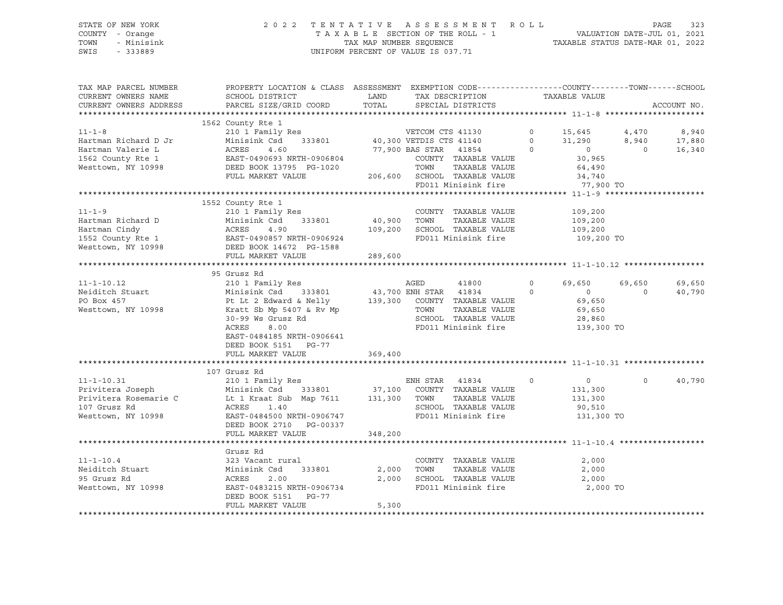### STATE OF NEW YORK 2 0 2 2 T E N T A T I V E A S S E S S M E N T R O L L PAGE 323 COUNTY - Orange T A X A B L E SECTION OF THE ROLL - 1 VALUATION DATE-JUL 01, 2021 TOWN - Minisink TAX MAP NUMBER SEQUENCE TAXABLE STATUS DATE-MAR 01, 2022 SWIS - 333889 CONSERVATION CONTROL OF VALUE IS 037.71

| TAX MAP PARCEL NUMBER                                                                                                                                                                                                                      | PROPERTY LOCATION & CLASS ASSESSMENT EXEMPTION CODE----------------COUNTY-------TOWN------SCHOOL              |         |                                                 |                                                               |               |                                             |                |             |
|--------------------------------------------------------------------------------------------------------------------------------------------------------------------------------------------------------------------------------------------|---------------------------------------------------------------------------------------------------------------|---------|-------------------------------------------------|---------------------------------------------------------------|---------------|---------------------------------------------|----------------|-------------|
| CURRENT OWNERS NAME                                                                                                                                                                                                                        | SCHOOL DISTRICT                                                                                               |         | LAND TAX DESCRIPTION<br>TOTAL SPECIAL DISTRICTS |                                                               | TAXABLE VALUE |                                             |                |             |
| CURRENT OWNERS ADDRESS                                                                                                                                                                                                                     | PARCEL SIZE/GRID COORD                                                                                        |         |                                                 |                                                               |               |                                             |                | ACCOUNT NO. |
|                                                                                                                                                                                                                                            |                                                                                                               |         |                                                 |                                                               |               |                                             |                |             |
|                                                                                                                                                                                                                                            | 1562 County Rte 1                                                                                             |         |                                                 |                                                               |               |                                             |                |             |
| $11 - 1 - 8$                                                                                                                                                                                                                               |                                                                                                               |         |                                                 |                                                               |               |                                             |                |             |
| Hartman Richard D Jr Minisink Csd 333801<br>Hartman Valerie L (ACRES 4.60<br>1562 County Rte 1 (BAST-0490693 NRTH-0906804<br>Nesttown, NY 10998 (DEED BOOK 13795 PG-1020                                                                   |                                                                                                               |         |                                                 |                                                               |               |                                             |                |             |
|                                                                                                                                                                                                                                            |                                                                                                               |         |                                                 |                                                               |               |                                             |                |             |
|                                                                                                                                                                                                                                            |                                                                                                               |         |                                                 | COUNTY TAXABLE VALUE<br>TOWN TAXABLE VALUE                    |               | 30,965<br>64,490                            |                |             |
|                                                                                                                                                                                                                                            |                                                                                                               |         |                                                 |                                                               |               |                                             |                |             |
|                                                                                                                                                                                                                                            | FULL MARKET VALUE 206,600 SCHOOL TAXABLE VALUE 34,740<br>FULL MARKET VALUE 206,600 FD011 Minisink fire 77,900 |         |                                                 |                                                               |               |                                             |                |             |
|                                                                                                                                                                                                                                            |                                                                                                               |         |                                                 |                                                               |               | 77,900 TO                                   |                |             |
|                                                                                                                                                                                                                                            |                                                                                                               |         |                                                 |                                                               |               |                                             |                |             |
|                                                                                                                                                                                                                                            | 1552 County Rte 1                                                                                             |         |                                                 |                                                               |               |                                             |                |             |
|                                                                                                                                                                                                                                            |                                                                                                               |         |                                                 | COUNTY TAXABLE VALUE 109,200                                  |               |                                             |                |             |
|                                                                                                                                                                                                                                            |                                                                                                               |         |                                                 |                                                               |               | 109,200                                     |                |             |
|                                                                                                                                                                                                                                            |                                                                                                               |         |                                                 | 109,200 SCHOOL TAXABLE VALUE 109,200                          |               |                                             |                |             |
|                                                                                                                                                                                                                                            |                                                                                                               |         |                                                 | FD011 Minisink fire                                           |               | 109,200 TO                                  |                |             |
|                                                                                                                                                                                                                                            |                                                                                                               |         |                                                 |                                                               |               |                                             |                |             |
|                                                                                                                                                                                                                                            | FULL MARKET VALUE                                                                                             | 289,600 |                                                 |                                                               |               |                                             |                |             |
|                                                                                                                                                                                                                                            |                                                                                                               |         |                                                 |                                                               |               |                                             |                |             |
|                                                                                                                                                                                                                                            | 95 Grusz Rd                                                                                                   |         |                                                 |                                                               |               |                                             |                |             |
|                                                                                                                                                                                                                                            |                                                                                                               |         |                                                 | AGED 41800 0 69,650 69,650                                    |               |                                             |                | 69,650      |
|                                                                                                                                                                                                                                            |                                                                                                               |         |                                                 |                                                               |               |                                             | $\overline{0}$ | 40,790      |
| 95 Grusz Rd<br>Meiditch Stuart Minisink Csd<br>PO Box 457 Pt Lt 2 Edward & Nelly 139,300 COUNTY TAXABLE VALUE<br>Mesttown, NY 10998 Kratt Sb Mp 5407 & Rv Mp<br>30-99 Ws Grusz Rd<br>CHOOL TAXABLE VALUE 28,650<br>SCHOOL TAXABLE VALUE 28 |                                                                                                               |         |                                                 |                                                               |               |                                             |                |             |
|                                                                                                                                                                                                                                            |                                                                                                               |         |                                                 |                                                               |               |                                             |                |             |
|                                                                                                                                                                                                                                            |                                                                                                               |         |                                                 |                                                               |               |                                             |                |             |
|                                                                                                                                                                                                                                            | ACRES 8.00                                                                                                    |         |                                                 | FD011 Minisink fire 139,300 TO                                |               |                                             |                |             |
|                                                                                                                                                                                                                                            | EAST-0484185 NRTH-0906641                                                                                     |         |                                                 |                                                               |               |                                             |                |             |
|                                                                                                                                                                                                                                            | DEED BOOK 5151 PG-77                                                                                          |         |                                                 |                                                               |               |                                             |                |             |
|                                                                                                                                                                                                                                            |                                                                                                               |         |                                                 |                                                               |               |                                             |                |             |
|                                                                                                                                                                                                                                            |                                                                                                               |         |                                                 |                                                               |               |                                             |                |             |
|                                                                                                                                                                                                                                            | 107 Grusz Rd                                                                                                  |         |                                                 |                                                               |               |                                             |                |             |
|                                                                                                                                                                                                                                            |                                                                                                               |         |                                                 |                                                               |               |                                             | $\Omega$       | 40,790      |
|                                                                                                                                                                                                                                            |                                                                                                               |         |                                                 |                                                               |               | $\begin{array}{c} 0 \\ 131,300 \end{array}$ |                |             |
|                                                                                                                                                                                                                                            |                                                                                                               |         |                                                 | TAXABLE VALUE 131,300                                         |               |                                             |                |             |
|                                                                                                                                                                                                                                            |                                                                                                               |         |                                                 |                                                               |               |                                             |                |             |
|                                                                                                                                                                                                                                            |                                                                                                               |         |                                                 |                                                               |               |                                             |                |             |
|                                                                                                                                                                                                                                            |                                                                                                               |         |                                                 |                                                               |               |                                             |                |             |
|                                                                                                                                                                                                                                            | DEED BOOK 2710 PG-00337                                                                                       | 348,200 |                                                 |                                                               |               |                                             |                |             |
|                                                                                                                                                                                                                                            | FULL MARKET VALUE                                                                                             |         |                                                 |                                                               |               |                                             |                |             |
|                                                                                                                                                                                                                                            |                                                                                                               |         |                                                 |                                                               |               |                                             |                |             |
|                                                                                                                                                                                                                                            |                                                                                                               |         |                                                 |                                                               |               |                                             |                |             |
| $11 - 1 - 10.4$                                                                                                                                                                                                                            | 323 Vacant rural                                                                                              |         |                                                 | COUNTY TAXABLE VALUE                                          |               | 2,000                                       |                |             |
| Neiditch Stuart                                                                                                                                                                                                                            | 333801                                                                                                        |         | 2,000 TOWN                                      | TAXABLE VALUE                                                 |               | 2,000                                       |                |             |
| 95 Grusz Rd                                                                                                                                                                                                                                |                                                                                                               |         |                                                 | 2,000 SCHOOL TAXABLE VALUE 2,000<br>FD011 Minisink fire 2,000 |               |                                             |                |             |
| Westtown, NY 10998                                                                                                                                                                                                                         | Grusz Rd<br>323 Vacant ru<br>Minisink Csd<br>ACRES 2.00<br>EAST<br>EAST-0483215 NRTH-0906734                  |         |                                                 |                                                               |               | 2,000 TO                                    |                |             |
|                                                                                                                                                                                                                                            | DEED BOOK 5151 PG-77                                                                                          |         |                                                 |                                                               |               |                                             |                |             |
|                                                                                                                                                                                                                                            | FULL MARKET VALUE                                                                                             | 5,300   |                                                 |                                                               |               |                                             |                |             |
|                                                                                                                                                                                                                                            |                                                                                                               |         |                                                 |                                                               |               |                                             |                |             |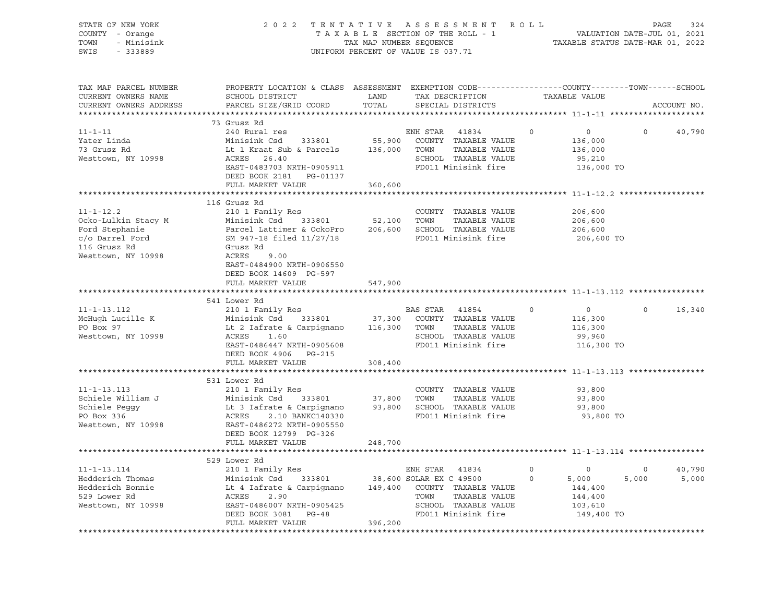| STATE OF NEW YORK<br>COUNTY - Orange<br>- Minisink<br>TOWN<br>SWIS<br>$-333889$ |                                                                                                                                              | 2022 TENTATIVE ASSESSMENT ROLL<br>UNIFORM PERCENT OF VALUE IS 037.71 | PAGE<br>TAXABLE SECTION OF THE ROLL - 1 VALUATION DATE-JUL 01, 2021<br>TAX MAP NUMBER SEQUENCE TAXABLE STATUS DATE-MAR 01, 2022 |          |                                  |                |             |
|---------------------------------------------------------------------------------|----------------------------------------------------------------------------------------------------------------------------------------------|----------------------------------------------------------------------|---------------------------------------------------------------------------------------------------------------------------------|----------|----------------------------------|----------------|-------------|
| TAX MAP PARCEL NUMBER<br>CURRENT OWNERS NAME<br>CURRENT OWNERS ADDRESS          | PROPERTY LOCATION & CLASS ASSESSMENT EXEMPTION CODE---------------COUNTY-------TOWN------SCHOOL<br>SCHOOL DISTRICT<br>PARCEL SIZE/GRID COORD | LAND<br>TOTAL                                                        | TAX DESCRIPTION<br>SPECIAL DISTRICTS                                                                                            |          | TAXABLE VALUE                    |                | ACCOUNT NO. |
|                                                                                 |                                                                                                                                              |                                                                      |                                                                                                                                 |          |                                  |                |             |
|                                                                                 | 73 Grusz Rd                                                                                                                                  |                                                                      |                                                                                                                                 |          |                                  |                |             |
| $11 - 1 - 11$                                                                   | 240 Rural res                                                                                                                                |                                                                      | ENH STAR 41834                                                                                                                  | $\circ$  | $\circ$                          | $\Omega$       | 40,790      |
| Yater Linda                                                                     | Minisink Csd<br>333801                                                                                                                       | 55,900                                                               | COUNTY TAXABLE VALUE                                                                                                            |          | 136,000                          |                |             |
| 73 Grusz Rd                                                                     | Lt 1 Kraat Sub & Parcels                                                                                                                     | 136,000 TOWN                                                         | TAXABLE VALUE                                                                                                                   |          | 136,000                          |                |             |
| Westtown, NY 10998                                                              | ACRES 26.40                                                                                                                                  |                                                                      | SCHOOL TAXABLE VALUE                                                                                                            |          | 95,210                           |                |             |
|                                                                                 | EAST-0483703 NRTH-0905911                                                                                                                    |                                                                      | FD011 Minisink fire                                                                                                             |          | 136,000 TO                       |                |             |
|                                                                                 | DEED BOOK 2181 PG-01137<br>FULL MARKET VALUE                                                                                                 | 360,600                                                              |                                                                                                                                 |          |                                  |                |             |
|                                                                                 |                                                                                                                                              | ************                                                         |                                                                                                                                 |          | **************** 11-1-12.2 ***** |                |             |
|                                                                                 | 116 Grusz Rd                                                                                                                                 |                                                                      |                                                                                                                                 |          |                                  |                |             |
| $11 - 1 - 12.2$                                                                 | 210 1 Family Res                                                                                                                             |                                                                      | COUNTY TAXABLE VALUE                                                                                                            |          | 206,600                          |                |             |
| Ocko-Lulkin Stacy M                                                             |                                                                                                                                              | 52,100 TOWN                                                          | TAXABLE VALUE                                                                                                                   |          | 206,600                          |                |             |
| Ford Stephanie                                                                  | Minisink Csd      333801<br>Parcel Lattimer & OckoPro<br>SM 947-18 filed 11/27/18                                                            |                                                                      | 206,600 SCHOOL TAXABLE VALUE                                                                                                    |          | 206,600                          |                |             |
| Eora Suepining<br>C/O Darrel Ford<br>The Ball of Ball                           |                                                                                                                                              |                                                                      | FD011 Minisink fire                                                                                                             |          | 206,600 TO                       |                |             |
| 116 Grusz Rd                                                                    | Grusz Rd                                                                                                                                     |                                                                      |                                                                                                                                 |          |                                  |                |             |
| Westtown, NY 10998                                                              | ACRES<br>9.00                                                                                                                                |                                                                      |                                                                                                                                 |          |                                  |                |             |
|                                                                                 | EAST-0484900 NRTH-0906550                                                                                                                    |                                                                      |                                                                                                                                 |          |                                  |                |             |
|                                                                                 | DEED BOOK 14609 PG-597                                                                                                                       |                                                                      |                                                                                                                                 |          |                                  |                |             |
|                                                                                 | FULL MARKET VALUE                                                                                                                            | 547,900                                                              |                                                                                                                                 |          |                                  |                |             |
|                                                                                 | 541 Lower Rd                                                                                                                                 |                                                                      |                                                                                                                                 |          |                                  |                |             |
| $11 - 1 - 13.112$                                                               | 210 1 Family Res                                                                                                                             |                                                                      | BAS STAR 41854                                                                                                                  | $\Omega$ | $\overline{0}$                   | $\Omega$       | 16,340      |
| McHugh Lucille K                                                                |                                                                                                                                              | 37,300                                                               | COUNTY TAXABLE VALUE                                                                                                            |          | 116,300                          |                |             |
| PO Box 97                                                                       | Minisink Csd       333801<br>Lt 2 Iafrate & Carpignano<br>ACRES     1.60                                                                     | 116,300 TOWN                                                         | TAXABLE VALUE                                                                                                                   |          | 116,300                          |                |             |
| Westtown, NY 10998                                                              | ACRES<br>1.60                                                                                                                                |                                                                      | SCHOOL TAXABLE VALUE                                                                                                            |          | 99,960                           |                |             |
|                                                                                 | EAST-0486447 NRTH-0905608                                                                                                                    |                                                                      | FD011 Minisink fire                                                                                                             |          | 116,300 TO                       |                |             |
|                                                                                 | DEED BOOK 4906 PG-215                                                                                                                        |                                                                      |                                                                                                                                 |          |                                  |                |             |
|                                                                                 | FULL MARKET VALUE                                                                                                                            | 308,400                                                              |                                                                                                                                 |          |                                  |                |             |
|                                                                                 | 531 Lower Rd                                                                                                                                 |                                                                      |                                                                                                                                 |          |                                  |                |             |
| $11 - 1 - 13.113$                                                               | 210 1 Family Res                                                                                                                             |                                                                      | COUNTY TAXABLE VALUE                                                                                                            |          | 93,800                           |                |             |
| Schiele William J                                                               |                                                                                                                                              | 37,800 TOWN                                                          | TAXABLE VALUE                                                                                                                   |          | 93,800                           |                |             |
|                                                                                 | Minisink Csd<br>Lt 3 Iafrate & Carpignano<br>ACRES 2.10 BANKC140330<br>EAST-0486272 NRTH-0905550<br>ACRES 1999 PG-326                        |                                                                      | 93,800 SCHOOL TAXABLE VALUE                                                                                                     |          | 93,800                           |                |             |
| Schiele Peggy<br>PO Box 336                                                     |                                                                                                                                              |                                                                      | FD011 Minisink fire                                                                                                             |          | 93,800 TO                        |                |             |
| Westtown, NY 10998                                                              |                                                                                                                                              |                                                                      |                                                                                                                                 |          |                                  |                |             |
|                                                                                 | DEED BOOK 12799 PG-326                                                                                                                       |                                                                      |                                                                                                                                 |          |                                  |                |             |
|                                                                                 | FULL MARKET VALUE                                                                                                                            | 248,700                                                              |                                                                                                                                 |          |                                  |                |             |
|                                                                                 |                                                                                                                                              |                                                                      |                                                                                                                                 |          |                                  |                |             |
|                                                                                 | 529 Lower Rd                                                                                                                                 |                                                                      |                                                                                                                                 |          |                                  |                |             |
| $11 - 1 - 13.114$                                                               | 210 1 Family Res                                                                                                                             |                                                                      | ENH STAR 41834                                                                                                                  | $\circ$  | $\overline{\phantom{0}}$         | $\overline{0}$ | 40,790      |
| Hedderich Thomas                                                                | Minisink Csd 333801 38,600 SOLAR EX C 49500<br>Lt 4 Iafrate & Carpignano 149,400 COUNTY TAXABLE VALUE<br>ACRES 2.90 TOWN TAXABLE VALUE       |                                                                      |                                                                                                                                 | $\circ$  | 5,000                            | 5,000          | 5,000       |
| Hedderich Bonnie<br>529 Lower Rd                                                |                                                                                                                                              |                                                                      |                                                                                                                                 |          | 144,400<br>144,400               |                |             |
| Westtown, NY 10998                                                              | EAST-0486007 NRTH-0905425                                                                                                                    |                                                                      | SCHOOL TAXABLE VALUE                                                                                                            |          | 103,610                          |                |             |
|                                                                                 | DEED BOOK 3081 PG-48                                                                                                                         |                                                                      | FD011 Minisink fire                                                                                                             |          | 149,400 TO                       |                |             |
|                                                                                 | FULL MARKET VALUE                                                                                                                            | 396,200                                                              |                                                                                                                                 |          |                                  |                |             |
|                                                                                 |                                                                                                                                              |                                                                      |                                                                                                                                 |          |                                  |                |             |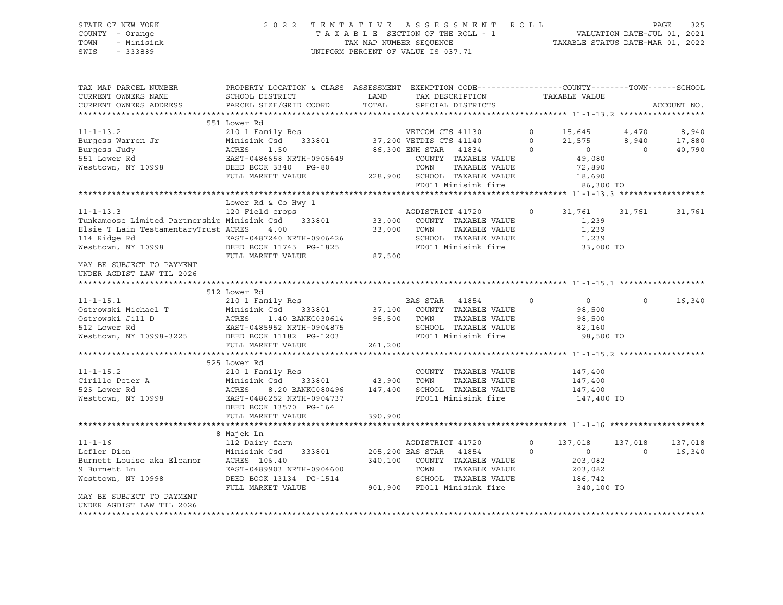#### STATE OF NEW YORK 2 0 2 2 T E N T A T I V E A S S E S S M E N T R O L L PAGE 325 COUNTY - Orange T A X A B L E SECTION OF THE ROLL - 1 VALUATION DATE-JUL 01, 2021 TOWN - Minisink TAX MAP NUMBER SEQUENCE TAXABLE STATUS DATE-MAR 01, 2022 SWIS - 333889 CONSERVATION CONTROL OF VALUE IS 037.71

| TAX MAP PARCEL NUMBER<br>CURRENT OWNERS NAME<br>CURRENT OWNERS ADDRESS | PROPERTY LOCATION & CLASS ASSESSMENT EXEMPTION CODE----------------COUNTY-------TOWN------SCHOOL<br>SCHOOL DISTRICT<br>PARCEL SIZE/GRID COORD | LAND<br>TOTAL | TAX DESCRIPTION<br>SPECIAL DISTRICTS |          | TAXABLE VALUE  |          | ACCOUNT NO. |
|------------------------------------------------------------------------|-----------------------------------------------------------------------------------------------------------------------------------------------|---------------|--------------------------------------|----------|----------------|----------|-------------|
|                                                                        |                                                                                                                                               |               |                                      |          |                |          |             |
|                                                                        | 551 Lower Rd                                                                                                                                  |               |                                      |          |                |          |             |
| $11 - 1 - 13.2$                                                        | 210 1 Family Res                                                                                                                              |               | VETCOM CTS 41130                     | $\circ$  | 15,645 4,470   |          | 8,940       |
| Burgess Warren Jr                                                      | Minisink Csd                                                                                                                                  |               | 333801 37,200 VETDIS CTS 41140       | $\Omega$ | 21,575         | 8,940    | 17,880      |
| Burgess Judy                                                           | ACRES<br>1.50                                                                                                                                 |               | 86,300 ENH STAR 41834                | $\Omega$ | $\circ$        | $\Omega$ | 40,790      |
| 551 Lower Rd                                                           | EAST-0486658 NRTH-0905649                                                                                                                     |               | COUNTY TAXABLE VALUE                 |          | 49,080         |          |             |
| Westtown, NY 10998                                                     | DEED BOOK 3340 PG-80                                                                                                                          |               | TOWN<br>TAXABLE VALUE                |          | 72,890         |          |             |
|                                                                        | FULL MARKET VALUE                                                                                                                             |               | 228,900 SCHOOL TAXABLE VALUE         |          | 18,690         |          |             |
|                                                                        |                                                                                                                                               |               | FD011 Minisink fire                  |          | 86,300 TO      |          |             |
|                                                                        |                                                                                                                                               |               |                                      |          |                |          |             |
|                                                                        | Lower Rd & Co Hwy 1                                                                                                                           |               |                                      |          |                |          |             |
| $11 - 1 - 13.3$                                                        | 120 Field crops                                                                                                                               |               | AGDISTRICT 41720                     | $\circ$  | 31,761         | 31,761   | 31,761      |
| Tunkamoose Limited Partnership Minisink Csd 333801                     |                                                                                                                                               |               | 33,000 COUNTY TAXABLE VALUE          |          | 1,239          |          |             |
| Elsie T Lain TestamentaryTrust ACRES                                   | 4.00                                                                                                                                          | 33,000        | TOWN<br>TAXABLE VALUE                |          | 1,239          |          |             |
|                                                                        |                                                                                                                                               |               | SCHOOL TAXABLE VALUE                 |          | 1,239          |          |             |
|                                                                        |                                                                                                                                               |               | FD011 Minisink fire                  |          | 33,000 TO      |          |             |
|                                                                        | FULL MARKET VALUE                                                                                                                             | 87,500        |                                      |          |                |          |             |
| MAY BE SUBJECT TO PAYMENT<br>UNDER AGDIST LAW TIL 2026                 |                                                                                                                                               |               |                                      |          |                |          |             |
|                                                                        |                                                                                                                                               |               |                                      |          |                |          |             |
|                                                                        | 512 Lower Rd                                                                                                                                  |               |                                      |          |                |          |             |
| $11 - 1 - 15.1$                                                        | 210 1 Family Res                                                                                                                              |               | BAS STAR 41854                       | $\circ$  | $\circ$        | $\Omega$ | 16,340      |
| Ostrowski Michael T                                                    | Minisink Csd                                                                                                                                  |               | 333801 37,100 COUNTY TAXABLE VALUE   |          | 98,500         |          |             |
| Ostrowski Jill D                                                       | ACRES<br>1.40 BANKC030614                                                                                                                     |               | 98,500 TOWN<br>TAXABLE VALUE         |          | 98,500         |          |             |
| 512 Lower Rd<br>Westtown, NY 10998-3225<br>DEED BOOK 11182 PG-1203     |                                                                                                                                               |               | SCHOOL TAXABLE VALUE                 |          | 82,160         |          |             |
|                                                                        |                                                                                                                                               |               | FD011 Minisink fire                  |          | 98,500 TO      |          |             |
|                                                                        | FULL MARKET VALUE                                                                                                                             | 261,200       |                                      |          |                |          |             |
|                                                                        |                                                                                                                                               |               |                                      |          |                |          |             |
|                                                                        | 525 Lower Rd                                                                                                                                  |               |                                      |          |                |          |             |
| $11 - 1 - 15.2$                                                        | 210 1 Family Res                                                                                                                              |               | COUNTY TAXABLE VALUE                 |          | 147,400        |          |             |
| Cirillo Peter A                                                        | Minisink Csd                                                                                                                                  | 333801 43,900 | TOWN<br>TAXABLE VALUE                |          | 147,400        |          |             |
| 525 Lower Rd                                                           | ACRES<br>8.20 BANKC080496                                                                                                                     | 147,400       | SCHOOL TAXABLE VALUE                 |          | 147,400        |          |             |
| Westtown, NY 10998                                                     | EAST-0486252 NRTH-0904737                                                                                                                     |               | FD011 Minisink fire                  |          | 147,400 TO     |          |             |
|                                                                        | DEED BOOK 13570 PG-164                                                                                                                        |               |                                      |          |                |          |             |
|                                                                        | FULL MARKET VALUE                                                                                                                             | 390,900       |                                      |          |                |          |             |
|                                                                        |                                                                                                                                               |               |                                      |          |                |          |             |
|                                                                        | 8 Majek Ln                                                                                                                                    |               |                                      |          |                |          |             |
| $11 - 1 - 16$                                                          | 112 Dairy farm                                                                                                                                |               | AGDISTRICT 41720                     | $\circ$  | 137,018        | 137,018  | 137,018     |
| Lefler Dion                                                            | Minisink Csd<br>333801                                                                                                                        |               | 205,200 BAS STAR 41854               | $\circ$  | $\overline{0}$ | $\Omega$ | 16,340      |
| Burnett Louise aka Eleanor ACRES 106.40                                |                                                                                                                                               | 340,100       | COUNTY TAXABLE VALUE                 |          | 203,082        |          |             |
| 9 Burnett Ln                                                           | EAST-0489903 NRTH-0904600                                                                                                                     |               | TAXABLE VALUE<br>TOWN                |          | 203,082        |          |             |
| Westtown, NY 10998                                                     | DEED BOOK 13134 PG-1514                                                                                                                       |               | SCHOOL TAXABLE VALUE                 |          | 186,742        |          |             |
|                                                                        | FULL MARKET VALUE                                                                                                                             |               | 901,900 FD011 Minisink fire          |          | 340,100 TO     |          |             |
| MAY BE SUBJECT TO PAYMENT                                              |                                                                                                                                               |               |                                      |          |                |          |             |
| UNDER AGDIST LAW TIL 2026                                              |                                                                                                                                               |               |                                      |          |                |          |             |
|                                                                        |                                                                                                                                               |               |                                      |          |                |          |             |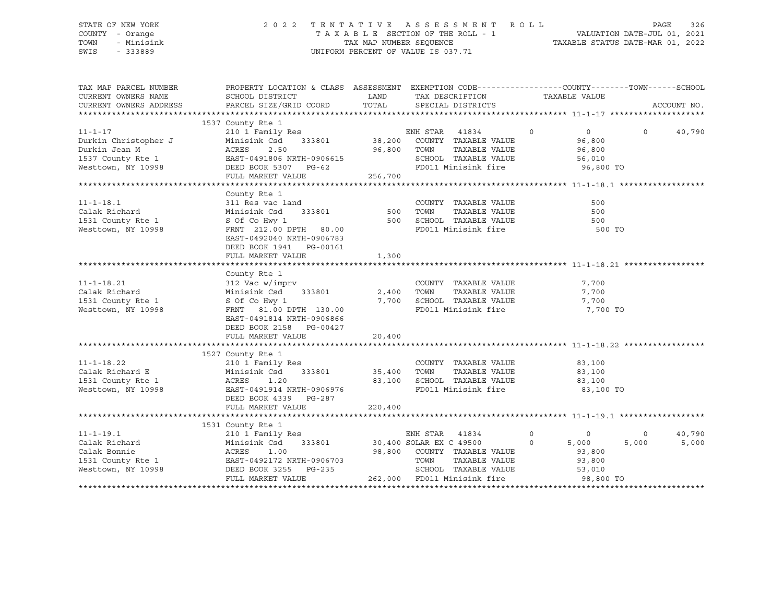#### STATE OF NEW YORK 2 0 2 2 T E N T A T I V E A S S E S S M E N T R O L L PAGE 326 COUNTY - Orange T A X A B L E SECTION OF THE ROLL - 1 VALUATION DATE-JUL 01, 2021 TOWN - Minisink TAX MAP NUMBER SEQUENCE TAXABLE STATUS DATE-MAR 01, 2022 SWIS - 333889 CONSERVATION CONTROL OF VALUE IS 037.71

| TAX MAP PARCEL NUMBER<br>CURRENT OWNERS NAME<br>CURRENT OWNERS ADDRESS                                                                                                                                                | PROPERTY LOCATION & CLASS ASSESSMENT EXEMPTION CODE---------------COUNTY-------TOWN------SCHOOL<br>SCHOOL DISTRICT<br>PARCEL SIZE/GRID COORD                                                                                           | <b>EXAMPLE THE STATE OF STATE OF STATE OF STATE OF STATE OF STATE OF STATE OF STATE</b> | TAX DESCRIPTION<br>TOTAL SPECIAL DISTRICTS                                                                                                                             |               | TAXABLE VALUE                           |                   | ACCOUNT NO.     |
|-----------------------------------------------------------------------------------------------------------------------------------------------------------------------------------------------------------------------|----------------------------------------------------------------------------------------------------------------------------------------------------------------------------------------------------------------------------------------|-----------------------------------------------------------------------------------------|------------------------------------------------------------------------------------------------------------------------------------------------------------------------|---------------|-----------------------------------------|-------------------|-----------------|
|                                                                                                                                                                                                                       |                                                                                                                                                                                                                                        |                                                                                         |                                                                                                                                                                        |               |                                         |                   |                 |
| $11 - 1 - 17$                                                                                                                                                                                                         | 1537 County Rte 1<br>210 1 Family Res<br>210 1 Family Res<br>Minisink Csd 333801 38,200 COUNTY TAXABLE VALUE                                                                                                                           |                                                                                         |                                                                                                                                                                        | $\sim$ 0      | $\sim$ 0 $\sim$ 0<br>96,800             | $0 \qquad \qquad$ | 40,790          |
| 11-1-17 210 1 Family Res<br>Durkin Christopher J Minisink Csd 333801 38,200<br>Durkin Jean M ACRES 2.50 96,800<br>1537 County Rte 1 EAST-0491806 NRTH-0906615<br>Westtown, NY 10998 DEED BOOK 5307 PG-62              |                                                                                                                                                                                                                                        | 96,800 TOWN                                                                             | TAXABLE VALUE                                                                                                                                                          |               | 96,800                                  |                   |                 |
|                                                                                                                                                                                                                       | FULL MARKET VALUE                                                                                                                                                                                                                      | 256,700                                                                                 | SCHOOL TAXABLE VALUE 56,010<br>FD011 Minisink fire 96,800 TO                                                                                                           |               |                                         |                   |                 |
|                                                                                                                                                                                                                       |                                                                                                                                                                                                                                        |                                                                                         |                                                                                                                                                                        |               |                                         |                   |                 |
| 11-1-18.1<br>Calak Richard<br>1531 County Rte 1<br>Westtown, NY 10998                                                                                                                                                 | County Rte 1<br>311 Res vac land<br>Minisink Csd      333801                       500<br>S Of Co Hwy 1<br>FRNT 212.00 DPTH 80.00<br>EAST-0492040 NRTH-0906783                                                                         |                                                                                         | COUNTY TAXABLE VALUE<br>TAXABLE VALUE<br>TOWN<br>500 SCHOOL TAXABLE VALUE 600<br>FD011 Minisink fire                                                                   |               | 500<br>500<br>500 TO                    |                   |                 |
|                                                                                                                                                                                                                       | DEED BOOK 1941  PG-00161<br>FULL MARKET VALUE                                                                                                                                                                                          | 1,300                                                                                   |                                                                                                                                                                        |               |                                         |                   |                 |
|                                                                                                                                                                                                                       |                                                                                                                                                                                                                                        |                                                                                         |                                                                                                                                                                        |               |                                         |                   |                 |
| $11 - 1 - 18.21$<br>Calak Richard<br>1531 County Rte 1<br>Westtown, NY 10998<br>Westtown, NY 10998                                                                                                                    | County Rte 1<br>$312$ Vac w/imprv<br>Minisink $\operatorname{Csd}$ 333801 2,400 TOWN<br>S Of Co Hwy 1 7,700 SCHOOL TAXABLE VALUE<br>FRNT 81.00 DPTH 130.00 FD011 Minisink fire<br>EAST-0491814 NRTH-0906866<br>DEED BOOK 2158 PG-00427 |                                                                                         | COUNTY TAXABLE VALUE                                                                                                                                                   | TAXABLE VALUE | 7,700<br>7,700<br>7,700<br>7,700 TO     |                   |                 |
|                                                                                                                                                                                                                       |                                                                                                                                                                                                                                        |                                                                                         |                                                                                                                                                                        |               |                                         |                   |                 |
|                                                                                                                                                                                                                       | 1527 County Rte 1                                                                                                                                                                                                                      |                                                                                         |                                                                                                                                                                        |               |                                         |                   |                 |
| Westtown, NY 10998 EAST-0491914 NRTH-0906976                                                                                                                                                                          | DEED BOOK 4339 PG-287<br>FULL MARKET VALUE                                                                                                                                                                                             | 220,400                                                                                 | COUNTY TAXABLE VALUE<br>---<br>TAXABLE VALUE<br>83,100 SCHOOL TAXABLE VALUE<br>FD011 Minisink fire 83,100 TO                                                           |               | 83,100<br>83,100<br>83,100              |                   |                 |
|                                                                                                                                                                                                                       |                                                                                                                                                                                                                                        |                                                                                         |                                                                                                                                                                        |               |                                         |                   |                 |
|                                                                                                                                                                                                                       | 1531 County Rte 1                                                                                                                                                                                                                      |                                                                                         |                                                                                                                                                                        |               |                                         |                   |                 |
| $11 - 1 - 19.1$<br>Calak Richard Minisink Csd 333801 30,400<br>Calak Bonnie ACRES 1.00 98,800<br>1531 County Rte 1 EAST-0492172 NRTH-0906703<br>Westtown, NY 10998 DEED BOOK 3255 PG-235<br>FULL MARKET VALUE 262,000 | 210 1 Family Res                                                                                                                                                                                                                       |                                                                                         | ENH STAR 41834 0 0<br>30,400 SOLAR EX C 49500 0 5,000<br>98,800 COUNTY TAXABLE VALUE<br>TAXABLE VALUE<br>TOWN<br>5 SCHOOL TAXABLE VALUE<br>262,000 FD011 Minisink fire |               | 93,800<br>93,800<br>53,010<br>98,800 TO | $\circ$<br>5,000  | 40,790<br>5,000 |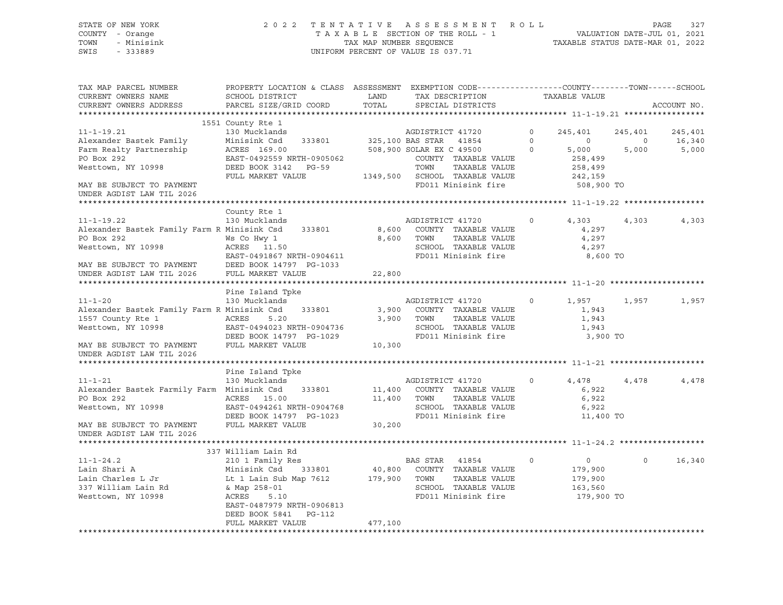#### STATE OF NEW YORK 2 0 2 2 T E N T A T I V E A S S E S S M E N T R O L L PAGE 327 COUNTY - Orange T A X A B L E SECTION OF THE ROLL - 1 VALUATION DATE-JUL 01, 2021 TOWN - Minisink TAX MAP NUMBER SEQUENCE TAXABLE STATUS DATE-MAR 01, 2022 SWIS - 333889 CONSERVATION CONTROL OF VALUE IS 037.71

| TAX MAP PARCEL NUMBER                                                                            | PROPERTY LOCATION & CLASS ASSESSMENT EXEMPTION CODE---------------COUNTY-------TOWN------SCHOOL |         |                               |          |                |                |             |
|--------------------------------------------------------------------------------------------------|-------------------------------------------------------------------------------------------------|---------|-------------------------------|----------|----------------|----------------|-------------|
| CURRENT OWNERS NAME                                                                              | SCHOOL DISTRICT                                                                                 | LAND    | TAX DESCRIPTION               |          | TAXABLE VALUE  |                |             |
| CURRENT OWNERS ADDRESS                                                                           | PARCEL SIZE/GRID COORD                                                                          | TOTAL   | SPECIAL DISTRICTS             |          |                |                | ACCOUNT NO. |
|                                                                                                  |                                                                                                 |         |                               |          |                |                |             |
|                                                                                                  | 1551 County Rte 1                                                                               |         |                               |          |                |                |             |
| $11 - 1 - 19.21$                                                                                 | 130 Mucklands                                                                                   |         | AGDISTRICT 41720              | $\circ$  | 245,401        | 245,401        | 245,401     |
| Alexander Bastek Family                                                                          | Minisink Csd 333801 325,100 BAS STAR 41854                                                      |         |                               | $\circ$  | $\overline{0}$ | $\overline{0}$ | 16,340      |
| Farm Realty Partnership                                                                          | ACRES 169.00                                                                                    |         | 508,900 SOLAR EX C 49500      | $\Omega$ | 5,000          | 5,000          | 5,000       |
| PO Box 292                                                                                       | EAST-0492559 NRTH-0905062                                                                       |         | COUNTY TAXABLE VALUE          |          | 258,499        |                |             |
| Westtown, NY 10998                                                                               | DEED BOOK 3142 PG-59                                                                            |         | TOWN<br>TAXABLE VALUE         |          | 258,499        |                |             |
|                                                                                                  | FULL MARKET VALUE                                                                               |         | 1349,500 SCHOOL TAXABLE VALUE |          | 242,159        |                |             |
| MAY BE SUBJECT TO PAYMENT<br>UNDER AGDIST LAW TIL 2026                                           |                                                                                                 |         | FD011 Minisink fire           |          | 508,900 TO     |                |             |
|                                                                                                  |                                                                                                 |         |                               |          |                |                |             |
|                                                                                                  | County Rte 1                                                                                    |         |                               |          |                |                |             |
| $11 - 1 - 19.22$                                                                                 | 130 Mucklands                                                                                   |         | AGDISTRICT 41720              | $\circ$  | 4,303          | 4,303          | 4,303       |
| Alexander Bastek Family Farm R Minisink Csd 333801                                               |                                                                                                 |         | 8,600 COUNTY TAXABLE VALUE    |          | 4,297          |                |             |
| PO Box 292                                                                                       | Ws Co Hwy 1                                                                                     |         | 8,600 TOWN<br>TAXABLE VALUE   |          | 4,297          |                |             |
| Westtown, NY 10998                                                                               | ACRES 11.50                                                                                     |         | SCHOOL TAXABLE VALUE          |          | 4,297          |                |             |
|                                                                                                  | EAST-0491867 NRTH-0904611                                                                       |         | FD011 Minisink fire           |          | 8,600 TO       |                |             |
|                                                                                                  |                                                                                                 |         |                               |          |                |                |             |
| MAY BE SUBJECT TO PAYMENT DEED BOOK 14797 PG-1033<br>UNDER AGDIST LAW TIL 2026 FULL MARKET VALUE |                                                                                                 | 22,800  |                               |          |                |                |             |
|                                                                                                  |                                                                                                 |         |                               |          |                |                |             |
|                                                                                                  | Pine Island Tpke                                                                                |         |                               |          |                |                |             |
| $11 - 1 - 20$                                                                                    | 130 Mucklands                                                                                   |         | AGDISTRICT 41720              | $\circ$  | 1,957          | 1,957          | 1,957       |
| Alexander Bastek Family Farm R Minisink Csd                                                      | 333801                                                                                          |         | 3,900 COUNTY TAXABLE VALUE    |          | 1,943          |                |             |
| 1557 County Rte 1                                                                                | ACRES 5.20                                                                                      |         | 3,900 TOWN<br>TAXABLE VALUE   |          | 1,943          |                |             |
| Westtown, NY 10998                                                                               | EAST-0494023 NRTH-0904736                                                                       |         | SCHOOL TAXABLE VALUE          |          | 1,943          |                |             |
|                                                                                                  | DEED BOOK 14797 PG-1029                                                                         |         | FD011 Minisink fire           |          | 3,900 TO       |                |             |
| MAY BE SUBJECT TO PAYMENT                                                                        | FULL MARKET VALUE                                                                               | 10, 300 |                               |          |                |                |             |
| UNDER AGDIST LAW TIL 2026                                                                        |                                                                                                 |         |                               |          |                |                |             |
|                                                                                                  |                                                                                                 |         |                               |          |                |                |             |
|                                                                                                  | Pine Island Tpke                                                                                |         |                               |          |                |                |             |
| $11 - 1 - 21$                                                                                    | 130 Mucklands                                                                                   |         | AGDISTRICT 41720              | $\circ$  | 4,478          | 4,478          | 4,478       |
| Alexander Bastek Farmily Farm Minisink Csd                                                       | 333801                                                                                          |         | 11,400 COUNTY TAXABLE VALUE   |          | 6,922          |                |             |
| PO Box 292                                                                                       | ACRES 15.00                                                                                     |         | 11,400 TOWN<br>TAXABLE VALUE  |          | 6,922          |                |             |
| Westtown, NY 10998                                                                               | EAST-0494261 NRTH-0904768                                                                       |         | SCHOOL TAXABLE VALUE          |          | 6,922          |                |             |
|                                                                                                  | DEED BOOK 14797 PG-1023                                                                         |         | FD011 Minisink fire           |          | 11,400 TO      |                |             |
| MAY BE SUBJECT TO PAYMENT                                                                        | FULL MARKET VALUE                                                                               | 30,200  |                               |          |                |                |             |
| UNDER AGDIST LAW TIL 2026                                                                        |                                                                                                 |         |                               |          |                |                |             |
|                                                                                                  |                                                                                                 |         |                               |          |                |                |             |
|                                                                                                  | 337 William Lain Rd                                                                             |         |                               |          |                |                |             |
| $11 - 1 - 24.2$                                                                                  | 210 1 Family Res                                                                                |         | BAS STAR 41854                | $\circ$  | $\overline{0}$ | $\Omega$       | 16,340      |
| Lain Shari A                                                                                     | Minisink Csd 333801                                                                             |         | 40,800 COUNTY TAXABLE VALUE   |          | 179,900        |                |             |
| Lain Charles L Jr                                                                                | Lt 1 Lain Sub Map 7612 179,900 TOWN                                                             |         | TAXABLE VALUE                 |          | 179,900        |                |             |
| 337 William Lain Rd                                                                              | & Map 258-01                                                                                    |         | SCHOOL TAXABLE VALUE          |          | 163,560        |                |             |
| Westtown, NY 10998                                                                               | ACRES<br>5.10                                                                                   |         | FD011 Minisink fire           |          | 179,900 TO     |                |             |
|                                                                                                  | EAST-0487979 NRTH-0906813                                                                       |         |                               |          |                |                |             |
|                                                                                                  | DEED BOOK 5841 PG-112                                                                           |         |                               |          |                |                |             |
|                                                                                                  | FULL MARKET VALUE                                                                               | 477,100 |                               |          |                |                |             |
|                                                                                                  |                                                                                                 |         |                               |          |                |                |             |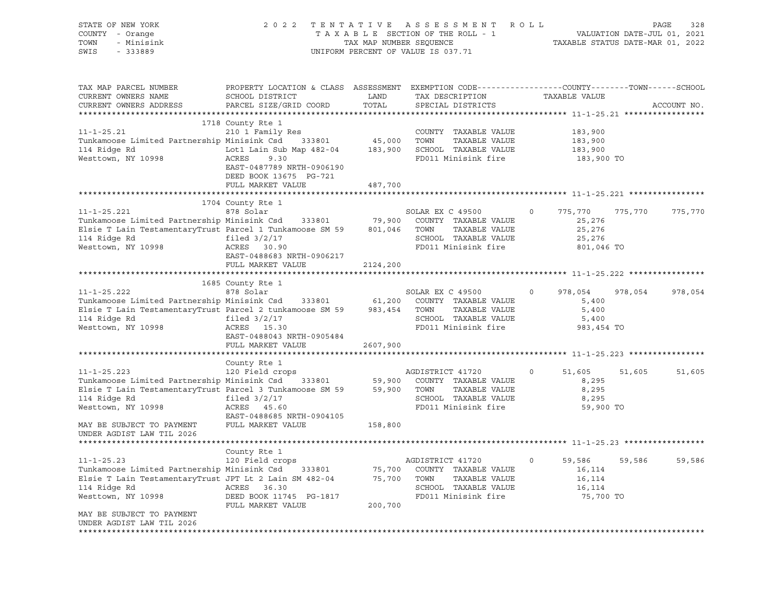| STATE OF NEW YORK<br>COUNTY - Orange<br>TOWN<br>- Minisink<br>SWIS<br>$-333889$ |                                                                                                                                               | TAX MAP NUMBER SEQUENCE | 2022 TENTATIVE ASSESSMENT ROLL<br>TAXABLE SECTION OF THE ROLL - 1<br>UNIFORM PERCENT OF VALUE IS 037.71 |                    | PAGE<br>328<br>VALUATION DATE-JUL 01, 2021<br>TAXABLE STATUS DATE-MAR 01, 2022 |
|---------------------------------------------------------------------------------|-----------------------------------------------------------------------------------------------------------------------------------------------|-------------------------|---------------------------------------------------------------------------------------------------------|--------------------|--------------------------------------------------------------------------------|
| TAX MAP PARCEL NUMBER<br>CURRENT OWNERS NAME<br>CURRENT OWNERS ADDRESS          | PROPERTY LOCATION & CLASS ASSESSMENT EXEMPTION CODE----------------COUNTY-------TOWN------SCHOOL<br>SCHOOL DISTRICT<br>PARCEL SIZE/GRID COORD | LAND<br>TOTAL           | TAX DESCRIPTION<br>SPECIAL DISTRICTS                                                                    | TAXABLE VALUE      | ACCOUNT NO.                                                                    |
|                                                                                 | 1718 County Rte 1                                                                                                                             |                         |                                                                                                         |                    |                                                                                |
| $11 - 1 - 25.21$                                                                | 210 1 Family Res                                                                                                                              |                         | COUNTY TAXABLE VALUE                                                                                    | 183,900            |                                                                                |
| Tunkamoose Limited Partnership Minisink Csd                                     | 333801                                                                                                                                        | 45,000                  | TOWN<br>TAXABLE VALUE                                                                                   | 183,900            |                                                                                |
| 114 Ridge Rd                                                                    | Lot1 Lain Sub Map 482-04                                                                                                                      | 183,900                 | SCHOOL TAXABLE VALUE                                                                                    | 183,900            |                                                                                |
| Westtown, NY 10998                                                              | ACRES<br>9.30<br>EAST-0487789 NRTH-0906190<br>DEED BOOK 13675 PG-721                                                                          |                         | FD011 Minisink fire                                                                                     | 183,900 TO         |                                                                                |
|                                                                                 | FULL MARKET VALUE                                                                                                                             | 487,700                 |                                                                                                         |                    |                                                                                |
|                                                                                 | 1704 County Rte 1                                                                                                                             |                         |                                                                                                         |                    |                                                                                |
| $11 - 1 - 25.221$                                                               | 878 Solar                                                                                                                                     |                         | SOLAR EX C 49500                                                                                        | 0<br>775,770       | 775,770<br>775,770                                                             |
| Tunkamoose Limited Partnership Minisink Csd 333801 79,900                       |                                                                                                                                               |                         | COUNTY TAXABLE VALUE                                                                                    | 25,276             |                                                                                |
| Elsie T Lain TestamentaryTrust Parcel 1 Tunkamoose SM 59                        |                                                                                                                                               | 801,046                 | TOWN<br>TAXABLE VALUE                                                                                   | 25,276             |                                                                                |
| 114 Ridge Rd                                                                    | filed $3/2/17$                                                                                                                                |                         | SCHOOL TAXABLE VALUE                                                                                    | 25,276             |                                                                                |
| Westtown, NY 10998                                                              | ACRES 30.90<br>EAST-0488683 NRTH-0906217                                                                                                      |                         | FD011 Minisink fire                                                                                     | 801,046 TO         |                                                                                |
|                                                                                 | FULL MARKET VALUE                                                                                                                             | 2124,200                |                                                                                                         |                    |                                                                                |
|                                                                                 |                                                                                                                                               |                         |                                                                                                         |                    |                                                                                |
|                                                                                 | 1685 County Rte 1                                                                                                                             |                         |                                                                                                         |                    |                                                                                |
| $11 - 1 - 25.222$                                                               | 878 Solar                                                                                                                                     |                         | SOLAR EX C 49500                                                                                        | $\circ$<br>978,054 | 978,054<br>978,054                                                             |
| Tunkamoose Limited Partnership Minisink Csd 333801                              |                                                                                                                                               | 61,200                  | COUNTY TAXABLE VALUE                                                                                    | 5,400              |                                                                                |
| Elsie T Lain TestamentaryTrust Parcel 2 tunkamoose SM 59                        |                                                                                                                                               | 983,454                 | TOWN<br>TAXABLE VALUE                                                                                   | 5,400              |                                                                                |
| 114 Ridge Rd                                                                    | filed $3/2/17$                                                                                                                                |                         | SCHOOL TAXABLE VALUE                                                                                    | 5,400              |                                                                                |
| Westtown, NY 10998                                                              | ACRES 15.30                                                                                                                                   |                         | FD011 Minisink fire                                                                                     | 983,454 TO         |                                                                                |
|                                                                                 | EAST-0488043 NRTH-0905484                                                                                                                     |                         |                                                                                                         |                    |                                                                                |
|                                                                                 | FULL MARKET VALUE                                                                                                                             | 2607,900                |                                                                                                         |                    |                                                                                |
|                                                                                 | County Rte 1                                                                                                                                  |                         |                                                                                                         |                    |                                                                                |
| $11 - 1 - 25.223$                                                               | 120 Field crops                                                                                                                               |                         | AGDISTRICT 41720                                                                                        | 0<br>51,605        | 51,605<br>51,605                                                               |
| Tunkamoose Limited Partnership Minisink Csd                                     | 333801                                                                                                                                        | 59,900                  | COUNTY TAXABLE VALUE                                                                                    | 8,295              |                                                                                |
| Elsie T Lain TestamentaryTrust Parcel 3 Tunkamoose SM 59                        |                                                                                                                                               | 59,900                  | TOWN<br>TAXABLE VALUE                                                                                   | 8,295              |                                                                                |
| 114 Ridge Rd                                                                    | filed $3/2/17$                                                                                                                                |                         | SCHOOL TAXABLE VALUE                                                                                    | 8,295              |                                                                                |
| Westtown, NY 10998                                                              | ACRES<br>45.60                                                                                                                                |                         | FD011 Minisink fire                                                                                     | 59,900 TO          |                                                                                |
|                                                                                 | EAST-0488685 NRTH-0904105                                                                                                                     |                         |                                                                                                         |                    |                                                                                |
| MAY BE SUBJECT TO PAYMENT<br>UNDER AGDIST LAW TIL 2026                          | FULL MARKET VALUE                                                                                                                             | 158,800                 |                                                                                                         |                    |                                                                                |
|                                                                                 |                                                                                                                                               |                         |                                                                                                         |                    |                                                                                |
|                                                                                 | County Rte 1                                                                                                                                  |                         |                                                                                                         |                    |                                                                                |
| $11 - 1 - 25.23$                                                                | 120 Field crops                                                                                                                               |                         | AGDISTRICT 41720                                                                                        | 59,586<br>$\circ$  | 59,586<br>59,586                                                               |
| Tunkamoose Limited Partnership Minisink Csd                                     | 333801                                                                                                                                        | 75,700                  | COUNTY TAXABLE VALUE                                                                                    | 16,114             |                                                                                |
| Elsie T Lain TestamentaryTrust JPT Lt 2 Lain SM 482-04                          |                                                                                                                                               | 75,700                  | TOWN<br>TAXABLE VALUE                                                                                   | 16,114             |                                                                                |
| 114 Ridge Rd                                                                    | ACRES<br>36.30                                                                                                                                |                         | SCHOOL TAXABLE VALUE                                                                                    | 16,114             |                                                                                |
| Westtown, NY 10998                                                              | DEED BOOK 11745 PG-1817<br>FULL MARKET VALUE                                                                                                  | 200,700                 | FD011 Minisink fire                                                                                     | 75,700 TO          |                                                                                |
| MAY BE SUBJECT TO PAYMENT<br>UNDER AGDIST LAW TIL 2026                          |                                                                                                                                               |                         |                                                                                                         |                    |                                                                                |
|                                                                                 |                                                                                                                                               |                         |                                                                                                         |                    |                                                                                |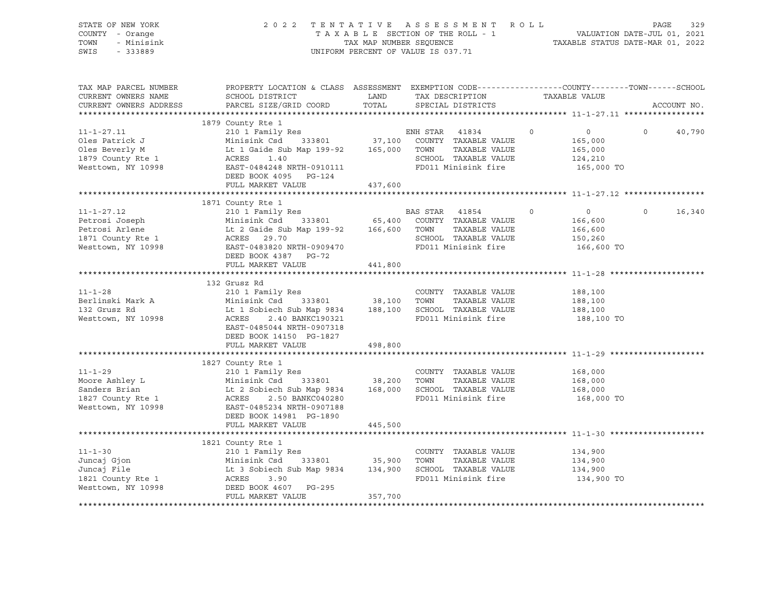| STATE OF NEW YORK<br>COUNTY - Orange<br>TOWN - Minisink<br>SWIS - 333889                                                                                                                                                                                 | 2022 TENTATIVE ASSESSMENT ROLL PAGE 329<br>TAXABLE SECTION OF THE ROLL - 1 VALUATION DATE-JUL 01, 2021<br>TAX MAP NUMBER SEQUENCE TAXABLE STATUS DATE-MAR 01, 2022    | UNIFORM PERCENT OF VALUE IS 037.71 |                                             |         |                                                               |          |             |
|----------------------------------------------------------------------------------------------------------------------------------------------------------------------------------------------------------------------------------------------------------|-----------------------------------------------------------------------------------------------------------------------------------------------------------------------|------------------------------------|---------------------------------------------|---------|---------------------------------------------------------------|----------|-------------|
| TAX MAP PARCEL NUMBER<br>CURRENT OWNERS NAME<br>CURRENT OWNERS ADDRESS                                                                                                                                                                                   | PROPERTY LOCATION & CLASS ASSESSMENT EXEMPTION CODE----------------COUNTY-------TOWN------SCHOOL<br>SCHOOL DISTRICT<br>PARCEL SIZE/GRID COORD TOTAL SPECIAL DISTRICTS |                                    | LAND TAX DESCRIPTION TAXABLE VALUE          |         |                                                               |          | ACCOUNT NO. |
|                                                                                                                                                                                                                                                          |                                                                                                                                                                       |                                    |                                             |         |                                                               |          |             |
| 1879 County Res<br>11-1-27.11 210 1 Family Res<br>210 1 Family Res<br>210 1 Family Res<br>210 1 Family Res<br>210 1 Family Res<br>210 1 Family Res<br>37,100 COUNTY TAXABLE VALUE<br>210 1 Family Res<br>37,100 COUNTY TAXABLE VALUE<br>210 2000 T       | 1879 County Rte 1                                                                                                                                                     |                                    |                                             |         | $\overline{0}$<br>165,000<br>165,000<br>124,210<br>165,000 TO | $\Omega$ | 40,790      |
|                                                                                                                                                                                                                                                          | FULL MARKET VALUE 437,600                                                                                                                                             |                                    |                                             |         |                                                               |          |             |
|                                                                                                                                                                                                                                                          |                                                                                                                                                                       |                                    |                                             | $\circ$ | $\overline{0}$<br>166,600                                     | $\circ$  | 16,340      |
| Petrosi Joseph Minisink Csd 333801 65,400 COUNTY TAXABLE VALUE<br>Petrosi Arlene Lt 2 Gaide Sub Map 199-92 166,600 TOWN TAXABLE VALUE<br>1871 County Rte 1 ACRES 29.70 SCHOOL TAXABLE VALUE<br>Westtown, NY 10998 EAST-0483820 NRTH-                     |                                                                                                                                                                       |                                    | SCHOOL TAXABLE VALUE<br>FD011 Minisink fire |         | 166,600<br>150,260<br>166,600 TO                              |          |             |
|                                                                                                                                                                                                                                                          |                                                                                                                                                                       |                                    |                                             |         |                                                               |          |             |
|                                                                                                                                                                                                                                                          | 132 Grusz Rd<br>EAST-0485044 NRTH-0907318<br>DEED BOOK 14150 PG-1827                                                                                                  |                                    |                                             |         | 188,100<br>188,100<br>188,100<br>188,100 TO                   |          |             |
|                                                                                                                                                                                                                                                          | FULL MARKET VALUE                                                                                                                                                     | 498,800                            |                                             |         |                                                               |          |             |
| 11-1-29<br>Moore Ashley L<br>Minisink Csd 333801<br>Sanders Brian<br>1827 County Rte 1<br>Minisink Csd 333801<br>168,000<br>SCHOOL TAXABLE VALUE<br>168,000<br>SCHOOL TAXABLE VALUE<br>168,000<br>SCHOOL TAXABLE VALUE<br>168,000<br>SCHOOL TAXABLE VALU | 1827 County Rte 1<br>DEED BOOK 14981 PG-1890                                                                                                                          |                                    | FD011 Minisink fire                         |         | 168,000<br>168,000<br>168,000<br>168,000 TO                   |          |             |
|                                                                                                                                                                                                                                                          | FULL MARKET VALUE                                                                                                                                                     | 445,500                            |                                             |         |                                                               |          |             |
|                                                                                                                                                                                                                                                          | 1821 County Rte 1                                                                                                                                                     |                                    |                                             |         |                                                               |          |             |
| 11-1-30<br>Juncaj Gjon 210 1 Family Res<br>Juncaj Gjon Minisink Csd 333801 35,900 TOWN TAXABLE VALUE<br>Juncaj File Lt 3 Sobiech Sub Map 9834 134,900 SCHOOL TAXABLE VALUE<br>1821 County Rte 1 ACRES 3.90<br>Westtown, NY 10998 DEED BO                 | FULL MARKET VALUE                                                                                                                                                     | 357,700                            | FD011 Minisink fire                         |         | 134,900<br>134,900<br>134,900<br>134,900 TO                   |          |             |
|                                                                                                                                                                                                                                                          |                                                                                                                                                                       |                                    |                                             |         |                                                               |          |             |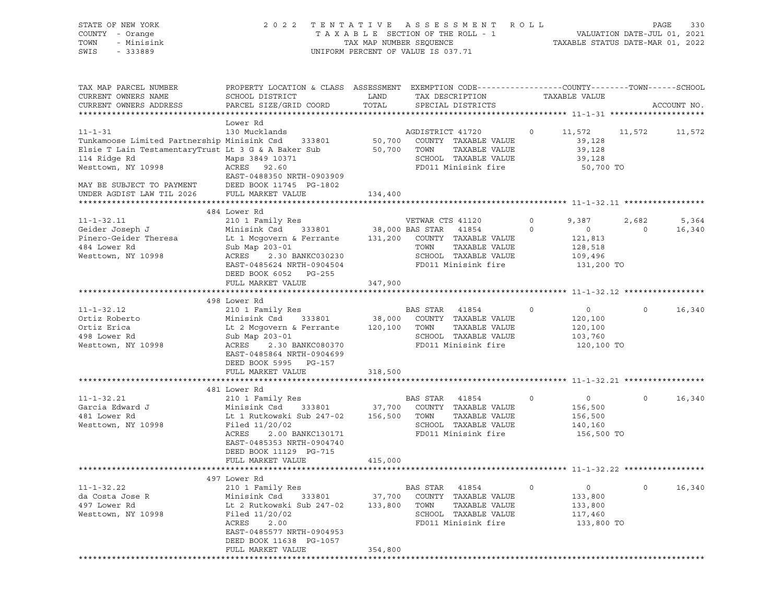| STATE OF NEW YORK<br>COUNTY - Orange<br>TOWN<br>- Minisink<br>SWIS<br>- 333889                                                                                                       | 2 0 2 2                                                                                                                                                                                                                        |                              | TENTATIVE ASSESSMENT ROLL<br>UNIFORM PERCENT OF VALUE IS 037.71                                                |                    |                                                               |                         | PAGE<br>330     |
|--------------------------------------------------------------------------------------------------------------------------------------------------------------------------------------|--------------------------------------------------------------------------------------------------------------------------------------------------------------------------------------------------------------------------------|------------------------------|----------------------------------------------------------------------------------------------------------------|--------------------|---------------------------------------------------------------|-------------------------|-----------------|
| TAX MAP PARCEL NUMBER<br>CURRENT OWNERS NAME<br>CURRENT OWNERS ADDRESS                                                                                                               | PROPERTY LOCATION & CLASS ASSESSMENT EXEMPTION CODE----------------COUNTY-------TOWN------SCHOOL<br>SCHOOL DISTRICT<br>PARCEL SIZE/GRID COORD                                                                                  | LAND<br>TOTAL                | TAX DESCRIPTION<br>SPECIAL DISTRICTS                                                                           |                    | TAXABLE VALUE                                                 |                         | ACCOUNT NO.     |
| $11 - 1 - 31$<br>Tunkamoose Limited Partnership Minisink Csd 333801 50,700<br>Elsie T Lain Testamentary Trust Lt 3 G & A Baker Sub 50,700 TOWN<br>114 Ridge Rd<br>Westtown, NY 10998 | Lower Rd<br>130 Mucklands<br>Maps 3849 10371<br>ACRES 92.60<br>EAST-0488350 NRTH-0903909                                                                                                                                       |                              | AGDISTRICT 41720<br>COUNTY TAXABLE VALUE<br>TAXABLE VALUE<br>SCHOOL TAXABLE VALUE<br>FD011 Minisink fire       | $\circ$            | 11,572<br>39,128<br>39,128<br>39,128<br>50,700 TO             | 11,572                  | 11,572          |
| MAY BE SUBJECT TO PAYMENT DEED BOOK 11745 PG-1802<br>UNDER AGDIST LAW TIL 2026 FULL MARKET VALUE                                                                                     |                                                                                                                                                                                                                                | 134,400                      |                                                                                                                |                    |                                                               |                         |                 |
| $11 - 1 - 32.11$<br>Geider Joseph J<br>Pinero-Geider Theresa<br>484 Lower Rd<br>Westtown, NY 10998                                                                                   | 484 Lower Rd<br>Lt 1 Mcgovern & Ferrante 131,200 COUNTY TAXABLE VALUE<br>Sub Map 203-01<br>ACRES 2.30 BANKC030230                                                                                                              |                              | TOWN<br>TAXABLE VALUE<br>SCHOOL TAXABLE VALUE                                                                  | $\circ$<br>$\circ$ | 9,387<br>$\overline{0}$<br>121,813<br>128,518<br>109,496      | 2,682<br>$\overline{0}$ | 5,364<br>16,340 |
|                                                                                                                                                                                      | EAST-0485624 NRTH-0904504<br>DEED BOOK 6052 PG-255<br>FULL MARKET VALUE                                                                                                                                                        | 347,900                      | FD011 Minisink fire                                                                                            |                    | 131,200 TO                                                    |                         |                 |
| $11 - 1 - 32.12$<br>Ortiz Roberto<br>Ortiz Erica<br>498 Lower Rd<br>Westtown, NY 10998                                                                                               | 498 Lower Rd<br>210 1 Family Res<br>Minisink Csd 333801 38,000 COUNTY TAXABLE VALUE<br>Lt 2 Mcgovern & Ferrante 120,100 TOWN<br>Sub Map 203-01<br>ACRES 2.30 BANKC080370<br>EAST-0485864 NRTH-0904699<br>DEED BOOK 5995 PG-157 |                              | BAS STAR 41854<br>TAXABLE VALUE<br>SCHOOL TAXABLE VALUE<br>FD011 Minisink fire                                 | $\circ$            | $\overline{0}$<br>120,100<br>120,100<br>103,760<br>120,100 TO | $\circ$                 | 16,340          |
|                                                                                                                                                                                      | FULL MARKET VALUE                                                                                                                                                                                                              | 318,500                      |                                                                                                                |                    |                                                               |                         |                 |
|                                                                                                                                                                                      | 481 Lower Rd                                                                                                                                                                                                                   |                              |                                                                                                                |                    |                                                               |                         |                 |
| 11-1-32.21<br>Garcia Edward J<br>Transport<br>Westtown, NY 10998                                                                                                                     | 210 1 Family Res<br>Minisink Csd 333801<br>Lt 1 Rutkowski Sub 247-02 156,500<br>Filed 11/20/02<br>ACRES<br>2.00 BANKC130171<br>EAST-0485353 NRTH-0904740<br>DEED BOOK 11129 PG-715<br>FULL MARKET VALUE                        | 37,700<br>415,000            | BAS STAR 41854<br>COUNTY TAXABLE VALUE<br>TOWN<br>TAXABLE VALUE<br>SCHOOL TAXABLE VALUE<br>FD011 Minisink fire | $\circ$            | $\overline{0}$<br>156,500<br>156,500<br>140,160<br>156,500 TO | $\circ$                 | 16,340          |
|                                                                                                                                                                                      |                                                                                                                                                                                                                                |                              |                                                                                                                |                    |                                                               |                         |                 |
| $11 - 1 - 32.22$<br>da Costa Jose R<br>497 Lower Rd<br>Westtown, NY 10998                                                                                                            | 497 Lower Rd<br>210 1 Family Res<br>Minisink Csd<br>333801<br>Lt 2 Rutkowski Sub 247-02<br>Filed 11/20/02<br>ACRES<br>2.00<br>EAST-0485577 NRTH-0904953<br>DEED BOOK 11638 PG-1057<br>FULL MARKET VALUE                        | 37,700<br>133,800<br>354,800 | BAS STAR 41854<br>COUNTY TAXABLE VALUE<br>TOWN<br>TAXABLE VALUE<br>SCHOOL TAXABLE VALUE<br>FD011 Minisink fire | $\circ$            | 0<br>133,800<br>133,800<br>117,460<br>133,800 TO              | 0                       | 16,340          |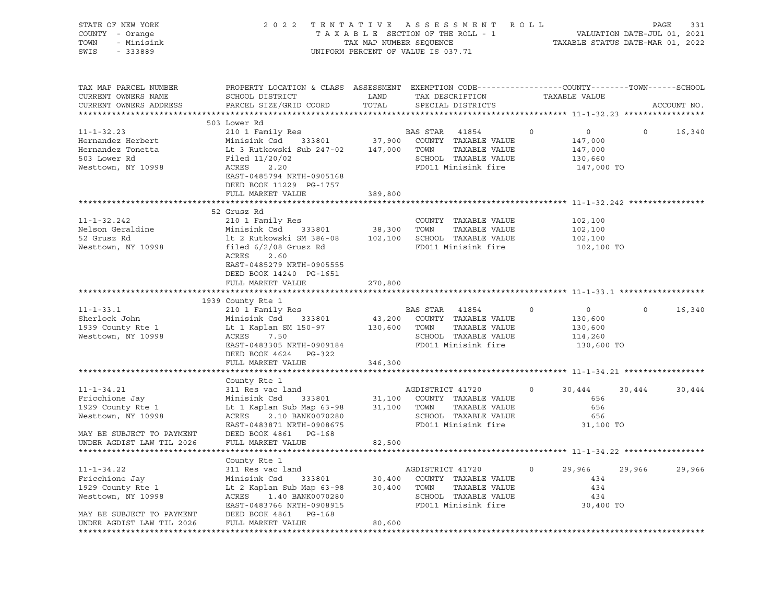| STATE OF NEW YORK<br>COUNTY - Orange<br>TOWN<br>- Minisink<br>SWIS - 333889 | 2022 TENTATIVE ASSESSMENT ROLL                                                                                                                                                                                                                       | UNIFORM PERCENT OF VALUE IS 037.71 |                       | FENTATIVE ASSESSMENT ROLL PAGE 331 PAGE 331<br>TAXABLE SECTION OF THE ROLL - 1 VALUATION DATE-JUL 01, 2021<br>TAXABLE STATUS DATE-MAR 01, 2022 |         |                |         |             |
|-----------------------------------------------------------------------------|------------------------------------------------------------------------------------------------------------------------------------------------------------------------------------------------------------------------------------------------------|------------------------------------|-----------------------|------------------------------------------------------------------------------------------------------------------------------------------------|---------|----------------|---------|-------------|
| TAX MAP PARCEL NUMBER<br>CURRENT OWNERS NAME<br>CURRENT OWNERS ADDRESS      | PROPERTY LOCATION & CLASS ASSESSMENT EXEMPTION CODE---------------COUNTY-------TOWN-----SCHOOL<br>SCHOOL DISTRICT<br>PARCEL SIZE/GRID COORD                                                                                                          | LAND<br>TOTAL                      |                       | TAX DESCRIPTION<br>SPECIAL DISTRICTS                                                                                                           |         | TAXABLE VALUE  |         | ACCOUNT NO. |
|                                                                             | 503 Lower Rd                                                                                                                                                                                                                                         |                                    |                       |                                                                                                                                                |         |                |         |             |
| $11 - 1 - 32.23$                                                            | 210 1 Family Res                                                                                                                                                                                                                                     |                                    | BAS STAR 41854        |                                                                                                                                                | $\circ$ | $\overline{0}$ | $\circ$ | 16,340      |
| Hernandez Herbert                                                           |                                                                                                                                                                                                                                                      |                                    |                       |                                                                                                                                                |         | 147,000        |         |             |
| Hernandez Tonetta                                                           |                                                                                                                                                                                                                                                      |                                    |                       |                                                                                                                                                |         | 147,000        |         |             |
| 503 Lower Rd                                                                | Filed 11/20/02                                                                                                                                                                                                                                       |                                    |                       | SCHOOL TAXABLE VALUE<br>FD011 Minisink fire                                                                                                    |         | 130,660        |         |             |
| Westtown, NY 10998                                                          | 1 11 CG<br>2.20                                                                                                                                                                                                                                      |                                    |                       |                                                                                                                                                |         | 147,000 TO     |         |             |
|                                                                             | EAST-0485794 NRTH-0905168                                                                                                                                                                                                                            |                                    |                       |                                                                                                                                                |         |                |         |             |
|                                                                             | DEED BOOK 11229 PG-1757                                                                                                                                                                                                                              |                                    |                       |                                                                                                                                                |         |                |         |             |
|                                                                             | FULL MARKET VALUE                                                                                                                                                                                                                                    | 389,800                            |                       |                                                                                                                                                |         |                |         |             |
|                                                                             | 52 Grusz Rd                                                                                                                                                                                                                                          |                                    |                       |                                                                                                                                                |         |                |         |             |
| $11 - 1 - 32.242$                                                           | 210 1 Family Res                                                                                                                                                                                                                                     |                                    |                       | COUNTY TAXABLE VALUE                                                                                                                           |         | 102,100        |         |             |
| Nelson Geraldine                                                            |                                                                                                                                                                                                                                                      |                                    |                       |                                                                                                                                                |         | 102,100        |         |             |
| 52 Grusz Rd                                                                 |                                                                                                                                                                                                                                                      |                                    |                       |                                                                                                                                                |         | 102,100        |         |             |
| Westtown, NY 10998                                                          | Minisink Csd 333801 38,300 TOWN TAXABLE VALUE<br>1t 2 Rutkowski SM 386-08 102,100 SCHOOL TAXABLE VALUE<br>102,100 SCHOOL TAXABLE VALUE<br>FD011 Minisink fire                                                                                        |                                    |                       |                                                                                                                                                |         | 102,100 TO     |         |             |
|                                                                             | ACRES<br>2.60                                                                                                                                                                                                                                        |                                    |                       |                                                                                                                                                |         |                |         |             |
|                                                                             | EAST-0485279 NRTH-0905555                                                                                                                                                                                                                            |                                    |                       |                                                                                                                                                |         |                |         |             |
|                                                                             | DEED BOOK 14240 PG-1651                                                                                                                                                                                                                              |                                    |                       |                                                                                                                                                |         |                |         |             |
|                                                                             | FULL MARKET VALUE                                                                                                                                                                                                                                    | 270,800                            |                       |                                                                                                                                                |         |                |         |             |
|                                                                             |                                                                                                                                                                                                                                                      |                                    |                       |                                                                                                                                                |         |                |         |             |
| $11 - 1 - 33.1$                                                             | 1939 County Rte 1                                                                                                                                                                                                                                    |                                    | <b>BAS STAR 41854</b> |                                                                                                                                                | $\circ$ | $\overline{0}$ | $\circ$ |             |
| Sherlock John                                                               | 210 1 Family Res<br>Minisink Csd 333801 43,200 COUNTY TAXABLE VALUE                                                                                                                                                                                  |                                    |                       |                                                                                                                                                |         | 130,600        |         | 16,340      |
| 1939 County Rte 1                                                           |                                                                                                                                                                                                                                                      |                                    |                       |                                                                                                                                                |         | 130,600        |         |             |
| Westtown, NY 10998                                                          | Minisink Csd 333801 (130,600 TOWN TAXABLE VALUE<br>Lt 1 Kaplan SM 150-97 (130,600 TOWN TAXABLE VALUE<br>SCHOOL TAXABLE VALUE                                                                                                                         |                                    |                       | SCHOOL TAXABLE VALUE                                                                                                                           |         | 114,260        |         |             |
|                                                                             | EAST-0483305 NRTH-0909184                                                                                                                                                                                                                            |                                    |                       | FD011 Minisink fire                                                                                                                            |         | 130,600 TO     |         |             |
|                                                                             | DEED BOOK 4624 PG-322                                                                                                                                                                                                                                |                                    |                       |                                                                                                                                                |         |                |         |             |
|                                                                             | FULL MARKET VALUE                                                                                                                                                                                                                                    | 346,300                            |                       |                                                                                                                                                |         |                |         |             |
|                                                                             |                                                                                                                                                                                                                                                      |                                    |                       |                                                                                                                                                |         |                |         |             |
|                                                                             | County Rte 1                                                                                                                                                                                                                                         |                                    |                       |                                                                                                                                                |         |                |         |             |
| $11 - 1 - 34.21$                                                            | 311 Res vac land                                                                                                                                                                                                                                     |                                    | AGDISTRICT 41720      |                                                                                                                                                | $\circ$ | 30,444         | 30,444  | 30,444      |
| Fricchione Jay                                                              |                                                                                                                                                                                                                                                      |                                    |                       |                                                                                                                                                |         | 656            |         |             |
| 1929 County Rte 1                                                           | Minisink Csd 333801 31,100 COUNTY TAXABLE VALUE<br>Lt 1 Kaplan Sub Map 63-98 31,100 TOWN TAXABLE VALUE                                                                                                                                               |                                    |                       |                                                                                                                                                |         | 656            |         |             |
| Westtown, NY 10998                                                          | ACRES 2.10 BANK0070280                                                                                                                                                                                                                               |                                    |                       | SCHOOL TAXABLE VALUE                                                                                                                           |         | 656            |         |             |
|                                                                             | EAST-0483871 NRTH-0908675                                                                                                                                                                                                                            |                                    |                       | FD011 Minisink fire                                                                                                                            |         | 31,100 TO      |         |             |
| MAY BE SUBJECT TO PAYMENT                                                   | DEED BOOK 4861 PG-168                                                                                                                                                                                                                                |                                    |                       |                                                                                                                                                |         |                |         |             |
| UNDER AGDIST LAW TIL 2026                                                   | FULL MARKET VALUE                                                                                                                                                                                                                                    | 82,500                             |                       |                                                                                                                                                |         |                |         |             |
|                                                                             | County Rte 1                                                                                                                                                                                                                                         |                                    |                       |                                                                                                                                                |         |                |         |             |
| $11 - 1 - 34.22$                                                            |                                                                                                                                                                                                                                                      |                                    |                       |                                                                                                                                                | $\circ$ | 29,966         | 29,966  | 29,966      |
| Fricchione Jay                                                              | AGUISIRILE VALUE<br>11 Res vac land<br>11 Res vac land<br>130,400 COUNTY TAXABLE VALUE<br>140 BANK0070280<br>140 BANK0070280<br>140 BANK0070280<br>140 BANK0070280<br>1600L TAXABLE VALUE<br>140 BANK0070280<br>16011 Minisink fire<br>16011 Minisin |                                    |                       |                                                                                                                                                |         | 434            |         |             |
| 1929 County Rte 1                                                           |                                                                                                                                                                                                                                                      |                                    |                       |                                                                                                                                                |         | 434            |         |             |
| Westtown, NY 10998                                                          |                                                                                                                                                                                                                                                      |                                    |                       |                                                                                                                                                |         | 434            |         |             |
|                                                                             |                                                                                                                                                                                                                                                      |                                    |                       |                                                                                                                                                |         | 30,400 TO      |         |             |
| MAY BE SUBJECT TO PAYMENT                                                   | DEED BOOK 4861 PG-168                                                                                                                                                                                                                                |                                    |                       |                                                                                                                                                |         |                |         |             |
| UNDER AGDIST LAW TIL 2026                                                   | FULL MARKET VALUE                                                                                                                                                                                                                                    | 80,600                             |                       |                                                                                                                                                |         |                |         |             |
|                                                                             |                                                                                                                                                                                                                                                      |                                    |                       |                                                                                                                                                |         |                |         |             |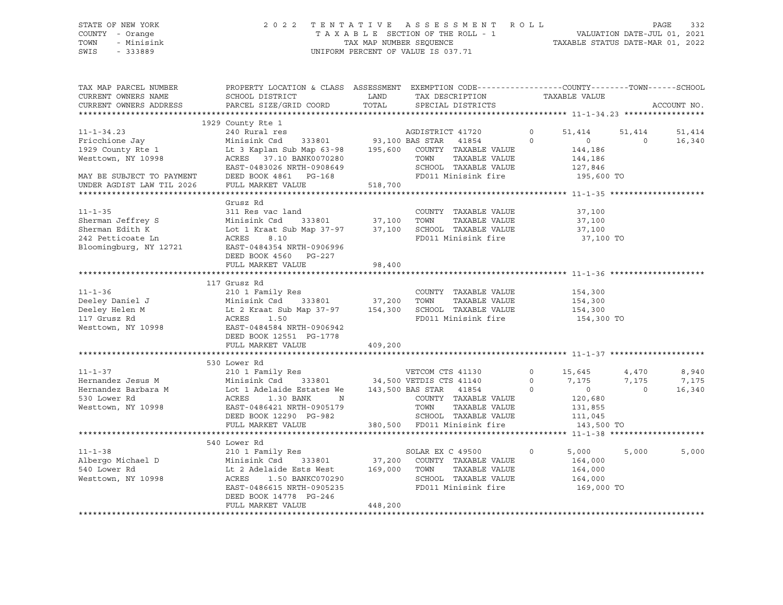STATE OF NEW YORK 2 0 2 2 T E N T A T I V E A S S E S S M E N T R O L L PAGE 332 COUNTY - Orange T A X A B L E SECTION OF THE ROLL - 1 VALUATION DATE-JUL 01, 2021 TOWN - Minisink TAX MAP NUMBER SEQUENCE TAXABLE STATUS DATE-MAR 01, 2022 SWIS - 333889 CONSERVATION CONTROL OF VALUE IS 037.71

| TAX MAP PARCEL NUMBER<br>CURRENT OWNERS NAME<br>CURRENT OWNERS ADDRESS                                                                                                                                                                  | PROPERTY LOCATION & CLASS ASSESSMENT EXEMPTION CODE---------------COUNTY-------TOWN------SCHOOL<br>SCHOOL DISTRICT<br>PARCEL SIZE/GRID COORD |         | LAND TAX DESCRIPTION<br>TOTAL SPECIAL DISTRICTS |                | TAXABLE VALUE      |                | ACCOUNT NO. |
|-----------------------------------------------------------------------------------------------------------------------------------------------------------------------------------------------------------------------------------------|----------------------------------------------------------------------------------------------------------------------------------------------|---------|-------------------------------------------------|----------------|--------------------|----------------|-------------|
|                                                                                                                                                                                                                                         |                                                                                                                                              |         |                                                 |                |                    |                |             |
|                                                                                                                                                                                                                                         |                                                                                                                                              |         |                                                 |                |                    |                |             |
|                                                                                                                                                                                                                                         |                                                                                                                                              |         |                                                 | $\circ$        | 51,414 51,414      |                | 51,414      |
|                                                                                                                                                                                                                                         |                                                                                                                                              |         | $\overline{0}$                                  |                | $\overline{0}$     | $\bigcirc$     | 16,340      |
| Westtown, NY 10998                                                                                                                                                                                                                      | ACRES 37.10 BANK0070280                                                                                                                      |         | TAXABLE VALUE<br>TOWN                           |                | 144,186            |                |             |
|                                                                                                                                                                                                                                         | EAST-0483026 NRTH-0908649                                                                                                                    |         | SCHOOL TAXABLE VALUE                            |                | 144,186<br>127,846 |                |             |
| MAY BE SUBJECT TO PAYMENT                                                                                                                                                                                                               | DEED BOOK 4861 PG-168                                                                                                                        |         | FD011 Minisink fire 195,600 TO                  |                |                    |                |             |
| UNDER AGDIST LAW TIL 2026                                                                                                                                                                                                               | FULL MARKET VALUE                                                                                                                            | 518,700 |                                                 |                |                    |                |             |
|                                                                                                                                                                                                                                         |                                                                                                                                              |         |                                                 |                |                    |                |             |
|                                                                                                                                                                                                                                         | Grusz Rd                                                                                                                                     |         |                                                 |                |                    |                |             |
| $11 - 1 - 35$                                                                                                                                                                                                                           | 311 Res vac land                                                                                                                             |         | COUNTY TAXABLE VALUE 37,100                     |                |                    |                |             |
|                                                                                                                                                                                                                                         |                                                                                                                                              |         |                                                 |                | 37,100             |                |             |
|                                                                                                                                                                                                                                         |                                                                                                                                              |         |                                                 |                | 37,100             |                |             |
| Sherman Jeffrey S Minisink Csd 333801 37,100 TOWN TAXABLE VALUE<br>Sherman Edith K Lot 1 Kraat Sub Map 37-97 37,100 SCHOOL TAXABLE VALUE<br>242 Petticoate Ln ACRES 8.10 FD011 Minisink fire<br>Bloomingburg, NY 12721 EAST-0484354 NRT |                                                                                                                                              |         | FD011 Minisink fire                             |                | 37,100 TO          |                |             |
|                                                                                                                                                                                                                                         |                                                                                                                                              |         |                                                 |                |                    |                |             |
|                                                                                                                                                                                                                                         | DEED BOOK 4560 PG-227                                                                                                                        |         |                                                 |                |                    |                |             |
|                                                                                                                                                                                                                                         | FULL MARKET VALUE                                                                                                                            | 98,400  |                                                 |                |                    |                |             |
|                                                                                                                                                                                                                                         | 117 Grusz Rd                                                                                                                                 |         |                                                 |                |                    |                |             |
| $11 - 1 - 36$                                                                                                                                                                                                                           |                                                                                                                                              |         | COUNTY TAXABLE VALUE                            |                |                    |                |             |
|                                                                                                                                                                                                                                         |                                                                                                                                              |         |                                                 |                | 154,300<br>154,300 |                |             |
|                                                                                                                                                                                                                                         |                                                                                                                                              |         |                                                 |                |                    |                |             |
|                                                                                                                                                                                                                                         |                                                                                                                                              |         |                                                 |                | 154,300 TO         |                |             |
| Westtown, NY 10998                                                                                                                                                                                                                      | EAST-0484584 NRTH-0906942                                                                                                                    |         |                                                 |                |                    |                |             |
|                                                                                                                                                                                                                                         | DEED BOOK 12551 PG-1778                                                                                                                      |         |                                                 |                |                    |                |             |
|                                                                                                                                                                                                                                         | FULL MARKET VALUE                                                                                                                            | 409,200 |                                                 |                |                    |                |             |
|                                                                                                                                                                                                                                         |                                                                                                                                              |         |                                                 |                |                    |                |             |
|                                                                                                                                                                                                                                         | 530 Lower Rd                                                                                                                                 |         |                                                 |                |                    |                |             |
| $11 - 1 - 37$                                                                                                                                                                                                                           |                                                                                                                                              |         |                                                 | $\Omega$       | 15,645             | 4,470          | 8,940       |
| Hernandez Jesus M                                                                                                                                                                                                                       |                                                                                                                                              |         |                                                 |                | 7,175              | 7,175          | 7,175       |
| Hernandez Barbara M                                                                                                                                                                                                                     | Lot 1 Adelaide Estates We 143,500 BAS STAR 41854                                                                                             |         |                                                 | $\overline{0}$ | $\sim$ 0           | $\overline{0}$ | 16,340      |
| 530 Lower Rd                                                                                                                                                                                                                            | 1.30 BANK<br>ACRES<br>$\mathbb N$                                                                                                            |         | COUNTY TAXABLE VALUE                            |                | 120,680            |                |             |
| Westtown, NY 10998                                                                                                                                                                                                                      | EAST-0486421 NRTH-0905179                                                                                                                    |         |                                                 |                |                    |                |             |
|                                                                                                                                                                                                                                         | DEED BOOK 12290 PG-982                                                                                                                       |         |                                                 |                |                    |                |             |
|                                                                                                                                                                                                                                         | FULL MARKET VALUE 380,500 FD011 Minisink fire                                                                                                |         |                                                 |                | 143,500 TO         |                |             |
|                                                                                                                                                                                                                                         |                                                                                                                                              |         |                                                 |                |                    |                |             |
| $11 - 1 - 38$                                                                                                                                                                                                                           | 540 Lower Rd                                                                                                                                 |         |                                                 |                |                    |                |             |
|                                                                                                                                                                                                                                         | 210 1 Family Res                                                                                                                             |         | SOLAR EX C 49500                                | $\circ$        | 5,000              | 5,000          | 5,000       |
|                                                                                                                                                                                                                                         |                                                                                                                                              |         | TAXABLE VALUE                                   |                | 164,000            |                |             |
| Westtown, NY 10998                                                                                                                                                                                                                      |                                                                                                                                              |         | SCHOOL TAXABLE VALUE                            |                | 164,000<br>164,000 |                |             |
|                                                                                                                                                                                                                                         | ACRES 1.50 BANKC070290<br>EAST-0486615 NRTH-0905235                                                                                          |         | FD011 Minisink fire                             |                | 169,000 TO         |                |             |
|                                                                                                                                                                                                                                         | DEED BOOK 14778 PG-246                                                                                                                       |         |                                                 |                |                    |                |             |
|                                                                                                                                                                                                                                         | FULL MARKET VALUE                                                                                                                            | 448,200 |                                                 |                |                    |                |             |
|                                                                                                                                                                                                                                         |                                                                                                                                              |         |                                                 |                |                    |                |             |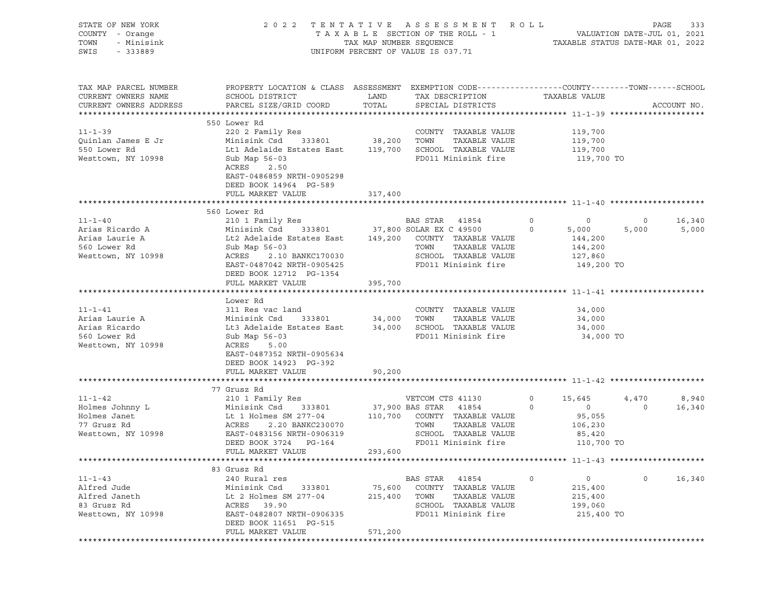| STATE OF NEW YORK<br>COUNTY - Orange<br>TOWN<br>- Minisink<br>SWIS<br>$-333889$ | 2 0 2 2                                                                                                                                     |                | TENTATIVE ASSESSMENT ROLL<br>T A X A B L E SECTION OF THE ROLL - 1 VALUATION DATE-JUL 01, 2021<br>TAX MAP NUMBER SEQUENCE TAXABLE STATUS DATE-MAR 01, 2022<br>UNIFORM PERCENT OF VALUE IS 037.71 |         |               |         | PAGE<br>333 |
|---------------------------------------------------------------------------------|---------------------------------------------------------------------------------------------------------------------------------------------|----------------|--------------------------------------------------------------------------------------------------------------------------------------------------------------------------------------------------|---------|---------------|---------|-------------|
| TAX MAP PARCEL NUMBER<br>CURRENT OWNERS NAME<br>CURRENT OWNERS ADDRESS          | PROPERTY LOCATION & CLASS ASSESSMENT EXEMPTION CODE---------------COUNTY-------TOWN-----SCHOOL<br>SCHOOL DISTRICT<br>PARCEL SIZE/GRID COORD | LAND<br>TOTAL  | TAX DESCRIPTION<br>SPECIAL DISTRICTS                                                                                                                                                             |         | TAXABLE VALUE |         | ACCOUNT NO. |
|                                                                                 | 550 Lower Rd                                                                                                                                |                |                                                                                                                                                                                                  |         |               |         |             |
| $11 - 1 - 39$                                                                   | 220 2 Family Res                                                                                                                            |                | COUNTY TAXABLE VALUE                                                                                                                                                                             |         | 119,700       |         |             |
| Quinlan James E Jr                                                              | Minisink Csd 333801 38,200 TOWN                                                                                                             |                | TAXABLE VALUE                                                                                                                                                                                    |         | 119,700       |         |             |
| 550 Lower Rd                                                                    | Lt1 Adelaide Estates East 119,700 SCHOOL TAXABLE VALUE                                                                                      |                |                                                                                                                                                                                                  |         | 119,700       |         |             |
| Westtown, NY 10998                                                              | Sub Map 56-03<br>ACRES 2.50<br>EAST-0486859 NRTH-0905298<br>DEED BOOK 14964 PG-589<br>FULL MARKET VALUE                                     | 317,400        | FD011 Minisink fire                                                                                                                                                                              |         | 119,700 TO    |         |             |
|                                                                                 |                                                                                                                                             |                |                                                                                                                                                                                                  |         |               |         |             |
|                                                                                 | 560 Lower Rd                                                                                                                                |                |                                                                                                                                                                                                  |         |               |         |             |
| $11 - 1 - 40$                                                                   | 210 1 Family Res<br>210 1 Family Res BAS STAR 41854<br>Minisink Csd 333801 37,800 SOLAR EX C 49500                                          |                |                                                                                                                                                                                                  | $\circ$ | $\circ$       | $\circ$ | 16,340      |
| Arias Ricardo A                                                                 |                                                                                                                                             |                |                                                                                                                                                                                                  | $\circ$ | 5,000         | 5,000   | 5,000       |
| Arias Laurie A                                                                  | Lt2 Adelaide Estates East 149,200 COUNTY TAXABLE VALUE                                                                                      |                |                                                                                                                                                                                                  |         | 144,200       |         |             |
| 560 Lower Rd                                                                    | Sub Map 56-03                                                                                                                               |                | TAXABLE VALUE<br>TOWN                                                                                                                                                                            |         | 144,200       |         |             |
| Westtown, NY 10998                                                              | ACRES<br>2.10 BANKC170030                                                                                                                   |                | SCHOOL TAXABLE VALUE                                                                                                                                                                             |         | 127,860       |         |             |
|                                                                                 | EAST-0487042 NRTH-0905425<br>DEED BOOK 12712 PG-1354                                                                                        |                | FD011 Minisink fire                                                                                                                                                                              |         | 149,200 TO    |         |             |
|                                                                                 | FULL MARKET VALUE 395,700                                                                                                                   |                |                                                                                                                                                                                                  |         |               |         |             |
|                                                                                 | Lower Rd                                                                                                                                    |                |                                                                                                                                                                                                  |         |               |         |             |
| $11 - 1 - 41$                                                                   | 311 Res vac land                                                                                                                            |                | COUNTY TAXABLE VALUE                                                                                                                                                                             |         | 34,000        |         |             |
| Arias Laurie A                                                                  | 333801 34,000 TOWN<br>Minisink Csd                                                                                                          |                | TAXABLE VALUE                                                                                                                                                                                    |         | 34,000        |         |             |
| Arias Ricardo                                                                   | Lt3 Adelaide Estates East 34,000 SCHOOL TAXABLE VALUE                                                                                       |                |                                                                                                                                                                                                  |         | 34,000        |         |             |
| 560 Lower Rd                                                                    | Sub Map 56-03                                                                                                                               |                | FD011 Minisink fire                                                                                                                                                                              |         | 34,000 TO     |         |             |
| Westtown, NY 10998                                                              | ACRES<br>5.00                                                                                                                               |                |                                                                                                                                                                                                  |         |               |         |             |
|                                                                                 | EAST-0487352 NRTH-0905634                                                                                                                   |                |                                                                                                                                                                                                  |         |               |         |             |
|                                                                                 | DEED BOOK 14923 PG-392                                                                                                                      |                |                                                                                                                                                                                                  |         |               |         |             |
|                                                                                 | FULL MARKET VALUE                                                                                                                           | 90,200         |                                                                                                                                                                                                  |         |               |         |             |
|                                                                                 |                                                                                                                                             |                |                                                                                                                                                                                                  |         |               |         |             |
|                                                                                 | 77 Grusz Rd                                                                                                                                 |                |                                                                                                                                                                                                  |         |               |         |             |
| $11 - 1 - 42$                                                                   | 210 1 Family Res                                                                                                                            |                | VETCOM CTS 41130                                                                                                                                                                                 | $\circ$ | 15,645        | 4,470   | 8,940       |
| Holmes Johnny L                                                                 | Minisink Csd 333801                                                                                                                         |                | 37,900 BAS STAR 41854                                                                                                                                                                            | $\circ$ | 0             | $\circ$ | 16,340      |
| Holmes Janet                                                                    | Lt 1 Holmes SM 277-04 110,700 COUNTY TAXABLE VALUE                                                                                          |                |                                                                                                                                                                                                  |         | 95,055        |         |             |
| 77 Grusz Rd                                                                     | ACRES<br>2.20 BANKC230070                                                                                                                   |                | TAXABLE VALUE<br>TOWN                                                                                                                                                                            |         | 106,230       |         |             |
| Westtown, NY 10998                                                              | EAST-0483156 NRTH-0906319                                                                                                                   |                | SCHOOL TAXABLE VALUE                                                                                                                                                                             |         | 85,420        |         |             |
|                                                                                 | DEED BOOK 3724 PG-164                                                                                                                       |                | FD011 Minisink fire                                                                                                                                                                              |         | 110,700 TO    |         |             |
|                                                                                 | FULL MARKET VALUE                                                                                                                           | 293,600        |                                                                                                                                                                                                  |         |               |         |             |
|                                                                                 | 83 Grusz Rd                                                                                                                                 |                |                                                                                                                                                                                                  |         |               |         |             |
| $11 - 1 - 43$                                                                   | 240 Rural res                                                                                                                               |                | BAS STAR<br>41854                                                                                                                                                                                | $\circ$ | $\circ$       | 0       | 16,340      |
| Alfred Jude                                                                     | Minisink Csd<br>333801                                                                                                                      | 75,600         | TAXABLE VALUE<br>COUNTY                                                                                                                                                                          |         | 215,400       |         |             |
| Alfred Janeth                                                                   | Lt 2 Holmes SM 277-04                                                                                                                       | 215,400        | TOWN<br>TAXABLE VALUE                                                                                                                                                                            |         | 215,400       |         |             |
| 83 Grusz Rd                                                                     | ACRES<br>39.90                                                                                                                              |                | SCHOOL<br>TAXABLE VALUE                                                                                                                                                                          |         | 199,060       |         |             |
| Westtown, NY 10998                                                              | EAST-0482807 NRTH-0906335                                                                                                                   |                | FD011 Minisink fire                                                                                                                                                                              |         | 215,400 TO    |         |             |
|                                                                                 | DEED BOOK 11651 PG-515                                                                                                                      |                |                                                                                                                                                                                                  |         |               |         |             |
|                                                                                 | FULL MARKET VALUE                                                                                                                           | 571,200        |                                                                                                                                                                                                  |         |               |         |             |
|                                                                                 | *************************                                                                                                                   | ************** |                                                                                                                                                                                                  |         |               |         |             |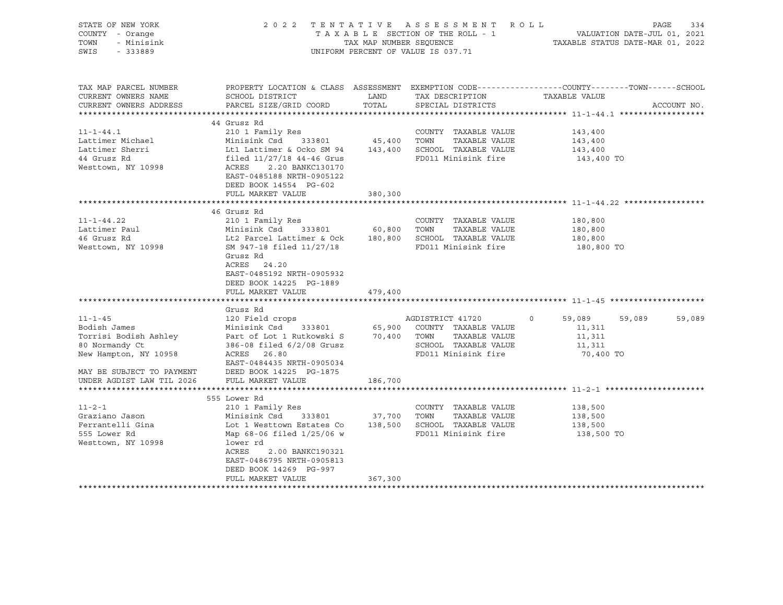| STATE OF NEW YORK<br>COUNTY - Orange<br>TOWN<br>- Minisink<br>SWIS<br>$-333889$                                                    |                                                                                                                                                                                                                                                                                                   |               | 2022 TENTATIVE ASSESSMENT ROLL<br>UNIFORM PERCENT OF VALUE IS 037.71                                            | PAGE<br>334<br>T A X A B L E SECTION OF THE ROLL - 1 VALUATION DATE-JUL 01, 2021<br>TAX MAP NUMBER SEQUENCE TAXABLE STATUS DATE-MAR 01, 2022 |
|------------------------------------------------------------------------------------------------------------------------------------|---------------------------------------------------------------------------------------------------------------------------------------------------------------------------------------------------------------------------------------------------------------------------------------------------|---------------|-----------------------------------------------------------------------------------------------------------------|----------------------------------------------------------------------------------------------------------------------------------------------|
| TAX MAP PARCEL NUMBER<br>CURRENT OWNERS NAME<br>CURRENT OWNERS ADDRESS                                                             | SCHOOL DISTRICT<br>PARCEL SIZE/GRID COORD                                                                                                                                                                                                                                                         | LAND<br>TOTAL | TAX DESCRIPTION<br>SPECIAL DISTRICTS                                                                            | PROPERTY LOCATION & CLASS ASSESSMENT EXEMPTION CODE----------------COUNTY-------TOWN------SCHOOL<br>TAXABLE VALUE<br>ACCOUNT NO.             |
| $11 - 1 - 44.1$<br>Lattimer Michael<br>Lattimer Sherri<br>44 Grusz Rd<br>Westtown, NY 10998                                        | 44 Grusz Rd<br>210 1 Family Res<br>Minisink Csd 333801 45,400 TOWN TAXABLE VALUE<br>Lt1 Lattimer & Ocko SM 94 143,400 SCHOOL TAXABLE VALUE<br>filed 11/27/18 44-46 Grus FD011 Minisink fire<br>ACRES 2.20 BANKC130170<br>EAST-0485188 NRTH-0905122<br>DEED BOOK 14554 PG-602<br>FULL MARKET VALUE | 380,300       | COUNTY TAXABLE VALUE<br>FD011 Minisink fire                                                                     | 143,400<br>143,400<br>143,400<br>143,400 TO                                                                                                  |
| $11 - 1 - 44.22$<br>Lattimer Paul<br>46 Grusz Rd<br>Westtown, NY 10998                                                             | 46 Grusz Rd<br>210 1 Family Res<br>Minisink Csd 333801 bu,out 10m. The TAXABLE VALUE<br>Lt2 Parcel Lattimer & Ock 180,800 SCHOOL TAXABLE VALUE<br>Grusz Rd<br>ACRES 24.20<br>EAST-0485192 NRTH-0905932<br>DEED BOOK 14225 PG-1889<br>FULL MARKET VALUE                                            | 479,400       | COUNTY TAXABLE VALUE                                                                                            | 180,800<br>180,800<br>180,800<br>180,800 TO                                                                                                  |
| $11 - 1 - 45$<br>Bodish James<br>80 Normandy Ct<br>New Hampton, NY 10958<br>MAY BE SUBJECT TO PAYMENT<br>UNDER AGDIST LAW TIL 2026 | Grusz Rd<br>120 Field crops<br>Minisink Csd 333801<br>Torrisi Bodish Ashley 1 Part of Lot 1 Rutkowski S 70,400 TOWN<br>386-08 filed 6/2/08 Grusz<br>ACRES 26.80<br>EAST-0484435 NRTH-0905034<br>DEED BOOK 14225 PG-1875<br>FULL MARKET VALUE                                                      | 186,700       | AGDISTRICT 41720<br>65,900 COUNTY TAXABLE VALUE<br>TAXABLE VALUE<br>SCHOOL TAXABLE VALUE<br>FD011 Minisink fire | 59,089 59,089<br>59,089<br>$\Omega$<br>11,311<br>11,311<br>11,311<br>70,400 TO                                                               |
| $11 - 2 - 1$<br>Graziano Jason<br>Ferrantelli Gina<br>555 Lower Rd<br>Westtown, NY 10998                                           | 555 Lower Rd<br>210 1 Family Res<br>Minisink Csd 333801 37,700 TOWN<br>Lot 1 Westtown Estates Co 138,500 SCHOOL TAXABLE VALUE<br>Map 68-06 filed 1/25/06 w<br>lower rd<br>2.00 BANKC190321<br>ACRES<br>EAST-0486795 NRTH-0905813<br>DEED BOOK 14269 PG-997<br>FULL MARKET VALUE                   | 367,300       | COUNTY TAXABLE VALUE<br>TAXABLE VALUE<br>FD011 Minisink fire                                                    | 138,500<br>138,500<br>138,500<br>138,500 TO                                                                                                  |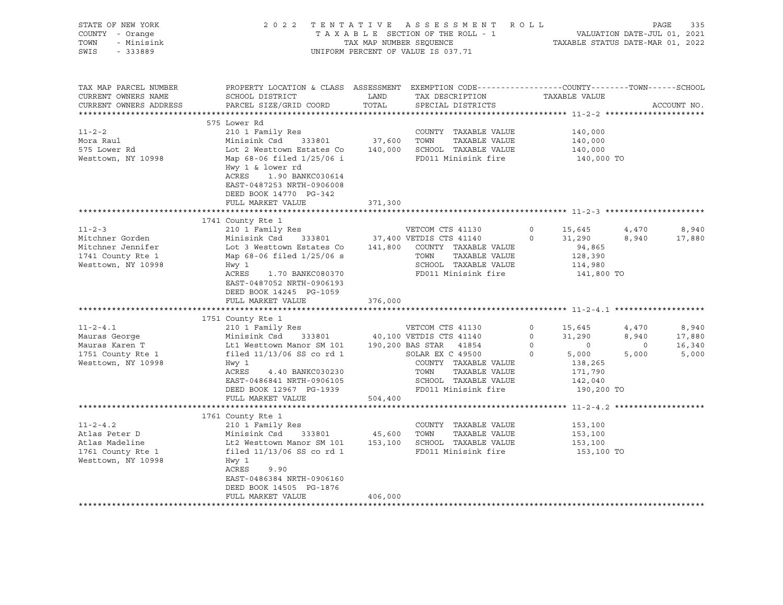| STATE OF NEW YORK<br>COUNTY - Orange<br>TOWN<br>- Minisink<br>SWIS<br>$-333889$                 |                                                                                                                                                                                                                                                   | TAX MAP NUMBER SEQUENCE      | 2022 TENTATIVE ASSESSMENT ROLL<br>TAXABLE SECTION OF THE ROLL - 1<br>UNIFORM PERCENT OF VALUE IS 037.71                                                                                   |                                             | TAXABLE STATUS DATE-MAR 01, 2022                                                           |                                    | PAGE<br>335<br>VALUATION DATE-JUL 01, 2021 |
|-------------------------------------------------------------------------------------------------|---------------------------------------------------------------------------------------------------------------------------------------------------------------------------------------------------------------------------------------------------|------------------------------|-------------------------------------------------------------------------------------------------------------------------------------------------------------------------------------------|---------------------------------------------|--------------------------------------------------------------------------------------------|------------------------------------|--------------------------------------------|
| TAX MAP PARCEL NUMBER<br>CURRENT OWNERS NAME<br>CURRENT OWNERS ADDRESS                          | PROPERTY LOCATION & CLASS ASSESSMENT EXEMPTION CODE---------------COUNTY-------TOWN------SCHOOL<br>SCHOOL DISTRICT<br>PARCEL SIZE/GRID COORD                                                                                                      | LAND<br>TOTAL                | TAX DESCRIPTION<br>SPECIAL DISTRICTS                                                                                                                                                      |                                             | TAXABLE VALUE                                                                              |                                    | ACCOUNT NO.                                |
| $11 - 2 - 2$<br>Mora Raul<br>575 Lower Rd<br>Westtown, NY 10998                                 | 575 Lower Rd<br>210 1 Family Res<br>Minisink Csd<br>333801<br>Lot 2 Westtown Estates Co<br>Map 68-06 filed 1/25/06 i<br>Hwy 1 & lower rd<br>ACRES<br>1.90 BANKC030614<br>EAST-0487253 NRTH-0906008<br>DEED BOOK 14770 PG-342<br>FULL MARKET VALUE | 37,600<br>371,300            | COUNTY TAXABLE VALUE<br>TOWN<br>TAXABLE VALUE<br>140,000 SCHOOL TAXABLE VALUE<br>FD011 Minisink fire                                                                                      |                                             | 140,000<br>140,000<br>140,000<br>140,000 TO                                                |                                    |                                            |
|                                                                                                 |                                                                                                                                                                                                                                                   |                              |                                                                                                                                                                                           |                                             |                                                                                            |                                    |                                            |
| $11 - 2 - 3$<br>Mitchner Gorden<br>Mitchner Jennifer<br>1741 County Rte 1<br>Westtown, NY 10998 | 1741 County Rte 1<br>210 1 Family Res<br>Minisink Csd<br>333801<br>Lot 3 Westtown Estates Co<br>Map 68-06 filed 1/25/06 s<br>Hwy 1<br>ACRES<br>1.70 BANKC080370<br>EAST-0487052 NRTH-0906193<br>DEED BOOK 14245 PG-1059<br>FULL MARKET VALUE      | 141,800<br>376,000           | VETCOM CTS 41130<br>37,400 VETDIS CTS 41140<br>COUNTY TAXABLE VALUE<br>TAXABLE VALUE<br>TOWN<br>SCHOOL TAXABLE VALUE<br>FD011 Minisink fire                                               | $\circ$<br>$\Omega$                         | 15,645<br>31,290<br>94,865<br>128,390<br>114,980<br>141,800 TO                             | 4,470<br>8,940                     | 8,940<br>17,880                            |
| $11 - 2 - 4.1$<br>Mauras George<br>Mauras Karen T<br>1751 County Rte 1<br>Westtown, NY 10998    | 1751 County Rte 1<br>210 1 Family Res<br>Minisink Csd<br>333801<br>Lt1 Westtown Manor SM 101<br>filed $11/13/06$ SS co rd 1<br>Hwy 1<br>ACRES<br>4.40 BANKC030230<br>EAST-0486841 NRTH-0906105<br>DEED BOOK 12967 PG-1939<br>FULL MARKET VALUE    | 504,400                      | VETCOM CTS 41130<br>40,100 VETDIS CTS 41140<br>190,200 BAS STAR 41854<br>SOLAR EX C 49500<br>COUNTY TAXABLE VALUE<br>TOWN<br>TAXABLE VALUE<br>SCHOOL TAXABLE VALUE<br>FD011 Minisink fire | 0<br>$\Omega$<br>$\mathbb O$<br>$\mathbf 0$ | 15,645<br>31,290<br>$\overline{0}$<br>5,000<br>138,265<br>171,790<br>142,040<br>190,200 TO | 4,470<br>8,940<br>$\circ$<br>5,000 | 8,940<br>17,880<br>16,340<br>5,000         |
|                                                                                                 |                                                                                                                                                                                                                                                   |                              | ******************************* 11-2-4.2 *********                                                                                                                                        |                                             |                                                                                            |                                    |                                            |
| $11 - 2 - 4.2$<br>Atlas Peter D<br>Atlas Madeline<br>1761 County Rte 1<br>Westtown, NY 10998    | 1761 County Rte 1<br>210 1 Family Res<br>Minisink Csd<br>333801<br>Lt2 Westtown Manor SM 101<br>filed $11/13/06$ SS co rd 1<br>Hwy 1<br>ACRES<br>9.90<br>EAST-0486384 NRTH-0906160<br>DEED BOOK 14505 PG-1876<br>FULL MARKET VALUE                | 45,600<br>153,100<br>406,000 | COUNTY TAXABLE VALUE<br>TOWN<br>TAXABLE VALUE<br>SCHOOL TAXABLE VALUE<br>FD011 Minisink fire                                                                                              |                                             | 153,100<br>153,100<br>153,100<br>153,100 TO                                                |                                    |                                            |
|                                                                                                 |                                                                                                                                                                                                                                                   |                              |                                                                                                                                                                                           |                                             |                                                                                            |                                    |                                            |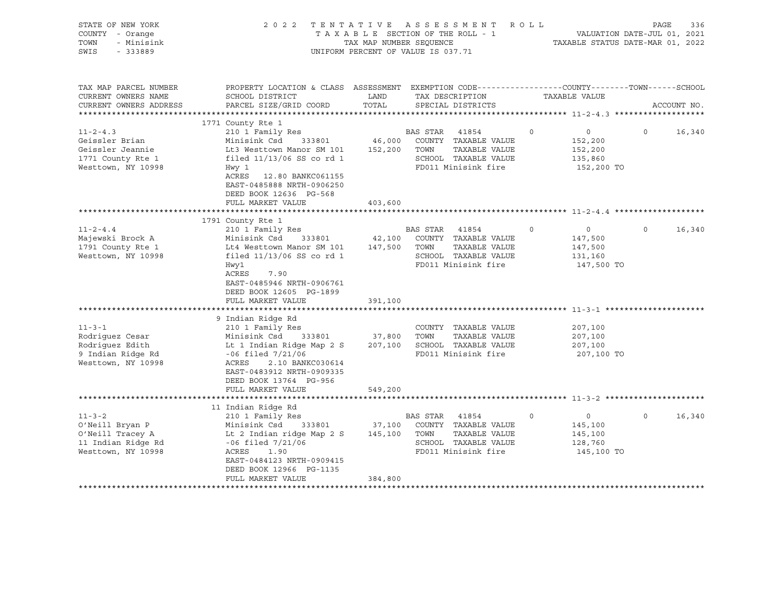| STATE OF NEW YORK<br>COUNTY - Orange<br>- Minisink<br>TOWN<br>SWIS<br>$-333889$                 |                                                                                                                                                                                                                                                |                              | 2022 TENTATIVE ASSESSMENT ROLL<br>TAXABLE SECTION OF THE ROLL - 1<br>TAX MAP NUMBER SEOUENCE<br>UNIFORM PERCENT OF VALUE IS 037.71 |          | VALUATION DATE-JUL 01, 2021<br>TAXABLE STATUS DATE-MAR 01, 2022 | PAGE     | 336         |
|-------------------------------------------------------------------------------------------------|------------------------------------------------------------------------------------------------------------------------------------------------------------------------------------------------------------------------------------------------|------------------------------|------------------------------------------------------------------------------------------------------------------------------------|----------|-----------------------------------------------------------------|----------|-------------|
| TAX MAP PARCEL NUMBER<br>CURRENT OWNERS NAME<br>CURRENT OWNERS ADDRESS                          | PROPERTY LOCATION & CLASS ASSESSMENT EXEMPTION CODE---------------COUNTY-------TOWN------SCHOOL<br>SCHOOL DISTRICT<br>PARCEL SIZE/GRID COORD                                                                                                   | LAND<br>TOTAL                | TAX DESCRIPTION<br>SPECIAL DISTRICTS                                                                                               |          | TAXABLE VALUE                                                   |          | ACCOUNT NO. |
| $11 - 2 - 4.3$<br>Geissler Brian<br>Geissler Jeannie<br>1771 County Rte 1<br>Westtown, NY 10998 | 1771 County Rte 1<br>210 1 Family Res<br>Minisink Csd<br>333801<br>Lt3 Westtown Manor SM 101<br>filed $11/13/06$ SS co rd 1<br>Hwy 1<br>ACRES<br>12.80 BANKC061155<br>EAST-0485888 NRTH-0906250<br>DEED BOOK 12636 PG-568<br>FULL MARKET VALUE | 46,000<br>403,600            | BAS STAR 41854<br>COUNTY TAXABLE VALUE<br>152,200 TOWN<br>TAXABLE VALUE<br>SCHOOL TAXABLE VALUE<br>FD011 Minisink fire             | $\Omega$ | $\circ$<br>152,200<br>152,200<br>135,860<br>152,200 TO          | $\Omega$ | 16,340      |
|                                                                                                 |                                                                                                                                                                                                                                                |                              |                                                                                                                                    |          |                                                                 |          |             |
| $11 - 2 - 4.4$<br>Majewski Brock A<br>1791 County Rte 1<br>Westtown, NY 10998                   | 1791 County Rte 1<br>210 1 Family Res<br>Minisink Csd<br>333801<br>Lt4 Westtown Manor SM 101<br>filed $11/13/06$ SS co rd 1<br>Hwy1<br>ACRES<br>7.90<br>EAST-0485946 NRTH-0906761<br>DEED BOOK 12605 PG-1899<br>FULL MARKET VALUE              | 42,100<br>147,500<br>391,100 | BAS STAR<br>41854<br>COUNTY TAXABLE VALUE<br>TOWN<br>TAXABLE VALUE<br>SCHOOL TAXABLE VALUE<br>FD011 Minisink fire                  | $\Omega$ | $\circ$<br>147,500<br>147,500<br>131,160<br>147,500 TO          | $\Omega$ | 16,340      |
|                                                                                                 |                                                                                                                                                                                                                                                |                              |                                                                                                                                    |          |                                                                 |          |             |
| $11 - 3 - 1$<br>Rodriquez Cesar<br>Rodriquez Edith<br>9 Indian Ridge Rd<br>Westtown, NY 10998   | 9 Indian Ridge Rd<br>210 1 Family Res<br>Minisink Csd<br>333801<br>Lt 1 Indian Ridge Map 2 S<br>$-06$ filed $7/21/06$<br>ACRES<br>2.10 BANKC030614<br>EAST-0483912 NRTH-0909335<br>DEED BOOK 13764 PG-956                                      | 37,800                       | COUNTY TAXABLE VALUE<br>TAXABLE VALUE<br>TOWN<br>207,100 SCHOOL TAXABLE VALUE<br>FD011 Minisink fire                               |          | 207,100<br>207,100<br>207,100<br>207,100 TO                     |          |             |
|                                                                                                 | FULL MARKET VALUE                                                                                                                                                                                                                              | 549,200                      |                                                                                                                                    |          |                                                                 |          |             |
|                                                                                                 |                                                                                                                                                                                                                                                |                              |                                                                                                                                    |          |                                                                 |          |             |
| $11 - 3 - 2$<br>O'Neill Bryan P<br>O'Neill Tracey A<br>11 Indian Ridge Rd<br>Westtown, NY 10998 | 11 Indian Ridge Rd<br>210 1 Family Res<br>Minisink Csd<br>333801<br>Lt 2 Indian ridge Map 2 S<br>$-06$ filed $7/21/06$<br>ACRES<br>1.90<br>EAST-0484123 NRTH-0909415<br>DEED BOOK 12966 PG-1135<br>FULL MARKET VALUE                           | 37,100<br>384,800            | BAS STAR 41854<br>COUNTY TAXABLE VALUE<br>145,100 TOWN<br>TAXABLE VALUE<br>SCHOOL TAXABLE VALUE<br>FD011 Minisink fire             | $\circ$  | $\overline{0}$<br>145,100<br>145,100<br>128,760<br>145,100 TO   | $\Omega$ | 16,340      |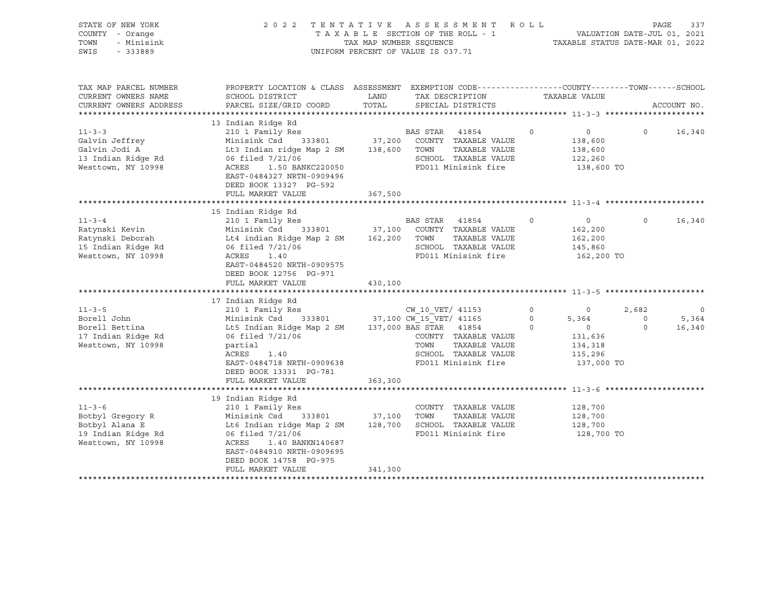| STATE OF NEW YORK<br>COUNTY - Orange<br>TOWN<br>- Minisink<br>SWIS<br>$-333889$                                                                                                             | 2 0 2 2                                                                                                                                                                                                                                                                                                                           | TAX MAP NUMBER SEQUENCE | TENTATIVE ASSESSMENT ROLL<br>TAXABLE SECTION OF THE ROLL - 1<br>UNIFORM PERCENT OF VALUE IS 037.71                                                                                                                                                        |                                          | TAXABLE STATUS DATE-MAR 01, 2022                                                                                   | VALUATION DATE-JUL 01, 2021             | PAGE<br>337                          |
|---------------------------------------------------------------------------------------------------------------------------------------------------------------------------------------------|-----------------------------------------------------------------------------------------------------------------------------------------------------------------------------------------------------------------------------------------------------------------------------------------------------------------------------------|-------------------------|-----------------------------------------------------------------------------------------------------------------------------------------------------------------------------------------------------------------------------------------------------------|------------------------------------------|--------------------------------------------------------------------------------------------------------------------|-----------------------------------------|--------------------------------------|
| TAX MAP PARCEL NUMBER<br>CURRENT OWNERS NAME<br>CURRENT OWNERS ADDRESS                                                                                                                      | PROPERTY LOCATION & CLASS ASSESSMENT EXEMPTION CODE----------------COUNTY-------TOWN------SCHOOL<br>SCHOOL DISTRICT<br>PARCEL SIZE/GRID COORD                                                                                                                                                                                     | LAND<br>TOTAL           | TAX DESCRIPTION<br>SPECIAL DISTRICTS                                                                                                                                                                                                                      |                                          | TAXABLE VALUE                                                                                                      |                                         | ACCOUNT NO.                          |
|                                                                                                                                                                                             |                                                                                                                                                                                                                                                                                                                                   |                         |                                                                                                                                                                                                                                                           |                                          |                                                                                                                    |                                         |                                      |
| $11 - 3 - 3$<br>Galvin Jeffrey<br>Galvin Jodi A<br>13 Indian Ridge Rd<br>Westtown, NY 10998                                                                                                 | 13 Indian Ridge Rd<br>210 1 Family Res<br>Minisink Csd<br>333801<br>Lt3 Indian ridge Map 2 SM<br>06 filed 7/21/06<br>1.50 BANKC220050<br>ACRES<br>EAST-0484327 NRTH-0909496<br>DEED BOOK 13327 PG-592                                                                                                                             | 138,600 TOWN            | BAS STAR 41854<br>37,200 COUNTY TAXABLE VALUE<br>TAXABLE VALUE<br>SCHOOL TAXABLE VALUE<br>FD011 Minisink fire                                                                                                                                             | $\circ$                                  | $\circ$<br>138,600<br>138,600<br>122,260<br>138,600 TO                                                             | $\circ$                                 | 16,340                               |
|                                                                                                                                                                                             | FULL MARKET VALUE                                                                                                                                                                                                                                                                                                                 | 367,500                 |                                                                                                                                                                                                                                                           |                                          |                                                                                                                    |                                         |                                      |
| $11 - 3 - 4$<br>Ratynski Kevin<br>Ratynski Deborah<br>15 Indian Ridge Rd<br>Westtown, NY 10998<br>$11 - 3 - 5$<br>Borell John<br>Borell Bettina<br>17 Indian Ridge Rd<br>Westtown, NY 10998 | 15 Indian Ridge Rd<br>210 1 Family Res<br>Minisink Csd 333801<br>Lt4 indian Ridge Map 2 SM<br>06 filed 7/21/06<br>ACRES<br>1.40<br>EAST-0484520 NRTH-0909575<br>DEED BOOK 12756 PG-971<br>FULL MARKET VALUE<br>17 Indian Ridge Rd<br>210 1 Family Res<br>Minisink Csd<br>Lt5 Indian Ridge Map 2 SM<br>06 filed 7/21/06<br>partial | 162,200<br>430,100      | BAS STAR<br>41854<br>37,100 COUNTY TAXABLE VALUE<br>TOWN<br>TAXABLE VALUE<br>SCHOOL TAXABLE VALUE<br>FD011 Minisink fire<br>CW 10 VET/ 41153<br>333801 37,100 CW_15_VET/ 41165<br>137,000 BAS STAR 41854<br>COUNTY TAXABLE VALUE<br>TAXABLE VALUE<br>TOWN | $\circ$<br>$\circ$<br>$\circ$<br>$\circ$ | $\circ$<br>162,200<br>162,200<br>145,860<br>162,200 TO<br>$\overline{0}$<br>5,364<br>$\circ$<br>131,636<br>134,318 | $\Omega$<br>2,682<br>$\circ$<br>$\circ$ | 16,340<br>$\circ$<br>5,364<br>16,340 |
|                                                                                                                                                                                             | ACRES<br>1.40<br>EAST-0484718 NRTH-0909638<br>DEED BOOK 13331 PG-781<br>FULL MARKET VALUE<br>19 Indian Ridge Rd                                                                                                                                                                                                                   | 363,300                 | SCHOOL TAXABLE VALUE<br>FD011 Minisink fire                                                                                                                                                                                                               |                                          | 115,296<br>137,000 TO                                                                                              |                                         |                                      |
| $11 - 3 - 6$<br>Botbyl Gregory R<br>Botbyl Alana E<br>19 Indian Ridge Rd<br>Westtown, NY 10998                                                                                              | 210 1 Family Res<br>Minisink Csd<br>333801<br>Lt6 Indian ridge Map 2 SM<br>06 filed 7/21/06<br>ACRES<br>1.40 BANKN140687<br>EAST-0484910 NRTH-0909695<br>DEED BOOK 14758 PG-975<br>FULL MARKET VALUE                                                                                                                              | 37,100<br>341,300       | COUNTY TAXABLE VALUE<br>TAXABLE VALUE<br>TOWN<br>128,700 SCHOOL TAXABLE VALUE<br>FD011 Minisink fire                                                                                                                                                      |                                          | 128,700<br>128,700<br>128,700<br>128,700 TO                                                                        |                                         |                                      |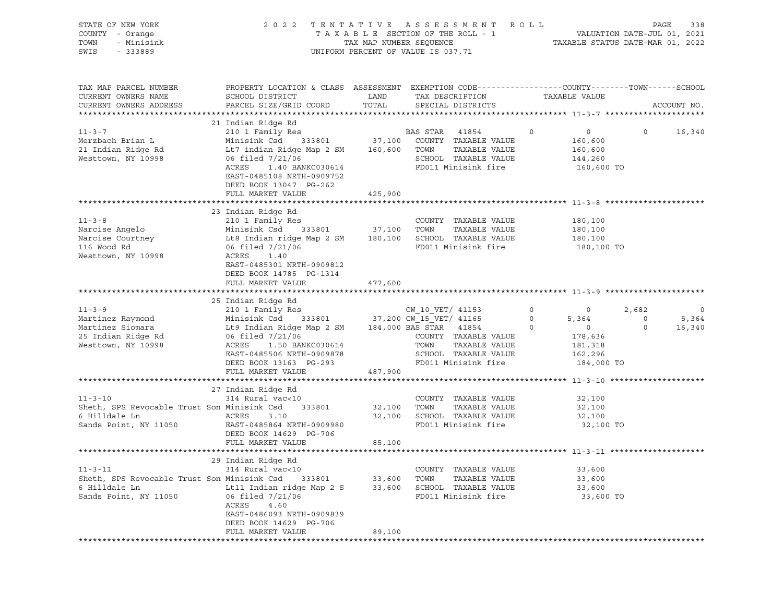| STATE OF NEW YORK<br>COUNTY - Orange<br>TOWN<br>- Minisink<br>SWIS<br>$-333889$                        | 2 0 2 2                                                                                                                                                                                                                                                                                                                                         | ASSESSMENT ROLL<br>TENTATIVE<br>VALUATION DATE-JUL 01, 2021<br>TAXABLE STATUS DATE-MAR 01, 2022<br>TAXABLE SECTION OF THE ROLL - 1<br>TAX MAP NUMBER SEQUENCE<br>UNIFORM PERCENT OF VALUE IS 037.71 |                                                                                                                             |                                         |                                                                                          |                             |                                             |
|--------------------------------------------------------------------------------------------------------|-------------------------------------------------------------------------------------------------------------------------------------------------------------------------------------------------------------------------------------------------------------------------------------------------------------------------------------------------|-----------------------------------------------------------------------------------------------------------------------------------------------------------------------------------------------------|-----------------------------------------------------------------------------------------------------------------------------|-----------------------------------------|------------------------------------------------------------------------------------------|-----------------------------|---------------------------------------------|
| TAX MAP PARCEL NUMBER<br>CURRENT OWNERS NAME<br>CURRENT OWNERS ADDRESS                                 | PROPERTY LOCATION & CLASS ASSESSMENT EXEMPTION CODE----------------COUNTY-------TOWN------SCHOOL<br>SCHOOL DISTRICT<br>PARCEL SIZE/GRID COORD                                                                                                                                                                                                   | LAND<br>TOTAL                                                                                                                                                                                       | TAX DESCRIPTION<br>SPECIAL DISTRICTS                                                                                        |                                         | TAXABLE VALUE                                                                            |                             | ACCOUNT NO.                                 |
| $11 - 3 - 7$<br>Merzbach Brian L<br>21 Indian Ridge Rd<br>Westtown, NY 10998                           | 21 Indian Ridge Rd<br>210 1 Family Res<br>Minisink Csd<br>Lt7 indian Ridge Map 2 SM 160,600 TOWN<br>06 filed 7/21/06<br>ACRES<br>1.40 BANKC030614<br>EAST-0485108 NRTH-0909752<br>DEED BOOK 13047 PG-262<br>FULL MARKET VALUE                                                                                                                   | 425,900                                                                                                                                                                                             | <b>BAS STAR 41854</b><br>333801 37,100 COUNTY TAXABLE VALUE<br>TAXABLE VALUE<br>SCHOOL TAXABLE VALUE<br>FD011 Minisink fire | $\circ$                                 | $\overline{0}$<br>160,600<br>160,600<br>144,260<br>160,600 TO                            | $\overline{0}$              | 16,340                                      |
|                                                                                                        |                                                                                                                                                                                                                                                                                                                                                 |                                                                                                                                                                                                     |                                                                                                                             |                                         |                                                                                          |                             |                                             |
| $11 - 3 - 8$<br>Narcise Angelo<br>Narcise Courtney<br>116 Wood Rd<br>Westtown, NY 10998                | 23 Indian Ridge Rd<br>210 1 Family Res<br>Minisink Csd 333801 37,100 TOWN<br>Minisink Csd      333801                 37,100     TOWN      TAXABLE VALUE<br>Lt8 Indian ridge Map 2 SM       180,100    SCHOOL   TAXABLE VALUE<br>06 filed 7/21/06<br>ACRES<br>1.40<br>EAST-0485301 NRTH-0909812<br>DEED BOOK 14785 PG-1314<br>FULL MARKET VALUE | 477,600                                                                                                                                                                                             | COUNTY TAXABLE VALUE<br>FD011 Minisink fire                                                                                 |                                         | 180,100<br>180,100<br>180,100<br>180,100 TO                                              |                             |                                             |
|                                                                                                        |                                                                                                                                                                                                                                                                                                                                                 |                                                                                                                                                                                                     |                                                                                                                             |                                         |                                                                                          |                             |                                             |
| $11 - 3 - 9$<br>Martinez Raymond<br>Martinez Siomara<br>25 Indian Ridge Rd<br>Westtown, NY 10998       | 25 Indian Ridge Rd<br>210 1 Family Res<br>Minisink Csd 333801 37,200 CW 15 VET/ 41165<br>Lt9 Indian Ridge Map 2 SM 184,000 BAS STAR 41854<br>06 filed 7/21/06<br>ACRES<br>1.50 BANKC030614<br>EAST-0485506 NRTH-0909878<br>DEED BOOK 13163 PG-293<br>FULL MARKET VALUE                                                                          | 487,900                                                                                                                                                                                             | CW 10 VET/ 41153<br>COUNTY TAXABLE VALUE<br>TAXABLE VALUE<br>TOWN<br>SCHOOL TAXABLE VALUE<br>FD011 Minisink fire            | $0 \qquad \qquad$<br>$\circ$<br>$\circ$ | $\overline{0}$<br>5,364<br>$\overline{0}$<br>178,636<br>181,318<br>162,296<br>184,000 TO | 2,682<br>$\circ$<br>$\circ$ | $\overline{\phantom{0}}$<br>5,364<br>16,340 |
|                                                                                                        |                                                                                                                                                                                                                                                                                                                                                 |                                                                                                                                                                                                     |                                                                                                                             |                                         |                                                                                          |                             |                                             |
| $11 - 3 - 10$<br>Sheth, SPS Revocable Trust Son Minisink Csd<br>6 Hilldale Ln<br>Sands Point, NY 11050 | 27 Indian Ridge Rd<br>314 Rural vac<10<br>333801<br>ACRES<br>3.10<br>EAST-0485864 NRTH-0909980<br>DEED BOOK 14629 PG-706                                                                                                                                                                                                                        | 32,100                                                                                                                                                                                              | COUNTY TAXABLE VALUE<br>TOWN<br>TAXABLE VALUE<br>32,100 SCHOOL TAXABLE VALUE<br>FD011 Minisink fire                         |                                         | 32,100<br>32,100<br>32,100<br>32,100 TO                                                  |                             |                                             |
|                                                                                                        | FULL MARKET VALUE                                                                                                                                                                                                                                                                                                                               | 85,100                                                                                                                                                                                              |                                                                                                                             |                                         |                                                                                          |                             |                                             |
| $11 - 3 - 11$<br>Sheth, SPS Revocable Trust Son Minisink Csd<br>6 Hilldale Ln<br>Sands Point, NY 11050 | 29 Indian Ridge Rd<br>314 Rural vac<10<br>333801<br>Lt11 Indian ridge Map 2 S<br>06 filed 7/21/06<br>ACRES<br>4.60<br>EAST-0486093 NRTH-0909839<br>DEED BOOK 14629 PG-706<br>FULL MARKET VALUE                                                                                                                                                  | 33,600<br>33,600<br>89,100                                                                                                                                                                          | COUNTY TAXABLE VALUE<br>TOWN<br>TAXABLE VALUE<br>SCHOOL TAXABLE VALUE<br>FD011 Minisink fire                                |                                         | 33,600<br>33,600<br>33,600<br>33,600 TO                                                  |                             |                                             |
|                                                                                                        |                                                                                                                                                                                                                                                                                                                                                 |                                                                                                                                                                                                     |                                                                                                                             |                                         |                                                                                          |                             |                                             |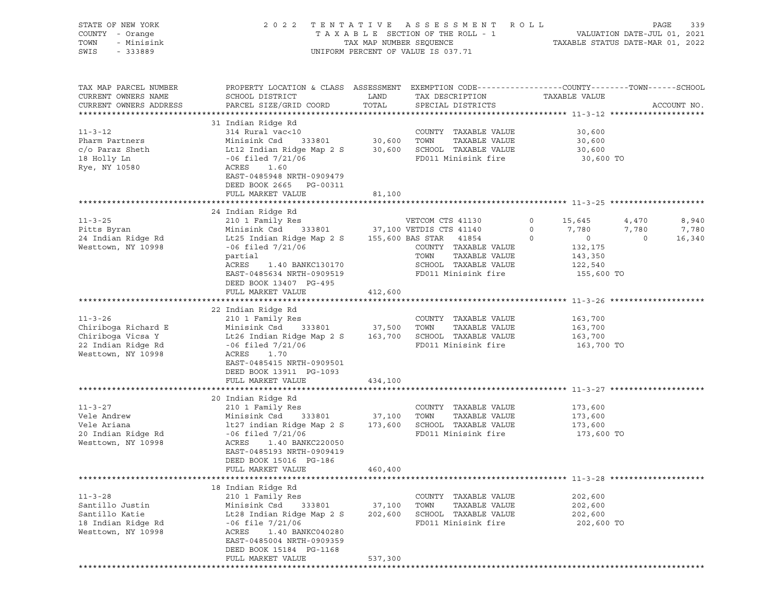| STATE OF NEW YORK<br>COUNTY - Orange<br>TOWN<br>- Minisink<br>SWIS<br>- 333889                        | 2 0 2 2                                                                                                                                                                                                                                                                                           | TENTATIVE ASSESSMENT ROLL<br>UNIFORM PERCENT OF VALUE IS 037.71 |                                                                                                                             |                                      | PAGE<br>339                                                                                      |                |                          |  |
|-------------------------------------------------------------------------------------------------------|---------------------------------------------------------------------------------------------------------------------------------------------------------------------------------------------------------------------------------------------------------------------------------------------------|-----------------------------------------------------------------|-----------------------------------------------------------------------------------------------------------------------------|--------------------------------------|--------------------------------------------------------------------------------------------------|----------------|--------------------------|--|
| TAX MAP PARCEL NUMBER<br>CURRENT OWNERS NAME<br>CURRENT OWNERS ADDRESS                                | PROPERTY LOCATION & CLASS ASSESSMENT EXEMPTION CODE----------------COUNTY-------TOWN------SCHOOL                                                                                                                                                                                                  |                                                                 | TAX DESCRIPTION TAXABLE VALUE<br>SPECIAL DISTRICTS                                                                          |                                      |                                                                                                  |                | ACCOUNT NO.              |  |
| $11 - 3 - 12$<br>Pharm Partners<br>18 Holly Ln<br>Rye, NY 10580                                       | 31 Indian Ridge Rd<br>314 Rural vac<10<br>Minisink Csd 333801 30,600 TOWN<br>ACRES<br>1.60<br>EAST-0485948 NRTH-0909479<br>DEED BOOK 2665 PG-00311<br>FULL MARKET VALUE                                                                                                                           | 81,100                                                          | COUNTY TAXABLE VALUE<br>TAXABLE VALUE                                                                                       |                                      | 30,600<br>30,600<br>30,600 TO                                                                    |                |                          |  |
|                                                                                                       |                                                                                                                                                                                                                                                                                                   |                                                                 |                                                                                                                             |                                      |                                                                                                  |                |                          |  |
| $11 - 3 - 25$<br>Pitts Byran<br>24 Indian Ridge Rd<br>Westtown, NY 10998                              | 24 Indian Ridge Rd<br>210 1 Family Res $VETCOM CTS$ 41130<br>Minisink Csd 333801 37,100 VETDIS CTS 41140<br>Lt25 Indian Ridge Map 2 S 155,600 BAS STAR 41854<br>$-06$ filed $7/21/06$<br>partial<br>ACRES<br>1.40 BANKC130170<br>EAST-0485634 NRTH-0909519<br>DEED BOOK 13407 PG-495              |                                                                 | VETCOM CTS 41130<br>COUNTY TAXABLE VALUE<br>TOWN<br>TAXABLE VALUE<br>SCHOOL TAXABLE VALUE<br>FD011 Minisink fire 515,600 TO | $\overline{0}$<br>$\circ$<br>$\circ$ | 15,645 4,470<br>7,780 7,780<br>$\begin{array}{c} 0 \\ 132,175 \end{array}$<br>143,350<br>122,540 | $\overline{0}$ | 8,940<br>7,780<br>16,340 |  |
|                                                                                                       | FULL MARKET VALUE                                                                                                                                                                                                                                                                                 | 412,600                                                         |                                                                                                                             |                                      |                                                                                                  |                |                          |  |
| $11 - 3 - 26$<br>Chiriboga Richard E<br>Chiriboga Vicsa Y<br>22 Indian Ridge Rd<br>Westtown, NY 10998 | 22 Indian Ridge Rd<br>210 1 Family Res<br>Minisink Csd       333801                   37,500    TOWN       TAXABLE VALUE<br>Lt26 Indian Ridge Map 2 S         163,700    SCHOOL   TAXABLE VALUE<br>$-06$ filed $7/21/06$<br>ACRES<br>1.70<br>EAST-0485415 NRTH-0909501<br>DEED BOOK 13911 PG-1093 |                                                                 | COUNTY TAXABLE VALUE<br>FD011 Minisink fire 163,700 TO                                                                      |                                      | 163,700<br>163,700<br>163,700                                                                    |                |                          |  |
|                                                                                                       | FULL MARKET VALUE                                                                                                                                                                                                                                                                                 | 434,100                                                         |                                                                                                                             |                                      |                                                                                                  |                |                          |  |
| $11 - 3 - 27$<br>Vele Andrew<br>Vele Ariana<br>20 Indian Ridge Rd<br>Westtown, NY 10998               | 20 Indian Ridge Rd<br>210 1 Family Res<br>210 1 ranning noo<br>Minisink Csd 333801 37,100<br>1+27 indian Ridge Map 2 S 173,600<br>Minisink Csu<br>1t27 indian Ridge Map 2 S<br>ACRES<br>1.40 BANKC220050<br>EAST-0485193 NRTH-0909419<br>DEED BOOK 15016 PG-186<br>FULL MARKET VALUE              | 460,400                                                         | COUNTY TAXABLE VALUE<br>TOWN<br>TAXABLE VALUE<br>SCHOOL TAXABLE VALUE<br>FD011 Minisink fire                                |                                      | 173,600<br>173,600<br>173,600<br>173,600 TO                                                      |                |                          |  |
|                                                                                                       |                                                                                                                                                                                                                                                                                                   |                                                                 |                                                                                                                             |                                      |                                                                                                  |                |                          |  |
| $11 - 3 - 28$<br>Santillo Justin<br>Santillo Katie<br>18 Indian Ridge Rd<br>Westtown, NY 10998        | 18 Indian Ridge Rd<br>210 1 Family Res<br>Minisink Csd<br>333801<br>Lt28 Indian Ridge Map 2 S<br>$-06$ file $7/21/06$<br>ACRES<br>1.40 BANKC040280<br>EAST-0485004 NRTH-0909359<br>DEED BOOK 15184 PG-1168<br>FULL MARKET VALUE                                                                   | 37,100<br>202,600<br>537,300                                    | COUNTY TAXABLE VALUE<br>TOWN<br>TAXABLE VALUE<br>SCHOOL TAXABLE VALUE<br>FD011 Minisink fire                                |                                      | 202,600<br>202,600<br>202,600<br>202,600 TO                                                      |                |                          |  |
|                                                                                                       |                                                                                                                                                                                                                                                                                                   |                                                                 |                                                                                                                             |                                      |                                                                                                  |                |                          |  |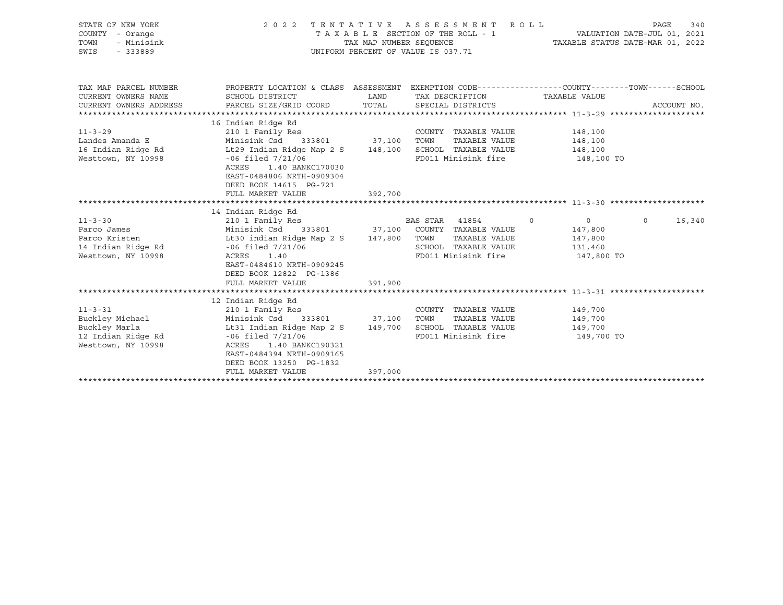| STATE OF NEW YORK<br>COUNTY - Orange<br>TOWN<br>- Minisink<br>SWIS<br>$-333889$               |                                                                                                                                                                                                                                                   |                    | 2022 TENTATIVE ASSESSMENT ROLL<br>UNIFORM PERCENT OF VALUE IS 037.71                 |                                                               | PAGE<br>340       |
|-----------------------------------------------------------------------------------------------|---------------------------------------------------------------------------------------------------------------------------------------------------------------------------------------------------------------------------------------------------|--------------------|--------------------------------------------------------------------------------------|---------------------------------------------------------------|-------------------|
| TAX MAP PARCEL NUMBER<br>CURRENT OWNERS NAME<br>CURRENT OWNERS ADDRESS                        | PROPERTY LOCATION & CLASS ASSESSMENT EXEMPTION CODE---------------COUNTY-------TOWN-----SCHOOL<br>SCHOOL DISTRICT<br>PARCEL SIZE/GRID COORD                                                                                                       | LAND<br>TOTAL      | TAX DESCRIPTION<br>SPECIAL DISTRICTS                                                 | TAXABLE VALUE                                                 | ACCOUNT NO.       |
| $11 - 3 - 29$<br>Landes Amanda E<br>16 Indian Ridge Rd<br>Westtown, NY 10998                  | 16 Indian Ridge Rd<br>210 1 Family Res<br>Minisink Csd 333801 37,100 TOWN<br>Lt29 Indian Ridge Map 2 S<br>$-06$ filed $7/21/06$<br>ACRES<br>1.40 BANKC170030<br>EAST-0484806 NRTH-0909304<br>DEED BOOK 14615 PG-721<br>FULL MARKET VALUE          | 148,100<br>392,700 | COUNTY TAXABLE VALUE<br>TAXABLE VALUE<br>SCHOOL TAXABLE VALUE<br>FD011 Minisink fire | 148,100<br>148,100<br>148,100<br>148,100 TO                   |                   |
|                                                                                               | 14 Indian Ridge Rd                                                                                                                                                                                                                                |                    |                                                                                      |                                                               |                   |
| $11 - 3 - 30$<br>Parco James<br>Parco Kristen<br>Westtown, NY 10998                           | 210 1 Family Res<br>Minisink Csd 333801 37,100 COUNTY TAXABLE VALUE<br>Lt30 indian Ridge Map 2 S 147,800 TOWN<br>1.40<br>ACRES<br>EAST-0484610 NRTH-0909245<br>DEED BOOK 12822 PG-1386<br>FULL MARKET VALUE                                       | 391,900            | BAS STAR 41854 0<br>TAXABLE VALUE<br>SCHOOL TAXABLE VALUE<br>FD011 Minisink fire     | $\overline{0}$<br>147,800<br>147,800<br>131,460<br>147,800 TO | 16,340<br>$\circ$ |
|                                                                                               |                                                                                                                                                                                                                                                   |                    |                                                                                      |                                                               |                   |
| $11 - 3 - 31$<br>Buckley Michael<br>Buckley Marla<br>12 Indian Ridge Rd<br>Westtown, NY 10998 | 12 Indian Ridge Rd<br>210 1 Family Res<br>Minisink Csd 333801 37,100 TOWN<br>Lt31 Indian Ridge Map 2 S 149,700<br>$-06$ filed $7/21/06$<br>1.40 BANKC190321<br>ACRES<br>EAST-0484394 NRTH-0909165<br>DEED BOOK 13250 PG-1832<br>FULL MARKET VALUE | 397,000            | COUNTY TAXABLE VALUE<br>TAXABLE VALUE<br>SCHOOL TAXABLE VALUE<br>FD011 Minisink fire | 149,700<br>149,700<br>149,700<br>149,700 TO                   |                   |
|                                                                                               |                                                                                                                                                                                                                                                   |                    |                                                                                      |                                                               |                   |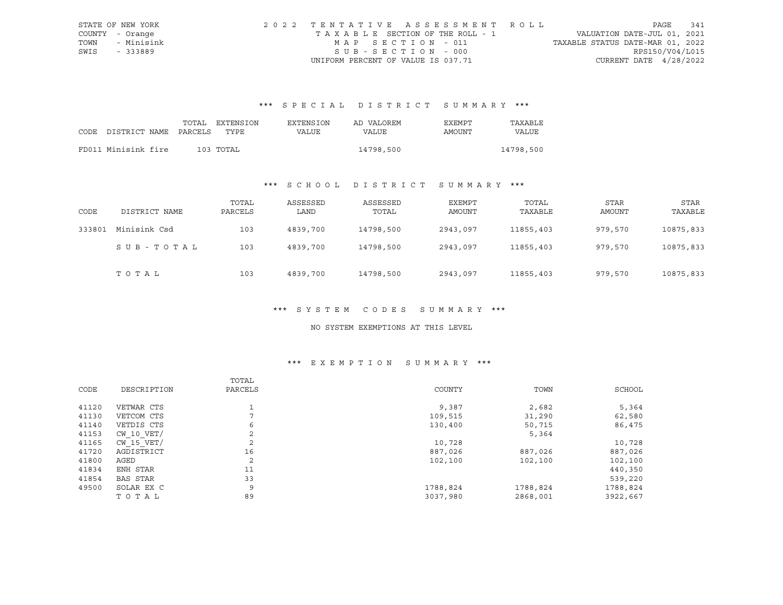|      | STATE OF NEW YORK | 2022 TENTATIVE ASSESSMENT ROLL        |                                  | PAGE            | 341 |
|------|-------------------|---------------------------------------|----------------------------------|-----------------|-----|
|      | COUNTY - Orange   | T A X A B L E SECTION OF THE ROLL - 1 | VALUATION DATE-JUL 01, 2021      |                 |     |
| TOWN | - Minisink        | MAP SECTION - 011                     | TAXABLE STATUS DATE-MAR 01, 2022 |                 |     |
| SWIS | - 333889          | SUB-SECTION - 000                     |                                  | RPS150/V04/L015 |     |
|      |                   | UNIFORM PERCENT OF VALUE IS 037.71    | CURRENT DATE $4/28/2022$         |                 |     |

# \*\*\* S P E C I A L D I S T R I C T S U M M A R Y \*\*\*

|      |                       | TOTAL | EXTENSION | EXTENSION | AD VALOREM | EXEMPT | TAXABLE   |
|------|-----------------------|-------|-----------|-----------|------------|--------|-----------|
| CODE | DISTRICT NAME PARCELS |       | TYPE      | VALUE     | VALUE      | AMOUNT | VALUE     |
|      |                       |       |           |           |            |        |           |
|      | FD011 Minisink fire   |       | 103 TOTAL |           | 14798,500  |        | 14798,500 |

## \*\*\* S C H O O L D I S T R I C T S U M M A R Y \*\*\*

| CODE   | DISTRICT NAME | TOTAL<br>PARCELS | ASSESSED<br>LAND | ASSESSED<br>TOTAL | EXEMPT<br>AMOUNT | TOTAL<br>TAXABLE | STAR<br>AMOUNT | STAR<br>TAXABLE |
|--------|---------------|------------------|------------------|-------------------|------------------|------------------|----------------|-----------------|
| 333801 | Minisink Csd  | 103              | 4839,700         | 14798,500         | 2943,097         | 11855,403        | 979,570        | 10875,833       |
|        | SUB-TOTAL     | 103              | 4839,700         | 14798,500         | 2943,097         | 11855,403        | 979,570        | 10875,833       |
|        | TOTAL         | 103              | 4839,700         | 14798,500         | 2943,097         | 11855,403        | 979,570        | 10875,833       |

#### \*\*\* S Y S T E M C O D E S S U M M A R Y \*\*\*

#### NO SYSTEM EXEMPTIONS AT THIS LEVEL

## \*\*\* E X E M P T I O N S U M M A R Y \*\*\*

|       |             | TOTAL   |          |          |          |
|-------|-------------|---------|----------|----------|----------|
| CODE  | DESCRIPTION | PARCELS | COUNTY   | TOWN     | SCHOOL   |
|       |             |         |          |          |          |
| 41120 | VETWAR CTS  |         | 9,387    | 2,682    | 5,364    |
| 41130 | VETCOM CTS  | ⇁       | 109,515  | 31,290   | 62,580   |
| 41140 | VETDIS CTS  | 6       | 130,400  | 50,715   | 86,475   |
| 41153 | CW 10 VET/  | 2       |          | 5,364    |          |
| 41165 | CW 15 VET/  | 2       | 10,728   |          | 10,728   |
| 41720 | AGDISTRICT  | 16      | 887,026  | 887,026  | 887,026  |
| 41800 | AGED        | 2       | 102,100  | 102,100  | 102,100  |
| 41834 | ENH STAR    | 11      |          |          | 440,350  |
| 41854 | BAS STAR    | 33      |          |          | 539,220  |
| 49500 | SOLAR EX C  | 9       | 1788,824 | 1788,824 | 1788,824 |
|       | TOTAL       | 89      | 3037,980 | 2868,001 | 3922,667 |
|       |             |         |          |          |          |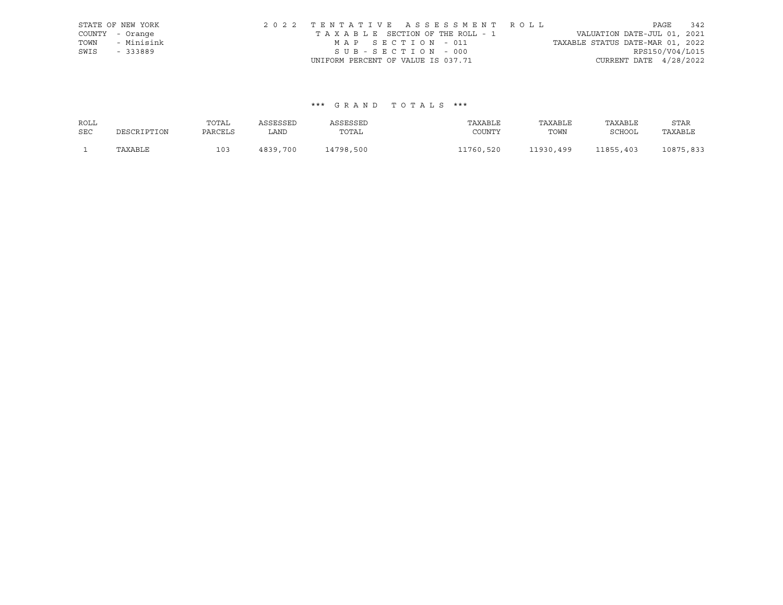|      | STATE OF NEW YORK | 2022 TENTATIVE ASSESSMENT ROLL     | 342<br>PAGE                      |
|------|-------------------|------------------------------------|----------------------------------|
|      | COUNTY - Orange   | TAXABLE SECTION OF THE ROLL - 1    | VALUATION DATE-JUL 01, 2021      |
| TOWN | - Minisink        | MAP SECTION - 011                  | TAXABLE STATUS DATE-MAR 01, 2022 |
| SWIS | - 333889          | SUB-SECTION - 000                  | RPS150/V04/L015                  |
|      |                   | UNIFORM PERCENT OF VALUE IS 037.71 | CURRENT DATE $4/28/2022$         |

#### \*\*\* G R A N D T O T A L S \*\*\*

| ROLL       |             | TOTAL   | ASSESSED | ASSESSED  | TAXABLE   | TAXABLE   | TAXABLE   | STAR      |
|------------|-------------|---------|----------|-----------|-----------|-----------|-----------|-----------|
| <b>SEC</b> | DESCRIPTION | PARCELS | LAND     | TOTAL     | COUNTY    | TOWN      | SCHOOL    | TAXABLE   |
|            | TAXABLE     | 103     | 4839,700 | 14798,500 | 11760,520 | 11930,499 | 11855,403 | 10875,833 |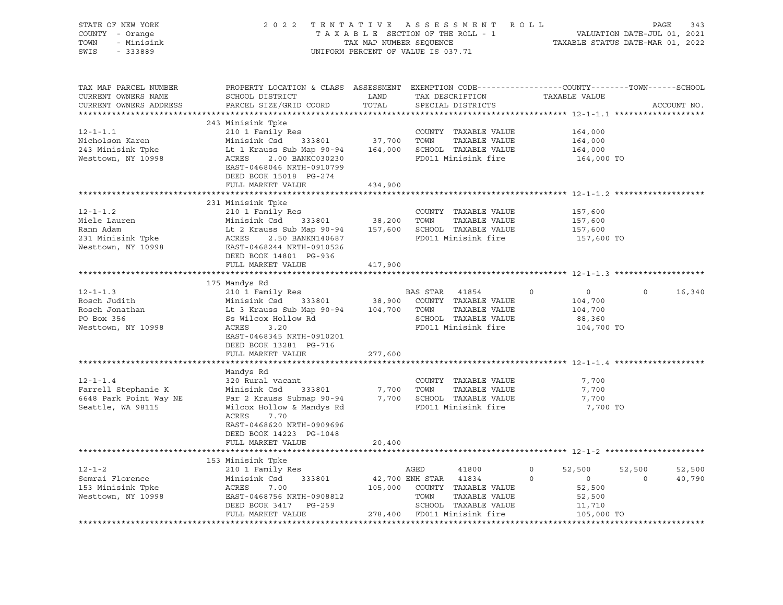| STATE OF NEW YORK<br>COUNTY - Orange<br>TOWN<br>- Minisink<br>SWIS - 333889                                                                                                                                                                                |                                                                                                                                                                                                                                                                                                                       |               | 2022 TENTATIVE ASSESSMENT ROLL PAGE 343<br>TAXABLE SECTION OF THE ROLL - 1 VALUATION DATE-JUL 01, 2021<br>TAX MAP NUMBER SEQUENCE TAXABLE STATUS DATE-MAR 01, 2022<br>UNIFORM PERCENT OF VALUE IS 037.71 |                                      |                          |
|------------------------------------------------------------------------------------------------------------------------------------------------------------------------------------------------------------------------------------------------------------|-----------------------------------------------------------------------------------------------------------------------------------------------------------------------------------------------------------------------------------------------------------------------------------------------------------------------|---------------|----------------------------------------------------------------------------------------------------------------------------------------------------------------------------------------------------------|--------------------------------------|--------------------------|
| TAX MAP PARCEL NUMBER<br>CURRENT OWNERS NAME<br>CURRENT OWNERS ADDRESS                                                                                                                                                                                     | PROPERTY LOCATION & CLASS ASSESSMENT EXEMPTION CODE----------------COUNTY-------TOWN------SCHOOL<br>SCHOOL DISTRICT<br>PARCEL SIZE/GRID COORD                                                                                                                                                                         | LAND<br>TOTAL | TAX DESCRIPTION TAXABLE VALUE<br>SPECIAL DISTRICTS                                                                                                                                                       |                                      | ACCOUNT NO.              |
|                                                                                                                                                                                                                                                            |                                                                                                                                                                                                                                                                                                                       |               |                                                                                                                                                                                                          |                                      |                          |
| $12 - 1 - 1.1$                                                                                                                                                                                                                                             | 243 Minisink Tpke<br>210 1 Family Res                                                                                                                                                                                                                                                                                 |               | COUNTY TAXABLE VALUE                                                                                                                                                                                     | 164,000                              |                          |
|                                                                                                                                                                                                                                                            |                                                                                                                                                                                                                                                                                                                       |               |                                                                                                                                                                                                          | 164,000                              |                          |
|                                                                                                                                                                                                                                                            |                                                                                                                                                                                                                                                                                                                       |               |                                                                                                                                                                                                          | 164,000                              |                          |
| Nicholson Karen<br>243 Minisink Tpke Minisink Csd 333801<br>243 Minisink Tpke Lt 1 Krauss Sub Map 90-94 164,000 SCHOOL TAXABLE VALUE<br>2.00 BANKC030230 PD011 Minisink fire                                                                               | EAST-0468046 NRTH-0910799<br>DEED BOOK 15018 PG-274                                                                                                                                                                                                                                                                   |               |                                                                                                                                                                                                          | 164,000 TO                           |                          |
|                                                                                                                                                                                                                                                            | FULL MARKET VALUE                                                                                                                                                                                                                                                                                                     | 434,900       |                                                                                                                                                                                                          |                                      |                          |
|                                                                                                                                                                                                                                                            |                                                                                                                                                                                                                                                                                                                       |               |                                                                                                                                                                                                          |                                      |                          |
|                                                                                                                                                                                                                                                            | 231 Minisink Tpke                                                                                                                                                                                                                                                                                                     |               | COUNTY TAXABLE VALUE 157,600                                                                                                                                                                             | 157,600                              |                          |
|                                                                                                                                                                                                                                                            |                                                                                                                                                                                                                                                                                                                       |               |                                                                                                                                                                                                          | 157,600                              |                          |
| 12-1-1.2<br>Miele Lauren 210 1 Family Res<br>Minisink Csd 333801 38,200 TOWN TAXABLE VALUE<br>Rann Adam Lt 2 Krauss Sub Map 90-94 157,600 SCHOOL TAXABLE VALUE<br>231 Minisink Tpke ACRES 2.50 BANKN140687<br>Westtown, NY 10998 EAST-04                   | DEED BOOK 14801 PG-936                                                                                                                                                                                                                                                                                                |               | FD011 Minisink fire                                                                                                                                                                                      | 157,600 TO                           |                          |
|                                                                                                                                                                                                                                                            | FULL MARKET VALUE 417,900                                                                                                                                                                                                                                                                                             |               |                                                                                                                                                                                                          |                                      |                          |
|                                                                                                                                                                                                                                                            |                                                                                                                                                                                                                                                                                                                       |               |                                                                                                                                                                                                          |                                      |                          |
|                                                                                                                                                                                                                                                            | 175 Mandys Rd                                                                                                                                                                                                                                                                                                         |               |                                                                                                                                                                                                          |                                      |                          |
| $12 - 1 - 1.3$                                                                                                                                                                                                                                             | 210 1 Family Res<br>210 1 Family Res<br>Minisink Csd 333801 38,900 COUNTY TAXABLE VALUE<br>210 1 Family Res BAS STAR 41854 0<br>Minisink Csd 333801 38,900 COUNTY TAXABLE VALUE<br>Lt 3 Krauss Sub Map 90-94 104,700 TOWN TAXABLE VALUE<br>SS Wilcox Hollow Rd SCHOOL TAXABLE VALUE<br>ACRES 3.20 FD011 Minisink fire |               |                                                                                                                                                                                                          | $\overline{0}$<br>$\circ$            | $\overline{0}$<br>16,340 |
| Rosch Judith                                                                                                                                                                                                                                               |                                                                                                                                                                                                                                                                                                                       |               |                                                                                                                                                                                                          | 104,700<br>104,700                   |                          |
| Rosch Jonathan<br>PO Box 356                                                                                                                                                                                                                               |                                                                                                                                                                                                                                                                                                                       |               |                                                                                                                                                                                                          | 88,360                               |                          |
| Westtown, NY 10998                                                                                                                                                                                                                                         |                                                                                                                                                                                                                                                                                                                       |               |                                                                                                                                                                                                          | 104,700 TO                           |                          |
|                                                                                                                                                                                                                                                            | EAST-0468345 NRTH-0910201<br>DEED BOOK 13281 PG-716                                                                                                                                                                                                                                                                   |               |                                                                                                                                                                                                          |                                      |                          |
|                                                                                                                                                                                                                                                            | FULL MARKET VALUE                                                                                                                                                                                                                                                                                                     | 277,600       |                                                                                                                                                                                                          |                                      |                          |
|                                                                                                                                                                                                                                                            |                                                                                                                                                                                                                                                                                                                       |               |                                                                                                                                                                                                          |                                      |                          |
| $12 - 1 - 1.4$<br>12-1-1.4<br>Farrell Stephanie K Minisink Csd 333801 7,700 TOWN TAXABLE VALUE<br>6648 Park Point Way NE Par 2 Krauss Submap 90-94 7,700 SCHOOL TAXABLE VALUE<br>Seattle, WA 98115 Wilcox Hollow & Mandys Rd FD011 Minisink fire           | Mandys Rd<br>320 Rural vacant<br>ACRES<br>7.70<br>EAST-0468620 NRTH-0909696<br>DEED BOOK 14223 PG-1048                                                                                                                                                                                                                |               | COUNTY TAXABLE VALUE                                                                                                                                                                                     | 7,700<br>7,700<br>7,700<br>7,700 TO  |                          |
|                                                                                                                                                                                                                                                            | FULL MARKET VALUE                                                                                                                                                                                                                                                                                                     | 20,400        |                                                                                                                                                                                                          |                                      |                          |
|                                                                                                                                                                                                                                                            |                                                                                                                                                                                                                                                                                                                       |               |                                                                                                                                                                                                          |                                      |                          |
| 12-1-2<br>210 1 Family Res<br>210 1 Family Res<br>210 1 Family Res<br>210 1 Family Res<br>210 1 Family Res<br>210 210 1 Family Res<br>213 33801<br>22,700 ENH STAR<br>22,700 ENH STAR<br>22,700 ENH STAR<br>21834<br>22,700 ENH STAR<br>21834<br>22,700 EN |                                                                                                                                                                                                                                                                                                                       |               |                                                                                                                                                                                                          |                                      |                          |
|                                                                                                                                                                                                                                                            |                                                                                                                                                                                                                                                                                                                       |               |                                                                                                                                                                                                          | $0 \t 52,500$<br>$22,500$<br>0<br>52 | 52,500<br>52,500         |
|                                                                                                                                                                                                                                                            |                                                                                                                                                                                                                                                                                                                       |               |                                                                                                                                                                                                          |                                      | $\overline{0}$<br>40,790 |
|                                                                                                                                                                                                                                                            |                                                                                                                                                                                                                                                                                                                       |               |                                                                                                                                                                                                          | 52,500                               |                          |
|                                                                                                                                                                                                                                                            |                                                                                                                                                                                                                                                                                                                       |               |                                                                                                                                                                                                          | 11,710                               |                          |
|                                                                                                                                                                                                                                                            | FULL MARKET VALUE                                                                                                                                                                                                                                                                                                     |               | 278,400 FD011 Minisink fire                                                                                                                                                                              | 105,000 TO                           |                          |
|                                                                                                                                                                                                                                                            |                                                                                                                                                                                                                                                                                                                       |               |                                                                                                                                                                                                          |                                      |                          |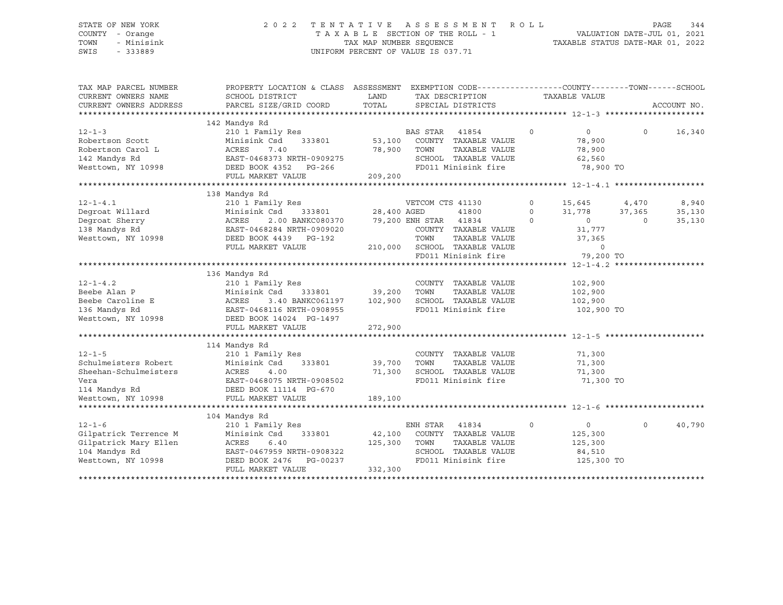#### STATE OF NEW YORK 2 0 2 2 T E N T A T I V E A S S E S S M E N T R O L L PAGE 344 COUNTY - Orange T A X A B L E SECTION OF THE ROLL - 1 VALUATION DATE-JUL 01, 2021 TOWN - Minisink TAX MAP NUMBER SEQUENCE TAXABLE STATUS DATE-MAR 01, 2022 SWIS - 333889 CONSERVATION CONTROL OF VALUE IS 037.71

| TAX MAP PARCEL NUMBER  |                                                                | PROPERTY LOCATION & CLASS ASSESSMENT EXEMPTION CODE---------------COUNTY-------TOWN------SCHOOL |                                             |             |                |          |             |
|------------------------|----------------------------------------------------------------|-------------------------------------------------------------------------------------------------|---------------------------------------------|-------------|----------------|----------|-------------|
| CURRENT OWNERS NAME    | SCHOOL DISTRICT                                                | LAND                                                                                            | TAX DESCRIPTION                             |             | TAXABLE VALUE  |          |             |
| CURRENT OWNERS ADDRESS | PARCEL SIZE/GRID COORD                                         | TOTAL                                                                                           | SPECIAL DISTRICTS                           |             |                |          | ACCOUNT NO. |
|                        |                                                                |                                                                                                 |                                             |             |                |          |             |
| $12 - 1 - 3$           | 142 Mandys Rd<br>210 1 Family Res                              |                                                                                                 | BAS STAR<br>41854                           | $\circ$     | $\overline{0}$ | $\Omega$ | 16,340      |
| Robertson Scott        | Minisink Csd<br>333801                                         | 53,100                                                                                          | COUNTY TAXABLE VALUE                        |             | 78,900         |          |             |
| Robertson Carol L      | 7.40<br>ACRES                                                  | 78,900                                                                                          | TAXABLE VALUE<br>TOWN                       |             | 78,900         |          |             |
| 142 Mandys Rd          | EAST-0468373 NRTH-0909275                                      |                                                                                                 | SCHOOL TAXABLE VALUE                        |             | 62,560         |          |             |
| Westtown, NY 10998     | DEED BOOK 4352 PG-266                                          |                                                                                                 | FD011 Minisink fire                         |             | 78,900 TO      |          |             |
|                        | FULL MARKET VALUE                                              | 209,200                                                                                         |                                             |             |                |          |             |
|                        |                                                                |                                                                                                 |                                             |             |                |          |             |
|                        | 138 Mandys Rd                                                  |                                                                                                 |                                             |             |                |          |             |
| $12 - 1 - 4.1$         | 210 1 Family Res                                               |                                                                                                 | VETCOM CTS 41130                            | $\circ$     | 15,645 4,470   |          | 8,940       |
| Degroat Willard        | Minisink Csd                                                   | 333801 28,400 AGED                                                                              | 41800                                       | $\circ$     | 31,778         | 37,365   | 35,130      |
| Degroat Sherry         | 2.00 BANKC080370 79,200 ENH STAR 41834<br>ACRES                |                                                                                                 |                                             | $\Omega$    | $\overline{0}$ | $\circ$  | 35,130      |
| 138 Mandys Rd          | EAST-0468284 NRTH-0909020                                      |                                                                                                 | COUNTY TAXABLE VALUE                        |             | 31,777         |          |             |
| Westtown, NY 10998     | DEED BOOK 4439 PG-192                                          |                                                                                                 | TOWN<br>TAXABLE VALUE                       |             | 37,365         |          |             |
|                        | FULL MARKET VALUE                                              |                                                                                                 | 210,000 SCHOOL TAXABLE VALUE                |             | $\overline{0}$ |          |             |
|                        |                                                                |                                                                                                 | SCHOOL TAXABLE VALUE<br>FD011 Minisink fire |             | 79,200 TO      |          |             |
|                        |                                                                |                                                                                                 |                                             |             |                |          |             |
|                        | 136 Mandys Rd                                                  |                                                                                                 |                                             |             |                |          |             |
| $12 - 1 - 4.2$         | 210 1 Family Res                                               |                                                                                                 | COUNTY TAXABLE VALUE                        |             | 102,900        |          |             |
| Beebe Alan P           | 333801 39,200<br>Minisink Csd                                  |                                                                                                 | TOWN<br>TAXABLE VALUE                       |             | 102,900        |          |             |
| Beebe Caroline E       | ACRES<br>3.40 BANKC061197 102,900                              |                                                                                                 | SCHOOL TAXABLE VALUE                        |             | 102,900        |          |             |
| 136 Mandys Rd          | EAST-0468116 NRTH-0908955                                      |                                                                                                 | FD011 Minisink fire                         |             | 102,900 TO     |          |             |
| Westtown, NY 10998     | DEED BOOK 14024 PG-1497                                        |                                                                                                 |                                             |             |                |          |             |
|                        | FULL MARKET VALUE                                              | 272,900                                                                                         |                                             |             |                |          |             |
|                        |                                                                |                                                                                                 |                                             |             |                |          |             |
|                        | 114 Mandys Rd                                                  |                                                                                                 |                                             |             |                |          |             |
| $12 - 1 - 5$           | 210 1 Family Res                                               |                                                                                                 | COUNTY TAXABLE VALUE                        |             | 71,300         |          |             |
| Schulmeisters Robert   | Minisink Csd                                                   | 333801 39,700                                                                                   | TOWN<br>TAXABLE VALUE                       |             | 71,300         |          |             |
| Sheehan-Schulmeisters  | ACRES<br>4.00                                                  | 71,300                                                                                          | SCHOOL TAXABLE VALUE                        |             | 71,300         |          |             |
| Vera                   | EAST-0468075 NRTH-0908502                                      |                                                                                                 | FD011 Minisink fire                         |             | 71,300 TO      |          |             |
|                        | 114 Mandys Rd                           DEED BOOK 11114 PG-670 |                                                                                                 |                                             |             |                |          |             |
| Westtown, NY 10998     | FULL MARKET VALUE                                              | 189,100                                                                                         |                                             |             |                |          |             |
|                        |                                                                |                                                                                                 |                                             |             |                |          |             |
|                        | 104 Mandys Rd                                                  |                                                                                                 |                                             |             |                |          |             |
| $12 - 1 - 6$           | 210 1 Family Res                                               |                                                                                                 | ENH STAR<br>41834                           | $\mathbf 0$ | $\overline{0}$ | $\Omega$ | 40,790      |
| Gilpatrick Terrence M  | Minisink Csd<br>333801                                         |                                                                                                 | 42,100 COUNTY TAXABLE VALUE                 |             | 125,300        |          |             |
| Gilpatrick Mary Ellen  | ACRES<br>6.40                                                  | 125,300                                                                                         | TOWN<br>TAXABLE VALUE                       |             | 125,300        |          |             |
| 104 Mandys Rd          | EAST-0467959 NRTH-0908322                                      |                                                                                                 | SCHOOL TAXABLE VALUE                        |             | 84,510         |          |             |
| Westtown, NY 10998     | DEED BOOK 2476 PG-00237                                        |                                                                                                 | FD011 Minisink fire                         |             | 125,300 TO     |          |             |
|                        | FULL MARKET VALUE                                              | 332,300                                                                                         |                                             |             |                |          |             |
|                        |                                                                |                                                                                                 |                                             |             |                |          |             |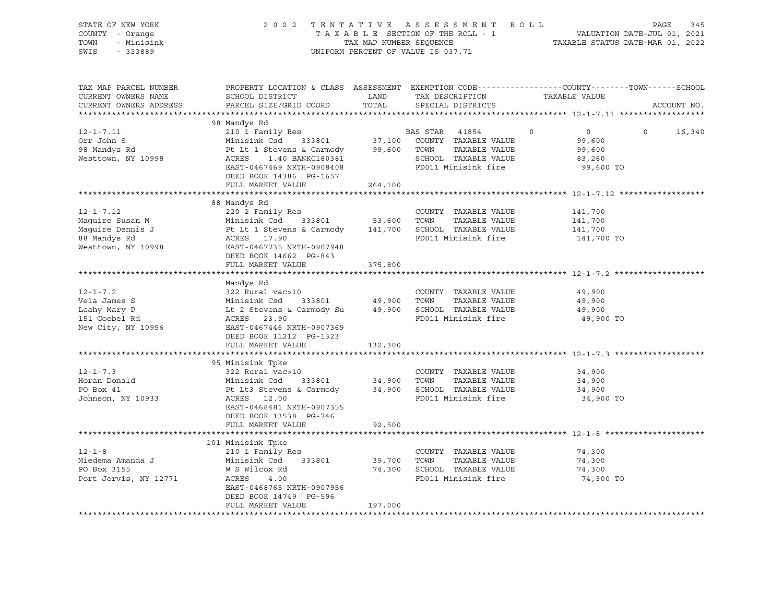| STATE OF NEW YORK<br>COUNTY - Orange<br>TOWN<br>- Minisink<br>SWIS<br>$-333889$ | 2022 TENTATIVE ASSESSMENT ROLL                                                                                                                                                                                                                                                 |                    | 345<br>PAGE                                 |                                     |                          |
|---------------------------------------------------------------------------------|--------------------------------------------------------------------------------------------------------------------------------------------------------------------------------------------------------------------------------------------------------------------------------|--------------------|---------------------------------------------|-------------------------------------|--------------------------|
|                                                                                 |                                                                                                                                                                                                                                                                                |                    | UNIFORM PERCENT OF VALUE IS 037.71          |                                     |                          |
| TAX MAP PARCEL NUMBER<br>CURRENT OWNERS NAME<br>CURRENT OWNERS ADDRESS          | PROPERTY LOCATION & CLASS ASSESSMENT EXEMPTION CODE---------------COUNTY-------TOWN-----SCHOOL<br>SCHOOL DISTRICT<br>PARCEL SIZE/GRID COORD                                                                                                                                    | LAND<br>TOTAL      | TAX DESCRIPTION<br>SPECIAL DISTRICTS        | TAXABLE VALUE                       | ACCOUNT NO.              |
|                                                                                 |                                                                                                                                                                                                                                                                                |                    |                                             |                                     |                          |
|                                                                                 | 98 Mandys Rd                                                                                                                                                                                                                                                                   |                    |                                             |                                     |                          |
| $12 - 1 - 7.11$                                                                 | 210 1 Family Res<br>Minisink Csd 333801 37,100 COUNTY TAXABLE VALUE<br>Pt Lt 1 Stevens & Carmody 99,600 TOWN TAXABLE VALUE<br>ACRES 1.40 BANKC180381 SCHOOL TAXABLE VALUE                                                                                                      |                    |                                             | $0 \qquad \qquad$<br>$\overline{0}$ | $\overline{0}$<br>16,340 |
| Orr John S<br>98 Mandys Rd                                                      |                                                                                                                                                                                                                                                                                |                    |                                             | 99,600                              |                          |
|                                                                                 |                                                                                                                                                                                                                                                                                |                    | TAXABLE VALUE                               | 99,600                              |                          |
| Westtown, NY 10998                                                              | EAST-0467469 NRTH-0908408                                                                                                                                                                                                                                                      |                    | SCHOOL TAXABLE VALUE<br>FD011 Minisink fire | 83,260<br>99,600 TO                 |                          |
|                                                                                 | DEED BOOK 14386 PG-1657                                                                                                                                                                                                                                                        |                    |                                             |                                     |                          |
|                                                                                 | FULL MARKET VALUE                                                                                                                                                                                                                                                              | 264,100            |                                             |                                     |                          |
|                                                                                 |                                                                                                                                                                                                                                                                                |                    |                                             |                                     |                          |
|                                                                                 | 88 Mandys Rd                                                                                                                                                                                                                                                                   |                    |                                             |                                     |                          |
| $12 - 1 - 7.12$                                                                 | 220 2 Family Res                                                                                                                                                                                                                                                               |                    | COUNTY TAXABLE VALUE                        | 141,700                             |                          |
|                                                                                 |                                                                                                                                                                                                                                                                                |                    |                                             | 141,700                             |                          |
|                                                                                 |                                                                                                                                                                                                                                                                                |                    |                                             | 141,700                             |                          |
|                                                                                 |                                                                                                                                                                                                                                                                                |                    |                                             | 141,700 TO                          |                          |
|                                                                                 | Maguire Susan M<br>Maguire Dennis J<br>Maguire Dennis J<br>Maguire Dennis J<br>Pt Lt 1 Stevens & Carmody<br>ACRES 17.90<br>ACRES 17.90<br>FD011 Minisink fire<br>FD011 Minisink fire<br>FD011 Minisink fire<br>Westtown, NY 10998<br>FRED-0467735 NR<br>DEED BOOK 14662 PG-843 |                    |                                             |                                     |                          |
|                                                                                 | FULL MARKET VALUE                                                                                                                                                                                                                                                              | 375,800            |                                             |                                     |                          |
|                                                                                 |                                                                                                                                                                                                                                                                                |                    |                                             |                                     |                          |
|                                                                                 |                                                                                                                                                                                                                                                                                |                    |                                             |                                     |                          |
| $12 - 1 - 7.2$                                                                  |                                                                                                                                                                                                                                                                                |                    |                                             | 49,900                              |                          |
|                                                                                 |                                                                                                                                                                                                                                                                                |                    |                                             | 49,900                              |                          |
| Vela James S<br>Leahy Mary P<br>151 Goebel Rd                                   |                                                                                                                                                                                                                                                                                |                    |                                             | 49,900                              |                          |
|                                                                                 | 322 Rural vac>10<br>Minisink Csd 333801 49,900 TOWN TAXABLE VALUE<br>Lt 2 Stevens & Carmody Su 49,900 SCHOOL TAXABLE VALUE<br>ACRES 23.90<br>FROM TAXABLE VALUE                                                                                                                |                    |                                             | 49,900 TO                           |                          |
| New City, NY 10956                                                              | EAST-0467446 NRTH-0907369                                                                                                                                                                                                                                                      |                    |                                             |                                     |                          |
|                                                                                 | DEED BOOK 11212 PG-1323                                                                                                                                                                                                                                                        |                    |                                             |                                     |                          |
|                                                                                 | FULL MARKET VALUE                                                                                                                                                                                                                                                              | 132,300            |                                             |                                     |                          |
|                                                                                 | 95 Minisink Tpke                                                                                                                                                                                                                                                               |                    |                                             |                                     |                          |
| $12 - 1 - 7.3$                                                                  | 322 Rural vac>10                                                                                                                                                                                                                                                               |                    | COUNTY TAXABLE VALUE                        | 34,900                              |                          |
| Horan Donald                                                                    |                                                                                                                                                                                                                                                                                |                    |                                             | 34,900                              |                          |
| PO Box 41                                                                       |                                                                                                                                                                                                                                                                                |                    |                                             | 34,900                              |                          |
| Johnson, NY 10933                                                               |                                                                                                                                                                                                                                                                                |                    |                                             | 34,900 TO                           |                          |
|                                                                                 | EAST-0468481 NRTH-0907355                                                                                                                                                                                                                                                      |                    |                                             |                                     |                          |
|                                                                                 | DEED BOOK 13538 PG-746                                                                                                                                                                                                                                                         |                    |                                             |                                     |                          |
|                                                                                 | FULL MARKET VALUE                                                                                                                                                                                                                                                              | 92,500             |                                             |                                     |                          |
|                                                                                 |                                                                                                                                                                                                                                                                                |                    |                                             |                                     |                          |
|                                                                                 | 101 Minisink Tpke                                                                                                                                                                                                                                                              |                    |                                             |                                     |                          |
| $12 - 1 - 8$<br>Miedema Amanda J                                                | 210 1 Family Res<br>Minisink Csd                                                                                                                                                                                                                                               |                    | COUNTY TAXABLE VALUE<br>TAXABLE VALUE       | 74,300<br>74,300                    |                          |
| PO Box 3155                                                                     | W S Wilcox Rd                                                                                                                                                                                                                                                                  | 333801 39,700 TOWN | 74,300 SCHOOL TAXABLE VALUE                 | 74,300                              |                          |
| Port Jervis, NY 12771                                                           | ACRES 4.00                                                                                                                                                                                                                                                                     |                    | FD011 Minisink fire                         | 74,300 TO                           |                          |
|                                                                                 | EAST-0468765 NRTH-0907956                                                                                                                                                                                                                                                      |                    |                                             |                                     |                          |
|                                                                                 | DEED BOOK 14749 PG-596                                                                                                                                                                                                                                                         |                    |                                             |                                     |                          |
|                                                                                 | FULL MARKET VALUE                                                                                                                                                                                                                                                              | 197,000            |                                             |                                     |                          |
|                                                                                 |                                                                                                                                                                                                                                                                                |                    |                                             |                                     |                          |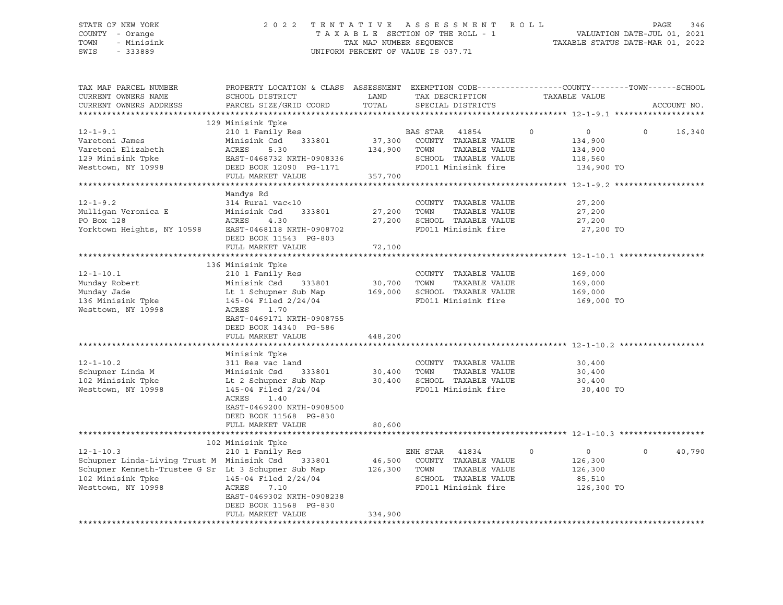#### STATE OF NEW YORK 2 0 2 2 T E N T A T I V E A S S E S S M E N T R O L L PAGE 346 COUNTY - Orange T A X A B L E SECTION OF THE ROLL - 1 VALUATION DATE-JUL 01, 2021 TOWN - Minisink TAX MAP NUMBER SEQUENCE TAXABLE STATUS DATE-MAR 01, 2022<br>TAXABLE STATUS DATE-MAR 01, 2022 UNIFORM PERCENT OF VALUE IS 037.71

TAX MAP PARCEL NUMBER PROPERTY LOCATION & CLASS ASSESSMENT EXEMPTION CODE------------------COUNTY--------TOWN------SCHOOL CURRENT OWNERS NAME SCHOOL DISTRICT LAND TAX DESCRIPTION TAXABLE VALUE CURRENT OWNERS ADDRESS PARCEL SIZE/GRID COORD TOTAL SPECIAL DISTRICTS ACCOUNT NO. \*\*\*\*\*\*\*\*\*\*\*\*\*\*\*\*\*\*\*\*\*\*\*\*\*\*\*\*\*\*\*\*\*\*\*\*\*\*\*\*\*\*\*\*\*\*\*\*\*\*\*\*\*\*\*\*\*\*\*\*\*\*\*\*\*\*\*\*\*\*\*\*\*\*\*\*\*\*\*\*\*\*\*\*\*\*\*\*\*\*\*\*\*\*\*\*\*\*\*\*\*\*\* 12-1-9.1 \*\*\*\*\*\*\*\*\*\*\*\*\*\*\*\*\*\*\* 129 Minisink Tpke 12-1-9.1 210 1 Family Res BAS STAR 41854 0 0 0 16,340 Varetoni James Minisink Csd 333801 37,300 COUNTY TAXABLE VALUE 134,900 Varetoni Elizabeth ACRES 5.30 134,900 TOWN TAXABLE VALUE 134,900 129 Minisink Tpke EAST-0468732 NRTH-0908336 SCHOOL TAXABLE VALUE 118,560 Westtown, NY 10998 DEED BOOK 12090 PG-1171 FD011 Minisink fire 134,900 TO FULL MARKET VALUE 357,700 \*\*\*\*\*\*\*\*\*\*\*\*\*\*\*\*\*\*\*\*\*\*\*\*\*\*\*\*\*\*\*\*\*\*\*\*\*\*\*\*\*\*\*\*\*\*\*\*\*\*\*\*\*\*\*\*\*\*\*\*\*\*\*\*\*\*\*\*\*\*\*\*\*\*\*\*\*\*\*\*\*\*\*\*\*\*\*\*\*\*\*\*\*\*\*\*\*\*\*\*\*\*\* 12-1-9.2 \*\*\*\*\*\*\*\*\*\*\*\*\*\*\*\*\*\*\* Mandys Rd 12-1-9.2 314 Rural vac<10 COUNTY TAXABLE VALUE 27,200 Mulligan Veronica E Minisink Csd 333801 27,200 TOWN TAXABLE VALUE 27,200 PO Box 128 **ACRES** 4.30 27,200 SCHOOL TAXABLE VALUE 27,200 Yorktown Heights, NY 10598 EAST-0468118 NRTH-0908702 FD011 Minisink fire 27,200 TO DEED BOOK 11543 PG-803 FULL MARKET VALUE 72,100 \*\*\*\*\*\*\*\*\*\*\*\*\*\*\*\*\*\*\*\*\*\*\*\*\*\*\*\*\*\*\*\*\*\*\*\*\*\*\*\*\*\*\*\*\*\*\*\*\*\*\*\*\*\*\*\*\*\*\*\*\*\*\*\*\*\*\*\*\*\*\*\*\*\*\*\*\*\*\*\*\*\*\*\*\*\*\*\*\*\*\*\*\*\*\*\*\*\*\*\*\*\*\* 12-1-10.1 \*\*\*\*\*\*\*\*\*\*\*\*\*\*\*\*\*\* 136 Minisink Tpke 12-1-10.1 210 1 Family Res COUNTY TAXABLE VALUE 169,000 Munday Robert Minisink Csd 333801 30,700 TOWN TAXABLE VALUE 169,000 Munday Jade Lt 1 Schupner Sub Map 169,000 SCHOOL TAXABLE VALUE 169,000 136 Minisink Tpke 145-04 Filed 2/24/04 FD011 Minisink fire 169,000 TO<br>Westtown, NY 10998 ACRES 1.70 Westtown, NY 10998 EAST-0469171 NRTH-0908755 DEED BOOK 14340 PG-586 FULL MARKET VALUE 448,200 \*\*\*\*\*\*\*\*\*\*\*\*\*\*\*\*\*\*\*\*\*\*\*\*\*\*\*\*\*\*\*\*\*\*\*\*\*\*\*\*\*\*\*\*\*\*\*\*\*\*\*\*\*\*\*\*\*\*\*\*\*\*\*\*\*\*\*\*\*\*\*\*\*\*\*\*\*\*\*\*\*\*\*\*\*\*\*\*\*\*\*\*\*\*\*\*\*\*\*\*\*\*\* 12-1-10.2 \*\*\*\*\*\*\*\*\*\*\*\*\*\*\*\*\*\* Minisink Tpke<br>311 Res vac land 12-1-10.2 311 Res vac land COUNTY TAXABLE VALUE 30,400 Schupner Linda M Minisink Csd 333801 30,400 TOWN TAXABLE VALUE 30,400 102 Minisink Tpke Lt 2 Schupner Sub Map 30,400 SCHOOL TAXABLE VALUE 30,400 Westtown, NY 10998 145-04 Filed 2/24/04 FD011 Minisink fire 30,400 TO ACRES 1.40 EAST-0469200 NRTH-0908500 DEED BOOK 11568 PG-830 FULL MARKET VALUE 80,600 \*\*\*\*\*\*\*\*\*\*\*\*\*\*\*\*\*\*\*\*\*\*\*\*\*\*\*\*\*\*\*\*\*\*\*\*\*\*\*\*\*\*\*\*\*\*\*\*\*\*\*\*\*\*\*\*\*\*\*\*\*\*\*\*\*\*\*\*\*\*\*\*\*\*\*\*\*\*\*\*\*\*\*\*\*\*\*\*\*\*\*\*\*\*\*\*\*\*\*\*\*\*\* 12-1-10.3 \*\*\*\*\*\*\*\*\*\*\*\*\*\*\*\*\*\* 102 Minisink Tpke 12-1-10.3 210 1 Family Res ENH STAR 41834 0 0 0 40,790 Schupner Linda-Living Trust M Minisink Csd 333801 46,500 COUNTY TAXABLE VALUE 126,300 Schupner Kenneth-Trustee G Sr Lt 3 Schupner Sub Map 126,300 TOWN TAXABLE VALUE 126,300 102 Minisink Tpke 145-04 Filed 2/24/04 SCHOOL TAXABLE VALUE 85,510 Westtown, NY 10998 ACRES 7.10 FD011 Minisink fire 126,300 TO EAST-0469302 NRTH-0908238 DEED BOOK 11568 PG-830 FULL MARKET VALUE 334,900 \*\*\*\*\*\*\*\*\*\*\*\*\*\*\*\*\*\*\*\*\*\*\*\*\*\*\*\*\*\*\*\*\*\*\*\*\*\*\*\*\*\*\*\*\*\*\*\*\*\*\*\*\*\*\*\*\*\*\*\*\*\*\*\*\*\*\*\*\*\*\*\*\*\*\*\*\*\*\*\*\*\*\*\*\*\*\*\*\*\*\*\*\*\*\*\*\*\*\*\*\*\*\*\*\*\*\*\*\*\*\*\*\*\*\*\*\*\*\*\*\*\*\*\*\*\*\*\*\*\*\*\*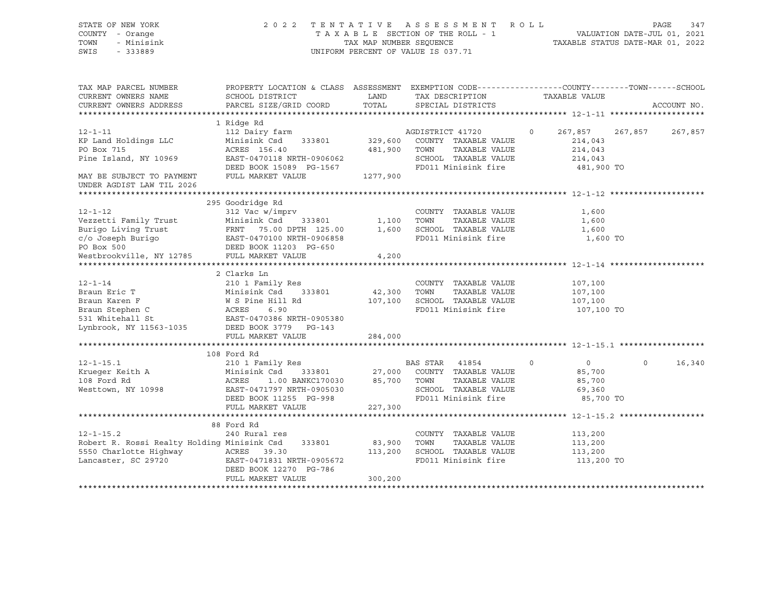| DINID OI NON IONN<br>COUNTY - Orange<br>TOWN<br>- Minisink<br>SWIS<br>$-333889$ | TAXABLE SECTION OF THE ROLL - 1<br>TAX MAP NUMBER SEQUENCE<br>UNIFORM PERCENT OF VALUE IS 037.71                                             | VALUATION DATE-JUL 01, 2021<br>TAXABLE STATUS DATE-MAR 01, 2022 |                  |                                      |                     |                  |             |
|---------------------------------------------------------------------------------|----------------------------------------------------------------------------------------------------------------------------------------------|-----------------------------------------------------------------|------------------|--------------------------------------|---------------------|------------------|-------------|
| TAX MAP PARCEL NUMBER<br>CURRENT OWNERS NAME<br>CURRENT OWNERS ADDRESS          | PROPERTY LOCATION & CLASS ASSESSMENT EXEMPTION CODE---------------COUNTY-------TOWN------SCHOOL<br>SCHOOL DISTRICT<br>PARCEL SIZE/GRID COORD | LAND<br>TOTAL                                                   |                  | TAX DESCRIPTION<br>SPECIAL DISTRICTS | TAXABLE VALUE       |                  | ACCOUNT NO. |
|                                                                                 |                                                                                                                                              |                                                                 |                  |                                      |                     |                  |             |
|                                                                                 | 1 Ridge Rd                                                                                                                                   |                                                                 |                  |                                      |                     |                  |             |
| $12 - 1 - 11$                                                                   | 112 Dairy farm                                                                                                                               |                                                                 | AGDISTRICT 41720 |                                      | $\Omega$<br>267,857 | 267,857          | 267,857     |
| KP Land Holdings LLC                                                            | Minisink Csd<br>333801                                                                                                                       | 329,600                                                         |                  | COUNTY TAXABLE VALUE                 | 214,043             |                  |             |
| PO Box 715                                                                      | ACRES 156.40                                                                                                                                 | 481,900                                                         | TOWN             | TAXABLE VALUE                        | 214,043             |                  |             |
| Pine Island, NY 10969                                                           | EAST-0470118 NRTH-0906062                                                                                                                    |                                                                 |                  | SCHOOL TAXABLE VALUE                 | 214,043             |                  |             |
|                                                                                 | DEED BOOK 15089 PG-1567                                                                                                                      |                                                                 |                  | FD011 Minisink fire                  |                     | 481,900 TO       |             |
| MAY BE SUBJECT TO PAYMENT                                                       | FULL MARKET VALUE                                                                                                                            | 1277,900                                                        |                  |                                      |                     |                  |             |
| UNDER AGDIST LAW TIL 2026                                                       |                                                                                                                                              |                                                                 |                  |                                      |                     |                  |             |
|                                                                                 |                                                                                                                                              |                                                                 |                  |                                      |                     |                  |             |
| $12 - 1 - 12$                                                                   | 295 Goodridge Rd                                                                                                                             |                                                                 |                  | COUNTY TAXABLE VALUE                 |                     |                  |             |
| Vezzetti Family Trust                                                           | 312 Vac w/imprv<br>Minisink Csd<br>333801                                                                                                    | 1,100                                                           | TOWN             | TAXABLE VALUE                        | 1,600<br>1,600      |                  |             |
| Burigo Living Trust                                                             | FRNT 75.00 DPTH 125.00                                                                                                                       | 1,600                                                           |                  | SCHOOL TAXABLE VALUE                 | 1,600               |                  |             |
| c/o Joseph Burigo                                                               | EAST-0470100 NRTH-0906858                                                                                                                    |                                                                 |                  | FD011 Minisink fire                  |                     | 1,600 TO         |             |
| PO Box 500                                                                      | DEED BOOK 11203 PG-650                                                                                                                       |                                                                 |                  |                                      |                     |                  |             |
| Westbrookville, NY 12785 FULL MARKET VALUE                                      |                                                                                                                                              | 4,200                                                           |                  |                                      |                     |                  |             |
|                                                                                 |                                                                                                                                              |                                                                 |                  |                                      |                     |                  |             |
|                                                                                 | 2 Clarks Ln                                                                                                                                  |                                                                 |                  |                                      |                     |                  |             |
| $12 - 1 - 14$                                                                   | 210 1 Family Res                                                                                                                             |                                                                 |                  | COUNTY TAXABLE VALUE                 | 107,100             |                  |             |
| Braun Eric T                                                                    | Minisink Csd 333801                                                                                                                          | 42,300                                                          | TOWN             | TAXABLE VALUE                        | 107,100             |                  |             |
| Braun Karen F                                                                   | W S Pine Hill Rd                                                                                                                             | 107,100                                                         |                  | SCHOOL TAXABLE VALUE                 | 107,100             |                  |             |
| Braun Stephen C                                                                 | ACRES<br>6.90                                                                                                                                |                                                                 |                  | FD011 Minisink fire                  |                     | 107,100 TO       |             |
| 531 Whitehall St                                                                | EAST-0470386 NRTH-0905380                                                                                                                    |                                                                 |                  |                                      |                     |                  |             |
| Lynbrook, NY 11563-1035                                                         | DEED BOOK 3779 PG-143                                                                                                                        |                                                                 |                  |                                      |                     |                  |             |
|                                                                                 | FULL MARKET VALUE                                                                                                                            | 284,000                                                         |                  |                                      |                     |                  |             |
|                                                                                 | 108 Ford Rd                                                                                                                                  |                                                                 |                  |                                      |                     |                  |             |
| $12 - 1 - 15.1$                                                                 | 210 1 Family Res                                                                                                                             |                                                                 | BAS STAR         | 41854                                | $\mathbf 0$         | 0<br>$\mathbf 0$ | 16,340      |
| Krueger Keith A                                                                 | Minisink Csd 333801                                                                                                                          | 27,000                                                          |                  | COUNTY TAXABLE VALUE                 | 85,700              |                  |             |
| 108 Ford Rd                                                                     | ACRES<br>1.00 BANKC170030                                                                                                                    | 85,700                                                          | TOWN             | TAXABLE VALUE                        | 85,700              |                  |             |
| Westtown, NY 10998                                                              | EAST-0471797 NRTH-0905030                                                                                                                    |                                                                 |                  | SCHOOL TAXABLE VALUE                 | 69,360              |                  |             |
|                                                                                 | DEED BOOK 11255 PG-998                                                                                                                       |                                                                 |                  | FD011 Minisink fire                  |                     | 85,700 TO        |             |
|                                                                                 | FULL MARKET VALUE                                                                                                                            | 227,300                                                         |                  |                                      |                     |                  |             |
|                                                                                 |                                                                                                                                              |                                                                 |                  |                                      |                     |                  |             |
|                                                                                 | 88 Ford Rd                                                                                                                                   |                                                                 |                  |                                      |                     |                  |             |
| $12 - 1 - 15.2$                                                                 | 240 Rural res                                                                                                                                |                                                                 |                  | COUNTY TAXABLE VALUE                 | 113,200             |                  |             |
| Robert R. Rossi Realty Holding Minisink Csd                                     | 333801                                                                                                                                       | 83,900                                                          | TOWN             | TAXABLE VALUE                        | 113,200             |                  |             |
| 5550 Charlotte Highway                                                          | ACRES 39.30                                                                                                                                  | 113,200                                                         |                  | SCHOOL TAXABLE VALUE                 | 113,200             |                  |             |
| Lancaster, SC 29720                                                             | EAST-0471831 NRTH-0905672                                                                                                                    |                                                                 |                  | FD011 Minisink fire                  |                     | 113,200 TO       |             |
|                                                                                 | DEED BOOK 12270 PG-786                                                                                                                       |                                                                 |                  |                                      |                     |                  |             |
|                                                                                 | FULL MARKET VALUE                                                                                                                            | 300,200                                                         |                  |                                      |                     |                  |             |

# STATE OF NEW YORK 2 0 2 2 T E N T A T I V E A S S E S S M E N T R O L L PAGE 347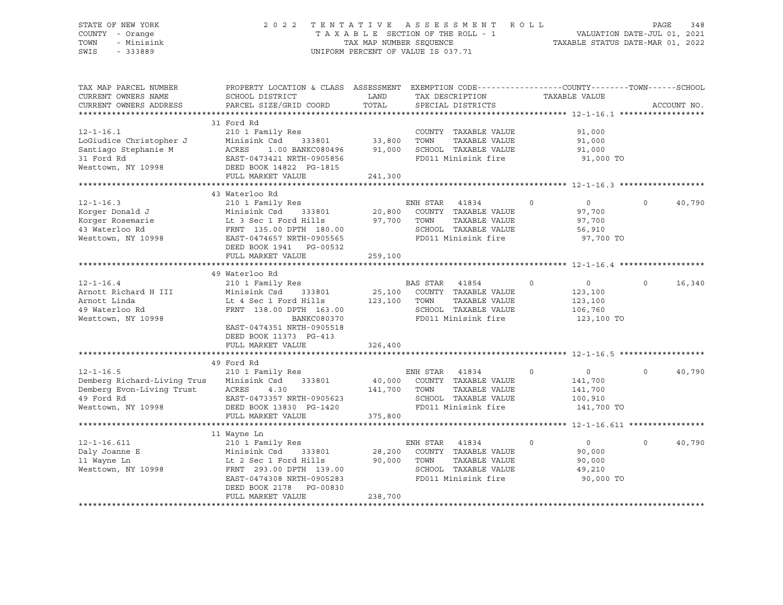#### STATE OF NEW YORK 2 0 2 2 T E N T A T I V E A S S E S S M E N T R O L L PAGE 348 COUNTY - Orange T A X A B L E SECTION OF THE ROLL - 1 TOWN - Minisink TAX MAP NUMBER SEQUENCE TAXABLE STATUS DATE-MAR 01, 2022<br>TAXABLE STATUS DATE-MAR 01, 2022 UNIFORM PERCENT OF VALUE IS 037.71

TAX MAP PARCEL NUMBER PROPERTY LOCATION & CLASS ASSESSMENT EXEMPTION CODE------------------COUNTY--------TOWN------SCHOOL CURRENT OWNERS NAME SCHOOL DISTRICT LAND TAX DESCRIPTION TAXABLE VALUE CURRENT OWNERS ADDRESS PARCEL SIZE/GRID COORD TOTAL SPECIAL DISTRICTS ACCOUNT NO. \*\*\*\*\*\*\*\*\*\*\*\*\*\*\*\*\*\*\*\*\*\*\*\*\*\*\*\*\*\*\*\*\*\*\*\*\*\*\*\*\*\*\*\*\*\*\*\*\*\*\*\*\*\*\*\*\*\*\*\*\*\*\*\*\*\*\*\*\*\*\*\*\*\*\*\*\*\*\*\*\*\*\*\*\*\*\*\*\*\*\*\*\*\*\*\*\*\*\*\*\*\*\* 12-1-16.1 \*\*\*\*\*\*\*\*\*\*\*\*\*\*\*\*\*\* 31 Ford Rd 12-1-16.1 210 1 Family Res COUNTY TAXABLE VALUE 91,000 LoGiudice Christopher J Minisink Csd 333801 33,800 TOWN TAXABLE VALUE 91,000 Santiago Stephanie M ACRES 1.00 BANKC080496 91,000 SCHOOL TAXABLE VALUE 91,000 31 Ford Rd EAST-0473421 NRTH-0905856 FD011 Minisink fire 91,000 TO Westtown, NY 10998 DEED BOOK 14822 PG-1815 FULL MARKET VALUE 241,300 \*\*\*\*\*\*\*\*\*\*\*\*\*\*\*\*\*\*\*\*\*\*\*\*\*\*\*\*\*\*\*\*\*\*\*\*\*\*\*\*\*\*\*\*\*\*\*\*\*\*\*\*\*\*\*\*\*\*\*\*\*\*\*\*\*\*\*\*\*\*\*\*\*\*\*\*\*\*\*\*\*\*\*\*\*\*\*\*\*\*\*\*\*\*\*\*\*\*\*\*\*\*\* 12-1-16.3 \*\*\*\*\*\*\*\*\*\*\*\*\*\*\*\*\*\* 43 Waterloo Rd 12-1-16.3 210 1 Family Res ENH STAR 41834 0 0 0 40,790 Korger Donald J Minisink Csd 333801 20,800 COUNTY TAXABLE VALUE 97,700 Korger Rosemarie Lt 3 Sec 1 Ford Hills 97,700 TOWN TAXABLE VALUE 97,700 43 Waterloo Rd 6,910 FRNT 135.00 DPTH 180.00 SCHOOL TAXABLE VALUE 56,910 Westtown, NY 10998 EAST-0474657 NRTH-0905565 FD011 Minisink fire 97,700 TO DEED BOOK 1941 PG-00532 FULL MARKET VALUE 259,100 \*\*\*\*\*\*\*\*\*\*\*\*\*\*\*\*\*\*\*\*\*\*\*\*\*\*\*\*\*\*\*\*\*\*\*\*\*\*\*\*\*\*\*\*\*\*\*\*\*\*\*\*\*\*\*\*\*\*\*\*\*\*\*\*\*\*\*\*\*\*\*\*\*\*\*\*\*\*\*\*\*\*\*\*\*\*\*\*\*\*\*\*\*\*\*\*\*\*\*\*\*\*\* 12-1-16.4 \*\*\*\*\*\*\*\*\*\*\*\*\*\*\*\*\*\* 49 Waterloo Rd 12-1-16.4 210 1 Family Res BAS STAR 41854 0 0 0 16,340 Arnott Richard H III Minisink Csd 333801 25,100 COUNTY TAXABLE VALUE 123,100 Arnott Linda Lt 4 Sec 1 Ford Hills 123,100 TOWN TAXABLE VALUE 123,100 49 Waterloo Rd FRNT 138.00 DPTH 163.00 SCHOOL TAXABLE VALUE 106,760 Westtown, NY 10998 **BANKC080370** BANKC080370 FD011 Minisink fire 123,100 TO EAST-0474351 NRTH-0905518 DEED BOOK 11373 PG-413 FULL MARKET VALUE 326,400 \*\*\*\*\*\*\*\*\*\*\*\*\*\*\*\*\*\*\*\*\*\*\*\*\*\*\*\*\*\*\*\*\*\*\*\*\*\*\*\*\*\*\*\*\*\*\*\*\*\*\*\*\*\*\*\*\*\*\*\*\*\*\*\*\*\*\*\*\*\*\*\*\*\*\*\*\*\*\*\*\*\*\*\*\*\*\*\*\*\*\*\*\*\*\*\*\*\*\*\*\*\*\* 12-1-16.5 \*\*\*\*\*\*\*\*\*\*\*\*\*\*\*\*\*\* 49 Ford Rd 12-1-16.5 210 1 Family Res ENH STAR 41834 0 0 0 40,790 Demberg Richard-Living Trus Minisink Csd 333801 40,000 COUNTY TAXABLE VALUE 141,700 Demberg Evon-Living Trust ACRES 4.30 141,700 TOWN TAXABLE VALUE 141,700 49 Ford Rd EAST-0473357 NRTH-0905623 SCHOOL TAXABLE VALUE 100,910 Westtown, NY 10998 DEED BOOK 13830 PG-1420 FD011 Minisink fire 141,700 TO FULL MARKET VALUE 375,800 \*\*\*\*\*\*\*\*\*\*\*\*\*\*\*\*\*\*\*\*\*\*\*\*\*\*\*\*\*\*\*\*\*\*\*\*\*\*\*\*\*\*\*\*\*\*\*\*\*\*\*\*\*\*\*\*\*\*\*\*\*\*\*\*\*\*\*\*\*\*\*\*\*\*\*\*\*\*\*\*\*\*\*\*\*\*\*\*\*\*\*\*\*\*\*\*\*\*\*\*\*\*\* 12-1-16.611 \*\*\*\*\*\*\*\*\*\*\*\*\*\*\*\* 11 Wayne Ln 12-1-16.611 210 1 Family Res ENH STAR 41834 0 0 0 40,790 Daly Joanne E Minisink Csd 333801 28,200 COUNTY TAXABLE VALUE 90,000 11 Wayne Ln Lt 2 Sec 1 Ford Hills 90,000 TOWN TAXABLE VALUE 90,000 Westtown, NY 10998 FRNT 293.00 DPTH 139.00 SCHOOL TAXABLE VALUE 49,210 EAST-0474308 NRTH-0905283 FD011 Minisink fire 90,000 TO DEED BOOK 2178 PG-00830 FULL MARKET VALUE 238,700 \*\*\*\*\*\*\*\*\*\*\*\*\*\*\*\*\*\*\*\*\*\*\*\*\*\*\*\*\*\*\*\*\*\*\*\*\*\*\*\*\*\*\*\*\*\*\*\*\*\*\*\*\*\*\*\*\*\*\*\*\*\*\*\*\*\*\*\*\*\*\*\*\*\*\*\*\*\*\*\*\*\*\*\*\*\*\*\*\*\*\*\*\*\*\*\*\*\*\*\*\*\*\*\*\*\*\*\*\*\*\*\*\*\*\*\*\*\*\*\*\*\*\*\*\*\*\*\*\*\*\*\*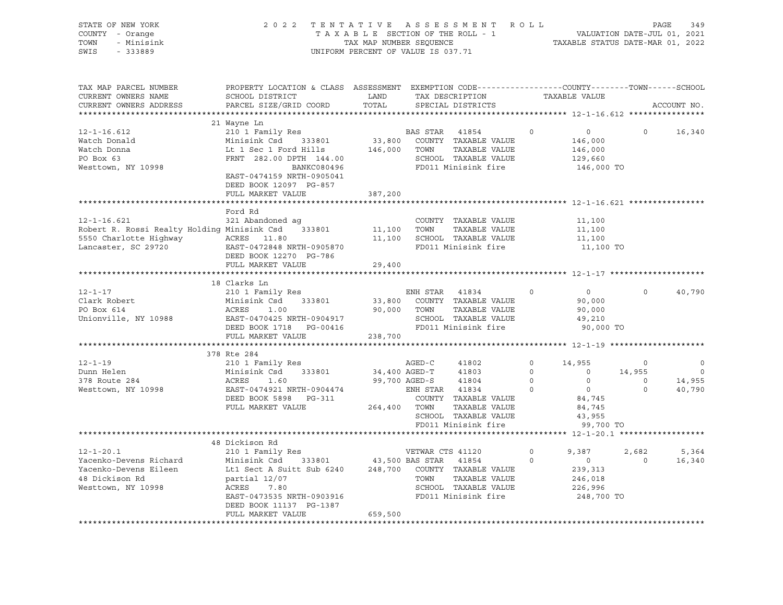| STATE OF NEW YORK<br>COUNTY - Orange<br>- Minisink<br>TOWN<br>SWIS<br>$-333889$                                                                     | 2022 TENTATIVE ASSESSMENT ROLL<br>UNIFORM PERCENT OF VALUE IS 037.71                                                                                                                                                                                                                                     |                               | 349<br>PAGE<br>TAXABLE SECTION OF THE ROLL - 1<br>TAX MAP NUMBER SEQUENCE TAXABLE STATUS DATE-JUL 01, 2021<br>TAXABLE STATUS DATE-MAR 01, 2022 |                                                                                                        |                                                                  |                                                                                                 |                                      |                                                                          |
|-----------------------------------------------------------------------------------------------------------------------------------------------------|----------------------------------------------------------------------------------------------------------------------------------------------------------------------------------------------------------------------------------------------------------------------------------------------------------|-------------------------------|------------------------------------------------------------------------------------------------------------------------------------------------|--------------------------------------------------------------------------------------------------------|------------------------------------------------------------------|-------------------------------------------------------------------------------------------------|--------------------------------------|--------------------------------------------------------------------------|
| TAX MAP PARCEL NUMBER<br>CURRENT OWNERS NAME<br>CURRENT OWNERS ADDRESS<br>************************                                                  | PROPERTY LOCATION & CLASS ASSESSMENT EXEMPTION CODE----------------COUNTY-------TOWN------SCHOOL<br>SCHOOL DISTRICT<br>PARCEL SIZE/GRID COORD                                                                                                                                                            | LAND<br>TOTAL                 |                                                                                                                                                | TAX DESCRIPTION TAXABLE VALUE<br>SPECIAL DISTRICTS                                                     |                                                                  |                                                                                                 |                                      | ACCOUNT NO.                                                              |
|                                                                                                                                                     | 21 Wayne Ln                                                                                                                                                                                                                                                                                              |                               |                                                                                                                                                |                                                                                                        |                                                                  |                                                                                                 |                                      |                                                                          |
| $12 - 1 - 16.612$<br>Watch Donald<br>Watch Donna<br>PO Box 63<br>Westtown, NY 10998                                                                 | 210 1 Family Res<br>Minisink Csd 333801<br>EXECUTE 1982.00 DPTH 144.00<br>ERNT 282.00 DPTH 144.00<br>BANKC080496 FO011 Minisink fire<br>EAST-0474159 NRTH-0905041<br>DEED BOOK 12097 PG-857                                                                                                              |                               | BAS STAR 41854                                                                                                                                 | 33,800 COUNTY TAXABLE VALUE                                                                            | $\circ$                                                          | $\overline{0}$<br>146,000<br>146,000<br>129,660<br>146,000 TO                                   | $\circ$                              | 16,340                                                                   |
|                                                                                                                                                     | FULL MARKET VALUE                                                                                                                                                                                                                                                                                        | 387,200                       |                                                                                                                                                |                                                                                                        |                                                                  |                                                                                                 |                                      |                                                                          |
| $12 - 1 - 16.621$<br>Robert R. Rossi Realty Holding Minisink Csd 333801<br>5550 Charlotte Highway MCRES 11.80<br>Lancaster, SC 29720 EAST-0472848 N | Ford Rd<br>321 Abandoned ag<br>EAST-0472848 NRTH-0905870<br>DEED BOOK 12270 PG-786                                                                                                                                                                                                                       | 11,100 TOWN                   |                                                                                                                                                | COUNTY TAXABLE VALUE<br>TAXABLE VALUE<br>11,100 SCHOOL TAXABLE VALUE<br>FD011 Minisink fire            |                                                                  | 11,100<br>11,100<br>11,100<br>11,100 TO                                                         |                                      |                                                                          |
|                                                                                                                                                     | FULL MARKET VALUE                                                                                                                                                                                                                                                                                        | 29,400                        |                                                                                                                                                |                                                                                                        |                                                                  |                                                                                                 |                                      |                                                                          |
|                                                                                                                                                     |                                                                                                                                                                                                                                                                                                          |                               |                                                                                                                                                |                                                                                                        |                                                                  |                                                                                                 |                                      |                                                                          |
| $12 - 1 - 17$<br>Clark Robert<br>DO Boy 614<br>PO Box 614<br>Unionville, NY 10988                                                                   | 18 Clarks Ln<br>210 1 Family Res<br>ENH STAR 41834 0<br>Minisink Csd 333801 33,800 COUNTY TAXABLE VALUE<br>ACRES 1.00 333801 90.000 TOWN TAXABLE VALUE<br>FULL MARKET VALUE                                                                                                                              | 238,700                       | ENH STAR 41834                                                                                                                                 |                                                                                                        |                                                                  | $\overline{0}$<br>90,000<br>90,000<br>49,210<br>90,000 TO                                       | $\circ$                              | 40,790                                                                   |
|                                                                                                                                                     |                                                                                                                                                                                                                                                                                                          |                               |                                                                                                                                                |                                                                                                        |                                                                  |                                                                                                 |                                      |                                                                          |
| $12 - 1 - 19$<br>Dunn Helen<br>378 Route 284<br>Westtown, NY 10998                                                                                  | 378 Rte 284<br>210 1 Family Res<br>Minisink Csd 333801<br>ACRES<br>1.60<br>EAST-0474921 NRTH-0904474<br>DEED BOOK 5898 PG-311<br>FULL MARKET VALUE                                                                                                                                                       | 34,400 AGED-T<br>264,400 TOWN | AGED-C<br>99,700 AGED-S 41804<br>ENH STAR 41834                                                                                                | 41802<br>41803<br>COUNTY TAXABLE VALUE<br>TAXABLE VALUE<br>SCHOOL TAXABLE VALUE<br>FD011 Minisink fire | $\circ$<br>$0 \qquad \qquad$<br>$\overline{0}$<br>$\overline{0}$ | 14,955<br>14,955<br>$\overline{0}$<br>$\overline{0}$<br>84,745<br>84,745<br>43,955<br>99,700 TO | $\circ$<br>$\overline{0}$<br>$\circ$ | $\overline{\phantom{0}}$<br>$\overline{\phantom{0}}$<br>14,955<br>40,790 |
|                                                                                                                                                     |                                                                                                                                                                                                                                                                                                          |                               |                                                                                                                                                |                                                                                                        |                                                                  |                                                                                                 |                                      |                                                                          |
| $12 - 1 - 20.1$<br>Yacenko-Devens Richard<br>Yacenko-Devens Eileen<br>48 Dickison Rd<br>Westtown, NY 10998                                          | 48 Dickison Rd<br>Minisink Csd 333801 43,500 BAS STAR 41854 0<br>Lt1 Sect A Suitt Sub 6240 248,700 COUNTY TAXABLE VALUE<br>- Tramily Res<br>Minisink Csd 333801<br>Lt1 Sect A Suitt Sub 6240<br>partial 12/07<br>ACRES 7.80<br>EAST-0473535 NRTH-0903916<br>DEED BOOK 11137 PG-1387<br>FULL MARKET VALUE | 659,500                       | VETWAR CTS 41120<br>TOWN                                                                                                                       | TAXABLE VALUE<br>SCHOOL TAXABLE VALUE<br>FD011 Minisink fire                                           | $\circ$                                                          | 9,387<br>$\overline{0}$<br>239,313<br>246,018<br>226,996<br>248,700 TO                          | 2,682<br>$\overline{0}$              | 5,364<br>16,340                                                          |
|                                                                                                                                                     |                                                                                                                                                                                                                                                                                                          |                               |                                                                                                                                                |                                                                                                        |                                                                  |                                                                                                 |                                      |                                                                          |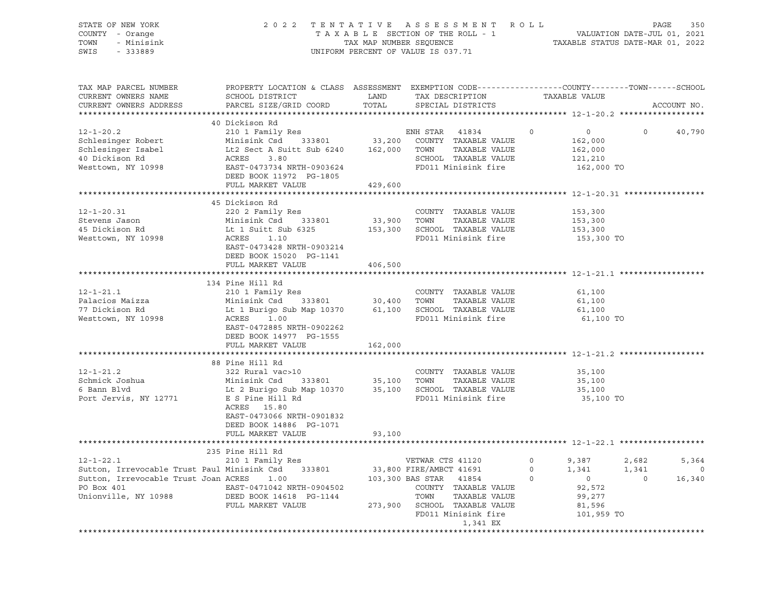| STATE OF NEW YORK<br>COUNTY - Orange<br>- Minisink<br>TOWN<br>SWIS<br>- 333889 |                                                                                                                                              |               | 2022 TENTATIVE ASSESSMENT ROLL<br>TAXABLE SECTION OF THE ROLL - 1<br>TAXABLE SECTION OF THE ROLL - 1<br>TAXABLE STATUS DATE-MAR 01, 2022<br>UNIFORM PERCENT OF VALUE IS 037.71 |               |                                  | PAGE<br>350    |
|--------------------------------------------------------------------------------|----------------------------------------------------------------------------------------------------------------------------------------------|---------------|--------------------------------------------------------------------------------------------------------------------------------------------------------------------------------|---------------|----------------------------------|----------------|
| TAX MAP PARCEL NUMBER<br>CURRENT OWNERS NAME<br>CURRENT OWNERS ADDRESS         | PROPERTY LOCATION & CLASS ASSESSMENT EXEMPTION CODE----------------COUNTY-------TOWN-----SCHOOL<br>SCHOOL DISTRICT<br>PARCEL SIZE/GRID COORD | LAND<br>TOTAL | TAX DESCRIPTION<br>SPECIAL DISTRICTS                                                                                                                                           | TAXABLE VALUE |                                  | ACCOUNT NO.    |
|                                                                                |                                                                                                                                              |               |                                                                                                                                                                                |               |                                  |                |
|                                                                                | 40 Dickison Rd                                                                                                                               |               |                                                                                                                                                                                |               |                                  |                |
| $12 - 1 - 20.2$                                                                | 210 1 Family Res                                                                                                                             |               | ENH STAR 41834                                                                                                                                                                 | $\circ$       | $\circ$<br>$\circ$               | 40,790         |
| Schlesinger Robert                                                             | Minisink Csd 333801                                                                                                                          | 33,200        | COUNTY TAXABLE VALUE                                                                                                                                                           |               | 162,000                          |                |
| Schlesinger Isabel                                                             | Lt2 Sect A Suitt Sub 6240                                                                                                                    | 162,000       | TAXABLE VALUE<br>TOWN                                                                                                                                                          |               | 162,000                          |                |
| 40 Dickison Rd                                                                 | ACRES<br>3.80                                                                                                                                |               | SCHOOL TAXABLE VALUE                                                                                                                                                           |               | 121,210                          |                |
| Westtown, NY 10998                                                             | EAST-0473734 NRTH-0903624                                                                                                                    |               | FD011 Minisink fire                                                                                                                                                            |               | 162,000 TO                       |                |
|                                                                                | DEED BOOK 11972 PG-1805                                                                                                                      |               |                                                                                                                                                                                |               |                                  |                |
|                                                                                | FULL MARKET VALUE                                                                                                                            | 429,600       |                                                                                                                                                                                |               |                                  |                |
|                                                                                |                                                                                                                                              |               |                                                                                                                                                                                |               |                                  |                |
|                                                                                | 45 Dickison Rd                                                                                                                               |               |                                                                                                                                                                                |               |                                  |                |
| $12 - 1 - 20.31$                                                               | 220 2 Family Res                                                                                                                             |               | COUNTY TAXABLE VALUE                                                                                                                                                           |               | 153,300                          |                |
| Stevens Jason                                                                  | Minisink Csd 333801                                                                                                                          | 33,900        | TOWN<br>TAXABLE VALUE                                                                                                                                                          |               | 153,300                          |                |
| 45 Dickison Rd                                                                 | Lt 1 Suitt Sub 6325                                                                                                                          | 153,300       | SCHOOL TAXABLE VALUE                                                                                                                                                           |               | 153,300                          |                |
| Westtown, NY 10998                                                             | ACRES<br>1.10                                                                                                                                |               | FD011 Minisink fire                                                                                                                                                            |               | 153,300 TO                       |                |
|                                                                                | EAST-0473428 NRTH-0903214                                                                                                                    |               |                                                                                                                                                                                |               |                                  |                |
|                                                                                | DEED BOOK 15020 PG-1141                                                                                                                      |               |                                                                                                                                                                                |               |                                  |                |
|                                                                                | FULL MARKET VALUE                                                                                                                            | 406,500       |                                                                                                                                                                                |               |                                  |                |
|                                                                                |                                                                                                                                              |               |                                                                                                                                                                                |               |                                  |                |
|                                                                                | 134 Pine Hill Rd                                                                                                                             |               |                                                                                                                                                                                |               |                                  |                |
| $12 - 1 - 21.1$                                                                | 210 1 Family Res                                                                                                                             |               | COUNTY TAXABLE VALUE                                                                                                                                                           |               | 61,100                           |                |
| Palacios Maizza                                                                | Minisink Csd 333801                                                                                                                          | 30,400        | TOWN<br>TAXABLE VALUE                                                                                                                                                          |               | 61,100                           |                |
| 77 Dickison Rd                                                                 | Lt 1 Burigo Sub Map 10370                                                                                                                    | 61,100        | SCHOOL TAXABLE VALUE                                                                                                                                                           |               | 61,100                           |                |
| Westtown, NY 10998                                                             | ACRES<br>1.00                                                                                                                                |               | FD011 Minisink fire                                                                                                                                                            |               | 61,100 TO                        |                |
|                                                                                | EAST-0472885 NRTH-0902262                                                                                                                    |               |                                                                                                                                                                                |               |                                  |                |
|                                                                                | DEED BOOK 14977 PG-1555                                                                                                                      |               |                                                                                                                                                                                |               |                                  |                |
|                                                                                | FULL MARKET VALUE                                                                                                                            | 162,000       |                                                                                                                                                                                |               |                                  |                |
|                                                                                |                                                                                                                                              |               |                                                                                                                                                                                |               |                                  |                |
|                                                                                | 88 Pine Hill Rd                                                                                                                              |               |                                                                                                                                                                                |               |                                  |                |
| $12 - 1 - 21.2$                                                                | 322 Rural vac>10                                                                                                                             |               | COUNTY TAXABLE VALUE                                                                                                                                                           |               | 35,100                           |                |
| Schmick Joshua                                                                 | Minisink Csd<br>333801                                                                                                                       | 35,100        | TOWN<br>TAXABLE VALUE                                                                                                                                                          |               | 35,100                           |                |
| 6 Bann Blvd                                                                    | Lt 2 Burigo Sub Map 10370                                                                                                                    | 35,100        | SCHOOL TAXABLE VALUE                                                                                                                                                           |               | 35,100                           |                |
| Port Jervis, NY 12771                                                          | E S Pine Hill Rd                                                                                                                             |               | FD011 Minisink fire                                                                                                                                                            |               | 35,100 TO                        |                |
|                                                                                | ACRES 15.80                                                                                                                                  |               |                                                                                                                                                                                |               |                                  |                |
|                                                                                | EAST-0473066 NRTH-0901832                                                                                                                    |               |                                                                                                                                                                                |               |                                  |                |
|                                                                                | DEED BOOK 14886 PG-1071                                                                                                                      |               |                                                                                                                                                                                |               |                                  |                |
|                                                                                | FULL MARKET VALUE                                                                                                                            | 93,100        |                                                                                                                                                                                |               |                                  |                |
|                                                                                |                                                                                                                                              |               |                                                                                                                                                                                |               |                                  |                |
|                                                                                | 235 Pine Hill Rd                                                                                                                             |               |                                                                                                                                                                                |               |                                  |                |
| $12 - 1 - 22.1$                                                                | 210 1 Family Res                                                                                                                             |               | VETWAR CTS 41120                                                                                                                                                               | $\circ$       | 9,387<br>2,682                   | 5,364          |
| Sutton, Irrevocable Trust Paul Minisink Csd 333801                             |                                                                                                                                              |               | 33,800 FIRE/AMBCT 41691                                                                                                                                                        | $\circ$       | 1,341<br>1,341                   | $\overline{0}$ |
| Sutton, Irrevocable Trust Joan ACRES                                           | 1.00                                                                                                                                         |               | 103,300 BAS STAR 41854                                                                                                                                                         | $\circ$       | $\overline{0}$<br>$\overline{0}$ | 16,340         |
| PO Box 401                                                                     | EAST-0471042 NRTH-0904502                                                                                                                    |               | COUNTY TAXABLE VALUE                                                                                                                                                           |               | 92,572                           |                |
| Unionville, NY 10988                                                           | DEED BOOK 14618 PG-1144                                                                                                                      |               | TOWN<br>TAXABLE VALUE                                                                                                                                                          |               | 99,277                           |                |
|                                                                                | FULL MARKET VALUE                                                                                                                            |               | 273,900 SCHOOL TAXABLE VALUE                                                                                                                                                   |               | 81,596                           |                |
|                                                                                |                                                                                                                                              |               | FD011 Minisink fire                                                                                                                                                            |               | 101,959 TO                       |                |
|                                                                                |                                                                                                                                              |               | 1,341 EX                                                                                                                                                                       |               |                                  |                |
|                                                                                |                                                                                                                                              |               |                                                                                                                                                                                |               |                                  |                |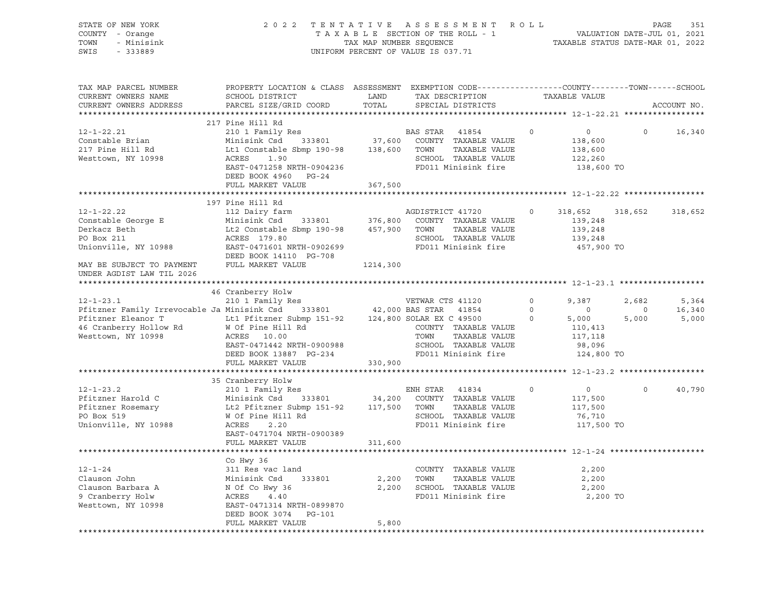| STATE OF NEW YORK<br>COUNTY - Orange<br>- Minisink<br>TOWN<br>SWIS<br>$-333889$                                                                                                                                                                      |                                                                                                                                                                                                                                            |                           | 2022 TENTATIVE ASSESSMENT ROLL<br>TAXABLE SECTION OF THE ROLL - 1<br>TAX MAP NUMBER SEQUENCE<br>TAXABLE STATUS DATE-MAR 01, 2022<br>UNIFORM PERCENT OF VALUE IS 037.71 |                |                                                               |                         | PAGE<br>351     |
|------------------------------------------------------------------------------------------------------------------------------------------------------------------------------------------------------------------------------------------------------|--------------------------------------------------------------------------------------------------------------------------------------------------------------------------------------------------------------------------------------------|---------------------------|------------------------------------------------------------------------------------------------------------------------------------------------------------------------|----------------|---------------------------------------------------------------|-------------------------|-----------------|
| TAX MAP PARCEL NUMBER<br>CURRENT OWNERS NAME<br>CURRENT OWNERS ADDRESS                                                                                                                                                                               | PROPERTY LOCATION & CLASS ASSESSMENT EXEMPTION CODE---------------COUNTY-------TOWN-----SCHOOL<br>SCHOOL DISTRICT<br>PARCEL SIZE/GRID COORD                                                                                                | LAND<br>TOTAL             | TAX DESCRIPTION<br>SPECIAL DISTRICTS                                                                                                                                   |                | TAXABLE VALUE                                                 |                         | ACCOUNT NO.     |
| $12 - 1 - 22.21$<br>Constable Brian<br>217 Pine Hill Rd<br>Westtown, NY 10998                                                                                                                                                                        | 217 Pine Hill Rd<br>210 1 Family Res<br>Minisink Csd 333801 37,600 COUNTY TAXABLE VALUE<br>Lt1 Constable Sbmp 190-98 138,600 TOWN TAXABLE VALUE<br>ACRES 1.90<br>EAST-0471258 NRTH-0904236                                                 |                           | BAS STAR 41854<br>SCHOOL TAXABLE VALUE<br>FD011 Minisink fire                                                                                                          | $\circ$        | $\overline{0}$<br>138,600<br>138,600<br>122,260<br>138,600 TO | $\Omega$                | 16,340          |
|                                                                                                                                                                                                                                                      | DEED BOOK 4960 PG-24<br>FULL MARKET VALUE                                                                                                                                                                                                  | 367,500<br>************** | ************************ 12-1-22.22 *****************                                                                                                                  |                |                                                               |                         |                 |
| $12 - 1 - 22.22$<br>Constable George E<br>Derkacz Beth<br>PO Box 211<br>PO Box 211<br>Unionville, NY 10988                                                                                                                                           | 197 Pine Hill Rd<br>112 Dairy farm<br>Minisink Csd 333801 376,800 COUNTY TAXABLE VALUE<br>Lt2 Constable Sbmp 190-98 457,900 TOWN TAXABLE VALUE<br>ACRES 179.80 SCHOOL TAXABLE VALUE<br>EAST-0471601 NRTH-0902699<br>DEED BOOK 14110 PG-708 |                           | AGDISTRICT 41720<br>TAXABLE VALUE<br>SCHOOL TAXABLE VALUE<br>FD011 Minisink fire                                                                                       | $\circ$        | 318,652<br>139,248<br>139,248<br>139,248<br>457,900 TO        | 318,652                 | 318,652         |
| MAY BE SUBJECT TO PAYMENT FULL MARKET VALUE<br>UNDER AGDIST LAW TIL 2026                                                                                                                                                                             |                                                                                                                                                                                                                                            | 1214,300                  |                                                                                                                                                                        |                |                                                               |                         |                 |
| $12 - 1 - 23.1$<br>Pfitzner Family Irrevocable Ja Minisink Csd 333801 42,000 BAS STAR 41854                                                                                                                                                          | 46 Cranberry Holw<br>210 1 Family Res                                                                                                                                                                                                      |                           | VETWAR CTS 41120                                                                                                                                                       | $\overline{0}$ | 9,387<br>$\overline{0}$                                       | 2,682<br>$\overline{0}$ | 5,364<br>16,340 |
| Pfitzner Eleanor T<br>46 Cranberry Hollow Rd<br>36 W Of Pine Hill Rd<br>36 COUNTY TAXABLE<br>36 COUNTY TAXABLE<br>36 COUNTY TAXABLE<br>36 COUNTY TAXABLE<br>36 COUNTY TAXABLE<br>36 COUNTY TAXABLE<br>36 COUNTY TAXABLE<br>36 COUNTY TAXABLE<br>36 C | EAST-0471442 NRTH-0900988<br>DEED BOOK 13887 PG-234<br>FULL MARKET VALUE                                                                                                                                                                   | 330,900                   | COUNTY TAXABLE VALUE<br>TOWN TAXABLE VALUE<br>SCHOOL TAXABLE VALUE<br>FD011 Minisink fire                                                                              | $\frac{1}{2}$  | 5,000<br>110,413<br>117,118<br>98,096<br>124,800 TO           | 5,000                   | 5,000           |
|                                                                                                                                                                                                                                                      |                                                                                                                                                                                                                                            |                           |                                                                                                                                                                        |                |                                                               |                         |                 |
| $12 - 1 - 23.2$<br>Pfitzner Harold C<br>Pfitzner Rosemary<br>PO Box 519<br>Unionville, NY 10988                                                                                                                                                      | 35 Cranberry Holw<br>210 1 Family Res<br>Minisink Csd 333801 34,200 COUNTY TAXABLE VALUE<br>Lt2 Pfitzner Submp 151-92 117,500 TOWN TAXABLE VALUE<br>W Of Pine Hill Rd<br>ACRES 2.20<br>EAST-0471704 NRTH-0900389                           |                           | ENH STAR 41834<br>SCHOOL TAXABLE VALUE<br>FD011 Minisink fire                                                                                                          | $\circ$        | $\overline{0}$<br>117,500<br>117,500<br>76,710<br>117,500 TO  | $\circ$                 | 40,790          |
|                                                                                                                                                                                                                                                      | FULL MARKET VALUE                                                                                                                                                                                                                          | 311,600                   |                                                                                                                                                                        |                |                                                               |                         |                 |
| $12 - 1 - 24$<br>Clauson John<br>Clauson Barbara A<br>9 Cranberry Holw<br>Westtown, NY 10998                                                                                                                                                         | Co Hwy 36<br>311 Res vac land<br>Minisink Csd<br>N Of Co Hwy 36<br>ACRES 4.40<br>EAST-0471314 NRTH-0899870<br>DEED BOOK 3074 PG-101<br>FULL MARKET VALUE                                                                                   | 5,800                     | COUNTY TAXABLE VALUE<br>2,200 TOWN<br>TAXABLE VALUE<br>2,200 SCHOOL TAXABLE VALUE<br>FD011 Minisink fire                                                               |                | 2,200<br>2,200<br>2,200<br>2,200 TO                           |                         |                 |
|                                                                                                                                                                                                                                                      |                                                                                                                                                                                                                                            |                           |                                                                                                                                                                        |                |                                                               |                         |                 |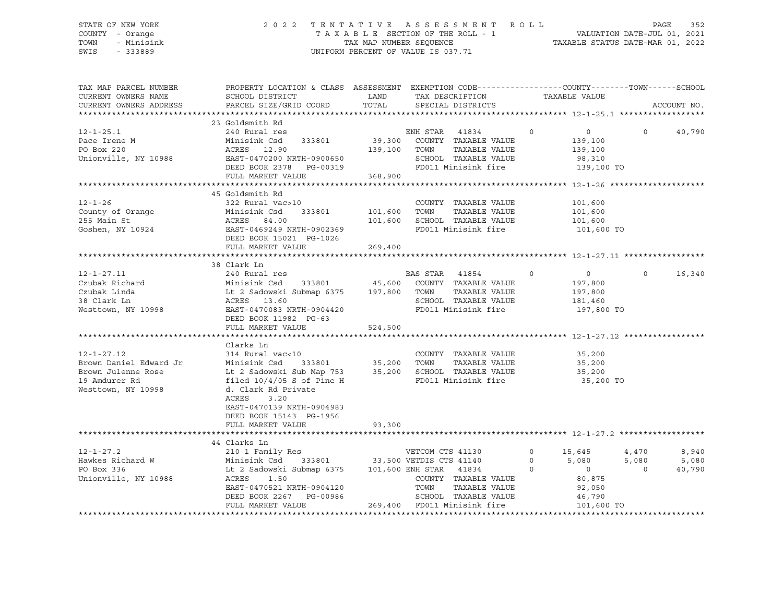#### STATE OF NEW YORK 2 0 2 2 T E N T A T I V E A S S E S S M E N T R O L L PAGE 352 COUNTY - Orange T A X A B L E SECTION OF THE ROLL - 1 VALUATION DATE-JUL 01, 2021 TOWN - Minisink TAX MAP NUMBER SEQUENCE TAXABLE STATUS DATE-MAR 01, 2022 SWIS - 333889 CONSERVATION CONTROL OF VALUE IS 037.71

| TAX MAP PARCEL NUMBER<br>CURRENT OWNERS NAME<br>CURRENT OWNERS ADDRESS                                                                                                                                                               | PROPERTY LOCATION & CLASS ASSESSMENT EXEMPTION CODE----------------COUNTY-------TOWN------SCHOOL<br>SCHOOL DISTRICT<br>PARCEL SIZE/GRID COORD           |              | LAND TAX DESCRIPTION<br>TOTAL SPECIAL DISTRICTS | TAXABLE VALUE              | ACCOUNT NO.              |
|--------------------------------------------------------------------------------------------------------------------------------------------------------------------------------------------------------------------------------------|---------------------------------------------------------------------------------------------------------------------------------------------------------|--------------|-------------------------------------------------|----------------------------|--------------------------|
|                                                                                                                                                                                                                                      |                                                                                                                                                         |              |                                                 |                            |                          |
| $12 - 1 - 25.1$                                                                                                                                                                                                                      | 23 Goldsmith Rd                                                                                                                                         |              | ENH STAR 41834 0                                |                            | $\Omega$                 |
| Pace Irene M                                                                                                                                                                                                                         | 240 Rural res<br>333801<br>Minisink Csd                                                                                                                 |              | 39,300 COUNTY TAXABLE VALUE                     | $\overline{0}$<br>139,100  | 40,790                   |
| PO Box 220                                                                                                                                                                                                                           | Minisink Csd<br>ACRES    12.90                                                                                                                          | 139,100 TOWN | TAXABLE VALUE                                   | 139,100                    |                          |
|                                                                                                                                                                                                                                      |                                                                                                                                                         |              |                                                 |                            |                          |
| Unionville, NY 10988 EAST-0470200 NRTH-0900650 SCHOOL TAXABLE VALUE<br>DEED BOOK 2378 PG-00319 FD011 Minisink fire                                                                                                                   |                                                                                                                                                         |              |                                                 | 98,310<br>139,100 TO       |                          |
|                                                                                                                                                                                                                                      | FULL MARKET VALUE                                                                                                                                       | 368,900      |                                                 |                            |                          |
|                                                                                                                                                                                                                                      |                                                                                                                                                         |              |                                                 |                            |                          |
|                                                                                                                                                                                                                                      | 45 Goldsmith Rd                                                                                                                                         |              |                                                 |                            |                          |
| $12 - 1 - 26$                                                                                                                                                                                                                        | 322 Rural vac>10                                                                                                                                        |              | COUNTY TAXABLE VALUE                            | 101,600                    |                          |
|                                                                                                                                                                                                                                      |                                                                                                                                                         |              |                                                 | 101,600                    |                          |
|                                                                                                                                                                                                                                      |                                                                                                                                                         |              |                                                 | 101,600                    |                          |
| County of Orange Minisink Csd 33801 101,600 TOWN TAXABLE VALUE<br>255 Main St 255 Main St 200 ACRES 84.00 101,600 SCHOOL TAXABLE VALUE<br>355 Main St 200 BCHOOL TAXABLE VALUE<br>265 Members 200 BCED BOOK 15021 PG-1026            |                                                                                                                                                         |              | FD011 Minisink fire 101,600 TO                  |                            |                          |
|                                                                                                                                                                                                                                      |                                                                                                                                                         |              |                                                 |                            |                          |
|                                                                                                                                                                                                                                      | FULL MARKET VALUE                                                                                                                                       | 269,400      |                                                 |                            |                          |
|                                                                                                                                                                                                                                      |                                                                                                                                                         |              |                                                 |                            |                          |
|                                                                                                                                                                                                                                      | 38 Clark Ln                                                                                                                                             |              |                                                 |                            |                          |
| $12 - 1 - 27.11$                                                                                                                                                                                                                     | 240 Rural res                                                                                                                                           |              | BAS STAR 41854<br>$\overline{0}$                | $\overline{0}$             | 16,340<br>$\overline{0}$ |
|                                                                                                                                                                                                                                      |                                                                                                                                                         |              |                                                 | 197,800                    |                          |
|                                                                                                                                                                                                                                      |                                                                                                                                                         |              |                                                 | 197,800<br>181,460         |                          |
|                                                                                                                                                                                                                                      |                                                                                                                                                         |              |                                                 |                            |                          |
| Czubak Richard Minisink Csd 333801 45,600 COUNTY TAXABLE VALUE<br>Czubak Linda Lt 2 Sadowski Submap 6375 197,800 TOWN TAXABLE VALUE<br>38 Clark Ln ACRES 13.60 SCHOOL TAXABLE VALUE<br>Westtown, NY 10998 EAST-04770083 NRTH-0904420 |                                                                                                                                                         |              | FD011 Minisink fire 197,800 TO                  |                            |                          |
|                                                                                                                                                                                                                                      | DEED BOOK 11982 PG-63                                                                                                                                   |              |                                                 |                            |                          |
|                                                                                                                                                                                                                                      | FULL MARKET VALUE                                                                                                                                       | 524,500      |                                                 |                            |                          |
|                                                                                                                                                                                                                                      | Clarks Ln                                                                                                                                               |              |                                                 |                            |                          |
| $12 - 1 - 27.12$                                                                                                                                                                                                                     | 314 Rural vac<10                                                                                                                                        |              | COUNTY TAXABLE VALUE                            | 35,200                     |                          |
| Brown Daniel Edward Jr                                                                                                                                                                                                               |                                                                                                                                                         |              |                                                 | 35,200                     |                          |
| Brown Julenne Rose                                                                                                                                                                                                                   |                                                                                                                                                         |              |                                                 | 35,200                     |                          |
| 19 Amdurer Rd                                                                                                                                                                                                                        | Minisink Csd 333801 35,200 TOWN TAXABLE VALUE<br>Lt 2 Sadowski Sub Map 753 35,200 SCHOOL TAXABLE VALUE<br>filed 10/4/05 S of Pine H FD011 Minisink fire |              | FD011 Minisink fire                             | 35,200 TO                  |                          |
| Westtown, NY 10998                                                                                                                                                                                                                   | d. Clark Rd Private                                                                                                                                     |              |                                                 |                            |                          |
|                                                                                                                                                                                                                                      | 3.20<br>ACRES                                                                                                                                           |              |                                                 |                            |                          |
|                                                                                                                                                                                                                                      | EAST-0470139 NRTH-0904983                                                                                                                               |              |                                                 |                            |                          |
|                                                                                                                                                                                                                                      | DEED BOOK 15143 PG-1956                                                                                                                                 |              |                                                 |                            |                          |
|                                                                                                                                                                                                                                      | FULL MARKET VALUE                                                                                                                                       | 93,300       |                                                 |                            |                          |
|                                                                                                                                                                                                                                      |                                                                                                                                                         |              |                                                 |                            |                          |
|                                                                                                                                                                                                                                      | 44 Clarks Ln                                                                                                                                            |              |                                                 |                            |                          |
|                                                                                                                                                                                                                                      |                                                                                                                                                         |              |                                                 | $\circ$<br>15,645          | 4,470<br>8,940           |
|                                                                                                                                                                                                                                      |                                                                                                                                                         |              |                                                 | 5,080<br>$0 \qquad \qquad$ | 5,080<br>5,080           |
|                                                                                                                                                                                                                                      |                                                                                                                                                         |              |                                                 | $\overline{0}$<br>$\circ$  | $\overline{0}$<br>40,790 |
| Unionville, NY 10988                                                                                                                                                                                                                 | ACRES 1.50<br>EAST-0470521 NRTH-0904120                                                                                                                 |              | COUNTY TAXABLE VALUE                            |                            |                          |
|                                                                                                                                                                                                                                      |                                                                                                                                                         |              | TOWN<br>TAXABLE VALUE                           | 80,875<br>92,050           |                          |
|                                                                                                                                                                                                                                      |                                                                                                                                                         |              | SCHOOL TAXABLE VALUE                            | 46,790                     |                          |
|                                                                                                                                                                                                                                      | DEED BOOK 2267 PG-00986 SCHOOL TAXABLE VALUE<br>THE MARKET VALUE 269,400 FD011 Minisink fire                                                            |              |                                                 | 101,600 TO                 |                          |
|                                                                                                                                                                                                                                      |                                                                                                                                                         |              |                                                 |                            |                          |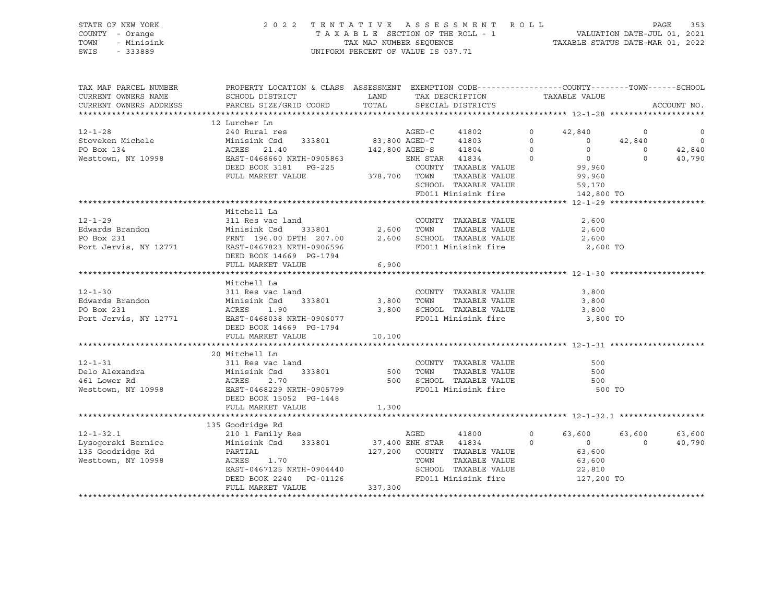#### STATE OF NEW YORK 2 0 2 2 T E N T A T I V E A S S E S S M E N T R O L L PAGE 353 COUNTY - Orange T A X A B L E SECTION OF THE ROLL - 1 VALUATION DATE-JUL 01, 2021 TOWN - Minisink TAX MAP NUMBER SEQUENCE TAXABLE STATUS DATE-MAR 01, 2022 SWIS - 333889 CONSERVATION CONTROL OF VALUE IS 037.71

| TAX MAP PARCEL NUMBER                                                                                                                                                                                                                           | PROPERTY LOCATION & CLASS ASSESSMENT EXEMPTION CODE----------------COUNTY-------TOWN------SCHOOL                                                                          |        |                              |                   |                                                         |                      |             |
|-------------------------------------------------------------------------------------------------------------------------------------------------------------------------------------------------------------------------------------------------|---------------------------------------------------------------------------------------------------------------------------------------------------------------------------|--------|------------------------------|-------------------|---------------------------------------------------------|----------------------|-------------|
| CURRENT OWNERS NAME                                                                                                                                                                                                                             | SCHOOL DISTRICT LAND                                                                                                                                                      |        | TAX DESCRIPTION              |                   | TAXABLE VALUE                                           |                      |             |
| CURRENT OWNERS ADDRESS                                                                                                                                                                                                                          | PARCEL SIZE/GRID COORD TOTAL                                                                                                                                              |        | SPECIAL DISTRICTS            |                   |                                                         |                      | ACCOUNT NO. |
|                                                                                                                                                                                                                                                 |                                                                                                                                                                           |        |                              |                   |                                                         |                      |             |
|                                                                                                                                                                                                                                                 | 12 Lurcher Ln<br>240 Rural res                                                                                                                                            |        |                              |                   |                                                         |                      |             |
| 12-1-28<br>Stoveken Michele Minisink Csd 333801<br>PO Box 134<br>Westtown, NY 10998<br>Stoveken Michele Minisink Csd 333801<br>ACRES 21.40<br>Westtown, NY 10998<br>EAST-0468660 NRTH-0905863<br>DEED BOOK 3181 PG-225<br>FULL MARKET VALUE 378 |                                                                                                                                                                           |        |                              |                   |                                                         |                      |             |
|                                                                                                                                                                                                                                                 |                                                                                                                                                                           |        |                              |                   |                                                         |                      |             |
|                                                                                                                                                                                                                                                 |                                                                                                                                                                           |        |                              |                   |                                                         |                      |             |
|                                                                                                                                                                                                                                                 |                                                                                                                                                                           |        |                              |                   |                                                         |                      |             |
|                                                                                                                                                                                                                                                 |                                                                                                                                                                           |        |                              |                   |                                                         |                      |             |
|                                                                                                                                                                                                                                                 |                                                                                                                                                                           |        |                              |                   |                                                         |                      |             |
|                                                                                                                                                                                                                                                 |                                                                                                                                                                           |        | SCHOOL TAXABLE VALUE         |                   | 59,170                                                  |                      |             |
|                                                                                                                                                                                                                                                 |                                                                                                                                                                           |        |                              |                   |                                                         |                      |             |
|                                                                                                                                                                                                                                                 |                                                                                                                                                                           |        |                              |                   |                                                         |                      |             |
| $12 - 1 - 29$                                                                                                                                                                                                                                   | Mitchell La                                                                                                                                                               |        |                              |                   |                                                         |                      |             |
|                                                                                                                                                                                                                                                 | 311 Res vac land                                                                                                                                                          |        | COUNTY TAXABLE VALUE         |                   | 2,600                                                   |                      |             |
|                                                                                                                                                                                                                                                 |                                                                                                                                                                           |        |                              |                   |                                                         |                      |             |
| Edwards Brandon Minisink Csd 333801 2,600 TOWN TAXABLE VALUE 2,600<br>PO Box 231 FRNT 196.00 DPTH 207.00 2,600 SCHOOL TAXABLE VALUE 2,600<br>Port Jervis, NY 12771 EAST-0467823 NRTH-0906596 FD011 Minisink fire 2,600 TO                       |                                                                                                                                                                           |        |                              |                   |                                                         |                      |             |
|                                                                                                                                                                                                                                                 |                                                                                                                                                                           |        |                              |                   |                                                         |                      |             |
|                                                                                                                                                                                                                                                 | DEED BOOK 14669 PG-1794                                                                                                                                                   | 6,900  |                              |                   |                                                         |                      |             |
|                                                                                                                                                                                                                                                 | FULL MARKET VALUE                                                                                                                                                         |        |                              |                   |                                                         |                      |             |
|                                                                                                                                                                                                                                                 | Mitchell La                                                                                                                                                               |        |                              |                   |                                                         |                      |             |
|                                                                                                                                                                                                                                                 |                                                                                                                                                                           |        | COUNTY TAXABLE VALUE         |                   | 3,800                                                   |                      |             |
|                                                                                                                                                                                                                                                 |                                                                                                                                                                           |        | TAXABLE VALUE 3,800          |                   |                                                         |                      |             |
|                                                                                                                                                                                                                                                 |                                                                                                                                                                           |        | 3,800 SCHOOL TAXABLE VALUE   |                   | 3,800                                                   |                      |             |
| Port Jervis, NY 12771 EAST-0468038 NRTH-0906077                                                                                                                                                                                                 |                                                                                                                                                                           |        | FD011 Minisink fire 3,800 TO |                   |                                                         |                      |             |
|                                                                                                                                                                                                                                                 | DEED BOOK 14669 PG-1794                                                                                                                                                   |        |                              |                   |                                                         |                      |             |
|                                                                                                                                                                                                                                                 | FULL MARKET VALUE                                                                                                                                                         | 10,100 |                              |                   |                                                         |                      |             |
|                                                                                                                                                                                                                                                 |                                                                                                                                                                           |        |                              |                   |                                                         |                      |             |
|                                                                                                                                                                                                                                                 |                                                                                                                                                                           |        |                              |                   |                                                         |                      |             |
|                                                                                                                                                                                                                                                 |                                                                                                                                                                           |        |                              |                   |                                                         |                      |             |
|                                                                                                                                                                                                                                                 |                                                                                                                                                                           |        |                              |                   |                                                         |                      |             |
|                                                                                                                                                                                                                                                 |                                                                                                                                                                           |        |                              |                   |                                                         |                      |             |
|                                                                                                                                                                                                                                                 |                                                                                                                                                                           |        |                              |                   | 500 TO                                                  |                      |             |
|                                                                                                                                                                                                                                                 |                                                                                                                                                                           |        |                              |                   |                                                         |                      |             |
|                                                                                                                                                                                                                                                 | FULL MARKET VALUE                                                                                                                                                         | 1,300  |                              |                   |                                                         |                      |             |
|                                                                                                                                                                                                                                                 |                                                                                                                                                                           |        |                              |                   |                                                         |                      |             |
|                                                                                                                                                                                                                                                 |                                                                                                                                                                           |        |                              |                   |                                                         |                      |             |
|                                                                                                                                                                                                                                                 |                                                                                                                                                                           |        | 41800 700                    | $0 \qquad \qquad$ |                                                         | 63,600 63,600 63,600 |             |
|                                                                                                                                                                                                                                                 |                                                                                                                                                                           |        |                              |                   | $\begin{array}{ccc} 0 & & & 0 \\ 0 & & & 0 \end{array}$ | $\sim$ 0             | 40,790      |
| 135 Goodridge Rd                                                                                                                                                                                                                                | PARTIAL<br>ACRES                                                                                                                                                          |        |                              |                   |                                                         |                      |             |
| Westtown, NY 10998                                                                                                                                                                                                                              |                                                                                                                                                                           |        |                              |                   |                                                         |                      |             |
|                                                                                                                                                                                                                                                 | $\begin{array}{lllllllll} {\tt ACRES} & 1.70 & {\tt TOWN} & {\tt TAXABLE\ VALUE} \\ {\tt EAST-0467125\ NRTH-0904440} & & {\tt SCHOOL} & {\tt TAXABLE\ VALUE} \end{array}$ |        |                              |                   | 22,810                                                  |                      |             |
|                                                                                                                                                                                                                                                 | DEED BOOK 2240 PG-01126<br>FULL MARKET VALUE 337,300                                                                                                                      |        | FD011 Minisink fire          |                   | 127,200 TO                                              |                      |             |
|                                                                                                                                                                                                                                                 |                                                                                                                                                                           |        |                              |                   |                                                         |                      |             |
|                                                                                                                                                                                                                                                 |                                                                                                                                                                           |        |                              |                   |                                                         |                      |             |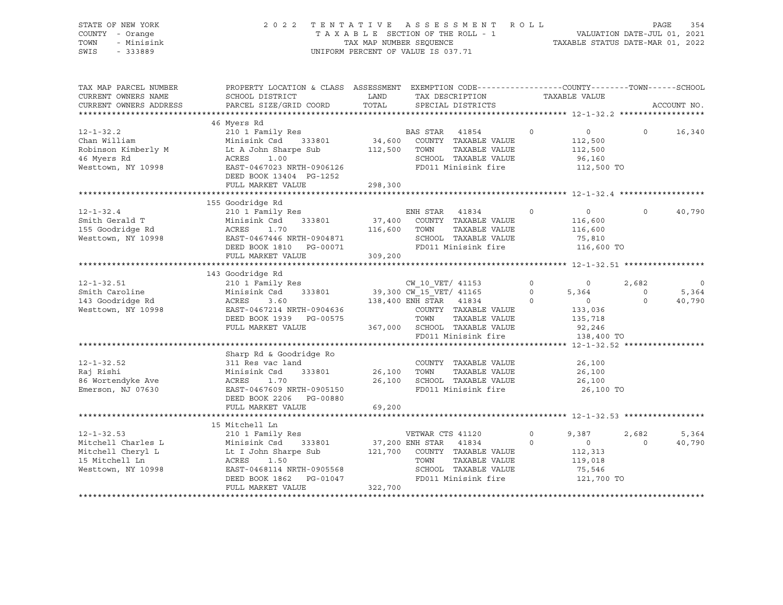|      | STATE OF NEW YORK | 2022 TENTATIVE ASSESSMENT ROLL                                 | PAGE | 354 |
|------|-------------------|----------------------------------------------------------------|------|-----|
|      | COUNTY - Orange   | VALUATION DATE-JUL 01, 2021<br>TAXABLE SECTION OF THE ROLL - 1 |      |     |
|      | TOWN - Minisink   | TAXABLE STATUS DATE-MAR 01, 2022<br>TAX MAP NUMBER SEOUENCE    |      |     |
| SWIS | - 333889          | UNIFORM PERCENT OF VALUE IS 037.71                             |      |     |

| TAX MAP PARCEL NUMBER                                                                                             | PROPERTY LOCATION & CLASS ASSESSMENT EXEMPTION CODE---------------COUNTY-------TOWN------SCHOOL                                                          |                            |                                                     |                   |                |          |             |
|-------------------------------------------------------------------------------------------------------------------|----------------------------------------------------------------------------------------------------------------------------------------------------------|----------------------------|-----------------------------------------------------|-------------------|----------------|----------|-------------|
| CURRENT OWNERS NAME                                                                                               | SCHOOL DISTRICT                                                                                                                                          | LAND                       | TAX DESCRIPTION                                     |                   | TAXABLE VALUE  |          |             |
| CURRENT OWNERS ADDRESS                                                                                            | PARCEL SIZE/GRID COORD                                                                                                                                   | TOTAL                      | SPECIAL DISTRICTS                                   |                   |                |          | ACCOUNT NO. |
|                                                                                                                   |                                                                                                                                                          |                            |                                                     |                   |                |          |             |
|                                                                                                                   | 46 Myers Rd                                                                                                                                              |                            |                                                     |                   |                |          |             |
| $12 - 1 - 32.2$                                                                                                   | 210 1 Family Res                                                                                                                                         |                            | BAS STAR 41854                                      | $\overline{0}$    | $\overline{0}$ | $\Omega$ | 16,340      |
| Chan William                                                                                                      | $\begin{tabular}{lllllll} \texttt{Minisink} & \texttt{Csd} & \texttt{333801} & \texttt{34,600} & \texttt{COUNTY} & \texttt{TAXABLE VALUE} \end{tabular}$ |                            |                                                     |                   | 112,500        |          |             |
| Robinson Kimberly M                                                                                               | Lt A John Sharpe Sub                                                                                                                                     | 112,500 TOWN               | TAXABLE VALUE                                       |                   | 112,500        |          |             |
| 46 Myers Rd                                                                                                       | ACRES<br>1.00                                                                                                                                            |                            | SCHOOL TAXABLE VALUE                                |                   | 96,160         |          |             |
| Westtown, NY 10998                                                                                                | EAST-0467023 NRTH-0906126                                                                                                                                |                            | FD011 Minisink fire                                 |                   | 112,500 TO     |          |             |
|                                                                                                                   | DEED BOOK 13404 PG-1252                                                                                                                                  |                            |                                                     |                   |                |          |             |
|                                                                                                                   | FULL MARKET VALUE                                                                                                                                        | 298,300                    |                                                     |                   |                |          |             |
|                                                                                                                   |                                                                                                                                                          |                            |                                                     |                   |                |          |             |
|                                                                                                                   | 155 Goodridge Rd                                                                                                                                         |                            |                                                     |                   |                |          |             |
| $12 - 1 - 32.4$                                                                                                   | 210 1 Family Res                                                                                                                                         |                            | ENH STAR 41834<br>$\overline{0}$                    |                   | $\overline{0}$ | $\Omega$ |             |
|                                                                                                                   |                                                                                                                                                          |                            | 333801 37,400 COUNTY TAXABLE VALUE                  |                   |                |          | 40,790      |
| Smith Gerald T                                                                                                    | Minisink Csd                                                                                                                                             |                            |                                                     |                   | 116,600        |          |             |
| Santon Society<br>155 Goodridge Rd<br>** ***** MY 10998                                                           | 116,600 TOWN<br>ACRES<br>1.70                                                                                                                            |                            | TAXABLE VALUE                                       |                   | 116,600        |          |             |
| Westtown, NY 10998                                                                                                | EAST-0467446 NRTH-0904871                                                                                                                                |                            | SCHOOL TAXABLE VALUE                                |                   | 75,810         |          |             |
|                                                                                                                   | DEED BOOK 1810    PG-00071                                                                                                                               |                            | FD011 Minisink fire 116,600 TO                      |                   |                |          |             |
|                                                                                                                   | FULL MARKET VALUE                                                                                                                                        | 309,200                    |                                                     |                   |                |          |             |
|                                                                                                                   |                                                                                                                                                          |                            |                                                     |                   |                |          |             |
|                                                                                                                   | 143 Goodridge Rd                                                                                                                                         |                            |                                                     |                   |                |          |             |
| $12 - 1 - 32.51$                                                                                                  | 210 1 Family Res                                                                                                                                         |                            | CW 10 VET/ 41153                                    | $0 \qquad \qquad$ | $\overline{0}$ | 2,682    | $\circ$     |
| Smith Caroline                                                                                                    | Minisink Csd                                                                                                                                             |                            | 333801 39,300 $CW$ 15 $VET/$ 41165 0                |                   | 5,364          | $\circ$  | 5,364       |
| 143 Goodridge Rd                                                                                                  | ACRES<br>3.60                                                                                                                                            |                            | 138,400 ENH STAR 41834 0                            |                   | $\overline{0}$ | $\Omega$ | 40,790      |
| Westtown, NY 10998                                                                                                | EAST-0467214 NRTH-0904636                                                                                                                                |                            | COUNTY TAXABLE VALUE                                |                   | 133,036        |          |             |
|                                                                                                                   | DEED BOOK 1939 PG-00575                                                                                                                                  |                            | TOWN<br>TAXABLE VALUE                               |                   | 135,718        |          |             |
|                                                                                                                   | FULL MARKET VALUE                                                                                                                                        |                            |                                                     |                   | 92,246         |          |             |
|                                                                                                                   |                                                                                                                                                          |                            | 367,000 SCHOOL TAXABLE VALUE<br>FD011 Minisink fire |                   | 138,400 TO     |          |             |
|                                                                                                                   |                                                                                                                                                          |                            |                                                     |                   |                |          |             |
|                                                                                                                   | Sharp Rd & Goodridge Ro                                                                                                                                  |                            |                                                     |                   |                |          |             |
| $12 - 1 - 32.52$                                                                                                  | 311 Res vac land                                                                                                                                         |                            | COUNTY TAXABLE VALUE                                |                   | 26,100         |          |             |
| Raj Rishi                                                                                                         | Minisink Csd 333801                                                                                                                                      | COUNTY<br>26,100      TOWN | TAXABLE VALUE                                       |                   |                |          |             |
| 86 Wortendyke Ave                                                                                                 |                                                                                                                                                          |                            | 26,100 SCHOOL TAXABLE VALUE                         |                   | 26,100         |          |             |
|                                                                                                                   | 1.70<br>ACRES                                                                                                                                            |                            | FD011 Minisink fire                                 |                   | 26,100         |          |             |
| Emerson, NJ 07630                                                                                                 | EAST-0467609 NRTH-0905150                                                                                                                                |                            |                                                     |                   | 26,100 TO      |          |             |
|                                                                                                                   | DEED BOOK 2206 PG-00880                                                                                                                                  |                            |                                                     |                   |                |          |             |
|                                                                                                                   | FULL MARKET VALUE                                                                                                                                        | 69,200                     |                                                     |                   |                |          |             |
|                                                                                                                   |                                                                                                                                                          |                            |                                                     |                   |                |          |             |
|                                                                                                                   | 15 Mitchell Ln                                                                                                                                           |                            |                                                     |                   |                |          |             |
| $12 - 1 - 32.53$                                                                                                  | 210 1 Family Res                                                                                                                                         |                            | VETWAR CTS 41120                                    | $\circ$           | 9,387          | 2,682    | 5,364       |
| Mitchell Charles L                                                                                                | Minisink Csd                                                                                                                                             |                            | 333801 37,200 ENH STAR 41834                        | $\Omega$          | $\overline{0}$ | $\Omega$ | 40,790      |
| Mitchell Cheryl Land and Level Loop and Sharpe Sub and 121,700 COUNTY TAXABLE VALUE 15 Mitchell Ln and ACRES 1.50 |                                                                                                                                                          |                            |                                                     |                   | 112,313        |          |             |
| 15 Mitchell Ln                                                                                                    | ACRES<br>1.50                                                                                                                                            |                            | TAXABLE VALUE                                       |                   | 119,018        |          |             |
| Westtown, NY 10998                                                                                                | EAST-0468114 NRTH-0905568                                                                                                                                |                            | SCHOOL TAXABLE VALUE                                |                   | 75,546         |          |             |
|                                                                                                                   | DEED BOOK 1862    PG-01047                                                                                                                               |                            | FD011 Minisink fire 121,700 TO                      |                   |                |          |             |
|                                                                                                                   | FULL MARKET VALUE                                                                                                                                        | 322,700                    |                                                     |                   |                |          |             |
|                                                                                                                   |                                                                                                                                                          |                            |                                                     |                   |                |          |             |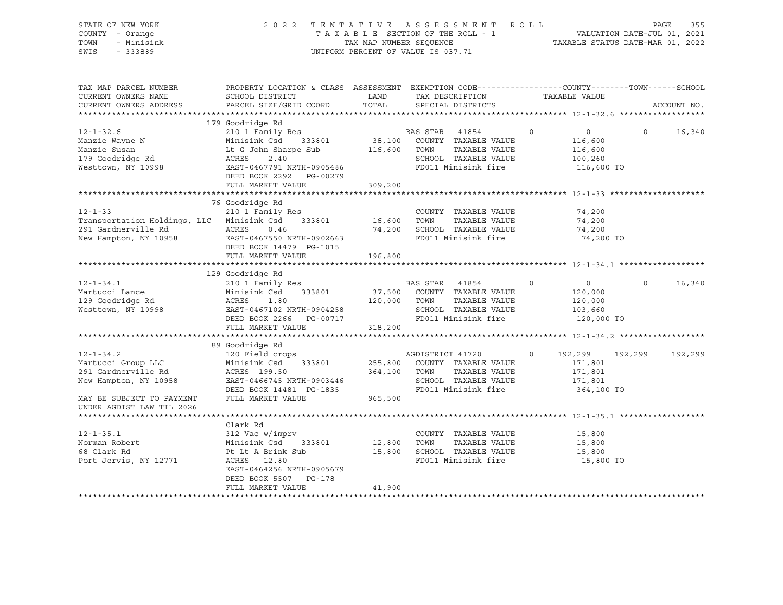| STATE OF NEW YORK<br>COUNTY - Orange<br>TOWN<br>- Minisink<br>SWIS<br>$-333889$       | 2 0 2 2                                                                                                                                      | TAXABLE SECTION OF THE ROLL - 1<br>TAX MAP NUMBER SEQUENCE<br>UNIFORM PERCENT OF VALUE IS 037.71 |                          | TENTATIVE ASSESSMENT                                                                        | R O L L | TAXABLE STATUS DATE-MAR 01, 2022         | VALUATION DATE-JUL 01, 2021 | PAGE<br>355 |
|---------------------------------------------------------------------------------------|----------------------------------------------------------------------------------------------------------------------------------------------|--------------------------------------------------------------------------------------------------|--------------------------|---------------------------------------------------------------------------------------------|---------|------------------------------------------|-----------------------------|-------------|
| TAX MAP PARCEL NUMBER<br>CURRENT OWNERS NAME<br>CURRENT OWNERS ADDRESS                | PROPERTY LOCATION & CLASS ASSESSMENT EXEMPTION CODE----------------COUNTY-------TOWN-----SCHOOL<br>SCHOOL DISTRICT<br>PARCEL SIZE/GRID COORD | LAND<br>TOTAL                                                                                    |                          | TAX DESCRIPTION<br>SPECIAL DISTRICTS                                                        |         | TAXABLE VALUE                            |                             | ACCOUNT NO. |
|                                                                                       |                                                                                                                                              |                                                                                                  |                          |                                                                                             |         |                                          |                             |             |
| $12 - 1 - 32.6$<br>Manzie Wayne N                                                     | 179 Goodridge Rd<br>210 1 Family Res<br>Minisink Csd<br>333801                                                                               | BZ<br>38,100                                                                                     | <b>BAS STAR</b>          | 41854<br>COUNTY TAXABLE VALUE                                                               | $\circ$ | $\overline{0}$<br>116,600                | $\circ$                     | 16,340      |
| Manzie Susan<br>179 Goodridge Rd<br>Westtown, NY 10998                                | Lt G John Sharpe Sub<br>ACRES<br>2.40<br>EAST-0467791 NRTH-0905486                                                                           | 116,600                                                                                          | TOWN                     | TAXABLE VALUE<br>SCHOOL TAXABLE VALUE<br>FD011 Minisink fire                                |         | 116,600<br>100,260<br>116,600 TO         |                             |             |
|                                                                                       | DEED BOOK 2292 PG-00279<br>FULL MARKET VALUE                                                                                                 | 309,200                                                                                          |                          |                                                                                             |         |                                          |                             |             |
|                                                                                       | 76 Goodridge Rd                                                                                                                              |                                                                                                  |                          |                                                                                             |         |                                          |                             |             |
| $12 - 1 - 33$<br>Transportation Holdings, LLC Minisink Csd<br>291 Gardnerville Rd     | 210 1 Family Res<br>333801<br>ACRES<br>0.46                                                                                                  | 16,600                                                                                           | TOWN                     | COUNTY TAXABLE VALUE<br>TAXABLE VALUE<br>74,200 SCHOOL TAXABLE VALUE<br>FD011 Minisink fire |         | 74,200<br>74,200<br>74,200               |                             |             |
| New Hampton, NY 10958                                                                 | EAST-0467550 NRTH-0902663<br>DEED BOOK 14479 PG-1015<br>FULL MARKET VALUE                                                                    | 196,800                                                                                          |                          |                                                                                             |         | 74,200 TO                                |                             |             |
|                                                                                       |                                                                                                                                              |                                                                                                  |                          |                                                                                             |         |                                          |                             |             |
|                                                                                       | 129 Goodridge Rd                                                                                                                             |                                                                                                  |                          |                                                                                             |         |                                          |                             |             |
| $12 - 1 - 34.1$<br>Martucci Lance<br>129 Goodridge Rd                                 | 210 1 Family Res<br>Minisink Csd<br>333801<br>ACRES<br>1.80                                                                                  | 37,500<br>120,000 TOWN                                                                           | BAS STAR 41854           | COUNTY TAXABLE VALUE<br>TAXABLE VALUE                                                       | $\circ$ | $\overline{0}$<br>120,000<br>120,000     | $\Omega$                    | 16,340      |
| Westtown, NY 10998                                                                    | EAST-0467102 NRTH-0904258<br>DEED BOOK 2266<br>PG-00717<br>FULL MARKET VALUE                                                                 | 318,200                                                                                          |                          | SCHOOL TAXABLE VALUE<br>FD011 Minisink fire                                                 |         | 103,660<br>120,000 TO                    |                             |             |
|                                                                                       |                                                                                                                                              |                                                                                                  |                          |                                                                                             |         |                                          |                             |             |
|                                                                                       | 89 Goodridge Rd                                                                                                                              |                                                                                                  |                          |                                                                                             |         |                                          |                             |             |
| $12 - 1 - 34.2$<br>Martucci Group LLC<br>291 Gardnerville Rd<br>New Hampton, NY 10958 | 120 Field crops<br>Minisink Csd<br>333801<br>ACRES 199.50<br>EAST-0466745 NRTH-0903446                                                       | 255,800<br>364,100                                                                               | AGDISTRICT 41720<br>TOWN | COUNTY TAXABLE VALUE<br>TAXABLE VALUE<br>SCHOOL TAXABLE VALUE                               | $\circ$ | 192,299<br>171,801<br>171,801<br>171,801 | 192,299                     | 192,299     |
| MAY BE SUBJECT TO PAYMENT<br>UNDER AGDIST LAW TIL 2026                                | DEED BOOK 14481 PG-1835<br>FULL MARKET VALUE                                                                                                 | 965,500                                                                                          |                          | FD011 Minisink fire                                                                         |         | 364,100 TO                               |                             |             |
|                                                                                       |                                                                                                                                              |                                                                                                  |                          |                                                                                             |         |                                          |                             |             |
| $12 - 1 - 35.1$<br>Norman Robert<br>68 Clark Rd<br>Port Jervis, NY 12771              | Clark Rd<br>312 Vac w/imprv<br>Minisink Csd<br>333801<br>Pt Lt A Brink Sub<br>ACRES 12.80                                                    | 12,800<br>15,800                                                                                 | TOWN                     | COUNTY TAXABLE VALUE<br>TAXABLE VALUE<br>SCHOOL TAXABLE VALUE<br>FD011 Minisink fire        |         | 15,800<br>15,800<br>15,800<br>15,800 TO  |                             |             |
|                                                                                       | EAST-0464256 NRTH-0905679<br>DEED BOOK 5507<br>PG-178                                                                                        |                                                                                                  |                          |                                                                                             |         |                                          |                             |             |

\*\*\*\*\*\*\*\*\*\*\*\*\*\*\*\*\*\*\*\*\*\*\*\*\*\*\*\*\*\*\*\*\*\*\*\*\*\*\*\*\*\*\*\*\*\*\*\*\*\*\*\*\*\*\*\*\*\*\*\*\*\*\*\*\*\*\*\*\*\*\*\*\*\*\*\*\*\*\*\*\*\*\*\*\*\*\*\*\*\*\*\*\*\*\*\*\*\*\*\*\*\*\*\*\*\*\*\*\*\*\*\*\*\*\*\*\*\*\*\*\*\*\*\*\*\*\*\*\*\*\*\*

FULL MARKET VALUE 41,900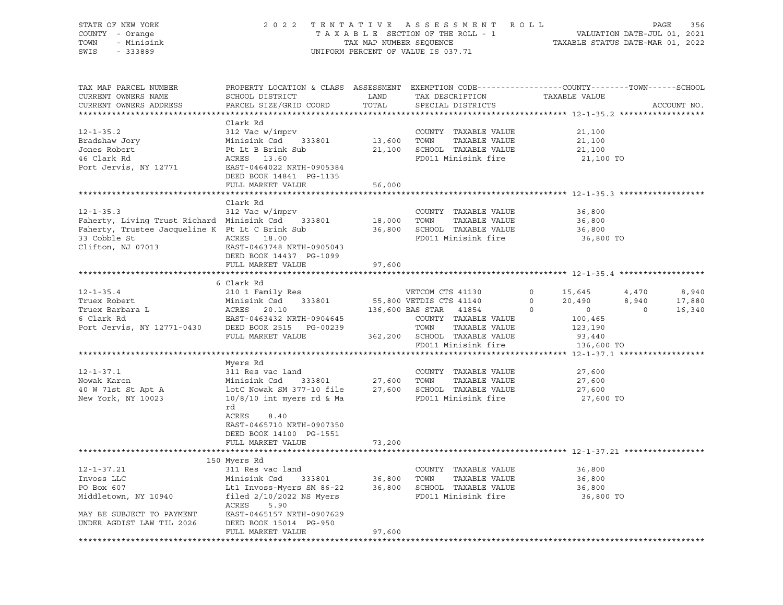| STATE OF NEW YORK<br>COUNTY - Orange<br>TOWN<br>- Minisink<br>SWIS<br>$-333889$                                                                       | TENTATIVE ASSESSMENT<br>2 0 2 2<br>TAXABLE SECTION OF THE ROLL - 1<br>TAX MAP NUMBER SEQUENCE<br>UNIFORM PERCENT OF VALUE IS 037.71                                                                                    | R O L L<br>TAXABLE STATUS DATE-MAR 01, 2022 | PAGE<br>356<br>VALUATION DATE-JUL 01, 2021                                                                                                        |                                                                                  |                           |                           |
|-------------------------------------------------------------------------------------------------------------------------------------------------------|------------------------------------------------------------------------------------------------------------------------------------------------------------------------------------------------------------------------|---------------------------------------------|---------------------------------------------------------------------------------------------------------------------------------------------------|----------------------------------------------------------------------------------|---------------------------|---------------------------|
| TAX MAP PARCEL NUMBER<br>CURRENT OWNERS NAME<br>CURRENT OWNERS ADDRESS                                                                                | PROPERTY LOCATION & CLASS ASSESSMENT EXEMPTION CODE----------------COUNTY-------TOWN-----SCHOOL<br>SCHOOL DISTRICT<br>PARCEL SIZE/GRID COORD                                                                           | LAND<br>TOTAL                               | TAX DESCRIPTION<br>SPECIAL DISTRICTS                                                                                                              | TAXABLE VALUE                                                                    |                           | ACCOUNT NO.               |
| $12 - 1 - 35.2$<br>Bradshaw Jory<br>Jones Robert<br>46 Clark Rd<br>Port Jervis, NY 12771                                                              | Clark Rd<br>312 Vac w/imprv<br>Minisink Csd<br>333801<br>Pt Lt B Brink Sub<br>ACRES 13.60<br>EAST-0464022 NRTH-0905384<br>DEED BOOK 14841 PG-1135<br>FULL MARKET VALUE                                                 | 13,600<br>21,100<br>56,000                  | COUNTY TAXABLE VALUE<br>TOWN<br>TAXABLE VALUE<br>SCHOOL TAXABLE VALUE<br>FD011 Minisink fire                                                      | 21,100<br>21,100<br>21,100<br>21,100 TO                                          |                           |                           |
|                                                                                                                                                       |                                                                                                                                                                                                                        |                                             |                                                                                                                                                   |                                                                                  |                           |                           |
| $12 - 1 - 35.3$<br>Faherty, Living Trust Richard Minisink Csd<br>Faherty, Trustee Jacqueline K Pt Lt C Brink Sub<br>33 Cobble St<br>Clifton, NJ 07013 | Clark Rd<br>312 Vac w/imprv<br>333801<br>ACRES 18.00<br>EAST-0463748 NRTH-0905043<br>DEED BOOK 14437 PG-1099<br>FULL MARKET VALUE                                                                                      | 18,000<br>36,800<br>97,600                  | COUNTY TAXABLE VALUE<br>TOWN<br>TAXABLE VALUE<br>SCHOOL TAXABLE VALUE<br>FD011 Minisink fire                                                      | 36,800<br>36,800<br>36,800<br>36,800 TO                                          |                           |                           |
|                                                                                                                                                       |                                                                                                                                                                                                                        |                                             |                                                                                                                                                   |                                                                                  |                           |                           |
|                                                                                                                                                       | 6 Clark Rd                                                                                                                                                                                                             |                                             |                                                                                                                                                   |                                                                                  |                           |                           |
| $12 - 1 - 35.4$<br>Truex Robert<br>Truex Barbara L<br>6 Clark Rd<br>Port Jervis, NY 12771-0430                                                        | 210 1 Family Res<br>333801<br>Minisink Csd<br>ACRES<br>20.10<br>EAST-0463432 NRTH-0904645<br>DEED BOOK 2515 PG-00239<br>FULL MARKET VALUE                                                                              | 362,200                                     | VETCOM CTS 41130<br>55,800 VETDIS CTS 41140<br>136,600 BAS STAR<br>41854<br>COUNTY TAXABLE VALUE<br>TOWN<br>TAXABLE VALUE<br>SCHOOL TAXABLE VALUE | 0<br>15,645<br>0<br>20,490<br>$\circ$<br>$\circ$<br>100,465<br>123,190<br>93,440 | 4,470<br>8,940<br>$\circ$ | 8,940<br>17,880<br>16,340 |
|                                                                                                                                                       |                                                                                                                                                                                                                        |                                             | FD011 Minisink fire                                                                                                                               | 136,600 TO                                                                       |                           |                           |
| $12 - 1 - 37.1$<br>Nowak Karen<br>40 W 71st St Apt A<br>New York, NY 10023                                                                            | Myers Rd<br>311 Res vac land<br>333801<br>Minisink Csd<br>lotC Nowak SM 377-10 file<br>$10/8/10$ int myers rd & Ma<br>rd<br>ACRES<br>8.40<br>EAST-0465710 NRTH-0907350<br>DEED BOOK 14100 PG-1551<br>FULL MARKET VALUE | 27,600<br>27,600<br>73,200                  | COUNTY TAXABLE VALUE<br>TOWN<br>TAXABLE VALUE<br>SCHOOL TAXABLE VALUE<br>FD011 Minisink fire                                                      | 27,600<br>27,600<br>27,600<br>27,600 TO                                          |                           |                           |
|                                                                                                                                                       |                                                                                                                                                                                                                        |                                             |                                                                                                                                                   |                                                                                  |                           |                           |
| $12 - 1 - 37.21$<br>Invoss LLC<br>PO Box 607<br>Middletown, NY 10940<br>MAY BE SUBJECT TO PAYMENT<br>UNDER AGDIST LAW TIL 2026                        | 150 Myers Rd<br>311 Res vac land<br>Minisink Csd<br>333801<br>Lt1 Invoss-Myers SM 86-22<br>filed $2/10/2022$ NS Myers<br>ACRES<br>5.90<br>EAST-0465157 NRTH-0907629<br>DEED BOOK 15014 PG-950                          | 36,800<br>36,800                            | COUNTY TAXABLE VALUE<br>TAXABLE VALUE<br>TOWN<br>SCHOOL TAXABLE VALUE<br>FD011 Minisink fire                                                      | 36,800<br>36,800<br>36,800<br>36,800 TO                                          |                           |                           |
|                                                                                                                                                       | FULL MARKET VALUE                                                                                                                                                                                                      | 97,600                                      |                                                                                                                                                   |                                                                                  |                           |                           |
|                                                                                                                                                       |                                                                                                                                                                                                                        |                                             |                                                                                                                                                   |                                                                                  |                           |                           |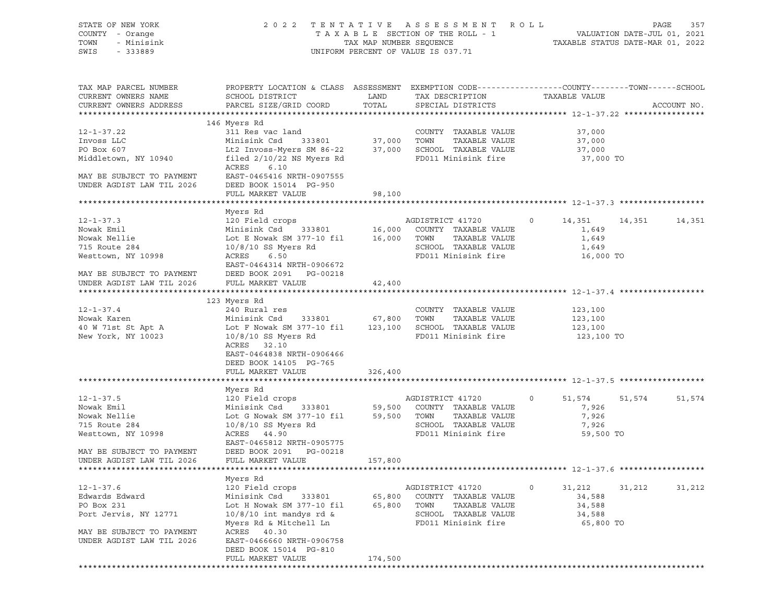| STATE OF NEW YORK<br>COUNTY - Orange<br>TOWN<br>- Minisink<br>SWIS<br>- 333889 |                                                                                                                                              |                    | 2022 TENTATIVE ASSESSMENT ROLL<br>UNIFORM PERCENT OF VALUE IS 037.71 |                     |        | PAGE<br>357 |
|--------------------------------------------------------------------------------|----------------------------------------------------------------------------------------------------------------------------------------------|--------------------|----------------------------------------------------------------------|---------------------|--------|-------------|
| TAX MAP PARCEL NUMBER<br>CURRENT OWNERS NAME<br>CURRENT OWNERS ADDRESS         | PROPERTY LOCATION & CLASS ASSESSMENT EXEMPTION CODE----------------COUNTY-------TOWN-----SCHOOL<br>SCHOOL DISTRICT<br>PARCEL SIZE/GRID COORD | LAND<br>TOTAL      | TAX DESCRIPTION<br>SPECIAL DISTRICTS                                 | TAXABLE VALUE       |        | ACCOUNT NO. |
| 12-1-37.22                                                                     | 146 Myers Rd<br>311 Res vac land                                                                                                             |                    | COUNTY TAXABLE VALUE                                                 |                     |        |             |
| Invoss LLC                                                                     | Minisink Csd                                                                                                                                 | 333801 37,000 TOWN | TAXABLE VALUE                                                        | 37,000<br>37,000    |        |             |
| PO Box 607                                                                     | Lt2 Invoss-Myers SM 86-22 37,000 SCHOOL TAXABLE VALUE                                                                                        |                    |                                                                      | 37,000              |        |             |
| Middletown, NY 10940                                                           | filed $2/10/22$ NS Myers Rd<br>ACRES<br>6.10                                                                                                 |                    | FD011 Minisink fire                                                  | 37,000 TO           |        |             |
| MAY BE SUBJECT TO PAYMENT<br>UNDER AGDIST LAW TIL 2026                         | EAST-0465416 NRTH-0907555<br>DEED BOOK 15014 PG-950                                                                                          |                    |                                                                      |                     |        |             |
|                                                                                | FULL MARKET VALUE                                                                                                                            | 98,100             |                                                                      |                     |        |             |
|                                                                                | Myers Rd                                                                                                                                     |                    |                                                                      |                     |        |             |
| $12 - 1 - 37.3$                                                                | 120 Field crops                                                                                                                              |                    | AGDISTRICT 41720                                                     | $\circ$<br>14,351   | 14,351 | 14,351      |
| Nowak Emil                                                                     | Minisink Csd 333801 16,000 COUNTY TAXABLE VALUE                                                                                              |                    |                                                                      | 1,649               |        |             |
| Nowak Nellie                                                                   | Lot E Nowak SM 377-10 fil                                                                                                                    | 16,000 TOWN        | TAXABLE VALUE                                                        | 1,649               |        |             |
| 715 Route 284                                                                  | 10/8/10 SS Myers Rd                                                                                                                          |                    | SCHOOL TAXABLE VALUE                                                 | 1,649               |        |             |
| Westtown, NY 10998                                                             | ACRES<br>6.50                                                                                                                                |                    | FD011 Minisink fire                                                  | 16,000 TO           |        |             |
|                                                                                | EAST-0464314 NRTH-0906672                                                                                                                    |                    |                                                                      |                     |        |             |
| MAY BE SUBJECT TO PAYMENT<br>UNDER AGDIST LAW TIL 2026                         | DEED BOOK 2091 PG-00218<br>FULL MARKET VALUE                                                                                                 | 42,400             |                                                                      |                     |        |             |
|                                                                                |                                                                                                                                              |                    |                                                                      |                     |        |             |
| $12 - 1 - 37.4$                                                                | 123 Myers Rd                                                                                                                                 |                    |                                                                      |                     |        |             |
| Nowak Karen                                                                    | 240 Rural res<br>Minisink Csd<br>333801 67,800 TOWN                                                                                          |                    | COUNTY TAXABLE VALUE<br>TAXABLE VALUE                                | 123,100<br>123,100  |        |             |
| 40 W 71st St Apt A                                                             | Lot F Nowak SM 377-10 fil 123,100 SCHOOL TAXABLE VALUE                                                                                       |                    |                                                                      | 123,100             |        |             |
| New York, NY 10023                                                             | $10/8/10$ SS Myers Rd                                                                                                                        |                    | FD011 Minisink fire                                                  | 123,100 TO          |        |             |
|                                                                                | ACRES 32.10                                                                                                                                  |                    |                                                                      |                     |        |             |
|                                                                                | EAST-0464838 NRTH-0906466                                                                                                                    |                    |                                                                      |                     |        |             |
|                                                                                | DEED BOOK 14105 PG-765                                                                                                                       |                    |                                                                      |                     |        |             |
|                                                                                | FULL MARKET VALUE                                                                                                                            | 326,400            |                                                                      |                     |        |             |
|                                                                                | Myers Rd                                                                                                                                     |                    |                                                                      |                     |        |             |
| $12 - 1 - 37.5$                                                                | 120 Field crops                                                                                                                              |                    | AGDISTRICT 41720                                                     | $\circ$<br>51,574   | 51,574 | 51,574      |
| Nowak Emil                                                                     | 333801<br>Minisink Csd                                                                                                                       |                    | 59,500 COUNTY TAXABLE VALUE                                          | 7,926               |        |             |
| Nowak Nellie                                                                   | Lot G Nowak SM 377-10 fil                                                                                                                    |                    | 59,500 TOWN<br>TAXABLE VALUE                                         | 7,926               |        |             |
| 715 Route 284<br>Westtown, NY 10998                                            | $10/8/10$ SS Myers Rd<br>ACRES 44.90                                                                                                         |                    | SCHOOL TAXABLE VALUE<br>FD011 Minisink fire                          | 7,926<br>59,500 TO  |        |             |
|                                                                                | EAST-0465812 NRTH-0905775                                                                                                                    |                    |                                                                      |                     |        |             |
| MAY BE SUBJECT TO PAYMENT                                                      | DEED BOOK 2091 PG-00218                                                                                                                      |                    |                                                                      |                     |        |             |
| UNDER AGDIST LAW TIL 2026                                                      | FULL MARKET VALUE                                                                                                                            | 157,800            |                                                                      |                     |        |             |
|                                                                                |                                                                                                                                              |                    |                                                                      |                     |        |             |
|                                                                                | Myers Rd                                                                                                                                     |                    |                                                                      |                     |        |             |
| $12 - 1 - 37.6$                                                                | 120 Field crops                                                                                                                              |                    | AGDISTRICT 41720                                                     | 0<br>31,212         | 31,212 | 31,212      |
| Edwards Edward                                                                 | Minisink Csd<br>333801                                                                                                                       | 65,800             | COUNTY TAXABLE VALUE                                                 | 34,588              |        |             |
| PO Box 231                                                                     | Lot H Nowak SM 377-10 fil                                                                                                                    | 65,800             | TOWN<br>TAXABLE VALUE                                                | 34,588              |        |             |
| Port Jervis, NY 12771                                                          | $10/8/10$ int mandys rd &<br>Myers Rd & Mitchell Ln                                                                                          |                    | SCHOOL TAXABLE VALUE<br>FD011 Minisink fire                          | 34,588<br>65,800 TO |        |             |
| MAY BE SUBJECT TO PAYMENT                                                      | ACRES 40.30                                                                                                                                  |                    |                                                                      |                     |        |             |
| UNDER AGDIST LAW TIL 2026                                                      | EAST-0466660 NRTH-0906758                                                                                                                    |                    |                                                                      |                     |        |             |
|                                                                                | DEED BOOK 15014 PG-810                                                                                                                       |                    |                                                                      |                     |        |             |
|                                                                                | FULL MARKET VALUE                                                                                                                            | 174,500            |                                                                      |                     |        |             |
|                                                                                |                                                                                                                                              |                    |                                                                      |                     |        |             |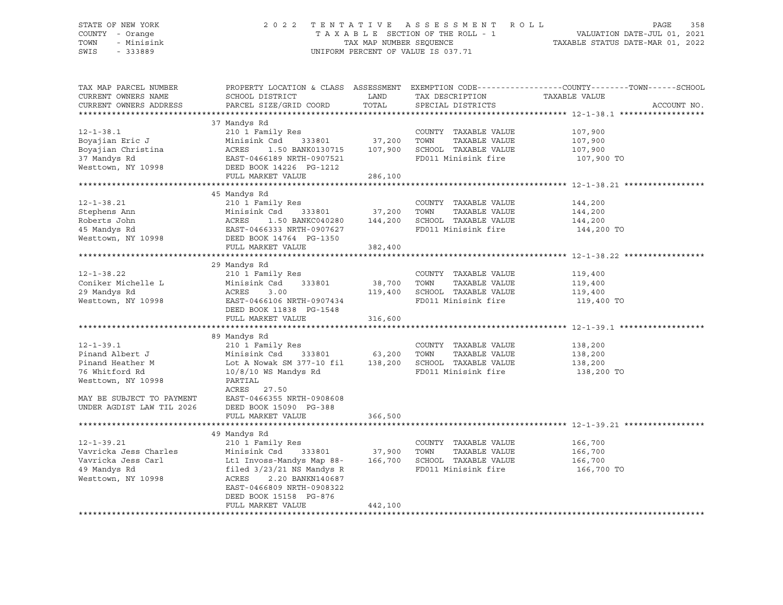#### STATE OF NEW YORK 2 0 2 2 T E N T A T I V E A S S E S S M E N T R O L L PAGE 358 COUNTY - Orange T A X A B L E SECTION OF THE ROLL - 1 VALUATION DATE-JUL 01, 2021 TOWN - Minisink TAX MAP NUMBER SEQUENCE TAXABLE STATUS DATE-MAR 01, 2022 SWIS - 333889 CONSERVATION CONTROL OF VALUE IS 037.71

| TAX MAP PARCEL NUMBER<br>CURRENT OWNERS NAME<br>CURRENT OWNERS ADDRESS | SCHOOL DISTRICT<br>PARCEL SIZE/GRID COORD                                                                                                                                                                                                                          | LAND<br>TOTAL | ${\small \begin{tabular}{ll} \bf TAX \texttt{P}\texttt{ES}\texttt{CRIPTION} \end{tabular} \begin{tabular}{ll} \bf TAXABLE \texttt{VALUE} \end{tabular} }$ | PROPERTY LOCATION & CLASS ASSESSMENT EXEMPTION CODE---------------COUNTY-------TOWN------SCHOOL<br>ACCOUNT NO. |  |  |
|------------------------------------------------------------------------|--------------------------------------------------------------------------------------------------------------------------------------------------------------------------------------------------------------------------------------------------------------------|---------------|-----------------------------------------------------------------------------------------------------------------------------------------------------------|----------------------------------------------------------------------------------------------------------------|--|--|
|                                                                        |                                                                                                                                                                                                                                                                    |               |                                                                                                                                                           |                                                                                                                |  |  |
|                                                                        | 37 Mandys Rd                                                                                                                                                                                                                                                       |               |                                                                                                                                                           |                                                                                                                |  |  |
| $12 - 1 - 38.1$                                                        | 210 1 Family Res                                                                                                                                                                                                                                                   |               | COUNTY TAXABLE VALUE                                                                                                                                      | 107,900                                                                                                        |  |  |
|                                                                        |                                                                                                                                                                                                                                                                    |               |                                                                                                                                                           |                                                                                                                |  |  |
|                                                                        |                                                                                                                                                                                                                                                                    |               |                                                                                                                                                           | 107,900<br>107,900                                                                                             |  |  |
|                                                                        |                                                                                                                                                                                                                                                                    |               | FD011 Minisink fire 107,900 TO                                                                                                                            |                                                                                                                |  |  |
|                                                                        |                                                                                                                                                                                                                                                                    |               |                                                                                                                                                           |                                                                                                                |  |  |
|                                                                        | FULL MARKET VALUE                                                                                                                                                                                                                                                  | 286,100       |                                                                                                                                                           |                                                                                                                |  |  |
|                                                                        |                                                                                                                                                                                                                                                                    |               |                                                                                                                                                           |                                                                                                                |  |  |
|                                                                        | 45 Mandys Rd                                                                                                                                                                                                                                                       |               |                                                                                                                                                           |                                                                                                                |  |  |
| $12 - 1 - 38.21$                                                       | 210 1 Family Res                                                                                                                                                                                                                                                   |               | COUNTY TAXABLE VALUE                                                                                                                                      | 144,200<br>144,200                                                                                             |  |  |
|                                                                        | 333801 37,200 TOWN                                                                                                                                                                                                                                                 |               | TAXABLE VALUE                                                                                                                                             |                                                                                                                |  |  |
|                                                                        |                                                                                                                                                                                                                                                                    |               |                                                                                                                                                           |                                                                                                                |  |  |
|                                                                        | Example 210 1 Family Res<br>Stephens Ann Minisink Csd 333801 37,200<br>Roberts John ACRES 1.50 BANKC040280 144,200<br>45 Mandys Rd EAST-0466333 NRTH-0907627<br>Westtown, NY 10998 DEED BOOK 14764 PG-1350<br>WEST-0466333 NRTH-0907627<br>                        |               | FD011 Minisink fire                                                                                                                                       | 144,200<br>144,200 TO                                                                                          |  |  |
|                                                                        |                                                                                                                                                                                                                                                                    |               |                                                                                                                                                           |                                                                                                                |  |  |
|                                                                        | FULL MARKET VALUE                                                                                                                                                                                                                                                  | 382,400       |                                                                                                                                                           |                                                                                                                |  |  |
|                                                                        |                                                                                                                                                                                                                                                                    |               |                                                                                                                                                           |                                                                                                                |  |  |
|                                                                        | 29 Mandys Rd                                                                                                                                                                                                                                                       |               |                                                                                                                                                           |                                                                                                                |  |  |
| $12 - 1 - 38.22$                                                       |                                                                                                                                                                                                                                                                    |               |                                                                                                                                                           |                                                                                                                |  |  |
| Coniker Michelle L                                                     |                                                                                                                                                                                                                                                                    |               |                                                                                                                                                           |                                                                                                                |  |  |
| 29 Mandys Rd                                                           |                                                                                                                                                                                                                                                                    |               |                                                                                                                                                           |                                                                                                                |  |  |
| Westtown, NY 10998                                                     | 210 1 Family Res<br>210 1 Family Res<br>210 1 Family Res<br>210 1 Family Res<br>210 2 38,700 TOWN TAXABLE VALUE<br>219,400<br>219,400<br>219,400<br>219,400<br>219,400<br>219,400<br>219,400<br>219,400<br>219,400<br>219,400<br>219,400<br>219,400<br>219,400<br> |               |                                                                                                                                                           | 119,400 TO                                                                                                     |  |  |
|                                                                        | DEED BOOK 11838 PG-1548                                                                                                                                                                                                                                            |               |                                                                                                                                                           |                                                                                                                |  |  |
|                                                                        | FULL MARKET VALUE                                                                                                                                                                                                                                                  | 316,600       |                                                                                                                                                           |                                                                                                                |  |  |
|                                                                        |                                                                                                                                                                                                                                                                    |               |                                                                                                                                                           |                                                                                                                |  |  |
|                                                                        | 89 Mandys Rd                                                                                                                                                                                                                                                       |               |                                                                                                                                                           |                                                                                                                |  |  |
| $12 - 1 - 39.1$                                                        | 210 1 Family Res                                                                                                                                                                                                                                                   |               | COUNTY TAXABLE VALUE                                                                                                                                      |                                                                                                                |  |  |
| Pinand Albert J                                                        |                                                                                                                                                                                                                                                                    |               | TAXABLE VALUE                                                                                                                                             | 138,200<br>138,200                                                                                             |  |  |
|                                                                        | Pinand Heather M<br>138,200 138,200 138,200 138,200 138,200 138,200 138,200 138,200 138,200<br>76 Whitford Rd 10/8/10 WS Mandys Rd FD011 Minisink fire 138.200                                                                                                     |               |                                                                                                                                                           |                                                                                                                |  |  |
| 76 Whitford Rd                                                         | $10/8/10$ WS Mandys Rd                                                                                                                                                                                                                                             |               | FD011 Minisink fire                                                                                                                                       | 138,200 TO                                                                                                     |  |  |
| Westtown, NY 10998                                                     | PARTIAL                                                                                                                                                                                                                                                            |               |                                                                                                                                                           |                                                                                                                |  |  |
|                                                                        | ACRES 27.50                                                                                                                                                                                                                                                        |               |                                                                                                                                                           |                                                                                                                |  |  |
|                                                                        | MAY BE SUBJECT TO PAYMENT EAST-0466355 NRTH-0908608                                                                                                                                                                                                                |               |                                                                                                                                                           |                                                                                                                |  |  |
| UNDER AGDIST LAW TIL 2026 DEED BOOK 15090 PG-388                       |                                                                                                                                                                                                                                                                    |               |                                                                                                                                                           |                                                                                                                |  |  |
|                                                                        | FULL MARKET VALUE                                                                                                                                                                                                                                                  | 366,500       |                                                                                                                                                           |                                                                                                                |  |  |
|                                                                        |                                                                                                                                                                                                                                                                    |               |                                                                                                                                                           |                                                                                                                |  |  |
|                                                                        | 49 Mandys Rd                                                                                                                                                                                                                                                       |               |                                                                                                                                                           |                                                                                                                |  |  |
| $12 - 1 - 39.21$                                                       | 210 1 Family Res                                                                                                                                                                                                                                                   |               | COUNTY TAXABLE VALUE                                                                                                                                      | 166,700<br>166,700                                                                                             |  |  |
|                                                                        |                                                                                                                                                                                                                                                                    |               |                                                                                                                                                           |                                                                                                                |  |  |
|                                                                        |                                                                                                                                                                                                                                                                    |               |                                                                                                                                                           | 166,700                                                                                                        |  |  |
|                                                                        | 12-1-39.21 210 1 Family Res COUNTY TAXABLE VALUE<br>Vavricka Jess Charles Minisink Csd 333801 37,900 TOWN TAXABLE VALUE<br>Vavricka Jess Carl Lt1 Invoss-Mandys Map 88- 166,700 SCHOOL TAXABLE VALUE<br>49 Mandys Rd filed 3/23/21 NS M                            |               |                                                                                                                                                           | 166,700 TO                                                                                                     |  |  |
| Westtown, NY 10998                                                     | ACRES<br>2.20 BANKN140687                                                                                                                                                                                                                                          |               |                                                                                                                                                           |                                                                                                                |  |  |
|                                                                        | EAST-0466809 NRTH-0908322                                                                                                                                                                                                                                          |               |                                                                                                                                                           |                                                                                                                |  |  |
|                                                                        | DEED BOOK 15158 PG-876                                                                                                                                                                                                                                             |               |                                                                                                                                                           |                                                                                                                |  |  |
|                                                                        | FULL MARKET VALUE                                                                                                                                                                                                                                                  | 442,100       |                                                                                                                                                           |                                                                                                                |  |  |
|                                                                        |                                                                                                                                                                                                                                                                    |               |                                                                                                                                                           |                                                                                                                |  |  |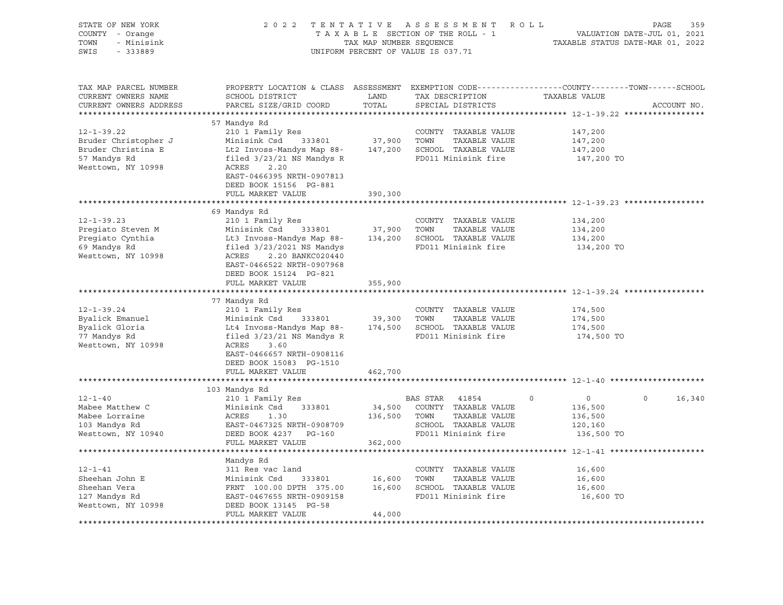| STATE OF NEW YORK<br>COUNTY - Orange<br>TOWN<br>- Minisink<br>SWIS<br>$-333889$                      |                                                                                                                                                                                                                  |               | 2022 TENTATIVE ASSESSMENT ROLL<br>UNIFORM PERCENT OF VALUE IS 037.71                                                       | PAGE                                                                                                                            | 359 |
|------------------------------------------------------------------------------------------------------|------------------------------------------------------------------------------------------------------------------------------------------------------------------------------------------------------------------|---------------|----------------------------------------------------------------------------------------------------------------------------|---------------------------------------------------------------------------------------------------------------------------------|-----|
| TAX MAP PARCEL NUMBER<br>CURRENT OWNERS NAME<br>CURRENT OWNERS ADDRESS<br>*********************      | SCHOOL DISTRICT<br>PARCEL SIZE/GRID COORD                                                                                                                                                                        | LAND<br>TOTAL | TAX DESCRIPTION<br>SPECIAL DISTRICTS                                                                                       | PROPERTY LOCATION & CLASS ASSESSMENT EXEMPTION CODE---------------COUNTY-------TOWN------SCHOOL<br>TAXABLE VALUE<br>ACCOUNT NO. |     |
|                                                                                                      | 57 Mandys Rd                                                                                                                                                                                                     |               |                                                                                                                            |                                                                                                                                 |     |
| $12 - 1 - 39.22$<br>Bruder Christopher J<br>Bruder Christina E<br>57 Mandys Rd<br>Westtown, NY 10998 | 210 1 Family Res<br>Minisink Csd<br>333801<br>Lt2 Invoss-Mandys Map 88-<br>filed $3/23/21$ NS Mandys R<br>ACRES<br>2.20<br>EAST-0466395 NRTH-0907813                                                             | 37,900        | COUNTY TAXABLE VALUE<br>TOWN<br>TAXABLE VALUE<br>147,200 SCHOOL TAXABLE VALUE<br>FD011 Minisink fire                       | 147,200<br>147,200<br>147,200<br>147,200 TO                                                                                     |     |
|                                                                                                      | DEED BOOK 15156 PG-881                                                                                                                                                                                           |               |                                                                                                                            |                                                                                                                                 |     |
|                                                                                                      | FULL MARKET VALUE                                                                                                                                                                                                | 390,300       |                                                                                                                            | *********************************** 12-1-39.23 ***************                                                                  |     |
|                                                                                                      | 69 Mandys Rd                                                                                                                                                                                                     |               |                                                                                                                            |                                                                                                                                 |     |
| $12 - 1 - 39.23$<br>Pregiato Steven M<br>Pregiato Cynthia<br>69 Mandys Rd<br>Westtown, NY 10998      | 210 1 Family Res<br>Minisink Csd 333801<br>Lt3 Invoss-Mandys Map 88-<br>filed 3/23/2021 NS Mandys<br>ACRES 10 RAMYC000440<br>ACRES 2.20 BANKC020440                                                              | 37,900        | COUNTY TAXABLE VALUE<br>TOWN<br>TAXABLE VALUE<br>134,200 SCHOOL TAXABLE VALUE<br>FD011 Minisink fire                       | 134,200<br>134,200<br>134,200<br>134,200 TO                                                                                     |     |
|                                                                                                      | EAST-0466522 NRTH-0907968<br>DEED BOOK 15124 PG-821<br>FULL MARKET VALUE                                                                                                                                         | 355,900       |                                                                                                                            |                                                                                                                                 |     |
|                                                                                                      |                                                                                                                                                                                                                  |               |                                                                                                                            |                                                                                                                                 |     |
| $12 - 1 - 39.24$<br>Byalick Emanuel<br>Byalick Gloria<br>77 Mandys Rd<br>Westtown, NY 10998          | 77 Mandys Rd<br>210 1 Family Res<br>Minisink Csd<br>Lt4 Invoss-Mandys Map 88-<br>filed $3/23/21$ NS Mandys R<br>ACRES<br>3.60<br>EAST-0466657 NRTH-0908116<br>DEED BOOK 15083 PG-1510                            |               | COUNTY TAXABLE VALUE<br>333801 39,300 TOWN TAXABLE VALUE<br>FS Map 88- 174,500 SCHOOL TAXABLE VALUE<br>FD011 Minisink fire | 174,500<br>174,500<br>174,500<br>174,500 TO                                                                                     |     |
|                                                                                                      | FULL MARKET VALUE                                                                                                                                                                                                | 462,700       |                                                                                                                            |                                                                                                                                 |     |
|                                                                                                      |                                                                                                                                                                                                                  |               |                                                                                                                            |                                                                                                                                 |     |
|                                                                                                      | 103 Mandys Rd                                                                                                                                                                                                    |               |                                                                                                                            |                                                                                                                                 |     |
| $12 - 1 - 40$<br>Mabee Matthew C<br>Mabee Lorraine<br>103 Mandys Rd<br>Westtown, NY 10940            | 210 1 Family Res<br>Minisink Csd 333801<br>ACRES<br>1.30<br>EAST-0467325 NRTH-0908709<br>DEED BOOK 4237 PG-160                                                                                                   | 136,500 TOWN  | BAS STAR 41854<br>34,500 COUNTY TAXABLE VALUE<br>TAXABLE VALUE<br>SCHOOL TAXABLE VALUE<br>FD011 Minisink fire              | $\circ$<br>$\Omega$<br>16,340<br>$\Omega$<br>136,500<br>136,500<br>120,160<br>136,500 TO                                        |     |
|                                                                                                      | FULL MARKET VALUE                                                                                                                                                                                                | 362,000       |                                                                                                                            |                                                                                                                                 |     |
| $12 - 1 - 41$<br>Sheehan John E<br>Sheehan Vera<br>127 Mandys Rd<br>Westtown, NY 10998               | Mandys Rd<br>311 Res vac land<br>Minisink Csd 333801 16,600 TOWN TAXABLE VALUE<br>FRNT 100.00 DPTH 375.00 16,600 SCHOOL TAXABLE VALUE<br>EAST-0467655 NRTH-0909158<br>DEED BOOK 13145 PG-58<br>FULL MARKET VALUE | 44,000        | COUNTY TAXABLE VALUE<br>FD011 Minisink fire                                                                                | 16,600<br>16,600<br>16,600<br>16,600 TO                                                                                         |     |
|                                                                                                      |                                                                                                                                                                                                                  |               |                                                                                                                            |                                                                                                                                 |     |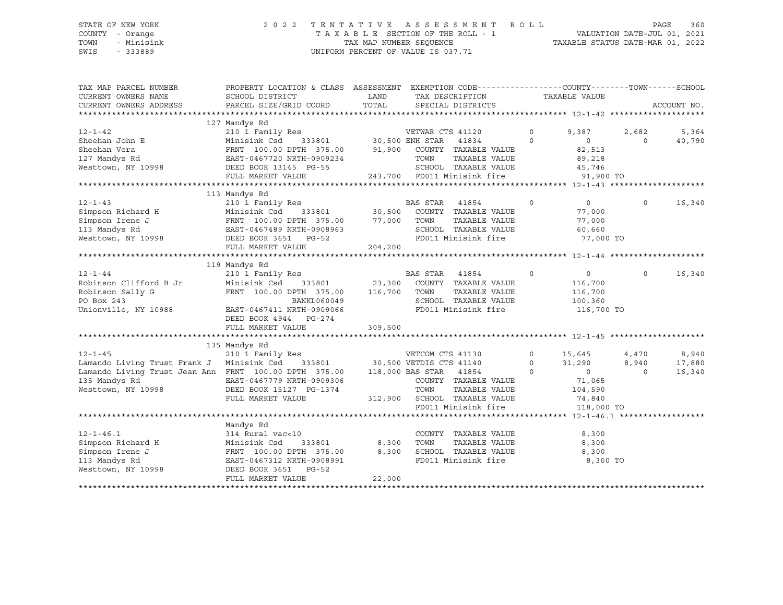#### STATE OF NEW YORK 2 0 2 2 T E N T A T I V E A S S E S S M E N T R O L L PAGE 360 COUNTY - Orange T A X A B L E SECTION OF THE ROLL - 1 VALUATION DATE-JUL 01, 2021 TOWN - Minisink TAX MAP NUMBER SEQUENCE TAXABLE STATUS DATE-MAR 01, 2022 SWIS - 333889 CONSERVATION CONTROL OF VALUE IS 037.71

| TAX MAP PARCEL NUMBER<br>CURRENT OWNERS NAME                                                                                                                                                                                     | PROPERTY LOCATION & CLASS ASSESSMENT EXEMPTION CODE----------------COUNTY-------TOWN------SCHOOL<br>SCHOOL DISTRICT | LAND    | TAX DESCRIPTION        |                                                     | TAXABLE VALUE       |                           |                   |                 |
|----------------------------------------------------------------------------------------------------------------------------------------------------------------------------------------------------------------------------------|---------------------------------------------------------------------------------------------------------------------|---------|------------------------|-----------------------------------------------------|---------------------|---------------------------|-------------------|-----------------|
| CURRENT OWNERS ADDRESS                                                                                                                                                                                                           | PARCEL SIZE/GRID COORD                                                                                              | TOTAL   |                        | SPECIAL DISTRICTS                                   |                     |                           |                   | ACCOUNT NO.     |
|                                                                                                                                                                                                                                  |                                                                                                                     |         |                        |                                                     |                     |                           |                   |                 |
|                                                                                                                                                                                                                                  | 127 Mandys Rd                                                                                                       |         |                        |                                                     |                     |                           |                   |                 |
| $12 - 1 - 42$<br>Sheehan John E                                                                                                                                                                                                  |                                                                                                                     |         | VETWAR CTS 41120       | 41834                                               | $\circ$<br>$\Omega$ | 9,387                     | 2,682<br>$\Omega$ | 5,364<br>40,790 |
|                                                                                                                                                                                                                                  | FRNT 100.00 DPTH 375.00 91,900 COUNTY TAXABLE VALUE                                                                 |         |                        |                                                     |                     | $\circ$                   |                   |                 |
| Sheehan Vera<br>127 Mandys Rd                                                                                                                                                                                                    |                                                                                                                     |         |                        |                                                     |                     | 82,513                    |                   |                 |
|                                                                                                                                                                                                                                  | EAST-0467720 NRTH-0909234                                                                                           |         | TOWN                   | TAXABLE VALUE                                       |                     | 89,218<br>45,746          |                   |                 |
| Westtown, NY 10998                                                                                                                                                                                                               | DEED BOOK 13145 PG-55<br>FULL MARKET VALUE                                                                          |         |                        | SCHOOL TAXABLE VALUE<br>243,700 FD011 Minisink fire |                     |                           |                   |                 |
|                                                                                                                                                                                                                                  |                                                                                                                     |         |                        |                                                     |                     | 91,900 TO                 |                   |                 |
|                                                                                                                                                                                                                                  | 113 Mandys Rd                                                                                                       |         |                        |                                                     |                     |                           |                   |                 |
| $12 - 1 - 43$                                                                                                                                                                                                                    |                                                                                                                     |         |                        |                                                     | $\circ$             |                           | $\circ$           | 16,340          |
|                                                                                                                                                                                                                                  |                                                                                                                     |         |                        |                                                     |                     | $\overline{0}$            |                   |                 |
|                                                                                                                                                                                                                                  |                                                                                                                     |         |                        | TAXABLE VALUE                                       |                     | 77,000<br>77,000          |                   |                 |
|                                                                                                                                                                                                                                  |                                                                                                                     |         |                        |                                                     |                     |                           |                   |                 |
|                                                                                                                                                                                                                                  |                                                                                                                     |         |                        | SCHOOL TAXABLE VALUE                                |                     | 60,660                    |                   |                 |
| Simpson Richard H Minisink Csd 33801 30,500 COUNT<br>Simpson Irene J FRNT 100.00 DPTH 375.00 77,000 TOWN<br>113 Mandys Rd EAST-0467489 NRTH-0908963 SCHOO<br>Westtown, NY 10998 DEED BOOK 3651 PG-52 FD011<br>FIILL MARKET VALUE |                                                                                                                     |         |                        | FD011 Minisink fire                                 |                     | 77,000 TO                 |                   |                 |
|                                                                                                                                                                                                                                  | FULL MARKET VALUE                                                                                                   | 204,200 |                        |                                                     |                     |                           |                   |                 |
|                                                                                                                                                                                                                                  |                                                                                                                     |         |                        |                                                     |                     |                           |                   |                 |
| $12 - 1 - 44$                                                                                                                                                                                                                    | 119 Mandys Rd                                                                                                       |         | BAS STAR               |                                                     | $\circ$             |                           | $\Omega$          | 16,340          |
| Robinson Clifford B Jr                                                                                                                                                                                                           | 210 1 Family Res<br>Minisink Csd 333801 23,300                                                                      |         |                        | 41854<br>COUNTY TAXABLE VALUE                       |                     | $\overline{0}$<br>116,700 |                   |                 |
| Robinson Sally G                                                                                                                                                                                                                 | FRNT 100.00 DPTH 375.00 116,700                                                                                     |         |                        | TAXABLE VALUE                                       |                     |                           |                   |                 |
| PO Box 243                                                                                                                                                                                                                       |                                                                                                                     |         | TOWN                   | SCHOOL TAXABLE VALUE                                |                     | 116,700                   |                   |                 |
| Unionville, NY 10988                                                                                                                                                                                                             | BANKL060049<br>~™™-∩909066                                                                                          |         |                        | FD011 Minisink fire                                 | 100,360             |                           |                   |                 |
|                                                                                                                                                                                                                                  | EAST-0467411 NRTH-0909066<br>DEED BOOK 4944 PG-274                                                                  |         |                        |                                                     |                     | 116,700 TO                |                   |                 |
|                                                                                                                                                                                                                                  | FULL MARKET VALUE                                                                                                   |         |                        |                                                     |                     |                           |                   |                 |
|                                                                                                                                                                                                                                  |                                                                                                                     | 309,500 |                        |                                                     |                     |                           |                   |                 |
|                                                                                                                                                                                                                                  |                                                                                                                     |         |                        |                                                     |                     |                           |                   |                 |
| $12 - 1 - 45$                                                                                                                                                                                                                    | 135 Mandys Rd                                                                                                       |         |                        |                                                     | $\Omega$            |                           |                   |                 |
|                                                                                                                                                                                                                                  | 210 1 Family Res                                                                                                    |         |                        | VETCOM CTS 41130<br>333801 30,500 VETDIS CTS 41140  | $\Omega$            | 15,645                    | 4,470             | 8,940           |
| Lamando Living Trust Frank J Minisink Csd<br>Lamando Living Trust Jean Ann FRNT 100.00 DPTH 375.00                                                                                                                               |                                                                                                                     |         |                        |                                                     | $\Omega$            | 31,290<br>$\overline{0}$  | 8,940<br>$\Omega$ | 17,880          |
| 135 Mandys Rd                                                                                                                                                                                                                    |                                                                                                                     |         | 118,000 BAS STAR 41854 |                                                     |                     |                           |                   | 16,340          |
| Westtown, NY 10998 DEED BOOK 15127 PG-1374                                                                                                                                                                                       | EAST-0467779 NRTH-0909306                                                                                           |         |                        | COUNTY TAXABLE VALUE                                |                     | 71,065                    |                   |                 |
|                                                                                                                                                                                                                                  |                                                                                                                     |         | TOWN                   | TAXABLE VALUE                                       |                     | 104,590                   |                   |                 |
|                                                                                                                                                                                                                                  | FULL MARKET VALUE                                                                                                   |         |                        | 312,900 SCHOOL TAXABLE VALUE                        |                     | 74,840                    |                   |                 |
|                                                                                                                                                                                                                                  |                                                                                                                     |         |                        | FD011 Minisink fire                                 |                     | 118,000 TO                |                   |                 |
|                                                                                                                                                                                                                                  |                                                                                                                     |         |                        |                                                     |                     |                           |                   |                 |
|                                                                                                                                                                                                                                  | Mandys Rd                                                                                                           |         |                        |                                                     |                     |                           |                   |                 |
| $12 - 1 - 46.1$                                                                                                                                                                                                                  | 314 Rural vac<10                                                                                                    |         |                        | COUNTY TAXABLE VALUE                                |                     | 8,300                     |                   |                 |
| Simpson Richard H<br>Simpson Trene J                                                                                                                                                                                             | Minisink Csd 333801 8,300<br>FRNT 100.00 DPTH 375.00 8,300                                                          |         | TOWN                   | TAXABLE VALUE                                       |                     | 8,300                     |                   |                 |
| Simpson Irene J                                                                                                                                                                                                                  |                                                                                                                     |         |                        | SCHOOL TAXABLE VALUE<br>FD011 Minisink fire         |                     | 8,300                     |                   |                 |
| 113 Mandys Rd                                                                                                                                                                                                                    | EAST-0467312 NRTH-0908991                                                                                           |         |                        |                                                     |                     | 8,300 TO                  |                   |                 |
| Westtown, NY 10998                                                                                                                                                                                                               | DEED BOOK 3651<br>PG-52                                                                                             |         |                        |                                                     |                     |                           |                   |                 |
|                                                                                                                                                                                                                                  | FULL MARKET VALUE                                                                                                   | 22,000  |                        |                                                     |                     |                           |                   |                 |
|                                                                                                                                                                                                                                  |                                                                                                                     |         |                        |                                                     |                     |                           |                   |                 |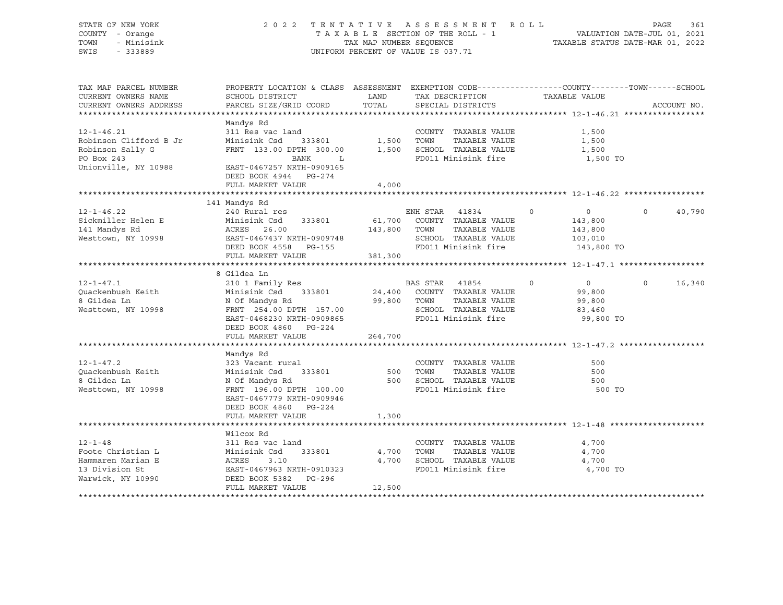| STATE OF NEW YORK<br>COUNTY - Orange<br>TOWN<br>- Minisink<br>SWIS<br>$-333889$                                                     |                                                                                                                                                                                                                                                                                  |                                                                                                                                 | 2022 TENTATIVE ASSESSMENT ROLL<br>T A X A B L E SECTION OF THE ROLL - 1 WALUATION DATE-JUL 01, 2021<br>TAX MAP NUMBER SEQUENCE TAXABLE STATUS DATE-MAR 01, 2022<br>UNIFORM PERCENT OF VALUE IS 037.71 |                                                            | PAGE                                                        | 361         |
|-------------------------------------------------------------------------------------------------------------------------------------|----------------------------------------------------------------------------------------------------------------------------------------------------------------------------------------------------------------------------------------------------------------------------------|---------------------------------------------------------------------------------------------------------------------------------|-------------------------------------------------------------------------------------------------------------------------------------------------------------------------------------------------------|------------------------------------------------------------|-------------------------------------------------------------|-------------|
| TAX MAP PARCEL NUMBER<br>CURRENT OWNERS NAME<br>CURRENT OWNERS ADDRESS                                                              | PROPERTY LOCATION & CLASS ASSESSMENT EXEMPTION CODE----------------COUNTY-------TOWN------SCHOOL<br>SCHOOL DISTRICT<br>PARCEL SIZE/GRID COORD                                                                                                                                    | <b>EXAMPLE SERVICE SERVICE SERVICE SERVICE SERVICE SERVICE SERVICE SERVICE SERVICE SERVICE SERVICE SERVICE SERVICE</b><br>TOTAL | TAX DESCRIPTION<br>SPECIAL DISTRICTS                                                                                                                                                                  | TAXABLE VALUE                                              |                                                             | ACCOUNT NO. |
| $12 - 1 - 46.21$<br>Robinson Clifford B Jr<br>Robinson Sally G<br>PO Box 243<br>Unionville, NY 10988                                | Mandys Rd<br>311 Res vac land<br>Minisink Csd 333801<br>FRNT 133.00 DPTH 300.00<br>BANK L<br>EAST-0467257 NRTH-0909165<br>DEED BOOK 4944 PG-274<br>FULL MARKET VALUE                                                                                                             | 4,000                                                                                                                           | COUNTY TAXABLE VALUE<br>1,500 TOWN<br>TAXABLE VALUE<br>1,500 SCHOOL TAXABLE VALUE<br>FD011 Minisink fire                                                                                              | 1,500                                                      | 1,500<br>1,500<br>1,500 TO                                  |             |
|                                                                                                                                     |                                                                                                                                                                                                                                                                                  |                                                                                                                                 |                                                                                                                                                                                                       |                                                            |                                                             |             |
| $12 - 1 - 46.22$<br>Sickmiller Helen E<br>141 Mandys Rd<br>Westtown, NY 10998<br>EAST-0467437 NRTH-0909748<br>DEED BOOK 4558 PG-155 | 141 Mandys Rd<br>240 Rural res<br>---------<br>Minisink Csd 333801 61,700 COUNTY TAXABLE VALUE<br>ACRES 26.00 143,800 TOWN TAXABLE VALUE                                                                                                                                         |                                                                                                                                 | ENH STAR 41834<br>TAXABLE VALUE<br>SCHOOL TAXABLE VALUE<br>FD011 Minisink fire                                                                                                                        | $\circ$<br>$\overline{0}$<br>143,800<br>143,800<br>103,010 | $\Omega$<br>143,800 TO                                      | 40,790      |
|                                                                                                                                     | FULL MARKET VALUE                                                                                                                                                                                                                                                                | 381,300                                                                                                                         |                                                                                                                                                                                                       |                                                            |                                                             |             |
| $12 - 1 - 47.1$<br>Quackenbush Keith<br>8 Gildea Ln<br>Westtown, NY 10998                                                           | 8 Gildea Ln<br>210 1 Family Res<br>XIO I Fallily Res<br>Minisink Csd 333801 24,400 COUNTY TAXABLE VALUE<br>N Of Mandys Rd 99,800 TOWN TAXABLE VALUE<br>FRNT 254.00 DPTH 157.00 SCHOOL TAXABLE VALUE<br>TRN11 Minisiph fire<br>EAST-0468230 NRTH-0909865<br>DEED BOOK 4860 PG-224 |                                                                                                                                 | BAS STAR 41854<br>SCHOOL TAXABLE VALUE<br>FD011 Minisink fire                                                                                                                                         | $\Omega$<br>83,460                                         | $\Omega$<br>$\overline{0}$<br>99,800<br>99,800<br>99,800 TO | 16,340      |
|                                                                                                                                     | FULL MARKET VALUE                                                                                                                                                                                                                                                                | 264,700                                                                                                                         |                                                                                                                                                                                                       |                                                            |                                                             |             |
| $12 - 1 - 47.2$<br>Quackenbush Keith<br>8 Gildea Ln<br>Westtown, NY 10998                                                           | Mandys Rd<br>323 Vacant rural<br>Minisink Csd 333801<br>N Of Mandys Rd<br>FRNT 196.00 DPTH 100.00<br>EAST-0467779 NRTH-0909946                                                                                                                                                   |                                                                                                                                 | COUNTY TAXABLE VALUE<br>500 TOWN<br>TAXABLE VALUE<br>500 SCHOOL TAXABLE VALUE<br>FD011 Minisink fire                                                                                                  |                                                            | 500<br>500<br>500<br>500 TO                                 |             |
|                                                                                                                                     | DEED BOOK 4860 PG-224<br>FULL MARKET VALUE                                                                                                                                                                                                                                       | 1,300                                                                                                                           |                                                                                                                                                                                                       |                                                            |                                                             |             |
|                                                                                                                                     | **********************                                                                                                                                                                                                                                                           |                                                                                                                                 | ****************************** 12-1-48 ******                                                                                                                                                         |                                                            |                                                             |             |
| $12 - 1 - 48$<br>Foote Christian L<br>Hammaren Marian E<br>13 Division St<br>Warwick, NY 10990                                      | Wilcox Rd<br>311 Res vac land<br>311 No. 302<br>Minisink Csd 333801<br>ACRES 3.10<br>EAST-0467963 NRTH-0910323<br>DEED BOOK 5382 PG-296<br>FULL MARKET VALUE                                                                                                                     | 4,700 TOWN<br>12,500                                                                                                            | COUNTY TAXABLE VALUE<br>TAXABLE VALUE<br>4,700 SCHOOL TAXABLE VALUE<br>FD011 Minisink fire                                                                                                            | 4,700                                                      | 4,700<br>4,700<br>4,700 TO                                  |             |
|                                                                                                                                     |                                                                                                                                                                                                                                                                                  |                                                                                                                                 |                                                                                                                                                                                                       |                                                            |                                                             |             |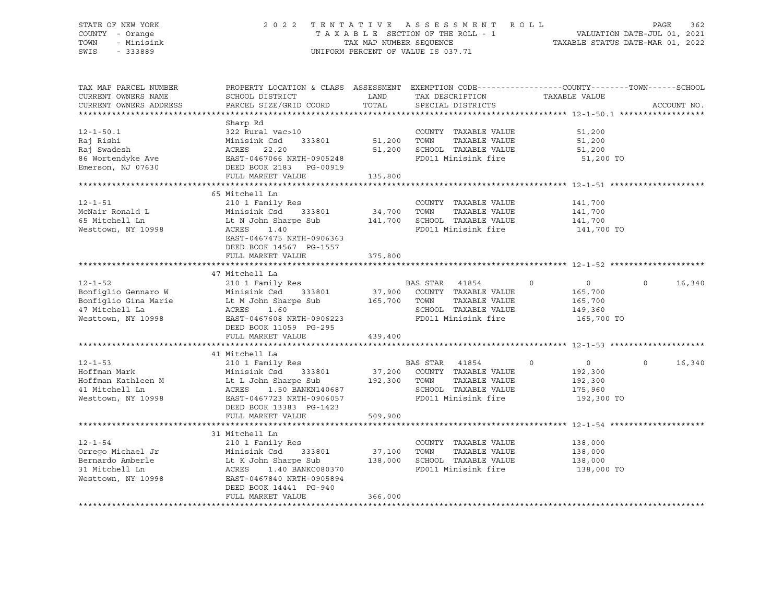### STATE OF NEW YORK 2 0 2 2 T E N T A T I V E A S S E S S M E N T R O L L PAGE 362 COUNTY - Orange T A X A B L E SECTION OF THE ROLL - 1 VALUATION DATE-JUL 01, 2021 TOWN - Minisink TAX MAP NUMBER SEQUENCE TAXABLE STATUS DATE-MAR 01, 2022 SWIS - 333889 CONSERVATION CONTROL OF VALUE IS 037.71

| TAX MAP PARCEL NUMBER<br>CURRENT OWNERS NAME<br>CURRENT OWNERS ADDRESS                                                                                                                                            | PROPERTY LOCATION & CLASS ASSESSMENT EXEMPTION CODE----------------COUNTY-------TOWN------SCHOOL<br>SCHOOL DISTRICT<br>PARCEL SIZE/GRID COORD                                                                                                                                                           | LAND<br>TOTAL     | TAX DESCRIPTION TAXABLE VALUE<br>SPECIAL DISTRICTS                                                                                                                    |                                                                          | ACCOUNT NO.        |
|-------------------------------------------------------------------------------------------------------------------------------------------------------------------------------------------------------------------|---------------------------------------------------------------------------------------------------------------------------------------------------------------------------------------------------------------------------------------------------------------------------------------------------------|-------------------|-----------------------------------------------------------------------------------------------------------------------------------------------------------------------|--------------------------------------------------------------------------|--------------------|
|                                                                                                                                                                                                                   |                                                                                                                                                                                                                                                                                                         |                   |                                                                                                                                                                       |                                                                          |                    |
| $12 - 1 - 50.1$<br>Raj Rishi<br>Raj Swadesh<br>86 Wortendyke Ave<br>Emerson, NJ 07630 DEED BOOK 2183 PG-00919                                                                                                     | Sharp Rd<br>322 Rural vac>10<br>Minisink Csd 333801<br>ACRES 22.20<br>EAST-0467066 NRTH-0905248<br>FULL MARKET VALUE                                                                                                                                                                                    | 135,800           | COUNTY TAXABLE VALUE<br>TAXABLE VALUE<br>51,200 SCHOOL TAXABLE VALUE<br>FD011 Minisink fire                                                                           | 51,200<br>51,200<br>51,200<br>51,200 TO                                  |                    |
|                                                                                                                                                                                                                   |                                                                                                                                                                                                                                                                                                         |                   |                                                                                                                                                                       |                                                                          |                    |
| $12 - 1 - 51$<br>12-1-51<br>McNair Ronald L<br>Westtown, NY 10998                                                                                                                                                 | 65 Mitchell Ln<br>210 1 Family Res<br>Minisink Csd 333801 34,700 TOWN TAXABLE VALUE<br>Lt N John Sharpe Sub 141,700 SCHOOL TAXABLE VALUE<br>ACRES<br>1.40<br>EAST-0467475 NRTH-0906363<br>DEED BOOK 14567 PG-1557                                                                                       |                   | COUNTY TAXABLE VALUE                                                                                                                                                  | 141,700<br>141,700<br>141,700<br>FD011 Minisink fire 141,700 TO          |                    |
|                                                                                                                                                                                                                   | FULL MARKET VALUE                                                                                                                                                                                                                                                                                       | 375,800           |                                                                                                                                                                       |                                                                          |                    |
| $12 - 1 - 52$<br>12-1-52<br>Bonfiglio Gennaro W Minisink Csd 333801 37, 2010<br>Bonfiglio Gina Marie Lt M John Sharpe Sub 165,700<br>47 Mitchell La ACRES 1.60<br>165,700<br>165,700<br>EAST-0467608 NRTH-0906223 | 47 Mitchell La<br>210 1 Family Res<br>FULL MARKET VALUE                                                                                                                                                                                                                                                 | 439,400           | BAS STAR 41854<br>$\overline{0}$<br>37,900 COUNTY TAXABLE VALUE<br>165,700 TOWN TAXABLE VALUE<br>TAXABLE VALUE<br>SCHOOL TAXABLE VALUE 149,360<br>FD011 Minisink fire | $\overline{0}$<br>165,700<br>165,700<br>165,700 TO                       | $\Omega$<br>16,340 |
|                                                                                                                                                                                                                   | 41 Mitchell La                                                                                                                                                                                                                                                                                          |                   |                                                                                                                                                                       |                                                                          |                    |
| $12 - 1 - 53$<br>Hoffman Mark<br>Hoffman Kathleen M<br>41 Mitchell Ln<br>Westtown, NY 10998                                                                                                                       | BAS STAR 41854<br>Munisink Csd 333801 37,200 COUNTY TAXABLE VALUE<br>Lt L John Sharpe Sub 192,300 TOWN TAXABLE VALUE<br>ACRES 1.50 BANKN140687 SCHOOL TAXABLE VALUE<br>EAST-0467723 NPTH-0006955<br>ACRES 1.50 BANKN140687<br>EAST-0467723 NRTH-0906057<br>DEED BOOK 13383 PG-1423<br>FULL MARKET VALUE | 509,900           | TAXABLE VALUE<br>SCHOOL TAXABLE VALUE<br>FD011 Minisink fire                                                                                                          | $\overline{0}$<br>$\circ$<br>192,300<br>192,300<br>175,960<br>192,300 TO | $\circ$<br>16,340  |
|                                                                                                                                                                                                                   |                                                                                                                                                                                                                                                                                                         |                   |                                                                                                                                                                       |                                                                          |                    |
| $12 - 1 - 54$<br>Orrego Michael Jr<br>Bernardo Amberle<br>31 Mitchell Ln<br>Westtown, NY 10998                                                                                                                    | 31 Mitchell Ln<br>210 1 Family Res<br>210 1 Family Res<br>Minisink Csd 333801 37,100<br>Lt K John Sharpe Sub 138,000<br>ACRES 1.40 BANKC080370<br>EAST-0467840 NRTH-0905894<br>EAST-0467840 NRTH-0905894<br>DEED BOOK 14441 PG-940<br>FULL MARKET VALUE                                                 | 37,100<br>366,000 | COUNTY TAXABLE VALUE<br>TAXABLE VALUE<br>TOWN<br>SCHOOL TAXABLE VALUE<br>FD011 Minisink fire                                                                          | 138,000<br>138,000<br>138,000<br>138,000 TO                              |                    |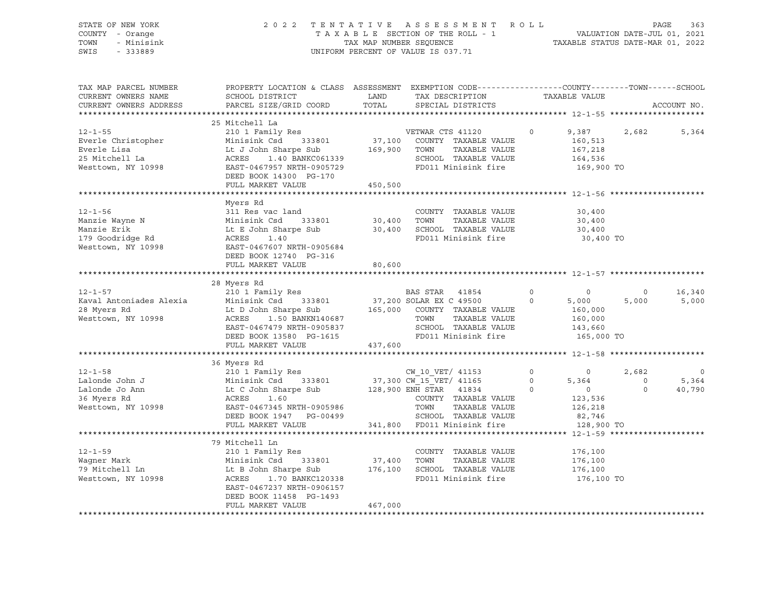| STATE OF NEW YORK<br>COUNTY - Orange                           |                                                                                                                                                                                                                                                                  |         | 2022 TENTATIVE ASSESSMENT ROLL<br>T A X A B L E SECTION OF THE ROLL - 1 VALUATION DATE-JUL 01, 2021<br>TAX MAP NUMBER SEQUENCE TAXABLE STATUS DATE-MAR 01, 2022 |         |                                                                             |                                                           | PAGE<br>363              |
|----------------------------------------------------------------|------------------------------------------------------------------------------------------------------------------------------------------------------------------------------------------------------------------------------------------------------------------|---------|-----------------------------------------------------------------------------------------------------------------------------------------------------------------|---------|-----------------------------------------------------------------------------|-----------------------------------------------------------|--------------------------|
| TOWN<br>- Minisink                                             |                                                                                                                                                                                                                                                                  |         |                                                                                                                                                                 |         |                                                                             |                                                           |                          |
| SWIS - 333889                                                  |                                                                                                                                                                                                                                                                  |         | UNIFORM PERCENT OF VALUE IS 037.71                                                                                                                              |         |                                                                             |                                                           |                          |
|                                                                |                                                                                                                                                                                                                                                                  |         |                                                                                                                                                                 |         |                                                                             |                                                           |                          |
|                                                                |                                                                                                                                                                                                                                                                  |         |                                                                                                                                                                 |         |                                                                             |                                                           |                          |
| TAX MAP PARCEL NUMBER                                          | PROPERTY LOCATION & CLASS ASSESSMENT EXEMPTION CODE-----------------COUNTY-------TOWN------SCHOOL                                                                                                                                                                |         |                                                                                                                                                                 |         |                                                                             |                                                           |                          |
| CURRENT OWNERS NAME                                            | SCHOOL DISTRICT                                                                                                                                                                                                                                                  |         | LAND TAX DESCRIPTION TAXABLE VALUE                                                                                                                              |         |                                                                             |                                                           |                          |
| CURRENT OWNERS ADDRESS                                         | PARCEL SIZE/GRID COORD TOTAL                                                                                                                                                                                                                                     |         | SPECIAL DISTRICTS                                                                                                                                               |         |                                                                             |                                                           | ACCOUNT NO.              |
|                                                                |                                                                                                                                                                                                                                                                  |         |                                                                                                                                                                 |         |                                                                             |                                                           |                          |
|                                                                | 25 Mitchell La                                                                                                                                                                                                                                                   |         |                                                                                                                                                                 |         |                                                                             |                                                           |                          |
|                                                                | 12-1-55<br>Everle Christopher 210 1 Family Res VETWAR CTS 41120<br>Everle Lisa Lt J John Sharpe Sub 169,900 TOWN TAXABLE VALUE<br>25 Mitchell La ACRES 1.40 BANKC061339 SCHOOL TAXABLE VALUE<br>Westtown, NY 10998 EAST-0467957 NRTH-0                           |         |                                                                                                                                                                 | $\circ$ | 9,387                                                                       | 2,682                                                     | 5,364                    |
|                                                                |                                                                                                                                                                                                                                                                  |         |                                                                                                                                                                 |         | 160,513                                                                     |                                                           |                          |
|                                                                |                                                                                                                                                                                                                                                                  |         |                                                                                                                                                                 |         | 167,218                                                                     |                                                           |                          |
|                                                                |                                                                                                                                                                                                                                                                  |         |                                                                                                                                                                 |         | 164,536                                                                     |                                                           |                          |
|                                                                |                                                                                                                                                                                                                                                                  |         | SCHOOL TAXABLE VALUE<br>FD011 Minisink fire                                                                                                                     |         | 169,900 TO                                                                  |                                                           |                          |
|                                                                | DEED BOOK 14300 PG-170                                                                                                                                                                                                                                           |         |                                                                                                                                                                 |         |                                                                             |                                                           |                          |
|                                                                | FULL MARKET VALUE                                                                                                                                                                                                                                                | 450,500 |                                                                                                                                                                 |         |                                                                             |                                                           |                          |
|                                                                |                                                                                                                                                                                                                                                                  |         |                                                                                                                                                                 |         |                                                                             |                                                           |                          |
|                                                                | Myers Rd                                                                                                                                                                                                                                                         |         |                                                                                                                                                                 |         |                                                                             |                                                           |                          |
| $12 - 1 - 56$                                                  | 311 Res vac land                                                                                                                                                                                                                                                 |         | COUNTY TAXABLE VALUE                                                                                                                                            |         | 30,400                                                                      |                                                           |                          |
|                                                                |                                                                                                                                                                                                                                                                  |         |                                                                                                                                                                 |         |                                                                             |                                                           |                          |
|                                                                |                                                                                                                                                                                                                                                                  |         |                                                                                                                                                                 |         | 30,400<br>30,400                                                            |                                                           |                          |
|                                                                | Minisink Csd 333801 30,400 TOWN TAXABLE VALUE<br>Lt E John Sharpe Sub 30,400 SCHOOL TAXABLE VALUE<br>ACRES 1.40 FD011 Minisink fire                                                                                                                              |         |                                                                                                                                                                 |         | 30,400 TO                                                                   |                                                           |                          |
|                                                                | Manzie Wayne N<br>Manzie Erik Minisink Csd 333801<br>179 Goodridge Rd ACRES 1.40<br>Nesttown, NY 10998<br>EAST-0467607 NRTH-0905684                                                                                                                              |         |                                                                                                                                                                 |         |                                                                             |                                                           |                          |
|                                                                | DEED BOOK 12740 PG-316                                                                                                                                                                                                                                           |         |                                                                                                                                                                 |         |                                                                             |                                                           |                          |
|                                                                | FULL MARKET VALUE                                                                                                                                                                                                                                                | 80,600  |                                                                                                                                                                 |         |                                                                             |                                                           |                          |
|                                                                |                                                                                                                                                                                                                                                                  |         |                                                                                                                                                                 |         |                                                                             |                                                           |                          |
|                                                                | 28 Myers Rd                                                                                                                                                                                                                                                      |         |                                                                                                                                                                 |         |                                                                             |                                                           |                          |
|                                                                |                                                                                                                                                                                                                                                                  |         |                                                                                                                                                                 |         | $\begin{array}{ccc} & 0 & 0 \\ 5,000 & 5,000 \\ 160,00 & 5,000 \end{array}$ |                                                           | 16,340                   |
|                                                                |                                                                                                                                                                                                                                                                  |         |                                                                                                                                                                 |         |                                                                             |                                                           | 5,000                    |
|                                                                |                                                                                                                                                                                                                                                                  |         |                                                                                                                                                                 |         |                                                                             |                                                           |                          |
|                                                                |                                                                                                                                                                                                                                                                  |         |                                                                                                                                                                 |         |                                                                             |                                                           |                          |
|                                                                |                                                                                                                                                                                                                                                                  |         |                                                                                                                                                                 |         |                                                                             |                                                           |                          |
|                                                                |                                                                                                                                                                                                                                                                  |         |                                                                                                                                                                 |         |                                                                             |                                                           |                          |
|                                                                | 28 Myers Rd<br>29 Myers Rd<br>29 Myers Rd<br>28 Myers Rd<br>29 Myers Rd<br>29 Myers Rd<br>29 Myers Rd<br>29 Myers Rd<br>29 Myers Rd<br>29 Myers Rd<br>29 Myers Rd<br>29 Myers Rd<br>29 Myers Rd<br>29 Myers Rd<br>29 Myers Rd<br>29 Myers Rd<br>29 Myers Rd<br>2 |         |                                                                                                                                                                 |         |                                                                             |                                                           |                          |
|                                                                |                                                                                                                                                                                                                                                                  |         |                                                                                                                                                                 |         |                                                                             |                                                           |                          |
|                                                                | 36 Myers Rd                                                                                                                                                                                                                                                      |         |                                                                                                                                                                 |         |                                                                             |                                                           |                          |
|                                                                |                                                                                                                                                                                                                                                                  |         |                                                                                                                                                                 |         |                                                                             | 2,682                                                     | $\overline{\phantom{0}}$ |
|                                                                |                                                                                                                                                                                                                                                                  |         |                                                                                                                                                                 |         |                                                                             | $\begin{array}{cccc} 0 & 5,364 \\ 0 & 40,790 \end{array}$ |                          |
|                                                                |                                                                                                                                                                                                                                                                  |         |                                                                                                                                                                 |         |                                                                             |                                                           | 40,790                   |
|                                                                |                                                                                                                                                                                                                                                                  |         |                                                                                                                                                                 |         |                                                                             |                                                           |                          |
|                                                                |                                                                                                                                                                                                                                                                  |         |                                                                                                                                                                 |         |                                                                             |                                                           |                          |
|                                                                |                                                                                                                                                                                                                                                                  |         |                                                                                                                                                                 |         |                                                                             |                                                           |                          |
|                                                                |                                                                                                                                                                                                                                                                  |         |                                                                                                                                                                 |         |                                                                             |                                                           |                          |
|                                                                |                                                                                                                                                                                                                                                                  |         |                                                                                                                                                                 |         |                                                                             |                                                           |                          |
|                                                                | 79 Mitchell Ln                                                                                                                                                                                                                                                   |         |                                                                                                                                                                 |         |                                                                             |                                                           |                          |
|                                                                |                                                                                                                                                                                                                                                                  |         | COUNTY TAXABLE VALUE                                                                                                                                            |         | 176,100                                                                     |                                                           |                          |
|                                                                |                                                                                                                                                                                                                                                                  |         |                                                                                                                                                                 |         | 176,100                                                                     |                                                           |                          |
|                                                                |                                                                                                                                                                                                                                                                  |         |                                                                                                                                                                 |         | 176,100                                                                     |                                                           |                          |
| 12-1-59<br>Wagner Mark<br>79 Mitchell Ln<br>Westtown, NY 10998 | 210 1 Family Res<br>210 1 Family Res<br>Minisink Csd 333801 37,400 TOWN TAXABLE VALUE<br>Lt B John Sharpe Sub 176,100 SCHOOL TAXABLE VALUE<br>ACRES 1.70 BANKC120338 FD011 Minisink fire                                                                         |         |                                                                                                                                                                 |         | 176,100 TO                                                                  |                                                           |                          |
|                                                                | EAST-0467237 NRTH-0906157                                                                                                                                                                                                                                        |         |                                                                                                                                                                 |         |                                                                             |                                                           |                          |
|                                                                | DEED BOOK 11458 PG-1493                                                                                                                                                                                                                                          |         |                                                                                                                                                                 |         |                                                                             |                                                           |                          |

\*\*\*\*\*\*\*\*\*\*\*\*\*\*\*\*\*\*\*\*\*\*\*\*\*\*\*\*\*\*\*\*\*\*\*\*\*\*\*\*\*\*\*\*\*\*\*\*\*\*\*\*\*\*\*\*\*\*\*\*\*\*\*\*\*\*\*\*\*\*\*\*\*\*\*\*\*\*\*\*\*\*\*\*\*\*\*\*\*\*\*\*\*\*\*\*\*\*\*\*\*\*\*\*\*\*\*\*\*\*\*\*\*\*\*\*\*\*\*\*\*\*\*\*\*\*\*\*\*\*\*\*

FULL MARKET VALUE 467,000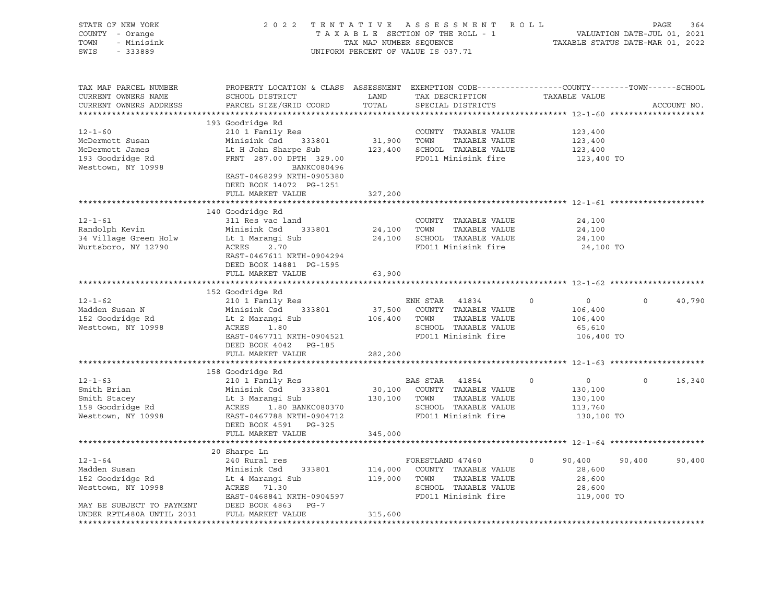| STATE OF NEW YORK<br>COUNTY - Orange<br>TOWN<br>- Minisink<br>SWIS - 333889                                                                                                                                                                  |                                                                                                                                               |                  | 2022 TENTATIVE ASSESSMENT ROLL<br>TAXABLE SECTION OF THE ROLL - 1<br>TAXABLE SECTION OF THE ROLL - 1<br>TAXABLE STATUS DATE-MAR 01, 2022<br>UNIFORM PERCENT OF VALUE IS 037.71 |                                                                         | PAGE<br>364       |
|----------------------------------------------------------------------------------------------------------------------------------------------------------------------------------------------------------------------------------------------|-----------------------------------------------------------------------------------------------------------------------------------------------|------------------|--------------------------------------------------------------------------------------------------------------------------------------------------------------------------------|-------------------------------------------------------------------------|-------------------|
| TAX MAP PARCEL NUMBER<br>CURRENT OWNERS NAME<br>CURRENT OWNERS ADDRESS                                                                                                                                                                       | PROPERTY LOCATION & CLASS ASSESSMENT EXEMPTION CODE----------------COUNTY-------TOWN------SCHOOL<br>SCHOOL DISTRICT<br>PARCEL SIZE/GRID COORD | TOTAL            | LAND TAX DESCRIPTION TAXABLE VALUE<br>SPECIAL DISTRICTS                                                                                                                        |                                                                         | ACCOUNT NO.       |
| $12 - 1 - 60$<br>McDermott Susan<br>McDermott James                                                                                                                                                                                          | 193 Goodridge Rd<br>210 1 Family Res<br>Minisink Csd 333801<br>Lt H John Sharpe Sub 123,400 SCHOOL TAXABLE VALUE                              |                  | COUNTY TAXABLE VALUE<br>31,900 TOWN TAXABLE VALUE                                                                                                                              | 123,400<br>123,400<br>123,400                                           |                   |
| 193 Goodridge Rd<br>Westtown, NY 10998                                                                                                                                                                                                       | FRNT 287.00 DPTH 329.00 FD011 Minisink fire<br>BANKC080496<br>EAST-0468299 NRTH-0905380<br>DEED BOOK 14072 PG-1251<br>FULL MARKET VALUE       | 327,200          |                                                                                                                                                                                | 123,400 TO                                                              |                   |
|                                                                                                                                                                                                                                              |                                                                                                                                               | **************** |                                                                                                                                                                                | ******************************** 12-1-61 **********                     |                   |
| $12 - 1 - 61$                                                                                                                                                                                                                                | 140 Goodridge Rd<br>311 Res vac land<br>EAST-0467611 NRTH-0904294                                                                             |                  | COUNTY TAXABLE VALUE<br>24,100 TOWN TAXABLE VALUE<br>24,100 SCHOOL TAXABLE VALUE<br>FD011 Minisink fire                                                                        | 24,100<br>24,100<br>24,100<br>24,100 TO                                 |                   |
|                                                                                                                                                                                                                                              | DEED BOOK 14881 PG-1595<br>FULL MARKET VALUE                                                                                                  | 63,900           |                                                                                                                                                                                |                                                                         |                   |
| 12-1-62<br>Madden Susan N 210 1 Family Res<br>Madden Susan N Minisink Csd 333801 37,500 COUNTY TAXABLE VALUE<br>152 Goodridge Rd Lt 2 Marangi Sub 106,400 TOWN TAXABLE VALUE<br>Westtown, NY 10998 ACRES 1.80<br>FACTRIS INCRETE SERIOR      | EAST-0467711 NRTH-0904521<br>DEED BOOK 4042    PG-185                                                                                         |                  | SCHOOL TAXABLE VALUE<br>FD011 Minisink fire                                                                                                                                    | $\overline{0}$<br>$\circ$<br>106,400<br>106,400<br>65,610<br>106,400 TO | 40,790<br>$\circ$ |
|                                                                                                                                                                                                                                              | FULL MARKET VALUE                                                                                                                             | 282,200          |                                                                                                                                                                                |                                                                         |                   |
|                                                                                                                                                                                                                                              |                                                                                                                                               |                  |                                                                                                                                                                                |                                                                         |                   |
|                                                                                                                                                                                                                                              | 158 Goodridge Rd                                                                                                                              |                  |                                                                                                                                                                                | $\overline{0}$<br>$\circ$<br>130,100                                    | $\circ$<br>16,340 |
| 12-1-63<br>Smith Brian 210 1 Family Res<br>Smith Stacey 130,100 COUNTY TAXABLE VALUE<br>Smith Stacey 1.80 BANKC080370<br>130,100 TOWN TAXABLE VALUE<br>130,100 TOWN TAXABLE VALUE<br>SCHOOL TAXABLE VALUE<br>Mesttown, NY 10998 REST-0467788 | DEED BOOK 4591 PG-325                                                                                                                         |                  |                                                                                                                                                                                | 130,100<br>113,760<br>130,100 TO                                        |                   |
|                                                                                                                                                                                                                                              | FULL MARKET VALUE                                                                                                                             | 345,000          |                                                                                                                                                                                |                                                                         |                   |
|                                                                                                                                                                                                                                              |                                                                                                                                               |                  |                                                                                                                                                                                |                                                                         |                   |
| And the Minising Captains of the Minisipal Captains of the Minisipal Captains of the Minisipal Captains of the Minisipal Captains of the Minisipal Captains of the Minisipal Captains of the Minisipal Captains of the Minisip               |                                                                                                                                               |                  |                                                                                                                                                                                | 90,400<br>28,600<br>28,600<br>28,600                                    | 90,400<br>90,400  |
| MAY BE SUBJECT TO PAYMENT DEED BOOK 4863 PG-7<br>UNDER RPTL480A UNTIL 2031                                                                                                                                                                   | FULL MARKET VALUE                                                                                                                             | 315,600          |                                                                                                                                                                                | 119,000 TO                                                              |                   |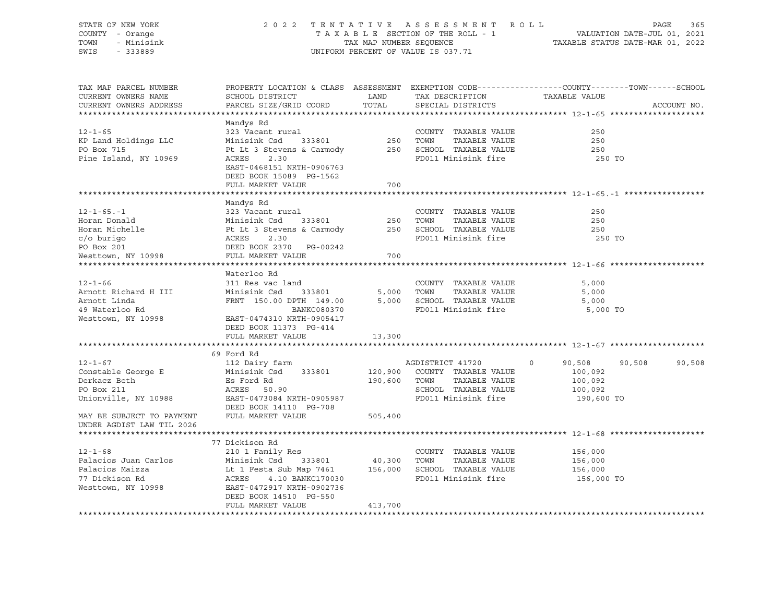| STATE OF NEW YORK<br>COUNTY - Orange<br>TOWN<br>- Minisink<br>SWIS - 333889                                                                                                                                        |                                                                                                                                                                 | 2022 TENTATIVE ASSESSMENT ROLL PAGE 365<br>TAXABLE SECTION OF THE ROLL - 1 VALUATION DATE-JUL 01, 2021<br>TAX MAP NUMBER SEQUENCE TAXABLE STATUS DATE-MAR 01, 2022<br>UNIFORM PERCENT OF VALUE IS 037.71 |                                                                                                                               |                                                                                                                 |             |  |  |  |
|--------------------------------------------------------------------------------------------------------------------------------------------------------------------------------------------------------------------|-----------------------------------------------------------------------------------------------------------------------------------------------------------------|----------------------------------------------------------------------------------------------------------------------------------------------------------------------------------------------------------|-------------------------------------------------------------------------------------------------------------------------------|-----------------------------------------------------------------------------------------------------------------|-------------|--|--|--|
| TAX MAP PARCEL NUMBER<br>CURRENT OWNERS NAME<br>CURRENT OWNERS ADDRESS                                                                                                                                             | SCHOOL DISTRICT<br>PARCEL SIZE/GRID COORD                                                                                                                       | LAND<br>TOTAL                                                                                                                                                                                            | TAX DESCRIPTION<br>SPECIAL DISTRICTS                                                                                          | PROPERTY LOCATION & CLASS ASSESSMENT EXEMPTION CODE---------------COUNTY-------TOWN-----SCHOOL<br>TAXABLE VALUE | ACCOUNT NO. |  |  |  |
|                                                                                                                                                                                                                    | Mandys Rd                                                                                                                                                       |                                                                                                                                                                                                          |                                                                                                                               |                                                                                                                 |             |  |  |  |
| $12 - 1 - 65$<br>KP Land Holdings LLC<br>PO Box 715<br>Pine Island, NY 10969                                                                                                                                       | 323 Vacant rural<br>Minisink Csd 333801 250 TOWN TAXABLE VALUE<br>Pt Lt 3 Stevens & Carmody 250 SCHOOL TAXABLE VALUE<br>ACRES 2.30<br>EAST-0468151 NRTH-0906763 |                                                                                                                                                                                                          | COUNTY TAXABLE VALUE<br>FD011 Minisink fire                                                                                   | 250<br>250<br>250<br>250 TO                                                                                     |             |  |  |  |
|                                                                                                                                                                                                                    | DEED BOOK 15089 PG-1562                                                                                                                                         |                                                                                                                                                                                                          |                                                                                                                               |                                                                                                                 |             |  |  |  |
|                                                                                                                                                                                                                    | FULL MARKET VALUE                                                                                                                                               | 700                                                                                                                                                                                                      |                                                                                                                               |                                                                                                                 |             |  |  |  |
|                                                                                                                                                                                                                    | Mandys Rd                                                                                                                                                       |                                                                                                                                                                                                          |                                                                                                                               |                                                                                                                 |             |  |  |  |
| 12-1-65.-1 323 Vacant rural<br>Horan Donald Minisink Csd 333801<br>Horan Michelle Pt Lt 3 Stevens & Carmody<br>c/o burigo ACRES 2.30<br>PO Box 201 DEED BOOK 2370 PG-00242<br>Westtown, NY 10998 FULL MARKET VALUE |                                                                                                                                                                 |                                                                                                                                                                                                          | COUNTY TAXABLE VALUE<br>250 TOWN TAXABLE VALUE<br>250 SCHOOL TAXABLE VALUE<br>FD011 Minisink fire                             | 250<br>250<br>250<br>250 TO                                                                                     |             |  |  |  |
|                                                                                                                                                                                                                    |                                                                                                                                                                 | 700                                                                                                                                                                                                      |                                                                                                                               |                                                                                                                 |             |  |  |  |
|                                                                                                                                                                                                                    |                                                                                                                                                                 |                                                                                                                                                                                                          |                                                                                                                               |                                                                                                                 |             |  |  |  |
| $12 - 1 - 66$<br>Arnott Richard H III<br>Arnott Linda<br>49 Waterloo Rd<br>Westtown, NY 10998                                                                                                                      | Waterloo Rd<br>311 Res vac land<br>Minisink Csd 333801<br>FRNT 150.00 DPTH 149.00<br>BANKC080370<br>EAST-0474310 NRTH-0905417<br>DEED BOOK 11373 PG-414         |                                                                                                                                                                                                          | COUNTY TAXABLE VALUE<br>5,000 TOWN<br>TAXABLE VALUE<br>5,000 SCHOOL TAXABLE VALUE<br>FD011 Minisink fire                      | 5,000<br>5,000<br>5,000<br>5,000 TO                                                                             |             |  |  |  |
|                                                                                                                                                                                                                    | FULL MARKET VALUE                                                                                                                                               | 13,300                                                                                                                                                                                                   |                                                                                                                               |                                                                                                                 |             |  |  |  |
|                                                                                                                                                                                                                    | 69 Ford Rd                                                                                                                                                      |                                                                                                                                                                                                          |                                                                                                                               |                                                                                                                 |             |  |  |  |
| $12 - 1 - 67$<br>Constable George E<br>Derkacz Beth<br>PO Box 211<br>PO Box 211<br>Unionville, NY 10988<br>MAY BE SUBJECT TO PAYMENT FULL MARKET VALUE                                                             | 112 Dairy farm<br>Minisink Csd 333801<br>Es Ford Rd<br>ACRES 50.90<br>EAST-0473084 NRTH-0905987<br>DEED BOOK 14110 PG-708                                       | 505,400                                                                                                                                                                                                  | AGDISTRICT 41720<br>120,900 COUNTY TAXABLE VALUE<br>190,600 TOWN TAXABLE VALUE<br>SCHOOL TAXABLE VALUE<br>FD011 Minisink fire | $\circ$<br>90,508<br>90,508<br>100,092<br>100,092<br>100,092<br>190,600 TO                                      | 90,508      |  |  |  |
| UNDER AGDIST LAW TIL 2026                                                                                                                                                                                          |                                                                                                                                                                 |                                                                                                                                                                                                          |                                                                                                                               |                                                                                                                 |             |  |  |  |
|                                                                                                                                                                                                                    |                                                                                                                                                                 |                                                                                                                                                                                                          |                                                                                                                               |                                                                                                                 |             |  |  |  |
| $12 - 1 - 68$<br>Westtown, NY 10998 EAST-0472917 NRTH-0902736                                                                                                                                                      | 77 Dickison Rd<br>210 1 Family Res<br>DEED BOOK 14510 PG-550                                                                                                    |                                                                                                                                                                                                          | COUNTY TAXABLE VALUE<br>TAXABLE VALUE<br>FD011 Minisink fire                                                                  | 156,000<br>156,000<br>156,000<br>156,000 TO                                                                     |             |  |  |  |
|                                                                                                                                                                                                                    | FULL MARKET VALUE                                                                                                                                               | 413,700                                                                                                                                                                                                  |                                                                                                                               |                                                                                                                 |             |  |  |  |
|                                                                                                                                                                                                                    |                                                                                                                                                                 |                                                                                                                                                                                                          |                                                                                                                               |                                                                                                                 |             |  |  |  |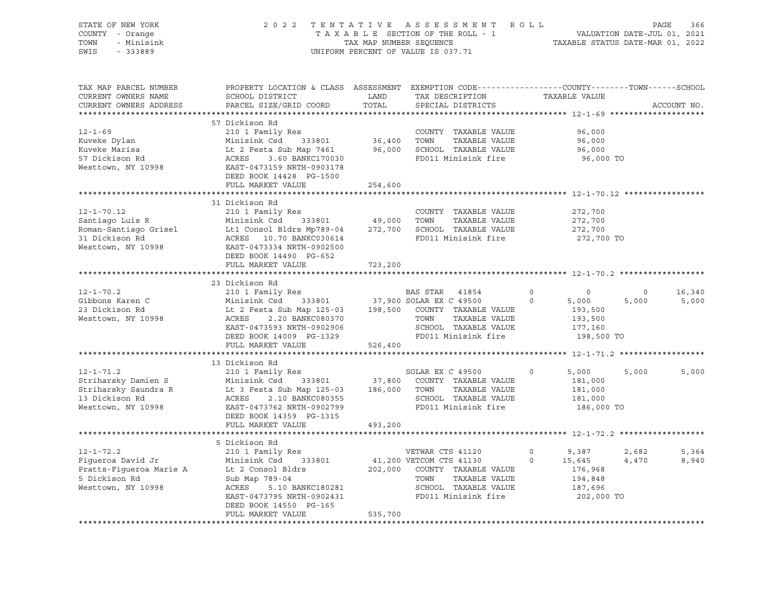| STATE OF NEW YORK<br>COUNTY - Orange<br>TOWN<br>- Minisink<br>SWIS<br>$-333889$ | 2022                                                                                                                                         | TENTATIVE<br>TAX MAP NUMBER SEQUENCE | A S S E S S M E N T<br>TAXABLE SECTION OF THE ROLL - 1<br>UNIFORM PERCENT OF VALUE IS 037.71 | <b>ROLL</b><br>TAXABLE STATUS DATE-MAR 01, 2022 | VALUATION DATE-JUL 01, 2021 | PAGE<br>366 |
|---------------------------------------------------------------------------------|----------------------------------------------------------------------------------------------------------------------------------------------|--------------------------------------|----------------------------------------------------------------------------------------------|-------------------------------------------------|-----------------------------|-------------|
| TAX MAP PARCEL NUMBER<br>CURRENT OWNERS NAME<br>CURRENT OWNERS ADDRESS          | PROPERTY LOCATION & CLASS ASSESSMENT EXEMPTION CODE----------------COUNTY-------TOWN-----SCHOOL<br>SCHOOL DISTRICT<br>PARCEL SIZE/GRID COORD | LAND<br>TOTAL                        | TAX DESCRIPTION<br>SPECIAL DISTRICTS                                                         | TAXABLE VALUE                                   |                             | ACCOUNT NO. |
|                                                                                 | 57 Dickison Rd                                                                                                                               |                                      |                                                                                              |                                                 |                             |             |
| $12 - 1 - 69$                                                                   | 210 1 Family Res                                                                                                                             |                                      | COUNTY TAXABLE VALUE                                                                         | 96,000                                          |                             |             |
| Kuveke Dylan                                                                    | Minisink Csd<br>333801                                                                                                                       | 36,400                               | TOWN<br>TAXABLE VALUE                                                                        | 96,000                                          |                             |             |
| Kuveke Marisa                                                                   | Lt 2 Festa Sub Map 7461                                                                                                                      | 96,000                               | SCHOOL TAXABLE VALUE                                                                         | 96,000                                          |                             |             |
| 57 Dickison Rd                                                                  | ACRES<br>3.60 BANKC170030                                                                                                                    |                                      | FD011 Minisink fire                                                                          | 96,000 TO                                       |                             |             |
| Westtown, NY 10998                                                              | EAST-0473159 NRTH-0903178                                                                                                                    |                                      |                                                                                              |                                                 |                             |             |
|                                                                                 | DEED BOOK 14428 PG-1500                                                                                                                      |                                      |                                                                                              |                                                 |                             |             |
|                                                                                 | FULL MARKET VALUE                                                                                                                            | 254,600                              |                                                                                              |                                                 |                             |             |
|                                                                                 | *******************************                                                                                                              |                                      | ******************************* 12-1-70.12 *****                                             |                                                 |                             |             |
|                                                                                 | 31 Dickison Rd                                                                                                                               |                                      |                                                                                              |                                                 |                             |             |
| $12 - 1 - 70.12$                                                                | 210 1 Family Res                                                                                                                             |                                      | COUNTY TAXABLE VALUE                                                                         | 272,700                                         |                             |             |
| Santiago Luis R                                                                 | Minisink Csd<br>333801                                                                                                                       | 49,000                               | TOWN<br>TAXABLE VALUE<br>SCHOOL TAXABLE VALUE                                                | 272,700                                         |                             |             |
| Roman-Santiago Grisel<br>31 Dickison Rd                                         | Lt1 Consol Bldrs Mp789-04<br>ACRES 10.70 BANKC030614                                                                                         | 272,700                              | FD011 Minisink fire                                                                          | 272,700<br>272,700 TO                           |                             |             |
| Westtown, NY 10998                                                              | EAST-0473334 NRTH-0902500                                                                                                                    |                                      |                                                                                              |                                                 |                             |             |
|                                                                                 | DEED BOOK 14490 PG-652                                                                                                                       |                                      |                                                                                              |                                                 |                             |             |
|                                                                                 | FULL MARKET VALUE                                                                                                                            | 723,200                              |                                                                                              |                                                 |                             |             |
|                                                                                 |                                                                                                                                              |                                      |                                                                                              |                                                 |                             |             |
|                                                                                 | 23 Dickison Rd                                                                                                                               |                                      |                                                                                              |                                                 |                             |             |
| $12 - 1 - 70.2$                                                                 | 210 1 Family Res                                                                                                                             |                                      | BAS STAR 41854                                                                               | $\circ$<br>$\mathbf 0$                          | $\circ$                     | 16,340      |
| Gibbons Karen C                                                                 | Minisink Csd<br>333801                                                                                                                       |                                      | 37,900 SOLAR EX C 49500                                                                      | 5,000<br>$\Omega$                               | 5,000                       | 5,000       |
| 23 Dickison Rd                                                                  | Lt 2 Festa Sub Map 125-03                                                                                                                    | 198,500                              | COUNTY TAXABLE VALUE                                                                         | 193,500                                         |                             |             |
| Westtown, NY 10998                                                              | ACRES<br>2.20 BANKC080370                                                                                                                    |                                      | TOWN<br>TAXABLE VALUE                                                                        | 193,500                                         |                             |             |
|                                                                                 | EAST-0473593 NRTH-0902906                                                                                                                    |                                      | SCHOOL TAXABLE VALUE                                                                         | 177,160                                         |                             |             |
|                                                                                 | DEED BOOK 14009 PG-1329                                                                                                                      |                                      | FD011 Minisink fire                                                                          | 198,500 TO                                      |                             |             |
|                                                                                 | FULL MARKET VALUE                                                                                                                            | 526,400                              |                                                                                              |                                                 |                             |             |
|                                                                                 |                                                                                                                                              |                                      |                                                                                              |                                                 |                             |             |
|                                                                                 | 13 Dickison Rd                                                                                                                               |                                      |                                                                                              |                                                 |                             |             |
| $12 - 1 - 71.2$                                                                 | 210 1 Family Res                                                                                                                             |                                      | SOLAR EX C 49500                                                                             | $\circ$<br>5,000                                | 5,000                       | 5,000       |
| Striharsky Damien S<br>Striharsky Saundra R                                     | Minisink Csd<br>333801<br>Lt 3 Festa Sub Map 125-03                                                                                          | 37,800<br>186,000                    | COUNTY TAXABLE VALUE<br>TOWN<br>TAXABLE VALUE                                                | 181,000<br>181,000                              |                             |             |
| 13 Dickison Rd                                                                  | ACRES<br>2.10 BANKC080355                                                                                                                    |                                      | SCHOOL TAXABLE VALUE                                                                         | 181,000                                         |                             |             |
| Westtown, NY 10998                                                              | EAST-0473762 NRTH-0902799                                                                                                                    |                                      | FD011 Minisink fire                                                                          | 186,000 TO                                      |                             |             |
|                                                                                 | DEED BOOK 14359 PG-1315                                                                                                                      |                                      |                                                                                              |                                                 |                             |             |
|                                                                                 | FULL MARKET VALUE                                                                                                                            | 493,200                              |                                                                                              |                                                 |                             |             |
|                                                                                 | ******************                                                                                                                           |                                      |                                                                                              | *********** 12-1-72.2 *******************       |                             |             |
|                                                                                 | 5 Dickison Rd                                                                                                                                |                                      |                                                                                              |                                                 |                             |             |
| $12 - 1 - 72.2$                                                                 | 210 1 Family Res                                                                                                                             |                                      | VETWAR CTS 41120                                                                             | $\mathbf 0$<br>9,387                            | 2,682                       | 5,364       |
| Figueroa David Jr                                                               | Minisink Csd<br>333801                                                                                                                       |                                      | 41,200 VETCOM CTS 41130                                                                      | $\Omega$<br>15,645                              | 4,470                       | 8,940       |
| Pratts-Figueroa Marie A                                                         | Lt 2 Consol Bldrs                                                                                                                            | 202,000                              | COUNTY TAXABLE VALUE                                                                         | 176,968                                         |                             |             |
| 5 Dickison Rd                                                                   | Sub Map 789-04                                                                                                                               |                                      | TOWN<br>TAXABLE VALUE                                                                        | 194,848                                         |                             |             |
| Westtown, NY 10998                                                              | ACRES<br>5.10 BANKC180281                                                                                                                    |                                      | SCHOOL TAXABLE VALUE                                                                         | 187,696                                         |                             |             |
|                                                                                 | EAST-0473795 NRTH-0902431                                                                                                                    |                                      | FD011 Minisink fire                                                                          | 202,000 TO                                      |                             |             |
|                                                                                 | DEED BOOK 14550 PG-165                                                                                                                       |                                      |                                                                                              |                                                 |                             |             |
|                                                                                 | FULL MARKET VALUE                                                                                                                            | 535,700                              |                                                                                              |                                                 |                             |             |
|                                                                                 |                                                                                                                                              |                                      |                                                                                              |                                                 |                             |             |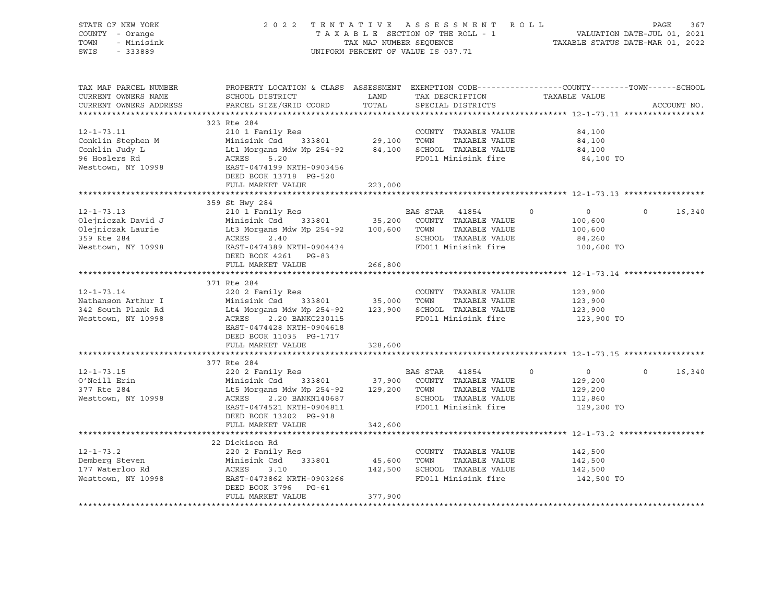| STATE OF NEW YORK<br>COUNTY - Orange<br>TOWN<br>- Minisink<br>SWIS<br>$-333889$                | 2022 TENTATIVE ASSESSMENT ROLL<br>TAXABLE SECTION OF THE ROLL - 1<br>TAX MAP NUMBER SEQUENCE<br>UNIFORM PERCENT OF VALUE IS 037.71                                                                                          |                        | VALUATION DATE-JUL 01, 2021<br>TAXABLE STATUS DATE-MAR 01, 2022 | PAGE                                                                                         | 367     |                                                               |              |             |
|------------------------------------------------------------------------------------------------|-----------------------------------------------------------------------------------------------------------------------------------------------------------------------------------------------------------------------------|------------------------|-----------------------------------------------------------------|----------------------------------------------------------------------------------------------|---------|---------------------------------------------------------------|--------------|-------------|
| TAX MAP PARCEL NUMBER<br>CURRENT OWNERS NAME<br>CURRENT OWNERS ADDRESS                         | PROPERTY LOCATION & CLASS ASSESSMENT EXEMPTION CODE----------------COUNTY-------TOWN------SCHOOL<br>SCHOOL DISTRICT<br>PARCEL SIZE/GRID COORD                                                                               | LAND<br>TOTAL          |                                                                 | TAX DESCRIPTION TAXABLE VALUE<br>SPECIAL DISTRICTS                                           |         |                                                               |              | ACCOUNT NO. |
| $12 - 1 - 73.11$<br>Conklin Stephen M<br>Conklin Judy L<br>96 Hoslers Rd<br>Westtown, NY 10998 | 323 Rte 284<br>210 1 Family Res<br>333801 29,100 TOWN<br>Minisink Csd<br>Lt1 Morgans Mdw Mp 254-92 84,100 SCHOOL TAXABLE VALUE<br>ACRES<br>5.20<br>EAST-0474199 NRTH-0903456<br>DEED BOOK 13718 PG-520<br>FULL MARKET VALUE | 223,000                |                                                                 | COUNTY TAXABLE VALUE<br>TAXABLE VALUE<br>FD011 Minisink fire                                 |         | 84,100<br>84,100<br>84,100<br>84,100 TO                       |              |             |
|                                                                                                |                                                                                                                                                                                                                             |                        |                                                                 |                                                                                              |         |                                                               |              |             |
| $12 - 1 - 73.13$<br>Olejniczak David J                                                         | 359 St Hwy 284<br>210 1 Family Res<br>Minisink Csd 333801                                                                                                                                                                   |                        | BAS STAR 41854                                                  | 35,200 COUNTY TAXABLE VALUE                                                                  | $\circ$ | $\overline{0}$<br>100,600                                     | $\mathsf{O}$ | 16,340      |
| Olejniczak Laurie<br>359 Rte 284<br>Westtown, NY 10998                                         | Lt3 Morgans Mdw Mp 254-92 100,600 TOWN TAXABLE VALUE<br>2.40<br>ACRES<br>EAST-0474389 NRTH-0904434<br>DEED BOOK 4261 PG-83<br>FULL MARKET VALUE                                                                             | 266,800                |                                                                 | SCHOOL TAXABLE VALUE<br>FD011 Minisink fire                                                  |         | 100,600<br>84,260<br>100,600 TO                               |              |             |
|                                                                                                |                                                                                                                                                                                                                             |                        |                                                                 |                                                                                              |         |                                                               |              |             |
| $12 - 1 - 73.14$<br>Nathanson Arthur I<br>342 South Plank Rd<br>Westtown, NY 10998             | 371 Rte 284<br>220 2 Family Res<br>Minisink Csd 333801 35,000 TOWN<br>Lt4 Morgans Mdw Mp 254-92 123,900 SCHOOL TAXABLE VALUE<br>2.20 BANKC230115<br>ACRES<br>EAST-0474428 NRTH-0904618<br>DEED BOOK 11035 PG-1717           |                        |                                                                 | COUNTY TAXABLE VALUE<br>TAXABLE VALUE<br>FD011 Minisink fire                                 |         | 123,900<br>123,900<br>123,900<br>123,900 TO                   |              |             |
|                                                                                                | FULL MARKET VALUE                                                                                                                                                                                                           | 328,600                |                                                                 |                                                                                              |         |                                                               |              |             |
|                                                                                                | 377 Rte 284                                                                                                                                                                                                                 |                        |                                                                 |                                                                                              |         |                                                               |              |             |
| $12 - 1 - 73.15$<br>O'Neill Erin<br>377 Rte 284<br>Westtown, NY 10998                          | 220 2 Family Res<br>Minisink Csd 333801 37,900 COUNTY TAXABLE VALUE<br>Lt5 Morgans Mdw Mp 254-92 129,200 TOWN TAXABLE VALUE<br>ACRES 2.20 BANKN140687<br>EAST-0474521 NRTH-0904811<br>DEED BOOK 13202 PG-918                |                        | BAS STAR 41854                                                  | SCHOOL TAXABLE VALUE<br>FD011 Minisink fire                                                  | $\circ$ | $\overline{0}$<br>129,200<br>129,200<br>112,860<br>129,200 TO | $\circ$      | 16,340      |
|                                                                                                | FULL MARKET VALUE                                                                                                                                                                                                           | 342,600                |                                                                 |                                                                                              |         |                                                               |              |             |
|                                                                                                |                                                                                                                                                                                                                             |                        |                                                                 |                                                                                              |         |                                                               |              |             |
| $12 - 1 - 73.2$<br>Demberg Steven<br>177 Waterloo Rd<br>Westtown, NY 10998                     | 22 Dickison Rd<br>220 2 Family Res<br>Minisink Csd 333801<br>ACRES<br>3.10<br>EAST-0473862 NRTH-0903266<br>DEED BOOK 3796 PG-61<br>FULL MARKET VALUE                                                                        | 45,600 TOWN<br>377,900 |                                                                 | COUNTY TAXABLE VALUE<br>TAXABLE VALUE<br>142,500 SCHOOL TAXABLE VALUE<br>FD011 Minisink fire |         | 142,500<br>142,500<br>142,500<br>142,500 TO                   |              |             |
|                                                                                                |                                                                                                                                                                                                                             |                        |                                                                 |                                                                                              |         |                                                               |              |             |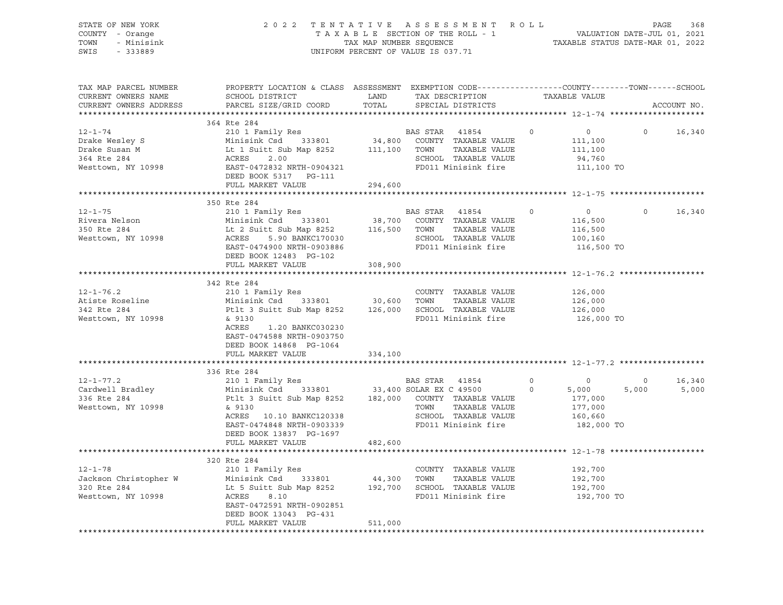| STATE OF NEW YORK<br>COUNTY - Orange<br>TOWN - Minisink<br>SWIS<br>$-333889$                               | 2 0 2 2                                                                                                                                                                                                                                                                                                                          |         | TENTATIVE ASSESSMENT ROLL PAGE 368<br>TAXABLE SECTION OF THE ROLL - 1 VALUATION DATE-JUL 01, 2021<br>TAX MAP NUMBER SEQUENCE TAXABLE STATUS DATE-MAR 01, 2022<br>UNIFORM PERCENT OF VALUE IS 037.71 |                                                                                                                                                                                                                                                                                                                                                                               |          |                                                               |                         |                 |
|------------------------------------------------------------------------------------------------------------|----------------------------------------------------------------------------------------------------------------------------------------------------------------------------------------------------------------------------------------------------------------------------------------------------------------------------------|---------|-----------------------------------------------------------------------------------------------------------------------------------------------------------------------------------------------------|-------------------------------------------------------------------------------------------------------------------------------------------------------------------------------------------------------------------------------------------------------------------------------------------------------------------------------------------------------------------------------|----------|---------------------------------------------------------------|-------------------------|-----------------|
| TAX MAP PARCEL NUMBER<br>CURRENT OWNERS NAME<br>CURRENT OWNERS ADDRESS                                     | PROPERTY LOCATION & CLASS ASSESSMENT EXEMPTION CODE---------------COUNTY-------TOWN-----SCHOOL<br>SCHOOL DISTRICT LAND<br>PARCEL SIZE/GRID COORD                                                                                                                                                                                 | TOTAL   |                                                                                                                                                                                                     | $\begin{tabular}{ll} \bf -C& \bf 2D & \bf 3D & \bf 1D & \bf 1D & \bf 2D \\ \bf 3D & \bf 1D & \bf 1D & \bf 1D & \bf 1D \\ \bf 4D & \bf 1D & \bf 1D & \bf 1D & \bf 1D \\ \bf 5D & \bf 1D & \bf 1D & \bf 1D & \bf 1D \\ \bf 6D & \bf 1D & \bf 1D & \bf 1D & \bf 1D \\ \bf 1D & \bf 1D & \bf 1D & \bf 1D & \bf 1D \\ \bf 1D & \bf 1D & \bf 1D & \bf 1D & \bf $<br>TAX DESCRIPTION |          |                                                               |                         | ACCOUNT NO.     |
|                                                                                                            | 364 Rte 284<br>DEED BOOK 5317 PG-111<br>FULL MARKET VALUE                                                                                                                                                                                                                                                                        | 294,600 |                                                                                                                                                                                                     |                                                                                                                                                                                                                                                                                                                                                                               |          |                                                               | $0 \qquad \qquad$       | 16,340          |
|                                                                                                            |                                                                                                                                                                                                                                                                                                                                  |         |                                                                                                                                                                                                     |                                                                                                                                                                                                                                                                                                                                                                               |          |                                                               |                         |                 |
| $12 - 1 - 75$<br>Rivera Nelson<br>1110111 Relbor<br>350 Rte 284<br>Westtown, NY 10998                      | 350 Rte 284<br>210 1 Family Res<br>Minisink Csd 333801 38,700 COUNTY TAXABLE VALUE<br>Lt 2 Suitt Sub Map 8252 116,500 TOWN TAXABLE VALUE<br>ACRES 5.90 BANKC170030 SCHOOL TAXABLE VALUE<br>EAST-0474900 NRTH-0903886<br>DEED BOOK 12483 PG-102                                                                                   |         | BAS STAR 41854                                                                                                                                                                                      | SCHOOL TAXABLE VALUE<br>FD011 Minisink fire                                                                                                                                                                                                                                                                                                                                   | $\Omega$ | $\overline{0}$<br>116,500<br>116,500<br>100,160<br>116,500 TO | $\Omega$                | 16,340          |
|                                                                                                            | FULL MARKET VALUE                                                                                                                                                                                                                                                                                                                | 308,900 |                                                                                                                                                                                                     |                                                                                                                                                                                                                                                                                                                                                                               |          |                                                               |                         |                 |
|                                                                                                            |                                                                                                                                                                                                                                                                                                                                  |         |                                                                                                                                                                                                     |                                                                                                                                                                                                                                                                                                                                                                               |          |                                                               |                         |                 |
| $12 - 1 - 76.2$<br>12-1-76.2<br>Atiste Roseline Minisir<br>342 Rte 284 Ptlt 3<br>Westtown, NY 10998 & 9130 | 342 Rte 284<br>210 1 Family Res<br>210 I Family Res<br>Minisink Csd 333801 30,600 TOWN TAXABLE VALUE<br>Ptl 3 Suitt Sub Map 8252 126,000 SCHOOL TAXABLE VALUE<br>SALUE CALLO 130<br>ACRES<br>1.20 BANKC030230<br>EAST-0474588 NRTH-0903750<br>DEED BOOK 14868 PG-1064                                                            |         |                                                                                                                                                                                                     | COUNTY TAXABLE VALUE<br>FD011 Minisink fire                                                                                                                                                                                                                                                                                                                                   |          | 126,000<br>126,000<br>126,000<br>126,000 TO                   |                         |                 |
|                                                                                                            | FULL MARKET VALUE                                                                                                                                                                                                                                                                                                                | 334,100 |                                                                                                                                                                                                     |                                                                                                                                                                                                                                                                                                                                                                               |          |                                                               |                         |                 |
| $12 - 1 - 77.2$<br>12-1-77.2<br>Cardwell Bradley<br>Westtown, NY 10998                                     | 336 Rte 284<br>2001 - 2010 1 Family Res<br>210 1 Family Res<br>Minisink Csd 333801 33,400 SOLAR EX C 49500 0 5,000<br>Ptlt 3 Suitt Sub Map 8252 182,000 COUNTY TAXABLE VALUE 177,000<br>6 9130 70WN TAXABLE VALUE 177,000<br>ACRES 10.10 BANKC120338<br>EAST-0474848 NRTH-0903339                                                |         |                                                                                                                                                                                                     | TOWN      TAXABLE VALUE<br>SCHOOL   TAXABLE VALUE<br>FD011 Minisink fire                                                                                                                                                                                                                                                                                                      |          | 160,660<br>182,000 TO                                         | $\overline{0}$<br>5,000 | 16,340<br>5,000 |
|                                                                                                            | DEED BOOK 13837 PG-1697<br>FULL MARKET VALUE                                                                                                                                                                                                                                                                                     | 482,600 |                                                                                                                                                                                                     |                                                                                                                                                                                                                                                                                                                                                                               |          |                                                               |                         |                 |
|                                                                                                            |                                                                                                                                                                                                                                                                                                                                  |         |                                                                                                                                                                                                     |                                                                                                                                                                                                                                                                                                                                                                               |          |                                                               |                         |                 |
| $12 - 1 - 78$                                                                                              | 320 Rte 284<br>210 1 Family Res<br>12-1-78 210 1 Family Res<br>Jackson Christopher W Minisink Csd 333801 44,300 TOWN TAXABLE VALUE<br>320 Rte 284 Lt 5 Suitt Sub Map 8252 192,700 SCHOOL TAXABLE VALUE<br>Westtown, NY 10998 ACRES 8.10 FD011 Minisink fire<br>PED11 Mini<br>EAST-0472591 NRTH-0902851<br>DEED BOOK 13043 PG-431 |         |                                                                                                                                                                                                     | COUNTY TAXABLE VALUE<br>FD011 Minisink fire                                                                                                                                                                                                                                                                                                                                   |          | 192,700<br>192,700<br>192,700<br>192,700 TO                   |                         |                 |
|                                                                                                            | FULL MARKET VALUE                                                                                                                                                                                                                                                                                                                | 511,000 |                                                                                                                                                                                                     |                                                                                                                                                                                                                                                                                                                                                                               |          |                                                               |                         |                 |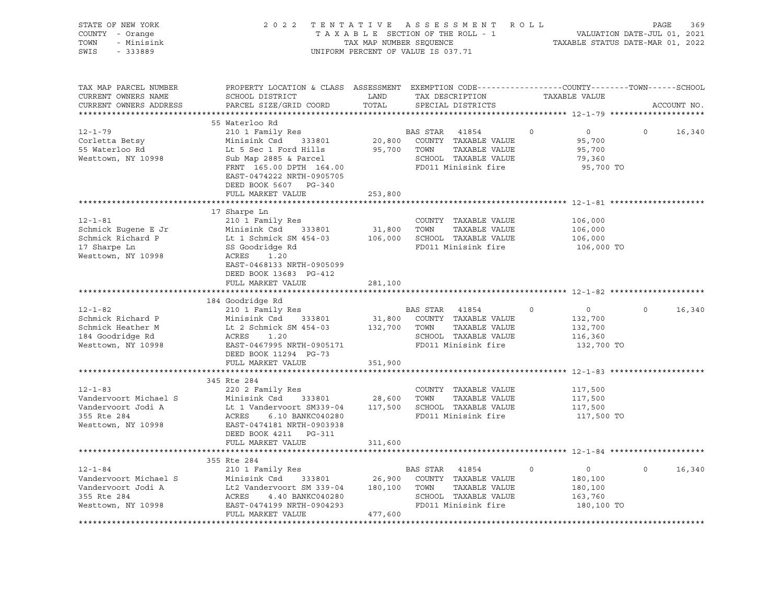| STATE OF NEW YORK<br>COUNTY - Orange<br>TOWN<br>- Minisink<br>SWIS<br>$-333889$                   |                                                                                                                                                                                                                                                                                |               | $\begin{tabular}{lllllllllllll} \hline 2&0&2&2&\text{T} &\text{E} &\text{N} &\text{T} &\text{A} &\text{T} &\text{I} &\text{V} &\text{E} &\text{A} &\text{E} &\text{B} &\text{A} &\text{E} &\text{B} &\text{A} &\text{E} &\text{B} &\text{A} &\text{E} &\text{B} &\text{A} &\text{E} &\text{B} &\text{E} &\text{A} &\text{E} &\text{B} &\text{E} &\text{E} &\text{E} &\text{E} &\text{E}$<br>UNIFORM PERCENT OF VALUE IS 037.71 |                |                                                               |                   |        |
|---------------------------------------------------------------------------------------------------|--------------------------------------------------------------------------------------------------------------------------------------------------------------------------------------------------------------------------------------------------------------------------------|---------------|--------------------------------------------------------------------------------------------------------------------------------------------------------------------------------------------------------------------------------------------------------------------------------------------------------------------------------------------------------------------------------------------------------------------------------|----------------|---------------------------------------------------------------|-------------------|--------|
| TAX MAP PARCEL NUMBER<br>CURRENT OWNERS NAME<br>CURRENT OWNERS ADDRESS                            | PROPERTY LOCATION & CLASS ASSESSMENT EXEMPTION CODE----------------COUNTY-------TOWN------SCHOOL<br>SCHOOL DISTRICT<br>PARCEL SIZE/GRID COORD                                                                                                                                  | LAND<br>TOTAL | TAX DESCRIPTION<br>SPECIAL DISTRICTS                                                                                                                                                                                                                                                                                                                                                                                           |                | TAXABLE VALUE                                                 | ACCOUNT NO.       |        |
| $12 - 1 - 79$<br>Corletta Betsy<br>55 Waterloo Rd<br>Westtown, NY 10998                           | 55 Waterloo Rd<br>210 1 Family Res<br>Minisink Csd 333801<br>FRNT 165.00 DPTH 164.00<br>EAST-0474222 NRTH-0905705                                                                                                                                                              |               | BAS STAR 41854<br>20,800 COUNTY TAXABLE VALUE<br>TAXABLE VALUE<br>SCHOOL TAXABLE VALUE<br>FD011 Minisink fire                                                                                                                                                                                                                                                                                                                  | $\overline{0}$ | $\overline{0}$<br>95,700<br>95,700<br>79,360<br>95,700 TO     | $\overline{0}$    | 16,340 |
|                                                                                                   | DEED BOOK 5607 PG-340<br>FULL MARKET VALUE                                                                                                                                                                                                                                     | 253,800       |                                                                                                                                                                                                                                                                                                                                                                                                                                |                |                                                               |                   |        |
| $12 - 1 - 81$<br>Schmick Eugene E Jr<br>Schmick Richard P<br>17 Sharpe Ln<br>Westtown, NY 10998   | COUNTY TAXABLE VALUE<br>Minisink Csd 333801 31,800 TOWN TAXABLE VALUE<br>Lt 1 Schmick SM 454-03 106,000 SCHOOL TAXABLE VALUE<br>SS Goodridge Rd FD011 Minisink C.<br>ACRES 1.20<br>EAST-0468133 NRTH-0905099<br>DEED BOOK 13683 PG-412                                         |               |                                                                                                                                                                                                                                                                                                                                                                                                                                |                | 106,000<br>106,000<br>106,000<br>106,000 TO                   |                   |        |
|                                                                                                   | FULL MARKET VALUE                                                                                                                                                                                                                                                              | 281,100       |                                                                                                                                                                                                                                                                                                                                                                                                                                |                |                                                               |                   |        |
| $12 - 1 - 82$<br>Schmick Richard P<br>Schmick Heather M<br>184 Goodridge Rd<br>Westtown, NY 10998 | 184 Goodridge Rd<br>210 1 Family Res<br>Minisink Csd 333801 31,800 COUNTY TAXABLE VALUE<br>Lt 2 Schmick SM 454-03 132,700 TOWN TAXABLE VALUE<br>ACRES 1.20 SCHOOL TAXABLE VALUE<br>EAST-0467995 NRTH-0905171 FD011 Minisink fire<br>DEED BOOK 11294 PG-73<br>FULL MARKET VALUE | 351,900       | BAS STAR 41854                                                                                                                                                                                                                                                                                                                                                                                                                 | $\circ$        | $\overline{0}$<br>132,700<br>132,700<br>116,360<br>132,700 TO | $0 \qquad \qquad$ | 16,340 |
|                                                                                                   |                                                                                                                                                                                                                                                                                |               |                                                                                                                                                                                                                                                                                                                                                                                                                                |                |                                                               |                   |        |
| $12 - 1 - 83$                                                                                     | 345 Rte 284<br>220 2 Family Res<br>Vandervoort Michael S<br>Vandervoort Jodi A Li Vandervoort SM339-04 117,500 SCHOOL TAXABLE VALUE<br>355 Rte 284 ACRES 6.10 BANKC040280 FD011 Minisink fire<br>Westtown, NY 10998 EAST-0474181 NRTH-0903938<br>DEED BOOK 4211    PG-311      |               | COUNTY TAXABLE VALUE                                                                                                                                                                                                                                                                                                                                                                                                           |                | 117,500<br>117,500<br>117,500<br>117,500 TO                   |                   |        |
|                                                                                                   | FULL MARKET VALUE                                                                                                                                                                                                                                                              | 311,600       |                                                                                                                                                                                                                                                                                                                                                                                                                                |                |                                                               |                   |        |
|                                                                                                   |                                                                                                                                                                                                                                                                                |               |                                                                                                                                                                                                                                                                                                                                                                                                                                |                |                                                               |                   |        |
| $12 - 1 - 84$<br>Vandervoort Michael S<br>Vandervoort Jodi A<br>355 Rte 284<br>Westtown, NY 10998 | 355 Rte 284<br>210 1 Family Res<br>Minisink Csd 333801<br>Minisink Csd 333801<br>Lt2 Vandervoort SM 339-04 180,100 TOWN<br>ACRES 4.40 BANKC040280 SCHOO<br>EAST-0474199 NRTH-0904293 FD011<br>A77,600<br>FULL MARKET VALUE                                                     | 477,600       | BAS STAR 41854<br>26,900 COUNTY TAXABLE VALUE<br>TAXABLE VALUE<br>SCHOOL TAXABLE VALUE<br>FD011 Minisink fire                                                                                                                                                                                                                                                                                                                  | $\circ$        | $\overline{0}$<br>180,100<br>180,100<br>163,760<br>180,100 TO | $\Omega$          | 16,340 |
|                                                                                                   |                                                                                                                                                                                                                                                                                |               |                                                                                                                                                                                                                                                                                                                                                                                                                                |                |                                                               |                   |        |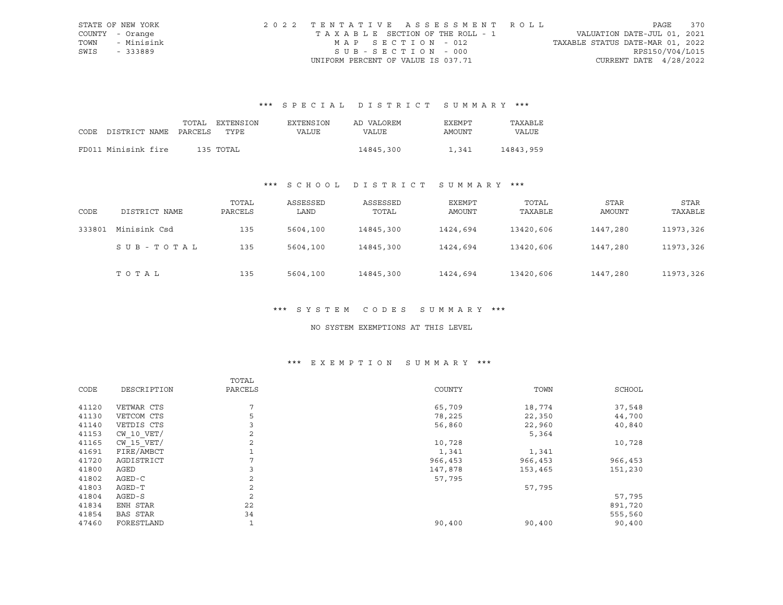|      | STATE OF NEW YORK | 2022 TENTATIVE ASSESSMENT ROLL        |                                  | PAGE | 370 |
|------|-------------------|---------------------------------------|----------------------------------|------|-----|
|      | COUNTY - Orange   | T A X A B L E SECTION OF THE ROLL - 1 | VALUATION DATE-JUL 01, 2021      |      |     |
| TOWN | - Minisink        | MAP SECTION - 012                     | TAXABLE STATUS DATE-MAR 01, 2022 |      |     |
| SWIS | - 333889          | SUB-SECTION - 000                     | RPS150/V04/L015                  |      |     |
|      |                   | UNIFORM PERCENT OF VALUE IS 037.71    | CURRENT DATE $4/28/2022$         |      |     |

# \*\*\* S P E C I A L D I S T R I C T S U M M A R Y \*\*\*

|                            | TOTAL | EXTENSION | <b>EXTENSION</b> | AD VALOREM   | EXEMPT | TAXABLE   |
|----------------------------|-------|-----------|------------------|--------------|--------|-----------|
| CODE DISTRICT NAME PARCELS |       | TYPE.     | VALUE            | <b>VALUE</b> | AMOUNT | VALUE     |
|                            |       |           |                  |              |        |           |
| FD011 Minisink fire        |       | 135 TOTAL |                  | 14845,300    | 1,341  | 14843,959 |

## \*\*\* S C H O O L D I S T R I C T S U M M A R Y \*\*\*

| CODE   | DISTRICT NAME | TOTAL<br>PARCELS | ASSESSED<br>LAND | ASSESSED<br>TOTAL | EXEMPT<br>AMOUNT | TOTAL<br>TAXABLE | STAR<br>AMOUNT | STAR<br>TAXABLE |
|--------|---------------|------------------|------------------|-------------------|------------------|------------------|----------------|-----------------|
| 333801 | Minisink Csd  | 135              | 5604,100         | 14845,300         | 1424,694         | 13420,606        | 1447,280       | 11973,326       |
|        | SUB-TOTAL     | 135              | 5604,100         | 14845,300         | 1424,694         | 13420,606        | 1447,280       | 11973,326       |
|        | TOTAL         | 135              | 5604,100         | 14845,300         | 1424,694         | 13420,606        | 1447,280       | 11973,326       |

#### \*\*\* S Y S T E M C O D E S S U M M A R Y \*\*\*

#### NO SYSTEM EXEMPTIONS AT THIS LEVEL

### \*\*\* E X E M P T I O N S U M M A R Y \*\*\*

|       |                 | TOTAL          |         |         |         |
|-------|-----------------|----------------|---------|---------|---------|
| CODE  | DESCRIPTION     | PARCELS        | COUNTY  | TOWN    | SCHOOL  |
| 41120 | VETWAR CTS      | 7              | 65,709  | 18,774  | 37,548  |
| 41130 | VETCOM CTS      | 5              | 78,225  | 22,350  | 44,700  |
| 41140 | VETDIS CTS      | 3              | 56,860  | 22,960  | 40,840  |
| 41153 | $CW$ 10 $VET/$  | 2              |         | 5,364   |         |
| 41165 | $CW$ 15 $VET/$  | 2              | 10,728  |         | 10,728  |
| 41691 | FIRE/AMBCT      |                | 1,341   | 1,341   |         |
| 41720 | AGDISTRICT      |                | 966,453 | 966,453 | 966,453 |
| 41800 | AGED            | 3              | 147,878 | 153,465 | 151,230 |
| 41802 | AGED-C          | 2              | 57,795  |         |         |
| 41803 | AGED-T          | $\mathfrak{D}$ |         | 57,795  |         |
| 41804 | AGED-S          | 2              |         |         | 57,795  |
| 41834 | ENH STAR        | 22             |         |         | 891,720 |
| 41854 | <b>BAS STAR</b> | 34             |         |         | 555,560 |
| 47460 | FORESTLAND      |                | 90,400  | 90,400  | 90,400  |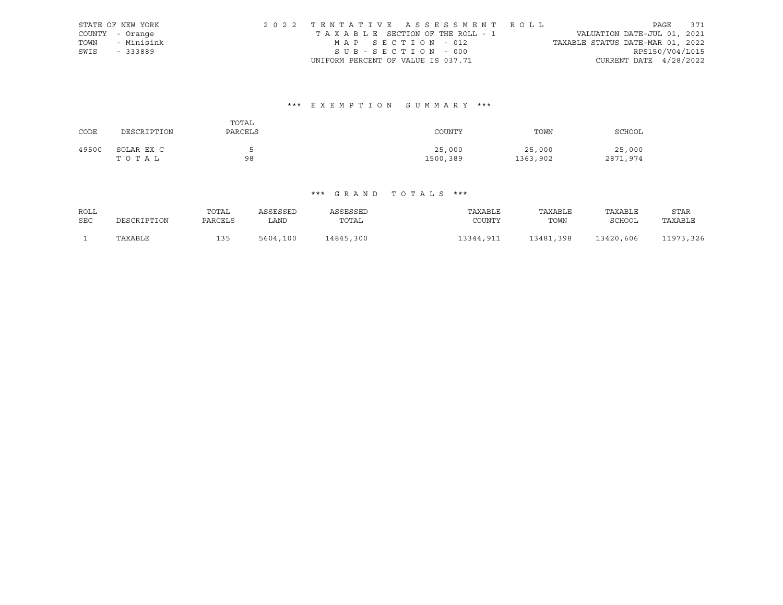| STATE OF NEW YORK | 2022 TENTATIVE ASSESSMENT ROLL     |  |                                  |                          | PAGE 371 |  |
|-------------------|------------------------------------|--|----------------------------------|--------------------------|----------|--|
| COUNTY - Orange   | TAXABLE SECTION OF THE ROLL - 1    |  | VALUATION DATE-JUL 01, 2021      |                          |          |  |
| TOWN - Minisink   | MAP SECTION - 012                  |  | TAXABLE STATUS DATE-MAR 01, 2022 |                          |          |  |
| SWIS - 333889     | SUB-SECTION - 000                  |  |                                  | RPS150/V04/L015          |          |  |
|                   | UNIFORM PERCENT OF VALUE IS 037.71 |  |                                  | CURRENT DATE $4/28/2022$ |          |  |

# \*\*\* E X E M P T I O N S U M M A R Y \*\*\*

| CODE  | DESCRIPTION         | TOTAL<br>PARCELS | COUNTY             | TOWN               | SCHOOL             |
|-------|---------------------|------------------|--------------------|--------------------|--------------------|
| 49500 | SOLAR EX C<br>тотаь | 98               | 25,000<br>1500,389 | 25,000<br>1363,902 | 25,000<br>2871,974 |

## \*\*\* G R A N D T O T A L S \*\*\*

| ROLL       |             | TOTAL   | ASSESSED | ASSESSED  | TAXABLE   | TAXABLE   | TAXABLE   | STAR       |
|------------|-------------|---------|----------|-----------|-----------|-----------|-----------|------------|
| <b>SEC</b> | DESCRIPTION | PARCELS | LAND     | TOTAL     | COUNTY    | TOWN      | SCHOOL    | TAXABLE    |
|            | TAXABLE     | 135     | 5604,100 | 14845,300 | 13344,911 | 13481,398 | 13420,606 | 11973, 326 |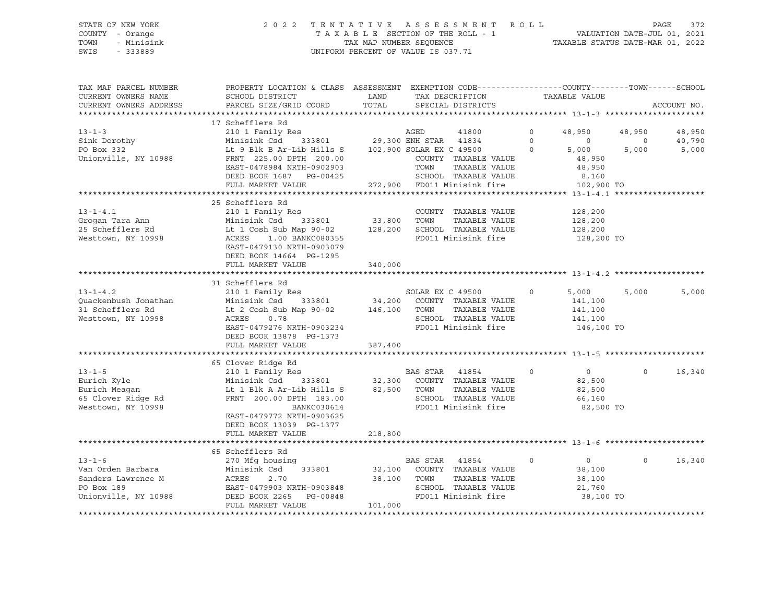### STATE OF NEW YORK 2 0 2 2 T E N T A T I V E A S S E S S M E N T R O L L PAGE 372 COUNTY - Orange T A X A B L E SECTION OF THE ROLL - 1 VALUATION DATE-JUL 01, 2021 TOWN - Minisink TAX MAP NUMBER SEQUENCE TAXABLE STATUS DATE-MAR 01, 2022 SWIS - 333889 CONSERVATION CONTROL OF VALUE IS 037.71

| TAX MAP PARCEL NUMBER<br>CURRENT OWNERS NAME | PROPERTY LOCATION & CLASS ASSESSMENT EXEMPTION CODE----------------COUNTY-------TOWN------SCHOOL<br>SCHOOL DISTRICT | LAND    | TAX DESCRIPTION                                                     | TAXABLE VALUE             |          |             |
|----------------------------------------------|---------------------------------------------------------------------------------------------------------------------|---------|---------------------------------------------------------------------|---------------------------|----------|-------------|
| CURRENT OWNERS ADDRESS                       | PARCEL SIZE/GRID COORD                                                                                              | TOTAL   | SPECIAL DISTRICTS                                                   |                           |          | ACCOUNT NO. |
|                                              |                                                                                                                     |         |                                                                     |                           |          |             |
|                                              | 17 Schefflers Rd                                                                                                    |         |                                                                     |                           |          |             |
| $13 - 1 - 3$                                 | 210 1 Family Res                                                                                                    |         | AGED<br>41800                                                       | $\circ$<br>48,950         | 48,950   | 48,950      |
| Sink Dorothy                                 | Minisink Csd                                                                                                        |         | 333801 29,300 ENH STAR 41834<br>ib Hills S 102,900 SOLAR EX C 49500 | $\Omega$<br>$\Omega$      | $\Omega$ | 40,790      |
| PO Box 332                                   | Lt 9 Blk B Ar-Lib Hills S                                                                                           |         |                                                                     | $\circ$<br>5,000          | 5,000    | 5,000       |
| Unionville, NY 10988                         | FRNT 225.00 DPTH 200.00                                                                                             |         | COUNTY TAXABLE VALUE                                                | 48,950                    |          |             |
|                                              | EAST-0478984 NRTH-0902903                                                                                           |         | TOWN<br>TAXABLE VALUE                                               | 48,950                    |          |             |
|                                              | DEED BOOK 1687 PG-00425                                                                                             |         | SCHOOL TAXABLE VALUE                                                | 8,160                     |          |             |
|                                              | FULL MARKET VALUE                                                                                                   |         | 272,900 FD011 Minisink fire                                         | 102,900 TO                |          |             |
|                                              | ***************************                                                                                         |         |                                                                     |                           |          |             |
|                                              | 25 Schefflers Rd                                                                                                    |         |                                                                     |                           |          |             |
| $13 - 1 - 4.1$                               | 210 1 Family Res                                                                                                    | 33,800  | COUNTY TAXABLE VALUE                                                | 128,200                   |          |             |
| Grogan Tara Ann                              | Minisink Csd 333801                                                                                                 |         | TOWN<br>TAXABLE VALUE                                               | 128,200                   |          |             |
| 25 Schefflers Rd                             | Lt 1 Cosh Sub Map 90-02 128,200                                                                                     |         | SCHOOL TAXABLE VALUE                                                | 128,200                   |          |             |
| Westtown, NY 10998                           | ACRES 1.00 BANKC080355                                                                                              |         | FD011 Minisink fire                                                 | 128,200 TO                |          |             |
|                                              | EAST-0479130 NRTH-0903079                                                                                           |         |                                                                     |                           |          |             |
|                                              | DEED BOOK 14664 PG-1295                                                                                             |         |                                                                     |                           |          |             |
|                                              | FULL MARKET VALUE                                                                                                   | 340,000 |                                                                     |                           |          |             |
|                                              |                                                                                                                     |         |                                                                     |                           |          |             |
|                                              | 31 Schefflers Rd                                                                                                    |         |                                                                     |                           |          |             |
| $13 - 1 - 4.2$                               | 210 1 Family Res                                                                                                    |         |                                                                     | 5,000<br>$\circ$          | 5,000    | 5,000       |
| Ouackenbush Jonathan                         | Minisink Csd                                                                                                        |         | SOLAR EX C 49500<br>333801 34,200 COUNTY TAXABLE VALUE              | 141,100                   |          |             |
| 31 Schefflers Rd                             | Lt 2 Cosh Sub Map 90-02 146,100                                                                                     |         | TOWN<br>TAXABLE VALUE                                               | 141,100                   |          |             |
| Westtown, NY 10998                           | ACRES<br>0.78                                                                                                       |         | SCHOOL TAXABLE VALUE                                                | 141,100                   |          |             |
|                                              | EAST-0479276 NRTH-0903234                                                                                           |         | FD011 Minisink fire                                                 | 146,100 TO                |          |             |
|                                              | DEED BOOK 13878 PG-1373                                                                                             |         |                                                                     |                           |          |             |
|                                              | FULL MARKET VALUE                                                                                                   | 387,400 |                                                                     |                           |          |             |
|                                              |                                                                                                                     |         |                                                                     |                           |          |             |
|                                              | 65 Clover Ridge Rd                                                                                                  |         |                                                                     |                           |          |             |
| $13 - 1 - 5$                                 | 210 1 Family Res                                                                                                    |         | BAS STAR 41854                                                      | $\overline{0}$<br>$\circ$ | $\Omega$ | 16,340      |
| Eurich Kyle                                  | Minisink Csd 333801 32,300 COUNTY TAXABLE VALUE                                                                     |         |                                                                     | 82,500                    |          |             |
| Eurich Meagan                                | Lt 1 Blk A Ar-Lib Hills S                                                                                           | 82,500  | TOWN<br>TAXABLE VALUE                                               | 82,500                    |          |             |
| 65 Clover Ridge Rd                           | FRNT 200.00 DPTH 183.00                                                                                             |         | SCHOOL TAXABLE VALUE                                                | 66,160                    |          |             |
| Westtown, NY 10998                           | BANKC030614                                                                                                         |         | FD011 Minisink fire                                                 | 82,500 TO                 |          |             |
|                                              | EAST-0479772 NRTH-0903625                                                                                           |         |                                                                     |                           |          |             |
|                                              | DEED BOOK 13039 PG-1377                                                                                             |         |                                                                     |                           |          |             |
|                                              | FULL MARKET VALUE                                                                                                   | 218,800 |                                                                     |                           |          |             |
|                                              |                                                                                                                     |         |                                                                     |                           |          |             |
|                                              | 65 Schefflers Rd                                                                                                    |         |                                                                     |                           |          |             |
| $13 - 1 - 6$                                 | 270 Mfg housing                                                                                                     |         | BAS STAR 41854                                                      | $\circ$<br>$\overline{0}$ | $\Omega$ | 16,340      |
| Van Orden Barbara                            | Minisink Csd<br>333801                                                                                              |         | 32,100 COUNTY TAXABLE VALUE                                         | 38,100                    |          |             |
| Sanders Lawrence M                           | ACRES<br>2.70                                                                                                       |         | 38,100 TOWN<br>TAXABLE VALUE                                        | 38,100                    |          |             |
| PO Box 189                                   | EAST-0479903 NRTH-0903848                                                                                           |         | SCHOOL TAXABLE VALUE                                                | 21,760                    |          |             |
| Unionville, NY 10988                         | DEED BOOK 2265<br>PG-00848                                                                                          |         | FD011 Minisink fire                                                 | 38,100 TO                 |          |             |
|                                              | FULL MARKET VALUE                                                                                                   | 101,000 |                                                                     |                           |          |             |
|                                              |                                                                                                                     |         |                                                                     |                           |          |             |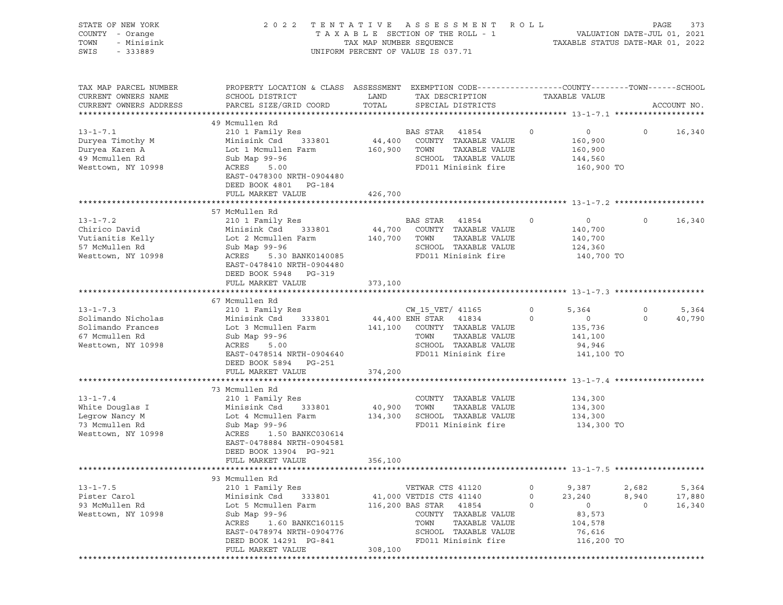| STATE OF NEW YORK<br>COUNTY - Orange<br>TOWN<br>- Minisink<br>SWIS<br>- 333889                    |                                                                                                                                                                                                               | TAX MAP NUMBER SEQUENCE      | 2022 TENTATIVE ASSESSMENT ROLL<br>TAXABLE SECTION OF THE ROLL - 1<br>UNIFORM PERCENT OF VALUE IS 037.71                                                                  |                                                                                                          | PAGE<br>VALUATION DATE-JUL 01, 2021<br>TAXABLE STATUS DATE-MAR 01, 2022 | 373                       |
|---------------------------------------------------------------------------------------------------|---------------------------------------------------------------------------------------------------------------------------------------------------------------------------------------------------------------|------------------------------|--------------------------------------------------------------------------------------------------------------------------------------------------------------------------|----------------------------------------------------------------------------------------------------------|-------------------------------------------------------------------------|---------------------------|
| TAX MAP PARCEL NUMBER<br>CURRENT OWNERS NAME<br>CURRENT OWNERS ADDRESS                            | PROPERTY LOCATION & CLASS ASSESSMENT EXEMPTION CODE----------------COUNTY-------TOWN-----SCHOOL<br>SCHOOL DISTRICT<br>PARCEL SIZE/GRID COORD                                                                  | LAND<br>TOTAL                | TAX DESCRIPTION<br>SPECIAL DISTRICTS                                                                                                                                     | TAXABLE VALUE                                                                                            | ACCOUNT NO.                                                             |                           |
| $13 - 1 - 7.1$<br>Duryea Timothy M<br>Duryea Karen A<br>49 Mcmullen Rd<br>Westtown, NY 10998      | 49 Mcmullen Rd<br>210 1 Family Res<br>Minisink Csd<br>333801<br>Lot 1 Mcmullen Farm<br>Sub Map 99-96<br>ACRES<br>5.00<br>EAST-0478300 NRTH-0904480<br>DEED BOOK 4801 PG-184<br>FULL MARKET VALUE              | 44,400<br>160,900<br>426,700 | BAS STAR<br>41854<br>COUNTY TAXABLE VALUE<br>TOWN<br>TAXABLE VALUE<br>SCHOOL TAXABLE VALUE<br>FD011 Minisink fire                                                        | 0<br>$\circ$<br>160,900<br>160,900<br>144,560<br>160,900 TO                                              | $\circ$                                                                 | 16,340                    |
|                                                                                                   |                                                                                                                                                                                                               |                              |                                                                                                                                                                          |                                                                                                          |                                                                         |                           |
| $13 - 1 - 7.2$<br>Chirico David<br>Vutianitis Kelly<br>57 McMullen Rd<br>Westtown, NY 10998       | 57 McMullen Rd<br>210 1 Family Res<br>333801<br>Minisink Csd<br>Lot 2 Mcmullen Farm<br>Sub Map 99-96<br>ACRES<br>5.30 BANK0140085<br>EAST-0478410 NRTH-0904480                                                | 44,700<br>140,700            | BAS STAR<br>41854<br>COUNTY TAXABLE VALUE<br>TOWN<br>TAXABLE VALUE<br>SCHOOL TAXABLE VALUE<br>FD011 Minisink fire                                                        | 0<br>$\circ$<br>140,700<br>140,700<br>124,360<br>140,700 TO                                              | $\circ$                                                                 | 16,340                    |
|                                                                                                   | DEED BOOK 5948 PG-319<br>FULL MARKET VALUE                                                                                                                                                                    | 373,100                      |                                                                                                                                                                          |                                                                                                          |                                                                         |                           |
| $13 - 1 - 7.3$<br>Solimando Nicholas<br>Solimando Frances<br>67 Mcmullen Rd<br>Westtown, NY 10998 | 67 Mcmullen Rd<br>210 1 Family Res<br>Minisink Csd<br>333801<br>Lot 3 Mcmullen Farm<br>Sub Map 99-96<br>ACRES<br>5.00<br>EAST-0478514 NRTH-0904640<br>DEED BOOK 5894 PG-251                                   |                              | CW 15 VET/ 41165<br>44,400 ENH STAR 41834<br>141,100 COUNTY TAXABLE VALUE<br>TOWN<br>TAXABLE VALUE<br>SCHOOL TAXABLE VALUE<br>FD011 Minisink fire                        | $\circ$<br>5,364<br>$\circ$<br>$\circ$<br>135,736<br>141,100<br>94,946<br>141,100 TO                     | $\circ$<br>$\circ$                                                      | 5,364<br>40,790           |
|                                                                                                   | FULL MARKET VALUE                                                                                                                                                                                             | 374,200                      |                                                                                                                                                                          |                                                                                                          |                                                                         |                           |
| $13 - 1 - 7.4$<br>White Douglas I<br>Legrow Nancy M<br>73 Mcmullen Rd<br>Westtown, NY 10998       | 73 Mcmullen Rd<br>210 1 Family Res<br>Minisink Csd<br>333801<br>Lot 4 Mcmullen Farm<br>Sub Map 99-96<br>ACRES<br>1.50 BANKC030614<br>EAST-0478884 NRTH-0904581<br>DEED BOOK 13904 PG-921<br>FULL MARKET VALUE | 40,900<br>134,300<br>356,100 | COUNTY TAXABLE VALUE<br>TOWN<br>TAXABLE VALUE<br>SCHOOL TAXABLE VALUE<br>FD011 Minisink fire                                                                             | 134,300<br>134,300<br>134,300<br>134,300 TO                                                              |                                                                         |                           |
|                                                                                                   |                                                                                                                                                                                                               |                              |                                                                                                                                                                          |                                                                                                          |                                                                         |                           |
| $13 - 1 - 7.5$<br>Pister Carol<br>93 McMullen Rd<br>Westtown, NY 10998                            | 93 Mcmullen Rd<br>210 1 Family Res<br>Minisink Csd<br>333801<br>Lot 5 Mcmullen Farm<br>Sub Map 99-96<br>ACRES<br>1.60 BANKC160115<br>EAST-0478974 NRTH-0904776<br>DEED BOOK 14291 PG-841<br>FULL MARKET VALUE | 308,100                      | VETWAR CTS 41120<br>41,000 VETDIS CTS 41140<br>116,200 BAS STAR<br>41854<br>COUNTY TAXABLE VALUE<br>TAXABLE VALUE<br>TOWN<br>SCHOOL TAXABLE VALUE<br>FD011 Minisink fire | 9,387<br>$\circ$<br>$\circ$<br>23,240<br>$\circ$<br>$\circ$<br>83,573<br>104,578<br>76,616<br>116,200 TO | 2,682<br>8,940<br>$\circ$                                               | 5,364<br>17,880<br>16,340 |
|                                                                                                   |                                                                                                                                                                                                               |                              |                                                                                                                                                                          |                                                                                                          |                                                                         |                           |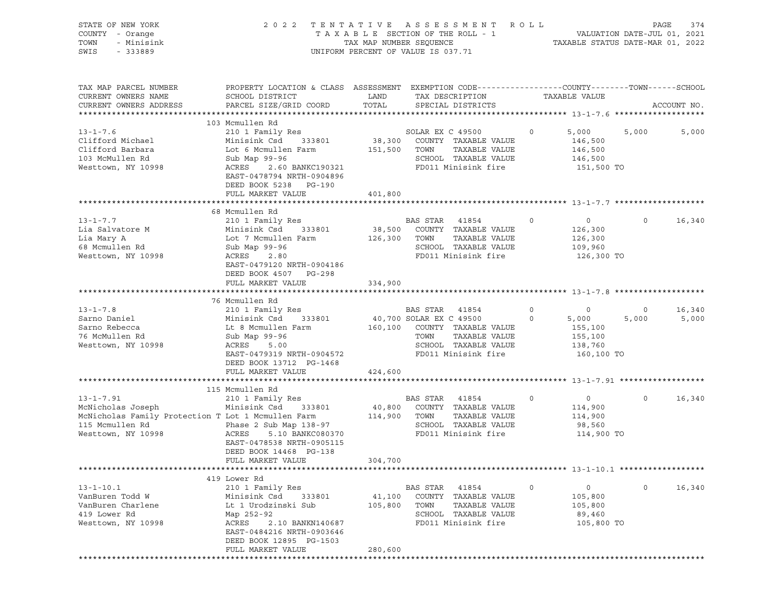|                                                                                                                                                                                                                                                        |                                         |                                                                                                                   |                                                                                                                                                                                                        |                                                                   | PAGE<br>374                                                                                                                                                                                                                                                                                                                                                                                                                            |
|--------------------------------------------------------------------------------------------------------------------------------------------------------------------------------------------------------------------------------------------------------|-----------------------------------------|-------------------------------------------------------------------------------------------------------------------|--------------------------------------------------------------------------------------------------------------------------------------------------------------------------------------------------------|-------------------------------------------------------------------|----------------------------------------------------------------------------------------------------------------------------------------------------------------------------------------------------------------------------------------------------------------------------------------------------------------------------------------------------------------------------------------------------------------------------------------|
| SCHOOL DISTRICT<br>PARCEL SIZE/GRID COORD                                                                                                                                                                                                              | LAND<br>TOTAL                           | TAX DESCRIPTION<br>SPECIAL DISTRICTS                                                                              |                                                                                                                                                                                                        |                                                                   | ACCOUNT NO.                                                                                                                                                                                                                                                                                                                                                                                                                            |
| 103 Mcmullen Rd<br>210 1 Family Res<br>Minisink Csd<br>333801<br>Lot 6 Mcmullen Farm<br>Sub Map 99-96<br>ACRES<br>2.60 BANKC190321<br>EAST-0478794 NRTH-0904896<br>DEED BOOK 5238 PG-190<br>FULL MARKET VALUE                                          | 401,800                                 | SOLAR EX C 49500<br>TAXABLE VALUE<br>SCHOOL TAXABLE VALUE<br>FD011 Minisink fire                                  | $\circ$                                                                                                                                                                                                | 5,000                                                             | 5,000                                                                                                                                                                                                                                                                                                                                                                                                                                  |
|                                                                                                                                                                                                                                                        |                                         |                                                                                                                   |                                                                                                                                                                                                        |                                                                   |                                                                                                                                                                                                                                                                                                                                                                                                                                        |
| 68 Mcmullen Rd<br>210 1 Family Res<br>Minisink Csd<br>333801<br>Lot 7 Mcmullen Farm<br>Sub Map 99-96<br>ACRES<br>2.80<br>EAST-0479120 NRTH-0904186                                                                                                     | 126,300                                 | BAS STAR 41854<br>COUNTY TAXABLE VALUE<br>TOWN<br>TAXABLE VALUE<br>SCHOOL TAXABLE VALUE<br>FD011 Minisink fire    | $\circ$<br>0                                                                                                                                                                                           | $\circ$                                                           | 16,340                                                                                                                                                                                                                                                                                                                                                                                                                                 |
| FULL MARKET VALUE                                                                                                                                                                                                                                      | 334,900                                 |                                                                                                                   |                                                                                                                                                                                                        |                                                                   |                                                                                                                                                                                                                                                                                                                                                                                                                                        |
| 210 1 Family Res<br>Minisink Csd<br>333801<br>Lt 8 Mcmullen Farm<br>Sub Map 99-96<br>ACRES<br>5.00<br>EAST-0479319 NRTH-0904572<br>DEED BOOK 13712 PG-1468                                                                                             |                                         | BAS STAR 41854<br>TOWN<br>TAXABLE VALUE<br>SCHOOL TAXABLE VALUE<br>FD011 Minisink fire                            | 0<br>$\circ$<br>$\circ$<br>5,000                                                                                                                                                                       | $\circ$<br>5,000                                                  | 16,340<br>5,000                                                                                                                                                                                                                                                                                                                                                                                                                        |
| FULL MARKET VALUE                                                                                                                                                                                                                                      | 424,600                                 |                                                                                                                   |                                                                                                                                                                                                        |                                                                   |                                                                                                                                                                                                                                                                                                                                                                                                                                        |
|                                                                                                                                                                                                                                                        |                                         |                                                                                                                   |                                                                                                                                                                                                        |                                                                   |                                                                                                                                                                                                                                                                                                                                                                                                                                        |
| 115 Mcmullen Rd<br>210 1 Family Res<br>Minisink Csd<br>333801<br>McNicholas Family Protection T Lot 1 Mcmullen Farm<br>Phase 2 Sub Map 138-97<br>ACRES<br>5.10 BANKC080370<br>EAST-0478538 NRTH-0905115<br>DEED BOOK 14468 PG-138<br>FULL MARKET VALUE |                                         | BAS STAR<br>41854<br>COUNTY TAXABLE VALUE<br>TOWN<br>TAXABLE VALUE<br>SCHOOL TAXABLE VALUE<br>FD011 Minisink fire | 0<br>$\circ$                                                                                                                                                                                           | $\circ$                                                           | 16,340                                                                                                                                                                                                                                                                                                                                                                                                                                 |
|                                                                                                                                                                                                                                                        |                                         |                                                                                                                   |                                                                                                                                                                                                        |                                                                   |                                                                                                                                                                                                                                                                                                                                                                                                                                        |
| 419 Lower Rd<br>210 1 Family Res<br>Minisink Csd<br>333801<br>Lt 1 Urodzinski Sub<br>Map 252-92<br>ACRES<br>2.10 BANKN140687<br>EAST-0484216 NRTH-0903646<br>DEED BOOK 12895 PG-1503<br>FULL MARKET VALUE                                              | 41,100<br>105,800<br>280,600            | BAS STAR<br>41854<br>COUNTY TAXABLE VALUE<br>TAXABLE VALUE<br>TOWN<br>SCHOOL TAXABLE VALUE<br>FD011 Minisink fire | 0<br>0                                                                                                                                                                                                 | $\circ$                                                           | 16,340                                                                                                                                                                                                                                                                                                                                                                                                                                 |
|                                                                                                                                                                                                                                                        | DEED BOOK 4507 PG-298<br>76 Mcmullen Rd | 304,700                                                                                                           | TAX MAP NUMBER SEQUENCE<br>UNIFORM PERCENT OF VALUE IS 037.71<br>38,300 COUNTY TAXABLE VALUE<br>151,500 TOWN<br>38,500<br>40,700 SOLAR EX C 49500<br>160,100 COUNTY TAXABLE VALUE<br>40,800<br>114,900 | 2022 TENTATIVE ASSESSMENT ROLL<br>TAXABLE SECTION OF THE ROLL - 1 | VALUATION DATE-JUL 01, 2021<br>TAXABLE STATUS DATE-MAR 01, 2022<br>PROPERTY LOCATION & CLASS ASSESSMENT EXEMPTION CODE----------------COUNTY-------TOWN------SCHOOL<br>TAXABLE VALUE<br>5,000<br>146,500<br>146,500<br>146,500<br>151,500 TO<br>126,300<br>126,300<br>109,960<br>126,300 TO<br>155,100<br>155,100<br>138,760<br>160,100 TO<br>114,900<br>114,900<br>98,560<br>114,900 TO<br>105,800<br>105,800<br>89,460<br>105,800 TO |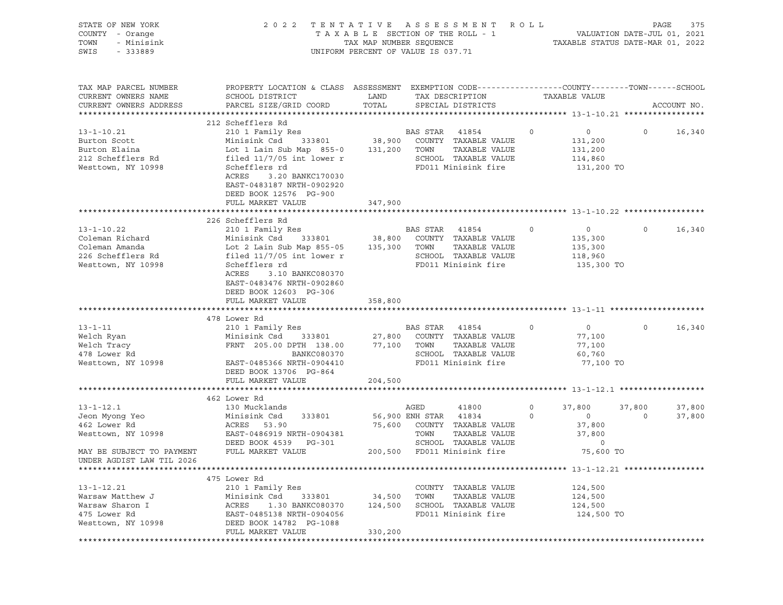| STATE OF NEW YORK<br>COUNTY - Orange<br>TOWN<br>- Minisink<br>SWIS<br>$-333889$                      | 2 0 2 2                                                                                                                                                                                                                          | TENTATIVE ASSESSMENT<br>TAXABLE SECTION OF THE ROLL - 1<br>TAX MAP NUMBER SEQUENCE<br>UNIFORM PERCENT OF VALUE IS 037.71 |                                 |                                                                                                                | ROLL         | TAXABLE STATUS DATE-MAR 01, 2022                        | PAGE<br>VALUATION DATE-JUL 01, 2021 | 375              |
|------------------------------------------------------------------------------------------------------|----------------------------------------------------------------------------------------------------------------------------------------------------------------------------------------------------------------------------------|--------------------------------------------------------------------------------------------------------------------------|---------------------------------|----------------------------------------------------------------------------------------------------------------|--------------|---------------------------------------------------------|-------------------------------------|------------------|
| TAX MAP PARCEL NUMBER<br>CURRENT OWNERS NAME<br>CURRENT OWNERS ADDRESS                               | PROPERTY LOCATION & CLASS ASSESSMENT EXEMPTION CODE---------------COUNTY-------TOWN------SCHOOL<br>SCHOOL DISTRICT<br>PARCEL SIZE/GRID COORD                                                                                     | LAND<br>TOTAL                                                                                                            |                                 | TAX DESCRIPTION<br>SPECIAL DISTRICTS                                                                           |              | TAXABLE VALUE                                           |                                     | ACCOUNT NO.      |
|                                                                                                      | 212 Schefflers Rd                                                                                                                                                                                                                |                                                                                                                          |                                 |                                                                                                                |              |                                                         |                                     |                  |
| $13 - 1 - 10.21$<br>Burton Scott<br>Burton Elaina<br>212 Schefflers Rd<br>Westtown, NY 10998         | 210 1 Family Res<br>Minisink Csd<br>333801<br>Lot 1 Lain Sub Map 855-0<br>filed $11/7/05$ int lower r<br>Schefflers rd<br>ACRES<br>3.20 BANKC170030<br>EAST-0483187 NRTH-0902920<br>DEED BOOK 12576 PG-900                       | 38,900<br>131,200                                                                                                        | <b>BAS STAR</b><br>TOWN         | 41854<br>COUNTY TAXABLE VALUE<br>TAXABLE VALUE<br>SCHOOL TAXABLE VALUE<br>FD011 Minisink fire                  | $\circ$      | $\circ$<br>131,200<br>131,200<br>114,860<br>131,200 TO  | $\circ$                             | 16,340           |
|                                                                                                      | FULL MARKET VALUE                                                                                                                                                                                                                | 347,900                                                                                                                  |                                 |                                                                                                                |              |                                                         |                                     |                  |
|                                                                                                      |                                                                                                                                                                                                                                  |                                                                                                                          |                                 |                                                                                                                |              |                                                         |                                     |                  |
| $13 - 1 - 10.22$<br>Coleman Richard<br>Coleman Amanda<br>226 Schefflers Rd<br>Westtown, NY 10998     | 226 Schefflers Rd<br>210 1 Family Res<br>Minisink Csd<br>333801<br>Lot 2 Lain Sub Map 855-05<br>filed $11/7/05$ int lower r<br>Schefflers rd<br>ACRES<br>3.10 BANKC080370<br>EAST-0483476 NRTH-0902860<br>DEED BOOK 12603 PG-306 | 38,800<br>135,300                                                                                                        | BAS STAR<br>TOWN                | 41854<br>COUNTY TAXABLE VALUE<br>TAXABLE VALUE<br>SCHOOL TAXABLE VALUE<br>FD011 Minisink fire                  | $\circ$      | $\circ$<br>135,300<br>135,300<br>118,960<br>135,300 TO  | $\circ$                             | 16,340           |
|                                                                                                      | FULL MARKET VALUE                                                                                                                                                                                                                | 358,800                                                                                                                  |                                 |                                                                                                                |              |                                                         |                                     |                  |
|                                                                                                      |                                                                                                                                                                                                                                  |                                                                                                                          |                                 |                                                                                                                |              |                                                         |                                     |                  |
|                                                                                                      | 478 Lower Rd                                                                                                                                                                                                                     |                                                                                                                          |                                 |                                                                                                                |              |                                                         |                                     |                  |
| $13 - 1 - 11$<br>Welch Ryan<br>Welch Tracy<br>478 Lower Rd<br>Westtown, NY 10998                     | 210 1 Family Res<br>Minisink Csd<br>333801<br>FRNT 205.00 DPTH 138.00<br>BANKC080370<br>EAST-0485366 NRTH-0904410<br>DEED BOOK 13706 PG-864                                                                                      | 27,800<br>77,100                                                                                                         | BAS STAR<br>TOWN                | 41854<br>COUNTY TAXABLE VALUE<br>TAXABLE VALUE<br>SCHOOL TAXABLE VALUE<br>FD011 Minisink fire                  | $\circ$      | $\circ$<br>77,100<br>77,100<br>60,760<br>77,100 TO      | $\circ$                             | 16,340           |
|                                                                                                      | FULL MARKET VALUE                                                                                                                                                                                                                | 204,500                                                                                                                  |                                 |                                                                                                                |              |                                                         |                                     |                  |
|                                                                                                      |                                                                                                                                                                                                                                  |                                                                                                                          |                                 |                                                                                                                |              |                                                         |                                     |                  |
| $13 - 1 - 12.1$<br>Jeon Myong Yeo<br>462 Lower Rd<br>Westtown, NY 10998<br>MAY BE SUBJECT TO PAYMENT | 462 Lower Rd<br>130 Mucklands<br>Minisink Csd<br>333801<br>ACRES<br>53.90<br>EAST-0486919 NRTH-0904381<br>DEED BOOK 4539<br>PG-301<br>FULL MARKET VALUE                                                                          | 75,600                                                                                                                   | AGED<br>56,900 ENH STAR<br>TOWN | 41800<br>41834<br>COUNTY TAXABLE VALUE<br>TAXABLE VALUE<br>SCHOOL TAXABLE VALUE<br>200,500 FD011 Minisink fire | 0<br>$\circ$ | 37,800<br>$\circ$<br>37,800<br>37,800<br>0<br>75,600 TO | 37,800<br>$\circ$                   | 37,800<br>37,800 |
| UNDER AGDIST LAW TIL 2026                                                                            |                                                                                                                                                                                                                                  |                                                                                                                          |                                 |                                                                                                                |              |                                                         |                                     |                  |
|                                                                                                      |                                                                                                                                                                                                                                  |                                                                                                                          |                                 |                                                                                                                |              |                                                         |                                     |                  |
| $13 - 1 - 12.21$<br>Warsaw Matthew J<br>Warsaw Sharon I<br>475 Lower Rd<br>Westtown, NY 10998        | 475 Lower Rd<br>210 1 Family Res<br>Minisink Csd<br>333801<br>ACRES<br>1.30 BANKC080370<br>EAST-0485138 NRTH-0904056<br>DEED BOOK 14782 PG-1088                                                                                  | 34,500<br>124,500                                                                                                        | TOWN                            | COUNTY TAXABLE VALUE<br>TAXABLE VALUE<br>SCHOOL TAXABLE VALUE<br>FD011 Minisink fire                           |              | 124,500<br>124,500<br>124,500<br>124,500 TO             |                                     |                  |
|                                                                                                      | FULL MARKET VALUE                                                                                                                                                                                                                | 330,200                                                                                                                  |                                 |                                                                                                                |              |                                                         |                                     |                  |
|                                                                                                      |                                                                                                                                                                                                                                  |                                                                                                                          |                                 |                                                                                                                |              |                                                         |                                     |                  |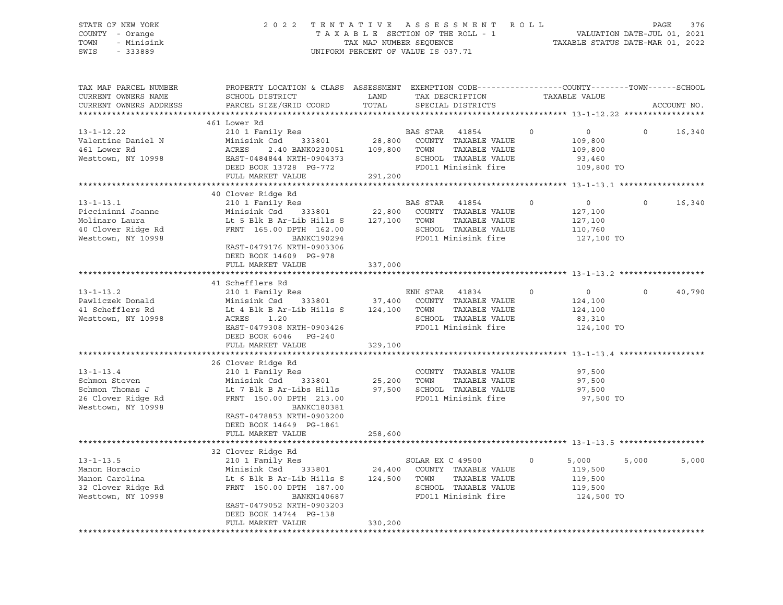### STATE OF NEW YORK 2 0 2 2 T E N T A T I V E A S S E S S M E N T R O L L PAGE 376 COUNTY - Orange T A X A B L E SECTION OF THE ROLL - 1 VALUATION DATE-JUL 01, 2021 TOWN - Minisink TAX MAP NUMBER SEQUENCE TAXABLE STATUS DATE-MAR 01, 2022 SWIS - 333889 CONSERVATION CONTROL OF VALUE IS 037.71

| TAX MAP PARCEL NUMBER<br>CURRENT OWNERS NAME<br>CURRENT OWNERS ADDRESS                             | PROPERTY LOCATION & CLASS ASSESSMENT EXEMPTION CODE----------------COUNTY-------TOWN------SCHOOL<br>SCHOOL DISTRICT<br>PARCEL SIZE/GRID COORD                                                         | LAND<br>TOTAL      | TAX DESCRIPTION<br>SPECIAL DISTRICTS                                                                                    | TAXABLE VALUE                                                           |          | ACCOUNT NO. |
|----------------------------------------------------------------------------------------------------|-------------------------------------------------------------------------------------------------------------------------------------------------------------------------------------------------------|--------------------|-------------------------------------------------------------------------------------------------------------------------|-------------------------------------------------------------------------|----------|-------------|
|                                                                                                    |                                                                                                                                                                                                       |                    |                                                                                                                         |                                                                         |          |             |
| $13 - 1 - 12.22$                                                                                   | 461 Lower Rd<br>210 1 Family Res                                                                                                                                                                      |                    | BAS STAR<br>41854                                                                                                       | $\circ$<br>$\circ$                                                      | $\Omega$ | 16,340      |
| Valentine Daniel N<br>461 Lower Rd<br>Westtown, NY 10998                                           | Minisink Csd<br>333801<br>ACRES<br>2.40 BANK0230051<br>EAST-0484844 NRTH-0904373<br>DEED BOOK 13728 PG-772                                                                                            | 28,800<br>109,800  | COUNTY TAXABLE VALUE<br>TAXABLE VALUE<br>TOWN<br>SCHOOL TAXABLE VALUE<br>FD011 Minisink fire                            | 109,800<br>109,800<br>93,460<br>109,800 TO                              |          |             |
|                                                                                                    | FULL MARKET VALUE                                                                                                                                                                                     | 291,200            |                                                                                                                         |                                                                         |          |             |
|                                                                                                    |                                                                                                                                                                                                       |                    |                                                                                                                         |                                                                         |          |             |
| $13 - 1 - 13.1$<br>Piccininni Joanne<br>Molinaro Laura<br>40 Clover Ridge Rd<br>Westtown, NY 10998 | 40 Clover Ridge Rd<br>210 1 Family Res<br>Minisink Csd<br>333801<br>Lt 5 Blk B Ar-Lib Hills S<br>FRNT 165.00 DPTH 162.00<br>BANKC190294<br>EAST-0479176 NRTH-0903306                                  | 22,800<br>127,100  | BAS STAR<br>41854<br>COUNTY TAXABLE VALUE<br>TAXABLE VALUE<br>TOWN<br>SCHOOL TAXABLE VALUE<br>FD011 Minisink fire       | $\circ$<br>$\circ$<br>127,100<br>127,100<br>110,760<br>127,100 TO       | $\Omega$ | 16,340      |
|                                                                                                    | DEED BOOK 14609 PG-978<br>FULL MARKET VALUE                                                                                                                                                           | 337,000            |                                                                                                                         |                                                                         |          |             |
|                                                                                                    | 41 Schefflers Rd                                                                                                                                                                                      |                    |                                                                                                                         |                                                                         |          |             |
| $13 - 1 - 13.2$<br>Pawliczek Donald<br>41 Schefflers Rd<br>Westtown, NY 10998                      | 210 1 Family Res<br>Minisink Csd<br>333801<br>Lt 4 Blk B Ar-Lib Hills S<br>ACRES<br>1.20<br>EAST-0479308 NRTH-0903426<br>DEED BOOK 6046 PG-240<br>FULL MARKET VALUE                                   | 124,100<br>329,100 | ENH STAR 41834<br>37,400 COUNTY TAXABLE VALUE<br>TOWN<br>TAXABLE VALUE<br>SCHOOL TAXABLE VALUE<br>FD011 Minisink fire   | $\overline{0}$<br>$\circ$<br>124,100<br>124,100<br>83,310<br>124,100 TO | $\Omega$ | 40,790      |
|                                                                                                    |                                                                                                                                                                                                       |                    |                                                                                                                         |                                                                         |          |             |
| $13 - 1 - 13.4$<br>Schmon Steven<br>Schmon Thomas J<br>26 Clover Ridge Rd<br>Westtown, NY 10998    | 26 Clover Ridge Rd<br>210 1 Family Res<br>Minisink Csd<br>333801<br>Lt 7 Blk B Ar-Libs Hills<br>FRNT 150.00 DPTH 213.00<br><b>BANKC180381</b><br>EAST-0478853 NRTH-0903200<br>DEED BOOK 14649 PG-1861 | 25,200<br>97,500   | COUNTY TAXABLE VALUE<br>TAXABLE VALUE<br>TOWN<br>SCHOOL TAXABLE VALUE<br>FD011 Minisink fire                            | 97,500<br>97,500<br>97,500<br>97,500 TO                                 |          |             |
|                                                                                                    | FULL MARKET VALUE                                                                                                                                                                                     | 258,600            |                                                                                                                         |                                                                         |          |             |
|                                                                                                    |                                                                                                                                                                                                       |                    |                                                                                                                         |                                                                         |          |             |
| $13 - 1 - 13.5$<br>Manon Horacio<br>Manon Carolina<br>32 Clover Ridge Rd<br>Westtown, NY 10998     | 32 Clover Ridge Rd<br>210 1 Family Res<br>Minisink Csd<br>333801<br>Lt 6 Blk B Ar-Lib Hills S<br>FRNT 150.00 DPTH 187.00<br>BANKN140687<br>EAST-0479052 NRTH-0903203<br>DEED BOOK 14744 PG-138        | 124,500            | SOLAR EX C 49500<br>24,400 COUNTY TAXABLE VALUE<br>TOWN<br>TAXABLE VALUE<br>SCHOOL TAXABLE VALUE<br>FD011 Minisink fire | $\circ$<br>5,000<br>119,500<br>119,500<br>119,500<br>124,500 TO         | 5,000    | 5,000       |
|                                                                                                    | FULL MARKET VALUE                                                                                                                                                                                     | 330,200            |                                                                                                                         |                                                                         |          |             |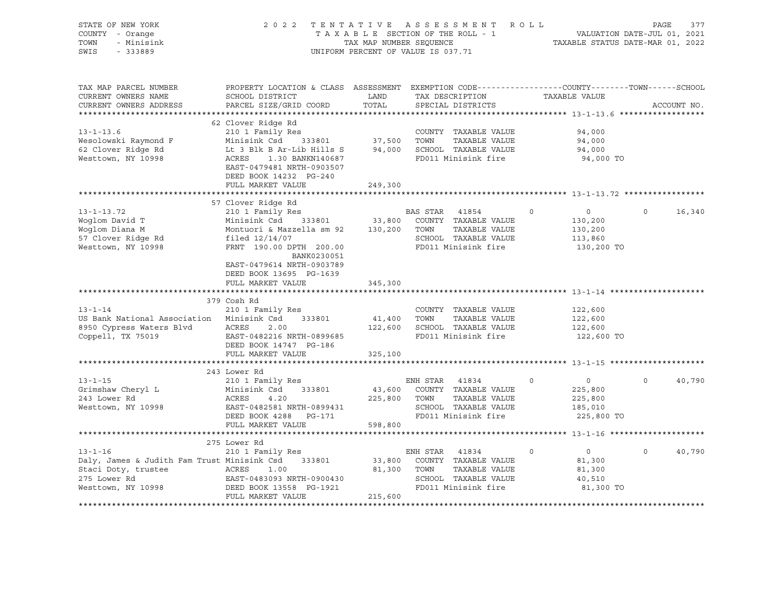| STATE OF NEW YORK<br>COUNTY - Orange<br>TOWN<br>- Minisink<br>SWIS<br>$-333889$                                           | 2022 TENTATIVE ASSESSMENT ROLL                                                                                                                                                                         | TAX MAP NUMBER SEQUENCE     | TAXABLE SECTION OF THE ROLL - 1<br>UNIFORM PERCENT OF VALUE IS 037.71                                             |          | VALUATION DATE-JUL 01, 2021<br>TAXABLE STATUS DATE-MAR 01, 2022 | PAGE        | 377         |
|---------------------------------------------------------------------------------------------------------------------------|--------------------------------------------------------------------------------------------------------------------------------------------------------------------------------------------------------|-----------------------------|-------------------------------------------------------------------------------------------------------------------|----------|-----------------------------------------------------------------|-------------|-------------|
| TAX MAP PARCEL NUMBER<br>CURRENT OWNERS NAME<br>CURRENT OWNERS ADDRESS                                                    | PROPERTY LOCATION & CLASS ASSESSMENT EXEMPTION CODE----------------COUNTY-------TOWN------SCHOOL<br>SCHOOL DISTRICT<br>PARCEL SIZE/GRID COORD                                                          | LAND<br>TOTAL               | TAX DESCRIPTION<br>SPECIAL DISTRICTS                                                                              |          | TAXABLE VALUE                                                   |             | ACCOUNT NO. |
|                                                                                                                           |                                                                                                                                                                                                        |                             |                                                                                                                   |          |                                                                 |             |             |
| $13 - 1 - 13.6$<br>Wesolowski Raymond F<br>62 Clover Ridge Rd<br>Westtown, NY 10998                                       | 62 Clover Ridge Rd<br>210 1 Family Res<br>Minisink Csd<br>333801<br>Lt 3 Blk B Ar-Lib Hills S<br>ACRES<br>1.30 BANKN140687<br>EAST-0479481 NRTH-0903507<br>DEED BOOK 14232 PG-240<br>FULL MARKET VALUE | 37,500 TOWN                 | COUNTY TAXABLE VALUE<br>TAXABLE VALUE<br>94,000 SCHOOL TAXABLE VALUE<br>FD011 Minisink fire                       |          | 94,000<br>94,000<br>94,000<br>94,000 TO                         |             |             |
|                                                                                                                           |                                                                                                                                                                                                        | 249,300                     |                                                                                                                   |          |                                                                 |             |             |
|                                                                                                                           | 57 Clover Ridge Rd                                                                                                                                                                                     |                             |                                                                                                                   |          |                                                                 |             |             |
| $13 - 1 - 13.72$<br>Woqlom David T<br>Woglom Diana M<br>57 Clover Ridge Rd<br>Westtown, NY 10998                          | 210 1 Family Res<br>Minisink Csd 333801<br>Montuori & Mazzella sm 92<br>filed $12/14/07$<br>FRNT 190.00 DPTH 200.00                                                                                    | 33,800<br>130,200           | BAS STAR 41854<br>COUNTY TAXABLE VALUE<br>TOWN<br>TAXABLE VALUE<br>SCHOOL TAXABLE VALUE<br>FD011 Minisink fire    | $\Omega$ | $\circ$<br>130,200<br>130,200<br>113,860<br>130,200 TO          | $\Omega$    | 16,340      |
|                                                                                                                           | BANK0230051<br>EAST-0479614 NRTH-0903789<br>DEED BOOK 13695 PG-1639<br>FULL MARKET VALUE                                                                                                               | 345,300                     |                                                                                                                   |          |                                                                 |             |             |
|                                                                                                                           | 379 Cosh Rd                                                                                                                                                                                            |                             |                                                                                                                   |          |                                                                 |             |             |
| $13 - 1 - 14$<br>US Bank National Association<br>8950 Cypress Waters Blvd<br>Coppell, TX 75019                            | 210 1 Family Res<br>Minisink Csd<br>333801<br>ACRES<br>2.00<br>EAST-0482216 NRTH-0899685<br>DEED BOOK 14747 PG-186                                                                                     | 41,400                      | COUNTY TAXABLE VALUE<br>TOWN<br>TAXABLE VALUE<br>122,600 SCHOOL TAXABLE VALUE<br>FD011 Minisink fire              |          | 122,600<br>122,600<br>122,600<br>122,600 TO                     |             |             |
|                                                                                                                           | FULL MARKET VALUE                                                                                                                                                                                      | 325,100                     |                                                                                                                   |          |                                                                 |             |             |
|                                                                                                                           |                                                                                                                                                                                                        |                             |                                                                                                                   |          |                                                                 |             |             |
| $13 - 1 - 15$<br>Grimshaw Cheryl L<br>243 Lower Rd<br>Westtown, NY 10998                                                  | 243 Lower Rd<br>210 1 Family Res<br>Minisink Csd<br>333801<br>ACRES<br>4.20<br>EAST-0482581 NRTH-0899431<br>DEED BOOK 4288 PG-171                                                                      | 43,600<br>225,800           | ENH STAR 41834<br>COUNTY TAXABLE VALUE<br>TOWN<br>TAXABLE VALUE<br>SCHOOL TAXABLE VALUE<br>FD011 Minisink fire    | $\circ$  | $\overline{0}$<br>225,800<br>225,800<br>185,010<br>225,800 TO   | $\mathbf 0$ | 40,790      |
|                                                                                                                           | FULL MARKET VALUE                                                                                                                                                                                      | 598,800                     |                                                                                                                   |          |                                                                 |             |             |
|                                                                                                                           |                                                                                                                                                                                                        |                             |                                                                                                                   |          |                                                                 |             |             |
| $13 - 1 - 16$<br>Daly, James & Judith Fam Trust Minisink Csd<br>Staci Doty, trustee<br>275 Lower Rd<br>Westtown, NY 10998 | 275 Lower Rd<br>210 1 Family Res<br>333801<br>ACRES<br>1.00<br>EAST-0483093 NRTH-0900430<br>DEED BOOK 13558 PG-1921<br>FULL MARKET VALUE                                                               | 33,800<br>81,300<br>215,600 | ENH STAR<br>41834<br>COUNTY TAXABLE VALUE<br>TAXABLE VALUE<br>TOWN<br>SCHOOL TAXABLE VALUE<br>FD011 Minisink fire | $\circ$  | $\overline{0}$<br>81,300<br>81,300<br>40,510<br>81,300 TO       | $\mathbf 0$ | 40,790      |
|                                                                                                                           |                                                                                                                                                                                                        |                             |                                                                                                                   |          |                                                                 |             |             |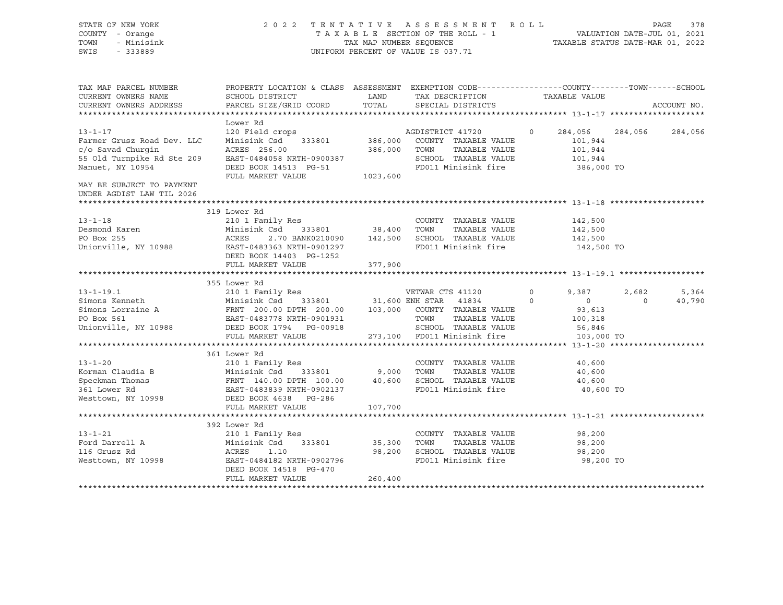STATE OF NEW YORK 2 0 2 2 T E N T A T I V E A S S E S S M E N T R O L L PAGE 378 COUNTY - Orange T A X A B L E SECTION OF THE ROLL - 1 TOWN - Minisink TAX MAP NUMBER SEQUENCE TAXABLE STATUS DATE-MAR 01, 2022<br>TAXABLE STATUS DATE-MAR 01, 2022 UNIFORM PERCENT OF VALUE IS 037.71 TAX MAP PARCEL NUMBER PROPERTY LOCATION & CLASS ASSESSMENT EXEMPTION CODE------------------COUNTY--------TOWN------SCHOOL CURRENT OWNERS NAME SCHOOL DISTRICT LAND TAX DESCRIPTION TAXABLE VALUE CURRENT OWNERS ADDRESS PARCEL SIZE/GRID COORD TOTAL SPECIAL DISTRICTS ACCOUNT NO. \*\*\*\*\*\*\*\*\*\*\*\*\*\*\*\*\*\*\*\*\*\*\*\*\*\*\*\*\*\*\*\*\*\*\*\*\*\*\*\*\*\*\*\*\*\*\*\*\*\*\*\*\*\*\*\*\*\*\*\*\*\*\*\*\*\*\*\*\*\*\*\*\*\*\*\*\*\*\*\*\*\*\*\*\*\*\*\*\*\*\*\*\*\*\*\*\*\*\*\*\*\*\* 13-1-17 \*\*\*\*\*\*\*\*\*\*\*\*\*\*\*\*\*\*\*\* Lower Rd 13-1-17 120 Field crops AGDISTRICT 41720 0 284,056 284,056 284,056 Farmer Grusz Road Dev. LLC Minisink Csd 333801 386,000 COUNTY TAXABLE VALUE 101,944 c/o Savad Churgin ACRES 256.00 386,000 TOWN TAXABLE VALUE 101,944 55 Old Turnpike Rd Ste 209 EAST-0484058 NRTH-0900387 SCHOOL TAXABLE VALUE 101,944 Nanuet, NY 10954 DEED BOOK 14513 PG-51 FD011 Minisink fire 386,000 TO FULL MARKET VALUE 1023,600 MAY BE SUBJECT TO PAYMENT UNDER AGDIST LAW TIL 2026 \*\*\*\*\*\*\*\*\*\*\*\*\*\*\*\*\*\*\*\*\*\*\*\*\*\*\*\*\*\*\*\*\*\*\*\*\*\*\*\*\*\*\*\*\*\*\*\*\*\*\*\*\*\*\*\*\*\*\*\*\*\*\*\*\*\*\*\*\*\*\*\*\*\*\*\*\*\*\*\*\*\*\*\*\*\*\*\*\*\*\*\*\*\*\*\*\*\*\*\*\*\*\* 13-1-18 \*\*\*\*\*\*\*\*\*\*\*\*\*\*\*\*\*\*\*\* 319 Lower Rd 13-1-18 210 1 Family Res COUNTY TAXABLE VALUE 142,500 Desmond Karen Minisink Csd 333801 38,400 TOWN TAXABLE VALUE 142,500 PO Box 255 ACRES 2.70 BANK0210090 142,500 SCHOOL TAXABLE VALUE 142,500 Unionville, NY 10988 EAST-0483363 NRTH-0901297 FD011 Minisink fire 142,500 TO DEED BOOK 14403 PG-1252 FULL MARKET VALUE 377,900 \*\*\*\*\*\*\*\*\*\*\*\*\*\*\*\*\*\*\*\*\*\*\*\*\*\*\*\*\*\*\*\*\*\*\*\*\*\*\*\*\*\*\*\*\*\*\*\*\*\*\*\*\*\*\*\*\*\*\*\*\*\*\*\*\*\*\*\*\*\*\*\*\*\*\*\*\*\*\*\*\*\*\*\*\*\*\*\*\*\*\*\*\*\*\*\*\*\*\*\*\*\*\* 13-1-19.1 \*\*\*\*\*\*\*\*\*\*\*\*\*\*\*\*\*\* 355 Lower Rd 13-1-19.1 210 1 Family Res VETWAR CTS 41120 0 9,387 2,682 5,364 Simons Kenneth Minisink Csd 333801 31,600 ENH STAR 41834 0 0 0 40,790 Simons Lorraine A FRNT 200.00 DPTH 200.00 103,000 COUNTY TAXABLE VALUE 93,613 PO Box 561 EAST-0483778 NRTH-0901931 TOWN TAXABLE VALUE 100,318<br>PO Box 561 EAST-0483778 NRTH-0901931 TOWN TAXABLE VALUE 100,318<br>The securious area in the security of the security security in the security in the security in Unionville, NY 10988 DEED BOOK 1794 PG-00918 SCHOOL TAXABLE VALUE 56,846 FULL MARKET VALUE 273,100 FD011 Minisink fire 103,000 TO \*\*\*\*\*\*\*\*\*\*\*\*\*\*\*\*\*\*\*\*\*\*\*\*\*\*\*\*\*\*\*\*\*\*\*\*\*\*\*\*\*\*\*\*\*\*\*\*\*\*\*\*\*\*\*\*\*\*\*\*\*\*\*\*\*\*\*\*\*\*\*\*\*\*\*\*\*\*\*\*\*\*\*\*\*\*\*\*\*\*\*\*\*\*\*\*\*\*\*\*\*\*\* 13-1-20 \*\*\*\*\*\*\*\*\*\*\*\*\*\*\*\*\*\*\*\* 361 Lower Rd 13-1-20 210 1 Family Res COUNTY TAXABLE VALUE 40,600 Korman Claudia B 10,600 Minisink Csd 333801 9,000 TOWN TAXABLE VALUE 40,600 Speckman Thomas 600 CRNT 140.00 DPTH 100.00 40,600 SCHOOL TAXABLE VALUE 40,600 361 Lower Rd EAST-0483839 NRTH-0902137 FD011 Minisink fire 40,600 TO Westtown, NY 10998 DEED BOOK 4638 PG-286 FULL MARKET VALUE 107,700 \*\*\*\*\*\*\*\*\*\*\*\*\*\*\*\*\*\*\*\*\*\*\*\*\*\*\*\*\*\*\*\*\*\*\*\*\*\*\*\*\*\*\*\*\*\*\*\*\*\*\*\*\*\*\*\*\*\*\*\*\*\*\*\*\*\*\*\*\*\*\*\*\*\*\*\*\*\*\*\*\*\*\*\*\*\*\*\*\*\*\*\*\*\*\*\*\*\*\*\*\*\*\* 13-1-21 \*\*\*\*\*\*\*\*\*\*\*\*\*\*\*\*\*\*\*\* 392 Lower Rd 13-1-21 210 1 Family Res COUNTY TAXABLE VALUE 98,200 Ford Darrell A Minisink Csd 333801 35,300 TOWN TAXABLE VALUE 98,200 116 Grusz Rd ACRES 1.10 98,200 SCHOOL TAXABLE VALUE 98,200 Westtown, NY 10998 **EAST-0484182 NRTH-0902796** FD011 Minisink fire 98,200 TO DEED BOOK 14518 PG-470 FULL MARKET VALUE 260,400 \*\*\*\*\*\*\*\*\*\*\*\*\*\*\*\*\*\*\*\*\*\*\*\*\*\*\*\*\*\*\*\*\*\*\*\*\*\*\*\*\*\*\*\*\*\*\*\*\*\*\*\*\*\*\*\*\*\*\*\*\*\*\*\*\*\*\*\*\*\*\*\*\*\*\*\*\*\*\*\*\*\*\*\*\*\*\*\*\*\*\*\*\*\*\*\*\*\*\*\*\*\*\*\*\*\*\*\*\*\*\*\*\*\*\*\*\*\*\*\*\*\*\*\*\*\*\*\*\*\*\*\*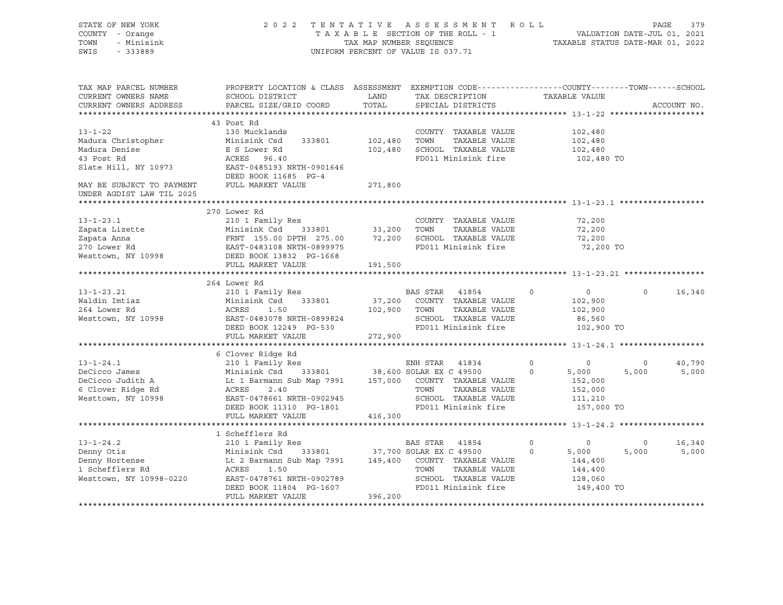| STATE OF NEW YORK<br>COUNTY - Orange<br>TOWN<br>- Minisink<br>SWIS<br>$-333889$ |                                                                                                                                                                                     |               | 2022 TENTATIVE ASSESSMENT ROLL<br>TAXABLE SECTION OF THE ROLL - 1<br>TAXABLE SECTION OF THE ROLL - 1<br>TAXABLE STATUS DATE-MAR 01, 2022<br>UNIFORM PERCENT OF VALUE IS 037.71 |               |                  | PAGE<br>379        |
|---------------------------------------------------------------------------------|-------------------------------------------------------------------------------------------------------------------------------------------------------------------------------------|---------------|--------------------------------------------------------------------------------------------------------------------------------------------------------------------------------|---------------|------------------|--------------------|
| TAX MAP PARCEL NUMBER<br>CURRENT OWNERS NAME<br>CURRENT OWNERS ADDRESS          | PROPERTY LOCATION & CLASS ASSESSMENT EXEMPTION CODE---------------COUNTY-------TOWN------SCHOOL<br>SCHOOL DISTRICT<br>PARCEL SIZE/GRID COORD                                        | LAND<br>TOTAL | TAX DESCRIPTION<br>SPECIAL DISTRICTS                                                                                                                                           | TAXABLE VALUE |                  | ACCOUNT NO.        |
|                                                                                 |                                                                                                                                                                                     |               |                                                                                                                                                                                |               |                  |                    |
|                                                                                 | 43 Post Rd                                                                                                                                                                          |               |                                                                                                                                                                                |               |                  |                    |
| $13 - 1 - 22$                                                                   | 130 Mucklands                                                                                                                                                                       |               | COUNTY TAXABLE VALUE                                                                                                                                                           |               | 102,480          |                    |
| Madura Christopher                                                              | Minisink Csd 333801                                                                                                                                                                 | 102,480       | TAXABLE VALUE<br>TOWN                                                                                                                                                          |               | 102,480          |                    |
| Madura Denise                                                                   | E S Lower Rd                                                                                                                                                                        |               | 102,480 SCHOOL TAXABLE VALUE<br>FD011 Minisink fire                                                                                                                            |               | 102,480          |                    |
| 43 Post Rd                                                                      | ACRES 96.40                                                                                                                                                                         |               |                                                                                                                                                                                |               | 102,480 TO       |                    |
| Slate Hill, NY 10973                                                            | DEED BOOK 11685 PG-4                                                                                                                                                                |               |                                                                                                                                                                                |               |                  |                    |
| MAY BE SUBJECT TO PAYMENT FULL MARKET VALUE                                     |                                                                                                                                                                                     | 271,800       |                                                                                                                                                                                |               |                  |                    |
| UNDER AGDIST LAW TIL 2025                                                       |                                                                                                                                                                                     |               |                                                                                                                                                                                |               |                  |                    |
|                                                                                 |                                                                                                                                                                                     |               |                                                                                                                                                                                |               |                  |                    |
|                                                                                 | 270 Lower Rd                                                                                                                                                                        |               |                                                                                                                                                                                |               |                  |                    |
| $13 - 1 - 23.1$                                                                 | 210 1 Family Res                                                                                                                                                                    |               | COUNTY TAXABLE VALUE                                                                                                                                                           |               | 72,200           |                    |
| Zapata Lizette<br>Zapata Anna                                                   | Minisink Csd 333801 33,200 TOWN TAXABLE VALUE<br>FRNT 155.00 DPTH 275.00 72,200 SCHOOL TAXABLE VALUE<br>EAST-0483108 NRTH-0899975 FD011 Minisink fire                               |               |                                                                                                                                                                                |               | 72,200<br>72,200 |                    |
| 270 Lower Rd                                                                    |                                                                                                                                                                                     |               |                                                                                                                                                                                |               | 72,200 TO        |                    |
| Westtown, NY 10998                                                              | DEED BOOK 13832 PG-1668                                                                                                                                                             |               |                                                                                                                                                                                |               |                  |                    |
|                                                                                 | FULL MARKET VALUE                                                                                                                                                                   | 191,500       |                                                                                                                                                                                |               |                  |                    |
|                                                                                 |                                                                                                                                                                                     |               |                                                                                                                                                                                |               |                  |                    |
|                                                                                 | 264 Lower Rd                                                                                                                                                                        |               |                                                                                                                                                                                |               |                  |                    |
| $13 - 1 - 23.21$                                                                | 210 1 Family Res                                                                                                                                                                    |               | BAS STAR 41854                                                                                                                                                                 | $\Omega$      | $\overline{0}$   | $\Omega$<br>16,340 |
| Waldin Imtiaz                                                                   |                                                                                                                                                                                     |               | 37,200 COUNTY TAXABLE VALUE                                                                                                                                                    |               | 102,900          |                    |
| 264 Lower Rd                                                                    |                                                                                                                                                                                     |               | 102,900 TOWN<br>TAXABLE VALUE                                                                                                                                                  |               | 102,900          |                    |
| Westtown, NY 10998                                                              | 210 1 Family Accord 333801 37,200<br>Minisink Csd 333801 37,200<br>ACRES 1.50 102,900<br>EAST-0483078 NRTH-0899824 231 102,900                                                      |               | SCHOOL TAXABLE VALUE                                                                                                                                                           |               | 86,560           |                    |
|                                                                                 |                                                                                                                                                                                     |               | FD011 Minisink fire                                                                                                                                                            |               | 102,900 TO       |                    |
|                                                                                 | FULL MARKET VALUE                                                                                                                                                                   | 272,900       |                                                                                                                                                                                |               |                  |                    |
|                                                                                 |                                                                                                                                                                                     |               |                                                                                                                                                                                |               |                  |                    |
|                                                                                 | 6 Clover Ridge Rd<br>210 1 Family Res                                                                                                                                               |               |                                                                                                                                                                                |               |                  |                    |
| $13 - 1 - 24.1$                                                                 |                                                                                                                                                                                     |               | ENH STAR 41834                                                                                                                                                                 | $\circ$       | $\overline{0}$   | 40,790<br>$\circ$  |
| DeCicco James                                                                   | Minisink Csd 333801 38,600 SOLAR EX C 49500                                                                                                                                         |               |                                                                                                                                                                                | $\circ$       | 5,000<br>5,000   | 5,000              |
| DeCicco Judith A                                                                | Lt 1 Barmann Sub Map 7991 157,000 COUNTY TAXABLE VALUE<br>ACRES 2.40 TOWN TAXABLE VALUE                                                                                             |               |                                                                                                                                                                                |               | 152,000          |                    |
| 6 Clover Ridge Rd                                                               |                                                                                                                                                                                     |               | SCHOOL TAXABLE VALUE SCHOOL TAXABLE VALUE                                                                                                                                      |               | 152,000          |                    |
| Westtown, NY 10998                                                              | EAST-0478661 NRTH-0902945<br>DEED BOOK 11310 PG-1801                                                                                                                                |               | FD011 Minisink fire 157,000 TO                                                                                                                                                 |               | 111,210          |                    |
|                                                                                 | FULL MARKET VALUE                                                                                                                                                                   | 416,300       |                                                                                                                                                                                |               |                  |                    |
|                                                                                 |                                                                                                                                                                                     |               |                                                                                                                                                                                |               |                  |                    |
|                                                                                 | 1 Schefflers Rd                                                                                                                                                                     |               |                                                                                                                                                                                |               |                  |                    |
| $13 - 1 - 24.2$                                                                 | 210 1 Family Res                                                                                                                                                                    |               | BAS STAR 41854                                                                                                                                                                 | $\circ$       | $\overline{0}$   | 16,340<br>$\circ$  |
|                                                                                 | Denny Otis<br>Minisink Csd 333801 37,700 SOLAR EX C 49500<br>Denny Hortense Lt 2 Barmann Sub Map 7991 149,400 COUNTY TAXABLE VALUE<br>1 Schefflers Rd ACRES 1.50 TOWN TAXABLE VALUE |               |                                                                                                                                                                                | $\Omega$      | 5,000<br>5,000   | 5,000              |
|                                                                                 |                                                                                                                                                                                     |               |                                                                                                                                                                                |               | 144,400          |                    |
|                                                                                 |                                                                                                                                                                                     |               |                                                                                                                                                                                |               | 144,400          |                    |
|                                                                                 | Westtown, NY 10998-0220 EAST-0478761 NRTH-0902789                                                                                                                                   |               | SCHOOL TAXABLE VALUE                                                                                                                                                           |               | 128,060          |                    |
|                                                                                 | DEED BOOK 11804 PG-1607                                                                                                                                                             |               | FD011 Minisink fire                                                                                                                                                            |               | 149,400 TO       |                    |
|                                                                                 | FULL MARKET VALUE                                                                                                                                                                   | 396,200       |                                                                                                                                                                                |               |                  |                    |
|                                                                                 |                                                                                                                                                                                     |               |                                                                                                                                                                                |               |                  |                    |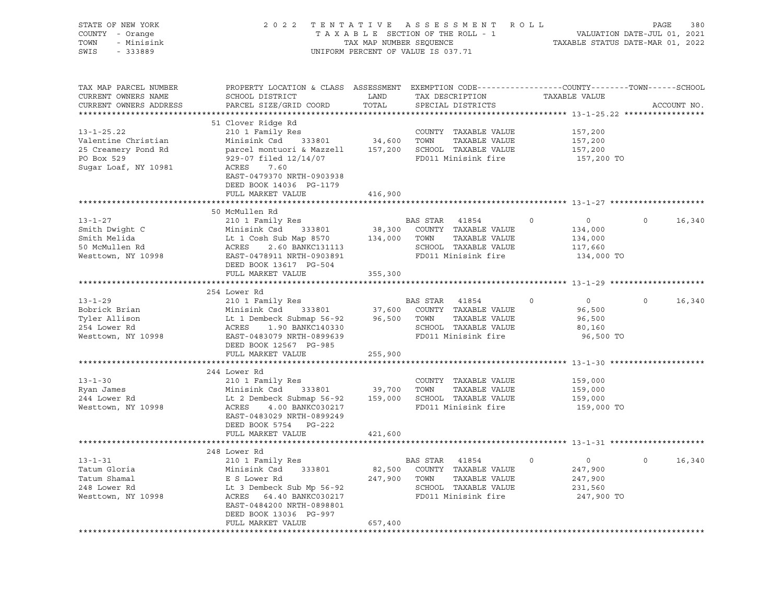| STATE OF NEW YORK<br>COUNTY - Orange<br>TOWN<br>- Minisink<br>SWIS<br>- 333889                       | 2 0 2 2                                                                                                                                                           | TAX MAP NUMBER SEQUENCE | TENTATIVE ASSESSMENT ROLL<br>TAXABLE SECTION OF THE ROLL - 1<br>UNIFORM PERCENT OF VALUE IS 037.71 |                                                     | PAGE<br>380<br>VALUATION DATE-JUL 01, 2021<br>TAXABLE STATUS DATE-MAR 01, 2022 |
|------------------------------------------------------------------------------------------------------|-------------------------------------------------------------------------------------------------------------------------------------------------------------------|-------------------------|----------------------------------------------------------------------------------------------------|-----------------------------------------------------|--------------------------------------------------------------------------------|
| TAX MAP PARCEL NUMBER<br>CURRENT OWNERS NAME<br>CURRENT OWNERS ADDRESS                               | PROPERTY LOCATION & CLASS ASSESSMENT EXEMPTION CODE----------------COUNTY-------TOWN------SCHOOL<br>SCHOOL DISTRICT<br>PARCEL SIZE/GRID COORD                     | LAND<br>TOTAL           | TAX DESCRIPTION<br>SPECIAL DISTRICTS                                                               | TAXABLE VALUE                                       | ACCOUNT NO.                                                                    |
|                                                                                                      |                                                                                                                                                                   |                         |                                                                                                    |                                                     |                                                                                |
| $13 - 1 - 25.22$<br>Valentine Christian<br>25 Creamery Pond Rd<br>PO Box 529<br>Sugar Loaf, NY 10981 | 51 Clover Ridge Rd<br>210 1 Family Res<br>Minisink Csd 333801<br>parcel montuori & Mazzell<br>929-07 filed 12/14/07<br>7.60<br>ACRES<br>EAST-0479370 NRTH-0903938 | 34,600 TOWN<br>157,200  | COUNTY TAXABLE VALUE<br>TAXABLE VALUE<br>SCHOOL TAXABLE VALUE<br>FD011 Minisink fire               | 157,200<br>157,200<br>157,200<br>157,200 TO         |                                                                                |
|                                                                                                      | DEED BOOK 14036 PG-1179                                                                                                                                           |                         |                                                                                                    |                                                     |                                                                                |
|                                                                                                      | FULL MARKET VALUE                                                                                                                                                 | 416,900                 |                                                                                                    |                                                     |                                                                                |
|                                                                                                      |                                                                                                                                                                   |                         |                                                                                                    |                                                     |                                                                                |
|                                                                                                      | 50 McMullen Rd                                                                                                                                                    |                         |                                                                                                    |                                                     |                                                                                |
| $13 - 1 - 27$<br>Smith Dwight C<br>Smith Melida<br>50 McMullen Rd                                    | 210 1 Family Res<br>Minisink Csd 333801<br>Lt 1 Cosh Sub Map 8570 134,000<br>2.60 BANKC131113<br>ACRES                                                            | 38,300                  | BAS STAR<br>41854<br>COUNTY TAXABLE VALUE<br>TOWN<br>TAXABLE VALUE<br>SCHOOL TAXABLE VALUE         | $\circ$<br>$\circ$<br>134,000<br>134,000<br>117,660 | 16,340<br>$\circ$                                                              |
| Westtown, NY 10998                                                                                   | EAST-0478911 NRTH-0903891                                                                                                                                         |                         | FD011 Minisink fire                                                                                | 134,000 TO                                          |                                                                                |
|                                                                                                      | DEED BOOK 13617 PG-504                                                                                                                                            |                         |                                                                                                    |                                                     |                                                                                |
|                                                                                                      | FULL MARKET VALUE                                                                                                                                                 | 355,300                 |                                                                                                    |                                                     |                                                                                |
|                                                                                                      |                                                                                                                                                                   |                         |                                                                                                    |                                                     |                                                                                |
| $13 - 1 - 29$                                                                                        | 254 Lower Rd                                                                                                                                                      |                         | BAS STAR 41854                                                                                     | $\circ$<br>$\mathbf 0$                              | $\circ$<br>16,340                                                              |
| Bobrick Brian                                                                                        | 210 1 Family Res<br>Minisink Csd                                                                                                                                  |                         | COUNTY TAXABLE VALUE                                                                               | 96,500                                              |                                                                                |
| Tyler Allison                                                                                        | 333801 37,600                                                                                                                                                     | 96,500                  | TOWN<br>TAXABLE VALUE                                                                              |                                                     |                                                                                |
| 254 Lower Rd                                                                                         | Lt 1 Dembeck Submap 56-92<br>ACRES<br>1.90 BANKC140330                                                                                                            |                         | SCHOOL TAXABLE VALUE                                                                               | 96,500                                              |                                                                                |
|                                                                                                      |                                                                                                                                                                   |                         | FD011 Minisink fire                                                                                | 80,160                                              |                                                                                |
| Westtown, NY 10998                                                                                   | EAST-0483079 NRTH-0899639                                                                                                                                         |                         |                                                                                                    | 96,500 TO                                           |                                                                                |
|                                                                                                      | DEED BOOK 12567 PG-985                                                                                                                                            |                         |                                                                                                    |                                                     |                                                                                |
|                                                                                                      | FULL MARKET VALUE                                                                                                                                                 | 255,900                 |                                                                                                    |                                                     |                                                                                |
|                                                                                                      | 244 Lower Rd                                                                                                                                                      |                         |                                                                                                    |                                                     |                                                                                |
| $13 - 1 - 30$                                                                                        | 210 1 Family Res                                                                                                                                                  |                         | COUNTY TAXABLE VALUE                                                                               | 159,000                                             |                                                                                |
| Ryan James                                                                                           | Minisink Csd<br>333801                                                                                                                                            | 39,700                  | TOWN<br>TAXABLE VALUE                                                                              |                                                     |                                                                                |
| 244 Lower Rd                                                                                         | Lt 2 Dembeck Submap 56-92                                                                                                                                         | 159,000                 | SCHOOL TAXABLE VALUE                                                                               | 159,000<br>159,000                                  |                                                                                |
| Westtown, NY 10998                                                                                   | ACRES<br>4.00 BANKC030217<br>EAST-0483029 NRTH-0899249<br>DEED BOOK 5754 PG-222                                                                                   |                         | FD011 Minisink fire                                                                                | 159,000 TO                                          |                                                                                |
|                                                                                                      | FULL MARKET VALUE                                                                                                                                                 | 421,600                 |                                                                                                    |                                                     |                                                                                |
|                                                                                                      |                                                                                                                                                                   |                         |                                                                                                    |                                                     |                                                                                |
|                                                                                                      | 248 Lower Rd                                                                                                                                                      |                         |                                                                                                    |                                                     |                                                                                |
| $13 - 1 - 31$                                                                                        | 210 1 Family Res                                                                                                                                                  |                         | BAS STAR 41854                                                                                     | $\Omega$<br>$\overline{0}$                          | 16,340                                                                         |
| Tatum Gloria                                                                                         | Minisink Csd<br>333801                                                                                                                                            | 82,500                  | COUNTY TAXABLE VALUE                                                                               | 247,900                                             |                                                                                |
| Tatum Shamal                                                                                         | E S Lower Rd                                                                                                                                                      | 247,900                 | TOWN<br>TAXABLE VALUE                                                                              | 247,900                                             |                                                                                |
| 248 Lower Rd                                                                                         | Lt 3 Dembeck Sub Mp 56-92                                                                                                                                         |                         | SCHOOL TAXABLE VALUE                                                                               | 231,560                                             |                                                                                |
| Westtown, NY 10998                                                                                   | ACRES 64.40 BANKC030217<br>EAST-0484200 NRTH-0898801<br>DEED BOOK 13036 PG-997                                                                                    |                         | FD011 Minisink fire                                                                                | 247,900 TO                                          |                                                                                |
|                                                                                                      | FULL MARKET VALUE                                                                                                                                                 | 657,400                 |                                                                                                    |                                                     |                                                                                |
|                                                                                                      |                                                                                                                                                                   |                         |                                                                                                    |                                                     |                                                                                |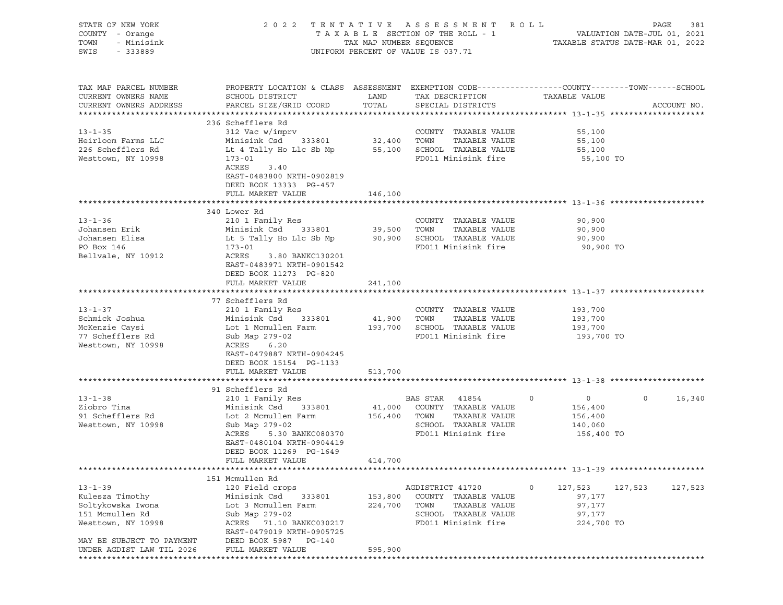| STATE OF NEW YORK<br>COUNTY - Orange<br>TOWN<br>- Minisink<br>SWIS<br>- 333889                                                                           |                                                                                                                                                                                                                        |                               | 2022 TENTATIVE ASSESSMENT ROLL<br>UNIFORM PERCENT OF VALUE IS 037.71                                                       |                                                                                                                   | PAGE<br>381 |
|----------------------------------------------------------------------------------------------------------------------------------------------------------|------------------------------------------------------------------------------------------------------------------------------------------------------------------------------------------------------------------------|-------------------------------|----------------------------------------------------------------------------------------------------------------------------|-------------------------------------------------------------------------------------------------------------------|-------------|
| TAX MAP PARCEL NUMBER<br>CURRENT OWNERS NAME<br>CURRENT OWNERS ADDRESS                                                                                   | SCHOOL DISTRICT<br>PARCEL SIZE/GRID COORD                                                                                                                                                                              | LAND<br>TOTAL                 | TAX DESCRIPTION<br>SPECIAL DISTRICTS                                                                                       | PROPERTY LOCATION & CLASS ASSESSMENT EXEMPTION CODE----------------COUNTY-------TOWN------SCHOOL<br>TAXABLE VALUE | ACCOUNT NO. |
| $13 - 1 - 35$<br>Heirloom Farms LLC<br>226 Schefflers Rd<br>Westtown, NY 10998                                                                           | 236 Schefflers Rd<br>312 Vac w/imprv<br>Minisink Csd 333801<br>Lt 4 Tally Ho Llc Sb Mp 55,100 SCHOOL TAXABLE VALUE<br>173-01<br>ACRES<br>3.40<br>EAST-0483800 NRTH-0902819<br>DEED BOOK 13333 PG-457                   | 32,400 TOWN                   | COUNTY TAXABLE VALUE<br>TAXABLE VALUE<br>FD011 Minisink fire                                                               | 55,100<br>55,100<br>55,100<br>55,100 TO                                                                           |             |
|                                                                                                                                                          | FULL MARKET VALUE                                                                                                                                                                                                      | 146,100                       |                                                                                                                            |                                                                                                                   |             |
| $13 - 1 - 36$<br>Johansen Erik<br>Johansen Elisa<br>PO Box 146<br>Bellvale, NY 10912                                                                     | 340 Lower Rd<br>210 1 Family Res<br>Minisink Csd 333801<br>Lt 5 Tally Ho Llc Sb Mp 90,900 SCHOOL TAXABLE VALUE<br>173-01<br>ACRES<br>3.80 BANKC130201<br>EAST-0483971 NRTH-0901542                                     | 39,500 TOWN                   | COUNTY TAXABLE VALUE<br>TAXABLE VALUE<br>FD011 Minisink fire                                                               | 90,900<br>90,900<br>90,900<br>90,900 TO                                                                           |             |
|                                                                                                                                                          | DEED BOOK 11273 PG-820<br>FULL MARKET VALUE                                                                                                                                                                            | 241,100                       |                                                                                                                            |                                                                                                                   |             |
|                                                                                                                                                          |                                                                                                                                                                                                                        |                               |                                                                                                                            |                                                                                                                   |             |
| $13 - 1 - 37$<br>Schmick Joshua<br>McKenzie Caysi<br>77 Schefflers Rd<br>Westtown, NY 10998                                                              | 77 Schefflers Rd<br>210 1 Family Res<br>Minisink Csd 333801<br>Lot 1 Mcmullen Farm<br>Sub Map 279-02<br>ACRES 6.20<br>EAST-0479887 NRTH-0904245<br>DEED BOOK 15154 PG-1133                                             | 41,900 TOWN                   | COUNTY TAXABLE VALUE<br>TAXABLE VALUE<br>193,700 SCHOOL TAXABLE VALUE<br>FD011 Minisink fire                               | 193,700<br>193,700<br>193,700<br>193,700 TO                                                                       |             |
|                                                                                                                                                          | FULL MARKET VALUE                                                                                                                                                                                                      | 513,700                       |                                                                                                                            |                                                                                                                   |             |
|                                                                                                                                                          |                                                                                                                                                                                                                        |                               |                                                                                                                            |                                                                                                                   |             |
| $13 - 1 - 38$<br>Ziobro Tina<br>91 Schefflers Rd<br>Westtown, NY 10998                                                                                   | 91 Schefflers Rd<br>210 1 Family Res<br>Minisink Csd 333801<br>Lot 2 Mcmullen Farm<br>Sub Map 279-02<br>ACRES<br>5.30 BANKC080370<br>EAST-0480104 NRTH-0904419<br>DEED BOOK 11269 PG-1649<br>FULL MARKET VALUE 414,700 |                               | BAS STAR 41854<br>41,000 COUNTY TAXABLE VALUE<br>156,400 TOWN TAXABLE VALUE<br>SCHOOL TAXABLE VALUE<br>FD011 Minisink fire | $\circ$<br>$\overline{0}$<br>$\circ$<br>156,400<br>156,400<br>140,060<br>156,400 TO                               | 16,340      |
|                                                                                                                                                          |                                                                                                                                                                                                                        |                               |                                                                                                                            |                                                                                                                   |             |
| $13 - 1 - 39$<br>Kulesza Timothy<br>Soltykowska Iwona<br>151 Mcmullen Rd<br>Westtown, NY 10998<br>MAY BE SUBJECT TO PAYMENT<br>UNDER AGDIST LAW TIL 2026 | 151 Mcmullen Rd<br>120 Field crops<br>Minisink Csd<br>333801<br>Lot 3 Mcmullen Farm<br>Sub Map 279-02<br>ACRES 71.10 BANKC030217<br>EAST-0479019 NRTH-0905725<br>DEED BOOK 5987 PG-140<br>FULL MARKET VALUE            | 153,800<br>224,700<br>595,900 | AGDISTRICT 41720<br>COUNTY TAXABLE VALUE<br>TOWN<br>TAXABLE VALUE<br>SCHOOL TAXABLE VALUE<br>FD011 Minisink fire           | 0<br>127,523<br>127,523<br>97,177<br>97,177<br>97,177<br>224,700 TO                                               | 127,523     |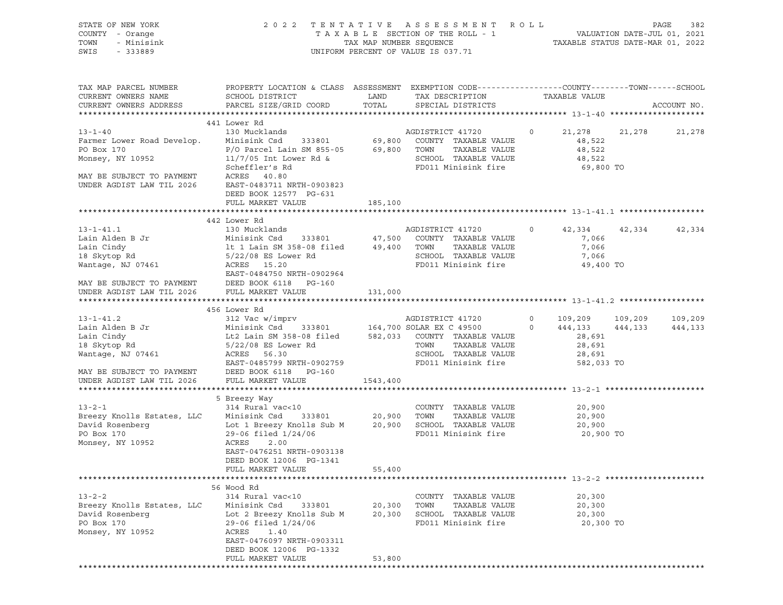| STATE OF NEW YORK<br>COUNTY - Orange<br>TOWN<br>- Minisink<br>SWIS - 333889                                                                                                                                                                         |                                                                                                                                                                                                                                                                                                                         |                            | 2022 TENTATIVE ASSESSMENT ROLL<br>$\begin{tabular}{lllllllllll} \texttt{T A X A B L E} & \texttt{SECTION OF THE ROLL} & - & - & - & \texttt{VALUATION DATE-JUL 01, 2021} \\ & \texttt{TAX MAP NUMBER SEQUENCE} & & & \texttt{TAXABLE STATUS DATE-MAR 01, 2022} \end{tabular}$<br>UNIFORM PERCENT OF VALUE IS 037.71 |         |                                                       | PAGE<br>382 |
|-----------------------------------------------------------------------------------------------------------------------------------------------------------------------------------------------------------------------------------------------------|-------------------------------------------------------------------------------------------------------------------------------------------------------------------------------------------------------------------------------------------------------------------------------------------------------------------------|----------------------------|---------------------------------------------------------------------------------------------------------------------------------------------------------------------------------------------------------------------------------------------------------------------------------------------------------------------|---------|-------------------------------------------------------|-------------|
| TAX MAP PARCEL NUMBER<br>CURRENT OWNERS NAME<br>CURRENT OWNERS ADDRESS                                                                                                                                                                              | PROPERTY LOCATION & CLASS ASSESSMENT EXEMPTION CODE----------------COUNTY-------TOWN------SCHOOL<br>SCHOOL DISTRICT TAND TAX DESCRIPTION<br>PARCEL SIZE/GRID COORD TOTAL<br>441 Lower Rd                                                                                                                                |                            | SPECIAL DISTRICTS                                                                                                                                                                                                                                                                                                   |         | TAXABLE VALUE                                         | ACCOUNT NO. |
| $13 - 1 - 40$<br>Farmer Lower Road Develop.<br>PO Box 170<br>Monsey, NY 10952<br>MAY BE SUBJECT TO PAYMENT<br>UNDER AGDIST LAW TIL 2026                                                                                                             | 130 Mucklands<br>150 Munisink Csd 333801 69,800 COUNTY TAXABLE VALUE<br>Minisink Csd 333801 69,800 TOWN TAXABLE VALUE<br>11/7/05 Int Lower Rd & SCHOOL TAXABLE VALUE<br>Scheffler's Rd PD011 Minisink fire<br>Scheffler's Rd<br>ACRES 40.80<br>EAST-0483711 NRTH-0903823<br>DEED BOOK 12577 PG-631<br>FULL MARKET VALUE | 185,100                    | AGDISTRICT 41720 0 21,278 21,278<br>SCHOOL TAXABLE VALUE<br>FD011 Minisink fire                                                                                                                                                                                                                                     |         | 48,522<br>48,522<br>48,522<br>69,800 TO               | 21,278      |
|                                                                                                                                                                                                                                                     |                                                                                                                                                                                                                                                                                                                         |                            |                                                                                                                                                                                                                                                                                                                     |         |                                                       |             |
| $13 - 1 - 41.1$<br>Lain Alden B Jr Minisink Csd 333801 47,500 COUNTIER IN TAXABLE VALUE<br>Lain Cindy 1t 1 Lain SM 358-08 filed 49,400 TOWN TAXABLE VALUE<br>18 Skytop Rd 5/22/08 ES Lower Rd SCHOOL TAXABLE VALUE<br>Wantage, NJ 07461 ACRES 15.20 | 442 Lower Rd<br>130 Mucklands<br>Minisink Csd 333801 47,500 COUNTY TAXABLE VALUE<br>EAST-0484750 NRTH-0902964                                                                                                                                                                                                           |                            | FD011 Minisink fire                                                                                                                                                                                                                                                                                                 | $\circ$ | 42,334 42,334<br>7,066<br>7,066<br>7,066<br>49,400 TO | 42,334      |
| MAY BE SUBJECT TO PAYMENT DEED BOOK 6118 PG-160<br>UNDER AGDIST LAW TIL 2026 FULL MARKET VALUE                                                                                                                                                      |                                                                                                                                                                                                                                                                                                                         | 131,000                    |                                                                                                                                                                                                                                                                                                                     |         |                                                       |             |
| $13 - 1 - 41.2$<br>Lain Alden B Jr<br>Lain Cindy<br>18 Skyton Rd<br>18 Skytop Rd<br>Wantage, NJ 07461                                                                                                                                               | 456 Lower Rd<br>Lt2 Lain SM 358-08 filed 582,033 COUNTY TAXABLE VALUE<br>-<br>5/22/08 ES Lower Rd<br>ACRES 56.30<br>EAST-0485799 NRTH-0902759                                                                                                                                                                           |                            | AGDISTRICT 41720 0 109,209 109,209<br>entar EX C 49500 0 444,133 444,133 444,133<br>TOWN<br>TAXABLE VALUE<br>SCHOOL TAXABLE VALUE<br>FD011 Minisink fire                                                                                                                                                            |         | 28,691<br>28,691<br>28,691<br>582,033 TO              |             |
| MAY BE SUBJECT TO PAYMENT DEED BOOK 6118 PG-160<br>UNDER AGDIST LAW TIL 2026 FULL MARKET VALUE                                                                                                                                                      |                                                                                                                                                                                                                                                                                                                         | 1543,400                   |                                                                                                                                                                                                                                                                                                                     |         |                                                       |             |
| $13 - 2 - 1$<br>Breezy Knolls Estates, LLC<br>PO Box 170<br>Monsey, NY 10952                                                                                                                                                                        | 5 Breezy Way<br>314 Rural vac<10<br>Minisink Csd 333801 20,900 TOWN<br>Lot 1 Breezy Knolls Sub M 20,900 SCHOOL TAXABLE VALUE<br>29-06 filed 1/24/06<br>ACRES<br>2.00<br>EAST-0476251 NRTH-0903138<br>DEED BOOK 12006 PG-1341<br>FULL MARKET VALUE                                                                       | 55,400                     | COUNTY TAXABLE VALUE<br>TAXABLE VALUE<br>FD011 Minisink fire                                                                                                                                                                                                                                                        |         | 20,900<br>20,900<br>20,900<br>20,900 TO               |             |
| ***************************                                                                                                                                                                                                                         | *****************                                                                                                                                                                                                                                                                                                       | **************             | ************************** 13-2-2 **********************                                                                                                                                                                                                                                                            |         |                                                       |             |
| $13 - 2 - 2$<br>Breezy Knolls Estates, LLC<br>David Rosenberg<br>PO Box 170<br>Monsey, NY 10952                                                                                                                                                     | 56 Wood Rd<br>314 Rural vac<10<br>Minisink Csd<br>333801<br>Lot 2 Breezy Knolls Sub M<br>29-06 filed 1/24/06<br>ACRES<br>1.40<br>EAST-0476097 NRTH-0903311<br>DEED BOOK 12006 PG-1332<br>FULL MARKET VALUE                                                                                                              | 20,300<br>20,300<br>53,800 | COUNTY TAXABLE VALUE<br>TOWN<br>TAXABLE VALUE<br>SCHOOL TAXABLE VALUE<br>FD011 Minisink fire                                                                                                                                                                                                                        |         | 20,300<br>20,300<br>20,300<br>20,300 TO               |             |
|                                                                                                                                                                                                                                                     | ***********************                                                                                                                                                                                                                                                                                                 | *************              |                                                                                                                                                                                                                                                                                                                     |         |                                                       |             |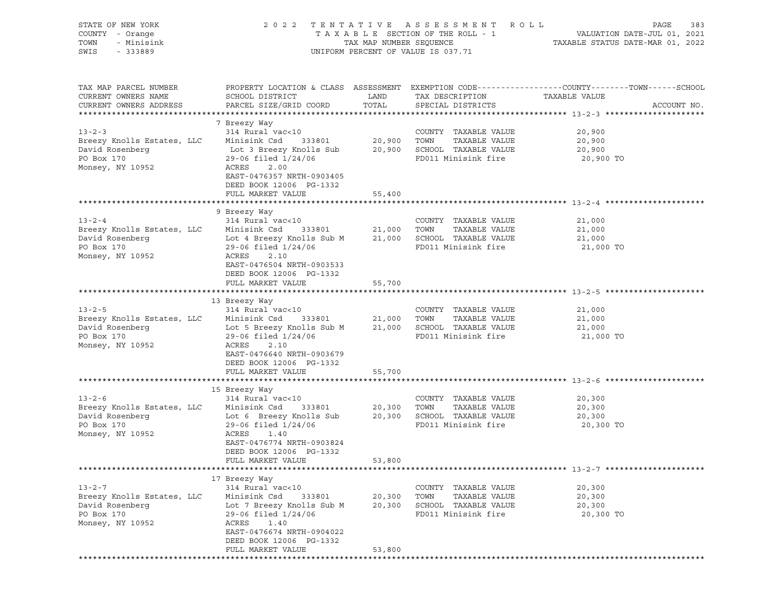| STATE OF NEW YORK<br>COUNTY - Orange<br>TOWN<br>- Minisink<br>SWIS<br>- 333889                  |                                                                                                                                                                                                                 | TAX MAP NUMBER SEQUENCE    | 2022 TENTATIVE ASSESSMENT ROLL<br>TAXABLE SECTION OF THE ROLL - 1<br>UNIFORM PERCENT OF VALUE IS 037.71 | PAGE<br>383<br>VALUATION DATE-JUL 01, 2021<br>TAXABLE STATUS DATE-MAR 01, 2022                                                   |
|-------------------------------------------------------------------------------------------------|-----------------------------------------------------------------------------------------------------------------------------------------------------------------------------------------------------------------|----------------------------|---------------------------------------------------------------------------------------------------------|----------------------------------------------------------------------------------------------------------------------------------|
| TAX MAP PARCEL NUMBER<br>CURRENT OWNERS NAME<br>CURRENT OWNERS ADDRESS                          | SCHOOL DISTRICT<br>PARCEL SIZE/GRID COORD                                                                                                                                                                       | LAND<br>TOTAL              | TAX DESCRIPTION<br>SPECIAL DISTRICTS                                                                    | PROPERTY LOCATION & CLASS ASSESSMENT EXEMPTION CODE----------------COUNTY-------TOWN------SCHOOL<br>TAXABLE VALUE<br>ACCOUNT NO. |
| $13 - 2 - 3$                                                                                    | 7 Breezy Way<br>314 Rural vac<10                                                                                                                                                                                |                            | COUNTY TAXABLE VALUE                                                                                    | 20,900                                                                                                                           |
| Breezy Knolls Estates, LLC<br>David Rosenberg<br>PO Box 170<br>Monsey, NY 10952                 | 333801<br>Minisink Csd<br>Lot 3 Breezy Knolls Sub<br>29-06 filed 1/24/06<br>ACRES<br>2.00<br>EAST-0476357 NRTH-0903405<br>DEED BOOK 12006 PG-1332                                                               | 20,900 TOWN                | TAXABLE VALUE<br>20,900 SCHOOL TAXABLE VALUE<br>FD011 Minisink fire                                     | 20,900<br>20,900<br>20,900 TO                                                                                                    |
|                                                                                                 | FULL MARKET VALUE                                                                                                                                                                                               | 55,400                     |                                                                                                         |                                                                                                                                  |
| $13 - 2 - 4$<br>Breezy Knolls Estates, LLC<br>David Rosenberg<br>PO Box 170<br>Monsey, NY 10952 | 9 Breezy Way<br>314 Rural vac<10<br>Minisink Csd<br>Lot 4 Breezy Knolls Sub M<br>$29-06$ filed $1/24/06$<br>ACRES<br>2.10<br>EAST-0476504 NRTH-0903533                                                          | 333801 21,000<br>21,000    | COUNTY TAXABLE VALUE<br>TOWN<br>TAXABLE VALUE<br>SCHOOL TAXABLE VALUE<br>FD011 Minisink fire            | 21,000<br>21,000<br>21,000<br>21,000 TO                                                                                          |
|                                                                                                 | DEED BOOK 12006 PG-1332<br>FULL MARKET VALUE                                                                                                                                                                    | 55,700                     |                                                                                                         |                                                                                                                                  |
|                                                                                                 | 13 Breezy Way                                                                                                                                                                                                   |                            |                                                                                                         |                                                                                                                                  |
| $13 - 2 - 5$<br>Breezy Knolls Estates, LLC<br>David Rosenberg<br>PO Box 170<br>Monsey, NY 10952 | 314 Rural vac<10<br>Minisink Csd<br>333801<br>Lot 5 Breezy Knolls Sub M<br>29-06 filed 1/24/06<br>ACRES<br>2.10<br>EAST-0476640 NRTH-0903679<br>DEED BOOK 12006 PG-1332                                         | 21,000 TOWN                | COUNTY TAXABLE VALUE<br>TAXABLE VALUE<br>21,000 SCHOOL TAXABLE VALUE<br>FD011 Minisink fire             | 21,000<br>21,000<br>21,000<br>21,000 TO                                                                                          |
|                                                                                                 | FULL MARKET VALUE                                                                                                                                                                                               | 55,700                     |                                                                                                         |                                                                                                                                  |
| $13 - 2 - 6$<br>Breezy Knolls Estates, LLC<br>David Rosenberg<br>PO Box 170<br>Monsey, NY 10952 | 15 Breezy Way<br>314 Rural vac<10<br>Minisink Csd<br>333801<br>Lot 6 Breezy Knolls Sub<br>$29-06$ filed $1/24/06$<br>ACRES<br>1.40<br>EAST-0476774 NRTH-0903824<br>DEED BOOK 12006 PG-1332<br>FULL MARKET VALUE | 20,300<br>20,300<br>53,800 | COUNTY TAXABLE VALUE<br>TOWN<br>TAXABLE VALUE<br>SCHOOL TAXABLE VALUE<br>FD011 Minisink fire            | 20,300<br>20,300<br>20,300<br>20,300 TO                                                                                          |
|                                                                                                 |                                                                                                                                                                                                                 |                            |                                                                                                         |                                                                                                                                  |
| $13 - 2 - 7$<br>Breezy Knolls Estates, LLC<br>David Rosenberg<br>PO Box 170<br>Monsey, NY 10952 | 17 Breezy Way<br>314 Rural vac<10<br>Minisink Csd<br>333801<br>Lot 7 Breezy Knolls Sub M<br>29-06 filed 1/24/06<br>ACRES<br>1.40<br>EAST-0476674 NRTH-0904022<br>DEED BOOK 12006 PG-1332<br>FULL MARKET VALUE   | 20,300<br>20,300<br>53,800 | COUNTY TAXABLE VALUE<br>TOWN<br>TAXABLE VALUE<br>SCHOOL TAXABLE VALUE<br>FD011 Minisink fire            | 20,300<br>20,300<br>20,300<br>20,300 TO                                                                                          |
|                                                                                                 |                                                                                                                                                                                                                 |                            |                                                                                                         |                                                                                                                                  |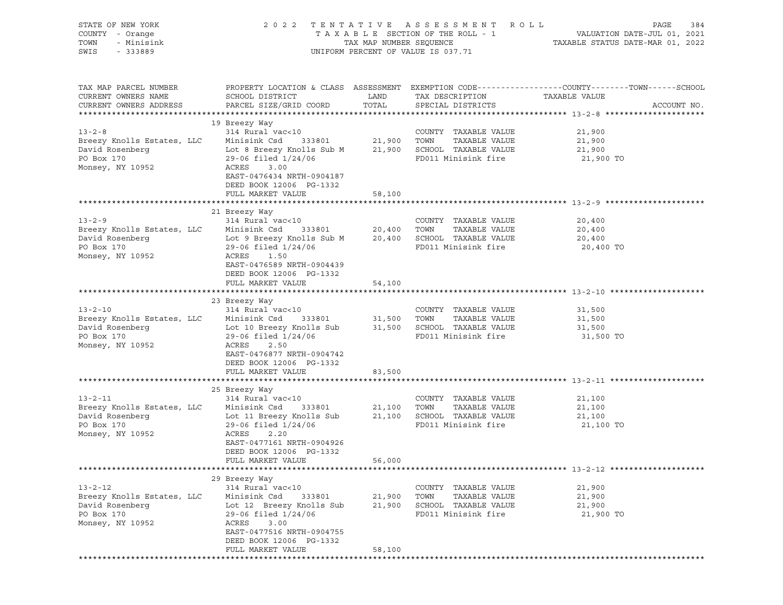| STATE OF NEW YORK<br>COUNTY - Orange<br>TOWN<br>- Minisink<br>SWIS<br>$-333889$                  | 2 0 2 2                                                                                                                                                                                                               |                            | TENTATIVE ASSESSMENT ROLL<br>UNIFORM PERCENT OF VALUE IS 037.71                              | PAGE<br>384                                                                                                    |
|--------------------------------------------------------------------------------------------------|-----------------------------------------------------------------------------------------------------------------------------------------------------------------------------------------------------------------------|----------------------------|----------------------------------------------------------------------------------------------|----------------------------------------------------------------------------------------------------------------|
| TAX MAP PARCEL NUMBER<br>CURRENT OWNERS NAME<br>CURRENT OWNERS ADDRESS                           | SCHOOL DISTRICT<br>PARCEL SIZE/GRID COORD                                                                                                                                                                             | LAND<br>TOTAL              | TAX DESCRIPTION TAXABLE VALUE<br>SPECIAL DISTRICTS                                           | PROPERTY LOCATION & CLASS ASSESSMENT EXEMPTION CODE---------------COUNTY-------TOWN------SCHOOL<br>ACCOUNT NO. |
| $13 - 2 - 8$<br>Breezy Knolls Estates, LLC<br>David Rosenberg<br>PO Box 170<br>Monsey, NY 10952  | 19 Breezy Way<br>314 Rural vac<10<br>Minisink Csd 333801<br>Lot 8 Breezy Knolls Sub M 21,900 SCHOOL TAXABLE VALUE<br>$29-06$ filed $1/24/06$<br>ACRES<br>3.00<br>EAST-0476434 NRTH-0904187<br>DEED BOOK 12006 PG-1332 |                            | COUNTY TAXABLE VALUE<br>21,900 TOWN TAXABLE VALUE<br>FD011 Minisink fire                     | 21,900<br>21,900<br>21,900<br>21,900 TO                                                                        |
|                                                                                                  | FULL MARKET VALUE                                                                                                                                                                                                     | 58,100                     |                                                                                              |                                                                                                                |
| $13 - 2 - 9$<br>Breezy Knolls Estates, LLC<br>David Rosenberg<br>PO Box 170<br>Monsey, NY 10952  | 21 Breezy Way<br>$314$ Rural vac<10 $\qquad$ COUNTY<br>Minisink Csd $333801$ $20,400$ TOWN<br>29-06 filed 1/24/06<br>ACRES<br>1.50<br>EAST-0476589 NRTH-0904439                                                       |                            | COUNTY TAXABLE VALUE<br>TAXABLE VALUE<br>FD011 Minisink fire                                 | 20,400<br>20,400<br>20,400<br>20,400 TO                                                                        |
|                                                                                                  | DEED BOOK 12006 PG-1332<br>FULL MARKET VALUE                                                                                                                                                                          | 54,100                     |                                                                                              |                                                                                                                |
|                                                                                                  |                                                                                                                                                                                                                       |                            |                                                                                              |                                                                                                                |
| $13 - 2 - 10$<br>Breezy Knolls Estates, LLC<br>David Rosenberg<br>PO Box 170<br>Monsey, NY 10952 | 23 Breezy Way<br>314 Rural vac<10<br>Minisink Csd 333801<br>Lot 10 Breezy Knolls Sub 31,500 SCHOOL TAXABLE VALUE<br>$29-06$ filed $1/24/06$<br>ACRES<br>2.50<br>EAST-0476877 NRTH-0904742<br>DEED BOOK 12006 PG-1332  | 31,500 TOWN                | COUNTY TAXABLE VALUE<br>TAXABLE VALUE<br>FD011 Minisink fire                                 | 31,500<br>31,500<br>31,500<br>31,500 TO                                                                        |
|                                                                                                  | FULL MARKET VALUE                                                                                                                                                                                                     | 83,500                     |                                                                                              |                                                                                                                |
| PO Box 170<br>Monsey, NY 10952                                                                   | 25 Breezy Way<br>$29-06$ filed $1/24/06$<br>ACRES<br>2.20<br>EAST-0477161 NRTH-0904926<br>DEED BOOK 12006 PG-1332<br>FULL MARKET VALUE                                                                                | 56,000                     | COUNTY TAXABLE VALUE<br>TAXABLE VALUE<br>FD011 Minisink fire                                 | 21,100<br>21,100<br>21,100<br>21,100 TO                                                                        |
|                                                                                                  |                                                                                                                                                                                                                       |                            |                                                                                              |                                                                                                                |
| $13 - 2 - 12$<br>Breezy Knolls Estates, LLC<br>David Rosenberg<br>PO Box 170<br>Monsey, NY 10952 | 29 Breezy Way<br>314 Rural vac<10<br>Minisink Csd<br>333801<br>Lot 12 Breezy Knolls Sub<br>29-06 filed 1/24/06<br>ACRES<br>3.00<br>EAST-0477516 NRTH-0904755<br>DEED BOOK 12006 PG-1332<br>FULL MARKET VALUE          | 21,900<br>21,900<br>58,100 | COUNTY TAXABLE VALUE<br>TOWN<br>TAXABLE VALUE<br>SCHOOL TAXABLE VALUE<br>FD011 Minisink fire | 21,900<br>21,900<br>21,900<br>21,900 TO                                                                        |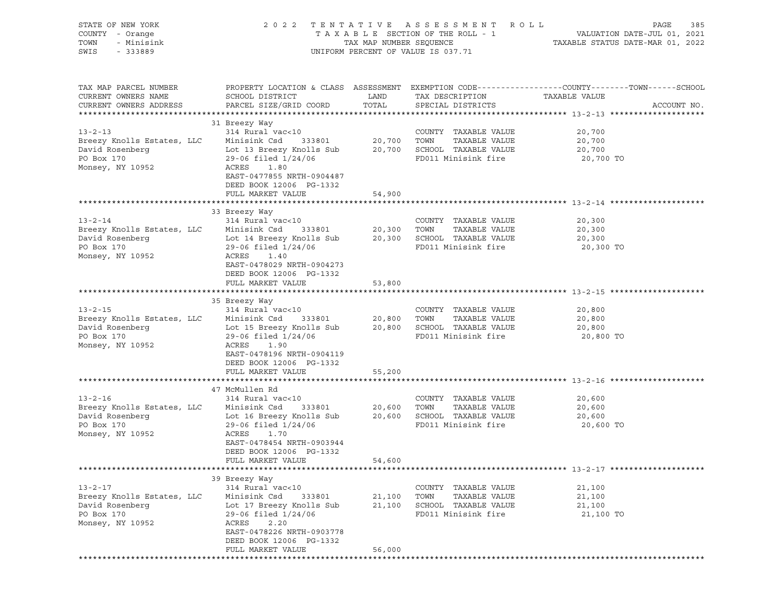| STATE OF NEW YORK<br>COUNTY - Orange<br>TOWN<br>- Minisink<br>SWIS<br>$-333889$                                                                                                                                                                 | 2 0 2 2                                                                                                                                                                                                                              |                            | TENTATIVE ASSESSMENT ROLL<br>UNIFORM PERCENT OF VALUE IS 037.71                              | PAGE<br>385                                                                                                    |
|-------------------------------------------------------------------------------------------------------------------------------------------------------------------------------------------------------------------------------------------------|--------------------------------------------------------------------------------------------------------------------------------------------------------------------------------------------------------------------------------------|----------------------------|----------------------------------------------------------------------------------------------|----------------------------------------------------------------------------------------------------------------|
| TAX MAP PARCEL NUMBER<br>CURRENT OWNERS NAME<br>CURRENT OWNERS ADDRESS                                                                                                                                                                          | SCHOOL DISTRICT<br>PARCEL SIZE/GRID COORD                                                                                                                                                                                            | LAND<br>TOTAL              | TAX DESCRIPTION TAXABLE VALUE<br>SPECIAL DISTRICTS                                           | PROPERTY LOCATION & CLASS ASSESSMENT EXEMPTION CODE---------------COUNTY-------TOWN------SCHOOL<br>ACCOUNT NO. |
| $13 - 2 - 13$<br>Breezy Knolls Estates, LLC<br>David Rosenberg<br>PO Box 170<br>Monsey, NY 10952                                                                                                                                                | 31 Breezy Way<br>314 Rural vac<10<br>Minisink Csd 333801<br>Lot 13 Breezy Knolls Sub 20,700 SCHOOL TAXABLE VALUE<br>$29-06$ filed $1/24/06$<br>ACRES<br>1.80<br>EAST-0477855 NRTH-0904487<br>DEED BOOK 12006 PG-1332                 | 20,700 TOWN                | COUNTY TAXABLE VALUE<br>TAXABLE VALUE<br>FD011 Minisink fire                                 | 20,700<br>20,700<br>20,700<br>20,700 TO                                                                        |
|                                                                                                                                                                                                                                                 | FULL MARKET VALUE                                                                                                                                                                                                                    | 54,900                     |                                                                                              |                                                                                                                |
| $13 - 2 - 14$<br>Breezy Knolls Estates, LLC<br>David Rosenberg<br>PO Box 170<br>Monsey, NY 10952                                                                                                                                                | 33 Breezy Way<br>$314$ Rural vac<10 $\,$ COUNTY Minisink Csd $\,$ 333801 $\,$ 20,300 $\,$ TOWN $\,$<br>Lot 14 Breezy Knolls Sub 20,300 SCHOOL TAXABLE VALUE<br>$29-06$ filed $1/24/06$<br>ACRES<br>1.40<br>EAST-0478029 NRTH-0904273 |                            | COUNTY TAXABLE VALUE<br>TAXABLE VALUE<br>FD011 Minisink fire                                 | 20,300<br>20,300<br>20,300<br>20,300 TO                                                                        |
|                                                                                                                                                                                                                                                 | DEED BOOK 12006 PG-1332<br>FULL MARKET VALUE                                                                                                                                                                                         | 53,800                     |                                                                                              |                                                                                                                |
|                                                                                                                                                                                                                                                 |                                                                                                                                                                                                                                      |                            |                                                                                              |                                                                                                                |
| $13 - 2 - 15$<br>Breezy Knolls Estates, LLC<br>David Rosenberg<br>PO Box 170<br>Monsey, NY 10952                                                                                                                                                | 35 Breezy Way<br>314 Rural vac<10<br>Minisink Csd 333801<br>Lot 15 Breezy Knolls Sub<br>$29-06$ filed $1/24/06$<br>ACRES<br>1.90<br>EAST-0478196 NRTH-0904119<br>DEED BOOK 12006 PG-1332                                             | 20,800 TOWN                | COUNTY TAXABLE VALUE<br>TAXABLE VALUE<br>20,800 SCHOOL TAXABLE VALUE<br>FD011 Minisink fire  | 20,800<br>20,800<br>20,800<br>20,800 TO                                                                        |
|                                                                                                                                                                                                                                                 | FULL MARKET VALUE                                                                                                                                                                                                                    | 55,200                     |                                                                                              |                                                                                                                |
|                                                                                                                                                                                                                                                 | 47 McMullen Rd                                                                                                                                                                                                                       |                            |                                                                                              |                                                                                                                |
| 13-2-16               314 Rural vac<10               COUNTY<br>Breezy Knolls Estates, LLC    Minisink Csd   333801      20,600   TOWN<br>David Rosenberg Lot 16 Breezy Knolls Sub 20,600 SCHOOL TAXABLE VALUE<br>PO Box 170<br>Monsey, NY 10952 | $29-06$ filed $1/24/06$<br>ACRES<br>1.70<br>EAST-0478454 NRTH-0903944<br>DEED BOOK 12006 PG-1332                                                                                                                                     |                            | COUNTY TAXABLE VALUE<br>TAXABLE VALUE<br>FD011 Minisink fire                                 | 20,600<br>20,600<br>20,600<br>20,600 TO                                                                        |
|                                                                                                                                                                                                                                                 | FULL MARKET VALUE                                                                                                                                                                                                                    | 54,600                     |                                                                                              |                                                                                                                |
|                                                                                                                                                                                                                                                 | 39 Breezy Way                                                                                                                                                                                                                        |                            |                                                                                              |                                                                                                                |
| $13 - 2 - 17$<br>Breezy Knolls Estates, LLC<br>David Rosenberg<br>PO Box 170<br>Monsey, NY 10952                                                                                                                                                | 314 Rural vac<10<br>Minisink Csd<br>333801<br>Lot 17 Breezy Knolls Sub<br>29-06 filed 1/24/06<br>ACRES<br>2.20<br>EAST-0478226 NRTH-0903778<br>DEED BOOK 12006 PG-1332<br>FULL MARKET VALUE                                          | 21,100<br>21,100<br>56,000 | COUNTY TAXABLE VALUE<br>TOWN<br>TAXABLE VALUE<br>SCHOOL TAXABLE VALUE<br>FD011 Minisink fire | 21,100<br>21,100<br>21,100<br>21,100 TO                                                                        |
|                                                                                                                                                                                                                                                 |                                                                                                                                                                                                                                      |                            |                                                                                              |                                                                                                                |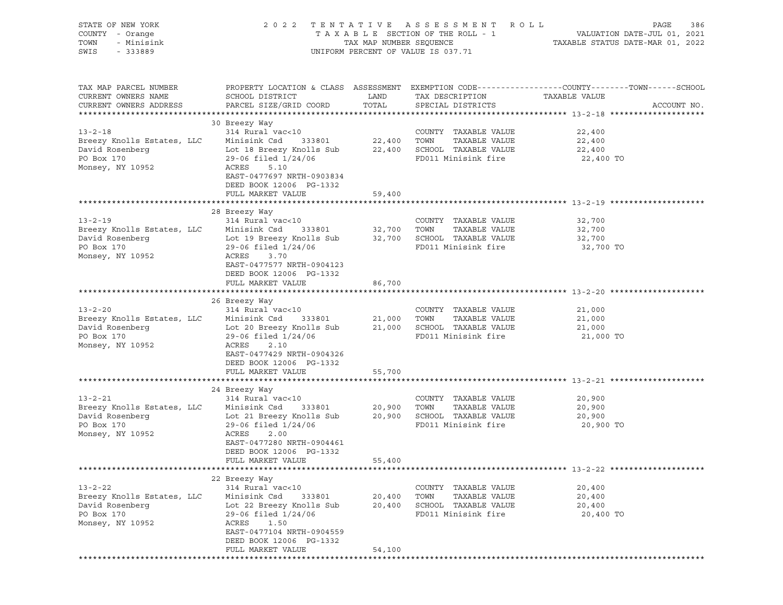| STATE OF NEW YORK<br>COUNTY - Orange<br>TOWN<br>- Minisink<br>SWIS<br>$-333889$                        | 2 0 2 2                                                                                                                                                                                                              |                            | TENTATIVE ASSESSMENT ROLL<br>UNIFORM PERCENT OF VALUE IS 037.71                              | PAGE<br>386                                                                                                    |
|--------------------------------------------------------------------------------------------------------|----------------------------------------------------------------------------------------------------------------------------------------------------------------------------------------------------------------------|----------------------------|----------------------------------------------------------------------------------------------|----------------------------------------------------------------------------------------------------------------|
| TAX MAP PARCEL NUMBER<br>CURRENT OWNERS NAME<br>CURRENT OWNERS ADDRESS                                 | SCHOOL DISTRICT<br>PARCEL SIZE/GRID COORD                                                                                                                                                                            | LAND<br>TOTAL              | TAX DESCRIPTION TAXABLE VALUE<br>SPECIAL DISTRICTS                                           | PROPERTY LOCATION & CLASS ASSESSMENT EXEMPTION CODE---------------COUNTY-------TOWN------SCHOOL<br>ACCOUNT NO. |
| $13 - 2 - 18$<br>Breezy Knolls Estates, LLC<br>David Rosenberg<br>PO Box 170<br>Monsey, NY 10952       | 30 Breezy Way<br>314 Rural vac<10<br>Minisink Csd 333801<br>Lot 18 Breezy Knolls Sub 22,400 SCHOOL TAXABLE VALUE<br>$29-06$ filed $1/24/06$<br>ACRES<br>5.10<br>EAST-0477697 NRTH-0903834<br>DEED BOOK 12006 PG-1332 |                            | COUNTY TAXABLE VALUE<br>$22,400$ TOWN TAXABLE VALUE<br>FD011 Minisink fire                   | 22,400<br>22,400<br>22,400<br>22,400 TO                                                                        |
|                                                                                                        | FULL MARKET VALUE                                                                                                                                                                                                    | 59,400                     |                                                                                              |                                                                                                                |
| $13 - 2 - 19$<br>Breezy Knolls Estates, LLC<br>David Rosenberg<br>PO Box 170<br>Monsey, NY 10952       | 28 Breezy Way<br>314 Rural vac<10 $\,$ COUNTY Minisink Csd 333801 $\,$ 32,700 TOWN<br>29-06 filed 1/24/06<br>ACRES<br>3.70<br>EAST-0477577 NRTH-0904123                                                              |                            | COUNTY TAXABLE VALUE<br>TAXABLE VALUE<br>FD011 Minisink fire                                 | 32,700<br>32,700<br>32,700<br>32,700 TO                                                                        |
|                                                                                                        | DEED BOOK 12006 PG-1332<br>FULL MARKET VALUE                                                                                                                                                                         | 86,700                     |                                                                                              |                                                                                                                |
| $13 - 2 - 20$<br>Breezy Knolls Estates, LLC<br>David Rosenberg<br>PO Box 170<br>Monsey, NY 10952       | 26 Breezy Way<br>314 Rural vac<10<br>Minisink Csd 333801<br>Lot 20 Breezy Knolls Sub 21,000 SCHOOL TAXABLE VALUE<br>$29-06$ filed $1/24/06$<br>ACRES<br>2.10<br>EAST-0477429 NRTH-0904326<br>DEED BOOK 12006 PG-1332 | 21,000 TOWN                | COUNTY TAXABLE VALUE<br>TAXABLE VALUE<br>FD011 Minisink fire                                 | 21,000<br>21,000<br>21,000<br>21,000 TO                                                                        |
|                                                                                                        | FULL MARKET VALUE                                                                                                                                                                                                    | 55,700                     |                                                                                              |                                                                                                                |
| David Rosenberg Lot 21 Breezy Knolls Sub 20,900 SCHOOL TAXABLE VALUE<br>PO Box 170<br>Monsey, NY 10952 | 24 Breezy Way<br>$29-06$ filed $1/24/06$<br>ACRES<br>2.00<br>EAST-0477280 NRTH-0904461<br>DEED BOOK 12006 PG-1332<br>FULL MARKET VALUE                                                                               | 55,400                     | COUNTY TAXABLE VALUE<br>TAXABLE VALUE<br>FD011 Minisink fire                                 | 20,900<br>20,900<br>20,900<br>20,900 TO                                                                        |
|                                                                                                        |                                                                                                                                                                                                                      |                            |                                                                                              |                                                                                                                |
| $13 - 2 - 22$<br>Breezy Knolls Estates, LLC<br>David Rosenberg<br>PO Box 170<br>Monsey, NY 10952       | 22 Breezy Way<br>314 Rural vac<10<br>Minisink Csd<br>333801<br>Lot 22 Breezy Knolls Sub<br>29-06 filed 1/24/06<br>ACRES<br>1.50<br>EAST-0477104 NRTH-0904559<br>DEED BOOK 12006 PG-1332<br>FULL MARKET VALUE         | 20,400<br>20,400<br>54,100 | COUNTY TAXABLE VALUE<br>TOWN<br>TAXABLE VALUE<br>SCHOOL TAXABLE VALUE<br>FD011 Minisink fire | 20,400<br>20,400<br>20,400<br>20,400 TO                                                                        |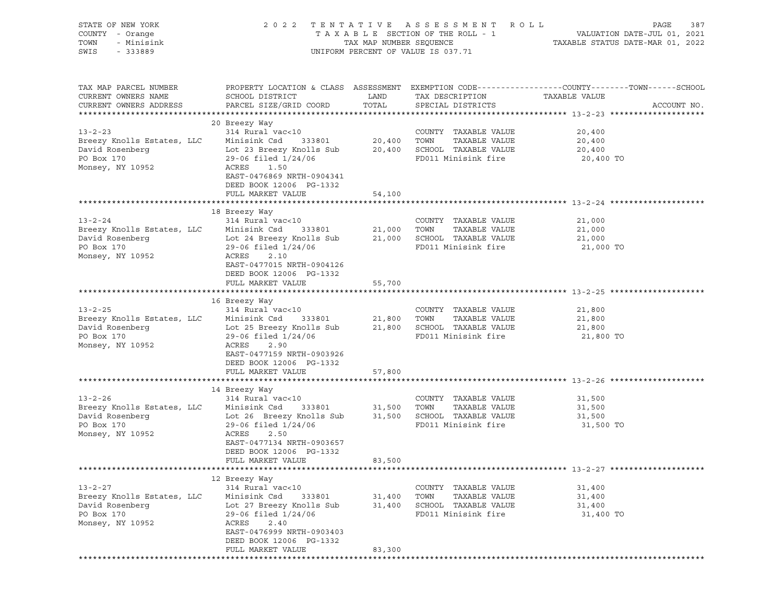| STATE OF NEW YORK<br>COUNTY - Orange<br>TOWN<br>- Minisink<br>SWIS<br>$-333889$                              | 2 0 2 2                                                                                                                                                                                                              |                            | TENTATIVE ASSESSMENT ROLL<br>UNIFORM PERCENT OF VALUE IS 037.71                              | PAGE<br>387                                                                                                    |
|--------------------------------------------------------------------------------------------------------------|----------------------------------------------------------------------------------------------------------------------------------------------------------------------------------------------------------------------|----------------------------|----------------------------------------------------------------------------------------------|----------------------------------------------------------------------------------------------------------------|
| TAX MAP PARCEL NUMBER<br>CURRENT OWNERS NAME<br>CURRENT OWNERS ADDRESS                                       | SCHOOL DISTRICT<br>PARCEL SIZE/GRID COORD                                                                                                                                                                            | LAND<br>TOTAL              | TAX DESCRIPTION TAXABLE VALUE<br>SPECIAL DISTRICTS                                           | PROPERTY LOCATION & CLASS ASSESSMENT EXEMPTION CODE---------------COUNTY-------TOWN------SCHOOL<br>ACCOUNT NO. |
| $13 - 2 - 23$<br>Breezy Knolls Estates, LLC<br>David Rosenberg<br>PO Box 170<br>Monsey, NY 10952             | 20 Breezy Way<br>314 Rural vac<10<br>Minisink Csd 333801<br>Lot 23 Breezy Knolls Sub 20,400 SCHOOL TAXABLE VALUE<br>$29-06$ filed $1/24/06$<br>ACRES<br>1.50<br>EAST-0476869 NRTH-0904341<br>DEED BOOK 12006 PG-1332 |                            | COUNTY TAXABLE VALUE<br>20,400 TOWN TAXABLE VALUE<br>FD011 Minisink fire                     | 20,400<br>20,400<br>20,400<br>20,400 TO                                                                        |
|                                                                                                              | FULL MARKET VALUE                                                                                                                                                                                                    | 54,100                     |                                                                                              |                                                                                                                |
| $13 - 2 - 24$<br>Breezy Knolls Estates, LLC<br>David Rosenberg<br>PO Box 170<br>Monsey, NY 10952             | 18 Breezy Way<br>314 Rural vac<10 $\,$ COUNTY Minisink Csd 333801 $\,$ 21,000 TOWN<br>Lot 24 Breezy Knolls Sub 21,000 SCHOOL TAXABLE VALUE<br>$29-06$ filed $1/24/06$<br>ACRES<br>2.10<br>EAST-0477015 NRTH-0904126  |                            | COUNTY TAXABLE VALUE<br>TAXABLE VALUE<br>FD011 Minisink fire                                 | 21,000<br>21,000<br>21,000<br>21,000 TO                                                                        |
|                                                                                                              | DEED BOOK 12006 PG-1332<br>FULL MARKET VALUE                                                                                                                                                                         | 55,700                     |                                                                                              |                                                                                                                |
| $13 - 2 - 25$<br>Breezy Knolls Estates, LLC<br>David Rosenberg<br>PO Box 170<br>Monsey, NY 10952             | 16 Breezy Way<br>314 Rural vac<10<br>Minisink Csd 333801<br>Lot 25 Breezy Knolls Sub 21,800 SCHOOL TAXABLE VALUE<br>$29-06$ filed $1/24/06$<br>ACRES<br>2.90<br>EAST-0477159 NRTH-0903926<br>DEED BOOK 12006 PG-1332 | 21,800 TOWN                | COUNTY TAXABLE VALUE<br>TAXABLE VALUE<br>FD011 Minisink fire                                 | 21,800<br>21,800<br>21,800<br>21,800 TO                                                                        |
|                                                                                                              | FULL MARKET VALUE                                                                                                                                                                                                    | 57,800                     |                                                                                              |                                                                                                                |
| David Rosenberg<br>Lot 26 Breezy Knolls Sub<br>21,500 SCHOOL TAXABLE VALUE<br>PO Box 170<br>Monsey, NY 10952 | 14 Breezy Way<br>314 Rural vac<10<br>$29-06$ filed $1/24/06$<br>ACRES<br>2.50<br>EAST-0477134 NRTH-0903657<br>DEED BOOK 12006 PG-1332<br>FULL MARKET VALUE                                                           | 83,500                     | COUNTY TAXABLE VALUE<br>TAXABLE VALUE<br>FD011 Minisink fire                                 | 31,500<br>31,500<br>31,500<br>31,500 TO                                                                        |
|                                                                                                              |                                                                                                                                                                                                                      |                            |                                                                                              |                                                                                                                |
| $13 - 2 - 27$<br>Breezy Knolls Estates, LLC<br>David Rosenberg<br>PO Box 170<br>Monsey, NY 10952             | 12 Breezy Way<br>314 Rural vac<10<br>Minisink Csd<br>333801<br>Lot 27 Breezy Knolls Sub<br>29-06 filed 1/24/06<br>ACRES<br>2.40<br>EAST-0476999 NRTH-0903403<br>DEED BOOK 12006 PG-1332<br>FULL MARKET VALUE         | 31,400<br>31,400<br>83,300 | COUNTY TAXABLE VALUE<br>TOWN<br>TAXABLE VALUE<br>SCHOOL TAXABLE VALUE<br>FD011 Minisink fire | 31,400<br>31,400<br>31,400<br>31,400 TO                                                                        |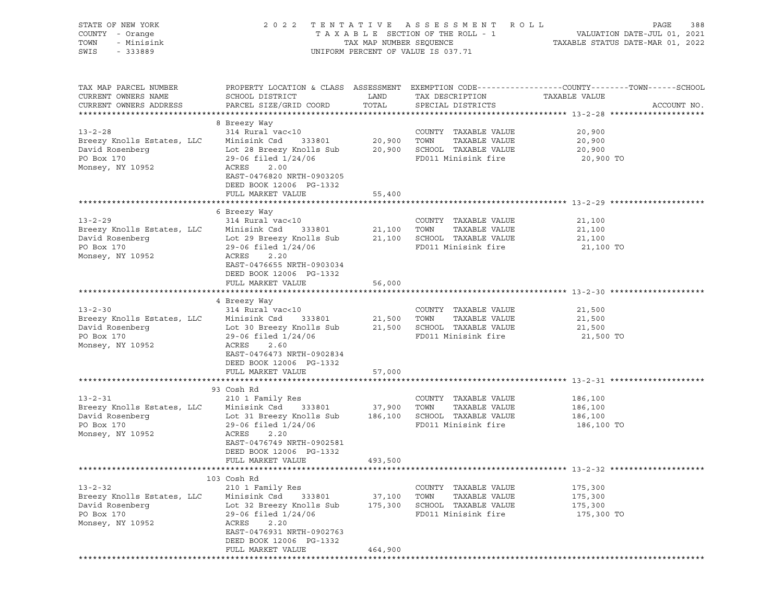| STATE OF NEW YORK<br>COUNTY - Orange<br>TOWN<br>- Minisink<br>SWIS<br>$-333889$                  | 2 0 2 2                                                                                                                                                                                                     | TAX MAP NUMBER SEQUENCE      | TENTATIVE ASSESSMENT ROLL<br>TAXABLE SECTION OF THE ROLL - 1<br>UNIFORM PERCENT OF VALUE IS 037.71 | PAGE<br>388<br>VALUATION DATE-JUL 01, 2021<br>TAXABLE STATUS DATE-MAR 01, 2022                                                   |
|--------------------------------------------------------------------------------------------------|-------------------------------------------------------------------------------------------------------------------------------------------------------------------------------------------------------------|------------------------------|----------------------------------------------------------------------------------------------------|----------------------------------------------------------------------------------------------------------------------------------|
| TAX MAP PARCEL NUMBER<br>CURRENT OWNERS NAME<br>CURRENT OWNERS ADDRESS                           | SCHOOL DISTRICT<br>PARCEL SIZE/GRID COORD                                                                                                                                                                   | LAND<br>TOTAL                | TAX DESCRIPTION<br>SPECIAL DISTRICTS                                                               | PROPERTY LOCATION & CLASS ASSESSMENT EXEMPTION CODE----------------COUNTY-------TOWN------SCHOOL<br>TAXABLE VALUE<br>ACCOUNT NO. |
| $13 - 2 - 28$<br>Breezy Knolls Estates, LLC<br>David Rosenberg<br>PO Box 170<br>Monsey, NY 10952 | 8 Breezy Way<br>314 Rural vac<10<br>Minisink Csd<br>333801<br>Lot 28 Breezy Knolls Sub<br>29-06 filed 1/24/06<br>ACRES<br>2.00<br>EAST-0476820 NRTH-0903205<br>DEED BOOK 12006 PG-1332<br>FULL MARKET VALUE | 20,900<br>20,900<br>55,400   | COUNTY TAXABLE VALUE<br>TOWN<br>TAXABLE VALUE<br>SCHOOL TAXABLE VALUE<br>FD011 Minisink fire       | 20,900<br>20,900<br>20,900<br>20,900 TO                                                                                          |
|                                                                                                  |                                                                                                                                                                                                             |                              |                                                                                                    |                                                                                                                                  |
| $13 - 2 - 29$<br>Breezy Knolls Estates, LLC<br>David Rosenberg<br>PO Box 170<br>Monsey, NY 10952 | 6 Breezy Way<br>314 Rural vac<10<br>Minisink Csd<br>333801<br>Lot 29 Breezy Knolls Sub<br>29-06 filed 1/24/06<br>ACRES<br>2.20<br>EAST-0476655 NRTH-0903034                                                 | 21,100<br>21,100             | COUNTY TAXABLE VALUE<br>TOWN<br>TAXABLE VALUE<br>SCHOOL TAXABLE VALUE<br>FD011 Minisink fire       | 21,100<br>21,100<br>21,100<br>21,100 TO                                                                                          |
|                                                                                                  | DEED BOOK 12006 PG-1332<br>FULL MARKET VALUE                                                                                                                                                                | 56,000                       |                                                                                                    |                                                                                                                                  |
| $13 - 2 - 30$<br>Breezy Knolls Estates, LLC<br>David Rosenberg<br>PO Box 170<br>Monsey, NY 10952 | 4 Breezy Way<br>314 Rural vac<10<br>Minisink Csd<br>333801<br>Lot 30 Breezy Knolls Sub<br>29-06 filed 1/24/06<br>ACRES<br>2.60<br>EAST-0476473 NRTH-0902834<br>DEED BOOK 12006 PG-1332<br>FULL MARKET VALUE | 21,500<br>21,500<br>57,000   | COUNTY TAXABLE VALUE<br>TOWN<br>TAXABLE VALUE<br>SCHOOL TAXABLE VALUE<br>FD011 Minisink fire       | 21,500<br>21,500<br>21,500<br>21,500 TO                                                                                          |
|                                                                                                  |                                                                                                                                                                                                             |                              |                                                                                                    |                                                                                                                                  |
| $13 - 2 - 31$<br>Breezy Knolls Estates, LLC<br>David Rosenberg<br>PO Box 170<br>Monsey, NY 10952 | 93 Cosh Rd<br>210 1 Family Res<br>Minisink Csd<br>333801<br>Lot 31 Breezy Knolls Sub<br>29-06 filed 1/24/06<br>ACRES<br>2.20<br>EAST-0476749 NRTH-0902581<br>DEED BOOK 12006 PG-1332<br>FULL MARKET VALUE   | 37,900<br>186,100<br>493,500 | COUNTY TAXABLE VALUE<br>TOWN<br>TAXABLE VALUE<br>SCHOOL TAXABLE VALUE<br>FD011 Minisink fire       | 186,100<br>186,100<br>186,100<br>186,100 TO                                                                                      |
|                                                                                                  |                                                                                                                                                                                                             |                              |                                                                                                    |                                                                                                                                  |
| $13 - 2 - 32$<br>Breezy Knolls Estates, LLC<br>David Rosenberg<br>PO Box 170<br>Monsey, NY 10952 | 103 Cosh Rd<br>210 1 Family Res<br>Minisink Csd<br>333801<br>Lot 32 Breezy Knolls Sub<br>29-06 filed 1/24/06<br>ACRES<br>2.20<br>EAST-0476931 NRTH-0902763<br>DEED BOOK 12006 PG-1332<br>FULL MARKET VALUE  | 37,100<br>175,300<br>464,900 | COUNTY TAXABLE VALUE<br>TOWN<br>TAXABLE VALUE<br>SCHOOL TAXABLE VALUE<br>FD011 Minisink fire       | 175,300<br>175,300<br>175,300<br>175,300 TO                                                                                      |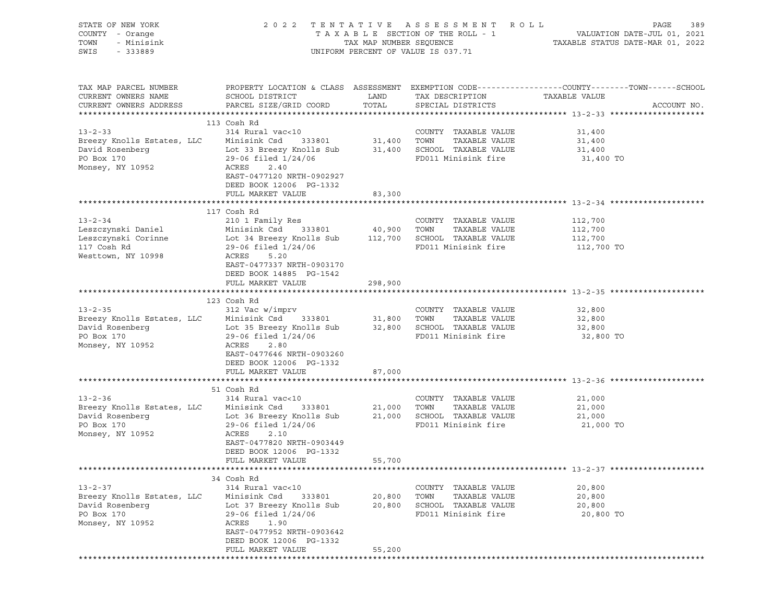| STATE OF NEW YORK<br>COUNTY - Orange<br>TOWN<br>- Minisink<br>SWIS - 333889                                                                                                                         | TENTATIVE ASSESSMENT ROLL<br>2 0 2 2<br>UNIFORM PERCENT OF VALUE IS 037.71                                                                                                                  |                            |                                                                                              | PAGE<br>389                                                                                                     |
|-----------------------------------------------------------------------------------------------------------------------------------------------------------------------------------------------------|---------------------------------------------------------------------------------------------------------------------------------------------------------------------------------------------|----------------------------|----------------------------------------------------------------------------------------------|-----------------------------------------------------------------------------------------------------------------|
| TAX MAP PARCEL NUMBER<br>CURRENT OWNERS NAME<br>CURRENT OWNERS ADDRESS                                                                                                                              |                                                                                                                                                                                             |                            | TAX DESCRIPTION TAXABLE VALUE                                                                | PROPERTY LOCATION & CLASS ASSESSMENT EXEMPTION CODE----------------COUNTY-------TOWN------SCHOOL<br>ACCOUNT NO. |
| $13 - 2 - 33$<br>Breezy Knolls Estates, LLC Minisink Csd 333801 31,400 TOWN TAXABLE VALUE<br>David Rosenberg Lot 33 Breezy Knolls Sub 31,400 SCHOOL TAXABLE VALUE<br>PO Box 170<br>Monsey, NY 10952 | 113 Cosh Rd<br>314 Rural vac<10<br>29-06 filed 1/24/06<br>ACRES<br>2.40<br>EAST-0477120 NRTH-0902927<br>DEED BOOK 12006 PG-1332                                                             |                            | COUNTY TAXABLE VALUE<br>FD011 Minisink fire                                                  | 31,400<br>31,400<br>31,400<br>31,400 TO                                                                         |
|                                                                                                                                                                                                     | FULL MARKET VALUE                                                                                                                                                                           | 83,300                     |                                                                                              |                                                                                                                 |
| $13 - 2 - 34$<br>Leszczynski Daniel<br>Westtown, NY 10998                                                                                                                                           | 117 Cosh Rd<br>210 1 Family Res<br>ACRES<br>5.20                                                                                                                                            |                            | COUNTY TAXABLE VALUE<br>TAXABLE VALUE                                                        | 112,700<br>112,700<br>112,700 TO                                                                                |
|                                                                                                                                                                                                     | EAST-0477337 NRTH-0903170<br>DEED BOOK 14885 PG-1542<br>FULL MARKET VALUE                                                                                                                   | 298,900                    |                                                                                              |                                                                                                                 |
| $13 - 2 - 35$                                                                                                                                                                                       | 123 Cosh Rd<br>312 Vac w/imprv                                                                                                                                                              |                            | COUNTY TAXABLE VALUE                                                                         | 32,800                                                                                                          |
| Breezy Knolls Estates, LLC Minisink Csd 333801 31,800 TOWN<br>David Rosenberg Lot 35 Breezy Knolls Sub 32,800 SCHOOL TAXABLE VALUE<br>PO Box 170<br>Monsey, NY 10952                                | 29-06 filed 1/24/06<br>ACRES<br>2.80<br>EAST-0477646 NRTH-0903260<br>DEED BOOK 12006 PG-1332                                                                                                |                            | TAXABLE VALUE<br>FD011 Minisink fire                                                         | 32,800<br>32,800<br>32,800 TO                                                                                   |
|                                                                                                                                                                                                     | FULL MARKET VALUE                                                                                                                                                                           | 87,000                     |                                                                                              |                                                                                                                 |
|                                                                                                                                                                                                     | 51 Cosh Rd                                                                                                                                                                                  |                            |                                                                                              |                                                                                                                 |
| Monsey, NY 10952                                                                                                                                                                                    | ACRES<br>2.10<br>EAST-0477820 NRTH-0903449<br>DEED BOOK 12006 PG-1332<br>FULL MARKET VALUE                                                                                                  | 55,700                     |                                                                                              | 21,000 TO                                                                                                       |
|                                                                                                                                                                                                     |                                                                                                                                                                                             |                            |                                                                                              |                                                                                                                 |
|                                                                                                                                                                                                     | 34 Cosh Rd                                                                                                                                                                                  |                            |                                                                                              |                                                                                                                 |
| $13 - 2 - 37$<br>Breezy Knolls Estates, LLC<br>David Rosenberg<br>PO Box 170<br>Monsey, NY 10952                                                                                                    | 314 Rural vac<10<br>Minisink Csd<br>333801<br>Lot 37 Breezy Knolls Sub<br>29-06 filed 1/24/06<br>ACRES<br>1.90<br>EAST-0477952 NRTH-0903642<br>DEED BOOK 12006 PG-1332<br>FULL MARKET VALUE | 20,800<br>20,800<br>55,200 | COUNTY TAXABLE VALUE<br>TAXABLE VALUE<br>TOWN<br>SCHOOL TAXABLE VALUE<br>FD011 Minisink fire | 20,800<br>20,800<br>20,800<br>20,800 TO                                                                         |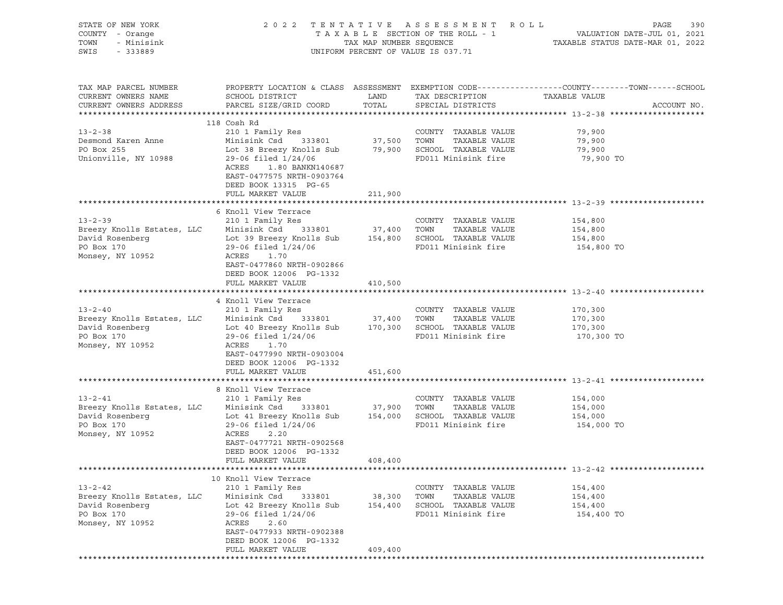| STATE OF NEW YORK<br>COUNTY - Orange<br>TOWN<br>- Minisink<br>SWIS<br>$-333889$                                                                                                          |                                                                                                                                                                                                                                                 |                              | 2022 TENTATIVE ASSESSMENT ROLL<br>UNIFORM PERCENT OF VALUE IS 037.71                         | PAGE<br>390<br>T A X A B L E SECTION OF THE ROLL - 1 VALUATION DATE-JUL 01, 2021<br>TAX MAP NUMBER SEQUENCE TAXABLE STATUS DATE-MAR 01, 2022 |
|------------------------------------------------------------------------------------------------------------------------------------------------------------------------------------------|-------------------------------------------------------------------------------------------------------------------------------------------------------------------------------------------------------------------------------------------------|------------------------------|----------------------------------------------------------------------------------------------|----------------------------------------------------------------------------------------------------------------------------------------------|
| TAX MAP PARCEL NUMBER<br>CURRENT OWNERS NAME<br>CURRENT OWNERS ADDRESS                                                                                                                   | SCHOOL DISTRICT<br>PARCEL SIZE/GRID COORD                                                                                                                                                                                                       | LAND<br>TOTAL                | TAX DESCRIPTION TAXABLE VALUE<br>SPECIAL DISTRICTS                                           | PROPERTY LOCATION & CLASS ASSESSMENT EXEMPTION CODE----------------COUNTY-------TOWN-----SCHOOL<br>ACCOUNT NO.                               |
| $13 - 2 - 38$<br>Desmond Karen Anne<br>PO Box 255<br>Unionville, NY 10988                                                                                                                | 118 Cosh Rd<br>210 1 Family Res<br>Minisink Csd 333801 37,500 TOWN TAXABLE VALUE<br>Lot 38 Breezy Knolls Sub 79,900 SCHOOL TAXABLE VALUE<br>29-06 filed 1/24/06<br>ACRES 1.80 BANKN140687<br>EAST-0477575 NRTH-0903764<br>DEED BOOK 13315 PG-65 |                              | COUNTY TAXABLE VALUE<br>FD011 Minisink fire                                                  | 79,900<br>79,900<br>79,900<br>79,900 TO                                                                                                      |
|                                                                                                                                                                                          | FULL MARKET VALUE                                                                                                                                                                                                                               | 211,900                      |                                                                                              |                                                                                                                                              |
| $13 - 2 - 39$<br>Breezy Knolls Estates, LLC Minisink Csd 333801 37,400 TOWN TAXABLE VALUE<br>David Rosenberg 6 154,800 SCHOOL TAXABLE VALUE<br>PO Box 170<br>Monsey, NY 10952            | 6 Knoll View Terrace<br>210 1 Family Res<br>29-06 filed 1/24/06<br>ACRES<br>1.70<br>EAST-0477860 NRTH-0902866                                                                                                                                   |                              | COUNTY TAXABLE VALUE<br>FD011 Minisink fire                                                  | 154,800<br>154,800<br>154,800<br>154,800 TO                                                                                                  |
|                                                                                                                                                                                          | DEED BOOK 12006 PG-1332<br>FULL MARKET VALUE                                                                                                                                                                                                    | 410,500                      |                                                                                              |                                                                                                                                              |
|                                                                                                                                                                                          |                                                                                                                                                                                                                                                 |                              |                                                                                              |                                                                                                                                              |
| $13 - 2 - 40$<br>Breezy Knolls Estates, LLC Minisink Csd 333801 37,400 TOWN TAXABLE VALUE<br>David Rosenberg 6 170,300 SCHOOL TAXABLE VALUE<br>PO Box 170<br>Monsey, NY 10952            | 4 Knoll View Terrace<br>210 1 Family Res<br>$29-06$ filed $1/24/06$<br>ACRES<br>1.70<br>EAST-0477990 NRTH-0903004<br>DEED BOOK 12006 PG-1332                                                                                                    |                              | COUNTY TAXABLE VALUE<br>FD011 Minisink fire                                                  | 170,300<br>170,300<br>170,300<br>170,300 TO                                                                                                  |
|                                                                                                                                                                                          | FULL MARKET VALUE                                                                                                                                                                                                                               | 451,600                      |                                                                                              |                                                                                                                                              |
| $13 - 2 - 41$<br>Breezy Knolls Estates, LLC Minisink Csd 333801 37,900 TOWN TAXABLE VALUE<br>David Rosenberg 6 10 Example 154,000 SCHOOL TAXABLE VALUE<br>PO Box 170<br>Monsey, NY 10952 | 8 Knoll View Terrace<br>210 1 Family Res<br>29-06 filed 1/24/06<br>ACRES<br>2.20<br>EAST-0477721 NRTH-0902568<br>DEED BOOK 12006 PG-1332<br>FULL MARKET VALUE 408,400                                                                           |                              | COUNTY TAXABLE VALUE<br>FD011 Minisink fire                                                  | 154,000<br>154,000<br>154,000<br>154,000 TO                                                                                                  |
|                                                                                                                                                                                          |                                                                                                                                                                                                                                                 |                              |                                                                                              |                                                                                                                                              |
| $13 - 2 - 42$<br>Breezy Knolls Estates, LLC<br>David Rosenberg<br>PO Box 170<br>Monsey, NY 10952                                                                                         | 10 Knoll View Terrace<br>210 1 Family Res<br>Minisink Csd<br>333801<br>Lot 42 Breezy Knolls Sub<br>29-06 filed 1/24/06<br>ACRES<br>2.60<br>EAST-0477933 NRTH-0902388<br>DEED BOOK 12006 PG-1332<br>FULL MARKET VALUE                            | 38,300<br>154,400<br>409,400 | COUNTY TAXABLE VALUE<br>TOWN<br>TAXABLE VALUE<br>SCHOOL TAXABLE VALUE<br>FD011 Minisink fire | 154,400<br>154,400<br>154,400<br>154,400 TO                                                                                                  |
|                                                                                                                                                                                          |                                                                                                                                                                                                                                                 |                              |                                                                                              |                                                                                                                                              |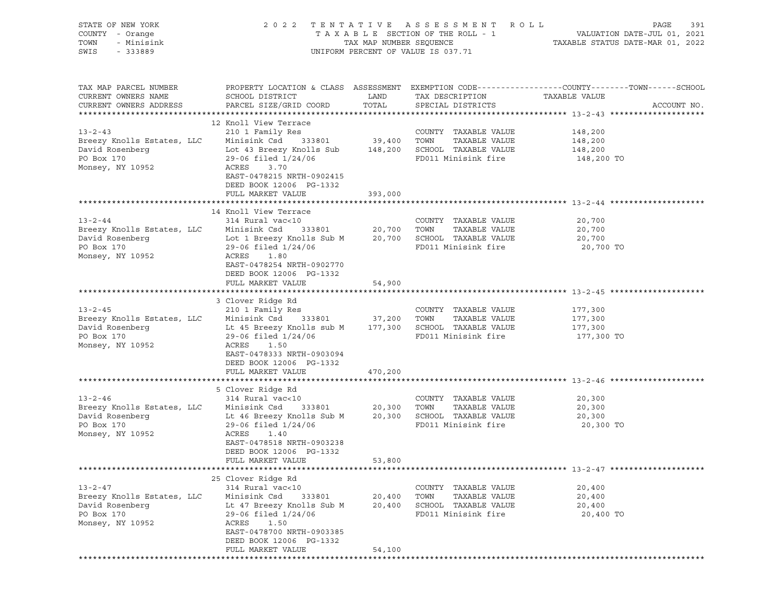| STATE OF NEW YORK<br>COUNTY - Orange<br>TOWN<br>- Minisink<br>SWIS<br>$-333889$                                                                                                                                                                                                   |                                                                                                                                                                                                                    |                            | 2022 TENTATIVE ASSESSMENT ROLL<br>UNIFORM PERCENT OF VALUE IS 037.71                         | PAGE<br>391                                                                                                     |
|-----------------------------------------------------------------------------------------------------------------------------------------------------------------------------------------------------------------------------------------------------------------------------------|--------------------------------------------------------------------------------------------------------------------------------------------------------------------------------------------------------------------|----------------------------|----------------------------------------------------------------------------------------------|-----------------------------------------------------------------------------------------------------------------|
| TAX MAP PARCEL NUMBER<br>CURRENT OWNERS NAME<br>CURRENT OWNERS ADDRESS                                                                                                                                                                                                            | SCHOOL DISTRICT<br>PARCEL SIZE/GRID COORD                                                                                                                                                                          |                            |                                                                                              | PROPERTY LOCATION & CLASS ASSESSMENT EXEMPTION CODE----------------COUNTY-------TOWN------SCHOOL<br>ACCOUNT NO. |
| $13 - 2 - 43$<br>Example of the country and the country and the country and the server of the country of the country of the country of the country of the country of the country of the country of the country of the country of the country of<br>PO Box 170<br>Monsey, NY 10952 | 12 Knoll View Terrace<br>210 1 Family Res<br>29-06 filed 1/24/06<br>ACRES<br>3.70<br>EAST-0478215 NRTH-0902415<br>DEED BOOK 12006 PG-1332                                                                          |                            | COUNTY TAXABLE VALUE<br>FD011 Minisink fire                                                  | 148,200<br>148,200 TO                                                                                           |
|                                                                                                                                                                                                                                                                                   | FULL MARKET VALUE                                                                                                                                                                                                  | 393,000                    |                                                                                              |                                                                                                                 |
| 13-2-44 COUNTY TAXABLE VALUE<br>Breezy Knolls Estates, LLC Minisink Csd 333801 20,700 TOWN TAXABLE VALUE<br>Monsey, NY 10952                                                                                                                                                      | 14 Knoll View Terrace<br>ACRES<br>1.80<br>EAST-0478254 NRTH-0902770                                                                                                                                                |                            | COUNTY TAXABLE VALUE                                                                         | 20,700<br>20,700<br>20,700<br>20,700 TO                                                                         |
|                                                                                                                                                                                                                                                                                   | DEED BOOK 12006 PG-1332<br>FULL MARKET VALUE                                                                                                                                                                       | 54,900                     |                                                                                              |                                                                                                                 |
| $13 - 2 - 45$<br>Breezy Knolls Estates, LLC Minisink Csd 333801 37,200 TOWN<br>David Rosenberg 177,300 Et 45 Breezy Knolls sub M 177,300 SCHOOL TAXABLE VALUE 177,300<br>PO Box 170<br>Monsey, NY 10952                                                                           | 3 Clover Ridge Rd<br>210 1 Family Res<br>29-06 filed 1/24/06<br>ACRES<br>1.50<br>EAST-0478333 NRTH-0903094<br>DEED BOOK 12006 PG-1332                                                                              |                            | COUNTY TAXABLE VALUE<br>TAXABLE VALUE<br>FD011 Minisink fire                                 | 177,300<br>177,300<br>177,300 TO                                                                                |
|                                                                                                                                                                                                                                                                                   | FULL MARKET VALUE                                                                                                                                                                                                  | 470,200                    |                                                                                              |                                                                                                                 |
| 13-2-46               314 Rural vac<10                 COUNTY<br>Breezy Knolls Estates, LLC    Minisink Csd   333801      20,300   TOWN<br>David Rosenberg 1.124/06 ED 20,300 SCHOOL TAXABLE VALUE 20,300 PO BOX 170 20,300 29-06 filed 1/24/06 PO BOX 170<br>Monsey, NY 10952    | 5 Clover Ridge Rd<br>314 Rural vac<10<br>29-06 filed 1/24/06<br>ACRES<br>1.40<br>EAST-0478518 NRTH-0903238<br>DEED BOOK 12006 PG-1332<br>FULL MARKET VALUE                                                         | 53,800                     | COUNTY TAXABLE VALUE<br>TAXABLE VALUE<br>FD011 Minisink fire                                 | 20,300<br>20,300<br>20,300 TO                                                                                   |
|                                                                                                                                                                                                                                                                                   |                                                                                                                                                                                                                    |                            |                                                                                              |                                                                                                                 |
| $13 - 2 - 47$<br>Breezy Knolls Estates, LLC<br>David Rosenberg<br>PO Box 170<br>Monsey, NY 10952                                                                                                                                                                                  | 25 Clover Ridge Rd<br>314 Rural vac<10<br>Minisink Csd<br>333801<br>Lt 47 Breezy Knolls Sub M<br>29-06 filed 1/24/06<br>ACRES<br>1.50<br>EAST-0478700 NRTH-0903385<br>DEED BOOK 12006 PG-1332<br>FULL MARKET VALUE | 20,400<br>20,400<br>54,100 | COUNTY TAXABLE VALUE<br>TAXABLE VALUE<br>TOWN<br>SCHOOL TAXABLE VALUE<br>FD011 Minisink fire | 20,400<br>20,400<br>20,400<br>20,400 TO                                                                         |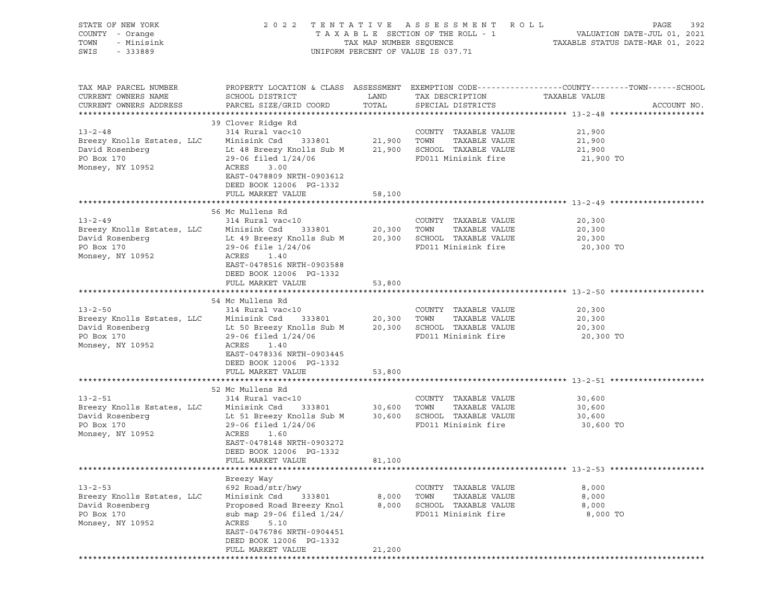| STATE OF NEW YORK<br>COUNTY - Orange<br>TOWN<br>- Minisink<br>SWIS<br>$-333889$                                                                                                           |                                                                                                                                                                                                                            |                          | 2022 TENTATIVE ASSESSMENT ROLL<br>UNIFORM PERCENT OF VALUE IS 037.71                         | PAGE<br>392                                                                                                    |
|-------------------------------------------------------------------------------------------------------------------------------------------------------------------------------------------|----------------------------------------------------------------------------------------------------------------------------------------------------------------------------------------------------------------------------|--------------------------|----------------------------------------------------------------------------------------------|----------------------------------------------------------------------------------------------------------------|
| TAX MAP PARCEL NUMBER<br>CURRENT OWNERS NAME<br>CURRENT OWNERS ADDRESS                                                                                                                    | SCHOOL DISTRICT<br>PARCEL SIZE/GRID COORD                                                                                                                                                                                  | LAND<br>TOTAL            | TAX DESCRIPTION TAXABLE VALUE<br>SPECIAL DISTRICTS                                           | PROPERTY LOCATION & CLASS ASSESSMENT EXEMPTION CODE----------------COUNTY-------TOWN-----SCHOOL<br>ACCOUNT NO. |
| $13 - 2 - 48$<br>Breezy Knolls Estates, LLC<br>David Rosenberg<br>PO Box 170<br>Monsey, NY 10952                                                                                          | 39 Clover Ridge Rd<br>314 Rural vac<10<br>Minisink Csd 333801<br>Lt 48 Breezy Knolls Sub M 21,900 SCHOOL TAXABLE VALUE<br>$29-06$ filed $1/24/06$<br>ACRES<br>3.00<br>EAST-0478809 NRTH-0903612<br>DEED BOOK 12006 PG-1332 | 21,900 TOWN              | COUNTY TAXABLE VALUE<br>TAXABLE VALUE<br>FD011 Minisink fire                                 | 21,900<br>21,900<br>21,900<br>21,900 TO                                                                        |
|                                                                                                                                                                                           | FULL MARKET VALUE                                                                                                                                                                                                          | 58,100                   |                                                                                              |                                                                                                                |
| $13 - 2 - 49$<br>13-2-49 COUNTY<br>Breezy Knolls Estates, LLC Minisink Csd 333801 20,300 TOWN<br>David Rosenberg<br>PO Box 170<br>Monsey, NY 10952                                        | 56 Mc Mullens Rd<br>314 Rural vac<10<br>Lt 49 Breezy Knolls Sub M 20,300 SCHOOL TAXABLE VALUE<br>$29-06$ file $1/24/06$<br>ACRES<br>1.40<br>EAST-0478516 NRTH-0903588                                                      |                          | COUNTY TAXABLE VALUE<br>TAXABLE VALUE<br>FD011 Minisink fire                                 | 20,300<br>20,300<br>20,300<br>20,300 TO                                                                        |
|                                                                                                                                                                                           | DEED BOOK 12006 PG-1332<br>FULL MARKET VALUE                                                                                                                                                                               | 53,800                   |                                                                                              |                                                                                                                |
| $13 - 2 - 50$<br>Breezy Knolls Estates, LLC Minisink Csd<br>David Rosenberg The Sub Breezy Knolls Sub M 20,300 SCHOOL TAXABLE VALUE<br>PO Box 170<br>Monsey, NY 10952                     | 54 Mc Mullens Rd<br>314 Rural vac<10<br>333801 20,300 TOWN<br>$29-06$ filed $1/24/06$<br>ACRES<br>1.40<br>EAST-0478336 NRTH-0903445<br>DEED BOOK 12006 PG-1332                                                             |                          | COUNTY TAXABLE VALUE<br>TAXABLE VALUE<br>FD011 Minisink fire                                 | 20,300<br>20,300<br>20,300<br>20,300 TO                                                                        |
|                                                                                                                                                                                           | FULL MARKET VALUE                                                                                                                                                                                                          | 53,800                   |                                                                                              |                                                                                                                |
|                                                                                                                                                                                           |                                                                                                                                                                                                                            |                          |                                                                                              |                                                                                                                |
| $13 - 2 - 51$<br>Breezy Knolls Estates, LLC Minisink Csd 333801 30,600 TOWN<br>David Rosenberg 1. Lt 51 Breezy Knolls Sub M 30,600 SCHOOL TAXABLE VALUE<br>PO Box 170<br>Monsey, NY 10952 | 52 Mc Mullens Rd<br>314 Rural vac<10<br>$29-06$ filed $1/24/06$<br>ACRES<br>1.60<br>EAST-0478148 NRTH-0903272<br>DEED BOOK 12006 PG-1332<br>FULL MARKET VALUE                                                              | 81,100                   | COUNTY TAXABLE VALUE<br>TAXABLE VALUE<br>FD011 Minisink fire                                 | 30,600<br>30,600<br>30,600<br>30,600 TO                                                                        |
|                                                                                                                                                                                           |                                                                                                                                                                                                                            |                          |                                                                                              |                                                                                                                |
| $13 - 2 - 53$<br>Breezy Knolls Estates, LLC<br>David Rosenberg<br>PO Box 170<br>Monsey, NY 10952                                                                                          | Breezy Way<br>692 Road/str/hwy<br>Minisink Csd<br>333801<br>Proposed Road Breezy Knol<br>sub map 29-06 filed $1/24/$<br>ACRES<br>5.10<br>EAST-0476786 NRTH-0904451<br>DEED BOOK 12006 PG-1332<br>FULL MARKET VALUE         | 8,000<br>8,000<br>21,200 | COUNTY TAXABLE VALUE<br>TOWN<br>TAXABLE VALUE<br>SCHOOL TAXABLE VALUE<br>FD011 Minisink fire | 8,000<br>8,000<br>8,000<br>8,000 TO                                                                            |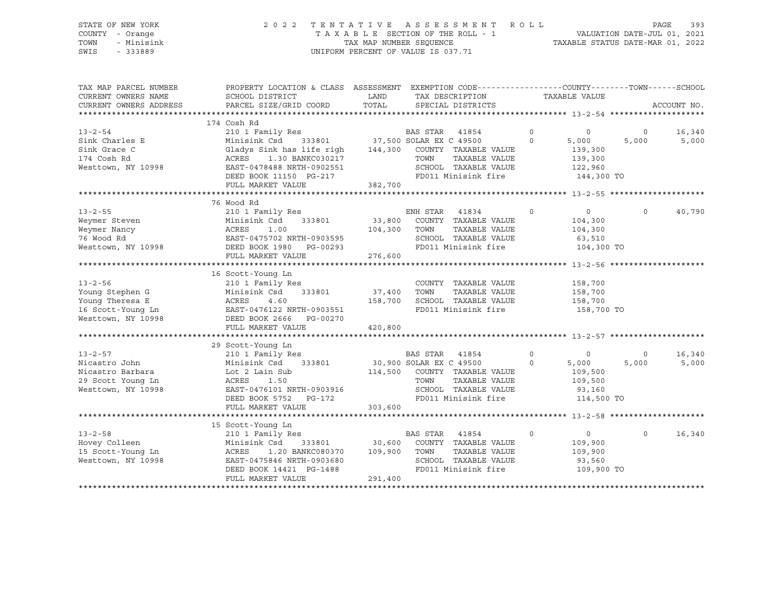### STATE OF NEW YORK 2 0 2 2 T E N T A T I V E A S S E S S M E N T R O L L PAGE 393 COUNTY - Orange T A X A B L E SECTION OF THE ROLL - 1 VALUATION DATE-JUL 01, 2021 TOWN - Minisink TAX MAP NUMBER SEQUENCE TAXABLE STATUS DATE-MAR 01, 2022 SWIS - 333889 CONSERVATION CONTROL OF VALUE IS 037.71

| TAX MAP PARCEL NUMBER<br>CURRENT OWNERS NAME<br>CURRENT OWNERS ADDRESS | PROPERTY LOCATION & CLASS ASSESSMENT EXEMPTION CODE----------------COUNTY-------TOWN------SCHOOL<br>SCHOOL DISTRICT<br>PARCEL SIZE/GRID COORD | LAND<br>TOTAL | TAX DESCRIPTION<br>SPECIAL DISTRICTS                                                      |         | TAXABLE VALUE  |                | ACCOUNT NO. |
|------------------------------------------------------------------------|-----------------------------------------------------------------------------------------------------------------------------------------------|---------------|-------------------------------------------------------------------------------------------|---------|----------------|----------------|-------------|
|                                                                        |                                                                                                                                               |               |                                                                                           |         |                |                |             |
|                                                                        | 174 Cosh Rd                                                                                                                                   |               |                                                                                           |         |                |                |             |
| $13 - 2 - 54$                                                          | 210 1 Family Res                                                                                                                              |               | Res BAS STAR 41854<br>333801 37,500 SOLAR EX C 49500                                      | $\circ$ | $\overline{0}$ | $\overline{0}$ | 16,340      |
| Sink Charles E                                                         | Minisink Csd<br>Gladys Sink has life righ 144,300 COUNTY TAXABLE VALUE                                                                        |               |                                                                                           | $\circ$ | 5,000          | 5,000          | 5,000       |
| Sink Grace C                                                           |                                                                                                                                               |               |                                                                                           |         | 139,300        |                |             |
| 174 Cosh Rd                                                            | ACRES 1.30 BANKC030217<br>EAST-0478488 NRTH-0902551                                                                                           |               | TOWN<br>TAXABLE VALUE                                                                     |         | 139,300        |                |             |
| Westtown, NY 10998                                                     |                                                                                                                                               |               | SCHOOL TAXABLE VALUE                                                                      |         | 122,960        |                |             |
|                                                                        | DEED BOOK 11150 PG-217                                                                                                                        |               | FD011 Minisink fire 144,300 TO                                                            |         |                |                |             |
|                                                                        | FULL MARKET VALUE                                                                                                                             | 382,700       |                                                                                           |         |                |                |             |
|                                                                        |                                                                                                                                               |               |                                                                                           |         |                |                |             |
|                                                                        | 76 Wood Rd                                                                                                                                    |               |                                                                                           |         |                |                |             |
| $13 - 2 - 55$                                                          | 210 1 Family Res                                                                                                                              |               | ENH STAR 41834                                                                            | $\circ$ | $\circ$        | $\circ$        | 40,790      |
| Weymer Steven                                                          | Minisink Csd                                                                                                                                  | 333801 33,800 | COUNTY TAXABLE VALUE                                                                      |         | 104,300        |                |             |
| Weymer Nancy<br>Weymer Nancy<br>76 Wood Rd<br>Westtown, NY 10998       | ACRES<br>1.00                                                                                                                                 | 104,300       | TAXABLE VALUE<br>TOWN                                                                     |         | 104,300        |                |             |
|                                                                        | EAST-0475702 NRTH-0903595                                                                                                                     |               | SCHOOL TAXABLE VALUE                                                                      |         | 63,510         |                |             |
|                                                                        | PG-00293<br>DEED BOOK 1980                                                                                                                    |               | FD011 Minisink fire                                                                       |         | 104,300 TO     |                |             |
|                                                                        | FULL MARKET VALUE                                                                                                                             | 276,600       |                                                                                           |         |                |                |             |
|                                                                        |                                                                                                                                               |               |                                                                                           |         |                |                |             |
|                                                                        | 16 Scott-Young Ln                                                                                                                             |               |                                                                                           |         |                |                |             |
| $13 - 2 - 56$                                                          | 210 1 Family Res                                                                                                                              |               | COUNTY TAXABLE VALUE                                                                      |         | 158,700        |                |             |
| Young Stephen G                                                        | Minisink Csd                                                                                                                                  | 333801 37,400 | TOWN<br>TAXABLE VALUE                                                                     |         | 158,700        |                |             |
|                                                                        |                                                                                                                                               | 158,700       | SCHOOL TAXABLE VALUE                                                                      |         | 158,700        |                |             |
|                                                                        |                                                                                                                                               |               | FD011 Minisink fire                                                                       |         | 158,700 TO     |                |             |
|                                                                        |                                                                                                                                               |               |                                                                                           |         |                |                |             |
|                                                                        | FULL MARKET VALUE                                                                                                                             | 420,800       |                                                                                           |         |                |                |             |
|                                                                        |                                                                                                                                               |               |                                                                                           |         |                |                |             |
|                                                                        | 29 Scott-Young Ln                                                                                                                             |               |                                                                                           |         |                |                |             |
| $13 - 2 - 57$                                                          | 210 1 Family Res                                                                                                                              |               | BAS STAR 41854                                                                            | $\circ$ | $\circ$        | $\overline{0}$ | 16,340      |
| Nicastro John                                                          | Minisink Csd 333801                                                                                                                           |               | 30,900 SOLAR EX C 49500<br>$\overline{0}$                                                 |         | 5,000          | 5,000          | 5,000       |
| Nicastro Barbara                                                       | Lot 2 Lain Sub                                                                                                                                |               | 114,500 COUNTY TAXABLE VALUE                                                              |         | 109,500        |                |             |
| 29 Scott Young Ln                                                      | ACRES<br>1.50                                                                                                                                 |               | TAXABLE VALUE<br>TOWN                                                                     |         | 109,500        |                |             |
| Westtown, NY 10998                                                     | EAST-0476101 NRTH-0903916                                                                                                                     |               | SCHOOL TAXABLE VALUE                                                                      |         | 93,160         |                |             |
|                                                                        | DEED BOOK 5752 PG-172                                                                                                                         |               | FD011 Minisink fire                                                                       |         | 114,500 TO     |                |             |
|                                                                        | FULL MARKET VALUE                                                                                                                             | 303,600       |                                                                                           |         |                |                |             |
|                                                                        |                                                                                                                                               |               |                                                                                           |         |                |                |             |
|                                                                        | 15 Scott-Young Ln                                                                                                                             |               |                                                                                           |         |                |                |             |
| $13 - 2 - 58$                                                          | 210 1 Family Res                                                                                                                              |               | BAS STAR<br>41854                                                                         | $\circ$ | $\overline{0}$ | $\circ$        | 16,340      |
| Hovey Colleen                                                          | Minisink Csd                                                                                                                                  |               | ink Csd 333801 30,600 COUNTY TAXABLE VALUE<br>1.20 BANKC080370 109,900 TOWN TAXABLE VALUE |         | 109,900        |                |             |
| 15 Scott-Young Ln                                                      | ACRES                                                                                                                                         |               |                                                                                           |         | 109,900        |                |             |
| Westtown, NY 10998                                                     | EAST-0475846 NRTH-0903680                                                                                                                     |               | SCHOOL TAXABLE VALUE                                                                      |         | 93,560         |                |             |
|                                                                        | DEED BOOK 14421 PG-1488                                                                                                                       |               | FD011 Minisink fire                                                                       |         | 109,900 TO     |                |             |
|                                                                        | FULL MARKET VALUE                                                                                                                             | 291,400       |                                                                                           |         |                |                |             |
|                                                                        |                                                                                                                                               |               |                                                                                           |         |                |                |             |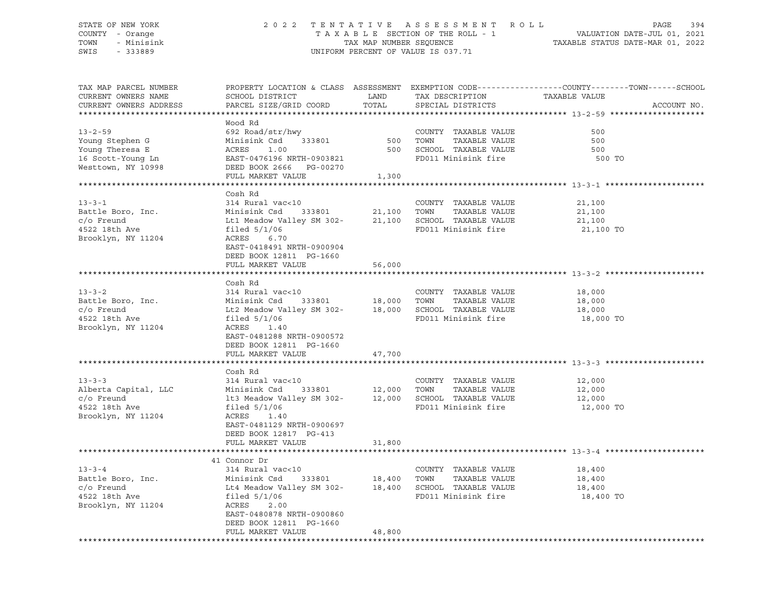### STATE OF NEW YORK 2 0 2 2 T E N T A T I V E A S S E S S M E N T R O L L PAGE 394 COUNTY - Orange T A X A B L E SECTION OF THE ROLL - 1 VALUATION DATE-JUL 01, 2021 TOWN - Minisink TAX MAP NUMBER SEQUENCE TAXABLE STATUS DATE-MAR 01, 2022 SWIS - 333889 CONSERVATION CONTROL OF VALUE IS 037.71

| TAX MAP PARCEL NUMBER  |                                                                                                                                                          |          |                          | PROPERTY LOCATION & CLASS ASSESSMENT EXEMPTION CODE---------------COUNTY-------TOWN------SCHOOL |
|------------------------|----------------------------------------------------------------------------------------------------------------------------------------------------------|----------|--------------------------|-------------------------------------------------------------------------------------------------|
| CURRENT OWNERS NAME    | SCHOOL DISTRICT                                                                                                                                          | LAND     | TAX DESCRIPTION          | TAXABLE VALUE                                                                                   |
| CURRENT OWNERS ADDRESS | PARCEL SIZE/GRID COORD                                                                                                                                   | TOTAL    | SPECIAL DISTRICTS        | ACCOUNT NO.                                                                                     |
|                        |                                                                                                                                                          |          |                          |                                                                                                 |
|                        | Wood Rd                                                                                                                                                  |          |                          |                                                                                                 |
| $13 - 2 - 59$          | 692 Road/str/hwy<br>Minisink Csd 333801                                                                                                                  | 500 TOWN | COUNTY TAXABLE VALUE     | 500                                                                                             |
| Young Stephen G        |                                                                                                                                                          |          | TAXABLE VALUE            | 500                                                                                             |
| Young Theresa E        |                                                                                                                                                          |          | 500 SCHOOL TAXABLE VALUE | 500                                                                                             |
| 16 Scott-Young Ln      |                                                                                                                                                          |          | FD011 Minisink fire      | 500 TO                                                                                          |
| Westtown, NY 10998     |                                                                                                                                                          |          |                          |                                                                                                 |
|                        |                                                                                                                                                          | 1,300    |                          |                                                                                                 |
|                        | Minisink CSQ<br>ACRES 1.00<br>EAST-0476196 NRTH-0903821<br>DEED BOOK 2666 PG-00270<br>FULL MARKET VALUE                                                  |          |                          |                                                                                                 |
| $13 - 3 - 1$           | Cosh Rd<br>314 Rural vac<10                                                                                                                              |          |                          |                                                                                                 |
|                        |                                                                                                                                                          |          | COUNTY TAXABLE VALUE     | 21,100                                                                                          |
| Battle Boro, Inc.      |                                                                                                                                                          |          |                          | 21,100                                                                                          |
| c/o Freund             | Minisink Csd 333801 21,100 TOWN TAXABLE VALUE<br>Lt1 Meadow Valley SM 302- 21,100 SCHOOL TAXABLE VALUE<br>filed 5/1/06 FD011 Minisink fire               |          |                          | 21,100                                                                                          |
| 4522 18th Ave          | 6.70                                                                                                                                                     |          | FD011 Minisink fire      | 21,100 TO                                                                                       |
| Brooklyn, NY 11204     | ACRES<br>EAST-0418491 NRTH-0900904                                                                                                                       |          |                          |                                                                                                 |
|                        |                                                                                                                                                          |          |                          |                                                                                                 |
|                        | DEED BOOK 12811 PG-1660<br>FULL MARKET VALUE                                                                                                             | 56,000   |                          |                                                                                                 |
|                        |                                                                                                                                                          |          |                          |                                                                                                 |
|                        | Cosh Rd                                                                                                                                                  |          |                          |                                                                                                 |
| $13 - 3 - 2$           | 314 Rural vac<10                                                                                                                                         |          | COUNTY TAXABLE VALUE     | 18,000                                                                                          |
| Battle Boro, Inc.      |                                                                                                                                                          |          | TAXABLE VALUE            | 18,000                                                                                          |
| $c/O$ Freund           |                                                                                                                                                          |          |                          | 18,000                                                                                          |
| 4522 18th Ave          | Minisink Csd 333801 18,000 TOWN TAXABLE VALUE<br>Lt2 Meadow Valley SM 302- 18,000 SCHOOL TAXABLE VALUE<br>filed 5/1/06 FD011 Minisink fire               |          | FD011 Minisink fire      | 18,000 TO                                                                                       |
| Brooklyn, NY 11204     | ACRES 1.40                                                                                                                                               |          |                          |                                                                                                 |
|                        | EAST-0481288 NRTH-0900572                                                                                                                                |          |                          |                                                                                                 |
|                        | DEED BOOK 12811 PG-1660                                                                                                                                  |          |                          |                                                                                                 |
|                        | FULL MARKET VALUE                                                                                                                                        | 47,700   |                          |                                                                                                 |
|                        |                                                                                                                                                          |          |                          |                                                                                                 |
|                        | Cosh Rd                                                                                                                                                  |          |                          |                                                                                                 |
| $13 - 3 - 3$           | 314 Rural vac<10                                                                                                                                         |          | COUNTY TAXABLE VALUE     | 12,000                                                                                          |
| Alberta Capital, LLC   | Minisink Csd 333801 12,000 TOWN TAXABLE VALUE                                                                                                            |          |                          | 12,000                                                                                          |
| $c$ o Freund           | 1t3 Meadow Valley SM 302- 12,000 SCHOOL TAXABLE VALUE                                                                                                    |          |                          | 12,000                                                                                          |
| 4522 18th Ave          | filed $5/1/06$                                                                                                                                           |          | FD011 Minisink fire      | 12,000 TO                                                                                       |
| Brooklyn, NY 11204     | ACRES 1.40                                                                                                                                               |          |                          |                                                                                                 |
|                        | EAST-0481129 NRTH-0900697                                                                                                                                |          |                          |                                                                                                 |
|                        | DEED BOOK 12817 PG-413                                                                                                                                   |          |                          |                                                                                                 |
|                        | FULL MARKET VALUE                                                                                                                                        | 31,800   |                          |                                                                                                 |
|                        |                                                                                                                                                          |          |                          |                                                                                                 |
|                        | 41 Connor Dr                                                                                                                                             |          |                          |                                                                                                 |
| $13 - 3 - 4$           | 314 Rural vac<10                                                                                                                                         |          | COUNTY TAXABLE VALUE     | 18,400                                                                                          |
| Battle Boro, Inc.      |                                                                                                                                                          |          |                          | 18,400                                                                                          |
| c/o Freund             |                                                                                                                                                          |          |                          | 18,400                                                                                          |
| 4522 18th Ave          | Minisink Csd 333801 18,400 TOWN TAXABLE VALUE<br>Lt4 Meadow Valley SM 302- 18,400 SCHOOL TAXABLE VALUE<br>filed 5/1/06 FD011 Minisink fire<br>ACRES 2.00 |          | FD011 Minisink fire      | 18,400 TO                                                                                       |
| Brooklyn, NY 11204     |                                                                                                                                                          |          |                          |                                                                                                 |
|                        | EAST-0480878 NRTH-0900860                                                                                                                                |          |                          |                                                                                                 |
|                        | DEED BOOK 12811 PG-1660                                                                                                                                  |          |                          |                                                                                                 |
|                        | FULL MARKET VALUE                                                                                                                                        | 48,800   |                          |                                                                                                 |
|                        |                                                                                                                                                          |          |                          |                                                                                                 |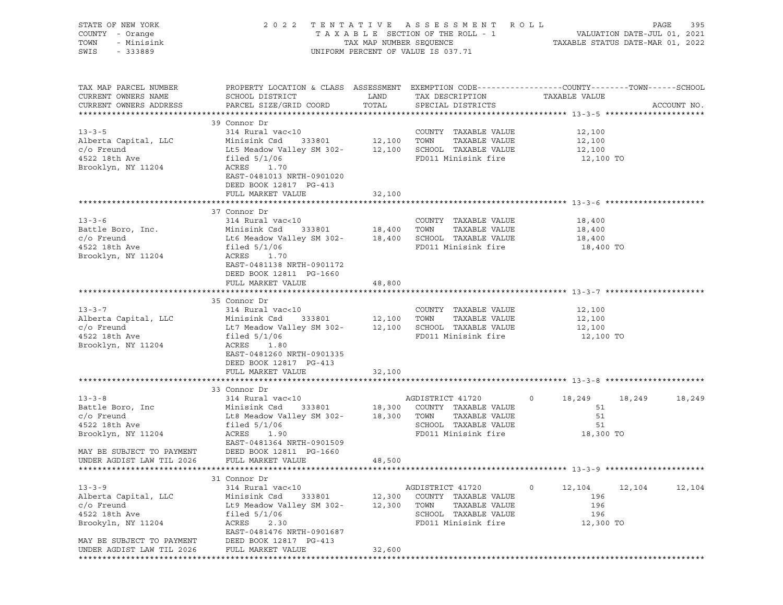| STATE OF NEW YORK<br>COUNTY - Orange<br>TOWN<br>- Minisink<br>SWIS<br>$-333889$                                                    |                                                                                                                                                                                                                                 |                  | 2022 TENTATIVE ASSESSMENT ROLL<br>UNIFORM PERCENT OF VALUE IS 037.71                                             | T A X A B L E SECTION OF THE ROLL - 1 VALUATION DATE-JUL 01, 2021<br>TAX MAP NUMBER SEQUENCE TAXABLE STATUS DATE-MAR 01, 2022 | PAGE<br>395 |
|------------------------------------------------------------------------------------------------------------------------------------|---------------------------------------------------------------------------------------------------------------------------------------------------------------------------------------------------------------------------------|------------------|------------------------------------------------------------------------------------------------------------------|-------------------------------------------------------------------------------------------------------------------------------|-------------|
| TAX MAP PARCEL NUMBER<br>CURRENT OWNERS NAME<br>CURRENT OWNERS ADDRESS                                                             | PROPERTY LOCATION & CLASS ASSESSMENT EXEMPTION CODE----------------COUNTY-------TOWN------SCHOOL<br>SCHOOL DISTRICT<br>PARCEL SIZE/GRID COORD                                                                                   | LAND<br>TOTAL    | TAX DESCRIPTION<br>SPECIAL DISTRICTS                                                                             | TAXABLE VALUE                                                                                                                 | ACCOUNT NO. |
| $13 - 3 - 5$<br>Alberta Capital, LLC<br>$c$ / $\circ$ Freund<br>4522 18th Ave<br>Brooklyn, NY 11204                                | 39 Connor Dr<br>314 Rural vac<10<br>Minisink Csd 333801 12,100 TOWN TAXABLE VALUE<br>Lt5 Meadow Valley SM 302- 12,100 SCHOOL TAXABLE VALUE<br>filed 5/1/06<br>ACRES 1.70<br>EAST-0481013 NRTH-0901020<br>DEED BOOK 12817 PG-413 |                  | COUNTY TAXABLE VALUE<br>FD011 Minisink fire                                                                      | 12,100<br>12,100<br>12,100<br>12,100 TO                                                                                       |             |
|                                                                                                                                    | FULL MARKET VALUE                                                                                                                                                                                                               | 32,100           |                                                                                                                  |                                                                                                                               |             |
| $13 - 3 - 6$<br>Battle Boro, Inc.<br>$c/O$ Freund<br>4522 18th Ave<br>Brooklyn, NY 11204                                           | 37 Connor Dr<br>314 Rural vac<10<br>Lt6 Meadow Valley SM 302-<br>$18,400$ SCHOOL TAXABLE VALUE<br>filed $5/1/06$<br>ACRES<br>1.70<br>EAST-0481138 NRTH-0901172                                                                  |                  | COUNTY TAXABLE VALUE<br>TAXABLE VALUE<br>FD011 Minisink fire                                                     | 18,400<br>18,400<br>18,400<br>18,400 TO                                                                                       |             |
|                                                                                                                                    | DEED BOOK 12811 PG-1660<br>FULL MARKET VALUE                                                                                                                                                                                    | 48,800           |                                                                                                                  |                                                                                                                               |             |
|                                                                                                                                    |                                                                                                                                                                                                                                 |                  |                                                                                                                  |                                                                                                                               |             |
| $13 - 3 - 7$<br>Alberta Capital, LLC<br>$c/O$ Freund<br>4522 18th Ave<br>Brooklyn, NY 11204                                        | 35 Connor Dr<br>314 Rural vac<10<br>Minisink Csd 333801 12,100 TOWN<br>Lt7 Meadow Valley SM 302- 12,100 SCHOOL TAXABLE VALUE<br>filed $5/1/06$<br>ACRES 1.80<br>EAST-0481260 NRTH-0901335<br>DEED BOOK 12817 PG-413             |                  | COUNTY TAXABLE VALUE<br>TAXABLE VALUE<br>FD011 Minisink fire                                                     | 12,100<br>12,100<br>12,100<br>12,100 TO                                                                                       |             |
|                                                                                                                                    | FULL MARKET VALUE                                                                                                                                                                                                               | 32,100           |                                                                                                                  |                                                                                                                               |             |
|                                                                                                                                    | 33 Connor Dr                                                                                                                                                                                                                    |                  |                                                                                                                  |                                                                                                                               |             |
| $13 - 3 - 8$<br>Battle Boro, Inc<br>c/o Freund<br>$c$ o Freund<br>4522 18th Ave<br>Brooklyn, NY 11204<br>MAY BE SUBJECT TO PAYMENT | Lt8 Meadow Valley SM 302-<br>18,300 TOWN TAXABLE VALUE<br>filed $5/1/06$<br>ACRES<br>1.90<br>EAST-0481364 NRTH-0901509<br>DEED BOOK 12811 PG-1660                                                                               |                  | SCHOOL TAXABLE VALUE<br>FD011 Minisink fire                                                                      | $\circ$<br>18,249 18,249<br>51<br>51<br>51<br>18,300 TO                                                                       | 18,249      |
| UNDER AGDIST LAW TIL 2026                                                                                                          | FULL MARKET VALUE                                                                                                                                                                                                               | 48,500           |                                                                                                                  |                                                                                                                               |             |
|                                                                                                                                    | 31 Connor Dr                                                                                                                                                                                                                    |                  |                                                                                                                  |                                                                                                                               |             |
| $13 - 3 - 9$<br>Alberta Capital, LLC<br>$c/O$ Freund<br>4522 18th Ave<br>Brookyln, NY 11204                                        | 314 Rural vac<10<br>Minisink Csd<br>333801<br>Lt9 Meadow Valley SM 302-<br>filed $5/1/06$<br>ACRES<br>2.30<br>EAST-0481476 NRTH-0901687                                                                                         | 12,300<br>12,300 | AGDISTRICT 41720<br>COUNTY TAXABLE VALUE<br>TOWN<br>TAXABLE VALUE<br>SCHOOL TAXABLE VALUE<br>FD011 Minisink fire | 0<br>12,104<br>12,104<br>196<br>196<br>196<br>12,300 TO                                                                       | 12,104      |
| MAY BE SUBJECT TO PAYMENT<br>UNDER AGDIST LAW TIL 2026                                                                             | DEED BOOK 12817 PG-413<br>FULL MARKET VALUE                                                                                                                                                                                     | 32,600           |                                                                                                                  |                                                                                                                               |             |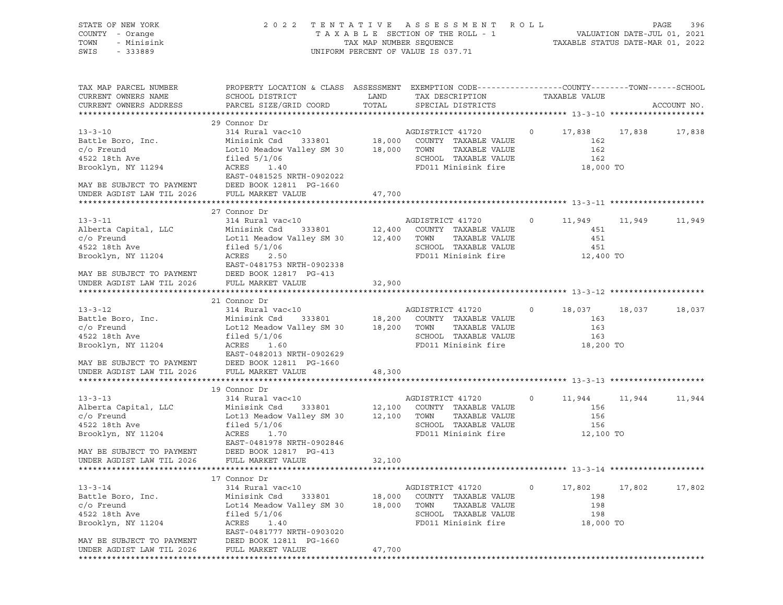| STATE OF NEW YORK<br>COUNTY - Orange<br>TOWN<br>- Minisink<br>SWIS<br>$-333889$ | 2022 TENTATIVE ASSESSMENT ROLL<br>T A X A B L E SECTION OF THE ROLL - 1 VALUATION DATE-JUL 01, 2021<br>TAX MAP NUMBER SEQUENCE TAXABLE STATUS DATE-MAR 01, 2022<br>UNIFORM PERCENT OF VALUE IS 037.71 |             |                                                                              | PAGE<br>396                     |        |             |  |
|---------------------------------------------------------------------------------|-------------------------------------------------------------------------------------------------------------------------------------------------------------------------------------------------------|-------------|------------------------------------------------------------------------------|---------------------------------|--------|-------------|--|
| TAX MAP PARCEL NUMBER<br>CURRENT OWNERS NAME                                    | PROPERTY LOCATION & CLASS ASSESSMENT EXEMPTION CODE----------------COUNTY-------TOWN------SCHOOL<br>SCHOOL DISTRICT                                                                                   | LAND        | TAX DESCRIPTION                                                              | TAXABLE VALUE                   |        |             |  |
| CURRENT OWNERS ADDRESS                                                          | PARCEL SIZE/GRID COORD                                                                                                                                                                                | TOTAL       | SPECIAL DISTRICTS                                                            |                                 |        | ACCOUNT NO. |  |
|                                                                                 | 29 Connor Dr                                                                                                                                                                                          |             |                                                                              |                                 |        |             |  |
| $13 - 3 - 10$                                                                   | 314 Rural vac<10                                                                                                                                                                                      |             | AGDISTRICT 41720                                                             | $\circ$<br>17,838 17,838 17,838 |        |             |  |
| Battle Boro, Inc.                                                               | Minisink Csd 333801 18,000 COUNTY TAXABLE VALUE<br>Lot10 Meadow Valley SM 30 18,000 TOWN TAXABLE VALUE                                                                                                |             |                                                                              | 162                             |        |             |  |
| $c/O$ Freund                                                                    |                                                                                                                                                                                                       |             | TAXABLE VALUE                                                                | 162                             |        |             |  |
| 4522 18th Ave                                                                   | filed 5/1/06                                                                                                                                                                                          |             | SCHOOL TAXABLE VALUE                                                         | 162                             |        |             |  |
| Brooklyn, NY 11294                                                              | ACRES 1.40<br>EAST-0481525 NRTH-0902022                                                                                                                                                               |             | FD011 Minisink fire                                                          | 18,000 TO                       |        |             |  |
| MAY BE SUBJECT TO PAYMENT DEED BOOK 12811 PG-1660                               |                                                                                                                                                                                                       |             |                                                                              |                                 |        |             |  |
| UNDER AGDIST LAW TIL 2026 FULL MARKET VALUE                                     |                                                                                                                                                                                                       | 47,700      |                                                                              |                                 |        |             |  |
|                                                                                 |                                                                                                                                                                                                       |             |                                                                              |                                 |        |             |  |
|                                                                                 | 27 Connor Dr                                                                                                                                                                                          |             |                                                                              |                                 |        |             |  |
| $13 - 3 - 11$                                                                   | 314 Rural vac<10                                                                                                                                                                                      |             |                                                                              | $\circ$<br>11,949 11,949        |        | 11,949      |  |
| Alberta Capital, LLC                                                            | Minisink Csd                                                                                                                                                                                          |             |                                                                              | 451                             |        |             |  |
| $c/O$ Freund<br>4522 18th Ave                                                   | Lot11 Meadow Valley SM 30 12,400 TOWN                                                                                                                                                                 |             | TAXABLE VALUE                                                                | 451                             |        |             |  |
|                                                                                 | filed $5/1/06$                                                                                                                                                                                        |             | SCHOOL TAXABLE VALUE                                                         | 451                             |        |             |  |
| Brooklyn, NY 11204                                                              | ACRES<br>2.50<br>EAST-0481753 NRTH-0902338                                                                                                                                                            |             | FD011 Minisink fire                                                          | 12,400 TO                       |        |             |  |
| MAY BE SUBJECT TO PAYMENT DEED BOOK 12817 PG-413                                |                                                                                                                                                                                                       |             |                                                                              |                                 |        |             |  |
| UNDER AGDIST LAW TIL 2026                                                       | FULL MARKET VALUE                                                                                                                                                                                     | 32,900      |                                                                              |                                 |        |             |  |
|                                                                                 |                                                                                                                                                                                                       |             |                                                                              |                                 |        |             |  |
|                                                                                 | 21 Connor Dr                                                                                                                                                                                          |             |                                                                              |                                 |        |             |  |
| $13 - 3 - 12$                                                                   | 314 Rural vac<10                                                                                                                                                                                      |             | AGDISTRICT 41720                                                             | $\circ$<br>18,037 18,037        |        | 18,037      |  |
| Battle Boro, Inc.                                                               |                                                                                                                                                                                                       |             |                                                                              | 163                             |        |             |  |
| $c/O$ Freund                                                                    | Minisink Csd 333801 18,200 COUNTY TAXABLE VALUE<br>Lot12 Meadow Valley SM 30 18,200 TOWN TAXABLE VALUE                                                                                                |             | TAXABLE VALUE                                                                | 163                             |        |             |  |
| 4522 18th Ave                                                                   | filed $5/1/06$                                                                                                                                                                                        |             | SCHOOL TAXABLE VALUE                                                         | 163                             |        |             |  |
| Brooklyn, NY 11204                                                              | ACRES 1.60                                                                                                                                                                                            |             | FD011 Minisink fire                                                          | 18,200 TO                       |        |             |  |
|                                                                                 | EAST-0482013 NRTH-0902629<br>MAY BE SUBJECT TO PAYMENT DEED BOOK 12811 PG-1660                                                                                                                        |             |                                                                              |                                 |        |             |  |
| UNDER AGDIST LAW TIL 2026 FULL MARKET VALUE                                     |                                                                                                                                                                                                       |             |                                                                              |                                 |        |             |  |
|                                                                                 |                                                                                                                                                                                                       | 48,300      |                                                                              |                                 |        |             |  |
|                                                                                 | 19 Connor Dr                                                                                                                                                                                          |             |                                                                              |                                 |        |             |  |
| $13 - 3 - 13$                                                                   | 314 Rural vac<10                                                                                                                                                                                      |             | AGDISTRICT 41720                                                             | $\circ$<br>11,944               | 11,944 | 11,944      |  |
| Alberta Capital, LLC                                                            | Minisink Csd                                                                                                                                                                                          |             | $333801 \qquad \qquad 12,100 \qquad \text{COUNTY} \quad \text{TXABLE VALUE}$ | 156                             |        |             |  |
| $c/O$ Freund                                                                    | Lot13 Meadow Valley SM 30                                                                                                                                                                             | 12,100 TOWN | TAXABLE VALUE                                                                | 156                             |        |             |  |
| 4522 18th Ave                                                                   | filed $5/1/06$                                                                                                                                                                                        |             | SCHOOL TAXABLE VALUE                                                         | 156                             |        |             |  |
| Brooklyn, NY 11204                                                              | ACRES<br>1.70                                                                                                                                                                                         |             | FD011 Minisink fire                                                          | 12,100 TO                       |        |             |  |
|                                                                                 | EAST-0481978 NRTH-0902846                                                                                                                                                                             |             |                                                                              |                                 |        |             |  |
| MAY BE SUBJECT TO PAYMENT<br>UNDER AGDIST LAW TIL 2026                          | DEED BOOK 12817 PG-413<br>FULL MARKET VALUE                                                                                                                                                           | 32,100      |                                                                              |                                 |        |             |  |
|                                                                                 |                                                                                                                                                                                                       |             |                                                                              |                                 |        |             |  |
|                                                                                 | 17 Connor Dr                                                                                                                                                                                          |             |                                                                              |                                 |        |             |  |
| $13 - 3 - 14$                                                                   | 314 Rural vac<10                                                                                                                                                                                      |             | AGDISTRICT 41720                                                             | 17,802<br>$\circ$               | 17,802 | 17,802      |  |
| Battle Boro, Inc.                                                               | Minisink Csd<br>333801                                                                                                                                                                                | 18,000      | COUNTY TAXABLE VALUE                                                         | 198                             |        |             |  |
| $c/O$ Freund                                                                    | Lot14 Meadow Valley SM 30                                                                                                                                                                             | 18,000      | TOWN<br>TAXABLE VALUE                                                        | 198                             |        |             |  |
| 4522 18th Ave                                                                   | filed $5/1/06$                                                                                                                                                                                        |             | SCHOOL TAXABLE VALUE                                                         | 198                             |        |             |  |
| Brooklyn, NY 11204                                                              | ACRES<br>1.40                                                                                                                                                                                         |             | FD011 Minisink fire                                                          | 18,000 TO                       |        |             |  |
|                                                                                 | EAST-0481777 NRTH-0903020                                                                                                                                                                             |             |                                                                              |                                 |        |             |  |
| MAY BE SUBJECT TO PAYMENT                                                       | DEED BOOK 12811 PG-1660<br>FULL MARKET VALUE                                                                                                                                                          | 47,700      |                                                                              |                                 |        |             |  |
| UNDER AGDIST LAW TIL 2026                                                       |                                                                                                                                                                                                       |             |                                                                              |                                 |        |             |  |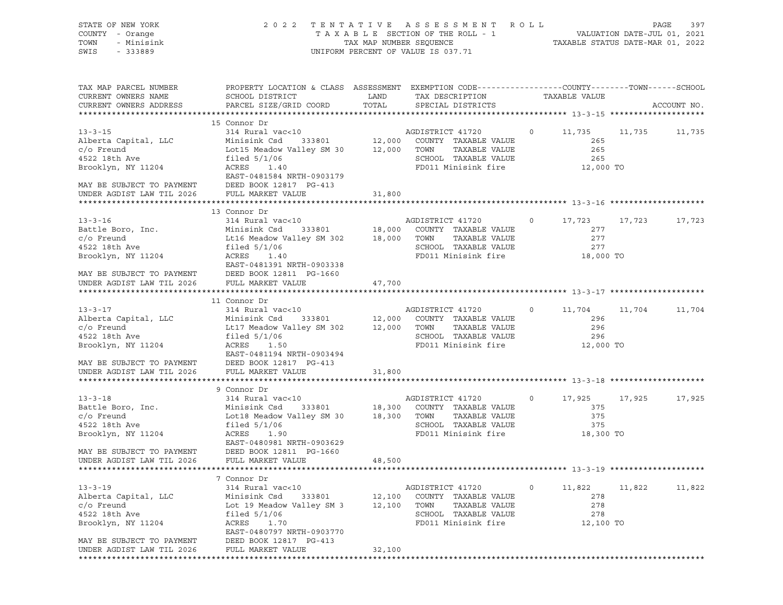| STATE OF NEW YORK<br>COUNTY - Orange<br>TOWN<br>- Minisink<br>SWIS<br>$-333889$                                                                                | 2 0 2 2<br>TAXABLE SECTION OF THE ROLL - 1<br>TAX MAP NUMBER SEQUENCE<br>UNIFORM PERCENT OF VALUE IS 037.71                                                                                             |                            |                                                                                                                  |         | TENTATIVE ASSESSMENT ROLL<br>VALUATION DATE-JUL 01, 2021<br>TAXABLE STATUS DATE-MAR 01, 2022 |        |             |
|----------------------------------------------------------------------------------------------------------------------------------------------------------------|---------------------------------------------------------------------------------------------------------------------------------------------------------------------------------------------------------|----------------------------|------------------------------------------------------------------------------------------------------------------|---------|----------------------------------------------------------------------------------------------|--------|-------------|
| TAX MAP PARCEL NUMBER<br>CURRENT OWNERS NAME<br>CURRENT OWNERS ADDRESS                                                                                         | PROPERTY LOCATION & CLASS ASSESSMENT EXEMPTION CODE----------------COUNTY-------TOWN------SCHOOL<br>SCHOOL DISTRICT<br>PARCEL SIZE/GRID COORD                                                           | LAND<br>TOTAL              | TAX DESCRIPTION<br>SPECIAL DISTRICTS                                                                             |         | TAXABLE VALUE                                                                                |        | ACCOUNT NO. |
| $13 - 3 - 15$<br>Alberta Capital, LLC<br>$c$ / $\circ$ Freund<br>4522 18th Ave<br>Brooklyn, NY 11204<br>MAY BE SUBJECT TO PAYMENT<br>UNDER AGDIST LAW TIL 2026 | 15 Connor Dr<br>314 Rural vac<10<br>Minisink Csd<br>333801<br>Lot15 Meadow Valley SM 30<br>filed $5/1/06$<br>ACRES<br>1.40<br>EAST-0481584 NRTH-0903179<br>DEED BOOK 12817 PG-413<br>FULL MARKET VALUE  | 12,000 TOWN<br>31,800      | AGDISTRICT 41720<br>12,000 COUNTY TAXABLE VALUE<br>TAXABLE VALUE<br>SCHOOL TAXABLE VALUE<br>FD011 Minisink fire  | $\circ$ | 11,735<br>265<br>265<br>265<br>12,000 TO                                                     | 11,735 | 11,735      |
| $13 - 3 - 16$<br>Battle Boro, Inc.<br>$c/O$ Freund<br>4522 18th Ave<br>Brooklyn, NY 11204<br>MAY BE SUBJECT TO PAYMENT<br>UNDER AGDIST LAW TIL 2026            | 13 Connor Dr<br>314 Rural vac<10<br>Minisink Csd<br>333801<br>Lt16 Meadow Valley SM 302<br>filed $5/1/06$<br>ACRES<br>1.40<br>EAST-0481391 NRTH-0903338<br>DEED BOOK 12811 PG-1660<br>FULL MARKET VALUE | 18,000<br>18,000<br>47,700 | AGDISTRICT 41720<br>COUNTY TAXABLE VALUE<br>TOWN<br>TAXABLE VALUE<br>SCHOOL TAXABLE VALUE<br>FD011 Minisink fire | $\circ$ | 17,723<br>277<br>277<br>277<br>18,000 TO                                                     | 17,723 | 17,723      |
| $13 - 3 - 17$<br>Alberta Capital, LLC<br>$c/O$ Freund<br>4522 18th Ave<br>Brooklyn, NY 11204<br>MAY BE SUBJECT TO PAYMENT<br>UNDER AGDIST LAW TIL 2026         | 11 Connor Dr<br>314 Rural vac<10<br>Minisink Csd<br>333801<br>Lt17 Meadow Valley SM 302<br>filed $5/1/06$<br>ACRES<br>1.50<br>EAST-0481194 NRTH-0903494<br>DEED BOOK 12817 PG-413<br>FULL MARKET VALUE  | 12,000 TOWN<br>31,800      | AGDISTRICT 41720<br>12,000 COUNTY TAXABLE VALUE<br>TAXABLE VALUE<br>SCHOOL TAXABLE VALUE<br>FD011 Minisink fire  | $\circ$ | 11,704<br>296<br>296<br>296<br>12,000 TO                                                     | 11,704 | 11,704      |
| $13 - 3 - 18$<br>Battle Boro, Inc.<br>$c$ / $\circ$ Freund<br>4522 18th Ave<br>Brooklyn, NY 11204<br>MAY BE SUBJECT TO PAYMENT<br>UNDER AGDIST LAW TIL 2026    | 9 Connor Dr<br>314 Rural vac<10<br>Minisink Csd<br>333801<br>Lot18 Meadow Valley SM 30<br>filed $5/1/06$<br>ACRES<br>1.90<br>EAST-0480981 NRTH-0903629<br>DEED BOOK 12811 PG-1660<br>FULL MARKET VALUE  | 18,300<br>18,300<br>48,500 | AGDISTRICT 41720<br>COUNTY TAXABLE VALUE<br>TOWN<br>TAXABLE VALUE<br>SCHOOL TAXABLE VALUE<br>FD011 Minisink fire | $\circ$ | 17,925<br>375<br>375<br>375<br>18,300 TO                                                     | 17,925 | 17,925      |
| $13 - 3 - 19$<br>Alberta Capital, LLC<br>$c/O$ Freund<br>4522 18th Ave<br>Brooklyn, NY 11204<br>MAY BE SUBJECT TO PAYMENT<br>UNDER AGDIST LAW TIL 2026         | 7 Connor Dr<br>314 Rural vac<10<br>Minisink Csd<br>333801<br>Lot 19 Meadow Valley SM 3<br>filed $5/1/06$<br>ACRES<br>1.70<br>EAST-0480797 NRTH-0903770<br>DEED BOOK 12817 PG-413<br>FULL MARKET VALUE   | 12,100<br>12,100<br>32,100 | AGDISTRICT 41720<br>COUNTY TAXABLE VALUE<br>TOWN<br>TAXABLE VALUE<br>SCHOOL TAXABLE VALUE<br>FD011 Minisink fire | 0       | 11,822<br>278<br>278<br>278<br>12,100 TO                                                     | 11,822 | 11,822      |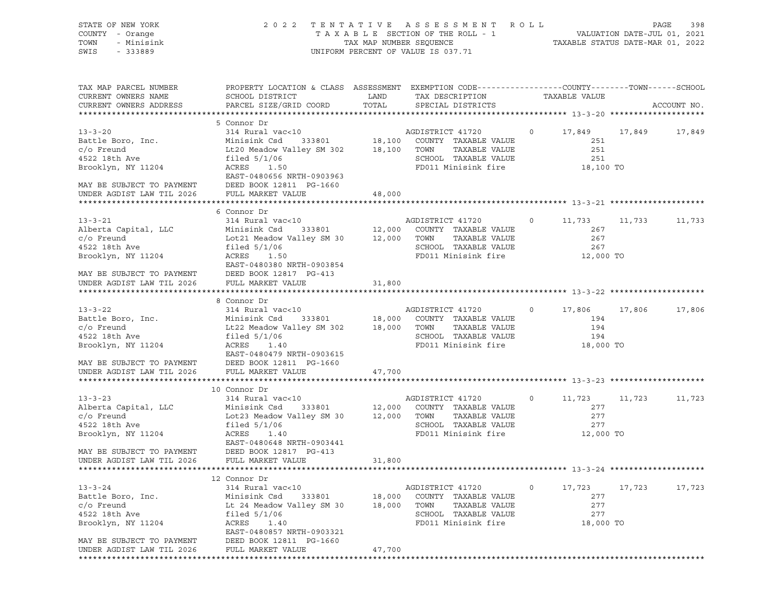| STATE OF NEW YORK<br>COUNTY - Orange<br>TOWN<br>- Minisink<br>SWIS<br>- 333889                                                                          | 2 0 2 2                                                                                                                                                                                 |                            | TENTATIVE ASSESSMENT ROLL<br>UNIFORM PERCENT OF VALUE IS 037.71                                                            |         |                                          |        | PAGE<br>398 |
|---------------------------------------------------------------------------------------------------------------------------------------------------------|-----------------------------------------------------------------------------------------------------------------------------------------------------------------------------------------|----------------------------|----------------------------------------------------------------------------------------------------------------------------|---------|------------------------------------------|--------|-------------|
| TAX MAP PARCEL NUMBER<br>CURRENT OWNERS NAME<br>CURRENT OWNERS ADDRESS                                                                                  | PROPERTY LOCATION & CLASS ASSESSMENT EXEMPTION CODE----------------COUNTY-------TOWN-----SCHOOL<br>SCHOOL DISTRICT<br>PARCEL SIZE/GRID COORD                                            | LAND<br>TOTAL              | TAX DESCRIPTION TAXABLE VALUE<br>SPECIAL DISTRICTS                                                                         |         |                                          |        | ACCOUNT NO. |
| $13 - 3 - 20$<br>Battle Boro, Inc.<br>$c/O$ Freund<br>4522 18th Ave<br>Brooklyn, NY 11204<br>MAY BE SUBJECT TO PAYMENT                                  | 5 Connor Dr<br>314 Rural vac<10<br>Minisink Csd<br>Lt20 Meadow Valley SM 302 18,100<br>filed $5/1/06$<br>ACRES<br>1.50<br>EAST-0480656 NRTH-0903963<br>DEED BOOK 12811 PG-1660          | 333801 18,100              | AGDISTRICT 41720<br>COUNTY TAXABLE VALUE<br>TOWN<br>TAXABLE VALUE<br>SCHOOL TAXABLE VALUE<br>FD011 Minisink fire 18,100 TO | $\circ$ | 17,849<br>251<br>251<br>251              | 17,849 | 17,849      |
| UNDER AGDIST LAW TIL 2026                                                                                                                               | FULL MARKET VALUE                                                                                                                                                                       | 48,000                     |                                                                                                                            |         |                                          |        |             |
| $13 - 3 - 21$<br>Alberta Capital, LLC<br>c/o Freund<br>4522 18th Ave<br>Brooklyn, NY 11204                                                              | 6 Connor Dr<br>314 Rural vac<10<br>333801 12,000<br>Minisink Csd<br>Lot21 Meadow Valley SM 30 12,000<br>filed $5/1/06$<br>ACRES<br>1.50<br>EAST-0480380 NRTH-0903854                    |                            | AGDISTRICT 41720<br>COUNTY TAXABLE VALUE<br>TOWN<br>TAXABLE VALUE<br>SCHOOL TAXABLE VALUE<br>FD011 Minisink fire 12,000 TO | $\circ$ | 11,733<br>267<br>267<br>267              | 11,733 | 11,733      |
| MAY BE SUBJECT TO PAYMENT DEED BOOK 12817 I UNDER AGDIST LAW TIL 2026 FULL MARKET VALUE                                                                 | DEED BOOK 12817 PG-413                                                                                                                                                                  | 31,800                     |                                                                                                                            |         |                                          |        |             |
|                                                                                                                                                         | 8 Connor Dr                                                                                                                                                                             |                            |                                                                                                                            |         |                                          |        |             |
| $13 - 3 - 22$<br>Battle Boro, Inc.<br>$c/O$ Freund<br>4522 18th Ave<br>Brooklyn, NY 11204<br>MAY BE SUBJECT TO PAYMENT                                  | 314 Rural vac<10<br>333801 18,000<br>Minisink Csd<br>Lt22 Meadow Valley SM 302 18,000<br>filed $5/1/06$<br>ACRES<br>1.40<br>EAST-0480479 NRTH-0903615<br>DEED BOOK 12811 PG-1660        |                            | AGDISTRICT 41720<br>COUNTY TAXABLE VALUE<br>TOWN<br>TAXABLE VALUE<br>SCHOOL TAXABLE VALUE<br>FD011 Minisink fire           | $\circ$ | 17,806<br>194<br>194<br>194<br>18,000 TO | 17,806 | 17,806      |
| UNDER AGDIST LAW TIL 2026                                                                                                                               | FULL MARKET VALUE                                                                                                                                                                       | 47,700                     |                                                                                                                            |         |                                          |        |             |
|                                                                                                                                                         | 10 Connor Dr                                                                                                                                                                            |                            |                                                                                                                            |         |                                          |        |             |
| $13 - 3 - 23$<br>Alberta Capital, LLC<br>$c/O$ Freund<br>4522 18th Ave<br>Brooklyn, NY 11204<br>MAY BE SUBJECT TO PAYMENT                               | 314 Rural vac<10<br>Minisink Csd<br>333801<br>Lot23 Meadow Valley SM 30 12,000<br>filed $5/1/06$<br>ACRES<br>1.40<br>EAST-0480648 NRTH-0903441<br>DEED BOOK 12817 PG-413                | 12,000                     | AGDISTRICT 41720<br>COUNTY TAXABLE VALUE<br>TOWN<br>TAXABLE VALUE<br>SCHOOL TAXABLE VALUE<br>FD011 Minisink fire           | $\circ$ | 11,723<br>277<br>277<br>277<br>12,000 TO | 11,723 | 11,723      |
| UNDER AGDIST LAW TIL 2026                                                                                                                               | FULL MARKET VALUE                                                                                                                                                                       | 31,800                     |                                                                                                                            |         |                                          |        |             |
|                                                                                                                                                         | 12 Connor Dr                                                                                                                                                                            |                            |                                                                                                                            |         |                                          |        |             |
| $13 - 3 - 24$<br>Battle Boro, Inc.<br>$c$ / $o$ Freund<br>4522 18th Ave<br>Brooklyn, NY 11204<br>MAY BE SUBJECT TO PAYMENT<br>UNDER AGDIST LAW TIL 2026 | 314 Rural vac<10<br>Minisink Csd<br>333801<br>Lt 24 Meadow Valley SM 30<br>filed $5/1/06$<br>ACRES<br>1.40<br>EAST-0480857 NRTH-0903321<br>DEED BOOK 12811 PG-1660<br>FULL MARKET VALUE | 18,000<br>18,000<br>47,700 | AGDISTRICT 41720<br>COUNTY TAXABLE VALUE<br>TOWN<br>TAXABLE VALUE<br>SCHOOL TAXABLE VALUE<br>FD011 Minisink fire           | $\circ$ | 17,723<br>277<br>277<br>277<br>18,000 TO | 17,723 | 17,723      |
|                                                                                                                                                         |                                                                                                                                                                                         |                            |                                                                                                                            |         |                                          |        |             |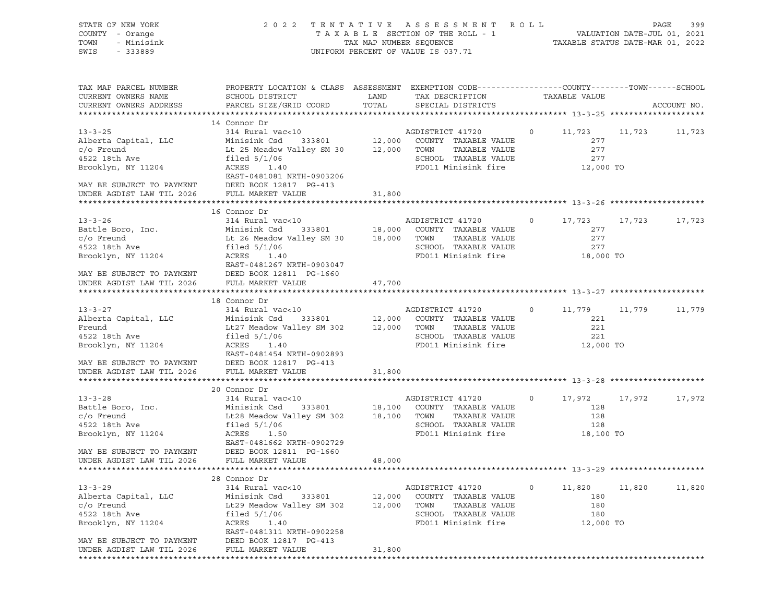| STATE OF NEW YORK<br>COUNTY - Orange<br>TOWN<br>- Minisink<br>SWIS - 333889                                                                                                               | 2022 TENTATIVE ASSESSMENT ROLL<br>T A X A B L E SECTION OF THE ROLL - 1 VALUATION DATE-JUL 01, 2021<br>TAX MAP NUMBER SEQUENCE TAXABLE STATUS DATE-MAR 01, 2022<br>UNIFORM PERCENT OF VALUE IS 037.71                                                                                                                                                                      |             |                                                                                                                 |                   | PAGE                                                     |             |  |
|-------------------------------------------------------------------------------------------------------------------------------------------------------------------------------------------|----------------------------------------------------------------------------------------------------------------------------------------------------------------------------------------------------------------------------------------------------------------------------------------------------------------------------------------------------------------------------|-------------|-----------------------------------------------------------------------------------------------------------------|-------------------|----------------------------------------------------------|-------------|--|
| TAX MAP PARCEL NUMBER<br>CURRENT OWNERS NAME<br>CURRENT OWNERS ADDRESS                                                                                                                    | PROPERTY LOCATION & CLASS ASSESSMENT EXEMPTION CODE---------------COUNTY-------TOWN------SCHOOL<br>SCHOOL DISTRICT<br>PARCEL SIZE/GRID COORD                                                                                                                                                                                                                               | TOTAL       | LAND TAX DESCRIPTION<br>SPECIAL DISTRICTS                                                                       | TAXABLE VALUE     |                                                          | ACCOUNT NO. |  |
|                                                                                                                                                                                           | 14 Connor Dr                                                                                                                                                                                                                                                                                                                                                               |             |                                                                                                                 |                   |                                                          |             |  |
| $13 - 3 - 25$<br>Alberta Capital, LLC<br>$c/O$ Freund<br>4522 18th Ave<br>Brooklyn, NY 11204<br>MAY BE SUBJECT TO PAYMENT DEED BOOK 12817 PG-413                                          | 314 Rural vac<10<br>Minisink Csd 333801<br>Le 25 Meadow Valley SM 30<br>Le 25 Meadow Valley SM 30<br>Le 25 Meadow Valley SM 30<br>Le 25 Meadow Valley SM 30<br>Le 25 Meadow Valley SM 30<br>Le 25 Meadow Valley SM 30<br>Le 25 Meadow<br>filed 5/1/06<br>ACRES 1.40<br>EAST-0481081 NRTH-0903206                                                                           |             | SCHOOL TAXABLE VALUE<br>FD011 Minisink fire                                                                     |                   | 0 11,723 11,723 11,723<br>277<br>277<br>277<br>12,000 TO |             |  |
| UNDER AGDIST LAW TIL 2026 FULL MARKET VALUE                                                                                                                                               |                                                                                                                                                                                                                                                                                                                                                                            | 31,800      |                                                                                                                 |                   |                                                          |             |  |
|                                                                                                                                                                                           |                                                                                                                                                                                                                                                                                                                                                                            |             |                                                                                                                 |                   |                                                          |             |  |
| Brooklyn, NY 11204                                                                                                                                                                        | 16 Connor Dr<br>314 Rural vac<10<br>Battle Boro, Inc. Minisink Csd 333801<br>C/o Freund Lt 26 Meadow Valley SM 30 18,000 COUNTY TAXABLE VALUE<br>4522 18th Ave filed 5/1/06<br>Brooklyn NY 11994<br>Brooklyn NY 11994<br>111cd<br>ACRES<br>1.40<br>EAST-0481267 NRTH-0903047<br>MAY BE SUBJECT TO PAYMENT DEED BOOK 12811 PG-1660                                          |             | FD011 Minisink fire                                                                                             |                   | 0 $17,723$ 17,723<br>277<br>277<br>277<br>$18,000$ TO    | 17,723      |  |
| UNDER AGDIST LAW TIL 2026                                                                                                                                                                 | FULL MARKET VALUE                                                                                                                                                                                                                                                                                                                                                          | 47,700      |                                                                                                                 |                   |                                                          |             |  |
|                                                                                                                                                                                           |                                                                                                                                                                                                                                                                                                                                                                            |             |                                                                                                                 |                   |                                                          |             |  |
| $13 - 3 - 27$<br>Alberta Capital, LLC<br>Freund<br>4522 18th Ave<br>Brooklyn, NY 11204<br>MAY BE SUBJECT TO PAYMENT DEED BOOK 12817 PG-413<br>UNDER AGDIST LAW TIL 2026 FULL MARKET VALUE | 18 Connor Dr<br>314 Rural vac<10<br>Minisink Csd 333801 12,000 COUNTY TAXABLE VALUE<br>Lt27 Meadow Valley SM 302 12,000 TOWN TAXABLE VALUE<br>filed $5/1/06$<br>ACRES 1.40<br>EAST-0481454 NRTH-0902893                                                                                                                                                                    | 31,800      | AGDISTRICT 41720<br>SCHOOL TAXABLE VALUE<br>FD011 Minisink fire                                                 |                   | 0 11,779 11,779 11,779<br>221<br>221<br>221<br>12,000 TO |             |  |
|                                                                                                                                                                                           |                                                                                                                                                                                                                                                                                                                                                                            |             |                                                                                                                 |                   |                                                          |             |  |
| 4522 18th Ave<br>Brooklyn, NY 11204<br>MAY BE SUBJECT TO PAYMENT<br>UNDER AGDIST LAW TIL 2026                                                                                             | 20 Connor Dr<br>13-3-28<br>Battle Boro, Inc.<br>Compared to the Minisink Csd 333801<br>Compared to the Minisink Csd 333801<br>Compared to the Minisink Csd 333801<br>Compared to the Minisipal SM 302<br>Compared to the Minisipal SM 302<br>Compared to the<br>filed 5/1/06<br>ACRES<br>1.50<br>EAST-0481662 NRTH-0902729<br>DEED BOOK 12811 PG-1660<br>FULL MARKET VALUE | 48,000      | SCHOOL TAXABLE VALUE<br>FD011 Minisink fire                                                                     | $0 \qquad \qquad$ | 17,972 17,972<br>128<br>128<br>128<br>$18,100$ TO        | 17,972      |  |
|                                                                                                                                                                                           |                                                                                                                                                                                                                                                                                                                                                                            |             |                                                                                                                 |                   |                                                          |             |  |
| $13 - 3 - 29$<br>Alberta Capital, LLC<br>$c/O$ Freund<br>4522 18th Ave<br>Brooklyn, NY 11204<br>MAY BE SUBJECT TO PAYMENT                                                                 | 28 Connor Dr<br>314 Rural vac<10<br>Minisink Csd<br>333801<br>Lt29 Meadow Valley SM 302<br>filed $5/1/06$<br>ACRES<br>1.40<br>EAST-0481311 NRTH-0902258<br>DEED BOOK 12817 PG-413                                                                                                                                                                                          | 12,000 TOWN | AGDISTRICT 41720<br>12,000 COUNTY TAXABLE VALUE<br>TAXABLE VALUE<br>SCHOOL TAXABLE VALUE<br>FD011 Minisink fire | $\circ$           | 11,820<br>11,820<br>180<br>180<br>180<br>12,000 TO       | 11,820      |  |
| UNDER AGDIST LAW TIL 2026                                                                                                                                                                 | FULL MARKET VALUE                                                                                                                                                                                                                                                                                                                                                          | 31,800      |                                                                                                                 |                   |                                                          |             |  |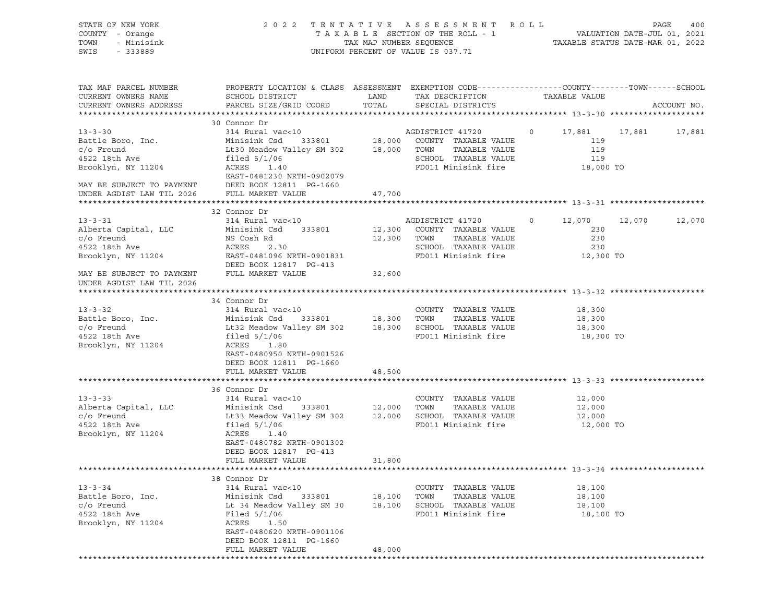| STATE OF NEW YORK<br>COUNTY - Orange<br>TOWN<br>- Minisink<br>SWIS<br>$-333889$                                                                        | 2 0 2 2<br>TAXABLE SECTION OF THE ROLL - 1<br>TAX MAP NUMBER SEQUENCE<br>UNIFORM PERCENT OF VALUE IS 037.71                                                                                             | TENTATIVE ASSESSMENT ROLL<br>PAGE<br>VALUATION DATE-JUL 01, 2021<br>TAXABLE STATUS DATE-MAR 01, 2022 |                                                                                                                 |                                                     |                  |
|--------------------------------------------------------------------------------------------------------------------------------------------------------|---------------------------------------------------------------------------------------------------------------------------------------------------------------------------------------------------------|------------------------------------------------------------------------------------------------------|-----------------------------------------------------------------------------------------------------------------|-----------------------------------------------------|------------------|
| TAX MAP PARCEL NUMBER<br>CURRENT OWNERS NAME<br>CURRENT OWNERS ADDRESS                                                                                 | PROPERTY LOCATION & CLASS ASSESSMENT EXEMPTION CODE----------------COUNTY-------TOWN------SCHOOL<br>SCHOOL DISTRICT<br>PARCEL SIZE/GRID COORD                                                           | LAND<br>TOTAL                                                                                        | TAX DESCRIPTION<br>SPECIAL DISTRICTS                                                                            | TAXABLE VALUE                                       | ACCOUNT NO.      |
| $13 - 3 - 30$<br>Battle Boro, Inc.<br>$c/O$ Freund<br>4522 18th Ave<br>Brooklyn, NY 11204<br>MAY BE SUBJECT TO PAYMENT<br>UNDER AGDIST LAW TIL 2026    | 30 Connor Dr<br>314 Rural vac<10<br>Minisink Csd<br>333801<br>Lt30 Meadow Valley SM 302<br>filed $5/1/06$<br>ACRES 1.40<br>EAST-0481230 NRTH-0902079<br>DEED BOOK 12811 PG-1660<br>FULL MARKET VALUE    | 18,000 TOWN<br>47,700                                                                                | AGDISTRICT 41720<br>18,000 COUNTY TAXABLE VALUE<br>TAXABLE VALUE<br>SCHOOL TAXABLE VALUE<br>FD011 Minisink fire | $\circ$<br>17,881<br>119<br>119<br>119<br>18,000 TO | 17,881<br>17,881 |
| $13 - 3 - 31$<br>Alberta Capital, LLC<br>$c/O$ Freund<br>4522 18th Ave<br>Brooklyn, NY 11204<br>MAY BE SUBJECT TO PAYMENT<br>UNDER AGDIST LAW TIL 2026 | 32 Connor Dr<br>314 Rural vac<10<br>Minisink Csd<br>333801<br>NS Cosh Rd<br>ACRES<br>2.30<br>EAST-0481096 NRTH-0901831<br>DEED BOOK 12817 PG-413<br>FULL MARKET VALUE                                   | 12,300 TOWN<br>32,600                                                                                | AGDISTRICT 41720<br>12,300 COUNTY TAXABLE VALUE<br>TAXABLE VALUE<br>SCHOOL TAXABLE VALUE<br>FD011 Minisink fire | 12,070<br>$\circ$<br>230<br>230<br>230<br>12,300 TO | 12,070<br>12,070 |
| $13 - 3 - 32$<br>Battle Boro, Inc.<br>$c/O$ Freund<br>4522 18th Ave<br>Brooklyn, NY 11204                                                              | 34 Connor Dr<br>314 Rural vac<10<br>Minisink Csd<br>333801<br>Lt32 Meadow Valley SM 302<br>filed $5/1/06$<br>ACRES<br>1.80<br>EAST-0480950 NRTH-0901526<br>DEED BOOK 12811 PG-1660<br>FULL MARKET VALUE | 18,300 TOWN<br>48,500                                                                                | COUNTY TAXABLE VALUE<br>TAXABLE VALUE<br>18,300 SCHOOL TAXABLE VALUE<br>FD011 Minisink fire                     | 18,300<br>18,300<br>18,300<br>18,300 TO             |                  |
| $13 - 3 - 33$<br>Alberta Capital, LLC<br>$c/O$ Freund<br>4522 18th Ave<br>Brooklyn, NY 11204                                                           | 36 Connor Dr<br>314 Rural vac<10<br>Minisink Csd<br>333801<br>Lt33 Meadow Valley SM 302<br>filed $5/1/06$<br>ACRES<br>1.40<br>EAST-0480782 NRTH-0901302<br>DEED BOOK 12817 PG-413<br>FULL MARKET VALUE  | 12,000<br>31,800                                                                                     | COUNTY TAXABLE VALUE<br>TOWN<br>TAXABLE VALUE<br>12,000 SCHOOL TAXABLE VALUE<br>FD011 Minisink fire             | 12,000<br>12,000<br>12,000<br>12,000 TO             |                  |
| $13 - 3 - 34$<br>Battle Boro, Inc.<br>$c/O$ Freund<br>4522 18th Ave<br>Brooklyn, NY 11204                                                              | 38 Connor Dr<br>314 Rural vac<10<br>Minisink Csd<br>333801<br>Lt 34 Meadow Valley SM 30<br>Filed $5/1/06$<br>ACRES<br>1.50<br>EAST-0480620 NRTH-0901106<br>DEED BOOK 12811 PG-1660<br>FULL MARKET VALUE | 18,100<br>18,100<br>48,000                                                                           | COUNTY TAXABLE VALUE<br>TOWN<br>TAXABLE VALUE<br>SCHOOL TAXABLE VALUE<br>FD011 Minisink fire                    | 18,100<br>18,100<br>18,100<br>18,100 TO             |                  |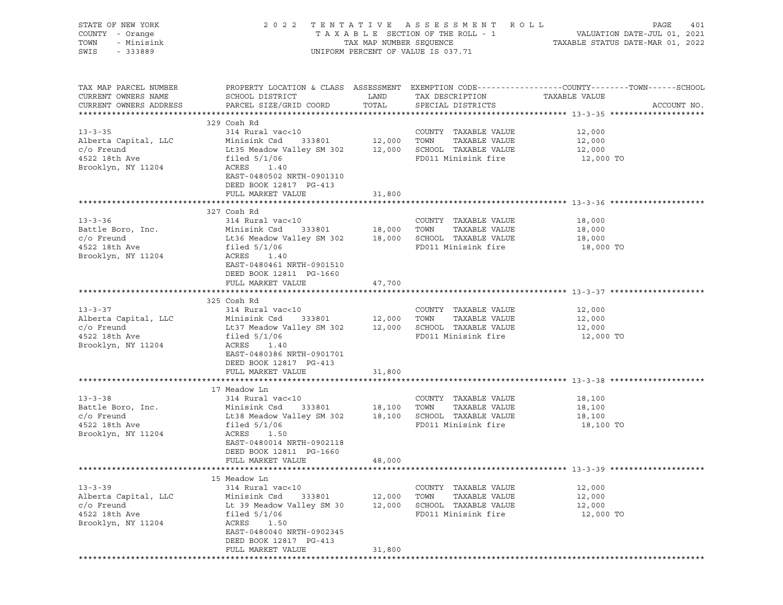| STATE OF NEW YORK<br>COUNTY - Orange<br>TOWN<br>- Minisink<br>SWIS<br>- 333889                |                                                                                                                                                                                                                       |                            | 2022 TENTATIVE ASSESSMENT ROLL<br>UNIFORM PERCENT OF VALUE IS 037.71                         | PAGE<br>401<br>T A X A B L E SECTION OF THE ROLL - 1 VALUATION DATE-JUL 01, 2021<br>TAX MAP NUMBER SEQUENCE TAXIBLE STATUS DATE-MAR 01, 2022 |
|-----------------------------------------------------------------------------------------------|-----------------------------------------------------------------------------------------------------------------------------------------------------------------------------------------------------------------------|----------------------------|----------------------------------------------------------------------------------------------|----------------------------------------------------------------------------------------------------------------------------------------------|
| TAX MAP PARCEL NUMBER<br>CURRENT OWNERS NAME<br>CURRENT OWNERS ADDRESS                        | SCHOOL DISTRICT<br>PARCEL SIZE/GRID COORD                                                                                                                                                                             | LAND<br>TOTAL              | TAX DESCRIPTION<br>SPECIAL DISTRICTS                                                         | PROPERTY LOCATION & CLASS ASSESSMENT EXEMPTION CODE---------------COUNTY-------TOWN------SCHOOL<br>TAXABLE VALUE<br>ACCOUNT NO.              |
| $13 - 3 - 35$<br>Alberta Capital, LLC<br>$c/O$ Freund<br>4522 18th Ave<br>Brooklyn, NY 11204  | 329 Cosh Rd<br>314 Rural vac<10<br>333801 12,000 TOWN<br>Minisink Csd<br>Lt35 Meadow Valley SM 302 12,000 SCHOOL TAXABLE VALUE<br>filed $5/1/06$<br>ACRES 1.40<br>EAST-0480502 NRTH-0901310<br>DEED BOOK 12817 PG-413 |                            | COUNTY TAXABLE VALUE<br>TAXABLE VALUE<br>FD011 Minisink fire                                 | 12,000<br>12,000<br>12,000<br>12,000 TO                                                                                                      |
|                                                                                               | FULL MARKET VALUE                                                                                                                                                                                                     | 31,800                     |                                                                                              |                                                                                                                                              |
| $13 - 3 - 36$<br>Battle Boro, Inc.<br>$c$ / $o$ Freund<br>4522 18th Ave<br>Brooklyn, NY 11204 | 327 Cosh Rd<br>314 Rural vac<10<br>Minisink Csd<br>333801<br>Lt36 Meadow Valley SM 302 18,000 SCHOOL TAXABLE VALUE<br>filed $5/1/06$<br>ACRES 1.40<br>EAST-0480461 NRTH-0901510                                       | 18,000 TOWN                | COUNTY TAXABLE VALUE<br>TAXABLE VALUE<br>FD011 Minisink fire                                 | 18,000<br>18,000<br>18,000<br>18,000 TO                                                                                                      |
|                                                                                               | DEED BOOK 12811 PG-1660<br>FULL MARKET VALUE                                                                                                                                                                          | 47,700                     |                                                                                              |                                                                                                                                              |
| $13 - 3 - 37$<br>Alberta Capital, LLC<br>$c/O$ Freund<br>4522 18th Ave<br>Brooklyn, NY 11204  | 325 Cosh Rd<br>314 Rural vac<10<br>Minisink Csd<br>333801<br>Lt37 Meadow Valley SM 302 12,000 SCHOOL TAXABLE VALUE<br>filed $5/1/06$<br>ACRES 1.40<br>EAST-0480386 NRTH-0901701<br>DEED BOOK 12817 PG-413             | 12,000 TOWN                | COUNTY TAXABLE VALUE<br>TAXABLE VALUE<br>FD011 Minisink fire                                 | 12,000<br>12,000<br>12,000<br>12,000 TO                                                                                                      |
|                                                                                               | FULL MARKET VALUE                                                                                                                                                                                                     | 31,800                     |                                                                                              |                                                                                                                                              |
| $13 - 3 - 38$<br>Battle Boro, Inc.<br>$c/O$ Freund<br>4522 18th Ave<br>Brooklyn, NY 11204     | 17 Meadow Ln<br>314 Rural vac<10<br>Minisink Csd<br>333801<br>Lt38 Meadow Valley SM 302 18,100 SCHOOL TAXABLE VALUE<br>filed $5/1/06$<br>ACRES 1.50<br>EAST-0480014 NRTH-0902118<br>DEED BOOK 12811 PG-1660           | 18,100 TOWN                | COUNTY TAXABLE VALUE<br>TAXABLE VALUE<br>FD011 Minisink fire                                 | 18,100<br>18,100<br>18,100<br>18,100 TO                                                                                                      |
|                                                                                               | FULL MARKET VALUE                                                                                                                                                                                                     | 48,000                     |                                                                                              |                                                                                                                                              |
| $13 - 3 - 39$<br>Alberta Capital, LLC<br>$c/O$ Freund<br>4522 18th Ave<br>Brooklyn, NY 11204  | 15 Meadow Ln<br>314 Rural vac<10<br>Minisink Csd<br>333801<br>Lt 39 Meadow Valley SM 30<br>filed $5/1/06$<br>ACRES<br>1.50<br>EAST-0480040 NRTH-0902345<br>DEED BOOK 12817 PG-413<br>FULL MARKET VALUE                | 12,000<br>12,000<br>31,800 | COUNTY TAXABLE VALUE<br>TOWN<br>TAXABLE VALUE<br>SCHOOL TAXABLE VALUE<br>FD011 Minisink fire | 12,000<br>12,000<br>12,000<br>12,000 TO                                                                                                      |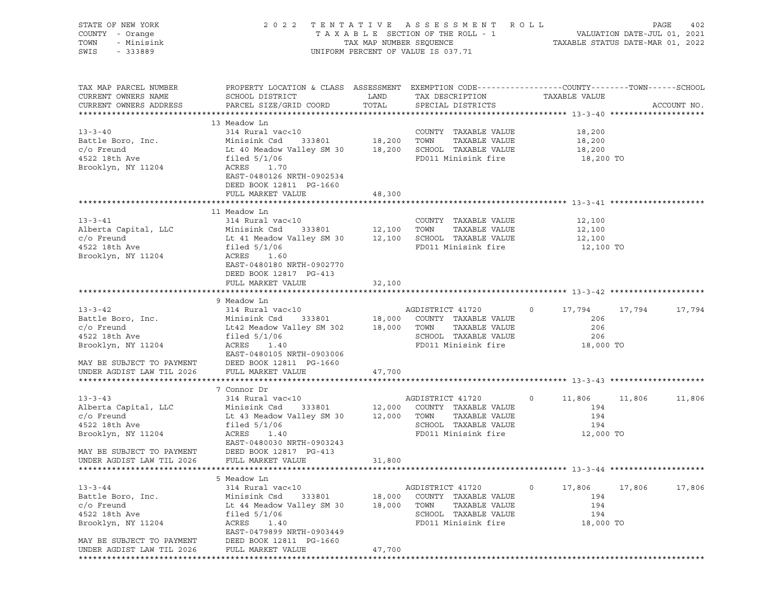| STATE OF NEW YORK<br>COUNTY - Orange<br>TOWN<br>- Minisink<br>SWIS<br>$-333889$                                                                     | 2 0 2 2                                                                                                                                                                                                        |                            | TENTATIVE ASSESSMENT ROLL<br>UNIFORM PERCENT OF VALUE IS 037.71                                                  |                                                            | PAGE<br>402      |
|-----------------------------------------------------------------------------------------------------------------------------------------------------|----------------------------------------------------------------------------------------------------------------------------------------------------------------------------------------------------------------|----------------------------|------------------------------------------------------------------------------------------------------------------|------------------------------------------------------------|------------------|
| TAX MAP PARCEL NUMBER<br>CURRENT OWNERS NAME<br>CURRENT OWNERS ADDRESS                                                                              | PROPERTY LOCATION & CLASS ASSESSMENT EXEMPTION CODE----------------COUNTY-------TOWN------SCHOOL<br>SCHOOL DISTRICT<br>PARCEL SIZE/GRID COORD                                                                  | LAND<br>TOTAL              | TAX DESCRIPTION<br>SPECIAL DISTRICTS                                                                             | TAXABLE VALUE                                              | ACCOUNT NO.      |
| $13 - 3 - 40$<br>Battle Boro, Inc.<br>$c/O$ Freund<br>4522 18th Ave<br>Brooklyn, NY 11204                                                           | 13 Meadow Ln<br>314 Rural vac<10<br>Minisink Csd<br>333801<br>Lt 40 Meadow Valley SM 30 18,200 SCHOOL TAXABLE VALUE<br>filed $5/1/06$<br>ACRES<br>1.70<br>EAST-0480126 NRTH-0902534<br>DEED BOOK 12811 PG-1660 | 18,200 TOWN                | COUNTY TAXABLE VALUE<br>TAXABLE VALUE<br>FD011 Minisink fire                                                     | 18,200<br>18,200<br>18,200<br>18,200 TO                    |                  |
|                                                                                                                                                     | FULL MARKET VALUE                                                                                                                                                                                              | 48,300                     |                                                                                                                  |                                                            |                  |
| $13 - 3 - 41$<br>Alberta Capital, LLC<br>$c/O$ Freund<br>4522 18th Ave<br>Brooklyn, NY 11204                                                        | 11 Meadow Ln<br>314 Rural vac<10<br>Minisink Csd 333801<br>Lt 41 Meadow Valley SM 30 12,100 SCHOOL TAXABLE VALUE<br>filed $5/1/06$<br>ACRES<br>1.60<br>EAST-0480180 NRTH-0902770                               | $12,100$ TOWN              | COUNTY TAXABLE VALUE<br>TAXABLE VALUE<br>FD011 Minisink fire                                                     | 12,100<br>12,100<br>12,100<br>12,100 TO                    |                  |
|                                                                                                                                                     | DEED BOOK 12817 PG-413<br>FULL MARKET VALUE                                                                                                                                                                    | 32,100                     |                                                                                                                  |                                                            |                  |
|                                                                                                                                                     |                                                                                                                                                                                                                |                            |                                                                                                                  |                                                            |                  |
| $13 - 3 - 42$<br>Battle Boro, Inc.<br>$c/O$ Freund<br>4522 18th Ave<br>Brooklyn, NY 11204<br>MAY BE SUBJECT TO PAYMENT                              | 9 Meadow Ln<br>314 Rural vac<10<br>Minisink Csd<br>333801<br>Lt42 Meadow Valley SM 302 18,000 TOWN<br>filed $5/1/06$<br>ACRES<br>1.40<br>EAST-0480105 NRTH-0903006<br>DEED BOOK 12811 PG-1660                  |                            | AGDISTRICT 41720<br>18,000 COUNTY TAXABLE VALUE<br>TAXABLE VALUE<br>SCHOOL TAXABLE VALUE<br>FD011 Minisink fire  | $\circ$<br>17,794<br>206<br>206<br>206<br>18,000 TO        | 17,794<br>17,794 |
| UNDER AGDIST LAW TIL 2026                                                                                                                           | FULL MARKET VALUE                                                                                                                                                                                              | 47,700                     |                                                                                                                  |                                                            |                  |
|                                                                                                                                                     |                                                                                                                                                                                                                |                            |                                                                                                                  |                                                            |                  |
| $13 - 3 - 43$<br>Alberta Capital, LLC<br>$c$ / $\circ$ Freund<br>4522 18th Ave<br>Brooklyn, NY 11204<br>MAY BE SUBJECT TO PAYMENT                   | 7 Connor Dr<br>314 Rural vac<10<br>Minisink Csd 333801<br>Lt 43 Meadow Valley SM 30 12,000 TOWN<br>filed $5/1/06$<br>ACRES<br>1.40<br>EAST-0480030 NRTH-0903243<br>DEED BOOK 12817 PG-413                      |                            | AGDISTRICT 41720<br>12,000 COUNTY TAXABLE VALUE<br>TAXABLE VALUE<br>SCHOOL TAXABLE VALUE<br>FD011 Minisink fire  | $\circ$<br>11,806 11,806<br>194<br>194<br>194<br>12,000 TO | 11,806           |
| UNDER AGDIST LAW TIL 2026                                                                                                                           | FULL MARKET VALUE                                                                                                                                                                                              | 31,800                     |                                                                                                                  |                                                            |                  |
|                                                                                                                                                     |                                                                                                                                                                                                                |                            |                                                                                                                  |                                                            |                  |
| $13 - 3 - 44$<br>Battle Boro, Inc.<br>$c/O$ Freund<br>4522 18th Ave<br>Brooklyn, NY 11204<br>MAY BE SUBJECT TO PAYMENT<br>UNDER AGDIST LAW TIL 2026 | 5 Meadow Ln<br>314 Rural vac<10<br>Minisink Csd<br>333801<br>Lt 44 Meadow Valley SM 30<br>filed $5/1/06$<br>ACRES<br>1.40<br>EAST-0479899 NRTH-0903449<br>DEED BOOK 12811 PG-1660<br>FULL MARKET VALUE         | 18,000<br>18,000<br>47,700 | AGDISTRICT 41720<br>COUNTY TAXABLE VALUE<br>TOWN<br>TAXABLE VALUE<br>SCHOOL TAXABLE VALUE<br>FD011 Minisink fire | 0<br>17,806<br>194<br>194<br>194<br>18,000 TO              | 17,806<br>17,806 |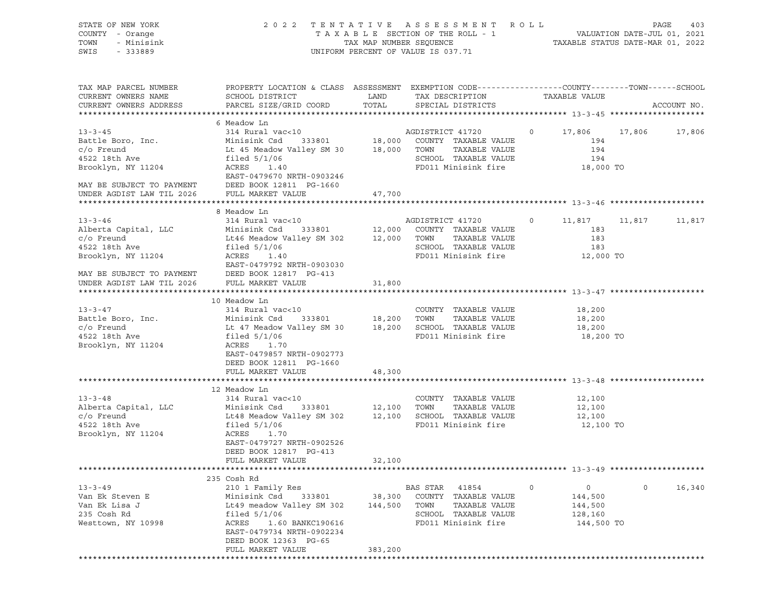| STATE OF NEW YORK<br>COUNTY - Orange<br>TOWN<br>- Minisink<br>SWIS<br>$-333889$ | 2 0 2 2                                                                                                                                      | TAX MAP NUMBER SEQUENCE | TENTATIVE ASSESSMENT ROLL<br>TAXABLE SECTION OF THE ROLL - 1<br>UNIFORM PERCENT OF VALUE IS 037.71 |                   | PAGE<br>403<br>VALUATION DATE-JUL 01, 2021<br>TAXABLE STATUS DATE-MAR 01, 2022 |
|---------------------------------------------------------------------------------|----------------------------------------------------------------------------------------------------------------------------------------------|-------------------------|----------------------------------------------------------------------------------------------------|-------------------|--------------------------------------------------------------------------------|
| TAX MAP PARCEL NUMBER<br>CURRENT OWNERS NAME<br>CURRENT OWNERS ADDRESS          | PROPERTY LOCATION & CLASS ASSESSMENT EXEMPTION CODE---------------COUNTY-------TOWN------SCHOOL<br>SCHOOL DISTRICT<br>PARCEL SIZE/GRID COORD | LAND<br>TOTAL           | TAX DESCRIPTION<br>SPECIAL DISTRICTS                                                               | TAXABLE VALUE     | ACCOUNT NO.                                                                    |
|                                                                                 | 6 Meadow Ln                                                                                                                                  |                         |                                                                                                    |                   |                                                                                |
| $13 - 3 - 45$                                                                   | 314 Rural vac<10                                                                                                                             |                         | AGDISTRICT 41720                                                                                   | $\circ$<br>17,806 | 17,806<br>17,806                                                               |
| Battle Boro, Inc.                                                               | 333801<br>Minisink Csd                                                                                                                       | 18,000                  | COUNTY TAXABLE VALUE                                                                               | 194               |                                                                                |
| $c/O$ Freund                                                                    | Lt 45 Meadow Valley SM 30                                                                                                                    | 18,000                  | TOWN<br>TAXABLE VALUE                                                                              | 194               |                                                                                |
| 4522 18th Ave                                                                   | filed $5/1/06$                                                                                                                               |                         | SCHOOL TAXABLE VALUE                                                                               | 194               |                                                                                |
| Brooklyn, NY 11204                                                              | ACRES 1.40                                                                                                                                   |                         | FD011 Minisink fire                                                                                | 18,000 TO         |                                                                                |
|                                                                                 | EAST-0479670 NRTH-0903246                                                                                                                    |                         |                                                                                                    |                   |                                                                                |
| MAY BE SUBJECT TO PAYMENT                                                       | DEED BOOK 12811 PG-1660                                                                                                                      |                         |                                                                                                    |                   |                                                                                |
| UNDER AGDIST LAW TIL 2026                                                       | FULL MARKET VALUE                                                                                                                            | 47,700                  |                                                                                                    |                   |                                                                                |
|                                                                                 |                                                                                                                                              |                         |                                                                                                    |                   |                                                                                |
|                                                                                 | 8 Meadow Ln                                                                                                                                  |                         |                                                                                                    |                   |                                                                                |
| $13 - 3 - 46$                                                                   | 314 Rural vac<10                                                                                                                             |                         | AGDISTRICT 41720                                                                                   | $\circ$<br>11,817 | 11,817<br>11,817                                                               |
| Alberta Capital, LLC                                                            | Minisink Csd<br>333801                                                                                                                       | 12,000                  | COUNTY TAXABLE VALUE                                                                               | 183               |                                                                                |
| $c/O$ Freund                                                                    | Lt46 Meadow Valley SM 302                                                                                                                    | 12,000                  | TOWN<br>TAXABLE VALUE                                                                              | 183               |                                                                                |
| 4522 18th Ave                                                                   | filed $5/1/06$                                                                                                                               |                         | SCHOOL TAXABLE VALUE                                                                               | 183               |                                                                                |
| Brooklyn, NY 11204                                                              | ACRES<br>1.40                                                                                                                                |                         | FD011 Minisink fire                                                                                | 12,000 TO         |                                                                                |
|                                                                                 | EAST-0479792 NRTH-0903030                                                                                                                    |                         |                                                                                                    |                   |                                                                                |
| MAY BE SUBJECT TO PAYMENT                                                       | DEED BOOK 12817 PG-413                                                                                                                       |                         |                                                                                                    |                   |                                                                                |
| UNDER AGDIST LAW TIL 2026                                                       | FULL MARKET VALUE                                                                                                                            | 31,800                  |                                                                                                    |                   |                                                                                |
|                                                                                 |                                                                                                                                              |                         |                                                                                                    |                   |                                                                                |
|                                                                                 | 10 Meadow Ln                                                                                                                                 |                         |                                                                                                    |                   |                                                                                |
| $13 - 3 - 47$                                                                   | 314 Rural vac<10                                                                                                                             |                         | COUNTY TAXABLE VALUE                                                                               | 18,200            |                                                                                |
| Battle Boro, Inc.                                                               | 333801<br>Minisink Csd                                                                                                                       | 18,200                  | TAXABLE VALUE<br>TOWN                                                                              | 18,200            |                                                                                |
| $c/O$ Freund                                                                    | Lt 47 Meadow Valley SM 30                                                                                                                    | 18,200                  | SCHOOL TAXABLE VALUE                                                                               | 18,200            |                                                                                |
| 4522 18th Ave                                                                   | filed $5/1/06$                                                                                                                               |                         | FD011 Minisink fire                                                                                | 18,200 TO         |                                                                                |
| Brooklyn, NY 11204                                                              | ACRES 1.70                                                                                                                                   |                         |                                                                                                    |                   |                                                                                |
|                                                                                 | EAST-0479857 NRTH-0902773                                                                                                                    |                         |                                                                                                    |                   |                                                                                |
|                                                                                 | DEED BOOK 12811 PG-1660                                                                                                                      |                         |                                                                                                    |                   |                                                                                |
|                                                                                 | FULL MARKET VALUE                                                                                                                            | 48,300                  |                                                                                                    |                   |                                                                                |
|                                                                                 |                                                                                                                                              |                         |                                                                                                    |                   |                                                                                |
|                                                                                 | 12 Meadow Ln                                                                                                                                 |                         |                                                                                                    |                   |                                                                                |
| $13 - 3 - 48$                                                                   | 314 Rural vac<10                                                                                                                             |                         | COUNTY TAXABLE VALUE                                                                               | 12,100            |                                                                                |
| Alberta Capital, LLC                                                            | Minisink Csd<br>333801                                                                                                                       | 12,100                  | TOWN<br>TAXABLE VALUE                                                                              | 12,100            |                                                                                |
| $c/O$ Freund                                                                    | Lt48 Meadow Valley SM 302                                                                                                                    | 12,100                  | SCHOOL TAXABLE VALUE                                                                               | 12,100            |                                                                                |
| 4522 18th Ave                                                                   | filed $5/1/06$                                                                                                                               |                         | FD011 Minisink fire                                                                                | 12,100 TO         |                                                                                |
| Brooklyn, NY 11204                                                              | ACRES<br>1.70                                                                                                                                |                         |                                                                                                    |                   |                                                                                |
|                                                                                 | EAST-0479727 NRTH-0902526                                                                                                                    |                         |                                                                                                    |                   |                                                                                |
|                                                                                 | DEED BOOK 12817 PG-413                                                                                                                       |                         |                                                                                                    |                   |                                                                                |
|                                                                                 | FULL MARKET VALUE                                                                                                                            | 32,100                  |                                                                                                    |                   |                                                                                |
|                                                                                 |                                                                                                                                              |                         |                                                                                                    |                   |                                                                                |
|                                                                                 | 235 Cosh Rd                                                                                                                                  |                         |                                                                                                    |                   |                                                                                |
| $13 - 3 - 49$                                                                   | 210 1 Family Res                                                                                                                             |                         | BAS STAR 41854                                                                                     | 0<br>0            | 16,340<br>$\circ$                                                              |
| Van Ek Steven E                                                                 | Minisink Csd<br>333801                                                                                                                       | 38,300                  | COUNTY TAXABLE VALUE                                                                               | 144,500           |                                                                                |
| Van Ek Lisa J                                                                   | Lt49 meadow Valley SM 302                                                                                                                    | 144,500                 | TOWN<br>TAXABLE VALUE                                                                              | 144,500           |                                                                                |
| 235 Cosh Rd                                                                     | filed $5/1/06$                                                                                                                               |                         | SCHOOL TAXABLE VALUE                                                                               | 128,160           |                                                                                |
| Westtown, NY 10998                                                              | ACRES<br>1.60 BANKC190616                                                                                                                    |                         | FD011 Minisink fire                                                                                | 144,500 TO        |                                                                                |
|                                                                                 | EAST-0479734 NRTH-0902234                                                                                                                    |                         |                                                                                                    |                   |                                                                                |
|                                                                                 | DEED BOOK 12363 PG-65                                                                                                                        | 383,200                 |                                                                                                    |                   |                                                                                |
|                                                                                 | FULL MARKET VALUE                                                                                                                            |                         |                                                                                                    |                   |                                                                                |
|                                                                                 |                                                                                                                                              |                         |                                                                                                    |                   |                                                                                |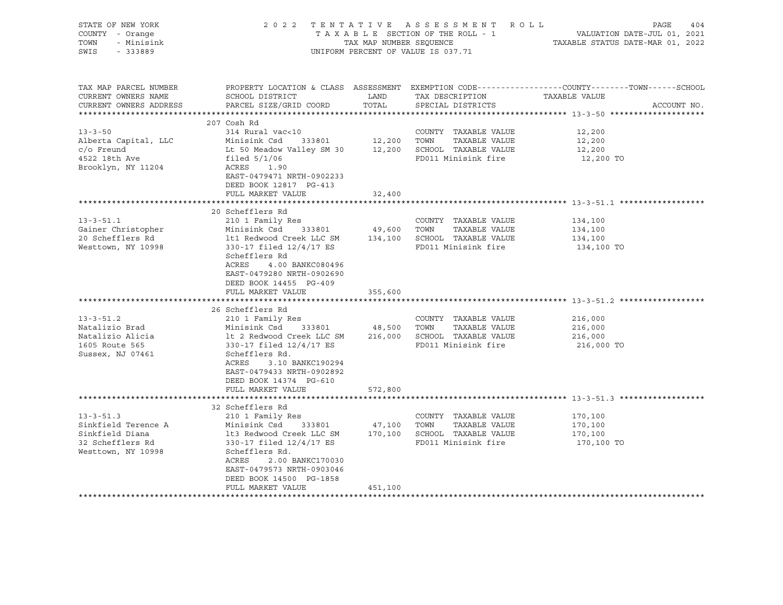| STATE OF NEW YORK<br>COUNTY - Orange<br>TOWN<br>- Minisink<br>SWIS - 333889                         |                                                                                                                                                                                                                                                                                                                             |         | 2022 TENTATIVE ASSESSMENT ROLL<br>UNIFORM PERCENT OF VALUE IS 037.71 | PAGE<br>404                                                                                                                      |
|-----------------------------------------------------------------------------------------------------|-----------------------------------------------------------------------------------------------------------------------------------------------------------------------------------------------------------------------------------------------------------------------------------------------------------------------------|---------|----------------------------------------------------------------------|----------------------------------------------------------------------------------------------------------------------------------|
| TAX MAP PARCEL NUMBER<br>CURRENT OWNERS NAME<br>CURRENT OWNERS ADDRESS                              | SCHOOL DISTRICT<br>PARCEL SIZE/GRID COORD                                                                                                                                                                                                                                                                                   | TOTAL   | LAND TAX DESCRIPTION<br>SPECIAL DISTRICTS                            | PROPERTY LOCATION & CLASS ASSESSMENT EXEMPTION CODE----------------COUNTY-------TOWN------SCHOOL<br>TAXABLE VALUE<br>ACCOUNT NO. |
| $13 - 3 - 50$<br>Alberta Capital, LLC<br>c/o Freund<br>4522 18th Ave<br>Brooklyn, NY 11204          | 207 Cosh Rd<br>314 Rural vac<10<br>Minisink Csd 333801 12,200 TOWN TAXABLE VALUE<br>Lt 50 Meadow Valley SM 30 12,200 SCHOOL TAXABLE VALUE<br>filed 5/1/06 FD011 Minisink fire<br>ACRES 1.90<br>EAST-0479471 NRTH-0902233<br>DEED BOOK 12817 PG-413                                                                          |         | COUNTY TAXABLE VALUE                                                 | 12,200<br>12,200<br>12,200<br>12,200 TO                                                                                          |
|                                                                                                     | FULL MARKET VALUE                                                                                                                                                                                                                                                                                                           | 32,400  |                                                                      |                                                                                                                                  |
| $13 - 3 - 51.1$<br>Gainer Christopher<br>20 Schefflers Rd<br>Westtown, NY 10998                     | 20 Schefflers Rd<br>210 1 Family Res<br>Minisink Csd 333801 49,600 TOWN TAXABLE VALUE<br>1t1 Redwood Creek LLC SM 134,100 SCHOOL TAXABLE VALUE<br>330-17 filed 12/4/17 ES FD011 Minisink fire<br>Schefflers Rd<br>4.00 BANKC080496<br>ACRES<br>EAST-0479280 NRTH-0902690<br>DEED BOOK 14455 PG-409                          |         | COUNTY TAXABLE VALUE                                                 | 134,100<br>134,100<br>134,100<br>134,100 TO                                                                                      |
|                                                                                                     | FULL MARKET VALUE                                                                                                                                                                                                                                                                                                           | 355,600 |                                                                      |                                                                                                                                  |
| $13 - 3 - 51.2$<br>Natalizio Brad<br>Natalizio Alicia<br>1605 Route 565<br>Sussex, NJ 07461         | 26 Schefflers Rd<br>210 1 Family Res<br>Minisink Csd 333801 48,500 TOWN TAXABLE VALUE<br>11 1 2 Redwood Creek LLC SM 216,000 SCHOOL TAXABLE VALUE<br>330-17 filed 12/4/17 ES FD011 Minisink fire<br>Schefflers Rd.<br>ACRES<br>3.10 BANKC190294<br>EAST-0479433 NRTH-0902892<br>DEED BOOK 14374 PG-610<br>FULL MARKET VALUE | 572,800 | COUNTY TAXABLE VALUE                                                 | 216,000<br>216,000<br>216,000<br>216,000 TO                                                                                      |
|                                                                                                     |                                                                                                                                                                                                                                                                                                                             |         |                                                                      |                                                                                                                                  |
| $13 - 3 - 51.3$<br>Sinkfield Terence A<br>Sinkfield Diana<br>32 Schefflers Rd<br>Westtown, NY 10998 | 32 Schefflers Rd<br>210 1 Family Res<br>Minisink Csd 333801 47,100 TOWN TAXABLE VALUE<br>1t3 Redwood Creek LLC SM 170,100 SCHOOL TAXABLE VALUE<br>330-17 filed 12/4/17 ES FD011 Minisink fire<br>Schefflers Rd.<br>ACRES<br>2.00 BANKC170030<br>EAST-0479573 NRTH-0903046<br>DEED BOOK 14500 PG-1858<br>FULL MARKET VALUE   | 451,100 | COUNTY TAXABLE VALUE                                                 | 170,100<br>170,100<br>170,100<br>170,100 TO                                                                                      |
|                                                                                                     |                                                                                                                                                                                                                                                                                                                             |         |                                                                      |                                                                                                                                  |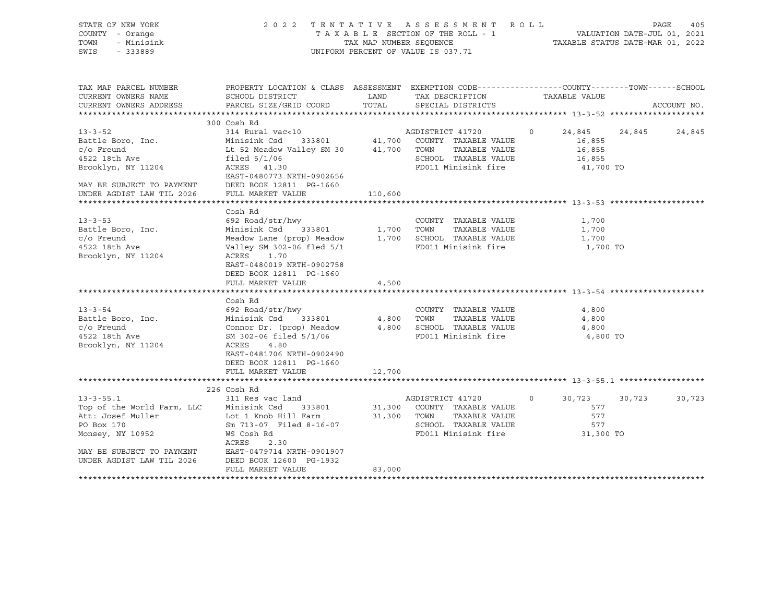| STATE OF NEW YORK<br>COUNTY - Orange<br>TOWN - Minisink<br>SWIS<br>$-333889$                                                                                                                                                                                                                                                      |                                                                                                                                                                                                                                                                                                                                                                                                           |                      | 2022 TENTATIVE ASSESSMENT ROLL<br>TENIAITVE ASSESSMENT AVOIT.<br>TAXABLE SECTION OF THE ROLL - 1 VALUATION DATE-JUL 01, 2021<br>TAX MAP NUMBER SEQUENCE TAXABLE STATUS DATE-MAR 01, 2022<br>UNIFORM PERCENT OF VALUE IS 037.71 |                                                                            | PAGE<br>405      |
|-----------------------------------------------------------------------------------------------------------------------------------------------------------------------------------------------------------------------------------------------------------------------------------------------------------------------------------|-----------------------------------------------------------------------------------------------------------------------------------------------------------------------------------------------------------------------------------------------------------------------------------------------------------------------------------------------------------------------------------------------------------|----------------------|--------------------------------------------------------------------------------------------------------------------------------------------------------------------------------------------------------------------------------|----------------------------------------------------------------------------|------------------|
| TAX MAP PARCEL NUMBER<br>CURRENT OWNERS NAME<br>CURRENT OWNERS ADDRESS                                                                                                                                                                                                                                                            | PROPERTY LOCATION & CLASS ASSESSMENT EXEMPTION CODE---------------COUNTY-------TOWN------SCHOOL<br>SCHOOL DISTRICT<br>PARCEL SIZE/GRID COORD                                                                                                                                                                                                                                                              | <b>LAND</b><br>TOTAL | TAX DESCRIPTION<br>SPECIAL DISTRICTS                                                                                                                                                                                           | TAXABLE VALUE                                                              | ACCOUNT NO.      |
| $13 - 3 - 52$<br>Battle Boro, Inc.<br>c/o Freund<br>4522 18th Ave<br>Brooklyn, NY 11204<br>MAY BE SUBJECT TO PAYMENT                                                                                                                                                                                                              | 300 Cosh Rd<br>314 Rural vac<10             AGDISTRICT 41720<br>Minisink Csd   333801      41,700  COUNTY TAXABLE VALUE<br>Lt 52 Meadow Valley SM 30 41,700 TOWN TAXABLE VALUE<br>filed 5/1/06<br>ACRES 41.30<br>EAST-0480773 NRTH-0902656<br>DEED BOOK 12811 PG-1660                                                                                                                                     |                      | SCHOOL TAXABLE VALUE<br>FD011 Minisink fire                                                                                                                                                                                    | $\overline{0}$<br>24,845<br>16,855<br>16,855<br>16,855<br>41,700 TO        | 24,845<br>24,845 |
| UNDER AGDIST LAW TIL 2026                                                                                                                                                                                                                                                                                                         | FULL MARKET VALUE                                                                                                                                                                                                                                                                                                                                                                                         | 110,600              |                                                                                                                                                                                                                                |                                                                            |                  |
|                                                                                                                                                                                                                                                                                                                                   |                                                                                                                                                                                                                                                                                                                                                                                                           |                      |                                                                                                                                                                                                                                |                                                                            |                  |
| $13 - 3 - 53$<br>Battle Boro, Inc.<br>c/o Freund<br>4522 18th Ave<br>Brooklyn, NY 11204<br>$13 - 3 - 54$<br>Battle Boro, Inc.<br>Minisink Csd 333801 4,800 TOWN TAXABLE VALUE<br>C/o Freund Connor Dr. (prop) Meadow 4,800 SCHOOL TAXABLE VALUE<br>4522 18th Ave SM 302-06 filed 5/1/06 FD011 Minisink fire<br>Brooklyn, NY 11204 | Cosh Rd<br>692 Road/str/hwy<br>Minisink Csd 333801 1,700 TOWN TAXABLE VALUE<br>Meadow Lane (prop) Meadow 1,700 SCHOOL TAXABLE VALUE<br>Valley SM 302-06 fled 5/1 FD011 Minisink fire<br>ACRES 1.70<br>EAST-0480019 NRTH-0902758<br>DEED BOOK 12811 PG-1660<br>FULL MARKET VALUE<br>Cosh Rd<br>692 Road/str/hwy<br>ACRES 4.80<br>EAST-0481706 NRTH-0902490<br>DEED BOOK 12811 PG-1660<br>FULL MARKET VALUE | 4,500<br>12,700      | COUNTY TAXABLE VALUE<br>FD011 Minisink fire<br>COUNTY TAXABLE VALUE<br>FD011 Minisink fire                                                                                                                                     | 1,700<br>1,700<br>1,700<br>1,700 TO<br>4,800<br>4,800<br>4,800<br>4,800 TO |                  |
|                                                                                                                                                                                                                                                                                                                                   |                                                                                                                                                                                                                                                                                                                                                                                                           |                      |                                                                                                                                                                                                                                |                                                                            |                  |
| $13 - 3 - 55.1$<br>Top of the World Farm, LLC Minisink Csd<br>PO Box 170<br>Monsey, NY 10952<br>MAY BE SUBJECT TO PAYMENT<br>UNDER AGDIST LAW TIL 2026                                                                                                                                                                            | 226 Cosh Rd<br>311 Res vac land<br>333801<br>Sm 713-07 Filed 8-16-07<br>WS Cosh Rd<br>ACRES<br>2.30<br>EAST-0479714 NRTH-0901907<br>DEED BOOK 12600 PG-1932<br>FULL MARKET VALUE                                                                                                                                                                                                                          | 83,000               | AGDISTRICT 41720<br>31,300 COUNTY TAXABLE VALUE<br>SCHOOL TAXABLE VALUE<br>FD011 Minisink fire 31,300 TO                                                                                                                       | $\circ$<br>30,723<br>577<br>577<br>577                                     | 30,723<br>30,723 |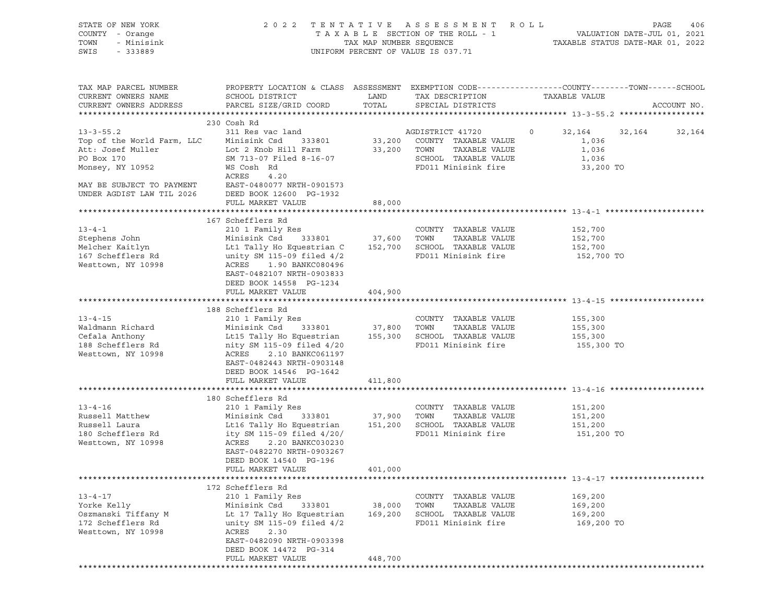| STATE OF NEW YORK<br>COUNTY - Orange<br>TOWN<br>- Minisink<br>SWIS - 333889                                                                                                     | 2022 TENTATIVE ASSESSMENT ROLL<br>T A X A B L E SECTION OF THE ROLL - 1 VALUATION DATE-JUL 01, 2021<br>TAX MAP NUMBER SEQUENCE TAXIS DATE-MAR 01, 2022<br>UNIFORM PERCENT OF VALUE IS 037.71      |                             |                                                                                                                             | PAGE<br>406                                 |                           |  |
|---------------------------------------------------------------------------------------------------------------------------------------------------------------------------------|---------------------------------------------------------------------------------------------------------------------------------------------------------------------------------------------------|-----------------------------|-----------------------------------------------------------------------------------------------------------------------------|---------------------------------------------|---------------------------|--|
| TAX MAP PARCEL NUMBER<br>CURRENT OWNERS NAME<br>CURRENT OWNERS ADDRESS                                                                                                          | PROPERTY LOCATION & CLASS ASSESSMENT EXEMPTION CODE----------------COUNTY-------TOWN------SCHOOL<br>PARCEL SIZE/GRID COORD                                                                        | TOTAL                       | SPECIAL DISTRICTS                                                                                                           | TAXABLE VALUE                               | ACCOUNT NO.               |  |
|                                                                                                                                                                                 | 230 Cosh Rd                                                                                                                                                                                       |                             |                                                                                                                             |                                             |                           |  |
| $13 - 3 - 55.2$<br>Top of the World Farm, LLC Minisink Csd 333801<br>Att: Josef Muller [18] Lot 2 Knob Hill Farm<br>PO Box 170<br>Monsey, NY 10952<br>MAY BE SUBJECT TO PAYMENT | 311 Res vac land<br>SM 713-07 Filed 8-16-07<br>WS Cosh Rd<br>ACRES<br>4.20<br>EAST-0480077 NRTH-0901573                                                                                           |                             | AGDISTRICT 41720<br>33,200 COUNTY TAXABLE VALUE<br>33,200 TOWN TAXABLE VALUE<br>SCHOOL TAXABLE VALUE<br>FD011 Minisink fire | 1,036<br>1,036<br>1,036<br>33,200 TO        | 0 32, 164 32, 164 32, 164 |  |
| UNDER AGDIST LAW TIL 2026                                                                                                                                                       | DEED BOOK 12600 PG-1932                                                                                                                                                                           |                             |                                                                                                                             |                                             |                           |  |
|                                                                                                                                                                                 | FULL MARKET VALUE                                                                                                                                                                                 | 88,000                      |                                                                                                                             |                                             |                           |  |
| $13 - 4 - 1$<br>Stephens John<br>Melcher Kaitlyn                                                                                                                                | 167 Schefflers Rd<br>210 1 Family Res<br>Minisink Csd 333801 37,600 TOWN                                                                                                                          |                             | COUNTY TAXABLE VALUE<br>TAXABLE VALUE                                                                                       | 152,700<br>152,700<br>152,700               |                           |  |
| 167 Schefflers Rd<br>Westtown, NY 10998                                                                                                                                         | Lt1 Tally Ho Equestrian C 152,700 SCHOOL TAXABLE VALUE<br>unity SM 115-09 filed 4/2 FD011 Minisink fire<br>ACRES 1.90 BANKC080496<br>EAST-0482107 NRTH-0903833<br>DEED BOOK 14558 PG-1234         |                             |                                                                                                                             | 152,700 TO                                  |                           |  |
|                                                                                                                                                                                 | FULL MARKET VALUE                                                                                                                                                                                 | 404,900                     |                                                                                                                             |                                             |                           |  |
|                                                                                                                                                                                 | 188 Schefflers Rd                                                                                                                                                                                 |                             |                                                                                                                             |                                             |                           |  |
| $13 - 4 - 15$                                                                                                                                                                   |                                                                                                                                                                                                   |                             | COUNTY TAXABLE VALUE                                                                                                        | 155,300                                     |                           |  |
| Waldmann Richard                                                                                                                                                                |                                                                                                                                                                                                   |                             |                                                                                                                             | 155,300                                     |                           |  |
|                                                                                                                                                                                 |                                                                                                                                                                                                   |                             |                                                                                                                             | 155,300                                     |                           |  |
| Ceraid Anthony<br>188 Schefflers Rd<br>Mesti<br>Westtown, NY 10998                                                                                                              | nity SM 115-09 filed 4/20<br>ACRES 2.10 BANKC061197<br>EAST-0482443 NRTH-0903148<br>DEED BOOK 14546 PG-1642                                                                                       |                             | FD011 Minisink fire                                                                                                         | 155,300 TO                                  |                           |  |
|                                                                                                                                                                                 | FULL MARKET VALUE                                                                                                                                                                                 | 411,800                     |                                                                                                                             |                                             |                           |  |
|                                                                                                                                                                                 |                                                                                                                                                                                                   |                             |                                                                                                                             |                                             |                           |  |
|                                                                                                                                                                                 | 180 Schefflers Rd                                                                                                                                                                                 |                             |                                                                                                                             |                                             |                           |  |
| $13 - 4 - 16$<br>Russell Matthew                                                                                                                                                | 210 1 Family Res<br>Minisink Csd 333801 37,900 TOWN                                                                                                                                               |                             | COUNTY TAXABLE VALUE<br>TAXABLE VALUE                                                                                       | 151,200<br>151,200                          |                           |  |
| Russell Laura                                                                                                                                                                   |                                                                                                                                                                                                   |                             |                                                                                                                             | 151,200                                     |                           |  |
| 180 Schefflers Rd<br>Westtown, NY 10998                                                                                                                                         | ACRES<br>2.20 BANKC030230<br>EAST-0482270 NRTH-0903267<br>DEED BOOK 14540 PG-196<br>FULL MARKET VALUE                                                                                             | 401,000                     |                                                                                                                             | 151,200 TO                                  |                           |  |
| **********************                                                                                                                                                          |                                                                                                                                                                                                   |                             |                                                                                                                             |                                             |                           |  |
| $13 - 4 - 17$<br>Yorke Kelly<br>Oszmanski Tiffany M<br>172 Schefflers Rd<br>Westtown, NY 10998                                                                                  | 172 Schefflers Rd<br>210 1 Family Res<br>Minisink Csd<br>333801<br>Lt 17 Tally Ho Equestrian<br>unity SM 115-09 filed 4/2<br>ACRES<br>2.30<br>EAST-0482090 NRTH-0903398<br>DEED BOOK 14472 PG-314 | 38,000<br>169,200           | COUNTY TAXABLE VALUE<br>TOWN<br>TAXABLE VALUE<br>SCHOOL TAXABLE VALUE<br>FD011 Minisink fire                                | 169,200<br>169,200<br>169,200<br>169,200 TO |                           |  |
|                                                                                                                                                                                 | FULL MARKET VALUE                                                                                                                                                                                 | 448,700                     |                                                                                                                             |                                             |                           |  |
|                                                                                                                                                                                 | *******************                                                                                                                                                                               | · * * * * * * * * * * * * * |                                                                                                                             |                                             |                           |  |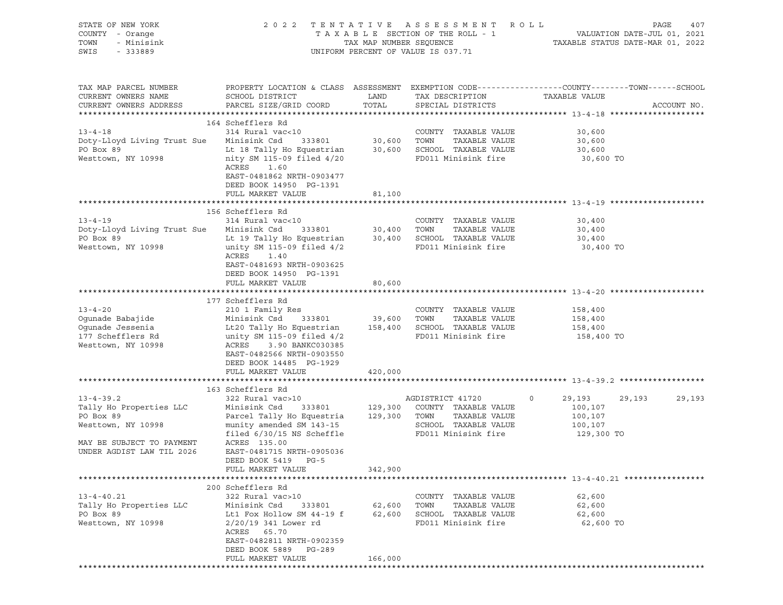| STATE OF NEW YORK<br>COUNTY - Orange<br>TOWN<br>- Minisink<br>SWIS<br>- 333889                                                          | 2 0 2 2                                                                                                                                                                                                                                             |                             | TENTATIVE ASSESSMENT ROLL<br>UNIFORM PERCENT OF VALUE IS 037.71                                                  | PAGE<br>407                                                                                                                     |
|-----------------------------------------------------------------------------------------------------------------------------------------|-----------------------------------------------------------------------------------------------------------------------------------------------------------------------------------------------------------------------------------------------------|-----------------------------|------------------------------------------------------------------------------------------------------------------|---------------------------------------------------------------------------------------------------------------------------------|
| TAX MAP PARCEL NUMBER<br>CURRENT OWNERS NAME<br>CURRENT OWNERS ADDRESS                                                                  | SCHOOL DISTRICT<br>PARCEL SIZE/GRID COORD                                                                                                                                                                                                           | LAND<br>TOTAL               | TAX DESCRIPTION<br>SPECIAL DISTRICTS                                                                             | PROPERTY LOCATION & CLASS ASSESSMENT EXEMPTION CODE----------------COUNTY-------TOWN-----SCHOOL<br>TAXABLE VALUE<br>ACCOUNT NO. |
| $13 - 4 - 18$<br>Doty-Lloyd Living Trust Sue<br>PO Box 89<br>Westtown, NY 10998                                                         | 164 Schefflers Rd<br>314 Rural vac<10<br>Minisink Csd<br>333801<br>Lt 18 Tally Ho Equestrian 30,600 SCHOOL TAXABLE VALUE<br>nity SM 115-09 filed 4/20<br>ACRES<br>1.60<br>EAST-0481862 NRTH-0903477<br>DEED BOOK 14950 PG-1391<br>FULL MARKET VALUE | 30,600 TOWN<br>81,100       | COUNTY TAXABLE VALUE<br>TAXABLE VALUE<br>FD011 Minisink fire                                                     | 30,600<br>30,600<br>30,600<br>30,600 TO                                                                                         |
|                                                                                                                                         |                                                                                                                                                                                                                                                     |                             |                                                                                                                  |                                                                                                                                 |
| $13 - 4 - 19$<br>Doty-Lloyd Living Trust Sue<br>PO Box 89<br>Westtown, NY 10998                                                         | 156 Schefflers Rd<br>314 Rural vac<10<br>Minisink Csd<br>333801<br>Lt 19 Tally Ho Equestrian 30,400 SCHOOL TAXABLE VALUE<br>unity SM 115-09 filed $4/2$<br>ACRES<br>1.40<br>EAST-0481693 NRTH-0903625<br>DEED BOOK 14950 PG-1391                    |                             | COUNTY TAXABLE VALUE<br>30,400 TOWN<br>TAXABLE VALUE<br>FD011 Minisink fire                                      | 30,400<br>30,400<br>30,400<br>30,400 TO                                                                                         |
|                                                                                                                                         | FULL MARKET VALUE                                                                                                                                                                                                                                   | 80,600                      |                                                                                                                  |                                                                                                                                 |
| $13 - 4 - 20$<br>Ogunade Babajide<br>Ogunade Jessenia<br>177 Schefflers Rd<br>Westtown, NY 10998                                        | 177 Schefflers Rd<br>210 1 Family Res<br>Minisink Csd<br>333801<br>Lt20 Tally Ho Equestrian 158,400 SCHOOL TAXABLE VALUE<br>unity SM 115-09 filed $4/2$<br>ACRES<br>3.90 BANKC030385<br>EAST-0482566 NRTH-0903550<br>DEED BOOK 14485 PG-1929        | 39,600 TOWN                 | COUNTY TAXABLE VALUE<br>TAXABLE VALUE<br>FD011 Minisink fire                                                     | 158,400<br>158,400<br>158,400<br>158,400 TO                                                                                     |
|                                                                                                                                         | FULL MARKET VALUE                                                                                                                                                                                                                                   | 420,000                     |                                                                                                                  |                                                                                                                                 |
|                                                                                                                                         | 163 Schefflers Rd                                                                                                                                                                                                                                   |                             |                                                                                                                  |                                                                                                                                 |
| $13 - 4 - 39.2$<br>Tally Ho Properties LLC<br>PO Box 89<br>Westtown, NY 10998<br>MAY BE SUBJECT TO PAYMENT<br>UNDER AGDIST LAW TIL 2026 | 322 Rural vac>10<br>333801<br>Minisink Csd<br>Parcel Tally Ho Equestria 129,300 TOWN<br>munity amended SM 143-15<br>filed $6/30/15$ NS Scheffle<br>ACRES 135.00<br>EAST-0481715 NRTH-0905036<br>DEED BOOK 5419 PG-5<br>FULL MARKET VALUE            | 342,900                     | AGDISTRICT 41720<br>129,300 COUNTY TAXABLE VALUE<br>TAXABLE VALUE<br>SCHOOL TAXABLE VALUE<br>FD011 Minisink fire | $\circ$<br>29,193<br>29,193<br>29,193<br>100,107<br>100,107<br>100,107<br>129,300 TO                                            |
|                                                                                                                                         |                                                                                                                                                                                                                                                     |                             |                                                                                                                  |                                                                                                                                 |
| $13 - 4 - 40.21$<br>Tally Ho Properties LLC<br>PO Box 89<br>Westtown, NY 10998                                                          | 200 Schefflers Rd<br>322 Rural vac>10<br>Minisink Csd<br>333801<br>Lt1 Fox Hollow SM 44-19 f<br>$2/20/19$ 341 Lower rd<br>ACRES<br>65.70<br>EAST-0482811 NRTH-0902359<br>DEED BOOK 5889 PG-289<br>FULL MARKET VALUE                                 | 62,600<br>62,600<br>166,000 | COUNTY TAXABLE VALUE<br>TOWN<br>TAXABLE VALUE<br>SCHOOL TAXABLE VALUE<br>FD011 Minisink fire                     | 62,600<br>62,600<br>62,600<br>62,600 TO                                                                                         |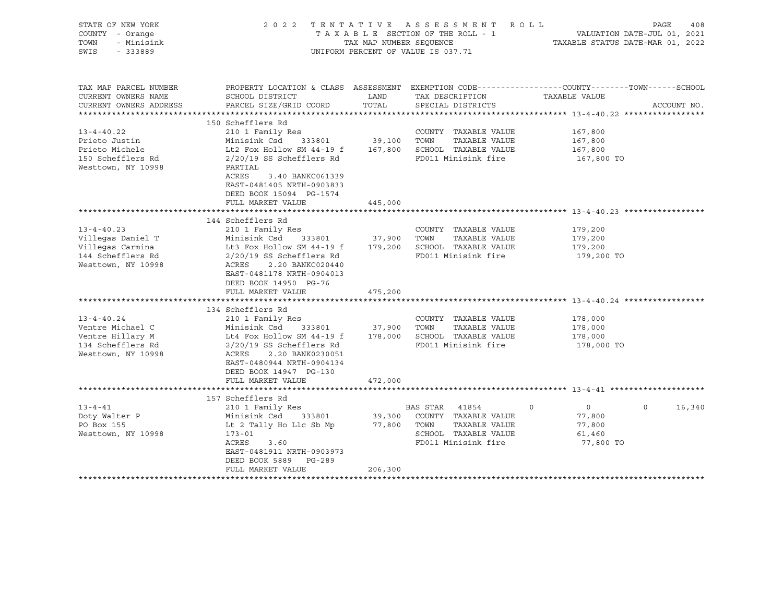| STATE OF NEW YORK<br>COUNTY - Orange<br>TOWN<br>- Minisink<br>SWIS<br>$-333889$                                                                                                       |                                                                                                                                                                                                                                                                                                                                                                  | TAX MAP NUMBER SEQUENCE                           | 2022 TENTATIVE ASSESSMENT ROLL<br>TAXABLE SECTION OF THE ROLL - 1<br>UNIFORM PERCENT OF VALUE IS 037.71                                                                                      | PAGE<br>408<br>VALUATION DATE-JUL 01, 2021<br>TAXABLE STATUS DATE-MAR 01, 2022                                                   |
|---------------------------------------------------------------------------------------------------------------------------------------------------------------------------------------|------------------------------------------------------------------------------------------------------------------------------------------------------------------------------------------------------------------------------------------------------------------------------------------------------------------------------------------------------------------|---------------------------------------------------|----------------------------------------------------------------------------------------------------------------------------------------------------------------------------------------------|----------------------------------------------------------------------------------------------------------------------------------|
| TAX MAP PARCEL NUMBER<br>CURRENT OWNERS NAME<br>CURRENT OWNERS ADDRESS                                                                                                                | SCHOOL DISTRICT<br>PARCEL SIZE/GRID COORD                                                                                                                                                                                                                                                                                                                        | LAND<br>TOTAL                                     | TAX DESCRIPTION<br>SPECIAL DISTRICTS                                                                                                                                                         | PROPERTY LOCATION & CLASS ASSESSMENT EXEMPTION CODE----------------COUNTY-------TOWN------SCHOOL<br>TAXABLE VALUE<br>ACCOUNT NO. |
| $13 - 4 - 40.22$<br>Prieto Justin<br>Prieto Michele<br>150 Schefflers Rd<br>Westtown, NY 10998                                                                                        | 150 Schefflers Rd<br>210 1 Family Res<br>Minisink Csd<br>333801<br>Lt2 Fox Hollow SM 44-19 f<br>2/20/19 SS Schefflers Rd<br>PARTIAL<br>ACRES<br>3.40 BANKC061339<br>EAST-0481405 NRTH-0903833<br>DEED BOOK 15094 PG-1574                                                                                                                                         | 39,100<br>167,800                                 | COUNTY TAXABLE VALUE<br>TOWN<br>TAXABLE VALUE<br>SCHOOL TAXABLE VALUE<br>FD011 Minisink fire                                                                                                 | 167,800<br>167,800<br>167,800<br>167,800 TO                                                                                      |
|                                                                                                                                                                                       | FULL MARKET VALUE                                                                                                                                                                                                                                                                                                                                                | 445,000                                           |                                                                                                                                                                                              |                                                                                                                                  |
|                                                                                                                                                                                       |                                                                                                                                                                                                                                                                                                                                                                  |                                                   |                                                                                                                                                                                              |                                                                                                                                  |
| $13 - 4 - 40.23$<br>Villegas Daniel T<br>Villegas Carmina<br>144 Schefflers Rd<br>Westtown, NY 10998<br>$13 - 4 - 40.24$<br>Ventre Michael C<br>Ventre Hillary M<br>134 Schefflers Rd | 144 Schefflers Rd<br>210 1 Family Res<br>Minisink Csd<br>333801<br>Lt3 Fox Hollow SM 44-19 f<br>$2/20/19$ SS Schefflers Rd<br>ACRES<br>2.20 BANKC020440<br>EAST-0481178 NRTH-0904013<br>DEED BOOK 14950 PG-76<br>FULL MARKET VALUE<br>134 Schefflers Rd<br>210 1 Family Res<br>Minisink Csd<br>333801<br>Lt4 Fox Hollow SM 44-19 f<br>$2/20/19$ SS Schefflers Rd | 37,900<br>179,200<br>475,200<br>37,900<br>178,000 | COUNTY TAXABLE VALUE<br>TAXABLE VALUE<br>TOWN<br>SCHOOL TAXABLE VALUE<br>FD011 Minisink fire<br>COUNTY TAXABLE VALUE<br>TAXABLE VALUE<br>TOWN<br>SCHOOL TAXABLE VALUE<br>FD011 Minisink fire | 179,200<br>179,200<br>179,200<br>179,200 TO<br>178,000<br>178,000<br>178,000<br>178,000 TO                                       |
| Westtown, NY 10998                                                                                                                                                                    | ACRES<br>2.20 BANK0230051<br>EAST-0480944 NRTH-0904134<br>DEED BOOK 14947 PG-130<br>FULL MARKET VALUE                                                                                                                                                                                                                                                            | 472,000                                           |                                                                                                                                                                                              |                                                                                                                                  |
| $13 - 4 - 41$<br>Doty Walter P<br>PO Box 155<br>Westtown, NY 10998                                                                                                                    | 157 Schefflers Rd<br>210 1 Family Res<br>Minisink Csd<br>333801<br>Lt 2 Tally Ho Llc Sb Mp<br>$173 - 01$<br><b>ACRES</b><br>3.60<br>EAST-0481911 NRTH-0903973<br>DEED BOOK 5889<br>PG-289<br>FULL MARKET VALUE<br>******************                                                                                                                             | 39,300<br>77,800 TOWN<br>206,300                  | BAS STAR 41854<br>$\mathbf 0$<br>COUNTY TAXABLE VALUE<br>TAXABLE VALUE<br>SCHOOL TAXABLE VALUE<br>FD011 Minisink fire                                                                        | 16,340<br>$\overline{0}$<br>$\Omega$<br>77,800<br>77,800<br>61,460<br>77,800 TO                                                  |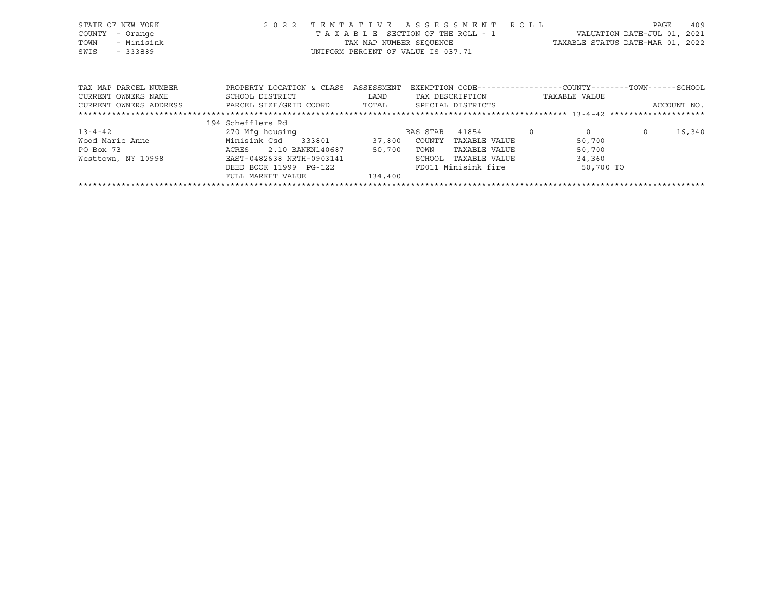| STATE OF NEW YORK<br>COUNTY<br>- Orange<br>- Minisink<br>TOWN<br>SWIS<br>$-333889$ | 2 0 2 2<br>TENTATIVE                         | TAX MAP NUMBER SEOUENCE<br>UNIFORM PERCENT OF VALUE IS 037.71 | A S S E S S M E N T | T A X A B L E SECTION OF THE ROLL - 1 | R O L L | VALUATION DATE-JUL 01, 2021<br>TAXABLE STATUS DATE-MAR 01, 2022               | PAGE    | 409         |
|------------------------------------------------------------------------------------|----------------------------------------------|---------------------------------------------------------------|---------------------|---------------------------------------|---------|-------------------------------------------------------------------------------|---------|-------------|
| TAX MAP PARCEL NUMBER<br>CURRENT OWNERS NAME                                       | PROPERTY LOCATION & CLASS<br>SCHOOL DISTRICT | ASSESSMENT<br>LAND                                            | TAX DESCRIPTION     |                                       |         | EXEMPTION CODE-----------------COUNTY-------TOWN------SCHOOL<br>TAXABLE VALUE |         |             |
| CURRENT OWNERS ADDRESS                                                             | PARCEL SIZE/GRID COORD                       | TOTAL                                                         |                     | SPECIAL DISTRICTS                     |         |                                                                               |         | ACCOUNT NO. |
|                                                                                    | 194 Schefflers Rd                            |                                                               |                     |                                       |         |                                                                               |         |             |
| $13 - 4 - 42$                                                                      | 270 Mfg housing                              |                                                               | BAS STAR            | 41854                                 | $\circ$ | $\overline{0}$                                                                | $\circ$ | 16,340      |
| Wood Marie Anne                                                                    | Minisink Csd<br>333801                       | 37,800                                                        | COUNTY              | TAXABLE VALUE                         |         | 50,700                                                                        |         |             |
| PO Box 73                                                                          | 2.10 BANKN140687<br>ACRES                    | 50,700                                                        | TOWN                | TAXABLE VALUE                         |         | 50,700                                                                        |         |             |
| Westtown, NY 10998                                                                 | EAST-0482638 NRTH-0903141                    |                                                               | SCHOOL              | TAXABLE VALUE                         |         | 34,360                                                                        |         |             |
|                                                                                    | DEED BOOK 11999 PG-122                       |                                                               |                     | FD011 Minisink fire                   |         | 50,700 TO                                                                     |         |             |
|                                                                                    | FULL MARKET VALUE                            | 134,400                                                       |                     |                                       |         |                                                                               |         |             |

\*\*\*\*\*\*\*\*\*\*\*\*\*\*\*\*\*\*\*\*\*\*\*\*\*\*\*\*\*\*\*\*\*\*\*\*\*\*\*\*\*\*\*\*\*\*\*\*\*\*\*\*\*\*\*\*\*\*\*\*\*\*\*\*\*\*\*\*\*\*\*\*\*\*\*\*\*\*\*\*\*\*\*\*\*\*\*\*\*\*\*\*\*\*\*\*\*\*\*\*\*\*\*\*\*\*\*\*\*\*\*\*\*\*\*\*\*\*\*\*\*\*\*\*\*\*\*\*\*\*\*\*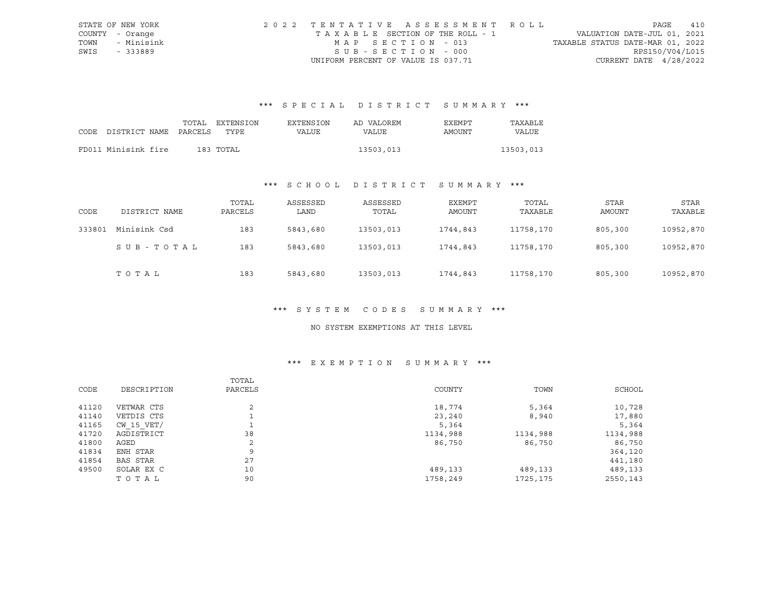|      | STATE OF NEW YORK | 2022 TENTATIVE ASSESSMENT ROLL        |                                  | PAGE | 410 |
|------|-------------------|---------------------------------------|----------------------------------|------|-----|
|      | COUNTY - Orange   | T A X A B L E SECTION OF THE ROLL - 1 | VALUATION DATE-JUL 01, 2021      |      |     |
| TOWN | - Minisink        | MAP SECTION - 013                     | TAXABLE STATUS DATE-MAR 01, 2022 |      |     |
| SWIS | - 333889          | SUB-SECTION - 000                     | RPS150/V04/L015                  |      |     |
|      |                   | UNIFORM PERCENT OF VALUE IS 037.71    | CURRENT DATE $4/28/2022$         |      |     |

# \*\*\* S P E C I A L D I S T R I C T S U M M A R Y \*\*\*

|                            | TOTAL | EXTENSION | EXTENSION | AD VALOREM | EXEMPT | TAXABLE      |
|----------------------------|-------|-----------|-----------|------------|--------|--------------|
| CODE DISTRICT NAME PARCELS |       | TYPE.     | VALUE     | VALUE      | AMOUNT | <b>VALUE</b> |
|                            |       |           |           |            |        |              |
| FD011 Minisink fire        |       | 183 TOTAL |           | 13503,013  |        | 13503,013    |

## \*\*\* S C H O O L D I S T R I C T S U M M A R Y \*\*\*

| CODE   | DISTRICT NAME | TOTAL<br>PARCELS | ASSESSED<br>LAND | ASSESSED<br>TOTAL | EXEMPT<br>AMOUNT | TOTAL<br>TAXABLE | STAR<br>AMOUNT | STAR<br>TAXABLE |
|--------|---------------|------------------|------------------|-------------------|------------------|------------------|----------------|-----------------|
| 333801 | Minisink Csd  | 183              | 5843,680         | 13503,013         | 1744,843         | 11758,170        | 805,300        | 10952,870       |
|        | SUB-TOTAL     | 183              | 5843,680         | 13503,013         | 1744,843         | 11758,170        | 805,300        | 10952,870       |
|        | TOTAL         | 183              | 5843,680         | 13503,013         | 1744,843         | 11758,170        | 805,300        | 10952,870       |

#### \*\*\* S Y S T E M C O D E S S U M M A R Y \*\*\*

#### NO SYSTEM EXEMPTIONS AT THIS LEVEL

### \*\*\* E X E M P T I O N S U M M A R Y \*\*\*

|       |                | TOTAL          |          |           |          |
|-------|----------------|----------------|----------|-----------|----------|
| CODE  | DESCRIPTION    | PARCELS        | COUNTY   | TOWN      | SCHOOL   |
| 41120 | VETWAR CTS     | $\overline{2}$ | 18,774   | 5,364     | 10,728   |
| 41140 | VETDIS CTS     |                | 23,240   | 8,940     | 17,880   |
| 41165 | $CW$ 15 $VET/$ |                | 5,364    |           | 5,364    |
| 41720 | AGDISTRICT     | 38             | 1134,988 | 1134,988  | 1134,988 |
| 41800 | AGED           | 2              | 86,750   | 86,750    | 86,750   |
| 41834 | ENH STAR       | 9              |          |           | 364,120  |
| 41854 | BAS STAR       | 27             |          |           | 441,180  |
| 49500 | SOLAR EX C     | 10             | 489,133  | 489,133   | 489,133  |
|       | TOTAL          | 90             | 1758,249 | 1725, 175 | 2550,143 |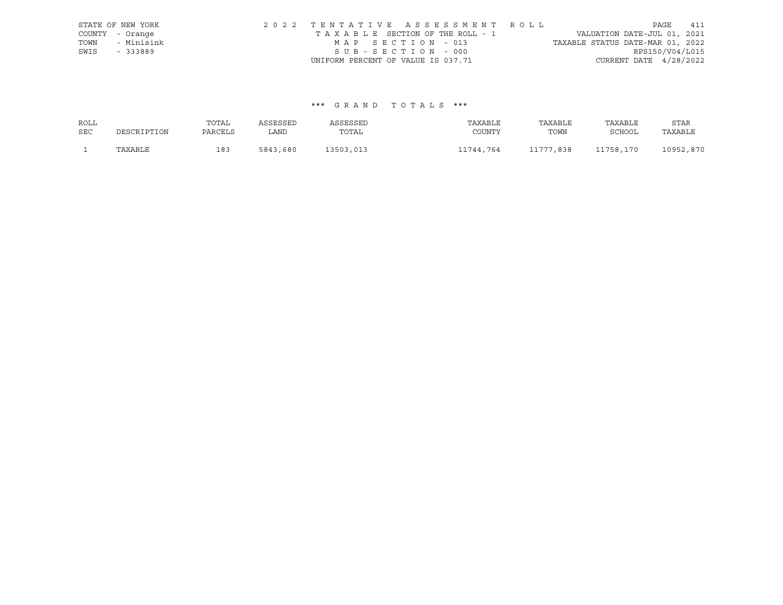|      | STATE OF NEW YORK | 2022 TENTATIVE ASSESSMENT ROLL                                 | PAGE            | 411 |
|------|-------------------|----------------------------------------------------------------|-----------------|-----|
|      | COUNTY - Orange   | VALUATION DATE-JUL 01, 2021<br>TAXABLE SECTION OF THE ROLL - 1 |                 |     |
| TOWN | - Minisink        | TAXABLE STATUS DATE-MAR 01, 2022<br>MAP SECTION - 013          |                 |     |
| SWIS | - 333889          | SUB-SECTION - 000                                              | RPS150/V04/L015 |     |
|      |                   | CURRENT DATE $4/28/2022$<br>UNIFORM PERCENT OF VALUE IS 037.71 |                 |     |

### \*\*\* G R A N D T O T A L S \*\*\*

| ROLL       |             | TOTAL   | ASSESSED | ASSESSED  | TAXABLE   | TAXABLE   | TAXABLE   | STAR      |
|------------|-------------|---------|----------|-----------|-----------|-----------|-----------|-----------|
| <b>SEC</b> | DESCRIPTION | PARCELS | LAND     | TOTAL     | COUNTY    | TOWN      | SCHOOL    | TAXABLE   |
|            | TAXABLE     | 183     | 5843,680 | 13503,013 | 11744.764 | L1777,838 | 11758,170 | 10952,870 |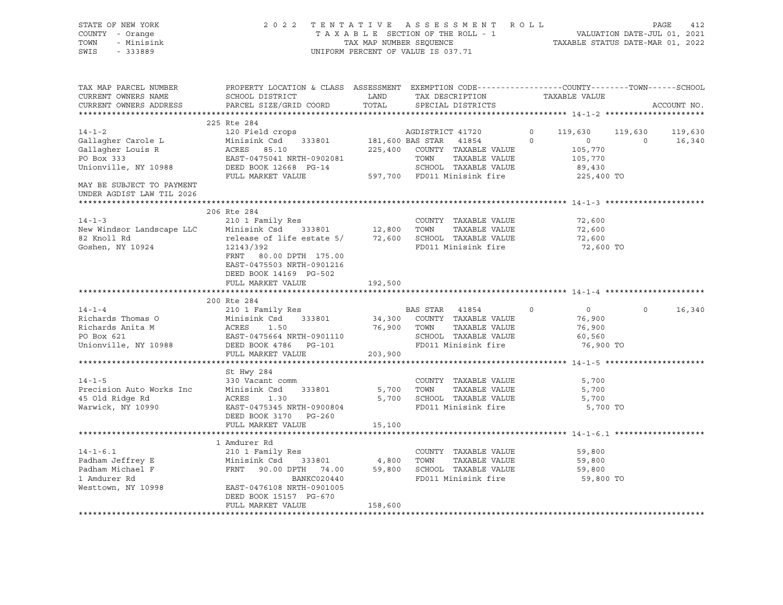| STATE OF NEW YORK<br>COUNTY - Orange<br>TOWN<br>- Minisink<br>SWIS<br>$-333889$ | UNIFORM PERCENT OF VALUE IS 037.71                                                                                                                                                                                                                       | 2022 TENTATIVE ASSESSMENT ROLL PAGE 412<br>TAXABLE SECTION OF THE ROLL - 1 VALUATION DATE-JUL 01, 2021<br>TAX MAP NUMBER SEQUENCE TAXABLE STATUS DATE-MAR 01, 2022 |                             |                |                |                 |
|---------------------------------------------------------------------------------|----------------------------------------------------------------------------------------------------------------------------------------------------------------------------------------------------------------------------------------------------------|--------------------------------------------------------------------------------------------------------------------------------------------------------------------|-----------------------------|----------------|----------------|-----------------|
| TAX MAP PARCEL NUMBER<br>CURRENT OWNERS NAME<br>CURRENT OWNERS ADDRESS          | PROPERTY LOCATION & CLASS ASSESSMENT EXEMPTION CODE----------------COUNTY-------TOWN------SCHOOL                                                                                                                                                         |                                                                                                                                                                    |                             | TAXABLE VALUE  |                | ACCOUNT NO.     |
|                                                                                 |                                                                                                                                                                                                                                                          |                                                                                                                                                                    |                             |                |                |                 |
|                                                                                 | 225 Rte 284                                                                                                                                                                                                                                              |                                                                                                                                                                    |                             |                |                |                 |
| $14 - 1 - 2$                                                                    | REE 284<br>120 Field crops<br>Minisink Csd 333801 181,600 BAS STAR 41854 0<br>ACRES 85.10 225,400 COUNTY TAXABLE VALUE                                                                                                                                   |                                                                                                                                                                    |                             | 0 119,630      |                | 119,630 119,630 |
| Gallagher Carole L                                                              |                                                                                                                                                                                                                                                          |                                                                                                                                                                    |                             | $\sim$ 0       | $\overline{0}$ | 16,340          |
|                                                                                 |                                                                                                                                                                                                                                                          |                                                                                                                                                                    |                             | 105,770        |                |                 |
| PO Box 333                                                                      |                                                                                                                                                                                                                                                          |                                                                                                                                                                    |                             | 105,770        |                |                 |
| Unionville, NY 10988                                                            |                                                                                                                                                                                                                                                          |                                                                                                                                                                    |                             | 89,430         |                |                 |
|                                                                                 | FULL MARKET VALUE                                                                                                                                                                                                                                        |                                                                                                                                                                    | 597,700 FD011 Minisink fire | 225,400 TO     |                |                 |
| MAY BE SUBJECT TO PAYMENT                                                       |                                                                                                                                                                                                                                                          |                                                                                                                                                                    |                             |                |                |                 |
| UNDER AGDIST LAW TIL 2026                                                       |                                                                                                                                                                                                                                                          |                                                                                                                                                                    |                             |                |                |                 |
|                                                                                 |                                                                                                                                                                                                                                                          |                                                                                                                                                                    |                             |                |                |                 |
|                                                                                 | 206 Rte 284                                                                                                                                                                                                                                              |                                                                                                                                                                    |                             |                |                |                 |
|                                                                                 |                                                                                                                                                                                                                                                          |                                                                                                                                                                    | COUNTY TAXABLE VALUE        | 72,600         |                |                 |
|                                                                                 |                                                                                                                                                                                                                                                          |                                                                                                                                                                    | TAXABLE VALUE               | 72,600         |                |                 |
|                                                                                 |                                                                                                                                                                                                                                                          |                                                                                                                                                                    |                             | 72,600         |                |                 |
|                                                                                 | 210 1 Family Res<br>New Windsor Landscape LLC<br>Minisink Csd<br>233801<br>21,800 TOWN TAXABLE VALUE<br>22 Knoll Rd<br>32 Knoll Rd<br>32 Knoll Rd<br>32 Knoll Rd<br>32 Knoll Rd<br>32 Knoll Rd<br>32 SCHOOL TAXABLE VALUE<br>32 SCHOOL TAXABLE VALUE<br> |                                                                                                                                                                    | FD011 Minisink fire         | 72,600 TO      |                |                 |
|                                                                                 | FRNT 80.00 DPTH 175.00                                                                                                                                                                                                                                   |                                                                                                                                                                    |                             |                |                |                 |
|                                                                                 | EAST-0475503 NRTH-0901216                                                                                                                                                                                                                                |                                                                                                                                                                    |                             |                |                |                 |
|                                                                                 | DEED BOOK 14169 PG-502<br>FULL MARKET VALUE                                                                                                                                                                                                              | 192,500                                                                                                                                                            |                             |                |                |                 |
|                                                                                 |                                                                                                                                                                                                                                                          |                                                                                                                                                                    |                             |                |                |                 |
|                                                                                 | 200 Rte 284                                                                                                                                                                                                                                              |                                                                                                                                                                    |                             |                |                |                 |
| $14 - 1 - 4$                                                                    | 200 Kte 284<br>210 1 Family Res<br>Minisink Csd 333801<br>ACRES 1.50<br>EAST-0475664 NRTH-0901110<br>DEED BOOK 4786 PG-101<br>PEED BOOK 4786 PG-101<br>PEED BOOK 4786 PG-101                                                                             |                                                                                                                                                                    |                             | $\overline{0}$ | $\circ$        | 16,340          |
| Richards Thomas O                                                               |                                                                                                                                                                                                                                                          |                                                                                                                                                                    |                             | 76,900         |                |                 |
| Richards Anita M                                                                |                                                                                                                                                                                                                                                          |                                                                                                                                                                    |                             | 76,900         |                |                 |
| PO Box 621                                                                      |                                                                                                                                                                                                                                                          |                                                                                                                                                                    |                             | 60,560         |                |                 |
| Unionville, NY 10988                                                            |                                                                                                                                                                                                                                                          |                                                                                                                                                                    |                             | 76,900 TO      |                |                 |
|                                                                                 | FULL MARKET VALUE                                                                                                                                                                                                                                        | 203,900                                                                                                                                                            |                             |                |                |                 |
|                                                                                 |                                                                                                                                                                                                                                                          |                                                                                                                                                                    |                             |                |                |                 |
|                                                                                 | St Hwy 284                                                                                                                                                                                                                                               |                                                                                                                                                                    |                             |                |                |                 |
| $14 - 1 - 5$                                                                    | 330 Vacant comm                                                                                                                                                                                                                                          |                                                                                                                                                                    | COUNTY TAXABLE VALUE        | 5,700          |                |                 |
|                                                                                 | 11 1 30<br>Precision Auto Works Inc Ministrik Csd 333801<br>45 Old Pidge Pd Ministry 200 130                                                                                                                                                             |                                                                                                                                                                    | 5,700 TOWN TAXABLE VALUE    | 5,700          |                |                 |
| 45 Old Ridge Rd                                                                 | ACRES 1.30                                                                                                                                                                                                                                               |                                                                                                                                                                    | 5,700 SCHOOL TAXABLE VALUE  | 5,700          |                |                 |
| Warwick, NY 10990                                                               | EAST-0475345 NRTH-0900804                                                                                                                                                                                                                                |                                                                                                                                                                    | FD011 Minisink fire         | 5,700 TO       |                |                 |
|                                                                                 | DEED BOOK 3170 PG-260                                                                                                                                                                                                                                    |                                                                                                                                                                    |                             |                |                |                 |
|                                                                                 | FULL MARKET VALUE                                                                                                                                                                                                                                        | 15,100                                                                                                                                                             |                             |                |                |                 |
|                                                                                 |                                                                                                                                                                                                                                                          |                                                                                                                                                                    |                             |                |                |                 |
|                                                                                 | 1 Amdurer Rd                                                                                                                                                                                                                                             |                                                                                                                                                                    |                             |                |                |                 |
| $14 - 1 - 6.1$                                                                  | 210 1 Family Res                                                                                                                                                                                                                                         |                                                                                                                                                                    | COUNTY TAXABLE VALUE        | 59,800         |                |                 |
|                                                                                 |                                                                                                                                                                                                                                                          |                                                                                                                                                                    |                             | 59,800         |                |                 |
|                                                                                 |                                                                                                                                                                                                                                                          |                                                                                                                                                                    |                             | 59,800         |                |                 |
|                                                                                 |                                                                                                                                                                                                                                                          |                                                                                                                                                                    | FD011 Minisink fire         | 59,800 TO      |                |                 |
|                                                                                 | Westtown, NY 10998 EAST-0476108 NRTH-0901005                                                                                                                                                                                                             |                                                                                                                                                                    |                             |                |                |                 |
|                                                                                 | DEED BOOK 15157 PG-670                                                                                                                                                                                                                                   |                                                                                                                                                                    |                             |                |                |                 |
|                                                                                 | FULL MARKET VALUE                                                                                                                                                                                                                                        | 158,600                                                                                                                                                            |                             |                |                |                 |
|                                                                                 |                                                                                                                                                                                                                                                          |                                                                                                                                                                    |                             |                |                |                 |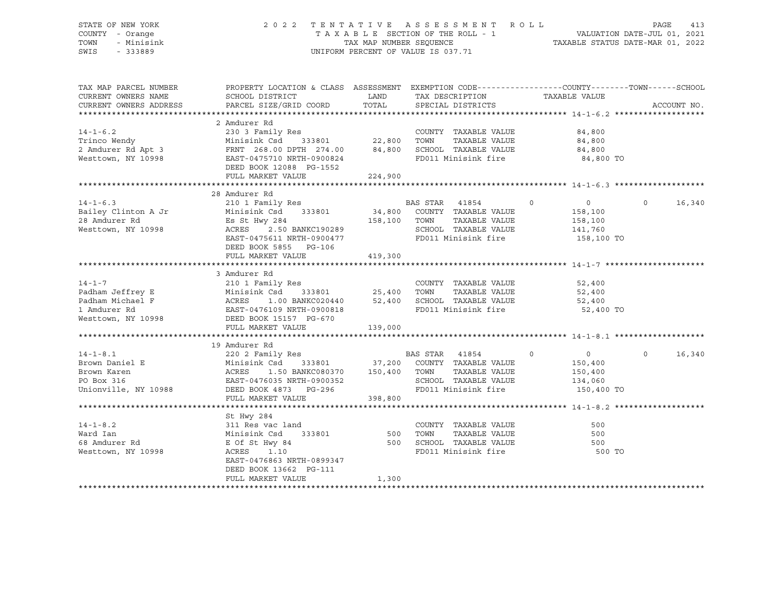#### STATE OF NEW YORK 2 0 2 2 T E N T A T I V E A S S E S S M E N T R O L L PAGE 413 COUNTY - Orange T A X A B L E SECTION OF THE ROLL - 1 VALUATION DATE-JUL 01, 2021 TOWN - Minisink TAX MAP NUMBER SEQUENCE TAXABLE STATUS DATE-MAR 01, 2022 SWIS - 333889 CONSERVED BY A SUMPORM PERCENT OF VALUE IS 037.71

| TAX MAP PARCEL NUMBER                                                                                                                                                                                                                            | PROPERTY LOCATION & CLASS ASSESSMENT EXEMPTION CODE---------------COUNTY-------TOWN-----SCHOOL |         |                                             |                                  |                    |
|--------------------------------------------------------------------------------------------------------------------------------------------------------------------------------------------------------------------------------------------------|------------------------------------------------------------------------------------------------|---------|---------------------------------------------|----------------------------------|--------------------|
| CURRENT OWNERS NAME                                                                                                                                                                                                                              | SCHOOL DISTRICT TAX DESCRIPTION                                                                |         |                                             | TAXABLE VALUE                    |                    |
| CURRENT OWNERS ADDRESS                                                                                                                                                                                                                           | PARCEL SIZE/GRID COORD                                                                         | TOTAL   | SPECIAL DISTRICTS                           |                                  | ACCOUNT NO.        |
|                                                                                                                                                                                                                                                  |                                                                                                |         |                                             |                                  |                    |
|                                                                                                                                                                                                                                                  | 2 Amdurer Rd                                                                                   |         |                                             |                                  |                    |
| $14 - 1 - 6.2$                                                                                                                                                                                                                                   |                                                                                                |         | COUNTY TAXABLE VALUE                        | 84,800<br>84.800                 |                    |
| 14-1-6.2<br>Trinco Wendy                                                                                                                                                                                                                         |                                                                                                |         | TAXABLE VALUE                               | 84,800                           |                    |
|                                                                                                                                                                                                                                                  |                                                                                                |         |                                             |                                  |                    |
| 2 Amdurer Rd Apt 3<br>2 Amdurer Rd Apt 3<br>Westtown, NY 10998 EAST-0475710 NRTH-0900824 FD011 Minisink fire 34,800                                                                                                                              |                                                                                                |         |                                             | 84,800 TO                        |                    |
|                                                                                                                                                                                                                                                  | DEED BOOK 12088 PG-1552                                                                        |         |                                             |                                  |                    |
|                                                                                                                                                                                                                                                  | FULL MARKET VALUE                                                                              | 224,900 |                                             |                                  |                    |
|                                                                                                                                                                                                                                                  |                                                                                                |         |                                             |                                  |                    |
| 31 Amdurer Rd Minisink Csd 333801<br>Westtown, NY 10998<br>The Minisiphe State State State State State State State State State State State State State State State State State State State State State State State State State Sta               |                                                                                                |         |                                             |                                  |                    |
|                                                                                                                                                                                                                                                  |                                                                                                |         |                                             | $\overline{0}$<br>$\overline{0}$ | $\Omega$<br>16,340 |
|                                                                                                                                                                                                                                                  |                                                                                                |         |                                             | 158,100                          |                    |
|                                                                                                                                                                                                                                                  |                                                                                                |         |                                             | TAXABLE VALUE 158,100            |                    |
|                                                                                                                                                                                                                                                  |                                                                                                |         |                                             | 141,760                          |                    |
|                                                                                                                                                                                                                                                  |                                                                                                |         | SCHOOL TAXABLE VALUE<br>FD011 Minisink fire | 158,100 TO                       |                    |
|                                                                                                                                                                                                                                                  | DEED BOOK 5855 PG-106                                                                          |         |                                             |                                  |                    |
|                                                                                                                                                                                                                                                  | FULL MARKET VALUE                                                                              | 419,300 |                                             |                                  |                    |
|                                                                                                                                                                                                                                                  |                                                                                                |         |                                             |                                  |                    |
|                                                                                                                                                                                                                                                  | 3 Amdurer Rd                                                                                   |         |                                             |                                  |                    |
| $14 - 1 - 7$                                                                                                                                                                                                                                     | 210 1 Family Res                                                                               |         | COUNTY TAXABLE VALUE                        | 52,400                           |                    |
|                                                                                                                                                                                                                                                  |                                                                                                |         |                                             | 52,400                           |                    |
|                                                                                                                                                                                                                                                  |                                                                                                |         |                                             | 52,400                           |                    |
|                                                                                                                                                                                                                                                  |                                                                                                |         |                                             | 52,400 TO                        |                    |
|                                                                                                                                                                                                                                                  |                                                                                                |         |                                             |                                  |                    |
| Padham Jeffrey E<br>Padham Michael F<br>Padham Michael F<br>25,400 TOWN TAXABLE VALUE<br>25,400 TOWN TAXABLE VALUE<br>25,400 TOWN TAXABLE VALUE<br>25,400 TOWN TAXABLE VALUE<br>25,400 SCHOOL TAXABLE VALUE<br>25,400 SCHOOL TAXABLE VALUE<br>25 |                                                                                                |         |                                             |                                  |                    |
|                                                                                                                                                                                                                                                  | FULL MARKET VALUE                                                                              | 139,000 |                                             |                                  |                    |
|                                                                                                                                                                                                                                                  | 19 Amdurer Rd                                                                                  |         |                                             |                                  |                    |
|                                                                                                                                                                                                                                                  | 220 2 Family Res BAS STAR 41854                                                                |         |                                             | $\overline{0}$<br>$\overline{0}$ | $\Omega$<br>16,340 |
|                                                                                                                                                                                                                                                  |                                                                                                |         | 333801 37,200 COUNTY TAXABLE VALUE          | 150,400                          |                    |
| 14-1-8.1<br>Brown Daniel E<br>Brown Karen<br>PO Box 316<br>Brown Karen<br>Brown Karen<br>Brown Karen<br>Brown Karen<br>Brown Karen<br>Brown Karen<br>Brown Karen<br>Brown Karen<br>Brown Karen<br>Brown Constant<br>Brown Constant<br>Brown C    |                                                                                                |         |                                             |                                  |                    |
|                                                                                                                                                                                                                                                  | 1.50 BANKC080370 150,400 TOWN                                                                  |         | TAXABLE VALUE                               | 150,400<br>134,060               |                    |
|                                                                                                                                                                                                                                                  |                                                                                                |         | SCHOOL TAXABLE VALUE                        |                                  |                    |
| Unionville, NY 10988 DEED BOOK 4873 PG-296                                                                                                                                                                                                       |                                                                                                |         | FD011 Minisink fire 150,400 TO              |                                  |                    |
|                                                                                                                                                                                                                                                  | FULL MARKET VALUE                                                                              | 398,800 |                                             |                                  |                    |
|                                                                                                                                                                                                                                                  |                                                                                                |         |                                             |                                  |                    |
|                                                                                                                                                                                                                                                  | St Hwy 284                                                                                     |         |                                             |                                  |                    |
| $14 - 1 - 8.2$                                                                                                                                                                                                                                   | 311 Res vac land                                                                               |         | COUNTY TAXABLE VALUE                        | 500                              |                    |
| Ward Ian                                                                                                                                                                                                                                         | 333801 500<br>Minisink Csd                                                                     |         | TOWN                                        | TAXABLE VALUE<br>500             |                    |
| 68 Amdurer Rd                                                                                                                                                                                                                                    | E Of St Hwy 84 500 SCHOOL TAXABLE VALUE<br>ACRES 1.10 FD011 Minisink fire                      |         |                                             | 500                              |                    |
| Westtown, NY 10998                                                                                                                                                                                                                               |                                                                                                |         |                                             | 500 TO                           |                    |
|                                                                                                                                                                                                                                                  | EAST-0476863 NRTH-0899347                                                                      |         |                                             |                                  |                    |
|                                                                                                                                                                                                                                                  | DEED BOOK 13662 PG-111                                                                         |         |                                             |                                  |                    |
|                                                                                                                                                                                                                                                  | FULL MARKET VALUE                                                                              | 1,300   |                                             |                                  |                    |
|                                                                                                                                                                                                                                                  |                                                                                                |         |                                             |                                  |                    |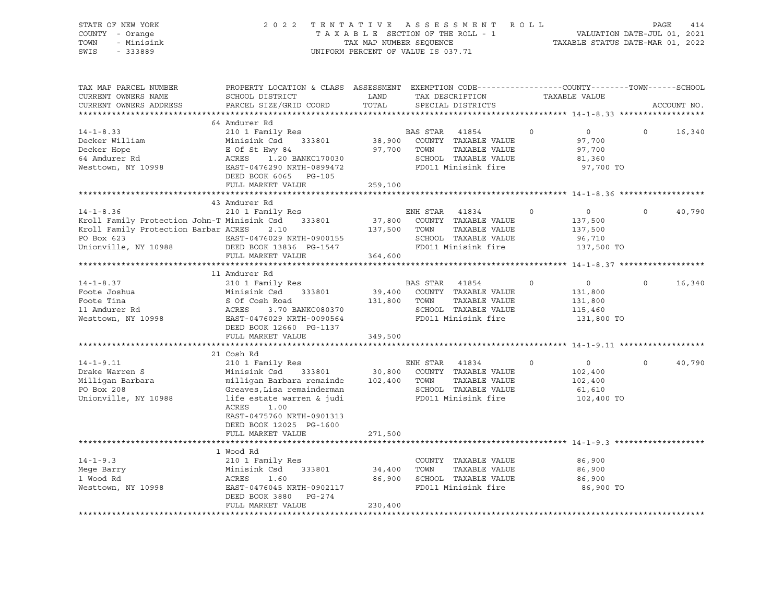| STATE OF NEW YORK<br>COUNTY - Orange<br>- Minisink<br>TOWN<br>SWIS<br>$-333889$             | 2 0 2 2                                                                                                                                                                                                                | TAX MAP NUMBER SEQUENCE     | TENTATIVE ASSESSMENT ROLL<br>UNIFORM PERCENT OF VALUE IS 037.71                                                               |                                                                          | PAGE<br>414<br>TAXABLE STATUS DATE-MAR 01, 2022 |  |
|---------------------------------------------------------------------------------------------|------------------------------------------------------------------------------------------------------------------------------------------------------------------------------------------------------------------------|-----------------------------|-------------------------------------------------------------------------------------------------------------------------------|--------------------------------------------------------------------------|-------------------------------------------------|--|
| TAX MAP PARCEL NUMBER<br>CURRENT OWNERS NAME<br>CURRENT OWNERS ADDRESS                      | PROPERTY LOCATION & CLASS ASSESSMENT EXEMPTION CODE---------------COUNTY-------TOWN------SCHOOL<br>SCHOOL DISTRICT<br>PARCEL SIZE/GRID COORD                                                                           | LAND<br>TOTAL               | TAX DESCRIPTION<br>SPECIAL DISTRICTS                                                                                          | TAXABLE VALUE                                                            | ACCOUNT NO.                                     |  |
| $14 - 1 - 8.33$<br>Decker William<br>Decker Hope<br>64 Amdurer Rd<br>Westtown, NY 10998     | 64 Amdurer Rd<br>210 1 Family Res<br>Minisink Csd 333801<br>E Of St Hwy 84<br>ACRES    1.20 BANKC170030<br>EAST-0476290 NRTH-0899472<br>DEED BOOK 6065 PG-105                                                          | 38,900<br>97,700            | BAS STAR 41854<br>COUNTY TAXABLE VALUE<br>TOWN<br>TAXABLE VALUE<br>SCHOOL TAXABLE VALUE<br>FD011 Minisink fire                | $\overline{0}$<br>$\circ$<br>97,700<br>97,700<br>81,360<br>97,700 TO     | $\Omega$<br>16,340                              |  |
|                                                                                             | FULL MARKET VALUE                                                                                                                                                                                                      | 259,100                     |                                                                                                                               |                                                                          |                                                 |  |
| $14 - 1 - 8.36$<br>PO Box 623                                                               | 43 Amdurer Rd<br>210 1 Family Res<br>Kroll Family Protection John-T Minisink Csd 333801<br>Kroll Family Protection Barbar ACRES 2.10<br>EAST-0476029 NRTH-0900155                                                      | 37,800<br>137,500           | ENH STAR<br>41834<br>COUNTY TAXABLE VALUE<br>TOWN<br>TAXABLE VALUE<br>SCHOOL TAXABLE VALUE                                    | $\overline{0}$<br>$\circ$<br>137,500<br>137,500<br>96,710                | $\Omega$<br>40,790                              |  |
| Unionville, NY 10988                                                                        | DEED BOOK 13836 PG-1547                                                                                                                                                                                                |                             | FD011 Minisink fire                                                                                                           | 137,500 TO                                                               |                                                 |  |
|                                                                                             | FULL MARKET VALUE                                                                                                                                                                                                      | 364,600                     |                                                                                                                               |                                                                          |                                                 |  |
|                                                                                             | 11 Amdurer Rd                                                                                                                                                                                                          |                             |                                                                                                                               |                                                                          |                                                 |  |
| $14 - 1 - 8.37$<br>Foote Joshua<br>Foote Tina<br>11 Amdurer Rd<br>Westtown, NY 10998        | 210 1 Family Res<br>Minisink Csd 333801<br>S Of Cosh Road<br>ACRES 3.70 BANKC080370<br>EAST-0476029 NRTH-0090564<br>DEED BOOK 12660 PG-1137<br>FULL MARKET VALUE                                                       | 131,800<br>349,500          | BAS STAR 41854<br>39,400 COUNTY TAXABLE VALUE<br>TOWN<br>TAXABLE VALUE<br>SCHOOL TAXABLE VALUE<br>FD011 Minisink fire         | $\circ$<br>$\overline{0}$<br>131,800<br>131,800<br>115,460<br>131,800 TO | 16,340<br>$\circ$                               |  |
|                                                                                             |                                                                                                                                                                                                                        |                             |                                                                                                                               |                                                                          |                                                 |  |
| $14 - 1 - 9.11$<br>Drake Warren S<br>Milligan Barbara<br>PO Box 208<br>Unionville, NY 10988 | 21 Cosh Rd<br>210 1 Family Res<br>Minisink Csd 333801<br>milligan Barbara remainde<br>Greaves, Lisa remainderman<br>life estate warren & judi<br>ACRES<br>1.00<br>EAST-0475760 NRTH-0901313<br>DEED BOOK 12025 PG-1600 |                             | ENH STAR 41834<br>30,800 COUNTY TAXABLE VALUE<br>102,400 TOWN<br>TAXABLE VALUE<br>SCHOOL TAXABLE VALUE<br>FD011 Minisink fire | $\overline{0}$<br>$\Omega$<br>102,400<br>102,400<br>61,610<br>102,400 TO | 40,790<br>$\Omega$                              |  |
|                                                                                             | FULL MARKET VALUE                                                                                                                                                                                                      | 271,500                     |                                                                                                                               |                                                                          |                                                 |  |
|                                                                                             |                                                                                                                                                                                                                        |                             |                                                                                                                               |                                                                          |                                                 |  |
| $14 - 1 - 9.3$<br>Mege Barry<br>1 Wood Rd<br>Westtown, NY 10998                             | 1 Wood Rd<br>210 1 Family Res<br>Minisink Csd<br>ACRES     1.60<br>333801<br>EAST-0476045 NRTH-0902117<br>DEED BOOK 3880<br>PG-274<br>FULL MARKET VALUE                                                                | 34,400<br>86,900<br>230,400 | COUNTY TAXABLE VALUE<br>TOWN<br>TAXABLE VALUE<br>SCHOOL TAXABLE VALUE<br>FD011 Minisink fire                                  | 86,900<br>86,900<br>86,900<br>86,900 TO                                  |                                                 |  |
|                                                                                             |                                                                                                                                                                                                                        |                             |                                                                                                                               |                                                                          |                                                 |  |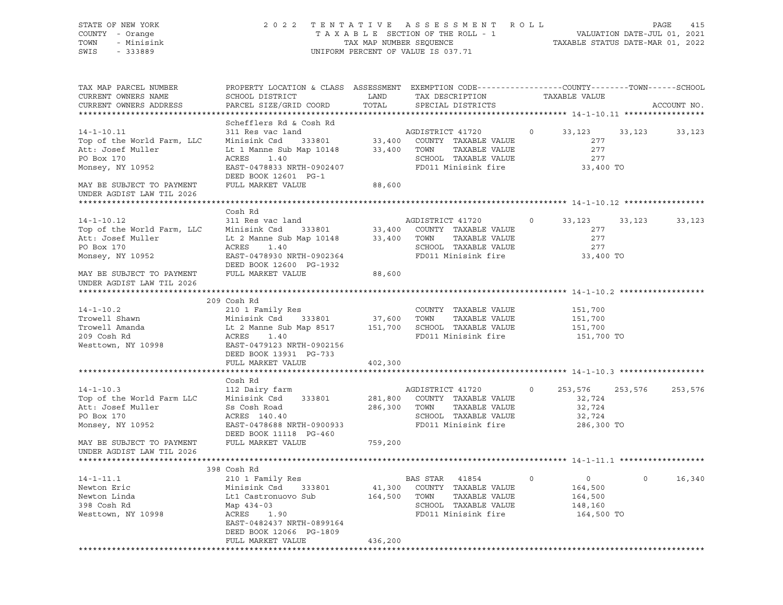| STATE OF NEW YORK<br>COUNTY - Orange<br>TOWN<br>- Minisink<br>SWIS<br>$-333889$                                                                               | 2022 TENTATIVE                                                                                                                                            |                                  | ASSESSMENT ROLL<br>TAXABLE SECTION OF THE ROLL - 1<br>TAXABLE SECTION OF THE ROLL - 1<br>TAXABLE STATUS DATE-MAR 01, 2022<br>UNIFORM PERCENT OF VALUE IS 037.71   |         |                                                     |         | PAGE<br>415 |
|---------------------------------------------------------------------------------------------------------------------------------------------------------------|-----------------------------------------------------------------------------------------------------------------------------------------------------------|----------------------------------|-------------------------------------------------------------------------------------------------------------------------------------------------------------------|---------|-----------------------------------------------------|---------|-------------|
| TAX MAP PARCEL NUMBER<br>CURRENT OWNERS NAME<br>CURRENT OWNERS ADDRESS                                                                                        | PROPERTY LOCATION & CLASS ASSESSMENT EXEMPTION CODE---------------COUNTY-------TOWN------SCHOOL<br>SCHOOL DISTRICT<br>PARCEL SIZE/GRID COORD              | LAND<br>TOTAL                    | TAX DESCRIPTION<br>SPECIAL DISTRICTS                                                                                                                              |         | TAXABLE VALUE                                       |         | ACCOUNT NO. |
|                                                                                                                                                               | Schefflers Rd & Cosh Rd                                                                                                                                   |                                  |                                                                                                                                                                   |         |                                                     |         |             |
| $14 - 1 - 10.11$<br>Top of the World Farm, LLC<br>Att: Josef Muller<br>PO Box 170<br>Monsey, NY 10952                                                         | 311 Res vac land<br>Minisink Csd<br>Lt 1 Manne Sub Map 10148<br>ACRES<br>1.40<br>EAST-0478833 NRTH-0902407<br>DEED BOOK 12601 PG-1                        | 33,400 TOWN                      | AGDISTRICT 41720<br>333801 33,400 COUNTY TAXABLE VALUE<br>TAXABLE VALUE<br>SCHOOL TAXABLE VALUE<br>FD011 Minisink fire                                            | $\circ$ | 33,123<br>277<br>277<br>277<br>33,400 TO            | 33,123  | 33,123      |
| MAY BE SUBJECT TO PAYMENT                                                                                                                                     | FULL MARKET VALUE                                                                                                                                         | 88,600                           |                                                                                                                                                                   |         |                                                     |         |             |
| UNDER AGDIST LAW TIL 2026                                                                                                                                     |                                                                                                                                                           |                                  |                                                                                                                                                                   |         |                                                     |         |             |
|                                                                                                                                                               | Cosh Rd                                                                                                                                                   |                                  |                                                                                                                                                                   |         |                                                     |         |             |
| $14 - 1 - 10.12$<br>Top of the World Farm, LLC<br>Att: Josef Muller<br>PO Box 170<br>Monsey, NY 10952                                                         | 311 Res vac land<br>Minisink Csd<br>Lt 2 Manne Sub Map 10148<br>ACRES<br>1.40<br>EAST-0478930 NRTH-0902364                                                | 33,400 TOWN                      | AGDISTRICT 41720<br>$333801 \qquad \qquad 33,400 \qquad \text{COUNTY} \quad \text{TAXABLE VALUE}$<br>TAXABLE VALUE<br>SCHOOL TAXABLE VALUE<br>FD011 Minisink fire | $\circ$ | 33,123<br>277<br>277<br>277<br>33,400 TO            | 33,123  | 33,123      |
| MAY BE SUBJECT TO PAYMENT<br>UNDER AGDIST LAW TIL 2026                                                                                                        | DEED BOOK 12600 PG-1932<br>FULL MARKET VALUE                                                                                                              | 88,600                           |                                                                                                                                                                   |         |                                                     |         |             |
|                                                                                                                                                               | 209 Cosh Rd                                                                                                                                               |                                  |                                                                                                                                                                   |         |                                                     |         |             |
| $14 - 1 - 10.2$<br>Trowell Shawn<br>Trowell Amanda<br>209 Cosh Rd<br>Westtown, NY 10998                                                                       | 210 1 Family Res<br>Minisink Csd<br>333801 37,600 TOWN<br>Lt 2 Manne Sub Map 8517<br>ACRES<br>1.40<br>EAST-0479123 NRTH-0902156<br>DEED BOOK 13931 PG-733 |                                  | COUNTY TAXABLE VALUE<br>TAXABLE VALUE<br>151,700 SCHOOL TAXABLE VALUE<br>FD011 Minisink fire                                                                      |         | 151,700<br>151,700<br>151,700<br>151,700 TO         |         |             |
|                                                                                                                                                               | FULL MARKET VALUE                                                                                                                                         | 402,300                          |                                                                                                                                                                   |         |                                                     |         |             |
|                                                                                                                                                               | Cosh Rd                                                                                                                                                   |                                  |                                                                                                                                                                   |         |                                                     |         |             |
| $14 - 1 - 10.3$<br>Top of the World Farm LLC<br>Att: Josef Muller<br>PO Box 170<br>Monsey, NY 10952<br>MAY BE SUBJECT TO PAYMENT<br>UNDER AGDIST LAW TIL 2026 | 112 Dairy farm<br>Minisink Csd 333801<br>Ss Cosh Road<br>ACRES 140.40<br>EAST-0478688 NRTH-0900933<br>DEED BOOK 11118 PG-460<br>FULL MARKET VALUE         | 281,800<br>286,300<br>759,200    | AGDISTRICT 41720<br>COUNTY TAXABLE VALUE<br>TOWN<br>TAXABLE VALUE<br>SCHOOL TAXABLE VALUE<br>FD011 Minisink fire                                                  | $\circ$ | 253,576<br>32,724<br>32,724<br>32,724<br>286,300 TO | 253,576 | 253,576     |
|                                                                                                                                                               |                                                                                                                                                           |                                  |                                                                                                                                                                   |         |                                                     |         |             |
|                                                                                                                                                               | 398 Cosh Rd                                                                                                                                               |                                  |                                                                                                                                                                   |         |                                                     |         |             |
| $14 - 1 - 11.1$<br>Newton Eric<br>Newton Linda<br>398 Cosh Rd<br>Westtown, NY 10998                                                                           | 210 1 Family Res<br>Minisink Csd<br>333801<br>Lt1 Castronuovo Sub<br>Map 434-03<br>ACRES<br>1.90<br>EAST-0482437 NRTH-0899164<br>DEED BOOK 12066 PG-1809  | 41,300<br>164,500                | BAS STAR<br>41854<br>COUNTY<br>TAXABLE VALUE<br>TOWN<br>TAXABLE VALUE<br>SCHOOL<br>TAXABLE VALUE<br>FD011 Minisink fire                                           | 0       | 0<br>164,500<br>164,500<br>148,160<br>164,500 TO    | $\circ$ | 16,340      |
|                                                                                                                                                               | FULL MARKET VALUE<br>***************************                                                                                                          | 436,200<br>********************* |                                                                                                                                                                   |         |                                                     |         |             |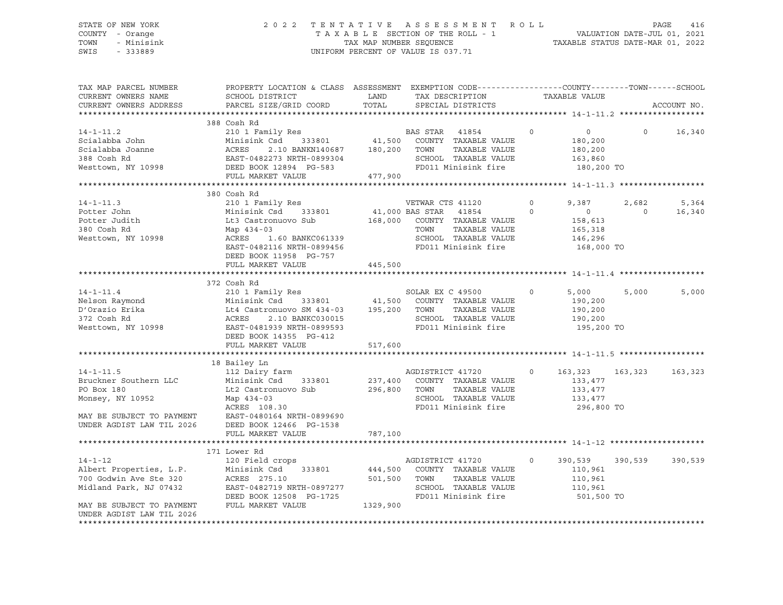#### STATE OF NEW YORK 2 0 2 2 T E N T A T I V E A S S E S S M E N T R O L L PAGE 416 COUNTY - Orange T A X A B L E SECTION OF THE ROLL - 1 VALUATION DATE-JUL 01, 2021 TOWN - Minisink TAX MAP NUMBER SEQUENCE TAXABLE STATUS DATE-MAR 01, 2022 SWIS - 333889 CONSERVED BY A SUMPORM PERCENT OF VALUE IS 037.71

| TAX MAP PARCEL NUMBER<br>CURRENT OWNERS NAME | PROPERTY LOCATION & CLASS ASSESSMENT EXEMPTION CODE---------------COUNTY-------TOWN-----SCHOOL<br>SCHOOL DISTRICT | LAND         | TAX DESCRIPTION                               |         | TAXABLE VALUE            |                |             |
|----------------------------------------------|-------------------------------------------------------------------------------------------------------------------|--------------|-----------------------------------------------|---------|--------------------------|----------------|-------------|
| CURRENT OWNERS ADDRESS                       | PARCEL SIZE/GRID COORD                                                                                            | TOTAL        | SPECIAL DISTRICTS                             |         |                          |                | ACCOUNT NO. |
|                                              |                                                                                                                   |              |                                               |         |                          |                |             |
|                                              | 388 Cosh Rd                                                                                                       |              |                                               |         |                          |                |             |
| $14 - 1 - 11.2$                              |                                                                                                                   |              |                                               | $\circ$ | $\overline{0}$           | $\circ$        | 16,340      |
| Scialabba John                               | 210 1 Family Res<br>Minisink Csd 333801                                                                           |              | BAS STAR 41854<br>41,500 COUNTY TAXABLE VALUE |         | 180,200                  |                |             |
| Scialabba Joanne                             | ACRES<br>2.10 BANKN140687 180,200 TOWN                                                                            |              | TAXABLE VALUE                                 |         | 180,200                  |                |             |
|                                              | EAST-0482273 NRTH-0899304                                                                                         |              | SCHOOL TAXABLE VALUE                          |         | 163,860                  |                |             |
| 388 Cosh Rd<br>Westtown, NY 10998            |                                                                                                                   |              | FD011 Minisink fire                           |         |                          |                |             |
|                                              | DEED BOOK 12894 PG-583                                                                                            |              |                                               |         | 180,200 TO               |                |             |
|                                              | FULL MARKET VALUE                                                                                                 | 477,900      |                                               |         |                          |                |             |
|                                              |                                                                                                                   |              |                                               |         |                          |                |             |
|                                              | 380 Cosh Rd                                                                                                       |              |                                               |         |                          |                |             |
| $14 - 1 - 11.3$                              | 210 1 Family Res                                                                                                  |              | VETWAR CTS 41120<br>41,000 BAS STAR 41854     | $\circ$ | 9,387                    | 2,682          | 5,364       |
| Potter John                                  | Minisink Csd 333801                                                                                               |              |                                               | $\circ$ | $\overline{\phantom{0}}$ | $\overline{0}$ | 16,340      |
| Potter Judith                                | Lt3 Castronuovo Sub                                                                                               |              | 168,000 COUNTY TAXABLE VALUE                  |         | 158,613                  |                |             |
| 380 Cosh Rd                                  | Map 434-03                                                                                                        |              | TAXABLE VALUE<br>TOWN                         |         | 165,318                  |                |             |
| Westtown, NY 10998                           | ACRES<br>1.60 BANKC061339                                                                                         |              | SCHOOL TAXABLE VALUE                          |         | 146,296                  |                |             |
|                                              | EAST-0482116 NRTH-0899456                                                                                         |              | FD011 Minisink fire                           |         | 168,000 TO               |                |             |
|                                              | DEED BOOK 11958 PG-757                                                                                            |              |                                               |         |                          |                |             |
|                                              | FULL MARKET VALUE                                                                                                 | 445,500      |                                               |         |                          |                |             |
|                                              |                                                                                                                   |              |                                               |         |                          |                |             |
|                                              | 372 Cosh Rd                                                                                                       |              |                                               |         |                          |                |             |
| $14 - 1 - 11.4$                              |                                                                                                                   |              |                                               | $\circ$ | 5,000                    | 5,000          | 5,000       |
|                                              | 210 1 Family Res<br>Minisink Csd     333801               41,500   COUNTY TAXABLE VALUE                           |              |                                               |         | 190,200                  |                |             |
|                                              |                                                                                                                   |              | TAXABLE VALUE                                 |         | 190,200                  |                |             |
|                                              |                                                                                                                   |              | SCHOOL TAXABLE VALUE                          |         | 190,200                  |                |             |
|                                              |                                                                                                                   |              | FD011 Minisink fire                           |         | 195,200 TO               |                |             |
|                                              | DEED BOOK 14355 PG-412                                                                                            |              |                                               |         |                          |                |             |
|                                              | FULL MARKET VALUE                                                                                                 | 517,600      |                                               |         |                          |                |             |
|                                              |                                                                                                                   |              |                                               |         |                          |                |             |
|                                              |                                                                                                                   |              |                                               |         |                          |                |             |
|                                              | 18 Bailey Ln<br>112 Dairy farm                                                                                    |              |                                               |         |                          |                |             |
| $14 - 1 - 11.5$                              |                                                                                                                   |              | AGDISTRICT 41720                              | $\circ$ | 163,323                  | 163,323        | 163,323     |
| Bruckner Southern LLC                        | Minisink Csd<br>333801                                                                                            |              | 237,400 COUNTY TAXABLE VALUE                  |         | 133,477                  |                |             |
| PO Box 180                                   | Lt2 Castronuovo Sub                                                                                               | 296,800 TOWN | TAXABLE VALUE                                 |         | 133,477                  |                |             |
| Monsey, NY 10952                             | Map 434-03                                                                                                        |              | SCHOOL TAXABLE VALUE                          |         | 133,477                  |                |             |
|                                              | ACRES 108.30                                                                                                      |              | FD011 Minisink fire                           |         | 296,800 TO               |                |             |
|                                              | MAY BE SUBJECT TO PAYMENT EAST-0480164 NRTH-0899690<br>UNDER AGDIST LAW TIL 2026 DEED BOOK 12466 PG-1538          |              |                                               |         |                          |                |             |
|                                              |                                                                                                                   |              |                                               |         |                          |                |             |
|                                              | FULL MARKET VALUE                                                                                                 | 787,100      |                                               |         |                          |                |             |
|                                              |                                                                                                                   |              |                                               |         |                          |                |             |
|                                              | 171 Lower Rd                                                                                                      |              |                                               |         |                          |                |             |
| $14 - 1 - 12$                                | 120 Field crops                                                                                                   |              | AGDISTRICT 41720                              | $\circ$ | 390,539                  | 390,539        | 390,539     |
| Albert Properties, L.P.                      | Minisink Csd                                                                                                      |              | 333801 444,500 COUNTY TAXABLE VALUE           |         | 110,961                  |                |             |
| 700 Godwin Ave Ste 320                       | ACRES 275.10                                                                                                      | 501,500      | TOWN<br>TAXABLE VALUE                         |         | 110,961                  |                |             |
| Midland Park, NJ 07432                       | EAST-0482719 NRTH-0897277                                                                                         |              | SCHOOL TAXABLE VALUE                          |         | 110,961                  |                |             |
|                                              | DEED BOOK 12508 PG-1725                                                                                           |              | FD011 Minisink fire                           |         | 501,500 TO               |                |             |
| MAY BE SUBJECT TO PAYMENT                    | FULL MARKET VALUE                                                                                                 | 1329,900     |                                               |         |                          |                |             |
| UNDER AGDIST LAW TIL 2026                    |                                                                                                                   |              |                                               |         |                          |                |             |
|                                              |                                                                                                                   |              |                                               |         |                          |                |             |
|                                              |                                                                                                                   |              |                                               |         |                          |                |             |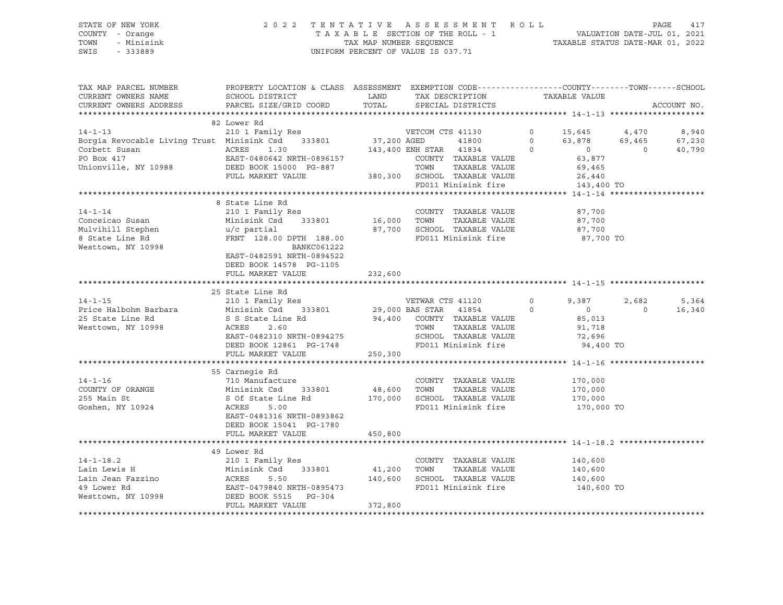#### STATE OF NEW YORK 2 0 2 2 T E N T A T I V E A S S E S S M E N T R O L L PAGE 417 COUNTY - Orange T A X A B L E SECTION OF THE ROLL - 1 VALUATION DATE-JUL 01, 2021 TOWN - Minisink TAX MAP NUMBER SEQUENCE TAXABLE STATUS DATE-MAR 01, 2022 SWIS - 333889 CONSERVED BY A SUMPORM PERCENT OF VALUE IS 037.71

| TAX MAP PARCEL NUMBER                                                                                                                                                                                                                                                                                         | PROPERTY LOCATION & CLASS ASSESSMENT EXEMPTION CODE---------------COUNTY-------TOWN------SCHOOL |         |  |                                                            |               |             |
|---------------------------------------------------------------------------------------------------------------------------------------------------------------------------------------------------------------------------------------------------------------------------------------------------------------|-------------------------------------------------------------------------------------------------|---------|--|------------------------------------------------------------|---------------|-------------|
| CURRENT OWNERS NAME                                                                                                                                                                                                                                                                                           | SCHOOL DISTRICT                                                                                 |         |  |                                                            | TAXABLE VALUE |             |
| CURRENT OWNERS ADDRESS                                                                                                                                                                                                                                                                                        |                                                                                                 |         |  |                                                            |               | ACCOUNT NO. |
|                                                                                                                                                                                                                                                                                                               |                                                                                                 |         |  |                                                            |               |             |
|                                                                                                                                                                                                                                                                                                               | 82 Lower Rd                                                                                     |         |  |                                                            |               |             |
|                                                                                                                                                                                                                                                                                                               |                                                                                                 |         |  |                                                            |               |             |
|                                                                                                                                                                                                                                                                                                               |                                                                                                 |         |  |                                                            |               |             |
|                                                                                                                                                                                                                                                                                                               |                                                                                                 |         |  |                                                            |               |             |
|                                                                                                                                                                                                                                                                                                               |                                                                                                 |         |  |                                                            |               |             |
|                                                                                                                                                                                                                                                                                                               |                                                                                                 |         |  |                                                            |               |             |
|                                                                                                                                                                                                                                                                                                               |                                                                                                 |         |  |                                                            |               |             |
| $\begin{tabular}{lllllllllllllll} \hline & 82 \;{\rm Lower~Rd} & 210\;1\;Family~Res & 210\;1\;Family~Res & 210\;1\;Family~Res & 210\;1\;Family~Res & 333801 & 37,200\;{\rm AGED} & 41800 & 0 & 15,645 & 4,470 & 8,940\;37,200\;{\rm AGED} & 41800 & 0 & 63,878 & 69,465 & 67,230\;37.200\;{\rm AGED} & 41800$ |                                                                                                 |         |  |                                                            |               |             |
|                                                                                                                                                                                                                                                                                                               |                                                                                                 |         |  |                                                            |               |             |
|                                                                                                                                                                                                                                                                                                               | 8 State Line Rd                                                                                 |         |  |                                                            |               |             |
| $14 - 1 - 14$                                                                                                                                                                                                                                                                                                 |                                                                                                 |         |  |                                                            |               |             |
| Conceicao Susan                                                                                                                                                                                                                                                                                               |                                                                                                 |         |  |                                                            |               |             |
|                                                                                                                                                                                                                                                                                                               |                                                                                                 |         |  |                                                            |               |             |
| Mulvihill Stephen $u/c$ partial and the state of the set of the set of the set of the set of the set of the set of the set of the set of the set of the set of the set of the set of the set of the set of the set of the set o                                                                               |                                                                                                 |         |  |                                                            |               |             |
|                                                                                                                                                                                                                                                                                                               |                                                                                                 |         |  |                                                            |               |             |
|                                                                                                                                                                                                                                                                                                               | EAST-0482591 NRTH-0894522                                                                       |         |  |                                                            |               |             |
|                                                                                                                                                                                                                                                                                                               | DEED BOOK 14578 PG-1105                                                                         |         |  |                                                            |               |             |
|                                                                                                                                                                                                                                                                                                               | FULL MARKET VALUE 232,600                                                                       |         |  |                                                            |               |             |
|                                                                                                                                                                                                                                                                                                               |                                                                                                 |         |  |                                                            |               |             |
|                                                                                                                                                                                                                                                                                                               | 25 State Line Rd                                                                                |         |  |                                                            |               |             |
|                                                                                                                                                                                                                                                                                                               |                                                                                                 |         |  |                                                            |               |             |
|                                                                                                                                                                                                                                                                                                               |                                                                                                 |         |  |                                                            |               |             |
|                                                                                                                                                                                                                                                                                                               |                                                                                                 |         |  |                                                            |               |             |
|                                                                                                                                                                                                                                                                                                               |                                                                                                 |         |  |                                                            |               |             |
|                                                                                                                                                                                                                                                                                                               |                                                                                                 |         |  |                                                            |               |             |
|                                                                                                                                                                                                                                                                                                               |                                                                                                 |         |  |                                                            |               |             |
| 14-1-15<br>Price Halbohm Barbara Minisink Csd 333801<br>29,000 BAS STAR 41854 0 0 0 16,340<br>29,000 BAS STAR 41854 0 0 0 16,340<br>29,000 BAS STAR 41854 0 0 0 16,340<br>29,000 BAS STAR 41854 0 0 0 16,340<br>29,000 BAS STAR 41854 0 0                                                                     |                                                                                                 |         |  |                                                            |               |             |
|                                                                                                                                                                                                                                                                                                               |                                                                                                 |         |  |                                                            |               |             |
|                                                                                                                                                                                                                                                                                                               | 55 Carnegie Rd                                                                                  |         |  |                                                            |               |             |
| $14 - 1 - 16$                                                                                                                                                                                                                                                                                                 | 710 Manufacture                                                                                 |         |  | COUNTY TAXABLE VALUE 170,000<br>TOWN TAXABLE VALUE 170,000 |               |             |
|                                                                                                                                                                                                                                                                                                               |                                                                                                 |         |  |                                                            |               |             |
| 14-1-16 710 Manufacture COUNTY TAXABLE VALUE 170,000<br>COUNTY OF ORANGE Minisink Csd 333801 48,600 TOWN TAXABLE VALUE 170,000<br>255 Main St Sof State Line Rd 170,000 SCHOOL TAXABLE VALUE 170,000<br>305hen, NY 10924 ACRES 5.00 FD0                                                                       |                                                                                                 |         |  |                                                            |               |             |
|                                                                                                                                                                                                                                                                                                               |                                                                                                 |         |  |                                                            | 170,000 TO    |             |
|                                                                                                                                                                                                                                                                                                               | EAST-0481316 NRTH-0893862                                                                       |         |  |                                                            |               |             |
|                                                                                                                                                                                                                                                                                                               | DEED BOOK 15041 PG-1780                                                                         |         |  |                                                            |               |             |
|                                                                                                                                                                                                                                                                                                               | FULL MARKET VALUE                                                                               | 450,800 |  |                                                            |               |             |
|                                                                                                                                                                                                                                                                                                               |                                                                                                 |         |  |                                                            |               |             |
|                                                                                                                                                                                                                                                                                                               |                                                                                                 |         |  |                                                            |               |             |
|                                                                                                                                                                                                                                                                                                               |                                                                                                 |         |  |                                                            |               |             |
|                                                                                                                                                                                                                                                                                                               |                                                                                                 |         |  |                                                            |               |             |
|                                                                                                                                                                                                                                                                                                               |                                                                                                 |         |  |                                                            |               |             |
|                                                                                                                                                                                                                                                                                                               |                                                                                                 |         |  |                                                            | 140,600 TO    |             |
| 14-1-18.2<br>14-1-18.2<br>140,600<br>140,600<br>140,600<br>140,600<br>140,600<br>140,600<br>140,600<br>140,600<br>140,600<br>140,600<br>140,600<br>140,600<br>140,600<br>140,600<br>140,600<br>140,600<br>140,600<br>140,600<br>140,600<br>140,600<br>140,600<br>140,600<br>14                                |                                                                                                 |         |  |                                                            |               |             |
|                                                                                                                                                                                                                                                                                                               |                                                                                                 | 372,800 |  |                                                            |               |             |
|                                                                                                                                                                                                                                                                                                               |                                                                                                 |         |  |                                                            |               |             |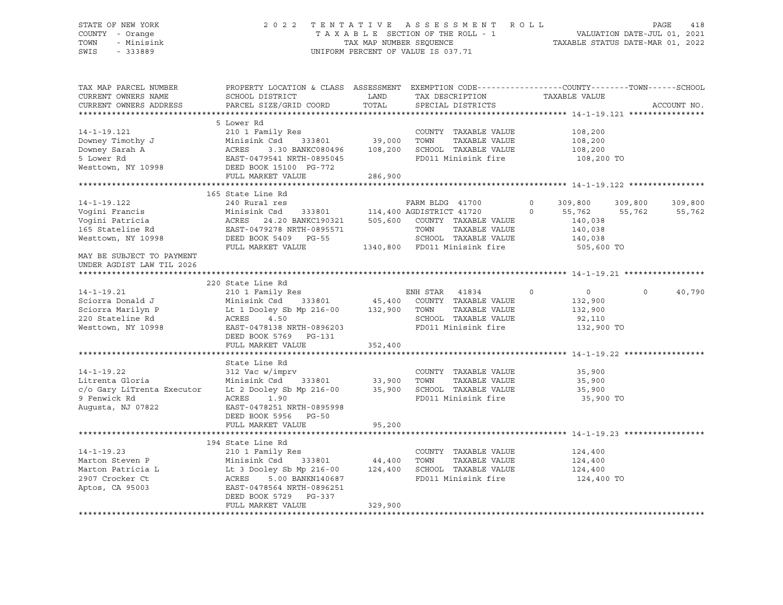#### STATE OF NEW YORK 2 0 2 2 T E N T A T I V E A S S E S S M E N T R O L L PAGE 418 COUNTY - Orange T A X A B L E SECTION OF THE ROLL - 1 VALUATION DATE-JUL 01, 2021 TOWN - Minisink TAX MAP NUMBER SEQUENCE TAXABLE STATUS DATE-MAR 01, 2022 SWIS - 333889 CONSERVED BY A SUMPORM PERCENT OF VALUE IS 037.71

| TAX MAP PARCEL NUMBER<br>CURRENT OWNERS NAME<br>CURRENT OWNERS ADDRESS                                                        | PROPERTY LOCATION & CLASS ASSESSMENT EXEMPTION CODE----------------COUNTY-------TOWN------SCHOOL<br>SCHOOL DISTRICT<br>PARCEL SIZE/GRID COORD                                            | LAND<br>TOTAL      | TAX DESCRIPTION<br>SPECIAL DISTRICTS                                                                                                | TAXABLE VALUE                                                                            | ACCOUNT NO.                            |
|-------------------------------------------------------------------------------------------------------------------------------|------------------------------------------------------------------------------------------------------------------------------------------------------------------------------------------|--------------------|-------------------------------------------------------------------------------------------------------------------------------------|------------------------------------------------------------------------------------------|----------------------------------------|
|                                                                                                                               |                                                                                                                                                                                          |                    |                                                                                                                                     |                                                                                          |                                        |
| $14 - 1 - 19.121$<br>Downey Timothy J                                                                                         | 5 Lower Rd<br>210 1 Family Res<br>Minisink Csd                                                                                                                                           | 333801 39,000      | COUNTY TAXABLE VALUE<br>TAXABLE VALUE<br>TOWN                                                                                       | 108,200<br>108,200                                                                       |                                        |
| Downey Sarah A<br>5 Lower Rd<br>Westtown, NY 10998                                                                            | ACRES<br>3.30 BANKC080496<br>EAST-0479541 NRTH-0895045<br>DEED BOOK 15100 PG-772<br>FULL MARKET VALUE                                                                                    | 108,200<br>286,900 | SCHOOL TAXABLE VALUE<br>FD011 Minisink fire                                                                                         | 108,200<br>108,200 TO                                                                    |                                        |
|                                                                                                                               |                                                                                                                                                                                          |                    |                                                                                                                                     |                                                                                          |                                        |
|                                                                                                                               | 165 State Line Rd                                                                                                                                                                        |                    |                                                                                                                                     |                                                                                          |                                        |
| $14 - 1 - 19.122$<br>Vogini Francis<br>Voqini Patricia<br>165 Stateline Rd<br>Westtown, NY 10998<br>MAY BE SUBJECT TO PAYMENT | 240 Rural res<br>Minisink Csd<br>ACRES 24.20 BANKC190321 505,600 COUNTY TAXABLE VALUE<br>EAST-0479278 NRTH-0895571<br>DEED BOOK 5409 PG-55<br>FULL MARKET VALUE                          |                    | FARM BLDG 41700<br>333801 114,400 AGDISTRICT 41720<br>TOWN<br>TAXABLE VALUE<br>SCHOOL TAXABLE VALUE<br>1340,800 FD011 Minisink fire | $\Omega$<br>309,800<br>$\Omega$<br>55,762<br>140,038<br>140,038<br>140,038<br>505,600 TO | 309,800<br>309,800<br>55,762<br>55,762 |
| UNDER AGDIST LAW TIL 2026                                                                                                     |                                                                                                                                                                                          |                    |                                                                                                                                     |                                                                                          |                                        |
|                                                                                                                               |                                                                                                                                                                                          |                    |                                                                                                                                     |                                                                                          |                                        |
|                                                                                                                               | 220 State Line Rd                                                                                                                                                                        |                    |                                                                                                                                     |                                                                                          |                                        |
| $14 - 1 - 19.21$<br>Sciorra Donald J<br>Sciorra Marilyn P<br>220 Stateline Rd<br>Westtown, NY 10998                           | 210 1 Family Res<br>Minisink Csd 333801<br>Lt 1 Dooley Sb Mp 216-00 132,900 TOWN<br>ACRES<br>4.50<br>EAST-0478138 NRTH-0896203<br>DEED BOOK 5769 PG-131                                  |                    | ENH STAR 41834<br>45,400 COUNTY TAXABLE VALUE<br>TAXABLE VALUE<br>SCHOOL TAXABLE VALUE<br>FD011 Minisink fire                       | $\circ$<br>0<br>132,900<br>132,900<br>92,110<br>132,900 TO                               | 40,790<br>$\circ$                      |
|                                                                                                                               | FULL MARKET VALUE                                                                                                                                                                        | 352,400            |                                                                                                                                     |                                                                                          |                                        |
|                                                                                                                               |                                                                                                                                                                                          |                    |                                                                                                                                     |                                                                                          |                                        |
| $14 - 1 - 19.22$<br>Litrenta Gloria<br>c/o Gary LiTrenta Executor<br>9 Fenwick Rd<br>Augusta, NJ 07822                        | State Line Rd<br>312 Vac w/imprv<br>333801 33,900<br>Minisink Csd<br>Lt 2 Dooley Sb Mp 216-00<br>ACRES<br>1.90<br>EAST-0478251 NRTH-0895998<br>DEED BOOK 5956 PG-50<br>FULL MARKET VALUE | 35,900<br>95,200   | COUNTY TAXABLE VALUE<br>TOWN<br>TAXABLE VALUE<br>SCHOOL TAXABLE VALUE<br>FD011 Minisink fire                                        | 35,900<br>35,900<br>35,900<br>35,900 TO                                                  |                                        |
|                                                                                                                               |                                                                                                                                                                                          |                    |                                                                                                                                     |                                                                                          |                                        |
| $14 - 1 - 19.23$<br>Marton Steven P<br>Marton Patricia L<br>2907 Crocker Ct<br>Aptos, CA 95003                                | 194 State Line Rd<br>210 1 Family Res<br>Minisink Csd<br>333801<br>Lt 3 Dooley Sb Mp 216-00<br>ACRES<br>5.00 BANKN140687<br>EAST-0478564 NRTH-0896251<br>DEED BOOK 5729 PG-337           | 44,400<br>124,400  | COUNTY TAXABLE VALUE<br>TOWN<br>TAXABLE VALUE<br>SCHOOL TAXABLE VALUE<br>FD011 Minisink fire                                        | 124,400<br>124,400<br>124,400<br>124,400 TO                                              |                                        |
|                                                                                                                               | FULL MARKET VALUE                                                                                                                                                                        | 329,900            |                                                                                                                                     |                                                                                          |                                        |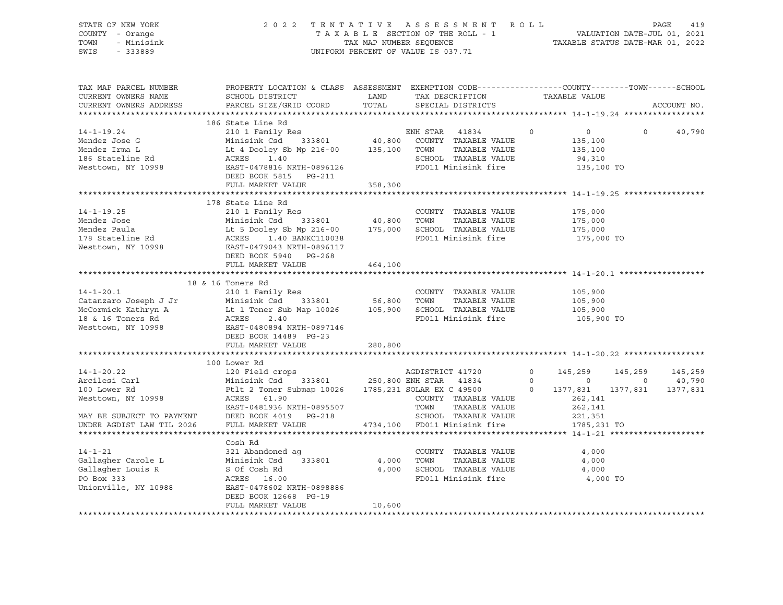| STATE OF NEW YORK<br>COUNTY - Orange<br>TOWN<br>- Minisink<br>SWIS<br>$-333889$                                                                                                                                                        |                                                                                                                                                                                                                                                                  |         | 2022 TENTATIVE ASSESSMENT ROLL<br>T A X A B L E SECTION OF THE ROLL - 1<br>TAX MAP NUMBER SEQUENCE TAXABLE STATUS DATE-MAR 01, 2022<br>UNIFORM PERCENT OF VALUE IS 037.71 |                               |                | 419<br>PAGE     |
|----------------------------------------------------------------------------------------------------------------------------------------------------------------------------------------------------------------------------------------|------------------------------------------------------------------------------------------------------------------------------------------------------------------------------------------------------------------------------------------------------------------|---------|---------------------------------------------------------------------------------------------------------------------------------------------------------------------------|-------------------------------|----------------|-----------------|
|                                                                                                                                                                                                                                        |                                                                                                                                                                                                                                                                  |         |                                                                                                                                                                           |                               |                |                 |
| TAX MAP PARCEL NUMBER<br>CURRENT OWNERS NAME                                                                                                                                                                                           | PROPERTY LOCATION & CLASS ASSESSMENT EXEMPTION CODE----------------COUNTY-------TOWN------SCHOOL                                                                                                                                                                 |         |                                                                                                                                                                           |                               |                |                 |
| CURRENT OWNERS ADDRESS                                                                                                                                                                                                                 |                                                                                                                                                                                                                                                                  |         |                                                                                                                                                                           |                               |                | ACCOUNT NO.     |
|                                                                                                                                                                                                                                        |                                                                                                                                                                                                                                                                  |         |                                                                                                                                                                           |                               |                |                 |
|                                                                                                                                                                                                                                        | 186 State Line Rd                                                                                                                                                                                                                                                |         |                                                                                                                                                                           |                               |                |                 |
| 14-1-19.24<br>Mendez Jose G Minisink Csd 333801 40,800 COUNTY TAXABLE VALUE<br>Mendez Irma L Lt 4 Dooley Sb Mp 216-00 135,100 TOWN TAXABLE VALUE<br>186 Stateline Rd ACRES 1.40<br>Mesttown, NY 10998 EARST-0478816 NRTH-0896126 FD011 |                                                                                                                                                                                                                                                                  |         |                                                                                                                                                                           | $\overline{0}$ 0              | $\overline{0}$ | 40,790          |
|                                                                                                                                                                                                                                        |                                                                                                                                                                                                                                                                  |         |                                                                                                                                                                           | 135,100                       |                |                 |
|                                                                                                                                                                                                                                        |                                                                                                                                                                                                                                                                  |         |                                                                                                                                                                           | 135,100                       |                |                 |
|                                                                                                                                                                                                                                        |                                                                                                                                                                                                                                                                  |         |                                                                                                                                                                           | 94,310                        |                |                 |
|                                                                                                                                                                                                                                        |                                                                                                                                                                                                                                                                  |         |                                                                                                                                                                           | 135,100 TO                    |                |                 |
|                                                                                                                                                                                                                                        | DEED BOOK 5815 PG-211                                                                                                                                                                                                                                            |         |                                                                                                                                                                           |                               |                |                 |
|                                                                                                                                                                                                                                        | FULL MARKET VALUE                                                                                                                                                                                                                                                | 358,300 |                                                                                                                                                                           |                               |                |                 |
|                                                                                                                                                                                                                                        |                                                                                                                                                                                                                                                                  |         |                                                                                                                                                                           |                               |                |                 |
| 1/8 State Line Rd<br>14-1-19.25 210 1 Family Res<br>Mendez Jose Minisink Csd 333801 40,800 TOWN TAXABLE VALUE<br>Mendez Paula Lt 5 Dooley Sb Mp 216-00 175,000 SCHOOL TAXABLE VALUE<br>178 Stateline Rd ACRES 1.40 BANKC110038 FD011 M |                                                                                                                                                                                                                                                                  |         |                                                                                                                                                                           | 175,000                       |                |                 |
|                                                                                                                                                                                                                                        |                                                                                                                                                                                                                                                                  |         |                                                                                                                                                                           | 175,000                       |                |                 |
|                                                                                                                                                                                                                                        |                                                                                                                                                                                                                                                                  |         |                                                                                                                                                                           | 175,000                       |                |                 |
|                                                                                                                                                                                                                                        |                                                                                                                                                                                                                                                                  |         |                                                                                                                                                                           | 175,000 TO                    |                |                 |
|                                                                                                                                                                                                                                        |                                                                                                                                                                                                                                                                  |         |                                                                                                                                                                           |                               |                |                 |
|                                                                                                                                                                                                                                        | DEED BOOK 5940 PG-268                                                                                                                                                                                                                                            |         |                                                                                                                                                                           |                               |                |                 |
|                                                                                                                                                                                                                                        | FULL MARKET VALUE                                                                                                                                                                                                                                                | 464,100 |                                                                                                                                                                           |                               |                |                 |
|                                                                                                                                                                                                                                        |                                                                                                                                                                                                                                                                  |         |                                                                                                                                                                           |                               |                |                 |
| 14-1-20.1 210 1 Family Res<br>Catanzaro Joseph J Jr Minisink Csd 333801 56,800 TOWN TAXABLE VALUE<br>McCormick Kathryn A Lt 1 Toner Sub Map 10026 105,900 SCHOOL TAXABLE VALUE<br>18 & 16 Toners Rd ACRES 2.40 FD011 Minisink fire<br> |                                                                                                                                                                                                                                                                  |         |                                                                                                                                                                           |                               |                |                 |
|                                                                                                                                                                                                                                        |                                                                                                                                                                                                                                                                  |         |                                                                                                                                                                           | 105,900                       |                |                 |
|                                                                                                                                                                                                                                        |                                                                                                                                                                                                                                                                  |         |                                                                                                                                                                           | 105,900<br>105,900<br>105,900 |                |                 |
|                                                                                                                                                                                                                                        |                                                                                                                                                                                                                                                                  |         |                                                                                                                                                                           |                               |                |                 |
|                                                                                                                                                                                                                                        |                                                                                                                                                                                                                                                                  |         |                                                                                                                                                                           | 105,900 TO                    |                |                 |
|                                                                                                                                                                                                                                        |                                                                                                                                                                                                                                                                  |         |                                                                                                                                                                           |                               |                |                 |
|                                                                                                                                                                                                                                        | DEED BOOK 14489 PG-23<br>FULL MARKET VALUE                                                                                                                                                                                                                       | 280,800 |                                                                                                                                                                           |                               |                |                 |
|                                                                                                                                                                                                                                        |                                                                                                                                                                                                                                                                  |         |                                                                                                                                                                           |                               |                |                 |
|                                                                                                                                                                                                                                        | 100 Lower Rd<br>120 Field crops<br>Minisink Csd<br>333801<br>250,800 ENH STAR<br>250,800 ENH STAR<br>41834<br>250,800 ENH STAR<br>41834<br>250,800 ENH STAR<br>41834<br>250,800 ENH STAR<br>41834<br>250,800 ENH STAR<br>41834<br>250,800 ENH STAR<br>41834<br>2 |         |                                                                                                                                                                           |                               |                |                 |
| $14 - 1 - 20.22$                                                                                                                                                                                                                       |                                                                                                                                                                                                                                                                  |         |                                                                                                                                                                           |                               |                | 145,259 145,259 |
|                                                                                                                                                                                                                                        |                                                                                                                                                                                                                                                                  |         |                                                                                                                                                                           |                               |                | $0 \t 40,790$   |
| Arcilesi Carl<br>100 Lower Rd                                                                                                                                                                                                          |                                                                                                                                                                                                                                                                  |         |                                                                                                                                                                           | $0\qquad 1377,831$            | 1377,831       | 1377,831        |
| Nesttown, NY 10998<br>Westtown, NY 10998 ACRES 61.90 COUNTY TAXABLE VALUE<br>EAST-0481936 NRTH-0895507 TOWN TAXABLE VALUE<br>MAY BE SUBJECT TO PAYMENT DEED BOOK 4019 PG-218 SCHOOL TAXABLE VALUE                                      |                                                                                                                                                                                                                                                                  |         |                                                                                                                                                                           | 262,141                       |                |                 |
|                                                                                                                                                                                                                                        |                                                                                                                                                                                                                                                                  |         | TAXABLE VALUE                                                                                                                                                             | 262,141<br>221,351            |                |                 |
|                                                                                                                                                                                                                                        |                                                                                                                                                                                                                                                                  |         |                                                                                                                                                                           |                               |                |                 |
| UNDER AGDIST LAW TIL 2026                                                                                                                                                                                                              | FULL MARKET VALUE 4734,100 FD011 Minisink fire                                                                                                                                                                                                                   |         |                                                                                                                                                                           | 1785,231 TO                   |                |                 |
|                                                                                                                                                                                                                                        |                                                                                                                                                                                                                                                                  |         |                                                                                                                                                                           |                               |                |                 |
|                                                                                                                                                                                                                                        | Cosh Rd                                                                                                                                                                                                                                                          |         |                                                                                                                                                                           |                               |                |                 |
| $14 - 1 - 21$                                                                                                                                                                                                                          | 321 Abandoned ag                                                                                                                                                                                                                                                 |         | COUNTY TAXABLE VALUE                                                                                                                                                      | 4,000                         |                |                 |
| Gallagher Carole L Minisink Csd 333801 4,000 TOWN<br>Gallagher Louis R S Of Cosh Rd 4,000 SCHOOL                                                                                                                                       |                                                                                                                                                                                                                                                                  |         | TAXABLE VALUE<br>4,000 SCHOOL TAXABLE VALUE                                                                                                                               | 4,000<br>4,000                |                |                 |
| PO Box 333                                                                                                                                                                                                                             | ACRES 16.00                                                                                                                                                                                                                                                      |         | FD011 Minisink fire 4,000 TO                                                                                                                                              |                               |                |                 |
| Unionville, NY 10988 EAST-0478602 NRTH-0898886                                                                                                                                                                                         |                                                                                                                                                                                                                                                                  |         |                                                                                                                                                                           |                               |                |                 |
|                                                                                                                                                                                                                                        | DEED BOOK 12668 PG-19                                                                                                                                                                                                                                            |         |                                                                                                                                                                           |                               |                |                 |
|                                                                                                                                                                                                                                        | FULL MARKET VALUE                                                                                                                                                                                                                                                | 10,600  |                                                                                                                                                                           |                               |                |                 |
|                                                                                                                                                                                                                                        |                                                                                                                                                                                                                                                                  |         |                                                                                                                                                                           |                               |                |                 |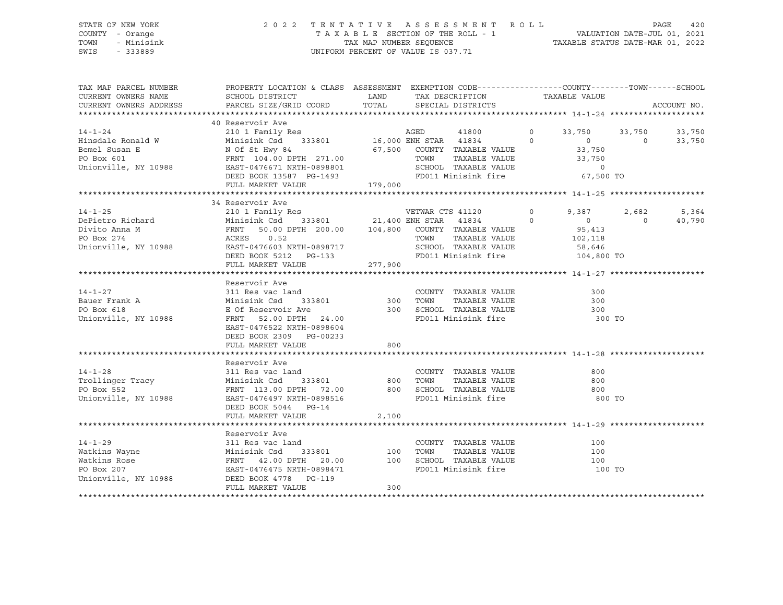#### STATE OF NEW YORK 2 0 2 2 T E N T A T I V E A S S E S S M E N T R O L L PAGE 420 COUNTY - Orange T A X A B L E SECTION OF THE ROLL - 1 VALUATION DATE-JUL 01, 2021 TOWN - Minisink TAX MAP NUMBER SEQUENCE TAXABLE STATUS DATE-MAR 01, 2022 SWIS - 333889 CONSERVED BY A SUMPORM PERCENT OF VALUE IS 037.71

| TAX MAP PARCEL NUMBER<br>CURRENT OWNERS NAME<br>CURRENT OWNERS ADDRESS                                                                                                                                                                             | PROPERTY LOCATION & CLASS ASSESSMENT EXEMPTION CODE---------------COUNTY-------TOWN------SCHOOL<br>SCHOOL DISTRICT<br>PARCEL SIZE/GRID COORD TOTAL SPECIAL DISTRICTS | LAND  |      | TAX DESCRIPTION TAXABLE VALUE                                                             |          |                |                | ACCOUNT NO. |
|----------------------------------------------------------------------------------------------------------------------------------------------------------------------------------------------------------------------------------------------------|----------------------------------------------------------------------------------------------------------------------------------------------------------------------|-------|------|-------------------------------------------------------------------------------------------|----------|----------------|----------------|-------------|
|                                                                                                                                                                                                                                                    |                                                                                                                                                                      |       |      |                                                                                           |          |                |                |             |
|                                                                                                                                                                                                                                                    | 40 Reservoir Ave                                                                                                                                                     |       |      |                                                                                           |          |                |                |             |
|                                                                                                                                                                                                                                                    |                                                                                                                                                                      |       |      |                                                                                           |          | 33,750 33,750  |                | 33,750      |
|                                                                                                                                                                                                                                                    |                                                                                                                                                                      |       |      |                                                                                           |          | $\overline{0}$ | $\overline{0}$ | 33,750      |
|                                                                                                                                                                                                                                                    |                                                                                                                                                                      |       |      |                                                                                           |          | 33,750         |                |             |
| 14-1-24<br>14-1-24<br>Hinsdale Ronald W Minisink Csd 333801<br>16,000 ENH STAR 41834<br>16,000 ENH STAR 41834<br>16,000 ENH STAR 41834<br>16,000 ENH STAR 41834<br>16,000 ENH STAR 41834<br>16,000 ENH STAR 41834<br>16,000 ENH STAR 41834<br>16,0 |                                                                                                                                                                      |       |      |                                                                                           |          |                |                |             |
|                                                                                                                                                                                                                                                    |                                                                                                                                                                      |       |      |                                                                                           |          |                |                |             |
|                                                                                                                                                                                                                                                    |                                                                                                                                                                      |       |      | TOWN TAXABLE VALUE 33,750<br>SCHOOL TAXABLE VALUE 33,750<br>FD011 Minisink fire 67,500 TO |          |                |                |             |
|                                                                                                                                                                                                                                                    | DEED BOOK 13587 PG-1493<br>FULL MARKET VALUE 179,000                                                                                                                 |       |      |                                                                                           |          |                |                |             |
|                                                                                                                                                                                                                                                    |                                                                                                                                                                      |       |      |                                                                                           |          |                |                |             |
|                                                                                                                                                                                                                                                    | 34 Reservoir Ave                                                                                                                                                     |       |      |                                                                                           |          |                |                |             |
| $14 - 1 - 25$                                                                                                                                                                                                                                      | 210 1 Family Res                                                                                                                                                     |       |      | VETWAR CTS 41120                                                                          | $\Omega$ | 9,387          | 2,682          | 5,364       |
|                                                                                                                                                                                                                                                    |                                                                                                                                                                      |       |      |                                                                                           |          | $\overline{0}$ | $\overline{0}$ | 40,790      |
|                                                                                                                                                                                                                                                    |                                                                                                                                                                      |       |      |                                                                                           |          | 95,413         |                |             |
|                                                                                                                                                                                                                                                    |                                                                                                                                                                      |       |      | TAXABLE VALUE 102,118                                                                     |          |                |                |             |
|                                                                                                                                                                                                                                                    |                                                                                                                                                                      |       |      |                                                                                           |          |                |                |             |
| Franchise Minisink Csd 333801 21,400 ENH STAR 41834 0<br>DePietro Richard Minisink Csd 333801 21,400 ENH STAR 41834 0<br>Divito Anna M<br>PO Box 274 ACRES 0.52 TOWN TAXABLE VALUE<br>Unionville, NY 10988 EAST-0476603 NRTH-0898717 S             | DEED BOOK 5212 PG-133                                                                                                                                                |       |      |                                                                                           |          |                |                |             |
|                                                                                                                                                                                                                                                    | FULL MARKET VALUE 277,900                                                                                                                                            |       |      |                                                                                           |          |                |                |             |
|                                                                                                                                                                                                                                                    |                                                                                                                                                                      |       |      |                                                                                           |          |                |                |             |
|                                                                                                                                                                                                                                                    | Reservoir Ave                                                                                                                                                        |       |      |                                                                                           |          |                |                |             |
| $14 - 1 - 27$                                                                                                                                                                                                                                      | 311 Res vac land                                                                                                                                                     |       |      | COUNTY TAXABLE VALUE                                                                      |          | 300            |                |             |
| Bauer Frank A Minisink Csd                                                                                                                                                                                                                         | $333801$ 300                                                                                                                                                         |       | TOWN | TAXABLE VALUE                                                                             |          | 300            |                |             |
| PO Box 618                                                                                                                                                                                                                                         |                                                                                                                                                                      |       |      |                                                                                           |          | 300            |                |             |
| Unionville, NY 10988                                                                                                                                                                                                                               | E Of Reservoir Ave 300<br>FRNT 52.00 DPTH 24.00                                                                                                                      |       |      | SCHOOL TAXABLE VALUE<br>FD011 Minisink fire                                               |          | 300 TO         |                |             |
|                                                                                                                                                                                                                                                    | EAST-0476522 NRTH-0898604                                                                                                                                            |       |      |                                                                                           |          |                |                |             |
|                                                                                                                                                                                                                                                    | DEED BOOK 2309 PG-00233                                                                                                                                              |       |      |                                                                                           |          |                |                |             |
|                                                                                                                                                                                                                                                    | FULL MARKET VALUE                                                                                                                                                    | 800   |      |                                                                                           |          |                |                |             |
|                                                                                                                                                                                                                                                    |                                                                                                                                                                      |       |      |                                                                                           |          |                |                |             |
|                                                                                                                                                                                                                                                    | Reservoir Ave                                                                                                                                                        |       |      |                                                                                           |          |                |                |             |
| $14 - 1 - 28$                                                                                                                                                                                                                                      |                                                                                                                                                                      |       |      |                                                                                           |          | 800            |                |             |
|                                                                                                                                                                                                                                                    |                                                                                                                                                                      |       |      | COUNTY TAXABLE VALUE<br>TOWN     TAXABLE VALUE                                            |          |                |                |             |
| Trollinger Tracy                                                                                                                                                                                                                                   |                                                                                                                                                                      |       |      |                                                                                           |          | 800            |                |             |
| PO Box 552                                                                                                                                                                                                                                         |                                                                                                                                                                      |       |      |                                                                                           |          | 800            |                |             |
| Unionville, NY 10988                                                                                                                                                                                                                               |                                                                                                                                                                      |       |      |                                                                                           |          | 800 TO         |                |             |
|                                                                                                                                                                                                                                                    | DEED BOOK 5044 PG-14                                                                                                                                                 |       |      |                                                                                           |          |                |                |             |
|                                                                                                                                                                                                                                                    | FULL MARKET VALUE                                                                                                                                                    | 2,100 |      |                                                                                           |          |                |                |             |
|                                                                                                                                                                                                                                                    |                                                                                                                                                                      |       |      |                                                                                           |          |                |                |             |
|                                                                                                                                                                                                                                                    | Reservoir Ave                                                                                                                                                        |       |      |                                                                                           |          |                |                |             |
| $14 - 1 - 29$                                                                                                                                                                                                                                      | 311 Res vac land                                                                                                                                                     |       |      | COUNTY TAXABLE VALUE                                                                      |          | 100            |                |             |
| The Markins Wayne Minisink Csd 333801 100 TOWN TAXABLE VALUE<br>Watkins Rose FRNT 42.00 DPTH 20.00 100 SCHOOL TAXABLE VALUE<br>PO Box 207 EAST-0476475 NRTH-0898471 FD011 Minisink fire                                                            |                                                                                                                                                                      |       |      |                                                                                           |          | 100            |                |             |
|                                                                                                                                                                                                                                                    |                                                                                                                                                                      |       |      |                                                                                           |          | 100            |                |             |
|                                                                                                                                                                                                                                                    |                                                                                                                                                                      |       |      |                                                                                           |          | 100 TO         |                |             |
| Unionville, NY 10988 DEED BOOK 4778 PG-119                                                                                                                                                                                                         |                                                                                                                                                                      |       |      |                                                                                           |          |                |                |             |
|                                                                                                                                                                                                                                                    | FULL MARKET VALUE                                                                                                                                                    | 300   |      |                                                                                           |          |                |                |             |
|                                                                                                                                                                                                                                                    |                                                                                                                                                                      |       |      |                                                                                           |          |                |                |             |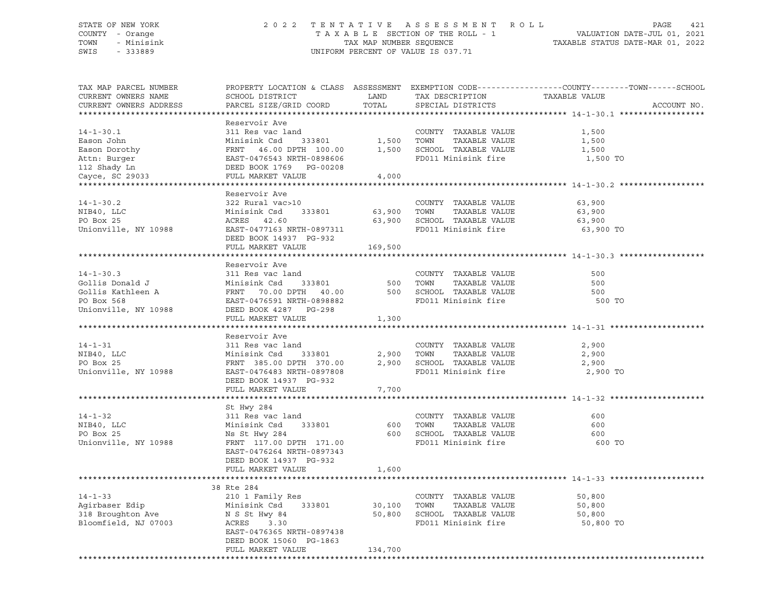#### STATE OF NEW YORK 2 0 2 2 T E N T A T I V E A S S E S S M E N T R O L L PAGE 421 COUNTY - Orange T A X A B L E SECTION OF THE ROLL - 1 VALUATION DATE-JUL 01, 2021 TOWN - Minisink TAX MAP NUMBER SEQUENCE TAXABLE STATUS DATE-MAR 01, 2022 SWIS - 333889 CONSERVED BY A SUMPORM PERCENT OF VALUE IS 037.71

| TAX MAP PARCEL NUMBER<br>CURRENT OWNERS NAME |                                                                                                                                                                                                                                                      |         |                               | PROPERTY LOCATION & CLASS ASSESSMENT EXEMPTION CODE----------------COUNTY-------TOWN-----SCHOOL<br>TAXABLE VALUE |
|----------------------------------------------|------------------------------------------------------------------------------------------------------------------------------------------------------------------------------------------------------------------------------------------------------|---------|-------------------------------|------------------------------------------------------------------------------------------------------------------|
| CURRENT OWNERS ADDRESS                       |                                                                                                                                                                                                                                                      |         |                               | ACCOUNT NO.                                                                                                      |
|                                              |                                                                                                                                                                                                                                                      |         |                               |                                                                                                                  |
|                                              | Reservoir Ave                                                                                                                                                                                                                                        |         |                               |                                                                                                                  |
|                                              |                                                                                                                                                                                                                                                      |         |                               | 1,500                                                                                                            |
|                                              |                                                                                                                                                                                                                                                      |         |                               | 1,500                                                                                                            |
|                                              |                                                                                                                                                                                                                                                      |         |                               | 1,500                                                                                                            |
|                                              |                                                                                                                                                                                                                                                      |         |                               | 1,500 TO                                                                                                         |
|                                              |                                                                                                                                                                                                                                                      |         |                               |                                                                                                                  |
|                                              |                                                                                                                                                                                                                                                      |         |                               |                                                                                                                  |
|                                              | Reservoir Ave                                                                                                                                                                                                                                        |         |                               |                                                                                                                  |
|                                              | 14-1-30.2<br>MIB40, LLC 322 Rural vac>10<br>MIB40, LLC Minisink Csd 333801<br>Minisink Csd 333801<br>Minisink Csd 333801<br>Minising TAXABLE VALUE 63,900<br>COUNTY TAXABLE VALUE<br>Minising TAXABLE VALUE 63,900<br>COUNTY TAXABLE VALUE<br>63     |         |                               |                                                                                                                  |
|                                              |                                                                                                                                                                                                                                                      |         |                               |                                                                                                                  |
|                                              |                                                                                                                                                                                                                                                      |         |                               |                                                                                                                  |
|                                              |                                                                                                                                                                                                                                                      |         | FD011 Minisink fire 63,900 TO |                                                                                                                  |
|                                              |                                                                                                                                                                                                                                                      |         |                               |                                                                                                                  |
|                                              | FULL MARKET VALUE                                                                                                                                                                                                                                    | 169,500 |                               |                                                                                                                  |
|                                              |                                                                                                                                                                                                                                                      |         |                               |                                                                                                                  |
|                                              | Reservoir Ave                                                                                                                                                                                                                                        |         |                               |                                                                                                                  |
|                                              |                                                                                                                                                                                                                                                      |         |                               | 500                                                                                                              |
|                                              |                                                                                                                                                                                                                                                      |         |                               | 500                                                                                                              |
|                                              |                                                                                                                                                                                                                                                      |         |                               | 500                                                                                                              |
|                                              |                                                                                                                                                                                                                                                      |         | FD011 Minisink fire           | 500 TO                                                                                                           |
|                                              | 14-1-30.3<br>Gollis Donald J<br>Gollis Kathleen A<br>PO Box 568<br>Thionville, NY 10988<br>COLLIS COLLIS Kathleen A<br>PO Box 568<br>EAST-0476591 NRTH-0898882<br>THIONG 2012<br>COLLIS CHOOL TAXABLE VALUE<br>PO BOX 568<br>EAST-0476591 NRTH-08988 |         |                               |                                                                                                                  |
|                                              | FULL MARKET VALUE                                                                                                                                                                                                                                    | 1,300   |                               |                                                                                                                  |
|                                              |                                                                                                                                                                                                                                                      |         |                               |                                                                                                                  |
|                                              |                                                                                                                                                                                                                                                      |         |                               |                                                                                                                  |
|                                              |                                                                                                                                                                                                                                                      |         |                               | 2,900                                                                                                            |
|                                              |                                                                                                                                                                                                                                                      |         |                               | 2,900                                                                                                            |
|                                              |                                                                                                                                                                                                                                                      |         | FD011 Minisink fire 2,900 TO  | 2,900                                                                                                            |
|                                              | DEED BOOK 14937 PG-932                                                                                                                                                                                                                               |         |                               |                                                                                                                  |
|                                              | FULL MARKET VALUE                                                                                                                                                                                                                                    | 7,700   |                               |                                                                                                                  |
|                                              |                                                                                                                                                                                                                                                      |         |                               |                                                                                                                  |
|                                              | St Hwy 284                                                                                                                                                                                                                                           |         |                               |                                                                                                                  |
|                                              |                                                                                                                                                                                                                                                      |         |                               | 600                                                                                                              |
|                                              |                                                                                                                                                                                                                                                      |         |                               | 600                                                                                                              |
|                                              |                                                                                                                                                                                                                                                      |         |                               | 600                                                                                                              |
|                                              | 14-1-32<br>NIB40, LLC<br>NIB40, LLC<br>Minisink Csd 333801<br>Minisink Csd 333801<br>Minisink Csd 333801<br>Minisink Csd 333801<br>600 TOWN TAXABLE VALUE<br>TAXABLE VALUE<br>Minisink Csd 333801<br>600 SCHOOL TAXABLE VALUE<br>FD011 Minisink fire |         |                               | 600 TO                                                                                                           |
|                                              | EAST-0476264 NRTH-0897343                                                                                                                                                                                                                            |         |                               |                                                                                                                  |
|                                              | DEED BOOK 14937 PG-932                                                                                                                                                                                                                               |         |                               |                                                                                                                  |
|                                              | FULL MARKET VALUE                                                                                                                                                                                                                                    | 1,600   |                               |                                                                                                                  |
|                                              |                                                                                                                                                                                                                                                      |         |                               |                                                                                                                  |
|                                              | 38 Rte 284                                                                                                                                                                                                                                           |         |                               |                                                                                                                  |
|                                              |                                                                                                                                                                                                                                                      |         |                               |                                                                                                                  |
|                                              |                                                                                                                                                                                                                                                      |         |                               |                                                                                                                  |
|                                              |                                                                                                                                                                                                                                                      |         |                               |                                                                                                                  |
|                                              | 14-1-33<br>20 Agirbaser Edip<br>20 Agirbaser Edip<br>30,100 TOWN TAXABLE VALUE<br>30,100 TOWN TAXABLE VALUE<br>30,800 TOWN TAXABLE VALUE<br>50,800<br>20 Alternation Ave N S St Hwy 84<br>20 Alternation Ave St Hwy 84<br>20 Alternation Ave St      |         |                               | 50,800 TO                                                                                                        |
|                                              | EAST-0476365 NRTH-0897438                                                                                                                                                                                                                            |         |                               |                                                                                                                  |
|                                              | DEED BOOK 15060 PG-1863                                                                                                                                                                                                                              |         |                               |                                                                                                                  |
|                                              | FULL MARKET VALUE                                                                                                                                                                                                                                    | 134,700 |                               |                                                                                                                  |
|                                              |                                                                                                                                                                                                                                                      |         |                               |                                                                                                                  |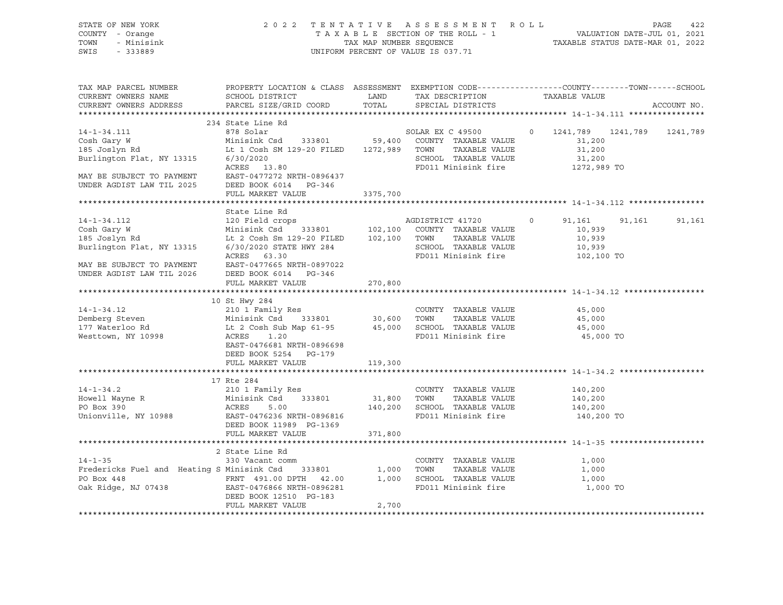| STATE OF NEW YORK<br>COUNTY - Orange<br>TOWN<br>- Minisink                                                                                                                                                                                                    |                                                                                                                                                                                                                                                                                                                           | 2022 TENTATIVE ASSESSMENT ROLL PAGE 422<br>TAXABLE SECTION OF THE ROLL - 1 VALUATION DATE-JUL 01, 2021<br>TAX MAP NUMBER SEQUENCE TAXABLE STATUS DATE-MAR 01, 2022<br>UNIFORM PERCENT OF VALUE IS 037.71 |                                             |                                                  |          |               |
|---------------------------------------------------------------------------------------------------------------------------------------------------------------------------------------------------------------------------------------------------------------|---------------------------------------------------------------------------------------------------------------------------------------------------------------------------------------------------------------------------------------------------------------------------------------------------------------------------|----------------------------------------------------------------------------------------------------------------------------------------------------------------------------------------------------------|---------------------------------------------|--------------------------------------------------|----------|---------------|
| SWIS<br>$-333889$                                                                                                                                                                                                                                             |                                                                                                                                                                                                                                                                                                                           |                                                                                                                                                                                                          |                                             |                                                  |          |               |
| TAX MAP PARCEL NUMBER                                                                                                                                                                                                                                         | PROPERTY LOCATION & CLASS ASSESSMENT EXEMPTION CODE----------------COUNTY-------TOWN------SCHOOL                                                                                                                                                                                                                          |                                                                                                                                                                                                          |                                             |                                                  |          | ACCOUNT NO.   |
|                                                                                                                                                                                                                                                               |                                                                                                                                                                                                                                                                                                                           |                                                                                                                                                                                                          |                                             |                                                  |          |               |
| 14-1-34.111<br>Cosh Gary W<br>Cosh Gary W Minisink Csd 333801 59,400 COUNTY<br>185 Joslyn Rd Lt 1 Cosh SM 129-20 FILED 1272,989 TOWN<br>Burlington Flat, NY 13315 6/30/2020                                                                                   | 234 State Line Rd<br><u>and the companies of the companies of the companies of the companies of the companies of the companies of the companies of the companies of the companies of the companies of the companies of the companies of the companies</u><br>878 Solar<br>Minisink Csd 333801 59,400 COUNTY TAXABLE VALUE |                                                                                                                                                                                                          | SOLAR EX C 49500<br>TAXABLE VALUE           | 0 1241,789 1241,789 1241,789<br>31,200<br>31,200 |          |               |
| MAY BE SUBJECT TO PAYMENT<br>TIPPE LODGER IN THE COOL COOL PREP ROOT COOL PROJECT<br>UNDER AGDIST LAW TIL 2025                                                                                                                                                | 6/30/2020<br>ACRES 13.80<br>DEED BOOK 6014 PG-346                                                                                                                                                                                                                                                                         |                                                                                                                                                                                                          | SCHOOL TAXABLE VALUE<br>FD011 Minisink fire | 31,200<br>1272,989 TO                            |          |               |
|                                                                                                                                                                                                                                                               | FULL MARKET VALUE                                                                                                                                                                                                                                                                                                         | 3375,700                                                                                                                                                                                                 |                                             |                                                  |          |               |
|                                                                                                                                                                                                                                                               |                                                                                                                                                                                                                                                                                                                           |                                                                                                                                                                                                          |                                             |                                                  |          |               |
|                                                                                                                                                                                                                                                               |                                                                                                                                                                                                                                                                                                                           |                                                                                                                                                                                                          |                                             |                                                  |          | 91,161 91,161 |
| 314-1-34.112<br>20 Field crops<br>20 Field crops<br>20 Field crops<br>20 Field 333801<br>20 Field 333801<br>20 Field 333801<br>20 Find 102,100 COUNTY TAXABLE VALUE<br>20 FILED<br>20 FILED<br>20 FILED<br>20 FILED<br>20 FILED<br>20 FILED<br>20 FILED<br>2  |                                                                                                                                                                                                                                                                                                                           |                                                                                                                                                                                                          |                                             |                                                  |          |               |
| MAY BE SUBJECT TO PAYMENT EAST-0477665 NRTH-0897022<br>UNDER AGDIST LAW TIL 2026 DEED BOOK 6014 PG-346                                                                                                                                                        | FULL MARKET VALUE                                                                                                                                                                                                                                                                                                         | 270,800                                                                                                                                                                                                  |                                             |                                                  |          |               |
|                                                                                                                                                                                                                                                               |                                                                                                                                                                                                                                                                                                                           |                                                                                                                                                                                                          |                                             |                                                  |          |               |
| 14-1-34.12 210 1 Family Res<br>Demberg Steven Minisink Csd 333801 30,600 TOWN TAXABLE VALUE<br>177 Waterloo Rd Lt 2 Cosh Sub Map 61-95 45,000 SCHOOL TAXABLE VALUE<br>Nesttown, NY 10998 ACRES 1.20 FD011 Minisink fire                                       | 10 St Hwy 284                                                                                                                                                                                                                                                                                                             |                                                                                                                                                                                                          | COUNTY TAXABLE VALUE                        | 45,000<br>45,000                                 |          |               |
|                                                                                                                                                                                                                                                               | EAST-0476681 NRTH-0896698<br>DEED BOOK 5254 PG-179<br>FULL MARKET VALUE                                                                                                                                                                                                                                                   | 119,300                                                                                                                                                                                                  |                                             | 45,000<br>45,000 TO                              |          |               |
|                                                                                                                                                                                                                                                               |                                                                                                                                                                                                                                                                                                                           |                                                                                                                                                                                                          |                                             |                                                  |          |               |
|                                                                                                                                                                                                                                                               | 17 Rte 284                                                                                                                                                                                                                                                                                                                |                                                                                                                                                                                                          |                                             |                                                  |          |               |
| 14-1-34.2<br>Howell Wayne R<br>Howell Wayne R<br>PO Box 390<br>Unionville, NY 10988<br>Howell Mayne R<br>Minisink Csd<br>210 1 Family Res<br>210 1 Family Res<br>31,800<br>31,800<br>31,800<br>31,800<br>200 TONN<br>TAXABLE VALUE<br>TAXABLE VALUE<br>210,20 |                                                                                                                                                                                                                                                                                                                           |                                                                                                                                                                                                          |                                             | 140,200<br>140,200<br>140,200<br>140,200 TO      |          |               |
|                                                                                                                                                                                                                                                               | FULL MARKET VALUE                                                                                                                                                                                                                                                                                                         | 371,800                                                                                                                                                                                                  |                                             |                                                  |          |               |
|                                                                                                                                                                                                                                                               |                                                                                                                                                                                                                                                                                                                           |                                                                                                                                                                                                          |                                             |                                                  |          |               |
| $14 - 1 - 35$                                                                                                                                                                                                                                                 | 2 State Line Rd                                                                                                                                                                                                                                                                                                           |                                                                                                                                                                                                          |                                             |                                                  |          |               |
| Fredericks Fuel and Heating S Minisink Csd 333801 1,000 TOWN TAXABLE VALUE<br>PO Box 448<br>PO Box 448<br>PO Box 448<br>PO Box 448<br>PO Box 448<br>EAST-0476866 NRTH-0896281<br>PD011 Minisink fire                                                          | 330 Vacant comm                                                                                                                                                                                                                                                                                                           |                                                                                                                                                                                                          | COUNTY TAXABLE VALUE                        | 1,000<br>1,000<br>1,000                          |          |               |
|                                                                                                                                                                                                                                                               | DEED BOOK 12510 PG-183<br>FULL MARKET VALUE                                                                                                                                                                                                                                                                               | 2,700                                                                                                                                                                                                    | FD011 Minisink fire                         |                                                  | 1,000 TO |               |
|                                                                                                                                                                                                                                                               |                                                                                                                                                                                                                                                                                                                           |                                                                                                                                                                                                          |                                             |                                                  |          |               |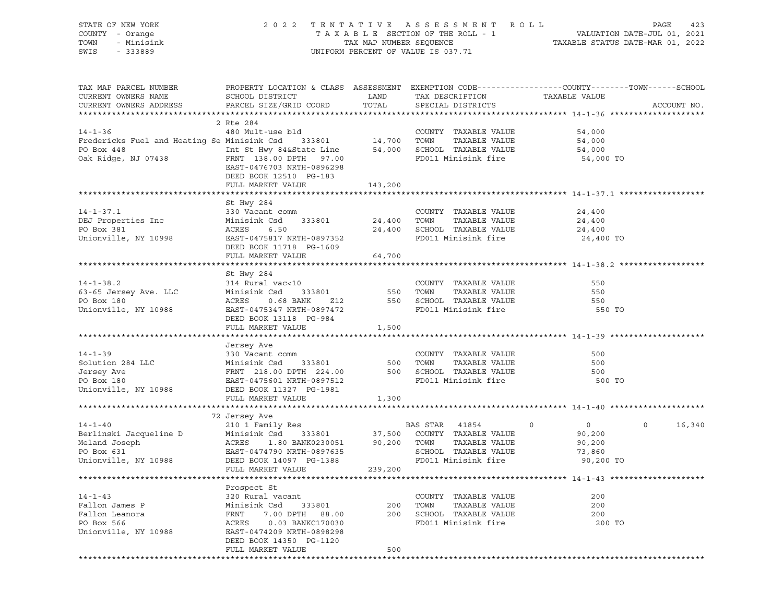| STATE OF NEW YORK                                                                                                  | 2022                                                                                             |                                                                 | TENTATIVE ASSESSMENT        | R O L L       | PAGE<br>423       |
|--------------------------------------------------------------------------------------------------------------------|--------------------------------------------------------------------------------------------------|-----------------------------------------------------------------|-----------------------------|---------------|-------------------|
| COUNTY - Orange                                                                                                    | TAXABLE SECTION OF THE ROLL - 1                                                                  | VALUATION DATE-JUL 01, 2021<br>TAXABLE STATUS DATE-MAR 01, 2022 |                             |               |                   |
| TOWN<br>- Minisink                                                                                                 | TAX MAP NUMBER SEQUENCE                                                                          |                                                                 |                             |               |                   |
| SWIS<br>$-333889$                                                                                                  |                                                                                                  | UNIFORM PERCENT OF VALUE IS 037.71                              |                             |               |                   |
|                                                                                                                    |                                                                                                  |                                                                 |                             |               |                   |
|                                                                                                                    |                                                                                                  |                                                                 |                             |               |                   |
| TAX MAP PARCEL NUMBER                                                                                              | PROPERTY LOCATION & CLASS ASSESSMENT EXEMPTION CODE----------------COUNTY-------TOWN------SCHOOL |                                                                 |                             |               |                   |
| CURRENT OWNERS NAME                                                                                                | SCHOOL DISTRICT                                                                                  | LAND                                                            | TAX DESCRIPTION             | TAXABLE VALUE |                   |
| CURRENT OWNERS ADDRESS                                                                                             | PARCEL SIZE/GRID COORD                                                                           | TOTAL                                                           | SPECIAL DISTRICTS           |               | ACCOUNT NO.       |
|                                                                                                                    |                                                                                                  |                                                                 |                             |               |                   |
|                                                                                                                    | 2 Rte 284                                                                                        |                                                                 |                             |               |                   |
| $14 - 1 - 36$                                                                                                      | 480 Mult-use bld                                                                                 |                                                                 | COUNTY TAXABLE VALUE        | 54,000        |                   |
|                                                                                                                    |                                                                                                  |                                                                 | TAXABLE VALUE               | 54,000        |                   |
| Fredericks Fuel and Heating Se Minisink Csd 333801 14,700 TOWN<br>PO Box 448 Int St Hwy 84&State Line 54,000 SCHOO |                                                                                                  |                                                                 | 54,000 SCHOOL TAXABLE VALUE | 54,000        |                   |
| Oak Ridge, NJ 07438                                                                                                | FRNT 138.00 DPTH 97.00                                                                           |                                                                 | FD011 Minisink fire         | 54,000 TO     |                   |
|                                                                                                                    | EAST-0476703 NRTH-0896298                                                                        |                                                                 |                             |               |                   |
|                                                                                                                    | DEED BOOK 12510 PG-183                                                                           |                                                                 |                             |               |                   |
|                                                                                                                    | FULL MARKET VALUE                                                                                | 143,200                                                         |                             |               |                   |
|                                                                                                                    |                                                                                                  |                                                                 |                             |               |                   |
|                                                                                                                    | St Hwy 284                                                                                       |                                                                 |                             |               |                   |
| $14 - 1 - 37.1$                                                                                                    | 330 Vacant comm                                                                                  |                                                                 | COUNTY TAXABLE VALUE        | 24,400        |                   |
| DEJ Properties Inc                                                                                                 | Minisink Csd<br>333801                                                                           | 24,400 TOWN                                                     | TAXABLE VALUE               | 24,400        |                   |
| PO Box 381                                                                                                         | ACRES<br>6.50                                                                                    |                                                                 | 24,400 SCHOOL TAXABLE VALUE | 24,400        |                   |
| Unionville, NY 10998                                                                                               | EAST-0475817 NRTH-0897352                                                                        |                                                                 | FD011 Minisink fire         | 24,400 TO     |                   |
|                                                                                                                    | DEED BOOK 11718 PG-1609                                                                          |                                                                 |                             |               |                   |
|                                                                                                                    | FULL MARKET VALUE                                                                                | 64,700                                                          |                             |               |                   |
|                                                                                                                    |                                                                                                  |                                                                 |                             |               |                   |
|                                                                                                                    | St Hwy 284                                                                                       |                                                                 |                             |               |                   |
| $14 - 1 - 38.2$                                                                                                    | 314 Rural vac<10                                                                                 |                                                                 | COUNTY TAXABLE VALUE        | 550           |                   |
| 63-65 Jersey Ave. LLC                                                                                              | Minisink Csd<br>333801                                                                           | 550                                                             | TOWN<br>TAXABLE VALUE       | 550           |                   |
| PO Box 180                                                                                                         | ACRES<br>0.68 BANK<br>Z12                                                                        |                                                                 | 550 SCHOOL TAXABLE VALUE    | 550           |                   |
| Unionville, NY 10988                                                                                               | EAST-0475347 NRTH-0897472                                                                        |                                                                 | FD011 Minisink fire         | 550 TO        |                   |
|                                                                                                                    | DEED BOOK 13118 PG-984                                                                           |                                                                 |                             |               |                   |
|                                                                                                                    | FULL MARKET VALUE                                                                                | 1,500                                                           |                             |               |                   |
|                                                                                                                    |                                                                                                  |                                                                 |                             |               |                   |
|                                                                                                                    | Jersey Ave                                                                                       |                                                                 |                             |               |                   |
| $14 - 1 - 39$                                                                                                      | 330 Vacant comm                                                                                  |                                                                 | COUNTY TAXABLE VALUE        | 500           |                   |
| Solution 284 LLC                                                                                                   | Minisink Csd<br>333801                                                                           | 500                                                             | TOWN<br>TAXABLE VALUE       | 500           |                   |
| Jersey Ave                                                                                                         | FRNT 218.00 DPTH 224.00                                                                          | 500                                                             | SCHOOL TAXABLE VALUE        | 500           |                   |
| PO Box 180                                                                                                         | EAST-0475601 NRTH-0897512                                                                        |                                                                 | FD011 Minisink fire         | 500 TO        |                   |
| Unionville, NY 10988                                                                                               | DEED BOOK 11327 PG-1981                                                                          |                                                                 |                             |               |                   |
|                                                                                                                    | FULL MARKET VALUE                                                                                | 1,300                                                           |                             |               |                   |
|                                                                                                                    |                                                                                                  |                                                                 |                             |               |                   |
|                                                                                                                    | 72 Jersey Ave                                                                                    |                                                                 |                             |               |                   |
| $14 - 1 - 40$                                                                                                      | 210 1 Family Res                                                                                 |                                                                 | BAS STAR<br>41854           | $\circ$<br>0  | $\circ$<br>16,340 |
| Berlinski Jacqueline D                                                                                             | Minisink Csd<br>333801                                                                           | 37,500                                                          | COUNTY TAXABLE VALUE        | 90,200        |                   |
| Meland Joseph                                                                                                      | ACRES<br>1.80 BANK0230051                                                                        | 90,200                                                          | TOWN<br>TAXABLE VALUE       | 90,200        |                   |
| PO Box 631                                                                                                         | EAST-0474790 NRTH-0897635                                                                        |                                                                 | SCHOOL TAXABLE VALUE        | 73,860        |                   |
| Unionville, NY 10988                                                                                               | DEED BOOK 14097 PG-1388                                                                          |                                                                 | FD011 Minisink fire         | 90,200 TO     |                   |
|                                                                                                                    | FULL MARKET VALUE                                                                                | 239,200                                                         |                             |               |                   |
|                                                                                                                    |                                                                                                  |                                                                 |                             |               |                   |
|                                                                                                                    | Prospect St                                                                                      |                                                                 |                             |               |                   |
| $14 - 1 - 43$                                                                                                      | 320 Rural vacant                                                                                 |                                                                 | TAXABLE VALUE<br>COUNTY     | 200           |                   |
| Fallon James P                                                                                                     | Minisink Csd<br>333801                                                                           | 200                                                             | TOWN<br>TAXABLE VALUE       | 200           |                   |
| Fallon Leanora                                                                                                     | 7.00 DPTH<br>FRNT<br>88.00                                                                       | 200                                                             | SCHOOL TAXABLE VALUE        | 200           |                   |
| PO Box 566                                                                                                         | ACRES<br>0.03 BANKC170030                                                                        |                                                                 | FD011 Minisink fire         | 200 TO        |                   |
| Unionville, NY 10988                                                                                               | EAST-0474209 NRTH-0898298                                                                        |                                                                 |                             |               |                   |
|                                                                                                                    | DEED BOOK 14350 PG-1120                                                                          |                                                                 |                             |               |                   |
|                                                                                                                    | FULL MARKET VALUE                                                                                | 500                                                             |                             |               |                   |
|                                                                                                                    |                                                                                                  |                                                                 |                             |               |                   |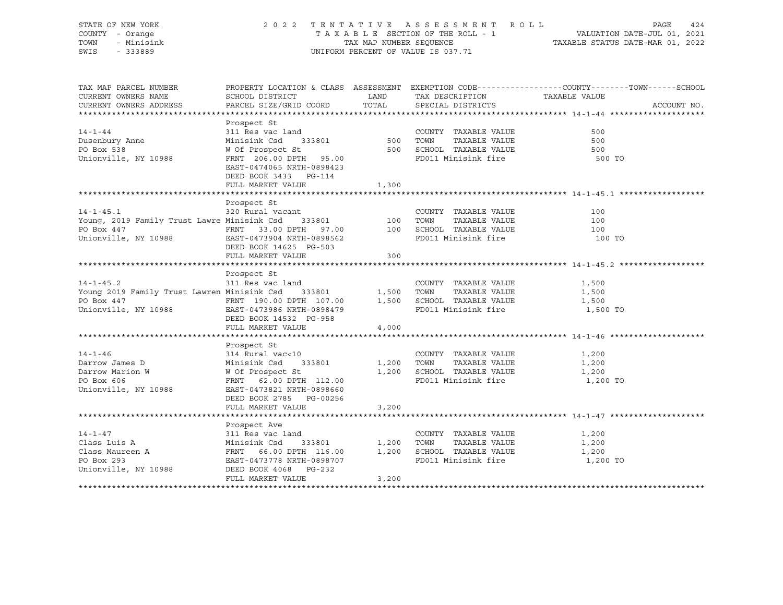| STATE OF NEW YORK<br>COUNTY - Orange<br>TOWN<br>- Minisink<br>SWIS<br>$-333889$                                                                                                                     |                                                                                                                                                                                           |       | UNIFORM PERCENT OF VALUE IS 037.71                                                                 | COUNTING ASSESSMENT ROLL TAXABLE SECTION OF THE ROLL - 1 VALUATION DATE-JUL 01, 2021<br>TAXABLE SECTION OF THE ROLL - 1 VALUATION DATE-MAR 01, 2022 |
|-----------------------------------------------------------------------------------------------------------------------------------------------------------------------------------------------------|-------------------------------------------------------------------------------------------------------------------------------------------------------------------------------------------|-------|----------------------------------------------------------------------------------------------------|-----------------------------------------------------------------------------------------------------------------------------------------------------|
| TAX MAP PARCEL NUMBER<br>CURRENT OWNERS NAME<br>CURRENT OWNERS ADDRESS                                                                                                                              | <b>EXAMPLE STATE STATE</b><br>SCHOOL DISTRICT<br>PARCEL SIZE/GRID COORD                                                                                                                   | TOTAL | TAX DESCRIPTION<br>SPECIAL DISTRICTS                                                               | PROPERTY LOCATION & CLASS ASSESSMENT EXEMPTION CODE----------------COUNTY-------TOWN------SCHOOL<br>TAXABLE VALUE<br>ACCOUNT NO.                    |
| $14 - 1 - 44$<br>Dusenbury Anne<br>PO Box 538<br>Unionville, NY 10988                                                                                                                               | Prospect St<br>311 Res vac land<br>Minisink Csd 333801 500<br>W Of Prospect St<br>FRNT 206.00 DPTH 95.00<br>EAST-0474065 NRTH-0898423<br>DEED BOOK 3433 PG-114                            |       | COUNTY TAXABLE VALUE<br>TOWN<br>TAXABLE VALUE<br>500 SCHOOL TAXABLE VALUE<br>FD011 Minisink fire   | 500<br>500<br>500<br>500 TO                                                                                                                         |
|                                                                                                                                                                                                     | FULL MARKET VALUE                                                                                                                                                                         | 1,300 |                                                                                                    |                                                                                                                                                     |
|                                                                                                                                                                                                     |                                                                                                                                                                                           |       |                                                                                                    |                                                                                                                                                     |
| $14 - 1 - 45.1$<br>Young, 2019 Family Trust Lawre Minisink Csd 333801 100 TOWN TAXABLE VALUE<br>PO Box 447 FRNT 33.00 DPTH 97.00 100 SCHOOL TAXABLE VALUE<br>Unionville, NY 10988                   | Prospect St<br>320 Rural vacant<br>EAST-0473904 NRTH-0898562<br>DEED BOOK 14625 PG-503                                                                                                    |       | COUNTY TAXABLE VALUE<br>FD011 Minisink fire                                                        | 100<br>100<br>100<br>100 TO                                                                                                                         |
|                                                                                                                                                                                                     | FULL MARKET VALUE                                                                                                                                                                         | 300   |                                                                                                    |                                                                                                                                                     |
| $14 - 1 - 45.2$<br>Young 2019 Family Trust Lawren Minisink Csd $\begin{array}{cc} 333801 & 1,500 \\ -2,0000 & 1,500 \end{array}$<br>PO Box 447<br>Unionville, NY 10988<br>EAST-0473986 NRTH-0898479 | Prospect St<br>311 Res vac land<br>EAST-0473986 NRTH-0898479                                                                                                                              |       | COUNTY TAXABLE VALUE<br>TOWN<br>TAXABLE VALUE<br>1,500 SCHOOL TAXABLE VALUE<br>FD011 Minisink fire | 1,500<br>1,500<br>1,500<br>1,500 TO                                                                                                                 |
|                                                                                                                                                                                                     | DEED BOOK 14532 PG-958                                                                                                                                                                    |       |                                                                                                    |                                                                                                                                                     |
|                                                                                                                                                                                                     | FULL MARKET VALUE                                                                                                                                                                         | 4,000 |                                                                                                    |                                                                                                                                                     |
|                                                                                                                                                                                                     |                                                                                                                                                                                           |       |                                                                                                    |                                                                                                                                                     |
| $14 - 1 - 46$<br>Darrow James D<br>Darrow Marion W<br>PO Box 606<br>Unionville, NY 10988                                                                                                            | Prospect St<br>314 Rural vac<10<br>314 Rural vale<br>Minisink Csd 333801<br>W Of Prospect St<br>FRNT 62.00 DPTH 112.00<br>1009660<br>EAST-0473821 NRTH-0898660<br>DEED BOOK 2785 PG-00256 | 1,200 | COUNTY TAXABLE VALUE<br>TAXABLE VALUE<br>TOWN<br>1,200 SCHOOL TAXABLE VALUE<br>FD011 Minisink fire | 1,200<br>1,200<br>1,200<br>1,200 TO                                                                                                                 |
|                                                                                                                                                                                                     | FULL MARKET VALUE                                                                                                                                                                         | 3,200 |                                                                                                    |                                                                                                                                                     |
|                                                                                                                                                                                                     |                                                                                                                                                                                           |       |                                                                                                    |                                                                                                                                                     |
| $14 - 1 - 47$<br>Class Luis A<br>Class Maureen A<br>- The 2013                                                                                                                                      | Prospect Ave<br>333801 1,200                                                                                                                                                              |       | COUNTY TAXABLE VALUE<br>TOWN<br>TAXABLE VALUE<br>1,200 SCHOOL TAXABLE VALUE                        | 1,200<br>1,200<br>1,200                                                                                                                             |
| Unionville, NY 10988                                                                                                                                                                                | DEED BOOK 4068 PG-232<br>FULL MARKET VALUE                                                                                                                                                | 3,200 | FD011 Minisink fire                                                                                | 1,200 TO                                                                                                                                            |
|                                                                                                                                                                                                     |                                                                                                                                                                                           |       |                                                                                                    |                                                                                                                                                     |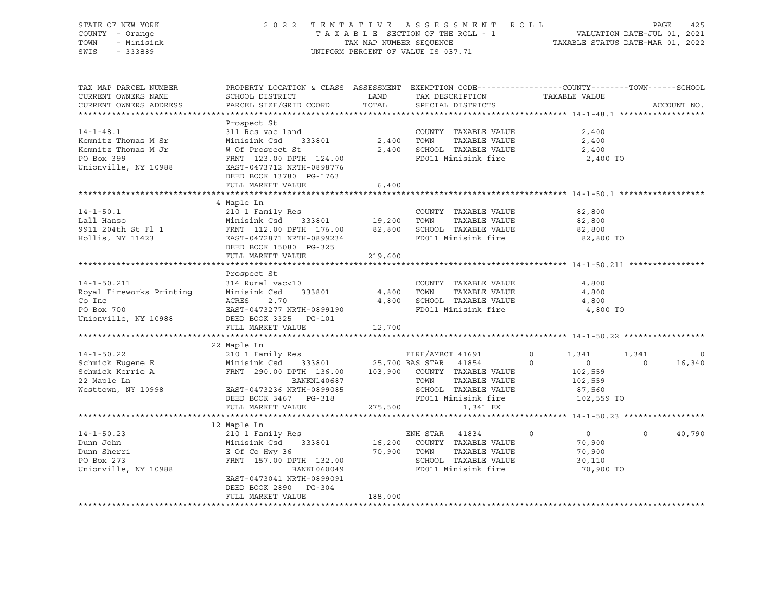| STATE OF NEW YORK<br>COUNTY - Orange<br>- Minisink<br>TOWN<br>SWIS<br>- 333889 | 2 0 2 2                                                                                                            | TENTATIVE | ASSESSMENT ROLL<br>TAXABLE SECTION OF THE ROLL - 1<br>TAXABLE SECTION OF THE ROLL - 1<br>TAXABLE STATUS DATE-MAR 01, 2022<br>UNIFORM PERCENT OF VALUE IS 037.71 |                              |                | PAGE<br>425 |
|--------------------------------------------------------------------------------|--------------------------------------------------------------------------------------------------------------------|-----------|-----------------------------------------------------------------------------------------------------------------------------------------------------------------|------------------------------|----------------|-------------|
| TAX MAP PARCEL NUMBER<br>CURRENT OWNERS NAME                                   | PROPERTY LOCATION & CLASS ASSESSMENT EXEMPTION CODE----------------COUNTY-------TOWN-----SCHOOL<br>SCHOOL DISTRICT | LAND      | TAX DESCRIPTION                                                                                                                                                 | TAXABLE VALUE                |                |             |
| CURRENT OWNERS ADDRESS                                                         | PARCEL SIZE/GRID COORD                                                                                             | TOTAL     | SPECIAL DISTRICTS                                                                                                                                               |                              |                | ACCOUNT NO. |
|                                                                                | Prospect St                                                                                                        |           |                                                                                                                                                                 |                              |                |             |
| $14 - 1 - 48.1$                                                                | 311 Res vac land                                                                                                   |           | COUNTY TAXABLE VALUE                                                                                                                                            | 2,400                        |                |             |
| Kemnitz Thomas M Sr                                                            |                                                                                                                    | 2,400     | TOWN<br>TAXABLE VALUE                                                                                                                                           | 2,400                        |                |             |
| Kemnitz Thomas M Jr                                                            | W Of Prospect St                                                                                                   |           | 2,400 SCHOOL TAXABLE VALUE                                                                                                                                      | 2,400                        |                |             |
| PO Box 399                                                                     | Minisink Csd 333801<br>W Of Prospect St<br>FRNT 123.00 DPTH 124.00                                                 |           | FD011 Minisink fire                                                                                                                                             | 2,400 TO                     |                |             |
| Unionville, NY 10988                                                           | EAST-0473712 NRTH-0898776<br>DEED BOOK 13780 PG-1763                                                               |           |                                                                                                                                                                 |                              |                |             |
|                                                                                | FULL MARKET VALUE                                                                                                  | 6,400     |                                                                                                                                                                 |                              |                |             |
|                                                                                |                                                                                                                    |           |                                                                                                                                                                 |                              |                |             |
|                                                                                | 4 Maple Ln                                                                                                         |           |                                                                                                                                                                 |                              |                |             |
| $14 - 1 - 50.1$                                                                | 210 1 Family Res                                                                                                   |           | COUNTY TAXABLE VALUE                                                                                                                                            | 82,800                       |                |             |
|                                                                                |                                                                                                                    |           |                                                                                                                                                                 | 82,800                       |                |             |
|                                                                                |                                                                                                                    |           |                                                                                                                                                                 | 82,800<br>82,800 TO          |                |             |
|                                                                                | DEED BOOK 15080 PG-325                                                                                             |           |                                                                                                                                                                 |                              |                |             |
|                                                                                | FULL MARKET VALUE                                                                                                  | 219,600   |                                                                                                                                                                 |                              |                |             |
|                                                                                | Prospect St                                                                                                        |           |                                                                                                                                                                 |                              |                |             |
| $14 - 1 - 50.211$                                                              | 314 Rural vac<10                                                                                                   |           | COUNTY TAXABLE VALUE                                                                                                                                            | 4,800                        |                |             |
|                                                                                |                                                                                                                    | 4,800     | TOWN TAXABLE VALUE                                                                                                                                              | 4,800                        |                |             |
|                                                                                |                                                                                                                    | 4,800     | SCHOOL TAXABLE VALUE                                                                                                                                            | 4,800                        |                |             |
| PO Box 700                                                                     | EAST-0473277 NRTH-0899190                                                                                          |           | FD011 Minisink fire                                                                                                                                             | 4,800 TO                     |                |             |
| Unionville, NY 10988                                                           | DEED BOOK 3325 PG-101                                                                                              |           |                                                                                                                                                                 |                              |                |             |
|                                                                                | FULL MARKET VALUE                                                                                                  | 12,700    |                                                                                                                                                                 |                              |                |             |
|                                                                                |                                                                                                                    |           |                                                                                                                                                                 |                              |                |             |
|                                                                                | 22 Maple Ln                                                                                                        |           |                                                                                                                                                                 |                              |                |             |
| $14 - 1 - 50.22$                                                               | 210 1 Family Res                                                                                                   |           | FIRE/AMBCT 41691                                                                                                                                                | $\circ$<br>1,341             | 1,341          | $\circ$     |
| Schmick Eugene E                                                               | Minisink Csd 333801 25,700 BAS STAR 41854                                                                          |           |                                                                                                                                                                 | $0 \qquad \qquad$<br>$\circ$ | $\overline{0}$ | 16,340      |
| Schmick Kerrie A<br>22 Maple Ln                                                | FRNT 290.00 DPTH 136.00 103,900 COUNTY TAXABLE VALUE                                                               |           |                                                                                                                                                                 | 102,559                      |                |             |
| Westtown, NY 10998 EAST-0473236 NRTH-0899085                                   | BANKN140687                                                                                                        |           | TOWN<br>TAXABLE VALUE                                                                                                                                           | 102,559                      |                |             |
|                                                                                |                                                                                                                    |           | SCHOOL TAXABLE VALUE                                                                                                                                            | 87,560                       |                |             |
|                                                                                | DEED BOOK 3467 PG-318<br>FULL MARKET VALUE                                                                         |           | FD011 Minisink fire<br>275,500<br>1,341 EX                                                                                                                      | 102,559 TO                   |                |             |
|                                                                                |                                                                                                                    |           |                                                                                                                                                                 |                              |                |             |
|                                                                                | 12 Maple Ln                                                                                                        |           |                                                                                                                                                                 |                              |                |             |
| $14 - 1 - 50.23$                                                               | 210 1 Family Res                                                                                                   |           | ENH STAR 41834                                                                                                                                                  | $\overline{0}$<br>$\circ$    | $\circ$        | 40,790      |
| Dunn John                                                                      | Minisink Csd 333801                                                                                                | 16,200    | COUNTY TAXABLE VALUE                                                                                                                                            | 70,900                       |                |             |
| Dunn Sherri                                                                    | E Of Co Hwy 36<br>FRNT 157.00 DPTH 132.00 70,900 SCHOOL                                                            |           | TAXABLE VALUE                                                                                                                                                   | 70,900                       |                |             |
| PO Box 273                                                                     | FRNT 157.00 DPTH 132.00                                                                                            |           | SCHOOL TAXABLE VALUE                                                                                                                                            | 30,110                       |                |             |
| Unionville, NY 10988                                                           | BANKL060049                                                                                                        |           | FD011 Minisink fire                                                                                                                                             | 70,900 TO                    |                |             |
|                                                                                | EAST-0473041 NRTH-0899091                                                                                          |           |                                                                                                                                                                 |                              |                |             |
|                                                                                | DEED BOOK 2890 PG-304                                                                                              |           |                                                                                                                                                                 |                              |                |             |
|                                                                                | FULL MARKET VALUE                                                                                                  | 188,000   |                                                                                                                                                                 |                              |                |             |
|                                                                                |                                                                                                                    |           |                                                                                                                                                                 |                              |                |             |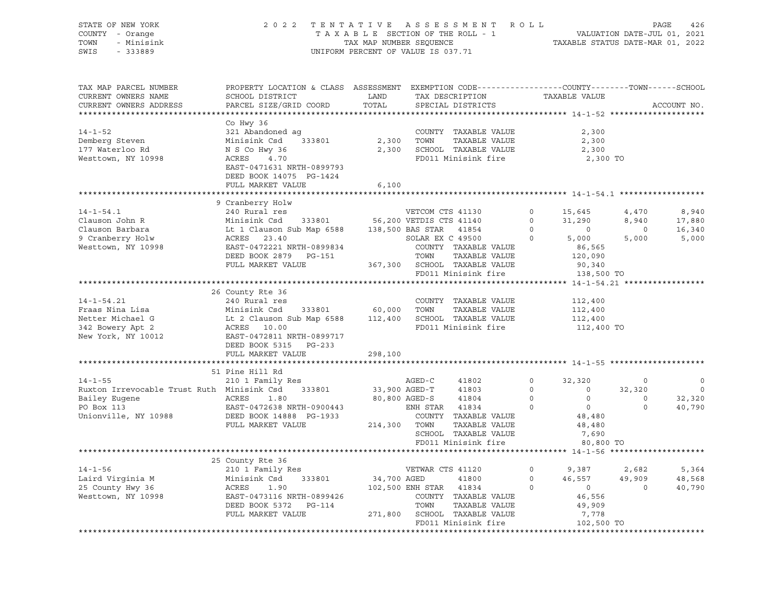| STATE OF NEW YORK                                 | 2 0 2 2                                                                                          | TENTATIVE   |                         | ASSESSMENT ROLL              |                |                                                                 |          | PAGE<br>426              |
|---------------------------------------------------|--------------------------------------------------------------------------------------------------|-------------|-------------------------|------------------------------|----------------|-----------------------------------------------------------------|----------|--------------------------|
| COUNTY - Orange                                   | TAXABLE SECTION OF THE ROLL - 1                                                                  |             |                         |                              |                | VALUATION DATE-JUL 01, 2021<br>TAXABLE STATUS DATE-MAR 01, 2022 |          |                          |
| TOWN<br>- Minisink                                | TAX MAP NUMBER SEQUENCE<br>UNIFORM PERCENT OF VALUE IS 037.71                                    |             |                         |                              |                |                                                                 |          |                          |
| SWIS<br>$-333889$                                 |                                                                                                  |             |                         |                              |                |                                                                 |          |                          |
|                                                   |                                                                                                  |             |                         |                              |                |                                                                 |          |                          |
|                                                   |                                                                                                  |             |                         |                              |                |                                                                 |          |                          |
| TAX MAP PARCEL NUMBER                             | PROPERTY LOCATION & CLASS ASSESSMENT EXEMPTION CODE----------------COUNTY-------TOWN-----SCHOOL  |             |                         |                              |                |                                                                 |          |                          |
| CURRENT OWNERS NAME                               | SCHOOL DISTRICT                                                                                  | LAND        |                         | TAX DESCRIPTION              |                | TAXABLE VALUE                                                   |          |                          |
| CURRENT OWNERS ADDRESS                            | PARCEL SIZE/GRID COORD                                                                           | TOTAL       |                         | SPECIAL DISTRICTS            |                |                                                                 |          | ACCOUNT NO.              |
| ************************                          |                                                                                                  |             |                         |                              |                |                                                                 |          |                          |
| $14 - 1 - 52$                                     | Co Hwy 36<br>321 Abandoned ag                                                                    |             |                         | COUNTY TAXABLE VALUE         |                | 2,300                                                           |          |                          |
| Demberg Steven                                    | Minisink Csd 333801                                                                              | 2,300       | TOWN                    | TAXABLE VALUE                |                | 2,300                                                           |          |                          |
|                                                   | N S Co Hwy 36                                                                                    |             |                         | 2,300 SCHOOL TAXABLE VALUE   |                | 2,300                                                           |          |                          |
| 177 Waterloo Rd                                   |                                                                                                  |             |                         |                              |                |                                                                 |          |                          |
| Westtown, NY 10998                                | ACRES<br>4.70                                                                                    |             |                         | FD011 Minisink fire          |                | 2,300 TO                                                        |          |                          |
|                                                   | EAST-0471631 NRTH-0899793                                                                        |             |                         |                              |                |                                                                 |          |                          |
|                                                   | DEED BOOK 14075 PG-1424                                                                          |             |                         |                              |                |                                                                 |          |                          |
|                                                   | FULL MARKET VALUE                                                                                | 6,100       |                         |                              |                |                                                                 |          |                          |
|                                                   | 9 Cranberry Holw                                                                                 |             |                         |                              |                |                                                                 |          |                          |
| $14 - 1 - 54.1$                                   | 240 Rural res                                                                                    |             | VETCOM CTS 41130        |                              | $\circ$        | 15,645                                                          | 4,470    | 8,940                    |
| Clauson John R                                    | Minisink Csd 333801 56,200 VETDIS CTS 41140                                                      |             |                         |                              | $\circ$        | 31,290                                                          | 8,940    | 17,880                   |
| Clauson Barbara                                   | 11115111x CSd 555661 56,200 VEHELS C15 41140<br>Lt 1 Clauson Sub Map 6588 138,500 BAS STAR 41854 |             |                         |                              | $\overline{0}$ | $\overline{0}$                                                  | $\circ$  | 16,340                   |
| 9 Cranberry Holw                                  | ACRES 23.40                                                                                      |             | SOLAR EX C 49500        |                              | $\circ$        | 5,000                                                           | 5,000    | 5,000                    |
| Westtown, NY 10998                                | EAST-0472221 NRTH-0899834                                                                        |             |                         | COUNTY TAXABLE VALUE         |                | 86,565                                                          |          |                          |
|                                                   | DEED BOOK 2879 PG-151                                                                            |             | TOWN                    | TAXABLE VALUE                |                | 120,090                                                         |          |                          |
|                                                   | FULL MARKET VALUE                                                                                |             |                         | 367,300 SCHOOL TAXABLE VALUE |                | 90,340                                                          |          |                          |
|                                                   |                                                                                                  |             |                         | FD011 Minisink fire          |                | 138,500 TO                                                      |          |                          |
|                                                   |                                                                                                  |             |                         |                              |                |                                                                 |          |                          |
|                                                   | 26 County Rte 36                                                                                 |             |                         |                              |                |                                                                 |          |                          |
| $14 - 1 - 54.21$                                  | 240 Rural res                                                                                    |             |                         | COUNTY TAXABLE VALUE         |                | 112,400                                                         |          |                          |
| Fraas Nina Lisa                                   | Minisink Csd<br>333801                                                                           |             | 60,000 TOWN             | TAXABLE VALUE                |                | 112,400                                                         |          |                          |
|                                                   |                                                                                                  |             |                         | 112,400 SCHOOL TAXABLE VALUE |                | 112,400                                                         |          |                          |
| Netter Michael G<br>342 Bowery Apt 2              | Minisink Csa (333001)<br>Lt 2 Clauson Sub Map 6588<br>ACRES (10.00)                              |             |                         | FD011 Minisink fire          |                | 112,400 TO                                                      |          |                          |
| New York, NY 10012                                | EAST-0472811 NRTH-0899717                                                                        |             |                         |                              |                |                                                                 |          |                          |
|                                                   | DEED BOOK 5315 PG-233                                                                            |             |                         |                              |                |                                                                 |          |                          |
|                                                   | FULL MARKET VALUE                                                                                | 298,100     |                         |                              |                |                                                                 |          |                          |
|                                                   | ***************************                                                                      |             |                         |                              |                |                                                                 |          |                          |
|                                                   | 51 Pine Hill Rd                                                                                  |             |                         |                              |                |                                                                 |          |                          |
| $14 - 1 - 55$                                     | 210 1 Family Res                                                                                 |             |                         | 41802                        | $\circ$        | 32,320                                                          | $\circ$  | $\circ$                  |
| Ruxton Irrevocable Trust Ruth Minisink Csd 333801 |                                                                                                  |             | AGED-C<br>33,900 AGED-T | 41803                        | $\overline{0}$ | $\sim$ 0                                                        | 32,320   | $\overline{\phantom{0}}$ |
| Bailey Eugene                                     | ACRES<br>1.80                                                                                    |             | 80,800 AGED-S           | 41804                        | $\overline{0}$ | $\circ$                                                         | $\circ$  | 32,320                   |
| PO Box 113                                        | EAST-0472638 NRTH-0900443                                                                        |             | ENH STAR 41834          |                              | $\Omega$       | $\overline{0}$                                                  | $\Omega$ | 40,790                   |
| Unionville, NY 10988                              | EAST-0472638 NRTH-0900443<br>DEED BOOK 14888 PG-1933                                             |             |                         | COUNTY TAXABLE VALUE         |                | 48,480                                                          |          |                          |
|                                                   | FULL MARKET VALUE                                                                                |             | 214,300 TOWN            | TAXABLE VALUE                |                | 48,480                                                          |          |                          |
|                                                   |                                                                                                  |             |                         | SCHOOL TAXABLE VALUE         |                | 7,690                                                           |          |                          |
|                                                   |                                                                                                  |             |                         | FD011 Minisink fire          |                | 80,800 TO                                                       |          |                          |
|                                                   |                                                                                                  |             |                         |                              |                |                                                                 |          |                          |
|                                                   | 25 County Rte 36                                                                                 |             |                         |                              |                |                                                                 |          |                          |
| $14 - 1 - 56$                                     | 210 1 Family Res                                                                                 |             | VETWAR CTS 41120        |                              | $\circ$        | 9,387                                                           | 2,682    | 5,364                    |
| Laird Virginia M                                  | Minisink Csd<br>333801                                                                           | 34,700 AGED |                         | 41800                        | $\circ$        | 46,557                                                          | 49,909   | 48,568                   |
| 25 County Hwy 36                                  | ACRES<br>1.90                                                                                    |             | 102,500 ENH STAR 41834  |                              | $\circ$        | $\overline{0}$                                                  | $\circ$  | 40,790                   |
| Westtown, NY 10998                                | EAST-0473116 NRTH-0899426                                                                        |             |                         | COUNTY TAXABLE VALUE         |                | 46,556                                                          |          |                          |
|                                                   | DEED BOOK 5372 PG-114                                                                            |             | TOWN                    | TAXABLE VALUE                |                | 49,909                                                          |          |                          |
|                                                   | FULL MARKET VALUE                                                                                |             |                         | 271,800 SCHOOL TAXABLE VALUE |                | 7,778                                                           |          |                          |
|                                                   |                                                                                                  |             |                         | FD011 Minisink fire          |                | 102,500 TO                                                      |          |                          |
|                                                   |                                                                                                  |             |                         |                              |                |                                                                 |          |                          |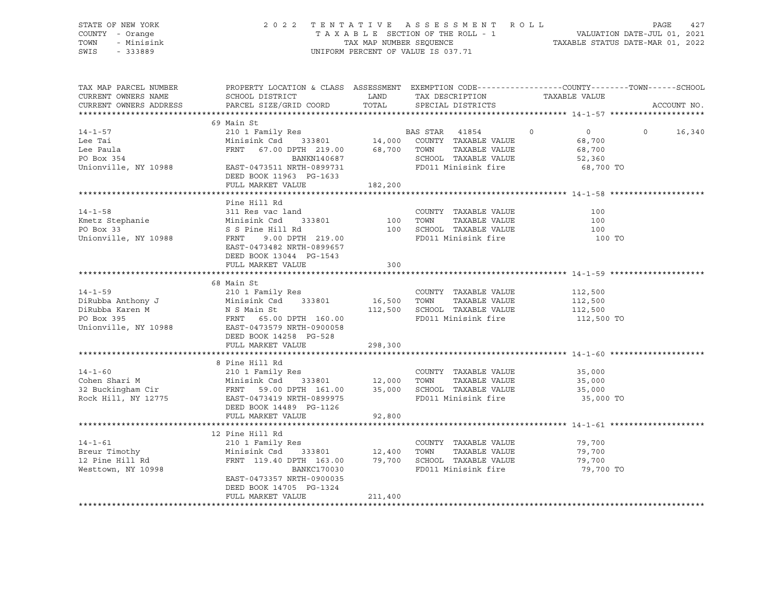| STATE OF NEW YORK<br>COUNTY - Orange<br>TOWN - Minisink<br>SWIS - 333889                                                                                                                                                                                                                                                                                                                                                                           |                                                                                                                                                                                                              |         | UNIFORM PERCENT OF VALUE IS 037.71                                                            | 2022 TENTATIVE ASSESSMENT ROLL PAGE 427<br>TAXABLE SECTION OF THE ROLL - 1 VALUATION DATE-JUL 01, 2021<br>TAX MAP NUMBER SEQUENCE TAXABLE STATUS DATE-MAR 01, 2022 |
|----------------------------------------------------------------------------------------------------------------------------------------------------------------------------------------------------------------------------------------------------------------------------------------------------------------------------------------------------------------------------------------------------------------------------------------------------|--------------------------------------------------------------------------------------------------------------------------------------------------------------------------------------------------------------|---------|-----------------------------------------------------------------------------------------------|--------------------------------------------------------------------------------------------------------------------------------------------------------------------|
| TAX MAP PARCEL NUMBER<br>CURRENT OWNERS NAME<br>CURRENT OWNERS ADDRESS                                                                                                                                                                                                                                                                                                                                                                             | SCHOOL DISTRICT                       LAND        TAX DESCRIPTION                  TAXABLE VALUE<br>PARCEL SIZE/GRID COORD TOTAL SPECIAL DISTRICTS                                                           |         |                                                                                               | PROPERTY LOCATION & CLASS ASSESSMENT EXEMPTION CODE----------------COUNTY-------TOWN------SCHOOL<br>ACCOUNT NO.                                                    |
|                                                                                                                                                                                                                                                                                                                                                                                                                                                    | 69 Main St                                                                                                                                                                                                   |         |                                                                                               |                                                                                                                                                                    |
| $14 - 1 - 57$<br>Lee Tai<br>Lee Paula<br>PO Box 354<br>Unionville, NY 10988 EAST-0473511 NRTH-0899731                                                                                                                                                                                                                                                                                                                                              | 210 1 Family Res<br>Minisink Csd 333801 14,000 COUNTY TAXABLE VALUE<br>FRNT 67.00 DPTH 219.00 68,700 TOWN TAXABLE VALUE<br>BANKN140687 SCHOOL TAXABLE VALUE<br>EAST-0473511 NRTH-0899731 FD011 Minisink fire |         |                                                                                               | $\overline{0}$<br>$0 \t16,340$<br>68,700<br>68,700<br>52,360<br>68,700 TO                                                                                          |
|                                                                                                                                                                                                                                                                                                                                                                                                                                                    | DEED BOOK 11963 PG-1633                                                                                                                                                                                      |         |                                                                                               |                                                                                                                                                                    |
|                                                                                                                                                                                                                                                                                                                                                                                                                                                    | FULL MARKET VALUE                                                                                                                                                                                            | 182,200 |                                                                                               |                                                                                                                                                                    |
|                                                                                                                                                                                                                                                                                                                                                                                                                                                    |                                                                                                                                                                                                              |         |                                                                                               |                                                                                                                                                                    |
| $14 - 1 - 58$<br>EXAMPLE VALUE<br>Minisink Csd 333801 100 TOWN TAXABLE VALUE<br>PO Box 33 S Pine Hill Rd 100 SCHOOL TAXABLE VALUE<br>Unionville, NY 10988 FRNT 9.00 DPTH 219.00 PD011 Minisink fire                                                                                                                                                                                                                                                | Pine Hill Rd<br>311 Res vac land<br>EAST-0473482 NRTH-0899657<br>DEED BOOK 13044 PG-1543<br>FULL MARKET VALUE                                                                                                | 300     | COUNTY TAXABLE VALUE<br>COUNTILE TANKING TO TOWN TO TAXABLE VALUE<br>100 SCHOOL TAXABLE VALUE | 100<br>100<br>100<br>100 TO                                                                                                                                        |
|                                                                                                                                                                                                                                                                                                                                                                                                                                                    |                                                                                                                                                                                                              |         |                                                                                               |                                                                                                                                                                    |
| $\begin{tabular}{lllllllllllllllll} \multicolumn{3}{c}{14-1-59} & $\circ$ & $\cdot$ \multicolumn{3}{c}{\mbox{\small{0.114\small{0.15}}}} & $\circ$ & $\cdot$ \multicolumn{3}{c}{\mbox{\small{0.114\small{0.15}}}} & $\circ$ & $\cdot$ \multicolumn{3}{c}{\mbox{\small{0.114\small{0.15}}}} & $\circ$ & $\cdot$ \multicolumn{3}{c}{\mbox{\small{0.114\small{0.15}}}} & $\circ$ & $\cdot$ \multicolumn{3}{c}{\mbox{\small{0.114\small{0.15}}}} & $\$ |                                                                                                                                                                                                              |         |                                                                                               | 112,500 TO                                                                                                                                                         |
|                                                                                                                                                                                                                                                                                                                                                                                                                                                    | FULL MARKET VALUE                                                                                                                                                                                            | 298,300 |                                                                                               |                                                                                                                                                                    |
| 14-1-60<br>210 1 Family Res<br>210 1 Family Res<br>210 1 Family Res<br>210 1 Family Res<br>210 1 Family Res<br>210 1 Family Res<br>210 1 Family Res<br>212,000 TOWN TAXABLE VALUE<br>25,000 SCHOOL TAXABLE VALUE<br>25,000 SCHOOL TAXABLE VALUE<br>2                                                                                                                                                                                               | DEED BOOK 14489 PG-1126<br>FULL MARKET VALUE                                                                                                                                                                 | 92,800  |                                                                                               | 35,000<br>35,000<br>35,000<br>35,000 TO                                                                                                                            |
|                                                                                                                                                                                                                                                                                                                                                                                                                                                    |                                                                                                                                                                                                              |         |                                                                                               |                                                                                                                                                                    |
| 14-1-61 210 1 Family Res COUNTY TAXABLE VALUE<br>Breur Timothy Minisink Csd 333801 12,400 TOWN TAXABLE VALUE<br>12 Pine Hill Rd FRNT 119.40 DPTH 163.00 79,700 SCHOOL TAXABLE VALUE<br>Westtown, NY 10998 BANKC170030 BANKC170030                                                                                                                                                                                                                  | EAST-0473357 NRTH-0900035<br>DEED BOOK 14705 PG-1324                                                                                                                                                         |         | FD011 Minisink fire                                                                           | 79,700<br>79,700<br>79,700<br>79,700 TO                                                                                                                            |
|                                                                                                                                                                                                                                                                                                                                                                                                                                                    | FULL MARKET VALUE                                                                                                                                                                                            | 211,400 |                                                                                               |                                                                                                                                                                    |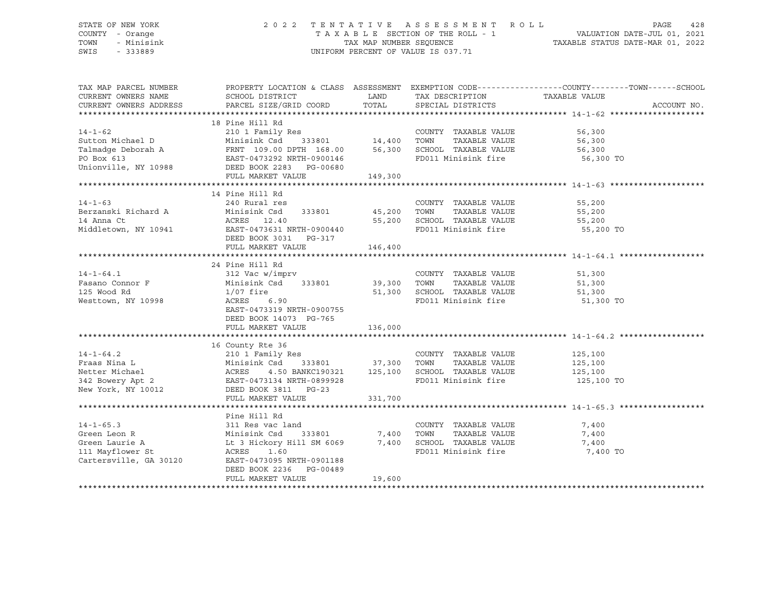#### STATE OF NEW YORK 2 0 2 2 T E N T A T I V E A S S E S S M E N T R O L L PAGE 428 COUNTY - Orange T A X A B L E SECTION OF THE ROLL - 1 VALUATION DATE-JUL 01, 2021 TOWN - Minisink TAX MAP NUMBER SEQUENCE TAXABLE STATUS DATE-MAR 01, 2022 SWIS - 333889 CONSERVED BY A SUMPORM PERCENT OF VALUE IS 037.71

| TAX MAP PARCEL NUMBER                                                                                                                                                                                                                                                                                                                                                                                                                                                    |                                                                                                                                                                                                                          |         |                             | PROPERTY LOCATION & CLASS ASSESSMENT EXEMPTION CODE----------------COUNTY-------TOWN------SCHOOL |
|--------------------------------------------------------------------------------------------------------------------------------------------------------------------------------------------------------------------------------------------------------------------------------------------------------------------------------------------------------------------------------------------------------------------------------------------------------------------------|--------------------------------------------------------------------------------------------------------------------------------------------------------------------------------------------------------------------------|---------|-----------------------------|--------------------------------------------------------------------------------------------------|
| CURRENT OWNERS NAME                                                                                                                                                                                                                                                                                                                                                                                                                                                      | SCHOOL DISTRICT TAND TAX DESCRIPTION                                                                                                                                                                                     |         |                             | TAXABLE VALUE                                                                                    |
| CURRENT OWNERS ADDRESS                                                                                                                                                                                                                                                                                                                                                                                                                                                   | PARCEL SIZE/GRID COORD                                                                                                                                                                                                   |         | TOTAL SPECIAL DISTRICTS     | ACCOUNT NO.                                                                                      |
|                                                                                                                                                                                                                                                                                                                                                                                                                                                                          |                                                                                                                                                                                                                          |         |                             |                                                                                                  |
|                                                                                                                                                                                                                                                                                                                                                                                                                                                                          | 18 Pine Hill Rd                                                                                                                                                                                                          |         |                             |                                                                                                  |
| $14 - 1 - 62$                                                                                                                                                                                                                                                                                                                                                                                                                                                            |                                                                                                                                                                                                                          |         | COUNTY TAXABLE VALUE        | 56,300<br>56,300                                                                                 |
| Sutton Michael D                                                                                                                                                                                                                                                                                                                                                                                                                                                         |                                                                                                                                                                                                                          |         | TAXABLE VALUE               | 56,300                                                                                           |
|                                                                                                                                                                                                                                                                                                                                                                                                                                                                          |                                                                                                                                                                                                                          |         |                             |                                                                                                  |
| Talmadge Deborah A FRNT 109.00 DPTH 168.00 56,300 SCHOOL TAXABLE VALUE 56,300<br>PO Box 613 EAST-0473292 NRTH-0900146 FD011 Minisink fire 56,300<br>Unionville, NY 10988 DEED BOOK 2283 PG-00680                                                                                                                                                                                                                                                                         |                                                                                                                                                                                                                          |         |                             | 56,300 TO                                                                                        |
|                                                                                                                                                                                                                                                                                                                                                                                                                                                                          |                                                                                                                                                                                                                          |         |                             |                                                                                                  |
|                                                                                                                                                                                                                                                                                                                                                                                                                                                                          | FULL MARKET VALUE                                                                                                                                                                                                        | 149,300 |                             |                                                                                                  |
|                                                                                                                                                                                                                                                                                                                                                                                                                                                                          |                                                                                                                                                                                                                          |         |                             |                                                                                                  |
|                                                                                                                                                                                                                                                                                                                                                                                                                                                                          | 14 Pine Hill Rd                                                                                                                                                                                                          |         |                             |                                                                                                  |
|                                                                                                                                                                                                                                                                                                                                                                                                                                                                          |                                                                                                                                                                                                                          |         | COUNTY TAXABLE VALUE        |                                                                                                  |
|                                                                                                                                                                                                                                                                                                                                                                                                                                                                          |                                                                                                                                                                                                                          |         |                             |                                                                                                  |
|                                                                                                                                                                                                                                                                                                                                                                                                                                                                          |                                                                                                                                                                                                                          |         |                             |                                                                                                  |
|                                                                                                                                                                                                                                                                                                                                                                                                                                                                          |                                                                                                                                                                                                                          |         |                             | 55,200 TO                                                                                        |
| $\begin{tabular}{lllllllllllllllllllll} \multicolumn{3}{c}{\textbf{14--1-63}} & \multicolumn{3}{c}{\textbf{240 Rural res}} & \multicolumn{3}{c}{\textbf{COUNTYY}} & \multicolumn{3}{c}{\textbf{TAXABLE VALUE}} & \multicolumn{3}{c}{\textbf{55,200}} \\ \multicolumn{3}{c}{\textbf{Berzanski Richard A}} & \multicolumn{3}{c}{\textbf{Minisink Csd}} & \multicolumn{3}{c}{\textbf{333801}} & \multicolumn{3}{c}{\textbf{45,200}} & \multicolumn{3}{c}{\textbf{TONNY}} &$ |                                                                                                                                                                                                                          |         |                             |                                                                                                  |
|                                                                                                                                                                                                                                                                                                                                                                                                                                                                          | FULL MARKET VALUE                                                                                                                                                                                                        | 146,400 |                             |                                                                                                  |
|                                                                                                                                                                                                                                                                                                                                                                                                                                                                          |                                                                                                                                                                                                                          |         |                             |                                                                                                  |
|                                                                                                                                                                                                                                                                                                                                                                                                                                                                          | 24 Pine Hill Rd                                                                                                                                                                                                          |         |                             |                                                                                                  |
|                                                                                                                                                                                                                                                                                                                                                                                                                                                                          |                                                                                                                                                                                                                          |         | COUNTY TAXABLE VALUE        |                                                                                                  |
| $14-1-64.1$<br>Fasano Connor F<br>Tiera Da                                                                                                                                                                                                                                                                                                                                                                                                                               |                                                                                                                                                                                                                          |         | TAXABLE VALUE               | $51,300$<br>$51,300$                                                                             |
|                                                                                                                                                                                                                                                                                                                                                                                                                                                                          | $1/07$ fire                                                                                                                                                                                                              |         | 51,300 SCHOOL TAXABLE VALUE | 51,300                                                                                           |
| Westtown, NY 10998                                                                                                                                                                                                                                                                                                                                                                                                                                                       | 1/07 fire<br>ACRES      6.90                                                                                                                                                                                             |         | FD011 Minisink fire         | 51,300 TO                                                                                        |
|                                                                                                                                                                                                                                                                                                                                                                                                                                                                          | EAST-0473319 NRTH-0900755                                                                                                                                                                                                |         |                             |                                                                                                  |
|                                                                                                                                                                                                                                                                                                                                                                                                                                                                          | DEED BOOK 14073 PG-765                                                                                                                                                                                                   |         |                             |                                                                                                  |
|                                                                                                                                                                                                                                                                                                                                                                                                                                                                          | FULL MARKET VALUE 136,000                                                                                                                                                                                                |         |                             |                                                                                                  |
|                                                                                                                                                                                                                                                                                                                                                                                                                                                                          |                                                                                                                                                                                                                          |         |                             |                                                                                                  |
|                                                                                                                                                                                                                                                                                                                                                                                                                                                                          | 16 County Rte 36                                                                                                                                                                                                         |         |                             |                                                                                                  |
|                                                                                                                                                                                                                                                                                                                                                                                                                                                                          |                                                                                                                                                                                                                          |         | COUNTY TAXABLE VALUE        | 125,100                                                                                          |
|                                                                                                                                                                                                                                                                                                                                                                                                                                                                          | 333801 37,300 TOWN                                                                                                                                                                                                       |         |                             | TAXABLE VALUE 125,100                                                                            |
|                                                                                                                                                                                                                                                                                                                                                                                                                                                                          |                                                                                                                                                                                                                          |         |                             | 125,100                                                                                          |
| 14-1-64.2<br>Fraas Nina L<br>Minisimk Csd 333801 37,300<br>Netter Michael<br>342 Bowery Apt 2<br>New York, NY 10012<br>210 1 Family Res<br>Minisimk Csd 333801 37,300<br>ACRES 4.50 BANKC190321 125,100<br>2EAST-0473134 NRTH-0899928<br>New York,                                                                                                                                                                                                                       |                                                                                                                                                                                                                          |         |                             | 125,100 TO                                                                                       |
|                                                                                                                                                                                                                                                                                                                                                                                                                                                                          |                                                                                                                                                                                                                          |         |                             |                                                                                                  |
|                                                                                                                                                                                                                                                                                                                                                                                                                                                                          | FULL MARKET VALUE                                                                                                                                                                                                        | 331,700 |                             |                                                                                                  |
|                                                                                                                                                                                                                                                                                                                                                                                                                                                                          |                                                                                                                                                                                                                          |         |                             |                                                                                                  |
|                                                                                                                                                                                                                                                                                                                                                                                                                                                                          | Pine Hill Rd                                                                                                                                                                                                             |         |                             |                                                                                                  |
| $14 - 1 - 65.3$                                                                                                                                                                                                                                                                                                                                                                                                                                                          |                                                                                                                                                                                                                          |         |                             |                                                                                                  |
| Green Leon R                                                                                                                                                                                                                                                                                                                                                                                                                                                             |                                                                                                                                                                                                                          |         |                             |                                                                                                  |
| Green Laurie A                                                                                                                                                                                                                                                                                                                                                                                                                                                           |                                                                                                                                                                                                                          |         |                             |                                                                                                  |
| 111 Mayflower St                                                                                                                                                                                                                                                                                                                                                                                                                                                         | 311 Res vac land<br>Minisink Csd 333801 7,400 TOWN TAXABLE VALUE 7,400<br>Lt 3 Hickory Hill SM 6069 7,400 SCHOOL TAXABLE VALUE 7,400<br>RCRES 1.60<br>RCRES 1.60<br>RCRES 1.60<br>RCRES 1.60<br>RCRES 1.60<br>RCRES 1.60 |         |                             | 7,400 TO                                                                                         |
| Cartersville, GA 30120 EAST-0473095 NRTH-0901188                                                                                                                                                                                                                                                                                                                                                                                                                         |                                                                                                                                                                                                                          |         |                             |                                                                                                  |
|                                                                                                                                                                                                                                                                                                                                                                                                                                                                          | DEED BOOK 2236 PG-00489                                                                                                                                                                                                  |         |                             |                                                                                                  |
|                                                                                                                                                                                                                                                                                                                                                                                                                                                                          | FULL MARKET VALUE                                                                                                                                                                                                        | 19,600  |                             |                                                                                                  |
|                                                                                                                                                                                                                                                                                                                                                                                                                                                                          |                                                                                                                                                                                                                          |         |                             |                                                                                                  |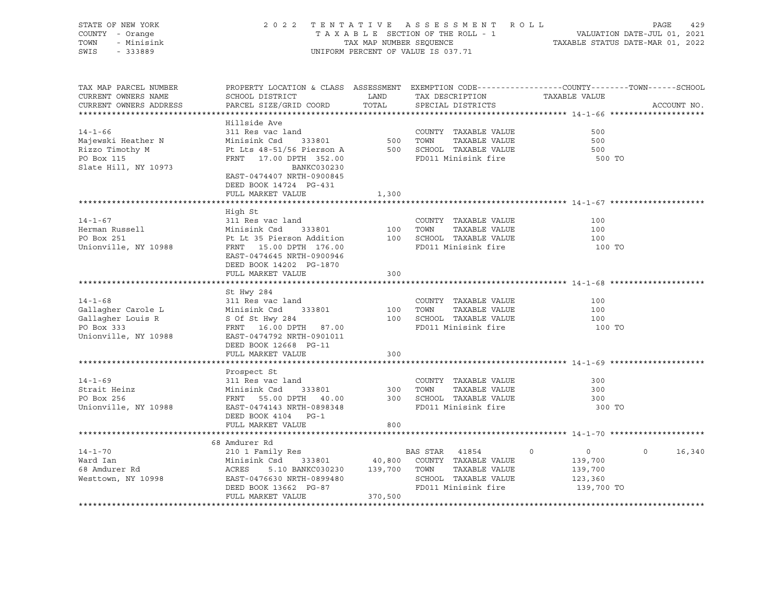| STATE OF NEW YORK<br>COUNTY - Orange<br>TOWN<br>- Minisink<br>SWIS - 333889                               |                                                                                                                                                                                                                                                                               |         | 2022 TENTATIVE ASSESSMENT ROLL<br>A B L E SECTION OF THE ROLL - 1<br>TAXABLE STATUS DATE-JUL 01, 2021<br>TAXABLE STATUS DATE-MAR 01, 2022<br>TAXABLE SECTION OF THE ROLL - 1<br>UNIFORM PERCENT OF VALUE IS 037.71 |                                                                          | PAGE<br>429       |
|-----------------------------------------------------------------------------------------------------------|-------------------------------------------------------------------------------------------------------------------------------------------------------------------------------------------------------------------------------------------------------------------------------|---------|--------------------------------------------------------------------------------------------------------------------------------------------------------------------------------------------------------------------|--------------------------------------------------------------------------|-------------------|
| TAX MAP PARCEL NUMBER<br>CURRENT OWNERS NAME<br>CURRENT OWNERS ADDRESS                                    | PROPERTY LOCATION & CLASS ASSESSMENT EXEMPTION CODE----------------COUNTY-------TOWN------SCHOOL<br>SCHOOL DISTRICT<br>PARCEL SIZE/GRID COORD                                                                                                                                 | TOTAL   | LAND TAX DESCRIPTION TAXABLE VALUE<br>SPECIAL DISTRICTS                                                                                                                                                            |                                                                          | ACCOUNT NO.       |
| $14 - 1 - 66$<br>Majewski Heather N Minisink Csd<br>Rizzo Timothy M<br>PO Box 115<br>Slate Hill, NY 10973 | Hillside Ave<br>311 Res vac land<br>Pt Lts 48-51/56 Pierson A<br>FRNT 17.00 DPTH 352.00<br>EAST-0474407 NRTH-0900845<br>DEED BOOK 14724 PG-431<br>FULL MARKET VALUE                                                                                                           | 1,300   | ind COUNTIER<br>333801 500 TOWN TAXABLE VALUE<br>Tierson A 500 SCHOOL TAXABLE VALUE<br>FD011 Minisink fire<br>FD011 Minisink fire                                                                                  | 500<br>500<br>500<br>500 TO                                              |                   |
|                                                                                                           |                                                                                                                                                                                                                                                                               |         |                                                                                                                                                                                                                    |                                                                          |                   |
| $14 - 1 - 67$<br>Herman Russell<br>PO Box 251<br>Unionville, NY 10988                                     | High St<br>311 Res vac land<br>Minisink Csd 333801 100 1000 1000 1000<br>Pt Lt 35 Pierson Addition 100 SCHOOL TAXABLE VALUE<br>EAST-0474645 NRTH-0900946<br>DEED BOOK 14202 PG-1870<br>FULL MARKET VALUE                                                                      | 300     | COUNTY TAXABLE VALUE                                                                                                                                                                                               | 100<br>100<br>100<br>100 TO                                              |                   |
|                                                                                                           |                                                                                                                                                                                                                                                                               |         |                                                                                                                                                                                                                    |                                                                          |                   |
| $14 - 1 - 68$                                                                                             | St Hwy 284<br>311 Res vac land<br>Gallagher Carole L Minisink Csd 333801 100 TOWN<br>Gallagher Louis R S Of St Hwy 284 100 SCHOOL<br>PO Box 333 FRNT 16.00 DPTH 87.00 FD011 Mi<br>Unionville, NY 10988 EAST-0474792 NRTH-0901011<br>DEED BOOK 12668 PG-11                     |         | COUNTY TAXABLE VALUE<br>TAXABLE VALUE<br>100 SCHOOL TAXABLE VALUE<br>FD011 Minisink fire                                                                                                                           | 100<br>100<br>100<br>100 TO                                              |                   |
|                                                                                                           | FULL MARKET VALUE                                                                                                                                                                                                                                                             | 300     |                                                                                                                                                                                                                    |                                                                          |                   |
|                                                                                                           | Prospect St<br>14-1-69<br>Strait Heinz<br>PO Box 256<br>Unionville, NY 10988<br>EAST-0474143 NRTH-0898348<br>----<br>333801 300 TOWN<br>DEED BOOK 4104 PG-1                                                                                                                   |         | COUNTY TAXABLE VALUE<br>TAXABLE VALUE<br>300 SCHOOL TAXABLE VALUE<br>FD011 Minisink fire                                                                                                                           | 300<br>300<br>300<br>300 TO                                              |                   |
|                                                                                                           | FULL MARKET VALUE                                                                                                                                                                                                                                                             | 800     |                                                                                                                                                                                                                    |                                                                          |                   |
|                                                                                                           | 68 Amdurer Rd                                                                                                                                                                                                                                                                 |         |                                                                                                                                                                                                                    |                                                                          |                   |
| $14 - 1 - 70$                                                                                             | 210 1 Family Res<br>Ward Ian Minisink Csd 333801 40,800 COUNTY TAXABLE VALUE<br>Ward Ian Minisink Csd 333801 40,800 COUNTY TAXABLE VALUE<br>Westtown, NY 10998 EAST-0476630 NRTH-0899480 SCHOOL TAXABLE VALUE<br>DEED BOOK 13662 PG-87 FD011 Minisink fi<br>FULL MARKET VALUE | 370,500 | BAS STAR 41854                                                                                                                                                                                                     | $\circ$<br>$\overline{0}$<br>139,700<br>139,700<br>123,360<br>139,700 TO | $\circ$<br>16,340 |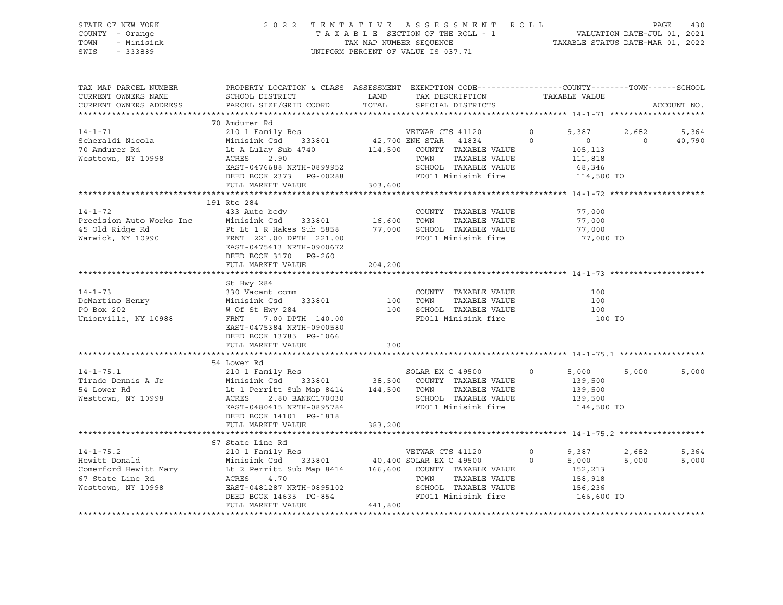| STATE OF NEW YORK<br>COUNTY - Orange<br>TOWN - Minisink<br>SWIS - 333889 |                                                                                                                                                                                                                                                                                                      | 2022 TENTATIVE ASSESSMENT ROLL PAGE 430<br>TAXABLE SECTION OF THE ROLL - 1<br>TAX MAP NUMBER SEQUENCE TAXABLE STATUS DATE-MAR 01, 2022<br>UNIFORM PERCENT OF VALUE IS 037.71 |                             |       |                |
|--------------------------------------------------------------------------|------------------------------------------------------------------------------------------------------------------------------------------------------------------------------------------------------------------------------------------------------------------------------------------------------|------------------------------------------------------------------------------------------------------------------------------------------------------------------------------|-----------------------------|-------|----------------|
| TAX MAP PARCEL NUMBER<br>CURRENT OWNERS NAME                             | PROPERTY LOCATION & CLASS ASSESSMENT EXEMPTION CODE----------------COUNTY-------TOWN------SCHOOL<br>SCHOOL DISTRICT                        LAND         TAX DESCRIPTION                  TAXABLE VALUE<br>CURRENT OWNERS ADDRESS PARCEL SIZE/GRID COORD TOTAL                                        | SPECIAL DISTRICTS                                                                                                                                                            |                             |       | ACCOUNT NO.    |
|                                                                          | 70 Amdurer Rd<br>VO Amourer Ka<br>Scheraldi Nicola (1998)<br>Minisink Csd 333801 (42,700 ENH STAR 41834 0 0 0 40,790<br>Mesttown, NY 10998 ACRES 2.90 TOWN TAXABLE VALUE (105,113<br>Mesttown, NY 10998 ACRES 2.90 TOWN TAXABLE VALUE (11,818<br>EAST-047                                            |                                                                                                                                                                              |                             |       |                |
|                                                                          |                                                                                                                                                                                                                                                                                                      |                                                                                                                                                                              |                             |       |                |
| $14 - 1 - 72$                                                            | 191 Rte 284<br>433 Auto body<br>Precision Auto Works Inc = 433 Auto Dody<br>453 Auto Dody<br>45 Old Ridge Rd = 16,600 TOWN TAXABLE VALUE = 77,000<br>45 Old Ridge Rd = 1 R Hakes Sub 5858 = 77,000 SCHOOL TAXABLE VALUE = 77,000<br>477,000 FRNT 221.00 DPTH 221.00<br>E<br>DEED BOOK 3170 PG-260    | COUNTY TAXABLE VALUE                                                                                                                                                         | 77,000                      |       |                |
|                                                                          | FULL MARKET VALUE 204,200                                                                                                                                                                                                                                                                            |                                                                                                                                                                              |                             |       |                |
|                                                                          | St Hwy 284<br>DEED BOOK 13785 PG-1066                                                                                                                                                                                                                                                                | FD011 Minisink fire                                                                                                                                                          | 100<br>100<br>100<br>100 TO |       |                |
|                                                                          | FULL MARKET VALUE 300                                                                                                                                                                                                                                                                                |                                                                                                                                                                              |                             |       |                |
|                                                                          |                                                                                                                                                                                                                                                                                                      |                                                                                                                                                                              |                             |       |                |
|                                                                          | 54 Lower Rd<br>34 14-1-75.1<br>Tirado Dennis A Jr<br>Tirado Dennis A Jr<br>Minisink Csd 333801<br>139,500<br>210 1 Family Res<br>Minisink Csd 333801<br>210 1 Family Res<br>210 1 Family Res<br>210 1 Family Res<br>210 1 Family Res<br>233801<br>239,500<br>2139,500<br><br>DEED BOOK 14101 PG-1818 |                                                                                                                                                                              |                             | 5,000 | 5,000          |
|                                                                          | FULL MARKET VALUE 383,200                                                                                                                                                                                                                                                                            |                                                                                                                                                                              |                             |       |                |
|                                                                          | 67 State Line Rd<br>14-1-75.2<br>Hewitt Donald<br>Minisink Csd 333801 40,400 SOLAR EX C 49500 0 5,000 5,000<br>Comerford Hewitt Mary Lt 2 Perritt Sub Map 8414 166,600 COUNTY TAXABLE VALUE<br>67 State Line Rd ACRES 4.70 TOWN TAXABLE VALUE 158,918<br>Wes                                         |                                                                                                                                                                              |                             |       | 5,364<br>5,000 |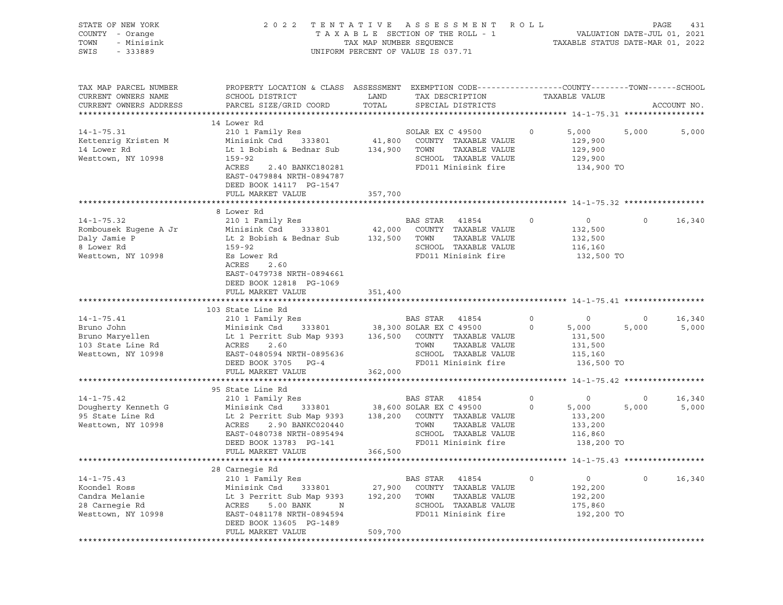| STATE OF NEW YORK<br>COUNTY - Orange<br>TOWN<br>- Minisink<br>SWIS<br>$-333889$                    | 2022 TENTATIVE ASSESSMENT ROLL                                                                                                                                                                                    | UNIFORM PERCENT OF VALUE IS 037.71 |                        |                                                                                                                 |                           | TAXABLE SECTION OF THE ROLL - 1 VALUATION DATE-JUL 01, 2021<br>TAX MAP NUMBER SEQUENCE TAXABLE STATUS DATE-MAR 01, 2022 |                         | PAGE<br>431     |
|----------------------------------------------------------------------------------------------------|-------------------------------------------------------------------------------------------------------------------------------------------------------------------------------------------------------------------|------------------------------------|------------------------|-----------------------------------------------------------------------------------------------------------------|---------------------------|-------------------------------------------------------------------------------------------------------------------------|-------------------------|-----------------|
| TAX MAP PARCEL NUMBER<br>CURRENT OWNERS NAME<br>CURRENT OWNERS ADDRESS                             | PROPERTY LOCATION & CLASS ASSESSMENT EXEMPTION CODE----------------COUNTY-------TOWN------SCHOOL<br>SCHOOL DISTRICT<br>PARCEL SIZE/GRID COORD                                                                     | LAND<br>TOTAL                      |                        | TAX DESCRIPTION<br>SPECIAL DISTRICTS                                                                            |                           | TAXABLE VALUE                                                                                                           |                         | ACCOUNT NO.     |
|                                                                                                    | 14 Lower Rd                                                                                                                                                                                                       |                                    |                        |                                                                                                                 |                           |                                                                                                                         |                         |                 |
| $14 - 1 - 75.31$<br>Kettenrig Kristen M<br>14 Lower Rd<br>Westtown, NY 10998                       | 210 1 Family Res<br>Minisink Csd<br>Lt 1 Bobish & Bednar Sub<br>$159 - 92$<br>ACRES<br>2.40 BANKC180281<br>EAST-0479884 NRTH-0894787<br>DEED BOOK 14117 PG-1547<br>FULL MARKET VALUE                              | 357,700                            | SOLAR EX C 49500       | 333801 41,800 COUNTY TAXABLE VALUE<br>134,900 TOWN TAXABLE VALUE<br>SCHOOL TAXABLE VALUE<br>FD011 Minisink fire | $\circ$                   | 5,000<br>129,900<br>129,900<br>129,900<br>134,900 TO                                                                    | 5,000                   | 5,000           |
|                                                                                                    |                                                                                                                                                                                                                   |                                    |                        |                                                                                                                 |                           |                                                                                                                         |                         |                 |
| $14 - 1 - 75.32$<br>Rombousek Eugene A Jr                                                          | 8 Lower Rd<br>210 1 Family Res<br>Minisink Csd                                                                                                                                                                    |                                    | BAS STAR 41854         | 333801 42,000 COUNTY TAXABLE VALUE                                                                              | $\circ$                   | $0 \qquad \qquad$<br>132,500                                                                                            | $\circ$                 | 16,340          |
| Daly Jamie P<br>8 Lower Rd<br>Westtown, NY 10998                                                   | Lt 2 Bobish & Bednar Sub<br>159-92<br>Es Lower Rd<br>ACRES<br>2.60<br>EAST-0479738 NRTH-0894661<br>DEED BOOK 12818 PG-1069                                                                                        | 132,500 TOWN                       |                        | TAXABLE VALUE<br>SCHOOL TAXABLE VALUE<br>FD011 Minisink fire                                                    |                           | 132,500<br>116,160<br>132,500 TO                                                                                        |                         |                 |
|                                                                                                    | FULL MARKET VALUE                                                                                                                                                                                                 | 351,400                            |                        |                                                                                                                 |                           |                                                                                                                         |                         |                 |
|                                                                                                    |                                                                                                                                                                                                                   |                                    |                        |                                                                                                                 |                           |                                                                                                                         |                         |                 |
| $14 - 1 - 75.41$<br>Bruno John<br>Bruno Maryellen<br>103 State Line Rd<br>Westtown, NY 10998       | 103 State Line Rd<br>210 1 Family Res<br>Minisink Csd 333801 38,300 SOLAR EX C 49500<br>Lt 1 Perritt Sub Map 9393<br>ACRES<br>2.60<br>EAST-0480594 NRTH-0895636<br>DEED BOOK 3705 PG-4<br>FULL MARKET VALUE       | 362,000                            | BAS STAR 41854<br>TOWN | 136,500 COUNTY TAXABLE VALUE<br>TAXABLE VALUE<br>SCHOOL TAXABLE VALUE<br>FD011 Minisink fire                    | $\overline{0}$<br>$\circ$ | $\overline{0}$<br>5,000<br>131,500<br>131,500<br>115,160<br>136,500 TO                                                  | $\overline{0}$<br>5,000 | 16,340<br>5,000 |
|                                                                                                    |                                                                                                                                                                                                                   |                                    |                        |                                                                                                                 |                           |                                                                                                                         |                         |                 |
| $14 - 1 - 75.42$                                                                                   | 95 State Line Rd<br>210 1 Family Res                                                                                                                                                                              |                                    | BAS STAR 41854         |                                                                                                                 | $\circ$                   | $\circ$                                                                                                                 | $\circ$                 | 16,340          |
| Dougherty Kenneth G Minisink Csd<br>95 State Line Rd Lt 2 Perritt<br>Westtown, NY 10998 ACRES 2.90 | 333801 38,600 SOLAR EX C 49500<br>Lt 2 Perritt Sub Map 9393 138,200 COUNTY TAXABLE VALUE<br>ACRES 2.90 BANKC020440 TOWN TAXABLE VALUE<br>EAST-0480738 NRTH-0895494 SCHOOL TAXABLE VALUE<br>DEED BOOK 13783 PG-141 |                                    |                        | SCHOOL TAXABLE VALUE<br>FD011 Minisink fire                                                                     | $\circ$                   | 5,000<br>133,200<br>133,200<br>116,860<br>138,200 TO                                                                    | 5,000                   | 5,000           |
|                                                                                                    | FULL MARKET VALUE                                                                                                                                                                                                 | 366,500                            |                        |                                                                                                                 |                           | ********************* 14-1-75.43 ******************                                                                     |                         |                 |
|                                                                                                    | 28 Carnegie Rd                                                                                                                                                                                                    |                                    |                        |                                                                                                                 |                           |                                                                                                                         |                         |                 |
| $14 - 1 - 75.43$<br>Koondel Ross<br>Candra Melanie<br>28 Carnegie Rd<br>Westtown, NY 10998         | 210 1 Family Res<br>Minisink Csd<br>333801<br>Lt 3 Perritt Sub Map 9393<br>ACRES<br>5.00 BANK<br>N<br>EAST-0481178 NRTH-0894594                                                                                   | 27,900<br>192,200                  | BAS STAR<br>TOWN       | 41854<br>COUNTY TAXABLE VALUE<br>TAXABLE VALUE<br>SCHOOL TAXABLE VALUE<br>FD011 Minisink fire                   | $\Omega$                  | 0<br>192,200<br>192,200<br>175,860<br>192,200 TO                                                                        | $\mathbf 0$             | 16,340          |
|                                                                                                    | DEED BOOK 13605 PG-1489<br>FULL MARKET VALUE                                                                                                                                                                      | 509,700                            |                        |                                                                                                                 |                           |                                                                                                                         |                         |                 |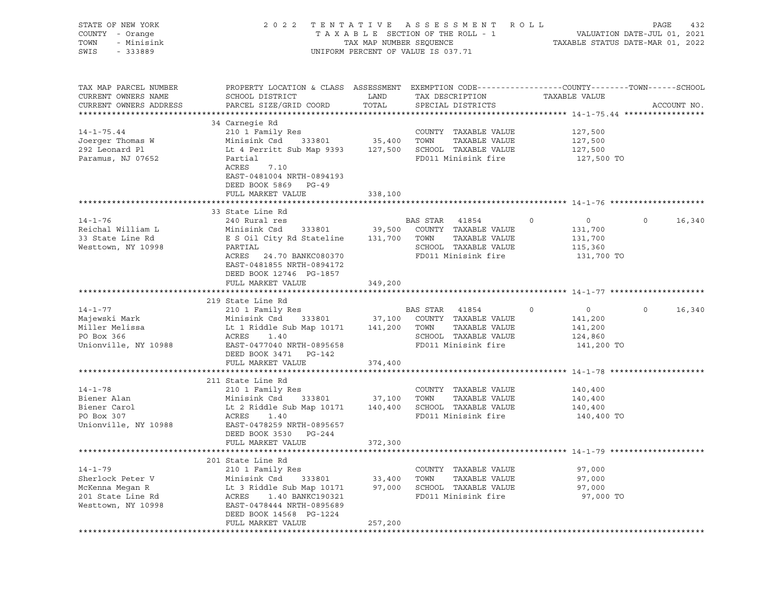| STATE OF NEW YORK<br>COUNTY - Orange<br>TOWN<br>- Minisink<br>SWIS<br>$-333889$                 | 2 0 2 2                                                                                                                                                                                                            |                    | TENTATIVE ASSESSMENT ROLL<br>$\begin{tabular}{lllllllllll} \texttt{T A X A B L E} & \texttt{SECTION OF THE ROLL} & - & - & - & \texttt{VALUATION DATE-JUL 01, 2021} \\ & \texttt{TAX MAP NUMBER SEQUENCE} & & & \texttt{TAXABLE STATUS DATE-MAR 01, 2022} \end{tabular}$<br>UNIFORM PERCENT OF VALUE IS 037.71 |                                                                          | PAGE<br>432       |
|-------------------------------------------------------------------------------------------------|--------------------------------------------------------------------------------------------------------------------------------------------------------------------------------------------------------------------|--------------------|----------------------------------------------------------------------------------------------------------------------------------------------------------------------------------------------------------------------------------------------------------------------------------------------------------------|--------------------------------------------------------------------------|-------------------|
| TAX MAP PARCEL NUMBER<br>CURRENT OWNERS NAME<br>CURRENT OWNERS ADDRESS                          | PROPERTY LOCATION & CLASS ASSESSMENT EXEMPTION CODE---------------COUNTY-------TOWN------SCHOOL<br>SCHOOL DISTRICT<br>PARCEL SIZE/GRID COORD                                                                       | LAND<br>TOTAL      | TAX DESCRIPTION<br>SPECIAL DISTRICTS                                                                                                                                                                                                                                                                           | TAXABLE VALUE                                                            | ACCOUNT NO.       |
| $14 - 1 - 75.44$<br>Joerger Thomas W<br>292 Leonard Pl<br>Paramus, NJ 07652                     | 34 Carnegie Rd<br>Lt 4 Perritt Sub Map 9393 127,500 SCHOOL TAXABLE VALUE<br>Partial<br>ACRES<br>7.10                                                                                                               |                    | COUNTY TAXABLE VALUE<br>TAXABLE VALUE<br>FD011 Minisink fire                                                                                                                                                                                                                                                   | 127,500<br>127,500<br>127,500<br>127,500 TO                              |                   |
|                                                                                                 | EAST-0481004 NRTH-0894193<br>DEED BOOK 5869 PG-49<br>FULL MARKET VALUE                                                                                                                                             | 338,100            |                                                                                                                                                                                                                                                                                                                |                                                                          |                   |
| $14 - 1 - 76$<br>Reichal William L<br>33 State Line Rd<br>Westtown, NY 10998                    | 33 State Line Rd<br>240 Rural res<br>240 Rural res<br>Minisink Csd 333801 39,500 COUNTY TAXABLE VALUE<br>E S Oil City Rd Stateline 131,700 TOWN<br>PARTIAL<br>ACRES 24.70 BANKC080370<br>EAST-0481855 NRTH-0894172 |                    | BAS STAR 41854 0<br>TAXABLE VALUE<br>SCHOOL TAXABLE VALUE<br>FD011 Minisink fire                                                                                                                                                                                                                               | $\overline{0}$<br>131,700<br>131,700<br>115,360<br>131,700 TO            | $\circ$<br>16,340 |
|                                                                                                 | DEED BOOK 12746 PG-1857<br>FULL MARKET VALUE                                                                                                                                                                       | 349,200            |                                                                                                                                                                                                                                                                                                                |                                                                          |                   |
| $14 - 1 - 77$<br>Majewski Mark<br>Miller Melissa<br>PO Box 366<br>Unionville, NY 10988          | 219 State Line Rd<br>210 1 Family Res<br>Minisink Csd 333801 37,100 COUNTY TAXABLE VALUE<br>Lt 1 Riddle Sub Map 10171 141,200 TOWN<br>ACRES<br>1.40<br>EAST-0477040 NRTH-0895658<br>DEED BOOK 3471 PG-142          |                    | BAS STAR 41854<br>TAXABLE VALUE<br>SCHOOL TAXABLE VALUE<br>FD011 Minisink fire                                                                                                                                                                                                                                 | $\circ$<br>$\overline{0}$<br>141,200<br>141,200<br>124,860<br>141,200 TO | $\circ$<br>16,340 |
|                                                                                                 | FULL MARKET VALUE                                                                                                                                                                                                  | 374,400            |                                                                                                                                                                                                                                                                                                                |                                                                          |                   |
| $14 - 1 - 78$<br>Biener Alan<br>Biener Carol<br>PO Box 307<br>Unionville, NY 10988              | 211 State Line Rd<br>210 1 Family Res<br>Minisink Csd<br>ACRES<br>1.40<br>EAST-0478259 NRTH-0895657<br>DEED BOOK 3530 PG-244                                                                                       | 333801 37,100 TOWN | COUNTY TAXABLE VALUE<br>TAXABLE VALUE<br>FD011 Minisink fire 140,400 TO                                                                                                                                                                                                                                        | 140,400<br>140,400<br>140,400                                            |                   |
|                                                                                                 | FULL MARKET VALUE                                                                                                                                                                                                  | 372,300            |                                                                                                                                                                                                                                                                                                                |                                                                          |                   |
|                                                                                                 | 201 State Line Rd                                                                                                                                                                                                  |                    |                                                                                                                                                                                                                                                                                                                |                                                                          |                   |
| $14 - 1 - 79$<br>Sherlock Peter V<br>McKenna Megan R<br>201 State Line Rd<br>Westtown, NY 10998 | 210 1 Family Res<br>Minisink Csd<br>333801<br>Lt 3 Riddle Sub Map 10171<br>ACRES<br>1.40 BANKC190321<br>EAST-0478444 NRTH-0895689<br>DEED BOOK 14568 PG-1224                                                       | 33,400<br>97,000   | TAXABLE VALUE<br>COUNTY<br>TAXABLE VALUE<br>TOWN<br>SCHOOL TAXABLE VALUE<br>FD011 Minisink fire                                                                                                                                                                                                                | 97,000<br>97,000<br>97,000<br>97,000 TO                                  |                   |
|                                                                                                 | FULL MARKET VALUE                                                                                                                                                                                                  | 257,200            |                                                                                                                                                                                                                                                                                                                |                                                                          |                   |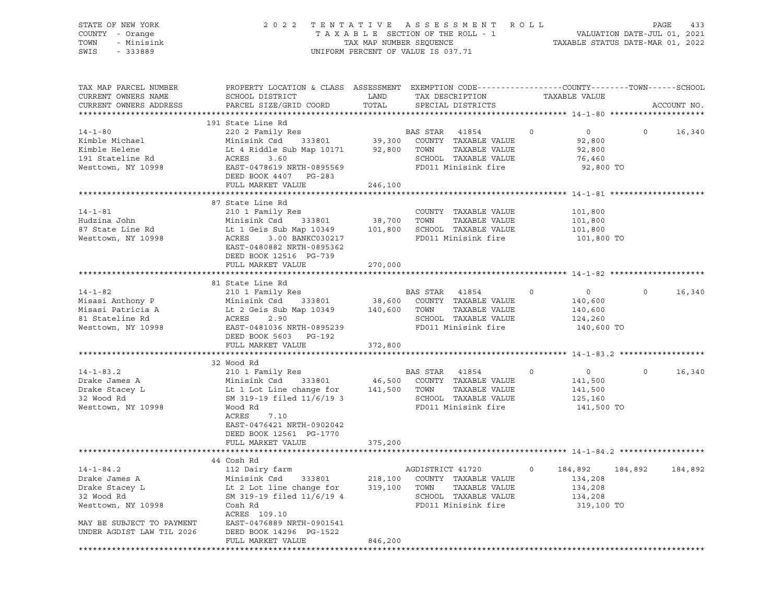| STATE OF NEW YORK<br>COUNTY - Orange<br>TOWN<br>- Minisink<br>SWIS<br>- 333889                                      |                                                                                                                                                                                                    |                    | 2022 TENTATIVE ASSESSMENT ROLL<br>UNIFORM PERCENT OF VALUE IS 037.71                                                 |         |                                                                          | PAGE<br>433       |
|---------------------------------------------------------------------------------------------------------------------|----------------------------------------------------------------------------------------------------------------------------------------------------------------------------------------------------|--------------------|----------------------------------------------------------------------------------------------------------------------|---------|--------------------------------------------------------------------------|-------------------|
| TAX MAP PARCEL NUMBER<br>CURRENT OWNERS NAME<br>CURRENT OWNERS ADDRESS                                              | PROPERTY LOCATION & CLASS ASSESSMENT EXEMPTION CODE---------------COUNTY-------TOWN-----SCHOOL<br>SCHOOL DISTRICT<br>PARCEL SIZE/GRID COORD                                                        | LAND<br>TOTAL      | TAX DESCRIPTION<br>SPECIAL DISTRICTS                                                                                 |         | TAXABLE VALUE                                                            | ACCOUNT NO.       |
| $14 - 1 - 80$<br>Kimble Michael<br>Kimble Helene<br>191 Stateline Rd<br>Westtown, NY 10998                          | 191 State Line Rd<br>220 2 Family Res<br>Minisink Csd<br>Lt 4 Riddle Sub Map 10171 92,800 TOWN<br>ACRES<br>3.60<br>EAST-0478619 NRTH-0895569<br>DEED BOOK 4407 PG-283<br>FULL MARKET VALUE         | 246,100            | BAS STAR 41854<br>333801 39,300 COUNTY TAXABLE VALUE<br>TAXABLE VALUE<br>SCHOOL TAXABLE VALUE<br>FD011 Minisink fire | $\circ$ | $\overline{0}$<br>92,800<br>92,800<br>76,460<br>92,800 TO                | $\circ$<br>16,340 |
| $14 - 1 - 81$<br>Hudzina John<br>87 State Line Rd<br>Westtown, NY 10998                                             | 87 State Line Rd<br>210 1 Family Res<br>Minisink Csd<br>333801<br>Lt 1 Geis Sub Map 10349<br>ACRES<br>3.00 BANKC030217<br>EAST-0480882 NRTH-0895362<br>DEED BOOK 12516 PG-739<br>FULL MARKET VALUE | 38,700<br>270,000  | COUNTY TAXABLE VALUE<br>TOWN<br>TAXABLE VALUE<br>101,800 SCHOOL TAXABLE VALUE<br>FD011 Minisink fire                 |         | 101,800<br>101,800<br>101,800<br>101,800 TO                              |                   |
|                                                                                                                     | 81 State Line Rd                                                                                                                                                                                   |                    |                                                                                                                      |         |                                                                          |                   |
| $14 - 1 - 82$<br>Misasi Anthony P<br>Misasi Patricia A<br>81 Stateline Rd<br>Westtown, NY 10998                     | 210 1 Family Res<br>333801<br>Minisink Csd<br>Lt 2 Geis Sub Map 10349 140,600<br>ACRES<br>2.90<br>EAST-0481036 NRTH-0895239<br>DEED BOOK 5603 PG-192<br>FULL MARKET VALUE                          | 38,600<br>372,800  | BAS STAR 41854<br>COUNTY TAXABLE VALUE<br>TOWN<br>TAXABLE VALUE<br>SCHOOL TAXABLE VALUE<br>FD011 Minisink fire       | $\circ$ | $\overline{0}$<br>$\circ$<br>140,600<br>140,600<br>124,260<br>140,600 TO | 16,340            |
|                                                                                                                     | 32 Wood Rd                                                                                                                                                                                         |                    |                                                                                                                      |         |                                                                          |                   |
| $14 - 1 - 83.2$<br>Drake James A<br>Drake Stacey L<br>32 Wood Rd<br>Westtown, NY 10998                              | 210 1 Family Res<br>Minisink Csd<br>333801<br>Lt 1 Lot Line change for<br>SM 319-19 filed 11/6/19 3<br>Wood Rd<br>ACRES<br>7.10<br>EAST-0476421 NRTH-0902042<br>DEED BOOK 12561 PG-1770            | 46,500<br>141,500  | BAS STAR 41854<br>COUNTY TAXABLE VALUE<br>TOWN<br>TAXABLE VALUE<br>SCHOOL TAXABLE VALUE<br>FD011 Minisink fire       | $\circ$ | $\circ$<br>$\circ$<br>141,500<br>141,500<br>125,160<br>141,500 TO        | 16,340            |
|                                                                                                                     | FULL MARKET VALUE                                                                                                                                                                                  | 375,200            |                                                                                                                      |         |                                                                          |                   |
|                                                                                                                     | 44 Cosh Rd                                                                                                                                                                                         |                    |                                                                                                                      |         |                                                                          |                   |
| $14 - 1 - 84.2$<br>Drake James A<br>Drake Stacey L<br>32 Wood Rd<br>Westtown, NY 10998<br>MAY BE SUBJECT TO PAYMENT | 112 Dairy farm<br>Minisink Csd<br>333801<br>Lt 2 Lot line change for<br>SM 319-19 filed 11/6/19 4<br>Cosh Rd<br>ACRES 109.10<br>EAST-0476889 NRTH-0901541                                          | 218,100<br>319,100 | AGDISTRICT 41720<br>COUNTY TAXABLE VALUE<br>TOWN<br>TAXABLE VALUE<br>SCHOOL TAXABLE VALUE<br>FD011 Minisink fire     | 0       | 184,892<br>184,892<br>134,208<br>134,208<br>134,208<br>319,100 TO        | 184,892           |
| UNDER AGDIST LAW TIL 2026                                                                                           | DEED BOOK 14296 PG-1522<br>FULL MARKET VALUE                                                                                                                                                       | 846,200            |                                                                                                                      |         |                                                                          |                   |
|                                                                                                                     |                                                                                                                                                                                                    |                    |                                                                                                                      |         |                                                                          |                   |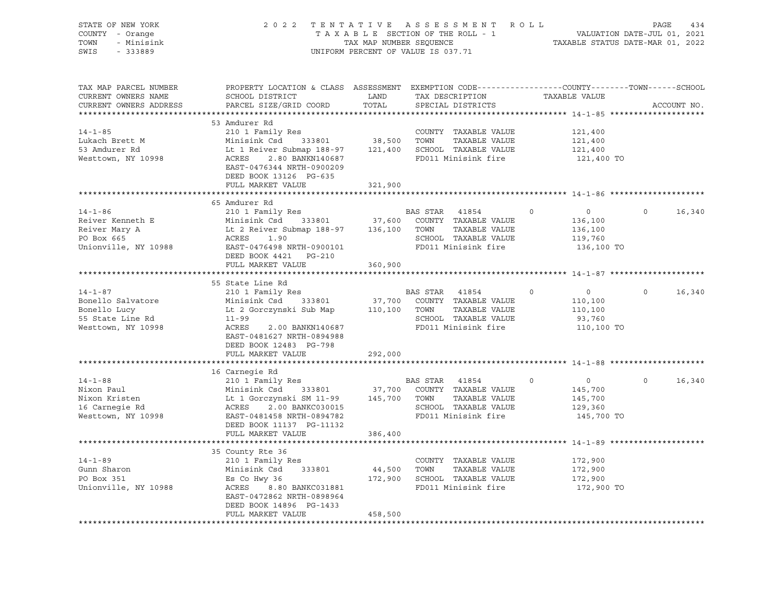| STATE OF NEW YORK<br>COUNTY - Orange<br>- Minisink<br>TOWN<br>SWIS<br>$-333889$              | 2022 TENTATIVE                                                                                                                                                                                 | TAX MAP NUMBER SEOUENCE | ASSESSMENT ROLL<br>TAXABLE SECTION OF THE ROLL - 1<br>UNIFORM PERCENT OF VALUE IS 037.71                          | PAGE<br>434<br>VALUATION DATE-JUL 01, 2021<br>TAXABLE STATUS DATE-MAR 01, 2022 |                    |  |
|----------------------------------------------------------------------------------------------|------------------------------------------------------------------------------------------------------------------------------------------------------------------------------------------------|-------------------------|-------------------------------------------------------------------------------------------------------------------|--------------------------------------------------------------------------------|--------------------|--|
| TAX MAP PARCEL NUMBER<br>CURRENT OWNERS NAME<br>CURRENT OWNERS ADDRESS                       | PROPERTY LOCATION & CLASS ASSESSMENT EXEMPTION CODE---------------COUNTY-------TOWN------SCHOOL<br>SCHOOL DISTRICT<br>PARCEL SIZE/GRID COORD                                                   | LAND<br>TOTAL           | TAX DESCRIPTION<br>SPECIAL DISTRICTS                                                                              | TAXABLE VALUE                                                                  | ACCOUNT NO.        |  |
| $14 - 1 - 85$<br>Lukach Brett M<br>53 Amdurer Rd<br>Westtown, NY 10998                       | 53 Amdurer Rd<br>210 1 Family Res<br>Minisink Csd 333801<br>Lt 1 Reiver Submap 188-97<br>ACRES<br>2.80 BANKN140687<br>EAST-0476344 NRTH-0900209<br>DEED BOOK 13126 PG-635<br>FULL MARKET VALUE | 38,500<br>321,900       | COUNTY TAXABLE VALUE<br>TOWN<br>TAXABLE VALUE<br>121,400 SCHOOL TAXABLE VALUE<br>FD011 Minisink fire              | 121,400<br>121,400<br>121,400<br>121,400 TO                                    |                    |  |
|                                                                                              |                                                                                                                                                                                                |                         |                                                                                                                   |                                                                                |                    |  |
| $14 - 1 - 86$<br>Reiver Kenneth E<br>Reiver Mary A<br>PO Box 665<br>Unionville, NY 10988     | 65 Amdurer Rd<br>210 1 Family Res<br>Minisink Csd 333801<br>Lt 2 Reiver Submap 188-97<br>ACRES<br>1.90<br>EAST-0476498 NRTH-0900101<br>DEED BOOK 4421 PG-210                                   | 37,600<br>136,100       | BAS STAR<br>41854<br>COUNTY TAXABLE VALUE<br>TAXABLE VALUE<br>TOWN<br>SCHOOL TAXABLE VALUE<br>FD011 Minisink fire | 0<br>0<br>136,100<br>136,100<br>119,760<br>136,100 TO                          | $\circ$<br>16,340  |  |
|                                                                                              | FULL MARKET VALUE                                                                                                                                                                              | 360,900                 |                                                                                                                   |                                                                                |                    |  |
|                                                                                              | 55 State Line Rd                                                                                                                                                                               |                         |                                                                                                                   |                                                                                |                    |  |
| $14 - 1 - 87$<br>Bonello Salvatore<br>Bonello Lucy<br>55 State Line Rd<br>Westtown, NY 10998 | 210 1 Family Res<br>Minisink Csd<br>333801<br>Lt 2 Gorczynski Sub Map<br>$11 - 99$<br>ACRES<br>2.00 BANKN140687<br>EAST-0481627 NRTH-0894988<br>DEED BOOK 12483 PG-798                         | 37,700<br>110,100       | BAS STAR<br>41854<br>COUNTY TAXABLE VALUE<br>TAXABLE VALUE<br>TOWN<br>SCHOOL TAXABLE VALUE<br>FD011 Minisink fire | $\circ$<br>$\circ$<br>110,100<br>110,100<br>93,760<br>110,100 TO               | $\Omega$<br>16,340 |  |
|                                                                                              | FULL MARKET VALUE                                                                                                                                                                              | 292,000                 |                                                                                                                   |                                                                                |                    |  |
|                                                                                              |                                                                                                                                                                                                |                         |                                                                                                                   |                                                                                |                    |  |
| $14 - 1 - 88$<br>Nixon Paul<br>Nixon Kristen<br>16 Carnegie Rd<br>Westtown, NY 10998         | 16 Carnegie Rd<br>210 1 Family Res<br>Minisink Csd<br>333801<br>Lt 1 Gorczynski SM 11-99<br>ACRES<br>2.00 BANKC030015<br>EAST-0481458 NRTH-0894782<br>DEED BOOK 11137 PG-11132                 | 37,700<br>145,700       | BAS STAR<br>41854<br>COUNTY TAXABLE VALUE<br>TOWN<br>TAXABLE VALUE<br>SCHOOL TAXABLE VALUE<br>FD011 Minisink fire | $\circ$<br>$0 \qquad \qquad$<br>145,700<br>145,700<br>129,360<br>145,700 TO    | $\Omega$<br>16,340 |  |
|                                                                                              | FULL MARKET VALUE                                                                                                                                                                              | 386,400                 |                                                                                                                   |                                                                                |                    |  |
|                                                                                              |                                                                                                                                                                                                |                         |                                                                                                                   |                                                                                |                    |  |
| $14 - 1 - 89$<br>Gunn Sharon<br>PO Box 351<br>Unionville, NY 10988                           | 35 County Rte 36<br>210 1 Family Res<br>Minisink Csd<br>333801<br>Es Co Hwy 36<br>ACRES 8.80 BANKC031881<br>EAST-0472862 NRTH-0898964<br>DEED BOOK 14896 PG-1433                               | 44,500<br>172,900       | COUNTY TAXABLE VALUE<br>TOWN<br>TAXABLE VALUE<br>SCHOOL TAXABLE VALUE<br>FD011 Minisink fire                      | 172,900<br>172,900<br>172,900<br>172,900 TO                                    |                    |  |
|                                                                                              | FULL MARKET VALUE                                                                                                                                                                              | 458,500                 |                                                                                                                   |                                                                                |                    |  |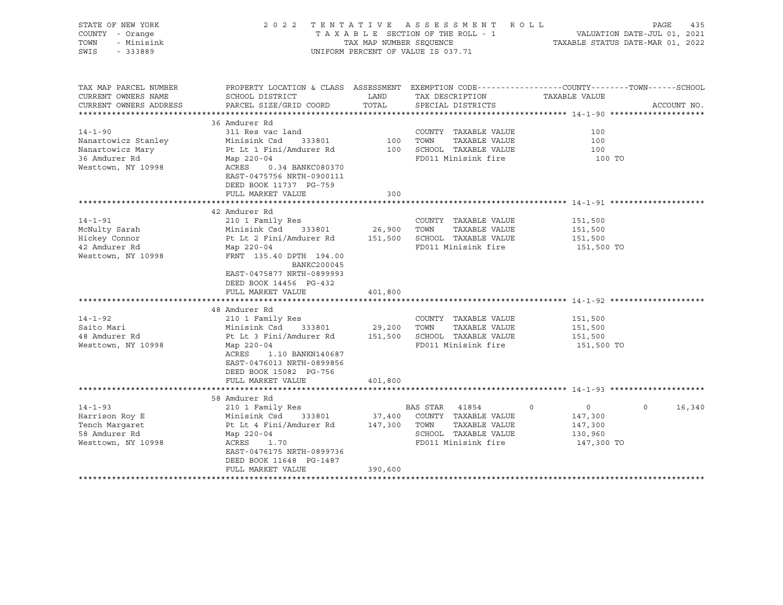| STATE OF NEW YORK<br>COUNTY - Orange<br>- Minisink<br>TOWN<br>SWIS<br>$-333889$                 | 2 0 2 2<br>TENTATIVE                                                                                        | A S S E S S M E N T<br>ROLL<br>TAXABLE SECTION OF THE ROLL - 1<br>TAX MAP NUMBER SEOUENCE<br>UNIFORM PERCENT OF VALUE IS 037.71 | PAGE<br>435<br>VALUATION DATE-JUL 01, 2021<br>TAXABLE STATUS DATE-MAR 01, 2022 |                                                                                                                                  |  |  |
|-------------------------------------------------------------------------------------------------|-------------------------------------------------------------------------------------------------------------|---------------------------------------------------------------------------------------------------------------------------------|--------------------------------------------------------------------------------|----------------------------------------------------------------------------------------------------------------------------------|--|--|
| TAX MAP PARCEL NUMBER<br>CURRENT OWNERS NAME<br>CURRENT OWNERS ADDRESS<br>********************* | SCHOOL DISTRICT<br>PARCEL SIZE/GRID COORD                                                                   | LAND<br>TOTAL                                                                                                                   | TAX DESCRIPTION<br>SPECIAL DISTRICTS                                           | PROPERTY LOCATION & CLASS ASSESSMENT EXEMPTION CODE----------------COUNTY-------TOWN------SCHOOL<br>TAXABLE VALUE<br>ACCOUNT NO. |  |  |
|                                                                                                 | 36 Amdurer Rd                                                                                               |                                                                                                                                 |                                                                                |                                                                                                                                  |  |  |
| $14 - 1 - 90$                                                                                   | 311 Res vac land                                                                                            |                                                                                                                                 | COUNTY TAXABLE VALUE                                                           | 100                                                                                                                              |  |  |
| Nanartowicz Stanley                                                                             | Minisink Csd<br>333801                                                                                      | 100                                                                                                                             | TOWN<br>TAXABLE VALUE                                                          | 100                                                                                                                              |  |  |
| Nanartowicz Mary                                                                                | Pt Lt 1 Fini/Amdurer Rd                                                                                     | 100                                                                                                                             | SCHOOL TAXABLE VALUE                                                           | 100                                                                                                                              |  |  |
| 36 Amdurer Rd<br>Westtown, NY 10998                                                             | Map 220-04<br>ACRES<br>0.34 BANKC080370<br>EAST-0475756 NRTH-0900111<br>DEED BOOK 11737 PG-759              |                                                                                                                                 | FD011 Minisink fire                                                            | 100 TO                                                                                                                           |  |  |
|                                                                                                 | FULL MARKET VALUE                                                                                           | 300                                                                                                                             |                                                                                |                                                                                                                                  |  |  |
|                                                                                                 |                                                                                                             |                                                                                                                                 |                                                                                |                                                                                                                                  |  |  |
|                                                                                                 | 42 Amdurer Rd                                                                                               |                                                                                                                                 |                                                                                |                                                                                                                                  |  |  |
| $14 - 1 - 91$                                                                                   | 210 1 Family Res                                                                                            |                                                                                                                                 | COUNTY TAXABLE VALUE                                                           | 151,500                                                                                                                          |  |  |
| McNulty Sarah                                                                                   | Minisink Csd<br>333801                                                                                      | 26,900                                                                                                                          | TOWN<br>TAXABLE VALUE                                                          | 151,500                                                                                                                          |  |  |
| Hickey Connor                                                                                   | Pt Lt 2 Fini/Amdurer Rd                                                                                     | 151,500                                                                                                                         | SCHOOL TAXABLE VALUE                                                           | 151,500                                                                                                                          |  |  |
| 42 Amdurer Rd<br>Westtown, NY 10998                                                             | Map 220-04<br>FRNT 135.40 DPTH 194.00<br>BANKC200045<br>EAST-0475877 NRTH-0899993<br>DEED BOOK 14456 PG-432 |                                                                                                                                 | FD011 Minisink fire                                                            | 151,500 TO                                                                                                                       |  |  |
|                                                                                                 | FULL MARKET VALUE                                                                                           | 401,800                                                                                                                         |                                                                                |                                                                                                                                  |  |  |
|                                                                                                 |                                                                                                             |                                                                                                                                 |                                                                                |                                                                                                                                  |  |  |
|                                                                                                 | 48 Amdurer Rd                                                                                               |                                                                                                                                 |                                                                                |                                                                                                                                  |  |  |
| $14 - 1 - 92$                                                                                   | 210 1 Family Res                                                                                            |                                                                                                                                 | COUNTY TAXABLE VALUE                                                           | 151,500                                                                                                                          |  |  |
| Saito Mari<br>48 Amdurer Rd                                                                     | Minisink Csd<br>333801                                                                                      | 29,200                                                                                                                          | TOWN<br>TAXABLE VALUE<br>SCHOOL TAXABLE VALUE                                  | 151,500                                                                                                                          |  |  |
| Westtown, NY 10998                                                                              | Pt Lt 3 Fini/Amdurer Rd<br>Map 220-04                                                                       | 151,500                                                                                                                         | FD011 Minisink fire                                                            | 151,500<br>151,500 TO                                                                                                            |  |  |
|                                                                                                 | 1.10 BANKN140687<br>ACRES<br>EAST-0476013 NRTH-0899856<br>DEED BOOK 15082 PG-756                            |                                                                                                                                 |                                                                                |                                                                                                                                  |  |  |
|                                                                                                 | FULL MARKET VALUE                                                                                           | 401,800                                                                                                                         |                                                                                |                                                                                                                                  |  |  |
|                                                                                                 | 58 Amdurer Rd                                                                                               |                                                                                                                                 |                                                                                |                                                                                                                                  |  |  |
| $14 - 1 - 93$                                                                                   | 210 1 Family Res                                                                                            |                                                                                                                                 | <b>BAS STAR</b><br>41854<br>$\Omega$                                           | $\Omega$<br>16,340<br>$\circ$                                                                                                    |  |  |
| Harrison Roy E                                                                                  | Minisink Csd<br>333801                                                                                      | 37,400                                                                                                                          | COUNTY TAXABLE VALUE                                                           | 147,300                                                                                                                          |  |  |
| Tench Margaret                                                                                  | Pt Lt 4 Fini/Amdurer Rd                                                                                     | 147,300                                                                                                                         | TOWN<br>TAXABLE VALUE                                                          | 147,300                                                                                                                          |  |  |
| 58 Amdurer Rd                                                                                   | Map 220-04                                                                                                  |                                                                                                                                 | SCHOOL TAXABLE VALUE                                                           | 130,960                                                                                                                          |  |  |
| Westtown, NY 10998                                                                              | ACRES<br>1.70                                                                                               |                                                                                                                                 | FD011 Minisink fire                                                            | 147,300 TO                                                                                                                       |  |  |
|                                                                                                 | EAST-0476175 NRTH-0899736<br>DEED BOOK 11648 PG-1487                                                        |                                                                                                                                 |                                                                                |                                                                                                                                  |  |  |
|                                                                                                 | FULL MARKET VALUE                                                                                           | 390,600                                                                                                                         |                                                                                |                                                                                                                                  |  |  |
| *******************                                                                             |                                                                                                             |                                                                                                                                 |                                                                                |                                                                                                                                  |  |  |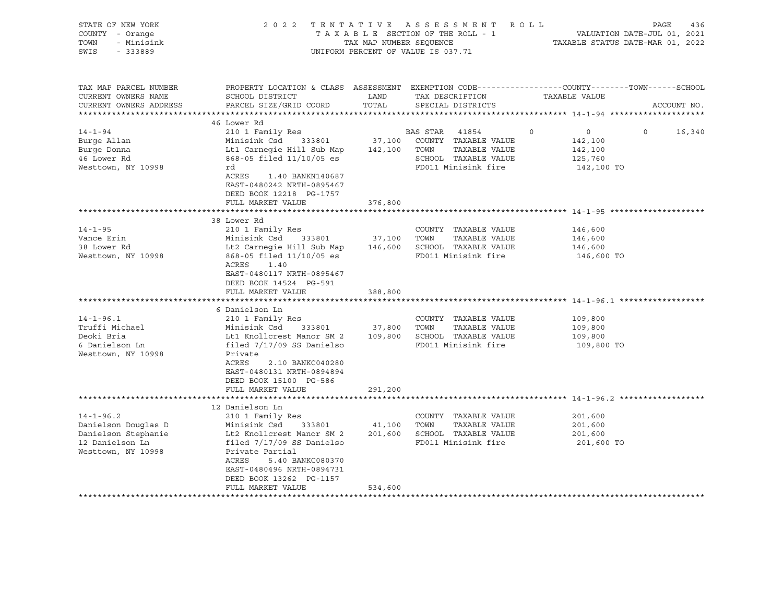| STATE OF NEW YORK<br>COUNTY - Orange<br>TOWN<br>- Minisink<br>SWIS<br>- 333889                         |                                                                                                                                                                                                                                                                                  | TAX MAP NUMBER SEQUENCE | 2022 TENTATIVE ASSESSMENT ROLL<br>TAXABLE SECTION OF THE ROLL - 1<br>UNIFORM PERCENT OF VALUE IS 037.71 | PAGE<br>436<br>VALUATION DATE-JUL 01, 2021<br>TAXABLE STATUS DATE-MAR 01, 2022                                                 |
|--------------------------------------------------------------------------------------------------------|----------------------------------------------------------------------------------------------------------------------------------------------------------------------------------------------------------------------------------------------------------------------------------|-------------------------|---------------------------------------------------------------------------------------------------------|--------------------------------------------------------------------------------------------------------------------------------|
| TAX MAP PARCEL NUMBER<br>CURRENT OWNERS NAME<br>CURRENT OWNERS ADDRESS                                 | SCHOOL DISTRICT<br>PARCEL SIZE/GRID COORD                                                                                                                                                                                                                                        | LAND<br>TOTAL           | TAX DESCRIPTION<br>SPECIAL DISTRICTS                                                                    | PROPERTY LOCATION & CLASS ASSESSMENT EXEMPTION CODE---------------COUNTY-------TOWN-----SCHOOL<br>TAXABLE VALUE<br>ACCOUNT NO. |
|                                                                                                        |                                                                                                                                                                                                                                                                                  |                         |                                                                                                         |                                                                                                                                |
| $14 - 1 - 94$<br>Burge Allan<br>Burge Donna<br>46 Lower Rd<br>Westtown, NY 10998                       | 46 Lower Rd<br>210 1 Family Res<br>Minisink Csd 333801<br>Lt1 Carnegie Hill Sub Map 142,100 TOWN TAXABLE VALUE<br>868-05 filed 11/10/05 es<br>rd<br>ACRES<br>1.40 BANKN140687<br>EAST-0480242 NRTH-0895467<br>DEED BOOK 12218 PG-1757                                            |                         | BAS STAR 41854<br>37,100 COUNTY TAXABLE VALUE<br>SCHOOL TAXABLE VALUE<br>FD011 Minisink fire            | $\Omega$<br>$\overline{0}$<br>$\Omega$<br>16,340<br>142,100<br>142,100<br>125,760<br>142,100 TO                                |
|                                                                                                        | FULL MARKET VALUE                                                                                                                                                                                                                                                                | 376,800                 |                                                                                                         |                                                                                                                                |
| $14 - 1 - 95$<br>Vance Erin<br>38 Lower Rd<br>Westtown, NY 10998                                       | 38 Lower Rd<br>210 1 Family Res<br>Minisink Csd 333801<br>Lt2 Carnegie Hill Sub Map 146,600 SCHOOL TAXABLE VALUE<br>868-05 filed 11/10/05 es<br>ACRES<br>1.40                                                                                                                    |                         | COUNTY TAXABLE VALUE<br>37,100 TOWN TAXABLE VALUE<br>FD011 Minisink fire                                | 146,600<br>146,600<br>146,600<br>146,600 TO                                                                                    |
|                                                                                                        | EAST-0480117 NRTH-0895467<br>DEED BOOK 14524 PG-591<br>FULL MARKET VALUE                                                                                                                                                                                                         | 388,800                 |                                                                                                         |                                                                                                                                |
| $14 - 1 - 96.1$<br>Truffi Michael<br>Deoki Bria<br>6 Danielson Ln<br>Westtown, NY 10998                | 6 Danielson Ln<br>210 1 Family Res<br>Minisink Csd 333801 37,800 TOWN<br>Lt1 Knollcrest Manor SM 2 109,800 SCHOOL TAXABLE VALUE<br>filed 7/17/09 SS Danielso<br>Private<br>ACRES<br>2.10 BANKC040280<br>EAST-0480131 NRTH-0894894<br>DEED BOOK 15100 PG-586<br>FULL MARKET VALUE | 291,200                 | COUNTY TAXABLE VALUE<br>TAXABLE VALUE<br>FD011 Minisink fire                                            | 109,800<br>109,800<br>109,800<br>109,800 TO                                                                                    |
|                                                                                                        |                                                                                                                                                                                                                                                                                  |                         |                                                                                                         |                                                                                                                                |
| $14 - 1 - 96.2$<br>Danielson Douglas D<br>Danielson Stephanie<br>12 Danielson Ln<br>Westtown, NY 10998 | 12 Danielson Ln<br>210 1 Family Res<br>Minisink Csd<br>333801<br>Minising Company<br>Lt2 Knollcrest Manor SM 2<br>filed 7/17/09 SS Danielso<br>Private Partial<br>ACRES<br>5.40 BANKC080370<br>EAST-0480496 NRTH-0894731<br>DEED BOOK 13262 PG-1157<br>FULL MARKET VALUE         | 41,100<br>534,600       | COUNTY TAXABLE VALUE<br>TOWN<br>TAXABLE VALUE<br>201,600 SCHOOL TAXABLE VALUE<br>FD011 Minisink fire    | 201,600<br>201,600<br>201,600<br>201,600 TO                                                                                    |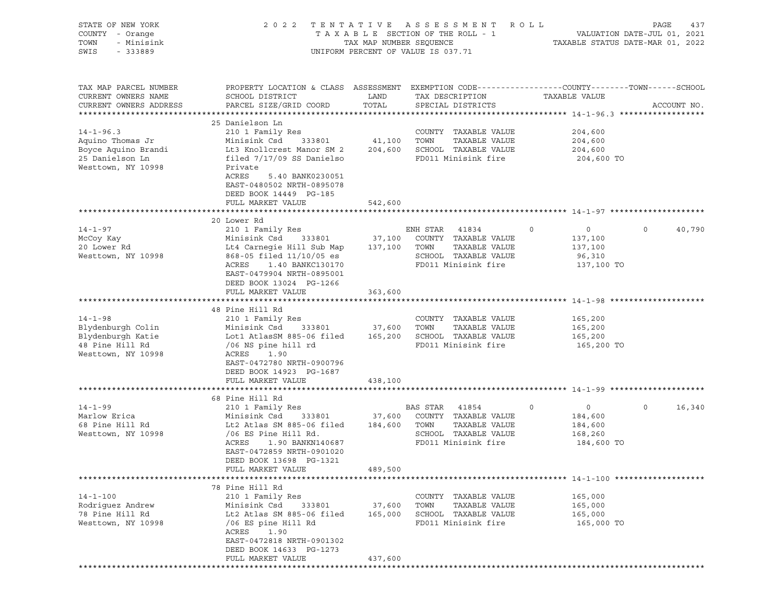| STATE OF NEW YORK<br>COUNTY - Orange<br>TOWN<br>- Minisink<br>SWIS<br>$-333889$                     | 2 0 2 2                                                                                                                                                                                                                      | TAX MAP NUMBER SEQUENCE      | TENTATIVE ASSESSMENT ROLL<br>TAXABLE SECTION OF THE ROLL - 1<br>UNIFORM PERCENT OF VALUE IS 037.71             |                                                                       | PAGE<br>437<br>VALUATION DATE-JUL 01, 2021<br>TAXABLE STATUS DATE-MAR 01, 2022 |
|-----------------------------------------------------------------------------------------------------|------------------------------------------------------------------------------------------------------------------------------------------------------------------------------------------------------------------------------|------------------------------|----------------------------------------------------------------------------------------------------------------|-----------------------------------------------------------------------|--------------------------------------------------------------------------------|
| TAX MAP PARCEL NUMBER<br>CURRENT OWNERS NAME<br>CURRENT OWNERS ADDRESS                              | PROPERTY LOCATION & CLASS ASSESSMENT EXEMPTION CODE----------------COUNTY-------TOWN------SCHOOL<br>SCHOOL DISTRICT<br>PARCEL SIZE/GRID COORD                                                                                | LAND<br>TOTAL                | TAX DESCRIPTION<br>SPECIAL DISTRICTS                                                                           | TAXABLE VALUE                                                         | ACCOUNT NO.                                                                    |
|                                                                                                     |                                                                                                                                                                                                                              |                              |                                                                                                                |                                                                       |                                                                                |
| $14 - 1 - 96.3$<br>Aquino Thomas Jr<br>Boyce Aquino Brandi<br>25 Danielson Ln<br>Westtown, NY 10998 | 25 Danielson Ln<br>210 1 Family Res<br>Minisink Csd<br>333801<br>Lt3 Knollcrest Manor SM 2<br>filed 7/17/09 SS Danielso<br>Private<br>ACRES<br>5.40 BANK0230051<br>EAST-0480502 NRTH-0895078<br>DEED BOOK 14449 PG-185       | 41,100<br>204,600            | COUNTY TAXABLE VALUE<br>TOWN<br>TAXABLE VALUE<br>SCHOOL TAXABLE VALUE<br>FD011 Minisink fire                   | 204,600<br>204,600<br>204,600<br>204,600 TO                           |                                                                                |
|                                                                                                     | FULL MARKET VALUE                                                                                                                                                                                                            | 542,600                      |                                                                                                                |                                                                       |                                                                                |
|                                                                                                     | 20 Lower Rd                                                                                                                                                                                                                  |                              |                                                                                                                |                                                                       |                                                                                |
| $14 - 1 - 97$<br>McCoy Kay<br>20 Lower Rd<br>Westtown, NY 10998                                     | 210 1 Family Res<br>Minisink Csd<br>333801<br>Lt4 Carnegie Hill Sub Map<br>868-05 filed 11/10/05 es<br>ACRES<br>1.40 BANKC130170<br>EAST-0479904 NRTH-0895001<br>DEED BOOK 13024 PG-1266                                     | 37,100<br>137,100            | ENH STAR 41834<br>COUNTY TAXABLE VALUE<br>TAXABLE VALUE<br>TOWN<br>SCHOOL TAXABLE VALUE<br>FD011 Minisink fire | $\mathbf 0$<br>$\circ$<br>137,100<br>137,100<br>96,310<br>137,100 TO  | $\mathsf{O}$<br>40,790                                                         |
|                                                                                                     | FULL MARKET VALUE                                                                                                                                                                                                            | 363,600                      |                                                                                                                |                                                                       |                                                                                |
| $14 - 1 - 98$<br>Blydenburgh Colin<br>Blydenburgh Katie                                             | 48 Pine Hill Rd<br>210 1 Family Res<br>Minisink Csd<br>333801<br>Lot1 AtlasSM 885-06 filed                                                                                                                                   | 37,600                       | COUNTY TAXABLE VALUE<br>TOWN<br>TAXABLE VALUE<br>165,200 SCHOOL TAXABLE VALUE                                  | 165,200<br>165,200<br>165,200                                         |                                                                                |
| 48 Pine Hill Rd<br>Westtown, NY 10998                                                               | /06 NS pine hill rd<br>ACRES<br>1.90<br>EAST-0472780 NRTH-0900796<br>DEED BOOK 14923 PG-1687<br>FULL MARKET VALUE                                                                                                            | 438,100                      | FD011 Minisink fire                                                                                            | 165,200 TO                                                            |                                                                                |
|                                                                                                     |                                                                                                                                                                                                                              |                              |                                                                                                                |                                                                       |                                                                                |
| $14 - 1 - 99$<br>Marlow Erica<br>68 Pine Hill Rd<br>Westtown, NY 10998                              | 68 Pine Hill Rd<br>210 1 Family Res<br>Minisink Csd<br>333801<br>Lt2 Atlas SM 885-06 filed<br>/06 ES Pine Hill Rd.<br>ACRES<br>1.90 BANKN140687<br>EAST-0472859 NRTH-0901020<br>DEED BOOK 13698 PG-1321<br>FULL MARKET VALUE | 37,600<br>184,600<br>489,500 | BAS STAR 41854<br>COUNTY TAXABLE VALUE<br>TAXABLE VALUE<br>TOWN<br>SCHOOL TAXABLE VALUE<br>FD011 Minisink fire | $\mathbf 0$<br>$\circ$<br>184,600<br>184,600<br>168,260<br>184,600 TO | $\mathsf{O}$<br>16,340                                                         |
|                                                                                                     |                                                                                                                                                                                                                              |                              |                                                                                                                |                                                                       |                                                                                |
| $14 - 1 - 100$<br>Rodriquez Andrew<br>78 Pine Hill Rd<br>Westtown, NY 10998                         | 78 Pine Hill Rd<br>210 1 Family Res<br>Minisink Csd<br>333801<br>Lt2 Atlas SM 885-06 filed<br>/06 ES pine Hill Rd<br>ACRES<br>1.90<br>EAST-0472818 NRTH-0901302<br>DEED BOOK 14633 PG-1273<br>FULL MARKET VALUE              | 37,600<br>165,000<br>437,600 | COUNTY TAXABLE VALUE<br>TOWN<br>TAXABLE VALUE<br>SCHOOL TAXABLE VALUE<br>FD011 Minisink fire                   | 165,000<br>165,000<br>165,000<br>165,000 TO                           |                                                                                |
|                                                                                                     |                                                                                                                                                                                                                              |                              |                                                                                                                |                                                                       |                                                                                |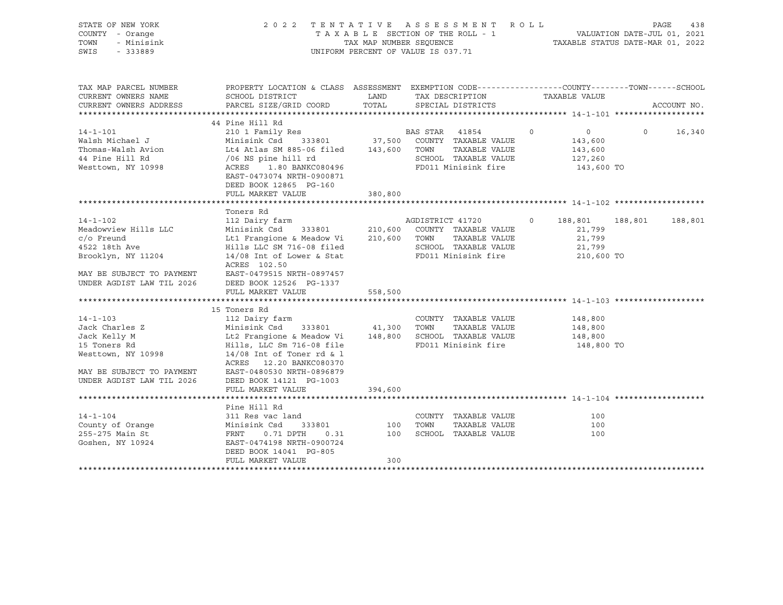| STATE OF NEW YORK<br>COUNTY - Orange<br>TOWN<br>- Minisink<br>SWIS<br>$-333889$                                                                                           | 2022 TENTATIVE ASSESSMENT ROLL                                                                         | UNIFORM PERCENT OF VALUE IS 037.71 |                  |                                             |         |                    |                   | PAGE<br>438 |
|---------------------------------------------------------------------------------------------------------------------------------------------------------------------------|--------------------------------------------------------------------------------------------------------|------------------------------------|------------------|---------------------------------------------|---------|--------------------|-------------------|-------------|
|                                                                                                                                                                           |                                                                                                        |                                    |                  |                                             |         |                    |                   |             |
| TAX MAP PARCEL NUMBER                                                                                                                                                     | PROPERTY LOCATION & CLASS ASSESSMENT EXEMPTION CODE----------------COUNTY-------TOWN------SCHOOL       |                                    |                  |                                             |         |                    |                   |             |
| CURRENT OWNERS NAME                                                                                                                                                       | SCHOOL DISTRICT                                                                                        |                                    |                  | LAND TAX DESCRIPTION                        |         | TAXABLE VALUE      |                   |             |
| CURRENT OWNERS ADDRESS                                                                                                                                                    | PARCEL SIZE/GRID COORD                                                                                 | TOTAL                              |                  | SPECIAL DISTRICTS                           |         |                    |                   | ACCOUNT NO. |
|                                                                                                                                                                           | 44 Pine Hill Rd                                                                                        |                                    |                  |                                             |         |                    |                   |             |
| $14 - 1 - 101$                                                                                                                                                            | 210 1 Family Res                                                                                       |                                    |                  | BAS STAR 41854 0                            |         | $\overline{0}$     | $0 \qquad \qquad$ | 16,340      |
|                                                                                                                                                                           | Minisink Csd 333801 37,500 COUNTY TAXABLE VALUE                                                        |                                    |                  |                                             |         | 143,600            |                   |             |
|                                                                                                                                                                           | Lt4 Atlas SM 885-06 filed 143,600 TOWN                                                                 |                                    |                  | TAXABLE VALUE                               |         | 143,600            |                   |             |
|                                                                                                                                                                           |                                                                                                        |                                    |                  | SCHOOL TAXABLE VALUE                        |         | 127,260            |                   |             |
| Walsh Michael J<br>Thomas-Walsh Avion<br>Thomas - The Michael of the Michael (106 NS pine hill rd<br>The Michael (106 NS pine hill rd<br>The Michael (106 NS pine hill rd |                                                                                                        |                                    |                  | FD011 Minisink fire                         |         | 143,600 TO         |                   |             |
|                                                                                                                                                                           | EAST-0473074 NRTH-0900871                                                                              |                                    |                  |                                             |         |                    |                   |             |
|                                                                                                                                                                           | DEED BOOK 12865 PG-160                                                                                 |                                    |                  |                                             |         |                    |                   |             |
|                                                                                                                                                                           | FULL MARKET VALUE                                                                                      | 380,800                            |                  |                                             |         |                    |                   |             |
|                                                                                                                                                                           |                                                                                                        |                                    |                  |                                             |         |                    |                   |             |
|                                                                                                                                                                           | Toners Rd                                                                                              |                                    |                  |                                             |         |                    |                   |             |
| $14 - 1 - 102$                                                                                                                                                            | 112 Dairy farm                                                                                         |                                    | AGDISTRICT 41720 |                                             | $\circ$ | 188,801            | 188,801           | 188,801     |
| Meadowview Hills LLC                                                                                                                                                      | Minisink Csd 333801 210,600 COUNTY TAXABLE VALUE                                                       |                                    |                  |                                             |         | 21,799             |                   |             |
| $c$ / $\circ$ Freund<br>4522 18th Ave                                                                                                                                     | Let Frangione & Meadow Vi 210,600 TOWN TAXABLE VALUE<br>Hills LLC SM 716-08 filed SCHOOL TAXABLE VALUE |                                    |                  |                                             |         | 21,799<br>21,799   |                   |             |
| Brooklyn, NY 11204                                                                                                                                                        | 14/08 Int of Lower & Stat                                                                              |                                    |                  | SCHOOL TAXABLE VALUE<br>FD011 Minisink fire |         | 210,600 TO         |                   |             |
|                                                                                                                                                                           | ACRES 102.50                                                                                           |                                    |                  |                                             |         |                    |                   |             |
| MAY BE SUBJECT TO PAYMENT                                                                                                                                                 | EAST-0479515 NRTH-0897457                                                                              |                                    |                  |                                             |         |                    |                   |             |
| UNDER AGDIST LAW TIL 2026                                                                                                                                                 | DEED BOOK 12526 PG-1337                                                                                |                                    |                  |                                             |         |                    |                   |             |
|                                                                                                                                                                           | FULL MARKET VALUE                                                                                      | 558,500                            |                  |                                             |         |                    |                   |             |
|                                                                                                                                                                           |                                                                                                        |                                    |                  |                                             |         |                    |                   |             |
|                                                                                                                                                                           | ra Ka<br>112 Dairy farm<br>Minisir <sup>1</sup>                                                        |                                    |                  |                                             |         |                    |                   |             |
| $14 - 1 - 103$                                                                                                                                                            |                                                                                                        |                                    |                  | COUNTY TAXABLE VALUE                        |         | 148,800<br>148,800 |                   |             |
| Jack Charles Z                                                                                                                                                            | Minisink Csd 333801 41,300 TOWN                                                                        |                                    |                  | TAXABLE VALUE                               |         |                    |                   |             |
| Jack Kelly M                                                                                                                                                              |                                                                                                        |                                    |                  |                                             |         | 148,800            |                   |             |
| 15 Toners Rd                                                                                                                                                              |                                                                                                        |                                    |                  |                                             |         | 148,800 TO         |                   |             |
| Westtown, NY 10998                                                                                                                                                        | $14/08$ Int of Toner rd & 1<br>ACRES 12.20 BANKC080370                                                 |                                    |                  |                                             |         |                    |                   |             |
| MAY BE SUBJECT TO PAYMENT                                                                                                                                                 | EAST-0480530 NRTH-0896879                                                                              |                                    |                  |                                             |         |                    |                   |             |
| UNDER AGDIST LAW TIL 2026                                                                                                                                                 | DEED BOOK 14121 PG-1003                                                                                |                                    |                  |                                             |         |                    |                   |             |
|                                                                                                                                                                           | FULL MARKET VALUE                                                                                      | 394,600                            |                  |                                             |         |                    |                   |             |
|                                                                                                                                                                           |                                                                                                        |                                    |                  |                                             |         |                    |                   |             |
|                                                                                                                                                                           | Pine Hill Rd                                                                                           |                                    |                  |                                             |         |                    |                   |             |
| $14 - 1 - 104$                                                                                                                                                            | 311 Res vac land                                                                                       |                                    |                  | COUNTY TAXABLE VALUE                        |         | 100                |                   |             |
| County of Orange                                                                                                                                                          | 311 Res vac land<br>Minisink Csd     333801<br>FRNT    0.71 DPTH    0.31<br>EAST-0474198 NRTH-0900724  | 100 TOWN                           |                  | TAXABLE VALUE                               |         | 100                |                   |             |
| 255-275 Main St                                                                                                                                                           |                                                                                                        | 100                                |                  | SCHOOL TAXABLE VALUE                        |         | 100                |                   |             |
| Goshen, NY 10924                                                                                                                                                          | EAST-0474198 NRTH-0900724                                                                              |                                    |                  |                                             |         |                    |                   |             |
|                                                                                                                                                                           | DEED BOOK 14041 PG-805                                                                                 |                                    |                  |                                             |         |                    |                   |             |
|                                                                                                                                                                           | FULL MARKET VALUE                                                                                      | 300                                |                  |                                             |         |                    |                   |             |
|                                                                                                                                                                           |                                                                                                        |                                    |                  |                                             |         |                    |                   |             |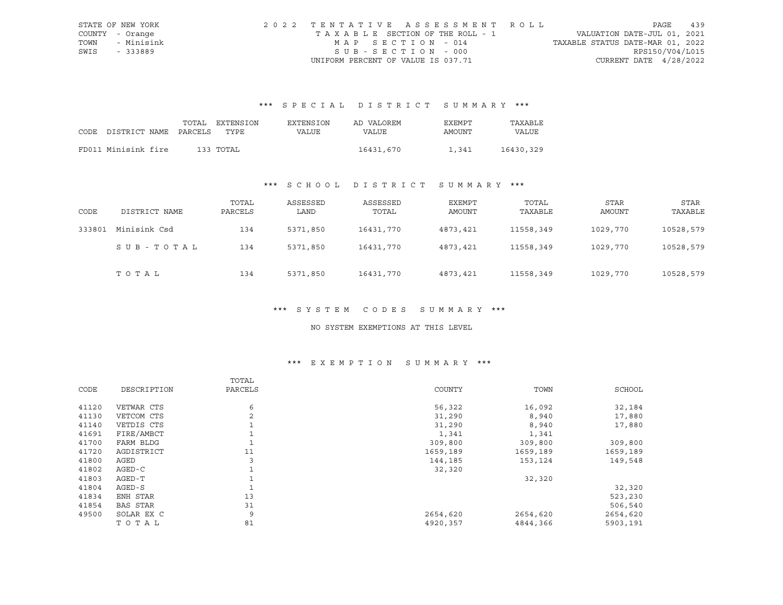|      | STATE OF NEW YORK | 2022 TENTATIVE ASSESSMENT ROLL        |                                  | PAGE | 439 |
|------|-------------------|---------------------------------------|----------------------------------|------|-----|
|      | COUNTY - Orange   | T A X A B L E SECTION OF THE ROLL - 1 | VALUATION DATE-JUL 01, 2021      |      |     |
| TOWN | - Minisink        | MAP SECTION - 014                     | TAXABLE STATUS DATE-MAR 01, 2022 |      |     |
| SWIS | - 333889          | SUB-SECTION - 000                     | RPS150/V04/L015                  |      |     |
|      |                   | UNIFORM PERCENT OF VALUE IS 037.71    | CURRENT DATE $4/28/2022$         |      |     |

# \*\*\* S P E C I A L D I S T R I C T S U M M A R Y \*\*\*

|                            | TOTAL | EXTENSION | <b>EXTENSION</b> | AD VALOREM   | EXEMPT | TAXABLE   |
|----------------------------|-------|-----------|------------------|--------------|--------|-----------|
| CODE DISTRICT NAME PARCELS |       | TYPR.     | VALUE            | <b>VALUE</b> | AMOUNT | VALUE     |
|                            |       |           |                  |              |        |           |
| FD011 Minisink fire        |       | 133 TOTAL |                  | 16431,670    | 1,341  | 16430,329 |

# \*\*\* S C H O O L D I S T R I C T S U M M A R Y \*\*\*

| CODE   | DISTRICT NAME | TOTAL<br>PARCELS | ASSESSED<br>LAND | ASSESSED<br>TOTAL | EXEMPT<br>AMOUNT | TOTAL<br>TAXABLE | STAR<br>AMOUNT | STAR<br>TAXABLE |
|--------|---------------|------------------|------------------|-------------------|------------------|------------------|----------------|-----------------|
| 333801 | Minisink Csd  | 134              | 5371,850         | 16431,770         | 4873,421         | 11558,349        | 1029,770       | 10528,579       |
|        | SUB-TOTAL     | 134              | 5371,850         | 16431,770         | 4873,421         | 11558,349        | 1029,770       | 10528,579       |
|        | TOTAL         | 134              | 5371,850         | 16431,770         | 4873,421         | 11558,349        | 1029,770       | 10528,579       |

#### \*\*\* S Y S T E M C O D E S S U M M A R Y \*\*\*

#### NO SYSTEM EXEMPTIONS AT THIS LEVEL

# \*\*\* E X E M P T I O N S U M M A R Y \*\*\*

|       |                 | TOTAL   |          |          |          |
|-------|-----------------|---------|----------|----------|----------|
| CODE  | DESCRIPTION     | PARCELS | COUNTY   | TOWN     | SCHOOL   |
| 41120 | VETWAR CTS      | 6       | 56,322   | 16,092   | 32,184   |
| 41130 | VETCOM CTS      | 2       | 31,290   | 8,940    | 17,880   |
| 41140 | VETDIS CTS      |         | 31,290   | 8,940    | 17,880   |
| 41691 | FIRE/AMBCT      |         | 1,341    | 1,341    |          |
| 41700 | FARM BLDG       |         | 309,800  | 309,800  | 309,800  |
| 41720 | AGDISTRICT      | 11      | 1659,189 | 1659,189 | 1659,189 |
| 41800 | AGED            | 3       | 144,185  | 153,124  | 149,548  |
| 41802 | AGED-C          |         | 32,320   |          |          |
| 41803 | AGED-T          |         |          | 32,320   |          |
| 41804 | AGED-S          |         |          |          | 32,320   |
| 41834 | ENH STAR        | 13      |          |          | 523,230  |
| 41854 | <b>BAS STAR</b> | 31      |          |          | 506,540  |
| 49500 | SOLAR EX C      | 9       | 2654,620 | 2654,620 | 2654,620 |
|       | TOTAL           | 81      | 4920,357 | 4844,366 | 5903,191 |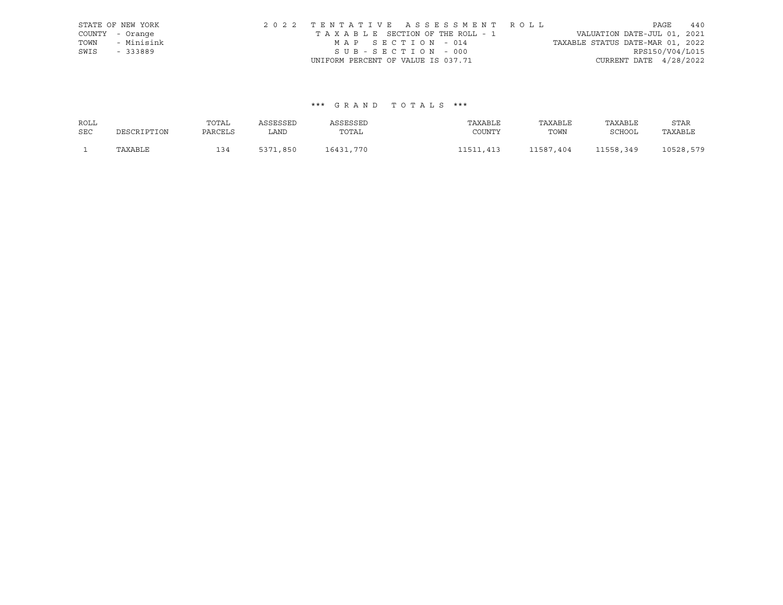|      | STATE OF NEW YORK | 2022 TENTATIVE ASSESSMENT ROLL     | 440<br>PAGE                      |
|------|-------------------|------------------------------------|----------------------------------|
|      | COUNTY - Orange   | TAXABLE SECTION OF THE ROLL - 1    | VALUATION DATE-JUL 01, 2021      |
| TOWN | - Minisink        | MAP SECTION - 014                  | TAXABLE STATUS DATE-MAR 01, 2022 |
| SWIS | - 333889          | SUB-SECTION - 000                  | RPS150/V04/L015                  |
|      |                   | UNIFORM PERCENT OF VALUE IS 037.71 | CURRENT DATE $4/28/2022$         |

#### \*\*\* G R A N D T O T A L S \*\*\*

| ROLL       |             | TOTAL   | ASSESSED | ASSESSED  | TAXABLE       | TAXABLE   | TAXABLE       | STAR      |
|------------|-------------|---------|----------|-----------|---------------|-----------|---------------|-----------|
| <b>SEC</b> | DESCRIPTION | PARCELS | LAND     | TOTAL     | COUNTY        | TOWN      | <b>SCHOOL</b> | TAXABLE   |
|            | TAXABLE     | 134     | 5371,850 | 16431,770 | .413<br>11511 | 11587,404 | 11558,349     | 10528,579 |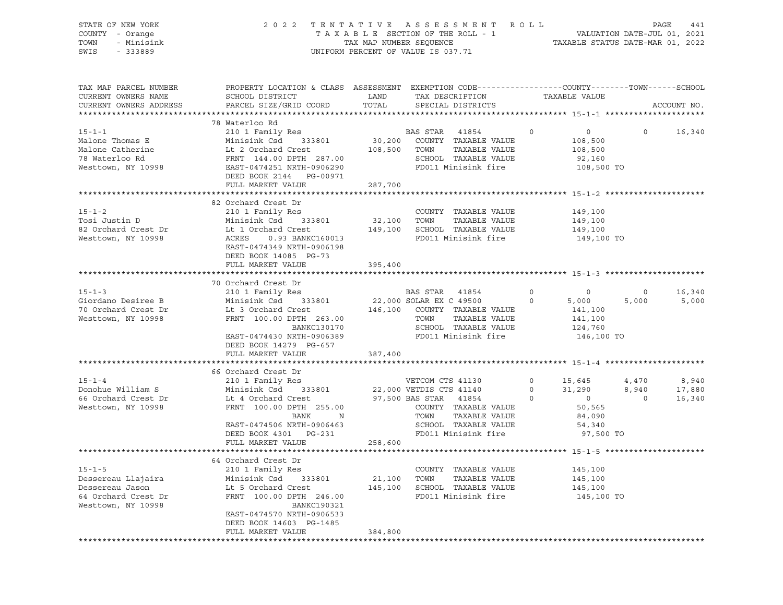| SWIS | STATE OF NEW YORK<br>COUNTY - Orange<br>TOWN - Minisink<br>$-333889$ |                                                                                                 | 2022 TENTATIVE ASSESSMENT ROLL<br>TAXABLE SECTION OF THE ROLL - 1<br>TAX MAP NUMBER SEOUENCE<br>UNIFORM PERCENT OF VALUE IS 037.71 |  | VALUATION DATE-JUL 01, 2021<br>TAXABLE STATUS DATE-MAR 01, 2022 | PAGE | 441 |
|------|----------------------------------------------------------------------|-------------------------------------------------------------------------------------------------|------------------------------------------------------------------------------------------------------------------------------------|--|-----------------------------------------------------------------|------|-----|
|      | TAX MAP PARCEL NUMBER                                                | PROPERTY LOCATION & CLASS ASSESSMENT EXEMPTION CODE---------------COUNTY-------TOWN------SCHOOL |                                                                                                                                    |  |                                                                 |      |     |

| CURRENT OWNERS NAME                          | SCHOOL DISTRICT                                                                                                              | LAND    | TAX DESCRIPTION                               |                                         | TAXABLE VALUE                    |                             |
|----------------------------------------------|------------------------------------------------------------------------------------------------------------------------------|---------|-----------------------------------------------|-----------------------------------------|----------------------------------|-----------------------------|
| CURRENT OWNERS ADDRESS                       | PARCEL SIZE/GRID COORD                                                                                                       | TOTAL   | SPECIAL DISTRICTS                             |                                         |                                  | ACCOUNT NO.                 |
|                                              |                                                                                                                              |         |                                               |                                         |                                  |                             |
|                                              | 78 Waterloo Rd                                                                                                               |         |                                               |                                         |                                  |                             |
| $15 - 1 - 1$                                 | 210 1 Family Res                                                                                                             |         | BAS STAR 41854<br>30,200 COUNTY TAXABLE VALUE | $\Omega$                                | $\overline{0}$                   | $0 \qquad \qquad$<br>16,340 |
| Malone Thomas E                              | Minisink Csd 333801                                                                                                          |         |                                               |                                         | 108,500                          |                             |
| Malone Catherine                             |                                                                                                                              |         | 108,500 TOWN<br>TAXABLE VALUE                 |                                         | 108,500                          |                             |
| 78 Waterloo Rd                               | ------<br>Lt 2 Orchard Crest<br>FRNT 144.00 DPTH 287.00                                                                      |         | SCHOOL TAXABLE VALUE                          |                                         | 92,160                           |                             |
| Westtown, NY 10998 EAST-0474251 NRTH-0906290 |                                                                                                                              |         | FD011 Minisink fire                           |                                         | 108,500 TO                       |                             |
|                                              | DEED BOOK 2144 PG-00971                                                                                                      |         |                                               |                                         |                                  |                             |
|                                              | FULL MARKET VALUE                                                                                                            | 287,700 |                                               |                                         |                                  |                             |
|                                              |                                                                                                                              |         |                                               |                                         |                                  |                             |
|                                              | 82 Orchard Crest Dr                                                                                                          |         |                                               |                                         |                                  |                             |
| $15 - 1 - 2$                                 | 210 1 Family Res                                                                                                             |         | COUNTY TAXABLE VALUE                          |                                         | 149,100                          |                             |
| Tosi Justin D                                | Minisink Csd 333801                                                                                                          | 32,100  | TAXABLE VALUE<br>TOWN                         |                                         | 149,100                          |                             |
| 82 Orchard Crest Dr                          | Minisink Csd     333<br>Lt 1 Orchard Crest                                                                                   |         | 149,100 SCHOOL TAXABLE VALUE                  |                                         | 149,100                          |                             |
| Westtown, NY 10998                           | ACRES 0.93 BANKC160013                                                                                                       |         | FD011 Minisink fire                           |                                         | 149,100 TO                       |                             |
|                                              | EAST-0474349 NRTH-0906198                                                                                                    |         |                                               |                                         |                                  |                             |
|                                              | DEED BOOK 14085 PG-73                                                                                                        |         |                                               |                                         |                                  |                             |
|                                              | FULL MARKET VALUE                                                                                                            | 395,400 |                                               |                                         |                                  |                             |
|                                              |                                                                                                                              |         |                                               |                                         |                                  |                             |
|                                              | 70 Orchard Crest Dr                                                                                                          |         |                                               |                                         |                                  |                             |
| $15 - 1 - 3$                                 | 210 1 Family Res                                                                                                             |         | <b>BAS STAR 41854</b>                         | $\circ$                                 | $\overline{0}$<br>$\circ$        | 16,340                      |
|                                              | Giordano Desiree B Minisink Csd 333801 22,000 SOLAR EX C 49500                                                               |         |                                               | $\Omega$                                | 5,000<br>5,000                   | 5,000                       |
| 70 Orchard Crest Dr                          |                                                                                                                              |         |                                               |                                         | 141,100                          |                             |
| Westtown, NY 10998                           | Lt 3 Orchard Crest 146,100 COUNTY TAXABLE VALUE<br>FRNT 100.00 DPTH 263.00 TOWN TAXABLE VALUE                                |         |                                               |                                         | 141,100                          |                             |
|                                              | <b>BANKC130170</b>                                                                                                           |         | SCHOOL TAXABLE VALUE                          |                                         | 124,760                          |                             |
|                                              | EAST-0474430 NRTH-0906389                                                                                                    |         | FD011 Minisink fire 146,100 TO                |                                         |                                  |                             |
|                                              | DEED BOOK 14279 PG-657                                                                                                       |         |                                               |                                         |                                  |                             |
|                                              | FULL MARKET VALUE                                                                                                            | 387,400 |                                               |                                         |                                  |                             |
|                                              |                                                                                                                              |         |                                               |                                         |                                  |                             |
|                                              | 66 Orchard Crest Dr                                                                                                          |         |                                               |                                         |                                  |                             |
| $15 - 1 - 4$                                 | 210 1 Family Res<br>Minisink Csd 333801 22,000 VETDIS CTS 41140<br>Lt 4 Orchard Crest 97.500 BAC CTS 41140<br>FRANT 100 01 5 |         | VETCOM CTS 41130                              |                                         | $0 \t 15,645$<br>4,470           | 8,940                       |
| Donohue William S                            |                                                                                                                              |         |                                               | $\begin{array}{c}\n0 \\ 0\n\end{array}$ | 8,940<br>31,290                  | 17,880                      |
| 66 Orchard Crest Dr                          |                                                                                                                              |         |                                               |                                         | $\overline{0}$<br>$\overline{0}$ | 16,340                      |
| Westtown, NY 10998                           |                                                                                                                              |         |                                               |                                         | 50,565                           |                             |
|                                              | FRNT 100.00 DPTH 255.00 COUNTY TAXABLE VALUE<br>N<br>BANK                                                                    |         | TOWN<br>TAXABLE VALUE                         |                                         | 84,090                           |                             |
|                                              | EAST-0474506 NRTH-0906463                                                                                                    |         | SCHOOL TAXABLE VALUE                          |                                         |                                  |                             |
|                                              |                                                                                                                              |         | FD011 Minisink fire                           |                                         | 54,340                           |                             |
|                                              | DEED BOOK 4301 PG-231                                                                                                        |         |                                               |                                         | 97,500 TO                        |                             |
|                                              | FULL MARKET VALUE                                                                                                            | 258,600 |                                               |                                         |                                  |                             |
|                                              | 64 Orchard Crest Dr                                                                                                          |         |                                               |                                         |                                  |                             |
|                                              |                                                                                                                              |         | COUNTY TAXABLE VALUE                          |                                         |                                  |                             |
| $15 - 1 - 5$                                 | 210 1 Family Res                                                                                                             |         |                                               |                                         | 145,100                          |                             |
| Dessereau Llajaira                           | Minisink Csd 333801                                                                                                          |         | 21,100 TOWN<br>TAXABLE VALUE                  |                                         | 145,100                          |                             |
| Dessereau Jason                              | Lt 5 Orchard Crest                                                                                                           |         | 145,100 SCHOOL TAXABLE VALUE                  |                                         | 145,100                          |                             |
| 64 Orchard Crest Dr                          | FRNT 100.00 DPTH 246.00                                                                                                      |         | FD011 Minisink fire                           |                                         | 145,100 TO                       |                             |
| Westtown, NY 10998                           | BANKC190321                                                                                                                  |         |                                               |                                         |                                  |                             |
|                                              | EAST-0474570 NRTH-0906533                                                                                                    |         |                                               |                                         |                                  |                             |
|                                              | DEED BOOK 14603 PG-1485                                                                                                      |         |                                               |                                         |                                  |                             |
|                                              | FULL MARKET VALUE                                                                                                            | 384,800 |                                               |                                         |                                  |                             |
|                                              |                                                                                                                              |         |                                               |                                         |                                  |                             |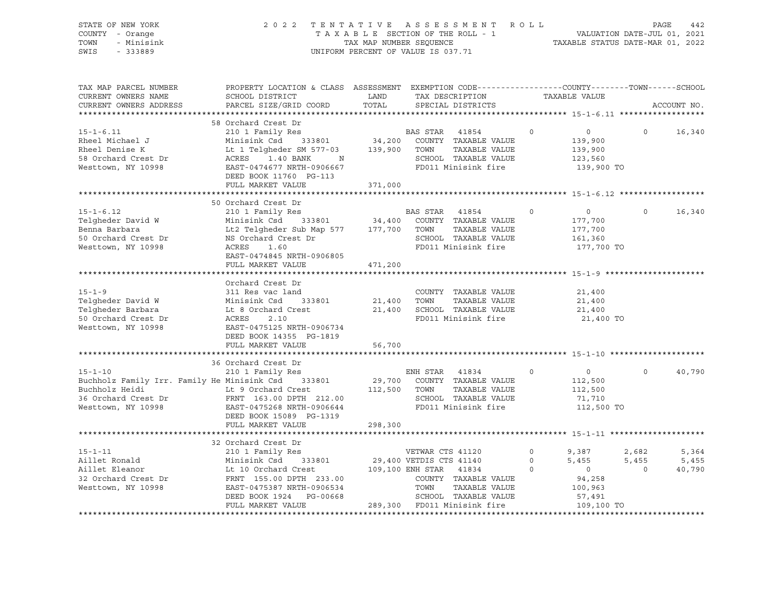| STATE OF NEW YORK<br>COUNTY - Orange<br>TOWN<br>- Minisink<br>SWIS<br>$-333889$                                                                                                                                                                          |                                                                                                                                                |        | FENTATIVE ASSESSMENT ROLL PAGE 442<br>TAXABLE SECTION OF THE ROLL - 1 VALUATION DATE-JUL 01, 2021<br>TAX MAP NUMBER SEQUENCE TAXABLE STATUS DATE-MAR 01, 2022<br>2022 TENTATIVE ASSESSMENT ROLL<br>UNIFORM PERCENT OF VALUE IS 037.71 |                                                               |                                            |                 |
|----------------------------------------------------------------------------------------------------------------------------------------------------------------------------------------------------------------------------------------------------------|------------------------------------------------------------------------------------------------------------------------------------------------|--------|---------------------------------------------------------------------------------------------------------------------------------------------------------------------------------------------------------------------------------------|---------------------------------------------------------------|--------------------------------------------|-----------------|
| TAX MAP PARCEL NUMBER<br>CURRENT OWNERS NAME<br>CURRENT OWNERS ADDRESS                                                                                                                                                                                   | PROPERTY LOCATION & CLASS ASSESSMENT EXEMPTION CODE-----------------COUNTY-------TOWN------SCHOOL<br>SCHOOL DISTRICT<br>PARCEL SIZE/GRID COORD | TOTAL  | LAND TAX DESCRIPTION TAXABLE VALUE<br>SPECIAL DISTRICTS                                                                                                                                                                               |                                                               |                                            | ACCOUNT NO.     |
|                                                                                                                                                                                                                                                          | 58 Orchard Crest Dr                                                                                                                            |        |                                                                                                                                                                                                                                       |                                                               |                                            |                 |
| $15 - 1 - 6.11$<br>15-1-6.11 210 1 Family Res 210 0 DAD DIAR 1103<br>Rheel Michael J Minisink Csd 333801 34,200 COUNTY TAXABLE VALUE<br>Rheel Denise K Lt 1 Telgheder SM 577-03 139,900 TOWN TAXABLE VALUE<br>58 Orchard Crest Dr ACRES 1.40 BANK N SCH  | 210 1 Family Res<br>DEED BOOK 11760 PG-113                                                                                                     |        | BAS STAR 41854 0                                                                                                                                                                                                                      | $\overline{0}$<br>139,900<br>139,900<br>123,560<br>139,900 TO | $\Omega$                                   | 16,340          |
|                                                                                                                                                                                                                                                          | FULL MARKET VALUE 371,000                                                                                                                      |        |                                                                                                                                                                                                                                       |                                                               |                                            |                 |
| $15 - 1 - 6.12$<br>Telgheder David W Minisink Csd 333801 34,400 COUNTY TAXABLE VALUE<br>Benna Barbara Lt2 Telgheder Sub Map 577 177,700 TOWN TAXABLE VALUE<br>50 Orchard Crest Dr MS Orchard Crest Dr SCHOOL TAXABLE VALUE<br>Westtown, NY 10998 ACRES   | 50 Orchard Crest Dr<br>210 1 Family Res                                                                                                        |        | BAS STAR 41854 0<br>FD011 Minisink fire                                                                                                                                                                                               | $\overline{0}$<br>177,700<br>177,700<br>161,360<br>177,700 TO | $\Omega$                                   | 16,340          |
|                                                                                                                                                                                                                                                          | EAST-0474845 NRTH-0906805<br>FULL MARKET VALUE 471,200                                                                                         |        |                                                                                                                                                                                                                                       |                                                               |                                            |                 |
| $15 - 1 - 9$<br>Telgheder David W Minisink Csd 333801 21,400 TOWN TAXABLE VALUE<br>Telgheder Barbara Lt 8 Orchard Crest 21,400 SCHOOL TAXABLE VALUE<br>50 Orchard Crest Dr ACRES 2.10 FD011 Minisink fire<br>Westtown, NY 10998 EAST-0475125 NRTH-09     | Orchard Crest Dr<br>311 Res vac land<br>DEED BOOK 14355 PG-1819<br>FULL MARKET VALUE                                                           | 56,700 | COUNTY TAXABLE VALUE<br>TAXABLE VALUE<br>FD011 Minisink fire                                                                                                                                                                          | 21,400<br>21,400<br>21,400<br>21,400 TO                       |                                            |                 |
|                                                                                                                                                                                                                                                          | 36 Orchard Crest Dr                                                                                                                            |        |                                                                                                                                                                                                                                       |                                                               |                                            |                 |
| $15 - 1 - 10$<br>Buchholz Family Irr. Family He Minisink Csd 333801 29,700 COUNTY TAXABLE VALUE<br>Buchholz Heidi Lt 9 Orchard Crest 112,500 TOWN TAXABLE VALUE<br>36 Orchard Crest Dr FRNT 163.00 DPTH 212.00 SCHOOL TAXABLE VALUE<br>Westtown, NY 1099 | 210 1 Family Res<br>DEED BOOK 15089 PG-1319<br>FULL MARKET VALUE 298,300                                                                       |        | ENH STAR 41834 0                                                                                                                                                                                                                      | $\overline{0}$<br>112,500<br>112,500<br>71,710<br>112,500 TO  | $\Omega$                                   | 40,790          |
|                                                                                                                                                                                                                                                          |                                                                                                                                                |        |                                                                                                                                                                                                                                       |                                                               |                                            |                 |
| Aillet Ronald Minisink Csd 333801 29,400 VETNAR CTS 41120 0 9,387<br>Aillet Eleanor Lt 10 Orchard Crest 109,100 ENH STAR 41834 0 0 5,455<br>32 Orchard Crest Dr FRNT 155.00 DPTH 233.00 COUNTY TAXABLE VALUE 94,258<br>Westtown, NY 109                  | 32 Orchard Crest Dr                                                                                                                            |        |                                                                                                                                                                                                                                       | 109,100 TO                                                    | 2,682<br>$5,455$ $5,455$<br>$\overline{0}$ | 5,364<br>40,790 |
|                                                                                                                                                                                                                                                          |                                                                                                                                                |        |                                                                                                                                                                                                                                       |                                                               |                                            |                 |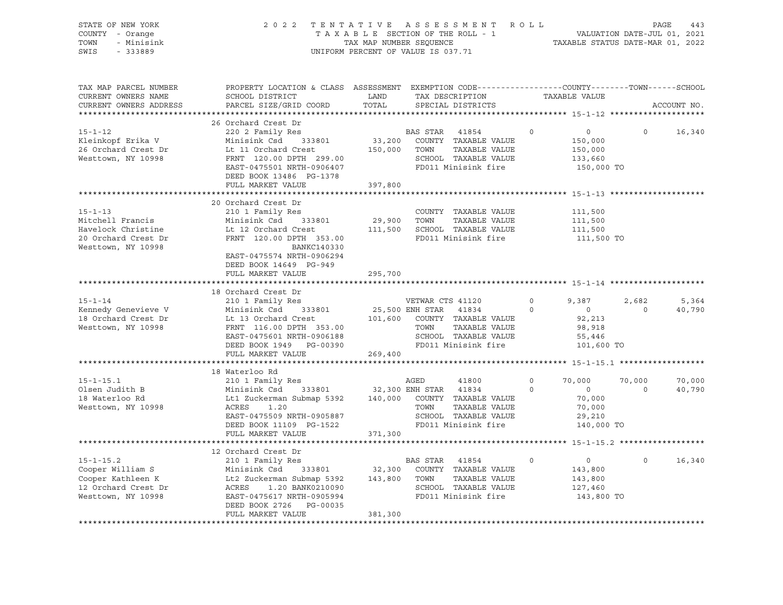| STATE OF NEW YORK<br>COUNTY - Orange<br>- Minisink<br>TOWN<br>SWIS<br>$-333889$ |                                                                                                                                                     | 2022 TENTATIVE ASSESSMENT ROLL<br>TAXABLE SECTION OF THE ROLL - 1<br>TAX MAP NUMBER SEQUENCE<br>UNIFORM PERCENT OF VALUE IS 037.71 |                  |                                                                   |         | PAGE<br>443<br>VALUATION DATE-JUL 01, 2021<br>TAXABLE STATUS DATE-MAR 01, 2022 |                |             |  |
|---------------------------------------------------------------------------------|-----------------------------------------------------------------------------------------------------------------------------------------------------|------------------------------------------------------------------------------------------------------------------------------------|------------------|-------------------------------------------------------------------|---------|--------------------------------------------------------------------------------|----------------|-------------|--|
| TAX MAP PARCEL NUMBER<br>CURRENT OWNERS NAME<br>CURRENT OWNERS ADDRESS          | PROPERTY LOCATION & CLASS ASSESSMENT EXEMPTION CODE---------------COUNTY-------TOWN------SCHOOL<br>SCHOOL DISTRICT<br>PARCEL SIZE/GRID COORD        | LAND<br>TOTAL                                                                                                                      |                  | TAX DESCRIPTION<br>SPECIAL DISTRICTS                              |         | TAXABLE VALUE                                                                  |                | ACCOUNT NO. |  |
|                                                                                 | 26 Orchard Crest Dr                                                                                                                                 |                                                                                                                                    |                  |                                                                   |         |                                                                                |                |             |  |
| $15 - 1 - 12$                                                                   | 220 2 Family Res                                                                                                                                    |                                                                                                                                    | BAS STAR 41854   |                                                                   | $\circ$ | $\overline{0}$                                                                 | $\circ$        | 16,340      |  |
| Kleinkopf Erika V                                                               | Minisink Csd 333801                                                                                                                                 |                                                                                                                                    |                  | 33,200 COUNTY TAXABLE VALUE                                       |         | 150,000                                                                        |                |             |  |
| 26 Orchard Crest Dr<br>Westtown NY 10998<br>Westtown, NY 10998                  | Lt 11 Orchard Crest                                                                                                                                 |                                                                                                                                    | 150,000 TOWN     | TAXABLE VALUE<br>SCHOOL TAXABLE VALUE                             |         | 150,000<br>133,660                                                             |                |             |  |
|                                                                                 | Lt 11 Orthurs Creek<br>FRNT 120.00 DPTH 299.00<br>--- 2155501 NDTH-0906407                                                                          |                                                                                                                                    |                  | FD011 Minisink fire                                               |         | 150,000 TO                                                                     |                |             |  |
|                                                                                 | DEED BOOK 13486 PG-1378                                                                                                                             |                                                                                                                                    |                  |                                                                   |         |                                                                                |                |             |  |
|                                                                                 | FULL MARKET VALUE                                                                                                                                   | 397,800                                                                                                                            |                  |                                                                   |         |                                                                                |                |             |  |
|                                                                                 |                                                                                                                                                     |                                                                                                                                    |                  |                                                                   |         |                                                                                |                |             |  |
|                                                                                 | 20 Orchard Crest Dr                                                                                                                                 |                                                                                                                                    |                  |                                                                   |         |                                                                                |                |             |  |
| $15 - 1 - 13$                                                                   | 210 1 Family Res                                                                                                                                    |                                                                                                                                    |                  | COUNTY TAXABLE VALUE                                              |         | 111,500                                                                        |                |             |  |
| Mitchell Francis                                                                | Minisink Csd 333801                                                                                                                                 | 29,900 TOWN                                                                                                                        |                  | TAXABLE VALUE                                                     |         | 111,500                                                                        |                |             |  |
| Havelock Christine                                                              | Lt 12 Orchard Crest                                                                                                                                 |                                                                                                                                    |                  | 111,500 SCHOOL TAXABLE VALUE                                      |         | 111,500                                                                        |                |             |  |
| 20 Orchard Crest Dr                                                             | FRNT 120.00 DPTH 353.00                                                                                                                             |                                                                                                                                    |                  | FD011 Minisink fire                                               |         | 111,500 TO                                                                     |                |             |  |
| Westtown, NY 10998                                                              | BANKC140330<br>EAST-0475574 NRTH-0906294                                                                                                            |                                                                                                                                    |                  |                                                                   |         |                                                                                |                |             |  |
|                                                                                 | DEED BOOK 14649 PG-949                                                                                                                              |                                                                                                                                    |                  |                                                                   |         |                                                                                |                |             |  |
|                                                                                 | FULL MARKET VALUE                                                                                                                                   | 295,700                                                                                                                            |                  |                                                                   |         |                                                                                |                |             |  |
|                                                                                 |                                                                                                                                                     |                                                                                                                                    |                  |                                                                   |         |                                                                                |                |             |  |
|                                                                                 | 18 Orchard Crest Dr                                                                                                                                 |                                                                                                                                    |                  |                                                                   |         |                                                                                |                |             |  |
| $15 - 1 - 14$                                                                   | 210 1 Family Res                                                                                                                                    |                                                                                                                                    | VETWAR CTS 41120 |                                                                   | $\circ$ | 9,387                                                                          | 2,682          | 5,364       |  |
| Kennedy Genevieve V                                                             | Minisink Csd<br>333801                                                                                                                              | 25,500 ENH STAR 41834                                                                                                              |                  |                                                                   | $\circ$ | $\overline{0}$                                                                 | $\overline{0}$ | 40,790      |  |
| 18 Orchard Crest Dr                                                             |                                                                                                                                                     |                                                                                                                                    |                  | 101,600 COUNTY TAXABLE VALUE                                      |         | 92,213                                                                         |                |             |  |
| Westtown, NY 10998                                                              |                                                                                                                                                     |                                                                                                                                    | TOWN             | TAXABLE VALUE<br>TOWN     TAXABLE VALUE<br>SCHOOL   TAXABLE VALUE |         | 98,918                                                                         |                |             |  |
|                                                                                 |                                                                                                                                                     |                                                                                                                                    |                  | FD011 Minisink fire                                               |         | 55,446<br>101,600 TO                                                           |                |             |  |
|                                                                                 | FULL MARKET VALUE                                                                                                                                   | 269,400                                                                                                                            |                  |                                                                   |         |                                                                                |                |             |  |
|                                                                                 |                                                                                                                                                     |                                                                                                                                    |                  |                                                                   |         |                                                                                |                |             |  |
|                                                                                 | 18 Waterloo Rd                                                                                                                                      |                                                                                                                                    |                  |                                                                   |         |                                                                                |                |             |  |
| $15 - 1 - 15.1$                                                                 | 210 1 Family Res                                                                                                                                    |                                                                                                                                    | AGED             | 41800                                                             | $\circ$ | 70,000                                                                         | 70,000         | 70,000      |  |
| Olsen Judith B                                                                  |                                                                                                                                                     |                                                                                                                                    |                  |                                                                   | $\circ$ | $\overline{0}$                                                                 | $\Omega$       | 40,790      |  |
| 18 Waterloo Rd                                                                  |                                                                                                                                                     |                                                                                                                                    |                  |                                                                   |         | 70,000                                                                         |                |             |  |
| Westtown, NY 10998                                                              |                                                                                                                                                     |                                                                                                                                    |                  |                                                                   |         | 70,000                                                                         |                |             |  |
|                                                                                 | EAST-0475509 NRTH-0905887                                                                                                                           |                                                                                                                                    |                  | SCHOOL TAXABLE VALUE                                              |         | 29,210                                                                         |                |             |  |
|                                                                                 | DEED BOOK 11109 PG-1522                                                                                                                             |                                                                                                                                    |                  | FD011 Minisink fire                                               |         | 140,000 TO                                                                     |                |             |  |
|                                                                                 | FULL MARKET VALUE                                                                                                                                   | 371,300                                                                                                                            |                  |                                                                   |         |                                                                                |                |             |  |
|                                                                                 | 12 Orchard Crest Dr                                                                                                                                 |                                                                                                                                    |                  |                                                                   |         |                                                                                |                |             |  |
| $15 - 1 - 15.2$                                                                 |                                                                                                                                                     |                                                                                                                                    |                  |                                                                   | $\circ$ | $\overline{0}$                                                                 | $\overline{0}$ | 16,340      |  |
| Cooper William S                                                                | BAS STAR 41854<br>Minisink Csd 333801 32,300 COUNTY TAXABLE VALUE<br>Lt2 Zuckerman Submap 5392 143,800 TOWN TAXABLE VALUE<br>ACRES 1.20 BANK0210090 |                                                                                                                                    |                  |                                                                   |         | 143,800                                                                        |                |             |  |
| Cooper Kathleen K                                                               |                                                                                                                                                     |                                                                                                                                    |                  |                                                                   |         | 143,800                                                                        |                |             |  |
| 12 Orchard Crest Dr                                                             |                                                                                                                                                     |                                                                                                                                    |                  |                                                                   |         | 127,460                                                                        |                |             |  |
| Westtown, NY 10998                                                              | EAST-0475617 NRTH-0905994                                                                                                                           |                                                                                                                                    |                  | SCHOOL TAXABLE VALUE<br>FD011 Minisink fire                       |         | 143,800 TO                                                                     |                |             |  |
|                                                                                 | DEED BOOK 2726 PG-00035                                                                                                                             |                                                                                                                                    |                  |                                                                   |         |                                                                                |                |             |  |
|                                                                                 | FULL MARKET VALUE                                                                                                                                   | 381,300                                                                                                                            |                  |                                                                   |         |                                                                                |                |             |  |
|                                                                                 |                                                                                                                                                     |                                                                                                                                    |                  |                                                                   |         |                                                                                |                |             |  |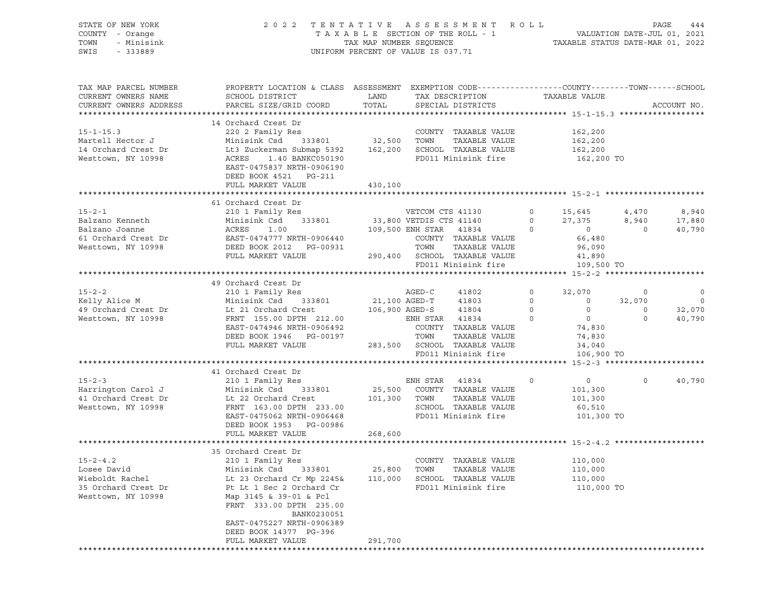| STATE OF NEW YORK      | 2022 TENTATIVE ASSESSMENT ROLL                                                                                           |                                    |                                             |                                                                                                                               |                |                                                 |                |                |
|------------------------|--------------------------------------------------------------------------------------------------------------------------|------------------------------------|---------------------------------------------|-------------------------------------------------------------------------------------------------------------------------------|----------------|-------------------------------------------------|----------------|----------------|
| COUNTY - Orange        |                                                                                                                          |                                    |                                             | T A X A B L E SECTION OF THE ROLL - 1 VALUATION DATE-JUL 01, 2021<br>TAX MAP NUMBER SEQUENCE TAXABLE STATUS DATE-MAR 01, 2022 |                |                                                 |                |                |
| TOWN<br>- Minisink     |                                                                                                                          |                                    |                                             |                                                                                                                               |                |                                                 |                |                |
| SWIS<br>$-333889$      |                                                                                                                          | UNIFORM PERCENT OF VALUE IS 037.71 |                                             |                                                                                                                               |                |                                                 |                |                |
|                        |                                                                                                                          |                                    |                                             |                                                                                                                               |                |                                                 |                |                |
|                        |                                                                                                                          |                                    |                                             |                                                                                                                               |                |                                                 |                |                |
|                        |                                                                                                                          |                                    |                                             |                                                                                                                               |                |                                                 |                |                |
| TAX MAP PARCEL NUMBER  | PROPERTY LOCATION & CLASS ASSESSMENT EXEMPTION CODE---------------COUNTY-------TOWN------SCHOOL                          |                                    |                                             |                                                                                                                               |                |                                                 |                |                |
| CURRENT OWNERS NAME    | SCHOOL DISTRICT                                                                                                          | LAND                               | TAX DESCRIPTION                             |                                                                                                                               |                | TAXABLE VALUE                                   |                |                |
| CURRENT OWNERS ADDRESS | PARCEL SIZE/GRID COORD                                                                                                   | TOTAL                              | SPECIAL DISTRICTS                           |                                                                                                                               |                |                                                 |                | ACCOUNT NO.    |
|                        |                                                                                                                          |                                    |                                             |                                                                                                                               |                |                                                 |                |                |
|                        | 14 Orchard Crest Dr                                                                                                      |                                    |                                             |                                                                                                                               |                |                                                 |                |                |
|                        | 220 2 Family Res                                                                                                         |                                    |                                             |                                                                                                                               |                |                                                 |                |                |
| $15 - 1 - 15.3$        |                                                                                                                          |                                    |                                             | COUNTY TAXABLE VALUE                                                                                                          |                | 162,200                                         |                |                |
| Martell Hector J       | Minisink Csd 333801 32,500 TOWN TAXABLE VALUE<br>Lt3 Zuckerman Submap 5392 162,200 SCHOOL TAXABLE VALUE                  |                                    |                                             |                                                                                                                               |                | 162, 200                                        |                |                |
| 14 Orchard Crest Dr    |                                                                                                                          |                                    |                                             |                                                                                                                               |                | 162,200                                         |                |                |
| Westtown, NY 10998     | ACRES<br>1.40 BANKC050190                                                                                                |                                    |                                             | FD011 Minisink fire                                                                                                           |                | 162,200 TO                                      |                |                |
|                        | EAST-0475837 NRTH-0906190                                                                                                |                                    |                                             |                                                                                                                               |                |                                                 |                |                |
|                        | DEED BOOK 4521 PG-211                                                                                                    |                                    |                                             |                                                                                                                               |                |                                                 |                |                |
|                        | FULL MARKET VALUE                                                                                                        | 430,100                            |                                             |                                                                                                                               |                |                                                 |                |                |
|                        |                                                                                                                          |                                    |                                             |                                                                                                                               |                |                                                 |                |                |
|                        | 61 Orchard Crest Dr                                                                                                      |                                    |                                             |                                                                                                                               |                |                                                 |                |                |
| $15 - 2 - 1$           | 210 1 Family Res                                                                                                         |                                    |                                             |                                                                                                                               |                |                                                 | 4,470          | 8,940          |
| Balzano Kenneth        | Minisink Csd 333801                                                                                                      |                                    | VETCOM CTS 41130<br>33,800 VETDIS CTS 41140 |                                                                                                                               |                |                                                 | 8,940          | 17,880         |
| Balzano Joanne         |                                                                                                                          |                                    |                                             | 109,500 ENH STAR 41834 0                                                                                                      |                | $0$ 15,645<br>0 27,375<br>0 0<br>$\overline{0}$ | $\overline{0}$ | 40,790         |
|                        | ACRES 1.00<br>EAST-0474777 NRTH-0906440                                                                                  |                                    |                                             |                                                                                                                               |                |                                                 |                |                |
| 61 Orchard Crest Dr    |                                                                                                                          |                                    |                                             | COUNTY TAXABLE VALUE                                                                                                          |                | 66,480                                          |                |                |
| Westtown, NY 10998     | DEED BOOK 2012    PG-00931                                                                                               |                                    | TOWN                                        | TAXABLE VALUE                                                                                                                 |                | 96,090                                          |                |                |
|                        | FULL MARKET VALUE                                                                                                        |                                    |                                             | 290,400 SCHOOL TAXABLE VALUE                                                                                                  |                | 41,890                                          |                |                |
|                        |                                                                                                                          |                                    |                                             | FD011 Minisink fire                                                                                                           |                | 109,500 TO                                      |                |                |
|                        |                                                                                                                          |                                    |                                             |                                                                                                                               |                |                                                 |                |                |
|                        | 49 Orchard Crest Dr                                                                                                      |                                    |                                             |                                                                                                                               |                |                                                 |                |                |
| $15 - 2 - 2$           | 210 1 Family Res                                                                                                         |                                    | AGED-C 41802                                |                                                                                                                               | $\circ$        | 32,070                                          | $\circ$        | $\circ$        |
| Kelly Alice M          | Minisink Csd 333801<br>Minisink Csu<br>Lt 21 Orchard Crest<br>-- 20 PPTH 212.00                                          |                                    | 21,100 AGED-T 41803                         |                                                                                                                               | $\circ$        | $\overline{0}$                                  | 32,070         | $\overline{0}$ |
| 49 Orchard Crest Dr    |                                                                                                                          |                                    | 106,900 AGED-S 41804                        |                                                                                                                               | $\overline{0}$ | $\overline{0}$                                  | $\Omega$       | 32,070         |
| Westtown, NY 10998     | FRNT 155.00 DPTH 212.00                                                                                                  |                                    | ENH STAR 41834                              | $\overline{0}$                                                                                                                |                |                                                 | $\Omega$       | 40,790         |
|                        | EAST-0474946 NRTH-0906492                                                                                                |                                    |                                             | COUNTY TAXABLE VALUE                                                                                                          |                |                                                 |                |                |
|                        | DEED BOOK 1946 PG-00197                                                                                                  |                                    | TOWN                                        | TAXABLE VALUE                                                                                                                 |                | 74,830<br>74,830                                |                |                |
|                        | FULL MARKET VALUE                                                                                                        |                                    |                                             | 283,500 SCHOOL TAXABLE VALUE                                                                                                  |                | 34,040                                          |                |                |
|                        |                                                                                                                          |                                    |                                             | FD011 Minisink fire                                                                                                           |                | 106,900 TO                                      |                |                |
|                        |                                                                                                                          |                                    |                                             |                                                                                                                               |                |                                                 |                |                |
|                        |                                                                                                                          |                                    |                                             |                                                                                                                               |                |                                                 |                |                |
|                        | 41 Orchard Crest Dr                                                                                                      |                                    |                                             |                                                                                                                               |                |                                                 |                |                |
| $15 - 2 - 3$           |                                                                                                                          |                                    | ENH STAR 41834                              | $\overline{0}$                                                                                                                |                | $\overline{0}$                                  | $\Omega$       | 40,790         |
|                        |                                                                                                                          |                                    |                                             | 25,500 COUNTY TAXABLE VALUE                                                                                                   |                | 101,300                                         |                |                |
|                        | Harrington Carol J<br>Harrington Carol J Minisink Csu Julie 22 Orchard Crest<br>Lt 22 Orchard Crest<br>12 An DPTH 233.00 |                                    | 101,300 TOWN                                | TAXABLE VALUE                                                                                                                 |                | 101,300                                         |                |                |
| Westtown, NY 10998     | FRNT 163.00 DPTH 233.00                                                                                                  |                                    |                                             | SCHOOL TAXABLE VALUE                                                                                                          |                | 60,510                                          |                |                |
|                        | EAST-0475062 NRTH-0906468                                                                                                |                                    |                                             | FD011 Minisink fire                                                                                                           |                | 101,300 TO                                      |                |                |
|                        | DEED BOOK 1953 PG-00986                                                                                                  |                                    |                                             |                                                                                                                               |                |                                                 |                |                |
|                        | FULL MARKET VALUE                                                                                                        | 268,600                            |                                             |                                                                                                                               |                |                                                 |                |                |
|                        |                                                                                                                          |                                    |                                             |                                                                                                                               |                |                                                 |                |                |
|                        | 35 Orchard Crest Dr                                                                                                      |                                    |                                             |                                                                                                                               |                |                                                 |                |                |
| $15 - 2 - 4.2$         | 210 1 Family Res                                                                                                         |                                    |                                             | COUNTY TAXABLE VALUE                                                                                                          |                | 110,000                                         |                |                |
| Losee David            | Minisink Csd<br>333801                                                                                                   |                                    | TOWN                                        | TAXABLE VALUE                                                                                                                 |                | 110,000                                         |                |                |
| Wieboldt Rachel        | Lt 23 Orchard Cr Mp 2245&                                                                                                | 25,800                             |                                             | SCHOOL TAXABLE VALUE                                                                                                          |                |                                                 |                |                |
|                        |                                                                                                                          | 110,000                            |                                             |                                                                                                                               |                | 110,000                                         |                |                |
| 35 Orchard Crest Dr    | Pt Lt 1 Sec 2 Orchard Cr                                                                                                 |                                    |                                             | FD011 Minisink fire                                                                                                           |                | 110,000 TO                                      |                |                |
| Westtown, NY 10998     | Map 3145 & 39-01 & Pcl                                                                                                   |                                    |                                             |                                                                                                                               |                |                                                 |                |                |
|                        | FRNT 333.00 DPTH 235.00                                                                                                  |                                    |                                             |                                                                                                                               |                |                                                 |                |                |
|                        | BANK0230051                                                                                                              |                                    |                                             |                                                                                                                               |                |                                                 |                |                |
|                        | EAST-0475227 NRTH-0906389                                                                                                |                                    |                                             |                                                                                                                               |                |                                                 |                |                |
|                        | DEED BOOK 14377 PG-396                                                                                                   |                                    |                                             |                                                                                                                               |                |                                                 |                |                |
|                        | FULL MARKET VALUE                                                                                                        | 291,700                            |                                             |                                                                                                                               |                |                                                 |                |                |
|                        |                                                                                                                          |                                    |                                             |                                                                                                                               |                |                                                 |                |                |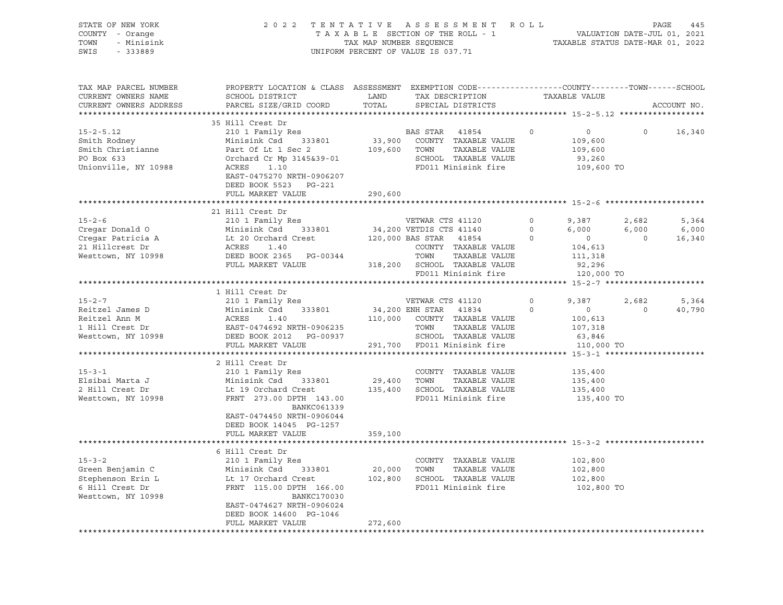| STATE OF NEW YORK<br>COUNTY - Orange<br>- Minisink<br>TOWN<br>SWIS<br>$-333889$                | 2022 TENTATIVE                                                                                                                                                                                               | TAX MAP NUMBER SEQUENCE      | ASSESSMENT ROLL<br>TAXABLE SECTION OF THE ROLL - 1<br>UNIFORM PERCENT OF VALUE IS 037.71                                                                                      |                               | 445<br>PAGE<br>VALUATION DATE-JUL 01, 2021<br>TAXABLE STATUS DATE-MAR 01, 2022 |                           |                          |
|------------------------------------------------------------------------------------------------|--------------------------------------------------------------------------------------------------------------------------------------------------------------------------------------------------------------|------------------------------|-------------------------------------------------------------------------------------------------------------------------------------------------------------------------------|-------------------------------|--------------------------------------------------------------------------------|---------------------------|--------------------------|
| TAX MAP PARCEL NUMBER<br>CURRENT OWNERS NAME<br>CURRENT OWNERS ADDRESS                         | PROPERTY LOCATION & CLASS ASSESSMENT EXEMPTION CODE---------------COUNTY-------TOWN-----SCHOOL<br>SCHOOL DISTRICT<br>PARCEL SIZE/GRID COORD                                                                  | LAND<br>TOTAL                | TAX DESCRIPTION<br>SPECIAL DISTRICTS                                                                                                                                          |                               | TAXABLE VALUE                                                                  |                           | ACCOUNT NO.              |
| $15 - 2 - 5.12$<br>Smith Rodney<br>Smith Christianne<br>PO Box 633<br>Unionville, NY 10988     | 35 Hill Crest Dr<br>210 1 Family Res<br>Minisink Csd<br>333801<br>Part Of Lt 1 Sec 2<br>Orchard Cr Mp 3145&39-01<br>ACRES<br>1.10<br>EAST-0475270 NRTH-0906207<br>DEED BOOK 5523 PG-221<br>FULL MARKET VALUE | 33,900<br>109,600<br>290,600 | BAS STAR<br>41854<br>COUNTY TAXABLE VALUE<br>TOWN<br>TAXABLE VALUE<br>SCHOOL TAXABLE VALUE<br>FD011 Minisink fire                                                             | $\circ$                       | $\circ$<br>109,600<br>109,600<br>93,260<br>109,600 TO                          | $\Omega$                  | 16,340                   |
|                                                                                                |                                                                                                                                                                                                              |                              |                                                                                                                                                                               |                               |                                                                                |                           |                          |
| $15 - 2 - 6$<br>Cregar Donald O<br>Cregar Patricia A<br>21 Hillcrest Dr<br>Westtown, NY 10998  | 21 Hill Crest Dr<br>210 1 Family Res<br>Minisink Csd<br>333801<br>Lt 20 Orchard Crest<br>ACRES 1.40<br>DEED BOOK 2365 PG-00344<br>FULL MARKET VALUE                                                          |                              | VETWAR CTS 41120<br>34,200 VETDIS CTS 41140<br>120,000 BAS STAR 41854<br>COUNTY TAXABLE VALUE<br>TOWN<br>TAXABLE VALUE<br>318,200 SCHOOL TAXABLE VALUE<br>FD011 Minisink fire | $\circ$<br>$\circ$<br>$\circ$ | 9,387<br>6,000<br>$\overline{0}$<br>104,613<br>111,318<br>92,296<br>120,000 TO | 2,682<br>6,000<br>$\circ$ | 5,364<br>6,000<br>16,340 |
|                                                                                                |                                                                                                                                                                                                              |                              |                                                                                                                                                                               |                               |                                                                                |                           |                          |
| $15 - 2 - 7$<br>Reitzel James D<br>Reitzel Ann M<br>1 Hill Crest Dr<br>Westtown, NY 10998      | 1 Hill Crest Dr<br>210 1 Family Res<br>Minisink Csd<br>333801<br>ACRES<br>1.40<br>EAST-0474692 NRTH-0906235<br>DEED BOOK 2012 PG-00937<br>FULL MARKET VALUE                                                  | 110,000<br>291,700           | VETWAR CTS 41120<br>34,200 ENH STAR<br>41834<br>COUNTY TAXABLE VALUE<br>TAXABLE VALUE<br>TOWN<br>SCHOOL TAXABLE VALUE<br>FD011 Minisink fire                                  | $\circ$<br>$\Omega$           | 9,387<br>$\circ$<br>100,613<br>107,318<br>63,846<br>110,000 TO                 | 2,682<br>$\Omega$         | 5,364<br>40,790          |
|                                                                                                | *************************                                                                                                                                                                                    | *****************            |                                                                                                                                                                               |                               | **************** 15-3-1 **********************                                 |                           |                          |
| $15 - 3 - 1$<br>Elsibai Marta J<br>2 Hill Crest Dr<br>Westtown, NY 10998                       | 2 Hill Crest Dr<br>210 1 Family Res<br>Minisink Csd<br>333801<br>Lt 19 Orchard Crest<br>FRNT 273.00 DPTH 143.00<br>BANKC061339<br>EAST-0474450 NRTH-0906044<br>DEED BOOK 14045 PG-1257                       | 29,400                       | COUNTY TAXABLE VALUE<br>TAXABLE VALUE<br>TOWN<br>135,400 SCHOOL TAXABLE VALUE<br>FD011 Minisink fire                                                                          |                               | 135,400<br>135,400<br>135,400<br>135,400 TO                                    |                           |                          |
|                                                                                                | FULL MARKET VALUE                                                                                                                                                                                            | 359,100                      |                                                                                                                                                                               |                               |                                                                                |                           |                          |
|                                                                                                | *******************************                                                                                                                                                                              |                              |                                                                                                                                                                               |                               |                                                                                |                           |                          |
| $15 - 3 - 2$<br>Green Benjamin C<br>Stephenson Erin L<br>6 Hill Crest Dr<br>Westtown, NY 10998 | 6 Hill Crest Dr<br>210 1 Family Res<br>Minisink Csd<br>333801<br>Lt 17 Orchard Crest<br>FRNT 115.00 DPTH 166.00<br><b>BANKC170030</b><br>EAST-0474627 NRTH-0906024<br>DEED BOOK 14600 PG-1046                | 20,000<br>102,800            | COUNTY TAXABLE VALUE<br>TOWN<br>TAXABLE VALUE<br>SCHOOL TAXABLE VALUE<br>FD011 Minisink fire                                                                                  |                               | 102,800<br>102,800<br>102,800<br>102,800 TO                                    |                           |                          |
|                                                                                                | FULL MARKET VALUE                                                                                                                                                                                            | 272,600                      |                                                                                                                                                                               |                               |                                                                                |                           |                          |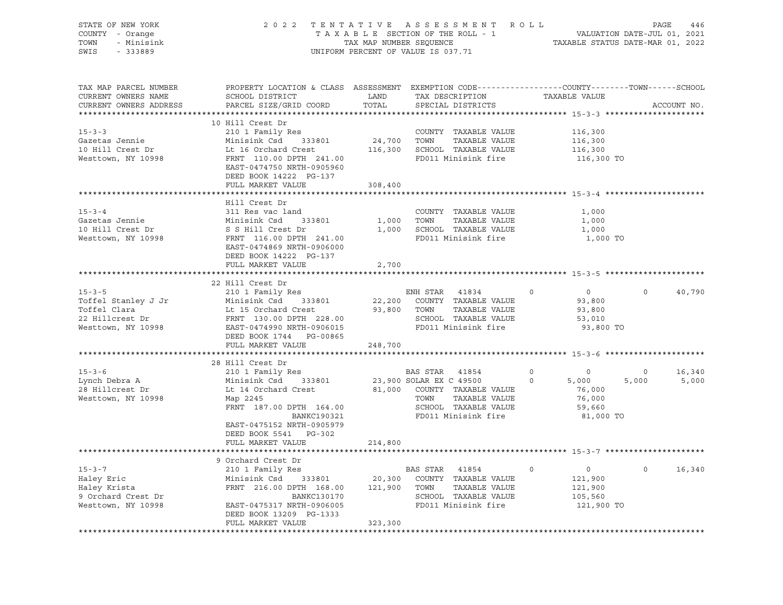| STATE OF NEW YORK<br>COUNTY - Orange<br>TOWN<br>- Minisink<br>SWIS<br>$-333889$                                                                                                                                                       |                                                                                                                                                                                                                                                                                                                                                                                                                                                                                                                                                   |         | 2022 TENTATIVE ASSESSMENT ROLL PAGE 446<br>TAXABLE SECTION OF THE ROLL - 1<br>TAXABLE SECTION OF THE ROLL - 1<br>TAXABLE STATUS DATE-MAR 01, 2022<br>TAX MAP NUMBER SEQUENCE<br>UNIFORM PERCENT OF VALUE IS 037.71 |                                                 |                          |
|---------------------------------------------------------------------------------------------------------------------------------------------------------------------------------------------------------------------------------------|---------------------------------------------------------------------------------------------------------------------------------------------------------------------------------------------------------------------------------------------------------------------------------------------------------------------------------------------------------------------------------------------------------------------------------------------------------------------------------------------------------------------------------------------------|---------|--------------------------------------------------------------------------------------------------------------------------------------------------------------------------------------------------------------------|-------------------------------------------------|--------------------------|
| TAX MAP PARCEL NUMBER<br>CURRENT OWNERS NAME<br>CURRENT OWNERS ADDRESS                                                                                                                                                                | PROPERTY LOCATION & CLASS ASSESSMENT EXEMPTION CODE----------------COUNTY-------TOWN------SCHOOL<br>SCHOOL DISTRICT LAND<br>PARCEL SIZE/GRID COORD                                                                                                                                                                                                                                                                                                                                                                                                | TOTAL   | TAX DESCRIPTION<br>SPECIAL DISTRICTS                                                                                                                                                                               | TAXABLE VALUE                                   | ACCOUNT NO.              |
|                                                                                                                                                                                                                                       | 10 Hill Crest Dr                                                                                                                                                                                                                                                                                                                                                                                                                                                                                                                                  |         |                                                                                                                                                                                                                    |                                                 |                          |
| $15 - 3 - 3$                                                                                                                                                                                                                          |                                                                                                                                                                                                                                                                                                                                                                                                                                                                                                                                                   |         |                                                                                                                                                                                                                    |                                                 |                          |
| Gazetas Jennie                                                                                                                                                                                                                        |                                                                                                                                                                                                                                                                                                                                                                                                                                                                                                                                                   |         |                                                                                                                                                                                                                    | 116,300<br>116,300                              |                          |
| 10 Hill Crest Dr                                                                                                                                                                                                                      |                                                                                                                                                                                                                                                                                                                                                                                                                                                                                                                                                   |         |                                                                                                                                                                                                                    | 116,300                                         |                          |
| Westtown, NY 10998                                                                                                                                                                                                                    | COUNTY TAXABLE VALUE<br>Minisink Csd 333801 24,700 TOWN TAXABLE VALUE<br>Lt 16 Orchard Crest 116,300 SCHOOL TAXABLE VALUE<br>FRNT 110.00 DPTH 241.00 FD011 Minisink fire<br>EAST-0474750 NRTH-0905960<br>DEED BOOK 14222 PG-137<br>FULL MARKET VALUE                                                                                                                                                                                                                                                                                              | 308,400 | FD011 Minisink fire                                                                                                                                                                                                | 116,300 TO                                      |                          |
|                                                                                                                                                                                                                                       |                                                                                                                                                                                                                                                                                                                                                                                                                                                                                                                                                   |         |                                                                                                                                                                                                                    |                                                 |                          |
|                                                                                                                                                                                                                                       | Hill Crest Dr                                                                                                                                                                                                                                                                                                                                                                                                                                                                                                                                     |         |                                                                                                                                                                                                                    |                                                 |                          |
| $15 - 3 - 4$                                                                                                                                                                                                                          | 311 Res vac land                                                                                                                                                                                                                                                                                                                                                                                                                                                                                                                                  |         | COUNTY TAXABLE VALUE                                                                                                                                                                                               | 1,000                                           |                          |
| Gazetas Jennie                                                                                                                                                                                                                        |                                                                                                                                                                                                                                                                                                                                                                                                                                                                                                                                                   |         | 1,000 TOWN TAXABLE VALUE                                                                                                                                                                                           | 1,000                                           |                          |
| danced School                                                                                                                                                                                                                         |                                                                                                                                                                                                                                                                                                                                                                                                                                                                                                                                                   |         | 1,000 SCHOOL TAXABLE VALUE                                                                                                                                                                                         | 1,000                                           |                          |
| Westtown, NY 10998                                                                                                                                                                                                                    | Minisink Csd 333801<br>S S Hill Crest Dr<br>FRNT 116.00 DPTH 241.00<br>RNCT 116.00 DPTH 241.00<br>EAST-0474869 NRTH-0906000<br>DEED BOOK 14222 PG-137                                                                                                                                                                                                                                                                                                                                                                                             |         | FD011 Minisink fire                                                                                                                                                                                                | 1,000 TO                                        |                          |
|                                                                                                                                                                                                                                       | FULL MARKET VALUE                                                                                                                                                                                                                                                                                                                                                                                                                                                                                                                                 | 2,700   |                                                                                                                                                                                                                    |                                                 |                          |
|                                                                                                                                                                                                                                       | 22 Hill Crest Dr                                                                                                                                                                                                                                                                                                                                                                                                                                                                                                                                  |         |                                                                                                                                                                                                                    |                                                 |                          |
|                                                                                                                                                                                                                                       |                                                                                                                                                                                                                                                                                                                                                                                                                                                                                                                                                   |         |                                                                                                                                                                                                                    | $\circ$<br>$\overline{0}$                       | $\circ$<br>40,790        |
|                                                                                                                                                                                                                                       |                                                                                                                                                                                                                                                                                                                                                                                                                                                                                                                                                   |         |                                                                                                                                                                                                                    | 93,800                                          |                          |
|                                                                                                                                                                                                                                       |                                                                                                                                                                                                                                                                                                                                                                                                                                                                                                                                                   |         |                                                                                                                                                                                                                    | 93,800                                          |                          |
|                                                                                                                                                                                                                                       |                                                                                                                                                                                                                                                                                                                                                                                                                                                                                                                                                   |         |                                                                                                                                                                                                                    | 53,010                                          |                          |
| 15-3-5<br>Toffel Stanley J Jr (22 Minisink Csd 333801 22,200 COUNTY TAXABLE VALUE<br>Toffel Clara Lt 15 Orchard Crest 93,800 TOWN TAXABLE VALUE<br>22 Hillcrest Dr FRNT 130.00 DPTH 228.00 SCHOOL TAXABLE VALUE<br>Westtown, NY 10998 | DEED BOOK 1744 PG-00865                                                                                                                                                                                                                                                                                                                                                                                                                                                                                                                           |         |                                                                                                                                                                                                                    | 93,800 TO                                       |                          |
|                                                                                                                                                                                                                                       | FULL MARKET VALUE                                                                                                                                                                                                                                                                                                                                                                                                                                                                                                                                 | 248,700 |                                                                                                                                                                                                                    |                                                 |                          |
|                                                                                                                                                                                                                                       | 28 Hill Crest Dr                                                                                                                                                                                                                                                                                                                                                                                                                                                                                                                                  |         |                                                                                                                                                                                                                    |                                                 |                          |
| $15 - 3 - 6$                                                                                                                                                                                                                          |                                                                                                                                                                                                                                                                                                                                                                                                                                                                                                                                                   |         |                                                                                                                                                                                                                    |                                                 | $\overline{0}$<br>16,340 |
|                                                                                                                                                                                                                                       |                                                                                                                                                                                                                                                                                                                                                                                                                                                                                                                                                   |         |                                                                                                                                                                                                                    |                                                 | 5,000<br>5,000           |
| --<br>1988 Debra A<br>28 Hillcrest Dr                                                                                                                                                                                                 |                                                                                                                                                                                                                                                                                                                                                                                                                                                                                                                                                   |         |                                                                                                                                                                                                                    |                                                 |                          |
| Westtown, NY 10998                                                                                                                                                                                                                    |                                                                                                                                                                                                                                                                                                                                                                                                                                                                                                                                                   |         |                                                                                                                                                                                                                    |                                                 |                          |
|                                                                                                                                                                                                                                       |                                                                                                                                                                                                                                                                                                                                                                                                                                                                                                                                                   |         |                                                                                                                                                                                                                    |                                                 |                          |
|                                                                                                                                                                                                                                       | $\begin{tabular}{lllllllllllllllllllllll} \multicolumn{3}{c}{\text{\small{210 1} Family Res}} & & & & & \multicolumn{3}{c}{\text{\small{233801}}} & & & & \multicolumn{3}{c}{\text{\small{23,900 SOLAR EX C 49500}}} & & & & & \multicolumn{3}{c}{\text{\small{0}}} & & & & \multicolumn{3}{c}{\text{\small{0}}} & & & & \multicolumn{3}{c}{\text{\small{0}}} & & & & \multicolumn{3}{c}{\text{\small{0}}} & & & & \multicolumn{3}{c}{\text{\small{0}}} & & & & \multicolumn{3}{c}{\text{\$<br>EAST-0475152 NRTH-0905979<br>DEED BOOK 5541 PG-302 |         |                                                                                                                                                                                                                    | 81,000 TO                                       |                          |
|                                                                                                                                                                                                                                       | FULL MARKET VALUE                                                                                                                                                                                                                                                                                                                                                                                                                                                                                                                                 | 214,800 |                                                                                                                                                                                                                    |                                                 |                          |
|                                                                                                                                                                                                                                       |                                                                                                                                                                                                                                                                                                                                                                                                                                                                                                                                                   |         |                                                                                                                                                                                                                    |                                                 |                          |
|                                                                                                                                                                                                                                       | 9 Orchard Crest Dr                                                                                                                                                                                                                                                                                                                                                                                                                                                                                                                                |         |                                                                                                                                                                                                                    |                                                 |                          |
| 15-3-7<br>Haley Eric<br>Haley Krista                                                                                                                                                                                                  | $\begin{tabular}{lcccccc} & & & & & & & \mbox{\small{max11}} & \mbox{\small{new}} & \mbox{\small{new}} & \mbox{\small{new}} & \mbox{\small{max1854}} & \mbox{\small{0}} & \mbox{\small{0}} \\ \textbf{Minisink Csd} & 333801 & 20,300 & \mbox{\small{COUNTY}} & \mbox{\small{TAXABLE VALUE}} \\ \textbf{FRNT} & 216.00 & \text{DPTH} & 168.00 & 121.900 & \text{\small{max1854}} & \mbox{\small{new1854}} & \mbox{\small{new1854}} \\ \end{tabular}$                                                                                              |         |                                                                                                                                                                                                                    | $\begin{smallmatrix}0\121,900\end{smallmatrix}$ | $0 \t16,340$             |
|                                                                                                                                                                                                                                       |                                                                                                                                                                                                                                                                                                                                                                                                                                                                                                                                                   |         |                                                                                                                                                                                                                    |                                                 |                          |
|                                                                                                                                                                                                                                       |                                                                                                                                                                                                                                                                                                                                                                                                                                                                                                                                                   |         |                                                                                                                                                                                                                    | 121,900                                         |                          |
| 9 Orchard Crest Dr<br>Westtown, NY 10998                                                                                                                                                                                              |                                                                                                                                                                                                                                                                                                                                                                                                                                                                                                                                                   |         |                                                                                                                                                                                                                    | 105,560                                         |                          |
|                                                                                                                                                                                                                                       | FRNT 216.00 DPTH 168.00 121,900 TOWN TAXABLE VALUE<br>BANKC130170 SCHOOL TAXABLE VALUE<br>EAST-0475317 NRTH-0906005 FD011 Minisink fire                                                                                                                                                                                                                                                                                                                                                                                                           |         |                                                                                                                                                                                                                    | 121,900 TO                                      |                          |
|                                                                                                                                                                                                                                       | DEED BOOK 13209 PG-1333<br>FULL MARKET VALUE                                                                                                                                                                                                                                                                                                                                                                                                                                                                                                      | 323,300 |                                                                                                                                                                                                                    |                                                 |                          |
|                                                                                                                                                                                                                                       |                                                                                                                                                                                                                                                                                                                                                                                                                                                                                                                                                   |         |                                                                                                                                                                                                                    |                                                 |                          |
|                                                                                                                                                                                                                                       |                                                                                                                                                                                                                                                                                                                                                                                                                                                                                                                                                   |         |                                                                                                                                                                                                                    |                                                 |                          |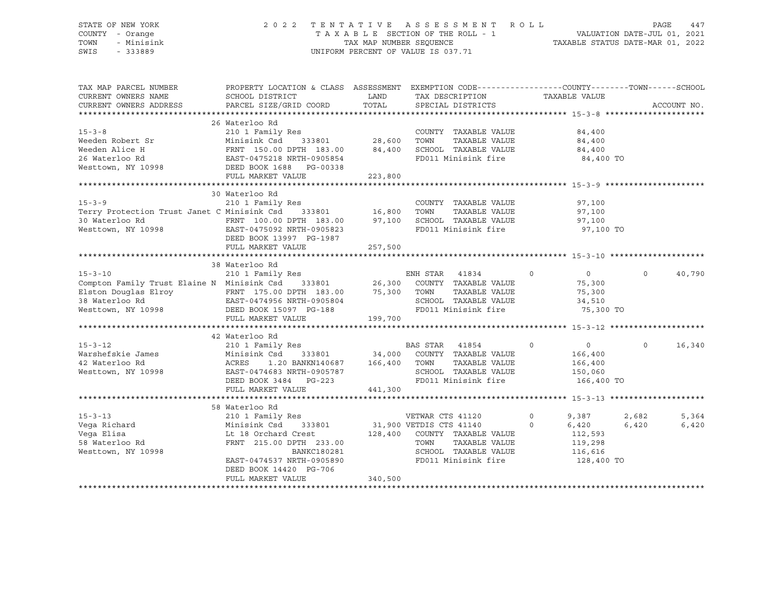#### STATE OF NEW YORK 2 0 2 2 T E N T A T I V E A S S E S S M E N T R O L L PAGE 447 COUNTY - Orange T A X A B L E SECTION OF THE ROLL - 1 VALUATION DATE-JUL 01, 2021 TOWN - Minisink TAX MAP NUMBER SEQUENCE TAXABLE STATUS DATE-MAR 01, 2022 SWIS - 333889 CONSERVED BY A SUIT OF VALUE IS 037.71

| TAX MAP PARCEL NUMBER<br>CURRENT OWNERS NAME                                                                                                                   | PROPERTY LOCATION & CLASS ASSESSMENT EXEMPTION CODE----------------COUNTY-------TOWN------SCHOOL<br>SCHOOL DISTRICT | LAND    | TAX DESCRIPTION       | TAXABLE VALUE                    |                    |
|----------------------------------------------------------------------------------------------------------------------------------------------------------------|---------------------------------------------------------------------------------------------------------------------|---------|-----------------------|----------------------------------|--------------------|
| CURRENT OWNERS ADDRESS                                                                                                                                         | PARCEL SIZE/GRID COORD                                                                                              | TOTAL   | SPECIAL DISTRICTS     |                                  | ACCOUNT NO.        |
|                                                                                                                                                                |                                                                                                                     |         |                       |                                  |                    |
| $15 - 3 - 8$                                                                                                                                                   | 26 Waterloo Rd                                                                                                      |         | COUNTY TAXABLE VALUE  | 84,400                           |                    |
| Weeden Robert Sr                                                                                                                                               |                                                                                                                     |         | TAXABLE VALUE         | 84,400                           |                    |
| Weeden Alice H                                                                                                                                                 |                                                                                                                     |         | SCHOOL TAXABLE VALUE  | 84,400                           |                    |
|                                                                                                                                                                |                                                                                                                     |         | FD011 Minisink fire   | 84,400 TO                        |                    |
| 26 Waterloo Rd<br>Westtown, NY 10998                                                                                                                           | FRNT 150.00 DPTH 183.00 84,400<br>EAST-0475218 NRTH-0905854<br>DEED BOOK 1688 PG-00338<br>FULL MARKET VALUE         | 223,800 |                       |                                  |                    |
|                                                                                                                                                                |                                                                                                                     |         |                       |                                  |                    |
|                                                                                                                                                                | 30 Waterloo Rd                                                                                                      |         |                       |                                  |                    |
|                                                                                                                                                                |                                                                                                                     |         | COUNTY TAXABLE VALUE  | 97,100                           |                    |
| 15-3-9 210 1 Family Res<br>Terry Protection Trust Janet C Minisink Csd 333801 16,800                                                                           |                                                                                                                     |         | TAXABLE VALUE<br>TOWN | 97,100                           |                    |
| 30 Waterloo Rd                                                                                                                                                 | FRNT 100.00 DPTH 183.00 97,100 SCHOOL TAXABLE VALUE                                                                 |         |                       | 97,100                           |                    |
| Westtown, NY 10998                                                                                                                                             | EAST-0475092 NRTH-0905823                                                                                           |         | FD011 Minisink fire   | 97,100 TO                        |                    |
|                                                                                                                                                                | DEED BOOK 13997 PG-1987                                                                                             |         |                       |                                  |                    |
|                                                                                                                                                                | FULL MARKET VALUE                                                                                                   | 257,500 |                       |                                  |                    |
|                                                                                                                                                                |                                                                                                                     |         |                       |                                  |                    |
|                                                                                                                                                                | 38 Waterloo Rd                                                                                                      |         |                       |                                  |                    |
|                                                                                                                                                                |                                                                                                                     |         |                       | $\circ$<br>$\overline{0}$        | $\Omega$<br>40,790 |
| 30 MALELIOU AU COMPASS AND RESERVE AND RESERVE 210 1 Family Res<br>Compton Family Trust Elaine N Minisink Csd 333801 26,300 COUNTY TAXABLE VALUE               |                                                                                                                     |         |                       | 75,300                           |                    |
|                                                                                                                                                                |                                                                                                                     |         | TAXABLE VALUE         | 75,300                           |                    |
|                                                                                                                                                                |                                                                                                                     |         | SCHOOL TAXABLE VALUE  | 34,510                           |                    |
| Elston Douglas Elroy FRNT 175.00 DPTH 183.00 75,300 TOWN<br>38 Waterloo Rd EAST-0474956 NRTH-0905804 SCHOOI<br>Westtown, NY 10998 DEED BOOK 15097 PG-188 FD011 |                                                                                                                     |         | FD011 Minisink fire   | 75,300 TO                        |                    |
|                                                                                                                                                                | FULL MARKET VALUE                                                                                                   | 199,700 |                       |                                  |                    |
|                                                                                                                                                                |                                                                                                                     |         |                       |                                  |                    |
|                                                                                                                                                                |                                                                                                                     |         |                       |                                  |                    |
|                                                                                                                                                                |                                                                                                                     |         |                       | $\overline{0}$<br>$\overline{0}$ | $\circ$<br>16,340  |
|                                                                                                                                                                |                                                                                                                     |         |                       | 166,400                          |                    |
|                                                                                                                                                                |                                                                                                                     |         | TAXABLE VALUE         | 166,400                          |                    |
| Westtown, NY 10998                                                                                                                                             | EAST-0474683 NRTH-0905787                                                                                           |         | SCHOOL TAXABLE VALUE  | 150,060                          |                    |
|                                                                                                                                                                | DEED BOOK 3484 PG-223                                                                                               |         | FD011 Minisink fire   | 166,400 TO                       |                    |
|                                                                                                                                                                | FULL MARKET VALUE                                                                                                   | 441,300 |                       |                                  |                    |
|                                                                                                                                                                |                                                                                                                     |         |                       |                                  |                    |
|                                                                                                                                                                | 58 Waterloo Rd                                                                                                      |         |                       |                                  |                    |
| $15 - 3 - 13$                                                                                                                                                  |                                                                                                                     |         | VETWAR CTS 41120      | 9,387<br>0                       | 2,682<br>5,364     |
| Vega Richard                                                                                                                                                   | Minisink Csd                                                                                                        |         |                       | $\circ$<br>6,420                 | 6,420<br>6,420     |
| $\mathbf{d}$<br>Vega Elisa                                                                                                                                     | Lt 18 Orchard Crest 128,400                                                                                         |         | COUNTY TAXABLE VALUE  | 112,593                          |                    |
| 58 Waterloo Rd                                                                                                                                                 | FRNT 215.00 DPTH 233.00                                                                                             |         | TAXABLE VALUE<br>TOWN | 119,298                          |                    |
| Westtown, NY 10998                                                                                                                                             | BANKC180281                                                                                                         |         | SCHOOL TAXABLE VALUE  | 116,616                          |                    |
|                                                                                                                                                                | EAST-0474537 NRTH-0905890                                                                                           |         | FD011 Minisink fire   | 128,400 TO                       |                    |
|                                                                                                                                                                | DEED BOOK 14420 PG-706                                                                                              |         |                       |                                  |                    |
|                                                                                                                                                                | FULL MARKET VALUE                                                                                                   | 340,500 |                       |                                  |                    |
|                                                                                                                                                                |                                                                                                                     |         |                       |                                  |                    |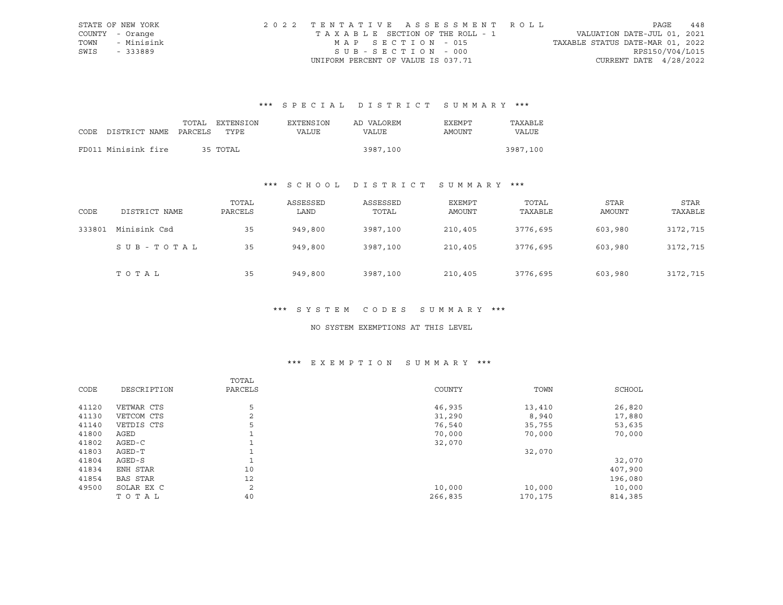|      | STATE OF NEW YORK | 2022 TENTATIVE ASSESSMENT ROLL     |                                  | PAGE            | 448 |
|------|-------------------|------------------------------------|----------------------------------|-----------------|-----|
|      | COUNTY - Orange   | TAXABLE SECTION OF THE ROLL - 1    | VALUATION DATE-JUL 01, 2021      |                 |     |
| TOWN | - Minisink        | MAP SECTION - 015                  | TAXABLE STATUS DATE-MAR 01, 2022 |                 |     |
| SWIS | - 333889          | SUB-SECTION - 000                  |                                  | RPS150/V04/L015 |     |
|      |                   | UNIFORM PERCENT OF VALUE IS 037.71 | CURRENT DATE $4/28/2022$         |                 |     |

# \*\*\* S P E C I A L D I S T R I C T S U M M A R Y \*\*\*

|                                 |  | TOTAL EXTENSION | EXTENSION | AD VALOREM | EXEMPT | TAXABLE  |
|---------------------------------|--|-----------------|-----------|------------|--------|----------|
| CODE DISTRICT NAME PARCELS TYPE |  |                 | VALUE     | VALUE      | AMOUNT | VALUE    |
|                                 |  |                 |           |            |        |          |
| FD011 Minisink fire             |  | 35 TOTAL        |           | 3987,100   |        | 3987,100 |

# \*\*\* S C H O O L D I S T R I C T S U M M A R Y \*\*\*

| CODE   | DISTRICT NAME | TOTAL<br>PARCELS | ASSESSED<br>LAND | ASSESSED<br>TOTAL | EXEMPT<br>AMOUNT | TOTAL<br>TAXABLE | STAR<br>AMOUNT | STAR<br>TAXABLE |
|--------|---------------|------------------|------------------|-------------------|------------------|------------------|----------------|-----------------|
| 333801 | Minisink Csd  | 35               | 949,800          | 3987,100          | 210,405          | 3776,695         | 603,980        | 3172,715        |
|        | SUB-TOTAL     | 35               | 949,800          | 3987,100          | 210,405          | 3776,695         | 603,980        | 3172,715        |
|        | TOTAL         | 35               | 949,800          | 3987,100          | 210,405          | 3776,695         | 603,980        | 3172,715        |

#### \*\*\* S Y S T E M C O D E S S U M M A R Y \*\*\*

#### NO SYSTEM EXEMPTIONS AT THIS LEVEL

# \*\*\* E X E M P T I O N S U M M A R Y \*\*\*

|       |             | TOTAL   |         |         |         |
|-------|-------------|---------|---------|---------|---------|
| CODE  | DESCRIPTION | PARCELS | COUNTY  | TOWN    | SCHOOL  |
|       |             |         |         |         |         |
| 41120 | VETWAR CTS  | 5       | 46,935  | 13,410  | 26,820  |
| 41130 | VETCOM CTS  | 2       | 31,290  | 8,940   | 17,880  |
| 41140 | VETDIS CTS  | 5       | 76,540  | 35,755  | 53,635  |
| 41800 | AGED        |         | 70,000  | 70,000  | 70,000  |
| 41802 | AGED-C      |         | 32,070  |         |         |
| 41803 | AGED-T      |         |         | 32,070  |         |
| 41804 | AGED-S      |         |         |         | 32,070  |
| 41834 | ENH STAR    | 10      |         |         | 407,900 |
| 41854 | BAS STAR    | 12      |         |         | 196,080 |
| 49500 | SOLAR EX C  | 2       | 10,000  | 10,000  | 10,000  |
|       | TOTAL       | 40      | 266,835 | 170,175 | 814,385 |
|       |             |         |         |         |         |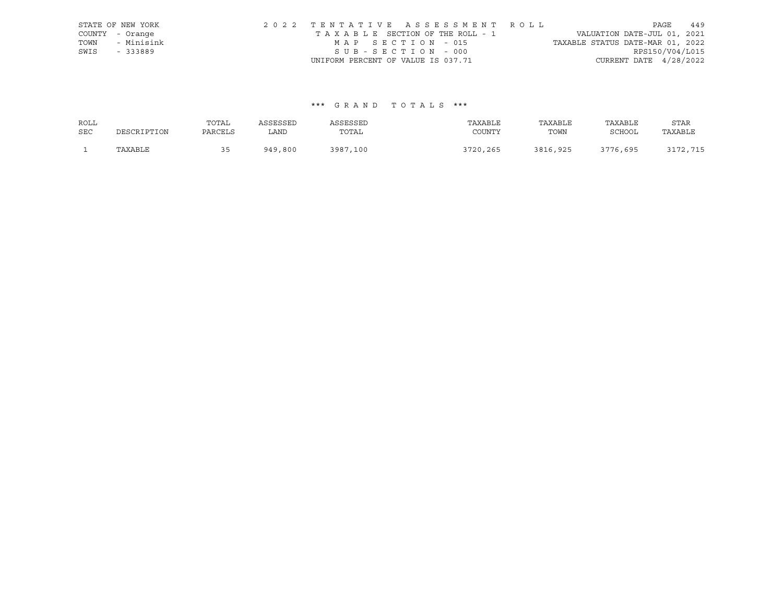|      | STATE OF NEW YORK | 2022 TENTATIVE ASSESSMENT ROLL     | 449<br>PAGE                      |
|------|-------------------|------------------------------------|----------------------------------|
|      | COUNTY - Orange   | TAXABLE SECTION OF THE ROLL - 1    | VALUATION DATE-JUL 01, 2021      |
| TOWN | - Minisink        | MAP SECTION - 015                  | TAXABLE STATUS DATE-MAR 01, 2022 |
| SWIS | - 333889          | SUB-SECTION - 000                  | RPS150/V04/L015                  |
|      |                   | UNIFORM PERCENT OF VALUE IS 037.71 | CURRENT DATE $4/28/2022$         |

#### \*\*\* G R A N D T O T A L S \*\*\*

| ROLL       |             | TOTAL   | ASSESSED | ASSESSED | TAXABLE  | TAXABLE  | TAXABLE       | STAR     |
|------------|-------------|---------|----------|----------|----------|----------|---------------|----------|
| <b>SEC</b> | DESCRIPTION | PARCELS | LAND     | TOTAL    | COUNTY   | TOWN     | <b>SCHOOL</b> | TAXABLE  |
|            | TAXABLE     | つに      | 949,800  | 3987,100 | 3720,265 | 3816,925 | 3776,695      | 3172,715 |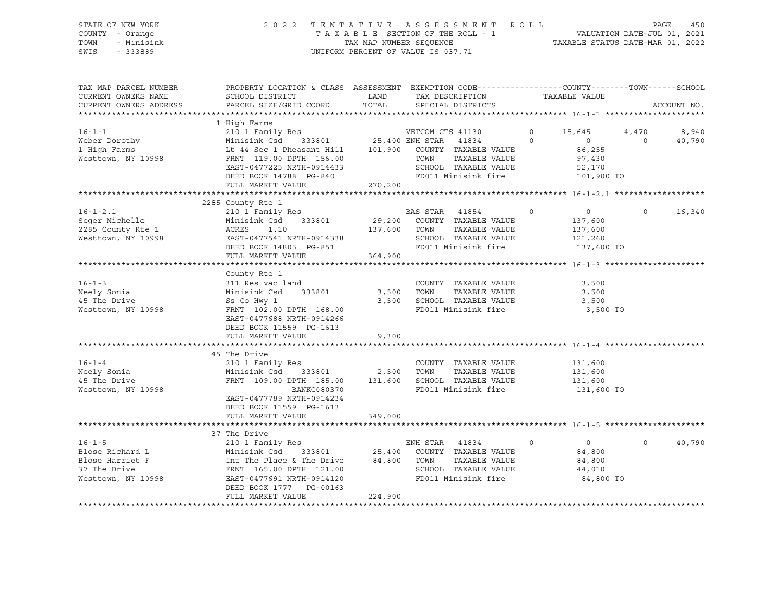#### STATE OF NEW YORK 2 0 2 2 T E N T A T I V E A S S E S S M E N T R O L L PAGE 450 COUNTY - Orange T A X A B L E SECTION OF THE ROLL - 1 VALUATION DATE-JUL 01, 2021 TOWN - Minisink TAX MAP NUMBER SEQUENCE TAXABLE STATUS DATE-MAR 01, 2022 SWIS - 333889 CONSERVED BY A SUIT OF VALUE IS 037.71

| TAX MAP PARCEL NUMBER<br>CURRENT OWNERS NAME                                                                                                                                                                                                         | SCHOOL DISTRICT                                                                                                                                                                                                                                             | LAND                | PROPERTY LOCATION & CLASS ASSESSMENT EXEMPTION CODE----------------COUNTY-------TOWN-----SCHOOL<br>TAX DESCRIPTION |                                                                                                     | TAXABLE VALUE |                                                           |          |               |
|------------------------------------------------------------------------------------------------------------------------------------------------------------------------------------------------------------------------------------------------------|-------------------------------------------------------------------------------------------------------------------------------------------------------------------------------------------------------------------------------------------------------------|---------------------|--------------------------------------------------------------------------------------------------------------------|-----------------------------------------------------------------------------------------------------|---------------|-----------------------------------------------------------|----------|---------------|
| CURRENT OWNERS ADDRESS                                                                                                                                                                                                                               | PARCEL SIZE/GRID COORD                                                                                                                                                                                                                                      | TOTAL               | SPECIAL DISTRICTS                                                                                                  |                                                                                                     |               |                                                           |          | ACCOUNT NO.   |
| 1 High Farms<br>1 High Farms<br>210 1 Family Res<br>1 High Farms<br>210 1 Family Res<br>25,400 ENH STAR 41834<br>25,400 ENH STAR 41834<br>25,400 ENH STAR 41834<br>25,400 ENH STAR 41834<br>25,400 ENH STAR 41834<br>25,400 ENH STAR 41834<br>25,400 | 1 High Farms<br>EAST-0477225 NRTH-0914433<br>DEED BOOK 14788 PG-840<br>FULL MARKET VALUE                                                                                                                                                                    | 270,200             |                                                                                                                    | SCHOOL TAXABLE VALUE 52,170<br>FD011 Minisink fire 101,900 TO                                       |               |                                                           |          |               |
| $16 - 1 - 2.1$<br>Seger Michelle<br>2285 County Rte 1<br>2285 County Rte 1 (2008) ACRES 1.10 (2008) 137,600 TOWN<br>Westtown, NY 10998 (2008) EAST-0477541 NRTH-0914338 (2010) SCHOOL<br>DEED BOOK 14805 PG-851 (2011 M:                             | 2285 County Rte 1<br>210 1 Family Res<br>Minisink Csd 333801 29,200 COUNTY TAXABLE VALUE<br>FULL MARKET VALUE                                                                                                                                               | 364,900             |                                                                                                                    | BAS STAR 41854 0<br>TAXABLE VALUE<br>SCHOOL TAXABLE VALUE 121,260<br>FD011 Minisink fire 137,600 TO |               | $\overline{0}$<br>137,600<br>137,600                      |          | $0 \t 16,340$ |
| $16 - 1 - 3$<br>Neely Sonia<br>45 The Drive<br>Westtown, NY 10998                                                                                                                                                                                    | County Rte 1<br>311 Res vac land<br>Minisink Csd 333801<br>Ss Co Hwy 1<br>FRNT 102.00 DPTH 168.00<br>EAST-0477688 NRTH-0914266<br>DEED BOOK 11559 PG-1613<br>FULL MARKET VALUE                                                                              | 3,500 TOWN<br>9,300 |                                                                                                                    | COUNTY TAXABLE VALUE<br>TAXABLE VALUE<br>3,500 SCHOOL TAXABLE VALUE<br>FD011 Minisink fire          |               | 3,500<br>3,500<br>3,500<br>3,500 TO                       |          |               |
| $16 - 1 - 4$<br>Neely Sonia<br>At The Drive<br>Westtown, NY 10998                                                                                                                                                                                    | 45 The Drive<br>210 1 Family Res<br>Minisink Csd 333801 2,500 TOWN<br>FRNT 109.00 DPTH 185.00 131,600 SCHOOL TAXABLE VALUE 131,600<br>BANKC080370<br>EAST-0477789 NRTH-0914234<br>DEED BOOK 11559 PG-1613<br>FULL MARKET VALUE                              | 349,000             |                                                                                                                    | COUNTY TAXABLE VALUE<br>TAXABLE VALUE<br>FD011 Minisink fire                                        |               | 131,600<br>131,600<br>131,600 TO                          |          |               |
| $16 - 1 - 5$<br>Blose Richard L<br>Blose Harriet F<br>37 The Drive<br>Westtown, NY 10998                                                                                                                                                             | 210 1 Family Res<br>210 1 Family Res<br>Minisink Csd 333801 25,400 COUNTY TAXABLE VALUE<br>11 The Place & The Drive 84,800 TOWN TAXABLE VALUE<br>20<br>FRNT 165.00 DPTH 121.00<br>EAST-0477691 NRTH-0914120<br>DEED BOOK 1777 PG-00163<br>FULL MARKET VALUE | 224,900             |                                                                                                                    | $\overline{0}$<br>TAXABLE VALUE<br>SCHOOL TAXABLE VALUE<br>FD011 Minisink fire                      |               | $\overline{0}$<br>84,800<br>84,800<br>44,010<br>84,800 TO | $\Omega$ | 40,790        |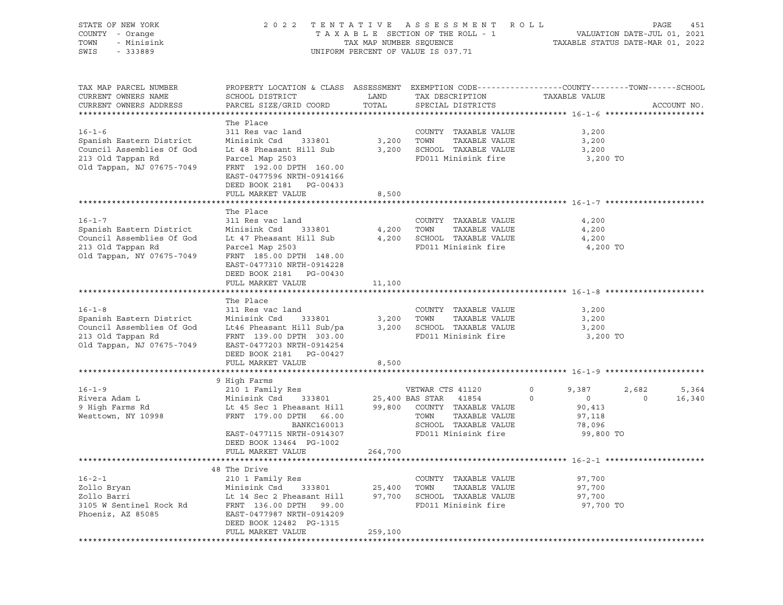| TAX MAP PARCEL NUMBER<br>PROPERTY LOCATION & CLASS ASSESSMENT EXEMPTION CODE----------------COUNTY-------TOWN------SCHOOL<br>SCHOOL DISTRICT<br>LAND<br>CURRENT OWNERS NAME<br>TAX DESCRIPTION<br>TAXABLE VALUE<br>CURRENT OWNERS ADDRESS<br>PARCEL SIZE/GRID COORD<br>TOTAL<br>SPECIAL DISTRICTS<br>ACCOUNT NO.                                                                                                                                                                                                                      |                 |
|---------------------------------------------------------------------------------------------------------------------------------------------------------------------------------------------------------------------------------------------------------------------------------------------------------------------------------------------------------------------------------------------------------------------------------------------------------------------------------------------------------------------------------------|-----------------|
| The Place<br>$16 - 1 - 6$<br>311 Res vac land<br>COUNTY TAXABLE VALUE<br>3,200<br>Spanish Eastern District<br>3,200<br>TOWN<br>Minisink Csd<br>333801<br>TAXABLE VALUE<br>3,200<br>Council Assemblies Of God<br>Lt 48 Pheasant Hill Sub<br>3,200<br>SCHOOL TAXABLE VALUE<br>3,200<br>213 Old Tappan Rd<br>FD011 Minisink fire<br>Parcel Map 2503<br>3,200 TO<br>Old Tappan, NJ 07675-7049<br>FRNT 192.00 DPTH 160.00<br>EAST-0477596 NRTH-0914166<br>DEED BOOK 2181 PG-00433<br>FULL MARKET VALUE<br>8,500                            |                 |
|                                                                                                                                                                                                                                                                                                                                                                                                                                                                                                                                       |                 |
| The Place<br>$16 - 1 - 7$<br>311 Res vac land<br>COUNTY TAXABLE VALUE<br>4,200<br>Spanish Eastern District<br>Minisink Csd<br>4,200<br>TOWN<br>TAXABLE VALUE<br>4,200<br>333801<br>Council Assemblies Of God<br>4,200<br>SCHOOL TAXABLE VALUE<br>Lt 47 Pheasant Hill Sub<br>4,200<br>213 Old Tappan Rd<br>FD011 Minisink fire<br>Parcel Map 2503<br>4,200 TO<br>Old Tappan, NY 07675-7049<br>FRNT 185.00 DPTH 148.00<br>EAST-0477310 NRTH-0914228<br>DEED BOOK 2181 PG-00430<br>FULL MARKET VALUE<br>11,100                           |                 |
|                                                                                                                                                                                                                                                                                                                                                                                                                                                                                                                                       |                 |
| The Place<br>$16 - 1 - 8$<br>311 Res vac land<br>COUNTY TAXABLE VALUE<br>3,200<br>Spanish Eastern District<br>Minisink Csd<br>333801<br>3,200<br>TOWN<br>TAXABLE VALUE<br>3,200<br>Council Assemblies Of God<br>Lt46 Pheasant Hill Sub/pa<br>3,200 SCHOOL TAXABLE VALUE<br>3,200<br>213 Old Tappan Rd<br>FRNT 139.00 DPTH 303.00<br>FD011 Minisink fire<br>3,200 TO<br>Old Tappan, NJ 07675-7049<br>EAST-0477203 NRTH-0914254<br>DEED BOOK 2181 PG-00427<br>FULL MARKET VALUE<br>8,500                                                |                 |
|                                                                                                                                                                                                                                                                                                                                                                                                                                                                                                                                       |                 |
| 9 High Farms<br>$16 - 1 - 9$<br>210 1 Family Res<br>VETWAR CTS 41120<br>2,682<br>$\circ$<br>9,387<br>Rivera Adam L<br>Minisink Csd<br>333801<br>25,400 BAS STAR<br>41854<br>$\circ$<br>$\circ$<br>$\circ$<br>9 High Farms Rd<br>Lt 45 Sec 1 Pheasant Hill<br>99,800<br>COUNTY TAXABLE VALUE<br>90,413<br>TAXABLE VALUE<br>Westtown, NY 10998<br>FRNT 179.00 DPTH 66.00<br>TOWN<br>97,118<br>SCHOOL TAXABLE VALUE<br>BANKC160013<br>78,096<br>FD011 Minisink fire<br>EAST-0477115 NRTH-0914307<br>99,800 TO<br>DEED BOOK 13464 PG-1002 | 5,364<br>16,340 |
| 264,700<br>FULL MARKET VALUE                                                                                                                                                                                                                                                                                                                                                                                                                                                                                                          |                 |
|                                                                                                                                                                                                                                                                                                                                                                                                                                                                                                                                       |                 |
| 48 The Drive<br>$16 - 2 - 1$<br>210 1 Family Res<br>97,700<br>COUNTY TAXABLE VALUE<br>Zollo Bryan<br>Minisink Csd<br>333801<br>25,400<br>TOWN<br>TAXABLE VALUE<br>97,700<br>Zollo Barri<br>SCHOOL TAXABLE VALUE<br>Lt 14 Sec 2 Pheasant Hill<br>97,700<br>97,700<br>3105 W Sentinel Rock Rd<br>FD011 Minisink fire<br>97,700 TO<br>FRNT 136.00 DPTH<br>99.00<br>Phoeniz, AZ 85085<br>EAST-0477987 NRTH-0914209<br>DEED BOOK 12482 PG-1315                                                                                             |                 |
| FULL MARKET VALUE<br>259,100                                                                                                                                                                                                                                                                                                                                                                                                                                                                                                          |                 |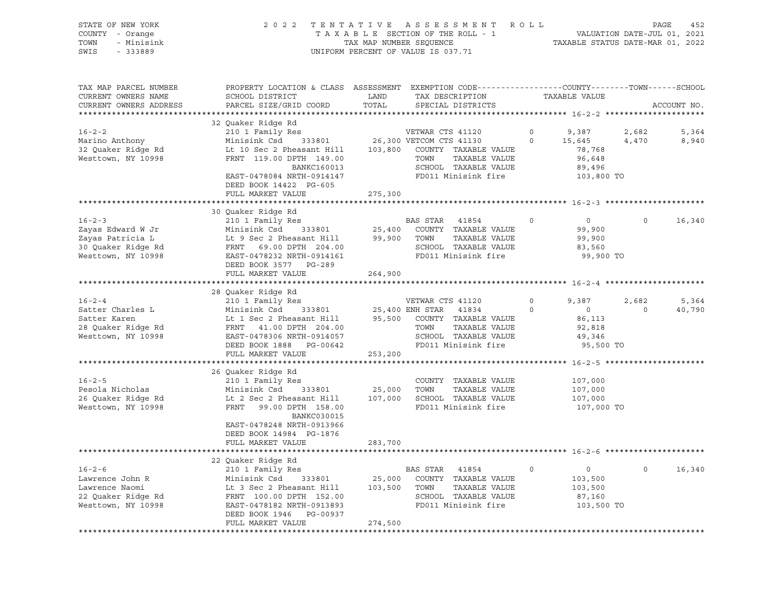| STATE OF NEW YORK<br>COUNTY - Orange<br>- Minisink<br>TOWN<br>SWIS<br>$-333889$                    | ASSESSMENT ROLL                                                                                                                                                                                                                                                                        | PAGE<br>VALUATION DATE-JUL 01, 2021<br>TAXABLE STATUS DATE-MAR 01, 2022 |                                                                                                                            |                     |                                                                    |                         |                 |
|----------------------------------------------------------------------------------------------------|----------------------------------------------------------------------------------------------------------------------------------------------------------------------------------------------------------------------------------------------------------------------------------------|-------------------------------------------------------------------------|----------------------------------------------------------------------------------------------------------------------------|---------------------|--------------------------------------------------------------------|-------------------------|-----------------|
| TAX MAP PARCEL NUMBER<br>CURRENT OWNERS NAME<br>CURRENT OWNERS ADDRESS<br>************************ | PROPERTY LOCATION & CLASS ASSESSMENT EXEMPTION CODE----------------COUNTY-------TOWN-----SCHOOL<br>SCHOOL DISTRICT<br>PARCEL SIZE/GRID COORD                                                                                                                                           | LAND<br>TOTAL                                                           | TAX DESCRIPTION<br>SPECIAL DISTRICTS                                                                                       |                     | TAXABLE VALUE                                                      |                         | ACCOUNT NO.     |
| $16 - 2 - 2$<br>Marino Anthony<br>32 Quaker Ridge Rd<br>Westtown, NY 10998                         | 32 Quaker Ridge Rd<br>210 1 Family Res<br>Minisink Csd<br>Lt 10 Sec 2 Pheasant Hill 103,800 COUNTY TAXABLE VALUE<br>FRNT 119.00 DPTH 149.00<br>BANKC160013<br>EAST-0478084 NRTH-0914147<br>DEED BOOK 14422 PG-605<br>FULL MARKET VALUE                                                 | 275,300                                                                 | VETWAR CTS 41120<br>333801 26,300 VETCOM CTS 41130<br>TOWN<br>TAXABLE VALUE<br>SCHOOL TAXABLE VALUE<br>FD011 Minisink fire | $\circ$<br>$\circ$  | 9,387<br>15,645<br>78,768<br>96,648<br>89,496<br>103,800 TO        | 2,682<br>4,470          | 5,364<br>8,940  |
|                                                                                                    |                                                                                                                                                                                                                                                                                        |                                                                         |                                                                                                                            |                     |                                                                    |                         |                 |
| $16 - 2 - 3$<br>Zayas Edward W Jr<br>Zayas Patricia L<br>30 Quaker Ridge Rd<br>Westtown, NY 10998  | 30 Quaker Ridge Rd<br>210 1 Family Res<br>333801 25,400 COUNT<br>easant Hill 99,900 TOWN<br>19 Sec 2 Pheasant Hill<br>FRNT 69.00 DPTH 204.00<br>EAST-0478232 NPTH 204.00                                                                                                               |                                                                         | BAS STAR<br>41854<br>COUNTY TAXABLE VALUE<br>TAXABLE VALUE<br>SCHOOL TAXABLE VALUE<br>FD011 Minisink fire                  | $\cap$              | $\overline{0}$<br>99,900<br>99,900<br>83,560<br>99,900 TO          | $\circ$                 | 16,340          |
|                                                                                                    | DEED BOOK 3577 PG-289<br>FULL MARKET VALUE                                                                                                                                                                                                                                             | 264,900                                                                 |                                                                                                                            |                     |                                                                    |                         |                 |
|                                                                                                    |                                                                                                                                                                                                                                                                                        |                                                                         |                                                                                                                            |                     |                                                                    |                         |                 |
| $16 - 2 - 4$<br>Satter Charles L<br>Satter Karen<br>28 Quaker Ridge Rd<br>Westtown, NY 10998       | 28 Quaker Ridge Rd<br>210 1 Family Res<br>Minisink Csd 333801 25,400 ENH STAR 41834<br>41834<br>Lt 1 Sec 2 Pheasant Hill 95,500 COUNTY TAXABLE VALUE<br>FRNT 41.00 DPTH 204.00 TOWN TAXABLE VALUE<br>EAST-0478306 NRTH-0914057<br>EAST-0478306 NRTH-0914057<br>DEED BOOK 1888 PG-00642 |                                                                         | VETWAR CTS 41120<br>TAXABLE VALUE<br>SCHOOL TAXABLE VALUE<br>FD011 Minisink fire                                           | $\circ$<br>$\Omega$ | 9,387<br>$\overline{0}$<br>86,113<br>92,818<br>49,346<br>95,500 TO | 2,682<br>$\overline{0}$ | 5,364<br>40,790 |
|                                                                                                    | FULL MARKET VALUE                                                                                                                                                                                                                                                                      | 253,200                                                                 |                                                                                                                            |                     |                                                                    |                         |                 |
| $16 - 2 - 5$<br>Pesola Nicholas<br>26 Quaker Ridge Rd<br>Westtown, NY 10998                        | 26 Quaker Ridge Rd<br>210 1 Family Res<br>333801<br>Minisink Csd<br>Lt 2 Sec 2 Pheasant Hill<br>FRNT 99.00 DPTH 158.00<br>BANKC030015<br>EAST-0478248 NRTH-0913966<br>DEED BOOK 14984 PG-1876<br>FULL MARKET VALUE                                                                     | 25,000 TOWN<br>283,700                                                  | COUNTY TAXABLE VALUE<br>TAXABLE VALUE<br>107,000 SCHOOL TAXABLE VALUE<br>FD011 Minisink fire                               |                     | 107,000<br>107,000<br>107,000<br>107,000 TO                        |                         |                 |
|                                                                                                    |                                                                                                                                                                                                                                                                                        |                                                                         |                                                                                                                            |                     |                                                                    |                         |                 |
| $16 - 2 - 6$<br>Lawrence John R<br>Lawrence Naomi<br>22 Quaker Ridge Rd<br>Westtown, NY 10998      | 22 Quaker Ridge Rd<br>210 1 Family Res<br>Minisink Csd 333801 25,000 COUNTY<br>Lt 3 Sec 2 Pheasant Hill 103,500 COUNTY<br>FRNT 100.00 DPTH 152.00 SCHOOL<br>EAST-0478182 NRTH-0913893 FD011 M<br>EAST-0478182 NRTH-0913893<br>DEED BOOK 1946 PG-00937<br>FULL MARKET VALUE             | 274,500                                                                 | BAS STAR<br>41854<br>COUNTY TAXABLE VALUE<br>TAXABLE VALUE<br>SCHOOL TAXABLE VALUE<br>FD011 Minisink fire                  | $\circ$             | $\overline{0}$<br>103,500<br>103,500<br>87,160<br>103,500 TO       | $\circ$                 | 16,340          |
|                                                                                                    |                                                                                                                                                                                                                                                                                        |                                                                         |                                                                                                                            |                     |                                                                    |                         |                 |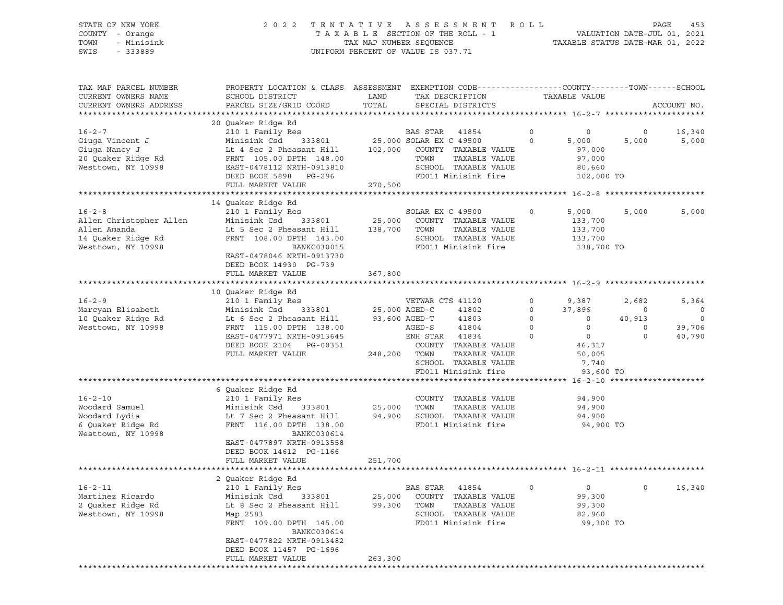STATE OF NEW YORK 2 0 2 2 T E N T A T I V E A S S E S S M E N T R O L L PAGE 453

# COUNTY - Orange T A X A B L E SECTION OF THE ROLL - 1 VALUATION DATE-JUL 01, 2021 TOWN - Minisink TAX MAP NUMBER SEQUENCE TAXABLE STATUS DATE-MAR 01, 2022 SWIS - 333889 CONSERVED BY A SUIT OF VALUE IS 037.71

| TAX MAP PARCEL NUMBER<br>CURRENT OWNERS NAME<br>CURRENT OWNERS ADDRESS                              | SCHOOL DISTRICT<br>PARCEL SIZE/GRID COORD                                                                                                                                                                                                  | PROPERTY LOCATION & CLASS ASSESSMENT EXEMPTION CODE----------------COUNTY-------TOWN------SCHOOL<br>LAND<br>TAX DESCRIPTION<br>TOTAL<br>SPECIAL DISTRICTS |                                                                                                                                                                                                                                           |                                                      | TAXABLE VALUE                                                                                                      |                                                  | ACCOUNT NO.                               |
|-----------------------------------------------------------------------------------------------------|--------------------------------------------------------------------------------------------------------------------------------------------------------------------------------------------------------------------------------------------|-----------------------------------------------------------------------------------------------------------------------------------------------------------|-------------------------------------------------------------------------------------------------------------------------------------------------------------------------------------------------------------------------------------------|------------------------------------------------------|--------------------------------------------------------------------------------------------------------------------|--------------------------------------------------|-------------------------------------------|
|                                                                                                     |                                                                                                                                                                                                                                            |                                                                                                                                                           |                                                                                                                                                                                                                                           |                                                      |                                                                                                                    |                                                  |                                           |
| $16 - 2 - 7$<br>Giuga Vincent J<br>Giuga Nancy J<br>20 Quaker Ridge Rd<br>Westtown, NY 10998        | 20 Quaker Ridge Rd<br>210 1 Family Res<br>Minisink Csd<br>333801<br>Lt 4 Sec 2 Pheasant Hill<br>FRNT 105.00 DPTH 148.00<br>EAST-0478112 NRTH-0913810<br>DEED BOOK 5898 PG-296                                                              | 102,000                                                                                                                                                   | BAS STAR 41854<br>25,000 SOLAR EX C 49500<br>COUNTY TAXABLE VALUE<br>TAXABLE VALUE<br>TOWN<br>SCHOOL TAXABLE VALUE<br>FD011 Minisink fire                                                                                                 | $\circ$<br>$\Omega$                                  | $\mathbf 0$<br>5,000<br>97,000<br>97,000<br>80,660<br>102,000 TO                                                   | $\circ$<br>5,000                                 | 16,340<br>5,000                           |
|                                                                                                     | FULL MARKET VALUE                                                                                                                                                                                                                          | 270,500                                                                                                                                                   |                                                                                                                                                                                                                                           |                                                      |                                                                                                                    |                                                  |                                           |
|                                                                                                     |                                                                                                                                                                                                                                            |                                                                                                                                                           |                                                                                                                                                                                                                                           |                                                      |                                                                                                                    |                                                  |                                           |
| $16 - 2 - 8$<br>Allen Christopher Allen<br>Allen Amanda<br>14 Quaker Ridge Rd<br>Westtown, NY 10998 | 14 Quaker Ridge Rd<br>210 1 Family Res<br>Minisink Csd 333801<br>Lt 5 Sec 2 Pheasant Hill<br>FRNT 108.00 DPTH 143.00<br>BANKC030015<br>EAST-0478046 NRTH-0913730<br>DEED BOOK 14930 PG-739                                                 | 25,000<br>138,700                                                                                                                                         | SOLAR EX C 49500<br>COUNTY TAXABLE VALUE<br>TOWN<br>TAXABLE VALUE<br>SCHOOL TAXABLE VALUE<br>FD011 Minisink fire                                                                                                                          | $\Omega$                                             | 5,000<br>133,700<br>133,700<br>133,700<br>138,700 TO                                                               | 5,000                                            | 5,000                                     |
|                                                                                                     | FULL MARKET VALUE                                                                                                                                                                                                                          | 367,800                                                                                                                                                   |                                                                                                                                                                                                                                           |                                                      |                                                                                                                    |                                                  |                                           |
|                                                                                                     |                                                                                                                                                                                                                                            |                                                                                                                                                           |                                                                                                                                                                                                                                           |                                                      |                                                                                                                    |                                                  |                                           |
| $16 - 2 - 9$<br>Marcyan Elisabeth<br>10 Quaker Ridge Rd<br>Westtown, NY 10998<br>$16 - 2 - 10$      | 10 Quaker Ridge Rd<br>210 1 Family Res<br>Minisink Csd 333801<br>Lt 6 Sec 2 Pheasant Hill<br>FRNT 115.00 DPTH 138.00<br>EAST-0477971 NRTH-0913645<br>DEED BOOK 2104 PG-00351<br>FULL MARKET VALUE<br>6 Quaker Ridge Rd<br>210 1 Family Res |                                                                                                                                                           | VETWAR CTS 41120<br>25,000 AGED-C<br>41802<br>93,600 AGED-T<br>41803<br>AGED-S<br>41804<br>ENH STAR 41834<br>COUNTY TAXABLE VALUE<br>248,200 TOWN<br>TAXABLE VALUE<br>SCHOOL TAXABLE VALUE<br>FD011 Minisink fire<br>COUNTY TAXABLE VALUE | $\circ$<br>$\circ$<br>$\circ$<br>$\circ$<br>$\Omega$ | 9,387<br>37,896<br>$\circ$<br>$\overline{0}$<br>$\overline{0}$<br>46,317<br>50,005<br>7,740<br>93,600 TO<br>94,900 | 2,682<br>$\circ$<br>40,913<br>$\circ$<br>$\circ$ | 5,364<br>0<br>$\circ$<br>39,706<br>40,790 |
| Woodard Samuel<br>Woodard Lydia<br>6 Quaker Ridge Rd<br>Westtown, NY 10998                          | Minisink Csd 333801<br>Lt 7 Sec 2 Pheasant Hill<br>FRNT 116.00 DPTH 138.00<br>BANKC030614<br>EAST-0477897 NRTH-0913558<br>DEED BOOK 14612 PG-1166                                                                                          |                                                                                                                                                           | 25,000 TOWN<br>TAXABLE VALUE<br>94,900 SCHOOL TAXABLE VALUE<br>FD011 Minisink fire                                                                                                                                                        |                                                      | 94,900<br>94,900<br>94,900 TO                                                                                      |                                                  |                                           |
|                                                                                                     | FULL MARKET VALUE                                                                                                                                                                                                                          | 251,700                                                                                                                                                   |                                                                                                                                                                                                                                           |                                                      |                                                                                                                    |                                                  |                                           |
|                                                                                                     | 2 Quaker Ridge Rd                                                                                                                                                                                                                          |                                                                                                                                                           |                                                                                                                                                                                                                                           |                                                      |                                                                                                                    |                                                  |                                           |
| $16 - 2 - 11$<br>Martinez Ricardo<br>2 Quaker Ridge Rd<br>Westtown, NY 10998                        | 210 1 Family Res<br>Minisink Csd<br>333801<br>Lt 8 Sec 2 Pheasant Hill<br>Map 2583<br>FRNT 109.00 DPTH 145.00<br>BANKC030614<br>EAST-0477822 NRTH-0913482<br>DEED BOOK 11457 PG-1696<br>FULL MARKET VALUE                                  | 25,000<br>99,300<br>263,300                                                                                                                               | BAS STAR<br>41854<br>COUNTY TAXABLE VALUE<br>TOWN<br>TAXABLE VALUE<br>SCHOOL TAXABLE VALUE<br>FD011 Minisink fire                                                                                                                         | $\circ$                                              | $0 \qquad \qquad$<br>99,300<br>99,300<br>82,960<br>99,300 TO                                                       | $\Omega$                                         | 16,340                                    |
|                                                                                                     |                                                                                                                                                                                                                                            |                                                                                                                                                           |                                                                                                                                                                                                                                           |                                                      |                                                                                                                    |                                                  |                                           |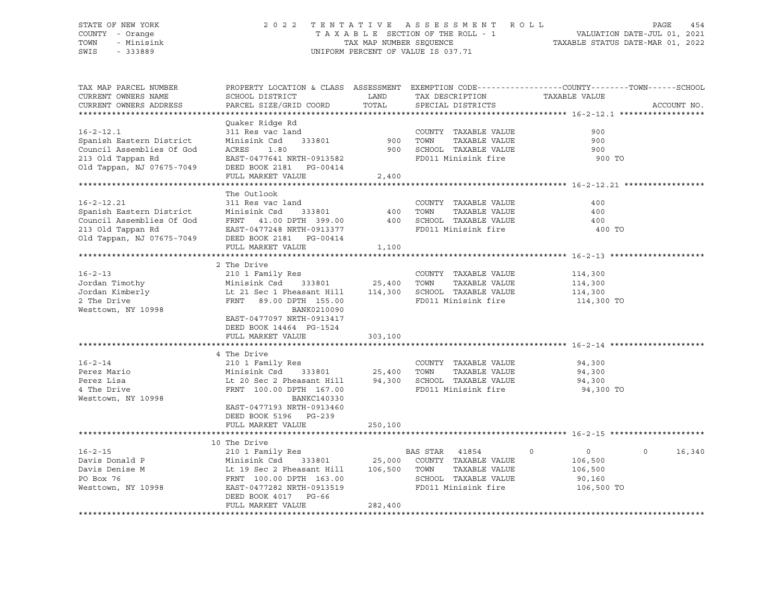#### STATE OF NEW YORK 2 0 2 2 T E N T A T I V E A S S E S S M E N T R O L L PAGE 454 COUNTY - Orange T A X A B L E SECTION OF THE ROLL - 1 VALUATION DATE-JUL 01, 2021 TOWN - Minisink TAX MAP NUMBER SEQUENCE TAXABLE STATUS DATE-MAR 01, 2022 SWIS - 333889 CONSERVED BY A SUIT OF VALUE IS 037.71

| TAX MAP PARCEL NUMBER                                 |                                                                                    |               |                       | PROPERTY LOCATION & CLASS ASSESSMENT EXEMPTION CODE----------------COUNTY-------TOWN------SCHOOL |             |
|-------------------------------------------------------|------------------------------------------------------------------------------------|---------------|-----------------------|--------------------------------------------------------------------------------------------------|-------------|
| CURRENT OWNERS NAME                                   | SCHOOL DISTRICT                                                                    | LAND          | TAX DESCRIPTION       | TAXABLE VALUE                                                                                    |             |
| CURRENT OWNERS ADDRESS                                | PARCEL SIZE/GRID COORD                                                             | TOTAL         | SPECIAL DISTRICTS     |                                                                                                  | ACCOUNT NO. |
|                                                       |                                                                                    |               |                       |                                                                                                  |             |
|                                                       | Quaker Ridge Rd                                                                    |               |                       |                                                                                                  |             |
| $16 - 2 - 12.1$                                       | 311 Res vac land                                                                   |               | COUNTY TAXABLE VALUE  | 900                                                                                              |             |
| Spanish Eastern District                              | Minisink Csd<br>333801                                                             | 900           | TOWN<br>TAXABLE VALUE | 900                                                                                              |             |
| Council Assemblies Of God                             | ACRES<br>1.80                                                                      | 900           | SCHOOL TAXABLE VALUE  | 900                                                                                              |             |
| 213 Old Tappan Rd                                     | EAST-0477641 NRTH-0913582                                                          |               | FD011 Minisink fire   | 900 TO                                                                                           |             |
| Old Tappan, NJ 07675-7049                             | DEED BOOK 2181<br>PG-00414                                                         |               |                       |                                                                                                  |             |
|                                                       | FULL MARKET VALUE                                                                  | 2,400         |                       |                                                                                                  |             |
|                                                       |                                                                                    |               |                       |                                                                                                  |             |
|                                                       | The Outlook                                                                        |               |                       |                                                                                                  |             |
| $16 - 2 - 12.21$                                      | 311 Res vac land                                                                   |               | COUNTY TAXABLE VALUE  | 400                                                                                              |             |
| Spanish Eastern District<br>Council Assemblies Of God | Minisink Csd<br>333801                                                             | 400           | TOWN<br>TAXABLE VALUE | 400                                                                                              |             |
|                                                       | FRNT 41.00 DPTH 399.00                                                             | 400           | SCHOOL TAXABLE VALUE  | 400                                                                                              |             |
|                                                       | EAST-0477248 NRTH-0913377                                                          |               | FD011 Minisink fire   | 400 TO                                                                                           |             |
|                                                       | 213 Old Tappan Rd<br>213 Old Tappan, NJ 07675-7049<br>2020 DEED BOOK 2181 PG-00414 |               |                       |                                                                                                  |             |
|                                                       | FULL MARKET VALUE                                                                  | 1,100         |                       |                                                                                                  |             |
|                                                       |                                                                                    |               |                       |                                                                                                  |             |
|                                                       | 2 The Drive                                                                        |               |                       |                                                                                                  |             |
| $16 - 2 - 13$                                         | 210 1 Family Res                                                                   |               | COUNTY TAXABLE VALUE  | 114,300                                                                                          |             |
| Jordan Timothy                                        | Minisink Csd                                                                       | 333801 25,400 | TOWN<br>TAXABLE VALUE | 114,300                                                                                          |             |
| Jordan Kimberly                                       | Lt 21 Sec 1 Pheasant Hill 114,300                                                  |               | SCHOOL TAXABLE VALUE  | 114,300                                                                                          |             |
| 2 The Drive                                           | FRNT 89.00 DPTH 155.00                                                             |               | FD011 Minisink fire   | 114,300 TO                                                                                       |             |
| Westtown, NY 10998                                    | BANK0210090                                                                        |               |                       |                                                                                                  |             |
|                                                       | EAST-0477097 NRTH-0913417                                                          |               |                       |                                                                                                  |             |
|                                                       | DEED BOOK 14464 PG-1524                                                            |               |                       |                                                                                                  |             |
|                                                       | FULL MARKET VALUE                                                                  | 303,100       |                       |                                                                                                  |             |
|                                                       |                                                                                    |               |                       |                                                                                                  |             |
|                                                       | 4 The Drive                                                                        |               |                       |                                                                                                  |             |
| $16 - 2 - 14$                                         | 210 1 Family Res                                                                   |               | COUNTY TAXABLE VALUE  | 94,300                                                                                           |             |
| Perez Mario                                           | Minisink Csd 333801                                                                | 25,400        | TOWN<br>TAXABLE VALUE | 94,300                                                                                           |             |
| Perez Lisa                                            | Lt 20 Sec 2 Pheasant Hill                                                          | 94,300        | SCHOOL TAXABLE VALUE  | 94,300                                                                                           |             |
| 4 The Drive                                           | FRNT 100.00 DPTH 167.00                                                            |               | FD011 Minisink fire   | 94,300 TO                                                                                        |             |
| Westtown, NY 10998                                    | BANKC140330                                                                        |               |                       |                                                                                                  |             |
|                                                       | EAST-0477193 NRTH-0913460                                                          |               |                       |                                                                                                  |             |
|                                                       | DEED BOOK 5196 PG-239                                                              |               |                       |                                                                                                  |             |
|                                                       | FULL MARKET VALUE                                                                  | 250,100       |                       |                                                                                                  |             |
|                                                       |                                                                                    |               |                       |                                                                                                  |             |
|                                                       | 10 The Drive                                                                       |               |                       |                                                                                                  |             |
| $16 - 2 - 15$                                         | 210 1 Family Res                                                                   |               | BAS STAR<br>41854     | $\circ$<br>$\circ$<br>$\circ$                                                                    | 16,340      |
| Davis Donald P                                        | Minisink Csd<br>333801                                                             | 25,000        | COUNTY TAXABLE VALUE  | 106,500                                                                                          |             |
| Davis Denise M                                        | Lt 19 Sec 2 Pheasant Hill                                                          | 106,500       | TOWN<br>TAXABLE VALUE | 106,500                                                                                          |             |
| PO Box 76                                             | FRNT 100.00 DPTH 163.00                                                            |               | SCHOOL TAXABLE VALUE  | 90,160                                                                                           |             |
| Westtown, NY 10998                                    | EAST-0477282 NRTH-0913519                                                          |               | FD011 Minisink fire   | 106,500 TO                                                                                       |             |
|                                                       | DEED BOOK 4017 PG-66                                                               |               |                       |                                                                                                  |             |
|                                                       | FULL MARKET VALUE                                                                  | 282,400       |                       |                                                                                                  |             |
|                                                       |                                                                                    |               |                       |                                                                                                  |             |
|                                                       |                                                                                    |               |                       |                                                                                                  |             |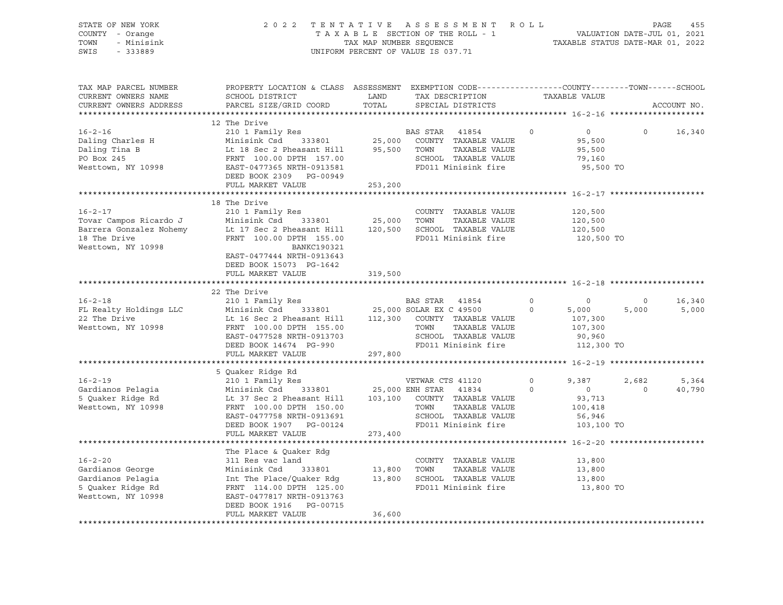| STATE OF NEW YORK<br>COUNTY - Orange<br>- Minisink<br>TOWN<br>SWIS<br>$-333889$                                                                                |                                                                                                                                                                                                            |               | 2022 TENTATIVE ASSESSMENT ROLL<br>TAXABLE SECTION OF THE ROLL - 1<br>TAXABLE SECTION OF THE ROLL - 1<br>TAXABLE STATUS DATE-MAR 01, 2022<br>UNIFORM PERCENT OF VALUE IS 037.71 |          |                                                             | PAGE           | 455         |
|----------------------------------------------------------------------------------------------------------------------------------------------------------------|------------------------------------------------------------------------------------------------------------------------------------------------------------------------------------------------------------|---------------|--------------------------------------------------------------------------------------------------------------------------------------------------------------------------------|----------|-------------------------------------------------------------|----------------|-------------|
| TAX MAP PARCEL NUMBER<br>CURRENT OWNERS NAME<br>CURRENT OWNERS ADDRESS                                                                                         | PROPERTY LOCATION & CLASS ASSESSMENT EXEMPTION CODE---------------COUNTY-------TOWN------SCHOOL<br>SCHOOL DISTRICT<br>PARCEL SIZE/GRID COORD                                                               | LAND<br>TOTAL | TAX DESCRIPTION TAXABLE VALUE<br>SPECIAL DISTRICTS                                                                                                                             |          |                                                             |                | ACCOUNT NO. |
|                                                                                                                                                                |                                                                                                                                                                                                            |               |                                                                                                                                                                                |          |                                                             |                |             |
|                                                                                                                                                                | 12 The Drive                                                                                                                                                                                               |               |                                                                                                                                                                                | $\Omega$ |                                                             | $\bigcirc$     |             |
| $16 - 2 - 16$<br>Daling Charles H<br>Daling Tina B<br>PO Box 245<br>PO Box 245<br>Westtown, NY 10998                                                           | 210 1 Family Res<br>Minisink Csd 333801 25,000<br>DEED BOOK 2309 PG-00949                                                                                                                                  |               | BAS STAR 41854<br>COUNTY TAXABLE VALUE<br>TAXABLE VALUE<br>TOWN<br>SCHOOL TAXABLE VALUE<br>FD011 Minisink fire                                                                 |          | $\overline{0}$<br>95,500<br>95,500<br>79,160<br>95,500 TO   |                | 16,340      |
|                                                                                                                                                                | FULL MARKET VALUE                                                                                                                                                                                          | 253,200       |                                                                                                                                                                                |          |                                                             |                |             |
|                                                                                                                                                                |                                                                                                                                                                                                            |               |                                                                                                                                                                                |          |                                                             |                |             |
| $16 - 2 - 17$<br>Tovar Campos Ricardo J<br>Barrera Gonzalez Nohemy<br>18 The Drive<br>Westtown, NY 10998                                                       | 18 The Drive<br>210 1 Family Res<br>Minisink Csd 333801<br>Lt 17 Sec 2 Pheasant Hill 120,500<br>FRNT 100.00 DPTH 155.00<br>BANKC190321<br>EAST-0477444 NRTH-0913643<br>DEED BOOK 15073 PG-1642             | 25,000        | COUNTY TAXABLE VALUE<br>TOWN<br>TAXABLE VALUE<br>SCHOOL TAXABLE VALUE<br>FD011 Minisink fire                                                                                   |          | 120,500<br>120,500<br>120,500<br>120,500 TO                 |                |             |
|                                                                                                                                                                | FULL MARKET VALUE                                                                                                                                                                                          | 319,500       |                                                                                                                                                                                |          |                                                             |                |             |
|                                                                                                                                                                | 22 The Drive                                                                                                                                                                                               |               |                                                                                                                                                                                |          |                                                             |                |             |
| $16 - 2 - 18$                                                                                                                                                  | 210 1 Family Res                                                                                                                                                                                           |               | BAS STAR 41854                                                                                                                                                                 | $\circ$  | $\circ$                                                     | $\circ$        | 16,340      |
|                                                                                                                                                                |                                                                                                                                                                                                            |               |                                                                                                                                                                                | $\circ$  | 5,000                                                       | 5,000          | 5,000       |
| und Drive<br>Inte Drive<br>Westtown, NY 10998                                                                                                                  | Minisink Csd 333801 25,000 SOLAR EX C 49500<br>Lt 16 Sec 2 Pheasant Hill 112,300 COUNTY TAXABLE VALUE<br>FRNT 100.00 DPTH 155.00 TOWN TAXABLE VALUE<br>EAST-0477528 NRTH-0913703<br>DEED BOOK 14674 PG-990 |               | SCHOOL TAXABLE VALUE<br>FD011 Minisink fire                                                                                                                                    |          | 107,300<br>107,300<br>90,960<br>112,300 TO                  |                |             |
|                                                                                                                                                                | FULL MARKET VALUE                                                                                                                                                                                          | 297,800       |                                                                                                                                                                                |          |                                                             |                |             |
|                                                                                                                                                                |                                                                                                                                                                                                            |               |                                                                                                                                                                                |          |                                                             |                |             |
| $16 - 2 - 19$                                                                                                                                                  | 5 Quaker Ridge Rd                                                                                                                                                                                          |               |                                                                                                                                                                                | $\circ$  | 9,387                                                       | 2,682          | 5,364       |
| Gardianos Pelagia<br>5 Quaker Ridge Rd<br>Westtown, NY 10998                                                                                                   | EAST-0477758 NRTH-0913691<br>DEED BOOK 1907 PG-00124<br>FULL MARKET VALUE                                                                                                                                  | 273,400       | SCHOOL TAXABLE VALUE<br>FD011 Minisink fire                                                                                                                                    | $\Omega$ | $\overline{0}$<br>93,713<br>100,418<br>56,946<br>103,100 TO | $\overline{0}$ | 40,790      |
|                                                                                                                                                                |                                                                                                                                                                                                            |               |                                                                                                                                                                                |          |                                                             |                |             |
|                                                                                                                                                                | The Place & Quaker Rdg                                                                                                                                                                                     |               |                                                                                                                                                                                |          |                                                             |                |             |
| $16 - 2 - 20$                                                                                                                                                  | 311 Res vac land                                                                                                                                                                                           |               | COUNTY TAXABLE VALUE                                                                                                                                                           |          | 13,800                                                      |                |             |
|                                                                                                                                                                |                                                                                                                                                                                                            |               | TOWN<br>TAXABLE VALUE<br>SCHOOL TAXABLE VALUE                                                                                                                                  |          | 13,800<br>13,800                                            |                |             |
|                                                                                                                                                                |                                                                                                                                                                                                            |               | FD011 Minisink fire                                                                                                                                                            |          | 13,800 TO                                                   |                |             |
| Cardianos George<br>Gardianos Pelagia (Minisink Csd 333801 13,800<br>5 Quaker Ridge Rd FRNT 114.00 DPTH 125.00<br>Westtown, NY 10998 EAST-0477817 NRTH-0913763 | DEED BOOK 1916 PG-00715                                                                                                                                                                                    |               |                                                                                                                                                                                |          |                                                             |                |             |
|                                                                                                                                                                | FULL MARKET VALUE                                                                                                                                                                                          | 36,600        |                                                                                                                                                                                |          |                                                             |                |             |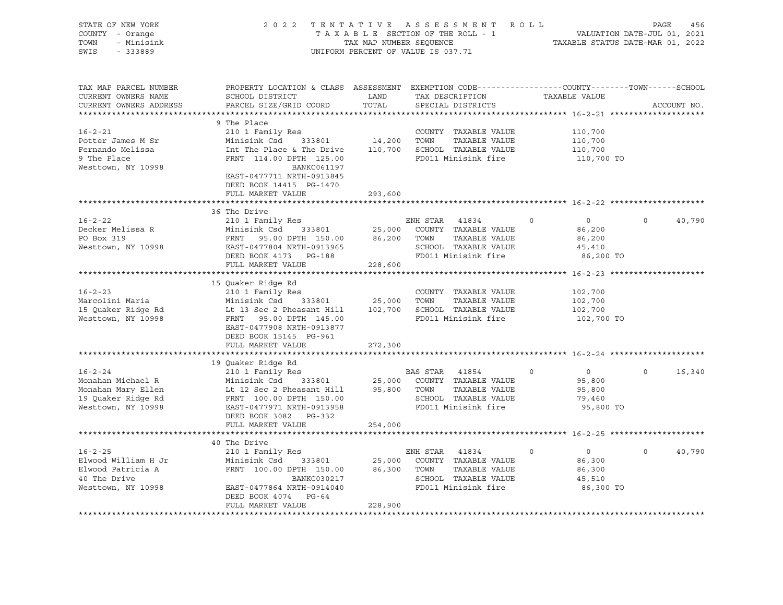| STATE OF NEW YORK<br>COUNTY - Orange<br>TOWN<br>- Minisink<br>SWIS<br>$-333889$                      |                                                                                                                                                                                                                                                                                                 |               | 2022 TENTATIVE ASSESSMENT ROLL<br>UNIFORM PERCENT OF VALUE IS 037.71                                                 |                                                                         | PAGE<br>456        |
|------------------------------------------------------------------------------------------------------|-------------------------------------------------------------------------------------------------------------------------------------------------------------------------------------------------------------------------------------------------------------------------------------------------|---------------|----------------------------------------------------------------------------------------------------------------------|-------------------------------------------------------------------------|--------------------|
| TAX MAP PARCEL NUMBER<br>CURRENT OWNERS NAME<br>CURRENT OWNERS ADDRESS                               | PROPERTY LOCATION & CLASS ASSESSMENT EXEMPTION CODE----------------COUNTY-------TOWN------SCHOOL<br>SCHOOL DISTRICT<br>PARCEL SIZE/GRID COORD                                                                                                                                                   | LAND<br>TOTAL | TAX DESCRIPTION TAXABLE VALUE<br>SPECIAL DISTRICTS                                                                   |                                                                         | ACCOUNT NO.        |
| $16 - 2 - 21$<br>Potter James M Sr<br>Fernando Melissa<br>9 The Place<br>Westtown, NY 10998          | 9 The Place<br>210 1 Family Res<br>Minisink Csd 333801 14,200 TOWN TAXABLE VALUE<br>Int The Place & The Drive 110,700 SCHOOL TAXABLE VALUE<br>FRNT 114.00 DPTH 125.00<br>BANKC061197<br>EAST-0477711 NRTH-0913845<br>DEED BOOK 14415 PG-1470                                                    |               | COUNTY TAXABLE VALUE<br>FD011 Minisink fire                                                                          | 110,700<br>110,700<br>110,700<br>110,700 TO                             |                    |
|                                                                                                      | FULL MARKET VALUE                                                                                                                                                                                                                                                                               | 293,600       |                                                                                                                      |                                                                         |                    |
|                                                                                                      | 36 The Drive                                                                                                                                                                                                                                                                                    |               |                                                                                                                      |                                                                         |                    |
| $16 - 2 - 22$<br>Decker Melissa R<br>PO Box 319<br>Westtown, NY 10998                                | 210 1 Family Res<br>Minisink Csd 333801 25,000 COUNTY TAXABLE VALUE<br>FRNT 95.00 DPTH 150.00 86,200 TOWN TAXABLE VALUE<br>EAST-0477804 NRTH-0913965 SCHOOL TAXABLE VALUE<br>DEED BOOK 4173 PG-188 FD011 Minisink fire                                                                          |               | SCHOOL TAXABLE VALUE                                                                                                 | $\overline{0}$<br>$\circ$<br>86,200<br>86,200<br>45,410<br>86,200 TO    | 40,790<br>$\circ$  |
|                                                                                                      | FULL MARKET VALUE                                                                                                                                                                                                                                                                               | 228,600       |                                                                                                                      |                                                                         |                    |
| $16 - 2 - 23$<br>Marcolini Maria<br>15 Quaker Ridge Rd<br>Westtown, NY 10998                         | 15 Quaker Ridge Rd<br>210 1 Family Res<br>Minisink Csd 333801 25,000 TOWN TAXABLE VALUE<br>Lt 13 Sec 2 Pheasant Hill 102,700 SCHOOL TAXABLE VALUE<br>FRNT 95.00 DPTH 145.00<br>EAST-0477908 NRTH-0913877<br>DEED BOOK 15145 PG-961<br>FULL MARKET VALUE                                         | 272,300       | COUNTY TAXABLE VALUE<br>FD011 Minisink fire                                                                          | 102,700<br>102,700<br>102,700<br>102,700 TO                             |                    |
|                                                                                                      |                                                                                                                                                                                                                                                                                                 |               |                                                                                                                      |                                                                         |                    |
| $16 - 2 - 24$<br>Monahan Michael R<br>Monahan Mary Ellen<br>19 Quaker Ridge Rd<br>Westtown, NY 10998 | 19 Quaker Ridge Rd<br>210 1 Family Res<br>Minisink Csd 333801 25,000 COUNTY TAXABLE VALUE<br>Lt 12 Sec 2 Pheasant Hill 95,800 TOWN TAXABLE VALUE<br>FRNT 100.00 DPTH 150.00 SCHOOL TAXABLE VALUE<br>EAST-0477971 NRTH-0913958 FD011 Minisink fire<br>DEED BOOK 3082 PG-332<br>FULL MARKET VALUE | 254,000       | <b>BAS STAR 41854</b>                                                                                                | $0 \qquad \qquad$<br>$\circ$<br>95,800<br>95,800<br>79,460<br>95,800 TO | $\Omega$<br>16,340 |
|                                                                                                      |                                                                                                                                                                                                                                                                                                 |               |                                                                                                                      |                                                                         |                    |
| $16 - 2 - 25$<br>Elwood William H Jr<br>Elwood Patricia A<br>40 The Drive<br>Westtown, NY 10998      | 40 The Drive<br>210 1 Family Res<br>Minisink Csd<br>FRNT 100.00 DPTH 150.00 86,300 TOWN<br>BANKC030217<br>EAST-0477864 NRTH-0914040<br>DEED BOOK 4074 PG-64<br>FULL MARKET VALUE                                                                                                                | 228,900       | ENH STAR 41834<br>333801 25,000 COUNTY TAXABLE VALUE<br>TAXABLE VALUE<br>SCHOOL TAXABLE VALUE<br>FD011 Minisink fire | $\overline{0}$<br>$\circ$<br>86,300<br>86,300<br>45,510<br>86,300 TO    | 40,790<br>$\Omega$ |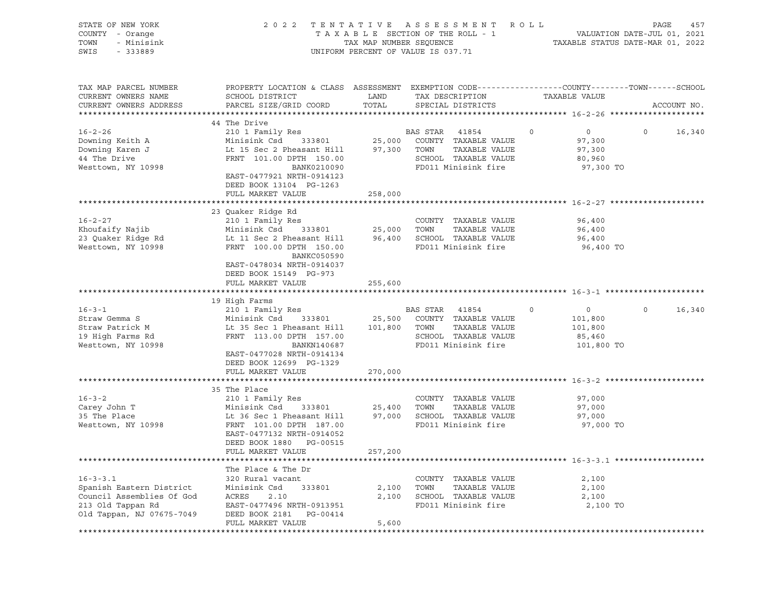| STATE OF NEW YORK<br>COUNTY - Orange<br>TOWN<br>- Minisink<br>SWIS<br>$-333889$           |                                                                                                                                                                        | TAX MAP NUMBER SEQUENCE | 2022 TENTATIVE ASSESSMENT ROLL<br>TAXABLE SECTION OF THE ROLL - 1<br>UNIFORM PERCENT OF VALUE IS 037.71                  |               | VALUATION DATE-JUL 01, 2021<br>TAXABLE STATUS DATE-MAR 01, 2022      | PAGE<br>457 |
|-------------------------------------------------------------------------------------------|------------------------------------------------------------------------------------------------------------------------------------------------------------------------|-------------------------|--------------------------------------------------------------------------------------------------------------------------|---------------|----------------------------------------------------------------------|-------------|
| TAX MAP PARCEL NUMBER<br>CURRENT OWNERS NAME<br>CURRENT OWNERS ADDRESS                    | PROPERTY LOCATION & CLASS ASSESSMENT EXEMPTION CODE----------------COUNTY-------TOWN------SCHOOL<br>SCHOOL DISTRICT<br>PARCEL SIZE/GRID COORD                          | LAND<br>TOTAL           | TAX DESCRIPTION<br>SPECIAL DISTRICTS                                                                                     | TAXABLE VALUE |                                                                      | ACCOUNT NO. |
|                                                                                           | 44 The Drive                                                                                                                                                           |                         |                                                                                                                          |               |                                                                      |             |
| $16 - 2 - 26$<br>Downing Keith A<br>Downing Karen J<br>44 The Drive<br>Westtown, NY 10998 | 210 1 Family Res<br>Minisink Csd 333801<br>Lt 15 Sec 2 Pheasant Hill<br>FRNT 101.00 DPTH 150.00<br>BANK0210090<br>EAST-0477921 NRTH-0914123<br>DEED BOOK 13104 PG-1263 | 25,000                  | BAS STAR<br>41854<br>COUNTY TAXABLE VALUE<br>97,300 TOWN<br>TAXABLE VALUE<br>SCHOOL TAXABLE VALUE<br>FD011 Minisink fire | $\circ$       | $\overline{0}$<br>$\circ$<br>97,300<br>97,300<br>80,960<br>97,300 TO | 16,340      |
|                                                                                           | FULL MARKET VALUE                                                                                                                                                      | 258,000                 |                                                                                                                          |               |                                                                      |             |
|                                                                                           |                                                                                                                                                                        |                         |                                                                                                                          |               |                                                                      |             |
| $16 - 2 - 27$                                                                             | 23 Quaker Ridge Rd<br>210 1 Family Res                                                                                                                                 |                         | COUNTY TAXABLE VALUE                                                                                                     |               | 96,400                                                               |             |
| Khoufaify Najib                                                                           | 333801 25,000 TOWN<br>Minisink Csd                                                                                                                                     |                         | TAXABLE VALUE                                                                                                            |               | 96,400                                                               |             |
| 23 Quaker Ridge Rd<br>Westtown, NY 10998                                                  | Lt 11 Sec 2 Pheasant Hill 96,400 SCHOOL TAXABLE VALUE<br>FRNT 100.00 DPTH 150.00<br>BANKC050590<br>EAST-0478034 NRTH-0914037                                           |                         | FD011 Minisink fire                                                                                                      |               | 96,400<br>96,400 TO                                                  |             |
|                                                                                           | DEED BOOK 15149 PG-973<br>FULL MARKET VALUE                                                                                                                            | 255,600                 |                                                                                                                          |               |                                                                      |             |
|                                                                                           |                                                                                                                                                                        |                         |                                                                                                                          |               |                                                                      |             |
|                                                                                           | 19 High Farms                                                                                                                                                          |                         |                                                                                                                          |               |                                                                      |             |
| $16 - 3 - 1$                                                                              | 210 1 Family Res                                                                                                                                                       |                         | BAS STAR<br>41854                                                                                                        | $\mathbf 0$   | $\overline{0}$<br>$\Omega$                                           | 16,340      |
| Straw Gemma S                                                                             | Minisink Csd 333801                                                                                                                                                    | 25,500                  | COUNTY TAXABLE VALUE                                                                                                     |               | 101,800                                                              |             |
| Straw Patrick M                                                                           | Lt 35 Sec 1 Pheasant Hill                                                                                                                                              | 101,800                 | TAXABLE VALUE<br>TOWN                                                                                                    |               | 101,800                                                              |             |
| 19 High Farms Rd                                                                          | FRNT 113.00 DPTH 157.00                                                                                                                                                |                         | SCHOOL TAXABLE VALUE                                                                                                     |               | 85,460                                                               |             |
| Westtown, NY 10998                                                                        | BANKN140687<br>EAST-0477028 NRTH-0914134<br>DEED BOOK 12699 PG-1329                                                                                                    |                         | FD011 Minisink fire                                                                                                      |               | 101,800 TO                                                           |             |
|                                                                                           | FULL MARKET VALUE                                                                                                                                                      | 270,000                 |                                                                                                                          |               |                                                                      |             |
|                                                                                           |                                                                                                                                                                        |                         |                                                                                                                          |               |                                                                      |             |
|                                                                                           | 35 The Place                                                                                                                                                           |                         |                                                                                                                          |               |                                                                      |             |
| $16 - 3 - 2$                                                                              | 210 1 Family Res                                                                                                                                                       |                         | COUNTY TAXABLE VALUE                                                                                                     |               | 97,000                                                               |             |
| Carey John T                                                                              | 333801<br>Minisink Csd                                                                                                                                                 | 25,400                  | TOWN<br>TAXABLE VALUE                                                                                                    |               | 97,000                                                               |             |
| 35 The Place<br>Westtown, NY 10998                                                        | Lt 36 Sec 1 Pheasant Hill<br>FRNT 101.00 DPTH 187.00                                                                                                                   |                         | 97,000 SCHOOL TAXABLE VALUE<br>FD011 Minisink fire                                                                       |               | 97,000<br>97,000 TO                                                  |             |
|                                                                                           | EAST-0477132 NRTH-0914052<br>DEED BOOK 1880 PG-00515                                                                                                                   |                         |                                                                                                                          |               |                                                                      |             |
|                                                                                           | FULL MARKET VALUE                                                                                                                                                      | 257,200                 |                                                                                                                          |               |                                                                      |             |
|                                                                                           |                                                                                                                                                                        |                         |                                                                                                                          |               |                                                                      |             |
|                                                                                           | The Place & The Dr                                                                                                                                                     |                         |                                                                                                                          |               |                                                                      |             |
| $16 - 3 - 3.1$                                                                            | 320 Rural vacant                                                                                                                                                       |                         | COUNTY TAXABLE VALUE                                                                                                     |               | 2,100                                                                |             |
| Spanish Eastern District<br>Council Assemblies Of God                                     | Minisink Csd<br>333801<br>ACRES                                                                                                                                        | 2,100                   | TOWN<br>TAXABLE VALUE<br>2,100 SCHOOL TAXABLE VALUE                                                                      |               | 2,100<br>2,100                                                       |             |
| 213 Old Tappan Rd                                                                         | 2.10<br>EAST-0477496 NRTH-0913951                                                                                                                                      |                         | FD011 Minisink fire                                                                                                      |               | 2,100 TO                                                             |             |
| Old Tappan, NJ 07675-7049                                                                 | DEED BOOK 2181<br>PG-00414<br>FULL MARKET VALUE                                                                                                                        | 5,600                   |                                                                                                                          |               |                                                                      |             |
|                                                                                           |                                                                                                                                                                        |                         |                                                                                                                          |               |                                                                      |             |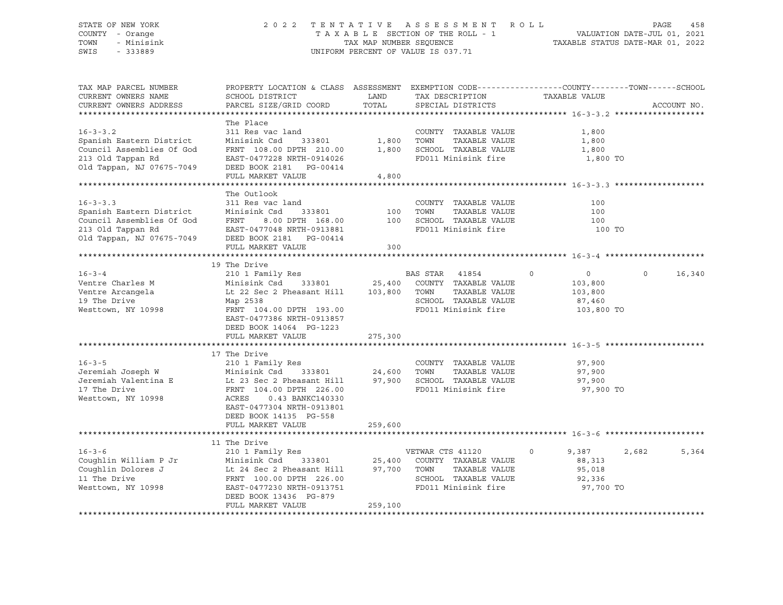#### STATE OF NEW YORK 2 0 2 2 T E N T A T I V E A S S E S S M E N T R O L L PAGE 458 COUNTY - Orange T A X A B L E SECTION OF THE ROLL - 1 VALUATION DATE-JUL 01, 2021 TOWN - Minisink TAX MAP NUMBER SEQUENCE TAXABLE STATUS DATE-MAR 01, 2022 SWIS - 333889 CONSERVED BY A SUIT OF VALUE IS 037.71

| TAX MAP PARCEL NUMBER<br>CURRENT OWNERS NAME<br>CURRENT OWNERS ADDRESS                                                    | PROPERTY LOCATION & CLASS ASSESSMENT EXEMPTION CODE----------------COUNTY-------TOWN------SCHOOL<br>SCHOOL DISTRICT<br>PARCEL SIZE/GRID COORD                                                                  | LAND<br>TOTAL           | TAX DESCRIPTION<br>SPECIAL DISTRICTS                                                                                 | TAXABLE VALUE                                                               | ACCOUNT NO.        |
|---------------------------------------------------------------------------------------------------------------------------|----------------------------------------------------------------------------------------------------------------------------------------------------------------------------------------------------------------|-------------------------|----------------------------------------------------------------------------------------------------------------------|-----------------------------------------------------------------------------|--------------------|
| $16 - 3 - 3.2$<br>Spanish Eastern District<br>Council Assemblies Of God<br>213 Old Tappan Rd<br>Old Tappan, NJ 07675-7049 | The Place<br>311 Res vac land<br>Minisink Csd<br>333801<br>FRNT 108.00 DPTH 210.00 1,800<br>EAST-0477228 NRTH-0914026<br>DEED BOOK 2181    PG-00414<br>FULL MARKET VALUE                                       | 1,800<br>4,800          | COUNTY TAXABLE VALUE<br>TOWN<br>TAXABLE VALUE<br>SCHOOL TAXABLE VALUE<br>FD011 Minisink fire                         | 1,800<br>1,800<br>1,800<br>1,800 TO                                         |                    |
| $16 - 3 - 3.3$<br>Spanish Eastern District<br>Council Assemblies Of God<br>213 Old Tappan Rd<br>Old Tappan, NJ 07675-7049 | The Outlook<br>311 Res vac land<br>333801<br>Minisink Csd<br>FRNT<br>EAST-0477048 NRTH-0913881<br>DEED BOOK 2181    PG-00414<br>FULL MARKET VALUE                                                              | 100<br>300              | COUNTY TAXABLE VALUE<br>TAXABLE VALUE<br>TOWN<br>8.00 DPTH 168.00 100 SCHOOL TAXABLE VALUE<br>FD011 Minisink fire    | 100<br>100<br>100<br>100 TO                                                 |                    |
|                                                                                                                           |                                                                                                                                                                                                                |                         |                                                                                                                      |                                                                             |                    |
| $16 - 3 - 4$<br>Ventre Charles M<br>Ventre Arcangela<br>19 The Drive<br>Westtown, NY 10998                                | 19 The Drive<br>210 1 Family Res<br>Minisink Csd<br>Lt 22 Sec 2 Pheasant Hill 103,800 TOWN<br>Map 2538<br>FRNT 104.00 DPTH 193.00<br>EAST-0477386 NRTH-0913857<br>DEED BOOK 14064 PG-1223<br>FULL MARKET VALUE | 275,300                 | BAS STAR 41854<br>333801 25,400 COUNTY TAXABLE VALUE<br>TAXABLE VALUE<br>SCHOOL TAXABLE VALUE<br>FD011 Minisink fire | $\mathbf 0$<br>$\overline{0}$<br>103,800<br>103,800<br>87,460<br>103,800 TO | 16,340<br>$\Omega$ |
|                                                                                                                           | 17 The Drive                                                                                                                                                                                                   |                         |                                                                                                                      |                                                                             |                    |
| $16 - 3 - 5$<br>Jeremiah Joseph W<br>Jeremiah Valentina E<br>17 The Drive<br>Westtown, NY 10998                           | 210 1 Family Res<br>Minisink Csd 333801 24,600<br>Lt 23 Sec 2 Pheasant Hill<br>FRNT 104.00 DPTH 226.00<br>ACRES<br>0.43 BANKC140330<br>EAST-0477304 NRTH-0913801<br>DEED BOOK 14135 PG-558                     | 97,900                  | COUNTY TAXABLE VALUE<br>TOWN<br>TAXABLE VALUE<br>SCHOOL TAXABLE VALUE<br>FD011 Minisink fire                         | 97,900<br>97,900<br>97,900<br>97,900 TO                                     |                    |
|                                                                                                                           | FULL MARKET VALUE                                                                                                                                                                                              | 259,600                 |                                                                                                                      |                                                                             |                    |
| $16 - 3 - 6$<br>Coughlin William P Jr<br>Coughlin Dolores J<br>11 The Drive<br>Westtown, NY 10998                         | 11 The Drive<br>210 1 Family Res<br>Minisink Csd<br>Lt 24 Sec 2 Pheasant Hill<br>FRNT 100.00 DPTH 226.00<br>EAST-0477230 NRTH-0913751                                                                          | 333801 25,400<br>97,700 | VETWAR CTS 41120<br>COUNTY TAXABLE VALUE<br>TOWN<br>TAXABLE VALUE<br>SCHOOL TAXABLE VALUE<br>FD011 Minisink fire     | $\circ$<br>9,387<br>88,313<br>95,018<br>92,336<br>97,700 TO                 | 2,682<br>5,364     |
|                                                                                                                           | DEED BOOK 13436 PG-879<br>FULL MARKET VALUE                                                                                                                                                                    | 259,100                 |                                                                                                                      |                                                                             |                    |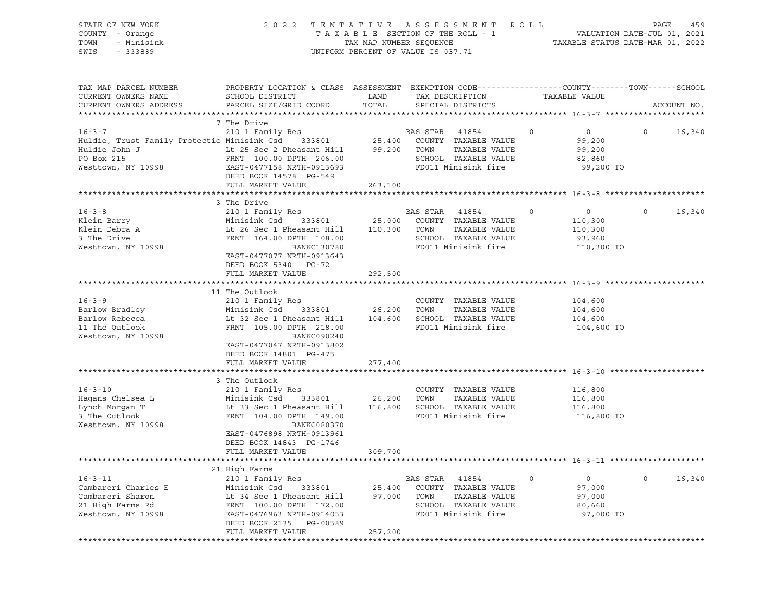| STATE OF NEW YORK<br>COUNTY - Orange<br>TOWN<br>- Minisink<br>SWIS<br>$-333889$                                                                                               | 2022                                                                                                                | TENTATIVE ASSESSMENT<br>R O L L<br>TAXABLE SECTION OF THE ROLL - 1<br>TAX MAP NUMBER SEQUENCE<br>UNIFORM PERCENT OF VALUE IS 037.71 |                |                      |         |                    |         | 459<br>PAGE<br>VALUATION DATE-JUL 01, 2021<br>TAXABLE STATUS DATE-MAR 01, 2022 |  |  |  |
|-------------------------------------------------------------------------------------------------------------------------------------------------------------------------------|---------------------------------------------------------------------------------------------------------------------|-------------------------------------------------------------------------------------------------------------------------------------|----------------|----------------------|---------|--------------------|---------|--------------------------------------------------------------------------------|--|--|--|
| TAX MAP PARCEL NUMBER<br>CURRENT OWNERS NAME                                                                                                                                  | PROPERTY LOCATION & CLASS ASSESSMENT EXEMPTION CODE----------------COUNTY-------TOWN------SCHOOL<br>SCHOOL DISTRICT | LAND                                                                                                                                |                | TAX DESCRIPTION      |         | TAXABLE VALUE      |         |                                                                                |  |  |  |
| CURRENT OWNERS ADDRESS                                                                                                                                                        | PARCEL SIZE/GRID COORD                                                                                              | TOTAL                                                                                                                               |                | SPECIAL DISTRICTS    |         |                    |         | ACCOUNT NO.                                                                    |  |  |  |
|                                                                                                                                                                               | 7 The Drive                                                                                                         |                                                                                                                                     |                |                      |         |                    |         |                                                                                |  |  |  |
| $16 - 3 - 7$                                                                                                                                                                  | 210 1 Family Res                                                                                                    |                                                                                                                                     | BAS STAR 41854 |                      | $\circ$ | $\overline{0}$     | $\circ$ | 16,340                                                                         |  |  |  |
|                                                                                                                                                                               |                                                                                                                     |                                                                                                                                     |                |                      |         | 99,200             |         |                                                                                |  |  |  |
| Huldie, Trust Family Protectio Minisink Csd 333801 25,400 COUNTY TAXABLE VALUE<br>Huldie John J                     Lt 25 Sec 2 Pheasant Hill     99,200 TOWN   TAXABLE VALUE |                                                                                                                     |                                                                                                                                     |                |                      |         | 99,200             |         |                                                                                |  |  |  |
| PO Box 215                                                                                                                                                                    | FRNT 100.00 DPTH 206.00                                                                                             |                                                                                                                                     |                | SCHOOL TAXABLE VALUE |         | 82,860             |         |                                                                                |  |  |  |
| Westtown, NY 10998                                                                                                                                                            | EAST-0477158 NRTH-0913693                                                                                           |                                                                                                                                     |                | FD011 Minisink fire  |         | 99,200 TO          |         |                                                                                |  |  |  |
|                                                                                                                                                                               | DEED BOOK 14578 PG-549                                                                                              |                                                                                                                                     |                |                      |         |                    |         |                                                                                |  |  |  |
|                                                                                                                                                                               | FULL MARKET VALUE                                                                                                   | 263,100                                                                                                                             |                |                      |         |                    |         |                                                                                |  |  |  |
|                                                                                                                                                                               | 3 The Drive                                                                                                         |                                                                                                                                     |                |                      |         |                    |         |                                                                                |  |  |  |
| $16 - 3 - 8$                                                                                                                                                                  | 210 1 Family Res                                                                                                    |                                                                                                                                     | BAS STAR       | 41854                | $\circ$ | $\circ$            | $\circ$ | 16,340                                                                         |  |  |  |
| Klein Barry                                                                                                                                                                   | Minisink Csd 333801                                                                                                 | 25,000                                                                                                                              |                | COUNTY TAXABLE VALUE |         | 110,300            |         |                                                                                |  |  |  |
| Klein Debra A                                                                                                                                                                 | Lt 26 Sec 1 Pheasant Hill                                                                                           | 110,300                                                                                                                             | TOWN           | TAXABLE VALUE        |         | 110,300            |         |                                                                                |  |  |  |
| 3 The Drive                                                                                                                                                                   | FRNT 164.00 DPTH 108.00                                                                                             |                                                                                                                                     |                | SCHOOL TAXABLE VALUE |         | 93,960             |         |                                                                                |  |  |  |
| Westtown, NY 10998                                                                                                                                                            | BANKC130780                                                                                                         |                                                                                                                                     |                | FD011 Minisink fire  |         | 110,300 TO         |         |                                                                                |  |  |  |
|                                                                                                                                                                               | EAST-0477077 NRTH-0913643                                                                                           |                                                                                                                                     |                |                      |         |                    |         |                                                                                |  |  |  |
|                                                                                                                                                                               | DEED BOOK 5340 PG-72                                                                                                |                                                                                                                                     |                |                      |         |                    |         |                                                                                |  |  |  |
|                                                                                                                                                                               | FULL MARKET VALUE                                                                                                   | 292,500                                                                                                                             |                |                      |         |                    |         |                                                                                |  |  |  |
|                                                                                                                                                                               |                                                                                                                     |                                                                                                                                     |                |                      |         |                    |         |                                                                                |  |  |  |
|                                                                                                                                                                               | 11 The Outlook                                                                                                      |                                                                                                                                     |                |                      |         |                    |         |                                                                                |  |  |  |
| $16 - 3 - 9$                                                                                                                                                                  | 210 1 Family Res                                                                                                    |                                                                                                                                     |                | COUNTY TAXABLE VALUE |         | 104,600            |         |                                                                                |  |  |  |
| Barlow Bradley<br>Barlow Rebecca                                                                                                                                              | Minisink Csd<br>Lt 32 Sec 1 Pheasant Hill 104,600 SCHOOL TAXABLE VALUE                                              | 333801 26,200 TOWN                                                                                                                  |                | TAXABLE VALUE        |         | 104,600<br>104,600 |         |                                                                                |  |  |  |
| 11 The Outlook                                                                                                                                                                | FRNT 105.00 DPTH 218.00                                                                                             |                                                                                                                                     |                | FD011 Minisink fire  |         | 104,600 TO         |         |                                                                                |  |  |  |
| Westtown, NY 10998                                                                                                                                                            | BANKC090240                                                                                                         |                                                                                                                                     |                |                      |         |                    |         |                                                                                |  |  |  |
|                                                                                                                                                                               | EAST-0477047 NRTH-0913802                                                                                           |                                                                                                                                     |                |                      |         |                    |         |                                                                                |  |  |  |
|                                                                                                                                                                               | DEED BOOK 14801 PG-475                                                                                              |                                                                                                                                     |                |                      |         |                    |         |                                                                                |  |  |  |
|                                                                                                                                                                               | FULL MARKET VALUE                                                                                                   | 277,400                                                                                                                             |                |                      |         |                    |         |                                                                                |  |  |  |
|                                                                                                                                                                               |                                                                                                                     |                                                                                                                                     |                |                      |         |                    |         |                                                                                |  |  |  |
|                                                                                                                                                                               | 3 The Outlook                                                                                                       |                                                                                                                                     |                |                      |         |                    |         |                                                                                |  |  |  |
| $16 - 3 - 10$                                                                                                                                                                 | 210 1 Family Res                                                                                                    |                                                                                                                                     |                | COUNTY TAXABLE VALUE |         | 116,800            |         |                                                                                |  |  |  |
| Hagans Chelsea L                                                                                                                                                              | Minisink Csd<br>333801                                                                                              | 26,200                                                                                                                              | TOWN           | TAXABLE VALUE        |         | 116,800            |         |                                                                                |  |  |  |
| Lynch Morgan T                                                                                                                                                                | Lt 33 Sec 1 Pheasant Hill                                                                                           | 116,800                                                                                                                             |                | SCHOOL TAXABLE VALUE |         | 116,800            |         |                                                                                |  |  |  |
| 3 The Outlook<br>Westtown, NY 10998                                                                                                                                           | FRNT 104.00 DPTH 149.00<br>BANKC080370                                                                              |                                                                                                                                     |                | FD011 Minisink fire  |         | 116,800 TO         |         |                                                                                |  |  |  |
|                                                                                                                                                                               | EAST-0476898 NRTH-0913961                                                                                           |                                                                                                                                     |                |                      |         |                    |         |                                                                                |  |  |  |
|                                                                                                                                                                               | DEED BOOK 14843 PG-1746                                                                                             |                                                                                                                                     |                |                      |         |                    |         |                                                                                |  |  |  |
|                                                                                                                                                                               | FULL MARKET VALUE                                                                                                   | 309,700                                                                                                                             |                |                      |         |                    |         |                                                                                |  |  |  |
|                                                                                                                                                                               |                                                                                                                     |                                                                                                                                     |                |                      |         |                    |         |                                                                                |  |  |  |
|                                                                                                                                                                               | 21 High Farms                                                                                                       |                                                                                                                                     |                |                      |         |                    |         |                                                                                |  |  |  |
| $16 - 3 - 11$                                                                                                                                                                 | 210 1 Family Res                                                                                                    |                                                                                                                                     | BAS STAR       | 41854                | 0       | 0                  | 0       | 16,340                                                                         |  |  |  |
| Cambareri Charles E                                                                                                                                                           | Minisink Csd<br>333801                                                                                              | 25,400                                                                                                                              | COUNTY         | TAXABLE VALUE        |         | 97,000             |         |                                                                                |  |  |  |
| Cambareri Sharon                                                                                                                                                              | Lt 34 Sec 1 Pheasant Hill                                                                                           | 97,000                                                                                                                              | TOWN           | TAXABLE VALUE        |         | 97,000             |         |                                                                                |  |  |  |
| 21 High Farms Rd                                                                                                                                                              | FRNT 100.00 DPTH 172.00                                                                                             |                                                                                                                                     |                | SCHOOL TAXABLE VALUE |         | 80,660             |         |                                                                                |  |  |  |
| Westtown, NY 10998                                                                                                                                                            | EAST-0476963 NRTH-0914053                                                                                           |                                                                                                                                     |                | FD011 Minisink fire  |         | 97,000 TO          |         |                                                                                |  |  |  |
|                                                                                                                                                                               | DEED BOOK 2135<br>PG-00589                                                                                          |                                                                                                                                     |                |                      |         |                    |         |                                                                                |  |  |  |
|                                                                                                                                                                               | FULL MARKET VALUE                                                                                                   | 257,200                                                                                                                             |                |                      |         |                    |         |                                                                                |  |  |  |
|                                                                                                                                                                               |                                                                                                                     |                                                                                                                                     |                |                      |         |                    |         |                                                                                |  |  |  |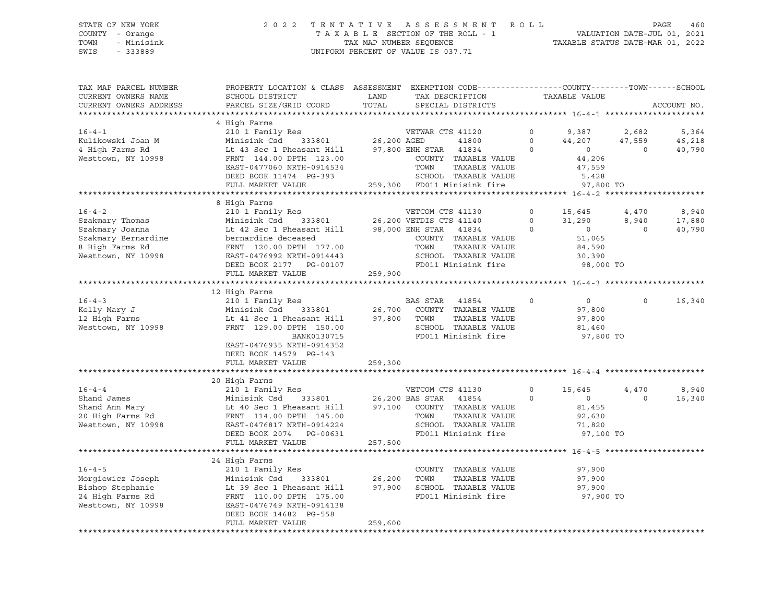#### STATE OF NEW YORK 2 0 2 2 T E N T A T I V E A S S E S S M E N T R O L L PAGE 460 COUNTY - Orange T A X A B L E SECTION OF THE ROLL - 1 VALUATION DATE-JUL 01, 2021 TOWN - Minisink TAX MAP NUMBER SEQUENCE TAXABLE STATUS DATE-MAR 01, 2022 SWIS - 333889 CONSERVED BY A SUIT OF VALUE IS 037.71

| TAX MAP PARCEL NUMBER<br>CURRENT OWNERS NAME<br>CURRENT OWNERS ADDRESS                                             | PROPERTY LOCATION & CLASS ASSESSMENT EXEMPTION CODE----------------COUNTY-------TOWN------SCHOOL<br>SCHOOL DISTRICT<br>LAND<br>TAX DESCRIPTION<br>PARCEL SIZE/GRID COORD<br>TOTAL<br>SPECIAL DISTRICTS |                                             | TAXABLE VALUE                                                                                                                                                                  |                                |                                                                        | ACCOUNT NO.                 |                           |
|--------------------------------------------------------------------------------------------------------------------|--------------------------------------------------------------------------------------------------------------------------------------------------------------------------------------------------------|---------------------------------------------|--------------------------------------------------------------------------------------------------------------------------------------------------------------------------------|--------------------------------|------------------------------------------------------------------------|-----------------------------|---------------------------|
|                                                                                                                    |                                                                                                                                                                                                        |                                             |                                                                                                                                                                                |                                |                                                                        |                             |                           |
| $16 - 4 - 1$<br>Kulikowski Joan M<br>4 High Farms Rd<br>Westtown, NY 10998                                         | 4 High Farms<br>210 1 Family Res<br>Minisink Csd<br>Lt 43 Sec 1 Pheasant Hill<br>FRNT 144.00 DPTH 123.00<br>EAST-0477060 NRTH-0914534                                                                  | 333801 26,200 AGED                          | VETWAR CTS 41120<br>41800<br>97,800 ENH STAR<br>41834<br>COUNTY TAXABLE VALUE<br>TOWN<br>TAXABLE VALUE                                                                         | $\circ$<br>$\circ$<br>$\Omega$ | 9,387<br>44,207<br>$\overline{0}$<br>44,206<br>47,559                  | 2,682<br>47,559<br>$\Omega$ | 5,364<br>46,218<br>40,790 |
|                                                                                                                    | DEED BOOK 11474 PG-393<br>FULL MARKET VALUE                                                                                                                                                            |                                             | SCHOOL TAXABLE VALUE<br>259,300 FD011 Minisink fire                                                                                                                            |                                | 5,428<br>97,800 TO                                                     |                             |                           |
|                                                                                                                    | 8 High Farms                                                                                                                                                                                           |                                             |                                                                                                                                                                                |                                |                                                                        |                             |                           |
| $16 - 4 - 2$<br>Szakmary Thomas<br>Szakmary Joanna<br>Szakmary Bernardine<br>8 High Farms Rd<br>Westtown, NY 10998 | 210 1 Family Res<br>Minisink Csd<br>Lt 42 Sec 1 Pheasant Hill<br>bernardine deceased<br>FRNT 120.00 DPTH 177.00<br>EAST-0476992 NRTH-0914443<br>DEED BOOK 2177<br>PG-00107                             |                                             | VETCOM CTS 41130<br>333801 26,200 VETDIS CTS 41140<br>98,000 ENH STAR<br>41834<br>COUNTY TAXABLE VALUE<br>TOWN<br>TAXABLE VALUE<br>SCHOOL TAXABLE VALUE<br>FD011 Minisink fire | $\circ$<br>$\circ$<br>$\circ$  | 15,645<br>31,290<br>$\circ$<br>51,065<br>84,590<br>30,390<br>98,000 TO | 4,470<br>8,940<br>$\circ$   | 8,940<br>17,880<br>40,790 |
|                                                                                                                    | FULL MARKET VALUE                                                                                                                                                                                      | 259,900                                     |                                                                                                                                                                                |                                |                                                                        |                             |                           |
|                                                                                                                    |                                                                                                                                                                                                        |                                             |                                                                                                                                                                                |                                |                                                                        |                             |                           |
| $16 - 4 - 3$<br>Kelly Mary J<br>12 High Farms<br>Westtown, NY 10998                                                | 12 High Farms<br>210 1 Family Res<br>Minisink Csd 333801<br>Lt 41 Sec 1 Pheasant Hill<br>FRNT 129.00 DPTH 150.00<br>BANK0130715<br>EAST-0476935 NRTH-0914352<br>DEED BOOK 14579 PG-143                 | 26,700<br>97,800                            | BAS STAR<br>41854<br>COUNTY TAXABLE VALUE<br>TOWN<br>TAXABLE VALUE<br>SCHOOL TAXABLE VALUE<br>FD011 Minisink fire                                                              | $\Omega$                       | $0 \qquad$<br>97,800<br>97,800<br>81,460<br>97,800 TO                  | $\Omega$                    | 16,340                    |
|                                                                                                                    | FULL MARKET VALUE                                                                                                                                                                                      | 259,300                                     |                                                                                                                                                                                |                                |                                                                        |                             |                           |
|                                                                                                                    | 20 High Farms                                                                                                                                                                                          |                                             |                                                                                                                                                                                |                                |                                                                        |                             |                           |
| $16 - 4 - 4$<br>Shand James<br>Shand Ann Mary<br>20 High Farms Rd<br>Westtown, NY 10998                            | 210 1 Family Res<br>Minisink Csd<br>Lt 40 Sec 1 Pheasant Hill<br>FRNT 114.00 DPTH 145.00<br>EAST-0476817 NRTH-0914224<br>DEED BOOK 2074 PG-00631<br>FULL MARKET VALUE                                  | 333801 26,200 BAS STAR<br>97,100<br>257,500 | VETCOM CTS 41130<br>41854<br>COUNTY TAXABLE VALUE<br>TOWN<br>TAXABLE VALUE<br>SCHOOL TAXABLE VALUE<br>FD011 Minisink fire                                                      | $\Omega$<br>$\Omega$           | 15,645<br>$\overline{0}$<br>81,455<br>92,630<br>71,820<br>97,100 TO    | 4,470<br>$\Omega$           | 8,940<br>16,340           |
|                                                                                                                    |                                                                                                                                                                                                        |                                             |                                                                                                                                                                                |                                |                                                                        |                             |                           |
| $16 - 4 - 5$<br>Morgiewicz Joseph<br>Bishop Stephanie<br>24 High Farms Rd<br>Westtown, NY 10998                    | 24 High Farms<br>210 1 Family Res<br>Minisink Csd<br>333801<br>Lt 39 Sec 1 Pheasant Hill<br>FRNT 110.00 DPTH 175.00<br>EAST-0476749 NRTH-0914138<br>DEED BOOK 14682 PG-558<br>FULL MARKET VALUE        | 26,200<br>97,900<br>259,600                 | COUNTY TAXABLE VALUE<br>TAXABLE VALUE<br>TOWN<br>SCHOOL TAXABLE VALUE<br>FD011 Minisink fire                                                                                   |                                | 97,900<br>97,900<br>97,900<br>97,900 TO                                |                             |                           |
|                                                                                                                    |                                                                                                                                                                                                        |                                             |                                                                                                                                                                                |                                |                                                                        |                             |                           |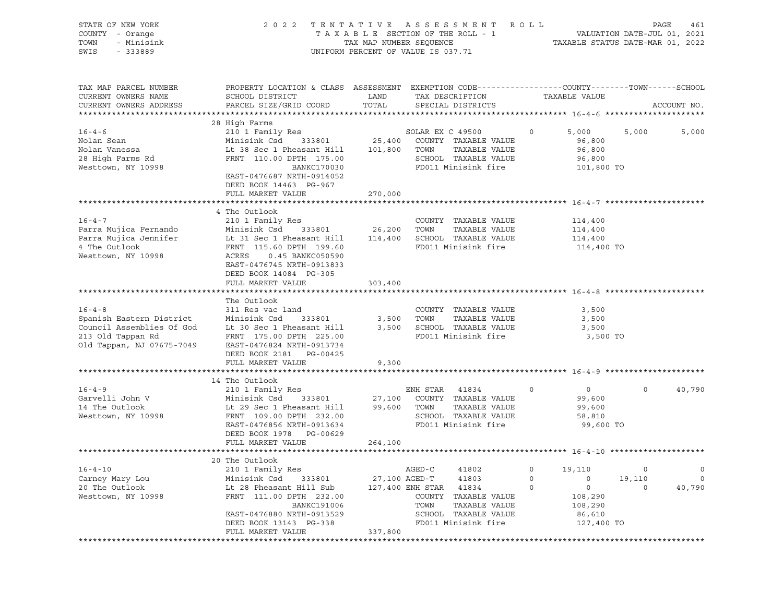| STATE OF NEW YORK<br>COUNTY - Orange<br>TOWN<br>- Minisink<br>SWIS<br>$-333889$                                         |                                                                                                                                                                                                                                     | TAX MAP NUMBER SEQUENCE | 2022 TENTATIVE ASSESSMENT ROLL<br>TAXABLE SECTION OF THE ROLL - 1<br>UNIFORM PERCENT OF VALUE IS 037.71                         |         | PAGE<br>461<br>VALUATION DATE-JUL 01, 2021<br>TAXABLE STATUS DATE-MAR 01, 2022 |         |             |  |
|-------------------------------------------------------------------------------------------------------------------------|-------------------------------------------------------------------------------------------------------------------------------------------------------------------------------------------------------------------------------------|-------------------------|---------------------------------------------------------------------------------------------------------------------------------|---------|--------------------------------------------------------------------------------|---------|-------------|--|
| TAX MAP PARCEL NUMBER<br>CURRENT OWNERS NAME<br>CURRENT OWNERS ADDRESS                                                  | PROPERTY LOCATION & CLASS ASSESSMENT EXEMPTION CODE-----------------COUNTY-------TOWN------SCHOOL<br>SCHOOL DISTRICT<br>PARCEL SIZE/GRID COORD                                                                                      | LAND<br>TOTAL           | TAX DESCRIPTION<br>SPECIAL DISTRICTS                                                                                            |         | TAXABLE VALUE                                                                  |         | ACCOUNT NO. |  |
| $16 - 4 - 6$<br>Nolan Sean<br>Nolan Vanessa<br>28 High Farms Rd<br>Westtown, NY 10998                                   | 28 High Farms<br>210 1 Family Res<br>Minisink Csd<br>Lt 38 Sec 1 Pheasant Hill 101,800 TOWN<br>FRNT 110.00 DPTH 175.00<br>BANKC170030<br>EAST-0476687 NRTH-0914052<br>DEED BOOK 14463 PG-967<br>FULL MARKET VALUE                   | 270,000                 | SOLAR EX C 49500<br>333801 25,400 COUNTY TAXABLE VALUE<br>TAXABLE VALUE<br>SCHOOL TAXABLE VALUE<br>FD011 Minisink fire          | $\circ$ | 5,000<br>96,800<br>96,800<br>96,800<br>101,800 TO                              | 5,000   | 5,000       |  |
|                                                                                                                         |                                                                                                                                                                                                                                     |                         |                                                                                                                                 |         |                                                                                |         |             |  |
| $16 - 4 - 7$<br>Parra Mujica Fernando<br>Parra Mujica Jennifer<br>4 The Outlook<br>Westtown, NY 10998                   | 4 The Outlook<br>210 1 Family Res<br>Minisink Csd<br>333801 26,200<br>Lt 31 Sec 1 Pheasant Hill<br>FRNT 115.60 DPTH 199.60<br>ACRES<br>0.45 BANKC050590<br>EAST-0476745 NRTH-0913833<br>DEED BOOK 14084 PG-305<br>FULL MARKET VALUE | 303,400                 | COUNTY TAXABLE VALUE<br>TOWN<br>TAXABLE VALUE<br>114,400 SCHOOL TAXABLE VALUE<br>FD011 Minisink fire                            |         | 114,400<br>114,400<br>114,400<br>114,400 TO                                    |         |             |  |
|                                                                                                                         |                                                                                                                                                                                                                                     |                         |                                                                                                                                 |         |                                                                                |         |             |  |
| $16 - 4 - 8$<br>Spanish Eastern District<br>Council Assemblies Of God<br>213 Old Tappan Rd<br>Old Tappan, NJ 07675-7049 | The Outlook<br>311 Res vac land<br>Minisink Csd<br>333801<br>Lt 30 Sec 1 Pheasant Hill<br>FRNT 175.00 DPTH 225.00<br>EAST-0476824 NRTH-0913734<br>DEED BOOK 2181    PG-00425<br>FULL MARKET VALUE                                   | 9,300                   | COUNTY TAXABLE VALUE<br>3,500 TOWN<br>TAXABLE VALUE<br>3,500 SCHOOL TAXABLE VALUE<br>FD011 Minisink fire                        |         | 3,500<br>3,500<br>3,500<br>3,500 TO                                            |         |             |  |
|                                                                                                                         | 14 The Outlook                                                                                                                                                                                                                      |                         |                                                                                                                                 |         |                                                                                |         |             |  |
| $16 - 4 - 9$<br>Garvelli John V<br>14 The Outlook<br>Westtown, NY 10998                                                 | 210 1 Family Res<br>Minisink Csd 333801<br>Lt 29 Sec 1 Pheasant Hill<br>FRNT 109.00 DPTH 232.00<br>EAST-0476856 NRTH-0913634<br>DEED BOOK 1978 PG-00629                                                                             |                         | ENH STAR<br>41834<br>27,100 COUNTY TAXABLE VALUE<br>99,600 TOWN<br>TAXABLE VALUE<br>SCHOOL TAXABLE VALUE<br>FD011 Minisink fire | $\circ$ | $\overline{0}$<br>99,600<br>99,600<br>58,810<br>99,600 TO                      | $\circ$ | 40,790      |  |
|                                                                                                                         | FULL MARKET VALUE                                                                                                                                                                                                                   | 264,100                 |                                                                                                                                 |         |                                                                                |         |             |  |
|                                                                                                                         |                                                                                                                                                                                                                                     |                         |                                                                                                                                 |         |                                                                                |         |             |  |
|                                                                                                                         | 20 The Outlook                                                                                                                                                                                                                      |                         |                                                                                                                                 |         |                                                                                |         |             |  |
| $16 - 4 - 10$                                                                                                           | 210 1 Family Res                                                                                                                                                                                                                    |                         | AGED-C<br>41802                                                                                                                 | 0       | 19,110                                                                         | $\circ$ | 0           |  |
| Carney Mary Lou                                                                                                         | Minisink Csd<br>333801                                                                                                                                                                                                              | 27,100 AGED-T           | 41803                                                                                                                           | 0       | 0                                                                              | 19,110  | 0           |  |
| 20 The Outlook<br>Westtown, NY 10998                                                                                    | Lt 28 Pheasant Hill Sub<br>FRNT 111.00 DPTH 232.00<br><b>BANKC191006</b><br>EAST-0476880 NRTH-0913529                                                                                                                               | 127,400 ENH STAR        | 41834<br>COUNTY<br>TAXABLE VALUE<br>TAXABLE VALUE<br>TOWN<br>SCHOOL TAXABLE VALUE                                               | $\circ$ | 0<br>108,290<br>108,290<br>86,610                                              | 0       | 40,790      |  |
|                                                                                                                         | DEED BOOK 13143 PG-338                                                                                                                                                                                                              |                         | FD011 Minisink fire                                                                                                             |         | 127,400 TO                                                                     |         |             |  |
|                                                                                                                         | FULL MARKET VALUE                                                                                                                                                                                                                   | 337,800                 |                                                                                                                                 |         |                                                                                |         |             |  |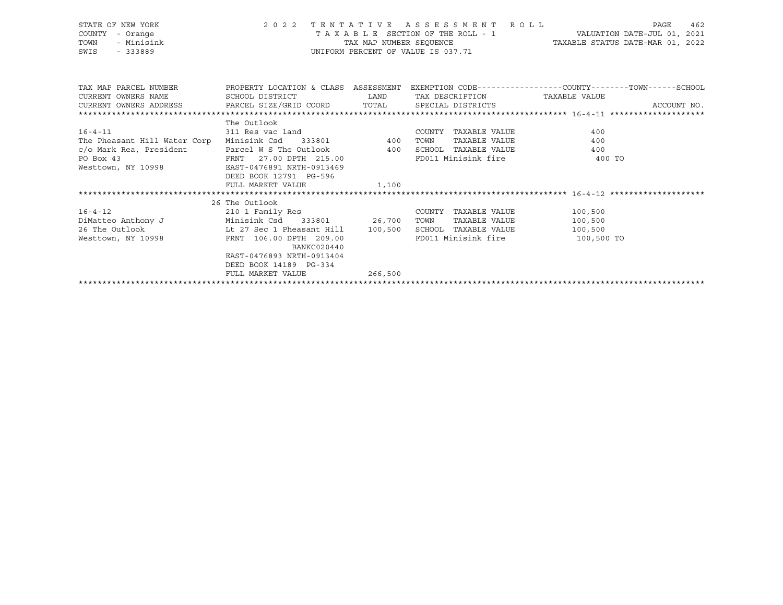| STATE OF NEW YORK<br>COUNTY<br>- Orange<br>- Minisink<br>TOWN<br>SWIS<br>$-333889$ |                                                              | TAX MAP NUMBER SEOUENCE                                                                                               | 2022 TENTATIVE ASSESSMENT ROLL<br>UNIFORM PERCENT OF VALUE IS 037.71 | 462<br>PAGE<br>TAXABLE SECTION OF THE ROLL - 1 VALUATION DATE-JUL 01, 2021<br>TAXABLE STATUS DATE-MAR 01, 2022            |
|------------------------------------------------------------------------------------|--------------------------------------------------------------|-----------------------------------------------------------------------------------------------------------------------|----------------------------------------------------------------------|---------------------------------------------------------------------------------------------------------------------------|
|                                                                                    |                                                              |                                                                                                                       |                                                                      | TAX MAP PARCEL NUMBER THE PROPERTY LOCATION & CLASS ASSESSMENT EXEMPTION CODE--------------COUNTY--------TOWN------SCHOOL |
| CURRENT OWNERS NAME                                                                | SCHOOL DISTRICT                                              | <b>EXAMPLE DESCRIPTION OF STREET AND STREET AND STREET AND STREET AND STREET AND STREET AND STREET AND STREET AND</b> | TAX DESCRIPTION TAXABLE VALUE                                        |                                                                                                                           |
| CURRENT OWNERS ADDRESS PARCEL SIZE/GRID COORD TOTAL SPECIAL DISTRICTS              |                                                              | ACCOUNT NO.                                                                                                           |                                                                      |                                                                                                                           |
|                                                                                    |                                                              |                                                                                                                       |                                                                      |                                                                                                                           |
|                                                                                    | The Outlook                                                  |                                                                                                                       |                                                                      |                                                                                                                           |
| $16 - 4 - 11$                                                                      |                                                              |                                                                                                                       | COUNTY TAXABLE VALUE                                                 | 400                                                                                                                       |
| The Pheasant Hill Water Corp                                                       |                                                              |                                                                                                                       | TAXABLE VALUE<br>TOWN                                                | 400                                                                                                                       |
| c/o Mark Rea, President<br>President<br>                                           | Parcel W S The Outlook 400<br>FRNT 27.00 DPTH 215.00         |                                                                                                                       | SCHOOL TAXABLE VALUE                                                 | 400                                                                                                                       |
| PO Box 43                                                                          |                                                              |                                                                                                                       |                                                                      | FD011 Minisink fire 50 100 TO                                                                                             |
| Westtown, NY 10998                                                                 | EAST-0476891 NRTH-0913469                                    |                                                                                                                       |                                                                      |                                                                                                                           |
|                                                                                    | DEED BOOK 12791 PG-596                                       |                                                                                                                       |                                                                      |                                                                                                                           |
|                                                                                    | FULL MARKET VALUE                                            | 1,100                                                                                                                 |                                                                      |                                                                                                                           |
|                                                                                    |                                                              |                                                                                                                       |                                                                      |                                                                                                                           |
|                                                                                    | 26 The Outlook                                               |                                                                                                                       |                                                                      |                                                                                                                           |
| $16 - 4 - 12$                                                                      | 210 1 Family Res                                             |                                                                                                                       | COUNTY TAXABLE VALUE                                                 | 100,500                                                                                                                   |
| DiMatteo Anthony J Minisink Csd 333801 26,700                                      |                                                              |                                                                                                                       | TOWN<br>TAXABLE VALUE                                                | 100,500                                                                                                                   |
| 26 The Outlook                                                                     | Lt 27 Sec 1 Pheasant Hill 100,500<br>FRNT 106.00 DPTH 209.00 |                                                                                                                       | SCHOOL TAXABLE VALUE<br>FD011 Minisink fire                          | 100,500                                                                                                                   |
| Westtown, NY 10998                                                                 | BANKC020440                                                  |                                                                                                                       |                                                                      | 100,500 TO                                                                                                                |
|                                                                                    | EAST-0476893 NRTH-0913404                                    |                                                                                                                       |                                                                      |                                                                                                                           |
|                                                                                    | DEED BOOK 14189 PG-334                                       |                                                                                                                       |                                                                      |                                                                                                                           |
|                                                                                    | FULL MARKET VALUE                                            | 266,500                                                                                                               |                                                                      |                                                                                                                           |
|                                                                                    |                                                              |                                                                                                                       |                                                                      |                                                                                                                           |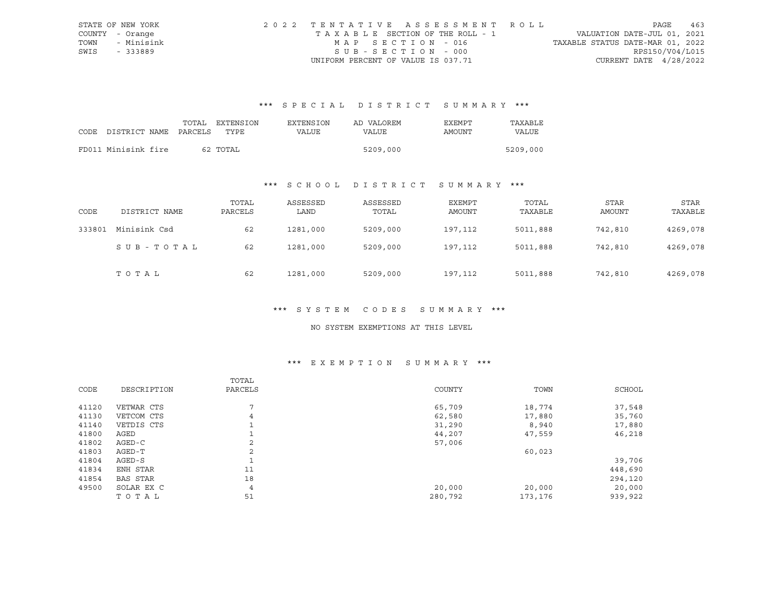|      | STATE OF NEW YORK | 2022 TENTATIVE ASSESSMENT ROLL     |                                  | PAGE                     | 463 |
|------|-------------------|------------------------------------|----------------------------------|--------------------------|-----|
|      | COUNTY - Orange   | TAXABLE SECTION OF THE ROLL - 1    | VALUATION DATE-JUL 01, 2021      |                          |     |
| TOWN | - Minisink        | MAP SECTION - 016                  | TAXABLE STATUS DATE-MAR 01, 2022 |                          |     |
| SWIS | - 333889          | SUB-SECTION - 000                  |                                  | RPS150/V04/L015          |     |
|      |                   | UNIFORM PERCENT OF VALUE IS 037.71 |                                  | CURRENT DATE $4/28/2022$ |     |

# \*\*\* S P E C I A L D I S T R I C T S U M M A R Y \*\*\*

|                            |  | TOTAL EXTENSION | EXTENSION | AD VALOREM | EXEMPT | TAXARLE  |
|----------------------------|--|-----------------|-----------|------------|--------|----------|
| CODE DISTRICT NAME PARCELS |  | TYPE.           | VALUE     | VALUE      | AMOUNT | VALUE    |
|                            |  |                 |           |            |        |          |
| FD011 Minisink fire        |  | 62 TOTAL        |           | 5209,000   |        | 5209,000 |

# \*\*\* S C H O O L D I S T R I C T S U M M A R Y \*\*\*

| CODE   | DISTRICT NAME | TOTAL<br>PARCELS | ASSESSED<br>LAND | ASSESSED<br>TOTAL | EXEMPT<br>AMOUNT | TOTAL<br>TAXABLE | STAR<br>AMOUNT | STAR<br>TAXABLE |
|--------|---------------|------------------|------------------|-------------------|------------------|------------------|----------------|-----------------|
| 333801 | Minisink Csd  | 62               | 1281,000         | 5209,000          | 197,112          | 5011,888         | 742,810        | 4269,078        |
|        | SUB-TOTAL     | 62               | 1281,000         | 5209,000          | 197,112          | 5011,888         | 742,810        | 4269,078        |
|        | TOTAL         | 62               | 1281,000         | 5209,000          | 197,112          | 5011,888         | 742,810        | 4269,078        |

#### \*\*\* S Y S T E M C O D E S S U M M A R Y \*\*\*

#### NO SYSTEM EXEMPTIONS AT THIS LEVEL

# \*\*\* E X E M P T I O N S U M M A R Y \*\*\*

|       |             | TOTAL          |         |         |         |
|-------|-------------|----------------|---------|---------|---------|
| CODE  | DESCRIPTION | PARCELS        | COUNTY  | TOWN    | SCHOOL  |
|       |             |                |         |         |         |
| 41120 | VETWAR CTS  | 7              | 65,709  | 18,774  | 37,548  |
| 41130 | VETCOM CTS  | $\overline{4}$ | 62,580  | 17,880  | 35,760  |
| 41140 | VETDIS CTS  |                | 31,290  | 8,940   | 17,880  |
| 41800 | AGED        |                | 44,207  | 47,559  | 46,218  |
| 41802 | AGED-C      | $\overline{a}$ | 57,006  |         |         |
| 41803 | AGED-T      | 2              |         | 60,023  |         |
| 41804 | AGED-S      |                |         |         | 39,706  |
| 41834 | ENH STAR    | 11             |         |         | 448,690 |
| 41854 | BAS STAR    | 18             |         |         | 294,120 |
| 49500 | SOLAR EX C  | $\overline{4}$ | 20,000  | 20,000  | 20,000  |
|       | TOTAL       | 51             | 280,792 | 173,176 | 939,922 |
|       |             |                |         |         |         |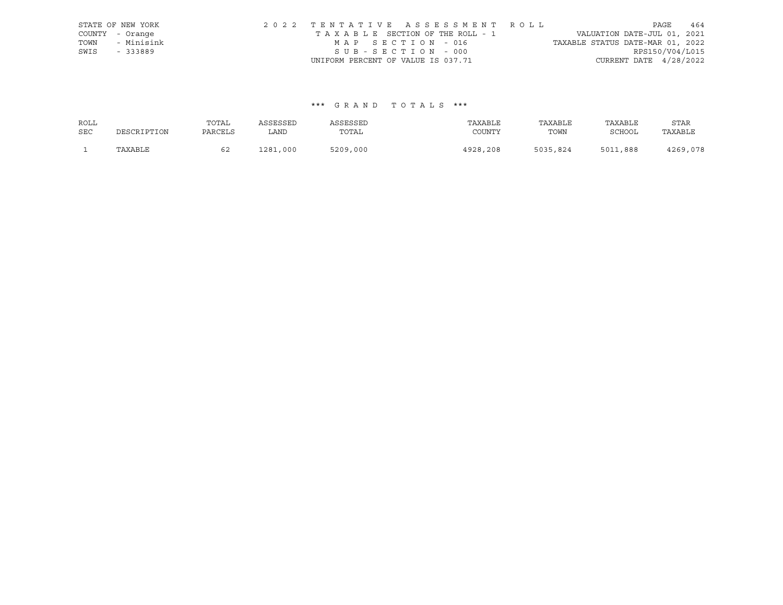|      | STATE OF NEW YORK | 2022 TENTATIVE ASSESSMENT ROLL                                 | PAGE                     | 464 |
|------|-------------------|----------------------------------------------------------------|--------------------------|-----|
|      | COUNTY - Orange   | VALUATION DATE-JUL 01, 2021<br>TAXABLE SECTION OF THE ROLL - 1 |                          |     |
| TOWN | - Minisink        | TAXABLE STATUS DATE-MAR 01, 2022<br>MAP SECTION - 016          |                          |     |
| SWIS | - 333889          | SUB-SECTION - 000                                              | RPS150/V04/L015          |     |
|      |                   | UNIFORM PERCENT OF VALUE IS 037.71                             | CURRENT DATE $4/28/2022$ |     |

#### \*\*\* G R A N D T O T A L S \*\*\*

| ROLL       |             | TOTAL   | ASSESSED | ASSESSED | TAXABLE  | TAXABLE  | TAXABLE  | STAR     |
|------------|-------------|---------|----------|----------|----------|----------|----------|----------|
| <b>SEC</b> | DESCRIPTION | PARCELS | LAND     | TOTAL    | COUNTY   | TOWN     | SCHOOL   | TAXABLE  |
|            | TAXABLE     |         | 1281,000 | 5209,000 | 4928,208 | 5035,824 | 5011,888 | 4269,078 |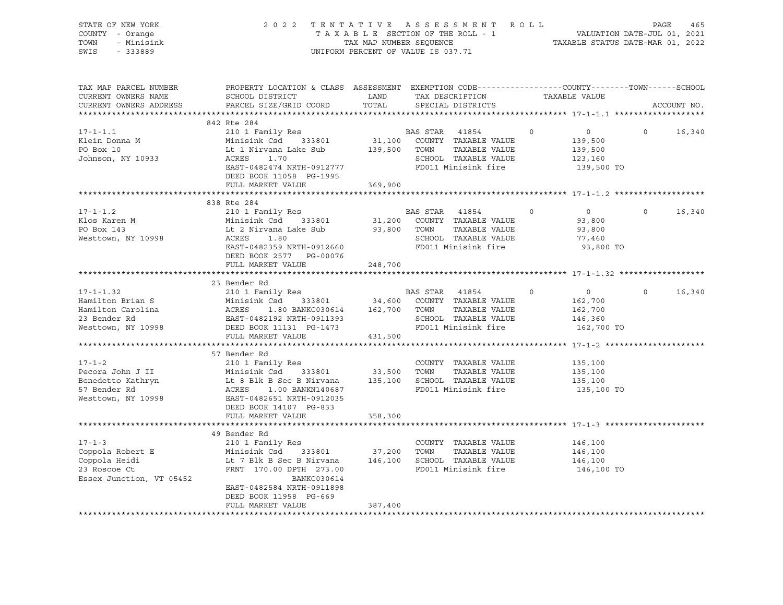| STATE OF NEW YORK<br>COUNTY - Orange<br>- Minisink<br>TOWN<br>SWIS<br>$-333889$                                                                                                                                                                          |                                                                                                                                                                                                                                                           | 2022 TENTATIVE ASSESSMENT ROLL<br>TENTATIVE ASSESSMENT NOLLE<br>TAXABLE SECTION OF THE ROLL - 1 VALUATION DATE-JUL 01, 2021<br>TAX MAP NUMBER SEQUENCE TAXABLE STATUS DATE-MAR 01, 2022<br>UNIFORM PERCENT OF VALUE IS 037.71 |                                                                                                                    |          | PAGE<br>465                                                               |             |
|----------------------------------------------------------------------------------------------------------------------------------------------------------------------------------------------------------------------------------------------------------|-----------------------------------------------------------------------------------------------------------------------------------------------------------------------------------------------------------------------------------------------------------|-------------------------------------------------------------------------------------------------------------------------------------------------------------------------------------------------------------------------------|--------------------------------------------------------------------------------------------------------------------|----------|---------------------------------------------------------------------------|-------------|
| TAX MAP PARCEL NUMBER<br>CURRENT OWNERS NAME<br>CURRENT OWNERS ADDRESS                                                                                                                                                                                   | PROPERTY LOCATION & CLASS ASSESSMENT EXEMPTION CODE----------------COUNTY-------TOWN------SCHOOL<br>${\tt SCH OOL\ DISTRICT} \hspace{20mm} {\tt LAND} \hspace{20mm} {\tt TAX\ DESCRIP TION} \hspace{20mm} {\tt TAXABLE\ VALUE}$<br>PARCEL SIZE/GRID COORD | TOTAL                                                                                                                                                                                                                         | SPECIAL DISTRICTS                                                                                                  |          |                                                                           | ACCOUNT NO. |
|                                                                                                                                                                                                                                                          | 842 Rte 284                                                                                                                                                                                                                                               |                                                                                                                                                                                                                               |                                                                                                                    |          |                                                                           |             |
| $17 - 1 - 1.1$<br>Klein Donna M<br>PO Box 10<br>Johnson, NY 10933                                                                                                                                                                                        | 210 1 Family Res<br>Minisink Csd 333801<br>Lt 1 Nirvana Lake Sub<br>ACRES 1.70<br>EAST-0482474 NRTH-0912777<br>DEED BOOK 11058 PG-1995                                                                                                                    | 31,100<br>139,500                                                                                                                                                                                                             | BAS STAR 41854<br>COUNTY TAXABLE VALUE<br>TOWN TAXABLE VALUE<br>SCHOOL TAXABLE VALUE<br>FD011 Minisink fire        | $\Omega$ | $\overline{0}$<br>$\Omega$<br>139,500<br>139,500<br>123,160<br>139,500 TO | 16,340      |
|                                                                                                                                                                                                                                                          | FULL MARKET VALUE 369,900                                                                                                                                                                                                                                 |                                                                                                                                                                                                                               |                                                                                                                    |          |                                                                           |             |
|                                                                                                                                                                                                                                                          | 838 Rte 284                                                                                                                                                                                                                                               |                                                                                                                                                                                                                               |                                                                                                                    |          |                                                                           |             |
| $17 - 1 - 1.2$<br>Klos Karen M<br>PO Box 143<br>PO Box 143<br>Westtown, NY 10998                                                                                                                                                                         | 210 1 Family Res<br>Minisink Csd      333801<br>Lt 2 Nirvana Lake Sub<br>ACRES 1.80<br>ACRES 1.80<br>EAST-0482359 NRTH-0912660<br>DEED BOOK 2577 PG-00076                                                                                                 | 31,200                                                                                                                                                                                                                        | BAS STAR 41854<br>COUNTY TAXABLE VALUE<br>93,800 TOWN TAXABLE VALUE<br>SCHOOL TAXABLE VALUE<br>FD011 Minisink fire | $\Omega$ | $\overline{0}$<br>$\Omega$<br>93,800<br>93,800<br>77,460<br>93,800 TO     | 16,340      |
|                                                                                                                                                                                                                                                          | FULL MARKET VALUE 248,700                                                                                                                                                                                                                                 |                                                                                                                                                                                                                               |                                                                                                                    |          |                                                                           |             |
|                                                                                                                                                                                                                                                          |                                                                                                                                                                                                                                                           |                                                                                                                                                                                                                               |                                                                                                                    |          |                                                                           |             |
|                                                                                                                                                                                                                                                          | 23 Bender Rd                                                                                                                                                                                                                                              |                                                                                                                                                                                                                               |                                                                                                                    |          |                                                                           |             |
| $17 - 1 - 1.32$<br>17-1-1.32 210 1 Family Res<br>Hamilton Brian S<br>Hamilton Carolina (ACRES 1.80 BANKC030614 162,700 TOWN TAXABLE VALUE<br>23 Bender Rd EAST-0482192 NRTH-0911393 SCHOOL TAXABLE VALUE<br>23 Bender Rd EAST-0482192 NRTH-0911393 SCHOO | 210 1 Family Res                                                                                                                                                                                                                                          |                                                                                                                                                                                                                               | BAS STAR 41854<br>SCHOOL TAXABLE VALUE<br>FD011 Minisink fire                                                      | $\Omega$ | $\overline{0}$<br>$\Omega$<br>162,700<br>162,700<br>146,360<br>162,700 TO | 16,340      |
|                                                                                                                                                                                                                                                          |                                                                                                                                                                                                                                                           |                                                                                                                                                                                                                               |                                                                                                                    |          |                                                                           |             |
| $17 - 1 - 2$<br>From John J II Minisink Csd 333801 33,500 1000 10000 10000 10000 10000 10000 10000 10000 10000 10000 10000 100<br>Benedetto Kathryn Lt 8 Blk B Sec B Nirvana 135,100 SCHOOL TAXABLE VALUE<br>57 Bender Rd ACRES 1.00 BANKN140687 FD0     | 57 Bender Rd<br>210 1 Family Res                                                                                                                                                                                                                          | 358,300                                                                                                                                                                                                                       | COUNTY TAXABLE VALUE                                                                                               |          | 135,100<br>135,100<br>135,100<br>135,100 TO                               |             |
|                                                                                                                                                                                                                                                          |                                                                                                                                                                                                                                                           |                                                                                                                                                                                                                               |                                                                                                                    |          |                                                                           |             |
| $17 - 1 - 3$<br>Coppola Robert E<br>Coppola Heidi<br>23 Roscoe Ct<br>Essex Junction, VT 05452                                                                                                                                                            | 49 Bender Rd<br>210 1 Family Res<br>Minisink Csd 333801<br>Lt 7 Blk B Sec B Nirvana 146,100 SCHOOL TAXABLE VALUE<br>FRNT 170.00 DPTH 273.00<br>BANKC030614<br>EAST-0482584 NRTH-0911898                                                                   | 37,200                                                                                                                                                                                                                        | COUNTY TAXABLE VALUE<br>TOWN<br>TAXABLE VALUE<br>FD011 Minisink fire                                               |          | 146,100<br>146,100<br>146,100<br>146,100 TO                               |             |
|                                                                                                                                                                                                                                                          | DEED BOOK 11958 PG-669<br>FULL MARKET VALUE                                                                                                                                                                                                               | 387,400                                                                                                                                                                                                                       |                                                                                                                    |          |                                                                           |             |
|                                                                                                                                                                                                                                                          |                                                                                                                                                                                                                                                           |                                                                                                                                                                                                                               |                                                                                                                    |          |                                                                           |             |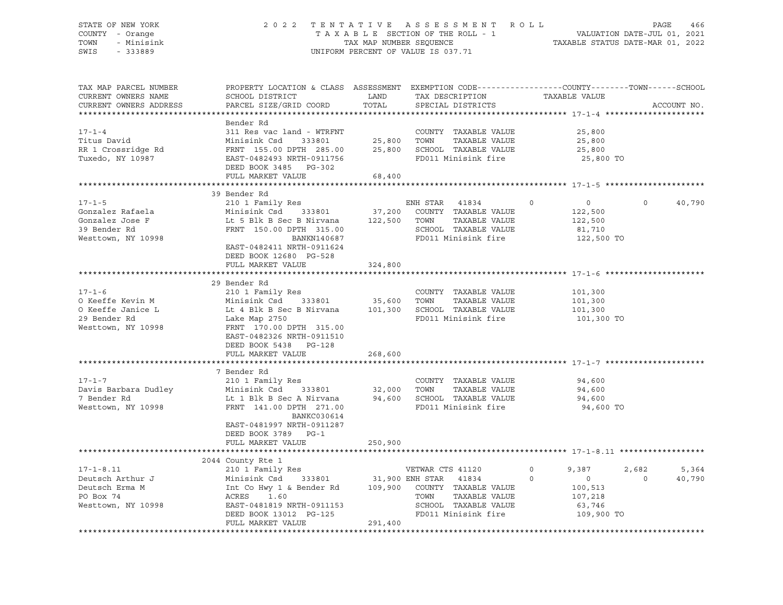#### STATE OF NEW YORK 2 0 2 2 T E N T A T I V E A S S E S S M E N T R O L L PAGE 466 COUNTY - Orange T A X A B L E SECTION OF THE ROLL - 1 VALUATION DATE-JUL 01, 2021 TOWN - Minisink TAX MAP NUMBER SEQUENCE TAXABLE STATUS DATE-MAR 01, 2022 SWIS - 333889 CONSERVED BY A SUIT OF VALUE IS 037.71

| TAX MAP PARCEL NUMBER<br>CURRENT OWNERS NAME                                             | PROPERTY LOCATION & CLASS ASSESSMENT EXEMPTION CODE----------------COUNTY-------TOWN------SCHOOL<br>SCHOOL DISTRICT                                                                    | LAND                     | TAX DESCRIPTION                                                                                                          | TAXABLE VALUE                                                                                |                                      |
|------------------------------------------------------------------------------------------|----------------------------------------------------------------------------------------------------------------------------------------------------------------------------------------|--------------------------|--------------------------------------------------------------------------------------------------------------------------|----------------------------------------------------------------------------------------------|--------------------------------------|
| CURRENT OWNERS ADDRESS                                                                   | PARCEL SIZE/GRID COORD                                                                                                                                                                 | TOTAL                    | SPECIAL DISTRICTS                                                                                                        |                                                                                              | ACCOUNT NO.                          |
|                                                                                          | Bender Rd                                                                                                                                                                              |                          |                                                                                                                          |                                                                                              |                                      |
| $17 - 1 - 4$<br>Titus David<br>RR 1 Crossridge Rd<br>Tuxedo, NY 10987                    | 311 Res vac land - WTRFNT<br>Minisink Csd 333801<br>FRNT 155.00 DPTH 285.00<br>EAST-0482493 NRTH-0911756                                                                               | 25,800<br>25,800         | COUNTY TAXABLE VALUE<br>TOWN<br>TAXABLE VALUE<br>SCHOOL TAXABLE VALUE<br>FD011 Minisink fire                             | 25,800<br>25,800<br>25,800<br>25,800 TO                                                      |                                      |
|                                                                                          | DEED BOOK 3485 PG-302                                                                                                                                                                  |                          |                                                                                                                          |                                                                                              |                                      |
|                                                                                          | FULL MARKET VALUE<br>*************************                                                                                                                                         | 68,400<br>************** |                                                                                                                          |                                                                                              |                                      |
|                                                                                          | 39 Bender Rd                                                                                                                                                                           |                          |                                                                                                                          |                                                                                              |                                      |
| $17 - 1 - 5$<br>Gonzalez Rafaela                                                         | 210 1 Family Res<br>Minisink Csd 333801                                                                                                                                                | 37,200                   | ENH STAR 41834<br>COUNTY TAXABLE VALUE                                                                                   | $\circ$<br>0<br>122,500                                                                      | 40,790<br>$\Omega$                   |
| Gonzalez Jose F<br>39 Bender Rd<br>Westtown, NY 10998                                    | Lt 5 Blk B Sec B Nirvana<br>FRNT 150.00 DPTH 315.00<br>BANKN140687<br>EAST-0482411 NRTH-0911624                                                                                        |                          | 122,500 TOWN TAXABLE VALUE<br>SCHOOL TAXABLE VALUE<br>FD011 Minisink fire                                                | 122,500<br>81,710<br>122,500 TO                                                              |                                      |
|                                                                                          | DEED BOOK 12680 PG-528<br>FULL MARKET VALUE                                                                                                                                            | 324,800                  |                                                                                                                          |                                                                                              |                                      |
|                                                                                          |                                                                                                                                                                                        |                          |                                                                                                                          |                                                                                              |                                      |
| $17 - 1 - 6$<br>O Keeffe Kevin M<br>O Keeffe Janice L                                    | 29 Bender Rd<br>210 1 Family Res<br>Minisink Csd<br>333801 35,600<br>Lt 4 Blk B Sec B Nirvana 101,300 SCHOOL TAXABLE VALUE                                                             |                          | COUNTY TAXABLE VALUE<br>TOWN<br>TAXABLE VALUE                                                                            | 101,300<br>101,300<br>101,300                                                                |                                      |
| 29 Bender Rd<br>Westtown, NY 10998                                                       | Lake Map 2750<br>FRNT 170.00 DPTH 315.00<br>EAST-0482326 NRTH-0911510<br>DEED BOOK 5438 PG-128                                                                                         |                          | FD011 Minisink fire                                                                                                      | 101,300 TO                                                                                   |                                      |
|                                                                                          | FULL MARKET VALUE                                                                                                                                                                      | 268,600                  |                                                                                                                          |                                                                                              |                                      |
|                                                                                          | 7 Bender Rd                                                                                                                                                                            |                          |                                                                                                                          |                                                                                              |                                      |
| $17 - 1 - 7$<br>Davis Barbara Dudley<br>7 Bender Rd<br>Westtown, NY 10998                | 210 1 Family Res<br>Minisink Csd 333801<br>Lt 1 Blk B Sec A Nirvana<br>FRNT 141.00 DPTH 271.00<br>BANKC030614<br>EAST-0481997 NRTH-0911287<br>DEED BOOK 3789 PG-1                      | 32,000<br>94,600         | COUNTY TAXABLE VALUE<br>TOWN<br>TAXABLE VALUE<br>SCHOOL TAXABLE VALUE<br>FD011 Minisink fire                             | 94,600<br>94,600<br>94,600<br>94,600 TO                                                      |                                      |
|                                                                                          | FULL MARKET VALUE                                                                                                                                                                      | 250,900                  |                                                                                                                          |                                                                                              |                                      |
|                                                                                          |                                                                                                                                                                                        |                          |                                                                                                                          |                                                                                              |                                      |
|                                                                                          | 2044 County Rte 1                                                                                                                                                                      |                          |                                                                                                                          |                                                                                              |                                      |
| $17 - 1 - 8.11$<br>Deutsch Arthur J<br>Deutsch Erma M<br>PO Box 74<br>Westtown, NY 10998 | 210 1 Family Res<br>Minisink Csd 333801 31,900 ENH STAR 41834<br>Int Co Hwy 1 & Bender Rd<br>ACRES<br>1.60<br>EAST-0481819 NRTH-0911153<br>DEED BOOK 13012 PG-125<br>FULL MARKET VALUE | 291,400                  | VETWAR CTS 41120<br>109,900 COUNTY TAXABLE VALUE<br>TOWN<br>TAXABLE VALUE<br>SCHOOL TAXABLE VALUE<br>FD011 Minisink fire | $\circ$<br>9,387<br>$\Omega$<br>$\overline{0}$<br>100,513<br>107,218<br>63,746<br>109,900 TO | 2,682<br>5,364<br>40,790<br>$\Omega$ |
|                                                                                          |                                                                                                                                                                                        |                          |                                                                                                                          |                                                                                              |                                      |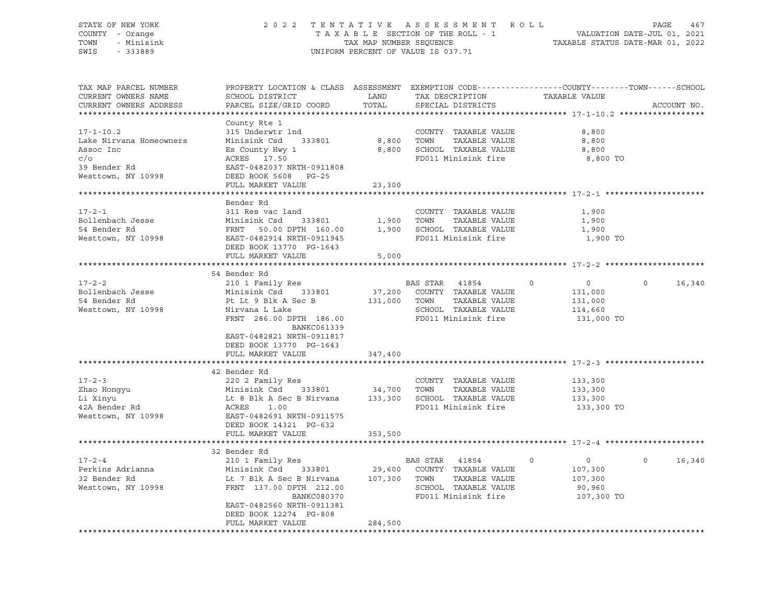STATE OF NEW YORK 2 0 2 2 T E N T A T I V E A S S E S S M E N T R O L L PAGE 467 COUNTY - Orange T A X A B L E SECTION OF THE ROLL - 1 VALUATION DATE-JUL 01, 2021 TOWN - Minisink TAX MAP NUMBER SEQUENCE TAXABLE STATUS DATE-MAR 01, 2022<br>TAXABLE STATUS DATE-MAR 01, 2022 UNIFORM PERCENT OF VALUE IS 037.71 TAX MAP PARCEL NUMBER PROPERTY LOCATION & CLASS ASSESSMENT EXEMPTION CODE------------------COUNTY--------TOWN------SCHOOL CURRENT OWNERS NAME SCHOOL DISTRICT TAX DESCRIPTION TAXABLE VALUE CURRENT OWNERS ADDRESS PARCEL SIZE/GRID COORD TOTAL SPECIAL DISTRICTS ACCOUNT NO. \*\*\*\*\*\*\*\*\*\*\*\*\*\*\*\*\*\*\*\*\*\*\*\*\*\*\*\*\*\*\*\*\*\*\*\*\*\*\*\*\*\*\*\*\*\*\*\*\*\*\*\*\*\*\*\*\*\*\*\*\*\*\*\*\*\*\*\*\*\*\*\*\*\*\*\*\*\*\*\*\*\*\*\*\*\*\*\*\*\*\*\*\*\*\*\*\*\*\*\*\*\*\* 17-1-10.2 \*\*\*\*\*\*\*\*\*\*\*\*\*\*\*\*\*\*

|                         | County Rte 1              |         |                              |             |            |          |        |
|-------------------------|---------------------------|---------|------------------------------|-------------|------------|----------|--------|
| $17 - 1 - 10.2$         | 315 Underwtr 1nd          |         | COUNTY TAXABLE VALUE         |             | 8,800      |          |        |
| Lake Nirvana Homeowners | Minisink Csd<br>333801    | 8,800   | TAXABLE VALUE<br>TOWN        |             | 8,800      |          |        |
| Assoc Inc               | Es County Hwy 1           | 8,800   | SCHOOL TAXABLE VALUE         |             | 8,800      |          |        |
| $c/\circ$               | ACRES 17.50               |         | FD011 Minisink fire          |             | 8,800 TO   |          |        |
| 39 Bender Rd            | EAST-0482037 NRTH-0911808 |         |                              |             |            |          |        |
| Westtown, NY 10998      | DEED BOOK 5608 PG-25      |         |                              |             |            |          |        |
|                         | FULL MARKET VALUE         | 23,300  |                              |             |            |          |        |
|                         |                           |         |                              |             |            |          |        |
|                         | Bender Rd                 |         |                              |             |            |          |        |
| $17 - 2 - 1$            | 311 Res vac land          |         | COUNTY TAXABLE VALUE         |             | 1,900      |          |        |
| Bollenbach Jesse        | Minisink Csd<br>333801    | 1,900   | TOWN<br>TAXABLE VALUE        |             | 1,900      |          |        |
| 54 Bender Rd            | FRNT<br>50.00 DPTH 160.00 |         | 1,900 SCHOOL TAXABLE VALUE   |             | 1,900      |          |        |
| Westtown, NY 10998      | EAST-0482914 NRTH-0911945 |         | FD011 Minisink fire          |             | 1,900 TO   |          |        |
|                         | DEED BOOK 13770 PG-1643   |         |                              |             |            |          |        |
|                         | FULL MARKET VALUE         | 5,000   |                              |             |            |          |        |
|                         |                           |         |                              |             |            |          |        |
|                         | 54 Bender Rd              |         |                              |             |            |          |        |
| $17 - 2 - 2$            | 210 1 Family Res          |         | BAS STAR<br>41854            | $\Omega$    | $\circ$    | $\Omega$ | 16,340 |
| Bollenbach Jesse        | Minisink Csd 333801       |         | 37,200 COUNTY TAXABLE VALUE  |             | 131,000    |          |        |
| 54 Bender Rd            | Pt Lt 9 Blk A Sec B       | 131,000 | TOWN<br>TAXABLE VALUE        |             | 131,000    |          |        |
| Westtown, NY 10998      | Nirvana L Lake            |         | SCHOOL TAXABLE VALUE         |             | 114,660    |          |        |
|                         | FRNT 286.00 DPTH 186.00   |         | FD011 Minisink fire          |             | 131,000 TO |          |        |
|                         | BANKC061339               |         |                              |             |            |          |        |
|                         | EAST-0482821 NRTH-0911817 |         |                              |             |            |          |        |
|                         |                           |         |                              |             |            |          |        |
|                         | DEED BOOK 13770 PG-1643   |         |                              |             |            |          |        |
|                         | FULL MARKET VALUE         | 347,400 |                              |             |            |          |        |
|                         |                           |         |                              |             |            |          |        |
|                         | 42 Bender Rd              |         |                              |             |            |          |        |
| $17 - 2 - 3$            | 220 2 Family Res          |         | COUNTY TAXABLE VALUE         |             | 133,300    |          |        |
| Zhao Honqyu             | Minisink Csd<br>333801    | 34,700  | TOWN<br>TAXABLE VALUE        |             | 133,300    |          |        |
| Li Xinyu                | Lt 8 Blk A Sec B Nirvana  |         | 133,300 SCHOOL TAXABLE VALUE |             | 133,300    |          |        |
| 42A Bender Rd           | ACRES<br>1.00             |         | FD011 Minisink fire          |             | 133,300 TO |          |        |
| Westtown, NY 10998      | EAST-0482691 NRTH-0911575 |         |                              |             |            |          |        |
|                         | DEED BOOK 14321 PG-632    |         |                              |             |            |          |        |
|                         | FULL MARKET VALUE         | 353,500 |                              |             |            |          |        |
|                         |                           |         |                              |             |            |          |        |
|                         | 32 Bender Rd              |         |                              |             |            |          |        |
| $17 - 2 - 4$            | 210 1 Family Res          |         | BAS STAR 41854               | $\mathbf 0$ | $\circ$    | $\Omega$ | 16,340 |
| Perkins Adrianna        | Minisink Csd<br>333801    |         | 29,600 COUNTY TAXABLE VALUE  |             | 107,300    |          |        |
| 32 Bender Rd            | Lt 7 Blk A Sec B Nirvana  | 107,300 | TOWN<br>TAXABLE VALUE        |             | 107,300    |          |        |
| Westtown, NY 10998      | FRNT 137.00 DPTH 212.00   |         | SCHOOL TAXABLE VALUE         |             | 90,960     |          |        |
|                         | BANKC080370               |         | FD011 Minisink fire          |             | 107,300 TO |          |        |
|                         | EAST-0482560 NRTH-0911381 |         |                              |             |            |          |        |
|                         | DEED BOOK 12274 PG-808    |         |                              |             |            |          |        |
|                         | FULL MARKET VALUE         | 284,500 |                              |             |            |          |        |
|                         |                           |         |                              |             |            |          |        |
|                         |                           |         |                              |             |            |          |        |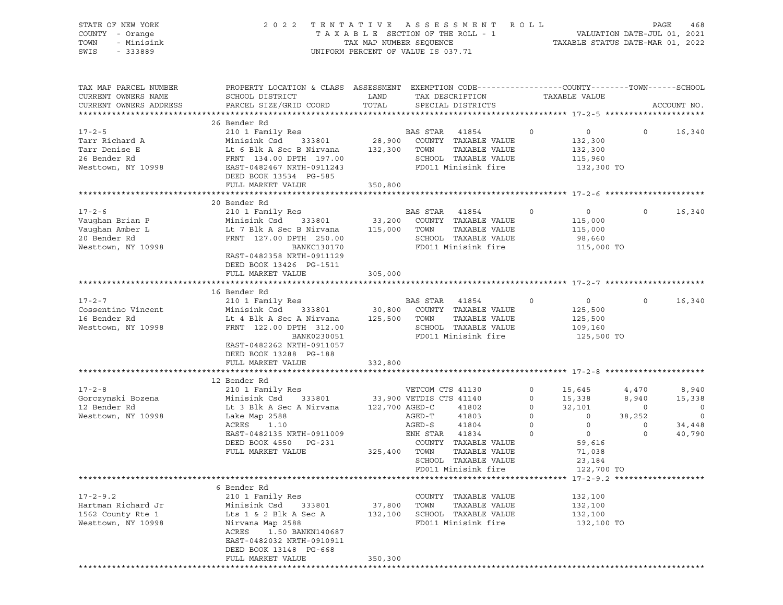| STATE OF NEW YORK<br>COUNTY - Orange<br>TOWN<br>- Minisink<br>SWIS<br>$-333889$          | TENTATIVE ASSESSMENT<br>2 0 2 2<br>TAXABLE SECTION OF THE ROLL - 1<br>TAX MAP NUMBER SEQUENCE<br>UNIFORM PERCENT OF VALUE IS 037.71                                                                             | R O L L<br>468<br>PAGE<br>VALUATION DATE-JUL 01, 2021<br>TAXABLE STATUS DATE-MAR 01, 2022 |                                                                                     |                                                                                                      |                                                                                                                                  |                                                                                        |                                                           |                                                           |
|------------------------------------------------------------------------------------------|-----------------------------------------------------------------------------------------------------------------------------------------------------------------------------------------------------------------|-------------------------------------------------------------------------------------------|-------------------------------------------------------------------------------------|------------------------------------------------------------------------------------------------------|----------------------------------------------------------------------------------------------------------------------------------|----------------------------------------------------------------------------------------|-----------------------------------------------------------|-----------------------------------------------------------|
| TAX MAP PARCEL NUMBER<br>CURRENT OWNERS NAME<br>CURRENT OWNERS ADDRESS                   | SCHOOL DISTRICT<br>PARCEL SIZE/GRID COORD                                                                                                                                                                       | LAND<br>TOTAL                                                                             | TAX DESCRIPTION<br>SPECIAL DISTRICTS                                                |                                                                                                      | PROPERTY LOCATION & CLASS ASSESSMENT EXEMPTION CODE----------------COUNTY-------TOWN------SCHOOL<br>TAXABLE VALUE<br>ACCOUNT NO. |                                                                                        |                                                           |                                                           |
| $17 - 2 - 5$<br>Tarr Richard A<br>Tarr Denise E<br>26 Bender Rd<br>Westtown, NY 10998    | 26 Bender Rd<br>210 1 Family Res<br>Minisink Csd 333801<br>Lt 6 Blk A Sec B Nirvana<br>FRNT 134.00 DPTH 197.00<br>EAST-0482467 NRTH-0911243<br>DEED BOOK 13534 PG-585<br>FULL MARKET VALUE                      | 132,300 TOWN<br>350,800                                                                   | BAS STAR                                                                            | 41854<br>28,900 COUNTY TAXABLE VALUE<br>TAXABLE VALUE<br>SCHOOL TAXABLE VALUE<br>FD011 Minisink fire | $\circ$                                                                                                                          | $\overline{0}$<br>132,300<br>132,300<br>115,960<br>132,300 TO                          | $\circ$                                                   | 16,340                                                    |
|                                                                                          | 20 Bender Rd                                                                                                                                                                                                    |                                                                                           |                                                                                     |                                                                                                      |                                                                                                                                  |                                                                                        |                                                           |                                                           |
| $17 - 2 - 6$<br>Vaughan Brian P<br>Vaughan Amber L<br>20 Bender Rd<br>Westtown, NY 10998 | 210 1 Family Res<br>Minisink Csd 333801<br>Lt 7 Blk A Sec B Nirvana<br>FRNT 127.00 DPTH 250.00<br>BANKC130170<br>EAST-0482358 NRTH-0911129<br>DEED BOOK 13426 PG-1511                                           | 33,200<br>115,000                                                                         | BAS STAR<br>TOWN                                                                    | 41854<br>COUNTY TAXABLE VALUE<br>TAXABLE VALUE<br>SCHOOL TAXABLE VALUE<br>FD011 Minisink fire        | 0                                                                                                                                | $\circ$<br>115,000<br>115,000<br>98,660<br>115,000 TO                                  | $\circ$                                                   | 16,340                                                    |
|                                                                                          | FULL MARKET VALUE                                                                                                                                                                                               | 305,000                                                                                   |                                                                                     |                                                                                                      |                                                                                                                                  |                                                                                        |                                                           |                                                           |
|                                                                                          |                                                                                                                                                                                                                 |                                                                                           |                                                                                     |                                                                                                      |                                                                                                                                  |                                                                                        |                                                           |                                                           |
| $17 - 2 - 7$<br>Cossentino Vincent<br>16 Bender Rd<br>Westtown, NY 10998                 | 16 Bender Rd<br>210 1 Family Res<br>Minisink Csd<br>333801<br>Lt 4 Blk A Sec A Nirvana<br>FRNT 122.00 DPTH 312.00<br>BANK0230051<br>EAST-0482262 NRTH-0911057<br>DEED BOOK 13288 PG-188                         | 125,500 TOWN                                                                              | BAS STAR 41854                                                                      | 30,800 COUNTY TAXABLE VALUE<br>TAXABLE VALUE<br>SCHOOL TAXABLE VALUE<br>FD011 Minisink fire          | 0                                                                                                                                | $\circ$<br>125,500<br>125,500<br>109,160<br>125,500 TO                                 | $\circ$                                                   | 16,340                                                    |
|                                                                                          | FULL MARKET VALUE                                                                                                                                                                                               | 332,800                                                                                   |                                                                                     |                                                                                                      |                                                                                                                                  |                                                                                        |                                                           |                                                           |
|                                                                                          |                                                                                                                                                                                                                 |                                                                                           |                                                                                     |                                                                                                      |                                                                                                                                  |                                                                                        |                                                           |                                                           |
| $17 - 2 - 8$<br>Gorczynski Bozena<br>12 Bender Rd<br>Westtown, NY 10998                  | 12 Bender Rd<br>210 1 Family Res<br>333801<br>Minisink Csd<br>Lt 3 Blk A Sec A Nirvana<br>Lake Map 2588<br>ACRES<br>1.10<br>EAST-0482135 NRTH-0911009<br>DEED BOOK 4550<br>PG-231<br>FULL MARKET VALUE          | 122,700 AGED-C<br>325,400 TOWN                                                            | VETCOM CTS 41130<br>33,900 VETDIS CTS 41140<br>AGED-T<br>$AGED-S$<br>ENH STAR 41834 | 41802<br>41803<br>41804<br>COUNTY TAXABLE VALUE<br>TAXABLE VALUE                                     | $\circ$<br>$\circ$<br>$\circ$<br>$\circ$<br>$\circ$<br>$\mathbf 0$                                                               | 15,645<br>15,338<br>32,101<br>$\circ$<br>$\circ$<br>$\overline{0}$<br>59,616<br>71,038 | 4,470<br>8,940<br>$\circ$<br>38,252<br>$\circ$<br>$\circ$ | 8,940<br>15,338<br>$\circ$<br>$\circ$<br>34,448<br>40,790 |
|                                                                                          |                                                                                                                                                                                                                 |                                                                                           |                                                                                     | SCHOOL TAXABLE VALUE                                                                                 |                                                                                                                                  | 23,184                                                                                 |                                                           |                                                           |
|                                                                                          |                                                                                                                                                                                                                 |                                                                                           |                                                                                     | FD011 Minisink fire                                                                                  |                                                                                                                                  | 122,700 TO                                                                             |                                                           |                                                           |
| $17 - 2 - 9.2$<br>Hartman Richard Jr<br>1562 County Rte 1<br>Westtown, NY 10998          | 6 Bender Rd<br>210 1 Family Res<br>Minisink Csd<br>333801<br>Lts 1 & 2 Blk A Sec A<br>Nirvana Map 2588<br>ACRES<br>1.50 BANKN140687<br>EAST-0482032 NRTH-0910911<br>DEED BOOK 13148 PG-668<br>FULL MARKET VALUE | 37,800<br>132,100<br>350,300                                                              | TOWN                                                                                | COUNTY TAXABLE VALUE<br>TAXABLE VALUE<br>SCHOOL TAXABLE VALUE<br>FD011 Minisink fire                 |                                                                                                                                  | 132,100<br>132,100<br>132,100<br>132,100 TO                                            |                                                           |                                                           |
|                                                                                          |                                                                                                                                                                                                                 |                                                                                           |                                                                                     |                                                                                                      |                                                                                                                                  |                                                                                        |                                                           |                                                           |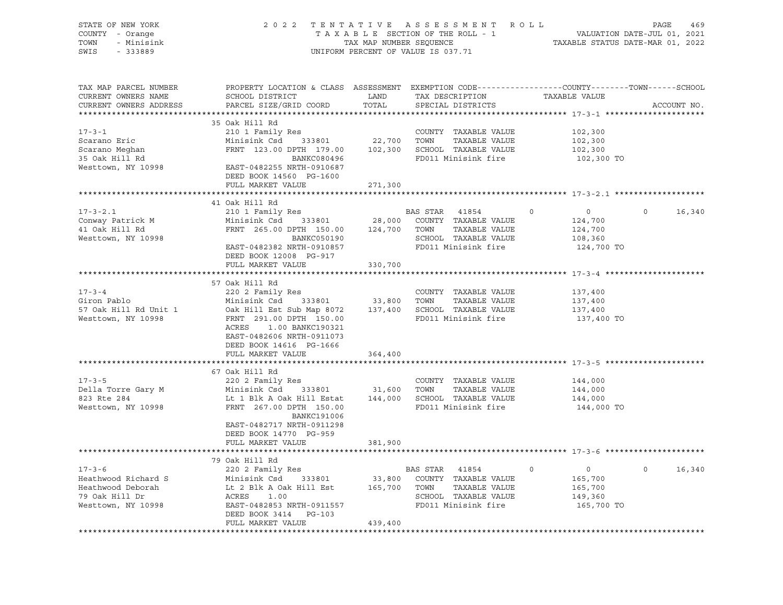| STATE OF NEW YORK<br>COUNTY - Orange<br>- Minisink<br>TOWN<br>SWIS - 333889                                                                                                                                                                           | 2022 TENTATIVE ASSESSMENT ROLL PAGE 469<br>TAXABLE SECTION OF THE ROLL - 1 VALUATION DATE-JUL 01, 2021<br>TAX MAP NUMBER SEQUENCE TAXABLE STATUS DATE-MAR 01, 2022                                                                                           |         | UNIFORM PERCENT OF VALUE IS 037.71 |                                |                    |
|-------------------------------------------------------------------------------------------------------------------------------------------------------------------------------------------------------------------------------------------------------|--------------------------------------------------------------------------------------------------------------------------------------------------------------------------------------------------------------------------------------------------------------|---------|------------------------------------|--------------------------------|--------------------|
| TAX MAP PARCEL NUMBER<br>CURRENT OWNERS NAME<br>CURRENT OWNERS ADDRESS                                                                                                                                                                                | PROPERTY LOCATION & CLASS ASSESSMENT EXEMPTION CODE---------------COUNTY-------TOWN-----SCHOOL                                                                                                                                                               | TOTAL   |                                    |                                | ACCOUNT NO.        |
|                                                                                                                                                                                                                                                       | 35 Oak Hill Rd                                                                                                                                                                                                                                               |         |                                    |                                |                    |
| $17 - 3 - 1$                                                                                                                                                                                                                                          | 210 1 Family Res                                                                                                                                                                                                                                             |         | COUNTY TAXABLE VALUE               | 102,300                        |                    |
| Scarano Eric                                                                                                                                                                                                                                          | Minisink Csd 333801 22,700 TOWN TAXABLE VALUE                                                                                                                                                                                                                |         |                                    | 102,300                        |                    |
|                                                                                                                                                                                                                                                       | FRNT 123.00 DPTH 179.00 102,300 SCHOOL TAXABLE VALUE                                                                                                                                                                                                         |         |                                    | 102,300                        |                    |
|                                                                                                                                                                                                                                                       |                                                                                                                                                                                                                                                              |         | BANKC080496 FD011 Minisink fire    | 102,300 TO                     |                    |
|                                                                                                                                                                                                                                                       |                                                                                                                                                                                                                                                              |         |                                    |                                |                    |
|                                                                                                                                                                                                                                                       | DEED BOOK 14560 PG-1600                                                                                                                                                                                                                                      |         |                                    |                                |                    |
|                                                                                                                                                                                                                                                       | FULL MARKET VALUE                                                                                                                                                                                                                                            | 271,300 |                                    |                                |                    |
|                                                                                                                                                                                                                                                       |                                                                                                                                                                                                                                                              |         |                                    |                                |                    |
|                                                                                                                                                                                                                                                       | 41 Oak Hill Rd                                                                                                                                                                                                                                               |         |                                    |                                |                    |
| $17 - 3 - 2.1$                                                                                                                                                                                                                                        | 210 1 Family Res                                                                                                                                                                                                                                             |         | BAS STAR 41854                     | $\overline{0}$<br>$\circ$      | $\Omega$<br>16,340 |
| Conway Patrick M<br>41 Oak Hill Rd                                                                                                                                                                                                                    | Minisink Csd 333801 28,000 COUNTY TAXABLE VALUE<br>FRNT 265.00 DPTH 150.00 124,700 TOWN TAXABLE VALUE                                                                                                                                                        |         |                                    | 124,700<br>124,700             |                    |
| Westtown, NY 10998                                                                                                                                                                                                                                    | BANKC050190                                                                                                                                                                                                                                                  |         |                                    | 108,360                        |                    |
|                                                                                                                                                                                                                                                       | EAST-0482382 NRTH-0910857                                                                                                                                                                                                                                    |         | SCHOOL TAXABLE VALUE               | FD011 Minisink fire 124,700 TO |                    |
|                                                                                                                                                                                                                                                       | DEED BOOK 12008 PG-917                                                                                                                                                                                                                                       |         |                                    |                                |                    |
|                                                                                                                                                                                                                                                       | FULL MARKET VALUE                                                                                                                                                                                                                                            | 330,700 |                                    |                                |                    |
|                                                                                                                                                                                                                                                       |                                                                                                                                                                                                                                                              |         |                                    |                                |                    |
|                                                                                                                                                                                                                                                       | 57 Oak Hill Rd                                                                                                                                                                                                                                               |         |                                    |                                |                    |
| $17 - 3 - 4$                                                                                                                                                                                                                                          | 220 2 Family Res                                                                                                                                                                                                                                             |         | COUNTY TAXABLE VALUE               | 137,400                        |                    |
| Giron Pablo                                                                                                                                                                                                                                           |                                                                                                                                                                                                                                                              |         |                                    | 137,400                        |                    |
| 57 Oak Hill Rd Unit 1<br>Westtown, NY 10998                                                                                                                                                                                                           |                                                                                                                                                                                                                                                              |         |                                    | 137,400                        |                    |
|                                                                                                                                                                                                                                                       | 220 2 Family Res<br>Minisink Csd 333801 33,800 TOWN TAXABLE VALUE<br>Oak Hill Est Sub Map 8072 137,400 SCHOOL TAXABLE VALUE<br>FRNT 291.00 DPTH 150.00 FD011 Minisink fire<br>ACRES 1.00 BANKC190321<br>EAST-0482606 NRTH-0911073<br>DEED BOOK 14616 PG-1666 |         |                                    | 137,400 TO                     |                    |
|                                                                                                                                                                                                                                                       | FULL MARKET VALUE                                                                                                                                                                                                                                            | 364,400 |                                    |                                |                    |
|                                                                                                                                                                                                                                                       |                                                                                                                                                                                                                                                              |         |                                    |                                |                    |
|                                                                                                                                                                                                                                                       | 67 Oak Hill Rd                                                                                                                                                                                                                                               |         |                                    |                                |                    |
|                                                                                                                                                                                                                                                       |                                                                                                                                                                                                                                                              |         | COUNTY TAXABLE VALUE 144,000       |                                |                    |
|                                                                                                                                                                                                                                                       |                                                                                                                                                                                                                                                              |         |                                    | 144,000                        |                    |
|                                                                                                                                                                                                                                                       |                                                                                                                                                                                                                                                              |         |                                    | 144,000                        |                    |
| 17-3-5<br>Della Torre Gary M<br>220 2 Family Res<br>220 2 Family Res<br>220 2 Family Res<br>220 2 Family Res<br>31,600 TOWN TAXABLE VALUE<br>323 Rte 284<br>144,000 SCHOOL TAXABLE VALUE<br>Westtown, NY 10998<br>FRNT 267.00 DPTH 150.00<br>FRNT 26  | BANKC191006<br>EAST-0482717 NRTH-0911298                                                                                                                                                                                                                     |         |                                    | 144,000 TO                     |                    |
|                                                                                                                                                                                                                                                       | DEED BOOK 14770 PG-959                                                                                                                                                                                                                                       |         |                                    |                                |                    |
|                                                                                                                                                                                                                                                       | FULL MARKET VALUE                                                                                                                                                                                                                                            | 381,900 |                                    |                                |                    |
|                                                                                                                                                                                                                                                       |                                                                                                                                                                                                                                                              |         |                                    |                                |                    |
|                                                                                                                                                                                                                                                       | 79 Oak Hill Rd                                                                                                                                                                                                                                               |         |                                    |                                |                    |
|                                                                                                                                                                                                                                                       |                                                                                                                                                                                                                                                              |         |                                    | $\overline{0}$                 | 16,340<br>$\Omega$ |
|                                                                                                                                                                                                                                                       |                                                                                                                                                                                                                                                              |         |                                    | 165,700                        |                    |
|                                                                                                                                                                                                                                                       |                                                                                                                                                                                                                                                              |         |                                    | 165,700                        |                    |
|                                                                                                                                                                                                                                                       |                                                                                                                                                                                                                                                              |         |                                    | 149,360                        |                    |
| 17-3-6<br>Heathwood Richard S<br>Heathwood Deborah<br>Heathwood Deborah<br>165,700 TOWN TAXABLE VALUE<br>165,700 TOWN TAXABLE VALUE<br>165,700 TOWN TAXABLE VALUE<br>2002 Family Rest<br>2002 Family Rest<br>2002 Family Rest<br>2002 Family Rest<br> |                                                                                                                                                                                                                                                              |         |                                    | 165,700 TO                     |                    |
|                                                                                                                                                                                                                                                       | DEED BOOK 3414 PG-103                                                                                                                                                                                                                                        |         |                                    |                                |                    |
|                                                                                                                                                                                                                                                       | FULL MARKET VALUE                                                                                                                                                                                                                                            | 439,400 |                                    |                                |                    |
|                                                                                                                                                                                                                                                       |                                                                                                                                                                                                                                                              |         |                                    |                                |                    |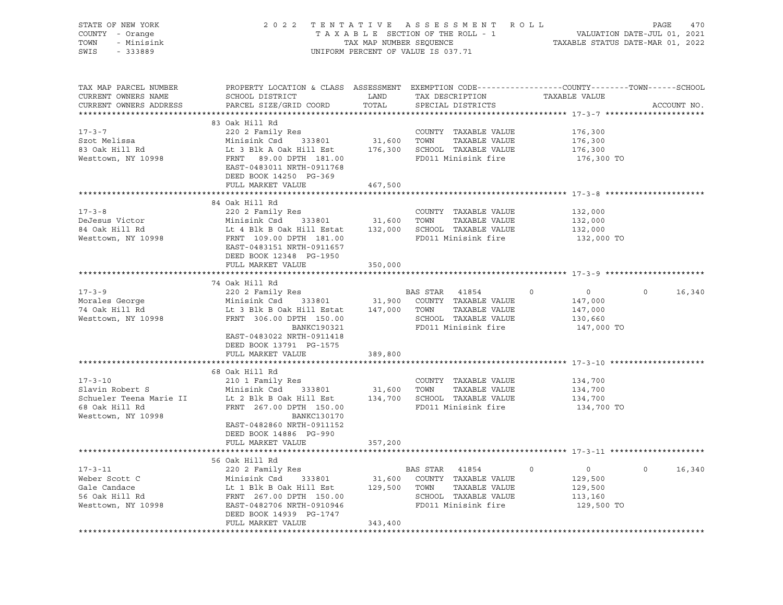| STATE OF NEW YORK<br>COUNTY - Orange<br>TOWN - Minisink<br>SWIS - 333889 |                                                                                                                                                                                                                                                                                          |         | UNIFORM PERCENT OF VALUE IS 037.71                                                         |                               | 2022 TENTATIVE ASSESSMENT ROLL PAGE 470<br>TAXABLE SECTION OF THE ROLL - 1 VALUATION DATE-JUL 01, 2021<br>TAX MAP NUMBER SEQUENCE TAXABLE STATUS DATE-MAR 01, 2022<br>UNIFORM PERCENT OF VALUE IS 037.71 |  |  |
|--------------------------------------------------------------------------|------------------------------------------------------------------------------------------------------------------------------------------------------------------------------------------------------------------------------------------------------------------------------------------|---------|--------------------------------------------------------------------------------------------|-------------------------------|----------------------------------------------------------------------------------------------------------------------------------------------------------------------------------------------------------|--|--|
| TAX MAP PARCEL NUMBER<br>CURRENT OWNERS NAME<br>CURRENT OWNERS ADDRESS   | PROPERTY LOCATION & CLASS ASSESSMENT EXEMPTION CODE---------------COUNTY-------TOWN-----SCHOOL                                                                                                                                                                                           |         |                                                                                            |                               | ACCOUNT NO.                                                                                                                                                                                              |  |  |
|                                                                          | 83 Oak Hill Rd                                                                                                                                                                                                                                                                           |         |                                                                                            |                               |                                                                                                                                                                                                          |  |  |
|                                                                          |                                                                                                                                                                                                                                                                                          |         |                                                                                            |                               |                                                                                                                                                                                                          |  |  |
| 17-3-7<br>Szot Melissa<br>83 Oak Hill Rd                                 |                                                                                                                                                                                                                                                                                          |         | COUNTY TAXABLE VALUE 176,300<br>TOWN TAXABLE VALUE 176,300<br>SCHOOL TAXABLE VALUE 176,300 |                               |                                                                                                                                                                                                          |  |  |
|                                                                          |                                                                                                                                                                                                                                                                                          |         |                                                                                            |                               |                                                                                                                                                                                                          |  |  |
| Westtown, NY 10998                                                       | 220 2 Family Res<br>220 2 Family Res<br>Minisink Csd 333801 31,600 TOWN TAXABLE VALUE<br>Lt 3 Blk A Oak Hill Est 176,300 SCHOOL TAXABLE VALUE<br>FRNT 89.00 DPTH 181.00 FD011 Minisink fire<br>EAST-0483011 NFTH-0911768<br>EAST-0483011 NRTH-0911768<br>DEED BOOK 14250 PG-369          |         |                                                                                            | 176,300 TO                    |                                                                                                                                                                                                          |  |  |
|                                                                          | FULL MARKET VALUE                                                                                                                                                                                                                                                                        | 467,500 |                                                                                            |                               |                                                                                                                                                                                                          |  |  |
|                                                                          |                                                                                                                                                                                                                                                                                          |         |                                                                                            |                               |                                                                                                                                                                                                          |  |  |
| $17 - 3 - 8$                                                             | 84 Oak Hill Rd<br>220 2 Family Res                                                                                                                                                                                                                                                       |         | COUNTY TAXABLE VALUE                                                                       |                               |                                                                                                                                                                                                          |  |  |
|                                                                          |                                                                                                                                                                                                                                                                                          |         |                                                                                            | 132,000<br>132,000<br>132,000 |                                                                                                                                                                                                          |  |  |
| DeJesus Victor<br>84 Oak Hill Rd                                         |                                                                                                                                                                                                                                                                                          |         |                                                                                            |                               |                                                                                                                                                                                                          |  |  |
| Westtown, NY 10998                                                       | COUNTY TAXABLE VALUE<br>Minisink Csd 333801 31,600 TOWN TAXABLE VALUE<br>Lt 4 Blk B Oak Hill Estat 132,000 SCHOOL TAXABLE VALUE<br>FRNT 109.00 PRT 109.001 NUMBER VALUE<br>FRNT 009.000 PRT 009.000 PRT 009.000 PRET 009.000 PRT<br>EAST-0483151 NRTH-0911657<br>DEED BOOK 12348 PG-1950 |         |                                                                                            | 132,000 TO                    |                                                                                                                                                                                                          |  |  |
|                                                                          | FULL MARKET VALUE                                                                                                                                                                                                                                                                        | 350,000 |                                                                                            |                               |                                                                                                                                                                                                          |  |  |
|                                                                          |                                                                                                                                                                                                                                                                                          |         |                                                                                            |                               |                                                                                                                                                                                                          |  |  |
|                                                                          | 74 Oak Hill Rd                                                                                                                                                                                                                                                                           |         |                                                                                            |                               |                                                                                                                                                                                                          |  |  |
|                                                                          |                                                                                                                                                                                                                                                                                          |         |                                                                                            |                               | $0 \qquad \qquad$<br>16,340                                                                                                                                                                              |  |  |
|                                                                          |                                                                                                                                                                                                                                                                                          |         |                                                                                            |                               |                                                                                                                                                                                                          |  |  |
|                                                                          |                                                                                                                                                                                                                                                                                          |         |                                                                                            |                               |                                                                                                                                                                                                          |  |  |
|                                                                          | 17-3-9<br>Morales George 2202 Family Res<br>Morales George Minisink Csd 333801 31,900 COUNTY TAXABLE VALUE 147,000<br>74 Oak Hill Rd Lt 3 Blk B Oak Hill Estat 147,000 TOWN TAXABLE VALUE 147,000<br>Westtown, NY 10998 FRNT 306.00 DP<br><b>BANKC190321</b>                             |         | SCHOOL TAXABLE VALUE<br>FD011 Minisink fire                                                | 147,000 TO                    |                                                                                                                                                                                                          |  |  |
|                                                                          | EAST-0483022 NRTH-0911418                                                                                                                                                                                                                                                                |         |                                                                                            |                               |                                                                                                                                                                                                          |  |  |
|                                                                          | DEED BOOK 13791 PG-1575                                                                                                                                                                                                                                                                  |         |                                                                                            |                               |                                                                                                                                                                                                          |  |  |
|                                                                          | FULL MARKET VALUE                                                                                                                                                                                                                                                                        | 389,800 |                                                                                            |                               |                                                                                                                                                                                                          |  |  |
|                                                                          |                                                                                                                                                                                                                                                                                          |         |                                                                                            |                               |                                                                                                                                                                                                          |  |  |
|                                                                          | 68 Oak Hill Rd                                                                                                                                                                                                                                                                           |         |                                                                                            |                               |                                                                                                                                                                                                          |  |  |
| $17 - 3 - 10$                                                            |                                                                                                                                                                                                                                                                                          |         |                                                                                            |                               |                                                                                                                                                                                                          |  |  |
| 17-3-10<br>Slavin Robert S                                               |                                                                                                                                                                                                                                                                                          |         |                                                                                            |                               |                                                                                                                                                                                                          |  |  |
|                                                                          |                                                                                                                                                                                                                                                                                          |         |                                                                                            | 134,700                       |                                                                                                                                                                                                          |  |  |
|                                                                          | Schueler Teena Marie II and the State of State of Schueler Teena Marie II at 2 Blk B Oak Hill Est and 134,700<br>FRNT 267.00 DPTH 150.00 FD011 Minisink fire Westtown, NY 10998 ERNT 267.00 DPTH 150.00 FD011 Minisink fire                                                              |         |                                                                                            | 134,700 TO                    |                                                                                                                                                                                                          |  |  |
|                                                                          |                                                                                                                                                                                                                                                                                          |         |                                                                                            |                               |                                                                                                                                                                                                          |  |  |
|                                                                          | EAST-0482860 NRTH-0911152                                                                                                                                                                                                                                                                |         |                                                                                            |                               |                                                                                                                                                                                                          |  |  |
|                                                                          | DEED BOOK 14886 PG-990<br>FULL MARKET VALUE                                                                                                                                                                                                                                              | 357,200 |                                                                                            |                               |                                                                                                                                                                                                          |  |  |
|                                                                          |                                                                                                                                                                                                                                                                                          |         |                                                                                            |                               |                                                                                                                                                                                                          |  |  |
|                                                                          | 56 Oak Hill Rd                                                                                                                                                                                                                                                                           |         |                                                                                            |                               |                                                                                                                                                                                                          |  |  |
|                                                                          | 17-3-11<br>Weber Scott C Minisink Csd 333801<br>Gale Candace Lt 1 Blk B Oak Hill Est 129,500 TOWN TAXABLE VALUE<br>S6 Oak Hill Rd FRNT 267.00 DPTH 150.00<br>Westtown, NY 10998 EAST-0482706 NRTH-0910946<br>EASTAR 41854<br>CHOSE COUNTY                                                |         |                                                                                            |                               | $0 \t16,340$                                                                                                                                                                                             |  |  |
|                                                                          |                                                                                                                                                                                                                                                                                          |         |                                                                                            | $0$ 0<br>129,500              |                                                                                                                                                                                                          |  |  |
|                                                                          |                                                                                                                                                                                                                                                                                          |         |                                                                                            | 129,500                       |                                                                                                                                                                                                          |  |  |
|                                                                          |                                                                                                                                                                                                                                                                                          |         |                                                                                            | 113,160                       |                                                                                                                                                                                                          |  |  |
|                                                                          |                                                                                                                                                                                                                                                                                          |         |                                                                                            | 129,500 TO                    |                                                                                                                                                                                                          |  |  |
|                                                                          | DEED BOOK 14939 PG-1747                                                                                                                                                                                                                                                                  |         |                                                                                            |                               |                                                                                                                                                                                                          |  |  |
|                                                                          | FULL MARKET VALUE                                                                                                                                                                                                                                                                        | 343,400 |                                                                                            |                               |                                                                                                                                                                                                          |  |  |
|                                                                          |                                                                                                                                                                                                                                                                                          |         |                                                                                            |                               |                                                                                                                                                                                                          |  |  |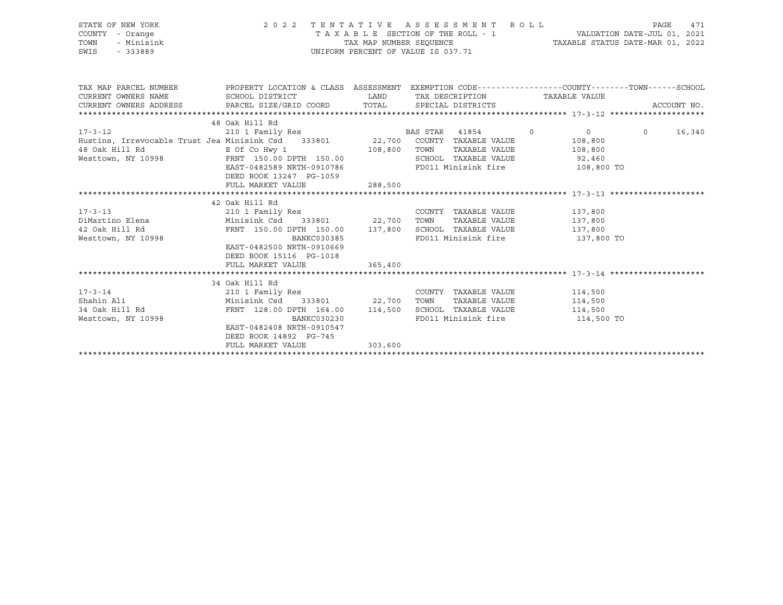| STATE OF NEW YORK 2022<br>COUNTY - Orange<br>TOWN - Minisink<br>SWIS - 333889                                                                                                                                                                    |                                                          |         | 2022 TENTATIVE ASSESSMENT ROLL<br>UNIFORM PERCENT OF VALUE IS 037.71 | PAGE<br>471        |
|--------------------------------------------------------------------------------------------------------------------------------------------------------------------------------------------------------------------------------------------------|----------------------------------------------------------|---------|----------------------------------------------------------------------|--------------------|
| TAX MAP PARCEL NUMBER PROPERTY LOCATION & CLASS ASSESSMENT EXEMPTION CODE----------------COUNTY-------TOWN------SCHOOL<br>CURRENT OWNERS NAME SCHOOL DISTRICT                                                                                    |                                                          |         | LAND TAX DESCRIPTION TAXABLE VALUE                                   |                    |
| CURRENT OWNERS ADDRESS PARCEL SIZE/GRID COORD TOTAL SPECIAL DISTRICTS                                                                                                                                                                            |                                                          |         |                                                                      | ACCOUNT NO.        |
|                                                                                                                                                                                                                                                  |                                                          |         |                                                                      |                    |
| $17 - 3 - 12$ 48                                                                                                                                                                                                                                 |                                                          |         |                                                                      |                    |
|                                                                                                                                                                                                                                                  |                                                          |         |                                                                      | $\Omega$<br>16,340 |
| Hustins, Irrevocable Trust Jea Minisink Csd 333801 22,700 COUNTY TAXABLE VALUE 108,800                                                                                                                                                           |                                                          |         |                                                                      |                    |
| 48 Oak Hill Rd         E Of Co Hwy 1            108,800  TOWN  TAXABLE VALUE        108,800<br>Westtown, NY 10998       FRNT 150.00 DPTH 150.00          SCHOOL TAXABLE VALUE        92,460                                                      |                                                          |         |                                                                      |                    |
|                                                                                                                                                                                                                                                  | EAST-0482589 NRTH-0910786 FD011 Minisink fire 108,800 TO |         |                                                                      |                    |
|                                                                                                                                                                                                                                                  | DEED BOOK 13247 PG-1059                                  |         |                                                                      |                    |
|                                                                                                                                                                                                                                                  | FULL MARKET VALUE                                        | 288,500 |                                                                      |                    |
|                                                                                                                                                                                                                                                  |                                                          |         |                                                                      |                    |
|                                                                                                                                                                                                                                                  | 42 Oak Hill Rd                                           |         |                                                                      |                    |
|                                                                                                                                                                                                                                                  |                                                          |         |                                                                      |                    |
|                                                                                                                                                                                                                                                  |                                                          |         |                                                                      |                    |
|                                                                                                                                                                                                                                                  |                                                          |         |                                                                      |                    |
| DiMartino Elena (137,800 Minisink Csd 333801 (22,700 TOWN TAXABLE VALUE 137,800 137,800 Minisink Csd 333801 22,700 TOWN TAXABLE VALUE 137,800 (137,800 Mesttown, NY 10998 (22,700 DETH 150.00 DETH 150.00 137,800 SCHOOL TAXAB                   |                                                          |         | FD011 Minisink fire 137,800 TO                                       |                    |
|                                                                                                                                                                                                                                                  | EAST-0482500 NRTH-0910669                                |         |                                                                      |                    |
|                                                                                                                                                                                                                                                  | DEED BOOK 15116    PG-1018<br>FULL MARKET VALUE          | 365,400 |                                                                      |                    |
|                                                                                                                                                                                                                                                  |                                                          |         |                                                                      |                    |
|                                                                                                                                                                                                                                                  |                                                          |         |                                                                      |                    |
| 34 Oak Hill Rd<br>210 1 Family Res<br>210 1 Family Res<br>22,700 TOWN TAXABLE VALUE<br>22,700 TOWN TAXABLE VALUE<br>22,700 TOWN TAXABLE VALUE<br>22,700 TOWN TAXABLE VALUE<br>22,700 TOWN TAXABLE VALUE<br>22,700 TOWN TAXABLE VALUE<br>22,700 T |                                                          |         |                                                                      |                    |
|                                                                                                                                                                                                                                                  |                                                          |         |                                                                      |                    |
|                                                                                                                                                                                                                                                  |                                                          |         |                                                                      |                    |
|                                                                                                                                                                                                                                                  |                                                          |         |                                                                      |                    |
|                                                                                                                                                                                                                                                  | EAST-0482408 NRTH-0910547                                |         |                                                                      |                    |
|                                                                                                                                                                                                                                                  | DEED BOOK 14892 PG-745                                   |         |                                                                      |                    |
|                                                                                                                                                                                                                                                  | FULL MARKET VALUE 303,600                                |         |                                                                      |                    |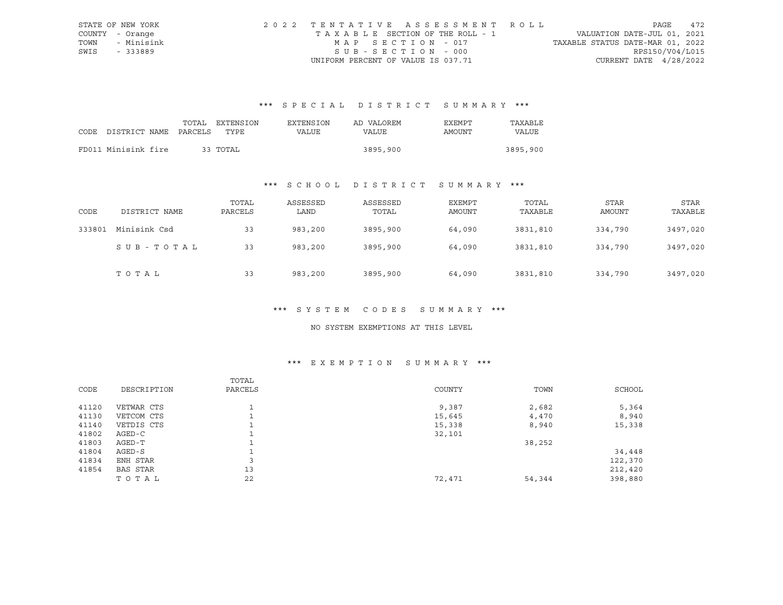|      | STATE OF NEW YORK | 2022 TENTATIVE ASSESSMENT ROLL        |                                  | PAGE            | 472 |
|------|-------------------|---------------------------------------|----------------------------------|-----------------|-----|
|      | COUNTY - Orange   | T A X A B L E SECTION OF THE ROLL - 1 | VALUATION DATE-JUL 01, 2021      |                 |     |
| TOWN | - Minisink        | MAP SECTION - 017                     | TAXABLE STATUS DATE-MAR 01, 2022 |                 |     |
| SWIS | - 333889          | SUB-SECTION - 000                     |                                  | RPS150/V04/L015 |     |
|      |                   | UNIFORM PERCENT OF VALUE IS 037.71    | CURRENT DATE $4/28/2022$         |                 |     |

|                            | TOTAL | EXTENSION | <b>EXTENSION</b> | AD VALOREM | EXEMPT | TAXABLE  |
|----------------------------|-------|-----------|------------------|------------|--------|----------|
| CODE DISTRICT NAME PARCELS |       | TYPE.     | VALUE            | VALUE      | AMOUNT | VALUE    |
|                            |       |           |                  |            |        |          |
| FD011 Minisink fire        |       | 33 ТОТАЬ  |                  | 3895,900   |        | 3895,900 |

## \*\*\* S C H O O L D I S T R I C T S U M M A R Y \*\*\*

| CODE   | DISTRICT NAME | TOTAL<br>PARCELS | ASSESSED<br>LAND | ASSESSED<br>TOTAL | EXEMPT<br>AMOUNT | TOTAL<br>TAXABLE | STAR<br>AMOUNT | STAR<br>TAXABLE |
|--------|---------------|------------------|------------------|-------------------|------------------|------------------|----------------|-----------------|
| 333801 | Minisink Csd  | 33               | 983,200          | 3895,900          | 64,090           | 3831,810         | 334,790        | 3497,020        |
|        | SUB-TOTAL     | 33               | 983,200          | 3895,900          | 64,090           | 3831,810         | 334,790        | 3497,020        |
|        | TOTAL         | 33               | 983,200          | 3895,900          | 64,090           | 3831,810         | 334,790        | 3497,020        |

#### \*\*\* S Y S T E M C O D E S S U M M A R Y \*\*\*

#### NO SYSTEM EXEMPTIONS AT THIS LEVEL

### \*\*\* E X E M P T I O N S U M M A R Y \*\*\*

| CODE  | DESCRIPTION     | TOTAL<br>PARCELS | COUNTY | TOWN   | SCHOOL  |
|-------|-----------------|------------------|--------|--------|---------|
|       |                 |                  |        |        |         |
| 41120 | VETWAR CTS      |                  | 9,387  | 2,682  | 5,364   |
| 41130 | VETCOM CTS      |                  | 15,645 | 4,470  | 8,940   |
| 41140 | VETDIS CTS      |                  | 15,338 | 8,940  | 15,338  |
| 41802 | $AGED-C$        |                  | 32,101 |        |         |
| 41803 | AGED-T          |                  |        | 38,252 |         |
| 41804 | AGED-S          |                  |        |        | 34,448  |
| 41834 | ENH STAR        | 3                |        |        | 122,370 |
| 41854 | <b>BAS STAR</b> | 13               |        |        | 212,420 |
|       | TOTAL           | 22               | 72,471 | 54,344 | 398,880 |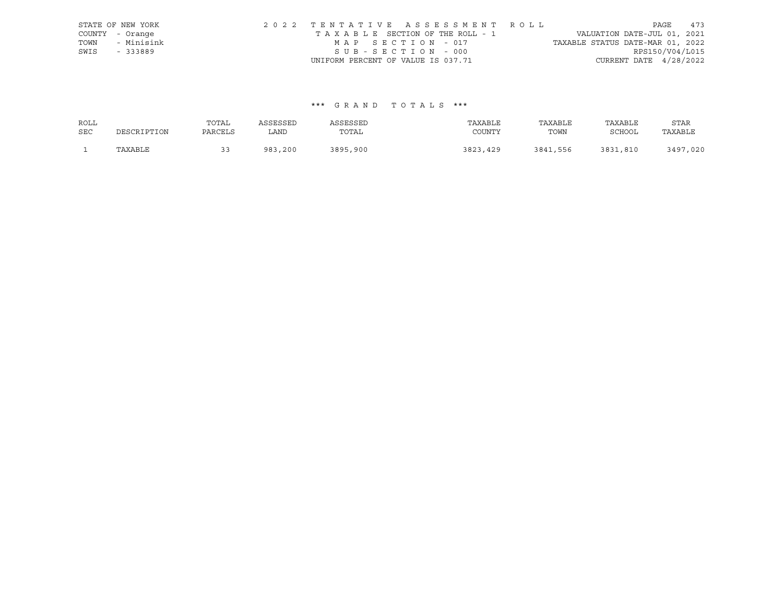|      | STATE OF NEW YORK | 2022 TENTATIVE ASSESSMENT ROLL                                 | PAGE                     | 473 |
|------|-------------------|----------------------------------------------------------------|--------------------------|-----|
|      | COUNTY - Orange   | VALUATION DATE-JUL 01, 2021<br>TAXABLE SECTION OF THE ROLL - 1 |                          |     |
| TOWN | - Minisink        | TAXABLE STATUS DATE-MAR 01, 2022<br>MAP SECTION - 017          |                          |     |
| SWIS | - 333889          | SUB-SECTION - 000                                              | RPS150/V04/L015          |     |
|      |                   | UNIFORM PERCENT OF VALUE IS 037.71                             | CURRENT DATE $4/28/2022$ |     |

| ROLL       |             | TOTAL    | ASSESSED | ASSESSED | TAXABLE  | TAXABLE  | TAXABLE       | STAR         |
|------------|-------------|----------|----------|----------|----------|----------|---------------|--------------|
| <b>SEC</b> | DESCRIPTION | PARCELS  | LAND     | TOTAL    | COUNTY   | TOWN     | <b>SCHOOL</b> | TAXABLE      |
|            | TAXABLE     | <u>.</u> | 983,200  | 3895,900 | 3823,429 | 3841,556 | 3831,810      | 3497<br>,020 |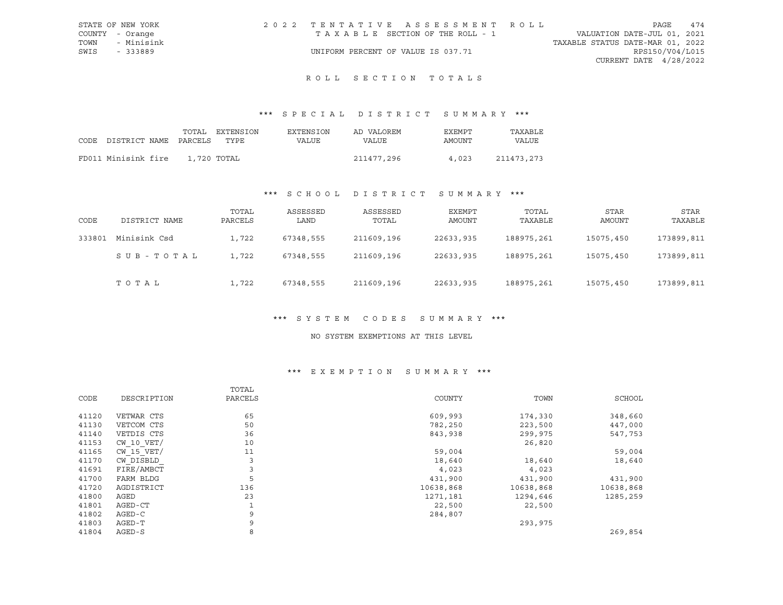|                 | STATE OF NEW YORK | 2022 TENTATIVE ASSESSMENT ROLL        |  |  |                                  | PAGE                     | 474 |
|-----------------|-------------------|---------------------------------------|--|--|----------------------------------|--------------------------|-----|
| COUNTY - Orange |                   | T A X A B L E SECTION OF THE ROLL - 1 |  |  | VALUATION DATE-JUL 01, 2021      |                          |     |
|                 | TOWN - Minisink   |                                       |  |  | TAXABLE STATUS DATE-MAR 01, 2022 |                          |     |
| SWIS - 333889   |                   | UNIFORM PERCENT OF VALUE IS 037.71    |  |  |                                  | RPS150/V04/L015          |     |
|                 |                   |                                       |  |  |                                  | CURRENT DATE $4/28/2022$ |     |

## ROLL SECTION TOTALS

## \*\*\* S P E C I A L D I S T R I C T S U M M A R Y \*\*\*

|                                 | TOTAL       | EXTENSION | EXTENSION | AD VALOREM | EXEMPT | TAXABLE      |
|---------------------------------|-------------|-----------|-----------|------------|--------|--------------|
| CODE DISTRICT NAME PARCELS TYPE |             |           | VALUE     | VALUE      | AMOUNT | <b>VALUE</b> |
|                                 |             |           |           |            |        |              |
| FD011 Minisink fire             | 1,720 TOTAL |           |           | 211477,296 | 4,023  | 211473,273   |

## \*\*\* S C H O O L D I S T R I C T S U M M A R Y \*\*\*

| CODE   | DISTRICT NAME | TOTAL<br>PARCELS | ASSESSED<br>LAND | ASSESSED<br>TOTAL | EXEMPT<br>AMOUNT | TOTAL<br>TAXABLE | STAR<br>AMOUNT | STAR<br>TAXABLE |
|--------|---------------|------------------|------------------|-------------------|------------------|------------------|----------------|-----------------|
| 333801 | Minisink Csd  | 1,722            | 67348,555        | 211609,196        | 22633,935        | 188975,261       | 15075,450      | 173899,811      |
|        | SUB-TOTAL     | 1,722            | 67348,555        | 211609,196        | 22633,935        | 188975,261       | 15075,450      | 173899,811      |
|        | TOTAL         | 1,722            | 67348,555        | 211609,196        | 22633,935        | 188975,261       | 15075,450      | 173899,811      |

### \*\*\* S Y S T E M C O D E S S U M M A R Y \*\*\*

#### NO SYSTEM EXEMPTIONS AT THIS LEVEL

### \*\*\* E X E M P T I O N S U M M A R Y \*\*\*

|       |                | TOTAL        |           |           |           |
|-------|----------------|--------------|-----------|-----------|-----------|
| CODE  | DESCRIPTION    | PARCELS      | COUNTY    | TOWN      | SCHOOL    |
| 41120 | VETWAR CTS     | 65           | 609,993   | 174,330   | 348,660   |
| 41130 | VETCOM CTS     | 50           | 782,250   | 223,500   | 447,000   |
| 41140 | VETDIS CTS     | 36           | 843,938   | 299,975   | 547,753   |
| 41153 | $CW$ 10 $VET/$ | 10           |           | 26,820    |           |
| 41165 | CW 15 VET/     | 11           | 59,004    |           | 59,004    |
| 41170 | CW DISBLD      | 3            | 18,640    | 18,640    | 18,640    |
| 41691 | FIRE/AMBCT     | 3            | 4,023     | 4,023     |           |
| 41700 | FARM BLDG      | 5            | 431,900   | 431,900   | 431,900   |
| 41720 | AGDISTRICT     | 136          | 10638,868 | 10638,868 | 10638,868 |
| 41800 | AGED           | 23           | 1271,181  | 1294,646  | 1285,259  |
| 41801 | AGED-CT        | $\mathbf{1}$ | 22,500    | 22,500    |           |
| 41802 | AGED-C         | 9            | 284,807   |           |           |
| 41803 | AGED-T         | 9            |           | 293,975   |           |
| 41804 | AGED-S         | 8            |           |           | 269,854   |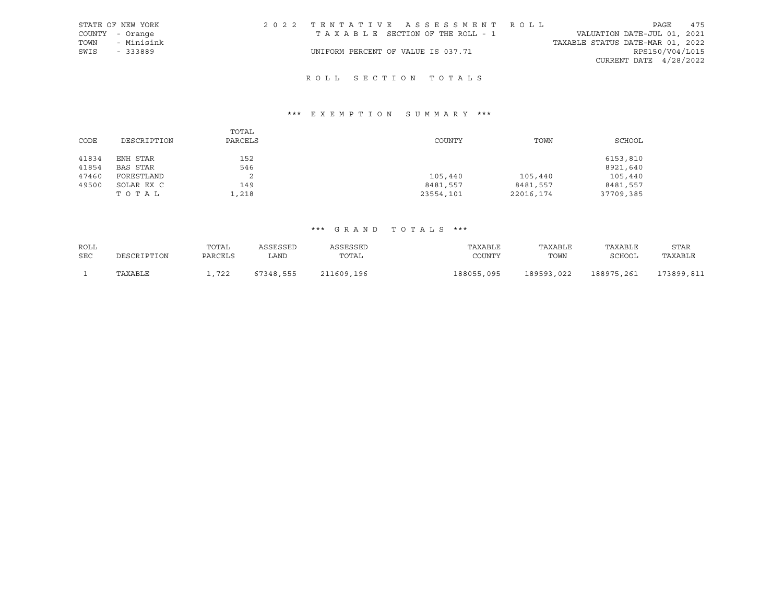|      | STATE OF NEW YORK | 2022 TENTATIVE ASSESSMENT ROLL     |  |  |                                  |                          | PAGE | 475 |
|------|-------------------|------------------------------------|--|--|----------------------------------|--------------------------|------|-----|
|      | COUNTY - Orange   | TAXABLE SECTION OF THE ROLL - 1    |  |  | VALUATION DATE-JUL 01, 2021      |                          |      |     |
| TOWN | - Minisink        |                                    |  |  | TAXABLE STATUS DATE-MAR 01, 2022 |                          |      |     |
| SWIS | $-333889$         | UNIFORM PERCENT OF VALUE IS 037.71 |  |  |                                  | RPS150/V04/L015          |      |     |
|      |                   |                                    |  |  |                                  | CURRENT DATE $4/28/2022$ |      |     |

## R O L L S E C T I O N T O T A L S

## \*\*\* E X E M P T I O N S U M M A R Y \*\*\*

| CODE  | DESCRIPTION | TOTAL<br>PARCELS | COUNTY    | TOWN      | SCHOOL    |
|-------|-------------|------------------|-----------|-----------|-----------|
| 41834 | ENH STAR    | 152              |           |           | 6153,810  |
| 41854 | BAS STAR    | 546              |           |           | 8921,640  |
| 47460 | FORESTLAND  | 2                | 105,440   | 105,440   | 105,440   |
| 49500 | SOLAR EX C  | 149              | 8481,557  | 8481,557  | 8481,557  |
|       | тотаь       | 1,218            | 23554,101 | 22016,174 | 37709,385 |

| ROLL       |             | TOTAL   | ASSESSED  | ASSESSED   | TAXABLE    | TAXABLE    | TAXABLE    | STAR       |
|------------|-------------|---------|-----------|------------|------------|------------|------------|------------|
| <b>SEC</b> | DESCRIPTION | PARCELS | LAND      | TOTAL      | COUNTY     | TOWN       | SCHOOL     | TAXABLE    |
|            | TAXABLE     | , 722   | 67348,555 | 211609,196 | 188055,095 | 189593,022 | 188975,261 | 173899,811 |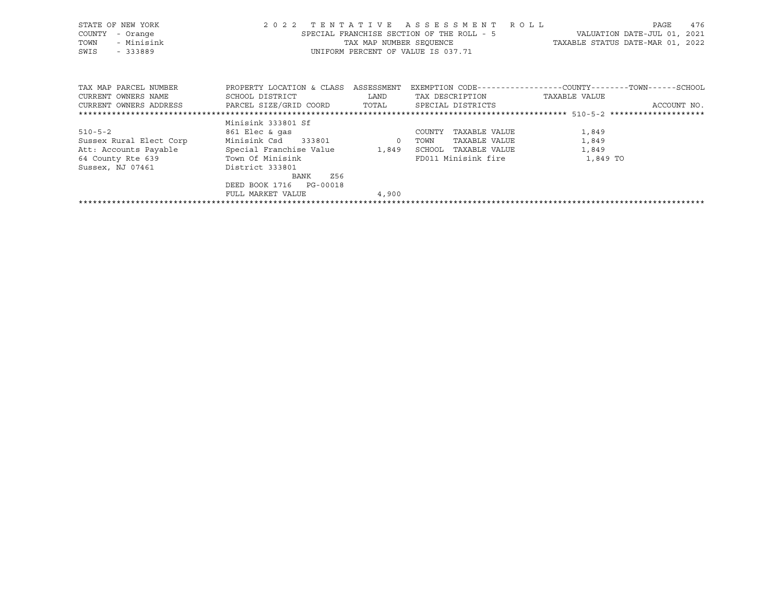| STATE OF NEW YORK                                                                 |                                      |       | 2022 TENTATIVE ASSESSMENT ROLL            | 476<br>PAGE                                                  |
|-----------------------------------------------------------------------------------|--------------------------------------|-------|-------------------------------------------|--------------------------------------------------------------|
| COUNTY<br>- Orange                                                                |                                      |       | SPECIAL FRANCHISE SECTION OF THE ROLL - 5 | VALUATION DATE-JUL 01, 2021                                  |
| - Minisink<br>TOWN                                                                |                                      |       |                                           | TAX MAP NUMBER SEQUENCE TAXABLE STATUS DATE-MAR 01, 2022     |
| SWIS<br>$-333889$                                                                 |                                      |       | UNIFORM PERCENT OF VALUE IS 037.71        |                                                              |
|                                                                                   |                                      |       |                                           |                                                              |
| TAX MAP PARCEL NUMBER                                                             | PROPERTY LOCATION & CLASS ASSESSMENT |       |                                           | EXEMPTION CODE-----------------COUNTY-------TOWN------SCHOOL |
| CURRENT OWNERS NAME                                                               | SCHOOL DISTRICT LAND                 |       | TAX DESCRIPTION                           | TAXABLE VALUE                                                |
| CURRENT OWNERS ADDRESS     PARCEL SIZE/GRID COORD     TOTAL     SPECIAL DISTRICTS |                                      |       |                                           | ACCOUNT NO.                                                  |
|                                                                                   |                                      |       |                                           |                                                              |
|                                                                                   | Minisink 333801 Sf                   |       |                                           |                                                              |
| $510 - 5 - 2$                                                                     | 861 Elec & qas                       |       | COUNTY<br>TAXABLE VALUE                   | 1,849                                                        |
| Sussex Rural Elect Corp                                                           | Minisink Csd 333801 0                |       | TAXABLE VALUE<br>TOWN                     | 1,849                                                        |
| Att: Accounts Payable 50 Special Franchise Value 50 1,849 SCHOOL TAXABLE VALUE    |                                      |       |                                           | 1,849                                                        |
| 64 County Rte 639 Town Of Minisink                                                |                                      |       | FD011 Minisink fire                       | 1,849 TO                                                     |
| Sussex, NJ 07461                                                                  | District 333801                      |       |                                           |                                                              |
|                                                                                   | Z56<br>BANK                          |       |                                           |                                                              |
|                                                                                   | DEED BOOK 1716 PG-00018              |       |                                           |                                                              |
|                                                                                   | FULL MARKET VALUE                    | 4,900 |                                           |                                                              |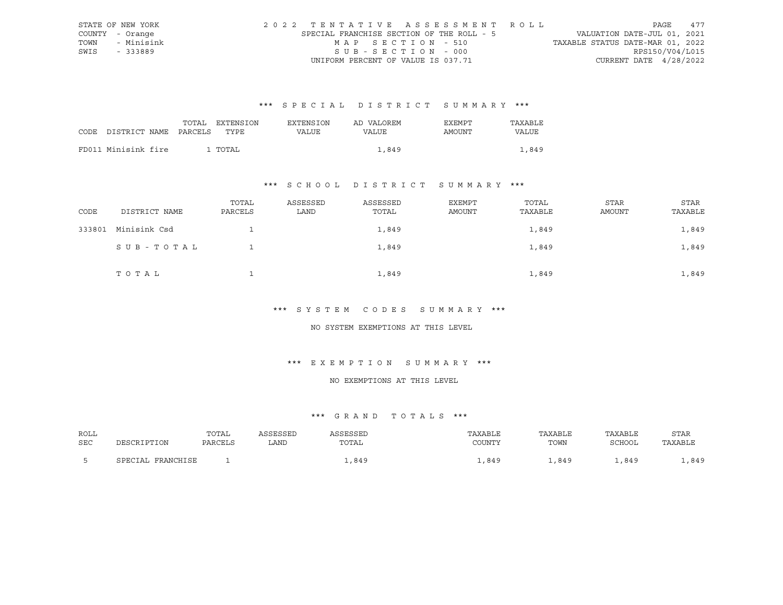|      | STATE OF NEW YORK | 2022 TENTATIVE ASSESSMENT ROLL            |                   |  |                                  | PAGE            | 477 |
|------|-------------------|-------------------------------------------|-------------------|--|----------------------------------|-----------------|-----|
|      | COUNTY - Orange   | SPECIAL FRANCHISE SECTION OF THE ROLL - 5 |                   |  | VALUATION DATE-JUL 01, 2021      |                 |     |
| TOWN | - Minisink        |                                           | MAP SECTION - 510 |  | TAXABLE STATUS DATE-MAR 01, 2022 |                 |     |
| SWIS | - 333889          |                                           | SUB-SECTION - 000 |  |                                  | RPS150/V04/L015 |     |
|      |                   | UNIFORM PERCENT OF VALUE IS 037.71        |                   |  | CURRENT DATE $4/28/2022$         |                 |     |

|                                 | TOTAL | EXTENSION | <b>EXTENSION</b> | AD VALOREM | EXEMPT | TAXABLE |
|---------------------------------|-------|-----------|------------------|------------|--------|---------|
| CODE DISTRICT NAME PARCELS TYPE |       |           | VALUE            | VALUE      | AMOUNT | VALUE   |
|                                 |       |           |                  |            |        |         |
| FD011 Minisink fire             |       | 1 TOTAL   |                  | 1,849      |        | 1,849   |

### \*\*\* S C H O O L D I S T R I C T S U M M A R Y \*\*\*

| CODE   | DISTRICT NAME | TOTAL<br>PARCELS | ASSESSED<br>LAND | ASSESSED<br>TOTAL | EXEMPT<br>AMOUNT | TOTAL<br>TAXABLE | STAR<br>AMOUNT | STAR<br>TAXABLE |
|--------|---------------|------------------|------------------|-------------------|------------------|------------------|----------------|-----------------|
| 333801 | Minisink Csd  |                  |                  | 1,849             |                  | 1,849            |                | 1,849           |
|        | SUB-TOTAL     |                  |                  | 1,849             |                  | 1,849            |                | 1,849           |
|        | TOTAL         |                  |                  | 1,849             |                  | 1,849            |                | 1,849           |

#### \*\*\* S Y S T E M C O D E S S U M M A R Y \*\*\*

#### NO SYSTEM EXEMPTIONS AT THIS LEVEL

### \*\*\* E X E M P T I O N S U M M A R Y \*\*\*

#### NO EXEMPTIONS AT THIS LEVEL

| ROLL |                   | TOTAL   | ASSESSED | SSESSED | TAXABLE | TAXABLE | TAXABLE | <b>STAR</b> |
|------|-------------------|---------|----------|---------|---------|---------|---------|-------------|
| SEC  | PESCRIPTION       | PARCELS | LAND     | TOTAL   | COUNTY  | TOWN    | SCHOOL  | TAXABLE     |
|      | SPECIAL FRANCHISE |         |          | 849.    | .849    | 1,849   | 849     | ,849        |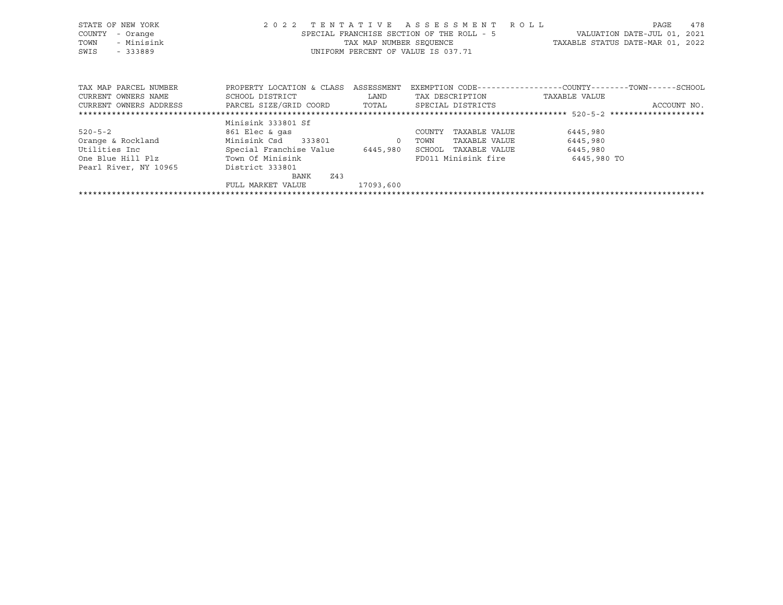| STATE OF NEW YORK      | 2 0 2 2                   |                         | TENTATIVE ASSESSMENT                      | R O L L                                                      | 478<br>PAGE                      |
|------------------------|---------------------------|-------------------------|-------------------------------------------|--------------------------------------------------------------|----------------------------------|
| COUNTY<br>- Orange     |                           |                         | SPECIAL FRANCHISE SECTION OF THE ROLL - 5 |                                                              | VALUATION DATE-JUL 01, 2021      |
| - Minisink<br>TOWN     |                           | TAX MAP NUMBER SEOUENCE |                                           |                                                              | TAXABLE STATUS DATE-MAR 01, 2022 |
| $-333889$<br>SWIS      |                           |                         | UNIFORM PERCENT OF VALUE IS 037.71        |                                                              |                                  |
|                        |                           |                         |                                           |                                                              |                                  |
|                        |                           |                         |                                           |                                                              |                                  |
|                        |                           |                         |                                           |                                                              |                                  |
| TAX MAP PARCEL NUMBER  | PROPERTY LOCATION & CLASS | ASSESSMENT              |                                           | EXEMPTION CODE-----------------COUNTY-------TOWN------SCHOOL |                                  |
| CURRENT OWNERS NAME    | SCHOOL DISTRICT           | LAND                    | TAX DESCRIPTION                           | TAXABLE VALUE                                                |                                  |
| CURRENT OWNERS ADDRESS | PARCEL SIZE/GRID COORD    | TOTAL                   | SPECIAL DISTRICTS                         |                                                              | ACCOUNT NO.                      |
|                        |                           |                         |                                           |                                                              |                                  |
|                        | Minisink 333801 Sf        |                         |                                           |                                                              |                                  |
| $520 - 5 - 2$          | 861 Elec & gas            |                         | TAXABLE VALUE<br>COUNTY                   | 6445,980                                                     |                                  |
| Orange & Rockland      | Minisink Csd 333801       | $\overline{0}$          | TOWN<br>TAXABLE VALUE                     | 6445,980                                                     |                                  |
| Utilities Inc          | Special Franchise Value   | 6445,980                | SCHOOL<br>TAXABLE VALUE                   | 6445,980                                                     |                                  |
| One Blue Hill Plz      | Town Of Minisink          |                         | FD011 Minisink fire                       | 6445,980 TO                                                  |                                  |
| Pearl River, NY 10965  | District 333801           |                         |                                           |                                                              |                                  |
|                        | Z43<br>BANK               |                         |                                           |                                                              |                                  |
|                        | FULL MARKET VALUE         | 17093,600               |                                           |                                                              |                                  |
|                        |                           |                         |                                           |                                                              |                                  |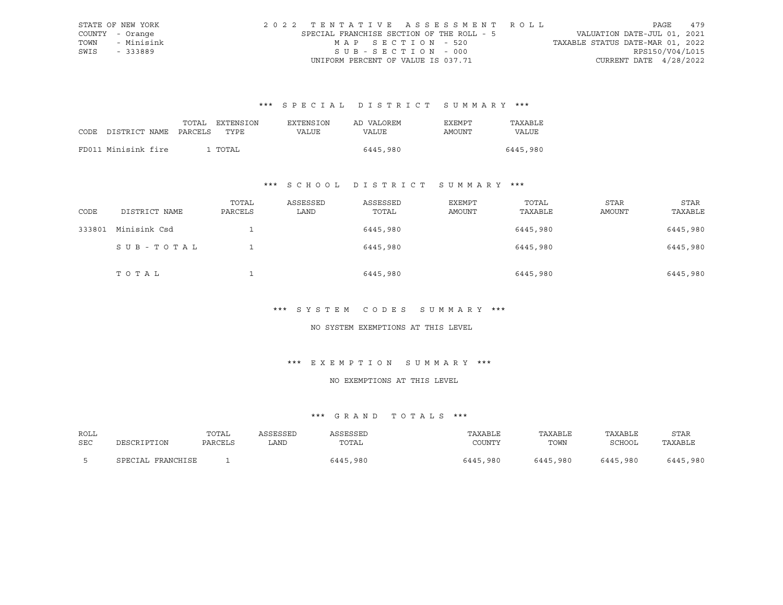|      | STATE OF NEW YORK |  |                                           |  |  |  |                                    |  |  |  |  | 2022 TENTATIVE ASSESSMENT ROLL |                                  |                 | PAGE | 479 |
|------|-------------------|--|-------------------------------------------|--|--|--|------------------------------------|--|--|--|--|--------------------------------|----------------------------------|-----------------|------|-----|
|      | COUNTY - Orange   |  | SPECIAL FRANCHISE SECTION OF THE ROLL - 5 |  |  |  |                                    |  |  |  |  |                                | VALUATION DATE-JUL 01, 2021      |                 |      |     |
| TOWN | - Minisink        |  |                                           |  |  |  | MAP SECTION - 520                  |  |  |  |  |                                | TAXABLE STATUS DATE-MAR 01, 2022 |                 |      |     |
| SWIS | - 333889          |  |                                           |  |  |  | SUB-SECTION - 000                  |  |  |  |  |                                |                                  | RPS150/V04/L015 |      |     |
|      |                   |  |                                           |  |  |  | UNIFORM PERCENT OF VALUE IS 037.71 |  |  |  |  |                                | CURRENT DATE $4/28/2022$         |                 |      |     |

|                            | TOTAL | EXTENSION | <b>EXTENSION</b> | AD VALOREM | EXEMPT | TAXABLE      |
|----------------------------|-------|-----------|------------------|------------|--------|--------------|
| CODE DISTRICT NAME PARCELS |       | TYPE      | VALUE            | VALUE      | AMOUNT | <b>VALUE</b> |
|                            |       |           |                  |            |        |              |
| FD011 Minisink fire        |       | 1 TOTAL   |                  | 6445,980   |        | 6445,980     |

### \*\*\* S C H O O L D I S T R I C T S U M M A R Y \*\*\*

| CODE   | DISTRICT NAME | TOTAL<br>PARCELS | ASSESSED<br>LAND | ASSESSED<br>TOTAL | EXEMPT<br>AMOUNT | TOTAL<br>TAXABLE | STAR<br>AMOUNT | STAR<br>TAXABLE |
|--------|---------------|------------------|------------------|-------------------|------------------|------------------|----------------|-----------------|
| 333801 | Minisink Csd  |                  |                  | 6445,980          |                  | 6445,980         |                | 6445,980        |
|        | SUB-TOTAL     |                  |                  | 6445,980          |                  | 6445,980         |                | 6445,980        |
|        | TOTAL         |                  |                  | 6445,980          |                  | 6445,980         |                | 6445,980        |

#### \*\*\* S Y S T E M C O D E S S U M M A R Y \*\*\*

#### NO SYSTEM EXEMPTIONS AT THIS LEVEL

### \*\*\* E X E M P T I O N S U M M A R Y \*\*\*

#### NO EXEMPTIONS AT THIS LEVEL

| ROLL       |                   | TOTAL   | ASSESSED | ASSESSED | TAXABLE  | TAXABLE  | TAXABLE  | <b>STAR</b> |
|------------|-------------------|---------|----------|----------|----------|----------|----------|-------------|
| <b>SEC</b> | DESCRIPTION       | PARCELS | ∟AND     | TOTAL    | COUNTY   | TOWN     | SCHOOL   | TAXABLE     |
|            |                   |         |          |          |          |          |          |             |
|            | SPECIAL FRANCHISE |         |          | 6445,980 | 6445,980 | 6445,980 | 6445,980 | 6445,980    |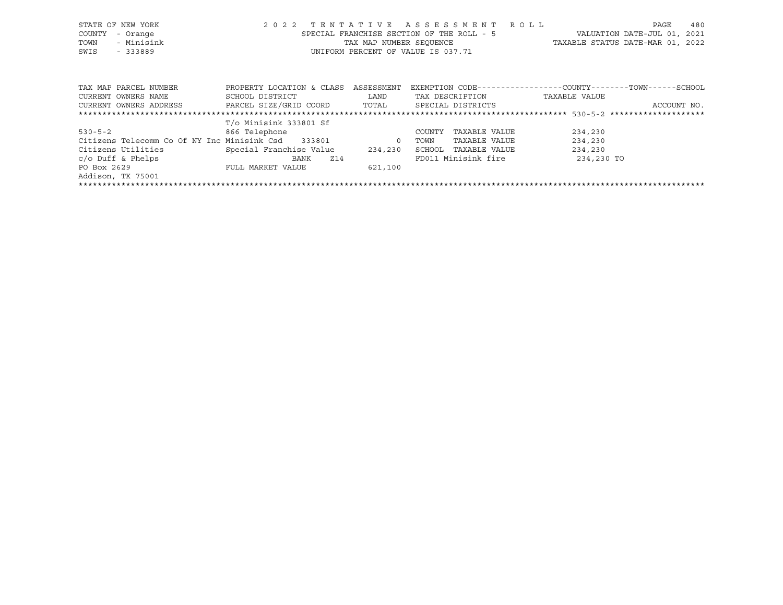| STATE OF NEW YORK                                  | 2 0 2 2                              | TENTATIVE | A S S E S S M E N T                                         | R O L L                          | 480<br>PAGE                    |
|----------------------------------------------------|--------------------------------------|-----------|-------------------------------------------------------------|----------------------------------|--------------------------------|
| COUNTY<br>- Orange                                 |                                      |           | SPECIAL FRANCHISE SECTION OF THE ROLL - 5                   |                                  | VALUATION DATE-JUL 01,<br>2021 |
| - Minisink<br>TOWN                                 |                                      |           | TAX MAP NUMBER SEQUENCE                                     | TAXABLE STATUS DATE-MAR 01, 2022 |                                |
| SWIS<br>$-333889$                                  |                                      |           | UNIFORM PERCENT OF VALUE IS 037.71                          |                                  |                                |
|                                                    |                                      |           |                                                             |                                  |                                |
|                                                    |                                      |           |                                                             |                                  |                                |
| TAX MAP PARCEL NUMBER                              | PROPERTY LOCATION & CLASS ASSESSMENT |           | EXEMPTION CODE-----------------COUNTY-------TOWN-----SCHOOL |                                  |                                |
| CURRENT OWNERS NAME                                | SCHOOL DISTRICT                      | LAND      | TAX DESCRIPTION                                             | TAXABLE VALUE                    |                                |
| CURRENT OWNERS ADDRESS                             | PARCEL SIZE/GRID COORD               | TOTAL     | SPECIAL DISTRICTS                                           |                                  | ACCOUNT NO.                    |
|                                                    |                                      |           |                                                             |                                  |                                |
|                                                    | T/o Minisink 333801 Sf               |           |                                                             |                                  |                                |
| $530 - 5 - 2$                                      | 866 Telephone                        |           | TAXABLE VALUE<br>COUNTY                                     | 234,230                          |                                |
| Citizens Telecomm Co Of NY Inc Minisink Csd 333801 |                                      | $\circ$   | TOWN<br>TAXABLE VALUE                                       | 234,230                          |                                |
| Citizens Utilities                                 | Special Franchise Value              | 234,230   | SCHOOL<br>TAXABLE VALUE                                     | 234,230                          |                                |
| $c$ /o Duff & Phelps                               | BANK<br>Z14                          |           | FD011 Minisink fire                                         | 234,230 TO                       |                                |
| PO Box 2629                                        | FULL MARKET VALUE                    | 621,100   |                                                             |                                  |                                |
| Addison, TX 75001                                  |                                      |           |                                                             |                                  |                                |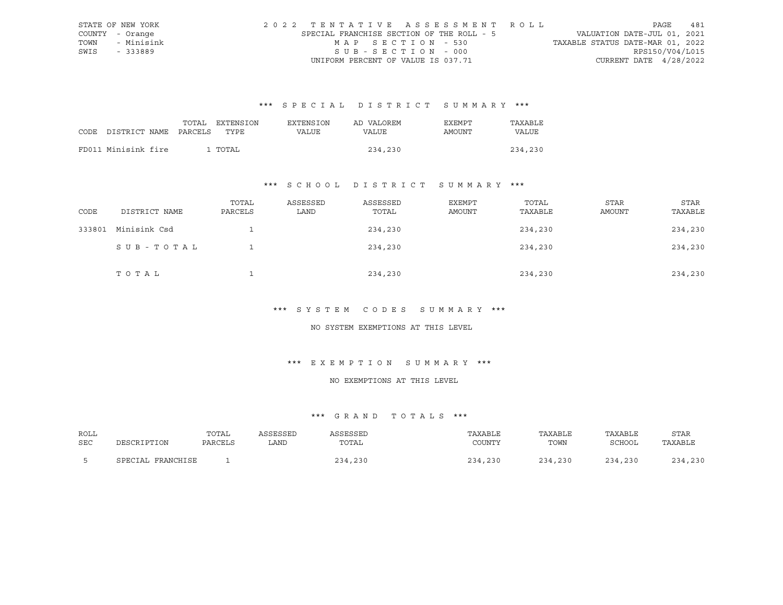|      | STATE OF NEW YORK |  |                                           |  |  |                                    |  |  |  |  |  | 2022 TENTATIVE ASSESSMENT ROLL |                                  |  | PAGE | 481             |
|------|-------------------|--|-------------------------------------------|--|--|------------------------------------|--|--|--|--|--|--------------------------------|----------------------------------|--|------|-----------------|
|      | COUNTY - Orange   |  | SPECIAL FRANCHISE SECTION OF THE ROLL - 5 |  |  |                                    |  |  |  |  |  |                                | VALUATION DATE-JUL 01, 2021      |  |      |                 |
| TOWN | - Minisink        |  |                                           |  |  | MAP SECTION - 530                  |  |  |  |  |  |                                | TAXABLE STATUS DATE-MAR 01, 2022 |  |      |                 |
| SWIS | - 333889          |  |                                           |  |  | SUB-SECTION - 000                  |  |  |  |  |  |                                |                                  |  |      | RPS150/V04/L015 |
|      |                   |  |                                           |  |  | UNIFORM PERCENT OF VALUE IS 037.71 |  |  |  |  |  |                                | CURRENT DATE $4/28/2022$         |  |      |                 |

| CODE DISTRICT NAME PARCELS | TOTAL | EXTENSION<br>TYPE. | <b>EXTENSION</b><br>VALUE | AD VALOREM<br>VALUE | EXEMPT<br>AMOUNT | TAXABLE<br>VALUE |
|----------------------------|-------|--------------------|---------------------------|---------------------|------------------|------------------|
| FD011 Minisink fire        |       | 1 TOTAL            |                           | 234,230             |                  | 234,230          |
|                            |       |                    |                           |                     |                  |                  |

### \*\*\* S C H O O L D I S T R I C T S U M M A R Y \*\*\*

| CODE   | DISTRICT NAME | TOTAL<br>PARCELS | ASSESSED<br>LAND | ASSESSED<br>TOTAL | EXEMPT<br>AMOUNT | TOTAL<br>TAXABLE | STAR<br>AMOUNT | STAR<br>TAXABLE |
|--------|---------------|------------------|------------------|-------------------|------------------|------------------|----------------|-----------------|
| 333801 | Minisink Csd  |                  |                  | 234,230           |                  | 234,230          |                | 234,230         |
|        | SUB-TOTAL     |                  |                  | 234,230           |                  | 234,230          |                | 234,230         |
|        | TOTAL         |                  |                  | 234,230           |                  | 234,230          |                | 234,230         |

#### \*\*\* S Y S T E M C O D E S S U M M A R Y \*\*\*

#### NO SYSTEM EXEMPTIONS AT THIS LEVEL

### \*\*\* E X E M P T I O N S U M M A R Y \*\*\*

#### NO EXEMPTIONS AT THIS LEVEL

| ROLL |                   | TOTAL   | ASSESSED | ASSESSED | TAXABLE | TAXABLE | TAXABLE | <b>STAR</b> |
|------|-------------------|---------|----------|----------|---------|---------|---------|-------------|
| SEC  | DESCRIPTION       | PARCELS | ∟AND     | TOTAL    | COUNTY  | TOWN    | SCHOOL  | TAXABLE     |
|      |                   |         |          |          |         |         |         |             |
|      | SPECIAL FRANCHISE |         |          | 234,230  | 234,230 | 234,230 | 234,230 | 234,230     |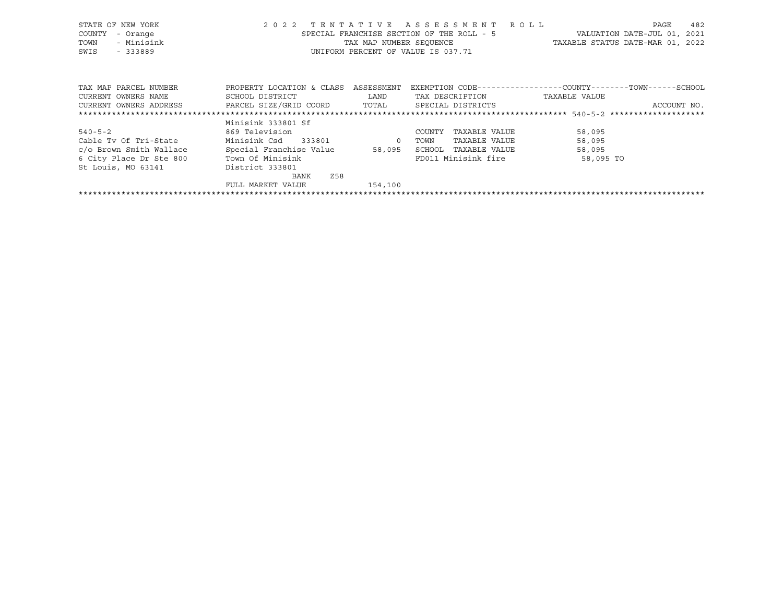| STATE OF NEW YORK       |                           |                | 2022 TENTATIVE ASSESSMENT ROLL            | 482<br>PAGE                                                  |
|-------------------------|---------------------------|----------------|-------------------------------------------|--------------------------------------------------------------|
| COUNTY<br>- Orange      |                           |                | SPECIAL FRANCHISE SECTION OF THE ROLL - 5 | VALUATION DATE-JUL 01, 2021                                  |
| - Minisink<br>TOWN      |                           |                | TAX MAP NUMBER SEQUENCE                   | TAXABLE STATUS DATE-MAR 01, 2022                             |
| SWIS<br>$-333889$       |                           |                | UNIFORM PERCENT OF VALUE IS 037.71        |                                                              |
|                         |                           |                |                                           |                                                              |
|                         |                           |                |                                           |                                                              |
|                         |                           |                |                                           |                                                              |
| TAX MAP PARCEL NUMBER   | PROPERTY LOCATION & CLASS | ASSESSMENT     |                                           | EXEMPTION CODE-----------------COUNTY-------TOWN------SCHOOL |
| CURRENT OWNERS NAME     | SCHOOL DISTRICT           | LAND           | TAX DESCRIPTION                           | TAXABLE VALUE                                                |
| CURRENT OWNERS ADDRESS  | PARCEL SIZE/GRID COORD    | TOTAL          | SPECIAL DISTRICTS                         | ACCOUNT NO.                                                  |
|                         |                           |                |                                           |                                                              |
|                         | Minisink 333801 Sf        |                |                                           |                                                              |
| $540 - 5 - 2$           | 869 Television            |                | TAXABLE VALUE<br>COUNTY                   | 58,095                                                       |
| Cable Tv Of Tri-State   | Minisink Csd 333801       | $\overline{0}$ | TOWN<br>TAXABLE VALUE                     | 58,095                                                       |
| c/o Brown Smith Wallace | Special Franchise Value   | 58,095         | SCHOOL<br>TAXABLE VALUE                   | 58,095                                                       |
| 6 City Place Dr Ste 800 | Town Of Minisink          |                | FD011 Minisink fire                       | 58,095 TO                                                    |
| St Louis, MO 63141      | District 333801           |                |                                           |                                                              |
|                         | Z58<br>BANK               |                |                                           |                                                              |
|                         | FULL MARKET VALUE         | 154,100        |                                           |                                                              |
|                         |                           |                |                                           |                                                              |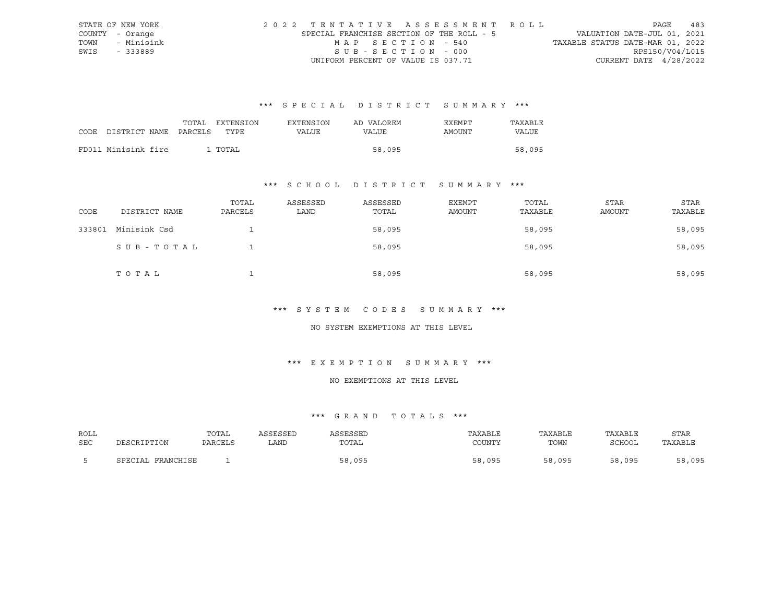|      | STATE OF NEW YORK | 2022 TENTATIVE ASSESSMENT ROLL            |                   |  |                                  | PAGE            | 483 |
|------|-------------------|-------------------------------------------|-------------------|--|----------------------------------|-----------------|-----|
|      | COUNTY - Orange   | SPECIAL FRANCHISE SECTION OF THE ROLL - 5 |                   |  | VALUATION DATE-JUL 01, 2021      |                 |     |
| TOWN | - Minisink        |                                           | MAP SECTION - 540 |  | TAXABLE STATUS DATE-MAR 01, 2022 |                 |     |
| SWIS | - 333889          |                                           | SUB-SECTION - 000 |  |                                  | RPS150/V04/L015 |     |
|      |                   | UNIFORM PERCENT OF VALUE IS 037.71        |                   |  | CURRENT DATE $4/28/2022$         |                 |     |

|                            |  | TOTAL EXTENSION | EXTENSION | AD VALOREM | EXEMPT | TAXABLE |
|----------------------------|--|-----------------|-----------|------------|--------|---------|
| CODE DISTRICT NAME PARCELS |  | TYPE.           | VALUE     | VALUE      | AMOUNT | VALUE   |
|                            |  |                 |           |            |        |         |
| FD011 Minisink fire        |  | 1 TOTAL         |           | 58,095     |        | 58,095  |

### \*\*\* S C H O O L D I S T R I C T S U M M A R Y \*\*\*

| CODE   | DISTRICT NAME | TOTAL<br>PARCELS | ASSESSED<br>LAND | ASSESSED<br>TOTAL | EXEMPT<br>AMOUNT | TOTAL<br>TAXABLE | STAR<br>AMOUNT | STAR<br>TAXABLE |
|--------|---------------|------------------|------------------|-------------------|------------------|------------------|----------------|-----------------|
| 333801 | Minisink Csd  |                  |                  | 58,095            |                  | 58,095           |                | 58,095          |
|        | SUB-TOTAL     |                  |                  | 58,095            |                  | 58,095           |                | 58,095          |
|        | TOTAL         |                  |                  | 58,095            |                  | 58,095           |                | 58,095          |

#### \*\*\* S Y S T E M C O D E S S U M M A R Y \*\*\*

#### NO SYSTEM EXEMPTIONS AT THIS LEVEL

### \*\*\* E X E M P T I O N S U M M A R Y \*\*\*

#### NO EXEMPTIONS AT THIS LEVEL

| ROLL       |                   | TOTAL   | ASSESSED | ASSESSED | TAXABLE | TAXABLE | TAXABLE | <b>STAR</b> |
|------------|-------------------|---------|----------|----------|---------|---------|---------|-------------|
| <b>SEC</b> | DESCRIPTION       | PARCELS | ∟AND     | TOTAL    | COUNTY  | TOWN    | SCHOOL  | TAXABLE     |
|            |                   |         |          |          |         |         |         |             |
|            | SPECIAL FRANCHISE |         |          | 58,095   | 58,095  | 58,095  | 58,095  | 58,095      |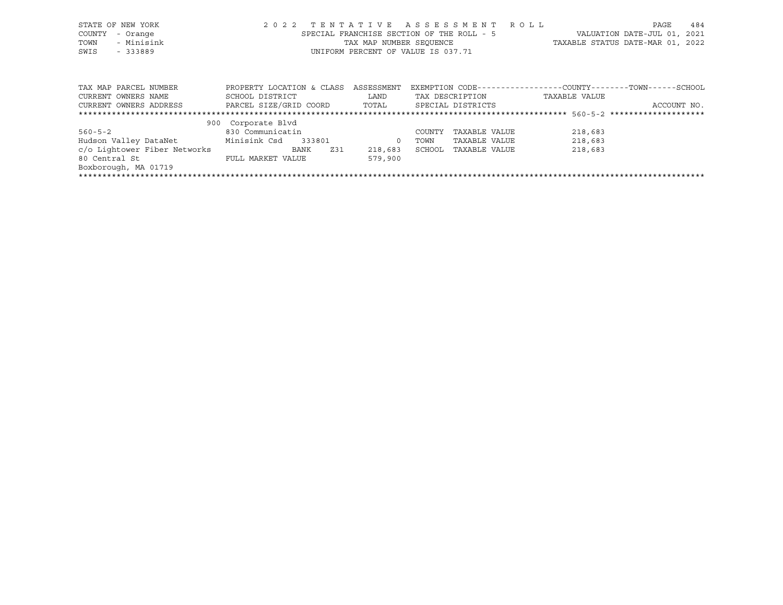| STATE OF NEW YORK<br>COUNTY<br>- Orange<br>- Minisink<br>TOWN<br>SWIS<br>$-333889$ | 2022 TENTATIVE ASSESSMENT ROLL | SPECIAL FRANCHISE SECTION OF THE ROLL - 5<br>TAX MAP NUMBER SEOUENCE<br>UNIFORM PERCENT OF VALUE IS 037.71 |                   |               | TAXABLE STATUS DATE-MAR 01, 2022                             | PAGE<br>VALUATION DATE-JUL 01, | 484<br>2021 |
|------------------------------------------------------------------------------------|--------------------------------|------------------------------------------------------------------------------------------------------------|-------------------|---------------|--------------------------------------------------------------|--------------------------------|-------------|
|                                                                                    |                                |                                                                                                            |                   |               |                                                              |                                |             |
| TAX MAP PARCEL NUMBER                                                              | PROPERTY LOCATION & CLASS      | ASSESSMENT                                                                                                 |                   |               | EXEMPTION CODE-----------------COUNTY-------TOWN------SCHOOL |                                |             |
| CURRENT OWNERS NAME                                                                | SCHOOL DISTRICT                | LAND                                                                                                       | TAX DESCRIPTION   |               | TAXABLE VALUE                                                |                                |             |
| CURRENT OWNERS ADDRESS                                                             | PARCEL SIZE/GRID COORD TOTAL   |                                                                                                            | SPECIAL DISTRICTS |               |                                                              | ACCOUNT NO.                    |             |
|                                                                                    |                                |                                                                                                            |                   |               |                                                              |                                |             |
|                                                                                    | 900 Corporate Blvd             |                                                                                                            |                   |               |                                                              |                                |             |
| $560 - 5 - 2$                                                                      | 830 Communicatin               |                                                                                                            | COUNTY            | TAXABLE VALUE | 218,683                                                      |                                |             |
| Hudson Valley DataNet                                                              | Minisink Csd<br>333801         | $\circ$                                                                                                    | TOWN              | TAXABLE VALUE | 218,683                                                      |                                |             |

c/o Lightower Fiber Networks BANK Z31 218,683 SCHOOL TAXABLE VALUE 218,683

80 Central St FULL MARKET VALUE 579,900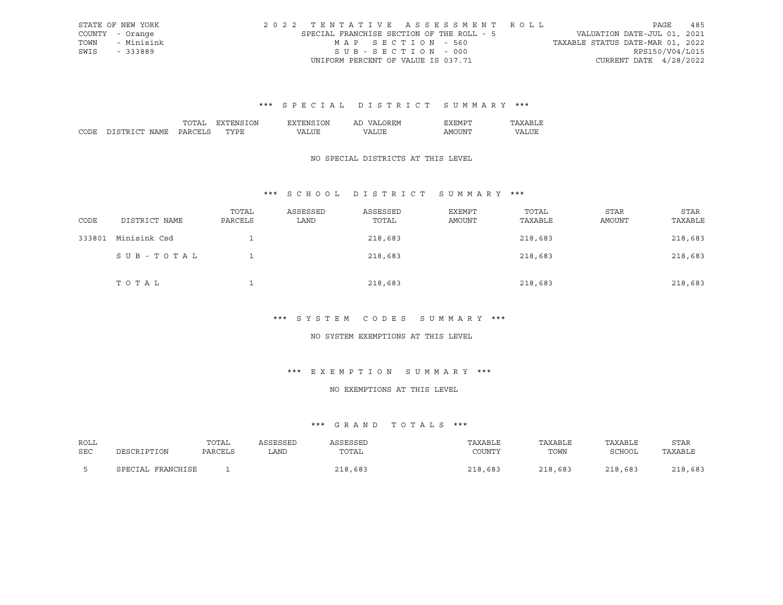|      | STATE OF NEW YORK | 2022 TENTATIVE ASSESSMENT ROLL            |                   |  |                                  | PAGE            | 485 |
|------|-------------------|-------------------------------------------|-------------------|--|----------------------------------|-----------------|-----|
|      | COUNTY - Orange   | SPECIAL FRANCHISE SECTION OF THE ROLL - 5 |                   |  | VALUATION DATE-JUL 01, 2021      |                 |     |
| TOWN | - Minisink        |                                           | MAP SECTION - 560 |  | TAXABLE STATUS DATE-MAR 01, 2022 |                 |     |
| SWIS | - 333889          |                                           | SUB-SECTION - 000 |  |                                  | RPS150/V04/L015 |     |
|      |                   | UNIFORM PERCENT OF VALUE IS 037.71        |                   |  | CURRENT DATE $4/28/2022$         |                 |     |

|              |                        | ™∩ா<br>$\overline{\phantom{0}}$<br>້ | λN<br>.<br>۰. ب | . А        | ⊇REM.<br>$\cdots$<br>⊷ | D.<br>∡ F.M P'<br>. . | .               |
|--------------|------------------------|--------------------------------------|-----------------|------------|------------------------|-----------------------|-----------------|
| CODE<br>CUD. | $\cap$<br>יחמ<br>.JAMF | ∶ ت∖ د                               | TVDI            | $\epsilon$ | $\sqrt{N}$             | TINT<br>A MK          | $T$ $TT$<br>,,, |

#### NO SPECIAL DISTRICTS AT THIS LEVEL

### \*\*\* S C H O O L D I S T R I C T S U M M A R Y \*\*\*

| CODE   | DISTRICT NAME | TOTAL<br>PARCELS | ASSESSED<br>LAND | ASSESSED<br>TOTAL | EXEMPT<br>AMOUNT | TOTAL<br>TAXABLE | <b>STAR</b><br>AMOUNT | <b>STAR</b><br>TAXABLE |
|--------|---------------|------------------|------------------|-------------------|------------------|------------------|-----------------------|------------------------|
| 333801 | Minisink Csd  |                  |                  | 218,683           |                  | 218,683          |                       | 218,683                |
|        | SUB-TOTAL     |                  |                  | 218,683           |                  | 218,683          |                       | 218,683                |
|        | TOTAL         |                  |                  | 218,683           |                  | 218,683          |                       | 218,683                |

#### \*\*\* S Y S T E M C O D E S S U M M A R Y \*\*\*

#### NO SYSTEM EXEMPTIONS AT THIS LEVEL

### \*\*\* E X E M P T I O N S U M M A R Y \*\*\*

#### NO EXEMPTIONS AT THIS LEVEL

| ROLL       |                   | TOTAL   | ASSESSED | ASSESSED | TAXABLE | TAXABLE | TAXABLE | STAR    |
|------------|-------------------|---------|----------|----------|---------|---------|---------|---------|
| <b>SEC</b> | DESCRIPTION       | PARCELS | LAND     | TOTAL    | COUNTY  | TOWN    | SCHOOL  | TAXABLE |
|            | SPECIAL FRANCHISE |         |          | 218,683  | 218,683 | 218,683 | 218,683 | 218,683 |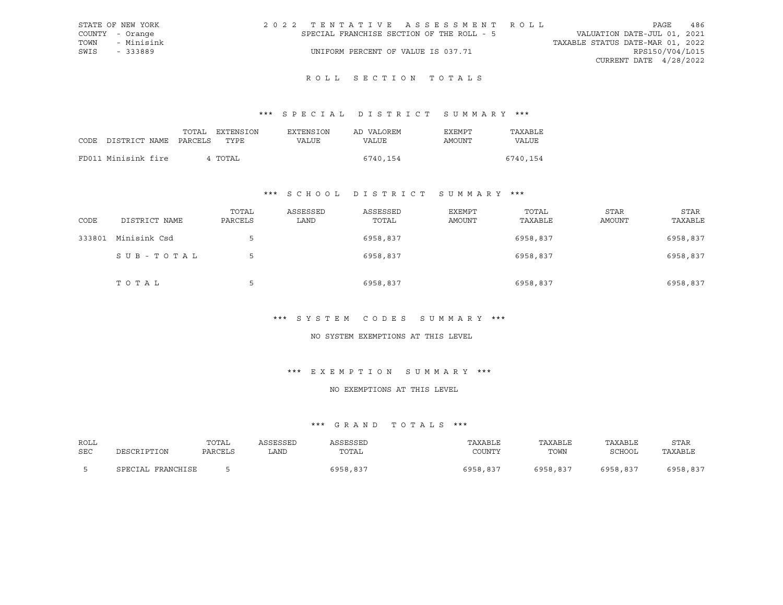| STATE OF NEW YORK | 2022 TENTATIVE ASSESSMENT ROLL            | 486<br>PAGE                      |
|-------------------|-------------------------------------------|----------------------------------|
| COUNTY - Orange   | SPECIAL FRANCHISE SECTION OF THE ROLL - 5 | VALUATION DATE-JUL 01, 2021      |
| TOWN - Minisink   |                                           | TAXABLE STATUS DATE-MAR 01, 2022 |
| SWIS<br>- 333889  | UNIFORM PERCENT OF VALUE IS 037.71        | RPS150/V04/L015                  |
|                   |                                           | CURRENT DATE $4/28/2022$         |
|                   |                                           |                                  |

## ROLL SECTION TOTALS

### \*\*\* S P E C I A L D I S T R I C T S U M M A R Y \*\*\*

|                            |  | TOTAL EXTENSION | EXTENSION | AD VALOREM | EXEMPT | TAXABLE  |
|----------------------------|--|-----------------|-----------|------------|--------|----------|
| CODE DISTRICT NAME PARCELS |  | TYPE.           | VALUE     | VALUE      | AMOUNT | VALUE    |
|                            |  |                 |           |            |        |          |
| FD011 Minisink fire        |  | 4 TOTAL         |           | 6740,154   |        | 6740,154 |

### \*\*\* S C H O O L D I S T R I C T S U M M A R Y \*\*\*

| CODE   | DISTRICT NAME | TOTAL<br>PARCELS | ASSESSED<br>LAND | ASSESSED<br>TOTAL | <b>EXEMPT</b><br>AMOUNT | TOTAL<br>TAXABLE | <b>STAR</b><br><b>AMOUNT</b> | STAR<br>TAXABLE |
|--------|---------------|------------------|------------------|-------------------|-------------------------|------------------|------------------------------|-----------------|
| 333801 | Minisink Csd  | $\mathsf{b}$     |                  | 6958,837          |                         | 6958,837         |                              | 6958,837        |
|        | SUB-TOTAL     | 5                |                  | 6958,837          |                         | 6958,837         |                              | 6958,837        |
|        | TOTAL         | Ь                |                  | 6958,837          |                         | 6958,837         |                              | 6958,837        |

#### \*\*\* S Y S T E M C O D E S S U M M A R Y \*\*\*

#### NO SYSTEM EXEMPTIONS AT THIS LEVEL

### \*\*\* E X E M P T I O N S U M M A R Y \*\*\*

#### NO EXEMPTIONS AT THIS LEVEL

| ROLL |                        | TOTAI   | <b>COFCOFT</b> | ASSESSED | TAXABLE  | TAXABLE  | TAXABLE  | <b>STAR</b> |
|------|------------------------|---------|----------------|----------|----------|----------|----------|-------------|
| SEC  | DESCRIPTION            | PARCELS | ∟AND           | TOTAL    | COUNTY   | TOWN     | SCHOOL   | TAXABLE     |
|      | SPECIAL 1<br>FRANCHISE |         |                | 5958.837 | 6958,837 | 6958,837 | 6958.837 | 6958,837    |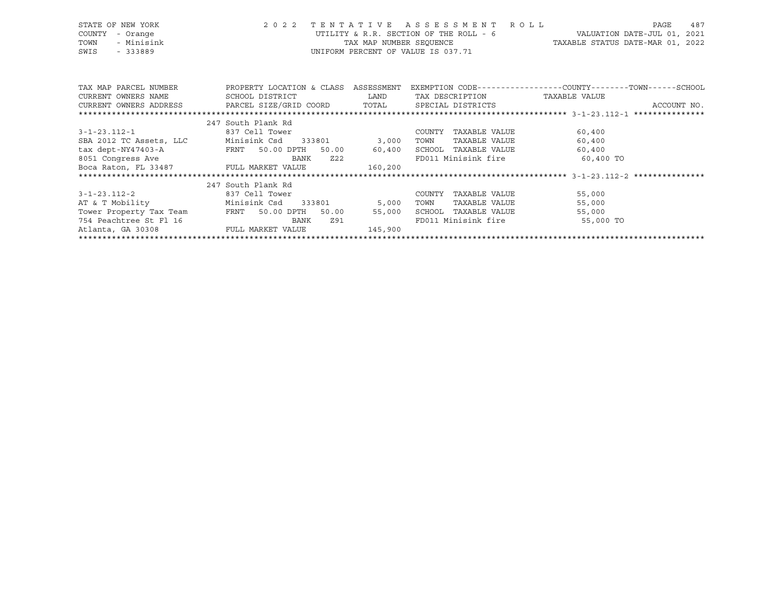|      | STATE OF NEW YORK | 2022 TENTATIVE ASSESSMENT ROLL         |                                  | PAGE                        | 487 |
|------|-------------------|----------------------------------------|----------------------------------|-----------------------------|-----|
|      | COUNTY - Orange   | UTILITY & R.R. SECTION OF THE ROLL - 6 |                                  | VALUATION DATE-JUL 01, 2021 |     |
| TOWN | - Minisink        | TAX MAP NUMBER SEOUENCE                | TAXABLE STATUS DATE-MAR 01, 2022 |                             |     |
| SWIS | - 333889          | UNIFORM PERCENT OF VALUE IS 037.71     |                                  |                             |     |

| TAX MAP PARCEL NUMBER<br>CURRENT OWNERS NAME<br>CURRENT OWNERS ADDRESS FARCEL SIZE/GRID COORD TOTAL SPECIAL DISTRICTS | PROPERTY LOCATION & CLASS<br>SCHOOL DISTRICT | ASSESSMENT<br>LAND | TAX DESCRIPTION         | EXEMPTION CODE-----------------COUNTY-------TOWN------SCHOOL<br>TAXABLE VALUE<br>ACCOUNT NO. |
|-----------------------------------------------------------------------------------------------------------------------|----------------------------------------------|--------------------|-------------------------|----------------------------------------------------------------------------------------------|
|                                                                                                                       | 247 South Plank Rd                           |                    |                         |                                                                                              |
| 3-1-23.112-1                                                                                                          | 837 Cell Tower                               |                    | TAXABLE VALUE<br>COUNTY | 60,400                                                                                       |
| SBA 2012 TC Assets, LLC                                                                                               | Minisink Csd<br>333801                       | 3,000              | TAXABLE VALUE<br>TOWN   | 60,400                                                                                       |
| tax dept-NY47403-A<br><b>ERNT</b>                                                                                     | 50.00 DPTH<br>50.00                          | 60,400             | SCHOOL<br>TAXABLE VALUE | 60,400                                                                                       |
| 8051 Congress Ave                                                                                                     | BANK<br>Z22                                  |                    | FD011 Minisink fire     | 60,400 TO                                                                                    |
| Boca Raton, FL 33487 FULL MARKET VALUE                                                                                |                                              | 160,200            |                         |                                                                                              |
|                                                                                                                       |                                              |                    |                         |                                                                                              |
|                                                                                                                       | 247 South Plank Rd                           |                    |                         |                                                                                              |
| 3-1-23.112-2                                                                                                          | 837 Cell Tower                               |                    | COUNTY<br>TAXABLE VALUE | 55,000                                                                                       |
| AT & T Mobility                                                                                                       | Minisink Csd<br>333801                       | 5,000              | TAXABLE VALUE<br>TOWN   | 55,000                                                                                       |
| Tower Property Tax Team                                                                                               | <b>FRNT</b><br>50.00 DPTH<br>50.00           | 55,000             | SCHOOL<br>TAXABLE VALUE | 55,000                                                                                       |
| 754 Peachtree St Fl 16                                                                                                | Z91<br>BANK                                  |                    | FD011 Minisink fire     | 55,000 TO                                                                                    |
| Atlanta, GA 30308                                                                                                     | FULL MARKET VALUE                            | 145,900            |                         |                                                                                              |
|                                                                                                                       |                                              |                    |                         |                                                                                              |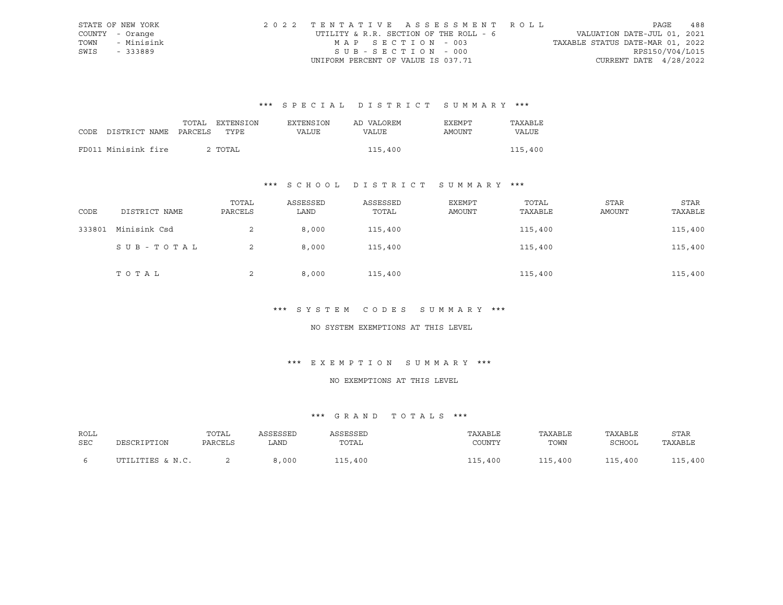|      | STATE OF NEW YORK | 2022 TENTATIVE ASSESSMENT ROLL         |                                  | PAGE | 488 |
|------|-------------------|----------------------------------------|----------------------------------|------|-----|
|      | COUNTY - Orange   | UTILITY & R.R. SECTION OF THE ROLL - 6 | VALUATION DATE-JUL 01, 2021      |      |     |
| TOWN | - Minisink        | MAP SECTION - 003                      | TAXABLE STATUS DATE-MAR 01, 2022 |      |     |
| SWIS | - 333889          | SUB-SECTION - 000                      | RPS150/V04/L015                  |      |     |
|      |                   | UNIFORM PERCENT OF VALUE IS 037.71     | CURRENT DATE $4/28/2022$         |      |     |

|                            | TOTAL | EXTENSION | <b>EXTENSION</b> | AD VALOREM | EXEMPT | TAXABLE |
|----------------------------|-------|-----------|------------------|------------|--------|---------|
| CODE DISTRICT NAME PARCELS |       | TYPE.     | VALUE            | VALUE      | AMOUNT | VALUE   |
|                            |       |           |                  |            |        |         |
| FD011 Minisink fire        |       | 2 TOTAL   |                  | 115,400    |        | 115,400 |

### \*\*\* S C H O O L D I S T R I C T S U M M A R Y \*\*\*

| CODE   | DISTRICT NAME | TOTAL<br>PARCELS | ASSESSED<br>LAND | ASSESSED<br>TOTAL | EXEMPT<br>AMOUNT | TOTAL<br>TAXABLE | STAR<br>AMOUNT | STAR<br>TAXABLE |
|--------|---------------|------------------|------------------|-------------------|------------------|------------------|----------------|-----------------|
| 333801 | Minisink Csd  | 2                | 8,000            | 115,400           |                  | 115,400          |                | 115,400         |
|        | SUB-TOTAL     | 2                | 8,000            | 115,400           |                  | 115,400          |                | 115,400         |
|        | TOTAL         | ∠                | 8,000            | 115,400           |                  | 115,400          |                | 115,400         |

#### \*\*\* S Y S T E M C O D E S S U M M A R Y \*\*\*

#### NO SYSTEM EXEMPTIONS AT THIS LEVEL

### \*\*\* E X E M P T I O N S U M M A R Y \*\*\*

#### NO EXEMPTIONS AT THIS LEVEL

| ROLL |                  | TOTAL   | ASSESSED | ASSESSED | TAXABLE | TAXABLE | TAXABLE | STAR    |
|------|------------------|---------|----------|----------|---------|---------|---------|---------|
| SEC  | DESCRIPTION      | PARCELS | LAND     | TOTAL    | COUNTY  | TOWN    | SCHOOL  | TAXABLE |
|      | UTILITIES & N.C. |         | 8,000    | 115,400  | 115,400 | 115,400 | 115,400 | 115,400 |
|      |                  |         |          |          |         |         |         |         |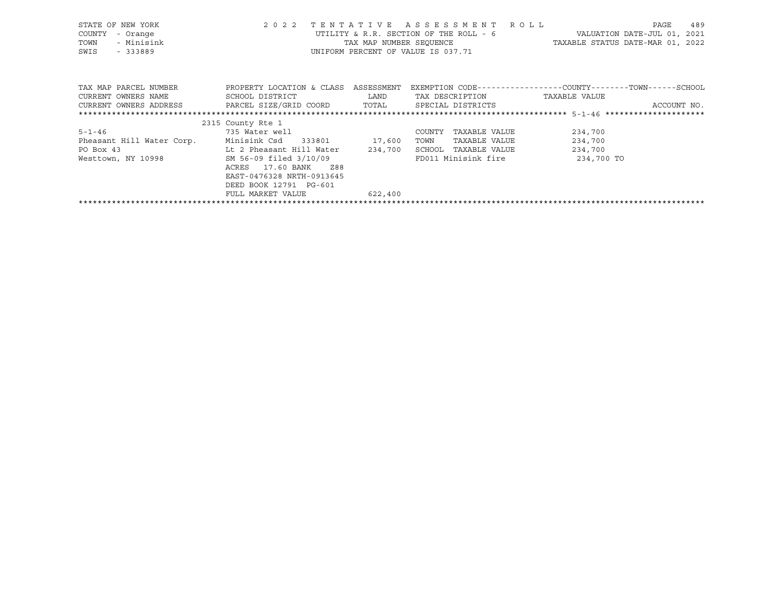| STATE OF NEW YORK<br>COUNTY<br>- Orange<br>- Minisink<br>TOWN<br>SWIS<br>$-333889$ | 2 0 2 2                                      | TENTATIVE          | ASSESSMENT<br>R O L L<br>UTILITY & R.R. SECTION OF THE ROLL - 6<br>UNIFORM PERCENT OF VALUE IS 037.71 | 489<br>PAGE<br>VALUATION DATE-JUL 01, 2021<br>TAX MAP NUMBER SEOUENCE TAXABLE STATUS DATE-MAR 01, 2022 |
|------------------------------------------------------------------------------------|----------------------------------------------|--------------------|-------------------------------------------------------------------------------------------------------|--------------------------------------------------------------------------------------------------------|
| TAX MAP PARCEL NUMBER<br>CURRENT OWNERS NAME                                       | PROPERTY LOCATION & CLASS<br>SCHOOL DISTRICT | ASSESSMENT<br>LAND | TAX DESCRIPTION                                                                                       | EXEMPTION CODE-----------------COUNTY-------TOWN-----SCHOOL<br>TAXABLE VALUE                           |
| CURRENT OWNERS ADDRESS PARCEL SIZE/GRID COORD                                      |                                              | TOTAL              | SPECIAL DISTRICTS                                                                                     | ACCOUNT NO.                                                                                            |
|                                                                                    |                                              |                    |                                                                                                       |                                                                                                        |
|                                                                                    | 2315 County Rte 1                            |                    |                                                                                                       |                                                                                                        |
| $5 - 1 - 46$                                                                       | 735 Water well                               |                    | COUNTY<br>TAXABLE VALUE                                                                               | 234,700                                                                                                |
| Pheasant Hill Water Corp.                                                          | Minisink Csd 333801 17,600                   |                    | TOWN<br>TAXABLE VALUE                                                                                 | 234,700                                                                                                |
| PO Box 43                                                                          | Lt 2 Pheasant Hill Water                     | 234,700            | SCHOOL TAXABLE VALUE                                                                                  | 234,700                                                                                                |
| Westtown, NY 10998                                                                 | SM 56-09 filed 3/10/09                       |                    | FD011 Minisink fire                                                                                   | 234,700 TO                                                                                             |
|                                                                                    | 17.60 BANK<br>ACRES<br>Z88                   |                    |                                                                                                       |                                                                                                        |
|                                                                                    | EAST-0476328 NRTH-0913645                    |                    |                                                                                                       |                                                                                                        |
|                                                                                    | DEED BOOK 12791 PG-601                       |                    |                                                                                                       |                                                                                                        |
|                                                                                    | FULL MARKET VALUE                            | 622,400            |                                                                                                       |                                                                                                        |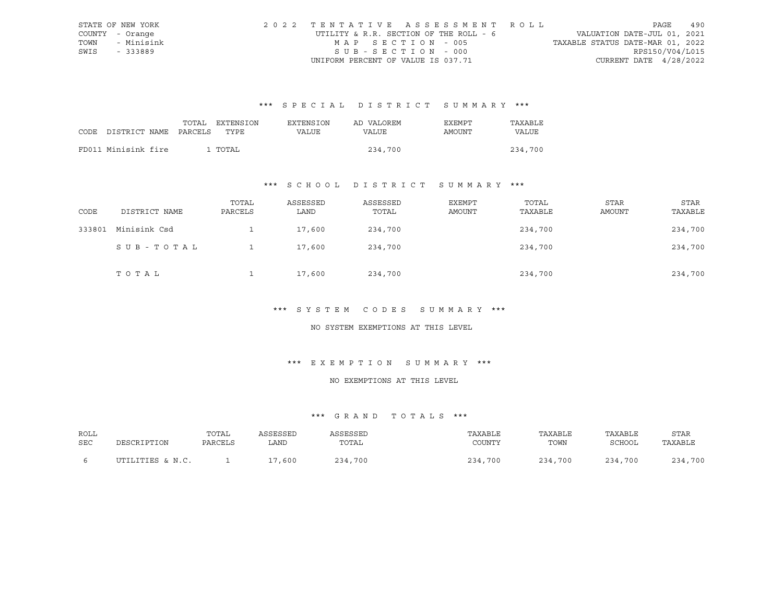|      | STATE OF NEW YORK | 2022 TENTATIVE ASSESSMENT ROLL         |                                  | PAGE | 490 |
|------|-------------------|----------------------------------------|----------------------------------|------|-----|
|      | COUNTY - Orange   | UTILITY & R.R. SECTION OF THE ROLL - 6 | VALUATION DATE-JUL 01, 2021      |      |     |
| TOWN | - Minisink        | MAP SECTION - 005                      | TAXABLE STATUS DATE-MAR 01, 2022 |      |     |
| SWIS | - 333889          | SUB-SECTION - 000                      | RPS150/V04/L015                  |      |     |
|      |                   | UNIFORM PERCENT OF VALUE IS 037.71     | CURRENT DATE $4/28/2022$         |      |     |

| CODE DISTRICT NAME PARCELS | TOTAL | EXTENSION<br>TYPE. | <b>EXTENSION</b><br>VALUE | AD VALOREM<br>VALUE | EXEMPT<br>AMOUNT | TAXABLE<br>VALUE |
|----------------------------|-------|--------------------|---------------------------|---------------------|------------------|------------------|
| FD011 Minisink fire        |       | 1 TOTAL            |                           | 234,700             |                  | 234,700          |

### \*\*\* S C H O O L D I S T R I C T S U M M A R Y \*\*\*

| CODE   | DISTRICT NAME | TOTAL<br>PARCELS | ASSESSED<br>LAND | ASSESSED<br>TOTAL | EXEMPT<br>AMOUNT | TOTAL<br>TAXABLE | STAR<br>AMOUNT | STAR<br>TAXABLE |
|--------|---------------|------------------|------------------|-------------------|------------------|------------------|----------------|-----------------|
| 333801 | Minisink Csd  |                  | 17,600           | 234,700           |                  | 234,700          |                | 234,700         |
|        | SUB-TOTAL     |                  | 17,600           | 234,700           |                  | 234,700          |                | 234,700         |
|        | TOTAL         |                  | 17,600           | 234,700           |                  | 234,700          |                | 234,700         |

#### \*\*\* S Y S T E M C O D E S S U M M A R Y \*\*\*

#### NO SYSTEM EXEMPTIONS AT THIS LEVEL

### \*\*\* E X E M P T I O N S U M M A R Y \*\*\*

#### NO EXEMPTIONS AT THIS LEVEL

| ROLL |                  | TOTAL   | ASSESSED | ASSESSED | TAXABLE | TAXABLE | TAXABLE | STAR    |
|------|------------------|---------|----------|----------|---------|---------|---------|---------|
| SEC  | DESCRIPTION      | PARCELS | LAND     | TOTAL    | COUNTY  | TOWN    | SCHOOL  | TAXABLE |
|      |                  |         |          |          |         |         |         |         |
|      | UTILITIES & N.C. |         | 17,600   | 234,700  | 234,700 | 234,700 | 234,700 | 234,700 |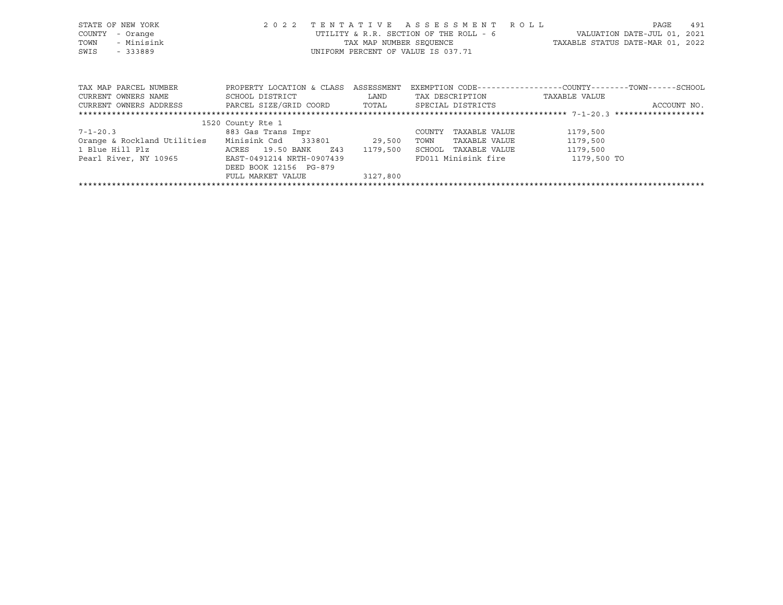| STATE OF NEW YORK<br>- Orange<br>COUNTY<br>- Minisink<br>TOWN<br>SWIS<br>$-333889$ | 2 0 2 2                   | TENTATIVE<br>TAX MAP NUMBER SEOUENCE | A S S E S S M E N T A O L L<br>UTILITY & R.R. SECTION OF THE ROLL - 6<br>UNIFORM PERCENT OF VALUE IS 037.71 | PAGE<br>VALUATION DATE-JUL 01,<br>TAXABLE STATUS DATE-MAR 01, 2022 | 491<br>2021 |
|------------------------------------------------------------------------------------|---------------------------|--------------------------------------|-------------------------------------------------------------------------------------------------------------|--------------------------------------------------------------------|-------------|
| TAX MAP PARCEL NUMBER                                                              | PROPERTY LOCATION & CLASS | ASSESSMENT                           |                                                                                                             | EXEMPTION CODE-----------------COUNTY-------TOWN------SCHOOL       |             |
| CURRENT OWNERS NAME                                                                | SCHOOL DISTRICT           | LAND                                 | TAX DESCRIPTION                                                                                             | TAXABLE VALUE                                                      |             |
| CURRENT OWNERS ADDRESS                                                             | PARCEL SIZE/GRID COORD    | TOTAL                                | SPECIAL DISTRICTS                                                                                           | ACCOUNT NO.                                                        |             |
|                                                                                    |                           |                                      |                                                                                                             |                                                                    |             |
|                                                                                    | 1520 County Rte 1         |                                      |                                                                                                             |                                                                    |             |
| 7-1-20.3                                                                           | 883 Gas Trans Impr        |                                      | TAXABLE VALUE<br>COUNTY                                                                                     | 1179,500                                                           |             |
| Orange & Rockland Utilities                                                        | Minisink Csd 333801       | 29,500                               | TAXABLE VALUE<br>TOWN                                                                                       | 1179,500                                                           |             |
| 1 Blue Hill Plz                                                                    | ACRES 19.50 BANK<br>Z43   | 1179,500                             | SCHOOL<br>TAXABLE VALUE                                                                                     | 1179,500                                                           |             |
| Pearl River, NY 10965                                                              | EAST-0491214 NRTH-0907439 |                                      | FD011 Minisink fire                                                                                         | 1179,500 TO                                                        |             |
|                                                                                    | DEED BOOK 12156 PG-879    |                                      |                                                                                                             |                                                                    |             |
|                                                                                    | FULL MARKET VALUE         | 3127,800                             |                                                                                                             |                                                                    |             |
|                                                                                    |                           |                                      |                                                                                                             |                                                                    |             |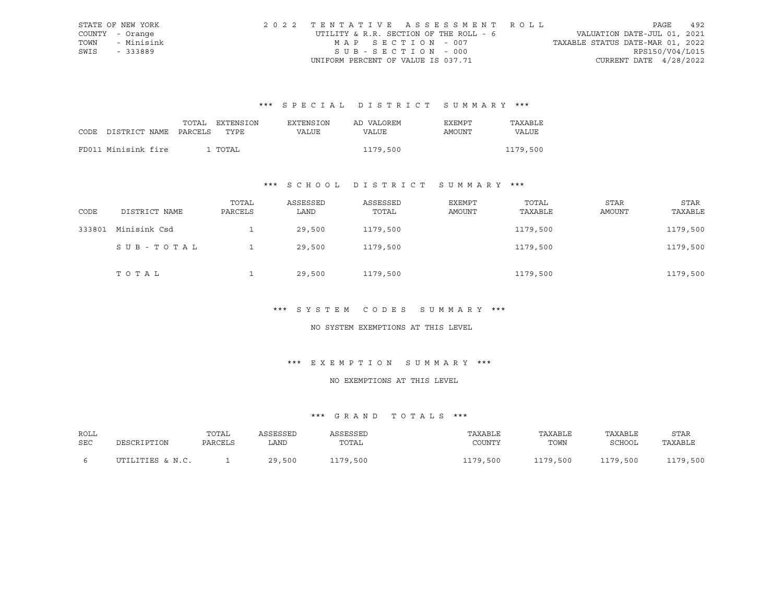|      | STATE OF NEW YORK | 2022 TENTATIVE ASSESSMENT ROLL         |                                  | PAGE | 492 |
|------|-------------------|----------------------------------------|----------------------------------|------|-----|
|      | COUNTY - Orange   | UTILITY & R.R. SECTION OF THE ROLL - 6 | VALUATION DATE-JUL 01, 2021      |      |     |
| TOWN | - Minisink        | MAP SECTION - 007                      | TAXABLE STATUS DATE-MAR 01, 2022 |      |     |
| SWIS | - 333889          | SUB-SECTION - 000                      | RPS150/V04/L015                  |      |     |
|      |                   | UNIFORM PERCENT OF VALUE IS 037.71     | CURRENT DATE $4/28/2022$         |      |     |

|                                 | TOTAL | EXTENSION | EXTENSION | AD VALOREM | EXEMPT | TAXABLE  |
|---------------------------------|-------|-----------|-----------|------------|--------|----------|
| CODE DISTRICT NAME PARCELS TYPE |       |           | VALUE     | VALUE      | AMOUNT | VALUE    |
|                                 |       |           |           |            |        |          |
| FD011 Minisink fire             |       | 1 TOTAL   |           | 1179,500   |        | 1179,500 |

### \*\*\* S C H O O L D I S T R I C T S U M M A R Y \*\*\*

| CODE   | DISTRICT NAME | TOTAL<br>PARCELS | ASSESSED<br>LAND | ASSESSED<br>TOTAL | EXEMPT<br>AMOUNT | TOTAL<br>TAXABLE | STAR<br>AMOUNT | STAR<br>TAXABLE |
|--------|---------------|------------------|------------------|-------------------|------------------|------------------|----------------|-----------------|
| 333801 | Minisink Csd  |                  | 29,500           | 1179,500          |                  | 1179,500         |                | 1179,500        |
|        | SUB-TOTAL     |                  | 29,500           | 1179,500          |                  | 1179,500         |                | 1179,500        |
|        | TOTAL         |                  | 29,500           | 1179,500          |                  | 1179,500         |                | 1179,500        |

#### \*\*\* S Y S T E M C O D E S S U M M A R Y \*\*\*

#### NO SYSTEM EXEMPTIONS AT THIS LEVEL

### \*\*\* E X E M P T I O N S U M M A R Y \*\*\*

#### NO EXEMPTIONS AT THIS LEVEL

| ROLL |                  | TOTAL   | ASSESSED | ASSESSED | TAXABLE  | TAXABLE  | TAXABLE  | <b>STAR</b> |
|------|------------------|---------|----------|----------|----------|----------|----------|-------------|
| SEC  | DESCRIPTION      | PARCELS | LAND     | TOTAL    | COUNTY   | TOWN     | SCHOOL   | TAXABLE     |
|      | UTILITIES & N.C. |         | 29,500   | 1179,500 | 1179,500 | 1179,500 | 1179,500 | 1179,500    |
|      |                  |         |          |          |          |          |          |             |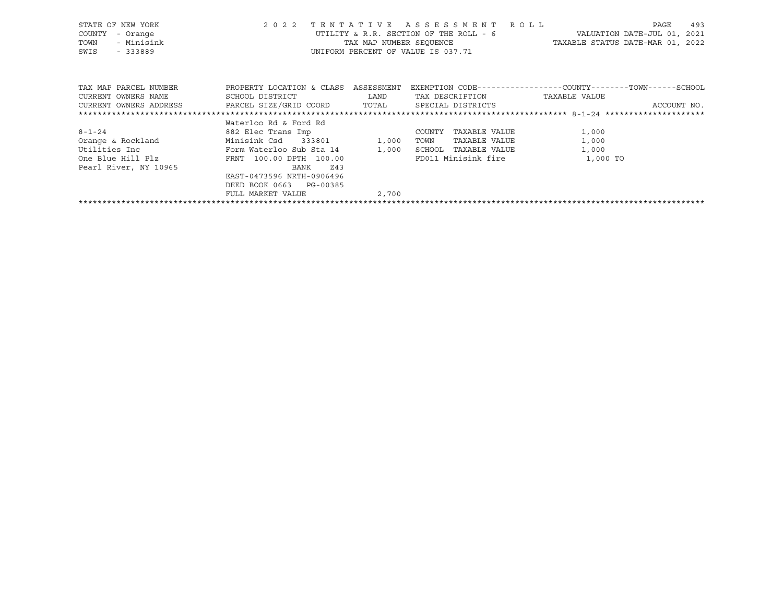| STATE OF NEW YORK<br>COUNTY<br>- Orange<br>- Minisink<br>TOWN<br>SWIS<br>- 333889                                     | 2 0 2 2                                                                                                              |       | TENTATIVE ASSESSMENT ROLL<br>UNIFORM PERCENT OF VALUE IS 037.71       | PAGE<br>UTILITY & R.R. SECTION OF THE ROLL - 6 WALUATION DATE-JUL 01, 2021<br>TAX MAP NUMBER SEQUENCE TAN TAXABLE STATUS DATE-MAR 01, 2022 | 493         |
|-----------------------------------------------------------------------------------------------------------------------|----------------------------------------------------------------------------------------------------------------------|-------|-----------------------------------------------------------------------|--------------------------------------------------------------------------------------------------------------------------------------------|-------------|
| TAX MAP PARCEL NUMBER<br>CURRENT OWNERS NAME<br>CURRENT OWNERS ADDRESS BARCEL SIZE/GRID COORD TOTAL SPECIAL DISTRICTS | PROPERTY LOCATION & CLASS ASSESSMENT<br>SCHOOL DISTRICT LAND                                                         |       | TAX DESCRIPTION                                                       | EXEMPTION CODE-----------------COUNTY-------TOWN------SCHOOL<br>TAXABLE VALUE                                                              | ACCOUNT NO. |
|                                                                                                                       | Waterloo Rd & Ford Rd                                                                                                |       |                                                                       |                                                                                                                                            |             |
| $8 - 1 - 24$<br>Orange & Rockland Minisink Csd 333801 1,000<br>One Blue Hill Plz<br>Pearl River, NY 10965             | 882 Elec Trans Imp<br>FRNT 100.00 DPTH 100.00<br>BANK<br>Z43<br>EAST-0473596 NRTH-0906496<br>DEED BOOK 0663 PG-00385 |       | COUNTY TAXABLE VALUE<br>TAXABLE VALUE<br>TOWN<br>SCHOOL TAXABLE VALUE | 1,000<br>1,000<br>1,000<br>FD011 Minisink fire 1,000 TO                                                                                    |             |
|                                                                                                                       | FULL MARKET VALUE                                                                                                    | 2,700 |                                                                       |                                                                                                                                            |             |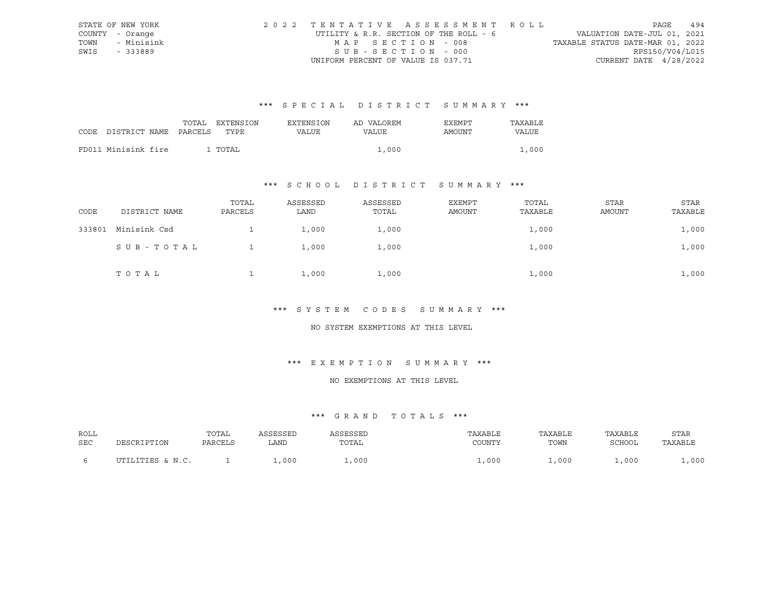|      | STATE OF NEW YORK | 2022 TENTATIVE ASSESSMENT ROLL         |                                  | PAGE | 494 |
|------|-------------------|----------------------------------------|----------------------------------|------|-----|
|      | COUNTY - Orange   | UTILITY & R.R. SECTION OF THE ROLL - 6 | VALUATION DATE-JUL 01, 2021      |      |     |
| TOWN | - Minisink        | MAP SECTION - 008                      | TAXABLE STATUS DATE-MAR 01, 2022 |      |     |
| SWIS | - 333889          | SUB-SECTION - 000                      | RPS150/V04/L015                  |      |     |
|      |                   | UNIFORM PERCENT OF VALUE IS 037.71     | CURRENT DATE $4/28/2022$         |      |     |

|                            | TOTAL | EXTENSION | <b>EXTENSION</b> | AD VALOREM | EXEMPT | TAXARLE |
|----------------------------|-------|-----------|------------------|------------|--------|---------|
| CODE DISTRICT NAME PARCELS |       | TYPE      | VALUE            | VALUE      | AMOUNT | VALUE   |
|                            |       |           |                  |            |        |         |
| FD011 Minisink fire        |       | 1 TOTAL   |                  | 1,000      |        | 1,000   |

### \*\*\* S C H O O L D I S T R I C T S U M M A R Y \*\*\*

| CODE   | DISTRICT NAME | TOTAL<br>PARCELS | ASSESSED<br>LAND | ASSESSED<br>TOTAL | EXEMPT<br>AMOUNT | TOTAL<br>TAXABLE | STAR<br>AMOUNT | STAR<br>TAXABLE |
|--------|---------------|------------------|------------------|-------------------|------------------|------------------|----------------|-----------------|
| 333801 | Minisink Csd  |                  | 1,000            | 1,000             |                  | 1,000            |                | 1,000           |
|        | SUB-TOTAL     |                  | 1,000            | 1,000             |                  | 1,000            |                | 1,000           |
|        | TOTAL         |                  | 1,000            | 1,000             |                  | 1,000            |                | 1,000           |

#### \*\*\* S Y S T E M C O D E S S U M M A R Y \*\*\*

#### NO SYSTEM EXEMPTIONS AT THIS LEVEL

### \*\*\* E X E M P T I O N S U M M A R Y \*\*\*

#### NO EXEMPTIONS AT THIS LEVEL

| ROLL |                  | TOTAL   | ASSESSED | ASSESSED | TAXABLE | TAXABLE | TAXABLE | <b>STAR</b> |
|------|------------------|---------|----------|----------|---------|---------|---------|-------------|
| SEC  | DESCRIPTION      | PARCELS | LAND     | TOTAL    | COUNTY  | TOWN    | SCHOOL  | TAXABLE     |
|      | UTILITIES & N.C. |         | .000     | ,000     | ,000    | . . 000 | ,000    | ,000        |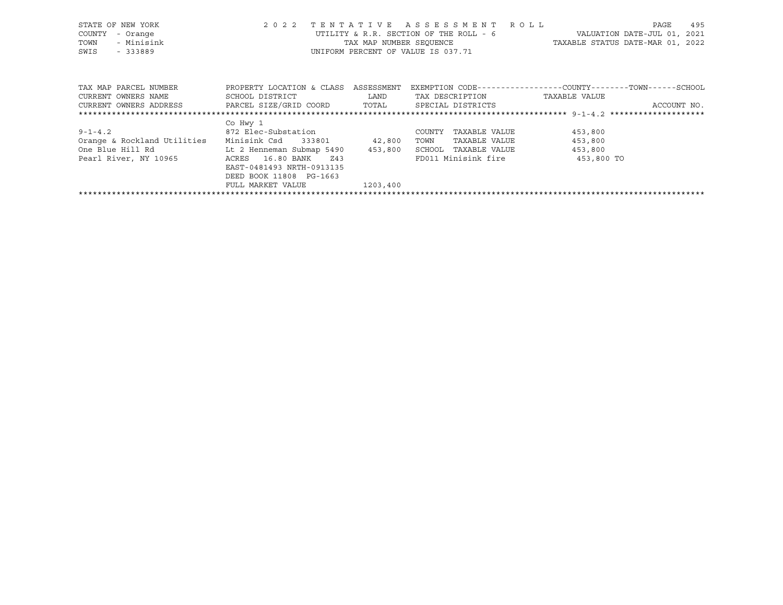| STATE OF NEW YORK<br>COUNTY<br>- Orange<br>- Minisink<br>TOWN<br>SWIS<br>- 333889 | 2 0 2 2                              | TENTATIVE                                                                                                              | ASSESSMENT ROLL<br>UTILITY & R.R. SECTION OF THE ROLL - 6<br>UNIFORM PERCENT OF VALUE IS 037.71 | VALUATION DATE-JUL 01, 2021<br>TAX MAP NUMBER SEOUENCE TAXABLE STATUS DATE-MAR 01, 2022 | 495<br>PAGE |
|-----------------------------------------------------------------------------------|--------------------------------------|------------------------------------------------------------------------------------------------------------------------|-------------------------------------------------------------------------------------------------|-----------------------------------------------------------------------------------------|-------------|
| TAX MAP PARCEL NUMBER                                                             | PROPERTY LOCATION & CLASS ASSESSMENT |                                                                                                                        |                                                                                                 | EXEMPTION CODE-----------------COUNTY-------TOWN------SCHOOL                            |             |
| CURRENT OWNERS NAME                                                               | SCHOOL DISTRICT                      | <b>EXAMPLE SERVICE SERVICE SERVICE SERVICE SERVICE SERVICE SERVICE SERVICE SERVICE SERVICE SERVICE SERVICE SERVICE</b> | TAX DESCRIPTION TAXABLE VALUE                                                                   |                                                                                         |             |
| CURRENT OWNERS ADDRESS FARCEL SIZE/GRID COORD TOTAL                               |                                      |                                                                                                                        | SPECIAL DISTRICTS                                                                               |                                                                                         | ACCOUNT NO. |
|                                                                                   |                                      |                                                                                                                        |                                                                                                 |                                                                                         |             |
|                                                                                   | Co Hwy 1                             |                                                                                                                        |                                                                                                 |                                                                                         |             |
| $9 - 1 - 4.2$                                                                     | 872 Elec-Substation                  |                                                                                                                        | COUNTY<br>TAXABLE VALUE                                                                         | 453,800                                                                                 |             |
| Orange & Rockland Utilities Minisink Csd 333801 42,800                            |                                      |                                                                                                                        | TAXABLE VALUE<br>TOWN                                                                           | 453,800                                                                                 |             |
| One Blue Hill Rd                                                                  | Lt 2 Henneman Submap 5490 453,800    |                                                                                                                        | SCHOOL TAXABLE VALUE                                                                            | 453,800                                                                                 |             |
| Pearl River, NY 10965                                                             | Z43<br>ACRES 16.80 BANK              |                                                                                                                        | FD011 Minisink fire                                                                             | 453,800 TO                                                                              |             |
|                                                                                   | EAST-0481493 NRTH-0913135            |                                                                                                                        |                                                                                                 |                                                                                         |             |
|                                                                                   | DEED BOOK 11808 PG-1663              |                                                                                                                        |                                                                                                 |                                                                                         |             |
|                                                                                   | FULL MARKET VALUE                    | 1203,400                                                                                                               |                                                                                                 |                                                                                         |             |
|                                                                                   |                                      |                                                                                                                        |                                                                                                 |                                                                                         |             |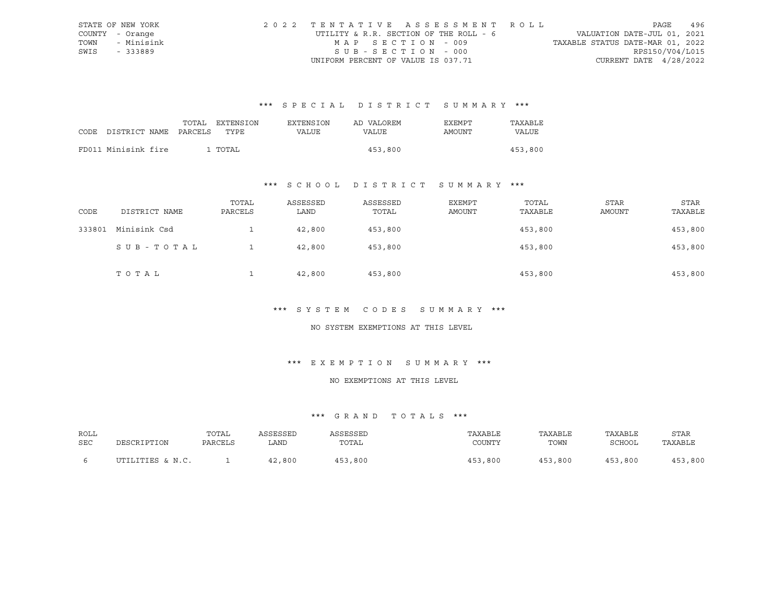|      | STATE OF NEW YORK | 2022 TENTATIVE ASSESSMENT ROLL         |                                  | PAGE            | 496 |
|------|-------------------|----------------------------------------|----------------------------------|-----------------|-----|
|      | COUNTY - Orange   | UTILITY & R.R. SECTION OF THE ROLL - 6 | VALUATION DATE-JUL 01, 2021      |                 |     |
| TOWN | - Minisink        | MAP SECTION - 009                      | TAXABLE STATUS DATE-MAR 01, 2022 |                 |     |
| SWIS | - 333889          | SUB-SECTION - 000                      |                                  | RPS150/V04/L015 |     |
|      |                   | UNIFORM PERCENT OF VALUE IS 037.71     | CURRENT DATE $4/28/2022$         |                 |     |

|                                 |  | TOTAL EXTENSION | <b>EXTENSION</b> | AD VALOREM | EXEMPT | TAXARLE |
|---------------------------------|--|-----------------|------------------|------------|--------|---------|
| CODE DISTRICT NAME PARCELS TYPE |  |                 | VALUE            | VALUE      | AMOUNT | VALUE   |
|                                 |  |                 |                  |            |        |         |
| FD011 Minisink fire             |  | 1 TOTAL         |                  | 453,800    |        | 453,800 |

### \*\*\* S C H O O L D I S T R I C T S U M M A R Y \*\*\*

| CODE   | DISTRICT NAME | TOTAL<br>PARCELS | ASSESSED<br>LAND | ASSESSED<br>TOTAL | EXEMPT<br>AMOUNT | TOTAL<br>TAXABLE | STAR<br>AMOUNT | STAR<br>TAXABLE |
|--------|---------------|------------------|------------------|-------------------|------------------|------------------|----------------|-----------------|
| 333801 | Minisink Csd  |                  | 42,800           | 453,800           |                  | 453,800          |                | 453,800         |
|        | SUB-TOTAL     |                  | 42,800           | 453,800           |                  | 453,800          |                | 453,800         |
|        | TOTAL         |                  | 42,800           | 453,800           |                  | 453,800          |                | 453,800         |

#### \*\*\* S Y S T E M C O D E S S U M M A R Y \*\*\*

#### NO SYSTEM EXEMPTIONS AT THIS LEVEL

### \*\*\* E X E M P T I O N S U M M A R Y \*\*\*

#### NO EXEMPTIONS AT THIS LEVEL

| ROLL |                  | TOTAL   | ASSESSED | ASSESSED | TAXABLE | TAXABLE | TAXABLE | STAR    |
|------|------------------|---------|----------|----------|---------|---------|---------|---------|
| SEC  | DESCRIPTION      | PARCELS | LAND     | TOTAL    | COUNTY  | TOWN    | SCHOOL  | TAXABLE |
|      | UTILITIES & N.C. |         | 42,800   | 453,800  | 453,800 | 453,800 | 453,800 | 453,800 |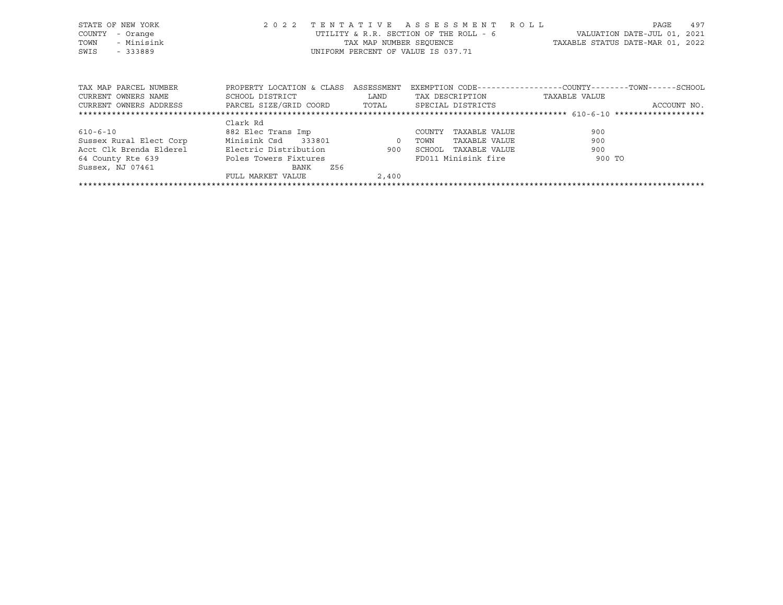| STATE OF NEW YORK<br>COUNTY<br>- Orange<br>- Minisink<br>TOWN<br>SWIS<br>- 333889 | 2 0 2 2                                        |       | TENTATIVE ASSESSMENT ROLL<br>UTILITY & R.R. SECTION OF THE ROLL - 6<br>TAX MAP NUMBER SEQUENCE<br>UNIFORM PERCENT OF VALUE IS 037.71 | TAXABLE STATUS DATE-MAR 01, 2022                            | 497<br>PAGE<br>VALUATION DATE-JUL 01, 2021 |
|-----------------------------------------------------------------------------------|------------------------------------------------|-------|--------------------------------------------------------------------------------------------------------------------------------------|-------------------------------------------------------------|--------------------------------------------|
| TAX MAP PARCEL NUMBER                                                             | PROPERTY LOCATION & CLASS ASSESSMENT           |       |                                                                                                                                      | EXEMPTION CODE-----------------COUNTY-------TOWN-----SCHOOL |                                            |
| CURRENT OWNERS NAME                                                               | SCHOOL DISTRICT                                | LAND  | TAX DESCRIPTION                                                                                                                      | TAXABLE VALUE                                               |                                            |
| CURRENT OWNERS ADDRESS                                                            | PARCEL SIZE/GRID COORD TOTAL SPECIAL DISTRICTS |       |                                                                                                                                      |                                                             | ACCOUNT NO.                                |
|                                                                                   |                                                |       |                                                                                                                                      |                                                             |                                            |
|                                                                                   | Clark Rd                                       |       |                                                                                                                                      |                                                             |                                            |
| $610 - 6 - 10$                                                                    | 882 Elec Trans Imp                             |       | TAXABLE VALUE<br>COUNTY                                                                                                              | 900                                                         |                                            |
| Sussex Rural Elect Corp                                                           | Minisink Csd 333801 0                          |       | TOWN<br>TAXABLE VALUE                                                                                                                | 900                                                         |                                            |
| Acct Clk Brenda Elderel                                                           | Electric Distribution                          |       | 900 SCHOOL TAXABLE VALUE                                                                                                             | 900                                                         |                                            |
| 64 County Rte 639                                                                 | Poles Towers Fixtures                          |       | FD011 Minisink fire                                                                                                                  | 900 TO                                                      |                                            |
| Sussex, NJ 07461                                                                  | Z56<br>BANK                                    |       |                                                                                                                                      |                                                             |                                            |
|                                                                                   | FULL MARKET VALUE                              | 2,400 |                                                                                                                                      |                                                             |                                            |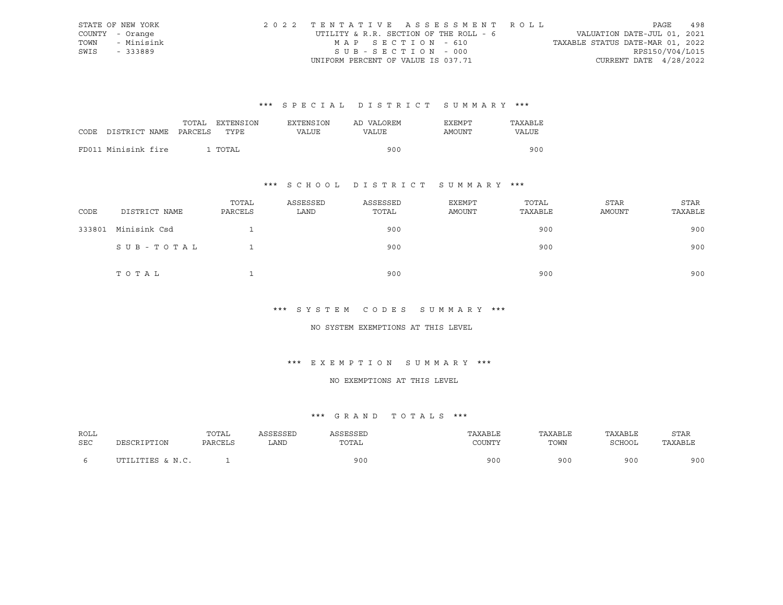|      | STATE OF NEW YORK | 2022 TENTATIVE ASSESSMENT ROLL         |  |                                  |                          | PAGE | 498 |
|------|-------------------|----------------------------------------|--|----------------------------------|--------------------------|------|-----|
|      | COUNTY - Orange   | UTILITY & R.R. SECTION OF THE ROLL - 6 |  | VALUATION DATE-JUL 01, 2021      |                          |      |     |
| TOWN | - Minisink        | MAP SECTION - 610                      |  | TAXABLE STATUS DATE-MAR 01, 2022 |                          |      |     |
| SWIS | - 333889          | SUB-SECTION - 000                      |  |                                  | RPS150/V04/L015          |      |     |
|      |                   | UNIFORM PERCENT OF VALUE IS 037.71     |  |                                  | CURRENT DATE $4/28/2022$ |      |     |

|      |                       | TOTAL | EXTENSION | <b>EXTENSION</b> | AD VALOREM | <b>EXEMPT</b> | TAXABLE      |
|------|-----------------------|-------|-----------|------------------|------------|---------------|--------------|
| CODE | DISTRICT NAME PARCELS |       | TYPF.     | VALUE            | VALUE      | AMOUNT        | <b>VALUE</b> |
|      | FD011 Minisink fire   |       | . TOTAL   |                  | 900        |               | 900          |

### \*\*\* S C H O O L D I S T R I C T S U M M A R Y \*\*\*

| CODE   | DISTRICT NAME | TOTAL<br>PARCELS | ASSESSED<br>LAND | ASSESSED<br>TOTAL | EXEMPT<br>AMOUNT | TOTAL<br>TAXABLE | STAR<br>AMOUNT | STAR<br>TAXABLE |
|--------|---------------|------------------|------------------|-------------------|------------------|------------------|----------------|-----------------|
| 333801 | Minisink Csd  |                  |                  | 900               |                  | 900              |                | 900             |
|        | SUB-TOTAL     |                  |                  | 900               |                  | 900              |                | 900             |
|        | TOTAL         |                  |                  | 900               |                  | 900              |                | 900             |

#### \*\*\* S Y S T E M C O D E S S U M M A R Y \*\*\*

#### NO SYSTEM EXEMPTIONS AT THIS LEVEL

### \*\*\* E X E M P T I O N S U M M A R Y \*\*\*

#### NO EXEMPTIONS AT THIS LEVEL

| ROLL |                  | TOTAL   | ASSESSED | <b>SSESSED</b> | TAXABLE | TAXABLE | TAXABLE | <b>STAR</b> |
|------|------------------|---------|----------|----------------|---------|---------|---------|-------------|
| SEC  | PESCRIPTION      | PARCELS | LAND     | TOTAL          | COUNTY  | TOWN    | SCHOOL  | TAXABLE     |
|      | UTILITIES & N.C. |         |          | 900            | 900     | 900     | 90 C    | 900         |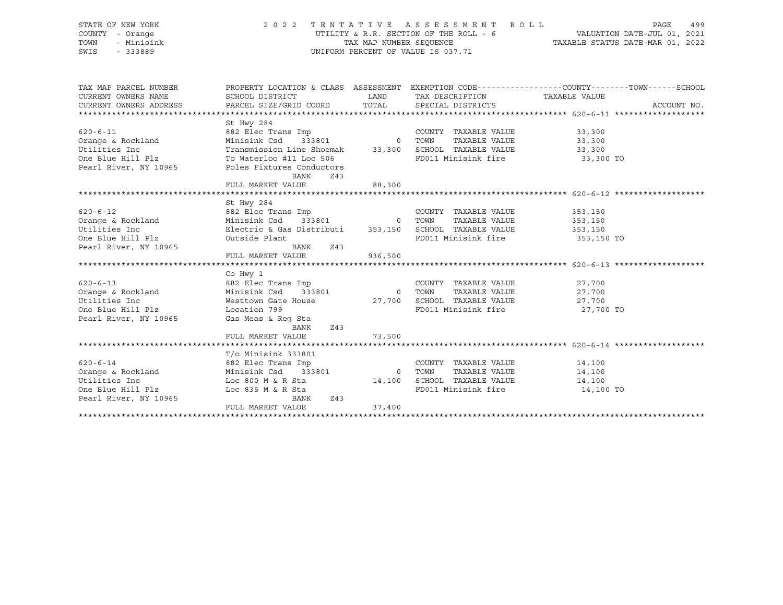STATE OF NEW YORK 2 0 2 2 T E N T A T I V E A S S E S S M E N T R O L L PAGE 499 COUNTY - Orange UTILITY & R.R. SECTION OF THE ROLL - 6 VALUATION DATE-JUL 01, 2021 TOWN - Minisink TAX MAP NUMBER SEQUENCE TAXABLE STATUS DATE-MAR 01, 2022 SWIS - 333889 CONSERVATION CONTROL OF VALUE IS 037.71

| TAX MAP PARCEL NUMBER                                                                                                                                                                                                                                       |                                                |        |                                                                                                                                        | PROPERTY LOCATION & CLASS ASSESSMENT EXEMPTION CODE---------------COUNTY-------TOWN------SCHOOL |
|-------------------------------------------------------------------------------------------------------------------------------------------------------------------------------------------------------------------------------------------------------------|------------------------------------------------|--------|----------------------------------------------------------------------------------------------------------------------------------------|-------------------------------------------------------------------------------------------------|
| CURRENT OWNERS NAME                                                                                                                                                                                                                                         | SCHOOL DISTRICT                                | LAND   | TAX DESCRIPTION TAXABLE VALUE                                                                                                          |                                                                                                 |
| CURRENT OWNERS ADDRESS                                                                                                                                                                                                                                      | PARCEL SIZE/GRID COORD TOTAL SPECIAL DISTRICTS |        |                                                                                                                                        | ACCOUNT NO.                                                                                     |
|                                                                                                                                                                                                                                                             |                                                |        |                                                                                                                                        |                                                                                                 |
|                                                                                                                                                                                                                                                             | St Hwy 284                                     |        |                                                                                                                                        |                                                                                                 |
| 620-6-11<br>620-6-11<br>882 Elec Trans Imp<br>882 Elec Trans Imp<br>882 Elec Trans Imp<br>882 Elec Trans Imp<br>33,300<br>7000 TOWN TAXABLE VALUE<br>723,300<br>723,300<br>726 Transmission Line Shoemak<br>93,300<br>7200 TOWN TAXABLE VALUE<br>73,300<br> |                                                |        |                                                                                                                                        |                                                                                                 |
|                                                                                                                                                                                                                                                             |                                                |        |                                                                                                                                        |                                                                                                 |
|                                                                                                                                                                                                                                                             |                                                |        |                                                                                                                                        |                                                                                                 |
|                                                                                                                                                                                                                                                             |                                                |        | FD011 Minisink fire 33,300 TO                                                                                                          |                                                                                                 |
| Pearl River, NY 10965                                                                                                                                                                                                                                       | Poles Fixtures Conductors                      |        |                                                                                                                                        |                                                                                                 |
|                                                                                                                                                                                                                                                             | BANK<br>Z43                                    |        |                                                                                                                                        |                                                                                                 |
|                                                                                                                                                                                                                                                             | FULL MARKET VALUE                              | 88,300 |                                                                                                                                        |                                                                                                 |
|                                                                                                                                                                                                                                                             |                                                |        |                                                                                                                                        |                                                                                                 |
|                                                                                                                                                                                                                                                             | St Hwy 284                                     |        |                                                                                                                                        |                                                                                                 |
|                                                                                                                                                                                                                                                             |                                                |        | COUNTY TAXABLE VALUE 353,150                                                                                                           |                                                                                                 |
|                                                                                                                                                                                                                                                             |                                                |        |                                                                                                                                        |                                                                                                 |
|                                                                                                                                                                                                                                                             |                                                |        | FOWN TAXABLE VALUE<br>TOWN TAXABLE VALUE<br>SCHOOL TAXABLE VALUE<br>TOWN TAXABLE VALUE<br>353,150<br>FD011 Minisink fire<br>353,150 TO |                                                                                                 |
| 620-6-12<br>0 COUNTY TAXABLE VALUE<br>0 COUNTY TAXABLE VALUE<br>0 TOWN TAXABLE VALUE<br>Utilities Inc Electric & Gas Distributi 353,150 SCHOOL TAXABLE VALUE<br>253,150 SCHOOL TAXABLE VALUE<br>253,150 SCHOOL TAXABLE VALUE<br>253,150 SCHO                |                                                |        |                                                                                                                                        |                                                                                                 |
| Pearl River, NY 10965                                                                                                                                                                                                                                       | BANK<br>Z43                                    |        |                                                                                                                                        |                                                                                                 |
|                                                                                                                                                                                                                                                             | FULL MARKET VALUE 936,500                      |        |                                                                                                                                        |                                                                                                 |
|                                                                                                                                                                                                                                                             |                                                |        |                                                                                                                                        |                                                                                                 |
|                                                                                                                                                                                                                                                             | Co Hwy 1                                       |        |                                                                                                                                        |                                                                                                 |
| 620-6-13 882 Elec Trans Imp                                                                                                                                                                                                                                 |                                                |        | COUNTY TAXABLE VALUE                                                                                                                   | 27,700                                                                                          |
| Orange & Rockland Minisink Csd 333801 0 TOWN                                                                                                                                                                                                                |                                                |        |                                                                                                                                        | TAXABLE VALUE 27,700                                                                            |
| Utilities Inc                                                                                                                                                                                                                                               |                                                |        |                                                                                                                                        |                                                                                                 |
| One Blue Hill Plz bocation 799                                                                                                                                                                                                                              |                                                |        | FD011 Minisink fire 27,700 TO                                                                                                          |                                                                                                 |
| Pearl River, NY 10965                                                                                                                                                                                                                                       | Gas Meas & Reg Sta                             |        |                                                                                                                                        |                                                                                                 |
|                                                                                                                                                                                                                                                             | BANK<br>Z43                                    |        |                                                                                                                                        |                                                                                                 |
|                                                                                                                                                                                                                                                             | FULL MARKET VALUE                              | 73,500 |                                                                                                                                        |                                                                                                 |
|                                                                                                                                                                                                                                                             |                                                |        |                                                                                                                                        |                                                                                                 |
|                                                                                                                                                                                                                                                             | T/o Minisink 333801                            |        |                                                                                                                                        |                                                                                                 |
|                                                                                                                                                                                                                                                             |                                                |        |                                                                                                                                        | 14,100                                                                                          |
| Utilities Inc                                                                                                                                                                                                                                               |                                                |        |                                                                                                                                        | 14,100                                                                                          |
|                                                                                                                                                                                                                                                             | Loc 800 M & R Sta 14,100 SCHOOL TAXABLE VALUE  |        |                                                                                                                                        | 14,100                                                                                          |
| One Blue Hill Plz Loc 835 M & R Sta<br>Pearl River, NY 10965                                                                                                                                                                                                | BANK<br>Z43                                    |        | FD011 Minisink fire 14,100 TO                                                                                                          |                                                                                                 |
|                                                                                                                                                                                                                                                             | FULL MARKET VALUE                              | 37,400 |                                                                                                                                        |                                                                                                 |
|                                                                                                                                                                                                                                                             |                                                |        |                                                                                                                                        |                                                                                                 |
|                                                                                                                                                                                                                                                             |                                                |        |                                                                                                                                        |                                                                                                 |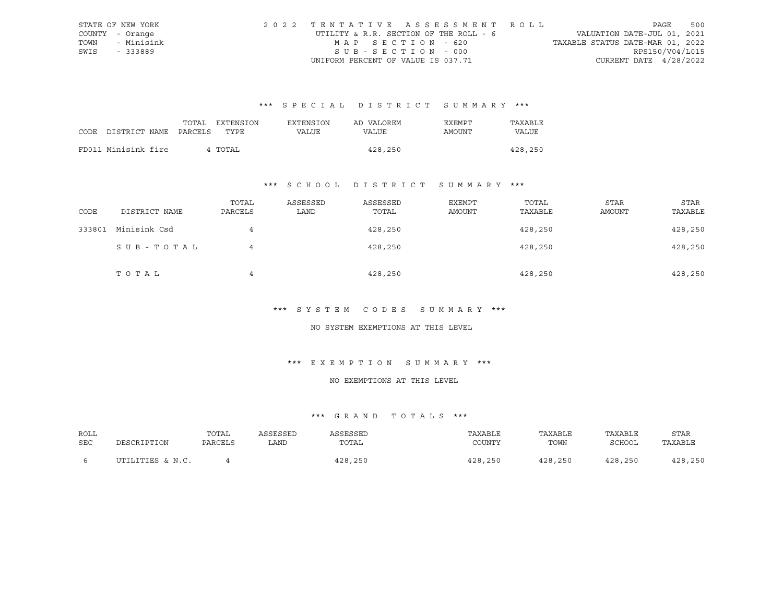|      | STATE OF NEW YORK | 2022 TENTATIVE ASSESSMENT ROLL         |                                  | PAGE | 500 |
|------|-------------------|----------------------------------------|----------------------------------|------|-----|
|      | COUNTY - Orange   | UTILITY & R.R. SECTION OF THE ROLL - 6 | VALUATION DATE-JUL 01, 2021      |      |     |
| TOWN | - Minisink        | MAP SECTION - 620                      | TAXABLE STATUS DATE-MAR 01, 2022 |      |     |
| SWIS | - 333889          | SUB-SECTION - 000                      | RPS150/V04/L015                  |      |     |
|      |                   | UNIFORM PERCENT OF VALUE IS 037.71     | CURRENT DATE $4/28/2022$         |      |     |

|                            | TOTAL | EXTENSION | <b>EXTENSION</b> | AD VALOREM | EXEMPT | TAXABLE |
|----------------------------|-------|-----------|------------------|------------|--------|---------|
| CODE DISTRICT NAME PARCELS |       | TYPE      | VALUE            | VALUE      | AMOUNT | VALUE   |
|                            |       |           |                  |            |        |         |
| FD011 Minisink fire        |       | 4 TOTAL   |                  | 428,250    |        | 428,250 |

### \*\*\* S C H O O L D I S T R I C T S U M M A R Y \*\*\*

| CODE   | DISTRICT NAME | TOTAL<br>PARCELS | ASSESSED<br>LAND | ASSESSED<br>TOTAL | EXEMPT<br>AMOUNT | TOTAL<br>TAXABLE | STAR<br>AMOUNT | STAR<br>TAXABLE |
|--------|---------------|------------------|------------------|-------------------|------------------|------------------|----------------|-----------------|
| 333801 | Minisink Csd  | 4                |                  | 428,250           |                  | 428,250          |                | 428,250         |
|        | SUB-TOTAL     | 4                |                  | 428,250           |                  | 428,250          |                | 428,250         |
|        | TOTAL         | 4                |                  | 428,250           |                  | 428,250          |                | 428,250         |

#### \*\*\* S Y S T E M C O D E S S U M M A R Y \*\*\*

#### NO SYSTEM EXEMPTIONS AT THIS LEVEL

### \*\*\* E X E M P T I O N S U M M A R Y \*\*\*

#### NO EXEMPTIONS AT THIS LEVEL

| ROLL       |                  | TOTAL   | ASSESSED | ASSESSED | TAXABLE | TAXABLE | TAXABLE | <b>STAR</b> |
|------------|------------------|---------|----------|----------|---------|---------|---------|-------------|
| <b>SEC</b> | DESCRIPTION      | PARCELS | LAND     | TOTAL    | COUNTY  | TOWN    | SCHOOL  | TAXABLE     |
|            |                  |         |          |          |         |         |         |             |
|            | UTILITIES & N.C. |         |          | 428,250  | 428,250 | 428,250 | 428,250 | 428,250     |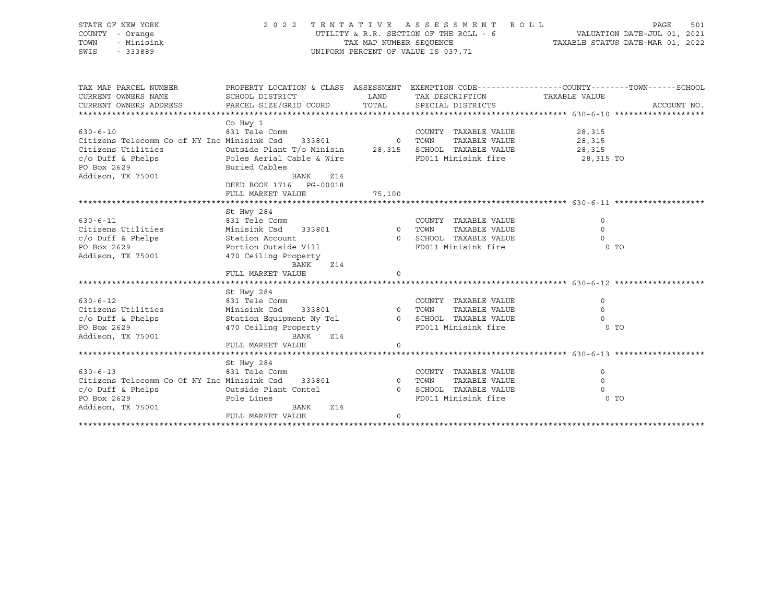| STATE OF NEW YORK<br>COUNTY - Orange               | 2 0 2 2                                                                                           |                         | TENTATIVE ASSESSMENT ROLL<br>UTILITY & R.R. SECTION OF THE ROLL - 6                              | VALUATION DATE-JUL 01, 2021<br>TAXABLE STATUS DATE-MAR 01, 2022 | 501<br>PAGE |
|----------------------------------------------------|---------------------------------------------------------------------------------------------------|-------------------------|--------------------------------------------------------------------------------------------------|-----------------------------------------------------------------|-------------|
| TOWN<br>- Minisink                                 |                                                                                                   | TAX MAP NUMBER SEOUENCE |                                                                                                  |                                                                 |             |
| SWIS<br>- 333889                                   |                                                                                                   |                         | UNIFORM PERCENT OF VALUE IS 037.71                                                               |                                                                 |             |
|                                                    |                                                                                                   |                         |                                                                                                  |                                                                 |             |
|                                                    |                                                                                                   |                         |                                                                                                  |                                                                 |             |
| TAX MAP PARCEL NUMBER                              |                                                                                                   |                         | PROPERTY LOCATION & CLASS ASSESSMENT EXEMPTION CODE----------------COUNTY-------TOWN------SCHOOL |                                                                 |             |
| CURRENT OWNERS NAME                                | SCHOOL DISTRICT                                                                                   | LAND                    | TAX DESCRIPTION                                                                                  | TAXABLE VALUE                                                   |             |
| CURRENT OWNERS ADDRESS                             | PARCEL SIZE/GRID COORD                                                                            | TOTAL                   | SPECIAL DISTRICTS                                                                                |                                                                 | ACCOUNT NO. |
|                                                    |                                                                                                   |                         |                                                                                                  |                                                                 |             |
|                                                    | Co Hwy 1                                                                                          |                         |                                                                                                  |                                                                 |             |
| $630 - 6 - 10$                                     | 831 Tele Comm                                                                                     |                         | COUNTY TAXABLE VALUE                                                                             | 28,315                                                          |             |
| Citizens Telecomm Co of NY Inc Minisink Csd 333801 | Minisink Csd 333801 0 TOWN TAXABLE VALUE<br>Outside Plant T/o Minisin 28,315 SCHOOL TAXABLE VALUE |                         |                                                                                                  | 28,315                                                          |             |
| Citizens Utilities                                 |                                                                                                   |                         |                                                                                                  | 28,315                                                          |             |
| $c$ /o Duff & Phelps                               | Poles Aerial Cable & Wire                                                                         |                         | FD011 Minisink fire 28,315 TO                                                                    |                                                                 |             |
| PO Box 2629                                        | Buried Cables                                                                                     |                         |                                                                                                  |                                                                 |             |
| Addison, TX 75001                                  | BANK<br>Z14                                                                                       |                         |                                                                                                  |                                                                 |             |
|                                                    | DEED BOOK 1716    PG-00018                                                                        |                         |                                                                                                  |                                                                 |             |
|                                                    | FULL MARKET VALUE                                                                                 | 75,100                  |                                                                                                  |                                                                 |             |
|                                                    |                                                                                                   |                         |                                                                                                  |                                                                 |             |
| $630 - 6 - 11$                                     | St Hwy 284<br>831 Tele Comm                                                                       |                         | COUNTY TAXABLE VALUE                                                                             | $\Omega$                                                        |             |
| Citizens Utilities                                 | Minisink Csd 333801                                                                               | 0 TOWN                  | TAXABLE VALUE                                                                                    | $\Omega$                                                        |             |
| $c/o$ Duff & Phelps                                | Station Account                                                                                   |                         | 0 SCHOOL TAXABLE VALUE                                                                           | $\circ$                                                         |             |
| PO Box 2629                                        | Portion Outside Vill                                                                              |                         | FD011 Minisink fire                                                                              | 0 <sub>T</sub>                                                  |             |
| Addison, TX 75001                                  | 470 Ceiling Property                                                                              |                         |                                                                                                  |                                                                 |             |
|                                                    | <b>Z14</b><br>BANK                                                                                |                         |                                                                                                  |                                                                 |             |
|                                                    | FULL MARKET VALUE                                                                                 | $\circ$                 |                                                                                                  |                                                                 |             |
|                                                    |                                                                                                   |                         |                                                                                                  |                                                                 |             |
|                                                    | St Hwy 284                                                                                        |                         |                                                                                                  |                                                                 |             |
| $630 - 6 - 12$                                     | 831 Tele Comm                                                                                     |                         | COUNTY TAXABLE VALUE                                                                             | $\Omega$                                                        |             |
| Citizens Utilities                                 | Minisink Csd 333801                                                                               | 0 TOWN                  | TAXABLE VALUE                                                                                    | $\mathbf 0$                                                     |             |
| $c/O$ Duff & Phelps                                | Station Equipment Ny Tel                                                                          |                         | 0 SCHOOL TAXABLE VALUE                                                                           | $\Omega$                                                        |             |
| PO Box 2629                                        | 470 Ceiling Property                                                                              |                         | FD011 Minisink fire                                                                              | 0 <sub>T</sub>                                                  |             |
| Addison, TX 75001                                  | BANK<br>Z14                                                                                       |                         |                                                                                                  |                                                                 |             |
|                                                    | FULL MARKET VALUE                                                                                 | $\Omega$                |                                                                                                  |                                                                 |             |
|                                                    |                                                                                                   |                         |                                                                                                  |                                                                 |             |
|                                                    | St Hwy 284                                                                                        |                         |                                                                                                  |                                                                 |             |
| $630 - 6 - 13$                                     | 831 Tele Comm                                                                                     |                         | COUNTY TAXABLE VALUE                                                                             | $\circ$                                                         |             |
| Citizens Telecomm Co Of NY Inc Minisink Csd        | 333801                                                                                            | 0 TOWN                  | TAXABLE VALUE                                                                                    | $\mathbf 0$                                                     |             |
| $c/o$ Duff & Phelps                                | Outside Plant Contel                                                                              |                         | 0 SCHOOL TAXABLE VALUE                                                                           | $\Omega$                                                        |             |
| PO Box 2629                                        | Pole Lines                                                                                        |                         | FD011 Minisink fire                                                                              | $0$ TO                                                          |             |
| Addison, TX 75001                                  | BANK<br><b>Z14</b>                                                                                |                         |                                                                                                  |                                                                 |             |
|                                                    | FULL MARKET VALUE                                                                                 | $\circ$                 |                                                                                                  |                                                                 |             |
|                                                    |                                                                                                   |                         |                                                                                                  |                                                                 |             |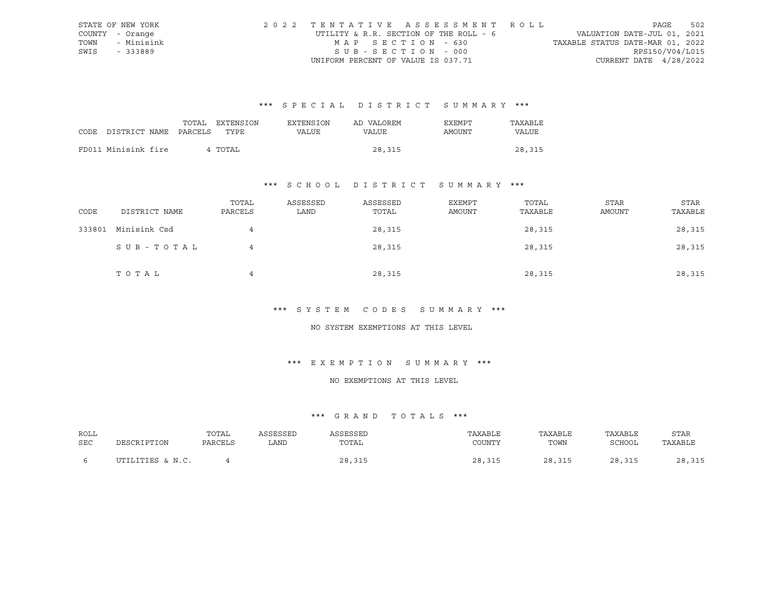|      | STATE OF NEW YORK | 2022 TENTATIVE ASSESSMENT ROLL         | PAGE                             | 502 |
|------|-------------------|----------------------------------------|----------------------------------|-----|
|      | COUNTY - Orange   | UTILITY & R.R. SECTION OF THE ROLL - 6 | VALUATION DATE-JUL 01, 2021      |     |
| TOWN | - Minisink        | MAP SECTION - 630                      | TAXABLE STATUS DATE-MAR 01, 2022 |     |
| SWIS | $-333889$         | SUB-SECTION - 000                      | RPS150/V04/L015                  |     |
|      |                   | UNIFORM PERCENT OF VALUE IS 037.71     | CURRENT DATE $4/28/2022$         |     |

|                                 | TOTAL | <b>EXTENSION</b> | <b>EXTENSION</b> | AD VALOREM | <b>EXEMPT</b> | TAXABLE |
|---------------------------------|-------|------------------|------------------|------------|---------------|---------|
| CODE DISTRICT NAME PARCELS TYPE |       |                  | VALUE            | VALUE      | AMOUNT        | VALUE   |
|                                 |       |                  |                  |            |               |         |
| FD011 Minisink fire             |       | 4 TOTAL          |                  | 28,315     |               | 28,315  |

### \*\*\* S C H O O L D I S T R I C T S U M M A R Y \*\*\*

| CODE   | DISTRICT NAME | TOTAL<br>PARCELS | ASSESSED<br>LAND | ASSESSED<br>TOTAL | EXEMPT<br>AMOUNT | TOTAL<br>TAXABLE | STAR<br>AMOUNT | STAR<br>TAXABLE |
|--------|---------------|------------------|------------------|-------------------|------------------|------------------|----------------|-----------------|
| 333801 | Minisink Csd  | 4                |                  | 28,315            |                  | 28,315           |                | 28,315          |
|        | SUB-TOTAL     | 4                |                  | 28,315            |                  | 28,315           |                | 28,315          |
|        | TOTAL         | 4                |                  | 28,315            |                  | 28,315           |                | 28,315          |

#### \*\*\* S Y S T E M C O D E S S U M M A R Y \*\*\*

#### NO SYSTEM EXEMPTIONS AT THIS LEVEL

### \*\*\* E X E M P T I O N S U M M A R Y \*\*\*

#### NO EXEMPTIONS AT THIS LEVEL

| ROLL       |                  | TOTAL   | ASSESSED | ASSESSED | TAXABLE | TAXABLE | TAXABLE | <b>STAR</b> |
|------------|------------------|---------|----------|----------|---------|---------|---------|-------------|
| <b>SEC</b> | DESCRIPTION      | PARCELS | . AND    | TOTAL    | COUNTY  | TOWN    | SCHOOL  | TAXABLE     |
|            | UTILITIES & N.C. |         |          | 28,315   | 28,315  | 28,315  | 28,315  | 28,315      |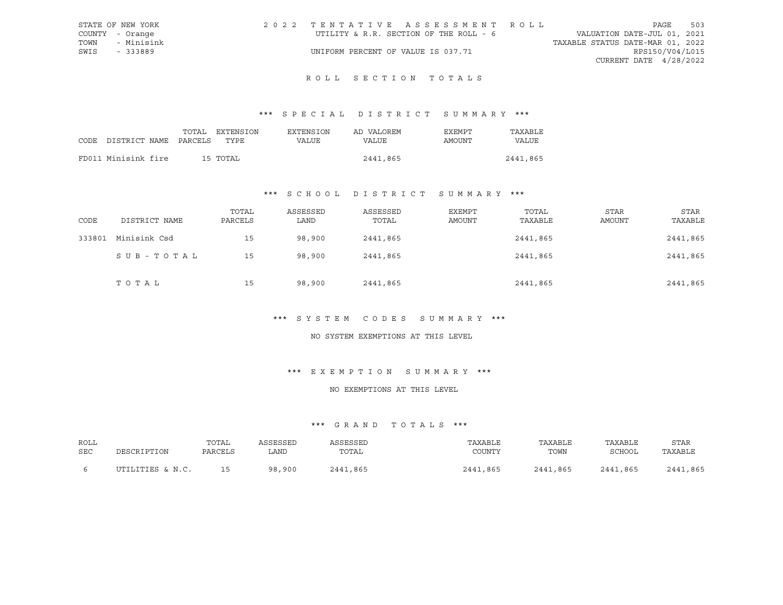|      | STATE OF NEW YORK | 2022 TENTATIVE ASSESSMENT ROLL         |                                  | PAGE                        | 503 |
|------|-------------------|----------------------------------------|----------------------------------|-----------------------------|-----|
|      | COUNTY - Orange   | UTILITY & R.R. SECTION OF THE ROLL - 6 |                                  | VALUATION DATE-JUL 01, 2021 |     |
| TOWN | - Minisink        |                                        | TAXABLE STATUS DATE-MAR 01, 2022 |                             |     |
| SWIS | - 333889          | UNIFORM PERCENT OF VALUE IS 037.71     |                                  | RPS150/V04/L015             |     |
|      |                   |                                        |                                  | CURRENT DATE 4/28/2022      |     |

## ROLL SECTION TOTALS

### \*\*\* S P E C I A L D I S T R I C T S U M M A R Y \*\*\*

|                                 |  | TOTAL EXTENSION | EXTENSION | AD VALOREM | EXEMPT | TAXABLE  |
|---------------------------------|--|-----------------|-----------|------------|--------|----------|
| CODE DISTRICT NAME PARCELS TYPE |  |                 | VALUE     | VALUE      | AMOUNT | VALUE    |
|                                 |  |                 |           |            |        |          |
| FD011 Minisink fire             |  | 15 TOTAL        |           | 2441,865   |        | 2441,865 |

#### \*\*\* S C H O O L D I S T R I C T S U M M A R Y \*\*\*

| CODE   | DISTRICT NAME | TOTAL<br>PARCELS | ASSESSED<br>LAND | ASSESSED<br>TOTAL | EXEMPT<br>AMOUNT | TOTAL<br>TAXABLE | STAR<br>AMOUNT | <b>STAR</b><br>TAXABLE |
|--------|---------------|------------------|------------------|-------------------|------------------|------------------|----------------|------------------------|
| 333801 | Minisink Csd  | 15               | 98,900           | 2441,865          |                  | 2441,865         |                | 2441,865               |
|        | SUB-TOTAL     | 15               | 98,900           | 2441,865          |                  | 2441,865         |                | 2441,865               |
|        | TOTAL         | 15               | 98,900           | 2441,865          |                  | 2441,865         |                | 2441,865               |

### \*\*\* S Y S T E M C O D E S S U M M A R Y \*\*\*

#### NO SYSTEM EXEMPTIONS AT THIS LEVEL

### \*\*\* E X E M P T I O N S U M M A R Y \*\*\*

#### NO EXEMPTIONS AT THIS LEVEL

| ROLL | DESCRIPTION      | TOTAL   | ASSESSED | <b><i>SSESSED</i></b> | TAXABLE  | TAXABLE  | TAXABLE  | STAR     |
|------|------------------|---------|----------|-----------------------|----------|----------|----------|----------|
| SEC  |                  | PARCELS | LAND     | TOTAL                 | COUNTY   | TOWN     | SCHOOL   | TAXABLE  |
|      | UTILITIES & N.C. | 1 E     | 98,900   | 2441,865              | 2441,865 | 2441,865 | 2441,865 | 2441,865 |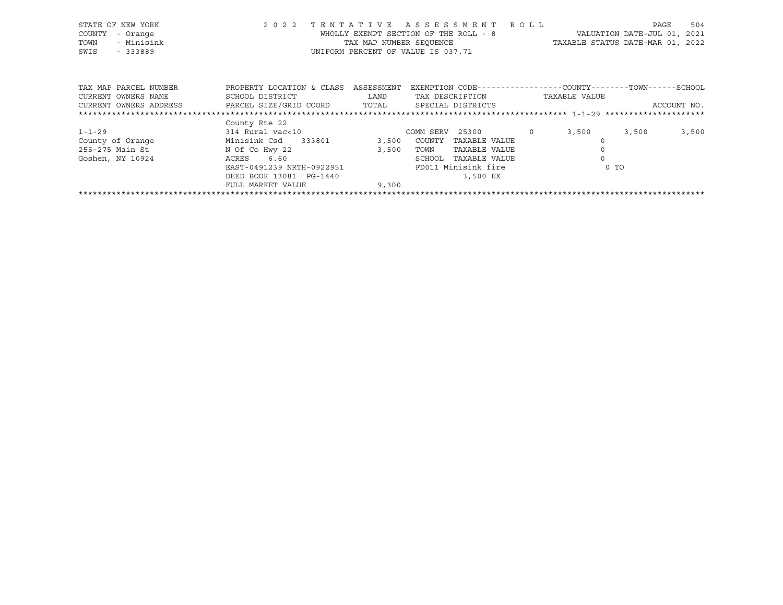| STATE OF NEW YORK<br>COUNTY<br>- Orange<br>- Minisink<br>TOWN<br>SWIS<br>- 333889 | 2 0 2 2                                      | TENTATIVE          | A S S E S S M E N T R O L L<br>WHOLLY EXEMPT SECTION OF THE ROLL - 8<br>TAX MAP NUMBER SEQUENCE<br>UNIFORM PERCENT OF VALUE IS 037.71 | TAXABLE STATUS DATE-MAR 01, 2022 | PAGE<br>VALUATION DATE-JUL 01, 2021 | 504         |
|-----------------------------------------------------------------------------------|----------------------------------------------|--------------------|---------------------------------------------------------------------------------------------------------------------------------------|----------------------------------|-------------------------------------|-------------|
| TAX MAP PARCEL NUMBER<br>CURRENT OWNERS NAME                                      | PROPERTY LOCATION & CLASS<br>SCHOOL DISTRICT | ASSESSMENT<br>LAND | EXEMPTION CODE-----------------COUNTY-------TOWN------SCHOOL<br>TAX DESCRIPTION                                                       | TAXABLE VALUE                    |                                     |             |
| CURRENT OWNERS ADDRESS                                                            | PARCEL SIZE/GRID COORD TOTAL                 |                    | SPECIAL DISTRICTS                                                                                                                     |                                  |                                     | ACCOUNT NO. |
|                                                                                   | County Rte 22                                |                    |                                                                                                                                       |                                  |                                     |             |
| $1 - 1 - 29$                                                                      | 314 Rural vac<10                             |                    | COMM SERV 25300 0                                                                                                                     | 3,500                            | 3,500                               | 3,500       |
| County of Orange                                                                  | Minisink Csd 333801                          | 3,500              | COUNTY<br>TAXABLE VALUE                                                                                                               |                                  |                                     |             |
| 255-275 Main St                                                                   | N Of Co Hwy 22                               | 3,500              | TAXABLE VALUE<br>TOWN                                                                                                                 |                                  |                                     |             |
| Goshen, NY 10924                                                                  | 6.60<br>ACRES                                |                    | SCHOOL<br>TAXABLE VALUE                                                                                                               |                                  |                                     |             |
|                                                                                   | EAST-0491239 NRTH-0922951                    |                    | FD011 Minisink fire                                                                                                                   | 0 <sub>T</sub>                   |                                     |             |
|                                                                                   | DEED BOOK 13081 PG-1440                      |                    | 3,500 EX                                                                                                                              |                                  |                                     |             |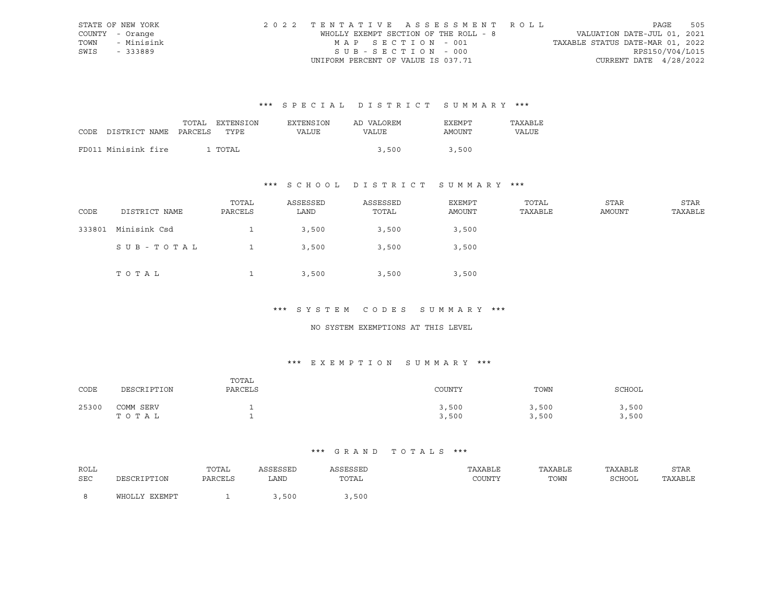|      | STATE OF NEW YORK | 2022 TENTATIVE ASSESSMENT ROLL        |                                  | PAGE            | 505 |
|------|-------------------|---------------------------------------|----------------------------------|-----------------|-----|
|      | COUNTY - Orange   | WHOLLY EXEMPT SECTION OF THE ROLL - 8 | VALUATION DATE-JUL 01, 2021      |                 |     |
|      | TOWN - Minisink   | MAP SECTION - 001                     | TAXABLE STATUS DATE-MAR 01, 2022 |                 |     |
| SWIS | - 333889          | $SUB - SECTION - 000$                 |                                  | RPS150/V04/L015 |     |
|      |                   | UNIFORM PERCENT OF VALUE IS 037.71    | CURRENT DATE $4/28/2022$         |                 |     |

|      |                       | TOTAL | EXTENSION | <b>EXTENSION</b> | AD VALOREM | EXEMPT | TAXABLE |
|------|-----------------------|-------|-----------|------------------|------------|--------|---------|
| CODE | DISTRICT NAME PARCELS |       | TYPE      | VALUE            | VALUE      | AMOUNT | VALUE   |
|      |                       |       |           |                  |            |        |         |
|      | FD011 Minisink fire   |       | . TOTAL   |                  | 3,500      | 3,500  |         |

## \*\*\* S C H O O L D I S T R I C T S U M M A R Y \*\*\*

| CODE   | DISTRICT NAME | TOTAL<br>PARCELS | ASSESSED<br>LAND | ASSESSED<br>TOTAL | EXEMPT<br>AMOUNT | TOTAL<br>TAXABLE | STAR<br>AMOUNT | STAR<br>TAXABLE |
|--------|---------------|------------------|------------------|-------------------|------------------|------------------|----------------|-----------------|
| 333801 | Minisink Csd  |                  | 3,500            | 3,500             | 3,500            |                  |                |                 |
|        | SUB-TOTAL     |                  | 3,500            | 3,500             | 3,500            |                  |                |                 |
|        | TOTAL         |                  | 3,500            | 3,500             | 3,500            |                  |                |                 |

#### \*\*\* S Y S T E M C O D E S S U M M A R Y \*\*\*

#### NO SYSTEM EXEMPTIONS AT THIS LEVEL

## \*\*\* E X E M P T I O N S U M M A R Y \*\*\*

| CODE  | DESCRIPTION        | TOTAL<br>PARCELS | COUNTY         | TOWN           | SCHOOL         |
|-------|--------------------|------------------|----------------|----------------|----------------|
| 25300 | COMM SERV<br>TOTAL |                  | 3,500<br>3,500 | 3,500<br>3,500 | 3,500<br>3,500 |

| ROLL |               | TOTAL   | ASSESSED | ASSESSED | TAXABLE | TAXABLE | TAXABLE       | <b>STAR</b> |
|------|---------------|---------|----------|----------|---------|---------|---------------|-------------|
| SEC  | DESCRIPTION   | PARCELS | LAND     | TOTAL    | COUNTY  | TOWN    | <b>SCHOOL</b> | TAXABLE     |
|      |               |         |          |          |         |         |               |             |
|      | WHOLLY EXEMPT |         | ,,500    | ,500     |         |         |               |             |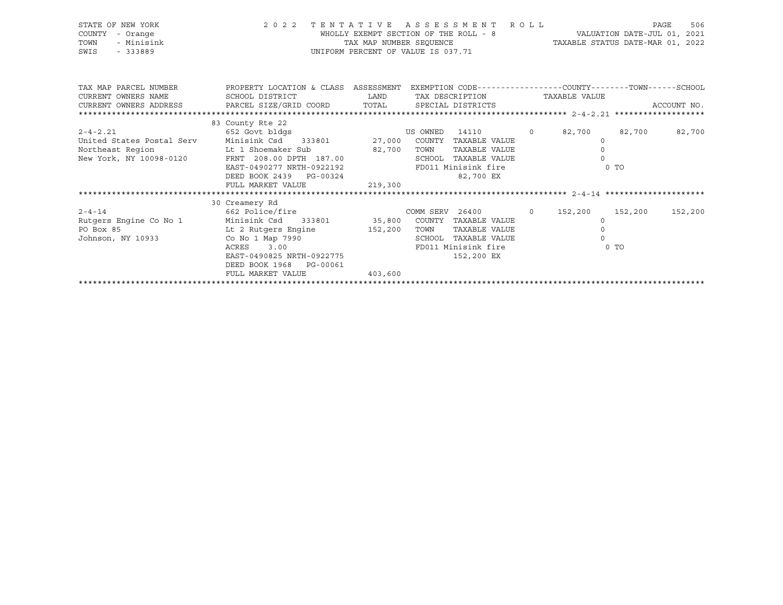| STATE OF NEW YORK<br>COUNTY<br>- Orange<br>TOWN<br>- Minisink<br>SWIS<br>$-333889$                             |                                                                                                                                                                                                                                                                                                                               |                   | 2022 TENTATIVE ASSESSMENT ROLL<br>WHOLLY EXEMPT SECTION OF THE ROLL - 8 VALUATION DATE-JUL 01, 2021<br>TAX MAP NUMBER SEQUENCE<br>TAXABLE STATUS DATE-MAR 01, 2022<br>UNIFORM PERCENT OF VALUE IS 037.71 |                                                  |                         | PAGE<br>506 |
|----------------------------------------------------------------------------------------------------------------|-------------------------------------------------------------------------------------------------------------------------------------------------------------------------------------------------------------------------------------------------------------------------------------------------------------------------------|-------------------|----------------------------------------------------------------------------------------------------------------------------------------------------------------------------------------------------------|--------------------------------------------------|-------------------------|-------------|
| CURRENT OWNERS NAME                                                                                            | TAX MAP PARCEL NUMBER THE PROPERTY LOCATION & CLASS ASSESSMENT EXEMPTION CODE---------------COUNTY--------TOWN------SCHOOL<br><b>EXAMPLE DESCRIPTION OF STREET AND STREET AND STREET AND STREET AND STREET AND STREET AND STREET AND STREET AND</b><br>SCHOOL DISTRICT<br>CURRENT OWNERS ADDRESS PARCEL SIZE/GRID COORD TOTAL |                   | TAX DESCRIPTION TAXABLE VALUE<br>SPECIAL DISTRICTS                                                                                                                                                       |                                                  |                         | ACCOUNT NO. |
| $2 - 4 - 2.21$<br>United States Postal Serv<br>Northeast Region but 1 Shoemaker Sub<br>New York, NY 10098-0120 | 83 County Rte 22<br>FRNT 208.00 DPTH 187.00<br>EAST-0490277 NRTH-0922192<br>DEED BOOK 2439 PG-00324<br>FULL MARKET VALUE                                                                                                                                                                                                      | 82,700<br>219,300 | TOWN<br>TAXABLE VALUE<br>SCHOOL TAXABLE VALUE<br>FD011 Minisink fire<br>82,700 EX                                                                                                                        | $\overline{0}$<br>$\circ$<br>$\circ$<br>$\Omega$ | 82,700 82,700<br>$0$ TO | 82,700      |
| $2 - 4 - 14$<br>Rutgers Engine Co No 1<br>PO Box 85<br>Johnson, NY 10933                                       | 30 Creamery Rd<br>662 Police/fire<br>Minisink Csd     333801                35,800    COUNTY  TAXABLE VALUE<br>Lt 2 Rutgers Engine 152,200<br>Co No 1 Map 7990<br>ACRES<br>3.00<br>EAST-0490825 NRTH-0922775<br>DEED BOOK 1968 PG-00061<br>FULL MARKET VALUE                                                                  | 403,600           | COMM SERV 26400 0 152,200 152,200<br>TOWN<br>TAXABLE VALUE<br>SCHOOL TAXABLE VALUE<br>FD011 Minisink fire<br>152,200 EX                                                                                  | $\circ$<br>$\Omega$<br>$\Omega$                  | $0$ TO                  | 152,200     |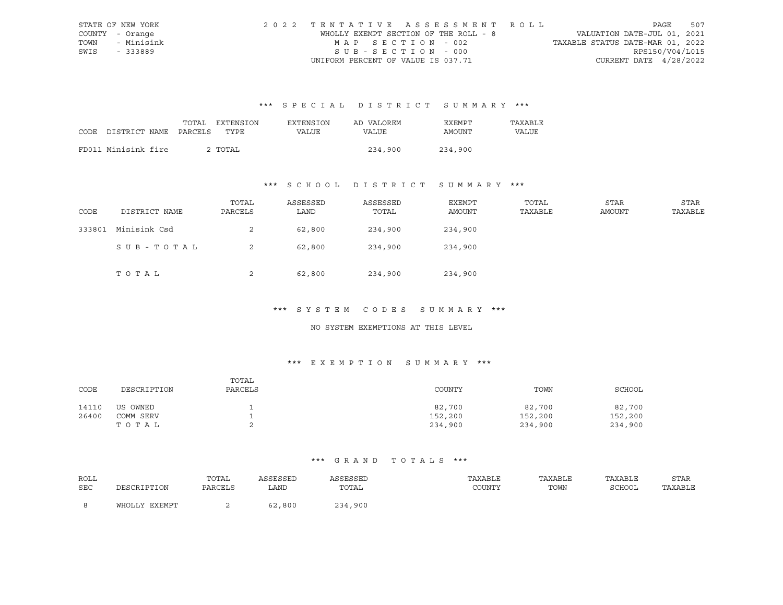|      | STATE OF NEW YORK | 2022 TENTATIVE ASSESSMENT ROLL        |                                  | PAGE            | 507 |
|------|-------------------|---------------------------------------|----------------------------------|-----------------|-----|
|      | COUNTY - Orange   | WHOLLY EXEMPT SECTION OF THE ROLL - 8 | VALUATION DATE-JUL 01, 2021      |                 |     |
|      | TOWN - Minisink   | MAP SECTION - 002                     | TAXABLE STATUS DATE-MAR 01, 2022 |                 |     |
| SWIS | - 333889          | $SUB - SECTION - 000$                 |                                  | RPS150/V04/L015 |     |
|      |                   | UNIFORM PERCENT OF VALUE IS 037.71    | CURRENT DATE $4/28/2022$         |                 |     |

|      |                       | TOTAL | EXTENSION | <b>EXTENSION</b> | AD VALOREM | <b>EXEMPT</b> | TAXABLE |
|------|-----------------------|-------|-----------|------------------|------------|---------------|---------|
| CODE | DISTRICT NAME PARCELS |       | TYPE      | VALUE            | VALUE      | AMOUNT        | VALUE   |
|      |                       |       |           |                  |            |               |         |
|      | FD011 Minisink fire   |       | 2 TOTAL   |                  | 234,900    | 234,900       |         |

## \*\*\* S C H O O L D I S T R I C T S U M M A R Y \*\*\*

| CODE   | DISTRICT NAME | TOTAL<br>PARCELS | ASSESSED<br>LAND | ASSESSED<br>TOTAL | EXEMPT<br>AMOUNT | TOTAL<br>TAXABLE | STAR<br>AMOUNT | STAR<br>TAXABLE |
|--------|---------------|------------------|------------------|-------------------|------------------|------------------|----------------|-----------------|
| 333801 | Minisink Csd  | 2                | 62,800           | 234,900           | 234,900          |                  |                |                 |
|        | SUB - TOTAL   | 2                | 62,800           | 234,900           | 234,900          |                  |                |                 |
|        | TOTAL         | 2                | 62,800           | 234,900           | 234,900          |                  |                |                 |

#### \*\*\* S Y S T E M C O D E S S U M M A R Y \*\*\*

#### NO SYSTEM EXEMPTIONS AT THIS LEVEL

## \*\*\* E X E M P T I O N S U M M A R Y \*\*\*

| CODE  | DESCRIPTION | TOTAL<br>PARCELS | COUNTY  | TOWN    | SCHOOL  |
|-------|-------------|------------------|---------|---------|---------|
| 14110 | US OWNED    |                  | 82,700  | 82,700  | 82,700  |
| 26400 | COMM SERV   |                  | 152,200 | 152,200 | 152,200 |
|       | TOTAL       |                  | 234,900 | 234,900 | 234,900 |

| ROLL |               | TOTAL   | ASSESSED | ASSESSED | TAXABLE | TAXABLE | TAXABLE | STAR    |
|------|---------------|---------|----------|----------|---------|---------|---------|---------|
| SEC  | DESCRIPTION   | PARCELS | LAND     | TOTAL    | COUNTY  | TOWN    | SCHOOL  | TAXABLE |
|      | WHOLLY EXEMPT |         | 62,800   | 234,900  |         |         |         |         |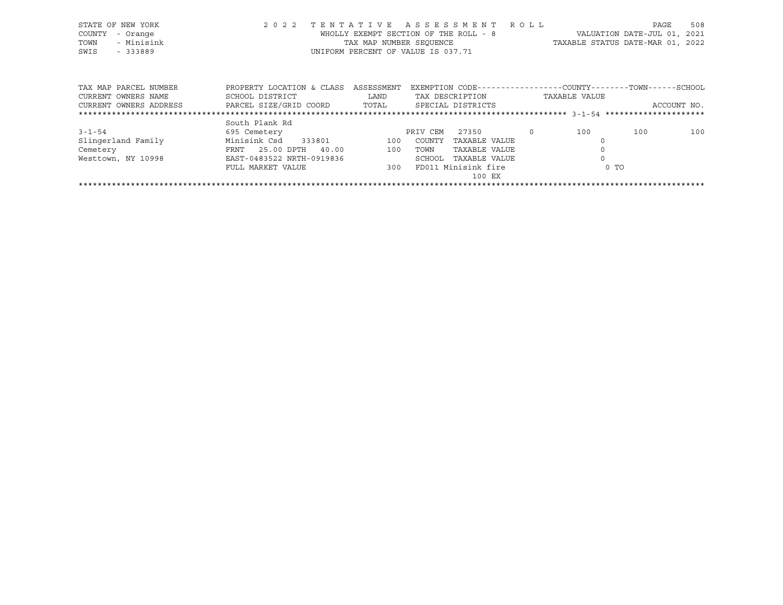|      | STATE OF NEW YORK     |                 |                                      | 2022 TENTATIVE ASSESSMENT ROLL                               |                                  | PAGE | 508 |
|------|-----------------------|-----------------|--------------------------------------|--------------------------------------------------------------|----------------------------------|------|-----|
|      | COUNTY - Orange       |                 |                                      | WHOLLY EXEMPT SECTION OF THE ROLL - 8                        | VALUATION DATE-JUL 01, 2021      |      |     |
| TOWN | - Minisink            |                 |                                      | TAX MAP NUMBER SEOUENCE                                      | TAXABLE STATUS DATE-MAR 01, 2022 |      |     |
| SWIS | - 333889              |                 |                                      | UNIFORM PERCENT OF VALUE IS 037.71                           |                                  |      |     |
|      |                       |                 |                                      |                                                              |                                  |      |     |
|      |                       |                 |                                      |                                                              |                                  |      |     |
|      |                       |                 |                                      | EXEMPTION CODE-----------------COUNTY-------TOWN------SCHOOL |                                  |      |     |
|      | TAX MAP PARCEL NUMBER |                 | PROPERTY LOCATION & CLASS ASSESSMENT |                                                              |                                  |      |     |
|      | CURRENT OWNERS NAME   | SCHOOL DISTRICT | LAND                                 | TAX DESCRIPTION                                              | TAXABLE VALUE                    |      |     |

CURRENT OWNERS ADDRESS PARCEL SIZE/GRID COORD TOTAL SPECIAL DISTRICTS ACCOUNT NO.

|                    | South Plank Rd            |     |          |                     |     |      |     |
|--------------------|---------------------------|-----|----------|---------------------|-----|------|-----|
| $3 - 1 - 54$       | 695 Cemetery              |     | PRIV CEM | 27350               | 100 | 100  | 100 |
| Slingerland Family | Minisink Csd<br>333801    | 100 | COUNTY   | TAXABLE VALUE       |     |      |     |
| Cemetery           | FRNT 25.00 DPTH 40.00     | 100 | TOWN     | TAXABLE VALUE       |     |      |     |
| Westtown, NY 10998 | EAST-0483522 NRTH-0919836 |     | SCHOOL   | TAXABLE VALUE       |     |      |     |
|                    | FULL MARKET VALUE         | 300 |          | FD011 Minisink fire |     | 0 TO |     |
|                    |                           |     |          | 100 EX              |     |      |     |
|                    |                           |     |          |                     |     |      |     |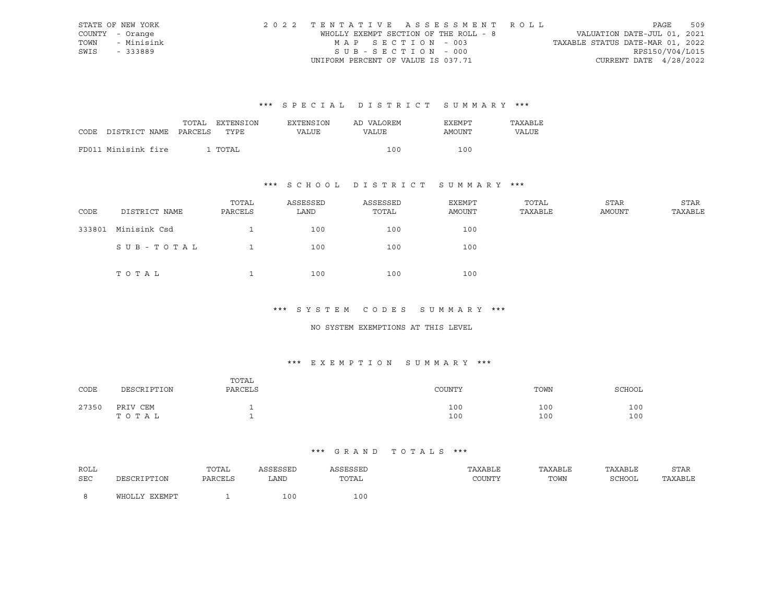|      | STATE OF NEW YORK | 2022 TENTATIVE ASSESSMENT ROLL        |                                  | PAGE            | 509 |
|------|-------------------|---------------------------------------|----------------------------------|-----------------|-----|
|      | COUNTY - Orange   | WHOLLY EXEMPT SECTION OF THE ROLL - 8 | VALUATION DATE-JUL 01, 2021      |                 |     |
|      | TOWN - Minisink   | MAP SECTION - 003                     | TAXABLE STATUS DATE-MAR 01, 2022 |                 |     |
| SWIS | - 333889          | $SUB - SECTION - 000$                 |                                  | RPS150/V04/L015 |     |
|      |                   | UNIFORM PERCENT OF VALUE IS 037.71    | CURRENT DATE $4/28/2022$         |                 |     |

|      |                       | TOTAL | EXTENSION | <b>EXTENSION</b> | AD VALOREM | EXEMPT | TAXABLE |
|------|-----------------------|-------|-----------|------------------|------------|--------|---------|
| CODE | DISTRICT NAME PARCELS |       | TYPE      | VALUE            | VALUE      | AMOUNT | VALUE   |
|      |                       |       |           |                  |            |        |         |
|      | FD011 Minisink fire   |       | . TOTAL   |                  | 100        | 100    |         |

## \*\*\* S C H O O L D I S T R I C T S U M M A R Y \*\*\*

| CODE   | DISTRICT NAME | TOTAL<br>PARCELS | ASSESSED<br>LAND | ASSESSED<br>TOTAL | EXEMPT<br>AMOUNT | TOTAL<br>TAXABLE | STAR<br>AMOUNT | STAR<br>TAXABLE |
|--------|---------------|------------------|------------------|-------------------|------------------|------------------|----------------|-----------------|
| 333801 | Minisink Csd  |                  | 100              | 100               | 100              |                  |                |                 |
|        | SUB-TOTAL     |                  | 100              | 100               | 100              |                  |                |                 |
|        | TOTAL         |                  | 100              | 100               | 100              |                  |                |                 |

#### \*\*\* S Y S T E M C O D E S S U M M A R Y \*\*\*

#### NO SYSTEM EXEMPTIONS AT THIS LEVEL

## \*\*\* E X E M P T I O N S U M M A R Y \*\*\*

| CODE  | DESCRIPTION       | TOTAL<br>PARCELS | COUNTY     | TOWN       | SCHOOL     |
|-------|-------------------|------------------|------------|------------|------------|
| 27350 | PRIV CEM<br>TOTAL |                  | 100<br>100 | 100<br>100 | 100<br>100 |

| <b>ROLL</b> |               | TOTAL   | ASSESSED | SSESSED | TAXABLE | TAXABLE | TAXABLE | STAR    |
|-------------|---------------|---------|----------|---------|---------|---------|---------|---------|
| <b>SEC</b>  | DESCRIPTION   | PARCELS | LAND     | TOTAL   | COUNTY  | TOWN    | SCHOOL  | TAXABLE |
|             | WHOLLY EXEMPT |         | 100      | 100     |         |         |         |         |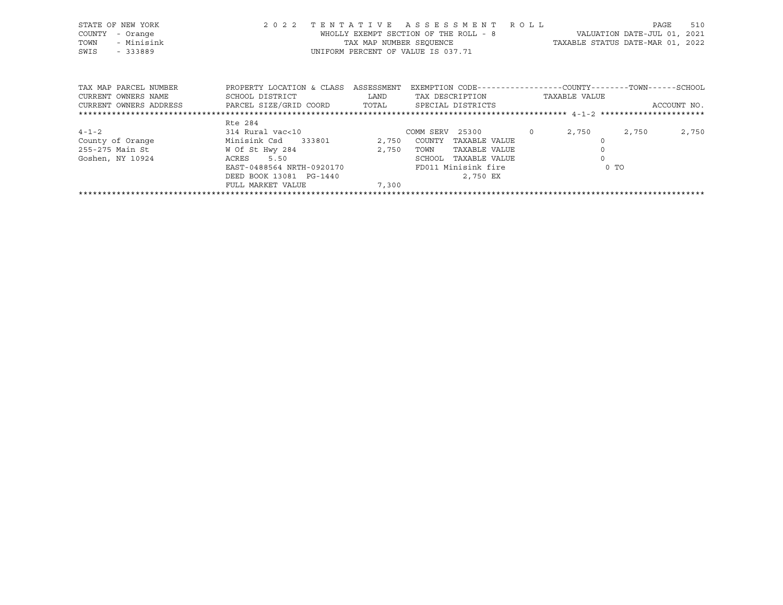| STATE OF NEW YORK<br>COUNTY<br>- Orange<br>- Minisink<br>TOWN<br>SWIS<br>$-333889$ | 2 0 2 2                                                                                                                | WHOLLY EXEMPT SECTION OF THE ROLL - 8<br>TAX MAP NUMBER SEOUENCE<br>UNIFORM PERCENT OF VALUE IS 037.71 |                                             | TENTATIVE ASSESSMENT ROLL                                              |         | TAXABLE STATUS DATE-MAR 01, 2022                                              | PAGE<br>VALUATION DATE-JUL 01, 2021 | 510         |
|------------------------------------------------------------------------------------|------------------------------------------------------------------------------------------------------------------------|--------------------------------------------------------------------------------------------------------|---------------------------------------------|------------------------------------------------------------------------|---------|-------------------------------------------------------------------------------|-------------------------------------|-------------|
| TAX MAP PARCEL NUMBER<br>CURRENT OWNERS NAME<br>CURRENT OWNERS ADDRESS             | PROPERTY LOCATION & CLASS<br>SCHOOL DISTRICT<br>PARCEL SIZE/GRID COORD TOTAL                                           | ASSESSMENT<br>LAND                                                                                     |                                             | TAX DESCRIPTION<br>SPECIAL DISTRICTS                                   |         | EXEMPTION CODE-----------------COUNTY-------TOWN------SCHOOL<br>TAXABLE VALUE |                                     | ACCOUNT NO. |
|                                                                                    |                                                                                                                        |                                                                                                        |                                             |                                                                        |         |                                                                               |                                     |             |
| $4 - 1 - 2$<br>County of Orange<br>255-275 Main St<br>Goshen, NY 10924             | Rte 284<br>314 Rural vac<10<br>Minisink Csd<br>333801<br>W Of St Hwy 284<br>5.50<br>ACRES<br>EAST-0488564 NRTH-0920170 | 2,750<br>2,750                                                                                         | COMM SERV 25300<br>COUNTY<br>TOWN<br>SCHOOL | TAXABLE VALUE<br>TAXABLE VALUE<br>TAXABLE VALUE<br>FD011 Minisink fire | $\circ$ | 2,750<br>$0$ TO                                                               | 2,750                               | 2,750       |

\*\*\*\*\*\*\*\*\*\*\*\*\*\*\*\*\*\*\*\*\*\*\*\*\*\*\*\*\*\*\*\*\*\*\*\*\*\*\*\*\*\*\*\*\*\*\*\*\*\*\*\*\*\*\*\*\*\*\*\*\*\*\*\*\*\*\*\*\*\*\*\*\*\*\*\*\*\*\*\*\*\*\*\*\*\*\*\*\*\*\*\*\*\*\*\*\*\*\*\*\*\*\*\*\*\*\*\*\*\*\*\*\*\*\*\*\*\*\*\*\*\*\*\*\*\*\*\*\*\*\*\*

DEED BOOK 13081 PG-1440 2,750 EX

FULL MARKET VALUE 7,300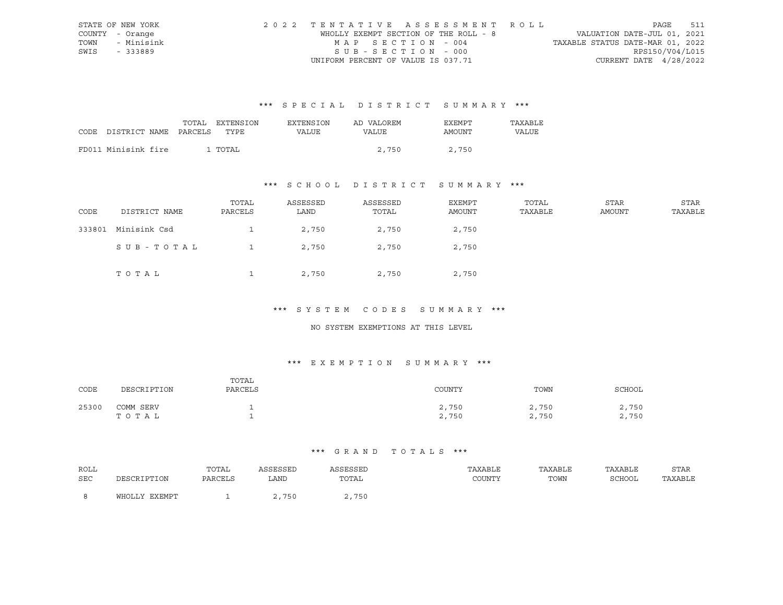|      | STATE OF NEW YORK | 2022 TENTATIVE ASSESSMENT ROLL        |                                  | PAGE            | 511 |
|------|-------------------|---------------------------------------|----------------------------------|-----------------|-----|
|      | COUNTY - Orange   | WHOLLY EXEMPT SECTION OF THE ROLL - 8 | VALUATION DATE-JUL 01, 2021      |                 |     |
|      | TOWN - Minisink   | MAP SECTION - 004                     | TAXABLE STATUS DATE-MAR 01, 2022 |                 |     |
| SWIS | - 333889          | $SUB - SECTION - 000$                 |                                  | RPS150/V04/L015 |     |
|      |                   | UNIFORM PERCENT OF VALUE IS 037.71    | CURRENT DATE $4/28/2022$         |                 |     |

|      |                       | TOTAL | EXTENSION | EXTENSION | AD VALOREM | <b>EXEMPT</b> | TAXABLE |
|------|-----------------------|-------|-----------|-----------|------------|---------------|---------|
| CODE | DISTRICT NAME PARCELS |       | TYPE      | VALUE     | VALUE      | AMOUNT        | VALUE   |
|      |                       |       |           |           |            |               |         |
|      | FD011 Minisink fire   |       | . TOTAL   |           | 2,750      | 2,750         |         |

## \*\*\* S C H O O L D I S T R I C T S U M M A R Y \*\*\*

| CODE   | DISTRICT NAME | TOTAL<br>PARCELS | ASSESSED<br>LAND | ASSESSED<br>TOTAL | EXEMPT<br>AMOUNT | TOTAL<br>TAXABLE | STAR<br>AMOUNT | STAR<br>TAXABLE |
|--------|---------------|------------------|------------------|-------------------|------------------|------------------|----------------|-----------------|
| 333801 | Minisink Csd  |                  | 2,750            | 2,750             | 2,750            |                  |                |                 |
|        | SUB-TOTAL     |                  | 2,750            | 2,750             | 2,750            |                  |                |                 |
|        | TOTAL         |                  | 2,750            | 2,750             | 2,750            |                  |                |                 |

#### \*\*\* S Y S T E M C O D E S S U M M A R Y \*\*\*

#### NO SYSTEM EXEMPTIONS AT THIS LEVEL

## \*\*\* E X E M P T I O N S U M M A R Y \*\*\*

| CODE  | DESCRIPTION        | TOTAL<br>PARCELS | COUNTY         | TOWN           | SCHOOL         |
|-------|--------------------|------------------|----------------|----------------|----------------|
| 25300 | COMM SERV<br>TOTAL |                  | 2,750<br>2,750 | 2,750<br>2,750 | 2,750<br>2,750 |

| ROLL |               | TOTAL   | ASSESSED | ASSESSED       | TAXABLE | TAXABLE | TAXABLE | STAR    |
|------|---------------|---------|----------|----------------|---------|---------|---------|---------|
| SEC  | DESCRIPTION   | PARCELS | LAND     | TOTAL          | COUNTY  | TOWN    | SCHOOL  | TAXABLE |
|      |               |         |          |                |         |         |         |         |
|      | WHOLLY EXEMPT |         | 750      | .750<br>$\sim$ |         |         |         |         |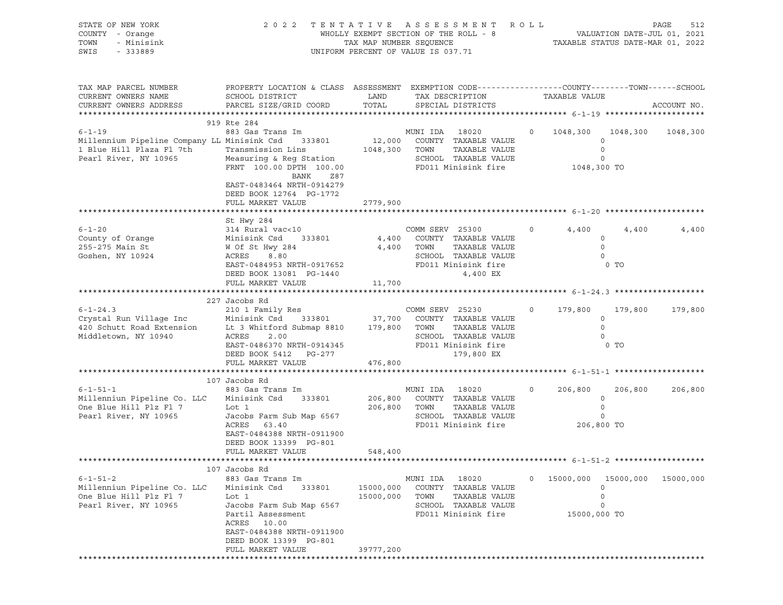| STATE OF NEW YORK<br>COUNTY - Orange<br>TOWN<br>- Minisink<br>SWIS<br>$-333889$                                  | 2 0 2 2                                                                                                                                                                                                          | TAX MAP NUMBER SEQUENCE        | TENTATIVE ASSESSMENT<br>WHOLLY EXEMPT SECTION OF THE ROLL - 8<br>UNIFORM PERCENT OF VALUE IS 037.71                           | R O L L |                           | VALUATION DATE-JUL 01, 2021<br>TAXABLE STATUS DATE-MAR 01, 2022 | 512<br>PAGE |
|------------------------------------------------------------------------------------------------------------------|------------------------------------------------------------------------------------------------------------------------------------------------------------------------------------------------------------------|--------------------------------|-------------------------------------------------------------------------------------------------------------------------------|---------|---------------------------|-----------------------------------------------------------------|-------------|
| TAX MAP PARCEL NUMBER<br>CURRENT OWNERS NAME<br>CURRENT OWNERS ADDRESS                                           | PROPERTY LOCATION & CLASS ASSESSMENT EXEMPTION CODE---------------COUNTY-------TOWN-----SCHOOL<br>SCHOOL DISTRICT<br>PARCEL SIZE/GRID COORD                                                                      | LAND<br>TOTAL                  | TAX DESCRIPTION<br>SPECIAL DISTRICTS                                                                                          |         | TAXABLE VALUE             |                                                                 | ACCOUNT NO. |
| $6 - 1 - 19$<br>Millennium Pipeline Company LL Minisink Csd<br>1 Blue Hill Plaza Fl 7th<br>Pearl River, NY 10965 | 919 Rte 284<br>883 Gas Trans Im<br>333801<br>Transmission Lins<br>Measuring & Reg Station<br>FRNT 100.00 DPTH 100.00<br>BANK<br>Z87<br>EAST-0483464 NRTH-0914279<br>DEED BOOK 12764 PG-1772<br>FULL MARKET VALUE | 12,000<br>1048,300<br>2779,900 | MUNI IDA 18020<br>COUNTY TAXABLE VALUE<br>TOWN<br>TAXABLE VALUE<br>SCHOOL TAXABLE VALUE<br>FD011 Minisink fire                | $\circ$ | 1048,300<br>1048,300 TO   | 1048,300<br>$\circ$<br>$\circ$<br>$\mathbf 0$                   | 1048,300    |
|                                                                                                                  |                                                                                                                                                                                                                  |                                |                                                                                                                               |         |                           |                                                                 |             |
| $6 - 1 - 20$<br>County of Orange<br>255-275 Main St<br>Goshen, NY 10924                                          | St Hwy 284<br>314 Rural vac<10<br>Minisink Csd<br>333801<br>W Of St Hwy 284<br>ACRES<br>8.80<br>EAST-0484953 NRTH-0917652<br>DEED BOOK 13081 PG-1440<br>FULL MARKET VALUE                                        | 4,400<br>4,400<br>11,700       | COMM SERV 25300<br>COUNTY TAXABLE VALUE<br>TOWN<br>TAXABLE VALUE<br>SCHOOL TAXABLE VALUE<br>FD011 Minisink fire<br>4,400 EX   | $\circ$ | 4,400                     | 4,400<br>$\circ$<br>$\circ$<br>$\Omega$<br>$0$ TO               | 4,400       |
|                                                                                                                  |                                                                                                                                                                                                                  |                                |                                                                                                                               |         |                           |                                                                 |             |
| $6 - 1 - 24.3$<br>Crystal Run Village Inc<br>420 Schutt Road Extension<br>Middletown, NY 10940                   | 227 Jacobs Rd<br>210 1 Family Res<br>Minisink Csd<br>333801<br>Lt 3 Whitford Submap 8810<br>ACRES<br>2.00<br>EAST-0486370 NRTH-0914345<br>DEED BOOK 5412 PG-277<br>FULL MARKET VALUE                             | 37,700<br>179,800<br>476,800   | COMM SERV 25230<br>COUNTY TAXABLE VALUE<br>TAXABLE VALUE<br>TOWN<br>SCHOOL TAXABLE VALUE<br>FD011 Minisink fire<br>179,800 EX | $\circ$ | 179,800                   | 179,800<br>$\circ$<br>$\circ$<br>$\circ$<br>$0$ TO              | 179,800     |
|                                                                                                                  | 107 Jacobs Rd                                                                                                                                                                                                    |                                |                                                                                                                               |         |                           |                                                                 |             |
| $6 - 1 - 51 - 1$<br>Millenniun Pipeline Co. LLC<br>One Blue Hill Plz Fl 7<br>Pearl River, NY 10965               | 883 Gas Trans Im<br>Minisink Csd<br>333801<br>Lot 1<br>Jacobs Farm Sub Map 6567<br>ACRES<br>63.40<br>EAST-0484388 NRTH-0911900<br>DEED BOOK 13399 PG-801                                                         | 206,800<br>206,800             | MUNI IDA<br>18020<br>COUNTY TAXABLE VALUE<br>TAXABLE VALUE<br>TOWN<br>SCHOOL TAXABLE VALUE<br>FD011 Minisink fire             | $\circ$ | 206,800                   | 206,800<br>$\circ$<br>$\circ$<br>0<br>206,800 TO                | 206,800     |
|                                                                                                                  | FULL MARKET VALUE                                                                                                                                                                                                | 548,400                        |                                                                                                                               |         |                           |                                                                 |             |
|                                                                                                                  |                                                                                                                                                                                                                  |                                |                                                                                                                               |         |                           |                                                                 |             |
| $6 - 1 - 51 - 2$<br>Millenniun Pipeline Co. LLC<br>One Blue Hill Plz Fl 7<br>Pearl River, NY 10965               | 107 Jacobs Rd<br>883 Gas Trans Im<br>Minisink Csd<br>333801<br>Lot 1<br>Jacobs Farm Sub Map 6567<br>Partil Assessment<br>ACRES<br>10.00<br>EAST-0484388 NRTH-0911900<br>DEED BOOK 13399 PG-801                   | 15000,000<br>15000,000         | MUNI IDA<br>18020<br>COUNTY<br>TAXABLE VALUE<br>TOWN<br>TAXABLE VALUE<br>SCHOOL TAXABLE VALUE<br>FD011 Minisink fire          | 0       | 15000,000<br>15000,000 TO | 15000,000<br>0<br>$\mathsf{O}$<br>0                             | 15000,000   |
|                                                                                                                  | FULL MARKET VALUE                                                                                                                                                                                                | 39777,200                      |                                                                                                                               |         |                           |                                                                 |             |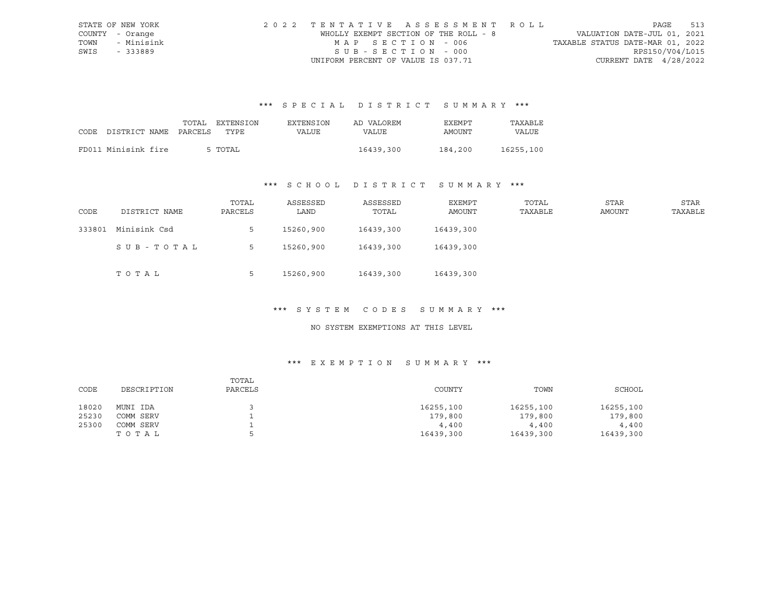|      | STATE OF NEW YORK | 2022 TENTATIVE ASSESSMENT ROLL        |                                  | PAGE            | 513 |
|------|-------------------|---------------------------------------|----------------------------------|-----------------|-----|
|      | COUNTY - Orange   | WHOLLY EXEMPT SECTION OF THE ROLL - 8 | VALUATION DATE-JUL 01, 2021      |                 |     |
| TOWN | - Minisink        | MAP SECTION - 006                     | TAXABLE STATUS DATE-MAR 01, 2022 |                 |     |
| SWIS | - 333889          | $SUB - SECTION - 000$                 |                                  | RPS150/V04/L015 |     |
|      |                   | UNIFORM PERCENT OF VALUE IS 037.71    | CURRENT DATE $4/28/2022$         |                 |     |

|                            | TOTAL | EXTENSION | EXTENSION | AD VALOREM | EXEMPT  | TAXABLE   |
|----------------------------|-------|-----------|-----------|------------|---------|-----------|
| CODE DISTRICT NAME PARCELS |       | TYPE      | VALUE     | VALUE      | AMOUNT  | VALUE     |
|                            |       |           |           |            |         |           |
| FD011 Minisink fire        |       | 5 TOTAL   |           | 16439,300  | 184,200 | 16255,100 |

## \*\*\* S C H O O L D I S T R I C T S U M M A R Y \*\*\*

| CODE   | DISTRICT NAME | TOTAL<br>PARCELS | ASSESSED<br>LAND | ASSESSED<br>TOTAL | EXEMPT<br>AMOUNT | TOTAL<br>TAXABLE | STAR<br>AMOUNT | STAR<br>TAXABLE |
|--------|---------------|------------------|------------------|-------------------|------------------|------------------|----------------|-----------------|
| 333801 | Minisink Csd  | 5                | 15260,900        | 16439,300         | 16439,300        |                  |                |                 |
|        | SUB-TOTAL     | 5                | 15260,900        | 16439,300         | 16439,300        |                  |                |                 |
|        | тотаь         | Ь                | 15260,900        | 16439,300         | 16439,300        |                  |                |                 |

#### \*\*\* S Y S T E M C O D E S S U M M A R Y \*\*\*

#### NO SYSTEM EXEMPTIONS AT THIS LEVEL

| CODE  | DESCRIPTION | TOTAL<br>PARCELS | COUNTY    | TOWN      | SCHOOL    |
|-------|-------------|------------------|-----------|-----------|-----------|
| 18020 | MUNI IDA    |                  | 16255,100 | 16255,100 | 16255,100 |
| 25230 | COMM SERV   |                  | 179,800   | 179,800   | 179,800   |
| 25300 | COMM SERV   |                  | 4,400     | 4,400     | 4,400     |
|       | тотаь       |                  | 16439,300 | 16439,300 | 16439,300 |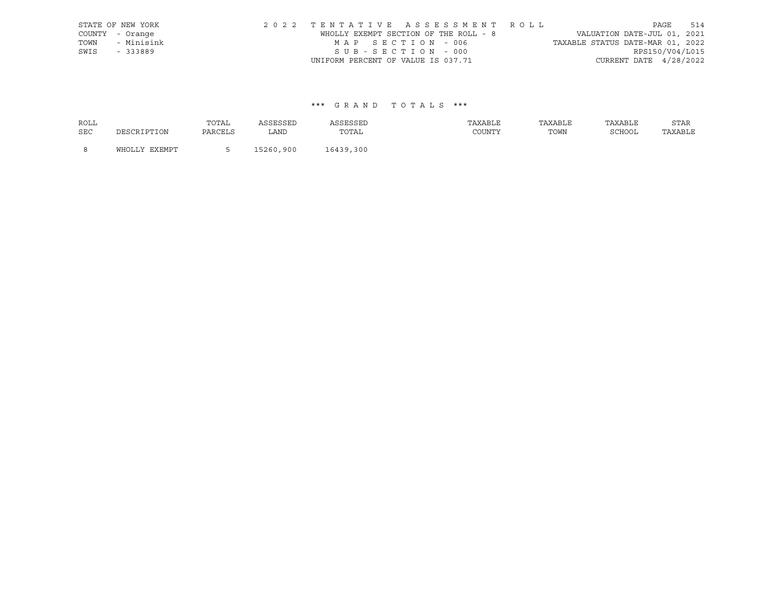|      | STATE OF NEW YORK | 2022 TENTATIVE ASSESSMENT ROLL        |  |                                  |                          | PAGE | 514 |
|------|-------------------|---------------------------------------|--|----------------------------------|--------------------------|------|-----|
|      | COUNTY - Orange   | WHOLLY EXEMPT SECTION OF THE ROLL - 8 |  | VALUATION DATE-JUL 01, 2021      |                          |      |     |
| TOWN | - Minisink        | MAP SECTION - 006                     |  | TAXABLE STATUS DATE-MAR 01, 2022 |                          |      |     |
| SWIS | - 333889          | SUB-SECTION - 000                     |  |                                  | RPS150/V04/L015          |      |     |
|      |                   | UNIFORM PERCENT OF VALUE IS 037.71    |  |                                  | CURRENT DATE $4/28/2022$ |      |     |

| <b>ROLL</b> |               | TOTAL   | ASSESSED  | ASSESSED  | TAXABLE | TAXABLE | TAXABLE | <b>STAR</b> |
|-------------|---------------|---------|-----------|-----------|---------|---------|---------|-------------|
| <b>SEC</b>  | DESCRIPTION   | PARCELS | LAND      | TOTAL     | COUNTY  | TOWN    | SCHOOL  | TAXABLE     |
| - 8         | WHOLLY EXEMPT |         | 15260,900 | 16439,300 |         |         |         |             |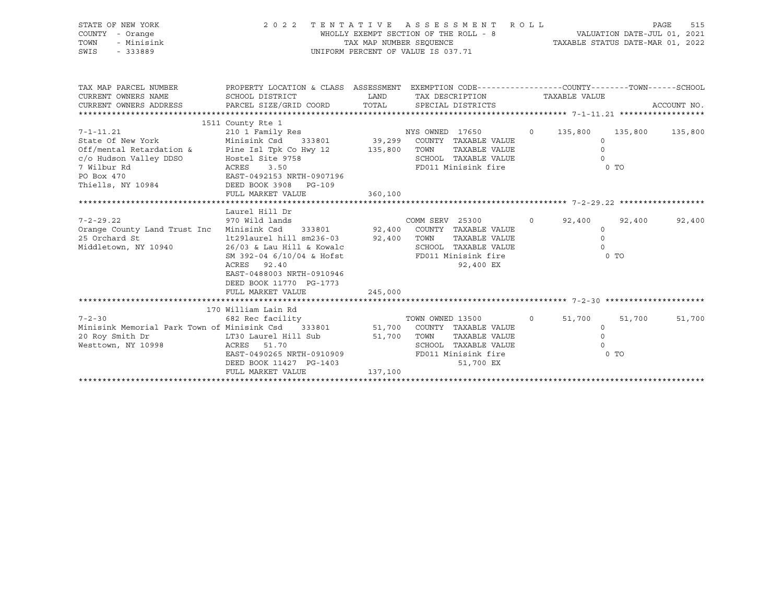| STATE OF NEW YORK<br>COUNTY - Orange<br>TOWN<br>- Minisink<br>SWIS<br>$-333889$                                                                                                                                                                                                                                                 | 2022 TENTATIVE ASSESSMENT                                                                                                                                                                                                | WHOLLY EXEMPT SECTION OF THE ROLL - 8<br>UNIFORM PERCENT OF VALUE IS 037.71 |                  | TAX MAP NUMBER SEQUENCE TAXABLE STATUS DATE-MAR 01, 2022                                                 | R O L L | VALUATION DATE-JUL 01, 2021                                        |                          | PAGE<br>515 |
|---------------------------------------------------------------------------------------------------------------------------------------------------------------------------------------------------------------------------------------------------------------------------------------------------------------------------------|--------------------------------------------------------------------------------------------------------------------------------------------------------------------------------------------------------------------------|-----------------------------------------------------------------------------|------------------|----------------------------------------------------------------------------------------------------------|---------|--------------------------------------------------------------------|--------------------------|-------------|
| TAX MAP PARCEL NUMBER<br>CURRENT OWNERS NAME<br>CURRENT OWNERS ADDRESS                                                                                                                                                                                                                                                          | PROPERTY LOCATION & CLASS ASSESSMENT EXEMPTION CODE---------------COUNTY-------TOWN-----SCHOOL<br>SCHOOL DISTRICT<br>PARCEL SIZE/GRID COORD                                                                              | LAND<br>TOTAL                                                               |                  | TAX DESCRIPTION<br>SPECIAL DISTRICTS                                                                     |         | TAXABLE VALUE                                                      |                          | ACCOUNT NO. |
| $7 - 1 - 11.21$<br>State Of New York<br>Off/mental Retardation & Pine Isl Tpk Co Hwy 12 135,800 TOWN<br>c/o Hudson Valley DDSO<br>7 Wilbur Rd<br>PO Box 470<br>Thiells, NY 10984                                                                                                                                                | 1511 County Rte 1<br>210 1 Family Res NYS OWNED 17650<br>Minisink Csd 333801 39,299 COUNTY TAXABLE VALUE<br>Hostel Site 9758<br>ACRES<br>3.50<br>EAST-0492153 NRTH-0907196<br>DEED BOOK 3908 PG-109<br>FULL MARKET VALUE | 360,100                                                                     |                  | TAXABLE VALUE<br>SCHOOL TAXABLE VALUE<br>FD011 Minisink fire                                             |         | 0 135,800 135,800 135,800<br>$\Omega$<br>$\Omega$<br>$\Omega$      | $0$ TO                   |             |
| $7 - 2 - 29.22$<br>$2500$<br>$2500$<br>$2500$<br>$2500$<br>$2500$<br>$2500$<br>$2500$<br>$2500$<br>$2500$<br>$2500$<br>$2500$<br>$2500$<br>$2500$<br>$2500$<br>$2500$<br>$2500$<br>$2500$<br>$2500$<br>$2500$<br>$2500$<br>$2500$<br>$2500$<br>$2500$<br>$2500$<br>$2500$<br>$2500$<br>$2500$<br>$2500$<br>Middletown, NY 10940 | Laurel Hill Dr<br>970 Wild lands<br>26/03 & Lau Hill & Kowalc<br>SM 392-04 6/10/04 & Hofst<br>ACRES 92.40<br>EAST-0488003 NRTH-0910946<br>DEED BOOK 11770 PG-1773<br>FULL MARKET VALUE                                   | 245,000                                                                     | COMM SERV 25300  | TAXABLE VALUE<br>SCHOOL TAXABLE VALUE<br>FD011 Minisink fire<br>92,400 EX                                |         | $0 \t 92,400$<br>$\circ$<br>$\Omega$<br>$\Omega$                   | 92,400<br>0 <sub>T</sub> | 92,400      |
| $7 - 2 - 30$<br>Minisink Memorial Park Town of Minisink Csd 333801<br>20 Roy Smith Dr<br>Westtown, NY 10998                                                                                                                                                                                                                     | 170 William Lain Rd<br>682 Rec facility<br>LT30 Laurel Hill Sub<br>ACRES 51.70<br>EAST-0490265 NRTH-0910909<br>DEED BOOK 11427 PG-1403<br>FULL MARKET VALUE                                                              | 51,700 TOWN<br>137,100                                                      | TOWN OWNED 13500 | 51,700 COUNTY TAXABLE VALUE<br>TAXABLE VALUE<br>SCHOOL TAXABLE VALUE<br>FD011 Minisink fire<br>51,700 EX |         | $0 \qquad \qquad$<br>51,700<br>$\circ$<br>$\mathsf{O}$<br>$\Omega$ | 51,700<br>$0$ TO         | 51,700      |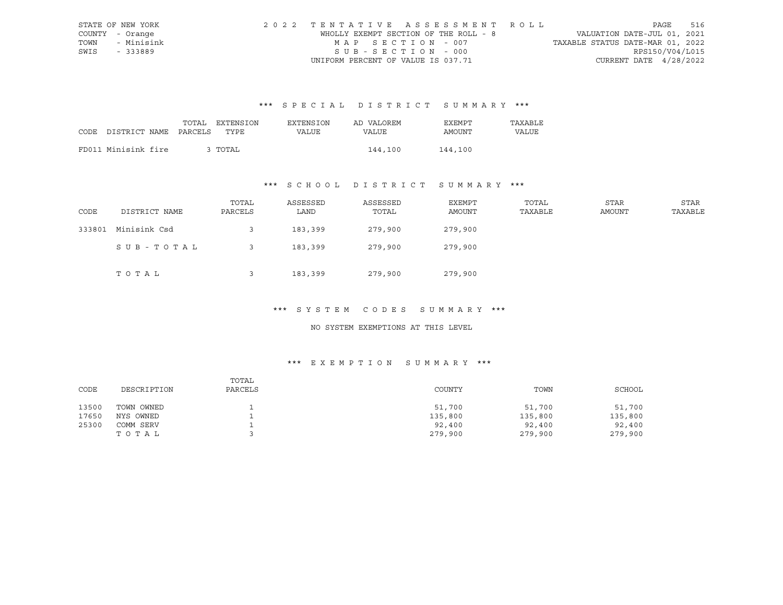|      | STATE OF NEW YORK | 2022 TENTATIVE ASSESSMENT ROLL        |                                  | PAGE            | 516 |
|------|-------------------|---------------------------------------|----------------------------------|-----------------|-----|
|      | COUNTY - Orange   | WHOLLY EXEMPT SECTION OF THE ROLL - 8 | VALUATION DATE-JUL 01, 2021      |                 |     |
|      | TOWN - Minisink   | MAP SECTION - 007                     | TAXABLE STATUS DATE-MAR 01, 2022 |                 |     |
| SWIS | - 333889          | $SUB - SECTION - 000$                 |                                  | RPS150/V04/L015 |     |
|      |                   | UNIFORM PERCENT OF VALUE IS 037.71    | CURRENT DATE $4/28/2022$         |                 |     |

|      |                       | TOTAL | EXTENSION | <b>EXTENSION</b> | AD VALOREM | EXEMPT  | TAXABLE |
|------|-----------------------|-------|-----------|------------------|------------|---------|---------|
| CODE | DISTRICT NAME PARCELS |       | TYPE      | VALUE            | VALUE      | AMOUNT  | VALUE   |
|      |                       |       |           |                  |            |         |         |
|      | FD011 Minisink fire   |       | 3 TOTAL   |                  | 144,100    | 144,100 |         |

## \*\*\* S C H O O L D I S T R I C T S U M M A R Y \*\*\*

| CODE   | DISTRICT NAME | TOTAL<br>PARCELS | ASSESSED<br>LAND | ASSESSED<br>TOTAL | EXEMPT<br>AMOUNT | TOTAL<br>TAXABLE | STAR<br><b>AMOUNT</b> | STAR<br>TAXABLE |
|--------|---------------|------------------|------------------|-------------------|------------------|------------------|-----------------------|-----------------|
| 333801 | Minisink Csd  |                  | 183,399          | 279,900           | 279,900          |                  |                       |                 |
|        | SUB-TOTAL     |                  | 183,399          | 279,900           | 279,900          |                  |                       |                 |
|        | TOTAL         |                  | 183,399          | 279,900           | 279,900          |                  |                       |                 |

#### \*\*\* S Y S T E M C O D E S S U M M A R Y \*\*\*

#### NO SYSTEM EXEMPTIONS AT THIS LEVEL

| CODE  | DESCRIPTION | TOTAL<br>PARCELS | COUNTY  | TOWN    | SCHOOL  |
|-------|-------------|------------------|---------|---------|---------|
| 13500 | TOWN OWNED  |                  | 51,700  | 51,700  | 51,700  |
| 17650 | NYS OWNED   |                  | 135,800 | 135,800 | 135,800 |
| 25300 | COMM SERV   |                  | 92,400  | 92,400  | 92,400  |
|       | TOTAL       |                  | 279,900 | 279,900 | 279,900 |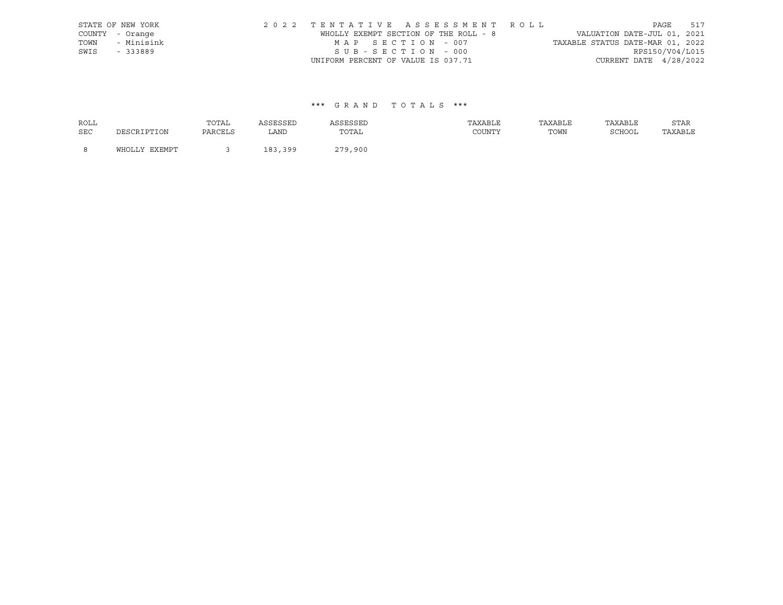|      | STATE OF NEW YORK | 2022 TENTATIVE ASSESSMENT ROLL        |  |                                  |                          | PAGE | 517 |
|------|-------------------|---------------------------------------|--|----------------------------------|--------------------------|------|-----|
|      | COUNTY - Orange   | WHOLLY EXEMPT SECTION OF THE ROLL - 8 |  | VALUATION DATE-JUL 01, 2021      |                          |      |     |
| TOWN | - Minisink        | MAP SECTION - 007                     |  | TAXABLE STATUS DATE-MAR 01, 2022 |                          |      |     |
| SWIS | - 333889          | SUB-SECTION - 000                     |  |                                  | RPS150/V04/L015          |      |     |
|      |                   | UNIFORM PERCENT OF VALUE IS 037.71    |  |                                  | CURRENT DATE $4/28/2022$ |      |     |

| <b>ROLL</b> |               | TOTAL   | ASSESSED | ASSESSED | TAXABLE | TAXABLE | TAXABLE | STAR    |
|-------------|---------------|---------|----------|----------|---------|---------|---------|---------|
| <b>SEC</b>  | DESCRIPTION   | PARCELS | LAND     | TOTAL    | COUNTY  | TOWN    | SCHOOL  | TAXABLE |
| <b>R</b>    | WHOLLY EXEMPT |         | 183,399  | 279,900  |         |         |         |         |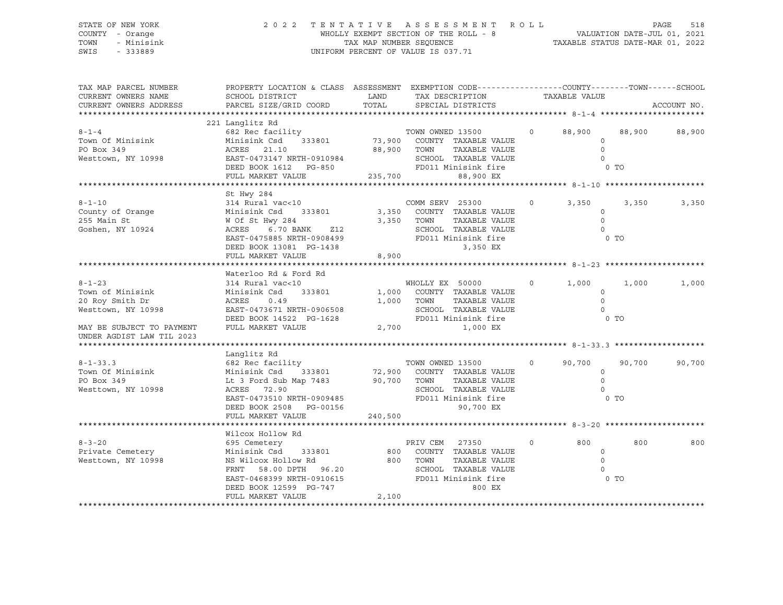#### STATE OF NEW YORK 2 0 2 2 T E N T A T I V E A S S E S S M E N T R O L L PAGE 518 COUNTY - Orange WHOLLY EXEMPT SECTION OF THE ROLL - 8 VALUATION DATE-JUL 01, 2021 TOWN - Minisink TAX MAP NUMBER SEQUENCE TAXABLE STATUS DATE-MAR 01, 2022<br>TAXABLE STATUS DATE-MAR 01, 2022 UNIFORM PERCENT OF VALUE IS 037.71

TAX MAP PARCEL NUMBER PROPERTY LOCATION & CLASS ASSESSMENT EXEMPTION CODE------------------COUNTY--------TOWN------SCHOOL CURRENT OWNERS NAME SCHOOL DISTRICT LAND TAX DESCRIPTION TAXABLE VALUE CURRENT OWNERS ADDRESS PARCEL SIZE/GRID COORD TOTAL SPECIAL DISTRICTS ACCOUNT NO. \*\*\*\*\*\*\*\*\*\*\*\*\*\*\*\*\*\*\*\*\*\*\*\*\*\*\*\*\*\*\*\*\*\*\*\*\*\*\*\*\*\*\*\*\*\*\*\*\*\*\*\*\*\*\*\*\*\*\*\*\*\*\*\*\*\*\*\*\*\*\*\*\*\*\*\*\*\*\*\*\*\*\*\*\*\*\*\*\*\*\*\*\*\*\*\*\*\*\*\*\*\*\* 8-1-4 \*\*\*\*\*\*\*\*\*\*\*\*\*\*\*\*\*\*\*\*\*\* 221 Langlitz Rd 8-1-4 682 Rec facility TOWN OWNED 13500 0 88,900 88,900 88,900 Town Of Minisink Minisink Csd 333801 73,900 COUNTY TAXABLE VALUE 0 PO Box 349 ACRES 21.10 88,900 TOWN TAXABLE VALUE 0 Westtown, NY 10998 EAST-0473147 NRTH-0910984 SCHOOL TAXABLE VALUE 0 DEED BOOK 1612 PG-850 FD011 Minisink fire 6 O TO FULL MARKET VALUE 235,700 88,900 EX \*\*\*\*\*\*\*\*\*\*\*\*\*\*\*\*\*\*\*\*\*\*\*\*\*\*\*\*\*\*\*\*\*\*\*\*\*\*\*\*\*\*\*\*\*\*\*\*\*\*\*\*\*\*\*\*\*\*\*\*\*\*\*\*\*\*\*\*\*\*\*\*\*\*\*\*\*\*\*\*\*\*\*\*\*\*\*\*\*\*\*\*\*\*\*\*\*\*\*\*\*\*\* 8-1-10 \*\*\*\*\*\*\*\*\*\*\*\*\*\*\*\*\*\*\*\*\* St Hwy 284 8-1-10 314 Rural vac<10 COMM SERV 25300 0 3,350 3,350 3,350 County of Orange Minisink Csd 333801 3,350 COUNTY TAXABLE VALUE 0 255 Main St W Of St Hwy 284 3,350 TOWN TAXABLE VALUE 0 Goshen, NY 10924 ACRES 6.70 BANK Z12 SCHOOL TAXABLE VALUE 0 EAST-0475885 NRTH-0908499 FD011 Minisink fire 0 TO DEED BOOK 13081 PG-1438 3,350 EX FULL MARKET VALUE 8,900 \*\*\*\*\*\*\*\*\*\*\*\*\*\*\*\*\*\*\*\*\*\*\*\*\*\*\*\*\*\*\*\*\*\*\*\*\*\*\*\*\*\*\*\*\*\*\*\*\*\*\*\*\*\*\*\*\*\*\*\*\*\*\*\*\*\*\*\*\*\*\*\*\*\*\*\*\*\*\*\*\*\*\*\*\*\*\*\*\*\*\*\*\*\*\*\*\*\*\*\*\*\*\* 8-1-23 \*\*\*\*\*\*\*\*\*\*\*\*\*\*\*\*\*\*\*\*\* Waterloo Rd & Ford Rd 8-1-23 314 Rural vac<10 WHOLLY EX 50000 0 1,000 1,000 1,000 Town of Minisink Minisink Csd 333801 1,000 COUNTY TAXABLE VALUE 0 20 Roy Smith Dr ACRES 0.49 1,000 TOWN TAXABLE VALUE 0 Westtown, NY 10998 EAST-0473671 NRTH-0906508 SCHOOL TAXABLE VALUE 0 DEED BOOK 14522 PG-1628 FD011 Minisink fire 6 O TO MAY BE SUBJECT TO PAYMENT FULL MARKET VALUE  $2,700$  1,000 EX UNDER AGDIST LAW TIL 2023 \*\*\*\*\*\*\*\*\*\*\*\*\*\*\*\*\*\*\*\*\*\*\*\*\*\*\*\*\*\*\*\*\*\*\*\*\*\*\*\*\*\*\*\*\*\*\*\*\*\*\*\*\*\*\*\*\*\*\*\*\*\*\*\*\*\*\*\*\*\*\*\*\*\*\*\*\*\*\*\*\*\*\*\*\*\*\*\*\*\*\*\*\*\*\*\*\*\*\*\*\*\*\* 8-1-33.3 \*\*\*\*\*\*\*\*\*\*\*\*\*\*\*\*\*\*\* Langlitz Rd 8-1-33.3 682 Rec facility TOWN OWNED 13500 0 90,700 90,700 90,700 Town Of Minisink Minisink Csd 333801 72,900 COUNTY TAXABLE VALUE 0 PO Box 349 Lt 3 Ford Sub Map 7483 90,700 TOWN TAXABLE VALUE 0 Westtown, NY 10998 ACRES 72.90 SCHOOL TAXABLE VALUE 0 EAST-0473510 NRTH-0909485 FD011 Minisink fire 6 O TO DEED BOOK 2508 PG-00156 90,700 EX FULL MARKET VALUE 240,500 \*\*\*\*\*\*\*\*\*\*\*\*\*\*\*\*\*\*\*\*\*\*\*\*\*\*\*\*\*\*\*\*\*\*\*\*\*\*\*\*\*\*\*\*\*\*\*\*\*\*\*\*\*\*\*\*\*\*\*\*\*\*\*\*\*\*\*\*\*\*\*\*\*\*\*\*\*\*\*\*\*\*\*\*\*\*\*\*\*\*\*\*\*\*\*\*\*\*\*\*\*\*\* 8-3-20 \*\*\*\*\*\*\*\*\*\*\*\*\*\*\*\*\*\*\*\*\* Wilcox Hollow Rd 8-3-20 695 Cemetery PRIV CEM 27350 0 800 800 800 Private Cemetery Minisink Csd 333801 800 COUNTY TAXABLE VALUE 0 Westtown, NY 10998 NS Wilcox Hollow Rd 800 TOWN TAXABLE VALUE 0 FRNT 58.00 DPTH 96.20 SCHOOL TAXABLE VALUE 0 EAST-0468399 NRTH-0910615 FD011 Minisink fire 6 O TO DEED BOOK 12599 PG-747 800 EX FULL MARKET VALUE 2,100 \*\*\*\*\*\*\*\*\*\*\*\*\*\*\*\*\*\*\*\*\*\*\*\*\*\*\*\*\*\*\*\*\*\*\*\*\*\*\*\*\*\*\*\*\*\*\*\*\*\*\*\*\*\*\*\*\*\*\*\*\*\*\*\*\*\*\*\*\*\*\*\*\*\*\*\*\*\*\*\*\*\*\*\*\*\*\*\*\*\*\*\*\*\*\*\*\*\*\*\*\*\*\*\*\*\*\*\*\*\*\*\*\*\*\*\*\*\*\*\*\*\*\*\*\*\*\*\*\*\*\*\*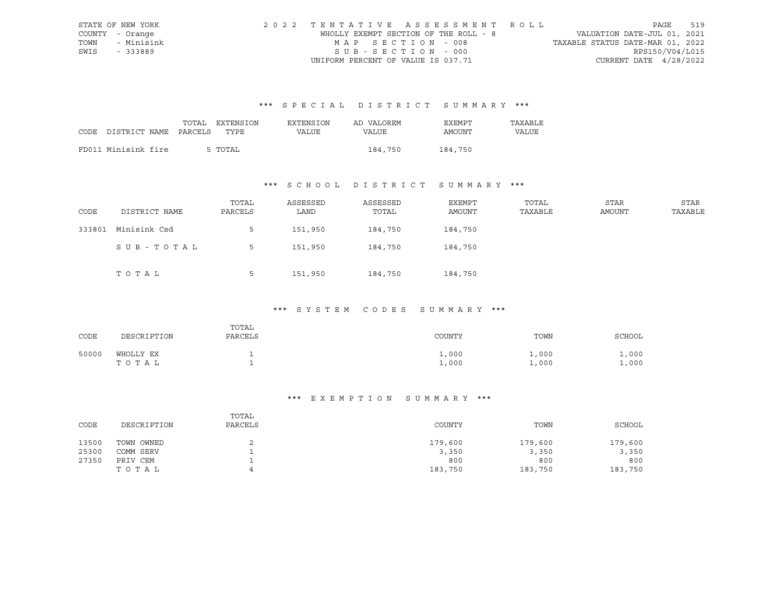|      | STATE OF NEW YORK | 2022 TENTATIVE ASSESSMENT ROLL        |                                  | PAGE            | 519 |
|------|-------------------|---------------------------------------|----------------------------------|-----------------|-----|
|      | COUNTY - Orange   | WHOLLY EXEMPT SECTION OF THE ROLL - 8 | VALUATION DATE-JUL 01, 2021      |                 |     |
|      | TOWN - Minisink   | MAP SECTION - 008                     | TAXABLE STATUS DATE-MAR 01, 2022 |                 |     |
| SWIS | - 333889          | $SUB - SECTION - 000$                 |                                  | RPS150/V04/L015 |     |
|      |                   | UNIFORM PERCENT OF VALUE IS 037.71    | CURRENT DATE $4/28/2022$         |                 |     |

|      |                       | TOTAL | <b>EXTENSION</b> | <b>EXTENSION</b> | AD VALOREM | EXEMPT  | TAXABLE |
|------|-----------------------|-------|------------------|------------------|------------|---------|---------|
| CODE | DISTRICT NAME PARCELS |       | TYPE             | VALUE            | VALUE      | AMOUNT  | VALUE   |
|      |                       |       |                  |                  |            |         |         |
|      | FD011 Minisink fire   |       | 5 TOTAL          |                  | 184,750    | 184,750 |         |

## \*\*\* S C H O O L D I S T R I C T S U M M A R Y \*\*\*

| CODE   | DISTRICT NAME | TOTAL<br>PARCELS | ASSESSED<br>LAND | ASSESSED<br>TOTAL | EXEMPT<br>AMOUNT | TOTAL<br>TAXABLE | <b>STAR</b><br><b>AMOUNT</b> | STAR<br>TAXABLE |
|--------|---------------|------------------|------------------|-------------------|------------------|------------------|------------------------------|-----------------|
| 333801 | Minisink Csd  | 5                | 151,950          | 184,750           | 184,750          |                  |                              |                 |
|        | SUB-TOTAL     |                  | 151,950          | 184,750           | 184,750          |                  |                              |                 |
|        | TOTAL         | 5                | 151,950          | 184,750           | 184,750          |                  |                              |                 |

#### \*\*\* S Y S T E M C O D E S S U M M A R Y \*\*\*

| CODE  | DESCRIPTION        | TOTAL<br>PARCELS | COUNTY                | TOWN           | SCHOOL         |
|-------|--------------------|------------------|-----------------------|----------------|----------------|
| 50000 | WHOLLY EX<br>TOTAL |                  | $\perp$ ,000<br>1,000 | 1,000<br>1,000 | 1,000<br>1,000 |

| CODE  | DESCRIPTION | TOTAL<br>PARCELS | COUNTY  | TOWN    | SCHOOL  |
|-------|-------------|------------------|---------|---------|---------|
| 13500 | TOWN OWNED  |                  | 179,600 | 179,600 | 179,600 |
| 25300 | COMM SERV   |                  | 3,350   | 3,350   | 3,350   |
| 27350 | PRIV CEM    | ∸                | 800     | 800     | 800     |
|       | TOTAL       |                  | 183,750 | 183,750 | 183,750 |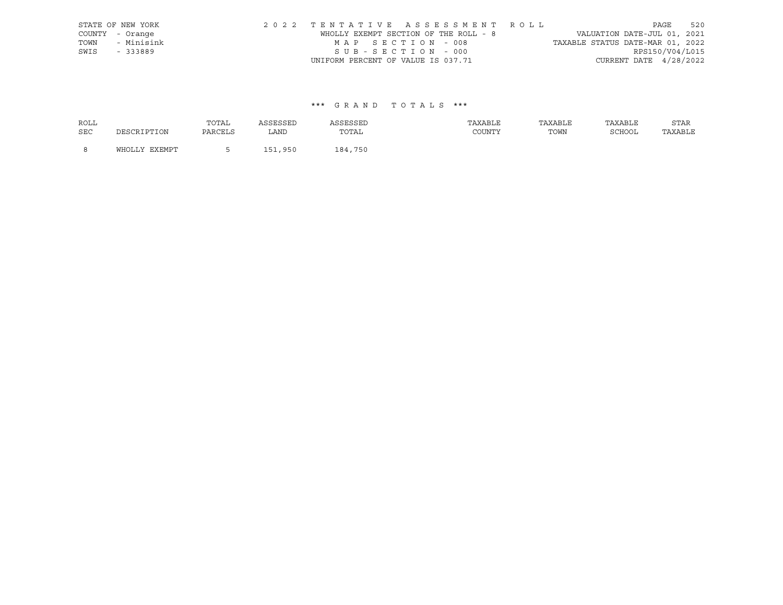|      | STATE OF NEW YORK | 2022 TENTATIVE ASSESSMENT ROLL        |                                  | PAGE                        | 520 |
|------|-------------------|---------------------------------------|----------------------------------|-----------------------------|-----|
|      | COUNTY - Orange   | WHOLLY EXEMPT SECTION OF THE ROLL - 8 |                                  | VALUATION DATE-JUL 01, 2021 |     |
| TOWN | - Minisink        | MAP SECTION - 008                     | TAXABLE STATUS DATE-MAR 01, 2022 |                             |     |
| SWIS | - 333889          | SUB-SECTION - 000                     |                                  | RPS150/V04/L015             |     |
|      |                   | UNIFORM PERCENT OF VALUE IS 037.71    |                                  | CURRENT DATE $4/28/2022$    |     |

| <b>ROLL</b> |               | TOTAL   | ASSESSED | ASSESSED | TAXABLE | TAXABLE | TAXABLE | STAR    |
|-------------|---------------|---------|----------|----------|---------|---------|---------|---------|
| <b>SEC</b>  | DESCRIPTION   | PARCELS | LAND     | TOTAL    | COUNTY  | TOWN    | SCHOOL  | TAXABLE |
| <b>R</b>    | WHOLLY EXEMPT |         | 151,950  | 184,750  |         |         |         |         |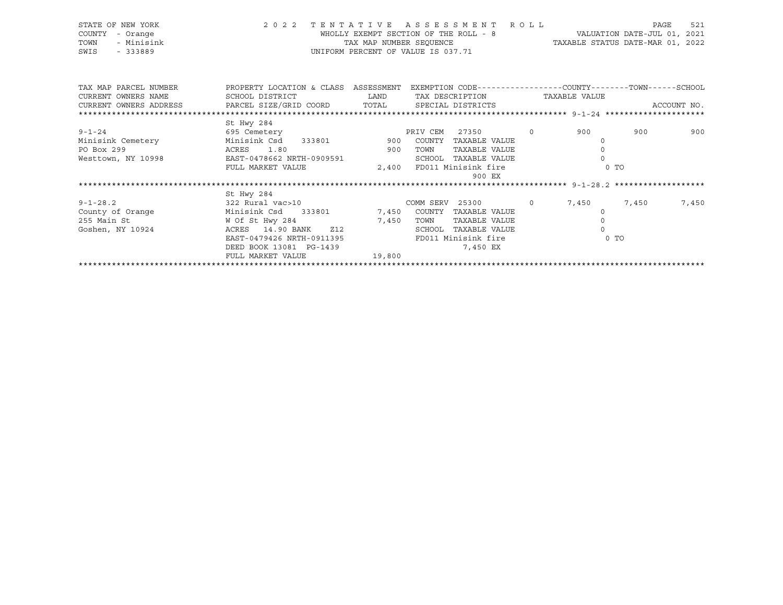| STATE OF NEW YORK<br>COUNTY<br>- Orange<br>- Minisink<br>TOWN<br>SWIS<br>$-333889$ | 2022 TENTATIVE ASSESSMENT ROLL<br>TAX MAP NUMBER SEQUENCE<br>TAX MAP NUMBER SEQUENCE<br>UNIFORM PERCENT OF VALUE IS 037.71 |                                                                                                                       |      |                      | $\verb+WHOLLY EXEMPT SECTION OF THE ROLL - 8 \verb+WALUATION DATE-JUL 01, 2021$<br>TAX MAP NUMBER SEQUENCE TAXABLE STATUS DATE-MAR 01, 2022 | PAGE  | 521   |
|------------------------------------------------------------------------------------|----------------------------------------------------------------------------------------------------------------------------|-----------------------------------------------------------------------------------------------------------------------|------|----------------------|---------------------------------------------------------------------------------------------------------------------------------------------|-------|-------|
|                                                                                    |                                                                                                                            |                                                                                                                       |      |                      |                                                                                                                                             |       |       |
|                                                                                    | TAX MAP PARCEL NUMBER THE PROPERTY LOCATION & CLASS ASSESSMENT EXEMPTION CODE---------------COUNTY-------TOWN------SCHOOL  |                                                                                                                       |      |                      |                                                                                                                                             |       |       |
| CURRENT OWNERS NAME                                                                | SCHOOL DISTRICT                       LAND        TAX DESCRIPTION                   TAXABLE VALUE                          |                                                                                                                       |      |                      |                                                                                                                                             |       |       |
|                                                                                    |                                                                                                                            |                                                                                                                       |      |                      |                                                                                                                                             |       |       |
|                                                                                    |                                                                                                                            |                                                                                                                       |      |                      |                                                                                                                                             |       |       |
|                                                                                    | St Hwy 284                                                                                                                 |                                                                                                                       |      |                      |                                                                                                                                             |       |       |
| $9 - 1 - 24$                                                                       | 695 Cemetery CEM PRIV CEM                                                                                                  |                                                                                                                       |      | 27350 0              | 900                                                                                                                                         | 900   | 900   |
|                                                                                    | Minisink Cemetery Minisink Csd 333801 900 COUNTY TAXABLE VALUE                                                             |                                                                                                                       |      |                      | $\Omega$                                                                                                                                    |       |       |
| PO Box 299                                                                         | ACRES 1.80                                                                                                                 | <b>12 September 1988 STORE STORE STORE STORE STORE STORE STORE STORE STORE STORE STORE STORE STORE STORE STORE ST</b> |      | TAXABLE VALUE        | $\circ$                                                                                                                                     |       |       |
|                                                                                    | Westtown, NY 10998 EAST-0478662 NRTH-0909591                                                                               |                                                                                                                       |      | SCHOOL TAXABLE VALUE | $\Omega$                                                                                                                                    |       |       |
|                                                                                    | FULL MARKET VALUE $2,400$ FD011 Minisink fire                                                                              |                                                                                                                       |      |                      | $0$ TO                                                                                                                                      |       |       |
|                                                                                    |                                                                                                                            |                                                                                                                       |      | 900 EX               |                                                                                                                                             |       |       |
|                                                                                    |                                                                                                                            |                                                                                                                       |      |                      |                                                                                                                                             |       |       |
|                                                                                    | St Hwy 284                                                                                                                 |                                                                                                                       |      |                      |                                                                                                                                             |       |       |
| $9 - 1 - 28.2$                                                                     | 322 Rural vac>10<br>COMM SERV 25300 0 7,450                                                                                |                                                                                                                       |      |                      |                                                                                                                                             | 7,450 | 7,450 |
| County of Orange                                                                   | Minisink Csd 333801 7,450 COUNTY TAXABLE VALUE                                                                             |                                                                                                                       |      |                      | $\Omega$                                                                                                                                    |       |       |
| 255 Main St                                                                        | W Of St Hwy 284                                                                                                            | 7,450                                                                                                                 | TOWN | TAXABLE VALUE        | $\circ$                                                                                                                                     |       |       |
| Goshen, NY 10924                                                                   | ACRES 14.90 BANK Z12                                                                                                       |                                                                                                                       |      | SCHOOL TAXABLE VALUE | $\circ$                                                                                                                                     |       |       |
|                                                                                    | EAST-0479426 NRTH-0911395                                                                                                  |                                                                                                                       |      | FD011 Minisink fire  | $0$ TO                                                                                                                                      |       |       |
|                                                                                    | DEED BOOK 13081 PG-1439                                                                                                    |                                                                                                                       |      | 7,450 EX             |                                                                                                                                             |       |       |

|                   | DEED BOOK 13081 PG-1439 | 7,450 EX |  |
|-------------------|-------------------------|----------|--|
| FULL MARKET VALUE | 19,800                  |          |  |
|                   |                         |          |  |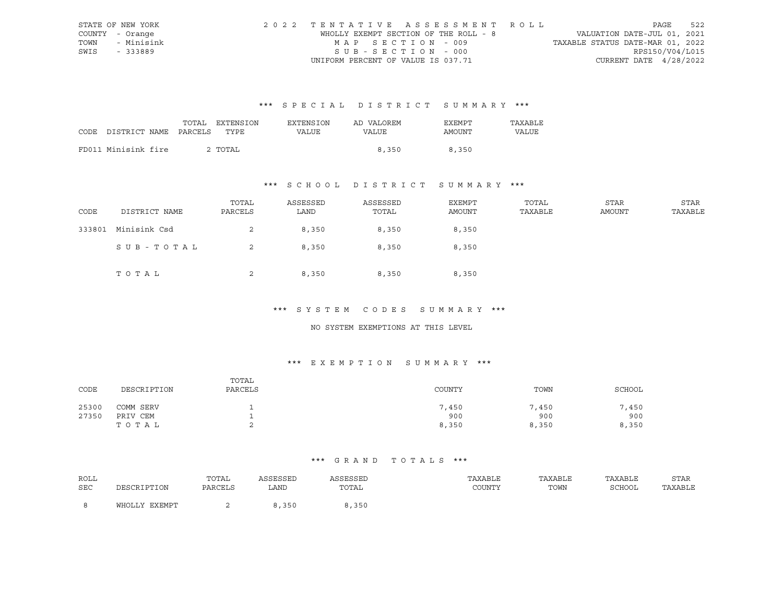|      | STATE OF NEW YORK | 2022 TENTATIVE ASSESSMENT ROLL        |                                  | PAGE            | 522 |
|------|-------------------|---------------------------------------|----------------------------------|-----------------|-----|
|      | COUNTY - Orange   | WHOLLY EXEMPT SECTION OF THE ROLL - 8 | VALUATION DATE-JUL 01, 2021      |                 |     |
|      | TOWN - Minisink   | MAP SECTION - 009                     | TAXABLE STATUS DATE-MAR 01, 2022 |                 |     |
| SWIS | - 333889          | $SUB - SECTION - 000$                 |                                  | RPS150/V04/L015 |     |
|      |                   | UNIFORM PERCENT OF VALUE IS 037.71    | CURRENT DATE $4/28/2022$         |                 |     |

|      |                       | TOTAL | EXTENSION | EXTENSION | AD VALOREM | <b>EXEMPT</b> | TAXABLE |
|------|-----------------------|-------|-----------|-----------|------------|---------------|---------|
| CODE | DISTRICT NAME PARCELS |       | TYPE      | VALUE     | VALUE      | AMOUNT        | VALUE   |
|      |                       |       |           |           |            |               |         |
|      | FD011 Minisink fire   |       | 2 TOTAL   |           | 8,350      | 8,350         |         |

## \*\*\* S C H O O L D I S T R I C T S U M M A R Y \*\*\*

| CODE   | DISTRICT NAME | TOTAL<br>PARCELS | ASSESSED<br>LAND | ASSESSED<br>TOTAL | EXEMPT<br>AMOUNT | TOTAL<br>TAXABLE | STAR<br>AMOUNT | STAR<br>TAXABLE |
|--------|---------------|------------------|------------------|-------------------|------------------|------------------|----------------|-----------------|
| 333801 | Minisink Csd  | 2                | 8,350            | 8,350             | 8,350            |                  |                |                 |
|        | SUB-TOTAL     | 2                | 8,350            | 8,350             | 8,350            |                  |                |                 |
|        | TOTAL         | 2                | 8,350            | 8,350             | 8,350            |                  |                |                 |

#### \*\*\* S Y S T E M C O D E S S U M M A R Y \*\*\*

#### NO SYSTEM EXEMPTIONS AT THIS LEVEL

## \*\*\* E X E M P T I O N S U M M A R Y \*\*\*

| CODE  | DESCRIPTION | TOTAL<br>PARCELS | COUNTY | TOWN  | SCHOOL |
|-------|-------------|------------------|--------|-------|--------|
| 25300 | COMM SERV   |                  | 7,450  | 7,450 | 7,450  |
| 27350 | PRIV CEM    |                  | 900    | 900   | 900    |
|       | TOTAL       |                  | 8,350  | 8,350 | 8,350  |

| ROLL |               | TOTAL   | ASSESSED | ASSESSED | TAXABLE | TAXABLE | TAXABLE | STAR    |
|------|---------------|---------|----------|----------|---------|---------|---------|---------|
| SEC  | DESCRIPTION   | PARCELS | LAND     | TOTAL    | COUNTY  | TOWN    | SCHOOL  | TAXABLE |
|      | WHOLLY EXEMPT |         | 350      | 350      |         |         |         |         |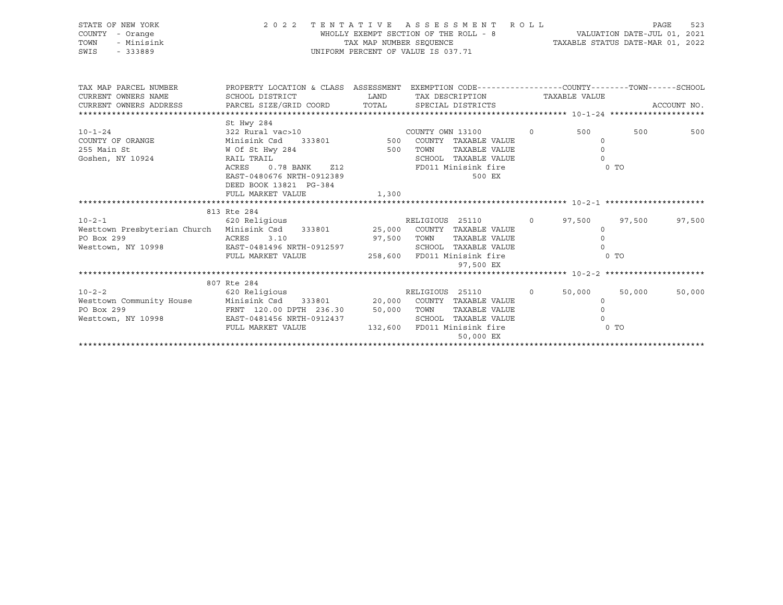| STATE OF NEW YORK<br>COUNTY - Orange<br>- Minisink<br>TOWN<br>UNIFORM PERCENT OF VALUE IS 037.71<br>SWIS<br>$-333889$                                                             |                                                                                                                     |             | 2022 TENTATIVE ASSESSMENT ROLL<br>PAGE                                                |  |                                          |                          |             |
|-----------------------------------------------------------------------------------------------------------------------------------------------------------------------------------|---------------------------------------------------------------------------------------------------------------------|-------------|---------------------------------------------------------------------------------------|--|------------------------------------------|--------------------------|-------------|
|                                                                                                                                                                                   |                                                                                                                     |             |                                                                                       |  |                                          |                          |             |
| TAX MAP PARCEL NUMBER<br>CURRENT OWNERS NAME<br>CURRENT OWNERS ADDRESS PARCEL SIZE/GRID COORD TOTAL SPECIAL DISTRICTS                                                             | PROPERTY LOCATION & CLASS ASSESSMENT EXEMPTION CODE----------------COUNTY--------TOWN-----SCHOOL<br>SCHOOL DISTRICT | <b>LAND</b> | TAX DESCRIPTION TAXABLE VALUE                                                         |  |                                          |                          | ACCOUNT NO. |
|                                                                                                                                                                                   |                                                                                                                     |             |                                                                                       |  |                                          |                          |             |
| $10 - 1 - 24$<br>COUNTY OF ORANGE<br>255 Main St                                                                                                                                  | St Hwy 284<br>322 Rural $\text{vac} > 10$ COUNTY OWN 13100 0<br>Minisink Csd<br>W Of St Hwy 284 500 TOWN            |             | 333801 500 COUNTY TAXABLE VALUE<br>TAXABLE VALUE                                      |  | 500 000<br>$\circ$<br>$\Omega$           | 500                      | 500         |
| Goshen, NY 10924                                                                                                                                                                  | RAIL TRAIL<br>ACRES<br>EAST-0480676 NRTH-0912389<br>DEED BOOK 13821 PG-384                                          |             | SCHOOL TAXABLE VALUE<br>FD011 Minisink fire<br>500 EX                                 |  | $\Omega$<br>0 TO                         |                          |             |
|                                                                                                                                                                                   | FULL MARKET VALUE                                                                                                   | 1,300       |                                                                                       |  |                                          |                          |             |
|                                                                                                                                                                                   |                                                                                                                     |             |                                                                                       |  |                                          |                          |             |
|                                                                                                                                                                                   | 813 Rte 284                                                                                                         |             |                                                                                       |  |                                          |                          |             |
| 10-2-1 620 Religious RELIGIOUS 25110 0<br>Westtown Presbyterian Church Minisink Csd 333801 25,000 COUNTY TAXABLE VALUE<br>PO Box 299<br>Westtown, NY 10998                        | ACRES 3.10<br>7 10998 EAST-0481496 NRTH-0912597<br>FULL MARKET VALUE 258,600 FD011 Minisink fire                    | 97,500 TOWN | RELIGIOUS 25110 0 97,500<br>TAXABLE VALUE<br>SCHOOL TAXABLE VALUE<br>97,500 EX        |  | $\circ$<br>$\overline{0}$<br>$\Omega$    | 97,500<br>0 <sub>T</sub> | 97,500      |
|                                                                                                                                                                                   |                                                                                                                     |             |                                                                                       |  |                                          |                          |             |
|                                                                                                                                                                                   | 807 Rte 284                                                                                                         |             |                                                                                       |  |                                          |                          |             |
| 10-2-2<br>620 Religious RELIGIOUS 25110<br>Westtown Community House Minisink Csd 333801 20,000 COUNTY TAXABLE VALUE<br>PO Box 299<br>Westtown, NY 10998 EAST-0481456 NRTH-0912437 | FRNT 120.00 DPTH 236.30 50,000 TOWN TAXABLE VALUE<br>FULL MARKET VALUE                                              |             | RELIGIOUS 25110 0<br>SCHOOL TAXABLE VALUE<br>132,600 FD011 Minisink fire<br>50,000 EX |  | 50,000<br>$\circ$<br>$\circ$<br>$\Omega$ | 50,000<br>$0$ TO         | 50,000      |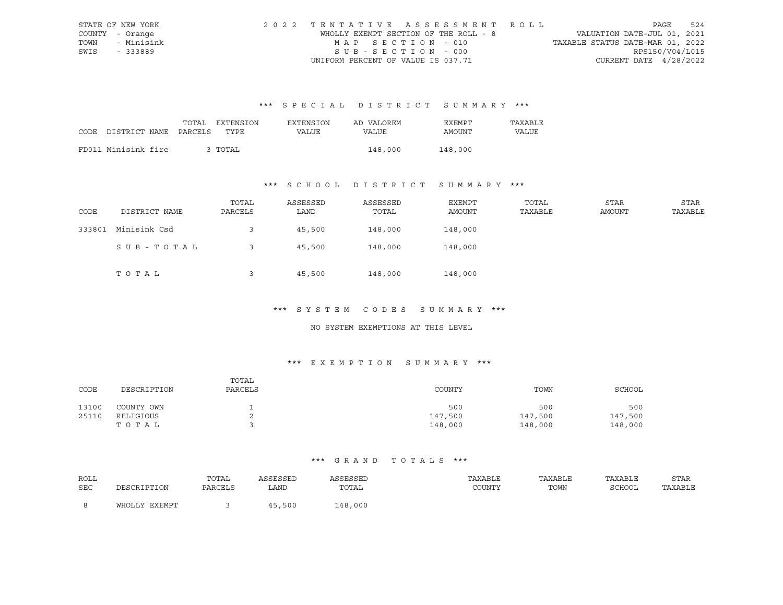|      | STATE OF NEW YORK | 2022 TENTATIVE ASSESSMENT ROLL        |                                  | PAGE                     | 524 |
|------|-------------------|---------------------------------------|----------------------------------|--------------------------|-----|
|      | COUNTY - Orange   | WHOLLY EXEMPT SECTION OF THE ROLL - 8 | VALUATION DATE-JUL 01, 2021      |                          |     |
|      | TOWN - Minisink   | MAP SECTION - 010                     | TAXABLE STATUS DATE-MAR 01, 2022 |                          |     |
| SWIS | - 333889          | $SUB - SECTION - 000$                 |                                  | RPS150/V04/L015          |     |
|      |                   | UNIFORM PERCENT OF VALUE IS 037.71    |                                  | CURRENT DATE $4/28/2022$ |     |

|      |                       | TOTAL | EXTENSION | <b>EXTENSION</b> | AD VALOREM | <b>EXEMPT</b> | TAXABLE |
|------|-----------------------|-------|-----------|------------------|------------|---------------|---------|
| CODE | DISTRICT NAME PARCELS |       | TYPE.     | VALUE            | VALUE      | AMOUNT        | VALUE   |
|      |                       |       |           |                  |            |               |         |
|      | FD011 Minisink fire   |       | 3 TOTAL   |                  | 148,000    | 148,000       |         |

## \*\*\* S C H O O L D I S T R I C T S U M M A R Y \*\*\*

| CODE   | DISTRICT NAME | TOTAL<br>PARCELS | ASSESSED<br>LAND | ASSESSED<br>TOTAL | EXEMPT<br>AMOUNT | TOTAL<br>TAXABLE | STAR<br>AMOUNT | STAR<br>TAXABLE |
|--------|---------------|------------------|------------------|-------------------|------------------|------------------|----------------|-----------------|
| 333801 | Minisink Csd  |                  | 45,500           | 148,000           | 148,000          |                  |                |                 |
|        | SUB-TOTAL     |                  | 45,500           | 148,000           | 148,000          |                  |                |                 |
|        | TOTAL         |                  | 45,500           | 148,000           | 148,000          |                  |                |                 |

#### \*\*\* S Y S T E M C O D E S S U M M A R Y \*\*\*

#### NO SYSTEM EXEMPTIONS AT THIS LEVEL

## \*\*\* E X E M P T I O N S U M M A R Y \*\*\*

| CODE  | DESCRIPTION | TOTAL<br>PARCELS | COUNTY  | TOWN    | SCHOOL  |
|-------|-------------|------------------|---------|---------|---------|
| 13100 | COUNTY OWN  |                  | 500     | 500     | 500     |
| 25110 | RELIGIOUS   |                  | 147,500 | 147,500 | 147,500 |
|       | тотаь       |                  | 148,000 | 148,000 | 148,000 |

| ROLL |               | TOTAL   | ASSESSED | ASSESSED | TAXABLE | TAXABLE | TAXABLE | STAR    |
|------|---------------|---------|----------|----------|---------|---------|---------|---------|
| SEC  | DESCRIPTION   | PARCELS | LAND     | TOTAL    | COUNTY  | TOWN    | SCHOOL  | TAXABLE |
|      | WHOLLY EXEMPT |         | 45,500   | 148,000  |         |         |         |         |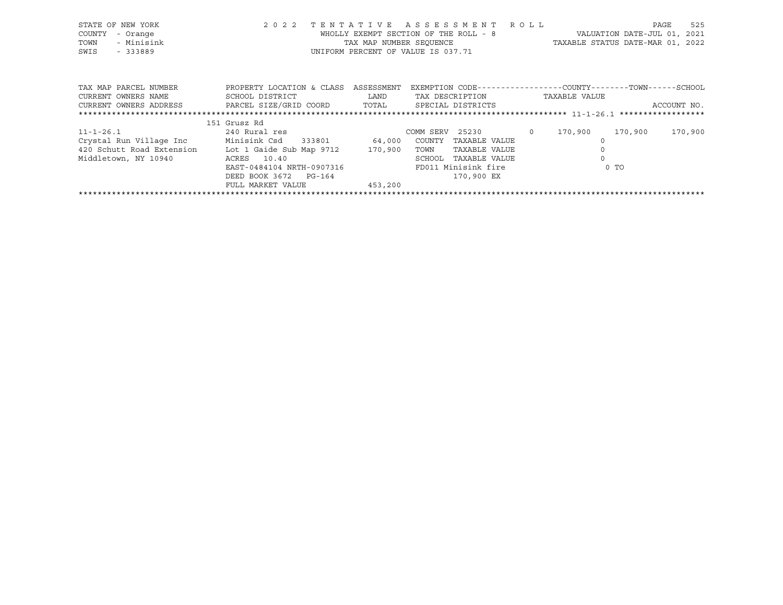| STATE OF NEW YORK<br>COUNTY<br>- Orange<br>- Minisink<br>TOWN<br>SWIS<br>$-333889$ | 2 0 2 2                    | TENTATIVE<br>WHOLLY EXEMPT SECTION OF THE ROLL - 8<br>TAX MAP NUMBER SEOUENCE<br>UNIFORM PERCENT OF VALUE IS 037.71 |                 | ASSESSMENT ROLL     |         | TAXABLE STATUS DATE-MAR 01, 2022                             | VALUATION DATE-JUL 01, 2021 | PAGE        | 525     |
|------------------------------------------------------------------------------------|----------------------------|---------------------------------------------------------------------------------------------------------------------|-----------------|---------------------|---------|--------------------------------------------------------------|-----------------------------|-------------|---------|
| TAX MAP PARCEL NUMBER                                                              | PROPERTY LOCATION & CLASS  | ASSESSMENT                                                                                                          |                 |                     |         | EXEMPTION CODE-----------------COUNTY-------TOWN------SCHOOL |                             |             |         |
| CURRENT OWNERS NAME                                                                | SCHOOL DISTRICT            | LAND                                                                                                                |                 | TAX DESCRIPTION     |         | TAXABLE VALUE                                                |                             |             |         |
| CURRENT OWNERS ADDRESS                                                             | PARCEL SIZE/GRID COORD     | TOTAL                                                                                                               |                 | SPECIAL DISTRICTS   |         |                                                              |                             | ACCOUNT NO. |         |
|                                                                                    |                            |                                                                                                                     |                 |                     |         |                                                              |                             |             |         |
|                                                                                    | 151 Grusz Rd               |                                                                                                                     |                 |                     |         |                                                              |                             |             |         |
| $11 - 1 - 26.1$                                                                    | 240 Rural res              |                                                                                                                     | COMM SERV 25230 |                     | $\circ$ | 170,900                                                      | 170,900                     |             | 170,900 |
| Crystal Run Village Inc                                                            | Minisink Csd 333801 64,000 |                                                                                                                     | COUNTY          | TAXABLE VALUE       |         |                                                              |                             |             |         |
| 420 Schutt Road Extension Lot 1 Gaide Sub Map 9712                                 |                            | 170,900                                                                                                             | TOWN            | TAXABLE VALUE       |         |                                                              |                             |             |         |
| Middletown, NY 10940                                                               | ACRES 10.40                |                                                                                                                     | SCHOOL          | TAXABLE VALUE       |         |                                                              |                             |             |         |
|                                                                                    | EAST-0484104 NRTH-0907316  |                                                                                                                     |                 | FD011 Minisink fire |         |                                                              | $0$ TO                      |             |         |
|                                                                                    | DEED BOOK 3672<br>PG-164   |                                                                                                                     |                 | 170,900 EX          |         |                                                              |                             |             |         |
|                                                                                    | FULL MARKET VALUE          | 453,200                                                                                                             |                 |                     |         |                                                              |                             |             |         |
|                                                                                    |                            |                                                                                                                     |                 |                     |         |                                                              |                             |             |         |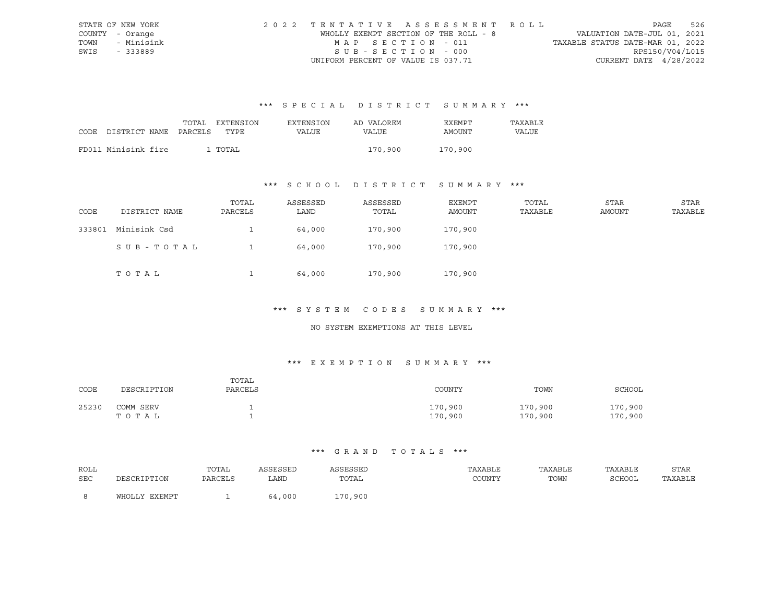|      | STATE OF NEW YORK | 2022 TENTATIVE ASSESSMENT ROLL        |                                  | PAGE            | 526 |
|------|-------------------|---------------------------------------|----------------------------------|-----------------|-----|
|      | COUNTY - Orange   | WHOLLY EXEMPT SECTION OF THE ROLL - 8 | VALUATION DATE-JUL 01, 2021      |                 |     |
|      | TOWN - Minisink   | MAP SECTION - 011                     | TAXABLE STATUS DATE-MAR 01, 2022 |                 |     |
| SWIS | - 333889          | $SUB - SECTION - 000$                 |                                  | RPS150/V04/L015 |     |
|      |                   | UNIFORM PERCENT OF VALUE IS 037.71    | CURRENT DATE $4/28/2022$         |                 |     |

|      |                       | TOTAL | <b>EXTENSION</b> | EXTENSION | AD VALOREM | EXEMPT  | TAXABLE |
|------|-----------------------|-------|------------------|-----------|------------|---------|---------|
| CODE | DISTRICT NAME PARCELS |       | TYPE             | VALUE     | VALUE      | AMOUNT  | VALUE   |
|      |                       |       |                  |           |            |         |         |
|      | FD011 Minisink fire   |       | 1 TOTAL          |           | 170,900    | 170,900 |         |

## \*\*\* S C H O O L D I S T R I C T S U M M A R Y \*\*\*

| CODE   | DISTRICT NAME | TOTAL<br>PARCELS | ASSESSED<br>LAND | ASSESSED<br>TOTAL | EXEMPT<br>AMOUNT | TOTAL<br>TAXABLE | STAR<br>AMOUNT | STAR<br>TAXABLE |
|--------|---------------|------------------|------------------|-------------------|------------------|------------------|----------------|-----------------|
| 333801 | Minisink Csd  |                  | 64,000           | 170,900           | 170,900          |                  |                |                 |
|        | SUB - TOTAL   |                  | 64,000           | 170,900           | 170,900          |                  |                |                 |
|        | TOTAL         |                  | 64,000           | 170,900           | 170,900          |                  |                |                 |

#### \*\*\* S Y S T E M C O D E S S U M M A R Y \*\*\*

#### NO SYSTEM EXEMPTIONS AT THIS LEVEL

## \*\*\* E X E M P T I O N S U M M A R Y \*\*\*

| CODE  | DESCRIPTION        | TOTAL<br>PARCELS | COUNTY             | TOWN               | SCHOOL             |
|-------|--------------------|------------------|--------------------|--------------------|--------------------|
| 25230 | COMM SERV<br>TOTAL |                  | 170,900<br>170,900 | 170,900<br>170,900 | 170,900<br>170,900 |

| ROLL |               | TOTAL   | ASSESSED | ASSESSED | TAXABLE | TAXABLE | TAXABLE       | <b>STAR</b> |
|------|---------------|---------|----------|----------|---------|---------|---------------|-------------|
| SEC  | DESCRIPTION   | PARCELS | LAND     | TOTAL    | COUNTY  | TOWN    | <b>SCHOOL</b> | TAXABLE     |
|      |               |         |          |          |         |         |               |             |
|      | WHOLLY EXEMPT |         | 64,000   | 170,900  |         |         |               |             |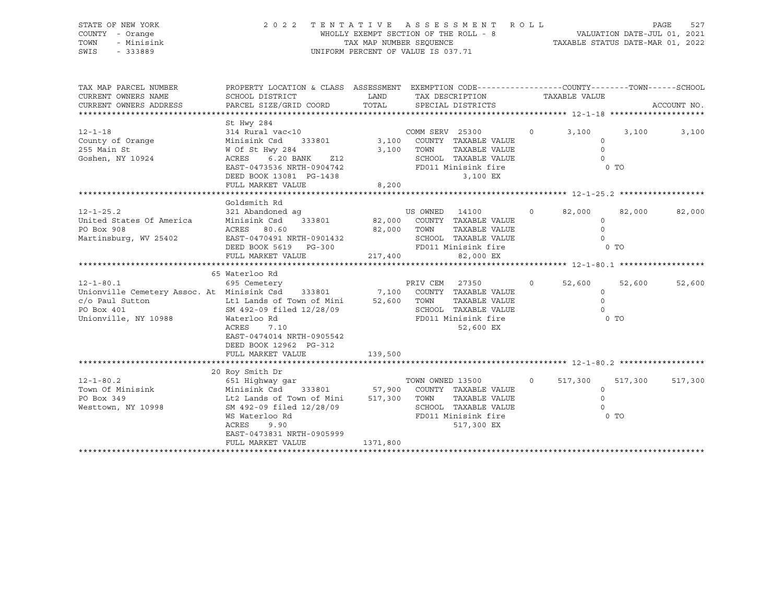### STATE OF NEW YORK 2 0 2 2 T E N T A T I V E A S S E S S M E N T R O L L PAGE 527 COUNTY - Orange The MECHANIC COUNTY - Orange The Section of the ROLL - 8 TOWN - Minisink TAX MAP NUMBER SEQUENCE TAXABLE STATUS DATE-MAR 01, 2022<br>TAXABLE STATUS DATE-MAR 01, 2022 UNIFORM PERCENT OF VALUE IS 037.71

TAX MAP PARCEL NUMBER PROPERTY LOCATION & CLASS ASSESSMENT EXEMPTION CODE------------------COUNTY--------TOWN------SCHOOL CURRENT OWNERS NAME SCHOOL DISTRICT LAND TAX DESCRIPTION TAXABLE VALUE CURRENT OWNERS ADDRESS PARCEL SIZE/GRID COORD TOTAL SPECIAL DISTRICTS ACCOUNT NO. \*\*\*\*\*\*\*\*\*\*\*\*\*\*\*\*\*\*\*\*\*\*\*\*\*\*\*\*\*\*\*\*\*\*\*\*\*\*\*\*\*\*\*\*\*\*\*\*\*\*\*\*\*\*\*\*\*\*\*\*\*\*\*\*\*\*\*\*\*\*\*\*\*\*\*\*\*\*\*\*\*\*\*\*\*\*\*\*\*\*\*\*\*\*\*\*\*\*\*\*\*\*\* 12-1-18 \*\*\*\*\*\*\*\*\*\*\*\*\*\*\*\*\*\*\*\* St Hwy 284 12-1-18 314 Rural vac<10 COMM SERV 25300 0 3,100 3,100 3,100 County of Orange Minisink Csd 333801 3,100 COUNTY TAXABLE VALUE 0 255 Main St W Of St Hwy 284 3,100 TOWN TAXABLE VALUE 0 Goshen, NY 10924 ACRES 6.20 BANK Z12 SCHOOL TAXABLE VALUE 0 EAST-0473536 NRTH-0904742 FD011 Minisink fire 0 TO DEED BOOK 13081 PG-1438 3,100 EX FULL MARKET VALUE 8,200 \*\*\*\*\*\*\*\*\*\*\*\*\*\*\*\*\*\*\*\*\*\*\*\*\*\*\*\*\*\*\*\*\*\*\*\*\*\*\*\*\*\*\*\*\*\*\*\*\*\*\*\*\*\*\*\*\*\*\*\*\*\*\*\*\*\*\*\*\*\*\*\*\*\*\*\*\*\*\*\*\*\*\*\*\*\*\*\*\*\*\*\*\*\*\*\*\*\*\*\*\*\*\* 12-1-25.2 \*\*\*\*\*\*\*\*\*\*\*\*\*\*\*\*\*\* Goldsmith Rd 12-1-25.2 321 Abandoned ag US OWNED 14100 0 82,000 82,000 82,000 United States Of America Minisink Csd 333801 82,000 COUNTY TAXABLE VALUE 0 PO Box 908 ACRES 80.60 82,000 TOWN TAXABLE VALUE 0 Martinsburg, WV 25402 EAST-0470491 NRTH-0901432 SCHOOL TAXABLE VALUE 0 DEED BOOK 5619 PG-300 FD011 Minisink fire 6 O TO FULL MARKET VALUE 217,400 82,000 EX \*\*\*\*\*\*\*\*\*\*\*\*\*\*\*\*\*\*\*\*\*\*\*\*\*\*\*\*\*\*\*\*\*\*\*\*\*\*\*\*\*\*\*\*\*\*\*\*\*\*\*\*\*\*\*\*\*\*\*\*\*\*\*\*\*\*\*\*\*\*\*\*\*\*\*\*\*\*\*\*\*\*\*\*\*\*\*\*\*\*\*\*\*\*\*\*\*\*\*\*\*\*\* 12-1-80.1 \*\*\*\*\*\*\*\*\*\*\*\*\*\*\*\*\*\* 65 Waterloo Rd 12-1-80.1 695 Cemetery PRIV CEM 27350 0 52,600 52,600 52,600 Unionville Cemetery Assoc. At Minisink Csd 333801 7,100 COUNTY TAXABLE VALUE 0 c/o Paul Sutton Lt1 Lands of Town of Mini 52,600 TOWN TAXABLE VALUE 0 PO Box 401 SM 492-09 filed 12/28/09 SCHOOL TAXABLE VALUE 0 Unionville, NY 10988 Waterloo Rd FD011 Minisink fire 0 TO ACRES 7.10 52,600 EX EAST-0474014 NRTH-0905542 DEED BOOK 12962 PG-312 FULL MARKET VALUE 139,500 \*\*\*\*\*\*\*\*\*\*\*\*\*\*\*\*\*\*\*\*\*\*\*\*\*\*\*\*\*\*\*\*\*\*\*\*\*\*\*\*\*\*\*\*\*\*\*\*\*\*\*\*\*\*\*\*\*\*\*\*\*\*\*\*\*\*\*\*\*\*\*\*\*\*\*\*\*\*\*\*\*\*\*\*\*\*\*\*\*\*\*\*\*\*\*\*\*\*\*\*\*\*\* 12-1-80.2 \*\*\*\*\*\*\*\*\*\*\*\*\*\*\*\*\*\* 20 Roy Smith Dr 12-1-80.2 651 Highway gar TOWN OWNED 13500 0 517,300 517,300 517,300 Town Of Minisink Continguing Continguing Care of the Minisink Csd 333801 57,900 COUNTY TAXABLE VALUE 0 PO Box 349 Lt2 Lands of Town of Mini 517,300 TOWN TAXABLE VALUE 0 Westtown, NY 10998 SM 492-09 filed 12/28/09 WS Waterloo Rd<br>WS Waterloo Rd **FD011 Minisink** fire 0 TO ACRES 9.90 517,300 EX EAST-0473831 NRTH-0905999 FULL MARKET VALUE 1371,800 \*\*\*\*\*\*\*\*\*\*\*\*\*\*\*\*\*\*\*\*\*\*\*\*\*\*\*\*\*\*\*\*\*\*\*\*\*\*\*\*\*\*\*\*\*\*\*\*\*\*\*\*\*\*\*\*\*\*\*\*\*\*\*\*\*\*\*\*\*\*\*\*\*\*\*\*\*\*\*\*\*\*\*\*\*\*\*\*\*\*\*\*\*\*\*\*\*\*\*\*\*\*\*\*\*\*\*\*\*\*\*\*\*\*\*\*\*\*\*\*\*\*\*\*\*\*\*\*\*\*\*\*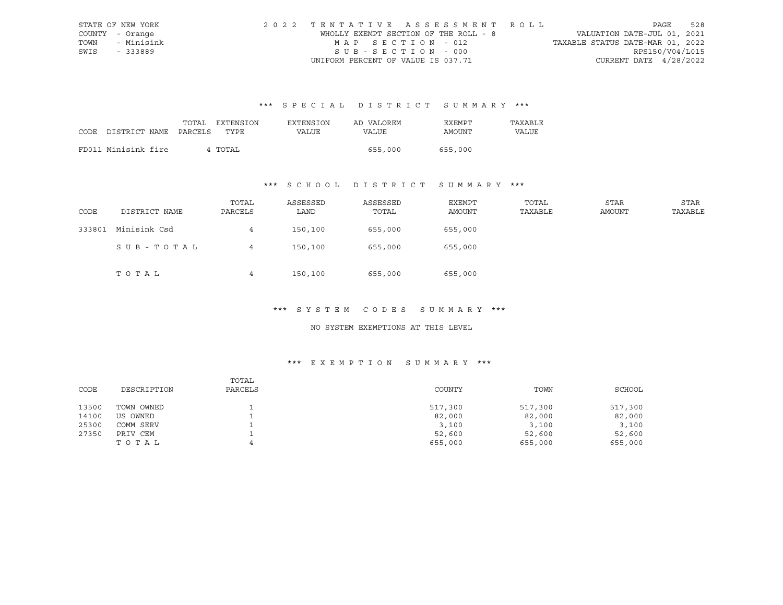|      | STATE OF NEW YORK | 2022 TENTATIVE ASSESSMENT ROLL        |                                  | PAGE            | 528 |
|------|-------------------|---------------------------------------|----------------------------------|-----------------|-----|
|      | COUNTY - Orange   | WHOLLY EXEMPT SECTION OF THE ROLL - 8 | VALUATION DATE-JUL 01, 2021      |                 |     |
|      | TOWN - Minisink   | MAP SECTION - 012                     | TAXABLE STATUS DATE-MAR 01, 2022 |                 |     |
| SWIS | - 333889          | $SUB - SECTION - 000$                 |                                  | RPS150/V04/L015 |     |
|      |                   | UNIFORM PERCENT OF VALUE IS 037.71    | CURRENT DATE $4/28/2022$         |                 |     |

|      |                       | TOTAL | EXTENSION | EXTENSION | AD VALOREM | <b>EXEMPT</b> | TAXABLE |
|------|-----------------------|-------|-----------|-----------|------------|---------------|---------|
| CODE | DISTRICT NAME PARCELS |       | TYPE      | VALUE     | VALUE      | AMOUNT        | VALUE   |
|      |                       |       |           |           |            |               |         |
|      | FD011 Minisink fire   |       | 4 TOTAL   |           | 655,000    | 655,000       |         |

## \*\*\* S C H O O L D I S T R I C T S U M M A R Y \*\*\*

| CODE   | DISTRICT NAME | TOTAL<br>PARCELS | ASSESSED<br>LAND | ASSESSED<br>TOTAL | EXEMPT<br>AMOUNT | TOTAL<br>TAXABLE | STAR<br><b>AMOUNT</b> | STAR<br>TAXABLE |
|--------|---------------|------------------|------------------|-------------------|------------------|------------------|-----------------------|-----------------|
| 333801 | Minisink Csd  | 4                | 150,100          | 655,000           | 655,000          |                  |                       |                 |
|        | SUB-TOTAL     | 4                | 150,100          | 655,000           | 655,000          |                  |                       |                 |
|        | TOTAL         | 4                | 150,100          | 655,000           | 655,000          |                  |                       |                 |

#### \*\*\* S Y S T E M C O D E S S U M M A R Y \*\*\*

#### NO SYSTEM EXEMPTIONS AT THIS LEVEL

|       |             | TOTAL   |         |         |         |
|-------|-------------|---------|---------|---------|---------|
| CODE  | DESCRIPTION | PARCELS | COUNTY  | TOWN    | SCHOOL  |
|       |             |         |         |         |         |
| 13500 | TOWN OWNED  |         | 517,300 | 517,300 | 517,300 |
| 14100 | US OWNED    |         | 82,000  | 82,000  | 82,000  |
| 25300 | COMM SERV   |         | 3,100   | 3,100   | 3,100   |
| 27350 | PRIV CEM    |         | 52,600  | 52,600  | 52,600  |
|       | TOTAL       |         | 655,000 | 655,000 | 655,000 |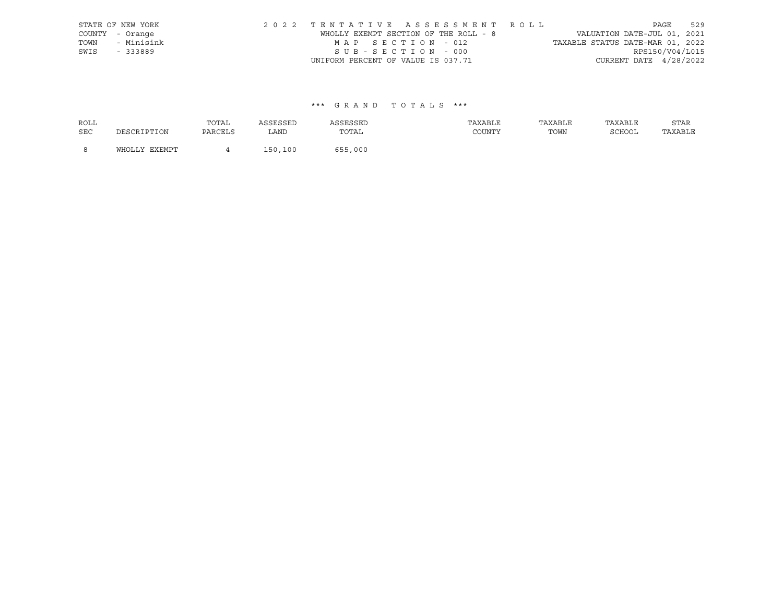|      | STATE OF NEW YORK | 2022 TENTATIVE ASSESSMENT ROLL        |  |                                  | PAGE            | 529 |
|------|-------------------|---------------------------------------|--|----------------------------------|-----------------|-----|
|      | COUNTY - Orange   | WHOLLY EXEMPT SECTION OF THE ROLL - 8 |  | VALUATION DATE-JUL 01, 2021      |                 |     |
| TOWN | - Minisink        | MAP SECTION - 012                     |  | TAXABLE STATUS DATE-MAR 01, 2022 |                 |     |
| SWIS | - 333889          | SUB-SECTION - 000                     |  |                                  | RPS150/V04/L015 |     |
|      |                   | UNIFORM PERCENT OF VALUE IS 037.71    |  | CURRENT DATE $4/28/2022$         |                 |     |

| <b>ROLL</b> |               | TOTAL   | ASSESSED | ASSESSED | TAXABLE | TAXABLE | TAXABLE | STAR    |
|-------------|---------------|---------|----------|----------|---------|---------|---------|---------|
| <b>SEC</b>  | DESCRIPTION   | PARCELS | LAND     | TOTAL    | COUNTY  | TOWN    | SCHOOL  | TAXABLE |
| - 8         | WHOLLY EXEMPT |         | 150,100  | 655,000  |         |         |         |         |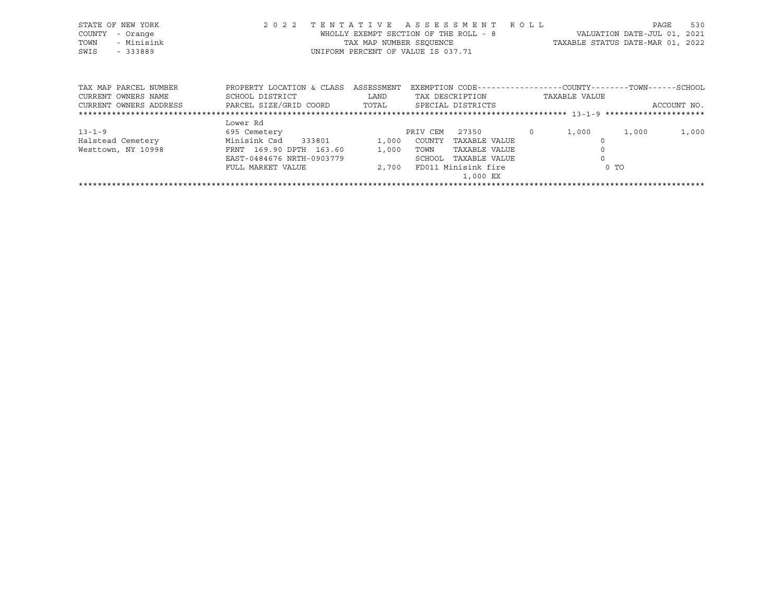| STATE OF NEW YORK<br>COUNTY<br>- Orange<br>- Minisink<br>TOWN<br>SWIS<br>$-333889$ | 2022 TENTATIVE ASSESSMENT    | WHOLLY EXEMPT SECTION OF THE ROLL - 8<br>TAX MAP NUMBER SEOUENCE<br>UNIFORM PERCENT OF VALUE IS 037.71 |          |                   | R O L L  | TAXABLE STATUS DATE-MAR 01, 2022                             | PAGE<br>VALUATION DATE-JUL 01, | 530<br>2021 |
|------------------------------------------------------------------------------------|------------------------------|--------------------------------------------------------------------------------------------------------|----------|-------------------|----------|--------------------------------------------------------------|--------------------------------|-------------|
| TAX MAP PARCEL NUMBER                                                              | PROPERTY LOCATION & CLASS    | ASSESSMENT                                                                                             |          |                   |          | EXEMPTION CODE-----------------COUNTY-------TOWN------SCHOOL |                                |             |
| CURRENT OWNERS NAME                                                                | SCHOOL DISTRICT              | LAND                                                                                                   |          | TAX DESCRIPTION   |          | TAXABLE VALUE                                                |                                |             |
| CURRENT OWNERS ADDRESS                                                             | PARCEL SIZE/GRID COORD TOTAL |                                                                                                        |          | SPECIAL DISTRICTS |          |                                                              |                                | ACCOUNT NO. |
|                                                                                    |                              |                                                                                                        |          |                   |          |                                                              |                                |             |
|                                                                                    | Lower Rd                     |                                                                                                        |          |                   |          |                                                              |                                |             |
| $13 - 1 - 9$                                                                       | 695 Cemetery                 |                                                                                                        | PRIV CEM | 27350             | $\Omega$ | 1,000                                                        | 1,000                          | 1,000       |
| Halstead Cemetery                                                                  | Minisink Csd<br>333801       | 1,000                                                                                                  | COUNTY   | TAXABLE VALUE     |          | $\Omega$                                                     |                                |             |
| Westtown, NY 10998                                                                 | FRNT 169.90 DPTH 163.60      | 1,000                                                                                                  | TOWN     | TAXABLE VALUE     |          |                                                              |                                |             |

| ,000 EX |
|---------|
|         |

EAST-0484676 NRTH-0903779 SCHOOL TAXABLE VALUE 0 FULL MARKET VALUE  $2,700$  FD011 Minisink fire  $0$  TO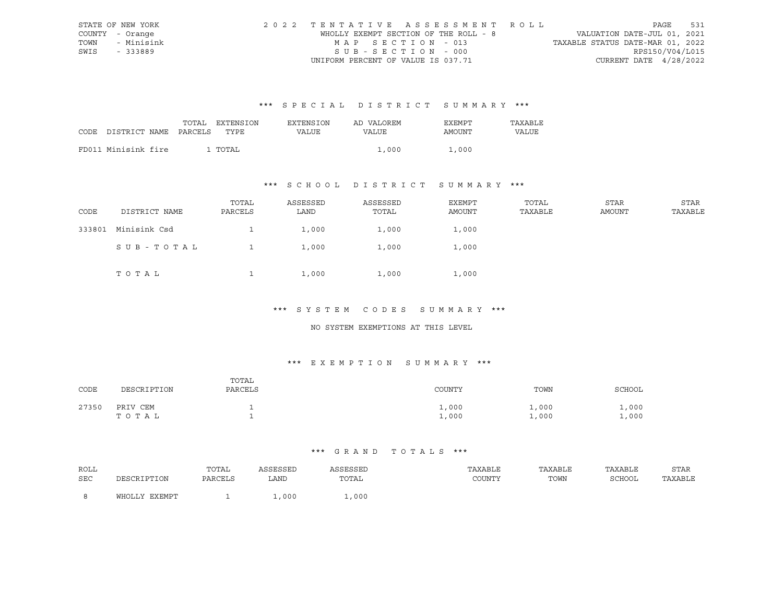|      | STATE OF NEW YORK | 2022 TENTATIVE ASSESSMENT ROLL        |                                  | PAGE | 531 |
|------|-------------------|---------------------------------------|----------------------------------|------|-----|
|      | COUNTY - Orange   | WHOLLY EXEMPT SECTION OF THE ROLL - 8 | VALUATION DATE-JUL 01, 2021      |      |     |
|      | TOWN - Minisink   | MAP SECTION - 013                     | TAXABLE STATUS DATE-MAR 01, 2022 |      |     |
| SWIS | - 333889          | $SUB - SECTION - 000$                 | RPS150/V04/L015                  |      |     |
|      |                   | UNIFORM PERCENT OF VALUE IS 037.71    | CURRENT DATE $4/28/2022$         |      |     |

|      |                       | TOTAL | EXTENSION | EXTENSION | AD VALOREM | EXEMPT | TAXABLE      |
|------|-----------------------|-------|-----------|-----------|------------|--------|--------------|
| CODE | DISTRICT NAME PARCELS |       | TYPE      | VALUE     | VALUE      | AMOUNT | <b>VALUE</b> |
|      |                       |       |           |           |            |        |              |
|      | FD011 Minisink fire   |       | L TOTAL   |           | 1,000      | 1,000  |              |

## \*\*\* S C H O O L D I S T R I C T S U M M A R Y \*\*\*

| CODE   | DISTRICT NAME | TOTAL<br>PARCELS | ASSESSED<br>LAND | ASSESSED<br>TOTAL | EXEMPT<br>AMOUNT | TOTAL<br>TAXABLE | STAR<br>AMOUNT | STAR<br>TAXABLE |
|--------|---------------|------------------|------------------|-------------------|------------------|------------------|----------------|-----------------|
| 333801 | Minisink Csd  |                  | 1,000            | 1,000             | 1,000            |                  |                |                 |
|        | SUB-TOTAL     |                  | 1,000            | 1,000             | 1,000            |                  |                |                 |
|        | TOTAL         |                  | 1,000            | 1,000             | 1,000            |                  |                |                 |

#### \*\*\* S Y S T E M C O D E S S U M M A R Y \*\*\*

#### NO SYSTEM EXEMPTIONS AT THIS LEVEL

## \*\*\* E X E M P T I O N S U M M A R Y \*\*\*

| CODE  | DESCRIPTION       | TOTAL<br>PARCELS | COUNTY         | TOWN           | SCHOOL       |
|-------|-------------------|------------------|----------------|----------------|--------------|
| 27350 | PRIV CEM<br>TOTAL |                  | 1,000<br>1,000 | 1,000<br>1,000 | ,000<br>,000 |

| ROLL |                   | TOTAL   | <b>\SSESSED</b> | ASSESSEL                                                 | TAXABLE | TAXABLE | TAXABLE     | STAR    |
|------|-------------------|---------|-----------------|----------------------------------------------------------|---------|---------|-------------|---------|
| SEC  | זור חיים דפר סידר | PARCELS | LAND            | TOTAL<br>the contract of the contract of the contract of | COUNTY  | TOWN    | SCHOOL<br>. | TAXABLE |
|      | WHOLLY EXEMPT     |         | ,000            | ,000                                                     |         |         |             |         |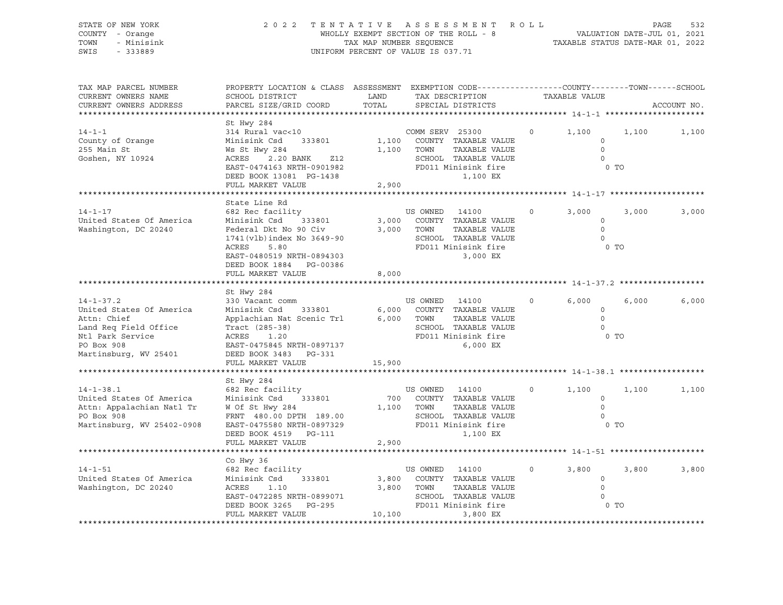#### STATE OF NEW YORK 2 0 2 2 T E N T A T I V E A S S E S S M E N T R O L L PAGE 532 COUNTY - Orange WHOLLY EXEMPT SECTION OF THE ROLL - 8 VALUATION DATE-JUL 01, 2021 TOWN - Minisink TAX MAP NUMBER SEQUENCE TAXABLE STATUS DATE-MAR 01, 2022 SWIS - 333889 CONSERVATION CONTROL OF VALUE IS 037.71

| TAX MAP PARCEL NUMBER<br>CURRENT OWNERS NAME<br>CURRENT OWNERS ADDRESS                                                                         | SCHOOL DISTRICT<br>PARCEL SIZE/GRID COORD                                                                                                                                                                       | LAND<br>TOTAL            | PROPERTY LOCATION & CLASS ASSESSMENT EXEMPTION CODE----------------COUNTY-------TOWN------SCHOOL<br>TAX DESCRIPTION<br>SPECIAL DISTRICTS |         | TAXABLE VALUE                                             | ACCOUNT NO. |       |
|------------------------------------------------------------------------------------------------------------------------------------------------|-----------------------------------------------------------------------------------------------------------------------------------------------------------------------------------------------------------------|--------------------------|------------------------------------------------------------------------------------------------------------------------------------------|---------|-----------------------------------------------------------|-------------|-------|
|                                                                                                                                                |                                                                                                                                                                                                                 |                          |                                                                                                                                          |         |                                                           |             |       |
| $14 - 1 - 1$<br>County of Orange<br>255 Main St<br>Goshen, NY 10924                                                                            | St Hwy 284<br>314 Rural vac<10<br>Minisink Csd 333801<br>Ws St Hwy 284<br>ACRES 2.20 BANK<br>Z12<br>EAST-0474163 NRTH-0901982<br>DEED BOOK 13081 PG-1438<br>FULL MARKET VALUE                                   | 2,900                    | COMM SERV 25300<br>1,100 COUNTY TAXABLE VALUE<br>1,100 TOWN<br>TAXABLE VALUE<br>SCHOOL TAXABLE VALUE<br>FD011 Minisink fire<br>1,100 EX  | $\circ$ | 1,100<br>$\circ$<br>$\circ$<br>$\Omega$<br>0 <sub>T</sub> | 1,100       | 1,100 |
|                                                                                                                                                |                                                                                                                                                                                                                 |                          |                                                                                                                                          |         |                                                           |             |       |
| $14 - 1 - 17$<br>United States Of America<br>Washington, DC 20240                                                                              | State Line Rd<br>682 Rec facility<br>Minisink Csd<br>333801<br>Federal Dkt No 90 Civ<br>1741(vlb)index No 3649-90<br>ACRES<br>5.80<br>EAST-0480519 NRTH-0894303<br>DEED BOOK 1884 PG-00386<br>FULL MARKET VALUE | 3,000<br>8,000           | US OWNED 14100<br>3,000 COUNTY TAXABLE VALUE<br>TAXABLE VALUE<br>TOWN<br>SCHOOL TAXABLE VALUE<br>FD011 Minisink fire<br>3,000 EX         | $\circ$ | 3,000<br>$\circ$<br>$\circ$<br>$\circ$<br>0 <sub>T</sub>  | 3,000       | 3,000 |
|                                                                                                                                                |                                                                                                                                                                                                                 |                          |                                                                                                                                          |         |                                                           |             |       |
| $14 - 1 - 37.2$<br>United States Of America<br>Attn: Chief<br>Land Req Field Office<br>Ntl Park Service<br>PO Box 908<br>Martinsburg, WV 25401 | St Hwy 284<br>330 Vacant comm<br>Minisink Csd<br>Applachian Nat Scenic Trl 6,000 TOWN<br>Tract (285-38)<br>ACRES<br>1.20<br>EAST-0475845 NRTH-0897137<br>DEED BOOK 3483 PG-331<br>FULL MARKET VALUE             | 15,900                   | US OWNED 14100<br>333801 6,000 COUNTY TAXABLE VALUE<br>TAXABLE VALUE<br>SCHOOL TAXABLE VALUE<br>FD011 Minisink fire<br>6,000 EX          | $\circ$ | 6,000<br>$\circ$<br>$\Omega$<br>$\Omega$<br>0 TO          | 6,000       | 6,000 |
|                                                                                                                                                |                                                                                                                                                                                                                 |                          |                                                                                                                                          |         |                                                           |             |       |
| $14 - 1 - 38.1$<br>United States Of America<br>Attn: Appalachian Natl Tr<br>PO Box 908<br>Martinsburg, WV 25402-0908                           | St Hwy 284<br>682 Rec facility<br>Minisink Csd 333801<br>W Of St Hwy 284<br>FRNT 480.00 DPTH 189.00<br>EAST-0475580 NRTH-0897329<br>DEED BOOK 4519 PG-111<br>FULL MARKET VALUE                                  | 2,900                    | US OWNED 14100<br>700 COUNTY TAXABLE VALUE<br>TAXABLE VALUE<br>1,100 TOWN<br>SCHOOL TAXABLE VALUE<br>FD011 Minisink fire<br>1,100 EX     | $\circ$ | 1,100<br>$\circ$<br>$\circ$<br>$\Omega$<br>0 <sub>T</sub> | 1,100       | 1,100 |
| ******************************                                                                                                                 |                                                                                                                                                                                                                 |                          |                                                                                                                                          |         |                                                           |             |       |
| $14 - 1 - 51$<br>United States Of America<br>Washington, DC 20240                                                                              | Co Hwy 36<br>682 Rec facility<br>Minisink Csd<br>333801<br>ACRES<br>1.10<br>EAST-0472285 NRTH-0899071<br>DEED BOOK 3265 PG-295<br>FULL MARKET VALUE                                                             | 3,800<br>3,800<br>10,100 | US OWNED<br>14100<br>COUNTY TAXABLE VALUE<br>TOWN<br>TAXABLE VALUE<br>SCHOOL TAXABLE VALUE<br>FD011 Minisink fire<br>3,800 EX            | $\circ$ | 3,800<br>$\circ$<br>$\circ$<br>$\Omega$<br>$0$ TO         | 3,800       | 3,800 |
|                                                                                                                                                |                                                                                                                                                                                                                 |                          |                                                                                                                                          |         |                                                           |             |       |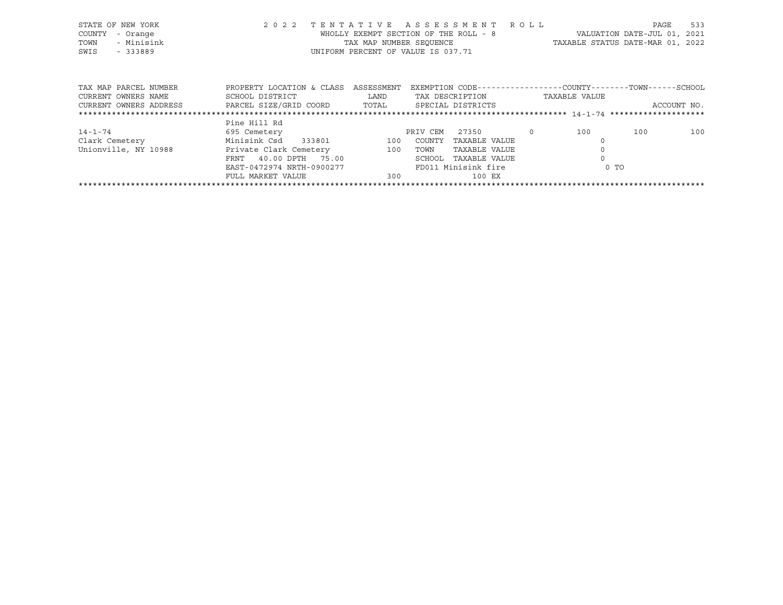| STATE OF NEW YORK<br>COUNTY<br>- Orange<br>- Minisink<br>TOWN<br>SWIS<br>$-333889$ | 2 0 2 2                                                                                        | TENTATIVE ASSESSMENT ROLL<br>WHOLLY EXEMPT SECTION OF THE ROLL - 8<br>TAX MAP NUMBER SEOUENCE<br>UNIFORM PERCENT OF VALUE IS 037.71 |                    |                                |          |               | PAGE<br>VALUATION DATE-JUL 01, 2021<br>TAXABLE STATUS DATE-MAR 01, 2022     | 533 |
|------------------------------------------------------------------------------------|------------------------------------------------------------------------------------------------|-------------------------------------------------------------------------------------------------------------------------------------|--------------------|--------------------------------|----------|---------------|-----------------------------------------------------------------------------|-----|
| TAX MAP PARCEL NUMBER<br>CURRENT OWNERS NAME<br>CURRENT OWNERS ADDRESS             | PROPERTY LOCATION & CLASS<br>SCHOOL DISTRICT<br>PARCEL SIZE/GRID COORD TOTAL SPECIAL DISTRICTS | ASSESSMENT<br>LAND                                                                                                                  |                    | TAX DESCRIPTION                |          | TAXABLE VALUE | EXEMPTION CODE-----------------COUNTY-------TOWN------SCHOOL<br>ACCOUNT NO. |     |
|                                                                                    |                                                                                                |                                                                                                                                     |                    |                                |          |               |                                                                             |     |
| 14-1-74<br>Clark Cemetery                                                          | Pine Hill Rd<br>695 Cemetery<br>Minisink Csd<br>333801                                         | 100                                                                                                                                 | PRIV CEM<br>COUNTY | 27350<br>TAXABLE VALUE         | $\Omega$ | 100           | 100                                                                         | 100 |
| Unionville, NY 10988                                                               | Private Clark Cemetery<br>40.00 DPTH<br>75.00<br>FRNT                                          | 100                                                                                                                                 | TOWN<br>SCHOOL     | TAXABLE VALUE<br>TAXABLE VALUE |          |               |                                                                             |     |

\*\*\*\*\*\*\*\*\*\*\*\*\*\*\*\*\*\*\*\*\*\*\*\*\*\*\*\*\*\*\*\*\*\*\*\*\*\*\*\*\*\*\*\*\*\*\*\*\*\*\*\*\*\*\*\*\*\*\*\*\*\*\*\*\*\*\*\*\*\*\*\*\*\*\*\*\*\*\*\*\*\*\*\*\*\*\*\*\*\*\*\*\*\*\*\*\*\*\*\*\*\*\*\*\*\*\*\*\*\*\*\*\*\*\*\*\*\*\*\*\*\*\*\*\*\*\*\*\*\*\*\*

EAST-0472974 NRTH-0900277 FD011 Minisink fire 6 O TO

FULL MARKET VALUE 300 300 100 EX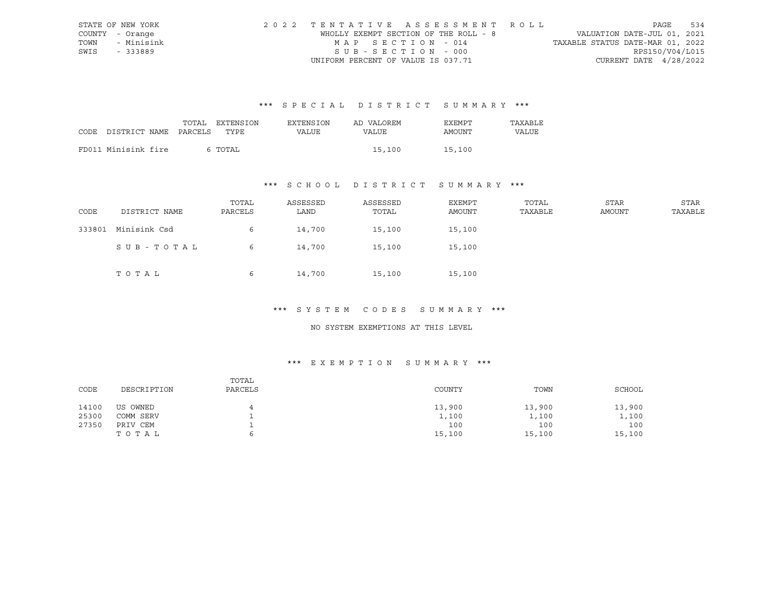|      | STATE OF NEW YORK | 2022 TENTATIVE ASSESSMENT ROLL        |                                  |                          | PAGE | 534 |
|------|-------------------|---------------------------------------|----------------------------------|--------------------------|------|-----|
|      | COUNTY - Orange   | WHOLLY EXEMPT SECTION OF THE ROLL - 8 | VALUATION DATE-JUL 01, 2021      |                          |      |     |
|      | TOWN - Minisink   | MAP SECTION - 014                     | TAXABLE STATUS DATE-MAR 01, 2022 |                          |      |     |
| SWIS | - 333889          | $SUB - SECTION - 000$                 |                                  | RPS150/V04/L015          |      |     |
|      |                   | UNIFORM PERCENT OF VALUE IS 037.71    |                                  | CURRENT DATE $4/28/2022$ |      |     |

|      |                       | TOTAL | EXTENSION | <b>EXTENSION</b> | AD VALOREM | EXEMPT | TAXABLE |
|------|-----------------------|-------|-----------|------------------|------------|--------|---------|
| CODE | DISTRICT NAME PARCELS |       | TYPE      | VALUE            | VALUE      | AMOUNT | VALUE   |
|      |                       |       |           |                  |            |        |         |
|      | FD011 Minisink fire   |       | 6 TOTAL   |                  | 15,100     | 15,100 |         |

## \*\*\* S C H O O L D I S T R I C T S U M M A R Y \*\*\*

| CODE   | DISTRICT NAME | TOTAL<br>PARCELS | ASSESSED<br>LAND | ASSESSED<br>TOTAL | EXEMPT<br>AMOUNT | TOTAL<br>TAXABLE | STAR<br>AMOUNT | STAR<br>TAXABLE |
|--------|---------------|------------------|------------------|-------------------|------------------|------------------|----------------|-----------------|
| 333801 | Minisink Csd  | 6                | 14,700           | 15,100            | 15,100           |                  |                |                 |
|        | SUB-TOTAL     | 6                | 14,700           | 15,100            | 15,100           |                  |                |                 |
|        | TOTAL         | 6                | 14,700           | 15,100            | 15,100           |                  |                |                 |

#### \*\*\* S Y S T E M C O D E S S U M M A R Y \*\*\*

#### NO SYSTEM EXEMPTIONS AT THIS LEVEL

| CODE  | DESCRIPTION | TOTAL<br>PARCELS | COUNTY | TOWN   | SCHOOL |
|-------|-------------|------------------|--------|--------|--------|
| 14100 | US OWNED    | 4                | 13,900 | 13,900 | 13,900 |
| 25300 | COMM SERV   |                  | 1,100  | 1,100  | 1,100  |
| 27350 | PRIV CEM    |                  | 100    | 100    | 100    |
|       | тотаь       |                  | 15,100 | 15,100 | 15,100 |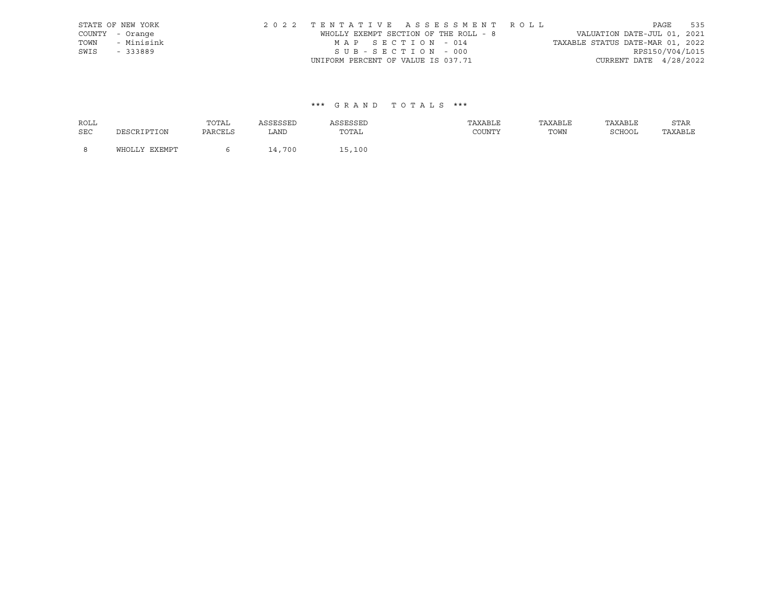|      | STATE OF NEW YORK | 2022 TENTATIVE ASSESSMENT ROLL        |  |  |                                  |                          | PAGE | 535 |
|------|-------------------|---------------------------------------|--|--|----------------------------------|--------------------------|------|-----|
|      | COUNTY - Orange   | WHOLLY EXEMPT SECTION OF THE ROLL - 8 |  |  | VALUATION DATE-JUL 01, 2021      |                          |      |     |
| TOWN | - Minisink        | MAP SECTION - 014                     |  |  | TAXABLE STATUS DATE-MAR 01, 2022 |                          |      |     |
| SWIS | - 333889          | SUB-SECTION - 000                     |  |  |                                  | RPS150/V04/L015          |      |     |
|      |                   | UNIFORM PERCENT OF VALUE IS 037.71    |  |  |                                  | CURRENT DATE $4/28/2022$ |      |     |

| <b>ROLL</b> |               | TOTAL   | ASSESSED | ASSESSED | TAXABLE | TAXABLE | TAXABLE | STAR    |
|-------------|---------------|---------|----------|----------|---------|---------|---------|---------|
| <b>SEC</b>  | DESCRIPTION   | PARCELS | LAND     | TOTAL    | COUNTY  | TOWN    | SCHOOL  | TAXABLE |
| - 8         | WHOLLY EXEMPT |         | 14,700   | 15,100   |         |         |         |         |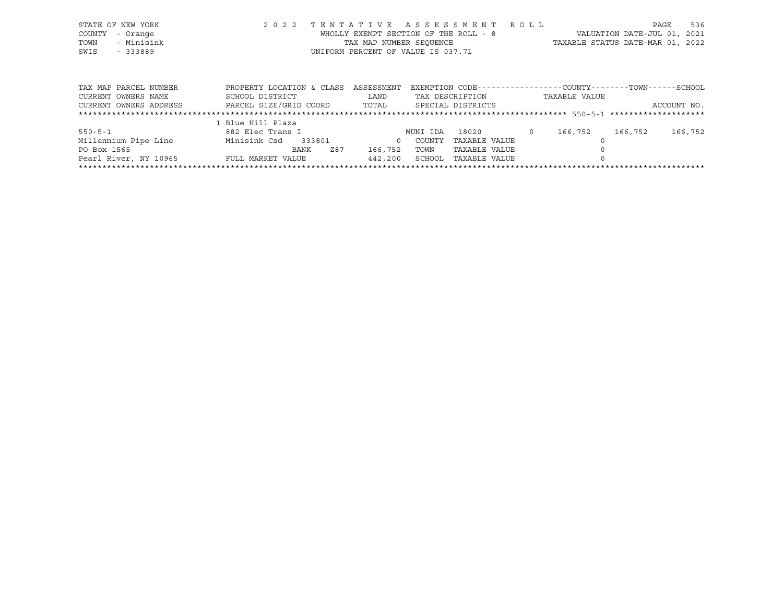|      | STATE OF NEW YORK | 2022 TENTATIVE ASSESSMENT ROLL        |                                  | PAGE | 536 |
|------|-------------------|---------------------------------------|----------------------------------|------|-----|
|      | COUNTY - Orange   | WHOLLY EXEMPT SECTION OF THE ROLL - 8 | VALUATION DATE-JUL 01, 2021      |      |     |
| TOWN | - Minisink        | TAX MAP NUMBER SEOUENCE               | TAXABLE STATUS DATE-MAR 01, 2022 |      |     |
| SWIS | $-333889$         | UNIFORM PERCENT OF VALUE IS 037.71    |                                  |      |     |

| TAX MAP PARCEL NUMBER  | PROPERTY LOCATION & CLASS | ASSESSMENT |          | EXEMPTION CODE-----------------COUNTY-------TOWN------SCHOOL |               |         |             |
|------------------------|---------------------------|------------|----------|--------------------------------------------------------------|---------------|---------|-------------|
| CURRENT OWNERS NAME    | SCHOOL DISTRICT           | LAND       |          | TAX DESCRIPTION                                              | TAXABLE VALUE |         |             |
| CURRENT OWNERS ADDRESS | PARCEL SIZE/GRID COORD    | TOTAL      |          | SPECIAL DISTRICTS                                            |               |         | ACCOUNT NO. |
|                        |                           |            |          |                                                              |               |         |             |
|                        | 1 Blue Hill Plaza         |            |          |                                                              |               |         |             |
| $550 - 5 - 1$          | 882 Elec Trans I          |            | MUNI IDA | 18020                                                        | 166,752       | 166,752 | 166,752     |
| Millennium Pipe Line   | Minisink Csd<br>333801    |            | COUNTY   | TAXABLE VALUE                                                |               |         |             |
| PO Box 1565            | Z87<br>BANK               | 166,752    | TOWN     | TAXABLE VALUE                                                |               |         |             |
| Pearl River, NY 10965  | FULL MARKET VALUE         | 442,200    | SCHOOL   | TAXABLE VALUE                                                |               |         |             |
|                        |                           |            |          |                                                              |               |         |             |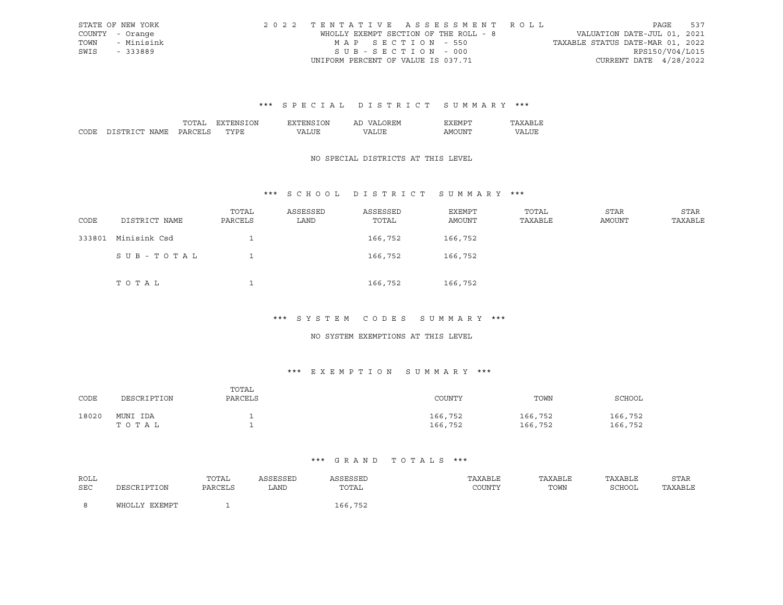|      | STATE OF NEW YORK | 2022 TENTATIVE ASSESSMENT ROLL        |                                  | PAGE            | 537 |
|------|-------------------|---------------------------------------|----------------------------------|-----------------|-----|
|      | COUNTY - Orange   | WHOLLY EXEMPT SECTION OF THE ROLL - 8 | VALUATION DATE-JUL 01, 2021      |                 |     |
|      | TOWN - Minisink   | MAP SECTION - 550                     | TAXABLE STATUS DATE-MAR 01, 2022 |                 |     |
| SWIS | $-333889$         | SUB-SECTION - 000                     |                                  | RPS150/V04/L015 |     |
|      |                   | UNIFORM PERCENT OF VALUE IS 037.71    | CURRENT DATE $4/28/2022$         |                 |     |

|      |    | ΙN | . )N | Al  |                                                                                                                                                                                                                                                                                                                                                                                                                                                                                                  |  |
|------|----|----|------|-----|--------------------------------------------------------------------------------------------------------------------------------------------------------------------------------------------------------------------------------------------------------------------------------------------------------------------------------------------------------------------------------------------------------------------------------------------------------------------------------------------------|--|
| CODI | υ۸ | -- |      | ו י | דיוחדר.<br>ז ועו ב<br>$\frac{1}{2} \left( \frac{1}{2} \right) \left( \frac{1}{2} \right) \left( \frac{1}{2} \right) \left( \frac{1}{2} \right) \left( \frac{1}{2} \right) \left( \frac{1}{2} \right) \left( \frac{1}{2} \right) \left( \frac{1}{2} \right) \left( \frac{1}{2} \right) \left( \frac{1}{2} \right) \left( \frac{1}{2} \right) \left( \frac{1}{2} \right) \left( \frac{1}{2} \right) \left( \frac{1}{2} \right) \left( \frac{1}{2} \right) \left( \frac{1}{2} \right) \left( \frac$ |  |

#### NO SPECIAL DISTRICTS AT THIS LEVEL

#### \*\*\* S C H O O L D I S T R I C T S U M M A R Y \*\*\*

| CODE   | DISTRICT NAME | TOTAL<br>PARCELS | ASSESSED<br>LAND | ASSESSED<br>TOTAL | EXEMPT<br>AMOUNT | TOTAL<br>TAXABLE | <b>STAR</b><br>AMOUNT | STAR<br>TAXABLE |
|--------|---------------|------------------|------------------|-------------------|------------------|------------------|-----------------------|-----------------|
| 333801 | Minisink Csd  |                  |                  | 166,752           | 166,752          |                  |                       |                 |
|        | SUB-TOTAL     |                  |                  | 166,752           | 166,752          |                  |                       |                 |
|        | TOTAL         |                  |                  | 166,752           | 166,752          |                  |                       |                 |

## \*\*\* S Y S T E M C O D E S S U M M A R Y \*\*\*

#### NO SYSTEM EXEMPTIONS AT THIS LEVEL

## \*\*\* E X E M P T I O N S U M M A R Y \*\*\*

| CODE  | DESCRIPTION       | TOTAL<br>PARCELS | COUNTY             | TOWN               | SCHOOL             |
|-------|-------------------|------------------|--------------------|--------------------|--------------------|
| 18020 | MUNI IDA<br>тотаь |                  | 166,752<br>166,752 | 166,752<br>166,752 | 166,752<br>166,752 |

| ROLL |               | TOTAL   | ASSESSED | ASSESSED | TAXABLE | TAXABLE | TAXABLE | STAR    |
|------|---------------|---------|----------|----------|---------|---------|---------|---------|
| SEC  | DESCRIPTION   | PARCELS | LAND     | TOTAL    | COUNTY  | TOWN    | SCHOOL  | TAXABLE |
|      | WHOLLY EXEMPT |         |          | 166,752  |         |         |         |         |
|      |               |         |          |          |         |         |         |         |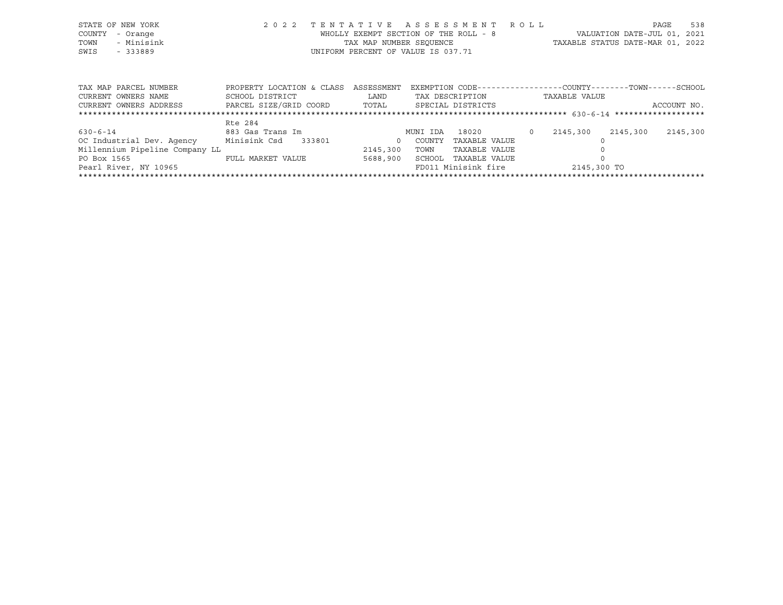| STATE OF NEW YORK |            | 2022 TENTATIVE ASSESSMENT ROLL        |  |                                  | PAGE | 538 |
|-------------------|------------|---------------------------------------|--|----------------------------------|------|-----|
| COUNTY - Orange   |            | WHOLLY EXEMPT SECTION OF THE ROLL - 8 |  | VALUATION DATE-JUL 01, 2021      |      |     |
| TOWN              | - Minisink | TAX MAP NUMBER SEOUENCE               |  | TAXABLE STATUS DATE-MAR 01, 2022 |      |     |
| SWIS              | - 333889   | UNIFORM PERCENT OF VALUE IS 037.71    |  |                                  |      |     |
|                   |            |                                       |  |                                  |      |     |

| TAX MAP PARCEL NUMBER          | PROPERTY LOCATION & CLASS | ASSESSMENT |          | EXEMPTION CODE-----------------COUNTY-------TOWN------SCHOOL |               |          |             |
|--------------------------------|---------------------------|------------|----------|--------------------------------------------------------------|---------------|----------|-------------|
| CURRENT OWNERS NAME            | SCHOOL DISTRICT           | LAND       |          | TAX DESCRIPTION                                              | TAXABLE VALUE |          |             |
| CURRENT OWNERS ADDRESS         | PARCEL SIZE/GRID COORD    | TOTAL      |          | SPECIAL DISTRICTS                                            |               |          | ACCOUNT NO. |
|                                |                           |            |          |                                                              |               |          |             |
|                                | Rte 284                   |            |          |                                                              |               |          |             |
| $630 - 6 - 14$                 | 883 Gas Trans Im          |            | MUNI IDA | 18020                                                        | 2145,300      | 2145,300 | 2145,300    |
| OC Industrial Dev. Agency      | Minisink Csd<br>333801    | $\Omega$   | COUNTY   | TAXABLE VALUE                                                |               |          |             |
| Millennium Pipeline Company LL |                           | 2145,300   | TOWN     | TAXABLE VALUE                                                |               |          |             |
| PO Box 1565                    | FULL MARKET VALUE         | 5688,900   | SCHOOL   | TAXABLE VALUE                                                |               |          |             |
| Pearl River, NY 10965          |                           |            |          | FD011 Minisink fire                                          | 2145,300 TO   |          |             |
|                                |                           |            |          |                                                              |               |          |             |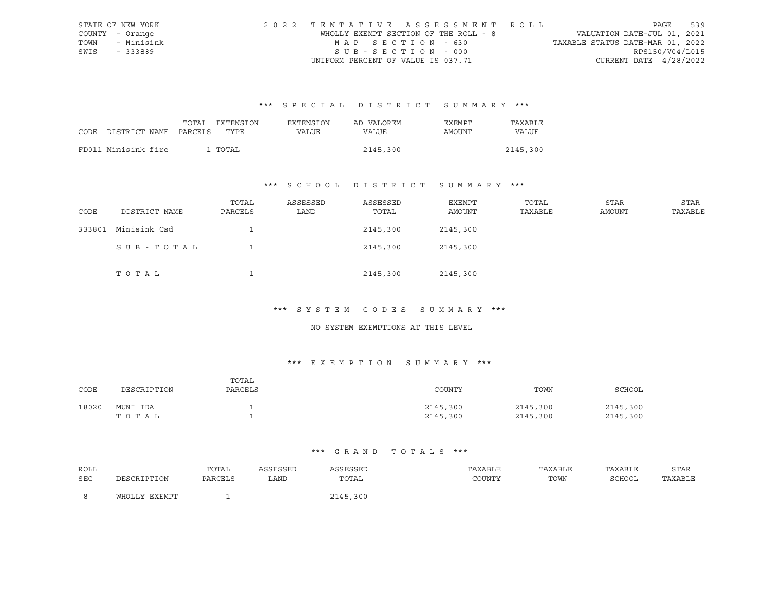|      | STATE OF NEW YORK | 2022 TENTATIVE ASSESSMENT ROLL        |                                  | PAGE            | 539 |
|------|-------------------|---------------------------------------|----------------------------------|-----------------|-----|
|      | COUNTY - Orange   | WHOLLY EXEMPT SECTION OF THE ROLL - 8 | VALUATION DATE-JUL 01, 2021      |                 |     |
|      | TOWN - Minisink   | MAP SECTION - 630                     | TAXABLE STATUS DATE-MAR 01, 2022 |                 |     |
| SWIS | - 333889          | SUB-SECTION - 000                     |                                  | RPS150/V04/L015 |     |
|      |                   | UNIFORM PERCENT OF VALUE IS 037.71    | CURRENT DATE $4/28/2022$         |                 |     |

|                            | TOTAL | EXTENSION | <b>EXTENSION</b> | AD VALOREM | EXEMPT | TAXABLE  |
|----------------------------|-------|-----------|------------------|------------|--------|----------|
| CODE DISTRICT NAME PARCELS |       | TYPE.     | VALUE            | VALUE      | AMOUNT | VALUE    |
|                            |       |           |                  |            |        |          |
| FD011 Minisink fire        |       | 1 TOTAL   |                  | 2145,300   |        | 2145,300 |

## \*\*\* S C H O O L D I S T R I C T S U M M A R Y \*\*\*

| CODE   | DISTRICT NAME | TOTAL<br>PARCELS | ASSESSED<br>LAND | ASSESSED<br>TOTAL | EXEMPT<br>AMOUNT | TOTAL<br>TAXABLE | STAR<br>AMOUNT | STAR<br>TAXABLE |
|--------|---------------|------------------|------------------|-------------------|------------------|------------------|----------------|-----------------|
| 333801 | Minisink Csd  |                  |                  | 2145,300          | 2145,300         |                  |                |                 |
|        | SUB-TOTAL     |                  |                  | 2145,300          | 2145,300         |                  |                |                 |
|        | TOTAL         |                  |                  | 2145,300          | 2145,300         |                  |                |                 |

#### \*\*\* S Y S T E M C O D E S S U M M A R Y \*\*\*

#### NO SYSTEM EXEMPTIONS AT THIS LEVEL

## \*\*\* E X E M P T I O N S U M M A R Y \*\*\*

| CODE  | DESCRIPTION       | TOTAL<br>PARCELS | COUNTY               | TOWN                 | SCHOOL               |
|-------|-------------------|------------------|----------------------|----------------------|----------------------|
| 18020 | MUNI IDA<br>TOTAL |                  | 2145,300<br>2145,300 | 2145,300<br>2145,300 | 2145,300<br>2145,300 |

| ROLL |                  | TOTAL   | ASSESSED | ASSESSED | TAXABLE | TAXABLE | TAXABLE | STAR    |
|------|------------------|---------|----------|----------|---------|---------|---------|---------|
| SEC  | DESCRIPTION      | PARCELS | LAND     | TOTAL    | COUNTY  | TOWN    | SCHOOL  | TAXABLE |
|      |                  |         |          |          |         |         |         |         |
|      | EXEMPT<br>WHOLLY |         |          | 2145,300 |         |         |         |         |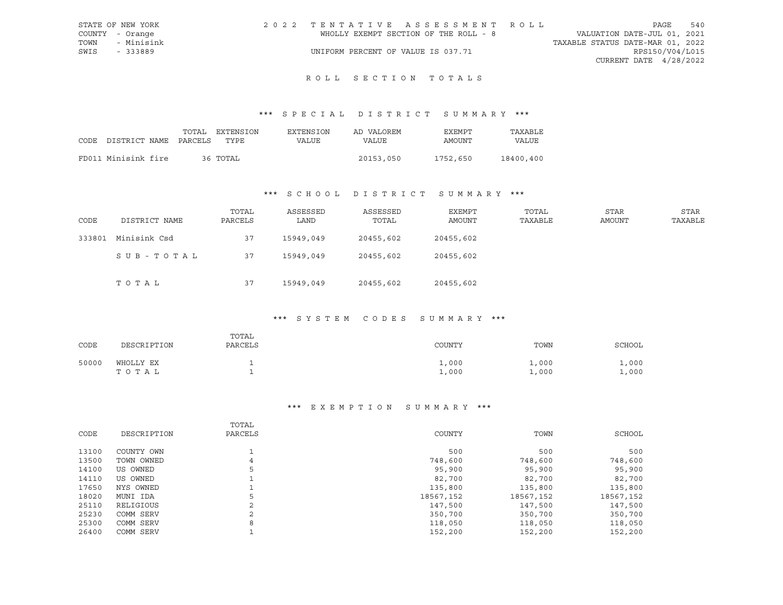| STATE OF NEW YORK |            |  |  |                                       |  |  | 2022 TENTATIVE ASSESSMENT ROLL |                                  | PAGE            | 540 |
|-------------------|------------|--|--|---------------------------------------|--|--|--------------------------------|----------------------------------|-----------------|-----|
| COUNTY - Orange   |            |  |  | WHOLLY EXEMPT SECTION OF THE ROLL - 8 |  |  |                                | VALUATION DATE-JUL 01, 2021      |                 |     |
| TOWN              | - Minisink |  |  |                                       |  |  |                                | TAXABLE STATUS DATE-MAR 01, 2022 |                 |     |
| SWIS              | - 333889   |  |  | UNIFORM PERCENT OF VALUE IS 037.71    |  |  |                                |                                  | RPS150/V04/L015 |     |
|                   |            |  |  |                                       |  |  |                                | CURRENT DATE 4/28/2022           |                 |     |
|                   |            |  |  |                                       |  |  |                                |                                  |                 |     |

## ROLL SECTION TOTALS

## \*\*\* S P E C I A L D I S T R I C T S U M M A R Y \*\*\*

|                                 | TOTAL | EXTENSION | EXTENSION | AD VALOREM | EXEMPT   | TAXABLE      |
|---------------------------------|-------|-----------|-----------|------------|----------|--------------|
| CODE DISTRICT NAME PARCELS TYPE |       |           | VALUE     | VALUE      | AMOUNT   | <b>VALUE</b> |
| FD011 Minisink fire             |       | 36 TOTAL  |           | 20153,050  | 1752,650 | 18400,400    |
|                                 |       |           |           |            |          |              |

## \*\*\* S C H O O L D I S T R I C T S U M M A R Y \*\*\*

| CODE   | DISTRICT NAME | TOTAL<br>PARCELS | ASSESSED<br>LAND | ASSESSED<br>TOTAL | EXEMPT<br>AMOUNT | TOTAL<br>TAXABLE | <b>STAR</b><br>AMOUNT | <b>STAR</b><br>TAXABLE |
|--------|---------------|------------------|------------------|-------------------|------------------|------------------|-----------------------|------------------------|
| 333801 | Minisink Csd  | 37               | 15949,049        | 20455,602         | 20455,602        |                  |                       |                        |
|        | SUB-TOTAL     | 37               | 15949,049        | 20455,602         | 20455,602        |                  |                       |                        |
|        | TOTAL         | 37               | 15949,049        | 20455,602         | 20455,602        |                  |                       |                        |

## \*\*\* S Y S T E M C O D E S S U M M A R Y \*\*\*

| CODE  | DESCRIPTION        | TOTAL<br>PARCELS | COUNTY         | TOWN           | SCHOOL         |
|-------|--------------------|------------------|----------------|----------------|----------------|
| 50000 | WHOLLY EX<br>TOTAL |                  | .000.<br>1,000 | 1,000<br>1,000 | 1,000<br>1,000 |

| CODE  | DESCRIPTION | TOTAL<br>PARCELS | COUNTY    | TOWN      | SCHOOL    |
|-------|-------------|------------------|-----------|-----------|-----------|
| 13100 | COUNTY OWN  |                  | 500       | 500       | 500       |
| 13500 | TOWN OWNED  | 4                | 748,600   | 748,600   | 748,600   |
| 14100 | US OWNED    |                  | 95,900    | 95,900    | 95,900    |
| 14110 | US OWNED    |                  | 82,700    | 82,700    | 82,700    |
| 17650 | NYS OWNED   |                  | 135,800   | 135,800   | 135,800   |
| 18020 | MUNI IDA    | 5                | 18567,152 | 18567,152 | 18567,152 |
| 25110 | RELIGIOUS   | ∍                | 147,500   | 147,500   | 147,500   |
| 25230 | COMM SERV   | ◠                | 350,700   | 350,700   | 350,700   |
| 25300 | COMM SERV   | 8                | 118,050   | 118,050   | 118,050   |
| 26400 | COMM SERV   |                  | 152,200   | 152,200   | 152,200   |
|       |             |                  |           |           |           |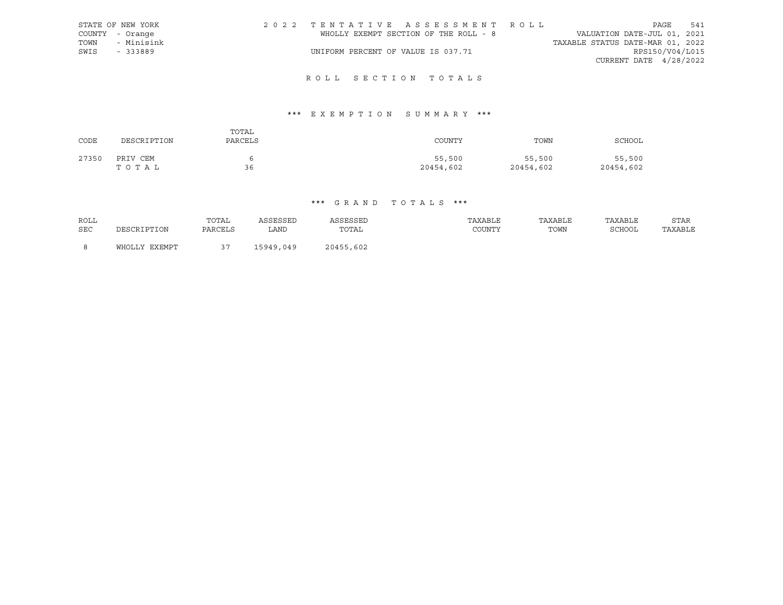|      | STATE OF NEW YORK | 2022 TENTATIVE ASSESSMENT ROLL        |  |  |                                  |                        | PAGE | 541 |
|------|-------------------|---------------------------------------|--|--|----------------------------------|------------------------|------|-----|
|      | COUNTY - Orange   | WHOLLY EXEMPT SECTION OF THE ROLL - 8 |  |  | VALUATION DATE-JUL 01, 2021      |                        |      |     |
| TOWN | - Minisink        |                                       |  |  | TAXABLE STATUS DATE-MAR 01, 2022 |                        |      |     |
| SWIS | - 333889          | UNIFORM PERCENT OF VALUE IS 037.71    |  |  |                                  | RPS150/V04/L015        |      |     |
|      |                   |                                       |  |  |                                  | CURRENT DATE 4/28/2022 |      |     |
|      |                   |                                       |  |  |                                  |                        |      |     |

## R O L L S E C T I O N T O T A L S

## \*\*\* E X E M P T I O N S U M M A R Y \*\*\*

| CODE  | DESCRIPTION       | TOTAL<br>PARCELS | COUNTY              | TOWN                | SCHOOL              |
|-------|-------------------|------------------|---------------------|---------------------|---------------------|
| 27350 | PRIV CEM<br>TOTAL | 36               | 55,500<br>20454,602 | 55,500<br>20454,602 | 55,500<br>20454,602 |

| <b>ROLL</b> | DESCRIPTION   | TOTAL   | ASSESSED  | ASSESSED  | TAXABLE | TAXABLE | TAXABLE | <b>STAR</b> |
|-------------|---------------|---------|-----------|-----------|---------|---------|---------|-------------|
| <b>SEC</b>  |               | PARCELS | LAND      | TOTAL     | COUNTY  | TOWN    | SCHOOL  | TAXABLE     |
| - 8         | WHOLLY EXEMPT |         | 15949,049 | 20455,602 |         |         |         |             |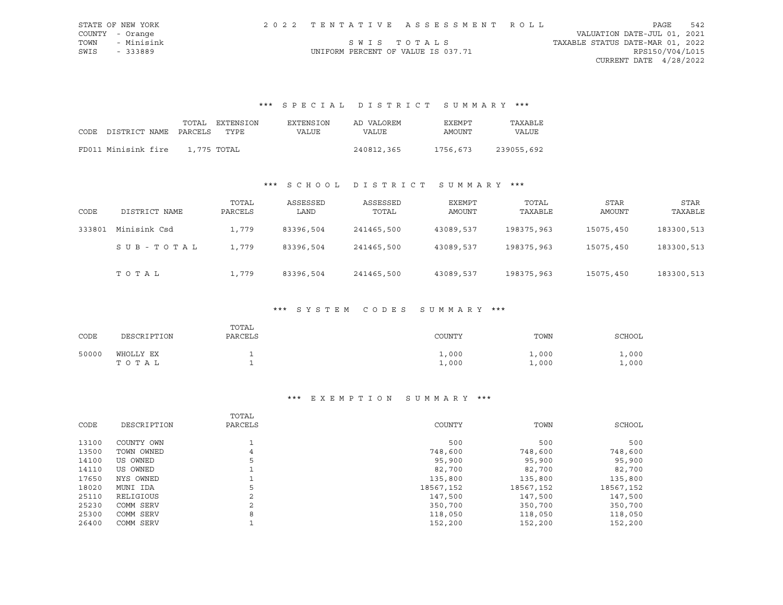| STATE OF NEW YORK  |                                    | 2022 TENTATIVE ASSESSMENT ROLL |                                  | PAGE                     | 542 |
|--------------------|------------------------------------|--------------------------------|----------------------------------|--------------------------|-----|
| COUNTY - Orange    |                                    |                                | VALUATION DATE-JUL 01, 2021      |                          |     |
| TOWN<br>- Minisink |                                    | SWIS TOTALS                    | TAXABLE STATUS DATE-MAR 01, 2022 |                          |     |
| SWIS<br>- 333889   | UNIFORM PERCENT OF VALUE IS 037.71 |                                |                                  | RPS150/V04/L015          |     |
|                    |                                    |                                |                                  | CURRENT DATE $4/28/2022$ |     |

# \*\*\* S P E C I A L D I S T R I C T S U M M A R Y \*\*\*

| CODE DISTRICT NAME PARCELS | TOTAL       | <b>EXTENSION</b><br>TYPE | EXTENSION<br>VALUE | AD VALOREM<br>VALUE | EXEMPT<br>AMOUNT | TAXABLE<br>VALUE |
|----------------------------|-------------|--------------------------|--------------------|---------------------|------------------|------------------|
| FD011 Minisink fire        | 1,775 TOTAL |                          |                    | 240812,365          | 1756,673         | 239055,692       |

## \*\*\* S C H O O L D I S T R I C T S U M M A R Y \*\*\*

| CODE   | DISTRICT NAME | TOTAL<br>PARCELS | ASSESSED<br>LAND | ASSESSED<br>TOTAL | EXEMPT<br>AMOUNT | TOTAL<br>TAXABLE | STAR<br>AMOUNT | STAR<br>TAXABLE |
|--------|---------------|------------------|------------------|-------------------|------------------|------------------|----------------|-----------------|
| 333801 | Minisink Csd  | 1,779            | 83396,504        | 241465,500        | 43089,537        | 198375,963       | 15075,450      | 183300,513      |
|        | SUB-TOTAL     | 1,779            | 83396,504        | 241465,500        | 43089,537        | 198375,963       | 15075,450      | 183300,513      |
|        | TOTAL         | 1,779            | 83396,504        | 241465,500        | 43089,537        | 198375,963       | 15075,450      | 183300,513      |

#### \*\*\* S Y S T E M C O D E S S U M M A R Y \*\*\*

| CODE  | DESCRIPTION        | TOTAL<br>PARCELS | COUNTY         | TOWN           | SCHOOL         |
|-------|--------------------|------------------|----------------|----------------|----------------|
| 50000 | WHOLLY EX<br>TOTAL | ۰                | 1,000<br>1,000 | 1,000<br>1,000 | 1,000<br>1,000 |

### \*\*\* E X E M P T I O N S U M M A R Y \*\*\*

| CODE  | DESCRIPTION | TOTAL<br>PARCELS | COUNTY    | TOWN      | SCHOOL    |
|-------|-------------|------------------|-----------|-----------|-----------|
| 13100 | COUNTY OWN  |                  | 500       | 500       | 500       |
| 13500 | TOWN OWNED  | 4                | 748,600   | 748,600   | 748,600   |
| 14100 | US OWNED    | 5                | 95,900    | 95,900    | 95,900    |
| 14110 | US OWNED    |                  | 82,700    | 82,700    | 82,700    |
| 17650 | NYS OWNED   |                  | 135,800   | 135,800   | 135,800   |
| 18020 | MUNI IDA    | 5                | 18567,152 | 18567,152 | 18567,152 |
| 25110 | RELIGIOUS   | 2                | 147,500   | 147,500   | 147,500   |
| 25230 | COMM SERV   | $\mathbf{2}$     | 350,700   | 350,700   | 350,700   |
| 25300 | COMM SERV   | 8                | 118,050   | 118,050   | 118,050   |
| 26400 | COMM SERV   |                  | 152,200   | 152,200   | 152,200   |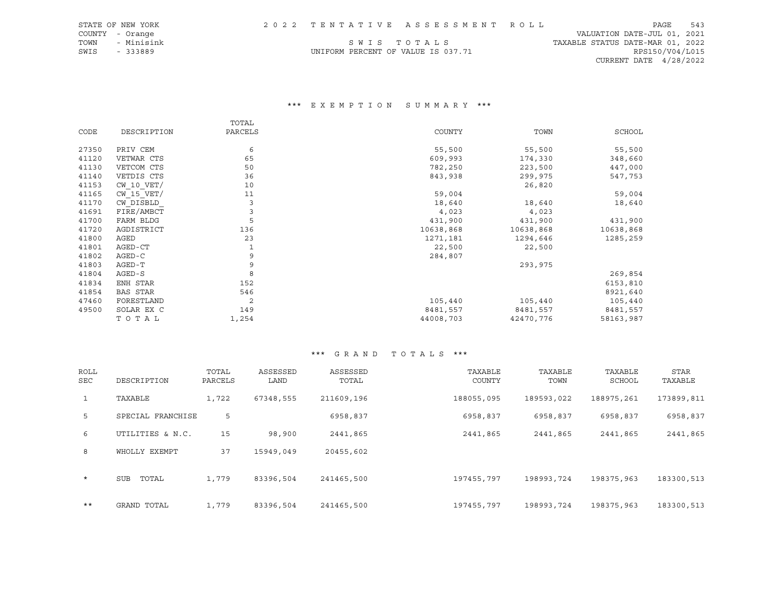| STATE OF NEW YORK |                                    | 2022 TENTATIVE ASSESSMENT ROLL |                                  | PAGE                   | 543 |
|-------------------|------------------------------------|--------------------------------|----------------------------------|------------------------|-----|
| COUNTY - Orange   |                                    |                                | VALUATION DATE-JUL 01, 2021      |                        |     |
| TOWN - Minisink   |                                    | SWIS TOTALS                    | TAXABLE STATUS DATE-MAR 01, 2022 |                        |     |
| SWIS<br>$-333889$ | UNIFORM PERCENT OF VALUE IS 037.71 |                                |                                  | RPS150/V04/L015        |     |
|                   |                                    |                                |                                  | CURRENT DATE 4/28/2022 |     |
|                   |                                    |                                |                                  |                        |     |

### \*\*\* E X E M P T I O N S U M M A R Y \*\*\*

|       |                 | TOTAL   |           |           |           |
|-------|-----------------|---------|-----------|-----------|-----------|
| CODE  | DESCRIPTION     | PARCELS | COUNTY    | TOWN      | SCHOOL    |
| 27350 | PRIV CEM        | 6       | 55,500    | 55,500    | 55,500    |
| 41120 | VETWAR CTS      | 65      | 609,993   | 174,330   | 348,660   |
| 41130 | VETCOM CTS      | 50      | 782,250   | 223,500   | 447,000   |
| 41140 | VETDIS CTS      | 36      | 843,938   | 299,975   | 547,753   |
| 41153 | $CW$ 10 $VET/$  | 10      |           | 26,820    |           |
| 41165 | $CW$ 15 $VET/$  | 11      | 59,004    |           | 59,004    |
| 41170 | CW DISBLD       | 3       | 18,640    | 18,640    | 18,640    |
| 41691 | FIRE/AMBCT      | 3       | 4,023     | 4,023     |           |
| 41700 | FARM BLDG       | 5       | 431,900   | 431,900   | 431,900   |
| 41720 | AGDISTRICT      | 136     | 10638,868 | 10638,868 | 10638,868 |
| 41800 | AGED            | 23      | 1271,181  | 1294,646  | 1285,259  |
| 41801 | AGED-CT         | 1       | 22,500    | 22,500    |           |
| 41802 | AGED-C          | 9       | 284,807   |           |           |
| 41803 | AGED-T          | 9       |           | 293,975   |           |
| 41804 | AGED-S          | 8       |           |           | 269,854   |
| 41834 | ENH STAR        | 152     |           |           | 6153,810  |
| 41854 | <b>BAS STAR</b> | 546     |           |           | 8921,640  |
| 47460 | FORESTLAND      | 2       | 105,440   | 105,440   | 105,440   |
| 49500 | SOLAR EX C      | 149     | 8481,557  | 8481,557  | 8481,557  |
|       | TOTAL           | 1,254   | 44008,703 | 42470,776 | 58163,987 |

| ROLL<br>SEC. | DESCRIPTION       | TOTAL<br>PARCELS | ASSESSED<br>LAND | ASSESSED<br>TOTAL | TAXABLE<br>COUNTY | TAXABLE<br>TOWN | TAXABLE<br>SCHOOL | <b>STAR</b><br>TAXABLE |
|--------------|-------------------|------------------|------------------|-------------------|-------------------|-----------------|-------------------|------------------------|
| 1            | TAXABLE           | 1,722            | 67348,555        | 211609,196        | 188055,095        | 189593,022      | 188975,261        | 173899,811             |
| 5            | SPECIAL FRANCHISE | 5                |                  | 6958,837          | 6958,837          | 6958,837        | 6958,837          | 6958,837               |
| 6            | UTILITIES & N.C.  | 15               | 98,900           | 2441,865          | 2441,865          | 2441,865        | 2441,865          | 2441,865               |
| 8            | WHOLLY EXEMPT     | 37               | 15949,049        | 20455,602         |                   |                 |                   |                        |
| $\star$      | TOTAL<br>SUB      | 1,779            | 83396,504        | 241465,500        | 197455,797        | 198993,724      | 198375,963        | 183300,513             |
| $***$        | GRAND TOTAL       | 1,779            | 83396,504        | 241465,500        | 197455,797        | 198993,724      | 198375,963        | 183300,513             |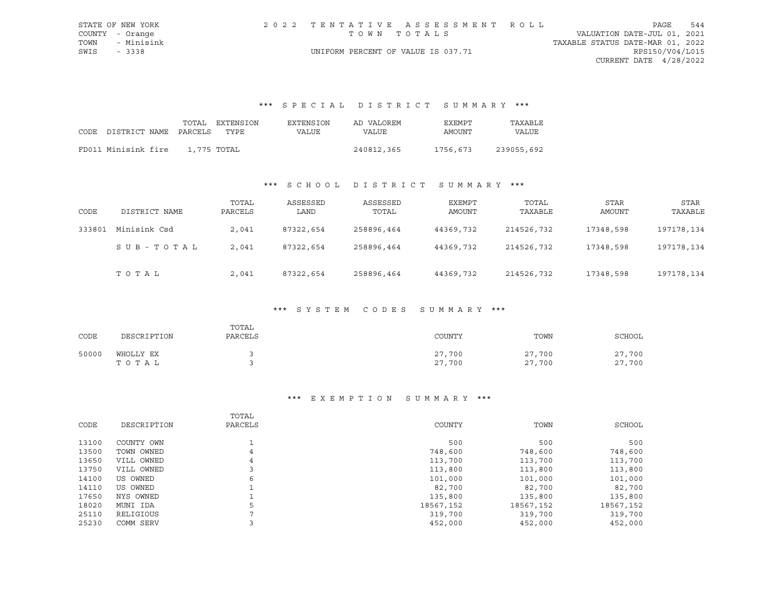|      | STATE OF NEW YORK |                                    | 2022 TENTATIVE ASSESSMENT ROLL |                                  | PAGE                     | 544 |
|------|-------------------|------------------------------------|--------------------------------|----------------------------------|--------------------------|-----|
|      | COUNTY - Orange   | TOWN TOTALS                        |                                | VALUATION DATE-JUL 01, 2021      |                          |     |
|      | TOWN - Minisink   |                                    |                                | TAXABLE STATUS DATE-MAR 01, 2022 |                          |     |
| SWIS | - 3338            | UNIFORM PERCENT OF VALUE IS 037.71 |                                |                                  | RPS150/V04/L015          |     |
|      |                   |                                    |                                |                                  | CURRENT DATE $4/28/2022$ |     |

# \*\*\* S P E C I A L D I S T R I C T S U M M A R Y \*\*\*

|                            | TOTAL       | EXTENSION | EXTENSION | AD VALOREM | EXEMPT   | TAXABLE    |
|----------------------------|-------------|-----------|-----------|------------|----------|------------|
| CODE DISTRICT NAME PARCELS |             | TYPE      | VALUE     | VALUE      | AMOUNT   | VALUE      |
| FD011 Minisink fire        | 1,775 TOTAL |           |           | 240812,365 | 1756,673 | 239055,692 |
|                            |             |           |           |            |          |            |

## \*\*\* S C H O O L D I S T R I C T S U M M A R Y \*\*\*

| CODE   | DISTRICT NAME | TOTAL<br>PARCELS | ASSESSED<br>LAND | ASSESSED<br>TOTAL | EXEMPT<br>AMOUNT | TOTAL<br>TAXABLE | STAR<br>AMOUNT | STAR<br>TAXABLE |
|--------|---------------|------------------|------------------|-------------------|------------------|------------------|----------------|-----------------|
| 333801 | Minisink Csd  | 2,041            | 87322,654        | 258896,464        | 44369,732        | 214526,732       | 17348,598      | 197178,134      |
|        | SUB-TOTAL     | 2,041            | 87322,654        | 258896,464        | 44369,732        | 214526,732       | 17348,598      | 197178,134      |
|        | TOTAL         | 2,041            | 87322,654        | 258896,464        | 44369,732        | 214526,732       | 17348,598      | 197178,134      |

#### \*\*\* S Y S T E M C O D E S S U M M A R Y \*\*\*

| CODE  | DESCRIPTION        | TOTAL<br>PARCELS | COUNTY           | TOWN             | SCHOOL           |
|-------|--------------------|------------------|------------------|------------------|------------------|
| 50000 | WHOLLY EX<br>тотаь |                  | 27,700<br>27,700 | 27,700<br>27,700 | 27,700<br>27,700 |

### \*\*\* E X E M P T I O N S U M M A R Y \*\*\*

| CODE  | DESCRIPTION | TOTAL<br>PARCELS | COUNTY    | TOWN      | SCHOOL    |
|-------|-------------|------------------|-----------|-----------|-----------|
| 13100 | COUNTY OWN  |                  | 500       | 500       | 500       |
| 13500 | TOWN OWNED  | 4                | 748,600   | 748,600   | 748,600   |
| 13650 | VILL OWNED  | 4                | 113,700   | 113,700   | 113,700   |
| 13750 | VILL OWNED  |                  | 113,800   | 113,800   | 113,800   |
| 14100 | US OWNED    | 6                | 101,000   | 101,000   | 101,000   |
| 14110 | US OWNED    |                  | 82,700    | 82,700    | 82,700    |
| 17650 | NYS OWNED   |                  | 135,800   | 135,800   | 135,800   |
| 18020 | MUNI IDA    | 5                | 18567,152 | 18567,152 | 18567,152 |
| 25110 | RELIGIOUS   |                  | 319,700   | 319,700   | 319,700   |
| 25230 | COMM SERV   |                  | 452,000   | 452,000   | 452,000   |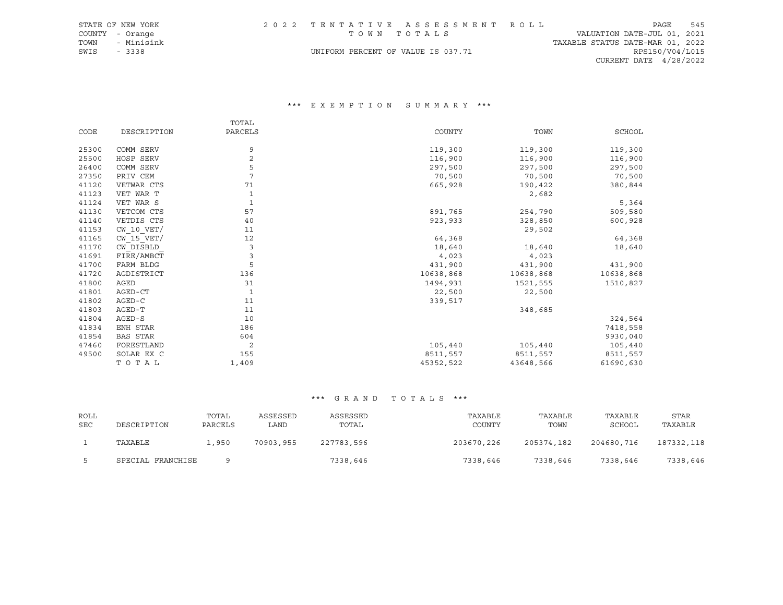|      | STATE OF NEW YORK |                                    | 2022 TENTATIVE ASSESSMENT ROLL |                                  | PAGE            | 545 |
|------|-------------------|------------------------------------|--------------------------------|----------------------------------|-----------------|-----|
|      | COUNTY - Orange   | TOWN TOTALS                        |                                | VALUATION DATE-JUL 01, 2021      |                 |     |
| TOWN | - Minisink        |                                    |                                | TAXABLE STATUS DATE-MAR 01, 2022 |                 |     |
| SWIS | $-3338$           | UNIFORM PERCENT OF VALUE IS 037.71 |                                |                                  | RPS150/V04/L015 |     |
|      |                   |                                    |                                | CURRENT DATE $4/28/2022$         |                 |     |

### \*\*\* E X E M P T I O N S U M M A R Y \*\*\*

|       |                 | TOTAL   |           |           |           |
|-------|-----------------|---------|-----------|-----------|-----------|
| CODE  | DESCRIPTION     | PARCELS | COUNTY    | TOWN      | SCHOOL    |
|       |                 |         |           |           |           |
| 25300 | COMM SERV       | 9       | 119,300   | 119,300   | 119,300   |
| 25500 | HOSP SERV       | 2       | 116,900   | 116,900   | 116,900   |
| 26400 | COMM SERV       | 5       | 297,500   | 297,500   | 297,500   |
| 27350 | PRIV CEM        | 7       | 70,500    | 70,500    | 70,500    |
| 41120 | VETWAR CTS      | 71      | 665,928   | 190,422   | 380,844   |
| 41123 | VET WAR T       | 1       |           | 2,682     |           |
| 41124 | VET WAR S       |         |           |           | 5,364     |
| 41130 | VETCOM CTS      | 57      | 891,765   | 254,790   | 509,580   |
| 41140 | VETDIS CTS      | 40      | 923,933   | 328,850   | 600,928   |
| 41153 | $CW$ 10 $VET/$  | 11      |           | 29,502    |           |
| 41165 | $CW$ 15 $VET/$  | 12      | 64,368    |           | 64,368    |
| 41170 | CW DISBLD       | 3       | 18,640    | 18,640    | 18,640    |
| 41691 | FIRE/AMBCT      | 3       | 4,023     | 4,023     |           |
| 41700 | FARM BLDG       | 5       | 431,900   | 431,900   | 431,900   |
| 41720 | AGDISTRICT      | 136     | 10638,868 | 10638,868 | 10638,868 |
| 41800 | AGED            | 31      | 1494,931  | 1521,555  | 1510,827  |
| 41801 | AGED-CT         |         | 22,500    | 22,500    |           |
| 41802 | AGED-C          | 11      | 339,517   |           |           |
| 41803 | AGED-T          | 11      |           | 348,685   |           |
| 41804 | AGED-S          | 10      |           |           | 324,564   |
| 41834 | ENH STAR        | 186     |           |           | 7418,558  |
| 41854 | <b>BAS STAR</b> | 604     |           |           | 9930,040  |
| 47460 | FORESTLAND      | 2       | 105,440   | 105,440   | 105,440   |
| 49500 | SOLAR EX C      | 155     | 8511,557  | 8511,557  | 8511,557  |
|       | TOTAL           | 1,409   | 45352,522 | 43648,566 | 61690,630 |

| ROLL |                   | TOTAL   | ASSESSED  | ASSESSED   | TAXABLE    | TAXABLE    | TAXABLE    | STAR       |
|------|-------------------|---------|-----------|------------|------------|------------|------------|------------|
| SEC  | DESCRIPTION       | PARCELS | LAND      | TOTAL      | COUNTY     | TOWN       | SCHOOL     | TAXABLE    |
|      | TAXABLE           | 1,950   | 70903,955 | 227783,596 | 203670,226 | 205374,182 | 204680,716 | 187332,118 |
|      | SPECIAL FRANCHISE |         |           | 7338,646   | 7338,646   | 7338,646   | 7338,646   | 7338,646   |